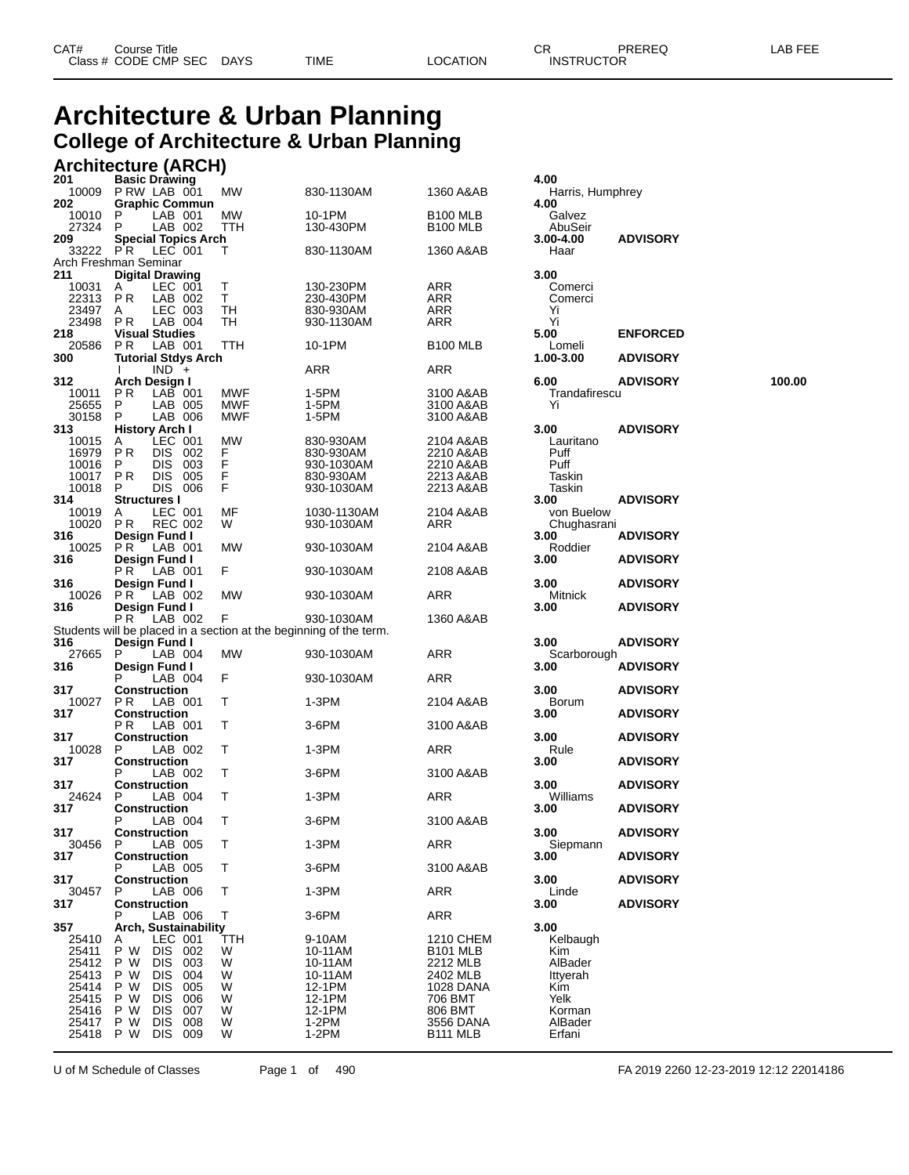## **Architecture & Urban Planning College of Architecture & Urban Planning**

#### **Architecture (ARCH)**

| 201<br>10009   | <b>Basic Drawing</b><br>PRW LAB 001             | <b>MW</b>          | 830-1130AM                                                         | 1360 A&AB                    | 4.00<br>Harris, Humphrey |                 |        |
|----------------|-------------------------------------------------|--------------------|--------------------------------------------------------------------|------------------------------|--------------------------|-----------------|--------|
| 202            | <b>Graphic Commun</b>                           |                    |                                                                    |                              | 4.00                     |                 |        |
| 10010<br>27324 | LAB 001<br>P.<br>LAB 002<br>P                   | MW<br>TTH          | 10-1PM                                                             | <b>B100 MLB</b>              | Galvez                   |                 |        |
| 209            | <b>Special Topics Arch</b>                      |                    | 130-430PM                                                          | <b>B100 MLB</b>              | AbuSeir<br>3.00-4.00     | <b>ADVISORY</b> |        |
|                | 33222 PR LEC 001                                | Τ                  | 830-1130AM                                                         | 1360 A&AB                    | Haar                     |                 |        |
| 211            | Arch Freshman Seminar<br><b>Digital Drawing</b> |                    |                                                                    |                              | 3.00                     |                 |        |
| 10031          | LEC 001<br>A                                    | T.                 | 130-230PM                                                          | ARR                          | Comerci                  |                 |        |
| 22313          | LAB 002<br>P <sub>R</sub>                       | T.                 | 230-430PM                                                          | ARR                          | Comerci                  |                 |        |
| 23497          | LEC 003<br>A                                    | TH                 | 830-930AM                                                          | ARR                          | Yi                       |                 |        |
| 23498          | P <sub>R</sub><br>LAB 004                       | TН                 | 930-1130AM                                                         | ARR                          | Yi                       |                 |        |
| 218            | <b>Visual Studies</b>                           |                    |                                                                    |                              | 5.00                     | <b>ENFORCED</b> |        |
| 20586          | P <sub>R</sub><br>LAB 001                       | <b>TTH</b>         | 10-1PM                                                             | <b>B100 MLB</b>              | Lomeli                   |                 |        |
| 300            | <b>Tutorial Stdys Arch</b><br>$IND +$           |                    | ARR                                                                | ARR                          | 1.00-3.00                | <b>ADVISORY</b> |        |
| 312            | Arch Design I                                   |                    |                                                                    |                              | 6.00                     | <b>ADVISORY</b> | 100.00 |
| 10011          | PR.<br>$LAB$ 001                                | MWF                | 1-5PM                                                              | 3100 A&AB                    | Trandafirescu            |                 |        |
| 25655          | LAB 005<br>P                                    | <b>MWF</b>         | 1-5PM                                                              | 3100 A&AB                    | Yi                       |                 |        |
| 30158          | P<br>LAB 006                                    | <b>MWF</b>         | 1-5PM                                                              | 3100 A&AB                    |                          |                 |        |
| 313            | <b>History Arch I</b>                           |                    |                                                                    |                              | 3.00                     | <b>ADVISORY</b> |        |
| 10015          | LEC 001<br>A                                    | <b>MW</b>          | 830-930AM                                                          | 2104 A&AB                    | Lauritano                |                 |        |
| 16979<br>10016 | PR<br>DIS 002<br>DIS 003                        | F.<br>F            | 830-930AM                                                          | 2210 A&AB                    | Puff                     |                 |        |
| 10017          | P<br><b>PR</b><br>DIS 005                       |                    | 930-1030AM<br>830-930AM                                            | 2210 A&AB<br>2213 A&AB       | Puff<br>Taskin           |                 |        |
| 10018          | DIS 006<br>P                                    | $_{\rm F}^{\rm F}$ | 930-1030AM                                                         | 2213 A&AB                    | Taskin                   |                 |        |
| 314            | <b>Structures I</b>                             |                    |                                                                    |                              | 3.00                     | <b>ADVISORY</b> |        |
| 10019          | LEC 001<br>A                                    | MF                 | 1030-1130AM                                                        | 2104 A&AB                    | von Buelow               |                 |        |
| 10020          | PR.<br><b>REC 002</b>                           | W                  | 930-1030AM                                                         | ARR                          | Chughasrani              |                 |        |
| 316            | Design Fund I                                   |                    |                                                                    |                              | 3.00                     | <b>ADVISORY</b> |        |
| 10025          | PR.<br>$-LAB$ 001                               | MW                 | 930-1030AM                                                         | 2104 A&AB                    | Roddier                  |                 |        |
| 316            | Design Fund I                                   |                    |                                                                    |                              | 3.00                     | <b>ADVISORY</b> |        |
| 316            | PR.<br>LAB 001<br>Design Fund I                 | F.                 | 930-1030AM                                                         | 2108 A&AB                    | 3.00                     |                 |        |
| 10026          | PR.<br>LAB 002                                  | МW                 | 930-1030AM                                                         | ARR                          | Mitnick                  | <b>ADVISORY</b> |        |
| 316            | Design Fund I                                   |                    |                                                                    |                              | 3.00                     | <b>ADVISORY</b> |        |
|                | PR.<br>LAB 002                                  | F                  | 930-1030AM                                                         | 1360 A&AB                    |                          |                 |        |
|                |                                                 |                    | Students will be placed in a section at the beginning of the term. |                              |                          |                 |        |
| 316            | Design Fund I                                   |                    |                                                                    |                              | 3.00                     | <b>ADVISORY</b> |        |
| 27665          | LAB 004<br>P                                    | MW                 | 930-1030AM                                                         | ARR                          | Scarborough              |                 |        |
| 316            | Design Fund I                                   |                    |                                                                    |                              | 3.00                     | <b>ADVISORY</b> |        |
| 317            | LAB 004<br><b>Construction</b>                  | F.                 | 930-1030AM                                                         | ARR                          | 3.00                     | <b>ADVISORY</b> |        |
| 10027          | P R<br>LAB 001                                  | Т                  | $1-3PM$                                                            | 2104 A&AB                    | <b>Borum</b>             |                 |        |
| 317            | <b>Construction</b>                             |                    |                                                                    |                              | 3.00                     | <b>ADVISORY</b> |        |
|                | LAB 001<br>P R                                  | Τ                  | 3-6PM                                                              | 3100 A&AB                    |                          |                 |        |
| 317            | <b>Construction</b>                             |                    |                                                                    |                              | 3.00                     | <b>ADVISORY</b> |        |
| 10028          | P.<br>LAB 002                                   | T.                 | 1-3PM                                                              | ARR                          | Rule                     |                 |        |
| 317            | <b>Construction</b>                             |                    |                                                                    |                              | 3.00                     | <b>ADVISORY</b> |        |
| 317            | LAB 002<br>P<br><b>Construction</b>             | T.                 | 3-6PM                                                              | 3100 A&AB                    | 3.00                     | <b>ADVISORY</b> |        |
| 24624          | LAB 004<br>P                                    | T.                 | 1-3PM                                                              | ARR                          | Williams                 |                 |        |
| 317            | <b>Construction</b>                             |                    |                                                                    |                              | 3.00                     | <b>ADVISORY</b> |        |
|                | LAB 004<br>P                                    | Τ                  | 3-6PM                                                              | 3100 A&AB                    |                          |                 |        |
| 317            | <b>Construction</b>                             |                    |                                                                    |                              | 3.00                     | <b>ADVISORY</b> |        |
| 30456          | LAB 005<br>P                                    | Τ                  | $1-3PM$                                                            | ARR                          | Siepmann                 |                 |        |
| 317            | <b>Construction</b>                             |                    |                                                                    |                              | 3.00                     | <b>ADVISORY</b> |        |
| 317            | LAB 005<br>Р<br>Construction                    | T.                 | 3-6PM                                                              | 3100 A&AB                    |                          | <b>ADVISORY</b> |        |
| 30457          | P<br>LAB 006                                    | т                  | 1-3PM                                                              | ARR                          | 3.00<br>Linde            |                 |        |
| 317            | <b>Construction</b>                             |                    |                                                                    |                              | 3.00                     | <b>ADVISORY</b> |        |
|                | LAB 006<br>Р                                    | Τ                  | 3-6PM                                                              | ARR                          |                          |                 |        |
| 357            | Arch, Sustainability                            |                    |                                                                    |                              | 3.00                     |                 |        |
| 25410          | LEC 001<br>A                                    | TTH                | 9-10AM                                                             | 1210 CHEM                    | Kelbaugh                 |                 |        |
| 25411          | P W<br><b>DIS</b><br>002                        | W                  | 10-11AM                                                            | B <sub>101</sub> MLB         | Kim                      |                 |        |
| 25412          | <b>DIS</b><br>P W<br>003                        | W                  | 10-11AM                                                            | 2212 MLB                     | AlBader                  |                 |        |
| 25413          | P W<br><b>DIS</b><br>004<br>P W                 | W                  | 10-11AM                                                            | 2402 MLB<br><b>1028 DANA</b> | Ittyerah<br>Kim          |                 |        |
| 25414<br>25415 | <b>DIS</b><br>005<br>P W<br><b>DIS</b><br>006   | W<br>W             | 12-1PM<br>12-1PM                                                   | 706 BMT                      | Yelk                     |                 |        |
| 25416          | P W<br><b>DIS</b><br>007                        | W                  | 12-1PM                                                             | 806 BMT                      | Korman                   |                 |        |
| 25417          | P W<br><b>DIS</b><br>008                        | W                  | $1-2PM$                                                            | 3556 DANA                    | AlBader                  |                 |        |
| 25418          | P W<br><b>DIS</b><br>009                        | W                  | $1-2PM$                                                            | B111 MLB                     | Erfani                   |                 |        |

| 4.00                                                                               |                 |    |
|------------------------------------------------------------------------------------|-----------------|----|
| Harris, Humphrey<br>4.00<br>Galvez                                                 |                 |    |
| AbuSeir<br>3.00-4.00<br>Haar                                                       | <b>ADVISORY</b> |    |
| 3.00<br>Comerci<br>Comerci<br>Yi<br>Yi                                             |                 |    |
| 5.00                                                                               | <b>ENFORCED</b> |    |
| Lomeli<br>1.00-3.00                                                                | <b>ADVISORY</b> |    |
| 6.00<br>Trandafirescu<br>Yi                                                        | <b>ADVISORY</b> | 10 |
| 3.00<br>Lauritano<br>Puff<br>Puff<br>Taskin                                        | <b>ADVISORY</b> |    |
| Taskin<br>3.00<br>von Buelow                                                       | <b>ADVISORY</b> |    |
| Chughasrani<br>3.00                                                                | ADVISORY        |    |
| Roddier<br>3.00                                                                    | <b>ADVISORY</b> |    |
| 3.00                                                                               | <b>ADVISORY</b> |    |
| Mitnick<br>3.00                                                                    | <b>ADVISORY</b> |    |
| 3.00                                                                               | <b>ADVISORY</b> |    |
| Scarborough<br>3.00                                                                | <b>ADVISORY</b> |    |
| 3.00                                                                               | <b>ADVISORY</b> |    |
| Borum<br>3.00                                                                      | <b>ADVISORY</b> |    |
| 3.00                                                                               | <b>ADVISORY</b> |    |
| Rule<br>3.00                                                                       | <b>ADVISORY</b> |    |
| 3.00                                                                               | ADVISORY        |    |
| Williams<br>3.00                                                                   | <b>ADVISORY</b> |    |
| 3.00                                                                               | <b>ADVISORY</b> |    |
| Siepmann<br>3.00                                                                   | ADVISORY        |    |
| 3.00                                                                               | <b>ADVISORY</b> |    |
| Linde<br>3.00                                                                      | <b>ADVISORY</b> |    |
| 3.00<br>Kelbaugh<br>Kim<br>AlBader<br>Ittyerah<br>Kim<br>Yelk<br>Korman<br>AlBader |                 |    |

U of M Schedule of Classes Page 1 of 490 FA 2019 2260 12-23-2019 12:12 22014186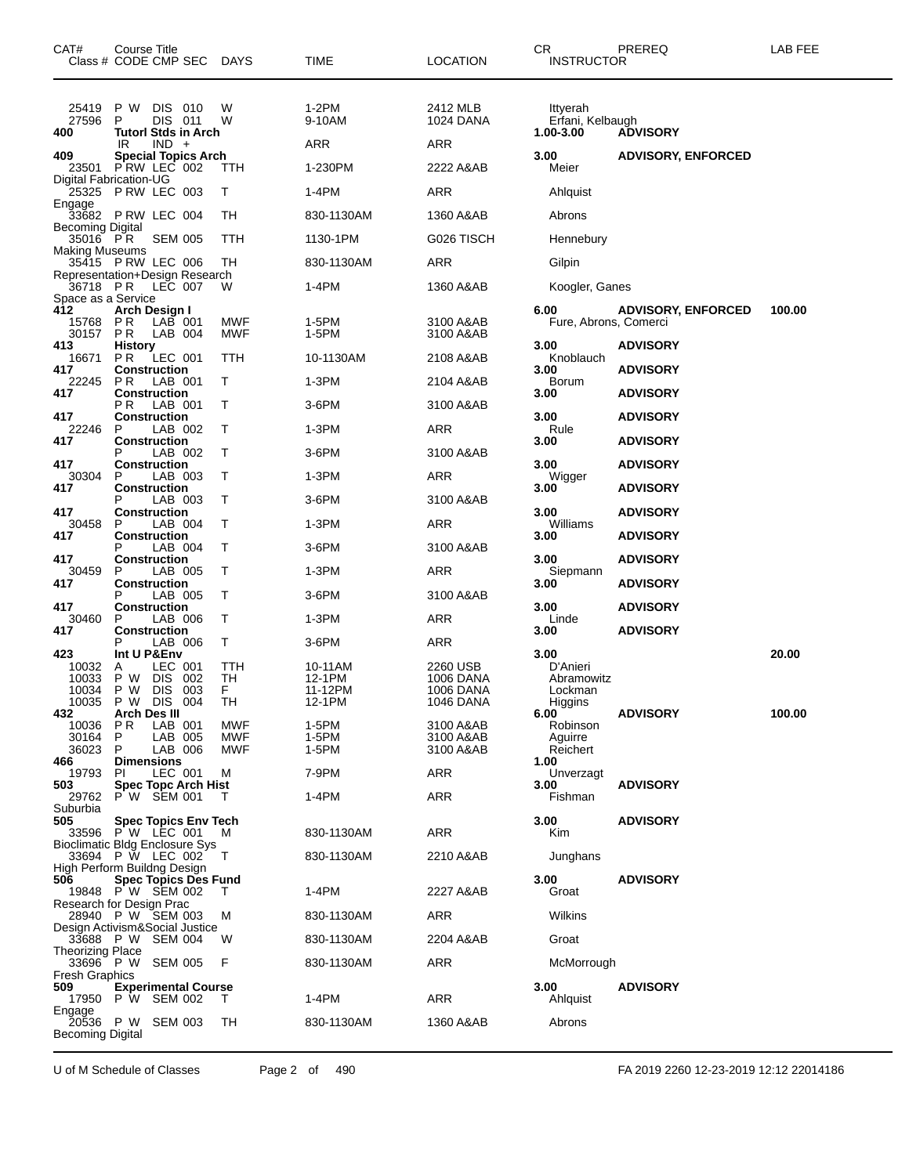| CAT#<br>Class # CODE CMP SEC DAYS                                | Course Title                                                  |                      |                             |                              | TIME                                   | <b>LOCATION</b>                                               | CR<br><b>INSTRUCTOR</b>                              | PREREQ                    | <b>LAB FEE</b> |
|------------------------------------------------------------------|---------------------------------------------------------------|----------------------|-----------------------------|------------------------------|----------------------------------------|---------------------------------------------------------------|------------------------------------------------------|---------------------------|----------------|
| 25419<br>27596<br>400                                            | P W<br>P                                                      | DIS 010<br>DIS 011   | <b>Tutorl Stds in Arch</b>  | W<br>W                       | $1-2PM$<br>9-10AM                      | 2412 MLB<br>1024 DANA                                         | Ittyerah<br>Erfani, Kelbaugh<br>1.00-3.00            | <b>ADVISORY</b>           |                |
| 409                                                              | IR                                                            | $IND +$              | <b>Special Topics Arch</b>  |                              | <b>ARR</b>                             | ARR                                                           | 3.00                                                 | <b>ADVISORY, ENFORCED</b> |                |
| 23501<br>Digital Fabrication-UG                                  | PRW LEC 002                                                   |                      |                             | ттн                          | 1-230PM                                | 2222 A&AB                                                     | Meier                                                |                           |                |
| 25325<br>Engage                                                  | <b>PRW LEC 003</b>                                            |                      |                             | т                            | 1-4PM                                  | <b>ARR</b>                                                    | Ahlquist                                             |                           |                |
| 33682 PRW LEC 004                                                |                                                               |                      |                             | TН                           | 830-1130AM                             | 1360 A&AB                                                     | Abrons                                               |                           |                |
| <b>Becoming Digital</b><br>35016 PR                              |                                                               | <b>SEM 005</b>       |                             | TTH                          | 1130-1PM                               | G026 TISCH                                                    | Hennebury                                            |                           |                |
| <b>Making Museums</b><br>35415 P RW LEC 006                      |                                                               |                      |                             | TН                           | 830-1130AM                             | <b>ARR</b>                                                    | Gilpin                                               |                           |                |
| Representation+Design Research<br>36718 PR                       |                                                               | LEC 007              |                             | W                            | 1-4PM                                  | 1360 A&AB                                                     | Koogler, Ganes                                       |                           |                |
| Space as a Service                                               |                                                               |                      |                             |                              |                                        |                                                               |                                                      |                           |                |
| 412<br>15768<br>30157                                            | Arch Design I<br><b>PR</b><br><b>PR</b>                       | $LAB$ 001<br>LAB 004 |                             | MWF<br>MWF                   | 1-5PM<br>1-5PM                         | 3100 A&AB<br>3100 A&AB                                        | 6.00<br>Fure, Abrons, Comerci                        | <b>ADVISORY, ENFORCED</b> | 100.00         |
| 413<br>16671                                                     | <b>History</b><br><b>PR</b>                                   | LEC 001              |                             | TTH                          | 10-1130AM                              | 2108 A&AB                                                     | 3.00<br>Knoblauch                                    | <b>ADVISORY</b>           |                |
| 417<br>22245                                                     | <b>Construction</b><br>P R                                    | LAB 001              |                             | Т                            | $1-3PM$                                | 2104 A&AB                                                     | 3.00<br><b>Borum</b>                                 | <b>ADVISORY</b>           |                |
| 417                                                              | <b>Construction</b>                                           |                      |                             |                              |                                        |                                                               | 3.00                                                 | <b>ADVISORY</b>           |                |
| 417                                                              | РR<br><b>Construction</b>                                     | LAB 001              |                             | т                            | 3-6PM                                  | 3100 A&AB                                                     | 3.00                                                 | <b>ADVISORY</b>           |                |
| 22246<br>417                                                     | P<br><b>Construction</b>                                      | LAB 002              |                             | Τ                            | 1-3PM                                  | ARR                                                           | Rule<br>3.00                                         | <b>ADVISORY</b>           |                |
| 417                                                              | <b>Construction</b>                                           | LAB 002              |                             | Т                            | 3-6PM                                  | 3100 A&AB                                                     | 3.00                                                 | <b>ADVISORY</b>           |                |
| 30304<br>417                                                     | P                                                             | LAB 003              |                             | т                            | 1-3PM                                  | <b>ARR</b>                                                    | Wigger<br>3.00                                       |                           |                |
|                                                                  | <b>Construction</b>                                           | LAB 003              |                             | Τ                            | $3-6$ PM                               | 3100 A&AB                                                     |                                                      | <b>ADVISORY</b>           |                |
| 417<br>30458                                                     | <b>Construction</b><br>P                                      | LAB 004              |                             | Т                            | 1-3PM                                  | ARR                                                           | 3.00<br>Williams                                     | <b>ADVISORY</b>           |                |
| 417                                                              | <b>Construction</b>                                           | LAB 004              |                             | т                            | 3-6PM                                  | 3100 A&AB                                                     | 3.00                                                 | <b>ADVISORY</b>           |                |
| 417                                                              | <b>Construction</b>                                           |                      |                             |                              |                                        |                                                               | 3.00                                                 | <b>ADVISORY</b>           |                |
| 30459<br>417                                                     | P<br><b>Construction</b>                                      | LAB 005              |                             | Τ                            | 1-3PM                                  | ARR                                                           | Siepmann<br>3.00                                     | <b>ADVISORY</b>           |                |
| 417                                                              | Р<br><b>Construction</b>                                      | LAB 005              |                             | Т                            | 3-6PM                                  | 3100 A&AB                                                     | 3.00                                                 | <b>ADVISORY</b>           |                |
| 30460<br>417                                                     | P<br><b>Construction</b>                                      | LAB 006              |                             | т                            | $1-3PM$                                | <b>ARR</b>                                                    | Linde<br>3.00                                        | <b>ADVISORY</b>           |                |
|                                                                  |                                                               | LAB 006              |                             | T.                           | 3-6PM                                  | <b>ARR</b>                                                    |                                                      |                           |                |
| 423<br>10032<br>10033<br>10034<br>10035                          | Int U P&Env<br>A<br>P W DIS 002<br>P W DIS 003<br>P W DIS 004 | LEC 001              |                             | TTH<br>TH<br>F.<br><b>TH</b> | 10-11AM<br>12-1PM<br>11-12PM<br>12-1PM | 2260 USB<br>1006 DANA<br><b>1006 DANA</b><br><b>1046 DANA</b> | 3.00<br>D'Anieri<br>Abramowitz<br>Lockman<br>Higgins |                           | 20.00          |
| 432<br>10036                                                     | <b>Arch Des III</b><br>P <sub>R</sub>                         | LAB 001              |                             | MWF                          | 1-5PM                                  | 3100 A&AB                                                     | 6.00<br>Robinson                                     | <b>ADVISORY</b>           | 100.00         |
| 30164                                                            | P                                                             | LAB 005              |                             | MWF                          | 1-5PM                                  | 3100 A&AB                                                     | Aguirre                                              |                           |                |
| 36023<br>466                                                     | P<br><b>Dimensions</b>                                        | LAB 006              |                             | MWF                          | 1-5PM                                  | 3100 A&AB                                                     | Reichert<br>1.00                                     |                           |                |
| 19793<br>503                                                     | PI                                                            | LEC 001              | <b>Spec Topc Arch Hist</b>  | м                            | 7-9PM                                  | ARR                                                           | Unverzagt<br>3.00                                    | <b>ADVISORY</b>           |                |
| 29762<br>Suburbia                                                | P W SEM 001                                                   |                      |                             | T                            | 1-4PM                                  | ARR                                                           | Fishman                                              |                           |                |
| 505<br>33596 PW LEC 001<br><b>Bioclimatic Bldg Enclosure Sys</b> |                                                               |                      | <b>Spec Topics Env Tech</b> | M                            | 830-1130AM                             | <b>ARR</b>                                                    | 3.00<br>Kim                                          | <b>ADVISORY</b>           |                |
| 33694 P W LEC 002                                                |                                                               |                      |                             | $\top$                       | 830-1130AM                             | 2210 A&AB                                                     | Junghans                                             |                           |                |
| High Perform Buildng Design<br>506<br>19848 P W SEM 002          |                                                               |                      | <b>Spec Topics Des Fund</b> | т                            | 1-4PM                                  | 2227 A&AB                                                     | 3.00<br>Groat                                        | <b>ADVISORY</b>           |                |
| Research for Design Prac<br>28940 P W SEM 003                    |                                                               |                      |                             | м                            | 830-1130AM                             | ARR                                                           | Wilkins                                              |                           |                |
| Design Activism&Social Justice<br>33688 P W SEM 004              |                                                               |                      |                             | w                            | 830-1130AM                             | 2204 A&AB                                                     | Groat                                                |                           |                |
| <b>Theorizing Place</b>                                          |                                                               |                      |                             |                              |                                        |                                                               |                                                      |                           |                |
| 33696 P W SEM 005<br><b>Fresh Graphics</b>                       |                                                               |                      |                             | F                            | 830-1130AM                             | ARR                                                           | McMorrough                                           |                           |                |
| 509<br>17950 P W                                                 |                                                               | SEM 002              | <b>Experimental Course</b>  | Τ                            | 1-4PM                                  | ARR                                                           | 3.00<br>Ahlquist                                     | <b>ADVISORY</b>           |                |
| Engage<br>20536 P W SEM 003<br><b>Becoming Digital</b>           |                                                               |                      |                             | TH                           | 830-1130AM                             | 1360 A&AB                                                     | Abrons                                               |                           |                |

U of M Schedule of Classes Page 2 of 490 FA 2019 2260 12-23-2019 12:12 22014186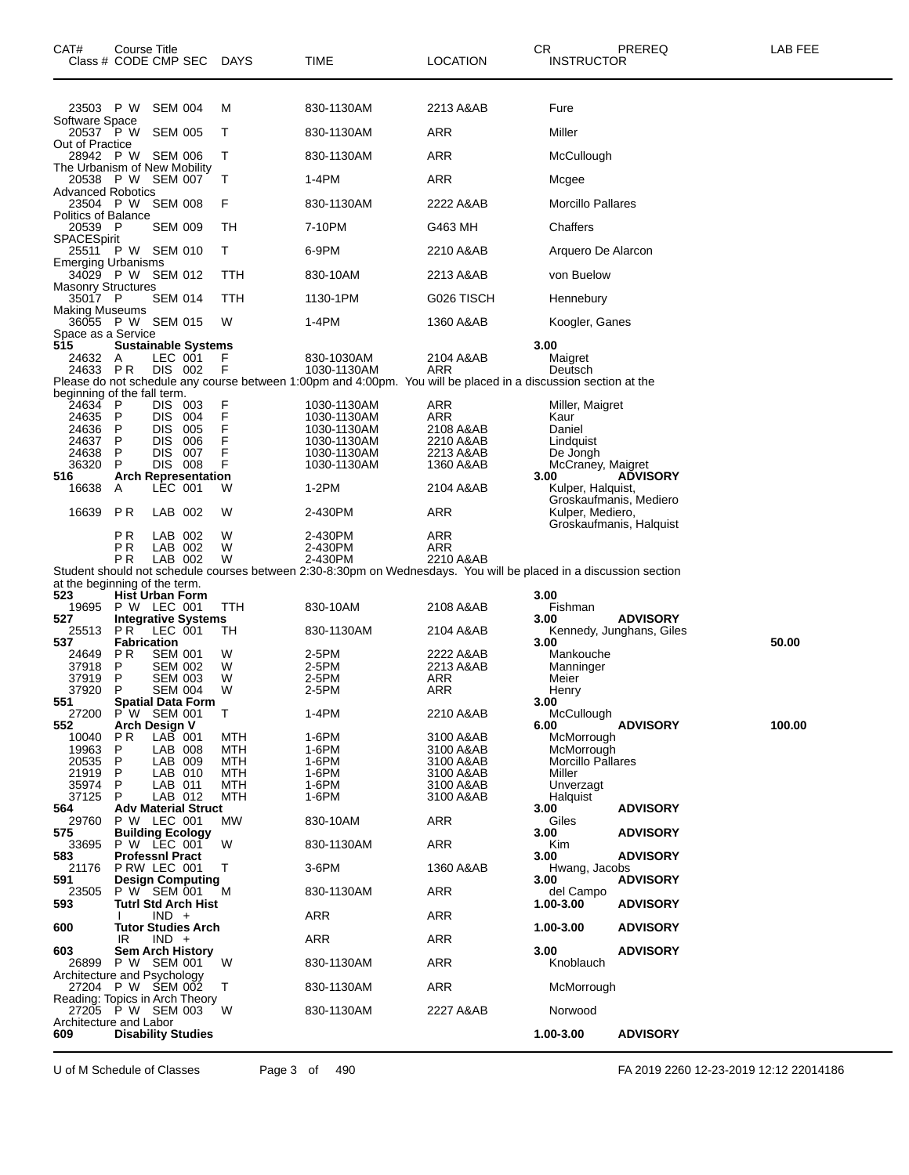| CAT#<br>Class # CODE CMP SEC                        | Course Title                           |                                  |                            | DAYS        | TIME                                                                                                                          | <b>LOCATION</b>         | CR<br><b>INSTRUCTOR</b>                     | PREREQ                   | LAB FEE |
|-----------------------------------------------------|----------------------------------------|----------------------------------|----------------------------|-------------|-------------------------------------------------------------------------------------------------------------------------------|-------------------------|---------------------------------------------|--------------------------|---------|
| 23503 P W SEM 004                                   |                                        |                                  |                            | M           | 830-1130AM                                                                                                                    | 2213 A&AB               | Fure                                        |                          |         |
| Software Space<br>20537 P W SEM 005                 |                                        |                                  |                            | Т           | 830-1130AM                                                                                                                    | ARR                     | Miller                                      |                          |         |
| Out of Practice<br>28942 PW SEM 006                 |                                        |                                  |                            | T           | 830-1130AM                                                                                                                    | ARR                     | McCullough                                  |                          |         |
| The Urbanism of New Mobility<br>20538 P W SEM 007   |                                        |                                  |                            | т           | 1-4PM                                                                                                                         | ARR                     | Mcgee                                       |                          |         |
| <b>Advanced Robotics</b><br>23504 P W SEM 008       |                                        |                                  |                            | F           | 830-1130AM                                                                                                                    | 2222 A&AB               | <b>Morcillo Pallares</b>                    |                          |         |
| <b>Politics of Balance</b><br>20539 P               |                                        | <b>SEM 009</b>                   |                            | TH          | 7-10PM                                                                                                                        | G463 MH                 | Chaffers                                    |                          |         |
| <b>SPACESpirit</b><br>25511 P W SEM 010             |                                        |                                  |                            | Т           | 6-9PM                                                                                                                         | 2210 A&AB               | Arquero De Alarcon                          |                          |         |
| <b>Emerging Urbanisms</b><br>34029 P W SEM 012      |                                        |                                  |                            | TTH         | 830-10AM                                                                                                                      | 2213 A&AB               | von Buelow                                  |                          |         |
| <b>Masonry Structures</b>                           |                                        |                                  |                            |             |                                                                                                                               |                         |                                             |                          |         |
| 35017 P<br><b>Making Museums</b>                    |                                        | <b>SEM 014</b>                   |                            | TTH         | 1130-1PM                                                                                                                      | G026 TISCH              | Hennebury                                   |                          |         |
| 36055 P W SEM 015<br>Space as a Service             |                                        |                                  |                            | W           | 1-4PM                                                                                                                         | 1360 A&AB               | Koogler, Ganes                              |                          |         |
| 515<br>24632 A                                      |                                        | LEC 001                          | <b>Sustainable Systems</b> | F           | 830-1030AM                                                                                                                    | 2104 A&AB               | 3.00<br>Maigret                             |                          |         |
| 24633 PR                                            |                                        | DIS 002                          |                            | F           | 1030-1130AM<br>Please do not schedule any course between 1:00pm and 4:00pm. You will be placed in a discussion section at the | ARR                     | Deutsch                                     |                          |         |
| beginning of the fall term.<br>24634                | P                                      | DIS 003                          |                            |             | 1030-1130AM                                                                                                                   | ARR                     | Miller, Maigret                             |                          |         |
| 24635                                               | P                                      | DIS 004                          |                            | F<br>F<br>F | 1030-1130AM                                                                                                                   | ARR                     | Kaur                                        |                          |         |
| 24636<br>24637                                      | P<br>P                                 | <b>DIS</b><br><b>DIS</b>         | 005<br>006                 | F           | 1030-1130AM<br>1030-1130AM                                                                                                    | 2108 A&AB<br>2210 A&AB  | Daniel<br>Lindquist                         |                          |         |
| 24638<br>36320                                      | P<br>P                                 | <b>DIS</b><br>DIS 008            | 007                        | F<br>F      | 1030-1130AM<br>1030-1130AM                                                                                                    | 2213 A&AB<br>1360 A&AB  | De Jongh<br>McCraney, Maigret               |                          |         |
| 516<br>16638                                        | A                                      | LEC 001                          | <b>Arch Representation</b> | W           | 1-2PM                                                                                                                         | 2104 A&AB               | 3.00<br>Kulper, Halquist,                   | <b>ADVISORY</b>          |         |
|                                                     | <b>PR</b>                              |                                  |                            |             |                                                                                                                               |                         | Groskaufmanis, Mediero                      |                          |         |
| 16639                                               |                                        | LAB 002                          |                            | W           | 2-430PM                                                                                                                       | ARR                     | Kulper, Mediero,<br>Groskaufmanis, Halquist |                          |         |
|                                                     | РR<br>РR                               | LAB 002<br>LAB 002               |                            | W<br>W      | 2-430PM<br>2-430PM                                                                                                            | ARR<br>ARR              |                                             |                          |         |
|                                                     | РR                                     | LAB 002                          |                            | W           | 2-430PM<br>Student should not schedule courses between 2:30-8:30pm on Wednesdays. You will be placed in a discussion section  | 2210 A&AB               |                                             |                          |         |
| at the beginning of the term.<br>523                | <b>Hist Urban Form</b>                 |                                  |                            |             |                                                                                                                               |                         | 3.00                                        |                          |         |
| 19695<br>527                                        | P W LEC 001                            |                                  | <b>Integrative Systems</b> | <b>TTH</b>  | 830-10AM                                                                                                                      | 2108 A&AB               | Fishman<br>3.00                             | <b>ADVISORY</b>          |         |
| 25513<br>537                                        | PR.<br><b>Fabrication</b>              | LEC 001                          |                            | TH          | 830-1130AM                                                                                                                    | 2104 A&AB               | 3.00                                        | Kennedy, Junghans, Giles | 50.00   |
| 24649                                               | P R                                    | <b>SEM 001</b>                   |                            | W           | 2-5PM                                                                                                                         | 2222 A&AB               | Mankouche                                   |                          |         |
| 37918<br>37919                                      | P<br>P                                 | <b>SEM 002</b><br><b>SEM 003</b> |                            | W<br>W      | 2-5PM<br>2-5PM                                                                                                                | 2213 A&AB<br><b>ARR</b> | Manninger<br>Meier                          |                          |         |
| 37920<br>551                                        | P<br><b>Spatial Data Form</b>          | <b>SEM 004</b>                   |                            | W           | 2-5PM                                                                                                                         | ARR                     | Henry<br>3.00                               |                          |         |
| 27200 P W SEM 001                                   |                                        |                                  |                            | $\top$      | $1-4PM$                                                                                                                       | 2210 A&AB               | McCullough                                  |                          |         |
| 552<br>10040                                        | Arch Design V<br>P <sub>R</sub>        | $LAB$ 001                        |                            | MTH         | 1-6PM                                                                                                                         | 3100 A&AB               | 6.00<br>McMorrough                          | <b>ADVISORY</b>          | 100.00  |
| 19963<br>20535                                      | P<br>P                                 | LAB 008<br>LAB 009               |                            | MTH<br>MTH  | 1-6PM<br>1-6PM                                                                                                                | 3100 A&AB<br>3100 A&AB  | McMorrough<br><b>Morcillo Pallares</b>      |                          |         |
| 21919                                               | P                                      | LAB 010                          |                            | MTH         | 1-6PM                                                                                                                         | 3100 A&AB               | Miller                                      |                          |         |
| 35974<br>37125                                      | P<br>P                                 | LAB 011<br>LAB 012               |                            | MTH<br>MTH  | 1-6PM<br>$1-6$ PM                                                                                                             | 3100 A&AB<br>3100 A&AB  | Unverzagt<br>Halquist                       |                          |         |
| 564<br>29760                                        | P W LEC 001                            |                                  | <b>Adv Material Struct</b> | MW          | 830-10AM                                                                                                                      | ARR                     | 3.00<br>Giles                               | <b>ADVISORY</b>          |         |
| 575<br>33695                                        | <b>Building Ecology</b><br>P W LEC 001 |                                  |                            | W           | 830-1130AM                                                                                                                    | ARR                     | 3.00<br>Kim                                 | <b>ADVISORY</b>          |         |
| 583                                                 | <b>Professni Pract</b>                 |                                  |                            |             |                                                                                                                               |                         | 3.00                                        | <b>ADVISORY</b>          |         |
| 21176<br>591                                        | P RW LEC 001                           |                                  | <b>Design Computing</b>    | Т           | 3-6PM                                                                                                                         | 1360 A&AB               | Hwang, Jacobs<br>3.00                       | <b>ADVISORY</b>          |         |
| 23505<br>593                                        | P W SEM 001                            |                                  | <b>Tutrl Std Arch Hist</b> | M           | 830-1130AM                                                                                                                    | <b>ARR</b>              | del Campo<br>1.00-3.00                      | <b>ADVISORY</b>          |         |
| 600                                                 |                                        | $IND +$                          | <b>Tutor Studies Arch</b>  |             | ARR                                                                                                                           | ARR                     | 1.00-3.00                                   | <b>ADVISORY</b>          |         |
| 603                                                 | IR<br><b>Sem Arch History</b>          | $IND +$                          |                            |             | ARR                                                                                                                           | <b>ARR</b>              | 3.00                                        | <b>ADVISORY</b>          |         |
| 26899<br>Architecture and Psychology                | P W SEM 001                            |                                  |                            | W           | 830-1130AM                                                                                                                    | <b>ARR</b>              | Knoblauch                                   |                          |         |
| 27204 P W SEM 002<br>Reading: Topics in Arch Theory |                                        |                                  |                            | T           | 830-1130AM                                                                                                                    | ARR                     | McMorrough                                  |                          |         |
| 27205 PW SEM 003<br>Architecture and Labor          |                                        |                                  |                            | - W         | 830-1130AM                                                                                                                    | 2227 A&AB               | Norwood                                     |                          |         |
| 609                                                 | <b>Disability Studies</b>              |                                  |                            |             |                                                                                                                               |                         | 1.00-3.00                                   | <b>ADVISORY</b>          |         |

U of M Schedule of Classes Page 3 of 490 FA 2019 2260 12-23-2019 12:12 22014186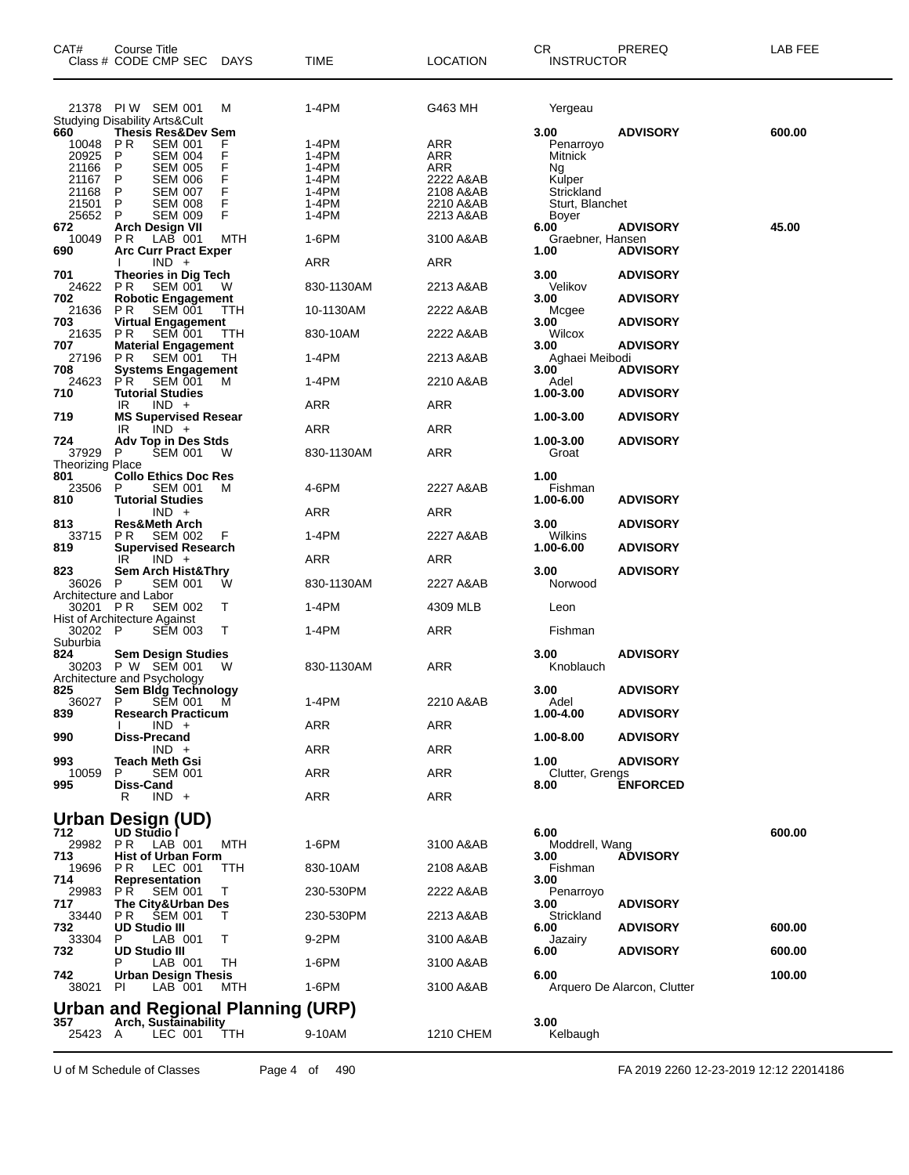| CAT#                           | Course Title<br>Class # CODE CMP SEC DAYS                                     |            | <b>TIME</b>    | <b>LOCATION</b>        | CR.<br><b>INSTRUCTOR</b> | PREREQ                      | LAB FEE |
|--------------------------------|-------------------------------------------------------------------------------|------------|----------------|------------------------|--------------------------|-----------------------------|---------|
|                                | 21378 PIW SEM 001                                                             | M          | 1-4PM          | G463 MH                | Yergeau                  |                             |         |
|                                | <b>Studying Disability Arts&amp;Cult</b>                                      |            |                |                        |                          |                             |         |
| 660<br>10048                   | <b>Thesis Res&amp;Dev Sem</b><br><b>PR</b><br><b>SEM 001</b>                  | F          | 1-4PM          | ARR                    | 3.00<br>Penarroyo        | <b>ADVISORY</b>             | 600.00  |
| 20925                          | P<br><b>SEM 004</b>                                                           | F          | 1-4PM          | ARR                    | Mitnick                  |                             |         |
| 21166                          | P<br><b>SEM 005</b>                                                           | F          | 1-4PM          | ARR                    | Ng                       |                             |         |
| 21167<br>21168                 | P<br><b>SEM 006</b><br>P<br><b>SEM 007</b>                                    | F<br>F     | 1-4PM<br>1-4PM | 2222 A&AB<br>2108 A&AB | Kulper<br>Strickland     |                             |         |
| 21501                          | P<br><b>SEM 008</b>                                                           | F          | 1-4PM          | 2210 A&AB              | Sturt, Blanchet          |                             |         |
| 25652                          | P<br><b>SEM 009</b>                                                           | F          | 1-4PM          | 2213 A&AB              | Boyer                    |                             |         |
| 672<br>10049                   | <b>Arch Design VII</b><br>LAB 001<br>PR.                                      | MTH        | 1-6PM          | 3100 A&AB              | 6.00<br>Graebner, Hansen | <b>ADVISORY</b>             | 45.00   |
| 690                            | <b>Arc Curr Pract Exper</b>                                                   |            |                |                        | 1.00                     | <b>ADVISORY</b>             |         |
|                                | $IND +$                                                                       |            | ARR            | ARR                    |                          |                             |         |
| 701                            | Theories in Dig Tech<br><b>SEM 001</b><br>P <sub>R</sub>                      |            |                |                        | 3.00                     | <b>ADVISORY</b>             |         |
| 24622<br>702                   | <b>Robotic Engagement</b>                                                     | W          | 830-1130AM     | 2213 A&AB              | Velikov<br>3.00          | <b>ADVISORY</b>             |         |
| 21636<br>703                   | <b>SEM 001</b><br>PR.<br>Virtual Engagement                                   | <b>TTH</b> | 10-1130AM      | 2222 A&AB              | Mcgee<br>3.00            | <b>ADVISORY</b>             |         |
| 21635<br>707                   | <b>PR</b><br>SEM 001<br><b>Material Engagement</b>                            | <b>TTH</b> | 830-10AM       | 2222 A&AB              | Wilcox<br>3.00           | <b>ADVISORY</b>             |         |
| 27196<br>708                   | <b>SEM 001</b><br>P <sub>R</sub><br><b>Systems Engagement</b>                 | TН         | 1-4PM          | 2213 A&AB              | Aghaei Meibodi<br>3.00   | <b>ADVISORY</b>             |         |
| 24623<br>710                   | PR.<br><b>SEM 001</b><br><b>Tutorial Studies</b>                              | M          | 1-4PM          | 2210 A&AB              | Adel<br>1.00-3.00        | <b>ADVISORY</b>             |         |
|                                | $IND +$<br>IR                                                                 |            | ARR            | ARR                    |                          |                             |         |
| 719                            | <b>MS Supervised Resear</b><br>IR<br>$IND +$                                  |            | ARR            | ARR                    | 1.00-3.00                | <b>ADVISORY</b>             |         |
| 724<br>37929                   | <b>Adv Top in Des Stds</b><br><b>SEM 001</b><br>P                             | W          | 830-1130AM     | ARR                    | 1.00-3.00<br>Groat       | <b>ADVISORY</b>             |         |
| <b>Theorizing Place</b><br>801 | <b>Collo Ethics Doc Res</b>                                                   |            |                |                        | 1.00                     |                             |         |
| 23506                          | <b>SEM 001</b><br>P                                                           | М          | 4-6PM          | 2227 A&AB              | Fishman                  |                             |         |
| 810                            | <b>Tutorial Studies</b><br>$IND +$                                            |            | ARR            | ARR                    | 1.00-6.00                | <b>ADVISORY</b>             |         |
| 813<br>33715                   | <b>Res&amp;Meth Arch</b><br>P <sub>R</sub><br><b>SEM 002</b>                  | F          | 1-4PM          | 2227 A&AB              | 3.00<br>Wilkins          | <b>ADVISORY</b>             |         |
| 819                            | <b>Supervised Research</b>                                                    |            |                |                        | 1.00-6.00                | <b>ADVISORY</b>             |         |
| 823                            | $IND +$<br>IR<br>Sem Arch Hist&Thry                                           |            | ARR            | ARR                    | 3.00                     | <b>ADVISORY</b>             |         |
| 36026 P                        | <b>SEM 001</b><br>Architecture and Labor                                      | w          | 830-1130AM     | 2227 A&AB              | Norwood                  |                             |         |
| 30201 PR                       | <b>SEM 002</b>                                                                | Т          | 1-4PM          | 4309 MLB               | Leon                     |                             |         |
| 30202 P                        | Hist of Architecture Against<br><b>SEM 003</b>                                | Т          | 1-4PM          | ARR                    | Fishman                  |                             |         |
| Suburbia<br>824                | <b>Sem Design Studies</b><br>30203 P W SEM 001<br>Architecture and Psychology | w          | 830-1130AM     | ARR                    | 3.00<br>Knoblauch        | <b>ADVISORY</b>             |         |
| 825<br>36027 P                 | <b>Sem Bldg Technology</b><br>SĒM 001 M                                       |            | 1-4PM          | 2210 A&AB              | 3.00<br>Adel             | <b>ADVISORY</b>             |         |
| 839                            | <b>Research Practicum</b>                                                     |            |                |                        | 1.00-4.00                | <b>ADVISORY</b>             |         |
| 990                            | $IND +$<br>Diss-Precand                                                       |            | ARR            | ARR                    | 1.00-8.00                | <b>ADVISORY</b>             |         |
| 993                            | $IND +$<br><b>Teach Meth Gsi</b>                                              |            | ARR            | ARR                    | 1.00                     | <b>ADVISORY</b>             |         |
| 10059<br>995                   | <b>SEM 001</b><br>Diss-Cand                                                   |            | ARR            | <b>ARR</b>             | Clutter, Grengs<br>8.00  | <b>ENFORCED</b>             |         |
|                                | $IND +$<br>R                                                                  |            | ARR            | <b>ARR</b>             |                          |                             |         |
|                                | Urban Design (UD)                                                             |            |                |                        |                          |                             |         |
| 712                            | UD Studio<br>29982 PR LAB 001                                                 | MTH        | 1-6PM          | 3100 A&AB              | 6.00<br>Moddrell, Wang   |                             | 600.00  |
| 713                            | <b>Hist of Urban Form</b>                                                     |            |                |                        | 3.00                     | <b>ADVISORY</b>             |         |
| 19696 PR<br>714                | LEC 001<br>Representation                                                     | TTH        | 830-10AM       | 2108 A&AB              | Fishman<br>3.00          |                             |         |
| 29983<br>717                   | <b>PR SEM 001</b><br>The City&Urban Des                                       | Т          | 230-530PM      | 2222 A&AB              | Penarroyo<br>3.00        | <b>ADVISORY</b>             |         |
| 33440<br>732                   | PR<br><b>SEM 001</b><br><b>UD Studio III</b>                                  |            | 230-530PM      | 2213 A&AB              | Strickland<br>6.00       | <b>ADVISORY</b>             | 600.00  |
| 33304<br>732                   | LAB 001<br>P.<br><b>UD Studio III</b>                                         | т          | 9-2PM          | 3100 A&AB              | Jazairy<br>6.00          | <b>ADVISORY</b>             | 600.00  |
|                                | LAB 001                                                                       | TH         | 1-6PM          | 3100 A&AB              |                          |                             |         |
| 742<br>38021 PI                | <b>Urban Design Thesis</b><br>LAB 001                                         | MTH        | 1-6PM          | 3100 A&AB              | 6.00                     | Arquero De Alarcon, Clutter | 100.00  |
|                                | Urban and Regional Planning (URP)                                             |            |                |                        |                          |                             |         |
| 357                            | <b>Arch, Sustainability</b>                                                   |            |                |                        | 3.00                     |                             |         |
| 25423 A                        | LEC 001                                                                       | TTH        | 9-10AM         | 1210 CHEM              | Kelbaugh                 |                             |         |

U of M Schedule of Classes Page 4 of 490 FA 2019 2260 12-23-2019 12:12 22014186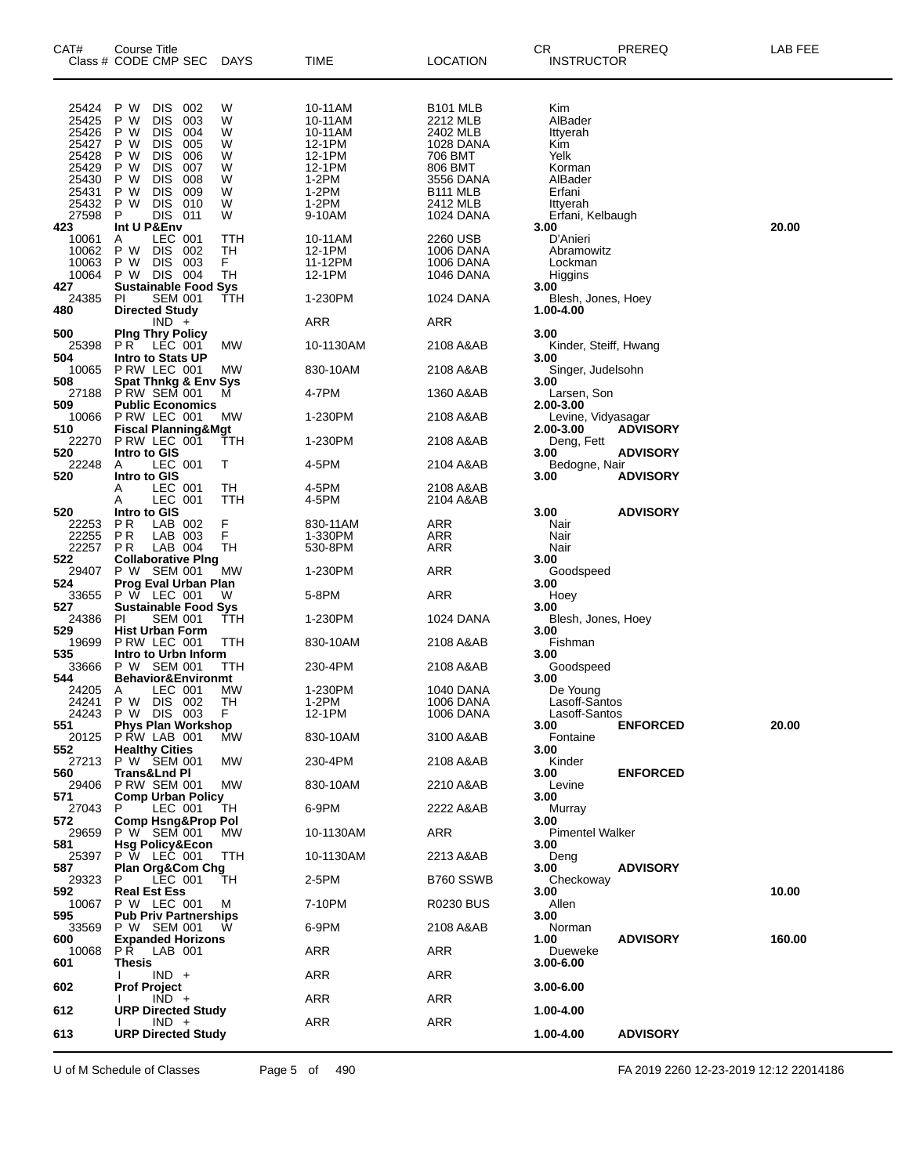| CAT#                                               | Course Title<br>Class # CODE CMP SEC DAYS                                                                                                                            |                            | <b>TIME</b>                                                 | LOCATION                                                                        | СR<br>PREREQ<br><b>INSTRUCTOR</b>                    | LAB FEE |
|----------------------------------------------------|----------------------------------------------------------------------------------------------------------------------------------------------------------------------|----------------------------|-------------------------------------------------------------|---------------------------------------------------------------------------------|------------------------------------------------------|---------|
|                                                    |                                                                                                                                                                      |                            |                                                             |                                                                                 |                                                      |         |
| 25424<br>25425<br>25426<br>25427<br>25428<br>25429 | P W<br><b>DIS</b><br>002<br>P W<br><b>DIS</b><br>003<br>P W<br><b>DIS</b><br>004<br>P W<br><b>DIS</b><br>005<br><b>DIS</b><br>006<br>P W<br><b>DIS</b><br>P W<br>007 | W<br>W<br>w<br>W<br>W<br>W | 10-11AM<br>10-11AM<br>10-11AM<br>12-1PM<br>12-1PM<br>12-1PM | B <sub>101</sub> MLB<br>2212 MLB<br>2402 MLB<br>1028 DANA<br>706 BMT<br>806 BMT | Kim<br>AlBader<br>Ittyerah<br>Kim<br>Yelk<br>Korman  |         |
| 25430<br>25431<br>25432<br>27598                   | P W<br><b>DIS</b><br>008<br><b>DIS</b><br>009<br>P W<br><b>DIS</b><br>P W<br>010<br>P<br>DIS<br>011                                                                  | W<br>W<br>W<br>W           | 1-2PM<br>$1-2PM$<br>$1-2PM$<br>9-10AM                       | 3556 DANA<br>B <sub>111</sub> MLB<br>2412 MLB<br>1024 DANA                      | AlBader<br>Erfani<br>Ittyerah<br>Erfani, Kelbaugh    |         |
| 423<br>10061<br>10062<br>10063<br>10064            | Int U P&Env<br>LEC 001<br>A<br>P W<br><b>DIS</b><br>002<br>P W<br><b>DIS</b><br>003<br>P W DIS 004                                                                   | ттн<br>TН<br>F.<br>TН      | 10-11AM<br>12-1PM<br>11-12PM<br>12-1PM                      | 2260 USB<br>1006 DANA<br>1006 DANA<br>1046 DANA                                 | 3.00<br>D'Anieri<br>Abramowitz<br>Lockman<br>Higgins | 20.00   |
| 427<br>24385<br>480                                | <b>Sustainable Food Sys</b><br>PI<br><b>SEM 001</b><br><b>Directed Study</b>                                                                                         | ттн                        | 1-230PM                                                     | 1024 DANA                                                                       | 3.00<br>Blesh, Jones, Hoey<br>1.00-4.00              |         |
| 500                                                | $IND +$                                                                                                                                                              |                            | ARR                                                         | ARR                                                                             | 3.00                                                 |         |
| 25398<br>504                                       | <b>Ping Thry Policy</b><br>$PR^T$<br>LEC 001<br><b>Intro to Stats UP</b>                                                                                             | МW                         | 10-1130AM                                                   | 2108 A&AB                                                                       | Kinder, Steiff, Hwang<br>3.00                        |         |
| 10065<br>508                                       | PRW LEC 001<br><b>Spat Thnkg &amp; Env Sys</b>                                                                                                                       | МW                         | 830-10AM                                                    | 2108 A&AB                                                                       | Singer, Judelsohn<br>3.00                            |         |
| 27188<br>509                                       | PRW SEM 001<br><b>Public Economics</b>                                                                                                                               | М                          | 4-7PM                                                       | 1360 A&AB                                                                       | Larsen, Son<br>2.00-3.00                             |         |
| 510                                                | 10066 P RW LEC 001<br><b>Fiscal Planning&amp;Mgt</b>                                                                                                                 | МW                         | 1-230PM                                                     | 2108 A&AB                                                                       | Levine, Vidyasagar<br>2.00-3.00<br><b>ADVISORY</b>   |         |
| 22270<br>520                                       | PRW LEC 001<br>Intro to GIS                                                                                                                                          | ттн                        | 1-230PM                                                     | 2108 A&AB                                                                       | Deng, Fett<br><b>ADVISORY</b><br>3.00                |         |
| 22248<br>520                                       | LEC 001<br>A<br>Intro to GIS                                                                                                                                         | т                          | 4-5PM                                                       | 2104 A&AB                                                                       | Bedogne, Nair<br><b>ADVISORY</b><br>3.00             |         |
|                                                    | LEC 001<br>A<br>LEC 001<br>Α                                                                                                                                         | TН<br>ттн                  | 4-5PM<br>4-5PM                                              | 2108 A&AB<br>2104 A&AB                                                          |                                                      |         |
| 520<br>22253<br>22255<br>22257                     | Intro to GIS<br>P R<br>LAB 002<br>P R<br>LAB 003<br>LAB 004<br>P R                                                                                                   | F<br>F<br>TН               | 830-11AM<br>1-330PM<br>530-8PM                              | ARR<br>ARR<br>ARR                                                               | 3.00<br><b>ADVISORY</b><br>Nair<br>Nair<br>Nair      |         |
| 522<br>29407                                       | <b>Collaborative Ping</b><br>P W SEM 001                                                                                                                             | MW                         | 1-230PM                                                     | ARR                                                                             | 3.00<br>Goodspeed                                    |         |
| 524<br>33655                                       | Prog Eval Urban Plan<br>$P \ W$ LEC 001                                                                                                                              | w                          | 5-8PM                                                       | ARR                                                                             | 3.00<br>Hoey                                         |         |
| 527<br>24386                                       | <b>Sustainable Food Sys</b><br>PI<br><b>SEM 001</b>                                                                                                                  | ттн                        | 1-230PM                                                     | 1024 DANA                                                                       | 3.00<br>Blesh, Jones, Hoey                           |         |
| 529<br>19699                                       | <b>Hist Urban Form</b><br>P RW LEC 001                                                                                                                               | ттн                        | 830-10AM                                                    | 2108 A&AB                                                                       | 3.00<br>Fishman                                      |         |
| 535<br>33666<br>544                                | Intro to Urbn Inform<br>P W SEM 001<br><b>Behavior&amp;Environmt</b>                                                                                                 | TTH                        | 230-4PM                                                     | 2108 A&AB                                                                       | 3.00<br>Goodspeed                                    |         |
| 24205<br>24241                                     | LEC 001<br>A<br>P W DIS 002<br>24243 P W DIS 003                                                                                                                     | МW<br>TН<br>F              | 1-230PM<br>1-2PM<br>12-1PM                                  | 1040 DANA<br>1006 DANA<br>1006 DANA                                             | 3.00<br>De Young<br>Lasoff-Santos<br>Lasoff-Santos   |         |
| 551                                                | <b>Phys Plan Workshop</b><br>20125 PRW LAB 001                                                                                                                       | МW                         | 830-10AM                                                    | 3100 A&AB                                                                       | <b>ENFORCED</b><br>3.00<br>Fontaine                  | 20.00   |
| 552<br>560                                         | <b>Healthy Cities</b><br>27213 P W SEM 001<br><b>Trans&amp;Lnd Pl</b>                                                                                                | MW                         | 230-4PM                                                     | 2108 A&AB                                                                       | 3.00<br>Kinder                                       |         |
| 29406<br>571                                       | <b>P RW SEM 001</b><br><b>Comp Urban Policy</b>                                                                                                                      | МW                         | 830-10AM                                                    | 2210 A&AB                                                                       | <b>ENFORCED</b><br>3.00<br>Levine                    |         |
| 27043<br>572                                       | P<br>LEC 001<br><b>Comp Hsng&amp;Prop Pol</b>                                                                                                                        | TН                         | 6-9PM                                                       | 2222 A&AB                                                                       | 3.00<br>Murray<br>3.00                               |         |
| 29659<br>581                                       | P W SEM 001<br><b>Hsg Policy&amp;Econ</b>                                                                                                                            | МW                         | 10-1130AM                                                   | ARR                                                                             | <b>Pimentel Walker</b><br>3.00                       |         |
| 25397<br>587                                       | P W LEC 001<br><b>Plan Org&amp;Com Chg</b>                                                                                                                           | TTH                        | 10-1130AM                                                   | 2213 A&AB                                                                       | Deng<br><b>ADVISORY</b><br>3.00                      |         |
| 29323<br>592                                       | P<br>LEC 001<br><b>Real Est Ess</b>                                                                                                                                  | TН                         | 2-5PM                                                       | B760 SSWB                                                                       | Checkoway<br>3.00                                    | 10.00   |
| 10067<br>595                                       | P W LEC 001<br><b>Pub Priv Partnerships</b>                                                                                                                          | M                          | 7-10PM                                                      | <b>R0230 BUS</b>                                                                | Allen<br>3.00                                        |         |
| 33569<br>600                                       | P W SEM 001<br><b>Expanded Horizons</b>                                                                                                                              | W                          | 6-9PM                                                       | 2108 A&AB                                                                       | Norman<br><b>ADVISORY</b><br>1.00                    | 160.00  |
| 10068<br>601                                       | PŔ.<br>LAB 001<br>Thesis                                                                                                                                             |                            | ARR                                                         | ARR                                                                             | Dueweke<br>3.00-6.00                                 |         |
| 602                                                | $IND +$<br><b>Prof Project</b>                                                                                                                                       |                            | ARR                                                         | ARR                                                                             | 3.00-6.00                                            |         |
| 612                                                | $IND +$<br><b>URP Directed Study</b>                                                                                                                                 |                            | ARR                                                         | ARR                                                                             | 1.00-4.00                                            |         |
| 613                                                | $IND +$<br><b>URP Directed Study</b>                                                                                                                                 |                            | ARR                                                         | ARR                                                                             | 1.00-4.00<br><b>ADVISORY</b>                         |         |
|                                                    |                                                                                                                                                                      |                            |                                                             |                                                                                 |                                                      |         |

U of M Schedule of Classes Page 5 of 490 FA 2019 2260 12-23-2019 12:12 22014186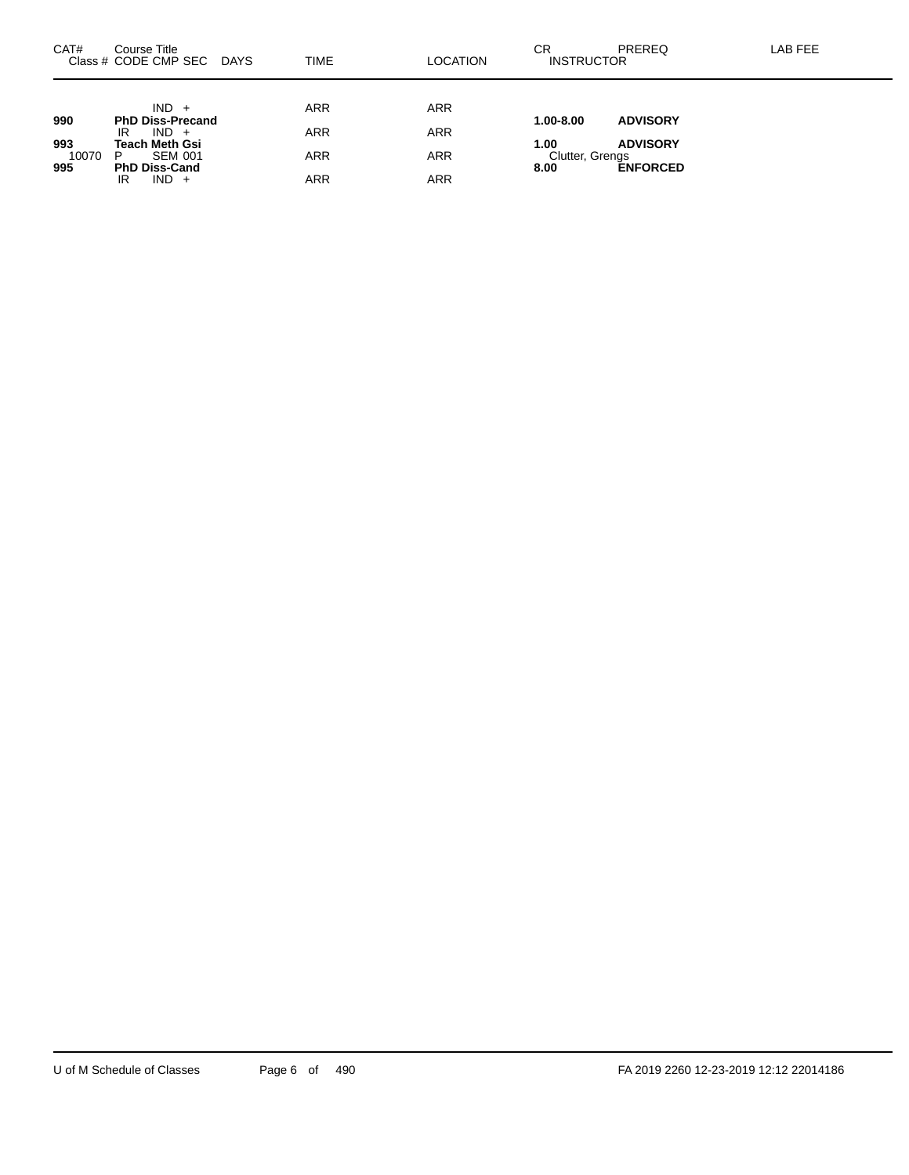| CAT#         | Course Title<br>Class # CODE CMP SEC<br>DAYS | TIME       | <b>LOCATION</b> | СR<br><b>PREREQ</b><br><b>INSTRUCTOR</b>   | LAB FEE |
|--------------|----------------------------------------------|------------|-----------------|--------------------------------------------|---------|
|              |                                              |            |                 |                                            |         |
| 990          | $IND +$<br><b>PhD Diss-Precand</b>           | <b>ARR</b> | <b>ARR</b>      | <b>ADVISORY</b><br>1.00-8.00               |         |
| 993          | $IND +$<br>IR<br>Teach Meth Gsi              | <b>ARR</b> | <b>ARR</b>      | <b>ADVISORY</b><br>1.00                    |         |
| 10070<br>995 | <b>SEM 001</b><br>P<br><b>PhD Diss-Cand</b>  | <b>ARR</b> | <b>ARR</b>      | Clutter, Grengs<br><b>ENFORCED</b><br>8.00 |         |
|              | $IND +$<br>IR                                | ARR        | ARR             |                                            |         |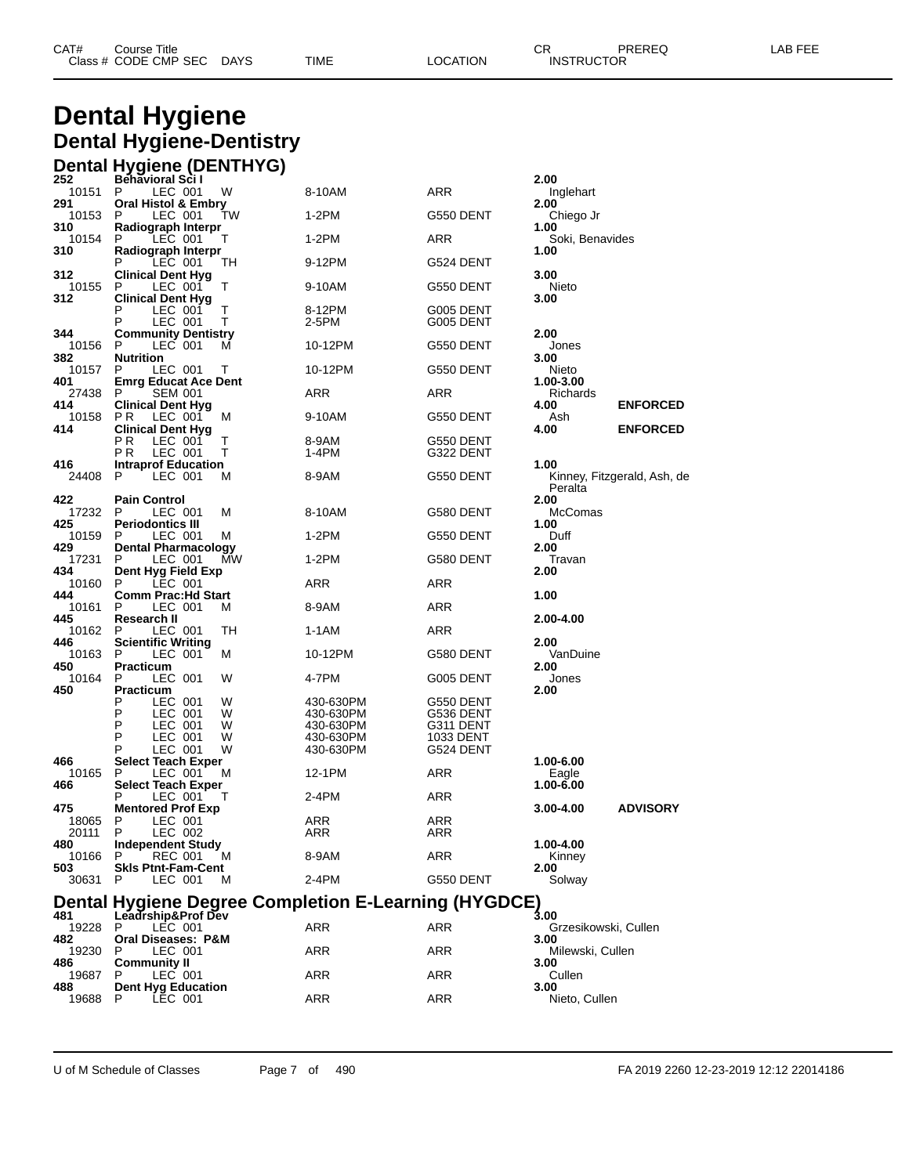| CAT# | Course Title         |             |      |          | ◠г<br>◡⊓ | PREREQ            | _AB FEF |
|------|----------------------|-------------|------|----------|----------|-------------------|---------|
|      | Class # CODE CMP SEC | <b>DAYS</b> | TIME | LOCATION |          | <b>INSTRUCTOR</b> |         |

## **Dental Hygiene Dental Hygiene-Dentistry Dental Hygiene (DENTHYG)**

| 252            | <b>Behavioral Scil</b>                             |        |                                                      |                        | 2.00                         |                             |
|----------------|----------------------------------------------------|--------|------------------------------------------------------|------------------------|------------------------------|-----------------------------|
| 10151<br>291   | P.<br>LEC 001<br><b>Oral Histol &amp; Embry</b>    | W      | 8-10AM                                               | ARR                    | Inglehart<br>2.00            |                             |
| 10153          | LEC 001<br>P                                       | TW     | 1-2PM                                                | G550 DENT              | Chiego Jr                    |                             |
| 310<br>10154   | Radiograph Interpr<br>LEC 001<br>P                 | Т      | 1-2PM                                                | ARR                    | 1.00<br>Soki, Benavides      |                             |
| 310            | Radiograph Interpr<br>P<br>LEC 001                 | TН     | 9-12PM                                               | G524 DENT              | 1.00                         |                             |
| 312<br>10155   | <b>Clinical Dent Hyg</b><br>P<br>LEC 001           | т      | 9-10AM                                               | G550 DENT              | 3.00<br>Nieto                |                             |
| 312            | Clinical Dent Hyg<br>P<br>LEC 001                  | Т      | 8-12PM                                               | G005 DENT              | 3.00                         |                             |
|                | Ρ<br>LEC 001                                       | Т      | 2-5PM                                                | G005 DENT              |                              |                             |
| 344<br>10156   | <b>Community Dentistry</b><br>LEC 001<br>P         | м      | 10-12PM                                              | G550 DENT              | 2.00<br>Jones                |                             |
| 382<br>10157   | <b>Nutrition</b><br>P<br>LEC 001                   | Т      | 10-12PM                                              | G550 DENT              | 3.00<br>Nieto                |                             |
| 401<br>27438   | <b>Emrg Educat Ace Dent</b><br>P<br><b>SEM 001</b> |        | ARR                                                  | ARR                    | 1.00-3.00<br>Richards        |                             |
| 414<br>10158   | <b>Clinical Dent Hyg</b><br>LEC 001<br>P R         | м      | 9-10AM                                               | G550 DENT              | 4.00<br>Ash                  | <b>ENFORCED</b>             |
| 414            | <b>Clinical Dent Hyg</b><br>РR<br>LEC 001          | Т      | 8-9AM                                                | G550 DENT              | 4.00                         | <b>ENFORCED</b>             |
| 416            | РR<br>LEC 001<br><b>Intraprof Education</b>        | т      | 1-4PM                                                | G322 DENT              | 1.00                         |                             |
| 24408          | P<br>LEC 001                                       | М      | 8-9AM                                                | G550 DENT              | Peralta                      | Kinney, Fitzgerald, Ash, de |
| 422            | <b>Pain Control</b>                                |        |                                                      |                        | 2.00                         |                             |
| 17232<br>425   | P<br>LEC 001<br><b>Periodontics III</b>            | M      | 8-10AM                                               | G580 DENT              | <b>McComas</b><br>1.00       |                             |
| 10159<br>429   | LEC 001<br>P<br><b>Dental Pharmacology</b>         | М      | 1-2PM                                                | G550 DENT              | Duff<br>2.00                 |                             |
| 17231<br>434   | LEC 001<br>P<br>Dent Hyg Field Exp                 | МW     | 1-2PM                                                | G580 DENT              | Travan<br>2.00               |                             |
| 10160<br>444   | LEC 001<br>P.<br><b>Comm Prac:Hd Start</b>         |        | ARR                                                  | ARR                    | 1.00                         |                             |
| 10161          | P<br>LEC 001                                       | м      | 8-9AM                                                | ARR                    |                              |                             |
| 445<br>10162   | Research II<br>LEC 001<br>P                        | TН     | 1-1AM                                                | ARR                    | 2.00-4.00                    |                             |
| 446<br>10163   | Scientific Writing<br>P<br>LEC 001                 | М      | 10-12PM                                              | G580 DENT              | 2.00<br>VanDuine             |                             |
| 450<br>10164   | Practicum<br>LEC 001<br>P                          | W      | 4-7PM                                                | G005 DENT              | 2.00<br>Jones                |                             |
| 450            | Practicum<br>P<br>LEC 001                          | W      | 430-630PM                                            | G550 DENT              | 2.00                         |                             |
|                | Ρ<br>LEC 001                                       | W      | 430-630PM                                            | G536 DENT              |                              |                             |
|                | P<br>LEC 001<br>P<br>LEC 001                       | W<br>W | 430-630PM<br>430-630PM                               | G311 DENT<br>1033 DENT |                              |                             |
|                | P<br>LEC 001                                       | W      | 430-630PM                                            | G524 DENT              |                              |                             |
| 466            | Select Teach Exper                                 |        |                                                      |                        | 1.00-6.00                    |                             |
| 10165<br>466   | LEC 001<br>P<br><b>Select Teach Exper</b>          | М      | 12-1PM                                               | ARR                    | Eagle<br>1.00-6.00           |                             |
|                | P<br>LEC 001                                       | Т      | 2-4PM                                                | ARR                    |                              |                             |
| 475            | <b>Mentored Prof Exp</b>                           |        |                                                      |                        | 3.00-4.00                    | <b>ADVISORY</b>             |
| 18065<br>20111 | Ρ<br>LEC 001<br>P<br>LEC 002                       |        | ARR<br><b>ARR</b>                                    | ARR<br>ARR             |                              |                             |
| 480            | <b>Independent Study</b>                           |        |                                                      |                        | 1.00-4.00                    |                             |
| 10166          | P<br>REC 001                                       | м      | 8-9AM                                                | <b>ARR</b>             | Kinney                       |                             |
| 503<br>30631   | <b>Skis Ptnt-Fam-Cent</b><br>P<br>LEC 001          | м      | 2-4PM                                                | G550 DENT              | 2.00<br>Solway               |                             |
|                |                                                    |        | Dental Hygiene Degree Completion E-Learning (HYGDCE) |                        |                              |                             |
| 481<br>19228   | Leadrship&Prof Dev<br>P<br>LEC 001                 |        | ARR                                                  | ARR                    | 3.00<br>Grzesikowski, Cullen |                             |
| 482<br>19230   | Oral Diseases: P&M<br>P<br>LEC 001                 |        | ARR                                                  | ARR                    | 3.00<br>Milewski, Cullen     |                             |
| 486            | <b>Community II</b>                                |        |                                                      |                        | 3.00                         |                             |
| 19687<br>488   | P<br>LEC 001<br><b>Dent Hyg Education</b>          |        | ARR                                                  | ARR                    | Cullen<br>3.00               |                             |
| 19688          | P.<br>LEC 001                                      |        | ARR                                                  | <b>ARR</b>             | Nieto, Cullen                |                             |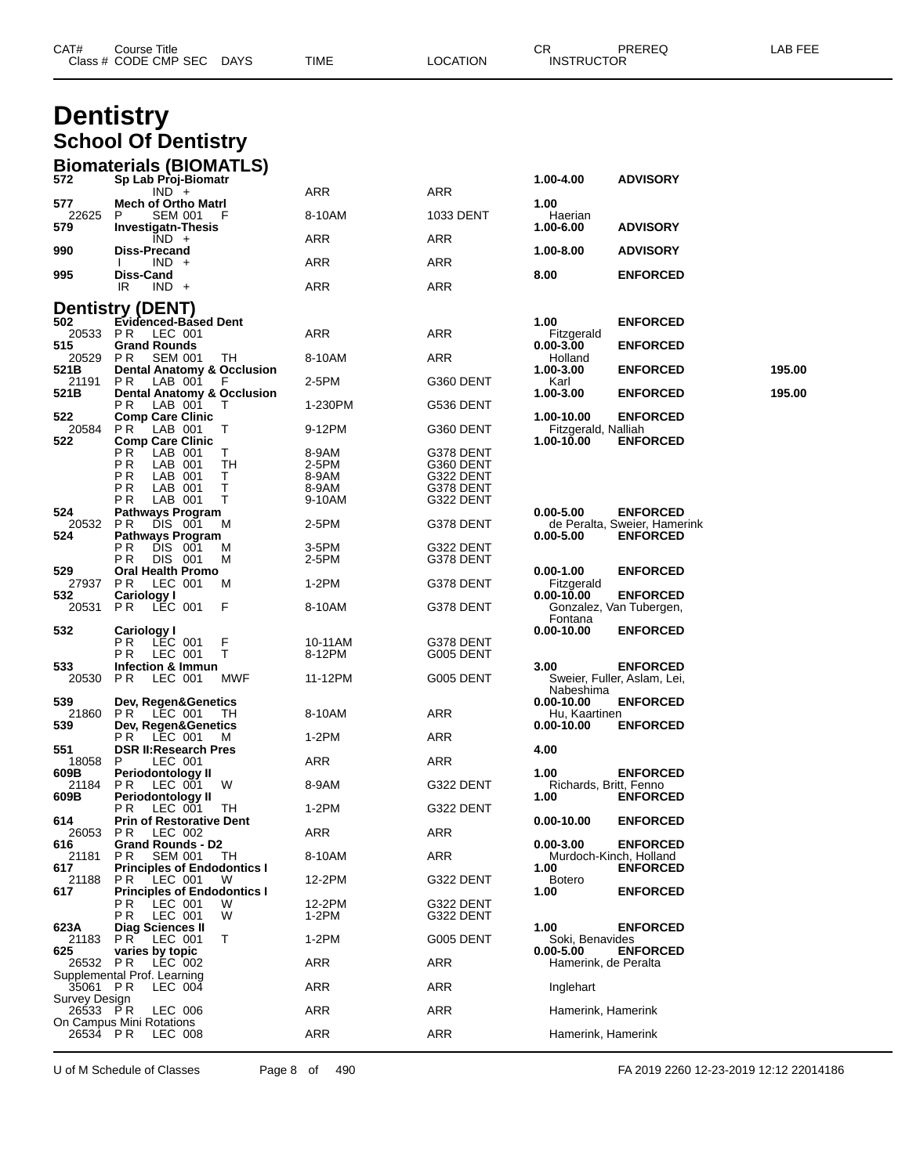| CAT#                      | Course Title<br>Class # CODE CMP SEC DAYS                      |         | TIME            | <b>LOCATION</b>        | CR.<br><b>INSTRUCTOR</b>              | PREREQ                                          | LAB FEE |
|---------------------------|----------------------------------------------------------------|---------|-----------------|------------------------|---------------------------------------|-------------------------------------------------|---------|
|                           | <b>Dentistry</b>                                               |         |                 |                        |                                       |                                                 |         |
|                           | <b>School Of Dentistry</b>                                     |         |                 |                        |                                       |                                                 |         |
|                           |                                                                |         |                 |                        |                                       |                                                 |         |
| 572                       | <b>Biomaterials (BIOMATLS)</b><br>Sp Lab Proj-Biomatr          |         |                 |                        | 1.00-4.00                             | <b>ADVISORY</b>                                 |         |
| 577                       | $IND +$<br><b>Mech of Ortho Matri</b>                          |         | ARR             | ARR                    | 1.00                                  |                                                 |         |
| 22625                     | <b>SEM 001</b><br>P                                            | F       | 8-10AM          | 1033 DENT              | Haerian                               |                                                 |         |
| 579                       | <b>Investigatn-Thesis</b><br>$IND +$                           |         | <b>ARR</b>      | ARR                    | 1.00-6.00                             | <b>ADVISORY</b>                                 |         |
| 990                       | Diss-Precand<br>$IND +$                                        |         | ARR             | ARR                    | 1.00-8.00                             | <b>ADVISORY</b>                                 |         |
| 995                       | Diss-Cand<br>IR<br>$IND +$                                     |         | ARR             | ARR                    | 8.00                                  | <b>ENFORCED</b>                                 |         |
|                           | <b>Dentistry (DENT)</b>                                        |         |                 |                        |                                       |                                                 |         |
| 502                       | <b>Evidenced-Based Dent</b>                                    |         |                 |                        | 1.00                                  | <b>ENFORCED</b>                                 |         |
| 20533 PR<br>515           | LEC 001<br><b>Grand Rounds</b>                                 |         | ARR             | ARR                    | Fitzgerald<br>$0.00 - 3.00$           | <b>ENFORCED</b>                                 |         |
| 20529<br>521B             | P R<br><b>SEM 001</b><br><b>Dental Anatomy &amp; Occlusion</b> | TH      | 8-10AM          | ARR                    | Holland<br>1.00-3.00                  | <b>ENFORCED</b>                                 | 195.00  |
| 21191<br>521B             | PR.<br>LAB 001<br><b>Dental Anatomy &amp; Occlusion</b>        | F       | 2-5PM           | G360 DENT              | Karl<br>1.00-3.00                     | <b>ENFORCED</b>                                 | 195.00  |
| 522                       | ΡR<br>LAB 001<br><b>Comp Care Clinic</b>                       |         | 1-230PM         | G536 DENT              | 1.00-10.00                            | <b>ENFORCED</b>                                 |         |
| 20584                     | LAB 001<br>PR.                                                 | Т       | 9-12PM          | G360 DENT              | Fitzgerald, Nalliah                   |                                                 |         |
| 522                       | <b>Comp Care Clinic</b><br>РR<br>LAB 001                       | Т       | 8-9AM           | G378 DENT              | 1.00-10.00                            | <b>ENFORCED</b>                                 |         |
|                           | ΡR<br>LAB 001<br>ΡR<br>LAB 001                                 | TН<br>т | 2-5PM<br>8-9AM  | G360 DENT<br>G322 DENT |                                       |                                                 |         |
|                           | РR<br>LAB 001<br>РR<br>LAB 001                                 | Т<br>т  | 8-9AM<br>9-10AM | G378 DENT<br>G322 DENT |                                       |                                                 |         |
| 524                       | <b>Pathways Program</b>                                        |         |                 |                        | $0.00 - 5.00$                         | <b>ENFORCED</b>                                 |         |
| 20532<br>524              | P R<br>DIS 001<br><b>Pathways Program</b>                      | м       | 2-5PM           | G378 DENT              | $0.00 - 5.00$                         | de Peralta, Sweier, Hamerink<br><b>ENFORCED</b> |         |
|                           | РR<br>DIS 001<br>ΡR<br>DIS 001                                 | м<br>M  | 3-5PM<br>2-5PM  | G322 DENT<br>G378 DENT |                                       |                                                 |         |
| 529<br>27937              | <b>Oral Health Promo</b><br>P R<br>LEC 001                     | м       | 1-2PM           | G378 DENT              | $0.00 - 1.00$<br>Fitzgerald           | <b>ENFORCED</b>                                 |         |
| 532<br>20531              | Cariology I<br>PR.<br>LEC 001                                  | F       | 8-10AM          | G378 DENT              | 0.00-10.00                            | <b>ENFORCED</b><br>Gonzalez, Van Tubergen,      |         |
|                           |                                                                |         |                 |                        | Fontana                               |                                                 |         |
| 532                       | Cariology I<br>РR<br>LEC 001                                   | F       | 10-11AM         | G378 DENT              | $0.00 - 10.00$                        | <b>ENFORCED</b>                                 |         |
| 533                       | РR<br>LEC 001<br>Infection & Immun                             | Τ       | 8-12PM          | G005 DENT              | 3.00                                  | <b>ENFORCED</b>                                 |         |
| 20530                     | P R<br>LEC 001                                                 | MWF     | 11-12PM         | G005 DENT              | Nabeshima                             | Sweier, Fuller, Aslam, Lei,                     |         |
| 539                       | Dev, Regen&Genetics<br>21860 PR LEC 001 TH                     |         | 8-10AM          | ARR                    | 0.00-10.00<br>Hu, Kaartinen           | <b>ENFORCED</b>                                 |         |
| 539                       | Dev, Regen&Genetics                                            |         |                 |                        | $0.00 - 10.00$                        | <b>ENFORCED</b>                                 |         |
| 551                       | PR LEC 001<br><b>DSR II: Research Pres</b>                     | M       | $1-2PM$         | ARR                    | 4.00                                  |                                                 |         |
| 18058<br>609B             | LEC 001<br>P<br>Periodontology II                              |         | ARR             | ARR                    | 1.00                                  | <b>ENFORCED</b>                                 |         |
| 21184<br>609B             | PR LEC 001<br>Periodontology II                                | W       | 8-9AM           | G322 DENT              | Richards, Britt, Fenno<br>1.00        | <b>ENFORCED</b>                                 |         |
| 614                       | P R .<br>LEC 001<br><b>Prin of Restorative Dent</b>            | TH      | $1-2PM$         | G322 DENT              | $0.00 - 10.00$                        | <b>ENFORCED</b>                                 |         |
| 26053                     | PR.<br>LEC 002                                                 |         | ARR             | ARR                    |                                       |                                                 |         |
| 616<br>21181              | Grand Rounds - D2<br>PR.<br><b>SEM 001</b>                     | TH.     | 8-10AM          | ARR                    | $0.00 - 3.00$                         | <b>ENFORCED</b><br>Murdoch-Kinch, Holland       |         |
| 617<br>21188              | <b>Principles of Endodontics I</b><br>LEC 001<br>P R           | W       | 12-2PM          | G322 DENT              | 1.00<br><b>Botero</b>                 | <b>ENFORCED</b>                                 |         |
| 617                       | <b>Principles of Endodontics I</b><br>P R .<br>LEC 001         | W       | 12-2PM          | G322 DENT              | 1.00                                  | <b>ENFORCED</b>                                 |         |
| 623A                      | PR.<br>LEC 001<br>Diag Sciences II                             | W       | $1-2PM$         | G322 DENT              | 1.00                                  | <b>ENFORCED</b>                                 |         |
|                           | 21183 PR LEC 001                                               | Τ       | $1-2PM$         | G005 DENT              | Soki, Benavides                       |                                                 |         |
| 625                       | varies by topic<br>26532 PR LEC 002                            |         | ARR             | ARR                    | $0.00 - 5.00$<br>Hamerink, de Peralta | <b>ENFORCED</b>                                 |         |
| 35061 PR                  | Supplemental Prof. Learning<br>LEC 004                         |         | ARR             | ARR                    | Inglehart                             |                                                 |         |
| Survey Design<br>26533 PR | LEC 006                                                        |         | ARR             | ARR                    | Hamerink, Hamerink                    |                                                 |         |
|                           | On Campus Mini Rotations                                       |         | ARR             |                        |                                       |                                                 |         |
| 26534 PR                  | LEC 008                                                        |         |                 | ARR                    | Hamerink, Hamerink                    |                                                 |         |

U of M Schedule of Classes Page 8 of 490 FA 2019 2260 12-23-2019 12:12 22014186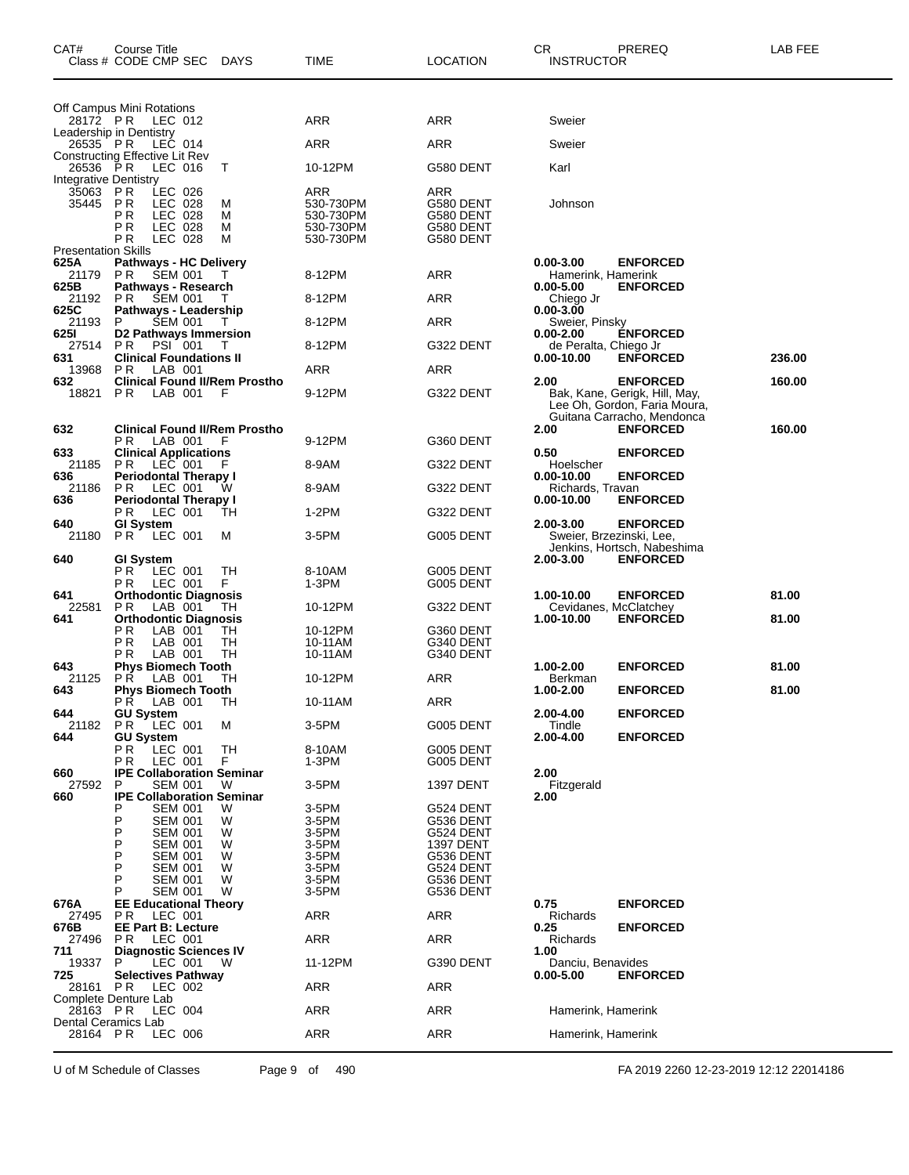| CAT#                                    | Course Title<br>Class # CODE CMP SEC                                                       | <b>DAYS</b>      | <b>TIME</b>                                             | <b>LOCATION</b>                                         | CR.<br><b>INSTRUCTOR</b>              | PREREQ                                                                           | LAB FEE |
|-----------------------------------------|--------------------------------------------------------------------------------------------|------------------|---------------------------------------------------------|---------------------------------------------------------|---------------------------------------|----------------------------------------------------------------------------------|---------|
| 28172 PR                                | Off Campus Mini Rotations<br>LEC 012                                                       |                  | ARR                                                     | ARR                                                     | Sweier                                |                                                                                  |         |
|                                         | Leadership in Dentistry<br>LEC 014                                                         |                  | <b>ARR</b>                                              | ARR                                                     | Sweier                                |                                                                                  |         |
| 26535 PR<br>26536 PR                    | <b>Constructing Effective Lit Rev</b><br>LEC 016                                           | т                | 10-12PM                                                 | G580 DENT                                               | Karl                                  |                                                                                  |         |
| Integrative Dentistry<br>35063<br>35445 | LEC 026<br>P R<br>P R<br>LEC 028<br>РR<br>LEC 028<br>ΡR<br>LEC 028<br>ΡR<br><b>LEC 028</b> | M<br>M<br>M<br>M | ARR<br>530-730PM<br>530-730PM<br>530-730PM<br>530-730PM | ARR<br>G580 DENT<br>G580 DENT<br>G580 DENT<br>G580 DENT | Johnson                               |                                                                                  |         |
| <b>Presentation Skills</b><br>625A      | Pathways - HC Delivery                                                                     |                  |                                                         |                                                         | $0.00 - 3.00$                         | <b>ENFORCED</b>                                                                  |         |
| 21179 PR<br>625B                        | <b>SEM 001</b><br>Pathways - Research                                                      | T                | 8-12PM                                                  | ARR                                                     | Hamerink, Hamerink<br>$0.00 - 5.00$   | <b>ENFORCED</b>                                                                  |         |
| 21192<br>625C                           | <b>SEM 001</b><br>P R<br>Pathways - Leadership                                             |                  | 8-12PM                                                  | <b>ARR</b>                                              | Chiego Jr<br>0.00-3.00                |                                                                                  |         |
| 21193                                   | P<br><b>SEM 001</b>                                                                        | T                | 8-12PM                                                  | ARR                                                     | Sweier, Pinsky                        |                                                                                  |         |
| 6251<br>27514                           | D2 Pathways Immersion<br>PR.<br><b>PSI</b> 001                                             | Τ                | 8-12PM                                                  | G322 DENT                                               | 0.00-2.00<br>de Peralta, Chiego Jr    | <b>ENFORCED</b>                                                                  |         |
| 631<br>13968                            | <b>Clinical Foundations II</b><br>LAB 001<br>P R                                           |                  | ARR                                                     | ARR                                                     | 0.00-10.00                            | <b>ENFORCED</b>                                                                  | 236.00  |
| 632<br>18821                            | <b>Clinical Found II/Rem Prostho</b><br>PR.<br>LAB 001                                     | F                | 9-12PM                                                  | G322 DENT                                               | 2.00                                  | <b>ENFORCED</b><br>Bak, Kane, Gerigk, Hill, May,<br>Lee Oh, Gordon, Faria Moura, | 160.00  |
| 632                                     | <b>Clinical Found II/Rem Prostho</b>                                                       |                  |                                                         |                                                         | 2.00                                  | Guitana Carracho, Mendonca<br><b>ENFORCED</b>                                    | 160.00  |
| 633                                     | LAB 001<br>РR<br><b>Clinical Applications</b>                                              | F                | 9-12PM                                                  | G360 DENT                                               | 0.50                                  | <b>ENFORCED</b>                                                                  |         |
| 21185<br>636                            | PR.<br>LEC 001<br><b>Periodontal Therapy I</b>                                             | F                | 8-9AM                                                   | G322 DENT                                               | Hoelscher<br>0.00-10.00               | <b>ENFORCED</b>                                                                  |         |
| 21186<br>636                            | LEC 001<br>P <sub>R</sub><br><b>Periodontal Therapy I</b>                                  | w                | 8-9AM                                                   | G322 DENT                                               | Richards, Travan<br>$0.00 - 10.00$    | <b>ENFORCED</b>                                                                  |         |
|                                         | LEC 001<br>P R                                                                             | TН               | $1-2PM$                                                 | G322 DENT                                               |                                       |                                                                                  |         |
| 640<br>21180                            | <b>GI System</b><br>PR.<br>LEC 001                                                         | M                | 3-5PM                                                   | G005 DENT                                               | 2.00-3.00<br>Sweier, Brzezinski, Lee, | <b>ENFORCED</b><br>Jenkins, Hortsch, Nabeshima                                   |         |
| 640                                     | <b>GI System</b><br>РR<br>LEC 001<br>ΡR<br>LEC 001                                         | TН<br>F.         | 8-10AM<br>1-3PM                                         | G005 DENT<br>G005 DENT                                  | 2.00-3.00                             | <b>ENFORCED</b>                                                                  |         |
| 641                                     | <b>Orthodontic Diagnosis</b>                                                               |                  |                                                         |                                                         | 1.00-10.00                            | <b>ENFORCED</b>                                                                  | 81.00   |
| 22581<br>641                            | P R<br>LAB 001<br><b>Orthodontic Diagnosis</b>                                             | TH               | 10-12PM                                                 | G322 DENT                                               | Cevidanes, McClatchey<br>1.00-10.00   | <b>ENFORCED</b>                                                                  | 81.00   |
|                                         | ΡR<br>LAB 001<br>ΡR<br>LAB 001                                                             | TН<br>TН         | 10-12PM<br>10-11AM                                      | G360 DENT<br>G340 DENT                                  |                                       |                                                                                  |         |
| 643                                     | ΡR<br>LAB 001<br><b>Phys Biomech Tooth</b>                                                 | TH               | 10-11AM                                                 | G340 DENT                                               | 1.00-2.00                             | <b>ENFORCED</b>                                                                  | 81.00   |
| 21125<br>643                            | PR.<br>LAB 001<br><b>Phys Biomech Tooth</b>                                                | TН               | 10-12PM                                                 | ARR                                                     | Berkman<br>1.00-2.00                  | <b>ENFORCED</b>                                                                  | 81.00   |
|                                         | РR<br>LAB 001                                                                              | ТH               | 10-11AM                                                 | <b>ARR</b>                                              |                                       |                                                                                  |         |
| 644<br>21182                            | <b>GU System</b><br>PR LEC 001                                                             | м                | 3-5PM                                                   | G005 DENT                                               | 2.00-4.00<br>Tindle                   | <b>ENFORCED</b>                                                                  |         |
| 644                                     | <b>GU System</b><br>РR<br>LEC 001<br>LEC 001<br>РR                                         | TН<br>F.         | 8-10AM<br>1-3PM                                         | G005 DENT<br>G005 DENT                                  | 2.00-4.00                             | <b>ENFORCED</b>                                                                  |         |
| 660                                     | <b>IPE Collaboration Seminar</b>                                                           |                  |                                                         |                                                         | 2.00                                  |                                                                                  |         |
| 27592<br>660                            | P<br><b>SEM 001</b><br><b>IPE Collaboration Seminar</b>                                    | W                | 3-5PM                                                   | <b>1397 DENT</b>                                        | Fitzgerald<br>2.00                    |                                                                                  |         |
|                                         | <b>SEM 001</b><br>Ρ<br><b>SEM 001</b>                                                      | W<br>W           | 3-5PM<br>3-5PM                                          | G524 DENT<br>G536 DENT                                  |                                       |                                                                                  |         |
|                                         | P<br><b>SEM 001</b><br>P<br><b>SEM 001</b>                                                 | W                | 3-5PM<br>3-5PM                                          | G524 DENT<br><b>1397 DENT</b>                           |                                       |                                                                                  |         |
|                                         | P<br><b>SEM 001</b>                                                                        | W<br>W           | 3-5PM                                                   | G536 DENT                                               |                                       |                                                                                  |         |
|                                         | P<br><b>SEM 001</b><br>P<br><b>SEM 001</b>                                                 | W<br>W           | 3-5PM<br>3-5PM                                          | G524 DENT<br>G536 DENT                                  |                                       |                                                                                  |         |
|                                         | <b>SEM 001</b>                                                                             | W                | 3-5PM                                                   | G536 DENT                                               |                                       |                                                                                  |         |
| 676A<br>27495                           | <b>EE Educational Theory</b><br>PR.<br>LEC 001                                             |                  | <b>ARR</b>                                              | ARR                                                     | 0.75<br>Richards                      | <b>ENFORCED</b>                                                                  |         |
| 676B<br>27496                           | <b>EE Part B: Lecture</b><br>LEC 001<br>PR.                                                |                  | <b>ARR</b>                                              | ARR                                                     | 0.25<br>Richards                      | <b>ENFORCED</b>                                                                  |         |
| 711                                     | <b>Diagnostic Sciences IV</b>                                                              |                  |                                                         |                                                         | 1.00                                  |                                                                                  |         |
| 19337<br>725                            | LEC 001<br>P<br><b>Selectives Pathway</b>                                                  | W                | 11-12PM                                                 | G390 DENT                                               | Danciu, Benavides<br>0.00-5.00        | <b>ENFORCED</b>                                                                  |         |
| 28161 PR                                | LEC 002<br>Complete Denture Lab                                                            |                  | <b>ARR</b>                                              | ARR                                                     |                                       |                                                                                  |         |
| 28163 PR<br>Dental Ceramics Lab         | LEC 004                                                                                    |                  | <b>ARR</b>                                              | <b>ARR</b>                                              | Hamerink, Hamerink                    |                                                                                  |         |
| 28164 PR                                | <b>LEC 006</b>                                                                             |                  | <b>ARR</b>                                              | ARR                                                     | Hamerink, Hamerink                    |                                                                                  |         |

U of M Schedule of Classes Page 9 of 490 FA 2019 2260 12-23-2019 12:12 22014186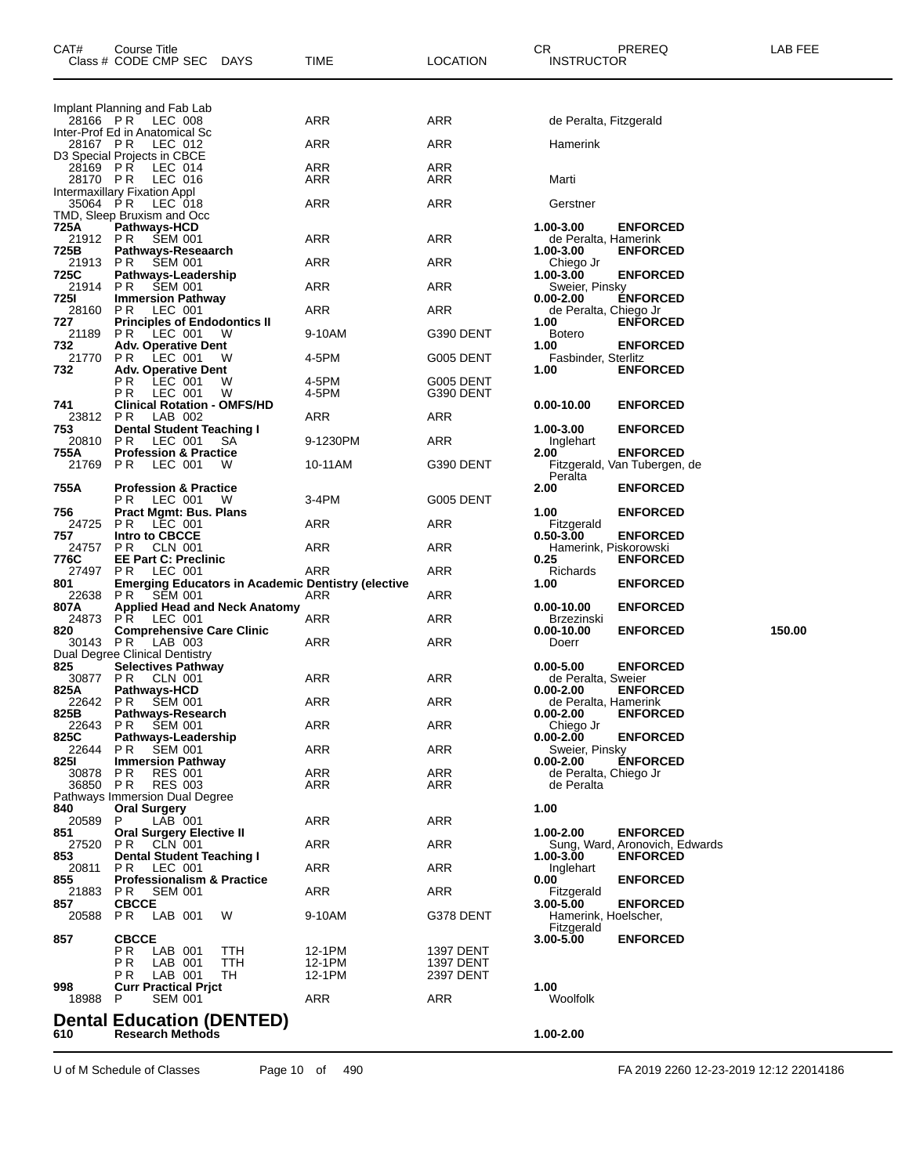| CAT#                      | Course Title<br>Class # CODE CMP SEC<br><b>DAYS</b>                        | TIME              | <b>LOCATION</b>               | PREREQ<br>CR<br><b>INSTRUCTOR</b>                                  | LAB FEE |
|---------------------------|----------------------------------------------------------------------------|-------------------|-------------------------------|--------------------------------------------------------------------|---------|
|                           |                                                                            |                   |                               |                                                                    |         |
|                           | Implant Planning and Fab Lab<br>28166 PR LEC 008                           | ARR               | ARR                           | de Peralta, Fitzgerald                                             |         |
| 28167 PR                  | Inter-Prof Ed in Anatomical Sc<br>LEC 012                                  | ARR               | ARR                           | Hamerink                                                           |         |
| 28169 PR                  | D3 Special Projects in CBCE<br>LEC 014                                     | ARR               | ARR                           |                                                                    |         |
| 28170 PR<br>35064 PR      | LEC 016<br>Intermaxillary Fixation Appl                                    | ARR<br><b>ARR</b> | ARR<br>ARR                    | Marti<br>Gerstner                                                  |         |
| 725A                      | LEC 018<br>TMD, Sleep Bruxism and Occ<br>Pathways-HCD                      |                   |                               | 1.00-3.00<br><b>ENFORCED</b>                                       |         |
| 21912 PR<br>725B          | <b>SEM 001</b><br>Pathways-Reseaarch                                       | ARR               | ARR                           | de Peralta, Hamerink<br>1.00-3.00<br><b>ENFORCED</b>               |         |
| 21913<br>725C             | PR<br><b>SEM 001</b><br>Pathways-Leadership                                | ARR               | <b>ARR</b>                    | Chiego Jr<br>1.00-3.00<br><b>ENFORCED</b>                          |         |
| 21914<br>725I             | PR<br><b>SEM 001</b><br><b>Immersion Pathway</b>                           | ARR               | ARR                           | Sweier, Pinsky<br><b>ENFORCED</b><br>0.00-2.00                     |         |
| 28160<br>727              | PR.<br>LEC 001<br><b>Principles of Endodontics II</b>                      | <b>ARR</b>        | ARR                           | de Peralta, Chiego Jr<br>1.00<br><b>ENFORCED</b>                   |         |
| 21189<br>732              | PR.<br>LEC 001<br>- W<br><b>Adv. Operative Dent</b>                        | 9-10AM            | G390 DENT                     | <b>Botero</b><br>1.00<br><b>ENFORCED</b>                           |         |
| 21770<br>732              | P R<br>LEC 001<br>w<br><b>Adv. Operative Dent</b>                          | 4-5PM             | G005 DENT                     | Fasbinder, Sterlitz<br><b>ENFORCED</b><br>1.00                     |         |
|                           | P R<br>LEC 001<br>W<br>P R<br>LEC 001<br>W                                 | 4-5PM<br>4-5PM    | G005 DENT<br>G390 DENT        |                                                                    |         |
| 741<br>23812              | <b>Clinical Rotation - OMFS/HD</b><br>PR.<br>LAB 002                       | ARR               | ARR                           | <b>ENFORCED</b><br>0.00-10.00                                      |         |
| 753<br>20810              | Dental Student Teaching I<br>PR.<br>LEC 001<br>SА                          | 9-1230PM          | ARR                           | <b>ENFORCED</b><br>1.00-3.00<br>Inglehart                          |         |
| 755A<br>21769             | <b>Profession &amp; Practice</b><br>P R<br>LEC 001<br>w                    | 10-11AM           | G390 DENT                     | <b>ENFORCED</b><br>2.00<br>Fitzgerald, Van Tubergen, de<br>Peralta |         |
| 755A                      | <b>Profession &amp; Practice</b><br>LEC 001<br>P R<br>w                    | 3-4PM             | G005 DENT                     | 2.00<br><b>ENFORCED</b>                                            |         |
| 756<br>24725              | Pract Mgmt: Bus. Plans<br>PR.<br>LEC 001                                   | ARR               | ARR                           | <b>ENFORCED</b><br>1.00<br>Fitzgerald                              |         |
| 757<br>24757              | Intro to CBCCE<br>PR.<br>CLN 001                                           | ARR               | ARR                           | $0.50 - 3.00$<br><b>ENFORCED</b><br>Hamerink, Piskorowski          |         |
| 776C<br>27497             | <b>EE Part C: Preclinic</b><br>P R<br>LEC 001                              | ARR               | ARR                           | 0.25<br><b>ENFORCED</b><br>Richards                                |         |
| 801<br>22638              | <b>Emerging Educators in Academic Dentistry (elective</b><br>PR<br>SEM 001 | ARR               | ARR                           | 1.00<br><b>ENFORCED</b>                                            |         |
| 807A<br>24873             | <b>Applied Head and Neck Anatomy</b><br><b>PR LEC 001</b>                  | ARR               | ARR                           | <b>ENFORCED</b><br>0.00-10.00<br>Brzezinski                        |         |
| 820<br>30143              | <b>Comprehensive Care Clinic</b><br>LAB 003<br>PR.                         | ARR               | ARR                           | 0.00-10.00<br><b>ENFORCED</b><br>Doerr                             | 150.00  |
| 825                       | Dual Degree Clinical Dentistry<br><b>Selectives Pathway</b>                |                   |                               | $0.00 - 5.00$<br><b>ENFORCED</b>                                   |         |
| 30877<br>825A             | PR.<br>CLN 001<br><b>Pathways-HCD</b>                                      | ARR<br>ARR        | ARR                           | de Peralta, Sweier<br>$0.00 - 2.00$<br><b>ENFORCED</b>             |         |
| 22642 PR<br>825B<br>22643 | <b>SEM 001</b><br><b>Pathways-Research</b><br>P R<br><b>SEM 001</b>        | ARR               | ARR<br>ARR                    | de Peralta, Hamerink<br>0.00-2.00<br><b>ENFORCED</b><br>Chiego Jr  |         |
| 825C<br>22644             | Pathways-Leadership<br>PR.<br><b>SEM 001</b>                               | ARR               | ARR                           | <b>ENFORCED</b><br>0.00-2.00<br>Sweier, Pinsky                     |         |
| 825I<br>30878             | <b>Immersion Pathway</b><br>PR.<br><b>RES 001</b>                          | ARR               | ARR                           | <b>ÉNFORCED</b><br>$0.00 - 2.00$<br>de Peralta, Chiego Jr          |         |
| 36850 PR                  | <b>RES 003</b><br>Pathways Immersion Dual Degree                           | ARR               | ARR                           | de Peralta                                                         |         |
| 840<br>20589              | <b>Oral Surgery</b><br>P<br>LAB 001                                        | ARR               | ARR                           | 1.00                                                               |         |
| 851<br>27520              | <b>Oral Surgery Elective II</b><br><b>PR CLN 001</b>                       | ARR               | ARR                           | 1.00-2.00<br><b>ENFORCED</b><br>Sung, Ward, Aronovich, Edwards     |         |
| 853<br>20811              | Dental Student Teaching I<br>PR.<br>LEC 001                                | ARR               | ARR                           | 1.00-3.00<br><b>ENFORCED</b><br>Inglehart                          |         |
| 855<br>21883              | <b>Professionalism &amp; Practice</b><br>PR -<br><b>SEM 001</b>            | ARR               | ARR                           | <b>ENFORCED</b><br>0.00<br>Fitzgerald                              |         |
| 857<br>20588              | <b>CBCCE</b><br>PR.<br>LAB 001<br>W                                        | 9-10AM            | G378 DENT                     | <b>ENFORCED</b><br>3.00-5.00<br>Hamerink, Hoelscher,               |         |
| 857                       | <b>CBCCE</b><br>P R<br>LAB 001<br>TTH                                      | 12-1PM            | 1397 DENT                     | Fitzgerald<br>3.00-5.00<br><b>ENFORCED</b>                         |         |
|                           | P R<br>LAB 001<br>TTH<br>LAB 001<br>TH<br>P R                              | 12-1PM<br>12-1PM  | <b>1397 DENT</b><br>2397 DENT |                                                                    |         |
| 998<br>18988              | <b>Curr Practical Prjct</b><br>P<br><b>SEM 001</b>                         | ARR               | ARR                           | 1.00<br>Woolfolk                                                   |         |
|                           | <b>Dental Education (DENTED)</b>                                           |                   |                               |                                                                    |         |
| 610                       | <b>Research Methods</b>                                                    |                   |                               | 1.00-2.00                                                          |         |

U of M Schedule of Classes Page 10 of 490 FA 2019 2260 12-23-2019 12:12 22014186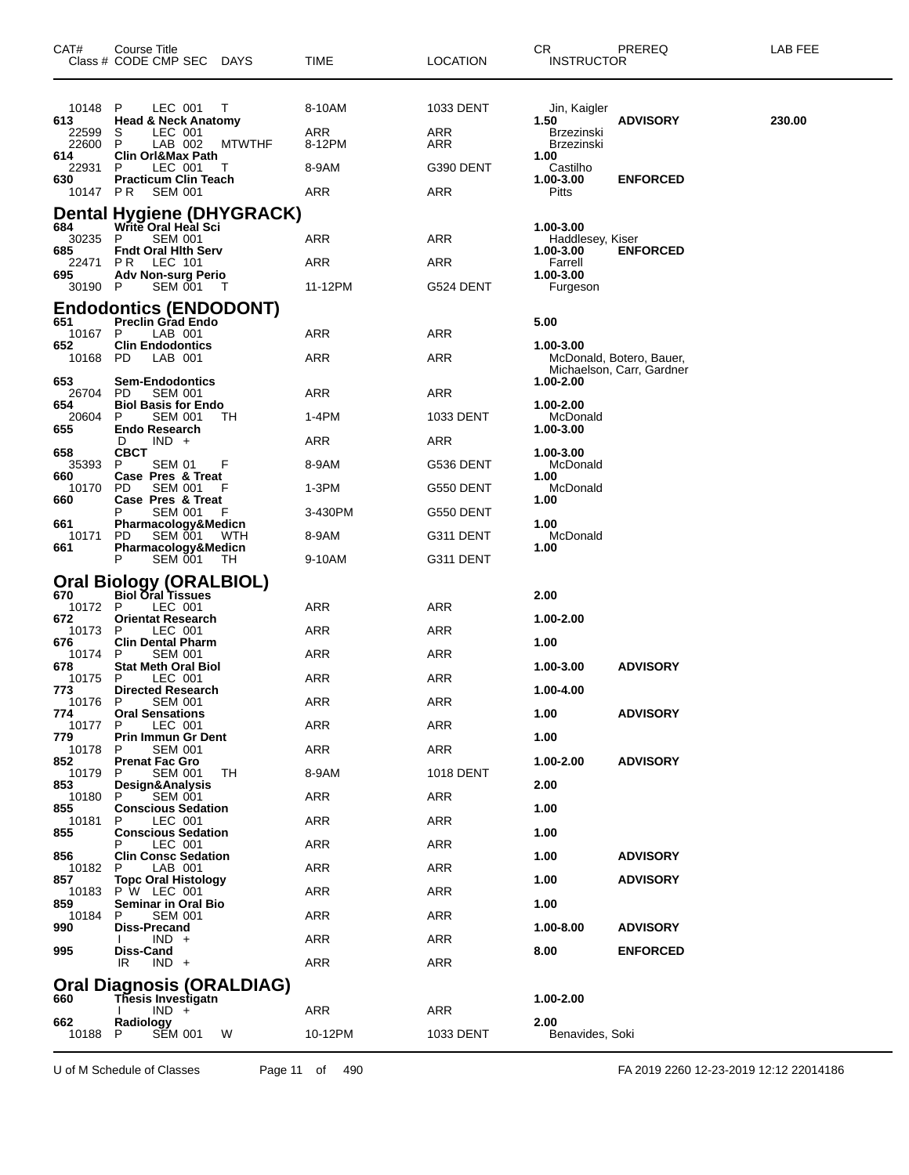| CAT#                  | Course Title<br>Class # CODE CMP SEC DAYS                     |               | TIME          | <b>LOCATION</b> | CR<br><b>INSTRUCTOR</b>         | PREREQ                                                | LAB FEE |
|-----------------------|---------------------------------------------------------------|---------------|---------------|-----------------|---------------------------------|-------------------------------------------------------|---------|
| 10148<br>613          | P<br>LEC 001<br><b>Head &amp; Neck Anatomy</b>                | Τ             | 8-10AM        | 1033 DENT       | Jin, Kaigler<br>1.50            | <b>ADVISORY</b>                                       | 230.00  |
| 22599<br>22600<br>614 | S<br>LEC 001<br>P<br>LAB 002<br>Clin Orl&Max Path             | <b>MTWTHF</b> | ARR<br>8-12PM | ARR<br>ARR      | Brzezinski<br><b>Brzezinski</b> |                                                       |         |
| 22931                 | P<br>LEC 001                                                  | T             | 8-9AM         | G390 DENT       | 1.00<br>Castilho                |                                                       |         |
| 630<br>10147 PR       | <b>Practicum Clin Teach</b><br><b>SEM 001</b>                 |               | ARR           | ARR             | 1.00-3.00<br>Pitts              | <b>ENFORCED</b>                                       |         |
|                       | Dental Hygiene (DHYGRACK)                                     |               |               |                 |                                 |                                                       |         |
| 684<br>30235          | Write Oral Heal Sci<br><b>SEM 001</b><br>P                    |               | ARR           | ARR             | 1.00-3.00<br>Haddlesey, Kiser   |                                                       |         |
| 685<br>22471          | <b>Fndt Oral Hith Serv</b><br>PR.<br>LEC 101                  |               | ARR           | ARR             | 1.00-3.00<br>Farrell            | <b>ENFORCED</b>                                       |         |
| 695<br>30190 P        | Adv Non-surg Perio<br>SEM 001                                 | - T           | 11-12PM       | G524 DENT       | 1.00-3.00<br>Furgeson           |                                                       |         |
|                       | <b>Endodontics (ENDODONT)</b>                                 |               |               |                 |                                 |                                                       |         |
| 651<br>10167          | <b>Preclin Grad Endo</b><br>LAB 001<br>P                      |               | ARR           | ARR             | 5.00                            |                                                       |         |
| 652<br>10168          | <b>Clin Endodontics</b><br>PD<br>LAB 001                      |               | ARR           | ARR             | 1.00-3.00                       | McDonald, Botero, Bauer,<br>Michaelson, Carr, Gardner |         |
| 653<br>26704          | <b>Sem-Endodontics</b><br>PD.<br><b>SEM 001</b>               |               | ARR           | ARR             | 1.00-2.00                       |                                                       |         |
| 654<br>20604          | <b>Biol Basis for Endo</b><br>P<br><b>SEM 001</b>             | TH            | 1-4PM         | 1033 DENT       | 1.00-2.00<br>McDonald           |                                                       |         |
| 655                   | <b>Endo Research</b><br>$IND +$<br>D                          |               | ARR           | ARR             | 1.00-3.00                       |                                                       |         |
| 658<br>35393          | <b>CBCT</b><br>P<br><b>SEM 01</b>                             | F             | 8-9AM         | G536 DENT       | 1.00-3.00<br>McDonald           |                                                       |         |
| 660<br>10170          | Case Pres & Treat<br><b>PD</b><br><b>SEM 001</b>              |               | 1-3PM         | G550 DENT       | 1.00<br>McDonald                |                                                       |         |
| 660                   | Case Pres & Treat                                             |               |               |                 | 1.00                            |                                                       |         |
| 661                   | <b>SEM 001</b><br>Pharmacology&Medicn                         |               | 3-430PM       | G550 DENT       | 1.00                            |                                                       |         |
| 10171<br>661          | PD.<br>SEM 001 WTH<br>Pharmacology&Medicn                     |               | 8-9AM         | G311 DENT       | McDonald<br>1.00                |                                                       |         |
|                       | SEM 001<br>P                                                  | - TH          | 9-10AM        | G311 DENT       |                                 |                                                       |         |
|                       | Oral Biology (ORALBIOL)<br>670 Biol Oral Tissues              |               |               |                 | 2.00                            |                                                       |         |
| 10172 P<br>672        | LEC 001<br><b>Orientat Research</b>                           |               | ARR           | ARR             | 1.00-2.00                       |                                                       |         |
| 10173<br>676          | LEC 001<br>P<br><b>Clin Dental Pharm</b>                      |               | ARR           | ARR             | 1.00                            |                                                       |         |
| 10174<br>678          | <b>SEM 001</b><br>P<br><b>Stat Meth Oral Biol</b>             |               | ARR           | ARR             | 1.00-3.00                       | <b>ADVISORY</b>                                       |         |
| 10175<br>773          | P<br>LEC 001<br><b>Directed Research</b>                      |               | ARR           | ARR             | 1.00-4.00                       |                                                       |         |
| 10176<br>774          | P<br><b>SEM 001</b><br><b>Oral Sensations</b>                 |               | ARR           | <b>ARR</b>      | 1.00                            | <b>ADVISORY</b>                                       |         |
| 10177                 | LEC 001<br>P.                                                 |               | ARR           | ARR             |                                 |                                                       |         |
| 779<br>10178          | Prin Immun Gr Dent<br><b>SEM 001</b><br>P                     |               | ARR           | ARR             | 1.00                            |                                                       |         |
| 852<br>10179          | <b>Prenat Fac Gro</b><br><b>SEM 001</b><br>P                  | TН            | 8-9AM         | 1018 DENT       | 1.00-2.00                       | <b>ADVISORY</b>                                       |         |
| 853<br>10180          | Design&Analysis<br><b>SEM 001</b><br>P.                       |               | ARR           | <b>ARR</b>      | 2.00                            |                                                       |         |
| 855<br>10181          | <b>Conscious Sedation</b><br>LEC 001<br>P                     |               | ARR           | ARR             | 1.00                            |                                                       |         |
| 855                   | <b>Conscious Sedation</b><br>LEC 001<br>Р                     |               | ARR           | ARR             | 1.00                            |                                                       |         |
| 856<br>10182          | <b>Clin Consc Sedation</b><br>LAB 001<br>P                    |               | ARR           | ARR             | 1.00                            | <b>ADVISORY</b>                                       |         |
| 857<br>10183          | <b>Topc Oral Histology</b><br>P W LEC 001                     |               | ARR           | ARR             | 1.00                            | <b>ADVISORY</b>                                       |         |
| 859<br>10184          | <b>Seminar in Oral Bio</b><br><b>SEM 001</b><br>P             |               | ARR           | ARR             | 1.00                            |                                                       |         |
| 990                   | Diss-Precand                                                  |               |               |                 | 1.00-8.00                       | <b>ADVISORY</b>                                       |         |
| 995                   | $IND +$<br>Diss-Cand                                          |               | ARR           | ARR             | 8.00                            | <b>ENFORCED</b>                                       |         |
|                       | IR<br>$IND +$                                                 |               | ARR           | ARR             |                                 |                                                       |         |
| 660                   | <b>Oral Diagnosis (ORALDIAG)</b><br><b>Thesis Investigatn</b> |               |               |                 | 1.00-2.00                       |                                                       |         |
| 662                   | $IND +$<br>Radiology                                          |               | ARR           | ARR             | 2.00                            |                                                       |         |
| 10188                 | <b>SEM 001</b><br>P                                           | W             | 10-12PM       | 1033 DENT       | Benavides, Soki                 |                                                       |         |

U of M Schedule of Classes Page 11 of 490 FA 2019 2260 12-23-2019 12:12 22014186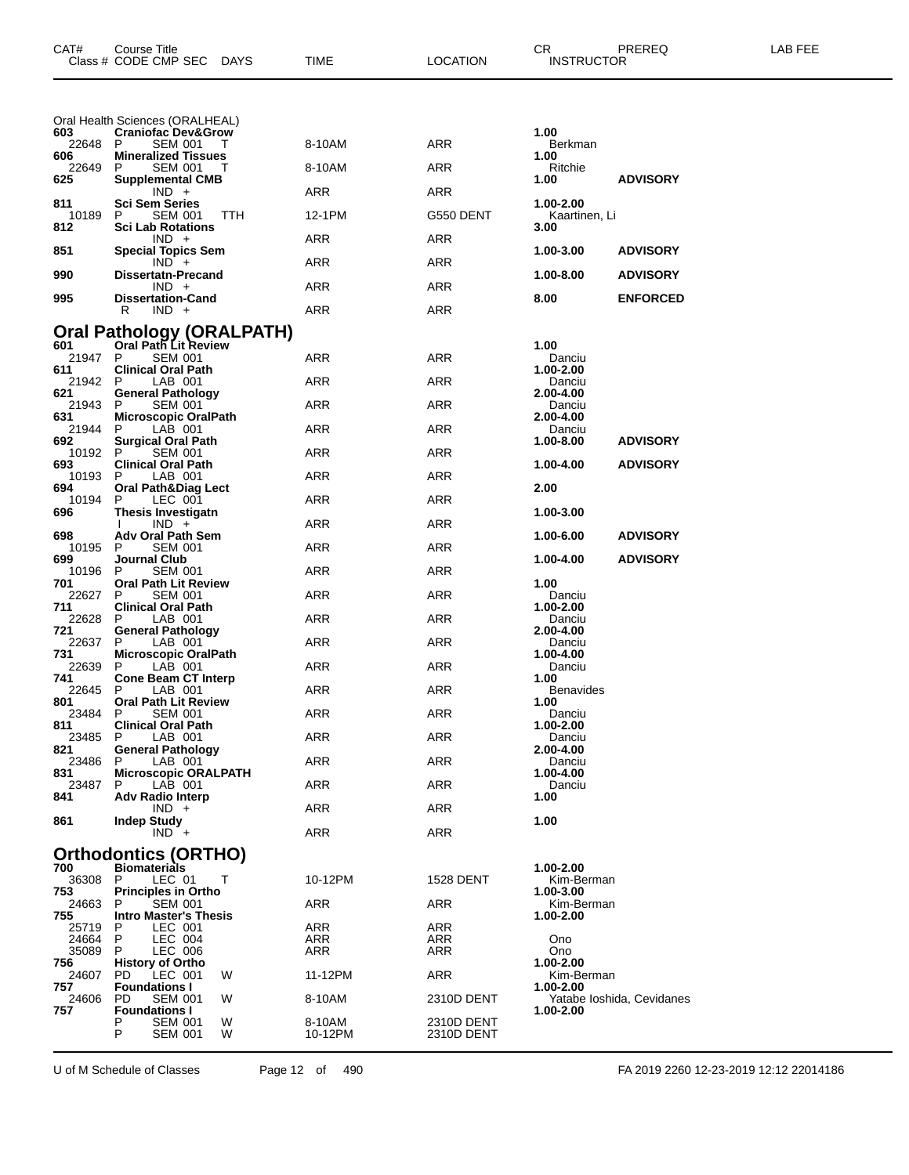| CAT#           | Course Title<br>Class # CODE CMP SEC<br>DAYS             | TIME              | <b>LOCATION</b>          | PREREQ<br>CR<br><b>INSTRUCTOR</b>      | LAB FEE |
|----------------|----------------------------------------------------------|-------------------|--------------------------|----------------------------------------|---------|
|                | Oral Health Sciences (ORALHEAL)                          |                   |                          |                                        |         |
| 603<br>22648   | <b>Craniofac Dev&amp;Grow</b><br><b>SEM 001</b><br>P     | 8-10AM            | ARR                      | 1.00<br>Berkman                        |         |
| 606<br>22649   | <b>Mineralized Tissues</b><br><b>SEM 001</b><br>P        | 8-10AM            | ARR                      | 1.00<br>Ritchie                        |         |
| 625            | <b>Supplemental CMB</b><br>$IND +$                       | ARR               | ARR                      | 1.00<br><b>ADVISORY</b>                |         |
| 811<br>10189   | <b>Sci Sem Series</b><br>P<br><b>SEM 001</b><br>TTH      | 12-1PM            | G550 DENT                | 1.00-2.00<br>Kaartinen, Li             |         |
| 812            | <b>Sci Lab Rotations</b>                                 |                   |                          | 3.00                                   |         |
| 851            | $IND +$<br><b>Special Topics Sem</b>                     | ARR               | ARR                      | 1.00-3.00<br><b>ADVISORY</b>           |         |
| 990            | $IND +$<br><b>Dissertatn-Precand</b>                     | ARR               | ARR                      | 1.00-8.00<br><b>ADVISORY</b>           |         |
| 995            | $IND +$<br><b>Dissertation-Cand</b>                      | ARR               | ARR                      | 8.00<br><b>ENFORCED</b>                |         |
|                | $IND +$<br>R                                             | ARR               | ARR                      |                                        |         |
| 601            | Oral Pathology (ORALPATH)<br><b>Oral Path Lit Review</b> |                   |                          | 1.00                                   |         |
| 21947 P        | <b>SEM 001</b>                                           | ARR               | ARR                      | Danciu                                 |         |
| 611<br>21942   | <b>Clinical Oral Path</b><br>LAB 001<br>P                | ARR               | ARR                      | 1.00-2.00<br>Danciu                    |         |
| 621<br>21943   | <b>General Pathology</b><br><b>SEM 001</b><br>P.         | ARR               | ARR                      | 2.00-4.00<br>Danciu                    |         |
| 631<br>21944   | <b>Microscopic OralPath</b><br>P<br>LAB 001              | ARR               | ARR                      | 2.00-4.00<br>Danciu                    |         |
| 692<br>10192   | <b>Surgical Oral Path</b><br><b>SEM 001</b><br>P         | ARR               | ARR                      | 1.00-8.00<br><b>ADVISORY</b>           |         |
| 693            | <b>Clinical Oral Path</b>                                |                   |                          | 1.00-4.00<br><b>ADVISORY</b>           |         |
| 10193<br>694   | LAB 001<br>P<br><b>Oral Path&amp;Diag Lect</b>           | ARR               | ARR                      | 2.00                                   |         |
| 10194<br>696   | P<br>LEC 001<br>Thesis Investigatn                       | ARR               | ARR                      | 1.00-3.00                              |         |
| 698            | $IND +$<br><b>Adv Oral Path Sem</b>                      | ARR               | ARR                      | <b>ADVISORY</b><br>1.00-6.00           |         |
| 10195<br>699   | <b>SEM 001</b><br>P<br>Journal Club                      | ARR               | ARR                      | 1.00-4.00<br><b>ADVISORY</b>           |         |
| 10196          | P<br><b>SEM 001</b><br><b>Oral Path Lit Review</b>       | ARR               | ARR                      | 1.00                                   |         |
| 701<br>22627   | P<br><b>SEM 001</b>                                      | ARR               | ARR                      | Danciu                                 |         |
| 711<br>22628   | <b>Clinical Oral Path</b><br>LAB 001<br>P                | ARR               | ARR                      | 1.00-2.00<br>Danciu                    |         |
| 721<br>22637   | <b>General Pathology</b><br>P<br>LAB 001                 | ARR               | ARR                      | 2.00-4.00<br>Danciu                    |         |
| 731<br>22639   | <b>Microscopic OralPath</b><br>LAB 001<br>P              | ARR               | ARR                      | 1.00-4.00<br>Danciu                    |         |
| 741<br>22645   | <b>Cone Beam CT Interp</b><br>P.<br>LAB 001              | ARR               | ARR                      | 1.00<br>Benavides                      |         |
| 801            | <b>Oral Path Lit Review</b>                              | ARR               | ARR                      | 1.00                                   |         |
| 23484<br>811   | P.<br><b>SEM 001</b><br><b>Clinical Oral Path</b>        |                   |                          | Danciu<br>1.00-2.00                    |         |
| 23485<br>821   | P<br>LAB 001<br><b>General Pathology</b>                 | ARR               | ARR                      | Danciu<br>2.00-4.00                    |         |
| 23486<br>831   | LAB 001<br>P<br><b>Microscopic ORALPATH</b>              | ARR               | ARR                      | Danciu<br>1.00-4.00                    |         |
| 23487<br>841   | LAB 001<br>P<br><b>Adv Radio Interp</b>                  | ARR               | ARR                      | Danciu<br>1.00                         |         |
| 861            | $IND +$<br><b>Indep Study</b>                            | ARR               | ARR                      | 1.00                                   |         |
|                | $IND +$                                                  | ARR               | ARR                      |                                        |         |
|                | <b>Orthodontics (ORTHO)</b>                              |                   |                          |                                        |         |
| 700<br>36308   | <b>Biomaterials</b><br>LEC 01<br>Т<br>P                  | 10-12PM           | <b>1528 DENT</b>         | 1.00-2.00<br>Kim-Berman                |         |
| 753<br>24663   | <b>Principles in Ortho</b><br><b>SEM 001</b><br>P        | ARR               | ARR                      | 1.00-3.00<br>Kim-Berman                |         |
| 755<br>25719   | <b>Intro Master's Thesis</b><br>P<br>LEC 001             | ARR               | ARR                      | 1.00-2.00                              |         |
| 24664<br>35089 | LEC 004<br>P<br>LEC 006<br>P.                            | ARR<br>ARR        | ARR<br>ARR               | Ono<br>Ono                             |         |
| 756            | <b>History of Ortho</b>                                  |                   |                          | 1.00-2.00                              |         |
| 24607<br>757   | PD.<br>LEC 001<br>W<br><b>Foundations I</b>              | 11-12PM           | ARR                      | Kim-Berman<br>1.00-2.00                |         |
| 24606<br>757   | PD.<br><b>SEM 001</b><br>W<br><b>Foundations I</b>       | 8-10AM            | 2310D DENT               | Yatabe Ioshida, Cevidanes<br>1.00-2.00 |         |
|                | P<br><b>SEM 001</b><br>w<br>P<br><b>SEM 001</b><br>W     | 8-10AM<br>10-12PM | 2310D DENT<br>2310D DENT |                                        |         |

U of M Schedule of Classes Page 12 of 490 FA 2019 2260 12-23-2019 12:12 22014186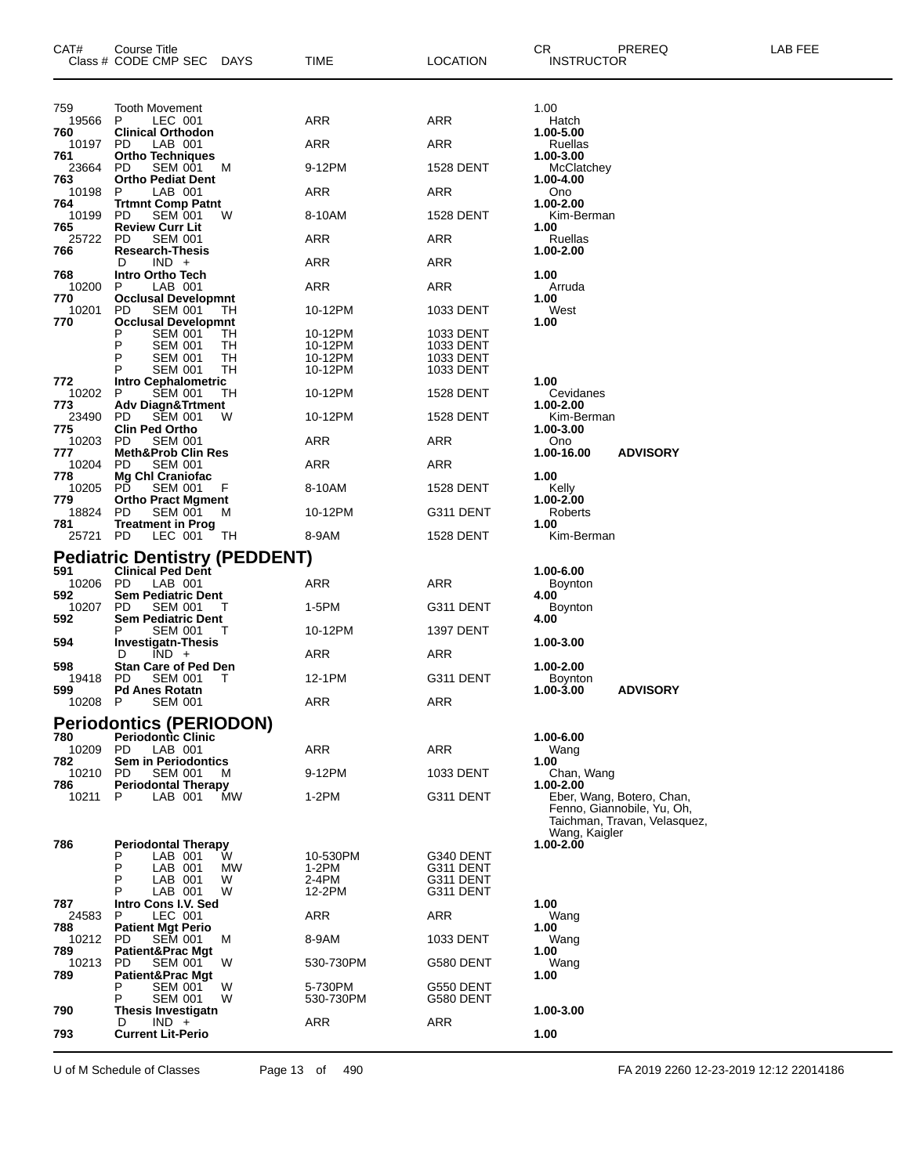| CAT#            | Course Title<br>Class # CODE CMP SEC<br>DAYS                | TIME                 | <b>LOCATION</b>        | CR<br><b>INSTRUCTOR</b>    | PREREQ                                                                                  | LAB FEE |
|-----------------|-------------------------------------------------------------|----------------------|------------------------|----------------------------|-----------------------------------------------------------------------------------------|---------|
| 759             | <b>Tooth Movement</b>                                       |                      |                        | 1.00                       |                                                                                         |         |
| 19566<br>760    | LEC 001<br>P<br><b>Clinical Orthodon</b>                    | ARR                  | ARR                    | Hatch<br>1.00-5.00         |                                                                                         |         |
| 10197<br>761    | PD.<br>LAB 001<br><b>Ortho Techniques</b>                   | ARR                  | ARR                    | Ruellas<br>1.00-3.00       |                                                                                         |         |
| 23664<br>763    | <b>SEM 001</b><br>PD.<br>M<br><b>Ortho Pediat Dent</b>      | 9-12PM               | <b>1528 DENT</b>       | McClatchey<br>1.00-4.00    |                                                                                         |         |
| 10198           | LAB 001<br>P                                                | ARR                  | ARR                    | Ono                        |                                                                                         |         |
| 764<br>10199    | <b>Trtmnt Comp Patnt</b><br><b>SEM 001</b><br>PD.<br>W      | 8-10AM               | <b>1528 DENT</b>       | 1.00-2.00<br>Kim-Berman    |                                                                                         |         |
| 765<br>25722    | <b>Review Curr Lit</b><br><b>SEM 001</b><br>PD.             | ARR                  | ARR                    | 1.00<br>Ruellas            |                                                                                         |         |
| 766             | <b>Research-Thesis</b><br>$IND +$<br>D                      | ARR                  | ARR                    | 1.00-2.00                  |                                                                                         |         |
| 768<br>10200    | <b>Intro Ortho Tech</b><br>LAB 001<br>P                     | ARR                  | ARR                    | 1.00<br>Arruda             |                                                                                         |         |
| 770<br>10201    | <b>Occlusal Developmnt</b><br><b>SEM 001</b><br>PD.         | 10-12PM              |                        | 1.00<br>West               |                                                                                         |         |
| 770             | ТH<br><b>Occlusal Developmnt</b>                            |                      | 1033 DENT              | 1.00                       |                                                                                         |         |
|                 | Р<br><b>SEM 001</b><br>TН<br>P<br><b>SEM 001</b><br>TН      | 10-12PM<br>10-12PM   | 1033 DENT<br>1033 DENT |                            |                                                                                         |         |
|                 | TН<br><b>SEM 001</b><br><b>SEM 001</b><br>TН                | 10-12PM<br>10-12PM   | 1033 DENT<br>1033 DENT |                            |                                                                                         |         |
| 772<br>10202    | <b>Intro Cephalometric</b><br>P<br><b>SEM 001</b><br>TН     | 10-12PM              | <b>1528 DENT</b>       | 1.00<br>Cevidanes          |                                                                                         |         |
| 773             | <b>Adv Diagn&amp;Trtment</b>                                |                      |                        | 1.00-2.00                  |                                                                                         |         |
| 23490<br>775    | <b>SEM 001</b><br>PD.<br>w<br><b>Clin Ped Ortho</b>         | 10-12PM              | <b>1528 DENT</b>       | Kim-Berman<br>1.00-3.00    |                                                                                         |         |
| 10203<br>777    | PD<br><b>SEM 001</b><br><b>Meth&amp;Prob Clin Res</b>       | ARR                  | ARR                    | Ono<br>1.00-16.00          | <b>ADVISORY</b>                                                                         |         |
| 10204<br>778    | PD<br><b>SEM 001</b><br><b>Mg Chl Craniofac</b>             | ARR                  | ARR                    | 1.00                       |                                                                                         |         |
| 10205<br>779    | PD.<br><b>SEM 001</b><br>F<br><b>Ortho Pract Mgment</b>     | 8-10AM               | <b>1528 DENT</b>       | Kelly<br>1.00-2.00         |                                                                                         |         |
| 18824<br>781    | <b>SEM 001</b><br>PD.<br>М                                  | 10-12PM              | G311 DENT              | Roberts<br>1.00            |                                                                                         |         |
| 25721           | <b>Treatment in Prog</b><br>LEC 001<br>PD<br>TН             | 8-9AM                | 1528 DENT              | Kim-Berman                 |                                                                                         |         |
|                 | <b>Pediatric Dentistry (PEDDENT)</b>                        |                      |                        |                            |                                                                                         |         |
| 591<br>10206    | <b>Clinical Ped Dent</b><br>PD.<br>LAB 001                  | ARR                  | ARR                    | 1.00-6.00<br>Boynton       |                                                                                         |         |
| 592<br>10207    | <b>Sem Pediatric Dent</b><br>PD.<br>SEM 001                 | 1-5PM                | G311 DENT              | 4.00<br>Boynton            |                                                                                         |         |
| 592             | Sem Pediatric Dent<br><b>SEM 001</b><br>т                   | 10-12PM              | <b>1397 DENT</b>       | 4.00                       |                                                                                         |         |
| 594             | <b>Investigatn-Thesis</b>                                   |                      |                        | 1.00-3.00                  |                                                                                         |         |
| 598             | $IND +$<br>D<br><b>Stan Care of Ped Den</b>                 | ARR                  | ARR                    | 1.00-2.00                  |                                                                                         |         |
| 19418<br>599    | PD.<br><b>SEM 001</b><br>Τ<br><b>Pd Anes Rotatn</b>         | 12-1PM               | G311 DENT              | Boynton<br>1.00-3.00       | <b>ADVISORY</b>                                                                         |         |
| 10208 P         | <b>SEM 001</b>                                              | <b>ARR</b>           | ARR                    |                            |                                                                                         |         |
| 780             | <b>Periodontics (PERIODON)</b><br><b>Periodontic Clinic</b> |                      |                        | 1.00-6.00                  |                                                                                         |         |
| 10209 PD        | LAB 001                                                     | <b>ARR</b>           | ARR                    | Wang                       |                                                                                         |         |
| 782<br>10210    | <b>Sem in Periodontics</b><br>PD.<br><b>SEM 001</b><br>М    | 9-12PM               | 1033 DENT              | 1.00<br>Chan, Wang         |                                                                                         |         |
| 786<br>10211    | <b>Periodontal Therapy</b><br>LAB 001<br>MW<br>P.           | 1-2PM                | G311 DENT              | 1.00-2.00                  | Eber, Wang, Botero, Chan,<br>Fenno, Giannobile, Yu, Oh,<br>Taichman, Travan, Velasquez, |         |
| 786             | <b>Periodontal Therapy</b>                                  |                      |                        | Wang, Kaigler<br>1.00-2.00 |                                                                                         |         |
|                 | LAB 001<br>W<br>P<br>LAB 001<br>MW                          | 10-530PM<br>1-2PM    | G340 DENT<br>G311 DENT |                            |                                                                                         |         |
|                 | P<br>LAB 001<br>W<br>LAB 001<br>W<br>Р                      | 2-4PM<br>12-2PM      | G311 DENT<br>G311 DENT |                            |                                                                                         |         |
| 787<br>24583    | Intro Cons I.V. Sed<br>LEC 001<br>P                         | ARR                  | ARR                    | 1.00<br>Wang               |                                                                                         |         |
| 788<br>10212 PD | <b>Patient Mgt Perio</b><br><b>SEM 001</b><br>м             | 8-9AM                | 1033 DENT              | 1.00<br>Wang               |                                                                                         |         |
| 789             | <b>Patient&amp;Prac Mgt</b>                                 |                      |                        | 1.00                       |                                                                                         |         |
| 10213<br>789    | PD.<br><b>SEM 001</b><br>W<br><b>Patient&amp;Prac Mgt</b>   | 530-730PM            | G580 DENT              | Wang<br>1.00               |                                                                                         |         |
|                 | P<br><b>SEM 001</b><br>W<br>P<br>SEM 001<br>W               | 5-730PM<br>530-730PM | G550 DENT<br>G580 DENT |                            |                                                                                         |         |
| 790             | Thesis Investigatn<br>$IND +$<br>D                          | ARR                  | ARR                    | 1.00-3.00                  |                                                                                         |         |
| 793             | <b>Current Lit-Perio</b>                                    |                      |                        | 1.00                       |                                                                                         |         |

U of M Schedule of Classes Page 13 of 490 FA 2019 2260 12-23-2019 12:12 22014186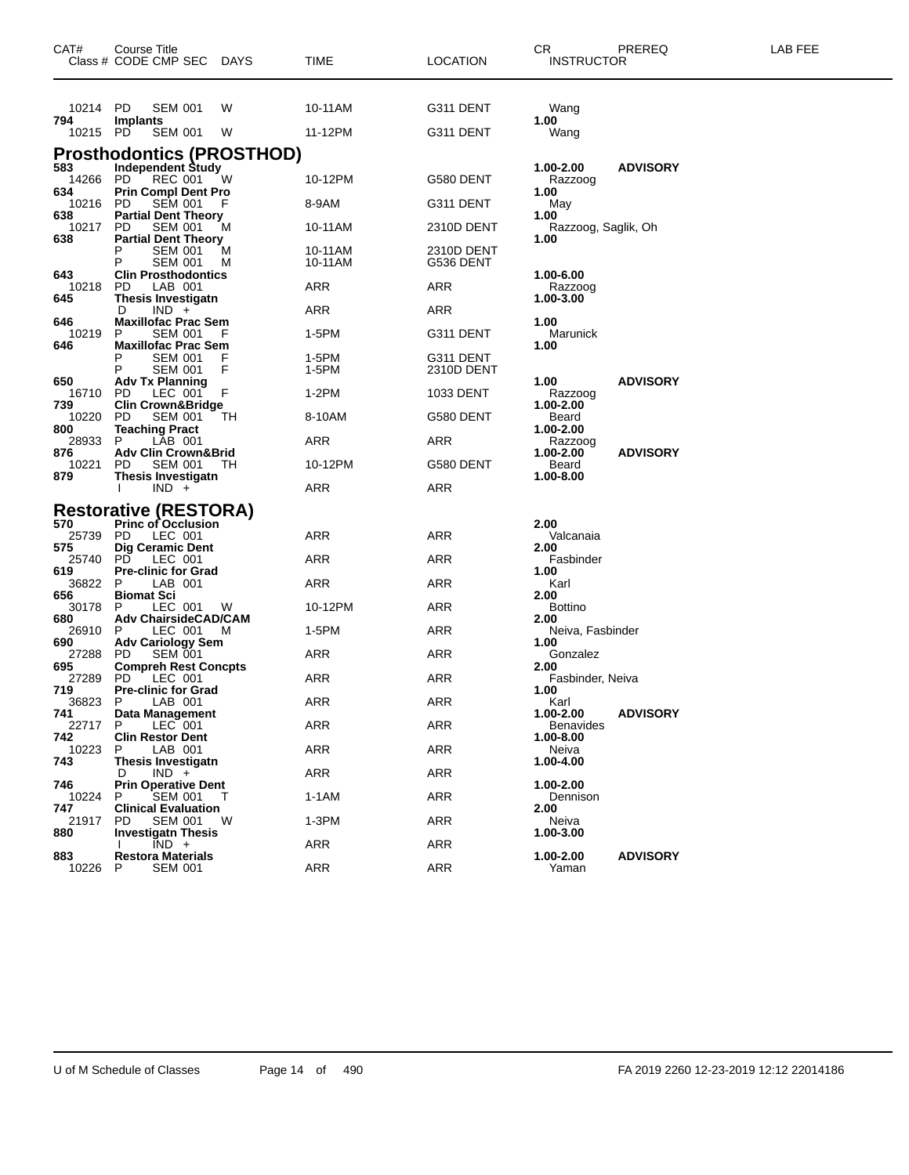| CAT#                | Course Title<br>Class # CODE CMP SEC<br>DAYS                                  | TIME               | LOCATION                | CR.<br>PREREQ<br><b>INSTRUCTOR</b>               | LAB FEE |
|---------------------|-------------------------------------------------------------------------------|--------------------|-------------------------|--------------------------------------------------|---------|
| 10214 PD            | <b>SEM 001</b><br>W                                                           | 10-11AM            | G311 DENT               | Wang                                             |         |
| 794<br>10215 PD     | <b>Implants</b><br><b>SEM 001</b><br>W                                        | 11-12PM            | G311 DENT               | 1.00<br>Wang                                     |         |
|                     | <b>Prosthodontics (PROSTHOD)</b>                                              |                    |                         |                                                  |         |
| 583<br>14266<br>634 | <b>Independent Study</b><br>W<br>PD.<br>REC 001<br><b>Prin Compl Dent Pro</b> | 10-12PM            | G580 DENT               | <b>ADVISORY</b><br>1.00-2.00<br>Razzoog<br>1.00  |         |
| 10216 PD            | <b>SEM 001</b>                                                                | 8-9AM              | G311 DENT               | May                                              |         |
| 638<br>10217        | <b>Partial Dent Theory</b><br><b>SEM 001</b><br>PD.<br>м                      | 10-11AM            | 2310D DENT              | 1.00<br>Razzoog, Saglik, Oh                      |         |
| 638                 | <b>Partial Dent Theory</b><br><b>SEM 001</b><br>M<br>Р<br><b>SEM 001</b><br>м | 10-11AM<br>10-11AM | 2310D DENT<br>G536 DENT | 1.00                                             |         |
| 643<br>10218        | <b>Clin Prosthodontics</b><br>PD<br>LAB 001                                   | ARR                | ARR                     | 1.00-6.00<br>Razzoog                             |         |
| 645                 | <b>Thesis Investigatn</b><br>$IND +$<br>D                                     | ARR                | ARR                     | 1.00-3.00                                        |         |
| 646<br>10219        | <b>Maxillofac Prac Sem</b><br><b>SEM 001</b><br>P<br>F                        | 1-5PM              | G311 DENT               | 1.00<br>Marunick                                 |         |
| 646                 | <b>Maxillofac Prac Sem</b><br><b>SEM 001</b><br>Р<br>P<br><b>SEM 001</b><br>F | 1-5PM<br>1-5PM     | G311 DENT<br>2310D DENT | 1.00                                             |         |
| 650<br>16710        | <b>Adv Tx Planning</b><br>LEC 001<br>PD.                                      | 1-2PM              | 1033 DENT               | <b>ADVISORY</b><br>1.00<br>Razzoog               |         |
| 739<br>10220        | <b>Clin Crown&amp;Bridge</b><br><b>SEM 001</b><br>TН<br>PD.                   | 8-10AM             | G580 DENT               | 1.00-2.00<br>Beard                               |         |
| 800<br>28933        | <b>Teaching Pract</b><br>LAB 001<br>P                                         | ARR                | ARR                     | 1.00-2.00<br>Razzoog                             |         |
| 876<br>10221        | <b>Adv Clin Crown&amp;Brid</b><br>PD<br><b>SEM 001</b><br>ТH                  | 10-12PM            | G580 DENT               | <b>ADVISORY</b><br>1.00-2.00<br>Beard            |         |
| 879                 | <b>Thesis Investigatn</b><br>$IND +$                                          | ARR                | ARR                     | 1.00-8.00                                        |         |
|                     | <b>Restorative (RESTORA)</b>                                                  |                    |                         |                                                  |         |
| 570                 | <b>Princ of Occlusion</b>                                                     |                    |                         | 2.00                                             |         |
| 25739<br>575        | LEC 001<br>PD.<br><b>Dig Ceramic Dent</b>                                     | ARR                | ARR                     | Valcanaia<br>2.00                                |         |
| 25740               | PD.<br>LEC 001                                                                | ARR                | ARR                     | Fasbinder                                        |         |
| 619<br>36822        | <b>Pre-clinic for Grad</b><br>LAB 001<br>P                                    | ARR                | ARR                     | 1.00<br>Karl                                     |         |
| 656<br>30178        | <b>Biomat Sci</b><br>LEC 001<br>P<br>W                                        | 10-12PM            | ARR                     | 2.00<br>Bottino                                  |         |
| 680<br>26910        | <b>Adv ChairsideCAD/CAM</b><br>LEC 001<br>P<br>M                              | 1-5PM              | ARR                     | 2.00<br>Neiva, Fasbinder                         |         |
| 690<br>27288        | <b>Adv Cariology Sem</b><br><b>SEM 001</b><br>PD.                             | ARR                | ARR                     | 1.00<br>Gonzalez                                 |         |
| 695<br>27289        | <b>Compreh Rest Concpts</b><br>PD<br>LEC 001                                  | ARR                | ARR                     | 2.00<br>Fasbinder, Neiva                         |         |
| 719<br>36823        | <b>Pre-clinic for Grad</b><br>P<br>LAB 001                                    | ARR                | ARR                     | 1.00<br>Karl                                     |         |
| 741<br>22717        | Data Management<br>P<br>LEC 001                                               | ARR                | ARR                     | <b>ADVISORY</b><br>1.00-2.00<br><b>Benavides</b> |         |
| 742<br>10223        | <b>Clin Restor Dent</b><br>LAB 001<br>P                                       | ARR                | ARR                     | 1.00-8.00<br>Neiva                               |         |
| 743                 | Thesis Investigatn<br>$IND +$<br>D                                            | ARR                | <b>ARR</b>              | 1.00-4.00                                        |         |
| 746                 | <b>Prin Operative Dent</b><br><b>SEM 001</b>                                  | $1-1AM$            | <b>ARR</b>              | 1.00-2.00                                        |         |
| 10224<br>747        | P<br>т<br><b>Clinical Evaluation</b>                                          |                    |                         | Dennison<br>2.00                                 |         |
| 21917<br>880        | PD.<br>SEM 001<br>W<br><b>Investigatn Thesis</b>                              | 1-3PM              | <b>ARR</b>              | Neiva<br>1.00-3.00                               |         |
| 883                 | $\overline{IND}$ +<br><b>Restora Materials</b>                                | ARR                | <b>ARR</b>              | 1.00-2.00<br><b>ADVISORY</b>                     |         |
| 10226               | P<br><b>SEM 001</b>                                                           | ARR                | <b>ARR</b>              | Yaman                                            |         |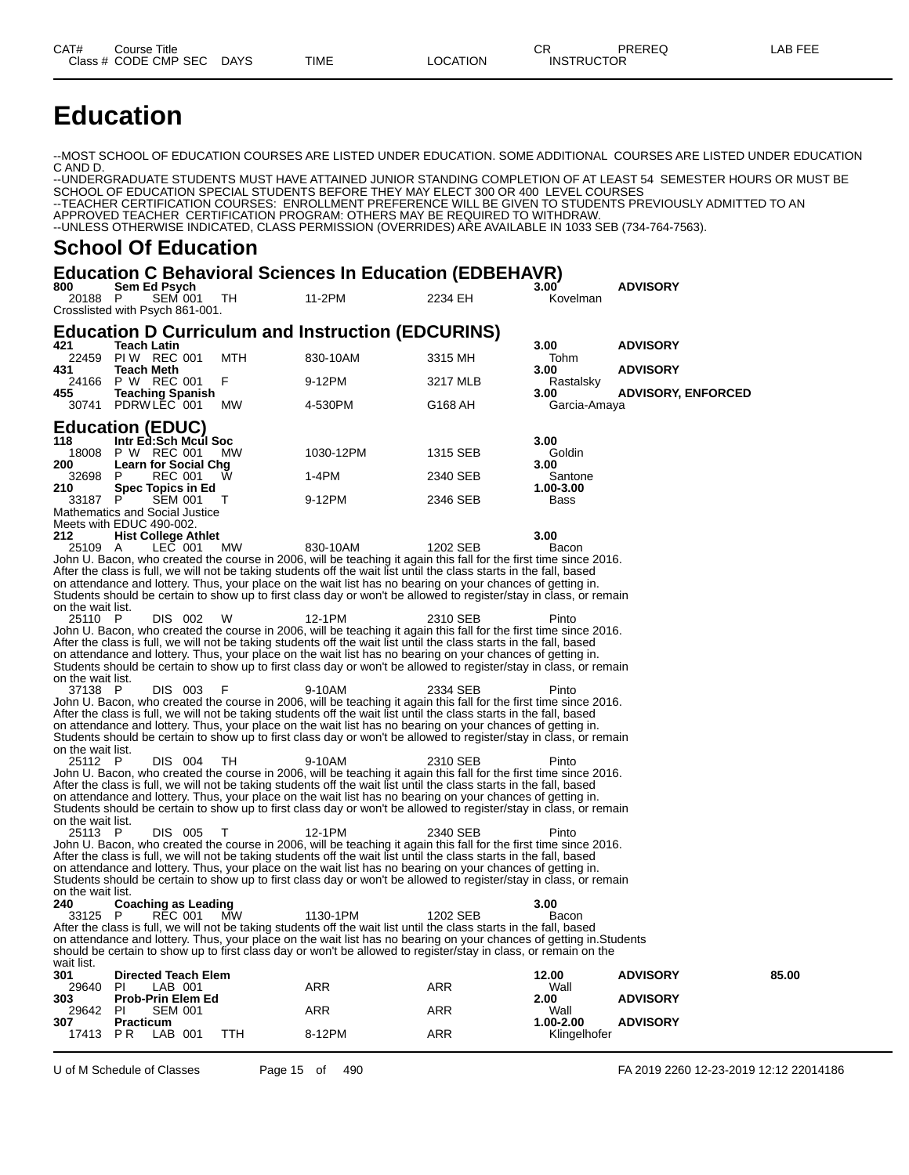## **Education**

--MOST SCHOOL OF EDUCATION COURSES ARE LISTED UNDER EDUCATION. SOME ADDITIONAL COURSES ARE LISTED UNDER EDUCATION C AND D.

--UNDERGRADUATE STUDENTS MUST HAVE ATTAINED JUNIOR STANDING COMPLETION OF AT LEAST 54 SEMESTER HOURS OR MUST BE SCHOOL OF EDUCATION SPECIAL STUDENTS BEFORE THEY MAY ELECT 300 OR 400 LEVEL COURSES --TEACHER CERTIFICATION COURSES: ENROLLMENT PREFERENCE WILL BE GIVEN TO STUDENTS PREVIOUSLY ADMITTED TO AN APPROVED TEACHER CERTIFICATION PROGRAM: OTHERS MAY BE REQUIRED TO WITHDRAW. --UNLESS OTHERWISE INDICATED, CLASS PERMISSION (OVERRIDES) ARE AVAILABLE IN 1033 SEB (734-764-7563).

#### **School Of Education**

#### **Education C Behavioral Sciences In Education (EDBEHAVR)**

| 800<br>20188 P    | Sem Ed Psych<br><b>SEM 001</b>                               | TH.       | 11-2PM                                                                                                                                                                                                                            | 2234 EH  | 3.00<br>Kovelman     | <b>ADVISORY</b>           |       |
|-------------------|--------------------------------------------------------------|-----------|-----------------------------------------------------------------------------------------------------------------------------------------------------------------------------------------------------------------------------------|----------|----------------------|---------------------------|-------|
|                   | Crosslisted with Psych 861-001.                              |           |                                                                                                                                                                                                                                   |          |                      |                           |       |
| 421               | <b>Teach Latin</b>                                           |           | <b>Education D Curriculum and Instruction (EDCURINS)</b>                                                                                                                                                                          |          | 3.00                 | <b>ADVISORY</b>           |       |
| 431               | 22459 PIW REC 001<br>Teach Meth                              | MTH       | 830-10AM                                                                                                                                                                                                                          | 3315 MH  | Tohm<br>3.00         | <b>ADVISORY</b>           |       |
|                   | 24166 P W REC 001                                            | F         | 9-12PM                                                                                                                                                                                                                            | 3217 MLB | Rastalsky            |                           |       |
| 455               | <b>Teaching Spanish</b><br>30741 PDRW LEC 001                | <b>MW</b> | 4-530PM                                                                                                                                                                                                                           | G168 AH  | 3.00<br>Garcia-Amaya | <b>ADVISORY, ENFORCED</b> |       |
|                   | <b>Education (EDUC)</b>                                      |           |                                                                                                                                                                                                                                   |          |                      |                           |       |
| 118<br>18008      | Intr Ed:Sch Mcul Soc<br>P W REC 001                          | <b>MW</b> | 1030-12PM                                                                                                                                                                                                                         | 1315 SEB | 3.00<br>Goldin       |                           |       |
| 200<br>32698 P    | Learn for Social Chg<br><b>REC 001</b>                       | W         | 1-4PM                                                                                                                                                                                                                             | 2340 SEB | 3.00<br>Santone      |                           |       |
| 210               | Spec Topics in Ed                                            |           |                                                                                                                                                                                                                                   |          | 1.00-3.00            |                           |       |
| 33187             | P<br><b>SEM 001</b><br><b>Mathematics and Social Justice</b> | T         | 9-12PM                                                                                                                                                                                                                            | 2346 SEB | Bass                 |                           |       |
|                   | Meets with EDUC 490-002.                                     |           |                                                                                                                                                                                                                                   |          |                      |                           |       |
| 212<br>25109 A    | <b>Hist College Athlet</b><br>LEC 001                        | МW        | 830-10AM                                                                                                                                                                                                                          | 1202 SEB | 3.00<br>Bacon        |                           |       |
|                   |                                                              |           | John U. Bacon, who created the course in 2006, will be teaching it again this fall for the first time since 2016.                                                                                                                 |          |                      |                           |       |
|                   |                                                              |           | After the class is full, we will not be taking students off the wait list until the class starts in the fall, based                                                                                                               |          |                      |                           |       |
|                   |                                                              |           | on attendance and lottery. Thus, your place on the wait list has no bearing on your chances of getting in.<br>Students should be certain to show up to first class day or won't be allowed to register/stay in class, or remain   |          |                      |                           |       |
| on the wait list. |                                                              |           |                                                                                                                                                                                                                                   |          |                      |                           |       |
| 25110 P           | DIS 002                                                      | W         | 12-1PM<br>John U. Bacon, who created the course in 2006, will be teaching it again this fall for the first time since 2016.                                                                                                       | 2310 SEB | Pinto                |                           |       |
|                   |                                                              |           | After the class is full, we will not be taking students off the wait list until the class starts in the fall, based                                                                                                               |          |                      |                           |       |
|                   |                                                              |           | on attendance and lottery. Thus, your place on the wait list has no bearing on your chances of getting in.                                                                                                                        |          |                      |                           |       |
| on the wait list. |                                                              |           | Students should be certain to show up to first class day or won't be allowed to register/stay in class, or remain                                                                                                                 |          |                      |                           |       |
| 37138 P           | DIS 003                                                      | F         | 9-10AM                                                                                                                                                                                                                            | 2334 SEB | Pinto                |                           |       |
|                   |                                                              |           | John U. Bacon, who created the course in 2006, will be teaching it again this fall for the first time since 2016.                                                                                                                 |          |                      |                           |       |
|                   |                                                              |           | After the class is full, we will not be taking students off the wait list until the class starts in the fall, based<br>on attendance and lottery. Thus, your place on the wait list has no bearing on your chances of getting in. |          |                      |                           |       |
|                   |                                                              |           | Students should be certain to show up to first class day or won't be allowed to register/stay in class, or remain                                                                                                                 |          |                      |                           |       |
| on the wait list. |                                                              |           |                                                                                                                                                                                                                                   |          |                      |                           |       |
| 25112 P           | DIS 004                                                      | TH        | 9-10AM<br>John U. Bacon, who created the course in 2006, will be teaching it again this fall for the first time since 2016.                                                                                                       | 2310 SEB | Pinto                |                           |       |
|                   |                                                              |           | After the class is full, we will not be taking students off the wait list until the class starts in the fall, based                                                                                                               |          |                      |                           |       |
|                   |                                                              |           | on attendance and lottery. Thus, your place on the wait list has no bearing on your chances of getting in.                                                                                                                        |          |                      |                           |       |
| on the wait list. |                                                              |           | Students should be certain to show up to first class day or won't be allowed to register/stay in class, or remain                                                                                                                 |          |                      |                           |       |
| 25113 P           | DIS 005                                                      | т         | 12-1PM                                                                                                                                                                                                                            | 2340 SEB | Pinto                |                           |       |
|                   |                                                              |           | John U. Bacon, who created the course in 2006, will be teaching it again this fall for the first time since 2016.                                                                                                                 |          |                      |                           |       |
|                   |                                                              |           | After the class is full, we will not be taking students off the wait list until the class starts in the fall, based<br>on attendance and lottery. Thus, your place on the wait list has no bearing on your chances of getting in. |          |                      |                           |       |
|                   |                                                              |           | Students should be certain to show up to first class day or won't be allowed to register/stay in class, or remain                                                                                                                 |          |                      |                           |       |
| on the wait list. |                                                              |           |                                                                                                                                                                                                                                   |          |                      |                           |       |
| 240<br>33125 P    | <b>Coaching as Leading</b><br><b>REC 001</b>                 | МW        | 1130-1PM                                                                                                                                                                                                                          | 1202 SEB | 3.00<br>Bacon        |                           |       |
|                   |                                                              |           | After the class is full, we will not be taking students off the wait list until the class starts in the fall, based                                                                                                               |          |                      |                           |       |
|                   |                                                              |           | on attendance and lottery. Thus, your place on the wait list has no bearing on your chances of getting in. Students                                                                                                               |          |                      |                           |       |
| wait list.        |                                                              |           | should be certain to show up to first class day or won't be allowed to register/stay in class, or remain on the                                                                                                                   |          |                      |                           |       |
| 301               | <b>Directed Teach Elem</b>                                   |           |                                                                                                                                                                                                                                   |          | 12.00                | <b>ADVISORY</b>           | 85.00 |
| 29640<br>303      | PI.<br>LAB 001<br><b>Prob-Prin Elem Ed</b>                   |           | ARR                                                                                                                                                                                                                               | ARR      | Wall<br>2.00         | <b>ADVISORY</b>           |       |
| 29642 PI          | <b>SEM 001</b>                                               |           | ARR                                                                                                                                                                                                                               | ARR      | Wall                 |                           |       |
| 307               | <b>Practicum</b>                                             |           |                                                                                                                                                                                                                                   |          | 1.00-2.00            | <b>ADVISORY</b>           |       |
| 17413             | <b>PR</b><br>LAB 001                                         | TTH       | 8-12PM                                                                                                                                                                                                                            | ARR      | Klingelhofer         |                           |       |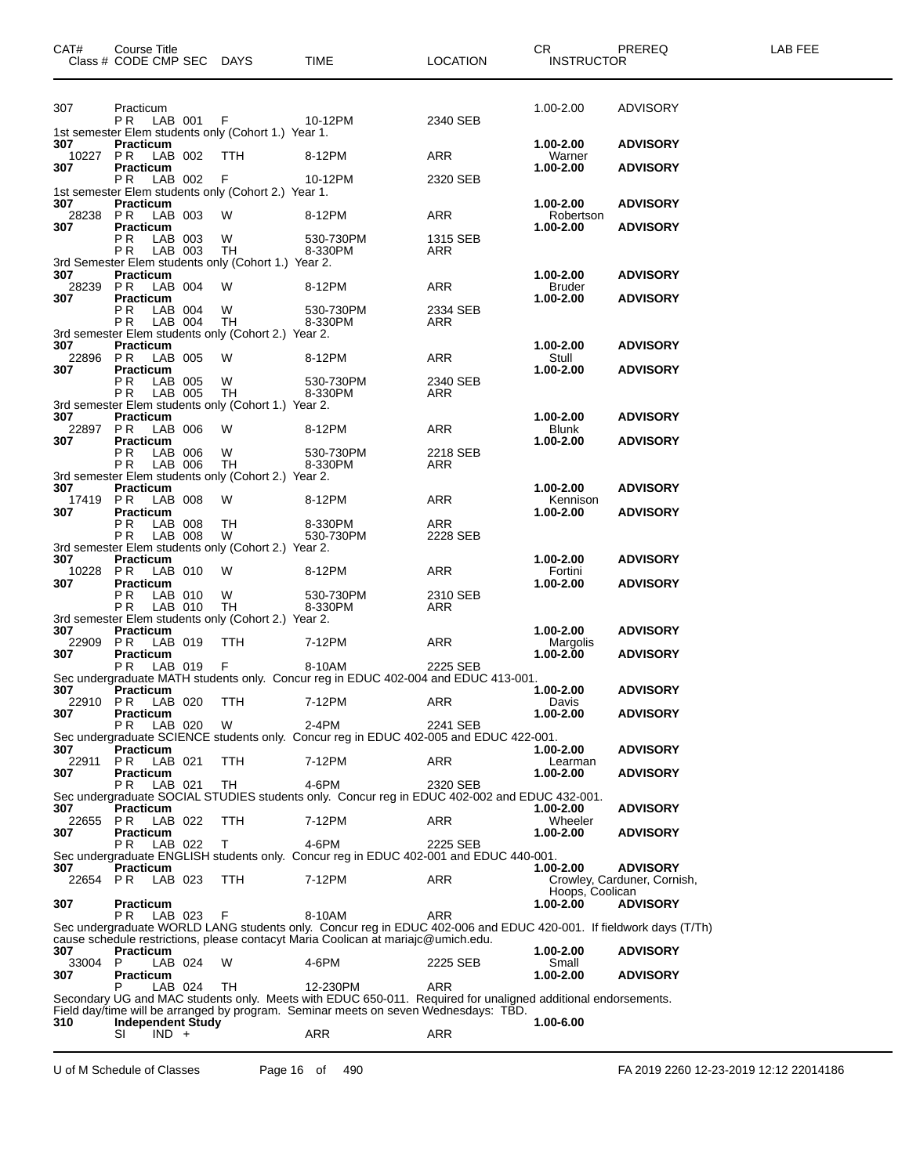| CAT#           | Course Title<br>Class # CODE CMP SEC DAYS |                                                           | <b>TIME</b>                                                                                                                                                                                            | <b>LOCATION</b> | CR <sub>2</sub> and the set of the set of the set of the set of the set of the set of the set of the set of the set of the set of the set of the set of the set of the set of the set of the set of the set of the set of the set of the<br><b>INSTRUCTOR</b> | PREREQ                                         | LAB FEE |
|----------------|-------------------------------------------|-----------------------------------------------------------|--------------------------------------------------------------------------------------------------------------------------------------------------------------------------------------------------------|-----------------|---------------------------------------------------------------------------------------------------------------------------------------------------------------------------------------------------------------------------------------------------------------|------------------------------------------------|---------|
|                |                                           |                                                           |                                                                                                                                                                                                        |                 |                                                                                                                                                                                                                                                               |                                                |         |
| 307            | Practicum                                 | P R LAB 001 F 10-12PM                                     |                                                                                                                                                                                                        | 2340 SEB        | 1.00-2.00                                                                                                                                                                                                                                                     | ADVISORY                                       |         |
| 307            | <b>Practicum</b>                          | 1st semester Elem students only (Cohort 1.) Year 1.       |                                                                                                                                                                                                        |                 | 1.00-2.00                                                                                                                                                                                                                                                     | <b>ADVISORY</b>                                |         |
|                |                                           | 10227 PR LAB 002 TTH                                      | 8-12PM                                                                                                                                                                                                 | ARR             | Warner                                                                                                                                                                                                                                                        |                                                |         |
| 307 —          | Practicum<br>PR LAB 002 F                 |                                                           | 10-12PM                                                                                                                                                                                                | 2320 SEB        | 1.00-2.00                                                                                                                                                                                                                                                     | <b>ADVISORY</b>                                |         |
|                |                                           | 1st semester Elem students only (Cohort 2.) Year 1.       |                                                                                                                                                                                                        |                 |                                                                                                                                                                                                                                                               |                                                |         |
| 307            | Practicum<br>28238 PR LAB 003             | W                                                         | 8-12PM                                                                                                                                                                                                 | ARR             | 1.00-2.00<br>Robertson                                                                                                                                                                                                                                        | <b>ADVISORY</b>                                |         |
| 307            | Practicum<br>PR LAB 003 W                 |                                                           | 530-730PM                                                                                                                                                                                              | 1315 SEB        | $1.00 - 2.00$                                                                                                                                                                                                                                                 | <b>ADVISORY</b>                                |         |
|                |                                           | PR LAB 003 TH                                             | 8-330PM                                                                                                                                                                                                | ARR             |                                                                                                                                                                                                                                                               |                                                |         |
| 307            | Practicum                                 | 3rd Semester Elem students only (Cohort 1.) Year 2.       |                                                                                                                                                                                                        |                 | 1.00-2.00                                                                                                                                                                                                                                                     | <b>ADVISORY</b>                                |         |
|                | 28239 PR LAB 004                          | W                                                         | 8-12PM                                                                                                                                                                                                 | ARR             | Bruder                                                                                                                                                                                                                                                        |                                                |         |
| 307            | Practicum<br>PR LAB 004 W                 |                                                           | 530-730PM                                                                                                                                                                                              | 2334 SEB        | $1.00 - 2.00$                                                                                                                                                                                                                                                 | <b>ADVISORY</b>                                |         |
|                |                                           | PR LAB 004 TH                                             | 8-330PM                                                                                                                                                                                                | ARR             |                                                                                                                                                                                                                                                               |                                                |         |
| 307            | Practicum                                 | 3rd semester Elem students only (Cohort 2.) Year 2.       |                                                                                                                                                                                                        |                 | 1.00-2.00                                                                                                                                                                                                                                                     | <b>ADVISORY</b>                                |         |
|                | 22896 PR LAB 005                          | W                                                         | 8-12PM                                                                                                                                                                                                 | ARR             | Stull                                                                                                                                                                                                                                                         |                                                |         |
| 307            | Practicum<br>PR LAB 005 W                 |                                                           | 530-730PM                                                                                                                                                                                              | 2340 SEB        | $1.00 - 2.00$                                                                                                                                                                                                                                                 | <b>ADVISORY</b>                                |         |
|                | P R LAB 005                               | TH<br>3rd semester Elem students only (Cohort 1.) Year 2. | 8-330PM                                                                                                                                                                                                | ARR             |                                                                                                                                                                                                                                                               |                                                |         |
| 307            | Practicum                                 |                                                           |                                                                                                                                                                                                        |                 | 1.00-2.00                                                                                                                                                                                                                                                     | <b>ADVISORY</b>                                |         |
| 307            | 22897 PR LAB 006<br>Practicum             | W                                                         | 8-12PM                                                                                                                                                                                                 | ARR             | Blunk<br>$1.00 - 2.00$                                                                                                                                                                                                                                        | <b>ADVISORY</b>                                |         |
|                | PR LAB 006 W                              |                                                           | 530-730PM                                                                                                                                                                                              | 2218 SEB        |                                                                                                                                                                                                                                                               |                                                |         |
|                | PR LAB 006                                | TH<br>3rd semester Elem students only (Cohort 2.) Year 2. | 8-330PM                                                                                                                                                                                                | ARR             |                                                                                                                                                                                                                                                               |                                                |         |
| 307            | Practicum                                 |                                                           |                                                                                                                                                                                                        |                 | 1.00-2.00                                                                                                                                                                                                                                                     | <b>ADVISORY</b>                                |         |
| 307            | 17419 PR LAB 008<br>Practicum             | W                                                         | 8-12PM                                                                                                                                                                                                 | ARR             | Kennison<br>$1.00 - 2.00$                                                                                                                                                                                                                                     | <b>ADVISORY</b>                                |         |
|                | PR LAB 008                                | TH <sub>1</sub>                                           | 8-330PM                                                                                                                                                                                                | ARR             |                                                                                                                                                                                                                                                               |                                                |         |
|                | PR LAB 008                                | W<br>3rd semester Elem students only (Cohort 2.) Year 2.  | 530-730PM                                                                                                                                                                                              | 2228 SEB        |                                                                                                                                                                                                                                                               |                                                |         |
| 307            | Practicum<br>10228 PR LAB 010             | W                                                         |                                                                                                                                                                                                        | ARR             | 1.00-2.00<br>Fortini                                                                                                                                                                                                                                          | <b>ADVISORY</b>                                |         |
| 307            | Practicum                                 |                                                           | 8-12PM                                                                                                                                                                                                 |                 | $1.00 - 2.00$                                                                                                                                                                                                                                                 | <b>ADVISORY</b>                                |         |
|                | PR LAB 010 W<br><b>PR</b> LAB 010         | TH                                                        | 530-730PM<br>8-330PM                                                                                                                                                                                   | 2310 SEB<br>ARR |                                                                                                                                                                                                                                                               |                                                |         |
|                |                                           | 3rd semester Elem students only (Cohort 2.) Year 2.       |                                                                                                                                                                                                        |                 |                                                                                                                                                                                                                                                               |                                                |         |
| 307            | Practicum<br>22909 PR LAB 019             | TTH                                                       | 7-12PM                                                                                                                                                                                                 | ARR             | 1.00-2.00<br>Margolis                                                                                                                                                                                                                                         | <b>ADVISORY</b>                                |         |
| 307            | Practicum                                 |                                                           |                                                                                                                                                                                                        |                 | 1.00-2.00                                                                                                                                                                                                                                                     | <b>ADVISORY</b>                                |         |
|                |                                           | PR LAB 019 F 8-10AM                                       | Sec undergraduate MATH students only. Concur reg in EDUC 402-004 and EDUC 413-001.                                                                                                                     | 2225 SEB        |                                                                                                                                                                                                                                                               |                                                |         |
| 307            | Practicum                                 |                                                           |                                                                                                                                                                                                        |                 | $1.00 - 2.00$                                                                                                                                                                                                                                                 | <b>ADVISORY</b>                                |         |
| 307            | <b>Practicum</b>                          | 22910 PR LAB 020 TTH 7-12PM                               |                                                                                                                                                                                                        | ARR             | Davis<br>1.00-2.00                                                                                                                                                                                                                                            | <b>ADVISORY</b>                                |         |
|                | P R<br>LAB 020                            | W                                                         | $2-4PM$<br>Sec undergraduate SCIENCE students only. Concur reg in EDUC 402-005 and EDUC 422-001.                                                                                                       | 2241 SEB        |                                                                                                                                                                                                                                                               |                                                |         |
| 307            | <b>Practicum</b>                          |                                                           |                                                                                                                                                                                                        |                 | 1.00-2.00                                                                                                                                                                                                                                                     | <b>ADVISORY</b>                                |         |
| 22911<br>307   | PR.<br>LAB 021<br><b>Practicum</b>        | TTH                                                       | 7-12PM                                                                                                                                                                                                 | <b>ARR</b>      | Learman<br>1.00-2.00                                                                                                                                                                                                                                          | <b>ADVISORY</b>                                |         |
|                | P R<br>LAB 021                            | TH                                                        | 4-6PM                                                                                                                                                                                                  | 2320 SEB        |                                                                                                                                                                                                                                                               |                                                |         |
| 307            | <b>Practicum</b>                          |                                                           | Sec undergraduate SOCIAL STUDIES students only. Concur reg in EDUC 402-002 and EDUC 432-001.                                                                                                           |                 | 1.00-2.00                                                                                                                                                                                                                                                     | <b>ADVISORY</b>                                |         |
| 22655          | LAB 022<br>PR.                            | TTH                                                       | 7-12PM                                                                                                                                                                                                 | ARR             | Wheeler                                                                                                                                                                                                                                                       |                                                |         |
| 307            | Practicum<br>LAB 022<br>P R               | Т                                                         | 4-6PM                                                                                                                                                                                                  | 2225 SEB        | 1.00-2.00                                                                                                                                                                                                                                                     | <b>ADVISORY</b>                                |         |
|                | <b>Practicum</b>                          |                                                           | Sec undergraduate ENGLISH students only. Concur reg in EDUC 402-001 and EDUC 440-001.                                                                                                                  |                 |                                                                                                                                                                                                                                                               |                                                |         |
| 307<br>22654   | LAB 023<br>PR                             | TTH                                                       | 7-12PM                                                                                                                                                                                                 | ARR             | 1.00-2.00                                                                                                                                                                                                                                                     | <b>ADVISORY</b><br>Crowley, Carduner, Cornish, |         |
|                | <b>Practicum</b>                          |                                                           |                                                                                                                                                                                                        |                 | Hoops, Coolican                                                                                                                                                                                                                                               | <b>ADVISORY</b>                                |         |
| 307            | LAB 023<br>PR.                            | F                                                         | 8-10AM                                                                                                                                                                                                 | ARR             | 1.00-2.00                                                                                                                                                                                                                                                     |                                                |         |
|                |                                           |                                                           | Sec undergraduate WORLD LANG students only. Concur reg in EDUC 402-006 and EDUC 420-001. If fieldwork days (T/Th)<br>cause schedule restrictions, please contacyt Maria Coolican at mariajc@umich.edu. |                 |                                                                                                                                                                                                                                                               |                                                |         |
| 307            | <b>Practicum</b>                          |                                                           |                                                                                                                                                                                                        |                 | 1.00-2.00                                                                                                                                                                                                                                                     | <b>ADVISORY</b>                                |         |
| 33004 P<br>307 | LAB 024<br>Practicum                      | W                                                         | 4-6PM                                                                                                                                                                                                  | 2225 SEB        | Small<br>1.00-2.00                                                                                                                                                                                                                                            | <b>ADVISORY</b>                                |         |
|                | LAB 024                                   | TH                                                        | 12-230PM                                                                                                                                                                                               | ARR             |                                                                                                                                                                                                                                                               |                                                |         |
|                |                                           |                                                           | Secondary UG and MAC students only. Meets with EDUC 650-011. Required for unaligned additional endorsements.<br>Field day/time will be arranged by program. Seminar meets on seven Wednesdays: TBD.    |                 |                                                                                                                                                                                                                                                               |                                                |         |
| 310            | <b>Independent Study</b>                  |                                                           |                                                                                                                                                                                                        |                 | 1.00-6.00                                                                                                                                                                                                                                                     |                                                |         |
|                | SI<br>$IND +$                             |                                                           | ARR                                                                                                                                                                                                    | <b>ARR</b>      |                                                                                                                                                                                                                                                               |                                                |         |

U of M Schedule of Classes Page 16 of 490 FA 2019 2260 12-23-2019 12:12 22014186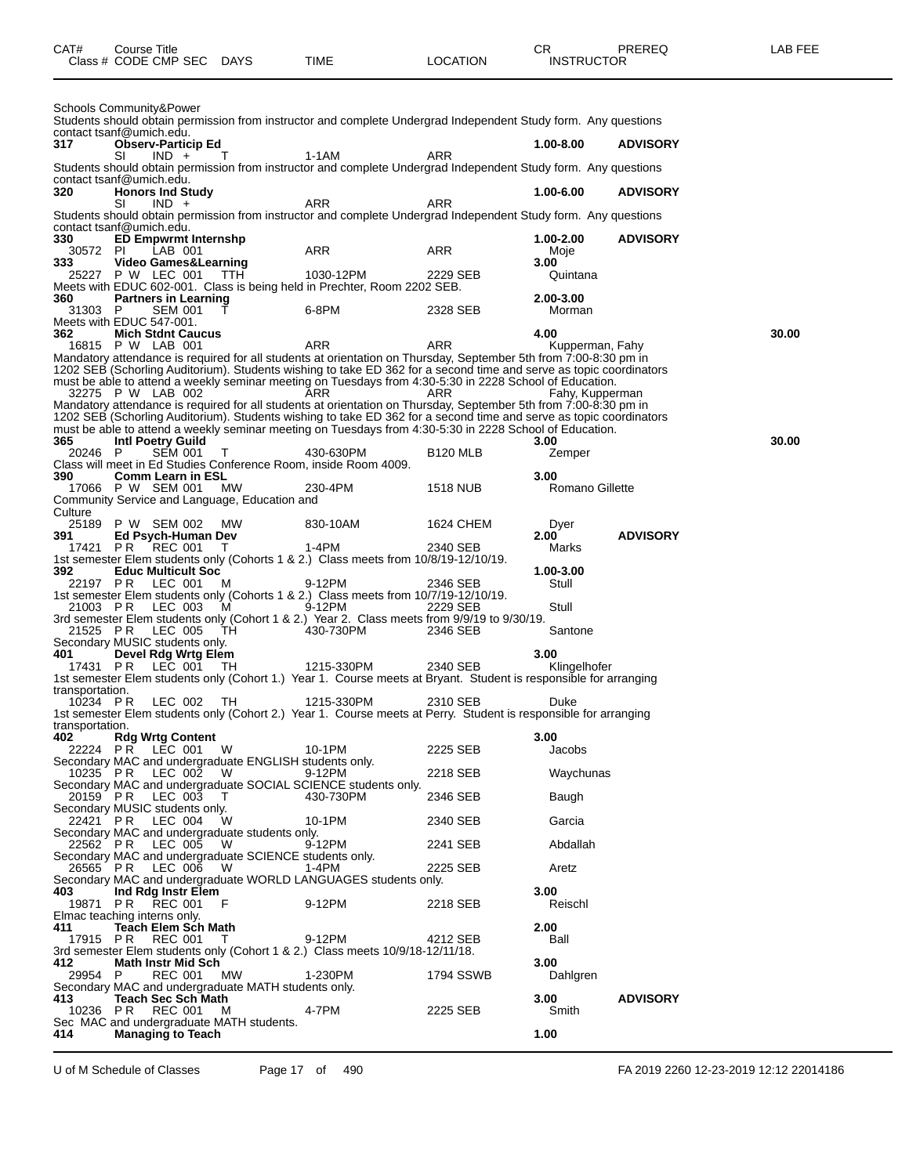| CAT# | Course Title<br>Class # CODE CMP SEC DAYS | TIME | <b>LOCATION</b> | СR<br><b>INSTRUCTOR</b> | PREREQ | LAB FEE |
|------|-------------------------------------------|------|-----------------|-------------------------|--------|---------|
|      |                                           |      |                 |                         |        |         |

|                        | Schools Community&Power<br>Students should obtain permission from instructor and complete Undergrad Independent Study form. Any questions                                                                                                                                                                                                                                                                                                                                                    |            |                      |                        |                 |       |
|------------------------|----------------------------------------------------------------------------------------------------------------------------------------------------------------------------------------------------------------------------------------------------------------------------------------------------------------------------------------------------------------------------------------------------------------------------------------------------------------------------------------------|------------|----------------------|------------------------|-----------------|-------|
| 317                    | contact tsanf@umich.edu.<br><b>Observ-Particip Ed</b>                                                                                                                                                                                                                                                                                                                                                                                                                                        |            |                      | 1.00-8.00              | <b>ADVISORY</b> |       |
|                        | SI<br>$IND +$<br>T<br>Students should obtain permission from instructor and complete Undergrad Independent Study form. Any questions                                                                                                                                                                                                                                                                                                                                                         | 1-1AM      | ARR                  |                        |                 |       |
| 320                    | contact tsanf@umich.edu.<br><b>Honors Ind Study</b>                                                                                                                                                                                                                                                                                                                                                                                                                                          |            |                      | 1.00-6.00              | <b>ADVISORY</b> |       |
|                        | SI<br>$IND +$                                                                                                                                                                                                                                                                                                                                                                                                                                                                                | ARR        | ARR                  |                        |                 |       |
|                        | Students should obtain permission from instructor and complete Undergrad Independent Study form. Any questions<br>contact tsanf@umich.edu.                                                                                                                                                                                                                                                                                                                                                   |            |                      |                        |                 |       |
| 330<br>30572 PI        | <b>ED Empwrmt Internshp</b><br>LAB 001                                                                                                                                                                                                                                                                                                                                                                                                                                                       | ARR        | ARR                  | 1.00-2.00<br>Moje      | <b>ADVISORY</b> |       |
| 333                    | Video Games&Learning<br>25227 P W LEC 001<br>- ттн                                                                                                                                                                                                                                                                                                                                                                                                                                           | 1030-12PM  | 2229 SEB             | 3.00<br>Quintana       |                 |       |
|                        | Meets with EDUC 602-001. Class is being held in Prechter, Room 2202 SEB.                                                                                                                                                                                                                                                                                                                                                                                                                     |            |                      |                        |                 |       |
| 360<br>31303 P         | <b>Partners in Learning</b><br><b>SEM 001</b>                                                                                                                                                                                                                                                                                                                                                                                                                                                | 6-8PM      | 2328 SEB             | 2.00-3.00<br>Morman    |                 |       |
| 362                    | Meets with EDUC 547-001.<br><b>Mich Stdnt Caucus</b>                                                                                                                                                                                                                                                                                                                                                                                                                                         |            |                      | 4.00                   |                 | 30.00 |
|                        | 16815 P W LAB 001<br>Mandatory attendance is required for all students at orientation on Thursday, September 5th from 7:00-8:30 pm in                                                                                                                                                                                                                                                                                                                                                        | ARR        | ARR                  | Kupperman, Fahy        |                 |       |
|                        | 1202 SEB (Schorling Auditorium). Students wishing to take ED 362 for a second time and serve as topic coordinators<br>must be able to attend a weekly seminar meeting on Tuesdays from 4:30-5:30 in 2228 School of Education.<br>32275 P W LAB 002<br>Mandatory attendance is required for all students at orientation on Thursday, September 5th from 7:00-8:30 pm in<br>1202 SEB (Schorling Auditorium). Students wishing to take ED 362 for a second time and serve as topic coordinators | ARR        | ARR                  | Fahy, Kupperman        |                 |       |
| 365                    | must be able to attend a weekly seminar meeting on Tuesdays from 4:30-5:30 in 2228 School of Education.<br>Intl Poetry Guild                                                                                                                                                                                                                                                                                                                                                                 |            |                      | 3.00                   |                 | 30.00 |
| 20246 P                | <b>SEM 001</b><br>Τ                                                                                                                                                                                                                                                                                                                                                                                                                                                                          | 430-630PM  | B <sub>120</sub> MLB | Zemper                 |                 |       |
| 390                    | Class will meet in Ed Studies Conference Room, inside Room 4009.<br><b>Comm Learn in ESL</b>                                                                                                                                                                                                                                                                                                                                                                                                 |            |                      | 3.00                   |                 |       |
|                        | 17066 P W SEM 001<br><b>MW</b><br>Community Service and Language, Education and                                                                                                                                                                                                                                                                                                                                                                                                              | 230-4PM    | 1518 NUB             | <b>Romano Gillette</b> |                 |       |
| Culture                | 25189 P W SEM 002<br><b>MW</b>                                                                                                                                                                                                                                                                                                                                                                                                                                                               | 830-10AM   | 1624 CHEM            | Dyer                   |                 |       |
| 391<br>17421           | Ed Psych-Human Dev<br>PR<br>REC 001<br>$\perp$                                                                                                                                                                                                                                                                                                                                                                                                                                               | $1-4PM$    | 2340 SEB             | 2.00<br>Marks          | <b>ADVISORY</b> |       |
| 392                    | 1st semester Elem students only (Cohorts 1 & 2.) Class meets from 10/8/19-12/10/19.<br><b>Educ Multicult Soc</b>                                                                                                                                                                                                                                                                                                                                                                             |            |                      | 1.00-3.00              |                 |       |
| 22197 PR               | LEC 001<br>M                                                                                                                                                                                                                                                                                                                                                                                                                                                                                 | 9-12PM     | 2346 SEB             | Stull                  |                 |       |
|                        | 1st semester Elem students only (Cohorts 1 & 2.) Class meets from 10/7/19-12/10/19.<br>21003 PR LEC 003<br>M                                                                                                                                                                                                                                                                                                                                                                                 | 9-12PM     | 2229 SEB             | Stull                  |                 |       |
| 21525 PR               | 3rd semester Elem students only (Cohort 1 & 2.) Year 2. Class meets from 9/9/19 to 9/30/19.<br>LEC 005<br>TH                                                                                                                                                                                                                                                                                                                                                                                 | 430-730PM  | 2346 SEB             | Santone                |                 |       |
| 401                    | Secondary MUSIC students only.<br>Devel Rdg Wrtg Elem                                                                                                                                                                                                                                                                                                                                                                                                                                        |            |                      | 3.00                   |                 |       |
| 17431 PR               | LEC 001<br>-TH.<br>1st semester Elem students only (Cohort 1.) Year 1. Course meets at Bryant. Student is responsible for arranging                                                                                                                                                                                                                                                                                                                                                          | 1215-330PM | 2340 SEB             | Klingelhofer           |                 |       |
| transportation.        |                                                                                                                                                                                                                                                                                                                                                                                                                                                                                              |            |                      |                        |                 |       |
| 10234 PR               | LEC 002<br>TH<br>1st semester Elem students only (Cohort 2.) Year 1. Course meets at Perry. Student is responsible for arranging                                                                                                                                                                                                                                                                                                                                                             | 1215-330PM | 2310 SEB             | Duke                   |                 |       |
| transportation.<br>402 | <b>Rdg Wrtg Content</b>                                                                                                                                                                                                                                                                                                                                                                                                                                                                      |            |                      | 3.00                   |                 |       |
|                        | 22224 PR LĒC 001<br>W<br>Secondary MAC and undergraduate ENGLISH students only.                                                                                                                                                                                                                                                                                                                                                                                                              | 10-1PM     | 2225 SEB             | Jacobs                 |                 |       |
|                        | 10235 PR LEC 002<br>- W<br>Secondary MAC and undergraduate SOCIAL SCIENCE students only.                                                                                                                                                                                                                                                                                                                                                                                                     | 9-12PM     | 2218 SEB             | Waychunas              |                 |       |
| 20159 PR               | LEC 003<br>$\top$                                                                                                                                                                                                                                                                                                                                                                                                                                                                            | 430-730PM  | 2346 SEB             | Baugh                  |                 |       |
|                        | Secondary MUSIC students only.<br>22421 PR LEC 004<br>W                                                                                                                                                                                                                                                                                                                                                                                                                                      | 10-1PM     | 2340 SEB             | Garcia                 |                 |       |
| 22562 PR               | Secondary MAC and undergraduate students only.<br>LEC 005<br>W                                                                                                                                                                                                                                                                                                                                                                                                                               | 9-12PM     | 2241 SEB             | Abdallah               |                 |       |
|                        | Secondary MAC and undergraduate SCIENCE students only.<br>26565 PR LEC 006<br>- W                                                                                                                                                                                                                                                                                                                                                                                                            | 1-4PM      | 2225 SEB             | Aretz                  |                 |       |
| 403.                   | Secondary MAC and undergraduate WORLD LANGUAGES students only.<br>Ind Rdg Instr Elem                                                                                                                                                                                                                                                                                                                                                                                                         |            |                      | 3.00                   |                 |       |
| 19871 PR               | <b>REC 001</b><br>- F                                                                                                                                                                                                                                                                                                                                                                                                                                                                        | 9-12PM     | 2218 SEB             | Reischl                |                 |       |
| 411                    | Elmac teaching interns only.<br><b>Teach Elem Sch Math</b>                                                                                                                                                                                                                                                                                                                                                                                                                                   |            |                      | 2.00                   |                 |       |
| 17915 PR               | REC 001<br>T.<br>3rd semester Elem students only (Cohort 1 & 2.) Class meets 10/9/18-12/11/18.                                                                                                                                                                                                                                                                                                                                                                                               | 9-12PM     | 4212 SEB             | Ball                   |                 |       |
| 412<br>29954 P         | <b>Math Instr Mid Sch</b><br><b>MW</b><br><b>REC 001</b>                                                                                                                                                                                                                                                                                                                                                                                                                                     | 1-230PM    | 1794 SSWB            | 3.00<br>Dahlgren       |                 |       |
| 413                    | Secondary MAC and undergraduate MATH students only.<br><b>Teach Sec Sch Math</b>                                                                                                                                                                                                                                                                                                                                                                                                             |            |                      |                        |                 |       |
| 10236 PR               | REC 001<br>M                                                                                                                                                                                                                                                                                                                                                                                                                                                                                 | 4-7PM      | 2225 SEB             | 3.00<br>Smith          | <b>ADVISORY</b> |       |
| 414                    | Sec MAC and undergraduate MATH students.<br><b>Managing to Teach</b>                                                                                                                                                                                                                                                                                                                                                                                                                         |            |                      | 1.00                   |                 |       |

U of M Schedule of Classes Page 17 of 490 FA 2019 2260 12-23-2019 12:12 22014186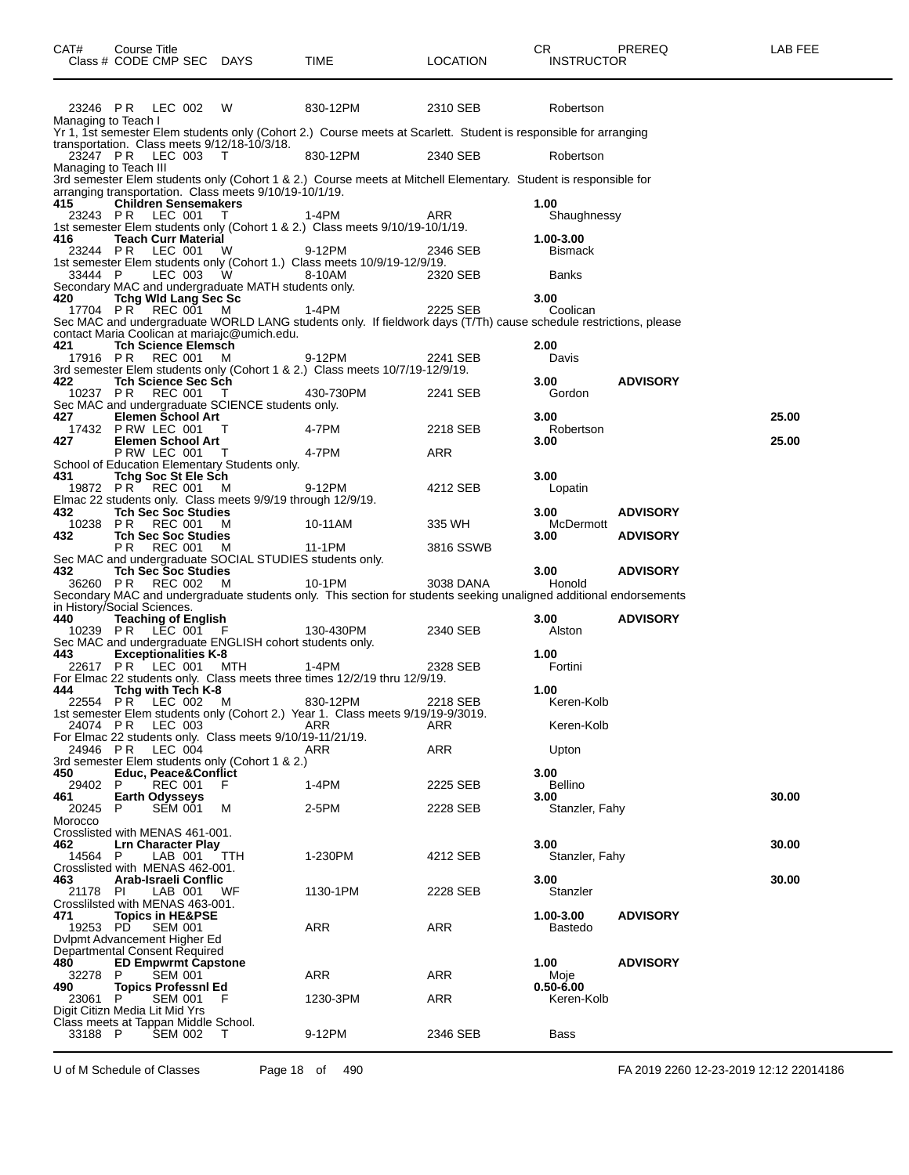| CAT#                | Course Title<br>Class # CODE CMP SEC DAYS                                                 |              | TIME                                                                                                               | <b>LOCATION</b> | CR.<br><b>INSTRUCTOR</b> | PREREQ          | LAB FEE |
|---------------------|-------------------------------------------------------------------------------------------|--------------|--------------------------------------------------------------------------------------------------------------------|-----------------|--------------------------|-----------------|---------|
|                     | 23246 PR LEC 002                                                                          | - W          | 830-12PM                                                                                                           | 2310 SEB        | Robertson                |                 |         |
| Managing to Teach I |                                                                                           |              | Yr 1, 1st semester Elem students only (Cohort 2.) Course meets at Scarlett. Student is responsible for arranging   |                 |                          |                 |         |
|                     | transportation. Class meets 9/12/18-10/3/18.<br>23247 PR LEC 003<br>Managing to Teach III | T            | 830-12PM                                                                                                           | 2340 SEB        | Robertson                |                 |         |
|                     |                                                                                           |              | 3rd semester Elem students only (Cohort 1 & 2.) Course meets at Mitchell Elementary. Student is responsible for    |                 |                          |                 |         |
| 415                 | arranging transportation. Class meets 9/10/19-10/1/19.<br><b>Children Sensemakers</b>     |              |                                                                                                                    |                 | 1.00                     |                 |         |
| 23243 PR            | LEC 001                                                                                   | $\mathbf{I}$ | 1-4PM                                                                                                              | ARR             | Shaughnessy              |                 |         |
| 416                 | <b>Teach Curr Material</b>                                                                |              | 1st semester Elem students only (Cohort 1 & 2.) Class meets 9/10/19-10/1/19.                                       |                 | 1.00-3.00                |                 |         |
| 23244 PR            | LEC 001                                                                                   | W            | 9-12PM<br>1st semester Elem students only (Cohort 1.) Class meets 10/9/19-12/9/19.                                 | 2346 SEB        | <b>Bismack</b>           |                 |         |
| 33444 P             | LEC 003                                                                                   | W.           | 8-10AM                                                                                                             | 2320 SEB        | <b>Banks</b>             |                 |         |
| 420                 | Secondary MAC and undergraduate MATH students only.<br><b>Tchg Wid Lang Sec Sc</b>        |              |                                                                                                                    |                 | 3.00                     |                 |         |
|                     | 17704 PR REC 001 M                                                                        |              | 1-4PM                                                                                                              | 2225 SEB        | Coolican                 |                 |         |
|                     | contact Maria Coolican at mariajc@umich.edu.                                              |              | Sec MAC and undergraduate WORLD LANG students only. If fieldwork days (T/Th) cause schedule restrictions, please   |                 |                          |                 |         |
| 421<br>17916 PR     | <b>Tch Science Elemsch</b><br><b>REC 001</b>                                              | м            | 9-12PM                                                                                                             | 2241 SEB        | 2.00<br>Davis            |                 |         |
|                     |                                                                                           |              | 3rd semester Elem students only (Cohort 1 & 2.) Class meets 10/7/19-12/9/19.                                       |                 |                          |                 |         |
| 422<br>10237 PR     | <b>Tch Science Sec Sch</b><br><b>REC 001</b>                                              | $\top$       | 430-730PM                                                                                                          | 2241 SEB        | 3.00<br>Gordon           | <b>ADVISORY</b> |         |
| 427                 | Sec MAC and undergraduate SCIENCE students only.<br><b>Elemen School Art</b>              |              |                                                                                                                    |                 | 3.00                     |                 | 25.00   |
|                     | 17432 P RW LEC 001                                                                        | $\top$       | 4-7PM                                                                                                              | 2218 SEB        | Robertson                |                 |         |
| 427                 | <b>Elemen School Art</b><br>PRW LEC 001 T                                                 |              | 4-7PM                                                                                                              | ARR             | 3.00                     |                 | 25.00   |
|                     | School of Education Elementary Students only.                                             |              |                                                                                                                    |                 |                          |                 |         |
| 431                 | <b>Tchg Soc St Ele Sch</b><br>19872 PR REC 001 M                                          |              | 9-12PM                                                                                                             | 4212 SEB        | 3.00<br>Lopatin          |                 |         |
| 432                 | Elmac 22 students only. Class meets 9/9/19 through 12/9/19.<br><b>Tch Sec Soc Studies</b> |              |                                                                                                                    |                 | 3.00                     | <b>ADVISORY</b> |         |
| 10238               | PR REC 001 M                                                                              |              | 10-11AM                                                                                                            | 335 WH          | McDermott                |                 |         |
| 432                 | <b>Tch Sec Soc Studies</b><br>P R<br>REC 001                                              | - M          | 11-1PM                                                                                                             | 3816 SSWB       | 3.00                     | <b>ADVISORY</b> |         |
|                     | Sec MAC and undergraduate SOCIAL STUDIES students only.                                   |              |                                                                                                                    |                 | 3.00 <sub>1</sub>        |                 |         |
| 432                 | <b>Tch Sec Soc Studies</b><br>36260 PR REC 002                                            | M            | 10-1PM                                                                                                             | 3038 DANA       | Honold                   | <b>ADVISORY</b> |         |
|                     | in History/Social Sciences.                                                               |              | Secondary MAC and undergraduate students only. This section for students seeking unaligned additional endorsements |                 |                          |                 |         |
| 440                 | <b>Teaching of English</b>                                                                |              |                                                                                                                    |                 | 3.00                     | <b>ADVISORY</b> |         |
|                     | 10239 PR LEC 001 F<br>Sec MAC and undergraduate ENGLISH cohort students only.             |              | 130-430PM                                                                                                          | 2340 SEB        | Alston                   |                 |         |
| 443                 | <b>Exceptionalities K-8</b><br>22617 PR LEC 001 MTH                                       |              | 1-4PM                                                                                                              | 2328 SEB        | 1.00<br>Fortini          |                 |         |
|                     |                                                                                           |              | For Elmac 22 students only. Class meets three times 12/2/19 thru 12/9/19.                                          |                 |                          |                 |         |
| 444                 | Tchg with Tech K-8<br>22554 PR LEC 002 M                                                  |              | 830-12PM                                                                                                           | 2218 SEB        | 1.00<br>Keren-Kolb       |                 |         |
|                     |                                                                                           |              | 1st semester Elem students only (Cohort 2.) Year 1. Class meets 9/19/19-9/3019.                                    |                 |                          |                 |         |
| 24074 PR            | LEC 003<br>For Elmac 22 students only. Class meets 9/10/19-11/21/19.                      |              | ARR                                                                                                                | ARR             | Keren-Kolb               |                 |         |
| 24946 PR            | LEC 004<br>3rd semester Elem students only (Cohort 1 & 2.)                                |              | ARR                                                                                                                | ARR             | Upton                    |                 |         |
| 450                 | <b>Educ, Peace&amp;Conflict</b>                                                           |              |                                                                                                                    |                 | 3.00                     |                 |         |
| 29402 P<br>461      | <b>REC 001</b><br><b>Earth Odysseys</b>                                                   | F            | 1-4PM                                                                                                              | 2225 SEB        | <b>Bellino</b><br>3.00   |                 | 30.00   |
| 20245<br>Morocco    | <b>SEM 001</b><br>P                                                                       | м            | 2-5PM                                                                                                              | 2228 SEB        | Stanzler, Fahy           |                 |         |
|                     | Crosslisted with MENAS 461-001.                                                           |              |                                                                                                                    |                 |                          |                 |         |
| 462.<br>14564 P     | <b>Lrn Character Play</b><br>LAB 001                                                      | TTH          | 1-230PM                                                                                                            | 4212 SEB        | 3.00<br>Stanzler, Fahy   |                 | 30.00   |
|                     | Crosslisted with MENAS 462-001.                                                           |              |                                                                                                                    |                 |                          |                 |         |
| 463<br>21178 PI     | Arab-Israeli Conflic<br>LAB 001                                                           | WF           | 1130-1PM                                                                                                           | 2228 SEB        | 3.00<br>Stanzler         |                 | 30.00   |
| 471                 | Crosslilsted with MENAS 463-001.<br><b>Topics in HE&amp;PSE</b>                           |              |                                                                                                                    |                 | 1.00-3.00                | <b>ADVISORY</b> |         |
| 19253 PD            | <b>SEM 001</b>                                                                            |              | ARR                                                                                                                | ARR             | Bastedo                  |                 |         |
|                     | Dylpmt Advancement Higher Ed<br>Departmental Consent Required                             |              |                                                                                                                    |                 |                          |                 |         |
| 480                 | <b>ED Empwrmt Capstone</b>                                                                |              |                                                                                                                    |                 | 1.00                     | <b>ADVISORY</b> |         |
| 32278<br>490        | P<br><b>SEM 001</b><br><b>Topics Professnl Ed</b>                                         |              | ARR                                                                                                                | ARR             | Moje<br>$0.50 - 6.00$    |                 |         |
| 23061               | P<br><b>SEM 001</b><br>Digit Citizn Media Lit Mid Yrs                                     | F            | 1230-3PM                                                                                                           | ARR             | Keren-Kolb               |                 |         |
|                     | Class meets at Tappan Middle School.                                                      |              |                                                                                                                    |                 |                          |                 |         |
| 33188 P             | <b>SEM 002</b>                                                                            | T            | 9-12PM                                                                                                             | 2346 SEB        | Bass                     |                 |         |

U of M Schedule of Classes Page 18 of 490 FA 2019 2260 12-23-2019 12:12 22014186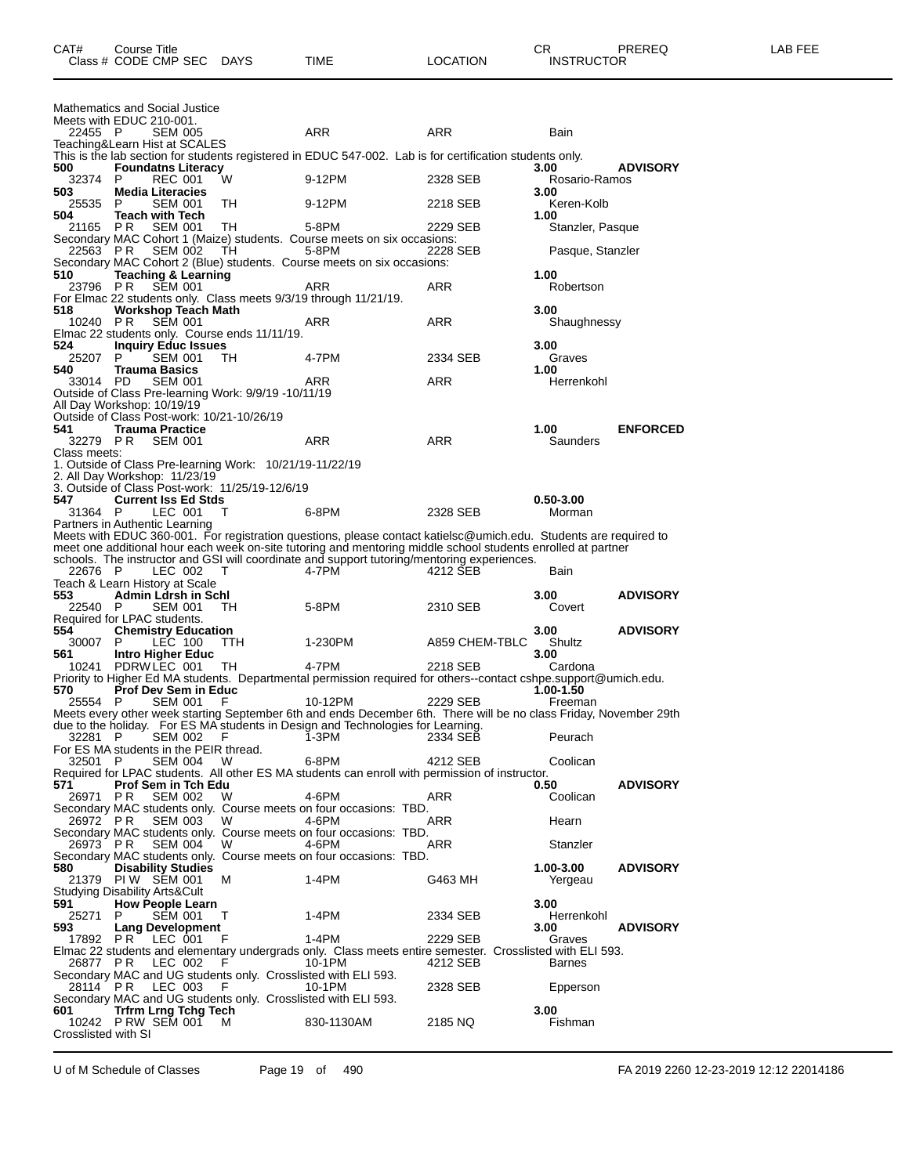|                                        | Mathematics and Social Justice                   |                |                                                          |                                                                                                                                                                                                             |                |                         |                 |
|----------------------------------------|--------------------------------------------------|----------------|----------------------------------------------------------|-------------------------------------------------------------------------------------------------------------------------------------------------------------------------------------------------------------|----------------|-------------------------|-----------------|
| Meets with EDUC 210-001.<br>22455 P    |                                                  | <b>SEM 005</b> |                                                          | ARR                                                                                                                                                                                                         | ARR            | Bain                    |                 |
| Teaching&Learn Hist at SCALES          |                                                  |                |                                                          |                                                                                                                                                                                                             |                |                         |                 |
|                                        |                                                  |                |                                                          | This is the lab section for students registered in EDUC 547-002. Lab is for certification students only.                                                                                                    |                |                         |                 |
| 500<br>32374                           | <b>Foundatns Literacy</b><br>P                   | <b>REC 001</b> | w                                                        | 9-12PM                                                                                                                                                                                                      | 2328 SEB       | 3.00<br>Rosario-Ramos   | <b>ADVISORY</b> |
| 503                                    | <b>Media Literacies</b>                          |                |                                                          |                                                                                                                                                                                                             |                | 3.00                    |                 |
| 25535                                  | P                                                | <b>SEM 001</b> | TH                                                       | 9-12PM                                                                                                                                                                                                      | 2218 SEB       | Keren-Kolb              |                 |
| 504                                    | <b>Teach with Tech</b>                           |                |                                                          |                                                                                                                                                                                                             |                | 1.00                    |                 |
| 21165                                  | PR                                               | <b>SEM 001</b> | TН                                                       | 5-8PM<br>Secondary MAC Cohort 1 (Maize) students. Course meets on six occasions:                                                                                                                            | 2229 SEB       | Stanzler, Pasque        |                 |
| 22563 PR                               |                                                  | <b>SEM 002</b> | TH.                                                      | 5-8PM                                                                                                                                                                                                       | 2228 SEB       | Pasque, Stanzler        |                 |
|                                        |                                                  |                |                                                          | Secondary MAC Cohort 2 (Blue) students. Course meets on six occasions:                                                                                                                                      |                |                         |                 |
| 510<br>23796 PR                        | <b>Teaching &amp; Learning</b>                   | <b>SEM 001</b> |                                                          | ARR                                                                                                                                                                                                         | <b>ARR</b>     | 1.00<br>Robertson       |                 |
|                                        |                                                  |                |                                                          | For Elmac 22 students only. Class meets 9/3/19 through 11/21/19.                                                                                                                                            |                |                         |                 |
| 518                                    | <b>Workshop Teach Math</b>                       |                |                                                          |                                                                                                                                                                                                             |                | 3.00                    |                 |
| 10240 PR                               |                                                  | <b>SEM 001</b> |                                                          | ARR                                                                                                                                                                                                         | ARR            | Shaughnessy             |                 |
| 524                                    | <b>Inquiry Educ Issues</b>                       |                | Elmac 22 students only. Course ends 11/11/19.            |                                                                                                                                                                                                             |                | 3.00                    |                 |
| 25207                                  | P                                                | <b>SEM 001</b> | TH                                                       | 4-7PM                                                                                                                                                                                                       | 2334 SEB       | Graves                  |                 |
| 540                                    | <b>Trauma Basics</b>                             |                |                                                          |                                                                                                                                                                                                             |                | 1.00                    |                 |
| 33014 PD                               |                                                  | <b>SEM 001</b> |                                                          | ARR                                                                                                                                                                                                         | ARR            | Herrenkohl              |                 |
| All Day Workshop: 10/19/19             |                                                  |                | Outside of Class Pre-learning Work: 9/9/19 -10/11/19     |                                                                                                                                                                                                             |                |                         |                 |
|                                        |                                                  |                | Outside of Class Post-work: 10/21-10/26/19               |                                                                                                                                                                                                             |                |                         |                 |
| 541                                    | <b>Trauma Practice</b>                           |                |                                                          |                                                                                                                                                                                                             |                | 1.00                    | <b>ENFORCED</b> |
| 32279 PR<br>Class meets:               |                                                  | <b>SEM 001</b> |                                                          | ARR                                                                                                                                                                                                         | ARR            | Saunders                |                 |
|                                        |                                                  |                | 1. Outside of Class Pre-learning Work: 10/21/19-11/22/19 |                                                                                                                                                                                                             |                |                         |                 |
| 2. All Day Workshop: 11/23/19          |                                                  |                |                                                          |                                                                                                                                                                                                             |                |                         |                 |
| 547                                    |                                                  |                | 3. Outside of Class Post-work: 11/25/19-12/6/19          |                                                                                                                                                                                                             |                |                         |                 |
| 31364 P                                | <b>Current Iss Ed Stds</b>                       | LEC 001        | Τ                                                        | 6-8PM                                                                                                                                                                                                       | 2328 SEB       | $0.50 - 3.00$<br>Morman |                 |
| Partners in Authentic Learning         |                                                  |                |                                                          |                                                                                                                                                                                                             |                |                         |                 |
|                                        |                                                  |                |                                                          | Meets with EDUC 360-001. For registration questions, please contact katielsc@umich.edu. Students are required to                                                                                            |                |                         |                 |
|                                        |                                                  |                |                                                          | meet one additional hour each week on-site tutoring and mentoring middle school students enrolled at partner<br>schools. The instructor and GSI will coordinate and support tutoring/mentoring experiences. |                |                         |                 |
| 22676 P                                |                                                  | LEC 002        | т                                                        | 4-7PM                                                                                                                                                                                                       | 4212 SEB       | Bain                    |                 |
| Teach & Learn History at Scale         |                                                  |                |                                                          |                                                                                                                                                                                                             |                |                         |                 |
| 553                                    | <b>Admin Ldrsh in Schl</b>                       |                |                                                          |                                                                                                                                                                                                             |                | 3.00                    | <b>ADVISORY</b> |
| 22540 P<br>Required for LPAC students. |                                                  | SEM 001        | TH.                                                      | 5-8PM                                                                                                                                                                                                       | 2310 SEB       | Covert                  |                 |
| 554                                    | <b>Chemistry Education</b>                       |                |                                                          |                                                                                                                                                                                                             |                | 3.00                    | <b>ADVISORY</b> |
| 30007                                  | P                                                | LEC 100        | TTH                                                      | 1-230PM                                                                                                                                                                                                     | A859 CHEM-TBLC | Shultz                  |                 |
| 561                                    | Intro Higher Educ                                |                |                                                          | 4-7PM                                                                                                                                                                                                       |                | 3.00                    |                 |
| 10241                                  | PDRW LEC 001                                     |                | ТH                                                       |                                                                                                                                                                                                             |                |                         |                 |
| 570                                    |                                                  |                |                                                          |                                                                                                                                                                                                             | 2218 SEB       | Cardona                 |                 |
| 25554 P                                | <b>Prof Dev Sem in Educ</b>                      |                |                                                          | Priority to Higher Ed MA students. Departmental permission required for others--contact cshpe.support@umich.edu.                                                                                            |                | 1.00-1.50               |                 |
|                                        |                                                  | <b>SEM 001</b> | F                                                        | 10-12PM                                                                                                                                                                                                     | 2229 SEB       | Freeman                 |                 |
|                                        |                                                  |                |                                                          | Meets every other week starting September 6th and ends December 6th. There will be no class Friday, November 29th                                                                                           |                |                         |                 |
| 32281                                  | - P                                              |                | F                                                        | due to the holiday. For ES MA students in Design and Technologies for Learning.                                                                                                                             |                | Peurach                 |                 |
| For ES MA students in the PEIR thread. |                                                  | <b>SEM 002</b> |                                                          | 1-3PM                                                                                                                                                                                                       | 2334 SEB       |                         |                 |
| 32501                                  | - P                                              | <b>SEM 004</b> | W                                                        | 6-8PM                                                                                                                                                                                                       | 4212 SEB       | Coolican                |                 |
|                                        |                                                  |                |                                                          | Required for LPAC students. All other ES MA students can enroll with permission of instructor.                                                                                                              |                |                         |                 |
| 571<br>26971                           | Prof Sem in Tch Edu<br>P <sub>R</sub>            | <b>SEM 002</b> | W                                                        | 4-6PM                                                                                                                                                                                                       | ARR            | 0.50<br>Coolican        | <b>ADVISORY</b> |
|                                        |                                                  |                |                                                          | Secondary MAC students only. Course meets on four occasions: TBD.                                                                                                                                           |                |                         |                 |
| 26972 PR                               |                                                  | SEM 003        | W                                                        | 4-6PM                                                                                                                                                                                                       | ARR            | Hearn                   |                 |
|                                        |                                                  | <b>SEM 004</b> | W                                                        | Secondary MAC students only. Course meets on four occasions: TBD.<br>4-6PM                                                                                                                                  | ARR            | Stanzler                |                 |
| 26973 PR                               |                                                  |                |                                                          | Secondary MAC students only. Course meets on four occasions: TBD.                                                                                                                                           |                |                         |                 |
| 580                                    | <b>Disability Studies</b>                        |                |                                                          |                                                                                                                                                                                                             |                | 1.00-3.00               | <b>ADVISORY</b> |
|                                        | 21379 PIW SEM 001                                |                | м                                                        | 1-4PM                                                                                                                                                                                                       | G463 MH        | Yergeau                 |                 |
| Studying Disability Arts&Cult          |                                                  |                |                                                          |                                                                                                                                                                                                             |                | 3.00                    |                 |
| 591<br>25271                           | <b>How People Learn</b><br>P                     | <b>SEM 001</b> | т                                                        | $1-4PM$                                                                                                                                                                                                     | 2334 SEB       | Herrenkohl              |                 |
| 593                                    | <b>Lang Development</b>                          |                |                                                          |                                                                                                                                                                                                             |                | 3.00                    | <b>ADVISORY</b> |
| 17892 PR                               |                                                  | LEC 001        | F                                                        | $1-4PM$                                                                                                                                                                                                     | 2229 SEB       | Graves                  |                 |
| 26877 PR                               |                                                  | LEC 002        | F                                                        | Elmac 22 students and elementary undergrads only. Class meets entire semester. Crosslisted with ELI 593.<br>10-1PM                                                                                          | 4212 SEB       | <b>Barnes</b>           |                 |
|                                        |                                                  |                |                                                          | Secondary MAC and UG students only. Crosslisted with ELI 593.                                                                                                                                               |                |                         |                 |
| 28114 PR                               |                                                  | LEC 003        | F                                                        | 10-1PM                                                                                                                                                                                                      | 2328 SEB       | Epperson                |                 |
|                                        |                                                  |                |                                                          | Secondary MAC and UG students only. Crosslisted with ELI 593.                                                                                                                                               |                |                         |                 |
| 601                                    | <b>Trfrm Lrng Tchg Tech</b><br>10242 PRW SEM 001 |                | м                                                        | 830-1130AM                                                                                                                                                                                                  | 2185 NQ        | 3.00<br>Fishman         |                 |
| Crosslisted with SI                    |                                                  |                |                                                          |                                                                                                                                                                                                             |                |                         |                 |

U of M Schedule of Classes Page 19 of 490 FA 2019 2260 12-23-2019 12:12 22014186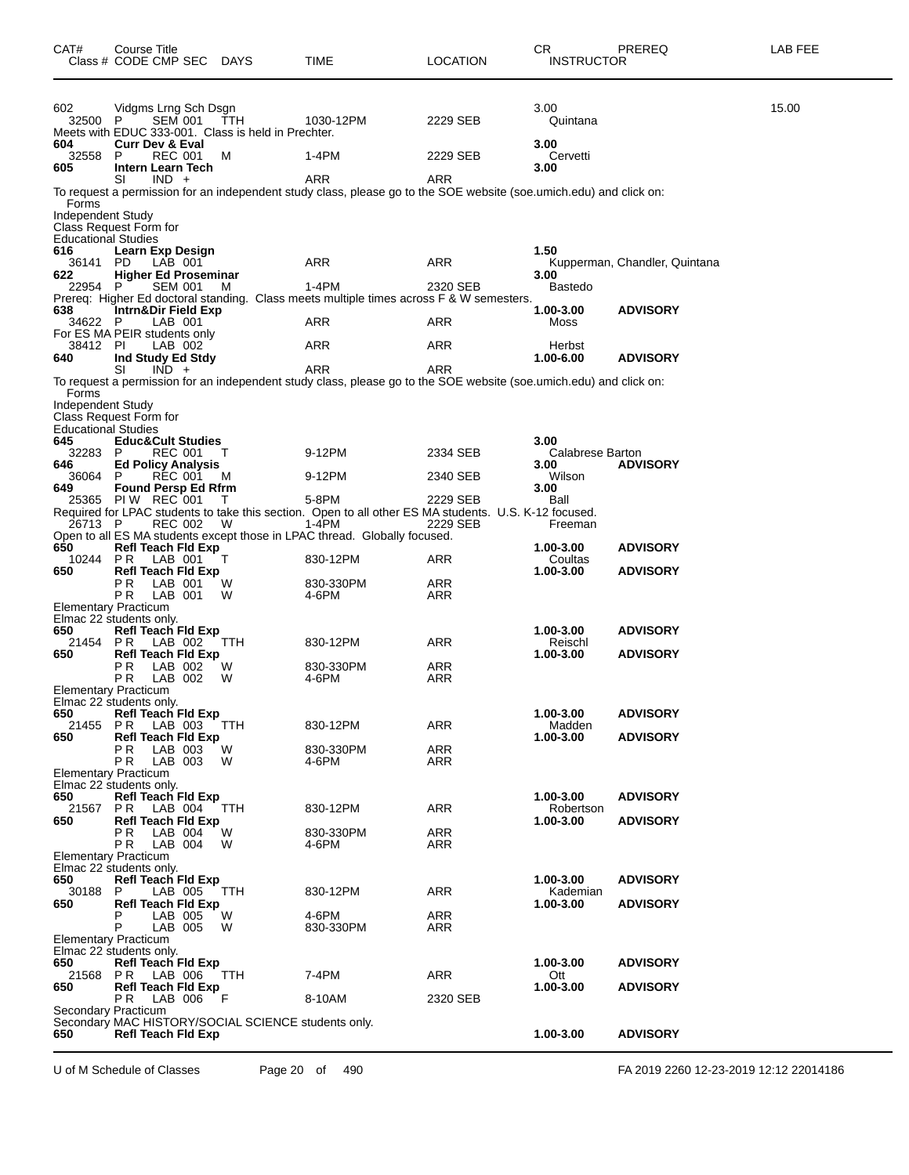| 15.00<br>602<br>3.00<br>Vidgms Lrng Sch Dsgn<br><b>SEM 001</b><br>32500 P<br>TTH<br>1030-12PM<br>2229 SEB<br>Quintana<br>Meets with EDUC 333-001. Class is held in Prechter.<br>604<br><b>Curr Dev &amp; Eval</b><br>3.00<br>1-4PM<br>32558<br>P<br>REC 001<br>2229 SEB<br>Cervetti<br>м<br>Intern Learn Tech<br>3.00<br>605<br>ARR<br><b>ARR</b><br>SI<br>$IND +$<br>To request a permission for an independent study class, please go to the SOE website (soe.umich.edu) and click on:<br>Forms<br>Independent Study<br>Class Request Form for<br><b>Educational Studies</b><br>1.50<br>616<br><b>Learn Exp Design</b><br>36141 PD<br>LAB 001<br>ARR<br>ARR<br>Kupperman, Chandler, Quintana<br><b>Higher Ed Proseminar</b><br>622<br>3.00<br>$1-4PM$<br><b>SEM 001</b><br>2320 SEB<br><b>Bastedo</b><br>22954<br>P.<br>M<br>Prereq: Higher Ed doctoral standing. Class meets multiple times across F & W semesters.<br>1.00-3.00<br>Intrn&Dir Field Exp<br><b>ADVISORY</b><br>LAB 001<br>ARR<br>ARR<br>34622 P<br>Moss<br>For ES MA PEIR students only<br>38412 PI<br>LAB 002<br>ARR<br>ARR<br>Herbst<br>640<br>Ind Study Ed Stdy<br>1.00-6.00<br><b>ADVISORY</b><br>$IND +$<br>ARR<br>ARR<br>SI<br>To request a permission for an independent study class, please go to the SOE website (soe.umich.edu) and click on:<br>Forms<br><b>Independent Study</b><br>Class Request Form for<br><b>Educational Studies</b><br>645<br><b>Educ&amp;Cult Studies</b><br>3.00<br>9-12PM<br>32283<br>P<br>REC 001<br>т<br>2334 SEB<br>Calabrese Barton<br><b>Ed Policy Analysis</b><br><b>ADVISORY</b><br>3.00<br>Wilson<br>36064<br>REC 001<br>9-12PM<br>2340 SEB<br>M<br><b>Found Persp Ed Rfrm</b><br>3.00<br>649<br>5-8PM<br>25365 PIW REC 001<br>2229 SEB<br>Ball<br>т<br>Required for LPAC students to take this section. Open to all other ES MA students. U.S. K-12 focused.<br>$1 - 4$ PM<br>26713 P<br>REC 002<br>W<br>2229 SEB<br>Freeman<br>Open to all ES MA students except those in LPAC thread. Globally focused.<br>650<br><b>Refl Teach Fld Exp</b><br>1.00-3.00<br><b>ADVISORY</b><br>10244<br>PR.<br>LAB 001<br>т<br>830-12PM<br>ARR<br>Coultas<br>650<br><b>Refl Teach Fld Exp</b><br>1.00-3.00<br><b>ADVISORY</b><br>РR<br>LAB 001<br>830-330PM<br>ARR<br>W<br>P R<br>LAB 001<br>W<br>4-6PM<br>ARR<br><b>Elementary Practicum</b><br>Elmac 22 students only.<br><b>Refl Teach Fld Exp</b><br>1.00-3.00<br><b>ADVISORY</b><br>650<br>21454<br>P R<br><b>TTH</b><br>830-12PM<br>ARR<br>Reischl<br>LAB 002<br><b>Refl Teach Fld Exp</b><br>1.00-3.00<br><b>ADVISORY</b><br>650<br>P R<br>LAB 002<br>W<br>830-330PM<br>ARR<br>ΡR<br>LAB 002<br>4-6PM<br>ARR<br>W<br>Elementary Practicum<br>Elmac 22 students only.<br>650<br>Refl Teach Fld Exp<br>1.00-3.00<br><b>ADVISORY</b><br>P <sub>R</sub><br>LAB 003<br>830-12PM<br>ARR<br>21455<br>ттн<br>Madden<br>1.00-3.00<br>650<br><b>Refl Teach Fld Exp</b><br><b>ADVISORY</b><br>РR<br>W<br>830-330PM<br>ARR<br>LAB 003<br>ΡR<br>LAB 003<br>4-6PM<br>ARR<br>W<br><b>Elementary Practicum</b><br>Elmac 22 students only.<br>650<br><b>Refl Teach Fld Exp</b><br>1.00-3.00<br><b>ADVISORY</b><br>21567<br>PR.<br>LAB 004<br>830-12PM<br>ARR<br>Robertson<br>TTH<br>650<br><b>Refl Teach Fld Exp</b><br><b>ADVISORY</b><br>1.00-3.00<br>РR<br>LAB 004<br>W<br>830-330PM<br>ARR<br>P R<br>LAB 004<br>4-6PM<br>ARR<br>W<br>Elementary Practicum<br>Elmac 22 students only.<br>1.00-3.00<br><b>Refl Teach Fld Exp</b><br><b>ADVISORY</b><br>30188<br>830-12PM<br>ARR<br>Kademian<br>P<br>LAB 005<br>TTH<br><b>Refl Teach Fld Exp</b><br>1.00-3.00<br><b>ADVISORY</b><br>650<br>4-6PM<br>LAB 005<br>ARR<br>W<br>Р<br>LAB 005<br>W<br>ARR<br>830-330PM<br>Elementary Practicum<br>Elmac 22 students only.<br>650<br><b>Refl Teach Fld Exp</b><br>1.00-3.00<br><b>ADVISORY</b><br>P <sub>R</sub><br>LAB 006<br>7-4PM<br>ARR<br>21568<br>ттн<br>Ott<br><b>Refl Teach Fld Exp</b><br>1.00-3.00<br><b>ADVISORY</b><br>650<br>ΡR<br>LAB 006<br>- F<br>2320 SEB<br>8-10AM<br>Secondary Practicum<br>Secondary MAC HISTORY/SOCIAL SCIENCE students only.<br>650<br><b>Refl Teach Fld Exp</b><br>1.00-3.00<br><b>ADVISORY</b> | CAT# | <b>Course Title</b><br>Class # CODE CMP SEC DAYS | TIME | <b>LOCATION</b> | CR<br><b>INSTRUCTOR</b> | PREREQ | LAB FEE |
|-------------------------------------------------------------------------------------------------------------------------------------------------------------------------------------------------------------------------------------------------------------------------------------------------------------------------------------------------------------------------------------------------------------------------------------------------------------------------------------------------------------------------------------------------------------------------------------------------------------------------------------------------------------------------------------------------------------------------------------------------------------------------------------------------------------------------------------------------------------------------------------------------------------------------------------------------------------------------------------------------------------------------------------------------------------------------------------------------------------------------------------------------------------------------------------------------------------------------------------------------------------------------------------------------------------------------------------------------------------------------------------------------------------------------------------------------------------------------------------------------------------------------------------------------------------------------------------------------------------------------------------------------------------------------------------------------------------------------------------------------------------------------------------------------------------------------------------------------------------------------------------------------------------------------------------------------------------------------------------------------------------------------------------------------------------------------------------------------------------------------------------------------------------------------------------------------------------------------------------------------------------------------------------------------------------------------------------------------------------------------------------------------------------------------------------------------------------------------------------------------------------------------------------------------------------------------------------------------------------------------------------------------------------------------------------------------------------------------------------------------------------------------------------------------------------------------------------------------------------------------------------------------------------------------------------------------------------------------------------------------------------------------------------------------------------------------------------------------------------------------------------------------------------------------------------------------------------------------------------------------------------------------------------------------------------------------------------------------------------------------------------------------------------------------------------------------------------------------------------------------------------------------------------------------------------------------------------------------------------------------------------------------------------------------------------------------------------------------------------------------------------------------------------------------------------------------------------------------------------------------------------------------------------------------------------------------------------------------------------------------------------------------------------------------------------------------------------------------------------------------------------------------------------------------|------|--------------------------------------------------|------|-----------------|-------------------------|--------|---------|
|                                                                                                                                                                                                                                                                                                                                                                                                                                                                                                                                                                                                                                                                                                                                                                                                                                                                                                                                                                                                                                                                                                                                                                                                                                                                                                                                                                                                                                                                                                                                                                                                                                                                                                                                                                                                                                                                                                                                                                                                                                                                                                                                                                                                                                                                                                                                                                                                                                                                                                                                                                                                                                                                                                                                                                                                                                                                                                                                                                                                                                                                                                                                                                                                                                                                                                                                                                                                                                                                                                                                                                                                                                                                                                                                                                                                                                                                                                                                                                                                                                                                                                                                                                         |      |                                                  |      |                 |                         |        |         |
|                                                                                                                                                                                                                                                                                                                                                                                                                                                                                                                                                                                                                                                                                                                                                                                                                                                                                                                                                                                                                                                                                                                                                                                                                                                                                                                                                                                                                                                                                                                                                                                                                                                                                                                                                                                                                                                                                                                                                                                                                                                                                                                                                                                                                                                                                                                                                                                                                                                                                                                                                                                                                                                                                                                                                                                                                                                                                                                                                                                                                                                                                                                                                                                                                                                                                                                                                                                                                                                                                                                                                                                                                                                                                                                                                                                                                                                                                                                                                                                                                                                                                                                                                                         |      |                                                  |      |                 |                         |        |         |
|                                                                                                                                                                                                                                                                                                                                                                                                                                                                                                                                                                                                                                                                                                                                                                                                                                                                                                                                                                                                                                                                                                                                                                                                                                                                                                                                                                                                                                                                                                                                                                                                                                                                                                                                                                                                                                                                                                                                                                                                                                                                                                                                                                                                                                                                                                                                                                                                                                                                                                                                                                                                                                                                                                                                                                                                                                                                                                                                                                                                                                                                                                                                                                                                                                                                                                                                                                                                                                                                                                                                                                                                                                                                                                                                                                                                                                                                                                                                                                                                                                                                                                                                                                         |      |                                                  |      |                 |                         |        |         |
|                                                                                                                                                                                                                                                                                                                                                                                                                                                                                                                                                                                                                                                                                                                                                                                                                                                                                                                                                                                                                                                                                                                                                                                                                                                                                                                                                                                                                                                                                                                                                                                                                                                                                                                                                                                                                                                                                                                                                                                                                                                                                                                                                                                                                                                                                                                                                                                                                                                                                                                                                                                                                                                                                                                                                                                                                                                                                                                                                                                                                                                                                                                                                                                                                                                                                                                                                                                                                                                                                                                                                                                                                                                                                                                                                                                                                                                                                                                                                                                                                                                                                                                                                                         |      |                                                  |      |                 |                         |        |         |
|                                                                                                                                                                                                                                                                                                                                                                                                                                                                                                                                                                                                                                                                                                                                                                                                                                                                                                                                                                                                                                                                                                                                                                                                                                                                                                                                                                                                                                                                                                                                                                                                                                                                                                                                                                                                                                                                                                                                                                                                                                                                                                                                                                                                                                                                                                                                                                                                                                                                                                                                                                                                                                                                                                                                                                                                                                                                                                                                                                                                                                                                                                                                                                                                                                                                                                                                                                                                                                                                                                                                                                                                                                                                                                                                                                                                                                                                                                                                                                                                                                                                                                                                                                         |      |                                                  |      |                 |                         |        |         |
|                                                                                                                                                                                                                                                                                                                                                                                                                                                                                                                                                                                                                                                                                                                                                                                                                                                                                                                                                                                                                                                                                                                                                                                                                                                                                                                                                                                                                                                                                                                                                                                                                                                                                                                                                                                                                                                                                                                                                                                                                                                                                                                                                                                                                                                                                                                                                                                                                                                                                                                                                                                                                                                                                                                                                                                                                                                                                                                                                                                                                                                                                                                                                                                                                                                                                                                                                                                                                                                                                                                                                                                                                                                                                                                                                                                                                                                                                                                                                                                                                                                                                                                                                                         |      |                                                  |      |                 |                         |        |         |
|                                                                                                                                                                                                                                                                                                                                                                                                                                                                                                                                                                                                                                                                                                                                                                                                                                                                                                                                                                                                                                                                                                                                                                                                                                                                                                                                                                                                                                                                                                                                                                                                                                                                                                                                                                                                                                                                                                                                                                                                                                                                                                                                                                                                                                                                                                                                                                                                                                                                                                                                                                                                                                                                                                                                                                                                                                                                                                                                                                                                                                                                                                                                                                                                                                                                                                                                                                                                                                                                                                                                                                                                                                                                                                                                                                                                                                                                                                                                                                                                                                                                                                                                                                         |      |                                                  |      |                 |                         |        |         |
|                                                                                                                                                                                                                                                                                                                                                                                                                                                                                                                                                                                                                                                                                                                                                                                                                                                                                                                                                                                                                                                                                                                                                                                                                                                                                                                                                                                                                                                                                                                                                                                                                                                                                                                                                                                                                                                                                                                                                                                                                                                                                                                                                                                                                                                                                                                                                                                                                                                                                                                                                                                                                                                                                                                                                                                                                                                                                                                                                                                                                                                                                                                                                                                                                                                                                                                                                                                                                                                                                                                                                                                                                                                                                                                                                                                                                                                                                                                                                                                                                                                                                                                                                                         |      |                                                  |      |                 |                         |        |         |
|                                                                                                                                                                                                                                                                                                                                                                                                                                                                                                                                                                                                                                                                                                                                                                                                                                                                                                                                                                                                                                                                                                                                                                                                                                                                                                                                                                                                                                                                                                                                                                                                                                                                                                                                                                                                                                                                                                                                                                                                                                                                                                                                                                                                                                                                                                                                                                                                                                                                                                                                                                                                                                                                                                                                                                                                                                                                                                                                                                                                                                                                                                                                                                                                                                                                                                                                                                                                                                                                                                                                                                                                                                                                                                                                                                                                                                                                                                                                                                                                                                                                                                                                                                         | 638  |                                                  |      |                 |                         |        |         |
|                                                                                                                                                                                                                                                                                                                                                                                                                                                                                                                                                                                                                                                                                                                                                                                                                                                                                                                                                                                                                                                                                                                                                                                                                                                                                                                                                                                                                                                                                                                                                                                                                                                                                                                                                                                                                                                                                                                                                                                                                                                                                                                                                                                                                                                                                                                                                                                                                                                                                                                                                                                                                                                                                                                                                                                                                                                                                                                                                                                                                                                                                                                                                                                                                                                                                                                                                                                                                                                                                                                                                                                                                                                                                                                                                                                                                                                                                                                                                                                                                                                                                                                                                                         |      |                                                  |      |                 |                         |        |         |
|                                                                                                                                                                                                                                                                                                                                                                                                                                                                                                                                                                                                                                                                                                                                                                                                                                                                                                                                                                                                                                                                                                                                                                                                                                                                                                                                                                                                                                                                                                                                                                                                                                                                                                                                                                                                                                                                                                                                                                                                                                                                                                                                                                                                                                                                                                                                                                                                                                                                                                                                                                                                                                                                                                                                                                                                                                                                                                                                                                                                                                                                                                                                                                                                                                                                                                                                                                                                                                                                                                                                                                                                                                                                                                                                                                                                                                                                                                                                                                                                                                                                                                                                                                         |      |                                                  |      |                 |                         |        |         |
|                                                                                                                                                                                                                                                                                                                                                                                                                                                                                                                                                                                                                                                                                                                                                                                                                                                                                                                                                                                                                                                                                                                                                                                                                                                                                                                                                                                                                                                                                                                                                                                                                                                                                                                                                                                                                                                                                                                                                                                                                                                                                                                                                                                                                                                                                                                                                                                                                                                                                                                                                                                                                                                                                                                                                                                                                                                                                                                                                                                                                                                                                                                                                                                                                                                                                                                                                                                                                                                                                                                                                                                                                                                                                                                                                                                                                                                                                                                                                                                                                                                                                                                                                                         |      |                                                  |      |                 |                         |        |         |
|                                                                                                                                                                                                                                                                                                                                                                                                                                                                                                                                                                                                                                                                                                                                                                                                                                                                                                                                                                                                                                                                                                                                                                                                                                                                                                                                                                                                                                                                                                                                                                                                                                                                                                                                                                                                                                                                                                                                                                                                                                                                                                                                                                                                                                                                                                                                                                                                                                                                                                                                                                                                                                                                                                                                                                                                                                                                                                                                                                                                                                                                                                                                                                                                                                                                                                                                                                                                                                                                                                                                                                                                                                                                                                                                                                                                                                                                                                                                                                                                                                                                                                                                                                         |      |                                                  |      |                 |                         |        |         |
|                                                                                                                                                                                                                                                                                                                                                                                                                                                                                                                                                                                                                                                                                                                                                                                                                                                                                                                                                                                                                                                                                                                                                                                                                                                                                                                                                                                                                                                                                                                                                                                                                                                                                                                                                                                                                                                                                                                                                                                                                                                                                                                                                                                                                                                                                                                                                                                                                                                                                                                                                                                                                                                                                                                                                                                                                                                                                                                                                                                                                                                                                                                                                                                                                                                                                                                                                                                                                                                                                                                                                                                                                                                                                                                                                                                                                                                                                                                                                                                                                                                                                                                                                                         |      |                                                  |      |                 |                         |        |         |
|                                                                                                                                                                                                                                                                                                                                                                                                                                                                                                                                                                                                                                                                                                                                                                                                                                                                                                                                                                                                                                                                                                                                                                                                                                                                                                                                                                                                                                                                                                                                                                                                                                                                                                                                                                                                                                                                                                                                                                                                                                                                                                                                                                                                                                                                                                                                                                                                                                                                                                                                                                                                                                                                                                                                                                                                                                                                                                                                                                                                                                                                                                                                                                                                                                                                                                                                                                                                                                                                                                                                                                                                                                                                                                                                                                                                                                                                                                                                                                                                                                                                                                                                                                         |      |                                                  |      |                 |                         |        |         |
|                                                                                                                                                                                                                                                                                                                                                                                                                                                                                                                                                                                                                                                                                                                                                                                                                                                                                                                                                                                                                                                                                                                                                                                                                                                                                                                                                                                                                                                                                                                                                                                                                                                                                                                                                                                                                                                                                                                                                                                                                                                                                                                                                                                                                                                                                                                                                                                                                                                                                                                                                                                                                                                                                                                                                                                                                                                                                                                                                                                                                                                                                                                                                                                                                                                                                                                                                                                                                                                                                                                                                                                                                                                                                                                                                                                                                                                                                                                                                                                                                                                                                                                                                                         |      |                                                  |      |                 |                         |        |         |
|                                                                                                                                                                                                                                                                                                                                                                                                                                                                                                                                                                                                                                                                                                                                                                                                                                                                                                                                                                                                                                                                                                                                                                                                                                                                                                                                                                                                                                                                                                                                                                                                                                                                                                                                                                                                                                                                                                                                                                                                                                                                                                                                                                                                                                                                                                                                                                                                                                                                                                                                                                                                                                                                                                                                                                                                                                                                                                                                                                                                                                                                                                                                                                                                                                                                                                                                                                                                                                                                                                                                                                                                                                                                                                                                                                                                                                                                                                                                                                                                                                                                                                                                                                         | 646  |                                                  |      |                 |                         |        |         |
|                                                                                                                                                                                                                                                                                                                                                                                                                                                                                                                                                                                                                                                                                                                                                                                                                                                                                                                                                                                                                                                                                                                                                                                                                                                                                                                                                                                                                                                                                                                                                                                                                                                                                                                                                                                                                                                                                                                                                                                                                                                                                                                                                                                                                                                                                                                                                                                                                                                                                                                                                                                                                                                                                                                                                                                                                                                                                                                                                                                                                                                                                                                                                                                                                                                                                                                                                                                                                                                                                                                                                                                                                                                                                                                                                                                                                                                                                                                                                                                                                                                                                                                                                                         |      |                                                  |      |                 |                         |        |         |
|                                                                                                                                                                                                                                                                                                                                                                                                                                                                                                                                                                                                                                                                                                                                                                                                                                                                                                                                                                                                                                                                                                                                                                                                                                                                                                                                                                                                                                                                                                                                                                                                                                                                                                                                                                                                                                                                                                                                                                                                                                                                                                                                                                                                                                                                                                                                                                                                                                                                                                                                                                                                                                                                                                                                                                                                                                                                                                                                                                                                                                                                                                                                                                                                                                                                                                                                                                                                                                                                                                                                                                                                                                                                                                                                                                                                                                                                                                                                                                                                                                                                                                                                                                         |      |                                                  |      |                 |                         |        |         |
|                                                                                                                                                                                                                                                                                                                                                                                                                                                                                                                                                                                                                                                                                                                                                                                                                                                                                                                                                                                                                                                                                                                                                                                                                                                                                                                                                                                                                                                                                                                                                                                                                                                                                                                                                                                                                                                                                                                                                                                                                                                                                                                                                                                                                                                                                                                                                                                                                                                                                                                                                                                                                                                                                                                                                                                                                                                                                                                                                                                                                                                                                                                                                                                                                                                                                                                                                                                                                                                                                                                                                                                                                                                                                                                                                                                                                                                                                                                                                                                                                                                                                                                                                                         |      |                                                  |      |                 |                         |        |         |
|                                                                                                                                                                                                                                                                                                                                                                                                                                                                                                                                                                                                                                                                                                                                                                                                                                                                                                                                                                                                                                                                                                                                                                                                                                                                                                                                                                                                                                                                                                                                                                                                                                                                                                                                                                                                                                                                                                                                                                                                                                                                                                                                                                                                                                                                                                                                                                                                                                                                                                                                                                                                                                                                                                                                                                                                                                                                                                                                                                                                                                                                                                                                                                                                                                                                                                                                                                                                                                                                                                                                                                                                                                                                                                                                                                                                                                                                                                                                                                                                                                                                                                                                                                         |      |                                                  |      |                 |                         |        |         |
|                                                                                                                                                                                                                                                                                                                                                                                                                                                                                                                                                                                                                                                                                                                                                                                                                                                                                                                                                                                                                                                                                                                                                                                                                                                                                                                                                                                                                                                                                                                                                                                                                                                                                                                                                                                                                                                                                                                                                                                                                                                                                                                                                                                                                                                                                                                                                                                                                                                                                                                                                                                                                                                                                                                                                                                                                                                                                                                                                                                                                                                                                                                                                                                                                                                                                                                                                                                                                                                                                                                                                                                                                                                                                                                                                                                                                                                                                                                                                                                                                                                                                                                                                                         |      |                                                  |      |                 |                         |        |         |
|                                                                                                                                                                                                                                                                                                                                                                                                                                                                                                                                                                                                                                                                                                                                                                                                                                                                                                                                                                                                                                                                                                                                                                                                                                                                                                                                                                                                                                                                                                                                                                                                                                                                                                                                                                                                                                                                                                                                                                                                                                                                                                                                                                                                                                                                                                                                                                                                                                                                                                                                                                                                                                                                                                                                                                                                                                                                                                                                                                                                                                                                                                                                                                                                                                                                                                                                                                                                                                                                                                                                                                                                                                                                                                                                                                                                                                                                                                                                                                                                                                                                                                                                                                         |      |                                                  |      |                 |                         |        |         |
|                                                                                                                                                                                                                                                                                                                                                                                                                                                                                                                                                                                                                                                                                                                                                                                                                                                                                                                                                                                                                                                                                                                                                                                                                                                                                                                                                                                                                                                                                                                                                                                                                                                                                                                                                                                                                                                                                                                                                                                                                                                                                                                                                                                                                                                                                                                                                                                                                                                                                                                                                                                                                                                                                                                                                                                                                                                                                                                                                                                                                                                                                                                                                                                                                                                                                                                                                                                                                                                                                                                                                                                                                                                                                                                                                                                                                                                                                                                                                                                                                                                                                                                                                                         |      |                                                  |      |                 |                         |        |         |
|                                                                                                                                                                                                                                                                                                                                                                                                                                                                                                                                                                                                                                                                                                                                                                                                                                                                                                                                                                                                                                                                                                                                                                                                                                                                                                                                                                                                                                                                                                                                                                                                                                                                                                                                                                                                                                                                                                                                                                                                                                                                                                                                                                                                                                                                                                                                                                                                                                                                                                                                                                                                                                                                                                                                                                                                                                                                                                                                                                                                                                                                                                                                                                                                                                                                                                                                                                                                                                                                                                                                                                                                                                                                                                                                                                                                                                                                                                                                                                                                                                                                                                                                                                         |      |                                                  |      |                 |                         |        |         |
|                                                                                                                                                                                                                                                                                                                                                                                                                                                                                                                                                                                                                                                                                                                                                                                                                                                                                                                                                                                                                                                                                                                                                                                                                                                                                                                                                                                                                                                                                                                                                                                                                                                                                                                                                                                                                                                                                                                                                                                                                                                                                                                                                                                                                                                                                                                                                                                                                                                                                                                                                                                                                                                                                                                                                                                                                                                                                                                                                                                                                                                                                                                                                                                                                                                                                                                                                                                                                                                                                                                                                                                                                                                                                                                                                                                                                                                                                                                                                                                                                                                                                                                                                                         |      |                                                  |      |                 |                         |        |         |
|                                                                                                                                                                                                                                                                                                                                                                                                                                                                                                                                                                                                                                                                                                                                                                                                                                                                                                                                                                                                                                                                                                                                                                                                                                                                                                                                                                                                                                                                                                                                                                                                                                                                                                                                                                                                                                                                                                                                                                                                                                                                                                                                                                                                                                                                                                                                                                                                                                                                                                                                                                                                                                                                                                                                                                                                                                                                                                                                                                                                                                                                                                                                                                                                                                                                                                                                                                                                                                                                                                                                                                                                                                                                                                                                                                                                                                                                                                                                                                                                                                                                                                                                                                         |      |                                                  |      |                 |                         |        |         |
|                                                                                                                                                                                                                                                                                                                                                                                                                                                                                                                                                                                                                                                                                                                                                                                                                                                                                                                                                                                                                                                                                                                                                                                                                                                                                                                                                                                                                                                                                                                                                                                                                                                                                                                                                                                                                                                                                                                                                                                                                                                                                                                                                                                                                                                                                                                                                                                                                                                                                                                                                                                                                                                                                                                                                                                                                                                                                                                                                                                                                                                                                                                                                                                                                                                                                                                                                                                                                                                                                                                                                                                                                                                                                                                                                                                                                                                                                                                                                                                                                                                                                                                                                                         |      |                                                  |      |                 |                         |        |         |
|                                                                                                                                                                                                                                                                                                                                                                                                                                                                                                                                                                                                                                                                                                                                                                                                                                                                                                                                                                                                                                                                                                                                                                                                                                                                                                                                                                                                                                                                                                                                                                                                                                                                                                                                                                                                                                                                                                                                                                                                                                                                                                                                                                                                                                                                                                                                                                                                                                                                                                                                                                                                                                                                                                                                                                                                                                                                                                                                                                                                                                                                                                                                                                                                                                                                                                                                                                                                                                                                                                                                                                                                                                                                                                                                                                                                                                                                                                                                                                                                                                                                                                                                                                         |      |                                                  |      |                 |                         |        |         |
|                                                                                                                                                                                                                                                                                                                                                                                                                                                                                                                                                                                                                                                                                                                                                                                                                                                                                                                                                                                                                                                                                                                                                                                                                                                                                                                                                                                                                                                                                                                                                                                                                                                                                                                                                                                                                                                                                                                                                                                                                                                                                                                                                                                                                                                                                                                                                                                                                                                                                                                                                                                                                                                                                                                                                                                                                                                                                                                                                                                                                                                                                                                                                                                                                                                                                                                                                                                                                                                                                                                                                                                                                                                                                                                                                                                                                                                                                                                                                                                                                                                                                                                                                                         |      |                                                  |      |                 |                         |        |         |
|                                                                                                                                                                                                                                                                                                                                                                                                                                                                                                                                                                                                                                                                                                                                                                                                                                                                                                                                                                                                                                                                                                                                                                                                                                                                                                                                                                                                                                                                                                                                                                                                                                                                                                                                                                                                                                                                                                                                                                                                                                                                                                                                                                                                                                                                                                                                                                                                                                                                                                                                                                                                                                                                                                                                                                                                                                                                                                                                                                                                                                                                                                                                                                                                                                                                                                                                                                                                                                                                                                                                                                                                                                                                                                                                                                                                                                                                                                                                                                                                                                                                                                                                                                         |      |                                                  |      |                 |                         |        |         |
|                                                                                                                                                                                                                                                                                                                                                                                                                                                                                                                                                                                                                                                                                                                                                                                                                                                                                                                                                                                                                                                                                                                                                                                                                                                                                                                                                                                                                                                                                                                                                                                                                                                                                                                                                                                                                                                                                                                                                                                                                                                                                                                                                                                                                                                                                                                                                                                                                                                                                                                                                                                                                                                                                                                                                                                                                                                                                                                                                                                                                                                                                                                                                                                                                                                                                                                                                                                                                                                                                                                                                                                                                                                                                                                                                                                                                                                                                                                                                                                                                                                                                                                                                                         |      |                                                  |      |                 |                         |        |         |
|                                                                                                                                                                                                                                                                                                                                                                                                                                                                                                                                                                                                                                                                                                                                                                                                                                                                                                                                                                                                                                                                                                                                                                                                                                                                                                                                                                                                                                                                                                                                                                                                                                                                                                                                                                                                                                                                                                                                                                                                                                                                                                                                                                                                                                                                                                                                                                                                                                                                                                                                                                                                                                                                                                                                                                                                                                                                                                                                                                                                                                                                                                                                                                                                                                                                                                                                                                                                                                                                                                                                                                                                                                                                                                                                                                                                                                                                                                                                                                                                                                                                                                                                                                         |      |                                                  |      |                 |                         |        |         |
|                                                                                                                                                                                                                                                                                                                                                                                                                                                                                                                                                                                                                                                                                                                                                                                                                                                                                                                                                                                                                                                                                                                                                                                                                                                                                                                                                                                                                                                                                                                                                                                                                                                                                                                                                                                                                                                                                                                                                                                                                                                                                                                                                                                                                                                                                                                                                                                                                                                                                                                                                                                                                                                                                                                                                                                                                                                                                                                                                                                                                                                                                                                                                                                                                                                                                                                                                                                                                                                                                                                                                                                                                                                                                                                                                                                                                                                                                                                                                                                                                                                                                                                                                                         |      |                                                  |      |                 |                         |        |         |
|                                                                                                                                                                                                                                                                                                                                                                                                                                                                                                                                                                                                                                                                                                                                                                                                                                                                                                                                                                                                                                                                                                                                                                                                                                                                                                                                                                                                                                                                                                                                                                                                                                                                                                                                                                                                                                                                                                                                                                                                                                                                                                                                                                                                                                                                                                                                                                                                                                                                                                                                                                                                                                                                                                                                                                                                                                                                                                                                                                                                                                                                                                                                                                                                                                                                                                                                                                                                                                                                                                                                                                                                                                                                                                                                                                                                                                                                                                                                                                                                                                                                                                                                                                         |      |                                                  |      |                 |                         |        |         |
|                                                                                                                                                                                                                                                                                                                                                                                                                                                                                                                                                                                                                                                                                                                                                                                                                                                                                                                                                                                                                                                                                                                                                                                                                                                                                                                                                                                                                                                                                                                                                                                                                                                                                                                                                                                                                                                                                                                                                                                                                                                                                                                                                                                                                                                                                                                                                                                                                                                                                                                                                                                                                                                                                                                                                                                                                                                                                                                                                                                                                                                                                                                                                                                                                                                                                                                                                                                                                                                                                                                                                                                                                                                                                                                                                                                                                                                                                                                                                                                                                                                                                                                                                                         |      |                                                  |      |                 |                         |        |         |
|                                                                                                                                                                                                                                                                                                                                                                                                                                                                                                                                                                                                                                                                                                                                                                                                                                                                                                                                                                                                                                                                                                                                                                                                                                                                                                                                                                                                                                                                                                                                                                                                                                                                                                                                                                                                                                                                                                                                                                                                                                                                                                                                                                                                                                                                                                                                                                                                                                                                                                                                                                                                                                                                                                                                                                                                                                                                                                                                                                                                                                                                                                                                                                                                                                                                                                                                                                                                                                                                                                                                                                                                                                                                                                                                                                                                                                                                                                                                                                                                                                                                                                                                                                         |      |                                                  |      |                 |                         |        |         |
|                                                                                                                                                                                                                                                                                                                                                                                                                                                                                                                                                                                                                                                                                                                                                                                                                                                                                                                                                                                                                                                                                                                                                                                                                                                                                                                                                                                                                                                                                                                                                                                                                                                                                                                                                                                                                                                                                                                                                                                                                                                                                                                                                                                                                                                                                                                                                                                                                                                                                                                                                                                                                                                                                                                                                                                                                                                                                                                                                                                                                                                                                                                                                                                                                                                                                                                                                                                                                                                                                                                                                                                                                                                                                                                                                                                                                                                                                                                                                                                                                                                                                                                                                                         | 650  |                                                  |      |                 |                         |        |         |
|                                                                                                                                                                                                                                                                                                                                                                                                                                                                                                                                                                                                                                                                                                                                                                                                                                                                                                                                                                                                                                                                                                                                                                                                                                                                                                                                                                                                                                                                                                                                                                                                                                                                                                                                                                                                                                                                                                                                                                                                                                                                                                                                                                                                                                                                                                                                                                                                                                                                                                                                                                                                                                                                                                                                                                                                                                                                                                                                                                                                                                                                                                                                                                                                                                                                                                                                                                                                                                                                                                                                                                                                                                                                                                                                                                                                                                                                                                                                                                                                                                                                                                                                                                         |      |                                                  |      |                 |                         |        |         |
|                                                                                                                                                                                                                                                                                                                                                                                                                                                                                                                                                                                                                                                                                                                                                                                                                                                                                                                                                                                                                                                                                                                                                                                                                                                                                                                                                                                                                                                                                                                                                                                                                                                                                                                                                                                                                                                                                                                                                                                                                                                                                                                                                                                                                                                                                                                                                                                                                                                                                                                                                                                                                                                                                                                                                                                                                                                                                                                                                                                                                                                                                                                                                                                                                                                                                                                                                                                                                                                                                                                                                                                                                                                                                                                                                                                                                                                                                                                                                                                                                                                                                                                                                                         |      |                                                  |      |                 |                         |        |         |
|                                                                                                                                                                                                                                                                                                                                                                                                                                                                                                                                                                                                                                                                                                                                                                                                                                                                                                                                                                                                                                                                                                                                                                                                                                                                                                                                                                                                                                                                                                                                                                                                                                                                                                                                                                                                                                                                                                                                                                                                                                                                                                                                                                                                                                                                                                                                                                                                                                                                                                                                                                                                                                                                                                                                                                                                                                                                                                                                                                                                                                                                                                                                                                                                                                                                                                                                                                                                                                                                                                                                                                                                                                                                                                                                                                                                                                                                                                                                                                                                                                                                                                                                                                         |      |                                                  |      |                 |                         |        |         |
|                                                                                                                                                                                                                                                                                                                                                                                                                                                                                                                                                                                                                                                                                                                                                                                                                                                                                                                                                                                                                                                                                                                                                                                                                                                                                                                                                                                                                                                                                                                                                                                                                                                                                                                                                                                                                                                                                                                                                                                                                                                                                                                                                                                                                                                                                                                                                                                                                                                                                                                                                                                                                                                                                                                                                                                                                                                                                                                                                                                                                                                                                                                                                                                                                                                                                                                                                                                                                                                                                                                                                                                                                                                                                                                                                                                                                                                                                                                                                                                                                                                                                                                                                                         |      |                                                  |      |                 |                         |        |         |
|                                                                                                                                                                                                                                                                                                                                                                                                                                                                                                                                                                                                                                                                                                                                                                                                                                                                                                                                                                                                                                                                                                                                                                                                                                                                                                                                                                                                                                                                                                                                                                                                                                                                                                                                                                                                                                                                                                                                                                                                                                                                                                                                                                                                                                                                                                                                                                                                                                                                                                                                                                                                                                                                                                                                                                                                                                                                                                                                                                                                                                                                                                                                                                                                                                                                                                                                                                                                                                                                                                                                                                                                                                                                                                                                                                                                                                                                                                                                                                                                                                                                                                                                                                         |      |                                                  |      |                 |                         |        |         |
|                                                                                                                                                                                                                                                                                                                                                                                                                                                                                                                                                                                                                                                                                                                                                                                                                                                                                                                                                                                                                                                                                                                                                                                                                                                                                                                                                                                                                                                                                                                                                                                                                                                                                                                                                                                                                                                                                                                                                                                                                                                                                                                                                                                                                                                                                                                                                                                                                                                                                                                                                                                                                                                                                                                                                                                                                                                                                                                                                                                                                                                                                                                                                                                                                                                                                                                                                                                                                                                                                                                                                                                                                                                                                                                                                                                                                                                                                                                                                                                                                                                                                                                                                                         |      |                                                  |      |                 |                         |        |         |
|                                                                                                                                                                                                                                                                                                                                                                                                                                                                                                                                                                                                                                                                                                                                                                                                                                                                                                                                                                                                                                                                                                                                                                                                                                                                                                                                                                                                                                                                                                                                                                                                                                                                                                                                                                                                                                                                                                                                                                                                                                                                                                                                                                                                                                                                                                                                                                                                                                                                                                                                                                                                                                                                                                                                                                                                                                                                                                                                                                                                                                                                                                                                                                                                                                                                                                                                                                                                                                                                                                                                                                                                                                                                                                                                                                                                                                                                                                                                                                                                                                                                                                                                                                         |      |                                                  |      |                 |                         |        |         |
|                                                                                                                                                                                                                                                                                                                                                                                                                                                                                                                                                                                                                                                                                                                                                                                                                                                                                                                                                                                                                                                                                                                                                                                                                                                                                                                                                                                                                                                                                                                                                                                                                                                                                                                                                                                                                                                                                                                                                                                                                                                                                                                                                                                                                                                                                                                                                                                                                                                                                                                                                                                                                                                                                                                                                                                                                                                                                                                                                                                                                                                                                                                                                                                                                                                                                                                                                                                                                                                                                                                                                                                                                                                                                                                                                                                                                                                                                                                                                                                                                                                                                                                                                                         |      |                                                  |      |                 |                         |        |         |

U of M Schedule of Classes Page 20 of 490 FA 2019 2260 12-23-2019 12:12 22014186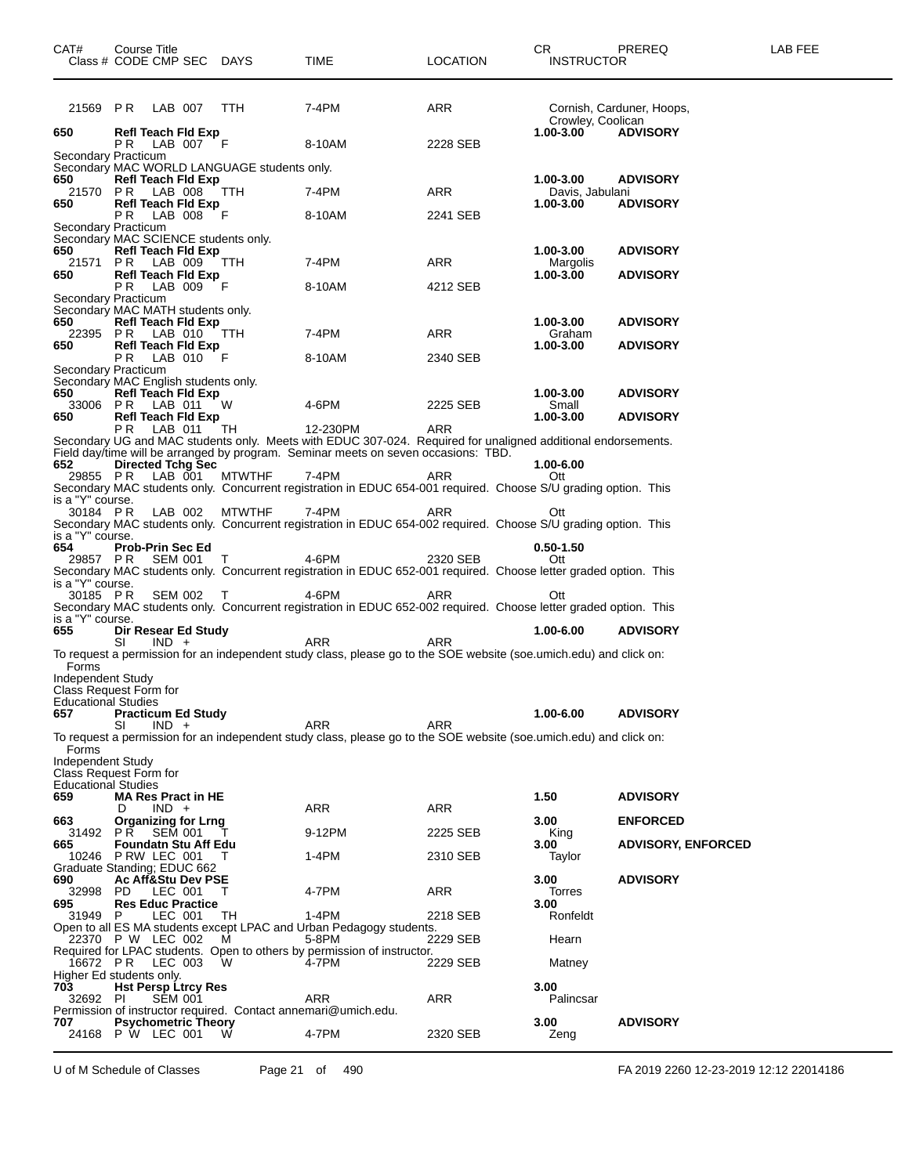| CAT#<br>Class # CODE CMP SEC DAYS                               |     | Course Title     |                                               |                                             | TIME                                                                                                                                                                                               | <b>LOCATION</b> | CR<br><b>INSTRUCTOR</b>      | LAB FEE<br>PREREQ         |  |
|-----------------------------------------------------------------|-----|------------------|-----------------------------------------------|---------------------------------------------|----------------------------------------------------------------------------------------------------------------------------------------------------------------------------------------------------|-----------------|------------------------------|---------------------------|--|
| 21569 PR                                                        |     | LAB 007          |                                               | TTH                                         | 7-4PM                                                                                                                                                                                              | ARR             | Crowley, Coolican            | Cornish, Carduner, Hoops, |  |
| 650                                                             | PR. |                  | <b>Refl Teach Fld Exp</b><br>LAB 007 F        |                                             | 8-10AM                                                                                                                                                                                             | 2228 SEB        | $1.00 - 3.00$                | <b>ADVISORY</b>           |  |
| Secondary Practicum                                             |     |                  |                                               | Secondary MAC WORLD LANGUAGE students only. |                                                                                                                                                                                                    |                 |                              |                           |  |
| 650<br>21570 PR LAB 008                                         |     |                  | <b>Refl Teach Fld Exp</b>                     | <b>TTH</b>                                  | 7-4PM                                                                                                                                                                                              | ARR             | 1.00-3.00<br>Davis, Jabulani | <b>ADVISORY</b>           |  |
| 650                                                             | P R |                  | <b>Refl Teach Fld Exp</b><br>LAB 008 F        |                                             | 8-10AM                                                                                                                                                                                             | 2241 SEB        | 1.00-3.00                    | <b>ADVISORY</b>           |  |
| Secondary Practicum<br>Secondary MAC SCIENCE students only.     |     |                  |                                               |                                             |                                                                                                                                                                                                    |                 |                              |                           |  |
| 650<br>21571 PR LAB 009                                         |     |                  | <b>Refl Teach Fld Exp</b>                     | TTH                                         | 7-4PM                                                                                                                                                                                              | ARR             | 1.00-3.00<br>Margolis        | <b>ADVISORY</b>           |  |
| 650                                                             | P R |                  | <b>Refl Teach Fld Exp</b><br>LAB 009 F        |                                             | 8-10AM                                                                                                                                                                                             | 4212 SEB        | $1.00 - 3.00$                | <b>ADVISORY</b>           |  |
| Secondary Practicum<br>Secondary MAC MATH students only.<br>650 |     |                  | <b>Refl Teach Fld Exp</b>                     |                                             |                                                                                                                                                                                                    |                 | 1.00-3.00                    | <b>ADVISORY</b>           |  |
| 22395 PR LAB 010<br>650                                         |     |                  | <b>Refl Teach Fld Exp</b>                     | TTH                                         | 7-4PM                                                                                                                                                                                              | ARR             | Graham<br>1.00-3.00          | <b>ADVISORY</b>           |  |
| Secondary Practicum<br>Secondary MAC English students only.     | P R |                  | LAB 010 F                                     |                                             | 8-10AM                                                                                                                                                                                             | 2340 SEB        |                              |                           |  |
| 650<br>33006 PR LAB 011                                         |     |                  | <b>Refl Teach Fld Exp</b>                     | - W                                         | 4-6PM                                                                                                                                                                                              | 2225 SEB        | 1.00-3.00<br>Small           | <b>ADVISORY</b>           |  |
| 650                                                             | PR. |                  | Refl Teach Fld Exp<br>LAB 011                 | TH                                          | 12-230PM                                                                                                                                                                                           | ARR             | $1.00 - 3.00$                | <b>ADVISORY</b>           |  |
| 652                                                             |     |                  | <b>Directed Tchg Sec</b>                      |                                             | Secondary UG and MAC students only. Meets with EDUC 307-024. Required for unaligned additional endorsements.<br>Field day/time will be arranged by program. Seminar meets on seven occasions: TBD. |                 | 1.00-6.00                    |                           |  |
| 29855 PR                                                        |     | LAB 001          |                                               | <b>MTWTHF</b>                               | 7-4PM<br>Secondary MAC students only. Concurrent registration in EDUC 654-001 required. Choose S/U grading option. This                                                                            | ARR             | Ott                          |                           |  |
| is a "Y" course.<br>30184 PR                                    |     | LAB 002          |                                               | <b>MTWTHF</b>                               | 7-4PM<br>Secondary MAC students only. Concurrent registration in EDUC 654-002 required. Choose S/U grading option. This                                                                            | ARR             | Ott                          |                           |  |
| is a "Y" course.<br>654                                         |     | Prob-Prin Sec Ed |                                               |                                             |                                                                                                                                                                                                    |                 | $0.50 - 1.50$                |                           |  |
| 29857 PR SEM 001<br>is a "Y" course.                            |     |                  |                                               | $\top$                                      | 4-6PM<br>Secondary MAC students only. Concurrent registration in EDUC 652-001 required. Choose letter graded option. This                                                                          | 2320 SEB        | Ott                          |                           |  |
| 30185 PR<br>is a "Y" course.                                    |     |                  | SEM 002 T                                     |                                             | 4-6PM<br>Secondary MAC students only. Concurrent registration in EDUC 652-002 required. Choose letter graded option. This                                                                          | ARR             | Ott                          |                           |  |
| 655                                                             | SI  | $IND +$          | Dir Resear Ed Study                           |                                             | <b>ARR</b>                                                                                                                                                                                         | <b>ARR</b>      | 1.00-6.00                    | <b>ADVISORY</b>           |  |
| Forms                                                           |     |                  |                                               |                                             | To request a permission for an independent study class, please go to the SOE website (soe.umich.edu) and click on:                                                                                 |                 |                              |                           |  |
| Independent Study<br>Class Request Form for                     |     |                  |                                               |                                             |                                                                                                                                                                                                    |                 |                              |                           |  |
| <b>Educational Studies</b><br>657                               |     |                  | <b>Practicum Ed Study</b>                     |                                             | ARR                                                                                                                                                                                                |                 | 1.00-6.00                    | <b>ADVISORY</b>           |  |
| Forms                                                           | SI  | $IND +$          |                                               |                                             | To request a permission for an independent study class, please go to the SOE website (soe.umich.edu) and click on:                                                                                 | ARR             |                              |                           |  |
| Independent Study<br>Class Request Form for                     |     |                  |                                               |                                             |                                                                                                                                                                                                    |                 |                              |                           |  |
| <b>Educational Studies</b><br>659                               |     |                  | <b>MA Res Pract in HE</b>                     |                                             |                                                                                                                                                                                                    |                 | 1.50                         | <b>ADVISORY</b>           |  |
| 663                                                             | D   | $IND +$          | <b>Organizing for Lrng</b>                    |                                             | <b>ARR</b>                                                                                                                                                                                         | ARR             | 3.00                         | <b>ENFORCED</b>           |  |
| 31492<br>665                                                    | PR. |                  | <b>SEM 001</b><br><b>Foundatn Stu Aff Edu</b> |                                             | 9-12PM                                                                                                                                                                                             | 2225 SEB        | King<br>3.00                 | <b>ADVISORY, ENFORCED</b> |  |
| 10246<br>Graduate Standing; EDUC 662                            |     | P RW LEC 001     |                                               | т                                           | 1-4PM                                                                                                                                                                                              | 2310 SEB        | Taylor                       |                           |  |
| 690<br>32998                                                    | PD. | LEC 001          | <b>Ac Aff&amp;Stu Dev PSE</b>                 | Т                                           | 4-7PM                                                                                                                                                                                              | ARR             | 3.00<br>Torres               | <b>ADVISORY</b>           |  |
| 695<br>31949                                                    | P.  |                  | <b>Res Educ Practice</b><br>LEC 001           | TH                                          | $1-4PM$                                                                                                                                                                                            | 2218 SEB        | 3.00<br>Ronfeldt             |                           |  |
| 22370 P W LEC 002                                               |     |                  |                                               | м                                           | Open to all ES MA students except LPAC and Urban Pedagogy students.<br>5-8PM                                                                                                                       | 2229 SEB        | Hearn                        |                           |  |
| 16672 PR                                                        |     | LEC 003          |                                               | W                                           | Required for LPAC students. Open to others by permission of instructor.<br>4-7PM                                                                                                                   | 2229 SEB        | Matney                       |                           |  |
| Higher Ed students only.<br>703<br>32692 PI                     |     |                  | <b>Hst Persp Ltrcy Res</b><br><b>SEM 001</b>  |                                             | ARR                                                                                                                                                                                                | ARR             | 3.00<br>Palincsar            |                           |  |
| 707                                                             |     |                  | <b>Psychometric Theory</b>                    |                                             | Permission of instructor required. Contact annemari@umich.edu.                                                                                                                                     |                 | 3.00                         | <b>ADVISORY</b>           |  |
| 24168 P W LEC 001                                               |     |                  |                                               | W                                           | 4-7PM                                                                                                                                                                                              | 2320 SEB        | Zeng                         |                           |  |

U of M Schedule of Classes Page 21 of 490 FA 2019 2260 12-23-2019 12:12 22014186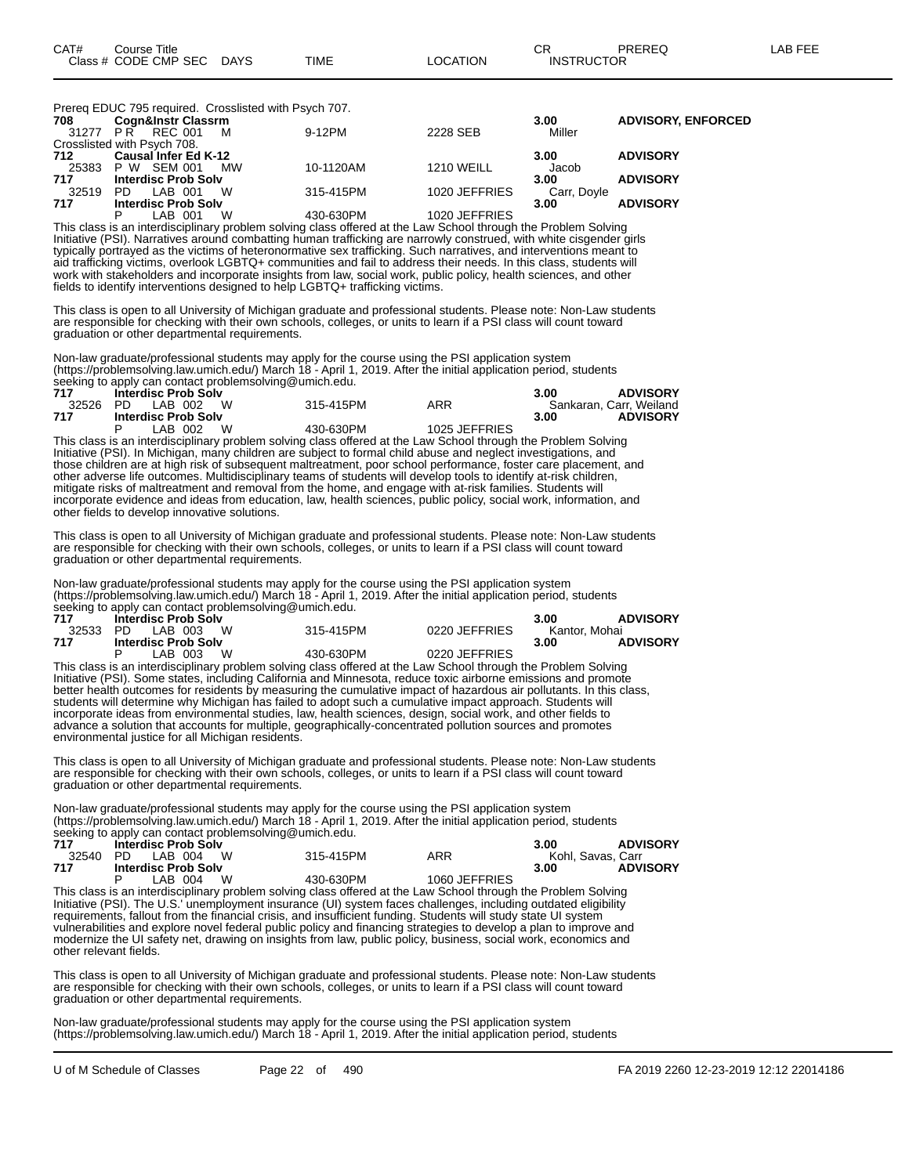Prereq EDUC 795 required. Crosslisted with Psych 707.

| 708   | <b>Cogn&amp;Instr Classrm</b> |           |               | 3.00        | <b>ADVISORY, ENFORCED</b> |
|-------|-------------------------------|-----------|---------------|-------------|---------------------------|
|       | 31277 PR REC 001<br>M         | 9-12PM    | 2228 SEB      | Miller      |                           |
|       | Crosslisted with Psych 708.   |           |               |             |                           |
| 712   | <b>Causal Infer Ed K-12</b>   |           |               | 3.00        | <b>ADVISORY</b>           |
|       | 25383 P W SEM 001<br>МW       | 10-1120AM | 1210 WEILL    | Jacob       |                           |
| 717   | <b>Interdisc Prob Solv</b>    |           |               | 3.00        | <b>ADVISORY</b>           |
| 32519 | W<br>PD.<br>LAB 001           | 315-415PM | 1020 JEFFRIES | Carr, Doyle |                           |
| 717   | <b>Interdisc Prob Solv</b>    |           |               | 3.00        | <b>ADVISORY</b>           |
|       | W<br>D<br>LAB 001             | 430-630PM | 1020 JEFFRIES |             |                           |

This class is an interdisciplinary problem solving class offered at the Law School through the Problem Solving Initiative (PSI). Narratives around combatting human trafficking are narrowly construed, with white cisgender girls typically portrayed as the victims of heteronormative sex trafficking. Such narratives, and interventions meant to aid trafficking victims, overlook LGBTQ+ communities and fail to address their needs. In this class, students will work with stakeholders and incorporate insights from law, social work, public policy, health sciences, and other fields to identify interventions designed to help LGBTQ+ trafficking victims.

This class is open to all University of Michigan graduate and professional students. Please note: Non-Law students are responsible for checking with their own schools, colleges, or units to learn if a PSI class will count toward graduation or other departmental requirements.

Non-law graduate/professional students may apply for the course using the PSI application system (https://problemsolving.law.umich.edu/) March 18 - April 1, 2019. After the initial application period, students seeking to apply can contact problemsolving@umich.edu.

| 717 | <b>Interdisc Prob Solv</b>   |           |               | <b>ADVISORY</b><br>3.00 |
|-----|------------------------------|-----------|---------------|-------------------------|
|     | 32526 PD LAB 002<br><b>W</b> | 315-415PM | ARR           | Sankaran, Carr, Weiland |
| 717 | <b>Interdisc Prob Solv</b>   |           |               | <b>ADVISORY</b><br>3.00 |
|     | W<br>LAB 002                 | 430-630PM | 1025 JEFFRIES |                         |

This class is an interdisciplinary problem solving class offered at the Law School through the Problem Solving Initiative (PSI). In Michigan, many children are subject to formal child abuse and neglect investigations, and those children are at high risk of subsequent maltreatment, poor school performance, foster care placement, and other adverse life outcomes. Multidisciplinary teams of students will develop tools to identify at-risk children, mitigate risks of maltreatment and removal from the home, and engage with at-risk families. Students will incorporate evidence and ideas from education, law, health sciences, public policy, social work, information, and other fields to develop innovative solutions.

This class is open to all University of Michigan graduate and professional students. Please note: Non-Law students are responsible for checking with their own schools, colleges, or units to learn if a PSI class will count toward graduation or other departmental requirements.

Non-law graduate/professional students may apply for the course using the PSI application system (https://problemsolving.law.umich.edu/) March 18 - April 1, 2019. After the initial application period, students seeking to apply can contact problems olving@umich.edu.

| 717   | <b>Interdisc Prob Solv</b> |           |                                                                                                                |               | 3.00          | <b>ADVISORY</b> |
|-------|----------------------------|-----------|----------------------------------------------------------------------------------------------------------------|---------------|---------------|-----------------|
| 32533 | PD LAB 003 W               |           | 315-415PM                                                                                                      | 0220 JEFFRIES | Kantor. Mohai |                 |
| 717   | <b>Interdisc Prob Solv</b> |           |                                                                                                                |               | 3.00          | <b>ADVISORY</b> |
|       |                            | LAB 003 W | 430-630PM                                                                                                      | 0220 JEFFRIES |               |                 |
|       |                            |           | This class is an interdisciplinary problem solving class offered at the Law School through the Problem Solving |               |               |                 |

This class is an interdisciplinary problem solving class offered at the Law School through the Problem Solving Initiative (PSI). Some states, including California and Minnesota, reduce toxic airborne emissions and promote better health outcomes for residents by measuring the cumulative impact of hazardous air pollutants. In this class, students will determine why Michigan has failed to adopt such a cumulative impact approach. Students will incorporate ideas from environmental studies, law, health sciences, design, social work, and other fields to advance a solution that accounts for multiple, geographically-concentrated pollution sources and promotes environmental justice for all Michigan residents.

This class is open to all University of Michigan graduate and professional students. Please note: Non-Law students are responsible for checking with their own schools, colleges, or units to learn if a PSI class will count toward graduation or other departmental requirements.

Non-law graduate/professional students may apply for the course using the PSI application system (https://problemsolving.law.umich.edu/) March 18 - April 1, 2019. After the initial application period, students seeking to apply can contact problemsolving@umich.edu.

| 717   | <b>Interdisc Prob Solv</b> |           |               | <b>ADVISORY</b><br>3.00 |
|-------|----------------------------|-----------|---------------|-------------------------|
| 32540 | - W<br>PD IAB 004          | 315-415PM | ARR           | Kohl. Savas. Carr       |
| 717   | <b>Interdisc Prob Solv</b> |           |               | <b>ADVISORY</b><br>3.00 |
|       | W<br>IAB 004               | 430-630PM | 1060 JEFFRIES |                         |

This class is an interdisciplinary problem solving class offered at the Law School through the Problem Solving Initiative (PSI). The U.S.' unemployment insurance (UI) system faces challenges, including outdated eligibility requirements, fallout from the financial crisis, and insufficient funding. Students will study state UI system vulnerabilities and explore novel federal public policy and financing strategies to develop a plan to improve and modernize the UI safety net, drawing on insights from law, public policy, business, social work, economics and other relevant fields.

This class is open to all University of Michigan graduate and professional students. Please note: Non-Law students are responsible for checking with their own schools, colleges, or units to learn if a PSI class will count toward graduation or other departmental requirements.

Non-law graduate/professional students may apply for the course using the PSI application system (https://problemsolving.law.umich.edu/) March 18 - April 1, 2019. After the initial application period, students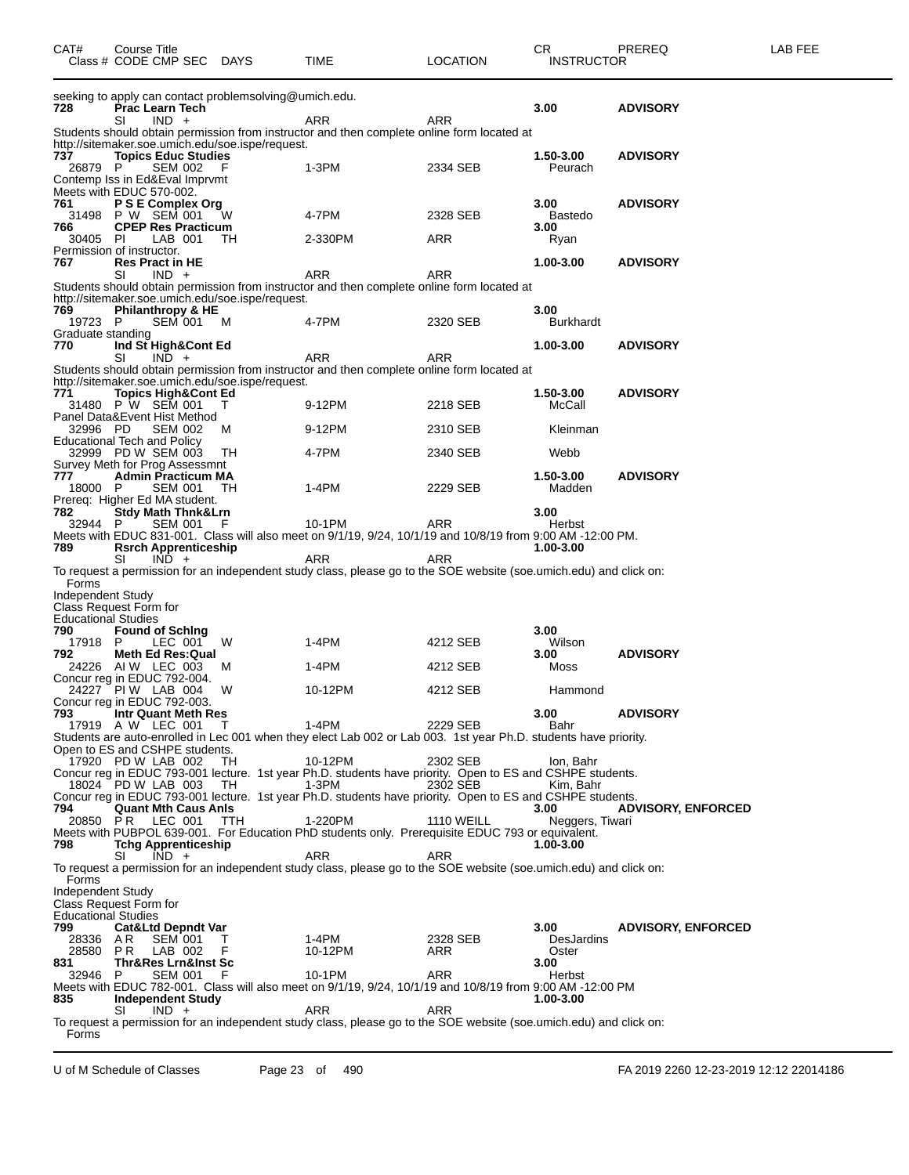| CAT#                                                       | Course Title                 |         | Class # CODE CMP SEC DAYS                   |                                                        | TIME                                                                                                                      | <b>LOCATION</b>   | СR<br><b>INSTRUCTOR</b>  | PREREQ                    | LAB FEE |
|------------------------------------------------------------|------------------------------|---------|---------------------------------------------|--------------------------------------------------------|---------------------------------------------------------------------------------------------------------------------------|-------------------|--------------------------|---------------------------|---------|
| 728                                                        | SI                           | $IND +$ | Prac Learn Tech                             | seeking to apply can contact problemsolving@umich.edu. | ARR                                                                                                                       | <b>ARR</b>        | 3.00                     | <b>ADVISORY</b>           |         |
|                                                            |                              |         |                                             |                                                        | Students should obtain permission from instructor and then complete online form located at                                |                   |                          |                           |         |
| 737                                                        |                              |         | <b>Topics Educ Studies</b>                  | http://sitemaker.soe.umich.edu/soe.ispe/request.       |                                                                                                                           |                   | 1.50-3.00                | <b>ADVISORY</b>           |         |
| 26879 P                                                    |                              |         | <b>SEM 002</b>                              | - F                                                    | 1-3PM                                                                                                                     | 2334 SEB          | Peurach                  |                           |         |
| Contemp Iss in Ed&Eval Imprvmt<br>Meets with EDUC 570-002. |                              |         |                                             |                                                        |                                                                                                                           |                   |                          |                           |         |
| 761                                                        |                              |         | P S E Complex Org                           |                                                        |                                                                                                                           |                   | 3.00                     | <b>ADVISORY</b>           |         |
| 31498 P W SEM 001                                          |                              |         |                                             | W                                                      | 4-7PM                                                                                                                     | 2328 SEB          | <b>Bastedo</b>           |                           |         |
| 766<br>30405 PI                                            |                              |         | <b>CPEP Res Practicum</b><br>LAB 001        | TH                                                     | 2-330PM                                                                                                                   | ARR               | 3.00<br>Ryan             |                           |         |
| Permission of instructor.                                  |                              |         |                                             |                                                        |                                                                                                                           |                   |                          |                           |         |
| 767                                                        | <b>Res Pract in HE</b><br>SI | $IND +$ |                                             |                                                        | ARR                                                                                                                       | <b>ARR</b>        | 1.00-3.00                | <b>ADVISORY</b>           |         |
|                                                            |                              |         |                                             |                                                        | Students should obtain permission from instructor and then complete online form located at                                |                   |                          |                           |         |
|                                                            |                              |         |                                             | http://sitemaker.soe.umich.edu/soe.ispe/request.       |                                                                                                                           |                   |                          |                           |         |
| 769<br>19723 P                                             |                              |         | Philanthropy & HE<br>SEM 001                | M                                                      | 4-7PM                                                                                                                     | 2320 SEB          | 3.00<br><b>Burkhardt</b> |                           |         |
| Graduate standing                                          |                              |         |                                             |                                                        |                                                                                                                           |                   |                          |                           |         |
| 770                                                        | SI                           | $IND +$ | Ind St High&Cont Ed                         |                                                        | ARR                                                                                                                       | ARR               | 1.00-3.00                | <b>ADVISORY</b>           |         |
|                                                            |                              |         |                                             |                                                        | Students should obtain permission from instructor and then complete online form located at                                |                   |                          |                           |         |
|                                                            |                              |         |                                             | http://sitemaker.soe.umich.edu/soe.ispe/request.       |                                                                                                                           |                   |                          |                           |         |
| 771<br>31480 P W SEM 001                                   |                              |         | <b>Topics High&amp;Cont Ed</b>              |                                                        | 9-12PM                                                                                                                    | 2218 SEB          | 1.50-3.00<br>McCall      | <b>ADVISORY</b>           |         |
| Panel Data&Event Hist Method                               |                              |         |                                             |                                                        |                                                                                                                           |                   |                          |                           |         |
| 32996 PD                                                   |                              |         | <b>SEM 002</b>                              | M                                                      | 9-12PM                                                                                                                    | 2310 SEB          | Kleinman                 |                           |         |
| <b>Educational Tech and Policy</b><br>32999 PD W SEM 003   |                              |         |                                             | TH                                                     | 4-7PM                                                                                                                     | 2340 SEB          | Webb                     |                           |         |
| Survey Meth for Prog Assessmnt                             |                              |         |                                             |                                                        |                                                                                                                           |                   |                          |                           |         |
| 777<br>18000 P                                             |                              |         | <b>Admin Practicum MA</b><br><b>SEM 001</b> | - тн                                                   | 1-4PM                                                                                                                     | 2229 SEB          | 1.50-3.00<br>Madden      | <b>ADVISORY</b>           |         |
| Prereq: Higher Ed MA student.                              |                              |         |                                             |                                                        |                                                                                                                           |                   |                          |                           |         |
| 782                                                        |                              |         | <b>Stdy Math Thnk&amp;Lrn</b>               |                                                        |                                                                                                                           |                   | 3.00                     |                           |         |
| 32944 P                                                    |                              |         | <b>SEM 001</b>                              | F                                                      | 10-1PM<br>Meets with EDUC 831-001. Class will also meet on 9/1/19, 9/24, 10/1/19 and 10/8/19 from 9:00 AM -12:00 PM.      | ARR               | Herbst                   |                           |         |
| 789                                                        |                              |         | <b>Rsrch Apprenticeship</b>                 |                                                        |                                                                                                                           |                   | 1.00-3.00                |                           |         |
|                                                            | SI                           | $IND +$ |                                             |                                                        | ARR<br>To request a permission for an independent study class, please go to the SOE website (soe.umich.edu) and click on: | ARR               |                          |                           |         |
| Forms                                                      |                              |         |                                             |                                                        |                                                                                                                           |                   |                          |                           |         |
| Independent Study                                          |                              |         |                                             |                                                        |                                                                                                                           |                   |                          |                           |         |
| Class Request Form for<br><b>Educational Studies</b>       |                              |         |                                             |                                                        |                                                                                                                           |                   |                          |                           |         |
| 790                                                        |                              |         | <b>Found of Sching</b>                      |                                                        |                                                                                                                           |                   | 3.00                     |                           |         |
| 17918 P<br>792                                             |                              |         | LEC 001<br>Meth Ed Res:Qual                 | W                                                      | $1-4PM$                                                                                                                   | 4212 SEB          | Wilson<br>3.00           | <b>ADVISORY</b>           |         |
| 24226 AIW LEC 003                                          |                              |         |                                             | M                                                      | 1-4PM                                                                                                                     | 4212 SEB          | Moss                     |                           |         |
| Concur reg in EDUC 792-004.                                |                              |         |                                             |                                                        |                                                                                                                           |                   |                          |                           |         |
| 24227 PIW LAB 004<br>Concur reg in EDUC 792-003.           |                              |         |                                             | W                                                      | 10-12PM                                                                                                                   | 4212 SEB          | Hammond                  |                           |         |
| 793                                                        |                              |         | Intr Quant Meth Res                         |                                                        |                                                                                                                           |                   | 3.00                     | <b>ADVISORY</b>           |         |
| 17919 A W LEC 001                                          |                              |         |                                             | $\top$                                                 | 1-4PM<br>Students are auto-enrolled in Lec 001 when they elect Lab 002 or Lab 003. 1st year Ph.D. students have priority. | 2229 SEB          | Bahr                     |                           |         |
| Open to ES and CSHPE students.                             |                              |         |                                             |                                                        |                                                                                                                           |                   |                          |                           |         |
| 17920 PD W LAB 002                                         |                              |         |                                             | TH.                                                    | 10-12PM                                                                                                                   | 2302 SEB          | lon, Bahr                |                           |         |
|                                                            |                              |         | 18024 PD W LAB 003 TH                       |                                                        | Concur reg in EDUC 793-001 lecture. 1st year Ph.D. students have priority. Open to ES and CSHPE students.<br>1-3PM        | 2302 SEB          | Kim, Bahr                |                           |         |
|                                                            |                              |         |                                             |                                                        | Concur reg in EDUC 793-001 lecture. 1st year Ph.D. students have priority. Open to ES and CSHPE students.                 |                   |                          |                           |         |
| 794<br>20850 PR                                            |                              |         | <b>Quant Mth Caus Anls</b><br>LEC 001       | TTH                                                    | 1-220PM                                                                                                                   | <b>1110 WEILL</b> | 3.00<br>Neggers, Tiwari  | <b>ADVISORY, ENFORCED</b> |         |
|                                                            |                              |         |                                             |                                                        | Meets with PUBPOL 639-001. For Education PhD students only. Prerequisite EDUC 793 or equivalent.                          |                   |                          |                           |         |
| 798                                                        |                              |         | <b>Tchg Apprenticeship</b>                  |                                                        |                                                                                                                           |                   | 1.00-3.00                |                           |         |
|                                                            | SI                           | $IND +$ |                                             |                                                        | ARR<br>To request a permission for an independent study class, please go to the SOE website (soe umich edu) and click on: | ARR               |                          |                           |         |
| Forms                                                      |                              |         |                                             |                                                        |                                                                                                                           |                   |                          |                           |         |
| Independent Study<br>Class Request Form for                |                              |         |                                             |                                                        |                                                                                                                           |                   |                          |                           |         |
| <b>Educational Studies</b>                                 |                              |         |                                             |                                                        |                                                                                                                           |                   |                          |                           |         |
| 799                                                        |                              |         | <b>Cat&amp;Ltd Depndt Var</b>               |                                                        |                                                                                                                           |                   | 3.00                     | <b>ADVISORY, ENFORCED</b> |         |
| 28336<br>28580                                             | AR.<br>PR                    |         | <b>SEM 001</b><br>LAB 002                   | Т<br>F                                                 | 1-4PM<br>10-12PM                                                                                                          | 2328 SEB<br>ARR   | DesJardins<br>Oster      |                           |         |
| 831                                                        |                              |         | <b>Thr&amp;Res Lrn&amp;Inst Sc</b>          |                                                        |                                                                                                                           |                   | 3.00                     |                           |         |
| 32946 P                                                    |                              |         | <b>SEM 001</b>                              | F                                                      | 10-1PM<br>Meets with EDUC 782-001. Class will also meet on 9/1/19, 9/24, 10/1/19 and 10/8/19 from 9:00 AM -12:00 PM       | ARR               | Herbst                   |                           |         |
| 835                                                        |                              |         | <b>Independent Study</b>                    |                                                        |                                                                                                                           |                   | 1.00-3.00                |                           |         |
|                                                            | SI                           | $IND +$ |                                             |                                                        | ARR<br>To request a permission for an independent study class, please go to the SOE website (soe umich edu) and click on: | <b>ARR</b>        |                          |                           |         |
| Forms                                                      |                              |         |                                             |                                                        |                                                                                                                           |                   |                          |                           |         |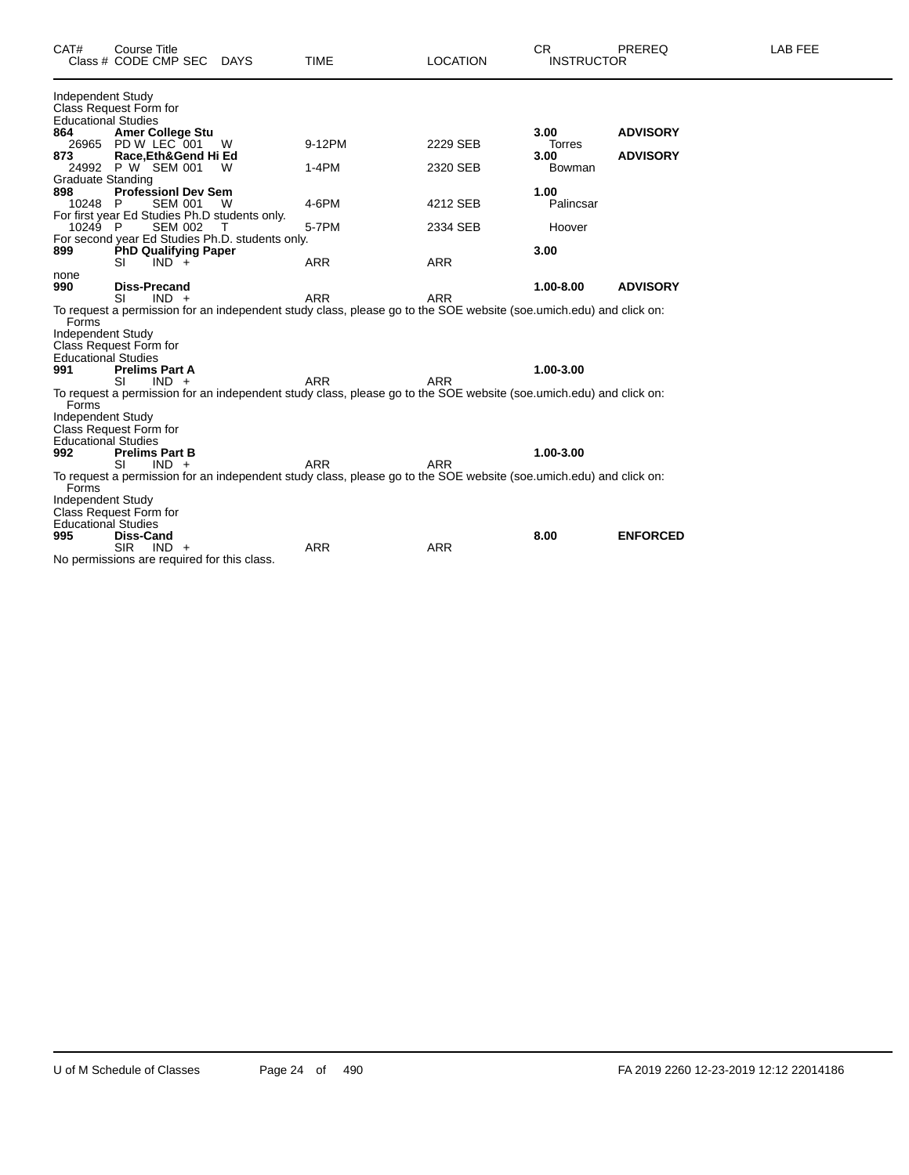| CAT#                              | <b>Course Title</b><br>Class # CODE CMP SEC DAYS |   | <b>TIME</b>                                                                                                        | <b>LOCATION</b> | <b>CR</b><br><b>INSTRUCTOR</b> | PREREQ          | LAB FEE |
|-----------------------------------|--------------------------------------------------|---|--------------------------------------------------------------------------------------------------------------------|-----------------|--------------------------------|-----------------|---------|
| Independent Study                 | Class Request Form for                           |   |                                                                                                                    |                 |                                |                 |         |
| <b>Educational Studies</b>        |                                                  |   |                                                                                                                    |                 |                                |                 |         |
| 864                               | <b>Amer College Stu</b>                          |   |                                                                                                                    |                 | 3.00                           | <b>ADVISORY</b> |         |
|                                   | 26965 PD W LEC 001                               | W | 9-12PM                                                                                                             | 2229 SEB        | Torres                         |                 |         |
| 873                               | Race, Eth& Gend Hi Ed                            |   |                                                                                                                    |                 | 3.00                           | <b>ADVISORY</b> |         |
|                                   | 24992 P W SEM 001                                | W | $1-4PM$                                                                                                            | 2320 SEB        | Bowman                         |                 |         |
| <b>Graduate Standing</b>          |                                                  |   |                                                                                                                    |                 |                                |                 |         |
| 898                               | <b>Professionl Dev Sem</b>                       |   |                                                                                                                    |                 | 1.00                           |                 |         |
| 10248 P                           | <b>SEM 001</b>                                   | W | 4-6PM                                                                                                              | 4212 SEB        | Palincsar                      |                 |         |
|                                   | For first year Ed Studies Ph.D students only.    |   |                                                                                                                    |                 |                                |                 |         |
| 10249 P                           | <b>SEM 002</b>                                   | т | 5-7PM                                                                                                              | 2334 SEB        | Hoover                         |                 |         |
|                                   | For second year Ed Studies Ph.D. students only.  |   |                                                                                                                    |                 |                                |                 |         |
| 899                               | <b>PhD Qualifying Paper</b>                      |   |                                                                                                                    |                 | 3.00                           |                 |         |
|                                   | SI<br>$IND +$                                    |   | <b>ARR</b>                                                                                                         | <b>ARR</b>      |                                |                 |         |
| none                              |                                                  |   |                                                                                                                    |                 |                                |                 |         |
| 990                               | <b>Diss-Precand</b>                              |   |                                                                                                                    |                 | 1.00-8.00                      | <b>ADVISORY</b> |         |
|                                   | SI<br>$IND +$                                    |   | <b>ARR</b>                                                                                                         | <b>ARR</b>      |                                |                 |         |
|                                   |                                                  |   | To request a permission for an independent study class, please go to the SOE website (soe umich edu) and click on: |                 |                                |                 |         |
| Forms<br><b>Independent Study</b> |                                                  |   |                                                                                                                    |                 |                                |                 |         |
|                                   |                                                  |   |                                                                                                                    |                 |                                |                 |         |
| <b>Educational Studies</b>        | Class Request Form for                           |   |                                                                                                                    |                 |                                |                 |         |
| 991                               | <b>Prelims Part A</b>                            |   |                                                                                                                    |                 | 1.00-3.00                      |                 |         |
|                                   | SI<br>$IND +$                                    |   | <b>ARR</b>                                                                                                         | <b>ARR</b>      |                                |                 |         |
|                                   |                                                  |   | To request a permission for an independent study class, please go to the SOE website (soe.umich.edu) and click on: |                 |                                |                 |         |
| Forms                             |                                                  |   |                                                                                                                    |                 |                                |                 |         |
| Independent Study                 |                                                  |   |                                                                                                                    |                 |                                |                 |         |
|                                   | Class Request Form for                           |   |                                                                                                                    |                 |                                |                 |         |
| <b>Educational Studies</b>        |                                                  |   |                                                                                                                    |                 |                                |                 |         |
| 992                               | <b>Prelims Part B</b>                            |   |                                                                                                                    |                 | 1.00-3.00                      |                 |         |
|                                   | SI<br>$IND +$                                    |   | <b>ARR</b>                                                                                                         | <b>ARR</b>      |                                |                 |         |
| Forms                             |                                                  |   | To request a permission for an independent study class, please go to the SOE website (soe.umich.edu) and click on: |                 |                                |                 |         |
| <b>Independent Study</b>          |                                                  |   |                                                                                                                    |                 |                                |                 |         |
|                                   | Class Request Form for                           |   |                                                                                                                    |                 |                                |                 |         |
| <b>Educational Studies</b>        |                                                  |   |                                                                                                                    |                 |                                |                 |         |
| 995                               | <b>Diss-Cand</b>                                 |   |                                                                                                                    |                 | 8.00                           | <b>ENFORCED</b> |         |
|                                   | <b>SIR</b><br>$IND +$                            |   | <b>ARR</b>                                                                                                         | <b>ARR</b>      |                                |                 |         |
|                                   | No permissions are required for this class.      |   |                                                                                                                    |                 |                                |                 |         |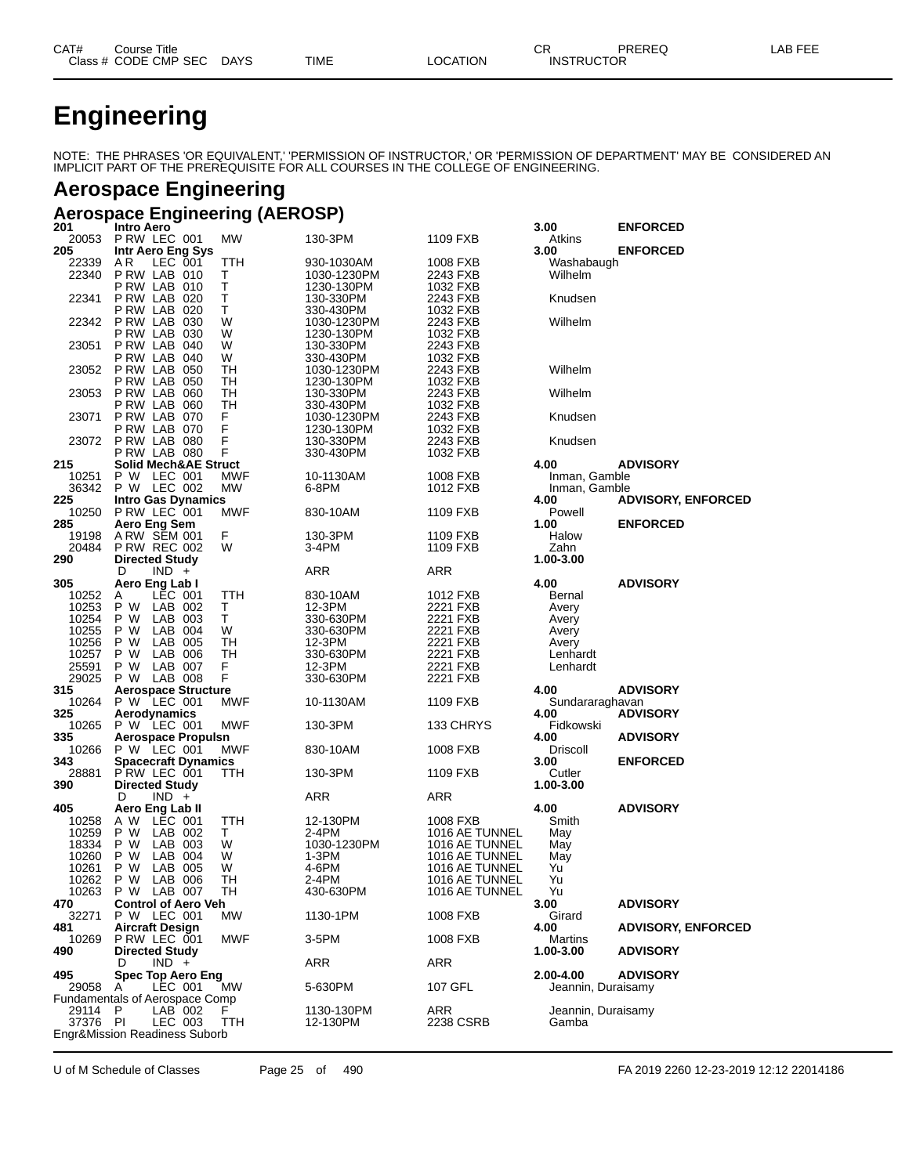| CAT# | Title<br>Course      |             |             |                | $\sim$ $\sim$     | PREREQ | ----<br>AF<br>---<br>--- |
|------|----------------------|-------------|-------------|----------------|-------------------|--------|--------------------------|
|      | Class # CODE CMP SEC | <b>DAYS</b> | <b>TIME</b> | <b>OCATION</b> | <b>INSTRUCTOR</b> |        |                          |

## **Engineering**

NOTE: THE PHRASES 'OR EQUIVALENT,' 'PERMISSION OF INSTRUCTOR,' OR 'PERMISSION OF DEPARTMENT' MAY BE CONSIDERED AN IMPLICIT PART OF THE PREREQUISITE FOR ALL COURSES IN THE COLLEGE OF ENGINEERING.

## **Aerospace Engineering**

## **Aerospace Engineering (AEROSP)**

| 201          | Intro Aero                                      |                  |                         |                      | 3.00               | <b>ENFORCED</b>           |
|--------------|-------------------------------------------------|------------------|-------------------------|----------------------|--------------------|---------------------------|
| 20053        | PRW LEC 001                                     | MW               | 130-3PM                 | 1109 FXB             | Atkins             |                           |
| 205          | Intr Aero Eng Sys                               |                  |                         |                      | 3.00               | <b>ENFORCED</b>           |
| 22339        | ΑR<br>LEC 001                                   | TTH              | 930-1030AM              | 1008 FXB             | Washabaugh         |                           |
| 22340        | PRW LAB 010                                     | т                | 1030-1230PM             | 2243 FXB             | Wilhelm            |                           |
| 22341        | PRW LAB 010<br>PRW LAB 020                      | т<br>T           | 1230-130PM<br>130-330PM | 1032 FXB<br>2243 FXB | Knudsen            |                           |
|              | <b>P RW LAB 020</b>                             | т                | 330-430PM               | 1032 FXB             |                    |                           |
| 22342        | PRW LAB 030                                     | W                | 1030-1230PM             | 2243 FXB             | Wilhelm            |                           |
|              | P RW LAB<br>030                                 | W                | 1230-130PM              | 1032 FXB             |                    |                           |
| 23051        | PRW LAB 040                                     | W                | 130-330PM               | 2243 FXB             |                    |                           |
|              | P RW LAB<br>040                                 | W                | 330-430PM               | 1032 FXB             |                    |                           |
| 23052        | P RW LAB<br>050                                 | TН               | 1030-1230PM             | 2243 FXB             | Wilhelm            |                           |
|              | <b>P RW LAB 050</b>                             | TН               | 1230-130PM              | 1032 FXB             |                    |                           |
| 23053        | <b>P RW LAB 060</b>                             | TН               | 130-330PM               | 2243 FXB             | Wilhelm            |                           |
|              | P RW LAB<br>060                                 | TН               | 330-430PM               | 1032 FXB             |                    |                           |
| 23071        | PRW LAB 070                                     | F                | 1030-1230PM             | 2243 FXB             | Knudsen            |                           |
|              | PRW LAB 070                                     | F                | 1230-130PM              | 1032 FXB             |                    |                           |
| 23072        | P RW LAB 080                                    | F                | 130-330PM               | 2243 FXB             | Knudsen            |                           |
|              | P RW LAB 080                                    | F                | 330-430PM               | 1032 FXB             |                    |                           |
| 215          | <b>Solid Mech&amp;AE Struct</b>                 |                  |                         |                      | 4.00               | <b>ADVISORY</b>           |
| 10251        | P W LEC 001<br>P W LEC 002                      | MWF<br><b>MW</b> | 10-1130AM               | 1008 FXB             | Inman, Gamble      |                           |
| 36342        |                                                 |                  | 6-8PM                   | 1012 FXB             | Inman, Gamble      |                           |
| 225<br>10250 | <b>Intro Gas Dynamics</b><br>P RW LEC 001       | MWF              | 830-10AM                | 1109 FXB             | 4.00<br>Powell     | <b>ADVISORY, ENFORCED</b> |
| 285          | Aero Eng Sem                                    |                  |                         |                      | 1.00               | <b>ENFORCED</b>           |
| 19198        | ARW SEM 001                                     | F.               | 130-3PM                 | 1109 FXB             | Halow              |                           |
| 20484        | <b>P RW REC 002</b>                             | W                | 3-4PM                   | 1109 FXB             | Zahn               |                           |
| 290          | <b>Directed Study</b>                           |                  |                         |                      | 1.00-3.00          |                           |
|              | D<br>$IND +$                                    |                  | ARR                     | ARR                  |                    |                           |
| 305          | Aero Eng Lab I                                  |                  |                         |                      | 4.00               | <b>ADVISORY</b>           |
| 10252        | LEC 001<br>A                                    | TTH              | 830-10AM                | 1012 FXB             | Bernal             |                           |
| 10253        | P W<br>LAB 002                                  | Τ                | 12-3PM                  | 2221 FXB             | Avery              |                           |
| 10254        | P W<br>LAB<br>003                               | т                | 330-630PM               | 2221 FXB             | Avery              |                           |
| 10255        | P W<br>LAB<br>004                               | W                | 330-630PM               | 2221 FXB             | Avery              |                           |
| 10256        | P W<br>LAB<br>005                               | TН               | 12-3PM                  | 2221 FXB             | Avery              |                           |
| 10257        | LAB<br>P W<br>006                               | TН               | 330-630PM               | 2221 FXB             | Lenhardt           |                           |
| 25591        | P W<br>LAB 007                                  | F                | 12-3PM                  | 2221 FXB             | Lenhardt           |                           |
| 29025        | P W LAB 008                                     | F                | 330-630PM               | 2221 FXB             |                    |                           |
| 315          | <b>Aerospace Structure</b>                      |                  |                         |                      | 4.00               | <b>ADVISORY</b>           |
| 10264        | P W LEC 001                                     | <b>MWF</b>       | 10-1130AM               | 1109 FXB             | Sundararaghavan    |                           |
| 325<br>10265 | Aerodynamics<br>P W LEC 001                     | MWF              | 130-3PM                 |                      | 4.00<br>Fidkowski  | <b>ADVISORY</b>           |
| 335          | <b>Aerospace Propulsn</b>                       |                  |                         | 133 CHRYS            | 4.00               | <b>ADVISORY</b>           |
| 10266        | P W LEC 001                                     | MWF              | 830-10AM                | 1008 FXB             | Driscoll           |                           |
| 343          | <b>Spacecraft Dynamics</b>                      |                  |                         |                      | 3.00               | <b>ENFORCED</b>           |
| 28881        | PRW LEC 001                                     | TTH              | 130-3PM                 | 1109 FXB             | Cutler             |                           |
| 390          | <b>Directed Study</b>                           |                  |                         |                      | 1.00-3.00          |                           |
|              | D<br>$IND +$                                    |                  | ARR                     | ARR                  |                    |                           |
| 405          | Aero Eng Lab II                                 |                  |                         |                      | 4.00               | <b>ADVISORY</b>           |
| 10258        | A W<br>LEC 001                                  | TTH              | 12-130PM                | 1008 FXB             | Smith              |                           |
| 10259        | P W<br>LAB 002                                  | Τ                | 2-4PM                   | 1016 AE TUNNEL       | May                |                           |
| 18334        | P W<br>LAB<br>003                               | W                | 1030-1230PM             | 1016 AE TUNNEL       | May                |                           |
| 10260        | P W<br>LAB<br>004                               | W                | 1-3PM                   | 1016 AE TUNNEL       | May                |                           |
| 10261        | P W<br>LAB<br>005                               | W                | 4-6PM                   | 1016 AE TUNNEL       | Yu                 |                           |
| 10262        | P W<br>LAB 006                                  | TН               | 2-4PM                   | 1016 AE TUNNEL       | Yu                 |                           |
| 470          | 10263 P W LAB 007<br><b>Control of Aero Veh</b> | - TH             | 430-630PM               | 1016 AE TUNNEL       | Yu<br>3.00         | <b>ADVISORY</b>           |
| 32271        | P W LEC 001                                     | MW               | 1130-1PM                | 1008 FXB             | Girard             |                           |
| 481          | Aircraft Design                                 |                  |                         |                      | 4.00               | <b>ADVISORY, ENFORCED</b> |
| 10269        | P RW LEC 001                                    | MWF              | 3-5PM                   | 1008 FXB             | Martins            |                           |
| 490          | <b>Directed Study</b>                           |                  |                         |                      | 1.00-3.00          | <b>ADVISORY</b>           |
|              | $IND +$<br>D                                    |                  | ARR                     | ARR                  |                    |                           |
| 495          | Spec Top Aero Eng                               |                  |                         |                      | 2.00-4.00          | <b>ADVISORY</b>           |
| 29058        | LEC 001<br>A                                    | MW               | 5-630PM                 | 107 GFL              | Jeannin, Duraisamy |                           |
|              | <b>Fundamentals of Aerospace Comp</b>           |                  |                         |                      |                    |                           |
| 29114 P      | LAB 002                                         | F                | 1130-130PM              | ARR                  | Jeannin, Duraisamy |                           |
| 37376 PI     | LEC 003                                         | TTH              | 12-130PM                | 2238 CSRB            | Gamba              |                           |
|              | <b>Engr&amp;Mission Readiness Suborb</b>        |                  |                         |                      |                    |                           |

U of M Schedule of Classes Page 25 of 490 FA 2019 2260 12-23-2019 12:12 22014186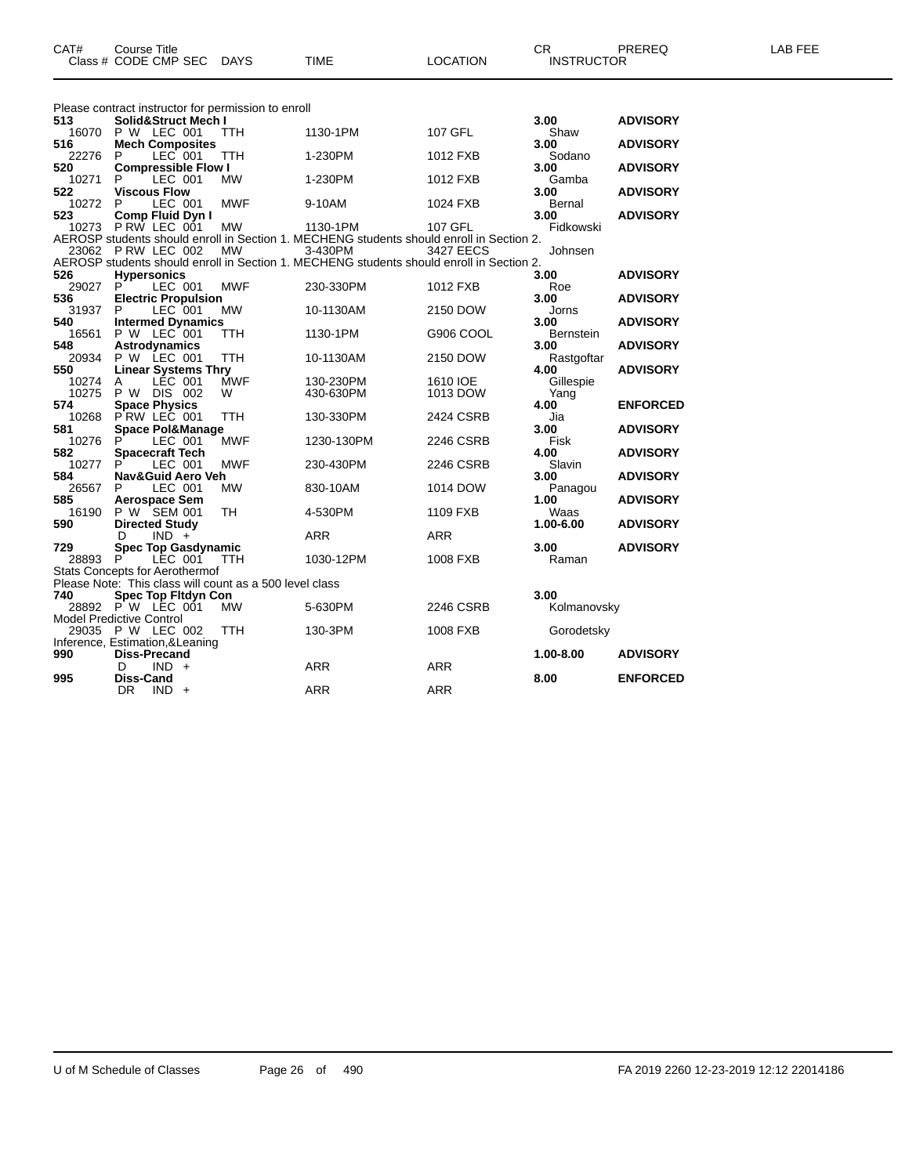|              | Please contract instructor for permission to enroll     |            |                                                                                                     |            |                     |                 |
|--------------|---------------------------------------------------------|------------|-----------------------------------------------------------------------------------------------------|------------|---------------------|-----------------|
| 513          | Solid&Struct Mech I                                     |            |                                                                                                     |            | 3.00                | <b>ADVISORY</b> |
| 16070        | P W LEC 001                                             | <b>TTH</b> | 1130-1PM                                                                                            | 107 GFL    | Shaw                |                 |
| 516<br>22276 | <b>Mech Composites</b><br>LEC 001<br>P                  | TTH        | 1-230PM                                                                                             | 1012 FXB   | 3.00<br>Sodano      | <b>ADVISORY</b> |
| 520          | <b>Compressible Flow I</b>                              |            |                                                                                                     |            | 3.00                | <b>ADVISORY</b> |
| 10271        | LEC 001<br>P                                            | <b>MW</b>  | 1-230PM                                                                                             | 1012 FXB   | Gamba               |                 |
| 522          | <b>Viscous Flow</b>                                     |            |                                                                                                     |            | 3.00                | <b>ADVISORY</b> |
| 10272        | LEC 001<br>P                                            | <b>MWF</b> | 9-10AM                                                                                              | 1024 FXB   | Bernal              |                 |
| 523          | <b>Comp Fluid Dvn I</b>                                 |            |                                                                                                     |            | 3.00                | <b>ADVISORY</b> |
| 10273        | PRW LEC 001                                             | <b>MW</b>  | 1130-1PM                                                                                            | 107 GFL    | Fidkowski           |                 |
|              | 23062 P RW LEC 002                                      | <b>MW</b>  | AEROSP students should enroll in Section 1. MECHENG students should enroll in Section 2.            |            |                     |                 |
|              |                                                         |            | 3-430PM<br>AEROSP students should enroll in Section 1. MECHENG students should enroll in Section 2. | 3427 EECS  | Johnsen             |                 |
| 526          | <b>Hypersonics</b>                                      |            |                                                                                                     |            | 3.00                | <b>ADVISORY</b> |
| 29027        | P<br>LEC 001                                            | <b>MWF</b> | 230-330PM                                                                                           | 1012 FXB   | Roe                 |                 |
| 536          | <b>Electric Propulsion</b>                              |            |                                                                                                     |            | 3.00                | <b>ADVISORY</b> |
| 31937        | P<br>LEC 001                                            | <b>MW</b>  | 10-1130AM                                                                                           | 2150 DOW   | Jorns               |                 |
| 540          | <b>Intermed Dynamics</b>                                |            |                                                                                                     |            | 3.00                | <b>ADVISORY</b> |
| 16561        | P W LEC 001                                             | TTH        | 1130-1PM                                                                                            | G906 COOL  | Bernstein           |                 |
| 548          | Astrodynamics                                           |            |                                                                                                     |            | 3.00                | <b>ADVISORY</b> |
| 20934        | <b>P W LEC 001</b>                                      | <b>TTH</b> | 10-1130AM                                                                                           | 2150 DOW   | Rastgoftar          |                 |
| 550<br>10274 | <b>Linear Systems Thry</b><br>LÉC 001<br>A              | <b>MWF</b> | 130-230PM                                                                                           | 1610 IOE   | 4.00<br>Gillespie   | <b>ADVISORY</b> |
| 10275        | P W<br>DIS 002                                          | W          | 430-630PM                                                                                           | 1013 DOW   | Yang                |                 |
| 574          | <b>Space Physics</b>                                    |            |                                                                                                     |            | 4.00                | <b>ENFORCED</b> |
| 10268        | PRW LEC 001                                             | <b>TTH</b> | 130-330PM                                                                                           | 2424 CSRB  | Jia                 |                 |
| 581          | <b>Space Pol&amp;Manage</b>                             |            |                                                                                                     |            | 3.00                | <b>ADVISORY</b> |
| 10276        | P<br>LEC 001                                            | <b>MWF</b> | 1230-130PM                                                                                          | 2246 CSRB  | Fisk                |                 |
| 582          | <b>Spacecraft Tech</b>                                  |            |                                                                                                     |            | 4.00                | <b>ADVISORY</b> |
| 10277        | LEC 001<br>P                                            | <b>MWF</b> | 230-430PM                                                                                           | 2246 CSRB  | Slavin              |                 |
| 584          | Nav&Guid Aero Veh<br>P                                  |            |                                                                                                     |            | 3.00                | <b>ADVISORY</b> |
| 26567<br>585 | LEC 001<br><b>Aerospace Sem</b>                         | <b>MW</b>  | 830-10AM                                                                                            | 1014 DOW   | Panagou<br>1.00     | <b>ADVISORY</b> |
| 16190        | P W SEM 001                                             | <b>TH</b>  | 4-530PM                                                                                             | 1109 FXB   | Waas                |                 |
| 590          | <b>Directed Study</b>                                   |            |                                                                                                     |            | 1.00-6.00           | <b>ADVISORY</b> |
|              | $IND +$<br>D                                            |            | <b>ARR</b>                                                                                          | <b>ARR</b> |                     |                 |
| 729          | <b>Spec Top Gasdynamic</b>                              |            |                                                                                                     |            | 3.00                | <b>ADVISORY</b> |
| 28893        | P<br>LEC 001                                            | <b>TTH</b> | 1030-12PM                                                                                           | 1008 FXB   | Raman               |                 |
|              | <b>Stats Concepts for Aerothermof</b>                   |            |                                                                                                     |            |                     |                 |
|              | Please Note: This class will count as a 500 level class |            |                                                                                                     |            |                     |                 |
| 740          | <b>Spec Top Fitdyn Con</b><br>28892 P W LEC 001         | <b>MW</b>  | 5-630PM                                                                                             | 2246 CSRB  | 3.00<br>Kolmanovsky |                 |
|              | <b>Model Predictive Control</b>                         |            |                                                                                                     |            |                     |                 |
|              | 29035 P W LEC 002                                       | TTH        | 130-3PM                                                                                             | 1008 FXB   | Gorodetsky          |                 |
|              | Inference, Estimation, & Leaning                        |            |                                                                                                     |            |                     |                 |
| 990          | <b>Diss-Precand</b>                                     |            |                                                                                                     |            | 1.00-8.00           | <b>ADVISORY</b> |
|              | $IND +$<br>D                                            |            | ARR                                                                                                 | <b>ARR</b> |                     |                 |
| 995          | <b>Diss-Cand</b>                                        |            |                                                                                                     |            | 8.00                | <b>ENFORCED</b> |
|              | DR.<br>IND.<br>$+$                                      |            | <b>ARR</b>                                                                                          | <b>ARR</b> |                     |                 |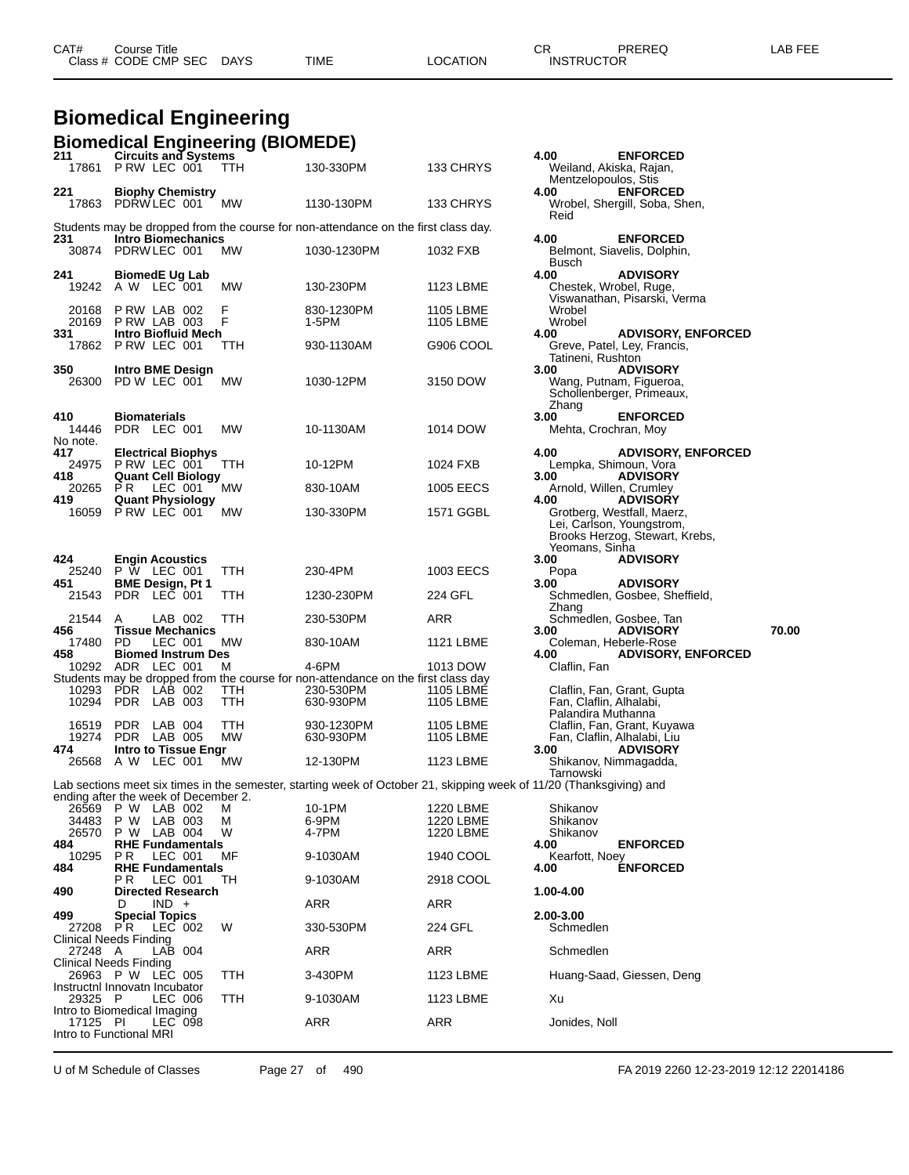**Biomedical Engineering Biomedical Engineering (BIOMEDE)**

| 211<br>17861             | <b>Circuits and Systems</b><br>PRW LEC 001                        | TTH.       | 130-330PM                                                                                                           | 133 CHRYS              | 4.00<br>Mentzelopoulos, Stis                  | <b>ENFORCED</b><br>Weiland, Akiska, Rajan,                                                                   |       |
|--------------------------|-------------------------------------------------------------------|------------|---------------------------------------------------------------------------------------------------------------------|------------------------|-----------------------------------------------|--------------------------------------------------------------------------------------------------------------|-------|
| 221                      | <b>Biophy Chemistry</b><br>17863 PDRW LEC 001                     | <b>MW</b>  | 1130-130PM                                                                                                          | 133 CHRYS              | 4.00                                          | <b>ENFORCED</b><br>Wrobel, Shergill, Soba, Shen,                                                             |       |
|                          |                                                                   |            | Students may be dropped from the course for non-attendance on the first class day.                                  |                        | Reid                                          |                                                                                                              |       |
| 231                      | <b>Intro Biomechanics</b><br>30874 PDRWLEC 001                    | MW         | 1030-1230PM                                                                                                         | 1032 FXB               | 4.00<br>Busch                                 | <b>ENFORCED</b><br>Belmont, Siavelis, Dolphin,                                                               |       |
| 241                      | <b>BiomedE Ug Lab</b><br>19242 A W LEC 001                        | МW         | 130-230PM                                                                                                           | 1123 LBME              | 4.00                                          | <b>ADVISORY</b><br>Chestek, Wrobel, Ruge,                                                                    |       |
| 20168<br>20169           | PRW LAB 002<br>PRW LAB 003                                        | F<br>F     | 830-1230PM<br>1-5PM                                                                                                 | 1105 LBME<br>1105 LBME | Wrobel<br>Wrobel                              | Viswanathan, Pisarski, Verma                                                                                 |       |
| 331<br>17862             | Intro Biofluid Mech<br>PRW LEC 001                                | TTH        | 930-1130AM                                                                                                          | G906 COOL              | 4.00<br>Tatineni, Rushton                     | <b>ADVISORY, ENFORCED</b><br>Greve, Patel, Ley, Francis,                                                     |       |
| 350<br>26300             | Intro BME Design<br>PD W LEC 001                                  | МW         | 1030-12PM                                                                                                           | 3150 DOW               | 3.00<br>Zhang                                 | <b>ADVISORY</b><br>Wang, Putnam, Figueroa,<br>Schollenberger, Primeaux,                                      |       |
| 410<br>14446<br>No note. | <b>Biomaterials</b><br>PDR LEC 001                                | MW         | 10-1130AM                                                                                                           | 1014 DOW               | 3.00                                          | <b>ENFORCED</b><br>Mehta, Crochran, Moy                                                                      |       |
| 417<br>24975             | <b>Electrical Biophys</b><br>PRW LEC 001                          | TTH        | 10-12PM                                                                                                             | 1024 FXB               | 4.00                                          | <b>ADVISORY, ENFORCED</b><br>Lempka, Shimoun, Vora                                                           |       |
| 418<br>20265             | <b>Quant Cell Biology</b><br>P R<br>LEC 001                       | МW         | 830-10AM                                                                                                            | 1005 EECS              | 3.00                                          | <b>ADVISORY</b><br>Arnold, Willen, Crumley                                                                   |       |
| 419                      | <b>Quant Physiology</b><br>16059 P RW LEC 001                     | МW         | 130-330PM                                                                                                           | 1571 GGBL              | 4.00                                          | <b>ADVISORY</b><br>Grotberg, Westfall, Maerz,<br>Lei, Carlson, Youngstrom,<br>Brooks Herzog, Stewart, Krebs, |       |
| 424                      | <b>Engin Acoustics</b>                                            |            |                                                                                                                     |                        | Yeomans, Sinha<br>3.00                        | <b>ADVISORY</b>                                                                                              |       |
| 25240<br>451             | P W LEC 001<br><b>BME Design, Pt 1</b>                            | TTH        | 230-4PM                                                                                                             | 1003 EECS              | Popa<br>3.00                                  | <b>ADVISORY</b>                                                                                              |       |
| 21543                    | PDR LEC 001                                                       | TTH        | 1230-230PM                                                                                                          | 224 GFL                | Zhang                                         | Schmedlen, Gosbee, Sheffield,                                                                                |       |
| 21544<br>456             | A<br>LAB 002<br><b>Tissue Mechanics</b>                           | TTH        | 230-530PM                                                                                                           | ARR                    | 3.00                                          | Schmedlen, Gosbee, Tan<br><b>ADVISORY</b>                                                                    | 70.00 |
| 17480 PD                 | LEC 001                                                           | МW         | 830-10AM                                                                                                            | 1121 LBME              |                                               | Coleman, Heberle-Rose                                                                                        |       |
| 458                      | <b>Biomed Instrum Des</b><br>10292 ADR LEC 001                    | М          | 4-6PM                                                                                                               | 1013 DOW               | 4.00<br>Claflin, Fan                          | <b>ADVISORY, ENFORCED</b>                                                                                    |       |
|                          |                                                                   |            | Students may be dropped from the course for non-attendance on the first class day                                   |                        |                                               |                                                                                                              |       |
| 10293<br>10294           | PDR<br>LAB 002<br>LAB 003<br>PDR                                  | TTH<br>TTH | 230-530PM<br>630-930PM                                                                                              | 1105 LBME<br>1105 LBME | Fan, Claflin, Alhalabi,<br>Palandira Muthanna | Claflin, Fan, Grant, Gupta                                                                                   |       |
| 16519<br>19274           | PDR.<br>LAB 004<br>PDR LAB 005                                    | ттн<br>MW  | 930-1230PM<br>630-930PM                                                                                             | 1105 LBME<br>1105 LBME |                                               | Claflin, Fan, Grant, Kuyawa<br>Fan, Claflin, Alhalabi, Liu                                                   |       |
| 474                      | Intro to Tissue Engr<br>26568 A W LEC 001                         | <b>MW</b>  | 12-130PM                                                                                                            | 1123 LBME              | 3.00<br>Tarnowski                             | <b>ADVISORY</b><br>Shikanov, Nimmagadda,                                                                     |       |
|                          | ending after the week of December 2.                              |            | Lab sections meet six times in the semester, starting week of October 21, skipping week of 11/20 (Thanksgiving) and |                        |                                               |                                                                                                              |       |
|                          | 26569 P W LAB 002                                                 | м          | 10-1PM                                                                                                              | 1220 LBME              | Shikanov                                      |                                                                                                              |       |
| 34483<br>26570           | P W<br>LAB 003<br>P W LAB 004                                     | М<br>W     | 6-9PM<br>4-7PM                                                                                                      | 1220 LBME<br>1220 LBME | Shikanov<br>Shikanov                          |                                                                                                              |       |
| 484                      | <b>RHE Fundamentals</b>                                           |            |                                                                                                                     |                        | 4.00                                          | <b>ENFORCED</b>                                                                                              |       |
| 10295<br>484             | P R<br>LEC 001<br><b>RHE Fundamentals</b>                         | MF         | 9-1030AM                                                                                                            | 1940 COOL              | Kearfott, Noey<br>4.00                        | <b>ENFORCED</b>                                                                                              |       |
| 490                      | P R<br>LEC 001<br><b>Directed Research</b>                        | TH         | 9-1030AM                                                                                                            | 2918 COOL              | 1.00-4.00                                     |                                                                                                              |       |
|                          | $IND +$<br>D                                                      |            | ARR                                                                                                                 | ARR                    |                                               |                                                                                                              |       |
| 499<br>27208 PR          | <b>Special Topics</b><br>LEC 002<br>Clinical Needs Finding        | W          | 330-530PM                                                                                                           | 224 GFL                | 2.00-3.00<br>Schmedlen                        |                                                                                                              |       |
| 27248 A                  | LAB 004<br>Clinical Needs Finding                                 |            | ARR                                                                                                                 | ARR                    | Schmedlen                                     |                                                                                                              |       |
|                          | 26963 P W LEC 005<br>Instructnl Innovatn Incubator                | TTH        | 3-430PM                                                                                                             | 1123 LBME              |                                               | Huang-Saad, Giessen, Deng                                                                                    |       |
| 29325 P                  | LEC 006                                                           | TTH        | 9-1030AM                                                                                                            | 1123 LBME              | Xu                                            |                                                                                                              |       |
| 17125 PI                 | Intro to Biomedical Imaging<br>LEC 098<br>Intro to Functional MRI |            | <b>ARR</b>                                                                                                          | ARR                    | Jonides, Noll                                 |                                                                                                              |       |

U of M Schedule of Classes Page 27 of 490 FA 2019 2260 12-23-2019 12:12 22014186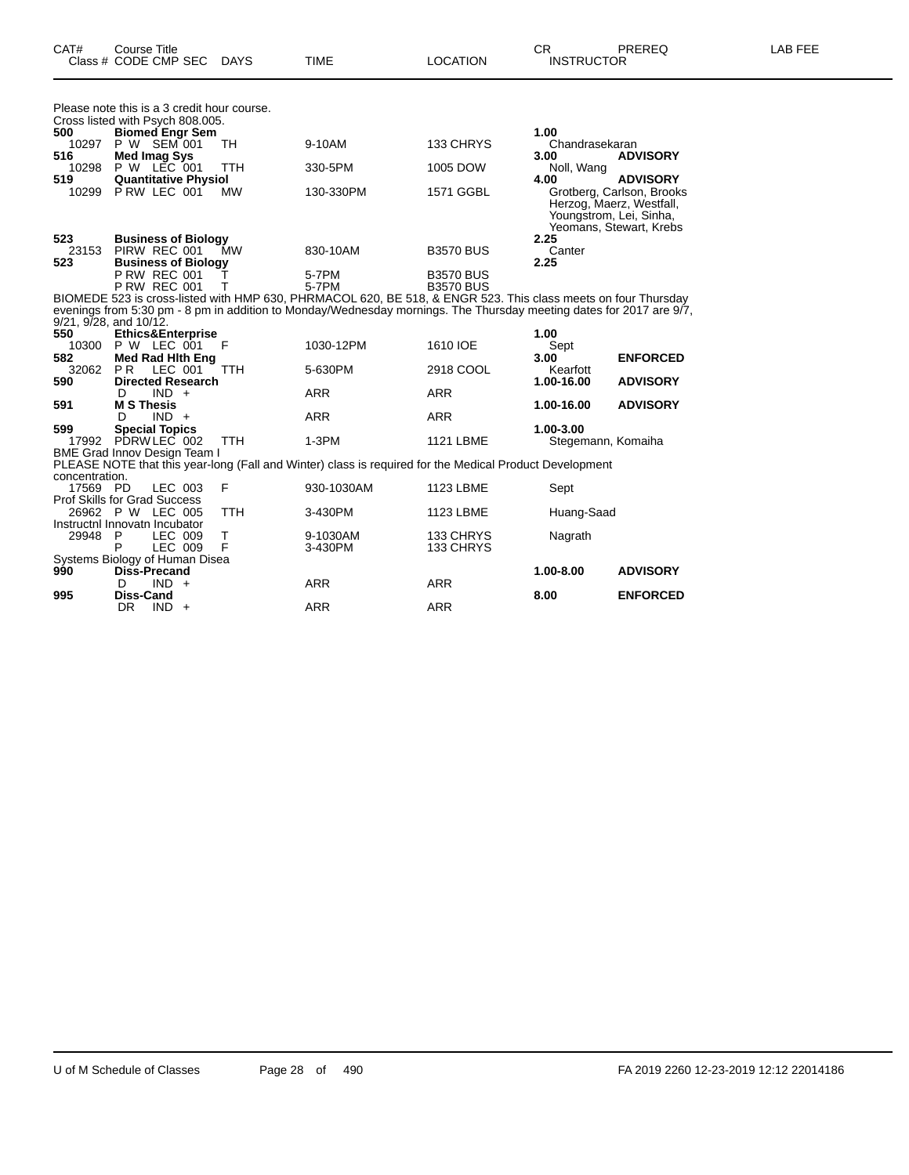| CAT#         | Course Title<br>Class # CODE CMP SEC                                            | DAYS       | <b>TIME</b>                                                                                                         | <b>LOCATION</b>  | CR.<br><b>INSTRUCTOR</b> | <b>PREREQ</b>                                                                                               | <b>LAB FEE</b> |
|--------------|---------------------------------------------------------------------------------|------------|---------------------------------------------------------------------------------------------------------------------|------------------|--------------------------|-------------------------------------------------------------------------------------------------------------|----------------|
|              | Please note this is a 3 credit hour course.<br>Cross listed with Psych 808.005. |            |                                                                                                                     |                  |                          |                                                                                                             |                |
| 500          | <b>Biomed Engr Sem</b>                                                          |            |                                                                                                                     |                  | 1.00                     |                                                                                                             |                |
| 10297        | P W SEM 001                                                                     | TH         | 9-10AM                                                                                                              | 133 CHRYS        | Chandrasekaran           |                                                                                                             |                |
| 516          | Med Imag Sys                                                                    |            |                                                                                                                     |                  | 3.00                     | <b>ADVISORY</b>                                                                                             |                |
| 10298        | P W LEC 001                                                                     | <b>TTH</b> | 330-5PM                                                                                                             | 1005 DOW         | Noll, Wang               |                                                                                                             |                |
| 519          | <b>Quantitative Physiol</b>                                                     |            |                                                                                                                     |                  | 4.00                     | <b>ADVISORY</b>                                                                                             |                |
| 10299        | PRW LEC 001                                                                     | MW         | 130-330PM                                                                                                           | 1571 GGBL        |                          | Grotberg, Carlson, Brooks<br>Herzog, Maerz, Westfall,<br>Youngstrom, Lei, Sinha,<br>Yeomans, Stewart, Krebs |                |
| 523          | <b>Business of Biology</b>                                                      |            |                                                                                                                     |                  | 2.25                     |                                                                                                             |                |
| 23153        | PIRW REC 001                                                                    | МW         | 830-10AM                                                                                                            | <b>B3570 BUS</b> | Canter                   |                                                                                                             |                |
| 523          | <b>Business of Biology</b>                                                      |            |                                                                                                                     |                  | 2.25                     |                                                                                                             |                |
|              | <b>P RW REC 001</b>                                                             |            | 5-7PM                                                                                                               | <b>B3570 BUS</b> |                          |                                                                                                             |                |
|              | <b>P RW REC 001</b>                                                             |            | 5-7PM                                                                                                               | <b>B3570 BUS</b> |                          |                                                                                                             |                |
|              |                                                                                 |            | BIOMEDE 523 is cross-listed with HMP 630, PHRMACOL 620, BE 518, & ENGR 523. This class meets on four Thursday       |                  |                          |                                                                                                             |                |
|              |                                                                                 |            | evenings from 5:30 pm - 8 pm in addition to Monday/Wednesday mornings. The Thursday meeting dates for 2017 are 9/7, |                  |                          |                                                                                                             |                |
|              | 9/21, 9/28, and 10/12.                                                          |            |                                                                                                                     |                  |                          |                                                                                                             |                |
| 550          | <b>Ethics&amp;Enterprise</b>                                                    |            |                                                                                                                     |                  | 1.00                     |                                                                                                             |                |
| 10300        | P W LEC 001                                                                     | F          | 1030-12PM                                                                                                           | 1610 IOE         | Sept                     |                                                                                                             |                |
| 582<br>32062 | Med Rad Hith Eng<br>P <sub>R</sub><br>LEC 001                                   | <b>TTH</b> | 5-630PM                                                                                                             | 2918 COOL        | 3.00<br>Kearfott         | <b>ENFORCED</b>                                                                                             |                |
| 590          | <b>Directed Research</b>                                                        |            |                                                                                                                     |                  | 1.00-16.00               | <b>ADVISORY</b>                                                                                             |                |
|              | $IND +$<br>D                                                                    |            | ARR                                                                                                                 | <b>ARR</b>       |                          |                                                                                                             |                |
| 591          | <b>M S Thesis</b>                                                               |            |                                                                                                                     |                  | 1.00-16.00               | <b>ADVISORY</b>                                                                                             |                |
|              |                                                                                 |            |                                                                                                                     |                  |                          |                                                                                                             |                |

D IND + ARR ARR ARR

D IND + ARR ARR ARR

DR IND + ARR ARR ARR

BME Grad Innov Design Team I

Prof Skills for Grad Success

Instructnl Innovatn Incubator<br>29948 P LEC 009<br>P LEC 009

Systems Biology of Human Disea

concentration.

**599 Special Topics 1.00-3.00**

17569 PD LEC 003 F 930-1030AM 1123 LBME Sept

PLEASE NOTE that this year-long (Fall and Winter) class is required for the Medical Product Development

26962 P W LEC 005 TTH 3-430PM 1123 LBME Huang-Saad

29948 P LEC 009 T 9-1030AM 133 CHRYS Nagrath P LEC 009 F 3-430PM 133 CHRYS

17992 PDRW LEC 002 TTH 1-3PM 1121 LBME Stegemann, Komaiha

**990 Diss-Precand 1.00-8.00 ADVISORY**

**995 Diss-Cand 8.00 ENFORCED**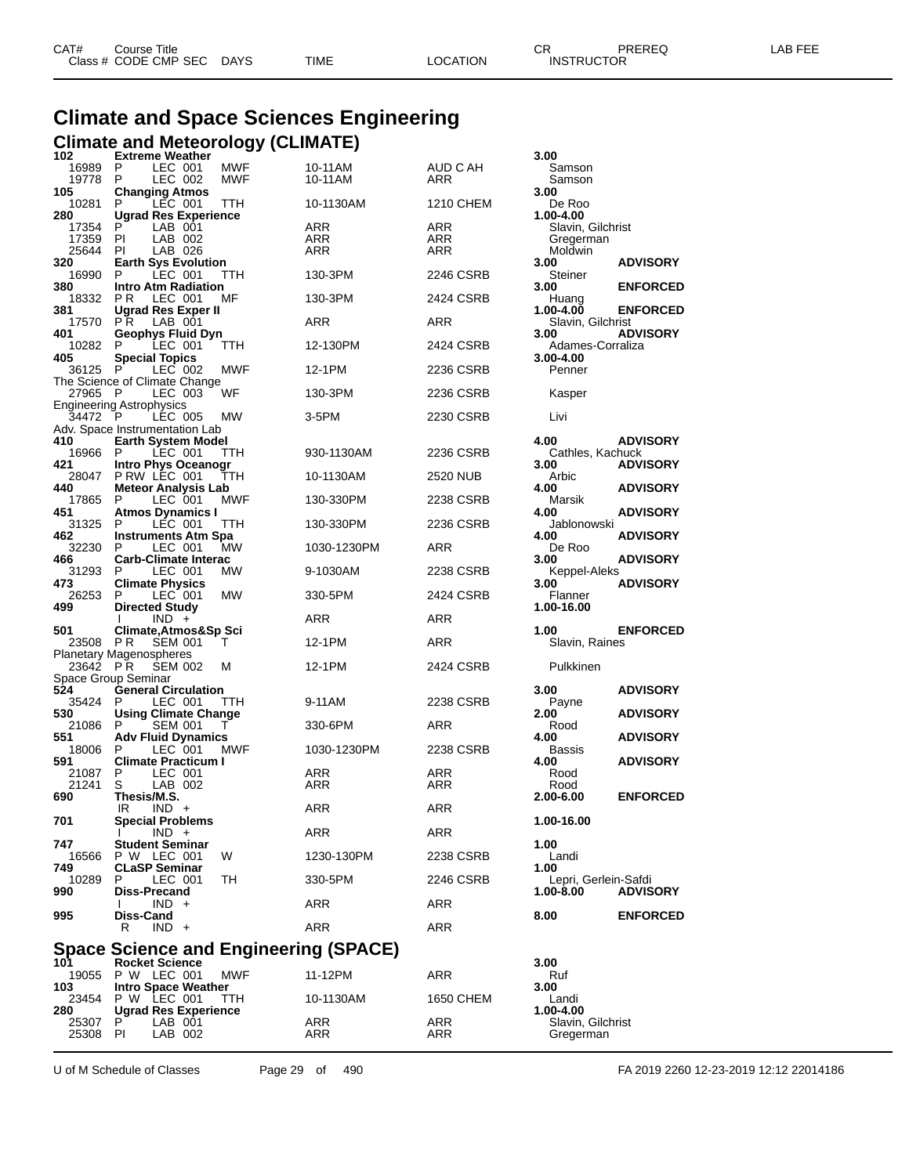| CAT# | Course Title         |             |      |          | rπ<br>◡⊓          | PREREQ | _AB FEE |
|------|----------------------|-------------|------|----------|-------------------|--------|---------|
|      | Class # CODE CMP SEC | <b>DAYS</b> | TIME | LOCATION | <b>INSTRUCTOR</b> |        |         |

## **Climate and Space Sciences Engineering Climate and Meteorology (CLIMATE) 102 Extreme Weather 3.00**

|                | <b>Extreme Weather</b>                             |                   |                    |                 | 3.00                           |                 |
|----------------|----------------------------------------------------|-------------------|--------------------|-----------------|--------------------------------|-----------------|
| 16989<br>19778 | P<br>LEC 001<br>P<br>LEC 002                       | MWF<br><b>MWF</b> | 10-11AM<br>10-11AM | AUD C AH<br>ARR | Samson<br>Samson               |                 |
| 105            | <b>Changing Atmos</b>                              |                   |                    |                 | 3.00                           |                 |
| 10281<br>280   | P<br>LEC 001<br><b>Ugrad Res Experience</b>        | TTH               | 10-1130AM          | 1210 CHEM       | De Roo<br>1.00-4.00            |                 |
| 17354          | P<br>LAB 001                                       |                   | ARR                | <b>ARR</b>      | Slavin, Gilchrist              |                 |
| 17359<br>25644 | PI<br>LAB 002<br>PI<br>LAB 026                     |                   | ARR<br>ARR         | ARR<br>ARR      | Gregerman<br>Moldwin           |                 |
| 320            | <b>Earth Sys Evolution</b>                         |                   |                    |                 | 3.00                           | <b>ADVISORY</b> |
| 16990          | P<br>LEC 001                                       | ттн               | 130-3PM            | 2246 CSRB       | Steiner                        |                 |
| 380<br>18332   | <b>Intro Atm Radiation</b><br>P R<br>LEC 001       | МF                | 130-3PM            | 2424 CSRB       | 3.00<br>Huang                  | <b>ENFORCED</b> |
| 381            | <b>Ugrad Res Exper II</b>                          |                   |                    |                 | 1.00-4.00                      | <b>ENFORCED</b> |
| 17570<br>401   | P R<br>LAB 001<br>Geophys Fluid Dyn                |                   | ARR                | ARR             | Slavin, Gilchrist<br>3.00      | <b>ADVISORY</b> |
| 10282          | P<br>LEC 001                                       | TTH               | 12-130PM           | 2424 CSRB       | Adames-Corraliza               |                 |
| 405            | <b>Special Topics</b><br>P                         | <b>MWF</b>        | 12-1PM             | 2236 CSRB       | 3.00-4.00                      |                 |
| 36125          | LEC 002<br>The Science of Climate Change           |                   |                    |                 | Penner                         |                 |
| 27965          | -P<br>LEC 003                                      | WF                | 130-3PM            | 2236 CSRB       | Kasper                         |                 |
| 34472 P        | <b>Engineering Astrophysics</b><br>LEC 005         | MW                | 3-5PM              | 2230 CSRB       | Livi                           |                 |
|                | Adv. Space Instrumentation Lab                     |                   |                    |                 |                                |                 |
| 410<br>16966   | <b>Earth System Model</b><br>P<br>LEC 001          | ттн               | 930-1130AM         | 2236 CSRB       | 4.00<br>Cathles, Kachuck       | <b>ADVISORY</b> |
| 421            | Intro Phys Oceanogr                                |                   |                    |                 | 3.00                           | <b>ADVISORY</b> |
| 28047          | PRW LEC 001                                        | TТH               | 10-1130AM          | 2520 NUB        | Arbic                          |                 |
| 440<br>17865   | <b>Meteor Analysis Lab</b><br>P<br>LEC 001         | MWF               | 130-330PM          | 2238 CSRB       | 4.00<br>Marsik                 | <b>ADVISORY</b> |
| 451            | Atmos Dynamics I                                   |                   |                    |                 | 4.00                           | <b>ADVISORY</b> |
| 31325<br>462   | P<br>LEC 001<br>Instruments Atm Spa                | ттн               | 130-330PM          | 2236 CSRB       | Jablonowski<br>4.00            | <b>ADVISORY</b> |
| 32230          | LEC 001<br>P                                       | МW                | 1030-1230PM        | ARR             | De Roo                         |                 |
| 466<br>31293   | <b>Carb-Climate Interac</b><br>P<br>LEC 001        | MW                | 9-1030AM           | 2238 CSRB       | 3.00                           | <b>ADVISORY</b> |
| 473            | <b>Climate Physics</b>                             |                   |                    |                 | Keppel-Aleks<br>3.00           | <b>ADVISORY</b> |
| 26253          | P<br>LEC 001                                       | MW                | 330-5PM            | 2424 CSRB       | Flanner                        |                 |
|                |                                                    |                   |                    |                 |                                |                 |
| 499            | <b>Directed Study</b>                              |                   |                    |                 | 1.00-16.00                     |                 |
| 501            | $IND +$<br>Climate, Atmos&Sp Sci                   |                   | ARR                | ARR             | 1.00                           | <b>ENFORCED</b> |
| 23508          | P R<br><b>SEM 001</b>                              | т                 | 12-1PM             | ARR             | Slavin, Raines                 |                 |
| 23642 PR       | <b>Planetary Magenospheres</b><br><b>SEM 002</b>   | м                 | 12-1PM             | 2424 CSRB       | Pulkkinen                      |                 |
|                | Space Group Seminar                                |                   |                    |                 |                                |                 |
| 524<br>35424   | <b>General Circulation</b><br>P<br>LEC 001         | TTH               | 9-11AM             | 2238 CSRB       | 3.00                           | <b>ADVISORY</b> |
| 530            | <b>Using Climate Change</b>                        |                   |                    |                 | Payne<br>2.00                  | <b>ADVISORY</b> |
| 21086          | P<br>SEM 001                                       | т                 | 330-6PM            | ARR             | Rood                           |                 |
| 551<br>18006   | <b>Adv Fluid Dynamics</b><br>P<br>LEC 001          | MWF               | 1030-1230PM        | 2238 CSRB       | 4.00<br><b>Bassis</b>          | <b>ADVISORY</b> |
| 591            | <b>Climate Practicum I</b>                         |                   |                    |                 | 4.00                           | <b>ADVISORY</b> |
| 21087<br>21241 | P<br>LEC 001<br>S<br>LAB 002                       |                   | ARR<br>ARR         | ARR<br>ARR      | Rood<br>Rood                   |                 |
| 690            | Thesis/M.S.                                        |                   |                    |                 | 2.00-6.00                      | <b>ENFORCED</b> |
|                | IR<br>$IND +$                                      |                   | <b>ARR</b>         | ARR             | 1.00-16.00                     |                 |
| 701            | <b>Special Problems</b><br>$\mathbf{I}$<br>$IND +$ |                   | ARR                | <b>ARR</b>      |                                |                 |
| 747            | <b>Student Seminar</b>                             |                   |                    |                 | 1.00                           |                 |
| 16566<br>749   | P W LEC 001<br><b>CLaSP Seminar</b>                | W                 | 1230-130PM         | 2238 CSRB       | Landi<br>1.00                  |                 |
| 10289          | P<br>LEC 001                                       | TH                | 330-5PM            | 2246 CSRB       | Lepri, Gerlein-Safdi           |                 |
| 990            | <b>Diss-Precand</b><br>$IND +$                     |                   | ARR                | ARR             | 1.00-8.00                      | <b>ADVISORY</b> |
| 995            | Diss-Cand                                          |                   |                    |                 | 8.00                           | <b>ENFORCED</b> |
|                | $IND +$<br>R                                       |                   | <b>ARR</b>         | <b>ARR</b>      |                                |                 |
|                | <b>Space Science and Engineering (SPACE)</b>       |                   |                    |                 |                                |                 |
| 101            | <b>Rocket Science</b>                              |                   |                    |                 | 3.00                           |                 |
| 19055<br>103   | P W LEC 001<br><b>Intro Space Weather</b>          | <b>MWF</b>        | 11-12PM            | ARR             | Ruf<br>3.00                    |                 |
|                | 23454 P W LEC 001                                  | TТH               | 10-1130AM          | 1650 CHEM       | Landi                          |                 |
| 280<br>25307   | <b>Ugrad Res Experience</b><br>P<br>LAB 001        |                   | ARR                | ARR             | 1.00-4.00<br>Slavin, Gilchrist |                 |

U of M Schedule of Classes Page 29 of 490 FA 2019 2260 12-23-2019 12:12 22014186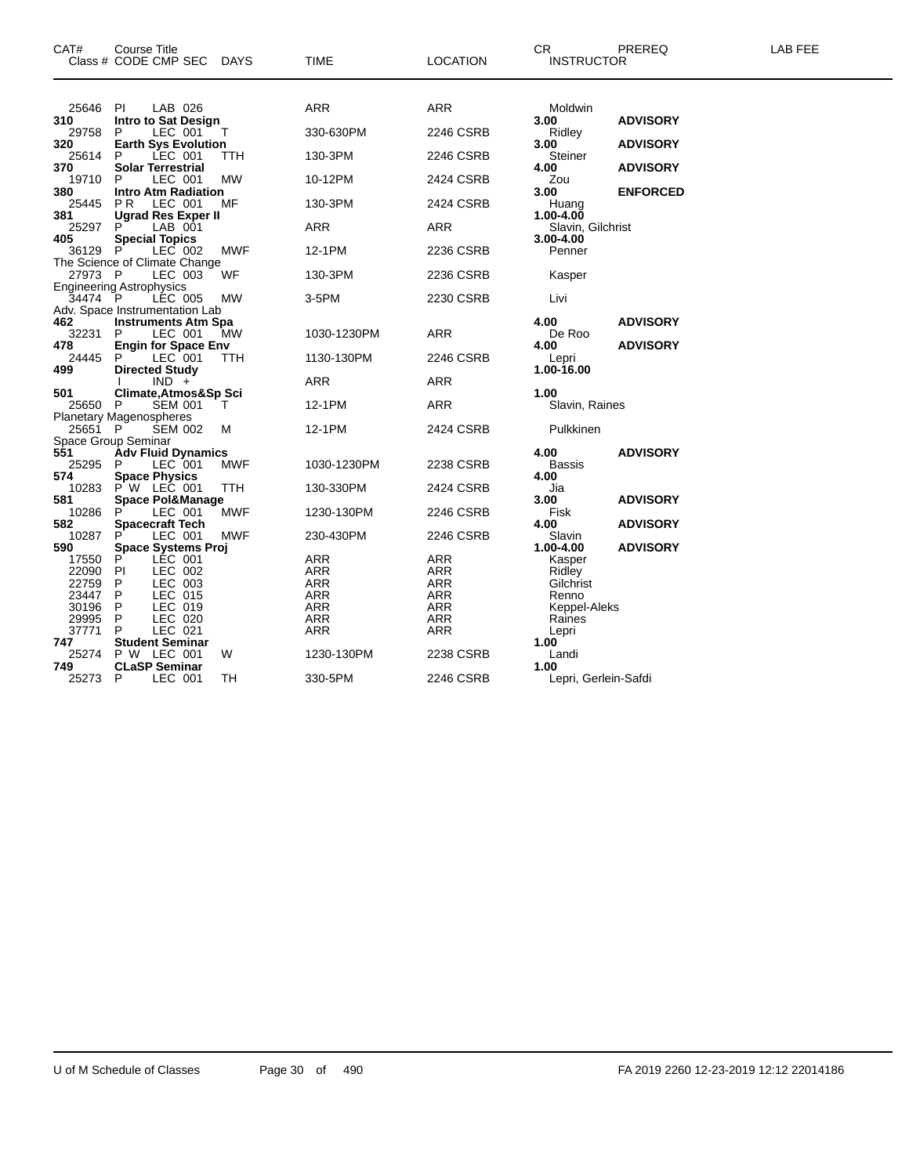| CAT#             | Course Title<br>Class # CODE CMP SEC DAYS        |            | TIME                     | <b>LOCATION</b>   | CR.<br><b>INSTRUCTOR</b>           | PREREQ          | LAB FEE |
|------------------|--------------------------------------------------|------------|--------------------------|-------------------|------------------------------------|-----------------|---------|
|                  |                                                  |            |                          |                   |                                    |                 |         |
| 25646 PI         | LAB 026                                          |            | <b>ARR</b>               | <b>ARR</b>        | Moldwin                            |                 |         |
| 310              | Intro to Sat Design                              |            |                          |                   | 3.00                               | <b>ADVISORY</b> |         |
| 29758            | LEC 001<br>P                                     | T          | 330-630PM                | 2246 CSRB         | Ridley                             |                 |         |
| 320<br>25614     | <b>Earth Sys Evolution</b><br>LEC 001<br>P       | TTH        | 130-3PM                  | 2246 CSRB         | 3.00<br>Steiner                    | <b>ADVISORY</b> |         |
| 370              | <b>Solar Terrestrial</b>                         |            |                          |                   | 4.00                               | <b>ADVISORY</b> |         |
| 19710            | LEC 001<br>P.                                    | <b>MW</b>  | 10-12PM                  | 2424 CSRB         | Zou                                |                 |         |
| 380              | <b>Intro Atm Radiation</b>                       |            |                          |                   | 3.00                               | <b>ENFORCED</b> |         |
| 25445            | LEC 001<br>PR.                                   | MF         | 130-3PM                  | 2424 CSRB         | Huang                              |                 |         |
| 381              | <b>Ugrad Res Exper II</b>                        |            |                          |                   | 1.00-4.00                          |                 |         |
| 25297<br>405     | P<br>LAB 001<br><b>Special Topics</b>            |            | ARR                      | ARR               | Slavin, Gilchrist<br>$3.00 - 4.00$ |                 |         |
| 36129 P          | LEC 002                                          | MWF        | 12-1PM                   | 2236 CSRB         | Penner                             |                 |         |
|                  | The Science of Climate Change                    |            |                          |                   |                                    |                 |         |
| 27973 P          | LEC 003                                          | WF         | 130-3PM                  | 2236 CSRB         | Kasper                             |                 |         |
|                  | <b>Engineering Astrophysics</b>                  |            |                          |                   |                                    |                 |         |
| 34474 P          | LÉC 005                                          | МW         | 3-5PM                    | 2230 CSRB         | Livi                               |                 |         |
|                  | Adv. Space Instrumentation Lab                   |            |                          |                   |                                    |                 |         |
| 462<br>32231     | <b>Instruments Atm Spa</b><br>LEC 001<br>P       | МW         | 1030-1230PM              | ARR               | 4.00<br>De Roo                     | <b>ADVISORY</b> |         |
| 478              | <b>Engin for Space Env</b>                       |            |                          |                   | 4.00                               | <b>ADVISORY</b> |         |
| 24445            | P.<br>LEC 001                                    | TTH        | 1130-130PM               | 2246 CSRB         | Lepri                              |                 |         |
| 499              | <b>Directed Study</b>                            |            |                          |                   | 1.00-16.00                         |                 |         |
|                  | $IND +$                                          |            | ARR                      | ARR               |                                    |                 |         |
| 501              | Climate, Atmos&Sp Sci                            |            |                          |                   | 1.00                               |                 |         |
| 25650 P          | <b>SEM 001</b><br><b>Planetary Magenospheres</b> | $\top$     | 12-1PM                   | <b>ARR</b>        | Slavin, Raines                     |                 |         |
| 25651 P          | <b>SEM 002</b>                                   | м          | 12-1PM                   | 2424 CSRB         | Pulkkinen                          |                 |         |
|                  | Space Group Seminar                              |            |                          |                   |                                    |                 |         |
| 551              | <b>Adv Fluid Dynamics</b>                        |            |                          |                   | 4.00                               | <b>ADVISORY</b> |         |
| 25295            | LEC 001<br>P                                     | MWF        | 1030-1230PM              | 2238 CSRB         | Bassis                             |                 |         |
| 574              | <b>Space Physics</b>                             |            |                          |                   | 4.00                               |                 |         |
| 10283<br>581     | $P' W$ LEC 001                                   | <b>TTH</b> | 130-330PM                | 2424 CSRB         | Jia<br>3.00                        | <b>ADVISORY</b> |         |
| 10286            | <b>Space Pol&amp;Manage</b><br>P<br>LEC 001      | MWF        | 1230-130PM               | 2246 CSRB         | Fisk                               |                 |         |
| 582              | <b>Spacecraft Tech</b>                           |            |                          |                   | 4.00                               | <b>ADVISORY</b> |         |
| 10287            | LEC 001<br>P                                     | <b>MWF</b> | 230-430PM                | 2246 CSRB         | Slavin                             |                 |         |
| 590              | <b>Space Systems Proj</b>                        |            |                          |                   | 1.00-4.00                          | <b>ADVISORY</b> |         |
| 17550            | LEC 001<br>P                                     |            | ARR                      | <b>ARR</b>        | Kasper                             |                 |         |
| 22090 PI         | LEC 002                                          |            | ARR                      | ARR               | Ridley                             |                 |         |
| 22759<br>23447 P | LEC 003<br>P.<br>LEC 015                         |            | <b>ARR</b><br><b>ARR</b> | ARR<br><b>ARR</b> | Gilchrist<br>Renno                 |                 |         |
| 30196            | LEC 019<br>- P                                   |            | <b>ARR</b>               | <b>ARR</b>        | Keppel-Aleks                       |                 |         |
| 29995            | LEC 020<br>P                                     |            | ARR                      | ARR               | Raines                             |                 |         |
| 37771            | LEC 021<br>P                                     |            | <b>ARR</b>               | <b>ARR</b>        | Lepri                              |                 |         |
| 747              | <b>Student Seminar</b>                           |            |                          |                   | 1.00                               |                 |         |
| 25274            | P W LEC 001                                      | W          | 1230-130PM               | 2238 CSRB         | Landi                              |                 |         |
| 749              | <b>CLaSP Seminar</b>                             |            |                          |                   | 1.00                               |                 |         |
| 25273 P          | LEC 001                                          | TН         | 330-5PM                  | 2246 CSRB         | Lepri, Gerlein-Safdi               |                 |         |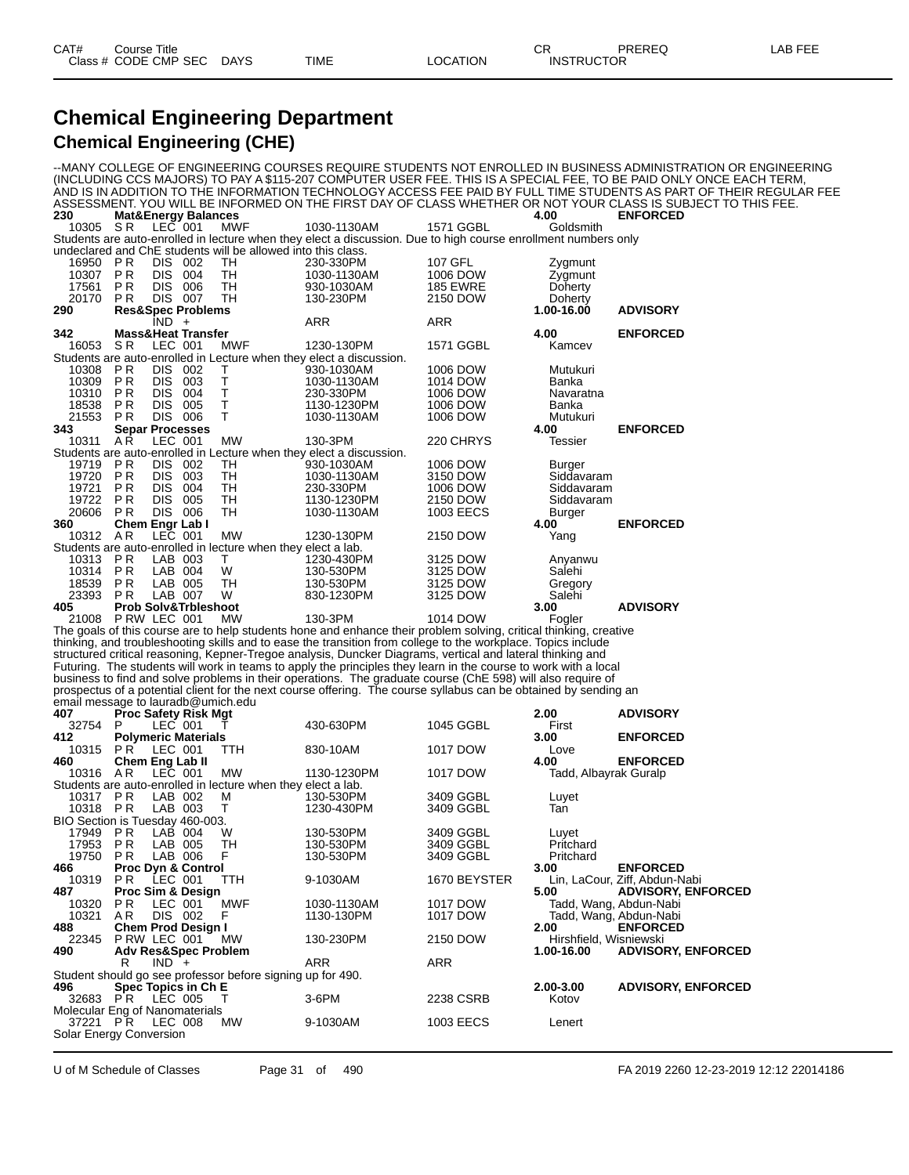### **Chemical Engineering Department Chemical Engineering (CHE)**

--MANY COLLEGE OF ENGINEERING COURSES REQUIRE STUDENTS NOT ENROLLED IN BUSINESS ADMINISTRATION OR ENGINEERING (INCLUDING CCS MAJORS) TO PAY A \$115-207 COMPUTER USER FEE. THIS IS A SPECIAL FEE, TO BE PAID ONLY ONCE EACH TERM, AND IS IN ADDITION TO THE INFORMATION TECHNOLOGY ACCESS FEE PAID BY FULL TIME STUDENTS AS PART OF THEIR REGULAR FEE ASSESSMENT. YOU WILL BE INFORMED ON THE FIRST DAY OF CLASS WHETHER OR NOT YOUR CLASS IS SUBJECT TO THIS FEE. **230 Mat&Energy Balances 4.00 ENFORCED** 10305 S R LEC 001 MWF 1030-1130AM 1571 GGBL Goldsmith Students are auto-enrolled in lecture when they elect a discussion. Due to high course enrollment numbers only undeclared and ChE students will be allowed into this class. 16950 P R DIS 002 TH 230-330PM 107 GFL Zygmunt 10307 P R DIS 004 TH 1030-1130AM 1006 DOW<br>17561 P R DIS 006 TH 930-1030AM 185 EWRE 17561 P.R DIS 006 TH 930-1030AM 185 EWRE Doherty<br>20170 P.R DIS 007 TH 130-230PM 2150 DOW Doherty 20170 P R DIS 007 TH 130-230PM 2150 DOW Doherty **290 Res&Spec Problems 1.00-16.00 ADVISORY**  $IND + ARR$  ARR ARR **342 Mass&Heat Transfer 4.00 ENFORCED** 16053 S.R LEC 001 MWF 1230-130PM 1571 GGBL Kamcev Students are auto-enrolled in Lecture when they elect a discussion. 10308 P R DIS 002 T 930-1030AM 1006 DOW Mutukuri 10309 P R DIS 003 T 1030-1130AM 1014 DOW Banka 10310 P R DIS 004 T 230-330PM 1006 DOW Navaratna 18538 P R DIS 005 T 1130-1230PM 1006 DOW Banka 21553 P.R. DIS 006 T 1030-1130AM 1006 DOW M<br>343 Senar Processes 100 **343 Separ Processes 4.00 ENFORCED** 10311 A R LEC 001 MW 130-3PM 220 CHRYS Tessier enrolled in Lecture when they elect a discussion.<br>DIS 002 TH 930-1030AM 19719 PR DIS 002 TH 930-1030AM 1006 DOW Burger<br>19719 PR DIS 002 TH 930-1030AM 1006 DOW Burger<br>19720 PR DIS 003 TH 1030-1130AM 3150 DOW Siddavaram 19720 P.R. DIS 003 TH 1030-1130AM 3150 DOW Siddavaram<br>19721 P.R. DIS 004 TH 230-330PM 1006 DOW Siddavaram<br>19722 P.R. DIS 005 TH 1130-1230PM 2150 DOW Sidd 19721 P.R. DIS 004 TH 230-330PM 1006 DOW Siddavaram<br>19722 P.R. DIS 005 TH 1130-1230PM 2150 DOW Siddavaram 19722 P R DIS 005 TH 1130-1230PM 2150 DOW Siddavaram 20606 PR DIS 006 TH 1030-1130AM 1003 EECS B<br>360 Chem Engr Lab I 4.00 **360 Chem Engr Lab I 4.00 ENFORCED** 10312 A R LEC 001 MW 1230-130PM 2150 DOW Yang Students are auto-enrolled in lecture when they elect a lab.<br>10313 PR LAB 003 T 1230-430P<br>10314 PR LAB 004 W 130-530PM 10313 P R LAB 003 T 1230-430PM 3125 DOW Anyanwu 10314 P R LAB 004 W 130-530PM 3125 DOW Salehi 18539 P R LAB 005 TH 130-530PM 3125 DOW Gregor<br>23393 P R LAB 007 W 830-1230PM 3125 DOW Salehi 23393 P.R LAB 007 W 830-1230PM 3125 DOW S<br>40**5 Prob Solv&Trbleshoot** 3**.00 405 Prob Solv&Trbleshoot 3.00 ADVISORY** 21008 P RW LEC 001 MW 130-3PM 1014 DOW Fogler The goals of this course are to help students hone and enhance their problem solving, critical thinking, creative thinking, and troubleshooting skills and to ease the transition from college to the workplace. Topics include structured critical reasoning, Kepner-Tregoe analysis, Duncker Diagrams, vertical and lateral thinking and Futuring. The students will work in teams to apply the principles they learn in the course to work with a local business to find and solve problems in their operations. The graduate course (ChE 598) will also require of prospectus of a potential client for the next course offering. The course syllabus can be obtained by sending an email message to lauradb@umich.edu **407 Proc Safety Risk Mgt 2.00 ADVISORY** 32754 P LEC 001 T 430-630PM 1045 GGBL First **412 Polymeric Materials 3.00 ENFORCED** 10315 P R LEC 001 TTH 830-10AM 1017 DOW Love **460 Chem Eng Lab II 4.00 ENFORCED** Tadd, Albayrak Guralp Students are auto-enrolled in lecture when they elect a lab.<br>10317 PR LAB 002 M 130-530PM 10317 P R LAB 002 M 130-530PM 3409 GGBL Luyet 10318 P.R LAB 003 T 1230-430PM 3409 GGBL Tan BIO Section is Tuesday 460-003.<br>17949 PR LAB 004 W 17949 P R LAB 004 W 130-530PM 3409 GGBL Luyet 17953 P R LAB 005 TH 130-530PM 3409 GGBL Pritchard<br>19750 P R LAB 006 F 130-530PM 3409 GGBL Pritchard 19750 P R LAB 006 F 130-530PM 3409 GGBL Pritchard **466 Proc Dyn & Control 3.00 ENFORCED** 10319 P R LEC 001 TTH 9-1030AM 1670 BEYSTER Lin, LaCour, Ziff, Abdun-Nab<br>**487 Proc Sim & Design** 9-1030AM 5.**00 ADVISORY, EN 487 Proc Sim & Design 5.00 ADVISORY, ENFORCED** 10320 P R LEC 001 MWF 1030-1130AM 1017 DOW Tadd, Wang, Abdun-Nabi<br>10321 A R DIS 002 F 1130-130PM 1017 DOW Tadd, Wang, Abdun-Nabi 10321 A R DIS 002 F 1130-130PM 1017 DOW Tadd, Wang, Abdun-Nabi **488 Chem Prod Design I 2.00 ENFORCED** 22345 P RW LEC 001 MW 130-230PM 2150 DOW Hirshfield, Wisniewski **490 Adv Res&Spec Problem 1.00-16.00 ADVISORY, ENFORCED** R IND + ARR ARR ARR Student should go see professor before signing up for 490. **496 Spec Topics in Ch E 2.00-3.00 ADVISORY, ENFORCED** Spec Topics in Ch E<br>P R LEC 005 T Molecular Eng of Nanomaterials 37221 P.R LEC 008 MW 9-1030AM 1003 EECS Lenert Solar Energy Conversion

U of M Schedule of Classes Page 31 of 490 FA 2019 2260 12-23-2019 12:12 22014186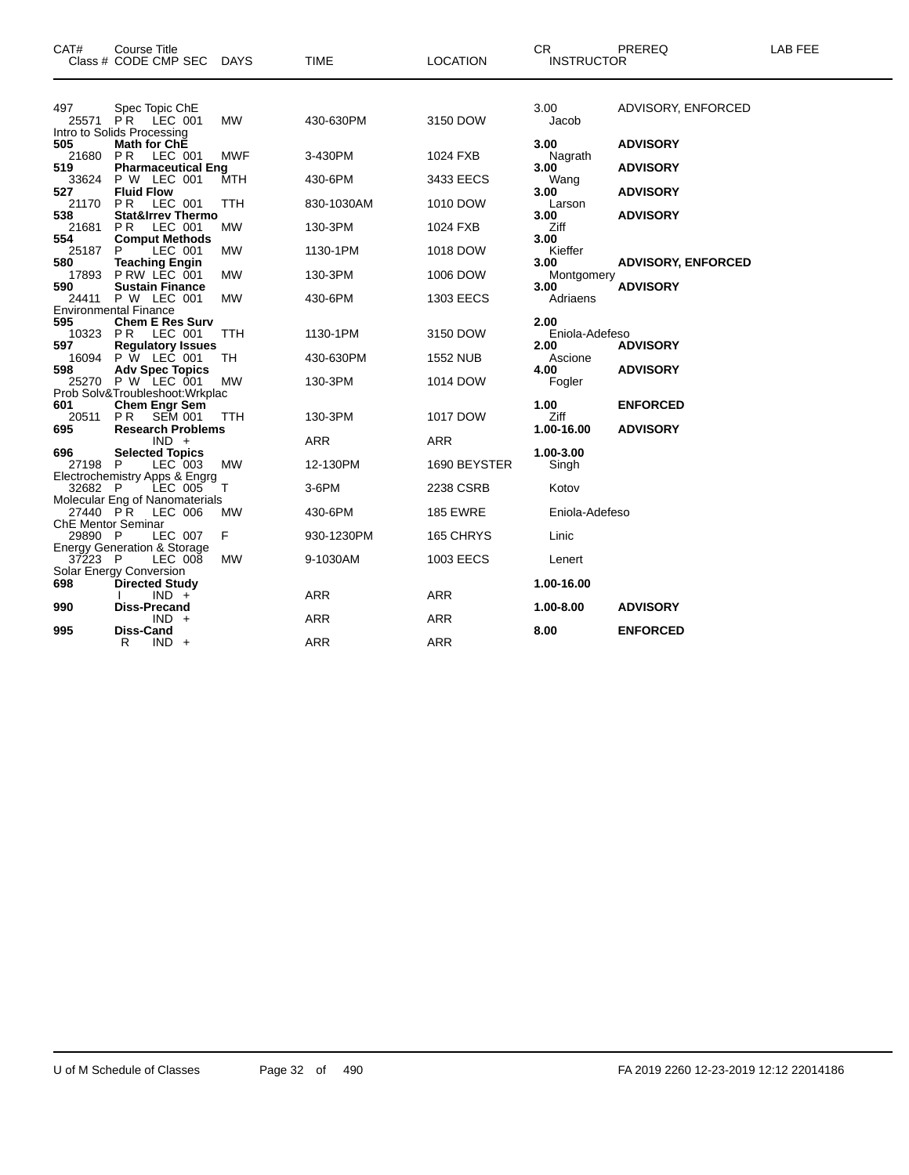| CAT#                                  | <b>Course Title</b><br>Class # CODE CMP SEC                                                            | DAYS              | <b>TIME</b>            | <b>LOCATION</b>             | <b>CR</b><br><b>INSTRUCTOR</b> | PREREQ                             | LAB FEE |
|---------------------------------------|--------------------------------------------------------------------------------------------------------|-------------------|------------------------|-----------------------------|--------------------------------|------------------------------------|---------|
|                                       |                                                                                                        |                   |                        |                             |                                |                                    |         |
| 497<br>25571                          | Spec Topic ChE<br>$\overline{PR}$ LEC 001                                                              | <b>MW</b>         | 430-630PM              | 3150 DOW                    | 3.00<br>Jacob                  | ADVISORY, ENFORCED                 |         |
| 505<br>21680<br>519                   | Intro to Solids Processing<br><b>Math for ChE</b><br>LEC 001<br><b>PR</b><br><b>Pharmaceutical Eng</b> | MWF               | 3-430PM                | 1024 FXB                    | 3.00<br>Nagrath<br>3.00        | <b>ADVISORY</b><br><b>ADVISORY</b> |         |
| 33624<br>527<br>21170                 | P W LEC 001<br><b>Fluid Flow</b><br>P <sub>R</sub><br>LEC 001                                          | MTH<br><b>TTH</b> | 430-6PM<br>830-1030AM  | 3433 EECS<br>1010 DOW       | Wang<br>3.00                   | <b>ADVISORY</b>                    |         |
| 538<br>21681                          | <b>Stat&amp;Irrev Thermo</b><br>LEC 001<br>PR.                                                         | MW                | 130-3PM                | 1024 FXB                    | Larson<br>3.00<br>Ziff         | <b>ADVISORY</b>                    |         |
| 554<br>25187<br>580<br>17893          | <b>Comput Methods</b><br>LEC 001<br>P<br><b>Teaching Engin</b><br>PRW LEC 001                          | MW<br><b>MW</b>   | 1130-1PM<br>130-3PM    | 1018 DOW<br>1006 DOW        | 3.00<br>Kieffer<br>3.00        | <b>ADVISORY, ENFORCED</b>          |         |
| 590<br>24411                          | <b>Sustain Finance</b><br>P W LEC 001<br><b>Environmental Finance</b>                                  | <b>MW</b>         | 430-6PM                | 1303 EECS                   | Montgomery<br>3.00<br>Adriaens | <b>ADVISORY</b>                    |         |
| 595<br>10323<br>597                   | <b>Chem E Res Surv</b><br>PR<br>LEC 001<br><b>Regulatory Issues</b>                                    | TTH               | 1130-1PM               | 3150 DOW                    | 2.00<br>Eniola-Adefeso<br>2.00 | <b>ADVISORY</b>                    |         |
| 16094<br>598                          | P W LEC 001<br><b>Adv Spec Topics</b><br>25270 P W LEC 001                                             | TН<br>MW          | 430-630PM<br>130-3PM   | <b>1552 NUB</b><br>1014 DOW | Ascione<br>4.00<br>Fogler      | <b>ADVISORY</b>                    |         |
| 601<br>20511 PR                       | Prob Solv&Troubleshoot: Wrkplac<br><b>Chem Engr Sem</b><br><b>SEM 001</b>                              | TTH               | 130-3PM                | 1017 DOW                    | 1.00<br>Ziff                   | <b>ENFORCED</b>                    |         |
| 695<br>696                            | <b>Research Problems</b><br>$IND +$<br><b>Selected Topics</b>                                          |                   | ARR                    | ARR                         | 1.00-16.00<br>1.00-3.00        | <b>ADVISORY</b>                    |         |
| 27198 P<br>32682 P                    | LEC 003<br>Electrochemistry Apps & Engrg<br>LEC 005                                                    | <b>MW</b><br>Т    | 12-130PM<br>3-6PM      | 1690 BEYSTER<br>2238 CSRB   | Singh<br>Kotov                 |                                    |         |
| 27440 PR<br><b>ChE Mentor Seminar</b> | Molecular Eng of Nanomaterials<br>LEC 006                                                              | MW                | 430-6PM                | <b>185 EWRE</b>             | Eniola-Adefeso                 |                                    |         |
| 29890 P<br>37223 P                    | LEC 007<br><b>Energy Generation &amp; Storage</b><br>LEC 008                                           | F<br>MW           | 930-1230PM<br>9-1030AM | 165 CHRYS<br>1003 EECS      | Linic<br>Lenert                |                                    |         |
| 698                                   | Solar Energy Conversion<br><b>Directed Study</b><br>$IND +$                                            |                   | ARR                    | <b>ARR</b>                  | 1.00-16.00                     |                                    |         |
| 990                                   | <b>Diss-Precand</b><br>$IND +$                                                                         |                   | <b>ARR</b>             | <b>ARR</b>                  | 1.00-8.00                      | <b>ADVISORY</b>                    |         |
| 995                                   | Diss-Cand<br>R<br>$IND +$                                                                              |                   | <b>ARR</b>             | <b>ARR</b>                  | 8.00                           | <b>ENFORCED</b>                    |         |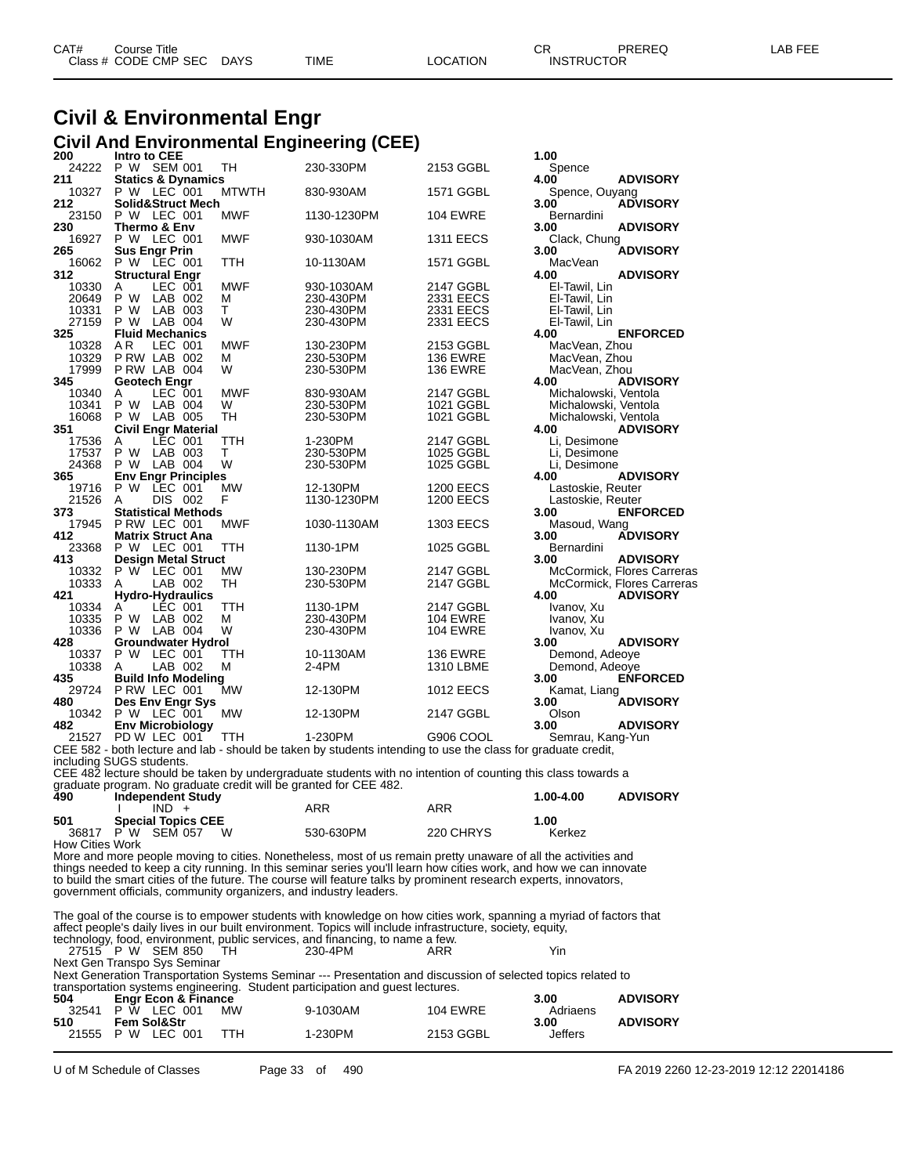| CAT# | Course Title         |             |      |          | СR                | PREREQ | LAB FEE |
|------|----------------------|-------------|------|----------|-------------------|--------|---------|
|      | Class # CODE CMP SEC | <b>DAYS</b> | TIME | LOCATION | <b>INSTRUCTOR</b> |        |         |

# **Civil & Environmental Engr**

|                        |                                                                   |                 | <b>Civil And Environmental Engineering (CEE)</b>                                                                                                                                                                                |                        |                                              |                            |
|------------------------|-------------------------------------------------------------------|-----------------|---------------------------------------------------------------------------------------------------------------------------------------------------------------------------------------------------------------------------------|------------------------|----------------------------------------------|----------------------------|
| 200<br>24222           | Intro to CEE<br>P W SEM 001                                       |                 |                                                                                                                                                                                                                                 |                        | 1.00                                         |                            |
| 211                    | <b>Statics &amp; Dynamics</b>                                     | TH              | 230-330PM                                                                                                                                                                                                                       | 2153 GGBL              | Spence<br>4.00                               | <b>ADVISORY</b>            |
| 10327                  | P W LEC 001                                                       | <b>MTWTH</b>    | 830-930AM                                                                                                                                                                                                                       | 1571 GGBL              | Spence, Ouyang                               |                            |
| 212                    | <b>Solid&amp;Struct Mech</b>                                      |                 |                                                                                                                                                                                                                                 |                        | 3.00                                         | <b>ADVISORY</b>            |
| 23150                  | P W LEC 001                                                       | MWF             | 1130-1230PM                                                                                                                                                                                                                     | <b>104 EWRE</b>        | Bernardini                                   |                            |
| 230<br>16927           | Thermo & Env<br>P W LEC 001                                       | <b>MWF</b>      | 930-1030AM                                                                                                                                                                                                                      | <b>1311 EECS</b>       | 3.00<br>Clack, Chung                         | <b>ADVISORY</b>            |
| 265                    | <b>Sus Engr Prin</b>                                              |                 |                                                                                                                                                                                                                                 |                        | 3.00                                         | <b>ADVISORY</b>            |
| 16062                  | P W LEC 001                                                       | TTH             | 10-1130AM                                                                                                                                                                                                                       | 1571 GGBL              | MacVean                                      |                            |
| 312                    | <b>Structural Engr</b>                                            |                 |                                                                                                                                                                                                                                 |                        | 4.00                                         | <b>ADVISORY</b>            |
| 10330<br>20649         | Α<br>LEC 001<br>P W<br>LAB 002                                    | MWF<br>м        | 930-1030AM<br>230-430PM                                                                                                                                                                                                         | 2147 GGBL<br>2331 EECS | El-Tawil, Lin<br>El-Tawil, Lin               |                            |
| 10331                  | P W<br>LAB 003                                                    | т               | 230-430PM                                                                                                                                                                                                                       | 2331 EECS              | El-Tawil, Lin                                |                            |
| 27159                  | P W<br>LAB 004                                                    | w               | 230-430PM                                                                                                                                                                                                                       | 2331 EECS              | El-Tawil, Lin                                |                            |
| 325                    | <b>Fluid Mechanics</b>                                            |                 |                                                                                                                                                                                                                                 |                        | 4.00                                         | <b>ENFORCED</b>            |
| 10328                  | A R<br>LEC 001                                                    | MWF             | 130-230PM                                                                                                                                                                                                                       | 2153 GGBL              | MacVean, Zhou                                |                            |
| 10329                  | PRW LAB 002                                                       | м               | 230-530PM                                                                                                                                                                                                                       | <b>136 EWRE</b>        | MacVean, Zhou                                |                            |
| 17999                  | PRW LAB 004                                                       | W               | 230-530PM                                                                                                                                                                                                                       | <b>136 EWRE</b>        | MacVean, Zhou                                |                            |
| 345                    | Geotech Engr                                                      |                 |                                                                                                                                                                                                                                 |                        | 4.00                                         | <b>ADVISORY</b>            |
| 10340                  | LEC 001<br>Α<br>P W                                               | <b>MWF</b><br>W | 830-930AM                                                                                                                                                                                                                       | 2147 GGBL              | Michalowski, Ventola                         |                            |
| 10341<br>16068         | LAB 004<br>P W<br>LAB 005                                         | TН              | 230-530PM                                                                                                                                                                                                                       | 1021 GGBL<br>1021 GGBL | Michalowski, Ventola<br>Michalowski, Ventola |                            |
| 351                    | <b>Civil Engr Material</b>                                        |                 | 230-530PM                                                                                                                                                                                                                       |                        | 4.00                                         | <b>ADVISORY</b>            |
| 17536                  | LEC 001<br>A                                                      | TTH             | 1-230PM                                                                                                                                                                                                                         | 2147 GGBL              | Li, Desimone                                 |                            |
| 17537                  | P W<br>LAB 003                                                    | т               | 230-530PM                                                                                                                                                                                                                       | 1025 GGBL              | Li. Desimone                                 |                            |
| 24368                  | P W<br>LAB 004                                                    | W               | 230-530PM                                                                                                                                                                                                                       | 1025 GGBL              | Li, Desimone                                 |                            |
| 365                    | <b>Env Engr Principles</b>                                        |                 |                                                                                                                                                                                                                                 |                        | 4.00                                         | <b>ADVISORY</b>            |
| 19716                  | P W<br>LEC 001                                                    | <b>MW</b>       | 12-130PM                                                                                                                                                                                                                        | 1200 EECS              | Lastoskie, Reuter                            |                            |
| 21526                  | A<br>DIS 002                                                      | F               | 1130-1230PM                                                                                                                                                                                                                     | 1200 EECS              | Lastoskie, Reuter                            |                            |
| 373                    | <b>Statistical Methods</b>                                        |                 |                                                                                                                                                                                                                                 |                        | 3.00                                         | <b>ENFORCED</b>            |
| 17945                  | PRW LEC 001                                                       | MWF             | 1030-1130AM                                                                                                                                                                                                                     | 1303 EECS              | Masoud, Wang                                 |                            |
| 412                    | <b>Matrix Struct Ana</b>                                          |                 |                                                                                                                                                                                                                                 |                        | 3.00                                         | <b>ADVISORY</b>            |
| 23368                  | P W LEC 001                                                       | TTH             | 1130-1PM                                                                                                                                                                                                                        | 1025 GGBL              | Bernardini                                   |                            |
| 413                    | Design Metal Struct                                               |                 |                                                                                                                                                                                                                                 |                        | 3.00                                         | <b>ADVISORY</b>            |
| 10332                  | P W LEC 001                                                       | МW              | 130-230PM                                                                                                                                                                                                                       | 2147 GGBL              |                                              | McCormick, Flores Carreras |
| 10333<br>421           | LAB 002<br>A                                                      | TН              | 230-530PM                                                                                                                                                                                                                       | 2147 GGBL              | 4.00                                         | McCormick, Flores Carreras |
| 10334                  | Hydro-Hydraulics<br>LEC 001<br>Α                                  | TTH             | 1130-1PM                                                                                                                                                                                                                        | 2147 GGBL              |                                              | <b>ADVISORY</b>            |
| 10335                  | P W<br>LAB 002                                                    | М               | 230-430PM                                                                                                                                                                                                                       | <b>104 EWRE</b>        | Ivanov, Xu<br>Ivanov, Xu                     |                            |
| 10336                  | P W<br>LAB 004                                                    | w               | 230-430PM                                                                                                                                                                                                                       | <b>104 EWRE</b>        | Ivanov, Xu                                   |                            |
| 428                    | Groundwater Hydrol                                                |                 |                                                                                                                                                                                                                                 |                        | 3.00                                         | <b>ADVISORY</b>            |
| 10337                  | P W<br>LEC 001                                                    | ттн             | 10-1130AM                                                                                                                                                                                                                       | <b>136 EWRE</b>        | Demond, Adeoye                               |                            |
| 10338                  | A<br>LAB 002                                                      | м               | 2-4PM                                                                                                                                                                                                                           | 1310 LBME              | Demond, Adeoye                               |                            |
| 435                    | <b>Build Info Modeling</b>                                        |                 |                                                                                                                                                                                                                                 |                        | 3.00                                         | <b>ENFORCED</b>            |
| 29724                  | PRW LEC 001                                                       | МW              | 12-130PM                                                                                                                                                                                                                        | <b>1012 EECS</b>       | Kamat, Liang                                 |                            |
| 480                    | Des Env Engr Sys                                                  |                 |                                                                                                                                                                                                                                 |                        | 3.00                                         | <b>ADVISORY</b>            |
| 10342                  | P W LEC 001                                                       | МW              | 12-130PM                                                                                                                                                                                                                        | 2147 GGBL              | Olson                                        |                            |
| 482                    | <b>Env Microbiology</b>                                           |                 |                                                                                                                                                                                                                                 |                        | 3.00                                         | <b>ADVISORY</b>            |
| 21527                  | PD W LEC 001                                                      | TTH             | 1-230PM                                                                                                                                                                                                                         | G906 COOL              | Semrau, Kang-Yun                             |                            |
|                        | including SUGS students.                                          |                 | CEE 582 - both lecture and lab - should be taken by students intending to use the class for graduate credit,                                                                                                                    |                        |                                              |                            |
|                        |                                                                   |                 | CEE 482 lecture should be taken by undergraduate students with no intention of counting this class towards a                                                                                                                    |                        |                                              |                            |
|                        | graduate program. No graduate credit will be granted for CEE 482. |                 |                                                                                                                                                                                                                                 |                        |                                              |                            |
| 490                    | <b>Independent Study</b>                                          |                 |                                                                                                                                                                                                                                 |                        | 1.00-4.00                                    | <b>ADVISORY</b>            |
|                        | $IND +$<br>I.                                                     |                 | ARR                                                                                                                                                                                                                             | ARR                    |                                              |                            |
| 501                    | <b>Special Topics CEE</b>                                         |                 |                                                                                                                                                                                                                                 |                        | 1.00                                         |                            |
|                        | 36817 P W SEM 057                                                 | W               | 530-630PM                                                                                                                                                                                                                       | 220 CHRYS              | Kerkez                                       |                            |
| <b>How Cities Work</b> |                                                                   |                 |                                                                                                                                                                                                                                 |                        |                                              |                            |
|                        |                                                                   |                 | More and more people moving to cities. Nonetheless, most of us remain pretty unaware of all the activities and                                                                                                                  |                        |                                              |                            |
|                        |                                                                   |                 | things needed to keep a city running. In this seminar series you'll learn how cities work, and how we can innovate                                                                                                              |                        |                                              |                            |
|                        |                                                                   |                 | to build the smart cities of the future. The course will feature talks by prominent research experts, innovators,                                                                                                               |                        |                                              |                            |
|                        | government officials, community organizers, and industry leaders. |                 |                                                                                                                                                                                                                                 |                        |                                              |                            |
|                        |                                                                   |                 |                                                                                                                                                                                                                                 |                        |                                              |                            |
|                        |                                                                   |                 | The goal of the course is to empower students with knowledge on how cities work, spanning a myriad of factors that<br>affect people's daily lives in our built environment. Topics will include infrastructure, society, equity |                        |                                              |                            |

affect people's daily lives in our built environment. Topics will include infrastructure, society, equity, technology, food, environment, public services, and financing, to name a few.

|  |                              | lechnology, Tood, environment, public services, and infancing, to name a rew. |     |     |
|--|------------------------------|-------------------------------------------------------------------------------|-----|-----|
|  | 27515 P W SEM 850 TH         | 230-4PM                                                                       | ARR | Yin |
|  | Next Gen Transpo Sys Seminar |                                                                               |     |     |

Next Generation Transportation Systems Seminar --- Presentation and discussion of selected topics related to

|       |                                |           | transportation systems engineering. Student participation and quest lectures. |                 |          |                 |
|-------|--------------------------------|-----------|-------------------------------------------------------------------------------|-----------------|----------|-----------------|
| 504   | <b>Engr Econ &amp; Finance</b> |           |                                                                               |                 | 3.00     | <b>ADVISORY</b> |
| 32541 | P W LEC 001                    | <b>MW</b> | 9-1030AM                                                                      | <b>104 EWRE</b> | Adriaens |                 |
| 510   | <b>Fem Sol&amp;Str</b>         |           |                                                                               |                 | 3.00     | <b>ADVISORY</b> |
|       | 21555 P W LEC 001              | ттн       | 1-230PM                                                                       | 2153 GGBL       | Jeffers  |                 |
|       |                                |           |                                                                               |                 |          |                 |

U of M Schedule of Classes Page 33 of 490 FA 2019 2260 12-23-2019 12:12 22014186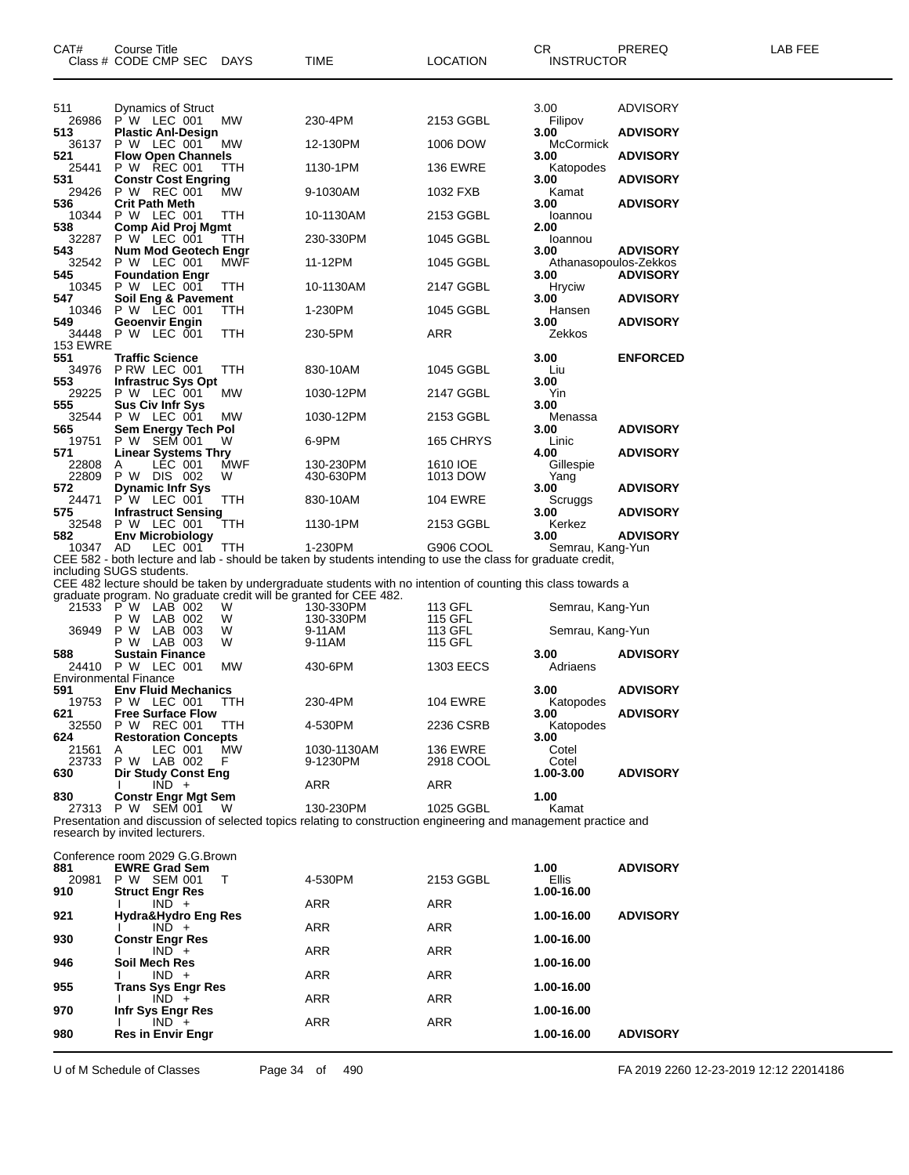| CAT#            | <b>Course Title</b><br>Class # CODE CMP SEC DAYS                  |            | TIME                                                                                                            | <b>LOCATION</b>    | CR.<br><b>INSTRUCTOR</b>      | PREREQ          | LAB FEE |
|-----------------|-------------------------------------------------------------------|------------|-----------------------------------------------------------------------------------------------------------------|--------------------|-------------------------------|-----------------|---------|
| 511             | <b>Dynamics of Struct</b>                                         |            |                                                                                                                 |                    | 3.00                          | <b>ADVISORY</b> |         |
| 26986<br>513    | P W LEC 001<br><b>Plastic Anl-Design</b>                          | MW         | 230-4PM                                                                                                         | 2153 GGBL          | Filipov<br>3.00               | <b>ADVISORY</b> |         |
| 36137<br>521    | P W LEC 001<br><b>Flow Open Channels</b>                          | МW         | 12-130PM                                                                                                        | 1006 DOW           | McCormick<br>3.00             | <b>ADVISORY</b> |         |
| 25441           | P W REC 001                                                       | ттн        | 1130-1PM                                                                                                        | <b>136 EWRE</b>    | Katopodes                     |                 |         |
| 531<br>29426    | <b>Constr Cost Engring</b><br>P W REC 001                         | МW         | 9-1030AM                                                                                                        | 1032 FXB           | 3.00<br>Kamat                 | <b>ADVISORY</b> |         |
| 536<br>10344    | <b>Crit Path Meth</b><br>P W LEC 001                              | TTH        | 10-1130AM                                                                                                       | 2153 GGBL          | 3.00<br>Ioannou               | <b>ADVISORY</b> |         |
| 538<br>32287    | <b>Comp Aid Proj Mgmt</b><br>P W LEC 001                          | TTH        | 230-330PM                                                                                                       | 1045 GGBL          | 2.00<br>Ioannou               |                 |         |
| 543             | Num Mod Geotech Engr<br>32542 P W LEC 001                         | MWF        | 11-12PM                                                                                                         | 1045 GGBL          | 3.00<br>Athanasopoulos-Zekkos | <b>ADVISORY</b> |         |
| 545<br>10345    | <b>Foundation Engr</b><br>P W LEC 001                             | TTH        | 10-1130AM                                                                                                       | 2147 GGBL          | 3.00<br>Hryciw                | <b>ADVISORY</b> |         |
| 547<br>10346    | Soil Eng & Pavement<br>P W LEC 001                                | ттн        | 1-230PM                                                                                                         | 1045 GGBL          | 3.00<br>Hansen                | <b>ADVISORY</b> |         |
| 549             | Geoenvir Engin<br>34448 P W LEC 001                               | TTH        | 230-5PM                                                                                                         | ARR                | 3.00<br>Zekkos                | <b>ADVISORY</b> |         |
| <b>153 EWRE</b> |                                                                   |            |                                                                                                                 |                    |                               |                 |         |
| 551<br>34976    | <b>Traffic Science</b><br>PRW LEC 001                             | TTH        | 830-10AM                                                                                                        | 1045 GGBL          | 3.00<br>Liu                   | <b>ENFORCED</b> |         |
| 553<br>29225    | <b>Infrastruc Sys Opt</b><br>P W LEC 001                          | <b>MW</b>  | 1030-12PM                                                                                                       | 2147 GGBL          | 3.00<br>Yin                   |                 |         |
| 555<br>32544    | <b>Sus Civ Infr Sys</b><br>P W LEC 001                            | <b>MW</b>  | 1030-12PM                                                                                                       | 2153 GGBL          | 3.00<br>Menassa               |                 |         |
| 565<br>19751    | Sem Energy Tech Pol<br>P W SEM 001                                | W          | 6-9PM                                                                                                           | 165 CHRYS          | 3.00<br>Linic                 | <b>ADVISORY</b> |         |
| 571<br>22808    | <b>Linear Systems Thry</b><br>LEC 001<br>A                        | MWF        | 130-230PM                                                                                                       | 1610 IOE           | 4.00<br>Gillespie             | <b>ADVISORY</b> |         |
| 22809<br>572    | P W DIS 002<br><b>Dynamic Infr Sys</b>                            | W          | 430-630PM                                                                                                       | 1013 DOW           | Yang<br>3.00                  | <b>ADVISORY</b> |         |
| 24471           | P W LEC 001                                                       | TTH        | 830-10AM                                                                                                        | <b>104 EWRE</b>    | Scruggs                       |                 |         |
| 575<br>32548    | <b>Infrastruct Sensing</b><br>P W LEC 001                         | ттн        | 1130-1PM                                                                                                        | 2153 GGBL          | 3.00<br>Kerkez                | <b>ADVISORY</b> |         |
| 582<br>10347 AD | <b>Env Microbiology</b><br>LEC 001                                | <b>TTH</b> | 1-230PM                                                                                                         | G906 COOL          | 3.00<br>Semrau, Kang-Yun      | <b>ADVISORY</b> |         |
|                 | including SUGS students.                                          |            | CEE 582 - both lecture and lab - should be taken by students intending to use the class for graduate credit,    |                    |                               |                 |         |
|                 | graduate program. No graduate credit will be granted for CEE 482. |            | CEE 482 lecture should be taken by undergraduate students with no intention of counting this class towards a    |                    |                               |                 |         |
|                 | 21533 P W LAB 002<br>P W<br>LAB 002                               | W<br>W     | 130-330PM<br>130-330PM                                                                                          | 113 GFL<br>115 GFL | Semrau, Kang-Yun              |                 |         |
| 36949           | P W<br>LAB 003<br>P W LAB 003                                     | W<br>W     | 9-11AM<br>9-11AM                                                                                                | 113 GFL<br>115 GFL | Semrau, Kang-Yun              |                 |         |
| 588             | <b>Sustain Finance</b>                                            |            |                                                                                                                 |                    | 3.00                          | <b>ADVISORY</b> |         |
|                 | 24410 P W LEC 001<br><b>Environmental Finance</b>                 | МW         | 430-6PM                                                                                                         | 1303 EECS          | Adriaens                      |                 |         |
| 591             | <b>Env Fluid Mechanics</b><br>19753 P W LEC 001                   | TTH        | 230-4PM                                                                                                         | <b>104 EWRE</b>    | 3.00<br>Katopodes             | <b>ADVISORY</b> |         |
| 621<br>32550    | <b>Free Surface Flow</b><br>P W REC 001                           | TTH        | 4-530PM                                                                                                         | 2236 CSRB          | 3.00<br>Katopodes             | <b>ADVISORY</b> |         |
| 624<br>21561    | <b>Restoration Concepts</b><br>LEC 001<br>A                       | MW         | 1030-1130AM                                                                                                     | <b>136 EWRE</b>    | 3.00<br>Cotel                 |                 |         |
| 23733<br>630    | P W LAB 002<br><b>Dir Study Const Eng</b>                         | F          | 9-1230PM                                                                                                        | 2918 COOL          | Cotel<br>1.00-3.00            | <b>ADVISORY</b> |         |
|                 | $IND +$                                                           |            | ARR                                                                                                             | ARR                |                               |                 |         |
| 830             | <b>Constr Engr Mgt Sem</b><br>27313 P W SEM 001                   | W          | 130-230PM                                                                                                       | 1025 GGBL          | 1.00<br>Kamat                 |                 |         |
|                 | research by invited lecturers.                                    |            | Presentation and discussion of selected topics relating to construction engineering and management practice and |                    |                               |                 |         |
|                 | Conference room 2029 G.G. Brown                                   |            |                                                                                                                 |                    |                               |                 |         |
| 881<br>20981    | <b>EWRE Grad Sem</b><br>P W SEM 001                               | T          | 4-530PM                                                                                                         | 2153 GGBL          | 1.00<br>Ellis                 | <b>ADVISORY</b> |         |
| 910             | <b>Struct Engr Res</b><br>$IND +$                                 |            | ARR                                                                                                             | ARR                | 1.00-16.00                    |                 |         |
| 921             | Hydra&Hydro Eng Res<br>$IND +$                                    |            | <b>ARR</b>                                                                                                      | ARR                | 1.00-16.00                    | <b>ADVISORY</b> |         |
| 930             | <b>Constr Engr Res</b><br>$IND +$                                 |            | <b>ARR</b>                                                                                                      | ARR                | 1.00-16.00                    |                 |         |
| 946             | Soil Mech Res<br>$IND +$                                          |            | ARR                                                                                                             | ARR                | 1.00-16.00                    |                 |         |
| 955             | <b>Trans Sys Engr Res</b><br>$IND +$                              |            | <b>ARR</b>                                                                                                      | ARR                | 1.00-16.00                    |                 |         |
| 970             | Infr Sys Engr Res                                                 |            |                                                                                                                 |                    | 1.00-16.00                    |                 |         |
| 980             | $IND +$<br><b>Res in Envir Engr</b>                               |            | ARR                                                                                                             | ARR                | 1.00-16.00                    | <b>ADVISORY</b> |         |
|                 |                                                                   |            |                                                                                                                 |                    |                               |                 |         |

U of M Schedule of Classes Page 34 of 490 FA 2019 2260 12-23-2019 12:12 22014186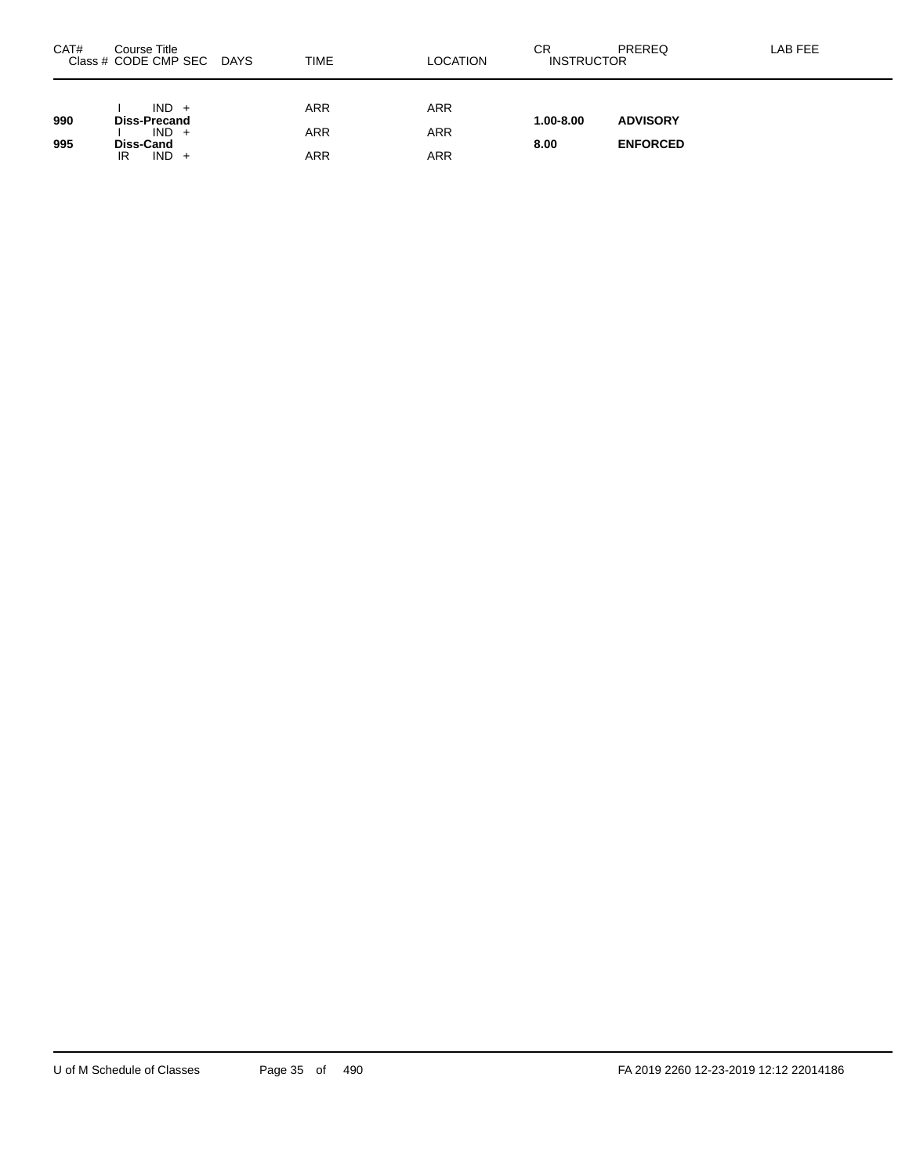| CAT# | Course Title<br>Class # CODE CMP SEC<br><b>DAYS</b> | <b>TIME</b>       | LOCATION          | СR<br><b>INSTRUCTOR</b> | PREREQ          | LAB FEE |
|------|-----------------------------------------------------|-------------------|-------------------|-------------------------|-----------------|---------|
| 990  | $IND +$<br><b>Diss-Precand</b>                      | <b>ARR</b>        | <b>ARR</b>        | $1.00 - 8.00$           | <b>ADVISORY</b> |         |
| 995  | $IND +$<br><b>Diss-Cand</b><br>$IND +$<br>IR        | <b>ARR</b><br>ARR | <b>ARR</b><br>ARR | 8.00                    | <b>ENFORCED</b> |         |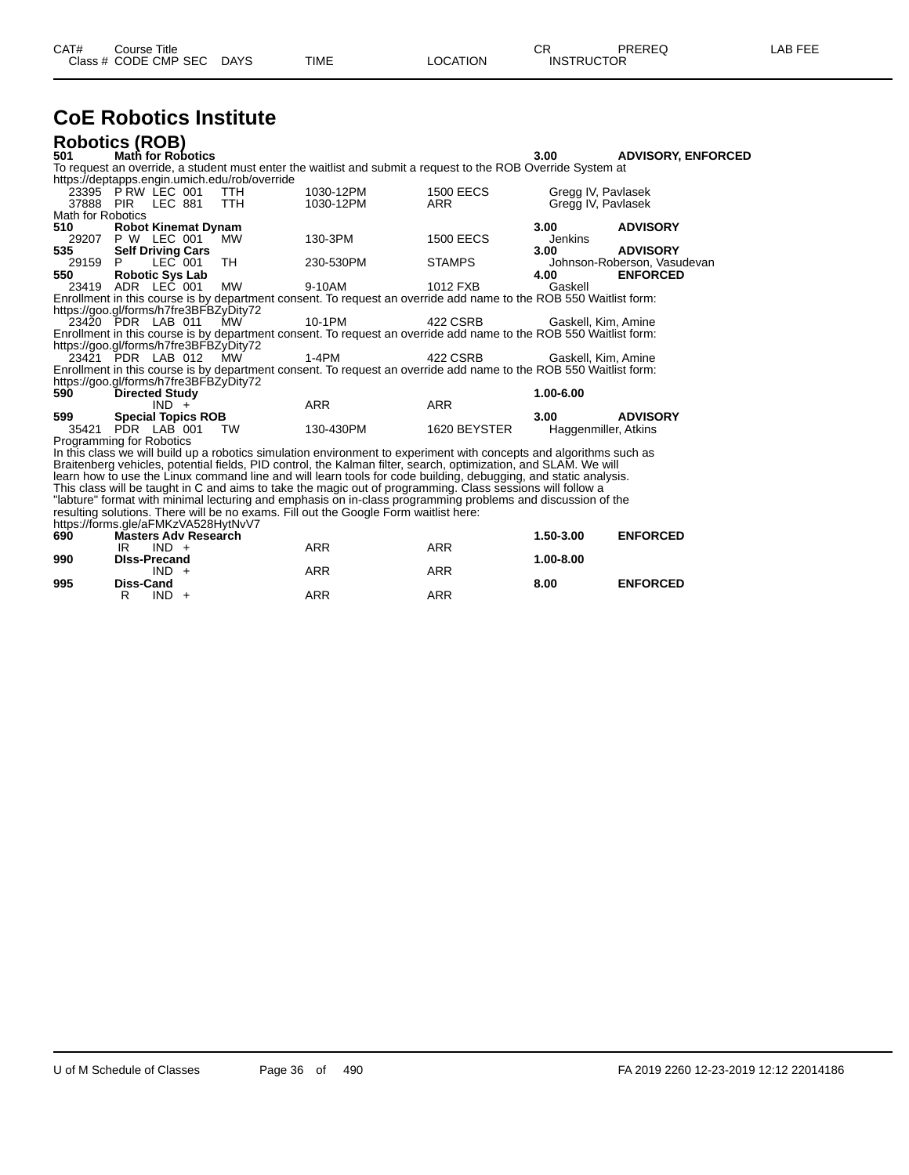| CAT#<br>Course Title      |      |          | rπ<br>◡⊓ | <b>PREREQ</b>     | LAB FEE |
|---------------------------|------|----------|----------|-------------------|---------|
| Class # CODE CMP SEC DAYS | TIME | LOCATION |          | <b>INSTRUCTOR</b> |         |

## **CoE Robotics Institute**

|                   | <b>Robotics (ROB)</b>                         |            |                                                                                                                     |                  |                      |                             |
|-------------------|-----------------------------------------------|------------|---------------------------------------------------------------------------------------------------------------------|------------------|----------------------|-----------------------------|
| 501               | <b>Math for Robotics</b>                      |            |                                                                                                                     |                  | 3.00                 | <b>ADVISORY, ENFORCED</b>   |
|                   |                                               |            | To request an override, a student must enter the waitlist and submit a request to the ROB Override System at        |                  |                      |                             |
|                   | https://deptapps.engin.umich.edu/rob/override |            |                                                                                                                     |                  |                      |                             |
|                   | 23395 P RW LEC 001                            | <b>TTH</b> | 1030-12PM                                                                                                           | <b>1500 EECS</b> | Gregg IV, Pavlasek   |                             |
|                   | 37888 PIR LEC 881                             | <b>TTH</b> | 1030-12PM                                                                                                           | <b>ARR</b>       | Gregg IV, Pavlasek   |                             |
| Math for Robotics |                                               |            |                                                                                                                     |                  |                      |                             |
| 510               | <b>Robot Kinemat Dynam</b>                    |            |                                                                                                                     |                  | 3.00 <sub>1</sub>    | <b>ADVISORY</b>             |
|                   | 29207 P W LEC 001                             | MW         | 130-3PM                                                                                                             | <b>1500 EECS</b> | Jenkins              |                             |
| 535               | <b>Self Driving Cars</b>                      |            |                                                                                                                     |                  | 3.00                 | <b>ADVISORY</b>             |
| 29159             | $LEC$ 001<br>P.                               | TH         | 230-530PM                                                                                                           | <b>STAMPS</b>    |                      | Johnson-Roberson, Vasudevan |
| 550               | <b>Robotic Sys Lab</b>                        |            |                                                                                                                     |                  | 4.00                 | <b>ENFORCED</b>             |
|                   | 23419 ADR LEC 001                             | <b>MW</b>  | 9-10AM                                                                                                              | 1012 FXB         | Gaskell              |                             |
|                   |                                               |            | Enrollment in this course is by department consent. To request an override add name to the ROB 550 Waitlist form:   |                  |                      |                             |
|                   | https://goo.gl/forms/h7fre3BFBZyDity72        |            |                                                                                                                     |                  |                      |                             |
|                   | 23420 PDR LAB 011 MW                          |            | 10-1PM                                                                                                              | 422 CSRB         | Gaskell, Kim, Amine  |                             |
|                   |                                               |            | Enrollment in this course is by department consent. To request an override add name to the ROB 550 Waitlist form:   |                  |                      |                             |
|                   | https://goo.gl/forms/h7fre3BFBZyDity72        |            |                                                                                                                     |                  |                      |                             |
|                   | 23421 PDR LAB 012 MW                          |            | 1-4PM                                                                                                               | 422 CSRB         | Gaskell, Kim, Amine  |                             |
|                   |                                               |            | Enrollment in this course is by department consent. To request an override add name to the ROB 550 Waitlist form:   |                  |                      |                             |
|                   | https://goo.gl/forms/h7fre3BFBZyDity72        |            |                                                                                                                     |                  |                      |                             |
| 590               | <b>Directed Study</b>                         |            |                                                                                                                     |                  | 1.00-6.00            |                             |
|                   | $IND +$                                       |            | <b>ARR</b>                                                                                                          | <b>ARR</b>       |                      |                             |
| 599               | <b>Special Topics ROB</b>                     |            |                                                                                                                     |                  | 3.00                 | <b>ADVISORY</b>             |
|                   | 35421 PDR LAB 001                             | TW         | 130-430PM                                                                                                           | 1620 BEYSTER     | Haggenmiller, Atkins |                             |
|                   | Programming for Robotics                      |            |                                                                                                                     |                  |                      |                             |
|                   |                                               |            | In this class we will build up a robotics simulation environment to experiment with concepts and algorithms such as |                  |                      |                             |
|                   |                                               |            | Braitenberg vehicles, potential fields, PID control, the Kalman filter, search, optimization, and SLAM. We will     |                  |                      |                             |
|                   |                                               |            | learn how to use the Linux command line and will learn tools for code building, debugging, and static analysis.     |                  |                      |                             |
|                   |                                               |            | This class will be taught in C and aims to take the magic out of programming. Class sessions will follow a          |                  |                      |                             |
|                   |                                               |            | "labture" format with minimal lecturing and emphasis on in-class programming problems and discussion of the         |                  |                      |                             |
|                   |                                               |            | resulting solutions. There will be no exams. Fill out the Google Form waitlist here:                                |                  |                      |                             |
|                   | https://forms.gle/aFMKzVA528HytNvV7           |            |                                                                                                                     |                  |                      |                             |
| 690               | <b>Masters Adv Research</b>                   |            |                                                                                                                     |                  | 1.50-3.00            | <b>ENFORCED</b>             |
|                   | IR.<br>$IND +$                                |            | <b>ARR</b>                                                                                                          | <b>ARR</b>       |                      |                             |
| 990               | <b>DIss-Precand</b>                           |            |                                                                                                                     |                  | 1.00-8.00            |                             |
|                   | $IND +$                                       |            | <b>ARR</b>                                                                                                          | <b>ARR</b>       |                      |                             |
| 995               | Diss-Cand                                     |            |                                                                                                                     |                  | 8.00                 | <b>ENFORCED</b>             |

R IND + ARR ARR ARR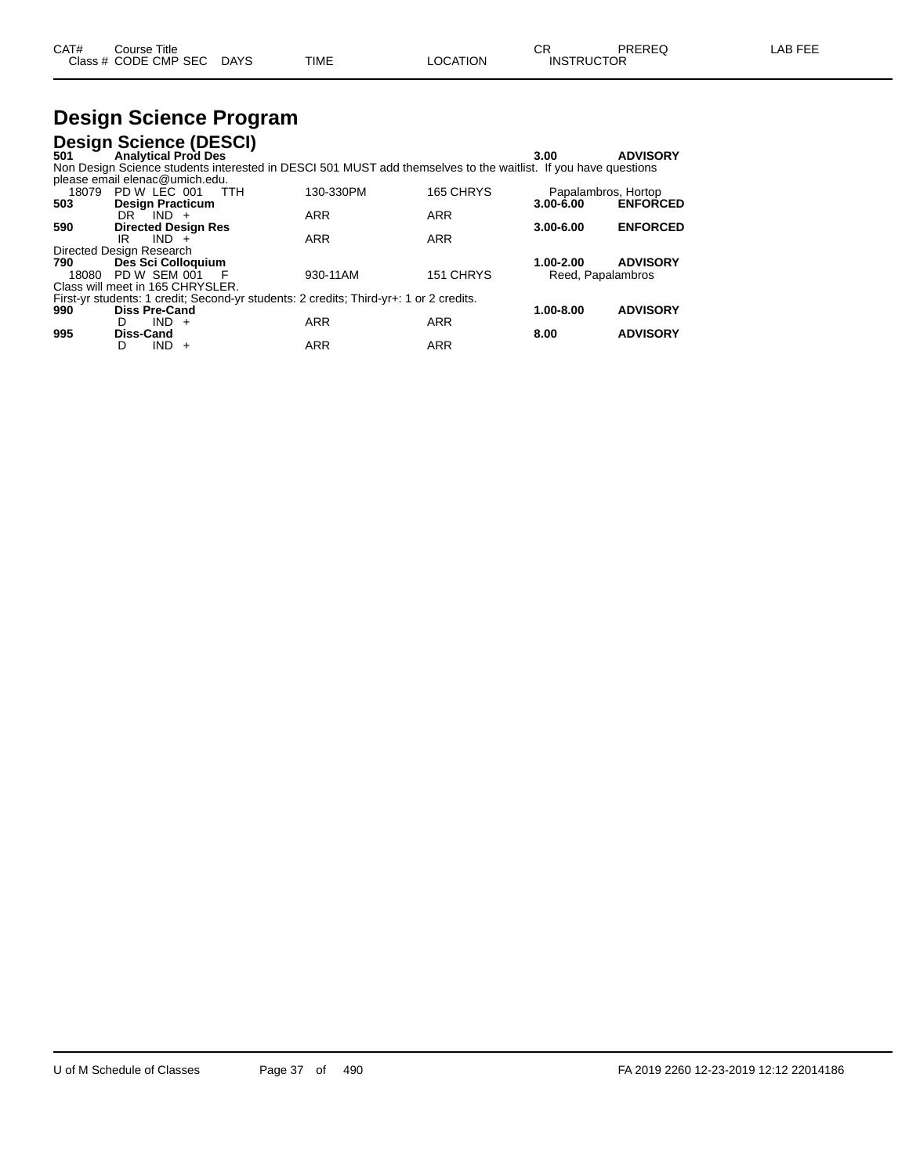| CAT# | Course Title         |             |      |          | ⌒冖<br>◡⊓          | PREREQ | AR FFF |
|------|----------------------|-------------|------|----------|-------------------|--------|--------|
|      | Class # CODE CMP SEC | <b>DAYS</b> | TIME | LOCATION | <b>INSTRUCTOR</b> |        |        |

### **Design Science Program**

|                          |           | <b>Design Science (DESCI)</b>    |            |                                                                                                                |            |                     |                 |
|--------------------------|-----------|----------------------------------|------------|----------------------------------------------------------------------------------------------------------------|------------|---------------------|-----------------|
| 501                      |           | <b>Analytical Prod Des</b>       |            |                                                                                                                |            | 3.00                | <b>ADVISORY</b> |
|                          |           |                                  |            | Non Design Science students interested in DESCI 501 MUST add themselves to the waitlist. If you have questions |            |                     |                 |
|                          |           | please email elenac@umich.edu.   |            |                                                                                                                |            |                     |                 |
|                          |           | 18079 PD W LEC 001               | <b>TTH</b> | 130-330PM                                                                                                      | 165 CHRYS  | Papalambros, Hortop |                 |
| 503                      |           | <b>Design Practicum</b>          |            |                                                                                                                |            | $3.00 - 6.00$       | <b>ENFORCED</b> |
|                          |           | $DR$ $IND +$                     |            | <b>ARR</b>                                                                                                     | <b>ARR</b> |                     |                 |
| 590                      |           | <b>Directed Design Res</b>       |            |                                                                                                                |            | $3.00 - 6.00$       | <b>ENFORCED</b> |
|                          | IR        | $IND +$                          |            | <b>ARR</b>                                                                                                     | <b>ARR</b> |                     |                 |
| Directed Design Research |           |                                  |            |                                                                                                                |            |                     |                 |
| 790                      |           | Des Sci Colloquium               |            |                                                                                                                |            | 1.00-2.00           | <b>ADVISORY</b> |
| 18080                    |           | PD W SEM 001                     | F          | 930-11AM                                                                                                       | 151 CHRYS  | Reed, Papalambros   |                 |
|                          |           | Class will meet in 165 CHRYSLER. |            |                                                                                                                |            |                     |                 |
|                          |           |                                  |            | First-yr students: 1 credit: Second-yr students: 2 credits: Third-yr+: 1 or 2 credits.                         |            |                     |                 |
| 990                      |           | <b>Diss Pre-Cand</b>             |            |                                                                                                                |            | $1.00 - 8.00$       | <b>ADVISORY</b> |
|                          | D.        | IND.<br>$+$                      |            | <b>ARR</b>                                                                                                     | <b>ARR</b> |                     |                 |
| 995                      | Diss-Cand |                                  |            |                                                                                                                |            | 8.00                | <b>ADVISORY</b> |
|                          | D         | <b>IND</b><br>$\div$             |            | <b>ARR</b>                                                                                                     | <b>ARR</b> |                     |                 |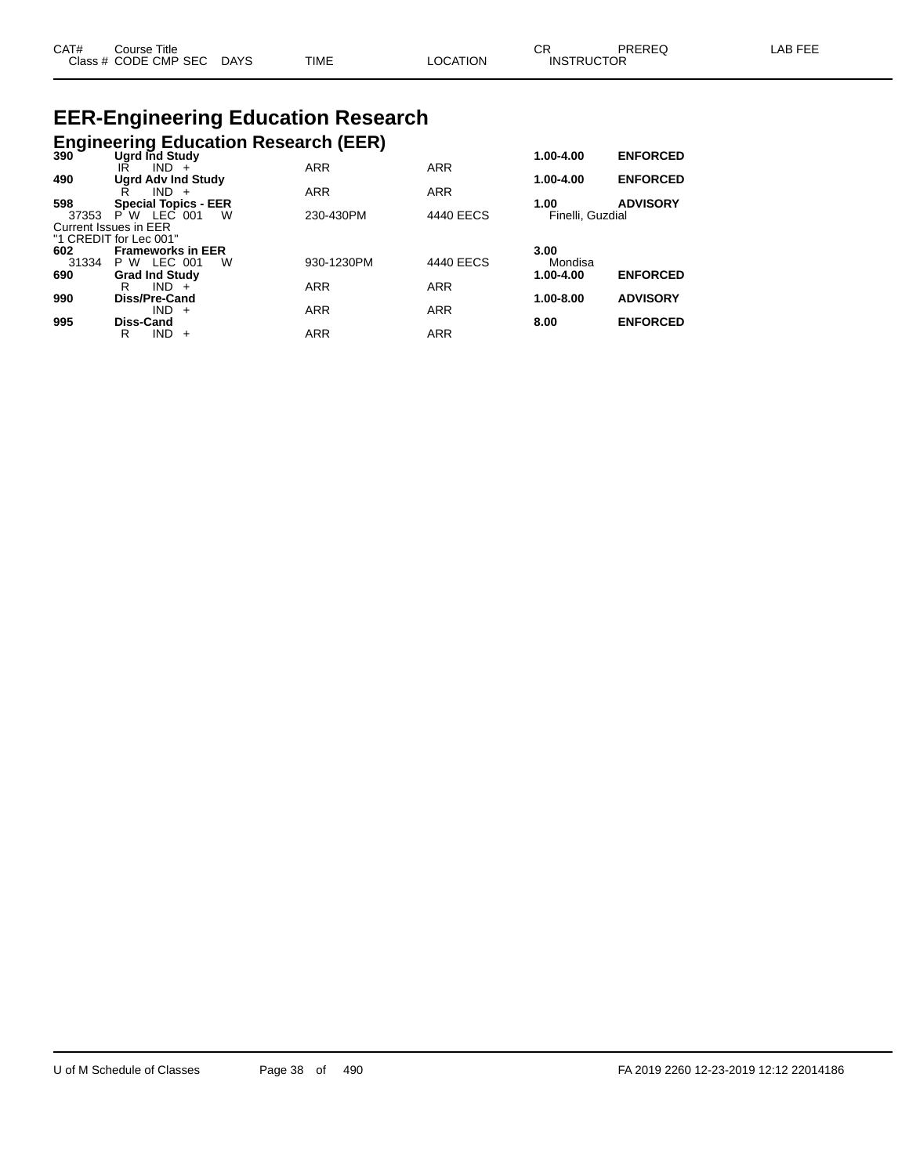| CAT# | Course Title              |             |                 | CR                | PREREQ | LAB FEE |
|------|---------------------------|-------------|-----------------|-------------------|--------|---------|
|      | Class # CODE CMP SEC DAYS | <b>TIME</b> | <b>LOCATION</b> | <b>INSTRUCTOR</b> |        |         |

# **EER-Engineering Education Research**

|              |                                                 | <b>Engineering Education Research (EER)</b> |            |                          |                 |
|--------------|-------------------------------------------------|---------------------------------------------|------------|--------------------------|-----------------|
| 390          | Ugrd Ind Study                                  |                                             |            | $1.00 - 4.00$            | <b>ENFORCED</b> |
|              | $IND +$<br>IR                                   | <b>ARR</b>                                  | <b>ARR</b> |                          |                 |
| 490          | <b>Ugrd Adv Ind Study</b>                       |                                             |            | 1.00-4.00                | <b>ENFORCED</b> |
|              | $IND +$<br>R                                    | <b>ARR</b>                                  | <b>ARR</b> |                          |                 |
| 598<br>37353 | <b>Special Topics - EER</b><br>P W LEC 001<br>W | 230-430PM                                   | 4440 EECS  | 1.00<br>Finelli, Guzdial | <b>ADVISORY</b> |
|              | Current Issues in EER                           |                                             |            |                          |                 |
|              | "1 CREDIT for Lec 001"                          |                                             |            |                          |                 |
| 602          | <b>Frameworks in EER</b>                        |                                             |            | 3.00                     |                 |
| 31334        | P W LEC 001<br>W                                | 930-1230PM                                  | 4440 EECS  | Mondisa                  |                 |
| 690          | <b>Grad Ind Study</b>                           |                                             |            | 1.00-4.00                | <b>ENFORCED</b> |
|              | $IND +$<br>R                                    | <b>ARR</b>                                  | <b>ARR</b> |                          |                 |
| 990          | Diss/Pre-Cand                                   |                                             |            | $1.00 - 8.00$            | <b>ADVISORY</b> |
|              | $IND +$                                         | <b>ARR</b>                                  | <b>ARR</b> |                          |                 |
| 995          | Diss-Cand<br><b>IND</b><br>R                    | <b>ARR</b>                                  | <b>ARR</b> | 8.00                     | <b>ENFORCED</b> |
|              | $+$                                             |                                             |            |                          |                 |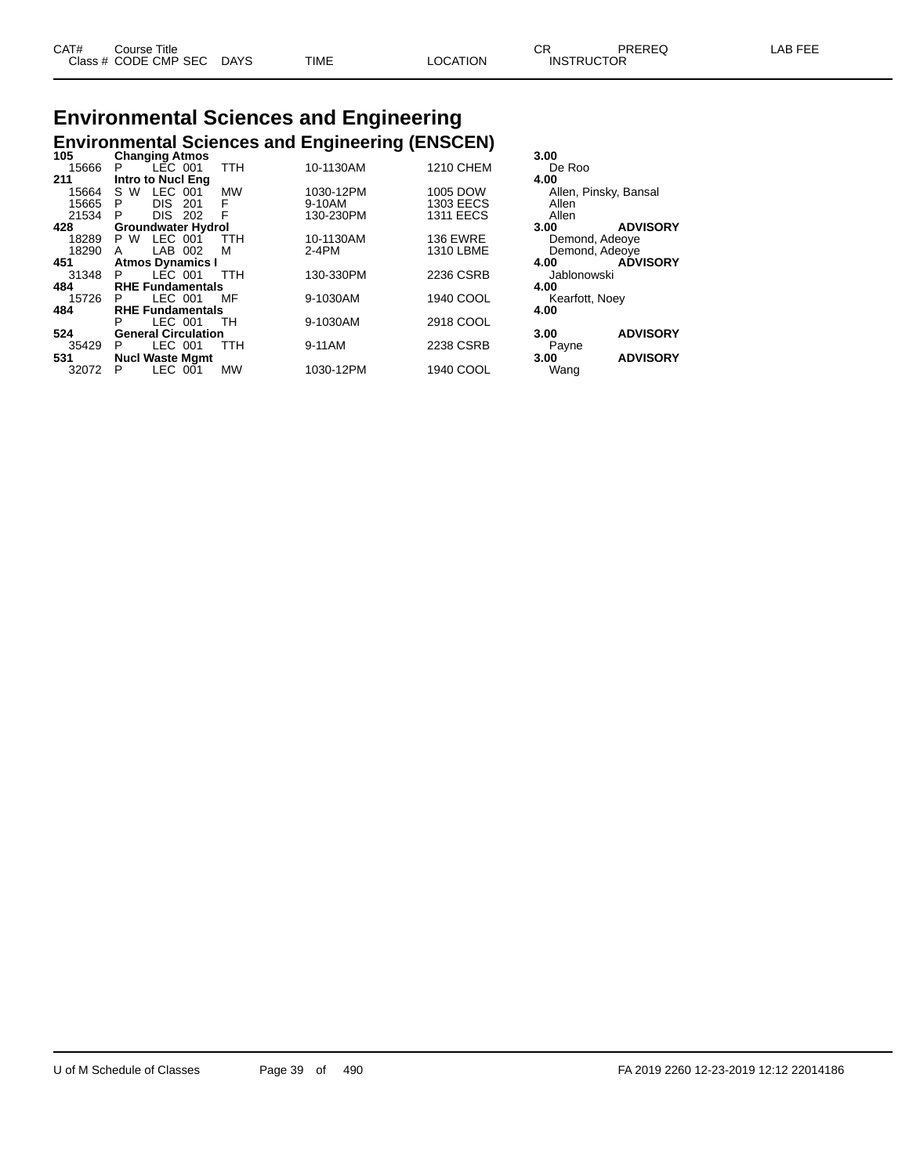### **Environmental Sciences and Engineering Environmental Sciences and Engineering (ENSCEN) 105 Changing Atmos 3.00**

| าบว   | <b>Changing Atmos</b>      |            |           |                  | 3.UU                    |
|-------|----------------------------|------------|-----------|------------------|-------------------------|
| 15666 | LEC 001<br>P.              | TTH        | 10-1130AM | <b>1210 CHEM</b> | De Roo                  |
| 211   | <b>Intro to Nucl Eng</b>   |            |           |                  | 4.00                    |
| 15664 | LEC.<br>S W<br>001         | <b>MW</b>  | 1030-12PM | 1005 DOW         | Allen, Pinsky, Bansal   |
| 15665 | <b>DIS</b><br>P<br>201     | F          | 9-10AM    | <b>1303 EECS</b> | Allen                   |
| 21534 | <b>DIS</b><br>P<br>202     | F          | 130-230PM | <b>1311 EECS</b> | Allen                   |
| 428   | <b>Groundwater Hydrol</b>  |            |           |                  | <b>ADVISORY</b><br>3.00 |
| 18289 | LEC 001<br>P W             | <b>TTH</b> | 10-1130AM | <b>136 EWRE</b>  | Demond, Adeoye          |
| 18290 | LAB 002<br>A               | м          | $2-4PM$   | 1310 LBME        | Demond, Adeove          |
| 451   | <b>Atmos Dynamics I</b>    |            |           |                  | <b>ADVISORY</b><br>4.00 |
| 31348 | LÉC 001<br>P.              | TTH        | 130-330PM | 2236 CSRB        | Jablonowski             |
| 484   | <b>RHE Fundamentals</b>    |            |           |                  | 4.00                    |
| 15726 | LEC 001<br>P.              | MF         | 9-1030AM  | 1940 COOL        | Kearfott, Noey          |
| 484   | <b>RHE Fundamentals</b>    |            |           |                  | 4.00                    |
|       | LEC 001<br>P               | TH         | 9-1030AM  | 2918 COOL        |                         |
| 524   | <b>General Circulation</b> |            |           |                  | <b>ADVISORY</b><br>3.00 |
| 35429 | LEC 001<br>P.              | TTH        | 9-11AM    | 2238 CSRB        | Payne                   |
| 531   | <b>Nucl Waste Mgmt</b>     |            |           |                  | <b>ADVISORY</b><br>3.00 |
| 32072 | LEC 001<br>Р               | <b>MW</b>  | 1030-12PM | 1940 COOL        | Wang                    |
|       |                            |            |           |                  |                         |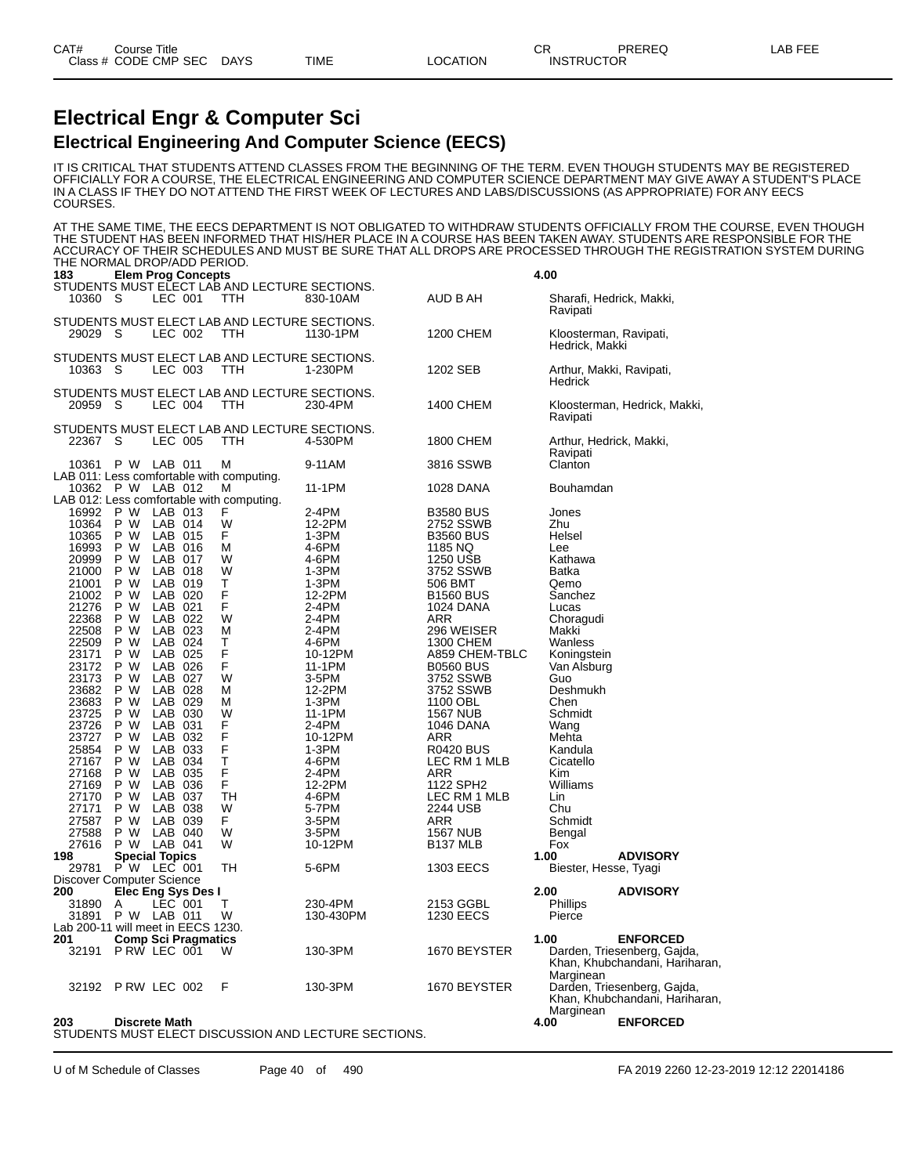### **Electrical Engr & Computer Sci Electrical Engineering And Computer Science (EECS)**

IT IS CRITICAL THAT STUDENTS ATTEND CLASSES FROM THE BEGINNING OF THE TERM. EVEN THOUGH STUDENTS MAY BE REGISTERED OFFICIALLY FOR A COURSE, THE ELECTRICAL ENGINEERING AND COMPUTER SCIENCE DEPARTMENT MAY GIVE AWAY A STUDENT'S PLACE IN A CLASS IF THEY DO NOT ATTEND THE FIRST WEEK OF LECTURES AND LABS/DISCUSSIONS (AS APPROPRIATE) FOR ANY EECS COURSES.

AT THE SAME TIME, THE EECS DEPARTMENT IS NOT OBLIGATED TO WITHDRAW STUDENTS OFFICIALLY FROM THE COURSE, EVEN THOUGH THE STUDENT HAS BEEN INFORMED THAT HIS/HER PLACE IN A COURSE HAS BEEN TAKEN AWAY. STUDENTS ARE RESPONSIBLE FOR THE ACCURACY OF THEIR SCHEDULES AND MUST BE SURE THAT ALL DROPS ARE PROCESSED THROUGH THE REGISTRATION SYSTEM DURING THE NORMAL DROP/ADD PERIOD.

| 183            | <b>Elem Prog Concepts</b>                                                                                   |                                                             |                   |                                    | 4.00                                     |                                                               |
|----------------|-------------------------------------------------------------------------------------------------------------|-------------------------------------------------------------|-------------------|------------------------------------|------------------------------------------|---------------------------------------------------------------|
| 10360          | - S<br>LEC 001                                                                                              | STUDENTS MUST ELECT LAB AND LECTURE SECTIONS.<br><b>TTH</b> | 830-10AM          | AUD B AH                           | Sharafi, Hedrick, Makki,<br>Ravipati     |                                                               |
| 29029 S        | LEC 002                                                                                                     | STUDENTS MUST ELECT LAB AND LECTURE SECTIONS.<br>TTH        | 1130-1PM          | 1200 CHEM                          | Kloosterman, Ravipati,<br>Hedrick, Makki |                                                               |
| 10363 S        | LEC 003                                                                                                     | STUDENTS MUST ELECT LAB AND LECTURE SECTIONS.<br>TTH        | 1-230PM           | 1202 SEB                           | Arthur, Makki, Ravipati,<br>Hedrick      |                                                               |
| 20959 S        | LEC 004                                                                                                     | STUDENTS MUST ELECT LAB AND LECTURE SECTIONS.<br>TTH        | 230-4PM           | 1400 CHEM                          | Ravipati                                 | Kloosterman, Hedrick, Makki,                                  |
| 22367          | - S<br>LEC 005                                                                                              | STUDENTS MUST ELECT LAB AND LECTURE SECTIONS.<br>TTH        | 4-530PM           | 1800 CHEM                          | Arthur, Hedrick, Makki,<br>Ravipati      |                                                               |
| 10361          | P W LAB 011                                                                                                 | м                                                           | 9-11AM            | 3816 SSWB                          | Clanton                                  |                                                               |
|                | LAB 011: Less comfortable with computing.<br>10362 P W LAB 012<br>LAB 012: Less comfortable with computing. | M                                                           | 11-1PM            | 1028 DANA                          | Bouhamdan                                |                                                               |
| 16992          | P W<br>LAB 013                                                                                              | F                                                           | 2-4PM             | <b>B3580 BUS</b>                   | Jones                                    |                                                               |
| 10364          | P W<br>LAB 014                                                                                              | W                                                           | 12-2PM            | 2752 SSWB                          | Zhu                                      |                                                               |
| 10365          | P W<br>LAB 015                                                                                              | F                                                           | $1-3PM$           | <b>B3560 BUS</b>                   | Helsel                                   |                                                               |
| 16993          | P W<br>LAB 016                                                                                              | м                                                           | 4-6PM             | 1185 NQ                            | Lee                                      |                                                               |
| 20999<br>21000 | P W<br>LAB 017<br>P W<br>LAB 018                                                                            | w<br>W                                                      | 4-6PM<br>$1-3PM$  | 1250 USB<br>3752 SSWB              | Kathawa<br>Batka                         |                                                               |
| 21001          | P W<br>LAB 019                                                                                              | т                                                           | 1-3PM             | 506 BMT                            | Qemo                                     |                                                               |
| 21002          | P W<br>LAB 020                                                                                              | F                                                           | 12-2PM            | <b>B1560 BUS</b>                   | Sanchez                                  |                                                               |
| 21276          | P W<br>LAB 021                                                                                              | F                                                           | 2-4PM             | 1024 DANA                          | Lucas                                    |                                                               |
| 22368          | P W<br>LAB 022                                                                                              | W                                                           | 2-4PM             | ARR                                | Choragudi                                |                                                               |
| 22508          | P W<br>LAB 023                                                                                              | М                                                           | 2-4PM             | 296 WEISER                         | Makki                                    |                                                               |
| 22509          | P W<br>LAB 024<br>P W<br>LAB 025                                                                            | т<br>F                                                      | 4-6PM             | 1300 CHEM                          | Wanless                                  |                                                               |
| 23171<br>23172 | P W<br>LAB 026                                                                                              | F                                                           | 10-12PM<br>11-1PM | A859 CHEM-TBLC<br><b>B0560 BUS</b> | Koningstein<br>Van Alsburg               |                                                               |
| 23173          | P W<br>LAB 027                                                                                              | W                                                           | 3-5PM             | 3752 SSWB                          | Guo                                      |                                                               |
| 23682          | P W<br>LAB 028                                                                                              | M                                                           | 12-2PM            | 3752 SSWB                          | Deshmukh                                 |                                                               |
| 23683          | P W<br>LAB 029                                                                                              | М                                                           | 1-3PM             | 1100 OBL                           | Chen                                     |                                                               |
| 23725          | LAB 030<br>P W                                                                                              | W                                                           | 11-1PM            | <b>1567 NUB</b>                    | Schmidt                                  |                                                               |
| 23726          | P W<br>LAB 031                                                                                              | F                                                           | 2-4PM             | 1046 DANA                          | Wang                                     |                                                               |
| 23727          | P W<br>LAB 032                                                                                              | F                                                           | 10-12PM           | ARR                                | Mehta                                    |                                                               |
| 25854<br>27167 | P W<br>LAB 033<br>P W<br>LAB 034                                                                            | F<br>T                                                      | 1-3PM<br>4-6PM    | <b>R0420 BUS</b><br>LEC RM 1 MLB   | Kandula<br>Cicatello                     |                                                               |
| 27168          | LAB 035<br>P W                                                                                              | F                                                           | 2-4PM             | ARR                                | Kim                                      |                                                               |
| 27169          | P W<br>LAB 036                                                                                              | F                                                           | 12-2PM            | 1122 SPH2                          | Williams                                 |                                                               |
| 27170          | P W<br>LAB 037                                                                                              | TН                                                          | 4-6PM             | LEC RM 1 MLB                       | Lin.                                     |                                                               |
| 27171          | P W<br>LAB 038                                                                                              | W                                                           | 5-7PM             | 2244 USB                           | Chu                                      |                                                               |
| 27587          | P W<br>LAB 039<br>P W                                                                                       | F                                                           | 3-5PM             | ARR                                | Schmidt                                  |                                                               |
| 27588<br>27616 | LAB 040<br>P W<br>LAB 041                                                                                   | W<br>W                                                      | 3-5PM<br>10-12PM  | 1567 NUB<br>B <sub>137</sub> MLB   | Bengal<br>Fox                            |                                                               |
| 198            | <b>Special Topics</b>                                                                                       |                                                             |                   |                                    | 1.00                                     | <b>ADVISORY</b>                                               |
| 29781          | P W LEC 001                                                                                                 | TН                                                          | 5-6PM             | 1303 EECS                          | Biester, Hesse, Tyagi                    |                                                               |
|                | Discover Computer Science                                                                                   |                                                             |                   |                                    |                                          |                                                               |
| 200            | Elec Eng Sys Des I                                                                                          |                                                             |                   |                                    | 2.00                                     | <b>ADVISORY</b>                                               |
| 31890          | A<br>LEC 001                                                                                                | т                                                           | 230-4PM           | 2153 GGBL                          | Phillips                                 |                                                               |
| 31891          | P W LAB 011                                                                                                 | W                                                           | 130-430PM         | <b>1230 EECS</b>                   | Pierce                                   |                                                               |
| 201            | Lab 200-11 will meet in EECS 1230.<br><b>Comp Sci Pragmatics</b>                                            |                                                             |                   |                                    | 1.00                                     | <b>ENFORCED</b>                                               |
| 32191          | PRW LEC 001                                                                                                 | w                                                           | 130-3PM           | 1670 BEYSTER                       |                                          | Darden, Triesenberg, Gajda,<br>Khan, Khubchandani, Hariharan, |
|                | 32192 P RW LEC 002                                                                                          | F                                                           | 130-3PM           | 1670 BEYSTER                       | Marginean<br>Marginean                   | Darden, Triesenberg, Gajda,<br>Khan, Khubchandani, Hariharan, |
| 203            | <b>Discrete Math</b>                                                                                        |                                                             |                   |                                    | 4.00                                     | <b>ENFORCED</b>                                               |

**203 Discrete Math 4.00 ENFORCED**

STUDENTS MUST ELECT DISCUSSION AND LECTURE SECTIONS.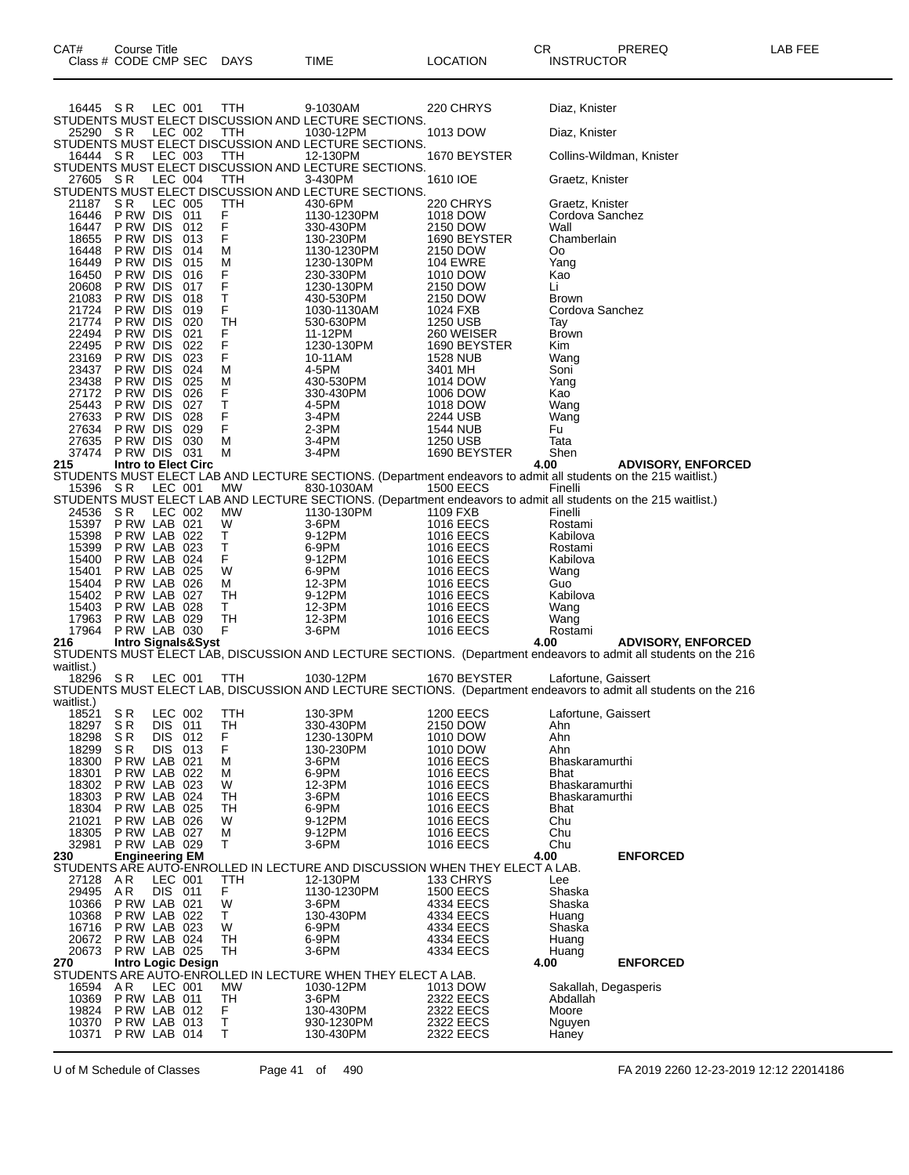| 16445 SR       |                             | LEC 001            |                               | TTH           | 9-1030AM                                                                                                        |                             | 220 CHRYS                            | Diaz, Knister          |                                                                                                                                               |
|----------------|-----------------------------|--------------------|-------------------------------|---------------|-----------------------------------------------------------------------------------------------------------------|-----------------------------|--------------------------------------|------------------------|-----------------------------------------------------------------------------------------------------------------------------------------------|
| 25290 SR       |                             | LEC 002            |                               | TTH           | STUDENTS MUST ELECT DISCUSSION AND LECTURE SECTIONS.<br>1030-12PM                                               |                             | 1013 DOW                             | Diaz, Knister          |                                                                                                                                               |
|                |                             |                    |                               |               | STUDENTS MUST ELECT DISCUSSION AND LECTURE SECTIONS.                                                            |                             |                                      |                        |                                                                                                                                               |
| 16444 SR       |                             | LEC 003            |                               | TTH           | 12-130PM<br>STUDENTS MUST ELECT DISCUSSION AND LECTURE SECTIONS.                                                |                             | 1670 BEYSTER                         |                        | Collins-Wildman, Knister                                                                                                                      |
| 27605 SR       |                             | LEC 004            |                               | TTH           | 3-430PM                                                                                                         | 1610 IOE                    |                                      | Graetz, Knister        |                                                                                                                                               |
|                |                             |                    |                               |               | STUDENTS MUST ELECT DISCUSSION AND LECTURE SECTIONS.                                                            |                             |                                      |                        |                                                                                                                                               |
| 21187<br>16446 | S R<br>PRW DIS 011          | LEC 005            |                               | TTH           | 430-6PM<br>1130-1230PM                                                                                          |                             | 220 CHRYS<br>1018 DOW                | Graetz, Knister        | Cordova Sanchez                                                                                                                               |
| 16447          | P RW DIS                    |                    | 012                           | F<br>F        | 330-430PM                                                                                                       | 2150 DOW                    |                                      | Wall                   |                                                                                                                                               |
| 18655<br>16448 | P RW DIS<br>P RW DIS        |                    | 013<br>014                    | F<br>М        | 130-230PM<br>1130-1230PM                                                                                        |                             | 1690 BEYSTER                         | Chamberlain<br>Οo      |                                                                                                                                               |
| 16449          | P RW DIS                    |                    | 015                           | M             | 1230-130PM                                                                                                      | 2150 DOW<br><b>104 EWRE</b> |                                      | Yang                   |                                                                                                                                               |
| 16450          | P RW DIS                    |                    | 016                           | F             | 230-330PM                                                                                                       | 1010 DOW                    |                                      | Kao                    |                                                                                                                                               |
| 20608<br>21083 | P RW DIS<br>P RW DIS        |                    | 017<br>018                    | $\frac{F}{T}$ | 1230-130PM<br>430-530PM                                                                                         | 2150 DOW<br>2150 DOW        |                                      | Li<br><b>Brown</b>     |                                                                                                                                               |
| 21724          | P RW DIS                    |                    | 019                           | F             | 1030-1130AM                                                                                                     | 1024 FXB                    |                                      |                        | Cordova Sanchez                                                                                                                               |
| 21774          | P RW DIS                    |                    | 020                           | TН            | 530-630PM                                                                                                       | 1250 USB                    |                                      | Tay                    |                                                                                                                                               |
| 22494<br>22495 | P RW DIS<br>P RW DIS        |                    | 021<br>022                    | F<br>F        | 11-12PM<br>1230-130PM                                                                                           |                             | 260 WEISER<br>1690 BEYSTER           | <b>Brown</b><br>Kim    |                                                                                                                                               |
| 23169          | P RW DIS                    |                    | 023                           | F             | 10-11AM                                                                                                         | 1528 NUB                    |                                      | Wang                   |                                                                                                                                               |
| 23437          | P RW DIS<br>P RW DIS        |                    | 024                           | М<br>М        | 4-5PM                                                                                                           | 3401 MH                     |                                      | Soni                   |                                                                                                                                               |
| 23438<br>27172 | P RW DIS                    |                    | 025<br>026                    | F             | 430-530PM<br>330-430PM                                                                                          | 1014 DOW<br>1006 DOW        |                                      | Yang<br>Kao            |                                                                                                                                               |
| 25443          | P RW DIS                    |                    | 027                           | Τ,            | 4-5PM                                                                                                           | 1018 DOW                    |                                      | Wang                   |                                                                                                                                               |
| 27633<br>27634 | P RW DIS<br>P RW DIS        |                    | 028<br>029                    | F<br>F        | 3-4PM<br>$2-3PM$                                                                                                | 2244 USB                    |                                      | Wang<br>Fu             |                                                                                                                                               |
| 27635          | P RW DIS                    |                    | 030                           | М             | 3-4PM                                                                                                           | 1544 NUB<br>1250 USB        |                                      | Tata                   |                                                                                                                                               |
| 37474          | PRW DIS 031                 |                    |                               | М             | 3-4PM                                                                                                           |                             | 1690 BEYSTER                         | Shen                   |                                                                                                                                               |
| 215            | <b>Intro to Elect Circ</b>  |                    |                               |               | STUDENTS MUST ELECT LAB AND LECTURE SECTIONS. (Department endeavors to admit all students on the 215 waitlist.) |                             | 4.00                                 |                        | <b>ADVISORY, ENFORCED</b>                                                                                                                     |
| 15396          | S R                         | LEC 001            |                               | MW            | 830-1030AM                                                                                                      |                             | <b>1500 EECS</b>                     | Finelli                |                                                                                                                                               |
|                |                             |                    |                               |               | STUDENTS MUST ELECT LAB AND LECTURE SECTIONS. (Department endeavors to admit all students on the 215 waitlist.) |                             |                                      |                        |                                                                                                                                               |
| 24536<br>15397 | S R<br>PRW LAB 021          | LEC 002            |                               | МW<br>W       | 1130-130PM<br>3-6PM                                                                                             | 1109 FXB                    | 1016 EECS                            | Finelli<br>Rostami     |                                                                                                                                               |
| 15398          | PRW LAB 022                 |                    |                               | Т             | 9-12PM                                                                                                          |                             | 1016 EECS                            | Kabilova               |                                                                                                                                               |
| 15399          | P RW LAB 023                |                    |                               | т             | 6-9PM                                                                                                           |                             | <b>1016 EECS</b>                     | Rostami                |                                                                                                                                               |
| 15400<br>15401 | PRW LAB 024<br>P RW LAB 025 |                    |                               | F<br>W        | 9-12PM<br>6-9PM                                                                                                 |                             | 1016 EECS<br>1016 EECS               | Kabilova<br>Wang       |                                                                                                                                               |
| 15404          | PRW LAB 026                 |                    |                               | М             | 12-3PM                                                                                                          |                             | <b>1016 EECS</b>                     | Guo                    |                                                                                                                                               |
| 15402          | PRW LAB 027                 |                    |                               | TН            | 9-12PM                                                                                                          |                             | 1016 EECS                            | Kabilova               |                                                                                                                                               |
| 15403<br>17963 | PRW LAB 028<br>PRW LAB 029  |                    |                               | Τ<br>TH       | 12-3PM<br>12-3PM                                                                                                |                             | 1016 EECS<br><b>1016 EECS</b>        | Wang<br>Wang           |                                                                                                                                               |
| 17964          | P RW LAB 030                |                    |                               | F             | 3-6PM                                                                                                           |                             | <b>1016 EECS</b>                     | Rostami                |                                                                                                                                               |
| 216            |                             |                    | <b>Intro Signals&amp;Syst</b> |               |                                                                                                                 |                             | 4.00                                 |                        | <b>ADVISORY, ENFORCED</b><br>STUDENTS MUST ELECT LAB, DISCUSSION AND LECTURE SECTIONS. (Department endeavors to admit all students on the 216 |
| waitlist.)     |                             |                    |                               |               |                                                                                                                 |                             |                                      |                        |                                                                                                                                               |
| 18296 SR       |                             | LEC 001            |                               | <b>TTH</b>    | 1030-12PM                                                                                                       |                             | 1670 BEYSTER                         |                        | Lafortune, Gaissert                                                                                                                           |
| waitlist.)     |                             |                    |                               |               |                                                                                                                 |                             |                                      |                        | STUDENTS MUST ELECT LAB, DISCUSSION AND LECTURE SECTIONS. (Department endeavors to admit all students on the 216                              |
| 18521          | S R                         | LEC 002            |                               | ттн           | 130-3PM                                                                                                         |                             | 1200 EECS                            |                        | Lafortune, Gaissert                                                                                                                           |
| 18297          | S <sub>R</sub>              | DIS 011            |                               | TН            | 330-430PM                                                                                                       | 2150 DOW                    |                                      | Ahn                    |                                                                                                                                               |
| 18298<br>18299 | S R<br>S R                  | DIS 012<br>DIS 013 |                               | F<br>F        | 1230-130PM<br>130-230PM                                                                                         | 1010 DOW                    | 1010 DOW                             | Ahn<br>Ahn             |                                                                                                                                               |
| 18300          | PRW LAB 021                 |                    |                               | м             | 3-6PM                                                                                                           |                             | 1016 EECS                            | Bhaskaramurthi         |                                                                                                                                               |
| 18301<br>18302 | P RW LAB 022<br>PRW LAB 023 |                    |                               | М<br>W        | 6-9PM<br>12-3PM                                                                                                 |                             | <b>1016 EECS</b><br><b>1016 EECS</b> | Bhat<br>Bhaskaramurthi |                                                                                                                                               |
| 18303          | PRW LAB 024                 |                    |                               | TН            | 3-6PM                                                                                                           |                             | <b>1016 EECS</b>                     | Bhaskaramurthi         |                                                                                                                                               |
| 18304          | P RW LAB 025                |                    |                               | TН            | 6-9PM                                                                                                           |                             | <b>1016 EECS</b>                     | <b>Bhat</b>            |                                                                                                                                               |
| 21021<br>18305 | PRW LAB 026<br>PRW LAB 027  |                    |                               | W<br>М        | 9-12PM<br>9-12PM                                                                                                |                             | <b>1016 EECS</b><br>1016 EECS        | Chu<br>Chu             |                                                                                                                                               |
| 32981          | P RW LAB 029                |                    |                               | т             | 3-6PM                                                                                                           |                             | <b>1016 EECS</b>                     | Chu                    |                                                                                                                                               |
| 230            | <b>Engineering EM</b>       |                    |                               |               |                                                                                                                 |                             | 4.00                                 |                        | <b>ENFORCED</b>                                                                                                                               |
| 27128          | AR                          | LEC 001            |                               | TTH           | STUDENTS ARE AUTO-ENROLLED IN LECTURE AND DISCUSSION WHEN THEY ELECT A LAB.<br>12-130PM                         |                             | 133 CHRYS                            | Lee                    |                                                                                                                                               |
| 29495          | AR                          | DIS 011            |                               | F.            | 1130-1230PM                                                                                                     |                             | <b>1500 EECS</b>                     | Shaska                 |                                                                                                                                               |
| 10366          | PRW LAB 021                 |                    |                               | W             | 3-6PM                                                                                                           |                             | 4334 EECS                            | Shaska                 |                                                                                                                                               |
| 10368<br>16716 | PRW LAB 022<br>PRW LAB 023  |                    |                               | Τ<br>W        | 130-430PM<br>6-9PM                                                                                              |                             | 4334 EECS<br>4334 EECS               | Huang<br>Shaska        |                                                                                                                                               |
| 20672          | P RW LAB 024                |                    |                               | TН            | 6-9PM                                                                                                           |                             | 4334 EECS                            | Huang                  |                                                                                                                                               |
| 20673          | P RW LAB 025                |                    |                               | TН            | 3-6PM                                                                                                           |                             | 4334 EECS                            | Huang                  |                                                                                                                                               |
| 270            |                             |                    | <b>Intro Logic Design</b>     |               | STUDENTS ARE AUTO-ENROLLED IN LECTURE WHEN THEY ELECT A LAB.                                                    |                             | 4.00                                 |                        | <b>ENFORCED</b>                                                                                                                               |
| 16594          | AR                          | LEC 001            |                               | MW            | 1030-12PM                                                                                                       |                             | 1013 DOW                             |                        | Sakallah, Degasperis                                                                                                                          |
| 10369          | PRW LAB 011                 |                    |                               | TH<br>F.      | 3-6PM                                                                                                           |                             | 2322 EECS                            | Abdallah               |                                                                                                                                               |
| 19824<br>10370 | PRW LAB 012<br>PRW LAB 013  |                    |                               | T             | 130-430PM<br>930-1230PM                                                                                         |                             | 2322 EECS<br>2322 EECS               | Moore<br>Nguyen        |                                                                                                                                               |
| 10371          | PRW LAB 014                 |                    |                               | T             | 130-430PM                                                                                                       |                             | 2322 EECS                            | Haney                  |                                                                                                                                               |

U of M Schedule of Classes Page 41 of 490 FA 2019 2260 12-23-2019 12:12 22014186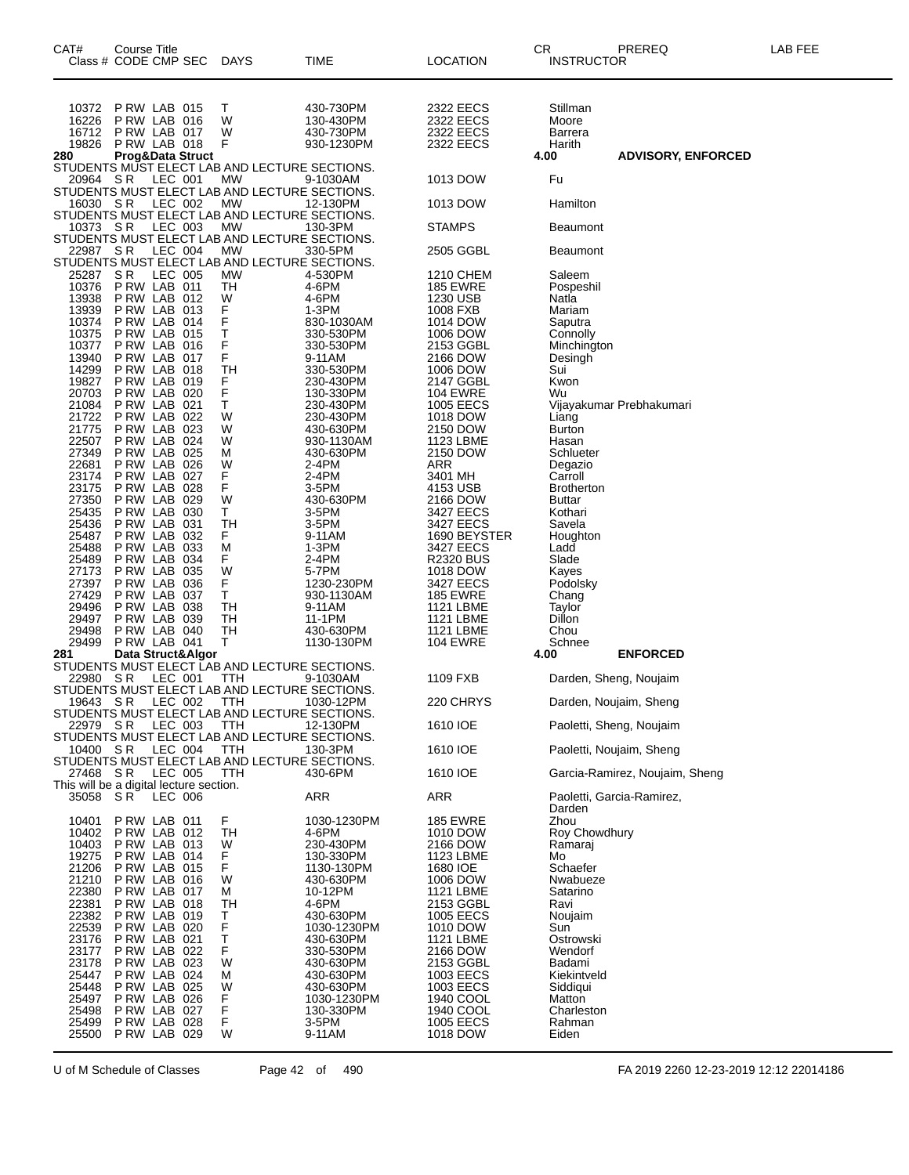| CAT#           | Course Title         | Class # CODE CMP SEC                               | <b>DAYS</b>                                                                                                 | TIME                     | <b>LOCATION</b>               | CR<br>INSTRUCTOR             | PREREQ                         | LAB FEE |
|----------------|----------------------|----------------------------------------------------|-------------------------------------------------------------------------------------------------------------|--------------------------|-------------------------------|------------------------------|--------------------------------|---------|
| 10372          |                      | PRW LAB 015                                        | Т                                                                                                           | 430-730PM                | 2322 EECS                     | Stillman                     |                                |         |
| 16226          |                      | PRW LAB 016                                        | W                                                                                                           | 130-430PM                | 2322 EECS                     | Moore                        |                                |         |
| 16712<br>19826 |                      | PRW LAB 017<br>PRW LAB 018                         | W<br>F                                                                                                      | 430-730PM<br>930-1230PM  | 2322 EECS<br>2322 EECS        | <b>Barrera</b><br>Harith     |                                |         |
| 280            |                      | <b>Prog&amp;Data Struct</b>                        |                                                                                                             |                          |                               | 4.00                         | <b>ADVISORY, ENFORCED</b>      |         |
| 20964 SR       |                      | LEC 001                                            | STUDENTS MUST ELECT LAB AND LECTURE SECTIONS.<br><b>MW</b><br>STUDENTS MUST ELECT LAB AND LECTURE SECTIONS. | 9-1030AM                 | 1013 DOW                      | Fu                           |                                |         |
| 16030 SR       |                      | LEC 002                                            | <b>MW</b><br>STUDENTS MUST ELECT LAB AND LECTURE SECTIONS.                                                  | 12-130PM                 | 1013 DOW                      | Hamilton                     |                                |         |
| 10373 SR       |                      | LEC 003                                            | МW<br>STUDENTS MUST ELECT LAB AND LECTURE SECTIONS.                                                         | 130-3PM                  | <b>STAMPS</b>                 | Beaumont                     |                                |         |
| 22987 SR       |                      | LEC 004                                            | <b>MW</b><br>STUDENTS MUST ELECT LAB AND LECTURE SECTIONS.                                                  | 330-5PM                  | 2505 GGBL                     | Beaumont                     |                                |         |
| 25287          | S R                  | LEC 005                                            | MW                                                                                                          | 4-530PM                  | 1210 CHEM                     | Saleem                       |                                |         |
| 10376<br>13938 |                      | P RW LAB 011<br>PRW LAB 012                        | TН<br>W                                                                                                     | 4-6PM<br>4-6PM           | <b>185 EWRE</b><br>1230 USB   | Pospeshil<br>Natla           |                                |         |
| 13939          |                      | PRW LAB 013                                        | F                                                                                                           | 1-3PM                    | 1008 FXB                      | Mariam                       |                                |         |
| 10374          |                      | PRW LAB 014                                        | F                                                                                                           | 830-1030AM               | 1014 DOW                      | Saputra                      |                                |         |
| 10375<br>10377 | P RW LAB             | PRW LAB 015<br>016                                 | т<br>F                                                                                                      | 330-530PM<br>330-530PM   | 1006 DOW<br>2153 GGBL         | Connolly<br>Minchington      |                                |         |
| 13940          | P RW LAB             | 017                                                | F                                                                                                           | 9-11AM                   | 2166 DOW                      | Desingh                      |                                |         |
| 14299          |                      | PRW LAB 018                                        | TН                                                                                                          | 330-530PM                | 1006 DOW                      | Sui                          |                                |         |
| 19827<br>20703 | P RW LAB             | 019<br>P RW LAB 020                                | F<br>F                                                                                                      | 230-430PM<br>130-330PM   | 2147 GGBL<br><b>104 EWRE</b>  | Kwon<br>Wu                   |                                |         |
| 21084          |                      | PRW LAB 021                                        | т                                                                                                           | 230-430PM                | <b>1005 EECS</b>              |                              | Vijayakumar Prebhakumari       |         |
| 21722          | P RW LAB             | 022                                                | W                                                                                                           | 230-430PM                | 1018 DOW                      | Liang                        |                                |         |
| 21775<br>22507 | P RW LAB             | 023<br>PRW LAB 024                                 | W<br>W                                                                                                      | 430-630PM<br>930-1130AM  | 2150 DOW<br>1123 LBME         | Burton<br>Hasan              |                                |         |
| 27349          | P RW LAB             | 025                                                | М                                                                                                           | 430-630PM                | 2150 DOW                      | Schlueter                    |                                |         |
| 22681          | P RW LAB             | 026                                                | W                                                                                                           | 2-4PM                    | ARR                           | Degazio                      |                                |         |
| 23174<br>23175 | P RW LAB<br>P RW LAB | 027<br>028                                         | F<br>F                                                                                                      | 2-4PM<br>3-5PM           | 3401 MH<br>4153 USB           | Carroll<br><b>Brotherton</b> |                                |         |
| 27350          | P RW LAB             | 029                                                | W                                                                                                           | 430-630PM                | 2166 DOW                      | Buttar                       |                                |         |
| 25435          |                      | P RW LAB 030                                       | Τ                                                                                                           | 3-5PM                    | 3427 EECS                     | Kothari                      |                                |         |
| 25436<br>25487 | P RW LAB<br>P RW LAB | 031<br>032                                         | TН<br>F                                                                                                     | 3-5PM<br>9-11AM          | 3427 EECS<br>1690 BEYSTER     | Savela<br>Houghton           |                                |         |
| 25488          |                      | PRW LAB 033                                        | М                                                                                                           | 1-3PM                    | 3427 EECS                     | Ladd                         |                                |         |
| 25489<br>27173 | P RW LAB<br>P RW LAB | 034<br>035                                         | F<br>W                                                                                                      | 2-4PM<br>5-7PM           | <b>R2320 BUS</b><br>1018 DOW  | Slade<br>Kayes               |                                |         |
| 27397          |                      | PRW LAB 036                                        | F                                                                                                           | 1230-230PM               | 3427 EECS                     | Podolsky                     |                                |         |
| 27429          | P RW LAB             | 037                                                | T.                                                                                                          | 930-1130AM               | <b>185 EWRE</b>               | Chang                        |                                |         |
| 29496<br>29497 | P RW LAB             | 038<br>PRW LAB 039                                 | TН<br>TН                                                                                                    | 9-11AM<br>11-1PM         | 1121 LBME<br><b>1121 LBME</b> | Taylor<br>Dillon             |                                |         |
| 29498          |                      | P RW LAB 040                                       | TН                                                                                                          | 430-630PM                | 1121 LBME                     | Chou                         |                                |         |
| 29499          |                      | PRW LAB 041                                        | т                                                                                                           | 1130-130PM               | <b>104 EWRE</b>               | Schnee                       |                                |         |
| 281            |                      | Data Struct&Algor                                  | STUDENTS MUST ELECT LAB AND LECTURE SECTIONS.                                                               |                          |                               | 4.00                         | <b>ENFORCED</b>                |         |
| 22980 SR       |                      | LEC 001                                            | <b>TTH</b>                                                                                                  | 9-1030AM                 | 1109 FXB                      |                              | Darden, Sheng, Noujaim         |         |
|                |                      | 19643 SR IFC 002 TTH                               | STUDENTS MUST ELECT LAB AND LECTURE SECTIONS.<br>STUDENTS MUST ELECT LAB AND LECTURE SECTIONS.              | 1030-12PM                | 220 CHRYS                     |                              | Darden, Noujaim, Sheng         |         |
| 22979 SR       |                      | LEC 003                                            | TTH<br>STUDENTS MUST ELECT LAB AND LECTURE SECTIONS.                                                        | 12-130PM                 | 1610 IOE                      |                              | Paoletti, Sheng, Noujaim       |         |
| 10400 SR       |                      | LEC 004                                            | TTH<br>STUDENTS MUST ELECT LAB AND LECTURE SECTIONS.                                                        | 130-3PM                  | 1610 IOE                      |                              | Paoletti, Noujaim, Sheng       |         |
| 27468 SR       |                      | LEC 005<br>This will be a digital lecture section. | ттн                                                                                                         | 430-6PM                  | 1610 IOE                      |                              | Garcia-Ramirez, Noujaim, Sheng |         |
| 35058 SR       |                      | <b>LEC 006</b>                                     |                                                                                                             | <b>ARR</b>               | ARR                           | Darden                       | Paoletti, Garcia-Ramirez,      |         |
| 10401<br>10402 |                      | PRW LAB 011<br>PRW LAB 012                         | F<br>TН                                                                                                     | 1030-1230PM<br>4-6PM     | <b>185 EWRE</b><br>1010 DOW   | Zhou<br>Roy Chowdhury        |                                |         |
| 10403          |                      | PRW LAB 013                                        | W                                                                                                           | 230-430PM                | 2166 DOW                      | Ramaraj                      |                                |         |
| 19275          |                      | PRW LAB 014                                        | F                                                                                                           | 130-330PM                | 1123 LBME                     | Mo                           |                                |         |
| 21206<br>21210 |                      | PRW LAB 015<br>PRW LAB 016                         | F<br>W                                                                                                      | 1130-130PM<br>430-630PM  | 1680 IOE<br>1006 DOW          | Schaefer<br>Nwabueze         |                                |         |
| 22380          |                      | PRW LAB 017                                        | м                                                                                                           | 10-12PM                  | <b>1121 LBME</b>              | Satarino                     |                                |         |
| 22381          |                      | PRW LAB 018                                        | TН                                                                                                          | 4-6PM                    | 2153 GGBL                     | Ravi                         |                                |         |
| 22382<br>22539 |                      | PRW LAB 019<br>PRW LAB 020                         | т<br>F                                                                                                      | 430-630PM<br>1030-1230PM | 1005 EECS<br>1010 DOW         | Noujaim<br>Sun               |                                |         |
| 23176          |                      | PRW LAB 021                                        | Τ                                                                                                           | 430-630PM                | 1121 LBME                     | Ostrowski                    |                                |         |
| 23177          |                      | PRW LAB 022                                        | F                                                                                                           | 330-530PM                | 2166 DOW                      | Wendorf                      |                                |         |
| 23178<br>25447 |                      | PRW LAB 023<br>PRW LAB 024                         | W<br>М                                                                                                      | 430-630PM<br>430-630PM   | 2153 GGBL<br>1003 EECS        | Badami<br>Kiekintveld        |                                |         |
| 25448          |                      | PRW LAB 025                                        | W                                                                                                           | 430-630PM                | 1003 EECS                     | Siddiqui                     |                                |         |
| 25497          |                      | PRW LAB 026                                        | F                                                                                                           | 1030-1230PM              | 1940 COOL                     | Matton                       |                                |         |
| 25498<br>25499 |                      | PRW LAB 027<br>PRW LAB 028                         | F<br>F                                                                                                      | 130-330PM<br>3-5PM       | 1940 COOL<br>1005 EECS        | Charleston<br>Rahman         |                                |         |
| 25500          |                      | PRW LAB 029                                        | W                                                                                                           | 9-11AM                   | 1018 DOW                      | Eiden                        |                                |         |

U of M Schedule of Classes Page 42 of 490 FA 2019 2260 12-23-2019 12:12 22014186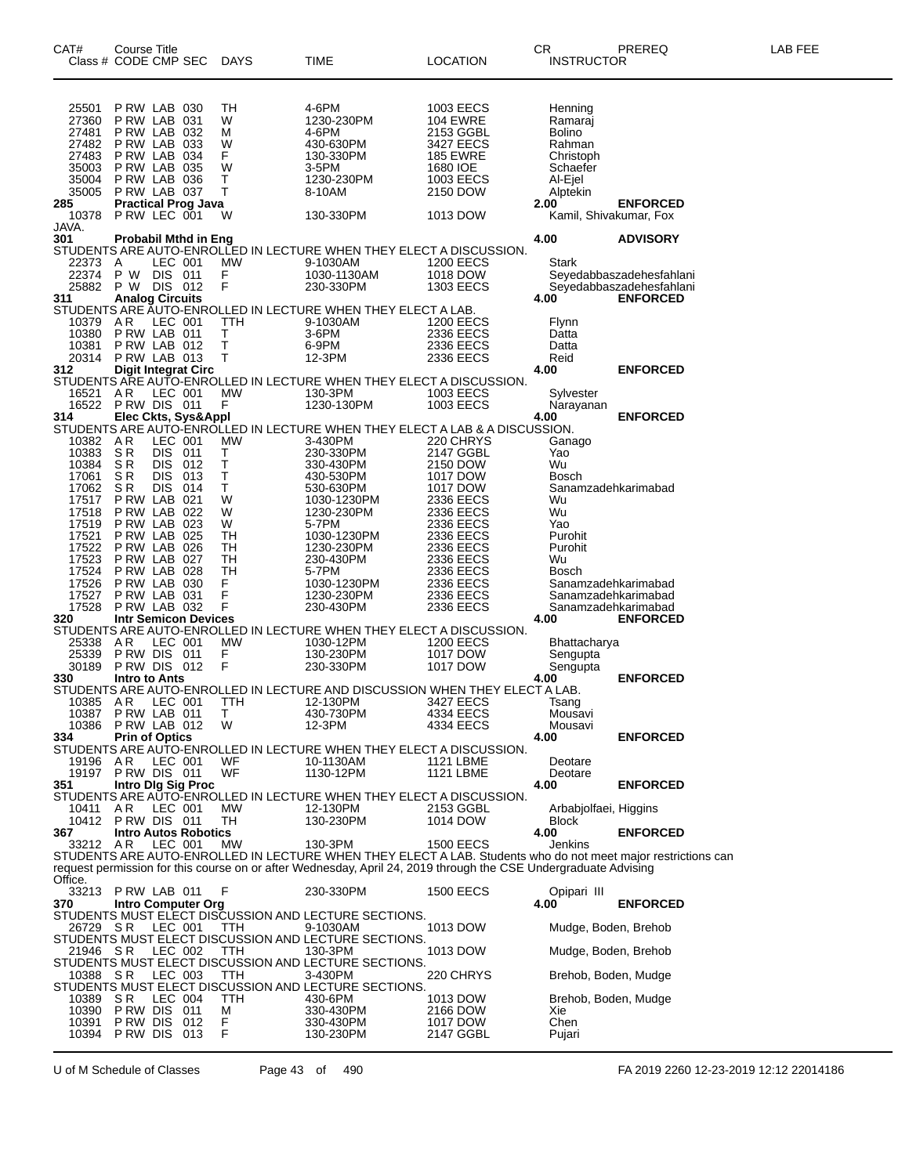| CAT#           | Course Title<br>Class # CODE CMP SEC            |                    |            | DAYS             | TIME                                                                                                            | <b>LOCATION</b>              | CR<br><b>INSTRUCTOR</b>  | PREREQ                                                                                                       | LAB FEE |
|----------------|-------------------------------------------------|--------------------|------------|------------------|-----------------------------------------------------------------------------------------------------------------|------------------------------|--------------------------|--------------------------------------------------------------------------------------------------------------|---------|
| 25501          | PRW LAB 030                                     |                    |            | TН               | 4-6PM                                                                                                           | 1003 EECS                    | Henning                  |                                                                                                              |         |
| 27360<br>27481 | PRW LAB 031<br>PRW LAB 032                      |                    |            | W<br>м           | 1230-230PM<br>4-6PM                                                                                             | <b>104 EWRE</b><br>2153 GGBL | Ramaraj<br><b>Bolino</b> |                                                                                                              |         |
| 27482          | PRW LAB 033                                     |                    |            | W                | 430-630PM                                                                                                       | 3427 EECS                    | Rahman                   |                                                                                                              |         |
| 27483          | PRW LAB 034                                     |                    |            | F.               | 130-330PM                                                                                                       | <b>185 EWRE</b>              | Christoph                |                                                                                                              |         |
| 35003<br>35004 | PRW LAB 035<br>PRW LAB 036                      |                    |            | W<br>Т           | 3-5PM<br>1230-230PM                                                                                             | 1680 IOE<br>1003 EECS        | Schaefer<br>Al-Ejel      |                                                                                                              |         |
| 35005          | PRW LAB 037                                     |                    |            | т                | 8-10AM                                                                                                          | 2150 DOW                     | Alptekin                 |                                                                                                              |         |
| 285            | <b>Practical Prog Java</b>                      |                    |            |                  |                                                                                                                 |                              | 2.00                     | <b>ENFORCED</b>                                                                                              |         |
| 10378<br>Java. | PRW LEC 001                                     |                    |            | W                | 130-330PM                                                                                                       | 1013 DOW                     |                          | Kamil, Shivakumar, Fox                                                                                       |         |
| 301            | <b>Probabil Mthd in Eng</b>                     |                    |            |                  |                                                                                                                 |                              | 4.00                     | <b>ADVISORY</b>                                                                                              |         |
| 22373          | A                                               | LEC 001            |            | МW               | STUDENTS ARE AUTO-ENROLLED IN LECTURE WHEN THEY ELECT A DISCUSSION.<br>9-1030AM                                 | <b>1200 EECS</b>             | Stark                    |                                                                                                              |         |
| 22374          | P W DIS 011                                     |                    |            | F                | 1030-1130AM                                                                                                     | 1018 DOW                     |                          | Seyedabbaszadehesfahlani                                                                                     |         |
|                | 25882 P W DIS 012                               |                    |            | F                | 230-330PM                                                                                                       | 1303 EECS                    |                          | Seyedabbaszadehesfahlani                                                                                     |         |
| 311            | <b>Analog Circuits</b>                          |                    |            |                  | STUDENTS ARE AUTO-ENROLLED IN LECTURE WHEN THEY ELECT A LAB.                                                    |                              | 4.00                     | <b>ENFORCED</b>                                                                                              |         |
| 10379          | AR                                              | LEC 001            |            | TTH              | 9-1030AM                                                                                                        | <b>1200 EECS</b>             | Flynn                    |                                                                                                              |         |
| 10380          | PRW LAB 011                                     |                    |            | Τ                | $3-6$ PM                                                                                                        | 2336 EECS                    | Datta                    |                                                                                                              |         |
| 10381          | PRW LAB 012<br>20314 PRW LAB 013                |                    |            | $\top$<br>Τ      | 6-9PM<br>12-3PM                                                                                                 | 2336 EECS<br>2336 EECS       | Datta<br>Reid            |                                                                                                              |         |
| 312            | <b>Digit Integrat Circ</b>                      |                    |            |                  |                                                                                                                 |                              | 4.00                     | <b>ENFORCED</b>                                                                                              |         |
|                |                                                 |                    |            |                  | STUDENTS ARE AUTO-ENROLLED IN LECTURE WHEN THEY ELECT A DISCUSSION.                                             |                              |                          |                                                                                                              |         |
| 16521          | AR<br>16522 PRW DIS 011                         | LEC 001            |            | МW<br>F          | 130-3PM<br>1230-130PM                                                                                           | 1003 EECS<br>1003 EECS       | Sylvester<br>Narayanan   |                                                                                                              |         |
| 314            | Elec Ckts, Sys&Appl                             |                    |            |                  |                                                                                                                 |                              | 4.00                     | <b>ENFORCED</b>                                                                                              |         |
|                |                                                 | LEC 001            |            |                  | STUDENTS ARE AUTO-ENROLLED IN LECTURE WHEN THEY ELECT A LAB & A DISCUSSION.                                     |                              |                          |                                                                                                              |         |
| 10382<br>10383 | AR<br>SR                                        | DIS 011            |            | МW<br>Τ          | 3-430PM<br>230-330PM                                                                                            | 220 CHRYS<br>2147 GGBL       | Ganago<br>Yao            |                                                                                                              |         |
| 10384          | S R                                             |                    | DIS 012    | Т                | 330-430PM                                                                                                       | 2150 DOW                     | Wu                       |                                                                                                              |         |
| 17061<br>17062 | SR.<br>SR                                       | <b>DIS</b><br>DIS. | 013<br>014 | $\mathsf T$<br>Τ | 430-530PM<br>530-630PM                                                                                          | 1017 DOW<br>1017 DOW         | Bosch                    | Sanamzadehkarimabad                                                                                          |         |
| 17517          | PRW LAB 021                                     |                    |            | W                | 1030-1230PM                                                                                                     | 2336 EECS                    | Wu                       |                                                                                                              |         |
| 17518          | PRW LAB 022                                     |                    |            | W                | 1230-230PM                                                                                                      | 2336 EECS                    | Wu                       |                                                                                                              |         |
| 17519<br>17521 | PRW LAB 023<br><b>P RW LAB 025</b>              |                    |            | W                | 5-7PM                                                                                                           | 2336 EECS                    | Yao<br>Purohit           |                                                                                                              |         |
| 17522          | PRW LAB 026                                     |                    |            | TН<br>TН         | 1030-1230PM<br>1230-230PM                                                                                       | 2336 EECS<br>2336 EECS       | Purohit                  |                                                                                                              |         |
| 17523          | PRW LAB 027                                     |                    |            | TН               | 230-430PM                                                                                                       | 2336 EECS                    | Wu                       |                                                                                                              |         |
| 17524<br>17526 | PRW LAB 028<br>P RW LAB 030                     |                    |            | TН<br>F.         | 5-7PM<br>1030-1230PM                                                                                            | 2336 EECS<br>2336 EECS       | Bosch                    | Sanamzadehkarimabad                                                                                          |         |
| 17527          | PRW LAB 031                                     |                    |            | F                | 1230-230PM                                                                                                      | 2336 EECS                    |                          | Sanamzadehkarimabad                                                                                          |         |
| 17528          | PRW LAB 032                                     |                    |            | F                | 230-430PM                                                                                                       | 2336 EECS                    |                          | Sanamzadehkarimabad                                                                                          |         |
| 320            | <b>Intr Semicon Devices</b>                     |                    |            |                  | STUDENTS ARE AUTO-ENROLLED IN LECTURE WHEN THEY ELECT A DISCUSSION.                                             |                              | 4.00                     | <b>ENFORCED</b>                                                                                              |         |
| 25338          | AR                                              | LEC 001            |            | МW               | 1030-12PM                                                                                                       | <b>1200 EECS</b>             | Bhattacharya             |                                                                                                              |         |
| 25339          | PRW DIS 011                                     |                    |            | F                | 130-230PM                                                                                                       | 1017 DOW                     | Sengupta                 |                                                                                                              |         |
| 30189<br>330   | PRW DIS 012<br>Intro to Ants                    |                    |            | F                | 230-330PM                                                                                                       | 1017 DOW                     | Sengupta<br>4.00         | <b>ENFORCED</b>                                                                                              |         |
|                |                                                 |                    |            |                  | STUDENTS ARE AUTO-ENROLLED IN LECTURE AND DISCUSSION WHEN THEY ELECT A LAB.                                     |                              |                          |                                                                                                              |         |
| 10385 AR       |                                                 | LEC 001            |            | TTH              | 12-130PM                                                                                                        | 3427 EECS                    | Tsang                    |                                                                                                              |         |
| 10387<br>10386 | PRW LAB 011<br>PRW LAB 012                      |                    |            | Т<br>W           | 430-730PM<br>12-3PM                                                                                             | 4334 EECS<br>4334 EECS       | Mousavi<br>Mousavi       |                                                                                                              |         |
| 334            | <b>Prin of Optics</b>                           |                    |            |                  |                                                                                                                 |                              | 4.00                     | <b>ENFORCED</b>                                                                                              |         |
| 19196          | AR                                              | LEC 001            |            | WF               | STUDENTS ARE AUTO-ENROLLED IN LECTURE WHEN THEY ELECT A DISCUSSION.<br>10-1130AM                                | <b>1121 LBME</b>             | Deotare                  |                                                                                                              |         |
|                | 19197 PRW DIS 011                               |                    |            | WF               | 1130-12PM                                                                                                       | 1121 LBME                    | Deotare                  |                                                                                                              |         |
| 351            | Intro Dig Sig Proc                              |                    |            |                  |                                                                                                                 |                              | 4.00                     | <b>ENFORCED</b>                                                                                              |         |
| 10411          | A R                                             | LEC 001            |            | MW               | STUDENTS ARE AUTO-ENROLLED IN LECTURE WHEN THEY ELECT A DISCUSSION.<br>12-130PM                                 | 2153 GGBL                    | Arbabjolfaei, Higgins    |                                                                                                              |         |
|                | 10412 PRW DIS 011                               |                    |            | TН               | 130-230PM                                                                                                       | 1014 DOW                     | <b>Block</b>             |                                                                                                              |         |
| 367            | <b>Intro Autos Robotics</b>                     |                    |            |                  |                                                                                                                 |                              | 4.00                     | <b>ENFORCED</b>                                                                                              |         |
| 33212          | AR                                              | LEC 001            |            | МW               | 130-3PM                                                                                                         | <b>1500 EECS</b>             | Jenkins                  | STUDENTS ARE AUTO-ENROLLED IN LECTURE WHEN THEY ELECT A LAB. Students who do not meet major restrictions can |         |
|                |                                                 |                    |            |                  | request permission for this course on or after Wednesday, April 24, 2019 through the CSE Undergraduate Advising |                              |                          |                                                                                                              |         |
| Office.        |                                                 |                    |            |                  |                                                                                                                 |                              |                          |                                                                                                              |         |
| 370            | 33213 P RW LAB 011<br><b>Intro Computer Org</b> |                    |            | F                | 230-330PM                                                                                                       | <b>1500 EECS</b>             | Opipari III<br>4.00      | <b>ENFORCED</b>                                                                                              |         |
|                |                                                 |                    |            |                  | STUDENTS MUST ELECT DISCUSSION AND LECTURE SECTIONS.                                                            |                              |                          |                                                                                                              |         |
| 26729 SR       |                                                 | LEC 001            |            | TTH              | 9-1030AM                                                                                                        | 1013 DOW                     |                          | Mudge, Boden, Brehob                                                                                         |         |
| 21946 SR       |                                                 | LEC 002            |            | TTH              | STUDENTS MUST ELECT DISCUSSION AND LECTURE SECTIONS.<br>130-3PM                                                 | 1013 DOW                     |                          | Mudge, Boden, Brehob                                                                                         |         |
|                |                                                 |                    |            |                  | STUDENTS MUST ELECT DISCUSSION AND LECTURE SECTIONS.                                                            |                              |                          |                                                                                                              |         |
| 10388 SR       |                                                 | LEC 003            |            | TTH              | 3-430PM<br>STUDENTS MUST ELECT DISCUSSION AND LECTURE SECTIONS.                                                 | 220 CHRYS                    |                          | Brehob, Boden, Mudge                                                                                         |         |
| 10389          | S R                                             | LEC 004            |            | TTH              | 430-6PM                                                                                                         | 1013 DOW                     |                          | Brehob, Boden, Mudge                                                                                         |         |
| 10390          | PRW DIS 011                                     |                    |            | м                | 330-430PM                                                                                                       | 2166 DOW                     | Xie                      |                                                                                                              |         |
| 10391          | PRW DIS 012<br>10394 P RW DIS 013               |                    |            | F<br>F           | 330-430PM<br>130-230PM                                                                                          | 1017 DOW<br>2147 GGBL        | Chen<br>Pujari           |                                                                                                              |         |
|                |                                                 |                    |            |                  |                                                                                                                 |                              |                          |                                                                                                              |         |

U of M Schedule of Classes Page 43 of 490 FA 2019 2260 12-23-2019 12:12 22014186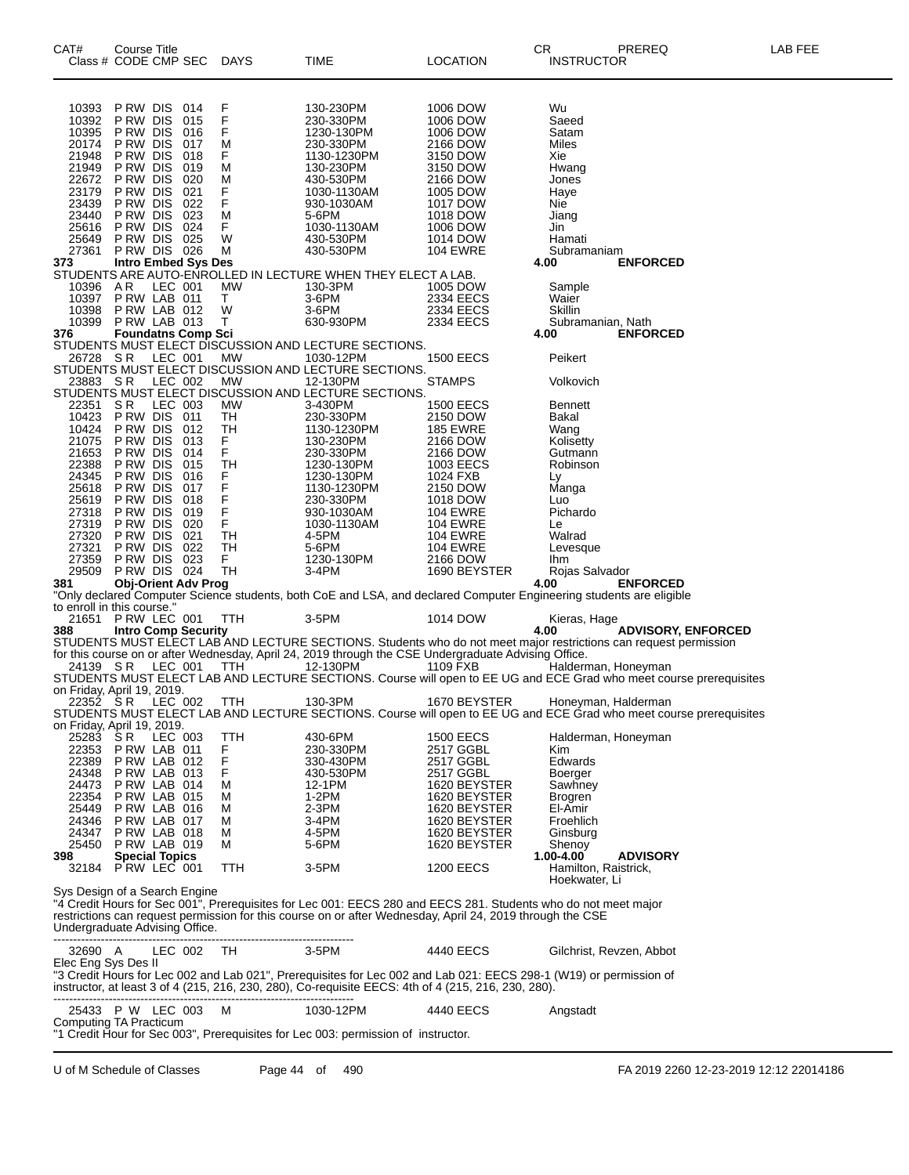| CAT#                                | Course Title<br>Class # CODE CMP SEC       |         |            | DAYS         | TIME                                                                                                             | <b>LOCATION</b>              | CR<br>PREREQ<br><b>INSTRUCTOR</b>                                                                                   | LAB FEE |
|-------------------------------------|--------------------------------------------|---------|------------|--------------|------------------------------------------------------------------------------------------------------------------|------------------------------|---------------------------------------------------------------------------------------------------------------------|---------|
| 10393                               | P RW DIS                                   |         | 014        | F            | 130-230PM                                                                                                        | 1006 DOW                     | Wu                                                                                                                  |         |
| 10392                               | P RW DIS                                   |         | 015        | F            | 230-330PM                                                                                                        | 1006 DOW                     | Saeed                                                                                                               |         |
| 10395<br>20174                      | P RW DIS<br>P RW DIS                       |         | 016<br>017 | F<br>М       | 1230-130PM<br>230-330PM                                                                                          | 1006 DOW<br>2166 DOW         | Satam<br>Miles                                                                                                      |         |
| 21948                               | P RW DIS                                   |         | 018        | F            | 1130-1230PM                                                                                                      | 3150 DOW                     | Xie                                                                                                                 |         |
| 21949                               | P RW DIS                                   |         | 019        | М            | 130-230PM                                                                                                        | 3150 DOW                     | Hwang                                                                                                               |         |
| 22672                               | P RW DIS                                   |         | 020        | М            | 430-530PM                                                                                                        | 2166 DOW                     | Jones                                                                                                               |         |
| 23179<br>23439                      | P RW DIS<br>P RW DIS                       |         | 021<br>022 | F<br>F       | 1030-1130AM<br>930-1030AM                                                                                        | 1005 DOW<br>1017 DOW         | Haye<br><b>Nie</b>                                                                                                  |         |
| 23440                               | P RW DIS                                   |         | 023        | М            | 5-6PM                                                                                                            | 1018 DOW                     | Jiang                                                                                                               |         |
| 25616                               | P RW DIS                                   |         | 024        | F            | 1030-1130AM                                                                                                      | 1006 DOW                     | Jin                                                                                                                 |         |
| 25649<br>27361                      | P RW DIS<br>PRW DIS 026                    |         | 025        | W<br>М       | 430-530PM<br>430-530PM                                                                                           | 1014 DOW<br><b>104 EWRE</b>  | Hamati<br>Subramaniam                                                                                               |         |
| 373                                 | <b>Intro Embed Sys Des</b>                 |         |            |              |                                                                                                                  |                              | 4.00<br><b>ENFORCED</b>                                                                                             |         |
|                                     |                                            |         |            |              | STUDENTS ARE AUTO-ENROLLED IN LECTURE WHEN THEY ELECT A LAB.                                                     |                              |                                                                                                                     |         |
| 10396                               | A R                                        | LEC 001 |            | МW           | 130-3PM                                                                                                          | 1005 DOW                     | Sample                                                                                                              |         |
| 10397<br>10398                      | PRW LAB 011<br>PRW LAB 012                 |         |            | T.<br>W      | 3-6PM<br>3-6PM                                                                                                   | 2334 EECS<br>2334 EECS       | Waier<br>Skillin                                                                                                    |         |
| 10399                               | PRW LAB 013                                |         |            | $\mathsf{T}$ | 630-930PM                                                                                                        | 2334 EECS                    | Subramanian, Nath                                                                                                   |         |
| 376                                 | <b>Foundatns Comp Sci</b>                  |         |            |              |                                                                                                                  |                              | 4.00<br><b>ENFORCED</b>                                                                                             |         |
|                                     |                                            |         |            |              | STUDENTS MUST ELECT DISCUSSION AND LECTURE SECTIONS.                                                             |                              |                                                                                                                     |         |
| 26728 SR                            |                                            | LEC 001 |            | MW           | 1030-12PM<br>STUDENTS MUST ELECT DISCUSSION AND LECTURE SECTIONS.                                                | <b>1500 EECS</b>             | Peikert                                                                                                             |         |
| 23883 SR                            |                                            | LEC 002 |            | МW           | 12-130PM                                                                                                         | <b>STAMPS</b>                | Volkovich                                                                                                           |         |
|                                     |                                            |         |            |              | STUDENTS MUST ELECT DISCUSSION AND LECTURE SECTIONS.                                                             |                              |                                                                                                                     |         |
| 22351<br>10423                      | S R<br>PRW DIS 011                         | LEC 003 |            | MW           | 3-430PM                                                                                                          | <b>1500 EECS</b><br>2150 DOW | <b>Bennett</b><br><b>Bakal</b>                                                                                      |         |
| 10424                               | P RW DIS                                   |         | 012        | TH<br>TН     | 230-330PM<br>1130-1230PM                                                                                         | <b>185 EWRE</b>              | Wang                                                                                                                |         |
| 21075                               | P RW DIS                                   |         | 013        | F.           | 130-230PM                                                                                                        | 2166 DOW                     | Kolisetty                                                                                                           |         |
| 21653                               | P RW DIS                                   |         | 014        | F.           | 230-330PM                                                                                                        | 2166 DOW                     | Gutmann                                                                                                             |         |
| 22388                               | P RW DIS                                   |         | 015        | TН           | 1230-130PM                                                                                                       | 1003 EECS                    | Robinson                                                                                                            |         |
| 24345<br>25618                      | P RW DIS<br>P RW DIS                       |         | 016<br>017 | F<br>F       | 1230-130PM<br>1130-1230PM                                                                                        | 1024 FXB<br>2150 DOW         | Ly<br>Manga                                                                                                         |         |
| 25619                               | P RW DIS                                   |         | 018        | F            | 230-330PM                                                                                                        | 1018 DOW                     | Luo                                                                                                                 |         |
| 27318                               | P RW DIS                                   |         | 019        | F            | 930-1030AM                                                                                                       | <b>104 EWRE</b>              | Pichardo                                                                                                            |         |
| 27319                               | PRW DIS                                    |         | 020        | F            | 1030-1130AM                                                                                                      | <b>104 EWRE</b>              | Le                                                                                                                  |         |
| 27320                               | P RW DIS                                   |         | 021        | TH           | 4-5PM                                                                                                            | <b>104 EWRE</b>              | Walrad                                                                                                              |         |
| 27321<br>27359                      | P RW DIS<br>PRW DIS 023                    |         | 022        | TН<br>F.     | 5-6PM<br>1230-130PM                                                                                              | <b>104 EWRE</b><br>2166 DOW  | Levesque<br><b>Ihm</b>                                                                                              |         |
| 29509                               | PRW DIS 024                                |         |            | <b>TH</b>    | $3-4PM$                                                                                                          | 1690 BEYSTER                 | Rojas Salvador                                                                                                      |         |
| 381                                 | <b>Obj-Orient Adv Prog</b>                 |         |            |              |                                                                                                                  |                              | 4.00<br><b>ENFORCED</b>                                                                                             |         |
|                                     |                                            |         |            |              |                                                                                                                  |                              | "Only declared Computer Science students, both CoE and LSA, and declared Computer Engineering students are eligible |         |
| to enroll in this course."          | 21651 PRW LEC 001                          |         |            | <b>TTH</b>   | 3-5PM                                                                                                            | 1014 DOW                     | Kieras, Hage                                                                                                        |         |
| 388                                 | <b>Intro Comp Security</b>                 |         |            |              |                                                                                                                  |                              | 4.00<br><b>ADVISORY, ENFORCED</b>                                                                                   |         |
|                                     |                                            |         |            |              |                                                                                                                  |                              | STUDENTS MUST ELECT LAB AND LECTURE SECTIONS. Students who do not meet major restrictions can request permission    |         |
|                                     |                                            |         |            | TTH          | for this course on or after Wednesday, April 24, 2019 through the CSE Undergraduate Advising Office.<br>12-130PM | 1109 FXB                     | Halderman, Honeyman                                                                                                 |         |
|                                     | 24139 SR LEC 001                           |         |            |              |                                                                                                                  |                              | STUDENTS MUST ELECT LAB AND LECTURE SECTIONS. Course will open to EE UG and ECE Grad who meet course prerequisites  |         |
| on Friday, April 19, 2019.          |                                            |         |            |              |                                                                                                                  |                              |                                                                                                                     |         |
| 22352 SR                            |                                            |         | LEC 002    | TTH          | 130-3PM                                                                                                          | 1670 BEYSTER                 | Honeyman, Halderman                                                                                                 |         |
|                                     |                                            |         |            |              |                                                                                                                  |                              | STUDENTS MUST ELECT LAB AND LECTURE SECTIONS. Course will open to EE UG and ECE Grad who meet course prerequisites  |         |
| on Friday, April 19, 2019.<br>25283 | SR.                                        |         | LEC 003    | TTH          | 430-6PM                                                                                                          | <b>1500 EECS</b>             | Halderman, Honeyman                                                                                                 |         |
| 22353                               | PRW LAB 011                                |         |            | F            | 230-330PM                                                                                                        | 2517 GGBL                    | Kim                                                                                                                 |         |
| 22389                               | PRW LAB 012                                |         |            | F            | 330-430PM                                                                                                        | 2517 GGBL                    | Edwards                                                                                                             |         |
| 24348                               | PRW LAB 013                                |         |            | F            | 430-530PM                                                                                                        | 2517 GGBL                    | Boerger                                                                                                             |         |
| 24473<br>22354                      | PRW LAB 014<br>PRW LAB 015                 |         |            | м<br>м       | 12-1PM<br>1-2PM                                                                                                  | 1620 BEYSTER<br>1620 BEYSTER | Sawhney                                                                                                             |         |
| 25449                               | PRW LAB 016                                |         |            | М            | $2-3PM$                                                                                                          | 1620 BEYSTER                 | <b>Brogren</b><br>El-Amir                                                                                           |         |
| 24346                               | PRW LAB 017                                |         |            | м            | 3-4PM                                                                                                            | 1620 BEYSTER                 | Froehlich                                                                                                           |         |
| 24347                               | PRW LAB 018                                |         |            | м            | 4-5PM                                                                                                            | 1620 BEYSTER                 | Ginsburg                                                                                                            |         |
| 25450                               | PRW LAB 019                                |         |            | м            | 5-6PM                                                                                                            | 1620 BEYSTER                 | Shenoy                                                                                                              |         |
| 398                                 | <b>Special Topics</b><br>32184 PRW LEC 001 |         |            | TTH          | 3-5PM                                                                                                            | <b>1200 EECS</b>             | <b>ADVISORY</b><br>1.00-4.00<br>Hamilton, Raistrick,                                                                |         |
|                                     |                                            |         |            |              |                                                                                                                  |                              | Hoekwater, Li                                                                                                       |         |
| Sys Design of a Search Engine       |                                            |         |            |              | restrictions can request permission for this course on or after Wednesday, April 24, 2019 through the CSE        |                              | "4 Credit Hours for Sec 001", Prerequisites for Lec 001: EECS 280 and EECS 281. Students who do not meet major      |         |
| Undergraduate Advising Office.      |                                            |         |            |              |                                                                                                                  |                              |                                                                                                                     |         |
|                                     |                                            |         |            |              | -------------------------------                                                                                  |                              |                                                                                                                     |         |
| 32690 A                             |                                            |         | LEC 002    | TH           | 3-5PM                                                                                                            | 4440 EECS                    | Gilchrist, Revzen, Abbot                                                                                            |         |
| Elec Eng Sys Des II                 |                                            |         |            |              |                                                                                                                  |                              | "3 Credit Hours for Lec 002 and Lab 021", Prerequisites for Lec 002 and Lab 021: EECS 298-1 (W19) or permission of  |         |
|                                     |                                            |         |            |              | instructor, at least 3 of 4 (215, 216, 230, 280), Co-requisite EECS: 4th of 4 (215, 216, 230, 280).              |                              |                                                                                                                     |         |
|                                     |                                            |         |            |              |                                                                                                                  |                              |                                                                                                                     |         |
|                                     | 25433 P W LEC 003                          |         |            | м            | 1030-12PM                                                                                                        | 4440 EECS                    | Angstadt                                                                                                            |         |
| Computing TA Practicum              |                                            |         |            |              | "1 Credit Hour for Sec 003", Prerequisites for Lec 003: permission of instructor.                                |                              |                                                                                                                     |         |
|                                     |                                            |         |            |              |                                                                                                                  |                              |                                                                                                                     |         |
|                                     |                                            |         |            |              |                                                                                                                  |                              |                                                                                                                     |         |
| U of M Schedule of Classes          |                                            |         |            |              | Page 44 of 490                                                                                                   |                              | FA 2019 2260 12-23-2019 12:12 22014186                                                                              |         |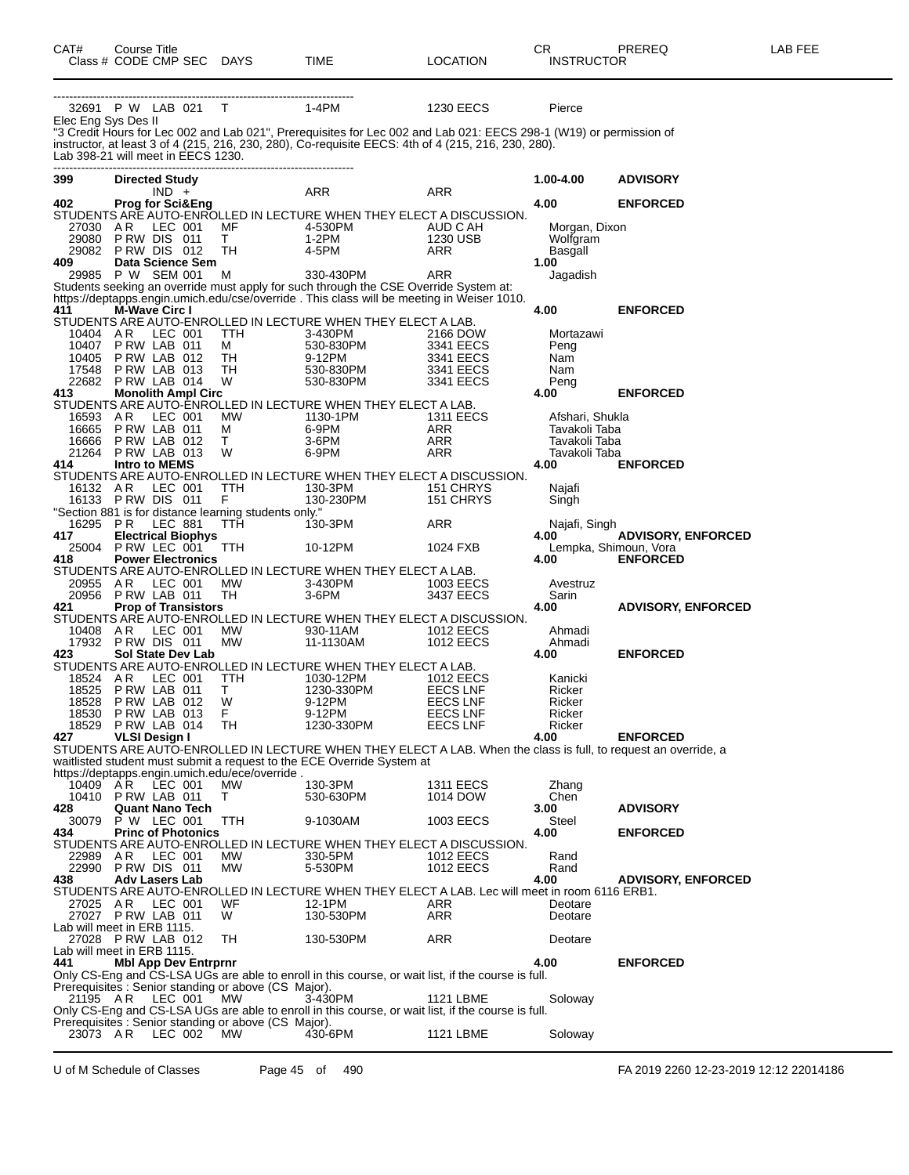| CAT#                       | <b>Course Title</b>  | Class # CODE CMP SEC DAYS                       |                                                              | TIME                                                                                                                                                                                                                      | <b>LOCATION</b>                      | CR<br><b>INSTRUCTOR</b>          | PREREQ                    | LAB FEE |
|----------------------------|----------------------|-------------------------------------------------|--------------------------------------------------------------|---------------------------------------------------------------------------------------------------------------------------------------------------------------------------------------------------------------------------|--------------------------------------|----------------------------------|---------------------------|---------|
| Elec Eng Sys Des II        |                      | 32691 P W LAB 021 T                             | $1-4PM$                                                      |                                                                                                                                                                                                                           | <b>1230 EECS</b>                     | Pierce                           |                           |         |
|                            |                      | Lab 398-21 will meet in EECS 1230.              |                                                              | "3 Credit Hours for Lec 002 and Lab 021", Prerequisites for Lec 002 and Lab 021: EECS 298-1 (W19) or permission of<br>instructor, at least 3 of 4 (215, 216, 230, 280), Co-requisite EECS: 4th of 4 (215, 216, 230, 280). |                                      |                                  |                           |         |
| 399                        |                      | <b>Directed Study</b><br>$IND +$                |                                                              | ARR                                                                                                                                                                                                                       | ARR                                  | 1.00-4.00                        | <b>ADVISORY</b>           |         |
| 402                        |                      | <b>Prog for Sci&amp;Eng</b>                     |                                                              |                                                                                                                                                                                                                           |                                      | 4.00                             | <b>ENFORCED</b>           |         |
| 27030                      | AR                   | LEC 001                                         | MF                                                           | STUDENTS ARE AUTO-ENROLLED IN LECTURE WHEN THEY ELECT A DISCUSSION.<br>4-530PM                                                                                                                                            | AUD C AH                             | Morgan, Dixon                    |                           |         |
|                            |                      | 29080 PRW DIS 011                               | T.                                                           | 1-2PM                                                                                                                                                                                                                     | 1230 USB                             | Wolfgram                         |                           |         |
| 409                        |                      | 29082 PRW DIS 012<br>Data Science Sem           | TH                                                           | 4-5PM                                                                                                                                                                                                                     | ARR                                  | Basgall<br>1.00                  |                           |         |
|                            |                      | 29985 P W SEM 001                               | M                                                            | 330-430PM                                                                                                                                                                                                                 | ARR                                  | Jagadish                         |                           |         |
|                            |                      |                                                 |                                                              | Students seeking an override must apply for such through the CSE Override System at:                                                                                                                                      |                                      |                                  |                           |         |
| 411                        | M-Wave Circ I        |                                                 |                                                              | https://deptapps.engin.umich.edu/cse/override. This class will be meeting in Weiser 1010.                                                                                                                                 |                                      | 4.00                             | <b>ENFORCED</b>           |         |
|                            |                      |                                                 |                                                              | STUDENTS ARE AUTO-ENROLLED IN LECTURE WHEN THEY ELECT A LAB.                                                                                                                                                              |                                      |                                  |                           |         |
| 10404<br>10407             | AR                   | LEC 001<br>PRW LAB 011                          | <b>TTH</b><br>M                                              | 3-430PM<br>530-830PM                                                                                                                                                                                                      | 2166 DOW<br>3341 EECS                | Mortazawi<br>Peng                |                           |         |
| 10405                      |                      | PRW LAB 012                                     | TH                                                           | 530-000.<br>9-12PM<br>- 12.930PM                                                                                                                                                                                          | 3341 EECS                            | Nam                              |                           |         |
| 17548                      |                      | PRW LAB 013                                     | TH                                                           | 530-830PM                                                                                                                                                                                                                 | 3341 EECS                            | Nam                              |                           |         |
| 413                        |                      | 22682 PRW LAB 014<br><b>Monolith Ampl Circ</b>  | W                                                            | 530-830PM                                                                                                                                                                                                                 | 3341 EECS                            | Peng<br>4.00                     | <b>ENFORCED</b>           |         |
|                            |                      |                                                 |                                                              | STUDENTS ARE AUTO-ENROLLED IN LECTURE WHEN THEY ELECT A LAB.                                                                                                                                                              |                                      |                                  |                           |         |
| 16593 A R<br>16665         |                      | LEC 001                                         | МW                                                           | 1130-1PM<br>6-9PM                                                                                                                                                                                                         | <b>1311 EECS</b><br>ARR              | Afshari, Shukla<br>Tavakoli Taba |                           |         |
| 16666                      |                      | PRW LAB 011<br>PRW LAB 012                      | M<br>$\top$                                                  | $3-6$ PM                                                                                                                                                                                                                  | ARR                                  | Tavakoli Taba                    |                           |         |
|                            |                      | 21264 PRW LAB 013                               | W                                                            | 6-9PM                                                                                                                                                                                                                     | ARR                                  | Tavakoli Taba                    |                           |         |
| 414                        |                      | <b>Intro to MEMS</b>                            |                                                              | STUDENTS ARE AUTO-ENROLLED IN LECTURE WHEN THEY ELECT A DISCUSSION.                                                                                                                                                       |                                      | 4.00                             | <b>ENFORCED</b>           |         |
| 16132 AR                   |                      | LEC 001                                         | TTH                                                          | 130-3PM                                                                                                                                                                                                                   | 151 CHRYS                            | Najafi                           |                           |         |
|                            |                      | 16133 PRW DIS 011                               | F                                                            | 130-230PM                                                                                                                                                                                                                 | 151 CHRYS                            | Singh                            |                           |         |
| 16295 PR                   |                      | LEC 881                                         | "Section 881 is for distance learning students only."<br>TTH | 130-3PM                                                                                                                                                                                                                   | ARR                                  | Najafi, Singh                    |                           |         |
| 417                        |                      | <b>Electrical Biophys</b>                       |                                                              |                                                                                                                                                                                                                           |                                      | 4.00                             | <b>ADVISORY, ENFORCED</b> |         |
| 25004<br>418               |                      | P RW LEC 001<br><b>Power Electronics</b>        | <b>TTH</b>                                                   | 10-12PM                                                                                                                                                                                                                   | 1024 FXB                             | Lempka, Shimoun, Vora<br>4.00    | <b>ENFORCED</b>           |         |
|                            |                      |                                                 |                                                              | STUDENTS ARE AUTO-ENROLLED IN LECTURE WHEN THEY ELECT A LAB.                                                                                                                                                              |                                      |                                  |                           |         |
| 20955                      | AR.                  | LEC 001                                         | МW                                                           | 3-430PM                                                                                                                                                                                                                   | 1003 EECS                            | Avestruz                         |                           |         |
| 421                        |                      | 20956 PRW LAB 011<br><b>Prop of Transistors</b> | TH                                                           | $3-6$ PM                                                                                                                                                                                                                  | 3437 EECS                            | Sarin<br>4.00                    | <b>ADVISORY, ENFORCED</b> |         |
|                            |                      |                                                 |                                                              | STUDENTS ARE AUTO-ENROLLED IN LECTURE WHEN THEY ELECT A DISCUSSION.                                                                                                                                                       |                                      |                                  |                           |         |
| 10408 AR                   |                      | LEC 001<br>17932 PRW DIS 011                    | МW<br>MW                                                     | 930-11AM<br>11-1130AM                                                                                                                                                                                                     | <b>1012 EECS</b><br><b>1012 EECS</b> | Ahmadi<br>Ahmadi                 |                           |         |
| 423                        |                      | Sol State Dev Lab                               |                                                              |                                                                                                                                                                                                                           |                                      | 4.00                             | <b>ENFORCED</b>           |         |
|                            |                      |                                                 |                                                              | STUDENTS ARE AUTO-ENROLLED IN LECTURE WHEN THEY ELECT A LAB.                                                                                                                                                              |                                      |                                  |                           |         |
| 18524 AR<br>18525          |                      | LEC 001<br>PRW LAB 011                          | TTH<br>T.                                                    | 1030-12PM<br>1230-330PM                                                                                                                                                                                                   | 1012 EECS<br><b>EECS LNF</b>         | Kanicki<br>Ricker                |                           |         |
| 18528                      |                      | PRW LAB 012                                     | W                                                            | 9-12PM                                                                                                                                                                                                                    | <b>EECS LNF</b>                      | Ricker                           |                           |         |
| 18529                      |                      | 18530 P RW LAB 013<br>PRW LAB 014               | F.<br>TH.                                                    | 9-12PM<br>1230-330PM                                                                                                                                                                                                      | <b>EECS LNF</b><br><b>EECS LNF</b>   | Ricker<br>Ricker                 |                           |         |
| 427                        | <b>VLSI Design I</b> |                                                 |                                                              |                                                                                                                                                                                                                           |                                      | 4.00                             | <b>ENFORCED</b>           |         |
|                            |                      |                                                 |                                                              | STUDENTS ARE AUTO-ENROLLED IN LECTURE WHEN THEY ELECT A LAB. When the class is full, to request an override, a                                                                                                            |                                      |                                  |                           |         |
|                            |                      |                                                 | https://deptapps.engin.umich.edu/ece/override.               | waitlisted student must submit a request to the ECE Override System at                                                                                                                                                    |                                      |                                  |                           |         |
| 10409 AR                   |                      | LEC 001                                         | MW                                                           | 130-3PM                                                                                                                                                                                                                   | <b>1311 EECS</b>                     | Zhang                            |                           |         |
| 428                        |                      | 10410 P RW LAB 011<br><b>Quant Nano Tech</b>    | T.                                                           | 530-630PM                                                                                                                                                                                                                 | 1014 DOW                             | Chen<br>3.00                     | <b>ADVISORY</b>           |         |
| 30079                      |                      | P W LEC 001                                     | <b>TTH</b>                                                   | 9-1030AM                                                                                                                                                                                                                  | 1003 EECS                            | Steel                            |                           |         |
| 434.                       |                      | <b>Princ of Photonics</b>                       |                                                              |                                                                                                                                                                                                                           |                                      | 4.00                             | <b>ENFORCED</b>           |         |
| 22989 AR                   |                      | LEC 001                                         | <b>MW</b>                                                    | STUDENTS ARE AUTO-ENROLLED IN LECTURE WHEN THEY ELECT A DISCUSSION.<br>330-5PM                                                                                                                                            | 1012 EECS                            | Rand                             |                           |         |
| 22990                      |                      | PRW DIS 011                                     | МW                                                           | 5-530PM                                                                                                                                                                                                                   | <b>1012 EECS</b>                     | Rand                             |                           |         |
| 438                        |                      | <b>Adv Lasers Lab</b>                           |                                                              | STUDENTS ARE AUTO-ENROLLED IN LECTURE WHEN THEY ELECT A LAB. Lec will meet in room 6116 ERB1.                                                                                                                             |                                      | 4.00                             | <b>ADVISORY, ENFORCED</b> |         |
| 27025 AR                   |                      | LEC 001                                         | WF                                                           | 12-1PM                                                                                                                                                                                                                    | ARR                                  | Deotare                          |                           |         |
|                            |                      | 27027 PRW LAB 011                               | W                                                            | 130-530PM                                                                                                                                                                                                                 | ARR                                  | Deotare                          |                           |         |
| Lab will meet in ERB 1115. |                      | 27028 P RW LAB 012                              | TH                                                           | 130-530PM                                                                                                                                                                                                                 | ARR                                  | Deotare                          |                           |         |
| Lab will meet in ERB 1115. |                      |                                                 |                                                              |                                                                                                                                                                                                                           |                                      |                                  |                           |         |
| 441                        |                      | <b>Mbl App Dev Entrprnr</b>                     |                                                              |                                                                                                                                                                                                                           |                                      | 4.00                             | <b>ENFORCED</b>           |         |
|                            |                      |                                                 | Prerequisites : Senior standing or above (CS Major).         | Only CS-Eng and CS-LSA UGs are able to enroll in this course, or wait list, if the course is full.                                                                                                                        |                                      |                                  |                           |         |
| 21195 AR                   |                      | LEC 001                                         | <b>MW</b>                                                    | 3-430PM                                                                                                                                                                                                                   | 1121 LBME                            | Soloway                          |                           |         |
|                            |                      |                                                 | Prerequisites : Senior standing or above (CS Major).         | Only CS-Eng and CS-LSA UGs are able to enroll in this course, or wait list, if the course is full.                                                                                                                        |                                      |                                  |                           |         |
| 23073 AR                   |                      | LEC 002                                         | <b>MW</b>                                                    | 430-6PM                                                                                                                                                                                                                   | 1121 LBME                            | Soloway                          |                           |         |
|                            |                      |                                                 |                                                              |                                                                                                                                                                                                                           |                                      |                                  |                           |         |

U of M Schedule of Classes Page 45 of 490 FA 2019 2260 12-23-2019 12:12 22014186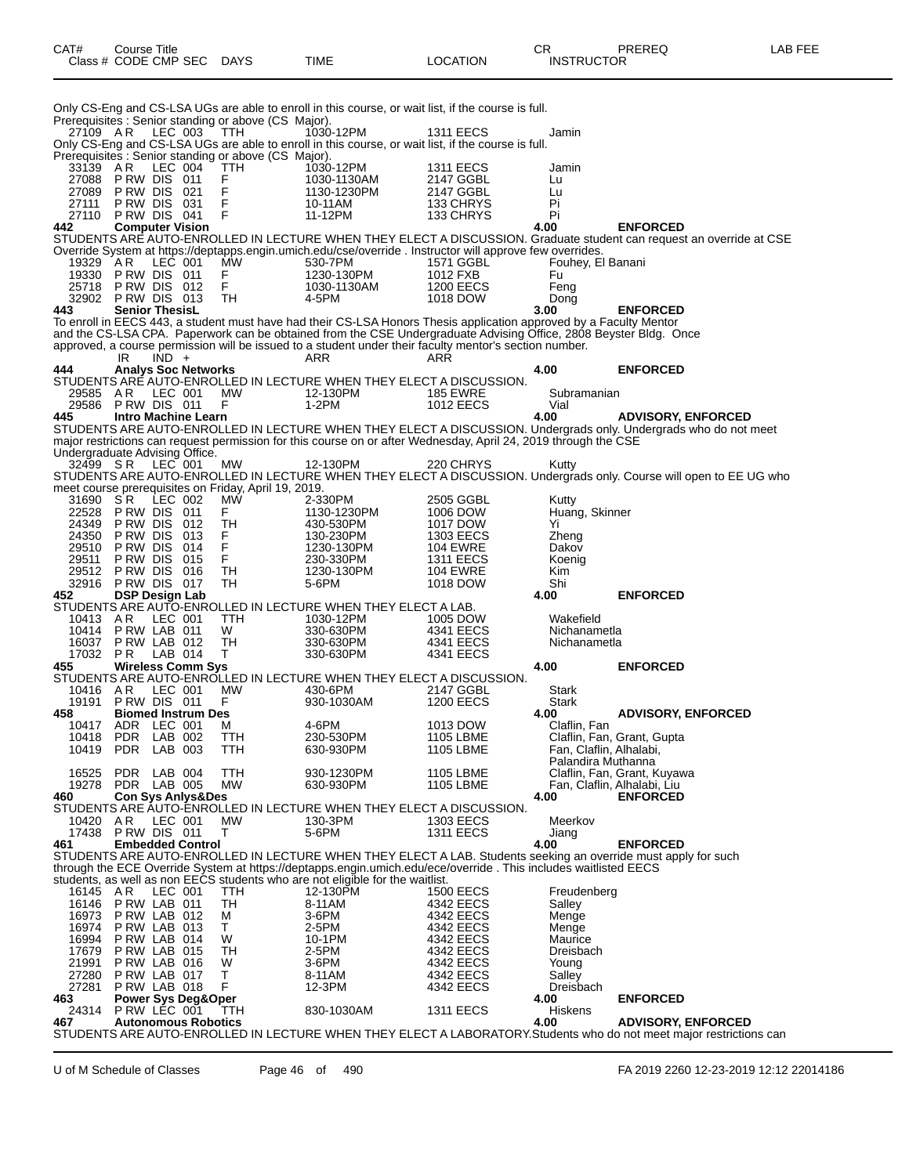| CAT#              | Course Title | Class # CODE CMP SEC                     | DAYS                                                        | <b>TIME</b>                                                                                                                                                                                      | <b>LOCATION</b>               | CR.<br><b>INSTRUCTOR</b>  | PREREQ                                                                                                                                           | LAB FEE |
|-------------------|--------------|------------------------------------------|-------------------------------------------------------------|--------------------------------------------------------------------------------------------------------------------------------------------------------------------------------------------------|-------------------------------|---------------------------|--------------------------------------------------------------------------------------------------------------------------------------------------|---------|
|                   |              |                                          | Prerequisites : Senior standing or above (CS Major).        | Only CS-Eng and CS-LSA UGs are able to enroll in this course, or wait list, if the course is full.                                                                                               |                               |                           |                                                                                                                                                  |         |
| 27109 AR          |              | LEC 003                                  | <b>TTH</b>                                                  | 1030-12PM                                                                                                                                                                                        | <b>1311 EECS</b>              | Jamin                     |                                                                                                                                                  |         |
|                   |              |                                          |                                                             | Only CS-Eng and CS-LSA UGs are able to enroll in this course, or wait list, if the course is full.                                                                                               |                               |                           |                                                                                                                                                  |         |
| 33139 AR          |              | LEC 004                                  | Prerequisites : Senior standing or above (CS Major).<br>TTH | 1030-12PM                                                                                                                                                                                        | <b>1311 EECS</b>              | Jamin                     |                                                                                                                                                  |         |
| 27088             |              | PRW DIS 011                              | F                                                           | 1030-1130AM                                                                                                                                                                                      | 2147 GGBL                     | Lu                        |                                                                                                                                                  |         |
| 27089             |              | PRW DIS 021                              | F                                                           | 1130-1230PM                                                                                                                                                                                      | 2147 GGBL                     | Lu                        |                                                                                                                                                  |         |
| 27111             |              | PRW DIS 031                              | F<br>F                                                      | 10-11AM                                                                                                                                                                                          | 133 CHRYS                     | Pi                        |                                                                                                                                                  |         |
| 27110<br>442      |              | PRW DIS 041<br><b>Computer Vision</b>    |                                                             | 11-12PM                                                                                                                                                                                          | 133 CHRYS                     | Pi<br>4.00                | <b>ENFORCED</b>                                                                                                                                  |         |
|                   |              |                                          |                                                             |                                                                                                                                                                                                  |                               |                           | STUDENTS ARE AUTO-ENROLLED IN LECTURE WHEN THEY ELECT A DISCUSSION. Graduate student can request an override at CSE                              |         |
|                   |              |                                          |                                                             | Override System at https://deptapps.engin.umich.edu/cse/override . Instructor will approve few overrides.                                                                                        |                               |                           |                                                                                                                                                  |         |
| 19329 AR          |              | LEC 001<br>19330 PRW DIS 011             | MW<br>F                                                     | 530-7PM<br>1230-130PM                                                                                                                                                                            | 1571 GGBL<br>1012 FXB         | Fouhey, El Banani<br>Fu   |                                                                                                                                                  |         |
| 25718             |              | PRW DIS 012                              | F.                                                          | 1030-1130AM                                                                                                                                                                                      | <b>1200 EECS</b>              | Feng                      |                                                                                                                                                  |         |
|                   |              | 32902 PRW DIS 013                        | TH                                                          | 4-5PM                                                                                                                                                                                            | 1018 DOW                      | Dong                      |                                                                                                                                                  |         |
| 443               |              | <b>Senior ThesisL</b>                    |                                                             | To enroll in EECS 443, a student must have had their CS-LSA Honors Thesis application approved by a Faculty Mentor                                                                               |                               | 3.00                      | <b>ENFORCED</b>                                                                                                                                  |         |
|                   |              |                                          |                                                             | and the CS-LSA CPA. Paperwork can be obtained from the CSE Undergraduate Advising Office, 2808 Beyster Bldg. Once                                                                                |                               |                           |                                                                                                                                                  |         |
|                   |              |                                          |                                                             | approved, a course permission will be issued to a student under their faculty mentor's section number.                                                                                           |                               |                           |                                                                                                                                                  |         |
| 444               | IR           | $IND +$<br><b>Analys Soc Networks</b>    |                                                             | ARR                                                                                                                                                                                              | ARR                           | 4.00                      | <b>ENFORCED</b>                                                                                                                                  |         |
|                   |              |                                          |                                                             | STUDENTS ARÉ AUTO-ENROLLED IN LECTURE WHEN THEY ELECT A DISCUSSION.                                                                                                                              |                               |                           |                                                                                                                                                  |         |
| 29585 AR          |              | LEC 001                                  | МW                                                          | 12-130PM                                                                                                                                                                                         | <b>185 EWRE</b>               | Subramanian               |                                                                                                                                                  |         |
| 445               |              | 29586 PRW DIS 011<br>Intro Machine Learn | F                                                           | 1-2PM                                                                                                                                                                                            | <b>1012 EECS</b>              | Vial<br>4.00              | <b>ADVISORY, ENFORCED</b>                                                                                                                        |         |
|                   |              |                                          |                                                             |                                                                                                                                                                                                  |                               |                           | STUDENTS ARE AUTO-ENROLLED IN LECTURE WHEN THEY ELECT A DISCUSSION. Undergrads only. Undergrads who do not meet                                  |         |
|                   |              |                                          |                                                             | major restrictions can request permission for this course on or after Wednesday, April 24, 2019 through the CSE                                                                                  |                               |                           |                                                                                                                                                  |         |
|                   |              | Undergraduate Advising Office.           |                                                             |                                                                                                                                                                                                  |                               |                           |                                                                                                                                                  |         |
| 32499 SR          |              | LEC 001                                  | MW                                                          | 12-130PM                                                                                                                                                                                         | 220 CHRYS                     | Kutty                     | STUDENTS ARE AUTO-ENROLLED IN LECTURE WHEN THEY ELECT A DISCUSSION. Undergrads only. Course will open to EE UG who                               |         |
|                   |              |                                          | meet course prerequisites on Friday, April 19, 2019.        |                                                                                                                                                                                                  |                               |                           |                                                                                                                                                  |         |
| 31690             | S R          | LEC 002                                  | МW                                                          | 2-330PM                                                                                                                                                                                          | 2505 GGBL                     | Kutty                     |                                                                                                                                                  |         |
| 22528<br>24349    |              | PRW DIS 011<br>PRW DIS 012               | F.<br>TH                                                    | 1130-1230PM<br>430-530PM                                                                                                                                                                         | 1006 DOW<br>1017 DOW          | Huang, Skinner<br>Yi      |                                                                                                                                                  |         |
| 24350             |              | PRW DIS 013                              | F.                                                          | 130-230PM                                                                                                                                                                                        | <b>1303 EECS</b>              | Zheng                     |                                                                                                                                                  |         |
| 29510             | P RW DIS     | 014                                      | F                                                           | 1230-130PM                                                                                                                                                                                       | <b>104 EWRE</b>               | Dakov                     |                                                                                                                                                  |         |
| 29511             |              | PRW DIS 015<br>PRW DIS 016               | F.                                                          | 230-330PM                                                                                                                                                                                        | <b>1311 EECS</b>              | Koenig                    |                                                                                                                                                  |         |
| 29512<br>32916    |              | PRW DIS 017                              | TH<br>TH                                                    | 1230-130PM<br>5-6PM                                                                                                                                                                              | <b>104 EWRE</b><br>1018 DOW   | Kim<br>Shi                |                                                                                                                                                  |         |
| 452               |              | <b>DSP Design Lab</b>                    |                                                             |                                                                                                                                                                                                  |                               | 4.00                      | <b>ENFORCED</b>                                                                                                                                  |         |
|                   |              |                                          |                                                             | STUDENTS ARE AUTO-ENROLLED IN LECTURE WHEN THEY ELECT A LAB.                                                                                                                                     |                               |                           |                                                                                                                                                  |         |
| 10413 AR<br>10414 |              | LEC 001<br>PRW LAB 011                   | TTH<br>W                                                    | 1030-12PM<br>330-630PM                                                                                                                                                                           | 1005 DOW<br>4341 EECS         | Wakefield<br>Nichanametla |                                                                                                                                                  |         |
| 16037             |              | PRW LAB 012                              | <b>TH</b>                                                   | 330-630PM                                                                                                                                                                                        | 4341 EECS                     | Nichanametla              |                                                                                                                                                  |         |
| 17032             | PR.          | LAB 014                                  | T.                                                          | 330-630PM                                                                                                                                                                                        | 4341 EECS                     |                           |                                                                                                                                                  |         |
| 455               |              | <b>Wireless Comm Sys</b>                 |                                                             | STUDENTS ARE AUTO-ENROLLED IN LECTURE WHEN THEY ELECT A DISCUSSION.                                                                                                                              |                               | 4.00                      | <b>ENFORCED</b>                                                                                                                                  |         |
| 10416 AR          |              | LEC 001                                  | MW                                                          | 430-6PM                                                                                                                                                                                          | 2147 GGBL                     | Stark                     |                                                                                                                                                  |         |
|                   |              | 19191 PRW DIS 011                        | F                                                           | 930-1030AM                                                                                                                                                                                       | <b>1200 EECS</b>              | Stark                     |                                                                                                                                                  |         |
| 458<br>10417      | ADR          | <b>Biomed Instrum Des</b><br>LEC 001     | М                                                           | 4-6PM                                                                                                                                                                                            | 1013 DOW                      | 4.00<br>Claflin, Fan      | <b>ADVISORY, ENFORCED</b>                                                                                                                        |         |
| 10418             | PDR.         | LAB 002                                  | TTH                                                         | 230-530PM                                                                                                                                                                                        | 1105 LBME                     |                           | Claflin, Fan, Grant, Gupta                                                                                                                       |         |
| 10419             | PDR.         | LAB 003                                  | TTH                                                         | 630-930PM                                                                                                                                                                                        | 1105 LBME                     | Fan, Claflin, Alhalabi,   |                                                                                                                                                  |         |
| 16525             |              | PDR LAB 004                              | TTH                                                         | 930-1230PM                                                                                                                                                                                       | 1105 LBME                     | Palandira Muthanna        | Claflin, Fan, Grant, Kuyawa                                                                                                                      |         |
| 19278             |              | PDR LAB 005                              | МW                                                          | 630-930PM                                                                                                                                                                                        | <b>1105 LBME</b>              |                           | Fan, Claflin, Alhalabi, Liu                                                                                                                      |         |
| 460               |              | <b>Con Sys Anlys&amp;Des</b>             |                                                             |                                                                                                                                                                                                  |                               | 4.00                      | <b>ENFORCED</b>                                                                                                                                  |         |
|                   |              |                                          |                                                             | STUDENTS ARE AUTO-ENROLLED IN LECTURE WHEN THEY ELECT A DISCUSSION.                                                                                                                              |                               |                           |                                                                                                                                                  |         |
| 10420 AR          |              | LEC 001<br>17438 P RW DIS 011            | МW<br>т                                                     | 130-3PM<br>5-6PM                                                                                                                                                                                 | 1303 EECS<br><b>1311 EECS</b> | Meerkov<br>Jiang          |                                                                                                                                                  |         |
| 461               |              | <b>Embedded Control</b>                  |                                                             |                                                                                                                                                                                                  |                               | 4.00                      | <b>ENFORCED</b>                                                                                                                                  |         |
|                   |              |                                          |                                                             |                                                                                                                                                                                                  |                               |                           | STUDENTS ARE AUTO-ENROLLED IN LECTURE WHEN THEY ELECT A LAB. Students seeking an override must apply for such                                    |         |
|                   |              |                                          |                                                             | through the ECE Override System at https://deptapps.engin.umich.edu/ece/override. This includes waitlisted EECS<br>students, as well as non EECS students who are not eligible for the waitlist. |                               |                           |                                                                                                                                                  |         |
| 16145 AR          |              | LEC 001                                  | TTH                                                         | 12-130PM                                                                                                                                                                                         | <b>1500 EECS</b>              | Freudenberg               |                                                                                                                                                  |         |
| 16146             |              | PRW LAB 011                              | TН                                                          | 8-11AM                                                                                                                                                                                           | 4342 EECS                     | Salley                    |                                                                                                                                                  |         |
| 16973             |              | PRW LAB 012                              | м                                                           | 3-6PM                                                                                                                                                                                            | 4342 EECS                     | Menge                     |                                                                                                                                                  |         |
| 16974<br>16994    |              | PRW LAB 013<br>PRW LAB 014               | T.<br>W                                                     | 2-5PM<br>10-1PM                                                                                                                                                                                  | 4342 EECS<br>4342 EECS        | Menge<br>Maurice          |                                                                                                                                                  |         |
| 17679             |              | PRW LAB 015                              | TH                                                          | 2-5PM                                                                                                                                                                                            | 4342 EECS                     | Dreisbach                 |                                                                                                                                                  |         |
| 21991             |              | PRW LAB 016                              | W                                                           | 3-6PM                                                                                                                                                                                            | 4342 EECS                     | Young                     |                                                                                                                                                  |         |
| 27280<br>27281    |              | PRW LAB 017<br>PRW LAB 018               | Τ<br>F                                                      | 8-11AM<br>12-3PM                                                                                                                                                                                 | 4342 EECS<br>4342 EECS        | Salley<br>Dreisbach       |                                                                                                                                                  |         |
| 463               |              | <b>Power Sys Deg&amp;Oper</b>            |                                                             |                                                                                                                                                                                                  |                               | 4.00                      | <b>ENFORCED</b>                                                                                                                                  |         |
| 24314             |              | P RW LEC 001                             | TTH                                                         | 830-1030AM                                                                                                                                                                                       | <b>1311 EECS</b>              | Hiskens                   |                                                                                                                                                  |         |
| 467               |              | <b>Autonomous Robotics</b>               |                                                             |                                                                                                                                                                                                  |                               | 4.00                      | <b>ADVISORY, ENFORCED</b><br>STUDENTS ARE AUTO-ENROLLED IN LECTURE WHEN THEY ELECT A LABORATORY. Students who do not meet major restrictions can |         |
|                   |              |                                          |                                                             |                                                                                                                                                                                                  |                               |                           |                                                                                                                                                  |         |

U of M Schedule of Classes Page 46 of 490 FA 2019 2260 12-23-2019 12:12 22014186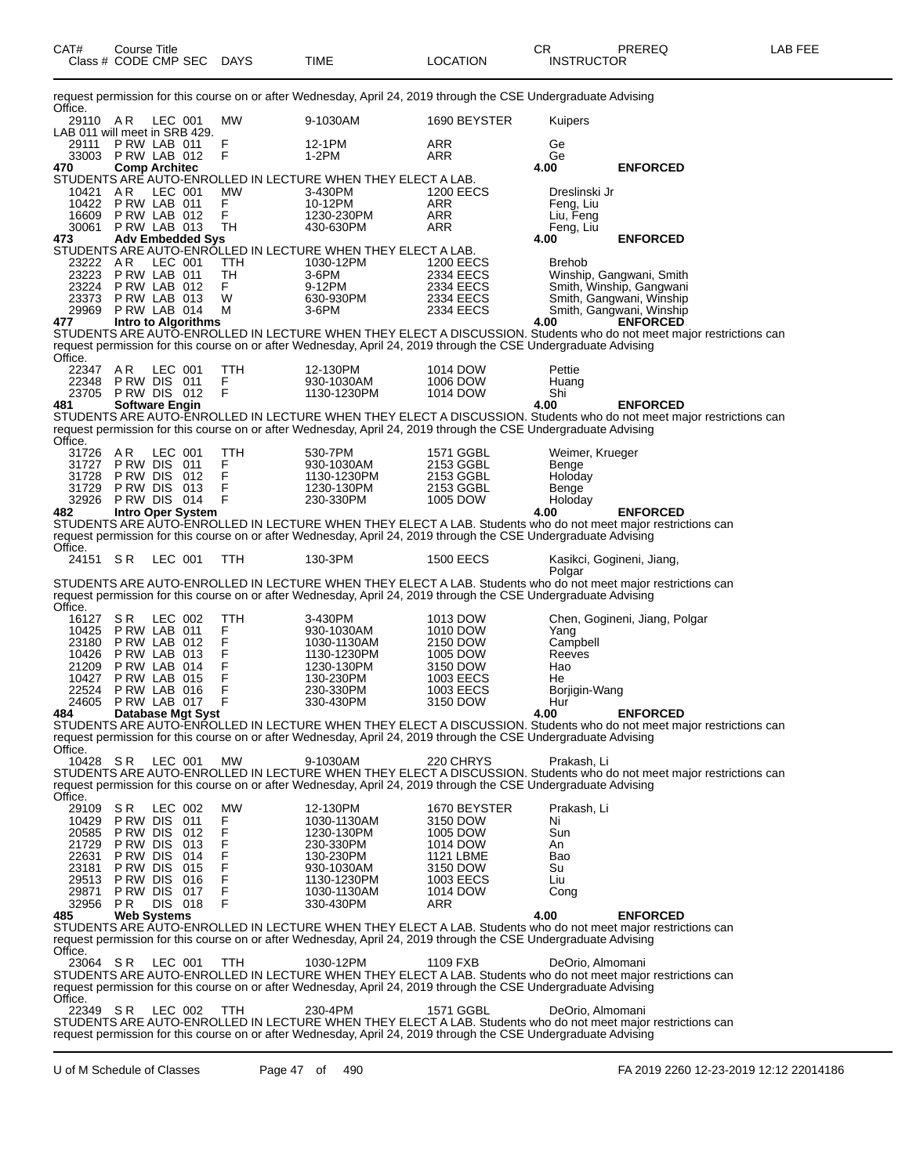| CAT#                                   | Course Title<br>Class # CODE CMP SEC |                               |            | DAYS          | TIME                                                                                                            | LOCATION               | CR<br><b>INSTRUCTOR</b> | PREREQ                                                                                                                                 | LAB FEE |
|----------------------------------------|--------------------------------------|-------------------------------|------------|---------------|-----------------------------------------------------------------------------------------------------------------|------------------------|-------------------------|----------------------------------------------------------------------------------------------------------------------------------------|---------|
| Office.                                |                                      |                               |            |               | request permission for this course on or after Wednesday, April 24, 2019 through the CSE Undergraduate Advising |                        |                         |                                                                                                                                        |         |
| 29110 AR                               |                                      | LEC 001                       |            | МW            | 9-1030AM                                                                                                        | 1690 BEYSTER           | Kuipers                 |                                                                                                                                        |         |
| LAB 011 will meet in SRB 429.<br>29111 |                                      | PRW LAB 011                   |            | F             | 12-1PM                                                                                                          | ARR                    | Ge                      |                                                                                                                                        |         |
| 33003                                  | PRW LAB 012                          |                               |            | F             | 1-2PM                                                                                                           | ARR                    | Ge                      |                                                                                                                                        |         |
| 470                                    |                                      | <b>Comp Architec</b>          |            |               | STUDENTS ARE AUTO-ENROLLED IN LECTURE WHEN THEY ELECT A LAB.                                                    |                        | 4.00                    | <b>ENFORCED</b>                                                                                                                        |         |
| 10421                                  | AR                                   | LEC 001                       |            | МW            | 3-430PM                                                                                                         | <b>1200 EECS</b>       | Dreslinski Jr           |                                                                                                                                        |         |
| 10422                                  |                                      | PRW LAB 011                   |            | F             | 10-12PM                                                                                                         | ARR                    | Feng, Liu               |                                                                                                                                        |         |
| 16609<br>30061                         | PRW LAB 013                          | PRW LAB 012                   |            | F<br>TH       | 1230-230PM<br>430-630PM                                                                                         | ARR<br>ARR             | Liu, Feng<br>Feng, Liu  |                                                                                                                                        |         |
| 473                                    |                                      | <b>Adv Embedded Sys</b>       |            |               |                                                                                                                 |                        | 4.00                    | <b>ENFORCED</b>                                                                                                                        |         |
| 23222 AR                               |                                      | LEC 001                       |            | TTH           | STUDENTS ARE AUTO-ENROLLED IN LECTURE WHEN THEY ELECT A LAB.<br>1030-12PM                                       | <b>1200 EECS</b>       | <b>Brehob</b>           |                                                                                                                                        |         |
| 23223                                  |                                      | PRW LAB 011                   |            | TH            | 3-6PM                                                                                                           | 2334 EECS              |                         | Winship, Gangwani, Smith                                                                                                               |         |
| 23224<br>23373                         | PRW LAB 013                          | PRW LAB 012                   |            | F.<br>W       | 9-12PM<br>630-930PM                                                                                             | 2334 EECS<br>2334 EECS |                         | Smith, Winship, Gangwani<br>Smith, Gangwani, Winship                                                                                   |         |
|                                        | 29969 P RW LAB 014                   |                               |            | м             | 3-6PM                                                                                                           | 2334 EECS              |                         | Smith, Gangwani, Winship                                                                                                               |         |
| 477                                    |                                      | <b>Intro to Algorithms</b>    |            |               |                                                                                                                 |                        | 4.00                    | <b>ENFORCED</b><br>STUDENTS ARE AUTO-ENROLLED IN LECTURE WHEN THEY ELECT A DISCUSSION. Students who do not meet major restrictions can |         |
|                                        |                                      |                               |            |               | request permission for this course on or after Wednesday, April 24, 2019 through the CSE Undergraduate Advising |                        |                         |                                                                                                                                        |         |
| Office.                                |                                      |                               |            |               |                                                                                                                 |                        |                         |                                                                                                                                        |         |
| 22347 AR<br>22348                      |                                      | LEC 001<br>PRW DIS 011        |            | TTH<br>F      | 12-130PM<br>930-1030AM                                                                                          | 1014 DOW<br>1006 DOW   | Pettie<br>Huang         |                                                                                                                                        |         |
|                                        | 23705 PRW DIS 012                    |                               |            | F             | 1130-1230PM                                                                                                     | 1014 DOW               | Shi                     |                                                                                                                                        |         |
| 481                                    |                                      | <b>Software Engin</b>         |            |               |                                                                                                                 |                        | 4.00                    | <b>ENFORCED</b><br>STUDENTS ARE AUTO-ENROLLED IN LECTURE WHEN THEY ELECT A DISCUSSION. Students who do not meet major restrictions can |         |
|                                        |                                      |                               |            |               | request permission for this course on or after Wednesday, April 24, 2019 through the CSE Undergraduate Advising |                        |                         |                                                                                                                                        |         |
| Office.<br>31726 AR                    |                                      | LEC 001                       |            | TTH           | 530-7PM                                                                                                         | 1571 GGBL              | Weimer, Krueger         |                                                                                                                                        |         |
| 31727                                  |                                      | PRW DIS 011                   |            | F             | 930-1030AM                                                                                                      | 2153 GGBL              | Benge                   |                                                                                                                                        |         |
| 31728<br>31729                         |                                      | PRW DIS 012<br>PRW DIS 013    |            | $\frac{F}{F}$ | 1130-1230PM<br>1230-130PM                                                                                       | 2153 GGBL<br>2153 GGBL | Holoday                 |                                                                                                                                        |         |
| 32926                                  | PRW DIS 014                          |                               |            | F             | 230-330PM                                                                                                       | 1005 DOW               | Benge<br>Holoday        |                                                                                                                                        |         |
| 482                                    |                                      | <b>Intro Oper System</b>      |            |               |                                                                                                                 |                        | 4.00                    | <b>ENFORCED</b>                                                                                                                        |         |
|                                        |                                      |                               |            |               | request permission for this course on or after Wednesday, April 24, 2019 through the CSE Undergraduate Advising |                        |                         | STUDENTS ARE AUTO-ENROLLED IN LECTURE WHEN THEY ELECT A LAB. Students who do not meet major restrictions can                           |         |
| Office.                                |                                      |                               |            |               |                                                                                                                 |                        |                         |                                                                                                                                        |         |
| 24151 SR                               |                                      | LEC 001                       |            | TTH           | 130-3PM                                                                                                         | <b>1500 EECS</b>       | Polgar                  | Kasikci, Gogineni, Jiang,                                                                                                              |         |
|                                        |                                      |                               |            |               |                                                                                                                 |                        |                         | STUDENTS ARE AUTO-ENROLLED IN LECTURE WHEN THEY ELECT A LAB. Students who do not meet major restrictions can                           |         |
| Office.                                |                                      |                               |            |               | request permission for this course on or after Wednesday, April 24, 2019 through the CSE Undergraduate Advising |                        |                         |                                                                                                                                        |         |
| 16127 SR                               |                                      | LEC 002                       |            | TTH           | 3-430PM                                                                                                         | 1013 DOW               |                         | Chen, Gogineni, Jiang, Polgar                                                                                                          |         |
| 10425                                  |                                      | PRW LAB 011<br>PRW LAB 012    |            | F<br>F        | 930-1030AM                                                                                                      | 1010 DOW               | Yang<br>Campbell        |                                                                                                                                        |         |
| 23180<br>10426                         |                                      | PRW LAB 013                   |            | F             | 1030-1130AM<br>1130-1230PM                                                                                      | 2150 DOW<br>1005 DOW   | Reeves                  |                                                                                                                                        |         |
| 21209                                  |                                      | PRW LAB 014                   |            | Ë             | 1230-130PM                                                                                                      | 3150 DOW               | Hao                     |                                                                                                                                        |         |
| 10427<br>22524                         |                                      | PRW LAB 015<br>PRW LAB 016    |            | F<br>F        | 130-230PM<br>230-330PM                                                                                          | 1003 EECS<br>1003 EECS | He<br>Borjigin-Wang     |                                                                                                                                        |         |
| 24605                                  |                                      | PRW LAB 017                   |            | F             | 330-430PM                                                                                                       | 3150 DOW               | Hur                     |                                                                                                                                        |         |
| 484                                    |                                      | Database Mgt Syst             |            |               |                                                                                                                 |                        | 4.00                    | <b>ENFORCED</b><br>STUDENTS ARE AUTO-ENROLLED IN LECTURE WHEN THEY ELECT A DISCUSSION. Students who do not meet major restrictions can |         |
|                                        |                                      |                               |            |               | request permission for this course on or after Wednesday, April 24, 2019 through the CSE Undergraduate Advising |                        |                         |                                                                                                                                        |         |
| Office.<br>10428 SR                    |                                      | LEC 001                       |            | МW            | 9-1030AM                                                                                                        | 220 CHRYS              | Prakash, Li             |                                                                                                                                        |         |
|                                        |                                      |                               |            |               |                                                                                                                 |                        |                         | STUDENTS ARE AUTO-ENROLLED IN LECTURE WHEN THEY ELECT A DISCUSSION. Students who do not meet major restrictions can                    |         |
| Office.                                |                                      |                               |            |               | request permission for this course on or after Wednesday, April 24, 2019 through the CSE Undergraduate Advising |                        |                         |                                                                                                                                        |         |
| 29109                                  | S R                                  | LEC 002                       |            | MW            | 12-130PM                                                                                                        | 1670 BEYSTER           | Prakash. Li             |                                                                                                                                        |         |
| 10429                                  |                                      | PRW DIS 011                   |            | F             | 1030-1130AM                                                                                                     | 3150 DOW               | Ni                      |                                                                                                                                        |         |
| 20585<br>21729                         | P RW DIS<br>P RW DIS                 |                               | 012<br>013 | F<br>F        | 1230-130PM<br>230-330PM                                                                                         | 1005 DOW<br>1014 DOW   | Sun<br>An               |                                                                                                                                        |         |
| 22631                                  | P RW DIS                             |                               | 014        | F             | 130-230PM                                                                                                       | <b>1121 LBME</b>       | Bao                     |                                                                                                                                        |         |
| 23181<br>29513                         | P RW DIS<br>P RW DIS                 |                               | 015<br>016 | F<br>F        | 930-1030AM<br>1130-1230PM                                                                                       | 3150 DOW<br>1003 EECS  | Su<br>Liu               |                                                                                                                                        |         |
| 29871                                  |                                      | PRW DIS 017                   |            | F             | 1030-1130AM                                                                                                     | 1014 DOW               | Cong                    |                                                                                                                                        |         |
| 32956<br>485                           | PR.                                  | DIS 018<br><b>Web Systems</b> |            | F             | 330-430PM                                                                                                       | ARR                    | 4.00                    | <b>ENFORCED</b>                                                                                                                        |         |
|                                        |                                      |                               |            |               |                                                                                                                 |                        |                         | STUDENTS ARE AUTO-ENROLLED IN LECTURE WHEN THEY ELECT A LAB. Students who do not meet major restrictions can                           |         |
|                                        |                                      |                               |            |               | request permission for this course on or after Wednesday, April 24, 2019 through the CSE Undergraduate Advising |                        |                         |                                                                                                                                        |         |
| Office.<br>23064 SR                    |                                      | LEC 001                       |            | TTH           | 1030-12PM                                                                                                       | 1109 FXB               | DeOrio, Almomani        |                                                                                                                                        |         |
|                                        |                                      |                               |            |               |                                                                                                                 |                        |                         | STUDENTS ARE AUTO-ENROLLED IN LECTURE WHEN THEY ELECT A LAB. Students who do not meet major restrictions can                           |         |
| Office.                                |                                      |                               |            |               | request permission for this course on or after Wednesday, April 24, 2019 through the CSE Undergraduate Advising |                        |                         |                                                                                                                                        |         |
| 22349 SR                               |                                      | LEC 002                       |            | TTH           | 230-4PM                                                                                                         | 1571 GGBL              | DeOrio, Almomani        |                                                                                                                                        |         |
|                                        |                                      |                               |            |               | request permission for this course on or after Wednesday, April 24, 2019 through the CSE Undergraduate Advising |                        |                         | STUDENTS ARE AUTO-ENROLLED IN LECTURE WHEN THEY ELECT A LAB. Students who do not meet major restrictions can                           |         |

U of M Schedule of Classes Page 47 of 490 FA 2019 2260 12-23-2019 12:12 22014186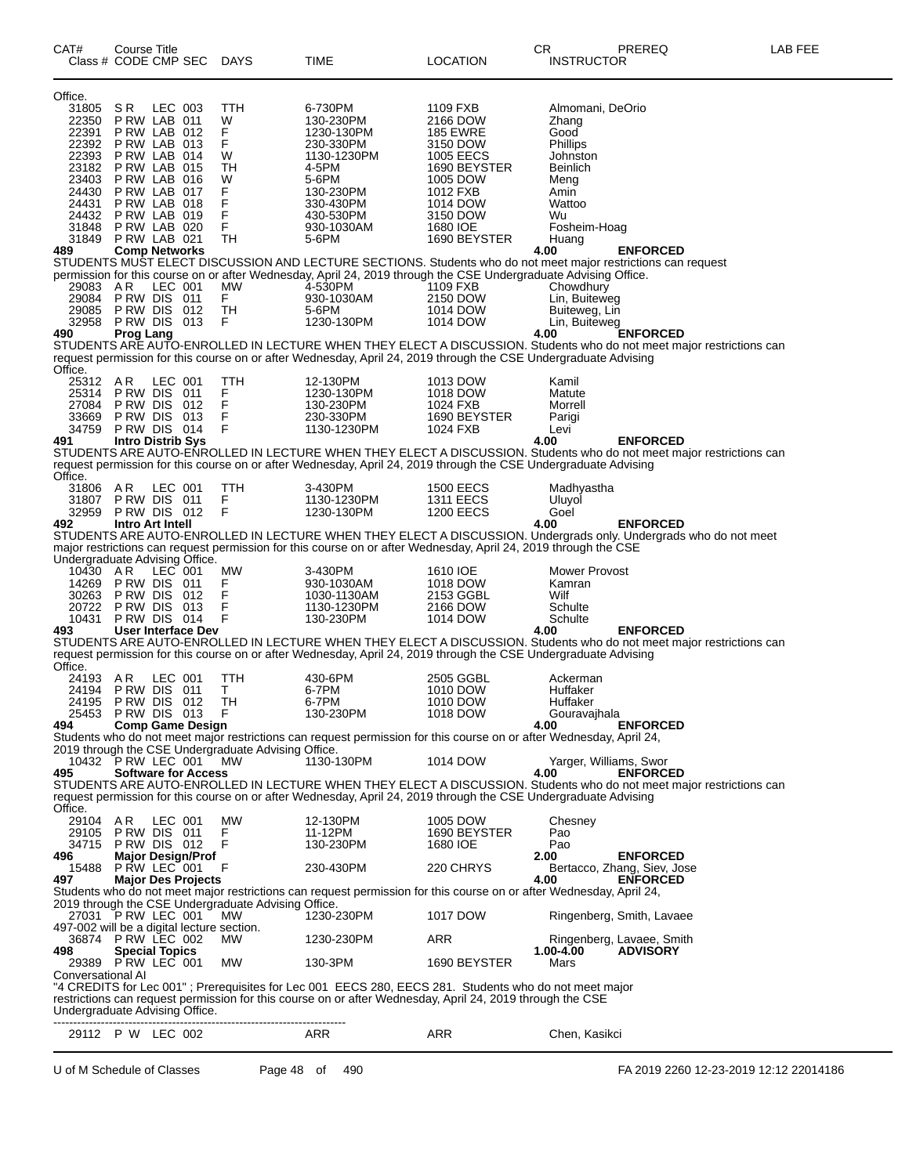| CAT#                                       | Course Title<br>Class # CODE CMP SEC       |         |                            | <b>DAYS</b>                                         | <b>TIME</b>                                                                                                         | LOCATION                             | CR<br><b>INSTRUCTOR</b>    | PREREQ                                                                                                                                 | LAB FEE |
|--------------------------------------------|--------------------------------------------|---------|----------------------------|-----------------------------------------------------|---------------------------------------------------------------------------------------------------------------------|--------------------------------------|----------------------------|----------------------------------------------------------------------------------------------------------------------------------------|---------|
| Office.                                    |                                            |         |                            |                                                     |                                                                                                                     |                                      |                            |                                                                                                                                        |         |
| 31805                                      | S R<br>PRW LAB 011                         | LEC 003 |                            | TTH                                                 | 6-730PM                                                                                                             | 1109 FXB                             | Almomani, DeOrio           |                                                                                                                                        |         |
| 22350<br>22391                             | PRW LAB 012                                |         |                            | W<br>F.                                             | 130-230PM<br>1230-130PM                                                                                             | 2166 DOW<br><b>185 EWRE</b>          | Zhang<br>Good              |                                                                                                                                        |         |
|                                            | 22392 P RW LAB 013                         |         |                            | F                                                   | 230-330PM                                                                                                           | 3150 DOW                             | Phillips                   |                                                                                                                                        |         |
| 22393                                      | PRW LAB 014                                |         |                            | W                                                   | 1130-1230PM                                                                                                         | 1005 EECS                            | Johnston                   |                                                                                                                                        |         |
| 23182<br>23403                             | PRW LAB 015<br>PRW LAB 016                 |         |                            | TН<br>W                                             | 4-5PM<br>5-6PM                                                                                                      | 1690 BEYSTER                         | <b>Beinlich</b>            |                                                                                                                                        |         |
| 24430                                      | PRW LAB 017                                |         |                            | F                                                   | 130-230PM                                                                                                           | 1005 DOW<br>1012 FXB                 | Meng<br>Amin               |                                                                                                                                        |         |
| 24431                                      | PRW LAB 018                                |         |                            | F                                                   | 330-430PM                                                                                                           | 1014 DOW                             | Wattoo                     |                                                                                                                                        |         |
|                                            | 24432 P RW LAB 019                         |         |                            | F                                                   | 430-530PM                                                                                                           | 3150 DOW                             | Wu                         |                                                                                                                                        |         |
| 31848<br>31849                             | PRW LAB 020<br>PRW LAB 021                 |         |                            | F<br>TН                                             | 930-1030AM<br>5-6PM                                                                                                 | 1680 IOE<br>1690 BEYSTER             | Fosheim-Hoag<br>Huang      |                                                                                                                                        |         |
| 489                                        | <b>Comp Networks</b>                       |         |                            |                                                     |                                                                                                                     |                                      | 4.00                       | <b>ENFORCED</b>                                                                                                                        |         |
|                                            |                                            |         |                            |                                                     | STUDENTS MUST ELECT DISCUSSION AND LECTURE SECTIONS. Students who do not meet major restrictions can request        |                                      |                            |                                                                                                                                        |         |
|                                            |                                            |         |                            |                                                     | permission for this course on or after Wednesday, April 24, 2019 through the CSE Undergraduate Advising Office.     |                                      |                            |                                                                                                                                        |         |
| 29083                                      | AR<br>29084 PRW DIS 011                    | LEC 001 |                            | <b>MW</b><br>F.                                     | 4-530PM<br>930-1030AM                                                                                               | 1109 FXB<br>2150 DOW                 | Chowdhury<br>Lin, Buiteweg |                                                                                                                                        |         |
| 29085                                      | PRW DIS 012                                |         |                            | TН                                                  | 5-6PM                                                                                                               | 1014 DOW                             | Buiteweg, Lin              |                                                                                                                                        |         |
|                                            | 32958 PRW DIS 013                          |         |                            | F                                                   | 1230-130PM                                                                                                          | 1014 DOW                             | Lin, Buiteweg              |                                                                                                                                        |         |
| 490                                        | <b>Prog Lang</b>                           |         |                            |                                                     |                                                                                                                     |                                      | 4.00                       | <b>ENFORCED</b><br>STUDENTS ARE AUTO-ENROLLED IN LECTURE WHEN THEY ELECT A DISCUSSION. Students who do not meet major restrictions can |         |
|                                            |                                            |         |                            |                                                     | request permission for this course on or after Wednesday, April 24, 2019 through the CSE Undergraduate Advising     |                                      |                            |                                                                                                                                        |         |
| Office.                                    |                                            |         |                            |                                                     |                                                                                                                     |                                      |                            |                                                                                                                                        |         |
| 25312 AR                                   | 25314 PRW DIS 011                          | LEC 001 |                            | TTH<br>F                                            | 12-130PM<br>1230-130PM                                                                                              | 1013 DOW<br>1018 DOW                 | Kamil<br>Matute            |                                                                                                                                        |         |
|                                            | 27084 PRW DIS                              |         | 012                        | $\mathsf F$                                         | 130-230PM                                                                                                           | 1024 FXB                             | Morrell                    |                                                                                                                                        |         |
| 33669                                      | PRW DIS 013                                |         |                            | F                                                   | 230-330PM                                                                                                           | 1690 BEYSTER                         | Parigi                     |                                                                                                                                        |         |
|                                            | 34759 PRW DIS 014                          |         |                            | F                                                   | 1130-1230PM                                                                                                         | 1024 FXB                             | Levi                       |                                                                                                                                        |         |
| 491                                        | <b>Intro Distrib Sys</b>                   |         |                            |                                                     |                                                                                                                     |                                      | 4.00                       | <b>ENFORCED</b><br>STUDENTS ARE AUTO-ENROLLED IN LECTURE WHEN THEY ELECT A DISCUSSION. Students who do not meet major restrictions can |         |
|                                            |                                            |         |                            |                                                     | request permission for this course on or after Wednesday, April 24, 2019 through the CSE Undergraduate Advising     |                                      |                            |                                                                                                                                        |         |
| Office.                                    |                                            |         |                            |                                                     |                                                                                                                     |                                      |                            |                                                                                                                                        |         |
| 31806                                      | AR                                         | LEC 001 |                            | TTH                                                 | 3-430PM                                                                                                             | <b>1500 EECS</b>                     | Madhyastha                 |                                                                                                                                        |         |
| 32959                                      | 31807 PRW DIS 011<br>PRW DIS 012           |         |                            | F<br>F                                              | 1130-1230PM<br>1230-130PM                                                                                           | <b>1311 EECS</b><br><b>1200 EECS</b> | Uluyol<br>Goel             |                                                                                                                                        |         |
| 492                                        | Intro Art Intell                           |         |                            |                                                     |                                                                                                                     |                                      | 4.00                       | <b>ENFORCED</b>                                                                                                                        |         |
|                                            |                                            |         |                            |                                                     |                                                                                                                     |                                      |                            | STUDENTS ARE AUTO-ENROLLED IN LECTURE WHEN THEY ELECT A DISCUSSION. Undergrads only. Undergrads who do not meet                        |         |
|                                            |                                            |         |                            |                                                     | major restrictions can request permission for this course on or after Wednesday, April 24, 2019 through the CSE     |                                      |                            |                                                                                                                                        |         |
| Undergraduate Advising Office.<br>10430 AR |                                            | LEC 001 |                            | МW                                                  | 3-430PM                                                                                                             | 1610 IOE                             | Mower Provost              |                                                                                                                                        |         |
| 14269                                      | PRW DIS 011                                |         |                            | F.                                                  | 930-1030AM                                                                                                          | 1018 DOW                             | Kamran                     |                                                                                                                                        |         |
| 30263                                      | PRW DIS 012                                |         |                            | F                                                   | 1030-1130AM                                                                                                         | 2153 GGBL                            | Wilf                       |                                                                                                                                        |         |
| 20722<br>10431                             | PRW DIS 013<br>PRW DIS 014                 |         |                            | F<br>F                                              | 1130-1230PM<br>130-230PM                                                                                            | 2166 DOW<br>1014 DOW                 | Schulte<br>Schulte         |                                                                                                                                        |         |
| 493                                        |                                            |         | User Interface Dev         |                                                     |                                                                                                                     |                                      | 4.00                       | <b>ENFORCED</b>                                                                                                                        |         |
|                                            |                                            |         |                            |                                                     |                                                                                                                     |                                      |                            | STUDENTS ARE AUTO-ENROLLED IN LECTURE WHEN THEY ELECT A DISCUSSION. Students who do not meet major restrictions can                    |         |
|                                            |                                            |         |                            |                                                     | request permission for this course on or after Wednesday, April 24, 2019 through the CSE Undergraduate Advising     |                                      |                            |                                                                                                                                        |         |
| Office.<br>24193 AR                        |                                            | LEC 001 |                            | TTH                                                 | 430-6PM                                                                                                             | 2505 GGBL                            | Ackerman                   |                                                                                                                                        |         |
|                                            | 24194 PRW DIS 011                          |         |                            | T.                                                  | 6-7PM                                                                                                               | 1010 DOW                             | Huffaker                   |                                                                                                                                        |         |
| 24195                                      | PRW DIS 012                                |         |                            | TH                                                  | 6-7PM                                                                                                               | 1010 DOW                             | Huffaker                   |                                                                                                                                        |         |
| 494                                        | 25453 PRW DIS 013                          |         | <b>Comp Game Design</b>    | - F                                                 | 130-230PM                                                                                                           | 1018 DOW                             | Gouravajhala<br>4.00       | <b>ENFORCED</b>                                                                                                                        |         |
|                                            |                                            |         |                            |                                                     | Students who do not meet major restrictions can request permission for this course on or after Wednesday, April 24, |                                      |                            |                                                                                                                                        |         |
|                                            |                                            |         |                            | 2019 through the CSE Undergraduate Advising Office. |                                                                                                                     |                                      |                            |                                                                                                                                        |         |
|                                            | 10432 P RW LEC 001                         |         |                            | <b>MW</b>                                           | 1130-130PM                                                                                                          | 1014 DOW                             | Yarger, Williams, Swor     |                                                                                                                                        |         |
| 495                                        |                                            |         | <b>Software for Access</b> |                                                     |                                                                                                                     |                                      | 4.00                       | <b>ENFORCED</b><br>STUDENTS ARE AUTO-ENROLLED IN LECTURE WHEN THEY ELECT A DISCUSSION. Students who do not meet major restrictions can |         |
|                                            |                                            |         |                            |                                                     | request permission for this course on or after Wednesday, April 24, 2019 through the CSE Undergraduate Advising     |                                      |                            |                                                                                                                                        |         |
| Office.                                    |                                            |         |                            |                                                     |                                                                                                                     |                                      |                            |                                                                                                                                        |         |
| 29104 AR                                   |                                            | LEC 001 |                            | MW                                                  | 12-130PM                                                                                                            | 1005 DOW                             | Chesney                    |                                                                                                                                        |         |
| 34715                                      | 29105 PRW DIS 011<br>PRW DIS 012           |         |                            | F.<br>F                                             | 11-12PM<br>130-230PM                                                                                                | 1690 BEYSTER<br>1680 IOE             | Pao<br>Pao                 |                                                                                                                                        |         |
| 496                                        |                                            |         | <b>Major Design/Prof</b>   |                                                     |                                                                                                                     |                                      | 2.00                       | <b>ENFORCED</b>                                                                                                                        |         |
| 15488                                      | PRW LEC 001                                |         |                            | F                                                   | 230-430PM                                                                                                           | 220 CHRYS                            |                            | Bertacco, Zhang, Siev, Jose                                                                                                            |         |
| 497                                        |                                            |         | <b>Major Des Projects</b>  |                                                     |                                                                                                                     |                                      | 4.00                       | <b>ENFORCED</b>                                                                                                                        |         |
|                                            |                                            |         |                            | 2019 through the CSE Undergraduate Advising Office. | Students who do not meet major restrictions can request permission for this course on or after Wednesday, April 24, |                                      |                            |                                                                                                                                        |         |
|                                            | 27031 PRW LEC 001                          |         |                            | МW                                                  | 1230-230PM                                                                                                          | 1017 DOW                             |                            | Ringenberg, Smith, Lavaee                                                                                                              |         |
| 497-002 will be a digital lecture section. |                                            |         |                            |                                                     |                                                                                                                     |                                      |                            |                                                                                                                                        |         |
|                                            | 36874 PRW LEC 002                          |         |                            | <b>MW</b>                                           | 1230-230PM                                                                                                          | ARR                                  |                            | Ringenberg, Lavaee, Smith                                                                                                              |         |
| 498                                        | <b>Special Topics</b><br>29389 PRW LEC 001 |         |                            | МW                                                  | 130-3PM                                                                                                             | 1690 BEYSTER                         | 1.00-4.00<br>Mars          | <b>ADVISORY</b>                                                                                                                        |         |
| Conversational Al                          |                                            |         |                            |                                                     |                                                                                                                     |                                      |                            |                                                                                                                                        |         |
|                                            |                                            |         |                            |                                                     | 4 CREDITS for Lec 001"; Prerequisites for Lec 001 EECS 280, EECS 281. Students who do not meet major                |                                      |                            |                                                                                                                                        |         |
|                                            |                                            |         |                            |                                                     | restrictions can request permission for this course on or after Wednesday, April 24, 2019 through the CSE           |                                      |                            |                                                                                                                                        |         |
| Undergraduate Advising Office.             |                                            |         |                            |                                                     |                                                                                                                     |                                      |                            |                                                                                                                                        |         |
|                                            | 29112 P W LEC 002                          |         |                            |                                                     | ARR                                                                                                                 | ARR                                  | Chen, Kasikci              |                                                                                                                                        |         |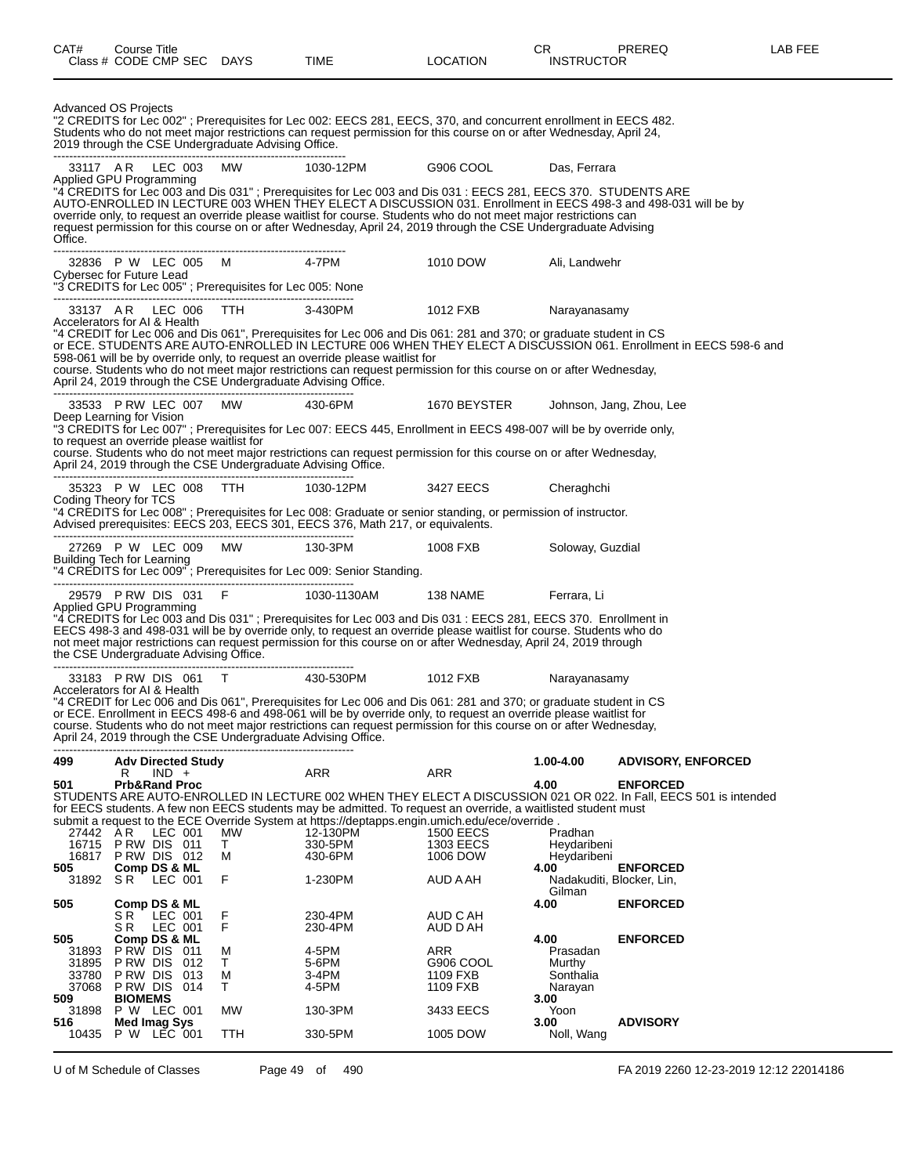| CAT#                                     | Course Title<br>Class # CODE CMP SEC DAYS                                                                                               |                    | TIME                                                                                                                                                                                                                                                                                                                                                        | <b>LOCATION</b>                                              | CR.<br><b>INSTRUCTOR</b>                              | PREREQ                                                                                                                                                                              | LAB FEE |
|------------------------------------------|-----------------------------------------------------------------------------------------------------------------------------------------|--------------------|-------------------------------------------------------------------------------------------------------------------------------------------------------------------------------------------------------------------------------------------------------------------------------------------------------------------------------------------------------------|--------------------------------------------------------------|-------------------------------------------------------|-------------------------------------------------------------------------------------------------------------------------------------------------------------------------------------|---------|
|                                          | Advanced OS Projects<br>2019 through the CSE Undergraduate Advising Office.                                                             |                    | "2 CREDITS for Lec 002"; Prerequisites for Lec 002: EECS 281, EECS, 370, and concurrent enrollment in EECS 482.<br>Students who do not meet major restrictions can request permission for this course on or after Wednesday, April 24,                                                                                                                      |                                                              |                                                       |                                                                                                                                                                                     |         |
|                                          | 33117 AR LEC 003 MW                                                                                                                     |                    | 1030-12PM                                                                                                                                                                                                                                                                                                                                                   | G906 COOL                                                    | Das, Ferrara                                          |                                                                                                                                                                                     |         |
| Office.                                  | Applied GPU Programming                                                                                                                 |                    | "4 CREDITS for Lec 003 and Dis 031"; Prerequisites for Lec 003 and Dis 031: EECS 281, EECS 370. STUDENTS ARE<br>override only, to request an override please waitlist for course. Students who do not meet major restrictions can<br>request permission for this course on or after Wednesday, April 24, 2019 through the CSE Undergraduate Advising        |                                                              |                                                       | AUTO-ENROLLED IN LECTURE 003 WHEN THEY ELECT A DISCUSSION 031. Enrollment in EECS 498-3 and 498-031 will be by                                                                      |         |
|                                          | 32836 P W LEC 005 M 4-7PM<br>Cybersec for Future Lead<br>"3 CREDITS for Lec 005"; Prerequisites for Lec 005: None                       |                    |                                                                                                                                                                                                                                                                                                                                                             | 1010 DOW                                                     | Ali, Landwehr                                         |                                                                                                                                                                                     |         |
|                                          | 33137 AR LEC 006                                                                                                                        | TTH TTE            | 3-430PM                                                                                                                                                                                                                                                                                                                                                     | 1012 FXB                                                     | Narayanasamy                                          |                                                                                                                                                                                     |         |
|                                          | Accelerators for AI & Health<br>April 24, 2019 through the CSE Undergraduate Advising Office.                                           |                    | "4 CREDIT for Lec 006 and Dis 061", Prerequisites for Lec 006 and Dis 061: 281 and 370; or graduate student in CS<br>598-061 will be by override only, to request an override please waitlist for<br>course. Students who do not meet major restrictions can request permission for this course on or after Wednesday,                                      |                                                              |                                                       | or ECE. STUDENTS ARE AUTO-ENROLLED IN LECTURE 006 WHEN THEY ELECT A DISCUSSION 061. Enrollment in EECS 598-6 and                                                                    |         |
|                                          | 33533 P RW LEC 007 MW 430-6PM                                                                                                           |                    |                                                                                                                                                                                                                                                                                                                                                             | 1670 BEYSTER                                                 |                                                       | Johnson, Jang, Zhou, Lee                                                                                                                                                            |         |
|                                          | Deep Learning for Vision<br>to request an override please waitlist for<br>April 24, 2019 through the CSE Undergraduate Advising Office. |                    | "3 CREDITS for Lec 007" ; Prerequisites for Lec 007: EECS 445, Enrollment in EECS 498-007 will be by override only,<br>course. Students who do not meet major restrictions can request permission for this course on or after Wednesday,                                                                                                                    |                                                              |                                                       |                                                                                                                                                                                     |         |
|                                          | 35323 P W LEC 008 TTH                                                                                                                   |                    | 1030-12PM                                                                                                                                                                                                                                                                                                                                                   | 3427 EECS                                                    | Cheraghchi                                            |                                                                                                                                                                                     |         |
|                                          | Coding Theory for TCS                                                                                                                   |                    | "4 CREDITS for Lec 008"; Prerequisites for Lec 008: Graduate or senior standing, or permission of instructor.<br>Advised prerequisites: EECS 203, EECS 301, EECS 376, Math 217, or equivalents.                                                                                                                                                             |                                                              |                                                       |                                                                                                                                                                                     |         |
|                                          | 27269 P W LEC 009 MW<br><b>Building Tech for Learning</b>                                                                               |                    | 130-3PM<br>"4 CREDITS for Lec 009"; Prerequisites for Lec 009: Senior Standing.                                                                                                                                                                                                                                                                             | 1008 FXB                                                     | Soloway, Guzdial                                      |                                                                                                                                                                                     |         |
|                                          | 29579 PRW DIS 031 F                                                                                                                     |                    | 1030-1130AM                                                                                                                                                                                                                                                                                                                                                 | 138 NAME                                                     | Ferrara, Li                                           |                                                                                                                                                                                     |         |
|                                          | Applied GPU Programming<br>the CSE Undergraduate Advising Office.                                                                       |                    | "4 CREDITS for Lec 003 and Dis 031"; Prerequisites for Lec 003 and Dis 031 : EECS 281, EECS 370. Enrollment in<br>EECS 498-3 and 498-031 will be by override only, to request an override please waitlist for course. Students who do<br>not meet major restrictions can request permission for this course on or after Wednesday, April 24, 2019 through   |                                                              |                                                       |                                                                                                                                                                                     |         |
|                                          | 33183 PRW DIS 061                                                                                                                       | T                  | 430-530PM                                                                                                                                                                                                                                                                                                                                                   | 1012 FXB                                                     | Narayanasamy                                          |                                                                                                                                                                                     |         |
|                                          | Accelerators for AI & Health<br>April 24, 2019 through the CSE Undergraduate Advising Office.                                           |                    | "4 CREDIT for Lec 006 and Dis 061", Prerequisites for Lec 006 and Dis 061: 281 and 370; or graduate student in CS<br>or ECE. Enrollment in EECS 498-6 and 498-061 will be by override only, to request an override please waitlist for<br>course. Students who do not meet major restrictions can request permission for this course on or after Wednesday, |                                                              |                                                       |                                                                                                                                                                                     |         |
| 499                                      | <b>Adv Directed Study</b>                                                                                                               |                    |                                                                                                                                                                                                                                                                                                                                                             |                                                              | 1.00-4.00                                             | <b>ADVISORY, ENFORCED</b>                                                                                                                                                           |         |
| 501<br>27442 AR<br>16715<br>505<br>31892 | $IND +$<br>R<br><b>Prb&amp;Rand Proc</b><br>LEC 001<br>PRW DIS 011<br>16817 PRW DIS 012<br>Comp DS & ML<br>S R<br>LEC 001               | MW<br>T.<br>м<br>F | ARR<br>for EECS students. A few non EECS students may be admitted. To request an override, a waitlisted student must<br>submit a request to the ECE Override System at https://deptapps.engin.umich.edu/ece/override.<br>12-130PM<br>330-5PM<br>430-6PM<br>1-230PM                                                                                          | ARR<br><b>1500 EECS</b><br>1303 EECS<br>1006 DOW<br>AUD A AH | 4.00<br>Pradhan<br>Heydaribeni<br>Heydaribeni<br>4.00 | <b>ENFORCED</b><br>STUDENTS ARE AUTO-ENROLLED IN LECTURE 002 WHEN THEY ELECT A DISCUSSION 021 OR 022. In Fall, EECS 501 is intended<br><b>ENFORCED</b><br>Nadakuditi, Blocker, Lin, |         |
|                                          |                                                                                                                                         |                    |                                                                                                                                                                                                                                                                                                                                                             |                                                              | Gilman                                                |                                                                                                                                                                                     |         |
| 505                                      | Comp DS & ML<br>LEC 001<br>S R<br>S R<br>LEC 001                                                                                        | F<br>F             | 230-4PM<br>230-4PM                                                                                                                                                                                                                                                                                                                                          | AUD C AH<br>AUD D AH                                         | 4.00                                                  | <b>ENFORCED</b>                                                                                                                                                                     |         |
| 505<br>31893                             | Comp DS & ML<br>PRW DIS 011                                                                                                             | м                  | 4-5PM                                                                                                                                                                                                                                                                                                                                                       | ARR                                                          | 4.00<br>Prasadan                                      | <b>ENFORCED</b>                                                                                                                                                                     |         |
| 31895<br>33780                           | P RW DIS<br>-012<br>P RW DIS<br>013                                                                                                     | Τ<br>м             | 5-6PM<br>3-4PM                                                                                                                                                                                                                                                                                                                                              | G906 COOL<br>1109 FXB                                        | Murthy<br>Sonthalia                                   |                                                                                                                                                                                     |         |
| 37068                                    | PRW DIS<br>014<br><b>BIOMEMS</b>                                                                                                        | T.                 | 4-5PM                                                                                                                                                                                                                                                                                                                                                       | 1109 FXB                                                     | Narayan<br>3.00                                       |                                                                                                                                                                                     |         |
| 509<br>31898                             | P W LEC 001                                                                                                                             | MW                 | 130-3PM                                                                                                                                                                                                                                                                                                                                                     | 3433 EECS                                                    | Yoon                                                  |                                                                                                                                                                                     |         |
| 516<br>10435                             | <b>Med Imag Sys</b><br>P W LEC 001                                                                                                      | TTH                | 330-5PM                                                                                                                                                                                                                                                                                                                                                     | 1005 DOW                                                     | 3.00<br>Noll, Wang                                    | <b>ADVISORY</b>                                                                                                                                                                     |         |

U of M Schedule of Classes Page 49 of 490 FA 2019 2260 12-23-2019 12:12 22014186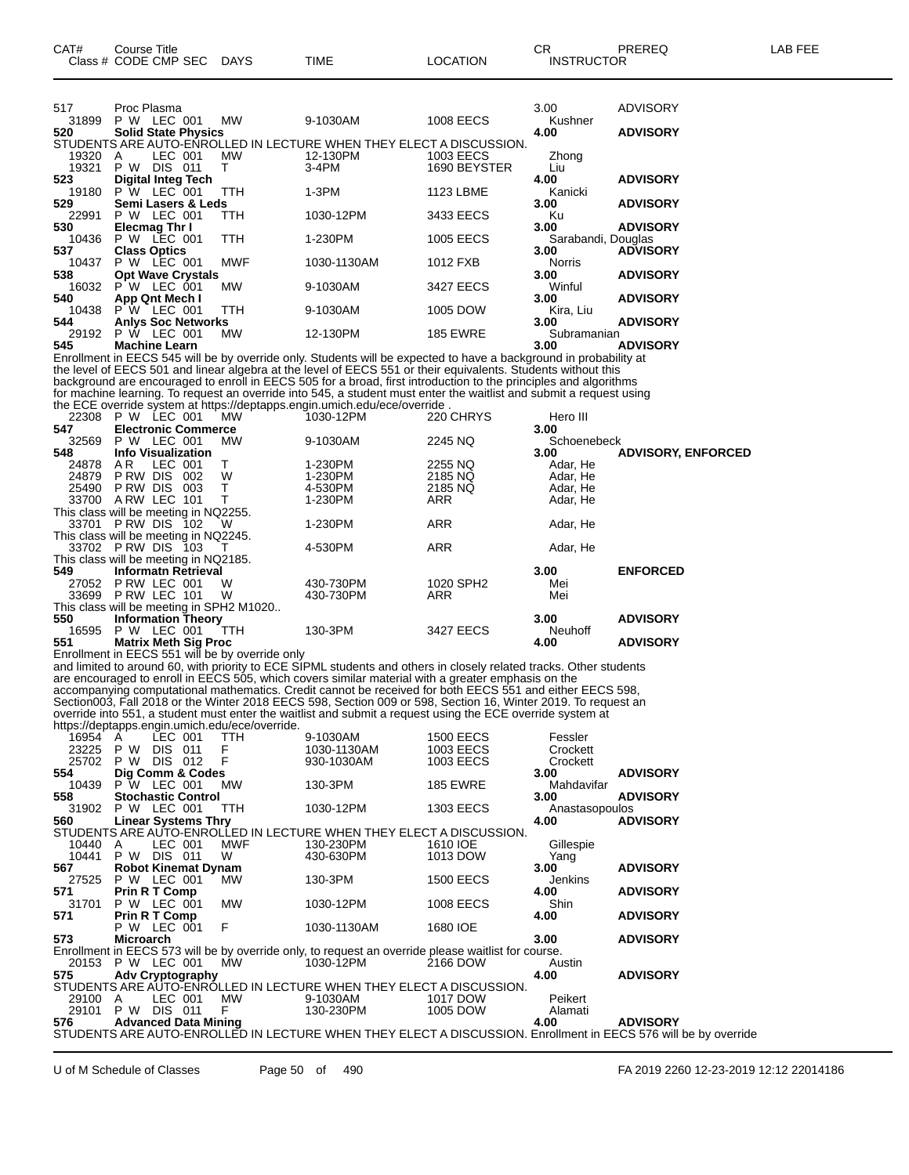| 517          | Proc Plasma                                     |            |                                                                                                                     |                  | 3.00               | ADVISORY                  |
|--------------|-------------------------------------------------|------------|---------------------------------------------------------------------------------------------------------------------|------------------|--------------------|---------------------------|
| 31899<br>520 | P W LEC 001                                     | МW         | 9-1030AM                                                                                                            | <b>1008 EECS</b> | Kushner            |                           |
|              | <b>Solid State Physics</b>                      |            | STUDENTS ARE AUTO-ENROLLED IN LECTURE WHEN THEY ELECT A DISCUSSION.                                                 |                  | 4.00               | <b>ADVISORY</b>           |
| 19320        | LEC 001<br>Α                                    | <b>MW</b>  | 12-130PM                                                                                                            | 1003 EECS        |                    |                           |
| 19321        | <b>P W DIS 011</b>                              | т          | 3-4PM                                                                                                               | 1690 BEYSTER     | Zhong<br>Liu       |                           |
| 523          |                                                 |            |                                                                                                                     |                  |                    |                           |
|              | <b>Digital Integ Tech</b>                       |            |                                                                                                                     |                  | 4.00               | <b>ADVISORY</b>           |
| 19180        | P W LEC 001                                     | TTH        | $1-3PM$                                                                                                             | 1123 LBME        | Kanicki            |                           |
| 529          | Semi Lasers & Leds                              |            |                                                                                                                     |                  | 3.00               | <b>ADVISORY</b>           |
| 22991        | P W LEC 001                                     | TTH        | 1030-12PM                                                                                                           | 3433 EECS        | Ku                 |                           |
| 530          | Elecmag Thr I                                   |            |                                                                                                                     |                  | 3.00               | <b>ADVISORY</b>           |
| 10436        | <b>P W LEC 001</b>                              | TTH        | 1-230PM                                                                                                             | <b>1005 EECS</b> | Sarabandi, Douglas |                           |
| 537          | <b>Class Optics</b>                             |            |                                                                                                                     |                  | 3.00               | <b>ADVISORY</b>           |
| 10437        | P W LEC 001                                     | <b>MWF</b> | 1030-1130AM                                                                                                         | 1012 FXB         | <b>Norris</b>      |                           |
| 538          | <b>Opt Wave Crystals</b>                        |            |                                                                                                                     |                  | 3.00               | <b>ADVISORY</b>           |
| 16032        | P W LEC 001                                     | МW         | 9-1030AM                                                                                                            | 3427 EECS        | Winful             |                           |
| 540          | App Qnt Mech I                                  |            |                                                                                                                     |                  | 3.00               | <b>ADVISORY</b>           |
| 10438        | P W LEC 001                                     | TTH        | 9-1030AM                                                                                                            | 1005 DOW         | Kira, Liu          |                           |
| 544          | <b>Anlys Soc Networks</b>                       |            |                                                                                                                     |                  | 3.00               | <b>ADVISORY</b>           |
| 29192        | P W LEC 001                                     | MW         | 12-130PM                                                                                                            | <b>185 EWRE</b>  | Subramanian        |                           |
| 545          | <b>Machine Learn</b>                            |            |                                                                                                                     |                  | 3.00               | <b>ADVISORY</b>           |
|              |                                                 |            | Enrollment in EECS 545 will be by override only. Students will be expected to have a background in probability at   |                  |                    |                           |
|              |                                                 |            | the level of EECS 501 and linear algebra at the level of EECS 551 or their equivalents. Students without this       |                  |                    |                           |
|              |                                                 |            | background are encouraged to enroll in EECS 505 for a broad, first introduction to the principles and algorithms    |                  |                    |                           |
|              |                                                 |            | for machine learning. To request an override into 545, a student must enter the waitlist and submit a request using |                  |                    |                           |
|              |                                                 |            | the ECE override system at https://deptapps.engin.umich.edu/ece/override.                                           |                  |                    |                           |
|              | 22308 P W LEC 001                               | <b>MW</b>  | 1030-12PM                                                                                                           | 220 CHRYS        | Hero III           |                           |
| 547          | <b>Electronic Commerce</b>                      |            |                                                                                                                     |                  | 3.00               |                           |
| 32569        | P W LEC 001                                     | MW         | 9-1030AM                                                                                                            | 2245 NQ          | Schoenebeck        |                           |
| 548          | <b>Info Visualization</b>                       |            |                                                                                                                     |                  | 3.00               | <b>ADVISORY, ENFORCED</b> |
| 24878        | LEC 001<br>AR.                                  | т          | 1-230PM                                                                                                             | 2255 NQ          | Adar, He           |                           |
| 24879        | PRW DIS 002                                     | W          | 1-230PM                                                                                                             | 2185 NQ          | Adar, He           |                           |
| 25490        | PRW DIS 003                                     | т          | 4-530PM                                                                                                             | 2185 NQ          | Adar, He           |                           |
| 33700        | ARW LEC 101                                     | т          | 1-230PM                                                                                                             | ARR              | Adar, He           |                           |
|              | This class will be meeting in NQ2255.           |            |                                                                                                                     |                  |                    |                           |
|              | 33701 PRW DIS 102                               | W          | 1-230PM                                                                                                             | ARR              | Adar, He           |                           |
|              | This class will be meeting in NQ2245.           |            |                                                                                                                     |                  |                    |                           |
|              | 33702 PRW DIS 103                               | т          | 4-530PM                                                                                                             | <b>ARR</b>       | Adar, He           |                           |
|              | This class will be meeting in NQ2185.           |            |                                                                                                                     |                  |                    |                           |
| 549          | <b>Informatn Retrieval</b>                      |            |                                                                                                                     |                  | 3.00               | <b>ENFORCED</b>           |
| 27052        | PRW LEC 001                                     | W          | 430-730PM                                                                                                           | 1020 SPH2        | Mei                |                           |
| 33699        | PRW LEC 101                                     | W          | 430-730PM                                                                                                           | ARR              | Mei                |                           |
|              | This class will be meeting in SPH2 M1020        |            |                                                                                                                     |                  |                    |                           |
| 550          | <b>Information Theory</b>                       |            |                                                                                                                     |                  | 3.00               | <b>ADVISORY</b>           |
| 16595        | P W LEC 001                                     | TTH        | 130-3PM                                                                                                             | 3427 EECS        | Neuhoff            |                           |
| 551          | <b>Matrix Meth Sig Proc</b>                     |            |                                                                                                                     |                  | 4.00               | <b>ADVISORY</b>           |
|              | Enrollment in EECS 551 will be by override only |            |                                                                                                                     |                  |                    |                           |
|              |                                                 |            | and limited to around 60, with priority to ECE SIPML students and others in closely related tracks. Other students  |                  |                    |                           |
|              |                                                 |            | are encouraged to enroll in EECS 505, which covers similar material with a greater emphasis on the                  |                  |                    |                           |
|              |                                                 |            | accompanying computational mathematics. Credit cannot be received for both EECS 551 and either EECS 598,            |                  |                    |                           |
|              |                                                 |            | Section003, Fall 2018 or the Winter 2018 EECS 598, Section 009 or 598, Section 16, Winter 2019. To request an       |                  |                    |                           |
|              |                                                 |            | override into 551, a student must enter the waitlist and submit a request using the ECE override system at          |                  |                    |                           |
|              | https://deptapps.engin.umich.edu/ece/override.  |            |                                                                                                                     |                  |                    |                           |
|              |                                                 |            |                                                                                                                     |                  |                    |                           |

| 16954                 | A                           | LEC 001        |               | TTH           | 9-1030AM                                                                                            | <b>1500 EECS</b> | Fessler        |                                                                                                                |
|-----------------------|-----------------------------|----------------|---------------|---------------|-----------------------------------------------------------------------------------------------------|------------------|----------------|----------------------------------------------------------------------------------------------------------------|
| 23225                 | P W                         | <b>DIS</b>     | 011           |               | 1030-1130AM                                                                                         | 1003 EECS        | Crockett       |                                                                                                                |
| 25702 P W DIS 012     |                             |                |               | $\frac{F}{F}$ | 930-1030AM                                                                                          | 1003 EECS        | Crockett       |                                                                                                                |
| 554                   | Dig Comm & Codes            |                |               |               |                                                                                                     |                  | 3.00           | <b>ADVISORY</b>                                                                                                |
| 10439 P W LEC 001     |                             |                |               | MW            | 130-3PM                                                                                             | <b>185 EWRE</b>  | Mahdavifar     |                                                                                                                |
| 558                   | <b>Stochastic Control</b>   |                |               |               |                                                                                                     |                  | 3.00           | <b>ADVISORY</b>                                                                                                |
| 31902 P W LEC 001 TTH |                             |                |               |               | 1030-12PM                                                                                           | 1303 EECS        | Anastasopoulos |                                                                                                                |
| 560                   | <b>Linear Systems Thry</b>  |                |               |               |                                                                                                     |                  | 4.00           | <b>ADVISORY</b>                                                                                                |
|                       |                             |                |               |               | STUDENTS ARE AUTO-ENROLLED IN LECTURE WHEN THEY ELECT A DISCUSSION.                                 |                  |                |                                                                                                                |
| 10440                 | A                           |                | LEC 001       | MWF           | 130-230PM                                                                                           | 1610 IOE         | Gillespie      |                                                                                                                |
| 10441                 | P W                         | <b>DIS 011</b> |               | W             | 430-630PM                                                                                           | 1013 DOW         | Yang           |                                                                                                                |
| 567                   | <b>Robot Kinemat Dynam</b>  |                |               |               |                                                                                                     |                  | 3.00           | <b>ADVISORY</b>                                                                                                |
| 27525 P W LEC 001     |                             |                |               | MW            | 130-3PM                                                                                             | <b>1500 EECS</b> | Jenkins        |                                                                                                                |
| 571                   | Prin R T Comp               |                |               |               |                                                                                                     |                  | 4.00           | <b>ADVISORY</b>                                                                                                |
| 31701                 | P W LEC 001                 |                |               | MW            | 1030-12PM                                                                                           | <b>1008 EECS</b> | Shin           |                                                                                                                |
| 571                   | Prin R T Comp               |                | P W LEC 001 F |               |                                                                                                     |                  | 4.00           | <b>ADVISORY</b>                                                                                                |
| 573                   | Microarch                   |                |               |               | 1030-1130AM                                                                                         | 1680 IOE         | 3.00           | <b>ADVISORY</b>                                                                                                |
|                       |                             |                |               |               | Enrollment in EECS 573 will be by override only, to request an override please waitlist for course. |                  |                |                                                                                                                |
| 20153 P W LEC 001     |                             |                |               | MW            | 1030-12PM                                                                                           | 2166 DOW         | Austin         |                                                                                                                |
| 575                   | <b>Adv Cryptography</b>     |                |               |               |                                                                                                     |                  | 4.00           | <b>ADVISORY</b>                                                                                                |
|                       |                             |                |               |               | STUDENTS ARE AUTO-ENROLLED IN LECTURE WHEN THEY ELECT A DISCUSSION.                                 |                  |                |                                                                                                                |
| 29100 A               |                             |                | LEC 001       | MW            | 9-1030AM                                                                                            | 1017 DOW         | Peikert        |                                                                                                                |
| 29101 P W             |                             | <b>DIS 011</b> |               | $-F$          | 130-230PM                                                                                           | 1005 DOW         | Alamati        |                                                                                                                |
| 576                   | <b>Advanced Data Mining</b> |                |               |               |                                                                                                     |                  | 4.00           | <b>ADVISORY</b>                                                                                                |
|                       |                             |                |               |               |                                                                                                     |                  |                | STUDENTS ARE AUTO-ENROLLED IN LECTURE WHEN THEY ELECT A DISCUSSION. Enrollment in EECS 576 will be by override |
|                       |                             |                |               |               |                                                                                                     |                  |                |                                                                                                                |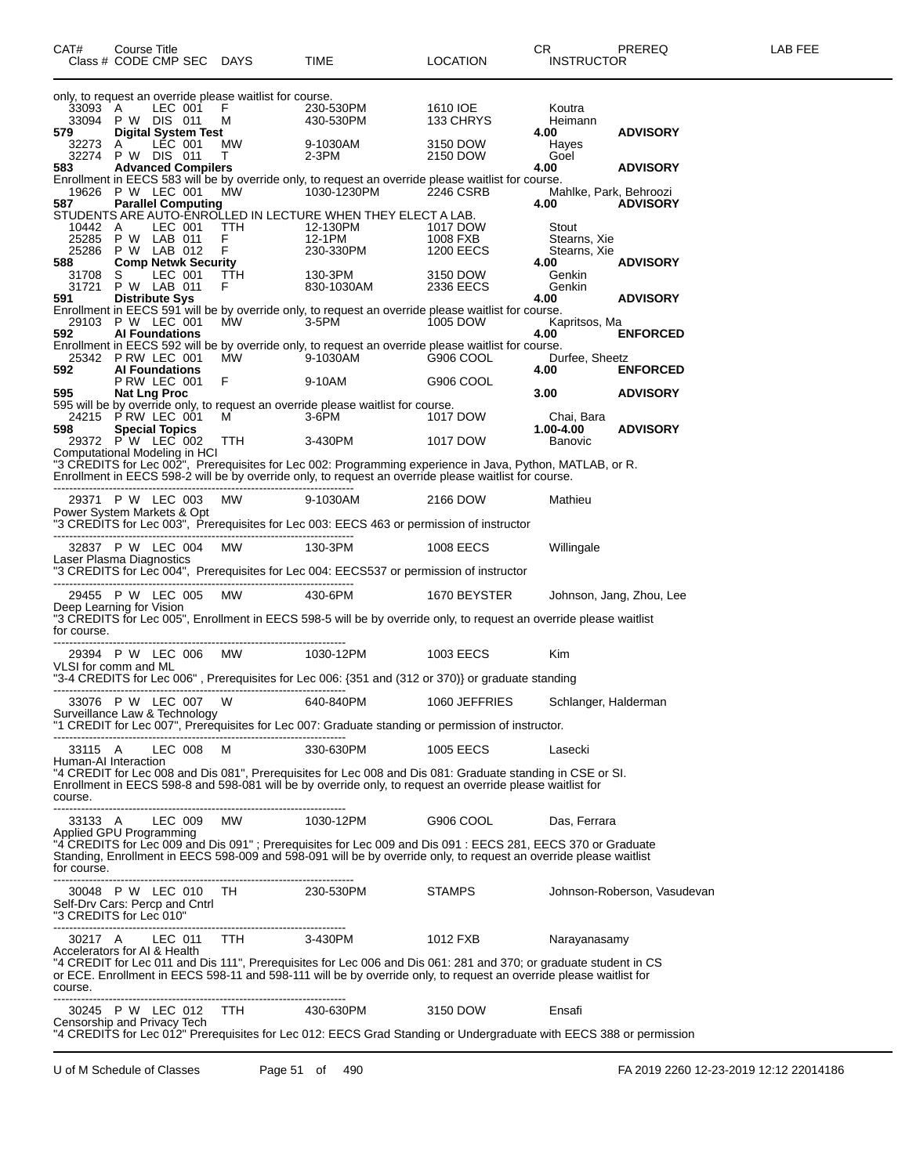| CAT#                                                      | Course Title<br>Class # CODE CMP SEC DAYS |                                           |                                                                | TIME                                                                                                                                                                                                                              | <b>LOCATION</b>              | CR.<br><b>INSTRUCTOR</b>             | PREREQ                      | LAB FEE |
|-----------------------------------------------------------|-------------------------------------------|-------------------------------------------|----------------------------------------------------------------|-----------------------------------------------------------------------------------------------------------------------------------------------------------------------------------------------------------------------------------|------------------------------|--------------------------------------|-----------------------------|---------|
| 33093 A                                                   |                                           | LEC 001                                   | only, to request an override please waitlist for course.<br>F. | 230-530PM                                                                                                                                                                                                                         | 1610 IOE                     | Koutra                               |                             |         |
| 579                                                       | 33094 P W DIS 011                         | <b>Digital System Test</b>                | м                                                              | 430-530PM                                                                                                                                                                                                                         | 133 CHRYS                    | Heimann<br>4.00                      | <b>ADVISORY</b>             |         |
| 32273<br>583                                              | A<br>32274 P W DIS 011                    | LEC 001<br><b>Advanced Compilers</b>      | МW<br>T.                                                       | 9-1030AM<br>2-3PM                                                                                                                                                                                                                 | 3150 DOW<br>2150 DOW         | Hayes<br>Goel<br>4.00                | <b>ADVISORY</b>             |         |
|                                                           | 19626 P W LEC 001                         |                                           | МW                                                             | Enrollment in EECS 583 will be by override only, to request an override please waitlist for course.<br>1030-1230PM                                                                                                                | 2246 CSRB                    | Mahlke, Park, Behroozi               |                             |         |
| 587<br>10442                                              | A                                         | <b>Parallel Computing</b><br>LEC 001      | TTH                                                            | STUDENTS ARE AUTO-ENROLLED IN LECTURE WHEN THEY ELECT A LAB.<br>12-130PM                                                                                                                                                          | 1017 DOW                     | 4.00<br>Stout                        | <b>ADVISORY</b>             |         |
| 25285<br>588                                              | 25286 P W LAB 012                         | P W LAB 011<br><b>Comp Netwk Security</b> | F.<br>F                                                        | 12-1PM<br>230-330PM                                                                                                                                                                                                               | 1008 FXB<br><b>1200 EECS</b> | Stearns, Xie<br>Stearns, Xie<br>4.00 | <b>ADVISORY</b>             |         |
| 31708<br>31721                                            | S.                                        | LEC 001<br>P W LAB 011                    | <b>TTH</b><br>F.                                               | 130-3PM<br>830-1030AM                                                                                                                                                                                                             | 3150 DOW<br>2336 EECS        | Genkin<br>Genkin                     |                             |         |
| 591                                                       | 29103 P W LEC 001                         | <b>Distribute Sys</b>                     | <b>MW</b>                                                      | Enrollment in EECS 591 will be by override only, to request an override please waitlist for course.<br>3-5PM                                                                                                                      | 1005 DOW                     | 4.00<br>Kapritsos, Ma                | <b>ADVISORY</b>             |         |
| 592                                                       | 25342 P RW LEC 001                        | <b>Al Foundations</b>                     | MW.                                                            | Enrollment in EECS 592 will be by override only, to request an override please waitlist for course.<br>9-1030AM                                                                                                                   | G906 COOL                    | 4.00<br>Durfee, Sheetz               | <b>ENFORCED</b>             |         |
| 592                                                       |                                           | <b>Al Foundations</b><br>PRW LEC 001      | F                                                              | 9-10AM                                                                                                                                                                                                                            | G906 COOL                    | 4.00                                 | <b>ENFORCED</b>             |         |
| 595                                                       | 24215 P RW LEC 001                        | <b>Nat Lng Proc</b>                       | M                                                              | 595 will be by override only, to request an override please waitlist for course.<br>3-6PM                                                                                                                                         | 1017 DOW                     | 3.00<br>Chai, Bara                   | <b>ADVISORY</b>             |         |
| 598<br>Computational Modeling in HCI                      | 29372 P W LEC 002                         | <b>Special Topics</b>                     | TTH                                                            | 3-430PM                                                                                                                                                                                                                           | 1017 DOW                     | 1.00-4.00<br>Banovic                 | <b>ADVISORY</b>             |         |
|                                                           |                                           |                                           |                                                                | "3 CREDITS for Lec 002", Prerequisites for Lec 002: Programming experience in Java, Python, MATLAB, or R.<br>Enrollment in EECS 598-2 will be by override only, to request an override please waitlist for course.                |                              |                                      |                             |         |
| Power System Markets & Opt                                | 29371 P W LEC 003 MW                      |                                           |                                                                | 9-1030AM<br>"3 CREDITS for Lec 003", Prerequisites for Lec 003: EECS 463 or permission of instructor                                                                                                                              | 2166 DOW                     | Mathieu                              |                             |         |
| Laser Plasma Diagnostics                                  | 32837 P W LEC 004 MW                      |                                           |                                                                | 130-3PM                                                                                                                                                                                                                           | 1008 EECS                    | Willingale                           |                             |         |
|                                                           |                                           |                                           |                                                                | "3 CREDITS for Lec 004", Prerequisites for Lec 004: EECS537 or permission of instructor                                                                                                                                           |                              |                                      |                             |         |
| Deep Learning for Vision                                  | 29455 P W LEC 005                         |                                           | MW                                                             | 430-6PM<br>"3 CREDITS for Lec 005", Enrollment in EECS 598-5 will be by override only, to request an override please waitlist                                                                                                     | 1670 BEYSTER                 |                                      | Johnson, Jang, Zhou, Lee    |         |
| for course.                                               |                                           |                                           |                                                                |                                                                                                                                                                                                                                   |                              |                                      |                             |         |
| VLSI for comm and ML                                      |                                           |                                           | 29394 P W LEC 006 MW 1030-12PM                                 | "3-4 CREDITS for Lec 006", Prerequisites for Lec 006: {351 and (312 or 370)} or graduate standing                                                                                                                                 | 1003 EECS                    | Kim                                  |                             |         |
|                                                           | 33076 P W LEC 007 W                       |                                           |                                                                | 640-840PM                                                                                                                                                                                                                         | 1060 JEFFRIES                | Schlanger, Halderman                 |                             |         |
| Surveillance Law & Technology                             |                                           |                                           |                                                                | "1 CREDIT for Lec 007", Prerequisites for Lec 007: Graduate standing or permission of instructor.                                                                                                                                 |                              |                                      |                             |         |
| 33115 A<br>Human-AI Interaction                           |                                           | LEC 008 M                                 | -------------------------------------                          | 330-630PM                                                                                                                                                                                                                         | 1005 EECS                    | Lasecki                              |                             |         |
| course.                                                   |                                           |                                           |                                                                | "4 CREDIT for Lec 008 and Dis 081", Prerequisites for Lec 008 and Dis 081: Graduate standing in CSE or SI.<br>Enrollment in EECS 598-8 and 598-081 will be by override only, to request an override please waitlist for           |                              |                                      |                             |         |
| Applied GPU Programming                                   |                                           |                                           | 33133 A LEC 009 MW 1030-12PM                                   |                                                                                                                                                                                                                                   | G906 COOL                    | Das, Ferrara                         |                             |         |
| for course.                                               |                                           |                                           |                                                                | "4 CREDITS for Lec 009 and Dis 091" ; Prerequisites for Lec 009 and Dis 091 : EECS 281, EECS 370 or Graduate<br>Standing, Enrollment in EECS 598-009 and 598-091 will be by override only, to request an override please waitlist |                              |                                      |                             |         |
| Self-Drv Cars: Percp and Cntrl<br>"3 CREDITS for Lec 010" |                                           |                                           | 30048 P W LEC 010 TH 230-530PM                                 |                                                                                                                                                                                                                                   | <b>STAMPS</b>                |                                      | Johnson-Roberson, Vasudevan |         |
| Accelerators for AI & Health                              |                                           |                                           | 30217 A LEC 011 TTH                                            | 3-430PM                                                                                                                                                                                                                           | 1012 FXB                     | Narayanasamy                         |                             |         |
| course.                                                   |                                           |                                           |                                                                | "4 CREDIT for Lec 011 and Dis 111", Prerequisites for Lec 006 and Dis 061: 281 and 370; or graduate student in CS<br>or ECE. Enrollment in EECS 598-11 and 598-111 will be by override only, to request an override please waitli |                              |                                      |                             |         |
| Censorship and Privacy Tech                               |                                           |                                           | 30245 P W LEC 012 TTH 430-630PM                                |                                                                                                                                                                                                                                   | 3150 DOW                     | Ensafi                               |                             |         |
|                                                           |                                           |                                           |                                                                | "4 CREDITS for Lec 012" Prerequisites for Lec 012: EECS Grad Standing or Undergraduate with EECS 388 or permission                                                                                                                |                              |                                      |                             |         |

U of M Schedule of Classes Page 51 of 490 FA 2019 2260 12-23-2019 12:12 22014186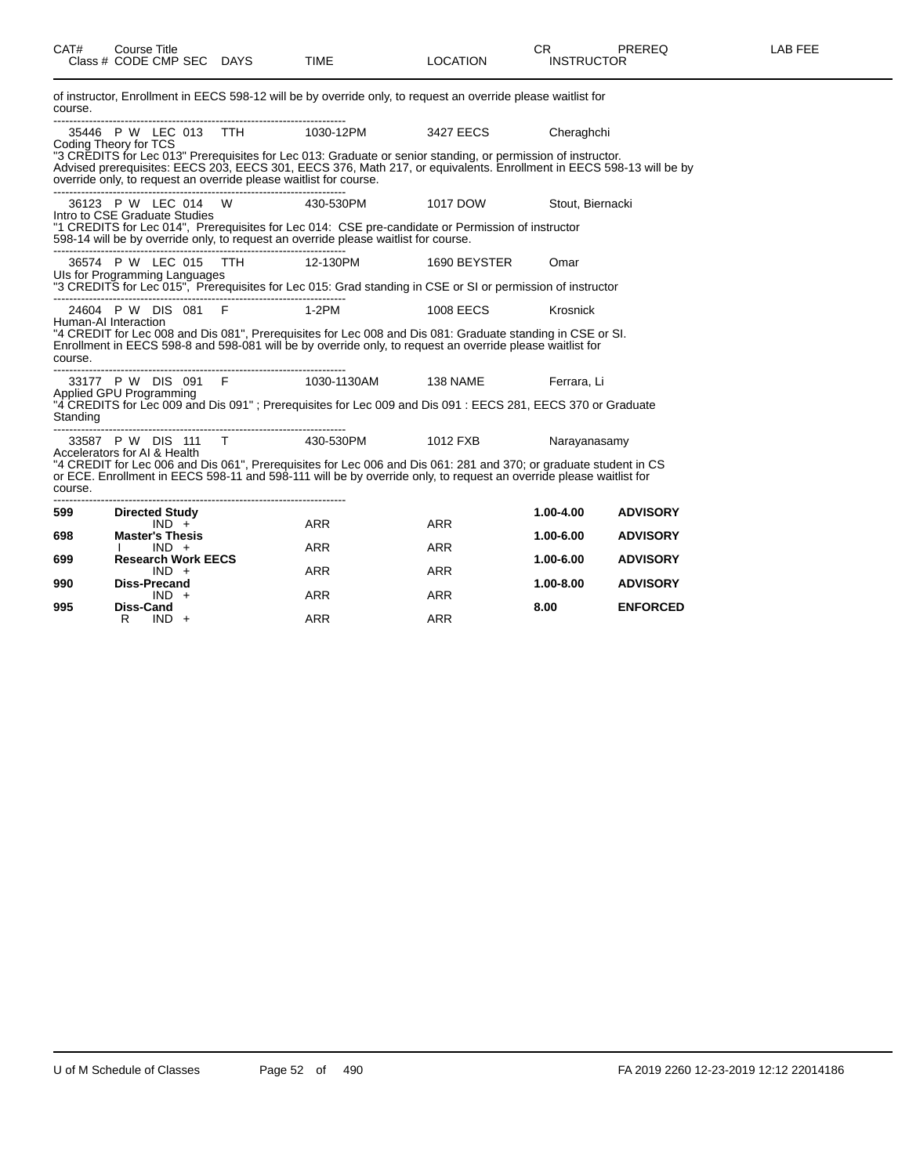| CAT#                    | <b>Course Title</b><br>Class # CODE CMP SEC DAYS                  |              | <b>TIME</b>                                                                                                                                                                                                                             | <b>LOCATION</b> | <b>CR</b><br><b>INSTRUCTOR</b> | <b>PREREQ</b>   | LAB FEE |
|-------------------------|-------------------------------------------------------------------|--------------|-----------------------------------------------------------------------------------------------------------------------------------------------------------------------------------------------------------------------------------------|-----------------|--------------------------------|-----------------|---------|
| course.                 |                                                                   |              | of instructor, Enrollment in EECS 598-12 will be by override only, to request an override please waitlist for                                                                                                                           |                 |                                |                 |         |
|                         | Coding Theory for TCS                                             |              |                                                                                                                                                                                                                                         |                 | Cheraghchi                     |                 |         |
|                         | override only, to request an override please waitlist for course. |              | "3 CREDITS for Lec 013" Prerequisites for Lec 013: Graduate or senior standing, or permission of instructor.<br>Advised prerequisites: EECS 203, EECS 301, EECS 376, Math 217, or equivalents. Enrollment in EECS 598-13 will be by     |                 |                                |                 |         |
|                         |                                                                   |              | 36123 P W LEC 014 W 430-530PM 1017 DOW                                                                                                                                                                                                  |                 | Stout, Biernacki               |                 |         |
|                         | Intro to CSE Graduate Studies                                     |              | "1 CREDITS for Lec 014", Prerequisites for Lec 014: CSE pre-candidate or Permission of instructor<br>598-14 will be by override only, to request an override please waitlist for course.                                                |                 |                                |                 |         |
|                         | 36574 P W LEC 015                                                 | TTH 12-130PM |                                                                                                                                                                                                                                         | 1690 BEYSTER    | Omar                           |                 |         |
|                         | Uls for Programming Languages                                     |              | "3 CREDITS for Lec 015", Prerequisites for Lec 015: Grad standing in CSE or SI or permission of instructor                                                                                                                              |                 |                                |                 |         |
|                         | 24604 P W DIS 081 F 1-2PM                                         |              |                                                                                                                                                                                                                                         | 1008 EECS       | Krosnick                       |                 |         |
| course.                 | Human-AI Interaction                                              |              | "4 CREDIT for Lec 008 and Dis 081", Prerequisites for Lec 008 and Dis 081: Graduate standing in CSE or SI.<br>Enrollment in EECS 598-8 and 598-081 will be by override only, to request an override please waitlist for                 |                 |                                |                 |         |
|                         |                                                                   |              | 33177 P W DIS 091 F 1030-1130AM 138 NAME                                                                                                                                                                                                |                 | Ferrara, Li                    |                 |         |
| Standing                | Applied GPU Programming                                           |              | "4 CREDITS for Lec 009 and Dis 091" ; Prerequisites for Lec 009 and Dis 091 : EECS 281, EECS 370 or Graduate                                                                                                                            |                 |                                |                 |         |
|                         | 33587 P W DIS 111 T 430-530PM                                     |              |                                                                                                                                                                                                                                         | 1012 FXB        | Narayanasamy                   |                 |         |
| course.<br>------------ | Accelerators for AI & Health                                      |              | "4 CREDIT for Lec 006 and Dis 061", Prerequisites for Lec 006 and Dis 061: 281 and 370; or graduate student in CS<br>or ECE. Enrollment in EECS 598-11 and 598-111 will be by override only, to request an override please waitlist for |                 |                                |                 |         |
| 599                     | <b>Directed Study</b><br>$IND +$                                  |              | ARR                                                                                                                                                                                                                                     | <b>ARR</b>      | 1.00-4.00                      | <b>ADVISORY</b> |         |
| 698                     | <b>Master's Thesis</b><br>$IND +$                                 |              | ARR                                                                                                                                                                                                                                     | <b>ARR</b>      | 1.00-6.00                      | <b>ADVISORY</b> |         |
| 699                     | <b>Research Work EECS</b>                                         |              |                                                                                                                                                                                                                                         |                 | 1.00-6.00                      | <b>ADVISORY</b> |         |
| 990                     | $IND +$<br><b>Diss-Precand</b>                                    |              | ARR                                                                                                                                                                                                                                     | <b>ARR</b>      | 1.00-8.00                      | <b>ADVISORY</b> |         |
| 995                     | $IND +$<br>Diss-Cand                                              |              | <b>ARR</b>                                                                                                                                                                                                                              | <b>ARR</b>      | 8.00                           | <b>ENFORCED</b> |         |
|                         | $IND +$<br>R                                                      |              | <b>ARR</b>                                                                                                                                                                                                                              | <b>ARR</b>      |                                |                 |         |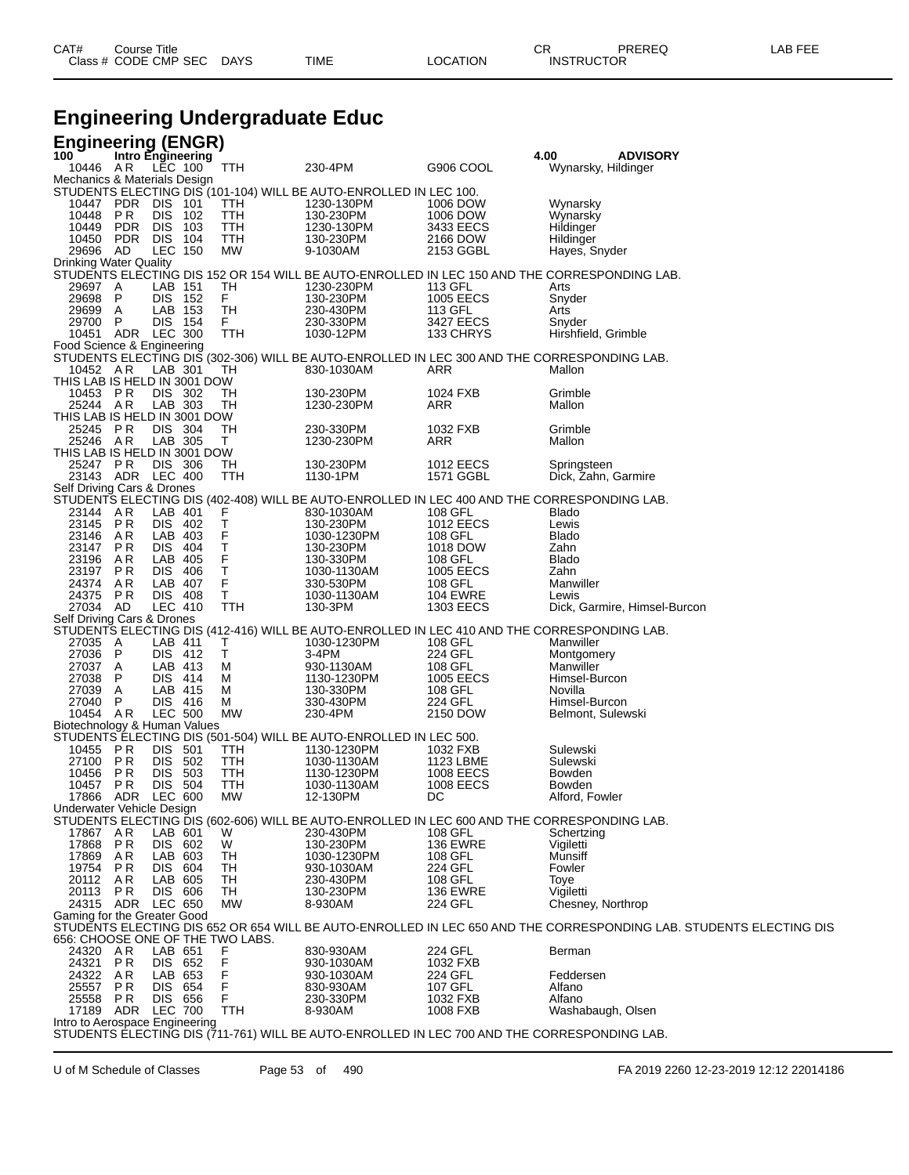| CAT# | Course Title         |             |      |          | СR                | PREREC | LAB FEF |
|------|----------------------|-------------|------|----------|-------------------|--------|---------|
|      | Class # CODE CMP SEC | <b>DAYS</b> | TIME | ∟OCATION | <b>INSTRUCTOR</b> |        |         |
|      |                      |             |      |          |                   |        |         |

## **Engineering Undergraduate Educ**

| <b>Engineering (ENGR)</b>                                                                                                     |                           |                        |                                                                                                                                                        |
|-------------------------------------------------------------------------------------------------------------------------------|---------------------------|------------------------|--------------------------------------------------------------------------------------------------------------------------------------------------------|
| Intro Engineering<br>100<br>10446 AR LEC 100<br>TTH                                                                           | 230-4PM                   | G906 COOL              | 4.00<br><b>ADVISORY</b><br>Wynarsky, Hildinger                                                                                                         |
| Mechanics & Materials Design                                                                                                  |                           |                        |                                                                                                                                                        |
| STUDENTS ELECTING DIS (101-104) WILL BE AUTO-ENROLLED IN LEC 100.                                                             |                           |                        |                                                                                                                                                        |
| 10447 PDR<br>DIS 101<br><b>TTH</b><br>10448<br>P R<br><b>DIS</b><br>102                                                       | 1230-130PM                | 1006 DOW<br>1006 DOW   | Wynarsky                                                                                                                                               |
| TTH<br>10449<br><b>PDR</b><br><b>DIS</b><br>103<br>TTH                                                                        | 130-230PM<br>1230-130PM   | 3433 EECS              | Wynarsky<br><b>Hildinger</b>                                                                                                                           |
| <b>PDR</b><br>DIS 104<br>TTH<br>10450                                                                                         | 130-230PM                 | 2166 DOW               | Hildinger                                                                                                                                              |
| 29696<br>AD<br>LEC 150<br>МW                                                                                                  | 9-1030AM                  | 2153 GGBL              | Hayes, Snyder                                                                                                                                          |
| <b>Drinking Water Quality</b>                                                                                                 |                           |                        |                                                                                                                                                        |
| STUDENTS ELECTING DIS 152 OR 154 WILL BE AUTO-ENROLLED IN LEC 150 AND THE CORRESPONDING LAB.<br>29697<br>A<br>LAB 151<br>TН   | 1230-230PM                | 113 GFL                | Arts                                                                                                                                                   |
| 29698 P<br>F.<br>DIS 152                                                                                                      | 130-230PM                 | 1005 EECS              | Snyder                                                                                                                                                 |
| LAB 153<br>29699 A<br>TН                                                                                                      | 230-430PM                 | 113 GFL                | Arts                                                                                                                                                   |
| 29700<br>-P<br>DIS 154<br>F.<br>10451 ADR LEC 300<br>TTH                                                                      | 230-330PM<br>1030-12PM    | 3427 EECS<br>133 CHRYS | Snyder<br>Hirshfield, Grimble                                                                                                                          |
| Food Science & Engineering                                                                                                    |                           |                        |                                                                                                                                                        |
| STUDENTS ELECTING DIS (302-306) WILL BE AUTO-ENROLLED IN LEC 300 AND THE CORRESPONDING LAB.                                   |                           |                        |                                                                                                                                                        |
| 10452 AR<br>LAB 301<br>TH                                                                                                     | 830-1030AM                | ARR                    | Mallon                                                                                                                                                 |
| THIS LAB IS HELD IN 3001 DOW                                                                                                  |                           |                        |                                                                                                                                                        |
| 10453<br>P R<br>DIS 302<br>TН<br>25244 AR<br>LAB 303<br>TН                                                                    | 130-230PM<br>1230-230PM   | 1024 FXB<br>ARR        | Grimble<br>Mallon                                                                                                                                      |
| THIS LAB IS HELD IN 3001 DOW                                                                                                  |                           |                        |                                                                                                                                                        |
| 25245<br>P R<br>DIS 304<br>TН                                                                                                 | 230-330PM                 | 1032 FXB               | Grimble                                                                                                                                                |
| LAB 305<br>25246 AR<br>Τ<br>THIS LAB IS HELD IN 3001 DOW                                                                      | 1230-230PM                | ARR                    | Mallon                                                                                                                                                 |
| 25247 PR<br>DIS 306<br>TН                                                                                                     | 130-230PM                 | 1012 EECS              | Springsteen                                                                                                                                            |
| 23143 ADR LEC 400<br>TTH                                                                                                      | 1130-1PM                  | 1571 GGBL              | Dick, Zahn, Garmire                                                                                                                                    |
| Self Driving Cars & Drones                                                                                                    |                           |                        |                                                                                                                                                        |
| STUDENTS ELECTING DIS (402-408) WILL BE AUTO-ENROLLED IN LEC 400 AND THE CORRESPONDING LAB.                                   |                           |                        |                                                                                                                                                        |
| 23144 AR<br>LAB 401<br>F<br>$\top$<br>23145<br>PR<br>DIS 402                                                                  | 830-1030AM<br>130-230PM   | 108 GFL<br>1012 EECS   | <b>Blado</b><br>Lewis                                                                                                                                  |
| F<br>23146<br>A R<br>LAB 403                                                                                                  | 1030-1230PM               | 108 GFL                | <b>Blado</b>                                                                                                                                           |
| $\frac{\mathsf{T}}{\mathsf{F}}$<br>23147<br>P R<br><b>DIS 404</b>                                                             | 130-230PM                 | 1018 DOW               | Zahn                                                                                                                                                   |
| LAB 405<br>23196<br>A R<br>T                                                                                                  | 130-330PM                 | 108 GFL                | <b>Blado</b>                                                                                                                                           |
| 23197<br>P R<br>DIS 406<br>24374<br>LAB 407<br>F<br>AR                                                                        | 1030-1130AM<br>330-530PM  | 1005 EECS<br>108 GFL   | Zahn<br>Manwiller                                                                                                                                      |
| T<br>PR<br>24375<br>DIS 408                                                                                                   | 1030-1130AM               | <b>104 EWRE</b>        | Lewis                                                                                                                                                  |
| 27034 AD<br>LEC 410<br>TTH                                                                                                    | 130-3PM                   | 1303 EECS              | Dick, Garmire, Himsel-Burcon                                                                                                                           |
| Self Driving Cars & Drones<br>STUDENTS ELECTING DIS (412-416) WILL BE AUTO-ENROLLED IN LEC 410 AND THE CORRESPONDING LAB.     |                           |                        |                                                                                                                                                        |
| 27035<br>LAB 411<br>A<br>Τ                                                                                                    | 1030-1230PM               | 108 GFL                | Manwiller                                                                                                                                              |
| 27036<br>$\mathsf{P}$<br>т<br>DIS 412                                                                                         | 3-4PM                     | 224 GFL                | Montgomery                                                                                                                                             |
| 27037 A<br>LAB 413<br>м                                                                                                       | 930-1130AM                | 108 GFL                | Manwiller                                                                                                                                              |
| 27038<br>-P<br>DIS 414<br>м<br>27039<br>LAB 415<br>A<br>м                                                                     | 1130-1230PM<br>130-330PM  | 1005 EECS<br>108 GFL   | Himsel-Burcon<br>Novilla                                                                                                                               |
| P<br>DIS 416<br>27040<br>M                                                                                                    | 330-430PM                 | 224 GFL                | Himsel-Burcon                                                                                                                                          |
| <b>LEC 500</b><br>10454 AR<br>MW                                                                                              | 230-4PM                   | 2150 DOW               | Belmont, Sulewski                                                                                                                                      |
| Biotechnology & Human Values                                                                                                  |                           |                        |                                                                                                                                                        |
| STUDENTS ELECTING DIS (501-504) WILL BE AUTO-ENROLLED IN LEC 500.<br>10455<br>P R<br>DIS 501<br>TTH                           | 1130-1230PM               | 1032 FXB               | Sulewski                                                                                                                                               |
| 27100<br>P R<br><b>DIS</b><br>502<br>TTH                                                                                      | 1030-1130AM               | 1123 LBME              | Sulewski                                                                                                                                               |
| P R<br>DIS 503<br>TTH<br>10456                                                                                                | 1130-1230PM               | 1008 EECS              | Bowden                                                                                                                                                 |
| 10457<br>P R<br><b>DIS 504</b><br>TTH                                                                                         | 1030-1130AM               | <b>1008 EECS</b>       | Bowden                                                                                                                                                 |
| ADR<br>LEC 600<br>МW<br>17866<br>Underwater Vehicle Design                                                                    | 12-130PM                  | DC                     | Alford, Fowler                                                                                                                                         |
| STUDENTS ELECTING DIS (602-606) WILL BE AUTO-ENROLLED IN LEC 600 AND THE CORRESPONDING LAB.                                   |                           |                        |                                                                                                                                                        |
| LAB 601<br>17867 AR<br>w                                                                                                      | 230-430PM                 | 108 GFL                | Schertzing                                                                                                                                             |
| 17868<br>PR<br>DIS 602<br>W<br>17869<br>AR<br>LAB 603                                                                         | 130-230PM                 | <b>136 EWRE</b>        | Vigiletti<br>Munsiff                                                                                                                                   |
| TН<br>19754<br>P R<br>DIS 604<br>TН                                                                                           | 1030-1230PM<br>930-1030AM | 108 GFL<br>224 GFL     | Fowler                                                                                                                                                 |
| LAB 605<br>AR<br>TН<br>20112                                                                                                  | 230-430PM                 | 108 GFL                | Toye                                                                                                                                                   |
| 20113<br>DIS 606<br>P R<br>TН                                                                                                 | 130-230PM                 | <b>136 EWRE</b>        | Vigiletti                                                                                                                                              |
| 24315 ADR LEC 650<br><b>MW</b>                                                                                                | 8-930AM                   | 224 GFL                | Chesney, Northrop                                                                                                                                      |
| Gaming for the Greater Good                                                                                                   |                           |                        |                                                                                                                                                        |
|                                                                                                                               |                           |                        | STUDENTS ELECTING DIS 652 OR 654 WILL BE AUTO-ENROLLED IN LEC 650 AND THE CORRESPONDING LAB. STUDENTS ELECTING DIS<br>656: CHOOSE ONE OF THE TWO LABS. |
| 24320 AR<br>LAB 651<br>F                                                                                                      | 830-930AM                 | 224 GFL                | Berman                                                                                                                                                 |
| 24321<br><b>PR</b><br>DIS 652<br>F<br>24322 AR<br>LAB 653<br>F                                                                | 930-1030AM                | 1032 FXB<br>224 GFL    | Feddersen                                                                                                                                              |
| F<br>25557 PR<br>DIS 654                                                                                                      | 930-1030AM<br>830-930AM   | 107 GFL                | Alfano                                                                                                                                                 |
| DIS 656<br>F<br>25558<br>PR                                                                                                   | 230-330PM                 | 1032 FXB               | Alfano                                                                                                                                                 |
| 17189 ADR LEC 700<br><b>TTH</b>                                                                                               | 8-930AM                   | 1008 FXB               | Washabaugh, Olsen                                                                                                                                      |
| Intro to Aerospace Engineering<br>STUDENTS ELECTING DIS (711-761) WILL BE AUTO-ENROLLED IN LEC 700 AND THE CORRESPONDING LAB. |                           |                        |                                                                                                                                                        |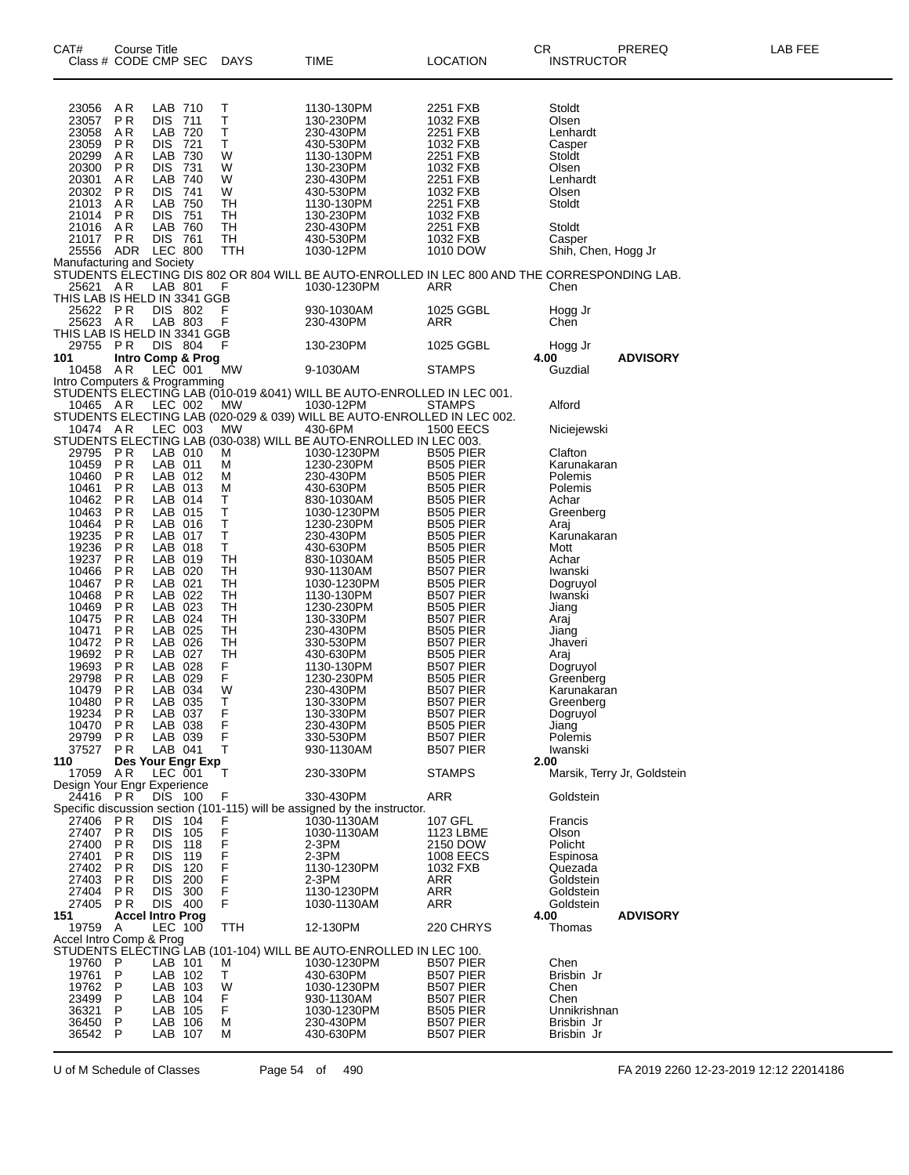| CAT#                                 | Course Title<br>Class # CODE CMP SEC |                           |            | DAYS         | <b>TIME</b>                                                                          | <b>LOCATION</b>                      | CR.<br>PREREQ<br><b>INSTRUCTOR</b>                                                                                        | LAB FEE |
|--------------------------------------|--------------------------------------|---------------------------|------------|--------------|--------------------------------------------------------------------------------------|--------------------------------------|---------------------------------------------------------------------------------------------------------------------------|---------|
| 23056                                | AR                                   | LAB 710                   |            | Т            | 1130-130PM                                                                           | 2251 FXB                             | Stoldt                                                                                                                    |         |
| 23057<br>23058                       | <b>PR</b><br>AR                      | <b>DIS</b><br>LAB 720     | 711        | $\sf T$<br>Т | 130-230PM<br>230-430PM                                                               | 1032 FXB<br>2251 FXB                 | Olsen<br>Lenhardt                                                                                                         |         |
| 23059                                | P <sub>R</sub>                       | <b>DIS</b>                | 721        | Τ            | 430-530PM                                                                            | 1032 FXB                             | Casper                                                                                                                    |         |
| 20299                                | AR                                   | LAB 730                   |            | W            | 1130-130PM                                                                           | 2251 FXB                             | Stoldt                                                                                                                    |         |
| 20300<br>20301                       | <b>PR</b><br>A R                     | <b>DIS 731</b><br>LAB 740 |            | W<br>W       | 130-230PM<br>230-430PM                                                               | 1032 FXB<br>2251 FXB                 | Olsen<br>Lenhardt                                                                                                         |         |
| 20302                                | <b>PR</b>                            | DIS 741                   |            | W            | 430-530PM                                                                            | 1032 FXB                             | Olsen                                                                                                                     |         |
| 21013                                | AR                                   | LAB 750                   |            | TН           | 1130-130PM                                                                           | 2251 FXB                             | Stoldt                                                                                                                    |         |
| 21014<br>21016                       | <b>PR</b><br>AR                      | <b>DIS 751</b><br>LAB 760 |            | TН<br>TH     | 130-230PM<br>230-430PM                                                               | 1032 FXB<br>2251 FXB                 | Stoldt                                                                                                                    |         |
| 21017                                | <b>PR</b>                            | <b>DIS 761</b>            |            | TН           | 430-530PM                                                                            | 1032 FXB                             | Casper                                                                                                                    |         |
| 25556                                | ADR                                  | <b>LEC 800</b>            |            | TTH          | 1030-12PM                                                                            | 1010 DOW                             | Shih, Chen, Hogg Jr                                                                                                       |         |
|                                      |                                      |                           |            |              |                                                                                      |                                      | Manufacturing and Society<br>STUDENTS ELECTING DIS 802 OR 804 WILL BE AUTO-ENROLLED IN LEC 800 AND THE CORRESPONDING LAB. |         |
| 25621 AR                             |                                      | LAB 801                   |            | F            | 1030-1230PM                                                                          | ARR                                  | Chen                                                                                                                      |         |
| THIS LAB IS HELD IN 3341 GGB         |                                      |                           |            |              |                                                                                      |                                      |                                                                                                                           |         |
| 25622 PR<br>25623                    | AR                                   | DIS 802<br>LAB 803        |            | F<br>F       | 930-1030AM<br>230-430PM                                                              | 1025 GGBL<br>ARR                     | Hogg Jr<br>Chen                                                                                                           |         |
| THIS LAB IS HELD IN 3341 GGB         |                                      |                           |            |              |                                                                                      |                                      |                                                                                                                           |         |
| 29755 PR                             |                                      | DIS 804                   |            | F            | 130-230PM                                                                            | 1025 GGBL                            | Hogg Jr                                                                                                                   |         |
| 101<br>10458                         | Intro Comp & Prog<br>AR              | LEC 001                   |            | МW           | 9-1030AM                                                                             | <b>STAMPS</b>                        | <b>ADVISORY</b><br>4.00<br>Guzdial                                                                                        |         |
| Intro Computers & Programming        |                                      |                           |            |              |                                                                                      |                                      |                                                                                                                           |         |
|                                      |                                      |                           |            |              | STUDENTS ELECTING LAB (010-019 &041) WILL BE AUTO-ENROLLED IN LEC 001.               |                                      |                                                                                                                           |         |
| 10465 AR                             |                                      | LEC 002                   |            | <b>MW</b>    | 1030-12PM<br>STUDENTS ELECTING LAB (020-029 & 039) WILL BE AUTO-ENROLLED IN LEC 002. | <b>STAMPS</b>                        | Alford                                                                                                                    |         |
| 10474 AR                             |                                      | LEC 003                   |            | <b>MW</b>    | 430-6PM                                                                              | <b>1500 EECS</b>                     | Niciejewski                                                                                                               |         |
|                                      |                                      |                           |            |              | STUDENTS ELECTING LAB (030-038) WILL BE AUTO-ENROLLED IN LEC 003.                    |                                      |                                                                                                                           |         |
| 29795<br>10459                       | P R<br>PR                            | LAB 010<br>LAB 011        |            | M<br>M       | 1030-1230PM<br>1230-230PM                                                            | <b>B505 PIER</b><br><b>B505 PIER</b> | Clafton<br>Karunakaran                                                                                                    |         |
| 10460                                | P <sub>R</sub>                       | LAB 012                   |            | M            | 230-430PM                                                                            | <b>B505 PIER</b>                     | Polemis                                                                                                                   |         |
| 10461                                | P <sub>R</sub>                       | LAB 013                   |            | м            | 430-630PM                                                                            | <b>B505 PIER</b>                     | Polemis                                                                                                                   |         |
| 10462<br>10463                       | P <sub>R</sub><br>PR                 | LAB 014<br>LAB 015        |            | Т<br>Т       | 830-1030AM<br>1030-1230PM                                                            | B505 PIER<br><b>B505 PIER</b>        | Achar<br>Greenberg                                                                                                        |         |
| 10464                                | P <sub>R</sub>                       | LAB 016                   |            | Т            | 1230-230PM                                                                           | <b>B505 PIER</b>                     | Araj                                                                                                                      |         |
| 19235                                | P <sub>R</sub>                       | LAB 017                   |            | Τ            | 230-430PM                                                                            | B505 PIER                            | Karunakaran                                                                                                               |         |
| 19236<br>19237                       | P <sub>R</sub><br>P <sub>R</sub>     | LAB 018<br>LAB 019        |            | T<br>TH      | 430-630PM<br>830-1030AM                                                              | <b>B505 PIER</b><br><b>B505 PIER</b> | Mott<br>Achar                                                                                                             |         |
| 10466                                | P <sub>R</sub>                       | LAB 020                   |            | TН           | 930-1130AM                                                                           | B507 PIER                            | Iwanski                                                                                                                   |         |
| 10467                                | P <sub>R</sub>                       | LAB 021                   |            | TH           | 1030-1230PM                                                                          | B505 PIER                            | Dogruyol                                                                                                                  |         |
| 10468<br>10469                       | P <sub>R</sub><br>P <sub>R</sub>     | LAB 022<br>LAB 023        |            | TН<br>TН     | 1130-130PM<br>1230-230PM                                                             | B507 PIER<br>B505 PIER               | Iwanski<br>Jiang                                                                                                          |         |
| 10475                                | P <sub>R</sub>                       | LAB 024                   |            | TH           | 130-330PM                                                                            | B507 PIER                            | Araj                                                                                                                      |         |
| 10471                                | P <sub>R</sub>                       | LAB 025                   |            | TН           | 230-430PM                                                                            | <b>B505 PIER</b>                     | Jiang                                                                                                                     |         |
| 10472<br>19692                       | P <sub>R</sub><br>P <sub>R</sub>     | LAB 026<br>LAB 027        |            | TН<br>TH     | 330-530PM<br>430-630PM                                                               | B507 PIER<br><b>B505 PIER</b>        | Jhaveri<br>Araj                                                                                                           |         |
| 19693                                | ΡR                                   | LAB 028                   |            | F            | 1130-130PM                                                                           | B507 PIER                            | Dogruyol                                                                                                                  |         |
| 29798                                | P <sub>R</sub>                       | LAB 029                   |            | F            | 1230-230PM                                                                           | B505 PIER                            | Greenberg                                                                                                                 |         |
| 10479<br>10480                       | P <sub>R</sub><br>P <sub>R</sub>     | LAB 034<br>LAB 035        |            | W<br>т       | 230-430PM<br>130-330PM                                                               | B507 PIER<br>B507 PIER               | Karunakaran<br>Greenberg                                                                                                  |         |
| 19234                                | P <sub>R</sub>                       | LAB 037                   |            | $_{F}^{F}$   | 130-330PM                                                                            | B507 PIER                            | Dogruyol                                                                                                                  |         |
| 10470                                | <b>PR</b>                            | LAB 038                   |            |              | 230-430PM                                                                            | <b>B505 PIER</b>                     | Jiang                                                                                                                     |         |
| 29799<br>37527                       | PR.<br>PR.                           | LAB 039<br>LAB 041        |            | F<br>т       | 330-530PM<br>930-1130AM                                                              | B507 PIER<br>B507 PIER               | Polemis<br>Iwanski                                                                                                        |         |
| 110                                  | Des Your Engr Exp                    |                           |            |              |                                                                                      |                                      | 2.00                                                                                                                      |         |
| 17059<br>Design Your Engr Experience | AR                                   | LEC 001                   |            | Т            | 230-330PM                                                                            | <b>STAMPS</b>                        | Marsik, Terry Jr, Goldstein                                                                                               |         |
| 24416 PR                             |                                      | DIS 100                   |            | F            | 330-430PM                                                                            | ARR                                  | Goldstein                                                                                                                 |         |
|                                      |                                      |                           |            |              | Specific discussion section (101-115) will be assigned by the instructor.            |                                      |                                                                                                                           |         |
| 27406                                | PR                                   | <b>DIS</b>                | 104        | F            | 1030-1130AM                                                                          | 107 GFL                              | Francis                                                                                                                   |         |
| 27407<br>27400                       | <b>PR</b><br>PR                      | <b>DIS</b><br><b>DIS</b>  | 105<br>118 | F<br>F       | 1030-1130AM<br>2-3PM                                                                 | 1123 LBME<br>2150 DOW                | Olson<br>Policht                                                                                                          |         |
| 27401                                | P <sub>R</sub>                       | <b>DIS</b>                | 119        | F            | $2-3PM$                                                                              | <b>1008 EECS</b>                     | Espinosa                                                                                                                  |         |
| 27402<br>27403                       | <b>PR</b>                            | <b>DIS</b>                | 120        | F<br>F       | 1130-1230PM<br>$2-3PM$                                                               | 1032 FXB<br><b>ARR</b>               | Quezada                                                                                                                   |         |
| 27404                                | P R<br>PR                            | <b>DIS</b><br><b>DIS</b>  | 200<br>300 | $\mathsf F$  | 1130-1230PM                                                                          | <b>ARR</b>                           | Goldstein<br>Goldstein                                                                                                    |         |
| 27405                                | PR                                   | DIS 400                   |            | F            | 1030-1130AM                                                                          | <b>ARR</b>                           | Goldstein                                                                                                                 |         |
| 151                                  | <b>Accel Intro Prog</b>              |                           |            |              |                                                                                      |                                      | 4.00<br><b>ADVISORY</b>                                                                                                   |         |
| 19759<br>Accel Intro Comp & Prog     | Α                                    | LEC 100                   |            | <b>TTH</b>   | 12-130PM                                                                             | 220 CHRYS                            | Thomas                                                                                                                    |         |
|                                      |                                      |                           |            |              | STUDENTS ELECTING LAB (101-104) WILL BE AUTO-ENROLLED IN LEC 100.                    |                                      |                                                                                                                           |         |
| 19760                                | P                                    | LAB 101                   |            | м            | 1030-1230PM                                                                          | <b>B507 PIER</b>                     | Chen                                                                                                                      |         |
| 19761<br>19762                       | P<br>P                               | LAB 102<br>LAB 103        |            | Т<br>W       | 430-630PM<br>1030-1230PM                                                             | B507 PIER<br>B507 PIER               | Brisbin Jr<br>Chen                                                                                                        |         |
| 23499                                | P                                    | LAB 104                   |            | F            | 930-1130AM                                                                           | B507 PIER                            | Chen                                                                                                                      |         |
| 36321                                | P<br>P                               | LAB 105                   |            | F            | 1030-1230PM                                                                          | <b>B505 PIER</b>                     | Unnikrishnan                                                                                                              |         |
| 36450<br>36542                       | P                                    | LAB 106<br>LAB 107        |            | м<br>М       | 230-430PM<br>430-630PM                                                               | B507 PIER<br>B507 PIER               | Brisbin Jr<br>Brisbin Jr                                                                                                  |         |

U of M Schedule of Classes Page 54 of 490 FA 2019 2260 12-23-2019 12:12 22014186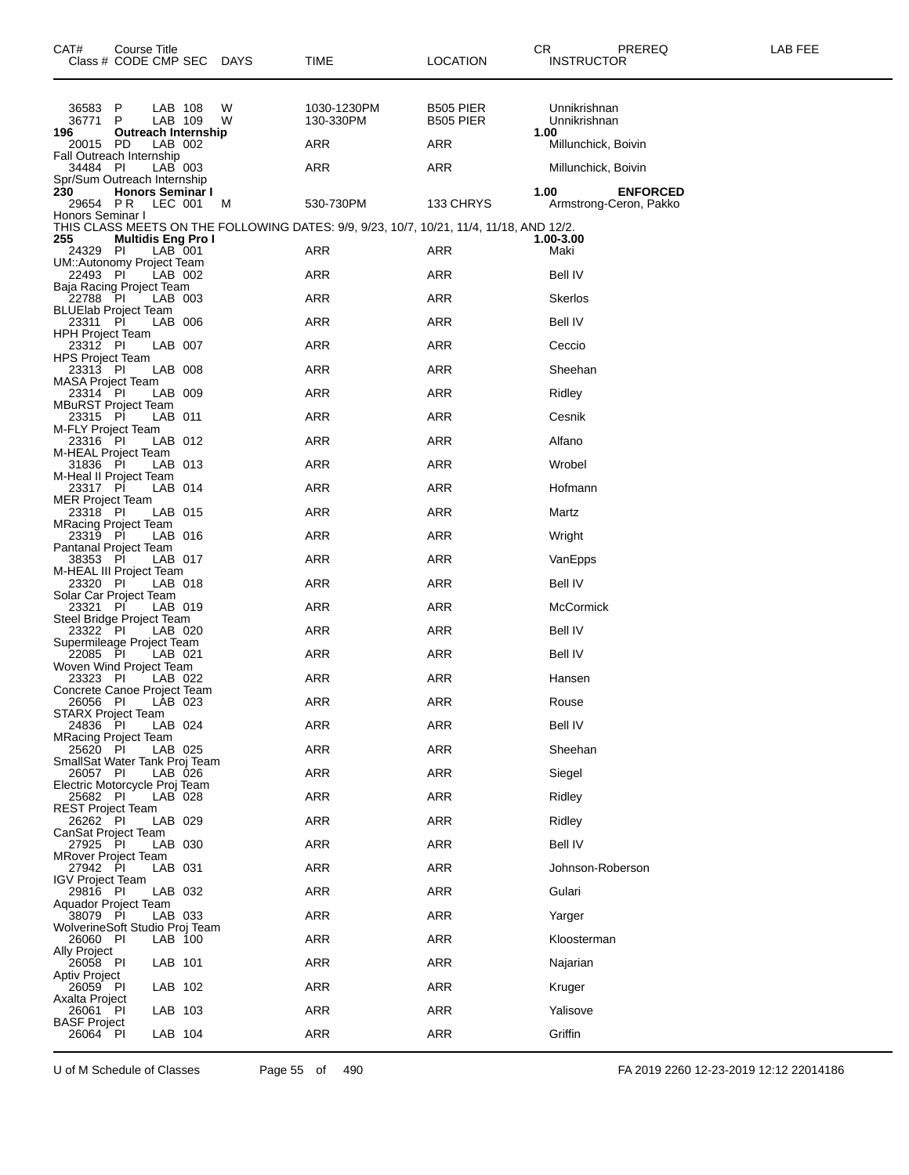| CAT#                                 | Course Title<br>Class # CODE CMP SEC DAYS                         |                    |        | TIME                                                                                    | <b>LOCATION</b>                      | CR.<br>PREREQ<br><b>INSTRUCTOR</b>                | LAB FEE |
|--------------------------------------|-------------------------------------------------------------------|--------------------|--------|-----------------------------------------------------------------------------------------|--------------------------------------|---------------------------------------------------|---------|
| 36583 P<br>36771<br>196              | P<br>Outreach Internship                                          | LAB 108<br>LAB 109 | W<br>W | 1030-1230PM<br>130-330PM                                                                | <b>B505 PIER</b><br><b>B505 PIER</b> | Unnikrishnan<br>Unnikrishnan<br>1.00              |         |
| 20015 PD                             |                                                                   | LAB 002            |        | ARR                                                                                     | ARR                                  | Millunchick, Boivin                               |         |
| 34484 PI                             | Fall Outreach Internship                                          | LAB 003            |        | ARR                                                                                     | ARR                                  | Millunchick, Boivin                               |         |
| 230<br>29654 PR<br>Honors Seminar I  | Spr/Sum Outreach Internship<br><b>Honors Seminar I</b><br>LEC 001 |                    | M      | 530-730PM                                                                               | 133 CHRYS                            | 1.00<br><b>ENFORCED</b><br>Armstrong-Ceron, Pakko |         |
|                                      |                                                                   |                    |        | THIS CLASS MEETS ON THE FOLLOWING DATES: 9/9, 9/23, 10/7, 10/21, 11/4, 11/18, AND 12/2. |                                      |                                                   |         |
| 255<br>24329 PI                      | <b>Multidis Eng Pro I</b>                                         | LAB 001            |        | ARR                                                                                     | ARR                                  | 1.00-3.00<br>Maki                                 |         |
| 22493 PI                             | UM::Autonomy Project Team                                         | LAB 002            |        | ARR                                                                                     | ARR                                  | Bell IV                                           |         |
| 22788 PI                             | Baja Racing Project Team                                          | LAB 003            |        | ARR                                                                                     | <b>ARR</b>                           | Skerlos                                           |         |
| 23311 PI                             | <b>BLUElab Project Team</b>                                       | LAB 006            |        | ARR                                                                                     | ARR                                  | <b>Bell IV</b>                                    |         |
| <b>HPH Project Team</b><br>23312 PI  |                                                                   | LAB 007            |        | ARR                                                                                     | ARR                                  | Ceccio                                            |         |
| <b>HPS Project Team</b><br>23313 PI  |                                                                   | LAB 008            |        | ARR                                                                                     | <b>ARR</b>                           | Sheehan                                           |         |
| <b>MASA Project Team</b><br>23314 PI |                                                                   | LAB 009            |        | ARR                                                                                     | ARR                                  | Ridley                                            |         |
| 23315 Pİ                             | <b>MBuRST Project Team</b><br>LAB 011                             |                    |        | ARR                                                                                     | ARR                                  | Cesnik                                            |         |
| M-FLY Project Team<br>23316 PI       |                                                                   | LAB 012            |        | ARR                                                                                     | <b>ARR</b>                           | Alfano                                            |         |
| 31836 PI                             | M-HEAL Project Team                                               | LAB 013            |        | ARR                                                                                     | ARR                                  | Wrobel                                            |         |
| 23317 PÍ                             | M-Heal II Project Team                                            | LAB 014            |        | ARR                                                                                     | ARR                                  | Hofmann                                           |         |
| <b>MER Project Team</b><br>23318 PI  |                                                                   | LAB 015            |        | ARR                                                                                     | <b>ARR</b>                           | Martz                                             |         |
| 23319 PI                             | <b>MRacing Project Team</b>                                       |                    |        | ARR                                                                                     |                                      |                                                   |         |
|                                      | Pantanal Project Team                                             | LAB 016            |        |                                                                                         | ARR                                  | Wright                                            |         |
| 38353 PI                             | M-HEAL III Project Team                                           | LAB 017            |        | ARR                                                                                     | ARR                                  | VanEpps                                           |         |
| 23320 PI                             | Solar Car Project Team                                            | LAB 018            |        | ARR                                                                                     | ARR                                  | Bell IV                                           |         |
| 23321 PI                             | Steel Bridge Project Team                                         | LAB 019            |        | ARR                                                                                     | ARR                                  | <b>McCormick</b>                                  |         |
| 23322 PI                             | Supermileage Project Team                                         | LAB 020            |        | ARR                                                                                     | ARR                                  | Bell IV                                           |         |
| 22085 PI                             | Woven Wind Project Team                                           | LAB 021            |        | ARR                                                                                     | ARR                                  | Bell IV                                           |         |
| 23323 PI                             | Concrete Canoe Project Team                                       | LAB 022            |        | ARR                                                                                     | ARR                                  | Hansen                                            |         |
|                                      | 26056 PI LAB 023<br><b>STARX Project Team</b>                     |                    |        | ARR                                                                                     | ARR                                  | Rouse                                             |         |
| 24836 PI                             | <b>MRacing Project Team</b>                                       | LAB 024            |        | <b>ARR</b>                                                                              | <b>ARR</b>                           | <b>Bell IV</b>                                    |         |
| 25620 PI                             | SmallSat Water Tank Proj Team                                     | LAB 025            |        | ARR                                                                                     | ARR                                  | Sheehan                                           |         |
| 26057 PI                             | Electric Motorcycle Proj Team                                     | LAB 026            |        | <b>ARR</b>                                                                              | ARR                                  | Siegel                                            |         |
| 25682 PI                             |                                                                   | LAB 028            |        | <b>ARR</b>                                                                              | <b>ARR</b>                           | Ridley                                            |         |
| <b>REST Project Team</b><br>26262 PI |                                                                   | LAB 029            |        | ARR                                                                                     | ARR                                  | Ridley                                            |         |
| 27925 PI                             | CanSat Project Team                                               | LAB 030            |        | <b>ARR</b>                                                                              | ARR                                  | Bell IV                                           |         |
| 27942 PI                             | <b>MRover Project Team</b>                                        | LAB 031            |        | <b>ARR</b>                                                                              | <b>ARR</b>                           | Johnson-Roberson                                  |         |
| <b>IGV Project Team</b><br>29816 PI  |                                                                   | LAB 032            |        | ARR                                                                                     | ARR                                  | Gulari                                            |         |
| 38079 PI                             | Aquador Project Team                                              | LAB 033            |        | <b>ARR</b>                                                                              | ARR                                  | Yarger                                            |         |
| 26060 PI                             | WolverineSoft Studio Proj Team                                    | LAB 100            |        | <b>ARR</b>                                                                              | <b>ARR</b>                           | Kloosterman                                       |         |
| Ally Project<br>26058 PI             |                                                                   | LAB 101            |        | ARR                                                                                     | ARR                                  | Najarian                                          |         |
| Aptiv Project<br>26059 PI            |                                                                   | LAB 102            |        | <b>ARR</b>                                                                              | ARR                                  | Kruger                                            |         |
| Axalta Project<br>26061 PI           |                                                                   | LAB 103            |        | <b>ARR</b>                                                                              | <b>ARR</b>                           | Yalisove                                          |         |
| BASF Project<br>26064 PI             |                                                                   | LAB 104            |        | <b>ARR</b>                                                                              | ARR                                  | Griffin                                           |         |
|                                      |                                                                   |                    |        |                                                                                         |                                      |                                                   |         |

U of M Schedule of Classes Page 55 of 490 FA 2019 2260 12-23-2019 12:12 22014186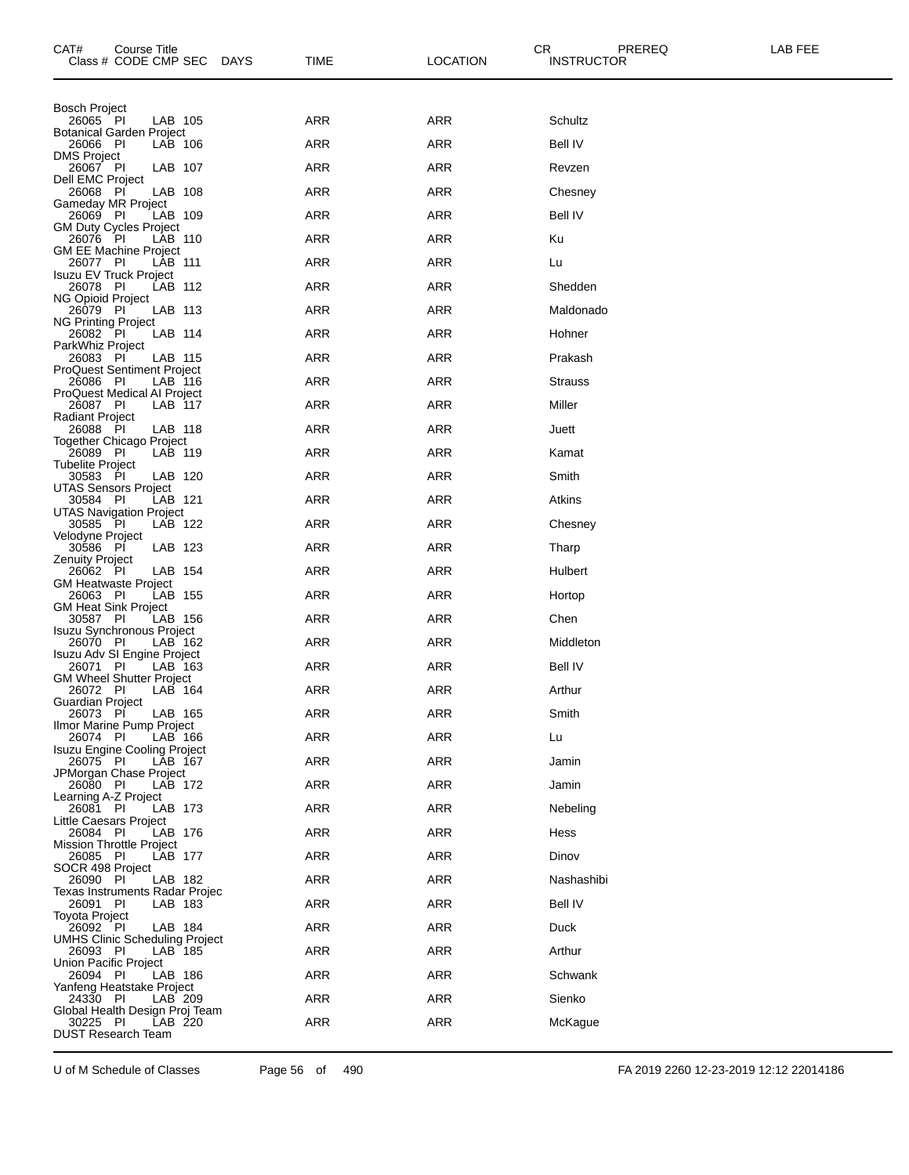| CAT#<br>Course Title<br>Class # CODE CMP SEC                 | <b>DAYS</b><br>TIME | CR.<br><b>LOCATION</b> | PREREQ<br><b>INSTRUCTOR</b> | LAB FEE |
|--------------------------------------------------------------|---------------------|------------------------|-----------------------------|---------|
| <b>Bosch Project</b>                                         |                     |                        |                             |         |
| LAB 105<br>26065 PI<br><b>Botanical Garden Project</b>       | ARR                 | ARR                    | Schultz                     |         |
| 26066 PI<br>LAB 106<br><b>DMS Project</b>                    | ARR                 | <b>ARR</b>             | <b>Bell IV</b>              |         |
| 26067 PI<br>LAB 107<br><b>Dell EMC Project</b>               | ARR                 | ARR                    | Revzen                      |         |
| 26068 PI<br>LAB 108<br>Gameday MR Project                    | ARR                 | ARR                    | Chesney                     |         |
| 26069 PI<br>LAB 109<br><b>GM Duty Cycles Project</b>         | <b>ARR</b>          | <b>ARR</b>             | <b>Bell IV</b>              |         |
| 26076 PI<br>LAB 110<br><b>GM EE Machine Project</b>          | ARR                 | ARR                    | Ku                          |         |
| 26077 PI<br>LAB 111<br>Isuzu EV Truck Project                | <b>ARR</b>          | ARR                    | Lu                          |         |
| 26078 PI<br>LAB 112                                          | <b>ARR</b>          | <b>ARR</b>             | Shedden                     |         |
| NG Opioid Project<br>26079 PI<br>LAB 113                     | ARR                 | ARR                    | Maldonado                   |         |
| <b>NG Printing Project</b><br>LAB 114<br>26082 PI            | <b>ARR</b>          | ARR                    | Hohner                      |         |
| ParkWhiz Project<br>26083 PI<br>LAB 115                      | <b>ARR</b>          | <b>ARR</b>             | Prakash                     |         |
| <b>ProQuest Sentiment Project</b><br>26086 PI<br>LAB 116     | ARR                 | ARR                    | <b>Strauss</b>              |         |
| ProQuest Medical AI Project<br>26087 PI<br>LAB 117           | <b>ARR</b>          | ARR                    | Miller                      |         |
| <b>Radiant Project</b><br>26088 PI<br>LAB 118                | <b>ARR</b>          | <b>ARR</b>             | Juett                       |         |
| Together Chicago Project<br>26089 PI<br>LAB 119              | ARR                 | ARR                    | Kamat                       |         |
| <b>Tubelite Project</b><br>30583 PI<br>LAB 120               | <b>ARR</b>          | ARR                    | Smith                       |         |
| <b>UTAS Sensors Project</b><br>30584 PI<br>LAB 121           | <b>ARR</b>          | <b>ARR</b>             | Atkins                      |         |
| <b>UTAS Navigation Project</b><br>LAB 122<br>30585 PI        | ARR                 | ARR                    | Chesney                     |         |
| Velodyne Project<br>LAB 123<br>30586 PI                      | ARR                 | ARR                    | Tharp                       |         |
| <b>Zenuity Project</b><br>26062 PI<br>LAB 154                | <b>ARR</b>          | <b>ARR</b>             | Hulbert                     |         |
| <b>GM Heatwaste Project</b><br>26063 PI<br>LAB 155           | ARR                 | ARR                    | Hortop                      |         |
| <b>GM Heat Sink Project</b><br>30587 PI<br>LAB 156           | <b>ARR</b>          | ARR                    | Chen                        |         |
| Isuzu Synchronous Project<br>26070 PI<br>LAB 162             | <b>ARR</b>          | ARR                    | Middleton                   |         |
| Isuzu Adv SI Engine Project<br>26071 PI<br>LAB 163           | ARR                 | ARR                    | <b>Bell IV</b>              |         |
| <b>GM Wheel Shutter Project</b><br>LAB 164<br>26072 PI       | <b>ARR</b>          | ARR                    | Arthur                      |         |
| Guardian Proiect<br>26073 PI<br>LAB 165                      | <b>ARR</b>          | <b>ARR</b>             | Smith                       |         |
| Ilmor Marine Pump Project<br>26074 PI<br>LAB 166             | ARR                 | ARR                    | Lu                          |         |
| Isuzu Engine Cooling Project<br>LAB 167<br>26075 PI          | <b>ARR</b>          | ARR                    | Jamin                       |         |
| JPMorgan Chase Project<br>26080 PI<br>LAB 172                | <b>ARR</b>          | ARR                    | Jamin                       |         |
| Learning A-Z Project<br>LAB 173<br>26081 PI                  | ARR                 | ARR                    | Nebeling                    |         |
| Little Caesars Project<br>26084 PI<br>LAB 176                | ARR                 | ARR                    | Hess                        |         |
| <b>Mission Throttle Project</b><br>26085 PI<br>LAB 177       | <b>ARR</b>          | ARR                    | Dinov                       |         |
| SOCR 498 Project<br>26090 PI<br>LAB 182                      | ARR                 | ARR                    | Nashashibi                  |         |
| Texas Instruments Radar Projec<br>26091 PI<br>LAB 183        | ARR                 | ARR                    | <b>Bell IV</b>              |         |
| Toyota Project<br>26092 PI<br>LAB 184                        | ARR                 | ARR                    | Duck                        |         |
| <b>UMHS Clinic Scheduling Project</b><br>26093 PI<br>LAB 185 | ARR                 | ARR                    | Arthur                      |         |
| Union Pacific Project<br>26094 PI<br>LAB 186                 | ARR                 | ARR                    | Schwank                     |         |
| Yanfeng Heatstake Project<br>LAB 209<br>24330 PI             | ARR                 | <b>ARR</b>             | Sienko                      |         |
| Global Health Design Proj Team<br>30225 PI<br>LAB 220        | ARR                 | ARR                    | McKague                     |         |
| <b>DUST Research Team</b>                                    |                     |                        |                             |         |

U of M Schedule of Classes Page 56 of 490 FA 2019 2260 12-23-2019 12:12 22014186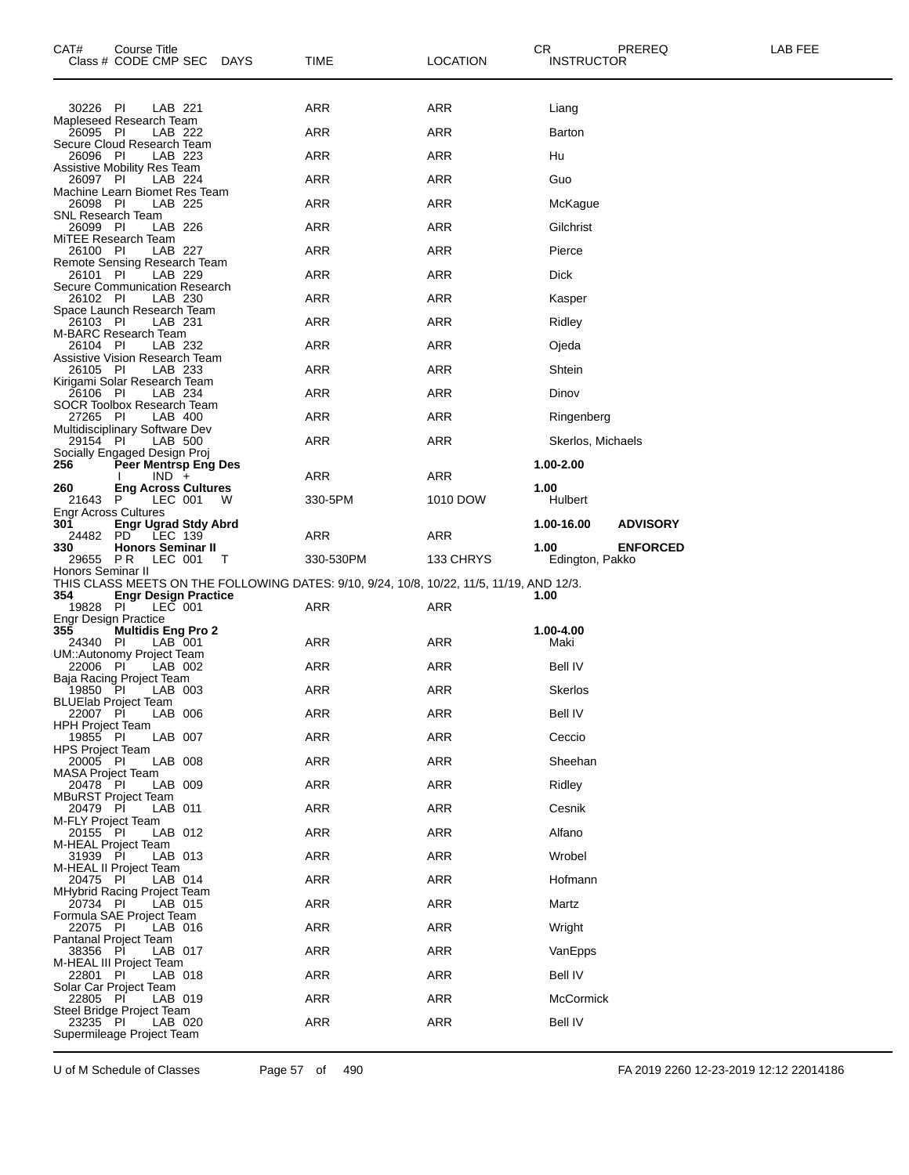| CAT#                                    | Course Title<br>Class # CODE CMP SEC DAYS                   |   | TIME                                                                                     | LOCATION   | CR<br><b>INSTRUCTOR</b> | PREREQ          | LAB FEE |
|-----------------------------------------|-------------------------------------------------------------|---|------------------------------------------------------------------------------------------|------------|-------------------------|-----------------|---------|
| 30226 PI                                | LAB 221                                                     |   | ARR                                                                                      | ARR        | Liang                   |                 |         |
| 26095 PI                                | Mapleseed Research Team<br>LAB 222                          |   | ARR                                                                                      | <b>ARR</b> | Barton                  |                 |         |
| 26096 PI                                | Secure Cloud Research Team<br>LAB 223                       |   | <b>ARR</b>                                                                               | <b>ARR</b> | Hu                      |                 |         |
|                                         | Assistive Mobility Res Team                                 |   | ARR                                                                                      | <b>ARR</b> |                         |                 |         |
| 26097 PI                                | LAB 224<br>Machine Learn Biomet Res Team                    |   |                                                                                          |            | Guo                     |                 |         |
| 26098 PI<br>SNL Research Team           | LAB 225                                                     |   | <b>ARR</b>                                                                               | <b>ARR</b> | McKague                 |                 |         |
| 26099 PI<br>MiTEE Research Team         | LAB 226                                                     |   | <b>ARR</b>                                                                               | ARR        | Gilchrist               |                 |         |
| 26100 PI                                | LAB 227<br>Remote Sensing Research Team                     |   | ARR                                                                                      | <b>ARR</b> | Pierce                  |                 |         |
| 26101 PI                                | LAB 229<br>Secure Communication Research                    |   | <b>ARR</b>                                                                               | <b>ARR</b> | <b>Dick</b>             |                 |         |
| 26102 PI                                | LAB 230<br>Space Launch Research Team                       |   | <b>ARR</b>                                                                               | <b>ARR</b> | Kasper                  |                 |         |
| 26103 PI                                | LAB 231<br>M-BARC Research Team                             |   | ARR                                                                                      | <b>ARR</b> | Ridley                  |                 |         |
| 26104 PI                                | LAB 232<br>Assistive Vision Research Team                   |   | ARR                                                                                      | <b>ARR</b> | Ojeda                   |                 |         |
| 26105 PI                                | LAB 233<br>Kirigami Solar Research Team                     |   | <b>ARR</b>                                                                               | ARR        | Shtein                  |                 |         |
| 26106 PI                                | LAB 234<br>SOCR Toolbox Research Team                       |   | ARR                                                                                      | <b>ARR</b> | Dinov                   |                 |         |
| 27265 PI                                | LAB 400                                                     |   | <b>ARR</b>                                                                               | ARR        | Ringenberg              |                 |         |
| 29154 PI                                | Multidisciplinary Software Dev<br>LAB 500                   |   | <b>ARR</b>                                                                               | <b>ARR</b> | Skerlos, Michaels       |                 |         |
| 256                                     | Socially Engaged Design Proj<br><b>Peer Mentrsp Eng Des</b> |   |                                                                                          |            | 1.00-2.00               |                 |         |
| 260                                     | $IND +$<br><b>Eng Across Cultures</b>                       |   | ARR                                                                                      | <b>ARR</b> | 1.00                    |                 |         |
| 21643 P<br>Engr Across Cultures         | LEC 001                                                     | W | 330-5PM                                                                                  | 1010 DOW   | Hulbert                 |                 |         |
| 301<br>24482                            | Engr Ugrad Stdy Abrd<br>PD LEC 139                          |   | <b>ARR</b>                                                                               | <b>ARR</b> | 1.00-16.00              | <b>ADVISORY</b> |         |
| 330<br>29655 PR                         | <b>Honors Seminar II</b><br>LEC 001                         | T | 330-530PM                                                                                | 133 CHRYS  | 1.00<br>Edington, Pakko | <b>ENFORCED</b> |         |
| Honors Seminar II                       |                                                             |   | THIS CLASS MEETS ON THE FOLLOWING DATES: 9/10, 9/24, 10/8, 10/22, 11/5, 11/19, AND 12/3. |            |                         |                 |         |
| 354<br>19828 PI                         | <b>Engr Design Practice</b><br>LEC 001                      |   | ARR                                                                                      | ARR        | 1.00                    |                 |         |
| <b>Engr Design Practice</b><br>355      | <b>Multidis Eng Pro 2</b>                                   |   |                                                                                          |            | 1.00-4.00               |                 |         |
| 24340 PI                                | LAB 001<br>UM::Autonomy Project Team                        |   | ARR                                                                                      | ARR        | Maki                    |                 |         |
| 22006 PI                                | LAB 002<br>Baja Racing Project Team                         |   | <b>ARR</b>                                                                               | ARR        | Bell IV                 |                 |         |
| 19850 PI<br><b>BLUElab Project Team</b> | LAB 003                                                     |   | <b>ARR</b>                                                                               | <b>ARR</b> | Skerlos                 |                 |         |
| 22007 PI<br>HPH Project Team            | LAB 006                                                     |   | ARR                                                                                      | <b>ARR</b> | <b>Bell IV</b>          |                 |         |
| 19855 PI<br><b>HPS Project Team</b>     | LAB 007                                                     |   | ARR                                                                                      | <b>ARR</b> | Ceccio                  |                 |         |
| 20005 PI                                | LAB 008                                                     |   | ARR                                                                                      | <b>ARR</b> | Sheehan                 |                 |         |
| <b>MASA Project Team</b><br>20478 PI    | LAB 009                                                     |   | ARR                                                                                      | <b>ARR</b> | Ridley                  |                 |         |
| <b>MBuRST Project Team</b><br>20479 PI  | LAB 011                                                     |   | ARR                                                                                      | <b>ARR</b> | Cesnik                  |                 |         |
| <b>M-FLY Project Team</b><br>20155 PI   | LAB 012                                                     |   | <b>ARR</b>                                                                               | <b>ARR</b> | Alfano                  |                 |         |
| M-HEAL Project Team<br>31939 PI         | LAB 013                                                     |   | ARR                                                                                      | <b>ARR</b> | Wrobel                  |                 |         |
| M-HEAL II Project Team<br>20475 PI      | LAB 014                                                     |   | ARR                                                                                      | <b>ARR</b> | Hofmann                 |                 |         |
| 20734 PI                                | MHybrid Racing Project Team<br>LAB 015                      |   | ARR                                                                                      | <b>ARR</b> | Martz                   |                 |         |
| 22075 PI                                | Formula SAE Project Team<br>LAB 016                         |   | ARR                                                                                      | <b>ARR</b> | Wright                  |                 |         |
| Pantanal Project Team<br>38356 PI       | LAB 017                                                     |   | ARR                                                                                      | <b>ARR</b> | VanEpps                 |                 |         |
| M-HEAL III Project Team<br>22801 PI     | LAB 018                                                     |   | <b>ARR</b>                                                                               | <b>ARR</b> | Bell IV                 |                 |         |
| Solar Car Project Team<br>22805 PI      | LAB 019                                                     |   | ARR                                                                                      | <b>ARR</b> | McCormick               |                 |         |
| 23235 PI                                | Steel Bridge Project Team<br>LAB 020                        |   | ARR                                                                                      | ARR        | Bell IV                 |                 |         |
|                                         | Supermileage Project Team                                   |   |                                                                                          |            |                         |                 |         |

U of M Schedule of Classes Page 57 of 490 FA 2019 2260 12-23-2019 12:12 22014186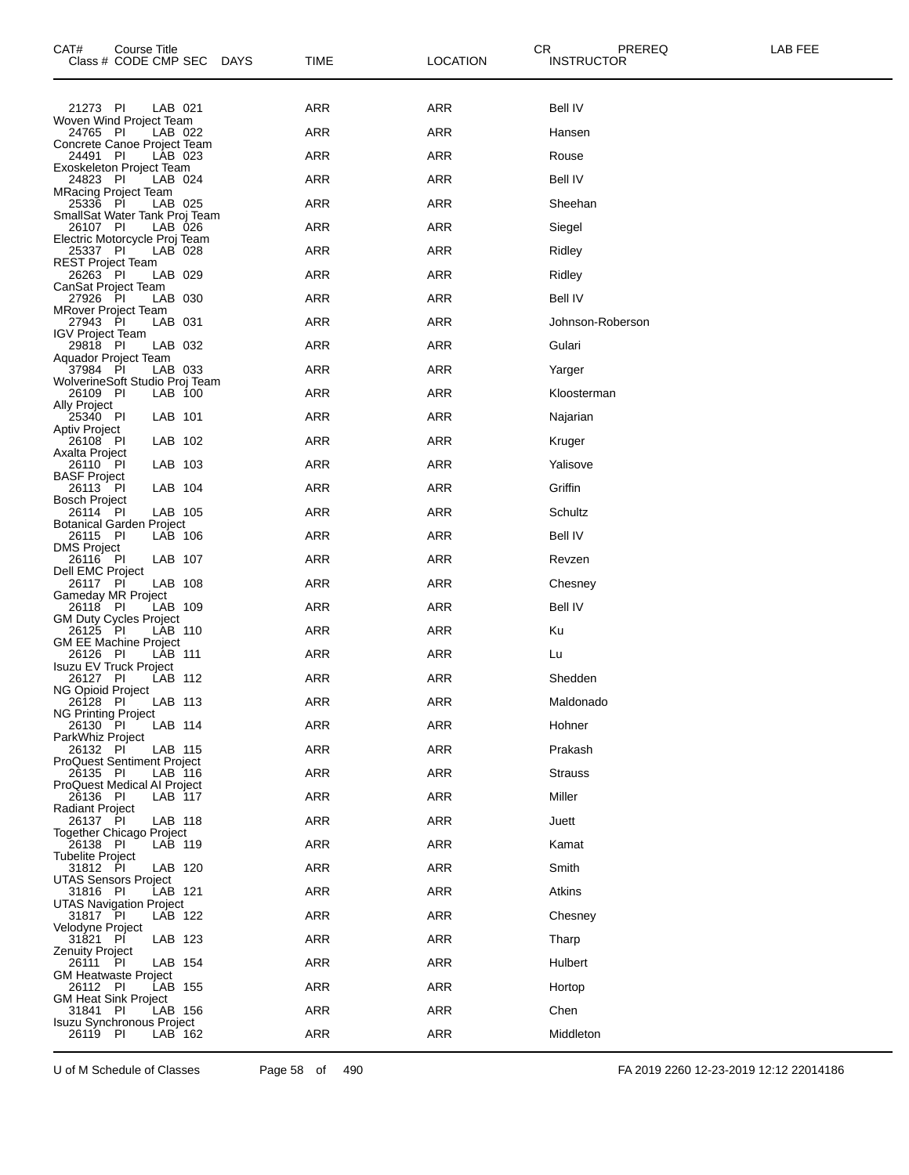| CAT#<br>Course Title<br>Class # CODE CMP SEC<br>DAYS     | <b>TIME</b> | <b>LOCATION</b> | CR.<br>PREREQ<br>LAB FEE<br><b>INSTRUCTOR</b> |  |
|----------------------------------------------------------|-------------|-----------------|-----------------------------------------------|--|
| 21273 PI<br>LAB 021                                      | <b>ARR</b>  | ARR             | <b>Bell IV</b>                                |  |
| Woven Wind Project Team<br>24765 PI<br>LAB 022           | ARR         | ARR             | Hansen                                        |  |
| Concrete Canoe Project Team<br>24491 PI<br>LAB 023       | <b>ARR</b>  | ARR             | Rouse                                         |  |
| Exoskeleton Project Team<br>24823 PI<br>LAB 024          | <b>ARR</b>  | <b>ARR</b>      | <b>Bell IV</b>                                |  |
| <b>MRacing Project Team</b><br>25336 PI<br>LAB 025       | ARR         | ARR             | Sheehan                                       |  |
| SmallSat Water Tank Proj Team<br>26107 PI<br>LAB 026     | <b>ARR</b>  | ARR             | Siegel                                        |  |
| Electric Motorcycle Proj Team<br>25337 PI<br>LAB 028     | <b>ARR</b>  | <b>ARR</b>      | Ridley                                        |  |
| <b>REST Project Team</b><br>26263 PI<br>LAB 029          | ARR         | ARR             | Ridley                                        |  |
| CanSat Project Team<br>27926 PI<br>LAB 030               | <b>ARR</b>  | ARR             | Bell IV                                       |  |
| <b>MRover Project Team</b><br>LAB 031<br>27943 PI        | <b>ARR</b>  | ARR             | Johnson-Roberson                              |  |
| <b>IGV Project Team</b><br>29818 PI<br>LAB 032           | ARR         | ARR             | Gulari                                        |  |
| Aquador Project Team<br>37984 PI<br>LAB 033              | <b>ARR</b>  | ARR             | Yarger                                        |  |
| WolverineSoft Studio Proj Team                           |             |                 |                                               |  |
| 26109 PI<br>LAB 100<br>Ally Project                      | <b>ARR</b>  | <b>ARR</b>      | Kloosterman                                   |  |
| 25340 PI<br>LAB 101<br>Aptiv Project                     | ARR         | ARR             | Najarian                                      |  |
| LAB 102<br>26108 PI<br>Axalta Project                    | <b>ARR</b>  | ARR             | Kruger                                        |  |
| LAB 103<br>26110 PI<br><b>BASF Project</b>               | <b>ARR</b>  | <b>ARR</b>      | Yalisove                                      |  |
| 26113 PI<br>LAB 104<br><b>Bosch Project</b>              | ARR         | ARR             | Griffin                                       |  |
| LAB 105<br>26114 PI<br><b>Botanical Garden Project</b>   | <b>ARR</b>  | ARR             | Schultz                                       |  |
| LAB 106<br>26115 PI<br><b>DMS Project</b>                | <b>ARR</b>  | ARR             | <b>Bell IV</b>                                |  |
| 26116 PI<br>LAB 107<br>Dell EMC Project                  | ARR         | ARR             | Revzen                                        |  |
| 26117 PI<br>LAB 108<br>Gameday MR Project                | <b>ARR</b>  | ARR             | Chesney                                       |  |
| LAB 109<br>26118 PI<br><b>GM Duty Cycles Project</b>     | <b>ARR</b>  | <b>ARR</b>      | <b>Bell IV</b>                                |  |
| 26125 PI<br>LAB 110<br><b>GM EE Machine Project</b>      | ARR         | ARR             | Κu                                            |  |
| 26126 PI<br>LAB 111<br>Isuzu EV Truck Project            | <b>ARR</b>  | <b>ARR</b>      | Lu                                            |  |
| LAB 112<br>26127 PI<br>NG Opioid Project                 | <b>ARR</b>  | <b>ARR</b>      | Shedden                                       |  |
| LAB 113<br>26128 PI<br><b>NG Printing Project</b>        | ARR         | ARR             | Maldonado                                     |  |
| LAB 114<br>26130 PI<br>ParkWhiz Project                  | ARR         | ARR             | Hohner                                        |  |
| 26132 PI<br>LAB 115<br><b>ProQuest Sentiment Project</b> | <b>ARR</b>  | ARR             | Prakash                                       |  |
| 26135 PI<br>LAB 116<br>ProQuest Medical AI Project       | <b>ARR</b>  | ARR             | <b>Strauss</b>                                |  |
| 26136 PI<br>LAB 117<br><b>Radiant Project</b>            | <b>ARR</b>  | ARR             | Miller                                        |  |
| 26137 PI<br>LAB 118<br><b>Together Chicago Project</b>   | <b>ARR</b>  | ARR             | Juett                                         |  |
| 26138 PI<br>LAB 119                                      | <b>ARR</b>  | ARR             | Kamat                                         |  |
| <b>Tubelite Project</b><br>31812 PI<br>LAB 120           | <b>ARR</b>  | ARR             | Smith                                         |  |
| UTAS Sensors Project<br>31816 PI<br>LAB 121              | <b>ARR</b>  | ARR             | Atkins                                        |  |
| <b>UTAS Navigation Project</b><br>31817 PI<br>LAB 122    | <b>ARR</b>  | ARR             | Chesney                                       |  |
| Velodyne Project<br>31821 PI<br>LAB 123                  | <b>ARR</b>  | ARR             | Tharp                                         |  |
| <b>Zenuity Project</b><br>26111 PI<br>LAB 154            | <b>ARR</b>  | ARR             | Hulbert                                       |  |
| <b>GM Heatwaste Project</b><br>26112 PI<br>LAB 155       | <b>ARR</b>  | ARR             | Hortop                                        |  |
| <b>GM Heat Sink Project</b><br>31841 PI<br>LAB 156       | ARR         | ARR             | Chen                                          |  |
| <b>Isuzu Synchronous Project</b><br>26119 PI<br>LAB 162  | <b>ARR</b>  | ARR             | Middleton                                     |  |

U of M Schedule of Classes Page 58 of 490 FA 2019 2260 12-23-2019 12:12 22014186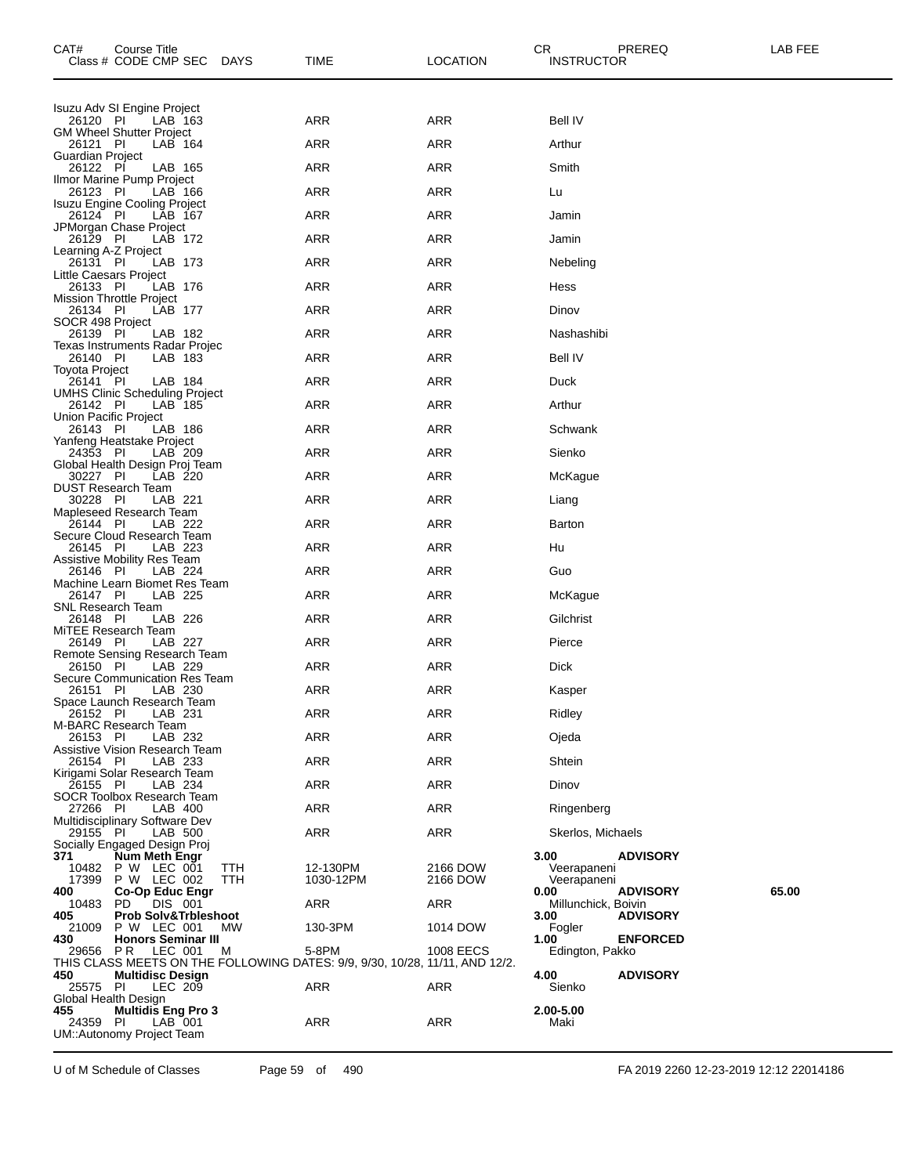| CAT#                                 | Course Title<br>Class # CODE CMP SEC             | <b>DAYS</b>       | <b>TIME</b>                                                                 | <b>LOCATION</b>      | CR.<br><b>INSTRUCTOR</b>    | PREREQ          | LAB FEE |
|--------------------------------------|--------------------------------------------------|-------------------|-----------------------------------------------------------------------------|----------------------|-----------------------------|-----------------|---------|
|                                      | Isuzu Adv SI Engine Project                      |                   |                                                                             |                      |                             |                 |         |
| 26120 PI                             | LAB 163<br><b>GM Wheel Shutter Project</b>       |                   | <b>ARR</b>                                                                  | <b>ARR</b>           | <b>Bell IV</b>              |                 |         |
| 26121 PI<br>Guardian Project         | LAB 164                                          |                   | ARR                                                                         | <b>ARR</b>           | Arthur                      |                 |         |
| 26122 PI                             | LAB 165                                          |                   | <b>ARR</b>                                                                  | ARR                  | Smith                       |                 |         |
| 26123 PI                             | Ilmor Marine Pump Project<br>LAB 166             |                   | <b>ARR</b>                                                                  | <b>ARR</b>           | Lu                          |                 |         |
| 26124 PI                             | Isuzu Engine Cooling Project<br>LAB 167          |                   | ARR                                                                         | ARR                  | Jamin                       |                 |         |
| 26129 PI                             | JPMorgan Chase Project<br>LAB 172                |                   | <b>ARR</b>                                                                  | ARR                  | Jamin                       |                 |         |
| Learning A-Z Project<br>26131 PI     | LAB 173                                          |                   | <b>ARR</b>                                                                  | ARR                  | Nebeling                    |                 |         |
| Little Caesars Project<br>26133 PI   | LAB 176                                          |                   | ARR                                                                         | ARR                  | Hess                        |                 |         |
| 26134 PI                             | Mission Throttle Project<br>LAB 177              |                   | <b>ARR</b>                                                                  | ARR                  | Dinov                       |                 |         |
| SOCR 498 Project                     |                                                  |                   |                                                                             |                      |                             |                 |         |
| 26139 PI                             | LAB 182<br>Texas Instruments Radar Projec        |                   | <b>ARR</b>                                                                  | <b>ARR</b>           | Nashashibi                  |                 |         |
| 26140 PI<br>Toyota Project           | LAB 183                                          |                   | ARR                                                                         | <b>ARR</b>           | <b>Bell IV</b>              |                 |         |
| 26141 PI                             | LAB 184<br><b>UMHS Clinic Scheduling Project</b> |                   | <b>ARR</b>                                                                  | ARR                  | Duck                        |                 |         |
| 26142 PI<br>Union Pacific Project    | LAB 185                                          |                   | <b>ARR</b>                                                                  | <b>ARR</b>           | Arthur                      |                 |         |
| 26143 PI                             | LAB 186<br>Yanfeng Heatstake Project             |                   | ARR                                                                         | <b>ARR</b>           | Schwank                     |                 |         |
| 24353 PI                             | LAB 209<br>Global Health Design Proj Team        |                   | <b>ARR</b>                                                                  | ARR                  | Sienko                      |                 |         |
| 30227 PI                             | LAB 220                                          |                   | <b>ARR</b>                                                                  | ARR                  | McKague                     |                 |         |
| 30228 PI                             | DUST Research Team<br>LAB 221                    |                   | ARR                                                                         | ARR                  | Liang                       |                 |         |
| 26144 PI                             | Mapleseed Research Team<br>LAB 222               |                   | <b>ARR</b>                                                                  | ARR                  | Barton                      |                 |         |
| 26145 PI                             | Secure Cloud Research Team<br>LAB 223            |                   | <b>ARR</b>                                                                  | <b>ARR</b>           | Hu                          |                 |         |
| 26146 PI                             | Assistive Mobility Res Team<br>LAB 224           |                   | <b>ARR</b>                                                                  | ARR                  | Guo                         |                 |         |
| 26147 PI                             | Machine Learn Biomet Res Team<br>LAB 225         |                   | <b>ARR</b>                                                                  | ARR                  | McKague                     |                 |         |
| <b>SNL Research Team</b><br>26148 PI | LAB 226                                          |                   | <b>ARR</b>                                                                  | ARR                  | Gilchrist                   |                 |         |
| 26149 PI                             | MITEE Research Team<br>LAB 227                   |                   | ARR                                                                         | <b>ARR</b>           | Pierce                      |                 |         |
|                                      | Remote Sensing Research Team                     |                   |                                                                             |                      |                             |                 |         |
| 26150 PI                             | LAB 229<br>Secure Communication Res Team         |                   | ARR                                                                         | ARR                  | Dick                        |                 |         |
| 26151 PI                             | LAB 230<br>Space Launch Research Team            |                   | <b>ARR</b>                                                                  | <b>ARR</b>           | Kasper                      |                 |         |
| 26152 PI                             | LAB 231<br>M-BARC Research Team                  |                   | <b>ARR</b>                                                                  | ARR                  | Ridley                      |                 |         |
| 26153 PI                             | LAB 232<br>Assistive Vision Research Team        |                   | ARR                                                                         | ARR                  | Ojeda                       |                 |         |
| 26154 PI                             | LAB 233<br>Kirigami Solar Research Team          |                   | <b>ARR</b>                                                                  | ARR                  | Shtein                      |                 |         |
| 26155 PI                             | LAB 234<br>SOCR Toolbox Research Team            |                   | ARR                                                                         | ARR                  | Dinov                       |                 |         |
| 27266 PI                             | LAB 400                                          |                   | <b>ARR</b>                                                                  | ARR                  | Ringenberg                  |                 |         |
| 29155 PI                             | Multidisciplinary Software Dev<br>LAB 500        |                   | <b>ARR</b>                                                                  | ARR                  | Skerlos, Michaels           |                 |         |
| 371                                  | Socially Engaged Design Proj<br>Num Meth Engr    |                   |                                                                             |                      | 3.00                        | <b>ADVISORY</b> |         |
| 17399                                | 10482 P W LEC 001<br>P W LEC 002                 | <b>TTH</b><br>TTH | 12-130PM<br>1030-12PM                                                       | 2166 DOW<br>2166 DOW | Veerapaneni<br>Veerapaneni  |                 |         |
| 400<br>10483                         | <b>Co-Op Educ Engr</b><br>DIS 001<br>PD.         |                   | ARR                                                                         | ARR                  | 0.00<br>Millunchick, Boivin | <b>ADVISORY</b> | 65.00   |
| 405<br>21009                         | <b>Prob Solv&amp;Trbleshoot</b><br>P W LEC 001   | МW                | 130-3PM                                                                     | 1014 DOW             | 3.00<br>Fogler              | <b>ADVISORY</b> |         |
| 430                                  | <b>Honors Seminar III</b><br>29656 PR LEC 001    | M                 | 5-8PM                                                                       | 1008 EECS            | 1.00<br>Edington, Pakko     | <b>ENFORCED</b> |         |
| 450                                  | <b>Multidisc Design</b>                          |                   | THIS CLASS MEETS ON THE FOLLOWING DATES: 9/9, 9/30, 10/28, 11/11, AND 12/2. |                      | 4.00                        | <b>ADVISORY</b> |         |
| 25575 PI                             | LEC 209                                          |                   | ARR                                                                         | ARR                  | Sienko                      |                 |         |
| Global Health Design<br>455          | <b>Multidis Eng Pro 3</b>                        |                   |                                                                             |                      | 2.00-5.00                   |                 |         |
| 24359 PI                             | LAB 001<br>UM::Autonomy Project Team             |                   | ARR                                                                         | ARR                  | Maki                        |                 |         |

U of M Schedule of Classes Page 59 of 490 FA 2019 2260 12-23-2019 12:12 22014186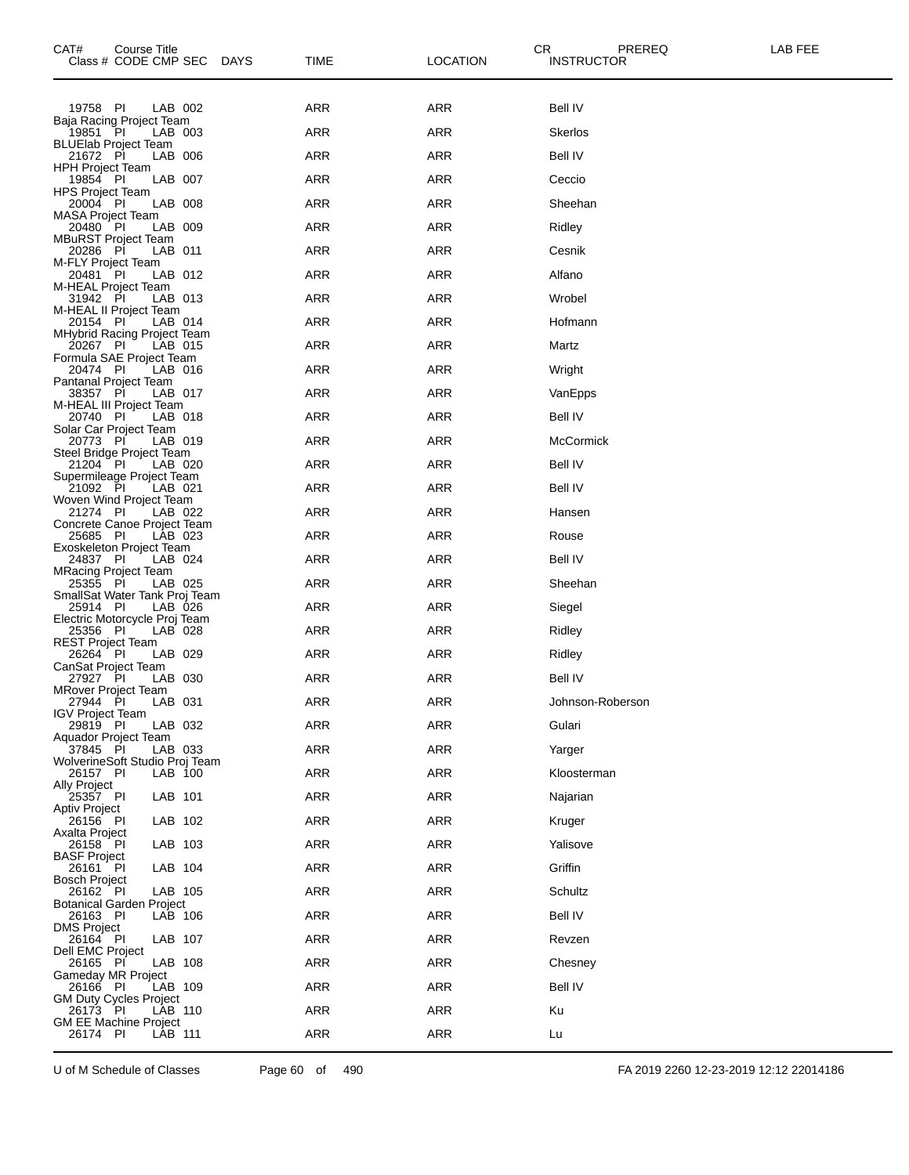| CAT#<br>Course Title<br>Class # CODE CMP SEC DAYS     | <b>TIME</b> | <b>LOCATION</b> | CR<br><b>INSTRUCTOR</b> | PREREQ           | LAB FEE |
|-------------------------------------------------------|-------------|-----------------|-------------------------|------------------|---------|
| 19758 PI<br>LAB 002                                   | ARR         | ARR             | Bell IV                 |                  |         |
| Baja Racing Project Team<br>19851 PI<br>LAB 003       | ARR         | ARR             | <b>Skerlos</b>          |                  |         |
| <b>BLUElab Project Team</b><br>21672 PI<br>LAB 006    | <b>ARR</b>  | <b>ARR</b>      | <b>Bell IV</b>          |                  |         |
| HPH Project Team<br>19854 PI<br>LAB 007               | ARR         | ARR             | Ceccio                  |                  |         |
| <b>HPS Project Team</b><br>LAB 008<br>20004 PI        | <b>ARR</b>  | <b>ARR</b>      | Sheehan                 |                  |         |
| <b>MASA Project Team</b>                              |             |                 |                         |                  |         |
| 20480 PI<br>LAB 009<br><b>MBuRST Project Team</b>     | <b>ARR</b>  | <b>ARR</b>      | Ridley                  |                  |         |
| 20286 PI<br>LAB 011<br>M-FLY Project Team             | ARR         | ARR             | Cesnik                  |                  |         |
| 20481 PI<br>LAB 012<br>M-HEAL Project Team            | <b>ARR</b>  | ARR             | Alfano                  |                  |         |
| 31942 PI<br>LAB 013<br>M-HEAL II Project Team         | <b>ARR</b>  | <b>ARR</b>      | Wrobel                  |                  |         |
| 20154 PI<br>LAB 014<br>MHybrid Racing Project Team    | ARR         | <b>ARR</b>      | Hofmann                 |                  |         |
| 20267 PI<br>LAB 015<br>Formula SAE Project Team       | ARR         | ARR             | Martz                   |                  |         |
| 20474 PI<br>LAB 016<br><b>Pantanal Project Team</b>   | <b>ARR</b>  | <b>ARR</b>      | Wright                  |                  |         |
| 38357 PI<br>LAB 017<br>M-HEAL III Project Team        | ARR         | <b>ARR</b>      | VanEpps                 |                  |         |
| 20740 PI<br>LAB 018                                   | <b>ARR</b>  | <b>ARR</b>      | Bell IV                 |                  |         |
| Solar Car Project Team<br>20773 PI<br>LAB 019         | <b>ARR</b>  | <b>ARR</b>      | <b>McCormick</b>        |                  |         |
| Steel Bridge Project Team<br>21204 PI<br>LAB 020      | ARR         | <b>ARR</b>      | Bell IV                 |                  |         |
| Supermileage Project Team<br>21092 PI<br>LAB 021      | <b>ARR</b>  | ARR             | Bell IV                 |                  |         |
| Woven Wind Project Team<br>21274 PI<br>LAB 022        | <b>ARR</b>  | <b>ARR</b>      | Hansen                  |                  |         |
| Concrete Canoe Project Team<br>25685 PI<br>LAB 023    | ARR         | <b>ARR</b>      | Rouse                   |                  |         |
| Exoskeleton Project Team<br>24837 PI<br>LAB 024       | ARR         | ARR             | Bell IV                 |                  |         |
| <b>MRacing Project Team</b><br>25355 PI<br>LAB 025    | <b>ARR</b>  | <b>ARR</b>      | Sheehan                 |                  |         |
| SmallSat Water Tank Proj Team<br>25914 PI<br>LAB 026  | ARR         | <b>ARR</b>      | Siegel                  |                  |         |
| Electric Motorcycle Proj Team<br>25356 PI<br>LAB 028  | <b>ARR</b>  | ARR             | Ridley                  |                  |         |
| <b>REST Project Team</b><br>26264 PI<br>LAB 029       | ARR         | <b>ARR</b>      | Ridley                  |                  |         |
| CanSat Project Team<br>27927 PI<br>LAB 030            | <b>ARR</b>  | <b>ARR</b>      | Bell IV                 |                  |         |
| MRover Project Team<br>LAB 031                        |             |                 |                         |                  |         |
| 27944 PI<br><b>IGV Project Team</b>                   | ARR         | ARR             |                         | Johnson-Roberson |         |
| 29819 PI<br>LAB 032<br>Aquador Project Team           | <b>ARR</b>  | ARR             | Gulari                  |                  |         |
| 37845 PI<br>LAB 033<br>WolverineSoft Studio Proj Team | <b>ARR</b>  | ARR             | Yarger                  |                  |         |
| 26157 PI<br>LAB 100<br>Ally Project                   | ARR         | ARR             | Kloosterman             |                  |         |
| 25357 PI<br>LAB 101<br><b>Aptiv Project</b>           | <b>ARR</b>  | ARR             | Najarian                |                  |         |
| 26156 PI<br>LAB 102<br>Axalta Project                 | ARR         | ARR             | Kruger                  |                  |         |
| LAB 103<br>26158 PI<br><b>BASF Project</b>            | ARR         | ARR             | Yalisove                |                  |         |
| LAB 104<br>26161 PI<br><b>Bosch Project</b>           | <b>ARR</b>  | ARR             | Griffin                 |                  |         |
| 26162 PI<br>LAB 105<br>Botanical Garden Project       | ARR         | ARR             | Schultz                 |                  |         |
| 26163 PI<br>LAB 106<br><b>DMS Project</b>             | ARR         | ARR             | Bell IV                 |                  |         |
| 26164 PI<br>LAB 107                                   | <b>ARR</b>  | ARR             | Revzen                  |                  |         |
| Dell EMC Project<br>26165 PI<br>LAB 108               | ARR         | ARR             | Chesney                 |                  |         |
| Gameday MR Project<br>26166 PI<br>LAB 109             | ARR         | ARR             | Bell IV                 |                  |         |
| <b>GM Duty Cycles Project</b><br>26173 PI<br>LAB 110  | <b>ARR</b>  | ARR             | Ku                      |                  |         |
| <b>GM EE Machine Project</b><br>26174 PI<br>LAB 111   | ARR         | ARR             | Lu                      |                  |         |
|                                                       |             |                 |                         |                  |         |

U of M Schedule of Classes Page 60 of 490 FA 2019 2260 12-23-2019 12:12 22014186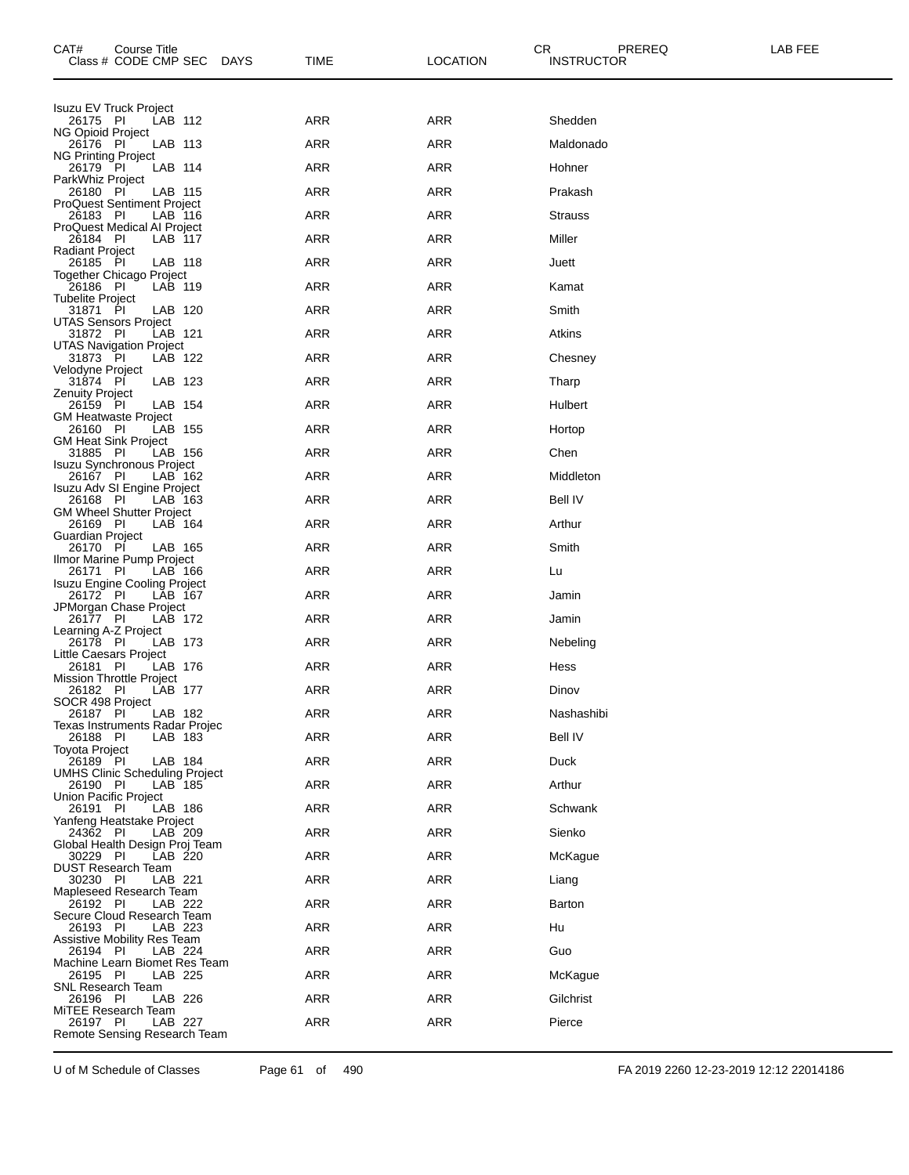| CAT#<br>Course Title<br>Class # CODE CMP SEC      |         | <b>DAYS</b> | TIME       | CR.<br><b>LOCATION</b> | PREREQ<br><b>INSTRUCTOR</b> | LAB FEE |
|---------------------------------------------------|---------|-------------|------------|------------------------|-----------------------------|---------|
| <b>Isuzu EV Truck Project</b>                     |         |             |            |                        |                             |         |
| 26175 PI<br>NG Opioid Project                     | LAB 112 |             | ARR        | <b>ARR</b>             | Shedden                     |         |
| 26176 PI                                          | LAB 113 |             | ARR        | <b>ARR</b>             | Maldonado                   |         |
| <b>NG Printing Project</b><br>26179 PI            | LAB 114 |             | ARR        | ARR                    | Hohner                      |         |
| ParkWhiz Project<br>26180 PI                      | LAB 115 |             | <b>ARR</b> | ARR                    | Prakash                     |         |
| <b>ProQuest Sentiment Project</b><br>26183 PI     | LAB 116 |             | ARR        | ARR                    | <b>Strauss</b>              |         |
| ProQuest Medical AI Project<br>26184 PI           | LAB 117 |             | ARR        | ARR                    | Miller                      |         |
| <b>Radiant Project</b><br>26185 PI                | LAB 118 |             | <b>ARR</b> | <b>ARR</b>             | Juett                       |         |
| Together Chicago Project<br>26186 PI              | LAB 119 |             | ARR        | ARR                    | Kamat                       |         |
| <b>Tubelite Project</b><br>31871 PI               | LAB 120 |             | ARR        | ARR                    | Smith                       |         |
| <b>UTAS Sensors Project</b><br>31872 PI           | LAB 121 |             | ARR        | ARR                    | Atkins                      |         |
| UTAS Navigation Project<br>31873 PI               | LAB 122 |             | ARR        | ARR                    | Chesney                     |         |
| Velodyne Project<br>31874 PI                      | LAB 123 |             | ARR        | ARR                    | Tharp                       |         |
| Zenuity Project<br>26159 PI                       | LAB 154 |             | <b>ARR</b> | ARR                    | Hulbert                     |         |
| <b>GM Heatwaste Project</b><br>26160 PI           | LAB 155 |             | ARR        | ARR                    | Hortop                      |         |
| <b>GM Heat Sink Project</b><br>31885 PI           | LAB 156 |             | ARR        | ARR                    | Chen                        |         |
| <b>Isuzu Synchronous Project</b><br>26167 PI      | LAB 162 |             | <b>ARR</b> | <b>ARR</b>             | Middleton                   |         |
| Isuzu Adv SI Engine Project<br>26168 PI           | LAB 163 |             | ARR        | ARR                    | Bell IV                     |         |
| <b>GM Wheel Shutter Project</b><br>26169 PI       | LAB 164 |             | ARR        | ARR                    | Arthur                      |         |
| Guardian Project<br>26170 PI                      | LAB 165 |             | <b>ARR</b> | ARR                    | Smith                       |         |
| Ilmor Marine Pump Project<br>26171 PI             | LAB 166 |             | ARR        | <b>ARR</b>             | Lu                          |         |
| <b>Isuzu Engine Cooling Project</b><br>26172 PI   | LAB 167 |             | ARR        | ARR                    | Jamin                       |         |
| JPMorgan Chase Project<br>26177 PI                | LAB 172 |             | ARR        | ARR                    |                             |         |
| Learning A-Z Project                              |         |             |            |                        | Jamin                       |         |
| 26178 PI<br>Little Caesars Project                | LAB 173 |             | ARR        | ARR                    | Nebeling                    |         |
| 26181 PI<br>Mission Throttle Project              | LAB 176 |             | ARR        | ARR                    | Hess                        |         |
| 26182 PI<br>SOCR 498 Project                      | LAB 177 |             | <b>ARR</b> | <b>ARR</b>             | Dinov                       |         |
| 26187 PI<br>Texas Instruments Radar Projec        | LAB 182 |             | ARR        | ARR                    | Nashashibi                  |         |
| 26188 PI<br><b>Toyota Project</b>                 | LAB 183 |             | <b>ARR</b> | <b>ARR</b>             | <b>Bell IV</b>              |         |
| 26189 PI<br><b>UMHS Clinic Scheduling Project</b> | LAB 184 |             | <b>ARR</b> | <b>ARR</b>             | Duck                        |         |
| 26190 PI<br>Union Pacific Project                 | LAB 185 |             | <b>ARR</b> | <b>ARR</b>             | Arthur                      |         |
| 26191 PI<br>Yanfeng Heatstake Project             | LAB 186 |             | <b>ARR</b> | <b>ARR</b>             | Schwank                     |         |
| 24362 PI<br>Global Health Design Proj Team        | LAB 209 |             | <b>ARR</b> | <b>ARR</b>             | Sienko                      |         |
| 30229 PI<br><b>DUST Research Team</b>             | LAB 220 |             | <b>ARR</b> | <b>ARR</b>             | McKaque                     |         |
| 30230 PI<br>Mapleseed Research Team               | LAB 221 |             | <b>ARR</b> | <b>ARR</b>             | Liang                       |         |
| 26192 PI<br>Secure Cloud Research Team            | LAB 222 |             | <b>ARR</b> | <b>ARR</b>             | <b>Barton</b>               |         |
| 26193 PI<br><b>Assistive Mobility Res Team</b>    | LAB 223 |             | <b>ARR</b> | <b>ARR</b>             | Hu                          |         |
| 26194 PI<br>Machine Learn Biomet Res Team         | LAB 224 |             | ARR        | <b>ARR</b>             | Guo                         |         |
| 26195 PI<br>SNL Research Team                     | LAB 225 |             | <b>ARR</b> | <b>ARR</b>             | McKague                     |         |
| 26196 PI<br>MiTEE Research Team                   | LAB 226 |             | <b>ARR</b> | <b>ARR</b>             | Gilchrist                   |         |
| 26197 PI<br>Remote Sensing Research Team          | LAB 227 |             | ARR        | <b>ARR</b>             | Pierce                      |         |
|                                                   |         |             |            |                        |                             |         |

U of M Schedule of Classes Page 61 of 490 FA 2019 2260 12-23-2019 12:12 22014186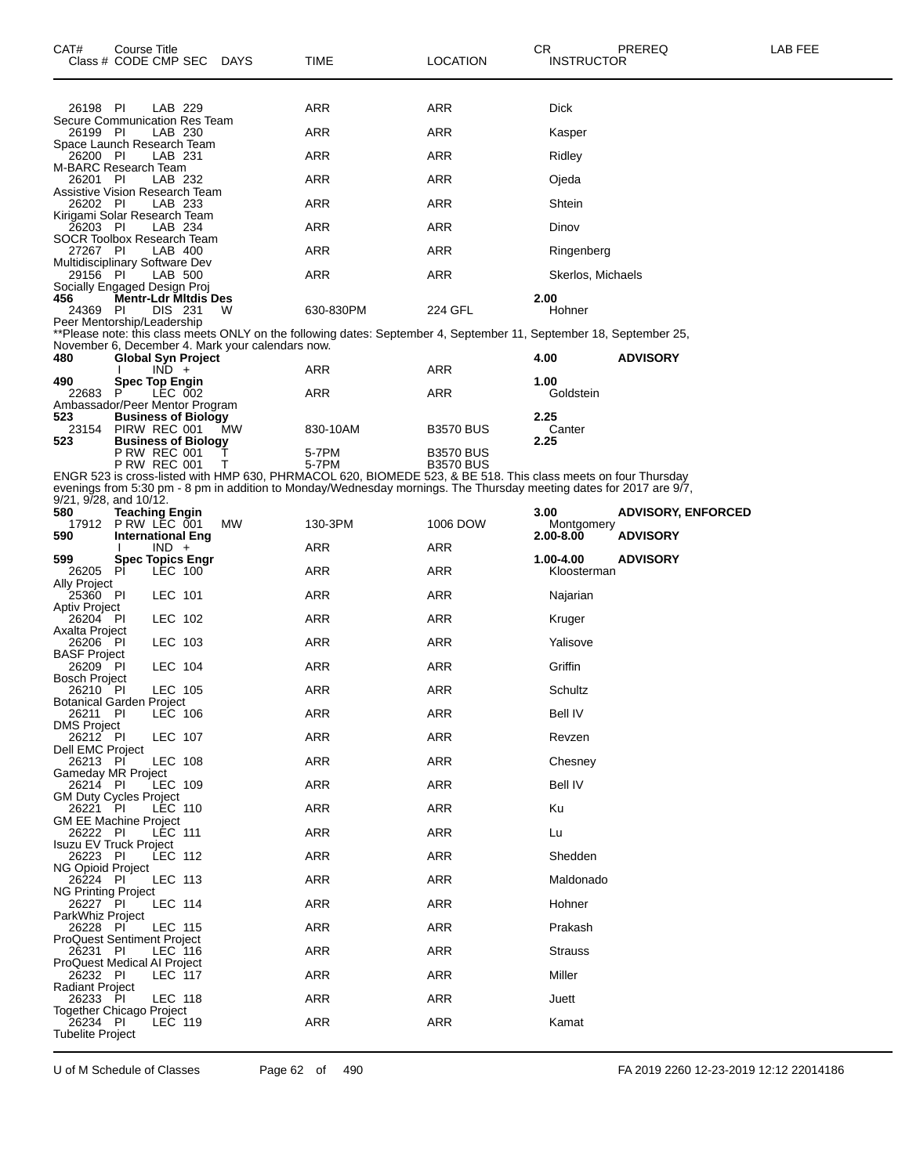| CAT#<br>Class # CODE CMP SEC DAYS             | Course Title                                              |                |                             |                                                  | TIME                                                                                                                                                                                                                                 | LOCATION                             | СR<br>INSTRUCTOR                | PREREQ                                       | LAB FEE |
|-----------------------------------------------|-----------------------------------------------------------|----------------|-----------------------------|--------------------------------------------------|--------------------------------------------------------------------------------------------------------------------------------------------------------------------------------------------------------------------------------------|--------------------------------------|---------------------------------|----------------------------------------------|---------|
| 26198 PI                                      |                                                           | LAB 229        |                             |                                                  | ARR                                                                                                                                                                                                                                  | ARR                                  | <b>Dick</b>                     |                                              |         |
| Secure Communication Res Team<br>26199 PI     |                                                           | LAB 230        |                             |                                                  | ARR                                                                                                                                                                                                                                  | ARR                                  | Kasper                          |                                              |         |
| Space Launch Research Team<br>26200 PI        |                                                           | LAB 231        |                             |                                                  | ARR                                                                                                                                                                                                                                  | ARR                                  | Ridley                          |                                              |         |
| M-BARC Research Team<br>26201 PI              |                                                           | LAB 232        |                             |                                                  | ARR                                                                                                                                                                                                                                  | ARR                                  | Ojeda                           |                                              |         |
| Assistive Vision Research Team<br>26202 PI    |                                                           | LAB 233        |                             |                                                  | ARR                                                                                                                                                                                                                                  | ARR                                  | Shtein                          |                                              |         |
| Kirigami Solar Research Team                  |                                                           | LAB 234        |                             |                                                  | ARR                                                                                                                                                                                                                                  | ARR                                  |                                 |                                              |         |
| 26203 PI<br>SOCR Toolbox Research Team        |                                                           |                |                             |                                                  |                                                                                                                                                                                                                                      |                                      | Dinov                           |                                              |         |
| 27267 PI<br>Multidisciplinary Software Dev    |                                                           | LAB 400        |                             |                                                  | ARR                                                                                                                                                                                                                                  | ARR                                  | Ringenberg                      |                                              |         |
| 29156 PI<br>Socially Engaged Design Proj      |                                                           | LAB 500        |                             |                                                  | ARR                                                                                                                                                                                                                                  | ARR                                  | Skerlos, Michaels               |                                              |         |
| 456<br>24369 PI                               |                                                           | DIS 231        | <b>Mentr-Ldr Mitdis Des</b> | W                                                | 630-830PM                                                                                                                                                                                                                            | 224 GFL                              | 2.00<br>Hohner                  |                                              |         |
| Peer Mentorship/Leadership                    |                                                           |                |                             | November 6, December 4. Mark your calendars now. | **Please note: this class meets ONLY on the following dates: September 4, September 11, September 18, September 25,                                                                                                                  |                                      |                                 | <b>ADVISORY</b>                              |         |
| 480                                           |                                                           | $IND +$        | <b>Global Syn Project</b>   |                                                  | ARR                                                                                                                                                                                                                                  | ARR                                  | 4.00                            |                                              |         |
| 490<br>22683                                  | <b>Spec Top Engin</b><br>P                                | LEC 002        |                             |                                                  | ARR                                                                                                                                                                                                                                  | ARR                                  | 1.00<br>Goldstein               |                                              |         |
| Ambassador/Peer Mentor Program<br>523         |                                                           |                | <b>Business of Biology</b>  |                                                  |                                                                                                                                                                                                                                      |                                      | 2.25                            |                                              |         |
| 23154<br>523                                  | PIRW REC 001                                              |                | <b>Business of Biology</b>  | MW                                               | 830-10AM                                                                                                                                                                                                                             | <b>B3570 BUS</b>                     | Canter<br>2.25                  |                                              |         |
|                                               | <b>P RW REC 001</b><br><b>P RW REC 001</b>                |                |                             | т                                                | 5-7PM<br>5-7PM                                                                                                                                                                                                                       | <b>B3570 BUS</b><br><b>B3570 BUS</b> |                                 |                                              |         |
| 9/21, 9/28, and 10/12.                        |                                                           |                |                             |                                                  | ENGR 523 is cross-listed with HMP 630, PHRMACOL 620, BIOMEDE 523, & BE 518. This class meets on four Thursday<br>evenings from 5:30 pm - 8 pm in addition to Monday/Wednesday mornings. The Thursday meeting dates for 2017 are 9/7, |                                      |                                 |                                              |         |
| 580<br>17912<br>590                           | Teaching Engin<br>PRW LEC 001<br><b>International Eng</b> |                |                             | МW                                               | 130-3PM                                                                                                                                                                                                                              | 1006 DOW                             | 3.00<br>Montgomery<br>2.00-8.00 | <b>ADVISORY, ENFORCED</b><br><b>ADVISORY</b> |         |
|                                               |                                                           | $IND +$        |                             |                                                  | ARR                                                                                                                                                                                                                                  | ARR                                  |                                 |                                              |         |
| 599<br>26205                                  | <b>Spec Topics Engr</b><br>PI                             | LEC 100        |                             |                                                  | ARR                                                                                                                                                                                                                                  | ARR                                  | 1.00-4.00<br>Kloosterman        | <b>ADVISORY</b>                              |         |
| Ally Project<br>25360 PI                      |                                                           | LEC 101        |                             |                                                  | ARR                                                                                                                                                                                                                                  | ARR                                  | Najarian                        |                                              |         |
| Aptiv Project<br>26204 PI                     |                                                           | LEC 102        |                             |                                                  | ARR                                                                                                                                                                                                                                  | ARR                                  | Kruger                          |                                              |         |
| Axalta Project<br>26206 PI                    |                                                           | LEC 103        |                             |                                                  | ARR                                                                                                                                                                                                                                  | ARR                                  | Yalisove                        |                                              |         |
| BASF Project<br>26209 PI                      |                                                           | LEC 104        |                             |                                                  | ARR                                                                                                                                                                                                                                  | ARR                                  | Griffin                         |                                              |         |
| Bosch Project<br>26210 PI                     |                                                           | LEC 105        |                             |                                                  | ARR                                                                                                                                                                                                                                  | ARR                                  | Schultz                         |                                              |         |
| Botanical Garden Project<br>26211 PI          |                                                           | <b>LEC 106</b> |                             |                                                  | <b>ARR</b>                                                                                                                                                                                                                           | ARR                                  | <b>Bell IV</b>                  |                                              |         |
| <b>DMS Project</b><br>26212 PI                |                                                           | LEC 107        |                             |                                                  | <b>ARR</b>                                                                                                                                                                                                                           | <b>ARR</b>                           | Revzen                          |                                              |         |
| Dell EMC Project<br>26213 PI                  |                                                           | <b>LEC 108</b> |                             |                                                  | <b>ARR</b>                                                                                                                                                                                                                           | <b>ARR</b>                           | Chesney                         |                                              |         |
| Gameday MR Project<br>26214 PI                |                                                           | LEC 109        |                             |                                                  | ARR                                                                                                                                                                                                                                  | ARR                                  | <b>Bell IV</b>                  |                                              |         |
| <b>GM Duty Cycles Project</b><br>26221 PI     |                                                           | LEC 110        |                             |                                                  | <b>ARR</b>                                                                                                                                                                                                                           | ARR                                  | Ku                              |                                              |         |
| GM EE Machine Project<br>26222 PI             |                                                           | <b>LEC 111</b> |                             |                                                  | <b>ARR</b>                                                                                                                                                                                                                           | <b>ARR</b>                           | Lu                              |                                              |         |
| <b>Isuzu EV Truck Project</b><br>26223 PI     |                                                           | LEC 112        |                             |                                                  | <b>ARR</b>                                                                                                                                                                                                                           | ARR                                  | Shedden                         |                                              |         |
| NG Opioid Project<br>26224 PI                 |                                                           | LEC 113        |                             |                                                  | <b>ARR</b>                                                                                                                                                                                                                           | ARR                                  | Maldonado                       |                                              |         |
| <b>NG Printing Project</b><br>26227 PI        |                                                           | <b>LEC 114</b> |                             |                                                  | <b>ARR</b>                                                                                                                                                                                                                           | <b>ARR</b>                           | Hohner                          |                                              |         |
| ParkWhiz Project<br>26228 PI                  |                                                           | LEC 115        |                             |                                                  | <b>ARR</b>                                                                                                                                                                                                                           | ARR                                  | Prakash                         |                                              |         |
| <b>ProQuest Sentiment Project</b><br>26231 PI |                                                           | LEC 116        |                             |                                                  | <b>ARR</b>                                                                                                                                                                                                                           | ARR                                  | Strauss                         |                                              |         |
| ProQuest Medical AI Project<br>26232 PI       |                                                           | LEC 117        |                             |                                                  | <b>ARR</b>                                                                                                                                                                                                                           | <b>ARR</b>                           | Miller                          |                                              |         |
| Radiant Project                               |                                                           |                |                             |                                                  |                                                                                                                                                                                                                                      |                                      |                                 |                                              |         |
| 26233 PI<br>Together Chicago Project          |                                                           | LEC 118        |                             |                                                  | ARR                                                                                                                                                                                                                                  | ARR                                  | Juett                           |                                              |         |
| 26234 PI<br><b>Tubelite Project</b>           |                                                           | LEC 119        |                             |                                                  | <b>ARR</b>                                                                                                                                                                                                                           | ARR                                  | Kamat                           |                                              |         |

U of M Schedule of Classes Page 62 of 490 FA 2019 2260 12-23-2019 12:12 22014186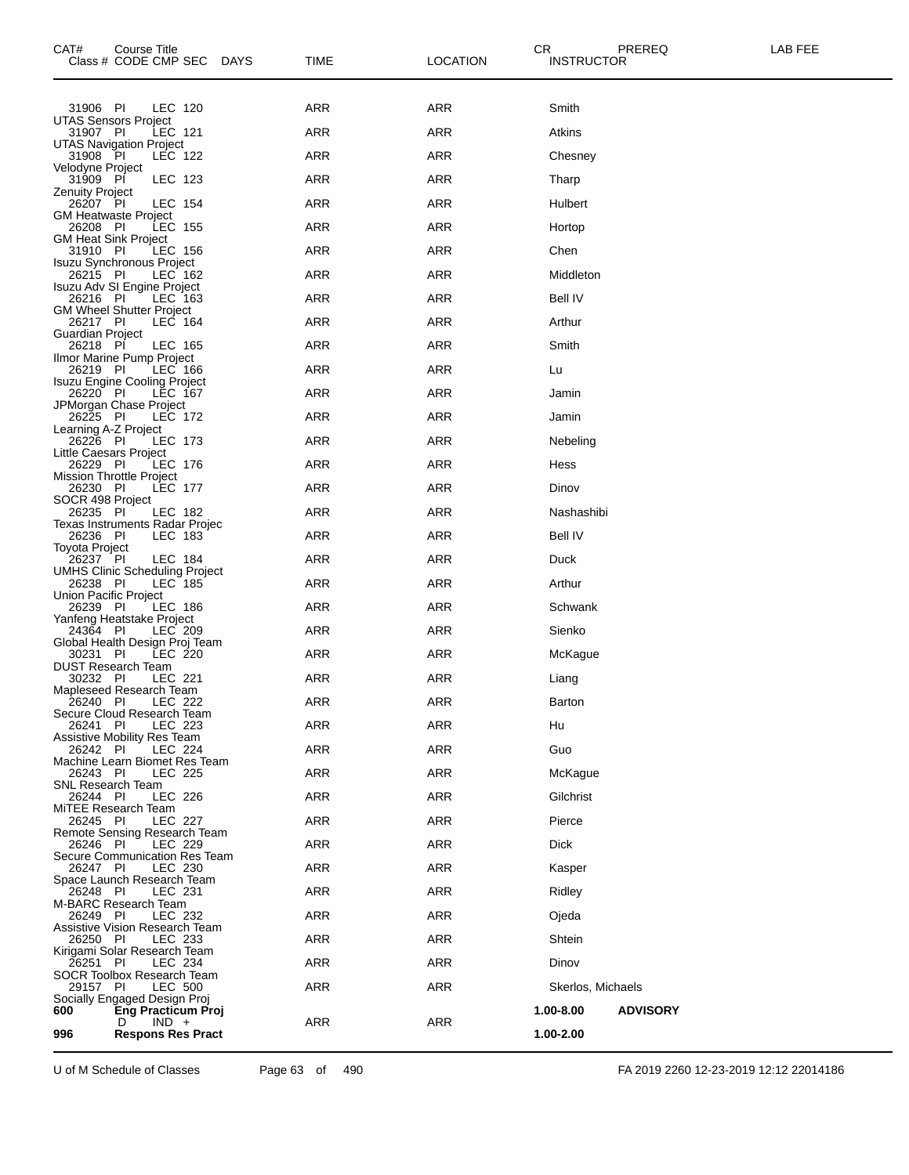| CAT#<br>Course Title<br>Class # CODE CMP SEC DAYS            | TIME       | LOCATION   | CR<br>PREREQ<br>LAB FEE<br><b>INSTRUCTOR</b> |
|--------------------------------------------------------------|------------|------------|----------------------------------------------|
| LEC 120<br>31906 PI                                          | ARR        | ARR        | Smith                                        |
| <b>UTAS Sensors Project</b><br>31907 PI<br><b>LEC 121</b>    | ARR        | <b>ARR</b> | Atkins                                       |
| UTAS Navigation Project<br>31908 PI<br>LEC 122               | ARR        | ARR        | Chesney                                      |
| Velodyne Project<br>31909 PI<br>LEC 123                      | ARR        | <b>ARR</b> | Tharp                                        |
| <b>Zenuity Project</b>                                       | ARR        | <b>ARR</b> |                                              |
| 26207 PI<br>LEC 154<br><b>GM Heatwaste Project</b>           |            |            | Hulbert                                      |
| 26208 PI<br><b>LEC 155</b><br><b>GM Heat Sink Project</b>    | ARR        | ARR        | Hortop                                       |
| 31910 PI<br>LEC 156<br>Isuzu Synchronous Project             | ARR        | ARR        | Chen                                         |
| LEC 162<br>26215 PI<br>Isuzu Adv SI Engine Project           | ARR        | <b>ARR</b> | Middleton                                    |
| 26216 PI<br>LEC 163<br><b>GM Wheel Shutter Project</b>       | ARR        | ARR        | <b>Bell IV</b>                               |
| 26217 PI<br>LEC 164<br>Guardian Project                      | ARR        | ARR        | Arthur                                       |
| 26218 PI<br>LEC 165                                          | ARR        | <b>ARR</b> | Smith                                        |
| Ilmor Marine Pump Project<br>26219 PI<br>LEC 166             | ARR        | ARR        | Lu                                           |
| Isuzu Engine Cooling Project<br>26220 PI<br>LEC 167          | ARR        | ARR        | Jamin                                        |
| JPMorgan Chase Project<br>LEC 172<br>26225 PI                | ARR        | <b>ARR</b> | Jamin                                        |
| Learning A-Z Project<br>26226 PI<br>LEC 173                  | ARR        | ARR        | Nebeling                                     |
| Little Caesars Project<br>26229 PI<br>LEC 176                | ARR        | ARR        | Hess                                         |
| Mission Throttle Project<br>26230 PI<br>LEC 177              | <b>ARR</b> | ARR        | Dinov                                        |
| SOCR 498 Project<br>26235 PI<br>LEC 182                      | ARR        | ARR        | Nashashibi                                   |
| Texas Instruments Radar Projec<br>LEC 183                    | ARR        | ARR        | Bell IV                                      |
| 26236 PI<br><b>Toyota Project</b>                            |            |            |                                              |
| 26237 PI<br>LEC 184<br><b>UMHS Clinic Scheduling Project</b> | <b>ARR</b> | ARR        | Duck                                         |
| 26238 PI<br>LEC 185<br>Union Pacific Project                 | ARR        | ARR        | Arthur                                       |
| 26239 PI<br>LEC 186<br>Yanfeng Heatstake Project             | ARR        | <b>ARR</b> | Schwank                                      |
| 24364 PI<br>LEC 209<br>Global Health Design Proj Team        | <b>ARR</b> | ARR        | Sienko                                       |
| 30231 PI<br>LEC 220<br>DUST Research Team                    | ARR        | ARR        | McKague                                      |
| 30232 PI<br>LEC 221<br>Mapleseed Research Team               | ARR        | <b>ARR</b> | Liang                                        |
| 26240 PI LEC 222<br>Secure Cloud Research Team               | ARR        | ARR        | Barton                                       |
| 26241 PI<br>LEC 223                                          | ARR        | ARR        | Hu                                           |
| Assistive Mobility Res Team<br>26242 PI<br>LEC 224           | <b>ARR</b> | <b>ARR</b> | Guo                                          |
| Machine Learn Biomet Res Team<br>26243 PI<br>LEC 225         | <b>ARR</b> | ARR        | McKague                                      |
| SNL Research Team<br>26244 PI<br>LEC 226                     | ARR        | ARR        | Gilchrist                                    |
| MiTEE Research Team<br><b>LEC 227</b><br>26245 PI            | ARR        | <b>ARR</b> | Pierce                                       |
| Remote Sensing Research Team<br>26246 PI<br>LEC 229          | <b>ARR</b> | ARR        | Dick                                         |
| Secure Communication Res Team<br>26247 PI<br>LEC 230         | ARR        | <b>ARR</b> | Kasper                                       |
| Space Launch Research Team<br>26248 PI<br>LEC 231            | ARR        | <b>ARR</b> | Ridley                                       |
| M-BARC Research Team                                         | <b>ARR</b> | ARR        |                                              |
| 26249 PI<br>LEC 232<br>Assistive Vision Research Team        |            |            | Ojeda                                        |
| 26250 PI<br>LEC 233<br>Kirigami Solar Research Team          | ARR        | ARR        | Shtein                                       |
| 26251 PI<br>LEC 234<br>SOCR Toolbox Research Team            | <b>ARR</b> | ARR        | Dinov                                        |
| 29157 PI<br>LEC 500<br>Socially Engaged Design Proj          | <b>ARR</b> | ARR        | Skerlos, Michaels                            |
| 600<br>Eng Practicum Proj<br>$IND +$<br>D                    | <b>ARR</b> | ARR        | <b>ADVISORY</b><br>1.00-8.00                 |
| <b>Respons Res Pract</b><br>996                              |            |            | 1.00-2.00                                    |

U of M Schedule of Classes Page 63 of 490 FA 2019 2260 12-23-2019 12:12 22014186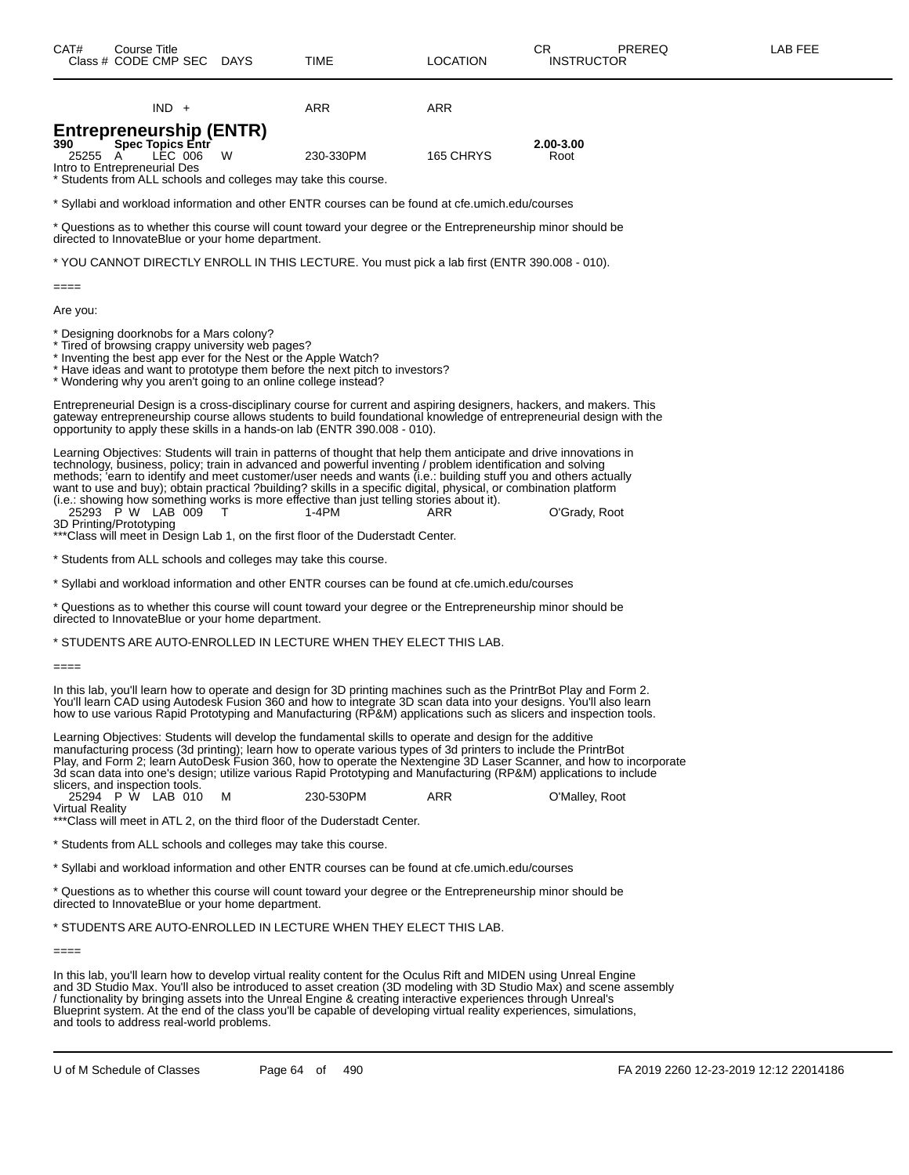|                                                                                                                                                                                                                                                                                                                        | $IND +$ |  |   | ARR                                                                                                                                                                                                                                                                                                                                                                                                                                                                                                                                                                                                                                                                    | ARR       |                                                                                                                     |  |  |
|------------------------------------------------------------------------------------------------------------------------------------------------------------------------------------------------------------------------------------------------------------------------------------------------------------------------|---------|--|---|------------------------------------------------------------------------------------------------------------------------------------------------------------------------------------------------------------------------------------------------------------------------------------------------------------------------------------------------------------------------------------------------------------------------------------------------------------------------------------------------------------------------------------------------------------------------------------------------------------------------------------------------------------------------|-----------|---------------------------------------------------------------------------------------------------------------------|--|--|
| <b>Entrepreneurship (ENTR)</b>                                                                                                                                                                                                                                                                                         |         |  |   |                                                                                                                                                                                                                                                                                                                                                                                                                                                                                                                                                                                                                                                                        |           |                                                                                                                     |  |  |
| <b>Spec Topics Entr</b><br>390<br>25255 A<br>Intro to Entrepreneurial Des                                                                                                                                                                                                                                              | LEC 006 |  | W | 230-330PM                                                                                                                                                                                                                                                                                                                                                                                                                                                                                                                                                                                                                                                              | 165 CHRYS | 2.00-3.00<br>Root                                                                                                   |  |  |
| * Students from ALL schools and colleges may take this course.                                                                                                                                                                                                                                                         |         |  |   |                                                                                                                                                                                                                                                                                                                                                                                                                                                                                                                                                                                                                                                                        |           |                                                                                                                     |  |  |
|                                                                                                                                                                                                                                                                                                                        |         |  |   | * Syllabi and workload information and other ENTR courses can be found at cfe.umich.edu/courses                                                                                                                                                                                                                                                                                                                                                                                                                                                                                                                                                                        |           |                                                                                                                     |  |  |
| t Questions as to whether this course will count toward your degree or the Entrepreneurship minor should be<br>directed to InnovateBlue or your home department.                                                                                                                                                       |         |  |   |                                                                                                                                                                                                                                                                                                                                                                                                                                                                                                                                                                                                                                                                        |           |                                                                                                                     |  |  |
|                                                                                                                                                                                                                                                                                                                        |         |  |   | * YOU CANNOT DIRECTLY ENROLL IN THIS LECTURE. You must pick a lab first (ENTR 390.008 - 010).                                                                                                                                                                                                                                                                                                                                                                                                                                                                                                                                                                          |           |                                                                                                                     |  |  |
| $====$                                                                                                                                                                                                                                                                                                                 |         |  |   |                                                                                                                                                                                                                                                                                                                                                                                                                                                                                                                                                                                                                                                                        |           |                                                                                                                     |  |  |
| Are you:                                                                                                                                                                                                                                                                                                               |         |  |   |                                                                                                                                                                                                                                                                                                                                                                                                                                                                                                                                                                                                                                                                        |           |                                                                                                                     |  |  |
| * Designing doorknobs for a Mars colony?<br>* Tired of browsing crappy university web pages?<br>* Inventing the best app ever for the Nest or the Apple Watch?<br>* Wondering why you aren't going to an online college instead?                                                                                       |         |  |   | * Have ideas and want to prototype them before the next pitch to investors?                                                                                                                                                                                                                                                                                                                                                                                                                                                                                                                                                                                            |           |                                                                                                                     |  |  |
| Entrepreneurial Design is a cross-disciplinary course for current and aspiring designers, hackers, and makers. This<br>gateway entrepreneurship course allows students to build foundational knowledge of entrepreneurial design with the<br>opportunity to apply these skills in a hands-on lab (ENTR 390.008 - 010). |         |  |   |                                                                                                                                                                                                                                                                                                                                                                                                                                                                                                                                                                                                                                                                        |           |                                                                                                                     |  |  |
| 25293 P W LAB 009<br>3D Printing/Prototyping                                                                                                                                                                                                                                                                           |         |  | т | Learning Objectives: Students will train in patterns of thought that help them anticipate and drive innovations in<br>technology, business, policy; train in advanced and powerful inventing / problem identification and solving<br>methods; 'earn to identify and meet customer/user needs and wants (i.e.: building stuff you and others actually<br>want to use and buy); obtain practical ?building? skills in a specific digital, physical, or combination platform<br>(i.e.: showing how something works is more effective than just telling stories about it).<br>$1-4PM$<br>*** Class will meet in Design Lab 1, on the first floor of the Duderstadt Center. | ARR       | O'Grady, Root                                                                                                       |  |  |
| * Students from ALL schools and colleges may take this course.                                                                                                                                                                                                                                                         |         |  |   |                                                                                                                                                                                                                                                                                                                                                                                                                                                                                                                                                                                                                                                                        |           |                                                                                                                     |  |  |
|                                                                                                                                                                                                                                                                                                                        |         |  |   | * Syllabi and workload information and other ENTR courses can be found at cfe.umich.edu/courses                                                                                                                                                                                                                                                                                                                                                                                                                                                                                                                                                                        |           |                                                                                                                     |  |  |
| directed to InnovateBlue or your home department.                                                                                                                                                                                                                                                                      |         |  |   | * Questions as to whether this course will count toward your degree or the Entrepreneurship minor should be                                                                                                                                                                                                                                                                                                                                                                                                                                                                                                                                                            |           |                                                                                                                     |  |  |
|                                                                                                                                                                                                                                                                                                                        |         |  |   | * STUDENTS ARE AUTO-ENROLLED IN LECTURE WHEN THEY ELECT THIS LAB.                                                                                                                                                                                                                                                                                                                                                                                                                                                                                                                                                                                                      |           |                                                                                                                     |  |  |
| $====$                                                                                                                                                                                                                                                                                                                 |         |  |   |                                                                                                                                                                                                                                                                                                                                                                                                                                                                                                                                                                                                                                                                        |           |                                                                                                                     |  |  |
|                                                                                                                                                                                                                                                                                                                        |         |  |   | In this lab, you'll learn how to operate and design for 3D printing machines such as the PrintrBot Play and Form 2.<br>You'll learn CAD using Autodesk Fusion 360 and how to integrate 3D scan data into your designs. You'll also learn<br>how to use various Rapid Prototyping and Manufacturing (RP&M) applications such as slicers and inspection tools.                                                                                                                                                                                                                                                                                                           |           |                                                                                                                     |  |  |
| slicers, and inspection tools.                                                                                                                                                                                                                                                                                         |         |  |   | Learning Objectives: Students will develop the fundamental skills to operate and design for the additive<br>manufacturing process (3d printing); learn how to operate various types of 3d printers to include the PrintrBot<br>3d scan data into one's design; utilize various Rapid Prototyping and Manufacturing (RP&M) applications to include                                                                                                                                                                                                                                                                                                                      |           | Play, and Form 2; learn AutoDesk Fusion 360, how to operate the Nextengine 3D Laser Scanner, and how to incorporate |  |  |
| 25294 P W LAB 010<br><b>Virtual Reality</b>                                                                                                                                                                                                                                                                            |         |  | м | 230-530PM<br>*** Class will meet in ATL 2, on the third floor of the Duderstadt Center.                                                                                                                                                                                                                                                                                                                                                                                                                                                                                                                                                                                | ARR       | O'Malley, Root                                                                                                      |  |  |
| * Students from ALL schools and colleges may take this course.                                                                                                                                                                                                                                                         |         |  |   |                                                                                                                                                                                                                                                                                                                                                                                                                                                                                                                                                                                                                                                                        |           |                                                                                                                     |  |  |
| * Syllabi and workload information and other ENTR courses can be found at cfe.umich.edu/courses                                                                                                                                                                                                                        |         |  |   |                                                                                                                                                                                                                                                                                                                                                                                                                                                                                                                                                                                                                                                                        |           |                                                                                                                     |  |  |
| directed to InnovateBlue or your home department.                                                                                                                                                                                                                                                                      |         |  |   | * Questions as to whether this course will count toward your degree or the Entrepreneurship minor should be                                                                                                                                                                                                                                                                                                                                                                                                                                                                                                                                                            |           |                                                                                                                     |  |  |

\* STUDENTS ARE AUTO-ENROLLED IN LECTURE WHEN THEY ELECT THIS LAB.

====

In this lab, you'll learn how to develop virtual reality content for the Oculus Rift and MIDEN using Unreal Engine and 3D Studio Max. You'll also be introduced to asset creation (3D modeling with 3D Studio Max) and scene assembly / functionality by bringing assets into the Unreal Engine & creating interactive experiences through Unreal's Blueprint system. At the end of the class you'll be capable of developing virtual reality experiences, simulations, and tools to address real-world problems.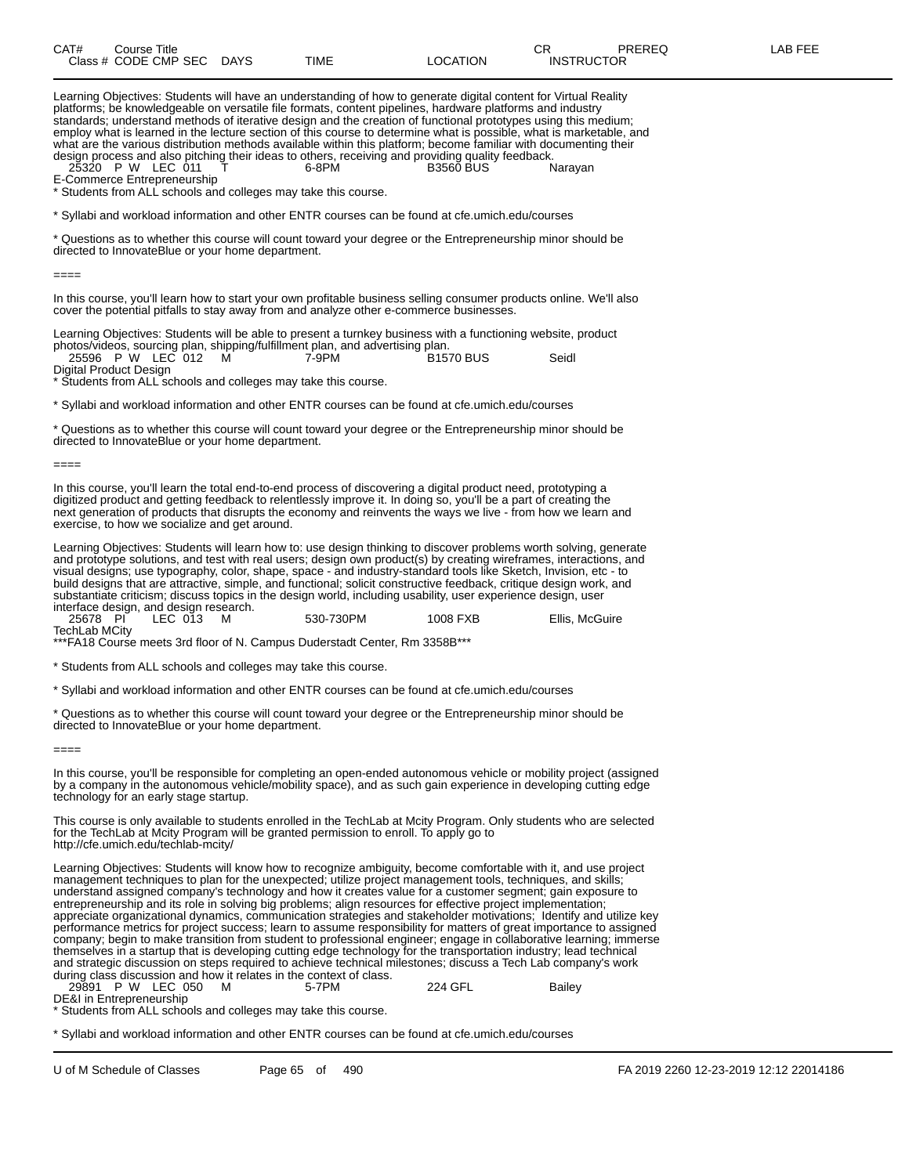| CAT# | Course Title              |      |          | ∩⊓<br>◡           | <b>PREREQ</b> | -AB FEE |
|------|---------------------------|------|----------|-------------------|---------------|---------|
|      | Class # CODE CMP SEC DAYS | TIME | LOCATION | <b>INSTRUCTOR</b> |               |         |

Learning Objectives: Students will have an understanding of how to generate digital content for Virtual Reality platforms; be knowledgeable on versatile file formats, content pipelines, hardware platforms and industry standards; understand methods of iterative design and the creation of functional prototypes using this medium; employ what is learned in the lecture section of this course to determine what is possible, what is marketable, and what are the various distribution methods available within this platform; become familiar with documenting their design process and also pitching their ideas to others, receiving and providing quality feedback.<br>25320 P W LEC 011 T 6-8PM B3560 BUS Narayan

25320 P W LEC 011

E-Commerce Entrepreneurship

\* Students from ALL schools and colleges may take this course.

\* Syllabi and workload information and other ENTR courses can be found at cfe.umich.edu/courses

\* Questions as to whether this course will count toward your degree or the Entrepreneurship minor should be directed to InnovateBlue or your home department.

====

In this course, you'll learn how to start your own profitable business selling consumer products online. We'll also cover the potential pitfalls to stay away from and analyze other e-commerce businesses.

Learning Objectives: Students will be able to present a turnkey business with a functioning website, product photos/videos, sourcing plan, shipping/fulfillment plan, and advertising plan. 25596 P W LEC 012 M 7-9PM B1570 BUS Seidl

Digital Product Design

\* Students from ALL schools and colleges may take this course.

\* Syllabi and workload information and other ENTR courses can be found at cfe.umich.edu/courses

\* Questions as to whether this course will count toward your degree or the Entrepreneurship minor should be directed to InnovateBlue or your home department.

====

In this course, you'll learn the total end-to-end process of discovering a digital product need, prototyping a digitized product and getting feedback to relentlessly improve it. In doing so, you'll be a part of creating the next generation of products that disrupts the economy and reinvents the ways we live - from how we learn and exercise, to how we socialize and get around.

Learning Objectives: Students will learn how to: use design thinking to discover problems worth solving, generate and prototype solutions, and test with real users; design own product(s) by creating wireframes, interactions, and visual designs; use typography, color, shape, space - and industry-standard tools like Sketch, Invision, etc - to build designs that are attractive, simple, and functional; solicit constructive feedback, critique design work, and substantiate criticism; discuss topics in the design world, including usability, user experience design, user interface design, and design research.

| 25678 PI      | LEC 013 | 530-730PM | 1008 FXB | Ellis, McGuire |
|---------------|---------|-----------|----------|----------------|
| TechLab MCity |         |           |          |                |

\*\*\*FA18 Course meets 3rd floor of N. Campus Duderstadt Center, Rm 3358B\*\*\*

\* Students from ALL schools and colleges may take this course.

\* Syllabi and workload information and other ENTR courses can be found at cfe.umich.edu/courses

\* Questions as to whether this course will count toward your degree or the Entrepreneurship minor should be directed to InnovateBlue or your home department.

====

In this course, you'll be responsible for completing an open-ended autonomous vehicle or mobility project (assigned by a company in the autonomous vehicle/mobility space), and as such gain experience in developing cutting edge technology for an early stage startup.

This course is only available to students enrolled in the TechLab at Mcity Program. Only students who are selected for the TechLab at Mcity Program will be granted permission to enroll. To apply go to http://cfe.umich.edu/techlab-mcity/

Learning Objectives: Students will know how to recognize ambiguity, become comfortable with it, and use project management techniques to plan for the unexpected; utilize project management tools, techniques, and skills; understand assigned company's technology and how it creates value for a customer segment; gain exposure to entrepreneurship and its role in solving big problems; align resources for effective project implementation; appreciate organizational dynamics, communication strategies and stakeholder motivations; Identify and utilize key performance metrics for project success; learn to assume responsibility for matters of great importance to assigned company; begin to make transition from student to professional engineer; engage in collaborative learning; immerse themselves in a startup that is developing cutting edge technology for the transportation industry; lead technical and strategic discussion on steps required to achieve technical milestones; discuss a Tech Lab company's work during class discussion and how it relates in the context of class.<br>29891 P W LEC 050 M 5-7PM

P W LEC 050 M 5-7PM 224 GFL Bailey DE&I in Entrepreneurship

\* Students from ALL schools and colleges may take this course.

\* Syllabi and workload information and other ENTR courses can be found at cfe.umich.edu/courses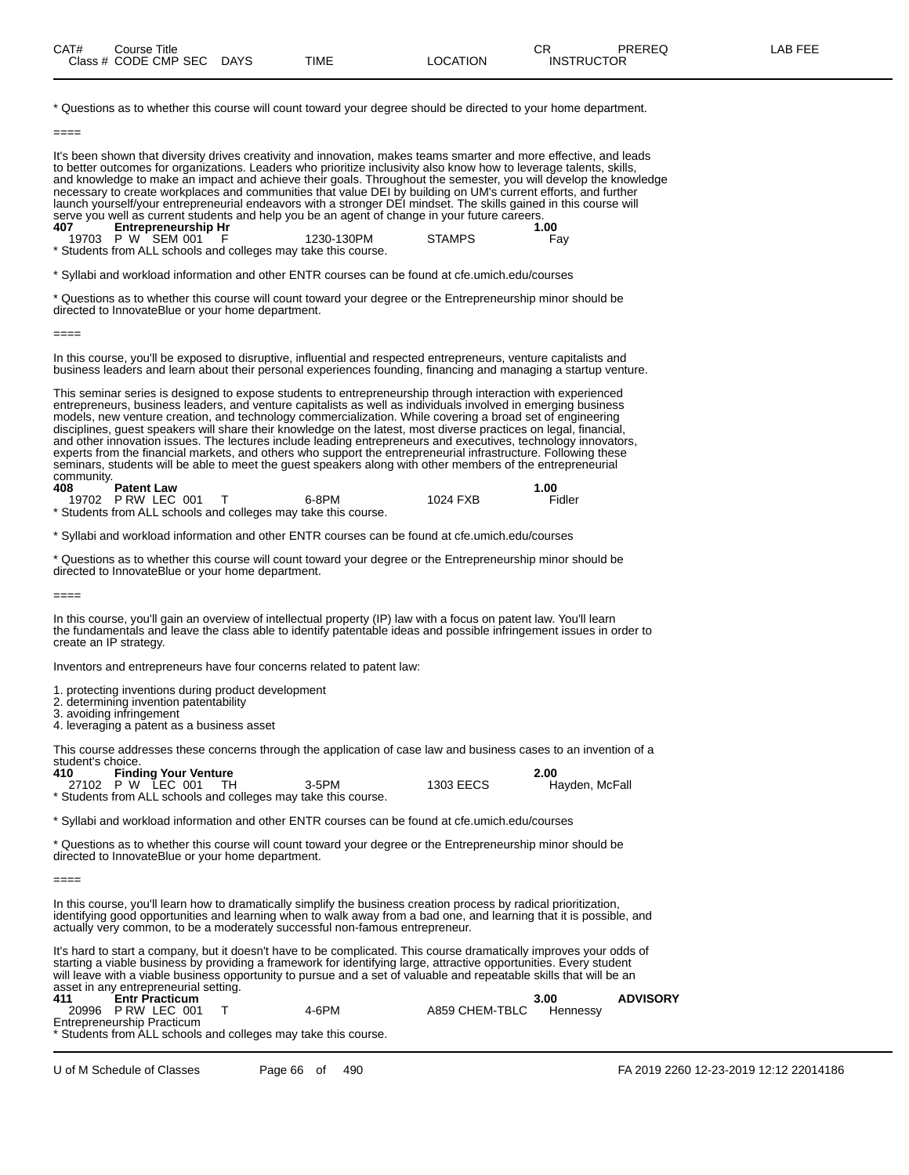| CAT# | Title<br>Course      |             |      |                | ∼г<br>◡∩          | PREREQ | ۱۳۵۳ ب<br>A P |
|------|----------------------|-------------|------|----------------|-------------------|--------|---------------|
|      | Class # CODE CMP SEC | <b>DAYS</b> | TIME | <b>OCATION</b> | <b>INSTRUCTOR</b> |        |               |

\* Questions as to whether this course will count toward your degree should be directed to your home department.

====

It's been shown that diversity drives creativity and innovation, makes teams smarter and more effective, and leads to better outcomes for organizations. Leaders who prioritize inclusivity also know how to leverage talents, skills, and knowledge to make an impact and achieve their goals. Throughout the semester, you will develop the knowledge necessary to create workplaces and communities that value DEI by building on UM's current efforts, and further launch yourself/your entrepreneurial endeavors with a stronger DEI mindset. The skills gained in this course will serve you well as current students and help you be an agent of change in your future careers.<br>1.00 **Entrepreneurship Hr 407 Entrepreneurship Hr 1.00** 19703 P W SEM 001 F 1230-130PM STAMPS Fay

\* Students from ALL schools and colleges may take this course.

\* Syllabi and workload information and other ENTR courses can be found at cfe.umich.edu/courses

\* Questions as to whether this course will count toward your degree or the Entrepreneurship minor should be directed to InnovateBlue or your home department.

====

====

In this course, you'll be exposed to disruptive, influential and respected entrepreneurs, venture capitalists and business leaders and learn about their personal experiences founding, financing and managing a startup venture.

This seminar series is designed to expose students to entrepreneurship through interaction with experienced entrepreneurs, business leaders, and venture capitalists as well as individuals involved in emerging business models, new venture creation, and technology commercialization. While covering a broad set of engineering disciplines, guest speakers will share their knowledge on the latest, most diverse practices on legal, financial, and other innovation issues. The lectures include leading entrepreneurs and executives, technology innovators, experts from the financial markets, and others who support the entrepreneurial infrastructure. Following these seminars, students will be able to meet the guest speakers along with other members of the entrepreneurial community.

| 408 | <b>Patent Law</b> |                                                                |          | 1.00   |
|-----|-------------------|----------------------------------------------------------------|----------|--------|
|     | 19702 PRW LEC 001 | 6-8PM                                                          | 1024 FXB | Fidler |
|     |                   | * Students from ALL schools and colleges may take this course. |          |        |

\* Syllabi and workload information and other ENTR courses can be found at cfe.umich.edu/courses

\* Questions as to whether this course will count toward your degree or the Entrepreneurship minor should be directed to InnovateBlue or your home department.

In this course, you'll gain an overview of intellectual property (IP) law with a focus on patent law. You'll learn the fundamentals and leave the class able to identify patentable ideas and possible infringement issues in order to create an IP strategy.

Inventors and entrepreneurs have four concerns related to patent law:

1. protecting inventions during product development

2. determining invention patentability

3. avoiding infringement 4. leveraging a patent as a business asset

This course addresses these concerns through the application of case law and business cases to an invention of a student's choice.<br>410 Find

**410 Finding Your Venture 2.00** 27102 P W LEC 001 TH 3-5PM 1303 EECS Hayden, McFall

\* Students from ALL schools and colleges may take this course.

\* Syllabi and workload information and other ENTR courses can be found at cfe.umich.edu/courses

\* Questions as to whether this course will count toward your degree or the Entrepreneurship minor should be directed to InnovateBlue or your home department.

====

In this course, you'll learn how to dramatically simplify the business creation process by radical prioritization, identifying good opportunities and learning when to walk away from a bad one, and learning that it is possible, and actually very common, to be a moderately successful non-famous entrepreneur.

It's hard to start a company, but it doesn't have to be complicated. This course dramatically improves your odds of starting a viable business by providing a framework for identifying large, attractive opportunities. Every student will leave with a viable business opportunity to pursue and a set of valuable and repeatable skills that will be an asset in any entrepreneurial setting.

| 411 | <b>Entr Practicum</b>                                          |       |                | 3.00     | <b>ADVISORY</b> |
|-----|----------------------------------------------------------------|-------|----------------|----------|-----------------|
|     | 20996 PRW LEC 001                                              | 4-6PM | A859 CHEM-TBLC | Hennessv |                 |
|     | Entrepreneurship Practicum                                     |       |                |          |                 |
|     | * Students from ALL schools and colleges may take this course. |       |                |          |                 |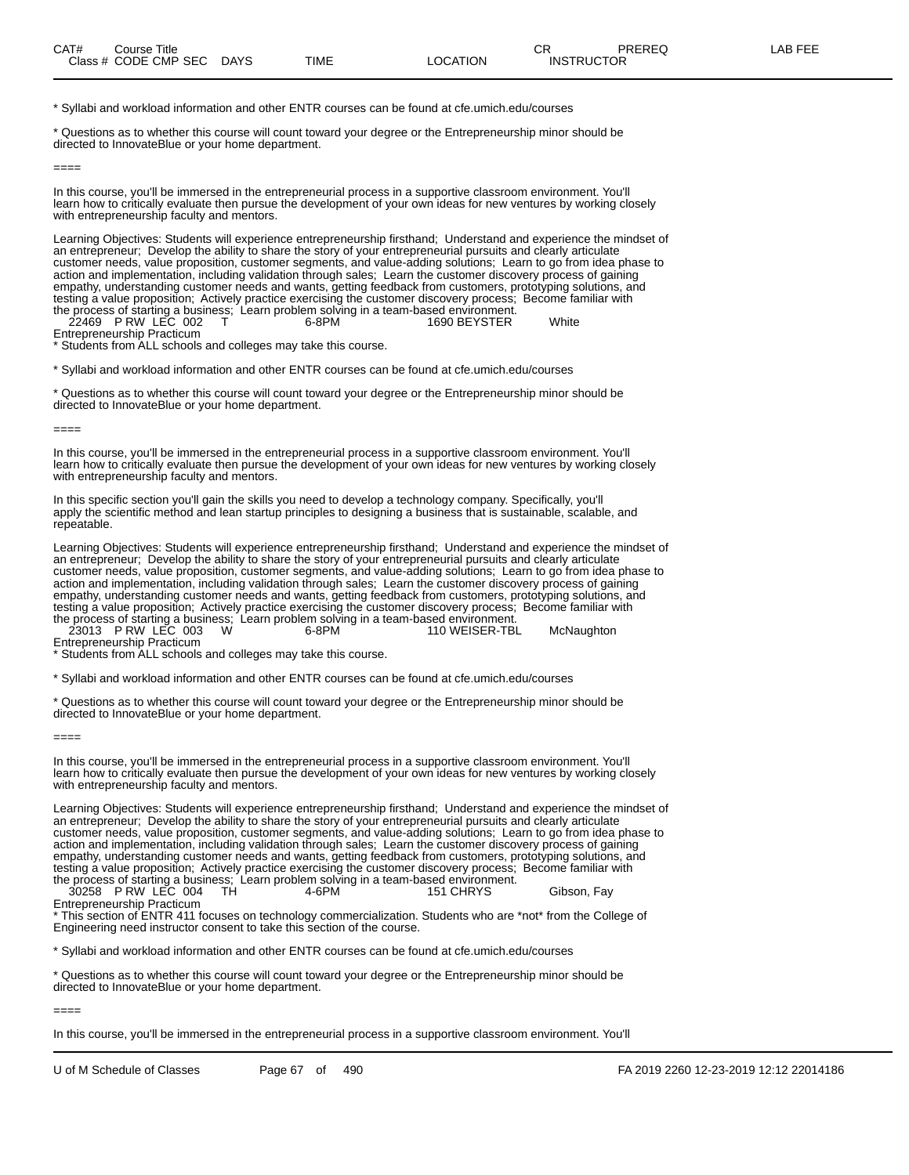\* Syllabi and workload information and other ENTR courses can be found at cfe.umich.edu/courses

\* Questions as to whether this course will count toward your degree or the Entrepreneurship minor should be directed to InnovateBlue or your home department.

====

In this course, you'll be immersed in the entrepreneurial process in a supportive classroom environment. You'll learn how to critically evaluate then pursue the development of your own ideas for new ventures by working closely with entrepreneurship faculty and mentors.

Learning Objectives: Students will experience entrepreneurship firsthand; Understand and experience the mindset of an entrepreneur; Develop the ability to share the story of your entrepreneurial pursuits and clearly articulate customer needs, value proposition, customer segments, and value-adding solutions; Learn to go from idea phase to action and implementation, including validation through sales; Learn the customer discovery process of gaining empathy, understanding customer needs and wants, getting feedback from customers, prototyping solutions, and testing a value proposition; Actively practice exercising the customer discovery process; Become familiar with the process of starting a business; Learn problem solving in a team-based environment. 22469 P RW LEC 002 T 6-8PM 1690 BEYSTER White

Entrepreneurship Practicum

\* Students from ALL schools and colleges may take this course.

\* Syllabi and workload information and other ENTR courses can be found at cfe.umich.edu/courses

\* Questions as to whether this course will count toward your degree or the Entrepreneurship minor should be directed to InnovateBlue or your home department.

====

In this course, you'll be immersed in the entrepreneurial process in a supportive classroom environment. You'll learn how to critically evaluate then pursue the development of your own ideas for new ventures by working closely with entrepreneurship faculty and mentors.

In this specific section you'll gain the skills you need to develop a technology company. Specifically, you'll apply the scientific method and lean startup principles to designing a business that is sustainable, scalable, and repeatable.

Learning Objectives: Students will experience entrepreneurship firsthand; Understand and experience the mindset of an entrepreneur; Develop the ability to share the story of your entrepreneurial pursuits and clearly articulate customer needs, value proposition, customer segments, and value-adding solutions; Learn to go from idea phase to action and implementation, including validation through sales; Learn the customer discovery process of gaining empathy, understanding customer needs and wants, getting feedback from customers, prototyping solutions, and testing a value proposition; Actively practice exercising the customer discovery process; Become familiar with the process of starting a business; Learn problem solving in a team-based environment.

23013 P RW LEC 003 W 6-8PM 110 WEISER-TBL McNaughton Entrepreneurship Practicum

\* Students from ALL schools and colleges may take this course.

\* Syllabi and workload information and other ENTR courses can be found at cfe.umich.edu/courses

\* Questions as to whether this course will count toward your degree or the Entrepreneurship minor should be directed to InnovateBlue or your home department.

====

In this course, you'll be immersed in the entrepreneurial process in a supportive classroom environment. You'll learn how to critically evaluate then pursue the development of your own ideas for new ventures by working closely with entrepreneurship faculty and mentors.

Learning Objectives: Students will experience entrepreneurship firsthand; Understand and experience the mindset of an entrepreneur; Develop the ability to share the story of your entrepreneurial pursuits and clearly articulate customer needs, value proposition, customer segments, and value-adding solutions; Learn to go from idea phase to action and implementation, including validation through sales; Learn the customer discovery process of gaining empathy, understanding customer needs and wants, getting feedback from customers, prototyping solutions, and testing a value proposition; Actively practice exercising the customer discovery process; Become familiar with the process of starting a business; Learn problem solving in a team-based environment. 30258 P RW LEC 004 TH 4-6PM 151 CHRYS Gibson, Fay

Entrepreneurship Practicum

This section of ENTR 411 focuses on technology commercialization. Students who are \*not\* from the College of Engineering need instructor consent to take this section of the course.

\* Syllabi and workload information and other ENTR courses can be found at cfe.umich.edu/courses

\* Questions as to whether this course will count toward your degree or the Entrepreneurship minor should be directed to InnovateBlue or your home department.

 $====$ 

In this course, you'll be immersed in the entrepreneurial process in a supportive classroom environment. You'll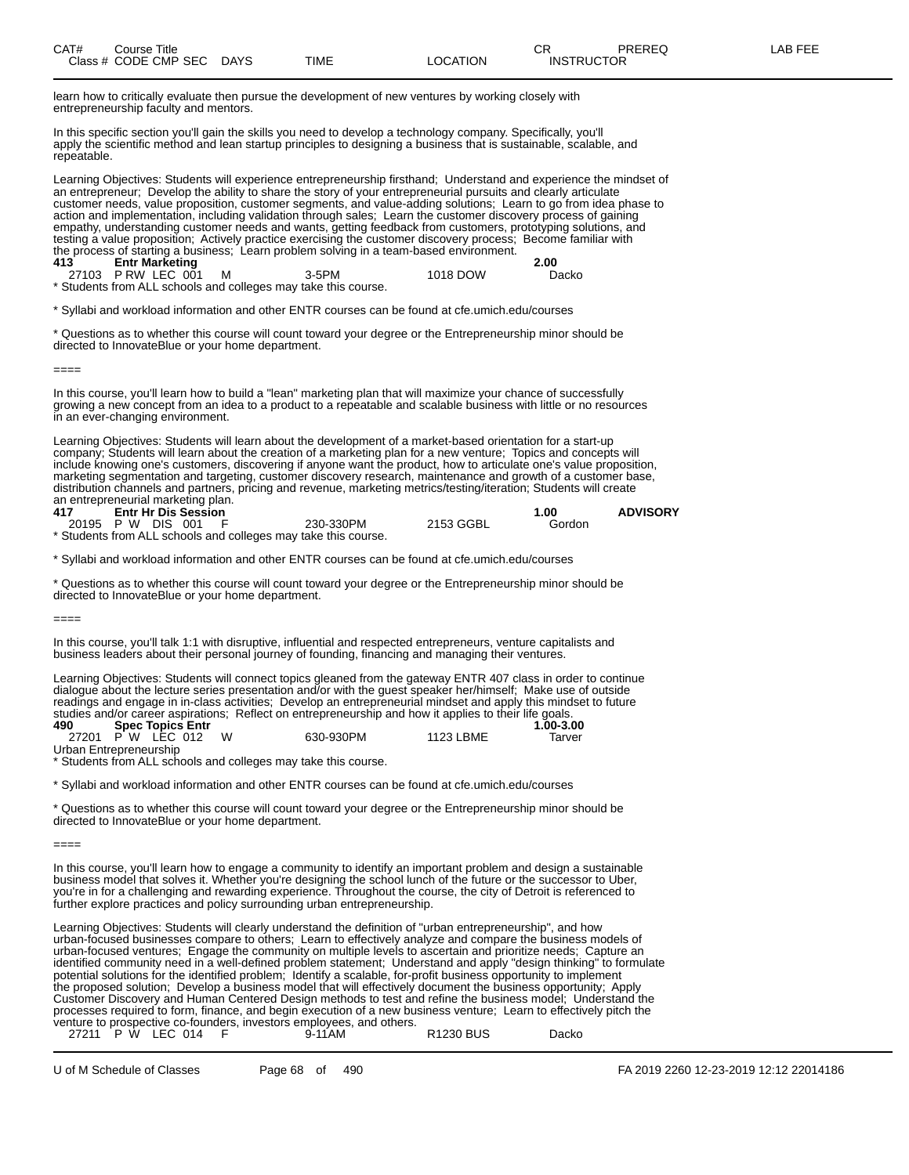learn how to critically evaluate then pursue the development of new ventures by working closely with entrepreneurship faculty and mentors.

In this specific section you'll gain the skills you need to develop a technology company. Specifically, you'll apply the scientific method and lean startup principles to designing a business that is sustainable, scalable, and repeatable.

Learning Objectives: Students will experience entrepreneurship firsthand; Understand and experience the mindset of an entrepreneur; Develop the ability to share the story of your entrepreneurial pursuits and clearly articulate customer needs, value proposition, customer segments, and value-adding solutions; Learn to go from idea phase to action and implementation, including validation through sales; Learn the customer discovery process of gaining empathy, understanding customer needs and wants, getting feedback from customers, prototyping solutions, and testing a value proposition; Actively practice exercising the customer discovery process; Become familiar with the process of starting a business; Learn problem solving in a team-based environment. **413 Entr Marketing 2.00**

| 27103 PRW LEC 001 | 3-5PM                                                          | 1018 DOW | Dacko |
|-------------------|----------------------------------------------------------------|----------|-------|
|                   | * Students from ALL schools and colleges may take this course. |          |       |

<sup>\*</sup> Syllabi and workload information and other ENTR courses can be found at cfe.umich.edu/courses

\* Questions as to whether this course will count toward your degree or the Entrepreneurship minor should be directed to InnovateBlue or your home department.

 $====$ 

In this course, you'll learn how to build a "lean" marketing plan that will maximize your chance of successfully growing a new concept from an idea to a product to a repeatable and scalable business with little or no resources in an ever-changing environment.

Learning Objectives: Students will learn about the development of a market-based orientation for a start-up company; Students will learn about the creation of a marketing plan for a new venture; Topics and concepts will include knowing one's customers, discovering if anyone want the product, how to articulate one's value proposition, marketing segmentation and targeting, customer discovery research, maintenance and growth of a customer base, distribution channels and partners, pricing and revenue, marketing metrics/testing/iteration; Students will create an entrepreneurial marketing plan.

| 417                 | <b>Entr Hr Dis Session</b> |  |                                                                |           | 1.00   | <b>ADVISORY</b> |
|---------------------|----------------------------|--|----------------------------------------------------------------|-----------|--------|-----------------|
| 20195 P W DIS 001 F |                            |  | 230-330PM                                                      | 2153 GGBL | Gordon |                 |
|                     |                            |  | * Students from ALL schools and colleges may take this course. |           |        |                 |

\* Syllabi and workload information and other ENTR courses can be found at cfe.umich.edu/courses

\* Questions as to whether this course will count toward your degree or the Entrepreneurship minor should be directed to InnovateBlue or your home department.

====

In this course, you'll talk 1:1 with disruptive, influential and respected entrepreneurs, venture capitalists and business leaders about their personal journey of founding, financing and managing their ventures.

Learning Objectives: Students will connect topics gleaned from the gateway ENTR 407 class in order to continue dialogue about the lecture series presentation and/or with the guest speaker her/himself; Make use of outside readings and engage in in-class activities; Develop an entrepreneurial mindset and apply this mindset to future studies and/or career aspirations; Reflect on entrepreneurship and how it applies to their life goals.

| 490                    | <b>Spec Topics Entr</b> |           |           | $1.00 - 3.00$ |
|------------------------|-------------------------|-----------|-----------|---------------|
|                        | 27201 PW LEC 012        | 630-930PM | 1123 LBME | Tarver        |
| Urban Entrepreneurship |                         |           |           |               |

\* Students from ALL schools and colleges may take this course.

\* Syllabi and workload information and other ENTR courses can be found at cfe.umich.edu/courses

\* Questions as to whether this course will count toward your degree or the Entrepreneurship minor should be directed to InnovateBlue or your home department.

====

In this course, you'll learn how to engage a community to identify an important problem and design a sustainable business model that solves it. Whether you're designing the school lunch of the future or the successor to Uber, you're in for a challenging and rewarding experience. Throughout the course, the city of Detroit is referenced to further explore practices and policy surrounding urban entrepreneurship.

Learning Objectives: Students will clearly understand the definition of "urban entrepreneurship", and how urban-focused businesses compare to others; Learn to effectively analyze and compare the business models of urban-focused ventures; Engage the community on multiple levels to ascertain and prioritize needs; Capture an identified community need in a well-defined problem statement; Understand and apply "design thinking" to formulate potential solutions for the identified problem; Identify a scalable, for-profit business opportunity to implement the proposed solution; Develop a business model that will effectively document the business opportunity; Apply Customer Discovery and Human Centered Design methods to test and refine the business model; Understand the processes required to form, finance, and begin execution of a new business venture; Learn to effectively pitch the venture to prospective co-founders, investors employees, and others.

|  | 27211 P W LEC 014 | 9-11AM | <b>R1230 BUS</b> | Dacko |
|--|-------------------|--------|------------------|-------|
|  |                   |        |                  |       |

U of M Schedule of Classes Page 68 of 490 FA 2019 2260 12-23-2019 12:12 22014186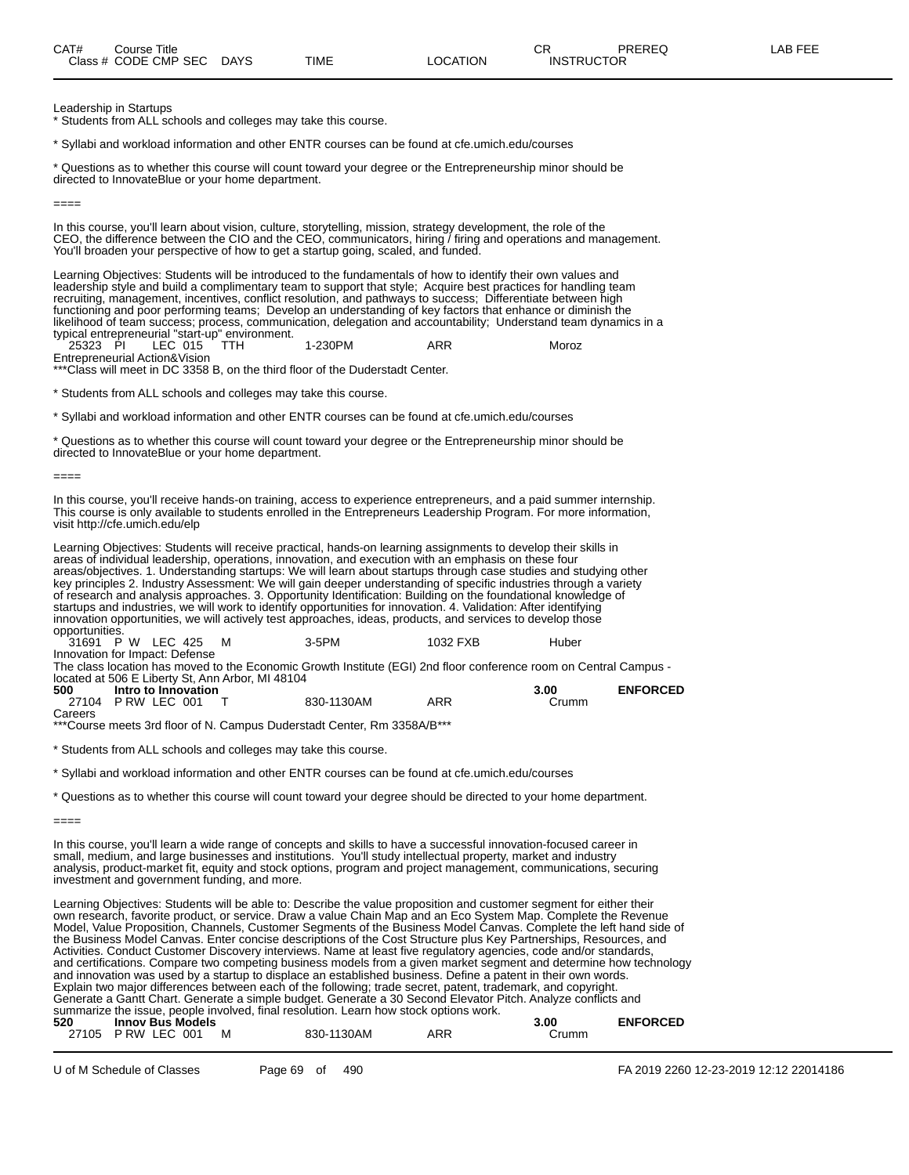Leadership in Startups

\* Students from ALL schools and colleges may take this course.

\* Syllabi and workload information and other ENTR courses can be found at cfe.umich.edu/courses

\* Questions as to whether this course will count toward your degree or the Entrepreneurship minor should be directed to InnovateBlue or your home department.

====

In this course, you'll learn about vision, culture, storytelling, mission, strategy development, the role of the CEO, the difference between the CIO and the CEO, communicators, hiring / firing and operations and management. You'll broaden your perspective of how to get a startup going, scaled, and funded.

Learning Objectives: Students will be introduced to the fundamentals of how to identify their own values and leadership style and build a complimentary team to support that style; Acquire best practices for handling team recruiting, management, incentives, conflict resolution, and pathways to success; Differentiate between high functioning and poor performing teams; Develop an understanding of key factors that enhance or diminish the likelihood of team success; process, communication, delegation and accountability; Understand team dynamics in a typical entrepreneurial "start-up" environment.

25323 PI LEC 015 TTH 1-230PM ARR Moroz 25323 PI LEC 015<br>Entrepreneurial Action&Vision

\*\*\*Class will meet in DC 3358 B, on the third floor of the Duderstadt Center.

\* Students from ALL schools and colleges may take this course.

\* Syllabi and workload information and other ENTR courses can be found at cfe.umich.edu/courses

\* Questions as to whether this course will count toward your degree or the Entrepreneurship minor should be directed to InnovateBlue or your home department.

====

In this course, you'll receive hands-on training, access to experience entrepreneurs, and a paid summer internship. This course is only available to students enrolled in the Entrepreneurs Leadership Program. For more information, visit http://cfe.umich.edu/elp

Learning Objectives: Students will receive practical, hands-on learning assignments to develop their skills in areas of individual leadership, operations, innovation, and execution with an emphasis on these four areas/objectives. 1. Understanding startups: We will learn about startups through case studies and studying other key principles 2. Industry Assessment: We will gain deeper understanding of specific industries through a variety of research and analysis approaches. 3. Opportunity Identification: Building on the foundational knowledge of startups and industries, we will work to identify opportunities for innovation. 4. Validation: After identifying innovation opportunities, we will actively test approaches, ideas, products, and services to develop those opportunities.

| 31691 P W LEC 425 M            |                     |  | $3-5$ PM                                                                                                          | 1032 FXB | Huber |                 |
|--------------------------------|---------------------|--|-------------------------------------------------------------------------------------------------------------------|----------|-------|-----------------|
| Innovation for Impact: Defense |                     |  |                                                                                                                   |          |       |                 |
|                                |                     |  | The class location has moved to the Economic Growth Institute (EGI) 2nd floor conference room on Central Campus - |          |       |                 |
|                                |                     |  | located at 506 E Liberty St, Ann Arbor, MI 48104                                                                  |          |       |                 |
| 500                            | Intro to Innovation |  |                                                                                                                   |          | 3.00  | <b>ENFORCED</b> |
| 27104 PRW LEC 001              |                     |  | 830-1130AM                                                                                                        | ARR      | Crumm |                 |

Careers

\*\*\*Course meets 3rd floor of N. Campus Duderstadt Center, Rm 3358A/B\*\*\*

\* Students from ALL schools and colleges may take this course.

\* Syllabi and workload information and other ENTR courses can be found at cfe.umich.edu/courses

\* Questions as to whether this course will count toward your degree should be directed to your home department.

In this course, you'll learn a wide range of concepts and skills to have a successful innovation-focused career in small, medium, and large businesses and institutions. You'll study intellectual property, market and industry analysis, product-market fit, equity and stock options, program and project management, communications, securing investment and government funding, and more.

Learning Objectives: Students will be able to: Describe the value proposition and customer segment for either their own research, favorite product, or service. Draw a value Chain Map and an Eco System Map. Complete the Revenue Model, Value Proposition, Channels, Customer Segments of the Business Model Canvas. Complete the left hand side of the Business Model Canvas. Enter concise descriptions of the Cost Structure plus Key Partnerships, Resources, and Activities. Conduct Customer Discovery interviews. Name at least five regulatory agencies, code and/or standards, and certifications. Compare two competing business models from a given market segment and determine how technology and innovation was used by a startup to displace an established business. Define a patent in their own words. Explain two major differences between each of the following; trade secret, patent, trademark, and copyright. Generate a Gantt Chart. Generate a simple budget. Generate a 30 Second Elevator Pitch. Analyze conflicts and summarize the issue, people involved, final resolution. Learn how stock options work. **520 Innov Bus Models 3.00 ENFORCED**

| . .   |             |   |            |     |       | שבשווע ווב |
|-------|-------------|---|------------|-----|-------|------------|
| 27105 | PRW LEC 001 | М | 830-1130AM | ARR | Crumm |            |
|       |             |   |            |     |       |            |

<sup>====</sup>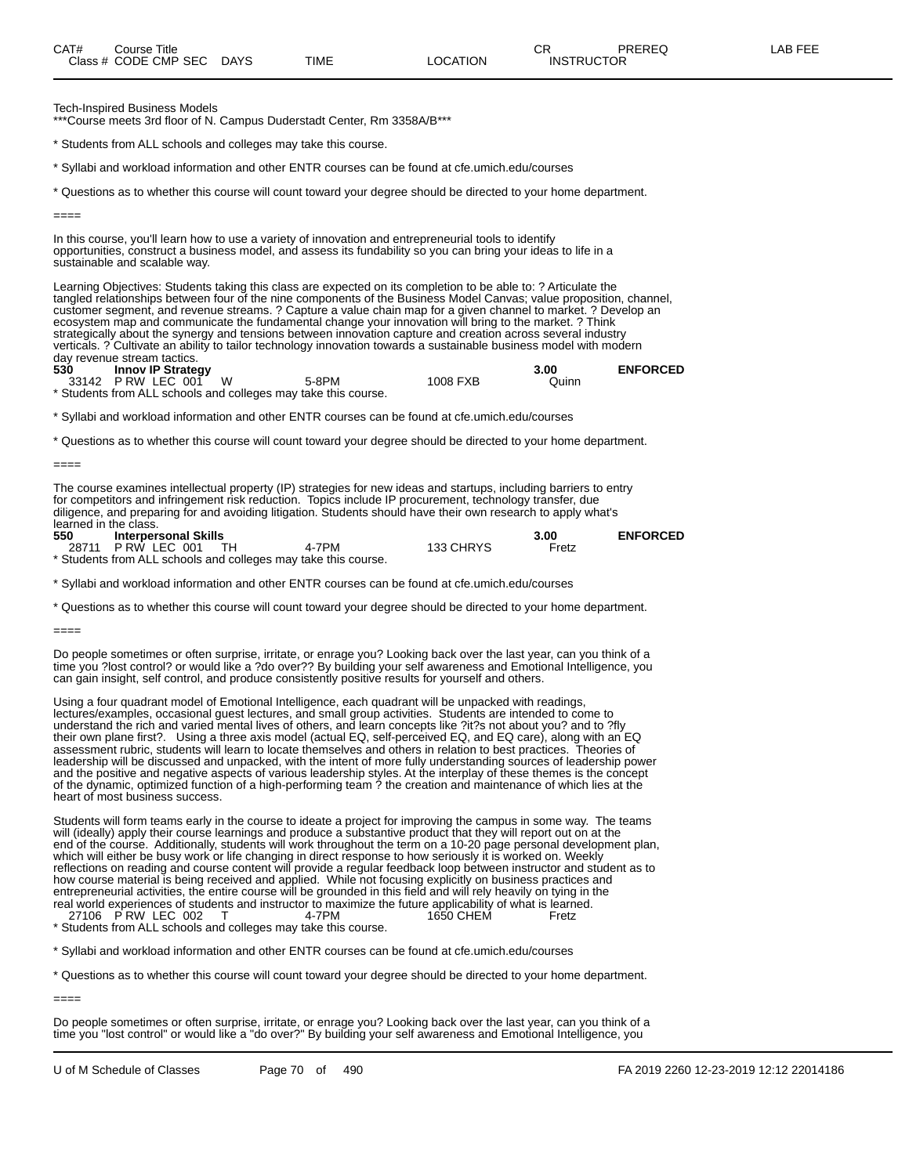Tech-Inspired Business Models

\*\*\*Course meets 3rd floor of N. Campus Duderstadt Center, Rm 3358A/B\*\*\*

\* Students from ALL schools and colleges may take this course.

\* Syllabi and workload information and other ENTR courses can be found at cfe.umich.edu/courses

\* Questions as to whether this course will count toward your degree should be directed to your home department.

====

====

====

In this course, you'll learn how to use a variety of innovation and entrepreneurial tools to identify opportunities, construct a business model, and assess its fundability so you can bring your ideas to life in a sustainable and scalable way.

Learning Objectives: Students taking this class are expected on its completion to be able to: ? Articulate the tangled relationships between four of the nine components of the Business Model Canvas; value proposition, channel, customer segment, and revenue streams. ? Capture a value chain map for a given channel to market. ? Develop an ecosystem map and communicate the fundamental change your innovation will bring to the market. ? Think strategically about the synergy and tensions between innovation capture and creation across several industry verticals. ? Cultivate an ability to tailor technology innovation towards a sustainable business model with modern day revenue stream tactics.

**530 Innov IP Strategy 3.00 ENFORCED**

33142 P RW LEC 001 W 5-8PM 1008 FXB Quinn \* Students from ALL schools and colleges may take this course.

\* Syllabi and workload information and other ENTR courses can be found at cfe.umich.edu/courses

\* Questions as to whether this course will count toward your degree should be directed to your home department.

The course examines intellectual property (IP) strategies for new ideas and startups, including barriers to entry for competitors and infringement risk reduction. Topics include IP procurement, technology transfer, due diligence, and preparing for and avoiding litigation. Students should have their own research to apply what's learned in the class.<br>550 **Interper** 

**550 Interpersonal Skills 3.00 ENFORCED** P RW LEC 001

\* Students from ALL schools and colleges may take this course.

\* Syllabi and workload information and other ENTR courses can be found at cfe.umich.edu/courses

\* Questions as to whether this course will count toward your degree should be directed to your home department.

Do people sometimes or often surprise, irritate, or enrage you? Looking back over the last year, can you think of a time you ?lost control? or would like a ?do over?? By building your self awareness and Emotional Intelligence, you can gain insight, self control, and produce consistently positive results for yourself and others.

Using a four quadrant model of Emotional Intelligence, each quadrant will be unpacked with readings, lectures/examples, occasional guest lectures, and small group activities. Students are intended to come to understand the rich and varied mental lives of others, and learn concepts like ?it?s not about you? and to ?fly their own plane first?. Using a three axis model (actual EQ, self-perceived EQ, and EQ care), along with an EQ assessment rubric, students will learn to locate themselves and others in relation to best practices. Theories of leadership will be discussed and unpacked, with the intent of more fully understanding sources of leadership power and the positive and negative aspects of various leadership styles. At the interplay of these themes is the concept of the dynamic, optimized function of a high-performing team ? the creation and maintenance of which lies at the heart of most business success.

Students will form teams early in the course to ideate a project for improving the campus in some way. The teams will (ideally) apply their course learnings and produce a substantive product that they will report out on at the end of the course. Additionally, students will work throughout the term on a 10-20 page personal development plan, which will either be busy work or life changing in direct response to how seriously it is worked on. Weekly reflections on reading and course content will provide a regular feedback loop between instructor and student as to how course material is being received and applied. While not focusing explicitly on business practices and entrepreneurial activities, the entire course will be grounded in this field and will rely heavily on tying in the real world experiences of students and instructor to maximize the future applicability of what is learned.<br>27106 PRW LEC 002 T 4-7PM 4-40 1650 CHEM 27106 P RW LEC 002

\* Students from ALL schools and colleges may take this course.

\* Syllabi and workload information and other ENTR courses can be found at cfe.umich.edu/courses

\* Questions as to whether this course will count toward your degree should be directed to your home department.

====

Do people sometimes or often surprise, irritate, or enrage you? Looking back over the last year, can you think of a time you "lost control" or would like a "do over?" By building your self awareness and Emotional Intelligence, you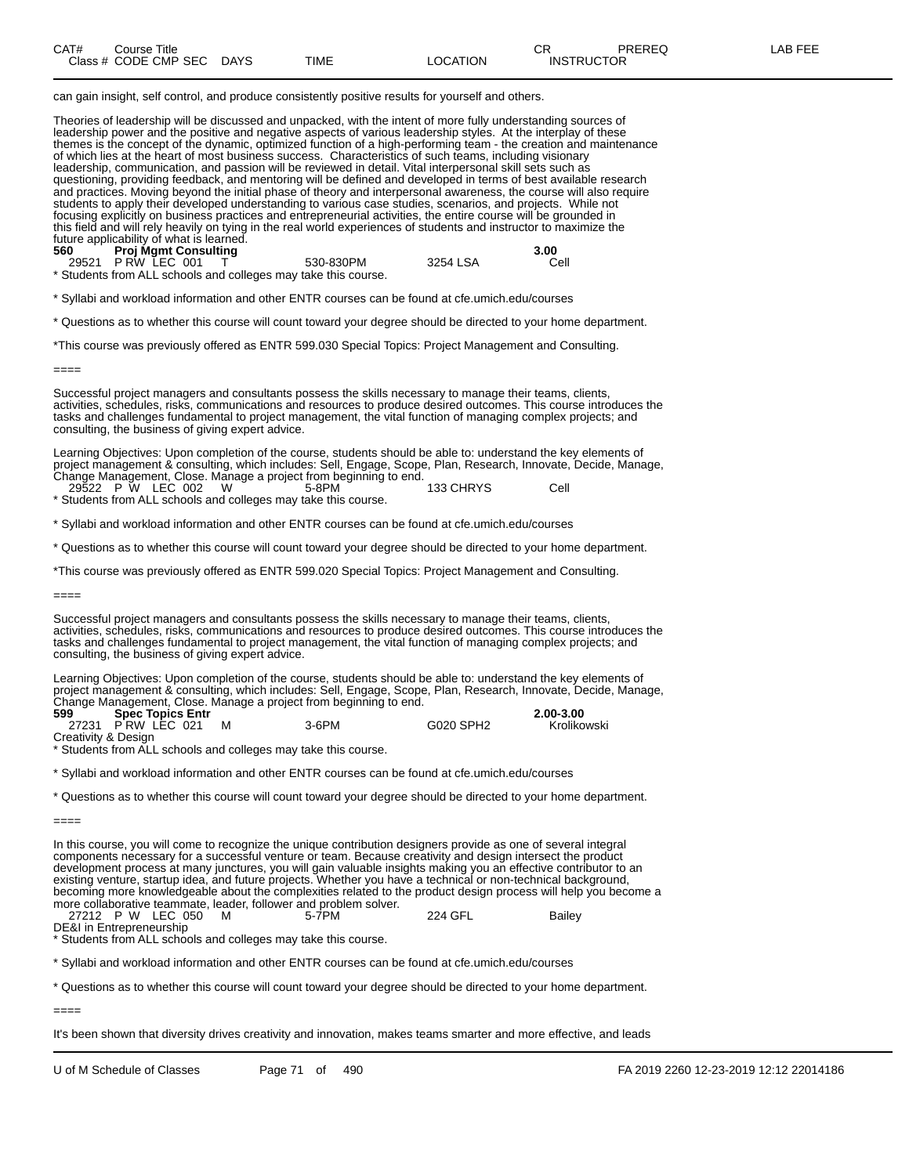| CAT# | Course Title              |      |          | ∼⊏<br>◡⊓          | PREREQ | <b>AB FEE</b> |
|------|---------------------------|------|----------|-------------------|--------|---------------|
|      | Class # CODE CMP SEC DAYS | TIME | LOCATION | <b>INSTRUCTOR</b> |        |               |

can gain insight, self control, and produce consistently positive results for yourself and others.

Theories of leadership will be discussed and unpacked, with the intent of more fully understanding sources of leadership power and the positive and negative aspects of various leadership styles. At the interplay of these themes is the concept of the dynamic, optimized function of a high-performing team - the creation and maintenance of which lies at the heart of most business success. Characteristics of such teams, including visionary leadership, communication, and passion will be reviewed in detail. Vital interpersonal skill sets such as questioning, providing feedback, and mentoring will be defined and developed in terms of best available research and practices. Moving beyond the initial phase of theory and interpersonal awareness, the course will also require students to apply their developed understanding to various case studies, scenarios, and projects. While not focusing explicitly on business practices and entrepreneurial activities, the entire course will be grounded in this field and will rely heavily on tying in the real world experiences of students and instructor to maximize the future applicability of what is learned.

| 560 | <b>Proj Mgmt Consulting</b> |                                                                |          | 3.00 |
|-----|-----------------------------|----------------------------------------------------------------|----------|------|
|     | 29521 PRW LEC 001 T         | 530-830PM                                                      | 3254 LSA | Cell |
|     |                             | * Students from ALL schools and colleges may take this course. |          |      |

\* Syllabi and workload information and other ENTR courses can be found at cfe.umich.edu/courses

\* Questions as to whether this course will count toward your degree should be directed to your home department.

\*This course was previously offered as ENTR 599.030 Special Topics: Project Management and Consulting.

====

Successful project managers and consultants possess the skills necessary to manage their teams, clients, activities, schedules, risks, communications and resources to produce desired outcomes. This course introduces the tasks and challenges fundamental to project management, the vital function of managing complex projects; and consulting, the business of giving expert advice.

Learning Objectives: Upon completion of the course, students should be able to: understand the key elements of project management & consulting, which includes: Sell, Engage, Scope, Plan, Research, Innovate, Decide, Manage, Change Management, Close. Manage a project from beginning to end.

29522 P W LEC 002 W 5-8PM 133 CHRYS Cell \* Students from ALL schools and colleges may take this course.

\* Syllabi and workload information and other ENTR courses can be found at cfe.umich.edu/courses

\* Questions as to whether this course will count toward your degree should be directed to your home department.

\*This course was previously offered as ENTR 599.020 Special Topics: Project Management and Consulting.

====

Successful project managers and consultants possess the skills necessary to manage their teams, clients, activities, schedules, risks, communications and resources to produce desired outcomes. This course introduces the tasks and challenges fundamental to project management, the vital function of managing complex projects; and consulting, the business of giving expert advice.

Learning Objectives: Upon completion of the course, students should be able to: understand the key elements of project management & consulting, which includes: Sell, Engage, Scope, Plan, Research, Innovate, Decide, Manage, Change Management, Close. Manage a project from beginning to end.

| 599                 | <b>Spec Topics Entr</b> |          |           | $2.00 - 3.00$ |
|---------------------|-------------------------|----------|-----------|---------------|
|                     | 27231 PRW LEC 021       | $3-6$ PM | G020 SPH2 | Krolikowski   |
| Creativity & Design |                         |          |           |               |

\* Students from ALL schools and colleges may take this course.

\* Syllabi and workload information and other ENTR courses can be found at cfe.umich.edu/courses

\* Questions as to whether this course will count toward your degree should be directed to your home department.

In this course, you will come to recognize the unique contribution designers provide as one of several integral components necessary for a successful venture or team. Because creativity and design intersect the product development process at many junctures, you will gain valuable insights making you an effective contributor to an existing venture, startup idea, and future projects. Whether you have a technical or non-technical background, becoming more knowledgeable about the complexities related to the product design process will help you become a more collaborative teammate, leader, follower and problem solver.

27212 P W LEC 050 M 5-7PM 224 GFL Bailey

Students from ALL schools and colleges may take this course.

\* Syllabi and workload information and other ENTR courses can be found at cfe.umich.edu/courses

\* Questions as to whether this course will count toward your degree should be directed to your home department.

It's been shown that diversity drives creativity and innovation, makes teams smarter and more effective, and leads

<sup>====</sup> 

DE&I in Entrepreneurship

<sup>====</sup>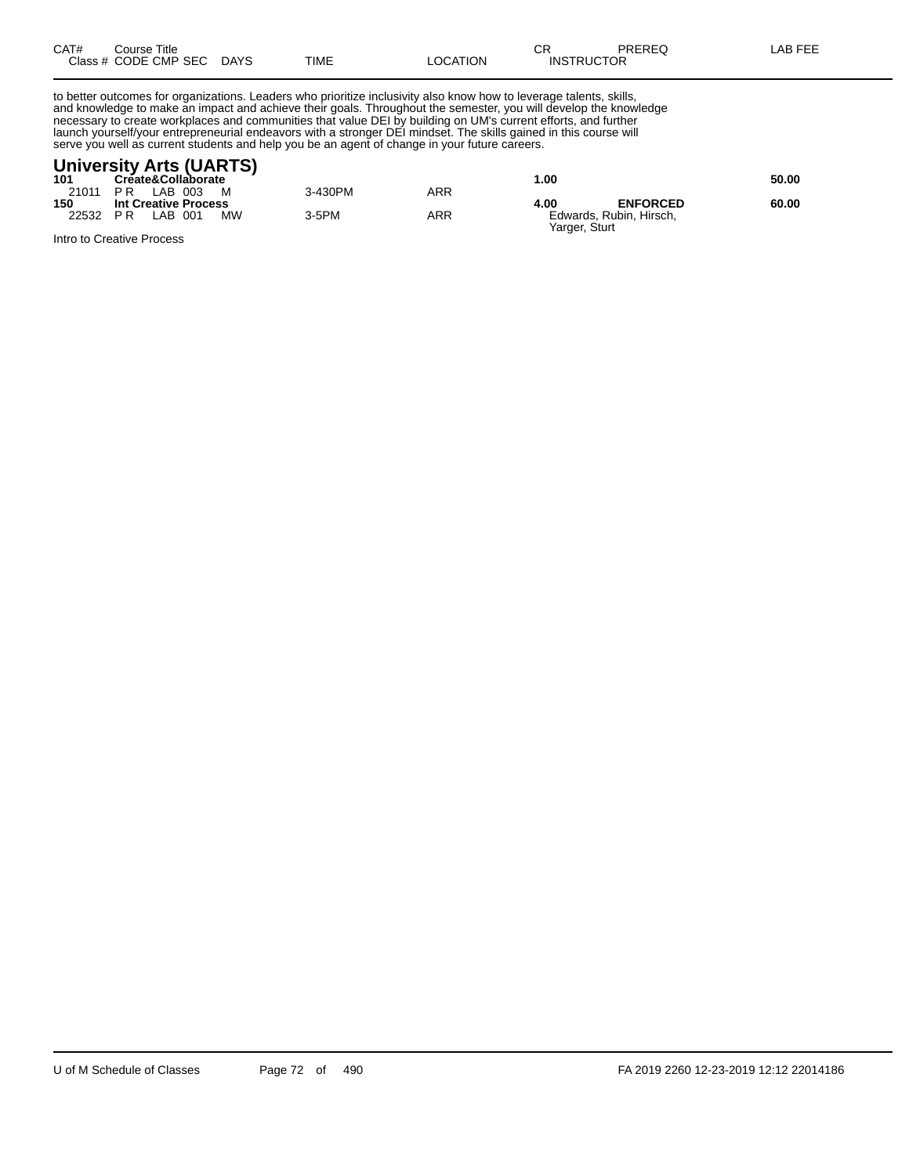| CAT# | Course Title         |             |      |          | rπ<br>◡ጙ          | PREREQ | AB FEE |
|------|----------------------|-------------|------|----------|-------------------|--------|--------|
|      | Class # CODE CMP SEC | <b>DAYS</b> | TIME | LOCATION | <b>INSTRUCTOR</b> |        |        |

to better outcomes for organizations. Leaders who prioritize inclusivity also know how to leverage talents, skills, and knowledge to make an impact and achieve their goals. Throughout the semester, you will develop the knowledge necessary to create workplaces and communities that value DEI by building on UM's current efforts, and further launch yourself/your entrepreneurial endeavors with a stronger DEI mindset. The skills gained in this course will serve you well as current students and help you be an agent of change in your future careers.

#### **University Arts (UARTS)**

| 101   | Create&Collaborate          |         |     | .00                                      | 50.00 |
|-------|-----------------------------|---------|-----|------------------------------------------|-------|
| 21011 | LAB 003<br>PR<br>M          | 3-430PM | ARR |                                          |       |
| 150   | <b>Int Creative Process</b> |         |     | <b>ENFORCED</b><br>4.00                  | 60.00 |
| 22532 | <b>MW</b><br>PR<br>LAB 001  | 3-5PM   | ARR | Edwards, Rubin, Hirsch,<br>Yarger, Sturt |       |
| .     |                             |         |     |                                          |       |

Intro to Creative Process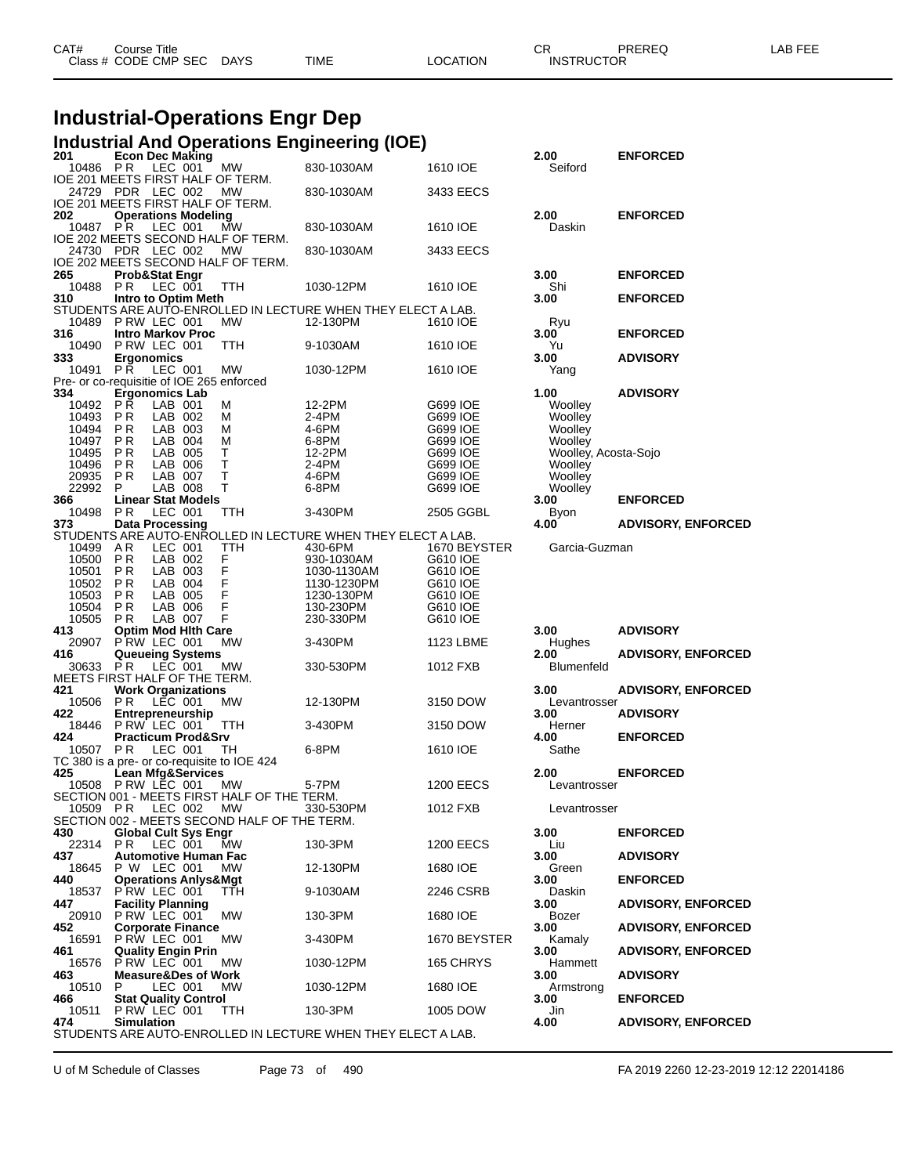| CAT# | Title<br>Course i    |             |             |                 | Ωn<br>◡           | PREREQ | -AB FEF |
|------|----------------------|-------------|-------------|-----------------|-------------------|--------|---------|
|      | Class # CODE CMP SEC | <b>DAYS</b> | <b>TIME</b> | <b>LOCATION</b> | <b>INSTRUCTOR</b> |        |         |
|      |                      |             |             |                 |                   |        |         |

# **Industrial-Operations Engr Dep**

### **Industrial And Operations Engineering (IOE)**

| 201  |                | <b>Econ Dec Making</b>                         |                    |                                                    |                                                              |                      | 2.00                      | <b>ENFORCED</b>           |
|------|----------------|------------------------------------------------|--------------------|----------------------------------------------------|--------------------------------------------------------------|----------------------|---------------------------|---------------------------|
|      | 10486 PR       |                                                | LEC 001            | МW                                                 | 830-1030AM                                                   | 1610 IOE             | Seiford                   |                           |
|      |                | 24729 PDR LEC 002                              |                    | IOE 201 MEETS FIRST HALF OF TERM.                  |                                                              |                      |                           |                           |
|      |                |                                                |                    | MW<br>IOE 201 MEETS FIRST HALF OF TERM.            | 830-1030AM                                                   | 3433 EECS            |                           |                           |
| 202  |                | <b>Operations Modeling</b>                     |                    |                                                    |                                                              |                      | 2.00                      | <b>ENFORCED</b>           |
|      | 10487 PR       |                                                | LEC 001            | МW                                                 | 830-1030AM                                                   | 1610 IOE             | Daskin                    |                           |
|      |                |                                                |                    | IOE 202 MEETS SECOND HALF OF TERM.                 |                                                              |                      |                           |                           |
|      |                | 24730 PDR LEC 002                              |                    | MW                                                 | 830-1030AM                                                   | 3433 EECS            |                           |                           |
| 265  |                |                                                |                    | IOE 202 MEETS SECOND HALF OF TERM.                 |                                                              |                      |                           |                           |
|      | 10488 PR       | <b>Prob&amp;Stat Engr</b>                      | LEC 001            | <b>TTH</b>                                         | 1030-12PM                                                    | 1610 IOE             | 3.00<br>Shi               | <b>ENFORCED</b>           |
| 310  |                | Intro to Optim Meth                            |                    |                                                    |                                                              |                      | 3.00                      | <b>ENFORCED</b>           |
|      |                |                                                |                    |                                                    | STUDENTS ARE AUTO-ENROLLED IN LECTURE WHEN THEY ELECT A LAB. |                      |                           |                           |
|      | 10489          | PRW LEC 001                                    |                    | <b>MW</b>                                          | 12-130PM                                                     | 1610 IOE             | Ryu                       |                           |
| 316  |                | <b>Intro Markov Proc</b>                       |                    |                                                    |                                                              |                      | 3.00                      | <b>ENFORCED</b>           |
|      | 10490          | P RW LEC 001                                   |                    | TTH                                                | 9-1030AM                                                     | 1610 IOE             | Yu                        |                           |
| 333  | 10491 PR       | <b>Ergonomics</b>                              | LEC 001            | МW                                                 | 1030-12PM                                                    | 1610 IOE             | 3.00<br>Yang              | <b>ADVISORY</b>           |
|      |                |                                                |                    | Pre- or co-requisitie of IOE 265 enforced          |                                                              |                      |                           |                           |
| 334  |                | <b>Ergonomics Lab</b>                          |                    |                                                    |                                                              |                      | 1.00                      | <b>ADVISORY</b>           |
|      | 10492          | РŘ                                             | LAB 001            | м                                                  | 12-2PM                                                       | G699 IOE             | Woolley                   |                           |
|      | 10493          | P R                                            | LAB 002            | М                                                  | 2-4PM                                                        | G699 IOE             | Woolley                   |                           |
|      | 10494<br>10497 | P R<br><b>PR</b>                               | LAB 003<br>LAB 004 | М<br>м                                             | 4-6PM<br>6-8PM                                               | G699 IOE<br>G699 IOE | Woolley<br>Woolley        |                           |
|      | 10495          | P R                                            | LAB 005            | т                                                  | 12-2PM                                                       | G699 IOE             | Woolley, Acosta-Sojo      |                           |
|      | 10496          | P R                                            | LAB 006            | T                                                  | 2-4PM                                                        | G699 IOE             | Woolley                   |                           |
|      | 20935          | <b>PR</b>                                      | LAB 007            | T                                                  | 4-6PM                                                        | G699 IOE             | Woolley                   |                           |
|      | 22992          | P.                                             | LAB 008            | T                                                  | 6-8PM                                                        | G699 IOE             | Woolley                   |                           |
| 366  |                | <b>Linear Stat Models</b>                      |                    |                                                    |                                                              |                      | 3.00                      | <b>ENFORCED</b>           |
| 373  | 10498          | P R<br><b>Data Processing</b>                  | LEC 001            | TTH                                                | 3-430PM                                                      | 2505 GGBL            | Byon<br>4.00              | <b>ADVISORY, ENFORCED</b> |
|      |                |                                                |                    |                                                    | STUDENTS ARE AUTO-ENROLLED IN LECTURE WHEN THEY ELECT A LAB. |                      |                           |                           |
|      | 10499          | AR                                             | LEC 001            | <b>TTH</b>                                         | 430-6PM                                                      | 1670 BEYSTER         | Garcia-Guzman             |                           |
|      | 10500          | PR                                             | LAB 002            | F                                                  | 930-1030AM                                                   | G610 IOE             |                           |                           |
|      | 10501          | P R                                            | LAB 003            | F<br>F<br>F                                        | 1030-1130AM                                                  | G610 IOE             |                           |                           |
|      | 10502          | P R<br>PR                                      | LAB 004<br>LAB 005 |                                                    | 1130-1230PM<br>1230-130PM                                    | G610 IOE<br>G610 IOE |                           |                           |
|      | 10503<br>10504 | P R                                            | LAB 006            | F                                                  | 130-230PM                                                    | G610 IOE             |                           |                           |
|      | 10505          | PR                                             | LAB 007            | F                                                  | 230-330PM                                                    | G610 IOE             |                           |                           |
| 413  |                | <b>Optim Mod Hith Care</b>                     |                    |                                                    |                                                              |                      | 3.00                      | <b>ADVISORY</b>           |
|      | 20907          | PRW LEC 001                                    |                    | MW                                                 | 3-430PM                                                      | 1123 LBME            | Hughes                    |                           |
| 416  |                | <b>Queueing Systems</b><br>P R                 | LEC 001            |                                                    | 330-530PM                                                    | 1012 FXB             | 2.00<br><b>Blumenfeld</b> | <b>ADVISORY, ENFORCED</b> |
|      | 30633          | MEETS FIRST HALF OF THE TERM.                  |                    | MW                                                 |                                                              |                      |                           |                           |
| 421  |                | <b>Work Organizations</b>                      |                    |                                                    |                                                              |                      | 3.00                      | <b>ADVISORY, ENFORCED</b> |
|      | 10506 PR       |                                                | LEC 001            | <b>MW</b>                                          | 12-130PM                                                     | 3150 DOW             | Levantrosser              |                           |
| 422  |                | Entrepreneurship                               |                    |                                                    |                                                              |                      | 3.00                      | <b>ADVISORY</b>           |
| 424  |                | 18446 P RW LEC 001                             |                    | <b>TTH</b>                                         | 3-430PM                                                      | 3150 DOW             | Herner                    |                           |
|      | 10507          | <b>Practicum Prod&amp;Srv</b><br><b>PR</b>     | LEC 001            | TH                                                 | 6-8PM                                                        | 1610 IOE             | 4.00<br>Sathe             | <b>ENFORCED</b>           |
|      |                |                                                |                    | TC 380 is a pre- or co-requisite to IOE 424        |                                                              |                      |                           |                           |
| 425  |                | <b>Lean Mfg&amp;Services</b>                   |                    |                                                    |                                                              |                      | 2.00                      | <b>ENFORCED</b>           |
|      |                | 10508 PRW LEC 001                              |                    | МW                                                 | 5-7PM                                                        | 1200 EECS            | Levantrosser              |                           |
|      |                |                                                |                    | SECTION 001 - MEETS FIRST HALF OF THE TERM.        |                                                              |                      |                           |                           |
|      | 10509 PR       |                                                | LEC 002            | МW<br>SECTION 002 - MEETS SECOND HALF OF THE TERM. | 330-530PM                                                    | 1012 FXB             | Levantrosser              |                           |
| 430  |                | <b>Global Cult Sys Engr</b>                    |                    |                                                    |                                                              |                      | 3.00                      | <b>ENFORCED</b>           |
|      | 22314          | P R                                            | LEC 001            | МW                                                 | 130-3PM                                                      | <b>1200 EECS</b>     | Liu                       |                           |
| 437  |                | Automotive Human Fac                           |                    |                                                    |                                                              |                      | 3.00                      | <b>ADVISORY</b>           |
|      | 18645          | P W LEC 001                                    |                    | MW.                                                | 12-130PM                                                     | 1680 IOE             | Green                     |                           |
| 440  | 18537          | <b>Operations Anlys&amp;Mgt</b><br>PRW LEC 001 |                    | <b>TTH</b>                                         | 9-1030AM                                                     | 2246 CSRB            | 3.00<br>Daskin            | <b>ENFORCED</b>           |
| 447  |                | <b>Facility Planning</b>                       |                    |                                                    |                                                              |                      | 3.00                      | <b>ADVISORY, ENFORCED</b> |
|      | 20910          | P RW LEC 001                                   |                    | MW                                                 | 130-3PM                                                      | 1680 IOE             | Bozer                     |                           |
| 452  |                | <b>Corporate Finance</b>                       |                    |                                                    |                                                              |                      | 3.00                      | <b>ADVISORY, ENFORCED</b> |
|      | 16591          | P RW LEC 001                                   |                    | <b>MW</b>                                          | 3-430PM                                                      | 1670 BEYSTER         | Kamaly                    |                           |
| 461  |                | <b>Quality Engin Prin</b>                      |                    |                                                    |                                                              |                      | 3.00                      | <b>ADVISORY, ENFORCED</b> |
| 463  | 16576          | PRW LEC 001<br><b>Measure&amp;Des of Work</b>  |                    | <b>MW</b>                                          | 1030-12PM                                                    | 165 CHRYS            | Hammett<br>3.00           | <b>ADVISORY</b>           |
|      | 10510          | P                                              | LEC 001            | <b>MW</b>                                          | 1030-12PM                                                    | 1680 IOE             | Armstrong                 |                           |
| 466  |                | <b>Stat Quality Control</b>                    |                    |                                                    |                                                              |                      | 3.00                      | <b>ENFORCED</b>           |
|      | 10511          | PRW LEC 001                                    |                    | TTH                                                | 130-3PM                                                      | 1005 DOW             | Jin                       |                           |
| 474. |                | <b>Simulation</b>                              |                    |                                                    | STUDENTS ARE AUTO-ENROLLED IN LECTURE WHEN THEY ELECT A LAB. |                      | 4.00                      | <b>ADVISORY, ENFORCED</b> |
|      |                |                                                |                    |                                                    |                                                              |                      |                           |                           |

U of M Schedule of Classes Page 73 of 490 FA 2019 2260 12-23-2019 12:12 22014186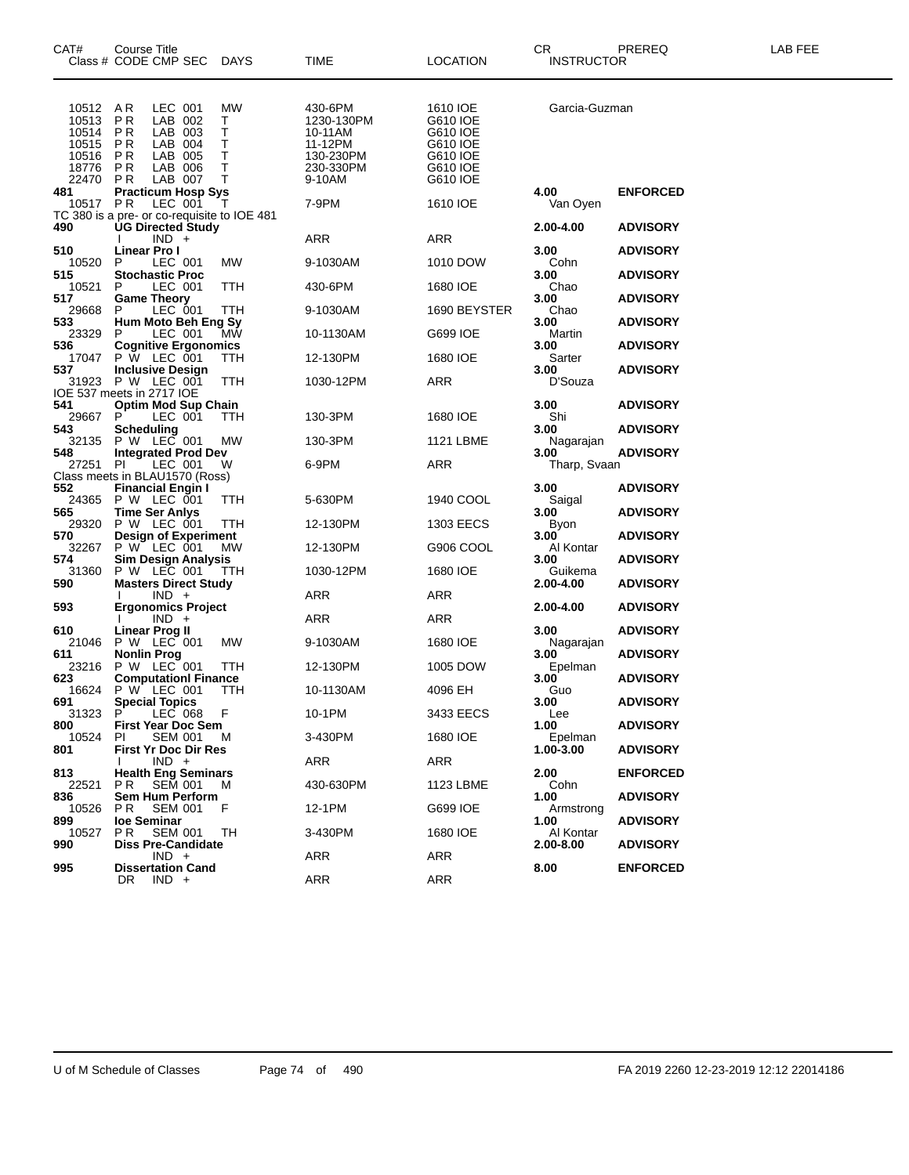| CAT#                                                        | Course Title<br>Class # CODE CMP SEC DAYS                                                                                      |                                   | TIME                                                                            | <b>LOCATION</b>                                                                  | CR<br><b>INSTRUCTOR</b> | PREREQ          | LAB FEE |
|-------------------------------------------------------------|--------------------------------------------------------------------------------------------------------------------------------|-----------------------------------|---------------------------------------------------------------------------------|----------------------------------------------------------------------------------|-------------------------|-----------------|---------|
| 10512<br>10513<br>10514<br>10515<br>10516<br>18776<br>22470 | LEC 001<br>AR<br>LAB 002<br>P R<br>LAB 003<br>P R<br><b>PR</b><br>LAB 004<br>LAB 005<br>P R<br>LAB 006<br>P R<br>PR<br>LAB 007 | МW<br>T.<br>Т<br>Т<br>т<br>т<br>Т | 430-6PM<br>1230-130PM<br>10-11AM<br>11-12PM<br>130-230PM<br>230-330PM<br>9-10AM | 1610 IOE<br>G610 IOE<br>G610 IOE<br>G610 IOE<br>G610 IOE<br>G610 IOE<br>G610 IOE | Garcia-Guzman           |                 |         |
| 481<br>10517                                                | <b>Practicum Hosp Sys</b><br>PR<br>LEC 001                                                                                     | T                                 | 7-9PM                                                                           | 1610 IOE                                                                         | 4.00<br>Van Oyen        | <b>ENFORCED</b> |         |
| 490                                                         | TC 380 is a pre- or co-requisite to IOE 481<br><b>UG Directed Study</b><br>$IND +$                                             |                                   | ARR                                                                             | ARR                                                                              | 2.00-4.00               | <b>ADVISORY</b> |         |
| 510                                                         | Linear Pro I                                                                                                                   |                                   |                                                                                 |                                                                                  | 3.00                    | <b>ADVISORY</b> |         |
| 10520<br>515                                                | P<br>LEC 001<br><b>Stochastic Proc</b>                                                                                         | МW                                | 9-1030AM                                                                        | 1010 DOW                                                                         | Cohn<br>3.00            | <b>ADVISORY</b> |         |
| 10521<br>517                                                | LEC 001<br>P                                                                                                                   | TTH                               | 430-6PM                                                                         | 1680 IOE                                                                         | Chao<br>3.00            | <b>ADVISORY</b> |         |
| 29668                                                       | <b>Game Theory</b><br>LEC 001<br>P                                                                                             | TTH                               | 9-1030AM                                                                        | 1690 BEYSTER                                                                     | Chao                    |                 |         |
| 533<br>23329                                                | Hum Moto Beh Eng Sy<br>LEC 001<br>P.                                                                                           | MŴ                                | 10-1130AM                                                                       | G699 IOE                                                                         | 3.00<br>Martin          | <b>ADVISORY</b> |         |
| 536                                                         | <b>Cognitive Ergonomics</b>                                                                                                    |                                   |                                                                                 |                                                                                  | 3.00                    | <b>ADVISORY</b> |         |
| 17047<br>537                                                | P W LEC 001<br><b>Inclusive Design</b>                                                                                         | ттн                               | 12-130PM                                                                        | 1680 IOE                                                                         | Sarter<br>3.00          | <b>ADVISORY</b> |         |
| 31923                                                       | P W LEC 001<br>IOE 537 meets in 2717 IOE                                                                                       | TTH                               | 1030-12PM                                                                       | ARR                                                                              | D'Souza                 |                 |         |
| 541                                                         | <b>Optim Mod Sup Chain</b>                                                                                                     |                                   |                                                                                 |                                                                                  | 3.00                    | <b>ADVISORY</b> |         |
| 29667 P<br>543                                              | LEC 001<br>Scheduling                                                                                                          | TTH                               | 130-3PM                                                                         | 1680 IOE                                                                         | Shi<br>3.00             | <b>ADVISORY</b> |         |
| 32135                                                       | P W LEC 001                                                                                                                    | МW                                | 130-3PM                                                                         | 1121 LBME                                                                        | Nagarajan               |                 |         |
| 548<br>27251 PI                                             | <b>Integrated Prod Dev</b><br>LEC 001                                                                                          | W                                 | 6-9PM                                                                           | ARR                                                                              | 3.00<br>Tharp, Svaan    | <b>ADVISORY</b> |         |
|                                                             | Class meets in BLAU1570 (Ross)                                                                                                 |                                   |                                                                                 |                                                                                  |                         |                 |         |
| 552                                                         | <b>Financial Engin I</b><br>24365 P W LEC 001                                                                                  | TTH                               | 5-630PM                                                                         | 1940 COOL                                                                        | 3.00<br>Saigal          | <b>ADVISORY</b> |         |
| 565<br>29320                                                | Time Ser Anlys<br>P W LEC 001                                                                                                  | TTH                               | 12-130PM                                                                        | 1303 EECS                                                                        | 3.00<br>Byon            | <b>ADVISORY</b> |         |
| 570                                                         | <b>Design of Experiment</b><br>P W LEC 001 MW                                                                                  |                                   |                                                                                 |                                                                                  | 3.00                    | <b>ADVISORY</b> |         |
| 32267<br>574                                                | <b>Sim Design Analysis</b>                                                                                                     | МW                                | 12-130PM                                                                        | G906 COOL                                                                        | Al Kontar<br>3.00       | <b>ADVISORY</b> |         |
| 31360                                                       | P W LEC 001                                                                                                                    | TTH                               | 1030-12PM                                                                       | 1680 IOE                                                                         | Guikema                 |                 |         |
| 590                                                         | <b>Masters Direct Study</b><br>$IND +$                                                                                         |                                   | ARR                                                                             | ARR                                                                              | 2.00-4.00               | <b>ADVISORY</b> |         |
| 593                                                         | <b>Ergonomics Project</b><br>$IND +$                                                                                           |                                   | ARR                                                                             | ARR                                                                              | 2.00-4.00               | <b>ADVISORY</b> |         |
| 610                                                         | Linear Prog II                                                                                                                 |                                   |                                                                                 |                                                                                  | 3.00                    | <b>ADVISORY</b> |         |
| 21046<br>611                                                | P W LEC 001<br><b>Nonlin Prog</b>                                                                                              | МW                                | 9-1030AM                                                                        | 1680 IOE                                                                         | Nagarajan<br>3.00       | <b>ADVISORY</b> |         |
| 23216                                                       | P W LEC 001                                                                                                                    | ттн                               | 12-130PM                                                                        | 1005 DOW                                                                         | Epelman                 |                 |         |
| 623<br>16624                                                | <b>Computationl Finance</b><br>P W LEC 001                                                                                     | <b>TTH</b>                        | 10-1130AM                                                                       | 4096 EH                                                                          | 3.00<br>Guo             | <b>ADVISORY</b> |         |
| 691<br>31323 P                                              | <b>Special Topics</b><br>LEC 068 F                                                                                             |                                   | 10-1PM                                                                          | 3433 EECS                                                                        | 3.00<br>Lee             | <b>ADVISORY</b> |         |
| 800                                                         | <b>First Year Doc Sem</b>                                                                                                      |                                   |                                                                                 |                                                                                  | 1.00                    | <b>ADVISORY</b> |         |
| 10524<br>801                                                | PI.<br>SEM 001<br><b>First Yr Doc Dir Res</b>                                                                                  | M                                 | 3-430PM                                                                         | 1680 IOE                                                                         | Epelman<br>1.00-3.00    | <b>ADVISORY</b> |         |
|                                                             | $IND +$                                                                                                                        |                                   | ARR                                                                             | ARR                                                                              |                         |                 |         |
| 813<br>22521                                                | <b>Health Eng Seminars</b><br><b>SEM 001</b><br>PR.                                                                            | M                                 | 430-630PM                                                                       | 1123 LBME                                                                        | 2.00<br>Cohn            | <b>ENFORCED</b> |         |
| 836<br>10526                                                | Sem Hum Perform<br>P R<br><b>SEM 001</b>                                                                                       | F                                 | 12-1PM                                                                          | G699 IOE                                                                         | 1.00<br>Armstrona       | <b>ADVISORY</b> |         |
| 899                                                         | loe Seminar                                                                                                                    |                                   |                                                                                 |                                                                                  | 1.00                    | <b>ADVISORY</b> |         |
| 10527<br>990                                                | PR.<br><b>SEM 001</b><br><b>Diss Pre-Candidate</b>                                                                             | TН                                | 3-430PM                                                                         | 1680 IOE                                                                         | Al Kontar<br>2.00-8.00  | <b>ADVISORY</b> |         |
|                                                             | $IND +$<br><b>Dissertation Cand</b>                                                                                            |                                   | ARR                                                                             | ARR                                                                              |                         |                 |         |
| 995                                                         | DR<br>$IND +$                                                                                                                  |                                   | ARR                                                                             | <b>ARR</b>                                                                       | 8.00                    | <b>ENFORCED</b> |         |
|                                                             |                                                                                                                                |                                   |                                                                                 |                                                                                  |                         |                 |         |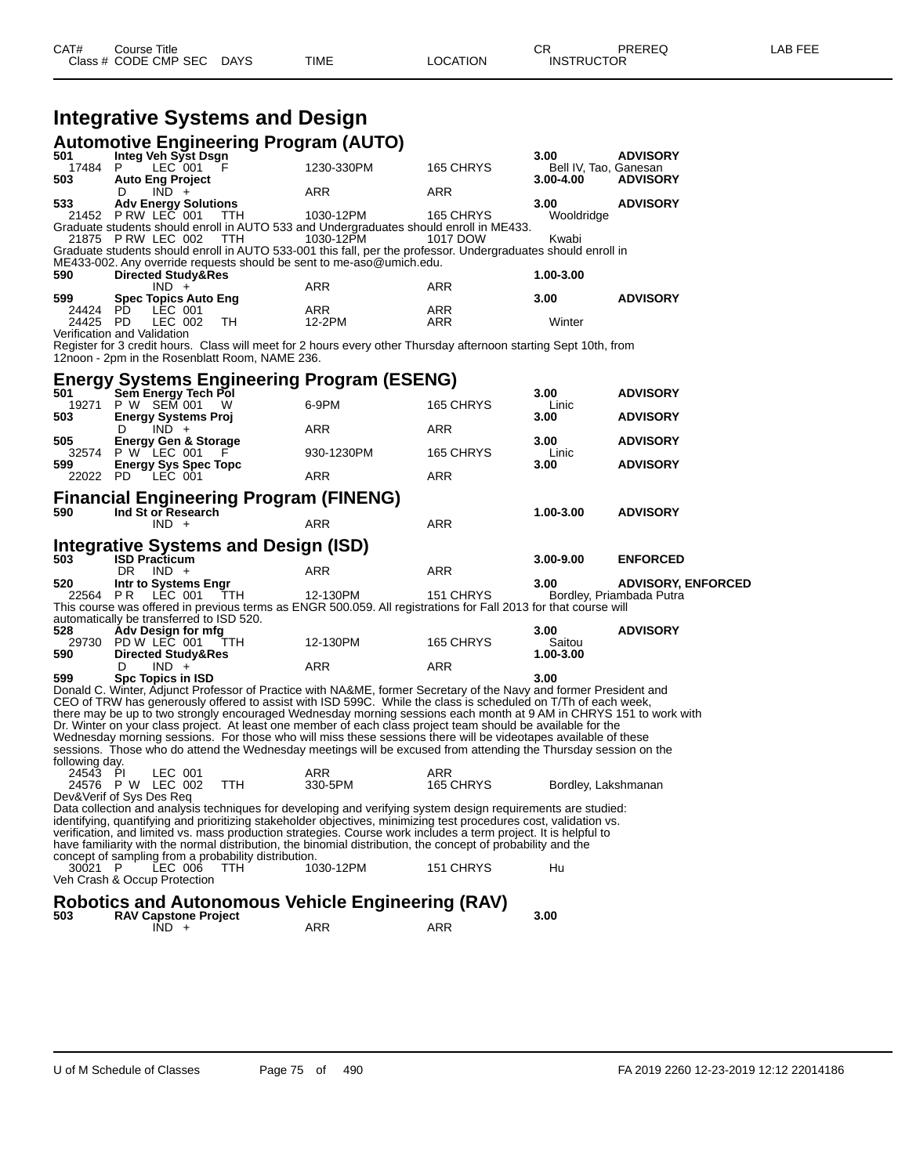|                |                                                     |            | Automotive Engineering Program (AUTO)                                                                                                                                                                                              |            |                       |                           |
|----------------|-----------------------------------------------------|------------|------------------------------------------------------------------------------------------------------------------------------------------------------------------------------------------------------------------------------------|------------|-----------------------|---------------------------|
| 501            | Integ Veh Syst Dsgn                                 |            |                                                                                                                                                                                                                                    |            | 3.00                  | <b>ADVISORY</b>           |
| 17484          | LEC 001<br>P                                        |            | 1230-330PM                                                                                                                                                                                                                         | 165 CHRYS  | Bell IV, Tao, Ganesan |                           |
| 503            | <b>Auto Eng Project</b><br>$IND +$<br>D             |            | ARR                                                                                                                                                                                                                                | ARR        | 3.00-4.00             | <b>ADVISORY</b>           |
| 533            | <b>Adv Energy Solutions</b>                         |            |                                                                                                                                                                                                                                    |            | 3.00                  | <b>ADVISORY</b>           |
|                | 21452 PRW LEC 001                                   | <b>TTH</b> | 1030-12PM                                                                                                                                                                                                                          | 165 CHRYS  | Wooldridge            |                           |
|                | 21875 PRW LEC 002                                   | TTH        | Graduate students should enroll in AUTO 533 and Undergraduates should enroll in ME433.<br>1030-12PM                                                                                                                                | 1017 DOW   | Kwabi                 |                           |
|                |                                                     |            | Graduate students should enroll in AUTO 533-001 this fall, per the professor. Undergraduates should enroll in                                                                                                                      |            |                       |                           |
|                |                                                     |            | ME433-002. Any override requests should be sent to me-aso@umich.edu.                                                                                                                                                               |            |                       |                           |
| 590            | <b>Directed Study&amp;Res</b>                       |            |                                                                                                                                                                                                                                    |            | 1.00-3.00             |                           |
| 599            | $IND +$<br><b>Spec Topics Auto Eng</b>              |            | ARR                                                                                                                                                                                                                                | ARR        | 3.00                  | <b>ADVISORY</b>           |
| 24424 PD       | LEC 001                                             |            | ARR                                                                                                                                                                                                                                | ARR        |                       |                           |
| 24425          | PD<br>LEC 002                                       | TH         | 12-2PM                                                                                                                                                                                                                             | ARR        | Winter                |                           |
|                | Verification and Validation                         |            |                                                                                                                                                                                                                                    |            |                       |                           |
|                |                                                     |            | Register for 3 credit hours. Class will meet for 2 hours every other Thursday afternoon starting Sept 10th, from                                                                                                                   |            |                       |                           |
|                | 12noon - 2pm in the Rosenblatt Room, NAME 236.      |            |                                                                                                                                                                                                                                    |            |                       |                           |
|                |                                                     |            | <b>Energy Systems Engineering Program (ESENG)</b>                                                                                                                                                                                  |            |                       |                           |
| 501            | Sem Energy Tech Pol                                 |            |                                                                                                                                                                                                                                    |            | 3.00                  | <b>ADVISORY</b>           |
| 19271          | P W SEM 001                                         | W          | 6-9PM                                                                                                                                                                                                                              | 165 CHRYS  | Linic                 |                           |
| 503            | <b>Energy Systems Proj</b>                          |            |                                                                                                                                                                                                                                    |            | 3.00                  | <b>ADVISORY</b>           |
|                | $IND +$<br>D                                        |            | ARR                                                                                                                                                                                                                                | ARR        |                       |                           |
| 505<br>32574   | <b>Energy Gen &amp; Storage</b><br>P W LEC 001      |            | 930-1230PM                                                                                                                                                                                                                         | 165 CHRYS  | 3.00<br>Linic         | <b>ADVISORY</b>           |
| 599            | <b>Energy Sys Spec Topc</b>                         |            |                                                                                                                                                                                                                                    |            | 3.00                  | <b>ADVISORY</b>           |
| 22022 PD       | LEC 001                                             |            | ARR                                                                                                                                                                                                                                | <b>ARR</b> |                       |                           |
| 590            | Ind St or Research<br>$IND +$                       |            | Financial Engineering Program (FINENG)<br>ARR                                                                                                                                                                                      | <b>ARR</b> | 1.00-3.00             | <b>ADVISORY</b>           |
|                | Integrative Systems and Design (ISD)                |            |                                                                                                                                                                                                                                    |            |                       |                           |
| 503            | <b>ISD Practicum</b>                                |            |                                                                                                                                                                                                                                    |            | $3.00 - 9.00$         | <b>ENFORCED</b>           |
| 520            | $IND +$<br>DR.<br>Intr to Systems Engr              |            | ARR                                                                                                                                                                                                                                | ARR        | 3.00                  | <b>ADVISORY, ENFORCED</b> |
| 22564 PR       | LEC 001                                             | TTH        | 12-130PM                                                                                                                                                                                                                           | 151 CHRYS  |                       | Bordley, Priambada Putra  |
|                |                                                     |            | This course was offered in previous terms as ENGR 500.059. All registrations for Fall 2013 for that course will                                                                                                                    |            |                       |                           |
|                | automatically be transferred to ISD 520.            |            |                                                                                                                                                                                                                                    |            |                       |                           |
| 528            | Adv Design for mfg                                  |            |                                                                                                                                                                                                                                    |            | 3.00                  | <b>ADVISORY</b>           |
| 590            | 29730 PD W LEC 001<br><b>Directed Study&amp;Res</b> | TTH        | 12-130PM                                                                                                                                                                                                                           | 165 CHRYS  | Saitou<br>1.00-3.00   |                           |
|                | $IND +$<br>D                                        |            | ARR                                                                                                                                                                                                                                | ARR        |                       |                           |
| 599            | <b>Spc Topics in ISD</b>                            |            |                                                                                                                                                                                                                                    |            | 3.00                  |                           |
|                |                                                     |            | Donald C. Winter, Adjunct Professor of Practice with NA&ME, former Secretary of the Navy and former President and                                                                                                                  |            |                       |                           |
|                |                                                     |            | CEO of TRW has generously offered to assist with ISD 599C. While the class is scheduled on T/Th of each week,                                                                                                                      |            |                       |                           |
|                |                                                     |            | there may be up to two strongly encouraged Wednesday morning sessions each month at 9 AM in CHRYS 151 to work with<br>Dr. Winter on your class project. At least one member of each class project team should be available for the |            |                       |                           |
|                |                                                     |            | Wednesday morning sessions. For those who will miss these sessions there will be videotapes available of these                                                                                                                     |            |                       |                           |
|                |                                                     |            | sessions. Those who do attend the Wednesday meetings will be excused from attending the Thursday session on the                                                                                                                    |            |                       |                           |
| following day. |                                                     |            |                                                                                                                                                                                                                                    |            |                       |                           |
| 24543 PI       | LEC 001                                             |            | ARR                                                                                                                                                                                                                                | ARR        |                       |                           |
|                | 24576 P W LEC 002<br>Dev&Verif of Sys Des Req       | <b>TTH</b> | 330-5PM                                                                                                                                                                                                                            | 165 CHRYS  | Bordley, Lakshmanan   |                           |
|                |                                                     |            | Data collection and analysis techniques for developing and verifying system design requirements are studied:                                                                                                                       |            |                       |                           |
|                |                                                     |            | identifying, quantifying and prioritizing stakeholder objectives, minimizing test procedures cost, validation vs.                                                                                                                  |            |                       |                           |
|                |                                                     |            | verification, and limited vs. mass production strategies. Course work includes a term project. It is helpful to                                                                                                                    |            |                       |                           |

### 30021 P LEC 006 TTH 1030-12PM 151 CHRYS Hu Veh Crash & Occup Protection **Robotics and Autonomous Vehicle Engineering (RAV) 503 RAV Capstone Project 3.00**

have familiarity with the normal distribution, the binomial distribution, the concept of probability and the

concept of sampling from a probability distribution.

**Integrative Systems and Design**

| . | $1.7.11$ vapolono $1.900$ |     |  |
|---|---------------------------|-----|--|
|   | IND                       | ARR |  |
|   |                           |     |  |
|   |                           |     |  |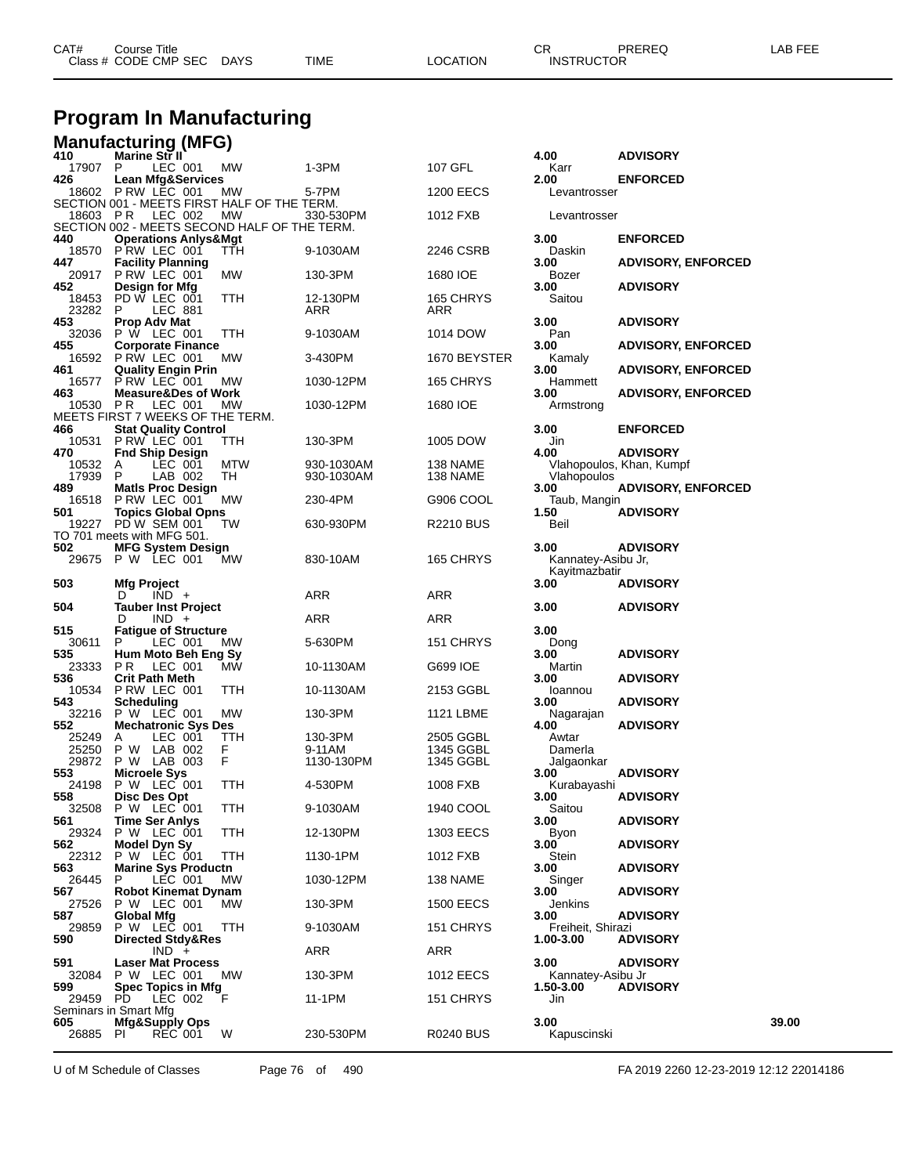| CAT# | Title<br>Course '    |             |      |          | Ωn<br>- UN        | PREREQ | AR FFF |
|------|----------------------|-------------|------|----------|-------------------|--------|--------|
|      | Class # CODE CMP SEC | <b>DAYS</b> | TIME | LOCATION | <b>INSTRUCTOR</b> |        |        |
|      |                      |             |      |          |                   |        |        |

### **Program In Manufacturing**

|     | <b>Manufacturing (MFG)</b><br><sup>410</sup> Marine Str II |                                            |         |                                                    |            |                  |                                |                           |       |
|-----|------------------------------------------------------------|--------------------------------------------|---------|----------------------------------------------------|------------|------------------|--------------------------------|---------------------------|-------|
|     | 17907                                                      | P                                          | LEC 001 | МW                                                 | 1-3PM      | 107 GFL          | 4.00<br>Karr                   | <b>ADVISORY</b>           |       |
| 426 | 18602 P RW LEC 001                                         | <b>Lean Mfg&amp;Services</b>               |         |                                                    | 5-7PM      |                  | 2.00                           | <b>ENFORCED</b>           |       |
|     |                                                            |                                            |         | МW<br>SECTION 001 - MEETS FIRST HALF OF THE TERM.  |            | 1200 EECS        | Levantrosser                   |                           |       |
|     | 18603                                                      | PR.                                        | LEC 002 | МW<br>SECTION 002 - MEETS SECOND HALF OF THE TERM. | 330-530PM  | 1012 FXB         | Levantrosser                   |                           |       |
| 440 |                                                            | <b>Operations Anlys&amp;Mgt</b>            |         |                                                    |            |                  | 3.00                           | <b>ENFORCED</b>           |       |
| 447 | 18570                                                      | PRW LEC 001<br><b>Facility Planning</b>    |         | TTH                                                | 9-1030AM   | 2246 CSRB        | Daskin<br>3.00                 | <b>ADVISORY, ENFORCED</b> |       |
| 452 | 20917                                                      | PRW LEC 001<br>Design for Mfg              |         | МW                                                 | 130-3PM    | 1680 IOE         | Bozer<br>3.00                  | <b>ADVISORY</b>           |       |
|     | 18453                                                      | PD W LEC 001                               |         | TTH                                                | 12-130PM   | 165 CHRYS        | Saitou                         |                           |       |
| 453 | 23282                                                      | P.<br>Prop Adv Mat                         | LEC 881 |                                                    | ARR        | ARR              | 3.00                           | <b>ADVISORY</b>           |       |
| 455 | 32036                                                      | P W LEC 001<br><b>Corporate Finance</b>    |         | ттн                                                | 9-1030AM   | 1014 DOW         | Pan<br>3.00                    | <b>ADVISORY, ENFORCED</b> |       |
|     | 16592                                                      | PRW LEC 001                                |         | МW                                                 | 3-430PM    | 1670 BEYSTER     | Kamaly                         |                           |       |
| 461 | 16577                                                      | <b>Quality Engin Prin</b><br>PRW LEC 001   |         | МW                                                 | 1030-12PM  | 165 CHRYS        | 3.00<br>Hammett                | <b>ADVISORY, ENFORCED</b> |       |
| 463 | 10530                                                      | <b>Measure&amp;Des of Work</b><br>P R      | LEC 001 | МW                                                 | 1030-12PM  | 1680 IOE         | 3.00<br>Armstrong              | <b>ADVISORY, ENFORCED</b> |       |
|     |                                                            |                                            |         | MEETS FIRST 7 WEEKS OF THE TERM.                   |            |                  |                                |                           |       |
| 466 | 10531                                                      | <b>Stat Quality Control</b><br>PRW LEC 001 |         | TTH                                                | 130-3PM    | 1005 DOW         | 3.00<br>Jin                    | <b>ENFORCED</b>           |       |
| 470 |                                                            | <b>Fnd Ship Design</b>                     | LEC 001 | <b>MTW</b>                                         | 930-1030AM | 138 NAME         | 4.00                           | <b>ADVISORY</b>           |       |
|     | 10532<br>17939                                             | A<br>P                                     | LAB 002 | TН                                                 | 930-1030AM | 138 NAME         | Vlahopoulos                    | Vlahopoulos, Khan, Kumpf  |       |
| 489 | 16518                                                      | <b>Matls Proc Design</b><br>PRW LEC 001    |         | МW                                                 | 230-4PM    | G906 COOL        | 3.00<br>Taub, Mangin           | <b>ADVISORY, ENFORCED</b> |       |
| 501 |                                                            | <b>Topics Global Opns</b>                  |         |                                                    |            |                  | 1.50                           | <b>ADVISORY</b>           |       |
|     | 19227<br>TO 701 meets with MFG 501.                        | PD W SEM 001                               |         | TW                                                 | 630-930PM  | R2210 BUS        | Beil                           |                           |       |
| 502 | 29675                                                      | <b>MFG System Design</b><br>P W LEC 001    |         | <b>MW</b>                                          | 830-10AM   | 165 CHRYS        | 3.00<br>Kannatey-Asibu Jr,     | <b>ADVISORY</b>           |       |
|     |                                                            |                                            |         |                                                    |            |                  | Kayitmazbatir                  |                           |       |
| 503 |                                                            | <b>Mfg Project</b><br>D                    | $IND +$ |                                                    | ARR        | ARR              | 3.00                           | <b>ADVISORY</b>           |       |
| 504 |                                                            | <b>Tauber Inst Project</b><br>D            | $IND +$ |                                                    | ARR        | ARR              | 3.00                           | <b>ADVISORY</b>           |       |
| 515 |                                                            | <b>Fatigue of Structure</b>                |         |                                                    |            |                  | 3.00                           |                           |       |
| 535 | 30611                                                      | Р<br>Hum Moto Beh Eng Sy                   | LEC 001 | МW                                                 | 5-630PM    | 151 CHRYS        | Dong<br>3.00                   | <b>ADVISORY</b>           |       |
| 536 | 23333                                                      | P R<br><b>Crit Path Meth</b>               | LEC 001 | <b>MW</b>                                          | 10-1130AM  | G699 IOE         | Martin<br>3.00                 | <b>ADVISORY</b>           |       |
|     | 10534                                                      | PRW LEC 001                                |         | TTH                                                | 10-1130AM  | 2153 GGBL        | Ioannou                        |                           |       |
| 543 | 32216                                                      | Scheduling<br>P W LEC 001                  |         | МW                                                 | 130-3PM    | 1121 LBME        | 3.00<br>Nagarajan              | <b>ADVISORY</b>           |       |
| 552 | 25249                                                      | <b>Mechatronic Sys Des</b><br>A            | LEC 001 | TTH                                                | 130-3PM    | 2505 GGBL        | 4.00<br>Awtar                  | <b>ADVISORY</b>           |       |
|     | 25250                                                      | P W                                        | LAB 002 | F                                                  | 9-11AM     | 1345 GGBL        | Damerla                        |                           |       |
| 553 | 29872                                                      | P W LAB 003<br><b>Microele Sys</b>         |         | F                                                  | 1130-130PM | 1345 GGBL        | Jalgaonkar<br>3.00             | <b>ADVISORY</b>           |       |
| 558 | 24198                                                      | P W LEC 001                                |         | ттн                                                | 4-530PM    | 1008 FXB         | Kurabayashi                    |                           |       |
|     | 32508                                                      | Disc Des Opt<br>P W LEC 001                |         | TTH                                                | 9-1030AM   | 1940 COOL        | 3.00<br>Saitou                 | <b>ADVISORY</b>           |       |
| 561 | 29324                                                      | <b>Time Ser Anlys</b><br>P W LEC 001       |         | TTH                                                | 12-130PM   | <b>1303 EECS</b> | 3.00<br>Byon                   | <b>ADVISORY</b>           |       |
| 562 |                                                            | Model Dyn Sy                               |         |                                                    |            |                  | 3.00                           | <b>ADVISORY</b>           |       |
| 563 | 22312                                                      | P W LEC 001<br><b>Marine Sys Productn</b>  |         | TTH                                                | 1130-1PM   | 1012 FXB         | Stein<br>3.00                  | <b>ADVISORY</b>           |       |
| 567 | 26445                                                      | P<br><b>Robot Kinemat Dynam</b>            | LEC 001 | МW                                                 | 1030-12PM  | 138 NAME         | Singer<br>3.00                 | <b>ADVISORY</b>           |       |
|     | 27526                                                      | P W LEC 001                                |         | <b>MW</b>                                          | 130-3PM    | <b>1500 EECS</b> | Jenkins                        |                           |       |
| 587 | 29859                                                      | <b>Global Mfg</b><br>P W LEC 001           |         | TTH                                                | 9-1030AM   | 151 CHRYS        | 3.00<br>Freiheit, Shirazi      | <b>ADVISORY</b>           |       |
| 590 |                                                            | <b>Directed Stdy&amp;Res</b>               | $IND +$ |                                                    | ARR        | ARR              | 1.00-3.00                      | <b>ADVISORY</b>           |       |
| 591 |                                                            | <b>Laser Mat Process</b>                   |         |                                                    |            |                  | 3.00                           | <b>ADVISORY</b>           |       |
| 599 | 32084                                                      | P W LEC 001<br>Spec Topics in Mfg          |         | <b>MW</b>                                          | 130-3PM    | 1012 EECS        | Kannatey-Asibu Jr<br>1.50-3.00 | <b>ADVISORY</b>           |       |
|     | 29459<br>Seminars in Smart Mfg                             | PD.                                        | LEC 002 | F                                                  | 11-1PM     | 151 CHRYS        | Jin                            |                           |       |
| 605 |                                                            | Mfg&Supply Ops                             |         |                                                    |            |                  | 3.00                           |                           | 39.00 |
|     | 26885                                                      | PL                                         | REC 001 | W                                                  | 230-530PM  | <b>R0240 BUS</b> | Kapuscinski                    |                           |       |

U of M Schedule of Classes Page 76 of 490 FA 2019 2260 12-23-2019 12:12 22014186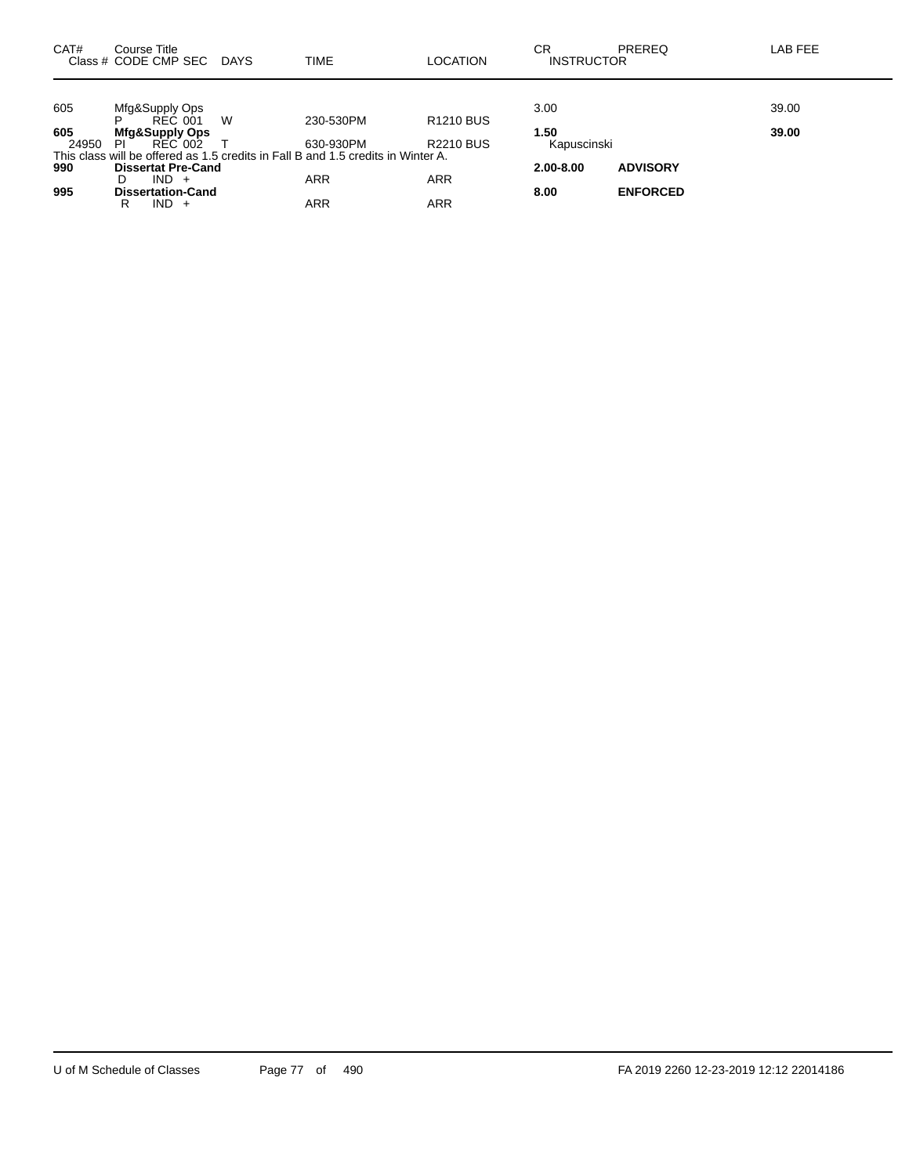| CAT#  | Course Title<br>Class # CODE CMP SEC | DAYS | <b>TIME</b>                                                                      | <b>LOCATION</b>  | СR<br><b>INSTRUCTOR</b> | PREREQ          | LAB FEE |
|-------|--------------------------------------|------|----------------------------------------------------------------------------------|------------------|-------------------------|-----------------|---------|
|       |                                      |      |                                                                                  |                  |                         |                 |         |
| 605   | Mfg&Supply Ops                       |      |                                                                                  |                  | 3.00                    |                 | 39.00   |
|       | P<br>REC 001                         | W    | 230-530PM                                                                        | <b>R1210 BUS</b> |                         |                 |         |
| 605   | <b>Mfg&amp;Supply Ops</b>            |      |                                                                                  |                  | 1.50                    |                 | 39.00   |
| 24950 | PI<br>REC 002                        |      | 630-930PM                                                                        | <b>R2210 BUS</b> | Kapuscinski             |                 |         |
|       |                                      |      | This class will be offered as 1.5 credits in Fall B and 1.5 credits in Winter A. |                  |                         |                 |         |
| 990   | <b>Dissertat Pre-Cand</b>            |      |                                                                                  |                  | $2.00 - 8.00$           | <b>ADVISORY</b> |         |
|       | $IND +$<br>D                         |      | <b>ARR</b>                                                                       | <b>ARR</b>       |                         |                 |         |
| 995   | <b>Dissertation-Cand</b>             |      |                                                                                  |                  | 8.00                    | <b>ENFORCED</b> |         |
|       | $IND +$<br>R                         |      | ARR                                                                              | ARR              |                         |                 |         |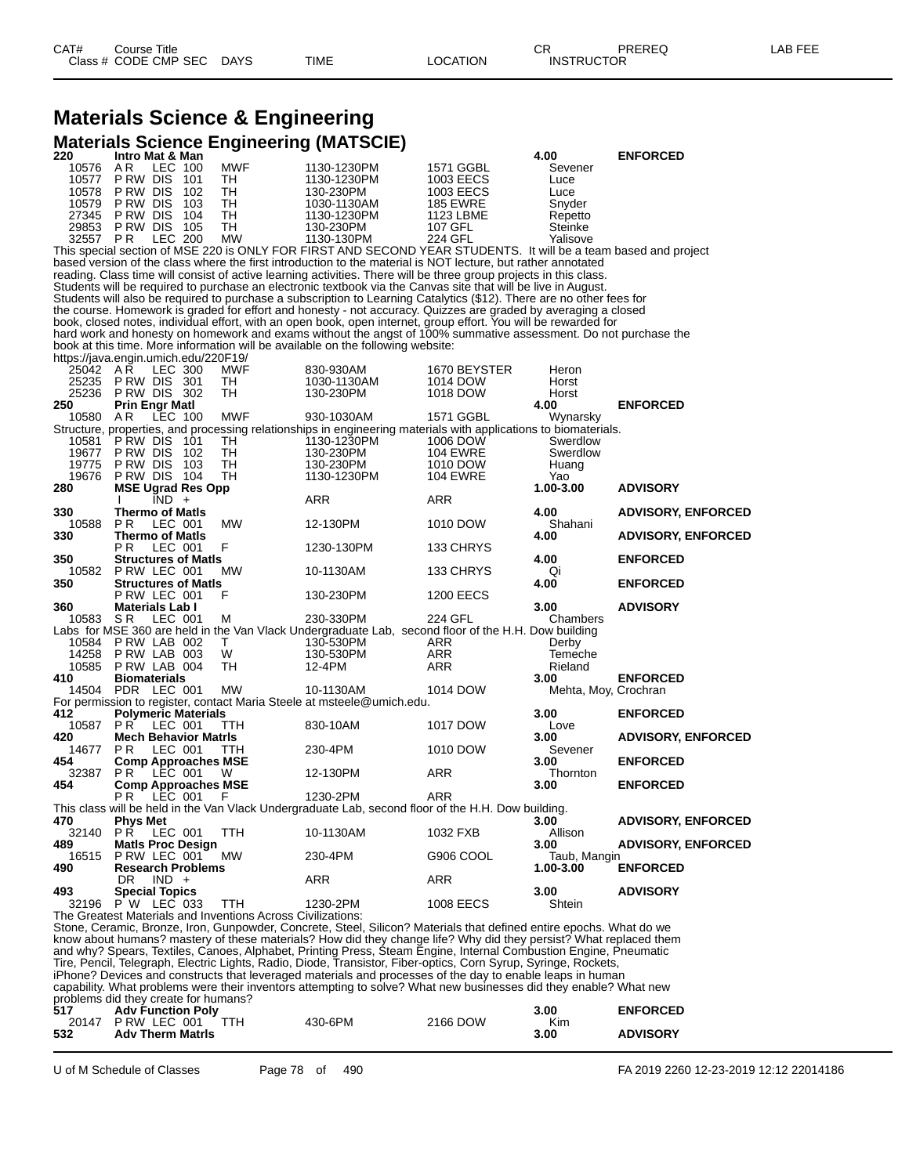### **Materials Science & Engineering Materials Science Engineering (MATSCIE)**

| 220      | <b>Intro Mat &amp; Man</b>                                  |            |                                                                                                                      |                  | 4.00                 | <b>ENFORCED</b>           |
|----------|-------------------------------------------------------------|------------|----------------------------------------------------------------------------------------------------------------------|------------------|----------------------|---------------------------|
| 10576    | AR.<br>LEC 100                                              | MWF        | 1130-1230PM                                                                                                          | 1571 GGBL        | Sevener              |                           |
| 10577    | P RW DIS<br>101                                             | TН         | 1130-1230PM                                                                                                          | 1003 EECS        | Luce                 |                           |
| 10578    | P RW DIS<br>102                                             | TН         | 130-230PM                                                                                                            | 1003 EECS        | Luce                 |                           |
| 10579    | P RW DIS<br>103                                             | TН         | 1030-1130AM                                                                                                          | <b>185 EWRE</b>  | Snyder               |                           |
| 27345    | P RW DIS<br>104                                             | TН         | 1130-1230PM                                                                                                          | 1123 LBME        | Repetto              |                           |
| 29853    | P RW DIS<br>105                                             | тн         | 130-230PM                                                                                                            | 107 GFL          | Steinke              |                           |
| 32557 PR | <b>LEC 200</b>                                              | МW         | 1130-130PM                                                                                                           | 224 GFL          | Yalisove             |                           |
|          |                                                             |            | This special section of MSE 220 is ONLY FOR FIRST AND SECOND YEAR STUDENTS. It will be a team based and project      |                  |                      |                           |
|          |                                                             |            | based version of the class where the first introduction to the material is NOT lecture, but rather annotated         |                  |                      |                           |
|          |                                                             |            | reading. Class time will consist of active learning activities. There will be three group projects in this class.    |                  |                      |                           |
|          |                                                             |            | Students will be required to purchase an electronic textbook via the Canvas site that will be live in August.        |                  |                      |                           |
|          |                                                             |            | Students will also be required to purchase a subscription to Learning Catalytics (\$12). There are no other fees for |                  |                      |                           |
|          |                                                             |            | the course. Homework is graded for effort and honesty - not accuracy. Quizzes are graded by averaging a closed       |                  |                      |                           |
|          |                                                             |            | book, closed notes, individual effort, with an open book, open internet, group effort. You will be rewarded for      |                  |                      |                           |
|          |                                                             |            | hard work and honesty on homework and exams without the angst of 100% summative assessment. Do not purchase the      |                  |                      |                           |
|          |                                                             |            | book at this time. More information will be available on the following website:                                      |                  |                      |                           |
|          | https://java.engin.umich.edu/220F19/                        |            |                                                                                                                      |                  |                      |                           |
| 25042 AR | <b>LEC 300</b>                                              | MWF        | 830-930AM                                                                                                            | 1670 BEYSTER     | Heron                |                           |
| 25235    | PRW DIS 301                                                 | TH         | 1030-1130AM                                                                                                          | 1014 DOW         | Horst                |                           |
| 25236    | PRW DIS 302                                                 | TН         | 130-230PM                                                                                                            | 1018 DOW         | Horst                |                           |
| 250      |                                                             |            |                                                                                                                      |                  |                      |                           |
|          | <b>Prin Engr Matl</b>                                       |            |                                                                                                                      |                  | 4.00                 | <b>ENFORCED</b>           |
| 10580    | AR<br>LEC 100                                               | MWF        | 930-1030AM                                                                                                           | 1571 GGBL        | Wynarsky             |                           |
|          |                                                             |            | Structure, properties, and processing relationships in engineering materials with applications to biomaterials.      |                  |                      |                           |
| 10581    | P RW DIS<br>-101                                            | TН         | 1130-1230PM                                                                                                          | 1006 DOW         | Swerdlow             |                           |
| 19677    | PRW DIS 102                                                 | TН         | 130-230PM                                                                                                            | <b>104 EWRE</b>  | Swerdlow             |                           |
| 19775    | P RW DIS<br>103                                             | TН         | 130-230PM                                                                                                            | 1010 DOW         | Huang                |                           |
| 19676    | PRW DIS 104                                                 | TН         | 1130-1230PM                                                                                                          | <b>104 EWRE</b>  | Yao                  |                           |
| 280      | <b>MSE Ugrad Res Opp</b>                                    |            |                                                                                                                      |                  | 1.00-3.00            | <b>ADVISORY</b>           |
|          | $IND +$                                                     |            | ARR                                                                                                                  | ARR              |                      |                           |
| 330      | <b>Thermo of Matls</b>                                      |            |                                                                                                                      |                  | 4.00                 | <b>ADVISORY, ENFORCED</b> |
| 10588    | P R<br>LEC 001                                              | MW         | 12-130PM                                                                                                             | 1010 DOW         | Shahani              |                           |
| 330      | <b>Thermo of Matis</b>                                      |            |                                                                                                                      |                  | 4.00                 | <b>ADVISORY, ENFORCED</b> |
|          | P R<br>LEC 001                                              | F          | 1230-130PM                                                                                                           | 133 CHRYS        |                      |                           |
| 350      | Structures of Matls                                         |            |                                                                                                                      |                  | 4.00                 | <b>ENFORCED</b>           |
| 10582    | PRW LEC 001                                                 | MW         | 10-1130AM                                                                                                            | 133 CHRYS        | Qi                   |                           |
| 350      | <b>Structures of Matls</b>                                  |            |                                                                                                                      |                  | 4.00                 | <b>ENFORCED</b>           |
|          | PRW LEC 001                                                 | F          | 130-230PM                                                                                                            | <b>1200 EECS</b> |                      |                           |
| 360      | <b>Materials Lab I</b>                                      |            |                                                                                                                      |                  | 3.00                 | <b>ADVISORY</b>           |
| 10583 SR | LEC 001                                                     | М          | 230-330PM                                                                                                            | 224 GFL          | Chambers             |                           |
|          |                                                             |            | Labs for MSE 360 are held in the Van Vlack Undergraduate Lab, second floor of the H.H. Dow building                  |                  |                      |                           |
| 10584    | PRW LAB 002                                                 | Т          | 130-530PM                                                                                                            | ARR              | Derby                |                           |
| 14258    | PRW LAB 003                                                 | W          | 130-530PM                                                                                                            | ARR              | Temeche              |                           |
| 10585    | PRW LAB 004                                                 | TН         | 12-4PM                                                                                                               | ARR              | Rieland              |                           |
| 410      | <b>Biomaterials</b>                                         |            |                                                                                                                      |                  | 3.00                 | <b>ENFORCED</b>           |
| 14504    | PDR LEC 001                                                 | МW         | 10-1130AM                                                                                                            | 1014 DOW         | Mehta, Moy, Crochran |                           |
|          |                                                             |            | For permission to register, contact Maria Steele at msteele@umich.edu.                                               |                  |                      |                           |
| 412      | <b>Polymeric Materials</b>                                  |            |                                                                                                                      |                  | 3.00                 | <b>ENFORCED</b>           |
| 10587    | <b>PR LEC 001</b>                                           | <b>TTH</b> | 830-10AM                                                                                                             | 1017 DOW         | Love                 |                           |
| 420      | <b>Mech Behavior Matris</b>                                 |            |                                                                                                                      |                  | 3.00                 | <b>ADVISORY, ENFORCED</b> |
| 14677    | P R<br>LEC 001                                              | ттн        | 230-4PM                                                                                                              | 1010 DOW         | Sevener              |                           |
| 454      | <b>Comp Approaches MSE</b>                                  |            |                                                                                                                      |                  | 3.00                 | <b>ENFORCED</b>           |
| 32387    | P R<br>LEC 001                                              | W          | 12-130PM                                                                                                             | ARR              | Thornton             |                           |
| 454      |                                                             |            |                                                                                                                      |                  | 3.00                 | <b>ENFORCED</b>           |
|          | <b>Comp Approaches MSE</b><br>P R<br>LEC 001                | F          | 1230-2PM                                                                                                             | ARR              |                      |                           |
|          |                                                             |            | This class will be held in the Van Vlack Undergraduate Lab, second floor of the H.H. Dow building.                   |                  |                      |                           |
|          |                                                             |            |                                                                                                                      |                  |                      |                           |
| 470      | Phys Met                                                    |            |                                                                                                                      |                  | 3.00<br>Allison      | <b>ADVISORY, ENFORCED</b> |
| 32140    | <b>PR LEC 001</b>                                           | TTH        | 10-1130AM                                                                                                            | 1032 FXB         |                      |                           |
| 489      | <b>Matis Proc Design</b>                                    |            |                                                                                                                      |                  | 3.00                 | <b>ADVISORY, ENFORCED</b> |
| 16515    | PRW LEC 001                                                 | MW         | 230-4PM                                                                                                              | G906 COOL        | Taub, Mangin         |                           |
| 490      | <b>Research Problems</b>                                    |            |                                                                                                                      |                  | 1.00-3.00            | <b>ENFORCED</b>           |
|          | DR.<br>$IND +$                                              |            | <b>ARR</b>                                                                                                           | ARR              |                      |                           |
| 493      | <b>Special Topics</b>                                       |            |                                                                                                                      |                  | 3.00                 | <b>ADVISORY</b>           |
| 32196    | P W LEC 033                                                 | TTH        | 1230-2PM                                                                                                             | 1008 EECS        | Shtein               |                           |
|          | The Greatest Materials and Inventions Across Civilizations: |            |                                                                                                                      |                  |                      |                           |
|          |                                                             |            | Stone, Ceramic, Bronze, Iron, Gunpowder, Concrete, Steel, Silicon? Materials that defined entire epochs. What do we  |                  |                      |                           |
|          |                                                             |            | know about humans? mastery of these materials? How did they change life? Why did they persist? What replaced them    |                  |                      |                           |
|          |                                                             |            | and why? Spears, Textiles, Canoes, Alphabet, Printing Press, Steam Engine, Internal Combustion Engine, Pneumatic     |                  |                      |                           |

Tire, Pencil, Telegraph, Electric Lights, Radio, Diode, Transistor, Fiber-optics, Corn Syrup, Syringe, Rockets, iPhone? Devices and constructs that leveraged materials and processes of the day to enable leaps in human capability. What problems were their inventors attempting to solve? What new businesses did they enable? What new

problems did they create for humans?

| 517 | <b>Adv Function Polv</b> |         |          | 3.00 | <b>ENFORCED</b> |
|-----|--------------------------|---------|----------|------|-----------------|
|     | 20147 PRW LEC 001        | 430-6PM | 2166 DOW | Kim  |                 |
| 532 | <b>Adv Therm Matris</b>  |         |          | 3.00 | <b>ADVISORY</b> |

U of M Schedule of Classes Page 78 of 490 FA 2019 2260 12-23-2019 12:12 22014186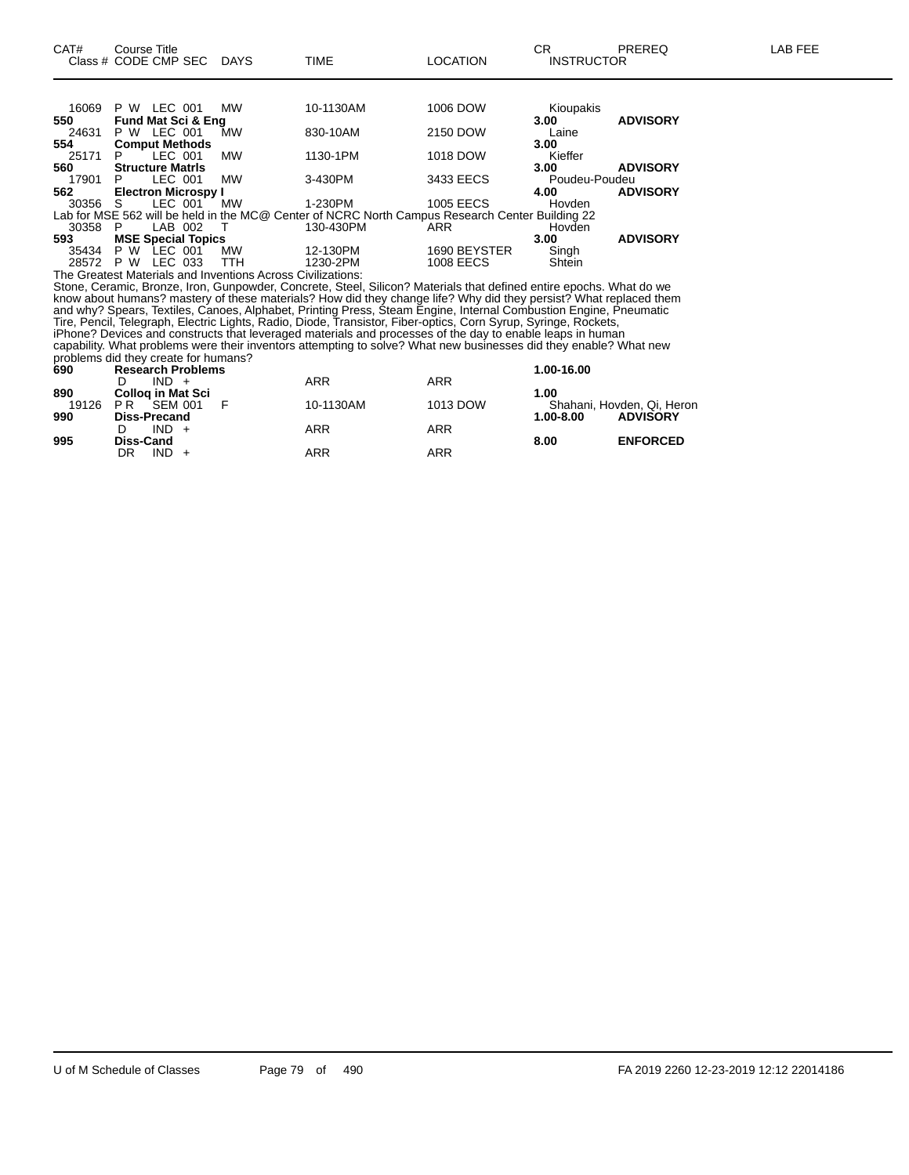| 16069 | P W | LEC 001                 |                               | <b>MW</b> | 10-1130AM                                                                                       | 1006 DOW         | Kioupakis     |                 |
|-------|-----|-------------------------|-------------------------------|-----------|-------------------------------------------------------------------------------------------------|------------------|---------------|-----------------|
| 550   |     |                         | <b>Fund Mat Sci &amp; Eng</b> |           |                                                                                                 |                  | 3.00          | <b>ADVISORY</b> |
| 24631 | P W | LEC 001                 |                               | MW        | 830-10AM                                                                                        | 2150 DOW         | Laine         |                 |
| 554   |     |                         | <b>Comput Methods</b>         |           |                                                                                                 |                  | 3.00          |                 |
| 25171 | P   |                         | LEC 001                       | <b>MW</b> | 1130-1PM                                                                                        | 1018 DOW         | Kieffer       |                 |
| 560   |     | <b>Structure Matris</b> |                               |           |                                                                                                 |                  | 3.00          | <b>ADVISORY</b> |
| 17901 | P   | LEC 001                 |                               | МW        | 3-430PM                                                                                         | 3433 EECS        | Poudeu-Poudeu |                 |
| 562   |     |                         | <b>Electron Microspy I</b>    |           |                                                                                                 |                  | 4.00          | <b>ADVISORY</b> |
| 30356 | -S  | LEC 001                 |                               | <b>MW</b> | 1-230PM                                                                                         | <b>1005 EECS</b> | Hovden        |                 |
|       |     |                         |                               |           | Lab for MSE 562 will be held in the MC@ Center of NCRC North Campus Research Center Building 22 |                  |               |                 |
| 30358 | P   | LAB 002                 |                               | ா         | 130-430PM                                                                                       | ARR              | Hovden        |                 |
| 593   |     |                         | <b>MSE Special Topics</b>     |           |                                                                                                 |                  | 3.00          | <b>ADVISORY</b> |
| 35434 | P W | LEC 001                 |                               | <b>MW</b> | 12-130PM                                                                                        | 1690 BEYSTER     | Singh         |                 |
|       |     |                         |                               |           |                                                                                                 |                  | - -           |                 |

28572 P W LEC 033 TTH 1230-2PM 1008 EECS Shtein The Greatest Materials and Inventions Across Civilizations:

Stone, Ceramic, Bronze, Iron, Gunpowder, Concrete, Steel, Silicon? Materials that defined entire epochs. What do we know about humans? mastery of these materials? How did they change life? Why did they persist? What replaced them and why? Spears, Textiles, Canoes, Alphabet, Printing Press, Steam Engine, Internal Combustion Engine, Pneumatic Tire, Pencil, Telegraph, Electric Lights, Radio, Diode, Transistor, Fiber-optics, Corn Syrup, Syringe, Rockets, iPhone? Devices and constructs that leveraged materials and processes of the day to enable leaps in human capability. What problems were their inventors attempting to solve? What new businesses did they enable? What new problems did they create for humans?

| 690   | <b>Research Problems</b> |           |            | 1.00-16.00                       |
|-------|--------------------------|-----------|------------|----------------------------------|
|       | $IND +$                  | ARR       | <b>ARR</b> |                                  |
| 890   | Collog in Mat Sci        |           |            | 1.00                             |
| 19126 | SEM 001<br>PR.           | 10-1130AM | 1013 DOW   | Shahani, Hovden, Qi, Heron       |
| 990   | <b>Diss-Precand</b>      |           |            | <b>ADVISORY</b><br>$1.00 - 8.00$ |
|       | $IND +$                  | ARR       | ARR        |                                  |
| 995   | <b>Diss-Cand</b>         |           |            | <b>ENFORCED</b><br>8.00          |
|       | $IND +$<br>DR            | ARR       | ARR        |                                  |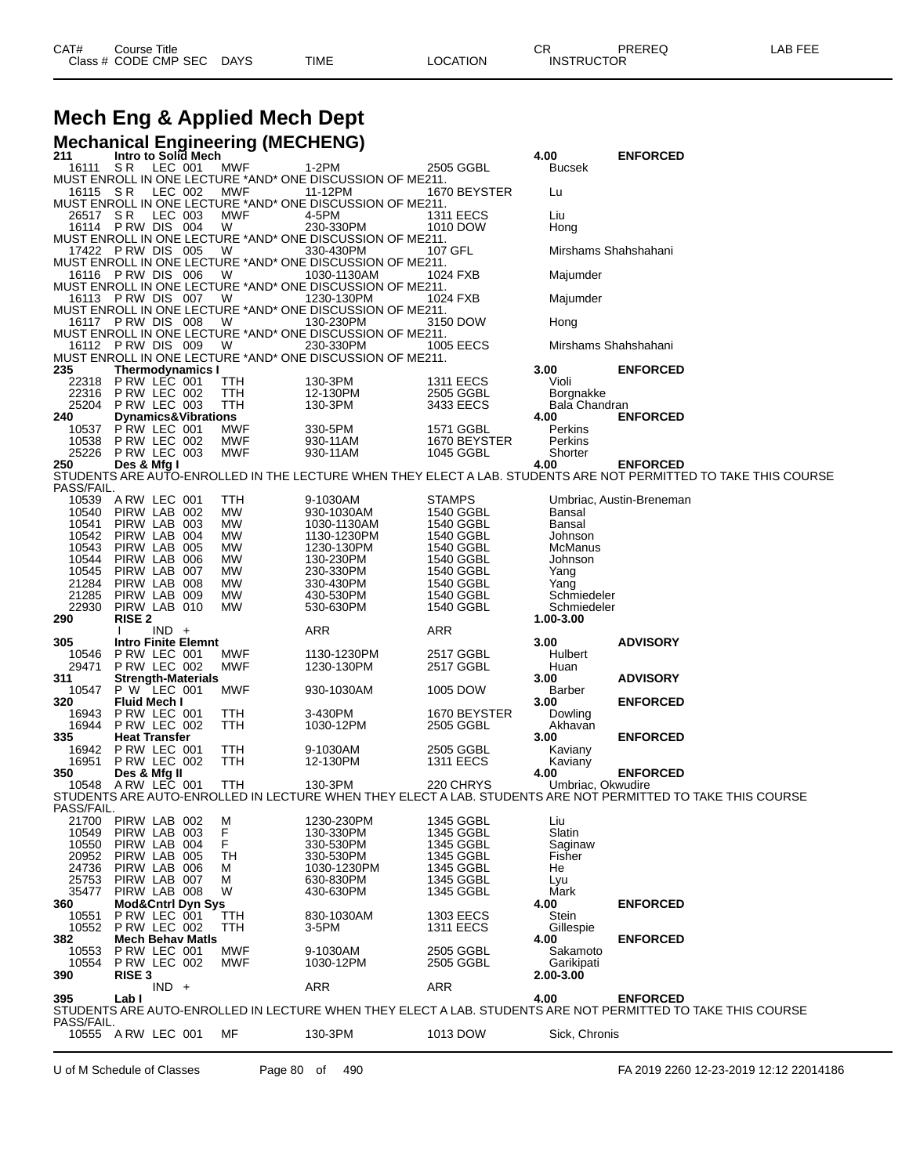# **Mech Eng & Applied Mech Dept**

|     |                                  |                                    |         |                                |                        | <b>Mechanical Engineering (MECHENG)</b>                                 |                        |                          |                                                                                                                 |
|-----|----------------------------------|------------------------------------|---------|--------------------------------|------------------------|-------------------------------------------------------------------------|------------------------|--------------------------|-----------------------------------------------------------------------------------------------------------------|
| 211 |                                  |                                    |         | Intro to Solid Mech            |                        |                                                                         |                        | 4.00                     | <b>ENFORCED</b>                                                                                                 |
|     | 16111                            | SR LEC 001                         |         |                                | MWF                    | 1-2PM<br>MUST ENROLL IN ONE LECTURE *AND* ONE DISCUSSION OF ME211.      | 2505 GGBL              | Bucsek                   |                                                                                                                 |
|     | 16115 SR                         |                                    | LEC 002 |                                | MWF                    | 11-12PM                                                                 | 1670 BEYSTER           | Lu                       |                                                                                                                 |
|     |                                  |                                    |         |                                |                        | MUST ENROLL IN ONE LECTURE *AND* ONE DISCUSSION OF ME211.               |                        |                          |                                                                                                                 |
|     | 26517 SR                         |                                    | LEC 003 |                                | MWF                    | 4-5PM                                                                   | <b>1311 EECS</b>       | Liu                      |                                                                                                                 |
|     | 16114 PRW DIS 004                |                                    |         |                                | W                      | 230-330PM<br>MUST ENROLL IN ONE LECTURE *AND* ONE DISCUSSION OF ME211.  | 1010 DOW               | Hong                     |                                                                                                                 |
|     | 17422 PRW DIS 005                |                                    |         |                                | W                      | 330-430PM                                                               | 107 GFL                |                          | Mirshams Shahshahani                                                                                            |
|     |                                  |                                    |         |                                |                        | MUST ENROLL IN ONE LECTURE *AND* ONE DISCUSSION OF ME211.               |                        |                          |                                                                                                                 |
|     | 16116 PRW DIS 006                |                                    |         |                                | - W                    | 1030-1130AM                                                             | 1024 FXB               | Majumder                 |                                                                                                                 |
|     | 16113 PRW DIS 007                |                                    |         |                                |                        | MUST ENROLL IN ONE LECTURE *AND* ONE DISCUSSION OF ME211.               |                        |                          |                                                                                                                 |
|     |                                  |                                    |         |                                | - W                    | 1230-130PM<br>MUST ENROLL IN ONE LECTURE *AND* ONE DISCUSSION OF ME211. | 1024 FXB               | Majumder                 |                                                                                                                 |
|     | 16117 PRW DIS 008                |                                    |         |                                | W                      | 130-230PM                                                               | 3150 DOW               | Hong                     |                                                                                                                 |
|     |                                  |                                    |         |                                |                        | MUST ENROLL IN ONE LECTURE *AND* ONE DISCUSSION OF ME211.               |                        |                          |                                                                                                                 |
|     | 16112 PRW DIS 009                |                                    |         |                                | <b>W</b>               | 230-330PM                                                               | 1005 EECS              |                          | Mirshams Shahshahani                                                                                            |
| 235 |                                  |                                    |         | <b>Thermodynamics I</b>        |                        | MUST ENROLL IN ONE LECTURE *AND* ONE DISCUSSION OF ME211.               |                        | 3.00                     | <b>ENFORCED</b>                                                                                                 |
|     | 22318 PRW LEC 001                |                                    |         |                                | TTH                    | 130-3PM                                                                 | <b>1311 EECS</b>       | Violi                    |                                                                                                                 |
|     | 22316 PRW LEC 002                |                                    |         |                                | TTH                    | 12-130PM                                                                | 2505 GGBL              | Borgnakke                |                                                                                                                 |
|     | 25204                            | P RW LEC 003                       |         |                                | TTH                    | 130-3PM                                                                 | 3433 EECS              | Bala Chandran            |                                                                                                                 |
| 240 | 10537                            | PRW LEC 001                        |         | <b>Dynamics&amp;Vibrations</b> | MWF                    | 330-5PM                                                                 | 1571 GGBL              | 4.00<br>Perkins          | <b>ENFORCED</b>                                                                                                 |
|     | 10538                            | P RW LEC 002                       |         |                                | MWF                    | 930-11AM                                                                | 1670 BEYSTER           | Perkins                  |                                                                                                                 |
|     | 25226                            | PRW LEC 003                        |         |                                | MWF                    | 930-11AM                                                                | 1045 GGBL              | Shorter                  |                                                                                                                 |
| 250 |                                  | Des & Mfg I                        |         |                                |                        |                                                                         |                        | 4.00                     | <b>ENFORCED</b>                                                                                                 |
|     | PASS/FAIL.                       |                                    |         |                                |                        |                                                                         |                        |                          | STUDENTS ARE AUTO-ENROLLED IN THE LECTURE WHEN THEY ELECT A LAB. STUDENTS ARE NOT PERMITTED TO TAKE THIS COURSE |
|     | 10539 A RW LEC 001               |                                    |         |                                | ттн                    | 9-1030AM                                                                | <b>STAMPS</b>          |                          | Umbriac, Austin-Breneman                                                                                        |
|     | 10540                            | PIRW LAB 002                       |         |                                | МW                     | 930-1030AM                                                              | 1540 GGBL              | Bansal                   |                                                                                                                 |
|     | 10541                            | PIRW LAB 003                       |         |                                | <b>MW</b>              | 1030-1130AM                                                             | 1540 GGBL              | Bansal                   |                                                                                                                 |
|     | 10542                            | PIRW LAB 004                       |         |                                | MW                     | 1130-1230PM                                                             | 1540 GGBL              | Johnson                  |                                                                                                                 |
|     | 10543<br>10544                   | PIRW LAB 005<br>PIRW LAB 006       |         |                                | <b>MW</b><br><b>MW</b> | 1230-130PM<br>130-230PM                                                 | 1540 GGBL<br>1540 GGBL | McManus<br>Johnson       |                                                                                                                 |
|     | 10545                            | PIRW LAB 007                       |         |                                | MW                     | 230-330PM                                                               | 1540 GGBL              | Yang                     |                                                                                                                 |
|     | 21284                            | PIRW LAB 008                       |         |                                | MW                     | 330-430PM                                                               | 1540 GGBL              | Yang                     |                                                                                                                 |
|     | 21285                            | PIRW LAB 009                       |         |                                | <b>MW</b>              | 430-530PM                                                               | 1540 GGBL              | Schmiedeler              |                                                                                                                 |
| 290 | 22930                            | PIRW LAB 010<br><b>RISE 2</b>      |         |                                | MW                     | 530-630PM                                                               | 1540 GGBL              | Schmiedeler<br>1.00-3.00 |                                                                                                                 |
|     |                                  |                                    | $IND +$ |                                |                        | ARR                                                                     | ARR                    |                          |                                                                                                                 |
| 305 |                                  |                                    |         |                                |                        |                                                                         |                        |                          | <b>ADVISORY</b>                                                                                                 |
|     |                                  |                                    |         | <b>Intro Finite Elemnt</b>     |                        |                                                                         |                        | 3.00                     |                                                                                                                 |
|     | 10546                            | PRW LEC 001                        |         |                                | MWF                    | 1130-1230PM                                                             | 2517 GGBL              | Hulbert                  |                                                                                                                 |
|     | 29471                            | PRW LEC 002                        |         |                                | <b>MWF</b>             | 1230-130PM                                                              | 2517 GGBL              | Huan                     |                                                                                                                 |
| 311 | 10547                            |                                    |         | <b>Strength-Materials</b>      | MWF                    |                                                                         | 1005 DOW               | 3.00<br>Barber           | <b>ADVISORY</b>                                                                                                 |
| 320 |                                  | P W LEC 001<br><b>Fluid Mech I</b> |         |                                |                        | 930-1030AM                                                              |                        | 3.00                     | <b>ENFORCED</b>                                                                                                 |
|     | 16943                            | P RW LEC 001                       |         |                                | TTH                    | 3-430PM                                                                 | 1670 BEYSTER           | Dowling                  |                                                                                                                 |
|     | 16944                            | PRW LEC 002                        |         |                                | TTH                    | 1030-12PM                                                               | 2505 GGBL              | Akhavan                  |                                                                                                                 |
| 335 |                                  | <b>Heat Transfer</b>               |         |                                |                        |                                                                         | 2505 GGBL              | 3.00                     | <b>ENFORCED</b>                                                                                                 |
|     | 16942<br>16951                   | PRW LEC 001<br><b>P RW LEC 002</b> |         |                                | TTH<br>TTH             | 9-1030AM<br>12-130PM                                                    | <b>1311 EECS</b>       | Kaviany<br>Kaviany       |                                                                                                                 |
| 350 |                                  | Des & Mfg II                       |         |                                |                        |                                                                         |                        | 4.00                     | <b>ENFORCED</b>                                                                                                 |
|     | 10548 A RW LEC 001               |                                    |         |                                | <b>TTH</b>             | 130-3PM                                                                 | 220 CHRYS              | Umbriac, Okwudire        |                                                                                                                 |
|     | PASS/FAIL.                       |                                    |         |                                |                        |                                                                         |                        |                          | STUDENTS ARE AUTO-ENROLLED IN LECTURE WHEN THEY ELECT A LAB. STUDENTS ARE NOT PERMITTED TO TAKE THIS COURSE     |
|     | 21700                            | PIRW LAB 002                       |         |                                | М                      | 1230-230PM                                                              | 1345 GGBL              | Liu                      |                                                                                                                 |
|     | 10549                            | PIRW LAB 003                       |         |                                | F                      | 130-330PM                                                               | 1345 GGBL              | Slatin                   |                                                                                                                 |
|     | 10550                            | PIRW LAB 004                       |         |                                | F                      | 330-530PM                                                               | 1345 GGBL              | Saginaw                  |                                                                                                                 |
|     | 20952                            | PIRW LAB 005                       |         |                                | TН                     | 330-530PM                                                               | 1345 GGBL              | Fisher                   |                                                                                                                 |
|     | 24736<br>25753                   | PIRW LAB 006<br>PIRW LAB 007       |         |                                | М<br>М                 | 1030-1230PM<br>630-830PM                                                | 1345 GGBL<br>1345 GGBL | He<br>Lyu                |                                                                                                                 |
|     | 35477                            | PIRW LAB 008                       |         |                                | W                      | 430-630PM                                                               | 1345 GGBL              | Mark                     |                                                                                                                 |
| 360 |                                  |                                    |         | <b>Mod&amp;Cntrl Dyn Sys</b>   |                        |                                                                         |                        | 4.00                     | <b>ENFORCED</b>                                                                                                 |
|     | 10551                            | PRW LEC 001                        |         |                                | TTH                    | 830-1030AM                                                              | 1303 EECS              | Stein<br>Gillespie       |                                                                                                                 |
| 382 | 10552                            | PRW LEC 002                        |         | <b>Mech Behav Matls</b>        | TTH                    | 3-5PM                                                                   | <b>1311 EECS</b>       | 4.00                     | <b>ENFORCED</b>                                                                                                 |
|     | 10553                            | P RW LEC 001                       |         |                                | MWF                    | 9-1030AM                                                                | 2505 GGBL              | Sakamoto                 |                                                                                                                 |
|     | 10554                            | P RW LEC 002                       |         |                                | MWF                    | 1030-12PM                                                               | 2505 GGBL              | Garikipati               |                                                                                                                 |
| 390 |                                  | <b>RISE 3</b>                      | $IND +$ |                                |                        | ARR                                                                     |                        | 2.00-3.00                |                                                                                                                 |
| 395 |                                  | Lab I                              |         |                                |                        |                                                                         | <b>ARR</b>             | 4.00                     | <b>ENFORCED</b>                                                                                                 |
|     |                                  |                                    |         |                                |                        |                                                                         |                        |                          | STUDENTS ARE AUTO-ENROLLED IN LECTURE WHEN THEY ELECT A LAB. STUDENTS ARE NOT PERMITTED TO TAKE THIS COURSE     |
|     | PASS/FAIL.<br>10555 A RW LEC 001 |                                    |         |                                | MF                     | 130-3PM                                                                 | 1013 DOW               | Sick, Chronis            |                                                                                                                 |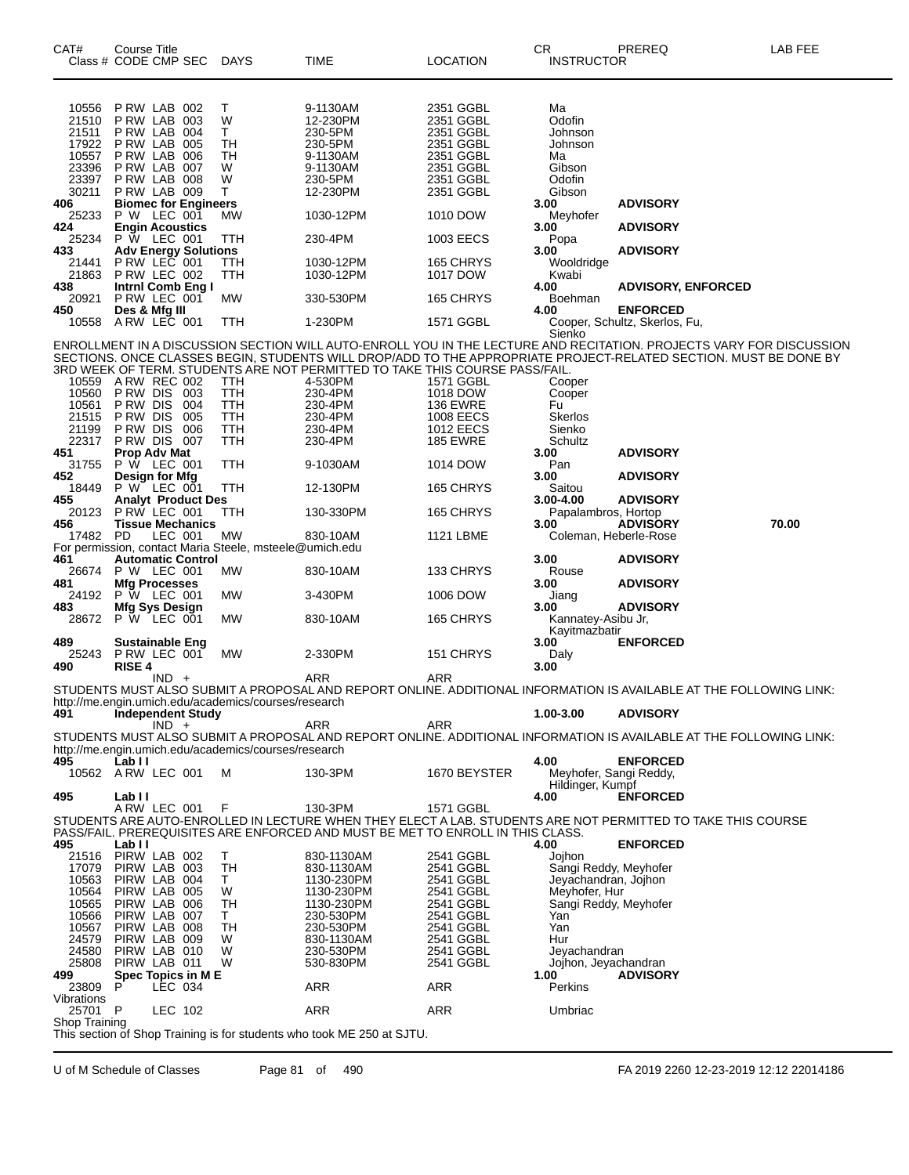| CAT#<br>Class # CODE CMP SEC                                                                              | Course Title                                                                                                                                                         |         |                                                                           | DAYS                                                                      | <b>TIME</b>                                                                                                                                                                        | <b>LOCATION</b>                                                                                                                           | <b>CR</b><br><b>INSTRUCTOR</b>                                                                                                      | PREREQ                                                                                                                                                                                                                                                                                                              | LAB FEE |
|-----------------------------------------------------------------------------------------------------------|----------------------------------------------------------------------------------------------------------------------------------------------------------------------|---------|---------------------------------------------------------------------------|---------------------------------------------------------------------------|------------------------------------------------------------------------------------------------------------------------------------------------------------------------------------|-------------------------------------------------------------------------------------------------------------------------------------------|-------------------------------------------------------------------------------------------------------------------------------------|---------------------------------------------------------------------------------------------------------------------------------------------------------------------------------------------------------------------------------------------------------------------------------------------------------------------|---------|
| 10556                                                                                                     | PRW LAB 002                                                                                                                                                          |         |                                                                           | т                                                                         | 9-1130AM                                                                                                                                                                           | 2351 GGBL                                                                                                                                 | Ma                                                                                                                                  |                                                                                                                                                                                                                                                                                                                     |         |
| 21510                                                                                                     | PRW LAB 003                                                                                                                                                          |         |                                                                           | W                                                                         | 12-230PM                                                                                                                                                                           | 2351 GGBL                                                                                                                                 | Odofin                                                                                                                              |                                                                                                                                                                                                                                                                                                                     |         |
| 21511                                                                                                     | PRW LAB 004                                                                                                                                                          |         |                                                                           | Τ                                                                         | 230-5PM                                                                                                                                                                            | 2351 GGBL                                                                                                                                 | Johnson                                                                                                                             |                                                                                                                                                                                                                                                                                                                     |         |
| 17922 P RW LAB 005                                                                                        |                                                                                                                                                                      |         |                                                                           | TН                                                                        | 230-5PM                                                                                                                                                                            | 2351 GGBL                                                                                                                                 | Johnson                                                                                                                             |                                                                                                                                                                                                                                                                                                                     |         |
| 10557                                                                                                     | PRW LAB 006                                                                                                                                                          |         |                                                                           | TН                                                                        | 9-1130AM                                                                                                                                                                           | 2351 GGBL                                                                                                                                 | Ma                                                                                                                                  |                                                                                                                                                                                                                                                                                                                     |         |
| 23396<br>23397                                                                                            | PRW LAB 007<br>PRW LAB 008                                                                                                                                           |         |                                                                           | W<br>W                                                                    | 9-1130AM                                                                                                                                                                           | 2351 GGBL<br>2351 GGBL                                                                                                                    | Gibson<br>Odofin                                                                                                                    |                                                                                                                                                                                                                                                                                                                     |         |
| 30211                                                                                                     | PRW LAB 009                                                                                                                                                          |         |                                                                           | т                                                                         | 230-5PM<br>12-230PM                                                                                                                                                                | 2351 GGBL                                                                                                                                 | Gibson                                                                                                                              |                                                                                                                                                                                                                                                                                                                     |         |
| 406                                                                                                       |                                                                                                                                                                      |         | <b>Biomec for Engineers</b>                                               |                                                                           |                                                                                                                                                                                    |                                                                                                                                           | 3.00                                                                                                                                | <b>ADVISORY</b>                                                                                                                                                                                                                                                                                                     |         |
| 25233                                                                                                     | P W LEC 001                                                                                                                                                          |         |                                                                           | <b>MW</b>                                                                 | 1030-12PM                                                                                                                                                                          | 1010 DOW                                                                                                                                  | Meyhofer                                                                                                                            |                                                                                                                                                                                                                                                                                                                     |         |
| 424                                                                                                       | <b>Engin Acoustics</b>                                                                                                                                               |         |                                                                           |                                                                           |                                                                                                                                                                                    |                                                                                                                                           | 3.00                                                                                                                                | <b>ADVISORY</b>                                                                                                                                                                                                                                                                                                     |         |
| 25234                                                                                                     | <b>P W LEC 001</b>                                                                                                                                                   |         |                                                                           | ттн                                                                       | 230-4PM                                                                                                                                                                            | 1003 EECS                                                                                                                                 | Popa                                                                                                                                |                                                                                                                                                                                                                                                                                                                     |         |
| 433<br>21441                                                                                              |                                                                                                                                                                      |         | Adv Energy Solutions<br>P RW LEC 001 TTH                                  | TTH                                                                       | 1030-12PM                                                                                                                                                                          | 165 CHRYS                                                                                                                                 | 3.00<br>Wooldridge                                                                                                                  | <b>ADVISORY</b>                                                                                                                                                                                                                                                                                                     |         |
| 21863                                                                                                     | PRW LEC 002                                                                                                                                                          |         |                                                                           | TTH                                                                       | 1030-12PM                                                                                                                                                                          | 1017 DOW                                                                                                                                  | Kwabi                                                                                                                               |                                                                                                                                                                                                                                                                                                                     |         |
| 438                                                                                                       |                                                                                                                                                                      |         | Intrnl Comb Eng I                                                         |                                                                           |                                                                                                                                                                                    |                                                                                                                                           | 4.00                                                                                                                                | <b>ADVISORY, ENFORCED</b>                                                                                                                                                                                                                                                                                           |         |
| 20921                                                                                                     | PRW LEC 001                                                                                                                                                          |         |                                                                           | МW                                                                        | 330-530PM                                                                                                                                                                          | 165 CHRYS                                                                                                                                 | Boehman                                                                                                                             |                                                                                                                                                                                                                                                                                                                     |         |
| 450                                                                                                       | Des & Mfg III                                                                                                                                                        |         |                                                                           |                                                                           |                                                                                                                                                                                    |                                                                                                                                           | 4.00                                                                                                                                | <b>ENFORCED</b>                                                                                                                                                                                                                                                                                                     |         |
| 10558 A RW LEC 001                                                                                        |                                                                                                                                                                      |         |                                                                           | ттн                                                                       | 1-230PM                                                                                                                                                                            | 1571 GGBL                                                                                                                                 | Sienko                                                                                                                              | Cooper, Schultz, Skerlos, Fu,                                                                                                                                                                                                                                                                                       |         |
| 10559<br>10560<br>10561<br>21515<br>21199<br>22317<br>451<br>31755<br>452<br>18449<br>455<br>20123<br>456 | ARW REC 002<br><b>P RW DIS 003</b><br>P RW DIS<br>P RW DIS<br>P RW DIS<br>PRW DIS 007<br>Prop Adv Mat<br>P W LEC 001<br>Design for Mfg<br>P W LEC 001<br>PRW LEC 001 |         | 004<br>005<br>006<br><b>Analyt Product Des</b><br><b>Tissue Mechanics</b> | TTH<br><b>TTH</b><br>TTH<br>TTH<br><b>TTH</b><br>TTH<br>TTH<br>TTH<br>TTH | 3RD WEEK OF TERM. STUDENTS ARE NOT PERMITTED TO TAKE THIS COURSE PASS/FAIL.<br>4-530PM<br>230-4PM<br>230-4PM<br>230-4PM<br>230-4PM<br>230-4PM<br>9-1030AM<br>12-130PM<br>130-330PM | 1571 GGBL<br>1018 DOW<br><b>136 EWRE</b><br><b>1008 EECS</b><br><b>1012 EECS</b><br><b>185 EWRE</b><br>1014 DOW<br>165 CHRYS<br>165 CHRYS | Cooper<br>Cooper<br>Fu<br>Skerlos<br>Sienko<br>Schultz<br>3.00<br>Pan<br>3.00<br>Saitou<br>3.00-4.00<br>Papalambros, Hortop<br>3.00 | ENROLLMENT IN A DISCUSSION SECTION WILL AUTO-ENROLL YOU IN THE LECTURE AND RECITATION. PROJECTS VARY FOR DISCUSSION<br>SECTIONS. ONCE CLASSES BEGIN, STUDENTS WILL DROP/ADD TO THE APPROPRIATE PROJECT-RELATED SECTION. MUST BE DONE BY<br><b>ADVISORY</b><br><b>ADVISORY</b><br><b>ADVISORY</b><br><b>ADVISORY</b> | 70.00   |
| 17482                                                                                                     | <b>PD</b>                                                                                                                                                            | LEC 001 |                                                                           |                                                                           | 830-10AM                                                                                                                                                                           |                                                                                                                                           |                                                                                                                                     |                                                                                                                                                                                                                                                                                                                     |         |
|                                                                                                           |                                                                                                                                                                      |         |                                                                           | MW<br>For permission, contact Maria Steele, msteele@umich.edu             |                                                                                                                                                                                    | 1121 LBME                                                                                                                                 | Coleman, Heberle-Rose                                                                                                               |                                                                                                                                                                                                                                                                                                                     |         |
| 461                                                                                                       |                                                                                                                                                                      |         | <b>Automatic Control</b>                                                  |                                                                           |                                                                                                                                                                                    |                                                                                                                                           | 3.00                                                                                                                                | <b>ADVISORY</b>                                                                                                                                                                                                                                                                                                     |         |
| 26674 P W LEC 001                                                                                         |                                                                                                                                                                      |         |                                                                           | MW                                                                        | 830-10AM                                                                                                                                                                           | 133 CHRYS                                                                                                                                 | Rouse                                                                                                                               |                                                                                                                                                                                                                                                                                                                     |         |
| 481                                                                                                       | <b>Mfg Processes</b>                                                                                                                                                 |         |                                                                           |                                                                           |                                                                                                                                                                                    |                                                                                                                                           | 3.00                                                                                                                                | <b>ADVISORY</b>                                                                                                                                                                                                                                                                                                     |         |
| 24192                                                                                                     | <b>P W LEC 001</b>                                                                                                                                                   |         |                                                                           | МW                                                                        | 3-430PM                                                                                                                                                                            | 1006 DOW                                                                                                                                  | Jiang                                                                                                                               |                                                                                                                                                                                                                                                                                                                     |         |
| 483                                                                                                       | <b>Mfg Sys Design</b>                                                                                                                                                |         |                                                                           |                                                                           |                                                                                                                                                                                    |                                                                                                                                           | 3.00                                                                                                                                | <b>ADVISORY</b>                                                                                                                                                                                                                                                                                                     |         |
| 28672 P W LEC 001                                                                                         |                                                                                                                                                                      |         |                                                                           | MW                                                                        | 830-10AM                                                                                                                                                                           | 165 CHRYS                                                                                                                                 | Kannatey-Asibu Jr,                                                                                                                  |                                                                                                                                                                                                                                                                                                                     |         |
|                                                                                                           |                                                                                                                                                                      |         |                                                                           |                                                                           |                                                                                                                                                                                    |                                                                                                                                           | Kayitmazbatir                                                                                                                       |                                                                                                                                                                                                                                                                                                                     |         |
| 489<br>25243                                                                                              | <b>Sustainable Eng</b><br>PRW LEC 001                                                                                                                                |         |                                                                           | МW                                                                        | 2-330PM                                                                                                                                                                            | 151 CHRYS                                                                                                                                 | 3.00                                                                                                                                | <b>ENFORCED</b>                                                                                                                                                                                                                                                                                                     |         |
| 490                                                                                                       | <b>RISE 4</b>                                                                                                                                                        |         |                                                                           |                                                                           |                                                                                                                                                                                    |                                                                                                                                           | Daly<br>3.00                                                                                                                        |                                                                                                                                                                                                                                                                                                                     |         |
|                                                                                                           |                                                                                                                                                                      | $IND +$ |                                                                           | http://me.engin.umich.edu/academics/courses/research                      | ARR                                                                                                                                                                                | ARR                                                                                                                                       |                                                                                                                                     | STUDENTS MUST ALSO SUBMIT A PROPOSAL AND REPORT ONLINE. ADDITIONAL INFORMATION IS AVAILABLE AT THE FOLLOWING LINK:                                                                                                                                                                                                  |         |
| 491                                                                                                       |                                                                                                                                                                      |         | <b>Independent Study</b>                                                  |                                                                           |                                                                                                                                                                                    |                                                                                                                                           | 1.00-3.00                                                                                                                           | <b>ADVISORY</b>                                                                                                                                                                                                                                                                                                     |         |
|                                                                                                           |                                                                                                                                                                      | $IND +$ |                                                                           | http://me.engin.umich.edu/academics/courses/research                      | ARR                                                                                                                                                                                | ARR                                                                                                                                       |                                                                                                                                     | STUDENTS MUST ALSO SUBMIT A PROPOSAL AND REPORT ONLINE. ADDITIONAL INFORMATION IS AVAILABLE AT THE FOLLOWING LINK:                                                                                                                                                                                                  |         |
| 495<br>10562                                                                                              | Lab I I<br>ARW LEC 001                                                                                                                                               |         |                                                                           | м                                                                         | 130-3PM                                                                                                                                                                            | 1670 BEYSTER                                                                                                                              | 4.00<br>Meyhofer, Sangi Reddy,<br>Hildinger, Kumpf                                                                                  | <b>ENFORCED</b>                                                                                                                                                                                                                                                                                                     |         |
| 495                                                                                                       | Lab I I                                                                                                                                                              |         |                                                                           |                                                                           |                                                                                                                                                                                    |                                                                                                                                           | 4.00                                                                                                                                | <b>ENFORCED</b>                                                                                                                                                                                                                                                                                                     |         |
|                                                                                                           | ARW LEC 001                                                                                                                                                          |         |                                                                           | F                                                                         | 130-3PM                                                                                                                                                                            | 1571 GGBL                                                                                                                                 |                                                                                                                                     |                                                                                                                                                                                                                                                                                                                     |         |
|                                                                                                           |                                                                                                                                                                      |         |                                                                           |                                                                           | PASS/FAIL. PREREQUISITES ARE ENFORCED AND MUST BE MET TO ENROLL IN THIS CLASS.                                                                                                     |                                                                                                                                           |                                                                                                                                     | STUDENTS ARE AUTO-ENROLLED IN LECTURE WHEN THEY ELECT A LAB. STUDENTS ARE NOT PERMITTED TO TAKE THIS COURSE                                                                                                                                                                                                         |         |
| 495                                                                                                       | Lab II                                                                                                                                                               |         |                                                                           |                                                                           |                                                                                                                                                                                    |                                                                                                                                           | 4.00                                                                                                                                | <b>ENFORCED</b>                                                                                                                                                                                                                                                                                                     |         |
| 21516 PIRW LAB 002                                                                                        | PIRW LAB 003                                                                                                                                                         |         |                                                                           | Τ                                                                         | 830-1130AM                                                                                                                                                                         | 2541 GGBL                                                                                                                                 | Jojhon                                                                                                                              |                                                                                                                                                                                                                                                                                                                     |         |
| 17079<br>10563                                                                                            | PIRW LAB 004                                                                                                                                                         |         |                                                                           | TH<br>T.                                                                  | 830-1130AM<br>1130-230PM                                                                                                                                                           | 2541 GGBL<br>2541 GGBL                                                                                                                    | Sangi Reddy, Meyhofer<br>Jeyachandran, Jojhon                                                                                       |                                                                                                                                                                                                                                                                                                                     |         |
| 10564                                                                                                     | PIRW LAB 005                                                                                                                                                         |         |                                                                           | W                                                                         | 1130-230PM                                                                                                                                                                         | 2541 GGBL                                                                                                                                 | Meyhofer, Hur                                                                                                                       |                                                                                                                                                                                                                                                                                                                     |         |
| 10565                                                                                                     | PIRW LAB 006                                                                                                                                                         |         |                                                                           | TН                                                                        | 1130-230PM                                                                                                                                                                         | 2541 GGBL                                                                                                                                 | Sangi Reddy, Meyhofer                                                                                                               |                                                                                                                                                                                                                                                                                                                     |         |
| 10566                                                                                                     | PIRW LAB 007                                                                                                                                                         |         |                                                                           | T.                                                                        | 230-530PM                                                                                                                                                                          | 2541 GGBL                                                                                                                                 | Yan                                                                                                                                 |                                                                                                                                                                                                                                                                                                                     |         |
| 10567                                                                                                     | PIRW LAB 008                                                                                                                                                         |         |                                                                           | TН                                                                        | 230-530PM                                                                                                                                                                          | 2541 GGBL                                                                                                                                 | Yan                                                                                                                                 |                                                                                                                                                                                                                                                                                                                     |         |
| 24579                                                                                                     | PIRW LAB 009                                                                                                                                                         |         |                                                                           | W                                                                         | 830-1130AM                                                                                                                                                                         | 2541 GGBL                                                                                                                                 | Hur                                                                                                                                 |                                                                                                                                                                                                                                                                                                                     |         |
| 24580                                                                                                     | PIRW LAB 010                                                                                                                                                         |         |                                                                           | W                                                                         | 230-530PM                                                                                                                                                                          | 2541 GGBL                                                                                                                                 | Jeyachandran                                                                                                                        |                                                                                                                                                                                                                                                                                                                     |         |
| 25808<br>499                                                                                              | PIRW LAB 011                                                                                                                                                         |         | Spec Topics in M E                                                        | W                                                                         | 530-830PM                                                                                                                                                                          | 2541 GGBL                                                                                                                                 | Jojhon, Jeyachandran<br>1.00                                                                                                        | <b>ADVISORY</b>                                                                                                                                                                                                                                                                                                     |         |
| 23809                                                                                                     | P                                                                                                                                                                    |         | LEC 034                                                                   |                                                                           | ARR                                                                                                                                                                                | ARR                                                                                                                                       | Perkins                                                                                                                             |                                                                                                                                                                                                                                                                                                                     |         |
| Vibrations                                                                                                |                                                                                                                                                                      |         |                                                                           |                                                                           |                                                                                                                                                                                    |                                                                                                                                           |                                                                                                                                     |                                                                                                                                                                                                                                                                                                                     |         |
| 25701                                                                                                     | - P                                                                                                                                                                  |         | LEC 102                                                                   |                                                                           | ARR                                                                                                                                                                                | ARR                                                                                                                                       | Umbriac                                                                                                                             |                                                                                                                                                                                                                                                                                                                     |         |
| Shop Training                                                                                             |                                                                                                                                                                      |         |                                                                           |                                                                           |                                                                                                                                                                                    |                                                                                                                                           |                                                                                                                                     |                                                                                                                                                                                                                                                                                                                     |         |
|                                                                                                           |                                                                                                                                                                      |         |                                                                           |                                                                           | This section of Shop Training is for students who took ME 250 at SJTU.                                                                                                             |                                                                                                                                           |                                                                                                                                     |                                                                                                                                                                                                                                                                                                                     |         |
|                                                                                                           |                                                                                                                                                                      |         |                                                                           |                                                                           |                                                                                                                                                                                    |                                                                                                                                           |                                                                                                                                     |                                                                                                                                                                                                                                                                                                                     |         |

U of M Schedule of Classes Page 81 of 490 FA 2019 2260 12-23-2019 12:12 22014186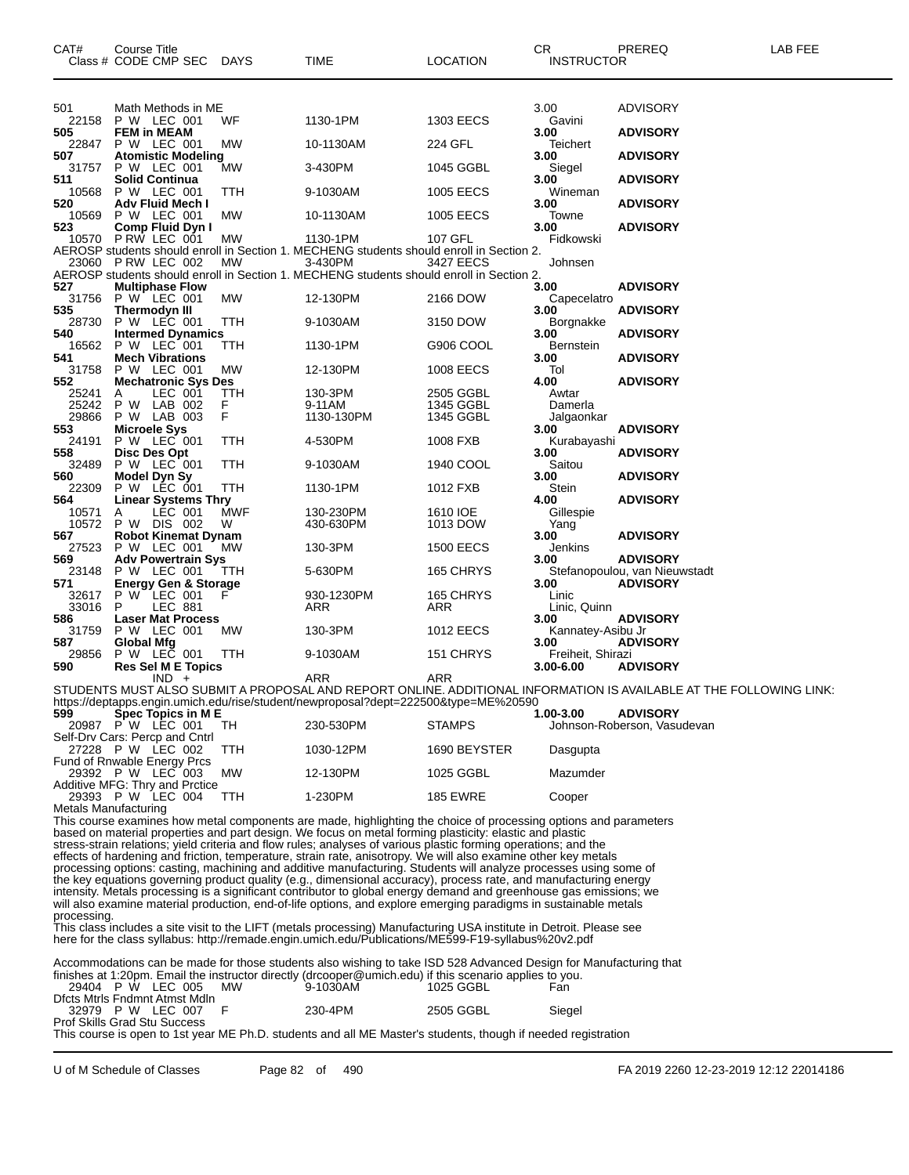| CAT#           | Course Title<br>Class # CODE CMP SEC                                      | DAYS      | TIME                                                                                                                                                                                                                                   | <b>LOCATION</b>        | CR<br><b>INSTRUCTOR</b>        | PREREQ                                                                                                             | LAB FEE |
|----------------|---------------------------------------------------------------------------|-----------|----------------------------------------------------------------------------------------------------------------------------------------------------------------------------------------------------------------------------------------|------------------------|--------------------------------|--------------------------------------------------------------------------------------------------------------------|---------|
| 501            | Math Methods in ME                                                        |           |                                                                                                                                                                                                                                        |                        | 3.00                           | <b>ADVISORY</b>                                                                                                    |         |
| 22158<br>505   | P W LEC 001<br><b>FEM in MEAM</b>                                         | WF        | 1130-1PM                                                                                                                                                                                                                               | 1303 EECS              | Gavini<br>3.00                 | <b>ADVISORY</b>                                                                                                    |         |
| 22847          | P W LEC 001                                                               | МW        | 10-1130AM                                                                                                                                                                                                                              | 224 GFL                | Teichert                       |                                                                                                                    |         |
| 507<br>31757   | <b>Atomistic Modeling</b><br>P W LEC 001                                  | МW        | 3-430PM                                                                                                                                                                                                                                | 1045 GGBL              | 3.00<br>Siegel                 | <b>ADVISORY</b>                                                                                                    |         |
| 511<br>10568   | <b>Solid Continua</b><br>P W LEC 001                                      | ттн       | 9-1030AM                                                                                                                                                                                                                               | 1005 EECS              | 3.00<br>Wineman                | <b>ADVISORY</b>                                                                                                    |         |
| 520<br>10569   | Adv Fluid Mech I<br>P W LEC 001                                           | МW        | 10-1130AM                                                                                                                                                                                                                              | 1005 EECS              | 3.00<br>Towne                  | <b>ADVISORY</b>                                                                                                    |         |
| 523            | Comp Fluid Dyn I<br>10570 P RW LEC 001                                    | МW        | 1130-1PM                                                                                                                                                                                                                               | 107 GFL                | 3.00<br>Fidkowski              | <b>ADVISORY</b>                                                                                                    |         |
|                | 23060 PRW LEC 002                                                         | МW        | AEROSP students should enroll in Section 1. MECHENG students should enroll in Section 2.<br>3-430PM                                                                                                                                    | 3427 EECS              | Johnsen                        |                                                                                                                    |         |
| 527            | <b>Multiphase Flow</b>                                                    |           | AEROSP students should enroll in Section 1. MECHENG students should enroll in Section 2.                                                                                                                                               |                        | 3.00                           | <b>ADVISORY</b>                                                                                                    |         |
| 31756<br>535   | P W LEC 001<br>Thermodyn III                                              | МW        | 12-130PM                                                                                                                                                                                                                               | 2166 DOW               | Capecelatro<br>3.00            | <b>ADVISORY</b>                                                                                                    |         |
| 28730          | P W LEC 001                                                               | ттн       | 9-1030AM                                                                                                                                                                                                                               | 3150 DOW               | Borgnakke                      |                                                                                                                    |         |
| 540<br>16562   | <b>Intermed Dynamics</b><br>P W LEC 001                                   | ттн       | 1130-1PM                                                                                                                                                                                                                               | G906 COOL              | 3.00<br><b>Bernstein</b>       | <b>ADVISORY</b>                                                                                                    |         |
| 541<br>31758   | <b>Mech Vibrations</b><br>P W LEC 001                                     | МW        | 12-130PM                                                                                                                                                                                                                               | 1008 EECS              | 3.00<br>Tol                    | <b>ADVISORY</b>                                                                                                    |         |
| 552<br>25241   | <b>Mechatronic Sys Des</b><br>LEC 001<br>A                                | TTH       | 130-3PM                                                                                                                                                                                                                                | 2505 GGBL              | 4.00<br>Awtar                  | <b>ADVISORY</b>                                                                                                    |         |
| 25242<br>29866 | P W LAB 002<br>P W LAB 003                                                | F<br>F    | 9-11AM<br>1130-130PM                                                                                                                                                                                                                   | 1345 GGBL<br>1345 GGBL | Damerla<br>Jalgaonkar          |                                                                                                                    |         |
| 553<br>24191   | Microele Sys<br>P W LEC 001                                               | TTH       | 4-530PM                                                                                                                                                                                                                                | 1008 FXB               | 3.00<br>Kurabayashi            | <b>ADVISORY</b>                                                                                                    |         |
| 558<br>32489   | Disc Des Opt<br>P W LEC 001                                               | TTH       | 9-1030AM                                                                                                                                                                                                                               | 1940 COOL              | 3.00<br>Saitou                 | <b>ADVISORY</b>                                                                                                    |         |
| 560<br>22309   | <b>Model Dyn Sy</b><br>P W LEC 001                                        | TTH       | 1130-1PM                                                                                                                                                                                                                               | 1012 FXB               | 3.00<br>Stein                  | <b>ADVISORY</b>                                                                                                    |         |
| 564            | <b>Linear Systems Thry</b>                                                |           |                                                                                                                                                                                                                                        |                        | 4.00                           | <b>ADVISORY</b>                                                                                                    |         |
| 10571          | LEC 001<br>A<br>10572 P W DIS 002                                         | MWF<br>W  | 130-230PM<br>430-630PM                                                                                                                                                                                                                 | 1610 IOE<br>1013 DOW   | Gillespie<br>Yang              |                                                                                                                    |         |
| 567<br>27523   | <b>Robot Kinemat Dynam</b><br>P W LEC 001                                 | MW        | 130-3PM                                                                                                                                                                                                                                | <b>1500 EECS</b>       | 3.00<br>Jenkins                | <b>ADVISORY</b>                                                                                                    |         |
| 569<br>23148   | <b>Adv Powertrain Sys</b><br>P W LEC 001                                  | ттн       | 5-630PM                                                                                                                                                                                                                                | 165 CHRYS              | 3.00                           | <b>ADVISORY</b><br>Stefanopoulou, van Nieuwstadt                                                                   |         |
| 571            | <b>Energy Gen &amp; Storage</b><br>32617 P W LEC 001                      | F         | 930-1230PM                                                                                                                                                                                                                             | 165 CHRYS              | 3.00<br>Linic                  | <b>ADVISORY</b>                                                                                                    |         |
| 33016<br>586   | P<br>LEC 881<br><b>Laser Mat Process</b>                                  |           | ARR                                                                                                                                                                                                                                    | ARR                    | Linic, Quinn<br>3.00           | <b>ADVISORY</b>                                                                                                    |         |
| 31759<br>587   | P W LEC 001<br><b>Global Mfg</b>                                          | <b>MW</b> | 130-3PM                                                                                                                                                                                                                                | 1012 EECS              | Kannatey-Asibu Jr<br>3.00      | <b>ADVISORY</b>                                                                                                    |         |
| 29856<br>590   | P W LEC 001<br><b>Res Sel M E Topics</b>                                  | TTH       | 9-1030AM                                                                                                                                                                                                                               | 151 CHRYS              | Freiheit, Shirazi<br>3.00-6.00 | <b>ADVISORY</b>                                                                                                    |         |
|                | $IND +$                                                                   |           | ARR                                                                                                                                                                                                                                    | ARR                    |                                | STUDENTS MUST ALSO SUBMIT A PROPOSAL AND REPORT ONLINE. ADDITIONAL INFORMATION IS AVAILABLE AT THE FOLLOWING LINK: |         |
| 599            |                                                                           |           | https://deptapps.engin.umich.edu/rise/student/newproposal?dept=222500&type=ME%20590                                                                                                                                                    |                        | 1.00-3.00                      |                                                                                                                    |         |
|                | Spec Topics in M E<br>20987 P W LEC 001<br>Self-Drv Cars: Percp and Cntrl | TH        | 230-530PM                                                                                                                                                                                                                              | <b>STAMPS</b>          |                                | <b>ADVISORY</b><br>Johnson-Roberson, Vasudevan                                                                     |         |
|                | 27228 P W LEC 002                                                         | TTH       | 1030-12PM                                                                                                                                                                                                                              | 1690 BEYSTER           | Dasgupta                       |                                                                                                                    |         |
|                | Fund of Rnwable Energy Prcs<br>29392 P W LEC 003                          | МW        | 12-130PM                                                                                                                                                                                                                               | 1025 GGBL              | Mazumder                       |                                                                                                                    |         |
|                | Additive MFG: Thry and Prctice<br>29393 P W LEC 004                       | TTH       | 1-230PM                                                                                                                                                                                                                                | <b>185 EWRE</b>        | Cooper                         |                                                                                                                    |         |
|                | Metals Manufacturing                                                      |           | This course examines how metal components are made, highlighting the choice of processing options and parameters                                                                                                                       |                        |                                |                                                                                                                    |         |
|                |                                                                           |           | based on material properties and part design. We focus on metal forming plasticity: elastic and plastic<br>stress-strain relations, yield criteria and flow rules; analyses of various plastic forming operations; and the             |                        |                                |                                                                                                                    |         |
|                |                                                                           |           | effects of hardening and friction, temperature, strain rate, anisotropy. We will also examine other key metals<br>processing options: casting, machining and additive manufacturing. Students will analyze processes using some of     |                        |                                |                                                                                                                    |         |
|                |                                                                           |           | the key equations governing product quality (e.g., dimensional accuracy), process rate, and manufacturing energy<br>intensity. Metals processing is a significant contributor to global energy demand and greenhouse gas emissions; we |                        |                                |                                                                                                                    |         |
| processing.    |                                                                           |           | will also examine material production, end-of-life options, and explore emerging paradigms in sustainable metals                                                                                                                       |                        |                                |                                                                                                                    |         |
|                |                                                                           |           | This class includes a site visit to the LIFT (metals processing) Manufacturing USA institute in Detroit. Please see<br>here for the class syllabus: http://remade.engin.umich.edu/Publications/ME599-F19-syllabus%20v2.pdf             |                        |                                |                                                                                                                    |         |
|                |                                                                           |           |                                                                                                                                                                                                                                        |                        |                                |                                                                                                                    |         |
|                |                                                                           |           | Accommodations can be made for those students also wishing to take ISD 528 Advanced Design for Manufacturing that<br>finishes at 1:20pm. Email the instructor directly (drcooper@umich.edu) if this scenario applies to you.           |                        |                                |                                                                                                                    |         |
|                | 29404 P W LEC 005<br>Dfcts Mtrls Fndmnt Atmst Mdln                        | МW        | 9-1030AM                                                                                                                                                                                                                               | 1025 GGBL              | Fan                            |                                                                                                                    |         |
|                | 32979 P W LEC 007 F<br>Prof Skills Grad Stu Success                       |           | 230-4PM                                                                                                                                                                                                                                | 2505 GGBL              | Siegel                         |                                                                                                                    |         |
|                |                                                                           |           | This course is open to 1st year ME Ph.D. students and all ME Master's students, though if needed registration                                                                                                                          |                        |                                |                                                                                                                    |         |
|                |                                                                           |           |                                                                                                                                                                                                                                        |                        |                                |                                                                                                                    |         |

U of M Schedule of Classes Page 82 of 490 FA 2019 2260 12-23-2019 12:12 22014186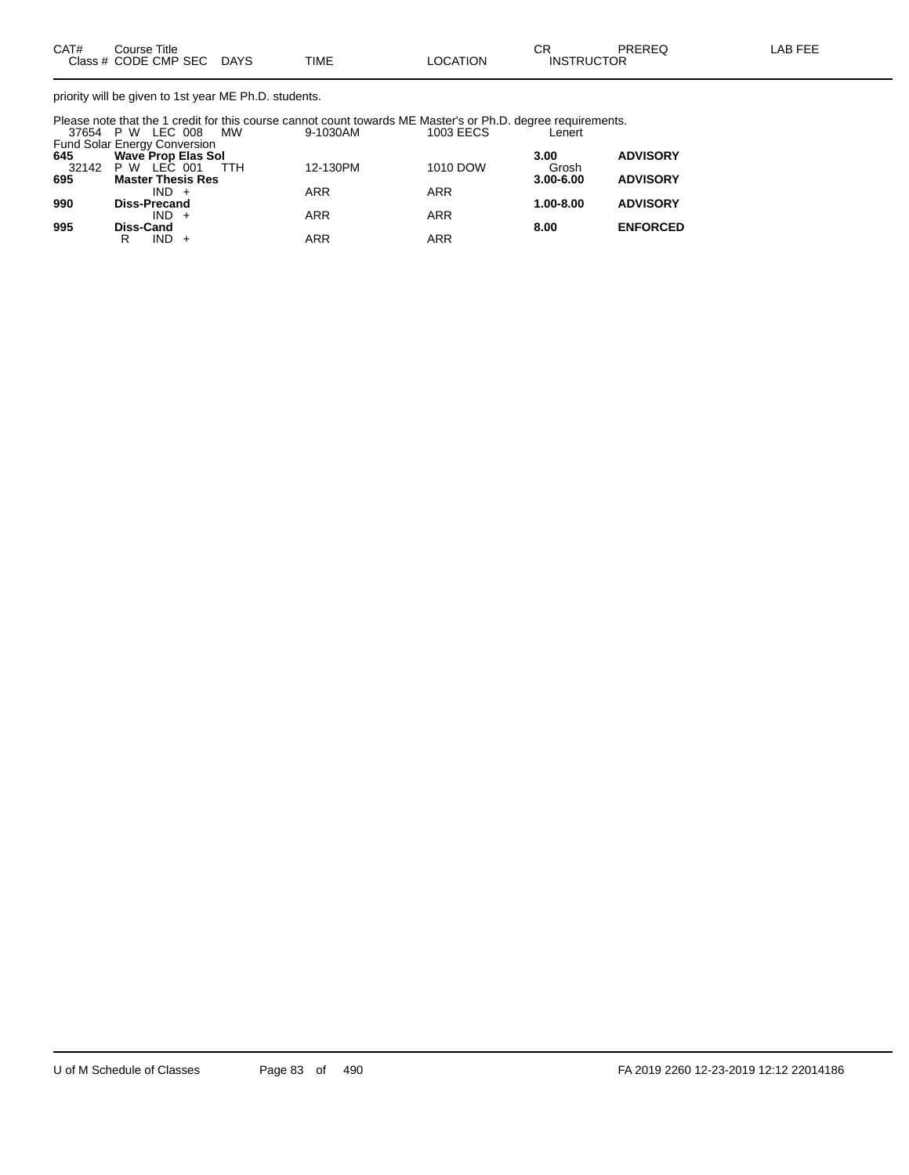priority will be given to 1st year ME Ph.D. students.

Please note that the 1 credit for this course cannot count towards ME Master's or Ph.D. degree requirements. 37654 P W LEC 008 MW 9-1030AM 1003 EECS Lenert

|     | <b>Fund Solar Energy Conversion</b> |            |            |               |                 |
|-----|-------------------------------------|------------|------------|---------------|-----------------|
| 645 | <b>Wave Prop Elas Sol</b>           |            |            | 3.00          | <b>ADVISORY</b> |
|     | 32142 P W LEC 001<br>TTH            | 12-130PM   | 1010 DOW   | Grosh         |                 |
| 695 | <b>Master Thesis Res</b>            |            |            | $3.00 - 6.00$ | <b>ADVISORY</b> |
|     | $IND +$                             | <b>ARR</b> | ARR        |               |                 |
| 990 | <b>Diss-Precand</b>                 |            |            | $1.00 - 8.00$ | <b>ADVISORY</b> |
|     | $IND +$                             | <b>ARR</b> | <b>ARR</b> |               |                 |
| 995 | <b>Diss-Cand</b>                    |            |            | 8.00          | <b>ENFORCED</b> |
|     | IND.<br>R                           | ARR        | ARR        |               |                 |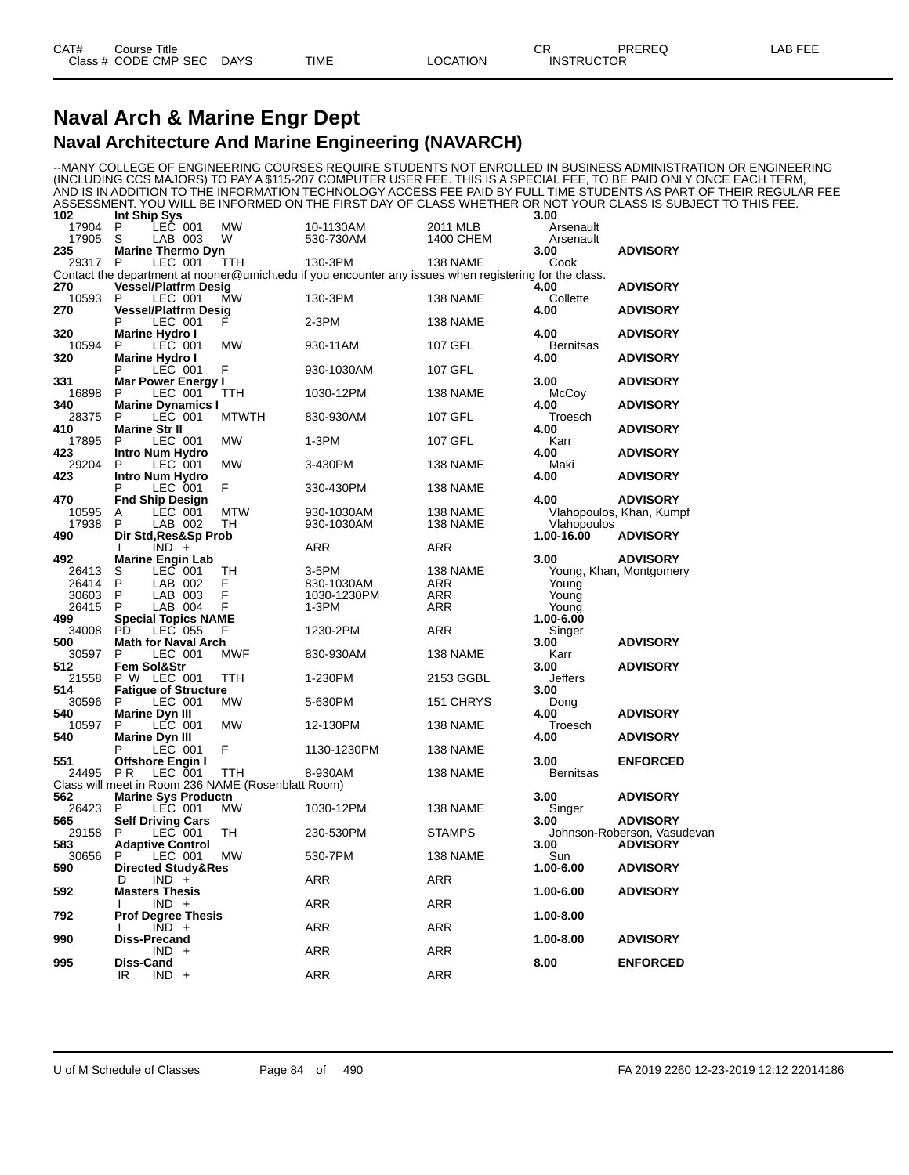### **Naval Arch & Marine Engr Dept Naval Architecture And Marine Engineering (NAVARCH)**

--MANY COLLEGE OF ENGINEERING COURSES REQUIRE STUDENTS NOT ENROLLED IN BUSINESS ADMINISTRATION OR ENGINEERING (INCLUDING CCS MAJORS) TO PAY A \$115-207 COMPUTER USER FEE. THIS IS A SPECIAL FEE, TO BE PAID ONLY ONCE EACH TERM, AND IS IN ADDITION TO THE INFORMATION TECHNOLOGY ACCESS FEE PAID BY FULL TIME STUDENTS AS PART OF THEIR REGULAR FEE ASSESSMENT. YOU WILL BE INFORMED ON THE FIRST DAY OF CLASS WHETHER OR NOT YOUR CLASS IS SUBJECT TO THIS FEE.

| 102          | Int Ship Sys                       |                |     |                                                           |                                                                                                        |               | 3.00             |                             |
|--------------|------------------------------------|----------------|-----|-----------------------------------------------------------|--------------------------------------------------------------------------------------------------------|---------------|------------------|-----------------------------|
| 17904        | P                                  | LEC 001        |     | <b>MW</b>                                                 | 10-1130AM                                                                                              | 2011 MLB      | Arsenault        |                             |
| 17905        | S                                  | LAB 003        |     | W                                                         | 530-730AM                                                                                              | 1400 CHEM     | Arsenault        |                             |
| 235          | <b>Marine Thermo Dyn</b>           |                |     |                                                           |                                                                                                        |               | 3.00             | <b>ADVISORY</b>             |
| 29317        | P                                  | LEC 001        |     | TTH                                                       | 130-3PM                                                                                                | 138 NAME      | Cook             |                             |
|              |                                    |                |     |                                                           | Contact the department at nooner@umich.edu if you encounter any issues when registering for the class. |               |                  |                             |
| 270          | <b>Vessel/Platfrm Desig</b><br>P   |                |     |                                                           |                                                                                                        |               | 4.00             | <b>ADVISORY</b>             |
| 10593<br>270 | <b>Vessel/Platfrm Desig</b>        | LEC 001        |     | <b>MW</b>                                                 | 130-3PM                                                                                                | 138 NAME      | Collette<br>4.00 | <b>ADVISORY</b>             |
|              | P                                  | LEC 001        |     | F                                                         | 2-3PM                                                                                                  | 138 NAME      |                  |                             |
| 320          | <b>Marine Hydro I</b>              |                |     |                                                           |                                                                                                        |               | 4.00             | <b>ADVISORY</b>             |
| 10594        | P                                  | LEC 001        |     | <b>MW</b>                                                 | 930-11AM                                                                                               | 107 GFL       | <b>Bernitsas</b> |                             |
| 320          | Marine Hydro I                     |                |     |                                                           |                                                                                                        |               | 4.00             | <b>ADVISORY</b>             |
|              | P                                  | LEC 001        |     | F                                                         | 930-1030AM                                                                                             | 107 GFL       |                  |                             |
| 331          | <b>Mar Power Energy I</b>          |                |     |                                                           |                                                                                                        |               | 3.00             | <b>ADVISORY</b>             |
| 16898        | P                                  | LEC 001        |     | TTH                                                       | 1030-12PM                                                                                              | 138 NAME      | McCoy            |                             |
| 340          | <b>Marine Dynamics I</b>           |                |     |                                                           |                                                                                                        |               | 4.00             | <b>ADVISORY</b>             |
| 28375        | P                                  | LEC 001        |     | <b>MTWTH</b>                                              | 830-930AM                                                                                              | 107 GFL       | Troesch          |                             |
| 410          | <b>Marine Str II</b>               |                |     |                                                           |                                                                                                        |               | 4.00             | <b>ADVISORY</b>             |
| 17895        | P                                  | LEC 001        |     | <b>MW</b>                                                 | 1-3PM                                                                                                  | 107 GFL       | Karr             |                             |
| 423          | Intro Num Hydro                    |                |     |                                                           |                                                                                                        |               | 4.00             | <b>ADVISORY</b>             |
| 29204        | P                                  | LEC 001        |     | <b>MW</b>                                                 | 3-430PM                                                                                                | 138 NAME      | Maki             |                             |
| 423          | <b>Intro Num Hydro</b>             |                |     |                                                           |                                                                                                        |               | 4.00             | <b>ADVISORY</b>             |
|              | P                                  | LEC 001        |     | F                                                         | 330-430PM                                                                                              | 138 NAME      |                  |                             |
| 470          | <b>Fnd Ship Design</b>             |                |     |                                                           |                                                                                                        |               | 4.00             | <b>ADVISORY</b>             |
| 10595        | Α                                  | LEC 001        |     | MTW                                                       | 930-1030AM                                                                                             | 138 NAME      |                  | Vlahopoulos, Khan, Kumpf    |
| 17938        | P                                  | LAB 002        |     | TН                                                        | 930-1030AM                                                                                             | 138 NAME      | Vlahopoulos      |                             |
| 490          | Dir Std, Res&Sp Prob               |                |     |                                                           |                                                                                                        |               | 1.00-16.00       | <b>ADVISORY</b>             |
| 492          | T                                  | $IND +$        |     |                                                           | ARR                                                                                                    | ARR           | 3.00             | <b>ADVISORY</b>             |
| 26413        | <b>Marine Engin Lab</b><br>S       | LEC 001        |     | TН                                                        | 3-5PM                                                                                                  | 138 NAME      |                  | Young, Khan, Montgomery     |
| 26414        | P                                  | LAB 002        |     | F                                                         | 830-1030AM                                                                                             | ARR           | Young            |                             |
| 30603        | P                                  | LAB 003        |     | F                                                         | 1030-1230PM                                                                                            | ARR           | Young            |                             |
| 26415        | P                                  | LAB 004        |     | E                                                         | 1-3PM                                                                                                  | ARR           | Young            |                             |
| 499          | <b>Special Topics NAME</b>         |                |     |                                                           |                                                                                                        |               | 1.00-6.00        |                             |
| 34008        | PD                                 | LEC 055        |     | F                                                         | 1230-2PM                                                                                               | ARR           | Singer           |                             |
| 500          | <b>Math for Naval Arch</b>         |                |     |                                                           |                                                                                                        |               | 3.00             | <b>ADVISORY</b>             |
| 30597        | P                                  | LEC 001        |     | <b>MWF</b>                                                | 830-930AM                                                                                              | 138 NAME      | Karr             |                             |
| 512          | Fem Sol&Str                        |                |     |                                                           |                                                                                                        |               | 3.00             | <b>ADVISORY</b>             |
| 21558        | P W LEC 001                        |                |     | TTH                                                       | 1-230PM                                                                                                | 2153 GGBL     | Jeffers          |                             |
| 514          | <b>Fatique of Structure</b>        |                |     |                                                           |                                                                                                        |               | 3.00             |                             |
| 30596        | P                                  | LEC 001        |     | MW                                                        | 5-630PM                                                                                                | 151 CHRYS     | Dong             |                             |
| 540          | <b>Marine Dyn III</b>              |                |     |                                                           |                                                                                                        |               | 4.00             | <b>ADVISORY</b>             |
| 10597        | P                                  | LEC 001        |     | <b>MW</b>                                                 | 12-130PM                                                                                               | 138 NAME      | Troesch          |                             |
| 540          | <b>Marine Dyn III</b>              |                |     |                                                           |                                                                                                        |               | 4.00             | <b>ADVISORY</b>             |
|              | P                                  | <b>LEC 001</b> |     | F                                                         | 1130-1230PM                                                                                            | 138 NAME      |                  |                             |
| 551<br>24495 | Offshore Engin I<br>P <sub>R</sub> |                |     |                                                           | 8-930AM                                                                                                |               | 3.00             | <b>ENFORCED</b>             |
|              |                                    | LEC 001        |     | TTH<br>Class will meet in Room 236 NAME (Rosenblatt Room) |                                                                                                        | 138 NAME      | <b>Bernitsas</b> |                             |
| 562          | <b>Marine Sys Productn</b>         |                |     |                                                           |                                                                                                        |               | 3.00             | <b>ADVISORY</b>             |
| 26423        | P                                  | LEC 001        |     | МW                                                        | 1030-12PM                                                                                              | 138 NAME      | Singer           |                             |
| 565          | <b>Self Driving Cars</b>           |                |     |                                                           |                                                                                                        |               | 3.00             | <b>ADVISORY</b>             |
| 29158        | P                                  | LEC 001        |     | TH                                                        | 230-530PM                                                                                              | <b>STAMPS</b> |                  | Johnson-Roberson, Vasudevan |
| 583          | <b>Adaptive Control</b>            |                |     |                                                           |                                                                                                        |               | 3.00             | <b>ADVISORY</b>             |
| 30656        | P                                  | LEC 001        |     | <b>MW</b>                                                 | 530-7PM                                                                                                | 138 NAME      | Sun              |                             |
| 590          | Directed Study&Res                 |                |     |                                                           |                                                                                                        |               | 1.00-6.00        | <b>ADVISORY</b>             |
|              | D                                  | $IND +$        |     |                                                           | ARR                                                                                                    | ARR           |                  |                             |
| 592          | <b>Masters Thesis</b>              |                |     |                                                           |                                                                                                        |               | 1.00-6.00        | <b>ADVISORY</b>             |
|              |                                    | $IND +$        |     |                                                           | ARR                                                                                                    | ARR           |                  |                             |
| 792          | <b>Prof Degree Thesis</b>          |                |     |                                                           |                                                                                                        |               | 1.00-8.00        |                             |
|              | ı                                  | <b>IND</b>     | $+$ |                                                           | ARR                                                                                                    | ARR           |                  |                             |
| 990          | <b>Diss-Precand</b>                |                |     |                                                           |                                                                                                        |               | 1.00-8.00        | <b>ADVISORY</b>             |
|              |                                    | <b>IND</b>     | $+$ |                                                           | ARR                                                                                                    | ARR           |                  |                             |
| 995          | <b>Diss-Cand</b>                   |                |     |                                                           |                                                                                                        |               | 8.00             | <b>ENFORCED</b>             |
|              | IR                                 | $IND +$        |     |                                                           | ARR                                                                                                    | ARR           |                  |                             |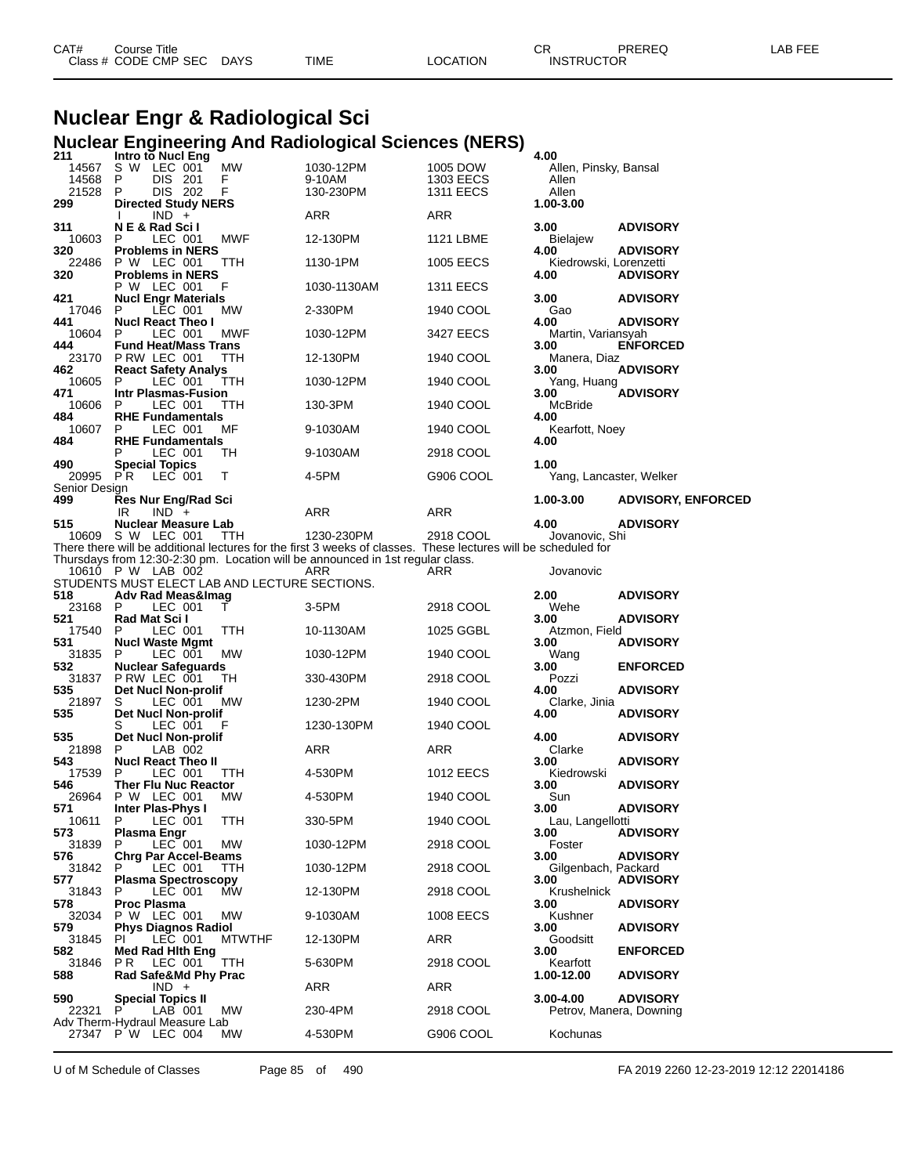| CAT# | ourse Titleٽ              |      |                 | ⌒冖<br>◡⊓          | PREREQ | ∟AB FEE |
|------|---------------------------|------|-----------------|-------------------|--------|---------|
|      | Class # CODE CMP SEC DAYS | TIME | <b>LOCATION</b> | <b>INSTRUCTOR</b> |        |         |

# **Nuclear Engr & Radiological Sci Nuclear Engineering And Radiological Sciences (NERS) 211 Intro to Nucl Eng 4.00**

| 14567                | <b>Intro to Nucl Eng</b><br>S W LEC 001                                   | МW            | 1030-12PM                                                                                                                    | 1005 DOW                      | 4.00<br>Allen, Pinsky, Bansal   |                                            |
|----------------------|---------------------------------------------------------------------------|---------------|------------------------------------------------------------------------------------------------------------------------------|-------------------------------|---------------------------------|--------------------------------------------|
| 14568<br>21528       | P<br>DIS 201<br>P<br>DIS 202                                              | F<br>F        | 9-10AM<br>130-230PM                                                                                                          | 1303 EECS<br><b>1311 EECS</b> | Allen<br>Allen                  |                                            |
| 299                  | <b>Directed Study NERS</b><br>$IND +$                                     |               | ARR                                                                                                                          | ARR                           | 1.00-3.00                       |                                            |
| 311<br>10603         | N E & Rad Scil<br>P<br>LEC 001                                            | <b>MWF</b>    | 12-130PM                                                                                                                     | 1121 LBME                     | 3.00<br><b>Bielajew</b>         | <b>ADVISORY</b>                            |
| 320<br>22486         | <b>Problems in NERS</b><br><b>P W LEC 001</b>                             | ттн           | 1130-1PM                                                                                                                     | <b>1005 EECS</b>              | 4.00<br>Kiedrowski, Lorenzetti  | <b>ADVISORY</b>                            |
| 320                  | <b>Problems in NERS</b>                                                   |               |                                                                                                                              |                               | 4.00                            | <b>ADVISORY</b>                            |
| 421                  | P W LEC 001<br><b>Nucl Engr Materials</b>                                 | F             | 1030-1130AM                                                                                                                  | <b>1311 EECS</b>              | 3.00                            | <b>ADVISORY</b>                            |
| 17046<br>441         | LEC 001<br>P<br><b>Nucl React Theo I</b>                                  | МW            | 2-330PM                                                                                                                      | 1940 COOL                     | Gao<br>4.00                     | <b>ADVISORY</b>                            |
| 10604<br>444         | P<br>LEC 001<br><b>Fund Heat/Mass Trans</b>                               | <b>MWF</b>    | 1030-12PM                                                                                                                    | 3427 EECS                     | Martin, Variansyah<br>3.00      | <b>ENFORCED</b>                            |
| 23170<br>462         | PRW LEC 001<br><b>React Safety Analys</b>                                 | ттн           | 12-130PM                                                                                                                     | 1940 COOL                     | Manera, Diaz<br>3.00            | <b>ADVISORY</b>                            |
| 10605<br>471         | P<br>LEC 001<br>Intr Plasmas-Fusion                                       | TTH           | 1030-12PM                                                                                                                    | 1940 COOL                     | Yang, Huang<br>3.00             | <b>ADVISORY</b>                            |
| 10606<br>484         | P<br>LEC 001<br><b>RHE Fundamentals</b>                                   | ттн           | 130-3PM                                                                                                                      | 1940 COOL                     | McBride<br>4.00                 |                                            |
| 10607                | LEC 001<br>P                                                              | МF            | 9-1030AM                                                                                                                     | 1940 COOL                     | Kearfott, Noey                  |                                            |
| 484                  | <b>RHE Fundamentals</b><br>LEC 001<br>Р                                   | TН            | 9-1030AM                                                                                                                     | 2918 COOL                     | 4.00                            |                                            |
| 490<br>20995         | <b>Special Topics</b><br>P R<br>LEC 001                                   | Τ             | 4-5PM                                                                                                                        | G906 COOL                     | 1.00<br>Yang, Lancaster, Welker |                                            |
| Senior Design<br>499 | Res Nur Eng/Rad Sci                                                       |               |                                                                                                                              |                               | 1.00-3.00                       | <b>ADVISORY, ENFORCED</b>                  |
| 515                  | IR<br>$IND +$<br>Nuclear Measure Lab                                      |               | ARR                                                                                                                          | ARR                           | 4.00                            | <b>ADVISORY</b>                            |
| 10609                | S W LEC 001                                                               | TTH           | 1230-230PM<br>There there will be additional lectures for the first 3 weeks of classes. These lectures will be scheduled for | 2918 COOL                     | Jovanovic, Shi                  |                                            |
|                      | 10610 P W LAB 002                                                         |               | Thursdays from 12:30-2:30 pm. Location will be announced in 1st regular class.<br>ARR                                        | ARR                           | Jovanovic                       |                                            |
|                      | STUDENTS MUST ELECT LAB AND LECTURE SECTIONS.                             |               |                                                                                                                              |                               |                                 |                                            |
| 518<br>23168         | Adv Rad Meas&Imag<br>LEC 001<br>P                                         | Τ             | 3-5PM                                                                                                                        | 2918 COOL                     | 2.00<br>Wehe                    | <b>ADVISORY</b>                            |
| 521                  | Rad Mat Sci I                                                             |               |                                                                                                                              |                               | 3.00                            | <b>ADVISORY</b>                            |
| 17540                | LEC 001<br>P                                                              | ттн           | 10-1130AM                                                                                                                    | 1025 GGBL                     | Atzmon, Field                   |                                            |
| 531<br>31835         | <b>Nucl Waste Mgmt</b><br>LEC 001<br>P                                    | MW            | 1030-12PM                                                                                                                    | 1940 COOL                     | 3.00<br>Wang                    | <b>ADVISORY</b>                            |
| 532<br>31837         | <b>Nuclear Safeguards</b><br>PRW LEC 001                                  | ТH            | 330-430PM                                                                                                                    | 2918 COOL                     | 3.00                            | <b>ENFORCED</b>                            |
| 535                  | Det Nucl Non-prolif                                                       |               |                                                                                                                              |                               | Pozzi<br>4.00                   | <b>ADVISORY</b>                            |
| 21897<br>535         | S<br>LEC 001<br>Det Nucl Non-prolif                                       | MW.           | 1230-2PM                                                                                                                     | 1940 COOL                     | Clarke, Jinia<br>4.00           | <b>ADVISORY</b>                            |
| 535                  | LEC 001<br>S<br>Det Nucl Non-prolif                                       | F             | 1230-130PM                                                                                                                   | 1940 COOL                     | 4.00                            | <b>ADVISORY</b>                            |
| 21898<br>543         | P<br>LAB 002<br><b>Nucl React Theo II</b>                                 |               | ARR                                                                                                                          | ARR                           | Clarke<br>3.00                  | <b>ADVISORY</b>                            |
| 17539<br>546         | P<br>LEC 001<br><b>Ther Flu Nuc Reactor</b>                               | ттн           | 4-530PM                                                                                                                      | <b>1012 EECS</b>              | Kiedrowski<br>3.00              | <b>ADVISORY</b>                            |
| 26964<br>571         | P W LEC 001<br><b>Inter Plas-Phys I</b>                                   | МW            | 4-530PM                                                                                                                      | 1940 COOL                     | Sun<br>3.00                     | <b>ADVISORY</b>                            |
| 10611<br>573         | LEC 001<br>P.                                                             | <b>TTH</b>    | 330-5PM                                                                                                                      | 1940 COOL                     | Lau, Langellotti<br>3.00        |                                            |
| 31839                | <b>Plasma Engr</b><br>P<br>LEC 001                                        | MW            | 1030-12PM                                                                                                                    | 2918 COOL                     | Foster                          | <b>ADVISORY</b>                            |
| 576<br>31842         | <b>Chrg Par Accel-Beams</b><br>P<br>LEC 001                               | TTH           | 1030-12PM                                                                                                                    | 2918 COOL                     | 3.00<br>Gilgenbach, Packard     | <b>ADVISORY</b>                            |
| 577<br>31843         | <b>Plasma Spectroscopy</b><br>P<br>LEC 001                                | MW            | 12-130PM                                                                                                                     | 2918 COOL                     | 3.00<br>Krushelnick             | <b>ADVISORY</b>                            |
| 578<br>32034         | <b>Proc Plasma</b><br>P W LEC 001                                         | MW            | 9-1030AM                                                                                                                     | 1008 EECS                     | 3.00<br>Kushner                 | <b>ADVISORY</b>                            |
| 579.<br>31845        | <b>Phys Diagnos Radiol</b><br>PI.<br>LEC 001                              | <b>MTWTHF</b> | 12-130PM                                                                                                                     | ARR                           | 3.00<br>Goodsitt                | <b>ADVISORY</b>                            |
| 582<br>31846         | <b>Med Rad Hith Eng</b><br>P R<br>LEC 001                                 | ттн           | 5-630PM                                                                                                                      | 2918 COOL                     | 3.00<br>Kearfott                | <b>ENFORCED</b>                            |
| 588                  | Rad Safe&Md Phy Prac<br>$IND +$                                           |               | ARR                                                                                                                          |                               | 1.00-12.00                      | <b>ADVISORY</b>                            |
| 590<br>22321         | <b>Special Topics II</b><br>P<br>LAB 001<br>Adv Therm-Hydraul Measure Lab | MW            | 230-4PM                                                                                                                      | ARR<br>2918 COOL              | $3.00 - 4.00$                   | <b>ADVISORY</b><br>Petrov, Manera, Downing |

U of M Schedule of Classes Page 85 of 490 FA 2019 2260 12-23-2019 12:12 22014186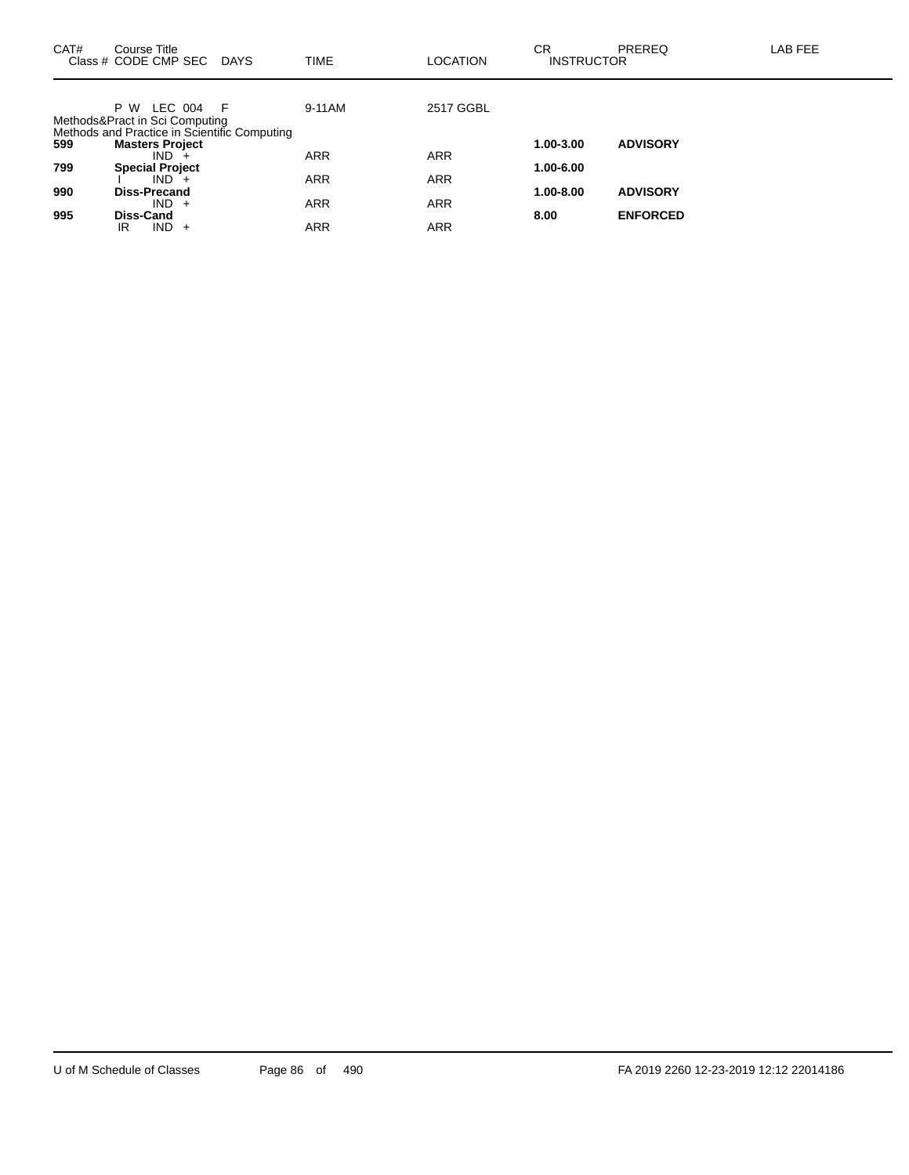| CAT# | Course Title<br>Class # CODE CMP SEC<br><b>DAYS</b>                                                     | <b>TIME</b> | <b>LOCATION</b> | CR.<br><b>INSTRUCTOR</b> | PREREQ          | LAB FEE |
|------|---------------------------------------------------------------------------------------------------------|-------------|-----------------|--------------------------|-----------------|---------|
|      | LEC 004<br>P W<br>- F<br>Methods&Pract in Sci Computing<br>Methods and Practice in Scientific Computing | 9-11AM      | 2517 GGBL       |                          |                 |         |
| 599  | <b>Masters Project</b>                                                                                  |             |                 | 1.00-3.00                | <b>ADVISORY</b> |         |
| 799  | $IND +$<br><b>Special Project</b>                                                                       | ARR         | <b>ARR</b>      | 1.00-6.00                |                 |         |
| 990  | $IND +$<br><b>Diss-Precand</b>                                                                          | <b>ARR</b>  | <b>ARR</b>      | $1.00 - 8.00$            | <b>ADVISORY</b> |         |
|      | $IND +$                                                                                                 | <b>ARR</b>  | <b>ARR</b>      |                          |                 |         |
| 995  | Diss-Cand<br><b>IND</b><br>IR<br>$+$                                                                    | ARR         | <b>ARR</b>      | 8.00                     | <b>ENFORCED</b> |         |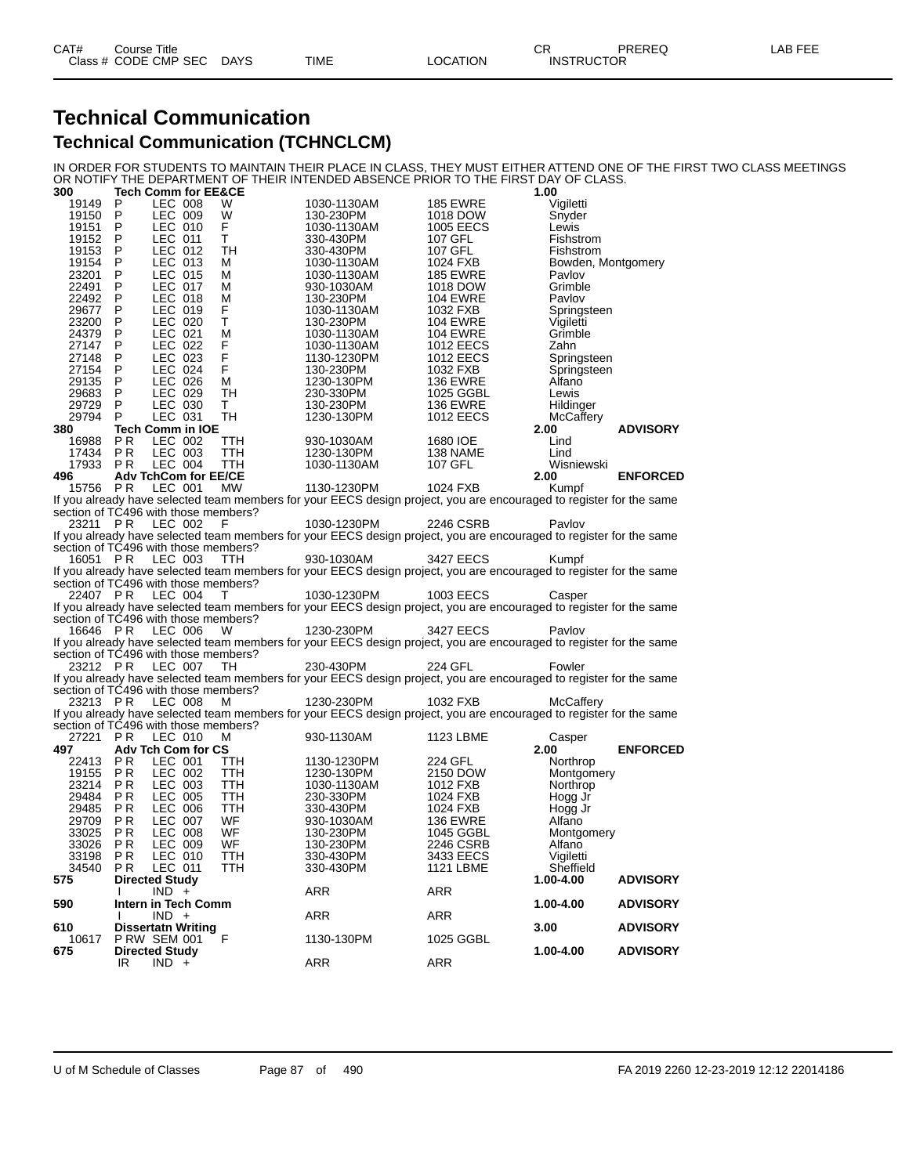### **Technical Communication Technical Communication (TCHNCLCM)**

IN ORDER FOR STUDENTS TO MAINTAIN THEIR PLACE IN CLASS, THEY MUST EITHER ATTEND ONE OF THE FIRST TWO CLASS MEETINGS OR NOTIFY THE DEPARTMENT OF THEIR INTENDED ABSENCE PRIOR TO THE FIRST DAY OF CLASS.

| 300          |                | Tech Comm for EE&CE                          |                                      |                                                                                                                     |                  | 1.00               |                 |
|--------------|----------------|----------------------------------------------|--------------------------------------|---------------------------------------------------------------------------------------------------------------------|------------------|--------------------|-----------------|
| 19149        | P              | LEC 008                                      | W                                    | 1030-1130AM                                                                                                         | <b>185 EWRE</b>  | Vigiletti          |                 |
| 19150        | P              | LEC 009                                      | W                                    | 130-230PM                                                                                                           | 1018 DOW         | Snyder             |                 |
| 19151        | P              | LEC 010                                      | F                                    | 1030-1130AM                                                                                                         | 1005 EECS        | Lewis              |                 |
| 19152        | P              | LEC 011                                      | т                                    | 330-430PM                                                                                                           | 107 GFL          | Fishstrom          |                 |
| 19153        | P              | LEC 012                                      | TН                                   | 330-430PM                                                                                                           | 107 GFL          | Fishstrom          |                 |
| 19154        | P              | LEC 013                                      | м                                    | 1030-1130AM                                                                                                         | 1024 FXB         | Bowden, Montgomery |                 |
| 23201        | P              | LEC 015                                      | м                                    | 1030-1130AM                                                                                                         | <b>185 EWRE</b>  | Pavlov             |                 |
| 22491        | P              | LEC 017                                      | М                                    | 930-1030AM                                                                                                          | 1018 DOW         | Grimble            |                 |
| 22492        | P              | LEC 018                                      | м                                    | 130-230PM                                                                                                           | <b>104 EWRE</b>  | Pavlov             |                 |
| 29677        | P              | LEC 019                                      | F                                    | 1030-1130AM                                                                                                         | 1032 FXB         | Springsteen        |                 |
| 23200        | P              | LEC 020                                      | т                                    | 130-230PM                                                                                                           | <b>104 EWRE</b>  | Vigiletti          |                 |
| 24379        | P              | LEC 021                                      | М                                    | 1030-1130AM                                                                                                         | <b>104 EWRE</b>  | Grimble            |                 |
| 27147        | P              | LEC 022                                      | F                                    | 1030-1130AM                                                                                                         | <b>1012 EECS</b> | Zahn               |                 |
| 27148        | P              | LEC 023                                      | F                                    |                                                                                                                     | 1012 EECS        |                    |                 |
|              | P              | LEC 024                                      | F                                    | 1130-1230PM                                                                                                         |                  | Springsteen        |                 |
| 27154        | P              | LEC 026                                      |                                      | 130-230PM                                                                                                           | 1032 FXB         | Springsteen        |                 |
| 29135        |                |                                              | М                                    | 1230-130PM                                                                                                          | <b>136 EWRE</b>  | Alfano             |                 |
| 29683        | P              | LEC 029                                      | TH                                   | 230-330PM                                                                                                           | 1025 GGBL        | Lewis              |                 |
| 29729        | P              | LEC 030                                      | т                                    | 130-230PM                                                                                                           | <b>136 EWRE</b>  | Hildinger          |                 |
| 29794        | P              | LEC 031                                      | TH                                   | 1230-130PM                                                                                                          | 1012 EECS        | McCaffery          |                 |
| 380          |                | <b>Tech Comm in IOE</b>                      |                                      |                                                                                                                     |                  | 2.00               | <b>ADVISORY</b> |
| 16988        | P <sub>R</sub> | LEC 002                                      | TTH                                  | 930-1030AM                                                                                                          | 1680 IOE         | Lind               |                 |
| 17434        | P R            | LEC 003                                      | TTH                                  | 1230-130PM                                                                                                          | 138 NAME         | Lind               |                 |
| 17933        | P <sub>R</sub> | LEC 004                                      | TTH                                  | 1030-1130AM                                                                                                         | 107 GFL          | Wisniewski         |                 |
| 496          |                | <b>Adv TchCom for EE/CE</b>                  |                                      |                                                                                                                     |                  | 2.00               | <b>ENFORCED</b> |
| 15756        | PR             | LEC 001                                      | MW.                                  | 1130-1230PM                                                                                                         | 1024 FXB         | Kumpf              |                 |
|              |                |                                              |                                      | If you already have selected team members for your EECS design project, you are encouraged to register for the same |                  |                    |                 |
|              |                |                                              | section of TC496 with those members? |                                                                                                                     |                  |                    |                 |
| 23211 PR     |                | LEC 002                                      | F                                    | 1030-1230PM                                                                                                         | 2246 CSRB        | Pavlov             |                 |
|              |                |                                              |                                      | If you already have selected team members for your EECS design project, you are encouraged to register for the same |                  |                    |                 |
|              |                |                                              | section of TC496 with those members? |                                                                                                                     |                  |                    |                 |
| 16051 PR     |                | LEC 003                                      | <b>TTH</b>                           | 930-1030AM                                                                                                          | 3427 EECS        | Kumpf              |                 |
|              |                |                                              |                                      | If you already have selected team members for your EECS design project, you are encouraged to register for the same |                  |                    |                 |
|              |                |                                              | section of TC496 with those members? |                                                                                                                     |                  |                    |                 |
| 22407 PR     |                | LEC 004                                      | T                                    | 1030-1230PM                                                                                                         | 1003 EECS        | Casper             |                 |
|              |                |                                              |                                      | If you already have selected team members for your EECS design project, you are encouraged to register for the same |                  |                    |                 |
|              |                |                                              | section of TC496 with those members? |                                                                                                                     |                  |                    |                 |
| 16646 PR     |                | LEC 006                                      | W                                    | 1230-230PM                                                                                                          | 3427 EECS        | Pavlov             |                 |
|              |                |                                              |                                      | If you already have selected team members for your EECS design project, you are encouraged to register for the same |                  |                    |                 |
|              |                |                                              | section of TC496 with those members? |                                                                                                                     |                  |                    |                 |
| 23212 PR     |                | LEC 007                                      | TH                                   | 230-430PM                                                                                                           | 224 GFL          | Fowler             |                 |
|              |                |                                              |                                      | If you already have selected team members for your EECS design project, you are encouraged to register for the same |                  |                    |                 |
|              |                |                                              | section of TC496 with those members? |                                                                                                                     |                  |                    |                 |
| 23213 PR     |                | LEC 008                                      | м                                    | 1230-230PM                                                                                                          | 1032 FXB         | McCaffery          |                 |
|              |                |                                              |                                      | If you already have selected team members for your EECS design project, you are encouraged to register for the same |                  |                    |                 |
|              |                |                                              | section of TC496 with those members? |                                                                                                                     |                  |                    |                 |
| 27221 PR     |                | LEC 010                                      | м                                    | 930-1130AM                                                                                                          | 1123 LBME        | Casper             |                 |
| 497          |                | Adv Tch Com for CS                           |                                      |                                                                                                                     |                  | 2.00               | <b>ENFORCED</b> |
| 22413        | P R            | LEC 001                                      | ттн                                  | 1130-1230PM                                                                                                         | 224 GFL          | Northrop           |                 |
| 19155        | P R            | LEC 002                                      | TTH                                  | 1230-130PM                                                                                                          | 2150 DOW         | Montgomery         |                 |
| 23214        | P <sub>R</sub> | LEC 003                                      | TTH                                  | 1030-1130AM                                                                                                         | 1012 FXB         | Northrop           |                 |
| 29484        | P <sub>R</sub> | LEC 005                                      | TTH                                  | 230-330PM                                                                                                           | 1024 FXB         | Hogg Jr            |                 |
| 29485        | P R            | LEC 006                                      | TTH                                  | 330-430PM                                                                                                           | 1024 FXB         | Hogg Jr            |                 |
| 29709        | P <sub>R</sub> | <b>LEC 007</b>                               | WF                                   | 930-1030AM                                                                                                          | <b>136 EWRE</b>  | Alfano             |                 |
| 33025        | P <sub>R</sub> | <b>LEC 008</b>                               | WF                                   | 130-230PM                                                                                                           | 1045 GGBL        | Montgomery         |                 |
| 33026        | P R            | LEC 009                                      | WF                                   | 130-230PM                                                                                                           | 2246 CSRB        | Alfano             |                 |
| 33198        | P R            | LEC 010                                      | TTH                                  | 330-430PM                                                                                                           | 3433 EECS        | Vigiletti          |                 |
| 34540        | P R            | LEC 011                                      | TTH                                  | 330-430PM                                                                                                           | <b>1121 LBME</b> | Sheffield          |                 |
| 575          |                | <b>Directed Study</b>                        |                                      |                                                                                                                     |                  | 1.00-4.00          | <b>ADVISORY</b> |
|              |                | $IND +$                                      |                                      | ARR                                                                                                                 | <b>ARR</b>       |                    |                 |
| 590          |                | Intern in Tech Comm                          |                                      |                                                                                                                     |                  | 1.00-4.00          | <b>ADVISORY</b> |
|              |                | $IND +$                                      |                                      | ARR                                                                                                                 | ARR              |                    |                 |
| 610          |                | <b>Dissertatn Writing</b>                    |                                      |                                                                                                                     |                  | 3.00               | <b>ADVISORY</b> |
| 10617<br>675 |                | <b>P RW SEM 001</b><br><b>Directed Study</b> | F                                    | 1130-130PM                                                                                                          | 1025 GGBL        | 1.00-4.00          | <b>ADVISORY</b> |
|              | IR             | $IND +$                                      |                                      | ARR                                                                                                                 | ARR              |                    |                 |
|              |                |                                              |                                      |                                                                                                                     |                  |                    |                 |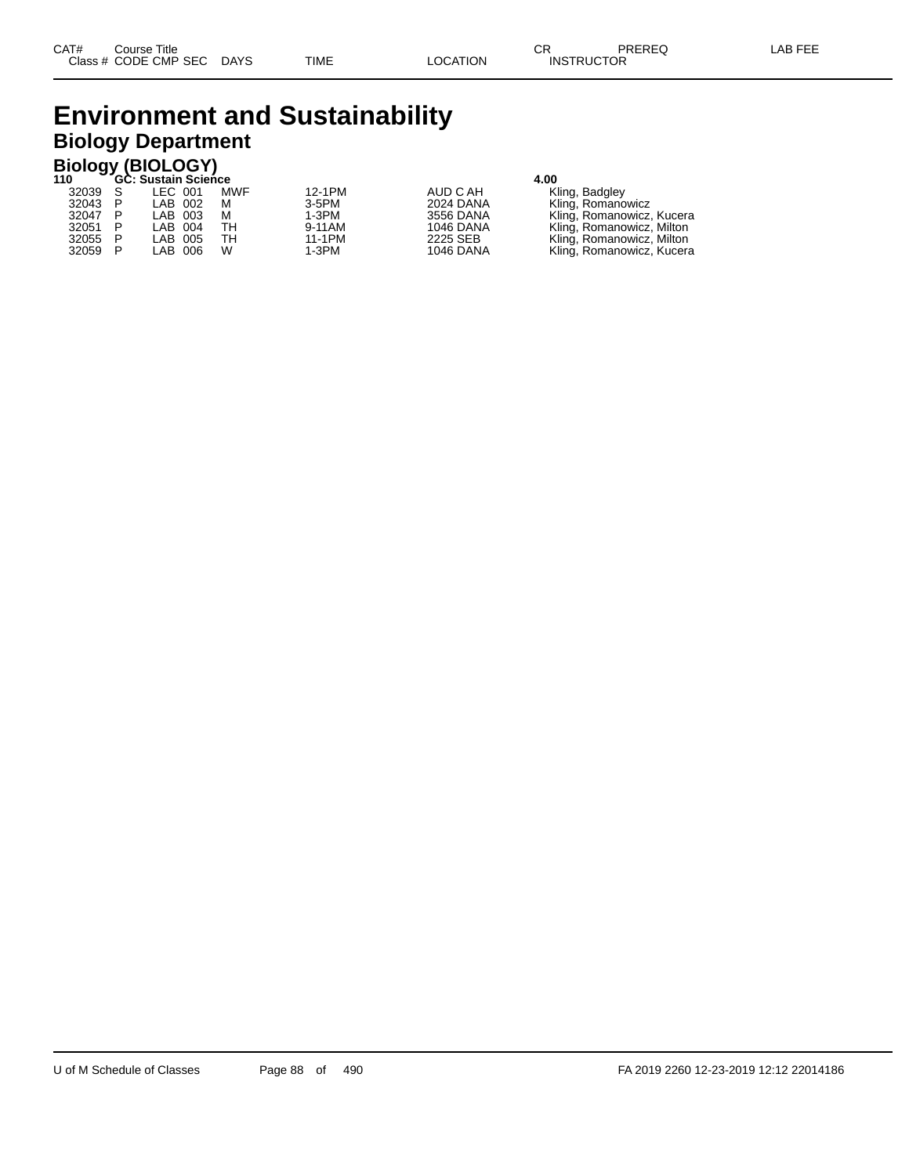## **Environment and Sustainability Biology Department**

|       | <b>Biology (BIOLOGY)</b> |                            |     |         |           |                           |  |  |  |  |  |  |  |
|-------|--------------------------|----------------------------|-----|---------|-----------|---------------------------|--|--|--|--|--|--|--|
| 110   |                          | <b>GC: Sustain Science</b> |     |         | 4.00      |                           |  |  |  |  |  |  |  |
| 32039 |                          | LEC 001                    | MWF | 12-1PM  | AUD C AH  | Kling, Badgley            |  |  |  |  |  |  |  |
| 32043 | P                        | LAB 002                    | м   | 3-5PM   | 2024 DANA | Kling, Romanowicz         |  |  |  |  |  |  |  |
| 32047 | P                        | LAB 003                    | м   | $1-3PM$ | 3556 DANA | Kling, Romanowicz, Kucera |  |  |  |  |  |  |  |
| 32051 | P                        | LAB 004                    | TН  | 9-11AM  | 1046 DANA | Kling, Romanowicz, Milton |  |  |  |  |  |  |  |
| 32055 | P                        | LAB 005                    | TН  | 11-1PM  | 2225 SEB  | Kling, Romanowicz, Milton |  |  |  |  |  |  |  |
| 32059 |                          | LAB 006                    | W   | $1-3PM$ | 1046 DANA | Kling, Romanowicz, Kucera |  |  |  |  |  |  |  |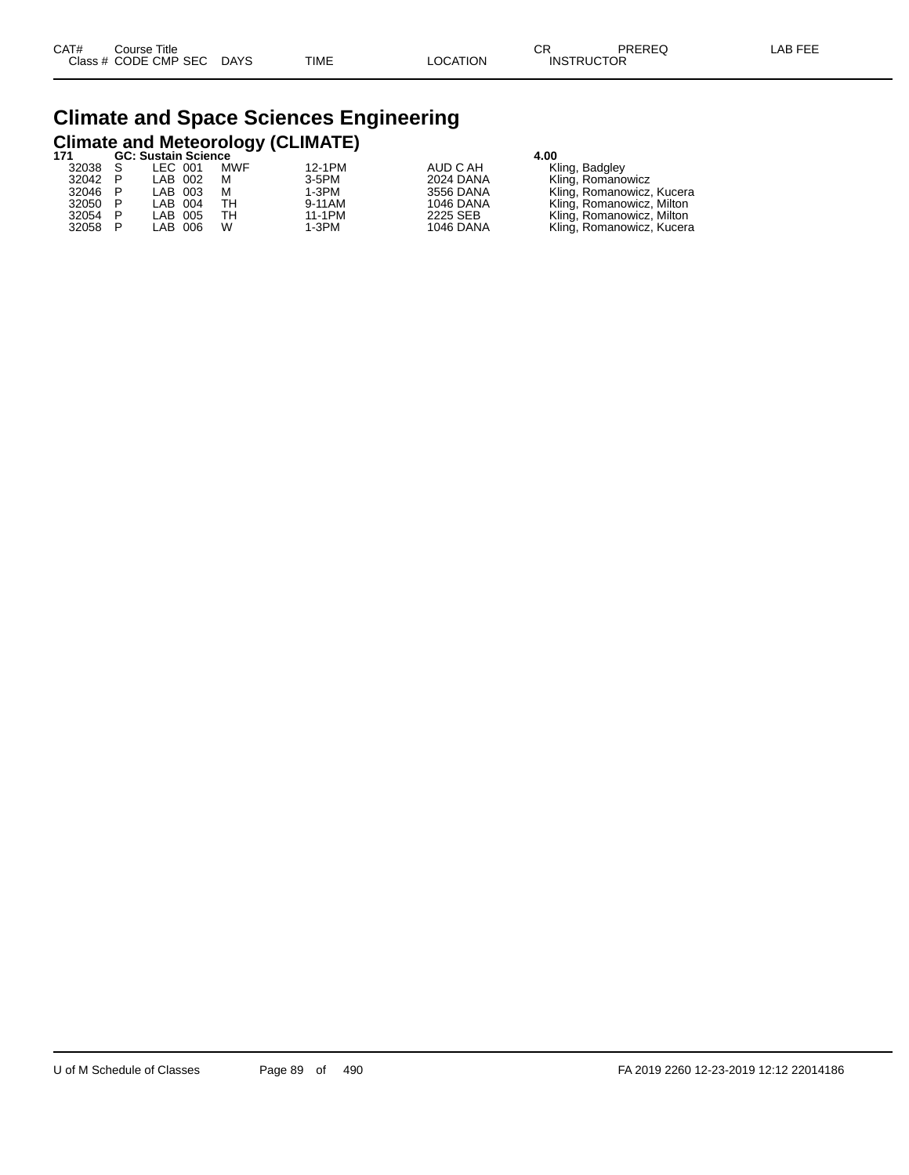# **Climate and Space Sciences Engineering Climate and Meteorology (CLIMATE) 171 GC: Sustain Science 4.00**

|         | OU. JUJIAIII JUITIIUT |     |          | 7.VV             |                           |  |  |
|---------|-----------------------|-----|----------|------------------|---------------------------|--|--|
| 32038 S | LEC 001               | MWF | 12-1PM   | AUD C AH         | Kling, Badgley            |  |  |
| 32042 P | LAB 002               | м   | $3-5$ PM | 2024 DANA        | Kling, Romanowicz         |  |  |
| 32046 P | LAB 003               | м   | 1-3PM    | 3556 DANA        | Kling, Romanowicz, Kucera |  |  |
| 32050 P | LAB 004               | TН  | 9-11AM   | 1046 DANA        | Kling, Romanowicz, Milton |  |  |
| 32054 P | LAB 005               | тн  | 11-1PM   | 2225 SEB         | Kling, Romanowicz, Milton |  |  |
| 32058 P | LAB 006               | W   | 1-3PM    | <b>1046 DANA</b> | Kling, Romanowicz, Kucera |  |  |
|         |                       |     |          |                  |                           |  |  |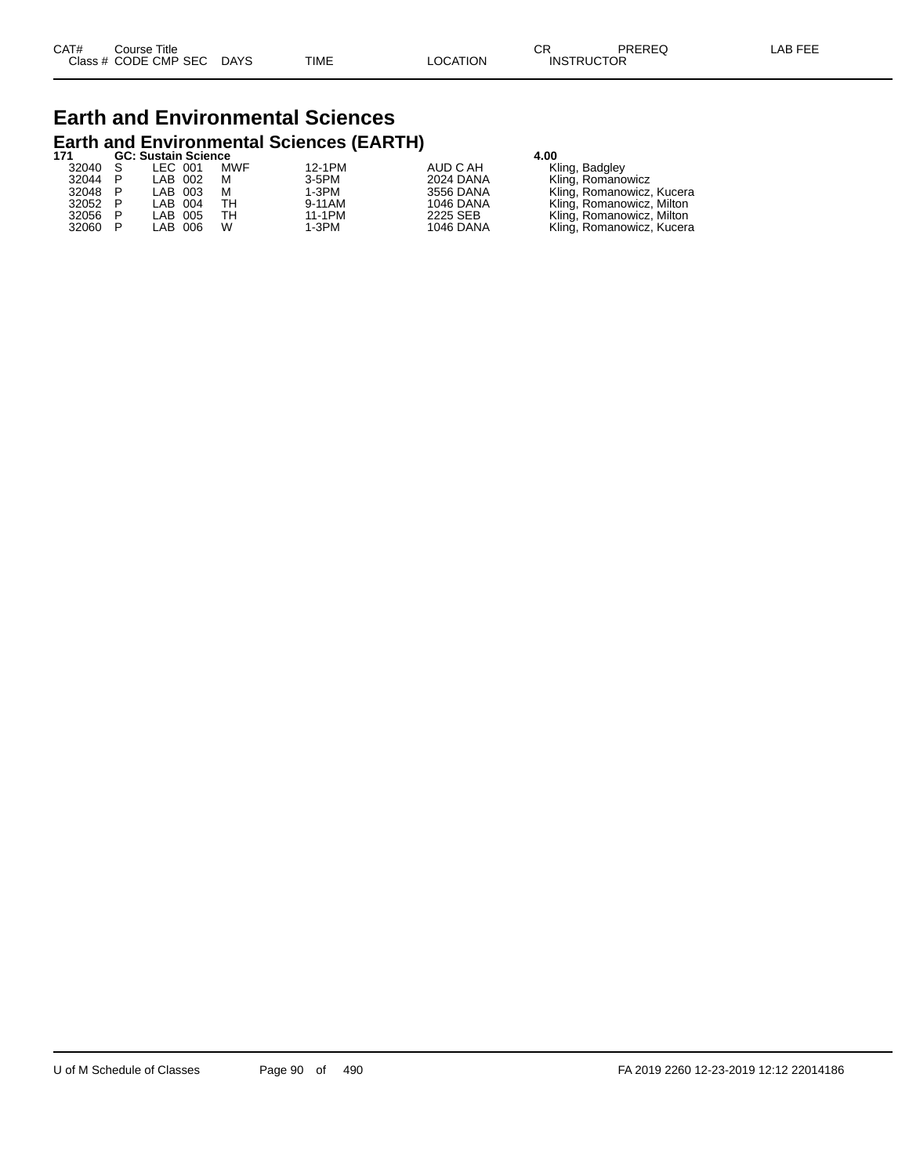# **Earth and Environmental Sciences Earth and Environmental Sciences (EARTH) 171 GC: Sustain Science 4.00**

|         |  |  |                                                                |                     | 4.UU      |                           |  |  |  |
|---------|--|--|----------------------------------------------------------------|---------------------|-----------|---------------------------|--|--|--|
| 32040 S |  |  | MWF                                                            | 12-1PM              | AUD C AH  | Kling, Badgley            |  |  |  |
| 32044 P |  |  | м                                                              | $3-5PM$             | 2024 DANA | Kling, Romanowicz         |  |  |  |
| 32048 P |  |  | м                                                              | $1-3PM$             | 3556 DANA | Kling, Romanowicz, Kucera |  |  |  |
| 32052 P |  |  | TН                                                             | 9-11AM              | 1046 DANA | Kling, Romanowicz, Milton |  |  |  |
| 32056 P |  |  | TН                                                             | 11-1PM              | 2225 SEB  | Kling, Romanowicz, Milton |  |  |  |
| 32060 P |  |  | W                                                              | 1-3PM               | 1046 DANA | Kling, Romanowicz, Kucera |  |  |  |
|         |  |  | LEC 001<br>LAB 002<br>LAB 003<br>LAB 004<br>LAB 005<br>LAB 006 | GC: Sustain Science |           |                           |  |  |  |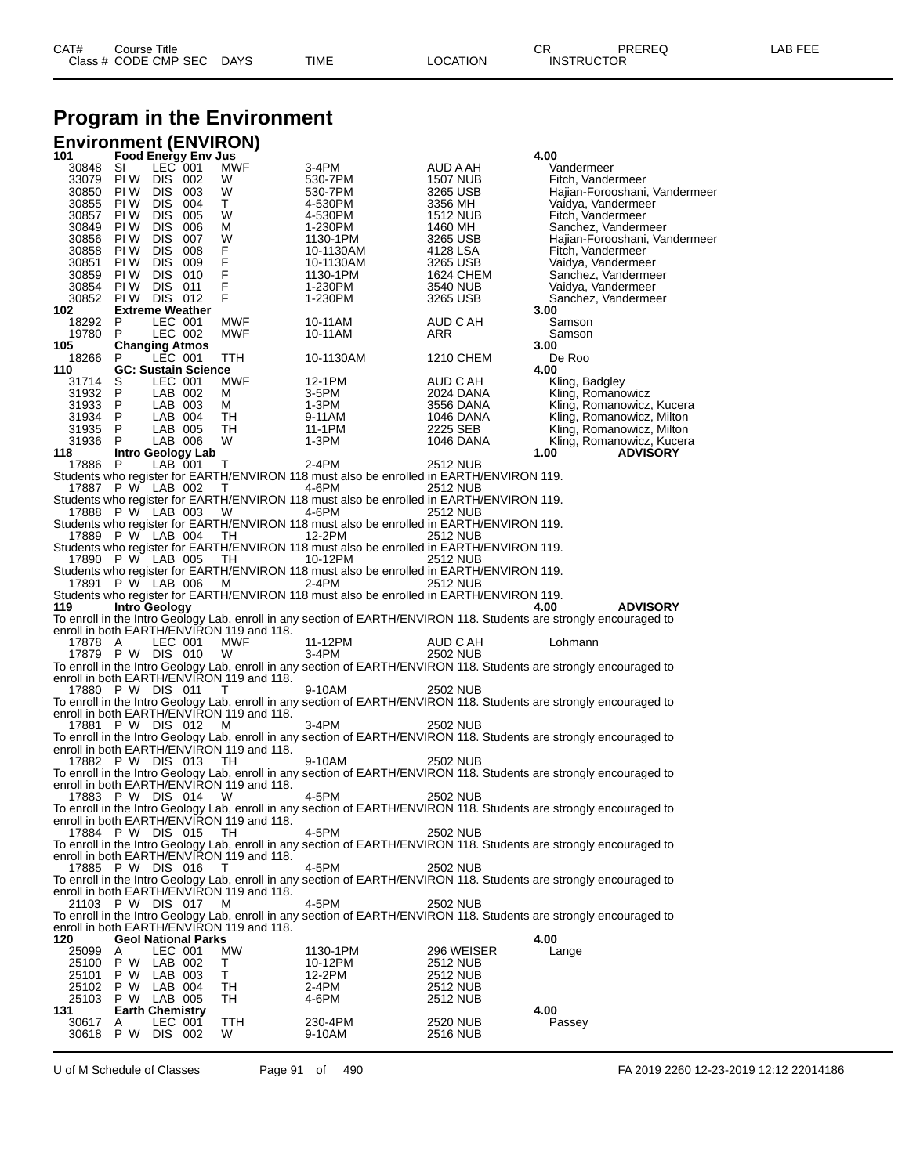## **Program in the Environment**

|                            |              |                                   |                            | <b>Environment (ENVIRON)</b>              |                                                                                                    |                       |                                                                                                                     |
|----------------------------|--------------|-----------------------------------|----------------------------|-------------------------------------------|----------------------------------------------------------------------------------------------------|-----------------------|---------------------------------------------------------------------------------------------------------------------|
| 101<br>30848               | SI           | LEC 001                           | <b>Food Energy Env Jus</b> | <b>MWF</b>                                | 3-4PM                                                                                              | AUD A AH              | 4.00<br>Vandermeer                                                                                                  |
| 33079                      | PI W         | DIS 002                           |                            | W                                         | 530-7PM                                                                                            | <b>1507 NUB</b>       | Fitch, Vandermeer                                                                                                   |
| 30850                      | PI W         | DIS 003                           |                            | W                                         | 530-7PM                                                                                            | 3265 USB              | Hajian-Forooshani, Vandermeer                                                                                       |
| 30855                      | PI W         | DIS 004                           |                            | T.                                        | 4-530PM                                                                                            | 3356 MH               | Vaidya, Vandermeer                                                                                                  |
| 30857                      | PI W<br>PI W | DIS 005                           |                            | W                                         | 4-530PM                                                                                            | 1512 NUB              | Fitch, Vandermeer                                                                                                   |
| 30849<br>30856             | PI W         | DIS.<br>DIS 007                   | 006                        | М<br>W                                    | 1-230PM<br>1130-1PM                                                                                | 1460 MH<br>3265 USB   | Sanchez, Vandermeer<br>Hajian-Forooshani, Vandermeer                                                                |
| 30858                      | PI W         | DIS.                              | 008                        | F                                         | 10-1130AM                                                                                          | 4128 LSA              | Fitch, Vandermeer                                                                                                   |
| 30851                      | PI W         | DIS.                              | 009                        | F                                         | 10-1130AM                                                                                          | 3265 USB              | Vaidya, Vandermeer                                                                                                  |
| 30859                      | PI W         | DIS 010                           |                            | F                                         | 1130-1PM                                                                                           | 1624 CHEM             | Sanchez, Vandermeer                                                                                                 |
| 30854<br>30852             | PI W<br>PI W | DIS 011<br>DIS 012                |                            | F<br>F                                    | 1-230PM<br>1-230PM                                                                                 | 3540 NUB<br>3265 USB  | Vaidya, Vandermeer<br>Sanchez, Vandermeer                                                                           |
| 102                        |              |                                   | <b>Extreme Weather</b>     |                                           |                                                                                                    |                       | 3.00                                                                                                                |
| 18292                      | P            | LEC 001                           |                            | MWF                                       | 10-11AM                                                                                            | AUD C AH              | Samson                                                                                                              |
| 19780                      | P            | LEC 002                           |                            | <b>MWF</b>                                | 10-11AM                                                                                            | ARR                   | Samson                                                                                                              |
| 105                        |              | <b>Changing Atmos</b>             |                            |                                           |                                                                                                    |                       | 3.00                                                                                                                |
| 18266<br>110               | P.           | LEC 001                           | <b>GC: Sustain Science</b> | ттн                                       | 10-1130AM                                                                                          | 1210 CHEM             | De Roo<br>4.00                                                                                                      |
| 31714                      | S            | LEC 001                           |                            | MWF                                       | 12-1PM                                                                                             | AUD C AH              | Kling, Badgley                                                                                                      |
| 31932                      | P            | LAB 002                           |                            | м                                         | $3-5$ PM                                                                                           | 2024 DANA             | Kling, Romanowicz                                                                                                   |
| 31933                      | P.           | LAB 003                           |                            | м                                         | 1-3PM                                                                                              | 3556 DANA             | Kling, Romanowicz, Kucera                                                                                           |
| 31934                      | $\mathsf{P}$ | LAB 004                           |                            | TН                                        | 9-11AM                                                                                             | 1046 DANA             | Kling, Romanowicz, Milton                                                                                           |
| 31935<br>31936             | P<br>P.      | LAB 005<br>LAB 006                |                            | TН<br>W                                   | 11-1PM<br>1-3PM                                                                                    | 2225 SEB<br>1046 DANA | Kling, Romanowicz, Milton<br>Kling, Romanowicz, Kucera                                                              |
| 118                        |              |                                   | Intro Geology Lab          |                                           |                                                                                                    |                       | 1.00<br><b>ADVISORY</b>                                                                                             |
| 17886                      | P            | LAB 001                           |                            | T                                         | 2-4PM                                                                                              | 2512 NUB              |                                                                                                                     |
|                            |              |                                   |                            |                                           | Students who register for EARTH/ENVIRON 118 must also be enrolled in EARTH/ENVIRON 119.            |                       |                                                                                                                     |
| 17887 P W LAB 002          |              |                                   |                            | $\top$                                    | 4-6PM<br>Students who register for EARTH/ENVIRON 118 must also be enrolled in EARTH/ENVIRON 119.   | 2512 NUB              |                                                                                                                     |
| 17888 P W LAB 003          |              |                                   |                            | - W                                       | 4-6PM                                                                                              | 2512 NUB              |                                                                                                                     |
|                            |              |                                   |                            |                                           | Students who register for EARTH/ENVIRON 118 must also be enrolled in EARTH/ENVIRON 119.            |                       |                                                                                                                     |
| 17889 P W LAB 004          |              |                                   |                            | TH                                        | 12-2PM                                                                                             | 2512 NUB              |                                                                                                                     |
|                            |              |                                   |                            |                                           | Students who register for EARTH/ENVIRON 118 must also be enrolled in EARTH/ENVIRON 119.            |                       |                                                                                                                     |
| 17890 P W LAB 005          |              |                                   |                            | TH.                                       | 10-12PM<br>Students who register for EARTH/ENVIRON 118 must also be enrolled in EARTH/ENVIRON 119. | 2512 NUB              |                                                                                                                     |
| 17891                      |              | P W LAB 006                       |                            | м                                         | $2-4PM$                                                                                            | <b>2512 NUB</b>       |                                                                                                                     |
|                            |              |                                   |                            |                                           | Students who register for EARTH/ENVIRON 118 must also be enrolled in EARTH/ENVIRON 119.            |                       |                                                                                                                     |
|                            |              |                                   |                            |                                           |                                                                                                    |                       |                                                                                                                     |
| 119                        |              | <b>Intro Geology</b>              |                            |                                           |                                                                                                    |                       | <b>ADVISORY</b><br>4.00                                                                                             |
|                            |              |                                   |                            |                                           |                                                                                                    |                       | To enroll in the Intro Geology Lab, enroll in any section of EARTH/ENVIRON 118. Students are strongly encouraged to |
|                            |              |                                   |                            | enroll in both EARTH/ENVIRON 119 and 118. |                                                                                                    |                       |                                                                                                                     |
| 17878<br>17879 P W DIS 010 | A            | LEC 001                           |                            | <b>MWF</b><br>W                           | 11-12PM<br>$3-4PM$                                                                                 | AUD C AH<br>2502 NUB  | Lohmann                                                                                                             |
|                            |              |                                   |                            |                                           |                                                                                                    |                       | To enroll in the Intro Geology Lab, enroll in any section of EARTH/ENVIRON 118. Students are strongly encouraged to |
|                            |              |                                   |                            | enroll in both EARTH/ENVIRON 119 and 118. |                                                                                                    |                       |                                                                                                                     |
| 17880 P W DIS 011          |              |                                   |                            | т                                         | 9-10AM                                                                                             | 2502 NUB              |                                                                                                                     |
|                            |              |                                   |                            | enroll in both EARTH/ENVIRON 119 and 118. |                                                                                                    |                       | To enroll in the Intro Geology Lab, enroll in any section of EARTH/ENVIRON 118. Students are strongly encouraged to |
| 17881 P W DIS 012          |              |                                   |                            | м                                         | 3-4PM                                                                                              | 2502 NUB              |                                                                                                                     |
|                            |              |                                   |                            |                                           |                                                                                                    |                       | To enroll in the Intro Geology Lab, enroll in any section of EARTH/ENVIRON 118. Students are strongly encouraged to |
|                            |              |                                   |                            | enroll in both EARTH/ENVIRON 119 and 118. |                                                                                                    |                       |                                                                                                                     |
| 17882 P W DIS 013          |              |                                   |                            | TH                                        | 9-10AM                                                                                             | 2502 NUB              |                                                                                                                     |
|                            |              |                                   |                            | enroll in both EARTH/ENVIRON 119 and 118. |                                                                                                    |                       | To enroll in the Intro Geology Lab, enroll in any section of EARTH/ENVIRON 118. Students are strongly encouraged to |
|                            |              |                                   | 17883 P W DIS 014          | - W                                       | 4-5PM                                                                                              | 2502 NUB              |                                                                                                                     |
|                            |              |                                   |                            |                                           |                                                                                                    |                       | To enroll in the Intro Geology Lab, enroll in any section of EARTH/ENVIRON 118. Students are strongly encouraged to |
|                            |              |                                   |                            | enroll in both EARTH/ENVIRON 119 and 118. |                                                                                                    |                       |                                                                                                                     |
| 17884 P W DIS 015          |              |                                   |                            | TH                                        | 4-5PM                                                                                              | 2502 NUB              |                                                                                                                     |
|                            |              |                                   |                            | enroll in both EARTH/ENVIRON 119 and 118. |                                                                                                    |                       | To enroll in the Intro Geology Lab, enroll in any section of EARTH/ENVIRON 118. Students are strongly encouraged to |
| 17885 P W DIS 016          |              |                                   |                            | т                                         | 4-5PM                                                                                              | 2502 NUB              |                                                                                                                     |
|                            |              |                                   |                            |                                           |                                                                                                    |                       | To enroll in the Intro Geology Lab, enroll in any section of EARTH/ENVIRON 118. Students are strongly encouraged to |
|                            |              |                                   |                            | enroll in both EARTH/ENVIRON 119 and 118. |                                                                                                    |                       |                                                                                                                     |
| 21103 P W DIS 017          |              |                                   |                            | м                                         | 4-5PM                                                                                              | 2502 NUB              |                                                                                                                     |
|                            |              |                                   |                            | enroll in both EARTH/ENVIRON 119 and 118. |                                                                                                    |                       | To enroll in the Intro Geology Lab, enroll in any section of EARTH/ENVIRON 118. Students are strongly encouraged to |
| 120                        |              |                                   | <b>Geol National Parks</b> |                                           |                                                                                                    |                       | 4.00                                                                                                                |
| 25099                      | A            | LEC 001                           |                            | <b>MW</b>                                 | 1130-1PM                                                                                           | 296 WEISER            | Lange                                                                                                               |
| 25100<br>25101             | P W<br>P W   | LAB 002<br>LAB 003                |                            | Τ<br>т                                    | 10-12PM<br>12-2PM                                                                                  | 2512 NUB              |                                                                                                                     |
| 25102                      | P W          | LAB 004                           |                            | ТH                                        | 2-4PM                                                                                              | 2512 NUB<br>2512 NUB  |                                                                                                                     |
| 25103                      | P W          | LAB 005                           |                            | TН                                        | 4-6PM                                                                                              | 2512 NUB              |                                                                                                                     |
| 131<br>30617               | A            | <b>Earth Chemistry</b><br>LEC 001 |                            | TTH                                       | 230-4PM                                                                                            | 2520 NUB              | 4.00<br>Passey                                                                                                      |

U of M Schedule of Classes Page 91 of 490 FA 2019 2260 12-23-2019 12:12 22014186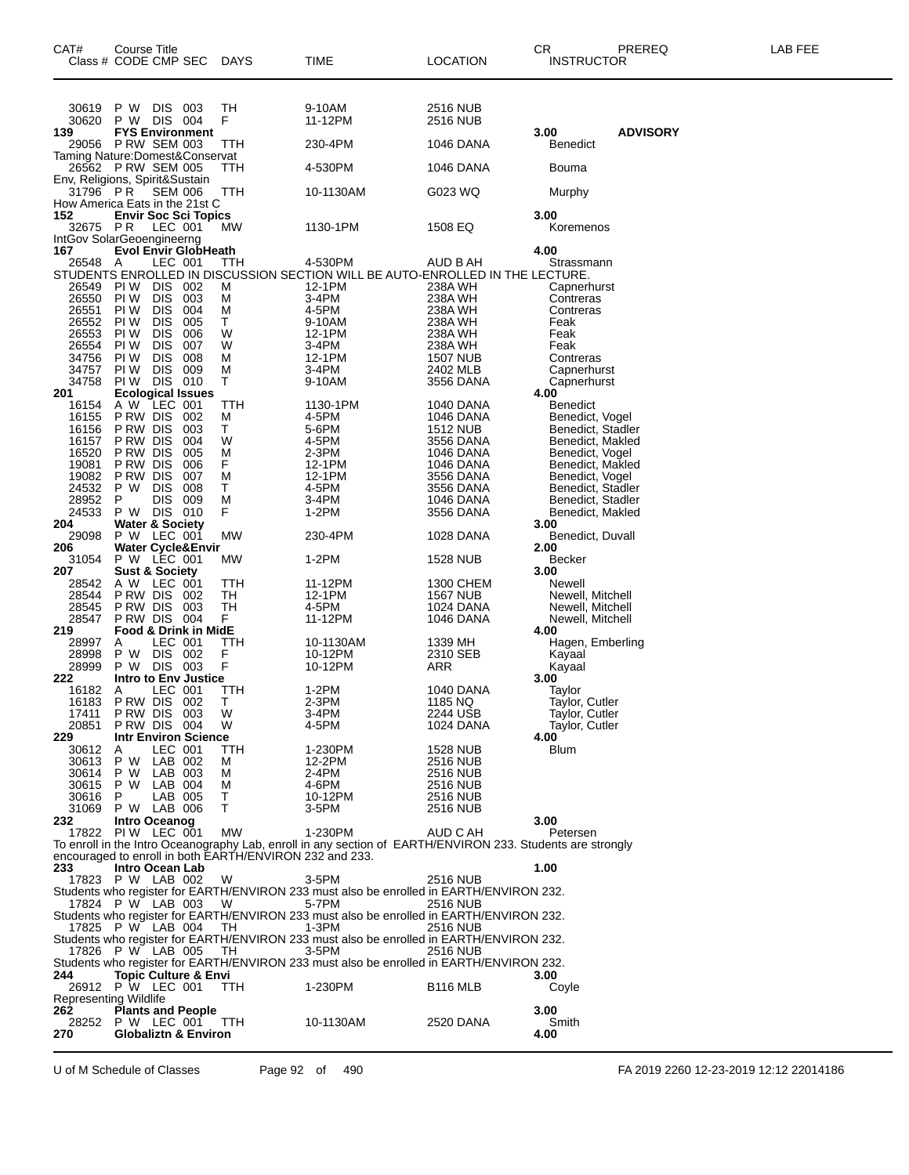| CAT#<br>Class # CODE CMP SEC                        | Course Title                              |                          |                                  | DAYS                                                    | TIME                                                                                                       | <b>LOCATION</b>              | CR<br>INSTRUCTOR                      | PREREQ          | LAB FEE |
|-----------------------------------------------------|-------------------------------------------|--------------------------|----------------------------------|---------------------------------------------------------|------------------------------------------------------------------------------------------------------------|------------------------------|---------------------------------------|-----------------|---------|
| 30619<br>30620                                      | P W DIS 003<br>P W DIS 004                |                          |                                  | TН<br>F                                                 | 9-10AM<br>11-12PM                                                                                          | 2516 NUB<br>2516 NUB         |                                       |                 |         |
| 139                                                 | <b>P RW SEM 003</b>                       |                          | <b>FYS Environment</b>           |                                                         |                                                                                                            |                              | 3.00                                  | <b>ADVISORY</b> |         |
| 29056<br>Taming Nature: Domest& Conservat           |                                           |                          |                                  | ттн                                                     | 230-4PM                                                                                                    | 1046 DANA                    | Benedict                              |                 |         |
| 26562 PRW SEM 005<br>Env, Religions, Spirit&Sustain |                                           |                          |                                  | TTH                                                     | 4-530PM                                                                                                    | 1046 DANA                    | Bouma                                 |                 |         |
| 31796 PR<br>How America Eats in the 21st C          |                                           | <b>SEM 006</b>           |                                  | TTH                                                     | 10-1130AM                                                                                                  | G023 WQ                      | Murphy                                |                 |         |
| 152<br>32675<br>IntGov SolarGeoengineerng           | P R                                       | LEC 001                  | <b>Envir Soc Sci Topics</b>      | МW                                                      | 1130-1PM                                                                                                   | 1508 EQ                      | 3.00<br>Koremenos                     |                 |         |
| 167                                                 | A                                         | LEC 001                  | <b>Evol Envir GlobHeath</b>      |                                                         | 4-530PM                                                                                                    | AUD B AH                     | 4.00<br>Strassmann                    |                 |         |
| 26548                                               | PI W                                      |                          |                                  | ттн                                                     | STUDENTS ENROLLED IN DISCUSSION SECTION WILL BE AUTO-ENROLLED IN THE LECTURE.                              |                              |                                       |                 |         |
| 26549<br>26550                                      | PI W                                      | <b>DIS</b><br><b>DIS</b> | 002<br>003                       | М<br>М                                                  | 12-1PM<br>3-4PM                                                                                            | 238A WH<br>238A WH           | Capnerhurst<br>Contreras              |                 |         |
| 26551<br>26552                                      | PI W<br>PI W                              | <b>DIS</b><br><b>DIS</b> | 004<br>005                       | M<br>Τ                                                  | 4-5PM<br>9-10AM                                                                                            | 238A WH<br>238A WH           | Contreras<br>Feak                     |                 |         |
| 26553                                               | PI W                                      | <b>DIS</b>               | 006                              | W                                                       | 12-1PM                                                                                                     | 238A WH                      | Feak                                  |                 |         |
| 26554<br>34756                                      | PI W<br>PI W                              | <b>DIS</b><br><b>DIS</b> | 007<br>008                       | W<br>M                                                  | 3-4PM<br>12-1PM                                                                                            | 238A WH<br><b>1507 NUB</b>   | Feak<br>Contreras                     |                 |         |
| 34757                                               | PI W                                      | <b>DIS</b>               | 009                              | M                                                       | 3-4PM                                                                                                      | 2402 MLB                     | Capnerhurst                           |                 |         |
| 34758                                               | PI W                                      | DIS 010                  |                                  | т                                                       | 9-10AM                                                                                                     | 3556 DANA                    | Capnerhurst                           |                 |         |
| 201<br>16154                                        | A W                                       | LEC 001                  | <b>Ecological Issues</b>         | TTH                                                     | 1130-1PM                                                                                                   | 1040 DANA                    | 4.00<br>Benedict                      |                 |         |
| 16155                                               | P RW DIS                                  |                          | 002                              | М                                                       | 4-5PM                                                                                                      | <b>1046 DANA</b>             | Benedict, Vogel                       |                 |         |
| 16156<br>16157                                      | P RW DIS<br>P RW DIS                      |                          | 003<br>004                       | Т<br>W                                                  | 5-6PM<br>4-5PM                                                                                             | 1512 NUB<br>3556 DANA        | Benedict, Stadler<br>Benedict, Makled |                 |         |
| 16520                                               | P RW DIS                                  |                          | 005                              | М                                                       | 2-3PM                                                                                                      | 1046 DANA                    | Benedict, Vogel                       |                 |         |
| 19081<br>19082                                      | P RW DIS<br>P RW DIS                      |                          | 006<br>007                       | F<br>М                                                  | 12-1PM<br>12-1PM                                                                                           | 1046 DANA<br>3556 DANA       | Benedict, Makled<br>Benedict, Vogel   |                 |         |
| 24532                                               | P W                                       | <b>DIS</b>               | 008                              | т                                                       | 4-5PM                                                                                                      | 3556 DANA                    | Benedict, Stadler                     |                 |         |
| 28952<br>24533                                      | P                                         | DIS                      | 009                              | M<br>F                                                  | 3-4PM<br>1-2PM                                                                                             | 1046 DANA                    | Benedict, Stadler<br>Benedict, Makled |                 |         |
| 204                                                 | P W DIS 010<br><b>Water &amp; Society</b> |                          |                                  |                                                         |                                                                                                            | 3556 DANA                    | 3.00                                  |                 |         |
| 29098                                               | P W LEC 001                               |                          |                                  | МW                                                      | 230-4PM                                                                                                    | 1028 DANA                    | Benedict, Duvall                      |                 |         |
| 206<br>31054                                        |                                           |                          | Water Cycle&Envir<br>P W LEC 001 | МW                                                      | $1-2PM$                                                                                                    | <b>1528 NUB</b>              | 2.00<br>Becker                        |                 |         |
| 207                                                 | <b>Sust &amp; Society</b>                 |                          |                                  |                                                         |                                                                                                            |                              | 3.00                                  |                 |         |
| 28542<br>28544                                      | A W LEC 001<br>P RW DIS                   |                          | -002                             | TTH<br>TН                                               | 11-12PM<br>12-1PM                                                                                          | 1300 CHEM<br><b>1567 NUB</b> | Newell<br>Newell, Mitchell            |                 |         |
| 28545                                               | P RW DIS                                  |                          | 003                              | TН                                                      | 4-5PM                                                                                                      | 1024 DANA                    | Newell, Mitchell                      |                 |         |
| 28547<br>219                                        | P RW DIS 004                              |                          | Food & Drink in MidE             | F.                                                      | 11-12PM                                                                                                    | 1046 DANA                    | Newell, Mitchell<br>4.00              |                 |         |
| 28997                                               | Α                                         | LEC 001                  |                                  | TTH                                                     | 10-1130AM                                                                                                  | 1339 MH                      | Hagen, Emberling                      |                 |         |
| 28998<br>28999                                      | P W<br>P W DIS 003                        | DIS 002                  |                                  | F<br>F                                                  | 10-12PM<br>10-12PM                                                                                         | 2310 SEB<br>ARR              | Kayaal<br>Kayaal                      |                 |         |
| 222                                                 |                                           |                          | <b>Intro to Env Justice</b>      |                                                         |                                                                                                            |                              | 3.00                                  |                 |         |
| 16182                                               | Α                                         | LEC 001                  |                                  | ттн                                                     | 1-2PM                                                                                                      | 1040 DANA                    | Taylor                                |                 |         |
| 16183<br>17411                                      | PRW DIS 002<br>PRW DIS 003                |                          |                                  | т<br>W                                                  | 2-3PM<br>3-4PM                                                                                             | 1185 NQ<br>2244 USB          | Taylor, Cutler<br>Taylor, Cutler      |                 |         |
| 20851                                               | PRW DIS 004                               |                          |                                  | W                                                       | 4-5PM                                                                                                      | 1024 DANA                    | Taylor, Cutler                        |                 |         |
| 229<br>30612                                        | A                                         | LEC 001                  | <b>Intr Environ Science</b>      | ттн                                                     | 1-230PM                                                                                                    | 1528 NUB                     | 4.00<br>Blum                          |                 |         |
| 30613                                               | P W LAB 002                               |                          |                                  | м                                                       | 12-2PM                                                                                                     | 2516 NUB                     |                                       |                 |         |
| 30614<br>30615                                      | P W<br>P W LAB 004                        | LAB 003                  |                                  | м<br>м                                                  | 2-4PM<br>4-6PM                                                                                             | 2516 NUB<br>2516 NUB         |                                       |                 |         |
| 30616                                               | P.                                        | LAB 005                  |                                  | т                                                       | 10-12PM                                                                                                    | 2516 NUB                     |                                       |                 |         |
| 31069                                               | P W LAB 006<br>Intro Oceanog              |                          |                                  | т                                                       | $3-5$ PM                                                                                                   | 2516 NUB                     | 3.00                                  |                 |         |
| 232<br>17822 PIW LEC 001                            |                                           |                          |                                  | МW                                                      | 1-230PM                                                                                                    | AUD C AH                     | Petersen                              |                 |         |
|                                                     |                                           |                          |                                  |                                                         | To enroll in the Intro Oceanography Lab, enroll in any section of EARTH/ENVIRON 233. Students are strongly |                              |                                       |                 |         |
| 233                                                 | Intro Ocean Lab                           |                          |                                  | encouraged to enroll in both EARTH/ENVIRON 232 and 233. |                                                                                                            |                              | 1.00                                  |                 |         |
| 17823 P W LAB 002                                   |                                           |                          |                                  | W                                                       | $3-5$ PM                                                                                                   | 2516 NUB                     |                                       |                 |         |
| 17824 P W LAB 003                                   |                                           |                          |                                  | <b>W</b>                                                | Students who register for EARTH/ENVIRON 233 must also be enrolled in EARTH/ENVIRON 232.<br>5-7PM           | 2516 NUB                     |                                       |                 |         |
|                                                     |                                           |                          |                                  |                                                         | Students who register for EARTH/ENVIRON 233 must also be enrolled in EARTH/ENVIRON 232.                    |                              |                                       |                 |         |
| 17825 P W LAB 004                                   |                                           |                          |                                  | TH                                                      | 1-3PM<br>Students who register for EARTH/ENVIRON 233 must also be enrolled in EARTH/ENVIRON 232.           | 2516 NUB                     |                                       |                 |         |
| 17826 P W LAB 005                                   |                                           |                          |                                  | TH                                                      | 3-5PM                                                                                                      | 2516 NUB                     |                                       |                 |         |
|                                                     |                                           |                          | <b>Topic Culture &amp; Envi</b>  |                                                         | Students who register for EARTH/ENVIRON 233 must also be enrolled in EARTH/ENVIRON 232.                    |                              |                                       |                 |         |
| 244<br>26912 P W LEC 001                            |                                           |                          |                                  | TTH                                                     | 1-230PM                                                                                                    | B <sub>116</sub> MLB         | 3.00<br>Coyle                         |                 |         |
| <b>Representing Wildlife</b>                        |                                           |                          |                                  |                                                         |                                                                                                            |                              |                                       |                 |         |
| 262<br>28252                                        | P W LEC 001                               |                          | <b>Plants and People</b>         | <b>TTH</b>                                              | 10-1130AM                                                                                                  | 2520 DANA                    | 3.00<br>Smith                         |                 |         |
| 270                                                 |                                           |                          | <b>Globaliztn &amp; Environ</b>  |                                                         |                                                                                                            |                              | 4.00                                  |                 |         |
|                                                     |                                           |                          |                                  |                                                         |                                                                                                            |                              |                                       |                 |         |

U of M Schedule of Classes Page 92 of 490 FA 2019 2260 12-23-2019 12:12 22014186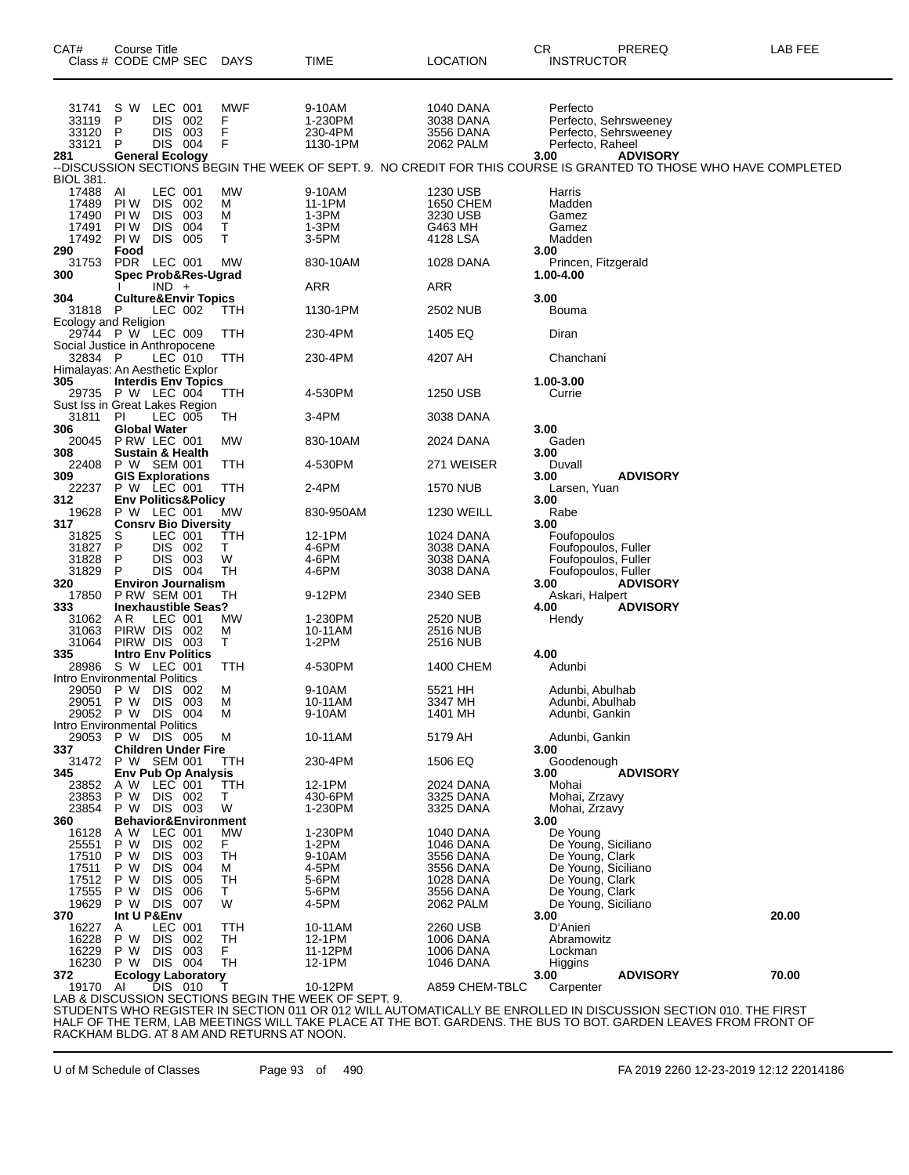| CAT#<br>Class # CODE CMP SEC DAYS                        | Course Title                                 |                                                           |                                 |                        | TIME                                                 | <b>LOCATION</b>                                          | CR<br><b>INSTRUCTOR</b>                              | PREREQ                                                                                                                                                                                  | LAB FEE |
|----------------------------------------------------------|----------------------------------------------|-----------------------------------------------------------|---------------------------------|------------------------|------------------------------------------------------|----------------------------------------------------------|------------------------------------------------------|-----------------------------------------------------------------------------------------------------------------------------------------------------------------------------------------|---------|
| 31741<br>33119<br>33120<br>33121<br>281                  | s w<br>P<br>P<br>P<br><b>General Ecology</b> | LEC 001<br>DIS.<br>DIS<br>DIS 004                         | 002<br>003                      | MWF<br>F<br>F<br>F     | 9-10AM<br>1-230PM<br>230-4PM<br>1130-1PM             | 1040 DANA<br>3038 DANA<br>3556 DANA<br>2062 PALM         | Perfecto<br>Perfecto, Raheel<br>3.00                 | Perfecto, Sehrsweeney<br>Perfecto, Sehrsweeney<br><b>ADVISORY</b><br>--DISCUSSION SECTIONS BEGIN THE WEEK OF SEPT. 9.  NO CREDIT FOR THIS COURSE IS GRANTED TO THOSE WHO HAVE COMPLETED |         |
| BIOL 381.                                                |                                              |                                                           |                                 |                        |                                                      |                                                          |                                                      |                                                                                                                                                                                         |         |
| 17488<br>17489<br>17490<br>17491<br>17492<br>290         | AI<br>PI W<br>PI W<br>PI W<br>PI W<br>Food   | LEC 001<br><b>DIS</b><br><b>DIS</b><br><b>DIS</b><br>DIS. | 002<br>003<br>004<br>005        | MW<br>м<br>м<br>т<br>т | 9-10AM<br>11-1PM<br>1-3PM<br>1-3PM<br>3-5PM          | 1230 USB<br>1650 CHEM<br>3230 USB<br>G463 MH<br>4128 LSA | Harris<br>Madden<br>Gamez<br>Gamez<br>Madden<br>3.00 |                                                                                                                                                                                         |         |
| 31753                                                    | PDR LEC 001                                  |                                                           |                                 | МW                     | 830-10AM                                             | 1028 DANA                                                | Princen, Fitzgerald<br>1.00-4.00                     |                                                                                                                                                                                         |         |
| 300                                                      |                                              | $IND +$                                                   | <b>Spec Prob&amp;Res-Ugrad</b>  |                        | ARR                                                  | ARR                                                      |                                                      |                                                                                                                                                                                         |         |
| 304                                                      |                                              |                                                           | <b>Culture&amp;Envir Topics</b> |                        |                                                      |                                                          | 3.00                                                 |                                                                                                                                                                                         |         |
| 31818 P<br>Ecology and Religion                          |                                              | LEC 002                                                   |                                 | TTH                    | 1130-1PM                                             | 2502 NUB                                                 | Bouma                                                |                                                                                                                                                                                         |         |
| 29744 P W LEC 009<br>Social Justice in Anthropocene      |                                              |                                                           |                                 | TTH                    | 230-4PM                                              | 1405 EQ                                                  | Diran                                                |                                                                                                                                                                                         |         |
| 32834 P                                                  |                                              | LEC 010                                                   |                                 | TTH                    | 230-4PM                                              | 4207 AH                                                  | Chanchani                                            |                                                                                                                                                                                         |         |
| Himalayas: An Aesthetic Explor<br>305                    |                                              |                                                           |                                 |                        |                                                      |                                                          | 1.00-3.00                                            |                                                                                                                                                                                         |         |
| 29735 P W LEC 004                                        |                                              |                                                           | <b>Interdis Env Topics</b>      | TTH                    | 4-530PM                                              | 1250 USB                                                 | Currie                                               |                                                                                                                                                                                         |         |
| Sust Iss in Great Lakes Region<br>31811                  | PI                                           | LEC 005                                                   |                                 | TH                     | 3-4PM                                                | 3038 DANA                                                |                                                      |                                                                                                                                                                                         |         |
| 306                                                      | Global Water                                 |                                                           |                                 |                        |                                                      |                                                          | 3.00                                                 |                                                                                                                                                                                         |         |
| 20045<br>308                                             | P RW LEC 001<br>Sustain & Health             |                                                           |                                 | <b>MW</b>              | 830-10AM                                             | 2024 DANA                                                | Gaden<br>3.00                                        |                                                                                                                                                                                         |         |
| 22408                                                    | P W SEM 001                                  |                                                           |                                 | TTH                    | 4-530PM                                              | 271 WEISER                                               | Duvall                                               |                                                                                                                                                                                         |         |
| 309<br>22237                                             | <b>GIS Explorations</b><br>P W LEC 001       |                                                           |                                 | TTH                    | 2-4PM                                                | 1570 NUB                                                 | 3.00<br>Larsen, Yuan                                 | <b>ADVISORY</b>                                                                                                                                                                         |         |
| 312                                                      |                                              |                                                           | <b>Env Politics&amp;Policy</b>  |                        |                                                      |                                                          | 3.00                                                 |                                                                                                                                                                                         |         |
| 19628<br>317                                             | P W LEC 001                                  |                                                           | <b>Consrv Bio Diversity</b>     | MW                     | 830-950AM                                            | <b>1230 WEILL</b>                                        | Rabe<br>3.00                                         |                                                                                                                                                                                         |         |
| 31825                                                    | S                                            | LEC 001                                                   |                                 | TTH                    | 12-1PM                                               | 1024 DANA                                                | Foufopoulos                                          |                                                                                                                                                                                         |         |
| 31827<br>31828                                           | P<br>P.                                      | DIS 003                                                   | DIS 002                         | т<br>W                 | 4-6PM<br>4-6PM                                       | 3038 DANA<br>3038 DANA                                   | Foufopoulos, Fuller<br>Foufopoulos, Fuller           |                                                                                                                                                                                         |         |
| 31829                                                    | P                                            |                                                           | DIS 004                         | TН                     | 4-6PM                                                | 3038 DANA                                                | Foufopoulos, Fuller                                  |                                                                                                                                                                                         |         |
| 320<br>17850                                             | <b>P RW SEM 001</b>                          |                                                           | <b>Environ Journalism</b>       | TН                     | 9-12PM                                               | 2340 SEB                                                 | 3.00<br>Askari, Halpert                              | <b>ADVISORY</b>                                                                                                                                                                         |         |
| 333                                                      |                                              |                                                           | <b>Inexhaustible Seas?</b>      |                        |                                                      |                                                          | 4.00                                                 | <b>ADVISORY</b>                                                                                                                                                                         |         |
| 31062                                                    | AR.                                          | LEC 001                                                   |                                 | MW                     | 1-230PM                                              | 2520 NUB                                                 | Hendy                                                |                                                                                                                                                                                         |         |
| 31063<br>31064                                           | PIRW DIS 002<br>PIRW DIS 003                 |                                                           |                                 | M<br>Т                 | 10-11AM<br>1-2PM                                     | 2516 NUB<br>2516 NUB                                     |                                                      |                                                                                                                                                                                         |         |
| 335                                                      | <b>Intro Env Politics</b>                    |                                                           |                                 |                        |                                                      |                                                          | 4.00                                                 |                                                                                                                                                                                         |         |
| 28986 S W LEC 001<br><b>Intro Environmental Politics</b> |                                              |                                                           |                                 | TTH                    | 4-530PM                                              | 1400 CHEM                                                | Adunbi                                               |                                                                                                                                                                                         |         |
| 29050 P W DIS 002                                        |                                              |                                                           |                                 | м                      | 9-10AM                                               | 5521 HH                                                  | Adunbi, Abulhab                                      |                                                                                                                                                                                         |         |
| 29051 P W DIS 003<br>29052 P W DIS 004                   |                                              |                                                           |                                 | м<br>M                 | 10-11AM<br>9-10AM                                    | 3347 MH<br>1401 MH                                       | Adunbi, Abulhab<br>Adunbi, Gankin                    |                                                                                                                                                                                         |         |
| Intro Environmental Politics                             |                                              |                                                           |                                 |                        |                                                      |                                                          |                                                      |                                                                                                                                                                                         |         |
| 29053<br>337                                             | P W DIS 005                                  |                                                           | <b>Children Under Fire</b>      | м                      | 10-11AM                                              | 5179 AH                                                  | Adunbi, Gankin<br>3.00                               |                                                                                                                                                                                         |         |
| 31472 P W SEM 001                                        |                                              |                                                           |                                 | ттн                    | 230-4PM                                              | 1506 EQ                                                  | Goodenough                                           |                                                                                                                                                                                         |         |
| 345<br>23852                                             | A W LEC 001                                  |                                                           | <b>Env Pub Op Analysis</b>      | TTH                    | 12-1PM                                               | 2024 DANA                                                | 3.00<br>Mohai                                        | <b>ADVISORY</b>                                                                                                                                                                         |         |
| 23853                                                    | P W                                          | DIS 002                                                   |                                 | Т                      | 430-6PM                                              | 3325 DANA                                                | Mohai, Zrzavy                                        |                                                                                                                                                                                         |         |
| 23854                                                    | P W DIS 003                                  |                                                           |                                 | W                      | 1-230PM                                              | 3325 DANA                                                | Mohai, Zrzavy                                        |                                                                                                                                                                                         |         |
| 360<br>16128                                             | A W                                          | LEC 001                                                   | <b>Behavior&amp;Environment</b> | <b>MW</b>              | 1-230PM                                              | <b>1040 DANA</b>                                         | 3.00<br>De Young                                     |                                                                                                                                                                                         |         |
| 25551                                                    | P W                                          | DIS 002                                                   |                                 | F.                     | 1-2PM                                                | 1046 DANA                                                | De Young, Siciliano                                  |                                                                                                                                                                                         |         |
| 17510<br>17511                                           | P W<br>P W                                   | DIS.<br>DIS.                                              | 003<br>004                      | TH<br>м                | 9-10AM<br>4-5PM                                      | 3556 DANA<br>3556 DANA                                   | De Young, Clark<br>De Young, Siciliano               |                                                                                                                                                                                         |         |
| 17512                                                    | P W                                          | DIS.                                                      | 005                             | TН                     | 5-6PM                                                | 1028 DANA                                                | De Young, Clark                                      |                                                                                                                                                                                         |         |
| 17555<br>19629                                           | P W                                          | DIS.                                                      | 006                             | T.<br>W                | 5-6PM<br>4-5PM                                       | 3556 DANA                                                | De Young, Clark                                      |                                                                                                                                                                                         |         |
| 370                                                      | P W DIS 007<br>Int U P&Env                   |                                                           |                                 |                        |                                                      | 2062 PALM                                                | De Young, Siciliano<br>3.00                          |                                                                                                                                                                                         | 20.00   |
| 16227                                                    | A                                            | LEC 001                                                   |                                 | TTH                    | 10-11AM                                              | 2260 USB                                                 | D'Anieri                                             |                                                                                                                                                                                         |         |
| 16228<br>16229                                           | P W<br>P W                                   | DIS.<br>DIS 003                                           | 002                             | TH<br>F.               | 12-1PM<br>11-12PM                                    | 1006 DANA<br>1006 DANA                                   | Abramowitz<br>Lockman                                |                                                                                                                                                                                         |         |
| 16230                                                    | P W DIS 004                                  |                                                           |                                 | TH                     | 12-1PM                                               | 1046 DANA                                                | Higgins                                              |                                                                                                                                                                                         |         |
| 372<br>19170 AI                                          |                                              | DIS 010                                                   | <b>Ecology Laboratory</b>       | Т                      | 10-12PM                                              | A859 CHEM-TBLC                                           | 3.00<br>Carpenter                                    | <b>ADVISORY</b>                                                                                                                                                                         | 70.00   |
|                                                          |                                              |                                                           |                                 |                        | LAB & DISCUSSION SECTIONS BEGIN THE WEEK OF SEPT. 9. |                                                          |                                                      |                                                                                                                                                                                         |         |
|                                                          |                                              |                                                           |                                 |                        |                                                      |                                                          |                                                      | STUDENTS WHO REGISTER IN SECTION 011 OR 012 WILL AUTOMATICALLY BE ENROLLED IN DISCUSSION SECTION 010. THE FIRST                                                                         |         |

HALF OF THE TERM, LAB MEETINGS WILL TAKE PLACE AT THE BOT. GARDENS. THE BUS TO BOT. GARDEN LEAVES FROM FRONT OF RACKHAM BLDG. AT 8 AM AND RETURNS AT NOON.

U of M Schedule of Classes Page 93 of 490 FA 2019 2260 12-23-2019 12:12 22014186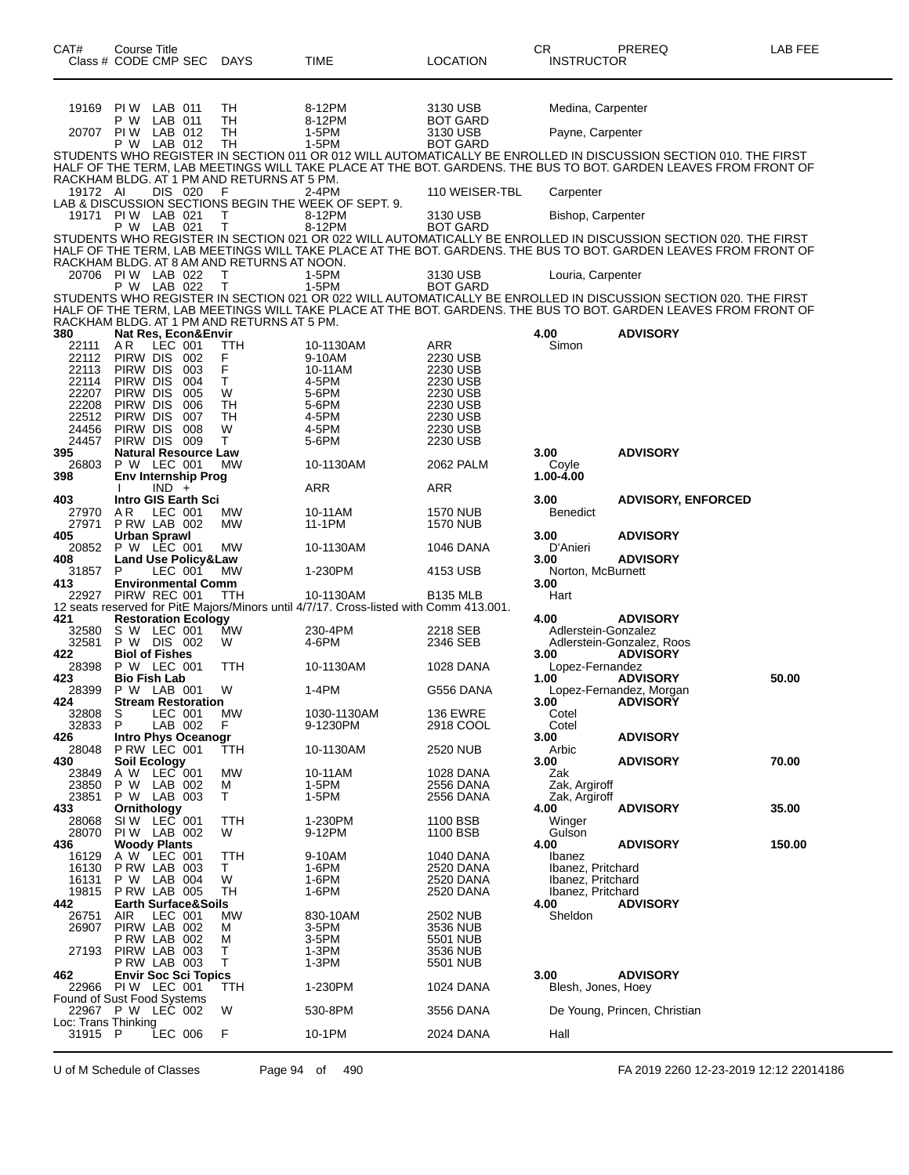| CAT#<br>Class # CODE CMP SEC                    | Course Title                                  |         |            | DAYS                                            | TIME                                                                                                | <b>LOCATION</b>                    | CR<br><b>INSTRUCTOR</b>                | PREREQ                                                                                                                                                                                                                             | LAB FEE |
|-------------------------------------------------|-----------------------------------------------|---------|------------|-------------------------------------------------|-----------------------------------------------------------------------------------------------------|------------------------------------|----------------------------------------|------------------------------------------------------------------------------------------------------------------------------------------------------------------------------------------------------------------------------------|---------|
| 19169                                           | PIW LAB 011                                   |         |            | TН                                              | 8-12PM                                                                                              | 3130 USB                           | Medina, Carpenter                      |                                                                                                                                                                                                                                    |         |
| 20707 PIW LAB 012                               | P W                                           | LAB 011 |            | TН<br>TН                                        | 8-12PM<br>1-5PM                                                                                     | <b>BOT GARD</b><br>3130 USB        | Payne, Carpenter                       |                                                                                                                                                                                                                                    |         |
|                                                 | P W LAB 012                                   |         |            | TН                                              | 1-5PM                                                                                               | <b>BOT GARD</b>                    |                                        | STUDENTS WHO REGISTER IN SECTION 011 OR 012 WILL AUTOMATICALLY BE ENROLLED IN DISCUSSION SECTION 010. THE FIRST<br>HALF OF THE TERM, LAB MEETINGS WILL TAKE PLACE AT THE BOT. GARDENS. THE BUS TO BOT. GARDEN LEAVES FROM FRONT OF |         |
| 19172 AI                                        |                                               | DIS 020 |            | RACKHAM BLDG. AT 1 PM AND RETURNS AT 5 PM.<br>F | $2-4PM$                                                                                             | 110 WEISER-TBL                     | Carpenter                              |                                                                                                                                                                                                                                    |         |
| 19171                                           | PIW LAB 021<br>P W LAB 021                    |         |            | т<br>т                                          | LAB & DISCUSSION SECTIONS BEGIN THE WEEK OF SEPT. 9.<br>8-12PM<br>8-12PM                            | 3130 USB<br><b>BOT GARD</b>        | Bishop, Carpenter                      |                                                                                                                                                                                                                                    |         |
|                                                 |                                               |         |            | RACKHAM BLDG. AT 8 AM AND RETURNS AT NOON.      |                                                                                                     |                                    |                                        | STUDENTS WHO REGISTER IN SECTION 021 OR 022 WILL AUTOMATICALLY BE ENROLLED IN DISCUSSION SECTION 020. THE FIRST<br>HALF OF THE TERM, LAB MEETINGS WILL TAKE PLACE AT THE BOT. GARDENS. THE BUS TO BOT. GARDEN LEAVES FROM FRONT OF |         |
| 20706 PIW LAB 022                               | P W LAB 022                                   |         |            | Т<br>Т                                          | 1-5PM<br>1-5PM                                                                                      | 3130 USB<br><b>BOT GARD</b>        | Louria, Carpenter                      |                                                                                                                                                                                                                                    |         |
|                                                 |                                               |         |            | RACKHAM BLDG. AT 1 PM AND RETURNS AT 5 PM.      |                                                                                                     |                                    |                                        | STUDENTS WHO REGISTER IN SECTION 021 OR 022 WILL AUTOMATICALLY BE ENROLLED IN DISCUSSION SECTION 020. THE FIRST<br>HALF OF THE TERM, LAB MEETINGS WILL TAKE PLACE AT THE BOT. GARDENS. THE BUS TO BOT. GARDEN LEAVES FROM FRONT OF |         |
| 380<br>22111                                    | <b>Nat Res, Econ&amp;Envir</b><br>AR.         | LEC 001 |            | TTH                                             | 10-1130AM                                                                                           | ARR                                | 4.00<br>Simon                          | <b>ADVISORY</b>                                                                                                                                                                                                                    |         |
| 22112<br>22113                                  | PIRW DIS<br>PIRW DIS                          |         | 002<br>003 | F<br>F                                          | 9-10AM<br>10-11AM                                                                                   | 2230 USB<br>2230 USB               |                                        |                                                                                                                                                                                                                                    |         |
| 22114<br>22207                                  | PIRW DIS<br>PIRW DIS                          |         | 004<br>005 | т<br>W                                          | 4-5PM<br>5-6PM                                                                                      | 2230 USB<br>2230 USB               |                                        |                                                                                                                                                                                                                                    |         |
| 22208                                           | PIRW DIS                                      |         | 006        | TН                                              | 5-6PM                                                                                               | 2230 USB                           |                                        |                                                                                                                                                                                                                                    |         |
| 22512<br>24456                                  | PIRW DIS<br>PIRW DIS                          |         | 007<br>008 | TН<br>W                                         | 4-5PM<br>4-5PM                                                                                      | 2230 USB<br>2230 USB               |                                        |                                                                                                                                                                                                                                    |         |
| 24457                                           | PIRW DIS                                      |         | 009        | т                                               | 5-6PM                                                                                               | 2230 USB                           |                                        |                                                                                                                                                                                                                                    |         |
| 395<br>26803                                    | <b>Natural Resource Law</b><br>P W LEC 001    |         |            | MW                                              | 10-1130AM                                                                                           | <b>2062 PALM</b>                   | 3.00<br>Coyle                          | <b>ADVISORY</b>                                                                                                                                                                                                                    |         |
| 398                                             | <b>Env Internship Prog</b>                    |         |            |                                                 |                                                                                                     |                                    | 1.00-4.00                              |                                                                                                                                                                                                                                    |         |
| 403                                             | Intro GIS Earth Sci                           | $IND +$ |            |                                                 | ARR                                                                                                 | ARR                                | 3.00                                   | <b>ADVISORY, ENFORCED</b>                                                                                                                                                                                                          |         |
| 27970<br>27971                                  | A R<br>PRW LAB 002                            | LEC 001 |            | MW<br><b>MW</b>                                 | 10-11AM<br>11-1PM                                                                                   | <b>1570 NUB</b><br><b>1570 NUB</b> | <b>Benedict</b>                        |                                                                                                                                                                                                                                    |         |
| 405                                             | Urban Sprawl                                  |         |            |                                                 |                                                                                                     |                                    | 3.00                                   | <b>ADVISORY</b>                                                                                                                                                                                                                    |         |
| 20852<br>408                                    | P W LEC 001<br><b>Land Use Policy&amp;Law</b> |         |            | MW                                              | 10-1130AM                                                                                           | 1046 DANA                          | D'Anieri<br>3.00                       | <b>ADVISORY</b>                                                                                                                                                                                                                    |         |
| 31857<br>413                                    | P<br><b>Environmental Comm</b>                | LEC 001 |            | <b>MW</b>                                       | 1-230PM                                                                                             | 4153 USB                           | Norton, McBurnett<br>3.00              |                                                                                                                                                                                                                                    |         |
| 22927 PIRW REC 001                              |                                               |         |            | TTH                                             | 10-1130AM<br>12 seats reserved for PitE Majors/Minors until 4/7/17. Cross-listed with Comm 413.001. | <b>B135 MLB</b>                    | Hart                                   |                                                                                                                                                                                                                                    |         |
| 421                                             | <b>Restoration Ecology</b>                    |         |            |                                                 |                                                                                                     |                                    | 4.00                                   | <b>ADVISORY</b>                                                                                                                                                                                                                    |         |
| 32580<br>32581                                  | S W LEC 001<br>P W DIS 002                    |         |            | <b>MW</b><br>W                                  | 230-4PM<br>4-6PM                                                                                    | 2218 SEB<br>2346 SEB               | Adlerstein-Gonzalez                    | Adlerstein-Gonzalez, Roos                                                                                                                                                                                                          |         |
| 422                                             | <b>Biol of Fishes</b>                         |         |            |                                                 |                                                                                                     |                                    | 3.00                                   | <b>ADVISORY</b>                                                                                                                                                                                                                    |         |
| 28398<br>423                                    | P W LEC 001<br><b>Bio Fish Lab</b>            |         |            | TTH                                             | 10-1130AM                                                                                           | 1028 DANA                          | Lopez-Fernandez<br>1.00                | <b>ADVISORY</b>                                                                                                                                                                                                                    | 50.00   |
| 28399<br>424                                    | P W LAB 001<br><b>Stream Restoration</b>      |         |            | W                                               | 1-4PM                                                                                               | G556 DANA                          | 3.00                                   | Lopez-Fernandez, Morgan<br><b>ADVISORY</b>                                                                                                                                                                                         |         |
| 32808                                           | S                                             | LEC 001 |            | <b>MW</b>                                       | 1030-1130AM                                                                                         | <b>136 EWRE</b>                    | Cotel                                  |                                                                                                                                                                                                                                    |         |
| 32833<br>426                                    | P<br><b>Intro Phys Oceanogr</b>               | LAB 002 |            | F.                                              | 9-1230PM                                                                                            | 2918 COOL                          | Cotel<br>3.00                          | <b>ADVISORY</b>                                                                                                                                                                                                                    |         |
| 28048<br>430                                    | P RW LEC 001<br>Soil Ecology                  |         |            | TTH                                             | 10-1130AM                                                                                           | 2520 NUB                           | Arbic<br>3.00                          | <b>ADVISORY</b>                                                                                                                                                                                                                    | 70.00   |
| 23849                                           | A W LEC 001                                   |         |            | МW                                              | 10-11AM                                                                                             | 1028 DANA                          | Zak                                    |                                                                                                                                                                                                                                    |         |
| 23850<br>23851                                  | P W<br>P W LAB 003                            | LAB 002 |            | м<br>т                                          | 1-5PM<br>1-5PM                                                                                      | 2556 DANA<br>2556 DANA             | Zak, Argiroff<br>Zak, Argiroff         |                                                                                                                                                                                                                                    |         |
| 433                                             | Ornithology                                   |         |            |                                                 |                                                                                                     |                                    | 4.00                                   | <b>ADVISORY</b>                                                                                                                                                                                                                    | 35.00   |
| 28068<br>28070                                  | SIW LEC 001<br>PIW LAB 002                    |         |            | TTH<br>W                                        | 1-230PM<br>9-12PM                                                                                   | 1100 BSB<br>1100 BSB               | Winger<br>Gulson                       |                                                                                                                                                                                                                                    |         |
| 436                                             | <b>Woody Plants</b>                           |         |            |                                                 |                                                                                                     |                                    | 4.00                                   | <b>ADVISORY</b>                                                                                                                                                                                                                    | 150.00  |
| 16129<br>16130                                  | A W LEC 001<br>PRW LAB 003                    |         |            | TTH<br>T.                                       | 9-10AM<br>1-6PM                                                                                     | 1040 DANA<br>2520 DANA             | Ibanez<br>Ibanez, Pritchard            |                                                                                                                                                                                                                                    |         |
| 16131<br>19815                                  | P W LAB 004<br>PRW LAB 005                    |         |            | W<br>TН                                         | 1-6PM<br>1-6PM                                                                                      | 2520 DANA<br>2520 DANA             | Ibanez, Pritchard<br>Ibanez. Pritchard |                                                                                                                                                                                                                                    |         |
| 442                                             | <b>Earth Surface&amp;Soils</b>                |         |            |                                                 |                                                                                                     |                                    | 4.00                                   | <b>ADVISORY</b>                                                                                                                                                                                                                    |         |
| 26751<br>26907                                  | <b>AIR</b><br>PIRW LAB 002                    | LEC 001 |            | МW<br>м                                         | 830-10AM<br>3-5PM                                                                                   | 2502 NUB<br>3536 NUB               | Sheldon                                |                                                                                                                                                                                                                                    |         |
|                                                 | PRW LAB 002                                   |         |            | м                                               | 3-5PM                                                                                               | 5501 NUB                           |                                        |                                                                                                                                                                                                                                    |         |
| 27193                                           | PIRW LAB 003<br>PRW LAB 003                   |         |            | Т<br>т                                          | 1-3PM<br>1-3PM                                                                                      | 3536 NUB<br>5501 NUB               |                                        |                                                                                                                                                                                                                                    |         |
| 462<br>22966 PIW LEC 001                        | <b>Envir Soc Sci Topics</b>                   |         |            | ттн                                             | 1-230PM                                                                                             | 1024 DANA                          | 3.00<br>Blesh, Jones, Hoey             | <b>ADVISORY</b>                                                                                                                                                                                                                    |         |
| Found of Sust Food Systems<br>22967 P W LEC 002 |                                               |         |            | W                                               | 530-8PM                                                                                             | 3556 DANA                          |                                        | De Young, Princen, Christian                                                                                                                                                                                                       |         |
| Loc: Trans Thinking<br>31915 P                  |                                               | LEC 006 |            | F                                               | 10-1PM                                                                                              | 2024 DANA                          | Hall                                   |                                                                                                                                                                                                                                    |         |

U of M Schedule of Classes Page 94 of 490 FA 2019 2260 12-23-2019 12:12 22014186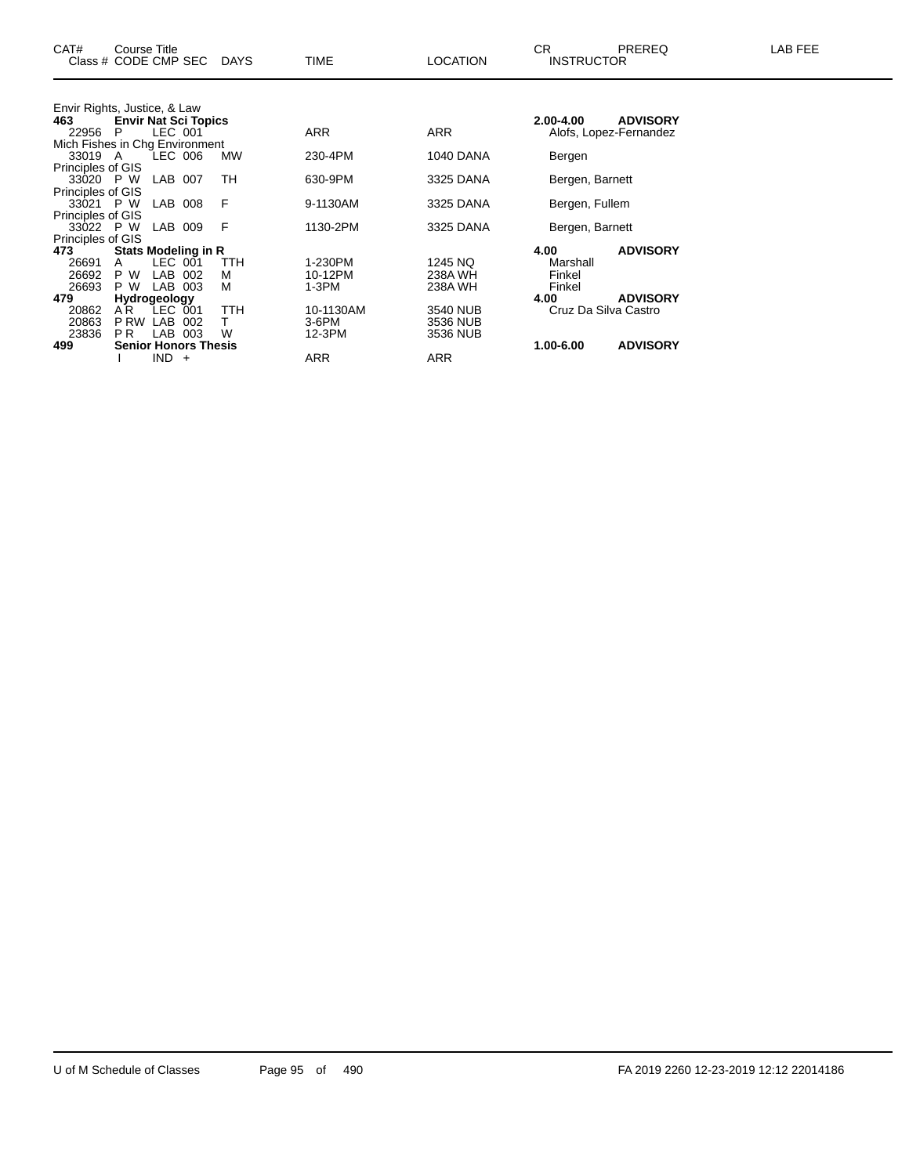| CAT#<br>Class # CODE CMP SEC   | Course Title                |              |                             | <b>DAYS</b> | <b>TIME</b> | <b>LOCATION</b>  | CR.<br><b>INSTRUCTOR</b> | <b>PREREQ</b>          | LAB FEE |
|--------------------------------|-----------------------------|--------------|-----------------------------|-------------|-------------|------------------|--------------------------|------------------------|---------|
| Envir Rights, Justice, & Law   |                             |              |                             |             |             |                  |                          |                        |         |
| 463                            | <b>Envir Nat Sci Topics</b> |              |                             |             |             |                  | 2.00-4.00                | <b>ADVISORY</b>        |         |
| 22956                          | P.                          | LEC 001      |                             |             | <b>ARR</b>  | <b>ARR</b>       |                          | Alofs, Lopez-Fernandez |         |
| Mich Fishes in Chg Environment |                             |              |                             |             |             |                  |                          |                        |         |
| 33019 A                        |                             | LEC 006      |                             | MW          | 230-4PM     | <b>1040 DANA</b> | Bergen                   |                        |         |
| <b>Principles of GIS</b>       |                             |              |                             |             |             |                  |                          |                        |         |
| 33020 P W                      |                             | LAB 007      |                             | TH          | 630-9PM     | 3325 DANA        | Bergen, Barnett          |                        |         |
| Principles of GIS              |                             |              |                             |             |             |                  |                          |                        |         |
| 33021 P W                      |                             | LAB 008      |                             | F           | 9-1130AM    | 3325 DANA        | Bergen, Fullem           |                        |         |
| Principles of GIS              |                             |              |                             |             |             |                  |                          |                        |         |
| 33022 P W                      |                             | LAB 009      |                             | F           | 1130-2PM    | 3325 DANA        | Bergen, Barnett          |                        |         |
| Principles of GIS              |                             |              |                             |             |             |                  |                          |                        |         |
| 473                            |                             |              | Stats Modeling in R         |             |             |                  | 4.00                     | <b>ADVISORY</b>        |         |
| 26691                          | A                           | LEC 001      |                             | <b>TTH</b>  | 1-230PM     | 1245 NQ          | Marshall                 |                        |         |
| 26692                          | P W                         | LAB 002      |                             | м           | 10-12PM     | 238A WH          | Finkel                   |                        |         |
| 26693                          | P W                         | LAB 003      |                             | м           | 1-3PM       | 238A WH          | Finkel                   |                        |         |
| 479                            |                             | Hydrogeology |                             |             |             |                  | 4.00                     | <b>ADVISORY</b>        |         |
| 20862                          | A <sup>R</sup>              | LEC 001      |                             | <b>TTH</b>  | 10-1130AM   | 3540 NUB         | Cruz Da Silva Castro     |                        |         |
| 20863                          | P RW LAB                    |              | 002                         | T.          | 3-6PM       | 3536 NUB         |                          |                        |         |
| 23836                          | PR.                         | LAB 003      |                             | W           | 12-3PM      | 3536 NUB         |                          |                        |         |
| 499                            |                             |              | <b>Senior Honors Thesis</b> |             |             |                  | 1.00-6.00                | <b>ADVISORY</b>        |         |
|                                |                             | $IND +$      |                             |             | ARR         | <b>ARR</b>       |                          |                        |         |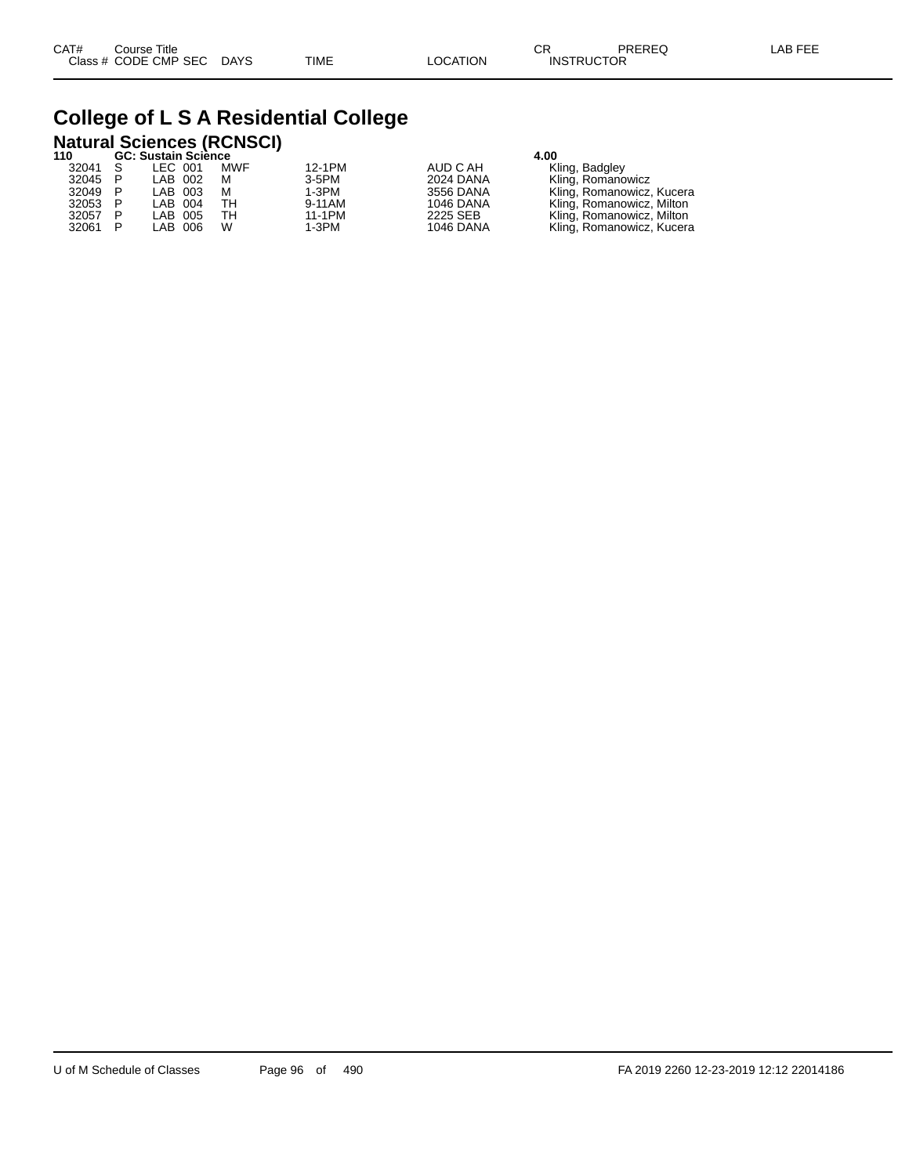## **College of L S A Residential College**

# **Natural Sciences (RCNSCI) 110 GC: Sustain Science 4.00**

| ' ' U   |     | <b>UC. SUSIAIII SCIENCE</b> |         |            |          |                  | 4.UU                      |
|---------|-----|-----------------------------|---------|------------|----------|------------------|---------------------------|
| 32041   | - S | LEC 001                     |         | <b>MWF</b> | 12-1PM   | AUD C AH         | Kling, Badgley            |
| 32045 P |     | LAB 002                     |         | м          | $3-5$ PM | 2024 DANA        | Kling, Romanowicz         |
| 32049 P |     |                             | LAB 003 | м          | 1-3PM    | 3556 DANA        | Kling, Romanowicz, Kucera |
| 32053 P |     | LAB 004                     |         | тн         | 9-11AM   | 1046 DANA        | Kling, Romanowicz, Milton |
| 32057   |     |                             | LAB 005 | TН         | 11-1PM   | 2225 SEB         | Kling, Romanowicz, Milton |
| 32061 P |     |                             | LAB 006 | W          | 1-3PM    | <b>1046 DANA</b> | Kling, Romanowicz, Kucera |
|         |     |                             |         |            |          |                  |                           |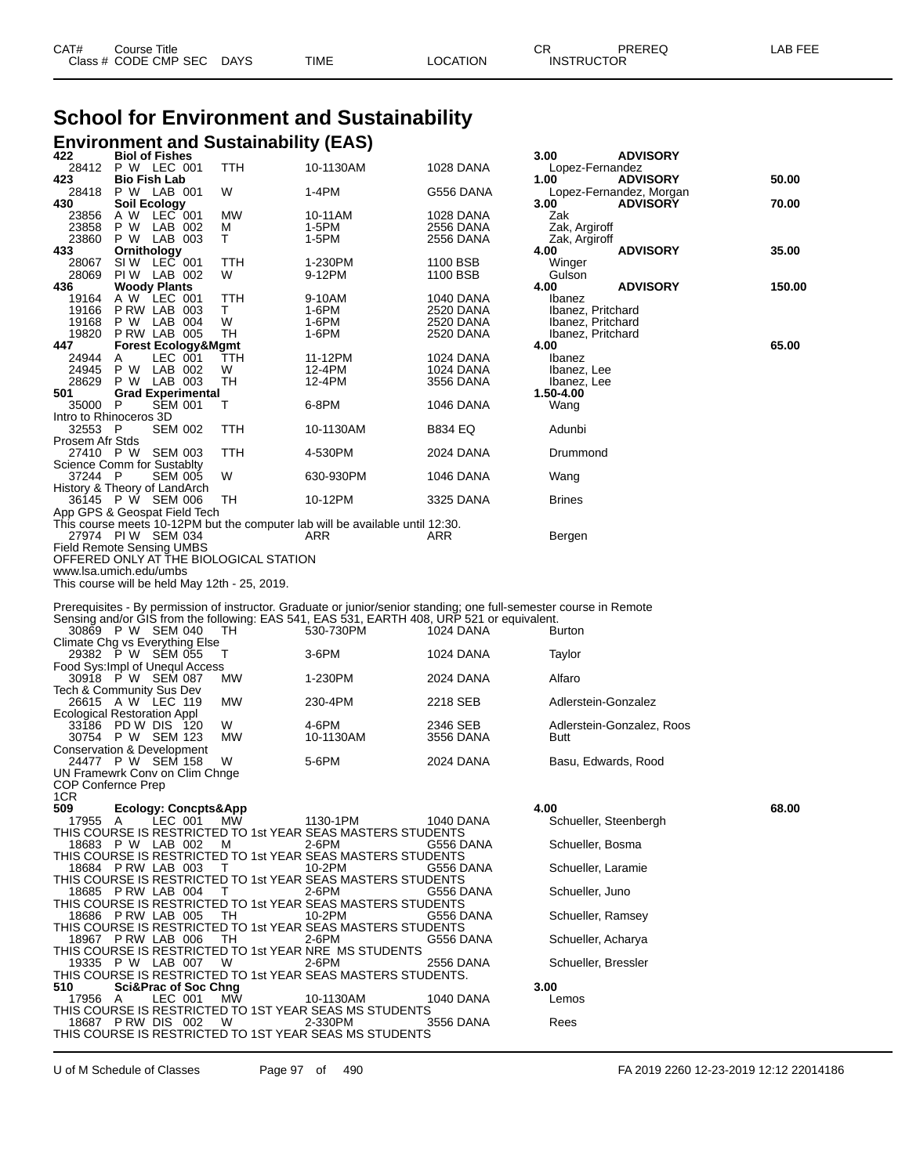# **School for Environment and Sustainability**

| <b>Environment and Sustainability (EAS)</b>                                                                                                                                                                                                                                                   |            |                    |                        |                                |                                            |        |
|-----------------------------------------------------------------------------------------------------------------------------------------------------------------------------------------------------------------------------------------------------------------------------------------------|------------|--------------------|------------------------|--------------------------------|--------------------------------------------|--------|
| 422<br><b>Biol of Fishes</b><br>28412<br>P W LEC 001                                                                                                                                                                                                                                          | <b>TTH</b> | 10-1130AM          | 1028 DANA              | 3.00<br>Lopez-Fernandez        | <b>ADVISORY</b>                            |        |
| <b>Bio Fish Lab</b><br>423                                                                                                                                                                                                                                                                    |            |                    |                        | 1.00                           | <b>ADVISORY</b>                            | 50.00  |
| 28418<br>P W LAB 001<br><b>Soil Ecology</b><br>430                                                                                                                                                                                                                                            | W          | 1-4PM              | G556 DANA              | 3.00                           | Lopez-Fernandez, Morgan<br><b>ADVISORY</b> | 70.00  |
| A W LEC 001<br>23856                                                                                                                                                                                                                                                                          | МW         | 10-11AM            | 1028 DANA              | Zak                            |                                            |        |
| 23858<br>P W<br>LAB 002<br>P W LAB 003<br>23860                                                                                                                                                                                                                                               | м<br>Τ     | 1-5PM<br>1-5PM     | 2556 DANA<br>2556 DANA | Zak, Argiroff<br>Zak, Argiroff |                                            |        |
| Ornithology<br>433<br>SIW LEC 001                                                                                                                                                                                                                                                             |            |                    |                        | 4.00                           | <b>ADVISORY</b>                            | 35.00  |
| 28067<br>28069<br>PIW LAB 002                                                                                                                                                                                                                                                                 | TTH<br>W   | 1-230PM<br>9-12PM  | 1100 BSB<br>1100 BSB   | Winger<br>Gulson               |                                            |        |
| <b>Woody Plants</b><br>436                                                                                                                                                                                                                                                                    |            |                    |                        | 4.00                           | <b>ADVISORY</b>                            | 150.00 |
| A W LEC 001<br>19164<br>PRW LAB 003<br>19166                                                                                                                                                                                                                                                  | TTH<br>T.  | 9-10AM<br>1-6PM    | 1040 DANA<br>2520 DANA | Ibanez<br>Ibanez, Pritchard    |                                            |        |
| 19168<br>P W LAB 004<br>P RW LAB 005                                                                                                                                                                                                                                                          | W          | 1-6PM              | 2520 DANA              | Ibanez, Pritchard              |                                            |        |
| 19820<br>447<br><b>Forest Ecology&amp;Mgmt</b>                                                                                                                                                                                                                                                | TН         | 1-6PM              | 2520 DANA              | Ibanez, Pritchard<br>4.00      |                                            | 65.00  |
| LEC 001<br>24944<br>A<br>LAB 002<br>24945<br>P W                                                                                                                                                                                                                                              | TTH<br>W   | 11-12PM<br>12-4PM  | 1024 DANA              | Ibanez                         |                                            |        |
| P W LAB 003<br>28629                                                                                                                                                                                                                                                                          | TН         | 12-4PM             | 1024 DANA<br>3556 DANA | Ibanez, Lee<br>Ibanez, Lee     |                                            |        |
| 501<br><b>Grad Experimental</b><br><b>SEM 001</b><br>35000<br>- P                                                                                                                                                                                                                             | Т          | 6-8PM              | 1046 DANA              | 1.50-4.00                      |                                            |        |
| Intro to Rhinoceros 3D                                                                                                                                                                                                                                                                        |            |                    |                        | Wang                           |                                            |        |
| 32553 P<br><b>SEM 002</b><br>Prosem Afr Stds                                                                                                                                                                                                                                                  | TTH        | 10-1130AM          | B834 EQ                | Adunbi                         |                                            |        |
| <b>SEM 003</b><br>27410 P W                                                                                                                                                                                                                                                                   | TTH        | 4-530PM            | 2024 DANA              | Drummond                       |                                            |        |
| Science Comm for Sustablty<br>37244 P<br><b>SEM 005</b>                                                                                                                                                                                                                                       | W          | 630-930PM          | 1046 DANA              |                                |                                            |        |
| History & Theory of LandArch                                                                                                                                                                                                                                                                  |            |                    |                        | Wang                           |                                            |        |
| 36145 P W SEM 006<br>App GPS & Geospat Field Tech                                                                                                                                                                                                                                             | ТH         | 10-12PM            | 3325 DANA              | <b>Brines</b>                  |                                            |        |
| This course meets 10-12PM but the computer lab will be available until 12:30.                                                                                                                                                                                                                 |            |                    |                        |                                |                                            |        |
| 27974 PIW SEM 034<br><b>Field Remote Sensing UMBS</b>                                                                                                                                                                                                                                         |            | ARR                | ARR                    | Bergen                         |                                            |        |
| OFFERED ONLY AT THE BIOLOGICAL STATION                                                                                                                                                                                                                                                        |            |                    |                        |                                |                                            |        |
| www.lsa.umich.edu/umbs<br>This course will be held May 12th - 25, 2019.                                                                                                                                                                                                                       |            |                    |                        |                                |                                            |        |
|                                                                                                                                                                                                                                                                                               |            |                    |                        |                                |                                            |        |
| Prerequisites - By permission of instructor. Graduate or junior/senior standing; one full-semester course in Remote<br>Sensing and/or GIS from the following: EAS 541, EAS 531, EARTH 408, URP 521 or equivalent.<br>30869 P W SEM 040<br>Climate Chg vs Everything Else<br>29382 P W SEM 055 | TH.<br>Т   | 530-730PM<br>3-6PM | 1024 DANA<br>1024 DANA | Burton<br>Taylor               |                                            |        |
| Food Sys: Impl of Unequi Access                                                                                                                                                                                                                                                               |            |                    |                        |                                |                                            |        |
| 30918 P W SEM 087<br>Tech & Community Sus Dev                                                                                                                                                                                                                                                 | МW         | 1-230PM            | 2024 DANA              | Alfaro                         |                                            |        |
| 26615 A W LEC 119<br>Ecological Restoration Appl                                                                                                                                                                                                                                              | МW         | 230-4PM            | 2218 SEB               | Adlerstein-Gonzalez            |                                            |        |
| 33186 PD W DIS 120                                                                                                                                                                                                                                                                            | W          | 4-6PM              | 2346 SEB               |                                | Adlerstein-Gonzalez, Roos                  |        |
| 30754 P W SEM 123<br>Conservation & Development                                                                                                                                                                                                                                               | МW         | 10-1130AM          | 3556 DANA              | Butt                           |                                            |        |
| 24477 P W SEM 158                                                                                                                                                                                                                                                                             | W          | 5-6PM              | 2024 DANA              | Basu, Edwards, Rood            |                                            |        |
| UN Framewrk Conv on Clim Chnge<br><b>COP Confernce Prep</b>                                                                                                                                                                                                                                   |            |                    |                        |                                |                                            |        |
| 1CR                                                                                                                                                                                                                                                                                           |            |                    |                        |                                |                                            |        |
| 509<br><b>Ecology: Concpts&amp;App</b><br>LEC 001<br>17955<br>A                                                                                                                                                                                                                               | MW.        | 1130-1PM           | 1040 DANA              | 4.00<br>Schueller, Steenbergh  |                                            | 68.00  |
| THIS COURSE IS RESTRICTED TO 1st YEAR SEAS MASTERS STUDENTS                                                                                                                                                                                                                                   |            |                    |                        |                                |                                            |        |
| 18683 P W LAB 002<br>THIS COURSE IS RESTRICTED TO 1st YEAR SEAS MASTERS STUDENTS                                                                                                                                                                                                              | м          | 2-6PM              | G556 DANA              | Schueller, Bosma               |                                            |        |
| 18684 P RW LAB 003                                                                                                                                                                                                                                                                            | Т          | 10-2PM             | G556 DANA              | Schueller, Laramie             |                                            |        |
| THIS COURSE IS RESTRICTED TO 1st YEAR SEAS MASTERS STUDENTS<br>18685 P RW LAB 004                                                                                                                                                                                                             | Τ          | 2-6PM              | G556 DANA              | Schueller, Juno                |                                            |        |
| THIS COURSE IS RESTRICTED TO 1st YEAR SEAS MASTERS STUDENTS<br>18686                                                                                                                                                                                                                          | TН         | 10-2PM             |                        |                                |                                            |        |
| PRW LAB 005<br>THIS COURSE IS RESTRICTED TO 1st YEAR SEAS MASTERS STUDENTS                                                                                                                                                                                                                    |            |                    | G556 DANA              | Schueller, Ramsey              |                                            |        |
| 18967 P RW LAB 006                                                                                                                                                                                                                                                                            | TН         | 2-6PM              | G556 DANA              | Schueller, Acharya             |                                            |        |
| THIS COURSE IS RESTRICTED TO 1st YEAR NRE MS STUDENTS<br>19335 P W LAB 007                                                                                                                                                                                                                    | W          | 2-6PM              | 2556 DANA              | Schueller, Bressler            |                                            |        |
| THIS COURSE IS RESTRICTED TO 1st YEAR SEAS MASTERS STUDENTS.<br><b>Sci&amp;Prac of Soc Chng</b><br>510                                                                                                                                                                                        |            |                    |                        | 3.00                           |                                            |        |
| LEC 001<br>17956<br>A                                                                                                                                                                                                                                                                         | МW         | 10-1130AM          | 1040 DANA              | Lemos                          |                                            |        |
| THIS COURSE IS RESTRICTED TO 1ST YEAR SEAS MS STUDENTS<br>18687 PRW DIS 002                                                                                                                                                                                                                   | W          | 2-330PM            | 3556 DANA              | Rees                           |                                            |        |

U of M Schedule of Classes Page 97 of 490 FA 2019 2260 12-23-2019 12:12 22014186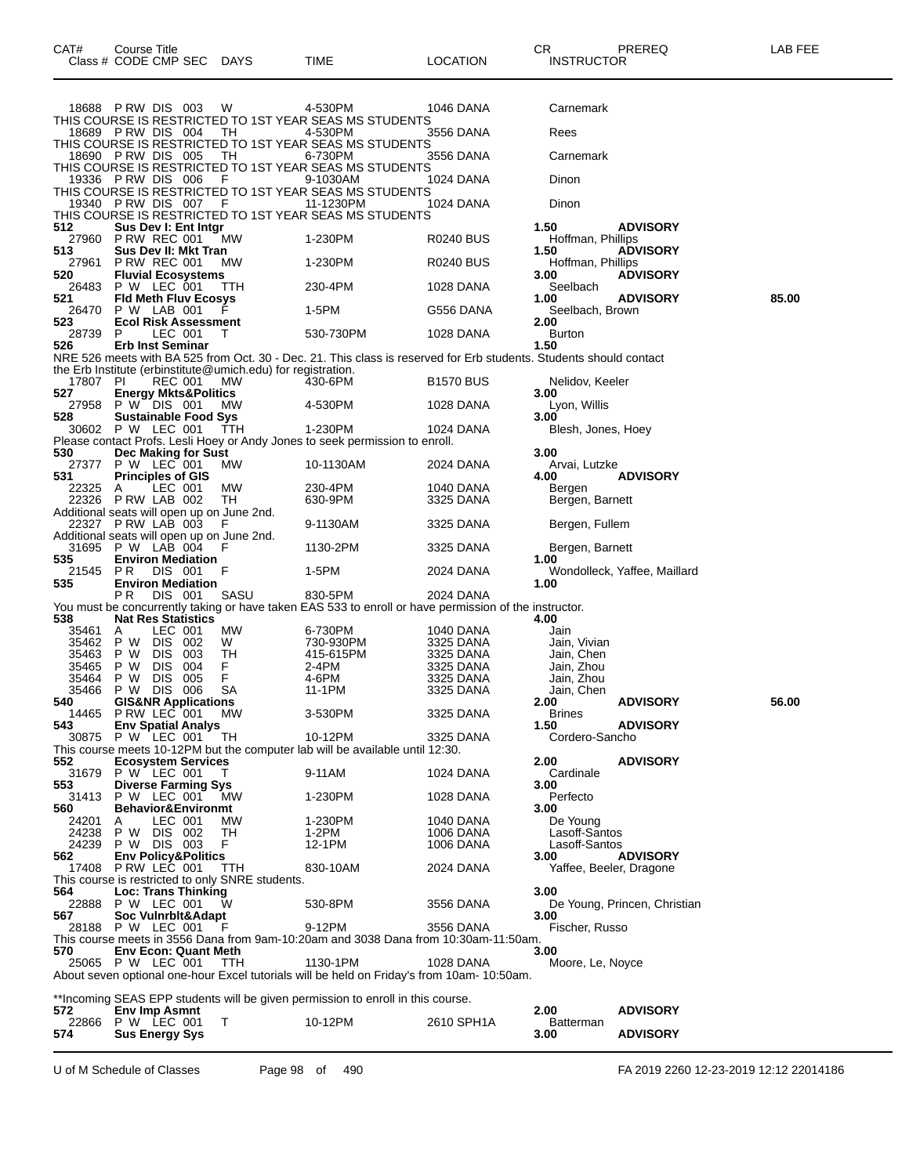|                | 18688 PRW DIS 003                                            | W        | 4-530PM                                                                                                            | 1046 DANA              | Carnemark                |                              |       |
|----------------|--------------------------------------------------------------|----------|--------------------------------------------------------------------------------------------------------------------|------------------------|--------------------------|------------------------------|-------|
|                |                                                              |          | THIS COURSE IS RESTRICTED TO 1ST YEAR SEAS MS STUDENTS                                                             |                        |                          |                              |       |
|                | 18689 PRW DIS 004                                            | TН       | 4-530PM                                                                                                            | 3556 DANA              | Rees                     |                              |       |
|                |                                                              |          | THIS COURSE IS RESTRICTED TO 1ST YEAR SEAS MS STUDENTS                                                             |                        |                          |                              |       |
|                | 18690 PRW DIS 005                                            | TН       | 6-730PM<br>THIS COURSE IS RESTRICTED TO 1ST YEAR SEAS MS STUDENTS                                                  | 3556 DANA              | Carnemark                |                              |       |
|                | 19336 PRW DIS 006                                            | F        | 9-1030AM                                                                                                           | 1024 DANA              | Dinon                    |                              |       |
|                |                                                              |          | THIS COURSE IS RESTRICTED TO 1ST YEAR SEAS MS STUDENTS                                                             |                        |                          |                              |       |
|                | 19340 PRW DIS 007                                            | F        | 11-1230PM                                                                                                          | <b>1024 DANA</b>       | Dinon                    |                              |       |
| 512            | Sus Dev I: Ent Intgr                                         |          | THIS COURSE IS RESTRICTED TO 1ST YEAR SEAS MS STUDENTS                                                             |                        | 1.50                     | <b>ADVISORY</b>              |       |
| 27960          | PRW REC 001                                                  | МW       | 1-230PM                                                                                                            | R0240 BUS              | Hoffman, Phillips        |                              |       |
| 513            | Sus Dev II: Mkt Tran                                         |          |                                                                                                                    |                        | 1.50                     | <b>ADVISORY</b>              |       |
| 27961          | <b>P RW REC 001</b>                                          | МW       | 1-230PM                                                                                                            | R0240 BUS              | Hoffman, Phillips        |                              |       |
| 520            | <b>Fluvial Ecosystems</b><br>P W LEC 001                     |          | 230-4PM                                                                                                            |                        | 3.00                     | <b>ADVISORY</b>              |       |
| 26483<br>521   | <b>Fld Meth Fluv Ecosys</b>                                  | TTH      |                                                                                                                    | 1028 DANA              | Seelbach<br>1.00         | <b>ADVISORY</b>              | 85.00 |
| 26470          | P W LAB 001                                                  | F        | 1-5PM                                                                                                              | G556 DANA              | Seelbach, Brown          |                              |       |
| 523            | <b>Ecol Risk Assessment</b>                                  |          |                                                                                                                    |                        | 2.00                     |                              |       |
| 28739          | P<br>LEC 001                                                 | Τ        | 530-730PM                                                                                                          | 1028 DANA              | <b>Burton</b>            |                              |       |
| 526            | <b>Erb Inst Seminar</b>                                      |          | NRE 526 meets with BA 525 from Oct. 30 - Dec. 21. This class is reserved for Erb students. Students should contact |                        | 1.50                     |                              |       |
|                | the Erb Institute (erbinstitute@umich.edu) for registration. |          |                                                                                                                    |                        |                          |                              |       |
| 17807 PI       | <b>REC 001</b>                                               | МW       | 430-6PM                                                                                                            | <b>B1570 BUS</b>       | Nelidov, Keeler          |                              |       |
| 527            | <b>Energy Mkts&amp;Politics</b>                              |          |                                                                                                                    |                        | 3.00                     |                              |       |
| 27958<br>528   | P W DIS 001<br><b>Sustainable Food Sys</b>                   | МW       | 4-530PM                                                                                                            | 1028 DANA              | Lyon, Willis<br>3.00     |                              |       |
| 30602          | P W LEC 001                                                  | ттн      | 1-230PM                                                                                                            | 1024 DANA              | Blesh, Jones, Hoey       |                              |       |
|                |                                                              |          | Please contact Profs. Lesli Hoey or Andy Jones to seek permission to enroll.                                       |                        |                          |                              |       |
| 530            | Dec Making for Sust                                          |          |                                                                                                                    |                        | 3.00                     |                              |       |
| 27377          | P W LEC 001                                                  | МW       | 10-1130AM                                                                                                          | 2024 DANA              | Arvai, Lutzke            | <b>ADVISORY</b>              |       |
| 531<br>22325   | <b>Principles of GIS</b><br>LEC 001<br>A                     | MW       | 230-4PM                                                                                                            | 1040 DANA              | 4.00<br>Bergen           |                              |       |
| 22326          | PRW LAB 002                                                  | TН       | 630-9PM                                                                                                            | 3325 DANA              | Bergen, Barnett          |                              |       |
|                | Additional seats will open up on June 2nd.                   |          |                                                                                                                    |                        |                          |                              |       |
|                | 22327 PRW LAB 003                                            | F        | 9-1130AM                                                                                                           | 3325 DANA              | Bergen, Fullem           |                              |       |
| 31695          | Additional seats will open up on June 2nd.<br>P W LAB 004    | F        | 1130-2PM                                                                                                           | 3325 DANA              | Bergen, Barnett          |                              |       |
| 535            | <b>Environ Mediation</b>                                     |          |                                                                                                                    |                        | 1.00                     |                              |       |
| 21545          | PR.<br>DIS 001                                               | F        | 1-5PM                                                                                                              | 2024 DANA              |                          | Wondolleck, Yaffee, Maillard |       |
| 535            | <b>Environ Mediation</b>                                     |          |                                                                                                                    |                        | 1.00                     |                              |       |
|                | P R<br>DIS 001                                               | SASU     | 830-5PM<br>You must be concurrently taking or have taken EAS 533 to enroll or have permission of the instructor.   | 2024 DANA              |                          |                              |       |
| 538            | <b>Nat Res Statistics</b>                                    |          |                                                                                                                    |                        | 4.00                     |                              |       |
| 35461          | LEC 001<br>A                                                 | MW       | 6-730PM                                                                                                            | 1040 DANA              | Jain                     |                              |       |
| 35462          | P W<br>DIS.<br>002                                           | W        | 730-930PM                                                                                                          | 3325 DANA              | Jain, Vivian             |                              |       |
| 35463<br>35465 | P W<br>DIS.<br>003<br>P W<br><b>DIS</b><br>004               | TН<br>F. | 415-615PM<br>2-4PM                                                                                                 | 3325 DANA<br>3325 DANA | Jain, Chen<br>Jain, Zhou |                              |       |
| 35464          | P W<br>DIS.<br>005                                           | F        | 4-6PM                                                                                                              | 3325 DANA              | Jain, Zhou               |                              |       |
| 35466          | DIS 006<br>P W                                               | SА       | 11-1PM                                                                                                             | 3325 DANA              | Jain, Chen               |                              |       |
| 540            | <b>GIS&amp;NR Applications</b>                               |          |                                                                                                                    |                        | 2.00                     | <b>ADVISORY</b>              | 56.00 |
| 14465          | PRW LEC 001                                                  | МW       | 3-530PM                                                                                                            | 3325 DANA              | <b>Brines</b><br>1.50    | <b>ADVISORY</b>              |       |
| 543<br>30875   | <b>Env Spatial Analys</b><br>P W LEC 001                     | TН       | 10-12PM                                                                                                            | 3325 DANA              | Cordero-Sancho           |                              |       |
|                |                                                              |          | This course meets 10-12PM but the computer lab will be available until 12:30.                                      |                        |                          |                              |       |
| 552            | <b>Ecosystem Services</b>                                    |          |                                                                                                                    |                        | 2.00                     | <b>ADVISORY</b>              |       |
| 31679          | P W LEC 001<br><b>Diverse Farming Sys</b>                    |          | 9-11AM                                                                                                             | <b>1024 DANA</b>       | Cardinale                |                              |       |
| 553<br>31413   | P W LEC 001                                                  | МW       | 1-230PM                                                                                                            | 1028 DANA              | 3.00<br>Perfecto         |                              |       |
| 560            | <b>Behavior&amp;Environmt</b>                                |          |                                                                                                                    |                        | 3.00                     |                              |       |
| 24201          | LEC 001<br>A                                                 | MW.      | 1-230PM                                                                                                            | 1040 DANA              | De Young                 |                              |       |
| 24238          | P W<br>DIS 002                                               | TH       | 1-2PM                                                                                                              | <b>1006 DANA</b>       | Lasoff-Santos            |                              |       |
| 24239<br>562   | P W DIS 003<br><b>Env Policy&amp;Politics</b>                | F.       | 12-1PM                                                                                                             | <b>1006 DANA</b>       | Lasoff-Santos<br>3.00    | <b>ADVISORY</b>              |       |
| 17408          | PRW LEC 001                                                  | TTH      | 830-10AM                                                                                                           | 2024 DANA              | Yaffee, Beeler, Dragone  |                              |       |
|                | This course is restricted to only SNRE students.             |          |                                                                                                                    |                        |                          |                              |       |
| 564            | Loc: Trans Thinking                                          |          |                                                                                                                    |                        | 3.00                     |                              |       |
| 22888<br>567   | P W LEC 001<br>Soc Vulnrbit&Adapt                            | W        | 530-8PM                                                                                                            | 3556 DANA              | 3.00                     | De Young, Princen, Christian |       |
|                | 28188 P W LEC 001                                            | F        | 9-12PM                                                                                                             | 3556 DANA              | Fischer, Russo           |                              |       |
|                |                                                              |          | This course meets in 3556 Dana from 9am-10:20am and 3038 Dana from 10:30am-11:50am.                                |                        |                          |                              |       |
| 570            | <b>Env Econ: Quant Meth</b>                                  |          |                                                                                                                    |                        | 3.00                     |                              |       |
|                | 25065 P W LEC 001                                            | TTH      | 1130-1PM<br>About seven optional one-hour Excel tutorials will be held on Friday's from 10am-10:50am.              | 1028 DANA              | Moore, Le, Noyce         |                              |       |
|                |                                                              |          |                                                                                                                    |                        |                          |                              |       |
|                |                                                              |          | **Incoming SEAS EPP students will be given permission to enroll in this course.                                    |                        |                          |                              |       |
| 572            | <b>Env Imp Asmnt</b><br>P W LEC 001                          | Т        | 10-12PM                                                                                                            |                        | 2.00                     | <b>ADVISORY</b>              |       |
| 22866<br>574   | <b>Sus Energy Sys</b>                                        |          |                                                                                                                    | 2610 SPH1A             | Batterman<br>3.00        | <b>ADVISORY</b>              |       |
|                |                                                              |          |                                                                                                                    |                        |                          |                              |       |

CAT# Course Title Case CR PREREQ LAB FEE

Class # CODE CMP SEC DAYS TIME LOCATION INSTRUCTOR

U of M Schedule of Classes Page 98 of 490 FA 2019 2260 12-23-2019 12:12 22014186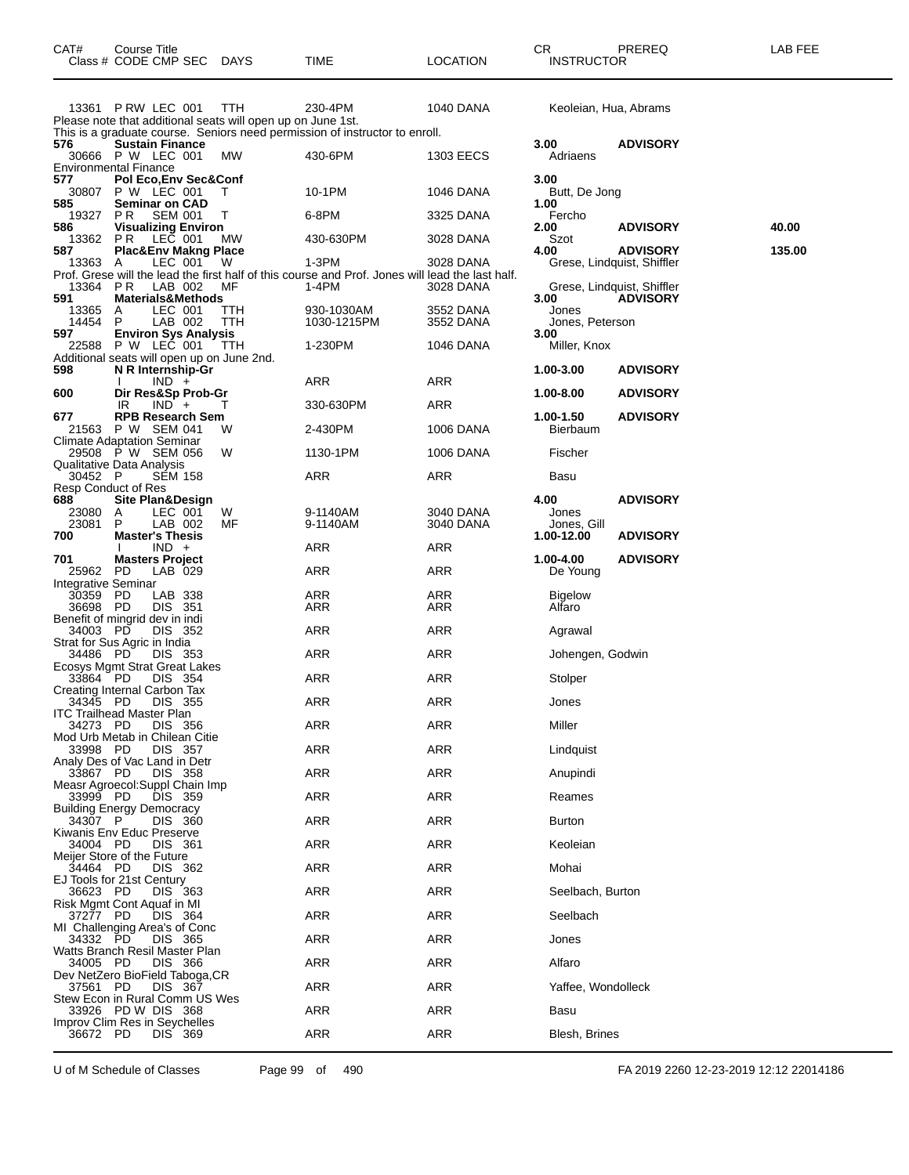| CAT#                                                                      | Course Title | Class # CODE CMP SEC DAYS                                       |                                                                    | TIME                                                                                                      | <b>LOCATION</b>        | CR<br><b>INSTRUCTOR</b>          | PREREQ                                        | LAB FEE |
|---------------------------------------------------------------------------|--------------|-----------------------------------------------------------------|--------------------------------------------------------------------|-----------------------------------------------------------------------------------------------------------|------------------------|----------------------------------|-----------------------------------------------|---------|
|                                                                           |              | 13361 P RW LEC 001                                              | TTH<br>Please note that additional seats will open up on June 1st. | 230-4PM<br>This is a graduate course. Seniors need permission of instructor to enroll.                    | 1040 DANA              | Keoleian, Hua, Abrams            |                                               |         |
| 576                                                                       |              | <b>Sustain Finance</b><br>30666 P W LEC 001                     | МW                                                                 | 430-6PM                                                                                                   | 1303 EECS              | 3.00<br>Adriaens                 | <b>ADVISORY</b>                               |         |
| <b>Environmental Finance</b><br>577                                       |              | Pol Eco, Env Sec& Conf<br>30807 P W LEC 001                     | т                                                                  | 10-1PM                                                                                                    | 1046 DANA              | 3.00<br>Butt, De Jong            |                                               |         |
| 585<br>19327<br>586                                                       | P R          | Seminar on CAD<br><b>SEM 001</b><br><b>Visualizing Environ</b>  | T                                                                  | 6-8PM                                                                                                     | 3325 DANA              | 1.00<br>Fercho<br>2.00           | <b>ADVISORY</b>                               | 40.00   |
| 13362<br>587<br>13363 A                                                   |              | <b>PR LEC 001</b><br><b>Plac&amp;Env Makng Place</b><br>LEC 001 | МW<br>W.                                                           | 430-630PM<br>1-3PM                                                                                        | 3028 DANA<br>3028 DANA | Szot<br>4.00                     | <b>ADVISORY</b><br>Grese, Lindquist, Shiffler | 135.00  |
| 13364 PR<br>591                                                           |              | LAB 002<br><b>Materials&amp;Methods</b>                         | МF                                                                 | Prof. Grese will the lead the first half of this course and Prof. Jones will lead the last half.<br>1-4PM | 3028 DANA              | 3.00                             | Grese, Lindquist, Shiffler<br><b>ADVISORY</b> |         |
| 13365<br>14454<br>597                                                     | A<br>P       | LEC 001<br>LAB 002<br><b>Environ Sys Analysis</b>               | <b>TTH</b><br>TTH                                                  | 930-1030AM<br>1030-1215PM                                                                                 | 3552 DANA<br>3552 DANA | Jones<br>Jones, Peterson<br>3.00 |                                               |         |
| 22588                                                                     |              | P W LEC 001                                                     | ์ TTH<br>Additional seats will open up on June 2nd.                | 1-230PM                                                                                                   | 1046 DANA              | Miller, Knox                     |                                               |         |
| 598                                                                       |              | N R Internship-Gr<br>$IND +$                                    |                                                                    | ARR                                                                                                       | ARR                    | 1.00-3.00                        | <b>ADVISORY</b>                               |         |
| 600                                                                       | IR           | Dir Res&Sp Prob-Gr<br>$IND +$                                   | Т                                                                  | 330-630PM                                                                                                 | ARR                    | 1.00-8.00                        | <b>ADVISORY</b>                               |         |
| 677<br>21563<br><b>Climate Adaptation Seminar</b>                         |              | <b>RPB Research Sem</b><br>P W SEM 041                          | W                                                                  | 2-430PM                                                                                                   | 1006 DANA              | 1.00-1.50<br><b>Bierbaum</b>     | <b>ADVISORY</b>                               |         |
|                                                                           |              | 29508 P W SEM 056                                               | W                                                                  | 1130-1PM                                                                                                  | 1006 DANA              | Fischer                          |                                               |         |
| Qualitative Data Analysis<br>30452 P<br>Resp Conduct of Res               |              | <b>SEM 158</b>                                                  |                                                                    | ARR                                                                                                       | ARR                    | Basu                             |                                               |         |
| 688<br>23080<br>23081                                                     | A<br>P       | Site Plan&Design<br>LEC 001<br>LAB 002                          | W<br>МF                                                            | 9-1140AM<br>9-1140AM                                                                                      | 3040 DANA<br>3040 DANA | 4.00<br>Jones<br>Jones, Gill     | <b>ADVISORY</b>                               |         |
| 700                                                                       |              | <b>Master's Thesis</b><br>$IND +$                               |                                                                    | ARR                                                                                                       | ARR                    | 1.00-12.00                       | <b>ADVISORY</b>                               |         |
| 701<br>25962 PD<br>Integrative Seminar                                    |              | <b>Masters Project</b><br>LAB 029                               |                                                                    | ARR                                                                                                       | ARR                    | 1.00-4.00<br>De Young            | <b>ADVISORY</b>                               |         |
| 30359 PD<br>36698 PD<br>Benefit of mingrid dev in indi                    |              | LAB 338<br>DIS 351                                              |                                                                    | ARR<br>ARR                                                                                                | ARR<br>ARR             | <b>Bigelow</b><br>Alfaro         |                                               |         |
| 34003 PD                                                                  |              | DIS 352                                                         |                                                                    | ARR                                                                                                       | ARR                    | Agrawal                          |                                               |         |
| Strat for Sus Agric in India<br>34486 PD<br>Ecosys Mgmt Strat Great Lakes |              | DIS 353                                                         |                                                                    | ARR                                                                                                       | ARR                    | Johengen, Godwin                 |                                               |         |
| 33864 PD                                                                  |              | DIS 354                                                         |                                                                    | ARR                                                                                                       | ARR                    | Stolper                          |                                               |         |
| Creating Internal Carbon Tax<br>34345 PD                                  |              | DIS 355                                                         |                                                                    | ARR                                                                                                       | ARR                    | Jones                            |                                               |         |
| <b>ITC Trailhead Master Plan</b><br>34273 PD                              |              | DIS 356                                                         |                                                                    | <b>ARR</b>                                                                                                | <b>ARR</b>             | Miller                           |                                               |         |
| Mod Urb Metab in Chilean Citie<br>33998 PD                                |              | DIS 357                                                         |                                                                    | <b>ARR</b>                                                                                                | <b>ARR</b>             | Lindquist                        |                                               |         |
| Analy Des of Vac Land in Detr<br>33867 PD                                 |              | DIS 358                                                         |                                                                    | ARR                                                                                                       | ARR                    | Anupindi                         |                                               |         |
| Measr Agroecol: Suppl Chain Imp<br>33999 PD                               |              | DIS 359                                                         |                                                                    | <b>ARR</b>                                                                                                | ARR                    | Reames                           |                                               |         |
| <b>Building Energy Democracy</b><br>34307 P                               |              | DIS 360                                                         |                                                                    | <b>ARR</b>                                                                                                | <b>ARR</b>             | <b>Burton</b>                    |                                               |         |
| Kiwanis Env Educ Preserve<br>34004 PD                                     |              | DIS 361                                                         |                                                                    | <b>ARR</b>                                                                                                | ARR                    | Keoleian                         |                                               |         |
| Meijer Store of the Future<br>34464 PD                                    |              | DIS 362                                                         |                                                                    | <b>ARR</b>                                                                                                | ARR                    | Mohai                            |                                               |         |
| EJ Tools for 21st Century<br>36623 PD                                     |              | DIS 363                                                         |                                                                    | <b>ARR</b>                                                                                                | <b>ARR</b>             | Seelbach, Burton                 |                                               |         |
| Risk Mgmt Cont Aquaf in MI<br>37277 PD                                    |              | DIS 364                                                         |                                                                    | ARR                                                                                                       | ARR                    | Seelbach                         |                                               |         |
| MI Challenging Area's of Conc<br>34332 PD                                 |              | DIS 365                                                         |                                                                    | <b>ARR</b>                                                                                                | ARR                    | Jones                            |                                               |         |
| Watts Branch Resil Master Plan<br>34005 PD                                |              | DIS 366                                                         |                                                                    | <b>ARR</b>                                                                                                | <b>ARR</b>             | Alfaro                           |                                               |         |
| Dev NetZero BioField Taboga, CR<br>37561 PD                               |              | DIS 367                                                         |                                                                    | <b>ARR</b>                                                                                                | ARR                    | Yaffee, Wondolleck               |                                               |         |
| Stew Econ in Rural Comm US Wes                                            |              | 33926 PD W DIS 368                                              |                                                                    | <b>ARR</b>                                                                                                | ARR                    | Basu                             |                                               |         |
| Improv Clim Res in Seychelles<br>36672 PD                                 |              | DIS 369                                                         |                                                                    | <b>ARR</b>                                                                                                | <b>ARR</b>             | Blesh, Brines                    |                                               |         |

U of M Schedule of Classes Page 99 of 490 FA 2019 2260 12-23-2019 12:12 22014186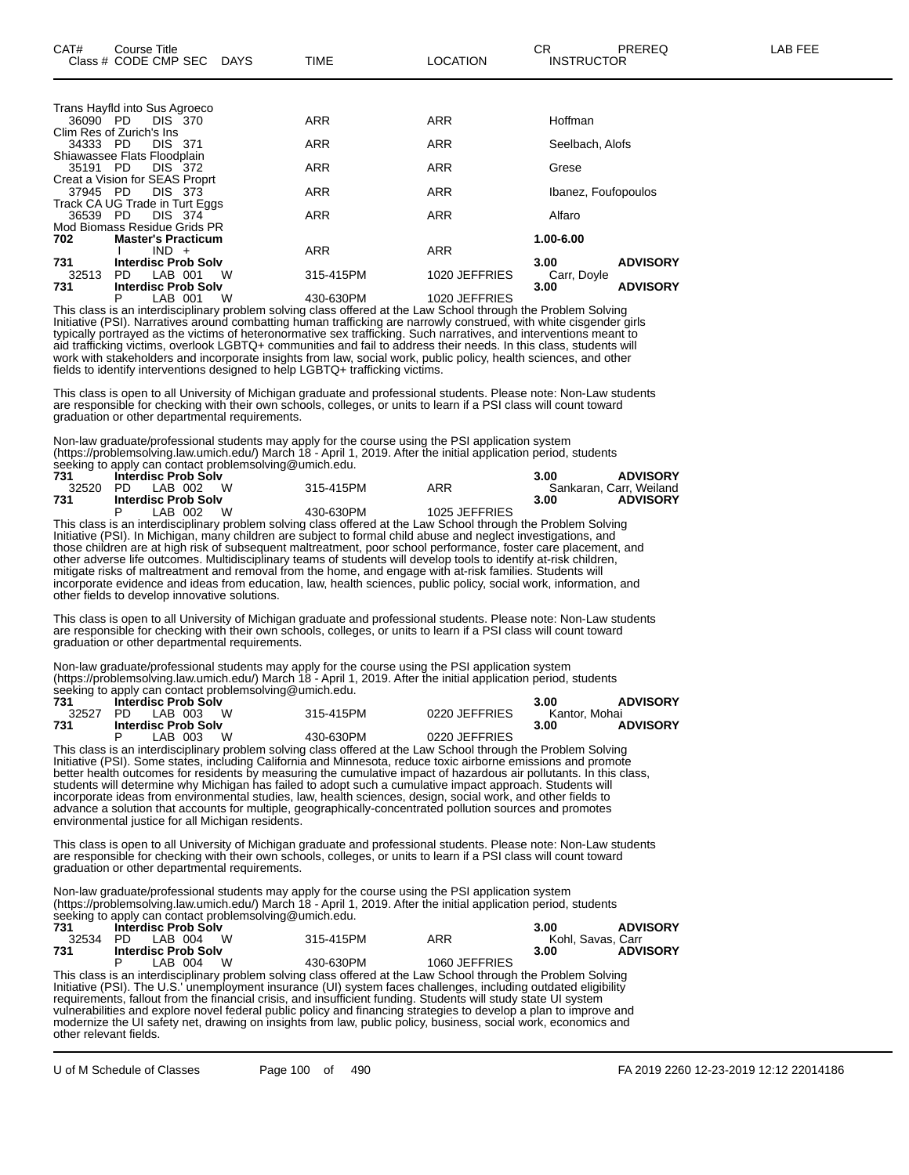|          | Trans Hayfld into Sus Agroeco  |            |               |                         |
|----------|--------------------------------|------------|---------------|-------------------------|
|          | 36090 PD DIS 370               | <b>ARR</b> | <b>ARR</b>    | Hoffman                 |
|          | Clim Res of Zurich's Ins       |            |               |                         |
| 34333 PD | <b>DIS 371</b>                 | <b>ARR</b> | <b>ARR</b>    | Seelbach, Alofs         |
|          | Shiawassee Flats Floodplain    |            |               |                         |
| 35191 PD | DIS 372                        | <b>ARR</b> | <b>ARR</b>    | Grese                   |
|          | Creat a Vision for SEAS Proprt |            |               |                         |
| 37945 PD | <b>DIS 373</b>                 | <b>ARR</b> | ARR           | Ibanez, Foufopoulos     |
|          | Track CA UG Trade in Turt Eggs |            |               |                         |
| 36539 PD | DIS 374                        | <b>ARR</b> | ARR           | Alfaro                  |
|          | Mod Biomass Residue Grids PR   |            |               |                         |
| 702      | <b>Master's Practicum</b>      |            |               | $1.00 - 6.00$           |
|          | $IND +$                        | <b>ARR</b> | <b>ARR</b>    |                         |
| 731      | <b>Interdisc Prob Solv</b>     |            |               | <b>ADVISORY</b><br>3.00 |
| 32513    | LAB 001<br>W<br>PD.            | 315-415PM  | 1020 JEFFRIES | Carr, Doyle             |
| 731      | <b>Interdisc Prob Solv</b>     |            |               | <b>ADVISORY</b><br>3.00 |
|          | P<br>LAB 001<br>W              | 430-630PM  | 1020 JEFFRIES |                         |

This class is an interdisciplinary problem solving class offered at the Law School through the Problem Solving Initiative (PSI). Narratives around combatting human trafficking are narrowly construed, with white cisgender girls typically portrayed as the victims of heteronormative sex trafficking. Such narratives, and interventions meant to aid trafficking victims, overlook LGBTQ+ communities and fail to address their needs. In this class, students will work with stakeholders and incorporate insights from law, social work, public policy, health sciences, and other fields to identify interventions designed to help LGBTQ+ trafficking victims.

This class is open to all University of Michigan graduate and professional students. Please note: Non-Law students are responsible for checking with their own schools, colleges, or units to learn if a PSI class will count toward graduation or other departmental requirements.

Non-law graduate/professional students may apply for the course using the PSI application system (https://problemsolving.law.umich.edu/) March 18 - April 1, 2019. After the initial application period, students seeking to apply can contact problemsolving@umich.edu.

| 731 | Interdisc Prob Solv        |    |           |               | 3.00 | <b>ADVISORY</b>         |
|-----|----------------------------|----|-----------|---------------|------|-------------------------|
|     | 32520 PD LAB 002 W         |    | 315-415PM | ARR           |      | Sankaran, Carr, Weiland |
| 731 | <b>Interdisc Prob Solv</b> |    |           |               | 3.00 | <b>ADVISORY</b>         |
|     | LAB 002                    | W. | 430-630PM | 1025 JEFFRIES |      |                         |

This class is an interdisciplinary problem solving class offered at the Law School through the Problem Solving Initiative (PSI). In Michigan, many children are subject to formal child abuse and neglect investigations, and those children are at high risk of subsequent maltreatment, poor school performance, foster care placement, and other adverse life outcomes. Multidisciplinary teams of students will develop tools to identify at-risk children, mitigate risks of maltreatment and removal from the home, and engage with at-risk families. Students will incorporate evidence and ideas from education, law, health sciences, public policy, social work, information, and other fields to develop innovative solutions.

This class is open to all University of Michigan graduate and professional students. Please note: Non-Law students are responsible for checking with their own schools, colleges, or units to learn if a PSI class will count toward graduation or other departmental requirements.

Non-law graduate/professional students may apply for the course using the PSI application system (https://problemsolving.law.umich.edu/) March 18 - April 1, 2019. After the initial application period, students seeking to apply can contact problemsolving@umich.edu.

| 731   | <b>Interdisc Prob Solv</b> |           |               | 3.00          | <b>ADVISORY</b> |
|-------|----------------------------|-----------|---------------|---------------|-----------------|
| 32527 | <b>W</b><br>PD IAB 003     | 315-415PM | 0220 JEFFRIES | Kantor. Mohai |                 |
| 731   | <b>Interdisc Prob Solv</b> |           |               | 3.00          | <b>ADVISORY</b> |
|       | W<br>LAB 003               | 430-630PM | 0220 JEFFRIES |               |                 |

This class is an interdisciplinary problem solving class offered at the Law School through the Problem Solving Initiative (PSI). Some states, including California and Minnesota, reduce toxic airborne emissions and promote better health outcomes for residents by measuring the cumulative impact of hazardous air pollutants. In this class, students will determine why Michigan has failed to adopt such a cumulative impact approach. Students will incorporate ideas from environmental studies, law, health sciences, design, social work, and other fields to advance a solution that accounts for multiple, geographically-concentrated pollution sources and promotes environmental justice for all Michigan residents.

This class is open to all University of Michigan graduate and professional students. Please note: Non-Law students are responsible for checking with their own schools, colleges, or units to learn if a PSI class will count toward graduation or other departmental requirements.

Non-law graduate/professional students may apply for the course using the PSI application system (https://problemsolving.law.umich.edu/) March 18 - April 1, 2019. After the initial application period, students seeking to apply can contact problemsolving@umich.edu.

| 731   |     | <b>Interdisc Prob Solv</b> |           |                                                                                                                 | 3.00              | <b>ADVISORY</b> |
|-------|-----|----------------------------|-----------|-----------------------------------------------------------------------------------------------------------------|-------------------|-----------------|
| 32534 | PD. | LAB 004 W                  | 315-415PM | ARR                                                                                                             | Kohl, Savas, Carr |                 |
| 731   |     | <b>Interdisc Prob Solv</b> |           |                                                                                                                 | 3.00              | <b>ADVISORY</b> |
|       |     | LAB 004 W                  | 430-630PM | 1060 JEFFRIES                                                                                                   |                   |                 |
|       |     |                            |           | This class is an interdisciplinary problem solving class offered at the Law School through the Problem Solving  |                   |                 |
|       |     |                            |           | Initiative (PSI). The U.S.' unemployment insurance (UI) system faces challenges, including outdated eligibility |                   |                 |
|       |     |                            |           | requirements, fallout from the financial crisis, and insufficient funding. Students will study state UII system |                   |                 |

requirements, fallout from the financial crisis, and insufficient funding. Students will study state UI system vulnerabilities and explore novel federal public policy and financing strategies to develop a plan to improve and modernize the UI safety net, drawing on insights from law, public policy, business, social work, economics and other relevant fields.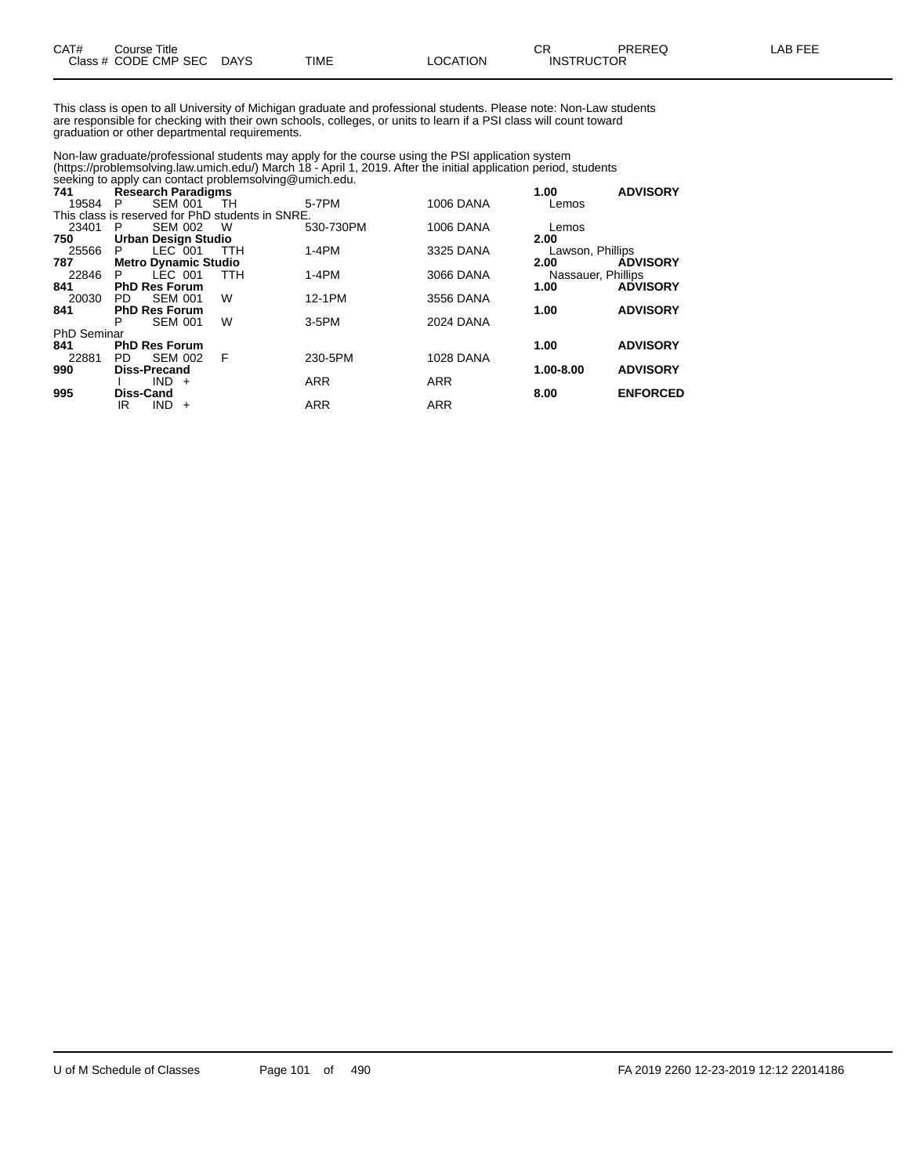| CAT# | Title<br>Course      |             |      |                 | ⌒冖<br><b>UN</b>   | <b>PREREQ</b> | . EEF<br>ΔR |
|------|----------------------|-------------|------|-----------------|-------------------|---------------|-------------|
|      | Class # CODE CMP SEC | <b>DAYS</b> | TIME | <b>LOCATION</b> | <b>INSTRUCTOR</b> |               |             |

This class is open to all University of Michigan graduate and professional students. Please note: Non-Law students are responsible for checking with their own schools, colleges, or units to learn if a PSI class will count toward graduation or other departmental requirements.

Non-law graduate/professional students may apply for the course using the PSI application system (https://problemsolving.law.umich.edu/) March 18 - April 1, 2019. After the initial application period, students seeking to apply can contact problemsolving@umich.edu.

| 741                |                  | <b>Research Paradigms</b>   |                                                  | $5.00$ and $3.00$ and $3.00$ and $3.00$ and $3.00$ and $3.00$ and $3.00$ and $3.00$ and $3.00$ and $3.00$ and $3.00$ and $3.00$ and $3.00$ and $3.00$ and $3.00$ and $3.00$ and $3.00$ and $3.00$ and $3.00$ and $3.00$ and |                  | 1.00               | <b>ADVISORY</b> |
|--------------------|------------------|-----------------------------|--------------------------------------------------|-----------------------------------------------------------------------------------------------------------------------------------------------------------------------------------------------------------------------------|------------------|--------------------|-----------------|
| 19584              | - P              | <b>SEM 001</b>              | -TH                                              | 5-7PM                                                                                                                                                                                                                       | <b>1006 DANA</b> | Lemos              |                 |
|                    |                  |                             | This class is reserved for PhD students in SNRE. |                                                                                                                                                                                                                             |                  |                    |                 |
| 23401              | P                | SEM 002                     | - W                                              | 530-730PM                                                                                                                                                                                                                   | <b>1006 DANA</b> | Lemos              |                 |
| 750                |                  | <b>Urban Design Studio</b>  |                                                  |                                                                                                                                                                                                                             |                  | 2.00               |                 |
| 25566              | P.               | LEC 001                     | TTH                                              | $1-4PM$                                                                                                                                                                                                                     | 3325 DANA        | Lawson, Phillips   |                 |
| 787                |                  | <b>Metro Dynamic Studio</b> |                                                  |                                                                                                                                                                                                                             |                  | 2.00               | <b>ADVISORY</b> |
| 22846              | P.               | LEC 001                     | <b>TTH</b>                                       | $1-4PM$                                                                                                                                                                                                                     | 3066 DANA        | Nassauer, Phillips |                 |
| 841                |                  | <b>PhD Res Forum</b>        |                                                  |                                                                                                                                                                                                                             |                  | 1.00               | <b>ADVISORY</b> |
| 20030              | PD.              | SEM 001                     | W                                                | 12-1PM                                                                                                                                                                                                                      | 3556 DANA        |                    |                 |
| 841                |                  | <b>PhD Res Forum</b>        |                                                  |                                                                                                                                                                                                                             |                  | 1.00               | <b>ADVISORY</b> |
|                    | P                | <b>SEM 001</b>              | W                                                | 3-5PM                                                                                                                                                                                                                       | <b>2024 DANA</b> |                    |                 |
| <b>PhD Seminar</b> |                  |                             |                                                  |                                                                                                                                                                                                                             |                  |                    |                 |
| 841                |                  | <b>PhD Res Forum</b>        |                                                  |                                                                                                                                                                                                                             |                  | 1.00               | <b>ADVISORY</b> |
| 22881              | PD.              | <b>SEM 002</b>              | F                                                | 230-5PM                                                                                                                                                                                                                     | <b>1028 DANA</b> |                    |                 |
| 990                |                  | <b>Diss-Precand</b>         |                                                  |                                                                                                                                                                                                                             |                  | 1.00-8.00          | <b>ADVISORY</b> |
|                    |                  | $IND +$                     |                                                  | <b>ARR</b>                                                                                                                                                                                                                  | <b>ARR</b>       |                    |                 |
| 995                | <b>Diss-Cand</b> |                             |                                                  |                                                                                                                                                                                                                             |                  | 8.00               | <b>ENFORCED</b> |
|                    | IR               | <b>IND</b><br>$+$           |                                                  | <b>ARR</b>                                                                                                                                                                                                                  | <b>ARR</b>       |                    |                 |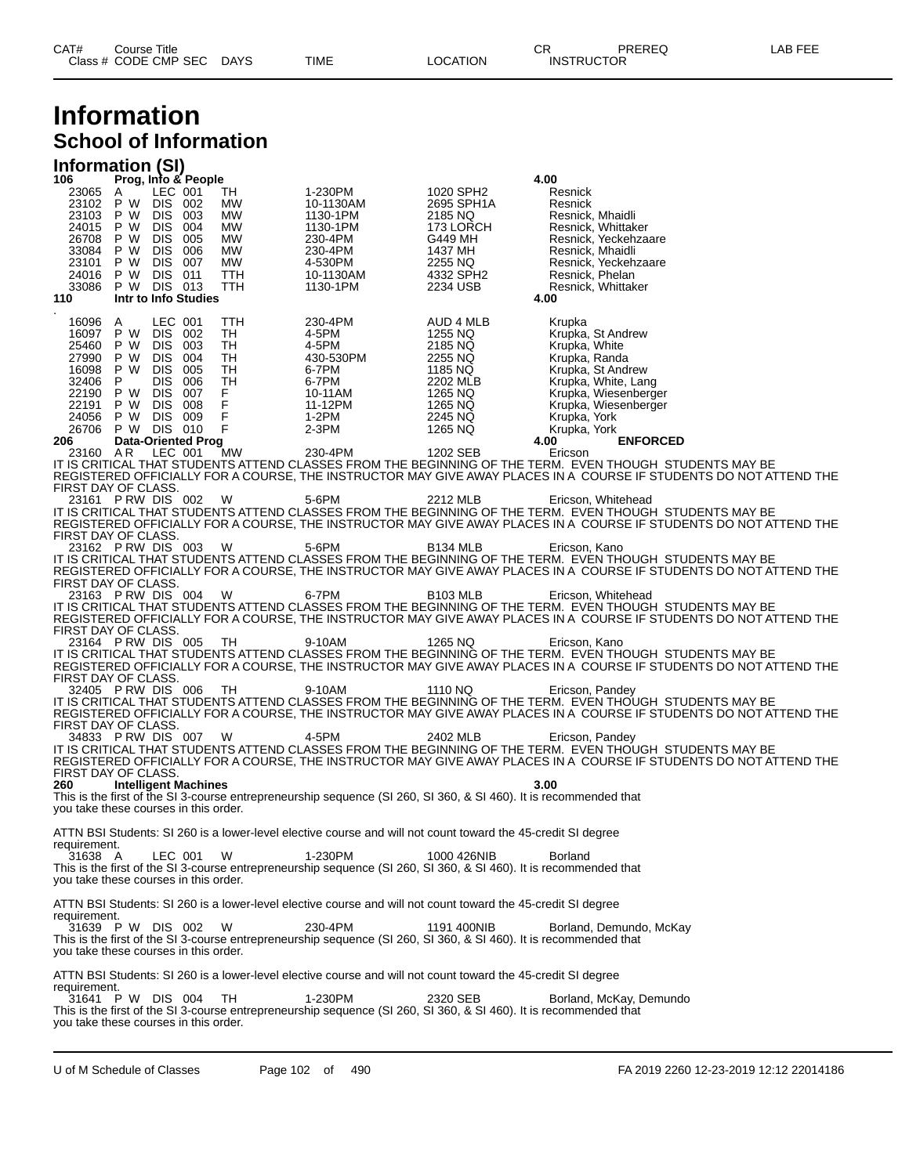### **Information School of Information**

### **Information (SI)**

| 106                                              | Prog, Info & People                 |                           |                           |                        |                                                                                                                              |                                    | 4.00                                   |                                                                                                                                                                                                                                                    |
|--------------------------------------------------|-------------------------------------|---------------------------|---------------------------|------------------------|------------------------------------------------------------------------------------------------------------------------------|------------------------------------|----------------------------------------|----------------------------------------------------------------------------------------------------------------------------------------------------------------------------------------------------------------------------------------------------|
| 23065 A<br>23102 P W DIS 002<br>23103            | P W                                 | LEC 001<br>DIS 003        |                           | TH.<br>МW<br><b>MW</b> | 1-230PM<br>10-1130AM<br>1130-1PM                                                                                             | 1020 SPH2<br>2695 SPH1A<br>2185 NQ | Resnick<br>Resnick<br>Resnick, Mhaidli |                                                                                                                                                                                                                                                    |
| 24015<br>26708                                   | P W<br>P W                          | DIS 004<br>DIS 005        |                           | MW<br>МW               | 1130-1PM<br>230-4PM                                                                                                          | 173 LORCH<br>G449 MH               |                                        | Resnick, Whittaker<br>Resnick, Yeckehzaare                                                                                                                                                                                                         |
| 33084                                            | P W                                 | <b>DIS 006</b>            |                           | <b>MW</b>              | 230-4PM                                                                                                                      | 1437 MH                            | Resnick, Mhaidli                       |                                                                                                                                                                                                                                                    |
| 23101<br>24016                                   | P W DIS 007<br>P W DIS 011          |                           |                           | MW<br>TTH              | 4-530PM<br>10-1130AM                                                                                                         | 2255 NQ<br>4332 SPH2               | Resnick, Phelan                        | Resnick, Yeckehzaare                                                                                                                                                                                                                               |
| 33086<br>110                                     | P W DIS 013<br>Intr to Info Studies |                           |                           | TTH                    | 1130-1PM                                                                                                                     | 2234 USB                           | 4.00                                   | Resnick, Whittaker                                                                                                                                                                                                                                 |
| 16096 A                                          |                                     | LEC 001                   |                           | TTH                    | 230-4PM                                                                                                                      | AUD 4 MLB                          | Krupka                                 |                                                                                                                                                                                                                                                    |
| 16097                                            | P W                                 | DIS 002                   |                           | TH                     | 4-5PM                                                                                                                        | 1255 NQ                            |                                        | Krupka, St Andrew                                                                                                                                                                                                                                  |
| 25460<br>27990                                   | P W<br>P W                          | DIS 003<br><b>DIS 004</b> |                           | TH<br>TH               | 4-5PM<br>430-530PM                                                                                                           | 2185 NQ<br>2255 NQ                 | Krupka, White<br>Krupka, Randa         |                                                                                                                                                                                                                                                    |
| 16098<br>32406                                   | P W DIS 005<br>P.                   | DIS 006                   |                           | TH<br>TH               | 6-7PM<br>6-7PM                                                                                                               | 1185 NQ<br>2202 MLB                |                                        | Krupka, St Andrew<br>Krupka, White, Lang                                                                                                                                                                                                           |
| 22190                                            | P W                                 | <b>DIS 007</b>            |                           | F.<br>F                | 10-11AM                                                                                                                      | 1265 NQ                            |                                        | Krupka, Wiesenberger                                                                                                                                                                                                                               |
| 22191 P W DIS 008<br>24056                       | P W DIS 009                         |                           |                           | F                      | 11-12PM<br>1-2PM                                                                                                             | 1265 NQ<br>2245 NQ                 | Krupka, York                           | Krupka, Wiesenberger                                                                                                                                                                                                                               |
| 26706<br>206                                     | P W DIS 010                         |                           | <b>Data-Oriented Prog</b> | F                      | $2-3PM$                                                                                                                      | 1265 NQ                            | Krupka, York<br>4.00                   | <b>ENFORCED</b>                                                                                                                                                                                                                                    |
| 23160 AR                                         |                                     | LEC 001                   |                           | <b>MW</b>              | 230-4PM                                                                                                                      | 1202 SEB                           | Ericson                                | IT IS CRITICAL THAT STUDENTS ATTEND CLASSES FROM THE BEGINNING OF THE TERM. EVEN THOUGH STUDENTS MAY BE                                                                                                                                            |
| FIRST DAY OF CLASS.                              |                                     |                           |                           |                        |                                                                                                                              |                                    |                                        | REGISTERED OFFICIALLY FOR A COURSE, THE INSTRUCTOR MAY GIVE AWAY PLACES IN A COURSE IF STUDENTS DO NOT ATTEND THE                                                                                                                                  |
|                                                  | 23161 PRW DIS 002                   |                           |                           | <b>W</b>               | 5-6PM                                                                                                                        | 2212 MLB                           |                                        | Ericson, Whitehead<br>IT IS CRITICAL THAT STUDENTS ATTEND CLASSES FROM THE BEGINNING OF THE TERM. EVEN THOUGH STUDENTS MAY BE<br>REGISTERED OFFICIALLY FOR A COURSE, THE INSTRUCTOR MAY GIVE AWAY PLACES IN A COURSE IF STUDENTS DO NOT ATTEND THE |
| FIRST DAY OF CLASS.<br>23162 PRW DIS 003 W       |                                     |                           |                           |                        | 5-6PM                                                                                                                        |                                    |                                        |                                                                                                                                                                                                                                                    |
|                                                  |                                     |                           |                           |                        |                                                                                                                              | B134 MLB                           | Ericson, Kano                          | IT IS CRITICAL THAT STUDENTS ATTEND CLASSES FROM THE BEGINNING OF THE TERM. EVEN THOUGH STUDENTS MAY BE                                                                                                                                            |
| FIRST DAY OF CLASS.                              |                                     |                           |                           |                        |                                                                                                                              |                                    |                                        | REGISTERED OFFICIALLY FOR A COURSE, THE INSTRUCTOR MAY GIVE AWAY PLACES IN A COURSE IF STUDENTS DO NOT ATTEND THE                                                                                                                                  |
| 23163 P RW DIS 004                               |                                     |                           |                           | <b>W</b>               | 6-7PM                                                                                                                        | B <sub>103</sub> MLB               |                                        | Ericson, Whitehead<br>IT IS CRITICAL THAT STUDENTS ATTEND CLASSES FROM THE BEGINNING OF THE TERM. EVEN THOUGH STUDENTS MAY BE                                                                                                                      |
| FIRST DAY OF CLASS.                              |                                     |                           |                           |                        |                                                                                                                              |                                    |                                        | REGISTERED OFFICIALLY FOR A COURSE, THE INSTRUCTOR MAY GIVE AWAY PLACES IN A COURSE IF STUDENTS DO NOT ATTEND THE                                                                                                                                  |
|                                                  | 23164 PRW DIS 005                   |                           |                           | тн                     | 9-10AM                                                                                                                       | 1265 NQ                            | Ericson, Kano                          | IT IS CRITICAL THAT STUDENTS ATTEND CLASSES FROM THE BEGINNING OF THE TERM. EVEN THOUGH STUDENTS MAY BE<br>REGISTERED OFFICIALLY FOR A COURSE, THE INSTRUCTOR MAY GIVE AWAY PLACES IN A COURSE IF STUDENTS DO NOT ATTEND THE                       |
| FIRST DAY OF CLASS.                              |                                     |                           |                           |                        |                                                                                                                              |                                    |                                        |                                                                                                                                                                                                                                                    |
| 32405 PRW DIS 006 TH                             |                                     |                           |                           |                        | 9-10AM                                                                                                                       | 1110 NQ                            | Ericson, Pandey                        | IT IS CRITICAL THAT STUDENTS ATTEND CLASSES FROM THE BEGINNING OF THE TERM. EVEN THOUGH STUDENTS MAY BE                                                                                                                                            |
| FIRST DAY OF CLASS.                              |                                     |                           |                           |                        |                                                                                                                              |                                    |                                        | REGISTERED OFFICIALLY FOR A COURSE, THE INSTRUCTOR MAY GIVE AWAY PLACES IN A COURSE IF STUDENTS DO NOT ATTEND THE                                                                                                                                  |
| 34833 PRW DIS 007 W                              |                                     |                           |                           |                        | 4-5PM                                                                                                                        | 2402 MLB                           | Ericson, Pandey                        | IT IS CRITICAL THAT STUDENTS ATTEND CLASSES FROM THE BEGINNING OF THE TERM. EVEN THOUGH STUDENTS MAY BE                                                                                                                                            |
| FIRST DAY OF CLASS.                              |                                     |                           |                           |                        |                                                                                                                              |                                    |                                        | REGISTERED OFFICIALLY FOR A COURSE, THE INSTRUCTOR MAY GIVE AWAY PLACES IN A COURSE IF STUDENTS DO NOT ATTEND THE                                                                                                                                  |
| 260                                              | <b>Intelligent Machines</b>         |                           |                           |                        | This is the first of the SI 3-course entrepreneurship sequence (SI 260, SI 360, & SI 460). It is recommended that            |                                    | 3.00                                   |                                                                                                                                                                                                                                                    |
| you take these courses in this order.            |                                     |                           |                           |                        |                                                                                                                              |                                    |                                        |                                                                                                                                                                                                                                                    |
| requirement.                                     |                                     |                           |                           |                        | ATTN BSI Students: SI 260 is a lower-level elective course and will not count toward the 45-credit SI degree                 |                                    |                                        |                                                                                                                                                                                                                                                    |
| 31638 A<br>vou take these courses in this order. |                                     | LEC 001                   |                           | W                      | 1-230PM<br>This is the first of the SI 3-course entrepreneurship sequence (SI 260, SI 360, & SI 460). It is recommended that | 1000 426NIB                        | Borland                                |                                                                                                                                                                                                                                                    |
|                                                  |                                     |                           |                           |                        | ATTN BSI Students: SI 260 is a lower-level elective course and will not count toward the 45-credit SI degree                 |                                    |                                        |                                                                                                                                                                                                                                                    |
| requirement.                                     |                                     |                           |                           |                        |                                                                                                                              |                                    |                                        |                                                                                                                                                                                                                                                    |
| you take these courses in this order.            | 31639 P W DIS 002 W                 |                           |                           |                        | 230-4PM<br>This is the first of the SI 3-course entrepreneurship sequence (SI 260, SI 360, & SI 460). It is recommended that | 1191 400NIB                        |                                        | Borland, Demundo, McKay                                                                                                                                                                                                                            |
| requirement.                                     |                                     |                           |                           |                        | ATTN BSI Students: SI 260 is a lower-level elective course and will not count toward the 45-credit SI degree                 |                                    |                                        |                                                                                                                                                                                                                                                    |
|                                                  | 31641 P W DIS 004                   |                           |                           | TH T                   | 1-230PM<br>This is the first of the SI 3-course entrepreneurship sequence (SI 260, SI 360, & SI 460). It is recommended that | 2320 SEB                           |                                        | Borland, McKay, Demundo                                                                                                                                                                                                                            |
| you take these courses in this order.            |                                     |                           |                           |                        |                                                                                                                              |                                    |                                        |                                                                                                                                                                                                                                                    |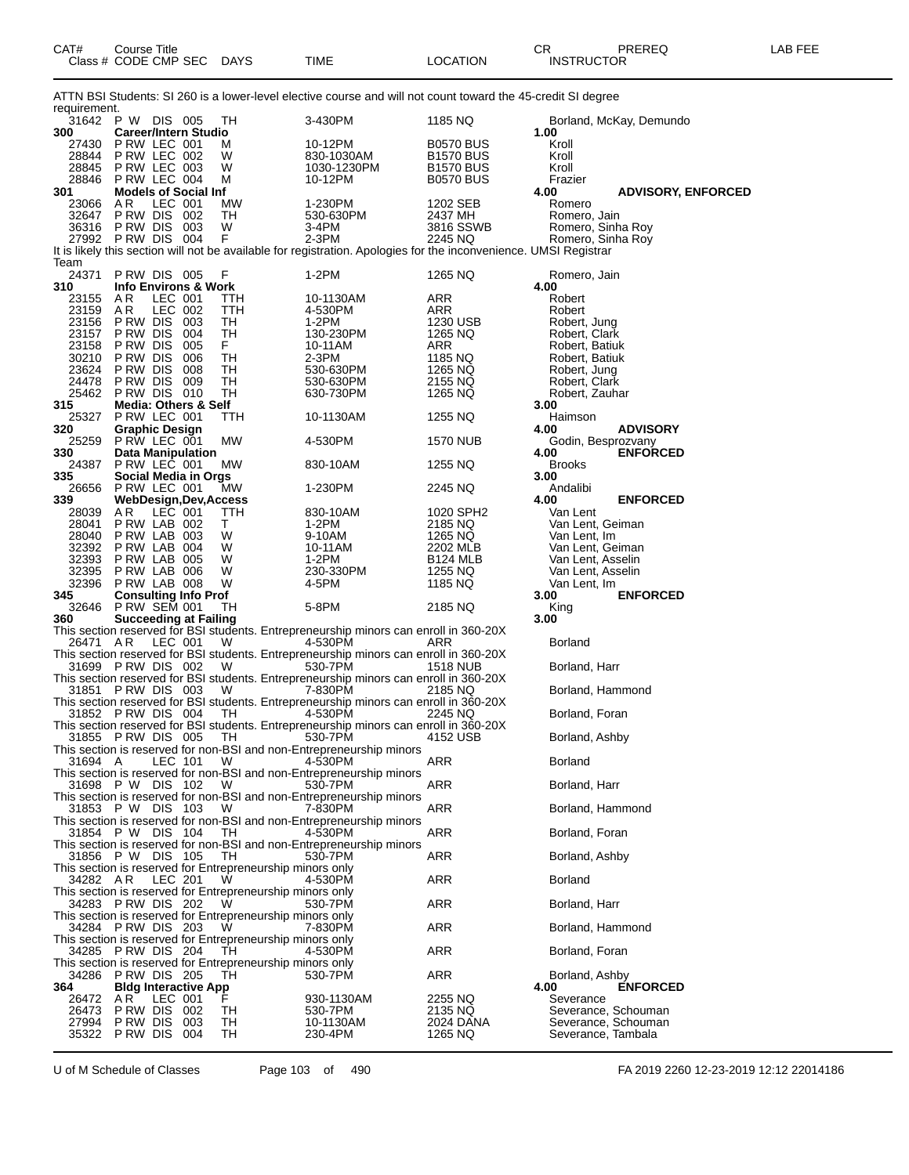| CAT#           | <b>Course Title</b><br>Class # CODE CMP SEC |         |            | DAYS                 | TIME                                                                                                              | <b>LOCATION</b>                      | CR<br>PREREQ<br><b>INSTRUCTOR</b>             | LAB FEE |
|----------------|---------------------------------------------|---------|------------|----------------------|-------------------------------------------------------------------------------------------------------------------|--------------------------------------|-----------------------------------------------|---------|
|                |                                             |         |            |                      | ATTN BSI Students: SI 260 is a lower-level elective course and will not count toward the 45-credit SI degree      |                                      |                                               |         |
| requirement.   | 31642 PW DIS 005                            |         |            | ТH                   | 3-430PM                                                                                                           | 1185 NQ                              | Borland, McKay, Demundo                       |         |
| 300            | <b>Career/Intern Studio</b>                 |         |            |                      |                                                                                                                   |                                      | 1.00                                          |         |
| 27430<br>28844 | P RW LEC 001<br>PRW LEC 002                 |         |            | M<br>W               | 10-12PM<br>830-1030AM                                                                                             | <b>B0570 BUS</b><br><b>B1570 BUS</b> | Kroll<br>Kroll                                |         |
| 28845          | P RW LEC 003                                |         |            | W                    | 1030-1230PM                                                                                                       | <b>B1570 BUS</b>                     | Kroll                                         |         |
| 28846          | P RW LEC 004<br><b>Models of Social Inf</b> |         |            | M                    | 10-12PM                                                                                                           | <b>B0570 BUS</b>                     | Frazier                                       |         |
| 301<br>23066   | AR.                                         | LEC 001 |            | МW                   | 1-230PM                                                                                                           | 1202 SEB                             | 4.00<br><b>ADVISORY, ENFORCED</b><br>Romero   |         |
| 32647          | P RW DIS                                    |         | 002        | TН                   | 530-630PM                                                                                                         | 2437 MH                              | Romero, Jain                                  |         |
| 36316          | P RW DIS<br>27992 PRW DIS 004               |         | 003        | W<br>F               | 3-4PM<br>2-3PM                                                                                                    | 3816 SSWB<br>2245 NQ                 | Romero, Sinha Roy                             |         |
|                |                                             |         |            |                      | It is likely this section will not be available for registration. Apologies for the inconvenience. UMSI Registrar |                                      | Romero, Sinha Roy                             |         |
| Team           |                                             |         |            |                      |                                                                                                                   |                                      |                                               |         |
| 24371<br>310   | PRW DIS 005                                 |         |            | F                    | 1-2PM                                                                                                             | 1265 NQ                              | Romero, Jain<br>4.00                          |         |
| 23155          | <b>Info Environs &amp; Work</b><br>A R      | LEC 001 |            | ттн                  | 10-1130AM                                                                                                         | ARR                                  | Robert                                        |         |
| 23159          | AR                                          | LEC 002 |            | ттн                  | 4-530PM                                                                                                           | ARR                                  | Robert                                        |         |
| 23156<br>23157 | P RW DIS<br>P RW DIS                        |         | 003<br>004 | TН<br>TН             | 1-2PM                                                                                                             | 1230 USB                             | Robert, Jung                                  |         |
| 23158          | P RW DIS                                    |         | 005        | F.                   | 130-230PM<br>10-11AM                                                                                              | 1265 NQ<br>ARR                       | Robert, Clark<br>Robert, Batiuk               |         |
| 30210          | P RW DIS                                    |         | 006        | TН                   | 2-3PM                                                                                                             | 1185 NQ                              | Robert, Batiuk                                |         |
| 23624<br>24478 | P RW DIS                                    |         | 008        | TН                   | 530-630PM<br>530-630PM                                                                                            | 1265 NQ                              | Robert, Jung                                  |         |
| 25462          | P RW DIS<br>PRW DIS 010                     |         | 009        | TН<br>TН             | 630-730PM                                                                                                         | 2155 NQ<br>1265 NQ                   | Robert, Clark<br>Robert, Zauhar               |         |
| 315            | <b>Media: Others &amp; Self</b>             |         |            |                      |                                                                                                                   |                                      | 3.00                                          |         |
| 25327          | PRW LEC 001                                 |         |            | ттн                  | 10-1130AM                                                                                                         | 1255 NQ                              | Haimson                                       |         |
| 320<br>25259   | <b>Graphic Design</b><br>P RW LEC 001       |         |            | МW                   | 4-530PM                                                                                                           | 1570 NUB                             | 4.00<br><b>ADVISORY</b><br>Godin, Besprozvany |         |
| 330            | Data Manipulation                           |         |            |                      |                                                                                                                   |                                      | 4.00<br><b>ENFORCED</b>                       |         |
| 24387          | PRW LEC 001                                 |         |            | MW                   | 830-10AM                                                                                                          | 1255 NQ                              | <b>Brooks</b>                                 |         |
| 335<br>26656   | Social Media in Orgs<br>P RW LEC 001        |         |            | MW                   | 1-230PM                                                                                                           | 2245 NQ                              | 3.00<br>Andalibi                              |         |
| 339            |                                             |         |            | WebDesign,Dev,Access |                                                                                                                   |                                      | 4.00<br><b>ENFORCED</b>                       |         |
| 28039          | AR.                                         | LEC 001 |            | ттн                  | 830-10AM                                                                                                          | 1020 SPH2                            | Van Lent                                      |         |
| 28041<br>28040 | P RW LAB 002<br>PRW LAB 003                 |         |            | T.<br>W              | 1-2PM<br>9-10AM                                                                                                   | 2185 NQ<br>1265 NQ                   | Van Lent, Geiman<br>Van Lent, Im              |         |
| 32392          | PRW LAB 004                                 |         |            | W                    | 10-11AM                                                                                                           | 2202 MLB                             | Van Lent, Geiman                              |         |
| 32393          | PRW LAB 005                                 |         |            | W                    | 1-2PM                                                                                                             | <b>B124 MLB</b>                      | Van Lent, Asselin                             |         |
| 32395<br>32396 | P RW LAB 006<br>P RW LAB 008                |         |            | W<br>W               | 230-330PM<br>4-5PM                                                                                                | 1255 NQ<br>1185 NQ                   | Van Lent, Asselin<br>Van Lent, Im             |         |
| 345            | <b>Consulting Info Prof</b>                 |         |            |                      |                                                                                                                   |                                      | 3.00<br><b>ENFORCED</b>                       |         |
| 32646          | <b>P RW SEM 001</b>                         |         |            | TН                   | 5-8PM                                                                                                             | 2185 NQ                              | King                                          |         |
| 360            | <b>Succeeding at Failing</b>                |         |            |                      | This section reserved for BSI students. Entrepreneurship minors can enroll in 360-20X                             |                                      | 3.00                                          |         |
| 26471 AR       |                                             | LEC 001 |            | W                    | 4-530PM                                                                                                           | ARR                                  | <b>Borland</b>                                |         |
|                |                                             |         |            |                      | This section reserved for BSI students. Entrepreneurship minors can enroll in 360-20X                             |                                      |                                               |         |
|                | 31699 PRW DIS 002                           |         |            | W                    | 530-7PM<br>This section reserved for BSI students. Entrepreneurship minors can enroll in 360-20X                  | 1518 NUB                             | Borland, Harr                                 |         |
|                | 31851 PRW DIS 003                           |         |            | W                    | 7-830PM                                                                                                           | 2185 NQ                              | Borland, Hammond                              |         |
|                |                                             |         |            |                      | This section reserved for BSI students. Entrepreneurship minors can enroll in 360-20X                             |                                      |                                               |         |
|                | 31852 PRW DIS 004                           |         |            | TH                   | 4-530PM<br>This section reserved for BSI students. Entrepreneurship minors can enroll in 360-20X                  | 2245 NQ                              | Borland, Foran                                |         |
|                | 31855 PRW DIS 005                           |         |            | ТH                   | 530-7PM                                                                                                           | 4152 USB                             | Borland, Ashby                                |         |
|                |                                             |         |            |                      | This section is reserved for non-BSI and non-Entrepreneurship minors                                              |                                      |                                               |         |
| 31694 A        |                                             | LEC 101 |            | W                    | 4-530PM<br>This section is reserved for non-BSI and non-Entrepreneurship minors                                   | ARR                                  | Borland                                       |         |
|                | 31698 PW DIS 102                            |         |            | W                    | 530-7PM                                                                                                           | ARR                                  | Borland, Harr                                 |         |
|                |                                             |         |            |                      | This section is reserved for non-BSI and non-Entrepreneurship minors                                              |                                      |                                               |         |
|                | 31853 PW DIS 103                            |         |            | W                    | 7-830PM<br>This section is reserved for non-BSI and non-Entrepreneurship minors                                   | ARR                                  | Borland, Hammond                              |         |
|                | 31854 PW DIS 104                            |         |            | TH                   | 4-530PM                                                                                                           | ARR                                  | Borland, Foran                                |         |
|                |                                             |         |            |                      | This section is reserved for non-BSI and non-Entrepreneurship minors                                              |                                      |                                               |         |
|                | 31856 P W DIS 105                           |         |            | TН                   | 530-7PM<br>This section is reserved for Entrepreneurship minors only                                              | ARR                                  | Borland, Ashby                                |         |
| 34282 AR       |                                             | LEC 201 |            | W                    | 4-530PM                                                                                                           | ARR                                  | <b>Borland</b>                                |         |
|                |                                             |         |            |                      | This section is reserved for Entrepreneurship minors only                                                         |                                      |                                               |         |
|                | 34283 PRW DIS 202                           |         |            | W.                   | 530-7PM                                                                                                           | ARR                                  | Borland, Harr                                 |         |
|                | 34284 PRW DIS 203                           |         |            | W                    | This section is reserved for Entrepreneurship minors only<br>7-830PM                                              | ARR                                  | Borland, Hammond                              |         |
|                |                                             |         |            |                      | This section is reserved for Entrepreneurship minors only                                                         |                                      |                                               |         |
|                | 34285 PRW DIS 204                           |         |            | TН                   | 4-530PM                                                                                                           | ARR                                  | Borland, Foran                                |         |
| 34286          | PRW DIS 205                                 |         |            | TН                   | This section is reserved for Entrepreneurship minors only<br>530-7PM                                              | ARR                                  | Borland, Ashby                                |         |
| 364            | <b>Bldg Interactive App</b>                 |         |            |                      |                                                                                                                   |                                      | <b>ENFORCED</b><br>4.00                       |         |
| 26472          | AR.                                         | LEC 001 |            |                      | 930-1130AM                                                                                                        | 2255 NQ                              | Severance                                     |         |
| 26473<br>27994 | P RW DIS<br>P RW DIS                        |         | 002<br>003 | ТH<br>TН             | 530-7PM<br>10-1130AM                                                                                              | 2135 NQ<br>2024 DANA                 | Severance, Schouman<br>Severance, Schouman    |         |
| 35322          | P RW DIS                                    |         | 004        | TH                   | 230-4PM                                                                                                           | 1265 NQ                              | Severance, Tambala                            |         |

U of M Schedule of Classes Page 103 of 490 FA 2019 2260 12-23-2019 12:12 22014186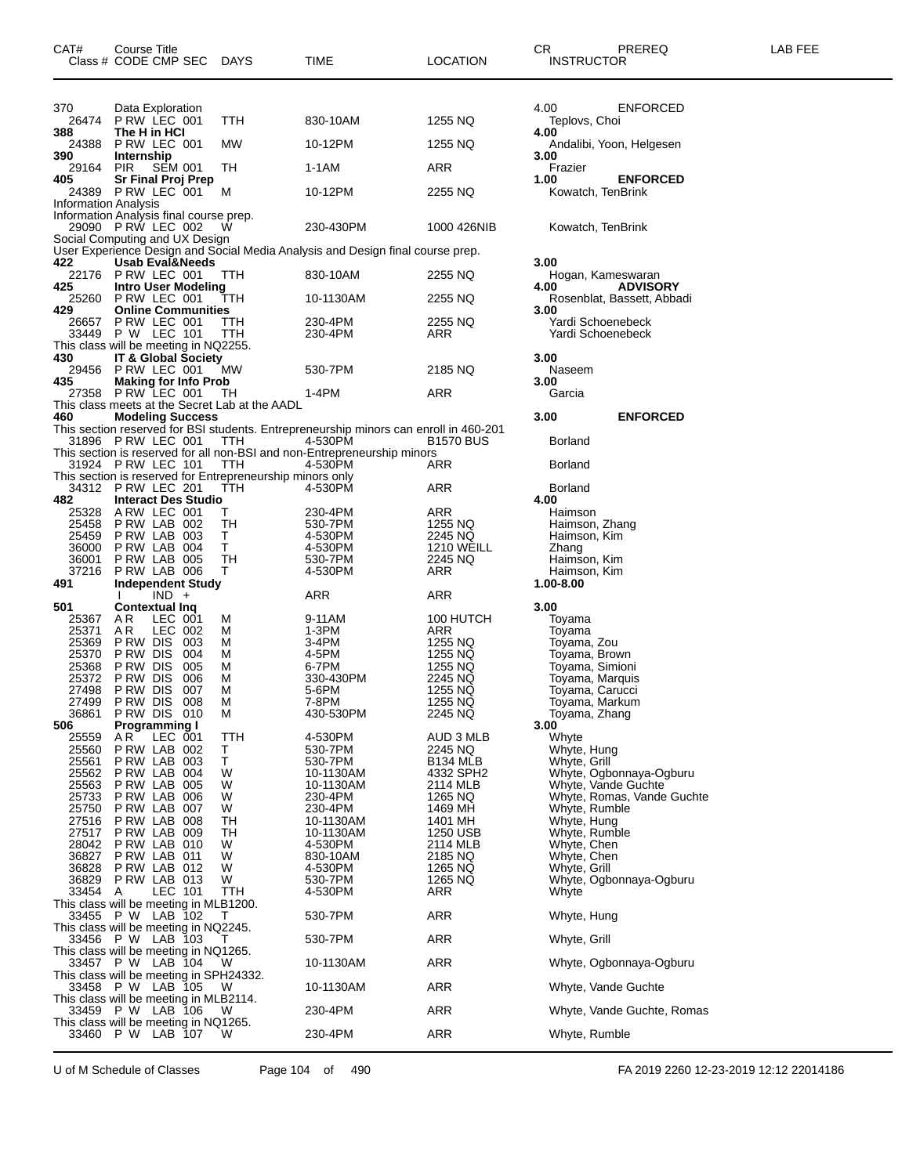| CAT#                               | Course Title<br>Class # CODE CMP SEC DAYS                                      |            | TIME                                                                                  | LOCATION                     | CR<br>PREREQ<br><b>INSTRUCTOR</b>            | LAB FEE |
|------------------------------------|--------------------------------------------------------------------------------|------------|---------------------------------------------------------------------------------------|------------------------------|----------------------------------------------|---------|
| 370                                | Data Exploration                                                               |            |                                                                                       |                              | 4.00<br><b>ENFORCED</b>                      |         |
| 388                                | 26474 PRW LEC 001<br>The H in HCI                                              | TTH        | 830-10AM                                                                              | 1255 NQ                      | Teplovs, Choi<br>4.00                        |         |
| 24388<br>390                       | PRW LEC 001<br>Internship                                                      | МW         | 10-12PM                                                                               | 1255 NQ                      | Andalibi, Yoon, Helgesen<br>3.00             |         |
| 29164                              | PIR<br>SEM 001                                                                 | TH         | 1-1AM                                                                                 | <b>ARR</b>                   | Frazier                                      |         |
| 405<br><b>Information Analysis</b> | <b>Sr Final Proj Prep</b><br>24389 PRW LEC 001 M                               |            | 10-12PM                                                                               | 2255 NQ                      | <b>ENFORCED</b><br>1.00<br>Kowatch, TenBrink |         |
|                                    | Information Analysis final course prep.<br>29090 PRW LEC 002                   | W          | 230-430PM                                                                             | 1000 426NIB                  | Kowatch, TenBrink                            |         |
|                                    | Social Computing and UX Design                                                 |            | User Experience Design and Social Media Analysis and Design final course prep.        |                              |                                              |         |
| 422                                | <b>Usab Eval&amp;Needs</b><br>22176 P RW LEC 001                               | TTH.       | 830-10AM                                                                              | 2255 NQ                      | 3.00<br>Hogan, Kameswaran                    |         |
| 425                                | <b>Intro User Modeling</b>                                                     |            |                                                                                       |                              | 4.00<br><b>ADVISORY</b>                      |         |
| 429                                | 25260 PRW LEC 001<br><b>Online Communities</b>                                 | TTH        | 10-1130AM                                                                             | 2255 NQ                      | Rosenblat, Bassett, Abbadi<br>3.00           |         |
| 26657                              | PRW LEC 001<br>33449 P W LEC 101                                               | TTH<br>TTH | 230-4PM<br>230-4PM                                                                    | 2255 NQ<br>ARR               | Yardi Schoenebeck<br>Yardi Schoenebeck       |         |
| 430                                | This class will be meeting in NQ2255.<br><b>IT &amp; Global Society</b>        |            |                                                                                       |                              | 3.00                                         |         |
|                                    | 29456 PRW LEC 001                                                              | МW         | 530-7PM                                                                               | 2185 NQ                      | Naseem                                       |         |
| 435                                | <b>Making for Info Prob</b><br>27358 P RW LEC 001                              | TH         | 1-4PM                                                                                 | ARR                          | 3.00<br>Garcia                               |         |
|                                    | This class meets at the Secret Lab at the AADL                                 |            |                                                                                       |                              |                                              |         |
| 460                                | <b>Modeling Success</b>                                                        |            | This section reserved for BSI students. Entrepreneurship minors can enroll in 460-201 |                              | 3.00<br><b>ENFORCED</b>                      |         |
|                                    | 31896 PRW LEC 001                                                              | <b>TTH</b> | 4-530PM<br>This section is reserved for all non-BSI and non-Entrepreneurship minors   | <b>B1570 BUS</b>             | <b>Borland</b>                               |         |
|                                    | 31924 PRW LEC 101                                                              | <b>TTH</b> | 4-530PM                                                                               | ARR                          | <b>Borland</b>                               |         |
|                                    | This section is reserved for Entrepreneurship minors only<br>34312 PRW LEC 201 | TTH        | 4-530PM                                                                               | <b>ARR</b>                   | <b>Borland</b>                               |         |
| 482                                | <b>Interact Des Studio</b>                                                     |            |                                                                                       |                              | 4.00                                         |         |
| 25328<br>25458                     | ARW LEC 001<br>PRW LAB 002                                                     | Τ<br>TH    | 230-4PM<br>530-7PM                                                                    | ARR<br>1255 NQ               | Haimson<br>Haimson, Zhang                    |         |
| 25459                              | PRW LAB 003                                                                    | Τ          | 4-530PM                                                                               | 2245 NQ                      | Haimson, Kim                                 |         |
| 36000<br>36001                     | P RW LAB 004<br>P RW LAB 005                                                   | T.<br>TH   | 4-530PM<br>530-7PM                                                                    | <b>1210 WEILL</b><br>2245 NQ | Zhang<br>Haimson, Kim                        |         |
| 37216                              | P RW LAB 006                                                                   | Т          | 4-530PM                                                                               | ARR                          | Haimson, Kim                                 |         |
| 491                                | <b>Independent Study</b><br>$IND +$                                            |            |                                                                                       | ARR                          | 1.00-8.00                                    |         |
| 501                                | <b>Contextual Ing</b>                                                          |            | ARR                                                                                   |                              | 3.00                                         |         |
| 25367                              | AR.<br>LEC 001                                                                 | м          | 9-11AM                                                                                | 100 HUTCH                    | Toyama                                       |         |
| 25371<br>25369                     | AR.<br>LEC 002<br>PRW DIS 003                                                  | M<br>M     | 1-3PM<br>3-4PM                                                                        | ARR<br>1255 NQ               | Toyama<br>Toyama, Zou                        |         |
| 25370                              | PRW DIS 004                                                                    | м          | 4-5PM                                                                                 | 1255 NQ                      | Toyama, Brown                                |         |
| 25368                              | <b>P RW DIS 005</b>                                                            | M          | 6-7PM                                                                                 | 1255 NQ                      | Toyama, Simioni                              |         |
| 25372                              | P RW DIS<br>P RW DIS<br>006                                                    | М          | 330-430PM                                                                             | 2245 NQ                      | Toyama, Marquis                              |         |
| 27498                              | 007                                                                            | м          | 5-6PM                                                                                 | 1255 NQ                      | Toyama, Carucci                              |         |
| 27499                              | P RW DIS<br>008                                                                | М          | 7-8PM                                                                                 | 1255 NQ                      | Toyama, Markum                               |         |
| 36861<br>506                       | PRW DIS 010<br><b>Programming I</b>                                            | M          | 430-530PM                                                                             | 2245 NQ                      | Toyama, Zhang<br>3.00                        |         |
| 25559                              | A R<br>LEC 001                                                                 | <b>TTH</b> | 4-530PM                                                                               | AUD 3 MLB                    | Whyte                                        |         |
| 25560                              | PRW LAB 002                                                                    | Т          | 530-7PM                                                                               | 2245 NQ                      | Whyte, Hung                                  |         |
| 25561                              | PRW LAB 003                                                                    | T          | 530-7PM                                                                               | B134 MLB                     | Whyte, Grill                                 |         |
| 25562                              | PRW LAB 004                                                                    | W          | 10-1130AM                                                                             | 4332 SPH2                    | Whyte, Ogbonnaya-Ogburu                      |         |
| 25563                              | P RW LAB 005                                                                   | W          | 10-1130AM                                                                             | 2114 MLB                     | Whyte, Vande Guchte                          |         |
| 25733<br>25750                     | PRW LAB 006<br>PRW LAB 007                                                     | W<br>W     | 230-4PM<br>230-4PM                                                                    | 1265 NQ<br>1469 MH           | Whyte, Romas, Vande Guchte<br>Whyte, Rumble  |         |
| 27516                              | PRW LAB 008                                                                    | TН         | 10-1130AM                                                                             | 1401 MH                      | Whyte, Hung                                  |         |
| 27517                              | PRW LAB 009                                                                    | TН         | 10-1130AM                                                                             | 1250 USB                     | Whyte, Rumble                                |         |
| 28042                              | PRW LAB 010                                                                    | W          | 4-530PM                                                                               | 2114 MLB                     | Whyte, Chen                                  |         |
| 36827                              | PRW LAB 011                                                                    | W          | 830-10AM                                                                              | 2185 NQ                      | Whyte, Chen                                  |         |
| 36828                              | PRW LAB 012                                                                    | W          | 4-530PM                                                                               | 1265 NQ                      | Whyte, Grill                                 |         |
| 36829                              | PRW LAB 013                                                                    | W          | 530-7PM                                                                               | 1265 NQ                      | Whyte, Ogbonnaya-Ogburu                      |         |
| 33454                              | LEC 101<br>A<br>This class will be meeting in MLB1200.                         | TTH        | 4-530PM                                                                               | ARR                          | Whyte                                        |         |
|                                    | 33455 P W LAB 102                                                              |            | 530-7PM                                                                               | ARR                          | Whyte, Hung                                  |         |
|                                    | This class will be meeting in NQ2245.<br>33456 P W LAB 103                     | т          | 530-7PM                                                                               | ARR                          | Whyte, Grill                                 |         |
|                                    | This class will be meeting in NQ1265.                                          |            |                                                                                       |                              |                                              |         |
|                                    | 33457 P W LAB 104<br>This class will be meeting in SPH24332.                   | W          | 10-1130AM                                                                             | <b>ARR</b>                   | Whyte, Ogbonnaya-Ogburu                      |         |
|                                    | 33458 P W LAB 105<br>This class will be meeting in MLB2114.                    | W          | 10-1130AM                                                                             | ARR                          | Whyte, Vande Guchte                          |         |
|                                    | 33459 P W LAB 106<br>This class will be meeting in NQ1265.                     | W          | 230-4PM                                                                               | ARR                          | Whyte, Vande Guchte, Romas                   |         |
|                                    | 33460 P W LAB 107                                                              | W          | 230-4PM                                                                               | ARR                          | Whyte, Rumble                                |         |

U of M Schedule of Classes Page 104 of 490 FA 2019 2260 12-23-2019 12:12 22014186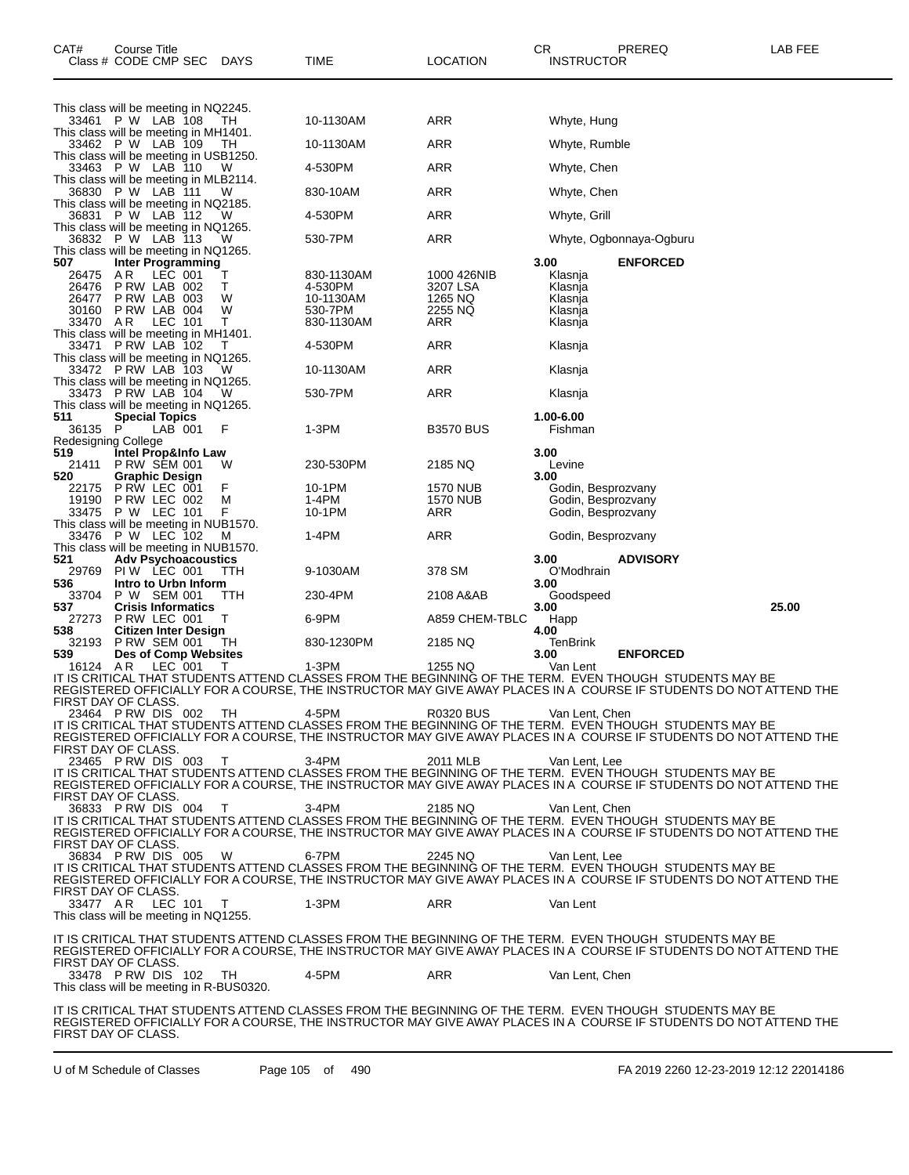| CAT#                                            | Course Title<br>Class # CODE CMP SEC |                                             | DAYS     | TIME                                                                                                             | <b>LOCATION</b>     | CR<br><b>INSTRUCTOR</b>                  | PREREQ                  | LAB FEE                                                                                                            |
|-------------------------------------------------|--------------------------------------|---------------------------------------------|----------|------------------------------------------------------------------------------------------------------------------|---------------------|------------------------------------------|-------------------------|--------------------------------------------------------------------------------------------------------------------|
| This class will be meeting in NQ2245.           |                                      |                                             |          |                                                                                                                  |                     |                                          |                         |                                                                                                                    |
| This class will be meeting in MH1401.           | 33461 P.W. LAB 108 TH                |                                             |          | 10-1130AM                                                                                                        | ARR                 | Whyte, Hung                              |                         |                                                                                                                    |
|                                                 | 33462 PW LAB 109                     |                                             | ТH       | 10-1130AM                                                                                                        | ARR                 | Whyte, Rumble                            |                         |                                                                                                                    |
| This class will be meeting in USB1250.          | 33463 P W LAB 110                    |                                             | - W      | 4-530PM                                                                                                          | ARR                 | Whyte, Chen                              |                         |                                                                                                                    |
| This class will be meeting in MLB2114.          | 36830 P W LAB 111                    |                                             | W        | 830-10AM                                                                                                         | ARR                 | Whyte, Chen                              |                         |                                                                                                                    |
| This class will be meeting in NQ2185.<br>36831  | P W LAB 112                          |                                             |          | 4-530PM                                                                                                          | ARR                 | Whyte, Grill                             |                         |                                                                                                                    |
| This class will be meeting in NQ1265.           | 36832 P W LAB 113                    |                                             | - W      | 530-7PM                                                                                                          | ARR                 |                                          | Whyte, Ogbonnaya-Ogburu |                                                                                                                    |
| This class will be meeting in NQ1265.           |                                      |                                             |          |                                                                                                                  |                     |                                          |                         |                                                                                                                    |
| 507<br>26475                                    | A R                                  | Inter Programming<br>LEC 001                | т        | 830-1130AM                                                                                                       | 1000 426NIB         | 3.00<br>Klasnja                          | <b>ENFORCED</b>         |                                                                                                                    |
| 26476<br>26477                                  |                                      | PRW LAB 002<br>PRW LAB 003                  | т<br>W   | 4-530PM<br>10-1130AM                                                                                             | 3207 LSA<br>1265 NQ | Klasnja<br>Klasnja                       |                         |                                                                                                                    |
| 30160<br>33470                                  | PRW LAB 004<br>AR                    | LEC 101                                     | W<br>т   | 530-7PM<br>830-1130AM                                                                                            | 2255 NQ<br>ARR      | Klasnja<br>Klasnja                       |                         |                                                                                                                    |
| This class will be meeting in MH1401.           |                                      |                                             |          |                                                                                                                  |                     |                                          |                         |                                                                                                                    |
| This class will be meeting in NQ1265.           | 33471 PRW LAB 102                    |                                             |          | 4-530PM                                                                                                          | ARR                 | Klasnja                                  |                         |                                                                                                                    |
| This class will be meeting in NQ1265.           | 33472 PRW LAB 103                    |                                             | w        | 10-1130AM                                                                                                        | ARR                 | Klasnja                                  |                         |                                                                                                                    |
| This class will be meeting in NQ1265.           | 33473 PRW LAB 104                    |                                             |          | 530-7PM                                                                                                          | ARR                 | Klasnja                                  |                         |                                                                                                                    |
| 511                                             |                                      | <b>Special Topics</b>                       |          |                                                                                                                  |                     | 1.00-6.00                                |                         |                                                                                                                    |
| 36135<br>Redesigning College                    | P                                    | LAB 001                                     | F        | 1-3PM                                                                                                            | <b>B3570 BUS</b>    | Fishman                                  |                         |                                                                                                                    |
| 519<br>21411                                    |                                      | Intel Prop&Info Law<br><b>P RW SEM 001</b>  | W        | 230-530PM                                                                                                        | 2185 NQ             | 3.00<br>Levine                           |                         |                                                                                                                    |
| 520<br>22175                                    |                                      | <b>Graphic Design</b><br>PRW LEC 001        | F        | 10-1PM                                                                                                           | <b>1570 NUB</b>     | 3.00<br>Godin, Besprozvany               |                         |                                                                                                                    |
| 19190                                           | 33475 P W LEC 101                    | PRW LEC 002                                 | М<br>F   | 1-4PM<br>10-1PM                                                                                                  | 1570 NUB<br>ARR     | Godin, Besprozvany<br>Godin, Besprozvany |                         |                                                                                                                    |
| This class will be meeting in NUB1570.          |                                      |                                             |          |                                                                                                                  |                     |                                          |                         |                                                                                                                    |
| 33476<br>This class will be meeting in NUB1570. | P W LEC 102                          |                                             | M        | 1-4PM                                                                                                            | ARR                 | Godin, Besprozvany                       |                         |                                                                                                                    |
| 521<br>29769                                    |                                      | <b>Adv Psychoacoustics</b><br>PIW LEC 001   | TTH      | 9-1030AM                                                                                                         | 378 SM              | 3.00<br>O'Modhrain                       | <b>ADVISORY</b>         |                                                                                                                    |
| 536<br>33704                                    |                                      | Intro to Urbn Inform<br>P W SEM 001         | TТH      | 230-4PM                                                                                                          | 2108 A&AB           | 3.00<br>Goodspeed                        |                         |                                                                                                                    |
| 537<br>27273                                    | PRW LEC 001                          | <b>Crisis Informatics</b>                   | т        | 6-9PM                                                                                                            | A859 CHEM-TBLC      | 3.00<br>Happ                             |                         | 25.00                                                                                                              |
| 538                                             |                                      | <b>Citizen Inter Design</b>                 |          |                                                                                                                  |                     | 4.00                                     |                         |                                                                                                                    |
| 32193<br>539                                    |                                      | <b>P RW SEM 001</b><br>Des of Comp Websites | TН       | 830-1230PM                                                                                                       | 2185 NQ             | TenBrink<br>3.00                         | <b>ENFORCED</b>         |                                                                                                                    |
| 16124 AR                                        |                                      | LEC 001                                     | т        | 1-3PM<br>IT IS CRITICAL THAT STUDENTS ATTEND CLASSES FROM THE BEGINNING OF THE TERM. EVEN THOUGH STUDENTS MAY BE | 1255 NQ             | Van Lent                                 |                         |                                                                                                                    |
| FIRST DAY OF CLASS.                             |                                      |                                             |          |                                                                                                                  |                     |                                          |                         | REGISTERED OFFICIALLY FOR A COURSE, THE INSTRUCTOR MAY GIVE AWAY PLACES IN A  COURSE IF STUDENTS DO NOT ATTEND THE |
|                                                 | 23464 PRW DIS 002 TH                 |                                             |          | 4-5PM<br>IT IS CRITICAL THAT STUDENTS ATTEND CLASSES FROM THE BEGINNING OF THE TERM. EVEN THOUGH STUDENTS MAY BE | <b>R0320 BUS</b>    | Van Lent, Chen                           |                         |                                                                                                                    |
| FIRST DAY OF CLASS.                             |                                      |                                             |          |                                                                                                                  |                     |                                          |                         | REGISTERED OFFICIALLY FOR A COURSE, THE INSTRUCTOR MAY GIVE AWAY PLACES IN A COURSE IF STUDENTS DO NOT ATTEND THE  |
|                                                 | 23465 P RW DIS 003                   |                                             | $\top$   | 3-4PM                                                                                                            | 2011 MLB            | Van Lent, Lee                            |                         |                                                                                                                    |
|                                                 |                                      |                                             |          | IT IS CRITICAL THAT STUDENTS ATTEND CLASSES FROM THE BEGINNING OF THE TERM. EVEN THOUGH STUDENTS MAY BE          |                     |                                          |                         | REGISTERED OFFICIALLY FOR A COURSE, THE INSTRUCTOR MAY GIVE AWAY PLACES IN A COURSE IF STUDENTS DO NOT ATTEND THE  |
| FIRST DAY OF CLASS.                             | 36833 PRW DIS 004                    |                                             | $\top$   | $3-4PM$                                                                                                          | 2185 NQ             | Van Lent, Chen                           |                         |                                                                                                                    |
|                                                 |                                      |                                             |          | IT IS CRITICAL THAT STUDENTS ATTEND CLASSES FROM THE BEGINNING OF THE TERM. EVEN THOUGH STUDENTS MAY BE          |                     |                                          |                         | REGISTERED OFFICIALLY FOR A COURSE, THE INSTRUCTOR MAY GIVE AWAY PLACES IN A COURSE IF STUDENTS DO NOT ATTEND THE  |
| FIRST DAY OF CLASS.                             | 36834 PRW DIS 005                    |                                             |          | 6-7PM                                                                                                            |                     |                                          |                         |                                                                                                                    |
|                                                 |                                      |                                             | <b>W</b> | IT IS CRITICAL THAT STUDENTS ATTEND CLASSES FROM THE BEGINNING OF THE TERM. EVEN THOUGH STUDENTS MAY BE          | 2245 NQ             | Van Lent, Lee                            |                         |                                                                                                                    |
| FIRST DAY OF CLASS.                             |                                      |                                             |          |                                                                                                                  |                     |                                          |                         | REGISTERED OFFICIALLY FOR A COURSE, THE INSTRUCTOR MAY GIVE AWAY PLACES IN A COURSE IF STUDENTS DO NOT ATTEND THE  |
| This class will be meeting in NQ1255.           | 33477 AR LEC 101 T                   |                                             |          | 1-3PM                                                                                                            | ARR                 | Van Lent                                 |                         |                                                                                                                    |
|                                                 |                                      |                                             |          | IT IS CRITICAL THAT STUDENTS ATTEND CLASSES FROM THE BEGINNING OF THE TERM. EVEN THOUGH STUDENTS MAY BE          |                     |                                          |                         |                                                                                                                    |
| FIRST DAY OF CLASS.                             |                                      |                                             |          |                                                                                                                  |                     |                                          |                         | REGISTERED OFFICIALLY FOR A COURSE, THE INSTRUCTOR MAY GIVE AWAY PLACES IN A COURSE IF STUDENTS DO NOT ATTEND THE  |
|                                                 | 33478 P RW DIS 102 TH                |                                             |          | 4-5PM                                                                                                            | ARR                 | Van Lent, Chen                           |                         |                                                                                                                    |
| This class will be meeting in R-BUS0320.        |                                      |                                             |          |                                                                                                                  |                     |                                          |                         |                                                                                                                    |
| FIRST DAY OF CLASS.                             |                                      |                                             |          | IT IS CRITICAL THAT STUDENTS ATTEND CLASSES FROM THE BEGINNING OF THE TERM. EVEN THOUGH STUDENTS MAY BE          |                     |                                          |                         | REGISTERED OFFICIALLY FOR A COURSE, THE INSTRUCTOR MAY GIVE AWAY PLACES IN A COURSE IF STUDENTS DO NOT ATTEND THE  |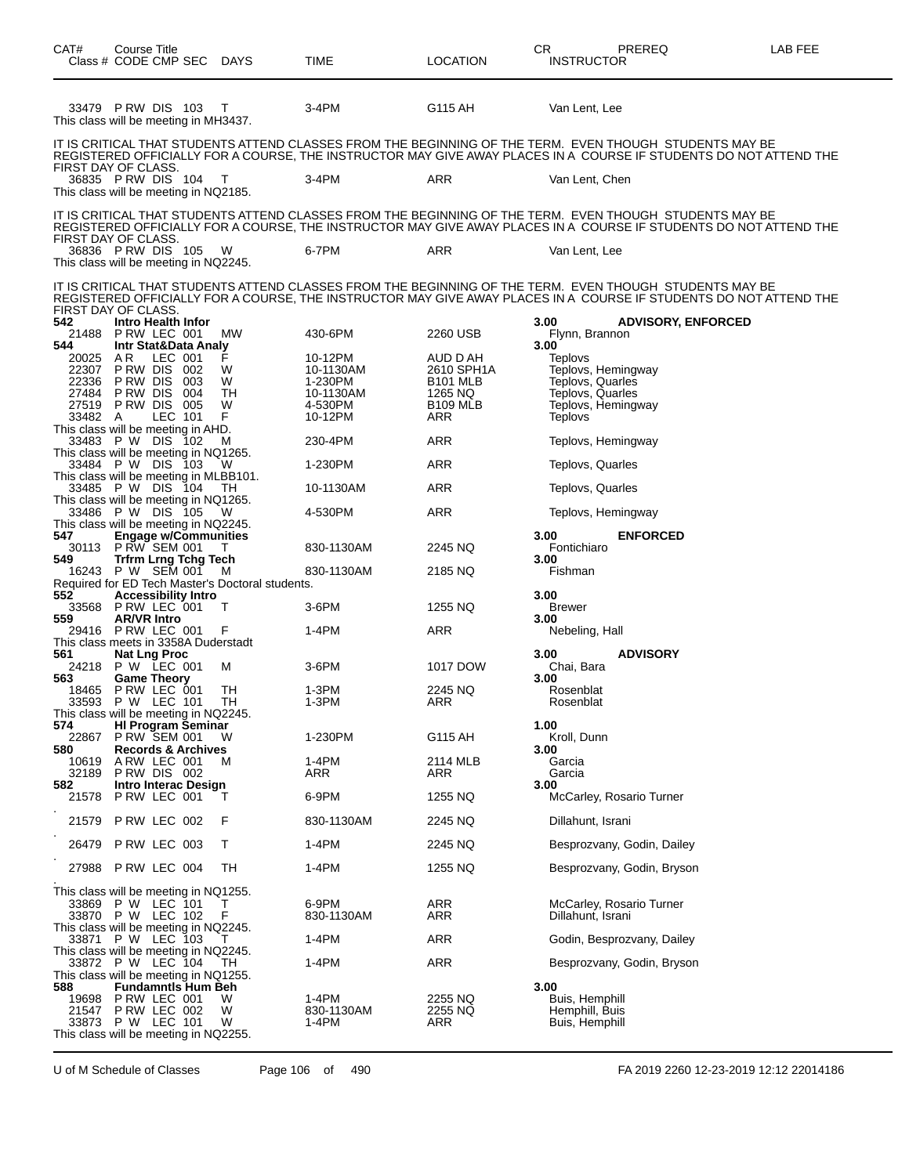| CAT#<br>Class # CODE CMP SEC DAYS                                                                | Course Title       |                                                           |                                                       | TIME                                                               | <b>LOCATION</b>                                                                | CR.<br><b>INSTRUCTOR</b>                                          | <b>PREREQ</b>                                                                                                                                                                                                                   | LAB FEE |
|--------------------------------------------------------------------------------------------------|--------------------|-----------------------------------------------------------|-------------------------------------------------------|--------------------------------------------------------------------|--------------------------------------------------------------------------------|-------------------------------------------------------------------|---------------------------------------------------------------------------------------------------------------------------------------------------------------------------------------------------------------------------------|---------|
| 33479 P RW DIS 103<br>This class will be meeting in MH3437.                                      |                    |                                                           | $\top$                                                | 3-4PM                                                              | G115 AH                                                                        | Van Lent, Lee                                                     |                                                                                                                                                                                                                                 |         |
|                                                                                                  |                    |                                                           |                                                       |                                                                    |                                                                                |                                                                   | IT IS CRITICAL THAT STUDENTS ATTEND CLASSES FROM THE BEGINNING OF THE TERM.  EVEN THOUGH  STUDENTS MAY BE<br>REGISTERED OFFICIALLY FOR A COURSE, THE INSTRUCTOR MAY GIVE AWAY PLACES IN A COURSE IF STUDENTS DO NOT ATTEND THE  |         |
| FIRST DAY OF CLASS.<br>36835 PRW DIS 104<br>This class will be meeting in NQ2185.                |                    |                                                           | - T                                                   | 3-4PM                                                              | ARR                                                                            | Van Lent, Chen                                                    |                                                                                                                                                                                                                                 |         |
| FIRST DAY OF CLASS.                                                                              |                    |                                                           |                                                       |                                                                    |                                                                                |                                                                   | IT IS CRITICAL THAT STUDENTS ATTEND CLASSES FROM THE BEGINNING OF THE TERM. EVEN THOUGH STUDENTS MAY BE<br>REGISTERED OFFICIALLY FOR A COURSE. THE INSTRUCTOR MAY GIVE AWAY PLACES IN A  COURSE IF STUDENTS DO NOT ATTEND THE   |         |
| 36836 PRW DIS 105<br>This class will be meeting in NQ2245.                                       |                    |                                                           | - W                                                   | 6-7PM                                                              | ARR                                                                            | Van Lent, Lee                                                     |                                                                                                                                                                                                                                 |         |
| FIRST DAY OF CLASS.                                                                              |                    |                                                           |                                                       |                                                                    |                                                                                |                                                                   | IT IS CRITICAL THAT STUDENTS ATTEND CLASSES FROM THE BEGINNING OF THE TERM.  EVEN THOUGH  STUDENTS MAY BE<br>REGISTERED OFFICIALLY FOR A COURSE, THE INSTRUCTOR MAY GIVE AWAY PLACES IN A  COURSE IF STUDENTS DO NOT ATTEND THE |         |
| 542<br>21488<br>544                                                                              |                    | Intro Health Infor<br>PRW LEC 001<br>Intr Stat&Data Analy | MW                                                    | 430-6PM                                                            | 2260 USB                                                                       | 3.00<br>Flynn, Brannon<br>3.00                                    | <b>ADVISORY, ENFORCED</b>                                                                                                                                                                                                       |         |
| 20025<br>22307<br>22336 PRW DIS<br>27484 PRW DIS<br>27519 PRW DIS<br>33482 A                     | AR.<br>P RW DIS    | LEC 001<br>002<br>003<br>004<br>005<br>LEC 101            | F<br>W<br>W<br>TH<br>W<br>F                           | 10-12PM<br>10-1130AM<br>1-230PM<br>10-1130AM<br>4-530PM<br>10-12PM | AUD D AH<br>2610 SPH1A<br><b>B101 MLB</b><br>1265 NQ<br><b>B109 MLB</b><br>ARR | Teplovs<br>Teplovs, Quarles<br>Teplovs, Quarles<br><b>Teplovs</b> | Teplovs, Hemingway<br>Teplovs, Hemingway                                                                                                                                                                                        |         |
| This class will be meeting in AHD.<br>33483 P W DIS 102<br>This class will be meeting in NQ1265. |                    |                                                           | м                                                     | 230-4PM                                                            | ARR                                                                            |                                                                   | Teplovs, Hemingway                                                                                                                                                                                                              |         |
| 33484 P W DIS 103<br>This class will be meeting in MLBB101.                                      |                    |                                                           | - W                                                   | 1-230PM                                                            | ARR                                                                            | Teplovs, Quarles                                                  |                                                                                                                                                                                                                                 |         |
| 33485 P W DIS 104<br>This class will be meeting in NQ1265.                                       |                    |                                                           | TH                                                    | 10-1130AM                                                          | ARR                                                                            | Teplovs, Quarles                                                  |                                                                                                                                                                                                                                 |         |
| 33486 P W DIS 105<br>This class will be meeting in NQ2245.                                       |                    |                                                           | - W                                                   | 4-530PM                                                            | ARR                                                                            |                                                                   | Teplovs, Hemingway                                                                                                                                                                                                              |         |
| 547                                                                                              |                    | <b>Engage w/Communities</b>                               |                                                       |                                                                    |                                                                                | 3.00                                                              | <b>ENFORCED</b>                                                                                                                                                                                                                 |         |
| 30113<br>549                                                                                     |                    | P RW SEM 001<br><b>Trfrm Lrng Tchg Tech</b>               |                                                       | 830-1130AM                                                         | 2245 NQ                                                                        | Fontichiaro<br>3.00                                               |                                                                                                                                                                                                                                 |         |
| 16243 P W SEM 001                                                                                |                    |                                                           | M<br>Required for ED Tech Master's Doctoral students. | 830-1130AM                                                         | 2185 NQ                                                                        | Fishman                                                           |                                                                                                                                                                                                                                 |         |
| 552.<br>33568 P RW LEC 001                                                                       |                    | <b>Accessibility Intro</b>                                | Т                                                     | $3-6$ PM                                                           | 1255 NQ                                                                        | 3.00<br><b>Brewer</b>                                             |                                                                                                                                                                                                                                 |         |
| 559<br>29416 PRW LEC 001                                                                         | <b>AR/VR Intro</b> |                                                           | F                                                     | 1-4PM                                                              | ARR                                                                            | 3.00<br>Nebeling, Hall                                            |                                                                                                                                                                                                                                 |         |
| This class meets in 3358A Duderstadt<br>561                                                      |                    | <b>Nat Lng Proc</b>                                       |                                                       |                                                                    |                                                                                | 3.00                                                              | <b>ADVISORY</b>                                                                                                                                                                                                                 |         |
| 24218<br>563                                                                                     |                    | P W LEC 001<br><b>Game Theory</b>                         | М                                                     | 3-6PM                                                              | 1017 DOW                                                                       | Chai, Bara<br>3.00                                                |                                                                                                                                                                                                                                 |         |
| 18465<br>33593 P W LEC 101                                                                       |                    | PRW LEC 001                                               | TН<br>TH                                              | 1-3PM<br>1-3PM                                                     | 2245 NQ<br>ARR                                                                 | Rosenblat<br>Rosenblat                                            |                                                                                                                                                                                                                                 |         |
| This class will be meeting in NQ2245.<br>574                                                     |                    | <b>HI Program Seminar</b>                                 |                                                       |                                                                    |                                                                                | 1.00                                                              |                                                                                                                                                                                                                                 |         |
| 22867<br>580                                                                                     |                    | PRW SEM 001<br><b>Records &amp; Archives</b>              | W                                                     | 1-230PM                                                            | G115 AH                                                                        | Kroll, Dunn<br>3.00                                               |                                                                                                                                                                                                                                 |         |
| 10619<br>32189 PRW DIS 002                                                                       |                    | ARW LEC 001                                               | м                                                     | 1-4PM<br>ARR                                                       | 2114 MLB<br>ARR                                                                | Garcia<br>Garcia                                                  |                                                                                                                                                                                                                                 |         |
| 582<br>21578 P RW LEC 001                                                                        |                    | Intro Interac Design                                      | т                                                     | 6-9PM                                                              | 1255 NQ                                                                        | 3.00                                                              | McCarley, Rosario Turner                                                                                                                                                                                                        |         |
| 21579 P RW LEC 002                                                                               |                    |                                                           | F                                                     | 830-1130AM                                                         | 2245 NQ                                                                        | Dillahunt, Israni                                                 |                                                                                                                                                                                                                                 |         |
| 26479 P RW LEC 003                                                                               |                    |                                                           | Т                                                     | 1-4PM                                                              | 2245 NQ                                                                        |                                                                   | Besprozvany, Godin, Dailey                                                                                                                                                                                                      |         |
| 27988 P RW LEC 004                                                                               |                    |                                                           | TH                                                    | 1-4PM                                                              | 1255 NQ                                                                        |                                                                   | Besprozvany, Godin, Bryson                                                                                                                                                                                                      |         |
| This class will be meeting in NQ1255.<br>33869 P W LEC 101<br>33870 P W LEC 102                  |                    |                                                           | т<br>F                                                | 6-9PM<br>830-1130AM                                                | ARR<br>ARR                                                                     | Dillahunt, Israni                                                 | McCarley, Rosario Turner                                                                                                                                                                                                        |         |
| This class will be meeting in NQ2245.<br>33871 P W LEC 103                                       |                    |                                                           | T                                                     | 1-4PM                                                              | ARR                                                                            |                                                                   | Godin, Besprozvany, Dailey                                                                                                                                                                                                      |         |
| This class will be meeting in NQ2245.<br>33872 P W LEC 104                                       |                    |                                                           | TН                                                    | 1-4PM                                                              | ARR                                                                            |                                                                   | Besprozvany, Godin, Bryson                                                                                                                                                                                                      |         |
| This class will be meeting in NQ1255.<br>588<br>19698<br>21547 P RW LEC 002<br>33873 P W LEC 101 |                    | <b>Fundamntis Hum Beh</b><br>PRW LEC 001                  | W<br>W<br>W                                           | 1-4PM<br>830-1130AM<br>1-4PM                                       | 2255 NQ<br>2255 NQ<br>ARR                                                      | 3.00<br>Buis, Hemphill<br>Hemphill, Buis<br>Buis, Hemphill        |                                                                                                                                                                                                                                 |         |
| This class will be meeting in NQ2255.                                                            |                    |                                                           |                                                       |                                                                    |                                                                                |                                                                   |                                                                                                                                                                                                                                 |         |

U of M Schedule of Classes Page 106 of 490 FA 2019 2260 12-23-2019 12:12 22014186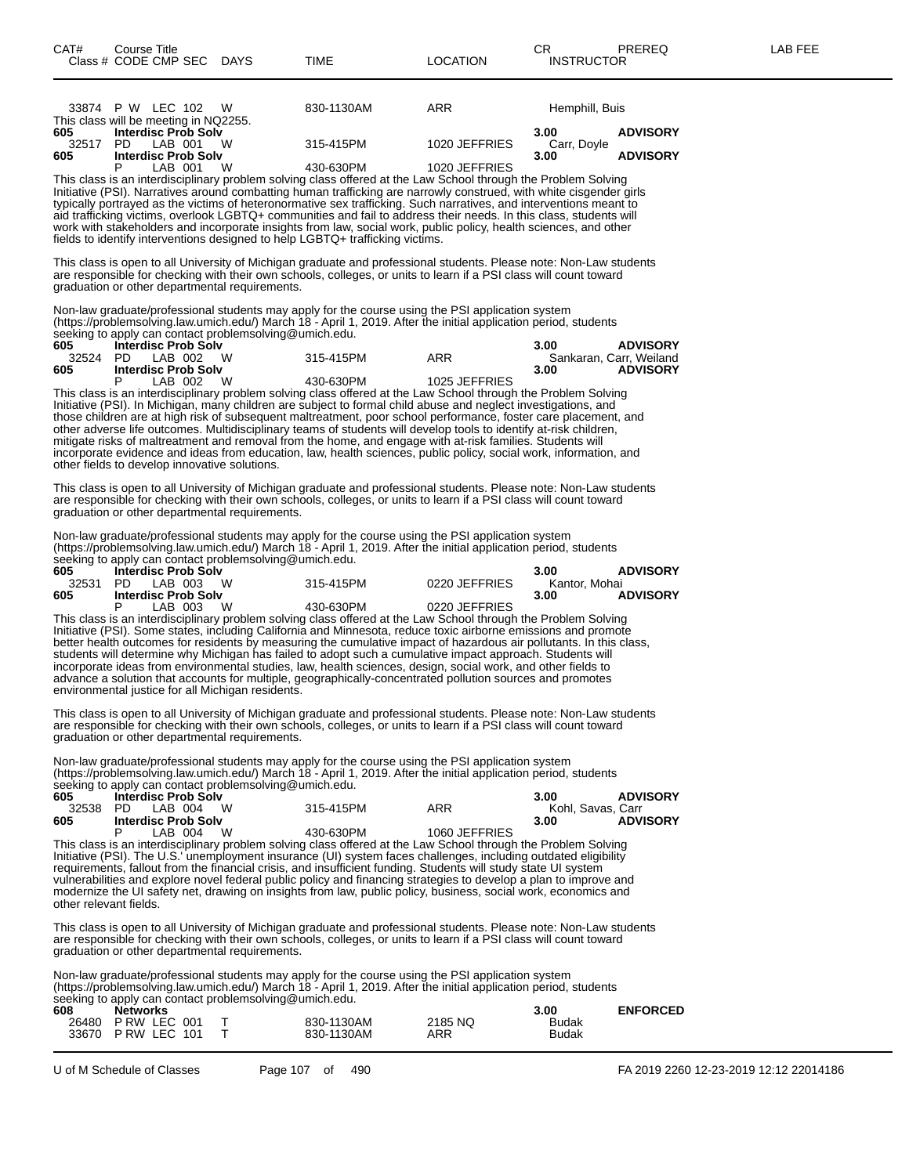| 33874 P W LEC 102                     | W | 830-1130AM<br>ARR | Hemphill, Buis               |                 |
|---------------------------------------|---|-------------------|------------------------------|-----------------|
| This class will be meeting in NQ2255. |   |                   |                              |                 |
| 605<br><b>Interdisc Prob Solv</b>     |   |                   | 3.00                         | <b>ADVISORY</b> |
| 32517<br>LAB 001<br>PD.               | W | 315-415PM         | 1020 JEFFRIES<br>Carr. Dovle |                 |
| <b>Interdisc Prob Solv</b><br>605     |   |                   | 3.00                         | <b>ADVISORY</b> |
| LAB 001                               | W | 430-630PM         | 1020 JEFFRIES                |                 |
|                                       |   |                   |                              |                 |

This class is an interdisciplinary problem solving class offered at the Law School through the Problem Solving Initiative (PSI). Narratives around combatting human trafficking are narrowly construed, with white cisgender girls typically portrayed as the victims of heteronormative sex trafficking. Such narratives, and interventions meant to aid trafficking victims, overlook LGBTQ+ communities and fail to address their needs. In this class, students will work with stakeholders and incorporate insights from law, social work, public policy, health sciences, and other fields to identify interventions designed to help LGBTQ+ trafficking victims.

This class is open to all University of Michigan graduate and professional students. Please note: Non-Law students are responsible for checking with their own schools, colleges, or units to learn if a PSI class will count toward graduation or other departmental requirements.

Non-law graduate/professional students may apply for the course using the PSI application system (https://problemsolving.law.umich.edu/) March 18 - April 1, 2019. After the initial application period, students seeking to apply can contact problemsolving@umich.edu.

| 605 | <b>Interdisc Prob Solv</b>   |           |               | <b>ADVISORY</b><br>3.00 |
|-----|------------------------------|-----------|---------------|-------------------------|
|     | 32524 PD LAB 002<br><b>W</b> | 315-415PM | ARR           | Sankaran. Carr. Weiland |
| 605 | <b>Interdisc Prob Solv</b>   |           |               | <b>ADVISORY</b><br>3.00 |
|     | W.<br>LAB 002                | 430-630PM | 1025 JEFFRIES |                         |

This class is an interdisciplinary problem solving class offered at the Law School through the Problem Solving Initiative (PSI). In Michigan, many children are subject to formal child abuse and neglect investigations, and those children are at high risk of subsequent maltreatment, poor school performance, foster care placement, and other adverse life outcomes. Multidisciplinary teams of students will develop tools to identify at-risk children, mitigate risks of maltreatment and removal from the home, and engage with at-risk families. Students will incorporate evidence and ideas from education, law, health sciences, public policy, social work, information, and other fields to develop innovative solutions.

This class is open to all University of Michigan graduate and professional students. Please note: Non-Law students are responsible for checking with their own schools, colleges, or units to learn if a PSI class will count toward graduation or other departmental requirements.

Non-law graduate/professional students may apply for the course using the PSI application system (https://problemsolving.law.umich.edu/) March 18 - April 1, 2019. After the initial application period, students seeking to apply can contact problemsolving@umich.edu.

| 605   | <b>Interdisc Prob Solv</b> |           |               | 3.00          | <b>ADVISORY</b> |
|-------|----------------------------|-----------|---------------|---------------|-----------------|
| 32531 | - W<br>PD.<br>LAB 003      | 315-415PM | 0220 JEFFRIES | Kantor, Mohai |                 |
| 605   | <b>Interdisc Prob Solv</b> |           |               | 3.00          | <b>ADVISORY</b> |
|       | W<br>LAB 003               | 430-630PM | 0220 JEFFRIES |               |                 |

This class is an interdisciplinary problem solving class offered at the Law School through the Problem Solving Initiative (PSI). Some states, including California and Minnesota, reduce toxic airborne emissions and promote better health outcomes for residents by measuring the cumulative impact of hazardous air pollutants. In this class, students will determine why Michigan has failed to adopt such a cumulative impact approach. Students will incorporate ideas from environmental studies, law, health sciences, design, social work, and other fields to advance a solution that accounts for multiple, geographically-concentrated pollution sources and promotes environmental justice for all Michigan residents.

This class is open to all University of Michigan graduate and professional students. Please note: Non-Law students are responsible for checking with their own schools, colleges, or units to learn if a PSI class will count toward graduation or other departmental requirements.

Non-law graduate/professional students may apply for the course using the PSI application system (https://problemsolving.law.umich.edu/) March 18 - April 1, 2019. After the initial application period, students

|       |                            |          | seeking to apply can contact problemsolving@umich.edu. |               |                   |                 |
|-------|----------------------------|----------|--------------------------------------------------------|---------------|-------------------|-----------------|
| 605   | <b>Interdisc Prob Solv</b> |          |                                                        |               | 3.00              | <b>ADVISORY</b> |
| 32538 | PD LAB 004                 | M        | 315-415PM                                              | ARR           | Kohl. Savas. Carr |                 |
| 605   | <b>Interdisc Prob Solv</b> |          |                                                        |               | 3.00              | <b>ADVISORY</b> |
|       | LAB 004                    | <b>W</b> | 430-630PM                                              | 1060 JEFFRIES |                   |                 |

This class is an interdisciplinary problem solving class offered at the Law School through the Problem Solving Initiative (PSI). The U.S.' unemployment insurance (UI) system faces challenges, including outdated eligibility requirements, fallout from the financial crisis, and insufficient funding. Students will study state UI system vulnerabilities and explore novel federal public policy and financing strategies to develop a plan to improve and modernize the UI safety net, drawing on insights from law, public policy, business, social work, economics and other relevant fields.

This class is open to all University of Michigan graduate and professional students. Please note: Non-Law students are responsible for checking with their own schools, colleges, or units to learn if a PSI class will count toward graduation or other departmental requirements.

Non-law graduate/professional students may apply for the course using the PSI application system (https://problemsolving.law.umich.edu/) March 18 - April 1, 2019. After the initial application period, students seeking to apply can contact problems olving@umich.edu.

| 608 | <b>Networks</b>    |            |         | 3.00         | <b>ENFORCED</b> |
|-----|--------------------|------------|---------|--------------|-----------------|
|     | 26480 P RW LEC 001 | 830-1130AM | 2185 NO | Budak        |                 |
|     | 33670 P RW LEC 101 | 830-1130AM | ARR     | <b>Budak</b> |                 |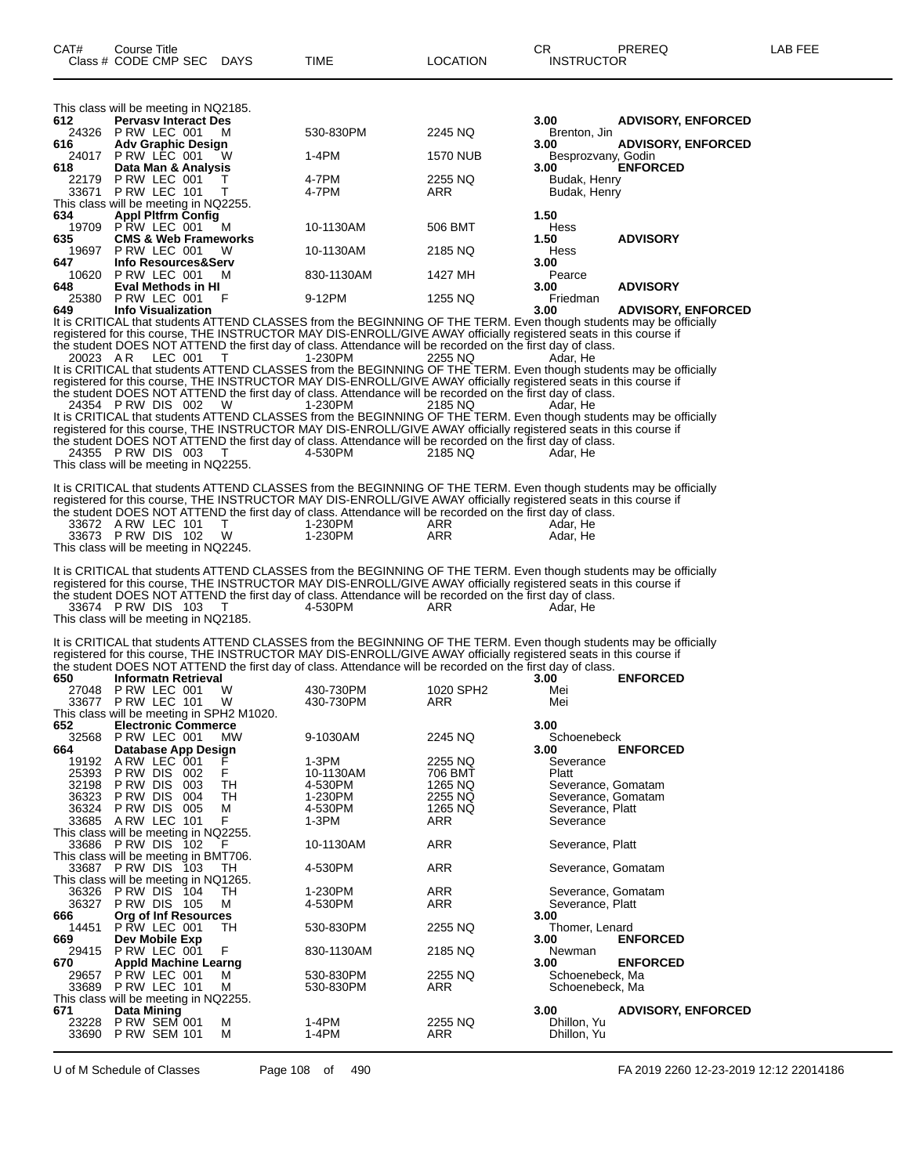| 612          | This class will be meeting in NQ2185.<br><b>Pervasy Interact Des</b>                                                                                                                                                                    |                        |                              | 3.00                                     | <b>ADVISORY, ENFORCED</b> |
|--------------|-----------------------------------------------------------------------------------------------------------------------------------------------------------------------------------------------------------------------------------------|------------------------|------------------------------|------------------------------------------|---------------------------|
|              | 24326 P RW LEC 001<br>м                                                                                                                                                                                                                 | 530-830PM              | 2245 NQ                      | Brenton, Jin                             |                           |
| 616          | <b>Adv Graphic Design</b><br>24017 PRW LEC 001<br>w                                                                                                                                                                                     | 1-4PM                  | 1570 NUB                     | 3.00<br>Besprozvany, Godin               | <b>ADVISORY, ENFORCED</b> |
| 618          | Data Man & Analysis                                                                                                                                                                                                                     |                        |                              | 3.00                                     | <b>ENFORCED</b>           |
| 22179        | PRW LEC 001<br>т<br>33671 P RW LEC 101<br>т                                                                                                                                                                                             | 4-7PM<br>4-7PM         | 2255 NQ<br>ARR               | Budak, Henry<br>Budak, Henry             |                           |
|              | This class will be meeting in NQ2255.                                                                                                                                                                                                   |                        |                              |                                          |                           |
| 634          | <b>Appl Pitfrm Config</b><br>19709 PRW LEC 001<br>м                                                                                                                                                                                     | 10-1130AM              | 506 BMT                      | 1.50<br>Hess                             |                           |
| 635<br>19697 | <b>CMS &amp; Web Frameworks</b><br>PRW LEC 001<br>w                                                                                                                                                                                     | 10-1130AM              | 2185 NQ                      | 1.50<br><b>Hess</b>                      | <b>ADVISORY</b>           |
| 647          | Info Resources&Serv                                                                                                                                                                                                                     |                        |                              | 3.00                                     |                           |
| 648          | 10620 P RW LEC 001<br>м<br>Eval Methods in HI                                                                                                                                                                                           | 830-1130AM             | 1427 MH                      | Pearce<br>3.00                           | <b>ADVISORY</b>           |
|              | 25380 P RW LEC 001<br>F                                                                                                                                                                                                                 | 9-12PM                 | 1255 NQ                      | Friedman                                 |                           |
| 649          | <b>Info Visualization</b><br>It is CRITICAL that students ATTEND CLASSES from the BEGINNING OF THE TERM. Even though students may be officially                                                                                         |                        |                              | 3.00                                     | <b>ADVISORY, ENFORCED</b> |
|              | registered for this course, THE INSTRUCTOR MAY DIS-ENROLL/GIVE AWAY officially registered seats in this course if                                                                                                                       |                        |                              |                                          |                           |
| 20023 AR     | the student DOES NOT ATTEND the first day of class. Attendance will be recorded on the first day of class.<br>LEC 001<br>т                                                                                                              | 1-230PM                | 2255 NQ                      | Adar. He                                 |                           |
|              | It is CRITICAL that students ATTEND CLASSES from the BEGINNING OF THE TERM. Even though students may be officially                                                                                                                      |                        |                              |                                          |                           |
|              | registered for this course, THE INSTRUCTOR MAY DIS-ENROLL/GIVE AWAY officially registered seats in this course if<br>the student DOES NOT ATTEND the first day of class. Attendance will be recorded on the first day of class.         |                        |                              |                                          |                           |
|              | 24354 PRW DIS 002<br><b>W</b>                                                                                                                                                                                                           | 1-230PM                | 2185 NQ                      | Adar. He                                 |                           |
|              | It is CRITICAL that students ATTEND CLASSES from the BEGINNING OF THE TERM. Even though students may be officially<br>registered for this course, THE INSTRUCTOR MAY DIS-ENROLL/GIVE AWAY officially registered seats in this course if |                        |                              |                                          |                           |
|              | the student DOES NOT ATTEND the first day of class. Attendance will be recorded on the first day of class.<br>24355 P RW DIS 003<br>- T                                                                                                 |                        | 2185 NQ                      |                                          |                           |
|              | This class will be meeting in NQ2255.                                                                                                                                                                                                   | 4-530PM                |                              | Adar, He                                 |                           |
|              | It is CRITICAL that students ATTEND CLASSES from the BEGINNING OF THE TERM. Even though students may be officially                                                                                                                      |                        |                              |                                          |                           |
|              | registered for this course, THE INSTRUCTOR MAY DIS-ENROLL/GIVE AWAY officially registered seats in this course if                                                                                                                       |                        |                              |                                          |                           |
|              | the student DOES NOT ATTEND the first day of class. Attendance will be recorded on the first day of class.<br>33672 A RW LEC 101<br>Т                                                                                                   | 1-230PM                | ARR                          | Adar, He                                 |                           |
|              | 33673 PRW DIS 102<br>W                                                                                                                                                                                                                  | 1-230PM                | ARR                          | Adar, He                                 |                           |
|              | This class will be meeting in NQ2245.                                                                                                                                                                                                   |                        |                              |                                          |                           |
|              |                                                                                                                                                                                                                                         |                        |                              |                                          |                           |
|              | It is CRITICAL that students ATTEND CLASSES from the BEGINNING OF THE TERM. Even though students may be officially                                                                                                                      |                        |                              |                                          |                           |
|              | registered for this course, THE INSTRUCTOR MAY DIS-ENROLL/GIVE AWAY officially registered seats in this course if<br>the student DOES NOT ATTEND the first day of class. Attendance will be recorded on the first day of class.         |                        |                              |                                          |                           |
|              | 33674 PRW DIS 103<br>T                                                                                                                                                                                                                  | 4-530PM                | ARR                          | Adar, He                                 |                           |
|              | This class will be meeting in NQ2185.                                                                                                                                                                                                   |                        |                              |                                          |                           |
|              | It is CRITICAL that students ATTEND CLASSES from the BEGINNING OF THE TERM. Even though students may be officially                                                                                                                      |                        |                              |                                          |                           |
|              | registered for this course, THE INSTRUCTOR MAY DIS-ENROLL/GIVE AWAY officially registered seats in this course if<br>the student DOES NOT ATTEND the first day of class. Attendance will be recorded on the first day of class.         |                        |                              |                                          |                           |
| 650          | <b>Informatn Retrieval</b>                                                                                                                                                                                                              |                        |                              | 3.00                                     | <b>ENFORCED</b>           |
|              | 27048 PRW LEC 001<br>W<br>33677 PRW LEC 101<br>W                                                                                                                                                                                        | 430-730PM<br>430-730PM | 1020 SPH <sub>2</sub><br>ARR | Mei<br>Mei                               |                           |
|              | This class will be meeting in SPH2 M1020.                                                                                                                                                                                               |                        |                              |                                          |                           |
| 652          | <b>Electronic Commerce</b><br>32568 P RW LEC 001<br><b>MW</b>                                                                                                                                                                           | 9-1030AM               | 2245 NQ                      | 3.00<br>Schoenebeck                      |                           |
| 664          | Database App Design                                                                                                                                                                                                                     |                        |                              | 3.00                                     | <b>ENFORCED</b>           |
| 19192        | ARW LEC 001<br>F<br>25393 PRW DIS 002                                                                                                                                                                                                   | 1-3PM<br>10-1130AM     | 2255 NQ<br>706 BMT           | Severance<br>Platt                       |                           |
| 32198        | P RW DIS<br>003<br>TН<br>36323 PRW DIS 004<br>TH                                                                                                                                                                                        | 4-530PM<br>1-230PM     | 1265 NQ<br>2255 NQ           | Severance, Gomatam<br>Severance, Gomatam |                           |
|              | 36324 PRW DIS 005<br>М                                                                                                                                                                                                                  | 4-530PM                | 1265 NQ                      | Severance, Platt                         |                           |
|              | 33685 A RW LEC 101<br>F<br>This class will be meeting in NQ2255.                                                                                                                                                                        | 1-3PM                  | ARR                          | Severance                                |                           |
|              | 33686 PRW DIS 102<br>F                                                                                                                                                                                                                  | 10-1130AM              | <b>ARR</b>                   | Severance, Platt                         |                           |
|              | This class will be meeting in BMT706.<br>33687 PRW DIS 103<br>TH.                                                                                                                                                                       | 4-530PM                | <b>ARR</b>                   | Severance, Gomatam                       |                           |
|              | This class will be meeting in NQ1265.                                                                                                                                                                                                   |                        |                              |                                          |                           |
|              | 36326 PRW DIS 104<br>TH<br>36327 PRW DIS 105<br>м                                                                                                                                                                                       | 1-230PM<br>4-530PM     | <b>ARR</b><br>ARR            | Severance, Gomatam<br>Severance, Platt   |                           |
| 666          | Org of Inf Resources                                                                                                                                                                                                                    |                        |                              | 3.00                                     |                           |
| 14451<br>669 | PRW LEC 001<br>TH<br>Dev Mobile Exp                                                                                                                                                                                                     | 530-830PM              | 2255 NQ                      | Thomer, Lenard<br>3.00                   | <b>ENFORCED</b>           |
| 29415<br>670 | F<br>PRW LEC 001                                                                                                                                                                                                                        | 830-1130AM             | 2185 NQ                      | Newman                                   |                           |
| 29657        | <b>Appld Machine Learng</b><br>PRW LEC 001<br>м                                                                                                                                                                                         | 530-830PM              | 2255 NQ                      | 3.00<br>Schoenebeck, Ma                  | <b>ENFORCED</b>           |
|              | 33689 PRW LEC 101<br>М                                                                                                                                                                                                                  | 530-830PM              | ARR                          | Schoenebeck, Ma                          |                           |
| 671<br>23228 | This class will be meeting in NQ2255.<br><b>Data Mining</b><br>М<br><b>P RW SEM 001</b>                                                                                                                                                 | 1-4PM                  | 2255 NQ                      | 3.00<br>Dhillon, Yu                      | <b>ADVISORY, ENFORCED</b> |

U of M Schedule of Classes Page 108 of 490 FA 2019 2260 12-23-2019 12:12 22014186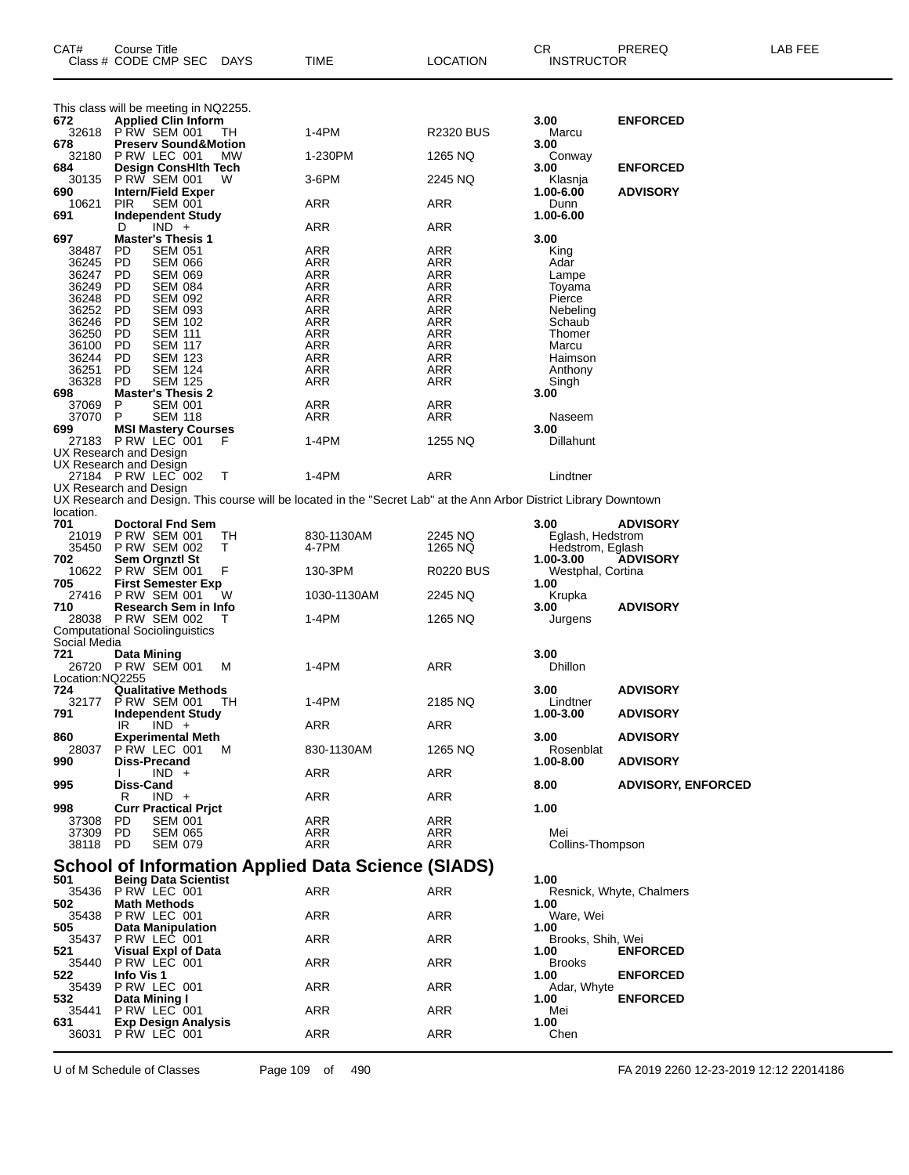| CAT#                   | Course Title<br>Class # CODE CMP SEC                                | DAYS      | TIME                                                                                                               | <b>LOCATION</b>  | CR.<br><b>INSTRUCTOR</b>  | PREREQ                    | LAB FEE |
|------------------------|---------------------------------------------------------------------|-----------|--------------------------------------------------------------------------------------------------------------------|------------------|---------------------------|---------------------------|---------|
| 672                    | This class will be meeting in NQ2255.<br><b>Applied Clin Inform</b> |           |                                                                                                                    |                  | 3.00                      | <b>ENFORCED</b>           |         |
|                        | 32618 PRW SEM 001                                                   | TН        | 1-4PM                                                                                                              | <b>R2320 BUS</b> | Marcu                     |                           |         |
| 678<br>32180           | <b>Preserv Sound&amp;Motion</b><br>PRW LEC 001                      | <b>MW</b> | 1-230PM                                                                                                            | 1265 NQ          | 3.00<br>Conway            |                           |         |
| 684                    | Design ConsHith Tech                                                |           |                                                                                                                    |                  | 3.00                      | <b>ENFORCED</b>           |         |
| 30135<br>690           | <b>P RW SEM 001</b><br><b>Intern/Field Exper</b>                    | W         | 3-6PM                                                                                                              | 2245 NQ          | Klasnja<br>1.00-6.00      | <b>ADVISORY</b>           |         |
| 10621                  | <b>PIR</b><br><b>SEM 001</b>                                        |           | ARR                                                                                                                | ARR              | Dunn                      |                           |         |
| 691                    | <b>Independent Study</b><br>$IND +$<br>D                            |           | ARR                                                                                                                | ARR              | 1.00-6.00                 |                           |         |
| 697                    | <b>Master's Thesis 1</b>                                            |           |                                                                                                                    |                  | 3.00                      |                           |         |
| 38487<br>36245         | PD<br><b>SEM 051</b><br><b>PD</b><br><b>SEM 066</b>                 |           | ARR<br><b>ARR</b>                                                                                                  | ARR<br>ARR       | King<br>Adar              |                           |         |
| 36247                  | <b>PD</b><br><b>SEM 069</b>                                         |           | ARR                                                                                                                | ARR              | Lampe                     |                           |         |
| 36249                  | PD<br><b>SEM 084</b>                                                |           | ARR                                                                                                                | ARR              | Toyama                    |                           |         |
| 36248<br>36252         | <b>PD</b><br><b>SEM 092</b><br><b>PD</b><br><b>SEM 093</b>          |           | <b>ARR</b><br>ARR                                                                                                  | ARR<br>ARR       | Pierce                    |                           |         |
| 36246                  | PD<br><b>SEM 102</b>                                                |           | ARR                                                                                                                | ARR              | Nebeling<br>Schaub        |                           |         |
| 36250                  | <b>PD</b><br><b>SEM 111</b>                                         |           | <b>ARR</b>                                                                                                         | ARR              | Thomer                    |                           |         |
| 36100                  | PD<br><b>SEM 117</b>                                                |           | ARR                                                                                                                | ARR              | Marcu                     |                           |         |
| 36244<br>36251         | PD<br>SEM 123<br><b>PD</b><br>SEM 124                               |           | ARR<br><b>ARR</b>                                                                                                  | ARR<br>ARR       | Haimson<br>Anthony        |                           |         |
| 36328                  | <b>PD</b><br><b>SEM 125</b>                                         |           | ARR                                                                                                                | ARR              | Singh                     |                           |         |
| 698                    | <b>Master's Thesis 2</b>                                            |           |                                                                                                                    |                  | 3.00                      |                           |         |
| 37069                  | P<br><b>SEM 001</b><br>P                                            |           | ARR                                                                                                                | ARR              |                           |                           |         |
| 37070<br>699           | <b>SEM 118</b><br><b>MSI Mastery Courses</b>                        |           | ARR                                                                                                                | ARR              | Naseem<br>3.00            |                           |         |
| 27183                  | PRW LEC 001                                                         |           | 1-4PM                                                                                                              | 1255 NQ          | Dillahunt                 |                           |         |
|                        | UX Research and Design                                              |           |                                                                                                                    |                  |                           |                           |         |
|                        | UX Research and Design<br>27184 PRW LEC 002                         | т         | $1-4PM$                                                                                                            | ARR              | Lindtner                  |                           |         |
|                        | UX Research and Design                                              |           |                                                                                                                    |                  |                           |                           |         |
|                        |                                                                     |           | UX Research and Design. This course will be located in the "Secret Lab" at the Ann Arbor District Library Downtown |                  |                           |                           |         |
| location.<br>701       |                                                                     |           |                                                                                                                    |                  |                           |                           |         |
| 21019                  | <b>Doctoral Fnd Sem</b><br><b>P RW SEM 001</b>                      | ТH        | 830-1130AM                                                                                                         | 2245 NQ          | 3.00<br>Eglash, Hedstrom  | <b>ADVISORY</b>           |         |
| 35450                  | <b>P RW SEM 002</b>                                                 | т         | 4-7PM                                                                                                              | 1265 NQ          | Hedstrom, Eglash          |                           |         |
| 702                    | Sem Orgnztl St                                                      |           |                                                                                                                    |                  | 1.00-3.00                 | <b>ADVISORY</b>           |         |
| 10622<br>705           | <b>P RW SEM 001</b><br><b>First Semester Exp</b>                    | F         | 130-3PM                                                                                                            | <b>R0220 BUS</b> | Westphal, Cortina<br>1.00 |                           |         |
| 27416                  | <b>P RW SEM 001</b>                                                 | W         | 1030-1130AM                                                                                                        | 2245 NQ          | Krupka                    |                           |         |
| 710                    | Research Sem in Info                                                |           |                                                                                                                    |                  | 3.00                      | <b>ADVISORY</b>           |         |
|                        | 28038 PRW SEM 002<br><b>Computational Sociolinguistics</b>          |           | 1-4PM                                                                                                              | 1265 NQ          | Jurgens                   |                           |         |
| Social Media           |                                                                     |           |                                                                                                                    |                  |                           |                           |         |
| 721                    | Data Mining                                                         |           |                                                                                                                    |                  | 3.00                      |                           |         |
|                        | 26720 PRW SEM 001                                                   | M         | 1-4PM                                                                                                              | <b>ARR</b>       | <b>Dhillon</b>            |                           |         |
| Location:NQ2255<br>724 | <b>Qualitative Methods</b>                                          |           |                                                                                                                    |                  | 3.00                      | <b>ADVISORY</b>           |         |
| 32177                  | <b>PRW SEM 001</b>                                                  | TН        | 1-4PM                                                                                                              | 2185 NQ          | Lindtner                  |                           |         |
| 791                    | <b>Independent Study</b>                                            |           |                                                                                                                    |                  | 1.00-3.00                 | <b>ADVISORY</b>           |         |
| 860                    | $IND +$<br>IR<br><b>Experimental Meth</b>                           |           | <b>ARR</b>                                                                                                         | ARR              | 3.00                      | <b>ADVISORY</b>           |         |
| 28037                  | PRW LEC 001                                                         | M         | 830-1130AM                                                                                                         | 1265 NQ          | Rosenblat                 |                           |         |
| 990                    | Diss-Precand                                                        |           |                                                                                                                    |                  | 1.00-8.00                 | <b>ADVISORY</b>           |         |
| 995                    | $IND +$<br>Diss-Cand                                                |           | ARR                                                                                                                | <b>ARR</b>       | 8.00                      | <b>ADVISORY, ENFORCED</b> |         |
|                        | $IND +$<br>R                                                        |           | ARR                                                                                                                | ARR              |                           |                           |         |
| 998                    | <b>Curr Practical Prjct</b>                                         |           |                                                                                                                    |                  | 1.00                      |                           |         |
| 37308                  | PD<br><b>SEM 001</b>                                                |           | ARR                                                                                                                | ARR              |                           |                           |         |
| 37309<br>38118         | PD<br><b>SEM 065</b><br>PD<br><b>SEM 079</b>                        |           | ARR<br>ARR                                                                                                         | ARR<br>ARR       | Mei<br>Collins-Thompson   |                           |         |
|                        |                                                                     |           |                                                                                                                    |                  |                           |                           |         |
|                        |                                                                     |           | <b>School of Information Applied Data Science (SIADS)</b>                                                          |                  |                           |                           |         |
| 501<br>35436           | <b>Being Data Scientist</b><br>PRW LEC 001                          |           | ARR                                                                                                                | ARR              | 1.00                      | Resnick, Whyte, Chalmers  |         |
| 502                    | <b>Math Methods</b>                                                 |           |                                                                                                                    |                  | 1.00                      |                           |         |
| 35438                  | PRW LEC 001                                                         |           | <b>ARR</b>                                                                                                         | <b>ARR</b>       | Ware, Wei                 |                           |         |
| 505<br>35437           | Data Manipulation<br>PRW LEC 001                                    |           | <b>ARR</b>                                                                                                         | ARR              | 1.00<br>Brooks, Shih, Wei |                           |         |
| 521                    | <b>Visual Expl of Data</b>                                          |           |                                                                                                                    |                  | 1.00                      | <b>ENFORCED</b>           |         |
| 35440                  | PRW LEC 001                                                         |           | ARR                                                                                                                | ARR              | <b>Brooks</b>             |                           |         |
| 522                    | Info Vis 1                                                          |           |                                                                                                                    |                  | 1.00                      | <b>ENFORCED</b>           |         |
| 35439<br>532           | P RW LEC 001<br>Data Mining I                                       |           | <b>ARR</b>                                                                                                         | <b>ARR</b>       | Adar, Whyte<br>1.00       | <b>ENFORCED</b>           |         |
| 35441                  | PRW LEC 001                                                         |           | <b>ARR</b>                                                                                                         | ARR              | Mei                       |                           |         |
| 631                    | Exp Design Analysis                                                 |           |                                                                                                                    |                  | 1.00                      |                           |         |
| 36031                  | PRW LEC 001                                                         |           | <b>ARR</b>                                                                                                         | ARR              | Chen                      |                           |         |

U of M Schedule of Classes Page 109 of 490 FA 2019 2260 12-23-2019 12:12 22014186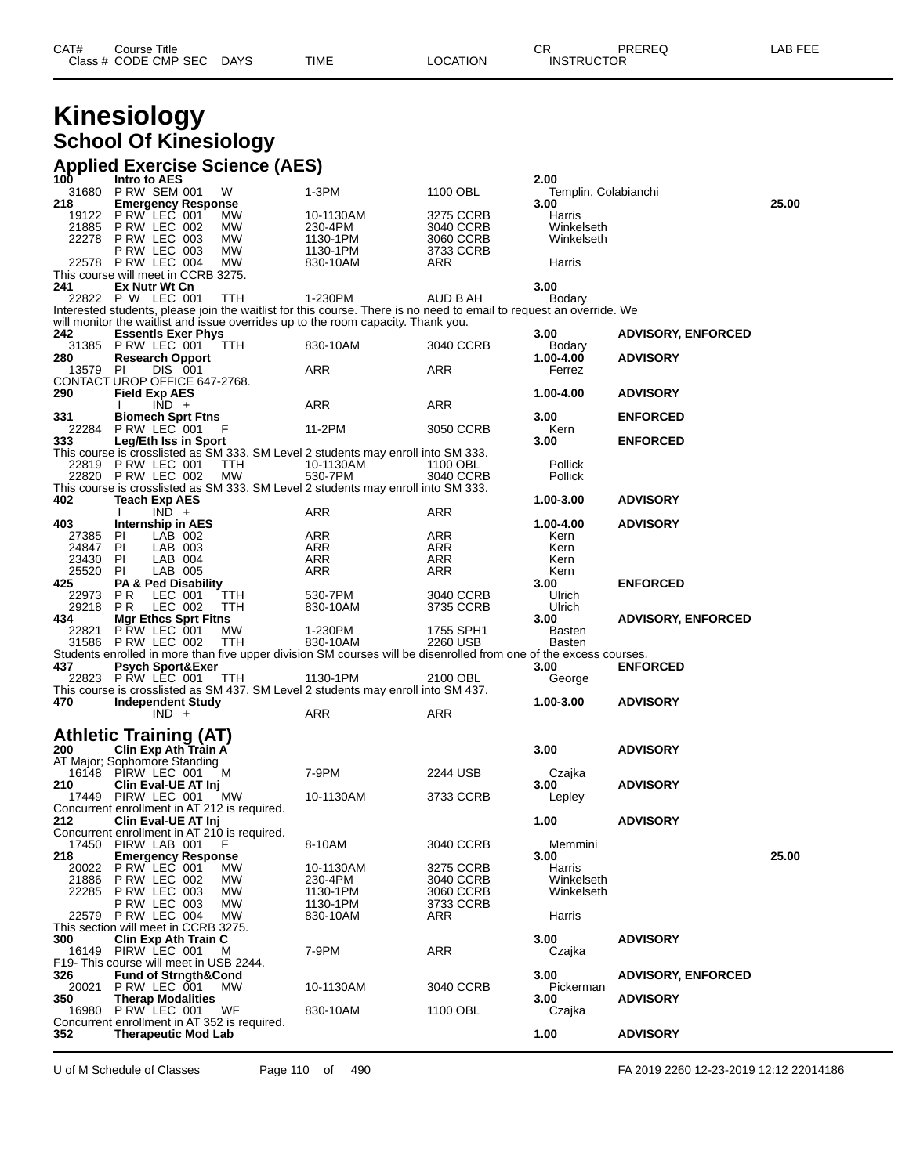| CAT# | Title<br>Course      |      |      |          | Ωn<br>- UN | PREREQ            | ---<br>AR.<br>--- |
|------|----------------------|------|------|----------|------------|-------------------|-------------------|
|      | Class # CODE CMP SEC | DAYS | TIME | LOCATION |            | <b>INSTRUCTOR</b> |                   |

## **Kinesiology School Of Kinesiology**

#### **Applied Exercise Science (AES)**

| 100               | Intro to AES                                                               |            |                                                                                                                                |                        | 2.00                    |                           |       |
|-------------------|----------------------------------------------------------------------------|------------|--------------------------------------------------------------------------------------------------------------------------------|------------------------|-------------------------|---------------------------|-------|
| 31680             | <b>PRW SEM 001</b>                                                         | W          | 1-3PM                                                                                                                          | 1100 OBL               | Templin, Colabianchi    |                           | 25.00 |
| 218<br>19122      | <b>Emergency Response</b><br>PRW LEC 001                                   | МW         | 10-1130AM                                                                                                                      | 3275 CCRB              | 3.00<br>Harris          |                           |       |
| 21885             | PRW LEC 002                                                                | <b>MW</b>  | 230-4PM                                                                                                                        | 3040 CCRB              | Winkelseth              |                           |       |
|                   | 22278 P RW LEC 003                                                         | МW         | 1130-1PM                                                                                                                       | 3060 CCRB              | Winkelseth              |                           |       |
|                   | PRW LEC 003                                                                | <b>MW</b>  | 1130-1PM                                                                                                                       | 3733 CCRB              |                         |                           |       |
|                   | 22578 PRW LEC 004                                                          | <b>MW</b>  | 830-10AM                                                                                                                       | ARR                    | Harris                  |                           |       |
|                   | This course will meet in CCRB 3275.                                        |            |                                                                                                                                |                        |                         |                           |       |
| 241               | Ex Nutr Wt Cn                                                              |            |                                                                                                                                |                        | 3.00                    |                           |       |
|                   | 22822 P W LEC 001                                                          | TTH        | 1-230PM<br>Interested students, please join the waitlist for this course. There is no need to email to request an override. We | AUD B AH               | Bodary                  |                           |       |
|                   |                                                                            |            | will monitor the waitlist and issue overrides up to the room capacity. Thank you.                                              |                        |                         |                           |       |
| 242               | <b>EssentIs Exer Phys</b>                                                  |            |                                                                                                                                |                        | 3.00                    | <b>ADVISORY, ENFORCED</b> |       |
|                   | 31385 PRW LEC 001                                                          | TTH        | 830-10AM                                                                                                                       | 3040 CCRB              | Bodary                  |                           |       |
| 280               | <b>Research Opport</b>                                                     |            |                                                                                                                                |                        | 1.00-4.00               | <b>ADVISORY</b>           |       |
| 13579 PI          | DIS 001<br>CONTACT UROP OFFICE 647-2768.                                   |            | ARR                                                                                                                            | ARR                    | Ferrez                  |                           |       |
| 290               | <b>Field Exp AES</b>                                                       |            |                                                                                                                                |                        | 1.00-4.00               | <b>ADVISORY</b>           |       |
|                   | $\overline{IND}$ +                                                         |            | ARR                                                                                                                            | ARR                    |                         |                           |       |
| 331               | <b>Biomech Sprt Ftns</b>                                                   |            |                                                                                                                                |                        | 3.00                    | <b>ENFORCED</b>           |       |
|                   | 22284 P RW LEC 001                                                         | F          | 11-2PM                                                                                                                         | 3050 CCRB              | Kern                    |                           |       |
| 333               | Leg/Eth Iss in Sport                                                       |            |                                                                                                                                |                        | 3.00                    | <b>ENFORCED</b>           |       |
|                   | 22819 PRW LEC 001                                                          | TTH        | This course is crosslisted as SM 333. SM Level 2 students may enroll into SM 333.<br>10-1130AM                                 | 1100 OBL               | Pollick                 |                           |       |
|                   | 22820 PRW LEC 002                                                          | <b>MW</b>  | 530-7PM                                                                                                                        | 3040 CCRB              | Pollick                 |                           |       |
|                   |                                                                            |            | This course is crosslisted as SM 333. SM Level 2 students may enroll into SM 333.                                              |                        |                         |                           |       |
| 402               | <b>Teach Exp AES</b>                                                       |            |                                                                                                                                |                        | 1.00-3.00               | <b>ADVISORY</b>           |       |
|                   | $IND +$<br>Ι.                                                              |            | ARR                                                                                                                            | ARR                    |                         |                           |       |
| 403               | <b>Internship in AES</b>                                                   |            |                                                                                                                                |                        | 1.00-4.00               | <b>ADVISORY</b>           |       |
| 27385 PI<br>24847 | LAB 002<br>LAB 003<br>PI                                                   |            | ARR<br>ARR                                                                                                                     | ARR<br>ARR             | Kern<br>Kern            |                           |       |
| 23430 PI          | LAB 004                                                                    |            | ARR                                                                                                                            | ARR                    | Kern                    |                           |       |
| 25520             | LAB 005<br>PI                                                              |            | ARR                                                                                                                            | ARR                    | Kern                    |                           |       |
| 425               | PA & Ped Disability                                                        |            |                                                                                                                                |                        | 3.00                    | <b>ENFORCED</b>           |       |
| 22973             | P R<br>LEC 001                                                             | TTH        | 530-7PM                                                                                                                        | 3040 CCRB              | Ulrich                  |                           |       |
| 29218             | P R<br>LEC 002                                                             | TTH        | 830-10AM                                                                                                                       | 3735 CCRB              | Ulrich                  |                           |       |
| 434<br>22821      | <b>Mgr Ethcs Sprt Fitns</b><br>P RW LEC 001                                | МW         | 1-230PM                                                                                                                        | 1755 SPH1              | 3.00                    | <b>ADVISORY, ENFORCED</b> |       |
|                   | 31586 P RW LEC 002                                                         | <b>TTH</b> | 830-10AM                                                                                                                       | 2260 USB               | Basten<br><b>Basten</b> |                           |       |
|                   |                                                                            |            | Students enrolled in more than five upper division SM courses will be disenrolled from one of the excess courses.              |                        |                         |                           |       |
| 437               | <b>Psych Sport&amp;Exer</b>                                                |            |                                                                                                                                |                        | 3.00                    | <b>ENFORCED</b>           |       |
|                   | 22823 PRW LEC 001                                                          | TTH        | 1130-1PM                                                                                                                       | 2100 OBL               | George                  |                           |       |
|                   |                                                                            |            | This course is crosslisted as SM 437. SM Level 2 students may enroll into SM 437.                                              |                        |                         |                           |       |
| 470               | <b>Independent Study</b><br>$IND +$                                        |            | ARR                                                                                                                            | ARR                    | 1.00-3.00               | <b>ADVISORY</b>           |       |
|                   |                                                                            |            |                                                                                                                                |                        |                         |                           |       |
|                   | <b>Athletic Training (AT)</b><br>200 Clin Exp Ath Train A                  |            |                                                                                                                                |                        |                         |                           |       |
|                   |                                                                            |            |                                                                                                                                |                        | 3.00                    | <b>ADVISORY</b>           |       |
|                   | AT Major; Sophomore Standing                                               |            |                                                                                                                                |                        |                         |                           |       |
|                   | 16148 PIRW LEC 001                                                         | м          | 7-9PM                                                                                                                          | 2244 USB               | Czajka                  |                           |       |
| 210               | Clin Eval-UE AT Inj<br>17449 PIRW LEC 001                                  | МW         | 10-1130AM                                                                                                                      | 3733 CCRB              | 3.00<br>Lepley          | <b>ADVISORY</b>           |       |
|                   | Concurrent enrollment in AT 212 is required.                               |            |                                                                                                                                |                        |                         |                           |       |
| 212               | Clin Eval-UE AT Inj                                                        |            |                                                                                                                                |                        | 1.00                    | <b>ADVISORY</b>           |       |
|                   | Concurrent enrollment in AT 210 is required.                               |            |                                                                                                                                |                        |                         |                           |       |
| 17450             | PIRW LAB 001                                                               | F          | 8-10AM                                                                                                                         | 3040 CCRB              | Memmini                 |                           |       |
| 218               | <b>Emergency Response</b><br>P RW LEC 001                                  |            |                                                                                                                                |                        | 3.00                    |                           | 25.00 |
| 20022<br>21886    | P RW LEC 002                                                               | МW<br>МW   | 10-1130AM<br>230-4PM                                                                                                           | 3275 CCRB<br>3040 CCRB | Harris<br>Winkelseth    |                           |       |
| 22285             | P RW LEC 003                                                               | MW         | 1130-1PM                                                                                                                       | 3060 CCRB              | Winkelseth              |                           |       |
|                   | PRW LEC 003                                                                | <b>MW</b>  | 1130-1PM                                                                                                                       | 3733 CCRB              |                         |                           |       |
|                   | 22579 PRW LEC 004                                                          | МW         | 830-10AM                                                                                                                       | ARR                    | Harris                  |                           |       |
|                   | This section will meet in CCRB 3275.                                       |            |                                                                                                                                |                        |                         |                           |       |
| 300               | Clin Exp Ath Train C<br>16149 PIRW LEC 001                                 | м          | 7-9PM                                                                                                                          | ARR                    | 3.00                    | <b>ADVISORY</b>           |       |
|                   | F19-This course will meet in USB 2244.                                     |            |                                                                                                                                |                        | Czajka                  |                           |       |
| 326               | <b>Fund of Strngth&amp;Cond</b>                                            |            |                                                                                                                                |                        | 3.00                    | <b>ADVISORY, ENFORCED</b> |       |
| 20021             | PRW LEC 001                                                                | <b>MW</b>  | 10-1130AM                                                                                                                      | 3040 CCRB              | Pickerman               |                           |       |
| 350               | <b>Therap Modalities</b>                                                   |            |                                                                                                                                |                        | 3.00                    | <b>ADVISORY</b>           |       |
| 16980             | P RW LEC 001                                                               | WF         | 830-10AM                                                                                                                       | 1100 OBL               | Czajka                  |                           |       |
| 352               | Concurrent enrollment in AT 352 is required.<br><b>Therapeutic Mod Lab</b> |            |                                                                                                                                |                        | 1.00                    | <b>ADVISORY</b>           |       |
|                   |                                                                            |            |                                                                                                                                |                        |                         |                           |       |
|                   |                                                                            |            |                                                                                                                                |                        |                         |                           |       |

U of M Schedule of Classes Page 110 of 490 FA 2019 2260 12-23-2019 12:12 22014186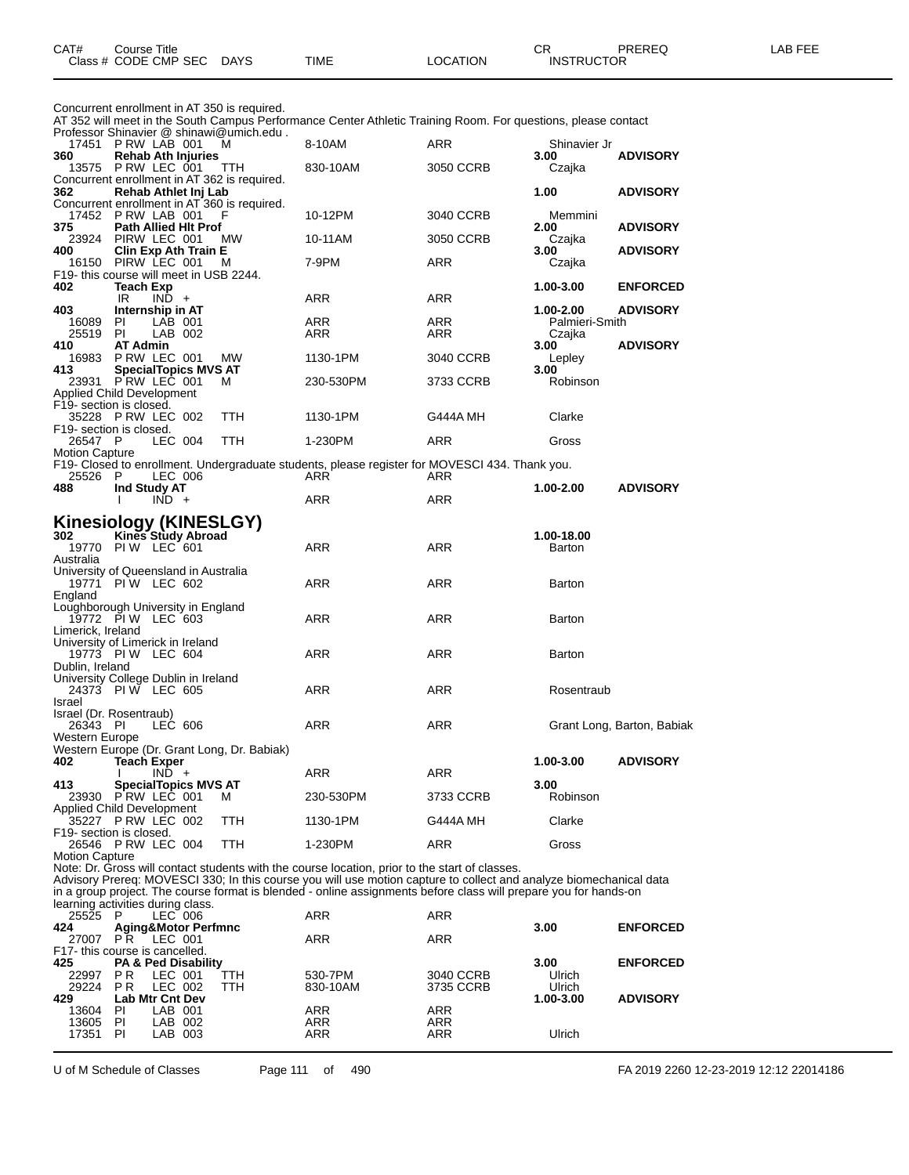|                             |  | Concurrent enrollment in AT 350 is required. |
|-----------------------------|--|----------------------------------------------|
| $\sim$ $\sim$ $\sim$ $\sim$ |  |                                              |

AT 352 will meet in the South Campus Performance Center Athletic Training Room. For questions, please contact

|                                         |                           |                    |                             | Professor Shinavier @ shinawi@umich.edu.          |                                                                                                |            |                          |                            |
|-----------------------------------------|---------------------------|--------------------|-----------------------------|---------------------------------------------------|------------------------------------------------------------------------------------------------|------------|--------------------------|----------------------------|
| 360                                     | 17451 P RW LAB 001        |                    |                             | м                                                 | 8-10AM                                                                                         | ARR        | Shinavier Jr<br>3.00     | <b>ADVISORY</b>            |
|                                         | 13575 P RW LEC 001        |                    | <b>Rehab Ath Injuries</b>   | TTH                                               | 830-10AM                                                                                       | 3050 CCRB  | Czajka                   |                            |
|                                         |                           |                    |                             | Concurrent enrollment in AT 362 is required.      |                                                                                                |            |                          |                            |
| 362                                     | Rehab Athlet Inj Lab      |                    |                             |                                                   |                                                                                                |            | 1.00                     | <b>ADVISORY</b>            |
|                                         | 17452 P RW LAB 001        |                    |                             | Concurrent enrollment in AT 360 is required.<br>F | 10-12PM                                                                                        | 3040 CCRB  | Memmini                  |                            |
| 375                                     |                           |                    | <b>Path Allied Hit Prof</b> |                                                   |                                                                                                |            | 2.00                     | <b>ADVISORY</b>            |
|                                         | 23924 PIRW LEC 001        |                    |                             | МW                                                | 10-11AM                                                                                        | 3050 CCRB  | Czajka                   |                            |
| 400                                     |                           |                    | <b>Clin Exp Ath Train E</b> |                                                   |                                                                                                |            | 3.00                     | <b>ADVISORY</b>            |
| F19- this course will meet in USB 2244. | 16150 PIRW LEC 001        |                    |                             | м                                                 | 7-9PM                                                                                          | ARR        | Czajka                   |                            |
| 402                                     | <b>Teach Exp</b>          |                    |                             |                                                   |                                                                                                |            | 1.00-3.00                | <b>ENFORCED</b>            |
|                                         | IR.                       | $IND +$            |                             |                                                   | ARR                                                                                            | ARR        |                          |                            |
| 403                                     | Internship in AT          |                    |                             |                                                   |                                                                                                |            | 1.00-2.00                | <b>ADVISORY</b>            |
| 16089<br>25519                          | <b>PI</b><br>PI           | LAB 001<br>LAB 002 |                             |                                                   | ARR<br>ARR                                                                                     | ARR<br>ARR | Palmieri-Smith<br>Czajka |                            |
| 410                                     | <b>AT Admin</b>           |                    |                             |                                                   |                                                                                                |            | 3.00                     | <b>ADVISORY</b>            |
| 16983                                   | P RW LEC 001              |                    |                             | <b>MW</b>                                         | 1130-1PM                                                                                       | 3040 CCRB  | Lepley                   |                            |
| 413                                     | 23931 PRW LEC 001         |                    | <b>SpecialTopics MVS AT</b> |                                                   |                                                                                                |            | 3.00<br>Robinson         |                            |
| Applied Child Development               |                           |                    |                             | м                                                 | 230-530PM                                                                                      | 3733 CCRB  |                          |                            |
| F19- section is closed.                 |                           |                    |                             |                                                   |                                                                                                |            |                          |                            |
|                                         | 35228 PRW LEC 002         |                    |                             | <b>TTH</b>                                        | 1130-1PM                                                                                       | G444A MH   | Clarke                   |                            |
| F19- section is closed.<br>26547 P      |                           | LEC 004            |                             | <b>TTH</b>                                        | 1-230PM                                                                                        | <b>ARR</b> | Gross                    |                            |
| <b>Motion Capture</b>                   |                           |                    |                             |                                                   |                                                                                                |            |                          |                            |
|                                         |                           |                    |                             |                                                   | F19- Closed to enrollment. Undergraduate students, please register for MOVESCI 434. Thank you. |            |                          |                            |
| 25526 P                                 |                           | LEC 006            |                             |                                                   | ARR                                                                                            | ARR        |                          |                            |
| 488                                     | Ind Study AT              | $IND +$            |                             |                                                   | ARR                                                                                            | <b>ARR</b> | 1.00-2.00                | <b>ADVISORY</b>            |
|                                         |                           |                    |                             |                                                   |                                                                                                |            |                          |                            |
| Kinesiology (KINESLGY)                  |                           |                    |                             |                                                   |                                                                                                |            |                          |                            |
| 302                                     | <b>Kines Study Abroad</b> |                    |                             |                                                   |                                                                                                |            | 1.00-18.00               |                            |
| Australia                               | 19770 PIW LEC 601         |                    |                             |                                                   | ARR                                                                                            | ARR        | Barton                   |                            |
| University of Queensland in Australia   |                           |                    |                             |                                                   |                                                                                                |            |                          |                            |
|                                         | 19771 PIW LEC 602         |                    |                             |                                                   | ARR                                                                                            | <b>ARR</b> | Barton                   |                            |
| England                                 |                           |                    |                             |                                                   |                                                                                                |            |                          |                            |
| Loughborough University in England      | 19772 PIW LEC 603         |                    |                             |                                                   | <b>ARR</b>                                                                                     | <b>ARR</b> | Barton                   |                            |
| Limerick, Ireland                       |                           |                    |                             |                                                   |                                                                                                |            |                          |                            |
| University of Limerick in Ireland       |                           |                    |                             |                                                   |                                                                                                |            |                          |                            |
| Dublin, Ireland                         | 19773 PIW LEC 604         |                    |                             |                                                   | <b>ARR</b>                                                                                     | ARR        | Barton                   |                            |
| University College Dublin in Ireland    |                           |                    |                             |                                                   |                                                                                                |            |                          |                            |
|                                         | 24373 PIW LEC 605         |                    |                             |                                                   | <b>ARR</b>                                                                                     | <b>ARR</b> | Rosentraub               |                            |
| Israel                                  |                           |                    |                             |                                                   |                                                                                                |            |                          |                            |
| Israel (Dr. Rosentraub)<br>26343 PI     |                           | LEC 606            |                             |                                                   | <b>ARR</b>                                                                                     | ARR        |                          | Grant Long, Barton, Babiak |
| Western Europe                          |                           |                    |                             |                                                   |                                                                                                |            |                          |                            |
|                                         |                           |                    |                             | Western Europe (Dr. Grant Long, Dr. Babiak)       |                                                                                                |            |                          |                            |
| 402                                     | <b>Teach Exper</b>        | $IND +$            |                             |                                                   | ARR                                                                                            | <b>ARR</b> | 1.00-3.00                | <b>ADVISORY</b>            |
| 413                                     |                           |                    | <b>SpecialTopics MVS AT</b> |                                                   |                                                                                                |            | 3.00                     |                            |
|                                         | 23930 P RW LEC 001        |                    |                             | м                                                 | 230-530PM                                                                                      | 3733 CCRB  | Robinson                 |                            |
| <b>Applied Child Development</b>        |                           |                    |                             |                                                   |                                                                                                |            |                          |                            |
| F19- section is closed.                 | 35227 PRW LEC 002         |                    |                             | TTH                                               | 1130-1PM                                                                                       | G444A MH   | Clarke                   |                            |
|                                         |                           |                    |                             |                                                   |                                                                                                |            |                          |                            |
|                                         | 26546 P RW LEC 004        |                    |                             | <b>TTH</b>                                        | 1-230PM                                                                                        | <b>ARR</b> | Gross                    |                            |
| <b>Motion Capture</b>                   |                           |                    |                             |                                                   | Note: Dr. Gross will contact students with the course location, prior to the start of classes. |            |                          |                            |

Advisory Prereq: MOVESCI 330; In this course you will use motion capture to collect and analyze biomechanical data in a group project. The course format is blended - online assignments before class will prepare you for hands-on

|       | learning activities during class. |            |            |            |           |                 |
|-------|-----------------------------------|------------|------------|------------|-----------|-----------------|
| 25525 | LEC 006<br>P                      |            | <b>ARR</b> | <b>ARR</b> |           |                 |
| 424   | <b>Aging&amp;Motor Perfmnc</b>    |            |            |            | 3.00      | <b>ENFORCED</b> |
| 27007 | LEC 001<br>PR                     |            | <b>ARR</b> | <b>ARR</b> |           |                 |
|       | F17-this course is cancelled.     |            |            |            |           |                 |
| 425   | <b>PA &amp; Ped Disability</b>    |            |            |            | 3.00      | <b>ENFORCED</b> |
| 22997 | LEC 001<br>PR                     | TTH        | 530-7PM    | 3040 CCRB  | Ulrich    |                 |
| 29224 | LEC 002<br>P R                    | <b>TTH</b> | 830-10AM   | 3735 CCRB  | Ulrich    |                 |
| 429   | Lab Mtr Cnt Dev                   |            |            |            | 1.00-3.00 | <b>ADVISORY</b> |
| 13604 | PI<br>LAB 001                     |            | <b>ARR</b> | <b>ARR</b> |           |                 |
| 13605 | PI<br>LAB 002                     |            | <b>ARR</b> | <b>ARR</b> |           |                 |
| 17351 | PI<br>LAB 003                     |            | <b>ARR</b> | <b>ARR</b> | Ulrich    |                 |
|       |                                   |            |            |            |           |                 |

U of M Schedule of Classes Page 111 of 490 FA 2019 2260 12-23-2019 12:12 22014186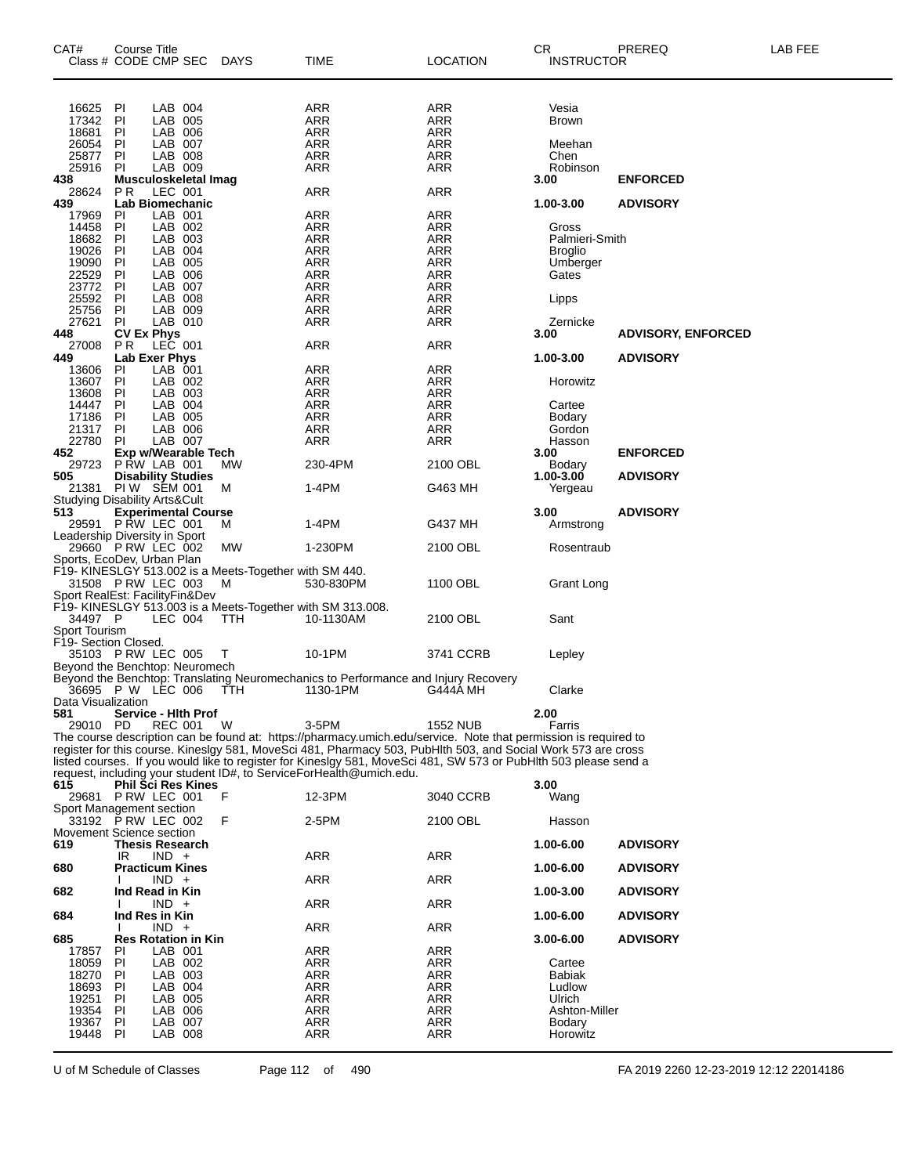| CAT#<br>Class # CODE CMP SEC                         | Course Title                                    |                    | DAYS                                                   | TIME                                                                                                                                                                                                                              | <b>LOCATION</b> | CR<br><b>INSTRUCTOR</b>        | PREREQ                    | LAB FEE |
|------------------------------------------------------|-------------------------------------------------|--------------------|--------------------------------------------------------|-----------------------------------------------------------------------------------------------------------------------------------------------------------------------------------------------------------------------------------|-----------------|--------------------------------|---------------------------|---------|
|                                                      |                                                 |                    |                                                        |                                                                                                                                                                                                                                   |                 |                                |                           |         |
|                                                      |                                                 |                    |                                                        |                                                                                                                                                                                                                                   |                 |                                |                           |         |
| 16625<br>17342                                       | PI<br>PI                                        | LAB 004<br>LAB 005 |                                                        | <b>ARR</b><br>ARR                                                                                                                                                                                                                 | ARR<br>ARR      | Vesia<br><b>Brown</b>          |                           |         |
| 18681                                                | PI                                              | LAB 006            |                                                        | <b>ARR</b>                                                                                                                                                                                                                        | ARR             |                                |                           |         |
| 26054                                                | PI                                              | LAB 007            |                                                        | <b>ARR</b>                                                                                                                                                                                                                        | ARR             | Meehan                         |                           |         |
| 25877                                                | PI                                              | LAB 008            |                                                        | ARR                                                                                                                                                                                                                               | ARR             | Chen                           |                           |         |
| 25916                                                | PI                                              | LAB 009            |                                                        | ARR                                                                                                                                                                                                                               | ARR             | Robinson                       |                           |         |
| 438                                                  | Musculoskeletal Imag                            |                    |                                                        |                                                                                                                                                                                                                                   |                 | 3.00                           | <b>ENFORCED</b>           |         |
| 28624<br>439                                         | P R<br><b>Lab Biomechanic</b>                   | LEC 001            |                                                        | <b>ARR</b>                                                                                                                                                                                                                        | ARR             | 1.00-3.00                      | <b>ADVISORY</b>           |         |
| 17969                                                | PI                                              | LAB 001            |                                                        | <b>ARR</b>                                                                                                                                                                                                                        | <b>ARR</b>      |                                |                           |         |
| 14458                                                | PI                                              | LAB 002            |                                                        | ARR                                                                                                                                                                                                                               | ARR             | Gross                          |                           |         |
| 18682                                                | PI                                              | LAB 003            |                                                        | <b>ARR</b>                                                                                                                                                                                                                        | ARR             | Palmieri-Smith                 |                           |         |
| 19026                                                | PI                                              | LAB 004            |                                                        | <b>ARR</b>                                                                                                                                                                                                                        | <b>ARR</b>      | Broglio                        |                           |         |
| 19090<br>22529                                       | PI<br>PI                                        | LAB 005<br>LAB 006 |                                                        | ARR<br><b>ARR</b>                                                                                                                                                                                                                 | ARR<br>ARR      | Umberger<br>Gates              |                           |         |
| 23772                                                | PI                                              | LAB 007            |                                                        | <b>ARR</b>                                                                                                                                                                                                                        | ARR             |                                |                           |         |
| 25592                                                | PI                                              | LAB 008            |                                                        | ARR                                                                                                                                                                                                                               | ARR             | Lipps                          |                           |         |
| 25756                                                | PI                                              | LAB 009            |                                                        | <b>ARR</b>                                                                                                                                                                                                                        | ARR             |                                |                           |         |
| 27621                                                | PI                                              | LAB 010            |                                                        | <b>ARR</b>                                                                                                                                                                                                                        | ARR             | Zernicke                       |                           |         |
| 448                                                  | <b>CV Ex Phys</b>                               |                    |                                                        |                                                                                                                                                                                                                                   |                 | 3.00                           | <b>ADVISORY, ENFORCED</b> |         |
| 27008<br>449                                         | <b>PR</b><br><b>Lab Exer Phys</b>               | LEC 001            |                                                        | ARR                                                                                                                                                                                                                               | ARR             | 1.00-3.00                      | <b>ADVISORY</b>           |         |
| 13606                                                | PI                                              | LAB 001            |                                                        | ARR                                                                                                                                                                                                                               | ARR             |                                |                           |         |
| 13607                                                | PI                                              | LAB 002            |                                                        | <b>ARR</b>                                                                                                                                                                                                                        | ARR             | Horowitz                       |                           |         |
| 13608                                                | PI                                              | LAB 003            |                                                        | <b>ARR</b>                                                                                                                                                                                                                        | ARR             |                                |                           |         |
| 14447                                                | PI                                              | LAB 004            |                                                        | ARR                                                                                                                                                                                                                               | ARR             | Cartee                         |                           |         |
| 17186                                                | PI                                              | LAB 005            |                                                        | <b>ARR</b>                                                                                                                                                                                                                        | ARR             | Bodary                         |                           |         |
| 21317<br>22780                                       | PI<br><b>PI</b>                                 | LAB 006<br>LAB 007 |                                                        | ARR<br>ARR                                                                                                                                                                                                                        | ARR<br>ARR      | Gordon<br>Hasson               |                           |         |
| 452                                                  | Exp w/Wearable Tech                             |                    |                                                        |                                                                                                                                                                                                                                   |                 | 3.00                           | <b>ENFORCED</b>           |         |
| 29723                                                | P RW LAB 001                                    |                    | MW                                                     | 230-4PM                                                                                                                                                                                                                           | 2100 OBL        | Bodary                         |                           |         |
| 505                                                  | <b>Disability Studies</b>                       |                    |                                                        |                                                                                                                                                                                                                                   |                 | 1.00-3.00                      | <b>ADVISORY</b>           |         |
| 21381                                                | PIW SEM 001                                     |                    | м                                                      | 1-4PM                                                                                                                                                                                                                             | G463 MH         | Yergeau                        |                           |         |
| <b>Studying Disability Arts&amp;Cult</b><br>513      |                                                 |                    |                                                        |                                                                                                                                                                                                                                   |                 |                                |                           |         |
|                                                      | <b>Experimental Course</b><br>29591 PRW LEC 001 |                    | м                                                      | 1-4PM                                                                                                                                                                                                                             | G437 MH         | 3.00<br>Armstrong              | <b>ADVISORY</b>           |         |
| Leadership Diversity in Sport                        |                                                 |                    |                                                        |                                                                                                                                                                                                                                   |                 |                                |                           |         |
| 29660 PRW LEC 002                                    |                                                 |                    | MW                                                     | 1-230PM                                                                                                                                                                                                                           | 2100 OBL        | Rosentraub                     |                           |         |
| Sports, EcoDev, Urban Plan                           |                                                 |                    |                                                        |                                                                                                                                                                                                                                   |                 |                                |                           |         |
|                                                      |                                                 |                    | F19- KINESLGY 513.002 is a Meets-Together with SM 440. |                                                                                                                                                                                                                                   |                 |                                |                           |         |
| 31508 P RW LEC 003<br>Sport RealEst: FacilityFin&Dev |                                                 |                    | м                                                      | 530-830PM                                                                                                                                                                                                                         | 1100 OBL        | Grant Long                     |                           |         |
|                                                      |                                                 |                    |                                                        | F19- KINESLGY 513.003 is a Meets-Together with SM 313.008.                                                                                                                                                                        |                 |                                |                           |         |
| 34497 P                                              |                                                 | LEC 004            | <b>TTH</b>                                             | 10-1130AM                                                                                                                                                                                                                         | 2100 OBL        | Sant                           |                           |         |
| Sport Tourism                                        |                                                 |                    |                                                        |                                                                                                                                                                                                                                   |                 |                                |                           |         |
| F19- Section Closed.                                 |                                                 |                    |                                                        |                                                                                                                                                                                                                                   |                 |                                |                           |         |
| 35103 PRW LEC 005                                    |                                                 |                    | $\top$                                                 | 10-1PM                                                                                                                                                                                                                            | 3741 CCRB       | Lepley                         |                           |         |
| Beyond the Benchtop: Neuromech                       |                                                 |                    |                                                        | Beyond the Benchtop: Translating Neuromechanics to Performance and Injury Recovery                                                                                                                                                |                 |                                |                           |         |
|                                                      | 36695 PW LEC 006                                |                    | TTH                                                    | 1130-1PM                                                                                                                                                                                                                          | G444A MH        | Clarke                         |                           |         |
| Data Visualization                                   |                                                 |                    |                                                        |                                                                                                                                                                                                                                   |                 |                                |                           |         |
| 581                                                  | Service - Hlth Prof                             |                    |                                                        |                                                                                                                                                                                                                                   |                 | 2.00                           |                           |         |
| 29010 PD                                             |                                                 | <b>REC 001</b>     | W                                                      | 3-5PM                                                                                                                                                                                                                             | <b>1552 NUB</b> | Farris                         |                           |         |
|                                                      |                                                 |                    |                                                        | The course description can be found at: https://pharmacy.umich.edu/service. Note that permission is required to                                                                                                                   |                 |                                |                           |         |
|                                                      |                                                 |                    |                                                        | register for this course. Kineslgy 581, MoveSci 481, Pharmacy 503, PubHlth 503, and Social Work 573 are cross<br>listed courses. If you would like to register for Kineslgy 581, MoveSci 481, SW 573 or PubHlth 503 please send a |                 |                                |                           |         |
|                                                      |                                                 |                    |                                                        | request, including your student ID#, to ServiceForHealth@umich.edu.                                                                                                                                                               |                 |                                |                           |         |
| 615                                                  | <b>Phil Sci Res Kines</b>                       |                    |                                                        |                                                                                                                                                                                                                                   |                 | 3.00                           |                           |         |
|                                                      | 29681 P RW LEC 001                              |                    | F                                                      | 12-3PM                                                                                                                                                                                                                            | 3040 CCRB       | Wang                           |                           |         |
| Sport Management section                             |                                                 |                    |                                                        |                                                                                                                                                                                                                                   |                 |                                |                           |         |
|                                                      | 33192 P RW LEC 002                              |                    | F                                                      | 2-5PM                                                                                                                                                                                                                             | 2100 OBL        | Hasson                         |                           |         |
| Movement Science section<br>619                      | <b>Thesis Research</b>                          |                    |                                                        |                                                                                                                                                                                                                                   |                 | 1.00-6.00                      | <b>ADVISORY</b>           |         |
|                                                      | IR                                              | $IND +$            |                                                        | <b>ARR</b>                                                                                                                                                                                                                        | <b>ARR</b>      |                                |                           |         |
| 680                                                  | <b>Practicum Kines</b>                          |                    |                                                        |                                                                                                                                                                                                                                   |                 | 1.00-6.00                      | <b>ADVISORY</b>           |         |
|                                                      |                                                 | $IND +$            |                                                        | ARR                                                                                                                                                                                                                               | <b>ARR</b>      |                                |                           |         |
| 682                                                  | Ind Read in Kin                                 |                    |                                                        |                                                                                                                                                                                                                                   |                 | 1.00-3.00                      | <b>ADVISORY</b>           |         |
|                                                      |                                                 | $IND +$            |                                                        | ARR                                                                                                                                                                                                                               | ARR             |                                |                           |         |
| 684                                                  | Ind Res in Kin                                  | $IND +$            |                                                        | <b>ARR</b>                                                                                                                                                                                                                        | <b>ARR</b>      | 1.00-6.00                      | <b>ADVISORY</b>           |         |
| 685                                                  | <b>Res Rotation in Kin</b>                      |                    |                                                        |                                                                                                                                                                                                                                   |                 | $3.00 - 6.00$                  | <b>ADVISORY</b>           |         |
| 17857                                                | PI                                              | LAB 001            |                                                        | ARR                                                                                                                                                                                                                               | ARR             |                                |                           |         |
| 18059                                                | PI                                              | LAB 002            |                                                        | ARR                                                                                                                                                                                                                               | ARR             | Cartee                         |                           |         |
| 18270                                                | PI                                              | LAB 003            |                                                        | ARR                                                                                                                                                                                                                               | ARR             | Babiak                         |                           |         |
| 18693                                                | PI                                              | LAB 004            |                                                        | <b>ARR</b>                                                                                                                                                                                                                        | ARR             | Ludlow                         |                           |         |
| 19251                                                | PI                                              | LAB 005            |                                                        | ARR                                                                                                                                                                                                                               | ARR             | Ulrich                         |                           |         |
| 19354<br>19367                                       | PI<br>PI                                        | LAB 006<br>LAB 007 |                                                        | ARR<br><b>ARR</b>                                                                                                                                                                                                                 | ARR<br>ARR      | Ashton-Miller<br><b>Bodary</b> |                           |         |
| 19448                                                | PI                                              | LAB 008            |                                                        | ARR                                                                                                                                                                                                                               | ARR             | Horowitz                       |                           |         |
|                                                      |                                                 |                    |                                                        |                                                                                                                                                                                                                                   |                 |                                |                           |         |

U of M Schedule of Classes Page 112 of 490 FA 2019 2260 12-23-2019 12:12 22014186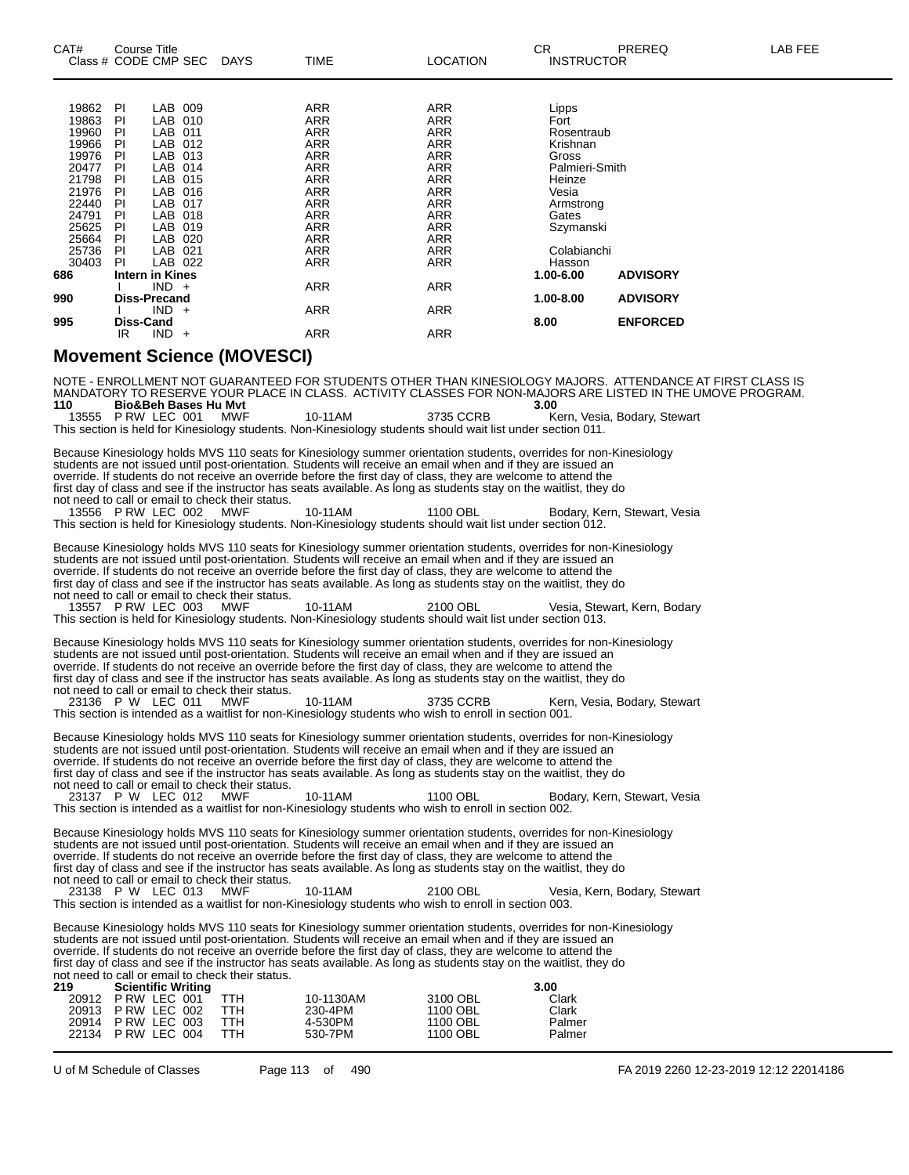| CAT#              | Class # CODE CMP SEC                                                                                                                                                                                                                                                                                                                                                                                                                                                                                                                                                                                                                                                                                                                                                                                                                                                                                                                                                                                                     | <b>Course Title</b>                                                                                                                                  |                                                                                                                                                                                         |  | DAYS                              | <b>TIME</b>                                                                                                                                                                                                                         | <b>LOCATION</b>                                                                                                                                                                                                                            | <b>CR</b><br><b>INSTRUCTOR</b>                                                                                                                                                      | PREREQ                                                | <b>LAB FEE</b> |
|-------------------|--------------------------------------------------------------------------------------------------------------------------------------------------------------------------------------------------------------------------------------------------------------------------------------------------------------------------------------------------------------------------------------------------------------------------------------------------------------------------------------------------------------------------------------------------------------------------------------------------------------------------------------------------------------------------------------------------------------------------------------------------------------------------------------------------------------------------------------------------------------------------------------------------------------------------------------------------------------------------------------------------------------------------|------------------------------------------------------------------------------------------------------------------------------------------------------|-----------------------------------------------------------------------------------------------------------------------------------------------------------------------------------------|--|-----------------------------------|-------------------------------------------------------------------------------------------------------------------------------------------------------------------------------------------------------------------------------------|--------------------------------------------------------------------------------------------------------------------------------------------------------------------------------------------------------------------------------------------|-------------------------------------------------------------------------------------------------------------------------------------------------------------------------------------|-------------------------------------------------------|----------------|
| 686<br>990<br>995 | 19862<br>19863<br>19960<br>19966<br>19976<br>20477<br>21798<br>21976<br>22440<br>24791<br>25625<br>25664<br>25736<br>30403                                                                                                                                                                                                                                                                                                                                                                                                                                                                                                                                                                                                                                                                                                                                                                                                                                                                                               | PI<br>PI<br>PI<br>PI<br>PI<br>PI<br>PI<br>PI<br>PI<br>PI<br>PI<br>PI<br>PI<br>PI<br>Intern in Kines<br><b>Diss-Precand</b><br><b>Diss-Cand</b><br>IR | LAB 009<br>LAB 010<br>LAB 011<br>LAB 012<br>LAB 013<br>LAB 014<br>LAB 015<br>LAB 016<br>LAB 017<br>LAB 018<br>LAB 019<br>LAB 020<br>LAB 021<br>LAB 022<br>$IND +$<br>$IND +$<br>$IND +$ |  |                                   | <b>ARR</b><br><b>ARR</b><br><b>ARR</b><br><b>ARR</b><br><b>ARR</b><br><b>ARR</b><br><b>ARR</b><br>ARR<br><b>ARR</b><br><b>ARR</b><br><b>ARR</b><br><b>ARR</b><br><b>ARR</b><br><b>ARR</b><br><b>ARR</b><br><b>ARR</b><br><b>ARR</b> | <b>ARR</b><br><b>ARR</b><br><b>ARR</b><br><b>ARR</b><br><b>ARR</b><br><b>ARR</b><br><b>ARR</b><br><b>ARR</b><br><b>ARR</b><br><b>ARR</b><br><b>ARR</b><br><b>ARR</b><br><b>ARR</b><br><b>ARR</b><br><b>ARR</b><br><b>ARR</b><br><b>ARR</b> | Lipps<br>Fort<br>Rosentraub<br>Krishnan<br>Gross<br>Palmieri-Smith<br>Heinze<br>Vesia<br>Armstrong<br>Gates<br>Szymanski<br>Colabianchi<br>Hasson<br>1.00-6.00<br>1.00-8.00<br>8.00 | <b>ADVISORY</b><br><b>ADVISORY</b><br><b>ENFORCED</b> |                |
|                   |                                                                                                                                                                                                                                                                                                                                                                                                                                                                                                                                                                                                                                                                                                                                                                                                                                                                                                                                                                                                                          |                                                                                                                                                      |                                                                                                                                                                                         |  | <b>Movement Science (MOVESCI)</b> |                                                                                                                                                                                                                                     |                                                                                                                                                                                                                                            |                                                                                                                                                                                     |                                                       |                |
|                   | NOTE - ENROLLMENT NOT GUARANTEED FOR STUDENTS OTHER THAN KINESIOLOGY MAJORS. ATTENDANCE AT FIRST CLASS IS<br>MANDATORY TO RESERVE YOUR PLACE IN CLASS. ACTIVITY CLASSES FOR NON-MAJORS ARE LISTED IN THE UMOVE PROGRAM.<br>110<br><b>Bio&amp;Beh Bases Hu Myt</b><br>3.00<br>13555 P RW LEC 001<br>10-11AM<br>3735 CCRB<br><b>MWF</b><br>Kern, Vesia, Bodary, Stewart<br>This section is held for Kinesiology students. Non-Kinesiology students should wait list under section 011.<br>Because Kinesiology holds MVS 110 seats for Kinesiology summer orientation students, overrides for non-Kinesiology<br>students are not issued until post-orientation. Students will receive an email when and if they are issued an<br>override. If students do not receive an override before the first day of class, they are welcome to attend the<br>first day of class and see if the instructor has seats available. As long as students stay on the waitlist, they do<br>not need to call or email to check their status. |                                                                                                                                                      |                                                                                                                                                                                         |  |                                   |                                                                                                                                                                                                                                     |                                                                                                                                                                                                                                            |                                                                                                                                                                                     |                                                       |                |

13556 P RW LEC 002 MWF 10-11AM 1100 OBL Bodary, Kern, Stewart, Vesia This section is held for Kinesiology students. Non-Kinesiology students should wait list under section 012.

Because Kinesiology holds MVS 110 seats for Kinesiology summer orientation students, overrides for non-Kinesiology students are not issued until post-orientation. Students will receive an email when and if they are issued an override. If students do not receive an override before the first day of class, they are welcome to attend the first day of class and see if the instructor has seats available. As long as students stay on the waitlist, they do not need to call or email to check their status.

13557 P RW LEC 003 MWF 10-11AM 2100 OBL Vesia, Stewart, Kern, Bodary This section is held for Kinesiology students. Non-Kinesiology students should wait list under section 013.

Because Kinesiology holds MVS 110 seats for Kinesiology summer orientation students, overrides for non-Kinesiology students are not issued until post-orientation. Students will receive an email when and if they are issued an override. If students do not receive an override before the first day of class, they are welcome to attend the first day of class and see if the instructor has seats available. As long as students stay on the waitlist, they do not need to call or email to check their status.<br>23136 P W LEC 011 MWF

10-11AM 3735 CCRB Kern, Vesia, Bodary, Stewart This section is intended as a waitlist for non-Kinesiology students who wish to enroll in section 001.

Because Kinesiology holds MVS 110 seats for Kinesiology summer orientation students, overrides for non-Kinesiology students are not issued until post-orientation. Students will receive an email when and if they are issued an override. If students do not receive an override before the first day of class, they are welcome to attend the first day of class and see if the instructor has seats available. As long as students stay on the waitlist, they do not need to call or email to check their status. 23137 P W LEC 012 MWF 10-11AM 1100 OBL Bodary, Kern, Stewart, Vesia

This section is intended as a waitlist for non-Kinesiology students who wish to enroll in section 002.

Because Kinesiology holds MVS 110 seats for Kinesiology summer orientation students, overrides for non-Kinesiology students are not issued until post-orientation. Students will receive an email when and if they are issued an override. If students do not receive an override before the first day of class, they are welcome to attend the first day of class and see if the instructor has seats available. As long as students stay on the waitlist, they do not need to call or email to check their status.

23138 P W LEC 013 MWF 10-11AM 2100 OBL Vesia, Kern, Bodary, Stewart This section is intended as a waitlist for non-Kinesiology students who wish to enroll in section 003.

Because Kinesiology holds MVS 110 seats for Kinesiology summer orientation students, overrides for non-Kinesiology students are not issued until post-orientation. Students will receive an email when and if they are issued an override. If students do not receive an override before the first day of class, they are welcome to attend the first day of class and see if the instructor has seats available. As long as students stay on the waitlist, they do not need to call or email to check their status.

| 219 | <b>Scientific Writing</b> |            |           |          | 3.00   |
|-----|---------------------------|------------|-----------|----------|--------|
|     | 20912 P RW LEC 001        | TTH        | 10-1130AM | 3100 OBL | Clark  |
|     | 20913 PRW LEC 002         | TTH        | 230-4PM   | 1100 OBL | Clark  |
|     | 20914 P RW LEC 003        | <b>TTH</b> | 4-530PM   | 1100 OBL | Palmer |
|     | 22134 P RW LEC 004        | TTH        | 530-7PM   | 1100 OBL | Palmer |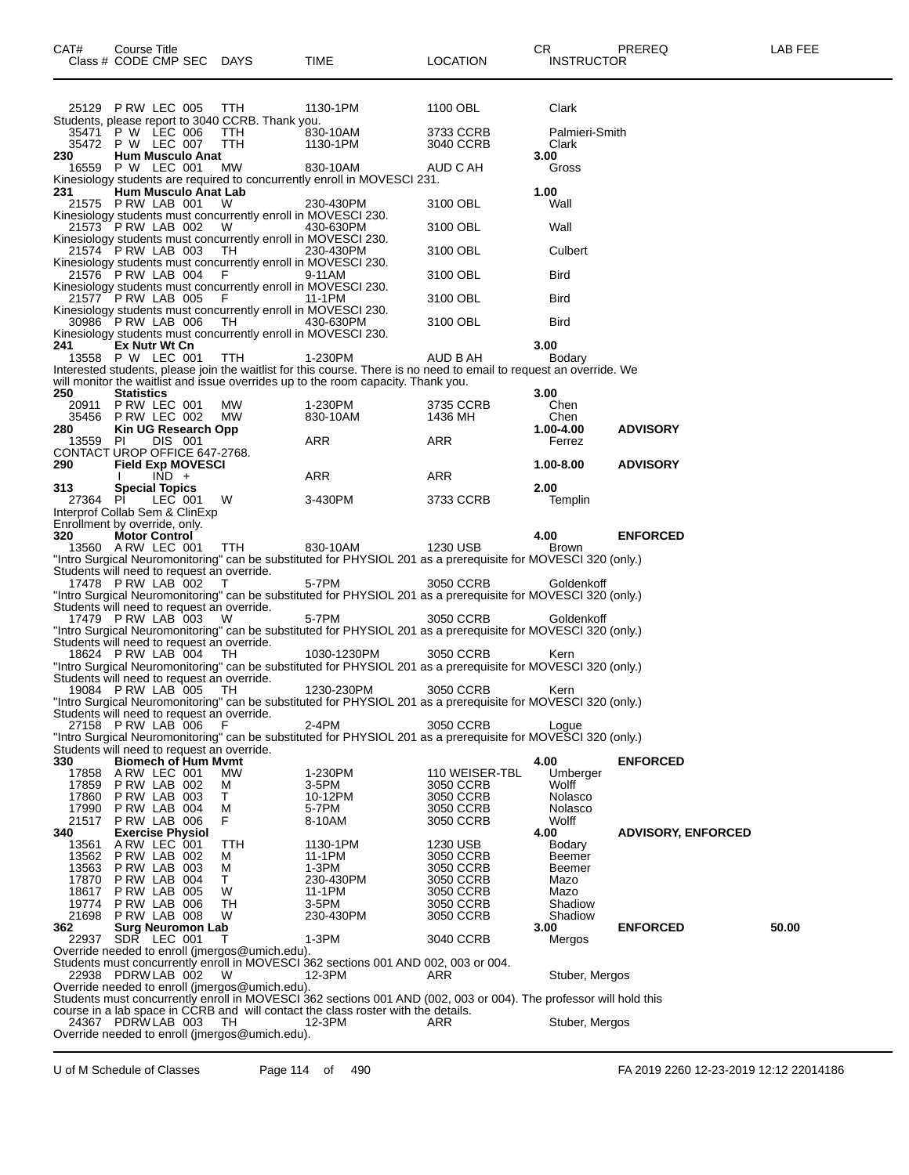| 25129 PRW LEC 005 TTH<br>1130-1PM                                                                                                                                                                      | 1100 OBL               | Clark              |                           |       |
|--------------------------------------------------------------------------------------------------------------------------------------------------------------------------------------------------------|------------------------|--------------------|---------------------------|-------|
| Students, please report to 3040 CCRB. Thank you.<br>35471 P W LEC 006<br><b>TTH</b><br>830-10AM                                                                                                        | 3733 CCRB              | Palmieri-Smith     |                           |       |
| 35472 P W LEC 007<br>TTH.<br>1130-1PM<br><b>Hum Musculo Anat</b><br>230                                                                                                                                | 3040 CCRB              | Clark<br>3.00      |                           |       |
| 16559 P W LEC 001<br>МW<br>830-10AM                                                                                                                                                                    | AUD C AH               | Gross              |                           |       |
| Kinesiology students are required to concurrently enroll in MOVESCI 231.<br><b>Hum Musculo Anat Lab</b>                                                                                                |                        | 1.00               |                           |       |
| 231<br>21575 PRW LAB 001<br>230-430PM<br>W                                                                                                                                                             | 3100 OBL               | Wall               |                           |       |
| Kinesiology students must concurrently enroll in MOVESCI 230.                                                                                                                                          |                        |                    |                           |       |
| 21573 PRW LAB 002<br>430-630PM<br>- W<br>Kinesiology students must concurrently enroll in MOVESCI 230.                                                                                                 | 3100 OBL               | Wall               |                           |       |
| 21574 PRW LAB 003<br>TH.<br>230-430PM                                                                                                                                                                  | 3100 OBL               | Culbert            |                           |       |
| Kinesiology students must concurrently enroll in MOVESCI 230.<br>21576 P RW LAB 004<br>- F<br>9-11AM                                                                                                   | 3100 OBL               | Bird               |                           |       |
| Kinesiology students must concurrently enroll in MOVESCI 230.                                                                                                                                          |                        |                    |                           |       |
| 21577 PRW LAB 005<br>- F<br>11-1PM<br>Kinesiology students must concurrently enroll in MOVESCI 230.                                                                                                    | 3100 OBL               | <b>Bird</b>        |                           |       |
| 30986 PRW LAB 006<br>TH.<br>430-630PM                                                                                                                                                                  | 3100 OBL               | <b>Bird</b>        |                           |       |
| Kinesiology students must concurrently enroll in MOVESCI 230.                                                                                                                                          |                        |                    |                           |       |
| 241<br>Ex Nutr Wt Cn<br>13558 P W LEC 001<br>TTH<br>1-230PM                                                                                                                                            | AUD B AH               | 3.00<br>Bodary     |                           |       |
| Interested students, please join the waitlist for this course. There is no need to email to request an override. We                                                                                    |                        |                    |                           |       |
| will monitor the waitlist and issue overrides up to the room capacity. Thank you.                                                                                                                      |                        |                    |                           |       |
| 250<br><b>Statistics</b><br>20911 P RW LEC 001                                                                                                                                                         |                        | 3.00               |                           |       |
| 1-230PM<br>MW.<br>35456 PRW LEC 002<br>МW<br>830-10AM                                                                                                                                                  | 3735 CCRB<br>1436 MH   | Chen<br>Chen       |                           |       |
| 280<br>Kin UG Research Opp                                                                                                                                                                             |                        | 1.00-4.00          | <b>ADVISORY</b>           |       |
| DIS 001<br>ARR<br>13559 PI                                                                                                                                                                             | ARR                    | Ferrez             |                           |       |
| CONTACT UROP OFFICE 647-2768.<br><b>Field Exp MOVESCI</b><br>290                                                                                                                                       |                        | 1.00-8.00          | <b>ADVISORY</b>           |       |
| $IND +$<br>ARR                                                                                                                                                                                         | ARR                    |                    |                           |       |
| 313<br><b>Special Topics</b>                                                                                                                                                                           |                        | 2.00               |                           |       |
| 27364 PI<br>LEC 001<br>W<br>3-430PM<br>Interprof Collab Sem & ClinExp                                                                                                                                  | 3733 CCRB              | Templin            |                           |       |
| Enrollment by override, only.                                                                                                                                                                          |                        |                    |                           |       |
| 320<br><b>Motor Control</b>                                                                                                                                                                            |                        | 4.00               | <b>ENFORCED</b>           |       |
| 13560 A RW LEC 001<br>TTH<br>830-10AM                                                                                                                                                                  | 1230 USB               | <b>Brown</b>       |                           |       |
| "Intro Surgical Neuromonitoring" can be substituted for PHYSIOL 201 as a prerequisite for MOVESCI 320 (only.)<br>Students will need to request an override.                                            |                        |                    |                           |       |
| 17478 P RW LAB 002<br>5-7PM<br>T                                                                                                                                                                       | 3050 CCRB              | Goldenkoff         |                           |       |
| "Intro Surgical Neuromonitoring" can be substituted for PHYSIOL 201 as a prerequisite for MOVESCI 320 (only.)                                                                                          |                        |                    |                           |       |
| Students will need to request an override.<br>17479 PRW LAB 003<br>5-7PM<br>W                                                                                                                          | 3050 CCRB              | Goldenkoff         |                           |       |
| "Intro Surgical Neuromonitoring" can be substituted for PHYSIOL 201 as a prerequisite for MOVESCI 320 (only.)                                                                                          |                        |                    |                           |       |
| Students will need to request an override.<br>18624 P RW LAB 004<br>1030-1230PM<br>TH.                                                                                                                 | 3050 CCRB              |                    |                           |       |
| "Intro Surgical Neuromonitoring" can be substituted for PHYSIOL 201 as a prerequisite for MOVESCI 320 (only.)                                                                                          |                        | Kern               |                           |       |
| Students will need to request an override.                                                                                                                                                             |                        |                    |                           |       |
| 19084 P RW LAB 005<br>1230-230PM<br>TH.<br>"Intro Surgical Neuromonitoring" can be substituted for PHYSIOL 201 as a prerequisite for MOVESCI 320 (only.)                                               | 3050 CCRB              | Kern               |                           |       |
| Students will need to request an override.                                                                                                                                                             |                        |                    |                           |       |
| 27158 PRW LAB 006<br>2-4PM<br>- F                                                                                                                                                                      | 3050 CCRB              | Loque              |                           |       |
| "Intro Surgical Neuromonitoring" can be substituted for PHYSIOL 201 as a prerequisite for MOVESCI 320 (only.)<br>Students will need to request an override.                                            |                        |                    |                           |       |
| 330<br><b>BIOMECH OF HUM MVMT</b>                                                                                                                                                                      |                        | 4.00               | <b>ENFORCED</b>           |       |
| 17858<br>ARW LEC 001<br>MW<br>1-230PM                                                                                                                                                                  | 110 WEISER-TBL         | Umberger           |                           |       |
| 17859<br>PRW LAB 002<br>М<br>3-5PM<br>PRW LAB 003<br>17860<br>т<br>10-12PM                                                                                                                             | 3050 CCRB              | Wolff<br>Nolasco   |                           |       |
| 17990<br>PRW LAB 004<br>М<br>5-7PM                                                                                                                                                                     | 3050 CCRB<br>3050 CCRB | Nolasco            |                           |       |
| F<br>PRW LAB 006<br>21517<br>8-10AM                                                                                                                                                                    | 3050 CCRB              | Wolff              |                           |       |
| 340<br><b>Exercise Physiol</b>                                                                                                                                                                         |                        | 4.00               | <b>ADVISORY, ENFORCED</b> |       |
| 13561<br>ARW LEC 001<br>TTH<br>1130-1PM<br>13562<br>PRW LAB 002<br>М<br>11-1PM                                                                                                                         | 1230 USB<br>3050 CCRB  | Bodary<br>Beemer   |                           |       |
| PRW LAB 003<br>13563<br>М<br>1-3PM                                                                                                                                                                     | 3050 CCRB              | Beemer             |                           |       |
| 17870 P RW LAB 004<br>т<br>230-430PM                                                                                                                                                                   | 3050 CCRB              | Mazo               |                           |       |
| W<br>18617<br>PRW LAB 005<br>11-1PM<br>PRW LAB 006<br>TН                                                                                                                                               | 3050 CCRB              | Mazo               |                           |       |
| 19774<br>3-5PM<br>21698 P RW LAB 008<br>W<br>230-430PM                                                                                                                                                 | 3050 CCRB<br>3050 CCRB | Shadiow<br>Shadiow |                           |       |
| <b>Surg Neuromon Lab</b><br>362                                                                                                                                                                        |                        | 3.00               | <b>ENFORCED</b>           | 50.00 |
| 22937 SDR LEC 001<br>$1-3PM$<br>т                                                                                                                                                                      | 3040 CCRB              | Mergos             |                           |       |
| Override needed to enroll (imergos@umich.edu).<br>Students must concurrently enroll in MOVESCI 362 sections 001 AND 002, 003 or 004.                                                                   |                        |                    |                           |       |
| 22938 PDRW LAB 002<br>W<br>12-3PM                                                                                                                                                                      | ARR                    | Stuber, Mergos     |                           |       |
| Override needed to enroll (imergos@umich.edu).                                                                                                                                                         |                        |                    |                           |       |
| Students must concurrently enroll in MOVESCI 362 sections 001 AND (002, 003 or 004). The professor will hold this<br>course in a lab space in CCRB and will contact the class roster with the details. |                        |                    |                           |       |
| 24367 PDRWLAB 003<br>TH<br>12-3PM                                                                                                                                                                      | ARR                    | Stuber, Mergos     |                           |       |
| Override needed to enroll (imergos@umich.edu).                                                                                                                                                         |                        |                    |                           |       |

U of M Schedule of Classes Page 114 of 490 FA 2019 2260 12-23-2019 12:12 22014186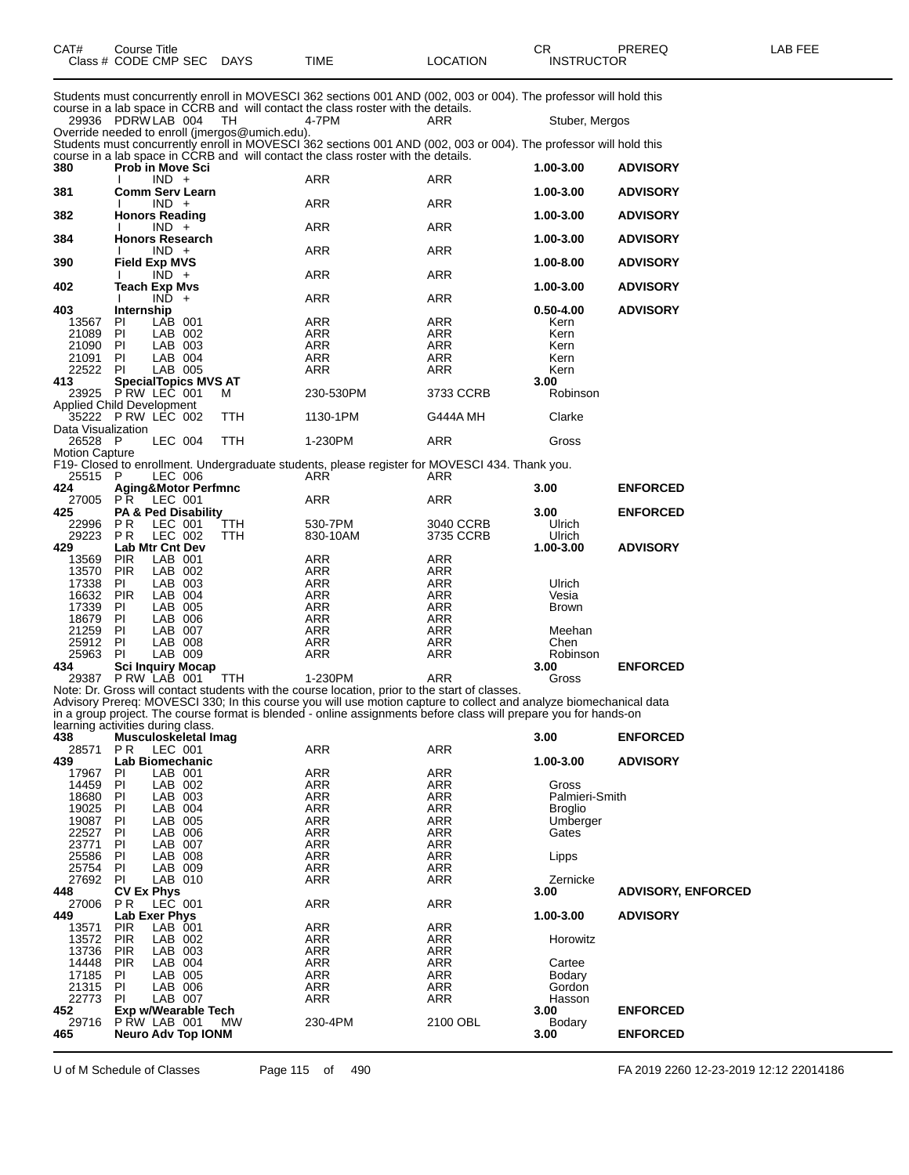| CAT#                          | <b>Course Title</b><br>Class # CODE CMP SEC DAYS |                                                | TIME                                                                                                                                                                                                                 | <b>LOCATION</b>          | CR.<br><b>INSTRUCTOR</b> | <b>PREREQ</b>             | LAB FEE |
|-------------------------------|--------------------------------------------------|------------------------------------------------|----------------------------------------------------------------------------------------------------------------------------------------------------------------------------------------------------------------------|--------------------------|--------------------------|---------------------------|---------|
|                               |                                                  |                                                | Students must concurrently enroll in MOVESCI 362 sections 001 AND (002, 003 or 004). The professor will hold this                                                                                                    |                          |                          |                           |         |
|                               | 29936 PDRWLAB 004                                | TH                                             | course in a lab space in CCRB and will contact the class roster with the details.<br>4-7PM                                                                                                                           | ARR                      | Stuber, Mergos           |                           |         |
|                               |                                                  | Override needed to enroll (jmergos@umich.edu). | Students must concurrently enroll in MOVESCI 362 sections 001 AND (002, 003 or 004). The professor will hold this                                                                                                    |                          |                          |                           |         |
| 380                           | Prob in Move Sci                                 |                                                | course in a lab space in CCRB and will contact the class roster with the details.                                                                                                                                    |                          | 1.00-3.00                | <b>ADVISORY</b>           |         |
| 381                           | $IND +$<br><b>Comm Serv Learn</b>                |                                                | ARR                                                                                                                                                                                                                  | ARR                      | 1.00-3.00                | <b>ADVISORY</b>           |         |
| 382                           | $IND +$<br><b>Honors Reading</b>                 |                                                | ARR                                                                                                                                                                                                                  | ARR                      | 1.00-3.00                | <b>ADVISORY</b>           |         |
| 384                           | $IND +$<br><b>Honors Research</b>                |                                                | ARR                                                                                                                                                                                                                  | ARR                      | 1.00-3.00                | <b>ADVISORY</b>           |         |
| 390                           | $IND +$<br><b>Field Exp MVS</b>                  |                                                | ARR                                                                                                                                                                                                                  | ARR                      | 1.00-8.00                | <b>ADVISORY</b>           |         |
|                               | $\overline{IND}$ +                               |                                                | ARR                                                                                                                                                                                                                  | ARR                      |                          |                           |         |
| 402                           | Teach Exp Mvs<br>$IND +$                         |                                                | ARR                                                                                                                                                                                                                  | ARR                      | 1.00-3.00                | <b>ADVISORY</b>           |         |
| 403                           | Internship                                       |                                                |                                                                                                                                                                                                                      |                          | $0.50 - 4.00$            | <b>ADVISORY</b>           |         |
| 13567                         | LAB 001<br>PL                                    |                                                | ARR                                                                                                                                                                                                                  | ARR                      | Kern                     |                           |         |
| 21089 PI<br>21090 PI          | LAB 002<br>LAB 003                               |                                                | ARR<br>ARR                                                                                                                                                                                                           | ARR<br>ARR               | Kern                     |                           |         |
| 21091                         | LAB 004<br>PI                                    |                                                | ARR                                                                                                                                                                                                                  | <b>ARR</b>               | Kern<br>Kern             |                           |         |
| 22522 PI                      | LAB 005                                          |                                                | ARR                                                                                                                                                                                                                  | ARR                      | Kern                     |                           |         |
| 413                           | <b>SpecialTopics MVS AT</b>                      |                                                |                                                                                                                                                                                                                      |                          | 3.00                     |                           |         |
|                               | 23925 P RW LEC 001                               | м                                              | 230-530PM                                                                                                                                                                                                            | 3733 CCRB                | Robinson                 |                           |         |
|                               | <b>Applied Child Development</b>                 |                                                |                                                                                                                                                                                                                      |                          |                          |                           |         |
|                               | 35222 PRW LEC 002                                | <b>TTH</b>                                     | 1130-1PM                                                                                                                                                                                                             | G444A MH                 | Clarke                   |                           |         |
| Data Visualization<br>26528 P | LEC 004                                          | TTH                                            | 1-230PM                                                                                                                                                                                                              | ARR                      | Gross                    |                           |         |
| <b>Motion Capture</b>         |                                                  |                                                |                                                                                                                                                                                                                      |                          |                          |                           |         |
| 25515 P                       | LEC 006                                          |                                                | F19- Closed to enrollment. Undergraduate students, please register for MOVESCI 434. Thank you.<br>ARR                                                                                                                | ARR                      |                          |                           |         |
| 424                           | <b>Aging&amp;Motor Perfmnc</b>                   |                                                |                                                                                                                                                                                                                      |                          | 3.00                     | <b>ENFORCED</b>           |         |
| 27005                         | PR<br>LEC 001                                    |                                                | ARR                                                                                                                                                                                                                  | ARR                      |                          |                           |         |
| 425                           | PA & Ped Disability                              |                                                |                                                                                                                                                                                                                      |                          | 3.00                     | <b>ENFORCED</b>           |         |
| 22996                         | PR.<br>LEC 001                                   | TTH                                            | 530-7PM                                                                                                                                                                                                              | 3040 CCRB                | Ulrich                   |                           |         |
| 29223                         | PR.<br>LEC 002                                   | <b>TTH</b>                                     | 830-10AM                                                                                                                                                                                                             | 3735 CCRB                | Ulrich                   |                           |         |
| 429                           | <b>Lab Mtr Cnt Dev</b>                           |                                                |                                                                                                                                                                                                                      |                          | 1.00-3.00                | <b>ADVISORY</b>           |         |
| 13569 PIR                     | LAB 001                                          |                                                | ARR                                                                                                                                                                                                                  | ARR                      |                          |                           |         |
| 13570 PIR                     | LAB 002                                          |                                                | ARR                                                                                                                                                                                                                  | ARR                      |                          |                           |         |
| 17338                         | LAB 003<br>PI                                    |                                                | ARR                                                                                                                                                                                                                  | ARR                      | Ulrich                   |                           |         |
| 16632 PIR                     | LAB 004                                          |                                                | ARR                                                                                                                                                                                                                  | ARR                      | Vesia                    |                           |         |
| 17339 PI                      | LAB 005                                          |                                                | ARR                                                                                                                                                                                                                  | ARR                      | <b>Brown</b>             |                           |         |
| 18679 PI                      | LAB 006                                          |                                                | ARR                                                                                                                                                                                                                  | ARR                      |                          |                           |         |
| 21259 PI                      | LAB 007                                          |                                                | ARR                                                                                                                                                                                                                  | ARR                      | Meehan                   |                           |         |
| 25912 PI                      | LAB 008                                          |                                                | ARR                                                                                                                                                                                                                  | ARR                      | Chen                     |                           |         |
| 25963                         | LAB 009<br>PI                                    |                                                | ARR                                                                                                                                                                                                                  | ARR                      | Robinson                 |                           |         |
| 434                           | <b>Sci Inquiry Mocap</b>                         |                                                |                                                                                                                                                                                                                      |                          | 3.00                     | <b>ENFORCED</b>           |         |
|                               | 29387 PRW LAB 001                                | <b>TTH</b>                                     | 1-230PM                                                                                                                                                                                                              | <b>ARR</b>               | Gross                    |                           |         |
|                               |                                                  |                                                | Note: Dr. Gross will contact students with the course location, prior to the start of classes.<br>Advisory Prereq: MOVESCI 330; In this course you will use motion capture to collect and analyze biomechanical data |                          |                          |                           |         |
|                               |                                                  |                                                |                                                                                                                                                                                                                      |                          |                          |                           |         |
|                               | learning activities during class.                |                                                | in a group project. The course format is blended - online assignments before class will prepare you for hands-on                                                                                                     |                          |                          |                           |         |
| 438                           | Musculoskeletal Imag                             |                                                |                                                                                                                                                                                                                      |                          | 3.00                     | <b>ENFORCED</b>           |         |
| 28571                         | P R<br>LEC 001                                   |                                                | ARR                                                                                                                                                                                                                  | <b>ARR</b>               |                          |                           |         |
| 439                           | Lab Biomechanic                                  |                                                |                                                                                                                                                                                                                      |                          | 1.00-3.00                | <b>ADVISORY</b>           |         |
| 17967                         | LAB 001<br>PL                                    |                                                | ARR                                                                                                                                                                                                                  | ARR                      |                          |                           |         |
| 14459                         | PI.<br>LAB 002                                   |                                                | ARR                                                                                                                                                                                                                  | <b>ARR</b>               | Gross                    |                           |         |
| 18680                         | LAB 003<br>PI                                    |                                                | ARR                                                                                                                                                                                                                  | ARR                      | Palmieri-Smith           |                           |         |
| 19025                         | PI<br>LAB 004                                    |                                                | ARR                                                                                                                                                                                                                  | ARR                      | <b>Broglio</b>           |                           |         |
| 19087                         | PI<br>LAB 005                                    |                                                | ARR                                                                                                                                                                                                                  | <b>ARR</b>               | Umberger                 |                           |         |
| 22527                         | LAB 006<br>PI.                                   |                                                | ARR                                                                                                                                                                                                                  | ARR                      | Gates                    |                           |         |
| 23771                         | PI.<br>LAB 007                                   |                                                | ARR                                                                                                                                                                                                                  | ARR                      |                          |                           |         |
| 25586                         | PI.<br>LAB 008                                   |                                                | ARR                                                                                                                                                                                                                  | <b>ARR</b>               | Lipps                    |                           |         |
| 25754                         | PI.<br>LAB 009                                   |                                                | ARR                                                                                                                                                                                                                  | ARR                      |                          |                           |         |
| 27692                         | PI<br>LAB 010                                    |                                                | ARR                                                                                                                                                                                                                  | ARR                      | Zernicke                 |                           |         |
| 448                           | <b>CV Ex Phys</b>                                |                                                |                                                                                                                                                                                                                      |                          | 3.00                     | <b>ADVISORY, ENFORCED</b> |         |
| 27006                         | LEC 001<br>P R                                   |                                                | ARR                                                                                                                                                                                                                  | ARR                      |                          |                           |         |
| 449                           | Lab Exer Phys                                    |                                                |                                                                                                                                                                                                                      |                          | 1.00-3.00                | <b>ADVISORY</b>           |         |
| 13571<br>13572 PIR            | <b>PIR</b><br>LAB 001<br>LAB 002                 |                                                | ARR<br><b>ARR</b>                                                                                                                                                                                                    | <b>ARR</b><br><b>ARR</b> | Horowitz                 |                           |         |
|                               |                                                  |                                                |                                                                                                                                                                                                                      |                          |                          |                           |         |

13572 PIR LAB 002 ARR ARR Horowitz PIR LAB 003 ARR ARR PIR LAB 004 ARR ARR Cartee 17185 PI LAB 005 ARR ARR Bodary PI LAB 006 ARR ARR Gordon 22773 PI LAB 007 ARR ARR Hasson **Exp w/Wearable Tech 3.00 ENFORCED** P RW LAB 001 MW 230-4PM 2100 OBL Bodary **Neuro Adv Top IONM 3.00 ENFORCED**

U of M Schedule of Classes Page 115 of 490 FA 2019 2260 12-23-2019 12:12 22014186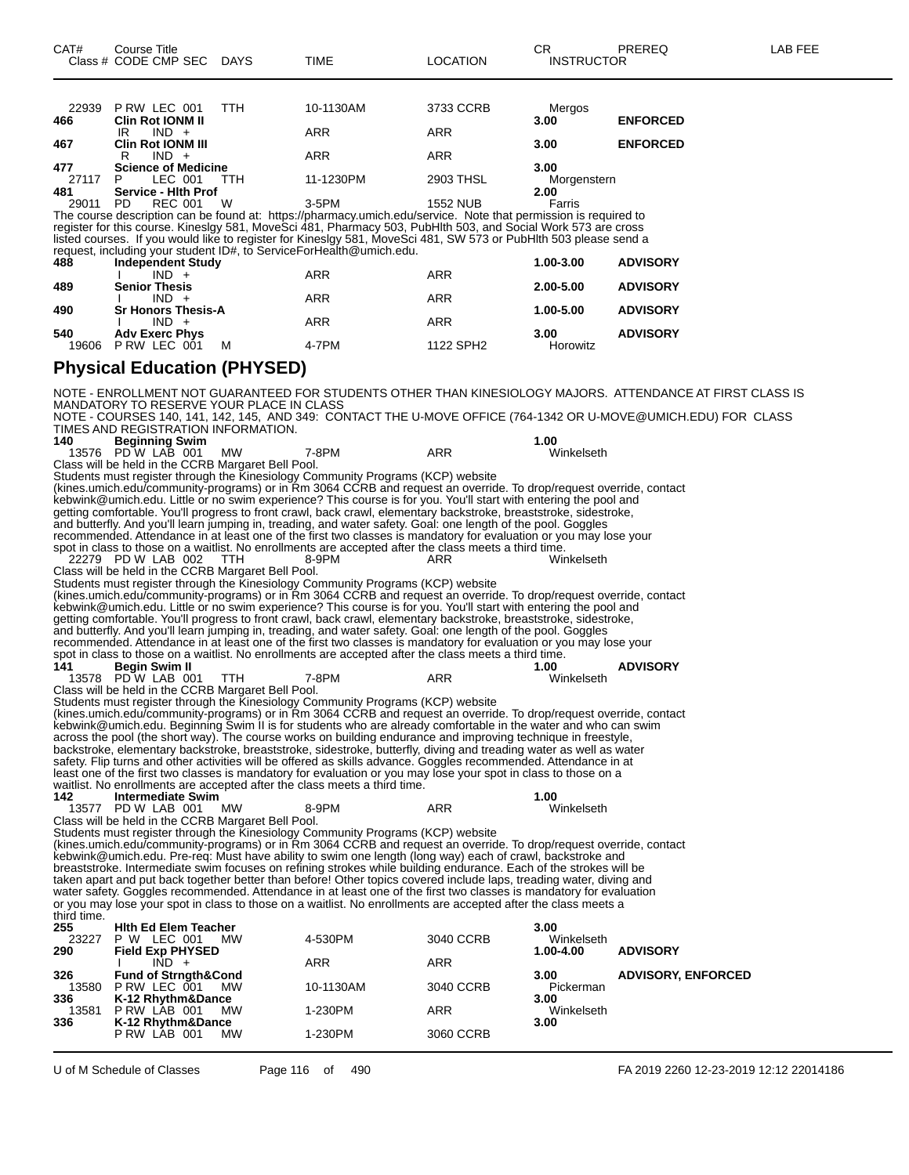| 22939<br>466       | PRW LEC 001<br><b>Clin Rot IONM II</b>                                   | TTH        | 10-1130AM                                                                                                                                                                                                                                 | 3733 CCRB       | Mergos<br>3.00          | <b>ENFORCED</b>                                                                                                |
|--------------------|--------------------------------------------------------------------------|------------|-------------------------------------------------------------------------------------------------------------------------------------------------------------------------------------------------------------------------------------------|-----------------|-------------------------|----------------------------------------------------------------------------------------------------------------|
| 467                | $IND +$<br>IR<br><b>Clin Rot IONM III</b>                                |            | ARR                                                                                                                                                                                                                                       | ARR             | 3.00                    | <b>ENFORCED</b>                                                                                                |
| 477                | $IND +$<br>R<br><b>Science of Medicine</b>                               |            | ARR                                                                                                                                                                                                                                       | ARR             | 3.00                    |                                                                                                                |
| 27117<br>481       | LEC 001<br>P.<br>Service - Hith Prof                                     | TTH        | 11-1230PM                                                                                                                                                                                                                                 | 2903 THSL       | Morgenstern<br>2.00     |                                                                                                                |
| 29011              | PD.<br><b>REC 001</b>                                                    | W          | $3-5$ PM<br>The course description can be found at: https://pharmacy.umich.edu/service. Note that permission is required to                                                                                                               | <b>1552 NUB</b> | Farris                  |                                                                                                                |
|                    |                                                                          |            | register for this course. Kineslgy 581, MoveSci 481, Pharmacy 503, PubHlth 503, and Social Work 573 are cross                                                                                                                             |                 |                         |                                                                                                                |
|                    |                                                                          |            | listed courses. If you would like to register for Kineslgy 581, MoveSci 481, SW 573 or PubHlth 503 please send a<br>request, including your student ID#, to ServiceForHealth@umich.edu.                                                   |                 |                         |                                                                                                                |
| 488                | <b>Independent Study</b><br>$IND +$                                      |            | ARR                                                                                                                                                                                                                                       | ARR             | 1.00-3.00               | <b>ADVISORY</b>                                                                                                |
| 489                | <b>Senior Thesis</b><br>$IND +$                                          |            | ARR                                                                                                                                                                                                                                       | ARR             | 2.00-5.00               | <b>ADVISORY</b>                                                                                                |
| 490                | <b>Sr Honors Thesis-A</b><br>$IND +$                                     |            | ARR                                                                                                                                                                                                                                       | ARR             | 1.00-5.00               | <b>ADVISORY</b>                                                                                                |
| 540                | <b>Adv Exerc Phys</b><br>19606 P RW LEC 001                              | м          | 4-7PM                                                                                                                                                                                                                                     | 1122 SPH2       | 3.00<br>Horowitz        | <b>ADVISORY</b>                                                                                                |
|                    | <b>Physical Education (PHYSED)</b>                                       |            |                                                                                                                                                                                                                                           |                 |                         |                                                                                                                |
|                    |                                                                          |            |                                                                                                                                                                                                                                           |                 |                         |                                                                                                                |
|                    | MANDATORY TO RESERVE YOUR PLACE IN CLASS                                 |            |                                                                                                                                                                                                                                           |                 |                         | NOTE - ENROLLMENT NOT GUARANTEED FOR STUDENTS OTHER THAN KINESIOLOGY MAJORS. ATTENDANCE AT FIRST CLASS IS      |
|                    | TIMES AND REGISTRATION INFORMATION.                                      |            |                                                                                                                                                                                                                                           |                 |                         | NOTE - COURSES 140, 141, 142, 145, AND 349: CONTACT THE U-MOVE OFFICE (764-1342 OR U-MOVE@UMICH.EDU) FOR CLASS |
| 140                | <b>Beginning Swim</b><br>13576 PD W LAB 001                              | МW         | 7-8PM                                                                                                                                                                                                                                     | <b>ARR</b>      | 1.00<br>Winkelseth      |                                                                                                                |
|                    | Class will be held in the CCRB Margaret Bell Pool.                       |            | Students must register through the Kinesiology Community Programs (KCP) website                                                                                                                                                           |                 |                         |                                                                                                                |
|                    |                                                                          |            | (kines.umich.edu/community-programs) or in Rm 3064 CCRB and request an override. To drop/request override, contact<br>kebwink@umich.edu. Little or no swim experience? This course is for you. You'll start with entering the pool and    |                 |                         |                                                                                                                |
|                    |                                                                          |            | getting comfortable. You'll progress to front crawl, back crawl, elementary backstroke, breaststroke, sidestroke,                                                                                                                         |                 |                         |                                                                                                                |
|                    |                                                                          |            | and butterfly. And you'll learn jumping in, treading, and water safety. Goal: one length of the pool. Goggles<br>recommended. Attendance in at least one of the first two classes is mandatory for evaluation or you may lose your        |                 |                         |                                                                                                                |
|                    | 22279 PD W LAB 002                                                       | TTH        | spot in class to those on a waitlist. No enrollments are accepted after the class meets a third time.<br>8-9PM                                                                                                                            | ARR             | Winkelseth              |                                                                                                                |
|                    | Class will be held in the CCRB Margaret Bell Pool.                       |            | Students must register through the Kinesiology Community Programs (KCP) website                                                                                                                                                           |                 |                         |                                                                                                                |
|                    |                                                                          |            | (kines.umich.edu/community-programs) or in Ŕm 3064 CĆRB and request an override. To drop/request override, contact<br>kebwink@umich.edu. Little or no swim experience? This course is for you. You'll start with entering the pool and    |                 |                         |                                                                                                                |
|                    |                                                                          |            | getting comfortable. You'll progress to front crawl, back crawl, elementary backstroke, breaststroke, sidestroke,<br>ănd butterfly. And you'll learn jumping in, treading, and water safety. Goal: one length of the pool. Goggles        |                 |                         |                                                                                                                |
|                    |                                                                          |            | recommended. Attendance in at least one of the first two classes is mandatory for evaluation or you may lose your                                                                                                                         |                 |                         |                                                                                                                |
| 141                | <b>Begin Swim II</b>                                                     |            | spot in class to those on a waitlist. No enrollments are accepted after the class meets a third time.                                                                                                                                     |                 | 1.00                    | <b>ADVISORY</b>                                                                                                |
|                    | 13578 PD W LAB 001<br>Class will be held in the CCRB Margaret Bell Pool. | <b>TTH</b> | 7-8PM                                                                                                                                                                                                                                     | ARR             | Winkelseth              |                                                                                                                |
|                    |                                                                          |            | Students must register through the Kinesiology Community Programs (KCP) website<br>(kines.umich.edu/community-programs) or in Ŕm 3064 CĆRB and request an override. To drop/request override, contact                                     |                 |                         |                                                                                                                |
|                    |                                                                          |            | kebwink@umich.edu. Beginning Šwim II is for students who are already comfortable in the water and who can swim<br>across the pool (the short way). The course works on building endurance and improving technique in freestyle,           |                 |                         |                                                                                                                |
|                    |                                                                          |            | backstroke, elementary backstroke, breaststroke, sidestroke, butterfly, diving and treading water as well as water<br>safety. Flip turns and other activities will be offered as skills advance. Goggles recommended. Attendance in at    |                 |                         |                                                                                                                |
|                    |                                                                          |            | least one of the first two classes is mandatory for evaluation or you may lose your spot in class to those on a                                                                                                                           |                 |                         |                                                                                                                |
| 142                | <b>Intermediate Swim</b>                                                 |            | waitlist. No enrollments are accepted after the class meets a third time.                                                                                                                                                                 |                 | 1.00                    |                                                                                                                |
|                    | 13577 PD W LAB 001<br>Class will be held in the CCRB Margaret Bell Pool. | <b>MW</b>  | 8-9PM                                                                                                                                                                                                                                     | <b>ARR</b>      | Winkelseth              |                                                                                                                |
|                    |                                                                          |            | Students must register through the Kinesiology Community Programs (KCP) website<br>(kines.umich.edu/community-programs) or in Rm 3064 CCRB and request an override. To drop/request override, contact                                     |                 |                         |                                                                                                                |
|                    |                                                                          |            | kebwink@umich.edu. Pre-req: Must have ability to swim one length (long way) each of crawl, backstroke and<br>breaststroke. Intermediate swim focuses on refining strokes while building endurance. Each of the strokes will be            |                 |                         |                                                                                                                |
|                    |                                                                          |            | taken apart and put back together better than before! Other topics covered include laps, treading water, diving and<br>water safety. Goggles recommended. Attendance in at least one of the first two classes is mandatory for evaluation |                 |                         |                                                                                                                |
|                    |                                                                          |            | or you may lose your spot in class to those on a waitlist. No enrollments are accepted after the class meets a                                                                                                                            |                 |                         |                                                                                                                |
| third time.<br>255 | <b>Hith Ed Elem Teacher</b>                                              |            |                                                                                                                                                                                                                                           |                 | 3.00                    |                                                                                                                |
| 23227<br>290       | P W LEC 001<br><b>Field Exp PHYSED</b>                                   | MW.        | 4-530PM                                                                                                                                                                                                                                   | 3040 CCRB       | Winkelseth<br>1.00-4.00 | <b>ADVISORY</b>                                                                                                |
| 326                | $IND +$<br><b>Fund of Strngth&amp;Cond</b>                               |            | ARR                                                                                                                                                                                                                                       | ARR             | 3.00                    | <b>ADVISORY, ENFORCED</b>                                                                                      |
| 13580<br>336       | PRW LEC 001<br>K-12 Rhythm&Dance                                         | <b>MW</b>  | 10-1130AM                                                                                                                                                                                                                                 | 3040 CCRB       | Pickerman<br>3.00       |                                                                                                                |
| 13581<br>336       | PRW LAB 001<br>K-12 Rhythm&Dance                                         | MW.        | 1-230PM                                                                                                                                                                                                                                   | ARR             | Winkelseth<br>3.00      |                                                                                                                |
|                    | PRW LAB 001                                                              | MW.        | 1-230PM                                                                                                                                                                                                                                   | 3060 CCRB       |                         |                                                                                                                |
|                    |                                                                          |            |                                                                                                                                                                                                                                           |                 |                         |                                                                                                                |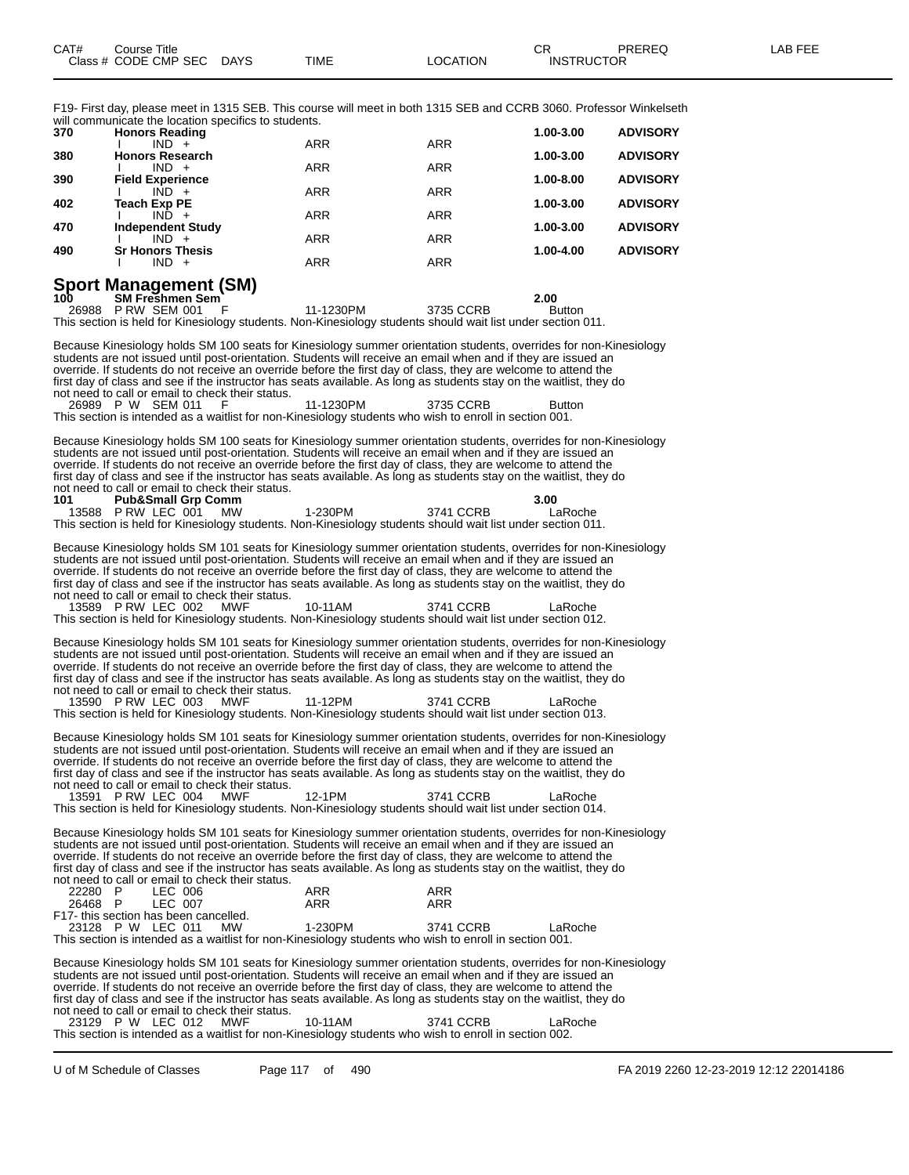F19- First day, please meet in 1315 SEB. This course will meet in both 1315 SEB and CCRB 3060. Professor Winkelseth will communicate the location specifics to students.

|     | will committed those the location opeenities to stage ite. |            |            |           |                 |
|-----|------------------------------------------------------------|------------|------------|-----------|-----------------|
| 370 | <b>Honors Reading</b>                                      |            |            | 1.00-3.00 | <b>ADVISORY</b> |
|     | $IND +$                                                    | <b>ARR</b> | <b>ARR</b> |           |                 |
| 380 | <b>Honors Research</b>                                     |            |            | 1.00-3.00 | <b>ADVISORY</b> |
|     | $IND +$                                                    | <b>ARR</b> | <b>ARR</b> |           |                 |
| 390 | <b>Field Experience</b>                                    |            |            | 1.00-8.00 | <b>ADVISORY</b> |
|     | IND.                                                       | <b>ARR</b> | <b>ARR</b> |           |                 |
| 402 | <b>Teach Exp PE</b>                                        |            |            | 1.00-3.00 | <b>ADVISORY</b> |
|     | $IND +$                                                    | <b>ARR</b> | <b>ARR</b> |           |                 |
| 470 | <b>Independent Study</b>                                   |            |            | 1.00-3.00 | <b>ADVISORY</b> |
|     | $IND +$                                                    | <b>ARR</b> | <b>ARR</b> |           |                 |
|     |                                                            |            |            |           |                 |
| 490 | <b>Sr Honors Thesis</b>                                    |            |            | 1.00-4.00 | <b>ADVISORY</b> |
|     | $IND +$                                                    | <b>ARR</b> | <b>ARR</b> |           |                 |
|     |                                                            |            |            |           |                 |

# **Sport Management (SM)**

**100 SM Freshmen Sem 2.00** 26988 P RW SEM 001 F 11-1230PM 3735 CCRB Button This section is held for Kinesiology students. Non-Kinesiology students should wait list under section 011.

Because Kinesiology holds SM 100 seats for Kinesiology summer orientation students, overrides for non-Kinesiology students are not issued until post-orientation. Students will receive an email when and if they are issued an override. If students do not receive an override before the first day of class, they are welcome to attend the first day of class and see if the instructor has seats available. As long as students stay on the waitlist, they do not need to call or email to check their status. 26989 P W SEM 011 F 11-1230PM 3735 CCRB Button

This section is intended as a waitlist for non-Kinesiology students who wish to enroll in section 001.

Because Kinesiology holds SM 100 seats for Kinesiology summer orientation students, overrides for non-Kinesiology students are not issued until post-orientation. Students will receive an email when and if they are issued an override. If students do not receive an override before the first day of class, they are welcome to attend the first day of class and see if the instructor has seats available. As long as students stay on the waitlist, they do not need to call or email to check their status.<br>101 Pub&Small Grp Comm **1018 Pub&Small Grp Comm**<br> **1012 P** RW LEC 001 MW 1-230PM 3741 CCRB LaRoche 13588 P RW LEC 001

This section is held for Kinesiology students. Non-Kinesiology students should wait list under section 011.

Because Kinesiology holds SM 101 seats for Kinesiology summer orientation students, overrides for non-Kinesiology students are not issued until post-orientation. Students will receive an email when and if they are issued an override. If students do not receive an override before the first day of class, they are welcome to attend the first day of class and see if the instructor has seats available. As long as students stay on the waitlist, they do not need to call or email to check their status.

13589 P RW LEC 002 MWF 10-11AM 3741 CCRB LaRoche This section is held for Kinesiology students. Non-Kinesiology students should wait list under section 012.

Because Kinesiology holds SM 101 seats for Kinesiology summer orientation students, overrides for non-Kinesiology students are not issued until post-orientation. Students will receive an email when and if they are issued an override. If students do not receive an override before the first day of class, they are welcome to attend the first day of class and see if the instructor has seats available. As long as students stay on the waitlist, they do not need to call or email to check their status.

13590 P RW LEC 003 MWF 11-12PM 3741 CCRB LaRoche This section is held for Kinesiology students. Non-Kinesiology students should wait list under section 013.

Because Kinesiology holds SM 101 seats for Kinesiology summer orientation students, overrides for non-Kinesiology students are not issued until post-orientation. Students will receive an email when and if they are issued an override. If students do not receive an override before the first day of class, they are welcome to attend the first day of class and see if the instructor has seats available. As long as students stay on the waitlist, they do not need to call or email to check their status. 13591 P RW LEC 004 MWF 12-1PM 3741 CCRB LaRoche

This section is held for Kinesiology students. Non-Kinesiology students should wait list under section 014.

Because Kinesiology holds SM 101 seats for Kinesiology summer orientation students, overrides for non-Kinesiology students are not issued until post-orientation. Students will receive an email when and if they are issued an override. If students do not receive an override before the first day of class, they are welcome to attend the first day of class and see if the instructor has seats available. As long as students stay on the waitlist, they do not need to call or email to check their status. 22280 P LEC 006 ARR ARR

|         |                                      |  | .                                                                                                      |           |         |
|---------|--------------------------------------|--|--------------------------------------------------------------------------------------------------------|-----------|---------|
| 26468 P | LEC 007                              |  | ARR                                                                                                    | ARR       |         |
|         | F17-this section has been cancelled. |  |                                                                                                        |           |         |
|         | 23128 P W LEC 011 MW                 |  | 1-230PM                                                                                                | 3741 CCRB | LaRoche |
|         |                                      |  | This section is intended as a waitlist for non-Kinesiology students who wish to enroll in section 001. |           |         |

Because Kinesiology holds SM 101 seats for Kinesiology summer orientation students, overrides for non-Kinesiology students are not issued until post-orientation. Students will receive an email when and if they are issued an override. If students do not receive an override before the first day of class, they are welcome to attend the first day of class and see if the instructor has seats available. As long as students stay on the waitlist, they do not need to call or email to check their status. 23129 P W LEC 012 MWF 10-11AM 3741 CCRB LaRoche

This section is intended as a waitlist for non-Kinesiology students who wish to enroll in section 002.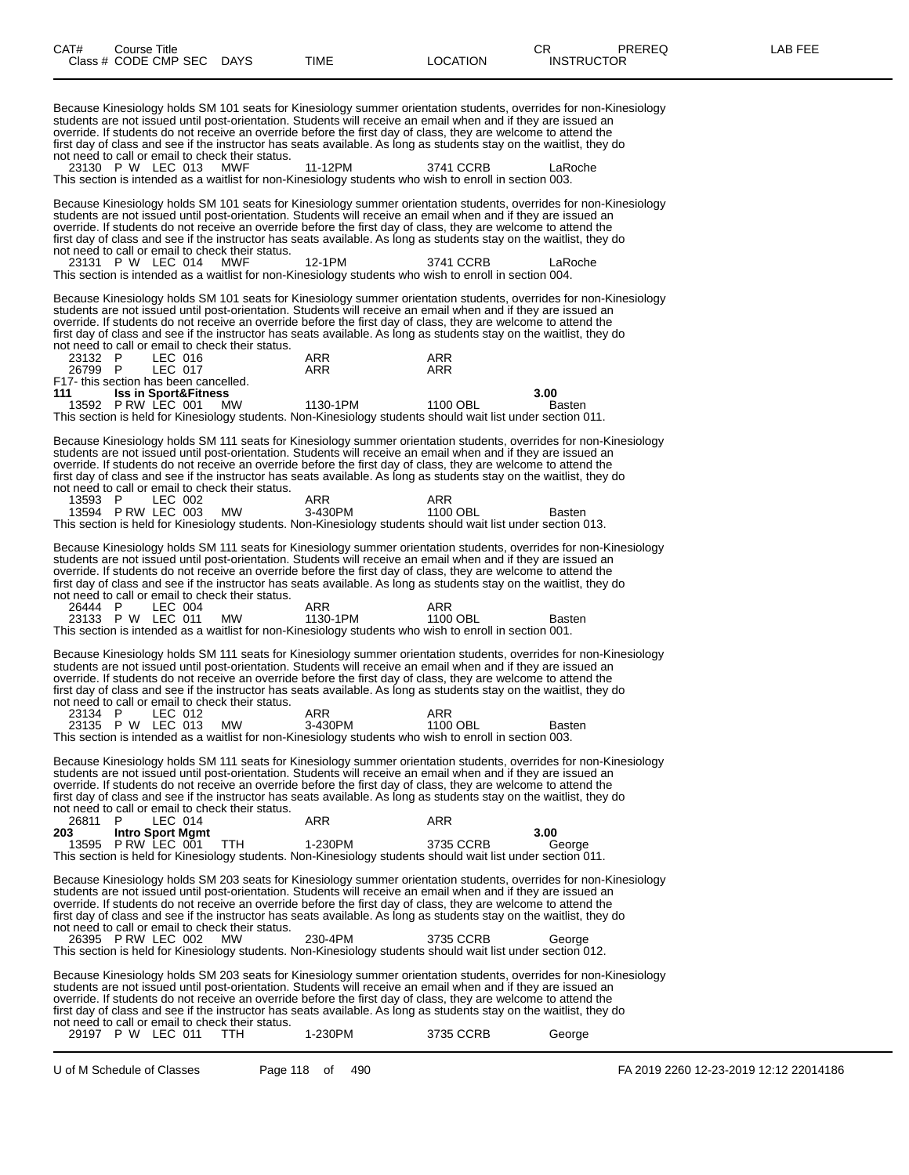first day of class and see if the instructor has seats available. As long as students stay on the waitlist, they do not need to call or email to check their status. 23130 P W LEC 013 MWF 11-12PM 3741 CCRB LaRoche This section is intended as a waitlist for non-Kinesiology students who wish to enroll in section 003. Because Kinesiology holds SM 101 seats for Kinesiology summer orientation students, overrides for non-Kinesiology students are not issued until post-orientation. Students will receive an email when and if they are issued an override. If students do not receive an override before the first day of class, they are welcome to attend the first day of class and see if the instructor has seats available. As long as students stay on the waitlist, they do not need to call or email to check their status. 23131 P W LEC 014 MWF 12-1PM 3741 CCRB LaRoche This section is intended as a waitlist for non-Kinesiology students who wish to enroll in section 004. Because Kinesiology holds SM 101 seats for Kinesiology summer orientation students, overrides for non-Kinesiology students are not issued until post-orientation. Students will receive an email when and if they are issued an override. If students do not receive an override before the first day of class, they are welcome to attend the first day of class and see if the instructor has seats available. As long as students stay on the waitlist, they do not need to call or email to check their status. 23132 P LEC 016 ARR ARR 26799 P LEC 017 ARR ARR F17- this section has been cancelled. **111 Iss in Sport&Fitness 3.00** 13592 P RW LEC 001 MW 1130-1PM 1100 OBL Basten This section is held for Kinesiology students. Non-Kinesiology students should wait list under section 011. Because Kinesiology holds SM 111 seats for Kinesiology summer orientation students, overrides for non-Kinesiology students are not issued until post-orientation. Students will receive an email when and if they are issued an override. If students do not receive an override before the first day of class, they are welcome to attend the first day of class and see if the instructor has seats available. As long as students stay on the waitlist, they do not need to call or email to check their status. 13593 P LEC 002 ARR ARR ARR 13594 P RW LEC 003 MW 3-430PM 1100 OBL Basten This section is held for Kinesiology students. Non-Kinesiology students should wait list under section 013. Because Kinesiology holds SM 111 seats for Kinesiology summer orientation students, overrides for non-Kinesiology students are not issued until post-orientation. Students will receive an email when and if they are issued an override. If students do not receive an override before the first day of class, they are welcome to attend the first day of class and see if the instructor has seats available. As long as students stay on the waitlist, they do not need to call or email to check their status. 26444 P LEC 004 ARR ARR 23133 P W LEC 011 MW 1130-1PM 1100 OBL Basten This section is intended as a waitlist for non-Kinesiology students who wish to enroll in section 001. Because Kinesiology holds SM 111 seats for Kinesiology summer orientation students, overrides for non-Kinesiology students are not issued until post-orientation. Students will receive an email when and if they are issued an override. If students do not receive an override before the first day of class, they are welcome to attend the first day of class and see if the instructor has seats available. As long as students stay on the waitlist, they do not need to call or email to check their status. 23134 P LEC 012 ARR ARR 23135 P W LEC 013 MW 3-430PM 1100 OBL Basten This section is intended as a waitlist for non-Kinesiology students who wish to enroll in section 003. Because Kinesiology holds SM 111 seats for Kinesiology summer orientation students, overrides for non-Kinesiology students are not issued until post-orientation. Students will receive an email when and if they are issued an override. If students do not receive an override before the first day of class, they are welcome to attend the first day of class and see if the instructor has seats available. As long as students stay on the waitlist, they do not need to call or email to check their status. 26811 P LEC 014 ARR ARR **203 Intro Sport Mgmt 3.00** 13595 P RW LEC 001 TTH 1-230PM 3735 CCRB George This section is held for Kinesiology students. Non-Kinesiology students should wait list under section 011. Because Kinesiology holds SM 203 seats for Kinesiology summer orientation students, overrides for non-Kinesiology students are not issued until post-orientation. Students will receive an email when and if they are issued an override. If students do not receive an override before the first day of class, they are welcome to attend the first day of class and see if the instructor has seats available. As long as students stay on the waitlist, they do not need to call or email to check their status. 26395 P RW LEC 002 MW 230-4PM 3735 CCRB George This section is held for Kinesiology students. Non-Kinesiology students should wait list under section 012.

Because Kinesiology holds SM 203 seats for Kinesiology summer orientation students, overrides for non-Kinesiology students are not issued until post-orientation. Students will receive an email when and if they are issued an override. If students do not receive an override before the first day of class, they are welcome to attend the first day of class and see if the instructor has seats available. As long as students stay on the waitlist, they do not need to call or email to check their status.

|  | 29197 P W LEC 011 | 1-230PM | 3735 CCRB | George |
|--|-------------------|---------|-----------|--------|
|  |                   |         |           |        |

U of M Schedule of Classes Page 118 of 490 FA 2019 2260 12-23-2019 12:12 22014186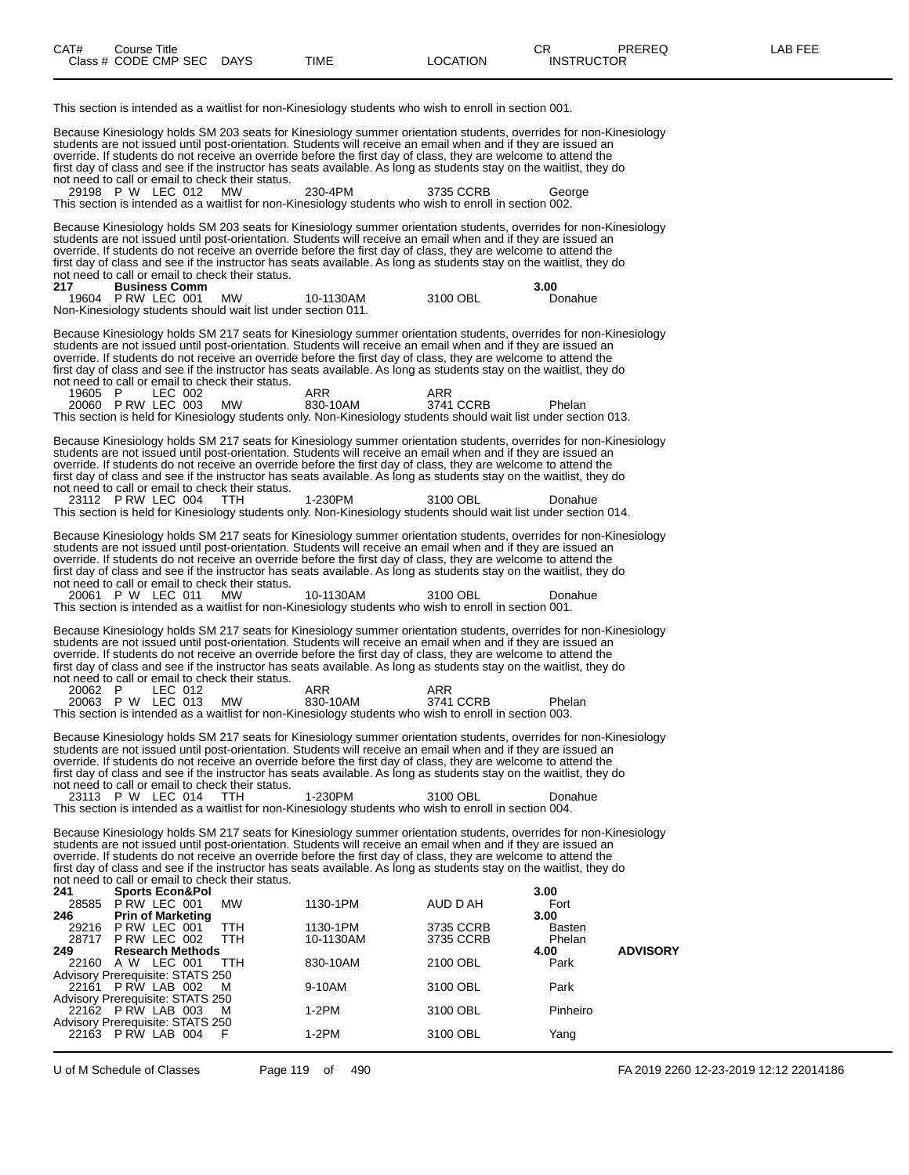This section is intended as a waitlist for non-Kinesiology students who wish to enroll in section 001. Because Kinesiology holds SM 203 seats for Kinesiology summer orientation students, overrides for non-Kinesiology students are not issued until post-orientation. Students will receive an email when and if they are issued an override. If students do not receive an override before the first day of class, they are welcome to attend the first day of class and see if the instructor has seats available. As long as students stay on the waitlist, they do not need to call or email to check their status. 29198 P W LEC 012 MW 230-4PM 3735 CCRB George This section is intended as a waitlist for non-Kinesiology students who wish to enroll in section 002. Because Kinesiology holds SM 203 seats for Kinesiology summer orientation students, overrides for non-Kinesiology students are not issued until post-orientation. Students will receive an email when and if they are issued an override. If students do not receive an override before the first day of class, they are welcome to attend the first day of class and see if the instructor has seats available. As long as students stay on the waitlist, they do not need to call or email to check their status.<br>217 **Business Comm 217 Business Comm 3.00 P RW LEC 001** Non-Kinesiology students should wait list under section 011. Because Kinesiology holds SM 217 seats for Kinesiology summer orientation students, overrides for non-Kinesiology students are not issued until post-orientation. Students will receive an email when and if they are issued an override. If students do not receive an override before the first day of class, they are welcome to attend the first day of class and see if the instructor has seats available. As long as students stay on the waitlist, they do not need to call or email to check their status. 19605 P LEC 002 ARR ARR ARR 20060 P RW LEC 003 MW 830-10AM 3741 CCRB Phelan This section is held for Kinesiology students only. Non-Kinesiology students should wait list under section 013. Because Kinesiology holds SM 217 seats for Kinesiology summer orientation students, overrides for non-Kinesiology students are not issued until post-orientation. Students will receive an email when and if they are issued an override. If students do not receive an override before the first day of class, they are welcome to attend the first day of class and see if the instructor has seats available. As long as students stay on the waitlist, they do not need to call or email to check their status. 23112 P RW LEC 004 TTH 1-230PM 3100 OBL Donahue This section is held for Kinesiology students only. Non-Kinesiology students should wait list under section 014. Because Kinesiology holds SM 217 seats for Kinesiology summer orientation students, overrides for non-Kinesiology students are not issued until post-orientation. Students will receive an email when and if they are issued an override. If students do not receive an override before the first day of class, they are welcome to attend the first day of class and see if the instructor has seats available. As long as students stay on the waitlist, they do not need to call or email to check their status.<br>20061 P W LEC 011 MW 20061 P W LEC 011 MW 10-1130AM 3100 OBL Donahue This section is intended as a waitlist for non-Kinesiology students who wish to enroll in section 001. Because Kinesiology holds SM 217 seats for Kinesiology summer orientation students, overrides for non-Kinesiology students are not issued until post-orientation. Students will receive an email when and if they are issued an override. If students do not receive an override before the first day of class, they are welcome to attend the first day of class and see if the instructor has seats available. As long as students stay on the waitlist, they do not need to call or email to check their status. 20062 P LEC 012 ARR ARR 20063 P W LEC 013 MW 830-10AM 3741 CCRB Phelan This section is intended as a waitlist for non-Kinesiology students who wish to enroll in section 003. Because Kinesiology holds SM 217 seats for Kinesiology summer orientation students, overrides for non-Kinesiology students are not issued until post-orientation. Students will receive an email when and if they are issued an override. If students do not receive an override before the first day of class, they are welcome to attend the first day of class and see if the instructor has seats available. As long as students stay on the waitlist, they do not need to call or email to check their status.<br>23113 P W LEC 014 TTH 1-230PM 3100 OBL Donahue This section is intended as a waitlist for non-Kinesiology students who wish to enroll in section 004. Because Kinesiology holds SM 217 seats for Kinesiology summer orientation students, overrides for non-Kinesiology students are not issued until post-orientation. Students will receive an email when and if they are issued an override. If students do not receive an override before the first day of class, they are welcome to attend the first day of class and see if the instructor has seats available. As long as students stay on the waitlist, they do not need to call or email to check their status.<br>241 **Sports Econ&Pol 241 Sports Econ&Pol 3.00** 28585 P RW LEC 001 MW 1130-1PM AUD D AH THE P RW LEC 001 MW **246 Prin of Marketing 3.00** 29216 P RW LEC 001 TTH 1130-1PM 3735 CCRB Basten 28717 P RW LEC 002 TTH 10-1130AM 3735 CCRB Phelan **249 Research Methods 4.00 ADVISORY** 22160 A W LEC 001 TTH 830-10AM 2100 OBL Park Advisory Prerequisite: STATS 250<br>22161 P RW LAB 002 M 22161 P RW LAB 002 M 9-10AM 3100 OBL Park Advisory Prerequisite: STATS 250<br>22162 P RW LAB 003 M 22162 P RW LAB 003 M 1-2PM 3100 OBL Pinheiro Advisory Prerequisite: STATS 250

22163 P RW LAB 004 F 1-2PM 3100 OBL Yang

U of M Schedule of Classes Page 119 of 490 FA 2019 2260 12-23-2019 12:12 22014186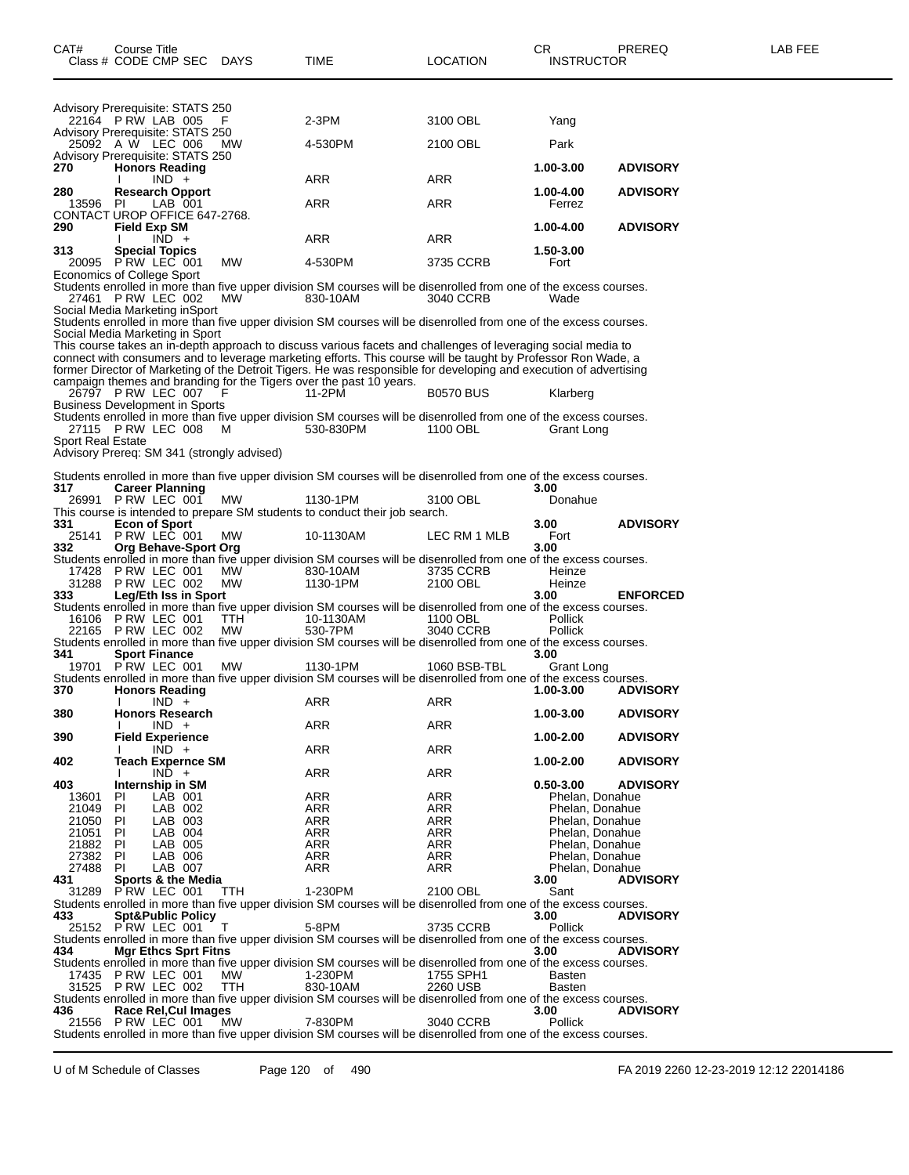| Advisory Prerequisite: STATS 250<br>22164 P RW LAB 005 |                                                     |                    | F          | $2-3PM$                                                                                                                                                                                                                        | 3100 OBL              | Yang                   |                                    |                                    |  |
|--------------------------------------------------------|-----------------------------------------------------|--------------------|------------|--------------------------------------------------------------------------------------------------------------------------------------------------------------------------------------------------------------------------------|-----------------------|------------------------|------------------------------------|------------------------------------|--|
| Advisory Prerequisite: STATS 250<br>25092 A W LEC 006  |                                                     |                    | МW         | 4-530PM                                                                                                                                                                                                                        | 2100 OBL              | Park                   |                                    |                                    |  |
| Advisory Prerequisite: STATS 250<br>270                | <b>Honors Reading</b><br>I.                         | $IND +$            |            | ARR                                                                                                                                                                                                                            | ARR                   | 1.00-3.00              |                                    | <b>ADVISORY</b>                    |  |
| 280<br>13596                                           | <b>Research Opport</b><br>- PI                      | LAB 001            |            | ARR                                                                                                                                                                                                                            | ARR                   | 1.00-4.00<br>Ferrez    |                                    | <b>ADVISORY</b>                    |  |
| CONTACT UROP OFFICE 647-2768.<br>290                   | Field Exp SM                                        |                    |            |                                                                                                                                                                                                                                |                       | 1.00-4.00              |                                    | <b>ADVISORY</b>                    |  |
| 313                                                    | I.<br><b>Special Topics</b>                         | $IND +$            |            | ARR                                                                                                                                                                                                                            | ARR                   | 1.50-3.00              |                                    |                                    |  |
| 20095 P RW LEC 001<br>Economics of College Sport       |                                                     |                    | <b>MW</b>  | 4-530PM                                                                                                                                                                                                                        | 3735 CCRB             | Fort                   |                                    |                                    |  |
| 27461 P RW LEC 002<br>Social Media Marketing inSport   |                                                     |                    | MW.        | Students enrolled in more than five upper division SM courses will be disenrolled from one of the excess courses.<br>830-10AM                                                                                                  | 3040 CCRB             | Wade                   |                                    |                                    |  |
| Social Media Marketing in Sport                        |                                                     |                    |            | Students enrolled in more than five upper division SM courses will be disenrolled from one of the excess courses.                                                                                                              |                       |                        |                                    |                                    |  |
|                                                        |                                                     |                    |            | This course takes an in-depth approach to discuss various facets and challenges of leveraging social media to<br>connect with consumers and to leverage marketing efforts. This course will be taught by Professor Ron Wade, a |                       |                        |                                    |                                    |  |
|                                                        |                                                     |                    |            | former Director of Marketing of the Detroit Tigers. He was responsible for developing and execution of advertising<br>campaign themes and branding for the Tigers over the past 10 years.                                      |                       |                        |                                    |                                    |  |
| 26797 PRW LEC 007<br>Business Development in Sports    |                                                     |                    | F          | 11-2PM<br>Students enrolled in more than five upper division SM courses will be disenrolled from one of the excess courses.                                                                                                    | <b>B0570 BUS</b>      |                        | Klarberg                           |                                    |  |
| 27115 P RW LEC 008<br><b>Sport Real Estate</b>         |                                                     |                    | м          | 530-830PM                                                                                                                                                                                                                      | 1100 OBL              |                        | Grant Long                         |                                    |  |
| Advisory Prereq: SM 341 (strongly advised)             |                                                     |                    |            |                                                                                                                                                                                                                                |                       |                        |                                    |                                    |  |
| 317.                                                   | <b>Career Planning</b>                              |                    |            | Students enrolled in more than five upper division SM courses will be disenrolled from one of the excess courses.                                                                                                              |                       | 3.00                   |                                    |                                    |  |
| 26991 P RW LEC 001<br>331                              | <b>Econ of Sport</b>                                |                    | МW         | 1130-1PM<br>This course is intended to prepare SM students to conduct their job search.                                                                                                                                        | 3100 OBL              | 3.00                   | Donahue                            | <b>ADVISORY</b>                    |  |
| 25141 P RW LEC 001<br>332                              | Org Behave-Sport Org                                |                    | <b>MW</b>  | 10-1130AM                                                                                                                                                                                                                      | LEC RM 1 MLB          | Fort<br>3.00           |                                    |                                    |  |
| 17428 P RW LEC 001                                     |                                                     |                    | <b>MW</b>  | Students enrolled in more than five upper division SM courses will be disenrolled from one of the excess courses.<br>830-10AM                                                                                                  | 3735 CCRB             | Heinze                 |                                    |                                    |  |
| 31288 PRW LEC 002<br>333                               | Leg/Eth Iss in Sport                                |                    | <b>MW</b>  | 1130-1PM                                                                                                                                                                                                                       | 2100 OBL              | Heinze<br>3.00         |                                    | <b>ENFORCED</b>                    |  |
| 16106 P RW LEC 001<br>22165 P RW LEC 002               |                                                     |                    | TTH<br>MW  | Students enrolled in more than five upper division SM courses will be disenrolled from one of the excess courses.<br>10-1130AM<br>530-7PM                                                                                      | 1100 OBL<br>3040 CCRB | Pollick<br>Pollick     |                                    |                                    |  |
| 341                                                    | <b>Sport Finance</b>                                |                    |            | Students enrolled in more than five upper division SM courses will be disenrolled from one of the excess courses.                                                                                                              |                       | 3.00                   |                                    |                                    |  |
| 19701                                                  | PRW LEC 001                                         |                    | MW         | 1130-1PM<br>Students enrolled in more than five upper division SM courses will be disenrolled from one of the excess courses.                                                                                                  | 1060 BSB-TBL          |                        | Grant Long                         |                                    |  |
| 370                                                    | <b>Honors Reading</b><br>I.                         | $IND +$            |            | ARR                                                                                                                                                                                                                            | ARR                   | 1.00-3.00              |                                    | <b>ADVISORY</b>                    |  |
| 380                                                    | <b>Honors Research</b>                              | $IND +$            |            | ARR                                                                                                                                                                                                                            | ARR                   | 1.00-3.00              |                                    | <b>ADVISORY</b>                    |  |
| 390<br>402                                             | <b>Field Experience</b><br><b>Teach Expernce SM</b> | $IND +$            |            | ARR                                                                                                                                                                                                                            | ARR                   | 1.00-2.00<br>1.00-2.00 |                                    | <b>ADVISORY</b><br><b>ADVISORY</b> |  |
| 403                                                    | $\mathbf{L}$<br>Internship in SM                    | $IND +$            |            | ARR                                                                                                                                                                                                                            | ARR                   |                        |                                    | <b>ADVISORY</b>                    |  |
| 13601                                                  | ΡI                                                  | LAB 001            |            | ARR                                                                                                                                                                                                                            | ARR                   | $0.50 - 3.00$          | Phelan, Donahue                    |                                    |  |
| 21049                                                  | PI                                                  | LAB 002            |            | ARR                                                                                                                                                                                                                            | ARR<br>ARR            |                        | Phelan, Donahue<br>Phelan, Donahue |                                    |  |
| 21050<br>21051                                         | PI<br>ΡI                                            | LAB 003<br>LAB 004 |            | ARR<br>ARR                                                                                                                                                                                                                     | ARR                   |                        | Phelan, Donahue                    |                                    |  |
| 21882                                                  | - PI                                                | LAB 005            |            | ARR                                                                                                                                                                                                                            | ARR                   |                        | Phelan, Donahue                    |                                    |  |
| 27382                                                  | -PI                                                 | LAB 006            |            | ARR                                                                                                                                                                                                                            | <b>ARR</b>            |                        | Phelan, Donahue                    |                                    |  |
| 27488 PI<br>431                                        | Sports & the Media                                  | LAB 007            |            | ARR                                                                                                                                                                                                                            | ARR                   | 3.00                   | Phelan, Donahue                    | <b>ADVISORY</b>                    |  |
| 31289 PRW LEC 001                                      |                                                     |                    | <b>TTH</b> | 1-230PM<br>Students enrolled in more than five upper division SM courses will be disenrolled from one of the excess courses.                                                                                                   | 2100 OBL              | Sant                   |                                    |                                    |  |
| 433                                                    | <b>Spt&amp;Public Policy</b>                        |                    |            |                                                                                                                                                                                                                                |                       | 3.00                   |                                    | <b>ADVISORY</b>                    |  |
| 25152 P RW LEC 001                                     |                                                     |                    | т          | 5-8PM<br>Students enrolled in more than five upper division SM courses will be disenrolled from one of the excess courses.                                                                                                     | 3735 CCRB             | Pollick                |                                    |                                    |  |
| 434                                                    | <b>Mgr Ethcs Sprt Fitns</b>                         |                    |            |                                                                                                                                                                                                                                |                       | 3.00                   |                                    | <b>ADVISORY</b>                    |  |
|                                                        |                                                     |                    |            | Students enrolled in more than five upper division SM courses will be disenrolled from one of the excess courses.                                                                                                              |                       |                        |                                    |                                    |  |
| 17435 PRW LEC 001                                      |                                                     |                    | MW.<br>TTH | 1-230PM<br>830-10AM                                                                                                                                                                                                            | 1755 SPH1<br>2260 USB | Basten                 |                                    |                                    |  |
| 31525 P RW LEC 002                                     |                                                     |                    |            | Students enrolled in more than five upper division SM courses will be disenrolled from one of the excess courses.                                                                                                              |                       | Basten                 |                                    |                                    |  |
| 436                                                    | Race Rel, Cul Images                                |                    |            |                                                                                                                                                                                                                                |                       | 3.00                   |                                    | <b>ADVISORY</b>                    |  |
| 21556 P RW LEC 001                                     |                                                     |                    | <b>MW</b>  | 7-830PM                                                                                                                                                                                                                        | 3040 CCRB             | Pollick                |                                    |                                    |  |

Students enrolled in more than five upper division SM courses will be disenrolled from one of the excess courses.

U of M Schedule of Classes Page 120 of 490 FA 2019 2260 12-23-2019 12:12 22014186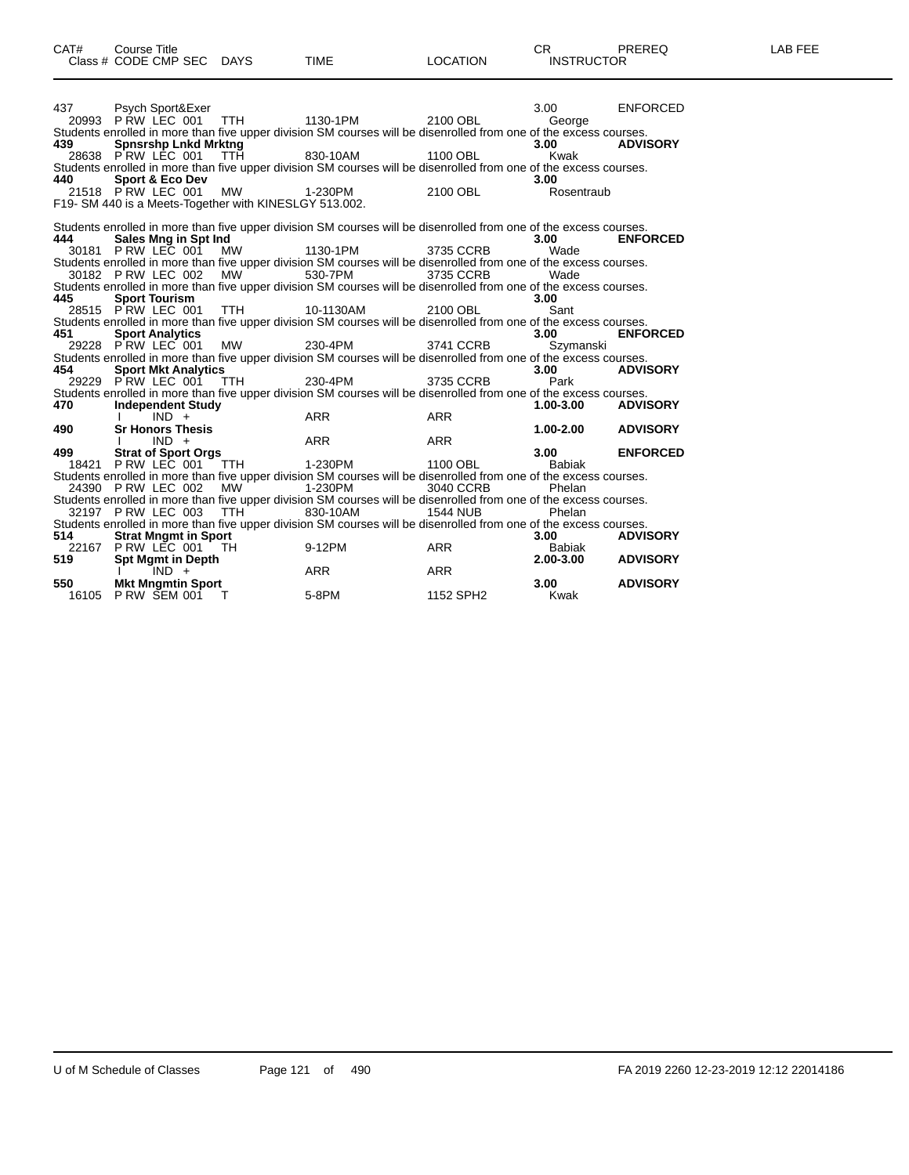| 437       | Psych Sport&Exer<br>20993 P RW LEC 001                                     |            | TTH 1130-1PM 2100 OBL                                                                                                                                                                                                                             |                         | 3.00<br>George            | <b>ENFORCED</b> |
|-----------|----------------------------------------------------------------------------|------------|---------------------------------------------------------------------------------------------------------------------------------------------------------------------------------------------------------------------------------------------------|-------------------------|---------------------------|-----------------|
| 439       | <b>Spnsrshp Lnkd Mrktng</b>                                                |            | Students enrolled in more than five upper division SM courses will be disenrolled from one of the excess courses.<br>28638 PRW LEC 001 TTH 830-10AM 1100 OBL                                                                                      |                         | 3.00<br>Kwak              | <b>ADVISORY</b> |
| 440       | <b>Sport &amp; Eco Dev</b>                                                 |            | Students enrolled in more than five upper division SM courses will be disenrolled from one of the excess courses.                                                                                                                                 |                         | 3.00                      |                 |
|           | 21518 PRW LEC 001<br>F19-SM 440 is a Meets-Together with KINESLGY 513.002. | <b>MW</b>  | 1-230PM                                                                                                                                                                                                                                           | 2100 OBL                | Rosentraub                |                 |
| 444       | Sales Mng in Spt Ind                                                       |            | Students enrolled in more than five upper division SM courses will be disenrolled from one of the excess courses.                                                                                                                                 |                         | 3.00                      | <b>ENFORCED</b> |
|           | 30181 PRW LEC 001                                                          |            | MW 1130-1PM 3735 CCRB<br>Students enrolled in more than five upper division SM courses will be disenrolled from one of the excess courses.<br>30182 P RW LEC 002 MW 530-7PM 3735 CCRB                                                             |                         | Wade<br><b>Example 19</b> |                 |
| 445       | <b>Sport Tourism</b>                                                       |            | Students enrolled in more than five upper division SM courses will be disenrolled from one of the excess courses.                                                                                                                                 |                         | 3.00                      |                 |
| 451       | 28515 PRW LEC 001                                                          |            | TTH 10-1130AM<br>Students enrolled in more than five upper division SM courses will be disenrolled from one of the excess courses.                                                                                                                | 2100 OBL                | Sant<br>3.00              | <b>ENFORCED</b> |
|           | <b>Sport Analytics</b><br>29228 PRW LEC 001                                |            | MW 230-4PM 3741 CCRB<br>Students enrolled in more than five upper division SM courses will be disenrolled from one of the excess courses.                                                                                                         |                         | Szymanski                 |                 |
| 454       | <b>Sport Mkt Analytics</b><br>29229 PRW LEC 001 TTH                        |            | 230-4PM                                                                                                                                                                                                                                           | 3735 CCRB               | 3.00<br>Park              | <b>ADVISORY</b> |
| 470       | <b>Independent Study</b><br>$IND +$                                        |            | Students enrolled in more than five upper division SM courses will be disenrolled from one of the excess courses.<br><b>ARR</b>                                                                                                                   | <b>ARR</b>              | $1.00 - 3.00$             | <b>ADVISORY</b> |
| 490       | <b>Sr Honors Thesis</b><br>$IND +$<br>$\mathbf{I}$                         |            | ARR                                                                                                                                                                                                                                               | <b>ARR</b>              | 1.00-2.00                 | <b>ADVISORY</b> |
| 499 — 199 | <b>Strat of Sport Orgs</b>                                                 |            |                                                                                                                                                                                                                                                   |                         |                           |                 |
|           |                                                                            |            | 18421 PRW LEC 001 TTH 1-230PM                                                                                                                                                                                                                     | 1100 OBL                | 3.00<br>Babiak            | <b>ENFORCED</b> |
|           | 24390 PRW LEC 002                                                          | <b>MW</b>  | Students enrolled in more than five upper division SM courses will be disenrolled from one of the excess courses.<br>1-230PM<br>Students enrolled in more than five upper division SM courses will be disenrolled from one of the excess courses. | 3040 CCRB               | Phelan                    |                 |
| 514       | 32197 P RW LEC 003<br><b>Strat Mngmt in Sport</b>                          | <b>TTH</b> | 830-10AM<br>Students enrolled in more than five upper division SM courses will be disenrolled from one of the excess courses.                                                                                                                     | <b>1544 NUB</b>         | Phelan<br>3.00            | <b>ADVISORY</b> |
| 519       | 22167 PRW LEC 001 TH<br><b>Spt Mgmt in Depth</b>                           |            | 9-12PM                                                                                                                                                                                                                                            | ARR                     | Babiak<br>2.00-3.00       | <b>ADVISORY</b> |
| 550 —     | $IND +$<br>$\mathbf{L}$<br><b>Mkt Mngmtin Sport</b><br>16105 PRW SEM 001 T |            | ARR<br>5-8PM                                                                                                                                                                                                                                      | <b>ARR</b><br>1152 SPH2 | 3.00<br>Kwak              | <b>ADVISORY</b> |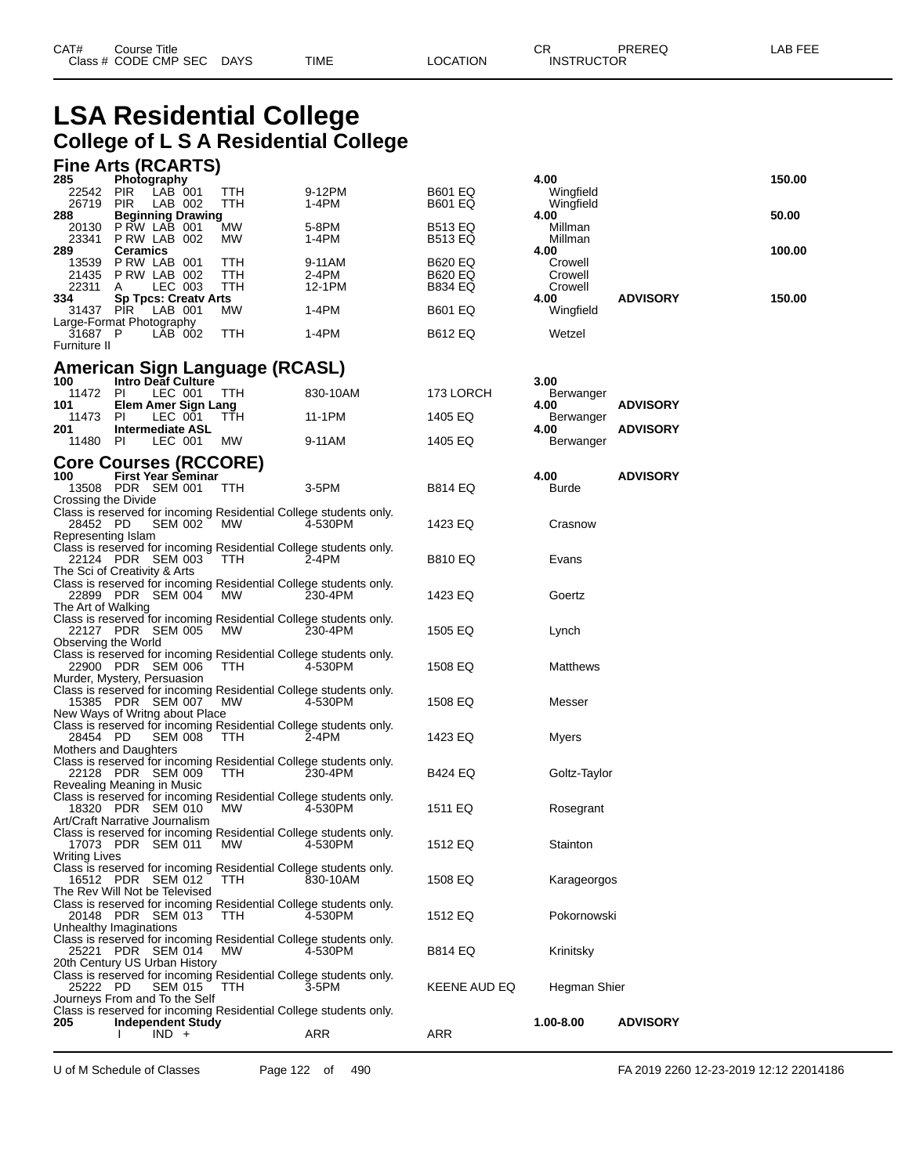# **LSA Residential College College of L S A Residential College**

#### **Fine Arts (RCARTS)**

| 285<br>Photography                                                                                  |            |                 |                    | 4.00                   |                 | 150.00 |
|-----------------------------------------------------------------------------------------------------|------------|-----------------|--------------------|------------------------|-----------------|--------|
| 22542<br><b>PIR</b><br>LAB 001<br>26719<br>LAB 002<br><b>PIR</b>                                    | TTH<br>TTH | 9-12PM<br>1-4PM | B601 EQ<br>B601 EQ | Wingfield<br>Wingfield |                 |        |
| 288<br><b>Beginning Drawing</b><br><b>PRW LAB 001</b><br>20130                                      | <b>MW</b>  | 5-8PM           | <b>B513 EQ</b>     | 4.00<br>Millman        |                 | 50.00  |
| PRW LAB 002<br>23341                                                                                | МW         | 1-4PM           | B513 EQ            | Millman                |                 |        |
| 289<br><b>Ceramics</b><br>13539<br>PRW LAB 001                                                      | TTH        | 9-11AM          | <b>B620 EQ</b>     | 4.00<br>Crowell        |                 | 100.00 |
| PRW LAB 002<br>21435<br>22311<br>LEC 003<br>A                                                       | TTH<br>TTH | 2-4PM<br>12-1PM | B620 EQ<br>B834 EQ | Crowell<br>Crowell     |                 |        |
| <b>Sp Tpcs: Creatv Arts</b><br>334                                                                  |            |                 |                    | 4.00                   | <b>ADVISORY</b> | 150.00 |
| 31437 PIR<br>LAB 001<br>Large-Format Photography                                                    | МW         | 1-4PM           | B601 EQ            | Wingfield              |                 |        |
| 31687 P<br>LAB 002<br>Furniture II                                                                  | <b>TTH</b> | 1-4PM           | <b>B612 EQ</b>     | Wetzel                 |                 |        |
|                                                                                                     |            |                 |                    |                        |                 |        |
| American Sign Language (RCASL)<br>100<br><b>Intro Deaf Culture</b>                                  |            |                 |                    | 3.00                   |                 |        |
| 11472<br>LEC 001<br>PL<br><b>Elem Amer Sign Lang</b><br>101                                         | <b>TTH</b> | 830-10AM        | 173 LORCH          | Berwanger<br>4.00      | <b>ADVISORY</b> |        |
| 11473<br>LEC 001<br>-PI                                                                             | TTH        | 11-1PM          | 1405 EQ            | Berwanger              |                 |        |
| 201<br><b>Intermediate ASL</b><br>11480 PI<br>LEC 001                                               | MW         | 9-11AM          | 1405 EQ            | 4.00<br>Berwanger      | <b>ADVISORY</b> |        |
| <b>Core Courses (RCCORE)</b>                                                                        |            |                 |                    |                        |                 |        |
| <b>First Year Seminar</b><br>100                                                                    |            |                 |                    | 4.00                   | <b>ADVISORY</b> |        |
| 13508 PDR SEM 001<br>Crossing the Divide                                                            | <b>TTH</b> | 3-5PM           | B814 EQ            | Burde                  |                 |        |
| Class is reserved for incoming Residential College students only.<br>28452 PD<br>SEM 002 MW         |            | 4-530PM         | 1423 EQ            | Crasnow                |                 |        |
| Representing Islam                                                                                  |            |                 |                    |                        |                 |        |
| Class is reserved for incoming Residential College students only.<br>22124 PDR SEM 003              | TTH        | 2-4PM           | B810 EQ            | Evans                  |                 |        |
| The Sci of Creativity & Arts<br>Class is reserved for incoming Residential College students only.   |            |                 |                    |                        |                 |        |
| 22899 PDR SEM 004<br>The Art of Walking                                                             | MW         | 230-4PM         | 1423 EQ            | Goertz                 |                 |        |
| Class is reserved for incoming Residential College students only.                                   |            |                 |                    |                        |                 |        |
| 22127 PDR SEM 005<br>Observing the World                                                            | MW         | 230-4PM         | 1505 EQ            | Lynch                  |                 |        |
| Class is reserved for incoming Residential College students only.<br>22900 PDR SEM 006              | TTH        | 4-530PM         | 1508 EQ            | Matthews               |                 |        |
| Murder, Mystery, Persuasion                                                                         |            |                 |                    |                        |                 |        |
| Class is reserved for incoming Residential College students only.<br>15385 PDR SEM 007              | <b>MW</b>  | 4-530PM         | 1508 EQ            | Messer                 |                 |        |
| New Ways of Writng about Place<br>Class is reserved for incoming Residential College students only. |            |                 |                    |                        |                 |        |
| 28454 PD<br>SEM 008                                                                                 | TTH        | 2-4PM           | 1423 EQ            | Myers                  |                 |        |
| Mothers and Daughters<br>Class is reserved for incoming Residential College students only.          |            |                 |                    |                        |                 |        |
| 22128 PDR SEM 009<br>Revealing Meaning in Music                                                     | TTH        | 230-4PM         | B424 EQ            | Goltz-Taylor           |                 |        |
| Class is reserved for incoming Residential College students only.                                   |            |                 |                    |                        |                 |        |
| 18320 PDR SEM 010<br>Art/Craft Narrative Journalism                                                 | <b>MW</b>  | 4-530PM         | 1511 EQ            | Rosegrant              |                 |        |
| Class is reserved for incoming Residential College students only.<br>17073 PDR SEM 011              | <b>MW</b>  | 4-530PM         | 1512 EQ            | Stainton               |                 |        |
| <b>Writing Lives</b>                                                                                |            |                 |                    |                        |                 |        |
| Class is reserved for incoming Residential College students only.<br>16512 PDR SEM 012              | TTH.       | 830-10AM        | 1508 EQ            | Karageorgos            |                 |        |
| The Rev Will Not be Televised<br>Class is reserved for incoming Residential College students only.  |            |                 |                    |                        |                 |        |
| 20148 PDR SEM 013                                                                                   | <b>TTH</b> | 4-530PM         | 1512 EQ            | Pokornowski            |                 |        |
| Unhealthy Imaginations<br>Class is reserved for incoming Residential College students only.         |            |                 |                    |                        |                 |        |
| 25221 PDR SEM 014<br>20th Century US Urban History                                                  | <b>MW</b>  | 4-530PM         | B814 EQ            | Krinitsky              |                 |        |
| Class is reserved for incoming Residential College students only.                                   |            |                 |                    |                        |                 |        |
| 25222 PD<br><b>SEM 015</b><br>Journeys From and To the Self                                         | TTH        | 3-5PM           | KEENE AUD EQ       | Hegman Shier           |                 |        |
| Class is reserved for incoming Residential College students only.<br>205<br>Independent Study       |            |                 |                    | 1.00-8.00              | <b>ADVISORY</b> |        |
| $IND +$                                                                                             |            | ARR             | ARR                |                        |                 |        |

| 4.00<br>Wingfield  |                 | 150.0  |
|--------------------|-----------------|--------|
| Wingfield<br>4.00  |                 | 50.00  |
| Millman<br>Millman |                 |        |
| 4.00<br>Crowell    |                 | 100.00 |
| Crowell<br>Crowell |                 |        |
| 4.00<br>Wingfield  | <b>ADVISORY</b> | 150.00 |
|                    |                 |        |

U of M Schedule of Classes Page 122 of 490 FA 2019 2260 12-23-2019 12:12 22014186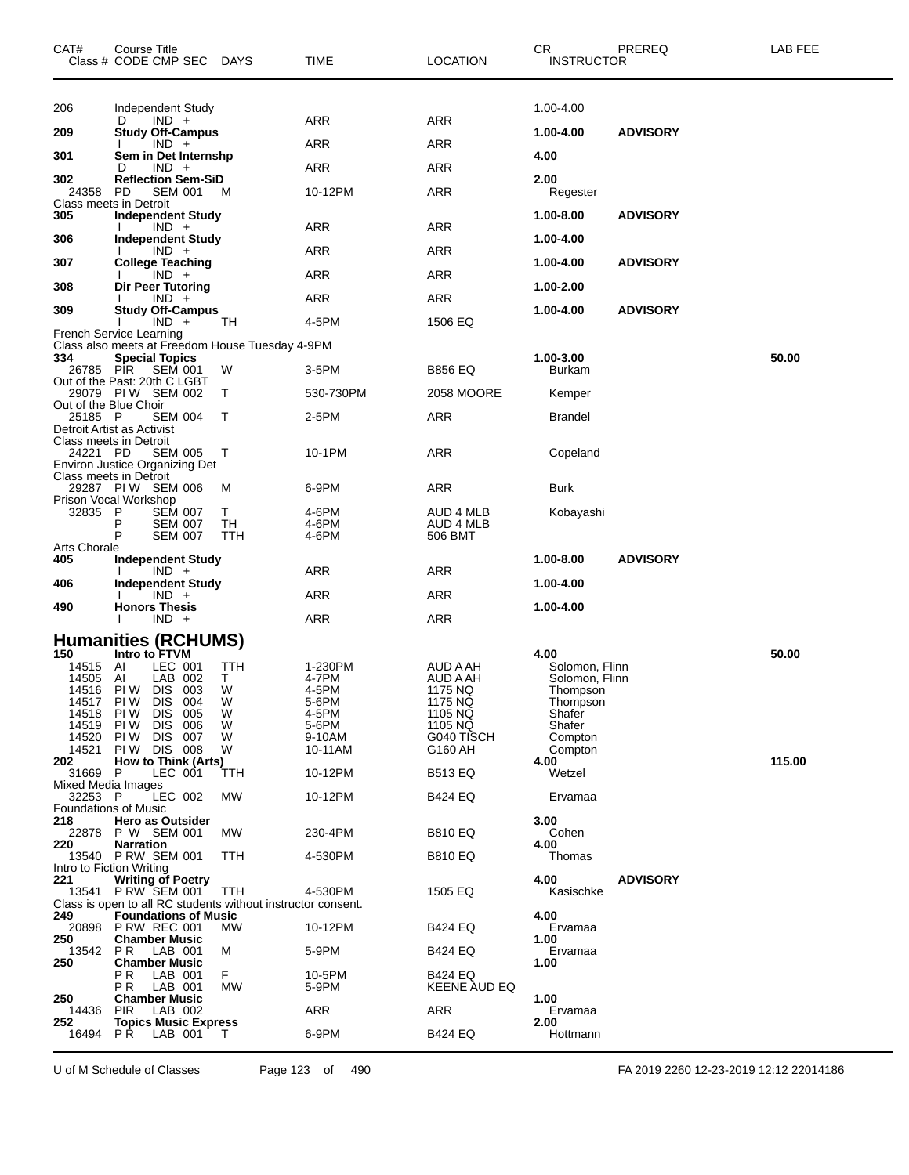| CAT#                                   | Course Title<br>Class # CODE CMP SEC DAYS                                                                                                                            |                                        | TIME                                                                      | <b>LOCATION</b>                                                                           | CR<br><b>INSTRUCTOR</b>                                                                                    | PREREQ          | LAB FEE |
|----------------------------------------|----------------------------------------------------------------------------------------------------------------------------------------------------------------------|----------------------------------------|---------------------------------------------------------------------------|-------------------------------------------------------------------------------------------|------------------------------------------------------------------------------------------------------------|-----------------|---------|
| 206                                    | Independent Study                                                                                                                                                    |                                        |                                                                           |                                                                                           | 1.00-4.00                                                                                                  |                 |         |
| 209                                    | $IND +$<br>D<br><b>Study Off-Campus</b>                                                                                                                              |                                        | ARR                                                                       | ARR                                                                                       | 1.00-4.00                                                                                                  | <b>ADVISORY</b> |         |
| 301                                    | $IND +$<br>Sem in Det Internshp                                                                                                                                      |                                        | ARR                                                                       | ARR                                                                                       | 4.00                                                                                                       |                 |         |
|                                        | $IND +$<br>D                                                                                                                                                         |                                        | <b>ARR</b>                                                                | <b>ARR</b>                                                                                |                                                                                                            |                 |         |
| 302<br>24358<br>Class meets in Detroit | <b>Reflection Sem-SiD</b><br>PD<br><b>SEM 001</b>                                                                                                                    | M                                      | 10-12PM                                                                   | <b>ARR</b>                                                                                | 2.00<br>Regester                                                                                           |                 |         |
| 305                                    | <b>Independent Study</b><br>$IND +$                                                                                                                                  |                                        | ARR                                                                       | <b>ARR</b>                                                                                | 1.00-8.00                                                                                                  | <b>ADVISORY</b> |         |
| 306                                    | <b>Independent Study</b><br>$IND +$                                                                                                                                  |                                        | <b>ARR</b>                                                                | ARR                                                                                       | 1.00-4.00                                                                                                  |                 |         |
| 307                                    | <b>College Teaching</b><br>$IND +$                                                                                                                                   |                                        | <b>ARR</b>                                                                | <b>ARR</b>                                                                                | 1.00-4.00                                                                                                  | <b>ADVISORY</b> |         |
| 308                                    | <b>Dir Peer Tutoring</b>                                                                                                                                             |                                        |                                                                           |                                                                                           | 1.00-2.00                                                                                                  |                 |         |
| 309                                    | $IND +$<br><b>Study Off-Campus</b>                                                                                                                                   |                                        | ARR                                                                       | ARR                                                                                       | 1.00-4.00                                                                                                  | <b>ADVISORY</b> |         |
|                                        | $IND +$<br>French Service Learning                                                                                                                                   | TН                                     | 4-5PM                                                                     | 1506 EQ                                                                                   |                                                                                                            |                 |         |
| 334                                    | Class also meets at Freedom House Tuesday 4-9PM<br><b>Special Topics</b>                                                                                             |                                        |                                                                           |                                                                                           | 1.00-3.00                                                                                                  |                 | 50.00   |
| 26785 PIR                              | SEM 001                                                                                                                                                              | W                                      | 3-5PM                                                                     | <b>B856 EQ</b>                                                                            | Burkam                                                                                                     |                 |         |
| Out of the Blue Choir                  | Out of the Past: 20th C LGBT<br>29079 PIW SEM 002                                                                                                                    | Т                                      | 530-730PM                                                                 | 2058 MOORE                                                                                | Kemper                                                                                                     |                 |         |
| 25185 P                                | <b>SEM 004</b>                                                                                                                                                       | Т                                      | 2-5PM                                                                     | <b>ARR</b>                                                                                | <b>Brandel</b>                                                                                             |                 |         |
| 24221 PD                               | Detroit Artist as Activist<br><b>Class meets in Detroit</b><br><b>SEM 005</b><br><b>Environ Justice Organizing Det</b>                                               | Т                                      | 10-1PM                                                                    | <b>ARR</b>                                                                                | Copeland                                                                                                   |                 |         |
| Class meets in Detroit                 | 29287 PIW SEM 006                                                                                                                                                    | M                                      | 6-9PM                                                                     | <b>ARR</b>                                                                                | Burk                                                                                                       |                 |         |
|                                        | Prison Vocal Workshop                                                                                                                                                |                                        |                                                                           |                                                                                           |                                                                                                            |                 |         |
| 32835 P                                | <b>SEM 007</b><br>P<br><b>SEM 007</b><br>P<br><b>SEM 007</b>                                                                                                         | Τ<br>TH<br>TTH                         | 4-6PM<br>4-6PM<br>4-6PM                                                   | AUD 4 MLB<br>AUD 4 MLB<br>506 BMT                                                         | Kobayashi                                                                                                  |                 |         |
| Arts Chorale<br>405                    | <b>Independent Study</b>                                                                                                                                             |                                        |                                                                           |                                                                                           | 1.00-8.00                                                                                                  | <b>ADVISORY</b> |         |
| 406                                    | $IND +$<br><b>Independent Study</b>                                                                                                                                  |                                        | ARR                                                                       | ARR                                                                                       | 1.00-4.00                                                                                                  |                 |         |
|                                        | $IND +$                                                                                                                                                              |                                        | <b>ARR</b>                                                                | <b>ARR</b>                                                                                |                                                                                                            |                 |         |
| 490                                    | <b>Honors Thesis</b><br>$IND +$                                                                                                                                      |                                        | ARR                                                                       | <b>ARR</b>                                                                                | 1.00-4.00                                                                                                  |                 |         |
|                                        | <b>Humanities (RCHUMS)</b>                                                                                                                                           |                                        |                                                                           |                                                                                           |                                                                                                            |                 |         |
| 150<br>14515 AI<br>14505 AI            | Intro to FTVM<br>LEC 001<br>LAB 002<br>14516 PIW DIS 003<br>14517 PIW DIS 004<br>14518 PIW DIS 005<br>14519 PIW DIS<br>006<br>14520 PIW DIS 007<br>14521 PIW DIS 008 | TTH<br>Т<br>W<br>W<br>W<br>W<br>W<br>W | 1-230PM<br>4-7PM<br>4-5PM<br>5-6PM<br>4-5PM<br>5-6PM<br>9-10AM<br>10-11AM | AUD A AH<br>AUD A AH<br>1175 NQ<br>1175 NQ<br>1105 NQ<br>1105 NQ<br>G040 TISCH<br>G160 AH | 4.00<br>Solomon, Flinn<br>Solomon, Flinn<br>Thompson<br>Thompson<br>Shafer<br>Shafer<br>Compton<br>Compton |                 | 50.00   |
| 202<br>31669 P                         | How to Think (Arts)<br>LEC 001                                                                                                                                       | TTH                                    | 10-12PM                                                                   | <b>B513 EQ</b>                                                                            | 4.00<br>Wetzel                                                                                             |                 | 115.00  |
| <b>Mixed Media Images</b><br>32253 P   | LEC 002                                                                                                                                                              | МW                                     | 10-12PM                                                                   | <b>B424 EQ</b>                                                                            | Ervamaa                                                                                                    |                 |         |
| <b>Foundations of Music</b><br>218     | <b>Hero as Outsider</b>                                                                                                                                              |                                        |                                                                           |                                                                                           | 3.00                                                                                                       |                 |         |
| 220                                    | 22878 P W SEM 001<br><b>Narration</b>                                                                                                                                | МW                                     | 230-4PM                                                                   | <b>B810 EQ</b>                                                                            | Cohen<br>4.00                                                                                              |                 |         |
|                                        | 13540 PRW SEM 001                                                                                                                                                    | TTH                                    | 4-530PM                                                                   | <b>B810 EQ</b>                                                                            | Thomas                                                                                                     |                 |         |
| Intro to Fiction Writing<br>221        | <b>Writing of Poetry</b><br>13541 P RW SEM 001                                                                                                                       | TTH                                    | 4-530PM                                                                   | 1505 EQ                                                                                   | 4.00<br>Kasischke                                                                                          | <b>ADVISORY</b> |         |
|                                        | Class is open to all RC students without instructor consent.                                                                                                         |                                        |                                                                           |                                                                                           |                                                                                                            |                 |         |
| 249<br>20898                           | <b>Foundations of Music</b><br>PRW REC 001                                                                                                                           | MW                                     | 10-12PM                                                                   | <b>B424 EQ</b>                                                                            | 4.00<br>Ervamaa                                                                                            |                 |         |
| 250<br>13542                           | <b>Chamber Music</b><br>PR<br>LAB 001                                                                                                                                | м                                      | 5-9PM                                                                     | B424 EQ                                                                                   | 1.00<br>Ervamaa                                                                                            |                 |         |
| 250                                    | <b>Chamber Music</b><br>P R<br>LAB 001                                                                                                                               | F.                                     | 10-5PM                                                                    | <b>B424 EQ</b>                                                                            | 1.00                                                                                                       |                 |         |
| 250                                    | PR.<br>LAB 001<br><b>Chamber Music</b>                                                                                                                               | MW                                     | 5-9PM                                                                     | KEENE AUD EQ                                                                              | 1.00                                                                                                       |                 |         |
| 14436<br>252                           | <b>PIR</b><br>LAB 002                                                                                                                                                |                                        | ARR                                                                       | ARR                                                                                       | Ervamaa                                                                                                    |                 |         |
| 16494                                  | <b>Topics Music Express</b><br>P R<br>LAB 001                                                                                                                        | T.                                     | 6-9PM                                                                     | <b>B424 EQ</b>                                                                            | 2.00<br>Hottmann                                                                                           |                 |         |

U of M Schedule of Classes Page 123 of 490 FA 2019 2260 12-23-2019 12:12 22014186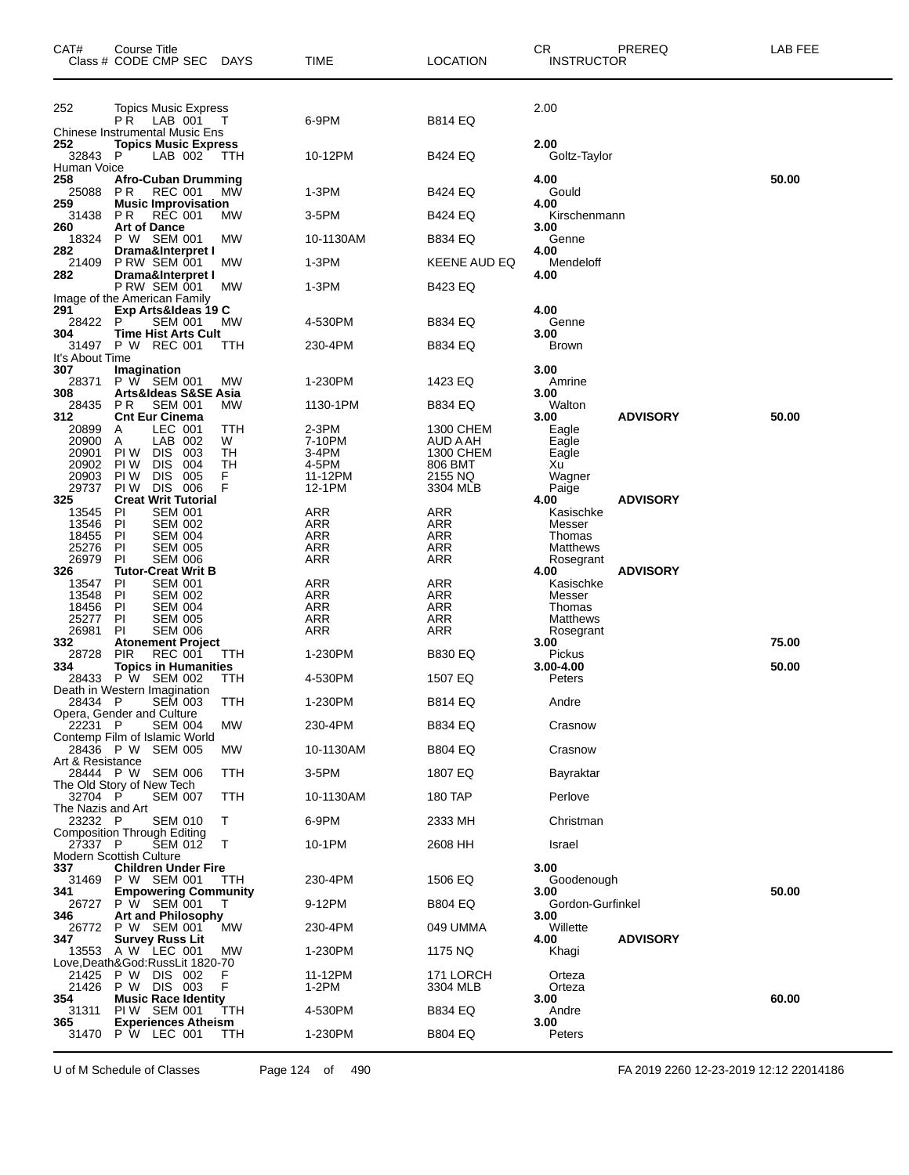| CAT#                         | Course Title<br>Class # CODE CMP SEC                                              | <b>DAYS</b> | TIME                     | <b>LOCATION</b>      | CR.<br>PREREQ<br><b>INSTRUCTOR</b>  | LAB FEE |
|------------------------------|-----------------------------------------------------------------------------------|-------------|--------------------------|----------------------|-------------------------------------|---------|
| 252                          | Topics Music Express<br>P R<br>LAB 001                                            |             | 6-9PM                    | B814 EQ              | 2.00                                |         |
|                              | <b>Chinese Instrumental Music Ens</b>                                             |             |                          |                      |                                     |         |
| 252<br>32843<br>Human Voice  | <b>Topics Music Express</b><br>LAB 002<br>P                                       | TTH         | 10-12PM                  | B424 EQ              | 2.00<br>Goltz-Taylor                |         |
| 258<br>25088<br>259          | <b>Afro-Cuban Drumming</b><br>P R<br><b>REC 001</b><br><b>Music Improvisation</b> | МW          | 1-3PM                    | B424 EQ              | 4.00<br>Gould<br>4.00               | 50.00   |
| 31438                        | P R<br><b>REC 001</b>                                                             | <b>MW</b>   | 3-5PM                    | B424 EQ              | Kirschenmann                        |         |
| 260<br>18324                 | <b>Art of Dance</b><br>P W SEM 001                                                | <b>MW</b>   | 10-1130AM                | B834 EQ              | 3.00<br>Genne                       |         |
| 282<br>21409                 | Drama&Interpret I<br>PRW SEM 001                                                  | MW          | 1-3PM                    | KEENE AUD EQ         | 4.00<br>Mendeloff                   |         |
| 282                          | Drama&Interpret I<br>P RW SEM 001                                                 | MW          | 1-3PM                    | B423 EQ              | 4.00                                |         |
| 291                          | Image of the American Family<br>Exp Arts&Ideas 19 C                               |             |                          |                      | 4.00                                |         |
| 28422<br>304                 | P<br><b>SEM 001</b><br><b>Time Hist Arts Cult</b>                                 | <b>MW</b>   | 4-530PM                  | B834 EQ              | Genne<br>3.00                       |         |
|                              | 31497 P W REC 001                                                                 | ттн         | 230-4PM                  | <b>B834 EQ</b>       | <b>Brown</b>                        |         |
| It's About Time<br>307       | Imagination                                                                       |             |                          |                      | 3.00                                |         |
| 28371<br>308                 | P W SEM 001<br>Arts&Ideas S&SE Asia                                               | MW          | 1-230PM                  | 1423 EQ              | Amrine<br>3.00                      |         |
| 28435                        | <b>SEM 001</b><br>P R                                                             | <b>MW</b>   | 1130-1PM                 | B834 EQ              | Walton                              |         |
| 312<br>20899                 | <b>Cnt Eur Cinema</b><br>LEC 001<br>A                                             | TTH         | 2-3PM                    | 1300 CHEM            | <b>ADVISORY</b><br>3.00<br>Eagle    | 50.00   |
| 20900                        | LAB 002<br>Α                                                                      | W           | 7-10PM                   | AUD A AH             | Eagle                               |         |
| 20901<br>20902               | 003<br>PI W<br><b>DIS</b><br>PI W<br><b>DIS</b><br>004                            | TН<br>TН    | 3-4PM<br>4-5PM           | 1300 CHEM<br>806 BMT | Eagle<br>Xu                         |         |
| 20903                        | PI W<br><b>DIS</b><br>005                                                         | F           | 11-12PM                  | 2155 NQ              | Wagner                              |         |
| 29737<br>325                 | PI W<br><b>DIS 006</b><br><b>Creat Writ Tutorial</b>                              | F           | 12-1PM                   | 3304 MLB             | Paige<br>4.00<br><b>ADVISORY</b>    |         |
| 13545                        | <b>SEM 001</b><br>ΡI                                                              |             | <b>ARR</b>               | <b>ARR</b>           | Kasischke                           |         |
| 13546                        | PI<br><b>SEM 002</b>                                                              |             | <b>ARR</b>               | <b>ARR</b>           | Messer                              |         |
| 18455<br>25276               | ΡI<br><b>SEM 004</b><br><b>SEM 005</b><br>ΡI                                      |             | ARR<br><b>ARR</b>        | ARR<br><b>ARR</b>    | Thomas<br>Matthews                  |         |
| 26979                        | PI<br><b>SEM 006</b>                                                              |             | <b>ARR</b>               | <b>ARR</b>           | Rosegrant                           |         |
| 326                          | <b>Tutor-Creat Writ B</b>                                                         |             |                          |                      | <b>ADVISORY</b><br>4.00             |         |
| 13547<br>13548               | ΡI<br><b>SEM 001</b><br>PI<br><b>SEM 002</b>                                      |             | <b>ARR</b><br><b>ARR</b> | <b>ARR</b><br>ARR    | Kasischke<br>Messer                 |         |
| 18456                        | ΡI<br><b>SEM 004</b>                                                              |             | ARR                      | ARR                  | Thomas                              |         |
| 25277                        | PI<br><b>SEM 005</b>                                                              |             | <b>ARR</b>               | ARR                  | Matthews                            |         |
| 26981<br>332                 | PI<br><b>SEM 006</b><br><b>Atonement Project</b>                                  |             | ARR                      | ARR                  | Rosegrant<br>3.00                   | 75.00   |
| 28728                        | <b>PIR</b><br><b>REC 001</b>                                                      | ттн         | 1-230PM                  | <b>B830 EQ</b>       | Pickus                              |         |
| 334<br>28433                 | <b>Topics in Humanities</b><br>P W SEM 002                                        | TTH         | 4-530PM                  | 1507 EQ              | 3.00-4.00<br>Peters                 | 50.00   |
|                              | Death in Western Imagination                                                      |             |                          |                      |                                     |         |
| 28434 P                      | SEM 003<br>Opera, Gender and Culture                                              | <b>TTH</b>  | 1-230PM                  | <b>B814 EQ</b>       | Andre                               |         |
| 22231 P                      | <b>SEM 004</b><br>Contemp Film of Islamic World                                   | МW          | 230-4PM                  | <b>B834 EQ</b>       | Crasnow                             |         |
| Art & Resistance             | 28436 P W SEM 005                                                                 | МW          | 10-1130AM                | <b>B804 EQ</b>       | Crasnow                             |         |
|                              | 28444 P W SEM 006<br>The Old Story of New Tech                                    | TTH         | 3-5PM                    | 1807 EQ              | Bayraktar                           |         |
| 32704 P                      | <b>SEM 007</b>                                                                    | TTH         | 10-1130AM                | 180 TAP              | Perlove                             |         |
| The Nazis and Art<br>23232 P | <b>SEM 010</b>                                                                    | Τ           | 6-9PM                    | 2333 MH              | Christman                           |         |
| 27337 P                      | <b>Composition Through Editing</b><br>SEM 012                                     | T           | 10-1PM                   | 2608 HH              | Israel                              |         |
| 337                          | <b>Modern Scottish Culture</b><br><b>Children Under Fire</b>                      |             |                          |                      | 3.00                                |         |
| 31469                        | P W SEM 001                                                                       | TTH         | 230-4PM                  | 1506 EQ              | Goodenough                          |         |
| 341                          | <b>Empowering Community</b><br>26727 P W SEM 001                                  | Т           | 9-12PM                   | <b>B804 EQ</b>       | 3.00<br>Gordon-Gurfinkel            | 50.00   |
| 346                          | <b>Art and Philosophy</b>                                                         |             |                          |                      | 3.00                                |         |
| 26772<br>347                 | P W SEM 001<br><b>Survey Russ Lit</b>                                             | MW          | 230-4PM                  | 049 UMMA             | Willette<br>4.00<br><b>ADVISORY</b> |         |
|                              | 13553 A W LEC 001<br>Love,Death&God:RussLit 1820-70                               | МW          | 1-230PM                  | 1175 NQ              | Khagi                               |         |
| 21425                        | P W DIS 002                                                                       | F           | 11-12PM                  | 171 LORCH            | Orteza                              |         |
| 21426<br>354                 | P W DIS 003<br><b>Music Race Identity</b>                                         | F           | 1-2PM                    | 3304 MLB             | Orteza<br>3.00                      | 60.00   |
| 31311                        | PIW SEM 001                                                                       | TTH         | 4-530PM                  | B834 EQ              | Andre                               |         |
| 365<br>31470                 | <b>Experiences Atheism</b><br>P W LEC 001                                         | TTH         | 1-230PM                  | B804 EQ              | 3.00<br>Peters                      |         |
|                              |                                                                                   |             |                          |                      |                                     |         |

U of M Schedule of Classes Page 124 of 490 FA 2019 2260 12-23-2019 12:12 22014186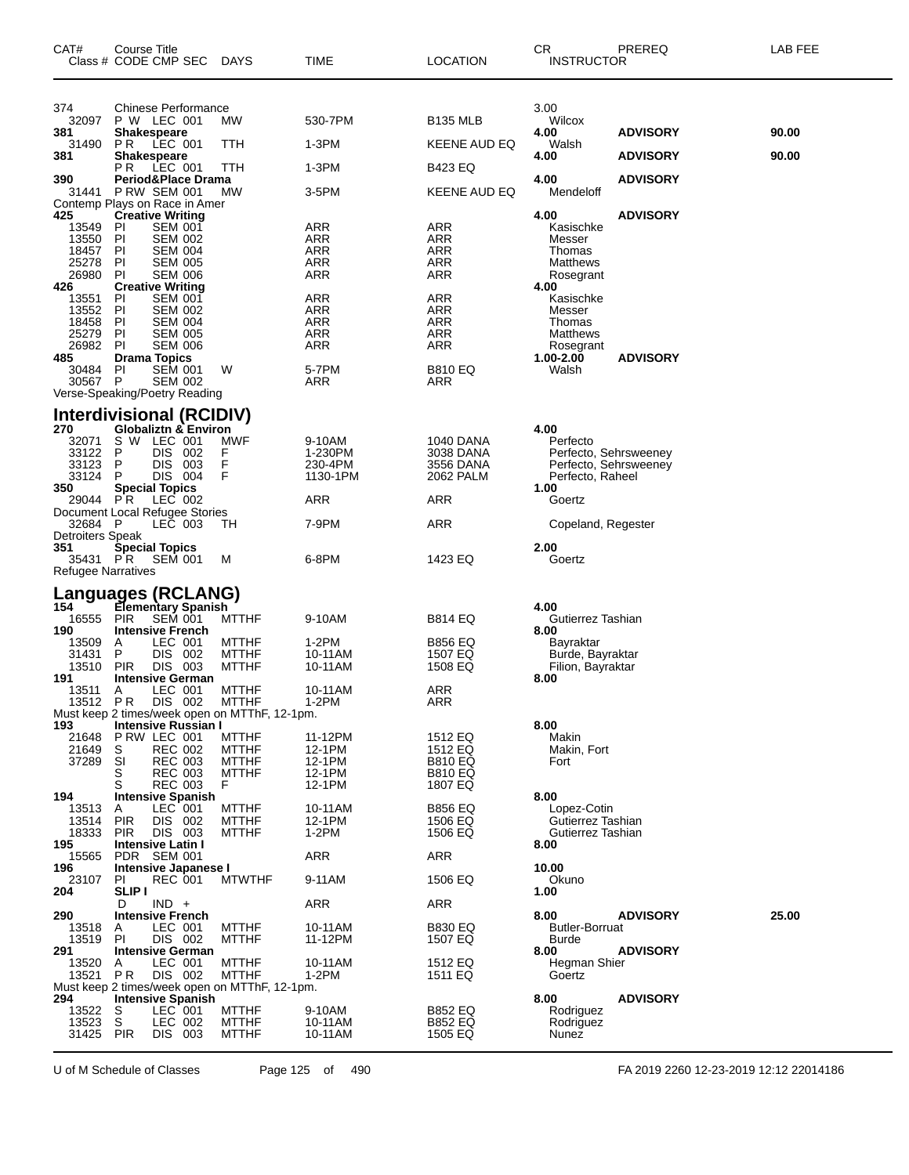| CAT#                                                             | Course Title<br>Class # CODE CMP SEC                                                                                                                                                           | <b>DAYS</b>                                                        | TIME                                                   | <b>LOCATION</b>                                                   | CR<br><b>INSTRUCTOR</b>                                                              | PREREQ          | LAB FEE |
|------------------------------------------------------------------|------------------------------------------------------------------------------------------------------------------------------------------------------------------------------------------------|--------------------------------------------------------------------|--------------------------------------------------------|-------------------------------------------------------------------|--------------------------------------------------------------------------------------|-----------------|---------|
| 374<br>32097<br>381                                              | <b>Chinese Performance</b><br>P W LEC 001<br><b>Shakespeare</b>                                                                                                                                | МW                                                                 | 530-7PM                                                | <b>B135 MLB</b>                                                   | 3.00<br>Wilcox<br>4.00                                                               | <b>ADVISORY</b> | 90.00   |
| 31490                                                            | PR.<br>LEC 001                                                                                                                                                                                 | TTH                                                                | 1-3PM                                                  | KEENE AUD EQ                                                      | Walsh                                                                                |                 |         |
| 381                                                              | <b>Shakespeare</b><br>LEC 001<br>P R .                                                                                                                                                         | TTH                                                                | 1-3PM                                                  | B423 EQ                                                           | 4.00                                                                                 | <b>ADVISORY</b> | 90.00   |
| 390<br>31441                                                     | Period&Place Drama<br><b>P RW SEM 001</b>                                                                                                                                                      | МW                                                                 | 3-5PM                                                  | KEENE AUD EQ                                                      | 4.00<br>Mendeloff                                                                    | <b>ADVISORY</b> |         |
| 425                                                              | Contemp Plays on Race in Amer<br><b>Creative Writing</b>                                                                                                                                       |                                                                    |                                                        |                                                                   | 4.00                                                                                 | <b>ADVISORY</b> |         |
| 13549<br>13550<br>18457<br>25278<br>26980                        | <b>SEM 001</b><br><b>PI</b><br>PI<br><b>SEM 002</b><br>PI<br><b>SEM 004</b><br><b>SEM 005</b><br>PI<br>PI<br><b>SEM 006</b>                                                                    |                                                                    | ARR<br>ARR<br><b>ARR</b><br>ARR<br>ARR                 | ARR<br>ARR<br>ARR<br>ARR<br>ARR                                   | Kasischke<br>Messer<br>Thomas<br>Matthews<br>Rosegrant                               |                 |         |
| 426<br>13551<br>13552<br>18458<br>25279<br>26982<br>485<br>30484 | <b>Creative Writing</b><br>PI<br><b>SEM 001</b><br>PI<br><b>SEM 002</b><br>PI<br><b>SEM 004</b><br>PI<br><b>SEM 005</b><br>PI<br><b>SEM 006</b><br><b>Drama Topics</b><br>PI<br><b>SEM 001</b> | W                                                                  | ARR<br><b>ARR</b><br><b>ARR</b><br>ARR<br>ARR<br>5-7PM | ARR<br>ARR<br>ARR<br>ARR<br>ARR<br>B810 EQ                        | 4.00<br>Kasischke<br>Messer<br>Thomas<br>Matthews<br>Rosegrant<br>1.00-2.00<br>Walsh | <b>ADVISORY</b> |         |
| 30567 P                                                          | <b>SEM 002</b>                                                                                                                                                                                 |                                                                    | ARR                                                    | ARR                                                               |                                                                                      |                 |         |
| 270                                                              | Verse-Speaking/Poetry Reading<br><b>Interdivisional (RCIDIV)</b><br>Globaliztn & Environ                                                                                                       |                                                                    |                                                        |                                                                   | 4.00                                                                                 |                 |         |
| 32071<br>33122                                                   | S W LEC 001<br>P<br>DIS.<br>-002                                                                                                                                                               | <b>MWF</b><br>F                                                    | 9-10AM<br>1-230PM                                      | <b>1040 DANA</b><br>3038 DANA                                     | Perfecto<br>Perfecto, Sehrsweeney                                                    |                 |         |
| 33123<br>33124                                                   | P<br><b>DIS</b><br>003<br>DIS 004<br>P                                                                                                                                                         | F<br>F                                                             | 230-4PM<br>1130-1PM                                    | 3556 DANA<br>2062 PALM                                            | Perfecto, Sehrsweeney<br>Perfecto, Raheel                                            |                 |         |
| 350<br>29044 PR                                                  | <b>Special Topics</b><br>LEC 002                                                                                                                                                               |                                                                    | ARR                                                    | ARR                                                               | 1.00<br>Goertz                                                                       |                 |         |
| 32684 P                                                          | Document Local Refugee Stories<br>LEC 003                                                                                                                                                      | ТH                                                                 | 7-9PM                                                  | ARR                                                               | Copeland, Regester                                                                   |                 |         |
| Detroiters Speak<br>351<br>35431 PR<br>Refugee Narratives        | <b>Special Topics</b><br><b>SEM 001</b>                                                                                                                                                        | M                                                                  | 6-8PM                                                  | 1423 EQ                                                           | 2.00<br>Goertz                                                                       |                 |         |
|                                                                  | Languages (RCLANG)                                                                                                                                                                             |                                                                    |                                                        |                                                                   |                                                                                      |                 |         |
| 154<br>16555                                                     | Elementary Spanish<br>SEM 001<br><b>PIR</b>                                                                                                                                                    | <b>MTTHF</b>                                                       | 9-10AM                                                 | B814 EQ                                                           | 4.00<br>Gutierrez Tashian                                                            |                 |         |
| 190<br>13509<br>31431<br>13510                                   | <b>Intensive French</b><br>LEC 001<br>Α<br>P<br><b>DIS</b><br>002<br><b>PIR</b><br>DIS 003                                                                                                     | <b>MTTHF</b><br><b>MTTHF</b><br><b>MTTHF</b>                       | 1-2PM<br>10-11AM<br>10-11AM                            | B856 EQ<br>1507 EQ<br>1508 EQ                                     | 8.00<br>Bayraktar<br>Burde, Bayraktar<br>Filion, Bayraktar                           |                 |         |
| 191<br>13511                                                     | <b>Intensive German</b><br>LEC 001<br>A<br>13512 PR DIS 002 MTTHF<br>Must keep 2 times/week open on MTThF, 12-1pm.                                                                             | <b>MTTHF</b>                                                       | 10-11AM<br>1-2PM                                       | ARR<br>ARR                                                        | 8.00                                                                                 |                 |         |
| 193                                                              | Intensive Russian I                                                                                                                                                                            |                                                                    |                                                        |                                                                   | 8.00                                                                                 |                 |         |
| 21649<br>37289                                                   | 21648 P RW LEC 001<br><b>REC 002</b><br>S<br>SI<br><b>REC 003</b><br>S<br><b>REC 003</b><br>S<br><b>REC 003</b><br><b>Intensive Spanish</b>                                                    | <b>MTTHF</b><br><b>MTTHF</b><br><b>MTTHF</b><br><b>MTTHF</b><br>F. | 11-12PM<br>12-1PM<br>12-1PM<br>12-1PM<br>12-1PM        | 1512 EQ<br>1512 EQ<br><b>B810 EQ</b><br><b>B810 EQ</b><br>1807 EQ | Makin<br>Makin, Fort<br>Fort                                                         |                 |         |
| 194<br>13513<br>13514 PIR<br>18333<br>195                        | LEC 001<br>A<br>DIS 002<br>DIS 003<br><b>PIR</b><br><b>Intensive Latin I</b>                                                                                                                   | <b>MTTHF</b><br><b>MTTHF</b><br><b>MTTHF</b>                       | 10-11AM<br>12-1PM<br>$1-2PM$                           | <b>B856 EQ</b><br>1506 EQ<br>1506 EQ                              | 8.00<br>Lopez-Cotin<br>Gutierrez Tashian<br>Gutierrez Tashian<br>8.00                |                 |         |
| 15565                                                            | PDR SEM 001                                                                                                                                                                                    |                                                                    | <b>ARR</b>                                             | ARR                                                               |                                                                                      |                 |         |
| 196<br>23107                                                     | Intensive Japanese I<br>PI<br><b>REC 001</b>                                                                                                                                                   | <b>MTWTHF</b>                                                      | 9-11AM                                                 | 1506 EQ                                                           | 10.00<br>Okuno                                                                       |                 |         |
| 204                                                              | <b>SLIP I</b><br>$IND +$<br>D                                                                                                                                                                  |                                                                    | ARR                                                    | ARR                                                               | 1.00                                                                                 |                 |         |
| 290<br>13518<br>13519                                            | <b>Intensive French</b><br>LEC 001<br>A<br>DIS 002<br>PI                                                                                                                                       | <b>MTTHF</b><br><b>MTTHF</b>                                       | 10-11AM<br>11-12PM                                     | <b>B830 EQ</b><br>1507 EQ                                         | 8.00<br><b>Butler-Borruat</b><br>Burde                                               | <b>ADVISORY</b> | 25.00   |
| 291<br>13520                                                     | <b>Intensive German</b><br>LEC 001<br>A                                                                                                                                                        | <b>MTTHF</b>                                                       | 10-11AM                                                | 1512 EQ                                                           | 8.00<br>Hegman Shier                                                                 | <b>ADVISORY</b> |         |
| 13521 PR                                                         | DIS 002<br>Must keep 2 times/week open on MTThF, 12-1pm.                                                                                                                                       | <b>MTTHF</b>                                                       | $1-2PM$                                                | 1511 EQ                                                           | Goertz                                                                               |                 |         |
| 294<br>13522<br>13523<br>31425 PIR                               | <b>Intensive Spanish</b><br>LEC 001<br>S<br>$\overline{\mathbf{s}}$<br>LEC 002<br>DIS 003                                                                                                      | <b>MTTHF</b><br><b>MTTHF</b><br><b>MTTHF</b>                       | 9-10AM<br>10-11AM<br>10-11AM                           | <b>B852 EQ</b><br><b>B852 EQ</b><br>1505 EQ                       | 8.00<br>Rodriguez<br>Rodriguez<br>Nunez                                              | <b>ADVISORY</b> |         |

U of M Schedule of Classes Page 125 of 490 FA 2019 2260 12-23-2019 12:12 22014186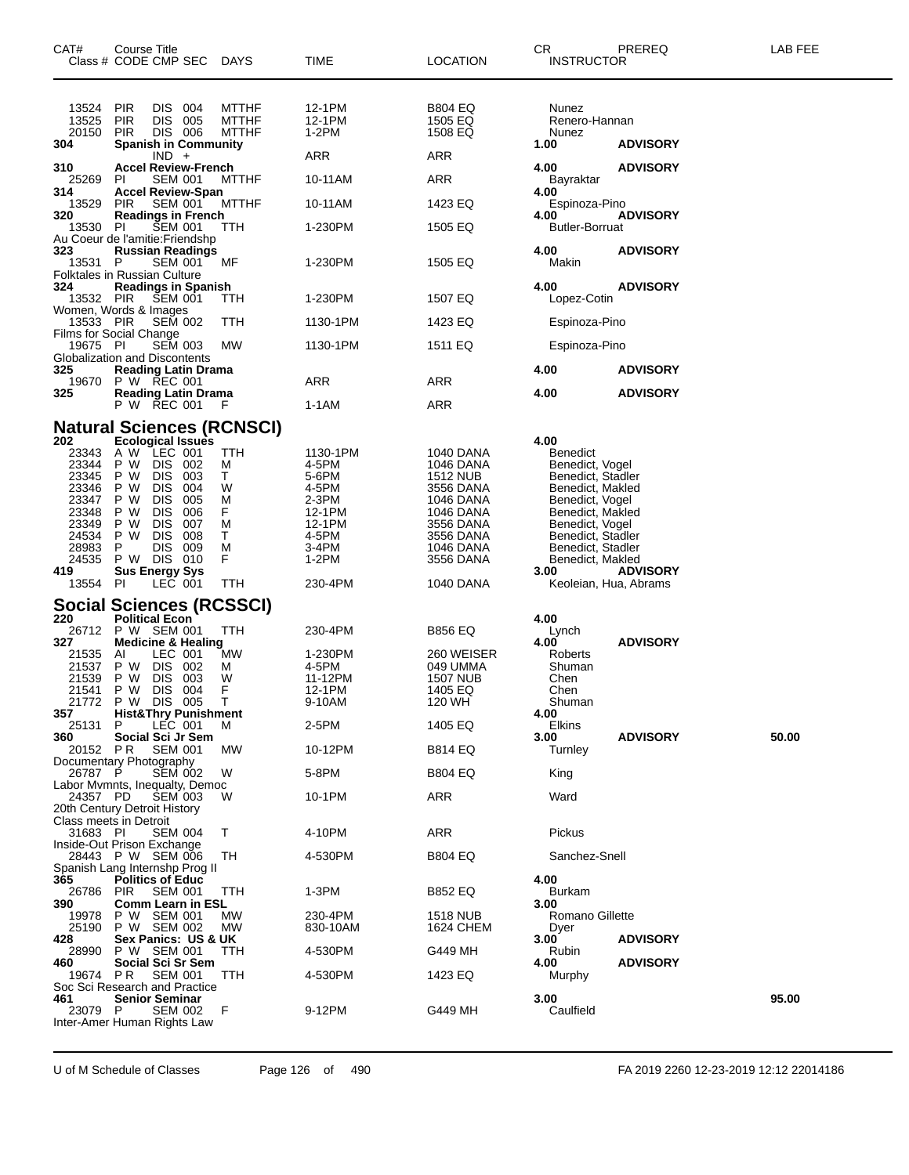| CAT#                                                                                                             | Course Title<br>Class # CODE CMP SEC DAYS                                                                                                                                                                                                                                                                |                                                                 | <b>TIME</b>                                                                                            | <b>LOCATION</b>                                                                                                                            | CR<br><b>INSTRUCTOR</b>                                                                                                                                                                                                                      | PREREQ          | LAB FEE |
|------------------------------------------------------------------------------------------------------------------|----------------------------------------------------------------------------------------------------------------------------------------------------------------------------------------------------------------------------------------------------------------------------------------------------------|-----------------------------------------------------------------|--------------------------------------------------------------------------------------------------------|--------------------------------------------------------------------------------------------------------------------------------------------|----------------------------------------------------------------------------------------------------------------------------------------------------------------------------------------------------------------------------------------------|-----------------|---------|
| 13524<br>13525<br>20150<br>304                                                                                   | <b>PIR</b><br>DIS 004<br><b>PIR</b><br>DIS 005<br>DIS 006<br><b>PIR</b><br><b>Spanish in Community</b>                                                                                                                                                                                                   | <b>MTTHF</b><br><b>MTTHF</b><br><b>MTTHF</b>                    | 12-1PM<br>12-1PM<br>$1-2PM$                                                                            | <b>B804 EQ</b><br>1505 EQ<br>1508 EQ<br>ARR                                                                                                | Nunez<br>Renero-Hannan<br>Nunez<br>1.00                                                                                                                                                                                                      | <b>ADVISORY</b> |         |
| 310                                                                                                              | $IND +$<br><b>Accel Review-French</b>                                                                                                                                                                                                                                                                    |                                                                 | ARR                                                                                                    |                                                                                                                                            | 4.00                                                                                                                                                                                                                                         | <b>ADVISORY</b> |         |
| 25269<br>314                                                                                                     | <b>SEM 001</b><br>-PI<br><b>Accel Review-Span</b>                                                                                                                                                                                                                                                        | <b>MTTHF</b>                                                    | 10-11AM                                                                                                | ARR                                                                                                                                        | Bayraktar<br>4.00                                                                                                                                                                                                                            |                 |         |
| 13529<br>320                                                                                                     | <b>PIR</b><br><b>SEM 001</b><br><b>Readings in French</b>                                                                                                                                                                                                                                                | <b>MTTHF</b>                                                    | 10-11AM                                                                                                | 1423 EQ                                                                                                                                    | Espinoza-Pino<br>4.00                                                                                                                                                                                                                        | <b>ADVISORY</b> |         |
| 13530                                                                                                            | PI<br><b>SEM 001</b><br>Au Coeur de l'amitie: Friendshp                                                                                                                                                                                                                                                  | <b>TTH</b>                                                      | 1-230PM                                                                                                | 1505 EQ                                                                                                                                    | <b>Butler-Borruat</b>                                                                                                                                                                                                                        |                 |         |
| 323<br>13531 P                                                                                                   | <b>Russian Readings</b><br><b>SEM 001</b><br><b>Folktales in Russian Culture</b>                                                                                                                                                                                                                         | МF                                                              | 1-230PM                                                                                                | 1505 EQ                                                                                                                                    | 4.00<br>Makin                                                                                                                                                                                                                                | <b>ADVISORY</b> |         |
| 324<br>13532 PIR                                                                                                 | <b>Readings in Spanish</b><br><b>SEM 001</b><br>Women, Words & Images                                                                                                                                                                                                                                    | TTH                                                             | 1-230PM                                                                                                | 1507 EQ                                                                                                                                    | 4.00<br>Lopez-Cotin                                                                                                                                                                                                                          | <b>ADVISORY</b> |         |
| 13533 PIR                                                                                                        | <b>SEM 002</b>                                                                                                                                                                                                                                                                                           | ттн                                                             | 1130-1PM                                                                                               | 1423 EQ                                                                                                                                    | Espinoza-Pino                                                                                                                                                                                                                                |                 |         |
| 19675 PI                                                                                                         | Films for Social Change<br><b>SEM 003</b><br>Globalization and Discontents                                                                                                                                                                                                                               | MW                                                              | 1130-1PM                                                                                               | 1511 EQ                                                                                                                                    | Espinoza-Pino                                                                                                                                                                                                                                |                 |         |
| 325<br>19670                                                                                                     | <b>Reading Latin Drama</b><br>P W REC 001                                                                                                                                                                                                                                                                |                                                                 | ARR                                                                                                    | ARR                                                                                                                                        | 4.00                                                                                                                                                                                                                                         | <b>ADVISORY</b> |         |
| 325                                                                                                              | <b>Reading Latin Drama</b><br>P W REC 001 F                                                                                                                                                                                                                                                              |                                                                 | $1-1AM$                                                                                                | ARR                                                                                                                                        | 4.00                                                                                                                                                                                                                                         | <b>ADVISORY</b> |         |
|                                                                                                                  | <b>Natural Sciences (RCNSCI)</b>                                                                                                                                                                                                                                                                         |                                                                 |                                                                                                        |                                                                                                                                            |                                                                                                                                                                                                                                              |                 |         |
| 202<br>23343<br>23344<br>23345<br>23346<br>23347<br>23348<br>23349<br>24534<br>28983<br>24535<br>419<br>13554 PI | <b>Ecological Issues</b><br>A W LEC 001<br>P W<br>DIS 002<br>P W<br><b>DIS</b><br>003<br><b>DIS</b><br>004<br>P W<br><b>DIS</b><br>005<br>P W<br><b>DIS</b><br>006<br>P W<br><b>DIS</b><br>007<br>P W<br>P W<br><b>DIS</b><br>008<br>P<br>DIS.<br>009<br>P W DIS 010<br><b>Sus Energy Sys</b><br>LEC 001 | <b>TTH</b><br>М<br>Τ<br>W<br>м<br>F.<br>м<br>Т<br>М<br>F<br>TTH | 1130-1PM<br>4-5PM<br>5-6PM<br>4-5PM<br>2-3PM<br>12-1PM<br>12-1PM<br>4-5PM<br>3-4PM<br>1-2PM<br>230-4PM | 1040 DANA<br>1046 DANA<br>1512 NUB<br>3556 DANA<br>1046 DANA<br>1046 DANA<br>3556 DANA<br>3556 DANA<br>1046 DANA<br>3556 DANA<br>1040 DANA | 4.00<br><b>Benedict</b><br>Benedict, Vogel<br>Benedict, Stadler<br>Benedict, Makled<br>Benedict, Vogel<br>Benedict, Makled<br>Benedict, Vogel<br>Benedict, Stadler<br>Benedict, Stadler<br>Benedict, Makled<br>3.00<br>Keoleian, Hua, Abrams | <b>ADVISORY</b> |         |
|                                                                                                                  | Social Sciences (RCSSCI)                                                                                                                                                                                                                                                                                 |                                                                 |                                                                                                        |                                                                                                                                            |                                                                                                                                                                                                                                              |                 |         |
| 220<br>327<br>21535<br>21537<br>21539<br>21541<br>357                                                            | <b>Political Econ</b><br>26712 P W SEM 001<br><b>Medicine &amp; Healing</b><br>LEC 001<br>AI<br>DIS 002<br>P W<br>DIS 003<br>P W<br>P W<br><b>DIS</b><br>004<br>21772 P W DIS 005 T<br><b>Hist&amp;Thry Punishment</b>                                                                                   | TTH<br>МW<br>M<br>W<br>F                                        | 230-4PM<br>1-230PM<br>4-5PM<br>11-12PM<br>12-1PM<br>9-10AM                                             | <b>B856 EQ</b><br>260 WEISER<br>049 UMMA<br><b>1507 NUB</b><br>1405 EQ<br>120 WH                                                           | 4.00<br>Lynch<br>4.00<br>Roberts<br>Shuman<br>Chen<br>Chen<br>Shuman<br>4.00                                                                                                                                                                 | <b>ADVISORY</b> |         |
| 25131                                                                                                            | LEC 001<br>P.                                                                                                                                                                                                                                                                                            | M                                                               | 2-5PM                                                                                                  | 1405 EQ                                                                                                                                    | <b>Elkins</b>                                                                                                                                                                                                                                |                 |         |
| 360<br>20152 PR                                                                                                  | Social Sci Jr Sem<br><b>SEM 001</b>                                                                                                                                                                                                                                                                      | МW                                                              | 10-12PM                                                                                                | <b>B814 EQ</b>                                                                                                                             | 3.00<br>Turnley                                                                                                                                                                                                                              | <b>ADVISORY</b> | 50.00   |
| 26787 P                                                                                                          | Documentary Photography<br><b>SEM 002</b>                                                                                                                                                                                                                                                                | W                                                               | 5-8PM                                                                                                  | <b>B804 EQ</b>                                                                                                                             | King                                                                                                                                                                                                                                         |                 |         |
| 24357 PD                                                                                                         | Labor Mvmnts, Inequalty, Democ<br><b>SEM 003</b>                                                                                                                                                                                                                                                         | w                                                               | 10-1PM                                                                                                 | ARR                                                                                                                                        | Ward                                                                                                                                                                                                                                         |                 |         |
|                                                                                                                  | 20th Century Detroit History<br>Class meets in Detroit                                                                                                                                                                                                                                                   |                                                                 |                                                                                                        |                                                                                                                                            |                                                                                                                                                                                                                                              |                 |         |
| 31683 PI                                                                                                         | <b>SEM 004</b><br>Inside-Out Prison Exchange                                                                                                                                                                                                                                                             | T                                                               | 4-10PM                                                                                                 | ARR                                                                                                                                        | Pickus                                                                                                                                                                                                                                       |                 |         |
|                                                                                                                  | 28443 P W SEM 006                                                                                                                                                                                                                                                                                        | TН                                                              | 4-530PM                                                                                                | <b>B804 EQ</b>                                                                                                                             | Sanchez-Snell                                                                                                                                                                                                                                |                 |         |
| 365<br>26786<br>390                                                                                              | Spanish Lang Internshp Prog II<br>Politics of Educ<br><b>PIR</b><br><b>SEM 001</b><br><b>Comm Learn in ESL</b>                                                                                                                                                                                           | TTH                                                             | 1-3PM                                                                                                  | <b>B852 EQ</b>                                                                                                                             | 4.00<br><b>Burkam</b><br>3.00                                                                                                                                                                                                                |                 |         |
| 19978<br>25190                                                                                                   | P W SEM 001<br>P W SEM 002                                                                                                                                                                                                                                                                               | MW<br>МW                                                        | 230-4PM<br>830-10AM                                                                                    | 1518 NUB<br>1624 CHEM                                                                                                                      | Romano Gillette<br>Dyer                                                                                                                                                                                                                      |                 |         |
| 428<br>28990                                                                                                     | Sex Panics: US & UK<br>P W SEM 001                                                                                                                                                                                                                                                                       | TTH                                                             | 4-530PM                                                                                                | G449 MH                                                                                                                                    | 3.00<br>Rubin                                                                                                                                                                                                                                | <b>ADVISORY</b> |         |
| 460<br>19674 PR                                                                                                  | Social Sci Sr Sem<br><b>SEM 001</b>                                                                                                                                                                                                                                                                      | ттн                                                             | 4-530PM                                                                                                | 1423 EQ                                                                                                                                    | 4.00<br>Murphy                                                                                                                                                                                                                               | <b>ADVISORY</b> |         |
| 461<br>23079 P                                                                                                   | Soc Sci Research and Practice<br><b>Senior Seminar</b><br><b>SEM 002</b><br>Inter-Amer Human Rights Law                                                                                                                                                                                                  | F                                                               | 9-12PM                                                                                                 | G449 MH                                                                                                                                    | 3.00<br>Caulfield                                                                                                                                                                                                                            |                 | 95.00   |

U of M Schedule of Classes Page 126 of 490 FA 2019 2260 12-23-2019 12:12 22014186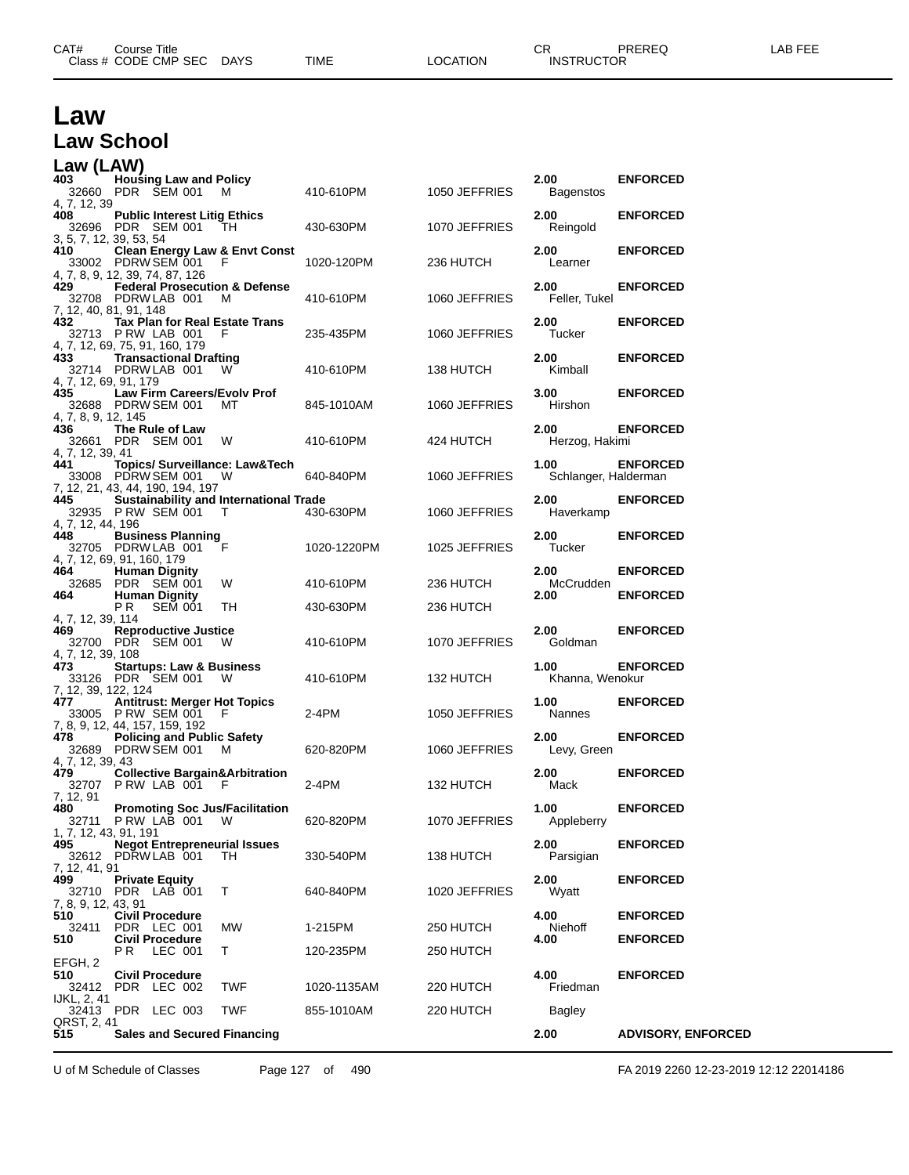| CAT# | Course Title<br>Class # CODE CMP SEC | <b>DAYS</b> | <b>TIME</b> | LOCATION | СR<br><b>INSTRUCTOR</b> | PREREQ | <b>FEE</b><br>ΔP |
|------|--------------------------------------|-------------|-------------|----------|-------------------------|--------|------------------|
|      |                                      |             |             |          |                         |        |                  |

## **Law Law School**

| Law (LAW)                             |                                                                                                         |            |             |               |                              |                                    |
|---------------------------------------|---------------------------------------------------------------------------------------------------------|------------|-------------|---------------|------------------------------|------------------------------------|
| 403                                   | <b>Housing Law and Policy</b><br>32660 PDR SEM 001                                                      | M          | 410-610PM   | 1050 JEFFRIES | 2.00<br>Bagenstos            | <b>ENFORCED</b>                    |
| 4, 7, 12, 39<br>408                   | <b>Public Interest Litig Ethics</b><br>32696 PDR SEM 001                                                | TH.        | 430-630PM   | 1070 JEFFRIES | 2.00<br>Reingold             | <b>ENFORCED</b>                    |
| 3, 5, 7, 12, 39, 53, 54<br>410        | <b>Clean Energy Law &amp; Envt Const</b><br>33002 PDRW SEM 001                                          | - F        | 1020-120PM  | 236 HUTCH     | 2.00<br>Learner              | <b>ENFORCED</b>                    |
| 429                                   | 4, 7, 8, 9, 12, 39, 74, 87, 126<br><b>Federal Prosecution &amp; Defense</b><br>32708 PDRW LAB 001       | м          | 410-610PM   | 1060 JEFFRIES | 2.00<br>Feller, Tukel        | <b>ENFORCED</b>                    |
| 7, 12, 40, 81, 91, 148<br>432         | <b>Tax Plan for Real Estate Trans</b><br>32713 PRW LAB 001                                              | F          | 235-435PM   | 1060 JEFFRIES | 2.00<br>Tucker               | <b>ENFORCED</b>                    |
| 433                                   | 4, 7, 12, 69, 75, 91, 160, 179<br><b>Transactional Drafting</b><br>32714 PDRW LAB 001                   | W          | 410-610PM   | 138 HUTCH     | 2.00<br>Kimball              | <b>ENFORCED</b>                    |
| 4, 7, 12, 69, 91, 179<br>435          | Law Firm Careers/Evolv Prof<br>32688 PDRW SEM 001                                                       | MТ         | 845-1010AM  | 1060 JEFFRIES | 3.00<br>Hirshon              | <b>ENFORCED</b>                    |
| 4, 7, 8, 9, 12, 145<br>436            | The Rule of Law<br>32661 PDR SEM 001                                                                    | W          | 410-610PM   | 424 HUTCH     | 2.00<br>Herzog, Hakimi       | <b>ENFORCED</b>                    |
| 4, 7, 12, 39, 41<br>441               | Topics/ Surveillance: Law&Tech<br>33008 PDRW SEM 001                                                    | - W        | 640-840PM   | 1060 JEFFRIES | 1.00<br>Schlanger, Halderman | <b>ENFORCED</b>                    |
| 445                                   | 7, 12, 21, 43, 44, 190, 194, 197<br><b>Sustainability and International Trade</b><br>32935 P RW SEM 001 | T          | 430-630PM   | 1060 JEFFRIES | 2.00<br>Haverkamp            | <b>ENFORCED</b>                    |
| 4, 7, 12, 44, 196<br>448              | <b>Business Planning</b><br>32705 PDRW LAB 001                                                          | F          | 1020-1220PM | 1025 JEFFRIES | 2.00<br>Tucker               | <b>ENFORCED</b>                    |
| 464                                   | 4, 7, 12, 69, 91, 160, 179<br><b>Human Dignity</b><br>32685 PDR SEM 001                                 | W          | 410-610PM   | 236 HUTCH     | 2.00<br>McCrudden            | <b>ENFORCED</b>                    |
| 464<br>4, 7, 12, 39, 114              | <b>Human Dignity</b><br>РR<br><b>SEM 001</b>                                                            | TH         | 430-630PM   | 236 HUTCH     | 2.00                         | <b>ENFORCED</b>                    |
| 469<br>4, 7, 12, 39, 108              | <b>Reproductive Justice</b><br>32700 PDR SEM 001                                                        | - W        | 410-610PM   | 1070 JEFFRIES | 2.00<br>Goldman              | <b>ENFORCED</b>                    |
| 473<br>7, 12, 39, 122, 124            | <b>Startups: Law &amp; Business</b><br>33126 PDR SEM 001                                                | W          | 410-610PM   | 132 HUTCH     | 1.00<br>Khanna, Wenokur      | <b>ENFORCED</b>                    |
| 477                                   | <b>Antitrust: Merger Hot Topics</b><br>33005 PRW SEM 001<br>7, 8, 9, 12, 44, 157, 159, 192              | F          | 2-4PM       | 1050 JEFFRIES | 1.00<br><b>Nannes</b>        | <b>ENFORCED</b>                    |
| 478<br>4, 7, 12, 39, 43               | <b>Policing and Public Safety</b><br>32689 PDRW SEM 001                                                 | M          | 620-820PM   | 1060 JEFFRIES | 2.00<br>Levy, Green          | <b>ENFORCED</b>                    |
| 479<br>7, 12, 91                      | <b>Collective Bargain&amp;Arbitration</b><br>32707 PRW LAB 001                                          | - F        | 2-4PM       | 132 HUTCH     | 2.00<br>Mack                 | <b>ENFORCED</b>                    |
| 480<br>32711<br>1, 7, 12, 43, 91, 191 | <b>Promoting Soc Jus/Facilitation</b><br>PRW LAB 001 W                                                  |            | 620-820PM   | 1070 JEFFRIES | 1.00<br>Appleberry           | <b>ENFORCED</b>                    |
| 495<br>7, 12, 41, 91                  | <b>Negot Entrepreneurial Issues</b><br>32612 PDRW LAB 001                                               | TH.        | 330-540PM   | 138 HUTCH     | 2.00<br>Parsigian            | <b>ENFORCED</b>                    |
| 499<br>7, 8, 9, 12, 43, 91            | <b>Private Equity</b><br>32710 PDR LAB 001                                                              | Τ          | 640-840PM   | 1020 JEFFRIES | 2.00<br>Wyatt                | <b>ENFORCED</b>                    |
| 510<br>32411<br>510                   | <b>Civil Procedure</b><br>PDR LEC 001<br><b>Civil Procedure</b>                                         | МW         | 1-215PM     | 250 HUTCH     | 4.00<br>Niehoff<br>4.00      | <b>ENFORCED</b><br><b>ENFORCED</b> |
| EFGH. 2                               | LEC 001<br>РR                                                                                           | T.         | 120-235PM   | 250 HUTCH     |                              |                                    |
| 510<br>IJKL, 2, 41                    | <b>Civil Procedure</b><br>32412 PDR LEC 002                                                             | <b>TWF</b> | 1020-1135AM | 220 HUTCH     | 4.00<br>Friedman             | <b>ENFORCED</b>                    |
| QRST, 2, 41                           | 32413 PDR LEC 003                                                                                       | <b>TWF</b> | 855-1010AM  | 220 HUTCH     | <b>Bagley</b>                |                                    |
| 515                                   | <b>Sales and Secured Financing</b>                                                                      |            |             |               | 2.00                         | <b>ADVISORY, ENFORCED</b>          |

U of M Schedule of Classes Page 127 of 490 FA 2019 2260 12-23-2019 12:12 22014186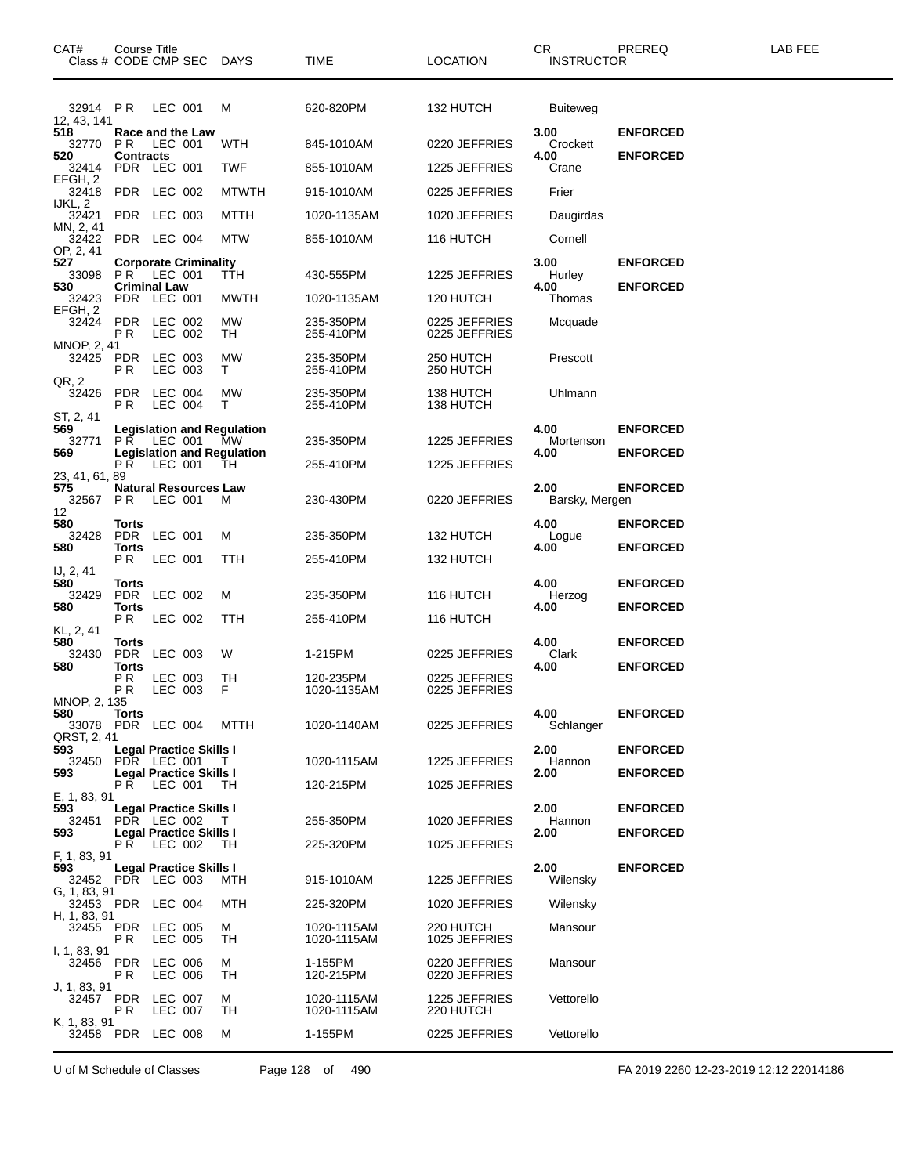| CAT#<br>Class # CODE CMP SEC DAYS        | Course Title                          |                    |                                |                                         | TIME                       | <b>LOCATION</b>                | CR.<br><b>INSTRUCTOR</b> | PREREQ          | LAB FEE |
|------------------------------------------|---------------------------------------|--------------------|--------------------------------|-----------------------------------------|----------------------------|--------------------------------|--------------------------|-----------------|---------|
| 32914 PR<br>12, 43, 141                  |                                       | LEC 001            |                                | м                                       | 620-820PM                  | 132 HUTCH                      | <b>Buiteweg</b>          |                 |         |
| 518<br>32770                             | Race and the Law<br><b>PR LEC 001</b> |                    |                                | WTH                                     | 845-1010AM                 | 0220 JEFFRIES                  | 3.00<br>Crockett         | <b>ENFORCED</b> |         |
| 520<br>32414                             | <b>Contracts</b><br>PDR LEC 001       |                    |                                | <b>TWF</b>                              | 855-1010AM                 | 1225 JEFFRIES                  | 4.00<br>Crane            | <b>ENFORCED</b> |         |
| EFGH, 2<br>32418 PDR LEC 002             |                                       |                    |                                | <b>MTWTH</b>                            | 915-1010AM                 | 0225 JEFFRIES                  | Frier                    |                 |         |
| IJKL, 2<br>32421                         | PDR LEC 003                           |                    |                                | MTTH                                    | 1020-1135AM                | 1020 JEFFRIES                  | Daugirdas                |                 |         |
| MN, 2, 41<br>32422                       | PDR LEC 004                           |                    |                                | <b>MTW</b>                              | 855-1010AM                 | 116 HUTCH                      | Cornell                  |                 |         |
| OP, 2, 41<br>527<br>33098                | PR.                                   | LEC 001            | <b>Corporate Criminality</b>   | TTH                                     | 430-555PM                  | 1225 JEFFRIES                  | 3.00<br>Hurley           | <b>ENFORCED</b> |         |
| 530<br>32423                             | <b>Criminal Law</b><br>PDR LEC 001    |                    |                                | <b>MWTH</b>                             | 1020-1135AM                | 120 HUTCH                      | 4.00<br>Thomas           | <b>ENFORCED</b> |         |
| EFGH, 2<br>32424                         | <b>PDR</b>                            | LEC 002            |                                | МW                                      | 235-350PM                  | 0225 JEFFRIES                  | Mcquade                  |                 |         |
| MNOP, 2, 41                              | P R                                   | LEC 002            |                                | TH                                      | 255-410PM                  | 0225 JEFFRIES                  |                          |                 |         |
| 32425<br>QR, 2                           | PDR<br>P R                            | LEC 003<br>LEC 003 |                                | МW<br>т                                 | 235-350PM<br>255-410PM     | 250 HUTCH<br>250 HUTCH         | Prescott                 |                 |         |
| 32426<br>ST, 2, 41                       | <b>PDR</b><br>P R                     | LEC 004<br>LEC 004 |                                | МW<br>т                                 | 235-350PM<br>255-410PM     | 138 HUTCH<br>138 HUTCH         | Uhlmann                  |                 |         |
| 569<br>32771                             | PR.                                   | LEC 001            |                                | <b>Legislation and Regulation</b><br>МW | 235-350PM                  | 1225 JEFFRIES                  | 4.00<br>Mortenson        | <b>ENFORCED</b> |         |
| 569                                      | PR.                                   | LEC 001            |                                | <b>Legislation and Regulation</b><br>TH | 255-410PM                  | 1225 JEFFRIES                  | 4.00                     | <b>ENFORCED</b> |         |
| 23, 41, 61, 89<br>575<br>32567 PR        |                                       | LEC 001            | <b>Natural Resources Law</b>   | м                                       | 230-430PM                  | 0220 JEFFRIES                  | 2.00<br>Barsky, Mergen   | <b>ENFORCED</b> |         |
| 12<br>580                                | Torts                                 |                    |                                |                                         |                            |                                | 4.00                     | <b>ENFORCED</b> |         |
| 32428<br>580                             | PDR<br>Torts                          | LEC 001            |                                | м                                       | 235-350PM                  | 132 HUTCH                      | Logue<br>4.00            | <b>ENFORCED</b> |         |
|                                          | PR.                                   | LEC 001            |                                | TTH                                     | 255-410PM                  | 132 HUTCH                      |                          |                 |         |
| IJ, 2, 41<br>580                         | Torts                                 |                    |                                |                                         |                            |                                | 4.00                     | <b>ENFORCED</b> |         |
| 32429<br>580                             | PDR LEC 002<br>Torts                  |                    |                                | м                                       | 235-350PM                  | 116 HUTCH                      | Herzog<br>4.00           | <b>ENFORCED</b> |         |
| KL, 2, 41                                | PR.                                   | LEC 002            |                                | TTH                                     | 255-410PM                  | 116 HUTCH                      |                          |                 |         |
| 580<br>32430                             | Torts<br><b>PDR</b>                   | LEC 003            |                                | W                                       | 1-215PM                    | 0225 JEFFRIES                  | 4.00<br>Clark            | <b>ENFORCED</b> |         |
| 580                                      | Torts<br>P R<br>P R                   | LEC 003<br>LEC 003 |                                | TН<br>F                                 | 120-235PM<br>1020-1135AM   | 0225 JEFFRIES<br>0225 JEFFRIES | 4.00                     | <b>ENFORCED</b> |         |
| MNOP, 2, 135<br>580<br>33078 PDR LEC 004 | <b>Torts</b>                          |                    |                                | MTTH                                    | 1020-1140AM                | 0225 JEFFRIES                  | 4.00<br>Schlanger        | <b>ENFORCED</b> |         |
| QRST, 2, 41<br>593                       | <b>Legal Practice Skills I</b>        |                    |                                |                                         |                            |                                | 2.00                     | <b>ENFORCED</b> |         |
| 32450 PDR LEC 001<br>593                 | Legal Practice Skills I               |                    |                                | T.                                      | 1020-1115AM                | 1225 JEFFRIES                  | Hannon<br>2.00           | <b>ENFORCED</b> |         |
| E, 1, 83, 91                             | PR.                                   | LEC 001            |                                | TH                                      | 120-215PM                  | 1025 JEFFRIES                  |                          |                 |         |
| 593<br>32451                             | PDR LEC 002                           |                    | Legal Practice Skills I        | T.                                      | 255-350PM                  | 1020 JEFFRIES                  | 2.00<br>Hannon           | <b>ENFORCED</b> |         |
| 593                                      | PŔ.                                   | LEC 002            | <b>Legal Practice Skills I</b> | TН                                      | 225-320PM                  | 1025 JEFFRIES                  | 2.00                     | <b>ENFORCED</b> |         |
| F, 1, 83, 91<br>593<br>32452 PDR LEC 003 | Legal Practice Skills I               |                    |                                | MTH                                     | 915-1010AM                 | 1225 JEFFRIES                  | 2.00<br>Wilensky         | <b>ENFORCED</b> |         |
| G, 1, 83, 91<br>32453 PDR LEC 004        |                                       |                    |                                | MTH                                     | 225-320PM                  | 1020 JEFFRIES                  | Wilensky                 |                 |         |
| H, 1, 83, 91<br>32455 PDR LEC 005        | P R                                   | LEC 005            |                                | М<br>TН                                 | 1020-1115AM<br>1020-1115AM | 220 HUTCH<br>1025 JEFFRIES     | Mansour                  |                 |         |
| I, 1, 83, 91<br>32456                    | PDR<br>P R                            | LEC 006<br>LEC 006 |                                | м<br>TH                                 | 1-155PM<br>120-215PM       | 0220 JEFFRIES<br>0220 JEFFRIES | Mansour                  |                 |         |
| J, 1, 83, 91<br>32457 PDR LEC 007        | PR.                                   | LEC 007            |                                | м<br>TН                                 | 1020-1115AM<br>1020-1115AM | 1225 JEFFRIES<br>220 HUTCH     | Vettorello               |                 |         |
| K, 1, 83, 91<br>32458 PDR LEC 008        |                                       |                    |                                | м                                       | 1-155PM                    | 0225 JEFFRIES                  | Vettorello               |                 |         |

U of M Schedule of Classes Page 128 of 490 FA 2019 2260 12-23-2019 12:12 22014186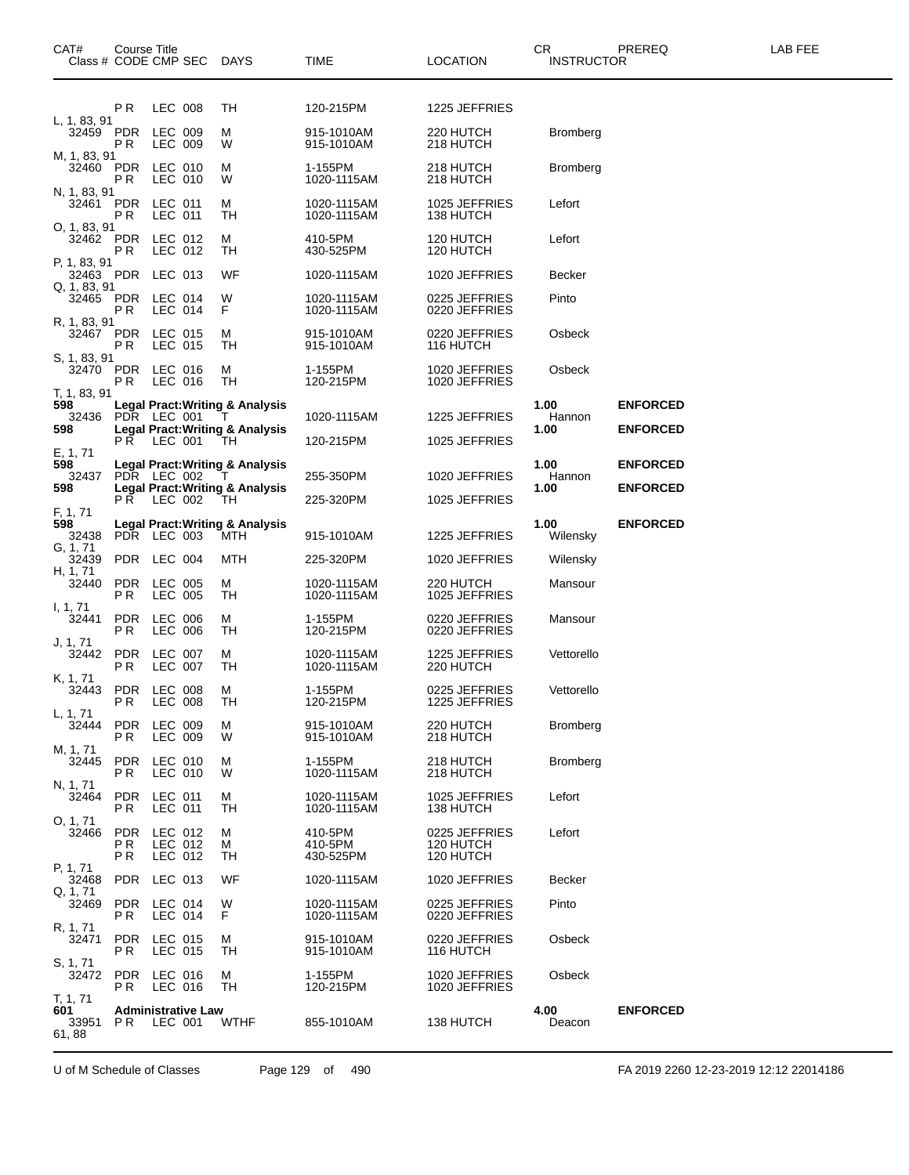| CAT#<br>Class # CODE CMP SEC              | Course Title             |                               |                           | DAYS                                                                                          | TIME                            | <b>LOCATION</b>                         | CR<br><b>INSTRUCTOR</b> | PREREQ                             | LAB FEE |
|-------------------------------------------|--------------------------|-------------------------------|---------------------------|-----------------------------------------------------------------------------------------------|---------------------------------|-----------------------------------------|-------------------------|------------------------------------|---------|
|                                           | РR                       | LEC 008                       |                           | TH                                                                                            | 120-215PM                       | 1225 JEFFRIES                           |                         |                                    |         |
| L, 1, 83, 91<br>32459 PDR                 | P R                      | LEC 009<br>LEC 009            |                           | м<br>W                                                                                        | 915-1010AM<br>915-1010AM        | 220 HUTCH<br>218 HUTCH                  | <b>Bromberg</b>         |                                    |         |
| M, 1, 83, 91<br>32460 PDR                 | РR                       | LEC 010<br>LEC 010            |                           | м<br>W                                                                                        | 1-155PM<br>1020-1115AM          | 218 HUTCH<br>218 HUTCH                  | <b>Bromberg</b>         |                                    |         |
| N, 1, 83, 91<br>32461 PDR<br>O, 1, 83, 91 | P R                      | LEC 011<br>LEC 011            |                           | м<br>TН                                                                                       | 1020-1115AM<br>1020-1115AM      | 1025 JEFFRIES<br>138 HUTCH              | Lefort                  |                                    |         |
| 32462 PDR<br>P, 1, 83, 91                 | P R                      | LEC 012<br>LEC 012            |                           | м<br>TН                                                                                       | 410-5PM<br>430-525PM            | 120 HUTCH<br>120 HUTCH                  | Lefort                  |                                    |         |
| 32463 PDR<br>Q, 1, 83, 91                 |                          | LEC 013                       |                           | WF                                                                                            | 1020-1115AM                     | 1020 JEFFRIES                           | <b>Becker</b>           |                                    |         |
| 32465 PDR                                 | P R                      | LEC 014<br>LEC 014            |                           | W<br>F                                                                                        | 1020-1115AM<br>1020-1115AM      | 0225 JEFFRIES<br>0220 JEFFRIES          | Pinto                   |                                    |         |
| R, 1, 83, 91<br>32467<br>S, 1, 83, 91     | <b>PDR</b><br>P R        | LEC 015<br>LEC 015            |                           | м<br>TН                                                                                       | 915-1010AM<br>915-1010AM        | 0220 JEFFRIES<br>116 HUTCH              | Osbeck                  |                                    |         |
| 32470 PDR<br>T, 1, 83, 91                 | P R                      | LEC 016<br>LEC 016            |                           | М<br>TН                                                                                       | 1-155PM<br>120-215PM            | 1020 JEFFRIES<br>1020 JEFFRIES          | Osbeck                  |                                    |         |
| 598<br>32436<br>598                       | PDR LEC 001              |                               |                           | Legal Pract: Writing & Analysis<br>$\mathbf{L}$<br><b>Legal Pract: Writing &amp; Analysis</b> | 1020-1115AM                     | 1225 JEFFRIES                           | 1.00<br>Hannon<br>1.00  | <b>ENFORCED</b><br><b>ENFORCED</b> |         |
| E, 1, 71                                  | PR LEC 001               |                               |                           | TH.                                                                                           | 120-215PM                       | 1025 JEFFRIES                           |                         |                                    |         |
| 598<br>32437                              | PDR LEC 002              |                               |                           | <b>Legal Pract: Writing &amp; Analysis</b>                                                    | 255-350PM                       | 1020 JEFFRIES                           | 1.00<br>Hannon          | <b>ENFORCED</b>                    |         |
| 598                                       | PR.                      | LEC 002                       |                           | <b>Legal Pract: Writing &amp; Analysis</b><br>TH                                              | 225-320PM                       | 1025 JEFFRIES                           | 1.00                    | <b>ENFORCED</b>                    |         |
| F, 1, 71<br>598<br>32438                  | PDR LEC 003              |                               |                           | <b>Legal Pract: Writing &amp; Analysis</b><br>MTH                                             | 915-1010AM                      | 1225 JEFFRIES                           | 1.00<br>Wilensky        | <b>ENFORCED</b>                    |         |
| G, 1, 71<br>32439                         | PDR                      | LEC 004                       |                           | MTH                                                                                           | 225-320PM                       | 1020 JEFFRIES                           | Wilensky                |                                    |         |
| H, 1, 71<br>32440                         | <b>PDR</b><br>P R        | LEC 005<br><b>LEC 005</b>     |                           | М<br>TН                                                                                       | 1020-1115AM<br>1020-1115AM      | 220 HUTCH<br>1025 JEFFRIES              | Mansour                 |                                    |         |
| I, 1, 71<br>32441                         | <b>PDR</b><br>ΡR         | LEC 006<br><b>LEC 006</b>     |                           | М<br>TН                                                                                       | 1-155PM<br>120-215PM            | 0220 JEFFRIES<br>0220 JEFFRIES          | Mansour                 |                                    |         |
| J, 1, 71<br>32442                         | <b>PDR</b><br>P R        | LEC 007<br><b>LEC 007</b>     |                           | М<br>TH                                                                                       | 1020-1115AM<br>1020-1115AM      | 1225 JEFFRIES<br>220 HUTCH              | Vettorello              |                                    |         |
| K, 1, 71<br>32443<br>L, 1, 71             | <b>PDR</b><br>P R        | LEC 008<br><b>LEC 008</b>     |                           | М<br>TН                                                                                       | 1-155PM<br>120-215PM            | 0225 JEFFRIES<br>1225 JEFFRIES          | Vettorello              |                                    |         |
| 32444<br>M, 1, 71                         | <b>PDR</b><br>P R        | LEC 009<br>LEC 009            |                           | м<br>W                                                                                        | 915-1010AM<br>915-1010AM        | 220 HUTCH<br>218 HUTCH                  | <b>Bromberg</b>         |                                    |         |
| 32445<br>N, 1, 71                         | <b>PDR</b><br>P R        | LEC 010<br>LEC 010            |                           | м<br>W                                                                                        | 1-155PM<br>1020-1115AM          | 218 HUTCH<br>218 HUTCH                  | <b>Bromberg</b>         |                                    |         |
| 32464<br>O, 1, 71                         | <b>PDR</b><br>P R        | LEC 011<br>LEC 011            |                           | М<br>TН                                                                                       | 1020-1115AM<br>1020-1115AM      | 1025 JEFFRIES<br>138 HUTCH              | Lefort                  |                                    |         |
| 32466                                     | <b>PDR</b><br>P R<br>P R | LEC 012<br>LEC 012<br>LEC 012 |                           | М<br>М<br>TН                                                                                  | 410-5PM<br>410-5PM<br>430-525PM | 0225 JEFFRIES<br>120 HUTCH<br>120 HUTCH | Lefort                  |                                    |         |
| P, 1, 71<br>32468                         | <b>PDR</b>               | LEC 013                       |                           | WF                                                                                            | 1020-1115AM                     | 1020 JEFFRIES                           | <b>Becker</b>           |                                    |         |
| Q, 1, 71<br>32469                         | <b>PDR</b><br>P R        | LEC 014<br>LEC 014            |                           | W<br>F                                                                                        | 1020-1115AM<br>1020-1115AM      | 0225 JEFFRIES<br>0220 JEFFRIES          | Pinto                   |                                    |         |
| R, 1, 71<br>32471<br>S, 1, 71             | <b>PDR</b><br>P R        | LEC 015<br>LEC 015            |                           | м<br>TН                                                                                       | 915-1010AM<br>915-1010AM        | 0220 JEFFRIES<br>116 HUTCH              | Osbeck                  |                                    |         |
| 32472<br>T, 1, 71                         | <b>PDR</b><br>P R        | LEC 016<br>LEC 016            |                           | м<br>TН                                                                                       | 1-155PM<br>120-215PM            | 1020 JEFFRIES<br>1020 JEFFRIES          | Osbeck                  |                                    |         |
| 601<br>33951<br>61,88                     | PR.                      | LEC 001                       | <b>Administrative Law</b> | WTHF                                                                                          | 855-1010AM                      | 138 HUTCH                               | 4.00<br>Deacon          | <b>ENFORCED</b>                    |         |

U of M Schedule of Classes Page 129 of 490 FA 2019 2260 12-23-2019 12:12 22014186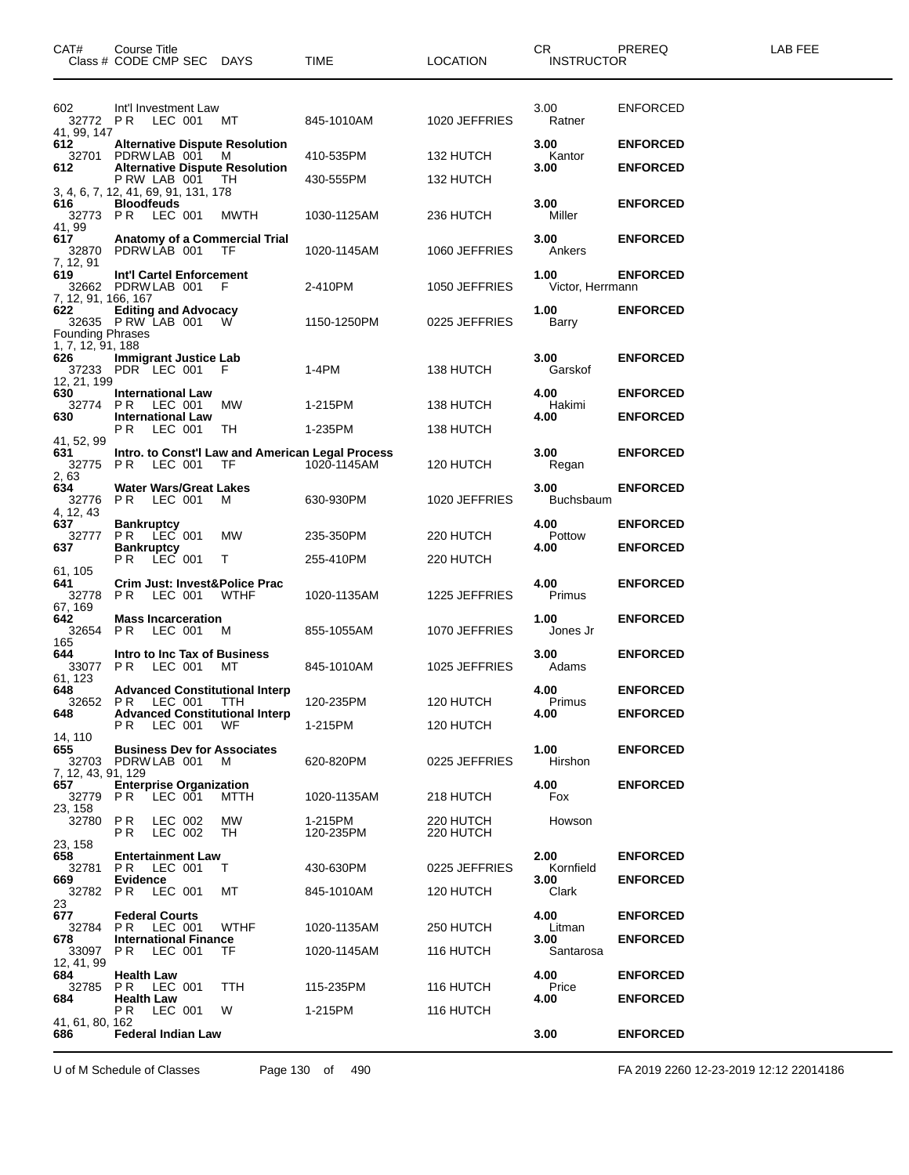| CAT#<br>Class # CODE CMP SEC DAYS                              | Course Title                   |                    |                                |                                              | <b>TIME</b>                                                     | <b>LOCATION</b>        | CR.<br><b>INSTRUCTOR</b>    | PREREQ          | LAB FEE |
|----------------------------------------------------------------|--------------------------------|--------------------|--------------------------------|----------------------------------------------|-----------------------------------------------------------------|------------------------|-----------------------------|-----------------|---------|
| 602<br>32772 PR LEC 001 MT<br>41, 99, 147                      |                                |                    | Int'l Investment Law           |                                              | 845-1010AM                                                      | 1020 JEFFRIES          | 3.00<br>Ratner              | <b>ENFORCED</b> |         |
| 612                                                            |                                |                    |                                | <b>Alternative Dispute Resolution</b>        |                                                                 |                        | 3.00                        | <b>ENFORCED</b> |         |
| 32701 PDRWLAB 001<br>612                                       |                                |                    |                                | M<br><b>Alternative Dispute Resolution</b>   | 410-535PM                                                       | 132 HUTCH              | Kantor<br>3.00              | <b>ENFORCED</b> |         |
| 3, 4, 6, 7, 12, 41, 69, 91, 131, 178                           | PRW LAB 001                    |                    |                                | TН                                           | 430-555PM                                                       | 132 HUTCH              |                             |                 |         |
| 616<br>32773 PR LEC 001<br>41, 99                              | <b>Bloodfeuds</b>              |                    |                                | MWTH                                         | 1030-1125AM                                                     | 236 HUTCH              | 3.00<br>Miller              | <b>ENFORCED</b> |         |
| 617<br>32870<br>7, 12, 91                                      | PDRW LAB 001                   |                    |                                | Anatomy of a Commercial Trial<br>TF          | 1020-1145AM                                                     | 1060 JEFFRIES          | 3.00<br>Ankers              | <b>ENFORCED</b> |         |
| 619<br>32662 PDRW LAB 001<br>7, 12, 91, 166, 167               |                                |                    | Int'l Cartel Enforcement       | -F                                           | 2-410PM                                                         | 1050 JEFFRIES          | 1.00<br>Victor, Herrmann    | <b>ENFORCED</b> |         |
| 622<br>32635 PRW LAB 001 W<br><b>Founding Phrases</b>          | <b>Editing and Advocacy</b>    |                    |                                |                                              | 1150-1250PM                                                     | 0225 JEFFRIES          | 1.00<br>Barry               | <b>ENFORCED</b> |         |
| 1, 7, 12, 91, 188<br>626<br>37233 PDR LEC 001 F<br>12, 21, 199 |                                |                    | <b>Immigrant Justice Lab</b>   |                                              | 1-4PM                                                           | 138 HUTCH              | 3.00<br>Garskof             | <b>ENFORCED</b> |         |
| 630<br>32774                                                   | <b>International Law</b>       |                    |                                |                                              | 1-215PM                                                         |                        | 4.00                        | <b>ENFORCED</b> |         |
| 630                                                            | PR<br><b>International Law</b> | LEC 001            |                                | МW                                           |                                                                 | 138 HUTCH              | Hakimi<br>4.00              | <b>ENFORCED</b> |         |
| 41, 52, 99                                                     | PR.                            | LEC 001            |                                | TH                                           | 1-235PM                                                         | 138 HUTCH              |                             |                 |         |
| 631<br>32775<br>2,63                                           | PR                             | LEC 001            |                                | TF                                           | Intro. to Const'l Law and American Legal Process<br>1020-1145AM | 120 HUTCH              | 3.00<br>Regan               | <b>ENFORCED</b> |         |
| 634<br>32776<br>4, 12, 43                                      | PR.                            | LEC 001            | <b>Water Wars/Great Lakes</b>  | M                                            | 630-930PM                                                       | 1020 JEFFRIES          | 3.00<br><b>Buchsbaum</b>    | <b>ENFORCED</b> |         |
| 637<br>32777                                                   | <b>Bankruptcy</b><br>PR.       | LEC 001            |                                | МW                                           | 235-350PM                                                       | 220 HUTCH              | 4.00<br>Pottow              | <b>ENFORCED</b> |         |
| 637                                                            | <b>Bankruptcy</b>              |                    |                                |                                              |                                                                 |                        | 4.00                        | <b>ENFORCED</b> |         |
| 61, 105                                                        | PR.                            | LEC 001            |                                | T.                                           | 255-410PM                                                       | 220 HUTCH              |                             |                 |         |
| 641<br>32778 PR<br>67, 169                                     |                                | LEC 001            |                                | Crim Just: Invest&Police Prac<br><b>WTHF</b> | 1020-1135AM                                                     | 1225 JEFFRIES          | 4.00<br>Primus              | <b>ENFORCED</b> |         |
| 642<br>32654 PR<br>165                                         |                                | LEC 001            | <b>Mass Incarceration</b>      | м                                            | 855-1055AM                                                      | 1070 JEFFRIES          | 1.00<br>Jones Jr            | <b>ENFORCED</b> |         |
| 644<br>33077 PR<br>61, 123                                     |                                | LEC 001            |                                | Intro to Inc Tax of Business<br>MТ           | 845-1010AM                                                      | 1025 JEFFRIES          | 3.00<br>Adams               | <b>ENFORCED</b> |         |
| 648<br>32652 PR                                                |                                | LEC 001            |                                | <b>Advanced Constitutional Interp</b><br>TTH | 120-235PM                                                       | 120 HUTCH              | 4.00<br>Primus              | <b>ENFORCED</b> |         |
| 648                                                            |                                |                    |                                | <b>Advanced Constitutional Interp</b>        | 1-215PM                                                         |                        | 4.00                        | <b>ENFORCED</b> |         |
| 14, 110                                                        | PR.                            | LEC 001            |                                | WF                                           |                                                                 | 120 HUTCH              |                             |                 |         |
| 655<br>32703<br>7, 12, 43, 91, 129                             | PDRW LAB 001                   |                    |                                | <b>Business Dev for Associates</b><br>M      | 620-820PM                                                       | 0225 JEFFRIES          | 1.00<br>Hirshon             | <b>ENFORCED</b> |         |
| 657<br>32779<br>23, 158                                        | P R                            | LEC 001            | <b>Enterprise Organization</b> | MTTH                                         | 1020-1135AM                                                     | 218 HUTCH              | 4.00<br>Fox                 | <b>ENFORCED</b> |         |
| 32780<br>23, 158                                               | P R<br>P R                     | LEC 002<br>LEC 002 |                                | МW<br>TH                                     | 1-215PM<br>120-235PM                                            | 220 HUTCH<br>220 HUTCH | Howson                      |                 |         |
| 658                                                            |                                |                    | <b>Entertainment Law</b>       |                                              |                                                                 |                        | 2.00                        | <b>ENFORCED</b> |         |
| 32781<br>669                                                   | PR.<br><b>Evidence</b>         | LEC 001            |                                | Т                                            | 430-630PM                                                       | 0225 JEFFRIES          | Kornfield<br>3.00           | <b>ENFORCED</b> |         |
| 32782 PR<br>23                                                 |                                | LEC 001            |                                | МT                                           | 845-1010AM                                                      | 120 HUTCH              | Clark                       |                 |         |
| 677                                                            | <b>Federal Courts</b>          |                    |                                |                                              |                                                                 |                        | 4.00                        | <b>ENFORCED</b> |         |
| 32784<br>678<br>33097                                          | PR<br>P R                      | LEC 001<br>LEC 001 | <b>International Finance</b>   | WTHF<br>TF                                   | 1020-1135AM<br>1020-1145AM                                      | 250 HUTCH<br>116 HUTCH | Litman<br>3.00<br>Santarosa | <b>ENFORCED</b> |         |
| 12, 41, 99<br>684<br>32785                                     | <b>Health Law</b><br>PR.       | LEC 001            |                                | TTH                                          | 115-235PM                                                       | 116 HUTCH              | 4.00<br>Price               | <b>ENFORCED</b> |         |
| 684                                                            | <b>Health Law</b><br>P R       | LEC 001            |                                | W                                            | 1-215PM                                                         | 116 HUTCH              | 4.00                        | <b>ENFORCED</b> |         |
| 41, 61, 80, 162<br>686                                         |                                |                    | <b>Federal Indian Law</b>      |                                              |                                                                 |                        | 3.00                        | <b>ENFORCED</b> |         |

U of M Schedule of Classes Page 130 of 490 FA 2019 2260 12-23-2019 12:12 22014186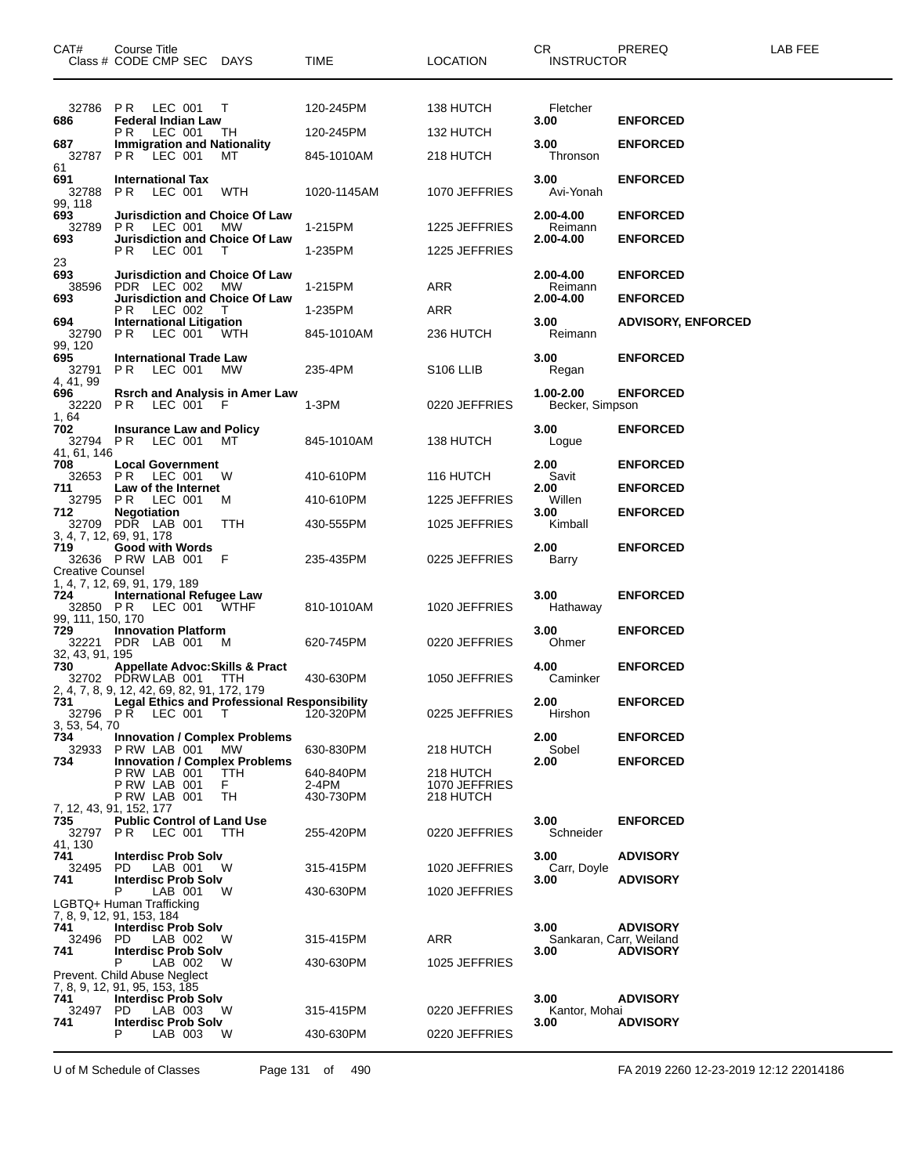| CAT#                                                            | Course Title<br>Class # CODE CMP SEC                                                                          | DAYS             | TIME               | <b>LOCATION</b>            | CR<br><b>INSTRUCTOR</b>      | PREREQ                    | LAB FEE |
|-----------------------------------------------------------------|---------------------------------------------------------------------------------------------------------------|------------------|--------------------|----------------------------|------------------------------|---------------------------|---------|
| 32786 PR                                                        | LEC 001                                                                                                       | T                | 120-245PM          | 138 HUTCH                  | Fletcher                     |                           |         |
| 686                                                             | <b>Federal Indian Law</b><br>PR.<br>LEC 001                                                                   | TН               | 120-245PM          | 132 HUTCH                  | 3.00                         | <b>ENFORCED</b>           |         |
| 687<br>32787 PR<br>61                                           | <b>Immigration and Nationality</b><br>LEC 001                                                                 | MТ               | 845-1010AM         | 218 HUTCH                  | 3.00<br>Thronson             | <b>ENFORCED</b>           |         |
| 691<br>32788<br>99, 118                                         | <b>International Tax</b><br>PR.<br>LEC 001                                                                    | WTH              | 1020-1145AM        | 1070 JEFFRIES              | 3.00<br>Avi-Yonah            | <b>ENFORCED</b>           |         |
| 693<br>32789                                                    | <b>Jurisdiction and Choice Of Law</b><br>PR.<br>LEC 001                                                       | MW.              | 1-215PM            | 1225 JEFFRIES              | 2.00-4.00<br>Reimann         | <b>ENFORCED</b>           |         |
| 693                                                             | Jurisdiction and Choice Of Law<br>P R<br>LEC 001                                                              | т                | 1-235PM            | 1225 JEFFRIES              | 2.00-4.00                    | <b>ENFORCED</b>           |         |
| 23<br>693                                                       | Jurisdiction and Choice Of Law                                                                                |                  |                    |                            | 2.00-4.00                    | <b>ENFORCED</b>           |         |
| 38596                                                           | PDR LEC 002                                                                                                   | <b>MW</b>        | 1-215PM            | ARR                        | Reimann                      |                           |         |
| 693                                                             | Jurisdiction and Choice Of Law<br>LEC 002<br>P R                                                              | $\perp$          | 1-235PM            | ARR                        | 2.00-4.00                    | <b>ENFORCED</b>           |         |
| 694<br>32790<br>99, 120                                         | <b>International Litigation</b><br>P R<br>LEC 001 WTH                                                         |                  | 845-1010AM         | 236 HUTCH                  | 3.00<br>Reimann              | <b>ADVISORY, ENFORCED</b> |         |
| 695<br>32791                                                    | <b>International Trade Law</b><br>PR.<br>LEC 001                                                              | MW               | 235-4PM            | S <sub>106</sub> LLIB      | 3.00<br>Regan                | <b>ENFORCED</b>           |         |
| 4, 41, 99<br>696<br>32220                                       | <b>Rsrch and Analysis in Amer Law</b><br>PR.<br>LEC 001 F                                                     |                  | 1-3PM              | 0220 JEFFRIES              | 1.00-2.00<br>Becker, Simpson | <b>ENFORCED</b>           |         |
| 1, 64<br>702<br>32794 PR                                        | <b>Insurance Law and Policy</b><br>LEC 001                                                                    | мт               | 845-1010AM         | 138 HUTCH                  | 3.00<br>Logue                | <b>ENFORCED</b>           |         |
| 41, 61, 146<br>708                                              | <b>Local Government</b>                                                                                       |                  |                    |                            | 2.00                         | <b>ENFORCED</b>           |         |
| 32653<br>711                                                    | P R<br>LEC 001<br>Law of the Internet                                                                         | W                | 410-610PM          | 116 HUTCH                  | Savit<br>2.00                | <b>ENFORCED</b>           |         |
| 32795 PR                                                        | LEC 001                                                                                                       | M                | 410-610PM          | 1225 JEFFRIES              | Willen                       |                           |         |
| 712                                                             | <b>Negotiation</b><br>32709 PDR LAB 001                                                                       | TTH              | 430-555PM          | 1025 JEFFRIES              | 3.00<br>Kimball              | <b>ENFORCED</b>           |         |
| 719                                                             | 3, 4, 7, 12, 69, 91, 178<br><b>Good with Words</b><br>32636 P RW LAB 001                                      | - F              | 235-435PM          | 0225 JEFFRIES              | 2.00<br>Barry                | <b>ENFORCED</b>           |         |
| <b>Creative Counsel</b><br>724<br>32850 PR<br>99, 111, 150, 170 | 1, 4, 7, 12, 69, 91, 179, 189<br>International Refugee Law<br>LEC 001                                         | WTHF             | 810-1010AM         | 1020 JEFFRIES              | 3.00<br>Hathaway             | <b>ENFORCED</b>           |         |
| 729                                                             | <b>Innovation Platform</b><br>32221 PDR LAB 001                                                               | M                | 620-745PM          | 0220 JEFFRIES              | 3.00<br>Ohmer                | <b>ENFORCED</b>           |         |
| 32, 43, 91, 195<br>730                                          | <b>Appellate Advoc: Skills &amp; Pract</b><br>32702 PDRW LAB 001                                              | TTH              | 430-630PM          | 1050 JEFFRIES              | 4.00<br>Caminker             | <b>ENFORCED</b>           |         |
| 731<br>32796 PR                                                 | 2, 4, 7, 8, 9, 12, 42, 69, 82, 91, 172, 179<br><b>Legal Ethics and Professional Responsibility</b><br>LEC 001 | $\top$           | 120-320PM          | 0225 JEFFRIES              | 2.00<br>Hirshon              | <b>ENFORCED</b>           |         |
| 3, 53, 54, 70<br>734                                            | <b>Innovation / Complex Problems</b>                                                                          |                  |                    |                            | 2.00                         | <b>ENFORCED</b>           |         |
| 32933                                                           | P RW LAB 001                                                                                                  | MW               | 630-830PM          | 218 HUTCH                  | Sobel                        |                           |         |
| 734                                                             | <b>Innovation / Complex Problems</b><br>PRW LAB 001<br>PRW LAB 001                                            | <b>TTH</b><br>F. | 640-840PM<br>2-4PM | 218 HUTCH<br>1070 JEFFRIES | 2.00                         | <b>ENFORCED</b>           |         |
|                                                                 | P RW LAB 001<br>7, 12, 43, 91, 152, 177                                                                       | TH               | 430-730PM          | 218 HUTCH                  |                              |                           |         |
| 735<br>32797<br>41, 130                                         | <b>Public Control of Land Use</b><br>PR.<br>LEC 001                                                           | TTH              | 255-420PM          | 0220 JEFFRIES              | 3.00<br>Schneider            | <b>ENFORCED</b>           |         |
| 741<br>32495                                                    | <b>Interdisc Prob Solv</b><br>PD.<br>LAB 001                                                                  | W                | 315-415PM          | 1020 JEFFRIES              | 3.00<br>Carr, Doyle          | <b>ADVISORY</b>           |         |
| 741                                                             | <b>Interdisc Prob Solv</b><br>P<br>LAB 001<br>LGBTQ+ Human Trafficking                                        | W                | 430-630PM          | 1020 JEFFRIES              | 3.00                         | <b>ADVISORY</b>           |         |
| 741                                                             | 7, 8, 9, 12, 91, 153, 184<br><b>Interdisc Prob Solv</b>                                                       |                  |                    |                            | 3.00                         | <b>ADVISORY</b>           |         |
| 32496                                                           | PD.<br>LAB 002                                                                                                | W                | 315-415PM          | ARR                        |                              | Sankaran, Carr, Weiland   |         |
| 741                                                             | <b>Interdisc Prob Solv</b><br>P<br>LAB 002                                                                    | W                | 430-630PM          | 1025 JEFFRIES              | 3.00                         | <b>ADVISORY</b>           |         |
|                                                                 | Prevent. Child Abuse Neglect<br>7, 8, 9, 12, 91, 95, 153, 185                                                 |                  |                    |                            |                              |                           |         |
| 741<br>32497                                                    | <b>Interdisc Prob Solv</b><br>PD.<br>LAB 003                                                                  | W                | 315-415PM          | 0220 JEFFRIES              | 3.00<br>Kantor, Mohai        | <b>ADVISORY</b>           |         |
| 741                                                             | <b>Interdisc Prob Solv</b>                                                                                    |                  |                    |                            | 3.00                         | <b>ADVISORY</b>           |         |
|                                                                 | P<br>LAB 003                                                                                                  | W                | 430-630PM          | 0220 JEFFRIES              |                              |                           |         |

U of M Schedule of Classes Page 131 of 490 FA 2019 2260 12-23-2019 12:12 22014186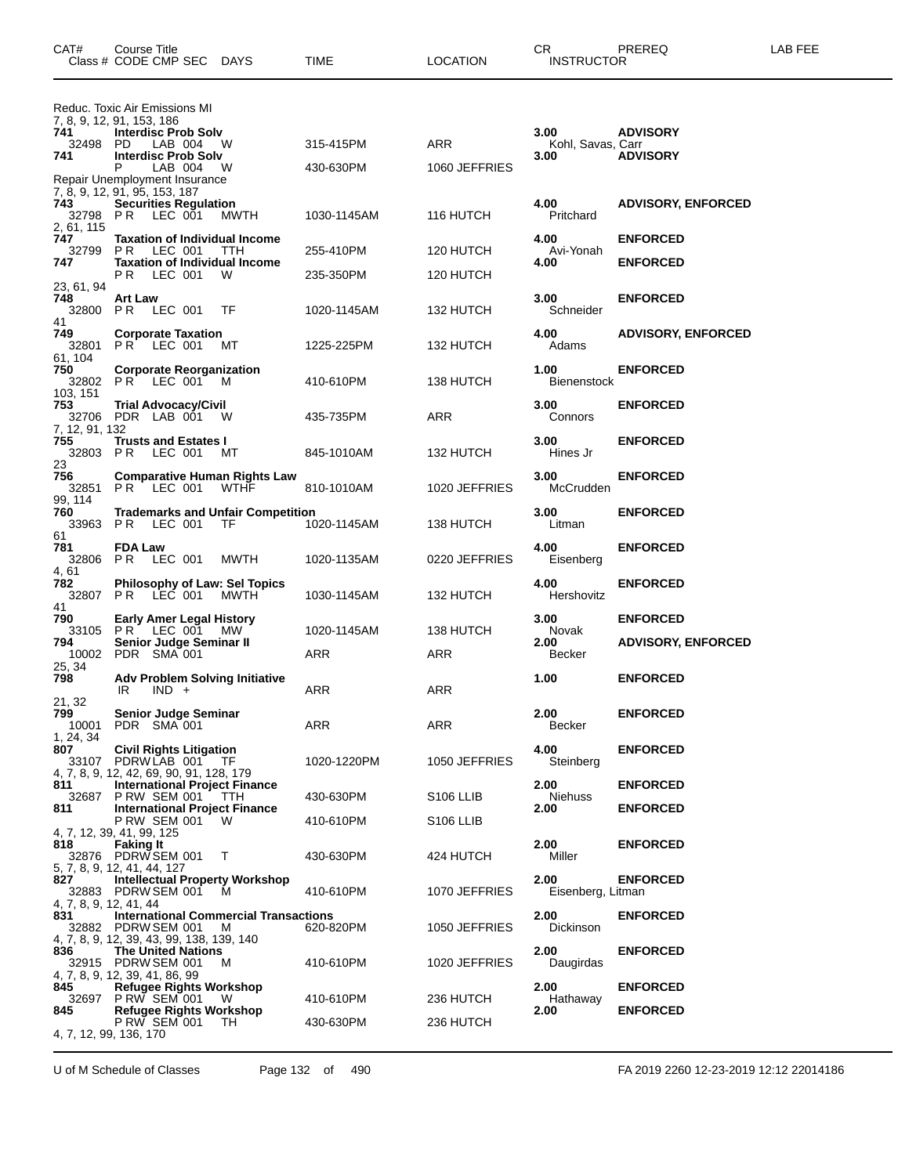| CAT#                          | Course Title<br>Class # CODE CMP SEC DAYS                                                                       |             | TIME                   | <b>LOCATION</b>        | CR.<br><b>INSTRUCTOR</b>   | PREREQ                    | LAB FEE |
|-------------------------------|-----------------------------------------------------------------------------------------------------------------|-------------|------------------------|------------------------|----------------------------|---------------------------|---------|
| 741                           | Reduc. Toxic Air Emissions MI<br>7, 8, 9, 12, 91, 153, 186<br><b>Interdisc Prob Solv</b>                        |             |                        |                        | 3.00                       | <b>ADVISORY</b>           |         |
| 32498<br>741                  | <b>PD</b><br>LAB 004<br><b>Interdisc Prob Solv</b>                                                              | W           | 315-415PM              | <b>ARR</b>             | Kohl, Savas, Carr<br>3.00  | <b>ADVISORY</b>           |         |
|                               | Р<br>LAB 004<br>Repair Unemployment Insurance                                                                   | W           | 430-630PM              | 1060 JEFFRIES          |                            |                           |         |
| 743<br>32798                  | 7, 8, 9, 12, 91, 95, 153, 187<br><b>Securities Regulation</b><br>P R<br>LEC 001                                 | MWTH        | 1030-1145AM            | 116 HUTCH              | 4.00<br>Pritchard          | <b>ADVISORY, ENFORCED</b> |         |
| 2, 61, 115<br>747<br>32799    | <b>Taxation of Individual Income</b>                                                                            |             |                        |                        | 4.00                       | <b>ENFORCED</b>           |         |
| 747                           | P R<br>LEC 001<br><b>Taxation of Individual Income</b><br><b>PR LEC 001</b>                                     | TTH<br>W    | 255-410PM<br>235-350PM | 120 HUTCH<br>120 HUTCH | Avi-Yonah<br>4.00          | <b>ENFORCED</b>           |         |
| 23, 61, 94<br>748             | <b>Art Law</b><br>32800 PR LEC 001                                                                              | TF          | 1020-1145AM            | 132 HUTCH              | 3.00<br>Schneider          | <b>ENFORCED</b>           |         |
| 41<br>749<br>32801<br>61.104  | <b>Corporate Taxation</b><br><b>PR LEC 001</b>                                                                  | MТ          | 1225-225PM             | 132 HUTCH              | 4.00<br>Adams              | <b>ADVISORY, ENFORCED</b> |         |
| 750<br>103, 151               | <b>Corporate Reorganization</b><br>32802 PR LEC 001                                                             | <b>M</b>    | 410-610PM              | 138 HUTCH              | 1.00<br><b>Bienenstock</b> | <b>ENFORCED</b>           |         |
| 753<br>7, 12, 91, 132         | Trial Advocacy/Civil<br>32706 PDR LAB 001 W                                                                     |             | 435-735PM              | ARR                    | 3.00<br>Connors            | <b>ENFORCED</b>           |         |
| 755<br>23                     | <b>Trusts and Estates I</b><br>32803 PR LEC 001                                                                 | МT          | 845-1010AM             | 132 HUTCH              | 3.00<br>Hines Jr           | <b>ENFORCED</b>           |         |
| 756<br>99, 114                | <b>Comparative Human Rights Law</b><br>32851 PR LEC 001                                                         | <b>WTHF</b> | 810-1010AM             | 1020 JEFFRIES          | 3.00<br>McCrudden          | <b>ENFORCED</b>           |         |
| 760<br>61                     | <b>Trademarks and Unfair Competition</b><br>33963 PR LEC 001                                                    | TF          | 1020-1145AM            | 138 HUTCH              | 3.00<br>Litman             | <b>ENFORCED</b>           |         |
| 781<br>4.61                   | <b>FDA Law</b><br>32806 PR LEC 001                                                                              | MWTH        | 1020-1135AM            | 0220 JEFFRIES          | 4.00<br>Eisenberg          | <b>ENFORCED</b>           |         |
| 782<br>32807<br>41            | Philosophy of Law: Sel Topics<br>PR LEC 001                                                                     | MWTH        | 1030-1145AM            | 132 HUTCH              | 4.00<br>Hershovitz         | <b>ENFORCED</b>           |         |
| 790<br>33105                  | <b>Early Amer Legal History</b><br>PR LEC 001 MW                                                                |             | 1020-1145AM            | 138 HUTCH              | 3.00<br>Novak              | <b>ENFORCED</b>           |         |
| 794<br>10002<br>25, 34        | Senior Judge Seminar II<br>PDR SMA 001                                                                          |             | ARR                    | ARR                    | 2.00<br>Becker             | <b>ADVISORY, ENFORCED</b> |         |
| 798<br>21, 32                 | Adv Problem Solving Initiative<br>$IND +$<br>IR                                                                 |             | ARR                    | ARR                    | 1.00                       | <b>ENFORCED</b>           |         |
| 799<br>10001<br>1, 24, 34     | Senior Judge Seminar<br>PDR SMA 001                                                                             |             | ARR                    | ARR                    | 2.00<br>Becker             | <b>ENFORCED</b>           |         |
| 807<br>33107                  | <b>Civil Rights Litigation</b><br>PDRWLAB 001 TF<br>4, 7, 8, 9, 12, 42, 69, 90, 91, 128, 179                    |             | 1020-1220PM            | 1050 JEFFRIES          | 4.00<br>Steinberg          | <b>ENFORCED</b>           |         |
| 811<br>32687                  | <b>International Project Finance</b><br><b>P RW SEM 001</b>                                                     | TTH         | 430-630PM              | S <sub>106</sub> LLIB  | 2.00<br>Niehuss            | <b>ENFORCED</b>           |         |
| 811                           | <b>International Project Finance</b><br>P RW SEM 001<br>4, 7, 12, 39, 41, 99, 125                               | W           | 410-610PM              | S <sub>106</sub> LLIB  | 2.00                       | <b>ENFORCED</b>           |         |
| 818                           | <b>Faking It</b><br>32876 PDRW SEM 001<br>5, 7, 8, 9, 12, 41, 44, 127                                           | $\top$      | 430-630PM              | 424 HUTCH              | 2.00<br>Miller             | <b>ENFORCED</b>           |         |
| 827<br>4, 7, 8, 9, 12, 41, 44 | <b>Intellectual Property Workshop</b><br>32883 PDRW SEM 001                                                     | м           | 410-610PM              | 1070 JEFFRIES          | 2.00<br>Eisenberg, Litman  | <b>ENFORCED</b>           |         |
| 831                           | <b>International Commercial Transactions</b><br>32882 PDRW SEM 001<br>4, 7, 8, 9, 12, 39, 43, 99, 138, 139, 140 | M           | 620-820PM              | 1050 JEFFRIES          | 2.00<br>Dickinson          | <b>ENFORCED</b>           |         |
| 836                           | <b>The United Nations</b><br>32915 PDRW SEM 001<br>4, 7, 8, 9, 12, 39, 41, 86, 99                               | M           | 410-610PM              | 1020 JEFFRIES          | 2.00<br>Daugirdas          | <b>ENFORCED</b>           |         |
| 845                           | <b>Refugee Rights Workshop</b><br>32697 P RW SEM 001                                                            | - W         | 410-610PM              | 236 HUTCH              | 2.00<br>Hathaway           | <b>ENFORCED</b>           |         |
| 845                           | <b>Refugee Rights Workshop</b><br>P RW SEM 001<br>4, 7, 12, 99, 136, 170                                        | TH.         | 430-630PM              | 236 HUTCH              | 2.00                       | <b>ENFORCED</b>           |         |

U of M Schedule of Classes Page 132 of 490 FA 2019 2260 12-23-2019 12:12 22014186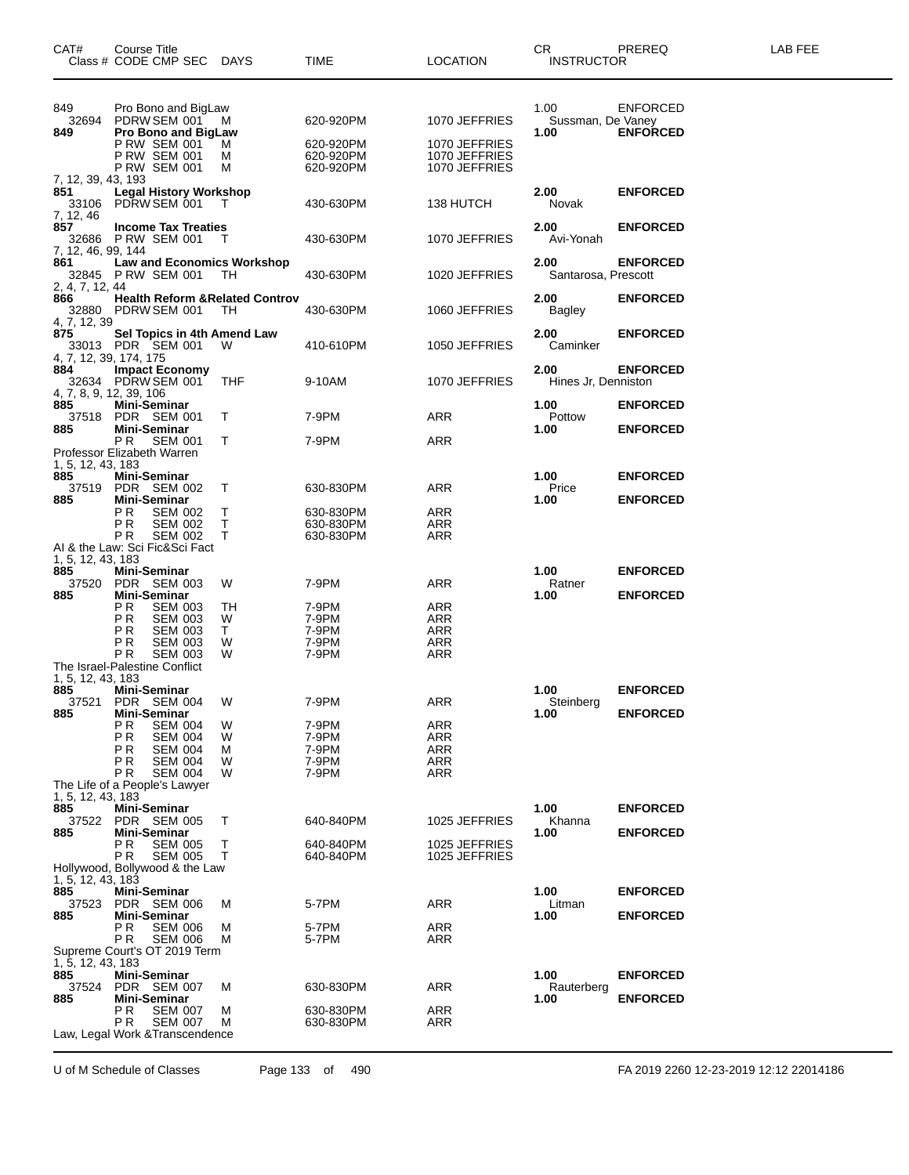| CAT#                                     | <b>Course Title</b><br>Class # CODE CMP SEC DAYS                                                                                            |                         | <b>TIME</b>                               | <b>LOCATION</b>                                      | CR.<br><b>INSTRUCTOR</b>          | PREREQ                             | LAB FEE |
|------------------------------------------|---------------------------------------------------------------------------------------------------------------------------------------------|-------------------------|-------------------------------------------|------------------------------------------------------|-----------------------------------|------------------------------------|---------|
| 849<br>32694<br>849                      | Pro Bono and BigLaw<br>PDRW SEM 001 M<br><b>Pro Bono and BigLaw</b>                                                                         |                         | 620-920PM                                 | 1070 JEFFRIES                                        | 1.00<br>Sussman, De Vaney<br>1.00 | <b>ENFORCED</b><br><b>ENFORCED</b> |         |
|                                          | <b>P RW SEM 001</b><br><b>P RW SEM 001</b><br><b>P RW SEM 001</b>                                                                           | м<br>M<br>м             | 620-920PM<br>620-920PM<br>620-920PM       | 1070 JEFFRIES<br>1070 JEFFRIES<br>1070 JEFFRIES      |                                   |                                    |         |
| 7, 12, 39, 43, 193<br>851<br>7, 12, 46   | <b>Legal History Workshop</b><br>33106 PDRW SEM 001                                                                                         | $\top$                  | 430-630PM                                 | 138 HUTCH                                            | 2.00<br>Novak                     | <b>ENFORCED</b>                    |         |
| 857<br>7, 12, 46, 99, 144                | <b>Income Tax Treaties</b><br>32686 P RW SEM 001                                                                                            | - T                     | 430-630PM                                 | 1070 JEFFRIES                                        | 2.00<br>Avi-Yonah                 | <b>ENFORCED</b>                    |         |
| 861<br>2, 4, 7, 12, 44                   | <b>Law and Economics Workshop</b><br>32845 P RW SEM 001                                                                                     | TH.                     | 430-630PM                                 | 1020 JEFFRIES                                        | 2.00<br>Santarosa, Prescott       | <b>ENFORCED</b>                    |         |
| 866<br>4, 7, 12, 39                      | <b>Health Reform &amp; Related Controv</b><br>32880 PDRW SEM 001                                                                            | - TH                    | 430-630PM                                 | 1060 JEFFRIES                                        | 2.00<br>Bagley                    | <b>ENFORCED</b>                    |         |
| 875<br>884                               | Sel Topics in 4th Amend Law<br>33013 PDR SEM 001<br>4, 7, 12, 39, 174, 175<br><b>Impact Economy</b>                                         | W                       | 410-610PM                                 | 1050 JEFFRIES                                        | 2.00<br>Caminker<br>2.00          | <b>ENFORCED</b><br><b>ENFORCED</b> |         |
| 885                                      | 32634 PDRW SEM 001<br>4, 7, 8, 9, 12, 39, 106<br><b>Mini-Seminar</b>                                                                        | THF                     | 9-10AM                                    | 1070 JEFFRIES                                        | Hines Jr, Denniston<br>1.00       | <b>ENFORCED</b>                    |         |
| 885                                      | 37518 PDR SEM 001<br>Mini-Seminar<br>PR.<br>SEM 001                                                                                         | T<br>T                  | 7-9PM<br>7-9PM                            | <b>ARR</b><br>ARR                                    | Pottow<br>1.00                    | <b>ENFORCED</b>                    |         |
| 1, 5, 12, 43, 183<br>885                 | Professor Elizabeth Warren<br>Mini-Seminar                                                                                                  |                         |                                           |                                                      | 1.00                              | <b>ENFORCED</b>                    |         |
| 885                                      | 37519 PDR SEM 002<br>Mini-Seminar                                                                                                           | T                       | 630-830PM                                 | ARR                                                  | Price<br>1.00                     | <b>ENFORCED</b>                    |         |
|                                          | PR.<br><b>SEM 002</b><br>PR<br><b>SEM 002</b><br>ΡR<br><b>SEM 002</b><br>AI & the Law: Sci Fic&Sci Fact                                     | Т<br>Τ<br>т             | 630-830PM<br>630-830PM<br>630-830PM       | ARR<br><b>ARR</b><br><b>ARR</b>                      |                                   |                                    |         |
| 1, 5, 12, 43, 183<br>885<br>37520<br>885 | Mini-Seminar<br>PDR SEM 003<br>Mini-Seminar                                                                                                 | W                       | 7-9PM                                     | ARR                                                  | 1.00<br>Ratner<br>1.00            | <b>ENFORCED</b><br><b>ENFORCED</b> |         |
|                                          | P <sub>R</sub><br><b>SEM 003</b><br>PR<br><b>SEM 003</b><br>PR<br><b>SEM 003</b><br>PR<br><b>SEM 003</b><br>PR.<br><b>SEM 003</b>           | TН<br>W<br>T.<br>W<br>W | 7-9PM<br>7-9PM<br>7-9PM<br>7-9PM<br>7-9PM | ARR<br><b>ARR</b><br><b>ARR</b><br>ARR<br><b>ARR</b> |                                   |                                    |         |
| 1, 5, 12, 43, 183                        | The Israel-Palestine Conflict                                                                                                               |                         |                                           |                                                      |                                   |                                    |         |
| 885                                      | Mini-Seminar<br>37521 PDR SEM 004                                                                                                           | W                       | 7-9PM                                     | ARR                                                  | 1.00<br>Steinberg                 | <b>ENFORCED</b>                    |         |
| 885                                      | <b>Mini-Seminar</b><br>ΡR<br><b>SEM 004</b><br>PR<br><b>SEM 004</b><br>PR<br><b>SEM 004</b><br>PR<br><b>SEM 004</b><br>ΡR<br><b>SEM 004</b> | w<br>W<br>м<br>w<br>W   | 7-9PM<br>7-9PM<br>7-9PM<br>7-9PM<br>7-9PM | ARR<br>ARR<br>ARR<br><b>ARR</b><br><b>ARR</b>        | 1.00                              | <b>ENFORCED</b>                    |         |
| 1, 5, 12, 43, 183                        | The Life of a People's Lawyer                                                                                                               |                         |                                           |                                                      |                                   |                                    |         |
| 885<br>37522<br>885                      | Mini-Seminar<br>PDR SEM 005<br><b>Mini-Seminar</b>                                                                                          | т                       | 640-840PM                                 | 1025 JEFFRIES                                        | 1.00<br>Khanna<br>1.00            | <b>ENFORCED</b><br><b>ENFORCED</b> |         |
|                                          | ΡR<br><b>SEM 005</b><br>ΡR<br><b>SEM 005</b><br>Hollywood, Bollywood & the Law                                                              | Т<br>т                  | 640-840PM<br>640-840PM                    | 1025 JEFFRIES<br>1025 JEFFRIES                       |                                   |                                    |         |
| 1, 5, 12, 43, 183<br>885<br>37523<br>885 | <b>Mini-Seminar</b><br>PDR SEM 006<br>Mini-Seminar                                                                                          | м                       | 5-7PM                                     | ARR                                                  | 1.00<br>Litman<br>1.00            | <b>ENFORCED</b><br><b>ENFORCED</b> |         |
|                                          | РR<br><b>SEM 006</b><br>PR.<br><b>SEM 006</b><br>Supreme Court's OT 2019 Term                                                               | м<br>м                  | 5-7PM<br>5-7PM                            | ARR<br>ARR                                           |                                   |                                    |         |
| 1, 5, 12, 43, 183<br>885<br>37524        | Mini-Seminar<br>PDR SEM 007                                                                                                                 | М                       | 630-830PM                                 | ARR                                                  | 1.00<br>Rauterberg                | <b>ENFORCED</b>                    |         |
| 885                                      | Mini-Seminar<br>ΡR<br><b>SEM 007</b><br>РR<br><b>SEM 007</b>                                                                                | м<br>М                  | 630-830PM<br>630-830PM                    | ARR<br>ARR                                           | 1.00                              | <b>ENFORCED</b>                    |         |
|                                          | Law, Legal Work & Transcendence                                                                                                             |                         |                                           |                                                      |                                   |                                    |         |

U of M Schedule of Classes Page 133 of 490 FA 2019 2260 12-23-2019 12:12 22014186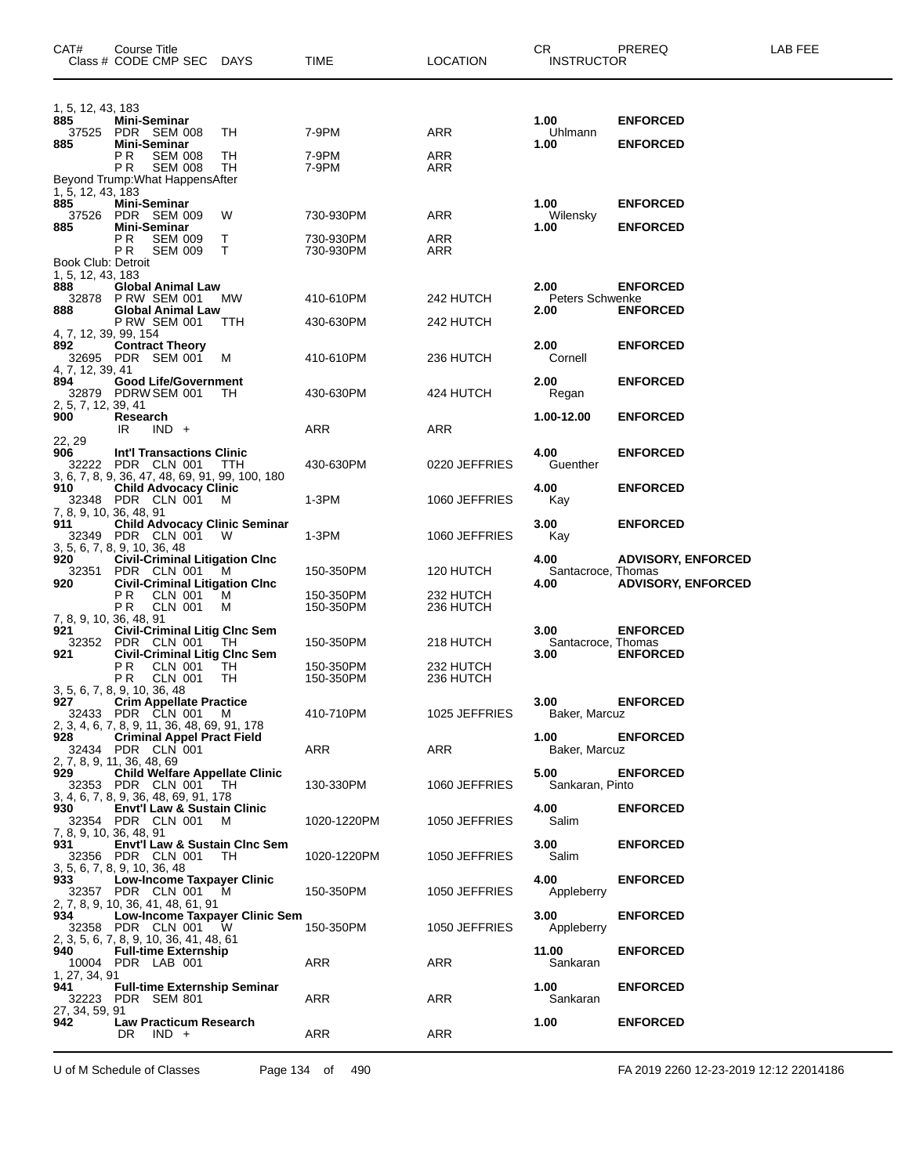| CAT#                                           | Course Title<br>Class # CODE CMP SEC                                                                                    | DAYS       | TIME                                | <b>LOCATION</b>        | CR.<br><b>INSTRUCTOR</b>                 | PREREQ                                                 | LAB FEE |
|------------------------------------------------|-------------------------------------------------------------------------------------------------------------------------|------------|-------------------------------------|------------------------|------------------------------------------|--------------------------------------------------------|---------|
| 1, 5, 12, 43, 183<br>885                       | Mini-Seminar<br>37525 PDR SEM 008                                                                                       | TH         | 7-9PM                               | ARR                    | 1.00<br><b>Uhlmann</b>                   | <b>ENFORCED</b>                                        |         |
| 885                                            | Mini-Seminar<br>P R<br><b>SEM 008</b><br>PR.<br><b>SEM 008</b>                                                          | TН<br>TH   | 7-9PM<br>7-9PM                      | ARR<br>ARR             | 1.00                                     | <b>ENFORCED</b>                                        |         |
| 1, 5, 12, 43, 183<br>885                       | Beyond Trump: What Happens After<br>Mini-Seminar                                                                        |            |                                     |                        | 1.00                                     | <b>ENFORCED</b>                                        |         |
| 37526<br>885                                   | PDR SEM 009<br><b>Mini-Seminar</b><br>P R<br><b>SEM 009</b>                                                             | W<br>T.    | 730-930PM<br>730-930PM<br>730-930PM | ARR<br>ARR             | Wilensky<br>1.00                         | <b>ENFORCED</b>                                        |         |
| Book Club: Detroit<br>1, 5, 12, 43, 183<br>888 | PR.<br><b>SEM 009</b><br><b>Global Animal Law</b>                                                                       | T.         |                                     | ARR                    | 2.00                                     | <b>ENFORCED</b>                                        |         |
| 888                                            | 32878 P RW SEM 001<br><b>Global Animal Law</b><br><b>P RW SEM 001</b>                                                   | МW<br>TTH  | 410-610PM<br>430-630PM              | 242 HUTCH<br>242 HUTCH | Peters Schwenke<br>2.00                  | <b>ENFORCED</b>                                        |         |
| 4, 7, 12, 39, 99, 154<br>892                   | <b>Contract Theory</b><br>32695 PDR SEM 001                                                                             | м          | 410-610PM                           | 236 HUTCH              | 2.00<br>Cornell                          | <b>ENFORCED</b>                                        |         |
| 4, 7, 12, 39, 41<br>894                        | <b>Good Life/Government</b><br>32879 PDRW SEM 001                                                                       | TH.        | 430-630PM                           | 424 HUTCH              | 2.00<br>Regan                            | <b>ENFORCED</b>                                        |         |
| 2, 5, 7, 12, 39, 41<br>900<br>22, 29           | Research<br>IR<br>$IND +$                                                                                               |            | ARR                                 | ARR                    | 1.00-12.00                               | <b>ENFORCED</b>                                        |         |
| 906                                            | <b>Int'l Transactions Clinic</b><br>32222 PDR CLN 001<br>3, 6, 7, 8, 9, 36, 47, 48, 69, 91, 99, 100, 180                | <b>TTH</b> | 430-630PM                           | 0220 JEFFRIES          | 4.00<br>Guenther                         | <b>ENFORCED</b>                                        |         |
| 910                                            | <b>Child Advocacy Clinic</b><br>32348 PDR CLN 001<br>7, 8, 9, 10, 36, 48, 91                                            | м          | 1-3PM                               | 1060 JEFFRIES          | 4.00<br>Kay                              | <b>ENFORCED</b>                                        |         |
| 911                                            | <b>Child Advocacy Clinic Seminar</b><br>32349 PDR CLN 001<br>3, 5, 6, 7, 8, 9, 10, 36, 48                               | - W        | $1-3PM$                             | 1060 JEFFRIES          | 3.00<br>Kay                              | <b>ENFORCED</b>                                        |         |
| 920<br>32351<br>920                            | <b>Civil-Criminal Litigation Cinc</b><br>PDR CLN 001<br><b>Civil-Criminal Litigation Cinc</b>                           | м          | 150-350PM                           | 120 HUTCH              | 4.00<br>Santacroce, Thomas<br>4.00       | <b>ADVISORY, ENFORCED</b><br><b>ADVISORY, ENFORCED</b> |         |
| 921                                            | P R<br>CLN 001<br>PR.<br><b>CLN 001</b><br>7, 8, 9, 10, 36, 48, 91<br><b>Civil-Criminal Litig Cinc Sem</b>              | м<br>M     | 150-350PM<br>150-350PM              | 232 HUTCH<br>236 HUTCH | 3.00                                     | <b>ENFORCED</b>                                        |         |
| 921                                            | 32352 PDR CLN 001<br><b>Civil-Criminal Litig Cinc Sem</b><br>ΡR<br>CLN 001                                              | TH<br>TH   | 150-350PM<br>150-350PM              | 218 HUTCH<br>232 HUTCH | Santacroce, Thomas<br>3.00               | <b>ENFORCED</b>                                        |         |
| 927                                            | PR.<br><b>CLN 001</b><br>3, 5, 6, 7, 8, 9, 10, 36, 48<br><b>Crim Appellate Practice</b>                                 | TH         | 150-350PM                           | 236 HUTCH              | 3.00                                     | <b>ENFORCED</b>                                        |         |
| 928                                            | 32433 PDR CLN 001<br>2, 3, 4, 6, 7, 8, 9, 11, 36, 48, 69, 91, 178<br><b>Criminal Appel Pract Field</b>                  | M          | 410-710PM                           | 1025 JEFFRIES          | Baker, Marcuz<br>1.00                    | <b>ENFORCED</b>                                        |         |
| 929                                            | 32434 PDR CLN 001<br>2, 7, 8, 9, 11, 36, 48, 69<br><b>Child Welfare Appellate Clinic</b><br>32353 PDR CLN 001 TH        |            | ARR<br>130-330PM                    | ARR<br>1060 JEFFRIES   | Baker, Marcuz<br>5.00<br>Sankaran, Pinto | <b>ENFORCED</b>                                        |         |
| 930                                            | 3, 4, 6, 7, 8, 9, 36, 48, 69, 91, 178<br><b>Envt'l Law &amp; Sustain Clinic</b><br>32354 PDR CLN 001                    | м          | 1020-1220PM                         | 1050 JEFFRIES          | 4.00<br>Salim                            | <b>ENFORCED</b>                                        |         |
| 931                                            | 7, 8, 9, 10, 36, 48, 91<br>Envt'l Law & Sustain Cinc Sem<br>32356 PDR CLN 001                                           | TH         | 1020-1220PM                         | 1050 JEFFRIES          | 3.00<br>Salim                            | <b>ENFORCED</b>                                        |         |
| 933                                            | 3, 5, 6, 7, 8, 9, 10, 36, 48<br>Low-Income Taxpayer Clinic<br>32357 PDR CLN 001 M<br>2, 7, 8, 9, 10, 36, 41, 48, 61, 91 |            | 150-350PM                           | 1050 JEFFRIES          | 4.00<br>Appleberry                       | <b>ENFORCED</b>                                        |         |
| 934                                            | Low-Income Taxpayer Clinic Sem<br>32358 PDR CLN 001<br>2, 3, 5, 6, 7, 8, 9, 10, 36, 41, 48, 61                          | - W        | 150-350PM                           | 1050 JEFFRIES          | 3.00<br>Appleberry                       | <b>ENFORCED</b>                                        |         |
| 940<br>1, 27, 34, 91                           | <b>Full-time Externship</b><br>10004 PDR LAB 001                                                                        |            | ARR                                 | ARR                    | 11.00<br>Sankaran                        | <b>ENFORCED</b>                                        |         |
| 941<br>32223<br>27, 34, 59, 91                 | <b>Full-time Externship Seminar</b><br>PDR SEM 801                                                                      |            | ARR                                 | ARR                    | 1.00<br>Sankaran                         | <b>ENFORCED</b>                                        |         |
| 942                                            | <b>Law Practicum Research</b><br>DR.<br>$IND +$                                                                         |            | ARR                                 | ARR                    | 1.00                                     | <b>ENFORCED</b>                                        |         |

U of M Schedule of Classes Page 134 of 490 FA 2019 2260 12-23-2019 12:12 22014186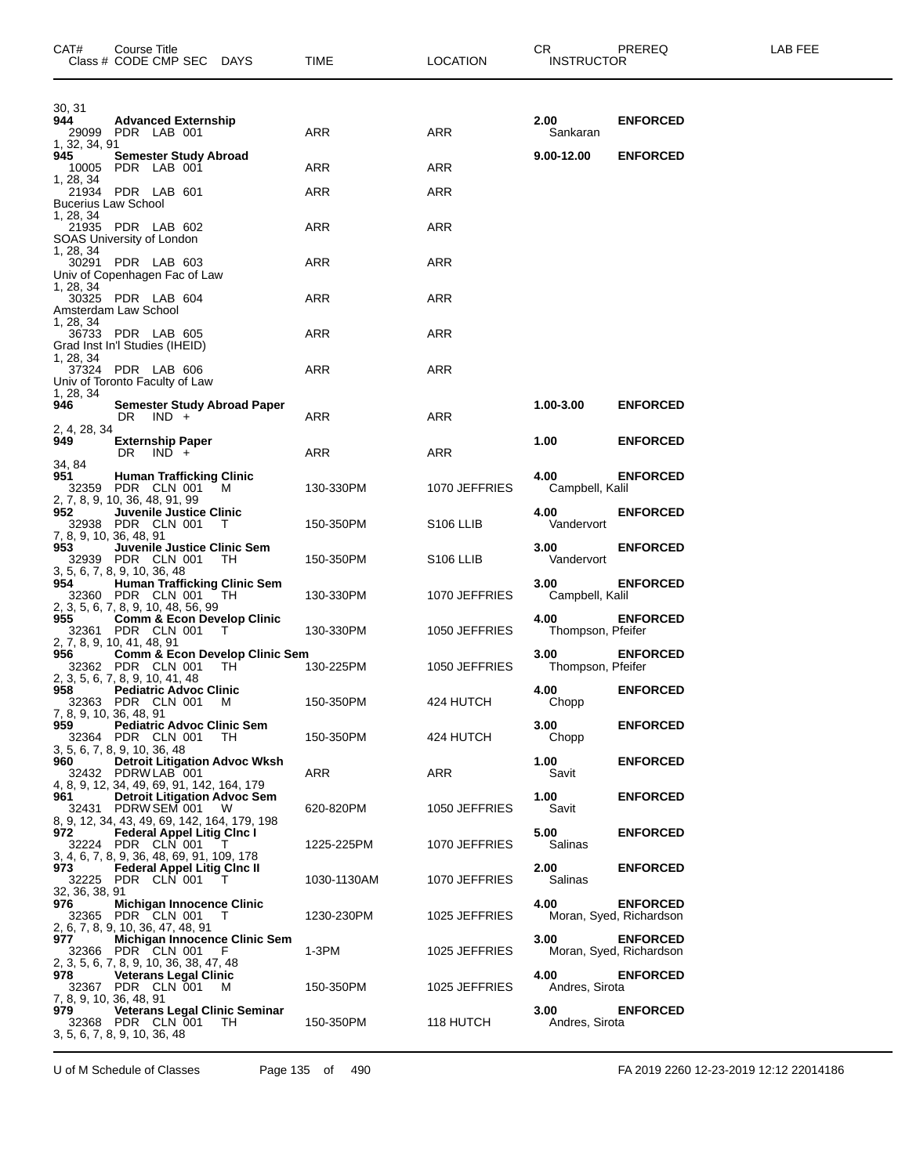| CAT#                                    | Course Title<br>Class # CODE CMP SEC DAYS                                                               |                                             | TIME        | <b>LOCATION</b>       | CR.<br><b>INSTRUCTOR</b>  | PREREQ                                     | LAB FEE |
|-----------------------------------------|---------------------------------------------------------------------------------------------------------|---------------------------------------------|-------------|-----------------------|---------------------------|--------------------------------------------|---------|
| 30, 31<br>944<br>1, 32, 34, 91          | <b>Advanced Externship</b><br>29099 PDR LAB 001                                                         |                                             | ARR         | ARR                   | 2.00<br>Sankaran          | <b>ENFORCED</b>                            |         |
| 945<br>10005                            | <b>Semester Study Abroad</b><br>PDR LAB 001                                                             |                                             | ARR         | ARR                   | $9.00 - 12.00$            | <b>ENFORCED</b>                            |         |
| 1, 28, 34<br><b>Bucerius Law School</b> | 21934 PDR LAB 601                                                                                       |                                             | ARR         | ARR                   |                           |                                            |         |
| 1, 28, 34                               | 21935 PDR LAB 602<br>SOAS University of London                                                          |                                             | ARR         | ARR                   |                           |                                            |         |
| 1, 28, 34                               | 30291 PDR LAB 603<br>Univ of Copenhagen Fac of Law                                                      |                                             | ARR         | ARR                   |                           |                                            |         |
| 1, 28, 34                               | 30325 PDR LAB 604<br>Amsterdam Law School                                                               |                                             | ARR         | ARR                   |                           |                                            |         |
| 1, 28, 34                               | 36733 PDR LAB 605<br>Grad Inst In'l Studies (IHEID)                                                     |                                             | ARR         | ARR                   |                           |                                            |         |
| 1, 28, 34                               | 37324 PDR LAB 606<br>Univ of Toronto Faculty of Law                                                     |                                             | ARR         | ARR                   |                           |                                            |         |
| 1, 28, 34<br>946                        | DR $\vert$ IND +                                                                                        | <b>Semester Study Abroad Paper</b>          | ARR         | ARR                   | 1.00-3.00                 | <b>ENFORCED</b>                            |         |
| 2, 4, 28, 34<br>949.                    | <b>Externship Paper</b><br>DR<br>$IND +$                                                                |                                             | ARR         | ARR                   | 1.00                      | <b>ENFORCED</b>                            |         |
| 34, 84<br>951                           | <b>Human Trafficking Clinic</b><br>32359 PDR CLN 001                                                    | M                                           | 130-330PM   | 1070 JEFFRIES         | 4.00<br>Campbell, Kalil   | <b>ENFORCED</b>                            |         |
| 952<br>7, 8, 9, 10, 36, 48, 91          | 2, 7, 8, 9, 10, 36, 48, 91, 99<br>Juvenile Justice Clinic<br>32938 PDR CLN 001                          | T                                           | 150-350PM   | S <sub>106</sub> LLIB | 4.00<br>Vandervort        | <b>ENFORCED</b>                            |         |
| 953                                     | Juvenile Justice Clinic Sem<br>32939 PDR CLN 001<br>3, 5, 6, 7, 8, 9, 10, 36, 48                        | -TH                                         | 150-350PM   | S <sub>106</sub> LLIB | 3.00<br>Vandervort        | <b>ENFORCED</b>                            |         |
| 954                                     | 32360 PDR CLN 001                                                                                       | <b>Human Trafficking Clinic Sem</b><br>TH   | 130-330PM   | 1070 JEFFRIES         | 3.00<br>Campbell, Kalil   | <b>ENFORCED</b>                            |         |
| 955                                     | 2, 3, 5, 6, 7, 8, 9, 10, 48, 56, 99<br>32361 PDR CLN 001                                                | <b>Comm &amp; Econ Develop Clinic</b><br>T  | 130-330PM   | 1050 JEFFRIES         | 4.00<br>Thompson, Pfeifer | <b>ENFORCED</b>                            |         |
| 956                                     | 2, 7, 8, 9, 10, 41, 48, 91<br>32362 PDR CLN 001                                                         | Comm & Econ Develop Clinic Sem<br>TН        | 130-225PM   | 1050 JEFFRIES         | 3.00<br>Thompson, Pfeifer | <b>ENFORCED</b>                            |         |
| 958<br>7, 8, 9, 10, 36, 48, 91          | 2, 3, 5, 6, 7, 8, 9, 10, 41, 48<br><b>Pediatric Advoc Clinic</b><br>32363 PDR CLN 001 M                 |                                             | 150-350PM   | 424 HUTCH             | 4.00<br>Chopp             | <b>ENFORCED</b>                            |         |
| 959                                     | <b>Pediatric Advoc Clinic Sem</b><br>32364 PDR CLN 001                                                  | TH.                                         | 150-350PM   | 424 HUTCH             | 3.00<br>Chopp             | <b>ENFORCED</b>                            |         |
| 960 -                                   | 3, 5, 6, 7, 8, 9, 10, 36, 48<br>32432 PDRW LAB 001                                                      | <b>Detroit Litigation Advoc Wksh</b>        | ARR         | ARR                   | 1.00<br>Savit             | <b>ENFORCED</b>                            |         |
| 961                                     | 4, 8, 9, 12, 34, 49, 69, 91, 142, 164, 179<br><b>Detroit Litigation Advoc Sem</b><br>32431 PDRW SEM 001 | - W                                         | 620-820PM   | 1050 JEFFRIES         | 1.00<br>Savit             | <b>ENFORCED</b>                            |         |
| 972                                     | 8, 9, 12, 34, 43, 49, 69, 142, 164, 179, 198<br><b>Federal Appel Litig Cinc I</b><br>32224 PDR CLN 001  |                                             | 1225-225PM  | 1070 JEFFRIES         | 5.00<br>Salinas           | <b>ENFORCED</b>                            |         |
| 973 —                                   | 3, 4, 6, 7, 8, 9, 36, 48, 69, 91, 109, 178<br><b>Federal Appel Litig Cinc II</b><br>32225 PDR CLN 001   |                                             | 1030-1130AM | 1070 JEFFRIES         | 2.00<br>Salinas           | <b>ENFORCED</b>                            |         |
| 32, 36, 38, 91<br>976                   | <b>Michigan Innocence Clinic</b><br>32365 PDR CLN 001 T                                                 |                                             | 1230-230PM  | 1025 JEFFRIES         | 4.00                      | <b>ENFORCED</b><br>Moran, Syed, Richardson |         |
| 977                                     | 2, 6, 7, 8, 9, 10, 36, 47, 48, 91<br>32366 PDR CLN 001                                                  | Michigan Innocence Clinic Sem<br>F.         | 1-3PM       | 1025 JEFFRIES         | 3.00                      | <b>ENFORCED</b><br>Moran, Syed, Richardson |         |
| 978<br>7, 8, 9, 10, 36, 48, 91          | 2, 3, 5, 6, 7, 8, 9, 10, 36, 38, 47, 48<br><b>Veterans Legal Clinic</b><br>32367 PDR CLN 001 M          |                                             | 150-350PM   | 1025 JEFFRIES         | 4.00<br>Andres, Sirota    | <b>ENFORCED</b>                            |         |
| 979.                                    | 32368 PDR CLN 001<br>3, 5, 6, 7, 8, 9, 10, 36, 48                                                       | <b>Veterans Legal Clinic Seminar</b><br>TH. | 150-350PM   | 118 HUTCH             | 3.00<br>Andres, Sirota    | <b>ENFORCED</b>                            |         |

U of M Schedule of Classes Page 135 of 490 FA 2019 2260 12-23-2019 12:12 22014186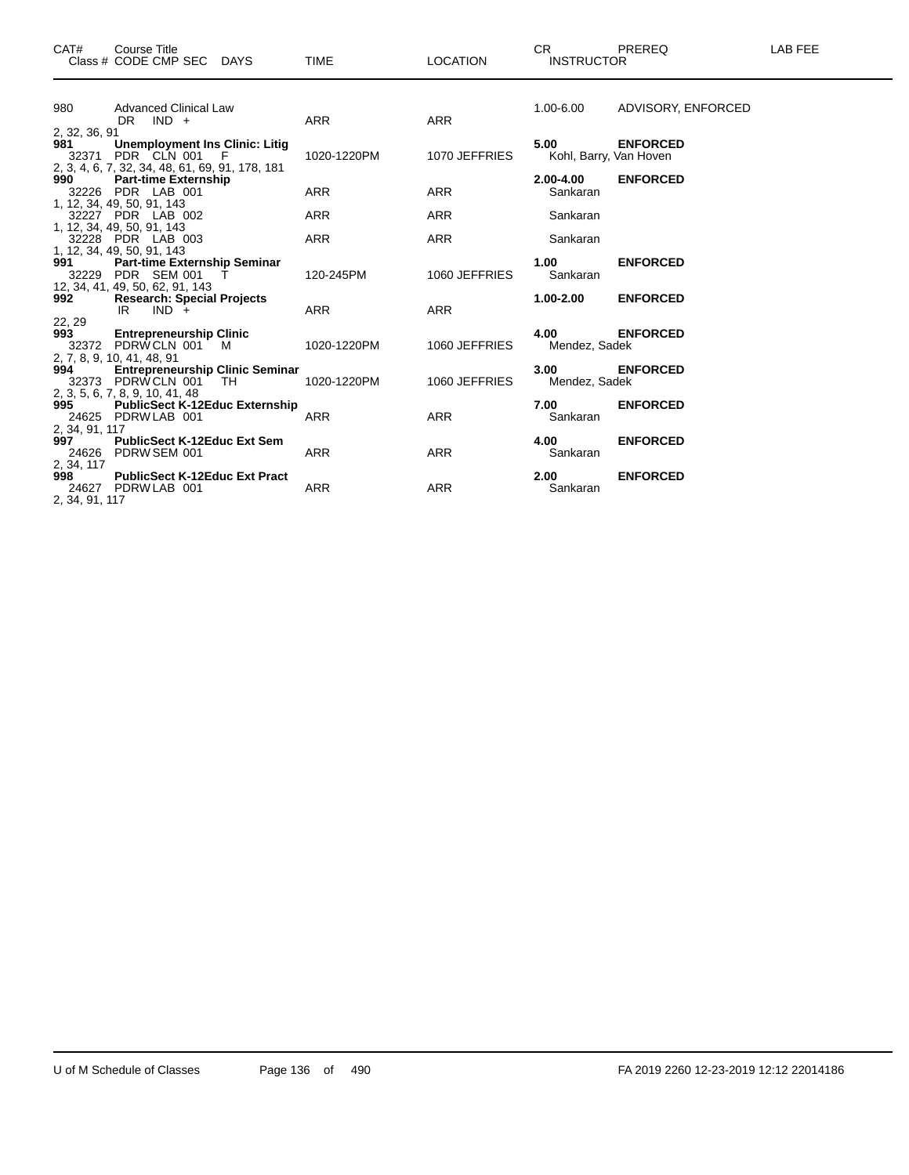| CAT#                       | Course Title<br>Class # CODE CMP SEC DAYS                                                                          | <b>TIME</b> | <b>LOCATION</b> | CR.<br><b>INSTRUCTOR</b>       | PREREQ             | LAB FEE |
|----------------------------|--------------------------------------------------------------------------------------------------------------------|-------------|-----------------|--------------------------------|--------------------|---------|
| 980                        | <b>Advanced Clinical Law</b><br>$DR$ $IND +$                                                                       | ARR         | <b>ARR</b>      | 1.00-6.00                      | ADVISORY, ENFORCED |         |
| 2, 32, 36, 91<br>981       | <b>Unemployment Ins Clinic: Litig</b><br>32371 PDR CLN 001<br>F<br>2, 3, 4, 6, 7, 32, 34, 48, 61, 69, 91, 178, 181 | 1020-1220PM | 1070 JEFFRIES   | 5.00<br>Kohl, Barry, Van Hoven | <b>ENFORCED</b>    |         |
| 990                        | <b>Part-time Externship</b><br>32226 PDR LAB 001<br>1, 12, 34, 49, 50, 91, 143                                     | <b>ARR</b>  | <b>ARR</b>      | 2.00-4.00<br>Sankaran          | <b>ENFORCED</b>    |         |
|                            | 32227 PDR LAB 002<br>1, 12, 34, 49, 50, 91, 143                                                                    | <b>ARR</b>  | <b>ARR</b>      | Sankaran                       |                    |         |
|                            | 32228 PDR LAB 003<br>1, 12, 34, 49, 50, 91, 143                                                                    | ARR         | <b>ARR</b>      | Sankaran                       |                    |         |
| 991 — 10                   | Part-time Externship Seminar<br>32229 PDR SEM 001<br>т<br>12, 34, 41, 49, 50, 62, 91, 143                          | 120-245PM   | 1060 JEFFRIES   | 1.00<br>Sankaran               | <b>ENFORCED</b>    |         |
| 992                        | <b>Research: Special Projects</b><br>IR<br>$IND +$                                                                 | <b>ARR</b>  | <b>ARR</b>      | $1.00 - 2.00$                  | <b>ENFORCED</b>    |         |
| 22, 29<br>993 — 100        | <b>Entrepreneurship Clinic</b><br>32372 PDRWCLN 001 M                                                              | 1020-1220PM | 1060 JEFFRIES   | 4.00<br>Mendez, Sadek          | <b>ENFORCED</b>    |         |
|                            | 2, 7, 8, 9, 10, 41, 48, 91<br>994 Entrepreneu<br><b>Entrepreneurship Clinic Seminar</b><br>32373 PDRW CLN 001 TH   | 1020-1220PM | 1060 JEFFRIES   | 3.00<br>Mendez, Sadek          | <b>ENFORCED</b>    |         |
|                            | 2, 3, 5, 6, 7, 8, 9, 10, 41, 48<br>995 PublicSect K-12Educ Externship<br>24625 PDRW LAB 001                        | <b>ARR</b>  | <b>ARR</b>      | 7.00<br>Sankaran               | <b>ENFORCED</b>    |         |
| 2, 34, 91, 117<br>997      | <b>PublicSect K-12Educ Ext Sem</b><br>24626 PDRW SEM 001                                                           | <b>ARR</b>  | <b>ARR</b>      | 4.00<br>Sankaran               | <b>ENFORCED</b>    |         |
| 2, 34, 117<br>998<br>24627 | <b>PublicSect K-12Educ Ext Pract</b><br>PDRW LAB 001                                                               | <b>ARR</b>  | <b>ARR</b>      | 2.00<br>Sankaran               | <b>ENFORCED</b>    |         |

2, 34, 91, 117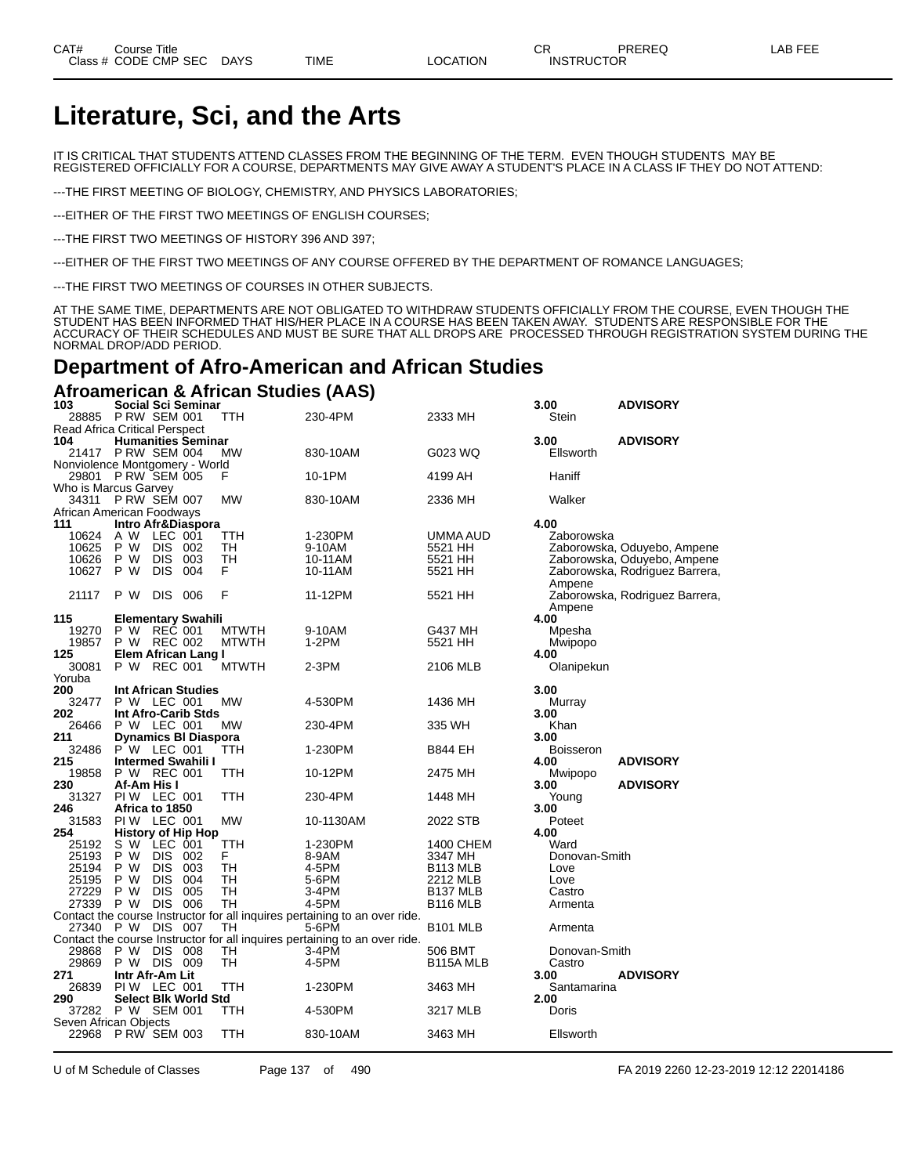# **Literature, Sci, and the Arts**

IT IS CRITICAL THAT STUDENTS ATTEND CLASSES FROM THE BEGINNING OF THE TERM. EVEN THOUGH STUDENTS MAY BE REGISTERED OFFICIALLY FOR A COURSE, DEPARTMENTS MAY GIVE AWAY A STUDENT'S PLACE IN A CLASS IF THEY DO NOT ATTEND:

---THE FIRST MEETING OF BIOLOGY, CHEMISTRY, AND PHYSICS LABORATORIES;

---EITHER OF THE FIRST TWO MEETINGS OF ENGLISH COURSES;

---THE FIRST TWO MEETINGS OF HISTORY 396 AND 397;

---EITHER OF THE FIRST TWO MEETINGS OF ANY COURSE OFFERED BY THE DEPARTMENT OF ROMANCE LANGUAGES;

---THE FIRST TWO MEETINGS OF COURSES IN OTHER SUBJECTS.

AT THE SAME TIME, DEPARTMENTS ARE NOT OBLIGATED TO WITHDRAW STUDENTS OFFICIALLY FROM THE COURSE, EVEN THOUGH THE STUDENT HAS BEEN INFORMED THAT HIS/HER PLACE IN A COURSE HAS BEEN TAKEN AWAY. STUDENTS ARE RESPONSIBLE FOR THE ACCURACY OF THEIR SCHEDULES AND MUST BE SURE THAT ALL DROPS ARE PROCESSED THROUGH REGISTRATION SYSTEM DURING THE NORMAL DROP/ADD PERIOD.

### **Department of Afro-American and African Studies**

**Afroamerican & African Studies (AAS)**

| 103                                  |                 |                | Social Sci Seminar          |              |                                                                            |                        | 3.00          | <b>ADVISORY</b>                |
|--------------------------------------|-----------------|----------------|-----------------------------|--------------|----------------------------------------------------------------------------|------------------------|---------------|--------------------------------|
| 28885                                | P RW SEM 001    |                |                             | TTH          | 230-4PM                                                                    | 2333 MH                | Stein         |                                |
| <b>Read Africa Critical Perspect</b> |                 |                |                             |              |                                                                            |                        |               |                                |
| 104                                  |                 |                | <b>Humanities Seminar</b>   |              |                                                                            |                        | 3.00          | <b>ADVISORY</b>                |
| 21417 PRW SEM 004                    |                 |                |                             | MW           | 830-10AM                                                                   | G023 WQ                | Ellsworth     |                                |
| Nonviolence Montgomery - World       |                 |                |                             |              |                                                                            |                        |               |                                |
| 29801 P RW SEM 005                   |                 |                |                             | F            | 10-1PM                                                                     | 4199 AH                | Haniff        |                                |
| Who is Marcus Garvey                 |                 |                |                             |              |                                                                            |                        |               |                                |
| 34311                                | PRW SEM 007     |                |                             | <b>MW</b>    | 830-10AM                                                                   | 2336 MH                | Walker        |                                |
| African American Foodways            |                 |                |                             |              |                                                                            |                        |               |                                |
| 111                                  |                 |                | Intro Afr&Diaspora          |              |                                                                            |                        | 4.00          |                                |
| 10624                                | A W             | LEC 001        |                             | TTH          | 1-230PM                                                                    | UMMA AUD               | Zaborowska    |                                |
| 10625                                | P W             | <b>DIS</b>     | 002                         | TН           | 9-10AM                                                                     | 5521 HH                |               | Zaborowska, Oduyebo, Ampene    |
| 10626                                | P W             | <b>DIS</b>     | 003                         | TН           | 10-11AM                                                                    | 5521 HH                |               | Zaborowska, Oduyebo, Ampene    |
| 10627                                | P W             | <b>DIS</b>     | 004                         | F            | 10-11AM                                                                    | 5521 HH                |               | Zaborowska, Rodriguez Barrera, |
|                                      |                 |                |                             |              |                                                                            |                        | Ampene        |                                |
| 21117                                | P W             | <b>DIS</b>     | 006                         | F            | 11-12PM                                                                    | 5521 HH                |               | Zaborowska, Rodriguez Barrera, |
|                                      |                 |                |                             |              |                                                                            |                        | Ampene        |                                |
| 115                                  |                 |                | <b>Elementary Swahili</b>   |              |                                                                            |                        | 4.00          |                                |
| 19270                                | P W             | REČ 001        |                             | <b>MTWTH</b> | 9-10AM                                                                     | G437 MH                | Mpesha        |                                |
| 19857                                | P W             | REC 002        |                             | <b>MTWTH</b> | 1-2PM                                                                      | 5521 HH                | Mwipopo       |                                |
| 125                                  |                 |                | Elem African Lang I         |              |                                                                            |                        | 4.00          |                                |
| 30081                                | P W             | REC 001        |                             | <b>MTWTH</b> | $2-3PM$                                                                    | 2106 MLB               | Olanipekun    |                                |
| Yoruba                               |                 |                |                             |              |                                                                            |                        |               |                                |
| 200                                  |                 |                | <b>Int African Studies</b>  |              |                                                                            |                        | 3.00          |                                |
| 32477                                | P W LEC 001     |                |                             | <b>MW</b>    | 4-530PM                                                                    | 1436 MH                | Murray        |                                |
| 202                                  |                 |                | Int Afro-Carib Stds         |              |                                                                            |                        | 3.00          |                                |
| 26466                                | P W LEC 001     |                |                             | MW           | 230-4PM                                                                    | 335 WH                 | Khan          |                                |
| 211                                  |                 |                | <b>Dynamics BI Diaspora</b> |              |                                                                            |                        | 3.00          |                                |
| 32486                                | P W LEC 001     |                |                             | TTH          | 1-230PM                                                                    | <b>B844 EH</b>         | Boisseron     |                                |
| 215                                  |                 |                | Intermed Swahili I          |              |                                                                            |                        | 4.00          | <b>ADVISORY</b>                |
| 19858                                | P W REC 001     |                |                             | TTH          | 10-12PM                                                                    | 2475 MH                | Mwipopo       |                                |
| 230                                  | Af-Am His I     |                |                             |              |                                                                            |                        | 3.00          | <b>ADVISORY</b>                |
| 31327                                | PIW LEC 001     |                |                             | TTH          | 230-4PM                                                                    | 1448 MH                | Young         |                                |
| 246                                  | Africa to 1850  |                |                             |              |                                                                            |                        | 3.00          |                                |
| 31583                                | PIW LEC 001     |                |                             | MW           | 10-1130AM                                                                  | 2022 STB               | Poteet        |                                |
| 254                                  |                 |                | <b>History of Hip Hop</b>   |              |                                                                            |                        | 4.00          |                                |
| 25192                                | S W LEC 001     |                |                             | TTH          | 1-230PM                                                                    | 1400 CHEM              | Ward          |                                |
| 25193                                | P W             | DIS.           | - 002                       | F.           | 8-9AM                                                                      | 3347 MH                | Donovan-Smith |                                |
| 25194                                | P W             | <b>DIS</b>     | 003                         | TН           | 4-5PM                                                                      | B113 MLB               | Love          |                                |
| 25195                                | P W             | <b>DIS</b>     | 004                         | TН           | 5-6PM                                                                      | 2212 MLB               | Love          |                                |
| 27229                                | P W             | <b>DIS</b>     | 005                         | <b>TH</b>    | 3-4PM                                                                      | B <sub>137</sub> MLB   | Castro        |                                |
| 27339                                | P W             | <b>DIS</b>     | 006                         | <b>TH</b>    | 4-5PM                                                                      | B116 MLB               | Armenta       |                                |
|                                      |                 |                |                             |              | Contact the course Instructor for all inquires pertaining to an over ride. |                        |               |                                |
| 27340                                | P W             | <b>DIS 007</b> |                             | TН           | 5-6PM                                                                      | B101 MLB               | Armenta       |                                |
|                                      |                 |                |                             |              | Contact the course Instructor for all inquires pertaining to an over ride. |                        |               |                                |
| 29868                                | P W             | <b>DIS 008</b> |                             | TН           | $3-4PM$                                                                    | 506 BMT                | Donovan-Smith |                                |
| 29869                                | P W DIS 009     |                |                             | TН           | 4-5PM                                                                      | B <sub>115</sub> A MLB | Castro        |                                |
| 271                                  | Intr Afr-Am Lit |                |                             |              |                                                                            |                        | 3.00          | <b>ADVISORY</b>                |
| 26839                                | PIW LEC 001     |                |                             | TTH          | 1-230PM                                                                    | 3463 MH                | Santamarina   |                                |
| 290                                  |                 |                | <b>Select Blk World Std</b> |              |                                                                            |                        | 2.00          |                                |
| 37282 P W SEM 001                    |                 |                |                             | TTH          | 4-530PM                                                                    | 3217 MLB               | Doris         |                                |
| Seven African Objects                |                 |                |                             |              |                                                                            |                        |               |                                |
| 22968 P RW SEM 003                   |                 |                |                             | TTH          | 830-10AM                                                                   | 3463 MH                | Ellsworth     |                                |
|                                      |                 |                |                             |              |                                                                            |                        |               |                                |

U of M Schedule of Classes Page 137 of 490 FA 2019 2260 12-23-2019 12:12 22014186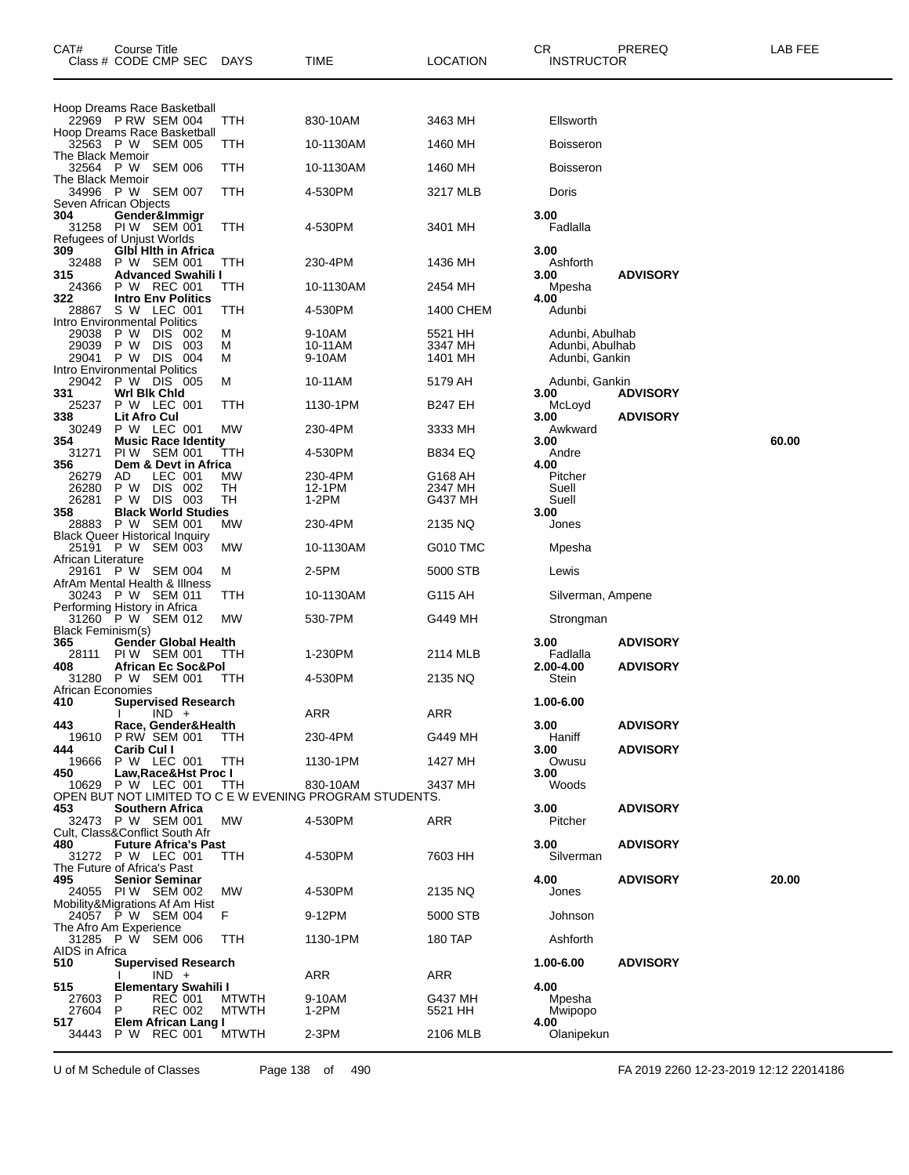| CAT#                     | Course Title<br>Class # CODE CMP SEC                          | DAYS                         | TIME                                                    | LOCATION           | CR<br>PREREQ<br><b>INSTRUCTOR</b>        | LAB FEE |
|--------------------------|---------------------------------------------------------------|------------------------------|---------------------------------------------------------|--------------------|------------------------------------------|---------|
|                          | Hoop Dreams Race Basketball                                   |                              |                                                         |                    |                                          |         |
|                          | 22969 P RW SEM 004<br>Hoop Dreams Race Basketball             | ттн                          | 830-10AM                                                | 3463 MH            | Ellsworth                                |         |
| The Black Memoir         | 32563 P W SEM 005                                             | TTH                          | 10-1130AM                                               | 1460 MH            | <b>Boisseron</b>                         |         |
| The Black Memoir         | 32564 P W SEM 006                                             | ттн                          | 10-1130AM                                               | 1460 MH            | <b>Boisseron</b>                         |         |
|                          | 34996 P W SEM 007<br>Seven African Objects                    | TTH                          | 4-530PM                                                 | 3217 MLB           | Doris                                    |         |
| 304<br>31258             | Gender&Immigr<br>PIW SEM 001<br>Refugees of Unjust Worlds     | ттн                          | 4-530PM                                                 | 3401 MH            | 3.00<br>Fadlalla                         |         |
| 309<br>32488             | <b>GIbl Hith in Africa</b><br>P W SEM 001                     | ттн                          | 230-4PM                                                 | 1436 MH            | 3.00<br>Ashforth                         |         |
| 315<br>24366             | <b>Advanced Swahili I</b><br>P W REC 001                      | ттн                          | 10-1130AM                                               | 2454 MH            | 3.00<br><b>ADVISORY</b><br>Mpesha        |         |
| 322                      | <b>Intro Env Politics</b>                                     |                              |                                                         |                    | 4.00                                     |         |
| 28867                    | S W LEC 001<br>Intro Environmental Politics                   | TTH                          | 4-530PM                                                 | 1400 CHEM          | Adunbi                                   |         |
| 29038<br>29039           | P W<br>DIS 002<br>P W<br><b>DIS</b>                           | M<br>-003<br>м               | 9-10AM<br>10-11AM                                       | 5521 HH<br>3347 MH | Adunbi, Abulhab<br>Adunbi, Abulhab       |         |
| 29041                    | P W DIS<br>- 004<br><b>Intro Environmental Politics</b>       | м                            | 9-10AM                                                  | 1401 MH            | Adunbi, Gankin                           |         |
|                          | 29042 P W DIS 005                                             | м                            | 10-11AM                                                 | 5179 AH            | Adunbi, Gankin                           |         |
| 331<br>25237             | Wri Bik Chid<br>P W LEC 001                                   | ттн                          | 1130-1PM                                                | <b>B247 EH</b>     | 3.00<br><b>ADVISORY</b><br>McLoyd        |         |
| 338<br>30249             | Lit Afro Cul<br>P W LEC 001                                   | MW                           | 230-4PM                                                 | 3333 MH            | 3.00<br><b>ADVISORY</b><br>Awkward       |         |
| 354                      | <b>Music Race Identity</b>                                    |                              |                                                         |                    | 3.00                                     | 60.00   |
| 31271<br>356             | PIW SEM 001<br>Dem & Devt in Africa                           | ттн                          | 4-530PM                                                 | <b>B834 EQ</b>     | Andre<br>4.00                            |         |
| 26279<br>26280           | AD<br>LEC 001<br>P W<br>DIS 002                               | МW<br>TН                     | 230-4PM<br>12-1PM                                       | G168 AH<br>2347 MH | Pitcher<br>Suell                         |         |
| 26281                    | P W DIS 003                                                   | TН                           | 1-2PM                                                   | G437 MH            | Suell                                    |         |
| 358                      | <b>Black World Studies</b><br>28883 P W SEM 001               | МW                           | 230-4PM                                                 | 2135 NQ            | 3.00<br>Jones                            |         |
|                          | Black Queer Historical Inquiry<br>25191 P W<br>SEM 003        | МW                           | 10-1130AM                                               | G010 TMC           | Mpesha                                   |         |
| African Literature       |                                                               |                              |                                                         |                    |                                          |         |
|                          | 29161 P W<br>SEM 004<br>AfrAm Mental Health & Illness         | м                            | 2-5PM                                                   | 5000 STB           | Lewis                                    |         |
|                          | 30243 P W SEM 011<br>Performing History in Africa             | TTH                          | 10-1130AM                                               | G115 AH            | Silverman, Ampene                        |         |
| <b>Black Feminism(s)</b> | 31260 P W SEM 012                                             | МW                           | 530-7PM                                                 | G449 MH            | Strongman                                |         |
| 365                      | Gender Global Health                                          |                              |                                                         |                    | <b>ADVISORY</b><br>3.00                  |         |
| 28111<br>408             | PIW SEM 001<br>African Ec Soc&Pol                             | TTH                          | 1-230PM                                                 | 2114 MLB           | Fadlalla<br>2.00-4.00<br><b>ADVISORY</b> |         |
| African Economies        | 31280 P W SEM 001                                             | TTH                          | 4-530PM                                                 | 2135 NQ            | Stein                                    |         |
| 410                      | <b>Supervised Research</b>                                    |                              |                                                         |                    | 1.00-6.00                                |         |
| 443                      | $IND +$<br>I.<br>Race, Gender&Health                          |                              | <b>ARR</b>                                              | ARR                | 3.00<br><b>ADVISORY</b>                  |         |
| 19610<br>444             | <b>P RW SEM 001</b><br>Carib Cul I                            | TTH.                         | 230-4PM                                                 | G449 MH            | Haniff<br>3.00<br><b>ADVISORY</b>        |         |
| 19666                    | P W LEC 001                                                   | TTH                          | 1130-1PM                                                | 1427 MH            | Owusu                                    |         |
| 450<br>10629             | Law, Race& Hst Proc I<br>P W LEC 001                          | TTH                          | 830-10AM                                                | 3437 MH            | 3.00<br>Woods                            |         |
| 453                      | <b>Southern Africa</b>                                        |                              | OPEN BUT NOT LIMITED TO C E W EVENING PROGRAM STUDENTS. |                    | 3.00<br><b>ADVISORY</b>                  |         |
|                          | 32473 P W SEM 001                                             | <b>MW</b>                    | 4-530PM                                                 | ARR                | Pitcher                                  |         |
| 480                      | Cult, Class&Conflict South Afr<br><b>Future Africa's Past</b> |                              |                                                         |                    | 3.00<br><b>ADVISORY</b>                  |         |
|                          | 31272 P W LEC 001<br>The Future of Africa's Past              | TTH                          | 4-530PM                                                 | 7603 HH            | Silverman                                |         |
| 495                      | <b>Senior Seminar</b>                                         |                              |                                                         |                    | 4.00<br><b>ADVISORY</b>                  | 20.00   |
|                          | 24055 PIW SEM 002<br>Mobility&Migrations Af Am Hist           | МW                           | 4-530PM                                                 | 2135 NQ            | Jones                                    |         |
|                          | 24057 P W SEM 004<br>The Afro Am Experience                   | F                            | 9-12PM                                                  | 5000 STB           | Johnson                                  |         |
|                          | 31285 P W SEM 006                                             | TTH                          | 1130-1PM                                                | 180 TAP            | Ashforth                                 |         |
| AIDS in Africa<br>510    | <b>Supervised Research</b>                                    |                              |                                                         |                    | <b>ADVISORY</b><br>1.00-6.00             |         |
| 515                      | $IND +$<br>Elementary Swahili I                               |                              | ARR                                                     | ARR                | 4.00                                     |         |
| 27603<br>27604           | <b>REC 001</b><br>P<br><b>REC 002</b><br>P                    | <b>MTWTH</b><br><b>MTWTH</b> | 9-10AM<br>1-2PM                                         | G437 MH<br>5521 HH | Mpesha<br>Mwipopo                        |         |
| 517                      | Elem African Lang I                                           |                              |                                                         |                    | 4.00                                     |         |
| 34443                    | P W REC 001                                                   | <b>MTWTH</b>                 | $2-3PM$                                                 | 2106 MLB           | Olanipekun                               |         |

U of M Schedule of Classes Page 138 of 490 FA 2019 2260 12-23-2019 12:12 22014186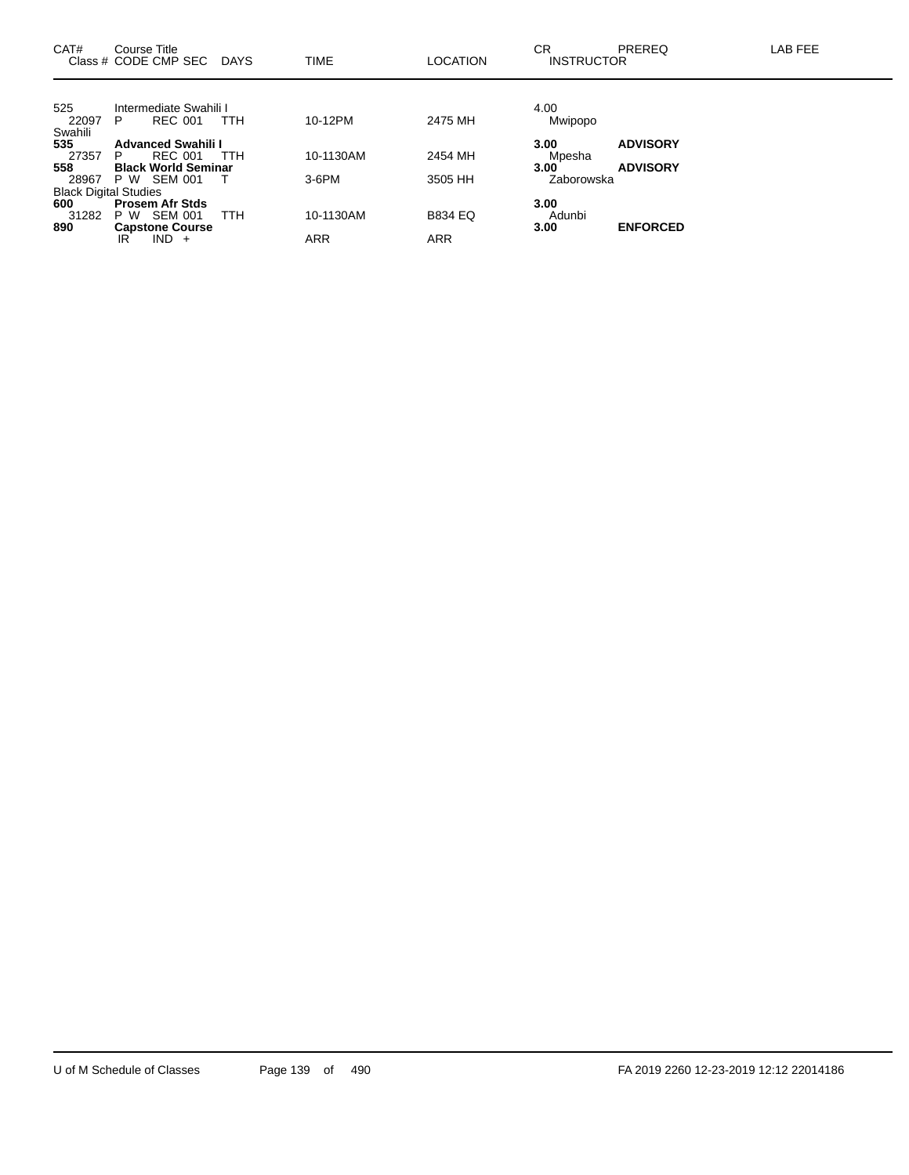| CAT#                         | Course Title | Class # CODE CMP SEC       | DAYS       | <b>TIME</b> | <b>LOCATION</b> | CR<br><b>INSTRUCTOR</b> | <b>PREREQ</b>   | LAB FEE |
|------------------------------|--------------|----------------------------|------------|-------------|-----------------|-------------------------|-----------------|---------|
|                              |              |                            |            |             |                 |                         |                 |         |
| 525                          |              | Intermediate Swahili I     |            |             |                 | 4.00                    |                 |         |
| 22097                        | P            | <b>REC 001</b>             | <b>TTH</b> | 10-12PM     | 2475 MH         | Mwipopo                 |                 |         |
| Swahili                      |              |                            |            |             |                 |                         |                 |         |
| 535                          |              | <b>Advanced Swahili I</b>  |            |             |                 | 3.00                    | <b>ADVISORY</b> |         |
| 27357                        | P            | <b>REC 001</b>             | <b>TTH</b> | 10-1130AM   | 2454 MH         | Mpesha                  |                 |         |
| 558                          |              | <b>Black World Seminar</b> |            |             |                 | 3.00                    | <b>ADVISORY</b> |         |
| 28967                        |              | P W SEM 001                |            | $3-6$ PM    | 3505 HH         | Zaborowska              |                 |         |
| <b>Black Digital Studies</b> |              |                            |            |             |                 |                         |                 |         |
| 600                          |              | <b>Prosem Afr Stds</b>     |            |             |                 | 3.00                    |                 |         |
| 31282                        | P W          | SEM 001                    | <b>TTH</b> | 10-1130AM   | <b>B834 EQ</b>  | Adunbi                  |                 |         |
| 890                          |              | <b>Capstone Course</b>     |            |             |                 | 3.00                    | <b>ENFORCED</b> |         |
|                              | IR           | $IND +$                    |            | <b>ARR</b>  | <b>ARR</b>      |                         |                 |         |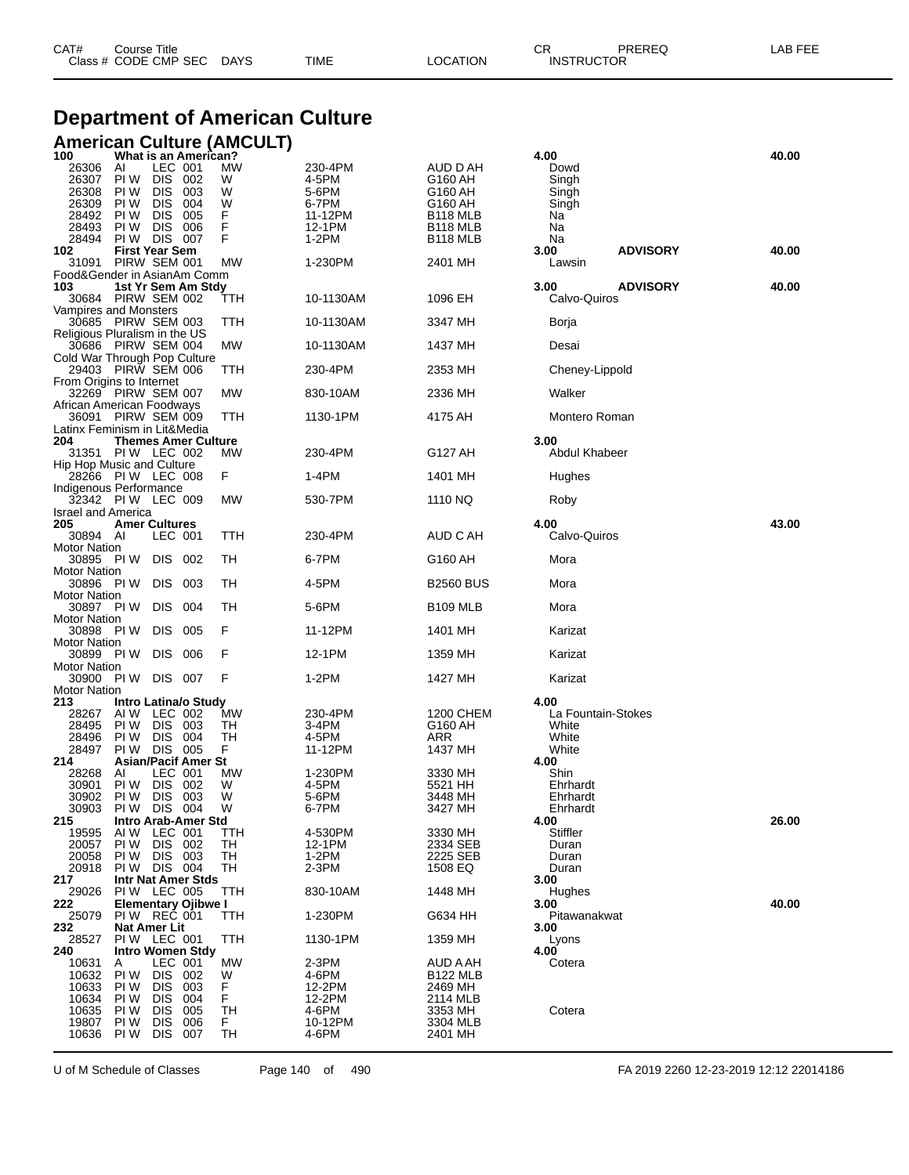| CAT# | Course Title         |             |      |          | ∩⊓<br>◡ॸ          | PREREQ | LAB FEE |
|------|----------------------|-------------|------|----------|-------------------|--------|---------|
|      | Class # CODE CMP SEC | <b>DAYS</b> | TIME | LOCATION | <b>INSTRUCTOR</b> |        |         |

# **Department of American Culture**

### **American Culture (AMCULT)**

| 100                              | What is an American?                                   |          |                  |                      | 4.00                          | 40.00 |
|----------------------------------|--------------------------------------------------------|----------|------------------|----------------------|-------------------------------|-------|
| 26306<br>26307                   | LEC 001<br>AI<br>PI W<br>DIS.<br>- 002                 | МW<br>W  | 230-4PM<br>4-5PM | AUD D AH<br>G160 AH  | Dowd<br>Singh                 |       |
| 26308                            | <b>DIS</b><br>PI W<br>003                              | W        | 5-6PM            | G160 AH              | Singh                         |       |
| 26309                            | PI W<br><b>DIS</b><br>004                              | W        | 6-7PM            | G160 AH              | Singh                         |       |
| 28492                            | PI W<br><b>DIS</b><br>005                              | F        | 11-12PM          | B118 MLB             | Na                            |       |
| 28493                            | <b>DIS</b><br>PI W<br>006                              | F        | 12-1PM           | B118 MLB             | Na                            |       |
| 28494<br>102                     | PI W<br>DIS 007<br><b>First Year Sem</b>               | F        | 1-2PM            | B118 MLB             | Na<br><b>ADVISORY</b><br>3.00 | 40.00 |
| 31091                            | PIRW SEM 001                                           | МW       | 1-230PM          | 2401 MH              | Lawsin                        |       |
|                                  | Food&Gender in AsianAm Comm                            |          |                  |                      |                               |       |
| 103                              | 1st Yr Sem Am Stdy                                     |          |                  |                      | 3.00<br><b>ADVISORY</b>       | 40.00 |
|                                  | 30684 PIRW SEM 002                                     | ттн      | 10-1130AM        | 1096 EH              | Calvo-Quiros                  |       |
|                                  | Vampires and Monsters                                  |          |                  |                      |                               |       |
|                                  | 30685 PIRW SEM 003<br>Religious Pluralism in the US    | TTH      | 10-1130AM        | 3347 MH              | Borja                         |       |
|                                  | 30686 PIRW SEM 004                                     | МW       | 10-1130AM        | 1437 MH              | Desai                         |       |
|                                  | Cold War Through Pop Culture                           |          |                  |                      |                               |       |
|                                  | 29403 PIRW SEM 006                                     | TTH      | 230-4PM          | 2353 MH              | Cheney-Lippold                |       |
|                                  | From Origins to Internet<br>32269 PIRW SEM 007         | МW       | 830-10AM         | 2336 MH              | Walker                        |       |
|                                  | African American Foodways                              |          |                  |                      |                               |       |
|                                  | 36091 PIRW SEM 009                                     | TTH      | 1130-1PM         | 4175 AH              | Montero Roman                 |       |
|                                  | Latinx Feminism in Lit&Media                           |          |                  |                      |                               |       |
| 204                              | <b>Themes Amer Culture</b>                             |          |                  |                      | 3.00                          |       |
|                                  | 31351 PIW LEC 002<br>Hip Hop Music and Culture         | МW       | 230-4PM          | G127 AH              | <b>Abdul Khabeer</b>          |       |
|                                  | 28266 PIW LEC 008                                      | F.       | $1-4PM$          | 1401 MH              | Hughes                        |       |
|                                  | Indigenous Performance                                 |          |                  |                      |                               |       |
|                                  | 32342 PIW LEC 009                                      | МW       | 530-7PM          | 1110 NQ              | Roby                          |       |
| <b>Israel and America</b><br>205 |                                                        |          |                  |                      | 4.00                          | 43.00 |
| 30894 AI                         | <b>Amer Cultures</b><br>LEC 001                        | TTH      | 230-4PM          | AUD C AH             | Calvo-Quiros                  |       |
| <b>Motor Nation</b>              |                                                        |          |                  |                      |                               |       |
| 30895 PIW                        | DIS -<br>002                                           | TH       | 6-7PM            | G160 AH              | Mora                          |       |
| <b>Motor Nation</b>              |                                                        |          |                  |                      |                               |       |
| <b>Motor Nation</b>              | 30896 PIW DIS 003                                      | TН       | 4-5PM            | <b>B2560 BUS</b>     | Mora                          |       |
| 30897 PIW                        | DIS 004                                                | TН       | 5-6PM            | B <sub>109</sub> MLB | Mora                          |       |
| <b>Motor Nation</b>              |                                                        |          |                  |                      |                               |       |
| 30898 PIW                        | DIS .<br>005                                           | F        | 11-12PM          | 1401 MH              | Karizat                       |       |
| <b>Motor Nation</b>              |                                                        | F        |                  |                      |                               |       |
| 30899 PIW<br><b>Motor Nation</b> | DIS 006                                                |          | 12-1PM           | 1359 MH              | Karizat                       |       |
|                                  | 30900 PIW DIS 007                                      | F        | 1-2PM            | 1427 MH              | Karizat                       |       |
| <b>Motor Nation</b>              |                                                        |          |                  |                      |                               |       |
| 213                              | Intro Latina/o Study                                   |          |                  |                      | 4.00                          |       |
| 28267                            | AI W<br>LEC 002                                        | МW       | 230-4PM          | 1200 CHEM            | La Fountain-Stokes            |       |
| 28495<br>28496                   | PI W<br>DIS 003<br>PI W<br>DIS 004                     | TН<br>TН | 3-4PM<br>4-5PM   | G160 AH<br>ARR       | White<br>White                |       |
| 28497                            | DIS 005<br>PI W                                        | F        | 11-12PM          | 1437 MH              | White                         |       |
| 214                              | <b>Asian/Pacif Amer St</b>                             |          |                  |                      | 4.00                          |       |
| 28268                            | AI<br>LEC 001                                          | МW       | 1-230PM          | 3330 MH              | Shin                          |       |
| 30901                            | PI W<br>DIS.<br>002                                    | W        | 4-5PM            | 5521 HH              | Ehrhardt                      |       |
| 30902<br>30903                   | <b>DIS</b><br>PI W<br>003<br>PI W<br>DIS.<br>004       | W<br>W   | 5-6PM<br>6-7PM   | 3448 MH<br>3427 MH   | Ehrhardt<br>Ehrhardt          |       |
| 215                              | Intro Arab-Amer Std                                    |          |                  |                      | 4.00                          | 26.00 |
| 19595                            | AIW LEC 001                                            | TTH      | 4-530PM          | 3330 MH              | Stiffler                      |       |
| 20057                            | PI W<br><b>DIS</b><br>002                              | TН       | 12-1PM           | 2334 SEB             | Duran                         |       |
| 20058<br>20918                   | PI W<br>DIS.<br>003<br>PIW DIS 004                     | TН<br>TН | $1-2PM$<br>2-3PM | 2225 SEB<br>1508 EQ  | Duran<br>Duran                |       |
| 217                              | Intr Nat Amer Stds                                     |          |                  |                      | 3.00                          |       |
| 29026                            | PIW LEC 005                                            | TTH      | 830-10AM         | 1448 MH              | Hughes                        |       |
| 222                              | <b>Elementary Ojibwe I</b>                             |          |                  |                      | 3.00                          | 40.00 |
| 25079                            | PIW REC 001                                            | TTH      | 1-230PM          | G634 HH              | Pitawanakwat                  |       |
| 232<br>28527                     | Nat Amer Lit<br>PIW LEC 001                            | TTH      | 1130-1PM         | 1359 MH              | 3.00<br>Lyons                 |       |
| 240                              | <b>Intro Women Stdy</b>                                |          |                  |                      | 4.00                          |       |
| 10631                            | A<br>LEC 001                                           | МW       | 2-3PM            | AUD A AH             | Cotera                        |       |
| 10632                            | PI W<br><b>DIS</b><br>002                              | W        | 4-6PM            | <b>B122 MLB</b>      |                               |       |
| 10633                            | PI W<br><b>DIS</b><br>003                              | F        | 12-2PM           | 2469 MH              |                               |       |
| 10634<br>10635                   | PI W<br><b>DIS</b><br>004<br>PI W<br><b>DIS</b><br>005 | F<br>TН  | 12-2PM<br>4-6PM  | 2114 MLB<br>3353 MH  | Cotera                        |       |
| 19807                            | PI W<br><b>DIS</b><br>006                              | F.       | 10-12PM          | 3304 MLB             |                               |       |
| 10636                            | PI W<br>DIS.<br>007                                    | TH       | 4-6PM            | 2401 MH              |                               |       |
|                                  |                                                        |          |                  |                      |                               |       |

U of M Schedule of Classes Page 140 of 490 FA 2019 2260 12-23-2019 12:12 22014186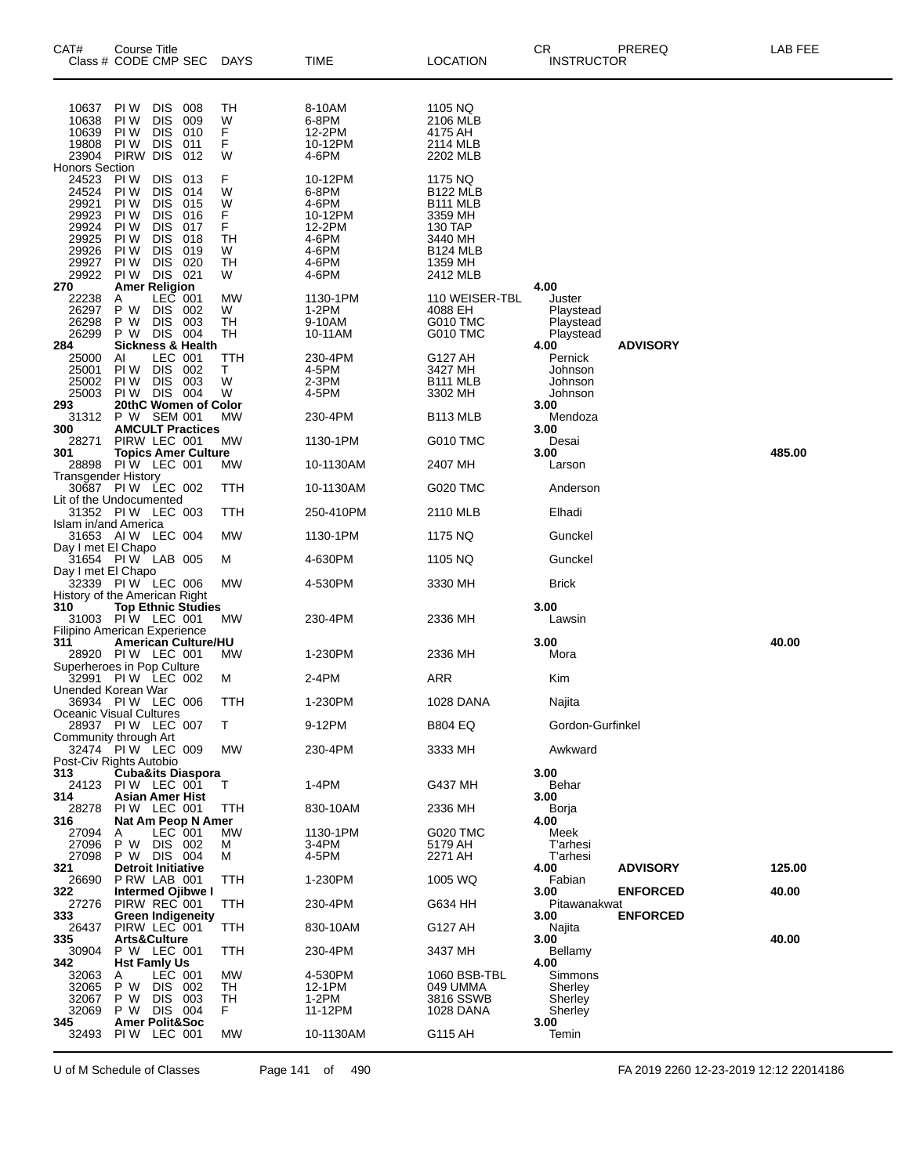| CAT#                                                                          | Course Title<br>Class # CODE CMP SEC                                                                                                                                                                                                                              | <b>DAYS</b>                                 | TIME                                                                               | LOCATION                                                                                                                           | СR<br>PREREQ<br><b>INSTRUCTOR</b>                                        | LAB FEE |
|-------------------------------------------------------------------------------|-------------------------------------------------------------------------------------------------------------------------------------------------------------------------------------------------------------------------------------------------------------------|---------------------------------------------|------------------------------------------------------------------------------------|------------------------------------------------------------------------------------------------------------------------------------|--------------------------------------------------------------------------|---------|
| 10637<br>10638<br>10639<br>19808<br>23904<br><b>Honors Section</b>            | <b>DIS</b><br>PI W<br>008<br><b>DIS</b><br>PI W<br>009<br><b>DIS</b><br>PI W<br>010<br>PI W<br><b>DIS</b><br>011<br>PIRW DIS<br>012                                                                                                                               | <b>TH</b><br>W<br>F<br>F<br>W               | 8-10AM<br>6-8PM<br>12-2PM<br>10-12PM<br>4-6PM                                      | 1105 NQ<br>2106 MLB<br>4175 AH<br>2114 MLB<br>2202 MLB                                                                             |                                                                          |         |
| 24523<br>24524<br>29921<br>29923<br>29924<br>29925<br>29926<br>29927<br>29922 | PI W<br><b>DIS</b><br>013<br><b>DIS</b><br>PI W<br>014<br>PI W<br><b>DIS</b><br>015<br><b>DIS</b><br>PI W<br>016<br><b>DIS</b><br>PI W<br>017<br><b>DIS</b><br>PI W<br>018<br>PI W<br><b>DIS</b><br>019<br><b>DIS</b><br>020<br>PI W<br><b>DIS</b><br>PI W<br>021 | F<br>W<br>W<br>F<br>F<br>TН<br>W<br>TН<br>W | 10-12PM<br>6-8PM<br>4-6PM<br>10-12PM<br>12-2PM<br>4-6PM<br>4-6PM<br>4-6PM<br>4-6PM | 1175 NQ<br><b>B122 MLB</b><br>B <sub>111</sub> MLB<br>3359 MH<br>130 TAP<br>3440 MH<br>B <sub>124</sub> MLB<br>1359 MH<br>2412 MLB |                                                                          |         |
| 270                                                                           | <b>Amer Religion</b>                                                                                                                                                                                                                                              |                                             |                                                                                    |                                                                                                                                    | 4.00                                                                     |         |
| 22238<br>26297<br>26298<br>26299<br>284                                       | LEC 001<br>A<br>P W<br><b>DIS</b><br>002<br>P W<br><b>DIS</b><br>003<br><b>DIS</b><br>004<br>P W<br><b>Sickness &amp; Health</b>                                                                                                                                  | МW<br>W<br>TН<br>TН                         | 1130-1PM<br>1-2PM<br>9-10AM<br>10-11AM                                             | 110 WEISER-TBL<br>4088 EH<br>G010 TMC<br>G010 TMC                                                                                  | Juster<br>Playstead<br>Playstead<br>Playstead<br><b>ADVISORY</b><br>4.00 |         |
| 25000<br>25001<br>25002<br>25003                                              | Al<br>LEC 001<br><b>DIS</b><br>PI W<br>002<br><b>DIS</b><br>PI W<br>003<br>PIW DIS<br>004                                                                                                                                                                         | TTH<br>т<br>W<br>W                          | 230-4PM<br>4-5PM<br>2-3PM<br>4-5PM                                                 | G127 AH<br>3427 MH<br><b>B111 MLB</b><br>3302 MH                                                                                   | Pernick<br>Johnson<br>Johnson<br>Johnson                                 |         |
| 293<br>31312                                                                  | 20thC Women of Color<br>P W SEM 001                                                                                                                                                                                                                               | МW                                          | 230-4PM                                                                            | B <sub>113</sub> MLB                                                                                                               | 3.00<br>Mendoza                                                          |         |
| 300<br>28271                                                                  | <b>AMCULT Practices</b><br>PIRW LEC 001                                                                                                                                                                                                                           | МW                                          | 1130-1PM                                                                           | G010 TMC                                                                                                                           | 3.00<br>Desai                                                            |         |
| 301<br>28898                                                                  | <b>Topics Amer Culture</b><br>PIW LEC 001                                                                                                                                                                                                                         | МW                                          | 10-1130AM                                                                          | 2407 MH                                                                                                                            | 3.00<br>Larson                                                           | 485.00  |
| Transgender History                                                           | 30687 PIW LEC 002                                                                                                                                                                                                                                                 | ттн                                         | 10-1130AM                                                                          | G020 TMC                                                                                                                           | Anderson                                                                 |         |
|                                                                               | Lit of the Undocumented                                                                                                                                                                                                                                           |                                             |                                                                                    |                                                                                                                                    |                                                                          |         |
|                                                                               | 31352 PIW LEC 003<br>Islam in/and America                                                                                                                                                                                                                         | TTH                                         | 250-410PM                                                                          | 2110 MLB                                                                                                                           | Elhadi                                                                   |         |
| Day I met El Chapo                                                            | 31653 AIW LEC 004                                                                                                                                                                                                                                                 | МW                                          | 1130-1PM                                                                           | 1175 NQ                                                                                                                            | Gunckel                                                                  |         |
| Day I met El Chapo                                                            | 31654 PIW LAB 005                                                                                                                                                                                                                                                 | М                                           | 4-630PM                                                                            | 1105 NQ                                                                                                                            | Gunckel                                                                  |         |
|                                                                               | 32339 PIW LEC 006                                                                                                                                                                                                                                                 | МW                                          | 4-530PM                                                                            | 3330 MH                                                                                                                            | <b>Brick</b>                                                             |         |
| 310                                                                           | History of the American Right<br><b>Top Ethnic Studies</b><br>31003 PIW LEC 001<br><b>Filipino American Experience</b>                                                                                                                                            | МW                                          | 230-4PM                                                                            | 2336 MH                                                                                                                            | 3.00<br>Lawsin                                                           |         |
| 311                                                                           | <b>American Culture/HU</b><br>28920 PIW LEC 001                                                                                                                                                                                                                   | МW                                          | 1-230PM                                                                            | 2336 MH                                                                                                                            | 3.00<br>Mora                                                             | 40.00   |
| 32991                                                                         | Superheroes in Pop Culture<br>PIW LEC 002                                                                                                                                                                                                                         | M                                           | 2-4PM                                                                              | ARR                                                                                                                                | Kim                                                                      |         |
|                                                                               | Unended Korean War<br>36934 PIW LEC 006                                                                                                                                                                                                                           | ттн                                         | 1-230PM                                                                            | 1028 DANA                                                                                                                          | Najita                                                                   |         |
|                                                                               | Oceanic Visual Cultures                                                                                                                                                                                                                                           |                                             |                                                                                    |                                                                                                                                    |                                                                          |         |
|                                                                               | 28937 PIW LEC 007<br>Community through Art                                                                                                                                                                                                                        | Т                                           | 9-12PM                                                                             | <b>B804 EQ</b>                                                                                                                     | Gordon-Gurfinkel                                                         |         |
|                                                                               | 32474 PIW LEC 009<br>Post-Civ Rights Autobio                                                                                                                                                                                                                      | МW                                          | 230-4PM                                                                            | 3333 MH                                                                                                                            | Awkward                                                                  |         |
| 313                                                                           | <b>Cuba&amp;its Diaspora</b><br>24123 PIW LEC 001                                                                                                                                                                                                                 | T                                           | 1-4PM                                                                              | G437 MH                                                                                                                            | 3.00<br>Behar                                                            |         |
| 314                                                                           | <b>Asian Amer Hist</b>                                                                                                                                                                                                                                            |                                             |                                                                                    |                                                                                                                                    | 3.00                                                                     |         |
| 28278<br>316                                                                  | PIW LEC 001<br>Nat Am Peop N Amer                                                                                                                                                                                                                                 | TTH                                         | 830-10AM                                                                           | 2336 MH                                                                                                                            | Borja<br>4.00                                                            |         |
| 27094<br>27096                                                                | LEC 001<br>A<br>DIS 002<br>P W                                                                                                                                                                                                                                    | MW<br>м                                     | 1130-1PM<br>3-4PM                                                                  | G020 TMC<br>5179 AH                                                                                                                | Meek<br><b>T'arhesi</b>                                                  |         |
| 27098<br>321                                                                  | P W DIS 004<br><b>Detroit Initiative</b>                                                                                                                                                                                                                          | м                                           | 4-5PM                                                                              | 2271 AH                                                                                                                            | <b>T'arhesi</b><br>4.00<br><b>ADVISORY</b>                               | 125.00  |
| 26690                                                                         | P RW LAB 001                                                                                                                                                                                                                                                      | TTH                                         | 1-230PM                                                                            | 1005 WQ                                                                                                                            | Fabian                                                                   |         |
| 322<br>27276                                                                  | Intermed Ojibwe I<br>PIRW REC 001                                                                                                                                                                                                                                 | TTH                                         | 230-4PM                                                                            | G634 HH                                                                                                                            | <b>ENFORCED</b><br>3.00<br>Pitawanakwat                                  | 40.00   |
| 333<br>26437                                                                  | <b>Green Indigeneity</b><br>PIRW LEC 001                                                                                                                                                                                                                          | <b>TTH</b>                                  | 830-10AM                                                                           | G127 AH                                                                                                                            | 3.00<br><b>ENFORCED</b><br>Najita                                        |         |
| 335<br>30904                                                                  | Arts&Culture<br>P W LEC 001                                                                                                                                                                                                                                       | TTH                                         | 230-4PM                                                                            | 3437 MH                                                                                                                            | 3.00<br>Bellamy                                                          | 40.00   |
| 342                                                                           | <b>Hst Famly Us</b><br>LEC 001                                                                                                                                                                                                                                    | MW                                          | 4-530PM                                                                            |                                                                                                                                    | 4.00                                                                     |         |
| 32063<br>32065                                                                | A<br>DIS 002<br>P W                                                                                                                                                                                                                                               | TH                                          | 12-1PM                                                                             | 1060 BSB-TBL<br>049 UMMA                                                                                                           | Simmons<br>Sherley                                                       |         |
| 32067<br>32069                                                                | P W<br>DIS.<br>003<br>P W DIS 004                                                                                                                                                                                                                                 | TH<br>F.                                    | 1-2PM<br>11-12PM                                                                   | 3816 SSWB<br>1028 DANA                                                                                                             | Sherley<br>Sherley                                                       |         |
| 345<br>32493                                                                  | <b>Amer Polit&amp;Soc</b><br>PIW LEC 001                                                                                                                                                                                                                          | <b>MW</b>                                   | 10-1130AM                                                                          | G115 AH                                                                                                                            | 3.00<br>Temin                                                            |         |
|                                                                               |                                                                                                                                                                                                                                                                   |                                             |                                                                                    |                                                                                                                                    |                                                                          |         |

U of M Schedule of Classes Page 141 of 490 FA 2019 2260 12-23-2019 12:12 22014186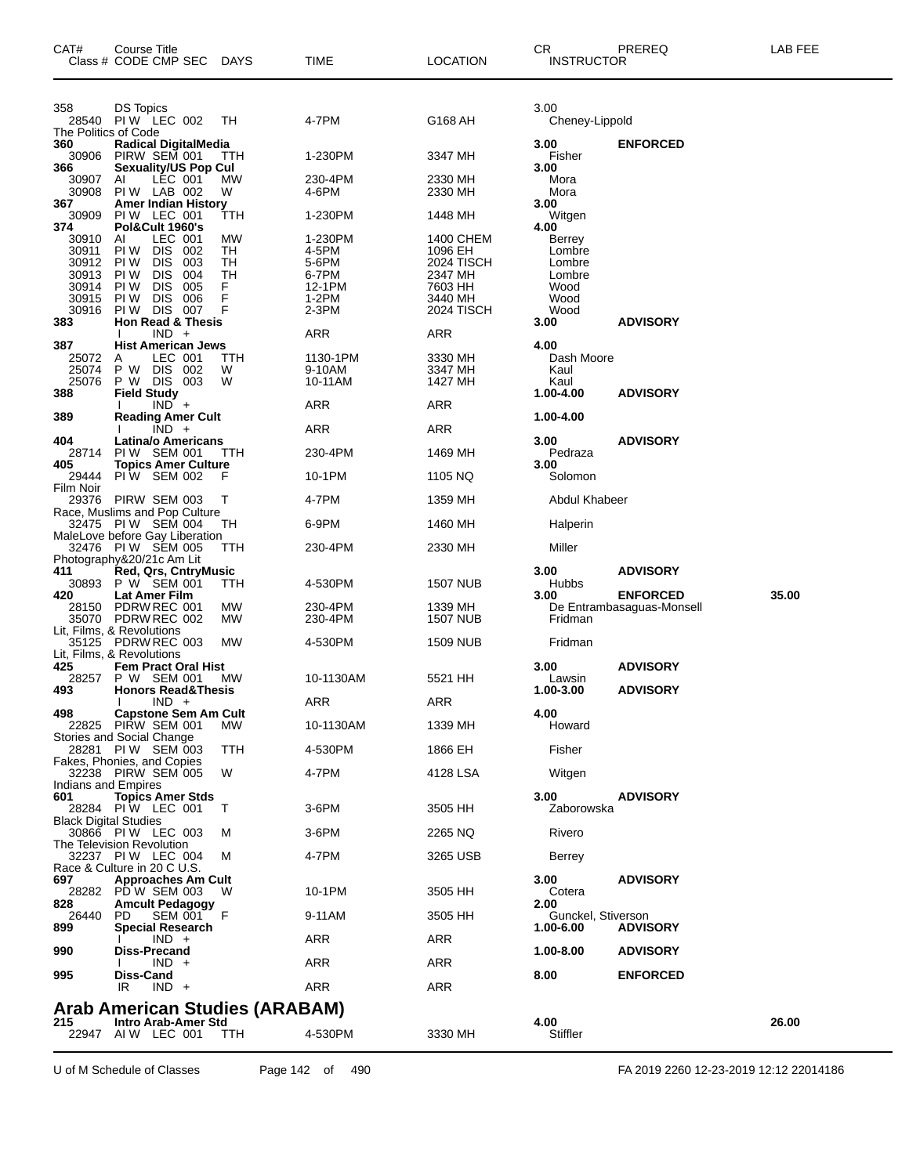| CAT#               | Course Title<br>Class # CODE CMP SEC                     | DAYS     | TIME               | <b>LOCATION</b>      | CR<br><b>INSTRUCTOR</b>    | PREREQ                                       | LAB FEE |
|--------------------|----------------------------------------------------------|----------|--------------------|----------------------|----------------------------|----------------------------------------------|---------|
| 358                | <b>DS Topics</b>                                         |          |                    |                      | 3.00                       |                                              |         |
|                    | 28540 PIW LEC 002                                        | TH       | 4-7PM              | G168 AH              | Cheney-Lippold             |                                              |         |
| 360                | The Politics of Code<br><b>Radical DigitalMedia</b>      |          |                    |                      | 3.00                       | <b>ENFORCED</b>                              |         |
| 30906              | PIRW SEM 001                                             | ттн      | 1-230PM            | 3347 MH              | Fisher                     |                                              |         |
| 366<br>30907       | <b>Sexuality/US Pop Cul</b><br>LEC 001<br>ΑI             | МW       | 230-4PM            | 2330 MH              | 3.00<br>Mora               |                                              |         |
| 30908              | PIW LAB 002                                              | W        | 4-6PM              | 2330 MH              | Mora                       |                                              |         |
| 367<br>30909       | <b>Amer Indian History</b><br>PIW LEC 001                | TTH      | 1-230PM            | 1448 MH              | 3.00<br>Witgen             |                                              |         |
| 374                | Pol&Cult 1960's                                          |          |                    |                      | 4.00                       |                                              |         |
| 30910<br>30911     | AI<br>LEC 001<br>PI W<br><b>DIS</b><br>002               | МW<br>TН | 1-230PM<br>4-5PM   | 1400 CHEM<br>1096 EH | Berrey<br>Lombre           |                                              |         |
| 30912              | <b>DIS</b><br>PI W<br>003                                | TH       | 5-6PM              | 2024 TISCH           | Lombre                     |                                              |         |
| 30913              | PI W<br><b>DIS</b><br>004<br><b>DIS</b>                  | TН<br>F  | 6-7PM              | 2347 MH              | Lombre                     |                                              |         |
| 30914<br>30915     | PI W<br>005<br><b>DIS</b><br>006<br>PI W                 | F        | 12-1PM<br>1-2PM    | 7603 HH<br>3440 MH   | Wood<br>Wood               |                                              |         |
| 30916              | PIW DIS 007                                              | F        | $2-3PM$            | 2024 TISCH           | Wood                       |                                              |         |
| 383                | Hon Read & Thesis<br>$IND +$                             |          | ARR                | ARR                  | 3.00                       | <b>ADVISORY</b>                              |         |
| 387                | <b>Hist American Jews</b>                                |          |                    |                      | 4.00                       |                                              |         |
| 25072<br>25074     | A<br>LEC 001<br>P W DIS 002                              | ттн<br>W | 1130-1PM<br>9-10AM | 3330 MH<br>3347 MH   | Dash Moore<br>Kaul         |                                              |         |
| 25076              | P W DIS 003                                              | W        | 10-11AM            | 1427 MH              | Kaul                       |                                              |         |
| 388                | <b>Field Study</b><br>$IND +$                            |          | ARR                | ARR                  | 1.00-4.00                  | <b>ADVISORY</b>                              |         |
| 389                | <b>Reading Amer Cult</b>                                 |          |                    |                      | 1.00-4.00                  |                                              |         |
| 404                | $IND +$<br><b>Latina/o Americans</b>                     |          | <b>ARR</b>         | ARR                  | 3.00                       | <b>ADVISORY</b>                              |         |
| 28714              | PIW SEM 001                                              | ттн      | 230-4PM            | 1469 MH              | Pedraza                    |                                              |         |
| 405<br>29444       | <b>Topics Amer Culture</b><br>PIW SEM 002                | F        | 10-1PM             | 1105 NQ              | 3.00<br>Solomon            |                                              |         |
| Film Noir<br>29376 | PIRW SEM 003                                             | т        | 4-7PM              | 1359 MH              | Abdul Khabeer              |                                              |         |
|                    | Race, Muslims and Pop Culture<br>32475 PIW SEM 004       | TH       | 6-9PM              | 1460 MH              | Halperin                   |                                              |         |
|                    | MaleLove before Gay Liberation<br>32476 PIW SEM 005      | TTH      | 230-4PM            | 2330 MH              | Miller                     |                                              |         |
|                    | Photography&20/21c Am Lit                                |          |                    |                      |                            |                                              |         |
| 411<br>30893       | <b>Red, Qrs, CntryMusic</b><br>P W SEM 001               | TTH      | 4-530PM            | <b>1507 NUB</b>      | 3.00<br><b>Hubbs</b>       | <b>ADVISORY</b>                              |         |
| 420<br>28150       | Lat Amer Film<br>PDRW REC 001                            | МW       | 230-4PM            | 1339 MH              | 3.00                       | <b>ENFORCED</b><br>De Entrambasaguas-Monsell | 35.00   |
|                    | 35070 PDRW REC 002                                       | МW       | 230-4PM            | <b>1507 NUB</b>      | Fridman                    |                                              |         |
|                    | Lit, Films, & Revolutions<br>35125 PDRW REC 003          | МW       | 4-530PM            | <b>1509 NUB</b>      | Fridman                    |                                              |         |
|                    | Lit, Films, & Revolutions                                |          |                    |                      |                            |                                              |         |
| 425<br>28257       | <b>Fem Pract Oral Hist</b><br>P W SEM 001                | МW       | 10-1130AM          | 5521 HH              | 3.00<br>Lawsin             | <b>ADVISORY</b>                              |         |
| 493                | <b>Honors Read&amp;Thesis</b>                            |          |                    |                      | 1.00-3.00                  | <b>ADVISORY</b>                              |         |
| 498                | $IND +$<br><b>Capstone Sem Am Cult</b>                   |          | ARR                | ARR                  | 4.00                       |                                              |         |
|                    | 22825 PIRW SEM 001                                       | МW       | 10-1130AM          | 1339 MH              | Howard                     |                                              |         |
|                    | Stories and Social Change<br>28281 PIW SEM 003           | TTH      | 4-530PM            | 1866 EH              | Fisher                     |                                              |         |
|                    | Fakes, Phonies, and Copies<br>32238 PIRW SEM 005         | W        | 4-7PM              | 4128 LSA             | Witgen                     |                                              |         |
|                    | Indians and Empires                                      |          |                    |                      |                            |                                              |         |
| 601                | <b>Topics Amer Stds</b><br>28284 PIW LEC 001             | Т        | 3-6PM              | 3505 HH              | 3.00<br>Zaborowska         | <b>ADVISORY</b>                              |         |
|                    | <b>Black Digital Studies</b>                             |          |                    |                      |                            |                                              |         |
|                    | 30866 PIW LEC 003<br>The Television Revolution           | M        | 3-6PM              | 2265 NQ              | Rivero                     |                                              |         |
|                    | 32237 PIW LEC 004                                        | М        | 4-7PM              | 3265 USB             | Berrey                     |                                              |         |
| 697                | Race & Culture in 20 C U.S.<br><b>Approaches Am Cult</b> |          |                    |                      | 3.00                       | <b>ADVISORY</b>                              |         |
|                    | 28282 PD W SEM 003                                       | W        | 10-1PM             | 3505 HH              | Cotera                     |                                              |         |
| 828<br>26440       | <b>Amcult Pedagogy</b><br>PD.<br>SEM 001                 | F        | 9-11AM             | 3505 HH              | 2.00<br>Gunckel, Stiverson |                                              |         |
| 899                | Special Research<br>$IND +$                              |          | ARR                | ARR                  | 1.00-6.00                  | <b>ADVISORY</b>                              |         |
| 990                | <b>Diss-Precand</b>                                      |          |                    |                      | 1.00-8.00                  | <b>ADVISORY</b>                              |         |
| 995                | $IND +$<br>Diss-Cand                                     |          | ARR                | ARR                  | 8.00                       | <b>ENFORCED</b>                              |         |
|                    | $IND +$<br>IR.                                           |          | ARR                | ARR                  |                            |                                              |         |
|                    | Arab American Studies (ARABAM)                           |          |                    |                      |                            |                                              |         |
| 215                | <b>Intro Arab-Amer Std</b>                               |          |                    |                      | 4.00                       |                                              | 26.00   |
|                    | 22947 AIW LEC 001                                        | ттн      | 4-530PM            | 3330 MH              | Stiffler                   |                                              |         |

U of M Schedule of Classes Page 142 of 490 FA 2019 2260 12-23-2019 12:12 22014186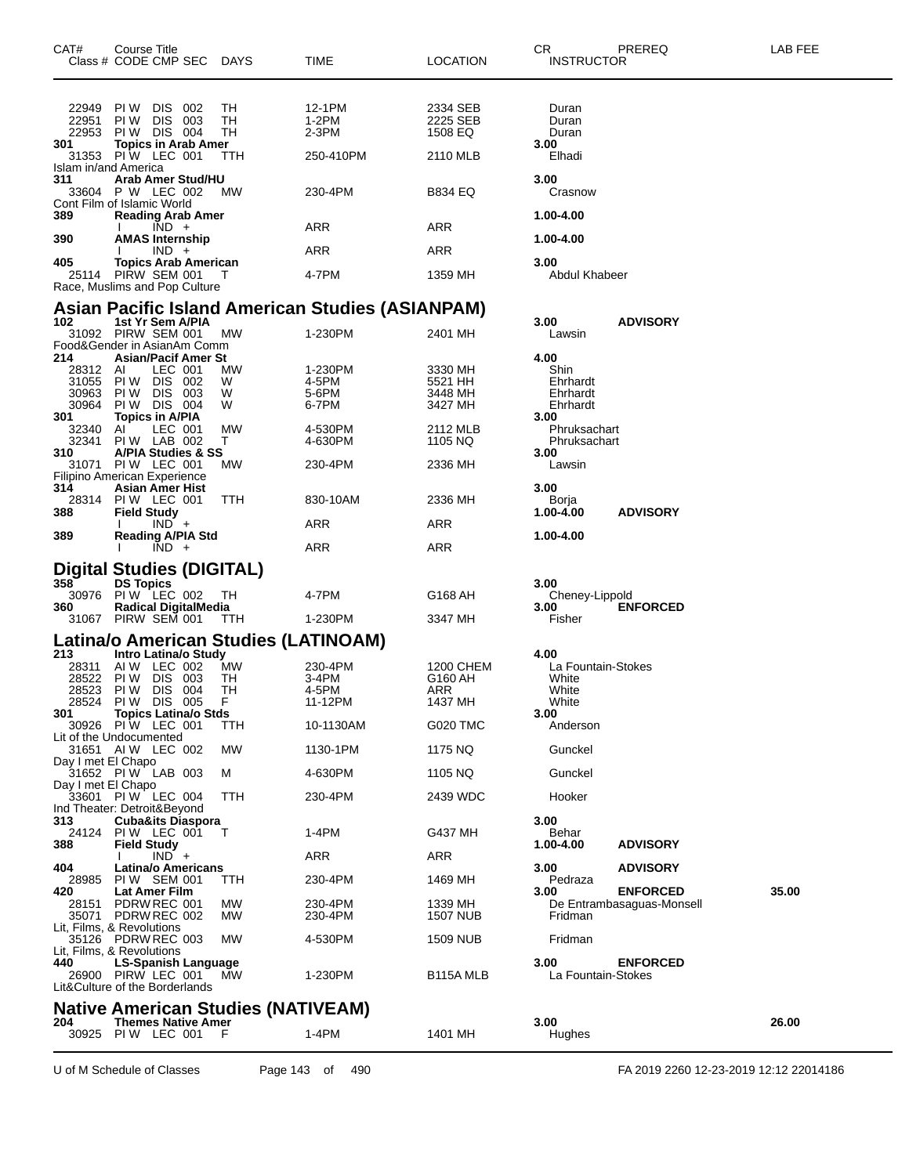| CAT#<br>Class # CODE CMP SEC DAYS                                                        | Course Title                                |            |                              |                                           | TIME                                                    | <b>LOCATION</b>            | CR<br><b>INSTRUCTOR</b>              | PREREQ                                       | LAB FEE |
|------------------------------------------------------------------------------------------|---------------------------------------------|------------|------------------------------|-------------------------------------------|---------------------------------------------------------|----------------------------|--------------------------------------|----------------------------------------------|---------|
| 22949<br>22951                                                                           | PIW DIS 002<br>PI W                         | <b>DIS</b> | - 003                        | TН<br>TН                                  | 12-1PM<br>1-2PM                                         | 2334 SEB<br>2225 SEB       | Duran<br>Duran                       |                                              |         |
| 22953<br>301                                                                             | PIW DIS 004                                 |            |                              | TН                                        | 2-3PM                                                   | 1508 EQ                    | Duran                                |                                              |         |
| 31353                                                                                    | Topics in Arab Amer<br>PIW LEC 001 T        |            |                              | TTH                                       | 250-410PM                                               | 2110 MLB                   | 3.00<br>Elhadi                       |                                              |         |
| Islam in/and America<br>311<br>33604<br>Cont Film of Islamic World                       | P W LEC 002                                 |            | Arab Amer Stud/HU            | МW                                        | 230-4PM                                                 | B834 EQ                    | 3.00<br>Crasnow                      |                                              |         |
| 389                                                                                      |                                             | $IND +$    | <b>Reading Arab Amer</b>     |                                           | ARR                                                     | ARR                        | 1.00-4.00                            |                                              |         |
| 390                                                                                      | <b>AMAS Internship</b>                      |            |                              |                                           |                                                         |                            | 1.00-4.00                            |                                              |         |
| 405                                                                                      |                                             | $IND +$    | <b>Topics Arab American</b>  |                                           | ARR                                                     | ARR                        | 3.00                                 |                                              |         |
| 25114 PIRW SEM 001<br>Race, Muslims and Pop Culture                                      |                                             |            |                              | Т                                         | 4-7PM                                                   | 1359 MH                    | Abdul Khabeer                        |                                              |         |
|                                                                                          |                                             |            |                              |                                           | <b>Asian Pacific Island American Studies (ASIANPAM)</b> |                            |                                      |                                              |         |
| 102<br>31092 PIRW SEM 001<br>Food&Gender in AsianAm Comm                                 | 1st Yr Sem A/PIA                            |            |                              | <b>MW</b>                                 | 1-230PM                                                 | 2401 MH                    | 3.00<br>Lawsin                       | <b>ADVISORY</b>                              |         |
| 214<br>28312                                                                             | AI                                          | LEC 001    | <b>Asian/Pacif Amer St</b>   | МW                                        | 1-230PM                                                 | 3330 MH                    | 4.00<br>Shin                         |                                              |         |
| 31055                                                                                    | PIW DIS 002                                 |            |                              | W                                         | 4-5PM                                                   | 5521 HH                    | Ehrhardt                             |                                              |         |
| 30963<br>30964                                                                           | PIW DIS 003<br>PIW DIS 004                  |            |                              | W<br>W                                    | 5-6PM<br>6-7PM                                          | 3448 MH<br>3427 MH         | Ehrhardt<br>Ehrhardt                 |                                              |         |
| 301<br>32340<br>32341                                                                    | <b>Topics in A/PIA</b><br>AI<br>PIW LAB 002 | LEC 001    |                              | MW<br>т                                   | 4-530PM<br>4-630PM                                      | 2112 MLB<br>1105 NQ        | 3.00<br>Phruksachart<br>Phruksachart |                                              |         |
| 310<br>31071                                                                             | <b>PIW LEC 001</b>                          |            | A/PIA Studies & SS           | МW                                        | 230-4PM                                                 | 2336 MH                    | 3.00<br>Lawsin                       |                                              |         |
| Filipino American Experience<br>314                                                      | Asian Amer Hist                             |            |                              |                                           |                                                         |                            | 3.00                                 |                                              |         |
| 28314<br>388                                                                             | PIW LEC 001<br><b>Field Study</b>           |            |                              | ттн                                       | 830-10AM                                                | 2336 MH                    | Borja<br>1.00-4.00                   | <b>ADVISORY</b>                              |         |
|                                                                                          |                                             | $IND +$    |                              |                                           | ARR                                                     | ARR                        |                                      |                                              |         |
| 389                                                                                      |                                             | $IND +$    | <b>Reading A/PIA Std</b>     |                                           | <b>ARR</b>                                              | ARR                        | 1.00-4.00                            |                                              |         |
| <b>Digital Studies (DIGITAL)</b>                                                         |                                             |            |                              |                                           |                                                         |                            |                                      |                                              |         |
| 358<br>30976                                                                             | <b>DS Topics</b><br>PIW LEC 002             |            |                              | TH                                        | 4-7PM                                                   | G168 AH                    | 3.00<br>Cheney-Lippold               |                                              |         |
| 360                                                                                      |                                             |            | <b>Radical DigitalMedia</b>  |                                           |                                                         |                            | 3.00                                 | <b>ENFORCED</b>                              |         |
| 31067 PIRW SEM 001                                                                       |                                             |            |                              | TTH.                                      | 1-230PM                                                 | 3347 MH                    | Fisher                               |                                              |         |
| 213                                                                                      |                                             |            | Intro Latina/o Study         | Latina/o American Studies (LATINOAM)      |                                                         |                            | 4.00                                 |                                              |         |
| 28311<br>28522                                                                           | AIW LEC 002<br>PIW DIS 003                  |            |                              | МW<br>TH                                  | 230-4PM<br>3-4PM                                        | 1200 CHEM<br>G160 AH       | La Fountain-Stokes<br>White          |                                              |         |
| 28523<br>28524 PIW DIS 005                                                               | PIW DIS 004                                 |            |                              | TН<br>F                                   | 4-5PM<br>11-12PM                                        | ARR<br>1437 MH             | White                                |                                              |         |
| 301                                                                                      |                                             |            | <b>Topics Latina/o Stds</b>  |                                           |                                                         |                            | White<br>3.00                        |                                              |         |
| 30926 PIW LEC 001<br>Lit of the Undocumented                                             |                                             |            |                              | TTH                                       | 10-1130AM                                               | G020 TMC                   | Anderson                             |                                              |         |
| 31651 AIW LEC 002<br>Day I met El Chapo                                                  |                                             |            |                              | MW                                        | 1130-1PM                                                | 1175 NQ                    | Gunckel                              |                                              |         |
| 31652 PIW LAB 003<br>Day I met El Chapo                                                  |                                             |            |                              | м                                         | 4-630PM                                                 | 1105 NQ                    | Gunckel                              |                                              |         |
| 33601 PIW LEC 004                                                                        |                                             |            |                              | TTH                                       | 230-4PM                                                 | 2439 WDC                   | Hooker                               |                                              |         |
| Ind Theater: Detroit&Beyond<br>313                                                       |                                             |            | <b>Cuba&amp;its Diaspora</b> |                                           |                                                         |                            | 3.00                                 |                                              |         |
| 24124 PIW LEC 001<br>388                                                                 | <b>Field Study</b>                          |            |                              | $\top$                                    | 1-4PM                                                   | G437 MH                    | Behar<br>1.00-4.00                   | <b>ADVISORY</b>                              |         |
| 404                                                                                      |                                             | $IND +$    | <b>Latina/o Americans</b>    |                                           | ARR                                                     | ARR                        | 3.00                                 | <b>ADVISORY</b>                              |         |
| 28985 PIW SEM 001                                                                        |                                             |            |                              | ттн                                       | 230-4PM                                                 | 1469 MH                    | Pedraza                              |                                              |         |
| 420<br>28151 PDRW REC 001<br>35071 PDRW REC 002                                          | Lat Amer Film                               |            |                              | MW<br>MW                                  | 230-4PM<br>230-4PM                                      | 1339 MH<br><b>1507 NUB</b> | 3.00<br>Fridman                      | <b>ENFORCED</b><br>De Entrambasaguas-Monsell | 35.00   |
| Lit, Films, & Revolutions<br>35126 PDRW REC 003                                          |                                             |            |                              | МW                                        | 4-530PM                                                 | 1509 NUB                   | Fridman                              |                                              |         |
| Lit, Films, & Revolutions<br>440<br>26900 PIRW LEC 001<br>Lit&Culture of the Borderlands | <b>LS-Spanish Language</b>                  |            |                              | <b>MW</b>                                 | 1-230PM                                                 | B115A MLB                  | 3.00<br>La Fountain-Stokes           | <b>ENFORCED</b>                              |         |
|                                                                                          |                                             |            |                              | <b>Native American Studies (NATIVEAM)</b> |                                                         |                            |                                      |                                              |         |
| 204<br>30925                                                                             | PIW LEC 001 F                               |            | <b>Themes Native Amer</b>    |                                           | 1-4PM                                                   | 1401 MH                    | 3.00<br>Hughes                       |                                              | 26.00   |
|                                                                                          |                                             |            |                              |                                           |                                                         |                            |                                      |                                              |         |

U of M Schedule of Classes Page 143 of 490 FA 2019 2260 12-23-2019 12:12 22014186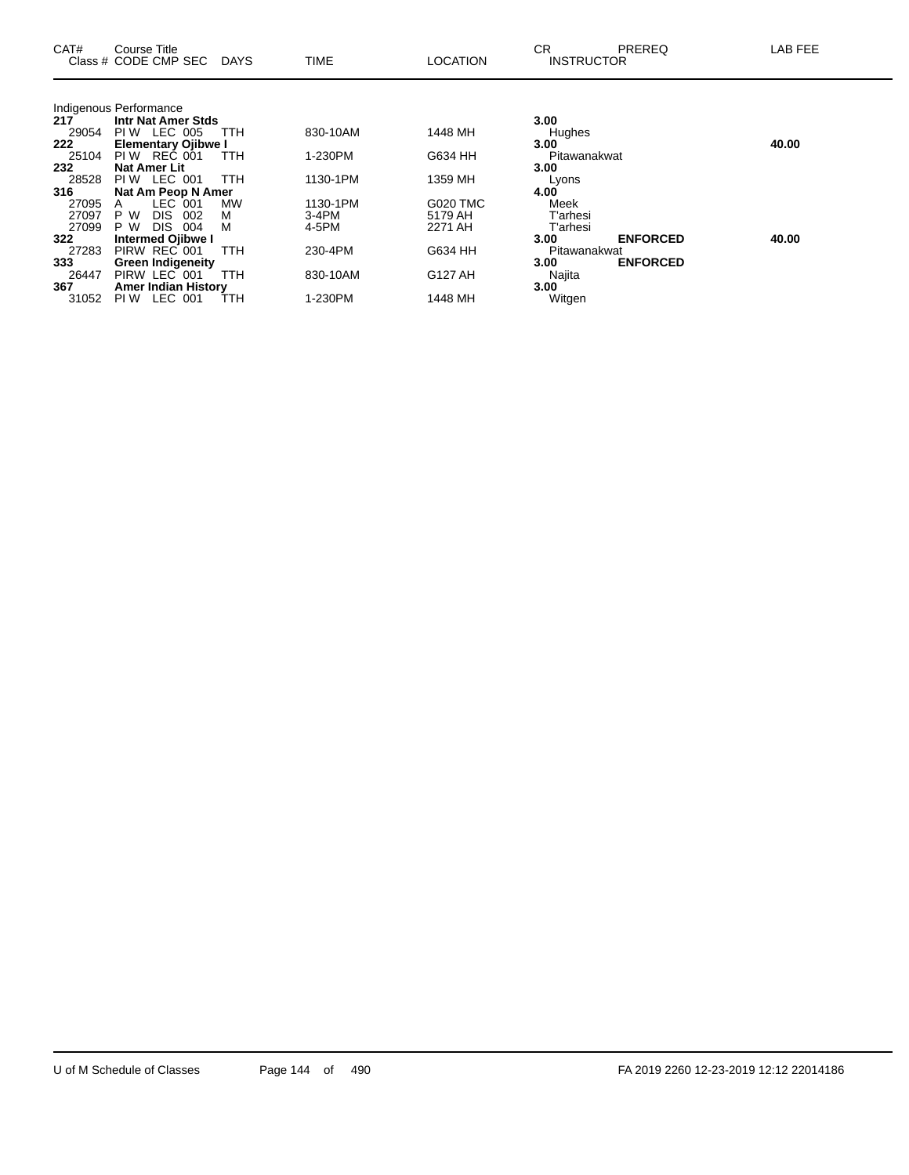| CAT#  | Course Title<br>Class # CODE CMP SEC DAYS |            | <b>TIME</b> | <b>LOCATION</b> | СR<br><b>INSTRUCTOR</b> | PREREQ          | LAB FEE |
|-------|-------------------------------------------|------------|-------------|-----------------|-------------------------|-----------------|---------|
|       | Indigenous Performance                    |            |             |                 |                         |                 |         |
| 217   | <b>Intr Nat Amer Stds</b>                 |            |             |                 | 3.00                    |                 |         |
| 29054 | PIW LEC 005                               | TTH        | 830-10AM    | 1448 MH         | Hughes                  |                 |         |
| 222   | <b>Elementary Ojibwe I</b>                |            |             |                 | 3.00                    |                 | 40.00   |
| 25104 | PIW REC 001                               | <b>TTH</b> | 1-230PM     | G634 HH         | Pitawanakwat            |                 |         |
| 232   | <b>Nat Amer Lit</b>                       |            |             |                 | 3.00                    |                 |         |
| 28528 | PIW LEC 001                               | <b>TTH</b> | 1130-1PM    | 1359 MH         | Lyons                   |                 |         |
| 316   | Nat Am Peop N Amer                        |            |             |                 | 4.00                    |                 |         |
| 27095 | LEC 001<br>$\mathsf{A}$                   | MW         | 1130-1PM    | <b>G020 TMC</b> | Meek                    |                 |         |
| 27097 | P W<br>DIS.<br>002                        | м          | 3-4PM       | 5179 AH         | T'arhesi                |                 |         |
| 27099 | P W<br>DIS.<br>004                        | м          | 4-5PM       | 2271 AH         | T'arhesi                |                 |         |
| 322   | <b>Intermed Ojibwe I</b>                  |            |             |                 | 3.00                    | <b>ENFORCED</b> | 40.00   |
| 27283 | PIRW REC 001                              | <b>TTH</b> | 230-4PM     | G634 HH         | Pitawanakwat            |                 |         |
| 333   | <b>Green Indigeneity</b>                  |            |             |                 | 3.00                    | <b>ENFORCED</b> |         |
| 26447 | PIRW LEC 001                              | <b>TTH</b> | 830-10AM    | G127 AH         | Najita                  |                 |         |
| 367   | <b>Amer Indian History</b>                |            |             |                 | 3.00                    |                 |         |
| 31052 | LEC 001<br>PI W                           | TTH        | 1-230PM     | 1448 MH         | Witgen                  |                 |         |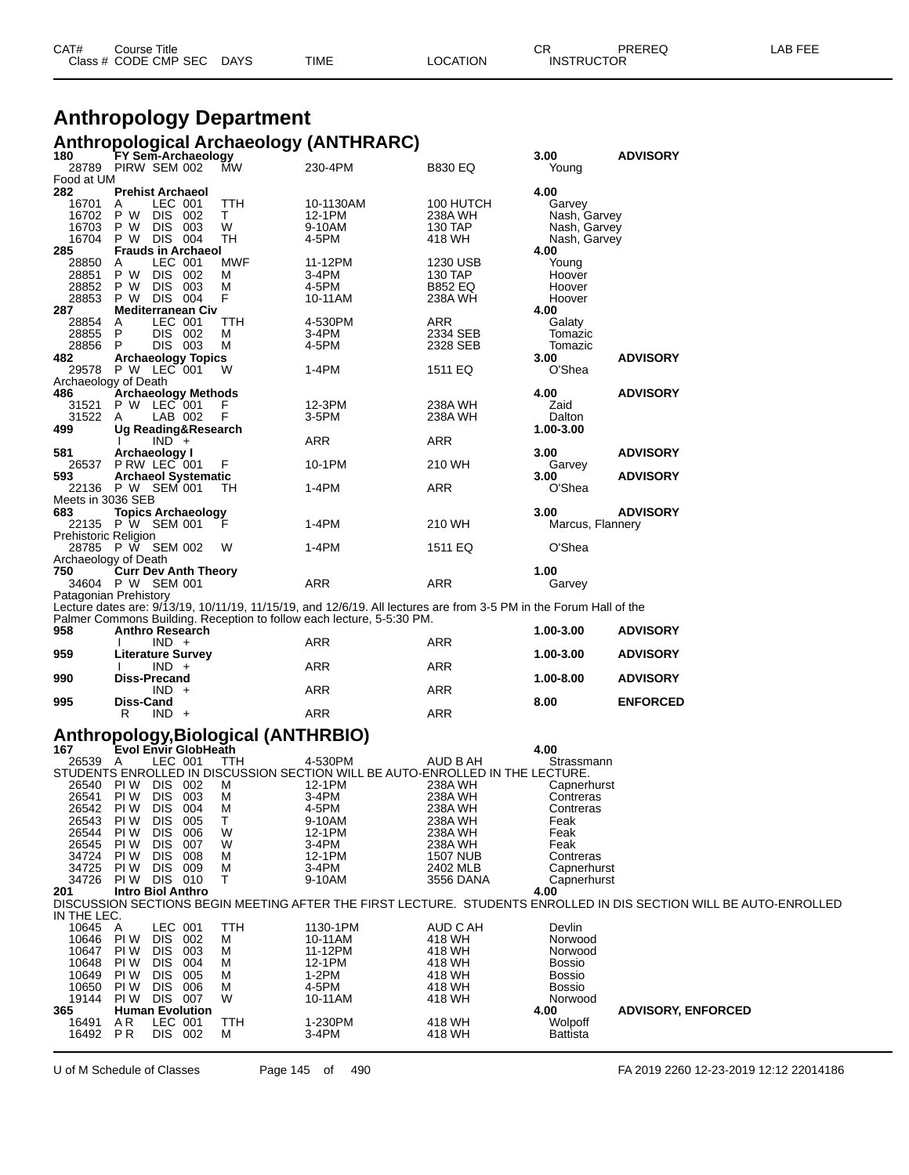| CAT# | ourse Titleٽ         |             |      |          | ⌒冖<br>◡⊓          | PREREQ | , EEF<br>AR. |
|------|----------------------|-------------|------|----------|-------------------|--------|--------------|
|      | Class # CODE CMP SEC | <b>DAYS</b> | TIME | LOCATION | <b>INSTRUCTOR</b> |        |              |

#### **Anthropology Department Anthropological Archaeology (ANTHRARC)**

| 180                         |              | FY Sem-Archaeology                               |   | ັ                                  |                                                                                                                    |                    | 3.00               | <b>ADVISORY</b>                                                                                                   |
|-----------------------------|--------------|--------------------------------------------------|---|------------------------------------|--------------------------------------------------------------------------------------------------------------------|--------------------|--------------------|-------------------------------------------------------------------------------------------------------------------|
| 28789                       |              | PIRW SEM 002                                     |   | МW                                 | 230-4PM                                                                                                            | <b>B830 EQ</b>     | Young              |                                                                                                                   |
| Food at UM<br>282           |              |                                                  |   |                                    |                                                                                                                    |                    | 4.00               |                                                                                                                   |
| 16701                       | A            | <b>Prehist Archaeol</b><br>LEC 001               |   | TTH                                | 10-1130AM                                                                                                          | 100 HUTCH          | Garvey             |                                                                                                                   |
| 16702                       | P W          | DIS 002                                          |   | Τ                                  | 12-1PM                                                                                                             | 238A WH            | Nash, Garvey       |                                                                                                                   |
| 16703                       | P W          | DIS.<br>- 003                                    |   | W                                  | 9-10AM                                                                                                             | 130 TAP            | Nash, Garvey       |                                                                                                                   |
| 16704                       |              | P W DIS 004                                      |   | TH                                 | 4-5PM                                                                                                              | 418 WH             | Nash, Garvey       |                                                                                                                   |
| 285                         |              | <b>Frauds in Archaeol</b>                        |   |                                    |                                                                                                                    |                    | 4.00               |                                                                                                                   |
| 28850                       | A            | LEC 001                                          |   | MWF                                | 11-12PM                                                                                                            | 1230 USB           | Young              |                                                                                                                   |
| 28851                       | P W          | DIS 002                                          |   | М                                  | 3-4PM                                                                                                              | 130 TAP            | Hoover             |                                                                                                                   |
| 28852<br>28853              | P W          | DIS 003<br>P W DIS 004                           | F | M                                  | 4-5PM<br>10-11AM                                                                                                   | B852 EQ<br>238A WH | Hoover<br>Hoover   |                                                                                                                   |
| 287                         |              | <b>Mediterranean Civ</b>                         |   |                                    |                                                                                                                    |                    | 4.00               |                                                                                                                   |
| 28854                       | A            | LEC 001                                          |   | ттн                                | 4-530PM                                                                                                            | ARR                | Galaty             |                                                                                                                   |
| 28855                       | P            | DIS 002                                          |   | М                                  | 3-4PM                                                                                                              | 2334 SEB           | Tomazic            |                                                                                                                   |
| 28856                       | P            | DIS 003                                          |   | М                                  | 4-5PM                                                                                                              | 2328 SEB           | Tomazic            |                                                                                                                   |
| 482                         |              | <b>Archaeology Topics</b>                        |   |                                    |                                                                                                                    |                    | 3.00               | <b>ADVISORY</b>                                                                                                   |
|                             |              | 29578 P W LEC 001                                | W |                                    | 1-4PM                                                                                                              | 1511 EQ            | O'Shea             |                                                                                                                   |
| Archaeology of Death<br>486 |              | <b>Archaeology Methods</b>                       |   |                                    |                                                                                                                    |                    | 4.00               | <b>ADVISORY</b>                                                                                                   |
| 31521                       |              | P W LEC 001                                      |   |                                    | 12-3PM                                                                                                             | 238A WH            | Zaid               |                                                                                                                   |
| 31522                       | A            | LAB 002                                          | F |                                    | 3-5PM                                                                                                              | 238A WH            | Dalton             |                                                                                                                   |
| 499                         |              | Ug Reading&Research                              |   |                                    |                                                                                                                    |                    | 1.00-3.00          |                                                                                                                   |
|                             |              | $IND +$                                          |   |                                    | ARR                                                                                                                | ARR                |                    |                                                                                                                   |
| 581                         |              | Archaeology I                                    |   |                                    |                                                                                                                    |                    | 3.00               | <b>ADVISORY</b>                                                                                                   |
| 26537                       |              | PRW LEC 001                                      | F |                                    | 10-1PM                                                                                                             | 210 WH             | Garvey             |                                                                                                                   |
| 593                         |              | <b>Archaeol Systematic</b><br>22136 P W SEM 001  |   | TН                                 | 1-4PM                                                                                                              | ARR                | 3.00<br>O'Shea     | <b>ADVISORY</b>                                                                                                   |
| Meets in 3036 SEB           |              |                                                  |   |                                    |                                                                                                                    |                    |                    |                                                                                                                   |
| 683                         |              | <b>Topics Archaeology</b>                        |   |                                    |                                                                                                                    |                    | 3.00               | <b>ADVISORY</b>                                                                                                   |
|                             |              | 22135 P W SEM 001                                | F |                                    | 1-4PM                                                                                                              | 210 WH             | Marcus, Flannery   |                                                                                                                   |
| Prehistoric Religion        |              |                                                  |   |                                    |                                                                                                                    |                    |                    |                                                                                                                   |
|                             |              | 28785 P W SEM 002                                | W |                                    | 1-4PM                                                                                                              | 1511 EQ            | O'Shea             |                                                                                                                   |
| Archaeology of Death        |              |                                                  |   |                                    |                                                                                                                    |                    |                    |                                                                                                                   |
| 750                         |              | <b>Curr Dev Anth Theory</b><br>34604 P W SEM 001 |   |                                    | ARR                                                                                                                | ARR                | 1.00               |                                                                                                                   |
| Patagonian Prehistory       |              |                                                  |   |                                    |                                                                                                                    |                    | Garvey             |                                                                                                                   |
|                             |              |                                                  |   |                                    | Lecture dates are: 9/13/19, 10/11/19, 11/15/19, and 12/6/19. All lectures are from 3-5 PM in the Forum Hall of the |                    |                    |                                                                                                                   |
|                             |              |                                                  |   |                                    | Palmer Commons Building. Reception to follow each lecture, 5-5:30 PM.                                              |                    |                    |                                                                                                                   |
| 958                         |              | <b>Anthro Research</b>                           |   |                                    |                                                                                                                    |                    | 1.00-3.00          | <b>ADVISORY</b>                                                                                                   |
|                             |              | $IND +$                                          |   |                                    | ARR                                                                                                                | ARR                |                    |                                                                                                                   |
| 959                         |              | <b>Literature Survey</b><br>$IND +$              |   |                                    | ARR                                                                                                                | ARR                | 1.00-3.00          | <b>ADVISORY</b>                                                                                                   |
| 990                         |              | <b>Diss-Precand</b>                              |   |                                    |                                                                                                                    |                    | 1.00-8.00          | <b>ADVISORY</b>                                                                                                   |
|                             |              | $IND +$                                          |   |                                    | ARR                                                                                                                | ARR                |                    |                                                                                                                   |
| 995                         | Diss-Cand    |                                                  |   |                                    |                                                                                                                    |                    | 8.00               | <b>ENFORCED</b>                                                                                                   |
|                             | R            | $IND +$                                          |   |                                    | ARR                                                                                                                | <b>ARR</b>         |                    |                                                                                                                   |
|                             |              |                                                  |   |                                    |                                                                                                                    |                    |                    |                                                                                                                   |
|                             |              |                                                  |   | Anthropology,Biological (ANTHRBIO) |                                                                                                                    |                    |                    |                                                                                                                   |
| 167<br>26539 A              |              | Evol Envir GlobHeath<br>LEC 001                  |   | <b>TTH</b>                         | 4-530PM                                                                                                            | AUD B AH           | 4.00<br>Strassmann |                                                                                                                   |
|                             |              |                                                  |   |                                    | STUDENTS ENROLLED IN DISCUSSION SECTION WILL BE AUTO-ENROLLED IN THE LECTURE.                                      |                    |                    |                                                                                                                   |
|                             |              | 26540 PIW DIS 002                                |   | M                                  | 12-1PM                                                                                                             | 238A WH            | Capnerhurst        |                                                                                                                   |
| 26541                       | PI W         | DIS 003                                          | м |                                    | 3-4PM                                                                                                              | 238A WH            | Contreras          |                                                                                                                   |
|                             |              | 26542 PIW DIS 004                                |   | М                                  | 4-5PM                                                                                                              | 238A WH            | Contreras          |                                                                                                                   |
| 26543                       | PI W         | <b>DIS</b><br>005                                | т |                                    | 9-10AM                                                                                                             | 238A WH            | Feak               |                                                                                                                   |
| 26544<br>26545              | PI W<br>PI W | <b>DIS</b><br>006<br><b>DIS</b><br>007           | W | W                                  | 12-1PM<br>3-4PM                                                                                                    | 238A WH<br>238A WH | Feak               |                                                                                                                   |
| 34724                       | PI W         | <b>DIS</b><br>008                                |   | М                                  | 12-1PM                                                                                                             | <b>1507 NUB</b>    | Feak<br>Contreras  |                                                                                                                   |
| 34725                       | PI W         | <b>DIS</b><br>009                                |   | М                                  | 3-4PM                                                                                                              | 2402 MLB           | Capnerhurst        |                                                                                                                   |
| 34726                       |              | PIW DIS 010                                      | т |                                    | 9-10AM                                                                                                             | 3556 DANA          | Capnerhurst        |                                                                                                                   |
| 201                         |              | <b>Intro Biol Anthro</b>                         |   |                                    |                                                                                                                    |                    | 4.00               |                                                                                                                   |
|                             |              |                                                  |   |                                    |                                                                                                                    |                    |                    | DISCUSSION SECTIONS BEGIN MEETING AFTER THE FIRST LECTURE. STUDENTS ENROLLED IN DIS SECTION WILL BE AUTO-ENROLLED |
| IN THE LEC.                 |              |                                                  |   |                                    |                                                                                                                    |                    |                    |                                                                                                                   |
| 10645                       | A            | LEC 001                                          |   | TTH                                | 1130-1PM                                                                                                           | AUD C AH           | Devlin             |                                                                                                                   |
| 10646<br>10647              | PI W<br>PI W | <b>DIS</b><br>002<br><b>DIS</b><br>003           |   | М<br>М                             | 10-11AM<br>11-12PM                                                                                                 | 418 WH<br>418 WH   | Norwood<br>Norwood |                                                                                                                   |
| 10648                       | PI W         | <b>DIS</b><br>004                                |   | М                                  | 12-1PM                                                                                                             | 418 WH             | <b>Bossio</b>      |                                                                                                                   |
| 10649                       | PI W         | <b>DIS</b><br>005                                |   | М                                  | 1-2PM                                                                                                              | 418 WH             | <b>Bossio</b>      |                                                                                                                   |
| 10650                       | PI W         | <b>DIS</b><br>006                                |   | М                                  | 4-5PM                                                                                                              | 418 WH             | <b>Bossio</b>      |                                                                                                                   |
| 19144                       | PI W         | DIS 007                                          |   | W                                  | 10-11AM                                                                                                            | 418 WH             | Norwood            |                                                                                                                   |
| 365                         |              | <b>Human Evolution</b>                           |   |                                    |                                                                                                                    |                    | 4.00               | <b>ADVISORY, ENFORCED</b>                                                                                         |
| 16491                       | A R          | LEC 001                                          |   | TTH                                | 1-230PM                                                                                                            | 418 WH             | Wolpoff            |                                                                                                                   |
| 16492 PR                    |              | DIS 002                                          |   | М                                  | 3-4PM                                                                                                              | 418 WH             | <b>Battista</b>    |                                                                                                                   |

U of M Schedule of Classes Page 145 of 490 FA 2019 2260 12-23-2019 12:12 22014186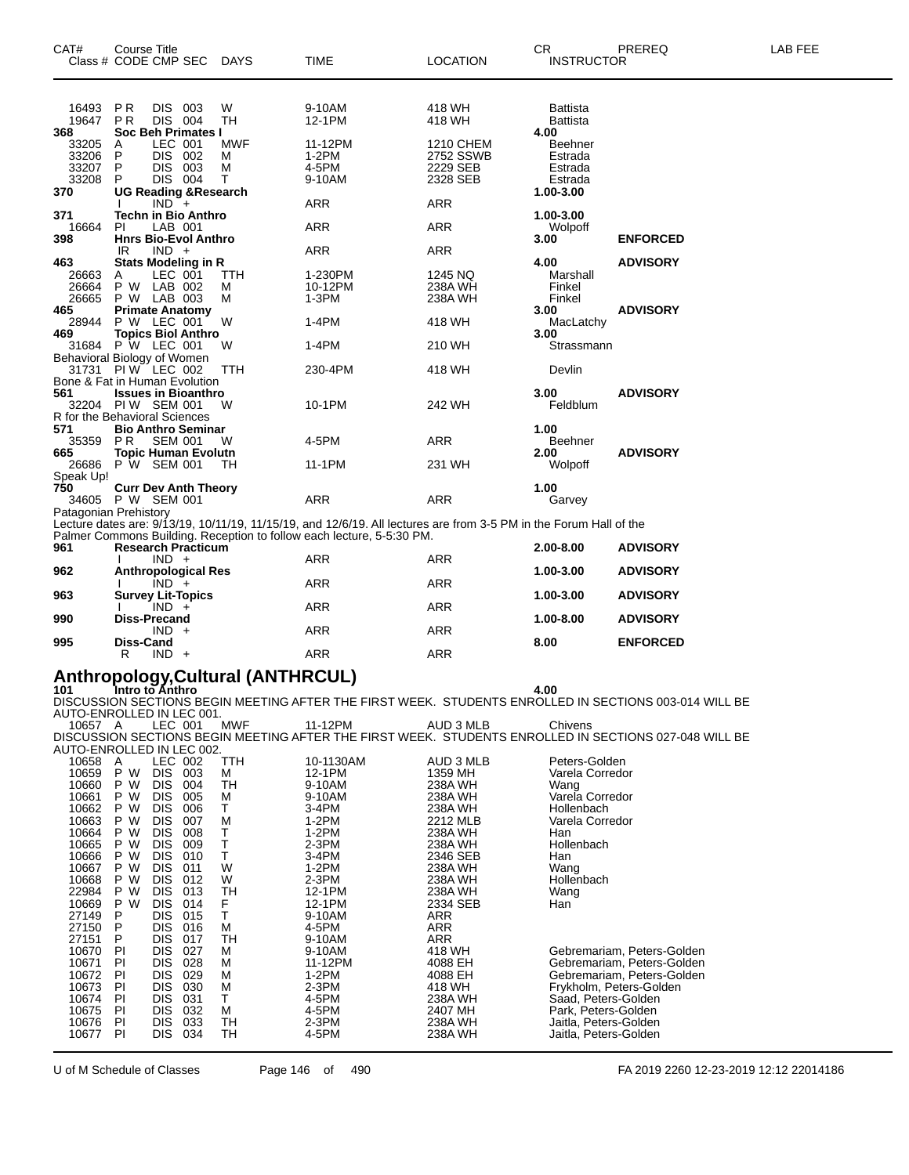| 16493<br><b>PR</b><br>DIS 003<br>W<br>9-10AM<br>418 WH<br><b>Battista</b><br><b>DIS</b> 004<br><b>TH</b><br>12-1PM<br><b>PR</b><br>19647<br>418 WH<br><b>Battista</b><br>368<br>Soc Beh Primates I<br>4.00<br>LEC 001<br><b>MWF</b><br>11-12PM<br><b>1210 CHEM</b><br>33205<br>A<br>Beehner<br>$1-2PM$<br>33206<br>P<br>DIS 002<br>2752 SSWB<br>м<br>Estrada<br>33207<br>DIS 003<br>4-5PM<br>2229 SEB<br>P<br>M<br>Estrada<br>DIS 004<br>33208<br>9-10AM<br>Τ<br>2328 SEB<br>P<br>Estrada<br>370<br><b>UG Reading &amp; Research</b><br>1.00-3.00<br><b>ARR</b><br><b>ARR</b><br>$IND +$<br>371<br>Techn in Bio Anthro<br>1.00-3.00<br><b>ARR</b><br><b>ARR</b><br>16664<br>PI<br>LAB 001<br>Wolpoff<br>398<br><b>Hnrs Bio-Evol Anthro</b><br>3.00<br><b>ENFORCED</b><br>$IND +$<br><b>ARR</b><br><b>ARR</b><br>IR<br>4.00<br>463<br><b>Stats Modeling in R</b><br><b>ADVISORY</b><br>1-230PM<br>1245 NQ<br>26663<br>LEC 001<br>TTH.<br>Marshall<br>A<br>26664<br>P W LAB 002<br>10-12PM<br>238A WH<br>Finkel<br>м<br>26665<br>P W LAB 003<br>М<br>1-3PM<br>238A WH<br>Finkel<br><b>Primate Anatomy</b><br>3.00<br><b>ADVISORY</b><br>465<br>P W LEC 001<br>W<br>$1-4PM$<br>28944<br>418 WH<br>MacLatchy<br>469<br><b>Topics Biol Anthro</b><br>3.00<br>31684 P W LEC 001<br>$1-4PM$<br>W<br>210 WH<br>Strassmann<br>Behavioral Biology of Women<br>31731 PIW LEC 002<br>230-4PM<br>TTH<br>418 WH<br>Devlin<br>Bone & Fat in Human Evolution<br>561<br><b>Issues in Bioanthro</b><br><b>ADVISORY</b><br>3.00<br>32204 PIW SEM 001<br>10-1PM<br>242 WH<br>Feldblum<br>W<br>R for the Behavioral Sciences<br>571<br><b>Bio Anthro Seminar</b><br>1.00<br>P <sub>R</sub><br><b>SEM 001</b><br>4-5PM<br><b>ARR</b><br>35359<br>W<br><b>Beehner</b><br>665<br><b>Topic Human Evolutn</b><br><b>ADVISORY</b><br>2.00<br>P W SEM 001<br>231 WH<br>26686<br>TН<br>11-1PM<br>Wolpoff<br>Speak Up!<br>750<br>1.00<br><b>Curr Dev Anth Theory</b><br>34605 P W SEM 001<br><b>ARR</b><br><b>ARR</b><br>Garvey<br>Patagonian Prehistory<br>Lecture dates are: 9/13/19, 10/11/19, 11/15/19, and 12/6/19. All lectures are from 3-5 PM in the Forum Hall of the<br>Palmer Commons Building. Reception to follow each lecture, 5-5:30 PM.<br>961<br><b>Research Practicum</b><br>2.00-8.00<br><b>ADVISORY</b><br>$IND +$<br><b>ARR</b><br><b>ARR</b><br>962<br><b>Anthropological Res</b><br>1.00-3.00<br><b>ADVISORY</b><br><b>ARR</b><br><b>ARR</b><br>$IND +$<br>963<br><b>Survey Lit-Topics</b><br><b>ADVISORY</b><br>1.00-3.00<br>$IND +$<br><b>ARR</b><br><b>ARR</b><br><b>Diss-Precand</b><br>990<br>1.00-8.00<br><b>ADVISORY</b><br>$IND +$<br><b>ARR</b><br><b>ARR</b><br>995<br><b>Diss-Cand</b><br>8.00<br><b>ENFORCED</b><br><b>ARR</b><br><b>ARR</b><br>R<br>$IND +$<br>$\mathcal{L}$ and $\mathcal{L}$ . It is set of a MTH ID $\mathcal{L}$ I II. A<br>ممالكمته | CAT# | <b>Course Title</b><br>Class # CODE CMP SEC | <b>DAYS</b> | <b>TIME</b> | <b>LOCATION</b> | CR.<br><b>INSTRUCTOR</b> | PREREQ | LAB FEE |
|----------------------------------------------------------------------------------------------------------------------------------------------------------------------------------------------------------------------------------------------------------------------------------------------------------------------------------------------------------------------------------------------------------------------------------------------------------------------------------------------------------------------------------------------------------------------------------------------------------------------------------------------------------------------------------------------------------------------------------------------------------------------------------------------------------------------------------------------------------------------------------------------------------------------------------------------------------------------------------------------------------------------------------------------------------------------------------------------------------------------------------------------------------------------------------------------------------------------------------------------------------------------------------------------------------------------------------------------------------------------------------------------------------------------------------------------------------------------------------------------------------------------------------------------------------------------------------------------------------------------------------------------------------------------------------------------------------------------------------------------------------------------------------------------------------------------------------------------------------------------------------------------------------------------------------------------------------------------------------------------------------------------------------------------------------------------------------------------------------------------------------------------------------------------------------------------------------------------------------------------------------------------------------------------------------------------------------------------------------------------------------------------------------------------------------------------------------------------------------------------------------------------------------------------------------------------------------------------------------------------------------------------------------------------------------------------------------------------------------------------------------------------------------------------------------------------------------------------------------------|------|---------------------------------------------|-------------|-------------|-----------------|--------------------------|--------|---------|
|                                                                                                                                                                                                                                                                                                                                                                                                                                                                                                                                                                                                                                                                                                                                                                                                                                                                                                                                                                                                                                                                                                                                                                                                                                                                                                                                                                                                                                                                                                                                                                                                                                                                                                                                                                                                                                                                                                                                                                                                                                                                                                                                                                                                                                                                                                                                                                                                                                                                                                                                                                                                                                                                                                                                                                                                                                                                |      |                                             |             |             |                 |                          |        |         |
|                                                                                                                                                                                                                                                                                                                                                                                                                                                                                                                                                                                                                                                                                                                                                                                                                                                                                                                                                                                                                                                                                                                                                                                                                                                                                                                                                                                                                                                                                                                                                                                                                                                                                                                                                                                                                                                                                                                                                                                                                                                                                                                                                                                                                                                                                                                                                                                                                                                                                                                                                                                                                                                                                                                                                                                                                                                                |      |                                             |             |             |                 |                          |        |         |
|                                                                                                                                                                                                                                                                                                                                                                                                                                                                                                                                                                                                                                                                                                                                                                                                                                                                                                                                                                                                                                                                                                                                                                                                                                                                                                                                                                                                                                                                                                                                                                                                                                                                                                                                                                                                                                                                                                                                                                                                                                                                                                                                                                                                                                                                                                                                                                                                                                                                                                                                                                                                                                                                                                                                                                                                                                                                |      |                                             |             |             |                 |                          |        |         |
|                                                                                                                                                                                                                                                                                                                                                                                                                                                                                                                                                                                                                                                                                                                                                                                                                                                                                                                                                                                                                                                                                                                                                                                                                                                                                                                                                                                                                                                                                                                                                                                                                                                                                                                                                                                                                                                                                                                                                                                                                                                                                                                                                                                                                                                                                                                                                                                                                                                                                                                                                                                                                                                                                                                                                                                                                                                                |      |                                             |             |             |                 |                          |        |         |
|                                                                                                                                                                                                                                                                                                                                                                                                                                                                                                                                                                                                                                                                                                                                                                                                                                                                                                                                                                                                                                                                                                                                                                                                                                                                                                                                                                                                                                                                                                                                                                                                                                                                                                                                                                                                                                                                                                                                                                                                                                                                                                                                                                                                                                                                                                                                                                                                                                                                                                                                                                                                                                                                                                                                                                                                                                                                |      |                                             |             |             |                 |                          |        |         |
|                                                                                                                                                                                                                                                                                                                                                                                                                                                                                                                                                                                                                                                                                                                                                                                                                                                                                                                                                                                                                                                                                                                                                                                                                                                                                                                                                                                                                                                                                                                                                                                                                                                                                                                                                                                                                                                                                                                                                                                                                                                                                                                                                                                                                                                                                                                                                                                                                                                                                                                                                                                                                                                                                                                                                                                                                                                                |      |                                             |             |             |                 |                          |        |         |
|                                                                                                                                                                                                                                                                                                                                                                                                                                                                                                                                                                                                                                                                                                                                                                                                                                                                                                                                                                                                                                                                                                                                                                                                                                                                                                                                                                                                                                                                                                                                                                                                                                                                                                                                                                                                                                                                                                                                                                                                                                                                                                                                                                                                                                                                                                                                                                                                                                                                                                                                                                                                                                                                                                                                                                                                                                                                |      |                                             |             |             |                 |                          |        |         |
|                                                                                                                                                                                                                                                                                                                                                                                                                                                                                                                                                                                                                                                                                                                                                                                                                                                                                                                                                                                                                                                                                                                                                                                                                                                                                                                                                                                                                                                                                                                                                                                                                                                                                                                                                                                                                                                                                                                                                                                                                                                                                                                                                                                                                                                                                                                                                                                                                                                                                                                                                                                                                                                                                                                                                                                                                                                                |      |                                             |             |             |                 |                          |        |         |
|                                                                                                                                                                                                                                                                                                                                                                                                                                                                                                                                                                                                                                                                                                                                                                                                                                                                                                                                                                                                                                                                                                                                                                                                                                                                                                                                                                                                                                                                                                                                                                                                                                                                                                                                                                                                                                                                                                                                                                                                                                                                                                                                                                                                                                                                                                                                                                                                                                                                                                                                                                                                                                                                                                                                                                                                                                                                |      |                                             |             |             |                 |                          |        |         |
|                                                                                                                                                                                                                                                                                                                                                                                                                                                                                                                                                                                                                                                                                                                                                                                                                                                                                                                                                                                                                                                                                                                                                                                                                                                                                                                                                                                                                                                                                                                                                                                                                                                                                                                                                                                                                                                                                                                                                                                                                                                                                                                                                                                                                                                                                                                                                                                                                                                                                                                                                                                                                                                                                                                                                                                                                                                                |      |                                             |             |             |                 |                          |        |         |
|                                                                                                                                                                                                                                                                                                                                                                                                                                                                                                                                                                                                                                                                                                                                                                                                                                                                                                                                                                                                                                                                                                                                                                                                                                                                                                                                                                                                                                                                                                                                                                                                                                                                                                                                                                                                                                                                                                                                                                                                                                                                                                                                                                                                                                                                                                                                                                                                                                                                                                                                                                                                                                                                                                                                                                                                                                                                |      |                                             |             |             |                 |                          |        |         |
|                                                                                                                                                                                                                                                                                                                                                                                                                                                                                                                                                                                                                                                                                                                                                                                                                                                                                                                                                                                                                                                                                                                                                                                                                                                                                                                                                                                                                                                                                                                                                                                                                                                                                                                                                                                                                                                                                                                                                                                                                                                                                                                                                                                                                                                                                                                                                                                                                                                                                                                                                                                                                                                                                                                                                                                                                                                                |      |                                             |             |             |                 |                          |        |         |
|                                                                                                                                                                                                                                                                                                                                                                                                                                                                                                                                                                                                                                                                                                                                                                                                                                                                                                                                                                                                                                                                                                                                                                                                                                                                                                                                                                                                                                                                                                                                                                                                                                                                                                                                                                                                                                                                                                                                                                                                                                                                                                                                                                                                                                                                                                                                                                                                                                                                                                                                                                                                                                                                                                                                                                                                                                                                |      |                                             |             |             |                 |                          |        |         |
|                                                                                                                                                                                                                                                                                                                                                                                                                                                                                                                                                                                                                                                                                                                                                                                                                                                                                                                                                                                                                                                                                                                                                                                                                                                                                                                                                                                                                                                                                                                                                                                                                                                                                                                                                                                                                                                                                                                                                                                                                                                                                                                                                                                                                                                                                                                                                                                                                                                                                                                                                                                                                                                                                                                                                                                                                                                                |      |                                             |             |             |                 |                          |        |         |
|                                                                                                                                                                                                                                                                                                                                                                                                                                                                                                                                                                                                                                                                                                                                                                                                                                                                                                                                                                                                                                                                                                                                                                                                                                                                                                                                                                                                                                                                                                                                                                                                                                                                                                                                                                                                                                                                                                                                                                                                                                                                                                                                                                                                                                                                                                                                                                                                                                                                                                                                                                                                                                                                                                                                                                                                                                                                |      |                                             |             |             |                 |                          |        |         |
|                                                                                                                                                                                                                                                                                                                                                                                                                                                                                                                                                                                                                                                                                                                                                                                                                                                                                                                                                                                                                                                                                                                                                                                                                                                                                                                                                                                                                                                                                                                                                                                                                                                                                                                                                                                                                                                                                                                                                                                                                                                                                                                                                                                                                                                                                                                                                                                                                                                                                                                                                                                                                                                                                                                                                                                                                                                                |      |                                             |             |             |                 |                          |        |         |
|                                                                                                                                                                                                                                                                                                                                                                                                                                                                                                                                                                                                                                                                                                                                                                                                                                                                                                                                                                                                                                                                                                                                                                                                                                                                                                                                                                                                                                                                                                                                                                                                                                                                                                                                                                                                                                                                                                                                                                                                                                                                                                                                                                                                                                                                                                                                                                                                                                                                                                                                                                                                                                                                                                                                                                                                                                                                |      |                                             |             |             |                 |                          |        |         |
|                                                                                                                                                                                                                                                                                                                                                                                                                                                                                                                                                                                                                                                                                                                                                                                                                                                                                                                                                                                                                                                                                                                                                                                                                                                                                                                                                                                                                                                                                                                                                                                                                                                                                                                                                                                                                                                                                                                                                                                                                                                                                                                                                                                                                                                                                                                                                                                                                                                                                                                                                                                                                                                                                                                                                                                                                                                                |      |                                             |             |             |                 |                          |        |         |
|                                                                                                                                                                                                                                                                                                                                                                                                                                                                                                                                                                                                                                                                                                                                                                                                                                                                                                                                                                                                                                                                                                                                                                                                                                                                                                                                                                                                                                                                                                                                                                                                                                                                                                                                                                                                                                                                                                                                                                                                                                                                                                                                                                                                                                                                                                                                                                                                                                                                                                                                                                                                                                                                                                                                                                                                                                                                |      |                                             |             |             |                 |                          |        |         |
|                                                                                                                                                                                                                                                                                                                                                                                                                                                                                                                                                                                                                                                                                                                                                                                                                                                                                                                                                                                                                                                                                                                                                                                                                                                                                                                                                                                                                                                                                                                                                                                                                                                                                                                                                                                                                                                                                                                                                                                                                                                                                                                                                                                                                                                                                                                                                                                                                                                                                                                                                                                                                                                                                                                                                                                                                                                                |      |                                             |             |             |                 |                          |        |         |
|                                                                                                                                                                                                                                                                                                                                                                                                                                                                                                                                                                                                                                                                                                                                                                                                                                                                                                                                                                                                                                                                                                                                                                                                                                                                                                                                                                                                                                                                                                                                                                                                                                                                                                                                                                                                                                                                                                                                                                                                                                                                                                                                                                                                                                                                                                                                                                                                                                                                                                                                                                                                                                                                                                                                                                                                                                                                |      |                                             |             |             |                 |                          |        |         |
|                                                                                                                                                                                                                                                                                                                                                                                                                                                                                                                                                                                                                                                                                                                                                                                                                                                                                                                                                                                                                                                                                                                                                                                                                                                                                                                                                                                                                                                                                                                                                                                                                                                                                                                                                                                                                                                                                                                                                                                                                                                                                                                                                                                                                                                                                                                                                                                                                                                                                                                                                                                                                                                                                                                                                                                                                                                                |      |                                             |             |             |                 |                          |        |         |
|                                                                                                                                                                                                                                                                                                                                                                                                                                                                                                                                                                                                                                                                                                                                                                                                                                                                                                                                                                                                                                                                                                                                                                                                                                                                                                                                                                                                                                                                                                                                                                                                                                                                                                                                                                                                                                                                                                                                                                                                                                                                                                                                                                                                                                                                                                                                                                                                                                                                                                                                                                                                                                                                                                                                                                                                                                                                |      |                                             |             |             |                 |                          |        |         |
|                                                                                                                                                                                                                                                                                                                                                                                                                                                                                                                                                                                                                                                                                                                                                                                                                                                                                                                                                                                                                                                                                                                                                                                                                                                                                                                                                                                                                                                                                                                                                                                                                                                                                                                                                                                                                                                                                                                                                                                                                                                                                                                                                                                                                                                                                                                                                                                                                                                                                                                                                                                                                                                                                                                                                                                                                                                                |      |                                             |             |             |                 |                          |        |         |
|                                                                                                                                                                                                                                                                                                                                                                                                                                                                                                                                                                                                                                                                                                                                                                                                                                                                                                                                                                                                                                                                                                                                                                                                                                                                                                                                                                                                                                                                                                                                                                                                                                                                                                                                                                                                                                                                                                                                                                                                                                                                                                                                                                                                                                                                                                                                                                                                                                                                                                                                                                                                                                                                                                                                                                                                                                                                |      |                                             |             |             |                 |                          |        |         |
|                                                                                                                                                                                                                                                                                                                                                                                                                                                                                                                                                                                                                                                                                                                                                                                                                                                                                                                                                                                                                                                                                                                                                                                                                                                                                                                                                                                                                                                                                                                                                                                                                                                                                                                                                                                                                                                                                                                                                                                                                                                                                                                                                                                                                                                                                                                                                                                                                                                                                                                                                                                                                                                                                                                                                                                                                                                                |      |                                             |             |             |                 |                          |        |         |
|                                                                                                                                                                                                                                                                                                                                                                                                                                                                                                                                                                                                                                                                                                                                                                                                                                                                                                                                                                                                                                                                                                                                                                                                                                                                                                                                                                                                                                                                                                                                                                                                                                                                                                                                                                                                                                                                                                                                                                                                                                                                                                                                                                                                                                                                                                                                                                                                                                                                                                                                                                                                                                                                                                                                                                                                                                                                |      |                                             |             |             |                 |                          |        |         |
|                                                                                                                                                                                                                                                                                                                                                                                                                                                                                                                                                                                                                                                                                                                                                                                                                                                                                                                                                                                                                                                                                                                                                                                                                                                                                                                                                                                                                                                                                                                                                                                                                                                                                                                                                                                                                                                                                                                                                                                                                                                                                                                                                                                                                                                                                                                                                                                                                                                                                                                                                                                                                                                                                                                                                                                                                                                                |      |                                             |             |             |                 |                          |        |         |
|                                                                                                                                                                                                                                                                                                                                                                                                                                                                                                                                                                                                                                                                                                                                                                                                                                                                                                                                                                                                                                                                                                                                                                                                                                                                                                                                                                                                                                                                                                                                                                                                                                                                                                                                                                                                                                                                                                                                                                                                                                                                                                                                                                                                                                                                                                                                                                                                                                                                                                                                                                                                                                                                                                                                                                                                                                                                |      |                                             |             |             |                 |                          |        |         |
|                                                                                                                                                                                                                                                                                                                                                                                                                                                                                                                                                                                                                                                                                                                                                                                                                                                                                                                                                                                                                                                                                                                                                                                                                                                                                                                                                                                                                                                                                                                                                                                                                                                                                                                                                                                                                                                                                                                                                                                                                                                                                                                                                                                                                                                                                                                                                                                                                                                                                                                                                                                                                                                                                                                                                                                                                                                                |      |                                             |             |             |                 |                          |        |         |
|                                                                                                                                                                                                                                                                                                                                                                                                                                                                                                                                                                                                                                                                                                                                                                                                                                                                                                                                                                                                                                                                                                                                                                                                                                                                                                                                                                                                                                                                                                                                                                                                                                                                                                                                                                                                                                                                                                                                                                                                                                                                                                                                                                                                                                                                                                                                                                                                                                                                                                                                                                                                                                                                                                                                                                                                                                                                |      |                                             |             |             |                 |                          |        |         |
|                                                                                                                                                                                                                                                                                                                                                                                                                                                                                                                                                                                                                                                                                                                                                                                                                                                                                                                                                                                                                                                                                                                                                                                                                                                                                                                                                                                                                                                                                                                                                                                                                                                                                                                                                                                                                                                                                                                                                                                                                                                                                                                                                                                                                                                                                                                                                                                                                                                                                                                                                                                                                                                                                                                                                                                                                                                                |      |                                             |             |             |                 |                          |        |         |
|                                                                                                                                                                                                                                                                                                                                                                                                                                                                                                                                                                                                                                                                                                                                                                                                                                                                                                                                                                                                                                                                                                                                                                                                                                                                                                                                                                                                                                                                                                                                                                                                                                                                                                                                                                                                                                                                                                                                                                                                                                                                                                                                                                                                                                                                                                                                                                                                                                                                                                                                                                                                                                                                                                                                                                                                                                                                |      |                                             |             |             |                 |                          |        |         |
|                                                                                                                                                                                                                                                                                                                                                                                                                                                                                                                                                                                                                                                                                                                                                                                                                                                                                                                                                                                                                                                                                                                                                                                                                                                                                                                                                                                                                                                                                                                                                                                                                                                                                                                                                                                                                                                                                                                                                                                                                                                                                                                                                                                                                                                                                                                                                                                                                                                                                                                                                                                                                                                                                                                                                                                                                                                                |      |                                             |             |             |                 |                          |        |         |
|                                                                                                                                                                                                                                                                                                                                                                                                                                                                                                                                                                                                                                                                                                                                                                                                                                                                                                                                                                                                                                                                                                                                                                                                                                                                                                                                                                                                                                                                                                                                                                                                                                                                                                                                                                                                                                                                                                                                                                                                                                                                                                                                                                                                                                                                                                                                                                                                                                                                                                                                                                                                                                                                                                                                                                                                                                                                |      |                                             |             |             |                 |                          |        |         |
|                                                                                                                                                                                                                                                                                                                                                                                                                                                                                                                                                                                                                                                                                                                                                                                                                                                                                                                                                                                                                                                                                                                                                                                                                                                                                                                                                                                                                                                                                                                                                                                                                                                                                                                                                                                                                                                                                                                                                                                                                                                                                                                                                                                                                                                                                                                                                                                                                                                                                                                                                                                                                                                                                                                                                                                                                                                                |      |                                             |             |             |                 |                          |        |         |
|                                                                                                                                                                                                                                                                                                                                                                                                                                                                                                                                                                                                                                                                                                                                                                                                                                                                                                                                                                                                                                                                                                                                                                                                                                                                                                                                                                                                                                                                                                                                                                                                                                                                                                                                                                                                                                                                                                                                                                                                                                                                                                                                                                                                                                                                                                                                                                                                                                                                                                                                                                                                                                                                                                                                                                                                                                                                |      |                                             |             |             |                 |                          |        |         |
|                                                                                                                                                                                                                                                                                                                                                                                                                                                                                                                                                                                                                                                                                                                                                                                                                                                                                                                                                                                                                                                                                                                                                                                                                                                                                                                                                                                                                                                                                                                                                                                                                                                                                                                                                                                                                                                                                                                                                                                                                                                                                                                                                                                                                                                                                                                                                                                                                                                                                                                                                                                                                                                                                                                                                                                                                                                                |      |                                             |             |             |                 |                          |        |         |
|                                                                                                                                                                                                                                                                                                                                                                                                                                                                                                                                                                                                                                                                                                                                                                                                                                                                                                                                                                                                                                                                                                                                                                                                                                                                                                                                                                                                                                                                                                                                                                                                                                                                                                                                                                                                                                                                                                                                                                                                                                                                                                                                                                                                                                                                                                                                                                                                                                                                                                                                                                                                                                                                                                                                                                                                                                                                |      |                                             |             |             |                 |                          |        |         |
|                                                                                                                                                                                                                                                                                                                                                                                                                                                                                                                                                                                                                                                                                                                                                                                                                                                                                                                                                                                                                                                                                                                                                                                                                                                                                                                                                                                                                                                                                                                                                                                                                                                                                                                                                                                                                                                                                                                                                                                                                                                                                                                                                                                                                                                                                                                                                                                                                                                                                                                                                                                                                                                                                                                                                                                                                                                                |      |                                             |             |             |                 |                          |        |         |
|                                                                                                                                                                                                                                                                                                                                                                                                                                                                                                                                                                                                                                                                                                                                                                                                                                                                                                                                                                                                                                                                                                                                                                                                                                                                                                                                                                                                                                                                                                                                                                                                                                                                                                                                                                                                                                                                                                                                                                                                                                                                                                                                                                                                                                                                                                                                                                                                                                                                                                                                                                                                                                                                                                                                                                                                                                                                |      |                                             |             |             |                 |                          |        |         |
|                                                                                                                                                                                                                                                                                                                                                                                                                                                                                                                                                                                                                                                                                                                                                                                                                                                                                                                                                                                                                                                                                                                                                                                                                                                                                                                                                                                                                                                                                                                                                                                                                                                                                                                                                                                                                                                                                                                                                                                                                                                                                                                                                                                                                                                                                                                                                                                                                                                                                                                                                                                                                                                                                                                                                                                                                                                                |      |                                             |             |             |                 |                          |        |         |
|                                                                                                                                                                                                                                                                                                                                                                                                                                                                                                                                                                                                                                                                                                                                                                                                                                                                                                                                                                                                                                                                                                                                                                                                                                                                                                                                                                                                                                                                                                                                                                                                                                                                                                                                                                                                                                                                                                                                                                                                                                                                                                                                                                                                                                                                                                                                                                                                                                                                                                                                                                                                                                                                                                                                                                                                                                                                |      |                                             |             |             |                 |                          |        |         |
|                                                                                                                                                                                                                                                                                                                                                                                                                                                                                                                                                                                                                                                                                                                                                                                                                                                                                                                                                                                                                                                                                                                                                                                                                                                                                                                                                                                                                                                                                                                                                                                                                                                                                                                                                                                                                                                                                                                                                                                                                                                                                                                                                                                                                                                                                                                                                                                                                                                                                                                                                                                                                                                                                                                                                                                                                                                                |      |                                             |             |             |                 |                          |        |         |
|                                                                                                                                                                                                                                                                                                                                                                                                                                                                                                                                                                                                                                                                                                                                                                                                                                                                                                                                                                                                                                                                                                                                                                                                                                                                                                                                                                                                                                                                                                                                                                                                                                                                                                                                                                                                                                                                                                                                                                                                                                                                                                                                                                                                                                                                                                                                                                                                                                                                                                                                                                                                                                                                                                                                                                                                                                                                |      |                                             |             |             |                 |                          |        |         |

### **Anthropology,Cultural (ANTHRCUL) 101 Intro to Anthro 4.00**

DISCUSSION SECTIONS BEGIN MEETING AFTER THE FIRST WEEK. STUDENTS ENROLLED IN SECTIONS 003-014 WILL BE AUTO-ENROLLED IN LEC 001. A LEC 001 MWF 11-12PM AUD 3 MLB Chivens

|                           |     |            |     |     |           |            | DISCUSSION SECTIONS BEGIN MEETING AFTER THE FIRST WEEK.  STUDENTS ENROLLED IN SECTIONS 027-048 WILL BE |
|---------------------------|-----|------------|-----|-----|-----------|------------|--------------------------------------------------------------------------------------------------------|
| AUTO-ENROLLED IN LEC 002. |     |            |     |     |           |            |                                                                                                        |
| 10658                     | A   | LEC 002    |     | TTH | 10-1130AM | AUD 3 MLB  | Peters-Golden                                                                                          |
| 10659                     | P W | <b>DIS</b> | 003 | м   | 12-1PM    | 1359 MH    | Varela Corredor                                                                                        |
| 10660                     | P W | <b>DIS</b> | 004 | TН  | 9-10AM    | 238A WH    | Wang                                                                                                   |
| 10661                     | P W | DIS.       | 005 | м   | 9-10AM    | 238A WH    | Varela Corredor                                                                                        |
| 10662                     | P W | <b>DIS</b> | 006 | т   | 3-4PM     | 238A WH    | Hollenbach                                                                                             |
| 10663                     | P W | <b>DIS</b> | 007 | M   | $1-2PM$   | 2212 MLB   | Varela Corredor                                                                                        |
| 10664                     | P W | <b>DIS</b> | 008 | Т   | $1-2PM$   | 238A WH    | Han                                                                                                    |
| 10665                     | P W | <b>DIS</b> | 009 | Т   | $2-3PM$   | 238A WH    | Hollenbach                                                                                             |
| 10666                     | P W | <b>DIS</b> | 010 | т   | 3-4PM     | 2346 SEB   | Han                                                                                                    |
| 10667                     | P W | <b>DIS</b> | 011 | W   | $1-2PM$   | 238A WH    | Wang                                                                                                   |
| 10668                     | P W | DIS.       | 012 | W   | $2-3PM$   | 238A WH    | Hollenbach                                                                                             |
| 22984                     | P W | <b>DIS</b> | 013 | TН  | 12-1PM    | 238A WH    | Wang                                                                                                   |
| 10669                     | P W | <b>DIS</b> | 014 | F   | 12-1PM    | 2334 SEB   | Han                                                                                                    |
| 27149                     | P   | DIS.       | 015 | Т   | 9-10AM    | <b>ARR</b> |                                                                                                        |
| 27150                     | P   | DIS.       | 016 | м   | 4-5PM     | ARR        |                                                                                                        |
| 27151                     | P   | DIS.       | 017 | TН  | 9-10AM    | ARR        |                                                                                                        |
| 10670                     | PI  | DIS.       | 027 | М   | 9-10AM    | 418 WH     | Gebremariam, Peters-Golden                                                                             |
| 10671                     | PI  | DIS.       | 028 | M   | 11-12PM   | 4088 EH    | Gebremariam, Peters-Golden                                                                             |
| 10672                     | PI  | <b>DIS</b> | 029 | М   | $1-2PM$   | 4088 EH    | Gebremariam, Peters-Golden                                                                             |
| 10673                     | PI  | DIS.       | 030 | M   | $2-3PM$   | 418 WH     | Frykholm, Peters-Golden                                                                                |
| 10674                     | PI  | DIS.       | 031 | т   | 4-5PM     | 238A WH    | Saad, Peters-Golden                                                                                    |
| 10675                     | PI  | DIS.       | 032 | м   | 4-5PM     | 2407 MH    | Park, Peters-Golden                                                                                    |
| 10676                     | PI  | DIS.       | 033 | TН  | $2-3PM$   | 238A WH    | Jaitla, Peters-Golden                                                                                  |
| 10677                     | PI  | <b>DIS</b> | 034 | тн  | 4-5PM     | 238A WH    | Jaitla, Peters-Golden                                                                                  |
|                           |     |            |     |     |           |            |                                                                                                        |

U of M Schedule of Classes Page 146 of 490 FA 2019 2260 12-23-2019 12:12 22014186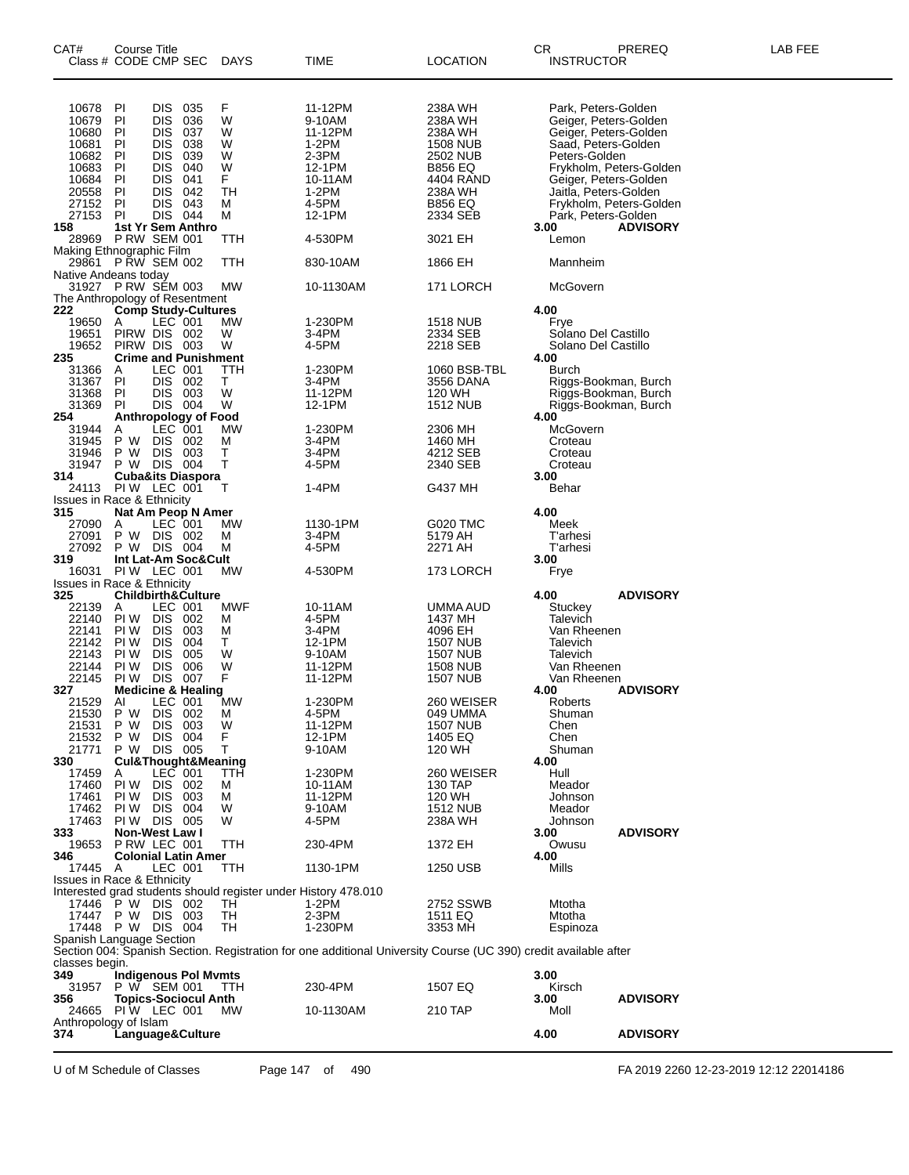| CAT#                                           | Course Title<br>Class # CODE CMP SEC       |                          |            | <b>DAYS</b>                                                    | TIME                                                                                                            | <b>LOCATION</b>             | CR<br><b>INSTRUCTOR</b>              | PREREQ                  | LAB FEE |
|------------------------------------------------|--------------------------------------------|--------------------------|------------|----------------------------------------------------------------|-----------------------------------------------------------------------------------------------------------------|-----------------------------|--------------------------------------|-------------------------|---------|
|                                                |                                            |                          |            |                                                                |                                                                                                                 |                             |                                      |                         |         |
| 10678                                          | PI                                         | <b>DIS</b>               | 035        | F                                                              | 11-12PM                                                                                                         | 238A WH                     | Park, Peters-Golden                  |                         |         |
| 10679                                          | PI                                         | <b>DIS</b>               | 036        | W                                                              | 9-10AM                                                                                                          | 238A WH                     | Geiger, Peters-Golden                |                         |         |
| 10680                                          | PI                                         | <b>DIS</b>               | 037        | W                                                              | 11-12PM                                                                                                         | 238A WH                     | Geiger, Peters-Golden                |                         |         |
| 10681<br>10682                                 | PI<br>PI                                   | <b>DIS</b><br><b>DIS</b> | 038<br>039 | W<br>W                                                         | $1-2PM$<br>2-3PM                                                                                                | <b>1508 NUB</b><br>2502 NUB | Saad, Peters-Golden<br>Peters-Golden |                         |         |
| 10683                                          | PI                                         | <b>DIS</b>               | 040        | W                                                              | 12-1PM                                                                                                          | <b>B856 EQ</b>              |                                      | Frykholm, Peters-Golden |         |
| 10684                                          | PI                                         | <b>DIS</b>               | 041        | F                                                              | 10-11AM                                                                                                         | 4404 RAND                   | Geiger, Peters-Golden                |                         |         |
| 20558                                          | PI                                         | <b>DIS</b>               | 042        | TН                                                             | $1-2PM$                                                                                                         | 238A WH                     | Jaitla, Peters-Golden                |                         |         |
| 27152                                          | PI                                         | DIS.                     | 043        | м                                                              | 4-5PM                                                                                                           | <b>B856 EQ</b>              |                                      | Frykholm, Peters-Golden |         |
| 27153<br>158                                   | <b>PI</b><br>1st Yr Sem Anthro             | DIS 044                  |            | м                                                              | 12-1PM                                                                                                          | 2334 SEB                    | Park, Peters-Golden<br>3.00          | <b>ADVISORY</b>         |         |
| 28969                                          | <b>P RW SEM 001</b>                        |                          |            | TTH                                                            | 4-530PM                                                                                                         | 3021 EH                     | Lemon                                |                         |         |
| Making Ethnographic Film<br>29861 P RW SEM 002 |                                            |                          |            |                                                                |                                                                                                                 |                             |                                      |                         |         |
|                                                |                                            |                          |            | ттн                                                            | 830-10AM                                                                                                        | 1866 EH                     | Mannheim                             |                         |         |
| Native Andeans today                           |                                            |                          |            |                                                                |                                                                                                                 |                             |                                      |                         |         |
| The Anthropology of Resentment                 | 31927 PRW SEM 003                          |                          |            | MW                                                             | 10-1130AM                                                                                                       | 171 LORCH                   | McGovern                             |                         |         |
| 222                                            | <b>Comp Study-Cultures</b>                 |                          |            |                                                                |                                                                                                                 |                             | 4.00                                 |                         |         |
| 19650                                          | Α                                          | LEC 001                  |            | МW                                                             | 1-230PM                                                                                                         | 1518 NUB                    | Frye                                 |                         |         |
| 19651                                          | PIRW DIS 002                               |                          |            | W                                                              | 3-4PM                                                                                                           | 2334 SEB                    | Solano Del Castillo                  |                         |         |
| 19652                                          | PIRW DIS 003                               |                          |            | W                                                              | 4-5PM                                                                                                           | 2218 SEB                    | Solano Del Castillo                  |                         |         |
| 235<br>31366                                   | <b>Crime and Punishment</b><br>Α           | LEC 001                  |            | ттн                                                            | 1-230PM                                                                                                         | 1060 BSB-TBL                | 4.00<br>Burch                        |                         |         |
| 31367                                          | PI                                         | DIS 002                  |            | Τ                                                              | 3-4PM                                                                                                           | 3556 DANA                   | Riggs-Bookman, Burch                 |                         |         |
| 31368                                          | PI                                         | DIS.                     | - 003      | W                                                              | 11-12PM                                                                                                         | 120 WH                      | Riggs-Bookman, Burch                 |                         |         |
| 31369                                          | PI                                         | DIS 004                  |            | W                                                              | 12-1PM                                                                                                          | <b>1512 NUB</b>             | Riggs-Bookman, Burch                 |                         |         |
| 254                                            | Anthropology of Food                       |                          |            |                                                                |                                                                                                                 |                             | 4.00                                 |                         |         |
| 31944<br>31945                                 | A<br>P W                                   | LEC 001<br>DIS.          | - 002      | МW<br>M                                                        | 1-230PM<br>3-4PM                                                                                                | 2306 MH<br>1460 MH          | McGovern<br>Croteau                  |                         |         |
| 31946                                          | P W                                        | <b>DIS</b>               | - 003      | т                                                              | 3-4PM                                                                                                           | 4212 SEB                    | Croteau                              |                         |         |
| 31947                                          | P W DIS 004                                |                          |            | т                                                              | 4-5PM                                                                                                           | 2340 SEB                    | Croteau                              |                         |         |
| 314                                            | <b>Cuba&amp;its Diaspora</b>               |                          |            |                                                                |                                                                                                                 |                             | 3.00                                 |                         |         |
|                                                | 24113 PIW LEC 001                          |                          |            | т                                                              | 1-4PM                                                                                                           | G437 MH                     | Behar                                |                         |         |
| <b>Issues in Race &amp; Ethnicity</b><br>315   | Nat Am Peop N Amer                         |                          |            |                                                                |                                                                                                                 |                             | 4.00                                 |                         |         |
| 27090                                          | A                                          | LEC 001                  |            | МW                                                             | 1130-1PM                                                                                                        | G020 TMC                    | Meek                                 |                         |         |
| 27091                                          | P W                                        | DIS 002                  |            | M                                                              | 3-4PM                                                                                                           | 5179 AH                     | <b>T'arhesi</b>                      |                         |         |
| 27092                                          | P W DIS 004                                |                          |            | M                                                              | 4-5PM                                                                                                           | 2271 AH                     | T'arhesi                             |                         |         |
| 319                                            | Int Lat-Am Soc&Cult                        |                          |            |                                                                |                                                                                                                 |                             | 3.00                                 |                         |         |
| 16031<br><b>Issues in Race &amp; Ethnicity</b> | <b>PIW LEC 001</b>                         |                          |            | MW                                                             | 4-530PM                                                                                                         | 173 LORCH                   | Frye                                 |                         |         |
| 325                                            | <b>Childbirth&amp;Culture</b>              |                          |            |                                                                |                                                                                                                 |                             | 4.00                                 | <b>ADVISORY</b>         |         |
| 22139                                          | A                                          | LEC 001                  |            | MWF                                                            | 10-11AM                                                                                                         | UMMA AUD                    | Stuckey                              |                         |         |
| 22140                                          | PI W                                       | DIS.                     | 002        | M                                                              | 4-5PM                                                                                                           | 1437 MH                     | Talevich                             |                         |         |
| 22141<br>22142                                 | PI W<br>PI W                               | <b>DIS</b><br><b>DIS</b> | 003<br>004 | М<br>Т                                                         | 3-4PM<br>12-1PM                                                                                                 | 4096 EH<br>1507 NUB         | Van Rheenen<br>Talevich              |                         |         |
| 22143                                          | PI W                                       | <b>DIS</b>               | 005        | W                                                              | 9-10AM                                                                                                          | 1507 NUB                    | Talevich                             |                         |         |
| 22144                                          | PI W                                       | <b>DIS</b>               | 006        | W                                                              | 11-12PM                                                                                                         | 1508 NUB                    | Van Rheenen                          |                         |         |
| 22145                                          | PI W                                       | <b>DIS</b>               | 007        | F                                                              | 11-12PM                                                                                                         | <b>1507 NUB</b>             | Van Rheenen                          |                         |         |
| 327                                            | <b>Medicine &amp; Healing</b>              |                          |            |                                                                |                                                                                                                 |                             | 4.00                                 | <b>ADVISORY</b>         |         |
| 21529<br>21530                                 | AI<br>P W                                  | LEC 001<br><b>DIS</b>    | 002        | MW<br>M                                                        | 1-230PM<br>4-5PM                                                                                                | 260 WEISER<br>049 UMMA      | Roberts<br>Shuman                    |                         |         |
| 21531                                          | P W                                        | <b>DIS</b>               | 003        | W                                                              | 11-12PM                                                                                                         | 1507 NUB                    | Chen                                 |                         |         |
| 21532                                          | P W                                        | <b>DIS</b>               | 004        | F                                                              | 12-1PM                                                                                                          | 1405 EQ                     | Chen                                 |                         |         |
| 21771                                          | P W                                        | DIS 005                  |            | т                                                              | 9-10AM                                                                                                          | 120 WH                      | Shuman                               |                         |         |
| 330                                            | <b>Cul&amp;Thought&amp;Meaning</b>         |                          |            | TTH                                                            | 1-230PM                                                                                                         | 260 WEISER                  | 4.00<br>Hull                         |                         |         |
| 17459<br>17460                                 | A<br>PI W                                  | LEC 001<br>DIS 002       |            | м                                                              | 10-11AM                                                                                                         | 130 TAP                     | Meador                               |                         |         |
| 17461                                          | PI W                                       | <b>DIS</b>               | 003        | M                                                              | 11-12PM                                                                                                         | 120 WH                      | Johnson                              |                         |         |
| 17462                                          | PI W                                       | DIS.                     | -004       | W                                                              | 9-10AM                                                                                                          | <b>1512 NUB</b>             | Meador                               |                         |         |
| 17463                                          | PIW DIS 005                                |                          |            | W                                                              | 4-5PM                                                                                                           | 238A WH                     | Johnson                              |                         |         |
| 333<br>19653                                   | <b>Non-West Law I</b><br>P RW LEC 001      |                          |            |                                                                | 230-4PM                                                                                                         |                             | 3.00                                 | <b>ADVISORY</b>         |         |
| 346                                            | <b>Colonial Latin Amer</b>                 |                          |            | ттн                                                            |                                                                                                                 | 1372 EH                     | Owusu<br>4.00                        |                         |         |
| 17445                                          | A                                          | LEC 001                  |            | TTH                                                            | 1130-1PM                                                                                                        | 1250 USB                    | Mills                                |                         |         |
| <b>Issues in Race &amp; Ethnicity</b>          |                                            |                          |            |                                                                |                                                                                                                 |                             |                                      |                         |         |
|                                                |                                            |                          |            | Interested grad students should register under History 478.010 |                                                                                                                 |                             |                                      |                         |         |
| 17446                                          | $P W$ DIS 002                              |                          |            | TН<br>TН                                                       | 1-2PM<br>2-3PM                                                                                                  | 2752 SSWB                   | Mtotha<br>Mtotha                     |                         |         |
|                                                | 17447 P W<br>17448 P W DIS 004             | DIS 003                  |            | TН                                                             | 1-230PM                                                                                                         | 1511 EQ<br>3353 MH          | Espinoza                             |                         |         |
| Spanish Language Section                       |                                            |                          |            |                                                                |                                                                                                                 |                             |                                      |                         |         |
|                                                |                                            |                          |            |                                                                | Section 004: Spanish Section. Registration for one additional University Course (UC 390) credit available after |                             |                                      |                         |         |
| classes begin.                                 |                                            |                          |            |                                                                |                                                                                                                 |                             |                                      |                         |         |
| 349                                            | <b>Indigenous Pol Mymts</b>                |                          |            |                                                                |                                                                                                                 |                             | 3.00                                 |                         |         |
| 31957<br>356                                   | P W SEM 001<br><b>Topics-Sociocul Anth</b> |                          |            | TTH                                                            | 230-4PM                                                                                                         | 1507 EQ                     | Kirsch<br>3.00                       | <b>ADVISORY</b>         |         |
| 24665                                          | PIW LEC 001                                |                          |            | МW                                                             | 10-1130AM                                                                                                       | 210 TAP                     | Moll                                 |                         |         |
| Anthropology of Islam                          |                                            |                          |            |                                                                |                                                                                                                 |                             |                                      |                         |         |
| 374                                            | Language&Culture                           |                          |            |                                                                |                                                                                                                 |                             | 4.00                                 | <b>ADVISORY</b>         |         |
|                                                |                                            |                          |            |                                                                |                                                                                                                 |                             |                                      |                         |         |

U of M Schedule of Classes Page 147 of 490 FA 2019 2260 12-23-2019 12:12 22014186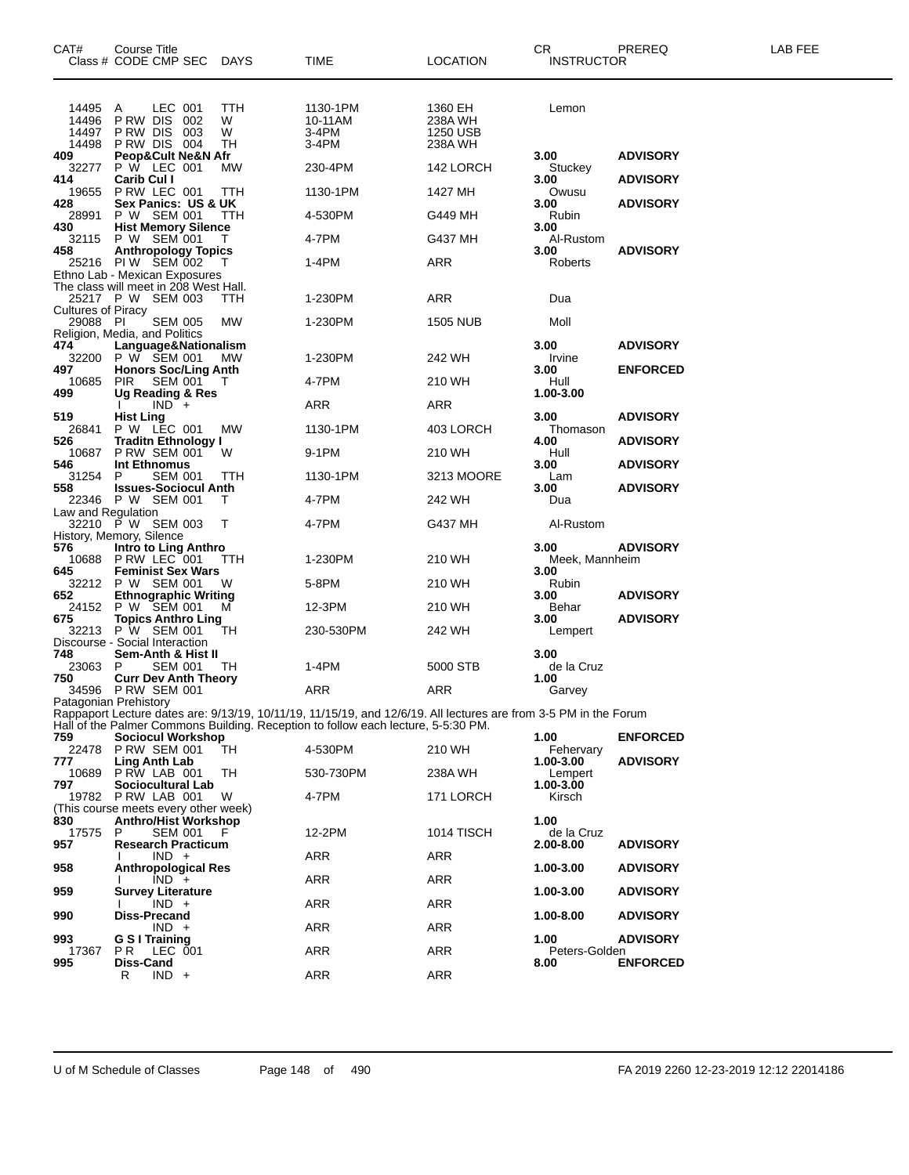| CAT#                             | Course Title<br>Class # CODE CMP SEC DAYS                              |                     | <b>TIME</b>                                                                                                      | <b>LOCATION</b>                           | <b>CR</b><br>INSTRUCTOR | PREREQ          | LAB FEE |
|----------------------------------|------------------------------------------------------------------------|---------------------|------------------------------------------------------------------------------------------------------------------|-------------------------------------------|-------------------------|-----------------|---------|
| 14495<br>14496<br>14497<br>14498 | LEC 001<br>A<br>P RW DIS<br>002<br>PRW DIS 003<br>PRW DIS 004          | TTH<br>W<br>W<br>TН | 1130-1PM<br>10-11AM<br>3-4PM<br>3-4PM                                                                            | 1360 EH<br>238A WH<br>1250 USB<br>238A WH | Lemon                   |                 |         |
| 409<br>32277                     | <b>Peop&amp;Cult Ne&amp;N Afr</b><br>P W LEC 001                       | МW                  | 230-4PM                                                                                                          | 142 LORCH                                 | 3.00<br>Stuckey         | <b>ADVISORY</b> |         |
| 414<br>19655                     | Carib Cul I<br>P RW LEC 001                                            | TTH                 | 1130-1PM                                                                                                         | 1427 MH                                   | 3.00<br>Owusu           | <b>ADVISORY</b> |         |
| 428<br>28991                     | Sex Panics: US & UK<br>P W SEM 001                                     | TTH                 | 4-530PM                                                                                                          | G449 MH                                   | 3.00<br>Rubin           | <b>ADVISORY</b> |         |
| 430<br>32115                     | <b>Hist Memory Silence</b><br>P W SEM 001                              |                     | 4-7PM                                                                                                            | G437 MH                                   | 3.00<br>Al-Rustom       |                 |         |
| 458                              | <b>Anthropology Topics</b><br>25216 PIW SEM 002                        |                     | 1-4PM                                                                                                            | ARR                                       | 3.00<br>Roberts         | <b>ADVISORY</b> |         |
|                                  | Ethno Lab - Mexican Exposures<br>The class will meet in 208 West Hall. |                     |                                                                                                                  |                                           |                         |                 |         |
| <b>Cultures of Piracy</b>        | 25217 P W SEM 003                                                      | ттн                 | 1-230PM                                                                                                          | ARR                                       | Dua                     |                 |         |
| 29088 PI                         | <b>SEM 005</b><br>Religion, Media, and Politics                        | <b>MW</b>           | 1-230PM                                                                                                          | <b>1505 NUB</b>                           | Moll                    |                 |         |
| 474<br>32200                     | Language&Nationalism<br>P W SEM 001                                    | <b>MW</b>           | 1-230PM                                                                                                          | 242 WH                                    | 3.00<br>Irvine          | <b>ADVISORY</b> |         |
| 497                              | <b>Honors Soc/Ling Anth</b>                                            |                     |                                                                                                                  |                                           | 3.00                    | <b>ENFORCED</b> |         |
| 10685<br>499                     | <b>PIR SEM 001</b><br>Ug Reading & Res                                 |                     | 4-7PM                                                                                                            | 210 WH                                    | Hull<br>1.00-3.00       |                 |         |
| 519                              | $IND +$<br><b>Hist Ling</b>                                            |                     | ARR                                                                                                              | ARR                                       | 3.00                    | <b>ADVISORY</b> |         |
| 26841<br>526                     | P W LEC 001<br><b>Traditn Ethnology I</b>                              | MW                  | 1130-1PM                                                                                                         | 403 LORCH                                 | Thomason<br>4.00        | <b>ADVISORY</b> |         |
| 10687<br>546                     | <b>P RW SEM 001</b><br>Int Ethnomus                                    | W                   | 9-1PM                                                                                                            | 210 WH                                    | Hull<br>3.00            | <b>ADVISORY</b> |         |
| 31254<br>558                     | <b>SEM 001</b><br>P<br><b>Issues-Sociocul Anth</b>                     | TTH                 | 1130-1PM                                                                                                         | 3213 MOORE                                | Lam<br>3.00             | <b>ADVISORY</b> |         |
| Law and Regulation               | 22346 P W SEM 001                                                      | т                   | 4-7PM                                                                                                            | 242 WH                                    | Dua                     |                 |         |
|                                  | 32210 P W SEM 003                                                      | Т                   | 4-7PM                                                                                                            | G437 MH                                   | Al-Rustom               |                 |         |
| 576                              | History, Memory, Silence<br>Intro to Ling Anthro                       |                     |                                                                                                                  |                                           | 3.00                    | <b>ADVISORY</b> |         |
| 10688<br>645                     | PRW LEC 001<br><b>Feminist Sex Wars</b>                                | TTH                 | 1-230PM                                                                                                          | 210 WH                                    | Meek, Mannheim<br>3.00  |                 |         |
| 32212<br>652                     | P W SEM 001<br><b>Ethnographic Writing</b>                             | W                   | 5-8PM                                                                                                            | 210 WH                                    | Rubin<br>3.00           | <b>ADVISORY</b> |         |
| 24152<br>675                     | P W SEM 001<br><b>Topics Anthro Ling</b>                               | м                   | 12-3PM                                                                                                           | 210 WH                                    | Behar<br>3.00           | <b>ADVISORY</b> |         |
|                                  | 32213 P W SEM 001<br>Discourse - Social Interaction                    | TH                  | 230-530PM                                                                                                        | 242 WH                                    | Lempert                 |                 |         |
| 748<br>23063                     | Sem-Anth & Hist II<br>P<br>SEM 001                                     | TН                  | 1-4PM                                                                                                            | 5000 STB                                  | 3.00<br>de la Cruz      |                 |         |
| 750                              | <b>Curr Dev Anth Theory</b><br>34596 P RW SEM 001                      |                     | ARR                                                                                                              | ARR                                       | 1.00<br>Garvey          |                 |         |
|                                  | Patagonian Prehistory                                                  |                     | Rappaport Lecture dates are: 9/13/19, 10/11/19, 11/15/19, and 12/6/19. All lectures are from 3-5 PM in the Forum |                                           |                         |                 |         |
| 759                              |                                                                        |                     | Hall of the Palmer Commons Building. Reception to follow each lecture, 5-5:30 PM.                                |                                           | 1.00                    | <b>ENFORCED</b> |         |
| 22478                            | Sociocul Workshop<br><b>P RW SEM 001</b>                               | TH                  | 4-530PM                                                                                                          | 210 WH                                    | Fehervary               |                 |         |
| 777<br>10689                     | Ling Anth Lab<br>PRW LAB 001                                           | TH                  | 530-730PM                                                                                                        | 238A WH                                   | 1.00-3.00<br>Lempert    | <b>ADVISORY</b> |         |
| 797<br>19782                     | Sociocultural Lab<br>PRW LAB 001                                       | W                   | 4-7PM                                                                                                            | 171 LORCH                                 | 1.00-3.00<br>Kirsch     |                 |         |
| 830                              | (This course meets every other week)<br><b>Anthro/Hist Workshop</b>    |                     |                                                                                                                  |                                           | 1.00                    |                 |         |
| 17575<br>957                     | <b>SEM 001</b><br>P<br><b>Research Practicum</b>                       | F                   | 12-2PM                                                                                                           | 1014 TISCH                                | de la Cruz<br>2.00-8.00 | <b>ADVISORY</b> |         |
| 958                              | $IND +$<br><b>Anthropological Res</b>                                  |                     | <b>ARR</b>                                                                                                       | ARR                                       | 1.00-3.00               | <b>ADVISORY</b> |         |
| 959                              | $IND +$<br><b>Survey Literature</b>                                    |                     | <b>ARR</b>                                                                                                       | ARR                                       | 1.00-3.00               | <b>ADVISORY</b> |         |
|                                  | $IND +$                                                                |                     | <b>ARR</b>                                                                                                       | ARR                                       |                         |                 |         |
| 990                              | Diss-Precand<br>$IND +$                                                |                     | <b>ARR</b>                                                                                                       | ARR                                       | 1.00-8.00               | <b>ADVISORY</b> |         |
| 993<br>17367                     | <b>G S I Training</b><br><b>PR LEC 001</b>                             |                     | <b>ARR</b>                                                                                                       | ARR                                       | 1.00<br>Peters-Golden   | <b>ADVISORY</b> |         |
| 995                              | Diss-Cand<br>$IND +$<br>R                                              |                     | ARR                                                                                                              | <b>ARR</b>                                | 8.00                    | <b>ENFORCED</b> |         |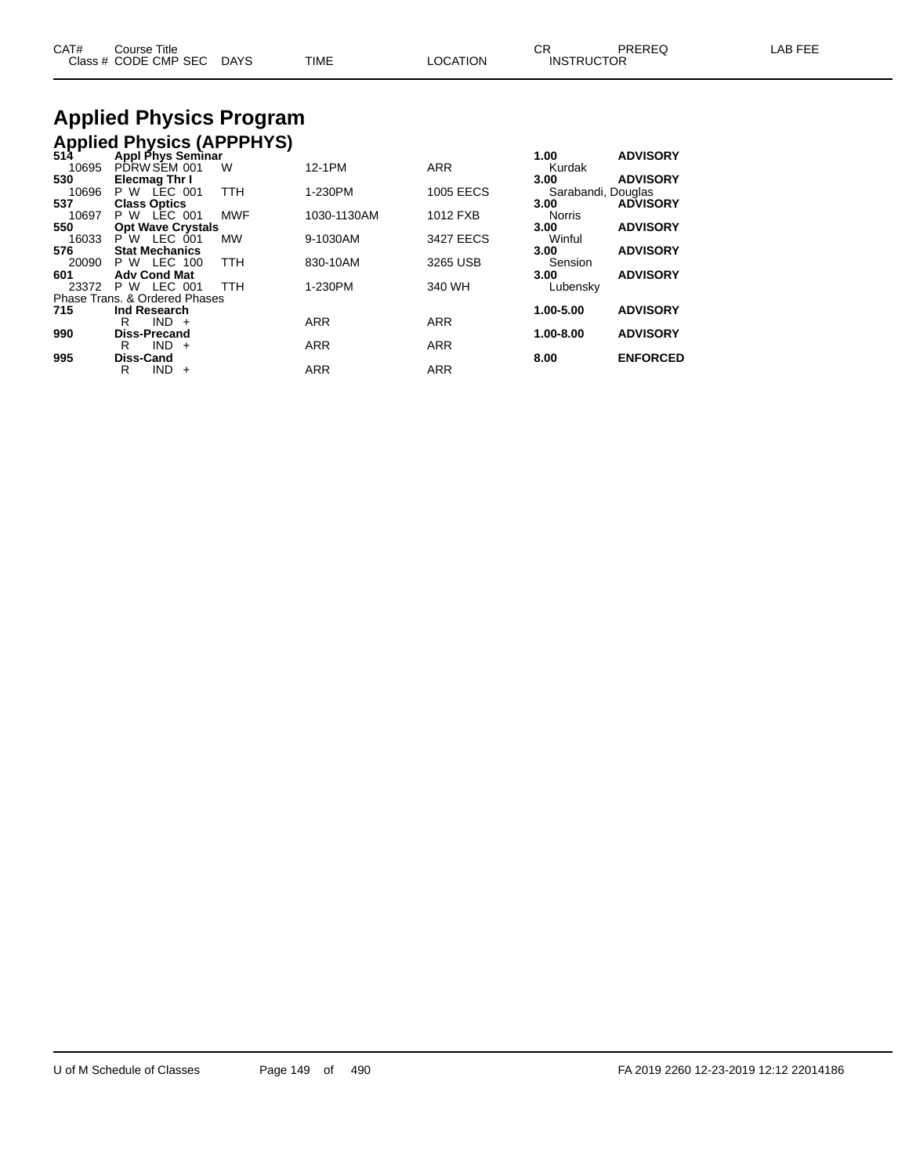| CAT# | ourse Titleٽ         |             |      |          | ⌒冖<br>◡⊓          | PREREQ | , EEF<br>AR. |
|------|----------------------|-------------|------|----------|-------------------|--------|--------------|
|      | Class # CODE CMP SEC | <b>DAYS</b> | TIME | LOCATION | <b>INSTRUCTOR</b> |        |              |

# **Applied Physics Program**

|       | <b>Applied Physics (APPPHYS)</b><br>514 Appl Phys Seminar |            |             |                  |                    |                 |
|-------|-----------------------------------------------------------|------------|-------------|------------------|--------------------|-----------------|
|       |                                                           |            |             |                  | 1.00               | <b>ADVISORY</b> |
| 10695 | PDRW SEM 001                                              | W          | 12-1PM      | <b>ARR</b>       | Kurdak             |                 |
| 530   | <b>Elecmag Thr I</b>                                      |            |             |                  | 3.00               | <b>ADVISORY</b> |
| 10696 | <b>P W LEC 001</b>                                        | <b>TTH</b> | 1-230PM     | <b>1005 EECS</b> | Sarabandi, Douglas |                 |
| 537   | <b>Class Optics</b>                                       |            |             |                  | 3.00               | <b>ADVISORY</b> |
| 10697 | <b>P W LEC 001</b>                                        | <b>MWF</b> | 1030-1130AM | 1012 FXB         | <b>Norris</b>      |                 |
| 550   | <b>Opt Wave Crystals</b>                                  |            |             |                  | 3.00               | <b>ADVISORY</b> |
| 16033 | P W LEC 001                                               | <b>MW</b>  | 9-1030AM    | 3427 EECS        | Winful             |                 |
| 576   | <b>Stat Mechanics</b>                                     |            |             |                  | 3.00               | <b>ADVISORY</b> |
| 20090 | P W LEC 100                                               | <b>TTH</b> | 830-10AM    | 3265 USB         | Sension            |                 |
| 601   | <b>Adv Cond Mat</b>                                       |            |             |                  | 3.00               | <b>ADVISORY</b> |
| 23372 | LEC 001<br>P W                                            | <b>TTH</b> | 1-230PM     | 340 WH           | Lubensky           |                 |
|       | Phase Trans, & Ordered Phases                             |            |             |                  |                    |                 |
| 715   | Ind Research                                              |            |             |                  | 1.00-5.00          | <b>ADVISORY</b> |
|       | <b>IND</b><br>R<br>$+$                                    |            | <b>ARR</b>  | <b>ARR</b>       |                    |                 |
| 990   | <b>Diss-Precand</b>                                       |            |             |                  | 1.00-8.00          | <b>ADVISORY</b> |
|       | <b>IND</b><br>R<br>$+$                                    |            | <b>ARR</b>  | <b>ARR</b>       |                    |                 |
| 995   | <b>Diss-Cand</b>                                          |            |             |                  | 8.00               | <b>ENFORCED</b> |
|       | R<br><b>IND</b><br>$+$                                    |            | <b>ARR</b>  | <b>ARR</b>       |                    |                 |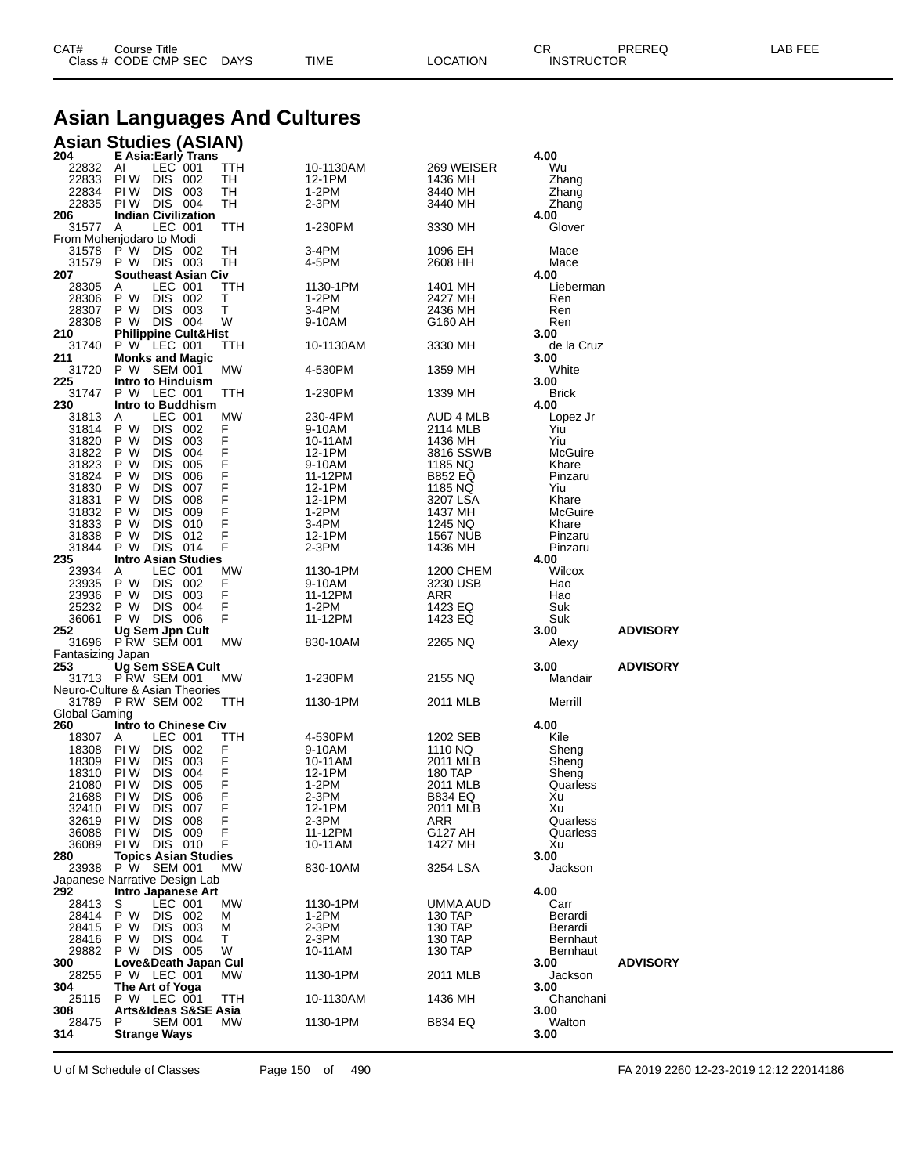| CAT# | Title<br>Courseٽ     |      |      |          | Ωm<br><b>UN</b>   | PREREQ | ----<br>ΔR.<br>--- |
|------|----------------------|------|------|----------|-------------------|--------|--------------------|
|      | Class # CODE CMP SEC | DAYS | TIME | LOCATION | <b>INSTRUCTOR</b> |        |                    |

## **Asian Languages And Cultures**

#### **Asian Studies (ASIAN)**

| 204               | E Asia: Early Trans                            |                  |                     |                           | 4.00              |                 |
|-------------------|------------------------------------------------|------------------|---------------------|---------------------------|-------------------|-----------------|
| 22832             | LEC 001<br>AI                                  | TTH              | 10-1130AM           | 269 WEISER                | Wu                |                 |
| 22833<br>22834    | PI W<br>DIS 002<br><b>DIS</b>                  | TН               | 12-1PM<br>$1-2PM$   | 1436 MH                   | Zhang             |                 |
| 22835             | PI W<br>003<br>PIW DIS 004                     | TН<br>TН         | 2-3PM               | 3440 MH<br>3440 MH        | Zhang<br>Zhang    |                 |
| 206               | <b>Indian Civilization</b>                     |                  |                     |                           | 4.00              |                 |
| 31577             | LEC 001<br>A                                   | TTH              | 1-230PM             | 3330 MH                   | Glover            |                 |
|                   | From Mohenjodaro to Modi                       |                  |                     |                           |                   |                 |
| 31578             | P W DIS 002                                    | TH               | 3-4PM               | 1096 EH                   | Mace              |                 |
| 31579             | P W DIS 003                                    | TН               | 4-5PM               | 2608 HH                   | Mace              |                 |
| 207               | <b>Southeast Asian Civ</b>                     |                  |                     |                           | 4.00              |                 |
| 28305             | LEC 001<br>Α                                   | ттн              | 1130-1PM            | 1401 MH                   | Lieberman         |                 |
| 28306             | DIS 002<br>P W                                 | Τ                | 1-2PM               | 2427 MH                   | Ren               |                 |
| 28307             | P W<br>DIS.<br>003                             | т                | 3-4PM               | 2436 MH                   | Ren               |                 |
| 28308<br>210      | P W DIS 004<br><b>Philippine Cult&amp;Hist</b> | W                | 9-10AM              | G160 AH                   | Ren<br>3.00       |                 |
| 31740             | P W LEC 001                                    | TTH              | 10-1130AM           | 3330 MH                   | de la Cruz        |                 |
| 211               | <b>Monks and Magic</b>                         |                  |                     |                           | 3.00              |                 |
| 31720             | P W SEM 001                                    | МW               | 4-530PM             | 1359 MH                   | White             |                 |
| 225               | Intro to Hinduism                              |                  |                     |                           | 3.00              |                 |
| 31747             | P W LEC 001                                    | ттн              | 1-230PM             | 1339 MH                   | <b>Brick</b>      |                 |
| 230               | Intro to Buddhism                              |                  |                     |                           | 4.00              |                 |
| 31813             | LEC 001<br>A                                   | MW               | 230-4PM             | AUD 4 MLB                 | Lopez Jr          |                 |
| 31814             | <b>DIS</b><br>P W<br>002                       | F                | 9-10AM              | 2114 MLB                  | Yiu               |                 |
| 31820             | <b>DIS</b><br>P W<br>003                       | $\mathsf F$      | 10-11AM             | 1436 MH                   | Yiu               |                 |
| 31822             | <b>DIS</b><br>004<br>P W                       | F                | 12-1PM              | 3816 SSWB                 | McGuire           |                 |
| 31823             | P W<br><b>DIS</b><br>005                       | $\frac{F}{F}$    | 9-10AM              | 1185 NQ                   | Khare             |                 |
| 31824<br>31830    | P W<br>DIS<br>006<br><b>DIS</b><br>007<br>P W  | F                | 11-12PM<br>12-1PM   | <b>B852 EQ</b><br>1185 NQ | Pinzaru<br>Yiu    |                 |
| 31831             | P W<br><b>DIS</b><br>008                       |                  | 12-1PM              | 3207 LSA                  | Khare             |                 |
| 31832             | <b>DIS</b><br>P W<br>009                       | $\frac{F}{F}$    | 1-2PM               | 1437 MH                   | McGuire           |                 |
| 31833             | <b>DIS</b><br>010<br>P W                       | F                | 3-4PM               | 1245 NQ                   | Khare             |                 |
| 31838             | <b>DIS</b><br>P W<br>012                       | F                | 12-1PM              | <b>1567 NUB</b>           | Pinzaru           |                 |
| 31844             | DIS 014<br>P W                                 | F                | $2-3PM$             | 1436 MH                   | Pinzaru           |                 |
| 235               | <b>Intro Asian Studies</b>                     |                  |                     |                           | 4.00              |                 |
| 23934             | LEC 001<br>Α                                   | МW               | 1130-1PM            | 1200 CHEM                 | Wilcox            |                 |
| 23935             | P W<br><b>DIS</b><br>002                       | F                | 9-10AM              | 3230 USB                  | Hao               |                 |
| 23936             | P W<br><b>DIS</b><br>003                       | F                | 11-12PM             | ARR                       | Hao               |                 |
| 25232             | P W<br><b>DIS</b><br>004                       | F                | 1-2PM               | 1423 EQ                   | Suk               |                 |
| 36061             | P W DIS 006                                    | F                | 11-12PM             | 1423 EQ                   | Suk               |                 |
| 252<br>31696      | Ug Sem Jpn Cult<br><b>P RW SEM 001</b>         | MW               | 830-10AM            | 2265 NQ                   | 3.00<br>Alexy     | <b>ADVISORY</b> |
| Fantasizing Japan |                                                |                  |                     |                           |                   |                 |
| 253               | Ug Sem SSEA Cult                               |                  |                     |                           | 3.00              | <b>ADVISORY</b> |
|                   | 31713 PRW SEM 001                              | MW               | 1-230PM             | 2155 NQ                   | Mandair           |                 |
|                   | Neuro-Culture & Asian Theories                 |                  |                     |                           |                   |                 |
|                   | 31789 PRW SEM 002                              | ттн              | 1130-1PM            | 2011 MLB                  | Merrill           |                 |
| Global Gaming     |                                                |                  |                     |                           |                   |                 |
| 260               | <b>Intro to Chinese Civ</b>                    |                  |                     |                           | 4.00              |                 |
| 18307             | LEC 001<br>A                                   | TTH              | 4-530PM             | 1202 SEB                  | Kile              |                 |
| 18308             | PI W<br>DIS.<br>002                            | F                | 9-10AM              | 1110 NQ                   | Sheng             |                 |
| 18309             | PI W<br><b>DIS</b><br>003<br><b>DIS</b>        | $\mathsf F$<br>F | 10-11AM             | 2011 MLB                  | Sheng             |                 |
| 18310<br>21080    | PI W<br>004<br>PI W<br><b>DIS</b><br>005       | F                | 12-1PM<br>$1-2PM$   | 180 TAP<br>2011 MLB       | Sheng<br>Quarless |                 |
| 21688             | <b>DIS</b><br>PI W<br>006                      | F                | 2-3PM               | B834 EQ                   | Xu                |                 |
| 32410             | PI W<br><b>DIS</b><br>007                      | F                | 12-1PM              | 2011 MLB                  | Xu                |                 |
| 32619             | PI W<br>DIS 008                                | F                | 2-3PM               | ARR                       | Quarless          |                 |
| 36088             | PI W<br>DIS 009                                | F                | 11-12PM             | G127 AH                   | Quarless          |                 |
| 36089             | PI W<br>DIS 010                                | F                | 10-11AM             | 1427 MH                   | Xu                |                 |
| 280               | <b>Topics Asian Studies</b>                    |                  |                     |                           | 3.00              |                 |
| 23938             | P W SEM 001                                    | MW               | 830-10AM            | 3254 LSA                  | Jackson           |                 |
|                   | Japanese Narrative Design Lab                  |                  |                     |                           |                   |                 |
| 292               | Intro Japanese Art                             |                  |                     |                           | 4.00              |                 |
| 28413             | LEC 001<br>S                                   | <b>MW</b>        | 1130-1PM<br>$1-2PM$ | UMMA AUD                  | Carr<br>Berardi   |                 |
| 28414<br>28415    | DIS.<br>P W<br>002<br>P W<br>003               | м<br>м           | 2-3PM               | 130 TAP<br>130 TAP        | Berardi           |                 |
| 28416             | <b>DIS</b><br><b>DIS</b><br>P W<br>004         | т                | 2-3PM               | 130 TAP                   | <b>Bernhaut</b>   |                 |
| 29882             | DIS 005<br>P W                                 | W                | 10-11AM             | 130 TAP                   | Bernhaut          |                 |
| 300               | Love&Death Japan Cul                           |                  |                     |                           | 3.00              | <b>ADVISORY</b> |
| 28255             | P W LEC 001                                    | MW               | 1130-1PM            | 2011 MLB                  | Jackson           |                 |
| 304               | The Art of Yoga                                |                  |                     |                           | 3.00              |                 |
| 25115             | P W LEC 001                                    | TTH              | 10-1130AM           | 1436 MH                   | Chanchani         |                 |
|                   |                                                |                  |                     |                           | 3.00              |                 |
| 308               | Arts&Ideas S&SE Asia                           |                  |                     |                           |                   |                 |
| 28475<br>314      | <b>SEM 001</b><br>P<br><b>Strange Ways</b>     | МW               | 1130-1PM            | B834 EQ                   | Walton<br>3.00    |                 |

U of M Schedule of Classes Page 150 of 490 FA 2019 2260 12-23-2019 12:12 22014186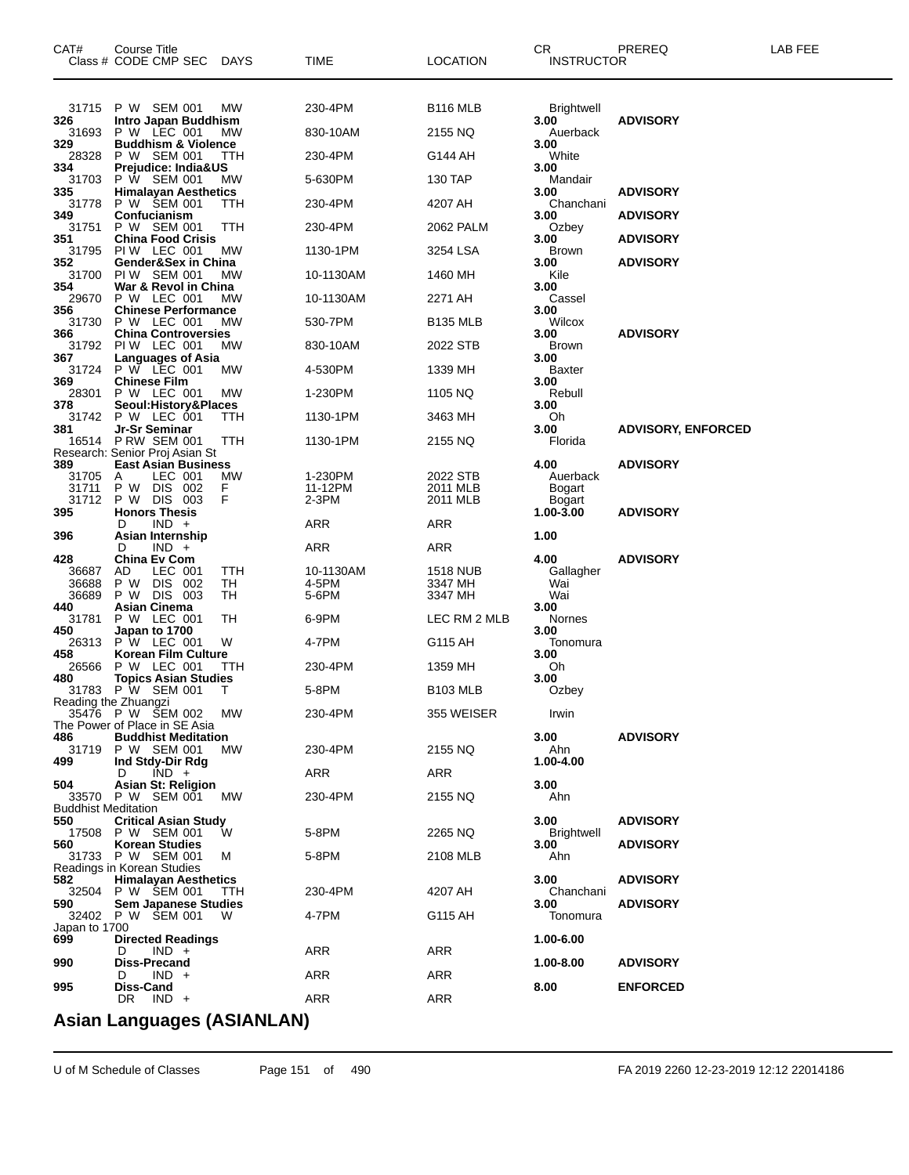| CAT#                       | Course Title<br>Class # CODE CMP SEC                  | DAYS       | TIME               | <b>LOCATION</b>      | СR<br>INSTRUCTOR          | PREREQ                    | LAB FEE |
|----------------------------|-------------------------------------------------------|------------|--------------------|----------------------|---------------------------|---------------------------|---------|
| 31715                      | P W SEM 001                                           | МW         | 230-4PM            | <b>B116 MLB</b>      | Brightwell                |                           |         |
| 326<br>31693               | Intro Japan Buddhism<br>P W LEC 001                   | МW         | 830-10AM           | 2155 NQ              | 3.00<br>Auerback          | <b>ADVISORY</b>           |         |
| 329<br>28328               | <b>Buddhism &amp; Violence</b><br>P W SEM 001         | ттн        | 230-4PM            | G144 AH              | 3.00<br>White             |                           |         |
| 334<br>31703               | Prejudice: India&US<br>P W SEM 001                    | MW         | 5-630PM            | 130 TAP              | 3.00<br>Mandair           |                           |         |
| 335                        | <b>Himalayan Aesthetics</b>                           |            |                    |                      | 3.00                      | <b>ADVISORY</b>           |         |
| 31778<br>349               | P W \$EM 001<br>Confucianism                          | TTH        | 230-4PM            | 4207 AH              | Chanchani<br>3.00         | <b>ADVISORY</b>           |         |
| 31751<br>351               | P W SEM 001<br><b>China Food Crisis</b>               | TTH        | 230-4PM            | 2062 PALM            | Ozbey<br>3.00             | <b>ADVISORY</b>           |         |
| 31795<br>352               | PIW LEC 001<br>Gender&Sex in China                    | МW         | 1130-1PM           | 3254 LSA             | Brown<br>3.00             | <b>ADVISORY</b>           |         |
| 31700                      | PIW SEM 001                                           | МW         | 10-1130AM          | 1460 MH              | Kile                      |                           |         |
| 354<br>29670               | War & Revol in China<br>P W LEC 001                   | МW         | 10-1130AM          | 2271 AH              | 3.00<br>Cassel            |                           |         |
| 356<br>31730               | <b>Chinese Performance</b><br>P W LEC 001             | МW         | 530-7PM            | B135 MLB             | 3.00<br>Wilcox            |                           |         |
| 366                        | <b>China Controversies</b><br>31792 PIW LEC 001       | МW         | 830-10AM           | 2022 STB             | 3.00<br><b>Brown</b>      | <b>ADVISORY</b>           |         |
| 367                        | Languages of Asia<br>P W LEC 001                      |            |                    |                      | 3.00                      |                           |         |
| 31724<br>369               | <b>Chinese Film</b>                                   | МW         | 4-530PM            | 1339 MH              | <b>Baxter</b><br>3.00     |                           |         |
| 28301<br>378               | P W LEC 001<br>Seoul:History&Places                   | МW         | 1-230PM            | 1105 NQ              | Rebull<br>3.00            |                           |         |
| 31742<br>381               | P W LEC 001<br>Jr-Sr Seminar                          | TTH        | 1130-1PM           | 3463 MH              | Oh<br>3.00                | <b>ADVISORY, ENFORCED</b> |         |
| 16514                      | <b>P RW SEM 001</b><br>Research: Senior Proj Asian St | ттн        | 1130-1PM           | 2155 NQ              | Florida                   |                           |         |
| 389                        | <b>East Asian Business</b>                            |            |                    |                      | 4.00                      | <b>ADVISORY</b>           |         |
| 31705<br>31711             | LEC 001<br>Α<br>P W DIS 002                           | МW<br>F    | 1-230PM<br>11-12PM | 2022 STB<br>2011 MLB | Auerback<br>Bogart        |                           |         |
| 31712<br>395               | P W DIS 003<br><b>Honors Thesis</b>                   | F          | $2-3PM$            | 2011 MLB             | Bogart<br>$1.00 - 3.00$   | <b>ADVISORY</b>           |         |
| 396                        | $IND +$<br>D<br>Asian Internship                      |            | ARR                | ARR                  | 1.00                      |                           |         |
|                            | $IND +$<br>D                                          |            | ARR                | ARR                  |                           |                           |         |
| 428<br>36687               | China Ev Com<br>AD<br>LEC 001                         | ттн        | 10-1130AM          | <b>1518 NUB</b>      | 4.00<br>Gallagher         | <b>ADVISORY</b>           |         |
| 36688<br>36689             | DIS 002<br>P W<br>P W DIS 003                         | TН<br>TН   | 4-5PM<br>5-6PM     | 3347 MH<br>3347 MH   | Wai<br>Wai                |                           |         |
| 440<br>31781               | <b>Asian Cinema</b><br>P W LEC 001                    | ТH         | 6-9PM              | LEC RM 2 MLB         | 3.00<br>Nornes            |                           |         |
| 450                        | Japan to 1700                                         |            |                    |                      | 3.00                      |                           |         |
| 26313<br>458               | P W LEC 001<br><b>Korean Film Culture</b>             | W          | 4-7PM              | G115 AH              | Tonomura<br>3.00          |                           |         |
| 26566<br>480               | P W LEC 001<br><b>Topics Asian Studies</b>            | TTH        | 230-4PM            | 1359 MH              | Oh<br>3.00                |                           |         |
| 31783                      | P W SEM 001<br>Reading the Zhuangzi                   | Τ          | 5-8PM              | <b>B103 MLB</b>      | Ozbey                     |                           |         |
|                            | 35476 P W SEM 002<br>The Power of Place in SE Asia    | МW         | 230-4PM            | 355 WEISER           | Irwin                     |                           |         |
| 486                        | <b>Buddhist Meditation</b>                            |            |                    |                      | 3.00                      | <b>ADVISORY</b>           |         |
| 31719<br>499               | P W SEM 001<br>Ind Stdy-Dir Rdg                       | MW.        | 230-4PM            | 2155 NQ              | Ahn<br>1.00-4.00          |                           |         |
| 504                        | $IND +$<br>D<br><b>Asian St: Religion</b>             |            | ARR                | ARR                  | 3.00                      |                           |         |
| <b>Buddhist Meditation</b> | 33570 P W SEM 001                                     | MW.        | 230-4PM            | 2155 NQ              | Ahn                       |                           |         |
| 550                        | <b>Critical Asian Study</b>                           |            |                    |                      | 3.00                      | <b>ADVISORY</b>           |         |
| 17508<br>560               | P W SEM 001<br><b>Korean Studies</b>                  | W          | 5-8PM              | 2265 NQ              | <b>Brightwell</b><br>3.00 | <b>ADVISORY</b>           |         |
| 31733                      | P W SEM 001<br>Readings in Korean Studies             | м          | 5-8PM              | 2108 MLB             | Ahn                       |                           |         |
| 582<br>32504               | <b>Himalayan Aesthetics</b><br>P W SEM 001            | <b>TTH</b> | 230-4PM            | 4207 AH              | 3.00<br>Chanchani         | <b>ADVISORY</b>           |         |
| 590                        | <b>Sem Japanese Studies</b><br>32402 P W SEM 001      | W          | 4-7PM              |                      | 3.00                      | <b>ADVISORY</b>           |         |
| Japan to 1700              |                                                       |            |                    | G115 AH              | Tonomura                  |                           |         |
| 699                        | <b>Directed Readings</b><br>$IND +$<br>D              |            | ARR                | ARR                  | 1.00-6.00                 |                           |         |
| 990                        | <b>Diss-Precand</b><br>$IND +$<br>D                   |            | ARR                | ARR                  | 1.00-8.00                 | <b>ADVISORY</b>           |         |
| 995                        | Diss-Cand                                             |            |                    |                      | 8.00                      | <b>ENFORCED</b>           |         |
|                            | $IND +$<br>DR.                                        |            | ARR                | ARR                  |                           |                           |         |

#### **Asian Languages (ASIANLAN)**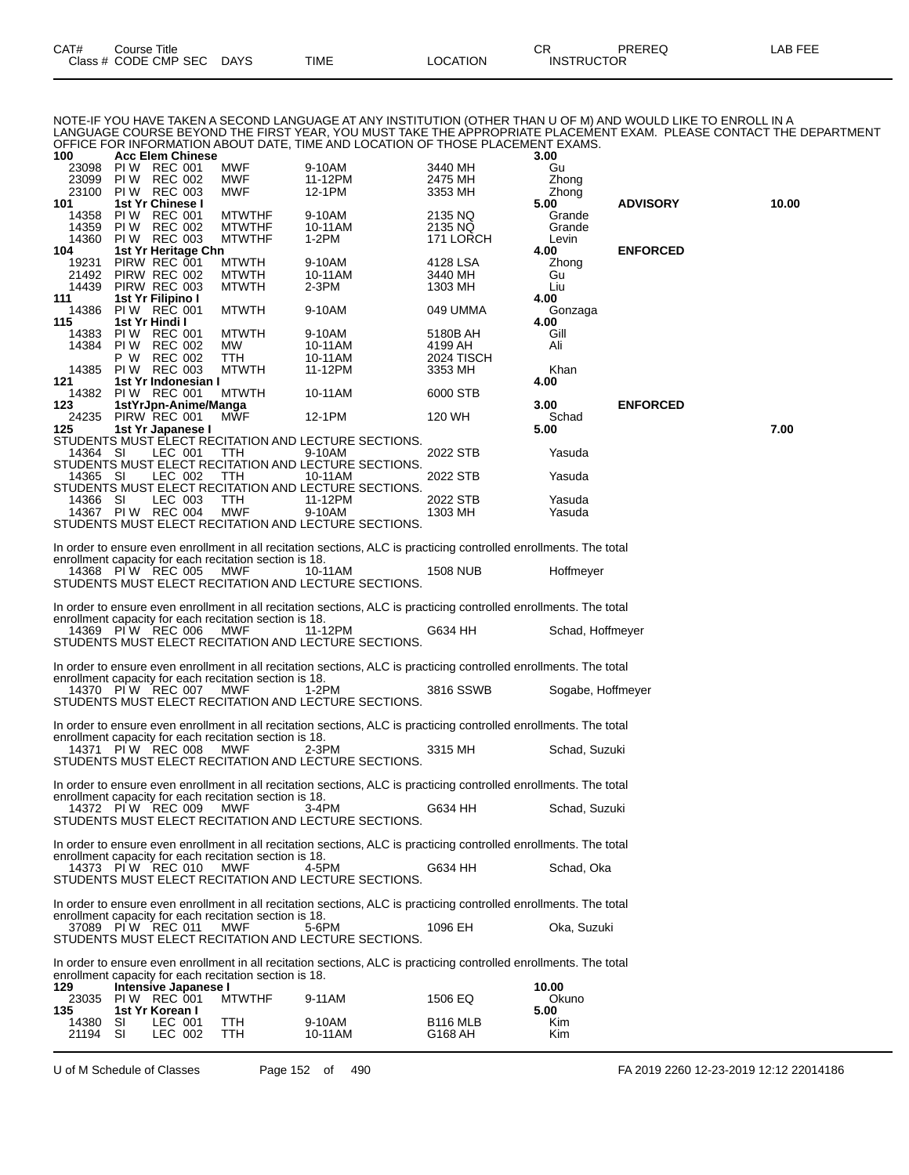| CAT# | Course Title         |             |             |          | OD.<br>◡          | PREREQ | .AB FEE |
|------|----------------------|-------------|-------------|----------|-------------------|--------|---------|
|      | Class # CODE CMP SEC | <b>DAYS</b> | <b>TIME</b> | LOCATION | <b>INSTRUCTOR</b> |        |         |

NOTE-IF YOU HAVE TAKEN A SECOND LANGUAGE AT ANY INSTITUTION (OTHER THAN U OF M) AND WOULD LIKE TO ENROLL IN A LANGUAGE COURSE BEYOND THE FIRST YEAR, YOU MUST TAKE THE APPROPRIATE PLACEMENT EXAM. PLEASE CONTACT THE DEPARTMENT OFFICE FOR INFORMATION ABOUT DATE, TIME AND LOCATION OF THOSE PLACEMENT EXAMS.

| 100            |          | <b>Acc Elem Chinese</b>              |                                                        |                                                                                                                    |                            | 3.00              |                 |       |
|----------------|----------|--------------------------------------|--------------------------------------------------------|--------------------------------------------------------------------------------------------------------------------|----------------------------|-------------------|-----------------|-------|
| 23098<br>23099 | PI W     | PIW REC 001<br>REC 002               | MWF<br>MWF                                             | 9-10AM<br>11-12PM                                                                                                  | 3440 MH<br>2475 MH         | Gu<br>Zhong       |                 |       |
| 23100          |          | <b>PIW REC 003</b>                   | MWF                                                    | 12-1PM                                                                                                             | 3353 MH                    | Zhong             |                 |       |
| 101            |          | 1st Yr Chinese I                     |                                                        |                                                                                                                    |                            | 5.00              | <b>ADVISORY</b> | 10.00 |
| 14358          |          | PIW REC 001                          | MTWTHF                                                 | 9-10AM                                                                                                             | 2135 NQ                    | Grande            |                 |       |
| 14359<br>14360 | PI W     | <b>REC 002</b><br><b>PIW REC 003</b> | <b>MTWTHF</b><br><b>MTWTHF</b>                         | 10-11AM<br>1-2PM                                                                                                   | 2135 NQ<br>171 LORCH       | Grande<br>Levin   |                 |       |
| 104            |          | 1st Yr Heritage Chn                  |                                                        |                                                                                                                    |                            | 4.00              | <b>ENFORCED</b> |       |
| 19231          |          | PIRW REC 001                         | <b>MTWTH</b>                                           | 9-10AM                                                                                                             | 4128 LSA                   | Zhong             |                 |       |
| 21492          |          | PIRW REC 002                         | <b>MTWTH</b>                                           | 10-11AM                                                                                                            | 3440 MH                    | Gu                |                 |       |
| 14439<br>111   |          | PIRW REC 003<br>1st Yr Filipino I    | <b>MTWTH</b>                                           | $2-3PM$                                                                                                            | 1303 MH                    | Liu<br>4.00       |                 |       |
| 14386          |          | PIW REC 001                          | <b>MTWTH</b>                                           | 9-10AM                                                                                                             | 049 UMMA                   | Gonzaga           |                 |       |
| 115            |          | 1st Yr Hindi I                       |                                                        |                                                                                                                    |                            | 4.00              |                 |       |
| 14383          |          | PIW REC 001                          | <b>MTWTH</b>                                           | 9-10AM                                                                                                             | 5180B AH                   | Gill              |                 |       |
| 14384          | PI W     | <b>REC 002</b><br>P W REC 002        | МW                                                     | 10-11AM                                                                                                            | 4199 AH                    | Ali               |                 |       |
| 14385          |          | <b>PIW REC 003</b>                   | ттн<br><b>MTWTH</b>                                    | 10-11AM<br>11-12PM                                                                                                 | 2024 TISCH<br>3353 MH      | Khan              |                 |       |
| 121            |          | 1st Yr Indonesian I                  |                                                        |                                                                                                                    |                            | 4.00              |                 |       |
| 14382          |          | PIW REC 001                          | <b>MTWTH</b>                                           | 10-11AM                                                                                                            | 6000 STB                   |                   |                 |       |
| 123            |          | 1stYrJpn-Anime/Manga                 |                                                        |                                                                                                                    |                            | 3.00              | <b>ENFORCED</b> |       |
| 24235<br>125   |          | PIRW REC 001<br>1st Yr Japanese I    | <b>MWF</b>                                             | 12-1PM                                                                                                             | 120 WH                     | Schad<br>5.00     |                 | 7.00  |
|                |          |                                      |                                                        | STUDENTS MUST ELECT RECITATION AND LECTURE SECTIONS.                                                               |                            |                   |                 |       |
| 14364 SI       |          | LEC 001                              | TTH                                                    | 9-10AM                                                                                                             | 2022 STB                   | Yasuda            |                 |       |
|                |          |                                      |                                                        | STUDENTS MUST ELECT RECITATION AND LECTURE SECTIONS.                                                               |                            |                   |                 |       |
| 14365 SI       |          | LEC 002                              | TTH                                                    | 10-11AM<br>STUDENTS MUST ELECT RECITATION AND LECTURE SECTIONS.                                                    | 2022 STB                   | Yasuda            |                 |       |
| 14366 SI       |          | LEC 003                              | TTH                                                    | 11-12PM                                                                                                            | 2022 STB                   | Yasuda            |                 |       |
|                |          | 14367 PIW REC 004                    | MWF                                                    | 9-10AM                                                                                                             | 1303 MH                    | Yasuda            |                 |       |
|                |          |                                      |                                                        | STUDENTS MUST ELECT RECITATION AND LECTURE SECTIONS.                                                               |                            |                   |                 |       |
|                |          |                                      |                                                        | In order to ensure even enrollment in all recitation sections, ALC is practicing controlled enrollments. The total |                            |                   |                 |       |
|                |          |                                      | enrollment capacity for each recitation section is 18. |                                                                                                                    |                            |                   |                 |       |
|                |          | 14368 PIW REC 005                    | MWF                                                    | 10-11AM                                                                                                            | <b>1508 NUB</b>            | Hoffmeyer         |                 |       |
|                |          |                                      |                                                        | STUDENTS MUST ELECT RECITATION AND LECTURE SECTIONS.                                                               |                            |                   |                 |       |
|                |          |                                      |                                                        | In order to ensure even enrollment in all recitation sections, ALC is practicing controlled enrollments. The total |                            |                   |                 |       |
|                |          |                                      | enrollment capacity for each recitation section is 18. |                                                                                                                    |                            |                   |                 |       |
|                |          | 14369 PIW REC 006                    | MWF                                                    | 11-12PM                                                                                                            | G634 HH                    | Schad, Hoffmeyer  |                 |       |
|                |          |                                      |                                                        | STUDENTS MUST ELECT RECITATION AND LECTURE SECTIONS.                                                               |                            |                   |                 |       |
|                |          |                                      |                                                        | In order to ensure even enrollment in all recitation sections, ALC is practicing controlled enrollments. The total |                            |                   |                 |       |
|                |          |                                      | enrollment capacity for each recitation section is 18. |                                                                                                                    |                            |                   |                 |       |
|                |          | 14370 PIW REC 007                    | MWF                                                    | 1-2PM                                                                                                              | 3816 SSWB                  | Sogabe, Hoffmeyer |                 |       |
|                |          |                                      |                                                        | STUDENTS MUST ELECT RECITATION AND LECTURE SECTIONS.                                                               |                            |                   |                 |       |
|                |          |                                      |                                                        | In order to ensure even enrollment in all recitation sections, ALC is practicing controlled enrollments. The total |                            |                   |                 |       |
|                |          |                                      | enrollment capacity for each recitation section is 18. |                                                                                                                    |                            |                   |                 |       |
|                |          | 14371 PIW REC 008                    | MWF                                                    | $2-3PM$                                                                                                            | 3315 MH                    | Schad, Suzuki     |                 |       |
|                |          |                                      |                                                        | STUDENTS MUST ELECT RECITATION AND LECTURE SECTIONS.                                                               |                            |                   |                 |       |
|                |          |                                      |                                                        | In order to ensure even enrollment in all recitation sections, ALC is practicing controlled enrollments. The total |                            |                   |                 |       |
|                |          |                                      | enrollment capacity for each recitation section is 18. |                                                                                                                    |                            |                   |                 |       |
|                |          | 14372 PIW REC 009                    | <b>MWF</b>                                             | 3-4PM                                                                                                              | G634 HH                    | Schad, Suzuki     |                 |       |
|                |          |                                      |                                                        | STUDENTS MUST ELECT RECITATION AND LECTURE SECTIONS.                                                               |                            |                   |                 |       |
|                |          |                                      |                                                        | In order to ensure even enrollment in all recitation sections, ALC is practicing controlled enrollments. The total |                            |                   |                 |       |
|                |          |                                      | enrollment capacity for each recitation section is 18. |                                                                                                                    |                            |                   |                 |       |
|                |          | 14373 PIW REC 010                    | MWF                                                    | 4-5PM<br>STUDENTS MUST ELECT RECITATION AND LECTURE SECTIONS.                                                      | G634 HH                    | Schad, Oka        |                 |       |
|                |          |                                      |                                                        |                                                                                                                    |                            |                   |                 |       |
|                |          |                                      |                                                        | In order to ensure even enrollment in all recitation sections, ALC is practicing controlled enrollments. The total |                            |                   |                 |       |
|                |          |                                      | enrollment capacity for each recitation section is 18. |                                                                                                                    |                            |                   |                 |       |
|                |          | 37089 PIW REC 011                    | MWF                                                    | 5-6PM<br>STUDENTS MUST ELECT RECITATION AND LECTURE SECTIONS.                                                      | 1096 EH                    | Oka, Suzuki       |                 |       |
|                |          |                                      |                                                        |                                                                                                                    |                            |                   |                 |       |
|                |          |                                      |                                                        | In order to ensure even enrollment in all recitation sections, ALC is practicing controlled enrollments. The total |                            |                   |                 |       |
|                |          |                                      | enrollment capacity for each recitation section is 18. |                                                                                                                    |                            |                   |                 |       |
|                |          |                                      |                                                        |                                                                                                                    |                            |                   |                 |       |
| 129            |          | Intensive Japanese I                 |                                                        |                                                                                                                    |                            | 10.00             |                 |       |
| 135            |          | 23035 PIW REC 001<br>1st Yr Korean I | <b>MTWTHF</b>                                          | 9-11AM                                                                                                             | 1506 EQ                    | Okuno<br>5.00     |                 |       |
| 14380<br>21194 | SI<br>SI | LEC 001<br>LEC 002                   | TTH<br>TTH                                             | 9-10AM<br>10-11AM                                                                                                  | <b>B116 MLB</b><br>G168 AH | Kim<br>Kim        |                 |       |

U of M Schedule of Classes Page 152 of 490 FA 2019 2260 12-23-2019 12:12 22014186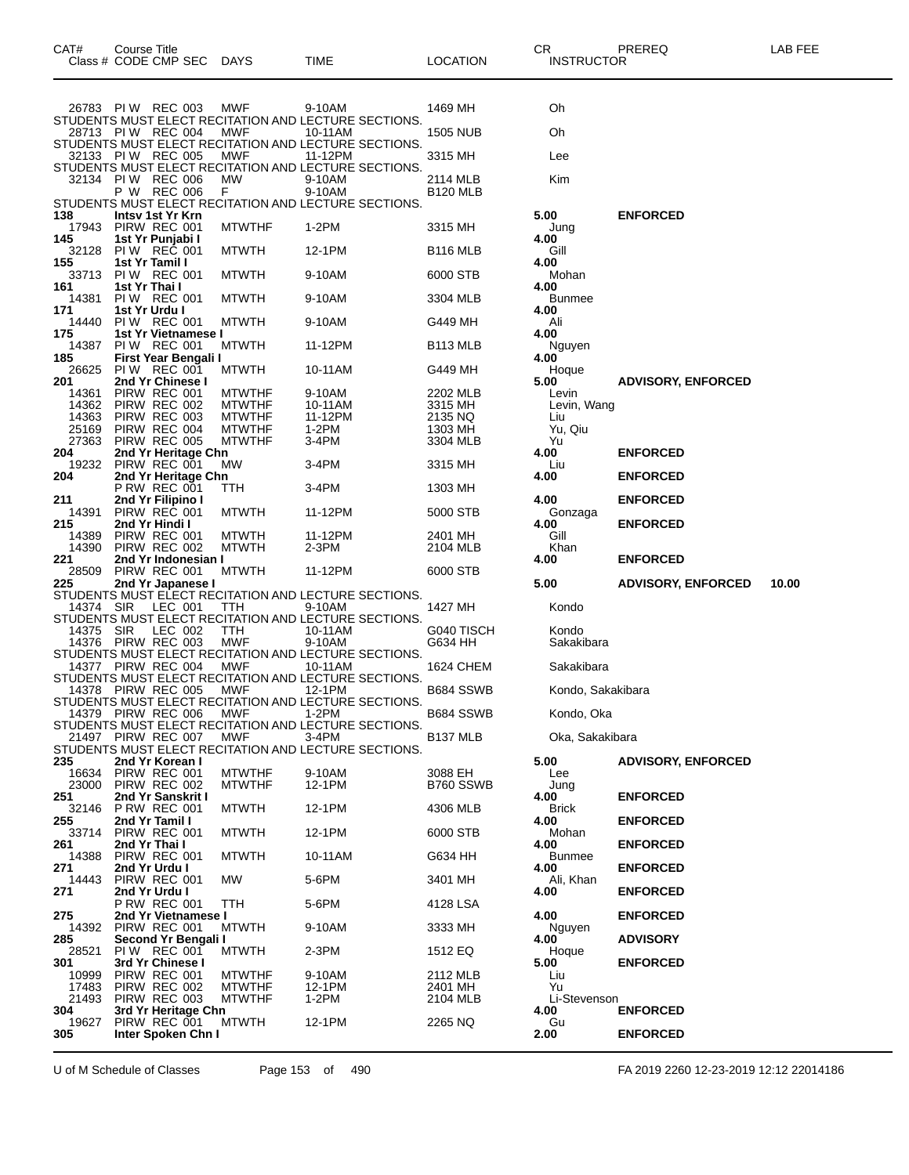|     |                |               | Class # CODE CMP SEC                | <b>DAYS</b>                    | TIME                                                            | LOCATION              | <b>INSTRUCTOR</b>     |                                    |  |
|-----|----------------|---------------|-------------------------------------|--------------------------------|-----------------------------------------------------------------|-----------------------|-----------------------|------------------------------------|--|
|     |                |               |                                     |                                |                                                                 |                       |                       |                                    |  |
|     |                |               | 26783 PIW REC 003                   | MWF                            | 9-10AM                                                          | 1469 MH               | Oh                    |                                    |  |
|     |                |               |                                     |                                | STUDENTS MUST ELECT RECITATION AND LECTURE SECTIONS.            |                       |                       |                                    |  |
|     |                |               | 28713 PIW REC 004                   | MWF                            | 10-11AM<br>STUDENTS MUST ELECT RECITATION AND LECTURE SECTIONS. | <b>1505 NUB</b>       | Oh                    |                                    |  |
|     |                |               | 32133 PIW REC 005                   | MWF                            | 11-12PM                                                         | 3315 MH               | Lee                   |                                    |  |
|     |                |               |                                     |                                | STUDENTS MUST ELECT RECITATION AND LECTURE SECTIONS.            |                       |                       |                                    |  |
|     | 32134          |               | <b>PIW REC 006</b><br>P W REC 006   | MW<br>F.                       | 9-10AM<br>9-10AM                                                | 2114 MLB<br>B120 MLB  | Kim                   |                                    |  |
|     |                |               |                                     |                                | STUDENTS MUST ELECT RECITATION AND LECTURE SECTIONS.            |                       |                       |                                    |  |
| 138 | 17943          |               | Intsy 1st Yr Krn<br>PIRW REC 001    | <b>MTWTHF</b>                  | 1-2PM                                                           | 3315 MH               | 5.00<br>Jung          | <b>ENFORCED</b>                    |  |
| 145 |                |               | 1st Yr Punjabi I                    |                                |                                                                 |                       | 4.00                  |                                    |  |
| 155 | 32128          |               | PIW REC 001<br>1st Yr Tamil I       | <b>MTWTH</b>                   | 12-1PM                                                          | <b>B116 MLB</b>       | Gill<br>4.00          |                                    |  |
|     | 33713          |               | PIW REC 001                         | <b>MTWTH</b>                   | 9-10AM                                                          | 6000 STB              | Mohan                 |                                    |  |
| 161 | 14381          | 1st Yr Thai I | PIW REC 001                         | <b>MTWTH</b>                   | 9-10AM                                                          | 3304 MLB              | 4.00<br><b>Bunmee</b> |                                    |  |
| 171 |                |               | 1st Yr Urdu I                       |                                |                                                                 |                       | 4.00                  |                                    |  |
|     | 14440          |               | PIW REC 001<br>1st Yr Vietnamese I  | <b>MTWTH</b>                   | 9-10AM                                                          | G449 MH               | Ali                   |                                    |  |
| 175 | 14387          |               | <b>PIW REC 001</b>                  | <b>MTWTH</b>                   | 11-12PM                                                         | B113 MLB              | 4.00<br>Nguyen        |                                    |  |
| 185 |                |               | First Year Bengali I                |                                |                                                                 |                       | 4.00                  |                                    |  |
| 201 | 26625          |               | PIW REC 001<br>2nd Yr Chinese I     | <b>MTWTH</b>                   | 10-11AM                                                         | G449 MH               | Hoque<br>5.00         | <b>ADVISORY, ENFORCED</b>          |  |
|     | 14361          |               | PIRW REC 001                        | <b>MTWTHF</b>                  | 9-10AM                                                          | 2202 MLB              | Levin                 |                                    |  |
|     | 14362<br>14363 |               | PIRW REC 002<br>PIRW REC 003        | <b>MTWTHF</b><br><b>MTWTHF</b> | 10-11AM<br>11-12PM                                              | 3315 MH<br>2135 NQ    | Levin, Wang<br>Liu    |                                    |  |
|     | 25169          |               | PIRW REC 004                        | <b>MTWTHF</b>                  | 1-2PM                                                           | 1303 MH               | Yu, Qiu               |                                    |  |
| 204 | 27363          |               | PIRW REC 005<br>2nd Yr Heritage Chn | <b>MTWTHF</b>                  | 3-4PM                                                           | 3304 MLB              | Yu<br>4.00            | <b>ENFORCED</b>                    |  |
|     | 19232          |               | PIRW REC 001                        | МW                             | 3-4PM                                                           | 3315 MH               | Liu                   |                                    |  |
| 204 |                |               | 2nd Yr Heritage Chn<br>P RW REC 001 | ттн                            | 3-4PM                                                           | 1303 MH               | 4.00                  | <b>ENFORCED</b>                    |  |
| 211 |                |               | 2nd Yr Filipino I                   |                                |                                                                 |                       | 4.00                  | <b>ENFORCED</b>                    |  |
|     | 14391          |               | PIRW REC 001<br>2nd Yr Hindi I      | <b>MTWTH</b>                   | 11-12PM                                                         | 5000 STB              | Gonzaga               |                                    |  |
| 215 | 14389          |               | PIRW REC 001                        | <b>MTWTH</b>                   | 11-12PM                                                         | 2401 MH               | 4.00<br>Gill          | <b>ENFORCED</b>                    |  |
|     | 14390          |               | PIRW REC 002                        | <b>MTWTH</b>                   | 2-3PM                                                           | 2104 MLB              | Khan                  |                                    |  |
| 221 | 28509          |               | 2nd Yr Indonesian I<br>PIRW REC 001 | <b>MTWTH</b>                   | 11-12PM                                                         | 6000 STB              | 4.00                  | <b>ENFORCED</b>                    |  |
| 225 |                |               | 2nd Yr Japanese I                   |                                |                                                                 |                       | 5.00                  | 10.00<br><b>ADVISORY, ENFORCED</b> |  |
|     | 14374 SIR      |               | LEC 001                             | TTH                            | STUDENTS MUST ELECT RECITATION AND LECTURE SECTIONS.<br>9-10AM  | 1427 MH               | Kondo                 |                                    |  |
|     |                |               |                                     |                                | STUDENTS MUST ELECT RECITATION AND LECTURE SECTIONS.            |                       |                       |                                    |  |
|     | 14375<br>14376 | SIR           | LEC 002<br>PIRW REC 003             | ттн<br><b>MWF</b>              | 10-11AM<br>9-10AM                                               | G040 TISCH<br>G634 HH | Kondo<br>Sakakibara   |                                    |  |
|     |                |               |                                     |                                | STUDENTS MUST ELECT RECITATION AND LECTURE SECTIONS.            |                       |                       |                                    |  |
|     |                |               | 14377 PIRW REC 004                  | MWF                            | 10-11AM<br>STUDENTS MUST ELECT RECITATION AND LECTURE SECTIONS. | 1624 CHEM             | Sakakibara            |                                    |  |
|     |                |               | 14378 PIRW REC 005                  | MWF                            | 12-1PM                                                          | B684 SSWB             | Kondo, Sakakibara     |                                    |  |
|     |                |               | 14379 PIRW REC 006                  | MWF                            | STUDENTS MUST ELECT RECITATION AND LECTURE SECTIONS.<br>1-2PM   | B684 SSWB             |                       |                                    |  |
|     |                |               |                                     |                                | STUDENTS MUST ELECT RECITATION AND LECTURE SECTIONS.            |                       | Kondo, Oka            |                                    |  |
|     |                |               | 21497 PIRW REC 007                  | MWF                            | 3-4PM<br>STUDENTS MUST ELECT RECITATION AND LECTURE SECTIONS.   | <b>B137 MLB</b>       | Oka, Sakakibara       |                                    |  |
| 235 |                |               | 2nd Yr Korean I                     |                                |                                                                 |                       | 5.00                  |                                    |  |
|     | 16634          |               |                                     |                                |                                                                 |                       |                       | <b>ADVISORY, ENFORCED</b>          |  |
| 251 |                |               | PIRW REC 001                        | <b>MTWTHF</b>                  | 9-10AM                                                          | 3088 EH               | Lee                   |                                    |  |
|     | 23000          |               | PIRW REC 002<br>2nd Yr Sanskrit I   | <b>MTWTHF</b>                  | 12-1PM                                                          | B760 SSWB             | Jung                  |                                    |  |
| 255 | 32146          |               | <b>P RW REC 001</b>                 | <b>MTWTH</b>                   | 12-1PM                                                          | 4306 MLB              | 4.00<br><b>Brick</b>  | <b>ENFORCED</b>                    |  |
|     |                |               | 2nd Yr Tamil I                      |                                |                                                                 |                       | 4.00                  | <b>ENFORCED</b>                    |  |
| 261 | 33714          |               | PIRW REC 001<br>2nd Yr Thai I       | <b>MTWTH</b>                   | 12-1PM                                                          | 6000 STB              | Mohan<br>4.00         | <b>ENFORCED</b>                    |  |
|     | 14388          |               | PIRW REC 001                        | <b>MTWTH</b>                   | 10-11AM                                                         | G634 HH               | <b>Bunmee</b>         |                                    |  |
| 271 | 14443          |               | 2nd Yr Urdu I<br>PIRW REC 001       | МW                             | 5-6PM                                                           | 3401 MH               | 4.00<br>Ali, Khan     | <b>ENFORCED</b>                    |  |
| 271 |                |               | 2nd Yr Urdu I                       |                                |                                                                 |                       | 4.00                  | <b>ENFORCED</b>                    |  |
| 275 |                |               | P RW REC 001<br>2nd Yr Vietnamese I | TTH                            | 5-6PM                                                           | 4128 LSA              | 4.00                  | <b>ENFORCED</b>                    |  |
|     | 14392          |               | PIRW REC 001                        | <b>MTWTH</b>                   | 9-10AM                                                          | 3333 MH               | Nguyen                |                                    |  |
| 285 | 28521          |               | Second Yr Bengali I<br>PIW REC 001  | <b>MTWTH</b>                   | 2-3PM                                                           | 1512 EQ               | 4.00<br>Hoque         | <b>ADVISORY</b>                    |  |
| 301 |                |               | 3rd Yr Chinese I                    |                                |                                                                 |                       | 5.00                  | <b>ENFORCED</b>                    |  |
|     | 10999<br>17483 |               | PIRW REC 001<br>PIRW REC 002        | <b>MTWTHF</b><br><b>MTWTHF</b> | 9-10AM<br>12-1PM                                                | 2112 MLB<br>2401 MH   | Liu<br>Yu             |                                    |  |
|     | 21493          |               | PIRW REC 003                        | <b>MTWTHF</b>                  | 1-2PM                                                           | 2104 MLB              | Li-Stevenson          |                                    |  |
| 304 |                |               | 3rd Yr Heritage Chn                 |                                |                                                                 |                       | 4.00                  | <b>ENFORCED</b>                    |  |
| 305 | 19627          |               | PIRW REC 001<br>Inter Spoken Chn I  | <b>MTWTH</b>                   | 12-1PM                                                          | 2265 NQ               | Gu<br>2.00            | <b>ENFORCED</b>                    |  |

CAT# Course Title Case CR PREREQ LAB FEE

U of M Schedule of Classes Page 153 of 490 FA 2019 2260 12-23-2019 12:12 22014186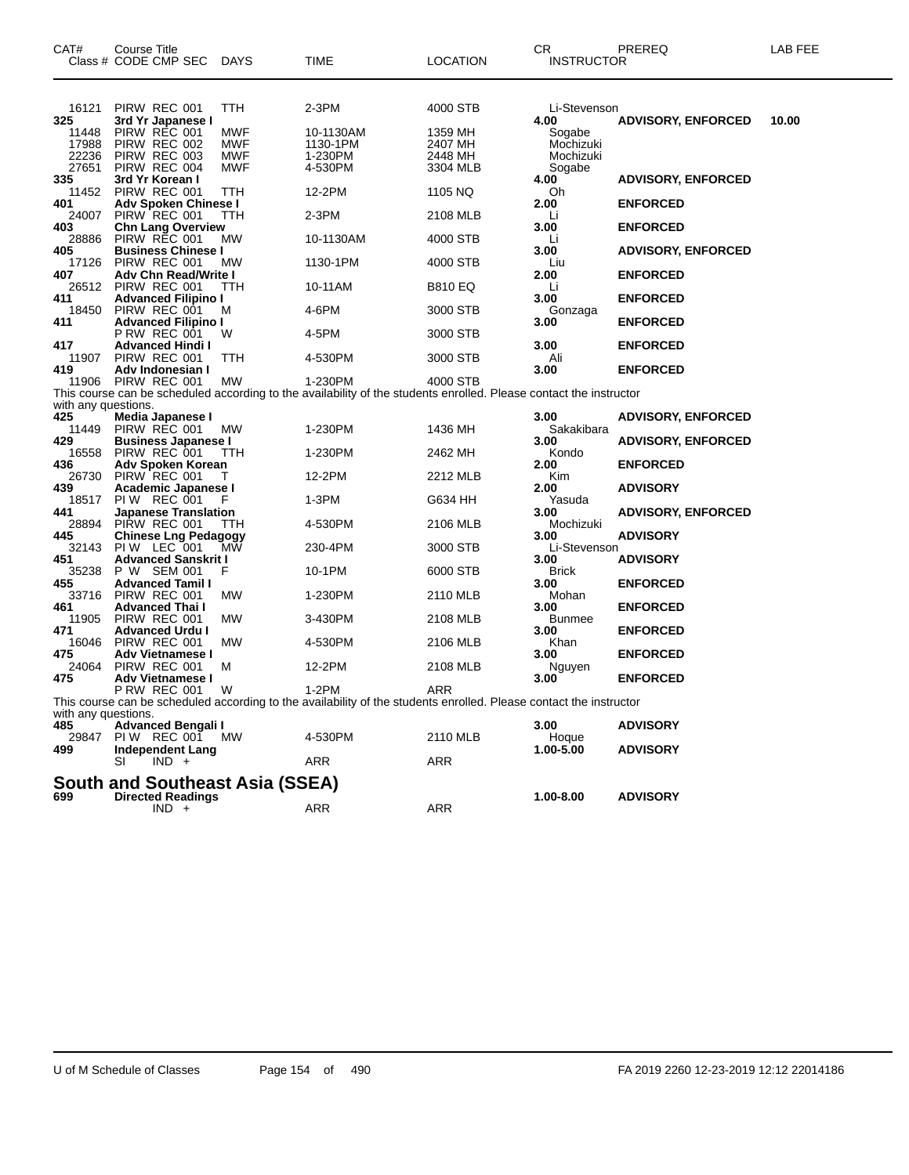| CAT#                | Course Title<br>Class # CODE CMP SEC              | <b>DAYS</b> | TIME                                                                                                               | LOCATION       | CR<br><b>INSTRUCTOR</b> | PREREQ                    | LAB FEE |
|---------------------|---------------------------------------------------|-------------|--------------------------------------------------------------------------------------------------------------------|----------------|-------------------------|---------------------------|---------|
| 16121               | PIRW REC 001                                      | TTH         | 2-3PM                                                                                                              | 4000 STB       | Li-Stevenson            |                           |         |
| 325<br>11448        | 3rd Yr Japanese I<br>PIRW REC 001                 | <b>MWF</b>  | 10-1130AM                                                                                                          | 1359 MH        | 4.00<br>Sogabe          | <b>ADVISORY, ENFORCED</b> | 10.00   |
| 17988               | PIRW REC 002                                      | <b>MWF</b>  | 1130-1PM                                                                                                           | 2407 MH        | Mochizuki               |                           |         |
| 22236               | PIRW REC 003                                      | <b>MWF</b>  | 1-230PM                                                                                                            | 2448 MH        | Mochizuki               |                           |         |
| 27651               | PIRW REC 004                                      | <b>MWF</b>  | 4-530PM                                                                                                            | 3304 MLB       | Sogabe                  |                           |         |
| 335                 | 3rd Yr Korean I                                   |             |                                                                                                                    |                | 4.00                    | <b>ADVISORY, ENFORCED</b> |         |
| 11452<br>401        | PIRW REC 001<br>Adv Spoken Chinese I              | TTH         | 12-2PM                                                                                                             | 1105 NQ        | Oh<br>2.00              | <b>ENFORCED</b>           |         |
| 24007               | PIRW REC 001                                      | TTH         | 2-3PM                                                                                                              | 2108 MLB       | Li                      |                           |         |
| 403                 | <b>Chn Lang Overview</b>                          |             |                                                                                                                    |                | 3.00                    | <b>ENFORCED</b>           |         |
| 28886               | PIRW REC 001                                      | MW          | 10-1130AM                                                                                                          | 4000 STB       | Li                      |                           |         |
| 405                 | <b>Business Chinese I</b>                         |             |                                                                                                                    |                | 3.00                    | <b>ADVISORY, ENFORCED</b> |         |
| 17126<br>407        | PIRW REC 001<br>Adv Chn Read/Write I              | MW          | 1130-1PM                                                                                                           | 4000 STB       | Liu<br>2.00             | <b>ENFORCED</b>           |         |
| 26512               | PIRW REC 001                                      | TTH         | 10-11AM                                                                                                            | <b>B810 EQ</b> | Li                      |                           |         |
| 411                 | <b>Advanced Filipino I</b>                        |             |                                                                                                                    |                | 3.00                    | <b>ENFORCED</b>           |         |
| 18450               | PIRW REC 001                                      | м           | 4-6PM                                                                                                              | 3000 STB       | Gonzaga                 |                           |         |
| 411                 | <b>Advanced Filipino I</b>                        |             |                                                                                                                    |                | 3.00                    | <b>ENFORCED</b>           |         |
|                     | P RW REC 001                                      | W           | 4-5PM                                                                                                              | 3000 STB       |                         |                           |         |
| 417<br>11907        | <b>Advanced Hindi I</b><br>PIRW REC 001           | ттн         | 4-530PM                                                                                                            | 3000 STB       | 3.00<br>Ali             | <b>ENFORCED</b>           |         |
| 419                 | Adv Indonesian I                                  |             |                                                                                                                    |                | 3.00                    | <b>ENFORCED</b>           |         |
| 11906               | PIRW REC 001                                      | MW          | 1-230PM                                                                                                            | 4000 STB       |                         |                           |         |
|                     |                                                   |             | This course can be scheduled according to the availability of the students enrolled. Please contact the instructor |                |                         |                           |         |
| with any questions. |                                                   |             |                                                                                                                    |                |                         |                           |         |
| 425<br>11449        | Media Japanese I                                  | <b>MW</b>   |                                                                                                                    | 1436 MH        | 3.00                    | <b>ADVISORY, ENFORCED</b> |         |
| 429                 | PIRW REC 001<br><b>Business Japanese I</b>        |             | 1-230PM                                                                                                            |                | Sakakibara<br>3.00      | <b>ADVISORY, ENFORCED</b> |         |
| 16558               | PIRW REC 001                                      | ттн         | 1-230PM                                                                                                            | 2462 MH        | Kondo                   |                           |         |
| 436                 | Adv Spoken Korean                                 |             |                                                                                                                    |                | 2.00                    | <b>ENFORCED</b>           |         |
| 26730               | PIRW REC 001                                      |             | 12-2PM                                                                                                             | 2212 MLB       | Kim                     |                           |         |
| 439                 | Academic Japanese I                               |             |                                                                                                                    |                | 2.00                    | <b>ADVISORY</b>           |         |
| 18517<br>441        | <b>PIW REC 001</b><br><b>Japanese Translation</b> | F           | 1-3PM                                                                                                              | G634 HH        | Yasuda<br>3.00          | <b>ADVISORY, ENFORCED</b> |         |
| 28894               | PIRW REC 001                                      | TTH         | 4-530PM                                                                                                            | 2106 MLB       | Mochizuki               |                           |         |
| 445                 | <b>Chinese Lng Pedagogy</b>                       |             |                                                                                                                    |                | 3.00                    | <b>ADVISORY</b>           |         |
| 32143               | PIW LEC 001                                       | MW          | 230-4PM                                                                                                            | 3000 STB       | Li-Stevenson            |                           |         |
| 451                 | <b>Advanced Sanskrit I</b>                        |             |                                                                                                                    |                | 3.00                    | <b>ADVISORY</b>           |         |
| 35238               | P W SEM 001                                       | F           | 10-1PM                                                                                                             | 6000 STB       | <b>Brick</b>            |                           |         |
| 455<br>33716        | <b>Advanced Tamil I</b><br>PIRW REC 001           | MW          | 1-230PM                                                                                                            | 2110 MLB       | 3.00<br>Mohan           | <b>ENFORCED</b>           |         |
| 461                 | <b>Advanced Thai I</b>                            |             |                                                                                                                    |                | 3.00                    | <b>ENFORCED</b>           |         |
| 11905               | PIRW REC 001                                      | <b>MW</b>   | 3-430PM                                                                                                            | 2108 MLB       | <b>Bunmee</b>           |                           |         |
| 471                 | <b>Advanced Urdu I</b>                            |             |                                                                                                                    |                | 3.00                    | <b>ENFORCED</b>           |         |
| 16046               | PIRW REC 001                                      | MW          | 4-530PM                                                                                                            | 2106 MLB       | Khan                    |                           |         |
| 475<br>24064        | <b>Adv Vietnamese I</b><br>PIRW REC 001           | м           | 12-2PM                                                                                                             | 2108 MLB       | 3.00<br>Nguyen          | <b>ENFORCED</b>           |         |
| 475                 | Adv Vietnamese I                                  |             |                                                                                                                    |                | 3.00                    | <b>ENFORCED</b>           |         |
|                     | <b>P RW REC 001</b>                               | W           | $1-2PM$                                                                                                            | ARR            |                         |                           |         |
|                     |                                                   |             | This course can be scheduled according to the availability of the students enrolled. Please contact the instructor |                |                         |                           |         |
| with any questions. |                                                   |             |                                                                                                                    |                |                         |                           |         |
| 485                 | <b>Advanced Bengali I</b>                         |             |                                                                                                                    |                | 3.00                    | <b>ADVISORY</b>           |         |
| 29847<br>499        | PIW REC 001 MW<br>Independent Lang                |             | 4-530PM                                                                                                            | 2110 MLB       | Hoque<br>1.00-5.00      | <b>ADVISORY</b>           |         |
|                     | SI<br>$IND +$                                     |             | ARR                                                                                                                | ARR            |                         |                           |         |
|                     |                                                   |             |                                                                                                                    |                |                         |                           |         |
|                     | South and Southeast Asia (SSEA)                   |             |                                                                                                                    |                |                         |                           |         |
| 699                 | <b>Directed Readings</b>                          |             |                                                                                                                    | <b>ARR</b>     | 1.00-8.00               | <b>ADVISORY</b>           |         |
|                     | $IND +$                                           |             | ARR                                                                                                                |                |                         |                           |         |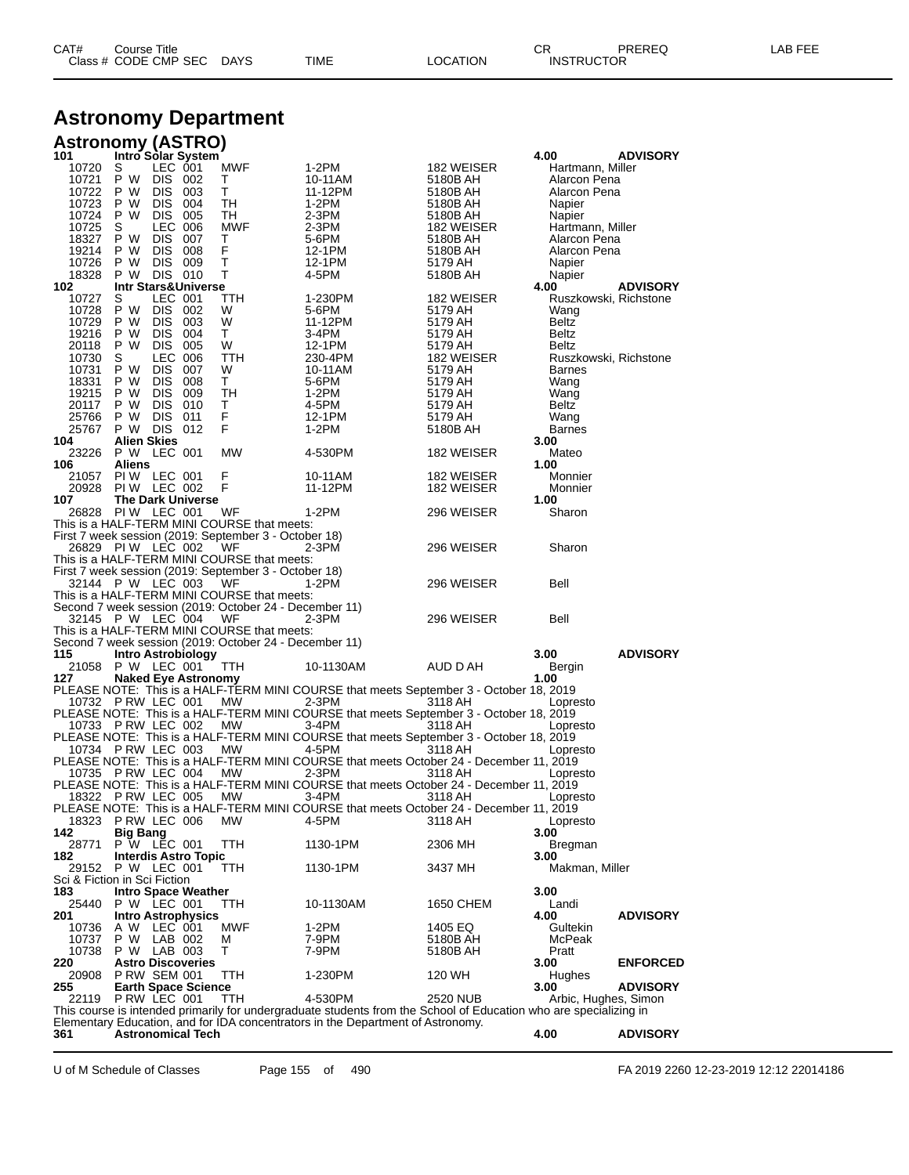| CAT# | Title<br>∴ourse      |      |      |          | Ωm<br>ັບເ         | PREREQ | $- - -$<br>ΔR<br>--- |
|------|----------------------|------|------|----------|-------------------|--------|----------------------|
|      | Class # CODE CMP SEC | DAYS | TIME | LOCATION | <b>INSTRUCTOR</b> |        |                      |

### **Astronomy Department**

|                | Astronomy (ASTRO)                             |                    |                                                        |                                                                                                                                                                                                      |                        |                                  |                 |
|----------------|-----------------------------------------------|--------------------|--------------------------------------------------------|------------------------------------------------------------------------------------------------------------------------------------------------------------------------------------------------------|------------------------|----------------------------------|-----------------|
| 101            | Intro Solar System                            | LEC 001            | <b>MWF</b>                                             | 1-2PM                                                                                                                                                                                                |                        | 4.00                             | <b>ADVISORY</b> |
| 10720<br>10721 | S<br>P W                                      | DIS 002            | Т                                                      | 10-11AM                                                                                                                                                                                              | 182 WEISER<br>5180B AH | Hartmann, Miller<br>Alarcon Pena |                 |
| 10722          | P W                                           | DIS 003            | т                                                      | 11-12PM                                                                                                                                                                                              | 5180B AH               | Alarcon Pena                     |                 |
| 10723          | P W                                           | DIS 004            | TН                                                     | 1-2PM                                                                                                                                                                                                | 5180B AH               | Napier                           |                 |
| 10724          | P W                                           | DIS 005            | TН                                                     | $2-3PM$                                                                                                                                                                                              | 5180B AH               | Napier                           |                 |
| 10725          | S                                             | LEC 006            | <b>MWF</b>                                             | $2-3PM$                                                                                                                                                                                              | 182 WEISER             | Hartmann, Miller                 |                 |
| 18327          | P W                                           | DIS 007            | т                                                      | 5-6PM                                                                                                                                                                                                | 5180B AH               | Alarcon Pena                     |                 |
| 19214<br>10726 | P W<br>DIS.<br>P W                            | 008<br>DIS 009     | F<br>Τ                                                 | 12-1PM<br>12-1PM                                                                                                                                                                                     | 5180B AH<br>5179 AH    | Alarcon Pena                     |                 |
| 18328          | P W                                           | DIS 010            | Т                                                      | 4-5PM                                                                                                                                                                                                | 5180B AH               | Napier<br>Napier                 |                 |
| 102            | <b>Intr Stars&amp;Universe</b>                |                    |                                                        |                                                                                                                                                                                                      |                        | 4.00                             | <b>ADVISORY</b> |
| 10727          | S                                             | LEC 001            | TTH.                                                   | 1-230PM                                                                                                                                                                                              | 182 WEISER             | Ruszkowski, Richstone            |                 |
| 10728          | P W                                           | DIS 002            | W                                                      | 5-6PM                                                                                                                                                                                                | 5179 AH                | Wang                             |                 |
| 10729          | P W                                           | <b>DIS 003</b>     | W                                                      | 11-12PM                                                                                                                                                                                              | 5179 AH                | Beltz                            |                 |
| 19216<br>20118 | P W<br>P W                                    | DIS 004<br>DIS 005 | т<br>W                                                 | 3-4PM<br>12-1PM                                                                                                                                                                                      | 5179 AH<br>5179 AH     | Beltz<br>Beltz                   |                 |
| 10730          | S                                             | LEC 006            | TTH.                                                   | 230-4PM                                                                                                                                                                                              | 182 WEISER             | Ruszkowski, Richstone            |                 |
| 10731          | P W                                           | DIS 007            | W                                                      | 10-11AM                                                                                                                                                                                              | 5179 AH                | <b>Barnes</b>                    |                 |
| 18331          | P W                                           | DIS 008            | т                                                      | 5-6PM                                                                                                                                                                                                | 5179 AH                | Wang                             |                 |
| 19215          | P W<br>DIS.                                   | 009                | TН                                                     | 1-2PM                                                                                                                                                                                                | 5179 AH                | Wang                             |                 |
| 20117          | P W                                           | <b>DIS 010</b>     | т                                                      | 4-5PM                                                                                                                                                                                                | 5179 AH                | Beltz                            |                 |
| 25766<br>25767 | P W<br>P W DIS 012                            | DIS 011            | F<br>F                                                 | 12-1PM<br>1-2PM                                                                                                                                                                                      | 5179 AH<br>5180B AH    | Wang<br><b>Barnes</b>            |                 |
| 104            | <b>Alien Skies</b>                            |                    |                                                        |                                                                                                                                                                                                      |                        | 3.00                             |                 |
| 23226          | P W LEC 001                                   |                    | MW                                                     | 4-530PM                                                                                                                                                                                              | 182 WEISER             | Mateo                            |                 |
| 106            | Aliens                                        |                    |                                                        |                                                                                                                                                                                                      |                        | 1.00                             |                 |
|                | 21057 PIW LEC 001                             |                    | F                                                      | 10-11AM                                                                                                                                                                                              | 182 WEISER             | Monnier                          |                 |
| 20928          | PIW LEC 002                                   |                    | F                                                      | 11-12PM                                                                                                                                                                                              | 182 WEISER             | Monnier                          |                 |
| 107            | <b>The Dark Universe</b><br>26828 PIW LEC 001 |                    | WF                                                     |                                                                                                                                                                                                      |                        | 1.00                             |                 |
|                |                                               |                    | This is a HALF-TERM MINI COURSE that meets:            | 1-2PM                                                                                                                                                                                                | 296 WEISER             | Sharon                           |                 |
|                |                                               |                    | First 7 week session (2019: September 3 - October 18)  |                                                                                                                                                                                                      |                        |                                  |                 |
|                | 26829 PIW LEC 002                             |                    | WF                                                     | 2-3PM                                                                                                                                                                                                | 296 WEISER             | Sharon                           |                 |
|                |                                               |                    | This is a HALF-TERM MINI COURSE that meets:            |                                                                                                                                                                                                      |                        |                                  |                 |
|                |                                               |                    | First 7 week session (2019: September 3 - October 18)  |                                                                                                                                                                                                      |                        |                                  |                 |
|                | 32144 P W LEC 003                             |                    | WF<br>This is a HALF-TERM MINI COURSE that meets:      | 1-2PM                                                                                                                                                                                                | 296 WEISER             | Bell                             |                 |
|                |                                               |                    | Second 7 week session (2019: October 24 - December 11) |                                                                                                                                                                                                      |                        |                                  |                 |
|                | 32145 P W LEC 004                             |                    | WF                                                     | 2-3PM                                                                                                                                                                                                | 296 WEISER             | Bell                             |                 |
|                |                                               |                    | This is a HALF-TERM MINI COURSE that meets:            |                                                                                                                                                                                                      |                        |                                  |                 |
|                |                                               |                    | Second 7 week session (2019: October 24 - December 11) |                                                                                                                                                                                                      |                        |                                  |                 |
| 115<br>21058   | <b>Intro Astrobiology</b><br>P W LEC 001      |                    |                                                        |                                                                                                                                                                                                      | AUD D AH               | 3.00                             | <b>ADVISORY</b> |
|                |                                               |                    | TTH.                                                   | 10-1130AM                                                                                                                                                                                            |                        | Bergin                           |                 |
|                |                                               |                    |                                                        |                                                                                                                                                                                                      |                        |                                  |                 |
| 127            | <b>Naked Eye Astronomy</b>                    |                    |                                                        |                                                                                                                                                                                                      |                        | 1.00                             |                 |
|                | 10732 PRW LEC 001                             |                    | MW.                                                    | PLEASE NOTE: This is a HALF-TERM MINI COURSE that meets September 3 - October 18, 2019<br>$2-3PM$                                                                                                    | 3118 AH                | Lopresto                         |                 |
|                |                                               |                    |                                                        | PLEASE NOTE: This is a HALF-TERM MINI COURSE that meets September 3 - October 18, 2019                                                                                                               |                        |                                  |                 |
|                | 10733 P RW LEC 002                            |                    | МW                                                     | 3-4PM                                                                                                                                                                                                | 3118 AH                | Lopresto                         |                 |
|                |                                               |                    |                                                        | PLEASE NOTE: This is a HALF-TERM MINI COURSE that meets September 3 - October 18, 2019                                                                                                               |                        |                                  |                 |
|                | 10734 P RW LEC 003                            |                    | МW                                                     | 4-5PM                                                                                                                                                                                                | 3118 AH                | Lopresto                         |                 |
|                | 10735 PRW LEC 004                             |                    | MW.                                                    | PLEASE NOTE: This is a HALF-TERM MINI COURSE that meets October 24 - December 11, 2019<br>$2-3PM$                                                                                                    | 3118 AH                | Lopresto                         |                 |
|                |                                               |                    |                                                        | PLEASE NOTE: This is a HALF-TERM MINI COURSE that meets October 24 - December 11, 2019                                                                                                               |                        |                                  |                 |
|                | 18322 P RW LEC 005                            |                    | MW                                                     | 3-4PM                                                                                                                                                                                                | 3118 AH                | Lopresto                         |                 |
|                |                                               |                    |                                                        | PLEASE NOTE: This is a HALF-TERM MINI COURSE that meets October 24 - December 11, 2019                                                                                                               |                        |                                  |                 |
|                | 18323 P RW LEC 006                            |                    | MW                                                     | 4-5PM                                                                                                                                                                                                | 3118 AH                | Lopresto                         |                 |
| 142            | <b>Big Bang</b>                               |                    |                                                        |                                                                                                                                                                                                      |                        | 3.00                             |                 |
| 28771<br>182   | P W LEC 001                                   |                    | TTH                                                    | 1130-1PM                                                                                                                                                                                             | 2306 MH                | Bregman<br>3.00                  |                 |
| 29152          | <b>Interdis Astro Topic</b><br>P W LEC 001    |                    | TTH.                                                   | 1130-1PM                                                                                                                                                                                             | 3437 MH                | Makman, Miller                   |                 |
|                | Sci & Fiction in Sci Fiction                  |                    |                                                        |                                                                                                                                                                                                      |                        |                                  |                 |
| 183            | <b>Intro Space Weather</b>                    |                    |                                                        |                                                                                                                                                                                                      |                        | 3.00                             |                 |
| 25440          | P W LEC 001                                   |                    | TTH.                                                   | 10-1130AM                                                                                                                                                                                            | 1650 CHEM              | Landi                            |                 |
| 201            | <b>Intro Astrophysics</b>                     |                    |                                                        |                                                                                                                                                                                                      |                        | 4.00                             | <b>ADVISORY</b> |
| 10736<br>10737 | A W LEC 001<br>P W LAB 002                    |                    | MWF<br>м                                               | 1-2PM<br>7-9PM                                                                                                                                                                                       | 1405 EQ<br>5180B AH    | Gultekin<br>McPeak               |                 |
| 10738          | P W LAB 003                                   |                    | т                                                      | 7-9PM                                                                                                                                                                                                | 5180B AH               | Pratt                            |                 |
| 220            | <b>Astro Discoveries</b>                      |                    |                                                        |                                                                                                                                                                                                      |                        | 3.00                             | <b>ENFORCED</b> |
| 20908          | <b>P RW SEM 001</b>                           |                    | TTH                                                    | 1-230PM                                                                                                                                                                                              | 120 WH                 | Hughes                           |                 |
| 255            | <b>Earth Space Science</b>                    |                    |                                                        |                                                                                                                                                                                                      |                        | 3.00                             | <b>ADVISORY</b> |
| 22119          | PRW LEC 001                                   |                    | TTH                                                    | 4-530PM                                                                                                                                                                                              | 2520 NUB               | Arbic, Hughes, Simon             |                 |
| 361            | <b>Astronomical Tech</b>                      |                    |                                                        | This course is intended primarily for undergraduate students from the School of Education who are specializing in<br>Elementary Education, and for IDA concentrators in the Department of Astronomy. |                        | 4.00                             | <b>ADVISORY</b> |

U of M Schedule of Classes Page 155 of 490 FA 2019 2260 12-23-2019 12:12 22014186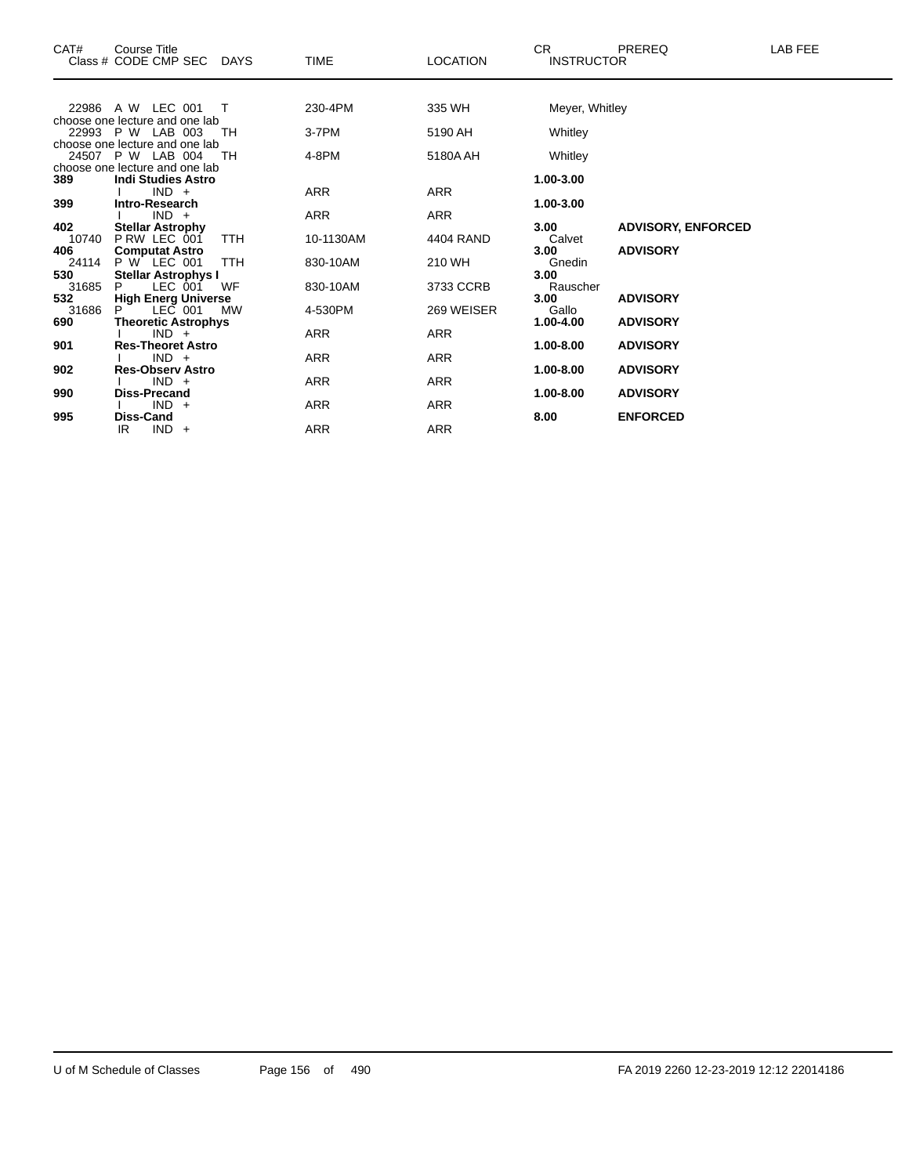| CAT#         | Course Title<br>Class # CODE CMP SEC<br>DAYS              | TIME       | <b>LOCATION</b> | CR.<br><b>INSTRUCTOR</b> | PREREQ                    | LAB FEE |
|--------------|-----------------------------------------------------------|------------|-----------------|--------------------------|---------------------------|---------|
|              | 22986 A W LEC 001<br>$\top$                               | 230-4PM    | 335 WH          | Meyer, Whitley           |                           |         |
|              | choose one lecture and one lab<br>22993 P W LAB 003<br>TН | 3-7PM      | 5190 AH         | Whitley                  |                           |         |
|              | choose one lecture and one lab                            |            |                 |                          |                           |         |
|              | 24507 P W LAB 004<br>TН                                   | 4-8PM      | 5180A AH        | Whitley                  |                           |         |
|              | choose one lecture and one lab                            |            |                 |                          |                           |         |
| 389          | <b>Indi Studies Astro</b>                                 |            |                 | 1.00-3.00                |                           |         |
|              | $IND +$                                                   | ARR        | ARR             |                          |                           |         |
| 399          | Intro-Research                                            |            |                 | 1.00-3.00                |                           |         |
|              | $IND +$                                                   | <b>ARR</b> | <b>ARR</b>      |                          |                           |         |
| 402          | <b>Stellar Astrophy</b>                                   |            |                 | 3.00                     | <b>ADVISORY, ENFORCED</b> |         |
| 10740        | PRW LEC 001<br><b>TTH</b>                                 | 10-1130AM  | 4404 RAND       | Calvet                   |                           |         |
| 406          | <b>Computat Astro</b>                                     |            |                 | 3.00                     | <b>ADVISORY</b>           |         |
| 24114        | P W LEC 001<br><b>TTH</b>                                 | 830-10AM   | 210 WH          | Gnedin                   |                           |         |
| 530<br>31685 | <b>Stellar Astrophys I</b><br>LEC 001<br>WF<br>P          | 830-10AM   | 3733 CCRB       | 3.00                     |                           |         |
| 532          | <b>High Energ Universe</b>                                |            |                 | Rauscher<br>3.00         | <b>ADVISORY</b>           |         |
| 31686        | LEC 001<br><b>MW</b>                                      | 4-530PM    | 269 WEISER      | Gallo                    |                           |         |
| 690          | <b>Theoretic Astrophys</b>                                |            |                 | 1.00-4.00                | <b>ADVISORY</b>           |         |
|              | $IND +$                                                   | ARR        | ARR             |                          |                           |         |
| 901          | <b>Res-Theoret Astro</b>                                  |            |                 | 1.00-8.00                | <b>ADVISORY</b>           |         |
|              | $IND +$                                                   | <b>ARR</b> | <b>ARR</b>      |                          |                           |         |
| 902          | <b>Res-Observ Astro</b>                                   |            |                 | 1.00-8.00                | <b>ADVISORY</b>           |         |
|              | $IND +$                                                   | <b>ARR</b> | <b>ARR</b>      |                          |                           |         |
| 990          | Diss-Precand                                              |            |                 | 1.00-8.00                | <b>ADVISORY</b>           |         |
|              | $IND +$                                                   | ARR        | ARR             |                          |                           |         |
| 995          | Diss-Cand                                                 |            |                 | 8.00                     | <b>ENFORCED</b>           |         |
|              | $IND +$<br>IR                                             | <b>ARR</b> | <b>ARR</b>      |                          |                           |         |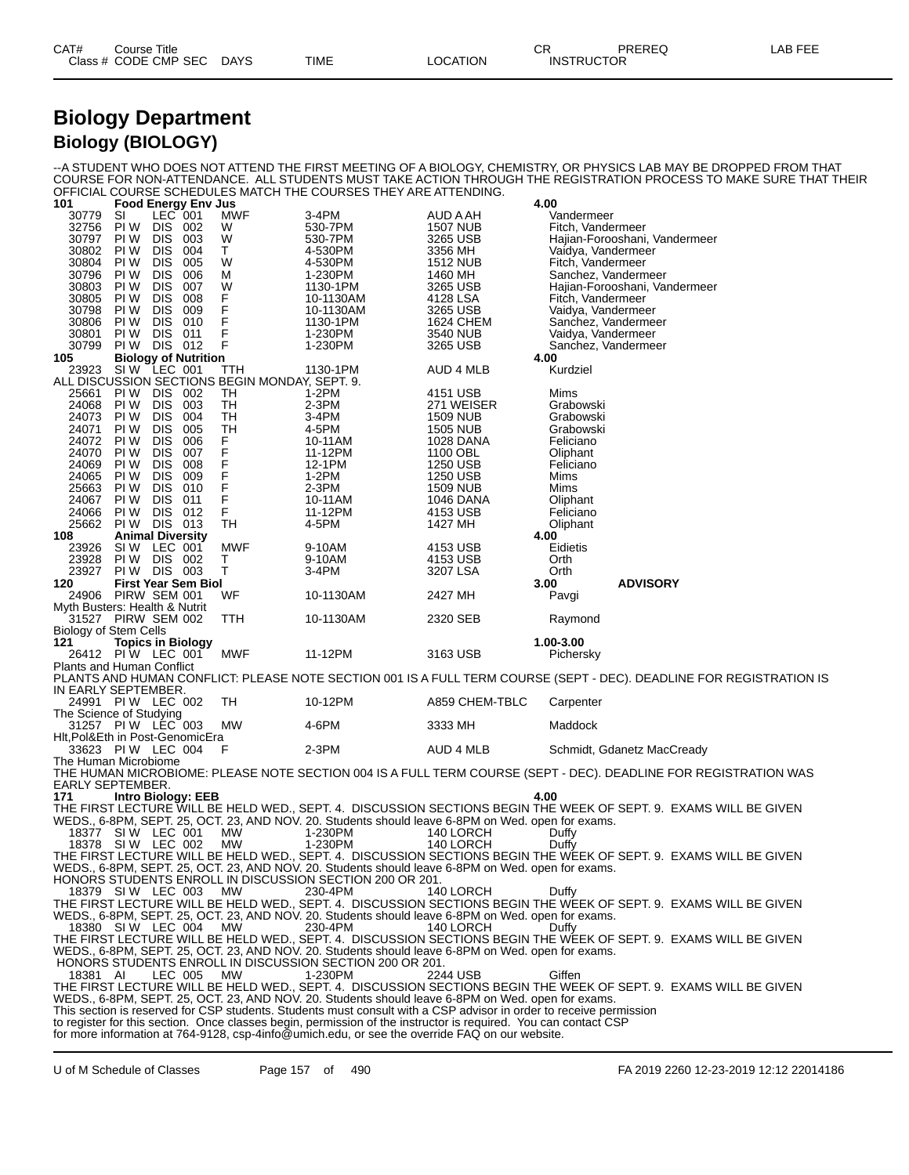| CAT# | Course Title         |             |      |                 | ∼י<br>◡ጙ | PREREQ            | LAB FEE |
|------|----------------------|-------------|------|-----------------|----------|-------------------|---------|
|      | Class # CODE CMP SEC | <b>DAYS</b> | TIME | <b>LOCATION</b> |          | <b>INSTRUCTOR</b> |         |

#### **Biology Department Biology (BIOLOGY)**

--A STUDENT WHO DOES NOT ATTEND THE FIRST MEETING OF A BIOLOGY, CHEMISTRY, OR PHYSICS LAB MAY BE DROPPED FROM THAT COURSE FOR NON-ATTENDANCE. ALL STUDENTS MUST TAKE ACTION THROUGH THE REGISTRATION PROCESS TO MAKE SURE THAT THEIR OFFICIAL COURSE SCHEDULES MATCH THE COURSES THEY ARE ATTENDING.

| 101                                          |                          |                       | <b>Food Energy Env Jus</b>            |                                                |                                                                                                                    |                       | 4.00                  |                                                                                                                     |
|----------------------------------------------|--------------------------|-----------------------|---------------------------------------|------------------------------------------------|--------------------------------------------------------------------------------------------------------------------|-----------------------|-----------------------|---------------------------------------------------------------------------------------------------------------------|
| 30779                                        | SI                       | LEC 001               |                                       | MWF                                            | 3-4PM                                                                                                              | AUD A AH              | Vandermeer            |                                                                                                                     |
| 32756                                        | PI W                     | <b>DIS</b>            | 002                                   | W                                              | 530-7PM                                                                                                            | <b>1507 NUB</b>       | Fitch, Vandermeer     |                                                                                                                     |
| 30797                                        | PI W                     | DIS.                  | 003                                   | W                                              | 530-7PM                                                                                                            | 3265 USB              |                       | Hajian-Forooshani, Vandermeer                                                                                       |
| 30802                                        | PI W                     | <b>DIS</b>            | 004                                   | T.                                             | 4-530PM                                                                                                            | 3356 MH               |                       | Vaidya, Vandermeer                                                                                                  |
| 30804                                        | PI W                     | <b>DIS</b><br>DIS.    | 005<br>006                            | W<br>м                                         | 4-530PM                                                                                                            | 1512 NUB              | Fitch, Vandermeer     |                                                                                                                     |
| 30796<br>30803                               | PI W<br>PI W             | <b>DIS</b>            | 007                                   | W                                              | 1-230PM                                                                                                            | 1460 MH<br>3265 USB   |                       | Sanchez, Vandermeer                                                                                                 |
| 30805                                        | PI W                     | <b>DIS</b>            | 008                                   | F                                              | 1130-1PM<br>10-1130AM                                                                                              | 4128 LSA              | Fitch, Vandermeer     | Hajian-Forooshani, Vandermeer                                                                                       |
| 30798                                        | PI W                     | DIS.                  | 009                                   | $\mathsf F$                                    | 10-1130AM                                                                                                          | 3265 USB              |                       | Vaidya, Vandermeer                                                                                                  |
| 30806                                        | PI W                     | <b>DIS</b>            | 010                                   | F                                              | 1130-1PM                                                                                                           | 1624 CHEM             |                       | Sanchez, Vandermeer                                                                                                 |
| 30801                                        | PI W                     | <b>DIS</b>            | 011                                   | F                                              | 1-230PM                                                                                                            | 3540 NUB              |                       | Vaidya, Vandermeer                                                                                                  |
| 30799                                        | PI W                     | DIS 012               |                                       | F                                              | 1-230PM                                                                                                            | 3265 USB              |                       | Sanchez, Vandermeer                                                                                                 |
| 105                                          |                          |                       |                                       |                                                |                                                                                                                    |                       | 4.00                  |                                                                                                                     |
| 23923                                        |                          |                       | Biology of Nutrition<br>SIW LEC 001 T | TTH                                            | 1130-1PM                                                                                                           | AUD 4 MLB             | Kurdziel              |                                                                                                                     |
|                                              |                          |                       |                                       | ALL DISCUSSION SECTIONS BEGIN MONDAY, SEPT. 9. |                                                                                                                    |                       |                       |                                                                                                                     |
| 25661                                        | PI W                     | DIS.                  | 002                                   | TH                                             | $1-2PM$                                                                                                            | 4151 USB              | Mims                  |                                                                                                                     |
| 24068                                        | PI W                     | <b>DIS</b>            | 003                                   | TH                                             | $2-3PM$                                                                                                            | 271 WEISER            | Grabowski             |                                                                                                                     |
| 24073                                        | PI W                     | DIS.                  | 004                                   | TН                                             | 3-4PM                                                                                                              | 1509 NUB              | Grabowski             |                                                                                                                     |
| 24071                                        | PI W                     | <b>DIS</b>            | 005                                   | TH                                             | 4-5PM                                                                                                              | <b>1505 NUB</b>       | Grabowski             |                                                                                                                     |
| 24072                                        | PI W                     | <b>DIS</b>            | 006                                   | F                                              | 10-11AM                                                                                                            | 1028 DANA             | Feliciano             |                                                                                                                     |
| 24070                                        | PI W                     | DIS.                  | 007                                   | F                                              | 11-12PM                                                                                                            | 1100 OBL              | Oliphant              |                                                                                                                     |
| 24069                                        | PI W                     | <b>DIS</b>            | 008                                   | F                                              | 12-1PM                                                                                                             | 1250 USB              | Feliciano             |                                                                                                                     |
| 24065                                        | PI W                     | <b>DIS</b>            | 009                                   | F<br>F                                         | $1-2PM$                                                                                                            | 1250 USB              | Mims                  |                                                                                                                     |
| 25663                                        | PI W                     | DIS.                  | 010                                   | F                                              | 2-3PM                                                                                                              | 1509 NUB              | Mims                  |                                                                                                                     |
| 24067<br>24066                               | PI W<br>PI W             | <b>DIS</b><br>DIS 012 | 011                                   | F                                              | 10-11AM<br>11-12PM                                                                                                 | 1046 DANA<br>4153 USB | Oliphant<br>Feliciano |                                                                                                                     |
| 25662                                        | PI W                     | DIS 013               |                                       | TН                                             | 4-5PM                                                                                                              | 1427 MH               | Oliphant              |                                                                                                                     |
| 108                                          | <b>Animal Diversity</b>  |                       |                                       |                                                |                                                                                                                    |                       | 4.00                  |                                                                                                                     |
| 23926                                        | SIW LEC 001              |                       |                                       | MWF                                            | 9-10AM                                                                                                             | 4153 USB              | Eidietis              |                                                                                                                     |
| 23928                                        | PI W                     | DIS 002               |                                       | Τ                                              | 9-10AM                                                                                                             | 4153 USB              | Orth                  |                                                                                                                     |
| 23927                                        | <b>PIW DIS 003</b>       |                       |                                       | T                                              | 3-4PM                                                                                                              | 3207 LSA              | Orth                  |                                                                                                                     |
| 120                                          |                          |                       | <b>First Year Sem Biol</b>            |                                                |                                                                                                                    |                       | 3.00                  | <b>ADVISORY</b>                                                                                                     |
| 24906 PIRW SEM 001                           |                          |                       |                                       | WF                                             | 10-1130AM                                                                                                          | 2427 MH               | Pavgi                 |                                                                                                                     |
| Myth Busters: Health & Nutrit                |                          |                       |                                       |                                                |                                                                                                                    |                       |                       |                                                                                                                     |
| 31527 PIRW SEM 002                           |                          |                       |                                       | TTH                                            | 10-1130AM                                                                                                          | 2320 SEB              | Raymond               |                                                                                                                     |
| Biology of Stem Cells                        |                          |                       |                                       |                                                |                                                                                                                    |                       |                       |                                                                                                                     |
| 121                                          | <b>Topics in Biology</b> |                       |                                       |                                                |                                                                                                                    |                       | 1.00-3.00             |                                                                                                                     |
| 26412 PIW LEC 001 MWF                        |                          |                       |                                       |                                                | 11-12PM                                                                                                            | 3163 USB              | Pichersky             |                                                                                                                     |
| <b>Plants and Human Conflict</b>             |                          |                       |                                       |                                                |                                                                                                                    |                       |                       |                                                                                                                     |
|                                              |                          |                       |                                       |                                                |                                                                                                                    |                       |                       | PLANTS AND HUMAN CONFLICT: PLEASE NOTE SECTION 001 IS A FULL TERM COURSE (SEPT - DEC). DEADLINE FOR REGISTRATION IS |
| IN EARLY SEPTEMBER.                          |                          |                       |                                       | TH                                             | 10-12PM                                                                                                            |                       |                       |                                                                                                                     |
| 24991 PIW LEC 002<br>The Science of Studying |                          |                       |                                       |                                                |                                                                                                                    | A859 CHEM-TBLC        | Carpenter             |                                                                                                                     |
| 31257 PIW LÉC 003                            |                          |                       |                                       | МW                                             | 4-6PM                                                                                                              | 3333 MH               | Maddock               |                                                                                                                     |
| Hlt,Pol&Eth in Post-GenomicEra               |                          |                       |                                       |                                                |                                                                                                                    |                       |                       |                                                                                                                     |
| 33623 PIW LEC 004                            |                          |                       |                                       | F                                              | $2-3PM$                                                                                                            | AUD 4 MLB             |                       | Schmidt, Gdanetz MacCready                                                                                          |
| The Human Microbiome                         |                          |                       |                                       |                                                |                                                                                                                    |                       |                       |                                                                                                                     |
|                                              |                          |                       |                                       |                                                |                                                                                                                    |                       |                       | THE HUMAN MICROBIOME: PLEASE NOTE SECTION 004 IS A FULL TERM COURSE (SEPT - DEC). DEADLINE FOR REGISTRATION WAS     |
| EARLY SEPTEMBER.                             |                          |                       |                                       |                                                |                                                                                                                    |                       |                       |                                                                                                                     |
| 171                                          |                          |                       | Intro Biology: EEB                    |                                                |                                                                                                                    |                       | 4.00                  |                                                                                                                     |
|                                              |                          |                       |                                       |                                                |                                                                                                                    |                       |                       | THE FIRST LECTURE WILL BE HELD WED., SEPT. 4. DISCUSSION SECTIONS BEGIN THE WEEK OF SEPT. 9. EXAMS WILL BE GIVEN    |
|                                              |                          |                       |                                       |                                                | WEDS., 6-8PM, SEPT. 25, OCT. 23, AND NOV. 20. Students should leave 6-8PM on Wed. open for exams.                  |                       |                       |                                                                                                                     |
| 18377 SIW LEC 001                            |                          |                       |                                       | MW                                             | 1-230PM                                                                                                            | 140 LORCH             | Duffy                 |                                                                                                                     |
| 18378 SIW LEC 002                            |                          |                       |                                       | МW                                             | 1-230PM                                                                                                            | 140 LORCH             | Duffy                 |                                                                                                                     |
|                                              |                          |                       |                                       |                                                |                                                                                                                    |                       |                       | THE FIRST LECTURE WILL BE HELD WED., SEPT. 4. DISCUSSION SECTIONS BEGIN THE WEEK OF SEPT. 9. EXAMS WILL BE GIVEN    |
|                                              |                          |                       |                                       |                                                | WEDS., 6-8PM, SEPT. 25, OCT. 23, AND NOV. 20. Students should leave 6-8PM on Wed. open for exams.                  |                       |                       |                                                                                                                     |
|                                              |                          |                       |                                       |                                                | HONORS STUDENTS ENROLL IN DISCUSSION SECTION 200 OR 201.                                                           |                       |                       |                                                                                                                     |
| 18379 SIW LEC 003                            |                          |                       |                                       | MW                                             | 230-4PM                                                                                                            | 140 LORCH             | Duffy                 | THE FIRST LECTURE WILL BE HELD WED., SEPT. 4. DISCUSSION SECTIONS BEGIN THE WEEK OF SEPT. 9. EXAMS WILL BE GIVEN    |
|                                              |                          |                       |                                       |                                                | WEDS., 6-8PM, SEPT. 25, OCT. 23, AND NOV. 20. Students should leave 6-8PM on Wed. open for exams.                  |                       |                       |                                                                                                                     |
| 18380 SIW LEC 004                            |                          |                       |                                       | МW                                             | 230-4PM                                                                                                            | 140 LORCH             | Duffv                 |                                                                                                                     |
|                                              |                          |                       |                                       |                                                |                                                                                                                    |                       |                       | THE FIRST LECTURE WILL BE HELD WED., SEPT. 4. DISCUSSION SECTIONS BEGIN THE WEEK OF SEPT. 9. EXAMS WILL BE GIVEN    |
|                                              |                          |                       |                                       |                                                | WEDS., 6-8PM, SEPT. 25, OCT. 23, AND NOV. 20. Students should leave 6-8PM on Wed. open for exams.                  |                       |                       |                                                                                                                     |
|                                              |                          |                       |                                       |                                                | HONORS STUDENTS ENROLL IN DISCUSSION SECTION 200 OR 201.                                                           |                       |                       |                                                                                                                     |
| 18381 AI                                     |                          |                       | LEC 005 MW                            |                                                | 1-230PM                                                                                                            | 2244 USB              | Giffen                |                                                                                                                     |
|                                              |                          |                       |                                       |                                                |                                                                                                                    |                       |                       | THE FIRST LECTURE WILL BE HELD WED., SEPT. 4. DISCUSSION SECTIONS BEGIN THE WEEK OF SEPT. 9. EXAMS WILL BE GIVEN    |
|                                              |                          |                       |                                       |                                                | WEDS., 6-8PM, SEPT. 25, OCT. 23, AND NOV. 20. Students should leave 6-8PM on Wed. open for exams.                  |                       |                       |                                                                                                                     |
|                                              |                          |                       |                                       |                                                | This section is reserved for CSP students. Students must consult with a CSP advisor in order to receive permission |                       |                       |                                                                                                                     |
|                                              |                          |                       |                                       |                                                | to register for this section. Once classes begin, permission of the instructor is required. You can contact CSP    |                       |                       |                                                                                                                     |
|                                              |                          |                       |                                       |                                                | for more information at $764-9128$ , csn-4info $\omega$ umich edu, or see the override $FAO$ on our website        |                       |                       |                                                                                                                     |

for more information at 764-9128, csp-4info@umich.edu, or see the override FAQ on our website.

U of M Schedule of Classes Page 157 of 490 FA 2019 2260 12-23-2019 12:12 22014186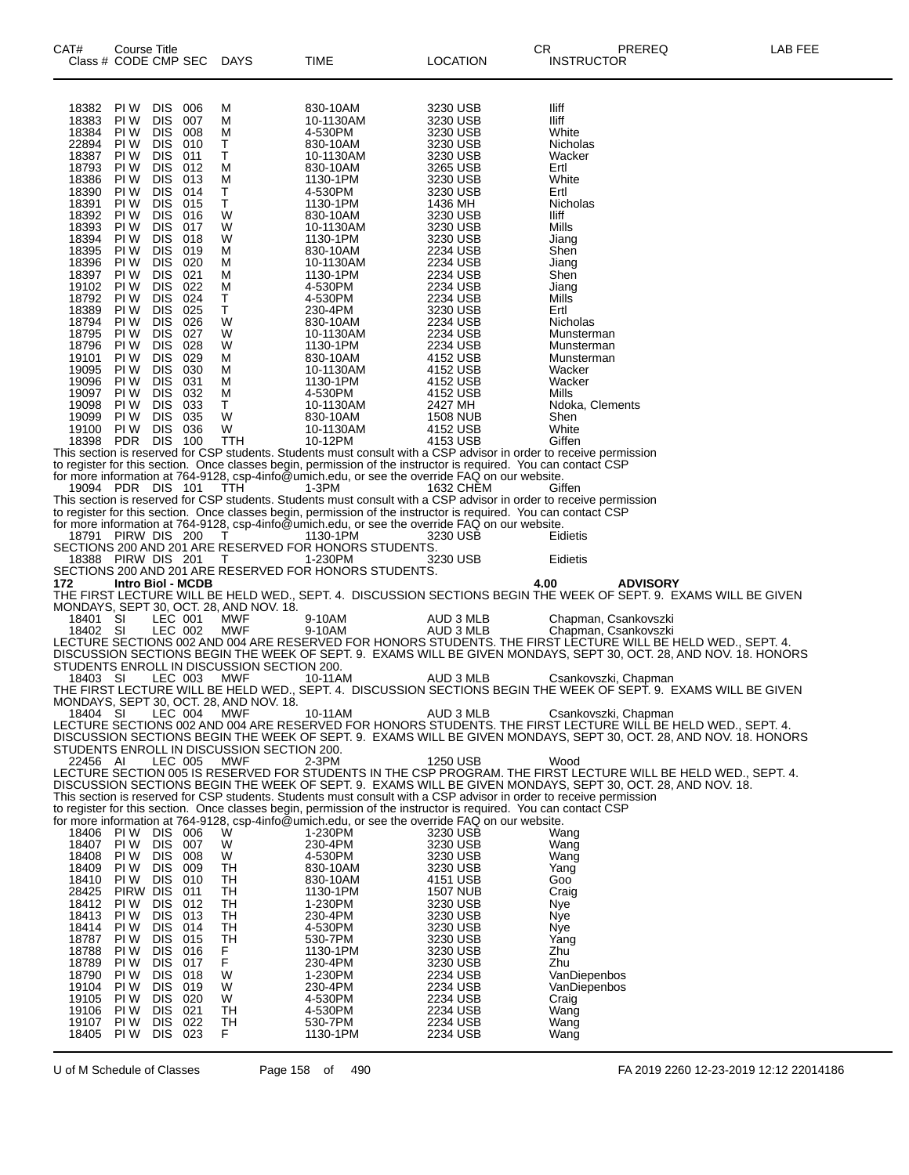| CAT#                 | <b>Course Title</b><br>Class # CODE CMP SEC DAYS |                    |                                            | TIME                                                                                                            | LOCATION                    | PREREQ<br>CR.<br><b>INSTRUCTOR</b>                                                                                                                                                                                                | LAB FEE |
|----------------------|--------------------------------------------------|--------------------|--------------------------------------------|-----------------------------------------------------------------------------------------------------------------|-----------------------------|-----------------------------------------------------------------------------------------------------------------------------------------------------------------------------------------------------------------------------------|---------|
|                      |                                                  |                    |                                            |                                                                                                                 |                             |                                                                                                                                                                                                                                   |         |
| 18382<br>18383       | PI W<br>DIS.<br><b>DIS</b><br>PI W               | 006<br>007         | м<br>м                                     | 830-10AM<br>10-1130AM                                                                                           | 3230 USB<br>3230 USB        | lliff<br>lliff                                                                                                                                                                                                                    |         |
| 18384                | DIS.<br>PI W                                     | 008                | м                                          | 4-530PM                                                                                                         | 3230 USB                    | White                                                                                                                                                                                                                             |         |
| 22894<br>18387       | PI W<br>DIS.<br>PI W<br><b>DIS</b>               | 010<br>011         | Т<br>т                                     | 830-10AM<br>10-1130AM                                                                                           | 3230 USB<br>3230 USB        | Nicholas<br>Wacker                                                                                                                                                                                                                |         |
| 18793                | DIS.<br>PI W                                     | 012                | м                                          | 830-10AM                                                                                                        | 3265 USB                    | Ertl                                                                                                                                                                                                                              |         |
| 18386<br>18390       | PI W<br>DIS.<br>PI W<br><b>DIS</b>               | 013<br>014         | м<br>Т                                     | 1130-1PM<br>4-530PM                                                                                             | 3230 USB<br>3230 USB        | White<br>Ertl                                                                                                                                                                                                                     |         |
| 18391                | DIS.<br>PI W                                     | 015                | т                                          | 1130-1PM                                                                                                        | 1436 MH                     | Nicholas                                                                                                                                                                                                                          |         |
| 18392<br>18393       | PI W<br>DIS.<br>PI W<br><b>DIS</b>               | 016<br>017         | W<br>W                                     | 830-10AM<br>10-1130AM                                                                                           | 3230 USB<br>3230 USB        | lliff<br>Mills                                                                                                                                                                                                                    |         |
| 18394                | DIS.<br>PI W                                     | 018                | W                                          | 1130-1PM                                                                                                        | 3230 USB                    | Jiang                                                                                                                                                                                                                             |         |
| 18395<br>18396       | <b>DIS</b><br>PI W<br>PI W<br><b>DIS</b>         | 019<br>020         | м<br>м                                     | 830-10AM<br>10-1130AM                                                                                           | 2234 USB<br>2234 USB        | Shen<br>Jiang                                                                                                                                                                                                                     |         |
| 18397<br>19102       | DIS.<br>PI W<br>PI W<br>DIS.                     | 021<br>022         | м<br>м                                     | 1130-1PM<br>4-530PM                                                                                             | 2234 USB<br>2234 USB        | Shen<br>Jiang                                                                                                                                                                                                                     |         |
| 18792                | PI W<br><b>DIS</b>                               | 024                | Т                                          | 4-530PM                                                                                                         | 2234 USB                    | <b>Mills</b>                                                                                                                                                                                                                      |         |
| 18389<br>18794       | DIS.<br>PI W<br>DIS.<br>PI W                     | 025<br>026         | $\mathsf T$<br>W                           | 230-4PM<br>830-10AM                                                                                             | 3230 USB<br>2234 USB        | Ertl<br>Nicholas                                                                                                                                                                                                                  |         |
| 18795                | PI W<br><b>DIS</b>                               | 027                | W                                          | 10-1130AM                                                                                                       | 2234 USB                    | Munsterman                                                                                                                                                                                                                        |         |
| 18796<br>19101       | DIS.<br>PI W<br>DIS.<br>PI W                     | 028<br>029         | W<br>м                                     | 1130-1PM<br>830-10AM                                                                                            | 2234 USB<br>4152 USB        | Munsterman<br>Munsterman                                                                                                                                                                                                          |         |
| 19095                | PI W<br><b>DIS</b>                               | 030                | м                                          | 10-1130AM                                                                                                       | 4152 USB                    | Wacker                                                                                                                                                                                                                            |         |
| 19096<br>19097       | PI W<br>PI W<br>DIS.                             | DIS 031<br>032     | M<br>м                                     | 1130-1PM<br>4-530PM                                                                                             | 4152 USB<br>4152 USB        | Wacker<br>Mills                                                                                                                                                                                                                   |         |
| 19098                | <b>DIS</b><br>PI W                               | 033                | Τ                                          | 10-1130AM                                                                                                       | 2427 MH                     | Ndoka, Clements                                                                                                                                                                                                                   |         |
| 19099<br>19100       | PI W<br>PI W                                     | DIS 035<br>DIS 036 | W<br>W                                     | 830-10AM<br>10-1130AM                                                                                           | <b>1508 NUB</b><br>4152 USB | Shen<br>White                                                                                                                                                                                                                     |         |
| 18398 PDR            |                                                  | <b>DIS 100</b>     | <b>TTH</b>                                 | 10-12PM                                                                                                         | 4153 USB                    | Giffen                                                                                                                                                                                                                            |         |
|                      |                                                  |                    |                                            | to register for this section. Once classes begin, permission of the instructor is required. You can contact CSP |                             | This section is reserved for CSP students. Students must consult with a CSP advisor in order to receive permission                                                                                                                |         |
|                      |                                                  |                    |                                            | for more information at 764-9128, csp-4info@umich.edu, or see the override FAQ on our website.                  |                             |                                                                                                                                                                                                                                   |         |
|                      | 19094 PDR DIS 101                                |                    | <b>TTH</b>                                 | 1-3PM                                                                                                           | 1632 CHEM                   | Giffen<br>This section is reserved for CSP students. Students must consult with a CSP advisor in order to receive permission                                                                                                      |         |
|                      |                                                  |                    |                                            | to register for this section. Once classes begin, permission of the instructor is required. You can contact CSP |                             |                                                                                                                                                                                                                                   |         |
|                      | 18791 PIRW DIS 200                               |                    | T                                          | for more information at 764-9128, csp-4info@umich.edu, or see the override FAQ on our website.<br>1130-1PM      | 3230 USB                    | Eidietis                                                                                                                                                                                                                          |         |
|                      |                                                  |                    |                                            | SECTIONS 200 AND 201 ARE RESERVED FOR HONORS STUDENTS.                                                          |                             |                                                                                                                                                                                                                                   |         |
|                      | 18388 PIRW DIS 201                               |                    | $\top$                                     | 1-230PM<br>SECTIONS 200 AND 201 ARE RESERVED FOR HONORS STUDENTS.                                               | 3230 USB                    | Eidietis                                                                                                                                                                                                                          |         |
| 172                  | Intro Biol - MCDB                                |                    |                                            |                                                                                                                 |                             | 4.00<br><b>ADVISORY</b>                                                                                                                                                                                                           |         |
|                      |                                                  |                    | MONDAYS, SEPT 30, OCT. 28, AND NOV. 18.    |                                                                                                                 |                             | THE FIRST LECTURE WILL BE HELD WED., SEPT. 4. DISCUSSION SECTIONS BEGIN THE WEEK OF SEPT. 9. EXAMS WILL BE GIVEN                                                                                                                  |         |
| 18401 SI<br>18402 SI |                                                  | LEC 001<br>LEC 002 | MWF<br><b>MWF</b>                          | 9-10AM<br>9-10AM                                                                                                | AUD 3 MLB<br>AUD 3 MLB      | Chapman, Csankovszki                                                                                                                                                                                                              |         |
|                      |                                                  |                    |                                            |                                                                                                                 |                             | Chapman, Csankovszki<br>LECTURE SECTIONS 002 AND 004 ARE RESERVED FOR HONORS STUDENTS. THE FIRST LECTURE WILL BE HELD WED., SEPT. 4.                                                                                              |         |
|                      |                                                  |                    | STUDENTS ENROLL IN DISCUSSION SECTION 200. |                                                                                                                 |                             | DISCUSSION SECTIONS BEGIN THE WEEK OF SEPT. 9. EXAMS WILL BE GIVEN MONDAYS, SEPT 30, OCT. 28, AND NOV. 18. HONORS                                                                                                                 |         |
| 18403 SI             |                                                  | LEC 003            | <b>MWF</b>                                 | 10-11AM                                                                                                         | AUD 3 MLB                   | Csankovszki, Chapman                                                                                                                                                                                                              |         |
|                      |                                                  |                    | MONDAYS, SEPT 30, OCT. 28, AND NOV. 18.    |                                                                                                                 |                             | THE FIRST LECTURE WILL BE HELD WED., SEPT. 4. DISCUSSION SECTIONS BEGIN THE WEEK OF SEPT. 9. EXAMS WILL BE GIVEN                                                                                                                  |         |
| 18404 SI             |                                                  | LEC 004            | MWF                                        | 10-11AM                                                                                                         | AUD 3 MLB                   | Csankovszki, Chapman                                                                                                                                                                                                              |         |
|                      |                                                  |                    |                                            |                                                                                                                 |                             | LECTURE SECTIONS 002 AND 004 ARE RESERVED FOR HONORS STUDENTS. THE FIRST LECTURE WILL BE HELD WED., SEPT. 4.<br>DISCUSSION SECTIONS BEGIN THE WEEK OF SEPT. 9. EXAMS WILL BE GIVEN MONDAYS, SEPT 30, OCT. 28, AND NOV. 18. HONORS |         |
|                      |                                                  |                    | STUDENTS ENROLL IN DISCUSSION SECTION 200. |                                                                                                                 |                             |                                                                                                                                                                                                                                   |         |
| 22456 AI             |                                                  | LEC 005            | MWF                                        | $2-3PM$                                                                                                         | 1250 USB                    | Wood<br>LECTURE SECTION 005 IS RESERVED FOR STUDENTS IN THE CSP PROGRAM. THE FIRST LECTURE WILL BE HELD WED., SEPT. 4.                                                                                                            |         |
|                      |                                                  |                    |                                            |                                                                                                                 |                             | DISCUSSION SECTIONS BEGIN THE WEEK OF SEPT. 9. EXAMS WILL BE GIVEN MONDAYS, SEPT 30, OCT. 28, AND NOV. 18.                                                                                                                        |         |
|                      |                                                  |                    |                                            | to register for this section. Once classes begin, permission of the instructor is required. You can contact CSP |                             | This section is reserved for CSP students. Students must consult with a CSP advisor in order to receive permission                                                                                                                |         |
|                      |                                                  |                    |                                            | for more information at 764-9128, csp-4info@umich.edu, or see the override FAQ on our website.                  |                             |                                                                                                                                                                                                                                   |         |
| 18406 PIW<br>18407   | PI W<br>DIS.                                     | DIS 006<br>007     | W<br>W                                     | 1-230PM<br>230-4PM                                                                                              | 3230 USB<br>3230 USB        | Wang<br>Wang                                                                                                                                                                                                                      |         |
| 18408                | PI W<br>DIS.                                     | 008                | W                                          | 4-530PM                                                                                                         | 3230 USB                    | Wang                                                                                                                                                                                                                              |         |
| 18409<br>18410       | PI W<br><b>DIS</b><br>PI W<br><b>DIS</b>         | 009<br>010         | TН<br>TH                                   | 830-10AM<br>830-10AM                                                                                            | 3230 USB<br>4151 USB        | Yang<br>Goo                                                                                                                                                                                                                       |         |
| 28425                | PIRW DIS                                         | 011                | TH                                         | 1130-1PM                                                                                                        | <b>1507 NUB</b>             | Craig                                                                                                                                                                                                                             |         |
| 18412<br>18413       | PI W<br><b>DIS</b><br>PI W<br><b>DIS</b>         | 012<br>013         | TH<br>TН                                   | 1-230PM<br>230-4PM                                                                                              | 3230 USB<br>3230 USB        | Nye<br>Nye                                                                                                                                                                                                                        |         |
| 18414                | PI W<br><b>DIS</b>                               | 014                | TН                                         | 4-530PM                                                                                                         | 3230 USB                    | Nye                                                                                                                                                                                                                               |         |
| 18787<br>18788       | PI W<br><b>DIS</b><br>PI W<br><b>DIS</b>         | 015<br>016         | TН<br>F                                    | 530-7PM<br>1130-1PM                                                                                             | 3230 USB<br>3230 USB        | Yang<br>Zhu                                                                                                                                                                                                                       |         |
| 18789<br>18790       | PI W<br><b>DIS</b><br>PI W<br><b>DIS</b>         | 017<br>018         | F<br>W                                     | 230-4PM<br>1-230PM                                                                                              | 3230 USB<br>2234 USB        | Zhu<br>VanDiepenbos                                                                                                                                                                                                               |         |
| 19104                | PI W<br><b>DIS</b>                               | 019                | W                                          | 230-4PM                                                                                                         | 2234 USB                    | VanDiepenbos                                                                                                                                                                                                                      |         |
| 19105<br>19106       | PI W<br><b>DIS</b><br>PI W<br><b>DIS</b>         | 020<br>021         | W<br>TH                                    | 4-530PM<br>4-530PM                                                                                              | 2234 USB<br>2234 USB        | Craig<br>Wang                                                                                                                                                                                                                     |         |
| 19107                | PI W<br><b>DIS</b>                               | 022                | TН                                         | 530-7PM                                                                                                         | 2234 USB                    | Wang                                                                                                                                                                                                                              |         |
| 18405                | PI W<br>DIS.                                     | 023                | F.                                         | 1130-1PM                                                                                                        | 2234 USB                    | Wang                                                                                                                                                                                                                              |         |
|                      |                                                  |                    |                                            |                                                                                                                 |                             |                                                                                                                                                                                                                                   |         |

U of M Schedule of Classes Page 158 of 490 FA 2019 2260 12-23-2019 12:12 22014186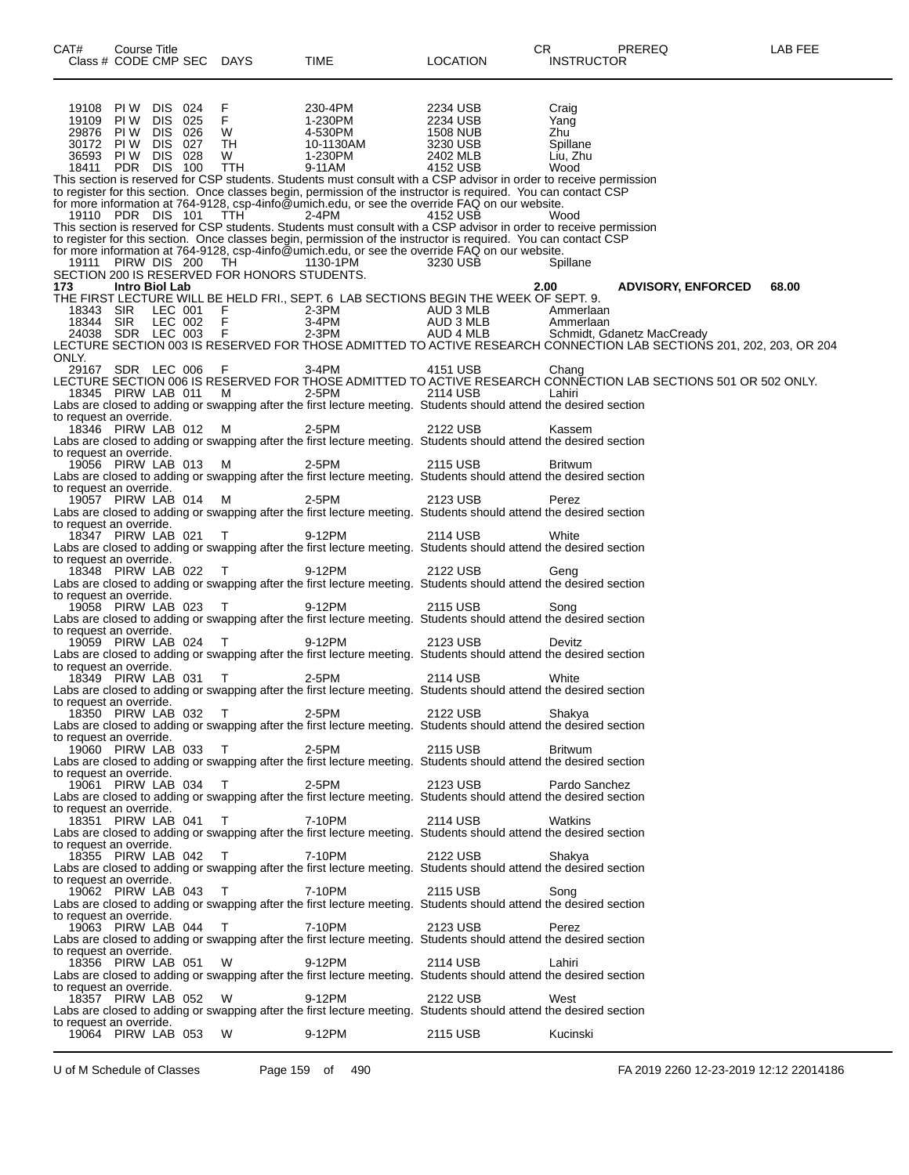| CAT#                    | Course Title                           |         | Class # CODE CMP SEC DAYS                    | TIME                                                                                                                                                                                                              | <b>LOCATION</b>      | CR.<br><b>INSTRUCTOR</b> | <b>PREREQ</b>                                                                                                       | LAB FEE |
|-------------------------|----------------------------------------|---------|----------------------------------------------|-------------------------------------------------------------------------------------------------------------------------------------------------------------------------------------------------------------------|----------------------|--------------------------|---------------------------------------------------------------------------------------------------------------------|---------|
|                         | 19108 PIW DIS 024                      |         |                                              |                                                                                                                                                                                                                   | 2234 USB             |                          |                                                                                                                     |         |
| 19109                   | PI W                                   | DIS 025 | $_{F}^{F}$                                   | 230-4PM<br>1-230PM<br>4-530PM<br>10-1130AM<br>1-230PM                                                                                                                                                             | 2234 USB             | Craig<br>Yang            |                                                                                                                     |         |
|                         | 29876 PIW DIS 026                      |         | W                                            |                                                                                                                                                                                                                   | 1508 NUB<br>3230 USB | Zhu                      |                                                                                                                     |         |
|                         | 30172 PIW DIS 027<br>36593 PIW DIS 028 |         | TH                                           |                                                                                                                                                                                                                   | 3230 USB             | Spillane                 |                                                                                                                     |         |
|                         | 18411 PDR DIS 100 TTH                  |         | W                                            | 9-11AM                                                                                                                                                                                                            | 2402 MLB<br>4152 USB | Liu, Zhu<br>Wood         |                                                                                                                     |         |
|                         |                                        |         |                                              | This section is reserved for CSP students. Students must consult with a CSP advisor in order to receive permission                                                                                                |                      |                          |                                                                                                                     |         |
|                         |                                        |         |                                              | to register for this section. Once classes begin, permission of the instructor is required. You can contact CSP<br>for more information at 764-9128, csp-4info@umich.edu, or see the override FAQ on our website. |                      |                          |                                                                                                                     |         |
|                         | 19110 PDR DIS 101 TTH                  |         |                                              | 2-4PM                                                                                                                                                                                                             | 4152 USB             | Wood                     |                                                                                                                     |         |
|                         |                                        |         |                                              | This section is reserved for CSP students. Students must consult with a CSP advisor in order to receive permission                                                                                                |                      |                          |                                                                                                                     |         |
|                         |                                        |         |                                              | to register for this section. Once classes begin, permission of the instructor is required. You can contact CSP                                                                                                   |                      |                          |                                                                                                                     |         |
|                         |                                        |         | 19111 PIRW DIS 200 TH 1130-1PM               | for more information at 764-9128, csp-4info@umich.edu, or see the override FAQ on our website.                                                                                                                    | 3230 USB             | Spillane                 |                                                                                                                     |         |
|                         |                                        |         | SECTION 200 IS RESERVED FOR HONORS STUDENTS. |                                                                                                                                                                                                                   |                      |                          |                                                                                                                     |         |
| 173                     | Intro Biol Lab                         |         |                                              | THE FIRST LECTURE WILL BE HELD FRI., SEPT. 6 LAB SECTIONS BEGIN THE WEEK OF SEPT. 9.                                                                                                                              |                      | 2.00                     | <b>ADVISORY, ENFORCED</b>                                                                                           | 68.00   |
|                         |                                        |         |                                              |                                                                                                                                                                                                                   |                      |                          |                                                                                                                     |         |
|                         |                                        |         |                                              | 18343 SIR LEC 001 F<br>18344 SIR LEC 002 F 3-4PM AUD 3 MLB Ammeriaan<br>24038 SDR LEC 003 F 2-3PM AUD 3 MLB Schmidt, Gdanetz MacCready                                                                            |                      |                          |                                                                                                                     |         |
|                         |                                        |         |                                              |                                                                                                                                                                                                                   |                      |                          | LECTURE SECTION 003 IS RESERVED FOR THOSE ADMITTED TO ACTIVE RESEARCH CONNECTION LAB SECTIONS 201, 202, 203, OR 204 |         |
| ONLY.                   |                                        |         |                                              |                                                                                                                                                                                                                   |                      |                          |                                                                                                                     |         |
|                         |                                        |         | 29167 SDR LEC 006 F                          | 3-4PM 4151 USB                                                                                                                                                                                                    |                      | Chang                    |                                                                                                                     |         |
|                         |                                        |         |                                              | 18345 PIRW LAB 011 M 2-5PM 2114 USB                                                                                                                                                                               | and a Lahiri         |                          | LECTURE SECTION 006 IS RESERVED FOR THOSE ADMITTED TO ACTIVE RESEARCH CONNĚCTION LAB SECTIONS 501 OR 502 ONLY.      |         |
|                         |                                        |         |                                              | Labs are closed to adding or swapping after the first lecture meeting. Students should attend the desired section                                                                                                 |                      |                          |                                                                                                                     |         |
| to request an override. |                                        |         |                                              |                                                                                                                                                                                                                   |                      |                          |                                                                                                                     |         |
|                         |                                        |         | 18346 PIRW LAB 012 M                         | 2-5PM<br>Labs are closed to adding or swapping after the first lecture meeting. Students should attend the desired section                                                                                        | 2122 USB             | Kassem                   |                                                                                                                     |         |
| to request an override. |                                        |         |                                              |                                                                                                                                                                                                                   |                      |                          |                                                                                                                     |         |
|                         |                                        |         | 19056 PIRW LAB 013 M                         | 2-5PM<br>Labs are closed to adding or swapping after the first lecture meeting. Students should attend the desired section                                                                                        | 2115 USB             | <b>Britwum</b>           |                                                                                                                     |         |
| to request an override. |                                        |         |                                              |                                                                                                                                                                                                                   |                      |                          |                                                                                                                     |         |
|                         |                                        |         | 19057 PIRW LAB 014 M                         | 2-5PM                                                                                                                                                                                                             | 2123 USB             | Perez                    |                                                                                                                     |         |
| to request an override. |                                        |         |                                              | Labs are closed to adding or swapping after the first lecture meeting. Students should attend the desired section                                                                                                 |                      |                          |                                                                                                                     |         |
|                         | 18347 PIRW LAB 021 T                   |         |                                              | 9-12PM                                                                                                                                                                                                            | 2114 USB             | White                    |                                                                                                                     |         |
| to request an override. |                                        |         |                                              | Labs are closed to adding or swapping after the first lecture meeting. Students should attend the desired section                                                                                                 |                      |                          |                                                                                                                     |         |
|                         |                                        |         | 18348 PIRW LAB 022 T                         | 9-12PM                                                                                                                                                                                                            | 2122 USB             | Geng                     |                                                                                                                     |         |
|                         |                                        |         |                                              | Labs are closed to adding or swapping after the first lecture meeting. Students should attend the desired section                                                                                                 |                      |                          |                                                                                                                     |         |
| to request an override. |                                        |         | 19058 PIRW LAB 023 T                         | 9-12PM                                                                                                                                                                                                            | 2115 USB             | Song                     |                                                                                                                     |         |
|                         |                                        |         |                                              | Labs are closed to adding or swapping after the first lecture meeting. Students should attend the desired section                                                                                                 |                      |                          |                                                                                                                     |         |
| to request an override. |                                        |         | 19059 PIRW LAB 024 T                         | 9-12PM                                                                                                                                                                                                            | 2123 USB             | Devitz                   |                                                                                                                     |         |
|                         |                                        |         |                                              | Labs are closed to adding or swapping after the first lecture meeting. Students should attend the desired section                                                                                                 |                      |                          |                                                                                                                     |         |
| to request an override. |                                        |         |                                              |                                                                                                                                                                                                                   |                      |                          |                                                                                                                     |         |
|                         |                                        |         | 18349 PIRW LAB 031 T 2-5PM                   | Labs are closed to adding or swapping after the first lecture meeting. Students should attend the desired section                                                                                                 | 2114 USB             | White                    |                                                                                                                     |         |
| to request an override. |                                        |         |                                              |                                                                                                                                                                                                                   |                      |                          |                                                                                                                     |         |
|                         |                                        |         | 18350 PIRW LAB 032 T                         | 2-5PM<br>Labs are closed to adding or swapping after the first lecture meeting. Students should attend the desired section                                                                                        | 2122 USB             | Shakya                   |                                                                                                                     |         |
| to request an override. |                                        |         |                                              |                                                                                                                                                                                                                   |                      |                          |                                                                                                                     |         |
|                         |                                        |         | 19060 PIRW LAB 033 T                         | 2-5PM                                                                                                                                                                                                             | 2115 USB             | Britwum                  |                                                                                                                     |         |
| to request an override. |                                        |         |                                              | Labs are closed to adding or swapping after the first lecture meeting. Students should attend the desired section                                                                                                 |                      |                          |                                                                                                                     |         |
|                         |                                        |         | 19061 PIRW LAB 034 T                         | 2-5PM 2001                                                                                                                                                                                                        | 2123 USB             | Pardo Sanchez            |                                                                                                                     |         |
| to request an override. |                                        |         |                                              | Labs are closed to adding or swapping after the first lecture meeting. Students should attend the desired section                                                                                                 |                      |                          |                                                                                                                     |         |
|                         |                                        |         | 18351 PIRW LAB 041 T 7-10PM                  |                                                                                                                                                                                                                   | 2114 USB             | Watkins                  |                                                                                                                     |         |
|                         |                                        |         |                                              | Labs are closed to adding or swapping after the first lecture meeting. Students should attend the desired section                                                                                                 |                      |                          |                                                                                                                     |         |
| to request an override. |                                        |         | 18355 PIRW LAB 042 T 7-10PM                  |                                                                                                                                                                                                                   | 2122 USB             | Shakya                   |                                                                                                                     |         |
|                         |                                        |         |                                              | Labs are closed to adding or swapping after the first lecture meeting. Students should attend the desired section                                                                                                 |                      |                          |                                                                                                                     |         |
| to request an override. |                                        |         |                                              |                                                                                                                                                                                                                   |                      |                          |                                                                                                                     |         |
|                         |                                        |         | 19062 PIRW LAB 043 T 7-10PM                  | Labs are closed to adding or swapping after the first lecture meeting. Students should attend the desired section                                                                                                 | 2115 USB             | Song                     |                                                                                                                     |         |
| to request an override. |                                        |         |                                              |                                                                                                                                                                                                                   |                      |                          |                                                                                                                     |         |
|                         |                                        |         | 19063 PIRW LAB 044 T 7-10PM                  | Labs are closed to adding or swapping after the first lecture meeting. Students should attend the desired section                                                                                                 | 2123 USB             | Perez                    |                                                                                                                     |         |
| to request an override. |                                        |         |                                              |                                                                                                                                                                                                                   |                      |                          |                                                                                                                     |         |
|                         |                                        |         | 18356 PIRW LAB 051 W                         | 9-12PM                                                                                                                                                                                                            | 2114 USB             | Lahiri                   |                                                                                                                     |         |
| to request an override. |                                        |         |                                              | Labs are closed to adding or swapping after the first lecture meeting. Students should attend the desired section                                                                                                 |                      |                          |                                                                                                                     |         |
|                         |                                        |         | 18357 PIRW LAB 052 W                         | 9-12PM                                                                                                                                                                                                            | 2122 USB             | West                     |                                                                                                                     |         |
|                         |                                        |         |                                              | Labs are closed to adding or swapping after the first lecture meeting. Students should attend the desired section                                                                                                 |                      |                          |                                                                                                                     |         |
| to request an override. | 19064 PIRW LAB 053                     |         | W                                            | 9-12PM                                                                                                                                                                                                            | 2115 USB             | Kucinski                 |                                                                                                                     |         |
|                         |                                        |         |                                              |                                                                                                                                                                                                                   |                      |                          |                                                                                                                     |         |

U of M Schedule of Classes Page 159 of 490 FA 2019 2260 12-23-2019 12:12 22014186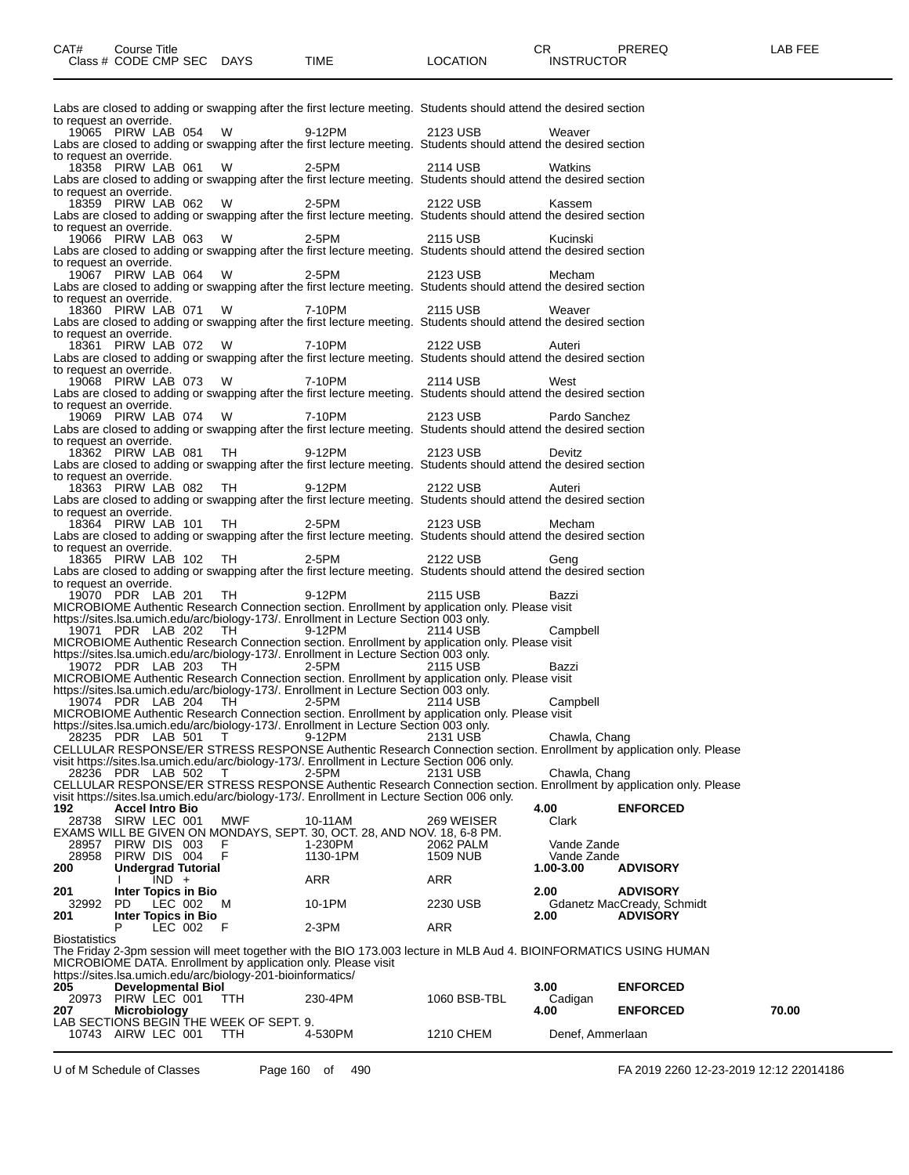|                      |                                           |                                                               | Labs are closed to adding or swapping after the first lecture meeting. Students should attend the desired section                                                                                                                    |                       |                            |                                                                                                                    |       |
|----------------------|-------------------------------------------|---------------------------------------------------------------|--------------------------------------------------------------------------------------------------------------------------------------------------------------------------------------------------------------------------------------|-----------------------|----------------------------|--------------------------------------------------------------------------------------------------------------------|-------|
|                      | to request an override.                   | 19065 PIRW LAB 054 W                                          | 9-12PM 2123 USB                                                                                                                                                                                                                      |                       | Weaver                     |                                                                                                                    |       |
|                      | to request an override.                   |                                                               | Labs are closed to adding or swapping after the first lecture meeting. Students should attend the desired section                                                                                                                    |                       |                            |                                                                                                                    |       |
|                      |                                           |                                                               | 18358 PIRW LAB 061 W 2-5PM<br>Labs are closed to adding or swapping after the first lecture meeting. Students should attend the desired section                                                                                      | 2114 USB 2011         | Watkins                    |                                                                                                                    |       |
|                      | to request an override.                   |                                                               | 18359 PIRW LAB 062 W 2-5PM                                                                                                                                                                                                           | 2122 USB              | Kassem                     |                                                                                                                    |       |
|                      | to request an override.                   |                                                               | Labs are closed to adding or swapping after the first lecture meeting. Students should attend the desired section                                                                                                                    |                       |                            |                                                                                                                    |       |
|                      |                                           |                                                               | 19066 PIRW LAB 063 W 2-5PM                                                                                                                                                                                                           | 2115 USB              | Kucinski                   |                                                                                                                    |       |
|                      | to request an override.                   |                                                               | Labs are closed to adding or swapping after the first lecture meeting. Students should attend the desired section                                                                                                                    |                       |                            |                                                                                                                    |       |
|                      |                                           |                                                               | 19067 PIRW LAB 064 W 2-5PM<br>Labs are closed to adding or swapping after the first lecture meeting. Students should attend the desired section                                                                                      | 2123 USB              | Mecham                     |                                                                                                                    |       |
|                      | to request an override.                   |                                                               | 18360 PIRW LAB 071 W 7-10PM                                                                                                                                                                                                          | 2115 USB Weaver       |                            |                                                                                                                    |       |
|                      | to request an override.                   |                                                               | Labs are closed to adding or swapping after the first lecture meeting. Students should attend the desired section                                                                                                                    |                       |                            |                                                                                                                    |       |
|                      |                                           |                                                               | 18361 PIRW LAB 072 W 7-10PM                                                                                                                                                                                                          | 2122 USB Auteri       |                            |                                                                                                                    |       |
|                      | to request an override.                   |                                                               | Labs are closed to adding or swapping after the first lecture meeting. Students should attend the desired section                                                                                                                    |                       |                            |                                                                                                                    |       |
|                      |                                           |                                                               | 19068 PIRW LAB 073 W 7-10PM<br>Labs are closed to adding or swapping after the first lecture meeting. Students should attend the desired section                                                                                     | 2114 USB              | West                       |                                                                                                                    |       |
|                      | to request an override.                   |                                                               | 19069 PIRW LAB 074 W 7-10PM                                                                                                                                                                                                          | 2123 USB              | Pardo Sanchez              |                                                                                                                    |       |
|                      | to request an override.                   |                                                               | Labs are closed to adding or swapping after the first lecture meeting. Students should attend the desired section                                                                                                                    |                       |                            |                                                                                                                    |       |
|                      |                                           |                                                               | 18362 PIRW LAB 081 TH 9-12PM<br>Labs are closed to adding or swapping after the first lecture meeting. Students should attend the desired section                                                                                    | 2123 USB              | Devitz                     |                                                                                                                    |       |
|                      | to request an override.                   |                                                               | 18363 PIRW LAB 082 TH 9-12PM                                                                                                                                                                                                         | 2122 USB              |                            |                                                                                                                    |       |
|                      |                                           |                                                               | Labs are closed to adding or swapping after the first lecture meeting. Students should attend the desired section                                                                                                                    |                       | Auteri                     |                                                                                                                    |       |
|                      | to request an override.                   | 18364 PIRW LAB 101 TH 2-5PM                                   |                                                                                                                                                                                                                                      | 2123 USB              | Mecham                     |                                                                                                                    |       |
|                      | to request an override.                   |                                                               | Labs are closed to adding or swapping after the first lecture meeting. Students should attend the desired section                                                                                                                    |                       |                            |                                                                                                                    |       |
|                      |                                           | 18365 PIRW LAB 102 TH 2-5PM                                   | Labs are closed to adding or swapping after the first lecture meeting. Students should attend the desired section                                                                                                                    | 2122 USB              | Geng                       |                                                                                                                    |       |
|                      | to request an override.                   |                                                               | 19070 PDR LAB 201 TH 9-12PM 2115 USB                                                                                                                                                                                                 |                       | Bazzi                      |                                                                                                                    |       |
|                      |                                           |                                                               | MICROBIOME Authentic Research Connection section. Enrollment by application only. Please visit                                                                                                                                       |                       |                            |                                                                                                                    |       |
|                      |                                           |                                                               | https://sites.lsa.umich.edu/arc/biology-173/. Enrollment in Lecture Section 003 only.<br>19071 PDR LAB 202 TH 9-12PM 2114 USB                                                                                                        |                       | Campbell                   |                                                                                                                    |       |
|                      |                                           |                                                               | MICROBIOME Authentic Research Connection section. Enrollment by application only. Please visit                                                                                                                                       |                       |                            |                                                                                                                    |       |
|                      |                                           |                                                               | https://sites.lsa.umich.edu/arc/biology-173/. Enrollment in Lecture Section 003 only.<br>19072 PDR LAB 203 TH 2-5PM 2115 USB Bazzi<br>MICROBIOME Authentic Research Connection section. Enrollment by application only. Please visit |                       | Bazzi                      |                                                                                                                    |       |
|                      |                                           |                                                               | https://sites.lsa.umich.edu/arc/biology-173/. Enrollment in Lecture Section 003 only.<br>19074 PDR LAB 204 TH 2-5PM 2114 USB Camp<br>MICROBIOME Authentic Research Connection section. Enrollment by application only. Please visit  |                       | Campbell                   |                                                                                                                    |       |
|                      |                                           |                                                               |                                                                                                                                                                                                                                      |                       |                            |                                                                                                                    |       |
|                      |                                           |                                                               | https://sites.lsa.umich.edu/arc/biology-173/. Enrollment in Lecture Section 003 only.<br>28235 PDR LAB 501 T 9-12PM 2131 USB Chawla, Chang                                                                                           |                       |                            | CELLULAR RESPONSE/ER STRESS RESPONSE Authentic Research Connection section. Enrollment by application only. Please |       |
|                      |                                           |                                                               | visit https://sites.lsa.umich.edu/arc/biology-173/. Enrollment in Lecture Section 006 only.                                                                                                                                          |                       |                            |                                                                                                                    |       |
|                      | 28236 PDR LAB 502                         | $\top$                                                        | 2-5PM                                                                                                                                                                                                                                | 2131 USB              | Chawla, Chang              | CELLULAR RESPONSE/ER STRESS RESPONSE Authentic Research Connection section. Enrollment by application only. Please |       |
| 192                  | <b>Accel Intro Bio</b>                    |                                                               | visit https://sites.lsa.umich.edu/arc/biology-173/. Enrollment in Lecture Section 006 only.                                                                                                                                          |                       | 4.00                       | <b>ENFORCED</b>                                                                                                    |       |
|                      | 28738 SIRW LEC 001                        | MWF                                                           | 10-11AM<br>EXAMS WILL BE GIVEN ON MONDAYS, SEPT. 30, OCT. 28, AND NOV. 18, 6-8 PM.                                                                                                                                                   | 269 WEISER            | Clark                      |                                                                                                                    |       |
| 28957<br>28958       | PIRW DIS 003<br>PIRW DIS 004              | F<br>F                                                        | 1-230PM<br>1130-1PM                                                                                                                                                                                                                  | 2062 PALM<br>1509 NUB | Vande Zande<br>Vande Zande |                                                                                                                    |       |
| 200                  | <b>Undergrad Tutorial</b><br>IND +        |                                                               | ARR                                                                                                                                                                                                                                  | ARR                   | 1.00-3.00                  | <b>ADVISORY</b>                                                                                                    |       |
| 201                  | Inter Topics in Bio                       |                                                               |                                                                                                                                                                                                                                      |                       | 2.00                       | <b>ADVISORY</b>                                                                                                    |       |
| 32992<br>201         | PD.<br>LEC 002<br>Inter Topics in Bio     | м                                                             | 10-1PM                                                                                                                                                                                                                               | 2230 USB              | 2.00                       | Gdanetz MacCready, Schmidt<br><b>ADVISORY</b>                                                                      |       |
| <b>Biostatistics</b> | P<br>LEC 002                              | - F                                                           | 2-3PM                                                                                                                                                                                                                                | ARR                   |                            |                                                                                                                    |       |
|                      |                                           | MICROBIOME DATA. Enrollment by application only. Please visit | The Friday 2-3pm session will meet together with the BIO 173.003 lecture in MLB Aud 4. BIOINFORMATICS USING HUMAN                                                                                                                    |                       |                            |                                                                                                                    |       |
| 205                  | <b>Developmental Biol</b>                 | https://sites.lsa.umich.edu/arc/biology-201-bioinformatics/   |                                                                                                                                                                                                                                      |                       | 3.00                       | <b>ENFORCED</b>                                                                                                    |       |
| 207                  | 20973 PIRW LEC 001<br><b>Microbiology</b> | TTH                                                           | 230-4PM                                                                                                                                                                                                                              | 1060 BSB-TBL          | Cadigan<br>4.00            | <b>ENFORCED</b>                                                                                                    | 70.00 |
|                      |                                           | LAB SECTIONS BEGIN THE WEEK OF SEPT. 9.                       |                                                                                                                                                                                                                                      |                       |                            |                                                                                                                    |       |
|                      | 10743 AIRW LEC 001                        | TTH                                                           | 4-530PM                                                                                                                                                                                                                              | 1210 CHEM             | Denef, Ammerlaan           |                                                                                                                    |       |

U of M Schedule of Classes Page 160 of 490 FA 2019 2260 12-23-2019 12:12 22014186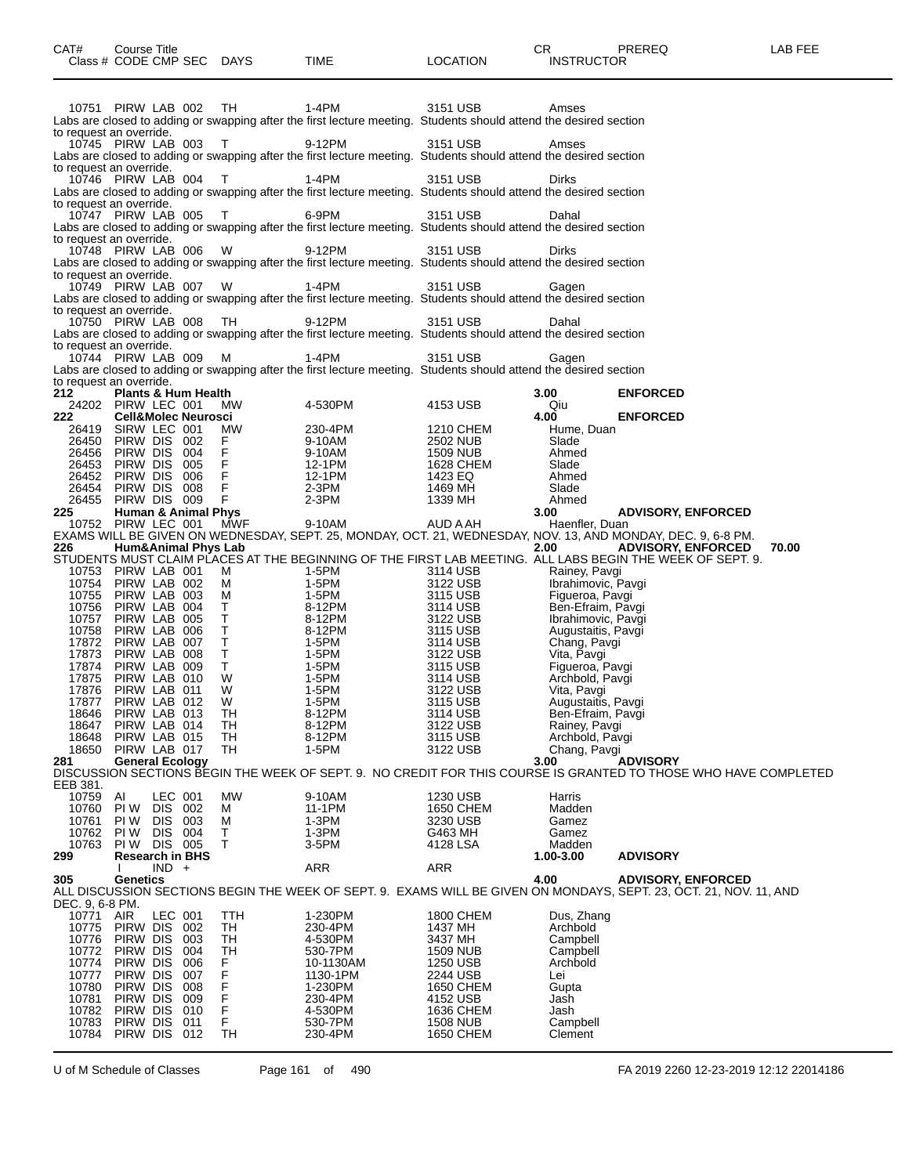| 10751 PIRW LAB 002 TH<br>1-4PM<br>3151 USB<br>Amses<br>Labs are closed to adding or swapping after the first lecture meeting. Students should attend the desired section<br>to request an override.<br>10745 PIRW LAB 003<br>$\top$<br>9-12PM<br>3151 USB<br>Amses<br>Labs are closed to adding or swapping after the first lecture meeting. Students should attend the desired section<br>to request an override.<br>10746 PIRW LAB 004<br>$\top$<br>1-4PM<br>3151 USB<br>Dirks<br>Labs are closed to adding or swapping after the first lecture meeting. Students should attend the desired section<br>to request an override.<br>10747 PIRW LAB 005<br>$\top$<br>6-9PM<br>3151 USB<br>Dahal<br>Labs are closed to adding or swapping after the first lecture meeting. Students should attend the desired section<br>to request an override.<br>W<br>10748 PIRW LAB 006<br>9-12PM<br>3151 USB<br>Dirks<br>Labs are closed to adding or swapping after the first lecture meeting. Students should attend the desired section<br>to request an override.<br>10749 PIRW LAB 007 W<br>1-4PM<br>3151 USB<br>Gagen<br>Labs are closed to adding or swapping after the first lecture meeting. Students should attend the desired section<br>to request an override.<br>TH<br>10750 PIRW LAB 008<br>9-12PM<br>3151 USB<br>Dahal<br>Labs are closed to adding or swapping after the first lecture meeting. Students should attend the desired section<br>to request an override.<br>10744 PIRW LAB 009<br>М<br>1-4PM<br>3151 USB<br>Gagen<br>Labs are closed to adding or swapping after the first lecture meeting. Students should attend the desired section<br>to request an override.<br>212<br>Plants & Hum Health<br>3.00<br>24202 PIRW LEC 001<br>4-530PM<br>4153 USB<br>Qiu<br>MW.<br>222<br><b>Cell&amp;Molec Neurosci</b><br>4.00<br>26419 SIRW LEC 001<br>МW<br>230-4PM<br>1210 CHEM<br>Hume, Duan<br>26450 PIRW DIS 002<br>9-10AM<br>2502 NUB<br>Slade<br>F.<br>F.<br>PIRW DIS 004<br>9-10AM<br>26456<br><b>1509 NUB</b><br>Ahmed<br>F<br>PIRW DIS 005<br>12-1PM<br>26453<br>1628 CHEM<br>Slade<br>$\mathsf F$<br>26452<br>PIRW DIS 006<br>12-1PM<br>1423 EQ<br>Ahmed<br>F<br>PIRW DIS 008<br>$2-3PM$<br>26454<br>1469 MH<br>Slade<br>F<br>26455 PIRW DIS 009<br>$2-3PM$<br>1339 MH<br>Ahmed<br><b>Human &amp; Animal Phys</b><br>225<br>3.00<br>10752 PIRW LEC 001<br>MWF<br>9-10AM<br>AUD A AH<br>Haenfler, Duan | <b>ENFORCED</b><br><b>ENFORCED</b><br><b>ADVISORY, ENFORCED</b> |
|-------------------------------------------------------------------------------------------------------------------------------------------------------------------------------------------------------------------------------------------------------------------------------------------------------------------------------------------------------------------------------------------------------------------------------------------------------------------------------------------------------------------------------------------------------------------------------------------------------------------------------------------------------------------------------------------------------------------------------------------------------------------------------------------------------------------------------------------------------------------------------------------------------------------------------------------------------------------------------------------------------------------------------------------------------------------------------------------------------------------------------------------------------------------------------------------------------------------------------------------------------------------------------------------------------------------------------------------------------------------------------------------------------------------------------------------------------------------------------------------------------------------------------------------------------------------------------------------------------------------------------------------------------------------------------------------------------------------------------------------------------------------------------------------------------------------------------------------------------------------------------------------------------------------------------------------------------------------------------------------------------------------------------------------------------------------------------------------------------------------------------------------------------------------------------------------------------------------------------------------------------------------------------------------------------------------------------------------------------------------------------------------------------------------------|-----------------------------------------------------------------|
|                                                                                                                                                                                                                                                                                                                                                                                                                                                                                                                                                                                                                                                                                                                                                                                                                                                                                                                                                                                                                                                                                                                                                                                                                                                                                                                                                                                                                                                                                                                                                                                                                                                                                                                                                                                                                                                                                                                                                                                                                                                                                                                                                                                                                                                                                                                                                                                                                         |                                                                 |
|                                                                                                                                                                                                                                                                                                                                                                                                                                                                                                                                                                                                                                                                                                                                                                                                                                                                                                                                                                                                                                                                                                                                                                                                                                                                                                                                                                                                                                                                                                                                                                                                                                                                                                                                                                                                                                                                                                                                                                                                                                                                                                                                                                                                                                                                                                                                                                                                                         |                                                                 |
|                                                                                                                                                                                                                                                                                                                                                                                                                                                                                                                                                                                                                                                                                                                                                                                                                                                                                                                                                                                                                                                                                                                                                                                                                                                                                                                                                                                                                                                                                                                                                                                                                                                                                                                                                                                                                                                                                                                                                                                                                                                                                                                                                                                                                                                                                                                                                                                                                         |                                                                 |
|                                                                                                                                                                                                                                                                                                                                                                                                                                                                                                                                                                                                                                                                                                                                                                                                                                                                                                                                                                                                                                                                                                                                                                                                                                                                                                                                                                                                                                                                                                                                                                                                                                                                                                                                                                                                                                                                                                                                                                                                                                                                                                                                                                                                                                                                                                                                                                                                                         |                                                                 |
|                                                                                                                                                                                                                                                                                                                                                                                                                                                                                                                                                                                                                                                                                                                                                                                                                                                                                                                                                                                                                                                                                                                                                                                                                                                                                                                                                                                                                                                                                                                                                                                                                                                                                                                                                                                                                                                                                                                                                                                                                                                                                                                                                                                                                                                                                                                                                                                                                         |                                                                 |
|                                                                                                                                                                                                                                                                                                                                                                                                                                                                                                                                                                                                                                                                                                                                                                                                                                                                                                                                                                                                                                                                                                                                                                                                                                                                                                                                                                                                                                                                                                                                                                                                                                                                                                                                                                                                                                                                                                                                                                                                                                                                                                                                                                                                                                                                                                                                                                                                                         |                                                                 |
|                                                                                                                                                                                                                                                                                                                                                                                                                                                                                                                                                                                                                                                                                                                                                                                                                                                                                                                                                                                                                                                                                                                                                                                                                                                                                                                                                                                                                                                                                                                                                                                                                                                                                                                                                                                                                                                                                                                                                                                                                                                                                                                                                                                                                                                                                                                                                                                                                         |                                                                 |
|                                                                                                                                                                                                                                                                                                                                                                                                                                                                                                                                                                                                                                                                                                                                                                                                                                                                                                                                                                                                                                                                                                                                                                                                                                                                                                                                                                                                                                                                                                                                                                                                                                                                                                                                                                                                                                                                                                                                                                                                                                                                                                                                                                                                                                                                                                                                                                                                                         |                                                                 |
|                                                                                                                                                                                                                                                                                                                                                                                                                                                                                                                                                                                                                                                                                                                                                                                                                                                                                                                                                                                                                                                                                                                                                                                                                                                                                                                                                                                                                                                                                                                                                                                                                                                                                                                                                                                                                                                                                                                                                                                                                                                                                                                                                                                                                                                                                                                                                                                                                         |                                                                 |
|                                                                                                                                                                                                                                                                                                                                                                                                                                                                                                                                                                                                                                                                                                                                                                                                                                                                                                                                                                                                                                                                                                                                                                                                                                                                                                                                                                                                                                                                                                                                                                                                                                                                                                                                                                                                                                                                                                                                                                                                                                                                                                                                                                                                                                                                                                                                                                                                                         |                                                                 |
|                                                                                                                                                                                                                                                                                                                                                                                                                                                                                                                                                                                                                                                                                                                                                                                                                                                                                                                                                                                                                                                                                                                                                                                                                                                                                                                                                                                                                                                                                                                                                                                                                                                                                                                                                                                                                                                                                                                                                                                                                                                                                                                                                                                                                                                                                                                                                                                                                         |                                                                 |
|                                                                                                                                                                                                                                                                                                                                                                                                                                                                                                                                                                                                                                                                                                                                                                                                                                                                                                                                                                                                                                                                                                                                                                                                                                                                                                                                                                                                                                                                                                                                                                                                                                                                                                                                                                                                                                                                                                                                                                                                                                                                                                                                                                                                                                                                                                                                                                                                                         |                                                                 |
|                                                                                                                                                                                                                                                                                                                                                                                                                                                                                                                                                                                                                                                                                                                                                                                                                                                                                                                                                                                                                                                                                                                                                                                                                                                                                                                                                                                                                                                                                                                                                                                                                                                                                                                                                                                                                                                                                                                                                                                                                                                                                                                                                                                                                                                                                                                                                                                                                         |                                                                 |
|                                                                                                                                                                                                                                                                                                                                                                                                                                                                                                                                                                                                                                                                                                                                                                                                                                                                                                                                                                                                                                                                                                                                                                                                                                                                                                                                                                                                                                                                                                                                                                                                                                                                                                                                                                                                                                                                                                                                                                                                                                                                                                                                                                                                                                                                                                                                                                                                                         |                                                                 |
|                                                                                                                                                                                                                                                                                                                                                                                                                                                                                                                                                                                                                                                                                                                                                                                                                                                                                                                                                                                                                                                                                                                                                                                                                                                                                                                                                                                                                                                                                                                                                                                                                                                                                                                                                                                                                                                                                                                                                                                                                                                                                                                                                                                                                                                                                                                                                                                                                         |                                                                 |
|                                                                                                                                                                                                                                                                                                                                                                                                                                                                                                                                                                                                                                                                                                                                                                                                                                                                                                                                                                                                                                                                                                                                                                                                                                                                                                                                                                                                                                                                                                                                                                                                                                                                                                                                                                                                                                                                                                                                                                                                                                                                                                                                                                                                                                                                                                                                                                                                                         |                                                                 |
|                                                                                                                                                                                                                                                                                                                                                                                                                                                                                                                                                                                                                                                                                                                                                                                                                                                                                                                                                                                                                                                                                                                                                                                                                                                                                                                                                                                                                                                                                                                                                                                                                                                                                                                                                                                                                                                                                                                                                                                                                                                                                                                                                                                                                                                                                                                                                                                                                         |                                                                 |
|                                                                                                                                                                                                                                                                                                                                                                                                                                                                                                                                                                                                                                                                                                                                                                                                                                                                                                                                                                                                                                                                                                                                                                                                                                                                                                                                                                                                                                                                                                                                                                                                                                                                                                                                                                                                                                                                                                                                                                                                                                                                                                                                                                                                                                                                                                                                                                                                                         |                                                                 |
|                                                                                                                                                                                                                                                                                                                                                                                                                                                                                                                                                                                                                                                                                                                                                                                                                                                                                                                                                                                                                                                                                                                                                                                                                                                                                                                                                                                                                                                                                                                                                                                                                                                                                                                                                                                                                                                                                                                                                                                                                                                                                                                                                                                                                                                                                                                                                                                                                         |                                                                 |
|                                                                                                                                                                                                                                                                                                                                                                                                                                                                                                                                                                                                                                                                                                                                                                                                                                                                                                                                                                                                                                                                                                                                                                                                                                                                                                                                                                                                                                                                                                                                                                                                                                                                                                                                                                                                                                                                                                                                                                                                                                                                                                                                                                                                                                                                                                                                                                                                                         |                                                                 |
|                                                                                                                                                                                                                                                                                                                                                                                                                                                                                                                                                                                                                                                                                                                                                                                                                                                                                                                                                                                                                                                                                                                                                                                                                                                                                                                                                                                                                                                                                                                                                                                                                                                                                                                                                                                                                                                                                                                                                                                                                                                                                                                                                                                                                                                                                                                                                                                                                         |                                                                 |
|                                                                                                                                                                                                                                                                                                                                                                                                                                                                                                                                                                                                                                                                                                                                                                                                                                                                                                                                                                                                                                                                                                                                                                                                                                                                                                                                                                                                                                                                                                                                                                                                                                                                                                                                                                                                                                                                                                                                                                                                                                                                                                                                                                                                                                                                                                                                                                                                                         |                                                                 |
|                                                                                                                                                                                                                                                                                                                                                                                                                                                                                                                                                                                                                                                                                                                                                                                                                                                                                                                                                                                                                                                                                                                                                                                                                                                                                                                                                                                                                                                                                                                                                                                                                                                                                                                                                                                                                                                                                                                                                                                                                                                                                                                                                                                                                                                                                                                                                                                                                         |                                                                 |
|                                                                                                                                                                                                                                                                                                                                                                                                                                                                                                                                                                                                                                                                                                                                                                                                                                                                                                                                                                                                                                                                                                                                                                                                                                                                                                                                                                                                                                                                                                                                                                                                                                                                                                                                                                                                                                                                                                                                                                                                                                                                                                                                                                                                                                                                                                                                                                                                                         |                                                                 |
|                                                                                                                                                                                                                                                                                                                                                                                                                                                                                                                                                                                                                                                                                                                                                                                                                                                                                                                                                                                                                                                                                                                                                                                                                                                                                                                                                                                                                                                                                                                                                                                                                                                                                                                                                                                                                                                                                                                                                                                                                                                                                                                                                                                                                                                                                                                                                                                                                         |                                                                 |
|                                                                                                                                                                                                                                                                                                                                                                                                                                                                                                                                                                                                                                                                                                                                                                                                                                                                                                                                                                                                                                                                                                                                                                                                                                                                                                                                                                                                                                                                                                                                                                                                                                                                                                                                                                                                                                                                                                                                                                                                                                                                                                                                                                                                                                                                                                                                                                                                                         |                                                                 |
|                                                                                                                                                                                                                                                                                                                                                                                                                                                                                                                                                                                                                                                                                                                                                                                                                                                                                                                                                                                                                                                                                                                                                                                                                                                                                                                                                                                                                                                                                                                                                                                                                                                                                                                                                                                                                                                                                                                                                                                                                                                                                                                                                                                                                                                                                                                                                                                                                         |                                                                 |
|                                                                                                                                                                                                                                                                                                                                                                                                                                                                                                                                                                                                                                                                                                                                                                                                                                                                                                                                                                                                                                                                                                                                                                                                                                                                                                                                                                                                                                                                                                                                                                                                                                                                                                                                                                                                                                                                                                                                                                                                                                                                                                                                                                                                                                                                                                                                                                                                                         |                                                                 |
|                                                                                                                                                                                                                                                                                                                                                                                                                                                                                                                                                                                                                                                                                                                                                                                                                                                                                                                                                                                                                                                                                                                                                                                                                                                                                                                                                                                                                                                                                                                                                                                                                                                                                                                                                                                                                                                                                                                                                                                                                                                                                                                                                                                                                                                                                                                                                                                                                         |                                                                 |
|                                                                                                                                                                                                                                                                                                                                                                                                                                                                                                                                                                                                                                                                                                                                                                                                                                                                                                                                                                                                                                                                                                                                                                                                                                                                                                                                                                                                                                                                                                                                                                                                                                                                                                                                                                                                                                                                                                                                                                                                                                                                                                                                                                                                                                                                                                                                                                                                                         |                                                                 |
|                                                                                                                                                                                                                                                                                                                                                                                                                                                                                                                                                                                                                                                                                                                                                                                                                                                                                                                                                                                                                                                                                                                                                                                                                                                                                                                                                                                                                                                                                                                                                                                                                                                                                                                                                                                                                                                                                                                                                                                                                                                                                                                                                                                                                                                                                                                                                                                                                         |                                                                 |
|                                                                                                                                                                                                                                                                                                                                                                                                                                                                                                                                                                                                                                                                                                                                                                                                                                                                                                                                                                                                                                                                                                                                                                                                                                                                                                                                                                                                                                                                                                                                                                                                                                                                                                                                                                                                                                                                                                                                                                                                                                                                                                                                                                                                                                                                                                                                                                                                                         |                                                                 |
|                                                                                                                                                                                                                                                                                                                                                                                                                                                                                                                                                                                                                                                                                                                                                                                                                                                                                                                                                                                                                                                                                                                                                                                                                                                                                                                                                                                                                                                                                                                                                                                                                                                                                                                                                                                                                                                                                                                                                                                                                                                                                                                                                                                                                                                                                                                                                                                                                         |                                                                 |
|                                                                                                                                                                                                                                                                                                                                                                                                                                                                                                                                                                                                                                                                                                                                                                                                                                                                                                                                                                                                                                                                                                                                                                                                                                                                                                                                                                                                                                                                                                                                                                                                                                                                                                                                                                                                                                                                                                                                                                                                                                                                                                                                                                                                                                                                                                                                                                                                                         |                                                                 |
|                                                                                                                                                                                                                                                                                                                                                                                                                                                                                                                                                                                                                                                                                                                                                                                                                                                                                                                                                                                                                                                                                                                                                                                                                                                                                                                                                                                                                                                                                                                                                                                                                                                                                                                                                                                                                                                                                                                                                                                                                                                                                                                                                                                                                                                                                                                                                                                                                         |                                                                 |
|                                                                                                                                                                                                                                                                                                                                                                                                                                                                                                                                                                                                                                                                                                                                                                                                                                                                                                                                                                                                                                                                                                                                                                                                                                                                                                                                                                                                                                                                                                                                                                                                                                                                                                                                                                                                                                                                                                                                                                                                                                                                                                                                                                                                                                                                                                                                                                                                                         |                                                                 |
| EXAMS WILL BE GIVEN ON WEDNESDAY, SEPT. 25, MONDAY, OCT. 21, WEDNESDAY, NOV. 13, AND MONDAY, DEC. 9, 6-8 PM.                                                                                                                                                                                                                                                                                                                                                                                                                                                                                                                                                                                                                                                                                                                                                                                                                                                                                                                                                                                                                                                                                                                                                                                                                                                                                                                                                                                                                                                                                                                                                                                                                                                                                                                                                                                                                                                                                                                                                                                                                                                                                                                                                                                                                                                                                                            |                                                                 |
|                                                                                                                                                                                                                                                                                                                                                                                                                                                                                                                                                                                                                                                                                                                                                                                                                                                                                                                                                                                                                                                                                                                                                                                                                                                                                                                                                                                                                                                                                                                                                                                                                                                                                                                                                                                                                                                                                                                                                                                                                                                                                                                                                                                                                                                                                                                                                                                                                         |                                                                 |
|                                                                                                                                                                                                                                                                                                                                                                                                                                                                                                                                                                                                                                                                                                                                                                                                                                                                                                                                                                                                                                                                                                                                                                                                                                                                                                                                                                                                                                                                                                                                                                                                                                                                                                                                                                                                                                                                                                                                                                                                                                                                                                                                                                                                                                                                                                                                                                                                                         |                                                                 |
|                                                                                                                                                                                                                                                                                                                                                                                                                                                                                                                                                                                                                                                                                                                                                                                                                                                                                                                                                                                                                                                                                                                                                                                                                                                                                                                                                                                                                                                                                                                                                                                                                                                                                                                                                                                                                                                                                                                                                                                                                                                                                                                                                                                                                                                                                                                                                                                                                         |                                                                 |
|                                                                                                                                                                                                                                                                                                                                                                                                                                                                                                                                                                                                                                                                                                                                                                                                                                                                                                                                                                                                                                                                                                                                                                                                                                                                                                                                                                                                                                                                                                                                                                                                                                                                                                                                                                                                                                                                                                                                                                                                                                                                                                                                                                                                                                                                                                                                                                                                                         | 1-5PM<br>3114 USB<br>Rainey, Pavgi<br>M                         |
|                                                                                                                                                                                                                                                                                                                                                                                                                                                                                                                                                                                                                                                                                                                                                                                                                                                                                                                                                                                                                                                                                                                                                                                                                                                                                                                                                                                                                                                                                                                                                                                                                                                                                                                                                                                                                                                                                                                                                                                                                                                                                                                                                                                                                                                                                                                                                                                                                         | 1-5PM<br>3122 USB<br>Ibrahimovic, Pavgi<br>M                    |
|                                                                                                                                                                                                                                                                                                                                                                                                                                                                                                                                                                                                                                                                                                                                                                                                                                                                                                                                                                                                                                                                                                                                                                                                                                                                                                                                                                                                                                                                                                                                                                                                                                                                                                                                                                                                                                                                                                                                                                                                                                                                                                                                                                                                                                                                                                                                                                                                                         | 1-5PM<br>3115 USB<br>Figueroa, Pavgi<br>M                       |
| 10757<br>PIRW LAB 005<br>PIRW LAB 006<br>10758                                                                                                                                                                                                                                                                                                                                                                                                                                                                                                                                                                                                                                                                                                                                                                                                                                                                                                                                                                                                                                                                                                                                                                                                                                                                                                                                                                                                                                                                                                                                                                                                                                                                                                                                                                                                                                                                                                                                                                                                                                                                                                                                                                                                                                                                                                                                                                          | T.<br>3114 USB<br>Ben-Efraim, Pavgi<br>8-12PM                   |
|                                                                                                                                                                                                                                                                                                                                                                                                                                                                                                                                                                                                                                                                                                                                                                                                                                                                                                                                                                                                                                                                                                                                                                                                                                                                                                                                                                                                                                                                                                                                                                                                                                                                                                                                                                                                                                                                                                                                                                                                                                                                                                                                                                                                                                                                                                                                                                                                                         | T.<br>8-12PM<br>3122 USB<br>Ibrahimovic, Pavgi                  |
|                                                                                                                                                                                                                                                                                                                                                                                                                                                                                                                                                                                                                                                                                                                                                                                                                                                                                                                                                                                                                                                                                                                                                                                                                                                                                                                                                                                                                                                                                                                                                                                                                                                                                                                                                                                                                                                                                                                                                                                                                                                                                                                                                                                                                                                                                                                                                                                                                         | T.<br>8-12PM<br>3115 USB<br>Augustaitis, Pavgi                  |
| PIRW LAB 007<br>T<br>17872<br>1-5PM<br>3114 USB<br>Chang, Pavgi                                                                                                                                                                                                                                                                                                                                                                                                                                                                                                                                                                                                                                                                                                                                                                                                                                                                                                                                                                                                                                                                                                                                                                                                                                                                                                                                                                                                                                                                                                                                                                                                                                                                                                                                                                                                                                                                                                                                                                                                                                                                                                                                                                                                                                                                                                                                                         |                                                                 |
| Τ<br>17873<br>PIRW LAB 008<br>1-5PM<br>3122 USB<br>Vita, Pavgi                                                                                                                                                                                                                                                                                                                                                                                                                                                                                                                                                                                                                                                                                                                                                                                                                                                                                                                                                                                                                                                                                                                                                                                                                                                                                                                                                                                                                                                                                                                                                                                                                                                                                                                                                                                                                                                                                                                                                                                                                                                                                                                                                                                                                                                                                                                                                          |                                                                 |
| T<br>PIRW LAB 009<br>17874<br>1-5PM<br>3115 USB<br>Figueroa, Pavgi                                                                                                                                                                                                                                                                                                                                                                                                                                                                                                                                                                                                                                                                                                                                                                                                                                                                                                                                                                                                                                                                                                                                                                                                                                                                                                                                                                                                                                                                                                                                                                                                                                                                                                                                                                                                                                                                                                                                                                                                                                                                                                                                                                                                                                                                                                                                                      |                                                                 |
| PIRW LAB 010<br>17875<br>1-5PM<br>3114 USB<br>Archbold, Pavgi<br>W                                                                                                                                                                                                                                                                                                                                                                                                                                                                                                                                                                                                                                                                                                                                                                                                                                                                                                                                                                                                                                                                                                                                                                                                                                                                                                                                                                                                                                                                                                                                                                                                                                                                                                                                                                                                                                                                                                                                                                                                                                                                                                                                                                                                                                                                                                                                                      |                                                                 |
| 17876<br>PIRW LAB 011<br>W<br>1-5PM<br>3122 USB<br>Vita, Pavgi                                                                                                                                                                                                                                                                                                                                                                                                                                                                                                                                                                                                                                                                                                                                                                                                                                                                                                                                                                                                                                                                                                                                                                                                                                                                                                                                                                                                                                                                                                                                                                                                                                                                                                                                                                                                                                                                                                                                                                                                                                                                                                                                                                                                                                                                                                                                                          |                                                                 |
| PIRW LAB 012<br>1-5PM<br>17877<br>W<br>3115 USB<br>Augustaitis, Pavgi                                                                                                                                                                                                                                                                                                                                                                                                                                                                                                                                                                                                                                                                                                                                                                                                                                                                                                                                                                                                                                                                                                                                                                                                                                                                                                                                                                                                                                                                                                                                                                                                                                                                                                                                                                                                                                                                                                                                                                                                                                                                                                                                                                                                                                                                                                                                                   |                                                                 |
| PIRW LAB 013<br>18646<br>TH<br>8-12PM<br>3114 USB<br>Ben-Efraim, Pavgi                                                                                                                                                                                                                                                                                                                                                                                                                                                                                                                                                                                                                                                                                                                                                                                                                                                                                                                                                                                                                                                                                                                                                                                                                                                                                                                                                                                                                                                                                                                                                                                                                                                                                                                                                                                                                                                                                                                                                                                                                                                                                                                                                                                                                                                                                                                                                  |                                                                 |
| 18647<br>PIRW LAB 014<br>TH<br>8-12PM<br>3122 USB<br>Rainey, Pavgi                                                                                                                                                                                                                                                                                                                                                                                                                                                                                                                                                                                                                                                                                                                                                                                                                                                                                                                                                                                                                                                                                                                                                                                                                                                                                                                                                                                                                                                                                                                                                                                                                                                                                                                                                                                                                                                                                                                                                                                                                                                                                                                                                                                                                                                                                                                                                      |                                                                 |
| PIRW LAB 015<br>TH<br>3115 USB<br>18648<br>8-12PM<br>Archbold, Pavgi                                                                                                                                                                                                                                                                                                                                                                                                                                                                                                                                                                                                                                                                                                                                                                                                                                                                                                                                                                                                                                                                                                                                                                                                                                                                                                                                                                                                                                                                                                                                                                                                                                                                                                                                                                                                                                                                                                                                                                                                                                                                                                                                                                                                                                                                                                                                                    |                                                                 |
| 18650 PIRW LAB 017<br>TН<br>1-5PM<br>3122 USB<br>Chang, Pavgi                                                                                                                                                                                                                                                                                                                                                                                                                                                                                                                                                                                                                                                                                                                                                                                                                                                                                                                                                                                                                                                                                                                                                                                                                                                                                                                                                                                                                                                                                                                                                                                                                                                                                                                                                                                                                                                                                                                                                                                                                                                                                                                                                                                                                                                                                                                                                           |                                                                 |
| 281<br><b>General Ecology</b><br>3.00                                                                                                                                                                                                                                                                                                                                                                                                                                                                                                                                                                                                                                                                                                                                                                                                                                                                                                                                                                                                                                                                                                                                                                                                                                                                                                                                                                                                                                                                                                                                                                                                                                                                                                                                                                                                                                                                                                                                                                                                                                                                                                                                                                                                                                                                                                                                                                                   | <b>ADVISORY</b>                                                 |
| DISCUSSION SECTIONS BEGIN THE WEEK OF SEPT. 9. NO CREDIT FOR THIS COURSE IS GRANTED TO THOSE WHO HAVE COMPLETED                                                                                                                                                                                                                                                                                                                                                                                                                                                                                                                                                                                                                                                                                                                                                                                                                                                                                                                                                                                                                                                                                                                                                                                                                                                                                                                                                                                                                                                                                                                                                                                                                                                                                                                                                                                                                                                                                                                                                                                                                                                                                                                                                                                                                                                                                                         |                                                                 |
| EEB 381.                                                                                                                                                                                                                                                                                                                                                                                                                                                                                                                                                                                                                                                                                                                                                                                                                                                                                                                                                                                                                                                                                                                                                                                                                                                                                                                                                                                                                                                                                                                                                                                                                                                                                                                                                                                                                                                                                                                                                                                                                                                                                                                                                                                                                                                                                                                                                                                                                |                                                                 |
| 10759<br>Al<br>LEC 001<br>МW<br>9-10AM<br>1230 USB<br>Harris                                                                                                                                                                                                                                                                                                                                                                                                                                                                                                                                                                                                                                                                                                                                                                                                                                                                                                                                                                                                                                                                                                                                                                                                                                                                                                                                                                                                                                                                                                                                                                                                                                                                                                                                                                                                                                                                                                                                                                                                                                                                                                                                                                                                                                                                                                                                                            |                                                                 |
| 10760<br>DIS 002<br>11-1PM<br><b>1650 CHEM</b><br>PI W<br>М<br>Madden                                                                                                                                                                                                                                                                                                                                                                                                                                                                                                                                                                                                                                                                                                                                                                                                                                                                                                                                                                                                                                                                                                                                                                                                                                                                                                                                                                                                                                                                                                                                                                                                                                                                                                                                                                                                                                                                                                                                                                                                                                                                                                                                                                                                                                                                                                                                                   |                                                                 |
| 10761<br>PIW DIS 003<br>$1-3PM$<br>3230 USB<br>Gamez<br>м                                                                                                                                                                                                                                                                                                                                                                                                                                                                                                                                                                                                                                                                                                                                                                                                                                                                                                                                                                                                                                                                                                                                                                                                                                                                                                                                                                                                                                                                                                                                                                                                                                                                                                                                                                                                                                                                                                                                                                                                                                                                                                                                                                                                                                                                                                                                                               |                                                                 |
| PIW DIS 004<br>10762<br>Τ<br>$1-3PM$<br>G463 MH<br>Gamez                                                                                                                                                                                                                                                                                                                                                                                                                                                                                                                                                                                                                                                                                                                                                                                                                                                                                                                                                                                                                                                                                                                                                                                                                                                                                                                                                                                                                                                                                                                                                                                                                                                                                                                                                                                                                                                                                                                                                                                                                                                                                                                                                                                                                                                                                                                                                                |                                                                 |
| 10763<br>PIW DIS 005<br>т<br>3-5PM<br>4128 LSA<br>Madden                                                                                                                                                                                                                                                                                                                                                                                                                                                                                                                                                                                                                                                                                                                                                                                                                                                                                                                                                                                                                                                                                                                                                                                                                                                                                                                                                                                                                                                                                                                                                                                                                                                                                                                                                                                                                                                                                                                                                                                                                                                                                                                                                                                                                                                                                                                                                                |                                                                 |
| 299<br><b>Research in BHS</b><br>1.00-3.00                                                                                                                                                                                                                                                                                                                                                                                                                                                                                                                                                                                                                                                                                                                                                                                                                                                                                                                                                                                                                                                                                                                                                                                                                                                                                                                                                                                                                                                                                                                                                                                                                                                                                                                                                                                                                                                                                                                                                                                                                                                                                                                                                                                                                                                                                                                                                                              | <b>ADVISORY</b>                                                 |
| ARR<br>ARR<br>$IND +$                                                                                                                                                                                                                                                                                                                                                                                                                                                                                                                                                                                                                                                                                                                                                                                                                                                                                                                                                                                                                                                                                                                                                                                                                                                                                                                                                                                                                                                                                                                                                                                                                                                                                                                                                                                                                                                                                                                                                                                                                                                                                                                                                                                                                                                                                                                                                                                                   |                                                                 |
| 4.00<br>305<br>Genetics                                                                                                                                                                                                                                                                                                                                                                                                                                                                                                                                                                                                                                                                                                                                                                                                                                                                                                                                                                                                                                                                                                                                                                                                                                                                                                                                                                                                                                                                                                                                                                                                                                                                                                                                                                                                                                                                                                                                                                                                                                                                                                                                                                                                                                                                                                                                                                                                 | <b>ADVISORY, ENFORCED</b>                                       |
| ALL DISCUSSION SECTIONS BEGIN THE WEEK OF SEPT. 9. EXAMS WILL BE GIVEN ON MONDAYS, SEPT. 23, OCT. 21, NOV. 11, AND                                                                                                                                                                                                                                                                                                                                                                                                                                                                                                                                                                                                                                                                                                                                                                                                                                                                                                                                                                                                                                                                                                                                                                                                                                                                                                                                                                                                                                                                                                                                                                                                                                                                                                                                                                                                                                                                                                                                                                                                                                                                                                                                                                                                                                                                                                      |                                                                 |
| DEC. 9, 6-8 PM.                                                                                                                                                                                                                                                                                                                                                                                                                                                                                                                                                                                                                                                                                                                                                                                                                                                                                                                                                                                                                                                                                                                                                                                                                                                                                                                                                                                                                                                                                                                                                                                                                                                                                                                                                                                                                                                                                                                                                                                                                                                                                                                                                                                                                                                                                                                                                                                                         |                                                                 |
| 10771 AIR<br>LEC 001<br>TTH<br>1-230PM<br>1800 CHEM<br>Dus, Zhang                                                                                                                                                                                                                                                                                                                                                                                                                                                                                                                                                                                                                                                                                                                                                                                                                                                                                                                                                                                                                                                                                                                                                                                                                                                                                                                                                                                                                                                                                                                                                                                                                                                                                                                                                                                                                                                                                                                                                                                                                                                                                                                                                                                                                                                                                                                                                       |                                                                 |
| PIRW DIS 002<br>Archbold<br>10775<br>TН<br>230-4PM<br>1437 MH                                                                                                                                                                                                                                                                                                                                                                                                                                                                                                                                                                                                                                                                                                                                                                                                                                                                                                                                                                                                                                                                                                                                                                                                                                                                                                                                                                                                                                                                                                                                                                                                                                                                                                                                                                                                                                                                                                                                                                                                                                                                                                                                                                                                                                                                                                                                                           |                                                                 |
| 10776<br>Pirw Dis<br>003<br>TH<br>4-530PM<br>3437 MH<br>Campbell                                                                                                                                                                                                                                                                                                                                                                                                                                                                                                                                                                                                                                                                                                                                                                                                                                                                                                                                                                                                                                                                                                                                                                                                                                                                                                                                                                                                                                                                                                                                                                                                                                                                                                                                                                                                                                                                                                                                                                                                                                                                                                                                                                                                                                                                                                                                                        |                                                                 |
| PIRW DIS<br>TН<br>10772<br>004<br>530-7PM<br><b>1509 NUB</b><br>Campbell                                                                                                                                                                                                                                                                                                                                                                                                                                                                                                                                                                                                                                                                                                                                                                                                                                                                                                                                                                                                                                                                                                                                                                                                                                                                                                                                                                                                                                                                                                                                                                                                                                                                                                                                                                                                                                                                                                                                                                                                                                                                                                                                                                                                                                                                                                                                                |                                                                 |
| 10774<br>PIRW DIS<br>1250 USB<br>Archbold<br>006<br>F<br>10-1130AM                                                                                                                                                                                                                                                                                                                                                                                                                                                                                                                                                                                                                                                                                                                                                                                                                                                                                                                                                                                                                                                                                                                                                                                                                                                                                                                                                                                                                                                                                                                                                                                                                                                                                                                                                                                                                                                                                                                                                                                                                                                                                                                                                                                                                                                                                                                                                      |                                                                 |
| 10777<br>PIRW DIS<br>007<br>1130-1PM<br>2244 USB<br>Lei                                                                                                                                                                                                                                                                                                                                                                                                                                                                                                                                                                                                                                                                                                                                                                                                                                                                                                                                                                                                                                                                                                                                                                                                                                                                                                                                                                                                                                                                                                                                                                                                                                                                                                                                                                                                                                                                                                                                                                                                                                                                                                                                                                                                                                                                                                                                                                 |                                                                 |
| F<br>F<br>10780<br>PIRW DIS<br>008<br>1-230PM<br>1650 CHEM<br>Gupta                                                                                                                                                                                                                                                                                                                                                                                                                                                                                                                                                                                                                                                                                                                                                                                                                                                                                                                                                                                                                                                                                                                                                                                                                                                                                                                                                                                                                                                                                                                                                                                                                                                                                                                                                                                                                                                                                                                                                                                                                                                                                                                                                                                                                                                                                                                                                     |                                                                 |
| F<br>10781<br>PIRW DIS<br>230-4PM<br>4152 USB<br>009<br>Jash                                                                                                                                                                                                                                                                                                                                                                                                                                                                                                                                                                                                                                                                                                                                                                                                                                                                                                                                                                                                                                                                                                                                                                                                                                                                                                                                                                                                                                                                                                                                                                                                                                                                                                                                                                                                                                                                                                                                                                                                                                                                                                                                                                                                                                                                                                                                                            |                                                                 |
| F<br>F<br>10782<br>PIRW DIS 010<br>4-530PM<br>1636 CHEM<br>Jash<br>PIRW DIS 011<br>10783<br>530-7PM<br><b>1508 NUB</b><br>Campbell                                                                                                                                                                                                                                                                                                                                                                                                                                                                                                                                                                                                                                                                                                                                                                                                                                                                                                                                                                                                                                                                                                                                                                                                                                                                                                                                                                                                                                                                                                                                                                                                                                                                                                                                                                                                                                                                                                                                                                                                                                                                                                                                                                                                                                                                                      |                                                                 |
| 226<br><b>Hum&amp;Animal Phys Lab</b>                                                                                                                                                                                                                                                                                                                                                                                                                                                                                                                                                                                                                                                                                                                                                                                                                                                                                                                                                                                                                                                                                                                                                                                                                                                                                                                                                                                                                                                                                                                                                                                                                                                                                                                                                                                                                                                                                                                                                                                                                                                                                                                                                                                                                                                                                                                                                                                   |                                                                 |
| STUDENTS MUST CLAIM PLACES AT THE BEGINNING OF THE FIRST LAB MEETING. ALL LABS BEGIN THE WEEK OF SEPT. 9.                                                                                                                                                                                                                                                                                                                                                                                                                                                                                                                                                                                                                                                                                                                                                                                                                                                                                                                                                                                                                                                                                                                                                                                                                                                                                                                                                                                                                                                                                                                                                                                                                                                                                                                                                                                                                                                                                                                                                                                                                                                                                                                                                                                                                                                                                                               |                                                                 |
|                                                                                                                                                                                                                                                                                                                                                                                                                                                                                                                                                                                                                                                                                                                                                                                                                                                                                                                                                                                                                                                                                                                                                                                                                                                                                                                                                                                                                                                                                                                                                                                                                                                                                                                                                                                                                                                                                                                                                                                                                                                                                                                                                                                                                                                                                                                                                                                                                         |                                                                 |
|                                                                                                                                                                                                                                                                                                                                                                                                                                                                                                                                                                                                                                                                                                                                                                                                                                                                                                                                                                                                                                                                                                                                                                                                                                                                                                                                                                                                                                                                                                                                                                                                                                                                                                                                                                                                                                                                                                                                                                                                                                                                                                                                                                                                                                                                                                                                                                                                                         |                                                                 |
|                                                                                                                                                                                                                                                                                                                                                                                                                                                                                                                                                                                                                                                                                                                                                                                                                                                                                                                                                                                                                                                                                                                                                                                                                                                                                                                                                                                                                                                                                                                                                                                                                                                                                                                                                                                                                                                                                                                                                                                                                                                                                                                                                                                                                                                                                                                                                                                                                         |                                                                 |
|                                                                                                                                                                                                                                                                                                                                                                                                                                                                                                                                                                                                                                                                                                                                                                                                                                                                                                                                                                                                                                                                                                                                                                                                                                                                                                                                                                                                                                                                                                                                                                                                                                                                                                                                                                                                                                                                                                                                                                                                                                                                                                                                                                                                                                                                                                                                                                                                                         |                                                                 |
|                                                                                                                                                                                                                                                                                                                                                                                                                                                                                                                                                                                                                                                                                                                                                                                                                                                                                                                                                                                                                                                                                                                                                                                                                                                                                                                                                                                                                                                                                                                                                                                                                                                                                                                                                                                                                                                                                                                                                                                                                                                                                                                                                                                                                                                                                                                                                                                                                         |                                                                 |
|                                                                                                                                                                                                                                                                                                                                                                                                                                                                                                                                                                                                                                                                                                                                                                                                                                                                                                                                                                                                                                                                                                                                                                                                                                                                                                                                                                                                                                                                                                                                                                                                                                                                                                                                                                                                                                                                                                                                                                                                                                                                                                                                                                                                                                                                                                                                                                                                                         |                                                                 |
|                                                                                                                                                                                                                                                                                                                                                                                                                                                                                                                                                                                                                                                                                                                                                                                                                                                                                                                                                                                                                                                                                                                                                                                                                                                                                                                                                                                                                                                                                                                                                                                                                                                                                                                                                                                                                                                                                                                                                                                                                                                                                                                                                                                                                                                                                                                                                                                                                         |                                                                 |
|                                                                                                                                                                                                                                                                                                                                                                                                                                                                                                                                                                                                                                                                                                                                                                                                                                                                                                                                                                                                                                                                                                                                                                                                                                                                                                                                                                                                                                                                                                                                                                                                                                                                                                                                                                                                                                                                                                                                                                                                                                                                                                                                                                                                                                                                                                                                                                                                                         |                                                                 |
|                                                                                                                                                                                                                                                                                                                                                                                                                                                                                                                                                                                                                                                                                                                                                                                                                                                                                                                                                                                                                                                                                                                                                                                                                                                                                                                                                                                                                                                                                                                                                                                                                                                                                                                                                                                                                                                                                                                                                                                                                                                                                                                                                                                                                                                                                                                                                                                                                         |                                                                 |
|                                                                                                                                                                                                                                                                                                                                                                                                                                                                                                                                                                                                                                                                                                                                                                                                                                                                                                                                                                                                                                                                                                                                                                                                                                                                                                                                                                                                                                                                                                                                                                                                                                                                                                                                                                                                                                                                                                                                                                                                                                                                                                                                                                                                                                                                                                                                                                                                                         |                                                                 |
|                                                                                                                                                                                                                                                                                                                                                                                                                                                                                                                                                                                                                                                                                                                                                                                                                                                                                                                                                                                                                                                                                                                                                                                                                                                                                                                                                                                                                                                                                                                                                                                                                                                                                                                                                                                                                                                                                                                                                                                                                                                                                                                                                                                                                                                                                                                                                                                                                         |                                                                 |
|                                                                                                                                                                                                                                                                                                                                                                                                                                                                                                                                                                                                                                                                                                                                                                                                                                                                                                                                                                                                                                                                                                                                                                                                                                                                                                                                                                                                                                                                                                                                                                                                                                                                                                                                                                                                                                                                                                                                                                                                                                                                                                                                                                                                                                                                                                                                                                                                                         |                                                                 |
|                                                                                                                                                                                                                                                                                                                                                                                                                                                                                                                                                                                                                                                                                                                                                                                                                                                                                                                                                                                                                                                                                                                                                                                                                                                                                                                                                                                                                                                                                                                                                                                                                                                                                                                                                                                                                                                                                                                                                                                                                                                                                                                                                                                                                                                                                                                                                                                                                         |                                                                 |
|                                                                                                                                                                                                                                                                                                                                                                                                                                                                                                                                                                                                                                                                                                                                                                                                                                                                                                                                                                                                                                                                                                                                                                                                                                                                                                                                                                                                                                                                                                                                                                                                                                                                                                                                                                                                                                                                                                                                                                                                                                                                                                                                                                                                                                                                                                                                                                                                                         |                                                                 |
|                                                                                                                                                                                                                                                                                                                                                                                                                                                                                                                                                                                                                                                                                                                                                                                                                                                                                                                                                                                                                                                                                                                                                                                                                                                                                                                                                                                                                                                                                                                                                                                                                                                                                                                                                                                                                                                                                                                                                                                                                                                                                                                                                                                                                                                                                                                                                                                                                         |                                                                 |
|                                                                                                                                                                                                                                                                                                                                                                                                                                                                                                                                                                                                                                                                                                                                                                                                                                                                                                                                                                                                                                                                                                                                                                                                                                                                                                                                                                                                                                                                                                                                                                                                                                                                                                                                                                                                                                                                                                                                                                                                                                                                                                                                                                                                                                                                                                                                                                                                                         |                                                                 |
|                                                                                                                                                                                                                                                                                                                                                                                                                                                                                                                                                                                                                                                                                                                                                                                                                                                                                                                                                                                                                                                                                                                                                                                                                                                                                                                                                                                                                                                                                                                                                                                                                                                                                                                                                                                                                                                                                                                                                                                                                                                                                                                                                                                                                                                                                                                                                                                                                         |                                                                 |
|                                                                                                                                                                                                                                                                                                                                                                                                                                                                                                                                                                                                                                                                                                                                                                                                                                                                                                                                                                                                                                                                                                                                                                                                                                                                                                                                                                                                                                                                                                                                                                                                                                                                                                                                                                                                                                                                                                                                                                                                                                                                                                                                                                                                                                                                                                                                                                                                                         |                                                                 |
| 2.00                                                                                                                                                                                                                                                                                                                                                                                                                                                                                                                                                                                                                                                                                                                                                                                                                                                                                                                                                                                                                                                                                                                                                                                                                                                                                                                                                                                                                                                                                                                                                                                                                                                                                                                                                                                                                                                                                                                                                                                                                                                                                                                                                                                                                                                                                                                                                                                                                    | <b>ADVISORY, ENFORCED</b><br>70.00                              |
|                                                                                                                                                                                                                                                                                                                                                                                                                                                                                                                                                                                                                                                                                                                                                                                                                                                                                                                                                                                                                                                                                                                                                                                                                                                                                                                                                                                                                                                                                                                                                                                                                                                                                                                                                                                                                                                                                                                                                                                                                                                                                                                                                                                                                                                                                                                                                                                                                         |                                                                 |
|                                                                                                                                                                                                                                                                                                                                                                                                                                                                                                                                                                                                                                                                                                                                                                                                                                                                                                                                                                                                                                                                                                                                                                                                                                                                                                                                                                                                                                                                                                                                                                                                                                                                                                                                                                                                                                                                                                                                                                                                                                                                                                                                                                                                                                                                                                                                                                                                                         |                                                                 |
|                                                                                                                                                                                                                                                                                                                                                                                                                                                                                                                                                                                                                                                                                                                                                                                                                                                                                                                                                                                                                                                                                                                                                                                                                                                                                                                                                                                                                                                                                                                                                                                                                                                                                                                                                                                                                                                                                                                                                                                                                                                                                                                                                                                                                                                                                                                                                                                                                         |                                                                 |
|                                                                                                                                                                                                                                                                                                                                                                                                                                                                                                                                                                                                                                                                                                                                                                                                                                                                                                                                                                                                                                                                                                                                                                                                                                                                                                                                                                                                                                                                                                                                                                                                                                                                                                                                                                                                                                                                                                                                                                                                                                                                                                                                                                                                                                                                                                                                                                                                                         |                                                                 |
|                                                                                                                                                                                                                                                                                                                                                                                                                                                                                                                                                                                                                                                                                                                                                                                                                                                                                                                                                                                                                                                                                                                                                                                                                                                                                                                                                                                                                                                                                                                                                                                                                                                                                                                                                                                                                                                                                                                                                                                                                                                                                                                                                                                                                                                                                                                                                                                                                         |                                                                 |
|                                                                                                                                                                                                                                                                                                                                                                                                                                                                                                                                                                                                                                                                                                                                                                                                                                                                                                                                                                                                                                                                                                                                                                                                                                                                                                                                                                                                                                                                                                                                                                                                                                                                                                                                                                                                                                                                                                                                                                                                                                                                                                                                                                                                                                                                                                                                                                                                                         |                                                                 |
|                                                                                                                                                                                                                                                                                                                                                                                                                                                                                                                                                                                                                                                                                                                                                                                                                                                                                                                                                                                                                                                                                                                                                                                                                                                                                                                                                                                                                                                                                                                                                                                                                                                                                                                                                                                                                                                                                                                                                                                                                                                                                                                                                                                                                                                                                                                                                                                                                         |                                                                 |
|                                                                                                                                                                                                                                                                                                                                                                                                                                                                                                                                                                                                                                                                                                                                                                                                                                                                                                                                                                                                                                                                                                                                                                                                                                                                                                                                                                                                                                                                                                                                                                                                                                                                                                                                                                                                                                                                                                                                                                                                                                                                                                                                                                                                                                                                                                                                                                                                                         |                                                                 |
|                                                                                                                                                                                                                                                                                                                                                                                                                                                                                                                                                                                                                                                                                                                                                                                                                                                                                                                                                                                                                                                                                                                                                                                                                                                                                                                                                                                                                                                                                                                                                                                                                                                                                                                                                                                                                                                                                                                                                                                                                                                                                                                                                                                                                                                                                                                                                                                                                         |                                                                 |
|                                                                                                                                                                                                                                                                                                                                                                                                                                                                                                                                                                                                                                                                                                                                                                                                                                                                                                                                                                                                                                                                                                                                                                                                                                                                                                                                                                                                                                                                                                                                                                                                                                                                                                                                                                                                                                                                                                                                                                                                                                                                                                                                                                                                                                                                                                                                                                                                                         |                                                                 |
|                                                                                                                                                                                                                                                                                                                                                                                                                                                                                                                                                                                                                                                                                                                                                                                                                                                                                                                                                                                                                                                                                                                                                                                                                                                                                                                                                                                                                                                                                                                                                                                                                                                                                                                                                                                                                                                                                                                                                                                                                                                                                                                                                                                                                                                                                                                                                                                                                         |                                                                 |
|                                                                                                                                                                                                                                                                                                                                                                                                                                                                                                                                                                                                                                                                                                                                                                                                                                                                                                                                                                                                                                                                                                                                                                                                                                                                                                                                                                                                                                                                                                                                                                                                                                                                                                                                                                                                                                                                                                                                                                                                                                                                                                                                                                                                                                                                                                                                                                                                                         |                                                                 |
|                                                                                                                                                                                                                                                                                                                                                                                                                                                                                                                                                                                                                                                                                                                                                                                                                                                                                                                                                                                                                                                                                                                                                                                                                                                                                                                                                                                                                                                                                                                                                                                                                                                                                                                                                                                                                                                                                                                                                                                                                                                                                                                                                                                                                                                                                                                                                                                                                         |                                                                 |
|                                                                                                                                                                                                                                                                                                                                                                                                                                                                                                                                                                                                                                                                                                                                                                                                                                                                                                                                                                                                                                                                                                                                                                                                                                                                                                                                                                                                                                                                                                                                                                                                                                                                                                                                                                                                                                                                                                                                                                                                                                                                                                                                                                                                                                                                                                                                                                                                                         |                                                                 |
|                                                                                                                                                                                                                                                                                                                                                                                                                                                                                                                                                                                                                                                                                                                                                                                                                                                                                                                                                                                                                                                                                                                                                                                                                                                                                                                                                                                                                                                                                                                                                                                                                                                                                                                                                                                                                                                                                                                                                                                                                                                                                                                                                                                                                                                                                                                                                                                                                         |                                                                 |
|                                                                                                                                                                                                                                                                                                                                                                                                                                                                                                                                                                                                                                                                                                                                                                                                                                                                                                                                                                                                                                                                                                                                                                                                                                                                                                                                                                                                                                                                                                                                                                                                                                                                                                                                                                                                                                                                                                                                                                                                                                                                                                                                                                                                                                                                                                                                                                                                                         |                                                                 |
|                                                                                                                                                                                                                                                                                                                                                                                                                                                                                                                                                                                                                                                                                                                                                                                                                                                                                                                                                                                                                                                                                                                                                                                                                                                                                                                                                                                                                                                                                                                                                                                                                                                                                                                                                                                                                                                                                                                                                                                                                                                                                                                                                                                                                                                                                                                                                                                                                         |                                                                 |
|                                                                                                                                                                                                                                                                                                                                                                                                                                                                                                                                                                                                                                                                                                                                                                                                                                                                                                                                                                                                                                                                                                                                                                                                                                                                                                                                                                                                                                                                                                                                                                                                                                                                                                                                                                                                                                                                                                                                                                                                                                                                                                                                                                                                                                                                                                                                                                                                                         |                                                                 |
|                                                                                                                                                                                                                                                                                                                                                                                                                                                                                                                                                                                                                                                                                                                                                                                                                                                                                                                                                                                                                                                                                                                                                                                                                                                                                                                                                                                                                                                                                                                                                                                                                                                                                                                                                                                                                                                                                                                                                                                                                                                                                                                                                                                                                                                                                                                                                                                                                         |                                                                 |
|                                                                                                                                                                                                                                                                                                                                                                                                                                                                                                                                                                                                                                                                                                                                                                                                                                                                                                                                                                                                                                                                                                                                                                                                                                                                                                                                                                                                                                                                                                                                                                                                                                                                                                                                                                                                                                                                                                                                                                                                                                                                                                                                                                                                                                                                                                                                                                                                                         |                                                                 |
|                                                                                                                                                                                                                                                                                                                                                                                                                                                                                                                                                                                                                                                                                                                                                                                                                                                                                                                                                                                                                                                                                                                                                                                                                                                                                                                                                                                                                                                                                                                                                                                                                                                                                                                                                                                                                                                                                                                                                                                                                                                                                                                                                                                                                                                                                                                                                                                                                         |                                                                 |
|                                                                                                                                                                                                                                                                                                                                                                                                                                                                                                                                                                                                                                                                                                                                                                                                                                                                                                                                                                                                                                                                                                                                                                                                                                                                                                                                                                                                                                                                                                                                                                                                                                                                                                                                                                                                                                                                                                                                                                                                                                                                                                                                                                                                                                                                                                                                                                                                                         |                                                                 |
|                                                                                                                                                                                                                                                                                                                                                                                                                                                                                                                                                                                                                                                                                                                                                                                                                                                                                                                                                                                                                                                                                                                                                                                                                                                                                                                                                                                                                                                                                                                                                                                                                                                                                                                                                                                                                                                                                                                                                                                                                                                                                                                                                                                                                                                                                                                                                                                                                         |                                                                 |
|                                                                                                                                                                                                                                                                                                                                                                                                                                                                                                                                                                                                                                                                                                                                                                                                                                                                                                                                                                                                                                                                                                                                                                                                                                                                                                                                                                                                                                                                                                                                                                                                                                                                                                                                                                                                                                                                                                                                                                                                                                                                                                                                                                                                                                                                                                                                                                                                                         |                                                                 |
|                                                                                                                                                                                                                                                                                                                                                                                                                                                                                                                                                                                                                                                                                                                                                                                                                                                                                                                                                                                                                                                                                                                                                                                                                                                                                                                                                                                                                                                                                                                                                                                                                                                                                                                                                                                                                                                                                                                                                                                                                                                                                                                                                                                                                                                                                                                                                                                                                         |                                                                 |
|                                                                                                                                                                                                                                                                                                                                                                                                                                                                                                                                                                                                                                                                                                                                                                                                                                                                                                                                                                                                                                                                                                                                                                                                                                                                                                                                                                                                                                                                                                                                                                                                                                                                                                                                                                                                                                                                                                                                                                                                                                                                                                                                                                                                                                                                                                                                                                                                                         |                                                                 |
|                                                                                                                                                                                                                                                                                                                                                                                                                                                                                                                                                                                                                                                                                                                                                                                                                                                                                                                                                                                                                                                                                                                                                                                                                                                                                                                                                                                                                                                                                                                                                                                                                                                                                                                                                                                                                                                                                                                                                                                                                                                                                                                                                                                                                                                                                                                                                                                                                         |                                                                 |
|                                                                                                                                                                                                                                                                                                                                                                                                                                                                                                                                                                                                                                                                                                                                                                                                                                                                                                                                                                                                                                                                                                                                                                                                                                                                                                                                                                                                                                                                                                                                                                                                                                                                                                                                                                                                                                                                                                                                                                                                                                                                                                                                                                                                                                                                                                                                                                                                                         |                                                                 |
|                                                                                                                                                                                                                                                                                                                                                                                                                                                                                                                                                                                                                                                                                                                                                                                                                                                                                                                                                                                                                                                                                                                                                                                                                                                                                                                                                                                                                                                                                                                                                                                                                                                                                                                                                                                                                                                                                                                                                                                                                                                                                                                                                                                                                                                                                                                                                                                                                         |                                                                 |
|                                                                                                                                                                                                                                                                                                                                                                                                                                                                                                                                                                                                                                                                                                                                                                                                                                                                                                                                                                                                                                                                                                                                                                                                                                                                                                                                                                                                                                                                                                                                                                                                                                                                                                                                                                                                                                                                                                                                                                                                                                                                                                                                                                                                                                                                                                                                                                                                                         |                                                                 |
|                                                                                                                                                                                                                                                                                                                                                                                                                                                                                                                                                                                                                                                                                                                                                                                                                                                                                                                                                                                                                                                                                                                                                                                                                                                                                                                                                                                                                                                                                                                                                                                                                                                                                                                                                                                                                                                                                                                                                                                                                                                                                                                                                                                                                                                                                                                                                                                                                         |                                                                 |
| 10753 PIRW LAB 001                                                                                                                                                                                                                                                                                                                                                                                                                                                                                                                                                                                                                                                                                                                                                                                                                                                                                                                                                                                                                                                                                                                                                                                                                                                                                                                                                                                                                                                                                                                                                                                                                                                                                                                                                                                                                                                                                                                                                                                                                                                                                                                                                                                                                                                                                                                                                                                                      |                                                                 |
|                                                                                                                                                                                                                                                                                                                                                                                                                                                                                                                                                                                                                                                                                                                                                                                                                                                                                                                                                                                                                                                                                                                                                                                                                                                                                                                                                                                                                                                                                                                                                                                                                                                                                                                                                                                                                                                                                                                                                                                                                                                                                                                                                                                                                                                                                                                                                                                                                         |                                                                 |
|                                                                                                                                                                                                                                                                                                                                                                                                                                                                                                                                                                                                                                                                                                                                                                                                                                                                                                                                                                                                                                                                                                                                                                                                                                                                                                                                                                                                                                                                                                                                                                                                                                                                                                                                                                                                                                                                                                                                                                                                                                                                                                                                                                                                                                                                                                                                                                                                                         |                                                                 |
| 10754 PIRW LAB 002                                                                                                                                                                                                                                                                                                                                                                                                                                                                                                                                                                                                                                                                                                                                                                                                                                                                                                                                                                                                                                                                                                                                                                                                                                                                                                                                                                                                                                                                                                                                                                                                                                                                                                                                                                                                                                                                                                                                                                                                                                                                                                                                                                                                                                                                                                                                                                                                      |                                                                 |
|                                                                                                                                                                                                                                                                                                                                                                                                                                                                                                                                                                                                                                                                                                                                                                                                                                                                                                                                                                                                                                                                                                                                                                                                                                                                                                                                                                                                                                                                                                                                                                                                                                                                                                                                                                                                                                                                                                                                                                                                                                                                                                                                                                                                                                                                                                                                                                                                                         |                                                                 |
| PIRW LAB 003<br>10755                                                                                                                                                                                                                                                                                                                                                                                                                                                                                                                                                                                                                                                                                                                                                                                                                                                                                                                                                                                                                                                                                                                                                                                                                                                                                                                                                                                                                                                                                                                                                                                                                                                                                                                                                                                                                                                                                                                                                                                                                                                                                                                                                                                                                                                                                                                                                                                                   |                                                                 |
|                                                                                                                                                                                                                                                                                                                                                                                                                                                                                                                                                                                                                                                                                                                                                                                                                                                                                                                                                                                                                                                                                                                                                                                                                                                                                                                                                                                                                                                                                                                                                                                                                                                                                                                                                                                                                                                                                                                                                                                                                                                                                                                                                                                                                                                                                                                                                                                                                         |                                                                 |
|                                                                                                                                                                                                                                                                                                                                                                                                                                                                                                                                                                                                                                                                                                                                                                                                                                                                                                                                                                                                                                                                                                                                                                                                                                                                                                                                                                                                                                                                                                                                                                                                                                                                                                                                                                                                                                                                                                                                                                                                                                                                                                                                                                                                                                                                                                                                                                                                                         |                                                                 |
| PIRW LAB 004<br>10756                                                                                                                                                                                                                                                                                                                                                                                                                                                                                                                                                                                                                                                                                                                                                                                                                                                                                                                                                                                                                                                                                                                                                                                                                                                                                                                                                                                                                                                                                                                                                                                                                                                                                                                                                                                                                                                                                                                                                                                                                                                                                                                                                                                                                                                                                                                                                                                                   |                                                                 |
|                                                                                                                                                                                                                                                                                                                                                                                                                                                                                                                                                                                                                                                                                                                                                                                                                                                                                                                                                                                                                                                                                                                                                                                                                                                                                                                                                                                                                                                                                                                                                                                                                                                                                                                                                                                                                                                                                                                                                                                                                                                                                                                                                                                                                                                                                                                                                                                                                         |                                                                 |
|                                                                                                                                                                                                                                                                                                                                                                                                                                                                                                                                                                                                                                                                                                                                                                                                                                                                                                                                                                                                                                                                                                                                                                                                                                                                                                                                                                                                                                                                                                                                                                                                                                                                                                                                                                                                                                                                                                                                                                                                                                                                                                                                                                                                                                                                                                                                                                                                                         |                                                                 |
|                                                                                                                                                                                                                                                                                                                                                                                                                                                                                                                                                                                                                                                                                                                                                                                                                                                                                                                                                                                                                                                                                                                                                                                                                                                                                                                                                                                                                                                                                                                                                                                                                                                                                                                                                                                                                                                                                                                                                                                                                                                                                                                                                                                                                                                                                                                                                                                                                         |                                                                 |
|                                                                                                                                                                                                                                                                                                                                                                                                                                                                                                                                                                                                                                                                                                                                                                                                                                                                                                                                                                                                                                                                                                                                                                                                                                                                                                                                                                                                                                                                                                                                                                                                                                                                                                                                                                                                                                                                                                                                                                                                                                                                                                                                                                                                                                                                                                                                                                                                                         |                                                                 |
|                                                                                                                                                                                                                                                                                                                                                                                                                                                                                                                                                                                                                                                                                                                                                                                                                                                                                                                                                                                                                                                                                                                                                                                                                                                                                                                                                                                                                                                                                                                                                                                                                                                                                                                                                                                                                                                                                                                                                                                                                                                                                                                                                                                                                                                                                                                                                                                                                         |                                                                 |
|                                                                                                                                                                                                                                                                                                                                                                                                                                                                                                                                                                                                                                                                                                                                                                                                                                                                                                                                                                                                                                                                                                                                                                                                                                                                                                                                                                                                                                                                                                                                                                                                                                                                                                                                                                                                                                                                                                                                                                                                                                                                                                                                                                                                                                                                                                                                                                                                                         |                                                                 |

U of M Schedule of Classes Page 161 of 490 FA 2019 2260 12-23-2019 12:12 22014186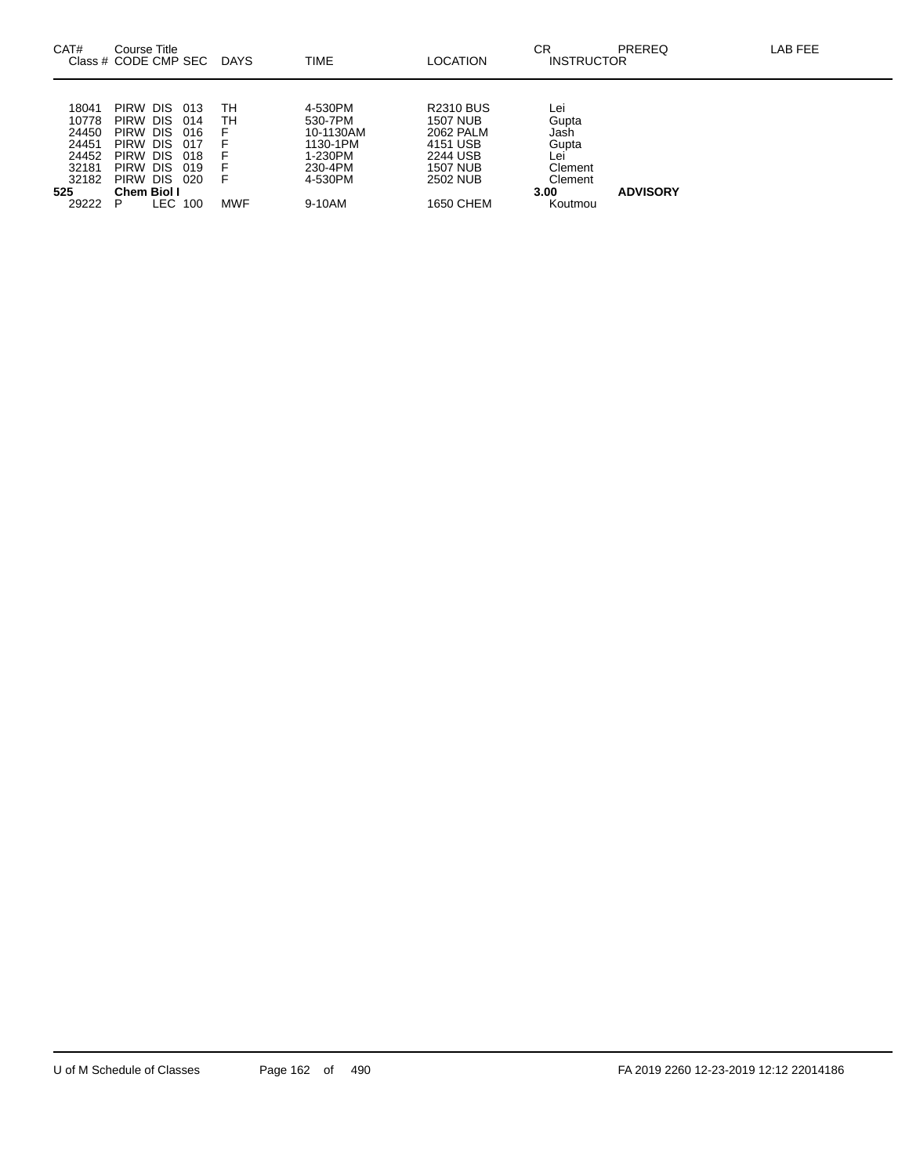| CAT#                                                                        | Course Title<br>Class # CODE CMP SEC                                                                                      |                                                       | DAYS                        | TIME                                                                                   | LOCATION                                                                                                      | СR<br><b>INSTRUCTOR</b>                                                       | <b>PREREQ</b>   | LAB FEE |
|-----------------------------------------------------------------------------|---------------------------------------------------------------------------------------------------------------------------|-------------------------------------------------------|-----------------------------|----------------------------------------------------------------------------------------|---------------------------------------------------------------------------------------------------------------|-------------------------------------------------------------------------------|-----------------|---------|
| 18041<br>10778<br>24450<br>24451<br>24452<br>32181<br>32182<br>525<br>29222 | <b>PIRW</b><br>DIS.<br>PIRW DIS<br>PIRW DIS<br>PIRW DIS<br>PIRW DIS<br>PIRW DIS<br>PIRW DIS<br><b>Chem Biol I</b><br>LEC. | 013<br>014<br>016<br>-017<br>018<br>019<br>020<br>100 | тн<br>тн<br>F<br><b>MWF</b> | 4-530PM<br>530-7PM<br>10-1130AM<br>1130-1PM<br>1-230PM<br>230-4PM<br>4-530PM<br>9-10AM | <b>R2310 BUS</b><br>1507 NUB<br>2062 PALM<br>4151 USB<br>2244 USB<br><b>1507 NUB</b><br>2502 NUB<br>1650 CHEM | Lei<br>Gupta<br>Jash<br>Gupta<br>Lei<br>Clement<br>Clement<br>3.00<br>Koutmou | <b>ADVISORY</b> |         |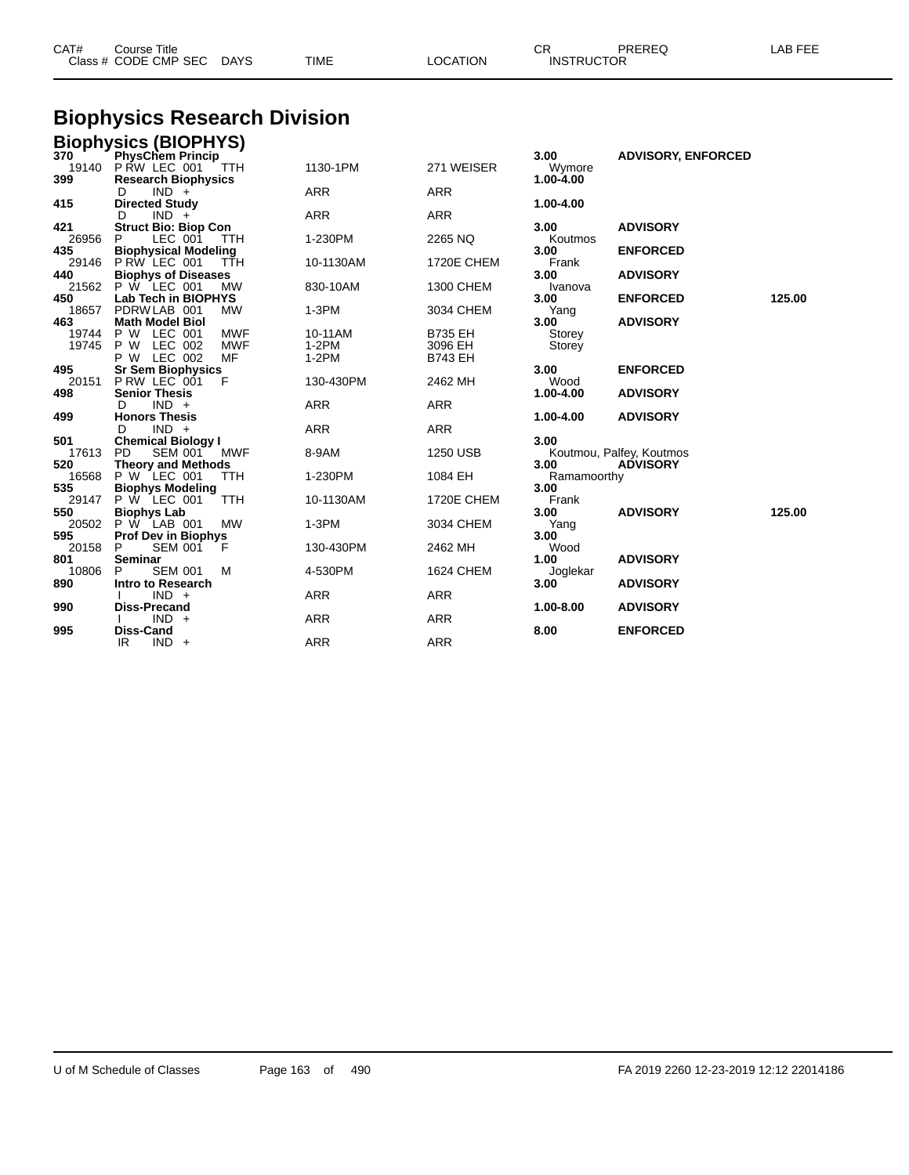| CAT#<br>Course Title<br>Class # CODE CMP SEC | <b>DAYS</b> | <b>TIME</b> | LOCATION | <b>^~</b><br><b>INSTRUCTOR</b> | PREREQ | LAB FEE |
|----------------------------------------------|-------------|-------------|----------|--------------------------------|--------|---------|
|                                              |             |             |          |                                |        |         |

#### **Biophysics Research Division**

|              | <b>Biophysics (BIOPHYS)</b><br>370 PhysChem Princip |            |            |                   |                 |                           |        |
|--------------|-----------------------------------------------------|------------|------------|-------------------|-----------------|---------------------------|--------|
|              |                                                     |            |            |                   | 3.00            | <b>ADVISORY, ENFORCED</b> |        |
|              | 19140 P RW LEC 001                                  | TTH        | 1130-1PM   | 271 WEISER        | Wymore          |                           |        |
| 399          | <b>Research Biophysics</b>                          |            |            |                   | $1.00 - 4.00$   |                           |        |
|              | $IND +$<br>D                                        |            | <b>ARR</b> | <b>ARR</b>        |                 |                           |        |
| 415          | <b>Directed Study</b>                               |            |            |                   | 1.00-4.00       |                           |        |
|              | $IND +$<br>D                                        |            | <b>ARR</b> | <b>ARR</b>        |                 |                           |        |
| 421          | <b>Struct Bio: Biop Con</b>                         |            |            |                   | 3.00            | <b>ADVISORY</b>           |        |
| 26956        | LEC 001<br>P.                                       | <b>TTH</b> | 1-230PM    | 2265 NQ           | Koutmos         |                           |        |
| 435          | <b>Biophysical Modeling</b>                         |            |            |                   | 3.00            | <b>ENFORCED</b>           |        |
| 29146        | P RW LEC 001                                        | TŤH        | 10-1130AM  | <b>1720E CHEM</b> | Frank           |                           |        |
| 440          | <b>Biophys of Diseases</b>                          |            |            |                   | 3.00            | <b>ADVISORY</b>           |        |
| 21562<br>450 | P W LEC 001<br>Lab Tech in BIOPHYS                  | <b>MW</b>  | 830-10AM   | 1300 CHEM         | Ivanova<br>3.00 | <b>ENFORCED</b>           | 125.00 |
| 18657        | PDRW LAB 001                                        | <b>MW</b>  | $1-3PM$    | 3034 CHEM         | Yang            |                           |        |
| 463          | <b>Math Model Biol</b>                              |            |            |                   | 3.00            | <b>ADVISORY</b>           |        |
| 19744        | P W LEC 001                                         | <b>MWF</b> | 10-11AM    | <b>B735 EH</b>    | Storey          |                           |        |
| 19745        | P W LEC 002                                         | <b>MWF</b> | $1-2PM$    | 3096 EH           | Storey          |                           |        |
|              | P W LEC 002                                         | MF         | $1-2PM$    | <b>B743 EH</b>    |                 |                           |        |
| 495          | <b>Sr Sem Biophysics</b>                            |            |            |                   | 3.00            | <b>ENFORCED</b>           |        |
| 20151        | P RW LEC 001                                        | F          | 130-430PM  | 2462 MH           | Wood            |                           |        |
| 498          | <b>Senior Thesis</b>                                |            |            |                   | 1.00-4.00       | <b>ADVISORY</b>           |        |
|              | $IND +$<br>D                                        |            | <b>ARR</b> | <b>ARR</b>        |                 |                           |        |
| 499          | <b>Honors Thesis</b>                                |            |            |                   | 1.00-4.00       | <b>ADVISORY</b>           |        |
|              | $IND +$<br>D                                        |            | <b>ARR</b> | <b>ARR</b>        |                 |                           |        |
| 501          | <b>Chemical Biology I</b>                           |            |            |                   | 3.00            |                           |        |
| 17613        | <b>PD</b><br><b>SEM 001</b>                         | <b>MWF</b> | 8-9AM      | 1250 USB          |                 | Koutmou, Palfey, Koutmos  |        |
| 520          | <b>Theory and Methods</b>                           |            |            |                   | 3.00            | <b>ADVISORY</b>           |        |
| 16568        | P W LEC 001                                         | TTH        | 1-230PM    | 1084 EH           | Ramamoorthy     |                           |        |
| 535          | <b>Biophys Modeling</b>                             |            |            |                   | 3.00            |                           |        |
| 29147        | P W LEC 001                                         | TTH        | 10-1130AM  | <b>1720E CHEM</b> | Frank           |                           |        |
| 550          | <b>Biophys Lab</b>                                  |            |            |                   | 3.00            | <b>ADVISORY</b>           | 125.00 |
| 20502        | P W LAB 001                                         | <b>MW</b>  | $1-3PM$    | 3034 CHEM         | Yang            |                           |        |
| 595          | <b>Prof Dev in Biophys</b>                          |            |            |                   | 3.00            |                           |        |
| 20158        | SEM 001<br>P                                        | F          | 130-430PM  | 2462 MH           | Wood            |                           |        |
| 801          | Seminar                                             |            |            |                   | 1.00            | <b>ADVISORY</b>           |        |
| 10806        | <b>SEM 001</b><br>P                                 | м          | 4-530PM    | <b>1624 CHEM</b>  | Joglekar        |                           |        |
| 890          | <b>Intro to Research</b>                            |            |            |                   | 3.00            | <b>ADVISORY</b>           |        |
| 990          | $IND +$<br><b>Diss-Precand</b>                      |            | <b>ARR</b> | <b>ARR</b>        | 1.00-8.00       | <b>ADVISORY</b>           |        |
|              | $IND +$                                             |            | <b>ARR</b> | <b>ARR</b>        |                 |                           |        |
| 995          | Diss-Cand                                           |            |            |                   | 8.00            | <b>ENFORCED</b>           |        |
|              | $IND +$<br>IR                                       |            | <b>ARR</b> | <b>ARR</b>        |                 |                           |        |
|              |                                                     |            |            |                   |                 |                           |        |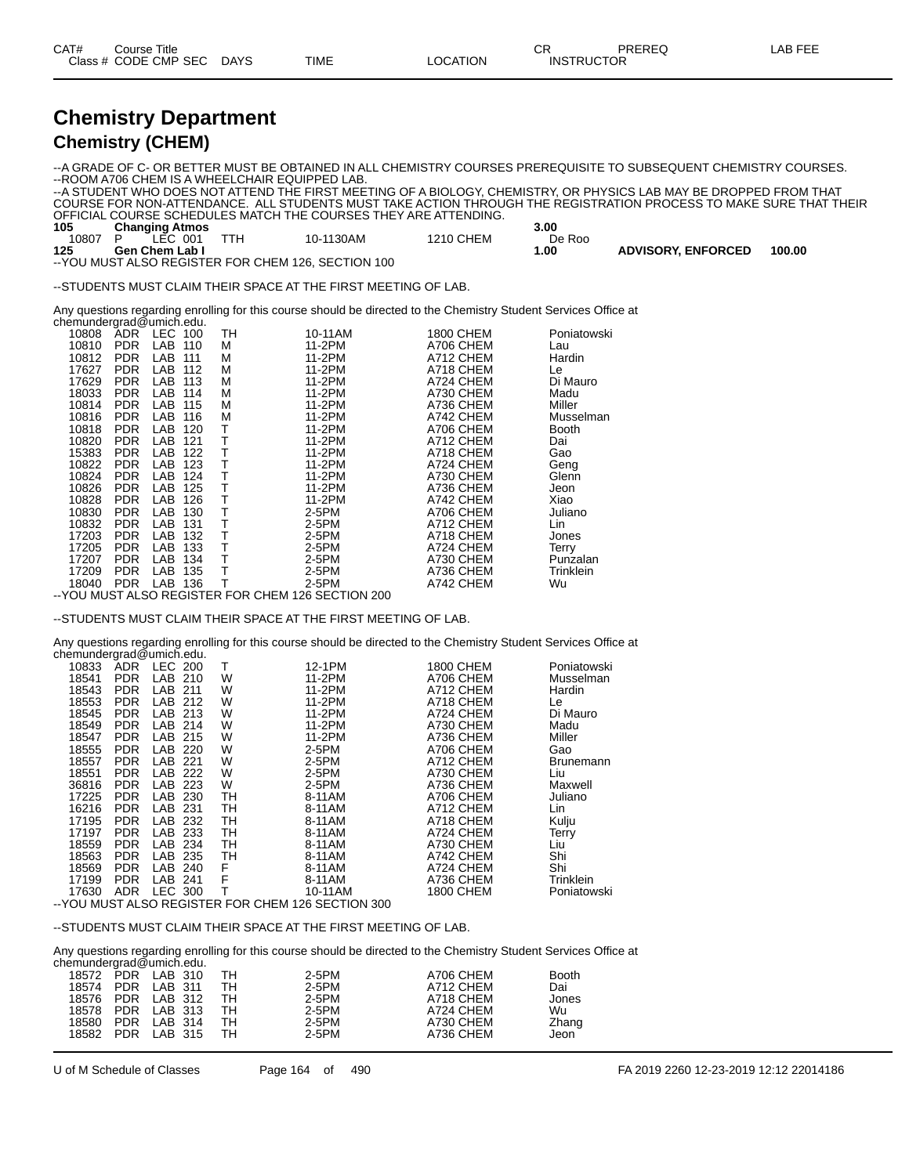| CAT# | Title<br>Course      |             |             |                 | ~~<br>◡⊓          | PREREC | _AB FEF |
|------|----------------------|-------------|-------------|-----------------|-------------------|--------|---------|
|      | Class # CODE CMP SEC | <b>DAYS</b> | <b>TIME</b> | <b>LOCATION</b> | <b>INSTRUCTOR</b> |        |         |

#### **Chemistry Department Chemistry (CHEM)**

--A GRADE OF C- OR BETTER MUST BE OBTAINED IN ALL CHEMISTRY COURSES PREREQUISITE TO SUBSEQUENT CHEMISTRY COURSES. --ROOM A706 CHEM IS A WHEELCHAIR EQUIPPED LAB. --A STUDENT WHO DOES NOT ATTEND THE FIRST MEETING OF A BIOLOGY, CHEMISTRY, OR PHYSICS LAB MAY BE DROPPED FROM THAT COURSE FOR NON-ATTENDANCE. ALL STUDENTS MUST TAKE ACTION THROUGH THE REGISTRATION PROCESS TO MAKE SURE THAT THEIR OFFICIAL COURSE SCHEDULES MATCH THE COURSES THEY ARE ATTENDING. **Changing Atmos 3.00** 10807 P LEC 001 TTH 10-1130AM 1210 CHEM De Roo 125 Gen Chem Lab I **Gen Chem Lab I 1.00 ADVISORY, ENFORCED 100.00** --YOU MUST ALSO REGISTER FOR CHEM 126, SECTION 100

--STUDENTS MUST CLAIM THEIR SPACE AT THE FIRST MEETING OF LAB.

Any questions regarding enrolling for this course should be directed to the Chemistry Student Services Office at chemundergrad@umich.edu.

| 10808 | <b>ADR</b> | <b>LEC</b> | 100 | TН | 10-11AM | <b>1800 CHEM</b> | Poniatowski  |
|-------|------------|------------|-----|----|---------|------------------|--------------|
| 10810 | <b>PDR</b> | LAB        | 110 | M  | 11-2PM  | A706 CHEM        | Lau          |
| 10812 | <b>PDR</b> | LAB        | 111 | M  | 11-2PM  | A712 CHEM        | Hardin       |
| 17627 | <b>PDR</b> | LAB        | 112 | М  | 11-2PM  | A718 CHEM        | Le           |
| 17629 | <b>PDR</b> | LAB        | 113 | М  | 11-2PM  | A724 CHEM        | Di Mauro     |
| 18033 | <b>PDR</b> | LAB        | 114 | М  | 11-2PM  | A730 CHEM        | Madu         |
| 10814 | <b>PDR</b> | LAB        | 115 | М  | 11-2PM  | A736 CHEM        | Miller       |
| 10816 | <b>PDR</b> | LAB        | 116 | М  | 11-2PM  | A742 CHEM        | Musselman    |
| 10818 | <b>PDR</b> | LAB        | 120 | т  | 11-2PM  | A706 CHEM        | <b>Booth</b> |
| 10820 | <b>PDR</b> | LAB        | 121 | т  | 11-2PM  | A712 CHEM        | Dai          |
| 15383 | <b>PDR</b> | LAB        | 122 | т  | 11-2PM  | A718 CHEM        | Gao          |
| 10822 | <b>PDR</b> | LAB        | 123 | т  | 11-2PM  | A724 CHEM        | Geng         |
| 10824 | <b>PDR</b> | LAB        | 124 | т  | 11-2PM  | A730 CHEM        | Glenn        |
| 10826 | <b>PDR</b> | LAB        | 125 | т  | 11-2PM  | A736 CHEM        | Jeon         |
| 10828 | <b>PDR</b> | LAB        | 126 | т  | 11-2PM  | A742 CHEM        | Xiao         |
| 10830 | <b>PDR</b> | LAB        | 130 | Т  | 2-5PM   | A706 CHEM        | Juliano      |
| 10832 | <b>PDR</b> | LAB        | 131 | т  | $2-5PM$ | A712 CHEM        | Lin          |
| 17203 | <b>PDR</b> | LAB        | 132 |    | 2-5PM   | A718 CHEM        | Jones        |
| 17205 | <b>PDR</b> | LAB        | 133 | Т  | $2-5PM$ | A724 CHEM        | Terry        |
| 17207 | <b>PDR</b> | LAB        | 134 | т  | 2-5PM   | A730 CHEM        | Punzalan     |
| 17209 | <b>PDR</b> | LAB        | 135 | Т  | $2-5PM$ | A736 CHEM        | Trinklein    |
| 18040 | <b>PDR</b> | LAB        | 136 | Т  | 2-5PM   | A742 CHEM        | Wu           |

--YOU MUST ALSO REGISTER FOR CHEM 126 SECTION 200

--STUDENTS MUST CLAIM THEIR SPACE AT THE FIRST MEETING OF LAB.

Any questions regarding enrolling for this course should be directed to the Chemistry Student Services Office at chemundergrad@umich.edu.

| 10833 | <b>ADR</b> | LEC 200 |     | т  | 12-1PM                                             | <b>1800 CHEM</b> | Poniatowski      |
|-------|------------|---------|-----|----|----------------------------------------------------|------------------|------------------|
| 18541 | <b>PDR</b> | LAB     | 210 | W  | 11-2PM                                             | A706 CHEM        | Musselman        |
| 18543 | PDR.       | LAB     | 211 | W  | 11-2PM                                             | A712 CHEM        | Hardin           |
| 18553 | <b>PDR</b> | LAB     | 212 | W  | 11-2PM                                             | A718 CHEM        | Le               |
| 18545 | PDR.       | LAB     | 213 | W  | 11-2PM                                             | A724 CHEM        | Di Mauro         |
| 18549 | PDR.       | LAB.    | 214 | W  | 11-2PM                                             | A730 CHEM        | Madu             |
| 18547 | <b>PDR</b> | LAB     | 215 | W  | 11-2PM                                             | A736 CHEM        | Miller           |
| 18555 | PDR.       | LAB     | 220 | W  | 2-5PM                                              | A706 CHEM        | Gao              |
| 18557 | <b>PDR</b> | LAB     | 221 | W  | 2-5PM                                              | A712 CHEM        | <b>Brunemann</b> |
| 18551 | PDR.       | LAB     | 222 | W  | 2-5PM                                              | A730 CHEM        | Liu              |
| 36816 | <b>PDR</b> | LAB     | 223 | W  | 2-5PM                                              | A736 CHEM        | Maxwell          |
| 17225 | PDR.       | LAB     | 230 | TН | 8-11AM                                             | A706 CHEM        | Juliano          |
| 16216 | PDR.       | LAB     | 231 | TН | 8-11AM                                             | A712 CHEM        | Lin              |
| 17195 | <b>PDR</b> | LAB     | 232 | TH | 8-11AM                                             | A718 CHEM        | Kulju            |
| 17197 | <b>PDR</b> | LAB     | 233 | TH | 8-11AM                                             | A724 CHEM        | Terry            |
| 18559 | <b>PDR</b> | LAB     | 234 | TН | 8-11AM                                             | A730 CHEM        | Liu              |
| 18563 | <b>PDR</b> | LAB     | 235 | TН | 8-11AM                                             | A742 CHEM        | Shi              |
| 18569 | <b>PDR</b> | LAB     | 240 | F  | 8-11AM                                             | A724 CHEM        | Shi              |
| 17199 | PDR.       | LAB     | 241 | F  | 8-11AM                                             | A736 CHEM        | Trinklein        |
| 17630 | ADR.       | LEC 300 |     |    | 10-11AM                                            | <b>1800 CHEM</b> | Poniatowski      |
|       |            |         |     |    | -- YOU MUST ALSO REGISTER FOR CHEM 126 SECTION 300 |                  |                  |

--STUDENTS MUST CLAIM THEIR SPACE AT THE FIRST MEETING OF LAB.

Any questions regarding enrolling for this course should be directed to the Chemistry Student Services Office at

| chemundergrad@umich.edu. |                   |    |       |           |              |
|--------------------------|-------------------|----|-------|-----------|--------------|
|                          | 18572 PDR LAB 310 | тн | 2-5PM | A706 CHEM | <b>Booth</b> |
| 18574                    | PDR LAB 311       | TН | 2-5PM | A712 CHEM | Dai          |
| 18576                    | PDR LAB 312       | тн | 2-5PM | A718 CHEM | Jones        |
| 18578                    | PDR LAB 313       | тн | 2-5PM | A724 CHEM | Wu           |
| 18580                    | PDR LAB 314       | тн | 2-5PM | A730 CHEM | Zhang        |
| 18582                    | PDR LAB 315       | тн | 2-5PM | A736 CHEM | Jeon         |
|                          |                   |    |       |           |              |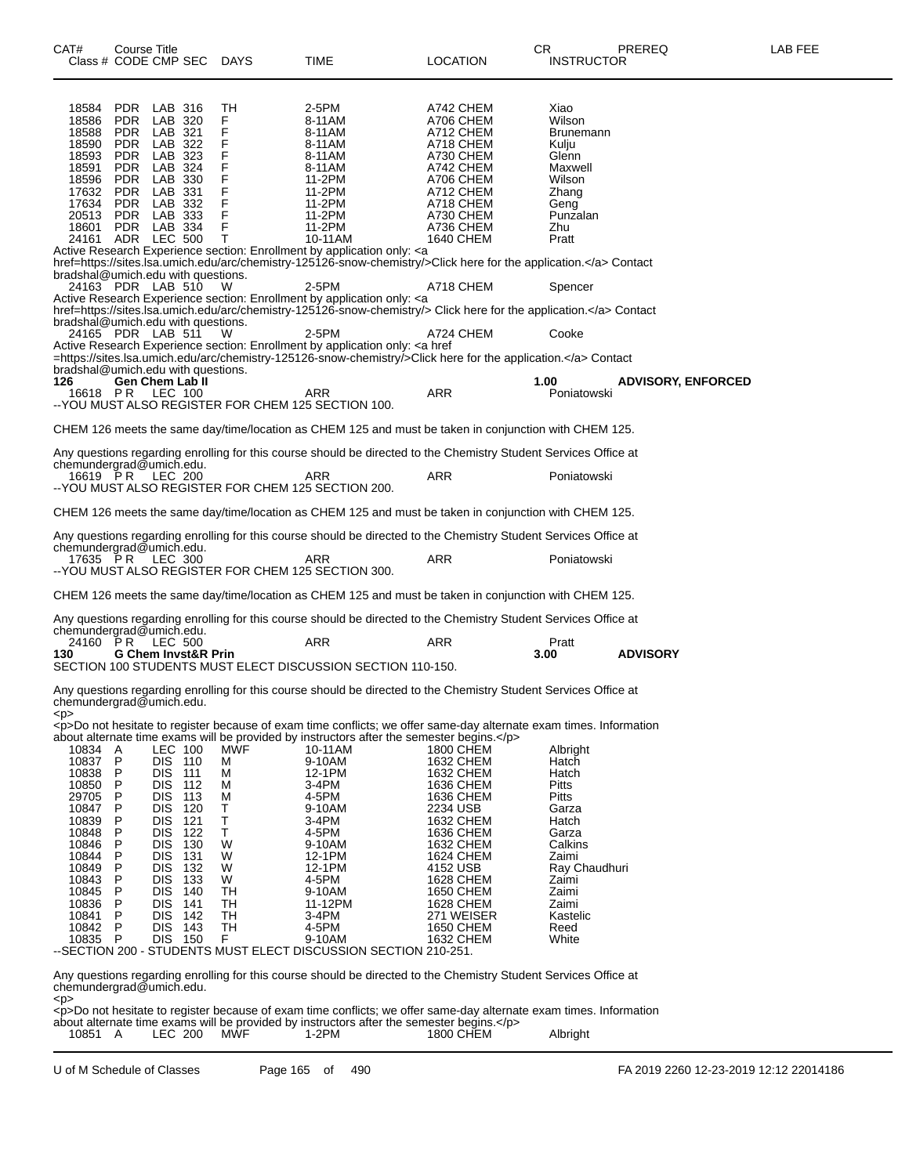| CAT#<br>Class # CODE CMP SEC       | Course Title                     | DAYS     | TIME                                                                                                                                  | <b>LOCATION</b>        | CR<br><b>INSTRUCTOR</b> | PREREQ                    | LAB FEE |
|------------------------------------|----------------------------------|----------|---------------------------------------------------------------------------------------------------------------------------------------|------------------------|-------------------------|---------------------------|---------|
|                                    |                                  |          |                                                                                                                                       |                        |                         |                           |         |
| <b>PDR</b><br>18584                | LAB 316                          | TН       | 2-5PM                                                                                                                                 | A742 CHEM              | Xiao                    |                           |         |
| 18586<br><b>PDR</b>                | LAB 320                          | F        | 8-11AM                                                                                                                                | A706 CHEM              | Wilson                  |                           |         |
| 18588<br><b>PDR</b>                | LAB 321                          | F        | 8-11AM                                                                                                                                | A712 CHEM              | <b>Brunemann</b>        |                           |         |
| 18590<br><b>PDR</b>                | LAB 322                          | F        | 8-11AM                                                                                                                                | A718 CHEM              | Kulju                   |                           |         |
| 18593<br><b>PDR</b>                | LAB 323                          | F        | 8-11AM                                                                                                                                | A730 CHEM              | Glenn                   |                           |         |
| 18591<br><b>PDR</b>                | LAB 324                          | F        | 8-11AM                                                                                                                                | A742 CHEM              | Maxwell                 |                           |         |
| 18596<br><b>PDR</b>                | LAB 330                          | F        | 11-2PM                                                                                                                                | A706 CHEM              | Wilson                  |                           |         |
| 17632<br><b>PDR</b>                | LAB 331                          | F        | 11-2PM                                                                                                                                | A712 CHEM              | Zhang                   |                           |         |
| 17634<br><b>PDR</b>                | LAB 332                          | F        | 11-2PM                                                                                                                                | A718 CHEM              | Geng                    |                           |         |
| 20513<br><b>PDR</b>                | LAB 333                          | F        | 11-2PM                                                                                                                                | A730 CHEM              | Punzalan                |                           |         |
| 18601<br><b>PDR</b>                | LAB 334<br><b>LEC 500</b>        | F<br>Τ   | 11-2PM<br>10-11AM                                                                                                                     | A736 CHEM              | Zhu                     |                           |         |
| 24161 ADR                          |                                  |          | Active Research Experience section: Enrollment by application only: <a< td=""><td>1640 CHEM</td><td>Pratt</td><td></td><td></td></a<> | 1640 CHEM              | Pratt                   |                           |         |
|                                    |                                  |          | href=https://sites.lsa.umich.edu/arc/chemistry-125126-snow-chemistry/>Click here for the application. Contact                         |                        |                         |                           |         |
| bradshal@umich.edu with questions. |                                  |          |                                                                                                                                       |                        |                         |                           |         |
| 24163 PDR LAB 510                  |                                  | w        | 2-5PM                                                                                                                                 | A718 CHEM              | Spencer                 |                           |         |
|                                    |                                  |          | Active Research Experience section: Enrollment by application only: <a< td=""><td></td><td></td><td></td><td></td></a<>               |                        |                         |                           |         |
|                                    |                                  |          | href=https://sites.lsa.umich.edu/arc/chemistry-125126-snow-chemistry/> Click here for the application. Contact                        |                        |                         |                           |         |
| bradshal@umich.edu with questions. |                                  |          |                                                                                                                                       |                        |                         |                           |         |
| 24165 PDR LAB 511                  |                                  | W        | 2-5PM                                                                                                                                 | A724 CHEM              | Cooke                   |                           |         |
|                                    |                                  |          | Active Research Experience section: Enrollment by application only: < a href                                                          |                        |                         |                           |         |
|                                    |                                  |          | =https://sites.lsa.umich.edu/arc/chemistry-125126-snow-chemistry/>Click here for the application. Contact                             |                        |                         |                           |         |
| bradshal@umich.edu with questions. |                                  |          |                                                                                                                                       |                        |                         |                           |         |
| 126                                | Gen Chem Lab II                  |          |                                                                                                                                       |                        | 1.00                    | <b>ADVISORY, ENFORCED</b> |         |
| 16618 PR                           | LEC 100                          |          | ARR<br>-- YOU MUST ALSO REGISTER FOR CHEM 125 SECTION 100.                                                                            | <b>ARR</b>             | Poniatowski             |                           |         |
|                                    |                                  |          |                                                                                                                                       |                        |                         |                           |         |
|                                    |                                  |          | CHEM 126 meets the same day/time/location as CHEM 125 and must be taken in conjunction with CHEM 125.                                 |                        |                         |                           |         |
|                                    |                                  |          |                                                                                                                                       |                        |                         |                           |         |
|                                    |                                  |          | Any questions regarding enrolling for this course should be directed to the Chemistry Student Services Office at                      |                        |                         |                           |         |
| chemundergrad@umich.edu.           |                                  |          |                                                                                                                                       |                        |                         |                           |         |
| 16619 PR                           | LEC 200                          |          | ARR                                                                                                                                   | ARR                    | Poniatowski             |                           |         |
|                                    |                                  |          | -- YOU MUST ALSO REGISTER FOR CHEM 125 SECTION 200.                                                                                   |                        |                         |                           |         |
|                                    |                                  |          |                                                                                                                                       |                        |                         |                           |         |
|                                    |                                  |          | CHEM 126 meets the same day/time/location as CHEM 125 and must be taken in conjunction with CHEM 125.                                 |                        |                         |                           |         |
|                                    |                                  |          | Any questions regarding enrolling for this course should be directed to the Chemistry Student Services Office at                      |                        |                         |                           |         |
| chemundergrad@umich.edu.           |                                  |          |                                                                                                                                       |                        |                         |                           |         |
| 17635 PR LEC 300                   |                                  |          | ARR                                                                                                                                   | ARR                    | Poniatowski             |                           |         |
|                                    |                                  |          | -- YOU MUST ALSO REGISTER FOR CHEM 125 SECTION 300.                                                                                   |                        |                         |                           |         |
|                                    |                                  |          |                                                                                                                                       |                        |                         |                           |         |
|                                    |                                  |          | CHEM 126 meets the same day/time/location as CHEM 125 and must be taken in conjunction with CHEM 125.                                 |                        |                         |                           |         |
|                                    |                                  |          |                                                                                                                                       |                        |                         |                           |         |
|                                    |                                  |          | Any questions regarding enrolling for this course should be directed to the Chemistry Student Services Office at                      |                        |                         |                           |         |
| chemundergrad@umich.edu.           |                                  |          |                                                                                                                                       |                        |                         |                           |         |
| 24160 PR                           | <b>LEC 500</b>                   |          | ARR                                                                                                                                   | ARR                    | Pratt                   |                           |         |
| 130                                | <b>G Chem Invst&amp;R Prin</b>   |          | SECTION 100 STUDENTS MUST ELECT DISCUSSION SECTION 110-150.                                                                           |                        | 3.00                    | <b>ADVISORY</b>           |         |
|                                    |                                  |          |                                                                                                                                       |                        |                         |                           |         |
|                                    |                                  |          | Any questions regarding enrolling for this course should be directed to the Chemistry Student Services Office at                      |                        |                         |                           |         |
| chemundergrad@umich.edu.           |                                  |          |                                                                                                                                       |                        |                         |                           |         |
| < p >                              |                                  |          |                                                                                                                                       |                        |                         |                           |         |
|                                    |                                  |          | <p>Do not hesitate to register because of exam time conflicts; we offer same-day alternate exam times. Information</p>                |                        |                         |                           |         |
|                                    |                                  |          | about alternate time exams will be provided by instructors after the semester begins.                                                 |                        |                         |                           |         |
| 10834 A                            | LEC 100                          | MWF      | 10-11AM                                                                                                                               | <b>1800 CHEM</b>       | Albright                |                           |         |
| $\mathsf{P}$<br>10837              | DIS 110                          | м        | 9-10AM                                                                                                                                | 1632 CHEM              | Hatch                   |                           |         |
| 10838<br>P                         | <b>DIS</b><br>111                | м        | 12-1PM                                                                                                                                | 1632 CHEM              | Hatch                   |                           |         |
| 10850<br>P                         | DIS.<br>112                      | м        | 3-4PM                                                                                                                                 | 1636 CHEM              | <b>Pitts</b>            |                           |         |
| P<br>29705                         | DIS.<br>113                      | м        | 4-5PM                                                                                                                                 | 1636 CHEM              | Pitts                   |                           |         |
| 10847<br>P                         | DIS.<br>120                      | Т        | 9-10AM                                                                                                                                | 2234 USB               | Garza                   |                           |         |
| 10839<br>P                         | <b>DIS</b><br>121                | T        | 3-4PM                                                                                                                                 | 1632 CHEM              | Hatch                   |                           |         |
| 10848<br>P                         | <b>DIS</b><br>122                | $\sf T$  | 4-5PM                                                                                                                                 | 1636 CHEM              | Garza                   |                           |         |
| 10846<br>P                         | <b>DIS</b><br>130                | W        | 9-10AM                                                                                                                                | 1632 CHEM              | Calkins                 |                           |         |
| 10844<br>P                         | <b>DIS</b><br>131                | W        | 12-1PM                                                                                                                                | 1624 CHEM              | Zaimi                   |                           |         |
| 10849<br>P                         | <b>DIS</b><br>132                | W        | 12-1PM                                                                                                                                | 4152 USB               | Ray Chaudhuri           |                           |         |
| 10843<br>P                         | DIS.<br>133                      | W        | 4-5PM                                                                                                                                 | <b>1628 CHEM</b>       | Zaimi                   |                           |         |
| 10845<br>P                         | DIS.<br>140                      | TH       | 9-10AM                                                                                                                                | 1650 CHEM              | Zaimi                   |                           |         |
| 10836<br>P<br>10841<br>P           | DIS.<br>141<br><b>DIS</b><br>142 | TН<br>TН | 11-12PM                                                                                                                               | 1628 CHEM              | Zaimi<br>Kastelic       |                           |         |
| P                                  | 143                              | TH       | 3-4PM<br>4-5PM                                                                                                                        | 271 WEISER             | Reed                    |                           |         |
| 10842<br>10835<br>P                | DIS.<br><b>DIS 150</b>           | F        | 9-10AM                                                                                                                                | 1650 CHEM<br>1632 CHEM | White                   |                           |         |
|                                    |                                  |          | --SECTION 200 - STUDENTS MUST ELECT DISCUSSION SECTION 210-251.                                                                       |                        |                         |                           |         |
|                                    |                                  |          |                                                                                                                                       |                        |                         |                           |         |
|                                    |                                  |          | Any questions regarding enrolling for this course should be directed to the Chemistry Student Services Office at                      |                        |                         |                           |         |
| chemundergrad@umich.edu.           |                                  |          |                                                                                                                                       |                        |                         |                           |         |
| < p                                |                                  |          |                                                                                                                                       |                        |                         |                           |         |
|                                    |                                  |          | <p>Do not hesitate to register because of exam time conflicts; we offer same-day alternate exam times. Information</p>                |                        |                         |                           |         |
|                                    |                                  |          | about alternate time exams will be provided by instructors after the semester begins.                                                 |                        |                         |                           |         |
| 10851 A                            | LEC 200                          | MWF      | 1-2PM                                                                                                                                 | 1800 CHEM              | Albright                |                           |         |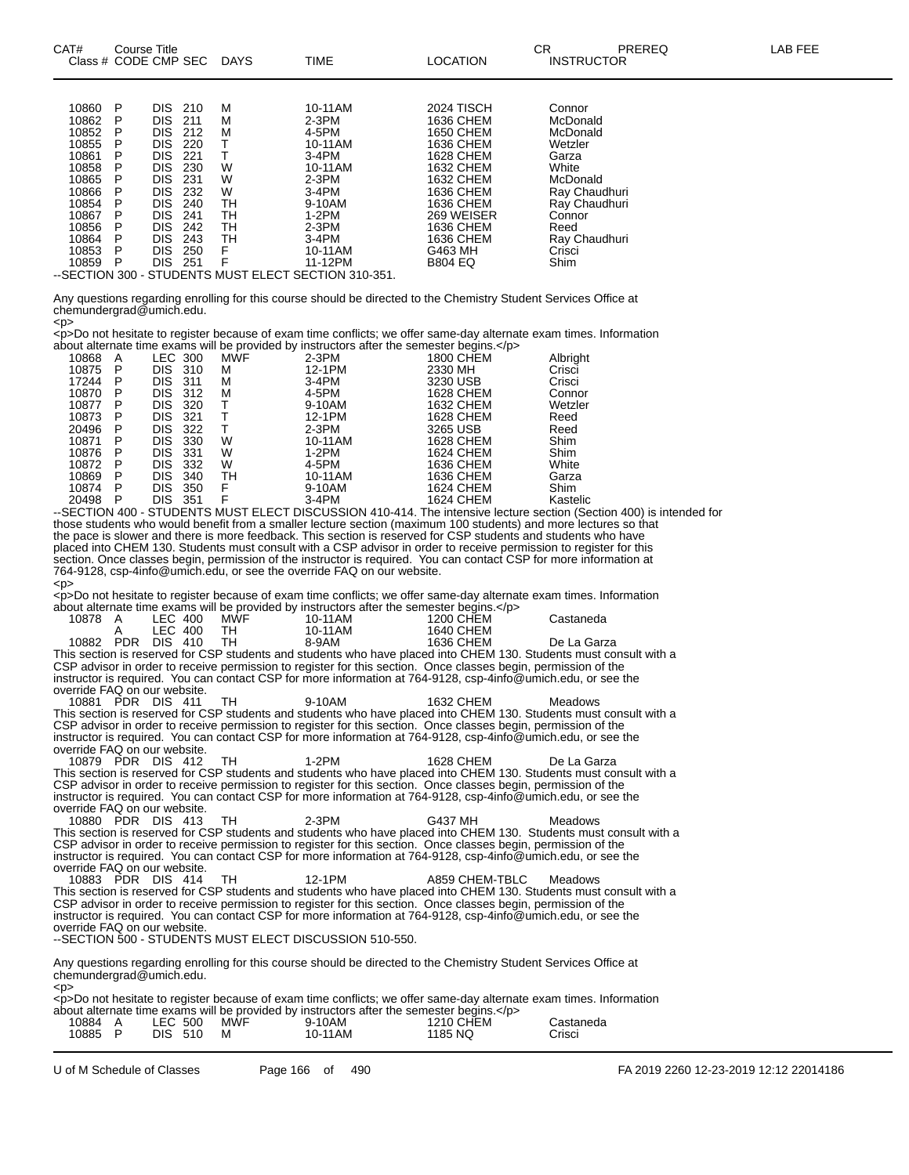| CAT#<br>Course Title<br>Class # CODE CMP SEC                                                                                                                                                                                                  | <b>DAYS</b>                                                                                                                            | <b>TIME</b>                                                                                                                 | <b>LOCATION</b>                                                                                                                                                   | СR<br>LAB FEE<br>PREREQ<br><b>INSTRUCTOR</b>                                                                                                 |  |
|-----------------------------------------------------------------------------------------------------------------------------------------------------------------------------------------------------------------------------------------------|----------------------------------------------------------------------------------------------------------------------------------------|-----------------------------------------------------------------------------------------------------------------------------|-------------------------------------------------------------------------------------------------------------------------------------------------------------------|----------------------------------------------------------------------------------------------------------------------------------------------|--|
| 10860<br>DIS.<br>- P<br>10862<br>DIS.<br>10852<br>DIS.<br>- P<br>10855<br>DIS.<br>10861<br>DIS<br>10858<br>DIS<br>P<br>10865<br><b>DIS</b><br>P<br>10866<br>DIS.<br>10854<br>DIS.<br>P<br>10867<br>DIS.<br>10856<br>DIS.<br>DIS<br>10864<br>P | 210<br>м<br>м<br>211<br>212<br>м<br>220<br>221<br>w<br>230<br>W<br>231<br>W<br>232<br>240<br>TН<br>241<br>TН<br>242<br>TН<br>TН<br>243 | 10-11AM<br>$2-3PM$<br>4-5PM<br>10-11AM<br>$3-4PM$<br>10-11AM<br>$2-3PM$<br>$3-4PM$<br>9-10AM<br>1-2PM<br>$2-3PM$<br>$3-4PM$ | <b>2024 TISCH</b><br>1636 CHEM<br>1650 CHEM<br>1636 CHEM<br>1628 CHEM<br>1632 CHEM<br>1632 CHEM<br>1636 CHEM<br>1636 CHEM<br>269 WEISER<br>1636 CHEM<br>1636 CHEM | Connor<br>McDonald<br>McDonald<br>Wetzler<br>Garza<br>White<br>McDonald<br>Ray Chaudhuri<br>Ray Chaudhuri<br>Connor<br>Reed<br>Rav Chaudhuri |  |

Any questions regarding enrolling for this course should be directed to the Chemistry Student Services Office at chemundergrad@umich.edu. <p>

10853 P DIS 250 F 10-11AM G463 MH Crisci 10859 P DIS 251 F 11-12PM B804 EQ Shim

--SECTION 300 - STUDENTS MUST ELECT SECTION 310-351.

<p>Do not hesitate to register because of exam time conflicts; we offer same-day alternate exam times. Information about alternate time exams will be provided by instructors after the semester begins.</p>

| 10868 | A | LEC.       | 300 | <b>MWF</b> | $2-3PM$ | 1800 CHEM        | Albright    |
|-------|---|------------|-----|------------|---------|------------------|-------------|
| 10875 | P | <b>DIS</b> | 310 | м          | 12-1PM  | 2330 MH          | Crisci      |
| 17244 | P | DIS        | 311 | м          | $3-4PM$ | 3230 USB         | Crisci      |
| 10870 | Р | DIS        | 312 | м          | 4-5PM   | 1628 CHEM        | Connor      |
| 10877 | P | DIS        | 320 |            | 9-10AM  | 1632 CHEM        | Wetzler     |
| 10873 | P | DIS        | 321 |            | 12-1PM  | 1628 CHEM        | Reed        |
| 20496 | P | DIS        | 322 |            | $2-3PM$ | 3265 USB         | Reed        |
| 10871 | P | DIS        | 330 | W          | 10-11AM | 1628 CHEM        | Shim        |
| 10876 | P | <b>DIS</b> | 331 | W          | $1-2PM$ | 1624 CHEM        | Shim        |
| 10872 | P | DIS        | 332 | W          | 4-5PM   | 1636 CHEM        | White       |
| 10869 | P | DIS        | 340 | TН         | 10-11AM | 1636 CHEM        | Garza       |
| 10874 | P | DIS        | 350 | F          | 9-10AM  | <b>1624 CHEM</b> | <b>Shim</b> |
| 20498 | P | DIS        | 351 |            | $3-4PM$ | 1624 CHEM        | Kastelic    |
|       |   |            |     |            |         |                  |             |

--SECTION 400 - STUDENTS MUST ELECT DISCUSSION 410-414. The intensive lecture section (Section 400) is intended for those students who would benefit from a smaller lecture section (maximum 100 students) and more lectures so that the pace is slower and there is more feedback. This section is reserved for CSP students and students who have placed into CHEM 130. Students must consult with a CSP advisor in order to receive permission to register for this section. Once classes begin, permission of the instructor is required. You can contact CSP for more information at 764-9128, csp-4info@umich.edu, or see the override FAQ on our website.  $<$ D>

<p>Do not hesitate to register because of exam time conflicts; we offer same-day alternate exam times. Information about alternate time exams will be provided by instructors after the semester begins.</p>

|           |         |      | about alternate thric exams will be provided by instructors after the scrittster begins.                       |           |                                                                                                                    |
|-----------|---------|------|----------------------------------------------------------------------------------------------------------------|-----------|--------------------------------------------------------------------------------------------------------------------|
| 10878 A   | LEC 400 | MWF  | 10-11AM                                                                                                        | 1200 CHEM | Castaneda                                                                                                          |
|           | LEC 400 | TH.  | 10-11AM                                                                                                        | 1640 CHEM |                                                                                                                    |
| 10882 PDR | DIS 410 | - тн | 8-9AM                                                                                                          | 1636 CHFM | De La Garza                                                                                                        |
|           |         |      |                                                                                                                |           | This section is reserved for CSP students and students who have placed into CHEM 130. Students must consult with a |
|           |         |      | CSP advisor in order to receive permission to register for this section. Once classes begin, permission of the |           |                                                                                                                    |
|           |         |      | instructor is required. You can contact CSP for more information at 764-9128, csp-4info@umich.edu, or see the  |           |                                                                                                                    |

override FAQ on our website.<br>10881 PDR DIS 411 10881 PDR DIS 411 TH 9-10AM 1632 CHEM Meadows This section is reserved for CSP students and students who have placed into CHEM 130. Students must consult with a CSP advisor in order to receive permission to register for this section. Once classes begin, permission of the instructor is required. You can contact CSP for more information at 764-9128, csp-4info@umich.edu, or see the override FAQ on our website.

10879 PDR DIS 412 TH 1-2PM 1628 CHEM De La Garza This section is reserved for CSP students and students who have placed into CHEM 130. Students must consult with a CSP advisor in order to receive permission to register for this section. Once classes begin, permission of the instructor is required. You can contact CSP for more information at 764-9128, csp-4info@umich.edu, or see the override FAQ on our website.<br>10880 PDR DIS 413

10880 PDR DIS 413 TH 2-3PM G437 MH Meadows This section is reserved for CSP students and students who have placed into CHEM 130. Students must consult with a CSP advisor in order to receive permission to register for this section. Once classes begin, permission of the instructor is required. You can contact CSP for more information at 764-9128, csp-4info@umich.edu, or see the override FAQ on our website.

10883 PDR DIS 414 TH 12-1PM A859 CHEM-TBLC Meadows This section is reserved for CSP students and students who have placed into CHEM 130. Students must consult with a CSP advisor in order to receive permission to register for this section. Once classes begin, permission of the instructor is required. You can contact CSP for more information at 764-9128, csp-4info@umich.edu, or see the override FAQ on our website. --SECTION 500 - STUDENTS MUST ELECT DISCUSSION 510-550.

Any questions regarding enrolling for this course should be directed to the Chemistry Student Services Office at chemundergrad@umich.edu.

 $<$ p> <p>Do not hesitate to register because of exam time conflicts; we offer same-day alternate exam times. Information about alternate time exams will be provided by instructors after the semester begins.

|         |         |     |         | about alternate time exams will be brovided by instructors after the semester bedins. Op- |           |  |
|---------|---------|-----|---------|-------------------------------------------------------------------------------------------|-----------|--|
| 10884 A | LEC 500 | MWF | 9-10AM  | 1210 CHEM                                                                                 | Castaneda |  |
| 10885 P | DIS 510 |     | 10-11AM | 1185 NQ                                                                                   | Crisci    |  |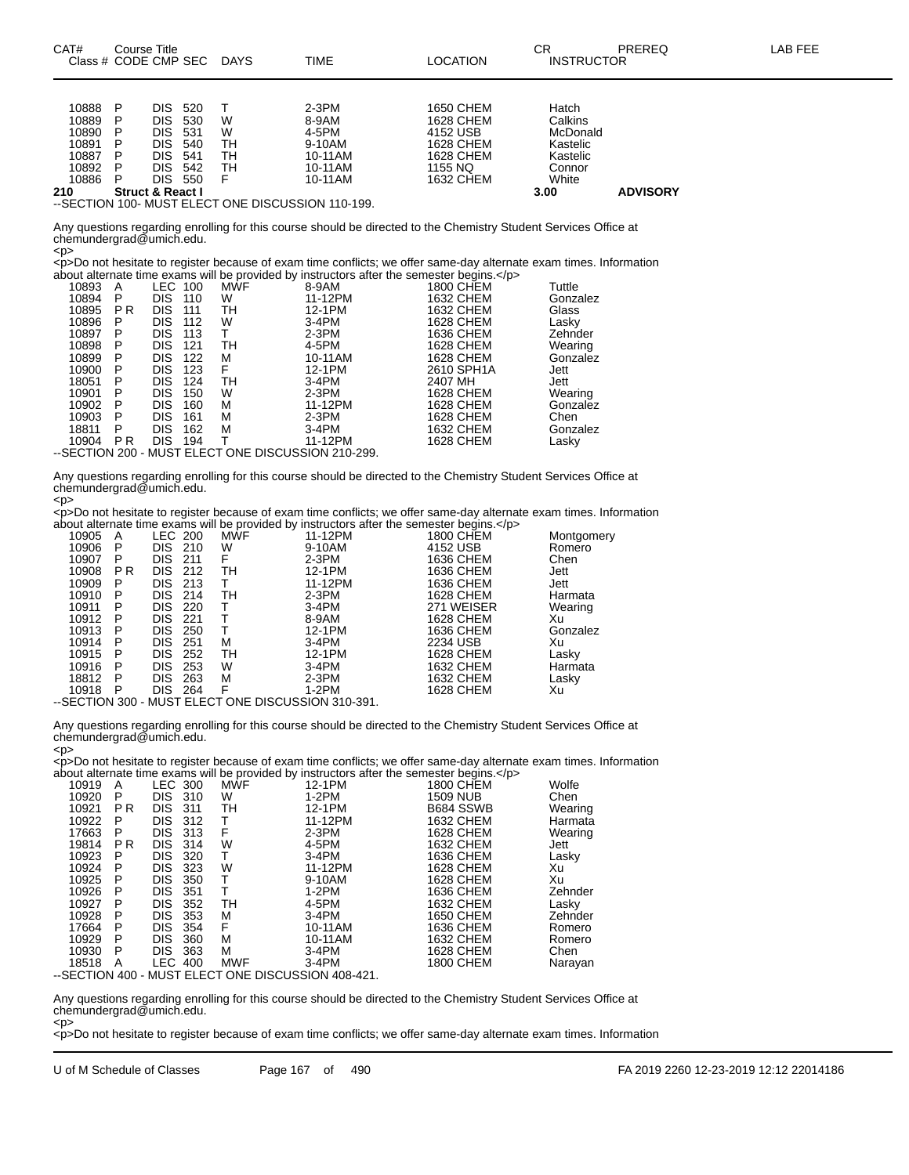| Class # CODE CMP SEC |   |                             |     | <b>DAYS</b> | TIME    | LOCATION  | <b>INSTRUCTOR</b> |                 |  |
|----------------------|---|-----------------------------|-----|-------------|---------|-----------|-------------------|-----------------|--|
|                      |   |                             |     |             |         |           |                   |                 |  |
| 10888                |   | DIS.                        | 520 |             | $2-3PM$ | 1650 CHEM | Hatch             |                 |  |
| 10889                |   | DIS                         | 530 | W           | 8-9AM   | 1628 CHEM | Calkins           |                 |  |
| 10890                |   | DIS.                        | 531 | W           | 4-5PM   | 4152 USB  | McDonald          |                 |  |
| 10891                |   | DIS.                        | 540 | TН          | 9-10AM  | 1628 CHEM | Kastelic          |                 |  |
| 10887                |   | DIS.                        | 541 | TН          | 10-11AM | 1628 CHEM | Kastelic          |                 |  |
| 10892                | P | DIS.                        | 542 | TН          | 10-11AM | 1155 NO   | Connor            |                 |  |
| 10886                |   | DIS                         | 550 |             | 10-11AM | 1632 CHEM | White             |                 |  |
| 210                  |   | <b>Struct &amp; React I</b> |     |             |         |           | 3.00              | <b>ADVISORY</b> |  |

CAT# Course Title Case CR PREREQ LAB FEE

--SECTION 100- MUST ELECT ONE DISCUSSION 110-199.

Any questions regarding enrolling for this course should be directed to the Chemistry Student Services Office at chemundergrad@umich.edu. <p>

<p>Do not hesitate to register because of exam time conflicts; we offer same-day alternate exam times. Information about alternate time exams will be provided by instructors after the semester begins.</p>

| 10893 | A         | LEC.       | 100 | <b>MWF</b>                                         | 8-9AM   | <b>1800 CHEM</b> | Tuttle   |
|-------|-----------|------------|-----|----------------------------------------------------|---------|------------------|----------|
| 10894 | P         | <b>DIS</b> | 110 | w                                                  | 11-12PM | 1632 CHEM        | Gonzalez |
| 10895 | <b>PR</b> | <b>DIS</b> | 111 | TН                                                 | 12-1PM  | 1632 CHEM        | Glass    |
| 10896 | P         | <b>DIS</b> | 112 | w                                                  | $3-4PM$ | 1628 CHEM        | Lasky    |
| 10897 | P         | <b>DIS</b> | 113 |                                                    | $2-3PM$ | 1636 CHEM        | Zehnder  |
| 10898 | P         | <b>DIS</b> | 121 | TН                                                 | 4-5PM   | 1628 CHEM        | Wearing  |
| 10899 | P         | <b>DIS</b> | 122 | М                                                  | 10-11AM | 1628 CHEM        | Gonzalez |
| 10900 | Р         | <b>DIS</b> | 123 | F                                                  | 12-1PM  | 2610 SPH1A       | Jett     |
| 18051 | P         | DIS        | 124 | TН                                                 | $3-4PM$ | 2407 MH          | Jett     |
| 10901 | Р         | <b>DIS</b> | 150 | w                                                  | $2-3PM$ | 1628 CHEM        | Wearing  |
| 10902 | P         | <b>DIS</b> | 160 | м                                                  | 11-12PM | 1628 CHEM        | Gonzalez |
| 10903 | P         | <b>DIS</b> | 161 | м                                                  | $2-3PM$ | 1628 CHEM        | Chen     |
| 18811 | P         | <b>DIS</b> | 162 | M                                                  | $3-4PM$ | 1632 CHEM        | Gonzalez |
| 10904 | <b>PR</b> | <b>DIS</b> | 194 |                                                    | 11-12PM | 1628 CHEM        | Lasky    |
|       |           |            |     | --SECTION 200 - MUST ELECT ONE DISCUSSION 210-299. |         |                  |          |
|       |           |            |     |                                                    |         |                  |          |

Any questions regarding enrolling for this course should be directed to the Chemistry Student Services Office at chemundergrad@umich.edu. <p>

<p>Do not hesitate to register because of exam time conflicts; we offer same-day alternate exam times. Information about alternate time exams will be provided by instructors after the semester begins. $\lt$ /p

|                      |                   |     | about altornate thrip example will be provided by inotideters after the semicoter begins. $\forall p$ |            |            |
|----------------------|-------------------|-----|-------------------------------------------------------------------------------------------------------|------------|------------|
| 10905<br>A           | LEC 200           | MWF | 11-12PM                                                                                               | 1800 CHEM  | Montgomery |
| 10906<br>P           | DIS 210           | W   | 9-10AM                                                                                                | 4152 USB   | Romero     |
| 10907<br>P           | DIS 211           | F   | $2-3PM$                                                                                               | 1636 CHEM  | Chen       |
| 10908<br>P R         | DIS 212           | TН  | 12-1PM                                                                                                | 1636 CHEM  | Jett       |
| 10909<br>P           | DIS.<br>213       |     | 11-12PM                                                                                               | 1636 CHEM  | Jett       |
| 10910<br>P           | DIS.<br>-214      | TН  | $2-3PM$                                                                                               | 1628 CHEM  | Harmata    |
| 10911<br>P           | <b>DIS</b><br>220 |     | $3-4PM$                                                                                               | 271 WEISER | Wearing    |
| 10912<br>P           | <b>DIS</b><br>221 |     | 8-9AM                                                                                                 | 1628 CHEM  | Xu         |
| 10913<br>P           | DIS.<br>250       |     | 12-1PM                                                                                                | 1636 CHEM  | Gonzalez   |
| 10914<br>P           | DIS.<br>251       | м   | $3-4PM$                                                                                               | 2234 USB   | Xu         |
| 10915<br>P           | <b>DIS</b><br>252 | TН  | 12-1PM                                                                                                | 1628 CHEM  | Lasky      |
| 10916<br>P           | <b>DIS</b><br>253 | W   | $3-4PM$                                                                                               | 1632 CHEM  | Harmata    |
| 18812<br>P           | <b>DIS</b><br>263 | М   | $2-3PM$                                                                                               | 1632 CHEM  | Lasky      |
| 10918<br>P           | <b>DIS</b><br>264 | F   | 1-2PM                                                                                                 | 1628 CHEM  | Xu         |
| $\sim$ $\sim$ $\sim$ |                   |     | $-100011001011010100001$                                                                              |            |            |

--SECTION 300 - MUST ELECT ONE DISCUSSION 310-391.

Any questions regarding enrolling for this course should be directed to the Chemistry Student Services Office at chemundergrad@umich.edu. <p>

<p>Do not hesitate to register because of exam time conflicts; we offer same-day alternate exam times. Information about alternate time exams will be provided by instructors after the semester begins.</p>

|       |                |            |     |                                                    | about altorriate time exams will be provided by instructions after the semester begins. Sp2 |                  |         |
|-------|----------------|------------|-----|----------------------------------------------------|---------------------------------------------------------------------------------------------|------------------|---------|
| 10919 | A              | LEC 300    |     | <b>MWF</b>                                         | 12-1PM                                                                                      | <b>1800 CHEM</b> | Wolfe   |
| 10920 | P              | <b>DIS</b> | 310 | W                                                  | 1-2PM                                                                                       | <b>1509 NUB</b>  | Chen    |
| 10921 | P R            | DIS        | 311 | TН                                                 | 12-1PM                                                                                      | B684 SSWB        | Wearing |
| 10922 | P              | <b>DIS</b> | 312 |                                                    | 11-12PM                                                                                     | 1632 CHEM        | Harmata |
| 17663 | P              | <b>DIS</b> | 313 | F                                                  | $2-3PM$                                                                                     | 1628 CHEM        | Wearing |
| 19814 | P <sub>R</sub> | <b>DIS</b> | 314 | w                                                  | 4-5PM                                                                                       | 1632 CHEM        | Jett    |
| 10923 | P              | <b>DIS</b> | 320 |                                                    | $3-4PM$                                                                                     | 1636 CHEM        | Lasky   |
| 10924 | P              | <b>DIS</b> | 323 | W                                                  | 11-12PM                                                                                     | 1628 CHEM        | Xu      |
| 10925 | P              | DIS        | 350 |                                                    | 9-10AM                                                                                      | 1628 CHEM        | Xu      |
| 10926 | P              | <b>DIS</b> | 351 |                                                    | 1-2PM                                                                                       | 1636 CHEM        | Zehnder |
| 10927 | P              | <b>DIS</b> | 352 | TН                                                 | 4-5PM                                                                                       | 1632 CHEM        | Lasky   |
| 10928 | P              | <b>DIS</b> | 353 | м                                                  | $3-4PM$                                                                                     | 1650 CHEM        | Zehnder |
| 17664 | P              | <b>DIS</b> | 354 | F                                                  | 10-11AM                                                                                     | 1636 CHEM        | Romero  |
| 10929 | P              | <b>DIS</b> | 360 | м                                                  | 10-11AM                                                                                     | 1632 CHEM        | Romero  |
| 10930 | P              | <b>DIS</b> | 363 | м                                                  | 3-4PM                                                                                       | 1628 CHEM        | Chen    |
| 18518 | A              | LEC.       | 400 | <b>MWF</b>                                         | $3-4PM$                                                                                     | 1800 CHEM        | Narayan |
|       |                |            |     | --SECTION 400 - MUST ELECT ONE DISCUSSION 408-421. |                                                                                             |                  |         |
|       |                |            |     |                                                    |                                                                                             |                  |         |

Any questions regarding enrolling for this course should be directed to the Chemistry Student Services Office at chemundergrad@umich.edu.

<p> <p>Do not hesitate to register because of exam time conflicts; we offer same-day alternate exam times. Information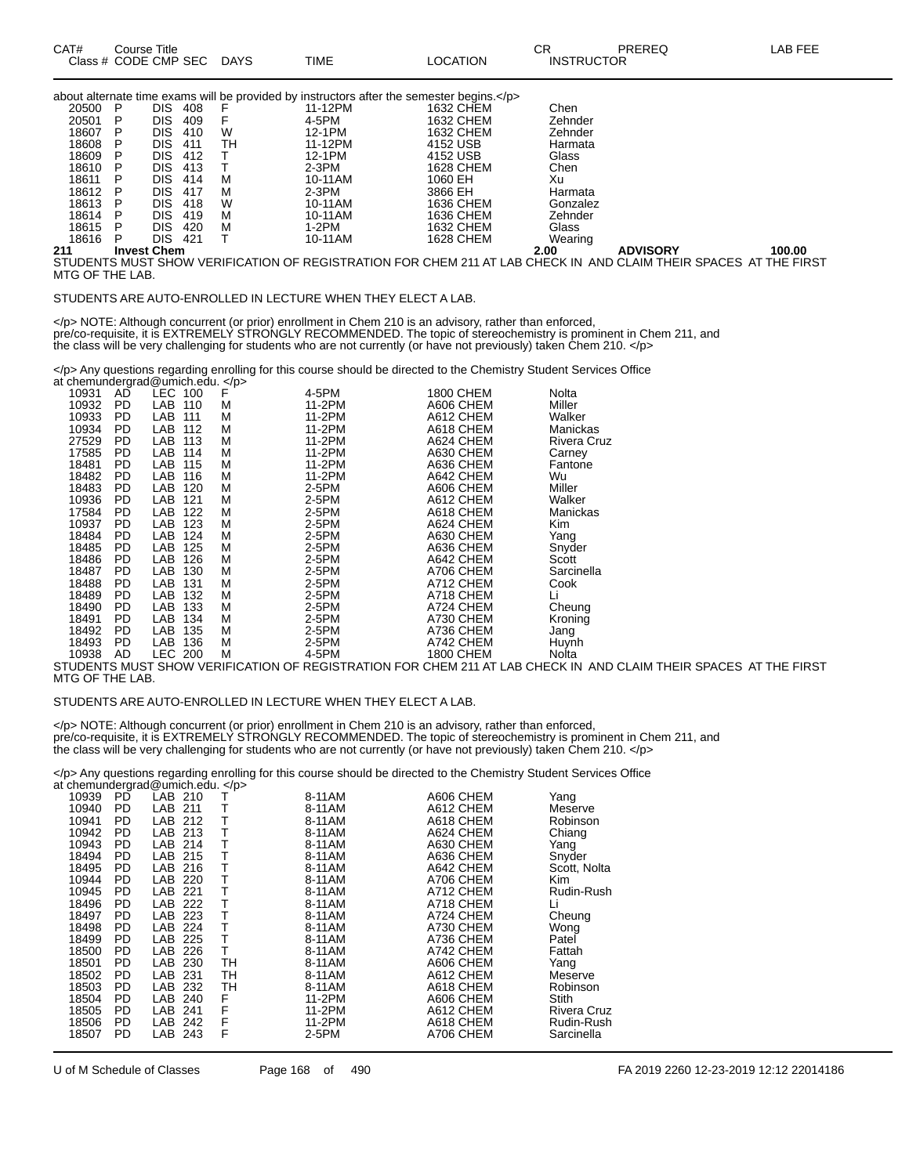| CAT# | Title<br>Course      |             |             |                 | ΩD<br>◡           | PREREC | ΑB<br>--- |
|------|----------------------|-------------|-------------|-----------------|-------------------|--------|-----------|
|      | Class # CODE CMP SEC | <b>DAYS</b> | <b>TIME</b> | <b>LOCATION</b> | <b>INSTRUCTOR</b> |        |           |

|       |                    |            |     |    | about alternate time exams will be provided by instructors after the semester begins. |           |          |                                                                                                                           |        |
|-------|--------------------|------------|-----|----|---------------------------------------------------------------------------------------|-----------|----------|---------------------------------------------------------------------------------------------------------------------------|--------|
| 20500 | P                  | DIS        | 408 | F  | 11-12PM                                                                               | 1632 CHEM | Chen     |                                                                                                                           |        |
| 20501 | P                  | DIS        | 409 |    | 4-5PM                                                                                 | 1632 CHEM | Zehnder  |                                                                                                                           |        |
| 18607 | P                  | DIS        | 410 | W  | 12-1PM                                                                                | 1632 CHEM | Zehnder  |                                                                                                                           |        |
| 18608 | P                  | DIS        | 411 | тн | 11-12PM                                                                               | 4152 USB  | Harmata  |                                                                                                                           |        |
| 18609 | P                  | DIS        | 412 |    | 12-1PM                                                                                | 4152 USB  | Glass    |                                                                                                                           |        |
| 18610 | P                  | DIS        | 413 |    | 2-3PM                                                                                 | 1628 CHEM | Chen     |                                                                                                                           |        |
| 18611 | P                  | <b>DIS</b> | 414 | м  | 10-11AM                                                                               | 1060 EH   | Xu       |                                                                                                                           |        |
| 18612 | P                  | DIS        | 417 | м  | $2-3PM$                                                                               | 3866 EH   | Harmata  |                                                                                                                           |        |
| 18613 | P                  | DIS        | 418 | W  | 10-11AM                                                                               | 1636 CHEM | Gonzalez |                                                                                                                           |        |
| 18614 | P                  | DIS.       | 419 | м  | 10-11AM                                                                               | 1636 CHEM | Zehnder  |                                                                                                                           |        |
| 18615 | P                  | DIS        | 420 | м  | 1-2PM                                                                                 | 1632 CHEM | Glass    |                                                                                                                           |        |
| 18616 | P                  | DIS        | 421 |    | 10-11AM                                                                               | 1628 CHEM | Wearing  |                                                                                                                           |        |
| 211   | <b>Invest Chem</b> |            |     |    |                                                                                       |           | 2.00     | <b>ADVISORY</b>                                                                                                           | 100.00 |
|       |                    |            |     |    |                                                                                       |           |          | <u>CTHOENTC MHCT CHOM VEDIEICATION OF DECICTDATION EOD CHEM 244 AT LAD CHECK IN LAND OLAIM THEID CDACEC. AT THE EIDCT</u> |        |

TUDENTS MUST SHOW VERIFICATION OF REGISTRATION FOR CHEM 211 AT LAB CHECK IN AND CLAIM THEIR SPACES AT THE FIRST MTG OF THE LAB.

#### STUDENTS ARE AUTO-ENROLLED IN LECTURE WHEN THEY ELECT A LAB.

</p> NOTE: Although concurrent (or prior) enrollment in Chem 210 is an advisory, rather than enforced, pre/co-requisite, it is EXTREMELY STRONGLY RECOMMENDED. The topic of stereochemistry is prominent in Chem 211, and the class will be very challenging for students who are not currently (or have not previously) taken Chem 210. </p>

</p> Any questions regarding enrolling for this course should be directed to the Chemistry Student Services Office at chemundergrad@umich.edu. </p>

| 10931 | AD        | LEC        | F<br>100 | 4-5PM  | 1800 CHEM        | Nolta       |
|-------|-----------|------------|----------|--------|------------------|-------------|
| 10932 | PD        | LAB        | 110<br>M | 11-2PM | A606 CHEM        | Miller      |
| 10933 | PD        | LAB<br>111 | М        | 11-2PM | A612 CHEM        | Walker      |
| 10934 | PD        | LAB        | M<br>112 | 11-2PM | A618 CHEM        | Manickas    |
| 27529 | PD        | LAB        | М<br>113 | 11-2PM | A624 CHEM        | Rivera Cruz |
| 17585 | <b>PD</b> | LAB        | М<br>114 | 11-2PM | A630 CHEM        | Carney      |
| 18481 | PD        | LAB        | М<br>115 | 11-2PM | A636 CHEM        | Fantone     |
| 18482 | PD        | LAB        | М<br>116 | 11-2PM | A642 CHEM        | Wu          |
| 18483 | PD        | LAB        | М<br>120 | 2-5PM  | A606 CHEM        | Miller      |
| 10936 | PD        | LAB        | 121<br>M | 2-5PM  | A612 CHEM        | Walker      |
| 17584 | PD        | LAB        | 122<br>М | 2-5PM  | A618 CHEM        | Manickas    |
| 10937 | PD        | LAB        | 123<br>М | 2-5PM  | A624 CHEM        | Kim         |
| 18484 | PD        | LAB        | 124<br>M | 2-5PM  | A630 CHEM        | Yang        |
| 18485 | <b>PD</b> | LAB        | 125<br>M | 2-5PM  | A636 CHEM        | Snyder      |
| 18486 | PD        | LAB        | М<br>126 | 2-5PM  | A642 CHEM        | Scott       |
| 18487 | PD        | LAB        | 130<br>М | 2-5PM  | A706 CHEM        | Sarcinella  |
| 18488 | PD        | LAB        | М<br>131 | 2-5PM  | A712 CHEM        | Cook        |
| 18489 | PD.       | LAB        | 132<br>М | 2-5PM  | A718 CHEM        | Li          |
| 18490 | <b>PD</b> | LAB        | М<br>133 | 2-5PM  | A724 CHEM        | Cheung      |
| 18491 | PD        | LAB        | М<br>134 | 2-5PM  | A730 CHEM        | Kronina     |
| 18492 | PD        | LAB        | 135<br>М | 2-5PM  | A736 CHEM        | Jang        |
| 18493 | PD        | LAB        | 136<br>М | 2-5PM  | A742 CHEM        | Huynh       |
| 10938 | AD        | LEC.       | М<br>200 | 4-5PM  | <b>1800 CHEM</b> | Nolta       |

STUDENTS MUST SHOW VERIFICATION OF REGISTRATION FOR CHEM 211 AT LAB CHECK IN AND CLAIM THEIR SPACES AT THE FIRST MTG OF THE LAB.

#### STUDENTS ARE AUTO-ENROLLED IN LECTURE WHEN THEY ELECT A LAB.

</p> NOTE: Although concurrent (or prior) enrollment in Chem 210 is an advisory, rather than enforced, pre/co-requisite, it is EXTREMELY STRONGLY RECOMMENDED. The topic of stereochemistry is prominent in Chem 211, and the class will be very challenging for students who are not currently (or have not previously) taken Chem 210. </p>

</p> Any questions regarding enrolling for this course should be directed to the Chemistry Student Services Office at chemundergrad@umich.edu. </p>

| 10939<br>10940 | РĎ<br>PD  | LAB<br>210<br>LAB<br>211 | т  | 8-11AM<br>8-11AM | A606 CHEM<br>A612 CHEM | Yang<br>Meserve    |
|----------------|-----------|--------------------------|----|------------------|------------------------|--------------------|
| 10941          | <b>PD</b> | LAB<br>212               | т  | 8-11AM           | A618 CHEM              |                    |
|                |           |                          |    |                  |                        | Robinson           |
| 10942          | <b>PD</b> | LAB 213                  | т  | 8-11AM           | A624 CHEM              | Chiang             |
| 10943          | <b>PD</b> | LAB<br>214               | т  | 8-11AM           | A630 CHEM              | Yang               |
| 18494          | PD        | LAB<br>215               | т  | 8-11AM           | A636 CHEM              | Snyder             |
| 18495          | <b>PD</b> | LAB<br>216               | т  | 8-11AM           | A642 CHEM              | Scott, Nolta       |
| 10944          | PD        | LAB<br>220               | т  | 8-11AM           | A706 CHEM              | <b>Kim</b>         |
| 10945          | <b>PD</b> | LAB<br>221               |    | 8-11AM           | A712 CHEM              | Rudin-Rush         |
| 18496          | PD        | LAB<br>222               | т  | 8-11AM           | A718 CHEM              | Li                 |
| 18497          | PD        | LAB<br>223               | т  | 8-11AM           | A724 CHEM              | Cheung             |
| 18498          | <b>PD</b> | LAB<br>224               | т  | 8-11AM           | A730 CHEM              | Wong               |
| 18499          | PD        | LAB<br>225               | т  | 8-11AM           | A736 CHEM              | Patel              |
| 18500          | PD        | LAB<br>226               | Т  | 8-11AM           | A742 CHEM              | Fattah             |
| 18501          | PD        | LAB<br>230               | TН | 8-11AM           | A606 CHEM              | Yang               |
| 18502          | PD        | LAB<br>-231              | TН | 8-11AM           | A612 CHEM              | Meserve            |
| 18503          | PD        | LAB<br>232               | TН | 8-11AM           | A618 CHEM              | Robinson           |
| 18504          | PD        | LAB<br>240               | F  | 11-2PM           | A606 CHEM              | <b>Stith</b>       |
| 18505          | PD        | LAB<br>241               | F  | 11-2PM           | A612 CHEM              | <b>Rivera Cruz</b> |
| 18506          | PD        | LAB<br>242               | F  | 11-2PM           | A618 CHEM              | Rudin-Rush         |
| 18507          | PD        | LAB<br>243               | F  | 2-5PM            | A706 CHEM              | Sarcinella         |
|                |           |                          |    |                  |                        |                    |
|                |           |                          |    |                  |                        |                    |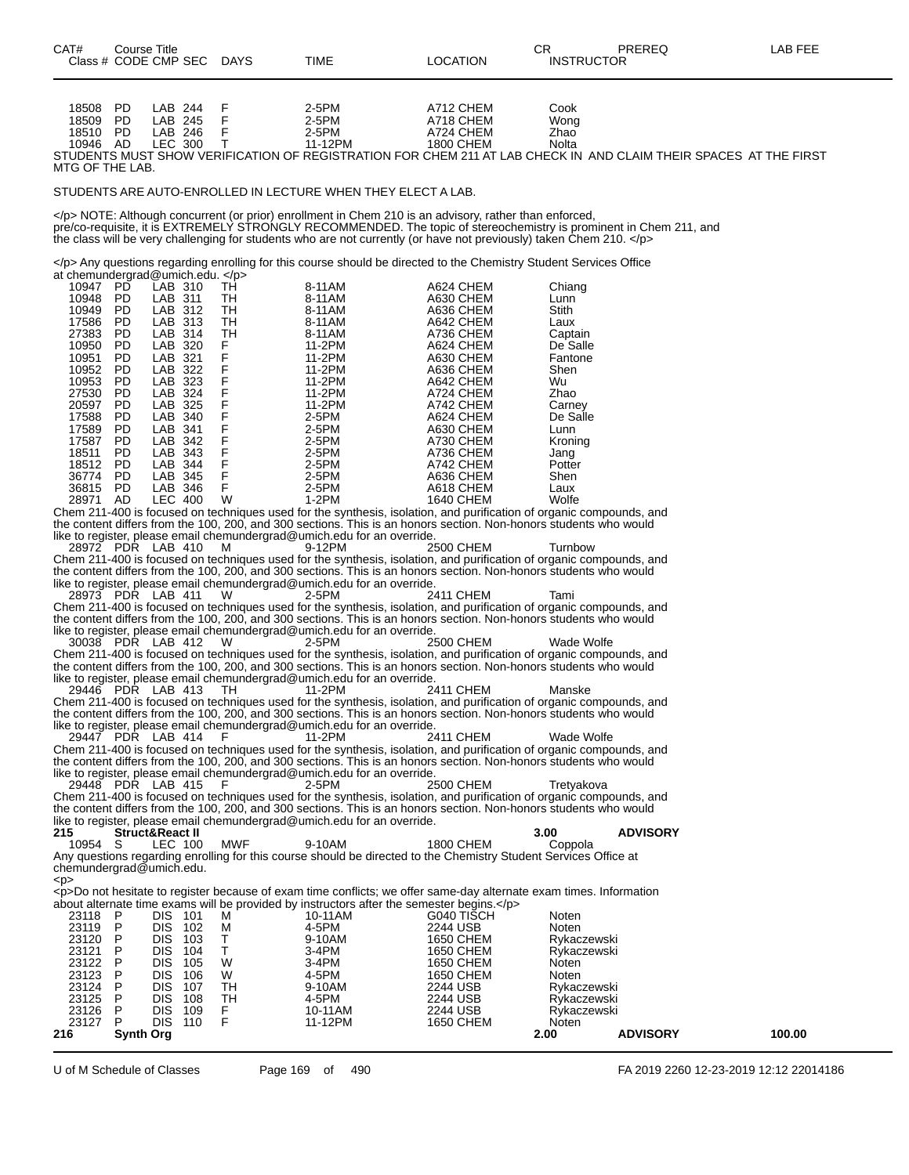| CAT#                 |           | Course Title                |             |                                                                             |                                                                                                                        | CR                | PREREQ          | LAB FEE |
|----------------------|-----------|-----------------------------|-------------|-----------------------------------------------------------------------------|------------------------------------------------------------------------------------------------------------------------|-------------------|-----------------|---------|
|                      |           | Class # CODE CMP SEC DAYS   |             | TIME                                                                        | <b>LOCATION</b>                                                                                                        | <b>INSTRUCTOR</b> |                 |         |
|                      |           |                             |             |                                                                             |                                                                                                                        |                   |                 |         |
|                      |           |                             |             |                                                                             |                                                                                                                        |                   |                 |         |
|                      |           |                             |             |                                                                             |                                                                                                                        |                   |                 |         |
| 18508                | PD        | LAB 244                     | F           | 2-5PM                                                                       | A712 CHEM                                                                                                              | Cook              |                 |         |
| 18509                | PD        | LAB 245                     | F           | 2-5PM                                                                       | A718 CHEM                                                                                                              | Wong              |                 |         |
| 18510 PD             |           | LAB 246                     | $\mathsf F$ | 2-5PM                                                                       | A724 CHEM                                                                                                              | Zhao              |                 |         |
| 10946 AD             |           | LEC 300                     | $\top$      | 11-12PM                                                                     | 1800 CHEM                                                                                                              | Nolta             |                 |         |
|                      |           |                             |             |                                                                             | STUDENTS MUST SHOW VERIFICATION OF REGISTRATION FOR CHEM 211 AT LAB CHECK IN AND CLAIM THEIR SPACES AT THE FIRST       |                   |                 |         |
| MTG OF THE LAB.      |           |                             |             |                                                                             |                                                                                                                        |                   |                 |         |
|                      |           |                             |             |                                                                             |                                                                                                                        |                   |                 |         |
|                      |           |                             |             | STUDENTS ARE AUTO-ENROLLED IN LECTURE WHEN THEY ELECT A LAB.                |                                                                                                                        |                   |                 |         |
|                      |           |                             |             |                                                                             |                                                                                                                        |                   |                 |         |
|                      |           |                             |             |                                                                             | NOTE: Although concurrent (or prior) enrollment in Chem 210 is an advisory, rather than enforced,                      |                   |                 |         |
|                      |           |                             |             |                                                                             | pre/co-requisite, it is EXTREMELY STRONGLY RECOMMENDED. The topic of stereochemistry is prominent in Chem 211, and     |                   |                 |         |
|                      |           |                             |             |                                                                             | the class will be very challenging for students who are not currently (or have not previously) taken Chem 210.         |                   |                 |         |
|                      |           |                             |             |                                                                             |                                                                                                                        |                   |                 |         |
|                      |           |                             |             |                                                                             | Any questions regarding enrolling for this course should be directed to the Chemistry Student Services Office          |                   |                 |         |
|                      |           | at chemundergrad@umich.edu. |             |                                                                             |                                                                                                                        |                   |                 |         |
| 10947 PD             |           | LAB 310                     | TH.         | 8-11AM                                                                      | A624 CHEM                                                                                                              | Chiang            |                 |         |
| 10948 PD             |           | LAB 311                     | TH          | 8-11AM                                                                      | A630 CHEM                                                                                                              | Lunn              |                 |         |
| 10949 PD             |           | LAB 312                     | TH          | 8-11AM                                                                      | A636 CHEM                                                                                                              | Stith             |                 |         |
| 17586                | PD        | LAB 313                     | TH          | 8-11AM                                                                      | A642 CHEM                                                                                                              | Laux              |                 |         |
| 27383                | PD        | LAB 314                     | TН          | 8-11AM                                                                      | A736 CHEM                                                                                                              | Captain           |                 |         |
| 10950                | -PD       | LAB 320                     | F.          | 11-2PM                                                                      | A624 CHEM                                                                                                              | De Salle          |                 |         |
| 10951                | PD        | LAB 321                     | F           | 11-2PM                                                                      | A630 CHEM                                                                                                              | Fantone           |                 |         |
| 10952                | PD        | LAB 322                     | F<br>F      | 11-2PM                                                                      | A636 CHEM                                                                                                              | Shen              |                 |         |
| 10953                | PD        | LAB 323                     |             | 11-2PM                                                                      | A642 CHEM                                                                                                              | Wu                |                 |         |
| 27530                | PD        | LAB 324                     | F           | 11-2PM                                                                      | A724 CHEM                                                                                                              | Zhao              |                 |         |
| 20597                | PD        | LAB 325                     | F<br>F      | 11-2PM                                                                      | A742 CHEM                                                                                                              | Carney            |                 |         |
| 17588                | PD        | LAB 340                     |             | 2-5PM                                                                       | A624 CHEM                                                                                                              | De Salle          |                 |         |
| 17589                | PD        | LAB 341                     | F           | 2-5PM                                                                       | A630 CHEM                                                                                                              | Lunn              |                 |         |
| 17587                | PD        | LAB 342                     | F<br>F      | 2-5PM                                                                       | A730 CHEM                                                                                                              | Kroning           |                 |         |
| 18511                | PD        | LAB 343                     | F           | 2-5PM                                                                       | A736 CHEM                                                                                                              | Jang              |                 |         |
| 18512 PD             |           | LAB 344                     |             | 2-5PM                                                                       | A742 CHEM                                                                                                              | Potter            |                 |         |
| 36774 PD<br>36815 PD |           | LAB 345<br>LAB 346          | F<br>F      | 2-5PM<br>2-5PM                                                              | A636 CHEM<br>A618 CHEM                                                                                                 | Shen<br>Laux      |                 |         |
| 28971 AD             |           | <b>LEC 400</b>              | W           | $1-2PM$                                                                     | 1640 CHEM                                                                                                              | Wolfe             |                 |         |
|                      |           |                             |             |                                                                             | Chem 211-400 is focused on techniques used for the synthesis, isolation, and purification of organic compounds, and    |                   |                 |         |
|                      |           |                             |             |                                                                             | the content differs from the 100, 200, and 300 sections. This is an honors section. Non-honors students who would      |                   |                 |         |
|                      |           |                             |             | like to register, please email chemundergrad@umich.edu for an override.     |                                                                                                                        |                   |                 |         |
|                      |           | 28972 PDR LAB 410           | M           | 9-12PM                                                                      | 2500 CHEM                                                                                                              | Turnbow           |                 |         |
|                      |           |                             |             |                                                                             | Chem 211-400 is focused on techniques used for the synthesis, isolation, and purification of organic compounds, and    |                   |                 |         |
|                      |           |                             |             |                                                                             | the content differs from the 100, 200, and 300 sections. This is an honors section. Non-honors students who would      |                   |                 |         |
|                      |           |                             |             | like to register, please email chemundergrad@umich.edu for an override.     |                                                                                                                        |                   |                 |         |
|                      |           | 28973 PDR LAB 411           | W           | $2-5PM$                                                                     | 2411 CHEM                                                                                                              | Tami              |                 |         |
|                      |           |                             |             |                                                                             | Chem 211-400 is focused on techniques used for the synthesis, isolation, and purification of organic compounds, and    |                   |                 |         |
|                      |           |                             |             |                                                                             | the content differs from the 100, 200, and 300 sections. This is an honors section. Non-honors students who would      |                   |                 |         |
|                      |           |                             |             | like to register, please email chemundergrad@umich.edu for an override.     |                                                                                                                        |                   |                 |         |
|                      |           | 30038 PDR LAB 412           | W.          | 2-5PM                                                                       | 2500 CHEM                                                                                                              | Wade Wolfe        |                 |         |
|                      |           |                             |             |                                                                             | Chem 211-400 is focused on techniques used for the synthesis, isolation, and purification of organic compounds, and    |                   |                 |         |
|                      |           |                             |             |                                                                             | the content differs from the 100, 200, and 300 sections. This is an honors section. Non-honors students who would      |                   |                 |         |
|                      |           |                             |             | like to register, please email chemundergrad@umich.edu for an override.     |                                                                                                                        |                   |                 |         |
|                      |           | 29446 PDR LAB 413           | TH.         | 11-2PM                                                                      | 2411 CHEM                                                                                                              | Manske            |                 |         |
|                      |           |                             |             |                                                                             | Chem 211-400 is focused on techniques used for the synthesis, isolation, and purification of organic compounds, and    |                   |                 |         |
|                      |           |                             |             |                                                                             | the content differs from the 100, 200, and 300 sections. This is an honors section. Non-honors students who would      |                   |                 |         |
|                      |           |                             |             | like to register, please email chemundergrad $@$ umich edu for an override. |                                                                                                                        |                   |                 |         |
|                      |           | 29447 PDR LAB 414           | F           | 11-2PM                                                                      | 2411 CHEM                                                                                                              | Wade Wolfe        |                 |         |
|                      |           |                             |             |                                                                             | Chem 211-400 is focused on techniques used for the synthesis, isolation, and purification of organic compounds, and    |                   |                 |         |
|                      |           |                             |             |                                                                             | the content differs from the 100, 200, and 300 sections. This is an honors section. Non-honors students who would      |                   |                 |         |
|                      |           |                             |             | like to register, please email chemundergrad $@$ umich edu for an override. |                                                                                                                        |                   |                 |         |
|                      |           | 29448 PDR LAB 415           | F           | 2-5PM                                                                       | 2500 CHEM                                                                                                              | Tretyakova        |                 |         |
|                      |           |                             |             |                                                                             | Chem 211-400 is focused on techniques used for the synthesis, isolation, and purification of organic compounds, and    |                   |                 |         |
|                      |           |                             |             |                                                                             | the content differs from the 100, 200, and 300 sections. This is an honors section. Non-honors students who would      |                   |                 |         |
|                      |           |                             |             | like to register, please email chemundergrad@umich.edu for an override.     |                                                                                                                        |                   |                 |         |
| 215                  |           | <b>Struct&amp;React II</b>  |             |                                                                             |                                                                                                                        | 3.00              | <b>ADVISORY</b> |         |
| 10954                | -S        | LEC 100                     | MWF         | 9-10AM                                                                      | 1800 CHEM                                                                                                              | Coppola           |                 |         |
|                      |           |                             |             |                                                                             | Any questions regarding enrolling for this course should be directed to the Chemistry Student Services Office at       |                   |                 |         |
|                      |           | chemundergrad@umich.edu.    |             |                                                                             |                                                                                                                        |                   |                 |         |
| < p >                |           |                             |             |                                                                             |                                                                                                                        |                   |                 |         |
|                      |           |                             |             |                                                                             | <p>Do not hesitate to register because of exam time conflicts; we offer same-day alternate exam times. Information</p> |                   |                 |         |
|                      |           |                             |             |                                                                             | about alternate time exams will be provided by instructors after the semester begins.                                  |                   |                 |         |
| 23118                | P         | DIS 101                     | М           | 10-11AM                                                                     | G040 TISCH                                                                                                             | Noten             |                 |         |
| 23119 P              |           | DIS 102                     | м           | 4-5PM                                                                       | 2244 USB                                                                                                               | Noten             |                 |         |
| 23120                | P         | DIS 103                     | Τ           | 9-10AM                                                                      | <b>1650 CHEM</b>                                                                                                       | Rykaczewski       |                 |         |
| 23121                | P         | DIS -<br>104                | Τ           | 3-4PM                                                                       | 1650 CHEM                                                                                                              | Rykaczewski       |                 |         |
| 23122                | P         | DIS.<br>105                 | W           | 3-4PM                                                                       | 1650 CHEM                                                                                                              | Noten             |                 |         |
| 23123                | P         | <b>DIS</b><br>106           | W           | 4-5PM                                                                       | 1650 CHEM                                                                                                              | Noten             |                 |         |
| 23124                | P         | DIS.<br>107                 | TН          | 9-10AM                                                                      | 2244 USB                                                                                                               | Rykaczewski       |                 |         |
| 23125                | P         | DIS.<br>108                 | TH          | 4-5PM                                                                       | 2244 USB                                                                                                               | Rykaczewski       |                 |         |
| 23126                | P         | <b>DIS 109</b>              | F.          | 10-11AM                                                                     | 2244 USB                                                                                                               | Rykaczewski       |                 |         |
| 23127                | P         | DIS 110                     | F           | 11-12PM                                                                     | 1650 CHEM                                                                                                              | Noten             |                 |         |
| 216                  | Synth Org |                             |             |                                                                             |                                                                                                                        | 2.00              | <b>ADVISORY</b> | 100.00  |

U of M Schedule of Classes Page 169 of 490 FA 2019 2260 12-23-2019 12:12 22014186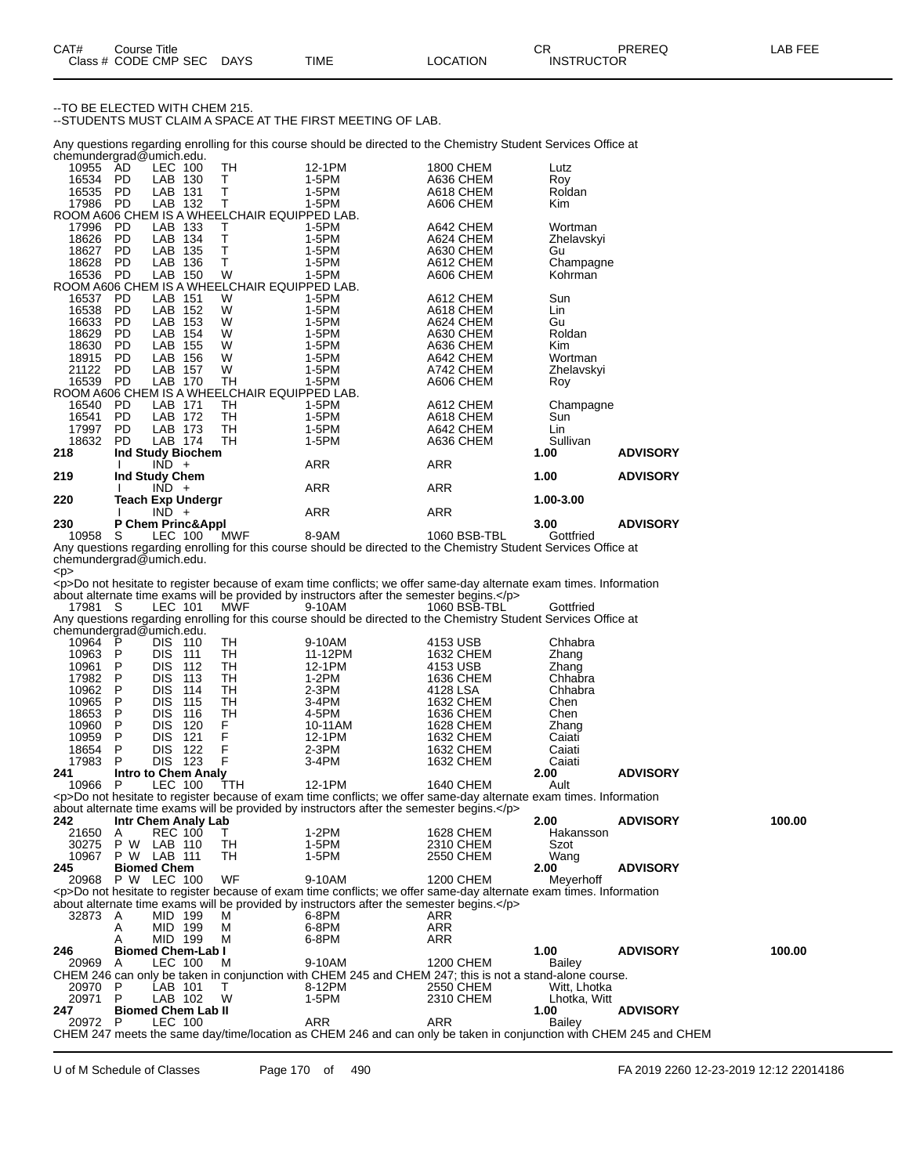--TO BE ELECTED WITH CHEM 215.

--STUDENTS MUST CLAIM A SPACE AT THE FIRST MEETING OF LAB.

Any questions regarding enrolling for this course should be directed to the Chemistry Student Services Office at chemundergrad@umich.edu.

| $3.5.01$ and $3.5.01$ and $3.5.01$ and $3.5.01$ and $3.5.01$ and $3.5.01$ and $3.5.01$ and $3.5.01$ and $3.5.01$ and $3.5.01$ and $3.5.01$ and $3.5.01$ and $3.5.01$ and $3.5.01$ and $3.5.01$ and $3.5.01$ and $3.5.01$ and |           |                          |                                              |            |                  |            |                 |
|------------------------------------------------------------------------------------------------------------------------------------------------------------------------------------------------------------------------------|-----------|--------------------------|----------------------------------------------|------------|------------------|------------|-----------------|
| 10955 AD                                                                                                                                                                                                                     |           | LEC 100                  | TH                                           | 12-1PM     | <b>1800 CHEM</b> | Lutz       |                 |
| 16534                                                                                                                                                                                                                        | <b>PD</b> | LAB<br>130               | T.                                           | 1-5PM      | A636 CHEM        | Roy        |                 |
| 16535                                                                                                                                                                                                                        | PD.       | LAB 131                  | T                                            | 1-5PM      | A618 CHEM        | Roldan     |                 |
| 17986                                                                                                                                                                                                                        | - PD      | LAB 132                  | $\mathsf{T}$                                 | 1-5PM      | A606 CHEM        | Kim        |                 |
|                                                                                                                                                                                                                              |           |                          | ROOM A606 CHEM IS A WHEELCHAIR EQUIPPED LAB. |            |                  |            |                 |
| 17996                                                                                                                                                                                                                        | <b>PD</b> | LAB 133                  | $\top$                                       | 1-5PM      | A642 CHEM        | Wortman    |                 |
| 18626                                                                                                                                                                                                                        | <b>PD</b> | LAB 134                  | T                                            | 1-5PM      | A624 CHEM        | Zhelavskyi |                 |
| 18627                                                                                                                                                                                                                        | <b>PD</b> | LAB<br>135               | T                                            | 1-5PM      | A630 CHEM        | Gu         |                 |
| 18628                                                                                                                                                                                                                        | <b>PD</b> | LAB<br>136               | T                                            | 1-5PM      | A612 CHEM        | Champagne  |                 |
| 16536                                                                                                                                                                                                                        | <b>PD</b> | LAB 150                  | W                                            | 1-5PM      | A606 CHEM        | Kohrman    |                 |
|                                                                                                                                                                                                                              |           |                          | ROOM A606 CHEM IS A WHEELCHAIR EQUIPPED LAB. |            |                  |            |                 |
| 16537 PD                                                                                                                                                                                                                     |           | LAB 151                  | W                                            | 1-5PM      | A612 CHEM        | Sun        |                 |
| 16538                                                                                                                                                                                                                        | <b>PD</b> | LAB<br>152               | W                                            | 1-5PM      | A618 CHEM        | Lin        |                 |
| 16633                                                                                                                                                                                                                        | <b>PD</b> | LAB<br>153               | W                                            | 1-5PM      | A624 CHEM        | Gu         |                 |
| 18629                                                                                                                                                                                                                        | <b>PD</b> | LAB<br>154               | W                                            | 1-5PM      | A630 CHEM        | Roldan     |                 |
| 18630                                                                                                                                                                                                                        | PD.       | LAB<br>155               | W                                            | 1-5PM      | A636 CHEM        | <b>Kim</b> |                 |
| 18915                                                                                                                                                                                                                        | <b>PD</b> | LAB<br>156               | W                                            | 1-5PM      | A642 CHEM        | Wortman    |                 |
| 21122                                                                                                                                                                                                                        | PD.       | LAB<br>157               | W                                            | 1-5PM      | A742 CHEM        | Zhelavskyi |                 |
| 16539                                                                                                                                                                                                                        | <b>PD</b> | LAB<br>170               | TН                                           | 1-5PM      | A606 CHEM        | Roy        |                 |
|                                                                                                                                                                                                                              |           |                          | ROOM A606 CHEM IS A WHEELCHAIR EQUIPPED LAB. |            |                  |            |                 |
| 16540                                                                                                                                                                                                                        | - PD      | LAB 171                  | TН                                           | 1-5PM      | A612 CHEM        | Champagne  |                 |
| 16541                                                                                                                                                                                                                        | <b>PD</b> | LAB 172                  | TН                                           | 1-5PM      | A618 CHEM        | Sun        |                 |
| 17997                                                                                                                                                                                                                        | <b>PD</b> | LAB 173                  | TH                                           | 1-5PM      | A642 CHEM        | Lin        |                 |
| 18632                                                                                                                                                                                                                        | <b>PD</b> | LAB 174                  | TН                                           | 1-5PM      | A636 CHEM        | Sullivan   |                 |
| 218                                                                                                                                                                                                                          |           | Ind Study Biochem        |                                              |            |                  | 1.00       | <b>ADVISORY</b> |
|                                                                                                                                                                                                                              |           | $IND +$                  |                                              | <b>ARR</b> | ARR              |            |                 |
| 219                                                                                                                                                                                                                          |           | Ind Study Chem           |                                              |            |                  | 1.00       | <b>ADVISORY</b> |
|                                                                                                                                                                                                                              |           | $IND +$                  |                                              | ARR        | <b>ARR</b>       |            |                 |
| 220                                                                                                                                                                                                                          |           | <b>Teach Exp Undergr</b> |                                              |            |                  | 1.00-3.00  |                 |
|                                                                                                                                                                                                                              |           | $IND +$                  |                                              | <b>ARR</b> | <b>ARR</b>       |            |                 |
| 230                                                                                                                                                                                                                          |           | P Chem Princ&Appl        |                                              |            |                  | 3.00       | <b>ADVISORY</b> |
| 10000                                                                                                                                                                                                                        | $\sim$    | $\overline{1}$           |                                              | 0.011      | 100000000        |            |                 |

10958 S LEC 100 MWF 8-9AM 1060 BSB-TBL Gottfried Any questions regarding enrolling for this course should be directed to the Chemistry Student Services Office at chemundergrad@umich.edu.

<p> <p>Do not hesitate to register because of exam time conflicts; we offer same-day alternate exam times. Information about alternate time exams will be provided by instructors after the semester begins.</p>

17981 S LEC 101 MWF 9-10AM 1060 BSB-TBL Gottfried Any questions regarding enrolling for this course should be directed to the Chemistry Student Services Office at chemundergrad@umich.edu. 10964 P DIS 110 TH 9-10AM 4153 USB Chhabra 10963 P DIS 111 TH 11-12PM 1632 CHEM Zhang<br>10961 P DIS 112 TH 12-1PM 4153 USB Zhang<br>17982 P DIS 113 TH 1-2PM 1636 CHEM Chhabra 10961 P DIS 112 TH 12-1PM 4153 USB Zhang 17982 P DIS 113 TH 1-2PM 1636 CHEM Chhabra 10962 P DIS 114 TH 2-3PM 4128 LSA Chhabra 10965 P DIS 115 TH 3-4PM 1632 CHEM Chen 18653 P DIS 116 TH 4-5PM 1636 CHEM Chen 10960 P DIS 120 F 10-11AM 1628 CHEM Zhang<br>10960 P DIS 120 F 10-11AM 1628 CHEM Zhang<br>10959 P DIS 121 F 12-1PM 1632 CHEM Caiati 10959 P DIS 121 F 12-1PM 1632 CHEM Caiati<br>18654 P DIS 122 F 2-3PM 1632 CHEM Caiati 18654 P DIS 122 F 2-3PM 1632 CHEM Caiati 17983 P DIS 123 F 3-4PM 1632 CHEM Caiati<br>241 Intro to Chem Analy 2.00 **241 Intro to Chem Analy 2.00 ADVISORY** 10966 P LEC 100 TTH 12-1PM 1640 CHEM Ault <p>Do not hesitate to register because of exam time conflicts; we offer same-day alternate exam times. Information about alternate time exams will be provided by instructors after the semester begins.</p><br>242 Intr Chem Analy Lab **242 Intr Chem Analy Lab 2.00 ADVISORY 100.00** 21650 A REC 100 T 1-2PM 1628 CHEM Hakansson 30275 P W LAB 110 TH 1-5PM 2310 CHEM Szot 10967 P W LAB 111 TH 1-5PM 2550 CHEM Wang **245 Biomed Chem 2.00 ADVISORY P W LEC 100** <p>Do not hesitate to register because of exam time conflicts; we offer same-day alternate exam times. Information about alternate time exams will be provided by instructors after the semester begins.</p>32873 A MID 199 M 6-8PM 32873 A MID 199 M 6-8PM ARR A MID 199 M 6-8PM ARR MID 199 **246 Biomed Chem-Lab I 1.00 ADVISORY 100.00** 20969 A LEC 100 M 9-10AM 1200 CHEM Bailey CHEM 246 can only be taken in conjunction with CHEM 245 and CHEM 247; this is not a stand-alone course. 20970 P LAB 101 T 8-12PM 2550 CHEM Witt, Lhotka 20971 P LAB 102 W 1-5PM 2310 CHEM LI<br>247 Biomed Chem Lab II 1.00 **2487 Biomed Chem Lab II 1.00 CONSIDERTY 1.00 ADVISORY 20972** P LEC 100 **ARR** ARR **ADVISORY** 20972 P LEC 100 ARR ARR Bailey CHEM 247 meets the same day/time/location as CHEM 246 and can only be taken in conjunction with CHEM 245 and CHEM

U of M Schedule of Classes Page 170 of 490 FA 2019 2260 12-23-2019 12:12 22014186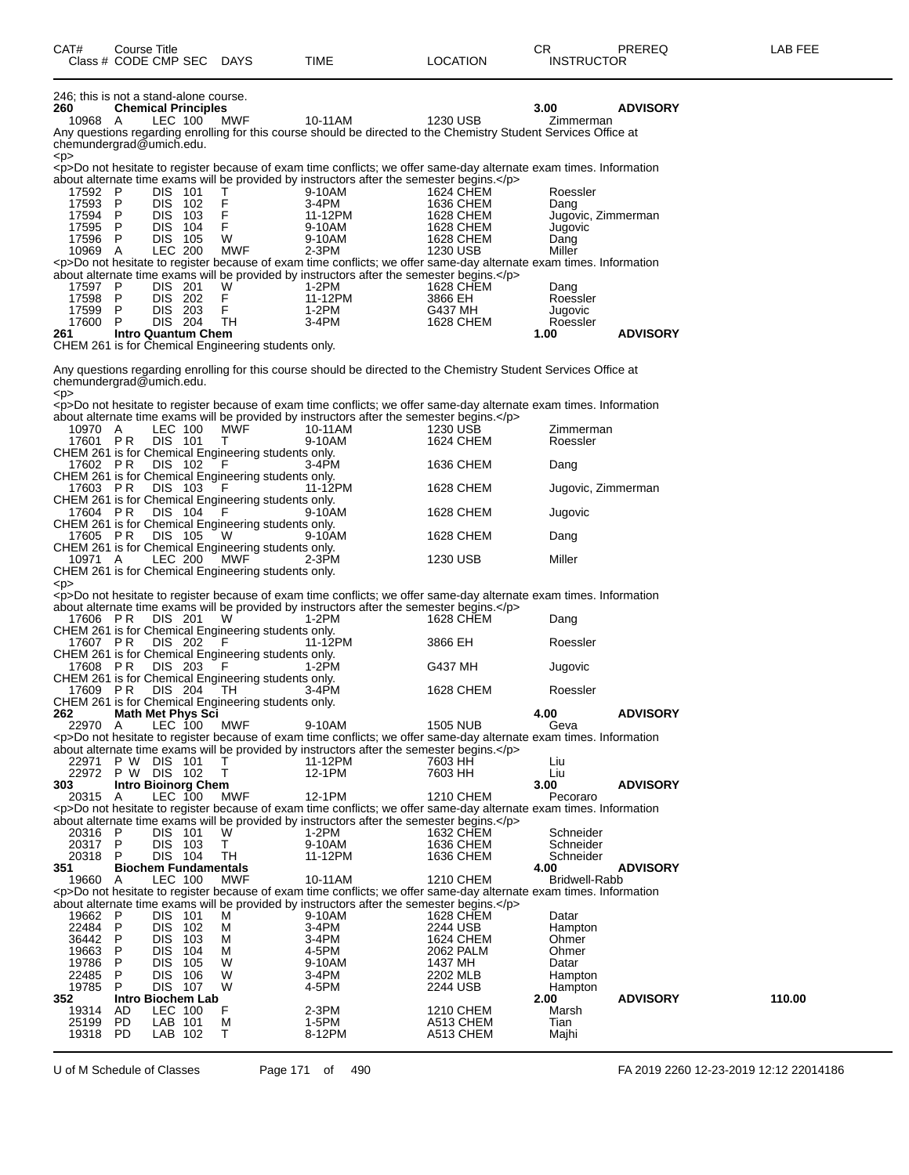| CAT#               |        | Course Title<br>Class # CODE CMP SEC DAYS       |                                                            | TIME                                                                                                                                                                                                             | <b>LOCATION</b>        | CR.<br><b>INSTRUCTOR</b> | PREREQ          | LAB FEE |
|--------------------|--------|-------------------------------------------------|------------------------------------------------------------|------------------------------------------------------------------------------------------------------------------------------------------------------------------------------------------------------------------|------------------------|--------------------------|-----------------|---------|
|                    |        |                                                 |                                                            |                                                                                                                                                                                                                  |                        |                          |                 |         |
| 260                |        | 246; this is not a stand-alone course.          |                                                            |                                                                                                                                                                                                                  |                        | 3.00                     | <b>ADVISORY</b> |         |
| 10968 A            |        | <b>Chemical Principles</b><br>LEC 100           | MWF                                                        | 10-11AM                                                                                                                                                                                                          | 1230 USB               | Zimmerman                |                 |         |
|                    |        | chemundergrad@umich.edu.                        |                                                            | Any questions regarding enrolling for this course should be directed to the Chemistry Student Services Office at                                                                                                 |                        |                          |                 |         |
| < p >              |        |                                                 |                                                            | <p>Do not hesitate to register because of exam time conflicts; we offer same-day alternate exam times. Information</p>                                                                                           |                        |                          |                 |         |
| 17592 P            |        | DIS 101                                         |                                                            | about alternate time exams will be provided by instructors after the semester begins.<br>9-10AM                                                                                                                  | 1624 CHEM              | Roessler                 |                 |         |
| 17593 P            |        | DIS 102                                         | Τ<br>F                                                     | 3-4PM                                                                                                                                                                                                            | 1636 CHEM              | Dang                     |                 |         |
| 17594 P<br>17595 P |        | DIS 103<br>DIS 104                              | F<br>F.                                                    | 11-12PM                                                                                                                                                                                                          | 1628 CHEM<br>1628 CHEM | Jugovic, Zimmerman       |                 |         |
| 17596 P            |        | <b>DIS 105</b>                                  | W                                                          | 9-10AM<br>9-10AM                                                                                                                                                                                                 | 1628 CHEM              | Jugovic<br>Dang          |                 |         |
| 10969 A            |        | <b>LEC 200</b>                                  | MWF                                                        | $2-3PM$                                                                                                                                                                                                          | 1230 USB               | Miller                   |                 |         |
|                    |        |                                                 |                                                            | <p>Do not hesitate to register because of exam time conflicts; we offer same-day alternate exam times. Information<br/>about alternate time exams will be provided by instructors after the semester begins.</p> |                        |                          |                 |         |
| 17597 P<br>17598 P |        | DIS 201<br>DIS 202                              | W<br>F                                                     | 1-2PM<br>11-12PM                                                                                                                                                                                                 | 1628 CHEM<br>3866 EH   | Dang                     |                 |         |
| 17599 P            |        | DIS 203                                         | F                                                          | 1-2PM                                                                                                                                                                                                            | G437 MH                | Roessler<br>Jugovic      |                 |         |
| 17600 P            |        | DIS 204                                         | - TH                                                       | 3-4PM                                                                                                                                                                                                            | 1628 CHEM              | Roessler                 |                 |         |
| 261                |        | <b>Intro Quantum Chem</b>                       | CHEM 261 is for Chemical Engineering students only.        |                                                                                                                                                                                                                  |                        | 1.00                     | <b>ADVISORY</b> |         |
|                    |        |                                                 |                                                            |                                                                                                                                                                                                                  |                        |                          |                 |         |
| < p >              |        | chemundergrad@umich.edu.                        |                                                            | Any questions regarding enrolling for this course should be directed to the Chemistry Student Services Office at                                                                                                 |                        |                          |                 |         |
|                    |        |                                                 |                                                            | <p>Do not hesitate to register because of exam time conflicts; we offer same-day alternate exam times. Information</p>                                                                                           |                        |                          |                 |         |
| 10970 A            |        | LEC 100                                         | MŴF                                                        | about alternate time exams will be provided by instructors after the semester begins.<br>10-11AM                                                                                                                 | 1230 USB               | Zimmerman                |                 |         |
| 17601 PR           |        | <b>DIS 101</b>                                  | Т                                                          | 9-10AM                                                                                                                                                                                                           | 1624 CHEM              | Roessler                 |                 |         |
| 17602 PR           |        | DIS 102                                         | CHEM 261 is for Chemical Engineering students only.        | 3-4PM                                                                                                                                                                                                            | 1636 CHEM              | Dang                     |                 |         |
|                    |        |                                                 | CHEM 261 is for Chemical Engineering students only.        |                                                                                                                                                                                                                  |                        |                          |                 |         |
|                    |        | 17603 PR DIS 103                                | - F<br>CHEM 261 is for Chemical Engineering students only. | 11-12PM                                                                                                                                                                                                          | 1628 CHEM              | Jugovic, Zimmerman       |                 |         |
| 17604 PR           |        | DIS 104                                         |                                                            | 9-10AM                                                                                                                                                                                                           | 1628 CHEM              | Jugovic                  |                 |         |
| 17605 PR           |        | DIS 105                                         | CHEM 261 is for Chemical Engineering students only.<br>W   | 9-10AM                                                                                                                                                                                                           | 1628 CHEM              | Dang                     |                 |         |
|                    |        |                                                 | CHEM 261 is for Chemical Engineering students only.        |                                                                                                                                                                                                                  |                        |                          |                 |         |
| 10971 A            |        | LEC 200                                         | MWF<br>CHEM 261 is for Chemical Engineering students only. | $2-3PM$                                                                                                                                                                                                          | 1230 USB               | Miller                   |                 |         |
| <p></p>            |        |                                                 |                                                            |                                                                                                                                                                                                                  |                        |                          |                 |         |
|                    |        |                                                 |                                                            | <p>Do not hesitate to register because of exam time conflicts; we offer same-day alternate exam times. Information<br/>about alternate time exams will be provided by instructors after the semester begins.</p> |                        |                          |                 |         |
| 17606 PR           |        | DIS 201                                         | W                                                          | 1-2PM                                                                                                                                                                                                            | 1628 CHEM              | Dang                     |                 |         |
| 17607 PR           |        | DIS 202                                         | CHEM 261 is for Chemical Engineering students only.        | 11-12PM                                                                                                                                                                                                          | 3866 EH                | Roessler                 |                 |         |
|                    |        |                                                 | CHEM 261 is for Chemical Engineering students only.        |                                                                                                                                                                                                                  |                        |                          |                 |         |
| 17608 PR           |        | DIS 203                                         | - F                                                        | 1-2PM                                                                                                                                                                                                            | G437 MH                | Jugovic                  |                 |         |
| 17609 PR           |        | DIS 204                                         | CHEM 261 is for Chemical Engineering students only.<br>TH  | $3-4PM$                                                                                                                                                                                                          | 1628 CHEM              | Roessler                 |                 |         |
|                    |        |                                                 | CHEM 261 is for Chemical Engineering students only.        |                                                                                                                                                                                                                  |                        |                          |                 |         |
| 262<br>22970 A     |        | <b>Math Met Phys Sci</b><br>LEC 100             | MWF                                                        | 9-10AM                                                                                                                                                                                                           | 1505 NUB               | 4.00<br>Geva             | <b>ADVISORY</b> |         |
|                    |        |                                                 |                                                            | <p>Do not hesitate to register because of exam time conflicts; we offer same-day alternate exam times. Information<br/>about alternate time exams will be provided by instructors after the semester begins.</p> |                        |                          |                 |         |
| 22971              |        | P W DIS 101                                     | т                                                          | 11-12PM                                                                                                                                                                                                          | 7603 HH                | Liu                      |                 |         |
| 303                |        | 22972 P W DIS 102<br><b>Intro Bioinorg Chem</b> | T                                                          | 12-1PM                                                                                                                                                                                                           | 7603 HH                | Liu<br>3.00              | <b>ADVISORY</b> |         |
| 20315 A            |        | LEC 100                                         | <b>MWF</b>                                                 | 12-1PM                                                                                                                                                                                                           | 1210 CHEM              | Pecoraro                 |                 |         |
|                    |        |                                                 |                                                            | <p>Do not hesitate to register because of exam time conflicts; we offer same-day alternate exam times. Information<br/>about alternate time exams will be provided by instructors after the semester begins.</p> |                        |                          |                 |         |
| 20316 P            |        | <b>DIS 101</b>                                  | W                                                          | 1-2PM                                                                                                                                                                                                            | 1632 CHEM              | Schneider                |                 |         |
| 20317 P<br>20318   | P      | DIS 103<br><b>DIS 104</b>                       | Τ<br><b>TH</b>                                             | 9-10AM<br>11-12PM                                                                                                                                                                                                | 1636 CHEM<br>1636 CHEM | Schneider<br>Schneider   |                 |         |
| 351                |        | <b>Biochem Fundamentals</b>                     |                                                            |                                                                                                                                                                                                                  |                        | 4.00                     | <b>ADVISORY</b> |         |
| 19660              | A      | LEC 100                                         | <b>MWF</b>                                                 | 10-11AM                                                                                                                                                                                                          | 1210 CHEM              | <b>Bridwell-Rabb</b>     |                 |         |
|                    |        |                                                 |                                                            | <p>Do not hesitate to register because of exam time conflicts; we offer same-day alternate exam times. Information<br/>about alternate time exams will be provided by instructors after the semester begins.</p> |                        |                          |                 |         |
| 19662              | -P     | <b>DIS 101</b>                                  | м                                                          | 9-10AM                                                                                                                                                                                                           | 1628 CHEM              | Datar                    |                 |         |
| 22484<br>36442     | P<br>P | DIS 102<br>DIS 103                              | М<br>М                                                     | $3-4PM$<br>3-4PM                                                                                                                                                                                                 | 2244 USB<br>1624 CHEM  | Hampton<br>Ohmer         |                 |         |
| 19663              | P      | DIS.<br>104                                     | м                                                          | 4-5PM                                                                                                                                                                                                            | 2062 PALM              | Ohmer                    |                 |         |
| 19786<br>22485     | P<br>P | DIS 105<br><b>DIS 106</b>                       | W<br>W                                                     | 9-10AM<br>3-4PM                                                                                                                                                                                                  | 1437 MH<br>2202 MLB    | Datar<br>Hampton         |                 |         |
| 19785              | P      | DIS 107                                         | W                                                          | 4-5PM                                                                                                                                                                                                            | 2244 USB               | Hampton                  |                 |         |
| 352<br>19314       | AD     | Intro Biochem Lab<br>LEC 100                    | F                                                          | $2-3PM$                                                                                                                                                                                                          | 1210 CHEM              | 2.00<br>Marsh            | <b>ADVISORY</b> | 110.00  |
| 25199              | PD.    | LAB 101                                         | М                                                          | 1-5PM                                                                                                                                                                                                            | A513 CHEM              | Tian                     |                 |         |
| 19318              | PD.    | LAB 102                                         | Τ                                                          | 8-12PM                                                                                                                                                                                                           | A513 CHEM              | Majhi                    |                 |         |

U of M Schedule of Classes Page 171 of 490 FA 2019 2260 12-23-2019 12:12 22014186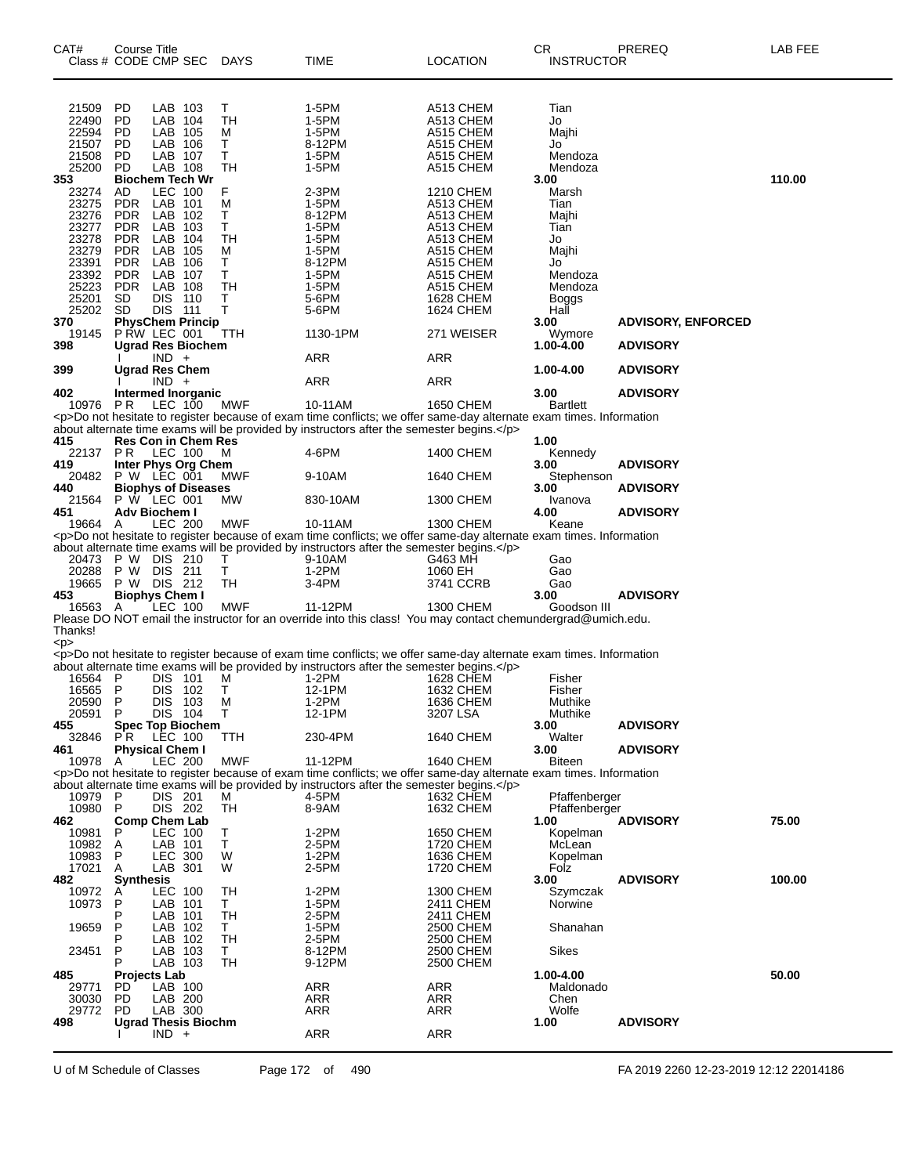| CAT#<br>Class # CODE CMP SEC DAYS                                                      | Course Title                                                                                                              |                                                                                                                   |         |                                                  | TIME                                                                                                                                                                                                                                         | <b>LOCATION</b>                                                                                                                       | CR.<br><b>INSTRUCTOR</b>                                                           | PREREQ                                       | LAB FEE |
|----------------------------------------------------------------------------------------|---------------------------------------------------------------------------------------------------------------------------|-------------------------------------------------------------------------------------------------------------------|---------|--------------------------------------------------|----------------------------------------------------------------------------------------------------------------------------------------------------------------------------------------------------------------------------------------------|---------------------------------------------------------------------------------------------------------------------------------------|------------------------------------------------------------------------------------|----------------------------------------------|---------|
| 21509<br>22490<br>22594<br>21507<br>21508<br>25200<br>353                              | PD<br><b>PD</b><br>PD<br><b>PD</b><br><b>PD</b><br><b>PD</b><br><b>Biochem Tech Wr</b>                                    | LAB 103<br>LAB 104<br>LAB 105<br>LAB 106<br>LAB 107<br>LAB 108                                                    |         | Τ<br><b>TH</b><br>М<br>Т<br>Τ<br>TН              | 1-5PM<br>1-5PM<br>1-5PM<br>8-12PM<br>1-5PM<br>1-5PM                                                                                                                                                                                          | A513 CHEM<br>A513 CHEM<br>A515 CHEM<br>A515 CHEM<br>A515 CHEM<br>A515 CHEM                                                            | Tian<br>Jo<br>Majhi<br>Jo<br>Mendoza<br>Mendoza<br>3.00                            |                                              | 110.00  |
| 23274<br>23275<br>23276<br>23277<br>23278<br>23279<br>23391<br>23392<br>25223<br>25201 | AD.<br><b>PDR</b><br><b>PDR</b><br><b>PDR</b><br><b>PDR</b><br><b>PDR</b><br><b>PDR</b><br><b>PDR</b><br><b>PDR</b><br>SD | <b>LEC 100</b><br>LAB 101<br>LAB 102<br>LAB 103<br>LAB 104<br>LAB 105<br>LAB 106<br>LAB 107<br>LAB 108<br>DIS 110 |         | F<br>М<br>Т<br>Т<br>TН<br>М<br>Т<br>т<br>TН<br>т | 2-3PM<br>1-5PM<br>8-12PM<br>1-5PM<br>1-5PM<br>1-5PM<br>8-12PM<br>1-5PM<br>1-5PM<br>5-6PM                                                                                                                                                     | <b>1210 CHEM</b><br>A513 CHEM<br>A513 CHEM<br>A513 CHEM<br>A513 CHEM<br>A515 CHEM<br>A515 CHEM<br>A515 CHEM<br>A515 CHEM<br>1628 CHEM | Marsh<br>Tian<br>Majhi<br>Tian<br>Jo<br>Majhi<br>Jo<br>Mendoza<br>Mendoza<br>Boggs |                                              |         |
| 25202<br>370<br>19145<br>398                                                           | SD<br><b>PhysChem Princip</b><br><b>P RW LEC 001</b><br><b>Ugrad Res Biochem</b>                                          | DIS 111                                                                                                           |         | T<br>TTH                                         | 5-6PM<br>1130-1PM                                                                                                                                                                                                                            | 1624 CHEM<br>271 WEISER                                                                                                               | Hall<br>3.00<br>Wymore<br>1.00-4.00                                                | <b>ADVISORY, ENFORCED</b><br><b>ADVISORY</b> |         |
| 399                                                                                    | <b>Ugrad Res Chem</b>                                                                                                     | $IND +$                                                                                                           |         |                                                  | ARR                                                                                                                                                                                                                                          | ARR                                                                                                                                   | 1.00-4.00                                                                          | <b>ADVISORY</b>                              |         |
| 402                                                                                    | Intermed Inorganic                                                                                                        | $IND +$                                                                                                           |         |                                                  | ARR                                                                                                                                                                                                                                          | ARR                                                                                                                                   | 3.00                                                                               | <b>ADVISORY</b>                              |         |
| 10976                                                                                  | <b>PR</b><br><b>Res Con in Chem Res</b>                                                                                   | LEC 100                                                                                                           |         | <b>MWF</b>                                       | 10-11AM<br><p>Do not hesitate to register because of exam time conflicts; we offer same-day alternate exam times. Information<br/>about alternate time exams will be provided by instructors after the semester begins.</p>                  | 1650 CHEM                                                                                                                             | <b>Bartlett</b>                                                                    |                                              |         |
| 415<br>22137 PR<br>419                                                                 | Inter Phys Org Chem                                                                                                       | <b>LEC 100</b>                                                                                                    |         | м                                                | 4-6PM                                                                                                                                                                                                                                        | 1400 CHEM                                                                                                                             | 1.00<br>Kennedy<br>3.00                                                            | <b>ADVISORY</b>                              |         |
| 20482<br>440                                                                           | $P W$ LEC $001$<br><b>Biophys of Diseases</b>                                                                             |                                                                                                                   |         | MWF                                              | 9-10AM                                                                                                                                                                                                                                       | 1640 CHEM                                                                                                                             | Stephenson<br>3.00                                                                 | <b>ADVISORY</b>                              |         |
| 21564<br>451                                                                           | <b>P W LEC 001</b><br>Adv Biochem I                                                                                       |                                                                                                                   |         | MW                                               | 830-10AM                                                                                                                                                                                                                                     | 1300 CHEM                                                                                                                             | Ivanova<br>4.00                                                                    | <b>ADVISORY</b>                              |         |
| 19664 A<br>20473 P W DIS 210                                                           |                                                                                                                           | <b>LEC 200</b>                                                                                                    |         | <b>MWF</b><br>т                                  | 10-11AM<br><p>Do not hesitate to register because of exam time conflicts; we offer same-day alternate exam times. Information<br/>about alternate time exams will be provided by instructors after the semester begins.</p><br>9-10AM        | 1300 CHEM<br>G463 MH                                                                                                                  | Keane<br>Gao                                                                       |                                              |         |
| 20288<br>19665                                                                         | P W DIS 211<br>P W DIS 212                                                                                                |                                                                                                                   |         | т<br>TН                                          | $1-2PM$<br>3-4PM                                                                                                                                                                                                                             | 1060 EH<br>3741 CCRB                                                                                                                  | Gao<br>Gao                                                                         |                                              |         |
| 453<br>16563                                                                           | <b>Biophys Chem I</b><br>A                                                                                                | LEC 100                                                                                                           |         | <b>MWF</b>                                       | 11-12PM                                                                                                                                                                                                                                      | 1300 CHEM                                                                                                                             | 3.00<br>Goodson III                                                                | <b>ADVISORY</b>                              |         |
| Thanks!<br><p></p>                                                                     |                                                                                                                           |                                                                                                                   |         |                                                  | Please DO NOT email the instructor for an override into this class! You may contact chemundergrad@umich.edu.                                                                                                                                 |                                                                                                                                       |                                                                                    |                                              |         |
| 16564 P<br>16565<br>20590 P                                                            | $\mathsf{P}$                                                                                                              | <b>DIS 101</b><br>DIS 102                                                                                         | DIS 103 | M<br>т<br>м                                      | <p>Do not hesitate to register because of exam time conflicts; we offer same-day alternate exam times. Information<br/>about alternate time exams will be provided by instructors after the semester begins.</p><br>1-2PM<br>12-1PM<br>1-2PM | <b>1628 CHEM</b><br>1632 CHEM<br>1636 CHEM                                                                                            | Fisher<br>Fisher<br>Muthike                                                        |                                              |         |
| 20591<br>455                                                                           | $\mathsf{P}$<br><b>Spec Top Biochem</b>                                                                                   | DIS 104                                                                                                           |         | $\top$                                           | 12-1PM                                                                                                                                                                                                                                       | 3207 LSA                                                                                                                              | Muthike<br>3.00                                                                    | <b>ADVISORY</b>                              |         |
| 32846<br>461                                                                           | P R<br><b>Physical Chem I</b>                                                                                             | LEC 100<br>LEC 200                                                                                                |         | TTH<br><b>MWF</b>                                | 230-4PM<br>11-12PM                                                                                                                                                                                                                           | 1640 CHEM                                                                                                                             | Walter<br>3.00                                                                     | <b>ADVISORY</b>                              |         |
| 10978                                                                                  | A                                                                                                                         |                                                                                                                   |         |                                                  | <p>Do not hesitate to register because of exam time conflicts; we offer same-day alternate exam times. Information</p>                                                                                                                       | 1640 CHEM                                                                                                                             | Biteen                                                                             |                                              |         |
| 10979<br>10980<br>462                                                                  | -P<br>$\mathsf{P}$<br><b>Comp Chem Lab</b>                                                                                | DIS 201<br>DIS 202                                                                                                |         | М<br>TН                                          | about alternate time exams will be provided by instructors after the semester begins.<br>4-5PM<br>8-9AM                                                                                                                                      | 1632 CHEM<br>1632 CHEM                                                                                                                | Pfaffenberger<br>Pfaffenberger<br>1.00                                             | <b>ADVISORY</b>                              | 75.00   |
| 10981<br>10982<br>10983<br>17021                                                       | P<br>A<br>P<br>A                                                                                                          | LEC 100<br>LAB 101<br><b>LEC 300</b><br>LAB 301                                                                   |         | т<br>T<br>W<br>W                                 | $1-2PM$<br>2-5PM<br>$1-2PM$<br>2-5PM                                                                                                                                                                                                         | 1650 CHEM<br>1720 CHEM<br>1636 CHEM<br>1720 CHEM                                                                                      | Kopelman<br>McLean<br>Kopelman<br>Folz                                             |                                              |         |
| 482<br>10972<br>10973                                                                  | <b>Synthesis</b><br>A<br>P<br>P                                                                                           | <b>LEC 100</b><br>LAB 101<br>LAB 101                                                                              |         | TН<br>T.<br>TН                                   | $1-2PM$<br>1-5PM<br>2-5PM                                                                                                                                                                                                                    | <b>1300 CHEM</b><br>2411 CHEM<br>2411 CHEM                                                                                            | 3.00<br>Szymczak<br>Norwine                                                        | <b>ADVISORY</b>                              | 100.00  |
| 19659<br>23451                                                                         | P<br>P<br>P<br>P                                                                                                          | LAB 102<br>LAB 102<br>LAB 103<br>LAB 103                                                                          |         | Τ<br><b>TH</b><br>T.<br>TН                       | 1-5PM<br>2-5PM<br>8-12PM<br>9-12PM                                                                                                                                                                                                           | 2500 CHEM<br>2500 CHEM<br>2500 CHEM<br>2500 CHEM                                                                                      | Shanahan<br><b>Sikes</b>                                                           |                                              |         |
| 485<br>29771<br>30030<br>29772                                                         | <b>Projects Lab</b><br>PD.<br><b>PD</b><br><b>PD</b>                                                                      | LAB 100<br>LAB 200<br>LAB 300                                                                                     |         |                                                  | <b>ARR</b><br>ARR<br><b>ARR</b>                                                                                                                                                                                                              | ARR<br><b>ARR</b><br>ARR                                                                                                              | 1.00-4.00<br>Maldonado<br>Chen<br>Wolfe                                            |                                              | 50.00   |
| 498                                                                                    | <b>Ugrad Thesis Biochm</b>                                                                                                | $IND +$                                                                                                           |         |                                                  | <b>ARR</b>                                                                                                                                                                                                                                   | ARR                                                                                                                                   | 1.00                                                                               | <b>ADVISORY</b>                              |         |

U of M Schedule of Classes Page 172 of 490 FA 2019 2260 12-23-2019 12:12 22014186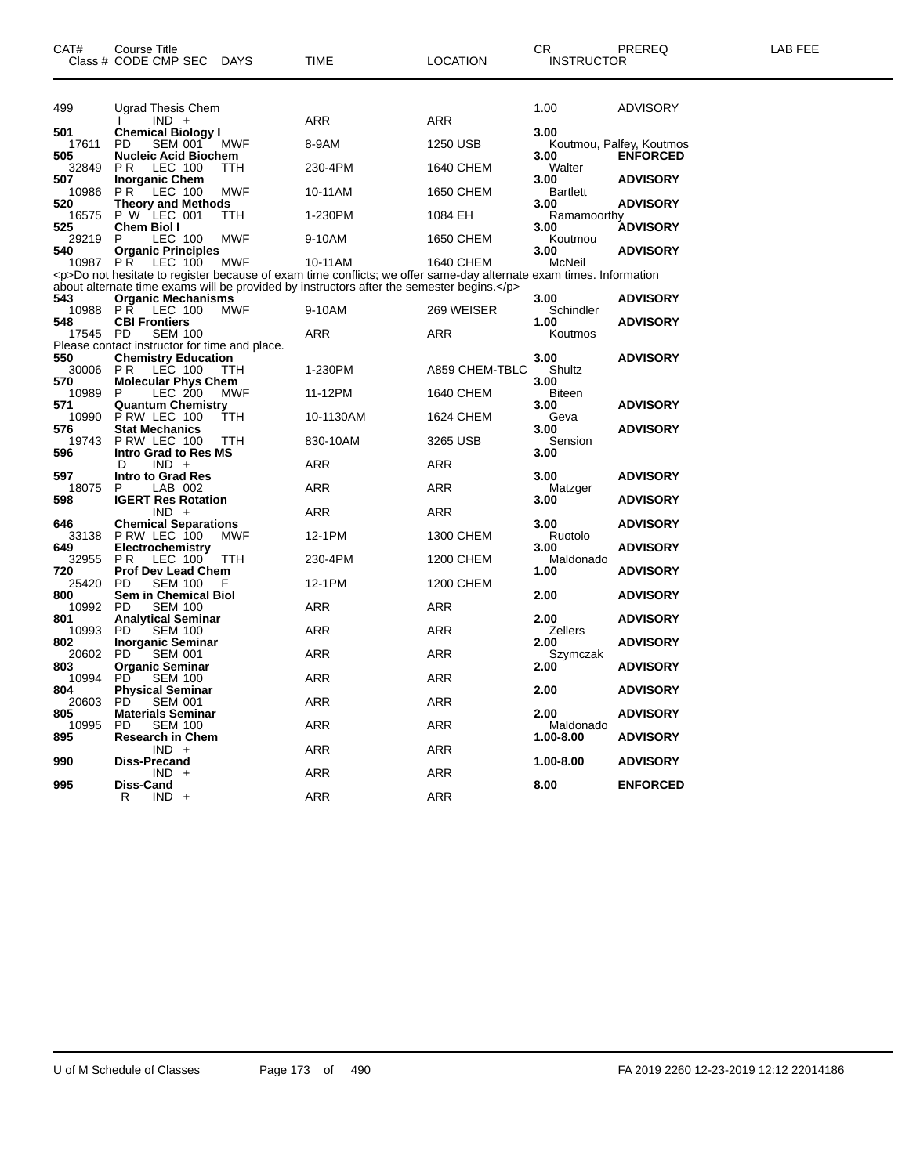| 499          | Ugrad Thesis Chem<br>$IND +$<br>I.                       |            | <b>ARR</b>                                                                                                             | <b>ARR</b>       | 1.00                    | <b>ADVISORY</b>          |
|--------------|----------------------------------------------------------|------------|------------------------------------------------------------------------------------------------------------------------|------------------|-------------------------|--------------------------|
| 501          | <b>Chemical Biology I</b>                                |            |                                                                                                                        |                  | 3.00                    |                          |
| 17611        | <b>SEM 001</b><br>PD                                     | <b>MWF</b> | 8-9AM                                                                                                                  | 1250 USB         |                         | Koutmou, Palfey, Koutmos |
| 505          | <b>Nucleic Acid Biochem</b>                              |            |                                                                                                                        |                  | 3.00                    | <b>ENFORCED</b>          |
| 32849        | P <sub>R</sub><br>LEC 100                                | TTH        | 230-4PM                                                                                                                | 1640 CHEM        | Walter                  |                          |
| 507<br>10986 | <b>Inorganic Chem</b><br>P <sub>R</sub><br>LEC 100       | <b>MWF</b> | 10-11AM                                                                                                                | 1650 CHEM        | 3.00<br><b>Bartlett</b> | <b>ADVISORY</b>          |
| 520          | <b>Theory and Methods</b>                                |            |                                                                                                                        |                  | 3.00                    | ADVISORY                 |
| 16575        | P W LEC 001                                              | TTH        | 1-230PM                                                                                                                | 1084 EH          | Ramamoorthy             |                          |
| 525          | <b>Chem Biol I</b>                                       |            |                                                                                                                        |                  | 3.00                    | <b>ADVISORY</b>          |
| 29219        | P<br>LEC 100                                             | <b>MWF</b> | 9-10AM                                                                                                                 | 1650 CHEM        | Koutmou                 |                          |
| 540          | <b>Organic Principles</b><br>PR.                         | <b>MWF</b> | 10-11AM                                                                                                                | 1640 CHEM        | 3.00<br>McNeil          | <b>ADVISORY</b>          |
| 10987        | LEC 100                                                  |            | <p>Do not hesitate to register because of exam time conflicts; we offer same-day alternate exam times. Information</p> |                  |                         |                          |
|              |                                                          |            | about alternate time exams will be provided by instructors after the semester begins.                                  |                  |                         |                          |
| 543          | <b>Organic Mechanisms</b>                                |            |                                                                                                                        |                  | 3.00                    | <b>ADVISORY</b>          |
| 10988        | P R<br>LEC 100                                           | <b>MWF</b> | 9-10AM                                                                                                                 | 269 WEISER       | Schindler               |                          |
| 548          | <b>CBI Frontiers</b>                                     |            |                                                                                                                        |                  | 1.00                    | <b>ADVISORY</b>          |
| 17545        | <b>PD</b><br><b>SEM 100</b>                              |            | <b>ARR</b>                                                                                                             | ARR              | Koutmos                 |                          |
|              | Please contact instructor for time and place.            |            |                                                                                                                        |                  |                         |                          |
| 550<br>30006 | <b>Chemistry Education</b><br>P <sub>R</sub><br>LEC 100  | ттн        | 1-230PM                                                                                                                | A859 CHEM-TBLC   | 3.00<br>Shultz          | <b>ADVISORY</b>          |
| 570          | <b>Molecular Phys Chem</b>                               |            |                                                                                                                        |                  | 3.00                    |                          |
| 10989        | <b>LEC 200</b><br>P                                      | MWF        | 11-12PM                                                                                                                | 1640 CHEM        | <b>Biteen</b>           |                          |
| 571          | <b>Quantum Chemistry</b>                                 |            |                                                                                                                        |                  | 3.00                    | <b>ADVISORY</b>          |
| 10990        | P RW LEC 100                                             | TTH        | 10-1130AM                                                                                                              | 1624 CHEM        | Geva                    |                          |
| 576          | <b>Stat Mechanics</b>                                    |            |                                                                                                                        |                  | 3.00                    | <b>ADVISORY</b>          |
| 19743        | P RW LEC 100                                             | TTH        | 830-10AM                                                                                                               | 3265 USB         | Sension                 |                          |
| 596          | <b>Intro Grad to Res MS</b>                              |            |                                                                                                                        |                  | 3.00                    |                          |
| 597          | D<br>$IND +$<br><b>Intro to Grad Res</b>                 |            | <b>ARR</b>                                                                                                             | <b>ARR</b>       | 3.00                    | <b>ADVISORY</b>          |
| 18075        | P<br>LAB 002                                             |            | <b>ARR</b>                                                                                                             | <b>ARR</b>       | Matzger                 |                          |
| 598          | <b>IGERT Res Rotation</b>                                |            |                                                                                                                        |                  | 3.00                    | ADVISORY                 |
|              | $IND +$                                                  |            | ARR                                                                                                                    | ARR              |                         |                          |
| 646          | <b>Chemical Separations</b>                              |            |                                                                                                                        |                  | 3.00                    | <b>ADVISORY</b>          |
| 33138        | P RW LEC 100                                             | <b>MWF</b> | 12-1PM                                                                                                                 | 1300 CHEM        | Ruotolo                 |                          |
| 649          | Electrochemistry                                         |            |                                                                                                                        |                  | 3.00                    | <b>ADVISORY</b>          |
| 32955        | P <sub>R</sub><br>LEC 100                                | TTH        | 230-4PM                                                                                                                | <b>1200 CHEM</b> | Maldonado               |                          |
| 720<br>25420 | <b>Prof Dev Lead Chem</b><br><b>PD</b><br><b>SEM 100</b> | F          | 12-1PM                                                                                                                 | 1200 CHEM        | 1.00                    | <b>ADVISORY</b>          |
| 800          | <b>Sem in Chemical Biol</b>                              |            |                                                                                                                        |                  | 2.00                    | <b>ADVISORY</b>          |
| 10992        | <b>PD</b><br><b>SEM 100</b>                              |            | <b>ARR</b>                                                                                                             | <b>ARR</b>       |                         |                          |
| 801          | <b>Analytical Seminar</b>                                |            |                                                                                                                        |                  | 2.00                    | <b>ADVISORY</b>          |
| 10993        | <b>SEM 100</b><br><b>PD</b>                              |            | <b>ARR</b>                                                                                                             | ARR              | <b>Zellers</b>          |                          |
| 802          | <b>Inorganic Seminar</b>                                 |            |                                                                                                                        |                  | 2.00                    | <b>ADVISORY</b>          |
| 20602        | PD<br><b>SEM 001</b>                                     |            | <b>ARR</b>                                                                                                             | <b>ARR</b>       | Szymczak                |                          |
| 803<br>10994 | <b>Organic Seminar</b><br><b>SEM 100</b><br>PD.          |            | <b>ARR</b>                                                                                                             | <b>ARR</b>       | 2.00                    | <b>ADVISORY</b>          |
| 804          | <b>Physical Seminar</b>                                  |            |                                                                                                                        |                  | 2.00                    | <b>ADVISORY</b>          |
| 20603        | <b>PD</b><br>SEM 001                                     |            | <b>ARR</b>                                                                                                             | <b>ARR</b>       |                         |                          |
| 805          | <b>Materials Seminar</b>                                 |            |                                                                                                                        |                  | 2.00                    | <b>ADVISORY</b>          |
| 10995        | <b>PD</b><br><b>SEM 100</b>                              |            | <b>ARR</b>                                                                                                             | <b>ARR</b>       | Maldonado               |                          |
| 895          | <b>Research in Chem</b>                                  |            |                                                                                                                        |                  | 1.00-8.00               | <b>ADVISORY</b>          |
|              | $IND +$                                                  |            | ARR                                                                                                                    | <b>ARR</b>       |                         |                          |
| 990          | <b>Diss-Precand</b><br>$IND +$                           |            | ARR                                                                                                                    | <b>ARR</b>       | 1.00-8.00               | <b>ADVISORY</b>          |
| 995          | Diss-Cand                                                |            |                                                                                                                        |                  | 8.00                    | <b>ENFORCED</b>          |
|              | R<br>IND.<br>$+$                                         |            | ARR                                                                                                                    | <b>ARR</b>       |                         |                          |
|              |                                                          |            |                                                                                                                        |                  |                         |                          |
|              |                                                          |            |                                                                                                                        |                  |                         |                          |

Class # CODE CMP SEC DAYS TIME LOCATION INSTRUCTOR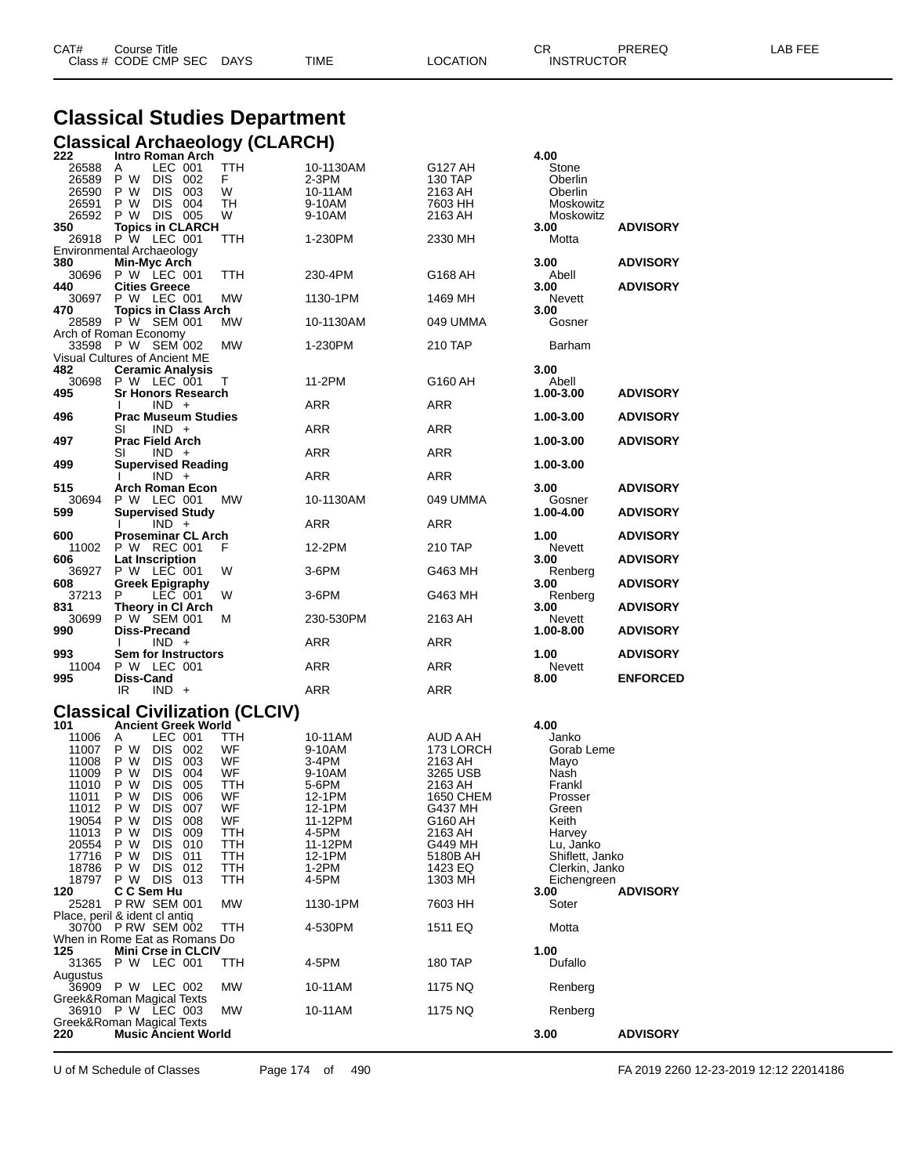| CAT# | Title<br>∴ourse      |                 |      |                  | Ωm<br>. ا ب | PREREQ            | ---<br>AR.<br>--- |
|------|----------------------|-----------------|------|------------------|-------------|-------------------|-------------------|
|      | Class # CODE CMP SEC | DAYS<br>_______ | TIME | LOCATION<br>____ |             | <b>INSTRUCTOR</b> |                   |

## **Classical Studies Department**

|                                                                                                                                                      | Classical Archaeology (CLARCH)                                                                                                                                                                                                                                                                                                                                                                                                                                              |                                                                                                             |                                                                                                                                                              |                                                                                                                                                                                    |                                                                                                                                                                                                      |                                    |
|------------------------------------------------------------------------------------------------------------------------------------------------------|-----------------------------------------------------------------------------------------------------------------------------------------------------------------------------------------------------------------------------------------------------------------------------------------------------------------------------------------------------------------------------------------------------------------------------------------------------------------------------|-------------------------------------------------------------------------------------------------------------|--------------------------------------------------------------------------------------------------------------------------------------------------------------|------------------------------------------------------------------------------------------------------------------------------------------------------------------------------------|------------------------------------------------------------------------------------------------------------------------------------------------------------------------------------------------------|------------------------------------|
| 222<br>26588<br>26589<br>26590<br>26591<br>26592                                                                                                     | Intro Roman Arch<br>LEC 001<br>A<br>P W<br>DIS 002<br>P W<br>DIS 003<br>P W<br>DIS 004<br><b>DIS 005</b><br>P W                                                                                                                                                                                                                                                                                                                                                             | <b>TTH</b><br>F<br>W<br>TН<br>W                                                                             | 10-1130AM<br>2-3PM<br>10-11AM<br>9-10AM<br>9-10AM                                                                                                            | G127 AH<br>130 TAP<br>2163 AH<br>7603 HH<br>2163 AH                                                                                                                                | 4.00<br>Stone<br>Oberlin<br>Oberlin<br>Moskowitz<br>Moskowitz                                                                                                                                        |                                    |
| 350<br>26918                                                                                                                                         | <b>Topics in CLARCH</b><br><b>P W LEC 001</b><br>Environmental Archaeology                                                                                                                                                                                                                                                                                                                                                                                                  | TTH                                                                                                         | 1-230PM                                                                                                                                                      | 2330 MH                                                                                                                                                                            | 3.00<br>Motta                                                                                                                                                                                        | <b>ADVISORY</b>                    |
| 380<br>30696                                                                                                                                         | Min-Myc Arch<br>P W LEC 001                                                                                                                                                                                                                                                                                                                                                                                                                                                 | TTH                                                                                                         | 230-4PM                                                                                                                                                      | G168 AH                                                                                                                                                                            | 3.00<br>Abell                                                                                                                                                                                        | <b>ADVISORY</b>                    |
| 440<br>30697<br>470                                                                                                                                  | <b>Cities Greece</b><br><b>P W LEC 001</b><br><b>Topics in Class Arch</b>                                                                                                                                                                                                                                                                                                                                                                                                   | MW                                                                                                          | 1130-1PM                                                                                                                                                     | 1469 MH                                                                                                                                                                            | 3.00<br>Nevett<br>3.00                                                                                                                                                                               | <b>ADVISORY</b>                    |
| 28589                                                                                                                                                | P W SEM 001<br>Arch of Roman Economy                                                                                                                                                                                                                                                                                                                                                                                                                                        | МW                                                                                                          | 10-1130AM                                                                                                                                                    | 049 UMMA                                                                                                                                                                           | Gosner                                                                                                                                                                                               |                                    |
|                                                                                                                                                      | 33598 P W SEM 002<br>Visual Cultures of Ancient ME                                                                                                                                                                                                                                                                                                                                                                                                                          | MW                                                                                                          | 1-230PM                                                                                                                                                      | 210 TAP                                                                                                                                                                            | Barham                                                                                                                                                                                               |                                    |
| 482<br>30698<br>495                                                                                                                                  | <b>Ceramic Analysis</b><br>P W LEC 001<br><b>Sr Honors Research</b>                                                                                                                                                                                                                                                                                                                                                                                                         | Т                                                                                                           | 11-2PM                                                                                                                                                       | G160 AH                                                                                                                                                                            | 3.00<br>Abell<br>1.00-3.00                                                                                                                                                                           | <b>ADVISORY</b>                    |
| 496                                                                                                                                                  | $IND +$<br><b>Prac Museum Studies</b>                                                                                                                                                                                                                                                                                                                                                                                                                                       |                                                                                                             | <b>ARR</b>                                                                                                                                                   | ARR                                                                                                                                                                                | 1.00-3.00                                                                                                                                                                                            | <b>ADVISORY</b>                    |
| 497                                                                                                                                                  | SI<br>$IND +$<br><b>Prac Field Arch</b>                                                                                                                                                                                                                                                                                                                                                                                                                                     |                                                                                                             | ARR                                                                                                                                                          | ARR                                                                                                                                                                                | 1.00-3.00                                                                                                                                                                                            | <b>ADVISORY</b>                    |
| 499                                                                                                                                                  | SI<br>$IND +$<br><b>Supervised Reading</b>                                                                                                                                                                                                                                                                                                                                                                                                                                  |                                                                                                             | ARR<br><b>ARR</b>                                                                                                                                            | ARR                                                                                                                                                                                | 1.00-3.00                                                                                                                                                                                            |                                    |
| 515<br>30694                                                                                                                                         | $IND +$<br><b>Arch Roman Econ</b><br>P W LEC 001                                                                                                                                                                                                                                                                                                                                                                                                                            | МW                                                                                                          | 10-1130AM                                                                                                                                                    | ARR<br>049 UMMA                                                                                                                                                                    | 3.00<br>Gosner                                                                                                                                                                                       | <b>ADVISORY</b>                    |
| 599                                                                                                                                                  | <b>Supervised Study</b><br>$IND +$                                                                                                                                                                                                                                                                                                                                                                                                                                          |                                                                                                             | ARR                                                                                                                                                          | ARR                                                                                                                                                                                | 1.00-4.00                                                                                                                                                                                            | <b>ADVISORY</b>                    |
| 600<br>11002                                                                                                                                         | <b>Proseminar CL Arch</b><br>P W REC 001                                                                                                                                                                                                                                                                                                                                                                                                                                    | F                                                                                                           | 12-2PM                                                                                                                                                       | 210 TAP                                                                                                                                                                            | 1.00<br>Nevett                                                                                                                                                                                       | <b>ADVISORY</b>                    |
| 606<br>36927                                                                                                                                         | <b>Lat Inscription</b><br>P W LEC 001                                                                                                                                                                                                                                                                                                                                                                                                                                       | W                                                                                                           | 3-6PM                                                                                                                                                        | G463 MH                                                                                                                                                                            | 3.00<br>Renberg                                                                                                                                                                                      | <b>ADVISORY</b>                    |
| 608<br>37213<br>831                                                                                                                                  | <b>Greek Epigraphy</b><br>P<br>LEC 001<br>Theory in CI Arch                                                                                                                                                                                                                                                                                                                                                                                                                 | W                                                                                                           | 3-6PM                                                                                                                                                        | G463 MH                                                                                                                                                                            | 3.00<br>Renberg<br>3.00                                                                                                                                                                              | <b>ADVISORY</b><br><b>ADVISORY</b> |
| 30699<br>990                                                                                                                                         | P W SEM 001<br><b>Diss-Precand</b>                                                                                                                                                                                                                                                                                                                                                                                                                                          | м                                                                                                           | 230-530PM                                                                                                                                                    | 2163 AH                                                                                                                                                                            | Nevett<br>1.00-8.00                                                                                                                                                                                  | <b>ADVISORY</b>                    |
| 993                                                                                                                                                  | $IND +$<br>Sem for Instructors                                                                                                                                                                                                                                                                                                                                                                                                                                              |                                                                                                             | ARR                                                                                                                                                          | ARR                                                                                                                                                                                | 1.00                                                                                                                                                                                                 | <b>ADVISORY</b>                    |
| 11004<br>995                                                                                                                                         | P W LEC 001<br>Diss-Cand                                                                                                                                                                                                                                                                                                                                                                                                                                                    |                                                                                                             | ARR                                                                                                                                                          | ARR                                                                                                                                                                                | Nevett<br>8.00                                                                                                                                                                                       | <b>ENFORCED</b>                    |
|                                                                                                                                                      | IR<br>$IND +$<br><b>Classical Civilization (CLCIV)</b>                                                                                                                                                                                                                                                                                                                                                                                                                      |                                                                                                             | <b>ARR</b>                                                                                                                                                   | ARR                                                                                                                                                                                |                                                                                                                                                                                                      |                                    |
| 101<br>11006                                                                                                                                         | <b>Ancient Greek World</b><br>LEC 001<br>A                                                                                                                                                                                                                                                                                                                                                                                                                                  | TTH                                                                                                         | 10-11AM                                                                                                                                                      | AUD A AH                                                                                                                                                                           | 4.00<br>Janko                                                                                                                                                                                        |                                    |
| 11007<br>11008<br>11009<br>11010<br>11011<br>11012<br>19054<br>11013<br>20554<br>17716<br>18786<br>18797<br>120<br>25281<br>125<br>31365<br>Augustus | P W<br>DIS 002<br>P W<br>DIS.<br>003<br>P W<br>DIS.<br>004<br>P W<br>DIS<br>005<br>P W<br><b>DIS</b><br>006<br>DIS 007<br>P W<br>P W<br>DIS.<br>008<br>P W<br>009<br>DIS.<br>P W<br>DIS 010<br>DIS 011<br>P W<br>P W<br>DIS 012<br>DIS 013<br>P W<br>C C Sem Hu<br><b>P RW SEM 001</b><br>Place, peril & ident cl antig<br>30700 PRW SEM 002<br>When in Rome Eat as Romans Do<br><b>Mini Crse in CLCIV</b><br>P W LEC 001<br>36909 P W LEC 002<br>Greek&Roman Magical Texts | WF<br>WF<br>WF<br>TTH<br>WF<br>WF<br>WF<br>TTH<br>TTH<br>TTH<br>TTH<br>TTH<br>MW<br>ттн<br>ттн<br><b>MW</b> | 9-10AM<br>3-4PM<br>9-10AM<br>5-6PM<br>12-1PM<br>12-1PM<br>11-12PM<br>4-5PM<br>11-12PM<br>12-1PM<br>1-2PM<br>4-5PM<br>1130-1PM<br>4-530PM<br>4-5PM<br>10-11AM | 173 LORCH<br>2163 AH<br>3265 USB<br>2163 AH<br>1650 CHEM<br>G437 MH<br>G160 AH<br>2163 AH<br>G449 MH<br>5180B AH<br>1423 EQ<br>1303 MH<br>7603 HH<br>1511 EQ<br>180 TAP<br>1175 NQ | Gorab Leme<br>Mayo<br>Nash<br>Frankl<br>Prosser<br>Green<br>Keith<br>Harvey<br>Lu, Janko<br>Shiflett, Janko<br>Clerkin, Janko<br>Eichengreen<br>3.00<br>Soter<br>Motta<br>1.00<br>Dufallo<br>Renberg | <b>ADVISORY</b>                    |
| 36910                                                                                                                                                | P W LEC 003<br>Greek&Roman Magical Texts                                                                                                                                                                                                                                                                                                                                                                                                                                    | МW                                                                                                          | 10-11AM                                                                                                                                                      | 1175 NQ                                                                                                                                                                            | Renberg                                                                                                                                                                                              |                                    |
| 220                                                                                                                                                  | <b>Music Ancient World</b>                                                                                                                                                                                                                                                                                                                                                                                                                                                  |                                                                                                             |                                                                                                                                                              |                                                                                                                                                                                    | 3.00                                                                                                                                                                                                 | <b>ADVISORY</b>                    |

U of M Schedule of Classes Page 174 of 490 FA 2019 2260 12-23-2019 12:12 22014186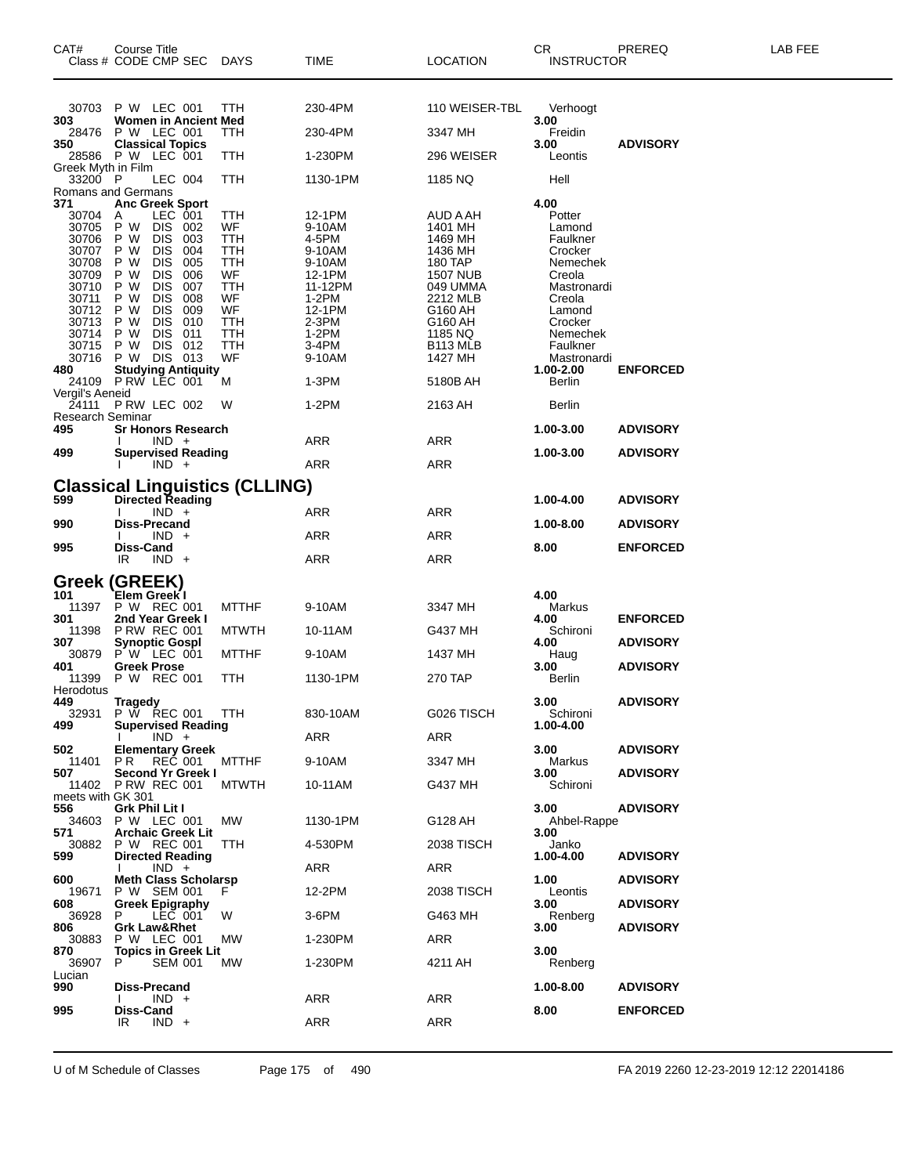| CAT#                                                                                                                                                                                   | Course Title<br>Class # CODE CMP SEC                                                                                                                                                                                                                                                                                                                                                                                                                            | DAYS                                                                                         | TIME                                                                                                                                                  | <b>LOCATION</b>                                                                                                                                                                       | CR<br><b>INSTRUCTOR</b>                                                                                                                                                                                       | PREREQ                                                | LAB FEE |
|----------------------------------------------------------------------------------------------------------------------------------------------------------------------------------------|-----------------------------------------------------------------------------------------------------------------------------------------------------------------------------------------------------------------------------------------------------------------------------------------------------------------------------------------------------------------------------------------------------------------------------------------------------------------|----------------------------------------------------------------------------------------------|-------------------------------------------------------------------------------------------------------------------------------------------------------|---------------------------------------------------------------------------------------------------------------------------------------------------------------------------------------|---------------------------------------------------------------------------------------------------------------------------------------------------------------------------------------------------------------|-------------------------------------------------------|---------|
| 30703                                                                                                                                                                                  | P W LEC 001                                                                                                                                                                                                                                                                                                                                                                                                                                                     | <b>TTH</b>                                                                                   | 230-4PM                                                                                                                                               | 110 WEISER-TBL                                                                                                                                                                        | Verhoogt                                                                                                                                                                                                      |                                                       |         |
| 303<br>28476                                                                                                                                                                           | Women in Ancient Med<br>P W LEC 001                                                                                                                                                                                                                                                                                                                                                                                                                             | TTH                                                                                          | 230-4PM                                                                                                                                               | 3347 MH                                                                                                                                                                               | 3.00<br>Freidin                                                                                                                                                                                               |                                                       |         |
| 350<br>28586                                                                                                                                                                           | <b>Classical Topics</b><br>P W LEC 001                                                                                                                                                                                                                                                                                                                                                                                                                          | TTH                                                                                          | 1-230PM                                                                                                                                               | 296 WEISER                                                                                                                                                                            | 3.00<br>Leontis                                                                                                                                                                                               | <b>ADVISORY</b>                                       |         |
| Greek Myth in Film<br>33200 P                                                                                                                                                          | LEC 004                                                                                                                                                                                                                                                                                                                                                                                                                                                         | TTH                                                                                          | 1130-1PM                                                                                                                                              | 1185 NQ                                                                                                                                                                               | Hell                                                                                                                                                                                                          |                                                       |         |
| 371                                                                                                                                                                                    | Romans and Germans<br><b>Anc Greek Sport</b>                                                                                                                                                                                                                                                                                                                                                                                                                    |                                                                                              |                                                                                                                                                       |                                                                                                                                                                                       | 4.00                                                                                                                                                                                                          |                                                       |         |
| 30704<br>30705<br>30706<br>30707<br>30708<br>30709<br>30710<br>30711<br>30712<br>30713<br>30714<br>30715<br>30716<br>480<br>Vergil's Aeneid<br>24111<br>Research Seminar<br>495<br>499 | LEC 001<br>A<br>P W<br>DIS 002<br>P W<br><b>DIS</b><br>003<br><b>DIS</b><br>004<br>P W<br><b>DIS</b><br>005<br>P W<br>P W<br><b>DIS</b><br>006<br><b>DIS</b><br>007<br>P W<br><b>DIS</b><br>P W<br>008<br>P W<br><b>DIS</b><br>009<br><b>DIS</b><br>010<br>P W<br><b>DIS</b><br>011<br>P W<br>P W<br>DIS 012<br>DIS 013<br>P W<br>0 Studying Antiquity<br>24109 PRW LEC 001<br>PRW LEC 002<br><b>Sr Honors Research</b><br>$IND +$<br><b>Supervised Reading</b> | TTH<br>WF<br>TTH<br>TTH<br>TTH<br>WF<br>TTH<br>WF<br>WF<br>TTH<br>TTH<br>TTH<br>WF<br>М<br>W | 12-1PM<br>9-10AM<br>4-5PM<br>9-10AM<br>9-10AM<br>12-1PM<br>11-12PM<br>1-2PM<br>12-1PM<br>2-3PM<br>$1-2PM$<br>3-4PM<br>9-10AM<br>1-3PM<br>1-2PM<br>ARR | AUD A AH<br>1401 MH<br>1469 MH<br>1436 MH<br>180 TAP<br><b>1507 NUB</b><br>049 UMMA<br>2212 MLB<br>G160 AH<br>G160 AH<br>1185 NQ<br>B113 MLB<br>1427 MH<br>5180B AH<br>2163 AH<br>ARR | Potter<br>Lamond<br>Faulkner<br>Crocker<br>Nemechek<br>Creola<br>Mastronardi<br>Creola<br>Lamond<br>Crocker<br>Nemechek<br>Faulkner<br>Mastronardi<br>1.00-2.00<br>Berlin<br>Berlin<br>1.00-3.00<br>1.00-3.00 | <b>ENFORCED</b><br><b>ADVISORY</b><br><b>ADVISORY</b> |         |
|                                                                                                                                                                                        | $IND +$                                                                                                                                                                                                                                                                                                                                                                                                                                                         |                                                                                              | <b>ARR</b>                                                                                                                                            | ARR                                                                                                                                                                                   |                                                                                                                                                                                                               |                                                       |         |
| 599                                                                                                                                                                                    | <b>Classical Linguistics (CLLING)</b><br><b>Directed Reading</b>                                                                                                                                                                                                                                                                                                                                                                                                |                                                                                              |                                                                                                                                                       |                                                                                                                                                                                       | 1.00-4.00                                                                                                                                                                                                     | <b>ADVISORY</b>                                       |         |
|                                                                                                                                                                                        | $IND +$<br>Diss-Precand                                                                                                                                                                                                                                                                                                                                                                                                                                         |                                                                                              | ARR                                                                                                                                                   | ARR                                                                                                                                                                                   |                                                                                                                                                                                                               |                                                       |         |
| 990                                                                                                                                                                                    | $IND +$                                                                                                                                                                                                                                                                                                                                                                                                                                                         |                                                                                              | ARR                                                                                                                                                   | ARR                                                                                                                                                                                   | 1.00-8.00                                                                                                                                                                                                     | <b>ADVISORY</b>                                       |         |
| 995                                                                                                                                                                                    | Diss-Cand<br>IR.<br>$IND +$                                                                                                                                                                                                                                                                                                                                                                                                                                     |                                                                                              | ARR                                                                                                                                                   | ARR                                                                                                                                                                                   | 8.00                                                                                                                                                                                                          | <b>ENFORCED</b>                                       |         |
| 101<br>11397<br>301                                                                                                                                                                    | Greek (GREEK)<br>Elem Greek I<br>P W REC 001<br>2nd Year Greek I                                                                                                                                                                                                                                                                                                                                                                                                | <b>MTTHF</b>                                                                                 | 9-10AM                                                                                                                                                | 3347 MH                                                                                                                                                                               | 4.00<br>Markus<br>4.00                                                                                                                                                                                        | <b>ENFORCED</b>                                       |         |
| 11398<br>307                                                                                                                                                                           | <b>P RW REC 001</b><br><b>Synoptic Gospl</b>                                                                                                                                                                                                                                                                                                                                                                                                                    | <b>MTWTH</b>                                                                                 | 10-11AM                                                                                                                                               | G437 MH                                                                                                                                                                               | Schironi<br>4.00                                                                                                                                                                                              | <b>ADVISORY</b>                                       |         |
| 30879<br>401                                                                                                                                                                           | $P' W'$ LEC 001<br><b>Greek Prose</b>                                                                                                                                                                                                                                                                                                                                                                                                                           | <b>MTTHF</b>                                                                                 | 9-10AM                                                                                                                                                | 1437 MH                                                                                                                                                                               | Haug<br>3.00                                                                                                                                                                                                  | <b>ADVISORY</b>                                       |         |
| 11399<br>Herodotus                                                                                                                                                                     | P W REC 001                                                                                                                                                                                                                                                                                                                                                                                                                                                     | TTH                                                                                          | 1130-1PM                                                                                                                                              | 270 TAP                                                                                                                                                                               | <b>Berlin</b>                                                                                                                                                                                                 |                                                       |         |
| 449<br>499                                                                                                                                                                             | <b>Tragedy</b><br>32931 P W REC 001 TTH<br><b>Supervised Reading</b><br>$IND +$                                                                                                                                                                                                                                                                                                                                                                                 |                                                                                              | 830-10AM<br>ARR                                                                                                                                       | G026 TISCH<br>ARR                                                                                                                                                                     | 3.00<br>Schironi<br>1.00-4.00                                                                                                                                                                                 | <b>ADVISORY</b>                                       |         |
| 502<br>11401                                                                                                                                                                           | <b>Elementary Greek</b><br>REČ 001<br>PR.                                                                                                                                                                                                                                                                                                                                                                                                                       | <b>MTTHF</b>                                                                                 | 9-10AM                                                                                                                                                | 3347 MH                                                                                                                                                                               | 3.00<br>Markus                                                                                                                                                                                                | <b>ADVISORY</b>                                       |         |
| 507                                                                                                                                                                                    | Second Yr Greek I<br>11402 P RW REC 001                                                                                                                                                                                                                                                                                                                                                                                                                         | <b>MTWTH</b>                                                                                 | 10-11AM                                                                                                                                               | G437 MH                                                                                                                                                                               | 3.00<br>Schironi                                                                                                                                                                                              | <b>ADVISORY</b>                                       |         |
| meets with GK 301<br>556<br>34603                                                                                                                                                      | Grk Phil Lit I<br><b>P W LEC 001</b>                                                                                                                                                                                                                                                                                                                                                                                                                            | MW.                                                                                          | 1130-1PM                                                                                                                                              | G128 AH                                                                                                                                                                               | 3.00<br>Ahbel-Rappe                                                                                                                                                                                           | <b>ADVISORY</b>                                       |         |
| 571<br>30882                                                                                                                                                                           | <b>Archaic Greek Lit</b><br>P W REC 001                                                                                                                                                                                                                                                                                                                                                                                                                         | ттн                                                                                          | 4-530PM                                                                                                                                               | 2038 TISCH                                                                                                                                                                            | 3.00<br>Janko                                                                                                                                                                                                 |                                                       |         |
| 599                                                                                                                                                                                    | <b>Directed Reading</b><br>$IND +$                                                                                                                                                                                                                                                                                                                                                                                                                              |                                                                                              | ARR                                                                                                                                                   | ARR                                                                                                                                                                                   | 1.00-4.00                                                                                                                                                                                                     | <b>ADVISORY</b>                                       |         |
| 600<br>19671                                                                                                                                                                           | <b>Meth Class Scholarsp</b><br>P W SEM 001                                                                                                                                                                                                                                                                                                                                                                                                                      | F.                                                                                           | 12-2PM                                                                                                                                                | 2038 TISCH                                                                                                                                                                            | 1.00<br>Leontis                                                                                                                                                                                               | <b>ADVISORY</b>                                       |         |
| 608<br>36928                                                                                                                                                                           | <b>Greek Epigraphy</b><br>LEC 001<br>P                                                                                                                                                                                                                                                                                                                                                                                                                          | W                                                                                            | 3-6PM                                                                                                                                                 | G463 MH                                                                                                                                                                               | 3.00<br>Renberg                                                                                                                                                                                               | <b>ADVISORY</b>                                       |         |
| 806<br>30883                                                                                                                                                                           | <b>Grk Law&amp;Rhet</b><br>P W LEC 001                                                                                                                                                                                                                                                                                                                                                                                                                          | MW.                                                                                          | 1-230PM                                                                                                                                               | ARR                                                                                                                                                                                   | 3.00                                                                                                                                                                                                          | <b>ADVISORY</b>                                       |         |
| 870<br>36907                                                                                                                                                                           | <b>Topics in Greek Lit</b><br>P.<br><b>SEM 001</b>                                                                                                                                                                                                                                                                                                                                                                                                              | MW.                                                                                          | 1-230PM                                                                                                                                               | 4211 AH                                                                                                                                                                               | 3.00<br>Renberg                                                                                                                                                                                               |                                                       |         |
| Lucian<br>990                                                                                                                                                                          | Diss-Precand                                                                                                                                                                                                                                                                                                                                                                                                                                                    |                                                                                              |                                                                                                                                                       |                                                                                                                                                                                       | 1.00-8.00                                                                                                                                                                                                     | <b>ADVISORY</b>                                       |         |
| 995                                                                                                                                                                                    | $IND +$<br>Diss-Cand                                                                                                                                                                                                                                                                                                                                                                                                                                            |                                                                                              | ARR                                                                                                                                                   | <b>ARR</b>                                                                                                                                                                            | 8.00                                                                                                                                                                                                          | <b>ENFORCED</b>                                       |         |
|                                                                                                                                                                                        | IR<br>$IND +$                                                                                                                                                                                                                                                                                                                                                                                                                                                   |                                                                                              | ARR                                                                                                                                                   | <b>ARR</b>                                                                                                                                                                            |                                                                                                                                                                                                               |                                                       |         |

U of M Schedule of Classes Page 175 of 490 FA 2019 2260 12-23-2019 12:12 22014186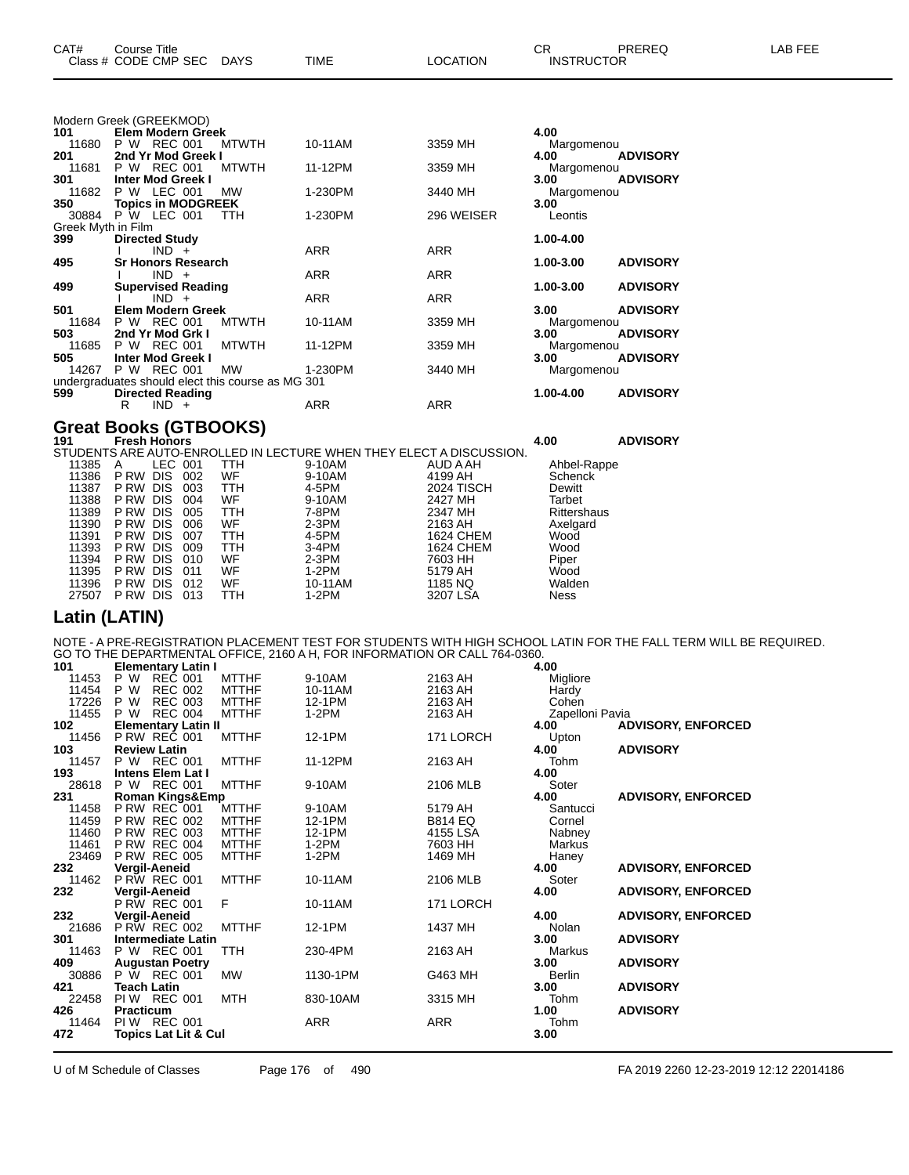|                    | Class # CODE CMP SEC DAYS                                                                                                                                                                                                                                                                                                                                                            |              | TIME       | LOCATION                                                            | <b>INSTRUCTOR</b> |                 |
|--------------------|--------------------------------------------------------------------------------------------------------------------------------------------------------------------------------------------------------------------------------------------------------------------------------------------------------------------------------------------------------------------------------------|--------------|------------|---------------------------------------------------------------------|-------------------|-----------------|
|                    |                                                                                                                                                                                                                                                                                                                                                                                      |              |            |                                                                     |                   |                 |
|                    | Modern Greek (GREEKMOD)                                                                                                                                                                                                                                                                                                                                                              |              |            |                                                                     |                   |                 |
| 101                | <b>Elem Modern Greek</b>                                                                                                                                                                                                                                                                                                                                                             |              |            |                                                                     | 4.00              |                 |
| 11680              | P W REC 001                                                                                                                                                                                                                                                                                                                                                                          | <b>MTWTH</b> | 10-11AM    | 3359 MH                                                             | Margomenou        |                 |
| 201                | 2nd Yr Mod Greek I                                                                                                                                                                                                                                                                                                                                                                   |              |            |                                                                     | 4.00              | <b>ADVISORY</b> |
| 11681              | <b>REC 001</b><br>P W                                                                                                                                                                                                                                                                                                                                                                | <b>MTWTH</b> | 11-12PM    | 3359 MH                                                             | Margomenou        |                 |
| 301                | <b>Inter Mod Greek I</b>                                                                                                                                                                                                                                                                                                                                                             |              |            |                                                                     | 3.00              | <b>ADVISORY</b> |
| 11682              | P W LEC 001                                                                                                                                                                                                                                                                                                                                                                          | <b>MW</b>    | 1-230PM    | 3440 MH                                                             | Margomenou        |                 |
| 350                | <b>Topics in MODGREEK</b>                                                                                                                                                                                                                                                                                                                                                            | TTH          |            |                                                                     | 3.00              |                 |
| Greek Myth in Film | 30884 P W LEC 001                                                                                                                                                                                                                                                                                                                                                                    |              | 1-230PM    | 296 WEISER                                                          | Leontis           |                 |
| 399                | <b>Directed Study</b>                                                                                                                                                                                                                                                                                                                                                                |              |            |                                                                     | 1.00-4.00         |                 |
|                    | $IND +$                                                                                                                                                                                                                                                                                                                                                                              |              | <b>ARR</b> | <b>ARR</b>                                                          |                   |                 |
| 495                | <b>Sr Honors Research</b>                                                                                                                                                                                                                                                                                                                                                            |              |            |                                                                     | 1.00-3.00         | <b>ADVISORY</b> |
|                    | $IND +$                                                                                                                                                                                                                                                                                                                                                                              |              | <b>ARR</b> | <b>ARR</b>                                                          |                   |                 |
| 499                | <b>Supervised Reading</b>                                                                                                                                                                                                                                                                                                                                                            |              |            |                                                                     | 1.00-3.00         | <b>ADVISORY</b> |
|                    | $IND +$                                                                                                                                                                                                                                                                                                                                                                              |              | <b>ARR</b> | <b>ARR</b>                                                          |                   |                 |
| 501                | <b>Elem Modern Greek</b>                                                                                                                                                                                                                                                                                                                                                             |              |            |                                                                     | 3.00              | <b>ADVISORY</b> |
| 11684              | P W REC 001                                                                                                                                                                                                                                                                                                                                                                          | <b>MTWTH</b> | 10-11AM    | 3359 MH                                                             | Margomenou        |                 |
| 503                | 2nd Yr Mod Grk I                                                                                                                                                                                                                                                                                                                                                                     |              |            |                                                                     | 3.00              | <b>ADVISORY</b> |
| 11685              | <b>REC 001</b><br>P W                                                                                                                                                                                                                                                                                                                                                                | <b>MTWTH</b> | 11-12PM    | 3359 MH                                                             | Margomenou        |                 |
| 505                | <b>Inter Mod Greek I</b>                                                                                                                                                                                                                                                                                                                                                             |              |            |                                                                     | 3.00              | <b>ADVISORY</b> |
| 14267              | P W REC 001                                                                                                                                                                                                                                                                                                                                                                          | MW           | 1-230PM    | 3440 MH                                                             | Margomenou        |                 |
|                    | undergraduates should elect this course as MG 301                                                                                                                                                                                                                                                                                                                                    |              |            |                                                                     |                   |                 |
| 599                | <b>Directed Reading</b>                                                                                                                                                                                                                                                                                                                                                              |              |            |                                                                     | 1.00-4.00         | <b>ADVISORY</b> |
|                    | $IND +$<br>R                                                                                                                                                                                                                                                                                                                                                                         |              | <b>ARR</b> | <b>ARR</b>                                                          |                   |                 |
|                    |                                                                                                                                                                                                                                                                                                                                                                                      |              |            |                                                                     |                   |                 |
|                    | Great Books (GTBOOKS)                                                                                                                                                                                                                                                                                                                                                                |              |            |                                                                     | 4.00              | <b>ADVISORY</b> |
|                    |                                                                                                                                                                                                                                                                                                                                                                                      |              |            | STUDENTS ARE AUTO-ENROLLED IN LECTURE WHEN THEY ELECT A DISCUSSION. |                   |                 |
| 11295 A            | $\overline{C}$ $\overline{C}$ $\overline{C}$ $\overline{C}$ $\overline{C}$ $\overline{C}$ $\overline{C}$ $\overline{C}$ $\overline{C}$ $\overline{C}$ $\overline{C}$ $\overline{C}$ $\overline{C}$ $\overline{C}$ $\overline{C}$ $\overline{C}$ $\overline{C}$ $\overline{C}$ $\overline{C}$ $\overline{C}$ $\overline{C}$ $\overline{C}$ $\overline{C}$ $\overline{C}$ $\overline{$ |              | 0.1011     |                                                                     | Abbol Donno       |                 |

|       |          |            |     |            |         | STUDENTS ARE AUTO-ENROLLED IN LECTURE WHEN THEY ELECT A DISCUSSION. |                |
|-------|----------|------------|-----|------------|---------|---------------------------------------------------------------------|----------------|
| 11385 | A        | LEC 001    |     | TTH        | 9-10AM  | AUD A AH                                                            | Ahbel-Rappe    |
| 11386 | P RW     | <b>DIS</b> | 002 | WF         | 9-10AM  | 4199 AH                                                             | <b>Schenck</b> |
| 11387 | P RW DIS |            | 003 | <b>TTH</b> | 4-5PM   | <b>2024 TISCH</b>                                                   | Dewitt         |
| 11388 | P RW     | DIS        | 004 | WF         | 9-10AM  | 2427 MH                                                             | Tarbet         |
| 11389 | P RW     | <b>DIS</b> | 005 | TTH        | 7-8PM   | 2347 MH                                                             | Rittershaus    |
| 11390 | P RW     | <b>DIS</b> | 006 | WF         | $2-3PM$ | 2163 AH                                                             | Axelgard       |
| 11391 | P RW     | <b>DIS</b> | 007 | TTH        | 4-5PM   | 1624 CHEM                                                           | Wood           |
| 11393 | P RW     | <b>DIS</b> | 009 | TTH        | $3-4PM$ | 1624 CHEM                                                           | Wood           |
| 11394 | P RW DIS |            | 010 | WF         | $2-3PM$ | 7603 HH                                                             | Piper          |
| 11395 | P RW     | <b>DIS</b> | 011 | WF         | $1-2PM$ | 5179 AH                                                             | Wood           |
| 11396 | P RW     | <b>DIS</b> | 012 | WF         | 10-11AM | 1185 NQ                                                             | Walden         |
| 27507 | P RW     | DIS        | 013 | TTH        | $1-2PM$ | 3207 LSA                                                            | <b>Ness</b>    |
|       |          |            |     |            |         |                                                                     |                |

#### **Latin (LATIN)**

NOTE - A PRE-REGISTRATION PLACEMENT TEST FOR STUDENTS WITH HIGH SCHOOL LATIN FOR THE FALL TERM WILL BE REQUIRED. GO TO THE DEPARTMENTAL OFFICE, 2160 A H, FOR INFORMATION OR CALL 764-0360.

| 472   | <b>Topics Lat Lit &amp; Cul</b>      |              |          |                | 3.00            |                           |
|-------|--------------------------------------|--------------|----------|----------------|-----------------|---------------------------|
| 11464 | <b>PIW REC 001</b>                   |              | ARR      | ARR            | Tohm            |                           |
| 426   | Practicum                            |              |          |                | 1.00            | <b>ADVISORY</b>           |
| 22458 | <b>PIW REC 001</b>                   | <b>MTH</b>   | 830-10AM | 3315 MH        | Tohm            |                           |
| 421   | <b>Teach Latin</b>                   |              |          |                | 3.00            | <b>ADVISORY</b>           |
| 30886 | P W REC 001                          | <b>MW</b>    | 1130-1PM | G463 MH        | Berlin          |                           |
| 409   | <b>Augustan Poetry</b>               |              |          |                | 3.00            | <b>ADVISORY</b>           |
| 11463 | P W REC 001                          | TTH          | 230-4PM  | 2163 AH        | Markus          |                           |
| 301   | <b>Intermediate Latin</b>            |              |          |                | 3.00            | <b>ADVISORY</b>           |
| 21686 | <b>P RW REC 002</b>                  | <b>MTTHF</b> | 12-1PM   | 1437 MH        | Nolan           |                           |
| 232   | Vergil-Aeneid                        |              |          |                | 4.00            | <b>ADVISORY, ENFORCED</b> |
| 232   | Vergil-Aeneid<br><b>P RW REC 001</b> | F            | 10-11AM  | 171 LORCH      | 4.00            | <b>ADVISORY, ENFORCED</b> |
| 11462 | <b>P RW REC 001</b>                  | <b>MTTHF</b> | 10-11AM  | 2106 MLB       | Soter           |                           |
| 232   | Vergil-Aeneid                        |              |          |                | 4.00            | <b>ADVISORY, ENFORCED</b> |
| 23469 | <b>P RW REC 005</b>                  | <b>MTTHF</b> | $1-2PM$  | 1469 MH        | Haney           |                           |
| 11461 | <b>P RW REC 004</b>                  | <b>MTTHF</b> | 1-2PM    | 7603 HH        | Markus          |                           |
| 11460 | <b>P RW REC 003</b>                  | <b>MTTHF</b> | 12-1PM   | 4155 LSA       | Nabney          |                           |
| 11459 | <b>P RW REC 002</b>                  | <b>MTTHF</b> | 12-1PM   | <b>B814 EQ</b> | Cornel          |                           |
| 11458 | P RW REC 001                         | <b>MTTHF</b> | 9-10AM   | 5179 AH        | Santucci        |                           |
| 231   | Roman Kings&Emp                      |              |          |                | 4.00            | <b>ADVISORY, ENFORCED</b> |
| 28618 | P W REC 001                          | <b>MTTHF</b> | 9-10AM   | 2106 MLB       | Soter           |                           |
| 193   | <b>Intens Elem Lat I</b>             |              |          |                | 4.00            |                           |
| 11457 | P W REC 001                          | <b>MTTHF</b> | 11-12PM  | 2163 AH        | Tohm            |                           |
| 103   | <b>Review Latin</b>                  |              |          |                | 4.00            | <b>ADVISORY</b>           |
| 11456 | <b>P RW REC 001</b>                  | <b>MTTHF</b> | 12-1PM   | 171 LORCH      | Upton           |                           |
| 102   | <b>Elementary Latin II</b>           |              |          |                | 4.00            | <b>ADVISORY, ENFORCED</b> |
| 11455 | P W<br><b>REC 004</b>                | <b>MTTHF</b> | $1-2PM$  | 2163 AH        | Zapelloni Pavia |                           |
| 17226 | P W<br><b>REC 003</b>                | <b>MTTHF</b> | 12-1PM   | 2163 AH        | Cohen           |                           |
| 11454 | P W<br><b>REC 002</b>                | <b>MTTHF</b> | 10-11AM  | 2163 AH        | Hardy           |                           |
| 11453 | P W<br>REC 001                       | <b>MTTHF</b> | 9-10AM   | 2163 AH        | Migliore        |                           |
| 101   | <b>Elementary Latin I</b>            |              |          |                | 4.00            |                           |

U of M Schedule of Classes Page 176 of 490 FA 2019 2260 12-23-2019 12:12 22014186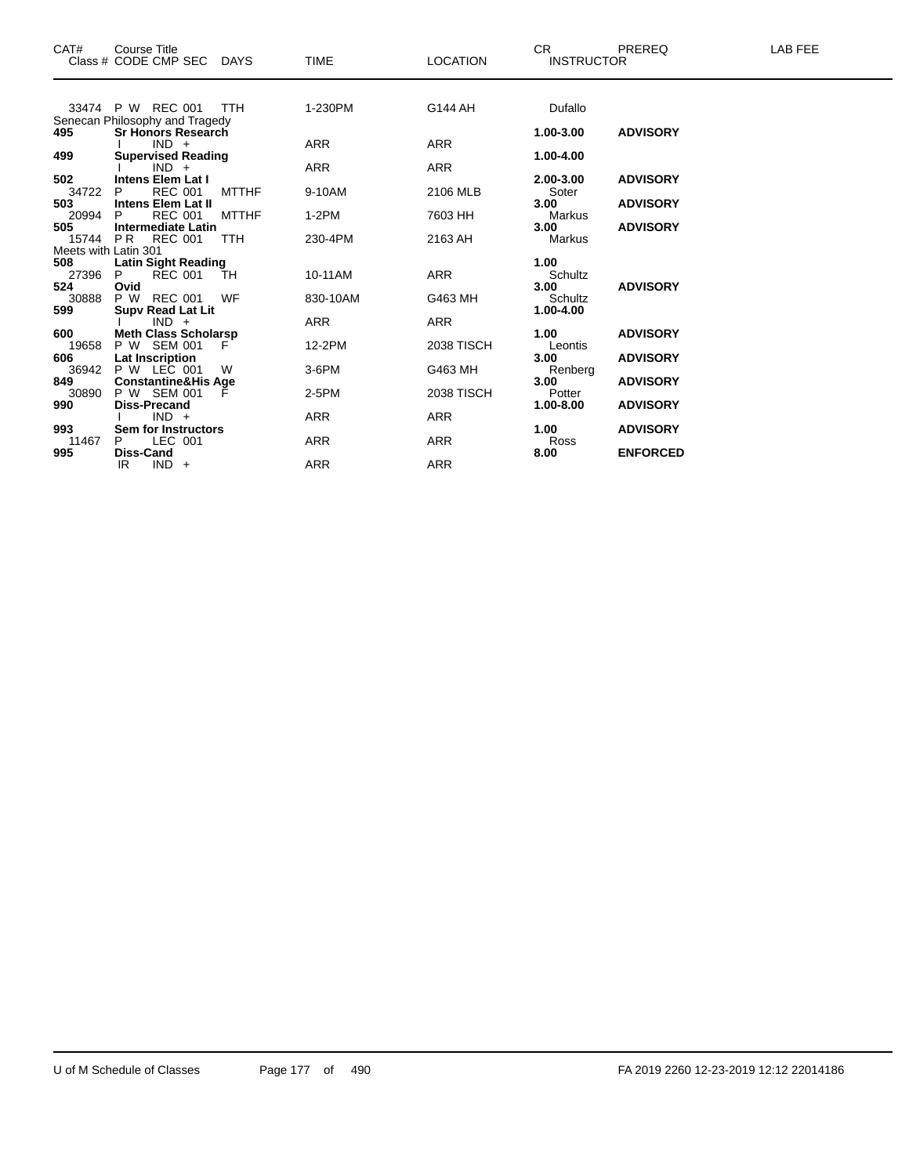| CAT#                 | <b>Course Title</b><br>Class # CODE CMP SEC | DAYS         | <b>TIME</b> | <b>LOCATION</b>   | <b>CR</b><br><b>INSTRUCTOR</b> | PREREQ          | <b>LAB FEE</b> |
|----------------------|---------------------------------------------|--------------|-------------|-------------------|--------------------------------|-----------------|----------------|
|                      | 33474 P W REC 001                           | <b>TTH</b>   | 1-230PM     | G144 AH           | Dufallo                        |                 |                |
|                      | Senecan Philosophy and Tragedy              |              |             |                   |                                |                 |                |
| 495                  | <b>Sr Honors Research</b>                   |              |             |                   | 1.00-3.00                      | <b>ADVISORY</b> |                |
|                      | $IND +$                                     |              | <b>ARR</b>  | <b>ARR</b>        |                                |                 |                |
| 499                  | <b>Supervised Reading</b>                   |              |             |                   | 1.00-4.00                      |                 |                |
|                      | $IND +$                                     |              | <b>ARR</b>  | <b>ARR</b>        |                                |                 |                |
| 502                  | <b>Intens Elem Lat I</b>                    |              |             |                   | 2.00-3.00                      | <b>ADVISORY</b> |                |
| 34722                | <b>REC 001</b><br><b>Intens Elem Lat II</b> | <b>MTTHF</b> | 9-10AM      | 2106 MLB          | Soter<br>3.00                  | <b>ADVISORY</b> |                |
| 503<br>20994         | <b>REC 001</b>                              | <b>MTTHF</b> | $1-2PM$     | 7603 HH           |                                |                 |                |
| 505                  | <b>Intermediate Latin</b>                   |              |             |                   | Markus<br>3.00                 | <b>ADVISORY</b> |                |
| 15744 PR             | REC 001                                     | <b>TTH</b>   | 230-4PM     | 2163 AH           | Markus                         |                 |                |
| Meets with Latin 301 |                                             |              |             |                   |                                |                 |                |
| 508                  | <b>Latin Sight Reading</b>                  |              |             |                   | 1.00                           |                 |                |
| 27396                | P.<br><b>REC 001</b>                        | ŤН           | 10-11AM     | <b>ARR</b>        | Schultz                        |                 |                |
| 524                  | Ovid                                        |              |             |                   | 3.00                           | <b>ADVISORY</b> |                |
| 30888                | P W REC 001                                 | WF           | 830-10AM    | G463 MH           | Schultz                        |                 |                |
| 599                  | <b>Supv Read Lat Lit</b>                    |              |             |                   | 1.00-4.00                      |                 |                |
|                      | $IND +$                                     |              | <b>ARR</b>  | <b>ARR</b>        |                                |                 |                |
| 600                  | <b>Meth Class Scholarsp</b>                 |              |             |                   | 1.00                           | <b>ADVISORY</b> |                |
| 19658                | P W SEM 001                                 | F            | 12-2PM      | <b>2038 TISCH</b> | Leontis                        |                 |                |
| 606                  | <b>Lat Inscription</b>                      |              |             |                   | 3.00                           | <b>ADVISORY</b> |                |
| 36942                | P W LEC 001                                 | W            | $3-6$ PM    | G463 MH           | Renberg                        |                 |                |
| 849                  | <b>Constantine&amp;His Age</b>              |              |             |                   | 3.00                           | <b>ADVISORY</b> |                |
| 30890<br>990         | P W SEM 001<br><b>Diss-Precand</b>          | F            | 2-5PM       | 2038 TISCH        | Potter<br>1.00-8.00            | <b>ADVISORY</b> |                |
|                      | $IND +$                                     |              | <b>ARR</b>  | <b>ARR</b>        |                                |                 |                |
| 993                  | <b>Sem for Instructors</b>                  |              |             |                   | 1.00                           | <b>ADVISORY</b> |                |
| 11467                | LEC 001<br>P                                |              | <b>ARR</b>  | <b>ARR</b>        | Ross                           |                 |                |
| 995                  | <b>Diss-Cand</b>                            |              |             |                   | 8.00                           | <b>ENFORCED</b> |                |
|                      | $IND +$<br>IR                               |              | ARR         | <b>ARR</b>        |                                |                 |                |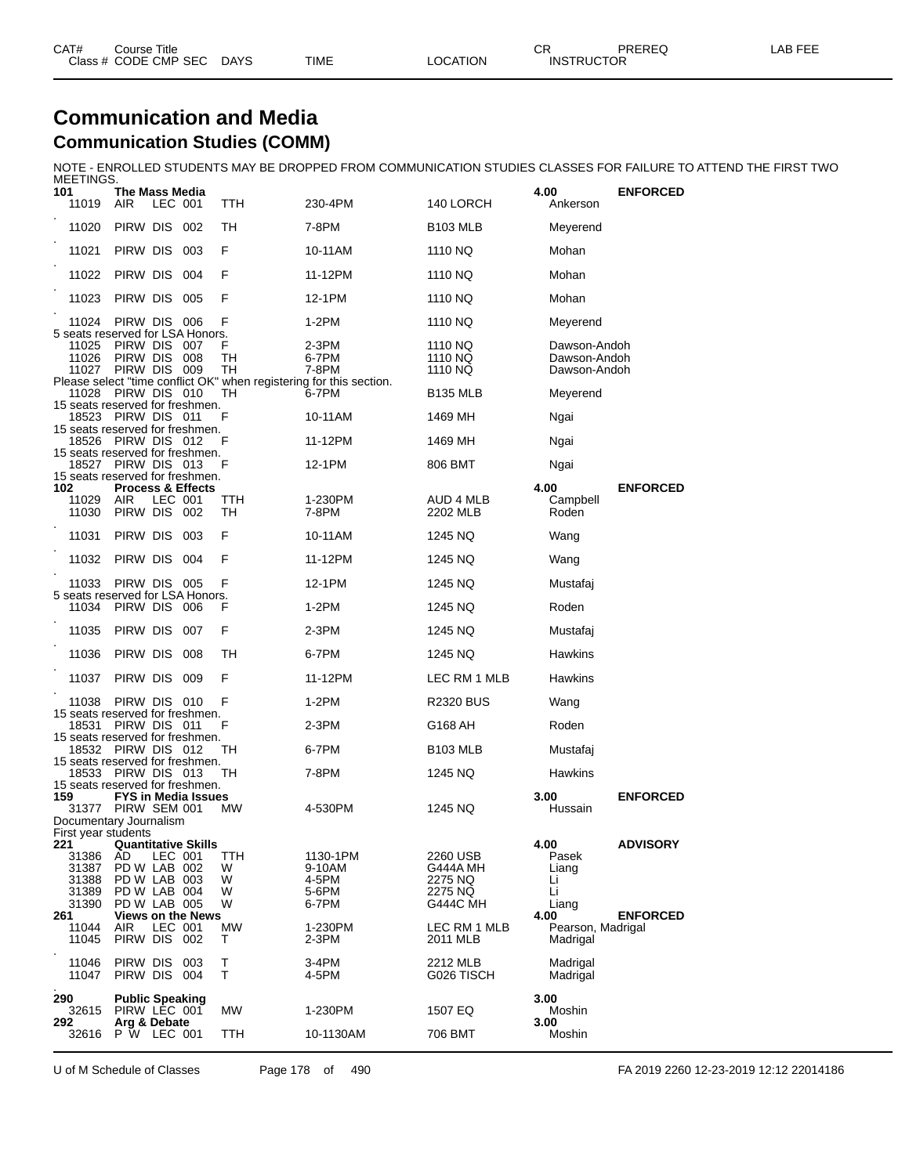| CAT# | Course Title              |             |          | ⌒冖<br>◡⊓          | PREREQ | _AB FEF |
|------|---------------------------|-------------|----------|-------------------|--------|---------|
|      | Class # CODE CMP SEC DAYS | <b>TIME</b> | LOCATION | <b>INSTRUCTOR</b> |        |         |

#### **Communication and Media Communication Studies (COMM)**

NOTE - ENROLLED STUDENTS MAY BE DROPPED FROM COMMUNICATION STUDIES CLASSES FOR FAILURE TO ATTEND THE FIRST TWO

| MEETINGS.                                                                              |                                                        |         |                              |               |                                                                     |                                 |                                              |                 |
|----------------------------------------------------------------------------------------|--------------------------------------------------------|---------|------------------------------|---------------|---------------------------------------------------------------------|---------------------------------|----------------------------------------------|-----------------|
| 101<br>11019                                                                           | The Mass Media<br><b>AIR</b>                           | LEC 001 |                              | TTH           | 230-4PM                                                             | 140 LORCH                       | 4.00<br>Ankerson                             | <b>ENFORCED</b> |
| 11020                                                                                  | PIRW DIS 002                                           |         |                              | TН            | 7-8PM                                                               | <b>B103 MLB</b>                 | Meyerend                                     |                 |
| 11021                                                                                  | PIRW DIS 003                                           |         |                              | F             | 10-11AM                                                             | 1110 NQ                         | Mohan                                        |                 |
| 11022                                                                                  | PIRW DIS 004                                           |         |                              | F             | 11-12PM                                                             | 1110 NQ                         | Mohan                                        |                 |
| 11023                                                                                  | PIRW DIS 005                                           |         |                              | F             | 12-1PM                                                              | 1110 NQ                         | Mohan                                        |                 |
| 11024 PIRW DIS 006<br>5 seats reserved for LSA Honors.                                 |                                                        |         |                              | F             | $1-2PM$                                                             | 1110 NQ                         | Meyerend                                     |                 |
| 11025<br>11026                                                                         | PIRW DIS 007<br>PIRW DIS 008<br>11027 PIRW DIS 009     |         |                              | F<br>TН<br>TН | 2-3PM<br>6-7PM<br>7-8PM                                             | 1110 NQ<br>1110 NQ<br>1110 NQ   | Dawson-Andoh<br>Dawson-Andoh<br>Dawson-Andoh |                 |
|                                                                                        |                                                        |         |                              |               | Please select "time conflict OK" when registering for this section. |                                 |                                              |                 |
| 11028 PIRW DIS 010<br>15 seats reserved for freshmen.                                  |                                                        |         |                              | TН            | 6-7PM                                                               | <b>B135 MLB</b>                 | Meyerend                                     |                 |
| 15 seats reserved for freshmen.                                                        | 18523 PIRW DIS 011                                     |         |                              | F             | 10-11AM                                                             | 1469 MH                         | Ngai                                         |                 |
| 15 seats reserved for freshmen.                                                        | 18526 PIRW DIS 012                                     |         |                              | F             | 11-12PM                                                             | 1469 MH                         | Ngai                                         |                 |
| 15 seats reserved for freshmen.                                                        | 18527 PIRW DIS 013                                     |         |                              | F             | 12-1PM                                                              | 806 BMT                         | Ngai                                         |                 |
| 102<br>11029<br>11030                                                                  | AIR<br>PIRW DIS 002                                    | LEC 001 | <b>Process &amp; Effects</b> | TTH<br>TH     | 1-230PM<br>7-8PM                                                    | AUD 4 MLB<br>2202 MLB           | 4.00<br>Campbell<br>Roden                    | <b>ENFORCED</b> |
| 11031                                                                                  | PIRW DIS                                               |         | 003                          | F             | 10-11AM                                                             | 1245 NQ                         | Wang                                         |                 |
| 11032                                                                                  | PIRW DIS 004                                           |         |                              | F             | 11-12PM                                                             | 1245 NQ                         | Wang                                         |                 |
| 11033<br>5 seats reserved for LSA Honors.                                              | PIRW DIS 005                                           |         |                              | F             | 12-1PM                                                              | 1245 NQ                         | Mustafaj                                     |                 |
| 11034 PIRW DIS 006                                                                     |                                                        |         |                              | F             | $1-2PM$                                                             | 1245 NQ                         | Roden                                        |                 |
| 11035                                                                                  | PIRW DIS 007                                           |         |                              | F             | 2-3PM                                                               | 1245 NQ                         | Mustafaj                                     |                 |
| 11036                                                                                  | Pirw Dis                                               |         | 008                          | TН            | 6-7PM                                                               | 1245 NQ                         | <b>Hawkins</b>                               |                 |
| 11037                                                                                  | PIRW DIS 009                                           |         |                              | F             | 11-12PM                                                             | LEC RM 1 MLB                    | Hawkins                                      |                 |
| 11038<br>15 seats reserved for freshmen.                                               | PIRW DIS 010                                           |         |                              | F             | $1-2PM$                                                             | <b>R2320 BUS</b>                | Wang                                         |                 |
| 15 seats reserved for freshmen.                                                        | 18531 PIRW DIS 011                                     |         |                              | F             | 2-3PM                                                               | G168 AH                         | Roden                                        |                 |
|                                                                                        | 18532 PIRW DIS 012                                     |         |                              | TН            | 6-7PM                                                               | <b>B103 MLB</b>                 | Mustafaj                                     |                 |
| 15 seats reserved for freshmen.                                                        | 18533 PIRW DIS 013                                     |         |                              | TH            | 7-8PM                                                               | 1245 NQ                         | Hawkins                                      |                 |
| 15 seats reserved for freshmen.<br>159<br>31377 PIRW SEM 001<br>Documentary Journalism |                                                        |         | <b>FYS in Media Issues</b>   | MW            | 4-530PM                                                             | 1245 NQ                         | 3.00<br>Hussain                              | <b>ENFORCED</b> |
| First year students                                                                    |                                                        |         |                              |               |                                                                     |                                 |                                              |                 |
| 221<br>31386<br>31387<br>31388                                                         | AD<br>PD W LAB 002<br>PD W LAB 003                     | LEC 001 | <b>Quantitative Skills</b>   | TTH<br>W<br>W | 1130-1PM<br>9-10AM<br>4-5PM                                         | 2260 USB<br>G444A MH<br>2275 NQ | 4.00<br>Pasek<br>Liang<br>Li                 | <b>ADVISORY</b> |
| 31389<br>31390                                                                         | PD W LAB 004<br>PD W LAB 005                           |         |                              | W<br>W        | 5-6PM<br>6-7PM                                                      | 2275 NQ<br>G444C MH             | Li<br>Liang                                  |                 |
| 261<br>11044<br>11045                                                                  | AIR<br>PIRW DIS 002                                    | LEC 001 | <b>Views on the News</b>     | MW<br>т       | 1-230PM<br>2-3PM                                                    | LEC RM 1 MLB<br>2011 MLB        | 4.00<br>Pearson, Madrigal<br>Madrigal        | <b>ENFORCED</b> |
| 11046<br>11047                                                                         | PIRW DIS<br>PIRW DIS                                   |         | 003<br>004                   | т<br>Τ        | 3-4PM<br>4-5PM                                                      | 2212 MLB<br>G026 TISCH          | Madrigal<br>Madrigal                         |                 |
| 290<br>32615<br>292                                                                    | <b>Public Speaking</b><br>PIRW LEC 001<br>Arg & Debate |         |                              | <b>MW</b>     | 1-230PM                                                             | 1507 EQ                         | 3.00<br>Moshin<br>3.00                       |                 |
| 32616                                                                                  | <b>P</b> W LEC 001                                     |         |                              | TTH           | 10-1130AM                                                           | 706 BMT                         | Moshin                                       |                 |

U of M Schedule of Classes Page 178 of 490 FA 2019 2260 12-23-2019 12:12 22014186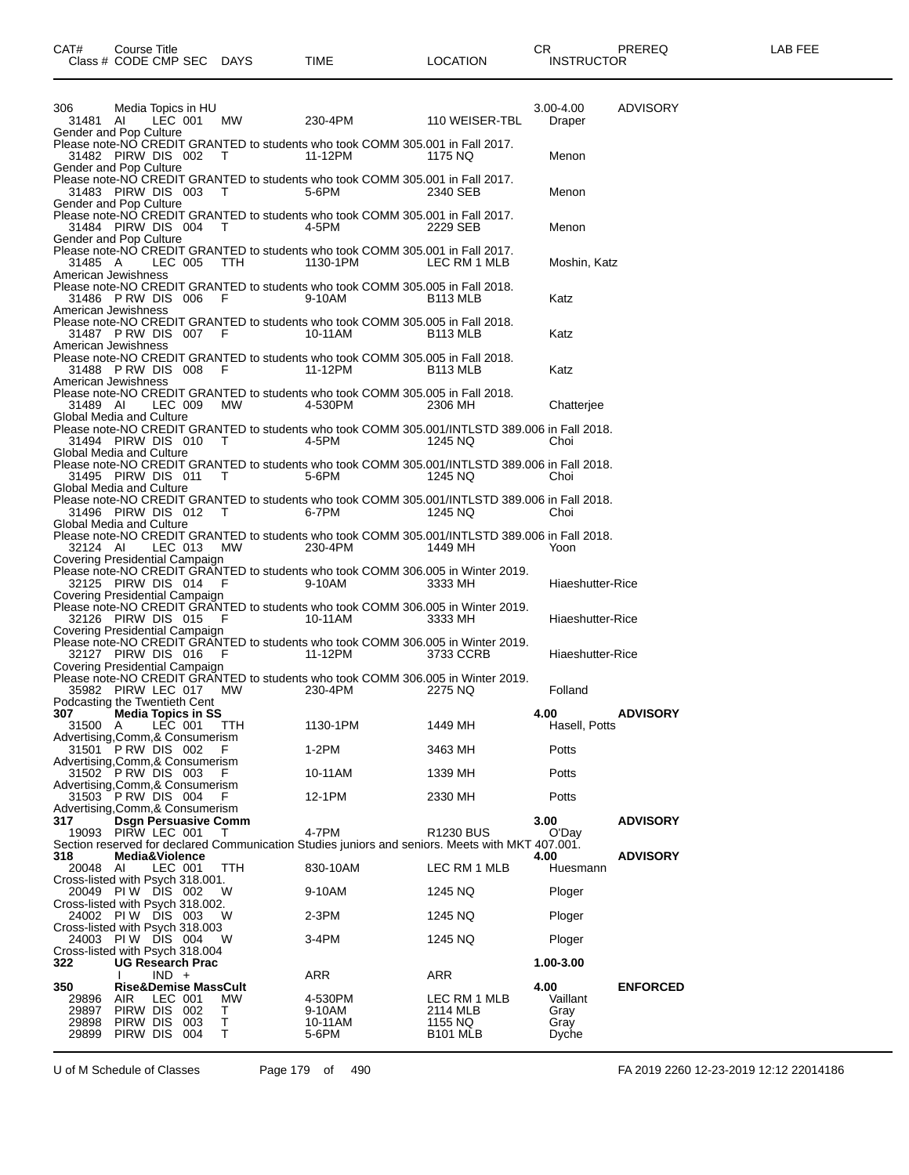| Class # CODE CMP SEC DAYS                              |                                                        |         |                                 |                   | TIME                                  |                            | LOCATION                                                                                                                  |      | <b>INSTRUCTOR</b>                 |                 |
|--------------------------------------------------------|--------------------------------------------------------|---------|---------------------------------|-------------------|---------------------------------------|----------------------------|---------------------------------------------------------------------------------------------------------------------------|------|-----------------------------------|-----------------|
|                                                        |                                                        |         |                                 |                   |                                       |                            |                                                                                                                           |      |                                   |                 |
| 306<br>31481 AI<br>Gender and Pop Culture              |                                                        |         | Media Topics in HU              |                   |                                       |                            | LEC 001 MW 230-4PM 110 WEISER-TBL                                                                                         |      | 3.00-4.00<br>Draper               | ADVISORY        |
| Gender and Pop Culture                                 |                                                        |         |                                 |                   | 31482 PIRW DIS 002 T 11-12PM          |                            | Please note-NO CREDIT GRANTED to students who took COMM 305.001 in Fall 2017.<br>1175 NQ                                  |      | Menon                             |                 |
| 31483 PIRW DIS 003 T<br>Gender and Pop Culture         |                                                        |         |                                 |                   | 5-6PM                                 |                            | Please note-NO CREDIT GRANTED to students who took COMM 305.001 in Fall 2017.<br>2340 SEB                                 |      | Menon                             |                 |
| Gender and Pop Culture                                 |                                                        |         |                                 |                   | 31484 PIRW DIS 004 T 4-5PM            |                            | Please note-NO CREDIT GRANTED to students who took COMM 305.001 in Fall 2017.<br>2229 SEB                                 |      | Menon                             |                 |
| 31485 A<br>American Jewishness                         |                                                        |         |                                 |                   | LEC 005 TTH 1130-1PM                  |                            | Please note-NO CREDIT GRANTED to students who took COMM 305.001 in Fall 2017.<br>LEC RM 1 MLB                             |      | Moshin, Katz                      |                 |
| 31486 PRW DIS 006 F<br>American Jewishness             |                                                        |         |                                 |                   | $9-10AM$                              |                            | Please note-NO CREDIT GRANTED to students who took COMM 305.005 in Fall 2018.<br>B <sub>113</sub> MLB                     |      | Katz                              |                 |
| American Jewishness                                    |                                                        |         |                                 |                   | 31487 PRW DIS 007 F 10-11AM           |                            | Please note-NO CREDIT GRANTED to students who took COMM 305.005 in Fall 2018.<br>B <sub>113</sub> MLB                     |      | Katz                              |                 |
| American Jewishness                                    |                                                        |         |                                 |                   | 31488 PRW DIS 008 F 11-12PM           |                            | Please note-NO CREDIT GRANTED to students who took COMM 305.005 in Fall 2018.<br>B <sub>113</sub> MLB                     |      | Katz                              |                 |
| 31489 AI<br>Global Media and Culture                   |                                                        |         | LEC 009 MW                      |                   | 4-530PM                               |                            | Please note-NO CREDIT GRANTED to students who took COMM 305.005 in Fall 2018.<br>2306 MH                                  |      | Chatterjee                        |                 |
| Global Media and Culture                               |                                                        |         |                                 |                   |                                       | 31494 PIRW DIS 010 T 4-5PM | Please note-NO CREDIT GRANTED to students who took COMM 305.001/INTLSTD 389.006 in Fall 2018.<br>1245 NQ                  |      | Choi                              |                 |
| Global Media and Culture                               |                                                        |         |                                 |                   | 31495 PIRW DIS 011 T 5-6PM            |                            | Please note-NO CREDIT GRANTED to students who took COMM 305.001/INTLSTD 389.006 in Fall 2018.<br>1245 NQ                  |      | Choi                              |                 |
| Global Media and Culture                               |                                                        |         |                                 |                   | 31496 PIRW DIS 012 T 6-7PM            |                            | Please note-NO CREDIT GRANTED to students who took COMM 305.001/INTLSTD 389.006 in Fall 2018.<br>1245 NQ                  |      | Choi                              |                 |
| 32124 AI<br>Covering Presidential Campaign             |                                                        |         | LEC 013 MW                      |                   | 230-4PM                               |                            | Please note-NO CREDIT GRANTED to students who took COMM 305.001/INTLSTD 389.006 in Fall 2018.<br>1449 MH                  |      | Yoon                              |                 |
| 32125 PIRW DIS 014 F<br>Covering Presidential Campaign |                                                        |         |                                 |                   | $9-10AM$                              |                            | Please note-NO CREDIT GRANTED to students who took COMM 306.005 in Winter 2019.<br>3333 MH                                |      | Hiaeshutter-Rice                  |                 |
| 32126 PIRW DIS 015 F<br>Covering Presidential Campaign |                                                        |         |                                 |                   | 10-11AM                               |                            | Please note-NO CREDIT GRANTED to students who took COMM 306.005 in Winter 2019.<br>3333 MH                                |      | Hiaeshutter-Rice                  |                 |
| 32127 PIRW DIS 016 F<br>Covering Presidential Campaign |                                                        |         |                                 |                   |                                       | $11-12PM$                  | Please note-NO CREDIT GRANTED to students who took COMM 306.005 in Winter 2019.<br>3733 CCRB                              |      | Hiaeshutter-Rice                  |                 |
| 35982 PIRW LEC 017 MW<br>Podcasting the Twentieth Cent |                                                        |         |                                 |                   | 230-4PM                               |                            | Please note-NO CREDIT GRANTED to students who took COMM 306.005 in Winter 2019.<br>2275 NQ                                |      | Folland                           |                 |
| 307<br>31500 A LEC 001 TTH                             |                                                        |         | Media Topics in SS              |                   | 1130-1PM                              |                            | 1449 MH                                                                                                                   | 4.00 | Hasell, Potts                     | <b>ADVISORY</b> |
| Advertising,Comm,& Consumerism<br>31501 P RW DIS 002   |                                                        |         |                                 | F                 | $1-2PM$                               |                            | 3463 MH                                                                                                                   |      | Potts                             |                 |
| Advertising,Comm,& Consumerism<br>31502 P RW DIS 003   |                                                        |         |                                 | F                 | 10-11AM                               |                            | 1339 MH                                                                                                                   |      | Potts                             |                 |
| Advertising, Comm, & Consumerism<br>31503 PRW DIS 004  |                                                        |         |                                 | F.                | 12-1PM                                |                            | 2330 MH                                                                                                                   |      | Potts                             |                 |
| Advertising, Comm, & Consumerism                       |                                                        |         |                                 |                   |                                       |                            |                                                                                                                           |      |                                   |                 |
| 317<br>19093 PIRW LEC 001                              | Media&Violence                                         |         | <b>Dsgn Persuasive Comm</b>     | т                 | 4-7PM                                 |                            | R <sub>1230</sub> BUS<br>Section reserved for declared Communication Studies juniors and seniors. Meets with MKT 407.001. | 3.00 | O'Day                             | <b>ADVISORY</b> |
| 318<br>20048 AI                                        |                                                        | LEC 001 |                                 | TTH               | 830-10AM                              |                            | LEC RM 1 MLB                                                                                                              | 4.00 | Huesmann                          | <b>ADVISORY</b> |
| Cross-listed with Psych 318.001.<br>20049 PIW DIS 002  |                                                        |         |                                 | W                 | 9-10AM                                |                            | 1245 NQ                                                                                                                   |      | Ploger                            |                 |
| Cross-listed with Psych 318.002.<br>24002 PIW DIS 003  |                                                        |         |                                 | w                 | 2-3PM                                 |                            | 1245 NQ                                                                                                                   |      | Ploger                            |                 |
| Cross-listed with Psych 318.003<br>24003 PIW DIS 004   |                                                        |         |                                 | W                 | 3-4PM                                 |                            | 1245 NQ                                                                                                                   |      | Ploger                            |                 |
| Cross-listed with Psych 318.004<br>322                 |                                                        |         | <b>UG Research Prac</b>         |                   |                                       |                            |                                                                                                                           |      | 1.00-3.00                         |                 |
| 350                                                    |                                                        | $IND +$ | <b>Rise&amp;Demise MassCult</b> |                   | <b>ARR</b>                            |                            | ARR                                                                                                                       | 4.00 |                                   | <b>ENFORCED</b> |
| 29896<br>29897<br>29898<br>29899                       | <b>AIR</b><br>PIRW DIS 002<br>PIRW DIS<br>PIRW DIS 004 | LEC 001 | - 003                           | MW<br>т<br>т<br>т | 4-530PM<br>9-10AM<br>10-11AM<br>5-6PM |                            | LEC RM 1 MLB<br>2114 MLB<br>1155 NQ<br><b>B101 MLB</b>                                                                    |      | Vaillant<br>Gray<br>Gray<br>Dyche |                 |
|                                                        |                                                        |         |                                 |                   |                                       |                            |                                                                                                                           |      |                                   |                 |

U of M Schedule of Classes Page 179 of 490 FA 2019 2260 12-23-2019 12:12 22014186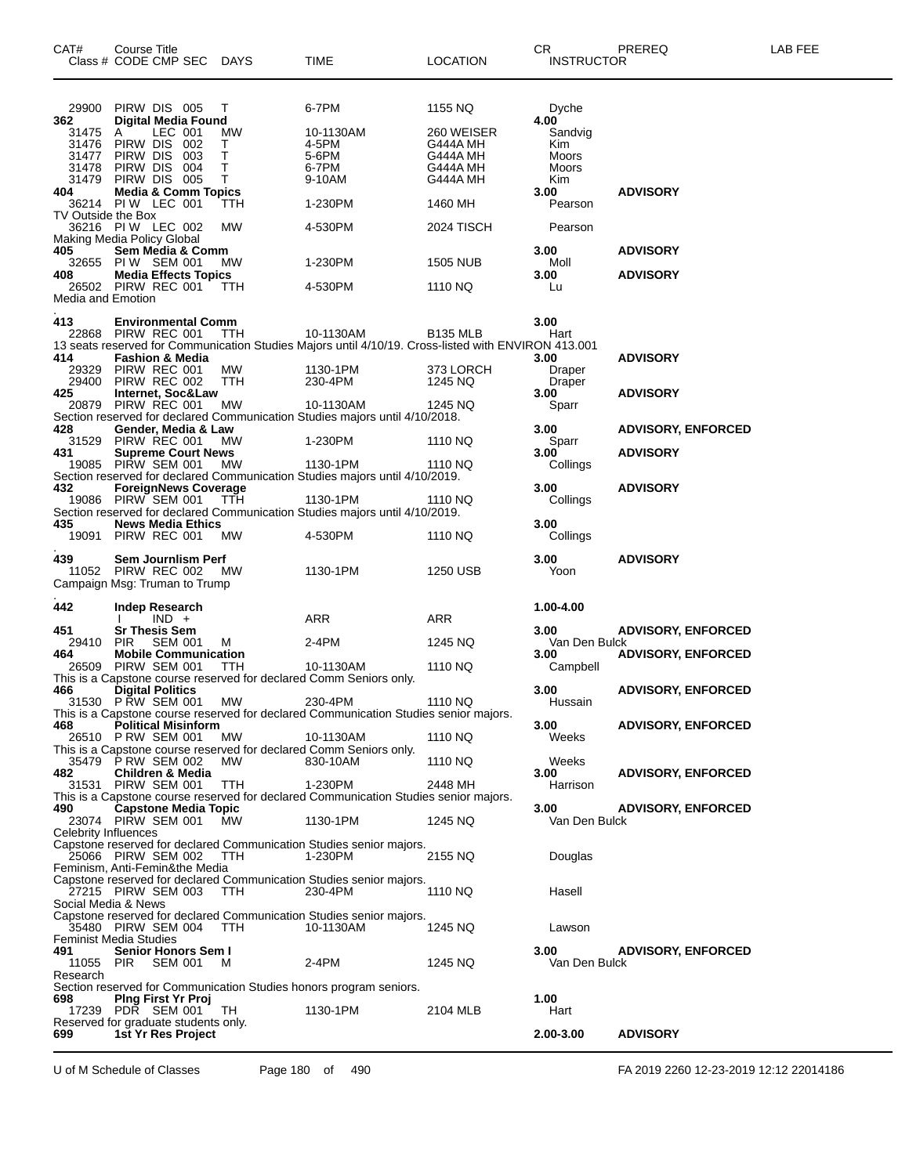| CAT#                  | Course Title<br>Class # CODE CMP SEC                 | DAYS        | TIME                                                                                                | <b>LOCATION</b>      | CR.<br><b>INSTRUCTOR</b> | PREREQ                    | LAB FEE |
|-----------------------|------------------------------------------------------|-------------|-----------------------------------------------------------------------------------------------------|----------------------|--------------------------|---------------------------|---------|
|                       |                                                      |             |                                                                                                     |                      |                          |                           |         |
| 29900                 | PIRW DIS 005                                         | т           | 6-7PM                                                                                               | 1155 NQ              | Dyche                    |                           |         |
| 362<br>31475          | <b>Digital Media Found</b><br>LEC 001<br>A           | МW          | 10-1130AM                                                                                           | 260 WEISER           | 4.00<br>Sandvig          |                           |         |
| 31476<br>31477        | PIRW DIS<br>002<br>PIRW DIS<br>003                   | т<br>$\top$ | 4-5PM<br>5-6PM                                                                                      | G444A MH<br>G444A MH | Kim<br>Moors             |                           |         |
| 31478                 | PIRW DIS<br>004                                      | т           | 6-7PM                                                                                               | G444A MH             | Moors                    |                           |         |
| 31479<br>404          | PIRW DIS 005<br><b>Media &amp; Comm Topics</b>       | т           | 9-10AM                                                                                              | G444A MH             | Kim<br>3.00              | <b>ADVISORY</b>           |         |
|                       | 36214 PIW LEC 001                                    | ттн         | 1-230PM                                                                                             | 1460 MH              | Pearson                  |                           |         |
| TV Outside the Box    | 36216 PIW LEC 002                                    | МW          | 4-530PM                                                                                             | 2024 TISCH           | Pearson                  |                           |         |
|                       | Making Media Policy Global                           |             |                                                                                                     |                      |                          |                           |         |
| 405<br>32655          | Sem Media & Comm<br>PIW SEM 001                      | МW          | 1-230PM                                                                                             | 1505 NUB             | 3.00<br>Moll             | <b>ADVISORY</b>           |         |
| 408                   | <b>Media Effects Topics</b>                          |             |                                                                                                     |                      | 3.00                     | <b>ADVISORY</b>           |         |
| Media and Emotion     | 26502 PIRW REC 001                                   | TTH         | 4-530PM                                                                                             | 1110 NQ              | Lu                       |                           |         |
| 413                   | <b>Environmental Comm</b>                            |             |                                                                                                     |                      | 3.00                     |                           |         |
|                       | 22868 PIRW REC 001                                   | <b>TTH</b>  | 10-1130AM                                                                                           | <b>B135 MLB</b>      | Hart                     |                           |         |
| 414                   | <b>Fashion &amp; Media</b>                           |             | 13 seats reserved for Communication Studies Majors until 4/10/19. Cross-listed with ENVIRON 413.001 |                      | 3.00                     | <b>ADVISORY</b>           |         |
| 29329                 | PIRW REC 001                                         | MW          | 1130-1PM                                                                                            | 373 LORCH            | Draper                   |                           |         |
| 29400<br>425          | PIRW REC 002<br>Internet, Soc&Law                    | ттн         | 230-4PM                                                                                             | 1245 NQ              | Draper<br>3.00           | <b>ADVISORY</b>           |         |
| 20879                 | PIRW REC 001                                         | МW          | 10-1130AM                                                                                           | 1245 NQ              | Sparr                    |                           |         |
| 428                   | Gender, Media & Law                                  |             | Section reserved for declared Communication Studies majors until 4/10/2018.                         |                      | 3.00                     | <b>ADVISORY, ENFORCED</b> |         |
| 31529                 | PIRW REC 001                                         | <b>MW</b>   | 1-230PM                                                                                             | 1110 NQ              | Sparr                    |                           |         |
| 431                   | <b>Supreme Court News</b><br>19085 PIRW SEM 001      | МW          | 1130-1PM                                                                                            | 1110 NQ              | 3.00<br>Collings         | <b>ADVISORY</b>           |         |
|                       |                                                      |             | Section reserved for declared Communication Studies majors until 4/10/2019.                         |                      |                          |                           |         |
| 432<br>19086          | <b>ForeignNews Coverage</b><br>PIRW SEM 001          | TTH         | 1130-1PM                                                                                            | 1110 NQ              | 3.00<br>Collings         | <b>ADVISORY</b>           |         |
|                       |                                                      |             | Section reserved for declared Communication Studies majors until 4/10/2019.                         |                      |                          |                           |         |
| 435<br>19091          | <b>News Media Ethics</b><br>PIRW REC 001             | MW          | 4-530PM                                                                                             | 1110 NQ              | 3.00<br>Collings         |                           |         |
|                       |                                                      |             |                                                                                                     |                      |                          |                           |         |
| 439                   | Sem Journlism Perf<br>11052 PIRW REC 002             | MW.         | 1130-1PM                                                                                            | 1250 USB             | 3.00<br>Yoon             | <b>ADVISORY</b>           |         |
|                       | Campaign Msg: Truman to Trump                        |             |                                                                                                     |                      |                          |                           |         |
| 442                   | <b>Indep Research</b>                                |             |                                                                                                     |                      | 1.00-4.00                |                           |         |
|                       | $IND +$                                              |             | ARR                                                                                                 | ARR                  |                          |                           |         |
| 451<br>29410          | <b>Sr Thesis Sem</b><br><b>PIR</b><br><b>SEM 001</b> | м           | 2-4PM                                                                                               | 1245 NQ              | 3.00<br>Van Den Bulck    | <b>ADVISORY, ENFORCED</b> |         |
| 464                   | <b>Mobile Communication</b>                          |             |                                                                                                     |                      | 3.00                     | <b>ADVISORY, ENFORCED</b> |         |
| 26509                 | PIRW SEM 001                                         | TTH         | 10-1130AM<br>This is a Capstone course reserved for declared Comm Seniors only.                     | 1110 NQ              | Campbell                 |                           |         |
| 466                   | <b>Digital Politics</b>                              |             |                                                                                                     |                      | 3.00                     | <b>ADVISORY, ENFORCED</b> |         |
|                       | 31530 PRW SEM 001                                    | MW          | 230-4PM<br>This is a Capstone course reserved for declared Communication Studies senior majors.     | 1110 NQ              | Hussain                  |                           |         |
| 468                   | <b>Political Misinform</b>                           |             |                                                                                                     |                      | 3.00                     | <b>ADVISORY, ENFORCED</b> |         |
|                       | 26510 PRW SEM 001                                    | МW          | 10-1130AM<br>This is a Capstone course reserved for declared Comm Seniors only.                     | 1110 NQ              | Weeks                    |                           |         |
|                       | 35479 PRW SEM 002                                    | MW.         | 830-10AM                                                                                            | 1110 NQ              | Weeks                    |                           |         |
| 482                   | <b>Children &amp; Media</b><br>31531 PIRW SEM 001    | TTH         | 1-230PM                                                                                             | 2448 MH              | 3.00<br>Harrison         | <b>ADVISORY, ENFORCED</b> |         |
|                       |                                                      |             | This is a Capstone course reserved for declared Communication Studies senior majors.                |                      |                          |                           |         |
| 490                   | <b>Capstone Media Topic</b><br>23074 PIRW SEM 001    | MW.         | 1130-1PM                                                                                            | 1245 NQ              | 3.00<br>Van Den Bulck    | <b>ADVISORY, ENFORCED</b> |         |
| Celebrity Influences  |                                                      |             |                                                                                                     |                      |                          |                           |         |
|                       | 25066 PIRW SEM 002                                   | TTH         | Capstone reserved for declared Communication Studies senior majors.<br>1-230PM                      |                      |                          |                           |         |
|                       | Feminism, Anti-Femin&the Media                       |             |                                                                                                     | 2155 NQ              | Douglas                  |                           |         |
|                       |                                                      |             | Capstone reserved for declared Communication Studies senior majors.                                 |                      |                          |                           |         |
|                       | 27215 PIRW SEM 003<br>Social Media & News            | TTH         | 230-4PM                                                                                             | 1110 NQ              | Hasell                   |                           |         |
|                       |                                                      |             | Capstone reserved for declared Communication Studies senior majors.                                 |                      |                          |                           |         |
|                       | 35480 PIRW SEM 004<br><b>Feminist Media Studies</b>  | TTH         | 10-1130AM                                                                                           | 1245 NQ              | Lawson                   |                           |         |
| 491                   | Senior Honors Sem I                                  |             |                                                                                                     |                      | 3.00                     | <b>ADVISORY, ENFORCED</b> |         |
| 11055 PIR<br>Research | <b>SEM 001</b>                                       | M           | 2-4PM                                                                                               | 1245 NQ              | Van Den Bulck            |                           |         |
|                       |                                                      |             | Section reserved for Communication Studies honors program seniors.                                  |                      |                          |                           |         |
| 698                   | <b>Ping First Yr Proj</b><br>17239 PDR SEM 001       | TH          | 1130-1PM                                                                                            | 2104 MLB             | 1.00<br>Hart             |                           |         |
|                       | Reserved for graduate students only.                 |             |                                                                                                     |                      |                          |                           |         |
| 699                   | 1st Yr Res Project                                   |             |                                                                                                     |                      | 2.00-3.00                | <b>ADVISORY</b>           |         |

U of M Schedule of Classes Page 180 of 490 FA 2019 2260 12-23-2019 12:12 22014186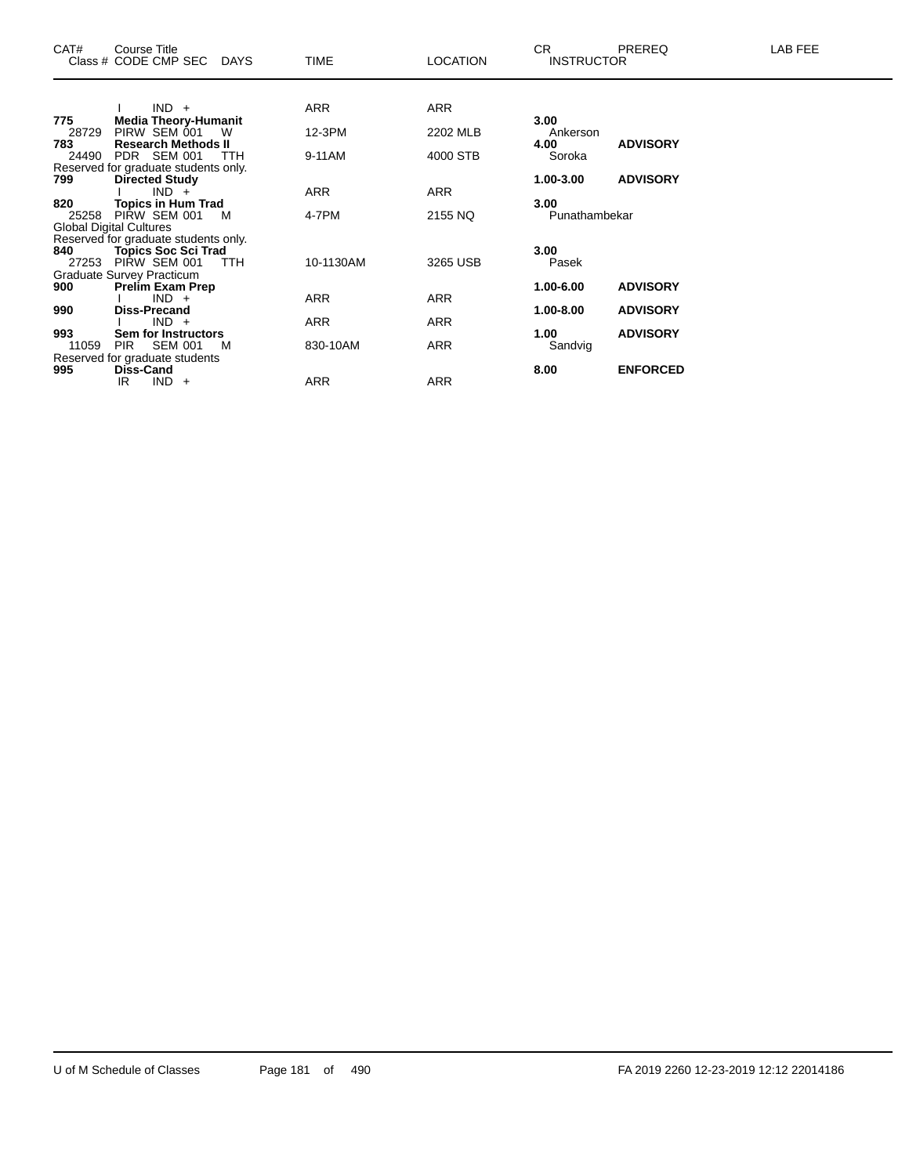| ARR<br>$IND +$<br>ARR<br><b>Media Theory-Humanit</b><br>3.00<br>775<br>12-3PM<br>2202 MLB<br>28729<br>PIRW SEM 001<br>W<br>Ankerson<br><b>Research Methods II</b><br>4.00<br><b>ADVISORY</b><br>783<br>PDR SEM 001<br>4000 STB<br>24490<br>9-11AM<br>Soroka<br>TTH<br>Reserved for graduate students only.<br><b>ADVISORY</b><br>1.00-3.00<br>799<br><b>Directed Study</b><br><b>ARR</b><br><b>ARR</b><br>$IND +$<br><b>Topics in Hum Trad</b><br>3.00<br>820<br>4-7PM<br>2155 NQ<br>PIRW SEM 001<br>Punathambekar<br>25258<br>M<br><b>Global Digital Cultures</b><br>Reserved for graduate students only.<br>3.00<br>840<br><b>Topics Soc Sci Trad</b><br>PIRW SEM 001<br>3265 USB<br>10-1130AM<br><b>TTH</b><br>Pasek<br>27253<br>Graduate Survey Practicum<br><b>ADVISORY</b><br>900<br>1.00-6.00<br><b>Prelim Exam Prep</b><br>ARR<br>$IND +$<br>ARR<br><b>Diss-Precand</b><br>1.00-8.00<br><b>ADVISORY</b><br>990<br>ARR<br>$IND +$<br>ARR<br>993<br>1.00<br><b>ADVISORY</b><br>Sem for Instructors<br><b>ARR</b><br>830-10AM<br>11059<br>PIR<br><b>SEM 001</b><br>M<br>Sandvig<br>Reserved for graduate students<br><b>ENFORCED</b><br>995<br><b>Diss-Cand</b><br>8.00 | CAT# | Course Title<br>Class # CODE CMP SEC<br><b>DAYS</b> | <b>TIME</b> | <b>LOCATION</b> | CR.<br><b>INSTRUCTOR</b> | PREREQ | LAB FEE |
|------------------------------------------------------------------------------------------------------------------------------------------------------------------------------------------------------------------------------------------------------------------------------------------------------------------------------------------------------------------------------------------------------------------------------------------------------------------------------------------------------------------------------------------------------------------------------------------------------------------------------------------------------------------------------------------------------------------------------------------------------------------------------------------------------------------------------------------------------------------------------------------------------------------------------------------------------------------------------------------------------------------------------------------------------------------------------------------------------------------------------------------------------------------------------|------|-----------------------------------------------------|-------------|-----------------|--------------------------|--------|---------|
|                                                                                                                                                                                                                                                                                                                                                                                                                                                                                                                                                                                                                                                                                                                                                                                                                                                                                                                                                                                                                                                                                                                                                                              |      |                                                     |             |                 |                          |        |         |
|                                                                                                                                                                                                                                                                                                                                                                                                                                                                                                                                                                                                                                                                                                                                                                                                                                                                                                                                                                                                                                                                                                                                                                              |      |                                                     |             |                 |                          |        |         |
|                                                                                                                                                                                                                                                                                                                                                                                                                                                                                                                                                                                                                                                                                                                                                                                                                                                                                                                                                                                                                                                                                                                                                                              |      |                                                     |             |                 |                          |        |         |
|                                                                                                                                                                                                                                                                                                                                                                                                                                                                                                                                                                                                                                                                                                                                                                                                                                                                                                                                                                                                                                                                                                                                                                              |      |                                                     |             |                 |                          |        |         |
|                                                                                                                                                                                                                                                                                                                                                                                                                                                                                                                                                                                                                                                                                                                                                                                                                                                                                                                                                                                                                                                                                                                                                                              |      |                                                     |             |                 |                          |        |         |
|                                                                                                                                                                                                                                                                                                                                                                                                                                                                                                                                                                                                                                                                                                                                                                                                                                                                                                                                                                                                                                                                                                                                                                              |      |                                                     |             |                 |                          |        |         |
|                                                                                                                                                                                                                                                                                                                                                                                                                                                                                                                                                                                                                                                                                                                                                                                                                                                                                                                                                                                                                                                                                                                                                                              |      |                                                     |             |                 |                          |        |         |
|                                                                                                                                                                                                                                                                                                                                                                                                                                                                                                                                                                                                                                                                                                                                                                                                                                                                                                                                                                                                                                                                                                                                                                              |      |                                                     |             |                 |                          |        |         |
|                                                                                                                                                                                                                                                                                                                                                                                                                                                                                                                                                                                                                                                                                                                                                                                                                                                                                                                                                                                                                                                                                                                                                                              |      |                                                     |             |                 |                          |        |         |
|                                                                                                                                                                                                                                                                                                                                                                                                                                                                                                                                                                                                                                                                                                                                                                                                                                                                                                                                                                                                                                                                                                                                                                              |      |                                                     |             |                 |                          |        |         |
|                                                                                                                                                                                                                                                                                                                                                                                                                                                                                                                                                                                                                                                                                                                                                                                                                                                                                                                                                                                                                                                                                                                                                                              |      |                                                     |             |                 |                          |        |         |
|                                                                                                                                                                                                                                                                                                                                                                                                                                                                                                                                                                                                                                                                                                                                                                                                                                                                                                                                                                                                                                                                                                                                                                              |      |                                                     |             |                 |                          |        |         |
|                                                                                                                                                                                                                                                                                                                                                                                                                                                                                                                                                                                                                                                                                                                                                                                                                                                                                                                                                                                                                                                                                                                                                                              |      |                                                     |             |                 |                          |        |         |
|                                                                                                                                                                                                                                                                                                                                                                                                                                                                                                                                                                                                                                                                                                                                                                                                                                                                                                                                                                                                                                                                                                                                                                              |      |                                                     |             |                 |                          |        |         |
|                                                                                                                                                                                                                                                                                                                                                                                                                                                                                                                                                                                                                                                                                                                                                                                                                                                                                                                                                                                                                                                                                                                                                                              |      |                                                     |             |                 |                          |        |         |
|                                                                                                                                                                                                                                                                                                                                                                                                                                                                                                                                                                                                                                                                                                                                                                                                                                                                                                                                                                                                                                                                                                                                                                              |      |                                                     |             |                 |                          |        |         |
|                                                                                                                                                                                                                                                                                                                                                                                                                                                                                                                                                                                                                                                                                                                                                                                                                                                                                                                                                                                                                                                                                                                                                                              |      |                                                     |             |                 |                          |        |         |
|                                                                                                                                                                                                                                                                                                                                                                                                                                                                                                                                                                                                                                                                                                                                                                                                                                                                                                                                                                                                                                                                                                                                                                              |      |                                                     |             |                 |                          |        |         |
|                                                                                                                                                                                                                                                                                                                                                                                                                                                                                                                                                                                                                                                                                                                                                                                                                                                                                                                                                                                                                                                                                                                                                                              |      |                                                     |             |                 |                          |        |         |
|                                                                                                                                                                                                                                                                                                                                                                                                                                                                                                                                                                                                                                                                                                                                                                                                                                                                                                                                                                                                                                                                                                                                                                              |      |                                                     |             |                 |                          |        |         |
| <b>ARR</b><br>ARR<br>IR<br>$IND +$                                                                                                                                                                                                                                                                                                                                                                                                                                                                                                                                                                                                                                                                                                                                                                                                                                                                                                                                                                                                                                                                                                                                           |      |                                                     |             |                 |                          |        |         |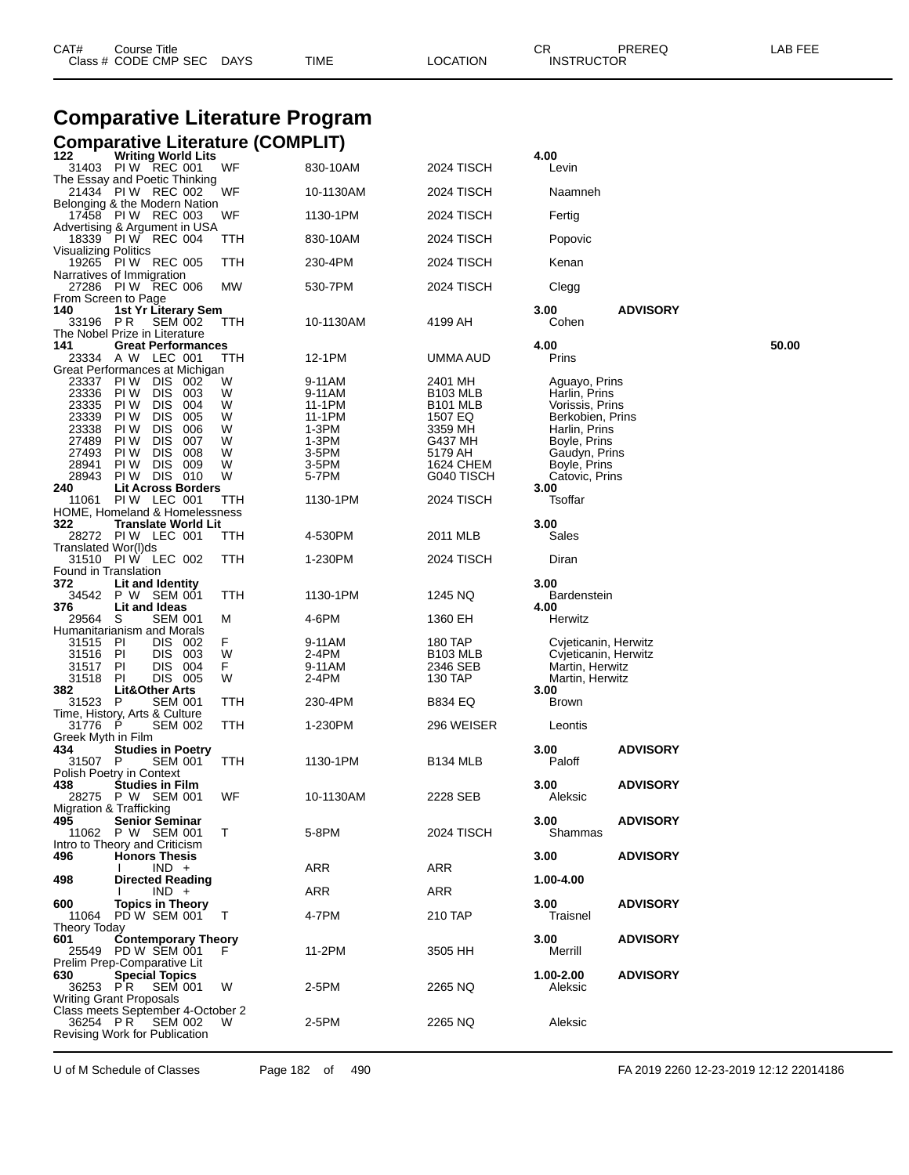|                                                    | <b>Comparative Literature Program</b>                                                                                                                                 |                       |                                               |                                                                          |                                                                                            |                 |       |
|----------------------------------------------------|-----------------------------------------------------------------------------------------------------------------------------------------------------------------------|-----------------------|-----------------------------------------------|--------------------------------------------------------------------------|--------------------------------------------------------------------------------------------|-----------------|-------|
|                                                    | <b>Comparative Literature (COMPLIT)</b>                                                                                                                               |                       |                                               |                                                                          |                                                                                            |                 |       |
| 122                                                | <b>Writing World Lits</b><br>31403 PIW REC 001                                                                                                                        | WF                    | 830-10AM                                      | 2024 TISCH                                                               | 4.00<br>Levin                                                                              |                 |       |
|                                                    | The Essay and Poetic Thinking<br>21434 PIW REC 002                                                                                                                    | WF                    | 10-1130AM                                     | 2024 TISCH                                                               | Naamneh                                                                                    |                 |       |
|                                                    | Belonging & the Modern Nation<br>17458 PIW REC 003                                                                                                                    | WF                    | 1130-1PM                                      | 2024 TISCH                                                               | Fertig                                                                                     |                 |       |
| Visualizing Politics                               | Advertising & Argument in USA<br>18339 PIW REC 004                                                                                                                    | TTH                   | 830-10AM                                      | 2024 TISCH                                                               | Popovic                                                                                    |                 |       |
|                                                    | 19265 PIW REC 005<br>Narratives of Immigration                                                                                                                        | TTH                   | 230-4PM                                       | 2024 TISCH                                                               | Kenan                                                                                      |                 |       |
| From Screen to Page                                | 27286 PIW REC 006                                                                                                                                                     | МW                    | 530-7PM                                       | 2024 TISCH                                                               | Clegg                                                                                      |                 |       |
| 140<br>33196                                       | 1st Yr Literary Sem<br>P R<br><b>SEM 002</b><br>The Nobel Prize in Literature                                                                                         | TTH                   | 10-1130AM                                     | 4199 AH                                                                  | 3.00<br>Cohen                                                                              | <b>ADVISORY</b> |       |
| 141                                                | <b>Great Performances</b><br>23334 A W LEC 001                                                                                                                        | TTH                   | 12-1PM                                        | UMMA AUD                                                                 | 4.00<br>Prins                                                                              |                 | 50.00 |
| 23337<br>23336<br>23335<br>23339<br>23338<br>27489 | Great Performances at Michigan<br>PIW DIS<br>-002<br>PI W<br><b>DIS</b><br>003<br><b>DIS</b><br>PI W<br>004<br>PI W<br><b>DIS</b><br>005<br>PI W<br><b>DIS</b><br>006 | W<br>W<br>W<br>W<br>W | 9-11AM<br>9-11AM<br>11-1PM<br>11-1PM<br>1-3PM | 2401 MH<br><b>B103 MLB</b><br>B <sub>101</sub> MLB<br>1507 EQ<br>3359 MH | Aguayo, Prins<br>Harlin, Prins<br>Vorissis, Prins<br>Berkobien, Prins<br>Harlin, Prins     |                 |       |
| 27493<br>28941<br>28943<br>240                     | PI W<br><b>DIS</b><br>007<br>PI W<br><b>DIS</b><br>008<br><b>DIS</b><br>009<br>PI W<br><b>PIW DIS 010</b><br><b>Lit Across Borders</b><br>PIW LEC 001                 | W<br>W<br>W<br>W      | 1-3PM<br>3-5PM<br>3-5PM<br>5-7PM<br>1130-1PM  | G437 MH<br>5179 AH<br>1624 CHEM<br>G040 TISCH<br>2024 TISCH              | Boyle, Prins<br>Gaudyn, Prins<br>Boyle, Prins<br>Catovic, Prins<br>3.00<br>Tsoffar         |                 |       |
| 11061<br>322                                       | <b>HOME, Homeland &amp; Homelessness</b><br><b>Translate World Lit</b><br>28272 PIW LEC 001                                                                           | TTH<br>TTH            | 4-530PM                                       | 2011 MLB                                                                 | 3.00<br>Sales                                                                              |                 |       |
| Translated Wor(I)ds                                | 31510 PIW LEC 002                                                                                                                                                     | TTH                   | 1-230PM                                       | 2024 TISCH                                                               | Diran                                                                                      |                 |       |
| Found in Translation<br>372<br>34542<br>376        | Lit and Identity<br>P W SEM 001<br>Lit and Ideas                                                                                                                      | TTH                   | 1130-1PM                                      | 1245 NQ                                                                  | 3.00<br><b>Bardenstein</b><br>4.00                                                         |                 |       |
| 29564                                              | S<br>SEM 001<br>Humanitarianism and Morals                                                                                                                            | М                     | 4-6PM                                         | 1360 EH                                                                  | Herwitz                                                                                    |                 |       |
| 31515<br>31516 PI<br>31517<br>31518<br>382         | -PI<br>DIS 002<br>DIS 003<br>DIS.<br><b>PI</b><br>- 004<br>DIS 005<br><b>PI</b><br><b>Lit&amp;Other Arts</b>                                                          | F<br>W<br>F.<br>W     | 9-11AM<br>2-4PM<br>9-11AM<br>2-4PM            | 180 TAP<br><b>B103 MLB</b><br>2346 SEB<br>130 TAP                        | Cvjeticanin, Herwitz<br>Cvjeticanin, Herwitz<br>Martin, Herwitz<br>Martin, Herwitz<br>3.00 |                 |       |
| 31523 P                                            | <b>SEM 001</b><br>Time, History, Arts & Culture                                                                                                                       | TTH                   | 230-4PM                                       | B834 EQ                                                                  | <b>Brown</b>                                                                               |                 |       |
| 31776<br>Greek Myth in Film                        | P.<br><b>SEM 002</b>                                                                                                                                                  | TTH                   | 1-230PM                                       | 296 WEISER                                                               | Leontis                                                                                    |                 |       |
| 434<br>31507 P                                     | <b>Studies in Poetry</b><br>SEM 001<br>Polish Poetry in Context                                                                                                       | TTH                   | 1130-1PM                                      | B134 MLB                                                                 | 3.00<br>Paloff                                                                             | <b>ADVISORY</b> |       |
| 438                                                | <b>Studies in Film</b><br>28275 P W SEM 001<br>Migration & Trafficking                                                                                                | WF                    | 10-1130AM                                     | 2228 SEB                                                                 | 3.00<br>Aleksic                                                                            | <b>ADVISORY</b> |       |
| 495                                                | <b>Senior Seminar</b><br>11062 P W SEM 001<br>Intro to Theory and Criticism                                                                                           | T.                    | 5-8PM                                         | 2024 TISCH                                                               | 3.00<br>Shammas                                                                            | <b>ADVISORY</b> |       |
| 496                                                | <b>Honors Thesis</b><br>$IND +$                                                                                                                                       |                       | ARR                                           | ARR                                                                      | 3.00                                                                                       | <b>ADVISORY</b> |       |
| 498                                                | <b>Directed Reading</b><br>$IND +$                                                                                                                                    |                       | ARR                                           | <b>ARR</b>                                                               | 1.00-4.00                                                                                  |                 |       |
| 600<br>11064<br><b>Theory Today</b>                | <b>Topics in Theory</b><br>PD W SEM 001                                                                                                                               | T                     | 4-7PM                                         | 210 TAP                                                                  | 3.00<br>Traisnel                                                                           | <b>ADVISORY</b> |       |
| 601                                                | <b>Contemporary Theory</b><br>25549 PD W SEM 001<br>Prelim Prep-Comparative Lit                                                                                       |                       | 11-2PM                                        | 3505 HH                                                                  | 3.00<br>Merrill                                                                            | <b>ADVISORY</b> |       |
| 630<br>36253 PR                                    | <b>Special Topics</b><br><b>SEM 001</b><br><b>Writing Grant Proposals</b>                                                                                             | W                     | 2-5PM                                         | 2265 NQ                                                                  | 1.00-2.00<br>Aleksic                                                                       | <b>ADVISORY</b> |       |
| 36254 PR                                           | Class meets September 4-October 2<br>SEM 002<br>Revising Work for Publication                                                                                         | W                     | 2-5PM                                         | 2265 NQ                                                                  | Aleksic                                                                                    |                 |       |

Class # CODE CMP SEC DAYS TIME LOCATION INSTRUCTOR

U of M Schedule of Classes Page 182 of 490 FA 2019 2260 12-23-2019 12:12 22014186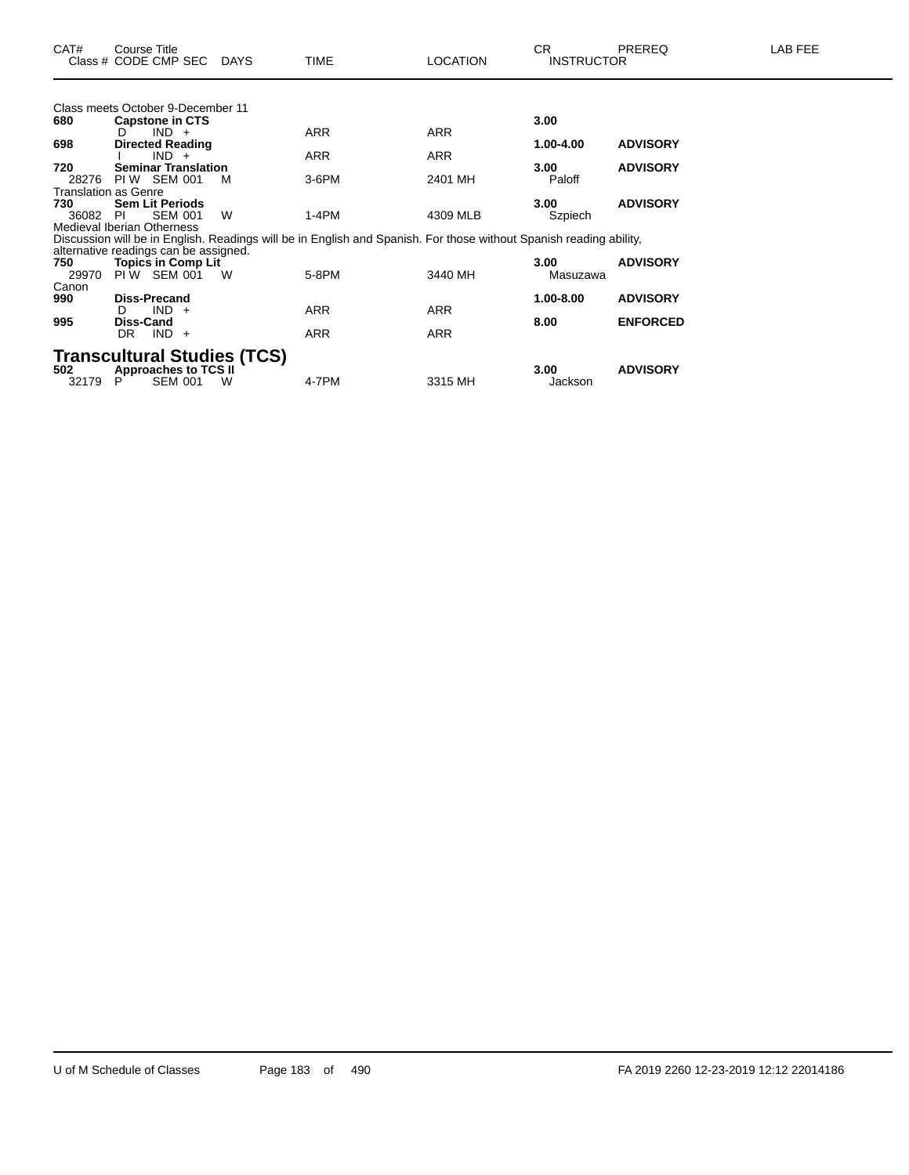|                             | Class meets October 9-December 11        |                                    |                                                                                                                    |            |           |                 |
|-----------------------------|------------------------------------------|------------------------------------|--------------------------------------------------------------------------------------------------------------------|------------|-----------|-----------------|
| 680                         | <b>Capstone in CTS</b>                   |                                    |                                                                                                                    |            | 3.00      |                 |
|                             | $IND +$<br>D                             |                                    | ARR                                                                                                                | <b>ARR</b> |           |                 |
| 698                         | <b>Directed Reading</b>                  |                                    |                                                                                                                    |            | 1.00-4.00 | <b>ADVISORY</b> |
|                             | IND.                                     |                                    | <b>ARR</b>                                                                                                         | <b>ARR</b> |           |                 |
| 720                         | <b>Seminar Translation</b>               |                                    |                                                                                                                    |            | 3.00      | <b>ADVISORY</b> |
| 28276                       | PIW SEM 001                              | м                                  | $3-6$ PM                                                                                                           | 2401 MH    | Paloff    |                 |
| <b>Translation as Genre</b> |                                          |                                    |                                                                                                                    |            |           |                 |
| 730                         | <b>Sem Lit Periods</b>                   |                                    |                                                                                                                    |            | 3.00      | <b>ADVISORY</b> |
| 36082                       | <b>SEM 001</b><br>PI.                    | W                                  | $1-4PM$                                                                                                            | 4309 MLB   | Szpiech   |                 |
|                             | <b>Medieval Iberian Otherness</b>        |                                    |                                                                                                                    |            |           |                 |
|                             |                                          |                                    | Discussion will be in English. Readings will be in English and Spanish. For those without Spanish reading ability, |            |           |                 |
|                             | alternative readings can be assigned.    |                                    |                                                                                                                    |            | 3.00      |                 |
| 750<br>29970                | <b>Topics in Comp Lit</b><br>PIW SEM 001 | W                                  | 5-8PM                                                                                                              | 3440 MH    | Masuzawa  | <b>ADVISORY</b> |
| Canon                       |                                          |                                    |                                                                                                                    |            |           |                 |
| 990                         | <b>Diss-Precand</b>                      |                                    |                                                                                                                    |            | 1.00-8.00 | <b>ADVISORY</b> |
|                             | IND.<br>D<br>$+$                         |                                    | <b>ARR</b>                                                                                                         | <b>ARR</b> |           |                 |
| 995                         | Diss-Cand                                |                                    |                                                                                                                    |            | 8.00      | <b>ENFORCED</b> |
|                             | $IND +$<br>DR.                           |                                    | <b>ARR</b>                                                                                                         | <b>ARR</b> |           |                 |
|                             |                                          |                                    |                                                                                                                    |            |           |                 |
|                             |                                          | <b>Transcultural Studies (TCS)</b> |                                                                                                                    |            |           |                 |
| 502                         | <b>Approaches to TCS II</b>              |                                    |                                                                                                                    |            | 3.00      | <b>ADVISORY</b> |
| 32179                       | <b>SEM 001</b><br>Р                      | W                                  | 4-7PM                                                                                                              | 3315 MH    | Jackson   |                 |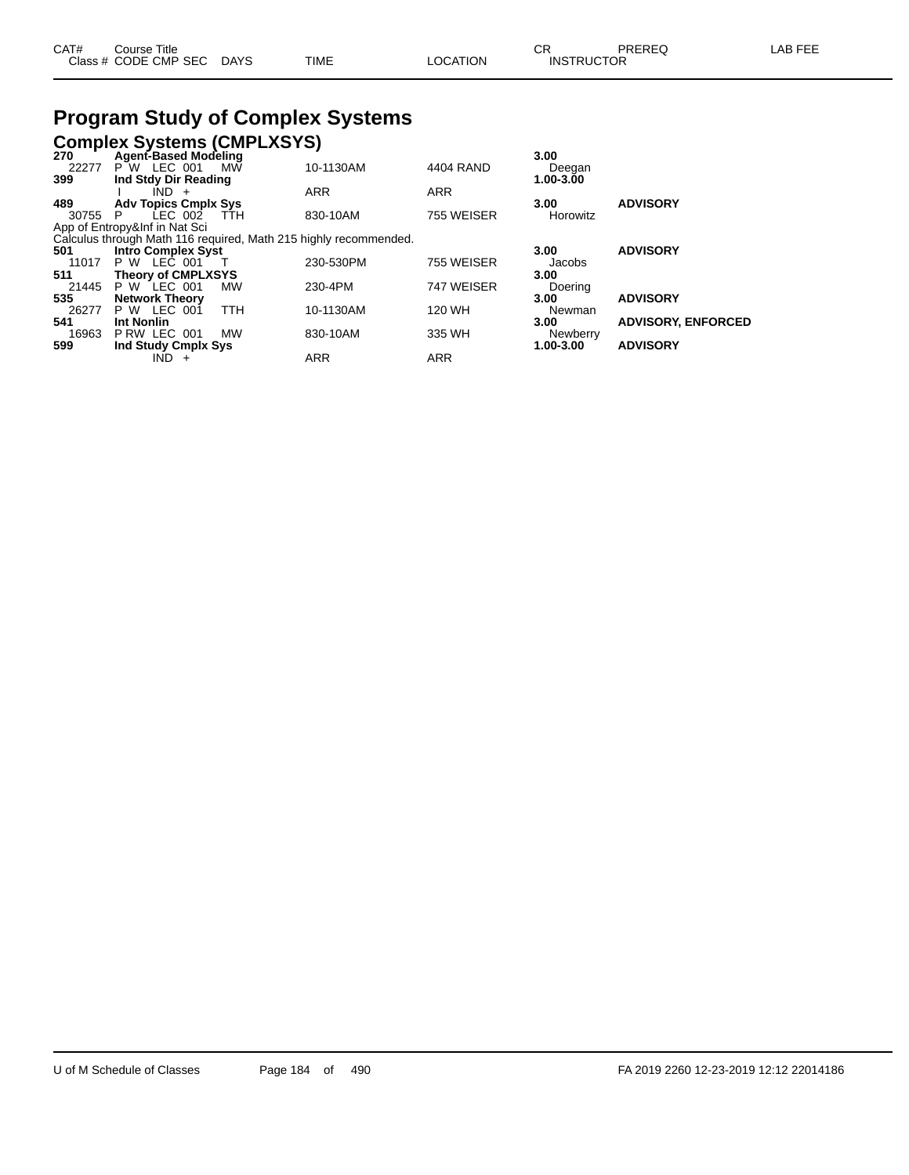| CAT# | Course Title              |      |          | $\cap$<br>◡       | PREREQ | <b>AB FEE</b> |
|------|---------------------------|------|----------|-------------------|--------|---------------|
|      | Class # CODE CMP SEC DAYS | TIME | LOCATION | <b>INSTRUCTOR</b> |        |               |

### **Program Study of Complex Systems**

# **Complex Systems (CMPLXSYS) 270 Agent-Based Modeling 3.00**

|                        | МW                                           | 10-1130AM                                                                                                                                                    | 4404 RAND                                                        | Deegan    |                           |
|------------------------|----------------------------------------------|--------------------------------------------------------------------------------------------------------------------------------------------------------------|------------------------------------------------------------------|-----------|---------------------------|
|                        |                                              |                                                                                                                                                              |                                                                  | 1.00-3.00 |                           |
| $IND +$                |                                              | <b>ARR</b>                                                                                                                                                   | <b>ARR</b>                                                       |           |                           |
|                        |                                              |                                                                                                                                                              |                                                                  | 3.00      | <b>ADVISORY</b>           |
| LEC 002<br>30755<br>P. | TTH                                          | 830-10AM                                                                                                                                                     | 755 WEISER                                                       | Horowitz  |                           |
|                        |                                              |                                                                                                                                                              |                                                                  |           |                           |
|                        |                                              |                                                                                                                                                              |                                                                  |           |                           |
|                        |                                              |                                                                                                                                                              |                                                                  | 3.00      | <b>ADVISORY</b>           |
| <b>P W LEC 001</b>     |                                              | 230-530PM                                                                                                                                                    | 755 WEISER                                                       | Jacobs    |                           |
|                        |                                              |                                                                                                                                                              |                                                                  | 3.00      |                           |
| <b>P W LEC 001</b>     | MW                                           | 230-4PM                                                                                                                                                      | 747 WEISER                                                       | Doering   |                           |
| <b>Network Theory</b>  |                                              |                                                                                                                                                              |                                                                  | 3.00      | <b>ADVISORY</b>           |
| P W LEC 001            | <b>TTH</b>                                   | 10-1130AM                                                                                                                                                    | 120 WH                                                           | Newman    |                           |
| Int Nonlin             |                                              |                                                                                                                                                              |                                                                  | 3.00      | <b>ADVISORY, ENFORCED</b> |
| P RW LEC 001           | <b>MW</b>                                    | 830-10AM                                                                                                                                                     | 335 WH                                                           | Newberry  |                           |
|                        |                                              |                                                                                                                                                              |                                                                  | 1.00-3.00 | <b>ADVISORY</b>           |
| IND -<br>$+$           |                                              | ARR                                                                                                                                                          | <b>ARR</b>                                                       |           |                           |
|                        | P W LEC 001<br>App of Entropy&Inf in Nat Sci | Agent-Based Modeling<br>Ind Stdy Dir Reading<br><b>Adv Topics Cmplx Sys</b><br><b>Intro Complex Syst</b><br><b>Theory of CMPLXSYS</b><br>Ind Study Cmplx Sys | Calculus through Math 116 required, Math 215 highly recommended. |           | 3.UU                      |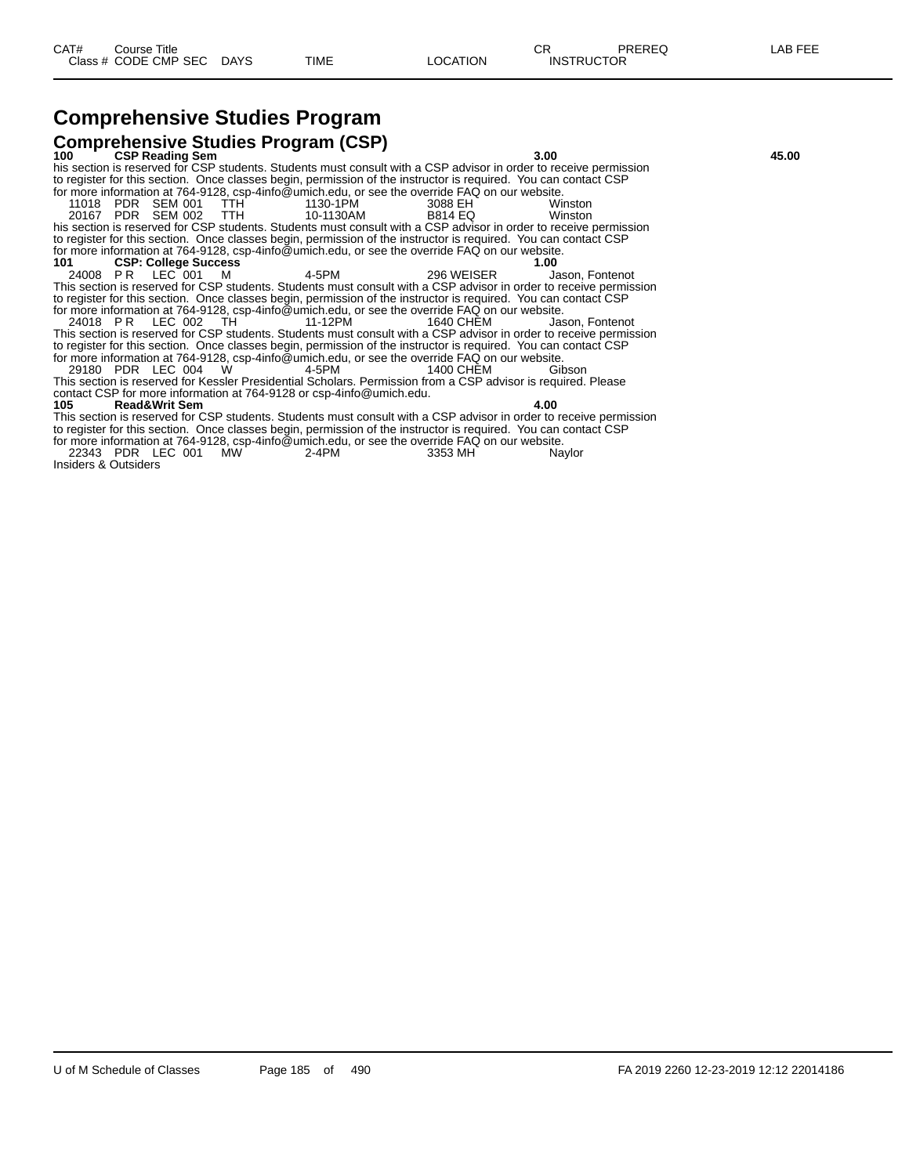# **Comprehensive Studies Program**

| <b>Comprehensive Studies Program (CSP)</b>                                                                         |                               |       |
|--------------------------------------------------------------------------------------------------------------------|-------------------------------|-------|
| <b>CSP Reading Sem</b><br>100 -                                                                                    | 3.00                          | 45.00 |
| his section is reserved for CSP students. Students must consult with a CSP advisor in order to receive permission  |                               |       |
| to register for this section. Once classes begin, permission of the instructor is required. You can contact CSP    |                               |       |
| for more information at 764-9128, csp-4info@umich.edu, or see the override FAQ on our website.                     |                               |       |
| 11018 PDR SEM 001 TTH<br>1130-1PM                                                                                  | 3088 EH<br>Winston            |       |
| 20167 PDR SEM 002 TTH<br>10-1130AM                                                                                 | <b>B814 EQ</b><br>Winston     |       |
| his section is reserved for CSP students. Students must consult with a CSP advisor in order to receive permission  |                               |       |
| to register for this section. Once classes begin, permission of the instructor is required. You can contact CSP    |                               |       |
| for more information at 764-9128, csp-4info@umich.edu, or see the override FAQ on our website.                     |                               |       |
| <b>CSP: College Success</b><br>101                                                                                 | 1.00                          |       |
| 24008 PR LEC 001 M<br>4-5PM                                                                                        | 296 WEISER<br>Jason. Fontenot |       |
| This section is reserved for CSP students. Students must consult with a CSP advisor in order to receive permission |                               |       |
| to register for this section. Once classes begin, permission of the instructor is required. You can contact CSP    |                               |       |
| for more information at 764-9128, csp-4info@umich.edu, or see the override FAQ on our website.                     |                               |       |
| 24018 PR LEC 002 TH<br>11-12PM                                                                                     | 1640 CHEM<br>Jason. Fontenot  |       |
| This section is reserved for CSP students. Students must consult with a CSP advisor in order to receive permission |                               |       |
| to register for this section. Once classes begin, permission of the instructor is required. You can contact CSP    |                               |       |
| for more information at 764-9128, csp-4info@umich.edu, or see the override FAQ on our website.                     |                               |       |
| 29180 PDR LEC 004 W<br>4-5PM                                                                                       | 1400 CHEM<br>Gibson           |       |
| This section is reserved for Kessler Presidential Scholars. Permission from a CSP advisor is required. Please      |                               |       |
| contact CSP for more information at 764-9128 or csp-4info@umich.edu.                                               |                               |       |
| 105 —<br><b>Read&amp;Writ Sem</b>                                                                                  | 4.00                          |       |
| This section is reserved for CSP students. Students must consult with a CSP advisor in order to receive permission |                               |       |
| to register for this section. Once classes begin, permission of the instructor is required. You can contact CSP    |                               |       |
| for more information at 764-9128, csp-4info@umich.edu, or see the override FAQ on our website.                     |                               |       |
| 22343 PDR LEC 001<br><b>MW</b><br>2-4PM                                                                            | 3353 MH<br>Naylor             |       |
| Insiders & Outsiders                                                                                               |                               |       |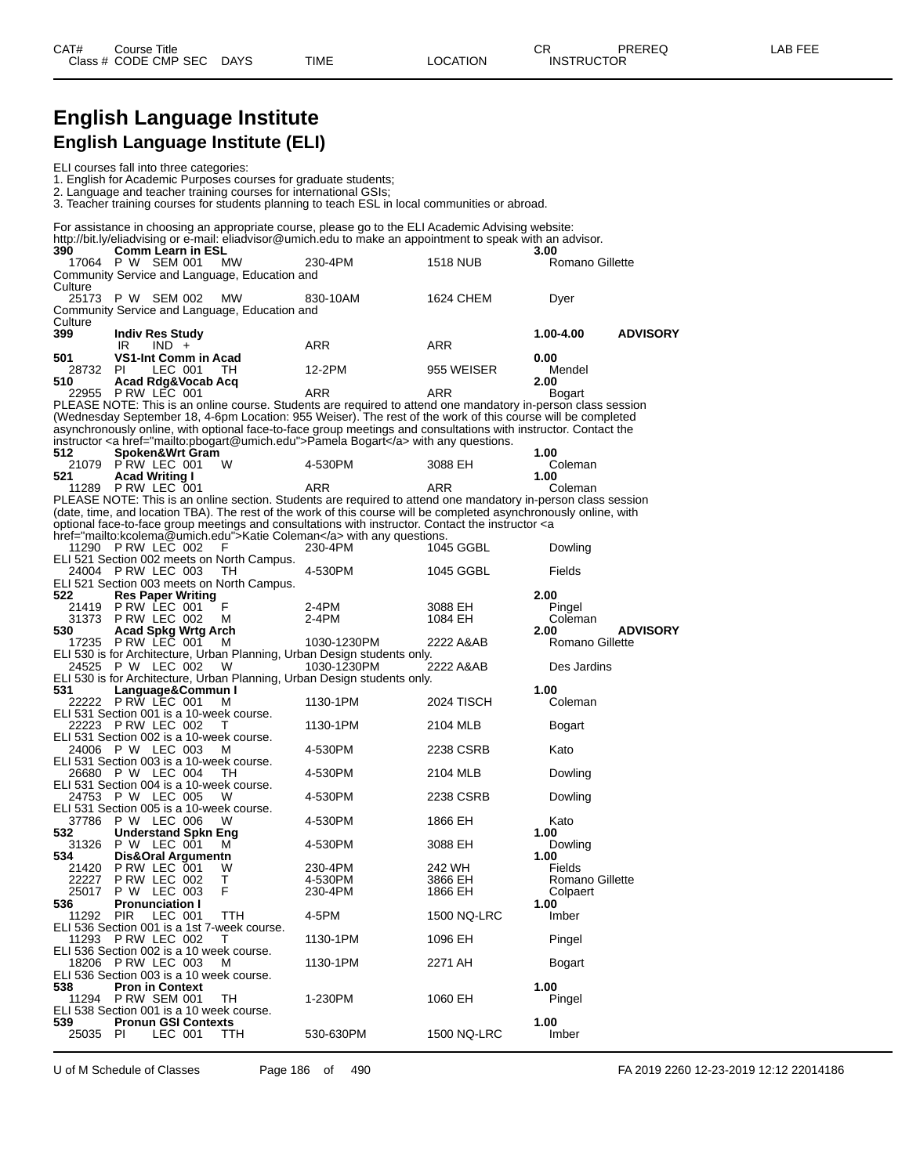## **English Language Institute English Language Institute (ELI)**

|                       | ELI courses fall into three categories:                                                                   |                                                            | 1. English for Academic Purposes courses for graduate students;<br>2. Language and teacher training courses for international GSIs;<br>3. Teacher training courses for students planning to teach ESL in local communities or abroad.                                                                                 |                        |                                    |                 |
|-----------------------|-----------------------------------------------------------------------------------------------------------|------------------------------------------------------------|-----------------------------------------------------------------------------------------------------------------------------------------------------------------------------------------------------------------------------------------------------------------------------------------------------------------------|------------------------|------------------------------------|-----------------|
|                       |                                                                                                           |                                                            | For assistance in choosing an appropriate course, please go to the ELI Academic Advising website:<br>http://bit.ly/eliadvising or e-mail: eliadvisor@umich.edu to make an appointment to speak with an advisor.                                                                                                       |                        |                                    |                 |
| 390<br>17064          | <b>Comm Learn in ESL</b><br>P W SEM 001                                                                   | <b>MW</b><br>Community Service and Language, Education and | 230-4PM                                                                                                                                                                                                                                                                                                               | 1518 NUB               | 3.00<br>Romano Gillette            |                 |
| Culture               | 25173 P W SEM 002                                                                                         | <b>MW</b><br>Community Service and Language, Education and | 830-10AM                                                                                                                                                                                                                                                                                                              | 1624 CHEM              | Dyer                               |                 |
| Culture<br>399        | <b>Indiv Res Study</b><br>IR<br>$IND +$                                                                   |                                                            | ARR                                                                                                                                                                                                                                                                                                                   | ARR                    | 1.00-4.00                          | <b>ADVISORY</b> |
| 501<br>28732<br>510   | <b>VS1-Int Comm in Acad</b><br>PI.<br>LEC 001                                                             | TH.                                                        | 12-2PM                                                                                                                                                                                                                                                                                                                | 955 WEISER             | 0.00<br>Mendel<br>2.00             |                 |
|                       | Acad Rdg&Vocab Acq<br>22955 P RW LEC 001                                                                  |                                                            | ARR<br>PLEASE NOTE: This is an online course. Students are required to attend one mandatory in-person class session                                                                                                                                                                                                   | ARR                    | Bogart                             |                 |
|                       |                                                                                                           |                                                            | (Wednesday September 18, 4-6pm Location: 955 Weiser). The rest of the work of this course will be completed<br>asynchronously online, with optional face-to-face group meetings and consultations with instructor. Contact the<br>instructor <a href="mailto:pbogart@umich.edu">Pamela Bogart</a> with any questions. |                        |                                    |                 |
| 512<br>521            | Spoken&Wrt Gram<br>21079 P RW LEC 001<br><b>Acad Writing I</b>                                            | W                                                          | 4-530PM                                                                                                                                                                                                                                                                                                               | 3088 EH                | 1.00<br>Coleman<br>1.00            |                 |
|                       | 11289 P RW LEC 001                                                                                        |                                                            | ARR<br>PLEASE NOTE: This is an online section. Students are required to attend one mandatory in-person class session<br>(date, time, and location TBA). The rest of the work of this course will be completed asynchronously online, with                                                                             | ARR                    | Coleman                            |                 |
|                       | 11290 P RW LEC 002                                                                                        |                                                            | optional face-to-face group meetings and consultations with instructor. Contact the instructor <a<br>href="mailto:kcolema@umich.edu"&gt;Katie Coleman with any questions.</a<br>                                                                                                                                      |                        |                                    |                 |
|                       | 24004 PRW LEC 003                                                                                         | F<br>ELI 521 Section 002 meets on North Campus.<br>TН      | 230-4PM<br>4-530PM                                                                                                                                                                                                                                                                                                    | 1045 GGBL<br>1045 GGBL | Dowling<br>Fields                  |                 |
| 522                   | <b>Res Paper Writing</b><br>21419 PRW LEC 001                                                             | ELI 521 Section 003 meets on North Campus.<br>F            | 2-4PM                                                                                                                                                                                                                                                                                                                 | 3088 EH                | 2.00<br>Pingel                     |                 |
| 530                   | 31373 PRW LEC 002<br><b>Acad Spkg Wrtg Arch</b><br>17235 P RW LEC 001                                     | М<br>м                                                     | 2-4PM<br>1030-1230PM                                                                                                                                                                                                                                                                                                  | 1084 EH<br>2222 A&AB   | Coleman<br>2.00<br>Romano Gillette | <b>ADVISORY</b> |
|                       | 24525 P W LEC 002                                                                                         | W                                                          | ELI 530 is for Architecture, Urban Planning, Urban Design students only.<br>1030-1230PM                                                                                                                                                                                                                               | 2222 A&AB              | Des Jardins                        |                 |
| 531                   | Language&Commun I<br>22222 PRW LEC 001                                                                    | M                                                          | ELI 530 is for Architecture, Urban Planning, Urban Design students only.<br>1130-1PM                                                                                                                                                                                                                                  | <b>2024 TISCH</b>      | 1.00<br>Coleman                    |                 |
|                       | ELI 531 Section 001 is a 10-week course.<br>22223 PRW LEC 002<br>ELI 531 Section 002 is a 10-week course. | Τ                                                          | 1130-1PM                                                                                                                                                                                                                                                                                                              | 2104 MLB               | Bogart                             |                 |
|                       | 24006 P W LEC 003<br>ELI 531 Section 003 is a 10-week course.<br>26680 P W LEC 004                        | м<br>TН                                                    | 4-530PM<br>4-530PM                                                                                                                                                                                                                                                                                                    | 2238 CSRB<br>2104 MLB  | Kato<br>Dowling                    |                 |
|                       | ELI 531 Section 004 is a 10-week course.<br>24753 P W LEC 005                                             | w                                                          | 4-530PM                                                                                                                                                                                                                                                                                                               | 2238 CSRB              | Dowling                            |                 |
| 532                   | ELI 531 Section 005 is a 10-week course.<br>37786 P W LEC 006<br><b>Understand Spkn Eng</b>               | w                                                          | 4-530PM                                                                                                                                                                                                                                                                                                               | 1866 EH                | Kato<br>1.00                       |                 |
| 31326<br>534<br>21420 | P W LEC 001<br>Dis&Oral Argumentn<br>PRW LEC 001                                                          | м<br>w                                                     | 4-530PM<br>230-4PM                                                                                                                                                                                                                                                                                                    | 3088 EH<br>242 WH      | Dowling<br>1.00<br><b>Fields</b>   |                 |
| 22227<br>25017        | PRW LEC 002<br>P W LEC 003                                                                                | Τ<br>F                                                     | 4-530PM<br>230-4PM                                                                                                                                                                                                                                                                                                    | 3866 EH<br>1866 EH     | Romano Gillette<br>Colpaert        |                 |
| 536<br>11292          | <b>Pronunciation I</b><br><b>PIR</b><br>LEC 001<br>ELI 536 Section 001 is a 1st 7-week course.            | TTH                                                        | 4-5PM                                                                                                                                                                                                                                                                                                                 | 1500 NQ-LRC            | 1.00<br>Imber                      |                 |
|                       | 11293 P RW LEC 002<br>ELI 536 Section 002 is a 10 week course.<br>18206 PRW LEC 003                       | т<br>м                                                     | 1130-1PM<br>1130-1PM                                                                                                                                                                                                                                                                                                  | 1096 EH<br>2271 AH     | Pingel<br>Bogart                   |                 |
| 538<br>11294          | ELI 536 Section 003 is a 10 week course.<br><b>Pron in Context</b><br><b>P RW SEM 001</b>                 | TH                                                         | 1-230PM                                                                                                                                                                                                                                                                                                               | 1060 EH                | 1.00<br>Pingel                     |                 |
| 539.                  | ELI 538 Section 001 is a 10 week course.<br><b>Pronun GSI Contexts</b>                                    |                                                            |                                                                                                                                                                                                                                                                                                                       |                        | 1.00                               |                 |
| 25035                 | PI.<br>LEC 001                                                                                            | TTH                                                        | 530-630PM                                                                                                                                                                                                                                                                                                             | 1500 NQ-LRC            | Imber                              |                 |

U of M Schedule of Classes Page 186 of 490 FA 2019 2260 12-23-2019 12:12 22014186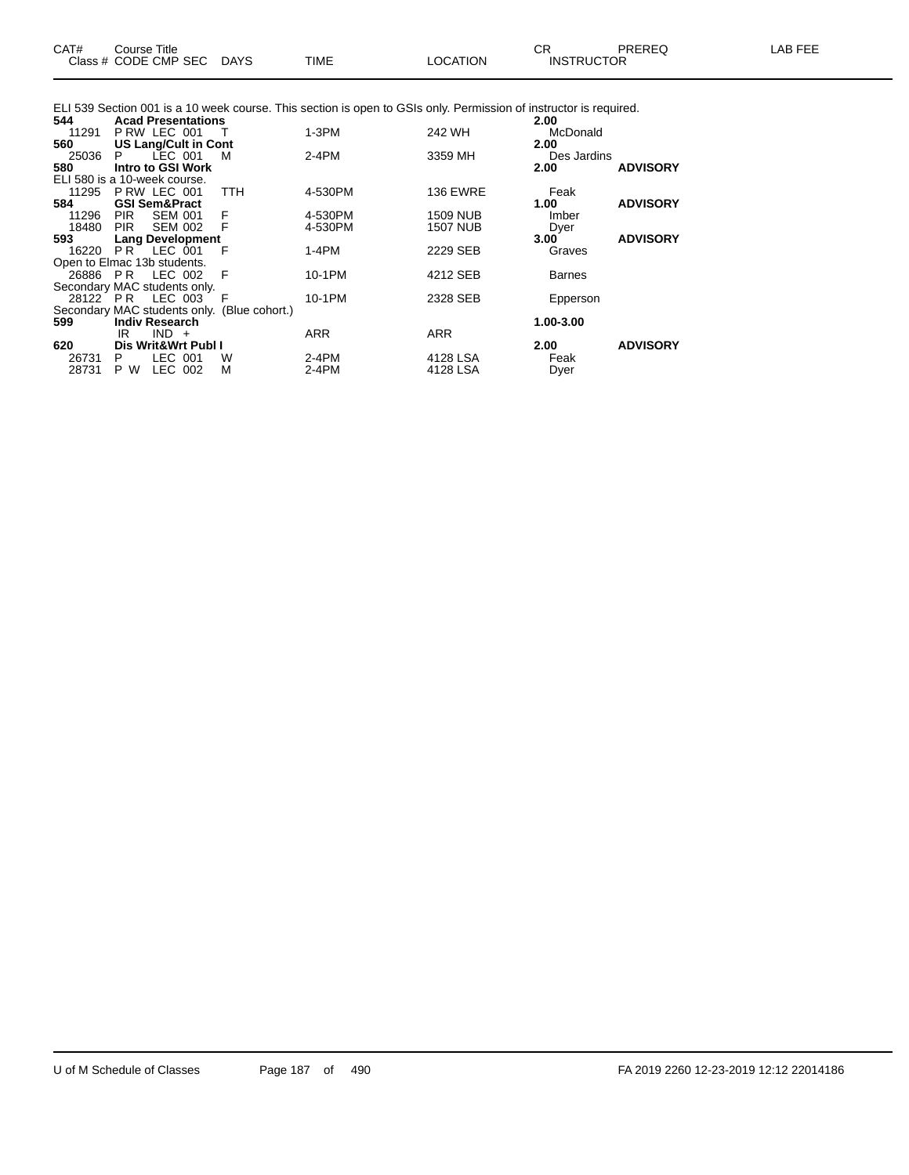|     |  | ELI 539 Section 001 is a 10 week course. This section is open to GSIs only. Permission of instructor is required. |
|-----|--|-------------------------------------------------------------------------------------------------------------------|
|     |  |                                                                                                                   |
| ___ |  |                                                                                                                   |

| 544   | <b>Acad Presentations</b>    |                                             |            |                 | 2.00          |                 |
|-------|------------------------------|---------------------------------------------|------------|-----------------|---------------|-----------------|
| 11291 | PRW LEC 001                  |                                             | $1-3PM$    | 242 WH          | McDonald      |                 |
| 560   | <b>US Lang/Cult in Cont</b>  |                                             |            |                 | 2.00          |                 |
| 25036 | LEC 001<br>P.                | м                                           | 2-4PM      | 3359 MH         | Des Jardins   |                 |
| 580   | Intro to GSI Work            |                                             |            |                 | 2.00          | <b>ADVISORY</b> |
|       | ELI 580 is a 10-week course. |                                             |            |                 |               |                 |
| 11295 | PRW LEC 001                  | <b>TTH</b>                                  | 4-530PM    | <b>136 EWRE</b> | Feak          |                 |
| 584   | <b>GSI Sem&amp;Pract</b>     |                                             |            |                 | 1.00          | <b>ADVISORY</b> |
| 11296 | <b>SEM 001</b><br><b>PIR</b> | F                                           | 4-530PM    | 1509 NUB        | Imber         |                 |
| 18480 | <b>PIR</b><br>SEM 002        | - F                                         | 4-530PM    | 1507 NUB        | Dyer          |                 |
| 593   | <b>Lang Development</b>      |                                             |            |                 | 3.00          | <b>ADVISORY</b> |
| 16220 | <b>PR LEC 001</b>            | - F                                         | 1-4PM      | 2229 SEB        | Graves        |                 |
|       | Open to Elmac 13b students.  |                                             |            |                 |               |                 |
|       | 26886 PR LEC 002             | - F                                         | 10-1PM     | 4212 SEB        | <b>Barnes</b> |                 |
|       | Secondary MAC students only. |                                             |            |                 |               |                 |
|       | 28122 PR LEC 003             | F                                           | 10-1PM     | 2328 SEB        | Epperson      |                 |
|       |                              | Secondary MAC students only. (Blue cohort.) |            |                 |               |                 |
| 599   | <b>Indiv Research</b>        |                                             |            |                 | 1.00-3.00     |                 |
|       | $IND +$<br>IR.               |                                             | <b>ARR</b> | <b>ARR</b>      |               |                 |
| 620   | Dis Writ&Wrt Publ I          |                                             |            |                 | 2.00          | <b>ADVISORY</b> |
| 26731 | LEC 001<br>P                 | W                                           | 2-4PM      | 4128 LSA        | Feak          |                 |
| 28731 | LEC 002<br>P W               | М                                           | $2-4PM$    | 4128 LSA        | Dyer          |                 |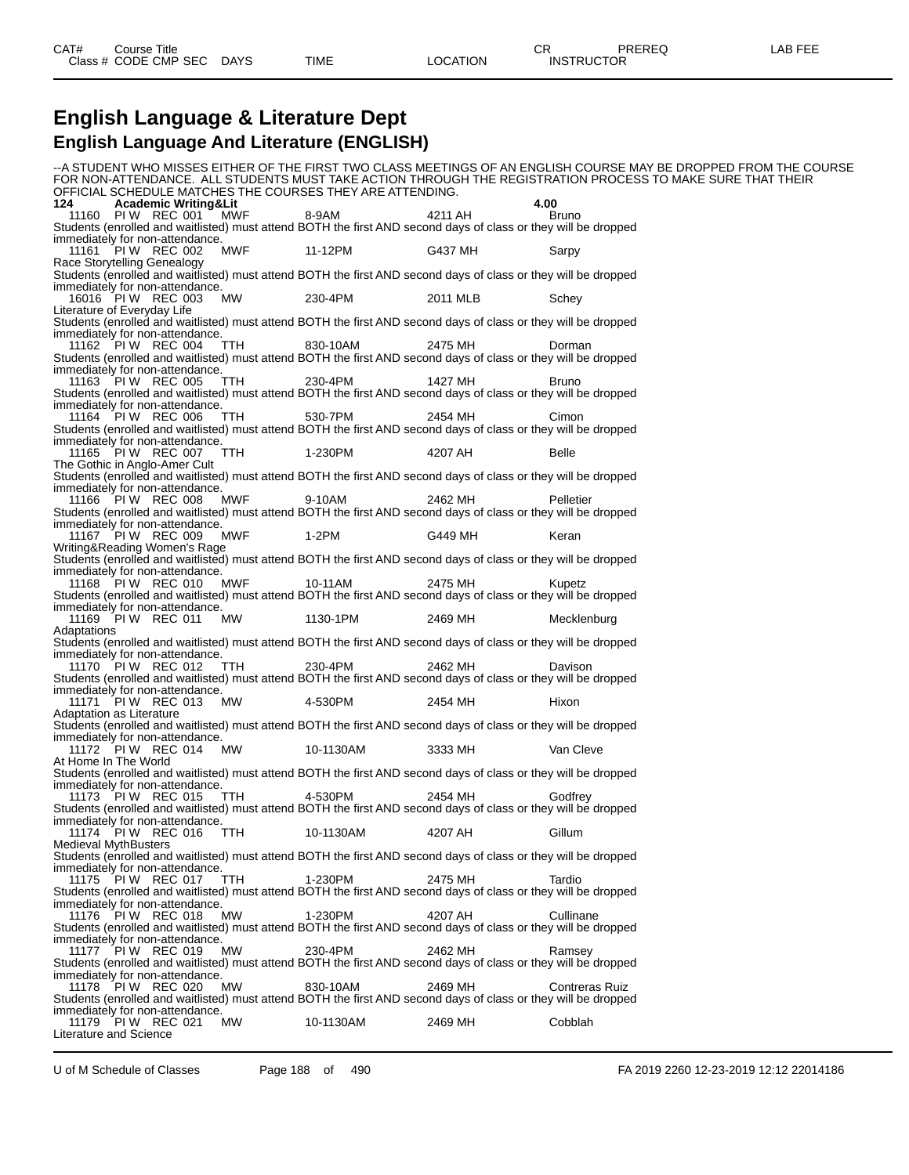#### **English Language & Literature Dept English Language And Literature (ENGLISH)**

--A STUDENT WHO MISSES EITHER OF THE FIRST TWO CLASS MEETINGS OF AN ENGLISH COURSE MAY BE DROPPED FROM THE COURSE FOR NON-ATTENDANCE. ALL STUDENTS MUST TAKE ACTION THROUGH THE REGISTRATION PROCESS TO MAKE SURE THAT THEIR OFFICIAL SCHEDULE MATCHES THE COURSES THEY ARE ATTENDING.<br>124 **Cademic Writing&Lit 124 Academic Writing&Lit 4.00** 11160 PI W REC 001 MWF 8-9AM 4211 AH Bruno Students (enrolled and waitlisted) must attend BOTH the first AND second days of class or they will be dropped immediately for non-attendance. 11161 PI W REC 002 MWF 11-12PM G437 MH Sarpy Race Storytelling Genealogy Students (enrolled and waitlisted) must attend BOTH the first AND second days of class or they will be dropped immediately for non-attendance. 16016 PI W REC 003 MW 230-4PM 2011 MLB Schey Literature of Everyday Life Students (enrolled and waitlisted) must attend BOTH the first AND second days of class or they will be dropped immediately for non-attendance. 11162 PIW REC 004 TTH 830-10AM 2475 MH Dorman Students (enrolled and waitlisted) must attend BOTH the first AND second days of class or they will be dropped immediately for non-attendance. 11163 PI W REC 005 TTH 230-4PM 1427 MH Bruno Students (enrolled and waitlisted) must attend BOTH the first AND second days of class or they will be dropped immediately for non-attendance. 11164 PIW REC 006 TTH 530-7PM 2454 MH Cimon Students (enrolled and waitlisted) must attend BOTH the first AND second days of class or they will be dropped immediately for non-attendance. 11165 PI W REC 007 TTH 1-230PM 4207 AH Belle The Gothic in Anglo-Amer Cult Students (enrolled and waitlisted) must attend BOTH the first AND second days of class or they will be dropped immediately for non-attendance. 11166 PI W REC 008 MWF 9-10AM 2462 MH Pelletier Students (enrolled and waitlisted) must attend BOTH the first AND second days of class or they will be dropped immediately for non-attendance. 11167 PI W REC 009 MWF 1-2PM G449 MH Keran Writing&Reading Women's Rage Students (enrolled and waitlisted) must attend BOTH the first AND second days of class or they will be dropped immediately for non-attendance. 11168 PI W REC 010 MWF 10-11AM 2475 MH Kupetz Students (enrolled and waitlisted) must attend BOTH the first AND second days of class or they will be dropped immediately for non-attendance. 11169 PI W REC 011 MW 1130-1PM 2469 MH Mecklenburg Adaptations Students (enrolled and waitlisted) must attend BOTH the first AND second days of class or they will be dropped immediately for non-attendance.<br>11170 PI W REC 012 TTH 11170 PI W REC 012 TTH 230-4PM 2462 MH Davison Students (enrolled and waitlisted) must attend BOTH the first AND second days of class or they will be dropped immediately for non-attendance. 11171 PI W REC 013 MW 4-530PM 2454 MH Hixon Adaptation as Literature Students (enrolled and waitlisted) must attend BOTH the first AND second days of class or they will be dropped immediately for non-attendance. 11172 PI W REC 014 MW 10-1130AM 3333 MH Van Cleve At Home In The World Students (enrolled and waitlisted) must attend BOTH the first AND second days of class or they will be dropped immediately for non-attendance. 11173 PI W REC 015 TTH 4-530PM 2454 MH Godfrey Students (enrolled and waitlisted) must attend BOTH the first AND second days of class or they will be dropped immediately for non-attendance. 11174 PI W REC 016 TTH 10-1130AM 4207 AH Gillum Medieval MythBusters Students (enrolled and waitlisted) must attend BOTH the first AND second days of class or they will be dropped immediately for non-attendance.<br>11175 PIW REC 017 TTH 11175 PI W REC 017 TTH 1-230PM 2475 MH Tardio Students (enrolled and waitlisted) must attend BOTH the first AND second days of class or they will be dropped immediately for non-attendance. 11176 PI W REC 018 MW 1-230PM 4207 AH Cullinane Students (enrolled and waitlisted) must attend BOTH the first AND second days of class or they will be dropped immediately for non-attendance.<br>11177 PI W REC 019 MW 11177 PIW REC 019 MW 230-4PM 2462 MH Ramsey Students (enrolled and waitlisted) must attend BOTH the first AND second days of class or they will be dropped immediately for non-attendance. 11178 PI W REC 020 MW 830-10AM 2469 MH Contreras Ruiz Students (enrolled and waitlisted) must attend BOTH the first AND second days of class or they will be dropped immediately for non-attendance.<br>11179 PI W REC 021 MW 11179 PI W REC 021 MW 10-1130AM 2469 MH Cobblah Literature and Science

U of M Schedule of Classes Page 188 of 490 FA 2019 2260 12-23-2019 12:12 22014186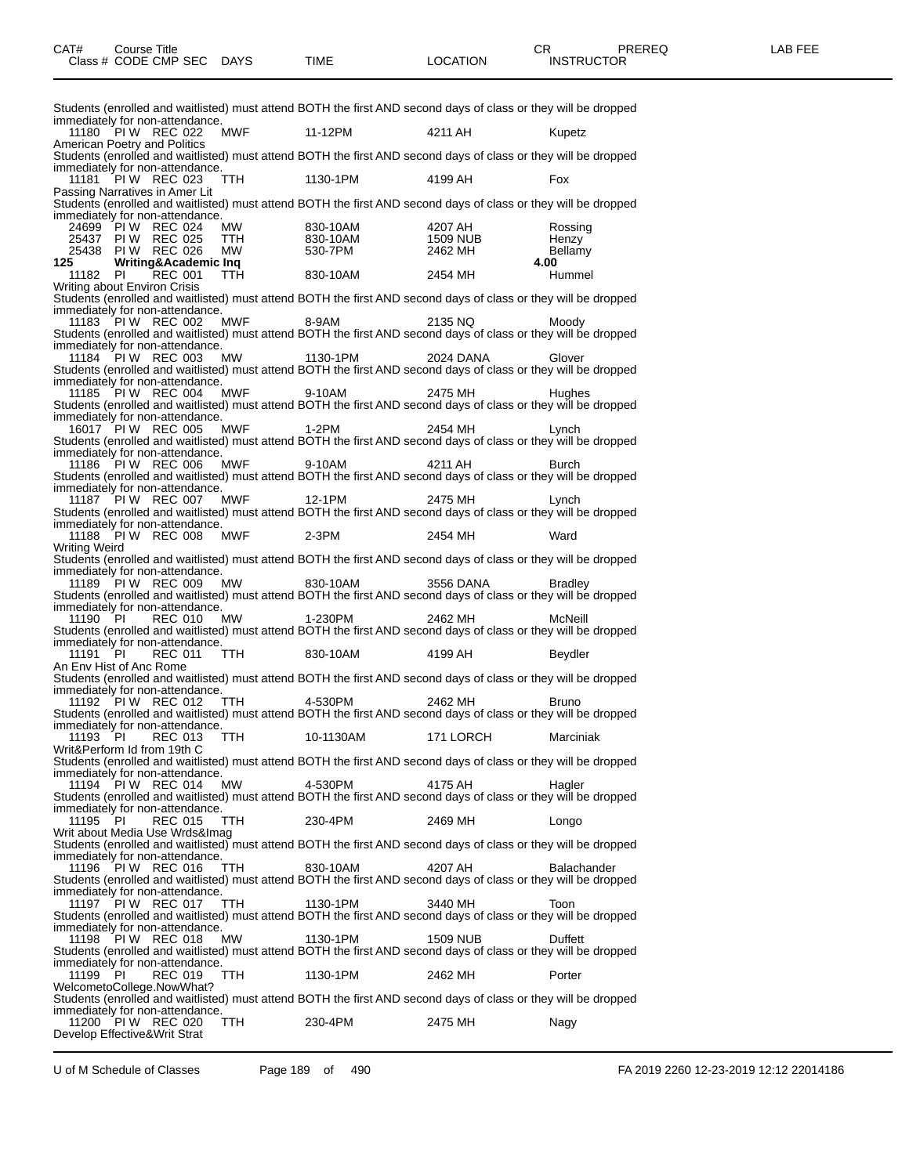| immediately for non-attendance. |    |                                                      |                             |                                                       |                                                                                                                |                    |
|---------------------------------|----|------------------------------------------------------|-----------------------------|-------------------------------------------------------|----------------------------------------------------------------------------------------------------------------|--------------------|
|                                 |    |                                                      |                             |                                                       | Students (enrolled and waitlisted) must attend BOTH the first AND second days of class or they will be dropped |                    |
|                                 |    | 11180 PIW REC 022                                    | MWF                         | 11-12PM                                               | 4211 AH                                                                                                        | Kupetz             |
| American Poetry and Politics    |    |                                                      |                             |                                                       | Students (enrolled and waitlisted) must attend BOTH the first AND second days of class or they will be dropped |                    |
|                                 |    | immediately for non-attendance.<br>PIW REC 023       | TTH                         | 1130-1PM                                              | 4199 AH                                                                                                        | Fox                |
| 11181                           |    | Passing Narratives in Amer Lit                       |                             |                                                       |                                                                                                                |                    |
|                                 |    | immediately for non-attendance.                      |                             |                                                       | Students (enrolled and waitlisted) must attend BOTH the first AND second days of class or they will be dropped |                    |
|                                 |    | 24699 PIW REC 024                                    |                             |                                                       | 4207 AH                                                                                                        | Rossing            |
|                                 |    | 25437 PIW REC 025                                    |                             |                                                       |                                                                                                                | Henzy              |
|                                 |    | 25438 PIW REC 026                                    |                             | MW     830-10AM<br>TTH     830-10AM<br>MW     530-7PM | 1509 NUB<br>2462 MH                                                                                            | Bellamy            |
| 125<br>11182 PI                 |    | Writing&Academic Inq<br>REC 001                      | TTH                         | 830-10AM                                              | 2454 MH                                                                                                        | 4.00<br>Hummel     |
| Writing about Environ Crisis    |    |                                                      |                             |                                                       |                                                                                                                |                    |
|                                 |    | immediately for non-attendance.                      |                             |                                                       | Students (enrolled and waitlisted) must attend BOTH the first AND second days of class or they will be dropped |                    |
|                                 |    | 11183 PIW REC 002                                    | MWF                         | 8-9AM                                                 | 2135 NQ                                                                                                        | Moody              |
|                                 |    |                                                      |                             |                                                       | Students (enrolled and waitlisted) must attend BOTH the first AND second days of class or they will be dropped |                    |
|                                 |    | immediately for non-attendance.                      |                             |                                                       |                                                                                                                |                    |
|                                 |    | 11184 PIW REC 003                                    | MW                          | 1130-1PM                                              | 2024 DANA                                                                                                      | Glover             |
|                                 |    |                                                      |                             |                                                       | Students (enrolled and waitlisted) must attend BOTH the first AND second days of class or they will be dropped |                    |
|                                 |    | immediately for non-attendance.                      |                             |                                                       |                                                                                                                |                    |
|                                 |    | 11185 PIW REC 004                                    | MWF                         | 9-10AM                                                | 2475 MH                                                                                                        | <b>Hughes</b>      |
|                                 |    |                                                      |                             |                                                       | Students (enrolled and waitlisted) must attend BOTH the first AND second days of class or they will be dropped |                    |
|                                 |    | immediately for non-attendance.<br>16017 PIW REC 005 | <b>MWF</b>                  | 1-2PM                                                 | 2454 MH                                                                                                        | Lvnch              |
|                                 |    |                                                      |                             |                                                       | Students (enrolled and waitlisted) must attend BOTH the first AND second days of class or they will be dropped |                    |
|                                 |    | immediately for non-attendance.                      |                             |                                                       |                                                                                                                |                    |
|                                 |    | 11186 PIW REC 006                                    | MWF                         | 9-10AM                                                | 4211 AH                                                                                                        | Burch              |
|                                 |    |                                                      |                             |                                                       | Students (enrolled and waitlisted) must attend BOTH the first AND second days of class or they will be dropped |                    |
|                                 |    | immediately for non-attendance.                      |                             |                                                       |                                                                                                                |                    |
|                                 |    | 11187 PIW REC 007                                    | <b>MWF</b>                  | 12-1PM                                                | 2475 MH                                                                                                        | Lynch              |
|                                 |    |                                                      |                             |                                                       | Students (enrolled and waitlisted) must attend BOTH the first AND second days of class or they will be dropped |                    |
|                                 |    | immediately for non-attendance.                      |                             |                                                       |                                                                                                                |                    |
|                                 |    |                                                      | 11188 PIW REC 008 MWF 2-3PM |                                                       | 2454 MH                                                                                                        | Ward               |
| <b>Writing Weird</b>            |    |                                                      |                             |                                                       |                                                                                                                |                    |
|                                 |    |                                                      |                             |                                                       | Students (enrolled and waitlisted) must attend BOTH the first AND second days of class or they will be dropped |                    |
|                                 |    | immediately for non-attendance.<br>11189 PIW REC 009 | MW                          | 830-10AM                                              | 3556 DANA                                                                                                      | <b>Bradley</b>     |
|                                 |    |                                                      |                             |                                                       | Students (enrolled and waitlisted) must attend BOTH the first AND second days of class or they will be dropped |                    |
|                                 |    | immediately for non-attendance.                      |                             |                                                       |                                                                                                                |                    |
| 11190 PI                        |    | REC 010                                              | MW                          | 1-230PM                                               | 2462 MH                                                                                                        | McNeill            |
|                                 |    |                                                      |                             |                                                       | Students (enrolled and waitlisted) must attend BOTH the first AND second days of class or they will be dropped |                    |
|                                 |    | immediately for non-attendance.                      |                             |                                                       |                                                                                                                |                    |
| 11191 PI                        |    | REC 011                                              | TTH                         | 830-10AM                                              | 4199 AH                                                                                                        | Beydler            |
| An Env Hist of Anc Rome         |    |                                                      |                             |                                                       |                                                                                                                |                    |
|                                 |    |                                                      |                             |                                                       |                                                                                                                |                    |
|                                 |    |                                                      |                             |                                                       | Students (enrolled and waitlisted) must attend BOTH the first AND second days of class or they will be dropped |                    |
|                                 |    | immediately for non-attendance.                      |                             |                                                       |                                                                                                                |                    |
|                                 |    | 11192 PIW REC 012                                    | TTH                         | 4-530PM                                               | 2462 MH                                                                                                        | <b>Bruno</b>       |
|                                 |    |                                                      |                             |                                                       | Students (enrolled and waitlisted) must attend BOTH the first AND second days of class or they will be dropped |                    |
|                                 |    | immediately for non-attendance.                      |                             |                                                       |                                                                                                                |                    |
| 11193                           | PI | <b>REC 013</b>                                       |                             | TTH 10-1130AM                                         | 171 LORCH                                                                                                      | Marciniak          |
| Writ&Perform Id from 19th C     |    |                                                      |                             |                                                       |                                                                                                                |                    |
|                                 |    | immediately for non-attendance.                      |                             |                                                       | Students (enrolled and waitlisted) must attend BOTH the first AND second days of class or they will be dropped |                    |
|                                 |    | 11194 PIW REC 014                                    | MW                          | 4-530PM                                               | 4175 AH                                                                                                        | Hagler             |
|                                 |    |                                                      |                             |                                                       | Students (enrolled and waitlisted) must attend BOTH the first AND second days of class or they will be dropped |                    |
|                                 |    | immediately for non-attendance.                      |                             |                                                       |                                                                                                                |                    |
| 11195 PI                        |    | <b>REC 015</b>                                       | TTH                         | 230-4PM                                               | 2469 MH                                                                                                        | Longo              |
|                                 |    | Writ about Media Use Wrds&Imag                       |                             |                                                       |                                                                                                                |                    |
|                                 |    |                                                      |                             |                                                       | Students (enrolled and waitlisted) must attend BOTH the first AND second days of class or they will be dropped |                    |
|                                 |    | immediately for non-attendance.                      |                             |                                                       |                                                                                                                |                    |
|                                 |    | 11196 PIW REC 016                                    | TTH.                        | 830-10AM                                              | 4207 AH                                                                                                        | <b>Balachander</b> |
|                                 |    |                                                      |                             |                                                       | Students (enrolled and waitlisted) must attend BOTH the first AND second days of class or they will be dropped |                    |
|                                 |    | immediately for non-attendance.                      |                             |                                                       |                                                                                                                |                    |
|                                 |    | 11197 PIW REC 017                                    | TTH                         | 1130-1PM                                              | 3440 MH                                                                                                        | Toon               |
|                                 |    | immediately for non-attendance.                      |                             |                                                       | Students (enrolled and waitlisted) must attend BOTH the first AND second days of class or they will be dropped |                    |
|                                 |    | 11198 PIW REC 018                                    | MW                          | 1130-1PM                                              | 1509 NUB                                                                                                       | Duffett            |
|                                 |    |                                                      |                             |                                                       | Students (enrolled and waitlisted) must attend BOTH the first AND second days of class or they will be dropped |                    |
|                                 |    | immediately for non-attendance.                      |                             |                                                       |                                                                                                                |                    |
| 11199 PI                        |    | REC 019                                              | <b>TTH</b>                  | 1130-1PM                                              | 2462 MH                                                                                                        | Porter             |
|                                 |    | WelcometoCollege.NowWhat?                            |                             |                                                       |                                                                                                                |                    |
|                                 |    |                                                      |                             |                                                       | Students (enrolled and waitlisted) must attend BOTH the first AND second days of class or they will be dropped |                    |
|                                 |    | immediately for non-attendance.                      |                             |                                                       |                                                                                                                |                    |
| Develop Effective& Writ Strat   |    | 11200 PIW REC 020                                    | TTH                         | 230-4PM                                               | 2475 MH                                                                                                        | Nagy               |

U of M Schedule of Classes Page 189 of 490 FA 2019 2260 12-23-2019 12:12 22014186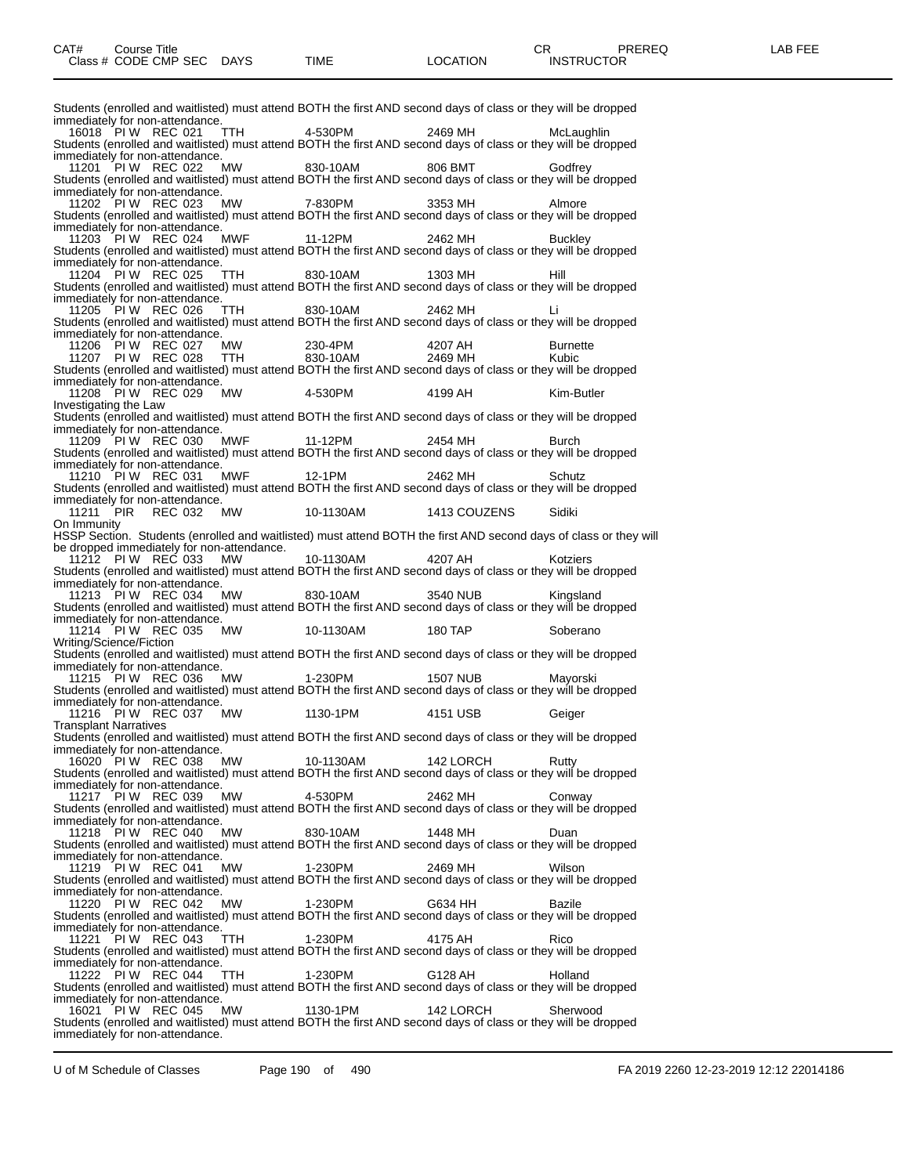Students (enrolled and waitlisted) must attend BOTH the first AND second days of class or they will be dropped immediately for non-attendance. 16018 PI W REC 021 TTH 4-530PM 2469 MH McLaughlin Students (enrolled and waitlisted) must attend BOTH the first AND second days of class or they will be dropped immediately for non-attendance. 11201 PI W REC 022 MW 830-10AM 806 BMT Godfrey Students (enrolled and waitlisted) must attend BOTH the first AND second days of class or they will be dropped immediately for non-attendance. 11202 PI W REC 023 MW 7-830PM 3353 MH Almore Students (enrolled and waitlisted) must attend BOTH the first AND second days of class or they will be dropped immediately for non-attendance.<br>11203 PI W REC 024 MWF 11203 PI W REC 024 MWF 11-12PM 2462 MH Buckley Students (enrolled and waitlisted) must attend BOTH the first AND second days of class or they will be dropped immediately for non-attendance. 11204 PI W REC 025 TTH 830-10AM 1303 MH Hill Students (enrolled and waitlisted) must attend BOTH the first AND second days of class or they will be dropped immediately for non-attendance. 11205 PI W REC 026 TTH 830-10AM 2462 MH Li Students (enrolled and waitlisted) must attend BOTH the first AND second days of class or they will be dropped immediately for non-attendance. 11206 PI W REC 027 MW 230-4PM 4207 AH Burnette 11207 PI W REC 028 TTH 830-10AM 2469 MH Kubic Students (enrolled and waitlisted) must attend BOTH the first AND second days of class or they will be dropped immediately for non-attendance. 11208 PI W REC 029 MW 4-530PM 4199 AH Kim-Butler Investigating the Law Students (enrolled and waitlisted) must attend BOTH the first AND second days of class or they will be dropped immediately for non-attendance. 11209 PI W REC 030 MWF 11-12PM 2454 MH Burch Students (enrolled and waitlisted) must attend BOTH the first AND second days of class or they will be dropped immediately for non-attendance. 11210 PI W REC 031 MWF 12-1PM 2462 MH Schutz Students (enrolled and waitlisted) must attend BOTH the first AND second days of class or they will be dropped immediately for non-attendance. 11211 PIR REC 032 MW 10-1130AM 1413 COUZENS Sidiki On Immunity HSSP Section. Students (enrolled and waitlisted) must attend BOTH the first AND second days of class or they will be dropped immediately for non-attendance. 11212 PI W REC 033 MW 10-1130AM 4207 AH Kotziers Students (enrolled and waitlisted) must attend BOTH the first AND second days of class or they will be dropped immediately for non-attendance. 11213 PI W REC 034 MW 830-10AM 3540 NUB Kingsland Students (enrolled and waitlisted) must attend BOTH the first AND second days of class or they will be dropped immediately for non-attendance.<br>11214 PI W REC 035 MW 11214 PIW REC 035 MW 10-1130AM 180 TAP Soberano Writing/Science/Fiction Students (enrolled and waitlisted) must attend BOTH the first AND second days of class or they will be dropped immediately for non-attendance.<br>11215 PI W REC 036 MW 11215 PI W REC 036 MW 1-230PM 1507 NUB Mayorski Students (enrolled and waitlisted) must attend BOTH the first AND second days of class or they will be dropped immediately for non-attendance. 11216 PI W REC 037 MW 1130-1PM 4151 USB Geiger Transplant Narratives Students (enrolled and waitlisted) must attend BOTH the first AND second days of class or they will be dropped immediately for non-attendance. 16020 PI W REC 038 MW 10-1130AM 142 LORCH Rutty Students (enrolled and waitlisted) must attend BOTH the first AND second days of class or they will be dropped immediately for non-attendance. 11217 PI W REC 039 MW 4-530PM 2462 MH Conway Students (enrolled and waitlisted) must attend BOTH the first AND second days of class or they will be dropped immediately for non-attendance. 11218 PI W REC 040 MW 830-10AM 1448 MH Duan Students (enrolled and waitlisted) must attend BOTH the first AND second days of class or they will be dropped immediately for non-attendance. 11219 PI W REC 041 MW 1-230PM 2469 MH Wilson Students (enrolled and waitlisted) must attend BOTH the first AND second days of class or they will be dropped immediately for non-attendance. 11220 PI W REC 042 MW 1-230PM G634 HH Bazile Students (enrolled and waitlisted) must attend BOTH the first AND second days of class or they will be dropped immediately for non-attendance. 11221 PIW REC 043 TTH 1-230PM 4175 AH Rico Students (enrolled and waitlisted) must attend BOTH the first AND second days of class or they will be dropped immediately for non-attendance. 11222 PIW REC 044 TTH 1-230PM G128 AH Holland Students (enrolled and waitlisted) must attend BOTH the first AND second days of class or they will be dropped immediately for non-attendance. 16021 PI W REC 045 MW 1130-1PM 142 LORCH Sherwood Students (enrolled and waitlisted) must attend BOTH the first AND second days of class or they will be dropped immediately for non-attendance.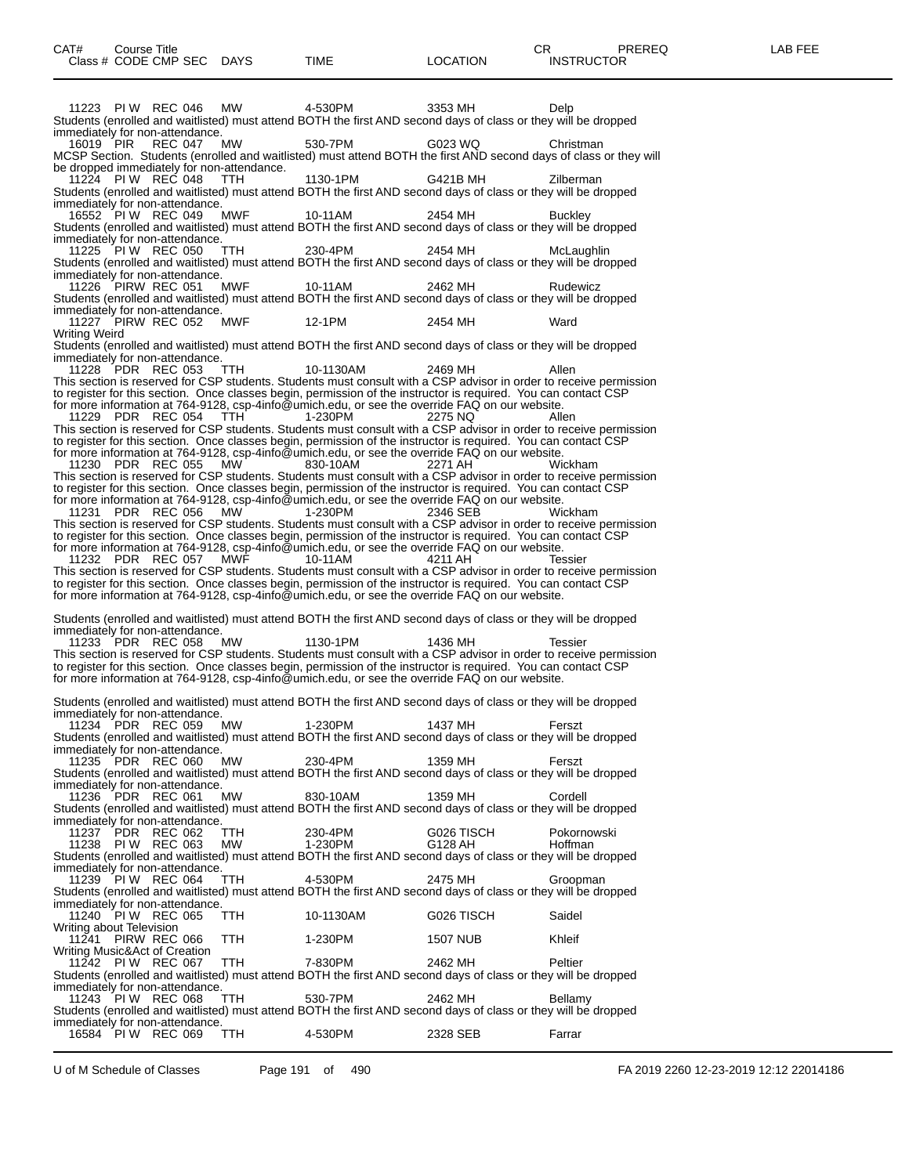11223 PI W REC 046 MW 4-530PM 3353 MH Delp Students (enrolled and waitlisted) must attend BOTH the first AND second days of class or they will be dropped immediately for non-attendance. 16019 PIR REC 047 MW 530-7PM G023 WQ Christman MCSP Section. Students (enrolled and waitlisted) must attend BOTH the first AND second days of class or they will be dropped immediately for non-attendance. 11224 PIW REC 048 TTH 1130-1PM G421B MH Zilberman Students (enrolled and waitlisted) must attend BOTH the first AND second days of class or they will be dropped immediately for non-attendance. 16552 PI W REC 049 MWF 10-11AM 2454 MH Buckley Students (enrolled and waitlisted) must attend BOTH the first AND second days of class or they will be dropped immediately for non-attendance. 11225 PI W REC 050 TTH 230-4PM 2454 MH McLaughlin Students (enrolled and waitlisted) must attend BOTH the first AND second days of class or they will be dropped immediately for non-attendance. 11226 PIRW REC 051 MWF 10-11AM 2462 MH Rudewicz Students (enrolled and waitlisted) must attend BOTH the first AND second days of class or they will be dropped immediately for non-attendance. 11227 PIRW REC 052 MWF 12-1PM 2454 MH Ward Writing Weird Students (enrolled and waitlisted) must attend BOTH the first AND second days of class or they will be dropped immediately for non-attendance. 11228 PDR REC 053 TTH 10-1130AM 2469 MH Allen This section is reserved for CSP students. Students must consult with a CSP advisor in order to receive permission to register for this section. Once classes begin, permission of the instructor is required. You can contact CSP for more information at 764-9128, csp-4info@umich.edu, or see the override FAQ on our website. 11229 PDR REC 054 TTH 1-230PM 2275 NQ Allen This section is reserved for CSP students. Students must consult with a CSP advisor in order to receive permission to register for this section. Once classes begin, permission of the instructor is required. You can contact CSP for more information at 764-9128, csp-4info@umich.edu, or see the override FAQ on our website. 11230 PDR REC 055 MW 830-10AM 2271 AH Wickham This section is reserved for CSP students. Students must consult with a CSP advisor in order to receive permission to register for this section. Once classes begin, permission of the instructor is required. You can contact CSP for more information at 764-9128, csp-4info@umich.edu, or see the override FAQ on our website. 11231 PDR REC 056 MW 1-230PM 2346 SEB Wickham This section is reserved for CSP students. Students must consult with a CSP advisor in order to receive permission to register for this section. Once classes begin, permission of the instructor is required. You can contact CSP for more information at 764-9128, csp-4info@umich.edu, or see the override FAQ on our website. 11232 PDR REC 057 MWF 10-11AM 4211 AH Tessier This section is reserved for CSP students. Students must consult with a CSP advisor in order to receive permission to register for this section. Once classes begin, permission of the instructor is required. You can contact CSP for more information at 764-9128, csp-4info@umich.edu, or see the override FAQ on our website. Students (enrolled and waitlisted) must attend BOTH the first AND second days of class or they will be dropped immediately for non-attendance. 11233 PDR REC 058 MW 1130-1PM 1436 MH Tessier This section is reserved for CSP students. Students must consult with a CSP advisor in order to receive permission to register for this section. Once classes begin, permission of the instructor is required. You can contact CSP for more information at 764-9128, csp-4info@umich.edu, or see the override FAQ on our website. Students (enrolled and waitlisted) must attend BOTH the first AND second days of class or they will be dropped immediately for non-attendance.<br>11234 PDR REC 059 MW 11234 PDR REC 059 MW 1-230PM 1437 MH Ferszt Students (enrolled and waitlisted) must attend BOTH the first AND second days of class or they will be dropped immediately for non-attendance. 11235 PDR REC 060 MW 230-4PM 1359 MH Ferszt Students (enrolled and waitlisted) must attend BOTH the first AND second days of class or they will be dropped immediately for non-attendance. 11236 PDR REC 061 MW 830-10AM 1359 MH Cordell Students (enrolled and waitlisted) must attend BOTH the first AND second days of class or they will be dropped immediately for non-attendance. 11237 PDR REC 062 TTH 230-4PM G026 TISCH Pokornowski 11238 PIW REC 063 MW 1-230PM G128 AH Hoffman Students (enrolled and waitlisted) must attend BOTH the first AND second days of class or they will be dropped immediately for non-attendance. 11239 PI W REC 064 TTH 4-530PM 2475 MH Groopman Students (enrolled and waitlisted) must attend BOTH the first AND second days of class or they will be dropped immediately for non-attendance.<br>11240 PI W REC 065 TTH 11240 PI W REC 065 TTH 10-1130AM G026 TISCH Saidel Writing about Television 11241 PIRW REC 066 TTH 1-230PM 1507 NUB Khleif Writing Music&Act of Creation 11242 PI W REC 067 TTH 7-830PM 2462 MH Peltier Students (enrolled and waitlisted) must attend BOTH the first AND second days of class or they will be dropped immediately for non-attendance. 11243 PI W REC 068 TTH 530-7PM 2462 MH Bellamy Students (enrolled and waitlisted) must attend BOTH the first AND second days of class or they will be dropped immediately for non-attendance. 16584 PIW REC 069 TTH 4-530PM 2328 SEB Farrar

U of M Schedule of Classes Page 191 of 490 FA 2019 2260 12-23-2019 12:12 22014186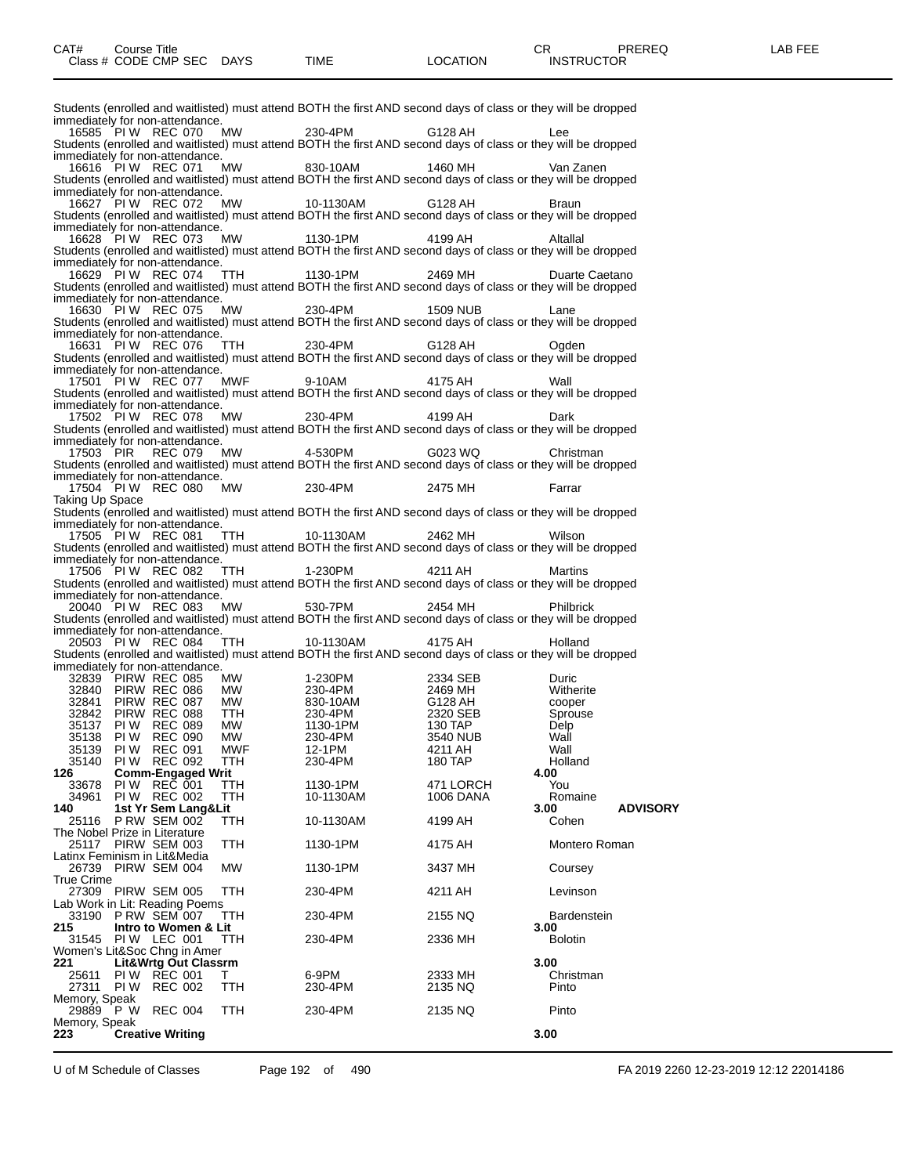|                                                          |                                                |                                  |                                 |                                                                                       |                    | Students (enrolled and waitlisted) must attend BOTH the first AND second days of class or they will be dropped |                        |                 |
|----------------------------------------------------------|------------------------------------------------|----------------------------------|---------------------------------|---------------------------------------------------------------------------------------|--------------------|----------------------------------------------------------------------------------------------------------------|------------------------|-----------------|
| immediately for non-attendance.<br>16585 PIW REC 070     |                                                |                                  | MW                              | 230-4PM                                                                               | G128 AH            |                                                                                                                |                        |                 |
|                                                          |                                                |                                  |                                 |                                                                                       |                    | Students (enrolled and waitlisted) must attend BOTH the first AND second days of class or they will be dropped |                        |                 |
| immediately for non-attendance.                          |                                                |                                  |                                 |                                                                                       |                    |                                                                                                                |                        |                 |
| 16616 PIW REC 071                                        |                                                |                                  | MW                              | 830-10AM                                                                              | 1460 MH            | Students (enrolled and waitlisted) must attend BOTH the first AND second days of class or they will be dropped | Van Zanen              |                 |
| immediately for non-attendance.                          |                                                |                                  |                                 |                                                                                       |                    |                                                                                                                |                        |                 |
| 16627 PIW REC 072                                        |                                                |                                  | MW                              | 10-1130AM                                                                             | G128 AH            |                                                                                                                | Braun                  |                 |
| immediately for non-attendance.                          |                                                |                                  |                                 |                                                                                       |                    | Students (enrolled and waitlisted) must attend BOTH the first AND second days of class or they will be dropped |                        |                 |
| 16628 PIW REC 073                                        |                                                |                                  | MW                              | 1130-1PM                                                                              | 4199 AH            |                                                                                                                | Altallal               |                 |
|                                                          |                                                |                                  |                                 |                                                                                       |                    | Students (enrolled and waitlisted) must attend BOTH the first AND second days of class or they will be dropped |                        |                 |
| immediately for non-attendance.<br>16629 PIW REC 074     |                                                |                                  | TTH                             | 1130-1PM                                                                              | 2469 MH            |                                                                                                                | Duarte Caetano         |                 |
|                                                          |                                                |                                  |                                 |                                                                                       |                    | Students (enrolled and waitlisted) must attend BOTH the first AND second days of class or they will be dropped |                        |                 |
| immediately for non-attendance.                          |                                                |                                  |                                 |                                                                                       |                    |                                                                                                                |                        |                 |
| 16630 PIW REC 075                                        |                                                |                                  | MW                              | 230-4PM                                                                               | 1509 NUB           |                                                                                                                | Lane                   |                 |
| immediately for non-attendance.                          |                                                |                                  |                                 |                                                                                       |                    | Students (enrolled and waitlisted) must attend BOTH the first AND second days of class or they will be dropped |                        |                 |
| 16631 PIW REC 076                                        |                                                |                                  | TTH                             | 230-4PM                                                                               | G128 AH            |                                                                                                                | Ogden                  |                 |
|                                                          |                                                |                                  |                                 |                                                                                       |                    | Students (enrolled and waitlisted) must attend BOTH the first AND second days of class or they will be dropped |                        |                 |
| immediately for non-attendance.<br>17501 PIW REC 077 MWF |                                                |                                  |                                 | 9-10AM                                                                                | 4175 AH            |                                                                                                                | Wall                   |                 |
|                                                          |                                                |                                  |                                 |                                                                                       |                    | Students (enrolled and waitlisted) must attend BOTH the first AND second days of class or they will be dropped |                        |                 |
| immediately for non-attendance.                          |                                                |                                  |                                 |                                                                                       |                    |                                                                                                                |                        |                 |
| 17502 PIW REC 078                                        |                                                |                                  | MW                              | 230-4PM                                                                               | 4199 AH            | Students (enrolled and waitlisted) must attend BOTH the first AND second days of class or they will be dropped | Dark                   |                 |
| immediately for non-attendance.                          |                                                |                                  |                                 |                                                                                       |                    |                                                                                                                |                        |                 |
| 17503 PIR                                                |                                                | REC 079                          | MW                              | 4-530PM                                                                               | G023 WQ            |                                                                                                                | Christman              |                 |
|                                                          |                                                |                                  |                                 |                                                                                       |                    | Students (enrolled and waitlisted) must attend BOTH the first AND second days of class or they will be dropped |                        |                 |
| immediately for non-attendance.                          |                                                |                                  | 17504 PIW REC 080 MW 230-4PM    |                                                                                       |                    | 2475 MH                                                                                                        | Farrar                 |                 |
| Taking Up Space                                          |                                                |                                  |                                 |                                                                                       |                    |                                                                                                                |                        |                 |
|                                                          |                                                |                                  |                                 |                                                                                       |                    | Students (enrolled and waitlisted) must attend BOTH the first AND second days of class or they will be dropped |                        |                 |
| immediately for non-attendance.                          |                                                |                                  | 17505 PIW REC 081 TTH 10-1130AM |                                                                                       | 2462 MH            |                                                                                                                | Wilson                 |                 |
|                                                          |                                                |                                  |                                 |                                                                                       |                    | Students (enrolled and waitlisted) must attend BOTH the first AND second days of class or they will be dropped |                        |                 |
| immediately for non-attendance.                          |                                                |                                  |                                 |                                                                                       |                    |                                                                                                                |                        |                 |
| 17506 PIW REC 082                                        |                                                |                                  | TTH 1-230PM                     |                                                                                       | 4211 AH            | Students (enrolled and waitlisted) must attend BOTH the first AND second days of class or they will be dropped | Martins                |                 |
| immediately for non-attendance.                          |                                                |                                  |                                 |                                                                                       |                    |                                                                                                                |                        |                 |
| 20040 PIW REC 083                                        |                                                |                                  | MW 530-7PM                      |                                                                                       | 2454 MH            |                                                                                                                | <b>Philbrick</b>       |                 |
| immediately for non-attendance.                          |                                                |                                  |                                 |                                                                                       |                    | Students (enrolled and waitlisted) must attend BOTH the first AND second days of class or they will be dropped |                        |                 |
| 20503 PIW REC 084                                        |                                                |                                  | TTH 10-1130AM                   |                                                                                       | 4175 AH            |                                                                                                                | Holland                |                 |
|                                                          |                                                |                                  |                                 |                                                                                       |                    | Students (enrolled and waitlisted) must attend BOTH the first AND second days of class or they will be dropped |                        |                 |
| immediately for non-attendance.                          |                                                |                                  |                                 |                                                                                       |                    |                                                                                                                |                        |                 |
| 32839 PIRW REC 085<br>32840 PIRW REC 086                 |                                                |                                  | MW.                             | 1-230PM                                                                               | 2334 SEB           |                                                                                                                | Duric<br>Witherite     |                 |
| 32841 PIRW REC 087                                       |                                                |                                  |                                 |                                                                                       |                    | 2469 MH<br>G128 AH                                                                                             | cooper                 |                 |
| 32842 PIRW REC 088                                       |                                                |                                  | MW<br>MW<br>TTH<br>MW<br>MW     |                                                                                       |                    | 2320 SEB                                                                                                       | Sprouse                |                 |
| 35137 PIW<br>35138 PIW                                   |                                                | <b>REC 089</b><br><b>REC 090</b> |                                 |                                                                                       |                    | 130 TAP<br>3540 NUB                                                                                            | Delp<br>Wall           |                 |
| 35139 PIW                                                |                                                | <b>REC 091</b>                   | MWF                             |                                                                                       | 4211 AH            |                                                                                                                | Wall                   |                 |
| 35140                                                    | PI W                                           | <b>REC 092</b>                   | TTH                             | 1-2-30-ты<br>230-4PM<br>830-10AM<br>230-4PM<br>230-4PM<br>12-1PM<br>12-1PM<br>230-4PM | 180 TAP            |                                                                                                                | Holland                |                 |
| 126<br>33678                                             | <b>Comm-Engaged Writ</b><br><b>PIW REC 001</b> |                                  | ттн                             | 1130-1PM                                                                              |                    | 471 LORCH                                                                                                      | 4.00<br>You            |                 |
| 34961                                                    | PIW REC 002                                    |                                  | TTH                             | 10-1130AM                                                                             |                    | 1006 DANA                                                                                                      | Romaine                |                 |
| 140                                                      | 1st Yr Sem Lang&Lit                            |                                  |                                 |                                                                                       |                    |                                                                                                                | 3.00                   | <b>ADVISORY</b> |
| 25116<br>The Nobel Prize in Literature                   | <b>P RW SEM 002</b>                            |                                  | ттн                             | 10-1130AM                                                                             | 4199 AH            |                                                                                                                | Cohen                  |                 |
| 25117 PIRW SEM 003                                       |                                                |                                  | TTH                             | 1130-1PM                                                                              | 4175 AH            |                                                                                                                | Montero Roman          |                 |
| Latinx Feminism in Lit&Media                             |                                                |                                  |                                 |                                                                                       |                    |                                                                                                                |                        |                 |
| 26739 PIRW SEM 004<br><b>True Crime</b>                  |                                                |                                  | МW                              | 1130-1PM                                                                              | 3437 MH            |                                                                                                                | Coursey                |                 |
| 27309 PIRW SEM 005                                       |                                                |                                  | TTH                             | 230-4PM                                                                               | 4211 AH            |                                                                                                                | Levinson               |                 |
| Lab Work in Lit: Reading Poems                           |                                                |                                  |                                 |                                                                                       |                    |                                                                                                                |                        |                 |
| 33190                                                    | PRW SEM 007                                    |                                  | ттн                             | 230-4PM                                                                               | 2155 NQ            |                                                                                                                | <b>Bardenstein</b>     |                 |
| 215<br>31545                                             | Intro to Women & Lit<br>PIW LEC 001            |                                  | TTH                             | 230-4PM                                                                               | 2336 MH            |                                                                                                                | 3.00<br><b>Bolotin</b> |                 |
| Women's Lit&Soc Chng in Amer                             |                                                |                                  |                                 |                                                                                       |                    |                                                                                                                |                        |                 |
| 221                                                      | Lit&Wrtg Out Classrm                           |                                  |                                 |                                                                                       |                    |                                                                                                                | 3.00                   |                 |
| 25611<br>27311 PIW                                       | PI W                                           | <b>REC 001</b><br><b>REC 002</b> | т<br>TTH                        | 6-9PM<br>230-4PM                                                                      | 2333 MH<br>2135 NQ |                                                                                                                | Christman<br>Pinto     |                 |
| Memory, Speak                                            |                                                |                                  |                                 |                                                                                       |                    |                                                                                                                |                        |                 |
| 29889                                                    | P W                                            | <b>REC 004</b>                   | TTH                             | 230-4PM                                                                               | 2135 NQ            |                                                                                                                | Pinto                  |                 |
| Memory, Speak<br>223                                     | <b>Creative Writing</b>                        |                                  |                                 |                                                                                       |                    |                                                                                                                | 3.00                   |                 |
|                                                          |                                                |                                  |                                 |                                                                                       |                    |                                                                                                                |                        |                 |

U of M Schedule of Classes Page 192 of 490 FA 2019 2260 12-23-2019 12:12 22014186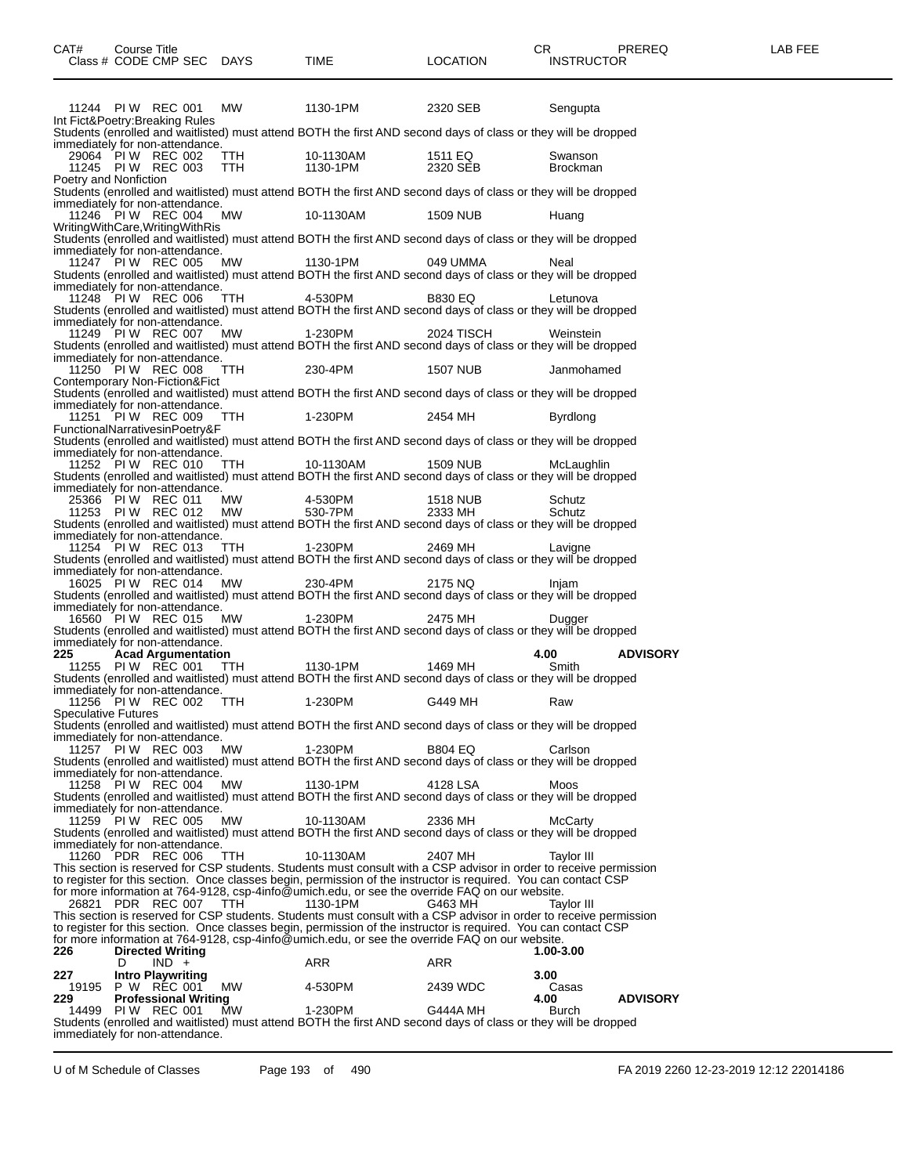| 11244 PIW REC 001 MW                                                                                                                                                                                              |             | 1130-1PM     | 2320 SEB            | Sengupta                |
|-------------------------------------------------------------------------------------------------------------------------------------------------------------------------------------------------------------------|-------------|--------------|---------------------|-------------------------|
| Int Fict&Poetry:Breaking Rules<br>Students (enrolled and waitlisted) must attend BOTH the first AND second days of class or they will be dropped                                                                  |             |              |                     |                         |
| immediately for non-attendance.                                                                                                                                                                                   |             |              |                     |                         |
| 29064 PI W REC_002  TTH     10-1130AM     1511 EQ<br>11245  PI W REC_003  TTH     1130-1PM     2320 SEB                                                                                                           |             |              |                     | Swanson                 |
|                                                                                                                                                                                                                   |             |              |                     | <b>Brockman</b>         |
| Poetry and Nonfiction<br>Students (enrolled and waitlisted) must attend BOTH the first AND second days of class or they will be dropped                                                                           |             |              |                     |                         |
| immediately for non-attendance.                                                                                                                                                                                   |             |              |                     |                         |
| 11246 PIW REC 004                                                                                                                                                                                                 |             | MW 10-1130AM | 1509 NUB            | Huang                   |
| WritingWithCare, WritingWithRis<br>Students (enrolled and waitlisted) must attend BOTH the first AND second days of class or they will be dropped                                                                 |             |              |                     |                         |
| immediately for non-attendance.                                                                                                                                                                                   |             |              |                     |                         |
| 11247 PIW REC 005                                                                                                                                                                                                 |             | MW 1130-1PM  | 049 UMMA            | Neal                    |
| Students (enrolled and waitlisted) must attend BOTH the first AND second days of class or they will be dropped<br>immediately for non-attendance.                                                                 |             |              |                     |                         |
| 11248 PIW REC 006 TTH 4-530PM                                                                                                                                                                                     |             |              | <b>B830 EQ</b>      | Letunova                |
| Students (enrolled and waitlisted) must attend BOTH the first AND second days of class or they will be dropped                                                                                                    |             |              |                     |                         |
| immediately for non-attendance.<br>11249 PIW REC 007 MW 1-230PM                                                                                                                                                   |             |              | 2024 TISCH          | Weinstein               |
| Students (enrolled and waitlisted) must attend BOTH the first AND second days of class or they will be dropped                                                                                                    |             |              |                     |                         |
| immediately for non-attendance.                                                                                                                                                                                   |             |              |                     |                         |
| 11250 PIW REC 008                                                                                                                                                                                                 | TTH 230-4PM |              | 1507 NUB            | Janmohamed              |
| Contemporary Non-Fiction&Fict<br>Students (enrolled and waitlisted) must attend BOTH the first AND second days of class or they will be dropped                                                                   |             |              |                     |                         |
| immediately for non-attendance.                                                                                                                                                                                   |             |              |                     |                         |
| 11251 PIW REC 009 TTH 1-230PM                                                                                                                                                                                     |             |              | 2454 MH             | Byrdlong                |
| FunctionalNarrativesinPoetry&F<br>Students (enrolled and waitlisted) must attend BOTH the first AND second days of class or they will be dropped                                                                  |             |              |                     |                         |
| immediately for non-attendance.                                                                                                                                                                                   |             |              |                     |                         |
| 11252 PIW REC 010 TTH 10-1130AM                                                                                                                                                                                   |             |              | 1509 NUB            | McLaughlin              |
| Students (enrolled and waitlisted) must attend BOTH the first AND second days of class or they will be dropped<br>immediately for non-attendance.                                                                 |             |              |                     |                         |
|                                                                                                                                                                                                                   |             |              |                     | Schutz                  |
|                                                                                                                                                                                                                   |             |              | 1518 NUB<br>2333 MH | Schutz                  |
| Students (enrolled and waitlisted) must attend BOTH the first AND second days of class or they will be dropped<br>immediately for non-attendance.                                                                 |             |              |                     |                         |
| 11254 PIW REC 013 TTH 1-230PM                                                                                                                                                                                     |             |              | 2469 MH             | Lavigne                 |
| Students (enrolled and waitlisted) must attend BOTH the first AND second days of class or they will be dropped                                                                                                    |             |              |                     |                         |
|                                                                                                                                                                                                                   |             |              |                     |                         |
| immediately for non-attendance.                                                                                                                                                                                   |             |              |                     |                         |
| 16025 PIW REC 014 MW 230-4PM                                                                                                                                                                                      |             |              | 2175 NQ             | Iniam                   |
| Students (enrolled and waitlisted) must attend BOTH the first AND second days of class or they will be dropped<br>immediately for non-attendance.                                                                 |             |              |                     |                         |
| 16560 PIW REC 015 MW 1-230PM                                                                                                                                                                                      |             |              | 2475 MH             | Dugger                  |
| Students (enrolled and waitlisted) must attend BOTH the first AND second days of class or they will be dropped                                                                                                    |             |              |                     |                         |
| immediately for non-attendance.<br>225 Acad Argumentation                                                                                                                                                         |             |              |                     | 4.00<br><b>ADVISORY</b> |
| 11255 PIW REC 001                                                                                                                                                                                                 | TTH         | 1130-1PM     | 1469 MH             | Smith                   |
| Students (enrolled and waitlisted) must attend BOTH the first AND second days of class or they will be dropped                                                                                                    |             |              |                     |                         |
| immediately for non-attendance.<br>11256 PIW REC 002 TTH 1-230PM                                                                                                                                                  |             |              | G449 MH             | Raw                     |
| <b>Speculative Futures</b>                                                                                                                                                                                        |             |              |                     |                         |
| Students (enrolled and waitlisted) must attend BOTH the first AND second days of class or they will be dropped<br>immediately for non-attendance.                                                                 |             |              |                     |                         |
| 11257 PIW REC 003 MW 1-230PM                                                                                                                                                                                      |             |              | <b>B804 EQ</b>      | Carlson                 |
| Students (enrolled and waitlisted) must attend BOTH the first AND second days of class or they will be dropped                                                                                                    |             |              |                     |                         |
| immediately for non-attendance.                                                                                                                                                                                   |             |              |                     |                         |
| 11258 PIW REC 004<br>Students (enrolled and waitlisted) must attend BOTH the first AND second days of class or they will be dropped                                                                               | MW          | 1130-1PM     | 4128 LSA            | Moos                    |
| immediately for non-attendance.                                                                                                                                                                                   |             |              |                     |                         |
| 11259 PIW REC 005                                                                                                                                                                                                 | МW          | 10-1130AM    | 2336 MH             | <b>McCartv</b>          |
| Students (enrolled and waitlisted) must attend BOTH the first AND second days of class or they will be dropped<br>immediately for non-attendance.                                                                 |             |              |                     |                         |
| 11260 PDR REC 006                                                                                                                                                                                                 | TTH         | 10-1130AM    | 2407 MH             | Taylor III              |
| This section is reserved for CSP students. Students must consult with a CSP advisor in order to receive permission                                                                                                |             |              |                     |                         |
| to register for this section. Once classes begin, permission of the instructor is required. You can contact CSP<br>for more information at 764-9128, csp-4info@umich.edu, or see the override FAQ on our website. |             |              |                     |                         |
| 26821 PDR REC 007                                                                                                                                                                                                 | TTH.        | 1130-1PM     | G463 MH             | <b>Taylor III</b>       |
| This section is reserved for CSP students. Students must consult with a CSP advisor in order to receive permission                                                                                                |             |              |                     |                         |
| to register for this section. Once classes begin, permission of the instructor is required. You can contact CSP<br>for more information at 764-9128, csp-4info@umich.edu, or see the override FAQ on our website. |             |              |                     |                         |
| 226<br><b>Directed Writing</b>                                                                                                                                                                                    |             |              |                     | 1.00-3.00               |
| $IND +$<br>D                                                                                                                                                                                                      |             | ARR          | ARR                 |                         |
| 227<br><b>Intro Playwriting</b><br>19195 P W REC 001                                                                                                                                                              | МW          | 4-530PM      | 2439 WDC            | 3.00<br>Casas           |
| <b>Professional Writing</b><br>229                                                                                                                                                                                |             |              |                     | 4.00<br><b>ADVISORY</b> |
| 14499 PIW REC 001<br>Students (enrolled and waitlisted) must attend BOTH the first AND second days of class or they will be dropped                                                                               | MW          | 1-230PM      | <b>G444A MH</b>     | Burch                   |

U of M Schedule of Classes Page 193 of 490 FA 2019 2260 12-23-2019 12:12 22014186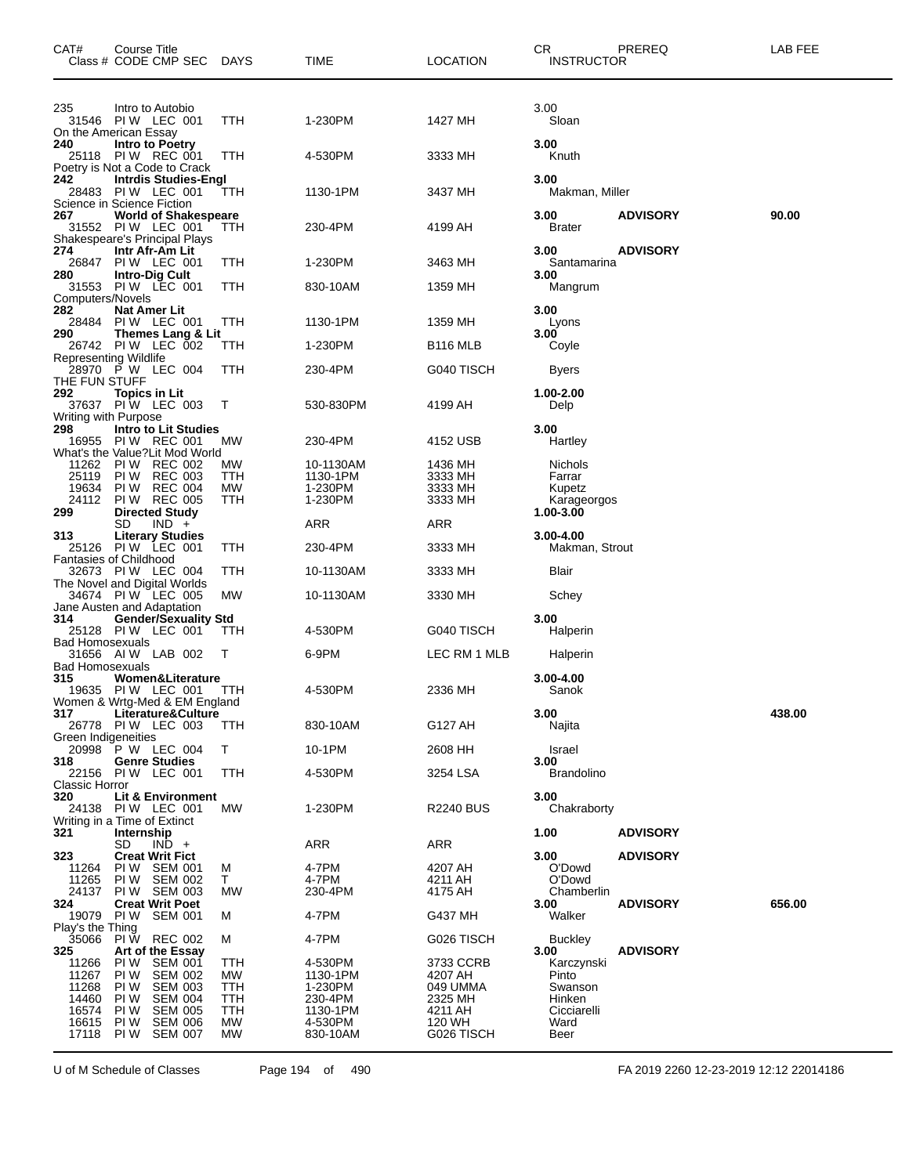| CAT#                                      | Course Title<br>Class # CODE CMP SEC DAYS                                         |                                                    |                        | TIME                            | <b>LOCATION</b>                 | CR.<br>INSTRUCTOR           | PREREQ          | LAB FEE |
|-------------------------------------------|-----------------------------------------------------------------------------------|----------------------------------------------------|------------------------|---------------------------------|---------------------------------|-----------------------------|-----------------|---------|
| 235                                       | Intro to Autobio<br>31546 PIW LEC 001<br>On the American Essay                    |                                                    | TTH                    | 1-230PM                         | 1427 MH                         | 3.00<br>Sloan               |                 |         |
| 240                                       | Intro to Poetry<br>25118 PIW REC 001<br>Poetry is Not a Code to Crack             |                                                    | TTH                    | 4-530PM                         | 3333 MH                         | 3.00<br>Knuth               |                 |         |
| 242<br>28483                              | <b>Intrdis Studies-Engl</b><br>PIW LEC 001<br>Science in Science Fiction          |                                                    | TTH                    | 1130-1PM                        | 3437 MH                         | 3.00<br>Makman, Miller      |                 |         |
| 267                                       | <b>World of Shakespeare</b><br>31552 PIW LEC 001<br>Shakespeare's Principal Plays |                                                    | ттн                    | 230-4PM                         | 4199 AH                         | 3.00<br><b>Brater</b>       | <b>ADVISORY</b> | 90.00   |
| 274<br>26847                              | Intr Afr-Am Lit<br>PIW LEC 001                                                    |                                                    | ттн                    | 1-230PM                         | 3463 MH                         | 3.00<br>Santamarina         | <b>ADVISORY</b> |         |
| 280<br>Computers/Novels                   | <b>Intro-Dig Cult</b><br>31553 PIW LEC 001                                        |                                                    | TTH                    | 830-10AM                        | 1359 MH                         | 3.00<br>Mangrum             |                 |         |
| 282<br>28484                              | Nat Amer Lit<br>PIW LEC 001                                                       |                                                    | TTH                    | 1130-1PM                        | 1359 MH                         | 3.00<br>Lyons               |                 |         |
| 290                                       | Themes Lang & Lit<br>26742 PIW LEC 002                                            |                                                    | ттн                    | 1-230PM                         | B <sub>116</sub> MLB            | 3.00<br>Coyle               |                 |         |
|                                           | Representing Wildlife<br>28970 P W LEC 004                                        |                                                    | ттн                    | 230-4PM                         | G040 TISCH                      |                             |                 |         |
| THE FUN STUFF<br>292.                     |                                                                                   |                                                    |                        |                                 |                                 | Byers                       |                 |         |
| Writing with Purpose                      | Topics in Lit<br>37637 PIW LEC 003                                                |                                                    | Т                      | 530-830PM                       | 4199 AH                         | 1.00-2.00<br>Delp           |                 |         |
| 298<br>16955                              | <b>Intro to Lit Studies</b><br>PIW REC 001<br>What's the Value? Lit Mod World     |                                                    | <b>MW</b>              | 230-4PM                         | 4152 USB                        | 3.00<br>Hartley             |                 |         |
| 11262<br>25119                            | <b>PIW REC 002</b><br>PI W                                                        | <b>REC 003</b>                                     | MW<br>TTH              | 10-1130AM<br>1130-1PM           | 1436 MH<br>3333 MH              | Nichols<br>Farrar           |                 |         |
| 19634<br>24112                            | PI W<br><b>PIW REC 005</b>                                                        | <b>REC 004</b>                                     | МW<br>TTH              | 1-230PM<br>1-230PM              | 3333 MH<br>3333 MH              | Kupetz<br>Karageorgos       |                 |         |
| 299                                       | <b>Directed Study</b><br>SD                                                       | $IND +$                                            |                        | ARR                             | ARR                             | 1.00-3.00                   |                 |         |
| 313                                       | <b>Literary Studies</b><br>25126 PIW LEC 001                                      |                                                    | ттн                    | 230-4PM                         | 3333 MH                         | 3.00-4.00                   |                 |         |
|                                           | Fantasies of Childhood                                                            |                                                    |                        |                                 |                                 | Makman, Strout              |                 |         |
|                                           | 32673 PIW LEC 004<br>The Novel and Digital Worlds                                 |                                                    | TTH                    | 10-1130AM                       | 3333 MH                         | Blair                       |                 |         |
|                                           | 34674 PIW LEC 005<br>Jane Austen and Adaptation                                   |                                                    | МW                     | 10-1130AM                       | 3330 MH                         | Schey                       |                 |         |
| 314                                       | <b>Gender/Sexuality Std</b><br>25128 PIW LEC 001                                  |                                                    | TТH                    | 4-530PM                         | G040 TISCH                      | 3.00<br>Halperin            |                 |         |
| Bad Homosexuals<br><b>Bad Homosexuals</b> | 31656 AIW LAB 002                                                                 |                                                    | т                      | 6-9PM                           | LEC RM 1 MLB                    | Halperin                    |                 |         |
| 315                                       | Women&Literature<br>19635 PIW LEC 001<br>Women & Wrtg-Med & EM England            |                                                    | TTH                    | 4-530PM                         | 2336 MH                         | 3.00-4.00<br>Sanok          |                 |         |
| 317                                       | Literature&Culture<br>26778 PIW LEC 003                                           |                                                    | <b>TTH</b>             | 830-10AM                        | G127 AH                         | 3.00<br>Najita              |                 | 438.00  |
| Green Indigeneities                       | 20998 P W LEC 004                                                                 |                                                    | T.                     | 10-1PM                          | 2608 HH                         | Israel                      |                 |         |
| 318<br>22156                              | <b>Genre Studies</b><br>PIW LEC 001                                               |                                                    | TTH                    | 4-530PM                         | 3254 LSA                        | 3.00<br><b>Brandolino</b>   |                 |         |
| Classic Horror<br>320                     | <b>Lit &amp; Environment</b>                                                      |                                                    |                        |                                 |                                 | 3.00                        |                 |         |
| 24138                                     | <b>PIW LEC 001</b><br>Writing in a Time of Extinct                                |                                                    | МW                     | 1-230PM                         | <b>R2240 BUS</b>                | Chakraborty                 |                 |         |
| 321                                       | Internship<br>SD                                                                  | $IND +$                                            |                        | ARR                             | ARR                             | 1.00                        | <b>ADVISORY</b> |         |
| 323<br>11264                              | <b>Creat Writ Fict</b><br>PIW SEM 001                                             |                                                    | M                      | 4-7PM                           | 4207 AH                         | 3.00<br>O'Dowd              | <b>ADVISORY</b> |         |
| 11265<br>24137                            | PIW SEM 002<br>PIW SEM 003                                                        |                                                    | Τ<br>МW                | 4-7PM<br>230-4PM                | 4211 AH<br>4175 AH              | O'Dowd<br>Chamberlin        |                 |         |
| 324<br>19079                              | <b>Creat Writ Poet</b><br><b>PIW SEM 001</b>                                      |                                                    | м                      | 4-7PM                           | G437 MH                         | 3.00<br>Walker              | <b>ADVISORY</b> | 656.00  |
| Play's the Thing<br>35066                 | PI W REC 002                                                                      |                                                    | м                      | 4-7PM                           | G026 TISCH                      | <b>Buckley</b>              |                 |         |
| 325                                       | Art of the Essay<br>PI W                                                          | <b>SEM 001</b>                                     | TTH                    | 4-530PM                         |                                 | 3.00                        | <b>ADVISORY</b> |         |
| 11266<br>11267                            | PI W                                                                              | <b>SEM 002</b>                                     | МW                     | 1130-1PM                        | 3733 CCRB<br>4207 AH            | Karczynski<br>Pinto         |                 |         |
| 11268<br>14460                            | PI W<br>PI W                                                                      | <b>SEM 003</b><br><b>SEM 004</b>                   | TTH<br>TTH             | 1-230PM<br>230-4PM              | 049 UMMA<br>2325 MH             | Swanson<br>Hinken           |                 |         |
| 16574<br>16615<br>17118                   | PI W<br>PI W<br>PI W                                                              | <b>SEM 005</b><br><b>SEM 006</b><br><b>SEM 007</b> | TTH<br><b>MW</b><br>MW | 1130-1PM<br>4-530PM<br>830-10AM | 4211 AH<br>120 WH<br>G026 TISCH | Cicciarelli<br>Ward<br>Beer |                 |         |

U of M Schedule of Classes Page 194 of 490 FA 2019 2260 12-23-2019 12:12 22014186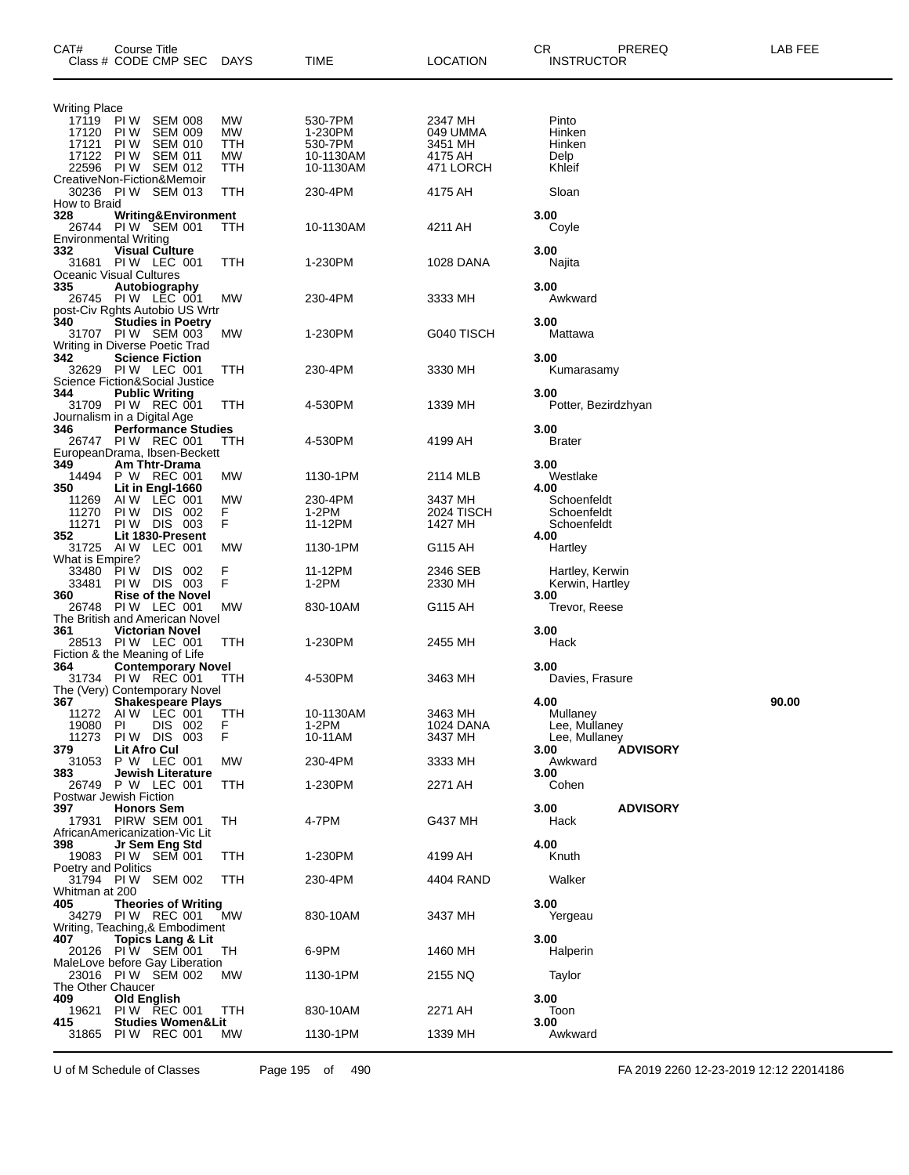| Writing Place<br>17119<br>MW<br>530-7PM<br>2347 MH<br>PI W<br><b>SEM 008</b><br>Pinto<br>MW<br>Hinken<br>17120 PIW<br><b>SEM 009</b><br>1-230PM<br>049 UMMA<br>PI W<br><b>SEM 010</b><br>TTH<br>530-7PM<br>3451 MH<br>Hinken<br>17121<br>17122 PIW<br><b>SEM 011</b><br>МW<br>4175 AH<br>10-1130AM<br>Delp<br>22596 PIW SEM 012<br>TTH<br>Khleif<br>10-1130AM<br>471 LORCH<br>CreativeNon-Fiction&Memoir<br>30236 PIW SEM 013<br>230-4PM<br>ттн<br>4175 AH<br>Sloan<br>How to Braid<br>328<br>3.00<br>Writing&Environment<br>PIW SEM 001<br>10-1130AM<br>4211 AH<br>26744<br>TTH<br>Coyle<br>Environmental Writing<br>332<br>3.00<br><b>Visual Culture</b><br>PIW LEC 001<br>31681<br>ттн<br>1-230PM<br>1028 DANA<br>Najita<br>Oceanic Visual Cultures<br>335<br>3.00<br>Autobiography<br>26745 PIW LEC 001<br>230-4PM<br>3333 MH<br>МW<br>Awkward<br>post-Civ Rghts Autobio US Wrtr<br>340<br>3.00<br><b>Studies in Poetry</b><br>1-230PM<br>G040 TISCH<br>31707 PIW SEM 003<br>Mattawa<br>МW<br>Writing in Diverse Poetic Trad<br>342<br>3.00<br><b>Science Fiction</b><br>PIW LEC 001<br>3330 MH<br>32629<br>ттн<br>230-4PM<br>Kumarasamy<br>Science Fiction&Social Justice<br>344<br><b>Public Writing</b><br>3.00<br>4-530PM<br>31709 PIW REC 001<br>ттн<br>1339 MH<br>Potter, Bezirdzhyan<br>Journalism in a Digital Age<br>346<br><b>Performance Studies</b><br>3.00<br>26747 PIW REC 001<br>4-530PM<br>4199 AH<br>Brater<br>TTH<br>EuropeanDrama, Ibsen-Beckett<br>349<br>3.00<br>Am Thtr-Drama<br>P W REC 001<br>1130-1PM<br>14494<br><b>MW</b><br>2114 MLB<br>Westlake<br>350<br>Lit in Engl-1660<br>4.00<br>AIW LEC 001<br>MW<br>230-4PM<br>3437 MH<br>Schoenfeldt<br>11269<br>$1-2PM$<br>11270<br>PI W<br>DIS.<br>F<br>-002<br>2024 TISCH<br>Schoenfeldt<br>F<br>11271<br>PIW DIS 003<br>11-12PM<br>1427 MH<br>Schoenfeldt<br>352<br>Lit 1830-Present<br>4.00<br>MW<br>31725<br>AI W<br>LEC 001<br>1130-1PM<br>G115 AH<br>Hartley<br>What is Empire?<br>F<br>F<br>33480<br>PI W<br>DIS 002<br>11-12PM<br>2346 SEB<br>Hartley, Kerwin<br>33481<br>PIW DIS 003<br>1-2PM<br>2330 MH<br>Kerwin, Hartley<br>360<br><b>Rise of the Novel</b><br>3.00<br>PIW LEC 001<br>MW<br>830-10AM<br>G115 AH<br>26748<br>Trevor, Reese<br>The British and American Novel<br>361<br>3.00<br><b>Victorian Novel</b><br>28513 PIW LEC 001<br>TTH<br>1-230PM<br>2455 MH<br>Hack<br>Fiction & the Meaning of Life<br>364<br><b>Contemporary Novel</b><br>3.00<br>31734 PIW REC 001<br>4-530PM<br>3463 MH<br>TTH<br>Davies, Frasure<br>The (Very) Contemporary Novel<br>4.00<br>90.00<br>367<br><b>Shakespeare Plays</b><br>AIW LEC 001<br>10-1130AM<br>Mullaney<br>11272<br>TTH<br>3463 MH<br>DIS 002<br>F<br>1-2PM<br>Lee, Mullaney<br>19080<br>PI<br>1024 DANA<br>F<br>PIW DIS 003<br>10-11AM<br>3437 MH<br>11273<br>Lee, Mullaney<br><b>Lit Afro Cul</b><br>379<br>3.00<br><b>ADVISORY</b><br>P W LEC 001<br>31053<br>230-4PM<br>3333 MH<br>Awkward<br><b>MW</b><br>383<br>3.00<br>Jewish Literature<br>26749 P W LEC 001<br>1-230PM<br>Cohen<br>TTH<br>2271 AH<br>Postwar Jewish Fiction<br>3.00<br><b>ADVISORY</b><br>397.<br><b>Honors Sem</b><br>PIRW SEM 001<br>4-7PM<br>G437 MH<br>17931<br>TН<br>Hack<br>AfricanAmericanization-Vic Lit<br>4.00<br>398<br>Jr Sem Eng Std<br>19083 PIW SEM 001<br>1-230PM<br>TTH<br>4199 AH<br>Knuth<br>Poetry and Politics<br>Walker<br>31794 PIW SEM 002<br>TTH<br>230-4PM<br>4404 RAND<br>Whitman at 200<br>405<br><b>Theories of Writing</b><br>3.00<br>34279 PIW REC 001<br>830-10AM<br>3437 MH<br><b>MW</b><br>Yergeau<br>Writing, Teaching,& Embodiment<br><b>Topics Lang &amp; Lit</b><br>3.00<br>407<br>20126 PIW SEM 001<br>6-9PM<br>Halperin<br>TН<br>1460 MH<br>MaleLove before Gay Liberation<br>23016 PIW SEM 002<br>1130-1PM<br><b>MW</b><br>2155 NQ<br>Taylor<br>The Other Chaucer<br>409<br>Old English<br>3.00<br><b>PIW REC 001</b><br>830-10AM<br>2271 AH<br>Toon<br>19621<br>ттн<br>415<br><b>Studies Women&amp;Lit</b><br>3.00<br>31865<br>PIW REC 001<br>МW<br>1130-1PM<br>1339 MH<br>Awkward | CAT# | Course Title | Class # CODE CMP SEC | <b>DAYS</b> | TIME | LOCATION | CR.<br>PREREQ<br><b>INSTRUCTOR</b> | LAB FEE |
|----------------------------------------------------------------------------------------------------------------------------------------------------------------------------------------------------------------------------------------------------------------------------------------------------------------------------------------------------------------------------------------------------------------------------------------------------------------------------------------------------------------------------------------------------------------------------------------------------------------------------------------------------------------------------------------------------------------------------------------------------------------------------------------------------------------------------------------------------------------------------------------------------------------------------------------------------------------------------------------------------------------------------------------------------------------------------------------------------------------------------------------------------------------------------------------------------------------------------------------------------------------------------------------------------------------------------------------------------------------------------------------------------------------------------------------------------------------------------------------------------------------------------------------------------------------------------------------------------------------------------------------------------------------------------------------------------------------------------------------------------------------------------------------------------------------------------------------------------------------------------------------------------------------------------------------------------------------------------------------------------------------------------------------------------------------------------------------------------------------------------------------------------------------------------------------------------------------------------------------------------------------------------------------------------------------------------------------------------------------------------------------------------------------------------------------------------------------------------------------------------------------------------------------------------------------------------------------------------------------------------------------------------------------------------------------------------------------------------------------------------------------------------------------------------------------------------------------------------------------------------------------------------------------------------------------------------------------------------------------------------------------------------------------------------------------------------------------------------------------------------------------------------------------------------------------------------------------------------------------------------------------------------------------------------------------------------------------------------------------------------------------------------------------------------------------------------------------------------------------------------------------------------------------------------------------------------------------------------------------------------------------------------------------------------------------------------------------------------------------------------------------------------------------------------------------------------------------------------------------------------------------------------------------------------------------------------------------------------------------------------------------------------------------------------|------|--------------|----------------------|-------------|------|----------|------------------------------------|---------|
|                                                                                                                                                                                                                                                                                                                                                                                                                                                                                                                                                                                                                                                                                                                                                                                                                                                                                                                                                                                                                                                                                                                                                                                                                                                                                                                                                                                                                                                                                                                                                                                                                                                                                                                                                                                                                                                                                                                                                                                                                                                                                                                                                                                                                                                                                                                                                                                                                                                                                                                                                                                                                                                                                                                                                                                                                                                                                                                                                                                                                                                                                                                                                                                                                                                                                                                                                                                                                                                                                                                                                                                                                                                                                                                                                                                                                                                                                                                                                                                                                                                    |      |              |                      |             |      |          |                                    |         |
|                                                                                                                                                                                                                                                                                                                                                                                                                                                                                                                                                                                                                                                                                                                                                                                                                                                                                                                                                                                                                                                                                                                                                                                                                                                                                                                                                                                                                                                                                                                                                                                                                                                                                                                                                                                                                                                                                                                                                                                                                                                                                                                                                                                                                                                                                                                                                                                                                                                                                                                                                                                                                                                                                                                                                                                                                                                                                                                                                                                                                                                                                                                                                                                                                                                                                                                                                                                                                                                                                                                                                                                                                                                                                                                                                                                                                                                                                                                                                                                                                                                    |      |              |                      |             |      |          |                                    |         |
|                                                                                                                                                                                                                                                                                                                                                                                                                                                                                                                                                                                                                                                                                                                                                                                                                                                                                                                                                                                                                                                                                                                                                                                                                                                                                                                                                                                                                                                                                                                                                                                                                                                                                                                                                                                                                                                                                                                                                                                                                                                                                                                                                                                                                                                                                                                                                                                                                                                                                                                                                                                                                                                                                                                                                                                                                                                                                                                                                                                                                                                                                                                                                                                                                                                                                                                                                                                                                                                                                                                                                                                                                                                                                                                                                                                                                                                                                                                                                                                                                                                    |      |              |                      |             |      |          |                                    |         |
|                                                                                                                                                                                                                                                                                                                                                                                                                                                                                                                                                                                                                                                                                                                                                                                                                                                                                                                                                                                                                                                                                                                                                                                                                                                                                                                                                                                                                                                                                                                                                                                                                                                                                                                                                                                                                                                                                                                                                                                                                                                                                                                                                                                                                                                                                                                                                                                                                                                                                                                                                                                                                                                                                                                                                                                                                                                                                                                                                                                                                                                                                                                                                                                                                                                                                                                                                                                                                                                                                                                                                                                                                                                                                                                                                                                                                                                                                                                                                                                                                                                    |      |              |                      |             |      |          |                                    |         |
|                                                                                                                                                                                                                                                                                                                                                                                                                                                                                                                                                                                                                                                                                                                                                                                                                                                                                                                                                                                                                                                                                                                                                                                                                                                                                                                                                                                                                                                                                                                                                                                                                                                                                                                                                                                                                                                                                                                                                                                                                                                                                                                                                                                                                                                                                                                                                                                                                                                                                                                                                                                                                                                                                                                                                                                                                                                                                                                                                                                                                                                                                                                                                                                                                                                                                                                                                                                                                                                                                                                                                                                                                                                                                                                                                                                                                                                                                                                                                                                                                                                    |      |              |                      |             |      |          |                                    |         |
|                                                                                                                                                                                                                                                                                                                                                                                                                                                                                                                                                                                                                                                                                                                                                                                                                                                                                                                                                                                                                                                                                                                                                                                                                                                                                                                                                                                                                                                                                                                                                                                                                                                                                                                                                                                                                                                                                                                                                                                                                                                                                                                                                                                                                                                                                                                                                                                                                                                                                                                                                                                                                                                                                                                                                                                                                                                                                                                                                                                                                                                                                                                                                                                                                                                                                                                                                                                                                                                                                                                                                                                                                                                                                                                                                                                                                                                                                                                                                                                                                                                    |      |              |                      |             |      |          |                                    |         |
|                                                                                                                                                                                                                                                                                                                                                                                                                                                                                                                                                                                                                                                                                                                                                                                                                                                                                                                                                                                                                                                                                                                                                                                                                                                                                                                                                                                                                                                                                                                                                                                                                                                                                                                                                                                                                                                                                                                                                                                                                                                                                                                                                                                                                                                                                                                                                                                                                                                                                                                                                                                                                                                                                                                                                                                                                                                                                                                                                                                                                                                                                                                                                                                                                                                                                                                                                                                                                                                                                                                                                                                                                                                                                                                                                                                                                                                                                                                                                                                                                                                    |      |              |                      |             |      |          |                                    |         |
|                                                                                                                                                                                                                                                                                                                                                                                                                                                                                                                                                                                                                                                                                                                                                                                                                                                                                                                                                                                                                                                                                                                                                                                                                                                                                                                                                                                                                                                                                                                                                                                                                                                                                                                                                                                                                                                                                                                                                                                                                                                                                                                                                                                                                                                                                                                                                                                                                                                                                                                                                                                                                                                                                                                                                                                                                                                                                                                                                                                                                                                                                                                                                                                                                                                                                                                                                                                                                                                                                                                                                                                                                                                                                                                                                                                                                                                                                                                                                                                                                                                    |      |              |                      |             |      |          |                                    |         |
|                                                                                                                                                                                                                                                                                                                                                                                                                                                                                                                                                                                                                                                                                                                                                                                                                                                                                                                                                                                                                                                                                                                                                                                                                                                                                                                                                                                                                                                                                                                                                                                                                                                                                                                                                                                                                                                                                                                                                                                                                                                                                                                                                                                                                                                                                                                                                                                                                                                                                                                                                                                                                                                                                                                                                                                                                                                                                                                                                                                                                                                                                                                                                                                                                                                                                                                                                                                                                                                                                                                                                                                                                                                                                                                                                                                                                                                                                                                                                                                                                                                    |      |              |                      |             |      |          |                                    |         |
|                                                                                                                                                                                                                                                                                                                                                                                                                                                                                                                                                                                                                                                                                                                                                                                                                                                                                                                                                                                                                                                                                                                                                                                                                                                                                                                                                                                                                                                                                                                                                                                                                                                                                                                                                                                                                                                                                                                                                                                                                                                                                                                                                                                                                                                                                                                                                                                                                                                                                                                                                                                                                                                                                                                                                                                                                                                                                                                                                                                                                                                                                                                                                                                                                                                                                                                                                                                                                                                                                                                                                                                                                                                                                                                                                                                                                                                                                                                                                                                                                                                    |      |              |                      |             |      |          |                                    |         |
|                                                                                                                                                                                                                                                                                                                                                                                                                                                                                                                                                                                                                                                                                                                                                                                                                                                                                                                                                                                                                                                                                                                                                                                                                                                                                                                                                                                                                                                                                                                                                                                                                                                                                                                                                                                                                                                                                                                                                                                                                                                                                                                                                                                                                                                                                                                                                                                                                                                                                                                                                                                                                                                                                                                                                                                                                                                                                                                                                                                                                                                                                                                                                                                                                                                                                                                                                                                                                                                                                                                                                                                                                                                                                                                                                                                                                                                                                                                                                                                                                                                    |      |              |                      |             |      |          |                                    |         |
|                                                                                                                                                                                                                                                                                                                                                                                                                                                                                                                                                                                                                                                                                                                                                                                                                                                                                                                                                                                                                                                                                                                                                                                                                                                                                                                                                                                                                                                                                                                                                                                                                                                                                                                                                                                                                                                                                                                                                                                                                                                                                                                                                                                                                                                                                                                                                                                                                                                                                                                                                                                                                                                                                                                                                                                                                                                                                                                                                                                                                                                                                                                                                                                                                                                                                                                                                                                                                                                                                                                                                                                                                                                                                                                                                                                                                                                                                                                                                                                                                                                    |      |              |                      |             |      |          |                                    |         |
|                                                                                                                                                                                                                                                                                                                                                                                                                                                                                                                                                                                                                                                                                                                                                                                                                                                                                                                                                                                                                                                                                                                                                                                                                                                                                                                                                                                                                                                                                                                                                                                                                                                                                                                                                                                                                                                                                                                                                                                                                                                                                                                                                                                                                                                                                                                                                                                                                                                                                                                                                                                                                                                                                                                                                                                                                                                                                                                                                                                                                                                                                                                                                                                                                                                                                                                                                                                                                                                                                                                                                                                                                                                                                                                                                                                                                                                                                                                                                                                                                                                    |      |              |                      |             |      |          |                                    |         |
|                                                                                                                                                                                                                                                                                                                                                                                                                                                                                                                                                                                                                                                                                                                                                                                                                                                                                                                                                                                                                                                                                                                                                                                                                                                                                                                                                                                                                                                                                                                                                                                                                                                                                                                                                                                                                                                                                                                                                                                                                                                                                                                                                                                                                                                                                                                                                                                                                                                                                                                                                                                                                                                                                                                                                                                                                                                                                                                                                                                                                                                                                                                                                                                                                                                                                                                                                                                                                                                                                                                                                                                                                                                                                                                                                                                                                                                                                                                                                                                                                                                    |      |              |                      |             |      |          |                                    |         |
|                                                                                                                                                                                                                                                                                                                                                                                                                                                                                                                                                                                                                                                                                                                                                                                                                                                                                                                                                                                                                                                                                                                                                                                                                                                                                                                                                                                                                                                                                                                                                                                                                                                                                                                                                                                                                                                                                                                                                                                                                                                                                                                                                                                                                                                                                                                                                                                                                                                                                                                                                                                                                                                                                                                                                                                                                                                                                                                                                                                                                                                                                                                                                                                                                                                                                                                                                                                                                                                                                                                                                                                                                                                                                                                                                                                                                                                                                                                                                                                                                                                    |      |              |                      |             |      |          |                                    |         |
|                                                                                                                                                                                                                                                                                                                                                                                                                                                                                                                                                                                                                                                                                                                                                                                                                                                                                                                                                                                                                                                                                                                                                                                                                                                                                                                                                                                                                                                                                                                                                                                                                                                                                                                                                                                                                                                                                                                                                                                                                                                                                                                                                                                                                                                                                                                                                                                                                                                                                                                                                                                                                                                                                                                                                                                                                                                                                                                                                                                                                                                                                                                                                                                                                                                                                                                                                                                                                                                                                                                                                                                                                                                                                                                                                                                                                                                                                                                                                                                                                                                    |      |              |                      |             |      |          |                                    |         |
|                                                                                                                                                                                                                                                                                                                                                                                                                                                                                                                                                                                                                                                                                                                                                                                                                                                                                                                                                                                                                                                                                                                                                                                                                                                                                                                                                                                                                                                                                                                                                                                                                                                                                                                                                                                                                                                                                                                                                                                                                                                                                                                                                                                                                                                                                                                                                                                                                                                                                                                                                                                                                                                                                                                                                                                                                                                                                                                                                                                                                                                                                                                                                                                                                                                                                                                                                                                                                                                                                                                                                                                                                                                                                                                                                                                                                                                                                                                                                                                                                                                    |      |              |                      |             |      |          |                                    |         |
|                                                                                                                                                                                                                                                                                                                                                                                                                                                                                                                                                                                                                                                                                                                                                                                                                                                                                                                                                                                                                                                                                                                                                                                                                                                                                                                                                                                                                                                                                                                                                                                                                                                                                                                                                                                                                                                                                                                                                                                                                                                                                                                                                                                                                                                                                                                                                                                                                                                                                                                                                                                                                                                                                                                                                                                                                                                                                                                                                                                                                                                                                                                                                                                                                                                                                                                                                                                                                                                                                                                                                                                                                                                                                                                                                                                                                                                                                                                                                                                                                                                    |      |              |                      |             |      |          |                                    |         |
|                                                                                                                                                                                                                                                                                                                                                                                                                                                                                                                                                                                                                                                                                                                                                                                                                                                                                                                                                                                                                                                                                                                                                                                                                                                                                                                                                                                                                                                                                                                                                                                                                                                                                                                                                                                                                                                                                                                                                                                                                                                                                                                                                                                                                                                                                                                                                                                                                                                                                                                                                                                                                                                                                                                                                                                                                                                                                                                                                                                                                                                                                                                                                                                                                                                                                                                                                                                                                                                                                                                                                                                                                                                                                                                                                                                                                                                                                                                                                                                                                                                    |      |              |                      |             |      |          |                                    |         |
|                                                                                                                                                                                                                                                                                                                                                                                                                                                                                                                                                                                                                                                                                                                                                                                                                                                                                                                                                                                                                                                                                                                                                                                                                                                                                                                                                                                                                                                                                                                                                                                                                                                                                                                                                                                                                                                                                                                                                                                                                                                                                                                                                                                                                                                                                                                                                                                                                                                                                                                                                                                                                                                                                                                                                                                                                                                                                                                                                                                                                                                                                                                                                                                                                                                                                                                                                                                                                                                                                                                                                                                                                                                                                                                                                                                                                                                                                                                                                                                                                                                    |      |              |                      |             |      |          |                                    |         |
|                                                                                                                                                                                                                                                                                                                                                                                                                                                                                                                                                                                                                                                                                                                                                                                                                                                                                                                                                                                                                                                                                                                                                                                                                                                                                                                                                                                                                                                                                                                                                                                                                                                                                                                                                                                                                                                                                                                                                                                                                                                                                                                                                                                                                                                                                                                                                                                                                                                                                                                                                                                                                                                                                                                                                                                                                                                                                                                                                                                                                                                                                                                                                                                                                                                                                                                                                                                                                                                                                                                                                                                                                                                                                                                                                                                                                                                                                                                                                                                                                                                    |      |              |                      |             |      |          |                                    |         |
|                                                                                                                                                                                                                                                                                                                                                                                                                                                                                                                                                                                                                                                                                                                                                                                                                                                                                                                                                                                                                                                                                                                                                                                                                                                                                                                                                                                                                                                                                                                                                                                                                                                                                                                                                                                                                                                                                                                                                                                                                                                                                                                                                                                                                                                                                                                                                                                                                                                                                                                                                                                                                                                                                                                                                                                                                                                                                                                                                                                                                                                                                                                                                                                                                                                                                                                                                                                                                                                                                                                                                                                                                                                                                                                                                                                                                                                                                                                                                                                                                                                    |      |              |                      |             |      |          |                                    |         |
|                                                                                                                                                                                                                                                                                                                                                                                                                                                                                                                                                                                                                                                                                                                                                                                                                                                                                                                                                                                                                                                                                                                                                                                                                                                                                                                                                                                                                                                                                                                                                                                                                                                                                                                                                                                                                                                                                                                                                                                                                                                                                                                                                                                                                                                                                                                                                                                                                                                                                                                                                                                                                                                                                                                                                                                                                                                                                                                                                                                                                                                                                                                                                                                                                                                                                                                                                                                                                                                                                                                                                                                                                                                                                                                                                                                                                                                                                                                                                                                                                                                    |      |              |                      |             |      |          |                                    |         |
|                                                                                                                                                                                                                                                                                                                                                                                                                                                                                                                                                                                                                                                                                                                                                                                                                                                                                                                                                                                                                                                                                                                                                                                                                                                                                                                                                                                                                                                                                                                                                                                                                                                                                                                                                                                                                                                                                                                                                                                                                                                                                                                                                                                                                                                                                                                                                                                                                                                                                                                                                                                                                                                                                                                                                                                                                                                                                                                                                                                                                                                                                                                                                                                                                                                                                                                                                                                                                                                                                                                                                                                                                                                                                                                                                                                                                                                                                                                                                                                                                                                    |      |              |                      |             |      |          |                                    |         |
|                                                                                                                                                                                                                                                                                                                                                                                                                                                                                                                                                                                                                                                                                                                                                                                                                                                                                                                                                                                                                                                                                                                                                                                                                                                                                                                                                                                                                                                                                                                                                                                                                                                                                                                                                                                                                                                                                                                                                                                                                                                                                                                                                                                                                                                                                                                                                                                                                                                                                                                                                                                                                                                                                                                                                                                                                                                                                                                                                                                                                                                                                                                                                                                                                                                                                                                                                                                                                                                                                                                                                                                                                                                                                                                                                                                                                                                                                                                                                                                                                                                    |      |              |                      |             |      |          |                                    |         |
|                                                                                                                                                                                                                                                                                                                                                                                                                                                                                                                                                                                                                                                                                                                                                                                                                                                                                                                                                                                                                                                                                                                                                                                                                                                                                                                                                                                                                                                                                                                                                                                                                                                                                                                                                                                                                                                                                                                                                                                                                                                                                                                                                                                                                                                                                                                                                                                                                                                                                                                                                                                                                                                                                                                                                                                                                                                                                                                                                                                                                                                                                                                                                                                                                                                                                                                                                                                                                                                                                                                                                                                                                                                                                                                                                                                                                                                                                                                                                                                                                                                    |      |              |                      |             |      |          |                                    |         |
|                                                                                                                                                                                                                                                                                                                                                                                                                                                                                                                                                                                                                                                                                                                                                                                                                                                                                                                                                                                                                                                                                                                                                                                                                                                                                                                                                                                                                                                                                                                                                                                                                                                                                                                                                                                                                                                                                                                                                                                                                                                                                                                                                                                                                                                                                                                                                                                                                                                                                                                                                                                                                                                                                                                                                                                                                                                                                                                                                                                                                                                                                                                                                                                                                                                                                                                                                                                                                                                                                                                                                                                                                                                                                                                                                                                                                                                                                                                                                                                                                                                    |      |              |                      |             |      |          |                                    |         |
|                                                                                                                                                                                                                                                                                                                                                                                                                                                                                                                                                                                                                                                                                                                                                                                                                                                                                                                                                                                                                                                                                                                                                                                                                                                                                                                                                                                                                                                                                                                                                                                                                                                                                                                                                                                                                                                                                                                                                                                                                                                                                                                                                                                                                                                                                                                                                                                                                                                                                                                                                                                                                                                                                                                                                                                                                                                                                                                                                                                                                                                                                                                                                                                                                                                                                                                                                                                                                                                                                                                                                                                                                                                                                                                                                                                                                                                                                                                                                                                                                                                    |      |              |                      |             |      |          |                                    |         |
|                                                                                                                                                                                                                                                                                                                                                                                                                                                                                                                                                                                                                                                                                                                                                                                                                                                                                                                                                                                                                                                                                                                                                                                                                                                                                                                                                                                                                                                                                                                                                                                                                                                                                                                                                                                                                                                                                                                                                                                                                                                                                                                                                                                                                                                                                                                                                                                                                                                                                                                                                                                                                                                                                                                                                                                                                                                                                                                                                                                                                                                                                                                                                                                                                                                                                                                                                                                                                                                                                                                                                                                                                                                                                                                                                                                                                                                                                                                                                                                                                                                    |      |              |                      |             |      |          |                                    |         |
|                                                                                                                                                                                                                                                                                                                                                                                                                                                                                                                                                                                                                                                                                                                                                                                                                                                                                                                                                                                                                                                                                                                                                                                                                                                                                                                                                                                                                                                                                                                                                                                                                                                                                                                                                                                                                                                                                                                                                                                                                                                                                                                                                                                                                                                                                                                                                                                                                                                                                                                                                                                                                                                                                                                                                                                                                                                                                                                                                                                                                                                                                                                                                                                                                                                                                                                                                                                                                                                                                                                                                                                                                                                                                                                                                                                                                                                                                                                                                                                                                                                    |      |              |                      |             |      |          |                                    |         |
|                                                                                                                                                                                                                                                                                                                                                                                                                                                                                                                                                                                                                                                                                                                                                                                                                                                                                                                                                                                                                                                                                                                                                                                                                                                                                                                                                                                                                                                                                                                                                                                                                                                                                                                                                                                                                                                                                                                                                                                                                                                                                                                                                                                                                                                                                                                                                                                                                                                                                                                                                                                                                                                                                                                                                                                                                                                                                                                                                                                                                                                                                                                                                                                                                                                                                                                                                                                                                                                                                                                                                                                                                                                                                                                                                                                                                                                                                                                                                                                                                                                    |      |              |                      |             |      |          |                                    |         |
|                                                                                                                                                                                                                                                                                                                                                                                                                                                                                                                                                                                                                                                                                                                                                                                                                                                                                                                                                                                                                                                                                                                                                                                                                                                                                                                                                                                                                                                                                                                                                                                                                                                                                                                                                                                                                                                                                                                                                                                                                                                                                                                                                                                                                                                                                                                                                                                                                                                                                                                                                                                                                                                                                                                                                                                                                                                                                                                                                                                                                                                                                                                                                                                                                                                                                                                                                                                                                                                                                                                                                                                                                                                                                                                                                                                                                                                                                                                                                                                                                                                    |      |              |                      |             |      |          |                                    |         |
|                                                                                                                                                                                                                                                                                                                                                                                                                                                                                                                                                                                                                                                                                                                                                                                                                                                                                                                                                                                                                                                                                                                                                                                                                                                                                                                                                                                                                                                                                                                                                                                                                                                                                                                                                                                                                                                                                                                                                                                                                                                                                                                                                                                                                                                                                                                                                                                                                                                                                                                                                                                                                                                                                                                                                                                                                                                                                                                                                                                                                                                                                                                                                                                                                                                                                                                                                                                                                                                                                                                                                                                                                                                                                                                                                                                                                                                                                                                                                                                                                                                    |      |              |                      |             |      |          |                                    |         |
|                                                                                                                                                                                                                                                                                                                                                                                                                                                                                                                                                                                                                                                                                                                                                                                                                                                                                                                                                                                                                                                                                                                                                                                                                                                                                                                                                                                                                                                                                                                                                                                                                                                                                                                                                                                                                                                                                                                                                                                                                                                                                                                                                                                                                                                                                                                                                                                                                                                                                                                                                                                                                                                                                                                                                                                                                                                                                                                                                                                                                                                                                                                                                                                                                                                                                                                                                                                                                                                                                                                                                                                                                                                                                                                                                                                                                                                                                                                                                                                                                                                    |      |              |                      |             |      |          |                                    |         |
|                                                                                                                                                                                                                                                                                                                                                                                                                                                                                                                                                                                                                                                                                                                                                                                                                                                                                                                                                                                                                                                                                                                                                                                                                                                                                                                                                                                                                                                                                                                                                                                                                                                                                                                                                                                                                                                                                                                                                                                                                                                                                                                                                                                                                                                                                                                                                                                                                                                                                                                                                                                                                                                                                                                                                                                                                                                                                                                                                                                                                                                                                                                                                                                                                                                                                                                                                                                                                                                                                                                                                                                                                                                                                                                                                                                                                                                                                                                                                                                                                                                    |      |              |                      |             |      |          |                                    |         |
|                                                                                                                                                                                                                                                                                                                                                                                                                                                                                                                                                                                                                                                                                                                                                                                                                                                                                                                                                                                                                                                                                                                                                                                                                                                                                                                                                                                                                                                                                                                                                                                                                                                                                                                                                                                                                                                                                                                                                                                                                                                                                                                                                                                                                                                                                                                                                                                                                                                                                                                                                                                                                                                                                                                                                                                                                                                                                                                                                                                                                                                                                                                                                                                                                                                                                                                                                                                                                                                                                                                                                                                                                                                                                                                                                                                                                                                                                                                                                                                                                                                    |      |              |                      |             |      |          |                                    |         |
|                                                                                                                                                                                                                                                                                                                                                                                                                                                                                                                                                                                                                                                                                                                                                                                                                                                                                                                                                                                                                                                                                                                                                                                                                                                                                                                                                                                                                                                                                                                                                                                                                                                                                                                                                                                                                                                                                                                                                                                                                                                                                                                                                                                                                                                                                                                                                                                                                                                                                                                                                                                                                                                                                                                                                                                                                                                                                                                                                                                                                                                                                                                                                                                                                                                                                                                                                                                                                                                                                                                                                                                                                                                                                                                                                                                                                                                                                                                                                                                                                                                    |      |              |                      |             |      |          |                                    |         |
|                                                                                                                                                                                                                                                                                                                                                                                                                                                                                                                                                                                                                                                                                                                                                                                                                                                                                                                                                                                                                                                                                                                                                                                                                                                                                                                                                                                                                                                                                                                                                                                                                                                                                                                                                                                                                                                                                                                                                                                                                                                                                                                                                                                                                                                                                                                                                                                                                                                                                                                                                                                                                                                                                                                                                                                                                                                                                                                                                                                                                                                                                                                                                                                                                                                                                                                                                                                                                                                                                                                                                                                                                                                                                                                                                                                                                                                                                                                                                                                                                                                    |      |              |                      |             |      |          |                                    |         |
|                                                                                                                                                                                                                                                                                                                                                                                                                                                                                                                                                                                                                                                                                                                                                                                                                                                                                                                                                                                                                                                                                                                                                                                                                                                                                                                                                                                                                                                                                                                                                                                                                                                                                                                                                                                                                                                                                                                                                                                                                                                                                                                                                                                                                                                                                                                                                                                                                                                                                                                                                                                                                                                                                                                                                                                                                                                                                                                                                                                                                                                                                                                                                                                                                                                                                                                                                                                                                                                                                                                                                                                                                                                                                                                                                                                                                                                                                                                                                                                                                                                    |      |              |                      |             |      |          |                                    |         |
|                                                                                                                                                                                                                                                                                                                                                                                                                                                                                                                                                                                                                                                                                                                                                                                                                                                                                                                                                                                                                                                                                                                                                                                                                                                                                                                                                                                                                                                                                                                                                                                                                                                                                                                                                                                                                                                                                                                                                                                                                                                                                                                                                                                                                                                                                                                                                                                                                                                                                                                                                                                                                                                                                                                                                                                                                                                                                                                                                                                                                                                                                                                                                                                                                                                                                                                                                                                                                                                                                                                                                                                                                                                                                                                                                                                                                                                                                                                                                                                                                                                    |      |              |                      |             |      |          |                                    |         |
|                                                                                                                                                                                                                                                                                                                                                                                                                                                                                                                                                                                                                                                                                                                                                                                                                                                                                                                                                                                                                                                                                                                                                                                                                                                                                                                                                                                                                                                                                                                                                                                                                                                                                                                                                                                                                                                                                                                                                                                                                                                                                                                                                                                                                                                                                                                                                                                                                                                                                                                                                                                                                                                                                                                                                                                                                                                                                                                                                                                                                                                                                                                                                                                                                                                                                                                                                                                                                                                                                                                                                                                                                                                                                                                                                                                                                                                                                                                                                                                                                                                    |      |              |                      |             |      |          |                                    |         |
|                                                                                                                                                                                                                                                                                                                                                                                                                                                                                                                                                                                                                                                                                                                                                                                                                                                                                                                                                                                                                                                                                                                                                                                                                                                                                                                                                                                                                                                                                                                                                                                                                                                                                                                                                                                                                                                                                                                                                                                                                                                                                                                                                                                                                                                                                                                                                                                                                                                                                                                                                                                                                                                                                                                                                                                                                                                                                                                                                                                                                                                                                                                                                                                                                                                                                                                                                                                                                                                                                                                                                                                                                                                                                                                                                                                                                                                                                                                                                                                                                                                    |      |              |                      |             |      |          |                                    |         |
|                                                                                                                                                                                                                                                                                                                                                                                                                                                                                                                                                                                                                                                                                                                                                                                                                                                                                                                                                                                                                                                                                                                                                                                                                                                                                                                                                                                                                                                                                                                                                                                                                                                                                                                                                                                                                                                                                                                                                                                                                                                                                                                                                                                                                                                                                                                                                                                                                                                                                                                                                                                                                                                                                                                                                                                                                                                                                                                                                                                                                                                                                                                                                                                                                                                                                                                                                                                                                                                                                                                                                                                                                                                                                                                                                                                                                                                                                                                                                                                                                                                    |      |              |                      |             |      |          |                                    |         |
|                                                                                                                                                                                                                                                                                                                                                                                                                                                                                                                                                                                                                                                                                                                                                                                                                                                                                                                                                                                                                                                                                                                                                                                                                                                                                                                                                                                                                                                                                                                                                                                                                                                                                                                                                                                                                                                                                                                                                                                                                                                                                                                                                                                                                                                                                                                                                                                                                                                                                                                                                                                                                                                                                                                                                                                                                                                                                                                                                                                                                                                                                                                                                                                                                                                                                                                                                                                                                                                                                                                                                                                                                                                                                                                                                                                                                                                                                                                                                                                                                                                    |      |              |                      |             |      |          |                                    |         |
|                                                                                                                                                                                                                                                                                                                                                                                                                                                                                                                                                                                                                                                                                                                                                                                                                                                                                                                                                                                                                                                                                                                                                                                                                                                                                                                                                                                                                                                                                                                                                                                                                                                                                                                                                                                                                                                                                                                                                                                                                                                                                                                                                                                                                                                                                                                                                                                                                                                                                                                                                                                                                                                                                                                                                                                                                                                                                                                                                                                                                                                                                                                                                                                                                                                                                                                                                                                                                                                                                                                                                                                                                                                                                                                                                                                                                                                                                                                                                                                                                                                    |      |              |                      |             |      |          |                                    |         |
|                                                                                                                                                                                                                                                                                                                                                                                                                                                                                                                                                                                                                                                                                                                                                                                                                                                                                                                                                                                                                                                                                                                                                                                                                                                                                                                                                                                                                                                                                                                                                                                                                                                                                                                                                                                                                                                                                                                                                                                                                                                                                                                                                                                                                                                                                                                                                                                                                                                                                                                                                                                                                                                                                                                                                                                                                                                                                                                                                                                                                                                                                                                                                                                                                                                                                                                                                                                                                                                                                                                                                                                                                                                                                                                                                                                                                                                                                                                                                                                                                                                    |      |              |                      |             |      |          |                                    |         |
|                                                                                                                                                                                                                                                                                                                                                                                                                                                                                                                                                                                                                                                                                                                                                                                                                                                                                                                                                                                                                                                                                                                                                                                                                                                                                                                                                                                                                                                                                                                                                                                                                                                                                                                                                                                                                                                                                                                                                                                                                                                                                                                                                                                                                                                                                                                                                                                                                                                                                                                                                                                                                                                                                                                                                                                                                                                                                                                                                                                                                                                                                                                                                                                                                                                                                                                                                                                                                                                                                                                                                                                                                                                                                                                                                                                                                                                                                                                                                                                                                                                    |      |              |                      |             |      |          |                                    |         |
|                                                                                                                                                                                                                                                                                                                                                                                                                                                                                                                                                                                                                                                                                                                                                                                                                                                                                                                                                                                                                                                                                                                                                                                                                                                                                                                                                                                                                                                                                                                                                                                                                                                                                                                                                                                                                                                                                                                                                                                                                                                                                                                                                                                                                                                                                                                                                                                                                                                                                                                                                                                                                                                                                                                                                                                                                                                                                                                                                                                                                                                                                                                                                                                                                                                                                                                                                                                                                                                                                                                                                                                                                                                                                                                                                                                                                                                                                                                                                                                                                                                    |      |              |                      |             |      |          |                                    |         |
|                                                                                                                                                                                                                                                                                                                                                                                                                                                                                                                                                                                                                                                                                                                                                                                                                                                                                                                                                                                                                                                                                                                                                                                                                                                                                                                                                                                                                                                                                                                                                                                                                                                                                                                                                                                                                                                                                                                                                                                                                                                                                                                                                                                                                                                                                                                                                                                                                                                                                                                                                                                                                                                                                                                                                                                                                                                                                                                                                                                                                                                                                                                                                                                                                                                                                                                                                                                                                                                                                                                                                                                                                                                                                                                                                                                                                                                                                                                                                                                                                                                    |      |              |                      |             |      |          |                                    |         |
|                                                                                                                                                                                                                                                                                                                                                                                                                                                                                                                                                                                                                                                                                                                                                                                                                                                                                                                                                                                                                                                                                                                                                                                                                                                                                                                                                                                                                                                                                                                                                                                                                                                                                                                                                                                                                                                                                                                                                                                                                                                                                                                                                                                                                                                                                                                                                                                                                                                                                                                                                                                                                                                                                                                                                                                                                                                                                                                                                                                                                                                                                                                                                                                                                                                                                                                                                                                                                                                                                                                                                                                                                                                                                                                                                                                                                                                                                                                                                                                                                                                    |      |              |                      |             |      |          |                                    |         |
|                                                                                                                                                                                                                                                                                                                                                                                                                                                                                                                                                                                                                                                                                                                                                                                                                                                                                                                                                                                                                                                                                                                                                                                                                                                                                                                                                                                                                                                                                                                                                                                                                                                                                                                                                                                                                                                                                                                                                                                                                                                                                                                                                                                                                                                                                                                                                                                                                                                                                                                                                                                                                                                                                                                                                                                                                                                                                                                                                                                                                                                                                                                                                                                                                                                                                                                                                                                                                                                                                                                                                                                                                                                                                                                                                                                                                                                                                                                                                                                                                                                    |      |              |                      |             |      |          |                                    |         |
|                                                                                                                                                                                                                                                                                                                                                                                                                                                                                                                                                                                                                                                                                                                                                                                                                                                                                                                                                                                                                                                                                                                                                                                                                                                                                                                                                                                                                                                                                                                                                                                                                                                                                                                                                                                                                                                                                                                                                                                                                                                                                                                                                                                                                                                                                                                                                                                                                                                                                                                                                                                                                                                                                                                                                                                                                                                                                                                                                                                                                                                                                                                                                                                                                                                                                                                                                                                                                                                                                                                                                                                                                                                                                                                                                                                                                                                                                                                                                                                                                                                    |      |              |                      |             |      |          |                                    |         |
|                                                                                                                                                                                                                                                                                                                                                                                                                                                                                                                                                                                                                                                                                                                                                                                                                                                                                                                                                                                                                                                                                                                                                                                                                                                                                                                                                                                                                                                                                                                                                                                                                                                                                                                                                                                                                                                                                                                                                                                                                                                                                                                                                                                                                                                                                                                                                                                                                                                                                                                                                                                                                                                                                                                                                                                                                                                                                                                                                                                                                                                                                                                                                                                                                                                                                                                                                                                                                                                                                                                                                                                                                                                                                                                                                                                                                                                                                                                                                                                                                                                    |      |              |                      |             |      |          |                                    |         |
|                                                                                                                                                                                                                                                                                                                                                                                                                                                                                                                                                                                                                                                                                                                                                                                                                                                                                                                                                                                                                                                                                                                                                                                                                                                                                                                                                                                                                                                                                                                                                                                                                                                                                                                                                                                                                                                                                                                                                                                                                                                                                                                                                                                                                                                                                                                                                                                                                                                                                                                                                                                                                                                                                                                                                                                                                                                                                                                                                                                                                                                                                                                                                                                                                                                                                                                                                                                                                                                                                                                                                                                                                                                                                                                                                                                                                                                                                                                                                                                                                                                    |      |              |                      |             |      |          |                                    |         |
|                                                                                                                                                                                                                                                                                                                                                                                                                                                                                                                                                                                                                                                                                                                                                                                                                                                                                                                                                                                                                                                                                                                                                                                                                                                                                                                                                                                                                                                                                                                                                                                                                                                                                                                                                                                                                                                                                                                                                                                                                                                                                                                                                                                                                                                                                                                                                                                                                                                                                                                                                                                                                                                                                                                                                                                                                                                                                                                                                                                                                                                                                                                                                                                                                                                                                                                                                                                                                                                                                                                                                                                                                                                                                                                                                                                                                                                                                                                                                                                                                                                    |      |              |                      |             |      |          |                                    |         |
|                                                                                                                                                                                                                                                                                                                                                                                                                                                                                                                                                                                                                                                                                                                                                                                                                                                                                                                                                                                                                                                                                                                                                                                                                                                                                                                                                                                                                                                                                                                                                                                                                                                                                                                                                                                                                                                                                                                                                                                                                                                                                                                                                                                                                                                                                                                                                                                                                                                                                                                                                                                                                                                                                                                                                                                                                                                                                                                                                                                                                                                                                                                                                                                                                                                                                                                                                                                                                                                                                                                                                                                                                                                                                                                                                                                                                                                                                                                                                                                                                                                    |      |              |                      |             |      |          |                                    |         |
|                                                                                                                                                                                                                                                                                                                                                                                                                                                                                                                                                                                                                                                                                                                                                                                                                                                                                                                                                                                                                                                                                                                                                                                                                                                                                                                                                                                                                                                                                                                                                                                                                                                                                                                                                                                                                                                                                                                                                                                                                                                                                                                                                                                                                                                                                                                                                                                                                                                                                                                                                                                                                                                                                                                                                                                                                                                                                                                                                                                                                                                                                                                                                                                                                                                                                                                                                                                                                                                                                                                                                                                                                                                                                                                                                                                                                                                                                                                                                                                                                                                    |      |              |                      |             |      |          |                                    |         |
|                                                                                                                                                                                                                                                                                                                                                                                                                                                                                                                                                                                                                                                                                                                                                                                                                                                                                                                                                                                                                                                                                                                                                                                                                                                                                                                                                                                                                                                                                                                                                                                                                                                                                                                                                                                                                                                                                                                                                                                                                                                                                                                                                                                                                                                                                                                                                                                                                                                                                                                                                                                                                                                                                                                                                                                                                                                                                                                                                                                                                                                                                                                                                                                                                                                                                                                                                                                                                                                                                                                                                                                                                                                                                                                                                                                                                                                                                                                                                                                                                                                    |      |              |                      |             |      |          |                                    |         |
|                                                                                                                                                                                                                                                                                                                                                                                                                                                                                                                                                                                                                                                                                                                                                                                                                                                                                                                                                                                                                                                                                                                                                                                                                                                                                                                                                                                                                                                                                                                                                                                                                                                                                                                                                                                                                                                                                                                                                                                                                                                                                                                                                                                                                                                                                                                                                                                                                                                                                                                                                                                                                                                                                                                                                                                                                                                                                                                                                                                                                                                                                                                                                                                                                                                                                                                                                                                                                                                                                                                                                                                                                                                                                                                                                                                                                                                                                                                                                                                                                                                    |      |              |                      |             |      |          |                                    |         |
|                                                                                                                                                                                                                                                                                                                                                                                                                                                                                                                                                                                                                                                                                                                                                                                                                                                                                                                                                                                                                                                                                                                                                                                                                                                                                                                                                                                                                                                                                                                                                                                                                                                                                                                                                                                                                                                                                                                                                                                                                                                                                                                                                                                                                                                                                                                                                                                                                                                                                                                                                                                                                                                                                                                                                                                                                                                                                                                                                                                                                                                                                                                                                                                                                                                                                                                                                                                                                                                                                                                                                                                                                                                                                                                                                                                                                                                                                                                                                                                                                                                    |      |              |                      |             |      |          |                                    |         |
|                                                                                                                                                                                                                                                                                                                                                                                                                                                                                                                                                                                                                                                                                                                                                                                                                                                                                                                                                                                                                                                                                                                                                                                                                                                                                                                                                                                                                                                                                                                                                                                                                                                                                                                                                                                                                                                                                                                                                                                                                                                                                                                                                                                                                                                                                                                                                                                                                                                                                                                                                                                                                                                                                                                                                                                                                                                                                                                                                                                                                                                                                                                                                                                                                                                                                                                                                                                                                                                                                                                                                                                                                                                                                                                                                                                                                                                                                                                                                                                                                                                    |      |              |                      |             |      |          |                                    |         |
|                                                                                                                                                                                                                                                                                                                                                                                                                                                                                                                                                                                                                                                                                                                                                                                                                                                                                                                                                                                                                                                                                                                                                                                                                                                                                                                                                                                                                                                                                                                                                                                                                                                                                                                                                                                                                                                                                                                                                                                                                                                                                                                                                                                                                                                                                                                                                                                                                                                                                                                                                                                                                                                                                                                                                                                                                                                                                                                                                                                                                                                                                                                                                                                                                                                                                                                                                                                                                                                                                                                                                                                                                                                                                                                                                                                                                                                                                                                                                                                                                                                    |      |              |                      |             |      |          |                                    |         |
|                                                                                                                                                                                                                                                                                                                                                                                                                                                                                                                                                                                                                                                                                                                                                                                                                                                                                                                                                                                                                                                                                                                                                                                                                                                                                                                                                                                                                                                                                                                                                                                                                                                                                                                                                                                                                                                                                                                                                                                                                                                                                                                                                                                                                                                                                                                                                                                                                                                                                                                                                                                                                                                                                                                                                                                                                                                                                                                                                                                                                                                                                                                                                                                                                                                                                                                                                                                                                                                                                                                                                                                                                                                                                                                                                                                                                                                                                                                                                                                                                                                    |      |              |                      |             |      |          |                                    |         |
|                                                                                                                                                                                                                                                                                                                                                                                                                                                                                                                                                                                                                                                                                                                                                                                                                                                                                                                                                                                                                                                                                                                                                                                                                                                                                                                                                                                                                                                                                                                                                                                                                                                                                                                                                                                                                                                                                                                                                                                                                                                                                                                                                                                                                                                                                                                                                                                                                                                                                                                                                                                                                                                                                                                                                                                                                                                                                                                                                                                                                                                                                                                                                                                                                                                                                                                                                                                                                                                                                                                                                                                                                                                                                                                                                                                                                                                                                                                                                                                                                                                    |      |              |                      |             |      |          |                                    |         |
|                                                                                                                                                                                                                                                                                                                                                                                                                                                                                                                                                                                                                                                                                                                                                                                                                                                                                                                                                                                                                                                                                                                                                                                                                                                                                                                                                                                                                                                                                                                                                                                                                                                                                                                                                                                                                                                                                                                                                                                                                                                                                                                                                                                                                                                                                                                                                                                                                                                                                                                                                                                                                                                                                                                                                                                                                                                                                                                                                                                                                                                                                                                                                                                                                                                                                                                                                                                                                                                                                                                                                                                                                                                                                                                                                                                                                                                                                                                                                                                                                                                    |      |              |                      |             |      |          |                                    |         |
|                                                                                                                                                                                                                                                                                                                                                                                                                                                                                                                                                                                                                                                                                                                                                                                                                                                                                                                                                                                                                                                                                                                                                                                                                                                                                                                                                                                                                                                                                                                                                                                                                                                                                                                                                                                                                                                                                                                                                                                                                                                                                                                                                                                                                                                                                                                                                                                                                                                                                                                                                                                                                                                                                                                                                                                                                                                                                                                                                                                                                                                                                                                                                                                                                                                                                                                                                                                                                                                                                                                                                                                                                                                                                                                                                                                                                                                                                                                                                                                                                                                    |      |              |                      |             |      |          |                                    |         |
|                                                                                                                                                                                                                                                                                                                                                                                                                                                                                                                                                                                                                                                                                                                                                                                                                                                                                                                                                                                                                                                                                                                                                                                                                                                                                                                                                                                                                                                                                                                                                                                                                                                                                                                                                                                                                                                                                                                                                                                                                                                                                                                                                                                                                                                                                                                                                                                                                                                                                                                                                                                                                                                                                                                                                                                                                                                                                                                                                                                                                                                                                                                                                                                                                                                                                                                                                                                                                                                                                                                                                                                                                                                                                                                                                                                                                                                                                                                                                                                                                                                    |      |              |                      |             |      |          |                                    |         |
|                                                                                                                                                                                                                                                                                                                                                                                                                                                                                                                                                                                                                                                                                                                                                                                                                                                                                                                                                                                                                                                                                                                                                                                                                                                                                                                                                                                                                                                                                                                                                                                                                                                                                                                                                                                                                                                                                                                                                                                                                                                                                                                                                                                                                                                                                                                                                                                                                                                                                                                                                                                                                                                                                                                                                                                                                                                                                                                                                                                                                                                                                                                                                                                                                                                                                                                                                                                                                                                                                                                                                                                                                                                                                                                                                                                                                                                                                                                                                                                                                                                    |      |              |                      |             |      |          |                                    |         |

U of M Schedule of Classes Page 195 of 490 FA 2019 2260 12-23-2019 12:12 22014186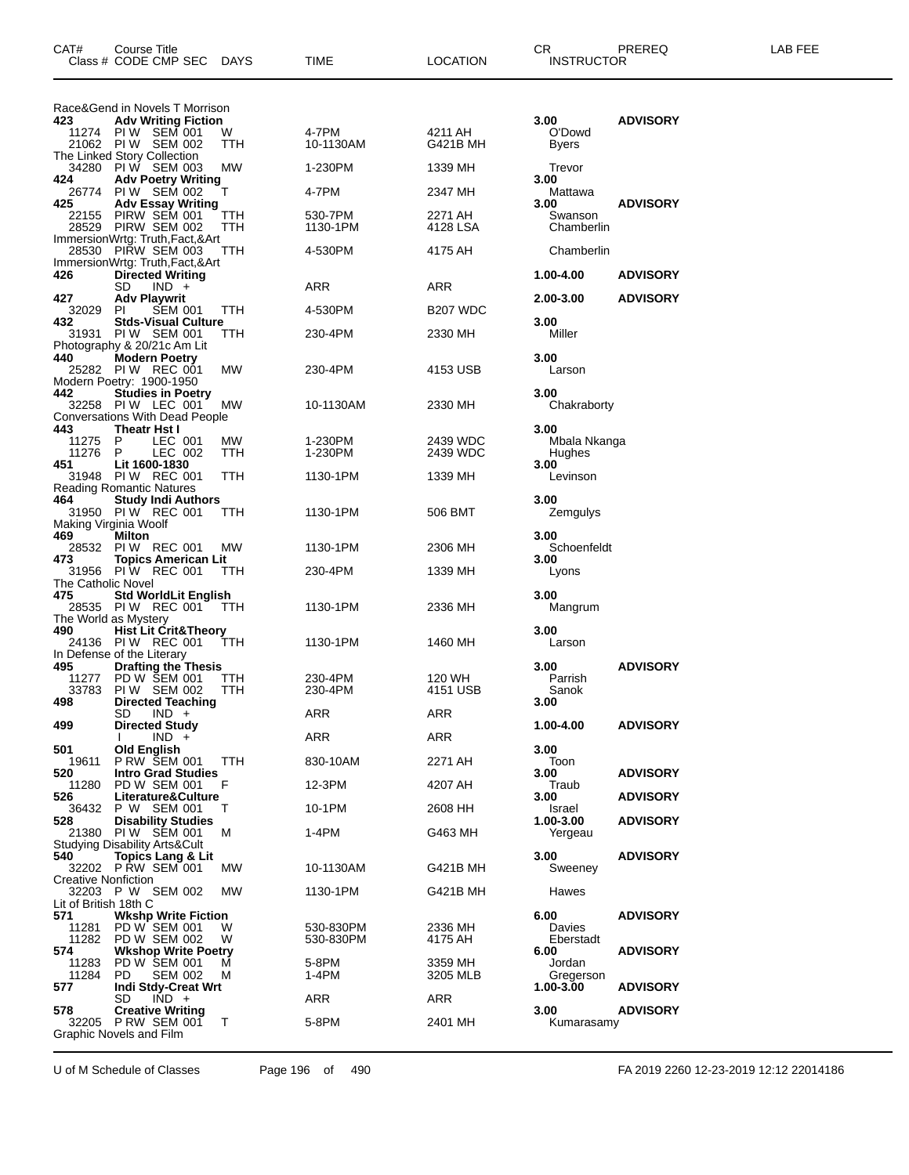| CAT#                              | Course Title<br>Class # CODE CMP SEC                                                          | DAYS       | TIME                   | <b>LOCATION</b>            | CR<br>INSTRUCTOR                       | PREREQ          | LAB FEE |
|-----------------------------------|-----------------------------------------------------------------------------------------------|------------|------------------------|----------------------------|----------------------------------------|-----------------|---------|
|                                   | Race&Gend in Novels T Morrison                                                                |            |                        |                            |                                        |                 |         |
| 423                               | <b>Adv Writing Fiction</b><br>11274 PIW SEM 001<br>21062 PIW SEM 002                          | W<br>TTH   | 4-7PM<br>10-1130AM     | 4211 AH<br><b>G421B MH</b> | 3.00<br>O'Dowd<br>Byers                | <b>ADVISORY</b> |         |
|                                   | The Linked Story Collection<br>34280 PIW SEM 003                                              | МW         | 1-230PM                | 1339 MH                    | Trevor                                 |                 |         |
| 424<br>26774                      | <b>Adv Poetry Writing</b><br>PIW SEM 002                                                      | т          | 4-7PM                  | 2347 MH                    | 3.00<br>Mattawa                        |                 |         |
| 425<br>22155<br>28529             | <b>Adv Essay Writing</b><br>PIRW SEM 001<br>PIRW SEM 002<br>ImmersionWrtg: Truth, Fact, & Art | TTH<br>TTH | 530-7PM<br>1130-1PM    | 2271 AH<br>4128 LSA        | 3.00<br>Swanson<br>Chamberlin          | <b>ADVISORY</b> |         |
|                                   | 28530 PIRW SEM 003<br>ImmersionWrtg: Truth, Fact, & Art                                       | TTH        | 4-530PM                | 4175 AH                    | Chamberlin                             |                 |         |
| 426                               | <b>Directed Writing</b><br>SD<br>$IND +$                                                      |            | ARR                    | ARR                        | 1.00-4.00                              | <b>ADVISORY</b> |         |
| 427<br>32029                      | <b>Adv Playwrit</b><br>PI<br><b>SEM 001</b>                                                   | ттн        | 4-530PM                | B <sub>207</sub> WDC       | 2.00-3.00                              | <b>ADVISORY</b> |         |
| 432<br>31931                      | <b>Stds-Visual Culture</b><br>PIW SEM 001<br>Photography & 20/21c Am Lit                      | TTH        | 230-4PM                | 2330 MH                    | 3.00<br>Miller                         |                 |         |
| 440                               | <b>Modern Poetry</b><br>25282 PIW REC 001<br>Modern Poetry: 1900-1950                         | MW         | 230-4PM                | 4153 USB                   | 3.00<br>Larson                         |                 |         |
| 442                               | <b>Studies in Poetry</b><br>32258 PIW LEC 001<br><b>Conversations With Dead People</b>        | MW         | 10-1130AM              | 2330 MH                    | 3.00<br>Chakraborty                    |                 |         |
| 443<br>11275<br>11276<br>451      | <b>Theatr Hst I</b><br>LEC 001<br>P<br>P<br>LEC 002<br>Lit 1600-1830                          | MW.<br>TTH | 1-230PM<br>1-230PM     | 2439 WDC<br>2439 WDC       | 3.00<br>Mbala Nkanga<br>Hughes<br>3.00 |                 |         |
| 464                               | 31948 PIW REC 001<br><b>Reading Romantic Natures</b><br><b>Study Indi Authors</b>             | TTH        | 1130-1PM               | 1339 MH                    | Levinson<br>3.00                       |                 |         |
| 469                               | 31950 PIW REC 001<br>Making Virginia Woolf<br>Milton                                          | ттн        | 1130-1PM               | 506 BMT                    | Zemgulys<br>3.00                       |                 |         |
|                                   | 28532 PIW REC 001                                                                             | МW         | 1130-1PM               | 2306 MH                    | Schoenfeldt                            |                 |         |
| 473<br>The Catholic Novel         | <b>Topics American Lit</b><br>31956 PIW REC 001                                               | TTH        | 230-4PM                | 1339 MH                    | 3.00<br>Lyons                          |                 |         |
| 475                               | <b>Std WorldLit English</b><br>28535 PIW REC 001<br>The World as Mystery                      | TTH        | 1130-1PM               | 2336 MH                    | 3.00<br>Mangrum                        |                 |         |
| 490                               | <b>Hist Lit Crit&amp;Theory</b><br>24136 PIW REC 001<br>In Defense of the Literary            | TTH        | 1130-1PM               | 1460 MH                    | 3.00<br>Larson                         |                 |         |
| 495<br>11277<br>33783<br>498      | <b>Drafting the Thesis</b><br>PD W SEM 001<br>PIW SEM 002<br><b>Directed Teaching</b>         | TTH<br>TTH | 230-4PM<br>230-4PM     | 120 WH<br>4151 USB         | 3.00<br>Parrish<br>Sanok<br>3.00       | <b>ADVISORY</b> |         |
| 499                               | SD<br>$IND +$<br><b>Directed Study</b>                                                        |            | <b>ARR</b>             | ARR                        | 1.00-4.00                              | <b>ADVISORY</b> |         |
| 501                               | $IND +$<br>Old English                                                                        |            | ARR                    | ARR                        | 3.00                                   |                 |         |
| 19611<br>520                      | <b>P RW SEM 001</b><br><b>Intro Grad Studies</b>                                              | TTH        | 830-10AM               | 2271 AH                    | Toon<br>3.00                           | <b>ADVISORY</b> |         |
| 11280<br>526                      | PD W SEM 001<br>Literature&Culture                                                            | F          | 12-3PM                 | 4207 AH                    | Traub<br>3.00                          | <b>ADVISORY</b> |         |
| 36432                             | P W SEM 001                                                                                   | т          | 10-1PM                 | 2608 HH                    | Israel                                 |                 |         |
| 528                               | <b>Disability Studies</b><br>21380 PIW SEM 001<br><b>Studying Disability Arts&amp;Cult</b>    | м          | 1-4PM                  | G463 MH                    | 1.00-3.00<br>Yergeau                   | <b>ADVISORY</b> |         |
| 540<br><b>Creative Nonfiction</b> | <b>Topics Lang &amp; Lit</b><br>32202 PRW SEM 001                                             | МW         | 10-1130AM              | G421B MH                   | 3.00<br>Sweeney                        | <b>ADVISORY</b> |         |
|                                   | 32203 P W SEM 002                                                                             | MW         | 1130-1PM               | G421B MH                   | Hawes                                  |                 |         |
| Lit of British 18th C<br>571      | <b>Wkshp Write Fiction</b>                                                                    |            |                        |                            | 6.00                                   | <b>ADVISORY</b> |         |
| 11281<br>11282<br>574             | PD W SEM 001<br>PD W SEM 002<br><b>Wkshop Write Poetry</b>                                    | W<br>W     | 530-830PM<br>530-830PM | 2336 MH<br>4175 AH         | Davies<br>Eberstadt<br>6.00            | <b>ADVISORY</b> |         |
| 11283<br>11284<br>577             | PD W SEM 001<br>PD.<br><b>SEM 002</b><br><b>Indi Stdy-Creat Wrt</b>                           | м<br>м     | 5-8PM<br>1-4PM         | 3359 MH<br>3205 MLB        | Jordan<br>Gregerson<br>$1.00 - 3.00$   | <b>ADVISORY</b> |         |
| 578                               | SD.<br>$IND +$<br><b>Creative Writing</b>                                                     |            | ARR                    | ARR                        | 3.00                                   | <b>ADVISORY</b> |         |
|                                   | 32205 P RW SEM 001<br>Graphic Novels and Film                                                 | т          | 5-8PM                  | 2401 MH                    | Kumarasamy                             |                 |         |

U of M Schedule of Classes Page 196 of 490 FA 2019 2260 12-23-2019 12:12 22014186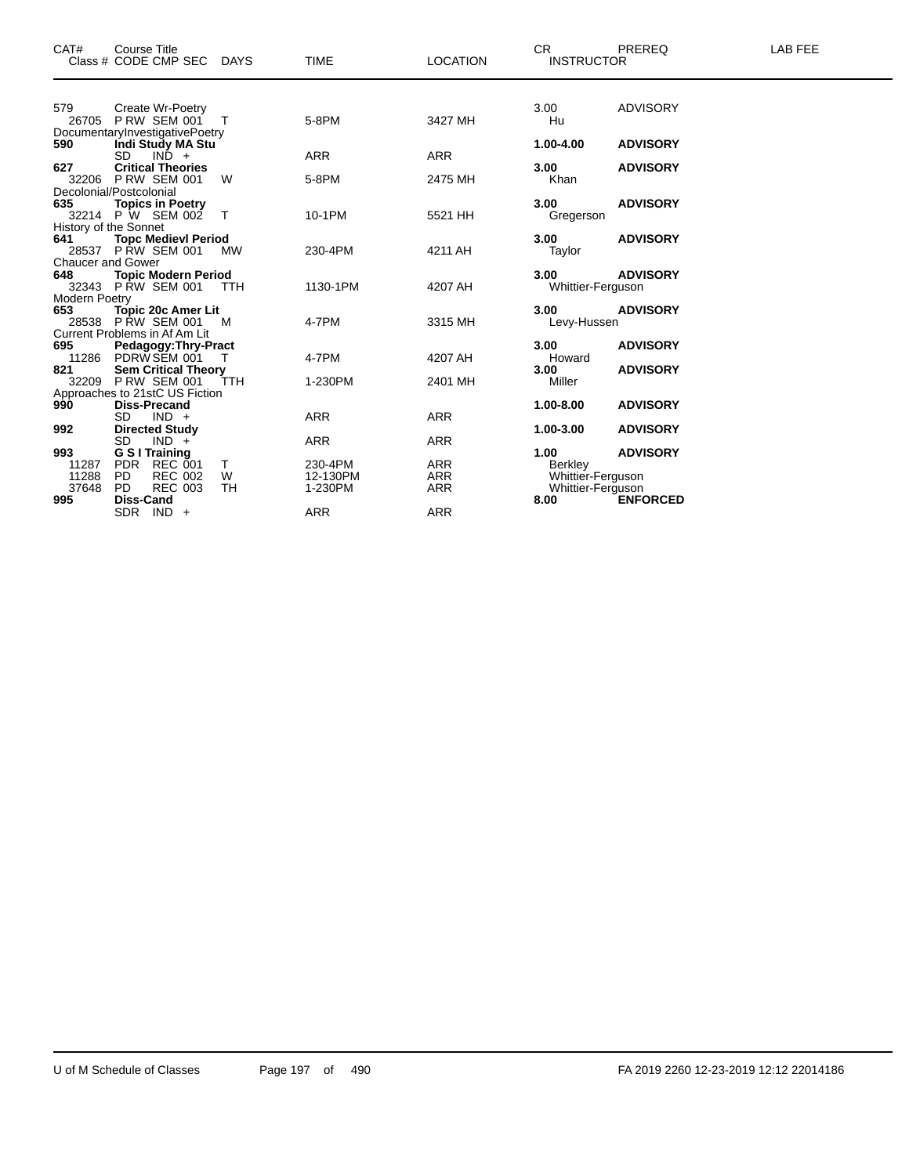| CAT#                 | <b>Course Title</b>                              |            |             |                 | CR.               | PREREQ          | <b>LAB FEE</b> |
|----------------------|--------------------------------------------------|------------|-------------|-----------------|-------------------|-----------------|----------------|
|                      | Class # CODE CMP SEC DAYS                        |            | <b>TIME</b> | <b>LOCATION</b> | <b>INSTRUCTOR</b> |                 |                |
| 579                  | Create Wr-Poetry                                 |            |             |                 | 3.00              | <b>ADVISORY</b> |                |
|                      | 26705 PRW SEM 001 T                              |            | 5-8PM       | 3427 MH         | Hu                |                 |                |
|                      | DocumentaryInvestigativePoetry                   |            |             |                 |                   |                 |                |
| 590                  | Indi Study MA Stu<br>SD.<br>$IN\overline{D}$ +   |            | <b>ARR</b>  | <b>ARR</b>      | 1.00-4.00         | <b>ADVISORY</b> |                |
| 627                  | <b>Critical Theories</b>                         |            |             |                 | 3.00              | <b>ADVISORY</b> |                |
|                      | 32206 P RW SEM 001                               | W          | 5-8PM       | 2475 MH         | Khan              |                 |                |
|                      | Decolonial/Postcolonial                          |            |             |                 |                   |                 |                |
| 635                  | <b>Topics in Poetry</b>                          |            |             |                 | 3.00              | <b>ADVISORY</b> |                |
|                      | 32214 P W SEM 002                                | $\top$     | 10-1PM      | 5521 HH         | Gregerson         |                 |                |
|                      | History of the Sonnet                            |            |             |                 |                   |                 |                |
| 641                  | <b>Topc Medievl Period</b>                       |            |             |                 | 3.00              | <b>ADVISORY</b> |                |
|                      | 28537 P RW SEM 001                               | <b>MW</b>  | 230-4PM     | 4211 AH         | Taylor            |                 |                |
| 648                  | Chaucer and Gower<br><b>Topic Modern Period</b>  |            |             |                 | 3.00              | <b>ADVISORY</b> |                |
|                      | 32343 P RW SEM 001 TTH                           |            | 1130-1PM    | 4207 AH         | Whittier-Ferguson |                 |                |
| <b>Modern Poetry</b> |                                                  |            |             |                 |                   |                 |                |
| 653                  | <b>Topic 20c Amer Lit</b>                        |            |             |                 | 3.00              | <b>ADVISORY</b> |                |
|                      | 28538 P RW SEM 001                               | <b>M</b>   | 4-7PM       | 3315 MH         | Levy-Hussen       |                 |                |
|                      | Current Problems in Af Am Lit                    |            |             |                 |                   |                 |                |
| 695                  | <b>Pedagogy: Thry-Pract</b>                      |            |             |                 | 3.00              | <b>ADVISORY</b> |                |
|                      | 11286 PDRW SEM 001                               | $\top$     | 4-7PM       | 4207 AH         | Howard            |                 |                |
| 821                  | <b>Sem Critical Theory</b><br>32209 P RW SEM 001 |            | 1-230PM     |                 | 3.00              | <b>ADVISORY</b> |                |
|                      | Approaches to 21stC US Fiction                   | <b>TTH</b> |             | 2401 MH         | Miller            |                 |                |
| 990                  | <b>Diss-Precand</b>                              |            |             |                 | 1.00-8.00         | <b>ADVISORY</b> |                |
|                      | SD<br>$IND +$                                    |            | <b>ARR</b>  | <b>ARR</b>      |                   |                 |                |
| 992                  | <b>Directed Study</b>                            |            |             |                 | 1.00-3.00         | <b>ADVISORY</b> |                |
|                      | SD<br>$IND +$                                    |            | <b>ARR</b>  | <b>ARR</b>      |                   |                 |                |
| 993                  | <b>G S I Training</b>                            |            |             |                 | 1.00              | <b>ADVISORY</b> |                |
| 11287                | PDR REC 001                                      | T.         | 230-4PM     | <b>ARR</b>      | Berkley           |                 |                |
| 11288                | <b>REC 002</b><br>PD.                            | W          | 12-130PM    | <b>ARR</b>      | Whittier-Ferguson |                 |                |
| 37648                | PD.<br><b>REC 003</b>                            | <b>TH</b>  | 1-230PM     | <b>ARR</b>      | Whittier-Ferguson |                 |                |
| 995                  | Diss-Cand                                        |            |             |                 | 8.00              | <b>ENFORCED</b> |                |
|                      | $SDR$ IND $+$                                    |            | <b>ARR</b>  | <b>ARR</b>      |                   |                 |                |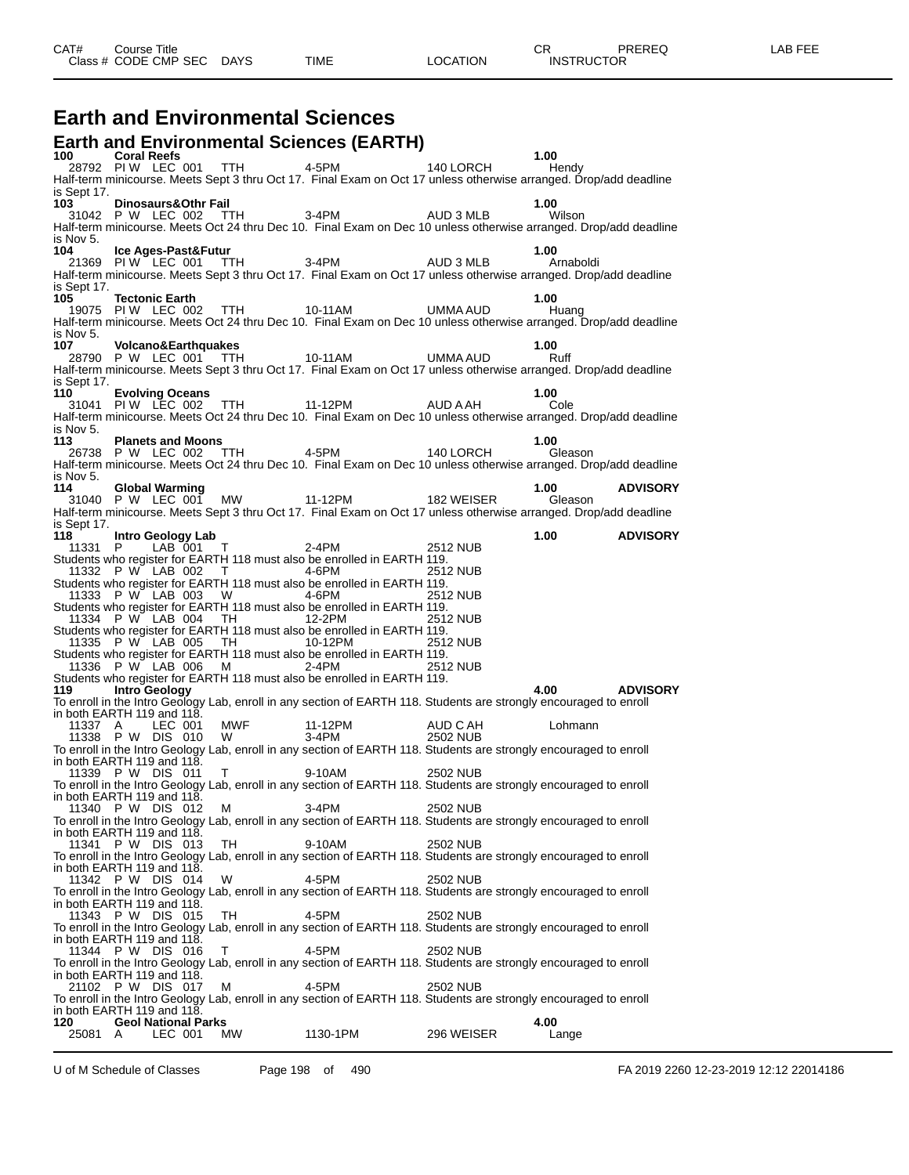### **Earth and Environmental Sciences**

|                                                                                                                                                                                                                                 |                                                 |                               | <b>Earth and Environmental Sciences (EARTH)</b>                                                                                                            |            |                 |                 |
|---------------------------------------------------------------------------------------------------------------------------------------------------------------------------------------------------------------------------------|-------------------------------------------------|-------------------------------|------------------------------------------------------------------------------------------------------------------------------------------------------------|------------|-----------------|-----------------|
| 100 — 100 — 100 — 100 — 100 — 100 — 100 — 100 — 100 — 100 — 100 — 110 — 110 — 110 — 1110 — 1110 — 1110 — 1110 — 1110 — 1110 — 1110 — 1110 — 1110 — 1110 — 1110 — 1110 — 1110 — 1110 — 1110 — 1110 — 1110 — 1110 — 1110 — 1110 — | <b>Coral Reefs</b><br>28792 PIW LEC 001 TTH     |                               | 4-5PM 140 LORCH                                                                                                                                            |            | 1.00<br>Hendy   |                 |
| is Sept 17.                                                                                                                                                                                                                     |                                                 |                               | Half-term minicourse. Meets Sept 3 thru Oct 17. Final Exam on Oct 17 unless otherwise arranged. Drop/add deadline                                          |            |                 |                 |
| 103                                                                                                                                                                                                                             | Dinosaurs&Othr Fail                             |                               |                                                                                                                                                            |            | 1.00            |                 |
|                                                                                                                                                                                                                                 |                                                 |                               | 31042 P W LEC 002 TTH 3-4PM AUD 3 MLB<br>Half-term minicourse. Meets Oct 24 thru Dec 10. Final Exam on Dec 10 unless otherwise arranged. Drop/add deadline |            | Wilson          |                 |
| is Nov 5.                                                                                                                                                                                                                       |                                                 |                               |                                                                                                                                                            |            |                 |                 |
| 104                                                                                                                                                                                                                             | Ice Ages-Past&Futur                             | 21369 PIW LEC 001 TTH 3-4PM   |                                                                                                                                                            |            | 1.00            |                 |
|                                                                                                                                                                                                                                 |                                                 |                               | Half-term minicourse. Meets Sept 3 thru Oct 17. Final Exam on Oct 17 unless otherwise arranged. Drop/add deadline                                          | AUD 3 MLB  | Arnaboldi       |                 |
| is Sept 17.                                                                                                                                                                                                                     |                                                 |                               |                                                                                                                                                            |            |                 |                 |
| 105                                                                                                                                                                                                                             | <b>Tectonic Earth</b>                           | 19075 PIW LEC 002 TTH         | 10-11AM                                                                                                                                                    | UMMA AUD   | 1.00<br>Huang   |                 |
|                                                                                                                                                                                                                                 |                                                 |                               | Half-term minicourse. Meets Oct 24 thru Dec 10. Final Exam on Dec 10 unless otherwise arranged. Drop/add deadline                                          |            |                 |                 |
| is Nov 5.<br>107                                                                                                                                                                                                                | <b>Volcano&amp;Earthquakes</b>                  |                               |                                                                                                                                                            |            | 1.00            |                 |
|                                                                                                                                                                                                                                 | 28790 P W LEC 001 TTH                           |                               | 10-11AM                                                                                                                                                    | UMMA AUD   | Ruff            |                 |
| is Sept 17.                                                                                                                                                                                                                     |                                                 |                               | Half-term minicourse. Meets Sept 3 thru Oct 17. Final Exam on Oct 17 unless otherwise arranged. Drop/add deadline                                          |            |                 |                 |
| 110                                                                                                                                                                                                                             | <b>Evolving Oceans</b>                          |                               |                                                                                                                                                            |            | 1.00            |                 |
|                                                                                                                                                                                                                                 |                                                 | 31041 PIW LEC 002 TTH 11-12PM | Half-term minicourse. Meets Oct 24 thru Dec 10. Final Exam on Dec 10 unless otherwise arranged. Drop/add deadline                                          | AUD A AH   | Cole            |                 |
| is Nov 5.                                                                                                                                                                                                                       |                                                 |                               |                                                                                                                                                            |            |                 |                 |
| 113                                                                                                                                                                                                                             | <b>Planets and Moons</b>                        |                               |                                                                                                                                                            |            | 1.00            |                 |
|                                                                                                                                                                                                                                 | 26738 P W LEC 002 TTH                           |                               | 4-5PM<br>Half-term minicourse. Meets Oct 24 thru Dec 10. Final Exam on Dec 10 unless otherwise arranged. Drop/add deadline                                 | 140 LORCH  | Gleason         |                 |
| is Nov 5.                                                                                                                                                                                                                       |                                                 |                               |                                                                                                                                                            |            |                 |                 |
| 114                                                                                                                                                                                                                             | <b>Global Warming</b>                           |                               | 31040 P W LEC 001 MW 11-12PM                                                                                                                               | 182 WEISER | 1.00<br>Gleason | <b>ADVISORY</b> |
|                                                                                                                                                                                                                                 |                                                 |                               | Half-term minicourse. Meets Sept 3 thru Oct 17. Final Exam on Oct 17 unless otherwise arranged. Drop/add deadline                                          |            |                 |                 |
| is Sept 17.<br>118                                                                                                                                                                                                              |                                                 |                               |                                                                                                                                                            |            | 1.00            | <b>ADVISORY</b> |
|                                                                                                                                                                                                                                 | Intro Geology Lab                               | 11331 P LAB 001 T             | 2-4PM                                                                                                                                                      | 2512 NUB   |                 |                 |
|                                                                                                                                                                                                                                 |                                                 |                               | Students who register for EARTH 118 must also be enrolled in EARTH 119.                                                                                    |            |                 |                 |
|                                                                                                                                                                                                                                 |                                                 | 11332 P W LAB 002 T           | 4-6PM<br>Students who register for EARTH 118 must also be enrolled in EARTH 119.                                                                           | 2512 NUB   |                 |                 |
|                                                                                                                                                                                                                                 |                                                 | 11333 P W LAB 003 W 4-6PM     |                                                                                                                                                            | 2512 NUB   |                 |                 |
|                                                                                                                                                                                                                                 |                                                 | 11334 P W LAB 004 TH 12-2PM   | Students who register for EARTH 118 must also be enrolled in EARTH 119.                                                                                    | 2512 NUB   |                 |                 |
|                                                                                                                                                                                                                                 |                                                 |                               | Students who register for EARTH 118 must also be enrolled in EARTH 119.                                                                                    |            |                 |                 |
|                                                                                                                                                                                                                                 | 11335 P W LAB 005 TH                            |                               | 10-12PM<br>Students who register for EARTH 118 must also be enrolled in EARTH 119.                                                                         | 2512 NUB   |                 |                 |
|                                                                                                                                                                                                                                 |                                                 | 11336 P W LAB 006 M 2-4PM     |                                                                                                                                                            | 2512 NUB   |                 |                 |
| 119.                                                                                                                                                                                                                            | <b>Intro Geology</b>                            |                               | Students who register for EARTH 118 must also be enrolled in EARTH 119.                                                                                    |            | 4.00            | <b>ADVISORY</b> |
|                                                                                                                                                                                                                                 |                                                 |                               | To enroll in the Intro Geology Lab, enroll in any section of EARTH 118. Students are strongly encouraged to enroll                                         |            |                 |                 |
| 11337 A                                                                                                                                                                                                                         | in both EARTH 119 and 118.<br>LEC 001           | MWF 11-12PM                   |                                                                                                                                                            | AUD C AH   | Lohmann         |                 |
|                                                                                                                                                                                                                                 |                                                 | 11338 P W DIS 010 W           | $3-4PM$                                                                                                                                                    | 2502 NUB   |                 |                 |
|                                                                                                                                                                                                                                 | in both EARTH 119 and 118.                      |                               | To enroll in the Intro Geology Lab, enroll in any section of EARTH 118. Students are strongly encouraged to enroll                                         |            |                 |                 |
|                                                                                                                                                                                                                                 | 11339 P W DIS 011 T                             |                               | 9-10AM                                                                                                                                                     | 2502 NUB   |                 |                 |
|                                                                                                                                                                                                                                 | in both EARTH 119 and 118.                      |                               | To enroll in the Intro Geology Lab, enroll in any section of EARTH 118. Students are strongly encouraged to enroll                                         |            |                 |                 |
|                                                                                                                                                                                                                                 | 11340 P W DIS 012                               | м                             | $3-4PM$                                                                                                                                                    | 2502 NUB   |                 |                 |
|                                                                                                                                                                                                                                 |                                                 |                               | To enroll in the Intro Geology Lab, enroll in any section of EARTH 118. Students are strongly encouraged to enroll                                         |            |                 |                 |
|                                                                                                                                                                                                                                 | in both EARTH 119 and 118.<br>11341 P W DIS 013 | TH                            | 9-10AM                                                                                                                                                     | 2502 NUB   |                 |                 |
|                                                                                                                                                                                                                                 |                                                 |                               | To enroll in the Intro Geology Lab, enroll in any section of EARTH 118. Students are strongly encouraged to enroll                                         |            |                 |                 |
|                                                                                                                                                                                                                                 | in both EARTH 119 and 118.<br>11342 P W DIS 014 | W                             | 4-5PM                                                                                                                                                      | 2502 NUB   |                 |                 |
|                                                                                                                                                                                                                                 |                                                 |                               | To enroll in the Intro Geology Lab, enroll in any section of EARTH 118. Students are strongly encouraged to enroll                                         |            |                 |                 |
|                                                                                                                                                                                                                                 | in both EARTH 119 and 118.<br>11343 P W DIS 015 | TН                            | 4-5PM                                                                                                                                                      | 2502 NUB   |                 |                 |
|                                                                                                                                                                                                                                 |                                                 |                               | To enroll in the Intro Geology Lab, enroll in any section of EARTH 118. Students are strongly encouraged to enroll                                         |            |                 |                 |
|                                                                                                                                                                                                                                 | in both EARTH 119 and 118.<br>11344 P W DIS 016 | т                             | 4-5PM                                                                                                                                                      | 2502 NUB   |                 |                 |
|                                                                                                                                                                                                                                 |                                                 |                               | To enroll in the Intro Geology Lab, enroll in any section of EARTH 118. Students are strongly encouraged to enroll                                         |            |                 |                 |
|                                                                                                                                                                                                                                 | in both EARTH 119 and 118.                      |                               |                                                                                                                                                            |            |                 |                 |
|                                                                                                                                                                                                                                 | 21102 P W DIS 017                               | M                             | 4-5PM<br>To enroll in the Intro Geology Lab, enroll in any section of EARTH 118. Students are strongly encouraged to enroll                                | 2502 NUB   |                 |                 |
|                                                                                                                                                                                                                                 | in both EARTH 119 and 118.                      |                               |                                                                                                                                                            |            |                 |                 |
| 120<br>25081 A                                                                                                                                                                                                                  | <b>Geol National Parks</b><br>LEC 001           | МW                            | 1130-1PM                                                                                                                                                   | 296 WEISER | 4.00<br>Lange   |                 |
|                                                                                                                                                                                                                                 |                                                 |                               |                                                                                                                                                            |            |                 |                 |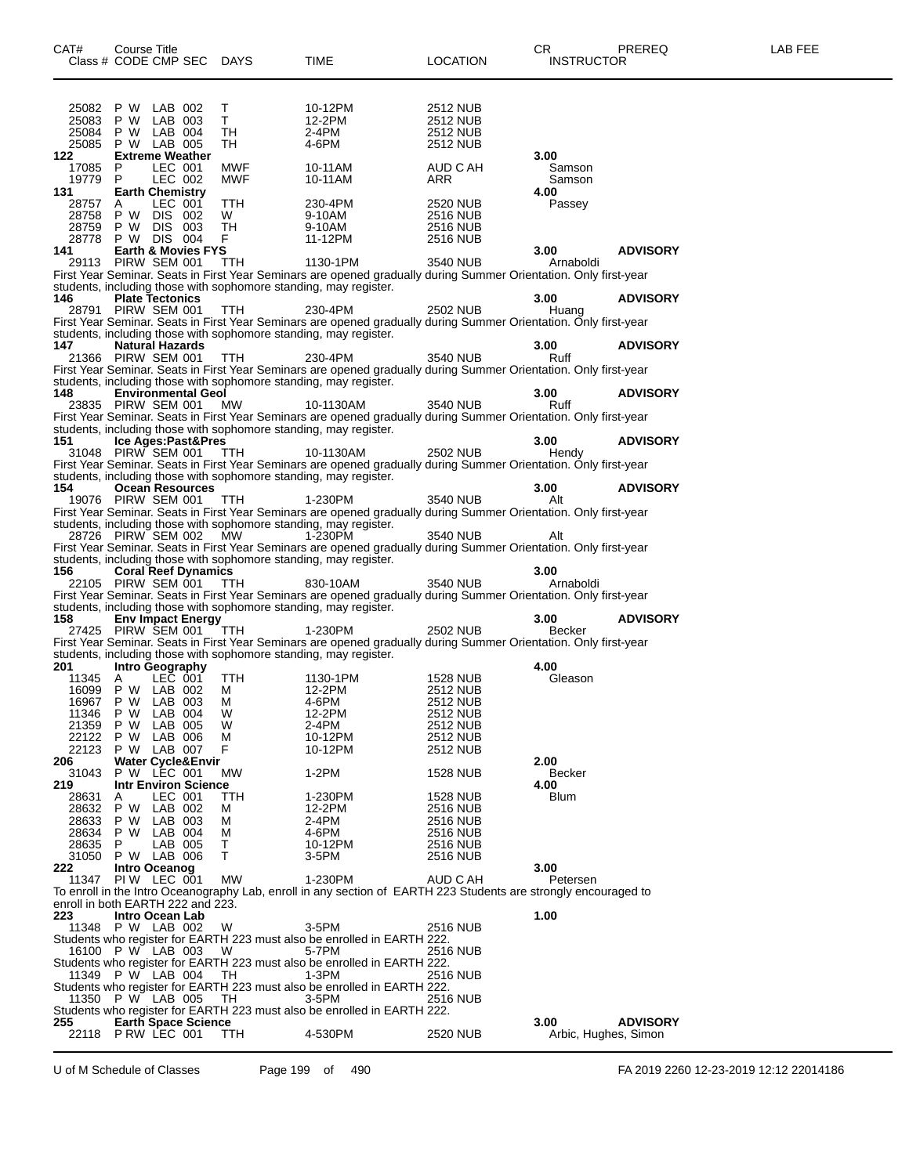| CAT#                                     | Course Title                                        |                    | Class # CODE CMP SEC DAYS | TIME                                                                                                                                                                                 | <b>LOCATION</b>                    | CR<br><b>INSTRUCTOR</b> | PREREQ               | LAB FEE |
|------------------------------------------|-----------------------------------------------------|--------------------|---------------------------|--------------------------------------------------------------------------------------------------------------------------------------------------------------------------------------|------------------------------------|-------------------------|----------------------|---------|
| 25082<br>25083                           | P W<br>P W                                          | LAB 002<br>LAB 003 | Т<br>T.                   | 10-12PM<br>12-2PM                                                                                                                                                                    | 2512 NUB<br><b>2512 NUB</b>        |                         |                      |         |
| 25084                                    | P W LAB 004                                         |                    | TН                        | $2-4PM$                                                                                                                                                                              | 2512 NUB                           |                         |                      |         |
| 122                                      | 25085 P W LAB 005<br><b>Extreme Weather</b>         |                    | TH                        | 4-6PM                                                                                                                                                                                | <b>2512 NUB</b>                    | 3.00                    |                      |         |
| 17085                                    | P                                                   | LEC 001            | MWF                       | 10-11AM                                                                                                                                                                              | AUD C AH                           | Samson                  |                      |         |
| 19779<br>131                             | P<br><b>Earth Chemistry</b>                         | LEC 002            | <b>MWF</b>                | 10-11AM                                                                                                                                                                              | ARR                                | Samson<br>4.00          |                      |         |
| 28757                                    | A                                                   | LEC 001            | TTH                       | 230-4PM                                                                                                                                                                              | 2520 NUB                           | Passey                  |                      |         |
| 28758<br>28759                           | P W<br>P W                                          | DIS 002<br>DIS 003 | W<br>TH                   | 9-10AM<br>9-10AM                                                                                                                                                                     | <b>2516 NUB</b><br><b>2516 NUB</b> |                         |                      |         |
| 28778                                    | P W DIS 004                                         |                    | F.                        | 11-12PM                                                                                                                                                                              | 2516 NUB                           |                         |                      |         |
| 141                                      | <b>Earth &amp; Movies FYS</b><br>29113 PIRW SEM 001 |                    | TTH                       | 1130-1PM                                                                                                                                                                             | 3540 NUB                           | 3.00<br>Arnaboldi       | <b>ADVISORY</b>      |         |
|                                          |                                                     |                    |                           | First Year Seminar. Seats in First Year Seminars are opened gradually during Summer Orientation. Only first-year<br>students, including those with sophomore standing, may register. |                                    |                         |                      |         |
| 146                                      | <b>Plate Tectonics</b>                              |                    |                           |                                                                                                                                                                                      |                                    | 3.00                    | <b>ADVISORY</b>      |         |
|                                          | 28791 PIRW SEM 001                                  |                    | TTH                       | 230-4PM<br>First Year Seminar. Seats in First Year Seminars are opened gradually during Summer Orientation. Only first-year                                                          | 2502 NUB                           | Huang                   |                      |         |
|                                          |                                                     |                    |                           | students, including those with sophomore standing, may register.                                                                                                                     |                                    |                         |                      |         |
| 147                                      | <b>Natural Hazards</b><br>21366 PIRW SEM 001        |                    | <b>TTH</b>                | 230-4PM                                                                                                                                                                              | 3540 NUB                           | 3.00<br>Ruff            | <b>ADVISORY</b>      |         |
|                                          |                                                     |                    |                           | First Year Seminar. Seats in First Year Seminars are opened gradually during Summer Orientation. Only first-year                                                                     |                                    |                         |                      |         |
| 148                                      | <b>Environmental Geol</b>                           |                    |                           | students, including those with sophomore standing, may register.                                                                                                                     |                                    | 3.00                    | <b>ADVISORY</b>      |         |
|                                          | 23835 PIRW SEM 001                                  |                    | MW                        | 10-1130AM                                                                                                                                                                            | 3540 NUB                           | Ruff                    |                      |         |
|                                          |                                                     |                    |                           | First Year Seminar. Seats in First Year Seminars are opened gradually during Summer Orientation. Only first-year<br>students, including those with sophomore standing, may register. |                                    |                         |                      |         |
| 151                                      | Ice Ages:Past&Pres                                  |                    |                           |                                                                                                                                                                                      |                                    | 3.00                    | <b>ADVISORY</b>      |         |
|                                          | 31048 PIRW SEM 001 TTH                              |                    |                           | 10-1130AM<br>First Year Seminar. Seats in First Year Seminars are opened gradually during Summer Orientation. Only first-year                                                        | 2502 NUB                           | Hendy                   |                      |         |
| 154                                      | <b>Ocean Resources</b>                              |                    |                           | students, including those with sophomore standing, may register.                                                                                                                     |                                    | 3.00                    | <b>ADVISORY</b>      |         |
|                                          | 19076 PIRW SEM 001                                  |                    | ттн                       | 1-230PM                                                                                                                                                                              | 3540 NUB                           | Alt                     |                      |         |
|                                          |                                                     |                    |                           | First Year Seminar. Seats in First Year Seminars are opened gradually during Summer Orientation. Only first-year<br>students, including those with sophomore standing, may register. |                                    |                         |                      |         |
|                                          | 28726 PIRW SEM 002                                  |                    | MW                        | 1-230PM                                                                                                                                                                              | 3540 NUB                           | Alt                     |                      |         |
|                                          |                                                     |                    |                           | First Year Seminar. Seats in First Year Seminars are opened gradually during Summer Orientation. Only first-year<br>students, including those with sophomore standing, may register. |                                    |                         |                      |         |
| 156                                      | <b>Coral Reef Dynamics</b>                          |                    |                           |                                                                                                                                                                                      |                                    | 3.00                    |                      |         |
|                                          | 22105 PIRW SEM 001                                  |                    | TTH                       | 830-10AM<br>First Year Seminar. Seats in First Year Seminars are opened gradually during Summer Orientation. Only first-year                                                         | 3540 NUB                           | Arnaboldi               |                      |         |
| 158                                      | <b>Env Impact Energy</b>                            |                    |                           | students, including those with sophomore standing, may register.                                                                                                                     |                                    | 3.00                    | <b>ADVISORY</b>      |         |
|                                          | 27425 PIRW SEM 001                                  |                    | TTH                       | 1-230PM                                                                                                                                                                              | 2502 NUB                           | Becker                  |                      |         |
|                                          |                                                     |                    |                           | First Year Seminar. Seats in First Year Seminars are opened gradually during Summer Orientation. Only first-year<br>students, including those with sophomore standing, may register. |                                    |                         |                      |         |
| 201                                      | Intro Geography                                     |                    |                           |                                                                                                                                                                                      |                                    | 4.00                    |                      |         |
| 11345<br>16099                           | A<br>P W LAB 002                                    | LEC 001            | <b>TTH</b><br>м           | 1130-1PM<br>12-2PM                                                                                                                                                                   | 1528 NUB<br>2512 NUB               | Gleason                 |                      |         |
|                                          | 16967 P W LAB 003                                   |                    | M                         | 4-6PM                                                                                                                                                                                | 2512 NUB                           |                         |                      |         |
| 11346<br>21359                           | P W<br>P W                                          | LAB 004<br>LAB 005 | w<br>W                    | 12-2PM<br>2-4PM                                                                                                                                                                      | 2512 NUB<br>2512 NUB               |                         |                      |         |
| 22122                                    | P W                                                 | LAB 006            | м                         | 10-12PM                                                                                                                                                                              | <b>2512 NUB</b>                    |                         |                      |         |
| 22123<br>206                             | P W LAB 007<br><b>Water Cycle&amp;Envir</b>         |                    | F.                        | 10-12PM                                                                                                                                                                              | 2512 NUB                           | 2.00                    |                      |         |
| 31043<br>219                             | P W LEC 001<br><b>Intr Environ Science</b>          |                    | MW.                       | $1-2PM$                                                                                                                                                                              | <b>1528 NUB</b>                    | Becker<br>4.00          |                      |         |
| 28631                                    | A                                                   | LEC 001            | TTH                       | 1-230PM                                                                                                                                                                              | 1528 NUB                           | Blum                    |                      |         |
| 28632<br>28633                           | P W<br>P W LAB 003                                  | LAB 002            | м<br>M                    | 12-2PM<br>2-4PM                                                                                                                                                                      | <b>2516 NUB</b><br><b>2516 NUB</b> |                         |                      |         |
| 28634                                    | P W LAB 004                                         |                    | M                         | 4-6PM                                                                                                                                                                                | <b>2516 NUB</b>                    |                         |                      |         |
| 28635<br>31050                           | P<br>P W LAB 006                                    | LAB 005            | Т<br>Τ                    | 10-12PM<br>3-5PM                                                                                                                                                                     | <b>2516 NUB</b><br><b>2516 NUB</b> |                         |                      |         |
| 222                                      | Intro Oceanog                                       |                    |                           |                                                                                                                                                                                      |                                    | 3.00                    |                      |         |
| 11347                                    | PIW LEC 001                                         |                    | MW                        | 1-230PM<br>To enroll in the Intro Oceanography Lab, enroll in any section of EARTH 223 Students are strongly encouraged to                                                           | AUD C AH                           | Petersen                |                      |         |
| enroll in both EARTH 222 and 223.<br>223 | Intro Ocean Lab                                     |                    |                           |                                                                                                                                                                                      |                                    | 1.00                    |                      |         |
|                                          | 11348 P W LAB 002                                   |                    | W                         | 3-5PM                                                                                                                                                                                | 2516 NUB                           |                         |                      |         |
|                                          | 16100 P W LAB 003                                   |                    | W                         | Students who register for EARTH 223 must also be enrolled in EARTH 222.<br>5-7PM                                                                                                     | <b>2516 NUB</b>                    |                         |                      |         |
|                                          |                                                     |                    |                           | Students who register for EARTH 223 must also be enrolled in EARTH 222.                                                                                                              |                                    |                         |                      |         |
|                                          | 11349 P W LAB 004                                   |                    | TН                        | 1-3PM<br>Students who register for EARTH 223 must also be enrolled in EARTH 222.                                                                                                     | 2516 NUB                           |                         |                      |         |
|                                          | 11350 P W LAB 005                                   |                    | TH                        | 3-5PM                                                                                                                                                                                | 2516 NUB                           |                         |                      |         |
| 255                                      | <b>Earth Space Science</b>                          |                    |                           | Students who register for EARTH 223 must also be enrolled in EARTH 222.                                                                                                              |                                    | 3.00                    | <b>ADVISORY</b>      |         |
|                                          | 22118 P RW LEC 001                                  |                    | TTH                       | 4-530PM                                                                                                                                                                              | 2520 NUB                           |                         | Arbic, Hughes, Simon |         |

U of M Schedule of Classes Page 199 of 490 FA 2019 2260 12-23-2019 12:12 22014186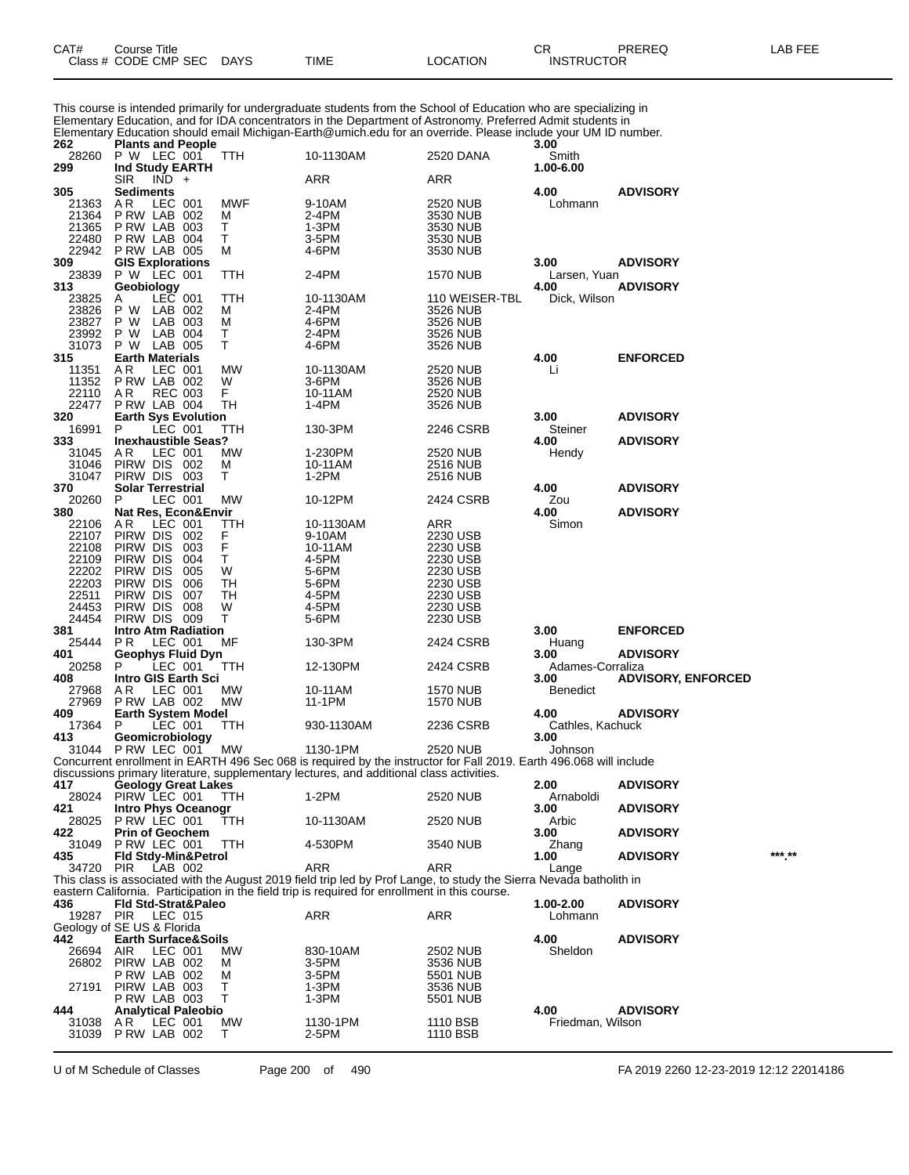| CAT# | ourse Titleٽ         |             |      |          | ◠г<br>◡           | PREREQ | _AB FEE |
|------|----------------------|-------------|------|----------|-------------------|--------|---------|
|      | Class # CODE CMP SEC | <b>DAYS</b> | TIME | ∟OCATION | <b>INSTRUCTOR</b> |        |         |

This course is intended primarily for undergraduate students from the School of Education who are specializing in Elementary Education, and for IDA concentrators in the Department of Astronomy. Preferred Admit students in Elementary Education should email Michigan-Earth@umich.edu for an override. Please include your UM ID number.

| 262 |                            | <b>Plants and People</b>        |                |                                |         |                                                                                                                            |                      | 3.00                     |                           |        |
|-----|----------------------------|---------------------------------|----------------|--------------------------------|---------|----------------------------------------------------------------------------------------------------------------------------|----------------------|--------------------------|---------------------------|--------|
| 299 | 28260                      | P W LEC 001<br>Ind Study EARTH  |                |                                | TTH     | 10-1130AM                                                                                                                  | 2520 DANA            | Smith<br>1.00-6.00       |                           |        |
|     |                            | <b>SIR</b>                      | $IND +$        |                                |         | ARR                                                                                                                        | ARR                  |                          |                           |        |
| 305 |                            | Sediments                       |                |                                |         |                                                                                                                            |                      | 4.00                     | <b>ADVISORY</b>           |        |
|     | 21363                      | A R                             | LEC 001        |                                | MWF     | 9-10AM                                                                                                                     | 2520 NUB             | Lohmann                  |                           |        |
|     | 21364<br>21365             | PRW LAB 002<br>PRW LAB 003      |                |                                | м<br>Т  | 2-4PM                                                                                                                      | 3530 NUB<br>3530 NUB |                          |                           |        |
|     | 22480                      | P RW LAB 004                    |                |                                | Т       | 1-3PM<br>3-5PM                                                                                                             | 3530 NUB             |                          |                           |        |
|     | 22942                      | P RW LAB 005                    |                |                                | M       | 4-6PM                                                                                                                      | 3530 NUB             |                          |                           |        |
| 309 |                            |                                 |                |                                |         |                                                                                                                            |                      | 3.00                     | <b>ADVISORY</b>           |        |
|     | 23839                      | GIS Explorations<br>P W LEC 001 |                |                                | TTH     | 2-4PM                                                                                                                      | 1570 NUB             | Larsen, Yuan             |                           |        |
| 313 |                            | Geobiology                      |                |                                |         |                                                                                                                            |                      | 4.00                     | <b>ADVISORY</b>           |        |
|     | 23825                      | A                               | LEC 001        |                                | TTH     | 10-1130AM                                                                                                                  | 110 WEISER-TBL       | Dick, Wilson             |                           |        |
|     | 23826                      | P W                             | LAB 002        |                                | M       | 2-4PM                                                                                                                      | 3526 NUB             |                          |                           |        |
|     | 23827                      | P W                             | LAB 003        |                                | M       | 4-6PM                                                                                                                      | 3526 NUB             |                          |                           |        |
|     | 23992                      | P W                             | LAB 004        |                                | Т       | 2-4PM                                                                                                                      | 3526 NUB             |                          |                           |        |
|     | 31073                      | P W                             | LAB 005        |                                | Τ       | 4-6PM                                                                                                                      | 3526 NUB             |                          |                           |        |
| 315 |                            | <b>Earth Materials</b>          |                |                                |         |                                                                                                                            |                      | 4.00                     | <b>ENFORCED</b>           |        |
|     | 11351                      | AR.                             | LEC 001        |                                | МW      | 10-1130AM                                                                                                                  | 2520 NUB             | Li                       |                           |        |
|     | 11352                      | PRW LAB 002                     | <b>REC 003</b> |                                | W<br>F. | 3-6PM                                                                                                                      | 3526 NUB             |                          |                           |        |
|     | 22110<br>22477             | AR.<br>PRW LAB 004              |                |                                | TН      | 10-11AM<br>1-4PM                                                                                                           | 2520 NUB<br>3526 NUB |                          |                           |        |
| 320 |                            |                                 |                | <b>Earth Sys Evolution</b>     |         |                                                                                                                            |                      | 3.00                     | <b>ADVISORY</b>           |        |
|     | 16991                      | P                               | LEC 001        |                                | ттн     | 130-3PM                                                                                                                    | 2246 CSRB            | Steiner                  |                           |        |
| 333 |                            |                                 |                | <b>Inexhaustible Seas?</b>     |         |                                                                                                                            |                      | 4.00                     | <b>ADVISORY</b>           |        |
|     | 31045                      | AR.                             | LEC 001        |                                | МW      | 1-230PM                                                                                                                    | 2520 NUB             | Hendy                    |                           |        |
|     | 31046                      | PIRW DIS 002                    |                |                                | M       | 10-11AM                                                                                                                    | 2516 NUB             |                          |                           |        |
|     | 31047                      | PIRW DIS 003                    |                |                                | т       | 1-2PM                                                                                                                      | 2516 NUB             |                          |                           |        |
| 370 |                            | <b>Solar Terrestrial</b>        |                |                                |         |                                                                                                                            |                      | 4.00                     | <b>ADVISORY</b>           |        |
|     | 20260                      | P                               | LEC 001        |                                | MW      | 10-12PM                                                                                                                    | 2424 CSRB            | Zou                      |                           |        |
| 380 |                            |                                 |                | Nat Res, Econ&Envir            |         |                                                                                                                            |                      | 4.00                     | <b>ADVISORY</b>           |        |
|     | 22106                      | AR.                             | LEC 001        |                                | ттн     | 10-1130AM                                                                                                                  | ARR                  | Simon                    |                           |        |
|     | 22107                      | PIRW DIS                        |                | 002                            | F       | 9-10AM                                                                                                                     | 2230 USB             |                          |                           |        |
|     | 22108                      | PIRW DIS                        |                | 003<br>004                     | F<br>Τ  | 10-11AM                                                                                                                    | 2230 USB<br>2230 USB |                          |                           |        |
|     | 22109<br>22202             | PIRW DIS<br>PIRW DIS            |                | 005                            | W       | 4-5PM<br>5-6PM                                                                                                             | 2230 USB             |                          |                           |        |
|     | 22203                      | PIRW DIS                        |                | 006                            | TН      | 5-6PM                                                                                                                      | 2230 USB             |                          |                           |        |
|     | 22511                      | PIRW DIS                        |                | 007                            | TН      | 4-5PM                                                                                                                      | 2230 USB             |                          |                           |        |
|     | 24453                      | PIRW DIS                        |                | 008                            | W       | 4-5PM                                                                                                                      | 2230 USB             |                          |                           |        |
|     | 24454                      | PIRW DIS 009                    |                |                                | Τ       | 5-6PM                                                                                                                      | 2230 USB             |                          |                           |        |
| 381 |                            |                                 |                | <b>Intro Atm Radiation</b>     |         |                                                                                                                            |                      | 3.00                     | <b>ENFORCED</b>           |        |
|     | 25444                      | P R                             | LEC 001        |                                | ΜF      | 130-3PM                                                                                                                    | 2424 CSRB            | Huang                    |                           |        |
| 401 |                            |                                 |                | <b>Geophys Fluid Dyn</b>       |         |                                                                                                                            |                      | 3.00                     | <b>ADVISORY</b>           |        |
|     | 20258                      | P                               | LEC 001        |                                | ттн     | 12-130PM                                                                                                                   | 2424 CSRB            | Adames-Corraliza         |                           |        |
| 408 |                            |                                 |                | Intro GIS Earth Sci            |         |                                                                                                                            |                      | 3.00                     | <b>ADVISORY, ENFORCED</b> |        |
|     | 27968                      | AR.                             | LEC 001        |                                | MW      | 10-11AM                                                                                                                    | <b>1570 NUB</b>      | <b>Benedict</b>          |                           |        |
|     | 27969                      | PRW LAB 002                     |                |                                | MW      | 11-1PM                                                                                                                     | 1570 NUB             |                          |                           |        |
| 409 | 17364                      | P                               | LEC 001        | <b>Earth System Model</b>      | TTH     | 930-1130AM                                                                                                                 | 2236 CSRB            | 4.00<br>Cathles, Kachuck | <b>ADVISORY</b>           |        |
| 413 |                            | Geomicrobiology                 |                |                                |         |                                                                                                                            |                      | 3.00                     |                           |        |
|     | 31044 P RW LEC 001         |                                 |                |                                | МW      | 1130-1PM                                                                                                                   | 2520 NUB             | Johnson                  |                           |        |
|     |                            |                                 |                |                                |         | Concurrent enrollment in EARTH 496 Sec 068 is required by the instructor for Fall 2019. Earth 496.068 will include         |                      |                          |                           |        |
|     |                            |                                 |                |                                |         | discussions primary literature, supplementary lectures, and additional class activities.                                   |                      |                          |                           |        |
| 417 |                            |                                 |                | <b>Geology Great Lakes</b>     |         |                                                                                                                            |                      | 2.00                     | <b>ADVISORY</b>           |        |
|     | 28024 PIRW LEC 001         |                                 |                |                                | TTH     | 1-2PM                                                                                                                      | 2520 NUB             | Arnaboldi                |                           |        |
| 421 |                            |                                 |                | Intro Phys Oceanogr            |         |                                                                                                                            |                      | 3.00                     | <b>ADVISORY</b>           |        |
|     | 28025                      | P RW LEC 001                    |                |                                | TTH     | 10-1130AM                                                                                                                  | 2520 NUB             | Arbic                    |                           |        |
| 422 |                            | <b>Prin of Geochem</b>          |                |                                |         |                                                                                                                            |                      | 3.00                     | <b>ADVISORY</b>           |        |
|     | 31049                      | PRW LEC 001                     |                |                                | TTH     | 4-530PM                                                                                                                    | 3540 NUB             | Zhang                    |                           | *** ** |
| 435 |                            |                                 |                | Fld Stdy-Min&Petrol            |         |                                                                                                                            | <b>ARR</b>           | 1.00                     | <b>ADVISORY</b>           |        |
|     | 34720                      | PIR                             | LAB 002        |                                |         | ARR<br>This class is associated with the August 2019 field trip led by Prof Lange, to study the Sierra Nevada batholith in |                      | Lange                    |                           |        |
|     |                            |                                 |                |                                |         | eastern California. Participation in the field trip is required for enrollment in this course.                             |                      |                          |                           |        |
| 436 |                            |                                 |                | Fld Std-Strat&Paleo            |         |                                                                                                                            |                      | 1.00-2.00                | <b>ADVISORY</b>           |        |
|     | 19287 PIR                  |                                 | LEC 015        |                                |         | <b>ARR</b>                                                                                                                 | ARR                  | Lohmann                  |                           |        |
|     | Geology of SE US & Florida |                                 |                |                                |         |                                                                                                                            |                      |                          |                           |        |
| 442 |                            |                                 |                | <b>Earth Surface&amp;Soils</b> |         |                                                                                                                            |                      | 4.00                     | <b>ADVISORY</b>           |        |
|     | 26694                      | <b>AIR</b>                      | LEC 001        |                                | МW      | 830-10AM                                                                                                                   | 2502 NUB             | Sheldon                  |                           |        |
|     | 26802                      | PIRW LAB 002                    |                |                                | М       | 3-5PM                                                                                                                      | 3536 NUB             |                          |                           |        |
|     |                            | PRW LAB 002                     |                |                                | М       | 3-5PM                                                                                                                      | 5501 NUB             |                          |                           |        |
|     | 27191                      | PIRW LAB 003                    |                |                                | Τ       | 1-3PM                                                                                                                      | 3536 NUB             |                          |                           |        |
|     |                            | <b>P RW LAB 003</b>             |                |                                | т       | 1-3PM                                                                                                                      | 5501 NUB             |                          |                           |        |
| 444 |                            |                                 |                | <b>Analytical Paleobio</b>     |         |                                                                                                                            |                      | 4.00                     | <b>ADVISORY</b>           |        |
|     | 31038<br>31039             | AR.<br>PRW LAB 002              | LEC 001        |                                | МW<br>т | 1130-1PM<br>2-5PM                                                                                                          | 1110 BSB             | Friedman, Wilson         |                           |        |
|     |                            |                                 |                |                                |         |                                                                                                                            | 1110 BSB             |                          |                           |        |

U of M Schedule of Classes Page 200 of 490 FA 2019 2260 12-23-2019 12:12 22014186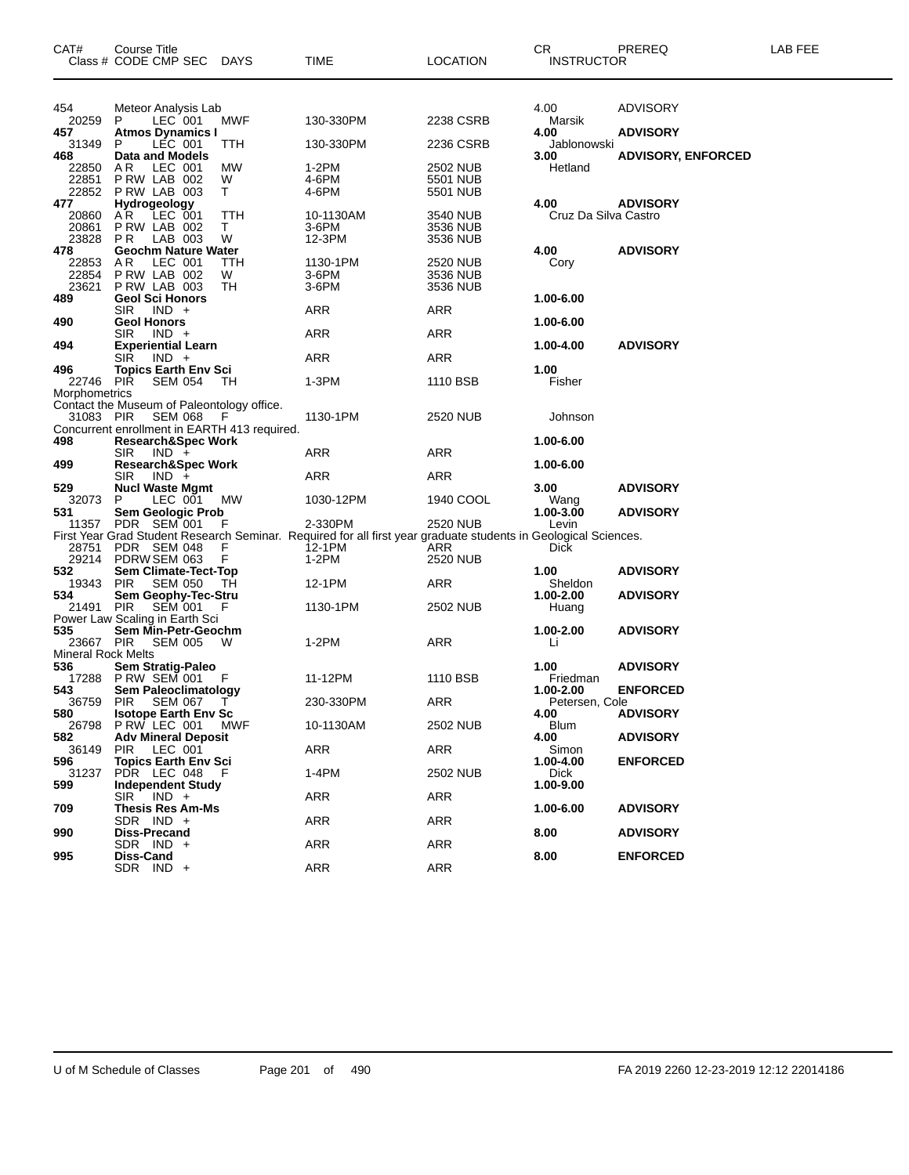| CAT#                                          | Course Title<br>Class # CODE CMP SEC                                                                  | DAYS           | TIME                                                                                                                       | <b>LOCATION</b>                  | CR<br><b>INSTRUCTOR</b>      | PREREQ                    | LAB FEE |
|-----------------------------------------------|-------------------------------------------------------------------------------------------------------|----------------|----------------------------------------------------------------------------------------------------------------------------|----------------------------------|------------------------------|---------------------------|---------|
| 454                                           | Meteor Analysis Lab                                                                                   |                |                                                                                                                            |                                  | 4.00                         | <b>ADVISORY</b>           |         |
| 20259<br>457                                  | LEC 001<br>P<br><b>Atmos Dynamics I</b>                                                               | MWF            | 130-330PM                                                                                                                  | 2238 CSRB                        | Marsik<br>4.00               | <b>ADVISORY</b>           |         |
| 31349<br>468                                  | LEC 001<br>P<br>Data and Models                                                                       | TTH            | 130-330PM                                                                                                                  | 2236 CSRB                        | Jablonowski<br>3.00          | <b>ADVISORY, ENFORCED</b> |         |
| 22850<br>22851<br>22852                       | LEC 001<br>AR.<br>P RW LAB 002<br>PRW LAB 003                                                         | МW<br>W<br>T.  | 1-2PM<br>4-6PM<br>4-6PM                                                                                                    | 2502 NUB<br>5501 NUB<br>5501 NUB | Hetland                      |                           |         |
| 477<br>20860<br>20861<br>23828                | Hydrogeology<br>A R<br>LEC 001<br>PRW LAB 002<br>P R<br>LAB 003                                       | TTH<br>T.<br>W | 10-1130AM<br>3-6PM<br>12-3PM                                                                                               | 3540 NUB<br>3536 NUB<br>3536 NUB | 4.00<br>Cruz Da Silva Castro | <b>ADVISORY</b>           |         |
| 478<br>22853<br>22854<br>23621                | <b>Geochm Nature Water</b><br>AR.<br>LEC 001<br>PRW LAB 002<br>P RW LAB 003                           | TTH<br>W<br>TН | 1130-1PM<br>3-6PM<br>3-6PM                                                                                                 | 2520 NUB<br>3536 NUB<br>3536 NUB | 4.00<br>Cory                 | <b>ADVISORY</b>           |         |
| 489                                           | <b>Geol Sci Honors</b><br>$IND +$<br>SIR.                                                             |                | ARR                                                                                                                        | ARR                              | 1.00-6.00                    |                           |         |
| 490                                           | <b>Geol Honors</b><br>$IND +$<br>SIR.                                                                 |                | ARR                                                                                                                        | ARR                              | 1.00-6.00                    |                           |         |
| 494                                           | <b>Experiential Learn</b><br>SIR<br>$IND +$                                                           |                | ARR                                                                                                                        | ARR                              | 1.00-4.00                    | <b>ADVISORY</b>           |         |
| 496<br>22746<br>Morphometrics                 | <b>Topics Earth Env Sci</b><br>PIŘ<br><b>SEM 054</b>                                                  | ТH             | 1-3PM                                                                                                                      | 1110 BSB                         | 1.00<br>Fisher               |                           |         |
| 31083 PIR                                     | Contact the Museum of Paleontology office.<br>SEM 068<br>Concurrent enrollment in EARTH 413 required. | F.             | 1130-1PM                                                                                                                   | 2520 NUB                         | Johnson                      |                           |         |
| 498<br>499                                    | Research&Spec Work<br>SIR.<br>$IND +$                                                                 |                | ARR                                                                                                                        | ARR                              | 1.00-6.00<br>1.00-6.00       |                           |         |
| 529                                           | <b>Research&amp;Spec Work</b><br><b>SIR</b><br>$IND +$<br><b>Nucl Waste Mgmt</b>                      |                | ARR                                                                                                                        | ARR                              | 3.00                         | <b>ADVISORY</b>           |         |
| 32073<br>531                                  | LEC 001<br>P<br>Sem Geologic Prob                                                                     | MW             | 1030-12PM                                                                                                                  | 1940 COOL                        | Wang<br>1.00-3.00            | <b>ADVISORY</b>           |         |
| 11357                                         | PDR SEM 001                                                                                           | F              | 2-330PM<br>First Year Grad Student Research Seminar. Required for all first year graduate students in Geological Sciences. | 2520 NUB                         | Levin                        |                           |         |
| 28751<br>29214                                | PDR SEM 048<br>PDRW SEM 063                                                                           | F<br>F         | 12-1PM<br>1-2PM                                                                                                            | ARR<br>2520 NUB                  | <b>Dick</b>                  |                           |         |
| 532<br>19343                                  | <b>Sem Climate-Tect-Top</b><br>PIR<br>SEM 050                                                         | TH             | 12-1PM                                                                                                                     | ARR                              | 1.00<br>Sheldon              | <b>ADVISORY</b>           |         |
| 534<br>21491                                  | Sem Geophy-Tec-Stru<br><b>PIR</b><br><b>SEM 001</b><br>Power Law Scaling in Earth Sci                 | - F            | 1130-1PM                                                                                                                   | 2502 NUB                         | 1.00-2.00<br>Huang           | <b>ADVISORY</b>           |         |
| 535<br>23667 PIR<br><b>Mineral Rock Melts</b> | Sem Min-Petr-Geochm<br><b>SEM 005</b>                                                                 | W              | 1-2PM                                                                                                                      | ARR                              | $1.00 - 2.00$<br>Li          | <b>ADVISORY</b>           |         |
| 536<br>17288                                  | Sem Stratig-Paleo<br><b>P RW SEM 001</b>                                                              | F              | 11-12PM                                                                                                                    | 1110 BSB                         | 1.00<br>Friedman             | <b>ADVISORY</b>           |         |
| 543<br>36759                                  | Sem Paleoclimatology<br><b>PIR</b><br><b>SEM 067</b>                                                  | $\mathbf{I}$   | 230-330PM                                                                                                                  | ARR                              | 1.00-2.00<br>Petersen, Cole  | <b>ENFORCED</b>           |         |
| 580<br>26798                                  | <b>Isotope Earth Env Sc</b><br>PRW LEC 001 MWF                                                        |                | 10-1130AM                                                                                                                  | 2502 NUB                         | 4.00<br><b>Blum</b>          | <b>ADVISORY</b>           |         |
| 582<br>36149                                  | <b>Adv Mineral Deposit</b><br>LEC 001<br>PIR                                                          |                | ARR                                                                                                                        | ARR                              | 4.00<br>Simon                | <b>ADVISORY</b>           |         |
| 596<br>31237                                  | <b>Topics Earth Env Sci</b><br>PDR LEC 048                                                            | - F            | 1-4PM                                                                                                                      | 2502 NUB                         | 1.00-4.00<br>Dick            | <b>ENFORCED</b>           |         |
| 599                                           | <b>Independent Study</b><br>$SIR$ $IND +$                                                             |                | <b>ARR</b>                                                                                                                 | ARR                              | 1.00-9.00                    |                           |         |
| 709                                           | Thesis Res Am-Ms<br>SDR IND +                                                                         |                | ARR                                                                                                                        | ARR                              | 1.00-6.00                    | <b>ADVISORY</b>           |         |
| 990                                           | Diss-Precand<br>SDR IND +                                                                             |                | ARR                                                                                                                        | ARR                              | 8.00                         | <b>ADVISORY</b>           |         |
| 995                                           | Diss-Cand<br>SDR IND +                                                                                |                | <b>ARR</b>                                                                                                                 | ARR                              | 8.00                         | <b>ENFORCED</b>           |         |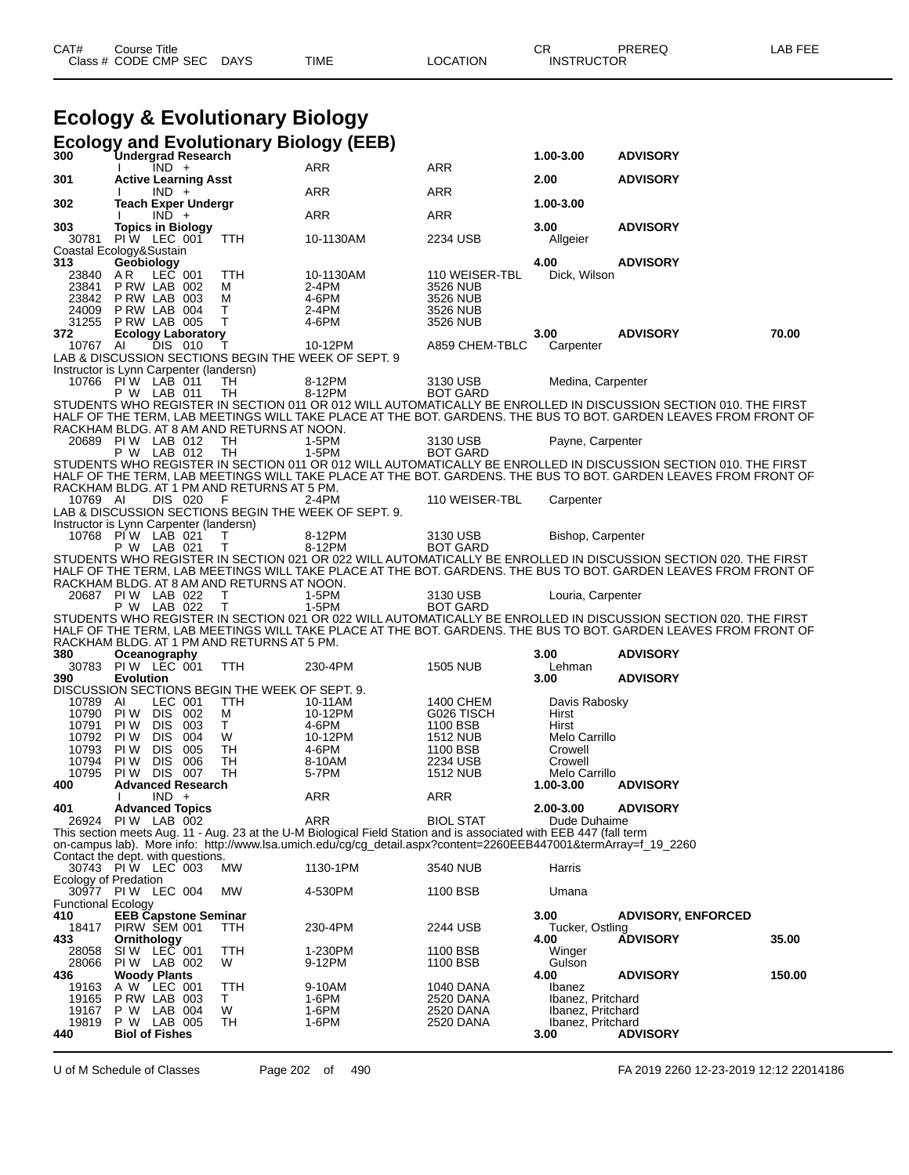# **Ecology & Evolutionary Biology**

| <b>Undergrad Research</b><br>IND +<br><b>ARR</b><br><b>ARR</b><br><b>Active Learning Asst</b><br>2.00<br><b>ADVISORY</b><br>301<br>ARR<br>ARR<br>$IND +$<br>302<br><b>Teach Exper Undergr</b><br>1.00-3.00<br>$IND +$<br>ARR<br>ARR<br>303<br><b>Topics in Biology</b><br>3.00<br><b>ADVISORY</b><br>PIW LEC 001<br>30781<br>TTH<br>10-1130AM<br>2234 USB<br>Allgeier<br>Coastal Ecology&Sustain<br>Geobiology<br>313<br>4.00<br><b>ADVISORY</b><br>LEC 001<br>AR<br>23840<br>TTH<br>110 WEISER-TBL<br>Dick, Wilson<br>10-1130AM<br>23841<br>P RW LAB 002<br>2-4PM<br>3526 NUB<br>M<br>23842 PRW LAB 003<br>4-6PM<br>м<br>3526 NUB<br>PRW LAB 004<br>Τ<br>2-4PM<br>24009<br>3526 NUB<br>T<br>31255<br>PRW LAB 005<br>4-6PM<br>3526 NUB<br><b>ADVISORY</b><br>70.00<br>372<br><b>Ecology Laboratory</b><br>3.00<br>DIS 010<br>10767 AI<br>10-12PM<br>A859 CHEM-TBLC<br>Carpenter<br>Τ<br>LAB & DISCUSSION SECTIONS BEGIN THE WEEK OF SEPT. 9<br>Instructor is Lynn Carpenter (landersn)<br>10766 PIW LAB 011<br>8-12PM<br>3130 USB<br>Medina, Carpenter<br>TH<br>P W LAB 011<br>8-12PM<br><b>BOT GARD</b><br>TН<br>STUDENTS WHO REGISTER IN SECTION 011 OR 012 WILL AUTOMATICALLY BE ENROLLED IN DISCUSSION SECTION 010. THE FIRST<br>HALF OF THE TERM, LAB MEETINGS WILL TAKE PLACE AT THE BOT. GARDENS. THE BUS TO BOT. GARDEN LEAVES FROM FRONT OF<br>RACKHAM BLDG. AT 8 AM AND RETURNS AT NOON.<br>20689 PIW LAB 012<br>TH<br>1-5PM<br>3130 USB<br>Payne, Carpenter<br>P W LAB 012<br>TH<br>$1-5PM$<br><b>BOT GARD</b><br>STUDENTS WHO REGISTER IN SECTION 011 OR 012 WILL AUTOMATICALLY BE ENROLLED IN DISCUSSION SECTION 010. THE FIRST<br>HALF OF THE TERM, LAB MEETINGS WILL TAKE PLACE AT THE BOT. GARDENS. THE BUS TO BOT. GARDEN LEAVES FROM FRONT OF<br>RACKHAM BLDG. AT 1 PM AND RETURNS AT 5 PM.<br>DIS 020<br>10769 AI<br>F<br>2-4PM<br>110 WEISER-TBL<br>Carpenter<br>LAB & DISCUSSION SECTIONS BEGIN THE WEEK OF SEPT. 9.<br>Instructor is Lynn Carpenter (landersn)<br>10768 PIW LAB 021<br>8-12PM<br>3130 USB<br>т<br>Bishop, Carpenter<br>P W LAB 021<br>T.<br>8-12PM<br><b>BOT GARD</b><br>STUDENTS WHO REGISTER IN SECTION 021 OR 022 WILL AUTOMATICALLY BE ENROLLED IN DISCUSSION SECTION 020. THE FIRST<br>HALF OF THE TERM, LAB MEETINGS WILL TAKE PLACE AT THE BOT. GARDENS. THE BUS TO BOT. GARDEN LEAVES FROM FRONT OF<br>RACKHAM BLDG. AT 8 AM AND RETURNS AT NOON.<br>20687 PIW LAB 022<br>Т<br>1-5PM<br>3130 USB<br>Louria, Carpenter<br>P W LAB 022<br>$\mathsf{T}$<br>1-5PM<br><b>BOT GARD</b><br>STUDENTS WHO REGISTER IN SECTION 021 OR 022 WILL AUTOMATICALLY BE ENROLLED IN DISCUSSION SECTION 020. THE FIRST<br>HALF OF THE TERM, LAB MEETINGS WILL TAKE PLACE AT THE BOT. GARDENS. THE BUS TO BOT. GARDEN LEAVES FROM FRONT O<br>RACKHAM BLDG. AT 1 PM AND RETURNS AT 5 PM.<br>380<br>Oceanography<br>3.00<br><b>ADVISORY</b><br>PIW LEC 001<br><b>TTH</b><br>230-4PM<br>30783<br><b>1505 NUB</b><br>Lehman<br><b>Evolution</b><br>3.00<br><b>ADVISORY</b><br>390<br>DISCUSSION SECTIONS BEGIN THE WEEK OF SEPT. 9.<br>LEC 001<br>10789 AI<br>TTH<br>1400 CHEM<br>10-11AM<br>Davis Rabosky<br>10790<br>DIS 002<br>PI W<br>М<br>10-12PM<br>G026 TISCH<br>Hirst<br>10791<br><b>DIS 003</b><br>T.<br>1100 BSB<br>PI W<br>4-6PM<br>Hirst<br>PI W<br>DIS 004<br>W<br>Melo Carrillo<br>10792<br>10-12PM<br><b>1512 NUB</b><br>10793<br>005<br>TH<br>4-6PM<br>PI W<br>DIS.<br>1100 BSB<br>Crowell<br>10794<br>PI W<br>DIS.<br>006<br>2234 USB<br>Crowell<br>TН<br>8-10AM<br>PI W<br><b>DIS 007</b><br>TН<br>10795<br>5-7PM<br><b>1512 NUB</b><br>Melo Carrillo<br><b>Advanced Research</b><br>1.00-3.00<br><b>ADVISORY</b><br>400<br>$IND +$<br>ARR<br>ARR<br>401<br>2.00-3.00<br><b>ADVISORY</b><br><b>Advanced Topics</b><br>26924 PIW LAB 002<br>ARR<br><b>BIOL STAT</b><br>Dude Duhaime<br>This section meets Aug. 11 - Aug. 23 at the U-M Biological Field Station and is associated with EEB 447 (fall term<br>on-campus lab). More info: http://www.lsa.umich.edu/cg/cg_detail.aspx?content=2260EEB447001&termArray=f_19_2260<br>Contact the dept. with questions.<br>30743 PIW LEC 003<br>MW<br>1130-1PM<br>3540 NUB<br>Harris<br>Ecology of Predation<br>30977 PIW LEC 004<br>MW<br>4-530PM<br>1100 BSB<br>Umana<br><b>Functional Ecology</b><br>410<br><b>EEB Capstone Seminar</b><br>3.00<br><b>ADVISORY, ENFORCED</b><br>PIRW SEM 001<br>18417<br>230-4PM<br>2244 USB<br>Tucker, Ostling<br>ттн<br><b>ADVISORY</b><br>35.00<br>433<br>Ornithology<br>4.00<br>LEC 001<br>SI W<br>TTH<br>1-230PM<br>1100 BSB<br>Winger<br>28058<br>28066<br>PIW LAB 002<br>W<br>9-12PM<br>1100 BSB<br>Gulson<br>4.00<br><b>Woody Plants</b><br><b>ADVISORY</b><br>150.00<br>436<br>A W<br>LEC 001<br>TTH<br>9-10AM<br>Ibanez<br>19163<br>1040 DANA<br>19165<br>PRW LAB 003<br>T.<br>1-6PM<br>2520 DANA<br>Ibanez, Pritchard<br>19167<br>P W LAB 004<br>W<br>1-6PM<br>2520 DANA<br>Ibanez, Pritchard<br>P W LAB 005<br>TH<br>19819<br>1-6PM<br>2520 DANA<br>Ibanez, Pritchard<br>440<br><b>Biol of Fishes</b><br>3.00<br><b>ADVISORY</b> |     |  | <b>Ecology and Evolutionary Biology (EEB)</b> |           |                 |  |
|------------------------------------------------------------------------------------------------------------------------------------------------------------------------------------------------------------------------------------------------------------------------------------------------------------------------------------------------------------------------------------------------------------------------------------------------------------------------------------------------------------------------------------------------------------------------------------------------------------------------------------------------------------------------------------------------------------------------------------------------------------------------------------------------------------------------------------------------------------------------------------------------------------------------------------------------------------------------------------------------------------------------------------------------------------------------------------------------------------------------------------------------------------------------------------------------------------------------------------------------------------------------------------------------------------------------------------------------------------------------------------------------------------------------------------------------------------------------------------------------------------------------------------------------------------------------------------------------------------------------------------------------------------------------------------------------------------------------------------------------------------------------------------------------------------------------------------------------------------------------------------------------------------------------------------------------------------------------------------------------------------------------------------------------------------------------------------------------------------------------------------------------------------------------------------------------------------------------------------------------------------------------------------------------------------------------------------------------------------------------------------------------------------------------------------------------------------------------------------------------------------------------------------------------------------------------------------------------------------------------------------------------------------------------------------------------------------------------------------------------------------------------------------------------------------------------------------------------------------------------------------------------------------------------------------------------------------------------------------------------------------------------------------------------------------------------------------------------------------------------------------------------------------------------------------------------------------------------------------------------------------------------------------------------------------------------------------------------------------------------------------------------------------------------------------------------------------------------------------------------------------------------------------------------------------------------------------------------------------------------------------------------------------------------------------------------------------------------------------------------------------------------------------------------------------------------------------------------------------------------------------------------------------------------------------------------------------------------------------------------------------------------------------------------------------------------------------------------------------------------------------------------------------------------------------------------------------------------------------------------------------------------------------------------------------------------------------------------------------------------------------------------------------------------------------------------------------------------------------------------------------------------------------------------------------------------------------------------------------------------------------------------------------------------------------------------------------------------------------------------------------------------------------------------------------------------------------------------------------------------------------------------------------------------------------------------------------------------------------------------------------------------------------------------------------------|-----|--|-----------------------------------------------|-----------|-----------------|--|
|                                                                                                                                                                                                                                                                                                                                                                                                                                                                                                                                                                                                                                                                                                                                                                                                                                                                                                                                                                                                                                                                                                                                                                                                                                                                                                                                                                                                                                                                                                                                                                                                                                                                                                                                                                                                                                                                                                                                                                                                                                                                                                                                                                                                                                                                                                                                                                                                                                                                                                                                                                                                                                                                                                                                                                                                                                                                                                                                                                                                                                                                                                                                                                                                                                                                                                                                                                                                                                                                                                                                                                                                                                                                                                                                                                                                                                                                                                                                                                                                                                                                                                                                                                                                                                                                                                                                                                                                                                                                                                                                                                                                                                                                                                                                                                                                                                                                                                                                                                                                                                                                  | 300 |  |                                               | 1.00-3.00 | <b>ADVISORY</b> |  |
|                                                                                                                                                                                                                                                                                                                                                                                                                                                                                                                                                                                                                                                                                                                                                                                                                                                                                                                                                                                                                                                                                                                                                                                                                                                                                                                                                                                                                                                                                                                                                                                                                                                                                                                                                                                                                                                                                                                                                                                                                                                                                                                                                                                                                                                                                                                                                                                                                                                                                                                                                                                                                                                                                                                                                                                                                                                                                                                                                                                                                                                                                                                                                                                                                                                                                                                                                                                                                                                                                                                                                                                                                                                                                                                                                                                                                                                                                                                                                                                                                                                                                                                                                                                                                                                                                                                                                                                                                                                                                                                                                                                                                                                                                                                                                                                                                                                                                                                                                                                                                                                                  |     |  |                                               |           |                 |  |
|                                                                                                                                                                                                                                                                                                                                                                                                                                                                                                                                                                                                                                                                                                                                                                                                                                                                                                                                                                                                                                                                                                                                                                                                                                                                                                                                                                                                                                                                                                                                                                                                                                                                                                                                                                                                                                                                                                                                                                                                                                                                                                                                                                                                                                                                                                                                                                                                                                                                                                                                                                                                                                                                                                                                                                                                                                                                                                                                                                                                                                                                                                                                                                                                                                                                                                                                                                                                                                                                                                                                                                                                                                                                                                                                                                                                                                                                                                                                                                                                                                                                                                                                                                                                                                                                                                                                                                                                                                                                                                                                                                                                                                                                                                                                                                                                                                                                                                                                                                                                                                                                  |     |  |                                               |           |                 |  |
|                                                                                                                                                                                                                                                                                                                                                                                                                                                                                                                                                                                                                                                                                                                                                                                                                                                                                                                                                                                                                                                                                                                                                                                                                                                                                                                                                                                                                                                                                                                                                                                                                                                                                                                                                                                                                                                                                                                                                                                                                                                                                                                                                                                                                                                                                                                                                                                                                                                                                                                                                                                                                                                                                                                                                                                                                                                                                                                                                                                                                                                                                                                                                                                                                                                                                                                                                                                                                                                                                                                                                                                                                                                                                                                                                                                                                                                                                                                                                                                                                                                                                                                                                                                                                                                                                                                                                                                                                                                                                                                                                                                                                                                                                                                                                                                                                                                                                                                                                                                                                                                                  |     |  |                                               |           |                 |  |
|                                                                                                                                                                                                                                                                                                                                                                                                                                                                                                                                                                                                                                                                                                                                                                                                                                                                                                                                                                                                                                                                                                                                                                                                                                                                                                                                                                                                                                                                                                                                                                                                                                                                                                                                                                                                                                                                                                                                                                                                                                                                                                                                                                                                                                                                                                                                                                                                                                                                                                                                                                                                                                                                                                                                                                                                                                                                                                                                                                                                                                                                                                                                                                                                                                                                                                                                                                                                                                                                                                                                                                                                                                                                                                                                                                                                                                                                                                                                                                                                                                                                                                                                                                                                                                                                                                                                                                                                                                                                                                                                                                                                                                                                                                                                                                                                                                                                                                                                                                                                                                                                  |     |  |                                               |           |                 |  |
|                                                                                                                                                                                                                                                                                                                                                                                                                                                                                                                                                                                                                                                                                                                                                                                                                                                                                                                                                                                                                                                                                                                                                                                                                                                                                                                                                                                                                                                                                                                                                                                                                                                                                                                                                                                                                                                                                                                                                                                                                                                                                                                                                                                                                                                                                                                                                                                                                                                                                                                                                                                                                                                                                                                                                                                                                                                                                                                                                                                                                                                                                                                                                                                                                                                                                                                                                                                                                                                                                                                                                                                                                                                                                                                                                                                                                                                                                                                                                                                                                                                                                                                                                                                                                                                                                                                                                                                                                                                                                                                                                                                                                                                                                                                                                                                                                                                                                                                                                                                                                                                                  |     |  |                                               |           |                 |  |
|                                                                                                                                                                                                                                                                                                                                                                                                                                                                                                                                                                                                                                                                                                                                                                                                                                                                                                                                                                                                                                                                                                                                                                                                                                                                                                                                                                                                                                                                                                                                                                                                                                                                                                                                                                                                                                                                                                                                                                                                                                                                                                                                                                                                                                                                                                                                                                                                                                                                                                                                                                                                                                                                                                                                                                                                                                                                                                                                                                                                                                                                                                                                                                                                                                                                                                                                                                                                                                                                                                                                                                                                                                                                                                                                                                                                                                                                                                                                                                                                                                                                                                                                                                                                                                                                                                                                                                                                                                                                                                                                                                                                                                                                                                                                                                                                                                                                                                                                                                                                                                                                  |     |  |                                               |           |                 |  |
|                                                                                                                                                                                                                                                                                                                                                                                                                                                                                                                                                                                                                                                                                                                                                                                                                                                                                                                                                                                                                                                                                                                                                                                                                                                                                                                                                                                                                                                                                                                                                                                                                                                                                                                                                                                                                                                                                                                                                                                                                                                                                                                                                                                                                                                                                                                                                                                                                                                                                                                                                                                                                                                                                                                                                                                                                                                                                                                                                                                                                                                                                                                                                                                                                                                                                                                                                                                                                                                                                                                                                                                                                                                                                                                                                                                                                                                                                                                                                                                                                                                                                                                                                                                                                                                                                                                                                                                                                                                                                                                                                                                                                                                                                                                                                                                                                                                                                                                                                                                                                                                                  |     |  |                                               |           |                 |  |
|                                                                                                                                                                                                                                                                                                                                                                                                                                                                                                                                                                                                                                                                                                                                                                                                                                                                                                                                                                                                                                                                                                                                                                                                                                                                                                                                                                                                                                                                                                                                                                                                                                                                                                                                                                                                                                                                                                                                                                                                                                                                                                                                                                                                                                                                                                                                                                                                                                                                                                                                                                                                                                                                                                                                                                                                                                                                                                                                                                                                                                                                                                                                                                                                                                                                                                                                                                                                                                                                                                                                                                                                                                                                                                                                                                                                                                                                                                                                                                                                                                                                                                                                                                                                                                                                                                                                                                                                                                                                                                                                                                                                                                                                                                                                                                                                                                                                                                                                                                                                                                                                  |     |  |                                               |           |                 |  |
|                                                                                                                                                                                                                                                                                                                                                                                                                                                                                                                                                                                                                                                                                                                                                                                                                                                                                                                                                                                                                                                                                                                                                                                                                                                                                                                                                                                                                                                                                                                                                                                                                                                                                                                                                                                                                                                                                                                                                                                                                                                                                                                                                                                                                                                                                                                                                                                                                                                                                                                                                                                                                                                                                                                                                                                                                                                                                                                                                                                                                                                                                                                                                                                                                                                                                                                                                                                                                                                                                                                                                                                                                                                                                                                                                                                                                                                                                                                                                                                                                                                                                                                                                                                                                                                                                                                                                                                                                                                                                                                                                                                                                                                                                                                                                                                                                                                                                                                                                                                                                                                                  |     |  |                                               |           |                 |  |
|                                                                                                                                                                                                                                                                                                                                                                                                                                                                                                                                                                                                                                                                                                                                                                                                                                                                                                                                                                                                                                                                                                                                                                                                                                                                                                                                                                                                                                                                                                                                                                                                                                                                                                                                                                                                                                                                                                                                                                                                                                                                                                                                                                                                                                                                                                                                                                                                                                                                                                                                                                                                                                                                                                                                                                                                                                                                                                                                                                                                                                                                                                                                                                                                                                                                                                                                                                                                                                                                                                                                                                                                                                                                                                                                                                                                                                                                                                                                                                                                                                                                                                                                                                                                                                                                                                                                                                                                                                                                                                                                                                                                                                                                                                                                                                                                                                                                                                                                                                                                                                                                  |     |  |                                               |           |                 |  |
|                                                                                                                                                                                                                                                                                                                                                                                                                                                                                                                                                                                                                                                                                                                                                                                                                                                                                                                                                                                                                                                                                                                                                                                                                                                                                                                                                                                                                                                                                                                                                                                                                                                                                                                                                                                                                                                                                                                                                                                                                                                                                                                                                                                                                                                                                                                                                                                                                                                                                                                                                                                                                                                                                                                                                                                                                                                                                                                                                                                                                                                                                                                                                                                                                                                                                                                                                                                                                                                                                                                                                                                                                                                                                                                                                                                                                                                                                                                                                                                                                                                                                                                                                                                                                                                                                                                                                                                                                                                                                                                                                                                                                                                                                                                                                                                                                                                                                                                                                                                                                                                                  |     |  |                                               |           |                 |  |
|                                                                                                                                                                                                                                                                                                                                                                                                                                                                                                                                                                                                                                                                                                                                                                                                                                                                                                                                                                                                                                                                                                                                                                                                                                                                                                                                                                                                                                                                                                                                                                                                                                                                                                                                                                                                                                                                                                                                                                                                                                                                                                                                                                                                                                                                                                                                                                                                                                                                                                                                                                                                                                                                                                                                                                                                                                                                                                                                                                                                                                                                                                                                                                                                                                                                                                                                                                                                                                                                                                                                                                                                                                                                                                                                                                                                                                                                                                                                                                                                                                                                                                                                                                                                                                                                                                                                                                                                                                                                                                                                                                                                                                                                                                                                                                                                                                                                                                                                                                                                                                                                  |     |  |                                               |           |                 |  |
|                                                                                                                                                                                                                                                                                                                                                                                                                                                                                                                                                                                                                                                                                                                                                                                                                                                                                                                                                                                                                                                                                                                                                                                                                                                                                                                                                                                                                                                                                                                                                                                                                                                                                                                                                                                                                                                                                                                                                                                                                                                                                                                                                                                                                                                                                                                                                                                                                                                                                                                                                                                                                                                                                                                                                                                                                                                                                                                                                                                                                                                                                                                                                                                                                                                                                                                                                                                                                                                                                                                                                                                                                                                                                                                                                                                                                                                                                                                                                                                                                                                                                                                                                                                                                                                                                                                                                                                                                                                                                                                                                                                                                                                                                                                                                                                                                                                                                                                                                                                                                                                                  |     |  |                                               |           |                 |  |
|                                                                                                                                                                                                                                                                                                                                                                                                                                                                                                                                                                                                                                                                                                                                                                                                                                                                                                                                                                                                                                                                                                                                                                                                                                                                                                                                                                                                                                                                                                                                                                                                                                                                                                                                                                                                                                                                                                                                                                                                                                                                                                                                                                                                                                                                                                                                                                                                                                                                                                                                                                                                                                                                                                                                                                                                                                                                                                                                                                                                                                                                                                                                                                                                                                                                                                                                                                                                                                                                                                                                                                                                                                                                                                                                                                                                                                                                                                                                                                                                                                                                                                                                                                                                                                                                                                                                                                                                                                                                                                                                                                                                                                                                                                                                                                                                                                                                                                                                                                                                                                                                  |     |  |                                               |           |                 |  |
|                                                                                                                                                                                                                                                                                                                                                                                                                                                                                                                                                                                                                                                                                                                                                                                                                                                                                                                                                                                                                                                                                                                                                                                                                                                                                                                                                                                                                                                                                                                                                                                                                                                                                                                                                                                                                                                                                                                                                                                                                                                                                                                                                                                                                                                                                                                                                                                                                                                                                                                                                                                                                                                                                                                                                                                                                                                                                                                                                                                                                                                                                                                                                                                                                                                                                                                                                                                                                                                                                                                                                                                                                                                                                                                                                                                                                                                                                                                                                                                                                                                                                                                                                                                                                                                                                                                                                                                                                                                                                                                                                                                                                                                                                                                                                                                                                                                                                                                                                                                                                                                                  |     |  |                                               |           |                 |  |
|                                                                                                                                                                                                                                                                                                                                                                                                                                                                                                                                                                                                                                                                                                                                                                                                                                                                                                                                                                                                                                                                                                                                                                                                                                                                                                                                                                                                                                                                                                                                                                                                                                                                                                                                                                                                                                                                                                                                                                                                                                                                                                                                                                                                                                                                                                                                                                                                                                                                                                                                                                                                                                                                                                                                                                                                                                                                                                                                                                                                                                                                                                                                                                                                                                                                                                                                                                                                                                                                                                                                                                                                                                                                                                                                                                                                                                                                                                                                                                                                                                                                                                                                                                                                                                                                                                                                                                                                                                                                                                                                                                                                                                                                                                                                                                                                                                                                                                                                                                                                                                                                  |     |  |                                               |           |                 |  |
|                                                                                                                                                                                                                                                                                                                                                                                                                                                                                                                                                                                                                                                                                                                                                                                                                                                                                                                                                                                                                                                                                                                                                                                                                                                                                                                                                                                                                                                                                                                                                                                                                                                                                                                                                                                                                                                                                                                                                                                                                                                                                                                                                                                                                                                                                                                                                                                                                                                                                                                                                                                                                                                                                                                                                                                                                                                                                                                                                                                                                                                                                                                                                                                                                                                                                                                                                                                                                                                                                                                                                                                                                                                                                                                                                                                                                                                                                                                                                                                                                                                                                                                                                                                                                                                                                                                                                                                                                                                                                                                                                                                                                                                                                                                                                                                                                                                                                                                                                                                                                                                                  |     |  |                                               |           |                 |  |
|                                                                                                                                                                                                                                                                                                                                                                                                                                                                                                                                                                                                                                                                                                                                                                                                                                                                                                                                                                                                                                                                                                                                                                                                                                                                                                                                                                                                                                                                                                                                                                                                                                                                                                                                                                                                                                                                                                                                                                                                                                                                                                                                                                                                                                                                                                                                                                                                                                                                                                                                                                                                                                                                                                                                                                                                                                                                                                                                                                                                                                                                                                                                                                                                                                                                                                                                                                                                                                                                                                                                                                                                                                                                                                                                                                                                                                                                                                                                                                                                                                                                                                                                                                                                                                                                                                                                                                                                                                                                                                                                                                                                                                                                                                                                                                                                                                                                                                                                                                                                                                                                  |     |  |                                               |           |                 |  |
|                                                                                                                                                                                                                                                                                                                                                                                                                                                                                                                                                                                                                                                                                                                                                                                                                                                                                                                                                                                                                                                                                                                                                                                                                                                                                                                                                                                                                                                                                                                                                                                                                                                                                                                                                                                                                                                                                                                                                                                                                                                                                                                                                                                                                                                                                                                                                                                                                                                                                                                                                                                                                                                                                                                                                                                                                                                                                                                                                                                                                                                                                                                                                                                                                                                                                                                                                                                                                                                                                                                                                                                                                                                                                                                                                                                                                                                                                                                                                                                                                                                                                                                                                                                                                                                                                                                                                                                                                                                                                                                                                                                                                                                                                                                                                                                                                                                                                                                                                                                                                                                                  |     |  |                                               |           |                 |  |
|                                                                                                                                                                                                                                                                                                                                                                                                                                                                                                                                                                                                                                                                                                                                                                                                                                                                                                                                                                                                                                                                                                                                                                                                                                                                                                                                                                                                                                                                                                                                                                                                                                                                                                                                                                                                                                                                                                                                                                                                                                                                                                                                                                                                                                                                                                                                                                                                                                                                                                                                                                                                                                                                                                                                                                                                                                                                                                                                                                                                                                                                                                                                                                                                                                                                                                                                                                                                                                                                                                                                                                                                                                                                                                                                                                                                                                                                                                                                                                                                                                                                                                                                                                                                                                                                                                                                                                                                                                                                                                                                                                                                                                                                                                                                                                                                                                                                                                                                                                                                                                                                  |     |  |                                               |           |                 |  |
|                                                                                                                                                                                                                                                                                                                                                                                                                                                                                                                                                                                                                                                                                                                                                                                                                                                                                                                                                                                                                                                                                                                                                                                                                                                                                                                                                                                                                                                                                                                                                                                                                                                                                                                                                                                                                                                                                                                                                                                                                                                                                                                                                                                                                                                                                                                                                                                                                                                                                                                                                                                                                                                                                                                                                                                                                                                                                                                                                                                                                                                                                                                                                                                                                                                                                                                                                                                                                                                                                                                                                                                                                                                                                                                                                                                                                                                                                                                                                                                                                                                                                                                                                                                                                                                                                                                                                                                                                                                                                                                                                                                                                                                                                                                                                                                                                                                                                                                                                                                                                                                                  |     |  |                                               |           |                 |  |
|                                                                                                                                                                                                                                                                                                                                                                                                                                                                                                                                                                                                                                                                                                                                                                                                                                                                                                                                                                                                                                                                                                                                                                                                                                                                                                                                                                                                                                                                                                                                                                                                                                                                                                                                                                                                                                                                                                                                                                                                                                                                                                                                                                                                                                                                                                                                                                                                                                                                                                                                                                                                                                                                                                                                                                                                                                                                                                                                                                                                                                                                                                                                                                                                                                                                                                                                                                                                                                                                                                                                                                                                                                                                                                                                                                                                                                                                                                                                                                                                                                                                                                                                                                                                                                                                                                                                                                                                                                                                                                                                                                                                                                                                                                                                                                                                                                                                                                                                                                                                                                                                  |     |  |                                               |           |                 |  |
|                                                                                                                                                                                                                                                                                                                                                                                                                                                                                                                                                                                                                                                                                                                                                                                                                                                                                                                                                                                                                                                                                                                                                                                                                                                                                                                                                                                                                                                                                                                                                                                                                                                                                                                                                                                                                                                                                                                                                                                                                                                                                                                                                                                                                                                                                                                                                                                                                                                                                                                                                                                                                                                                                                                                                                                                                                                                                                                                                                                                                                                                                                                                                                                                                                                                                                                                                                                                                                                                                                                                                                                                                                                                                                                                                                                                                                                                                                                                                                                                                                                                                                                                                                                                                                                                                                                                                                                                                                                                                                                                                                                                                                                                                                                                                                                                                                                                                                                                                                                                                                                                  |     |  |                                               |           |                 |  |
|                                                                                                                                                                                                                                                                                                                                                                                                                                                                                                                                                                                                                                                                                                                                                                                                                                                                                                                                                                                                                                                                                                                                                                                                                                                                                                                                                                                                                                                                                                                                                                                                                                                                                                                                                                                                                                                                                                                                                                                                                                                                                                                                                                                                                                                                                                                                                                                                                                                                                                                                                                                                                                                                                                                                                                                                                                                                                                                                                                                                                                                                                                                                                                                                                                                                                                                                                                                                                                                                                                                                                                                                                                                                                                                                                                                                                                                                                                                                                                                                                                                                                                                                                                                                                                                                                                                                                                                                                                                                                                                                                                                                                                                                                                                                                                                                                                                                                                                                                                                                                                                                  |     |  |                                               |           |                 |  |
|                                                                                                                                                                                                                                                                                                                                                                                                                                                                                                                                                                                                                                                                                                                                                                                                                                                                                                                                                                                                                                                                                                                                                                                                                                                                                                                                                                                                                                                                                                                                                                                                                                                                                                                                                                                                                                                                                                                                                                                                                                                                                                                                                                                                                                                                                                                                                                                                                                                                                                                                                                                                                                                                                                                                                                                                                                                                                                                                                                                                                                                                                                                                                                                                                                                                                                                                                                                                                                                                                                                                                                                                                                                                                                                                                                                                                                                                                                                                                                                                                                                                                                                                                                                                                                                                                                                                                                                                                                                                                                                                                                                                                                                                                                                                                                                                                                                                                                                                                                                                                                                                  |     |  |                                               |           |                 |  |
|                                                                                                                                                                                                                                                                                                                                                                                                                                                                                                                                                                                                                                                                                                                                                                                                                                                                                                                                                                                                                                                                                                                                                                                                                                                                                                                                                                                                                                                                                                                                                                                                                                                                                                                                                                                                                                                                                                                                                                                                                                                                                                                                                                                                                                                                                                                                                                                                                                                                                                                                                                                                                                                                                                                                                                                                                                                                                                                                                                                                                                                                                                                                                                                                                                                                                                                                                                                                                                                                                                                                                                                                                                                                                                                                                                                                                                                                                                                                                                                                                                                                                                                                                                                                                                                                                                                                                                                                                                                                                                                                                                                                                                                                                                                                                                                                                                                                                                                                                                                                                                                                  |     |  |                                               |           |                 |  |
|                                                                                                                                                                                                                                                                                                                                                                                                                                                                                                                                                                                                                                                                                                                                                                                                                                                                                                                                                                                                                                                                                                                                                                                                                                                                                                                                                                                                                                                                                                                                                                                                                                                                                                                                                                                                                                                                                                                                                                                                                                                                                                                                                                                                                                                                                                                                                                                                                                                                                                                                                                                                                                                                                                                                                                                                                                                                                                                                                                                                                                                                                                                                                                                                                                                                                                                                                                                                                                                                                                                                                                                                                                                                                                                                                                                                                                                                                                                                                                                                                                                                                                                                                                                                                                                                                                                                                                                                                                                                                                                                                                                                                                                                                                                                                                                                                                                                                                                                                                                                                                                                  |     |  |                                               |           |                 |  |
|                                                                                                                                                                                                                                                                                                                                                                                                                                                                                                                                                                                                                                                                                                                                                                                                                                                                                                                                                                                                                                                                                                                                                                                                                                                                                                                                                                                                                                                                                                                                                                                                                                                                                                                                                                                                                                                                                                                                                                                                                                                                                                                                                                                                                                                                                                                                                                                                                                                                                                                                                                                                                                                                                                                                                                                                                                                                                                                                                                                                                                                                                                                                                                                                                                                                                                                                                                                                                                                                                                                                                                                                                                                                                                                                                                                                                                                                                                                                                                                                                                                                                                                                                                                                                                                                                                                                                                                                                                                                                                                                                                                                                                                                                                                                                                                                                                                                                                                                                                                                                                                                  |     |  |                                               |           |                 |  |
|                                                                                                                                                                                                                                                                                                                                                                                                                                                                                                                                                                                                                                                                                                                                                                                                                                                                                                                                                                                                                                                                                                                                                                                                                                                                                                                                                                                                                                                                                                                                                                                                                                                                                                                                                                                                                                                                                                                                                                                                                                                                                                                                                                                                                                                                                                                                                                                                                                                                                                                                                                                                                                                                                                                                                                                                                                                                                                                                                                                                                                                                                                                                                                                                                                                                                                                                                                                                                                                                                                                                                                                                                                                                                                                                                                                                                                                                                                                                                                                                                                                                                                                                                                                                                                                                                                                                                                                                                                                                                                                                                                                                                                                                                                                                                                                                                                                                                                                                                                                                                                                                  |     |  |                                               |           |                 |  |
|                                                                                                                                                                                                                                                                                                                                                                                                                                                                                                                                                                                                                                                                                                                                                                                                                                                                                                                                                                                                                                                                                                                                                                                                                                                                                                                                                                                                                                                                                                                                                                                                                                                                                                                                                                                                                                                                                                                                                                                                                                                                                                                                                                                                                                                                                                                                                                                                                                                                                                                                                                                                                                                                                                                                                                                                                                                                                                                                                                                                                                                                                                                                                                                                                                                                                                                                                                                                                                                                                                                                                                                                                                                                                                                                                                                                                                                                                                                                                                                                                                                                                                                                                                                                                                                                                                                                                                                                                                                                                                                                                                                                                                                                                                                                                                                                                                                                                                                                                                                                                                                                  |     |  |                                               |           |                 |  |
|                                                                                                                                                                                                                                                                                                                                                                                                                                                                                                                                                                                                                                                                                                                                                                                                                                                                                                                                                                                                                                                                                                                                                                                                                                                                                                                                                                                                                                                                                                                                                                                                                                                                                                                                                                                                                                                                                                                                                                                                                                                                                                                                                                                                                                                                                                                                                                                                                                                                                                                                                                                                                                                                                                                                                                                                                                                                                                                                                                                                                                                                                                                                                                                                                                                                                                                                                                                                                                                                                                                                                                                                                                                                                                                                                                                                                                                                                                                                                                                                                                                                                                                                                                                                                                                                                                                                                                                                                                                                                                                                                                                                                                                                                                                                                                                                                                                                                                                                                                                                                                                                  |     |  |                                               |           |                 |  |
|                                                                                                                                                                                                                                                                                                                                                                                                                                                                                                                                                                                                                                                                                                                                                                                                                                                                                                                                                                                                                                                                                                                                                                                                                                                                                                                                                                                                                                                                                                                                                                                                                                                                                                                                                                                                                                                                                                                                                                                                                                                                                                                                                                                                                                                                                                                                                                                                                                                                                                                                                                                                                                                                                                                                                                                                                                                                                                                                                                                                                                                                                                                                                                                                                                                                                                                                                                                                                                                                                                                                                                                                                                                                                                                                                                                                                                                                                                                                                                                                                                                                                                                                                                                                                                                                                                                                                                                                                                                                                                                                                                                                                                                                                                                                                                                                                                                                                                                                                                                                                                                                  |     |  |                                               |           |                 |  |
|                                                                                                                                                                                                                                                                                                                                                                                                                                                                                                                                                                                                                                                                                                                                                                                                                                                                                                                                                                                                                                                                                                                                                                                                                                                                                                                                                                                                                                                                                                                                                                                                                                                                                                                                                                                                                                                                                                                                                                                                                                                                                                                                                                                                                                                                                                                                                                                                                                                                                                                                                                                                                                                                                                                                                                                                                                                                                                                                                                                                                                                                                                                                                                                                                                                                                                                                                                                                                                                                                                                                                                                                                                                                                                                                                                                                                                                                                                                                                                                                                                                                                                                                                                                                                                                                                                                                                                                                                                                                                                                                                                                                                                                                                                                                                                                                                                                                                                                                                                                                                                                                  |     |  |                                               |           |                 |  |
|                                                                                                                                                                                                                                                                                                                                                                                                                                                                                                                                                                                                                                                                                                                                                                                                                                                                                                                                                                                                                                                                                                                                                                                                                                                                                                                                                                                                                                                                                                                                                                                                                                                                                                                                                                                                                                                                                                                                                                                                                                                                                                                                                                                                                                                                                                                                                                                                                                                                                                                                                                                                                                                                                                                                                                                                                                                                                                                                                                                                                                                                                                                                                                                                                                                                                                                                                                                                                                                                                                                                                                                                                                                                                                                                                                                                                                                                                                                                                                                                                                                                                                                                                                                                                                                                                                                                                                                                                                                                                                                                                                                                                                                                                                                                                                                                                                                                                                                                                                                                                                                                  |     |  |                                               |           |                 |  |
|                                                                                                                                                                                                                                                                                                                                                                                                                                                                                                                                                                                                                                                                                                                                                                                                                                                                                                                                                                                                                                                                                                                                                                                                                                                                                                                                                                                                                                                                                                                                                                                                                                                                                                                                                                                                                                                                                                                                                                                                                                                                                                                                                                                                                                                                                                                                                                                                                                                                                                                                                                                                                                                                                                                                                                                                                                                                                                                                                                                                                                                                                                                                                                                                                                                                                                                                                                                                                                                                                                                                                                                                                                                                                                                                                                                                                                                                                                                                                                                                                                                                                                                                                                                                                                                                                                                                                                                                                                                                                                                                                                                                                                                                                                                                                                                                                                                                                                                                                                                                                                                                  |     |  |                                               |           |                 |  |
|                                                                                                                                                                                                                                                                                                                                                                                                                                                                                                                                                                                                                                                                                                                                                                                                                                                                                                                                                                                                                                                                                                                                                                                                                                                                                                                                                                                                                                                                                                                                                                                                                                                                                                                                                                                                                                                                                                                                                                                                                                                                                                                                                                                                                                                                                                                                                                                                                                                                                                                                                                                                                                                                                                                                                                                                                                                                                                                                                                                                                                                                                                                                                                                                                                                                                                                                                                                                                                                                                                                                                                                                                                                                                                                                                                                                                                                                                                                                                                                                                                                                                                                                                                                                                                                                                                                                                                                                                                                                                                                                                                                                                                                                                                                                                                                                                                                                                                                                                                                                                                                                  |     |  |                                               |           |                 |  |
|                                                                                                                                                                                                                                                                                                                                                                                                                                                                                                                                                                                                                                                                                                                                                                                                                                                                                                                                                                                                                                                                                                                                                                                                                                                                                                                                                                                                                                                                                                                                                                                                                                                                                                                                                                                                                                                                                                                                                                                                                                                                                                                                                                                                                                                                                                                                                                                                                                                                                                                                                                                                                                                                                                                                                                                                                                                                                                                                                                                                                                                                                                                                                                                                                                                                                                                                                                                                                                                                                                                                                                                                                                                                                                                                                                                                                                                                                                                                                                                                                                                                                                                                                                                                                                                                                                                                                                                                                                                                                                                                                                                                                                                                                                                                                                                                                                                                                                                                                                                                                                                                  |     |  |                                               |           |                 |  |
|                                                                                                                                                                                                                                                                                                                                                                                                                                                                                                                                                                                                                                                                                                                                                                                                                                                                                                                                                                                                                                                                                                                                                                                                                                                                                                                                                                                                                                                                                                                                                                                                                                                                                                                                                                                                                                                                                                                                                                                                                                                                                                                                                                                                                                                                                                                                                                                                                                                                                                                                                                                                                                                                                                                                                                                                                                                                                                                                                                                                                                                                                                                                                                                                                                                                                                                                                                                                                                                                                                                                                                                                                                                                                                                                                                                                                                                                                                                                                                                                                                                                                                                                                                                                                                                                                                                                                                                                                                                                                                                                                                                                                                                                                                                                                                                                                                                                                                                                                                                                                                                                  |     |  |                                               |           |                 |  |
|                                                                                                                                                                                                                                                                                                                                                                                                                                                                                                                                                                                                                                                                                                                                                                                                                                                                                                                                                                                                                                                                                                                                                                                                                                                                                                                                                                                                                                                                                                                                                                                                                                                                                                                                                                                                                                                                                                                                                                                                                                                                                                                                                                                                                                                                                                                                                                                                                                                                                                                                                                                                                                                                                                                                                                                                                                                                                                                                                                                                                                                                                                                                                                                                                                                                                                                                                                                                                                                                                                                                                                                                                                                                                                                                                                                                                                                                                                                                                                                                                                                                                                                                                                                                                                                                                                                                                                                                                                                                                                                                                                                                                                                                                                                                                                                                                                                                                                                                                                                                                                                                  |     |  |                                               |           |                 |  |
|                                                                                                                                                                                                                                                                                                                                                                                                                                                                                                                                                                                                                                                                                                                                                                                                                                                                                                                                                                                                                                                                                                                                                                                                                                                                                                                                                                                                                                                                                                                                                                                                                                                                                                                                                                                                                                                                                                                                                                                                                                                                                                                                                                                                                                                                                                                                                                                                                                                                                                                                                                                                                                                                                                                                                                                                                                                                                                                                                                                                                                                                                                                                                                                                                                                                                                                                                                                                                                                                                                                                                                                                                                                                                                                                                                                                                                                                                                                                                                                                                                                                                                                                                                                                                                                                                                                                                                                                                                                                                                                                                                                                                                                                                                                                                                                                                                                                                                                                                                                                                                                                  |     |  |                                               |           |                 |  |
|                                                                                                                                                                                                                                                                                                                                                                                                                                                                                                                                                                                                                                                                                                                                                                                                                                                                                                                                                                                                                                                                                                                                                                                                                                                                                                                                                                                                                                                                                                                                                                                                                                                                                                                                                                                                                                                                                                                                                                                                                                                                                                                                                                                                                                                                                                                                                                                                                                                                                                                                                                                                                                                                                                                                                                                                                                                                                                                                                                                                                                                                                                                                                                                                                                                                                                                                                                                                                                                                                                                                                                                                                                                                                                                                                                                                                                                                                                                                                                                                                                                                                                                                                                                                                                                                                                                                                                                                                                                                                                                                                                                                                                                                                                                                                                                                                                                                                                                                                                                                                                                                  |     |  |                                               |           |                 |  |
|                                                                                                                                                                                                                                                                                                                                                                                                                                                                                                                                                                                                                                                                                                                                                                                                                                                                                                                                                                                                                                                                                                                                                                                                                                                                                                                                                                                                                                                                                                                                                                                                                                                                                                                                                                                                                                                                                                                                                                                                                                                                                                                                                                                                                                                                                                                                                                                                                                                                                                                                                                                                                                                                                                                                                                                                                                                                                                                                                                                                                                                                                                                                                                                                                                                                                                                                                                                                                                                                                                                                                                                                                                                                                                                                                                                                                                                                                                                                                                                                                                                                                                                                                                                                                                                                                                                                                                                                                                                                                                                                                                                                                                                                                                                                                                                                                                                                                                                                                                                                                                                                  |     |  |                                               |           |                 |  |
|                                                                                                                                                                                                                                                                                                                                                                                                                                                                                                                                                                                                                                                                                                                                                                                                                                                                                                                                                                                                                                                                                                                                                                                                                                                                                                                                                                                                                                                                                                                                                                                                                                                                                                                                                                                                                                                                                                                                                                                                                                                                                                                                                                                                                                                                                                                                                                                                                                                                                                                                                                                                                                                                                                                                                                                                                                                                                                                                                                                                                                                                                                                                                                                                                                                                                                                                                                                                                                                                                                                                                                                                                                                                                                                                                                                                                                                                                                                                                                                                                                                                                                                                                                                                                                                                                                                                                                                                                                                                                                                                                                                                                                                                                                                                                                                                                                                                                                                                                                                                                                                                  |     |  |                                               |           |                 |  |
|                                                                                                                                                                                                                                                                                                                                                                                                                                                                                                                                                                                                                                                                                                                                                                                                                                                                                                                                                                                                                                                                                                                                                                                                                                                                                                                                                                                                                                                                                                                                                                                                                                                                                                                                                                                                                                                                                                                                                                                                                                                                                                                                                                                                                                                                                                                                                                                                                                                                                                                                                                                                                                                                                                                                                                                                                                                                                                                                                                                                                                                                                                                                                                                                                                                                                                                                                                                                                                                                                                                                                                                                                                                                                                                                                                                                                                                                                                                                                                                                                                                                                                                                                                                                                                                                                                                                                                                                                                                                                                                                                                                                                                                                                                                                                                                                                                                                                                                                                                                                                                                                  |     |  |                                               |           |                 |  |
|                                                                                                                                                                                                                                                                                                                                                                                                                                                                                                                                                                                                                                                                                                                                                                                                                                                                                                                                                                                                                                                                                                                                                                                                                                                                                                                                                                                                                                                                                                                                                                                                                                                                                                                                                                                                                                                                                                                                                                                                                                                                                                                                                                                                                                                                                                                                                                                                                                                                                                                                                                                                                                                                                                                                                                                                                                                                                                                                                                                                                                                                                                                                                                                                                                                                                                                                                                                                                                                                                                                                                                                                                                                                                                                                                                                                                                                                                                                                                                                                                                                                                                                                                                                                                                                                                                                                                                                                                                                                                                                                                                                                                                                                                                                                                                                                                                                                                                                                                                                                                                                                  |     |  |                                               |           |                 |  |
|                                                                                                                                                                                                                                                                                                                                                                                                                                                                                                                                                                                                                                                                                                                                                                                                                                                                                                                                                                                                                                                                                                                                                                                                                                                                                                                                                                                                                                                                                                                                                                                                                                                                                                                                                                                                                                                                                                                                                                                                                                                                                                                                                                                                                                                                                                                                                                                                                                                                                                                                                                                                                                                                                                                                                                                                                                                                                                                                                                                                                                                                                                                                                                                                                                                                                                                                                                                                                                                                                                                                                                                                                                                                                                                                                                                                                                                                                                                                                                                                                                                                                                                                                                                                                                                                                                                                                                                                                                                                                                                                                                                                                                                                                                                                                                                                                                                                                                                                                                                                                                                                  |     |  |                                               |           |                 |  |
|                                                                                                                                                                                                                                                                                                                                                                                                                                                                                                                                                                                                                                                                                                                                                                                                                                                                                                                                                                                                                                                                                                                                                                                                                                                                                                                                                                                                                                                                                                                                                                                                                                                                                                                                                                                                                                                                                                                                                                                                                                                                                                                                                                                                                                                                                                                                                                                                                                                                                                                                                                                                                                                                                                                                                                                                                                                                                                                                                                                                                                                                                                                                                                                                                                                                                                                                                                                                                                                                                                                                                                                                                                                                                                                                                                                                                                                                                                                                                                                                                                                                                                                                                                                                                                                                                                                                                                                                                                                                                                                                                                                                                                                                                                                                                                                                                                                                                                                                                                                                                                                                  |     |  |                                               |           |                 |  |
|                                                                                                                                                                                                                                                                                                                                                                                                                                                                                                                                                                                                                                                                                                                                                                                                                                                                                                                                                                                                                                                                                                                                                                                                                                                                                                                                                                                                                                                                                                                                                                                                                                                                                                                                                                                                                                                                                                                                                                                                                                                                                                                                                                                                                                                                                                                                                                                                                                                                                                                                                                                                                                                                                                                                                                                                                                                                                                                                                                                                                                                                                                                                                                                                                                                                                                                                                                                                                                                                                                                                                                                                                                                                                                                                                                                                                                                                                                                                                                                                                                                                                                                                                                                                                                                                                                                                                                                                                                                                                                                                                                                                                                                                                                                                                                                                                                                                                                                                                                                                                                                                  |     |  |                                               |           |                 |  |
|                                                                                                                                                                                                                                                                                                                                                                                                                                                                                                                                                                                                                                                                                                                                                                                                                                                                                                                                                                                                                                                                                                                                                                                                                                                                                                                                                                                                                                                                                                                                                                                                                                                                                                                                                                                                                                                                                                                                                                                                                                                                                                                                                                                                                                                                                                                                                                                                                                                                                                                                                                                                                                                                                                                                                                                                                                                                                                                                                                                                                                                                                                                                                                                                                                                                                                                                                                                                                                                                                                                                                                                                                                                                                                                                                                                                                                                                                                                                                                                                                                                                                                                                                                                                                                                                                                                                                                                                                                                                                                                                                                                                                                                                                                                                                                                                                                                                                                                                                                                                                                                                  |     |  |                                               |           |                 |  |
|                                                                                                                                                                                                                                                                                                                                                                                                                                                                                                                                                                                                                                                                                                                                                                                                                                                                                                                                                                                                                                                                                                                                                                                                                                                                                                                                                                                                                                                                                                                                                                                                                                                                                                                                                                                                                                                                                                                                                                                                                                                                                                                                                                                                                                                                                                                                                                                                                                                                                                                                                                                                                                                                                                                                                                                                                                                                                                                                                                                                                                                                                                                                                                                                                                                                                                                                                                                                                                                                                                                                                                                                                                                                                                                                                                                                                                                                                                                                                                                                                                                                                                                                                                                                                                                                                                                                                                                                                                                                                                                                                                                                                                                                                                                                                                                                                                                                                                                                                                                                                                                                  |     |  |                                               |           |                 |  |
|                                                                                                                                                                                                                                                                                                                                                                                                                                                                                                                                                                                                                                                                                                                                                                                                                                                                                                                                                                                                                                                                                                                                                                                                                                                                                                                                                                                                                                                                                                                                                                                                                                                                                                                                                                                                                                                                                                                                                                                                                                                                                                                                                                                                                                                                                                                                                                                                                                                                                                                                                                                                                                                                                                                                                                                                                                                                                                                                                                                                                                                                                                                                                                                                                                                                                                                                                                                                                                                                                                                                                                                                                                                                                                                                                                                                                                                                                                                                                                                                                                                                                                                                                                                                                                                                                                                                                                                                                                                                                                                                                                                                                                                                                                                                                                                                                                                                                                                                                                                                                                                                  |     |  |                                               |           |                 |  |
|                                                                                                                                                                                                                                                                                                                                                                                                                                                                                                                                                                                                                                                                                                                                                                                                                                                                                                                                                                                                                                                                                                                                                                                                                                                                                                                                                                                                                                                                                                                                                                                                                                                                                                                                                                                                                                                                                                                                                                                                                                                                                                                                                                                                                                                                                                                                                                                                                                                                                                                                                                                                                                                                                                                                                                                                                                                                                                                                                                                                                                                                                                                                                                                                                                                                                                                                                                                                                                                                                                                                                                                                                                                                                                                                                                                                                                                                                                                                                                                                                                                                                                                                                                                                                                                                                                                                                                                                                                                                                                                                                                                                                                                                                                                                                                                                                                                                                                                                                                                                                                                                  |     |  |                                               |           |                 |  |
|                                                                                                                                                                                                                                                                                                                                                                                                                                                                                                                                                                                                                                                                                                                                                                                                                                                                                                                                                                                                                                                                                                                                                                                                                                                                                                                                                                                                                                                                                                                                                                                                                                                                                                                                                                                                                                                                                                                                                                                                                                                                                                                                                                                                                                                                                                                                                                                                                                                                                                                                                                                                                                                                                                                                                                                                                                                                                                                                                                                                                                                                                                                                                                                                                                                                                                                                                                                                                                                                                                                                                                                                                                                                                                                                                                                                                                                                                                                                                                                                                                                                                                                                                                                                                                                                                                                                                                                                                                                                                                                                                                                                                                                                                                                                                                                                                                                                                                                                                                                                                                                                  |     |  |                                               |           |                 |  |

U of M Schedule of Classes Page 202 of 490 FA 2019 2260 12-23-2019 12:12 22014186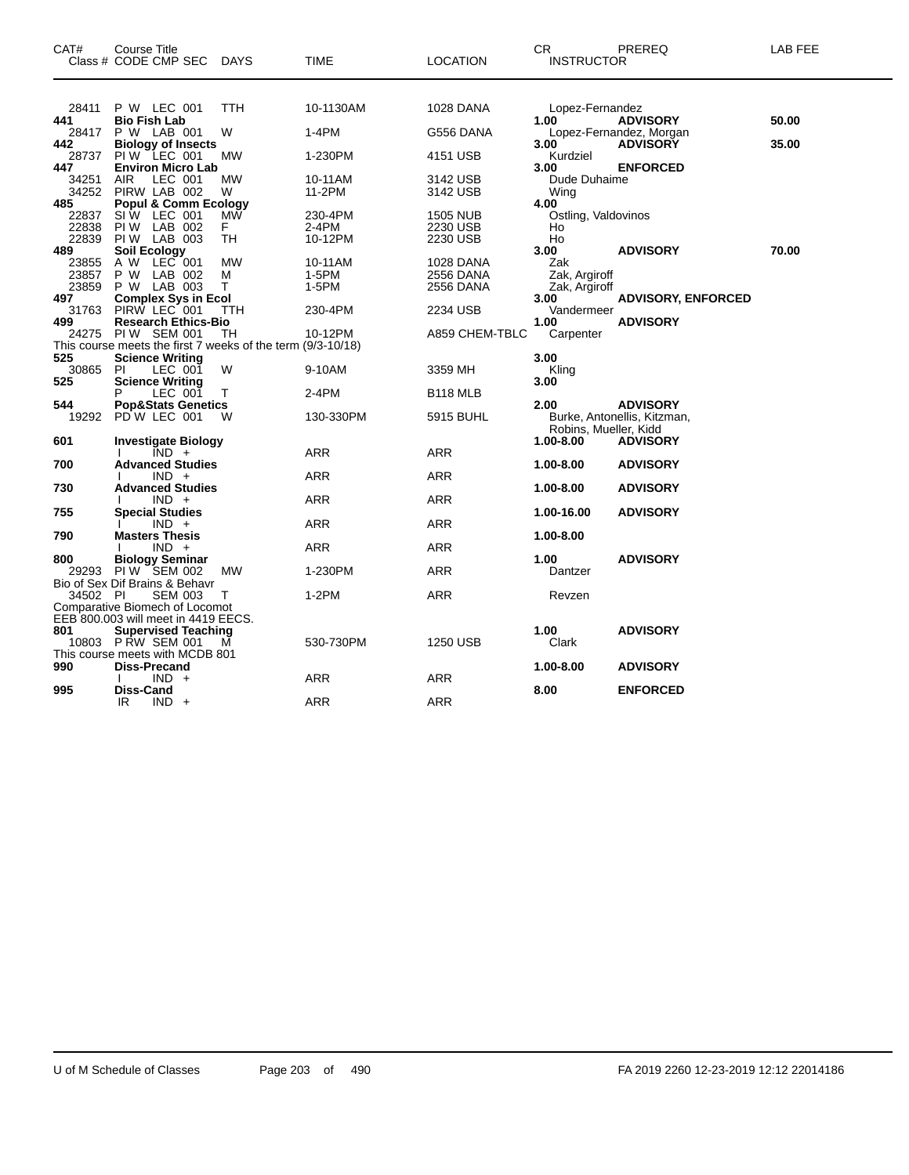| CAT#           | Course Title<br>Class # CODE CMP SEC                        | <b>DAYS</b> | TIME       | LOCATION                    | CR<br><b>INSTRUCTOR</b>   | PREREQ                      | LAB FEE |
|----------------|-------------------------------------------------------------|-------------|------------|-----------------------------|---------------------------|-----------------------------|---------|
|                |                                                             |             |            |                             |                           |                             |         |
| 28411<br>441   | P W LEC 001<br><b>Bio Fish Lab</b>                          | TTH         | 10-1130AM  | 1028 DANA                   | Lopez-Fernandez<br>1.00   | <b>ADVISORY</b>             | 50.00   |
| 28417          | P W LAB 001                                                 | W           | 1-4PM      | G556 DANA                   |                           | Lopez-Fernandez, Morgan     |         |
| 442            | <b>Biology of Insects</b>                                   |             |            |                             | 3.00                      | <b>ADVISORY</b>             | 35.00   |
| 28737          | PIW LEC 001                                                 | <b>MW</b>   | 1-230PM    | 4151 USB                    | Kurdziel                  |                             |         |
| 447            | <b>Environ Micro Lab</b>                                    |             |            |                             | 3.00                      | <b>ENFORCED</b>             |         |
| 34251          | LEC 001<br><b>AIR</b>                                       | MW          | 10-11AM    | 3142 USB                    | Dude Duhaime              |                             |         |
| 34252<br>485   | PIRW LAB 002                                                | W           | 11-2PM     | 3142 USB                    | Wing                      |                             |         |
|                | <b>Popul &amp; Comm Ecology</b><br>SIW LEC 001              | MW          | 230-4PM    |                             | 4.00                      |                             |         |
| 22837<br>22838 | PIW LAB 002                                                 | F.          | 2-4PM      | <b>1505 NUB</b><br>2230 USB | Ostling, Valdovinos<br>Ho |                             |         |
| 22839          | PIW LAB 003                                                 | TН          | 10-12PM    | 2230 USB                    | Ho                        |                             |         |
| 489            | <b>Soil Ecology</b>                                         |             |            |                             | 3.00                      | <b>ADVISORY</b>             | 70.00   |
| 23855          | A W LEC 001                                                 | МW          | 10-11AM    | 1028 DANA                   | Zak                       |                             |         |
| 23857          | P W LAB 002                                                 | М           | 1-5PM      | 2556 DANA                   | Zak, Argiroff             |                             |         |
| 23859          | P W LAB 003                                                 | т           | 1-5PM      | 2556 DANA                   | Zak, Argiroff             |                             |         |
| 497            | <b>Complex Sys in Ecol</b>                                  |             |            |                             | 3.00                      | <b>ADVISORY, ENFORCED</b>   |         |
| 31763          | PIRW LEC 001                                                | TTH         | 230-4PM    | 2234 USB                    | Vandermeer                |                             |         |
| 499            | <b>Research Ethics-Bio</b>                                  |             |            |                             | 1.00                      | <b>ADVISORY</b>             |         |
| 24275          | PIW SEM 001                                                 | TН          | 10-12PM    | A859 CHEM-TBLC              | Carpenter                 |                             |         |
|                | This course meets the first 7 weeks of the term (9/3-10/18) |             |            |                             |                           |                             |         |
| 525            | <b>Science Writing</b>                                      |             |            |                             | 3.00                      |                             |         |
| 30865          | PI.<br>LEC 001                                              | W           | 9-10AM     | 3359 MH                     | Kling                     |                             |         |
| 525            | <b>Science Writing</b>                                      |             |            |                             | 3.00                      |                             |         |
| 544            | LEC 001<br><b>Pop&amp;Stats Genetics</b>                    | т           | 2-4PM      | B <sub>118</sub> MLB        | 2.00                      | <b>ADVISORY</b>             |         |
| 19292          | PDW LEC 001                                                 | W           | 130-330PM  | 5915 BUHL                   |                           | Burke, Antonellis, Kitzman, |         |
|                |                                                             |             |            |                             | Robins, Mueller, Kidd     |                             |         |
| 601            | <b>Investigate Biology</b>                                  |             |            |                             | 1.00-8.00                 | <b>ADVISORY</b>             |         |
|                | $\overline{IND}$ +                                          |             | ARR        | <b>ARR</b>                  |                           |                             |         |
| 700            | <b>Advanced Studies</b>                                     |             |            |                             | 1.00-8.00                 | <b>ADVISORY</b>             |         |
|                | $IND +$                                                     |             | ARR        | <b>ARR</b>                  |                           |                             |         |
| 730            | <b>Advanced Studies</b>                                     |             |            |                             | 1.00-8.00                 | <b>ADVISORY</b>             |         |
|                | $IND +$                                                     |             | <b>ARR</b> | ARR                         |                           |                             |         |
| 755            | <b>Special Studies</b>                                      |             |            |                             | 1.00-16.00                | <b>ADVISORY</b>             |         |
|                | $IND +$                                                     |             | <b>ARR</b> | <b>ARR</b>                  |                           |                             |         |
| 790            | <b>Masters Thesis</b>                                       |             |            |                             | 1.00-8.00                 |                             |         |
|                | $IND +$                                                     |             | ARR        | ARR                         |                           |                             |         |
| 800            | <b>Biology Seminar</b><br>PIW SEM 002                       |             |            | ARR                         | 1.00                      | <b>ADVISORY</b>             |         |
| 29293          | Bio of Sex Dif Brains & Behavr                              | <b>MW</b>   | 1-230PM    |                             | Dantzer                   |                             |         |
| 34502 PI       | <b>SEM 003</b>                                              | т           | $1-2PM$    | ARR                         | Revzen                    |                             |         |
|                | Comparative Biomech of Locomot                              |             |            |                             |                           |                             |         |
|                | EEB 800.003 will meet in 4419 EECS.                         |             |            |                             |                           |                             |         |
| 801            | <b>Supervised Teaching</b>                                  |             |            |                             | 1.00                      | <b>ADVISORY</b>             |         |
|                | 10803 PRW SEM 001                                           | м           | 530-730PM  | 1250 USB                    | Clark                     |                             |         |
|                | This course meets with MCDB 801                             |             |            |                             |                           |                             |         |
| 990            | Diss-Precand                                                |             |            |                             | 1.00-8.00                 | <b>ADVISORY</b>             |         |
|                | $IND +$                                                     |             | ARR        | ARR                         |                           |                             |         |
| 995            | Diss-Cand                                                   |             |            |                             | 8.00                      | <b>ENFORCED</b>             |         |
|                | IR<br>$IND +$                                               |             | <b>ARR</b> | <b>ARR</b>                  |                           |                             |         |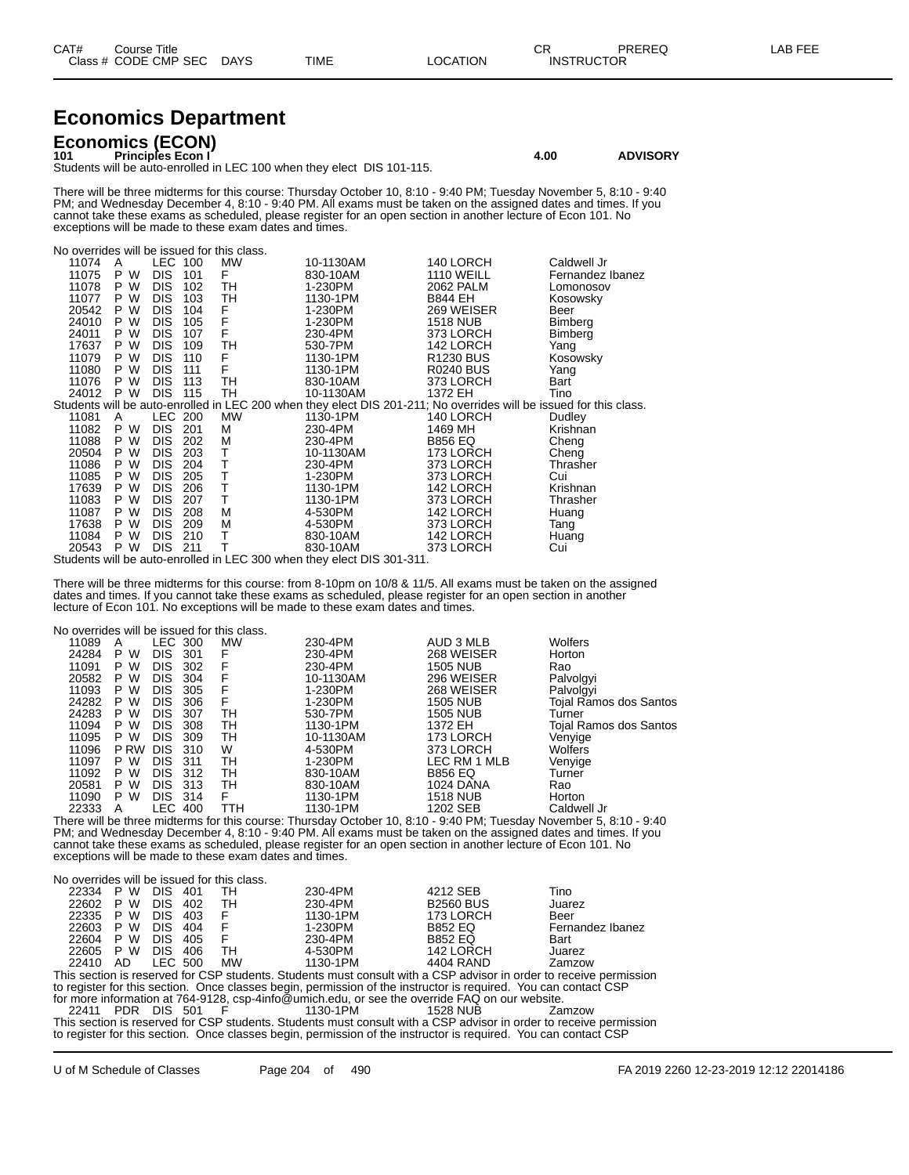| CAT# | Title<br>Course      |             |             |                 | CR | PREREQ            | AB FEE |
|------|----------------------|-------------|-------------|-----------------|----|-------------------|--------|
|      | Class # CODE CMP SEC | <b>DAYS</b> | <b>TIME</b> | <b>LOCATION</b> |    | <b>INSTRUCTOR</b> |        |

# **Economics Department**

**Economics (ECON) 101 Principles Econ I 4.00 ADVISORY**

Students will be auto-enrolled in LEC 100 when they elect DIS 101-115.

There will be three midterms for this course: Thursday October 10, 8:10 - 9:40 PM; Tuesday November 5, 8:10 - 9:40 PM; and Wednesday December 4, 8:10 - 9:40 PM. All exams must be taken on the assigned dates and times. If you cannot take these exams as scheduled, please register for an open section in another lecture of Econ 101. No exceptions will be made to these exam dates and times.

| No overrides will be issued for this class. |         |            |     |    |                                                                                                                    |                       |                  |
|---------------------------------------------|---------|------------|-----|----|--------------------------------------------------------------------------------------------------------------------|-----------------------|------------------|
| 11074                                       | A       | LEC 100    |     | MW | 10-1130AM                                                                                                          | 140 LORCH             | Caldwell Jr      |
| 11075                                       | P<br>W  | <b>DIS</b> | 101 | F  | 830-10AM                                                                                                           | <b>1110 WEILL</b>     | Fernandez Ibanez |
| 11078                                       | P.<br>W | <b>DIS</b> | 102 | TН | 1-230PM                                                                                                            | 2062 PALM             | Lomonosov        |
| 11077                                       | P W     | <b>DIS</b> | 103 | TН | 1130-1PM                                                                                                           | <b>B844 EH</b>        | Kosowsky         |
| 20542                                       | P W     | <b>DIS</b> | 104 | F  | 1-230PM                                                                                                            | 269 WEISER            | Beer             |
| 24010                                       | P<br>W  | <b>DIS</b> | 105 | F  | 1-230PM                                                                                                            | 1518 NUB              | <b>Bimberg</b>   |
| 24011                                       | P W     | <b>DIS</b> | 107 | F  | 230-4PM                                                                                                            | 373 LORCH             | Bimberg          |
| 17637                                       | P W     | <b>DIS</b> | 109 | TН | 530-7PM                                                                                                            | 142 LORCH             | Yang             |
| 11079                                       | P W     | <b>DIS</b> | 110 | F  | 1130-1PM                                                                                                           | R <sub>1230</sub> BUS | Kosowsky         |
| 11080                                       | P.<br>W | <b>DIS</b> | 111 | F  | 1130-1PM                                                                                                           | <b>R0240 BUS</b>      | Yang             |
| 11076                                       | P W     | <b>DIS</b> | 113 | TH | 830-10AM                                                                                                           | 373 LORCH             | Bart             |
| 24012                                       | P W     | <b>DIS</b> | 115 | TH | 10-1130AM                                                                                                          | 1372 EH               | Tino             |
|                                             |         |            |     |    | Students will be auto-enrolled in LEC 200 when they elect DIS 201-211; No overrides will be issued for this class. |                       |                  |
| 11081                                       | A       | LEC 200    |     | MW | 1130-1PM                                                                                                           | 140 LORCH             | Dudley           |
| 11082                                       | P W     | DIS.       | 201 | М  | 230-4PM                                                                                                            | 1469 MH               | Krishnan         |
| 11088                                       | P.<br>W | <b>DIS</b> | 202 | M  | 230-4PM                                                                                                            | <b>B856 EQ</b>        | Cheng            |
| 20504                                       | P W     | <b>DIS</b> | 203 | т  | 10-1130AM                                                                                                          | 173 LORCH             | Cheng            |
| 11086                                       | P W     | <b>DIS</b> | 204 | т  | 230-4PM                                                                                                            | 373 LORCH             | Thrasher         |
| 11085                                       | P.<br>W | <b>DIS</b> | 205 | т  | 1-230PM                                                                                                            | 373 LORCH             | Cui              |
| 17639                                       | P W     | <b>DIS</b> | 206 | T  | 1130-1PM                                                                                                           | 142 LORCH             | Krishnan         |
| 11083                                       | P<br>W  | <b>DIS</b> | 207 | т  | 1130-1PM                                                                                                           | 373 LORCH             | Thrasher         |
| 11087                                       | P W     | <b>DIS</b> | 208 | M  | 4-530PM                                                                                                            | 142 LORCH             | Huang            |
| 17638                                       | P W     | <b>DIS</b> | 209 | M  | 4-530PM                                                                                                            | 373 LORCH             | Tang             |
| 11084                                       | W<br>P  | <b>DIS</b> | 210 | Т  | 830-10AM                                                                                                           | 142 LORCH             | Huang            |
| 20543                                       | P W     | <b>DIS</b> | 211 | т  | 830-10AM                                                                                                           | 373 LORCH             | Cui              |
|                                             |         |            |     |    | Students will be auto-enrolled in LEC 300 when they elect DIS 301-311.                                             |                       |                  |

There will be three midterms for this course: from 8-10pm on 10/8 & 11/5. All exams must be taken on the assigned dates and times. If you cannot take these exams as scheduled, please register for an open section in another lecture of Econ 101. No exceptions will be made to these exam dates and times.

No overrides will be issued for this class.

| 11089 | A           | LEC 300    |       | <b>MW</b> | 230-4PM   | AUD 3 MLB       | <b>Wolfers</b>         |
|-------|-------------|------------|-------|-----------|-----------|-----------------|------------------------|
| 24284 | P<br>W      | <b>DIS</b> | 301   | F         | 230-4PM   | 268 WEISER      | Horton                 |
| 11091 | w<br>P.     | <b>DIS</b> | 302   | F         | 230-4PM   | <b>1505 NUB</b> | Rao                    |
| 20582 | W<br>P.     | <b>DIS</b> | 304   | F         | 10-1130AM | 296 WEISER      | Palvolgyi              |
| 11093 | w<br>P.     | <b>DIS</b> | 305   | F         | 1-230PM   | 268 WEISER      | Palvolgyi              |
| 24282 | W<br>P      | <b>DIS</b> | 306   | F         | 1-230PM   | <b>1505 NUB</b> | Tojal Ramos dos Santos |
| 24283 | w<br>P.     | <b>DIS</b> | -307  | TН        | 530-7PM   | <b>1505 NUB</b> | Turner                 |
| 11094 | P W         | DIS.       | 308   | TН        | 1130-1PM  | 1372 EH         | Tojal Ramos dos Santos |
| 11095 | P W         | DIS.       | 309   | TН        | 10-1130AM | 173 LORCH       | Venyige                |
| 11096 | <b>P RW</b> | <b>DIS</b> | 310   | W         | 4-530PM   | 373 LORCH       | <b>Wolfers</b>         |
| 11097 | P W         | <b>DIS</b> | -311  | TН        | 1-230PM   | LEC RM 1 MLB    | Venyige                |
| 11092 | P W         | DIS.       | -312  | TН        | 830-10AM  | <b>B856 EQ</b>  | Turner                 |
| 20581 | w<br>P      | DIS.       | - 313 | TН        | 830-10AM  | 1024 DANA       | Rao                    |
| 11090 | P W         | DIS.       | - 314 | F         | 1130-1PM  | <b>1518 NUB</b> | Horton                 |
| 22333 | Α           | LEC 400    |       | ттн       | 1130-1PM  | 1202 SEB        | Caldwell Jr            |
|       |             |            |       |           |           |                 | $\sim$ $\sim$          |

There will be three midterms for this course: Thursday October 10, 8:10 - 9:40 PM; Tuesday November 5, 8:10 - 9:40 PM; and Wednesday December 4, 8:10 - 9:40 PM. All exams must be taken on the assigned dates and times. If you cannot take these exams as scheduled, please register for an open section in another lecture of Econ 101. No exceptions will be made to these exam dates and times.

|           | No overrides will be issued for this class.                                                                        |            |     |           |          |                                                                                             |                  |  |  |  |
|-----------|--------------------------------------------------------------------------------------------------------------------|------------|-----|-----------|----------|---------------------------------------------------------------------------------------------|------------------|--|--|--|
| 22334     | P W                                                                                                                | DIS.       | 401 | тн        | 230-4PM  | 4212 SEB                                                                                    | Tino             |  |  |  |
| 22602     | P W                                                                                                                | DIS.       | 402 | - тн      | 230-4PM  | <b>B2560 BUS</b>                                                                            | Juarez           |  |  |  |
| 22335 P W |                                                                                                                    | DIS.       | 403 |           | 1130-1PM | 173 LORCH                                                                                   | Beer             |  |  |  |
| 22603     | P W                                                                                                                | DIS.       | 404 |           | 1-230PM  | <b>B852 EQ</b>                                                                              | Fernandez Ibanez |  |  |  |
| 22604 P W |                                                                                                                    | <b>DIS</b> | 405 | F         | 230-4PM  | <b>B852 EQ</b>                                                                              | Bart             |  |  |  |
| 22605 P W |                                                                                                                    | DIS.       | 406 | - тн      | 4-530PM  | 142 LORCH                                                                                   | Juarez           |  |  |  |
| 22410 AD  |                                                                                                                    | LEC 500    |     | <b>MW</b> | 1130-1PM | 4404 RAND                                                                                   | Zamzow           |  |  |  |
|           | This section is reserved for CSP students. Students must consult with a CSP advisor in order to receive permission |            |     |           |          |                                                                                             |                  |  |  |  |
|           | to register for this section. Once classes begin, permission of the instructor is required. You can contact CSP    |            |     |           |          |                                                                                             |                  |  |  |  |
|           |                                                                                                                    |            |     |           |          | for more information at 701,0100, can finfo@umiah adu argae the override FAO en quruushoita |                  |  |  |  |

for more information at 764-9128, csp-4info@umich.edu, or see the override FAQ on our website. PDR DIS 501 F 1130-1PM 1528 NUB Zamzow This section is reserved for CSP students. Students must consult with a CSP advisor in order to receive permission

to register for this section. Once classes begin, permission of the instructor is required. You can contact CSP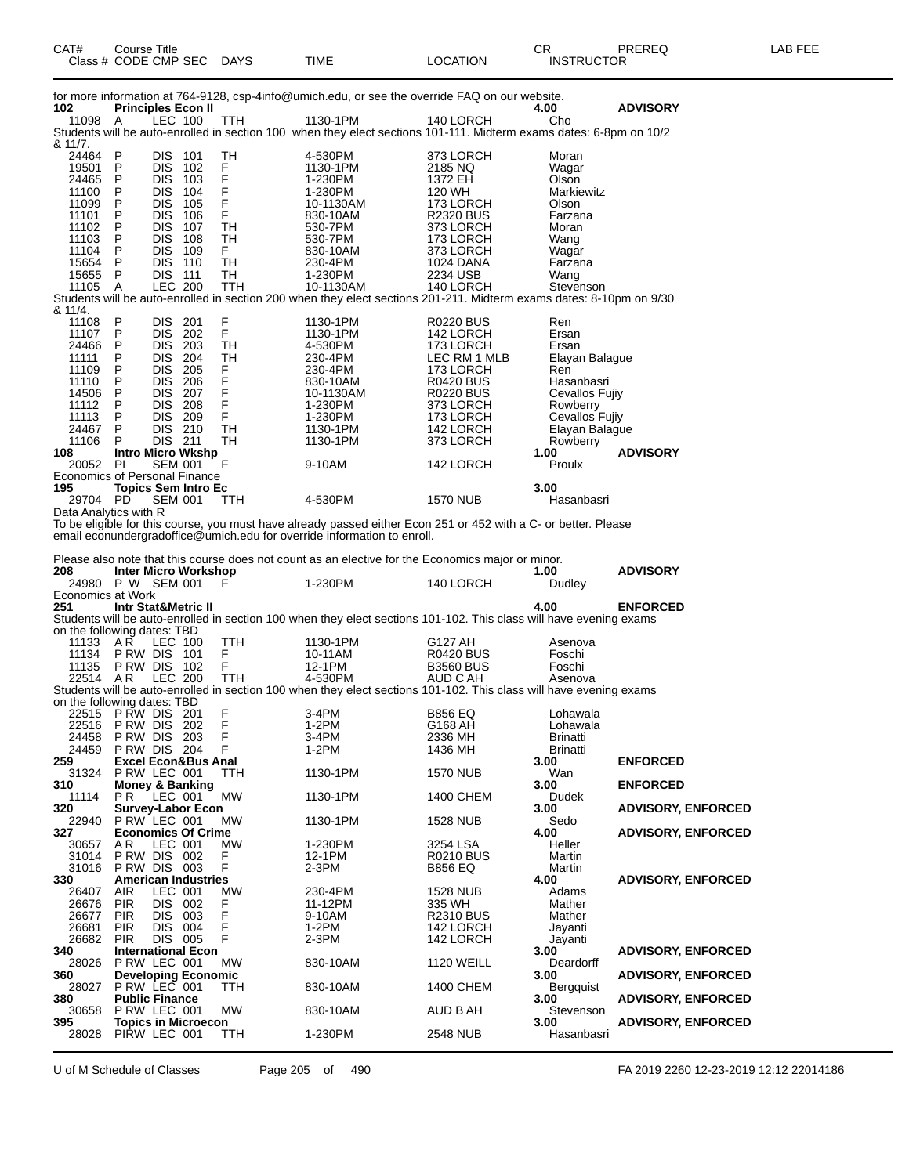| Class # CODE CMP SEC                   |                                               |                              |       | DAYS                         | TIME                                                                                                                             | LOCATION                      | <b>INSTRUCTOR</b>                |                           |
|----------------------------------------|-----------------------------------------------|------------------------------|-------|------------------------------|----------------------------------------------------------------------------------------------------------------------------------|-------------------------------|----------------------------------|---------------------------|
|                                        |                                               |                              |       |                              | for more information at 764-9128, csp-4info@umich.edu, or see the override FAQ on our website.                                   |                               |                                  |                           |
| 102                                    | <b>Principles Econ II</b>                     | LEC 100                      |       |                              |                                                                                                                                  | 140 LORCH                     | 4.00                             | <b>ADVISORY</b>           |
| 11098                                  | A                                             |                              |       | TTH                          | 1130-1PM<br>Students will be auto-enrolled in section 100 when they elect sections 101-111. Midterm exams dates: 6-8pm on 10/2   |                               | Cho                              |                           |
| & 11/7.                                |                                               |                              |       |                              |                                                                                                                                  |                               |                                  |                           |
| 24464 P<br>19501                       | P                                             | DIS 101<br><b>DIS</b>        | 102   | TН<br>F                      | 4-530PM<br>1130-1PM                                                                                                              | 373 LORCH<br>2185 NQ          | Moran<br>Wagar                   |                           |
| 24465                                  | P                                             | DIS.                         | 103   | F<br>F                       | 1-230PM                                                                                                                          | 1372 EH                       | Olson                            |                           |
| 11100                                  | P                                             | <b>DIS 104</b><br><b>DIS</b> |       | F                            | 1-230PM                                                                                                                          | 120 WH                        | Markiewitz                       |                           |
| 11099<br>11101                         | P<br>P                                        | DIS 106                      | - 105 | $\mathsf F$                  | 10-1130AM<br>830-10AM                                                                                                            | 173 LORCH<br><b>R2320 BUS</b> | Olson<br>Farzana                 |                           |
| 11102                                  | Ρ                                             | DIS.                         | - 107 | TH                           | 530-7PM                                                                                                                          | 373 LORCH                     | Moran                            |                           |
| 11103<br>11104                         | P<br>P                                        | DIS.<br><b>DIS 109</b>       | 108   | TН<br>F.                     | 530-7PM<br>830-10AM                                                                                                              | 173 LORCH<br>373 LORCH        | Wang<br>Wagar                    |                           |
| 15654                                  | P                                             | <b>DIS 110</b>               |       | TН                           | 230-4PM                                                                                                                          | 1024 DANA                     | Farzana                          |                           |
| 15655                                  | P                                             | <b>DIS 111</b>               |       | TН                           | 1-230PM                                                                                                                          | 2234 USB                      | Wang                             |                           |
| 11105                                  | A                                             | <b>LEC 200</b>               |       | TTH                          | 10-1130AM<br>Students will be auto-enrolled in section 200 when they elect sections 201-211. Midterm exams dates: 8-10pm on 9/30 | 140 LORCH                     | Stevenson                        |                           |
| & 11/4.                                |                                               |                              |       |                              |                                                                                                                                  |                               |                                  |                           |
| 11108<br>11107                         | P<br>P                                        | DIS -<br>DIS 202             | 201   | $_{\mathsf{F}}^{\mathsf{F}}$ | 1130-1PM<br>1130-1PM                                                                                                             | <b>R0220 BUS</b><br>142 LORCH | Ren<br>Ersan                     |                           |
| 24466                                  | P                                             | DIS 203                      |       | TН                           | 4-530PM                                                                                                                          | 173 LORCH                     | Ersan                            |                           |
| 11111                                  | P                                             | DIS -                        | 204   | TН                           | 230-4PM                                                                                                                          | LEC RM 1 MLB                  | Elayan Balague                   |                           |
| 11109<br>11110                         | Ρ<br>P                                        | <b>DIS 205</b><br>DIS 206    |       | F<br>F                       | 230-4PM<br>830-10AM                                                                                                              | 173 LORCH<br><b>R0420 BUS</b> | Ren<br>Hasanbasri                |                           |
| 14506                                  | P                                             | DIS 207                      |       | F                            | 10-1130AM                                                                                                                        | <b>R0220 BUS</b>              | Cevallos Fujiy                   |                           |
| 11112                                  | P                                             | <b>DIS 208</b>               |       | F                            | 1-230PM                                                                                                                          | 373 LORCH                     | Rowberry                         |                           |
| 11113<br>24467                         | P<br>P                                        | DIS 209<br>DIS 210           |       | F<br><b>TH</b>               | 1-230PM<br>1130-1PM                                                                                                              | 173 LORCH<br>142 LORCH        | Cevallos Fujiy<br>Elayan Balague |                           |
| 11106                                  | P                                             | DIS 211                      |       | TН                           | 1130-1PM                                                                                                                         | 373 LORCH                     | Rowberry                         |                           |
| 108                                    | <b>Intro Micro Wkshp</b>                      |                              |       |                              |                                                                                                                                  |                               | 1.00                             | <b>ADVISORY</b>           |
| 20052<br>Economics of Personal Finance | PI                                            | <b>SEM 001</b>               |       | F                            | 9-10AM                                                                                                                           | 142 LORCH                     | Proulx                           |                           |
| 195                                    | <b>Topics Sem Intro Ec</b>                    |                              |       |                              |                                                                                                                                  |                               | 3.00                             |                           |
| 29704 PD<br>Data Analytics with R      |                                               | <b>SEM 001</b>               |       | <b>TTH</b>                   | 4-530PM                                                                                                                          | <b>1570 NUB</b>               | Hasanbasri                       |                           |
|                                        |                                               |                              |       |                              | To be eligible for this course, you must have already passed either Econ 251 or 452 with a C- or better. Please                  |                               |                                  |                           |
|                                        |                                               |                              |       |                              | email econundergradoffice@umich.edu for override information to enroll.                                                          |                               |                                  |                           |
|                                        |                                               |                              |       |                              | Please also note that this course does not count as an elective for the Economics major or minor.                                |                               |                                  |                           |
| 208                                    | <b>Inter Micro Workshop</b>                   |                              |       |                              |                                                                                                                                  |                               | 1.00                             | <b>ADVISORY</b>           |
| 24980 P W SEM 001<br>Economics at Work |                                               |                              |       | F                            | 1-230PM                                                                                                                          | 140 LORCH                     | Dudley                           |                           |
| 251                                    | <b>Intr Stat&amp;Metric II</b>                |                              |       |                              |                                                                                                                                  |                               | 4.00                             | <b>ENFORCED</b>           |
|                                        |                                               |                              |       |                              | Students will be auto-enrolled in section 100 when they elect sections 101-102. This class will have evening exams               |                               |                                  |                           |
| on the following dates: TBD<br>11133   | AR                                            | LEC 100                      |       | TTH                          | 1130-1PM                                                                                                                         | G127 AH                       | Asenova                          |                           |
| 11134                                  | <b>P RW DIS 101</b>                           |                              |       | F                            | 10-11AM                                                                                                                          | <b>R0420 BUS</b>              | Foschi                           |                           |
| 11135<br>22514 AR                      | PRW DIS 102                                   | <b>LEC 200</b>               |       | F<br><b>TTH</b>              | 12-1PM<br>4-530PM                                                                                                                | <b>B3560 BUS</b><br>AUD C AH  | Foschi<br>Asenova                |                           |
|                                        |                                               |                              |       |                              | Students will be auto-enrolled in section 100 when they elect sections 101-102. This class will have evening exams               |                               |                                  |                           |
| on the following dates: TBD            |                                               |                              |       |                              |                                                                                                                                  |                               |                                  |                           |
| 22515 PRW DIS 201<br>22516             | PRW DIS 202                                   |                              |       | F<br>F.                      | $3-4PM$<br>1-2PM                                                                                                                 | <b>B856 EQ</b><br>G168 AH     | Lohawala<br>Lohawala             |                           |
| 24458                                  | <b>P RW DIS 203</b>                           |                              |       | F                            | 3-4PM                                                                                                                            | 2336 MH                       | Brinatti                         |                           |
| 24459                                  | PRW DIS 204<br><b>Excel Econ&amp;Bus Anal</b> |                              |       | F                            | 1-2PM                                                                                                                            | 1436 MH                       | <b>Brinatti</b>                  |                           |
| 259<br>31324                           | P RW LEC 001                                  |                              |       | TTH                          | 1130-1PM                                                                                                                         | <b>1570 NUB</b>               | 3.00<br>Wan                      | <b>ENFORCED</b>           |
| 310                                    | <b>Money &amp; Banking</b>                    |                              |       |                              |                                                                                                                                  |                               | 3.00                             | <b>ENFORCED</b>           |
| 11114<br>320                           | PR.<br><b>Survey-Labor Econ</b>               | LEC 001                      |       | <b>MW</b>                    | 1130-1PM                                                                                                                         | 1400 CHEM                     | Dudek<br>3.00                    | <b>ADVISORY, ENFORCED</b> |
| 22940                                  | P RW LEC 001                                  |                              |       | <b>MW</b>                    | 1130-1PM                                                                                                                         | <b>1528 NUB</b>               | Sedo                             |                           |
| 327                                    | <b>Economics Of Crime</b>                     |                              |       |                              |                                                                                                                                  |                               | 4.00                             | <b>ADVISORY, ENFORCED</b> |
| 30657<br>31014                         | AR.<br>PRW DIS 002                            | LEC 001                      |       | <b>MW</b><br>F               | 1-230PM<br>12-1PM                                                                                                                | 3254 LSA<br><b>R0210 BUS</b>  | Heller<br>Martin                 |                           |
| 31016                                  | PRW DIS 003                                   |                              |       | F                            | $2-3PM$                                                                                                                          | <b>B856 EQ</b>                | Martin                           |                           |
| 330                                    | <b>American Industries</b>                    |                              |       |                              |                                                                                                                                  |                               | 4.00                             | <b>ADVISORY, ENFORCED</b> |
| 26407<br>26676                         | <b>AIR</b><br><b>PIR</b>                      | LEC 001<br>DIS 002           |       | MW<br>F                      | 230-4PM<br>11-12PM                                                                                                               | 1528 NUB<br>335 WH            | Adams<br>Mather                  |                           |
| 26677                                  | <b>PIR</b>                                    | DIS 003                      |       | F                            | 9-10AM                                                                                                                           | <b>R2310 BUS</b>              | Mather                           |                           |
| 26681                                  | <b>PIR</b>                                    | DIS 004                      |       | F<br>F                       | 1-2PM                                                                                                                            | 142 LORCH                     | Jayanti                          |                           |
| 26682<br>340                           | <b>PIR</b><br><b>International Econ</b>       | DIS 005                      |       |                              | $2-3PM$                                                                                                                          | 142 LORCH                     | Jayanti<br>3.00                  | <b>ADVISORY, ENFORCED</b> |
| 28026                                  | P RW LEC 001                                  |                              |       | MW                           | 830-10AM                                                                                                                         | <b>1120 WEILL</b>             | Deardorff                        |                           |
| 360<br>28027                           | <b>Developing Economic</b><br>PRW LEC 001     |                              |       | ттн                          | 830-10AM                                                                                                                         | 1400 CHEM                     | 3.00<br>Bergquist                | <b>ADVISORY, ENFORCED</b> |
| 380                                    | <b>Public Finance</b>                         |                              |       |                              |                                                                                                                                  |                               | 3.00                             | <b>ADVISORY, ENFORCED</b> |
| 30658                                  | PRW LEC 001                                   |                              |       | МW                           | 830-10AM                                                                                                                         | AUD B AH                      | Stevenson                        |                           |
| 395                                    | <b>Topics in Microecon</b>                    |                              |       |                              |                                                                                                                                  |                               | 3.00                             | <b>ADVISORY, ENFORCED</b> |
| 28028                                  | PIRW LEC 001                                  |                              |       | <b>TTH</b>                   | 1-230PM                                                                                                                          | 2548 NUB                      | Hasanbasri                       |                           |

CAT# Course Title Case CR PREREQ LAB FEE

U of M Schedule of Classes Page 205 of 490 FA 2019 2260 12-23-2019 12:12 22014186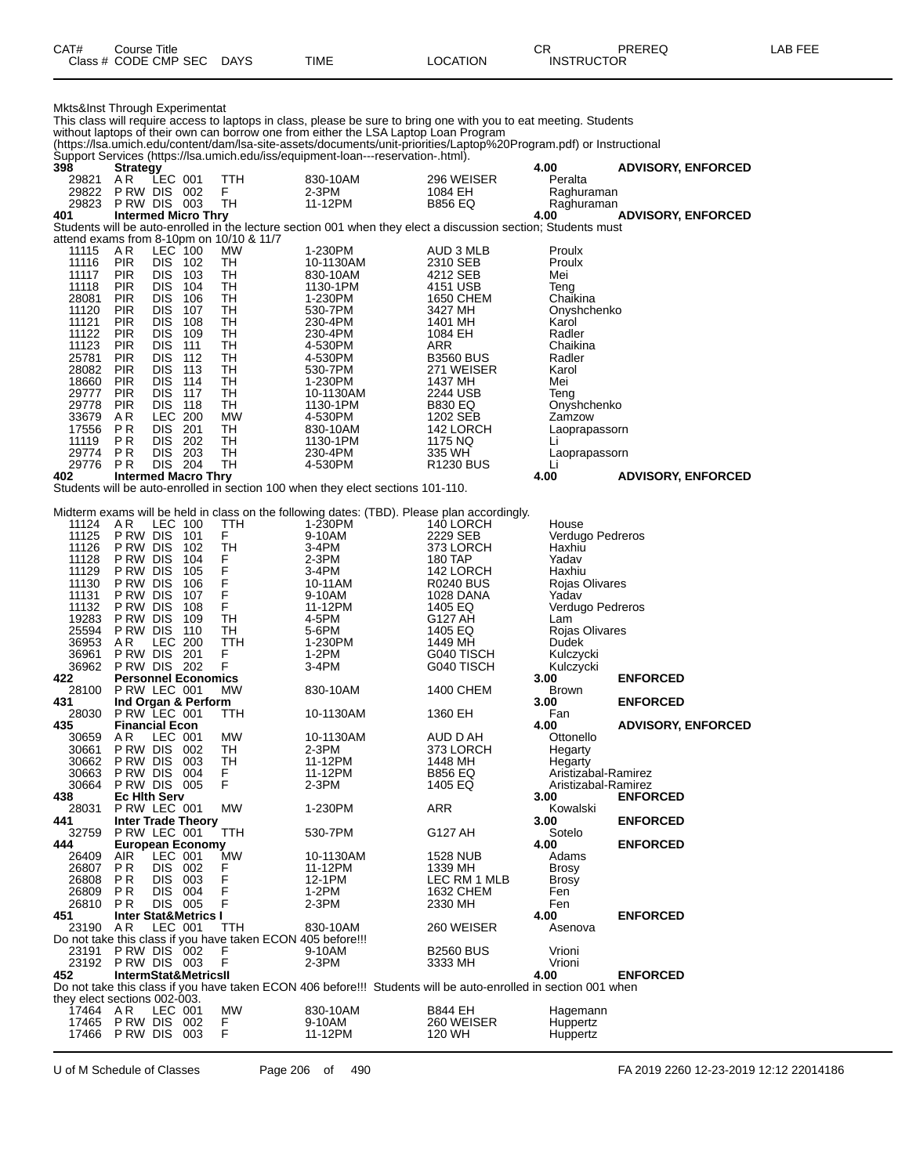| CAT# | Course Title              |      |          | СR                | PREREQ | LAB FEE |
|------|---------------------------|------|----------|-------------------|--------|---------|
|      | Class # CODE CMP SEC DAYS | TIME | LOCATION | <b>INSTRUCTOR</b> |        |         |

| Mkts&Inst Through Experimentat |                                     |                          |                                 |                                                             |                                                                                                                                                                                                          |                               |                            |                           |
|--------------------------------|-------------------------------------|--------------------------|---------------------------------|-------------------------------------------------------------|----------------------------------------------------------------------------------------------------------------------------------------------------------------------------------------------------------|-------------------------------|----------------------------|---------------------------|
|                                |                                     |                          |                                 |                                                             | This class will require access to laptops in class, please be sure to bring one with you to eat meeting. Students<br>without laptops of their own can borrow one from either the LSA Laptop Loan Program |                               |                            |                           |
|                                |                                     |                          |                                 |                                                             | (https://lsa.umich.edu/content/dam/lsa-site-assets/documents/unit-priorities/Laptop%20Program.pdf) or Instructional                                                                                      |                               |                            |                           |
| 398                            | <b>Strategy</b>                     |                          |                                 |                                                             | Support Services (https://lsa.umich.edu/iss/equipment-loan---reservation-.html).                                                                                                                         |                               | 4.00                       | <b>ADVISORY, ENFORCED</b> |
| 29821                          | ΑR                                  | LEC 001                  |                                 | ттн                                                         | 830-10AM                                                                                                                                                                                                 | 296 WEISER                    | Peralta                    |                           |
| 29822                          | PRW DIS 002                         |                          |                                 | F                                                           | $2-3PM$                                                                                                                                                                                                  | 1084 EH                       | Raghuraman                 |                           |
| 29823<br>401                   | PRW DIS 003                         |                          | <b>Intermed Micro Thry</b>      | TН                                                          | 11-12PM                                                                                                                                                                                                  | <b>B856 EQ</b>                | Raghuraman<br>4.00         |                           |
|                                |                                     |                          |                                 |                                                             | Students will be auto-enrolled in the lecture section 001 when they elect a discussion section; Students must                                                                                            |                               |                            | <b>ADVISORY, ENFORCED</b> |
|                                |                                     |                          |                                 | attend exams from 8-10pm on 10/10 & 11/7                    |                                                                                                                                                                                                          |                               |                            |                           |
| 11115                          | AR.                                 | LEC 100                  |                                 | MW                                                          | 1-230PM                                                                                                                                                                                                  | AUD 3 MLB                     | Proulx                     |                           |
| 11116<br>11117                 | <b>PIR</b><br><b>PIR</b>            | DIS<br><b>DIS</b>        | 102<br>103                      | TН<br>TН                                                    | 10-1130AM<br>830-10AM                                                                                                                                                                                    | 2310 SEB<br>4212 SEB          | Proulx<br>Mei              |                           |
| 11118                          | <b>PIR</b>                          | <b>DIS</b>               | 104                             | TН                                                          | 1130-1PM                                                                                                                                                                                                 | 4151 USB                      | Teng                       |                           |
| 28081                          | <b>PIR</b>                          | <b>DIS</b>               | 106                             | TН                                                          | 1-230PM                                                                                                                                                                                                  | 1650 CHEM                     | Chaikina                   |                           |
| 11120<br>11121                 | <b>PIR</b><br><b>PIR</b>            | <b>DIS</b><br><b>DIS</b> | 107<br>108                      | TН<br>TН                                                    | 530-7PM<br>230-4PM                                                                                                                                                                                       | 3427 MH<br>1401 MH            | Onyshchenko<br>Karol       |                           |
| 11122                          | <b>PIR</b>                          | <b>DIS</b>               | 109                             | TН                                                          | 230-4PM                                                                                                                                                                                                  | 1084 EH                       | Radler                     |                           |
| 11123                          | <b>PIR</b>                          | <b>DIS</b>               | 111                             | TН                                                          | 4-530PM                                                                                                                                                                                                  | ARR                           | Chaikina                   |                           |
| 25781<br>28082                 | <b>PIR</b><br>PIR                   | <b>DIS</b><br><b>DIS</b> | 112<br>113                      | TН<br>TН                                                    | 4-530PM                                                                                                                                                                                                  | <b>B3560 BUS</b>              | Radler<br>Karol            |                           |
| 18660                          | PIR                                 | <b>DIS</b>               | 114                             | TН                                                          | 530-7PM<br>1-230PM                                                                                                                                                                                       | 271 WEISER<br>1437 MH         | Mei                        |                           |
| 29777                          | <b>PIR</b>                          | <b>DIS</b>               | 117                             | TН                                                          | 10-1130AM                                                                                                                                                                                                | 2244 USB                      | Teng                       |                           |
| 29778                          | PIR                                 | <b>DIS</b>               | 118                             | TН                                                          | 1130-1PM                                                                                                                                                                                                 | <b>B830 EQ</b>                | Onyshchenko                |                           |
| 33679<br>17556                 | AR<br>P R                           | LEC.<br><b>DIS</b>       | 200<br>201                      | <b>MW</b><br>TН                                             | 4-530PM<br>830-10AM                                                                                                                                                                                      | 1202 SEB<br>142 LORCH         | Zamzow                     |                           |
| 11119                          | РR                                  | <b>DIS</b>               | 202                             | TН                                                          | 1130-1PM                                                                                                                                                                                                 | 1175 NQ                       | Laoprapassorn<br>Li        |                           |
| 29774                          | <b>PR</b>                           | <b>DIS</b>               | 203                             | TН                                                          | 230-4PM                                                                                                                                                                                                  | 335 WH                        | Laoprapassorn              |                           |
| 29776                          | P R                                 | DIS 204                  |                                 | TН                                                          | 4-530PM                                                                                                                                                                                                  | <b>R1230 BUS</b>              | Li                         |                           |
| 402                            |                                     |                          | <b>Intermed Macro Thry</b>      |                                                             | Students will be auto-enrolled in section 100 when they elect sections 101-110.                                                                                                                          |                               | 4.00                       | <b>ADVISORY, ENFORCED</b> |
|                                |                                     |                          |                                 |                                                             |                                                                                                                                                                                                          |                               |                            |                           |
|                                |                                     |                          |                                 |                                                             | Midterm exams will be held in class on the following dates: (TBD). Please plan accordingly.                                                                                                              |                               |                            |                           |
| 11124<br>11125                 | AR.<br>P RW DIS                     | LEC 100                  |                                 | TTH<br>F                                                    | 1-230PM<br>9-10AM                                                                                                                                                                                        | 140 LORCH                     | House                      |                           |
| 11126                          | P RW DIS                            |                          | 101<br>102                      | TН                                                          | 3-4PM                                                                                                                                                                                                    | 2229 SEB<br>373 LORCH         | Verdugo Pedreros<br>Haxhiu |                           |
| 11128                          | P RW DIS                            |                          | 104                             | F                                                           | $2-3PM$                                                                                                                                                                                                  | 180 TAP                       | Yadav                      |                           |
| 11129                          | P RW DIS                            |                          | 105                             | F                                                           | $3-4PM$                                                                                                                                                                                                  | 142 LORCH                     | Haxhiu                     |                           |
| 11130<br>11131                 | P RW DIS<br>P RW DIS                |                          | 106<br>107                      | F<br>F                                                      | 10-11AM<br>9-10AM                                                                                                                                                                                        | <b>R0240 BUS</b><br>1028 DANA | Rojas Olivares<br>Yadav    |                           |
| 11132                          | P RW DIS                            |                          | 108                             | F                                                           | 11-12PM                                                                                                                                                                                                  | 1405 EQ                       | Verdugo Pedreros           |                           |
| 19283                          | P RW DIS                            |                          | 109                             | TН                                                          | 4-5PM                                                                                                                                                                                                    | G127 AH                       | Lam                        |                           |
| 25594                          | P RW DIS                            |                          | 110                             | TН                                                          | 5-6PM                                                                                                                                                                                                    | 1405 EQ                       | Rojas Olivares             |                           |
| 36953<br>36961                 | AR.<br>P RW DIS                     | LEC.                     | 200<br>201                      | TTH<br>F                                                    | 1-230PM<br>1-2PM                                                                                                                                                                                         | 1449 MH<br>G040 TISCH         | Dudek<br>Kulczycki         |                           |
| 36962                          | <b>PRW DIS 202</b>                  |                          |                                 | F                                                           | 3-4PM                                                                                                                                                                                                    | G040 TISCH                    | Kulczycki                  |                           |
| 422                            |                                     |                          | <b>Personnel Economics</b>      |                                                             |                                                                                                                                                                                                          |                               | 3.00                       | <b>ENFORCED</b>           |
| 28100<br>431                   | PRW LEC 001                         |                          | Ind Organ & Perform             | МW                                                          | 830-10AM                                                                                                                                                                                                 | 1400 CHEM                     | Brown<br>3.00              | <b>ENFORCED</b>           |
| 28030                          | PRW LEC 001                         |                          |                                 | ттн                                                         | 10-1130AM                                                                                                                                                                                                | 1360 EH                       | Fan                        |                           |
| 435                            | <b>Financial Econ</b>               |                          |                                 |                                                             |                                                                                                                                                                                                          |                               | 4.00                       | <b>ADVISORY, ENFORCED</b> |
| 30659<br>30661                 | A R<br>PRW DIS 002                  | LEC 001                  |                                 | MW<br>TH                                                    | 10-1130AM<br>$2-3PM$                                                                                                                                                                                     | AUD D AH<br>373 LORCH         | Ottonello                  |                           |
| 30662                          | PRW DIS 003                         |                          |                                 | TH                                                          | 11-12PM                                                                                                                                                                                                  | 1448 MH                       | Hegarty<br>Hegarty         |                           |
| 30663                          | P RW DIS                            |                          | 004                             | F.                                                          | 11-12PM                                                                                                                                                                                                  | <b>B856 EQ</b>                | Aristizabal-Ramirez        |                           |
| 30664                          | PRW DIS 005                         |                          |                                 | F                                                           | $2-3PM$                                                                                                                                                                                                  | 1405 EQ                       | Aristizabal-Ramirez        |                           |
| 438<br>28031                   | <b>Ec Hith Serv</b><br>P RW LEC 001 |                          |                                 | MW                                                          | 1-230PM                                                                                                                                                                                                  | ARR                           | 3.00<br>Kowalski           | <b>ENFORCED</b>           |
| 441                            |                                     |                          | <b>Inter Trade Theory</b>       |                                                             |                                                                                                                                                                                                          |                               | 3.00                       | <b>ENFORCED</b>           |
| 32759                          | PRW LEC 001                         |                          |                                 | TTH                                                         | 530-7PM                                                                                                                                                                                                  | G127 AH                       | Sotelo                     |                           |
| 444<br>26409                   | AIR                                 | LEC 001                  | <b>European Economy</b>         | <b>MW</b>                                                   | 10-1130AM                                                                                                                                                                                                | 1528 NUB                      | 4.00<br>Adams              | <b>ENFORCED</b>           |
| 26807                          | P R                                 | DIS 002                  |                                 | F                                                           | 11-12PM                                                                                                                                                                                                  | 1339 MH                       | Brosy                      |                           |
| 26808                          | P R                                 | DIS.                     | 003                             | F                                                           | 12-1PM                                                                                                                                                                                                   | LEC RM 1 MLB                  | Brosy                      |                           |
| 26809                          | P R                                 | <b>DIS</b>               | 004                             | F                                                           | $1-2PM$                                                                                                                                                                                                  | 1632 CHEM                     | Fen                        |                           |
| 26810<br>451                   | P R                                 | DIS 005                  | <b>Inter Stat&amp;Metrics I</b> | F                                                           | 2-3PM                                                                                                                                                                                                    | 2330 MH                       | Fen<br>4.00                | <b>ENFORCED</b>           |
| 23190                          | A R                                 | LEC 001                  |                                 | TTH                                                         | 830-10AM                                                                                                                                                                                                 | 260 WEISER                    | Asenova                    |                           |
|                                |                                     |                          |                                 | Do not take this class if you have taken ECON 405 before!!! |                                                                                                                                                                                                          |                               |                            |                           |
| 23191                          | PRW DIS 002                         |                          |                                 | F                                                           | 9-10AM                                                                                                                                                                                                   | <b>B2560 BUS</b>              | Vrioni                     |                           |
| 452                            | 23192 PRW DIS 003                   |                          | <b>IntermStat&amp;MetricsII</b> | F                                                           | 2-3PM                                                                                                                                                                                                    | 3333 MH                       | Vrioni<br>4.00             | <b>ENFORCED</b>           |
|                                |                                     |                          |                                 |                                                             | Do not take this class if you have taken ECON 406 before!!! Students will be auto-enrolled in section 001 when                                                                                           |                               |                            |                           |
| they elect sections 002-003.   |                                     |                          |                                 |                                                             |                                                                                                                                                                                                          |                               |                            |                           |
| 17464 AR                       | 17465 P RW DIS 002                  | LEC 001                  |                                 | <b>MW</b><br>F                                              | 830-10AM<br>9-10AM                                                                                                                                                                                       | B844 EH<br>260 WEISER         | Hagemann<br>Huppertz       |                           |
| 17466                          | <b>PRW DIS 003</b>                  |                          |                                 | F                                                           | 11-12PM                                                                                                                                                                                                  | 120 WH                        | Huppertz                   |                           |

U of M Schedule of Classes Page 206 of 490 FA 2019 2260 12-23-2019 12:12 22014186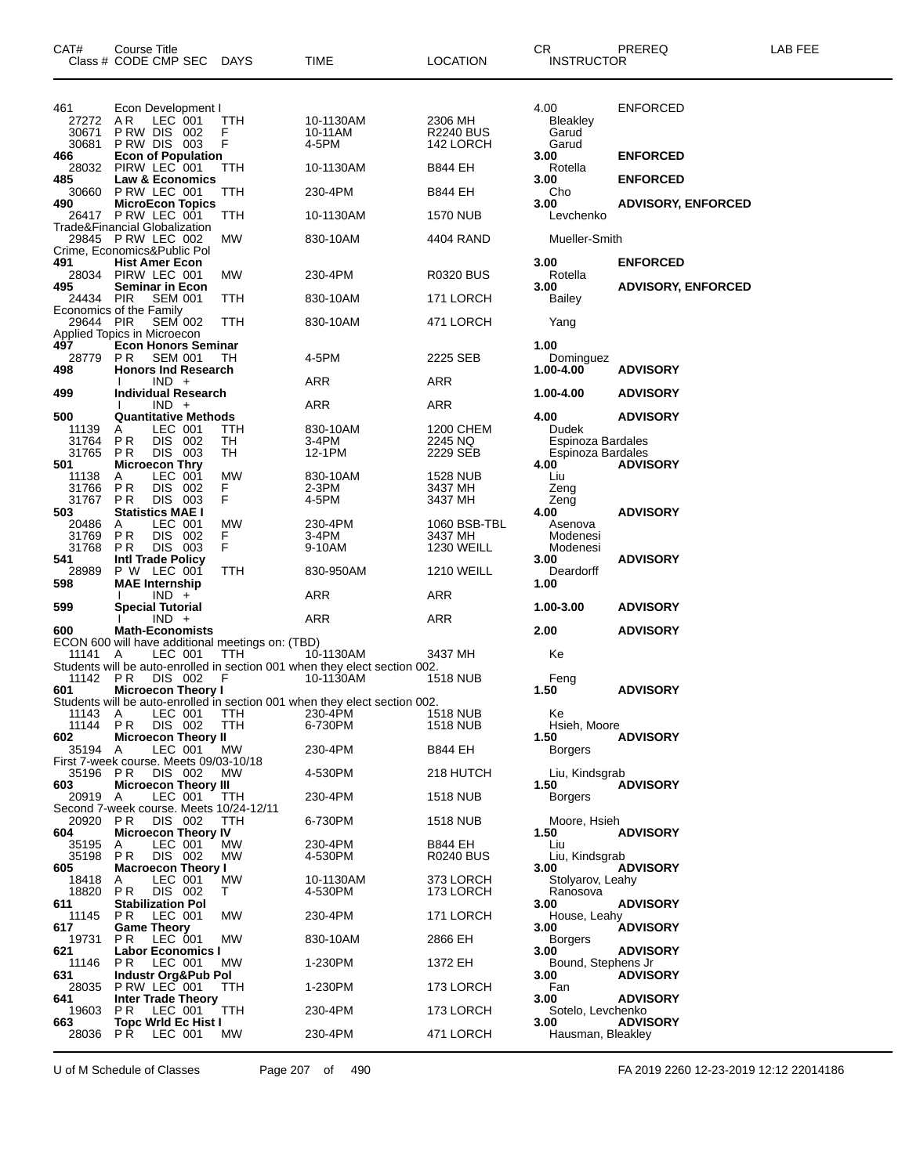| CAT#                           | Course Title<br>Class # CODE CMP SEC DAYS                          |                  | TIME                                                                                    | <b>LOCATION</b>                          | CR<br><b>INSTRUCTOR</b>            | PREREQ                    | LAB FEE |
|--------------------------------|--------------------------------------------------------------------|------------------|-----------------------------------------------------------------------------------------|------------------------------------------|------------------------------------|---------------------------|---------|
| 461<br>27272<br>30671<br>30681 | Econ Development I<br>LEC 001<br>A R<br>PRW DIS 002<br>PRW DIS 003 | TTH<br>F<br>F    | 10-1130AM<br>10-11AM<br>4-5PM                                                           | 2306 MH<br><b>R2240 BUS</b><br>142 LORCH | 4.00<br>Bleakley<br>Garud<br>Garud | <b>ENFORCED</b>           |         |
| 466                            | <b>Econ of Population</b><br>28032 PIRW LEC 001                    | TTH              | 10-1130AM                                                                               | B844 EH                                  | 3.00<br>Rotella                    | <b>ENFORCED</b>           |         |
| 485<br>30660                   | Law & Economics<br>P RW LEC 001                                    | TTH              | 230-4PM                                                                                 | <b>B844 EH</b>                           | 3.00<br>Cho                        | <b>ENFORCED</b>           |         |
| 490                            | <b>MicroEcon Topics</b><br>26417 P RW LEC 001                      | TTH              | 10-1130AM                                                                               | <b>1570 NUB</b>                          | 3.00<br>Levchenko                  | <b>ADVISORY, ENFORCED</b> |         |
|                                | Trade&Financial Globalization                                      |                  |                                                                                         |                                          |                                    |                           |         |
|                                | 29845 P RW LEC 002<br>Crime, Economics&Public Pol                  | МW               | 830-10AM                                                                                | 4404 RAND                                | Mueller-Smith                      |                           |         |
| 491                            | <b>Hist Amer Econ</b><br>28034 PIRW LEC 001                        | МW               | 230-4PM                                                                                 | <b>R0320 BUS</b>                         | 3.00<br>Rotella                    | <b>ENFORCED</b>           |         |
| 495<br>24434 PIR               | <b>Seminar in Econ</b><br><b>SEM 001</b>                           | TTH              | 830-10AM                                                                                | 171 LORCH                                | 3.00<br>Bailey                     | <b>ADVISORY, ENFORCED</b> |         |
|                                | Economics of the Family                                            |                  |                                                                                         |                                          |                                    |                           |         |
| 29644 PIR                      | <b>SEM 002</b><br>Applied Topics in Microecon                      | TTH              | 830-10AM                                                                                | 471 LORCH                                | Yang                               |                           |         |
| 497<br>28779                   | <b>Econ Honors Seminar</b><br>P <sub>R</sub><br><b>SEM 001</b>     | TН               | 4-5PM                                                                                   | 2225 SEB                                 | 1.00<br>Dominguez                  |                           |         |
| 498                            | <b>Honors Ind Research</b><br>$IND +$                              |                  | ARR                                                                                     | ARR                                      | 1.00-4.00                          | <b>ADVISORY</b>           |         |
| 499                            | <b>Individual Research</b>                                         |                  |                                                                                         |                                          | 1.00-4.00                          | <b>ADVISORY</b>           |         |
| 500                            | $IND +$<br><b>Quantitative Methods</b>                             |                  | ARR                                                                                     | ARR                                      | 4.00                               | <b>ADVISORY</b>           |         |
| 11139<br>31764                 | LEC 001<br>A<br>DIS 002<br>P <sub>R</sub>                          | <b>TTH</b><br>TH | 830-10AM<br>3-4PM                                                                       | 1200 CHEM<br>2245 NQ                     | Dudek<br>Espinoza Bardales         |                           |         |
| 31765<br>501                   | DIS 003<br>P <sub>R</sub><br><b>Microecon Thry</b>                 | TН               | 12-1PM                                                                                  | 2229 SEB                                 | Espinoza Bardales<br>4.00          |                           |         |
| 11138                          | LEC 001<br>Α                                                       | МW               | 830-10AM                                                                                | <b>1528 NUB</b>                          | Liu                                | <b>ADVISORY</b>           |         |
| 31766<br>31767                 | P <sub>R</sub><br>DIS 002<br>DIS 003<br>P <sub>R</sub>             | F.<br>F.         | $2-3PM$<br>4-5PM                                                                        | 3437 MH<br>3437 MH                       | Zeng<br>Zeng                       |                           |         |
| 503<br>20486                   | <b>Statistics MAE I</b><br>LEC 001<br>A                            | <b>MW</b>        | 230-4PM                                                                                 | 1060 BSB-TBL                             | 4.00<br>Asenova                    | <b>ADVISORY</b>           |         |
| 31769<br>31768                 | PR<br>DIS 002<br>DIS 003<br>P <sub>R</sub>                         | F.<br>F          | 3-4PM<br>9-10AM                                                                         | 3437 MH<br><b>1230 WEILL</b>             | Modenesi                           |                           |         |
| 541                            | <b>Intl Trade Policy</b>                                           |                  |                                                                                         |                                          | Modenesi<br>3.00                   | <b>ADVISORY</b>           |         |
| 28989<br>598                   | P W LEC 001<br><b>MAE</b> Internship                               | TTH              | 830-950AM                                                                               | <b>1210 WEILL</b>                        | Deardorff<br>1.00                  |                           |         |
| 599                            | $IND +$<br><b>Special Tutorial</b>                                 |                  | ARR                                                                                     | ARR                                      | 1.00-3.00                          | <b>ADVISORY</b>           |         |
| 600                            | $IND +$<br><b>Math-Economists</b>                                  |                  | ARR                                                                                     | ARR                                      | 2.00                               | <b>ADVISORY</b>           |         |
|                                | ECON 600 will have additional meetings on: (TBD)                   |                  |                                                                                         |                                          |                                    |                           |         |
| 11141                          | LEC 001<br>A                                                       | TTH              | 10-1130AM<br>Students will be auto-enrolled in section 001 when they elect section 002. | 3437 MH                                  | Ke                                 |                           |         |
| 11142<br>601                   | PR<br>DIS 002<br><b>Microecon Theory I</b>                         | F                | 10-1130AM                                                                               | <b>1518 NUB</b>                          | Feng<br>1.50                       | <b>ADVISORY</b>           |         |
|                                |                                                                    |                  | Students will be auto-enrolled in section 001 when they elect section 002.              |                                          |                                    |                           |         |
| 11143 A<br>11144               | LEC 001<br>DIS 002<br>P R                                          | TTH<br>TTH       | 230-4PM<br>6-730PM                                                                      | <b>1518 NUB</b><br><b>1518 NUB</b>       | Ke<br>Hsieh, Moore                 |                           |         |
| 602<br>35194 A                 | <b>Microecon Theory II</b><br>LEC 001                              | МW               | 230-4PM                                                                                 | <b>B844 EH</b>                           | 1.50<br><b>Borgers</b>             | <b>ADVISORY</b>           |         |
| 35196 PR                       | First 7-week course. Meets 09/03-10/18<br>DIS 002                  | MW.              | 4-530PM                                                                                 | 218 HUTCH                                | Liu, Kindsgrab                     |                           |         |
| 603                            | <b>Microecon Theory III</b>                                        |                  |                                                                                         |                                          | 1.50                               | <b>ADVISORY</b>           |         |
| 20919 A                        | LEC 001<br>Second 7-week course. Meets 10/24-12/11                 | TTH              | 230-4PM                                                                                 | <b>1518 NUB</b>                          | <b>Borgers</b>                     |                           |         |
| 20920 PR<br>604                | DIS 002<br><b>Microecon Theory IV</b>                              | TTH              | 6-730PM                                                                                 | <b>1518 NUB</b>                          | Moore, Hsieh<br>1.50               | <b>ADVISORY</b>           |         |
| 35195<br>35198                 | LEC 001<br>A<br>DIS 002<br>PR.                                     | МW<br>МW         | 230-4PM<br>4-530PM                                                                      | <b>B844 EH</b><br><b>R0240 BUS</b>       | Liu<br>Liu, Kindsgrab              |                           |         |
| 605                            | <b>Macroecon Theory I</b>                                          |                  |                                                                                         |                                          | 3.00                               | <b>ADVISORY</b>           |         |
| 18418<br>18820                 | LEC 001<br>A<br>PR.<br>DIS 002                                     | МW<br>T.         | 10-1130AM<br>4-530PM                                                                    | 373 LORCH<br>173 LORCH                   | Stolyarov, Leahy<br>Ranosova       |                           |         |
| 611<br>11145                   | <b>Stabilization Pol</b><br>LEC 001<br>P R                         | МW               | 230-4PM                                                                                 | 171 LORCH                                | 3.00<br>House, Leahy               | <b>ADVISORY</b>           |         |
| 617<br>19731                   | <b>Game Theory</b><br>LEC 001<br>PR.                               | МW               | 830-10AM                                                                                | 2866 EH                                  | 3.00<br><b>Borgers</b>             | <b>ADVISORY</b>           |         |
| 621                            | <b>Labor Economics I</b>                                           |                  |                                                                                         |                                          | 3.00                               | <b>ADVISORY</b>           |         |
| 11146<br>631                   | PR.<br>LEC 001<br>Industr Org&Pub Pol                              | <b>MW</b>        | 1-230PM                                                                                 | 1372 EH                                  | Bound, Stephens Jr<br>3.00         | <b>ADVISORY</b>           |         |
| 28035<br>641                   | PRW LEC 001<br><b>Inter Trade Theory</b>                           | TTH              | 1-230PM                                                                                 | 173 LORCH                                | Fan<br>3.00                        | <b>ADVISORY</b>           |         |
| 19603<br>663                   | P R<br>LEC 001<br><b>Topc Wrld Ec Hist I</b>                       | TTH              | 230-4PM                                                                                 | 173 LORCH                                | Sotelo, Levchenko<br>3.00          | <b>ADVISORY</b>           |         |
| 28036                          | PR.<br>LEC 001                                                     | МW               | 230-4PM                                                                                 | 471 LORCH                                | Hausman, Bleakley                  |                           |         |

U of M Schedule of Classes Page 207 of 490 FA 2019 2260 12-23-2019 12:12 22014186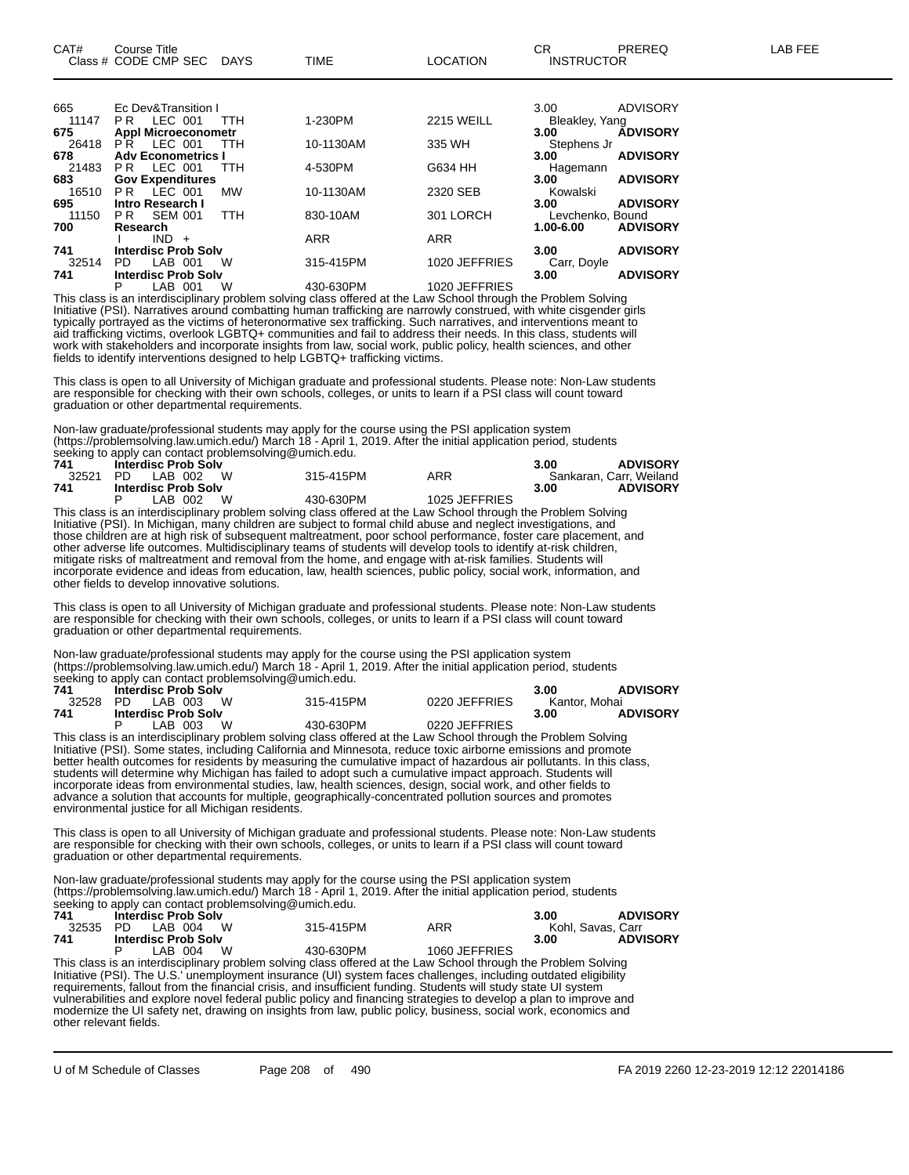| 665   | Ec Dev&Transition I                      |            |                              | <b>ADVISORY</b><br>3.00      |
|-------|------------------------------------------|------------|------------------------------|------------------------------|
| 11147 | LEC 001<br>PR.<br><b>TTH</b>             | 1-230PM    | <b>2215 WEILL</b>            | Bleakley, Yang               |
| 675   | <b>Appl Microeconometr</b>               |            |                              | <b>ÁDVISORY</b><br>3.00      |
| 26418 | LEC 001<br>PR.<br>TTH                    | 10-1130AM  | 335 WH                       | Stephens Jr                  |
| 678   | <b>Adv Econometrics I</b>                |            |                              | <b>ADVISORY</b><br>3.00      |
| 21483 | LEC 001<br>PR.<br><b>TTH</b>             | 4-530PM    | G634 HH                      | Hagemann                     |
| 683   | <b>Gov Expenditures</b>                  |            |                              | <b>ADVISORY</b><br>3.00      |
| 16510 | $LEC$ 001<br>P <sub>R</sub><br><b>MW</b> | 10-1130AM  | 2320 SEB                     | Kowalski                     |
| 695   | <b>Intro Research I</b>                  |            |                              | <b>ADVISORY</b><br>3.00      |
| 11150 | SEM 001<br><b>TTH</b><br>PR.             | 830-10AM   | 301 LORCH                    | Levchenko, Bound             |
| 700   | Research                                 |            |                              | <b>ADVISORY</b><br>1.00-6.00 |
|       | $IND +$                                  | <b>ARR</b> | <b>ARR</b>                   |                              |
| 741   | <b>Interdisc Prob Solv</b>               |            |                              | <b>ADVISORY</b><br>3.00      |
| 32514 | LAB 001<br>W<br>PD.                      | 315-415PM  | 1020 JEFFRIES                | Carr, Doyle                  |
| 741   | <b>Interdisc Prob Solv</b>               |            |                              | <b>ADVISORY</b><br>3.00      |
|       |                                          |            | $1.00011 - 1.00011 - 1.0001$ |                              |

P LAB 001 W 430-630PM 1020 JEFFRIES This class is an interdisciplinary problem solving class offered at the Law School through the Problem Solving Initiative (PSI). Narratives around combatting human trafficking are narrowly construed, with white cisgender girls typically portrayed as the victims of heteronormative sex trafficking. Such narratives, and interventions meant to aid trafficking victims, overlook LGBTQ+ communities and fail to address their needs. In this class, students will work with stakeholders and incorporate insights from law, social work, public policy, health sciences, and other fields to identify interventions designed to help LGBTQ+ trafficking victims.

This class is open to all University of Michigan graduate and professional students. Please note: Non-Law students are responsible for checking with their own schools, colleges, or units to learn if a PSI class will count toward graduation or other departmental requirements.

Non-law graduate/professional students may apply for the course using the PSI application system (https://problemsolving.law.umich.edu/) March 18 - April 1, 2019. After the initial application period, students seeking to apply can contact problemsolving@umich.edu.

| 741   | <b>Interdisc Prob Solv</b> |           |               | <b>ADVISORY</b><br>3.00 |
|-------|----------------------------|-----------|---------------|-------------------------|
| 32521 | LAB 002 W<br>PD.           | 315-415PM | ARR           | Sankaran, Carr, Weiland |
| 741   | <b>Interdisc Prob Solv</b> |           |               | <b>ADVISORY</b><br>3.00 |
|       | W<br>LAB 002               | 430-630PM | 1025 JEFFRIES |                         |
| $-1$  |                            |           |               |                         |

This class is an interdisciplinary problem solving class offered at the Law School through the Problem Solving Initiative (PSI). In Michigan, many children are subject to formal child abuse and neglect investigations, and those children are at high risk of subsequent maltreatment, poor school performance, foster care placement, and other adverse life outcomes. Multidisciplinary teams of students will develop tools to identify at-risk children, mitigate risks of maltreatment and removal from the home, and engage with at-risk families. Students will incorporate evidence and ideas from education, law, health sciences, public policy, social work, information, and other fields to develop innovative solutions.

This class is open to all University of Michigan graduate and professional students. Please note: Non-Law students are responsible for checking with their own schools, colleges, or units to learn if a PSI class will count toward graduation or other departmental requirements.

Non-law graduate/professional students may apply for the course using the PSI application system (https://problemsolving.law.umich.edu/) March 18 - April 1, 2019. After the initial application period, students seeking to apply can contact problemsolving@umich.edu.

| 741   | <b>Interdisc Prob Solv</b>   |           |               | 3.00          | <b>ADVISORY</b> |
|-------|------------------------------|-----------|---------------|---------------|-----------------|
| 32528 | PD.<br>$\sim$ LAB 003 $\sim$ | 315-415PM | 0220 JEFFRIES | Kantor. Mohai |                 |
| 741   | <b>Interdisc Prob Solv</b>   |           |               | 3.00          | <b>ADVISORY</b> |
|       | W<br>LAB 003                 | 430-630PM | 0220 JEFFRIES |               |                 |

This class is an interdisciplinary problem solving class offered at the Law School through the Problem Solving Initiative (PSI). Some states, including California and Minnesota, reduce toxic airborne emissions and promote better health outcomes for residents by measuring the cumulative impact of hazardous air pollutants. In this class, students will determine why Michigan has failed to adopt such a cumulative impact approach. Students will incorporate ideas from environmental studies, law, health sciences, design, social work, and other fields to advance a solution that accounts for multiple, geographically-concentrated pollution sources and promotes environmental justice for all Michigan residents.

This class is open to all University of Michigan graduate and professional students. Please note: Non-Law students are responsible for checking with their own schools, colleges, or units to learn if a PSI class will count toward graduation or other departmental requirements.

Non-law graduate/professional students may apply for the course using the PSI application system (https://problemsolving.law.umich.edu/) March 18 - April 1, 2019. After the initial application period, students seeking to apply can contact problemsolving@umich.edu.

| 741 | <b>Interdisc Prob Solv</b> |           |               | <b>ADVISORY</b><br>3.00 |
|-----|----------------------------|-----------|---------------|-------------------------|
|     | 32535 PD LAB 004<br>W.     | 315-415PM | ARR           | Kohl. Savas. Carr       |
| 741 | <b>Interdisc Prob Solv</b> |           |               | <b>ADVISORY</b><br>3.00 |
|     | LAB 004<br>W.              | 430-630PM | 1060 JEFFRIES |                         |

This class is an interdisciplinary problem solving class offered at the Law School through the Problem Solving Initiative (PSI). The U.S.' unemployment insurance (UI) system faces challenges, including outdated eligibility requirements, fallout from the financial crisis, and insufficient funding. Students will study state UI system vulnerabilities and explore novel federal public policy and financing strategies to develop a plan to improve and modernize the UI safety net, drawing on insights from law, public policy, business, social work, economics and other relevant fields.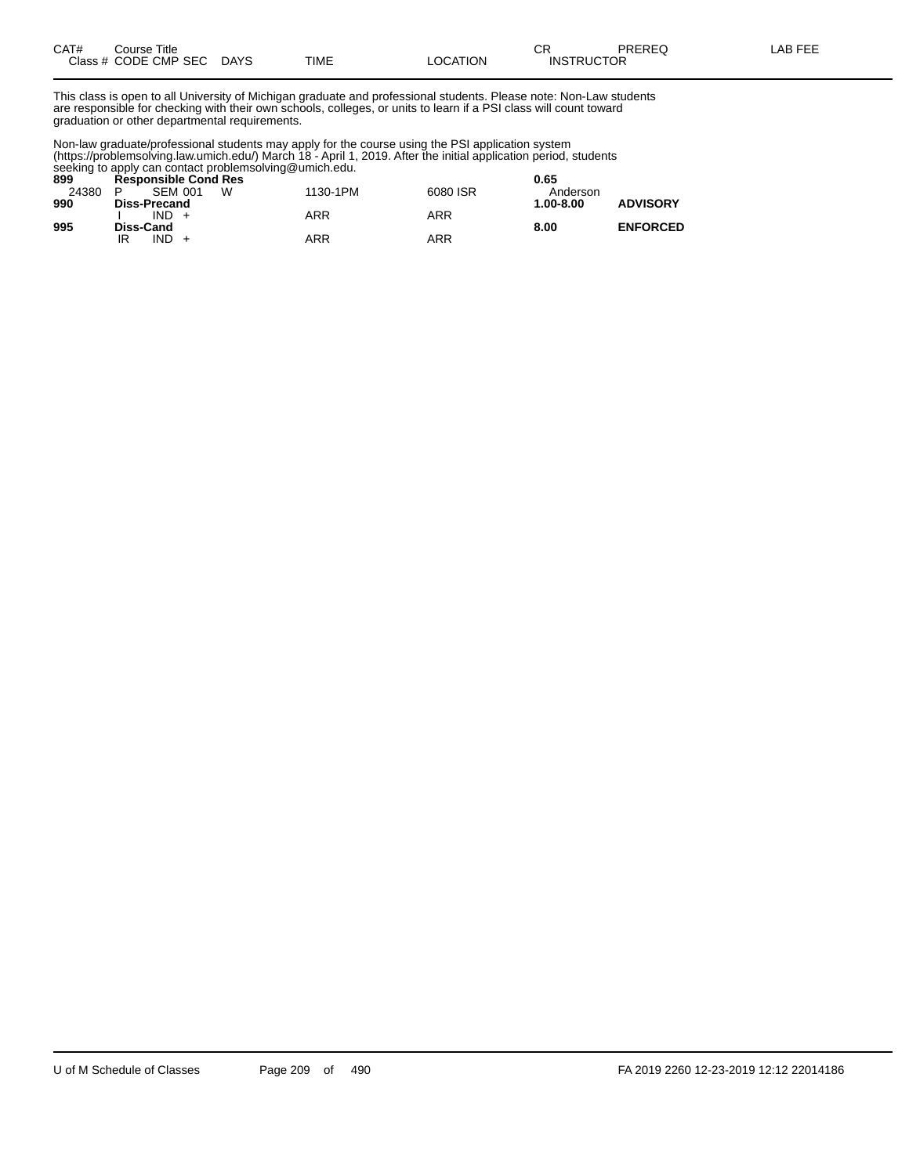| CAT#         | Title<br>∴ourse      |                       |      |          | ⌒冖<br><b>UN</b>             | PREREC<br>ヽ∟◡ | ----<br>ΔR<br>--- |
|--------------|----------------------|-----------------------|------|----------|-----------------------------|---------------|-------------------|
| Class # CODE | <b>CMP SEC</b><br>__ | <b>DAYS</b><br>$\sim$ | TIME | _OCATION | TRUCTOR<br>INS <sup>:</sup> |               |                   |

This class is open to all University of Michigan graduate and professional students. Please note: Non-Law students are responsible for checking with their own schools, colleges, or units to learn if a PSI class will count toward graduation or other departmental requirements.

Non-law graduate/professional students may apply for the course using the PSI application system (https://problemsolving.law.umich.edu/) March 18 - April 1, 2019. After the initial application period, students seeking to apply can contact problemsolving@umich.edu.

| 899   | <b>Responsible Cond Res</b> |          |          | 0.65                             |
|-------|-----------------------------|----------|----------|----------------------------------|
| 24380 | w<br><b>SEM 001</b><br>P    | 1130-1PM | 6080 ISR | Anderson                         |
| 990   | <b>Diss-Precand</b>         |          |          | <b>ADVISORY</b><br>$1.00 - 8.00$ |
|       | $IND +$                     | ARR      | ARR      |                                  |
| 995   | <b>Diss-Cand</b>            |          |          | <b>ENFORCED</b><br>8.00          |
|       | IND.<br>IR                  | ARR      | ARR      |                                  |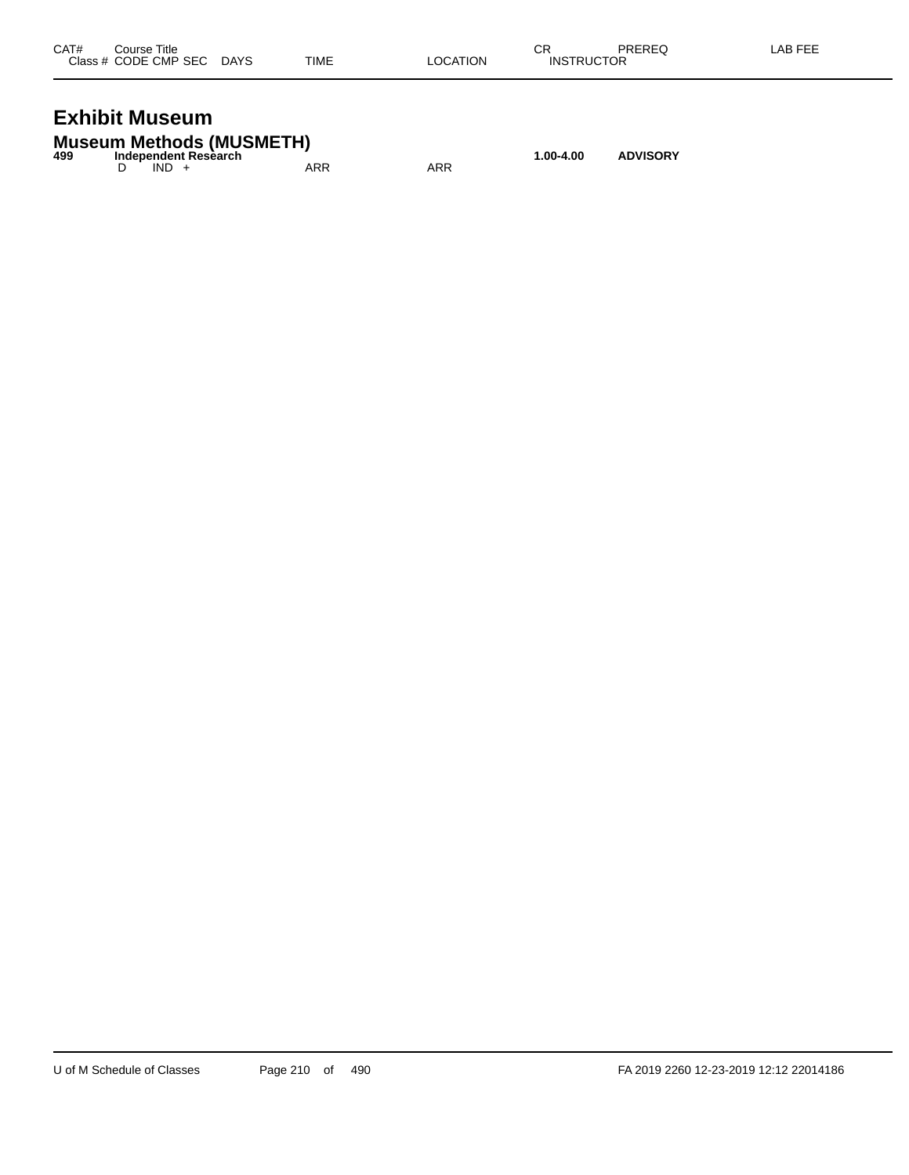| CAT# | Course Title              |      |          | СR                | PREREQ | LAB FEE |
|------|---------------------------|------|----------|-------------------|--------|---------|
|      | Class # CODE CMP SEC DAYS | TIME | LOCATION | <b>INSTRUCTOR</b> |        |         |
|      |                           |      |          |                   |        |         |

## **Exhibit Museum**

|     | <b>Museum Methods (MUSMETH)</b> |     |     |           |                 |
|-----|---------------------------------|-----|-----|-----------|-----------------|
| 499 | Independent Research            |     |     | 1.00-4.00 | <b>ADVISORY</b> |
|     | $IND +$                         | ARR | ARR |           |                 |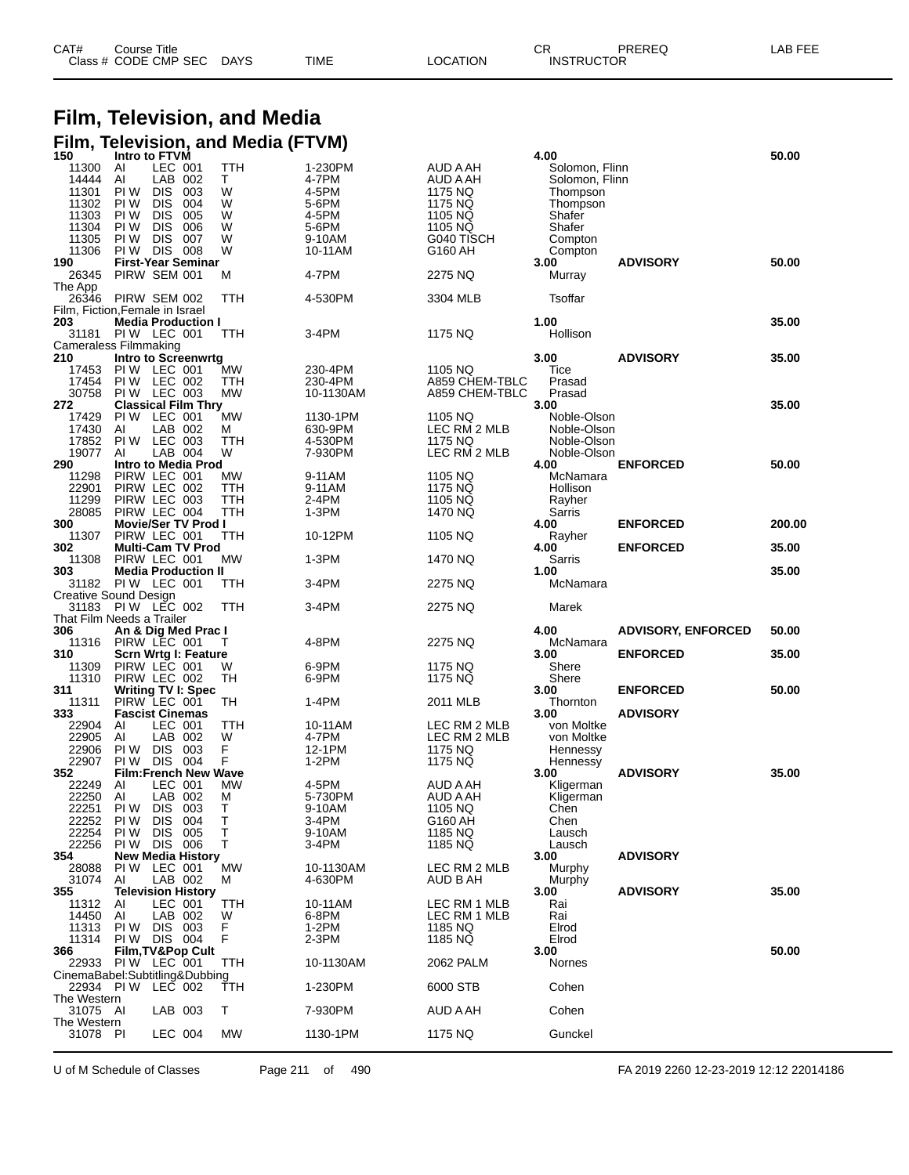| CAT# | Course Title         |             |      |          | СR                | PREREQ | LAB FEE |
|------|----------------------|-------------|------|----------|-------------------|--------|---------|
|      | Class # CODE CMP SEC | <b>DAYS</b> | TIME | LOCATION | <b>INSTRUCTOR</b> |        |         |

### **Film, Television, and Media Film, Television, and Media (FTVM)**

| 150                     | Intro to FTVM                                |            |           |                    |                         | 4.00                       |                           | 50.00  |
|-------------------------|----------------------------------------------|------------|-----------|--------------------|-------------------------|----------------------------|---------------------------|--------|
| 11300                   | Al<br>LEC 001                                |            | TTH       | 1-230PM            | AUD A AH                | Solomon, Flinn             |                           |        |
| 14444                   | LAB 002<br>Al                                |            | т         | 4-7PM              | AUD A AH                | Solomon, Flinn             |                           |        |
| 11301<br>11302          | PI W<br><b>DIS</b><br>PI W<br><b>DIS</b>     | 003<br>004 | W<br>W    | 4-5PM<br>5-6PM     | 1175 NQ<br>1175 NQ      | Thompson<br>Thompson       |                           |        |
| 11303                   | PI W<br><b>DIS</b>                           | 005        | W         | 4-5PM              | 1105 NQ                 | Shafer                     |                           |        |
| 11304                   | PI W<br><b>DIS</b>                           | 006        | W         | 5-6PM              | 1105 NQ                 | Shafer                     |                           |        |
| 11305                   | PI W<br><b>DIS</b>                           | 007        | W         | 9-10AM             | G040 TISCH              | Compton                    |                           |        |
| 11306                   | PI W<br><b>DIS 008</b>                       |            | W         | 10-11AM            | G160 AH                 | Compton                    |                           |        |
| 190                     | <b>First-Year Seminar</b>                    |            |           | 4-7PM              |                         | 3.00                       | <b>ADVISORY</b>           | 50.00  |
| 26345<br>The App        | PIRW SEM 001                                 |            | м         |                    | 2275 NQ                 | Murray                     |                           |        |
| 26346                   | PIRW SEM 002                                 |            | TTH       | 4-530PM            | 3304 MLB                | Tsoffar                    |                           |        |
|                         | Film, Fiction, Female in Israel              |            |           |                    |                         |                            |                           |        |
| 203                     | <b>Media Production I</b>                    |            |           |                    |                         | 1.00                       |                           | 35.00  |
| 31181                   | PIW LEC 001                                  |            | TTH       | 3-4PM              | 1175 NQ                 | Hollison                   |                           |        |
| 210                     | Cameraless Filmmaking<br>Intro to Screenwrtg |            |           |                    |                         | 3.00                       | <b>ADVISORY</b>           | 35.00  |
| 17453                   | PIW LEC 001                                  |            | МW        | 230-4PM            | 1105 NQ                 | Tice                       |                           |        |
| 17454                   | PIW LEC 002                                  |            | TTH       | 230-4PM            | A859 CHEM-TBLC          | Prasad                     |                           |        |
| 30758                   | PIW LEC 003                                  |            | <b>MW</b> | 10-1130AM          | A859 CHEM-TBLC          | Prasad                     |                           |        |
| 272                     | <b>Classical Film Thry</b>                   |            |           |                    |                         | 3.00                       |                           | 35.00  |
| 17429                   | PIW LEC 001                                  |            | <b>MW</b> | 1130-1PM           | 1105 NQ                 | Noble-Olson                |                           |        |
| 17430<br>17852          | LAB 002<br>AI<br>PIW LEC 003                 |            | м<br>TTH  | 630-9PM<br>4-530PM | LEC RM 2 MLB<br>1175 NQ | Noble-Olson<br>Noble-Olson |                           |        |
| 19077                   | AI<br>LAB 004                                |            | W         | 7-930PM            | LEC RM 2 MLB            | Noble-Olson                |                           |        |
| 290                     | <b>Intro to Media Prod</b>                   |            |           |                    |                         | 4.00                       | <b>ENFORCED</b>           | 50.00  |
| 11298                   | PIRW LEC 001                                 |            | MW        | 9-11AM             | 1105 NQ                 | McNamara                   |                           |        |
| 22901                   | PIRW LEC 002                                 |            | TTH       | 9-11AM             | 1175 NQ                 | Hollison                   |                           |        |
| 11299                   | PIRW LEC 003                                 |            | TTH       | 2-4PM              | 1105 NQ                 | Rayher                     |                           |        |
| 28085<br>300            | PIRW LEC 004<br><b>Movie/Ser TV Prod I</b>   |            | TTH       | 1-3PM              | 1470 NQ                 | Sarris<br>4.00             | <b>ENFORCED</b>           | 200.00 |
| 11307                   | PIRW LEC 001                                 |            | TTH       | 10-12PM            | 1105 NQ                 | Rayher                     |                           |        |
| 302                     | <b>Multi-Cam TV Prod</b>                     |            |           |                    |                         | 4.00                       | <b>ENFORCED</b>           | 35.00  |
| 11308                   | PIRW LEC 001                                 |            | МW        | $1-3PM$            | 1470 NQ                 | Sarris                     |                           |        |
| 303                     | <b>Media Production II</b>                   |            |           |                    |                         | 1.00                       |                           | 35.00  |
| 31182                   | PIW LEC 001                                  |            | TTH       | 3-4PM              | 2275 NQ                 | McNamara                   |                           |        |
|                         | Creative Sound Design<br>31183 PIW LEC 002   |            | TTH       | 3-4PM              | 2275 NQ                 | Marek                      |                           |        |
|                         | That Film Needs a Trailer                    |            |           |                    |                         |                            |                           |        |
|                         |                                              |            |           |                    |                         |                            |                           |        |
| 306                     |                                              |            |           |                    |                         | 4.00                       | <b>ADVISORY, ENFORCED</b> | 50.00  |
| 11316                   | An & Dig Med Prac I<br>PIRW LEC 001          |            | т         | 4-8PM              | 2275 NQ                 | McNamara                   |                           |        |
| 310                     | Scrn Wrtg I: Feature                         |            |           |                    |                         | 3.00                       | <b>ENFORCED</b>           | 35.00  |
| 11309                   | PIRW LEC 001                                 |            | W         | 6-9PM              | 1175 NQ                 | Shere                      |                           |        |
| 11310                   | PIRW LEC 002                                 |            | TН        | 6-9PM              | 1175 NQ                 | Shere                      |                           |        |
| 311<br>11311            | <b>Writing TV I: Spec</b>                    |            | TН        | 1-4PM              | 2011 MLB                | 3.00<br>Thornton           | <b>ENFORCED</b>           | 50.00  |
| 333                     | PIRW LEC 001<br><b>Fascist Cinemas</b>       |            |           |                    |                         | 3.00                       | <b>ADVISORY</b>           |        |
| 22904                   | LEC 001<br>AI                                |            | TTH       | 10-11AM            | LEC RM 2 MLB            | von Moltke                 |                           |        |
| 22905                   | AI<br>LAB 002                                |            | W         | 4-7PM              | LEC RM 2 MLB            | von Moltke                 |                           |        |
| 22906                   | PI W<br><b>DIS</b>                           | 003        | F         | 12-1PM             | 1175 NQ                 | Hennessy                   |                           |        |
| 22907                   | PI W<br><b>DIS</b>                           | 004        | F         | 1-2PM              | 1175 NQ                 | Hennessy                   | <b>ADVISORY</b>           |        |
| 352<br>22249            | <b>Film:French New Wave</b><br>LEC 001<br>AI |            | <b>MW</b> | 4-5PM              | AUD A AH                | 3.00<br>Kligerman          |                           | 35.00  |
| 22250                   | AI<br>LAB 002                                |            | м         | 5-730PM            | AUD A AH                | Kligerman                  |                           |        |
| 22251                   | PI W<br>DIS 003                              |            | т         | 9-10AM             | 1105 NQ                 | Chen                       |                           |        |
| 22252                   | <b>DIS</b><br>PI W                           | 004        | Т         | 3-4PM              | G160 AH                 | Chen                       |                           |        |
| 22254                   | PI W<br><b>DIS</b>                           | 005        | T         | 9-10AM             | 1185 NQ                 | Lausch                     |                           |        |
| 22256<br>354            | PIW DIS                                      | 006        | т         | 3-4PM              | 1185 NQ                 | Lausch<br>3.00             | <b>ADVISORY</b>           |        |
| 28088                   | <b>New Media History</b><br>PIW LEC 001      |            | <b>MW</b> | 10-1130AM          | LEC RM 2 MLB            | Murphy                     |                           |        |
| 31074                   | Al<br>LAB 002                                |            | м         | 4-630PM            | AUD B AH                | Murphy                     |                           |        |
| 355                     | <b>Television History</b>                    |            |           |                    |                         | 3.00                       | <b>ADVISORY</b>           | 35.00  |
| 11312                   | LEC 001<br>AI                                |            | TTH       | 10-11AM            | LEC RM 1 MLB            | Rai                        |                           |        |
| 14450                   | AI<br>LAB 002<br>PI W<br>DIS 003             |            | W         | 6-8PM              | LEC RM 1 MLB            | Rai<br>Elrod               |                           |        |
| 11313<br>11314          | DIS 004<br>PI W                              |            | F<br>F    | $1-2PM$<br>2-3PM   | 1185 NQ<br>1185 NQ      | Elrod                      |                           |        |
| 366                     | <b>Film, TV&amp;Pop Cult</b>                 |            |           |                    |                         | 3.00                       |                           | 50.00  |
|                         | 22933 PIW LEC 001                            |            | TTH       | 10-1130AM          | 2062 PALM               | Nornes                     |                           |        |
|                         | CinemaBabel:Subtitling&Dubbing               |            |           |                    |                         |                            |                           |        |
|                         | 22934 PIW LEC 002                            |            | TTH       | 1-230PM            | 6000 STB                | Cohen                      |                           |        |
| The Western<br>31075 AI | LAB 003                                      |            | т         | 7-930PM            | AUD A AH                | Cohen                      |                           |        |
| The Western             |                                              |            |           |                    |                         |                            |                           |        |
| 31078 PI                | LEC 004                                      |            | MW        | 1130-1PM           | 1175 NQ                 | Gunckel                    |                           |        |

U of M Schedule of Classes Page 211 of 490 FA 2019 2260 12-23-2019 12:12 22014186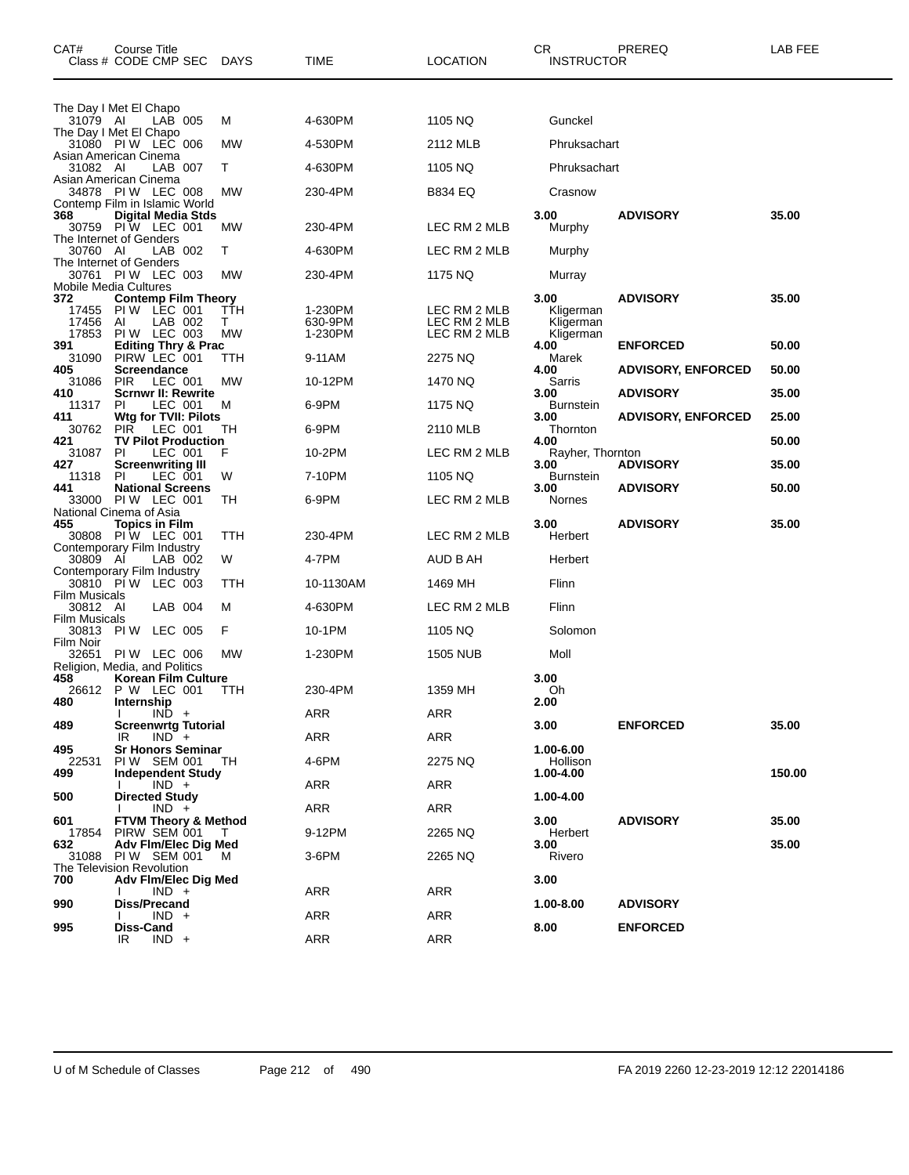| CAT#                              | Course Title<br>Class # CODE CMP SEC                 | DAYS           | TIME               | <b>LOCATION</b>              | CR<br><b>INSTRUCTOR</b>  | PREREQ                    | LAB FEE |
|-----------------------------------|------------------------------------------------------|----------------|--------------------|------------------------------|--------------------------|---------------------------|---------|
|                                   |                                                      |                |                    |                              |                          |                           |         |
| 31079 AI                          | The Day I Met El Chapo<br>LAB 005                    | М              | 4-630PM            | 1105 NQ                      | Gunckel                  |                           |         |
|                                   | The Day I Met El Chapo<br>31080 PIW LEC 006          | МW             | 4-530PM            | 2112 MLB                     | Phruksachart             |                           |         |
| 31082 AI                          | Asian American Cinema<br>LAB 007                     | т              | 4-630PM            | 1105 NQ                      | Phruksachart             |                           |         |
|                                   | Asian American Cinema<br><b>PIW LEC 008</b>          |                |                    |                              |                          |                           |         |
| 34878                             | Contemp Film in Islamic World                        | МW             | 230-4PM            | B834 EQ                      | Crasnow                  |                           |         |
| 368                               | <b>Digital Media Stds</b><br>30759 PIW LEC 001       | МW             | 230-4PM            | LEC RM 2 MLB                 | 3.00<br>Murphy           | <b>ADVISORY</b>           | 35.00   |
| 30760 AI                          | The Internet of Genders<br>LAB 002                   | т              | 4-630PM            | LEC RM 2 MLB                 | Murphy                   |                           |         |
|                                   | The Internet of Genders<br>30761 PIW LEC 003         | MW             | 230-4PM            | 1175 NQ                      | Murray                   |                           |         |
|                                   | Mobile Media Cultures                                |                |                    |                              |                          |                           |         |
| 372<br>17455                      | <b>Contemp Film Theory</b><br>PIW LEC 001            | TTH            | 1-230PM            | LEC RM 2 MLB                 | 3.00<br>Kligerman        | <b>ADVISORY</b>           | 35.00   |
| 17456<br>17853                    | LAB 002<br>ΑI<br>PIW LEC 003                         | т<br><b>MW</b> | 630-9PM<br>1-230PM | LEC RM 2 MLB<br>LEC RM 2 MLB | Kligerman<br>Kligerman   |                           |         |
| 391<br>31090                      | <b>Editing Thry &amp; Prac</b><br>PIRW LEC 001       | TTH            | 9-11AM             | 2275 NQ                      | 4.00<br>Marek            | <b>ENFORCED</b>           | 50.00   |
| 405<br>31086                      | Screendance<br><b>PIR</b><br>LEC 001                 | МW             | 10-12PM            | 1470 NQ                      | 4.00<br>Sarris           | <b>ADVISORY, ENFORCED</b> | 50.00   |
| 410                               | Scrnwr II: Rewrite                                   |                |                    |                              | 3.00                     | <b>ADVISORY</b>           | 35.00   |
| 11317<br>411                      | LEC 001<br>PI.<br>Wtg for TVII: Pilots               | М              | 6-9PM              | 1175 NQ                      | Burnstein<br>3.00        | <b>ADVISORY, ENFORCED</b> | 25.00   |
| 30762<br>421                      | <b>PIR</b><br>LEC 001<br><b>TV Pilot Production</b>  | TН             | 6-9PM              | 2110 MLB                     | Thornton<br>4.00         |                           | 50.00   |
| 31087<br>427                      | PI.<br>LEC 001<br><b>Screenwriting III</b>           | F              | 10-2PM             | LEC RM 2 MLB                 | Rayher, Thornton<br>3.00 | <b>ADVISORY</b>           | 35.00   |
| 11318<br>441                      | LEC 001<br>-PI<br><b>National Screens</b>            | W              | 7-10PM             | 1105 NQ                      | Burnstein<br>3.00        | <b>ADVISORY</b>           | 50.00   |
| 33000                             | PIW LEC 001                                          | TН             | 6-9PM              | LEC RM 2 MLB                 | Nornes                   |                           |         |
| 455                               | National Cinema of Asia<br><b>Topics in Film</b>     |                |                    |                              | 3.00                     | <b>ADVISORY</b>           | 35.00   |
|                                   | 30808 PIW LEC 001<br>Contemporary Film Industry      | TTH            | 230-4PM            | LEC RM 2 MLB                 | Herbert                  |                           |         |
| 30809 AI                          | LAB 002<br>Contemporary Film Industry                | W              | 4-7PM              | AUD B AH                     | Herbert                  |                           |         |
|                                   | 30810 PÍW LEC 003                                    | TTH            | 10-1130AM          | 1469 MH                      | Flinn                    |                           |         |
| <b>Film Musicals</b><br>30812 AI  | LAB 004                                              | м              | 4-630PM            | LEC RM 2 MLB                 | Flinn                    |                           |         |
| <b>Film Musicals</b><br>30813 PIW | LEC 005                                              | F              | 10-1PM             | 1105 NQ                      | Solomon                  |                           |         |
| Film Noir<br>32651                | PIW LEC 006                                          | МW             | 1-230PM            | 1505 NUB                     | Moll                     |                           |         |
| 458                               | Religion, Media, and Politics<br>Korean Film Culture |                |                    |                              | 3.00                     |                           |         |
|                                   | 26612 P W LEC 001                                    | TTH            | 230-4PM            | 1359 MH                      | Oh                       |                           |         |
| 480                               | Internship<br>$I$ IND +                              |                | <b>ARR</b>         | ARR                          | 2.00                     |                           |         |
| 489                               | <b>Screenwrtg Tutorial</b><br>$IND^-$ +<br>IR        |                | ARR                | <b>ARR</b>                   | 3.00                     | <b>ENFORCED</b>           | 35.00   |
| 495<br>22531                      | <b>Sr Honors Seminar</b><br>PIW SEM 001              | - TH           | 4-6PM              | 2275 NQ                      | 1.00-6.00<br>Hollison    |                           |         |
| 499                               | <b>Independent Study</b>                             |                | ARR                | ARR                          | 1.00-4.00                |                           | 150.00  |
| 500                               | $IND +$<br><b>Directed Study</b>                     |                |                    |                              | 1.00-4.00                |                           |         |
| 601                               | $IND +$<br>FTVM Theory & Method                      |                | ARR                | ARR                          | 3.00                     | <b>ADVISORY</b>           | 35.00   |
| 632                               | 17854 PIRW SEM 001<br>Adv Fim/Elec Dig Med           | $\top$         | 9-12PM             | 2265 NQ                      | Herbert<br>3.00          |                           | 35.00   |
| 31088                             | PIW SEM 001<br>The Television Revolution             | M              | 3-6PM              | 2265 NQ                      | Rivero                   |                           |         |
| 700                               | Adv Fim/Elec Dig Med                                 |                |                    |                              | 3.00                     |                           |         |
| 990                               | $IND +$<br><b>Diss/Precand</b>                       |                | ARR                | ARR                          | 1.00-8.00                | <b>ADVISORY</b>           |         |
| 995                               | $IND +$<br>Diss-Cand                                 |                | ARR                | ARR                          | 8.00                     | <b>ENFORCED</b>           |         |
|                                   | $IND +$<br>IR                                        |                | <b>ARR</b>         | ARR                          |                          |                           |         |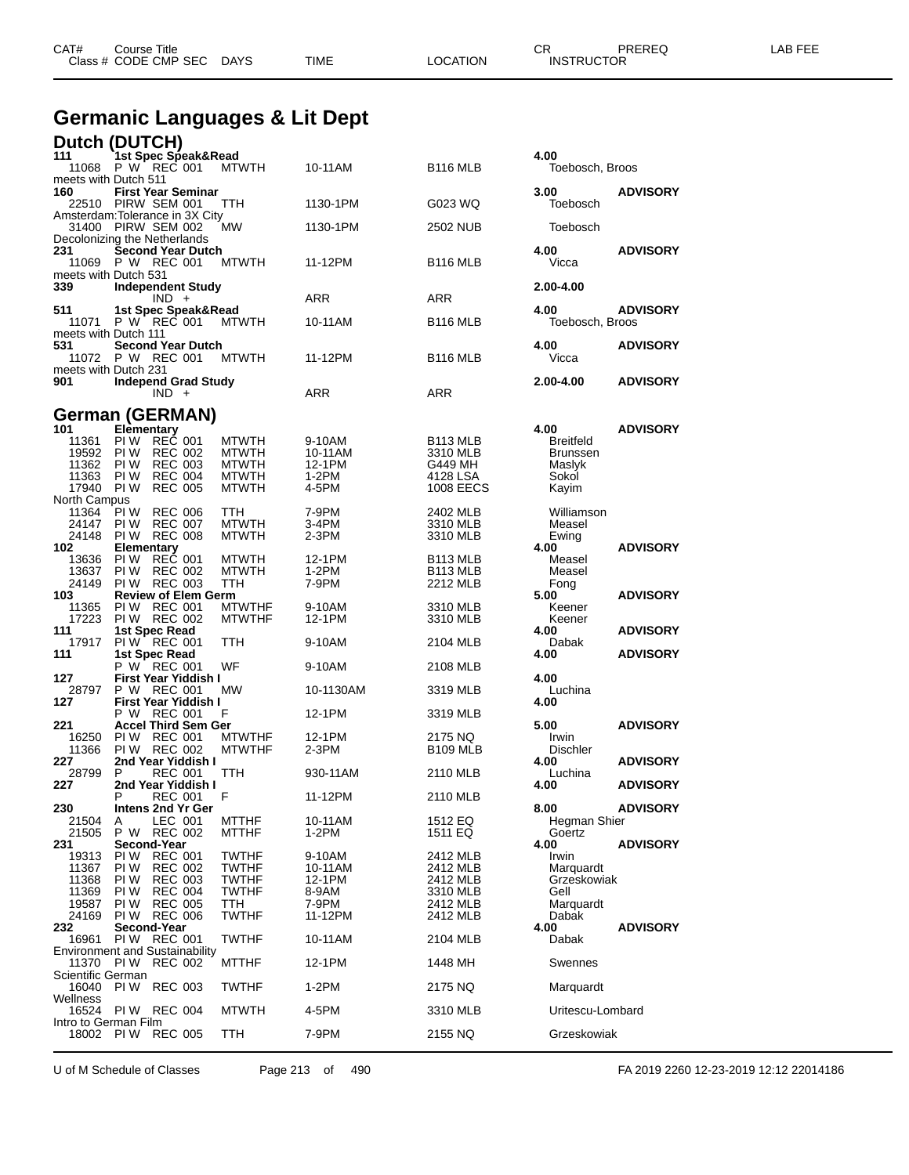| CAT#<br>Course Title<br>Class # CODE CMP SEC | <b>DAYS</b> | <b>TIME</b> | <b>LOCATION</b> | СR<br><b>INSTRUCTOR</b> | PREREQ | LAB FEE |
|----------------------------------------------|-------------|-------------|-----------------|-------------------------|--------|---------|
|                                              |             |             |                 |                         |        |         |

## **Germanic Languages & Lit Dept**

|                               | Dutch (DUTCH)                                        |                                |                   |                                  |                                     |                 |
|-------------------------------|------------------------------------------------------|--------------------------------|-------------------|----------------------------------|-------------------------------------|-----------------|
| 111                           | 1st Spec Speak&Read                                  |                                |                   |                                  | 4.00                                |                 |
|                               | 11068 P W REC 001                                    | <b>MTWTH</b>                   | 10-11AM           | <b>B116 MLB</b>                  | Toebosch, Broos                     |                 |
| meets with Dutch 511          |                                                      |                                |                   |                                  |                                     |                 |
| 160                           | <b>First Year Seminar</b><br>22510 PIRW SEM 001      | ттн                            | 1130-1PM          | G023 WQ                          | 3.00<br>Toebosch                    | <b>ADVISORY</b> |
|                               | Amsterdam: Tolerance in 3X City                      |                                |                   |                                  |                                     |                 |
| 31400                         | PIRW SEM 002                                         | MW                             | 1130-1PM          | 2502 NUB                         | Toebosch                            |                 |
|                               | Decolonizing the Netherlands                         |                                |                   |                                  |                                     |                 |
| 231                           | <b>Second Year Dutch</b>                             |                                |                   |                                  | 4.00                                | <b>ADVISORY</b> |
|                               | 11069 P W REC 001                                    | <b>MTWTH</b>                   | 11-12PM           | B <sub>116</sub> MLB             | Vicca                               |                 |
| meets with Dutch 531<br>339   |                                                      |                                |                   |                                  | 2.00-4.00                           |                 |
|                               | <b>Independent Study</b><br>IND.<br>$+$              |                                | <b>ARR</b>        | <b>ARR</b>                       |                                     |                 |
| 511                           | 1st Spec Speak&Read                                  |                                |                   |                                  | 4.00                                | <b>ADVISORY</b> |
| 11071                         | P W REC 001                                          | <b>MTWTH</b>                   | 10-11AM           | <b>B116 MLB</b>                  | Toebosch, Broos                     |                 |
| meets with Dutch 111          |                                                      |                                |                   |                                  |                                     |                 |
| 531                           | <b>Second Year Dutch</b>                             |                                |                   |                                  | 4.00                                | <b>ADVISORY</b> |
| 11072<br>meets with Dutch 231 | P W REC 001                                          | <b>MTWTH</b>                   | 11-12PM           | <b>B116 MLB</b>                  | Vicca                               |                 |
| 901                           | <b>Independ Grad Study</b>                           |                                |                   |                                  | 2.00-4.00                           | <b>ADVISORY</b> |
|                               | $IND +$                                              |                                | ARR               | <b>ARR</b>                       |                                     |                 |
|                               |                                                      |                                |                   |                                  |                                     |                 |
|                               | <b>German (GERMAN)</b>                               |                                |                   |                                  |                                     |                 |
| 101                           | Elementary                                           |                                |                   |                                  | 4.00                                | <b>ADVISORY</b> |
| 11361<br>19592                | PI W<br><b>REC 001</b><br>PI W<br><b>REC 002</b>     | <b>MTWTH</b><br><b>MTWTH</b>   | 9-10AM<br>10-11AM | B <sub>113</sub> MLB<br>3310 MLB | <b>Breitfeld</b><br><b>Brunssen</b> |                 |
| 11362                         | PI W<br><b>REC 003</b>                               | <b>MTWTH</b>                   | 12-1PM            | G449 MH                          | Maslyk                              |                 |
| 11363                         | PI W<br><b>REC 004</b>                               | <b>MTWTH</b>                   | 1-2PM             | 4128 LSA                         | Sokol                               |                 |
| 17940                         | PI W<br><b>REC 005</b>                               | <b>MTWTH</b>                   | 4-5PM             | <b>1008 EECS</b>                 | Kayim                               |                 |
| North Campus                  |                                                      |                                |                   |                                  |                                     |                 |
| 11364                         | PI W<br><b>REC 006</b><br>PI W                       | TTH                            | 7-9PM<br>3-4PM    | 2402 MLB                         | Williamson                          |                 |
| 24147<br>24148                | <b>REC 007</b><br>PI W<br><b>REC 008</b>             | <b>MTWTH</b><br><b>MTWTH</b>   | 2-3PM             | 3310 MLB<br>3310 MLB             | Measel<br>Ewing                     |                 |
| 102                           | Elementary                                           |                                |                   |                                  | 4.00                                | <b>ADVISORY</b> |
| 13636                         | PI W<br><b>REC 001</b>                               | <b>MTWTH</b>                   | 12-1PM            | B <sub>113</sub> MLB             | Measel                              |                 |
| 13637                         | PI W<br><b>REC 002</b>                               | <b>MTWTH</b>                   | 1-2PM             | B <sub>113</sub> MLB             | Measel                              |                 |
| 24149                         | PI W<br><b>REC 003</b>                               | TTH.                           | 7-9PM             | 2212 MLB                         | Fong                                |                 |
| 103<br>11365                  | <b>Review of Elem Germ</b><br>PI W<br><b>REC 001</b> |                                | 9-10AM            | 3310 MLB                         | 5.00<br>Keener                      | <b>ADVISORY</b> |
| 17223                         | <b>PIW REC 002</b>                                   | <b>MTWTHF</b><br><b>MTWTHF</b> | 12-1PM            | 3310 MLB                         | Keener                              |                 |
| 111                           | 1st Spec Read                                        |                                |                   |                                  | 4.00                                | <b>ADVISORY</b> |
| 17917                         | PIW REC 001                                          | TTH                            | 9-10AM            | 2104 MLB                         | Dabak                               |                 |
| 111                           | 1st Spec Read                                        |                                |                   |                                  | 4.00                                | <b>ADVISORY</b> |
|                               | P W REC 001                                          | WF                             | 9-10AM            | 2108 MLB                         |                                     |                 |
| 127<br>28797                  | First Year Yiddish I<br>P W<br>REC 001               | MW                             | 10-1130AM         | 3319 MLB                         | 4.00<br>Luchina                     |                 |
| 127                           | First Year Yiddish I                                 |                                |                   |                                  | 4.00                                |                 |
|                               | P W<br>REC 001                                       | F                              | 12-1PM            | 3319 MLB                         |                                     |                 |
| 221                           | <b>Accel Third Sem Ger</b>                           |                                |                   |                                  | 5.00                                | <b>ADVISORY</b> |
| 16250                         | PI W<br><b>REC 001</b>                               | <b>MTWTHF</b>                  | 12-1PM            | 2175 NQ                          | Irwin                               |                 |
| 11366<br>227                  | PI W<br><b>REC 002</b><br>2nd Year Yiddish I         | <b>MTWTHF</b>                  | 2-3PM             | <b>B109 MLB</b>                  | <b>Dischler</b><br>4.00             | <b>ADVISORY</b> |
| 28799                         | P<br><b>REC 001</b>                                  | TTH                            | 930-11AM          | 2110 MLB                         | Luchina                             |                 |
| 227                           | 2nd Year Yiddish I                                   |                                |                   |                                  | 4.00                                | <b>ADVISORY</b> |
|                               | P<br><b>REC 001</b>                                  | F                              | 11-12PM           | 2110 MLB                         |                                     |                 |
| 230                           | Intens 2nd Yr Ger                                    |                                |                   |                                  | 8.00                                | <b>ADVISORY</b> |
| 21504                         | LEC 001<br>A<br>P W REC 002                          | <b>MTTHF</b>                   | 10-11AM           | 1512 EQ                          | Hegman Shier                        |                 |
| 21505<br>231                  | Second-Year                                          | <b>MTTHF</b>                   | 1-2PM             | 1511 EQ                          | Goertz<br>4.00                      | <b>ADVISORY</b> |
| 19313                         | PI W<br><b>REC 001</b>                               | <b>TWTHF</b>                   | 9-10AM            | 2412 MLB                         | Irwin                               |                 |
| 11367                         | PI W<br><b>REC 002</b>                               | <b>TWTHF</b>                   | 10-11AM           | 2412 MLB                         | Marquardt                           |                 |
| 11368                         | PI W<br><b>REC 003</b>                               | <b>TWTHF</b>                   | 12-1PM            | 2412 MLB                         | Grzeskowiak                         |                 |
| 11369                         | PI W<br><b>REC 004</b>                               | <b>TWTHF</b>                   | 8-9AM             | 3310 MLB                         | Gell                                |                 |
| 19587<br>24169                | PI W<br><b>REC 005</b><br>PI W<br><b>REC 006</b>     | TTH<br><b>TWTHF</b>            | 7-9PM<br>11-12PM  | 2412 MLB<br>2412 MLB             | Marguardt<br>Dabak                  |                 |
| 232                           | Second-Year                                          |                                |                   |                                  | 4.00                                | <b>ADVISORY</b> |
| 16961                         | PIW REC 001                                          | <b>TWTHF</b>                   | 10-11AM           | 2104 MLB                         | Dabak                               |                 |
|                               | <b>Environment and Sustainability</b>                |                                |                   |                                  |                                     |                 |
|                               | 11370 PIW REC 002                                    | <b>MTTHF</b>                   | 12-1PM            | 1448 MH                          | Swennes                             |                 |
| Scientific German             |                                                      |                                |                   |                                  |                                     |                 |
| 16040<br>Wellness             | <b>REC 003</b><br>PI W                               | <b>TWTHF</b>                   | $1-2PM$           | 2175 NQ                          | Marquardt                           |                 |
|                               | 16524 PIW REC 004                                    | <b>MTWTH</b>                   | 4-5PM             | 3310 MLB                         | Uritescu-Lombard                    |                 |
| Intro to German Film          |                                                      |                                |                   |                                  |                                     |                 |
|                               | 18002 PIW REC 005                                    | TTH                            | 7-9PM             | 2155 NQ                          | Grzeskowiak                         |                 |

U of M Schedule of Classes Page 213 of 490 FA 2019 2260 12-23-2019 12:12 22014186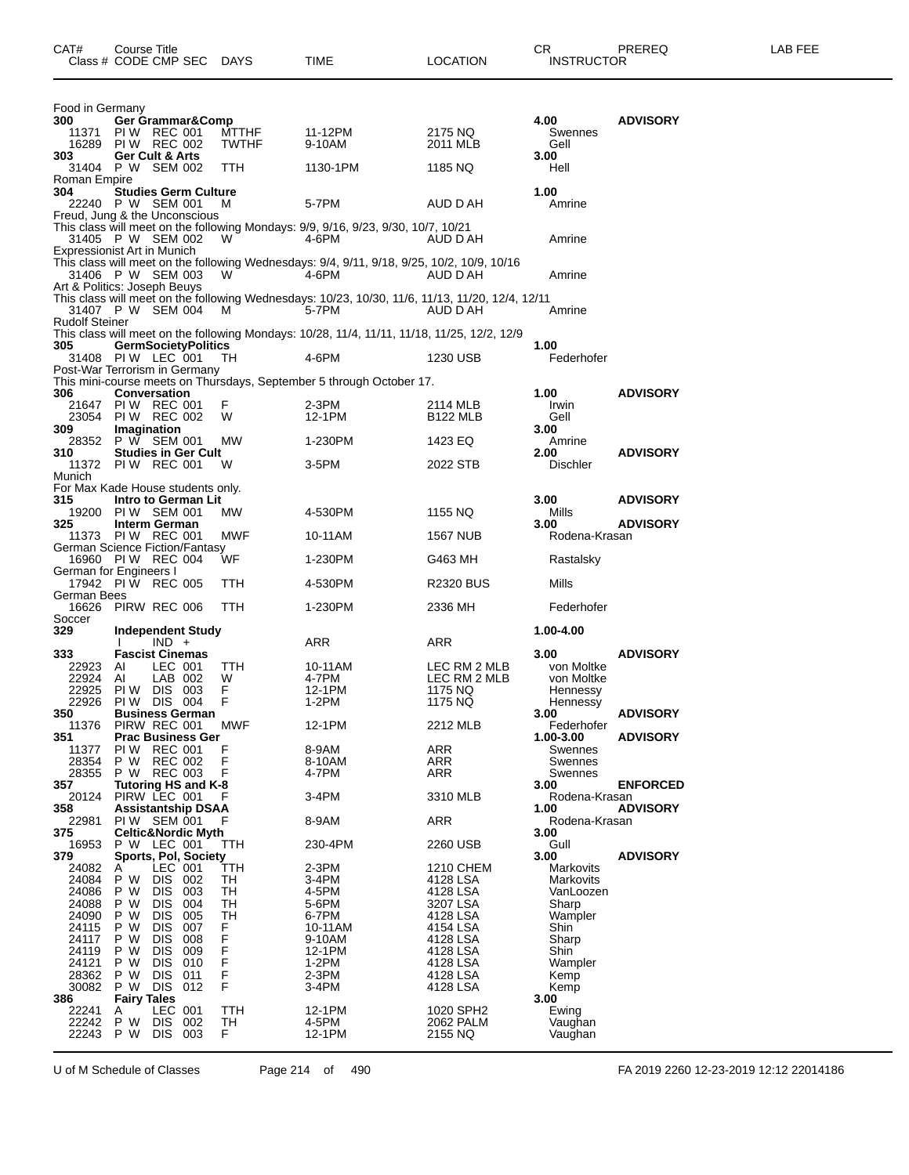| CAT#                                                                                   | Course Title<br>Class # CODE CMP SEC DAYS                                                                                                                                                                                                                            |                                                     | <b>TIME</b>                                                                                              | <b>LOCATION</b>                                                                                                      | CR.<br><b>INSTRUCTOR</b>                                                                       | PREREQ          | LAB FEE |
|----------------------------------------------------------------------------------------|----------------------------------------------------------------------------------------------------------------------------------------------------------------------------------------------------------------------------------------------------------------------|-----------------------------------------------------|----------------------------------------------------------------------------------------------------------|----------------------------------------------------------------------------------------------------------------------|------------------------------------------------------------------------------------------------|-----------------|---------|
| Food in Germany<br>300                                                                 | Ger Grammar&Comp<br>11371 PIW REC 001                                                                                                                                                                                                                                | <b>MTTHF</b>                                        | 11-12PM                                                                                                  | 2175 NQ                                                                                                              | 4.00<br>Swennes                                                                                | <b>ADVISORY</b> |         |
| 303                                                                                    | 16289 PIW REC 002<br>Ger Cult & Arts                                                                                                                                                                                                                                 | <b>TWTHF</b>                                        | 9-10AM                                                                                                   | 2011 MLB                                                                                                             | Gell<br>3.00                                                                                   |                 |         |
| Roman Empire<br>304                                                                    | 31404 P W SEM 002<br><b>Studies Germ Culture</b>                                                                                                                                                                                                                     | TTH                                                 | 1130-1PM                                                                                                 | 1185 NQ                                                                                                              | Hell<br>1.00                                                                                   |                 |         |
|                                                                                        | 22240 P W SEM 001<br>Freud, Jung & the Unconscious                                                                                                                                                                                                                   | M                                                   | 5-7PM                                                                                                    | AUD D AH                                                                                                             | Amrine                                                                                         |                 |         |
|                                                                                        | 31405 P W SEM 002<br>Expressionist Art in Munich                                                                                                                                                                                                                     | W.                                                  | This class will meet on the following Mondays: 9/9, 9/16, 9/23, 9/30, 10/7, 10/21<br>4-6PM               | AUD D AH                                                                                                             | Amrine                                                                                         |                 |         |
|                                                                                        | 31406 P W SEM 003                                                                                                                                                                                                                                                    | W.                                                  | This class will meet on the following Wednesdays: 9/4, 9/11, 9/18, 9/25, 10/2, 10/9, 10/16<br>4-6PM      | AUD D AH                                                                                                             | Amrine                                                                                         |                 |         |
|                                                                                        | Art & Politics: Joseph Beuys<br>31407 P W SEM 004                                                                                                                                                                                                                    | <b>M</b>                                            | This class will meet on the following Wednesdays: 10/23, 10/30, 11/6, 11/13, 11/20, 12/4, 12/11<br>5-7PM | AUD D AH                                                                                                             | Amrine                                                                                         |                 |         |
| <b>Rudolf Steiner</b><br>305                                                           | <b>GermSocietyPolitics</b>                                                                                                                                                                                                                                           |                                                     | This class will meet on the following Mondays: 10/28, 11/4, 11/11, 11/18, 11/25, 12/2, 12/9              |                                                                                                                      | 1.00                                                                                           |                 |         |
|                                                                                        | 31408 PIW LEC 001<br>Post-War Terrorism in Germany                                                                                                                                                                                                                   | TH.                                                 | 4-6PM                                                                                                    | 1230 USB                                                                                                             | Federhofer                                                                                     |                 |         |
| 306                                                                                    | <b>Conversation</b>                                                                                                                                                                                                                                                  |                                                     | This mini-course meets on Thursdays, September 5 through October 17.                                     |                                                                                                                      | 1.00                                                                                           | <b>ADVISORY</b> |         |
| 21647<br>23054<br>309                                                                  | <b>PIW REC 001</b><br>PIW REC 002<br>Imagination                                                                                                                                                                                                                     | F.<br>W                                             | $2-3PM$<br>12-1PM                                                                                        | 2114 MLB<br><b>B122 MLB</b>                                                                                          | Irwin<br>Gell<br>3.00                                                                          |                 |         |
| 28352<br>310                                                                           | P W SEM 001<br><b>Studies in Ger Cult</b>                                                                                                                                                                                                                            | МW                                                  | 1-230PM                                                                                                  | 1423 EQ                                                                                                              | Amrine<br>2.00                                                                                 | <b>ADVISORY</b> |         |
| Munich                                                                                 | 11372 PIW REC 001<br>For Max Kade House students only.                                                                                                                                                                                                               | W                                                   | 3-5PM                                                                                                    | 2022 STB                                                                                                             | <b>Dischler</b>                                                                                |                 |         |
| 315                                                                                    | Intro to German Lit                                                                                                                                                                                                                                                  |                                                     |                                                                                                          |                                                                                                                      | 3.00                                                                                           | <b>ADVISORY</b> |         |
| 19200<br>325                                                                           | PIW SEM 001<br>Interm German                                                                                                                                                                                                                                         | MW.                                                 | 4-530PM                                                                                                  | 1155 NQ                                                                                                              | Mills<br>3.00                                                                                  | <b>ADVISORY</b> |         |
|                                                                                        | 11373 PIW REC 001<br>German Science Fiction/Fantasy                                                                                                                                                                                                                  | MWF                                                 | 10-11AM                                                                                                  | 1567 NUB                                                                                                             | Rodena-Krasan                                                                                  |                 |         |
|                                                                                        | 16960 PIW REC 004<br>German for Engineers I                                                                                                                                                                                                                          | WF                                                  | 1-230PM                                                                                                  | G463 MH                                                                                                              | Rastalsky                                                                                      |                 |         |
| German Bees                                                                            | 17942 PIW REC 005                                                                                                                                                                                                                                                    | TTH                                                 | 4-530PM                                                                                                  | <b>R2320 BUS</b>                                                                                                     | Mills                                                                                          |                 |         |
| Soccer                                                                                 | 16626 PIRW REC 006                                                                                                                                                                                                                                                   | TTH                                                 | 1-230PM                                                                                                  | 2336 MH                                                                                                              | Federhofer                                                                                     |                 |         |
| 329                                                                                    | Independent Study<br>$IND +$                                                                                                                                                                                                                                         |                                                     | ARR                                                                                                      | ARR                                                                                                                  | 1.00-4.00                                                                                      |                 |         |
| 333<br>22923<br>22924<br>22925<br>22926                                                | <b>Fascist Cinemas</b><br>LEC 001<br>AI<br>Al<br>LAB 002<br>PIW DIS 003<br>PIW DIS 004                                                                                                                                                                               | TTH<br>W<br>F.<br>F.                                | 10-11AM<br>4-7PM<br>12-1PM<br>1-2PM                                                                      | LEC RM 2 MLB<br>LEC RM 2 MLB<br>1175 NQ<br>1175 NQ                                                                   | 3.00<br>von Moltke<br>von Moltke<br>Hennessy<br>Hennessy                                       | <b>ADVISORY</b> |         |
| 350<br>11376                                                                           | <b>Business German</b><br>PIRW REC 001                                                                                                                                                                                                                               | MWF                                                 | 12-1PM                                                                                                   | 2212 MLB                                                                                                             | 3.00<br>Federhofer                                                                             | <b>ADVISORY</b> |         |
| 351<br>11377<br>28354                                                                  | <b>Prac Business Ger</b><br>PI W<br><b>REC 001</b><br>P W<br><b>REC 002</b>                                                                                                                                                                                          | F<br>F                                              | 8-9AM<br>8-10AM                                                                                          | <b>ARR</b><br><b>ARR</b>                                                                                             | 1.00-3.00<br>Swennes<br>Swennes                                                                | <b>ADVISORY</b> |         |
| 28355<br>357<br>20124                                                                  | P W REC 003<br>Tutoring HS and K-8<br>PIRW LEC 001                                                                                                                                                                                                                   | F                                                   | 4-7PM<br>3-4PM                                                                                           | <b>ARR</b><br>3310 MLB                                                                                               | Swennes<br>3.00<br>Rodena-Krasan                                                               | <b>ENFORCED</b> |         |
| 358<br>22981                                                                           | <b>Assistantship DSAA</b><br>PIW SEM 001                                                                                                                                                                                                                             | F                                                   | 8-9AM                                                                                                    | ARR                                                                                                                  | 1.00<br>Rodena-Krasan                                                                          | <b>ADVISORY</b> |         |
| 375<br>16953                                                                           | <b>Celtic&amp;Nordic Myth</b><br>P W LEC 001                                                                                                                                                                                                                         | TTH                                                 | 230-4PM                                                                                                  | 2260 USB                                                                                                             | 3.00<br>Gull                                                                                   |                 |         |
| 379<br>24082                                                                           | <b>Sports, Pol, Society</b><br>LEC 001<br>A                                                                                                                                                                                                                          | ттн                                                 | $2-3PM$                                                                                                  | 1210 CHEM                                                                                                            | 3.00<br><b>Markovits</b>                                                                       | <b>ADVISORY</b> |         |
| 24084<br>24086<br>24088<br>24090<br>24115<br>24117<br>24119<br>24121<br>28362<br>30082 | P W<br><b>DIS</b><br>002<br>P W<br>DIS.<br>003<br>P W<br><b>DIS</b><br>004<br>P W<br><b>DIS</b><br>005<br>P W<br><b>DIS</b><br>007<br>P W<br>008<br><b>DIS</b><br>009<br>P W<br><b>DIS</b><br><b>DIS</b><br>010<br>P W<br>P W<br>011<br><b>DIS</b><br>DIS 012<br>P W | TH<br>TH<br>TH<br>TH<br>F.<br>F<br>F<br>F<br>F<br>F | 3-4PM<br>4-5PM<br>5-6PM<br>6-7PM<br>10-11AM<br>9-10AM<br>12-1PM<br>1-2PM<br>2-3PM<br>3-4PM               | 4128 LSA<br>4128 LSA<br>3207 LSA<br>4128 LSA<br>4154 LSA<br>4128 LSA<br>4128 LSA<br>4128 LSA<br>4128 LSA<br>4128 LSA | Markovits<br>VanLoozen<br>Sharp<br>Wampler<br>Shin<br>Sharp<br>Shin<br>Wampler<br>Kemp<br>Kemp |                 |         |
| 386<br>22241<br>22242<br>22243                                                         | <b>Fairy Tales</b><br>LEC 001<br>A<br>P W<br><b>DIS</b><br>002<br>P W<br>DIS .<br>003                                                                                                                                                                                | <b>TTH</b><br>TH<br>F.                              | 12-1PM<br>4-5PM<br>12-1PM                                                                                | 1020 SPH2<br>2062 PALM<br>2155 NQ                                                                                    | 3.00<br>Ewing<br>Vaughan<br>Vaughan                                                            |                 |         |

U of M Schedule of Classes Page 214 of 490 FA 2019 2260 12-23-2019 12:12 22014186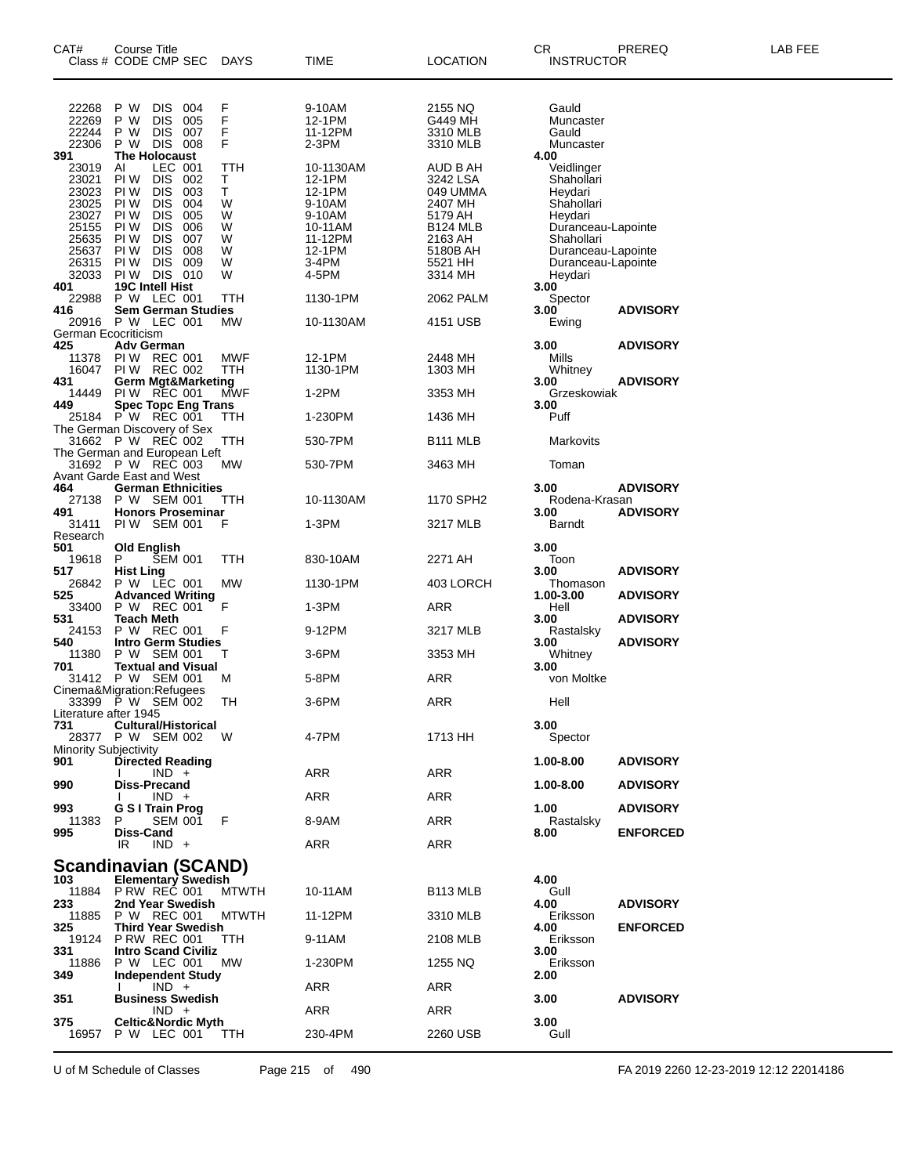| CAT#                                      | <b>Course Title</b><br>Class # CODE CMP SEC                                                                                                | DAYS                    | TIME                                              | LOCATION                                               | CR<br><b>INSTRUCTOR</b>                                                                 | PREREQ                             | LAB FEE |
|-------------------------------------------|--------------------------------------------------------------------------------------------------------------------------------------------|-------------------------|---------------------------------------------------|--------------------------------------------------------|-----------------------------------------------------------------------------------------|------------------------------------|---------|
| 22268<br>22269                            | P W<br><b>DIS</b><br>004<br><b>DIS</b><br>P W<br>005                                                                                       | F<br>F<br>F             | 9-10AM<br>12-1PM                                  | 2155 NQ<br>G449 MH                                     | Gauld<br>Muncaster                                                                      |                                    |         |
| 22244<br>22306<br>391                     | <b>DIS</b><br>P W<br>007<br>P W<br>DIS 008<br>The Holocaust                                                                                | F                       | 11-12PM<br>2-3PM                                  | 3310 MLB<br>3310 MLB                                   | Gauld<br>Muncaster<br>4.00                                                              |                                    |         |
| 23019<br>23021<br>23023<br>23025<br>23027 | LEC 001<br>AI<br>PI W<br><b>DIS</b><br>002<br>PI W<br><b>DIS</b><br>003<br><b>DIS</b><br>004<br>PI W<br>PI W<br><b>DIS</b><br>005          | TTH<br>т<br>T<br>W<br>W | 10-1130AM<br>12-1PM<br>12-1PM<br>9-10AM<br>9-10AM | AUD B AH<br>3242 LSA<br>049 UMMA<br>2407 MH<br>5179 AH | Veidlinger<br>Shahollari<br>Heydari<br>Shahollari<br>Heydari                            |                                    |         |
| 25155<br>25635<br>25637<br>26315<br>32033 | PI W<br><b>DIS</b><br>006<br><b>DIS</b><br>PI W<br>007<br>PI W<br><b>DIS</b><br>008<br><b>DIS</b><br>009<br>PI W<br><b>DIS 010</b><br>PI W | W<br>W<br>W<br>W<br>W   | 10-11AM<br>11-12PM<br>12-1PM<br>3-4PM<br>4-5PM    | B124 MLB<br>2163 AH<br>5180B AH<br>5521 HH<br>3314 MH  | Duranceau-Lapointe<br>Shahollari<br>Duranceau-Lapointe<br>Duranceau-Lapointe<br>Heydari |                                    |         |
| 401<br>22988<br>416                       | 19C Intell Hist<br>P W LEC 001<br><b>Sem German Studies</b>                                                                                | ттн                     | 1130-1PM                                          | 2062 PALM                                              | 3.00<br>Spector<br>3.00                                                                 | <b>ADVISORY</b>                    |         |
|                                           | 20916 P W LEC 001<br>German Ecocriticism                                                                                                   | МW                      | 10-1130AM                                         | 4151 USB                                               | Ewing                                                                                   |                                    |         |
| 425<br>11378<br>16047<br>431              | <b>Adv German</b><br><b>PIW REC 001</b><br>PIW REC 002<br><b>Germ Mgt&amp;Marketing</b>                                                    | MWF<br>TTH              | 12-1PM<br>1130-1PM                                | 2448 MH<br>1303 MH                                     | 3.00<br>Mills<br>Whitney<br>3.00                                                        | <b>ADVISORY</b><br><b>ADVISORY</b> |         |
| 14449<br>449                              | <b>PIW REC 001</b><br>Spec Topc Eng Trans                                                                                                  | <b>MWF</b>              | 1-2PM                                             | 3353 MH                                                | Grzeskowiak<br>3.00                                                                     |                                    |         |
|                                           | 25184 P W REC 001<br>The German Discovery of Sex<br>31662 P W REC 002                                                                      | ттн                     | 1-230PM                                           | 1436 MH                                                | Puff                                                                                    |                                    |         |
|                                           | The German and European Left<br>31692 P W REC 003                                                                                          | TTH<br>МW               | 530-7PM<br>530-7PM                                | B111 MLB<br>3463 MH                                    | Markovits<br>Toman                                                                      |                                    |         |
| 464<br>27138                              | Avant Garde East and West<br><b>German Ethnicities</b><br>P W SEM 001                                                                      | ттн                     | 10-1130AM                                         | 1170 SPH2                                              | 3.00<br>Rodena-Krasan                                                                   | <b>ADVISORY</b>                    |         |
| 491<br>31411<br>Research                  | <b>Honors Proseminar</b><br>PIW SEM 001                                                                                                    | F                       | 1-3PM                                             | 3217 MLB                                               | 3.00<br>Barndt                                                                          | <b>ADVISORY</b>                    |         |
| 501<br>19618                              | <b>Old English</b><br>P<br><b>SEM 001</b>                                                                                                  | TTH                     | 830-10AM                                          | 2271 AH                                                | 3.00<br>Toon                                                                            |                                    |         |
| 517<br>26842                              | <b>Hist Ling</b><br>P W LEC 001                                                                                                            | МW                      | 1130-1PM                                          | 403 LORCH                                              | 3.00<br>Thomason                                                                        | <b>ADVISORY</b>                    |         |
| 525<br>33400<br>531                       | <b>Advanced Writing</b><br>P W REC 001<br>Teach Meth                                                                                       | F                       | 1-3PM                                             | ARR                                                    | 1.00-3.00<br>Hell<br>3.00                                                               | <b>ADVISORY</b><br><b>ADVISORY</b> |         |
| 24153<br>540                              | P W REC 001<br><b>Intro Germ Studies</b>                                                                                                   | F                       | 9-12PM                                            | 3217 MLB                                               | Rastalsky<br>3.00                                                                       | <b>ADVISORY</b>                    |         |
| 11380<br>701                              | P W SEM 001<br><b>Textual and Visual</b>                                                                                                   | т                       | 3-6PM                                             | 3353 MH                                                | Whitney<br>3.00                                                                         |                                    |         |
|                                           | 31412 PW SEM 001<br>Cinema&Migration:Refugees                                                                                              | M                       | 5-8PM                                             | ARR                                                    | von Moltke                                                                              |                                    |         |
| Literature after 1945                     | 33399 PW SEM 002                                                                                                                           | TН                      | 3-6PM                                             | ARR                                                    | Hell                                                                                    |                                    |         |
| 731<br><b>Minority Subjectivity</b>       | <b>Cultural/Historical</b><br>28377 P W SEM 002                                                                                            | - W                     | 4-7PM                                             | 1713 HH                                                | 3.00<br>Spector                                                                         |                                    |         |
| 901<br>990                                | <b>Directed Reading</b><br>$IND +$<br>Diss-Precand                                                                                         |                         | ARR                                               | ARR                                                    | 1.00-8.00<br>1.00-8.00                                                                  | <b>ADVISORY</b><br><b>ADVISORY</b> |         |
| 993                                       | $IND +$<br><b>G S I Train Prog</b>                                                                                                         |                         | ARR                                               | ARR                                                    | 1.00                                                                                    | <b>ADVISORY</b>                    |         |
| 11383<br>995                              | P<br>SEM 001<br><b>Diss-Cand</b>                                                                                                           | F                       | 8-9AM                                             | ARR                                                    | Rastalsky<br>8.00                                                                       | <b>ENFORCED</b>                    |         |
|                                           | IR<br>$IND +$<br><b>Scandinavian (SCAND)</b>                                                                                               |                         | ARR                                               | ARR                                                    |                                                                                         |                                    |         |
| 103<br>11884<br>233                       | <b>Elementary Swedish</b><br><b>P RW REC 001</b><br>2nd Year Swedish                                                                       | <b>MTWTH</b>            | 10-11AM                                           | B <sub>113</sub> MLB                                   | 4.00<br>Gull<br>4.00                                                                    | <b>ADVISORY</b>                    |         |
| 11885<br>325                              | P W REC 001<br><b>Third Year Swedish</b>                                                                                                   | <b>MTWTH</b>            | 11-12PM                                           | 3310 MLB                                               | Eriksson<br>4.00                                                                        | <b>ENFORCED</b>                    |         |
| 19124<br>331                              | <b>P RW REC 001</b><br><b>Intro Scand Civiliz</b>                                                                                          | TТH                     | 9-11AM                                            | 2108 MLB                                               | Eriksson<br>3.00                                                                        |                                    |         |
| 11886<br>349                              | P W LEC 001<br><b>Independent Study</b>                                                                                                    | МW                      | 1-230PM                                           | 1255 NQ                                                | Eriksson<br>2.00                                                                        |                                    |         |
| 351                                       | $IND +$<br><b>Business Swedish</b>                                                                                                         |                         | ARR                                               | ARR                                                    | 3.00                                                                                    | <b>ADVISORY</b>                    |         |
| 375                                       | $IND +$<br><b>Celtic&amp;Nordic Myth</b>                                                                                                   |                         | ARR                                               | ARR                                                    | 3.00                                                                                    |                                    |         |
| 16957                                     | P W LEC 001                                                                                                                                | - TTH                   | 230-4PM                                           | 2260 USB                                               | Gull                                                                                    |                                    |         |

U of M Schedule of Classes Page 215 of 490 FA 2019 2260 12-23-2019 12:12 22014186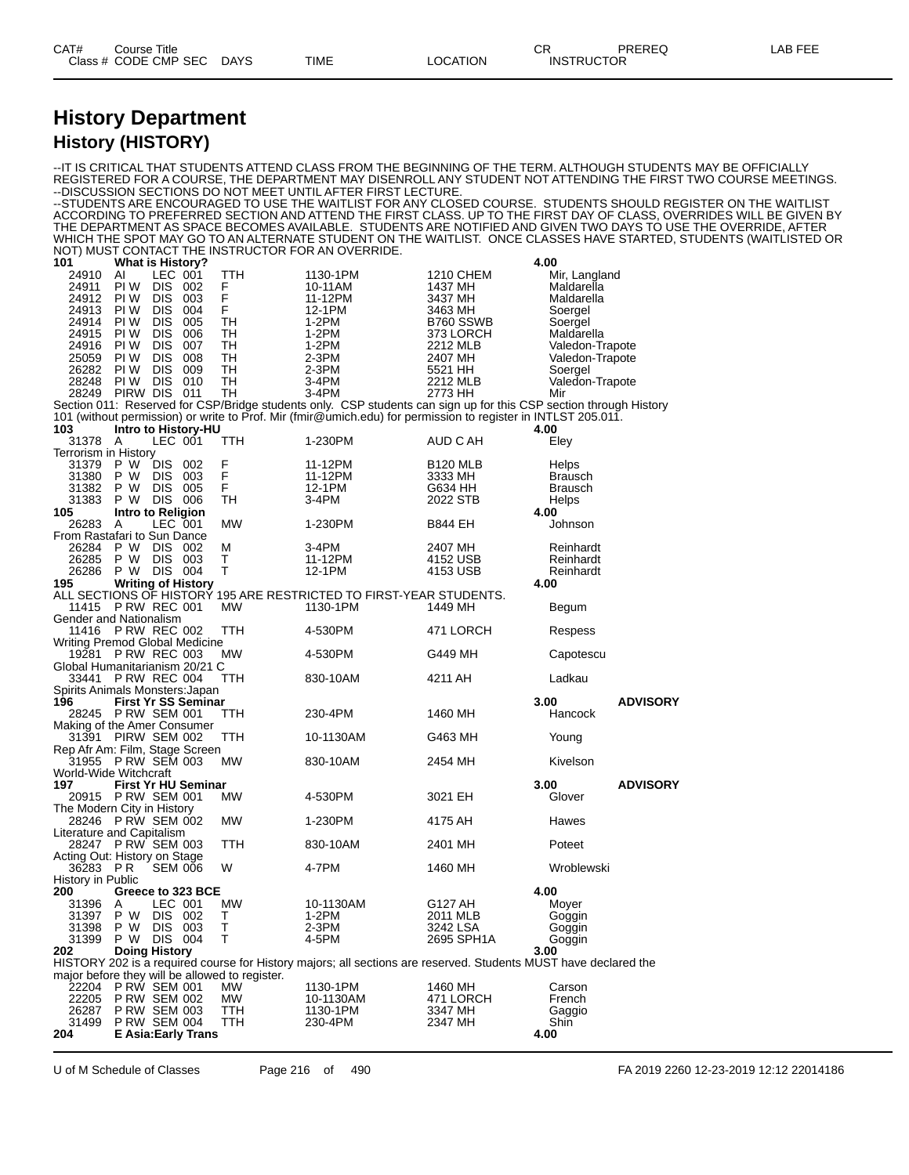### **History Department History (HISTORY)**

--IT IS CRITICAL THAT STUDENTS ATTEND CLASS FROM THE BEGINNING OF THE TERM. ALTHOUGH STUDENTS MAY BE OFFICIALLY REGISTERED FOR A COURSE, THE DEPARTMENT MAY DISENROLL ANY STUDENT NOT ATTENDING THE FIRST TWO COURSE MEETINGS. --DISCUSSION SECTIONS DO NOT MEET UNTIL AFTER FIRST LECTURE. --STUDENTS ARE ENCOURAGED TO USE THE WAITLIST FOR ANY CLOSED COURSE. STUDENTS SHOULD REGISTER ON THE WAITLIST ACCORDING TO PREFERRED SECTION AND ATTEND THE FIRST CLASS. UP TO THE FIRST DAY OF CLASS, OVERRIDES WILL BE GIVEN BY THE DEPARTMENT AS SPACE BECOMES AVAILABLE. STUDENTS ARE NOTIFIED AND GIVEN TWO DAYS TO USE THE OVERRIDE, AFTER WHICH THE SPOT MAY GO TO AN ALTERNATE STUDENT ON THE WAITLIST. ONCE CLASSES HAVE STARTED, STUDENTS (WAITLISTED OR NOT) MUST CONTACT THE INSTRUCTOR FOR AN OVERRIDE.<br>101 What is History? **1 What is History? 4.00**<br>24910 Al LEC 001 TTH 1130-1PM 1210 CHEM M<br>24911 PI W DIS 002 F 10-11AM 1437 MH M 24910 AI LEC 001 TTH 1130-1PM 1210 CHEM Mir, Langland 24911 PI W DIS 002 F 10-11AM 1437 MH Maldarella 24912 PI W DIS 003 F 11-12PM 3437 MH Maldarella 24913 PI W DIS 004 F 12-1PM 3463 MH Soergel 24914 PI W DIS 005 TH 1-2PM B760 SSWB Soergel 24915 PI W DIS 006 TH 1-2PM 373 LORCH Maldarella 24916 PI W DIS 007 TH 1-2PM 2212 MLB Valedon-Trapote 25059 PI W DIS 008 TH 2-3PM 2407 MH Valedon-Trapote 26282 PI W DIS 009 TH 2-3PM 5521 HH Soergel 28248 PI W DIS 010 TH 3-4PM 2212 MLB Valedon-Trapote 28249 PIRW DIS 011 TH 3-4PM 2773 HH Mir Section 011: Reserved for CSP/Bridge students only. CSP students can sign up for this CSP section through History 101 (without permission) or write to Prof. Mir (fmir@umich.edu) for permission to register in INTLST 205.011. **103 Intro to History-HU 4.00** A LEC 001 Terrorism in History 31379 P W DIS 002 F 11-12PM B120 MLB Helps 31380 P W DIS 003 F 11-12PM 3333 MH Brausch 31382 P W DIS 005 F 12-1PM G634 HH Brausch 31383 P W DIS 006 TH 3-4PM 2022 STB Helps **105 Intro to Religion 4.00** 26283 A LEC 001 MW 1-230PM B844 EH Johnson From Rastafari to Sun Dance<br>26284 P W DIS 002 26284 P W DIS 002 M 3-4PM 2407 MH Reinhardt 26285 P W DIS 003 T 11-12PM 4152 USB Reinhardt 26286 P W DIS 004 T 12-1PM 4153 USB Reinhardt **195 Writing of History 4.00** ALL SECTIONS OF HISTORY 195 ARE RESTRICTED TO FIRST-YEAR STUDENTS. 11415 P RW REC 001 MW 1130-1PM 1449 MH Begum Gender and Nationalism 11416 P RW REC 002 TTH 4-530PM 471 LORCH Respess Writing Premod Global Medicine<br>19281 P RW RFC 003 MW 19281 P RW REC 003 MW 4-530PM G449 MH Capotescu Global Humanitarianism 20/21 C 33441 P RW REC 004 TTH 830-10AM 4211 AH Ladkau Spirits Animals Monsters: Japan<br>196 First Yr SS Semina **196 First Yr SS Seminar 3.00 ADVISORY** 28245 P RW SEM 001 TTH 230-4PM 1460 MH Hancock Making of the Amer Consumer 31391 PIRW SEM 002 TTH 10-1130AM G463 MH Young Rep Afr Am: Film, Stage Screen 31955 P RW SEM 003 MW 830-10AM 2454 MH Kivelson World-Wide Witchcraft **197 First Yr HU Seminar 3.00 ADVISORY** 20915 P RW SEM 001 MW 4-530PM 3021 EH Glover The Modern City in History 28246 P RW SEM 002 MW 1-230PM 4175 AH Hawes Literature and Capitalism 28247 P RW SEM 003 TTH 830-10AM 2401 MH Poteet Acting Out: History on Stage<br>36283 PR SEM 006 36283 P R SEM 006 W 4-7PM 1460 MH Wroblewski History in Public<br>200 Gree **200 Greece to 323 BCE 4.00** 31396 A LEC 001 MW 10-1130AM G127 AH Moyer 31397 P W DIS 002 T 1-2PM 2011 MLB Goggin 31398 P W DIS 003 T 2-3PM 3242 LSA Goggin 31398 P W DIS 003 T 2-3PM 3242 LSA Goggin<br>31399 P W DIS 004 T 4-5PM 2695 SPH1A Goggin<br>202 Doing History 3.00 **202 Doing History 3.00** HISTORY 202 is a required course for History majors; all sections are reserved. Students MUST have declared the major before they will be allowed to register.<br>22204 PRW SEM 001 MW 22204 P RW SEM 001 MW 1130-1PM 1460 MH Carson 22205 P RW SEM 002 MW 10-1130AM 471 LORCH French 26287 P RW SEM 003 TTH 1130-1PM 3347 MH Gaggio<br>31499 P RW SEM 004 TTH 230-4PM 2347 MH Shin 31499 P RW SEM 004 TTH 230-4PM 2347 MH S<br>204 E Asia:Early Trans **204 E Asia:Early Trans 4.00**

U of M Schedule of Classes Page 216 of 490 FA 2019 2260 12-23-2019 12:12 22014186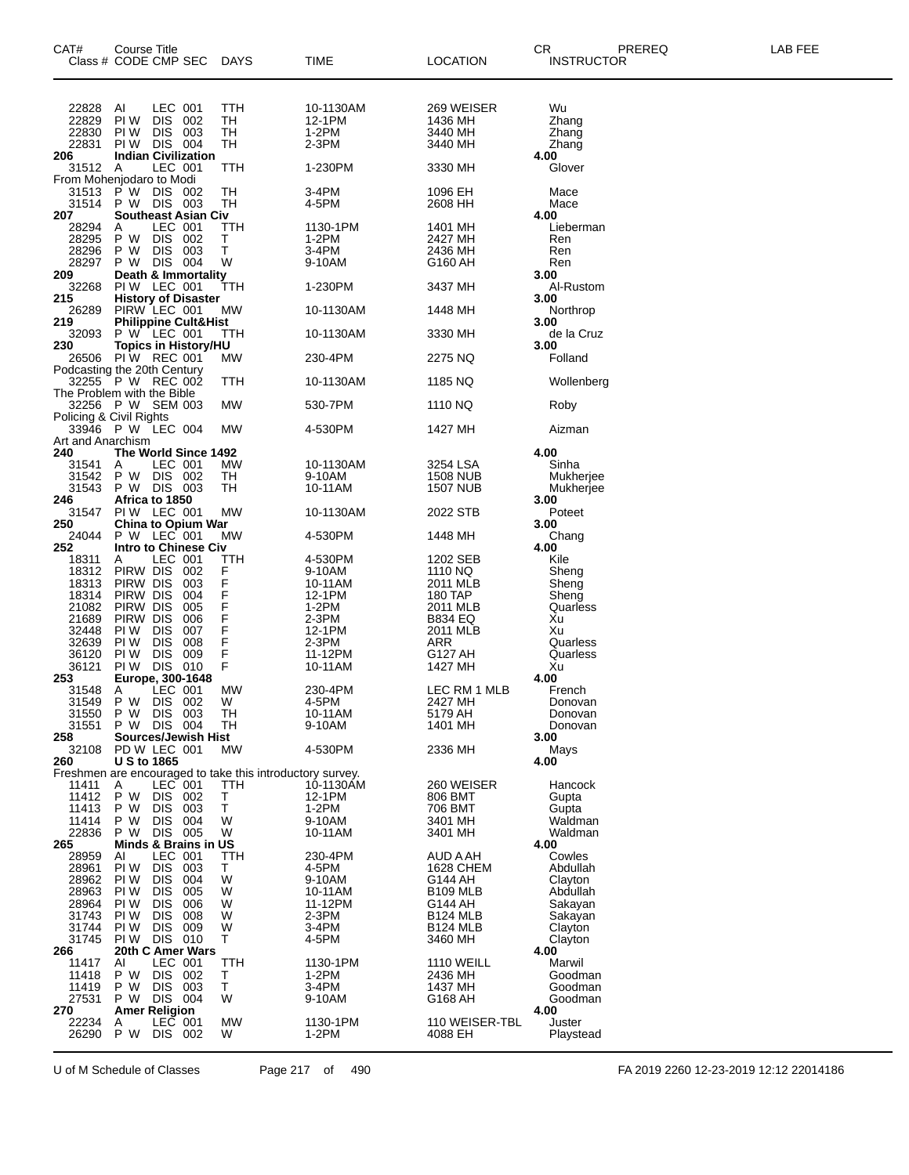| CAT#              | Course Title<br>Class # CODE CMP SEC                      | DAYS       | <b>TIME</b>         | LOCATION                    | CR<br>PREREQ<br><b>INSTRUCTOR</b> | LAB FEE |
|-------------------|-----------------------------------------------------------|------------|---------------------|-----------------------------|-----------------------------------|---------|
| 22828             | LEC 001<br>AI                                             | TTH        | 10-1130AM           | 269 WEISER                  | Wu                                |         |
| 22829<br>22830    | PI W<br>DIS 002<br>DIS 003<br>PI W                        | TН<br>TH   | 12-1PM<br>$1-2PM$   | 1436 MH<br>3440 MH          | Zhang<br>Zhang                    |         |
| 22831             | PIW DIS 004                                               | TН         | $2-3PM$             | 3440 MH                     | Zhang                             |         |
| 206<br>31512 A    | <b>Indian Civilization</b><br>LEC 001                     | TTH        | 1-230PM             | 3330 MH                     | 4.00<br>Glover                    |         |
|                   | From Mohenjodaro to Modi                                  |            |                     |                             |                                   |         |
| 31513<br>31514    | P W<br>DIS 002<br>DIS 003<br>P W                          | TН<br>TН   | 3-4PM<br>4-5PM      | 1096 EH<br>2608 HH          | Mace<br>Mace                      |         |
| 207               | <b>Southeast Asian Civ</b><br>LEC 001                     | ттн        | 1130-1PM            |                             | 4.00                              |         |
| 28294<br>28295    | A<br>DIS 002<br>P W                                       | Т          | 1-2PM               | 1401 MH<br>2427 MH          | Lieberman<br>Ren                  |         |
| 28296             | DIS 003<br>P W                                            | т          | 3-4PM               | 2436 MH                     | Ren                               |         |
| 28297<br>209      | DIS 004<br>P W<br>Death & Immortality                     | W          | 9-10AM              | G160 AH                     | Ren<br>3.00                       |         |
| 32268             | PIW LEC 001                                               | TTH        | 1-230PM             | 3437 MH                     | Al-Rustom                         |         |
| 215<br>26289      | <b>History of Disaster</b><br>PIRW LEC 001                | <b>MW</b>  | 10-1130AM           | 1448 MH                     | 3.00<br>Northrop                  |         |
| 219<br>32093      | <b>Philippine Cult&amp;Hist</b><br>P W LEC 001            | TTH        | 10-1130AM           | 3330 MH                     | 3.00<br>de la Cruz                |         |
| 230               | <b>Topics in History/HU</b><br>26506 PIW REC 001          | МW         | 230-4PM             | 2275 NQ                     | 3.00<br>Folland                   |         |
|                   | Podcasting the 20th Century                               |            |                     |                             |                                   |         |
|                   | 32255 P W REC 002<br>The Problem with the Bible           | ттн        | 10-1130AM           | 1185 NQ                     | Wollenberg                        |         |
|                   | 32256 P W SEM 003<br>Policing & Civil Rights              | МW         | 530-7PM             | 1110 NQ                     | Roby                              |         |
| Art and Anarchism | 33946 P W LEC 004                                         | МW         | 4-530PM             | 1427 MH                     | Aizman                            |         |
| 240               | The World Since 1492                                      |            |                     |                             | 4.00                              |         |
| 31541<br>31542    | LEC 001<br>A<br>P W DIS 002                               | MW<br>TН   | 10-1130AM<br>9-10AM | 3254 LSA<br><b>1508 NUB</b> | Sinha<br>Mukherjee                |         |
| 31543             | DIS 003<br>P W                                            | TН         | 10-11AM             | <b>1507 NUB</b>             | Mukherjee                         |         |
| 246<br>31547      | Africa to 1850<br>PIW LEC 001                             | MW         | 10-1130AM           | 2022 STB                    | 3.00<br>Poteet                    |         |
| 250               | <b>China to Opium War</b>                                 |            |                     |                             | 3.00                              |         |
| 24044<br>252      | P W LEC 001<br><b>Intro to Chinese Civ</b>                | МW         | 4-530PM             | 1448 MH                     | Chang<br>4.00                     |         |
| 18311             | LEC 001<br>Α                                              | ттн        | 4-530PM             | 1202 SEB                    | Kile                              |         |
| 18312<br>18313    | PIRW DIS<br>002<br>PIRW DIS<br>003                        | F<br>F     | 9-10AM              | 1110 NQ<br>2011 MLB         | Sheng                             |         |
| 18314             | PIRW DIS<br>004                                           | F          | 10-11AM<br>12-1PM   | 180 TAP                     | Sheng<br>Sheng                    |         |
| 21082             | PIRW DIS<br>005                                           | F          | $1-2PM$             | 2011 MLB                    | Quarless                          |         |
| 21689<br>32448    | PIRW DIS<br>006<br><b>DIS</b><br>007<br>PI W              | F<br>F     | 2-3PM<br>12-1PM     | <b>B834 EQ</b><br>2011 MLB  | Xu<br>Xu                          |         |
| 32639             | <b>DIS</b><br>008<br>PI W                                 | F          | 2-3PM               | ARR                         | Quarless                          |         |
| 36120             | <b>DIS</b><br>009<br>PI W                                 | F          | 11-12PM             | G127 AH                     | Quarless                          |         |
| 36121<br>253      | DIS 010<br>PI W<br>Europe, 300-1648                       | F          | 10-11AM             | 1427 MH                     | Xu<br>4.00                        |         |
| 31548             | LEC 001<br>Α                                              | MW         | 230-4PM             | LEC RM 1 MLB                | French                            |         |
| 31549             | P W<br>DIS 002<br>P W<br>DIS 003                          | W<br>TH    | 4-5PM<br>10-11AM    | 2427 MH<br>5179 AH          | Donovan<br>Donovan                |         |
| 31550<br>31551    | P W DIS 004                                               | TН         | 9-10AM              | 1401 MH                     | Donovan                           |         |
| 258               | <b>Sources/Jewish Hist</b>                                |            |                     |                             | 3.00                              |         |
| 32108<br>260      | PD W LEC 001<br><b>U S to 1865</b>                        | <b>MW</b>  | 4-530PM             | 2336 MH                     | Mays<br>4.00                      |         |
|                   | Freshmen are encouraged to take this introductory survey. |            |                     |                             |                                   |         |
| 11411             | LEC 001<br>A                                              | TTH        | 10-1130AM           | 260 WEISER                  | Hancock                           |         |
| 11412<br>11413    | <b>DIS</b><br>P W<br>002<br><b>DIS</b><br>003<br>P W      | Т<br>T     | 12-1PM<br>1-2PM     | 806 BMT<br>706 BMT          | Gupta<br>Gupta                    |         |
| 11414             | P W<br><b>DIS</b><br>004                                  | W          | 9-10AM              | 3401 MH                     | Waldman                           |         |
| 22836             | DIS 005<br>P W                                            | W          | 10-11AM             | 3401 MH                     | Waldman                           |         |
| 265<br>28959      | Minds & Brains in US<br>LEC 001<br>AI                     | TTH        | 230-4PM             | AUD A AH                    | 4.00<br>Cowles                    |         |
| 28961             | PI W<br>DIS.<br>003                                       | T.         | 4-5PM               | 1628 CHEM                   | Abdullah                          |         |
| 28962<br>28963    | 004<br>PI W<br><b>DIS</b><br>PI W<br><b>DIS</b><br>005    | W<br>W     | 9-10AM<br>10-11AM   | G144 AH<br><b>B109 MLB</b>  | Clayton<br>Abdullah               |         |
| 28964             | PI W<br>DIS.<br>006                                       | W          | 11-12PM             | G144 AH                     | Sakayan                           |         |
| 31743             | 008<br>PI W<br><b>DIS</b>                                 | W          | 2-3PM               | <b>B124 MLB</b>             | Sakayan                           |         |
| 31744<br>31745    | PI W<br><b>DIS</b><br>009<br>DIS 010<br>PI W              | W<br>Τ     | 3-4PM<br>4-5PM      | <b>B124 MLB</b><br>3460 MH  | Clayton<br>Clayton                |         |
| 266               | 20th C Amer Wars                                          |            |                     |                             | 4.00                              |         |
| 11417             | LEC 001<br>AI                                             | <b>TTH</b> | 1130-1PM            | <b>1110 WEILL</b>           | Marwil                            |         |
| 11418<br>11419    | P W<br>DIS 002<br>DIS.<br>003<br>P W                      | Τ<br>T     | 1-2PM<br>3-4PM      | 2436 MH<br>1437 MH          | Goodman<br>Goodman                |         |
| 27531             | P W<br>DIS 004                                            | W          | 9-10AM              | G168 AH                     | Goodman                           |         |
| 270<br>22234      | <b>Amer Religion</b><br>LEC 001<br>A                      | МW         | 1130-1PM            | 110 WEISER-TBL              | 4.00<br>Juster                    |         |
| 26290             | P W<br>DIS 002                                            | W          | $1-2PM$             | 4088 EH                     | Playstead                         |         |
|                   |                                                           |            |                     |                             |                                   |         |

U of M Schedule of Classes Page 217 of 490 FA 2019 2260 12-23-2019 12:12 22014186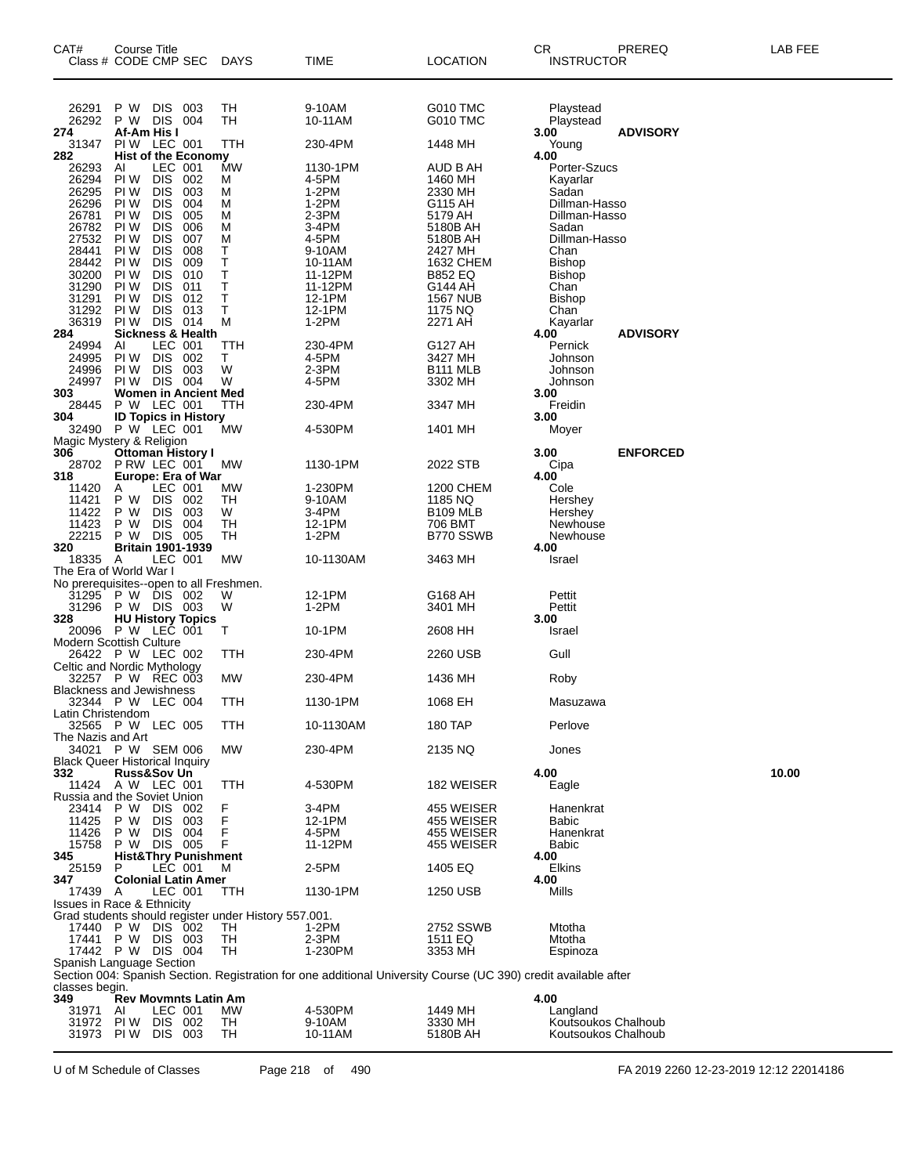| CAT#                                             | Course Title<br>Class # CODE CMP SEC        |                          |                                 | <b>DAYS</b>                                          | TIME                                                                                                            | LOCATION                   | CR<br><b>INSTRUCTOR</b>                    | PREREQ          | LAB FEE |
|--------------------------------------------------|---------------------------------------------|--------------------------|---------------------------------|------------------------------------------------------|-----------------------------------------------------------------------------------------------------------------|----------------------------|--------------------------------------------|-----------------|---------|
| 26291<br>26292                                   | P W<br>P W DIS                              | <b>DIS</b>               | 003<br>004                      | TH<br>TН                                             | 9-10AM<br>10-11AM                                                                                               | G010 TMC<br>G010 TMC       | Playstead<br>Playstead                     |                 |         |
| 274                                              | Af-Am His I                                 |                          |                                 |                                                      |                                                                                                                 |                            | 3.00                                       | <b>ADVISORY</b> |         |
| 31347<br>282                                     | PIW LEC 001                                 |                          | <b>Hist of the Economy</b>      | TTH                                                  | 230-4PM                                                                                                         | 1448 MH                    | Young<br>4.00                              |                 |         |
| 26293<br>26294                                   | AI<br>PI W                                  | LEC 001<br><b>DIS</b>    | 002                             | <b>MW</b><br>М                                       | 1130-1PM<br>4-5PM                                                                                               | AUD B AH<br>1460 MH        | Porter-Szucs<br>Kayarlar                   |                 |         |
| 26295                                            | PI W                                        | <b>DIS</b>               | 003                             | М                                                    | 1-2PM                                                                                                           | 2330 MH                    | Sadan                                      |                 |         |
| 26296<br>26781                                   | PI W<br>PI W                                | <b>DIS</b><br><b>DIS</b> | 004<br>005                      | М<br>м                                               | 1-2PM<br>2-3PM                                                                                                  | G115 AH<br>5179 AH         | Dillman-Hasso<br>Dillman-Hasso             |                 |         |
| 26782                                            | PI W                                        | <b>DIS</b>               | 006                             | M                                                    | 3-4PM                                                                                                           | 5180B AH                   | Sadan                                      |                 |         |
| 27532<br>28441                                   | PI W<br>PI W                                | <b>DIS</b><br><b>DIS</b> | 007<br>008                      | М<br>Т                                               | 4-5PM<br>9-10AM                                                                                                 | 5180B AH<br>2427 MH        | Dillman-Hasso<br>Chan                      |                 |         |
| 28442<br>30200                                   | PI W<br>PI W                                | <b>DIS</b><br><b>DIS</b> | 009<br>010                      | Т<br>Τ                                               | 10-11AM<br>11-12PM                                                                                              | 1632 CHEM<br>B852 EQ       | <b>Bishop</b><br><b>Bishop</b>             |                 |         |
| 31290                                            | PI W                                        | <b>DIS</b>               | 011                             | Т                                                    | 11-12PM                                                                                                         | G144 AH                    | Chan                                       |                 |         |
| 31291<br>31292                                   | PI W<br>PI W                                | <b>DIS</b><br><b>DIS</b> | 012<br>013                      | Т<br>Τ                                               | 12-1PM<br>12-1PM                                                                                                | <b>1567 NUB</b><br>1175 NQ | <b>Bishop</b><br>Chan                      |                 |         |
| 36319                                            | <b>PIW DIS 014</b>                          |                          |                                 | М                                                    | $1-2PM$                                                                                                         | 2271 AH                    | Kayarlar                                   |                 |         |
| 284<br>24994                                     | AI                                          | LEC 001                  | <b>Sickness &amp; Health</b>    | ттн                                                  | 230-4PM                                                                                                         | G127 AH                    | 4.00<br>Pernick                            | <b>ADVISORY</b> |         |
| 24995                                            | PI W                                        | <b>DIS</b>               | 002                             | т                                                    | 4-5PM                                                                                                           | 3427 MH                    | Johnson                                    |                 |         |
| 24996<br>24997                                   | PI W<br>PIW DIS 004                         | <b>DIS</b>               | 003                             | W<br>W                                               | 2-3PM<br>4-5PM                                                                                                  | B111 MLB<br>3302 MH        | Johnson<br>Johnson                         |                 |         |
| 303<br>28445                                     | P W LEC 001                                 |                          | <b>Women in Ancient Med</b>     | ттн                                                  | 230-4PM                                                                                                         | 3347 MH                    | 3.00<br>Freidin                            |                 |         |
| 304                                              |                                             |                          | <b>ID Topics in History</b>     |                                                      |                                                                                                                 |                            | 3.00                                       |                 |         |
| 32490<br>Magic Mystery & Religion                | P W LEC 001                                 |                          |                                 | MW                                                   | 4-530PM                                                                                                         | 1401 MH                    | Moyer                                      |                 |         |
| 306                                              |                                             |                          | <b>Ottoman History I</b>        |                                                      |                                                                                                                 |                            | 3.00                                       | <b>ENFORCED</b> |         |
| 28702<br>318                                     | P RW LEC 001                                |                          | <b>Europe: Era of War</b>       | MW                                                   | 1130-1PM                                                                                                        | 2022 STB                   | Cipa<br>4.00                               |                 |         |
| 11420<br>11421                                   | A<br>P W                                    | LEC 001<br><b>DIS</b>    | 002                             | МW<br>TН                                             | 1-230PM<br>9-10AM                                                                                               | 1200 CHEM<br>1185 NQ       | Cole<br>Hershey                            |                 |         |
| 11422                                            | P W                                         | <b>DIS</b>               | 003                             | W                                                    | 3-4PM                                                                                                           | B109 MLB                   | Hershey                                    |                 |         |
| 11423<br>22215                                   | P W<br>P W DIS 005                          | <b>DIS</b>               | 004                             | TН<br>TН                                             | 12-1PM<br>$1-2PM$                                                                                               | 706 BMT<br>B770 SSWB       | Newhouse<br>Newhouse                       |                 |         |
| 320                                              |                                             |                          | <b>Britain 1901-1939</b>        |                                                      |                                                                                                                 |                            | 4.00                                       |                 |         |
| 18335<br>The Era of World War I                  | - A                                         | LEC 001                  |                                 | MW                                                   | 10-1130AM                                                                                                       | 3463 MH                    | Israel                                     |                 |         |
| No prerequisites--open to all Freshmen.<br>31295 | P W DIS 002                                 |                          |                                 | W                                                    | 12-1PM                                                                                                          | G168 AH                    | Pettit                                     |                 |         |
| 31296                                            | P W DIS 003                                 |                          |                                 | W                                                    | $1-2PM$                                                                                                         | 3401 MH                    | Pettit                                     |                 |         |
| 328<br>20096                                     | P W LEC 001                                 |                          | <b>HU History Topics</b>        | т                                                    | 10-1PM                                                                                                          | 2608 HH                    | 3.00<br>Israel                             |                 |         |
| Modern Scottish Culture                          | 26422 P W LEC 002                           |                          |                                 | ттн                                                  | 230-4PM                                                                                                         | 2260 USB                   | Gull                                       |                 |         |
| Celtic and Nordic Mythology                      |                                             |                          |                                 |                                                      |                                                                                                                 |                            |                                            |                 |         |
| <b>Blackness and Jewishness</b>                  | 32257 P W REC 003                           |                          |                                 | <b>MW</b>                                            | 230-4PM                                                                                                         | 1436 MH                    | Roby                                       |                 |         |
| Latin Christendom                                | 32344 P W LEC 004                           |                          |                                 | TTH                                                  | 1130-1PM                                                                                                        | 1068 EH                    | Masuzawa                                   |                 |         |
|                                                  | 32565 P W LEC 005                           |                          |                                 | TTH                                                  | 10-1130AM                                                                                                       | 180 TAP                    | Perlove                                    |                 |         |
| The Nazis and Art                                | 34021 P W SEM 006                           |                          |                                 | <b>MW</b>                                            | 230-4PM                                                                                                         | 2135 NQ                    | Jones                                      |                 |         |
| <b>Black Queer Historical Inquiry</b>            |                                             |                          |                                 |                                                      |                                                                                                                 |                            |                                            |                 |         |
| 332                                              | <b>Russ&amp;Sov Un</b><br>11424 A W LEC 001 |                          |                                 | TTH                                                  | 4-530PM                                                                                                         | 182 WEISER                 | 4.00<br>Eagle                              |                 | 10.00   |
| Russia and the Soviet Union<br>23414             | P W                                         | DIS 002                  |                                 | F                                                    | 3-4PM                                                                                                           | 455 WEISER                 | Hanenkrat                                  |                 |         |
| 11425                                            | P W                                         | <b>DIS</b>               | 003                             | F                                                    | 12-1PM                                                                                                          | 455 WEISER                 | <b>Babic</b>                               |                 |         |
| 11426<br>15758                                   | P W<br>P W DIS 005                          | DIS 004                  |                                 | F<br>F                                               | 4-5PM<br>11-12PM                                                                                                | 455 WEISER<br>455 WEISER   | Hanenkrat<br>Babic                         |                 |         |
| 345<br>25159                                     | P                                           | <b>LEC 001</b>           | <b>Hist&amp;Thry Punishment</b> | M                                                    | 2-5PM                                                                                                           | 1405 EQ                    | 4.00<br>Elkins                             |                 |         |
| 347                                              |                                             |                          | <b>Colonial Latin Amer</b>      |                                                      |                                                                                                                 |                            | 4.00                                       |                 |         |
| 17439<br><b>Issues in Race &amp; Ethnicity</b>   | A                                           | LEC 001                  |                                 | TTH                                                  | 1130-1PM                                                                                                        | 1250 USB                   | Mills                                      |                 |         |
|                                                  |                                             |                          |                                 | Grad students should register under History 557.001. |                                                                                                                 |                            |                                            |                 |         |
| 17440<br>17441                                   | P W DIS 002<br>P W DIS 003                  |                          |                                 | TН<br>TH                                             | 1-2PM<br>2-3PM                                                                                                  | 2752 SSWB<br>1511 EQ       | Mtotha<br>Mtotha                           |                 |         |
| Spanish Language Section                         | 17442 P W DIS 004                           |                          |                                 | TН                                                   | 1-230PM                                                                                                         | 3353 MH                    | Espinoza                                   |                 |         |
|                                                  |                                             |                          |                                 |                                                      | Section 004: Spanish Section. Registration for one additional University Course (UC 390) credit available after |                            |                                            |                 |         |
| classes begin.<br>349                            |                                             |                          | Rev Movmnts Latin Am            |                                                      |                                                                                                                 |                            | 4.00                                       |                 |         |
| 31971                                            | AI                                          | LEC 001<br>DIS 002       |                                 | МW                                                   | 4-530PM                                                                                                         | 1449 MH                    | Langland                                   |                 |         |
| 31972<br>31973                                   | PI W<br>PIW DIS 003                         |                          |                                 | TH<br>TН                                             | 9-10AM<br>10-11AM                                                                                               | 3330 MH<br>5180B AH        | Koutsoukos Chalhoub<br>Koutsoukos Chalhoub |                 |         |
|                                                  |                                             |                          |                                 |                                                      |                                                                                                                 |                            |                                            |                 |         |

U of M Schedule of Classes Page 218 of 490 FA 2019 2260 12-23-2019 12:12 22014186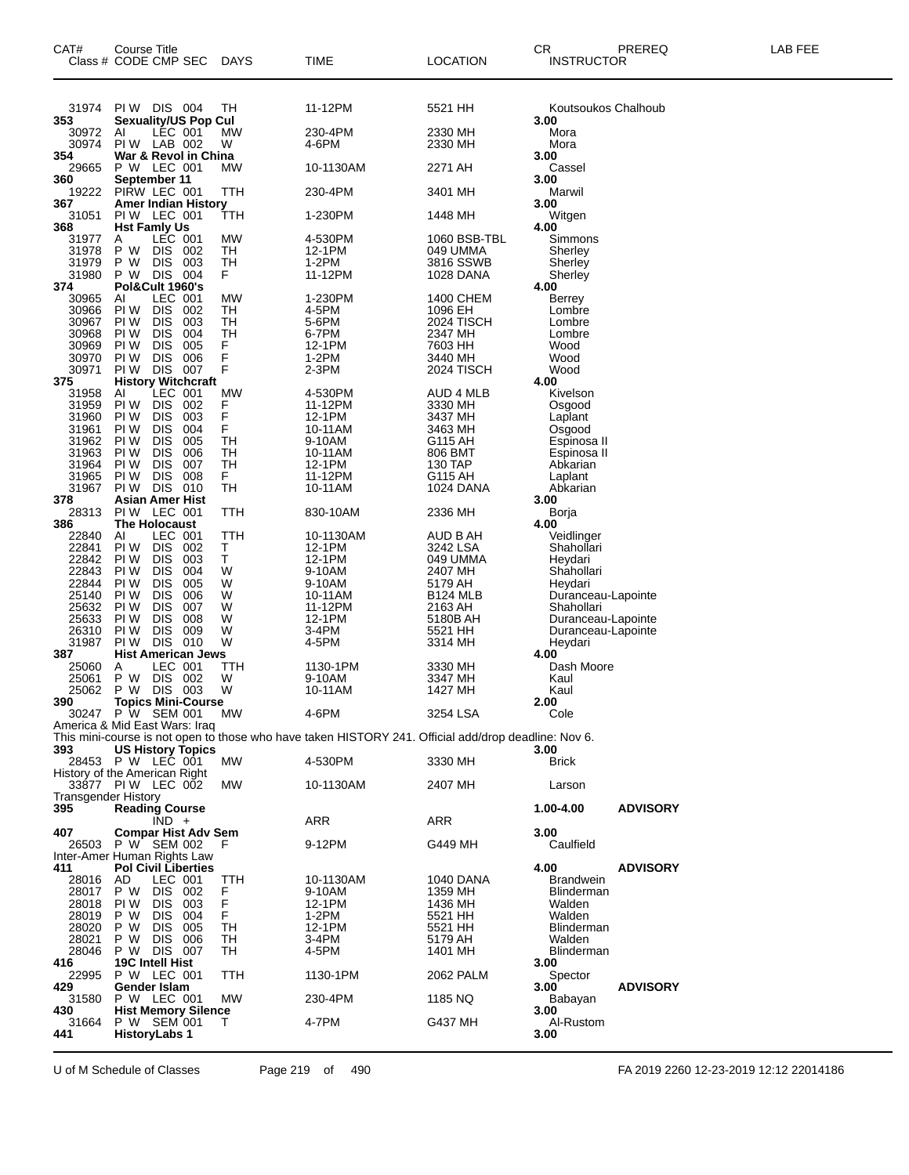| PIW DIS 004<br>11-12PM<br>31974<br>TН<br>5521 HH<br>Koutsoukos Chalhoub<br>353<br><b>Sexuality/US Pop Cul</b><br>3.00<br>30972<br>AI<br>LEC 001<br>МW<br>230-4PM<br>2330 MH<br>Mora<br>30974<br>PIW LAB 002<br>W<br>4-6PM<br>Mora<br>2330 MH<br>354<br>War & Revol in China<br>3.00<br>P W LEC 001<br>29665<br>MW<br>10-1130AM<br>2271 AH<br>Cassel<br>360<br>September 11<br>3.00<br>19222<br>PIRW LEC 001<br>230-4PM<br>TTH<br>3401 MH<br>Marwil<br>367<br><b>Amer Indian History</b><br>3.00<br>PIW LEC 001<br>31051<br>1-230PM<br>TTH<br>1448 MH<br>Witgen<br>368<br><b>Hst Famly Us</b><br>4.00<br>LEC 001<br>31977<br>MW<br>4-530PM<br>1060 BSB-TBL<br>A<br>Simmons<br>31978<br>P W<br>DIS.<br>TН<br>12-1PM<br>002<br>049 UMMA<br>Sherley<br>P W<br><b>DIS</b><br>003<br>TН<br>1-2PM<br>3816 SSWB<br>31979<br>Sherley<br>DIS<br>31980<br>P W<br>004<br>F.<br>11-12PM<br>1028 DANA<br>Sherley<br><b>Pol&amp;Cult 1960's</b><br>374<br>4.00<br>1-230PM<br>LEC 001<br>МW<br>1400 CHEM<br>30965<br>AI<br><b>Berrey</b><br>30966<br>PI W<br><b>DIS</b><br>002<br>TН<br>4-5PM<br>1096 EH<br>Lombre<br>30967<br>PI W<br><b>DIS</b><br>5-6PM<br>2024 TISCH<br>003<br>TН<br>Lombre<br>30968<br><b>DIS</b><br>004<br>TН<br>6-7PM<br>2347 MH<br>PI W<br>Lombre<br>005<br>F<br>30969<br>PI W<br><b>DIS</b><br>12-1PM<br>7603 HH<br>Wood<br>F<br>30970<br>PI W<br><b>DIS</b><br>006<br>$1-2PM$<br>3440 MH<br>Wood<br>F<br>PIW DIS<br>007<br>30971<br>$2-3PM$<br>Wood<br>2024 TISCH<br><b>History Witchcraft</b><br>375<br>4.00<br>LEC 001<br>4-530PM<br>31958<br>МW<br>AUD 4 MLB<br>AI<br>Kivelson<br>31959<br>PI W<br><b>DIS</b><br>002<br>11-12PM<br>F<br>3330 MH<br>Osgood<br>F<br>31960<br>PI W<br><b>DIS</b><br>003<br>12-1PM<br>3437 MH<br>Laplant<br>F<br>PI W<br><b>DIS</b><br>004<br>31961<br>10-11AM<br>3463 MH<br>Osgood<br><b>DIS</b><br>005<br>TН<br>31962<br>PI W<br>9-10AM<br>G115 AH<br>Espinosa II<br>TН<br>31963<br>PI W<br><b>DIS</b><br>006<br>10-11AM<br>806 BMT<br>Espinosa II<br><b>DIS</b><br>007<br>TН<br>31964<br>PI W<br>12-1PM<br>130 TAP<br>Abkarian<br>31965<br>PI W<br><b>DIS</b><br>008<br>F.<br>11-12PM<br>G115 AH<br>Laplant<br>DIS 010<br>TН<br>31967<br>PI W<br>10-11AM<br>1024 DANA<br>Abkarian<br>378<br>Asian Amer Hist<br>3.00<br>TTH<br>PIW LEC 001<br>2336 MH<br>28313<br>830-10AM<br>Borja<br><b>The Holocaust</b><br>386<br>4.00<br>LEC 001<br>AI<br>TTH<br>10-1130AM<br>AUD B AH<br>22840<br>Veidlinger<br>22841<br>PI W<br><b>DIS</b><br>002<br>12-1PM<br>Τ<br>3242 LSA<br>Shahollari<br>$\top$<br>22842<br>PI W<br><b>DIS</b><br>003<br>12-1PM<br>049 UMMA<br>Heydari<br>22843<br><b>DIS</b><br>004<br>PI W<br>W<br>9-10AM<br>2407 MH<br>Shahollari<br>22844<br><b>DIS</b><br>005<br>W<br>PI W<br>9-10AM<br>5179 AH<br>Heydari<br>25140<br>PI W<br><b>DIS</b><br>006<br>W<br>10-11AM<br><b>B124 MLB</b><br>Duranceau-Lapointe<br><b>DIS</b><br>007<br>11-12PM<br>25632<br>PI W<br>W<br>2163 AH<br>Shahollari<br><b>DIS</b><br>008<br>12-1PM<br>25633<br>PI W<br>W<br>5180B AH<br>Duranceau-Lapointe<br><b>DIS</b><br>26310<br>PI W<br>009<br>W<br>3-4PM<br>5521 HH<br>Duranceau-Lapointe<br><b>DIS</b><br>31987<br>010<br>W<br>PI W<br>4-5PM<br>3314 MH<br>Heydari<br>387<br><b>Hist American Jews</b><br>4.00<br>25060<br>LEC 001<br>1130-1PM<br>Dash Moore<br>Α<br>ттн<br>3330 MH<br>P W<br><b>DIS</b><br>25061<br>002<br>W<br>9-10AM<br>3347 MH<br>Kaul<br>P W DIS 003<br>W<br>25062<br>10-11AM<br>1427 MH<br>Kaul<br>390<br>2.00<br><b>Topics Mini-Course</b><br>30247 P W SEM 001<br>МW<br>4-6PM<br>3254 LSA<br>Cole<br>America & Mid East Wars: Iraq<br>This mini-course is not open to those who have taken HISTORY 241. Official add/drop deadline: Nov 6.<br>393<br><b>US History Topics</b><br>3.00<br>28453 P W LEC 001<br>МW<br>4-530PM<br>3330 MH<br><b>Brick</b><br>History of the American Right<br>33877 PIW LEC 002<br>MW<br>10-1130AM<br>2407 MH<br>Larson<br><b>Transgender History</b><br><b>Reading Course</b><br>395<br>1.00-4.00<br><b>ADVISORY</b><br>$\overline{IND}$ +<br>ARR<br>ARR<br><b>Compar Hist Adv Sem</b><br>407<br>3.00<br>26503 P W SEM 002<br>9-12PM<br>G449 MH<br>Caulfield<br>F<br>Inter-Amer Human Rights Law<br>4.00<br>411<br><b>Pol Civil Liberties</b><br><b>ADVISORY</b><br>28016<br>AD<br>LEC 001<br><b>Brandwein</b><br>TTH<br>10-1130AM<br>1040 DANA<br>28017<br>P W<br>DIS 002<br>F<br>Blinderman<br>9-10AM<br>1359 MH<br>F<br>28018<br>PI W<br>DIS.<br>003<br>12-1PM<br>1436 MH<br>Walden<br>F<br>Walden<br>28019<br>P W<br><b>DIS</b><br>004<br>1-2PM<br>5521 HH<br>28020<br><b>DIS</b><br>TH<br>12-1PM<br>5521 HH<br>P W<br>005<br>Blinderman<br>28021<br>DIS.<br>006<br>TН<br>3-4PM<br>5179 AH<br>Walden<br>P W<br>P W DIS 007<br>28046<br>TН<br>4-5PM<br>1401 MH<br>Blinderman<br>19C Intell Hist<br>3.00<br>416<br>P W LEC 001<br>1130-1PM<br>2062 PALM<br>Spector<br>22995<br>TTH<br>Gender Islam<br>3.00<br><b>ADVISORY</b><br>429<br>P W LEC 001<br>31580<br>MW<br>230-4PM<br>1185 NQ<br>Babayan<br><b>Hist Memory Silence</b><br>430<br>3.00<br>Al-Rustom<br>31664<br>P W SEM 001<br>4-7PM<br>G437 MH<br>Т<br>441<br><b>HistoryLabs 1</b><br>3.00 | CAT# | Course Title<br>Class # CODE CMP SEC | <b>DAYS</b> | TIME | <b>LOCATION</b> | CR<br>INSTRUCTOR | PREREQ | LAB FEE |
|-------------------------------------------------------------------------------------------------------------------------------------------------------------------------------------------------------------------------------------------------------------------------------------------------------------------------------------------------------------------------------------------------------------------------------------------------------------------------------------------------------------------------------------------------------------------------------------------------------------------------------------------------------------------------------------------------------------------------------------------------------------------------------------------------------------------------------------------------------------------------------------------------------------------------------------------------------------------------------------------------------------------------------------------------------------------------------------------------------------------------------------------------------------------------------------------------------------------------------------------------------------------------------------------------------------------------------------------------------------------------------------------------------------------------------------------------------------------------------------------------------------------------------------------------------------------------------------------------------------------------------------------------------------------------------------------------------------------------------------------------------------------------------------------------------------------------------------------------------------------------------------------------------------------------------------------------------------------------------------------------------------------------------------------------------------------------------------------------------------------------------------------------------------------------------------------------------------------------------------------------------------------------------------------------------------------------------------------------------------------------------------------------------------------------------------------------------------------------------------------------------------------------------------------------------------------------------------------------------------------------------------------------------------------------------------------------------------------------------------------------------------------------------------------------------------------------------------------------------------------------------------------------------------------------------------------------------------------------------------------------------------------------------------------------------------------------------------------------------------------------------------------------------------------------------------------------------------------------------------------------------------------------------------------------------------------------------------------------------------------------------------------------------------------------------------------------------------------------------------------------------------------------------------------------------------------------------------------------------------------------------------------------------------------------------------------------------------------------------------------------------------------------------------------------------------------------------------------------------------------------------------------------------------------------------------------------------------------------------------------------------------------------------------------------------------------------------------------------------------------------------------------------------------------------------------------------------------------------------------------------------------------------------------------------------------------------------------------------------------------------------------------------------------------------------------------------------------------------------------------------------------------------------------------------------------------------------------------------------------------------------------------------------------------------------------------------------------------------------------------------------------------------------------------------------------------------------------------------------------------------------------------------------------------------------------------------------------------------------------------------------------------------------------------------------------------------------------------------------------------------------------------------------|------|--------------------------------------|-------------|------|-----------------|------------------|--------|---------|
|                                                                                                                                                                                                                                                                                                                                                                                                                                                                                                                                                                                                                                                                                                                                                                                                                                                                                                                                                                                                                                                                                                                                                                                                                                                                                                                                                                                                                                                                                                                                                                                                                                                                                                                                                                                                                                                                                                                                                                                                                                                                                                                                                                                                                                                                                                                                                                                                                                                                                                                                                                                                                                                                                                                                                                                                                                                                                                                                                                                                                                                                                                                                                                                                                                                                                                                                                                                                                                                                                                                                                                                                                                                                                                                                                                                                                                                                                                                                                                                                                                                                                                                                                                                                                                                                                                                                                                                                                                                                                                                                                                                                                                                                                                                                                                                                                                                                                                                                                                                                                                                                                                                                                       |      |                                      |             |      |                 |                  |        |         |
|                                                                                                                                                                                                                                                                                                                                                                                                                                                                                                                                                                                                                                                                                                                                                                                                                                                                                                                                                                                                                                                                                                                                                                                                                                                                                                                                                                                                                                                                                                                                                                                                                                                                                                                                                                                                                                                                                                                                                                                                                                                                                                                                                                                                                                                                                                                                                                                                                                                                                                                                                                                                                                                                                                                                                                                                                                                                                                                                                                                                                                                                                                                                                                                                                                                                                                                                                                                                                                                                                                                                                                                                                                                                                                                                                                                                                                                                                                                                                                                                                                                                                                                                                                                                                                                                                                                                                                                                                                                                                                                                                                                                                                                                                                                                                                                                                                                                                                                                                                                                                                                                                                                                                       |      |                                      |             |      |                 |                  |        |         |
|                                                                                                                                                                                                                                                                                                                                                                                                                                                                                                                                                                                                                                                                                                                                                                                                                                                                                                                                                                                                                                                                                                                                                                                                                                                                                                                                                                                                                                                                                                                                                                                                                                                                                                                                                                                                                                                                                                                                                                                                                                                                                                                                                                                                                                                                                                                                                                                                                                                                                                                                                                                                                                                                                                                                                                                                                                                                                                                                                                                                                                                                                                                                                                                                                                                                                                                                                                                                                                                                                                                                                                                                                                                                                                                                                                                                                                                                                                                                                                                                                                                                                                                                                                                                                                                                                                                                                                                                                                                                                                                                                                                                                                                                                                                                                                                                                                                                                                                                                                                                                                                                                                                                                       |      |                                      |             |      |                 |                  |        |         |
|                                                                                                                                                                                                                                                                                                                                                                                                                                                                                                                                                                                                                                                                                                                                                                                                                                                                                                                                                                                                                                                                                                                                                                                                                                                                                                                                                                                                                                                                                                                                                                                                                                                                                                                                                                                                                                                                                                                                                                                                                                                                                                                                                                                                                                                                                                                                                                                                                                                                                                                                                                                                                                                                                                                                                                                                                                                                                                                                                                                                                                                                                                                                                                                                                                                                                                                                                                                                                                                                                                                                                                                                                                                                                                                                                                                                                                                                                                                                                                                                                                                                                                                                                                                                                                                                                                                                                                                                                                                                                                                                                                                                                                                                                                                                                                                                                                                                                                                                                                                                                                                                                                                                                       |      |                                      |             |      |                 |                  |        |         |
|                                                                                                                                                                                                                                                                                                                                                                                                                                                                                                                                                                                                                                                                                                                                                                                                                                                                                                                                                                                                                                                                                                                                                                                                                                                                                                                                                                                                                                                                                                                                                                                                                                                                                                                                                                                                                                                                                                                                                                                                                                                                                                                                                                                                                                                                                                                                                                                                                                                                                                                                                                                                                                                                                                                                                                                                                                                                                                                                                                                                                                                                                                                                                                                                                                                                                                                                                                                                                                                                                                                                                                                                                                                                                                                                                                                                                                                                                                                                                                                                                                                                                                                                                                                                                                                                                                                                                                                                                                                                                                                                                                                                                                                                                                                                                                                                                                                                                                                                                                                                                                                                                                                                                       |      |                                      |             |      |                 |                  |        |         |
|                                                                                                                                                                                                                                                                                                                                                                                                                                                                                                                                                                                                                                                                                                                                                                                                                                                                                                                                                                                                                                                                                                                                                                                                                                                                                                                                                                                                                                                                                                                                                                                                                                                                                                                                                                                                                                                                                                                                                                                                                                                                                                                                                                                                                                                                                                                                                                                                                                                                                                                                                                                                                                                                                                                                                                                                                                                                                                                                                                                                                                                                                                                                                                                                                                                                                                                                                                                                                                                                                                                                                                                                                                                                                                                                                                                                                                                                                                                                                                                                                                                                                                                                                                                                                                                                                                                                                                                                                                                                                                                                                                                                                                                                                                                                                                                                                                                                                                                                                                                                                                                                                                                                                       |      |                                      |             |      |                 |                  |        |         |
|                                                                                                                                                                                                                                                                                                                                                                                                                                                                                                                                                                                                                                                                                                                                                                                                                                                                                                                                                                                                                                                                                                                                                                                                                                                                                                                                                                                                                                                                                                                                                                                                                                                                                                                                                                                                                                                                                                                                                                                                                                                                                                                                                                                                                                                                                                                                                                                                                                                                                                                                                                                                                                                                                                                                                                                                                                                                                                                                                                                                                                                                                                                                                                                                                                                                                                                                                                                                                                                                                                                                                                                                                                                                                                                                                                                                                                                                                                                                                                                                                                                                                                                                                                                                                                                                                                                                                                                                                                                                                                                                                                                                                                                                                                                                                                                                                                                                                                                                                                                                                                                                                                                                                       |      |                                      |             |      |                 |                  |        |         |
|                                                                                                                                                                                                                                                                                                                                                                                                                                                                                                                                                                                                                                                                                                                                                                                                                                                                                                                                                                                                                                                                                                                                                                                                                                                                                                                                                                                                                                                                                                                                                                                                                                                                                                                                                                                                                                                                                                                                                                                                                                                                                                                                                                                                                                                                                                                                                                                                                                                                                                                                                                                                                                                                                                                                                                                                                                                                                                                                                                                                                                                                                                                                                                                                                                                                                                                                                                                                                                                                                                                                                                                                                                                                                                                                                                                                                                                                                                                                                                                                                                                                                                                                                                                                                                                                                                                                                                                                                                                                                                                                                                                                                                                                                                                                                                                                                                                                                                                                                                                                                                                                                                                                                       |      |                                      |             |      |                 |                  |        |         |
|                                                                                                                                                                                                                                                                                                                                                                                                                                                                                                                                                                                                                                                                                                                                                                                                                                                                                                                                                                                                                                                                                                                                                                                                                                                                                                                                                                                                                                                                                                                                                                                                                                                                                                                                                                                                                                                                                                                                                                                                                                                                                                                                                                                                                                                                                                                                                                                                                                                                                                                                                                                                                                                                                                                                                                                                                                                                                                                                                                                                                                                                                                                                                                                                                                                                                                                                                                                                                                                                                                                                                                                                                                                                                                                                                                                                                                                                                                                                                                                                                                                                                                                                                                                                                                                                                                                                                                                                                                                                                                                                                                                                                                                                                                                                                                                                                                                                                                                                                                                                                                                                                                                                                       |      |                                      |             |      |                 |                  |        |         |
|                                                                                                                                                                                                                                                                                                                                                                                                                                                                                                                                                                                                                                                                                                                                                                                                                                                                                                                                                                                                                                                                                                                                                                                                                                                                                                                                                                                                                                                                                                                                                                                                                                                                                                                                                                                                                                                                                                                                                                                                                                                                                                                                                                                                                                                                                                                                                                                                                                                                                                                                                                                                                                                                                                                                                                                                                                                                                                                                                                                                                                                                                                                                                                                                                                                                                                                                                                                                                                                                                                                                                                                                                                                                                                                                                                                                                                                                                                                                                                                                                                                                                                                                                                                                                                                                                                                                                                                                                                                                                                                                                                                                                                                                                                                                                                                                                                                                                                                                                                                                                                                                                                                                                       |      |                                      |             |      |                 |                  |        |         |
|                                                                                                                                                                                                                                                                                                                                                                                                                                                                                                                                                                                                                                                                                                                                                                                                                                                                                                                                                                                                                                                                                                                                                                                                                                                                                                                                                                                                                                                                                                                                                                                                                                                                                                                                                                                                                                                                                                                                                                                                                                                                                                                                                                                                                                                                                                                                                                                                                                                                                                                                                                                                                                                                                                                                                                                                                                                                                                                                                                                                                                                                                                                                                                                                                                                                                                                                                                                                                                                                                                                                                                                                                                                                                                                                                                                                                                                                                                                                                                                                                                                                                                                                                                                                                                                                                                                                                                                                                                                                                                                                                                                                                                                                                                                                                                                                                                                                                                                                                                                                                                                                                                                                                       |      |                                      |             |      |                 |                  |        |         |
|                                                                                                                                                                                                                                                                                                                                                                                                                                                                                                                                                                                                                                                                                                                                                                                                                                                                                                                                                                                                                                                                                                                                                                                                                                                                                                                                                                                                                                                                                                                                                                                                                                                                                                                                                                                                                                                                                                                                                                                                                                                                                                                                                                                                                                                                                                                                                                                                                                                                                                                                                                                                                                                                                                                                                                                                                                                                                                                                                                                                                                                                                                                                                                                                                                                                                                                                                                                                                                                                                                                                                                                                                                                                                                                                                                                                                                                                                                                                                                                                                                                                                                                                                                                                                                                                                                                                                                                                                                                                                                                                                                                                                                                                                                                                                                                                                                                                                                                                                                                                                                                                                                                                                       |      |                                      |             |      |                 |                  |        |         |
|                                                                                                                                                                                                                                                                                                                                                                                                                                                                                                                                                                                                                                                                                                                                                                                                                                                                                                                                                                                                                                                                                                                                                                                                                                                                                                                                                                                                                                                                                                                                                                                                                                                                                                                                                                                                                                                                                                                                                                                                                                                                                                                                                                                                                                                                                                                                                                                                                                                                                                                                                                                                                                                                                                                                                                                                                                                                                                                                                                                                                                                                                                                                                                                                                                                                                                                                                                                                                                                                                                                                                                                                                                                                                                                                                                                                                                                                                                                                                                                                                                                                                                                                                                                                                                                                                                                                                                                                                                                                                                                                                                                                                                                                                                                                                                                                                                                                                                                                                                                                                                                                                                                                                       |      |                                      |             |      |                 |                  |        |         |
|                                                                                                                                                                                                                                                                                                                                                                                                                                                                                                                                                                                                                                                                                                                                                                                                                                                                                                                                                                                                                                                                                                                                                                                                                                                                                                                                                                                                                                                                                                                                                                                                                                                                                                                                                                                                                                                                                                                                                                                                                                                                                                                                                                                                                                                                                                                                                                                                                                                                                                                                                                                                                                                                                                                                                                                                                                                                                                                                                                                                                                                                                                                                                                                                                                                                                                                                                                                                                                                                                                                                                                                                                                                                                                                                                                                                                                                                                                                                                                                                                                                                                                                                                                                                                                                                                                                                                                                                                                                                                                                                                                                                                                                                                                                                                                                                                                                                                                                                                                                                                                                                                                                                                       |      |                                      |             |      |                 |                  |        |         |
|                                                                                                                                                                                                                                                                                                                                                                                                                                                                                                                                                                                                                                                                                                                                                                                                                                                                                                                                                                                                                                                                                                                                                                                                                                                                                                                                                                                                                                                                                                                                                                                                                                                                                                                                                                                                                                                                                                                                                                                                                                                                                                                                                                                                                                                                                                                                                                                                                                                                                                                                                                                                                                                                                                                                                                                                                                                                                                                                                                                                                                                                                                                                                                                                                                                                                                                                                                                                                                                                                                                                                                                                                                                                                                                                                                                                                                                                                                                                                                                                                                                                                                                                                                                                                                                                                                                                                                                                                                                                                                                                                                                                                                                                                                                                                                                                                                                                                                                                                                                                                                                                                                                                                       |      |                                      |             |      |                 |                  |        |         |
|                                                                                                                                                                                                                                                                                                                                                                                                                                                                                                                                                                                                                                                                                                                                                                                                                                                                                                                                                                                                                                                                                                                                                                                                                                                                                                                                                                                                                                                                                                                                                                                                                                                                                                                                                                                                                                                                                                                                                                                                                                                                                                                                                                                                                                                                                                                                                                                                                                                                                                                                                                                                                                                                                                                                                                                                                                                                                                                                                                                                                                                                                                                                                                                                                                                                                                                                                                                                                                                                                                                                                                                                                                                                                                                                                                                                                                                                                                                                                                                                                                                                                                                                                                                                                                                                                                                                                                                                                                                                                                                                                                                                                                                                                                                                                                                                                                                                                                                                                                                                                                                                                                                                                       |      |                                      |             |      |                 |                  |        |         |
|                                                                                                                                                                                                                                                                                                                                                                                                                                                                                                                                                                                                                                                                                                                                                                                                                                                                                                                                                                                                                                                                                                                                                                                                                                                                                                                                                                                                                                                                                                                                                                                                                                                                                                                                                                                                                                                                                                                                                                                                                                                                                                                                                                                                                                                                                                                                                                                                                                                                                                                                                                                                                                                                                                                                                                                                                                                                                                                                                                                                                                                                                                                                                                                                                                                                                                                                                                                                                                                                                                                                                                                                                                                                                                                                                                                                                                                                                                                                                                                                                                                                                                                                                                                                                                                                                                                                                                                                                                                                                                                                                                                                                                                                                                                                                                                                                                                                                                                                                                                                                                                                                                                                                       |      |                                      |             |      |                 |                  |        |         |
|                                                                                                                                                                                                                                                                                                                                                                                                                                                                                                                                                                                                                                                                                                                                                                                                                                                                                                                                                                                                                                                                                                                                                                                                                                                                                                                                                                                                                                                                                                                                                                                                                                                                                                                                                                                                                                                                                                                                                                                                                                                                                                                                                                                                                                                                                                                                                                                                                                                                                                                                                                                                                                                                                                                                                                                                                                                                                                                                                                                                                                                                                                                                                                                                                                                                                                                                                                                                                                                                                                                                                                                                                                                                                                                                                                                                                                                                                                                                                                                                                                                                                                                                                                                                                                                                                                                                                                                                                                                                                                                                                                                                                                                                                                                                                                                                                                                                                                                                                                                                                                                                                                                                                       |      |                                      |             |      |                 |                  |        |         |
|                                                                                                                                                                                                                                                                                                                                                                                                                                                                                                                                                                                                                                                                                                                                                                                                                                                                                                                                                                                                                                                                                                                                                                                                                                                                                                                                                                                                                                                                                                                                                                                                                                                                                                                                                                                                                                                                                                                                                                                                                                                                                                                                                                                                                                                                                                                                                                                                                                                                                                                                                                                                                                                                                                                                                                                                                                                                                                                                                                                                                                                                                                                                                                                                                                                                                                                                                                                                                                                                                                                                                                                                                                                                                                                                                                                                                                                                                                                                                                                                                                                                                                                                                                                                                                                                                                                                                                                                                                                                                                                                                                                                                                                                                                                                                                                                                                                                                                                                                                                                                                                                                                                                                       |      |                                      |             |      |                 |                  |        |         |
|                                                                                                                                                                                                                                                                                                                                                                                                                                                                                                                                                                                                                                                                                                                                                                                                                                                                                                                                                                                                                                                                                                                                                                                                                                                                                                                                                                                                                                                                                                                                                                                                                                                                                                                                                                                                                                                                                                                                                                                                                                                                                                                                                                                                                                                                                                                                                                                                                                                                                                                                                                                                                                                                                                                                                                                                                                                                                                                                                                                                                                                                                                                                                                                                                                                                                                                                                                                                                                                                                                                                                                                                                                                                                                                                                                                                                                                                                                                                                                                                                                                                                                                                                                                                                                                                                                                                                                                                                                                                                                                                                                                                                                                                                                                                                                                                                                                                                                                                                                                                                                                                                                                                                       |      |                                      |             |      |                 |                  |        |         |
|                                                                                                                                                                                                                                                                                                                                                                                                                                                                                                                                                                                                                                                                                                                                                                                                                                                                                                                                                                                                                                                                                                                                                                                                                                                                                                                                                                                                                                                                                                                                                                                                                                                                                                                                                                                                                                                                                                                                                                                                                                                                                                                                                                                                                                                                                                                                                                                                                                                                                                                                                                                                                                                                                                                                                                                                                                                                                                                                                                                                                                                                                                                                                                                                                                                                                                                                                                                                                                                                                                                                                                                                                                                                                                                                                                                                                                                                                                                                                                                                                                                                                                                                                                                                                                                                                                                                                                                                                                                                                                                                                                                                                                                                                                                                                                                                                                                                                                                                                                                                                                                                                                                                                       |      |                                      |             |      |                 |                  |        |         |
|                                                                                                                                                                                                                                                                                                                                                                                                                                                                                                                                                                                                                                                                                                                                                                                                                                                                                                                                                                                                                                                                                                                                                                                                                                                                                                                                                                                                                                                                                                                                                                                                                                                                                                                                                                                                                                                                                                                                                                                                                                                                                                                                                                                                                                                                                                                                                                                                                                                                                                                                                                                                                                                                                                                                                                                                                                                                                                                                                                                                                                                                                                                                                                                                                                                                                                                                                                                                                                                                                                                                                                                                                                                                                                                                                                                                                                                                                                                                                                                                                                                                                                                                                                                                                                                                                                                                                                                                                                                                                                                                                                                                                                                                                                                                                                                                                                                                                                                                                                                                                                                                                                                                                       |      |                                      |             |      |                 |                  |        |         |
|                                                                                                                                                                                                                                                                                                                                                                                                                                                                                                                                                                                                                                                                                                                                                                                                                                                                                                                                                                                                                                                                                                                                                                                                                                                                                                                                                                                                                                                                                                                                                                                                                                                                                                                                                                                                                                                                                                                                                                                                                                                                                                                                                                                                                                                                                                                                                                                                                                                                                                                                                                                                                                                                                                                                                                                                                                                                                                                                                                                                                                                                                                                                                                                                                                                                                                                                                                                                                                                                                                                                                                                                                                                                                                                                                                                                                                                                                                                                                                                                                                                                                                                                                                                                                                                                                                                                                                                                                                                                                                                                                                                                                                                                                                                                                                                                                                                                                                                                                                                                                                                                                                                                                       |      |                                      |             |      |                 |                  |        |         |
|                                                                                                                                                                                                                                                                                                                                                                                                                                                                                                                                                                                                                                                                                                                                                                                                                                                                                                                                                                                                                                                                                                                                                                                                                                                                                                                                                                                                                                                                                                                                                                                                                                                                                                                                                                                                                                                                                                                                                                                                                                                                                                                                                                                                                                                                                                                                                                                                                                                                                                                                                                                                                                                                                                                                                                                                                                                                                                                                                                                                                                                                                                                                                                                                                                                                                                                                                                                                                                                                                                                                                                                                                                                                                                                                                                                                                                                                                                                                                                                                                                                                                                                                                                                                                                                                                                                                                                                                                                                                                                                                                                                                                                                                                                                                                                                                                                                                                                                                                                                                                                                                                                                                                       |      |                                      |             |      |                 |                  |        |         |
|                                                                                                                                                                                                                                                                                                                                                                                                                                                                                                                                                                                                                                                                                                                                                                                                                                                                                                                                                                                                                                                                                                                                                                                                                                                                                                                                                                                                                                                                                                                                                                                                                                                                                                                                                                                                                                                                                                                                                                                                                                                                                                                                                                                                                                                                                                                                                                                                                                                                                                                                                                                                                                                                                                                                                                                                                                                                                                                                                                                                                                                                                                                                                                                                                                                                                                                                                                                                                                                                                                                                                                                                                                                                                                                                                                                                                                                                                                                                                                                                                                                                                                                                                                                                                                                                                                                                                                                                                                                                                                                                                                                                                                                                                                                                                                                                                                                                                                                                                                                                                                                                                                                                                       |      |                                      |             |      |                 |                  |        |         |
|                                                                                                                                                                                                                                                                                                                                                                                                                                                                                                                                                                                                                                                                                                                                                                                                                                                                                                                                                                                                                                                                                                                                                                                                                                                                                                                                                                                                                                                                                                                                                                                                                                                                                                                                                                                                                                                                                                                                                                                                                                                                                                                                                                                                                                                                                                                                                                                                                                                                                                                                                                                                                                                                                                                                                                                                                                                                                                                                                                                                                                                                                                                                                                                                                                                                                                                                                                                                                                                                                                                                                                                                                                                                                                                                                                                                                                                                                                                                                                                                                                                                                                                                                                                                                                                                                                                                                                                                                                                                                                                                                                                                                                                                                                                                                                                                                                                                                                                                                                                                                                                                                                                                                       |      |                                      |             |      |                 |                  |        |         |
|                                                                                                                                                                                                                                                                                                                                                                                                                                                                                                                                                                                                                                                                                                                                                                                                                                                                                                                                                                                                                                                                                                                                                                                                                                                                                                                                                                                                                                                                                                                                                                                                                                                                                                                                                                                                                                                                                                                                                                                                                                                                                                                                                                                                                                                                                                                                                                                                                                                                                                                                                                                                                                                                                                                                                                                                                                                                                                                                                                                                                                                                                                                                                                                                                                                                                                                                                                                                                                                                                                                                                                                                                                                                                                                                                                                                                                                                                                                                                                                                                                                                                                                                                                                                                                                                                                                                                                                                                                                                                                                                                                                                                                                                                                                                                                                                                                                                                                                                                                                                                                                                                                                                                       |      |                                      |             |      |                 |                  |        |         |
|                                                                                                                                                                                                                                                                                                                                                                                                                                                                                                                                                                                                                                                                                                                                                                                                                                                                                                                                                                                                                                                                                                                                                                                                                                                                                                                                                                                                                                                                                                                                                                                                                                                                                                                                                                                                                                                                                                                                                                                                                                                                                                                                                                                                                                                                                                                                                                                                                                                                                                                                                                                                                                                                                                                                                                                                                                                                                                                                                                                                                                                                                                                                                                                                                                                                                                                                                                                                                                                                                                                                                                                                                                                                                                                                                                                                                                                                                                                                                                                                                                                                                                                                                                                                                                                                                                                                                                                                                                                                                                                                                                                                                                                                                                                                                                                                                                                                                                                                                                                                                                                                                                                                                       |      |                                      |             |      |                 |                  |        |         |

U of M Schedule of Classes Page 219 of 490 FA 2019 2260 12-23-2019 12:12 22014186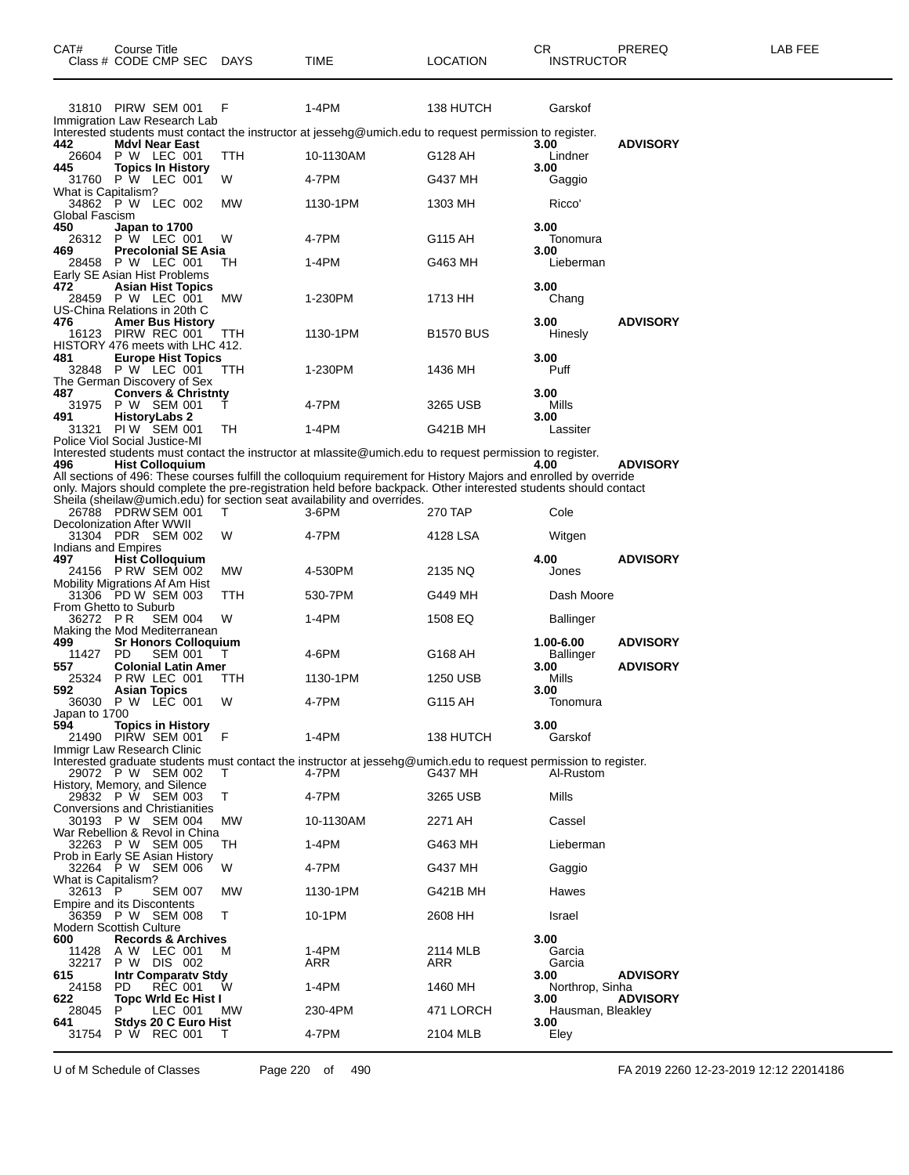|                                | 31810 PIRW SEM 001                                            | F         | 1-4PM                                                                                                                                                                                                                                 | 138 HUTCH        |                           |                 |
|--------------------------------|---------------------------------------------------------------|-----------|---------------------------------------------------------------------------------------------------------------------------------------------------------------------------------------------------------------------------------------|------------------|---------------------------|-----------------|
|                                | Immigration Law Research Lab                                  |           |                                                                                                                                                                                                                                       |                  | Garskof                   |                 |
| 442                            | <b>Mdvl Near East</b>                                         |           | Interested students must contact the instructor at jessehg@umich.edu to request permission to register.                                                                                                                               |                  | 3.00                      | <b>ADVISORY</b> |
| 26604<br>445                   | <b>P W LEC 001</b><br><b>Topics In History</b>                | TTH       | 10-1130AM                                                                                                                                                                                                                             | G128 AH          | Lindner<br>3.00           |                 |
| What is Capitalism?            | 31760 P W LEC 001                                             | W         | 4-7PM                                                                                                                                                                                                                                 | G437 MH          | Gaggio                    |                 |
|                                | 34862 P W LEC 002                                             | MW        | 1130-1PM                                                                                                                                                                                                                              | 1303 MH          | Ricco'                    |                 |
| Global Fascism<br>450          | Japan to 1700                                                 |           |                                                                                                                                                                                                                                       |                  | 3.00                      |                 |
| 469                            | 26312 P W LEC 001<br><b>Precolonial SE Asia</b>               | W         | 4-7PM                                                                                                                                                                                                                                 | G115 AH          | Tonomura<br>3.00          |                 |
|                                | 28458 P W LEC 001<br>Early SE Asian Hist Problems             | тн        | 1-4PM                                                                                                                                                                                                                                 | G463 MH          | Lieberman                 |                 |
| 472                            | <b>Asian Hist Topics</b>                                      |           |                                                                                                                                                                                                                                       |                  | 3.00                      |                 |
| 28459                          | P W LEC 001<br>US-China Relations in 20th C                   | MW        | 1-230PM                                                                                                                                                                                                                               | 1713 HH          | Chang                     |                 |
| 476<br>16123                   | <b>Amer Bus History</b><br>PIRW REC 001                       | TТH       | 1130-1PM                                                                                                                                                                                                                              | <b>B1570 BUS</b> | 3.00<br>Hinesly           | <b>ADVISORY</b> |
| 481                            | HISTORY 476 meets with LHC 412.<br><b>Europe Hist Topics</b>  |           |                                                                                                                                                                                                                                       |                  | 3.00                      |                 |
|                                | 32848 P W LEC 001                                             | TТH       | 1-230PM                                                                                                                                                                                                                               | 1436 MH          | Puff                      |                 |
| 487                            | The German Discovery of Sex<br><b>Convers &amp; Christnty</b> |           |                                                                                                                                                                                                                                       |                  | 3.00                      |                 |
| 31975                          | P W SEM 001                                                   |           | 4-7PM                                                                                                                                                                                                                                 | 3265 USB         | Mills                     |                 |
| 491                            | <b>HistoryLabs 2</b><br>31321 PIW SEM 001                     | TН        | 1-4PM                                                                                                                                                                                                                                 | G421B MH         | 3.00<br>Lassiter          |                 |
|                                | Police Viol Social Justice-MI                                 |           | Interested students must contact the instructor at mlassite@umich.edu to request permission to register.                                                                                                                              |                  |                           |                 |
| 496                            | <b>Hist Colloquium</b>                                        |           |                                                                                                                                                                                                                                       |                  | 4.00                      | <b>ADVISORY</b> |
|                                |                                                               |           | All sections of 496: These courses fulfill the colloquium requirement for History Majors and enrolled by override<br>only. Majors should complete the pre-registration held before backpack. Other interested students should contact |                  |                           |                 |
|                                |                                                               |           | Sheila (sheilaw@umich.edu) for section seat availability and overrides.                                                                                                                                                               |                  |                           |                 |
|                                | 26788 PDRW SEM 001<br><b>Decolonization After WWII</b>        | т         | 3-6PM                                                                                                                                                                                                                                 | 270 TAP          | Cole                      |                 |
| Indians and Empires            | 31304 PDR SEM 002                                             | W         | 4-7PM                                                                                                                                                                                                                                 | 4128 LSA         | Witgen                    |                 |
| 497                            | <b>Hist Colloquium</b>                                        |           |                                                                                                                                                                                                                                       |                  | 4.00                      | <b>ADVISORY</b> |
|                                | 24156 PRW SEM 002<br>Mobility Migrations Af Am Hist           | MW        | 4-530PM                                                                                                                                                                                                                               | 2135 NQ          | Jones                     |                 |
|                                | 31306 PD W SEM 003<br>From Ghetto to Suburb                   | ттн       | 530-7PM                                                                                                                                                                                                                               | G449 MH          | Dash Moore                |                 |
| 36272 PR                       | <b>SEM 004</b><br>Making the Mod Mediterranean                | W         | 1-4PM                                                                                                                                                                                                                                 | 1508 EQ          | <b>Ballinger</b>          |                 |
| 499<br>11427                   | <b>Sr Honors Colloquium</b><br>PD.<br><b>SEM 001</b>          | Т         | 4-6PM                                                                                                                                                                                                                                 | G168 AH          | 1.00-6.00<br>Ballinger    | <b>ADVISORY</b> |
| 557                            | <b>Colonial Latin Amer</b>                                    |           |                                                                                                                                                                                                                                       |                  | 3.00                      | <b>ADVISORY</b> |
| 25324<br>592                   | PRW LEC 001<br><b>Asian Topics</b>                            | TTH       | 1130-1PM                                                                                                                                                                                                                              | 1250 USB         | Mills<br>3.00             |                 |
| Japan to 1700                  | 36030 P W LEC 001                                             | W         | 4-7PM                                                                                                                                                                                                                                 | G115 AH          | Tonomura                  |                 |
| 594                            | <b>Topics in History</b>                                      |           | 1-4PM                                                                                                                                                                                                                                 |                  | 3.00                      |                 |
| 21490                          | PIRW SEM 001<br>Immigr Law Research Clinic                    | F         |                                                                                                                                                                                                                                       | 138 HUTCH        | Garskof                   |                 |
|                                | 29072 P W SEM 002                                             | т         | Interested graduate students must contact the instructor at jessehg@umich.edu to request permission to register.<br>4-7PM                                                                                                             | G437 MH          | Al-Rustom                 |                 |
|                                | History, Memory, and Silence<br>29832 P W SEM 003             | Т         | 4-7PM                                                                                                                                                                                                                                 | 3265 USB         | Mills                     |                 |
|                                | <b>Conversions and Christianities</b>                         |           |                                                                                                                                                                                                                                       |                  |                           |                 |
|                                | 30193 P W SEM 004<br>War Rebellion & Revol in China           | MW        | 10-1130AM                                                                                                                                                                                                                             | 2271 AH          | Cassel                    |                 |
|                                | 32263 P W SEM 005<br>Prob in Early SE Asian History           | TН        | 1-4PM                                                                                                                                                                                                                                 | G463 MH          | Lieberman                 |                 |
|                                | 32264 P W SEM 006                                             | W         | 4-7PM                                                                                                                                                                                                                                 | G437 MH          | Gaggio                    |                 |
| What is Capitalism?<br>32613 P | <b>SEM 007</b>                                                | MW        | 1130-1PM                                                                                                                                                                                                                              | G421B MH         | Hawes                     |                 |
|                                | <b>Empire and its Discontents</b><br>36359 P W SEM 008        | т         | 10-1PM                                                                                                                                                                                                                                | 2608 HH          | Israel                    |                 |
|                                | <b>Modern Scottish Culture</b>                                |           |                                                                                                                                                                                                                                       |                  |                           |                 |
| 600<br>11428                   | <b>Records &amp; Archives</b><br>A W LEC 001                  | м         | 1-4PM                                                                                                                                                                                                                                 | 2114 MLB         | 3.00<br>Garcia            |                 |
| 32217<br>615                   | P W DIS 002<br><b>Intr Comparaty Stdy</b>                     |           | ARR                                                                                                                                                                                                                                   | ARR              | Garcia<br>3.00            | <b>ADVISORY</b> |
| 24158                          | <b>RĖC 001</b><br>PD                                          | W         | 1-4PM                                                                                                                                                                                                                                 | 1460 MH          | Northrop, Sinha           | <b>ADVISORY</b> |
| 622<br>28045                   | <b>Topc Wrld Ec Hist I</b><br>P<br>LEC 001                    | <b>MW</b> | 230-4PM                                                                                                                                                                                                                               | 471 LORCH        | 3.00<br>Hausman, Bleakley |                 |
| 641<br>31754                   | Stdys 20 C Euro Hist<br>P W REC 001                           | т         | 4-7PM                                                                                                                                                                                                                                 | 2104 MLB         | 3.00<br>Eley              |                 |
|                                |                                                               |           |                                                                                                                                                                                                                                       |                  |                           |                 |

Class # CODE CMP SEC DAYS TIME LOCATION INSTRUCTOR

U of M Schedule of Classes Page 220 of 490 FA 2019 2260 12-23-2019 12:12 22014186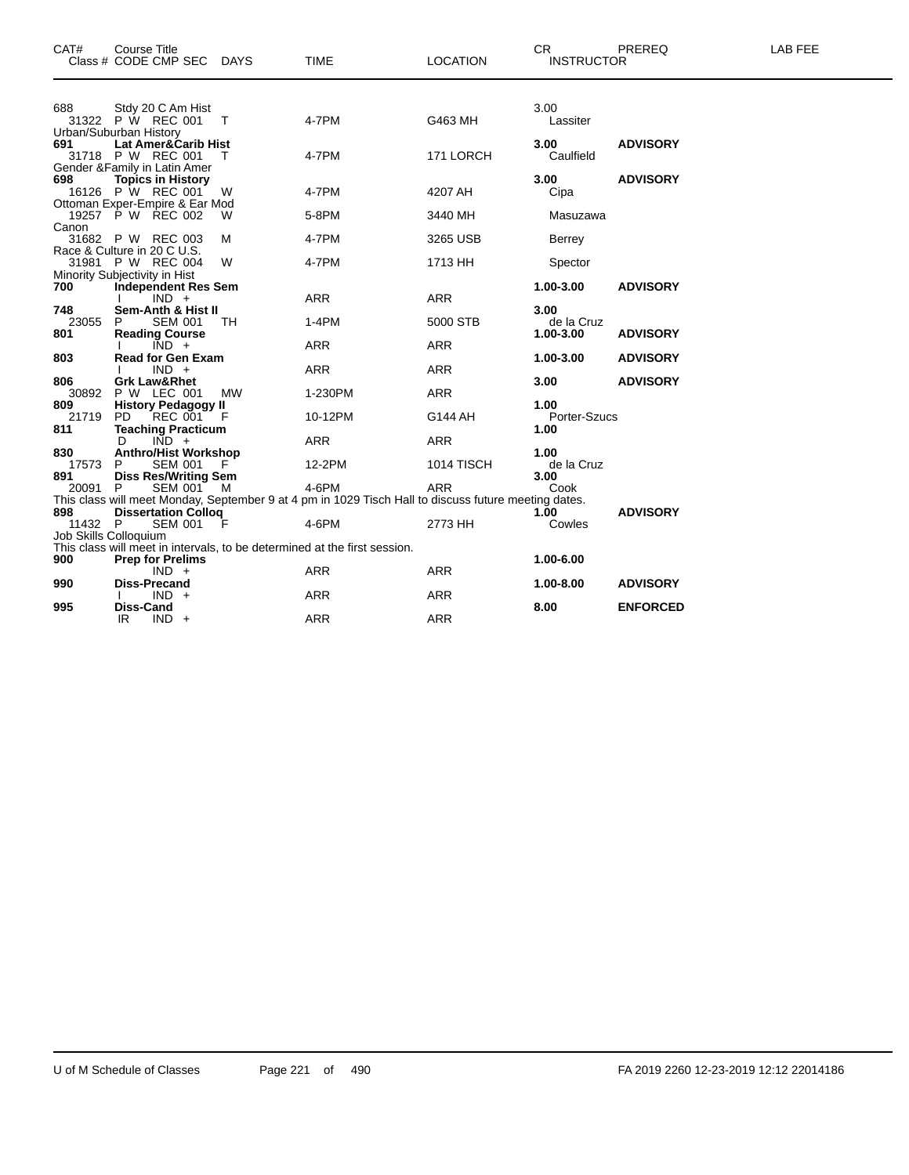| CAT#                  | Course Title<br>Class # CODE CMP SEC DAYS                                         |    | <b>TIME</b>                                                                                                   | <b>LOCATION</b>       | <b>CR</b><br><b>INSTRUCTOR</b>  | PREREQ          | <b>LAB FEE</b> |
|-----------------------|-----------------------------------------------------------------------------------|----|---------------------------------------------------------------------------------------------------------------|-----------------------|---------------------------------|-----------------|----------------|
| 688                   | Stdy 20 C Am Hist<br>31322 P W REC 001<br>Urban/Suburban History                  | Т  | 4-7PM                                                                                                         | G463 MH               | 3.00<br>Lassiter                |                 |                |
| 691                   | Lat Amer&Carib Hist<br>31718 P W REC 001<br>Gender & Family in Latin Amer         |    | 4-7PM                                                                                                         | 171 LORCH             | 3.00<br>Caulfield               | <b>ADVISORY</b> |                |
| 698                   | <b>Topics in History</b><br>16126 P W REC 001<br>Ottoman Exper-Empire & Ear Mod   | W  | 4-7PM                                                                                                         | 4207 AH               | 3.00<br>Cipa                    | <b>ADVISORY</b> |                |
| Canon                 | 19257 P W REC 002                                                                 | W  | 5-8PM                                                                                                         | 3440 MH               | Masuzawa                        |                 |                |
|                       | 31682 P W REC 003<br>Race & Culture in 20 C U.S.                                  | М  | 4-7PM                                                                                                         | 3265 USB              | <b>Berrey</b>                   |                 |                |
|                       | 31981 P W REC 004<br>Minority Subjectivity in Hist                                | W  | 4-7PM                                                                                                         | 1713 HH               | Spector                         |                 |                |
| 700                   | <b>Independent Res Sem</b><br>$IND +$                                             |    | <b>ARR</b>                                                                                                    | <b>ARR</b>            | 1.00-3.00                       | <b>ADVISORY</b> |                |
| 748<br>23055<br>801   | Sem-Anth & Hist II<br><b>SEM 001</b><br>P<br><b>Reading Course</b>                | TH | $1-4PM$                                                                                                       | 5000 STB              | 3.00<br>de la Cruz<br>1.00-3.00 | <b>ADVISORY</b> |                |
| 803                   | $\overline{IND}$ +<br><b>Read for Gen Exam</b>                                    |    | <b>ARR</b>                                                                                                    | <b>ARR</b>            | 1.00-3.00                       | <b>ADVISORY</b> |                |
| 806                   | $IND +$<br><b>Grk Law&amp;Rhet</b>                                                |    | <b>ARR</b>                                                                                                    | <b>ARR</b>            | 3.00                            | <b>ADVISORY</b> |                |
| 30892<br>809<br>21719 | P W LEC 001<br><b>History Pedagogy II</b><br>$FC$ 001 $F$<br>PD.                  | MW | 1-230PM<br>10-12PM                                                                                            | <b>ARR</b><br>G144 AH | 1.00<br>Porter-Szucs            |                 |                |
| 811                   | <b>Teaching Practicum</b><br>$\overline{IND}$ +<br>D                              |    | <b>ARR</b>                                                                                                    | <b>ARR</b>            | 1.00                            |                 |                |
| 830<br>17573<br>891   | <b>Anthro/Hist Workshop</b><br><b>SEM 001</b><br>P<br><b>Diss Res/Writing Sem</b> | F  | 12-2PM                                                                                                        | 1014 TISCH            | 1.00<br>de la Cruz<br>3.00      |                 |                |
| 20091                 | P<br>SEM 001                                                                      | м  | 4-6PM<br>This class will meet Monday, September 9 at 4 pm in 1029 Tisch Hall to discuss future meeting dates. | <b>ARR</b>            | Cook                            |                 |                |
| 898<br>11432 P        | <b>Dissertation Colloq</b><br><b>SEM 001</b><br>Job Skills Colloquium             | F  | 4-6PM                                                                                                         | 2773 HH               | 1.00<br>Cowles                  | <b>ADVISORY</b> |                |
| 900                   | <b>Prep for Prelims</b>                                                           |    | This class will meet in intervals, to be determined at the first session.                                     |                       | 1.00-6.00                       |                 |                |
| 990                   | $IND +$<br><b>Diss-Precand</b>                                                    |    | <b>ARR</b>                                                                                                    | <b>ARR</b>            | 1.00-8.00                       | <b>ADVISORY</b> |                |
| 995                   | $IND +$<br><b>Diss-Cand</b>                                                       |    | <b>ARR</b>                                                                                                    | <b>ARR</b>            | 8.00                            | <b>ENFORCED</b> |                |
|                       | IR<br>$IND +$                                                                     |    | <b>ARR</b>                                                                                                    | <b>ARR</b>            |                                 |                 |                |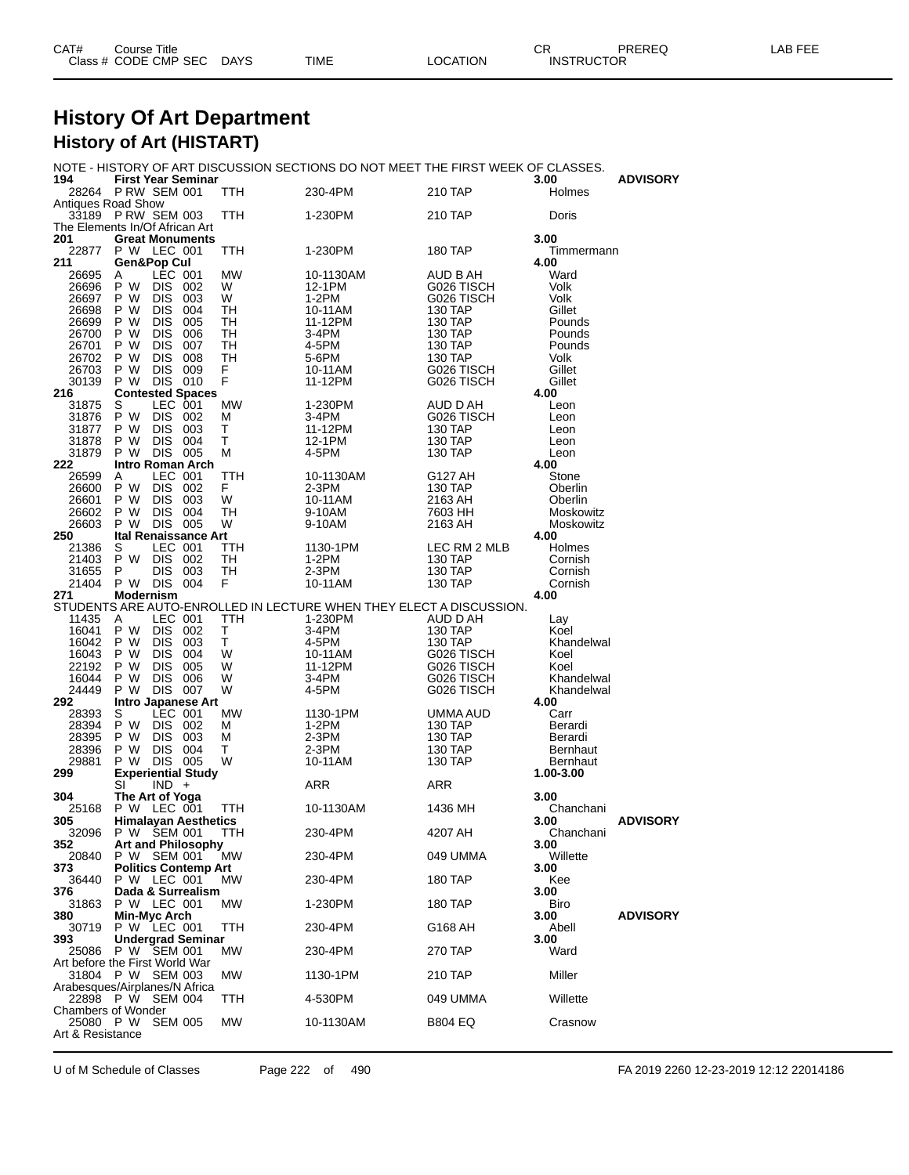| CAT# | Title<br>Course      |      |      |                 | CR                | <b>PREREQ</b> | FEE<br>_AB_ |
|------|----------------------|------|------|-----------------|-------------------|---------------|-------------|
|      | Class # CODE CMP SEC | DAYS | TIME | <b>LOCATION</b> | <b>INSTRUCTOR</b> |               |             |

### **History Of Art Department History of Art (HISTART)**

NOTE - HISTORY OF ART DISCUSSION SECTIONS DO NOT MEET THE FIRST WEEK OF CLASSES.

| 194                            | <b>First Year Seminar</b>                |                        |            |                |                                                                                |                          | 3.00                         | <b>ADVISORY</b> |
|--------------------------------|------------------------------------------|------------------------|------------|----------------|--------------------------------------------------------------------------------|--------------------------|------------------------------|-----------------|
| <b>Antiques Road Show</b>      | 28264 PRW SEM 001                        |                        |            | TTH            | 230-4PM                                                                        | 210 TAP                  | Holmes                       |                 |
|                                | 33189 P RW SEM 003                       |                        |            | TTH            | 1-230PM                                                                        | 210 TAP                  | Doris                        |                 |
| The Elements In/Of African Art |                                          |                        |            |                |                                                                                |                          |                              |                 |
| 201                            | <b>Great Monuments</b>                   |                        |            |                |                                                                                |                          | 3.00                         |                 |
| 22877                          | P W LEC 001                              |                        |            | TTH            | 1-230PM                                                                        | <b>180 TAP</b>           | Timmermann                   |                 |
| 211                            | Gen&Pop Cul                              |                        |            |                |                                                                                |                          | 4.00                         |                 |
| 26695<br>26696                 | A<br>P W                                 | LEC 001<br><b>DIS</b>  | 002        | <b>MW</b><br>W | 10-1130AM<br>12-1PM                                                            | AUD B AH<br>G026 TISCH   | Ward<br>Volk                 |                 |
| 26697                          | P W                                      | <b>DIS</b>             | 003        | W              | 1-2PM                                                                          | G026 TISCH               | Volk                         |                 |
| 26698                          | P W                                      | <b>DIS</b>             | 004        | TН             | 10-11AM                                                                        | 130 TAP                  | Gillet                       |                 |
| 26699                          | P W                                      | DIS                    | 005        | TН             | 11-12PM                                                                        | 130 TAP                  | Pounds                       |                 |
| 26700                          | P W                                      | <b>DIS</b>             | 006        | TН             | 3-4PM                                                                          | 130 TAP                  | Pounds                       |                 |
| 26701                          | P W                                      | <b>DIS</b>             | 007        | TН             | 4-5PM                                                                          | 130 TAP                  | Pounds                       |                 |
| 26702                          | P W                                      | DIS                    | 008<br>009 | TН             | 5-6PM                                                                          | 130 TAP                  | Volk                         |                 |
| 26703<br>30139                 | P W<br>P W                               | DIS.<br><b>DIS 010</b> |            | F.<br>F        | 10-11AM<br>11-12PM                                                             | G026 TISCH<br>G026 TISCH | Gillet<br>Gillet             |                 |
| 216                            | <b>Contested Spaces</b>                  |                        |            |                |                                                                                |                          | 4.00                         |                 |
| 31875                          | S                                        | LEC 001                |            | МW             | 1-230PM                                                                        | AUD D AH                 | Leon                         |                 |
| 31876                          | P W                                      | DIS 002                |            | M              | 3-4PM                                                                          | G026 TISCH               | Leon                         |                 |
| 31877                          | P W                                      | <b>DIS</b>             | 003        | т              | 11-12PM                                                                        | 130 TAP                  | Leon                         |                 |
| 31878                          | P W<br>P W                               | DIS .<br>DIS 005       | 004        | т<br>М         | 12-1PM<br>4-5PM                                                                | 130 TAP                  | Leon                         |                 |
| 31879<br>222                   | Intro Roman Arch                         |                        |            |                |                                                                                | 130 TAP                  | Leon<br>4.00                 |                 |
| 26599                          | A                                        | LEC 001                |            | TTH            | 10-1130AM                                                                      | G127 AH                  | Stone                        |                 |
| 26600                          | P W                                      | DIS 002                |            | F.             | $2-3PM$                                                                        | 130 TAP                  | Oberlin                      |                 |
| 26601                          | P W                                      | <b>DIS</b>             | 003        | W              | 10-11AM                                                                        | 2163 AH                  | Oberlin                      |                 |
| 26602                          | P W                                      | <b>DIS</b>             | 004        | TН             | 9-10AM                                                                         | 7603 HH                  | Moskowitz                    |                 |
| 26603                          | P W                                      | DIS 005                |            | W              | 9-10AM                                                                         | 2163 AH                  | Moskowitz<br>4.00            |                 |
| 250<br>21386                   | <b>Ital Renaissance Art</b><br>S         | LEC 001                |            | TTH            | 1130-1PM                                                                       | LEC RM 2 MLB             | Holmes                       |                 |
| 21403                          | P W                                      | DIS 002                |            | TH             | $1-2PM$                                                                        | 130 TAP                  | Cornish                      |                 |
| 31655                          | P                                        | DIS                    | 003        | TН             | 2-3PM                                                                          | 130 TAP                  | Cornish                      |                 |
| 21404                          | P W DIS 004                              |                        |            | F.             | 10-11AM                                                                        | 130 TAP                  | Cornish                      |                 |
| 271                            | Modernism                                |                        |            |                |                                                                                |                          | 4.00                         |                 |
| 11435                          | A                                        | LEC 001                |            | TTH            | STUDENTS ARE AUTO-ENROLLED IN LECTURE WHEN THEY ELECT A DISCUSSION.<br>1-230PM | AUD D AH                 |                              |                 |
| 16041                          | P W                                      | DIS 002                |            | т              | 3-4PM                                                                          | 130 TAP                  | Lay<br>Koel                  |                 |
| 16042                          | P W                                      | DIS                    | 003        | T              | 4-5PM                                                                          | 130 TAP                  | Khandelwal                   |                 |
| 16043                          | P W                                      | <b>DIS</b>             | 004        | W              | 10-11AM                                                                        | G026 TISCH               | Koel                         |                 |
| 22192                          | P W                                      | DIS.                   | 005        | W              | 11-12PM                                                                        | G026 TISCH               | Koel                         |                 |
| 16044                          | P W                                      | DIS                    | 006        | W              | 3-4PM                                                                          | G026 TISCH               | Khandelwal                   |                 |
| 24449<br>292                   | P W<br><b>Intro Japanese Art</b>         | <b>DIS</b>             | 007        | W              | 4-5PM                                                                          | G026 TISCH               | Khandelwal<br>4.00           |                 |
| 28393                          | S                                        | LEC 001                |            | MW             | 1130-1PM                                                                       | UMMA AUD                 | Carr                         |                 |
| 28394                          | P W                                      | <b>DIS</b>             | 002        | м              | 1-2PM                                                                          | 130 TAP                  | Berardi                      |                 |
| 28395                          | P W                                      | DIS 003                |            | M              | 2-3PM                                                                          | 130 TAP                  | Berardi                      |                 |
| 28396                          | P W                                      | <b>DIS</b>             | 004        | т              | $2-3PM$                                                                        | 130 TAP                  | Bernhaut                     |                 |
| 29881<br>299                   | P W                                      | DIS 005                |            | W              | 10-11AM                                                                        | 130 TAP                  | <b>Bernhaut</b><br>1.00-3.00 |                 |
|                                | <b>Experiential Study</b><br>SI          | $IND +$                |            |                | ARR                                                                            | ARR                      |                              |                 |
| 304                            | The Art of Yoga                          |                        |            |                |                                                                                |                          | 3.00                         |                 |
| 25168                          | P W LEC 001                              |                        |            | TTH            | 10-1130AM                                                                      | 1436 MH                  | Chanchani                    |                 |
| 305                            | <b>Himalayan Aesthetics</b>              |                        |            |                |                                                                                |                          | 3.00                         | <b>ADVISORY</b> |
| 32096                          | P W SEM 001                              |                        |            | TTH            | 230-4PM                                                                        | 4207 AH                  | Chanchani                    |                 |
| 352 —<br>20840                 | <b>Art and Philosophy</b><br>P W SEM 001 |                        |            | МW             | 230-4PM                                                                        | 049 UMMA                 | 3.00<br>Willette             |                 |
| 373.                           | <b>Politics Contemp Art</b>              |                        |            |                |                                                                                |                          | 3.00                         |                 |
| 36440                          | P W LEC 001                              |                        |            | МW             | 230-4PM                                                                        | <b>180 TAP</b>           | Kee                          |                 |
| 376                            | Dada & Surrealism                        |                        |            |                |                                                                                |                          | 3.00                         |                 |
| 31863                          | P W LEC 001                              |                        |            | MW.            | 1-230PM                                                                        | <b>180 TAP</b>           | Biro                         |                 |
| 380                            | Min-Myc Arch<br>P W LEC 001              |                        |            |                |                                                                                |                          | 3.00                         | <b>ADVISORY</b> |
| 30719<br>393                   | <b>Undergrad Seminar</b>                 |                        |            | TTH            | 230-4PM                                                                        | G168 AH                  | Abell<br>3.00                |                 |
|                                | 25086 P W SEM 001                        |                        |            | МW             | 230-4PM                                                                        | <b>270 TAP</b>           | Ward                         |                 |
| Art before the First World War |                                          |                        |            |                |                                                                                |                          |                              |                 |
|                                | 31804 P W SEM 003                        |                        |            | МW             | 1130-1PM                                                                       | 210 TAP                  | Miller                       |                 |
| Arabesques/Airplanes/N Africa  |                                          |                        |            |                |                                                                                |                          |                              |                 |
| <b>Chambers of Wonder</b>      | 22898 P W SEM 004                        |                        |            | TTH            | 4-530PM                                                                        | 049 UMMA                 | Willette                     |                 |
| 25080 P W                      |                                          | <b>SEM 005</b>         |            | MW             | 10-1130AM                                                                      | <b>B804 EQ</b>           | Crasnow                      |                 |
| Art & Resistance               |                                          |                        |            |                |                                                                                |                          |                              |                 |
|                                |                                          |                        |            |                |                                                                                |                          |                              |                 |

U of M Schedule of Classes Page 222 of 490 FA 2019 2260 12-23-2019 12:12 22014186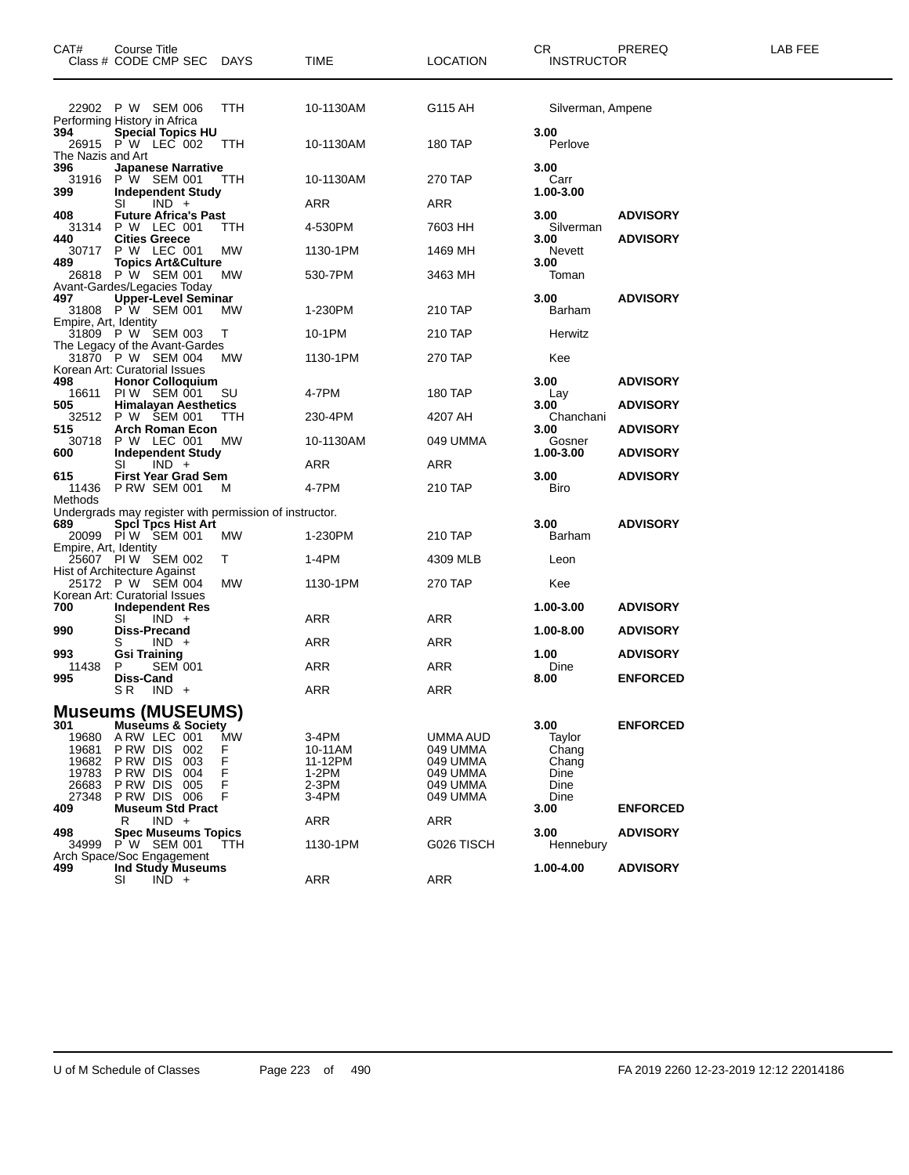| CAT#                                    | Course Title<br>Class # CODE CMP SEC DAYS                                                                                         |                   | TIME                                   | <b>LOCATION</b>                              | CR<br><b>INSTRUCTOR</b>                  | PREREQ          | <b>LAB FEE</b> |
|-----------------------------------------|-----------------------------------------------------------------------------------------------------------------------------------|-------------------|----------------------------------------|----------------------------------------------|------------------------------------------|-----------------|----------------|
|                                         | 22902 P W SEM 006<br>Performing History in Africa                                                                                 | TTH               | 10-1130AM                              | G115 AH                                      | Silverman, Ampene                        |                 |                |
| 394<br>The Nazis and Art                | <b>Special Topics HU</b><br>26915 P W LEC 002                                                                                     | TTH               | 10-1130AM                              | <b>180 TAP</b>                               | 3.00<br>Perlove                          |                 |                |
| 396<br>31916<br>399                     | <b>Japanese Narrative</b><br>P W SEM 001<br><b>Independent Study</b>                                                              | <b>TTH</b>        | 10-1130AM                              | 270 TAP                                      | 3.00<br>Carr<br>1.00-3.00                |                 |                |
|                                         | $IND +$<br>SI                                                                                                                     |                   | ARR                                    | ARR                                          |                                          |                 |                |
| 408                                     | <b>Future Africa's Past</b><br>31314 P W LEC 001                                                                                  | ттн               | 4-530PM                                | 7603 HH                                      | 3.00<br>Silverman                        | <b>ADVISORY</b> |                |
| 440<br>30717                            | <b>Cities Greece</b><br><b>P W LEC 001</b>                                                                                        | МW                | 1130-1PM                               | 1469 MH                                      | 3.00<br>Nevett                           | <b>ADVISORY</b> |                |
| 489                                     | 9 Topics Art&Culture<br>26818 P W SEM 001  l                                                                                      | МW                | 530-7PM                                | 3463 MH                                      | 3.00<br>Toman                            |                 |                |
| 497                                     | Avant-Gardes/Legacies Today<br>7 Upper-Level Seminar<br>31808 P W SEM 001 MV                                                      | МW                | 1-230PM                                | 210 TAP                                      | 3.00<br>Barham                           | <b>ADVISORY</b> |                |
| Empire, Art, Identity                   | 31809 P W SEM 003                                                                                                                 | т                 | 10-1PM                                 | 210 TAP                                      | Herwitz                                  |                 |                |
|                                         | The Legacy of the Avant-Gardes<br>31870 P W SEM 004                                                                               | MW                | 1130-1PM                               | 270 TAP                                      | Kee                                      |                 |                |
| 498<br>16611                            | Korean Art: Curatorial Issues<br><b>Honor Colloquium</b><br>PIW SEM 001                                                           | SU                | 4-7PM                                  | 180 TAP                                      | 3.00<br>Lay                              | <b>ADVISORY</b> |                |
| 505                                     | 5 Himalayan Aesthetics<br>32512 P W SEM 001 TTH                                                                                   | TTH               | 230-4PM                                | 4207 AH                                      | 3.00<br>Chanchani                        | <b>ADVISORY</b> |                |
| 515<br>30718                            | <b>Arch Roman Econ</b><br>P W LEC 001                                                                                             | МW                | 10-1130AM                              | 049 UMMA                                     | 3.00<br>Gosner                           | <b>ADVISORY</b> |                |
| 600                                     | <b>Independent Study</b><br>$IND +$<br>SI                                                                                         |                   | ARR                                    | ARR                                          | 1.00-3.00                                | <b>ADVISORY</b> |                |
| 615<br>11436                            | First Year Grad Sem<br><b>PRW SEM 001</b>                                                                                         | M                 | 4-7PM                                  | 210 TAP                                      | 3.00<br>Biro                             | <b>ADVISORY</b> |                |
| Methods                                 | Undergrads may register with permission of instructor.                                                                            |                   |                                        |                                              |                                          |                 |                |
| 689                                     | <b>Spci Tpcs Hist Art</b><br>20099 PIW SEM 001                                                                                    | МW                | 1-230PM                                | 210 TAP                                      | 3.00<br>Barham                           | <b>ADVISORY</b> |                |
|                                         | Empire, Art, Identity<br>25607 PI W SEM 002                                                                                       | Т                 | 1-4PM                                  | 4309 MLB                                     | Leon                                     |                 |                |
|                                         | Hist of Architecture Against<br>25172 P W SEM 004                                                                                 | МW                | 1130-1PM                               | 270 TAP                                      | Kee                                      |                 |                |
| 700                                     | Korean Art: Curatorial Issues<br><b>Independent Res</b><br>SI<br>$IND +$                                                          |                   | ARR                                    | ARR                                          | 1.00-3.00                                | <b>ADVISORY</b> |                |
| 990                                     | <b>Diss-Precand</b>                                                                                                               |                   |                                        |                                              | 1.00-8.00                                | <b>ADVISORY</b> |                |
| 993<br>11438                            | $IND +$<br>S<br><b>Gsi Training</b><br><b>SEM 001</b><br>P                                                                        |                   | ARR<br>ARR                             | ARR<br>ARR                                   | 1.00<br>Dine                             | <b>ADVISORY</b> |                |
| 995                                     | Diss-Cand                                                                                                                         |                   |                                        |                                              | 8.00                                     | <b>ENFORCED</b> |                |
|                                         | S R<br>$IND +$                                                                                                                    |                   | ARR                                    | <b>ARR</b>                                   |                                          |                 |                |
| 301<br>19680<br>19681<br>19682<br>19783 | <b>Museums (MUSEUMS)</b><br><b>Museums &amp; Society</b><br>A RW LEC 001<br>P RW DIS<br>002<br>P RW DIS<br>003<br>P RW DIS<br>004 | MW<br>F<br>F<br>F | 3-4PM<br>10-11AM<br>11-12PM<br>$1-2PM$ | UMMA AUD<br>049 UMMA<br>049 UMMA<br>049 UMMA | 3.00<br>Taylor<br>Chang<br>Chang<br>Dine | <b>ENFORCED</b> |                |
| 26683<br>27348<br>409                   | P RW DIS<br>005<br>PRW DIS 006<br><b>Museum Std Pract</b>                                                                         | F<br>F            | $2-3PM$<br>3-4PM                       | 049 UMMA<br>049 UMMA                         | Dine<br>Dine<br>3.00                     | <b>ENFORCED</b> |                |
| 498                                     | $IND +$<br>R<br><b>Spec Museums Topics</b>                                                                                        |                   | <b>ARR</b>                             | ARR                                          | 3.00                                     | <b>ADVISORY</b> |                |
| 34999                                   | P W SEM 001<br>Arch Space/Soc Engagement                                                                                          | ттн               | 1130-1PM                               | G026 TISCH                                   | Hennebury                                |                 |                |
| 499                                     | Ind Study Museums<br>SI<br>$IND +$                                                                                                |                   | <b>ARR</b>                             | <b>ARR</b>                                   | 1.00-4.00                                | <b>ADVISORY</b> |                |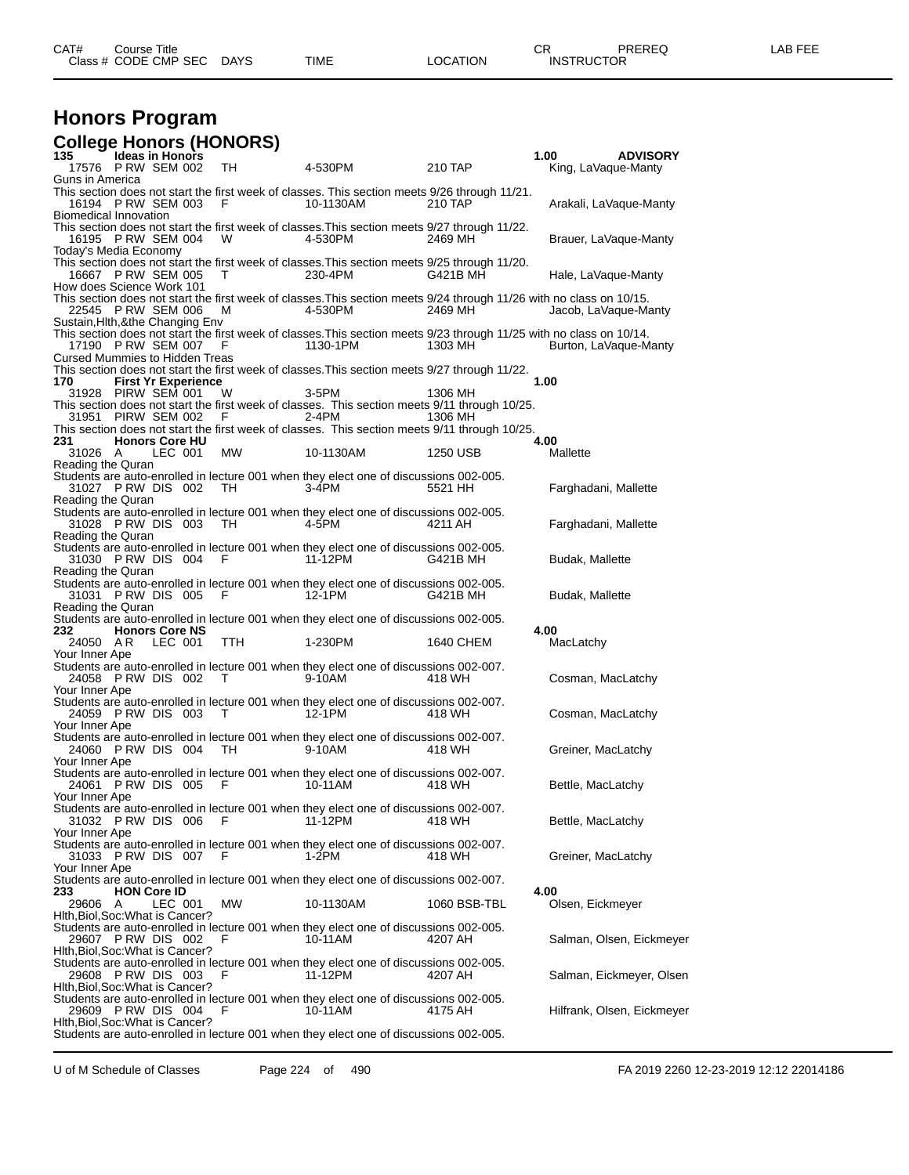| CAT# | Title<br>Course      |             |      |                | <b>^~</b><br>- UN | PREREC<br>◝└ | ---<br>ΔR<br>--- |
|------|----------------------|-------------|------|----------------|-------------------|--------------|------------------|
|      | Class # CODE CMP SEC | <b>DAYS</b> | TIME | <b>OCATION</b> | <b>INSTRUCTOR</b> |              |                  |

#### **Honors Program College Honors (HONORS)**

| ,,,,<br>135 —<br><b>Ideas in Honors</b>                                                                                                                                             | ,,,,,          |           |              | 1.00<br><b>ADVISORY</b>    |
|-------------------------------------------------------------------------------------------------------------------------------------------------------------------------------------|----------------|-----------|--------------|----------------------------|
| 17576 PRW SEM 002<br>TH<br>Guns in America                                                                                                                                          |                | 4-530PM   | 210 TAP      | King, LaVaque-Manty        |
| This section does not start the first week of classes. This section meets 9/26 through 11/21.<br>16194 P RW SEM 003<br>- F                                                          |                | 10-1130AM | 210 TAP      | Arakali, LaVaque-Manty     |
| Biomedical Innovation<br>This section does not start the first week of classes. This section meets 9/27 through 11/22.<br>16195 P RW SEM 004<br>W                                   |                | 4-530PM   | 2469 MH      | Brauer, LaVaque-Manty      |
| Today's Media Economy<br>This section does not start the first week of classes. This section meets 9/25 through 11/20.                                                              |                |           |              |                            |
| 16667 P RW SEM 005<br>T<br>How does Science Work 101                                                                                                                                |                | 230-4PM   | G421B MH     | Hale, LaVaque-Manty        |
| This section does not start the first week of classes.This section meets 9/24 through 11/26 with no class on 10/15.<br>22545 P RW SEM 006<br>M<br>Sustain, Hith, & the Changing Env |                | 4-530PM   | 2469 MH      | Jacob, LaVaque-Manty       |
| This section does not start the first week of classes. This section meets 9/23 through 11/25 with no class on 10/14.<br>17190 P RW SEM 007                                          | F <sub>a</sub> | 1130-1PM  | 1303 MH      | Burton, LaVaque-Manty      |
| <b>Cursed Mummies to Hidden Treas</b><br>This section does not start the first week of classes. This section meets 9/27 through 11/22.                                              |                |           |              |                            |
| <b>First Yr Experience</b><br>170<br>31928 PIRW SEM 001<br>W                                                                                                                        |                | 3-5PM     | 1306 MH      | 1.00                       |
| This section does not start the first week of classes. This section meets 9/11 through 10/25.                                                                                       |                |           |              |                            |
| 31951 PIRW SEM 002<br>F.<br>This section does not start the first week of classes. This section meets 9/11 through 10/25.                                                           |                | $2-4PM$   | 1306 MH      |                            |
| <b>Honors Core HU</b><br>231                                                                                                                                                        |                |           |              | 4.00                       |
| 31026 A<br>LEC 001<br>Reading the Quran                                                                                                                                             | MW             | 10-1130AM | 1250 USB     | Mallette                   |
| Students are auto-enrolled in lecture 001 when they elect one of discussions 002-005.<br>31027 PRW DIS 002<br>TH<br>Reading the Quran                                               |                | $3-4$ PM  | 5521 HH      | Farghadani, Mallette       |
| Students are auto-enrolled in lecture 001 when they elect one of discussions 002-005.<br>31028 PRW DIS 003<br>TH<br>Reading the Quran                                               |                | 4-5PM     | 4211 AH      | Farghadani, Mallette       |
| Students are auto-enrolled in lecture 001 when they elect one of discussions 002-005.<br>31030 PRW DIS 004<br>F.                                                                    |                | 11-12PM   | G421B MH     | Budak, Mallette            |
| Reading the Quran<br>Students are auto-enrolled in lecture 001 when they elect one of discussions 002-005.<br>31031 PRW DIS 005<br>F                                                |                | 12-1PM    | G421B MH     | Budak, Mallette            |
| Reading the Quran<br>Students are auto-enrolled in lecture 001 when they elect one of discussions 002-005.                                                                          |                |           |              |                            |
| 232<br><b>Honors Core NS</b><br>24050 AR<br>LEC 001                                                                                                                                 | TTH            | 1-230PM   | 1640 CHEM    | 4.00<br>MacLatchy          |
| Your Inner Ape                                                                                                                                                                      |                |           |              |                            |
| Students are auto-enrolled in lecture 001 when they elect one of discussions 002-007.<br>24058 PRW DIS 002 T<br>Your Inner Ape                                                      |                | 9-10AM    | 418 WH       | Cosman, MacLatchy          |
| Students are auto-enrolled in lecture 001 when they elect one of discussions 002-007.<br>24059 PRW DIS 003 T<br>Your Inner Ape                                                      |                | 12-1PM    | 418 WH       | Cosman, MacLatchy          |
| Students are auto-enrolled in lecture 001 when they elect one of discussions 002-007.<br>24060 PRW DIS 004 TH                                                                       |                | 9-10AM    | 418 WH       | Greiner, MacLatchy         |
| Your Inner Ape<br>Students are auto-enrolled in lecture 001 when they elect one of discussions 002-007.<br>24061 PRW DIS 005<br>- F                                                 |                | 10-11AM   | 418 WH       | Bettle, MacLatchy          |
| Your Inner Ape<br>Students are auto-enrolled in lecture 001 when they elect one of discussions 002-007.<br>31032 PRW DIS 006<br>F                                                   |                | 11-12PM   | 418 WH       | Bettle, MacLatchy          |
| Your Inner Ape<br>Students are auto-enrolled in lecture 001 when they elect one of discussions 002-007.                                                                             |                |           |              |                            |
| 31033 PRW DIS 007<br>F<br>Your Inner Ape                                                                                                                                            |                | 1-2PM     | 418 WH       | Greiner, MacLatchy         |
| Students are auto-enrolled in lecture 001 when they elect one of discussions 002-007.<br>233<br><b>HON Core ID</b>                                                                  |                |           |              | 4.00                       |
| LEC 001<br>MW.<br>29606<br>A<br>Hith, Biol, Soc: What is Cancer?                                                                                                                    |                | 10-1130AM | 1060 BSB-TBL | Olsen, Eickmeyer           |
| Students are auto-enrolled in lecture 001 when they elect one of discussions 002-005.<br>29607 PRW DIS 002<br>F                                                                     |                | 10-11AM   | 4207 AH      | Salman, Olsen, Eickmeyer   |
| Hith, Biol, Soc: What is Cancer?<br>Students are auto-enrolled in lecture 001 when they elect one of discussions 002-005.<br>29608 PRW DIS 003<br>F                                 |                | 11-12PM   | 4207 AH      | Salman, Eickmeyer, Olsen   |
| Hith, Biol, Soc: What is Cancer?<br>Students are auto-enrolled in lecture 001 when they elect one of discussions 002-005.<br>29609 PRW DIS 004<br>F                                 |                | 10-11AM   | 4175 AH      | Hilfrank, Olsen, Eickmeyer |
| Hith, Biol, Soc: What is Cancer?<br>Students are auto-enrolled in lecture 001 when they elect one of discussions 002-005.                                                           |                |           |              |                            |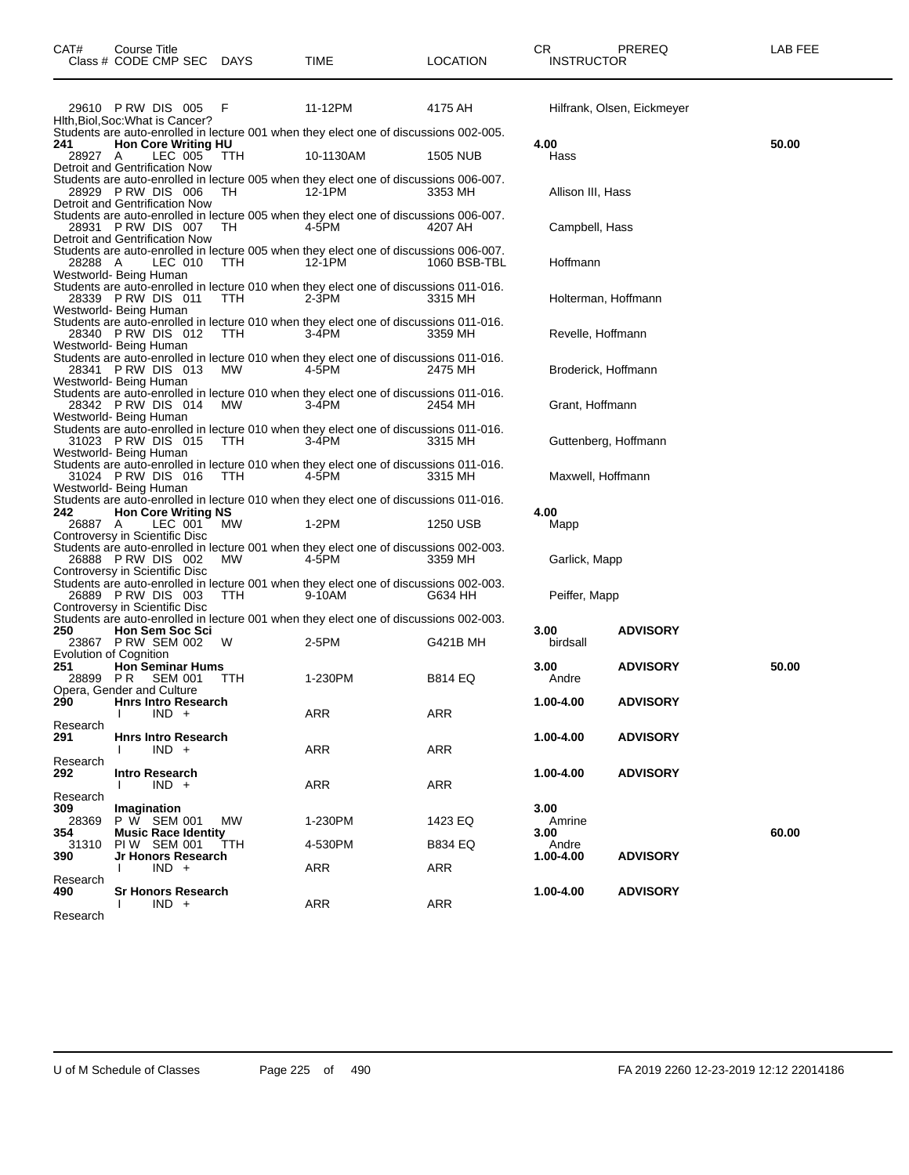|          | 29610 PRW DIS 005 F<br>Hith, Biol, Soc: What is Cancer? |            | 11-12PM                                                                               | 4175 AH        |                      | Hilfrank, Olsen, Eickmeyer |       |
|----------|---------------------------------------------------------|------------|---------------------------------------------------------------------------------------|----------------|----------------------|----------------------------|-------|
|          |                                                         |            | Students are auto-enrolled in lecture 001 when they elect one of discussions 002-005. |                |                      |                            |       |
| 241      | <b>Hon Core Writing HU</b>                              |            |                                                                                       |                | 4.00                 |                            | 50.00 |
| 28927 A  | LEC 005                                                 | <b>TTH</b> | 10-1130AM                                                                             | 1505 NUB       | Hass                 |                            |       |
|          | Detroit and Gentrification Now                          |            |                                                                                       |                |                      |                            |       |
|          |                                                         |            |                                                                                       |                |                      |                            |       |
|          |                                                         |            | Students are auto-enrolled in lecture 005 when they elect one of discussions 006-007. |                |                      |                            |       |
|          | 28929 PRW DIS 006                                       | TH         | 12-1PM                                                                                | 3353 MH        | Allison III, Hass    |                            |       |
|          | Detroit and Gentrification Now                          |            |                                                                                       |                |                      |                            |       |
|          |                                                         |            | Students are auto-enrolled in lecture 005 when they elect one of discussions 006-007. |                |                      |                            |       |
|          | 28931 PRW DIS 007                                       | TH.        | 4-5PM                                                                                 | 4207 AH        | Campbell, Hass       |                            |       |
|          | Detroit and Gentrification Now                          |            |                                                                                       |                |                      |                            |       |
|          |                                                         |            | Students are auto-enrolled in lecture 005 when they elect one of discussions 006-007. |                |                      |                            |       |
| 28288 A  | LEC 010                                                 | <b>TTH</b> | 12-1PM                                                                                | 1060 BSB-TBL   | Hoffmann             |                            |       |
|          | Westworld- Being Human                                  |            |                                                                                       |                |                      |                            |       |
|          |                                                         |            | Students are auto-enrolled in lecture 010 when they elect one of discussions 011-016. |                |                      |                            |       |
|          | 28339 PRW DIS 011                                       | <b>TTH</b> | $2-3PM$                                                                               | 3315 MH        | Holterman, Hoffmann  |                            |       |
|          | Westworld- Being Human                                  |            |                                                                                       |                |                      |                            |       |
|          |                                                         |            | Students are auto-enrolled in lecture 010 when they elect one of discussions 011-016. |                |                      |                            |       |
|          | 28340 PRW DIS 012                                       | <b>TTH</b> | 3-4PM                                                                                 | 3359 MH        | Revelle, Hoffmann    |                            |       |
|          | Westworld- Being Human                                  |            |                                                                                       |                |                      |                            |       |
|          |                                                         |            | Students are auto-enrolled in lecture 010 when they elect one of discussions 011-016. |                |                      |                            |       |
|          | 28341 PRW DIS 013                                       | <b>MW</b>  | 4-5PM                                                                                 | 2475 MH        |                      |                            |       |
|          |                                                         |            |                                                                                       |                | Broderick, Hoffmann  |                            |       |
|          | Westworld- Being Human                                  |            |                                                                                       |                |                      |                            |       |
|          |                                                         |            | Students are auto-enrolled in lecture 010 when they elect one of discussions 011-016. |                |                      |                            |       |
|          | 28342 PRW DIS 014                                       | <b>MW</b>  | $3-4$ PM                                                                              | 2454 MH        | Grant, Hoffmann      |                            |       |
|          | Westworld- Being Human                                  |            |                                                                                       |                |                      |                            |       |
|          |                                                         |            | Students are auto-enrolled in lecture 010 when they elect one of discussions 011-016. |                |                      |                            |       |
|          | 31023 PRW DIS 015                                       | TTH        | $3-4$ PM                                                                              | 3315 MH        | Guttenberg, Hoffmann |                            |       |
|          | Westworld- Being Human                                  |            |                                                                                       |                |                      |                            |       |
|          |                                                         |            | Students are auto-enrolled in lecture 010 when they elect one of discussions 011-016. |                |                      |                            |       |
|          | 31024 PRW DIS 016                                       | TTH        | 4-5PM                                                                                 | 3315 MH        | Maxwell, Hoffmann    |                            |       |
|          | Westworld- Being Human                                  |            |                                                                                       |                |                      |                            |       |
|          |                                                         |            | Students are auto-enrolled in lecture 010 when they elect one of discussions 011-016. |                |                      |                            |       |
|          | <b>Hon Core Writing NS</b>                              |            |                                                                                       |                |                      |                            |       |
| 242      |                                                         |            |                                                                                       |                | 4.00                 |                            |       |
| 26887 A  |                                                         | MW.        | $1-2PM$                                                                               | 1250 USB       | Mapp                 |                            |       |
|          | LEC 001<br>Controversy in Scientific Disc               |            |                                                                                       |                |                      |                            |       |
|          |                                                         |            | Students are auto-enrolled in lecture 001 when they elect one of discussions 002-003. |                |                      |                            |       |
|          |                                                         | MW.        | 4-5PM                                                                                 | 3359 MH        |                      |                            |       |
|          | 26888 PRW DIS 002                                       |            |                                                                                       |                | Garlick, Mapp        |                            |       |
|          | Controversy in Scientific Disc                          |            |                                                                                       |                |                      |                            |       |
|          |                                                         |            | Students are auto-enrolled in lecture 001 when they elect one of discussions 002-003. |                |                      |                            |       |
|          | 26889 PRW DIS 003                                       | <b>TTH</b> | 9-10AM                                                                                | G634 HH        | Peiffer, Mapp        |                            |       |
|          | Controversy in Scientific Disc                          |            |                                                                                       |                |                      |                            |       |
|          |                                                         |            | Students are auto-enrolled in lecture 001 when they elect one of discussions 002-003. |                |                      |                            |       |
| 250      | <b>Hon Sem Soc Sci</b>                                  |            |                                                                                       |                | 3.00                 | <b>ADVISORY</b>            |       |
|          | 23867 P RW SEM 002                                      | W          | 2-5PM                                                                                 | G421B MH       | birdsall             |                            |       |
|          | <b>Evolution of Cognition</b>                           |            |                                                                                       |                |                      |                            |       |
| 251      | <b>Hon Seminar Hums</b>                                 |            |                                                                                       |                | 3.00                 | <b>ADVISORY</b>            | 50.00 |
| 28899    | P R<br>SEM 001                                          | TTH        | 1-230PM                                                                               | <b>B814 EQ</b> | Andre                |                            |       |
|          | Opera, Gender and Culture                               |            |                                                                                       |                |                      |                            |       |
| 290      | <b>Hnrs Intro Research</b>                              |            |                                                                                       |                | 1.00-4.00            | <b>ADVISORY</b>            |       |
|          | $IND +$                                                 |            | ARR                                                                                   | ARR            |                      |                            |       |
| Research |                                                         |            |                                                                                       |                |                      |                            |       |
| 291      | <b>Hnrs Intro Research</b>                              |            |                                                                                       |                | 1.00-4.00            | <b>ADVISORY</b>            |       |
|          | $IND +$                                                 |            | ARR                                                                                   | ARR            |                      |                            |       |
| Research |                                                         |            |                                                                                       |                |                      |                            |       |
| 292      | <b>Intro Research</b>                                   |            |                                                                                       |                | 1.00-4.00            | <b>ADVISORY</b>            |       |
|          | $IND +$                                                 |            | ARR                                                                                   | ARR            |                      |                            |       |
| Research |                                                         |            |                                                                                       |                |                      |                            |       |
| 309      | Imagination                                             |            |                                                                                       |                | 3.00                 |                            |       |
| 28369    | P W SEM 001                                             | MW         | 1-230PM                                                                               | 1423 EQ        | Amrine               |                            |       |
| 354      | <b>Music Race Identity</b>                              |            |                                                                                       |                | 3.00                 |                            | 60.00 |
| 31310    | PIW SEM 001                                             | TTH        | 4-530PM                                                                               | <b>B834 EQ</b> | Andre                |                            |       |
| 390      | Jr Honors Research                                      |            |                                                                                       |                | 1.00-4.00            | <b>ADVISORY</b>            |       |
|          | $IND +$<br>I.                                           |            | ARR                                                                                   | ARR            |                      |                            |       |
| Research |                                                         |            |                                                                                       |                |                      |                            |       |
| 490      | <b>Sr Honors Research</b>                               |            |                                                                                       |                | 1.00-4.00            | <b>ADVISORY</b>            |       |
|          | $IND +$                                                 |            | ARR                                                                                   | ARR            |                      |                            |       |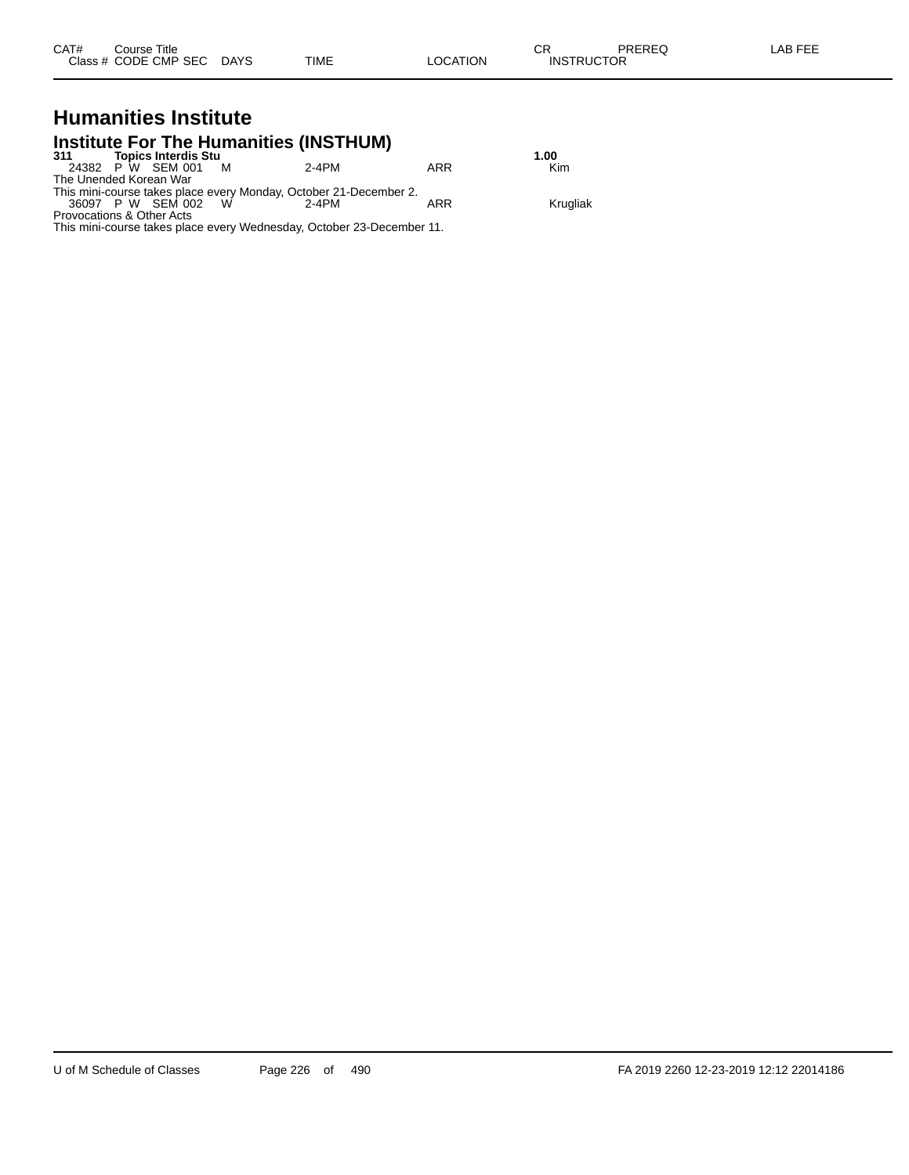| CAT# | Title<br>Course      |                       |      |                 | ∼⊏<br>◡ጙ          | PREREQ | _AB FEF |
|------|----------------------|-----------------------|------|-----------------|-------------------|--------|---------|
|      | Class # CODE CMP SEC | <b>DAYS</b><br>______ | TIME | OCATION<br>____ | <b>INSTRUCTOR</b> |        |         |

# **Humanities Institute Institute For The Humanities (INSTHUM) 311 Topics Interdis Stu 1.00**

| 311                       | TODICS INTERNIS STU |   |                                                                   |     | 1.UU     |
|---------------------------|---------------------|---|-------------------------------------------------------------------|-----|----------|
|                           | 24382 P W SEM 001   | M | 2-4PM                                                             | ARR | Kim      |
| The Unended Korean War    |                     |   |                                                                   |     |          |
|                           |                     |   | This mini-course takes place every Monday, October 21-December 2. |     |          |
|                           | 36097 P W SEM 002   | W | 2-4PM                                                             | ARR | Krugliak |
| Provocations & Other Acts |                     |   |                                                                   |     |          |

This mini-course takes place every Wednesday, October 23-December 11.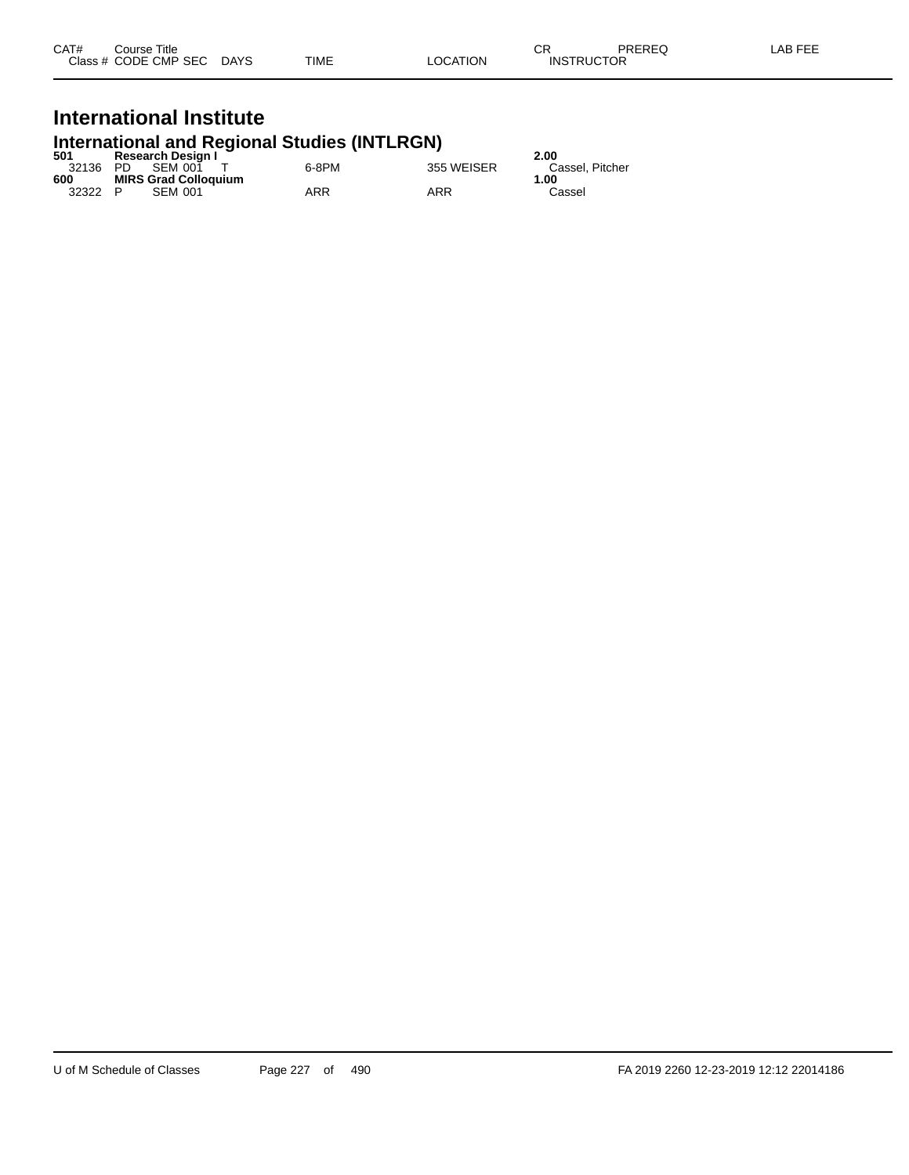| CAT# | Course Title              |      |          | ∼г<br>◡⊓          | PREREQ | LAB FEE |
|------|---------------------------|------|----------|-------------------|--------|---------|
|      | Class # CODE CMP SEC DAYS | TIME | LOCATION | <b>INSTRUCTOR</b> |        |         |

# **International Institute**

# **International and Regional Studies (INTLRGN) 501 Research Design I 2.00**

| วบ เ     | Research Design F           |       |            | z.uu            |
|----------|-----------------------------|-------|------------|-----------------|
| 32136 PD | SEM 001                     | 6-8PM | 355 WEISER | Cassel, Pitcher |
| 600      | <b>MIRS Grad Colloquium</b> |       |            | 1.00            |
| 32322    | <b>SEM 001</b><br>P.        | ARR   | ARR        | Cassel          |
|          |                             |       |            |                 |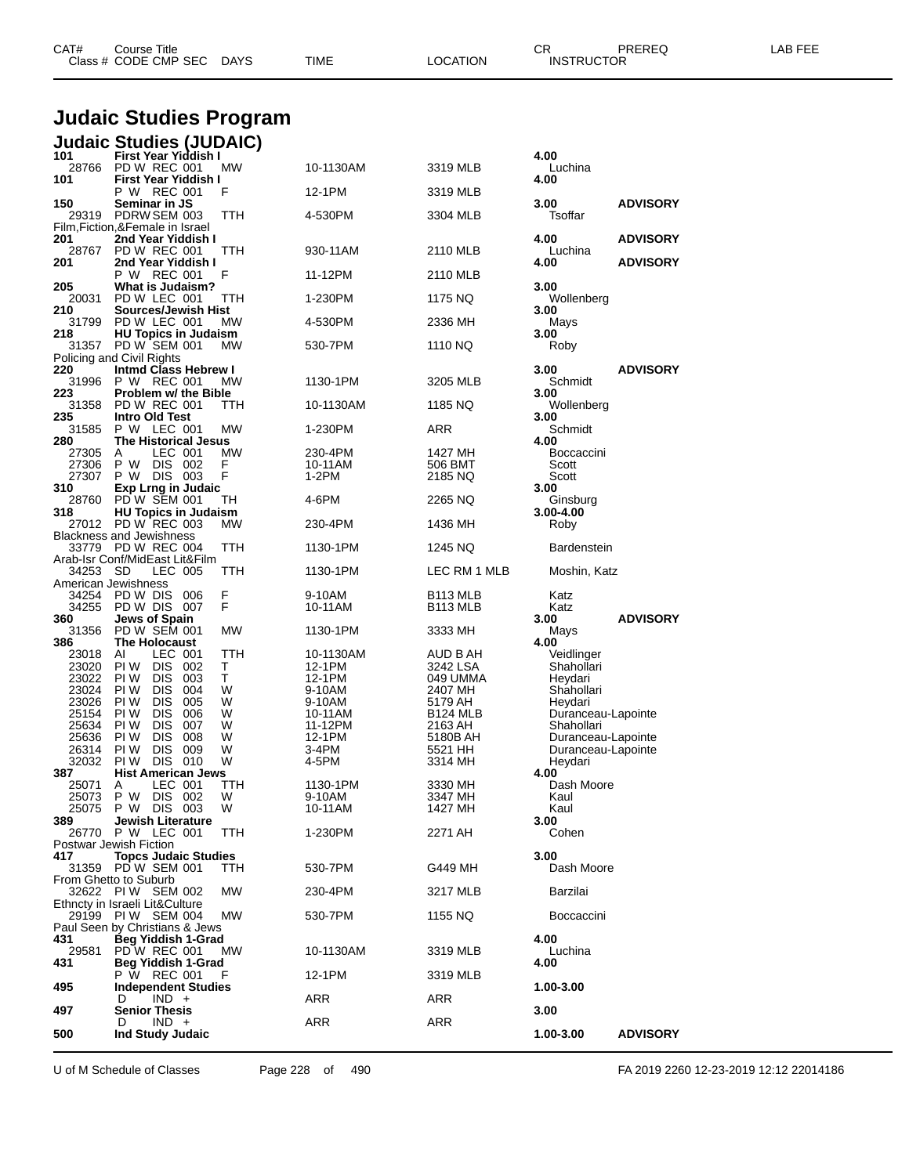| CAT#               | Course Title<br>Class # CODE CMP SEC DAYS               |          | TIME                | <b>LOCATION</b>                 | СR<br><b>INSTRUCTOR</b>                  | PREREQ          | LAB FEE |
|--------------------|---------------------------------------------------------|----------|---------------------|---------------------------------|------------------------------------------|-----------------|---------|
|                    | <b>Judaic Studies Program</b>                           |          |                     |                                 |                                          |                 |         |
|                    | <b>Judaic Studies (JUDAIC)</b>                          |          |                     |                                 |                                          |                 |         |
| 101                | First Year Yiddish I<br>28766 PD W REC 001              | МW       | 10-1130AM           | 3319 MLB                        | 4.00<br>Luchina                          |                 |         |
| 101                | First Year Yiddish I<br>P W REC 001                     | F        | 12-1PM              |                                 | 4.00                                     |                 |         |
| 150                | Seminar in JS                                           |          |                     | 3319 MLB                        | 3.00                                     | <b>ADVISORY</b> |         |
|                    | 29319 PDRW SEM 003<br>Film, Fiction, & Female in Israel | ттн      | 4-530PM             | 3304 MLB                        | Tsoffar                                  |                 |         |
| 201<br>28767       | 2nd Year Yiddish I<br>PD W REC 001                      | TTH      | 930-11AM            | 2110 MLB                        | 4.00<br>Luchina                          | <b>ADVISORY</b> |         |
| 201                | 2nd Year Yiddish I<br>P W REC 001                       |          |                     |                                 | 4.00                                     | <b>ADVISORY</b> |         |
| 205                | <b>What is Judaism?</b>                                 | F        | 11-12PM             | 2110 MLB                        | 3.00                                     |                 |         |
| 20031<br>210       | PD W LEC 001<br>Sources/Jewish Hist                     | TTH      | 1-230PM             | 1175 NQ                         | Wollenberg<br>3.00                       |                 |         |
| 31799<br>218       | PD W LEC 001<br><b>HU Topics in Judaism</b>             | МW       | 4-530PM             | 2336 MH                         | Mays<br>3.00                             |                 |         |
|                    | 31357 PD W SEM 001                                      | МW       | 530-7PM             | 1110 NQ                         | Roby                                     |                 |         |
| 220                | Policing and Civil Rights<br>Intmd Class Hebrew I       |          |                     |                                 | 3.00                                     | <b>ADVISORY</b> |         |
| 223                | 31996 P W REC 001<br>Problem w/ the Bible               | МW       | 1130-1PM            | 3205 MLB                        | Schmidt<br>3.00                          |                 |         |
| 31358<br>235       | PD W REC 001<br>Intro Old Test                          | ттн      | 10-1130AM           | 1185 NQ                         | Wollenberg<br>3.00                       |                 |         |
| 31585              | P W LEC 001                                             | MW       | 1-230PM             | ARR                             | Schmidt                                  |                 |         |
| 280<br>27305       | <b>The Historical Jesus</b><br>LEC 001<br>A             | МW       | 230-4PM             | 1427 MH                         | 4.00<br>Boccaccini                       |                 |         |
| 27306<br>27307     | P W<br>DIS 002<br>P W DIS 003                           | F<br>F   | 10-11AM<br>$1-2PM$  | 506 BMT<br>2185 NQ              | Scott<br>Scott                           |                 |         |
| 310<br>28760       | <b>Exp Lrng in Judaic</b><br>PD W SEM 001               |          | 4-6PM               |                                 | 3.00                                     |                 |         |
| 318                | <b>HU Topics in Judaism</b>                             | ТH       |                     | 2265 NQ                         | Ginsburg<br>3.00-4.00                    |                 |         |
|                    | 27012 PD W REC 003<br>Blackness and Jewishness          | МW       | 230-4PM             | 1436 MH                         | Roby                                     |                 |         |
|                    | 33779 PD W REC 004<br>Arab-Isr Conf/MidEast Lit&Film    | ттн      | 1130-1PM            | 1245 NQ                         | <b>Bardenstein</b>                       |                 |         |
| 34253 SD           | LEC 005<br>American Jewishness                          | ттн      | 1130-1PM            | LEC RM 1 MLB                    | Moshin, Katz                             |                 |         |
| 34254              | <b>PD W DIS 006</b>                                     | F        | 9-10AM              | B <sub>113</sub> MLB            | Katz                                     |                 |         |
| 34255<br>360       | PD W DIS 007<br><b>Jews of Spain</b>                    | F        | 10-11AM             | B <sub>113</sub> MLB            | Katz<br>3.00                             | <b>ADVISORY</b> |         |
| 31356<br>386       | PD W SEM 001<br>The Holocaust                           | MW       | 1130-1PM            | 3333 MH                         | Mays<br>4.00                             |                 |         |
| 23018<br>23020     | LEC 001<br>Al<br>PIW DIS<br>- 002                       | ттн<br>Τ | 10-1130AM<br>12-1PM | AUD B AH<br>3242 LSA            | Veidlinger<br>Shahollari                 |                 |         |
| 23022              | <b>DIS</b><br>PI W<br>- 003                             | Τ        | 12-1PM              | 049 UMMA                        | Heydari                                  |                 |         |
| 23024<br>23026 PIW | <b>DIS</b><br>004<br>PI W<br>DIS 005                    | W<br>W   | 9-10AM<br>9-10AM    | 2407 MH<br>5179 AH              | Shahollari<br>Heydari                    |                 |         |
| 25154<br>25634     | PI W<br><b>DIS</b><br>006<br>PI W<br><b>DIS</b><br>007  | W<br>W   | 10-11AM<br>11-12PM  | B <sub>124</sub> MLB<br>2163 AH | Duranceau-Lapointe<br>Shahollari         |                 |         |
| 25636<br>26314     | PI W<br>DIS.<br>008<br>PI W<br>DIS.<br>009              | W<br>W   | 12-1PM<br>3-4PM     | 5180B AH<br>5521 HH             | Duranceau-Lapointe<br>Duranceau-Lapointe |                 |         |
| 32032              | <b>PIW DIS 010</b>                                      | W        | 4-5PM               | 3314 MH                         | Heydari                                  |                 |         |
| 387<br>25071       | <b>Hist American Jews</b><br>LEC 001<br>A               | TTH      | 1130-1PM            | 3330 MH                         | 4.00<br>Dash Moore                       |                 |         |
| 25073<br>25075     | DIS 002<br>P W<br>P W DIS 003                           | W<br>W   | 9-10AM<br>10-11AM   | 3347 MH<br>1427 MH              | Kaul<br>Kaul                             |                 |         |
| 389                | Jewish Literature<br>26770 P W LEC 001                  | TTH      | 1-230PM             | 2271 AH                         | 3.00<br>Cohen                            |                 |         |
|                    | Postwar Jewish Fiction                                  |          |                     |                                 |                                          |                 |         |
| 417                | <b>Topcs Judaic Studies</b><br>31359 PD W SEM 001       | ттн      | 530-7PM             | G449 MH                         | 3.00<br>Dash Moore                       |                 |         |
|                    | From Ghetto to Suburb<br>32622 PIW SEM 002              | МW       | 230-4PM             | 3217 MLB                        | Barzilai                                 |                 |         |
|                    | Ethncty in Israeli Lit&Culture<br>29199 PIW SEM 004     | MW.      | 530-7PM             | 1155 NQ                         | Boccaccini                               |                 |         |
|                    | Paul Seen by Christians & Jews                          |          |                     |                                 |                                          |                 |         |
| 431<br>29581       | Beg Yiddish 1-Grad<br>PDW REC 001                       | МW       | 10-1130AM           | 3319 MLB                        | 4.00<br>Luchina                          |                 |         |
| 431                | Beg Yiddish 1-Grad<br>P W REC 001                       | F        | 12-1PM              | 3319 MLB                        | 4.00                                     |                 |         |
| 495                | <b>Independent Studies</b><br>$IND +$<br>D              |          | ARR                 | ARR                             | 1.00-3.00                                |                 |         |
| 497                | <b>Senior Thesis</b>                                    |          |                     |                                 | 3.00                                     |                 |         |
| 500                | $IND +$<br>D<br><b>Ind Study Judaic</b>                 |          | <b>ARR</b>          | ARR                             | 1.00-3.00                                | <b>ADVISORY</b> |         |
|                    |                                                         |          |                     |                                 |                                          |                 |         |

U of M Schedule of Classes Page 228 of 490 FA 2019 2260 12-23-2019 12:12 22014186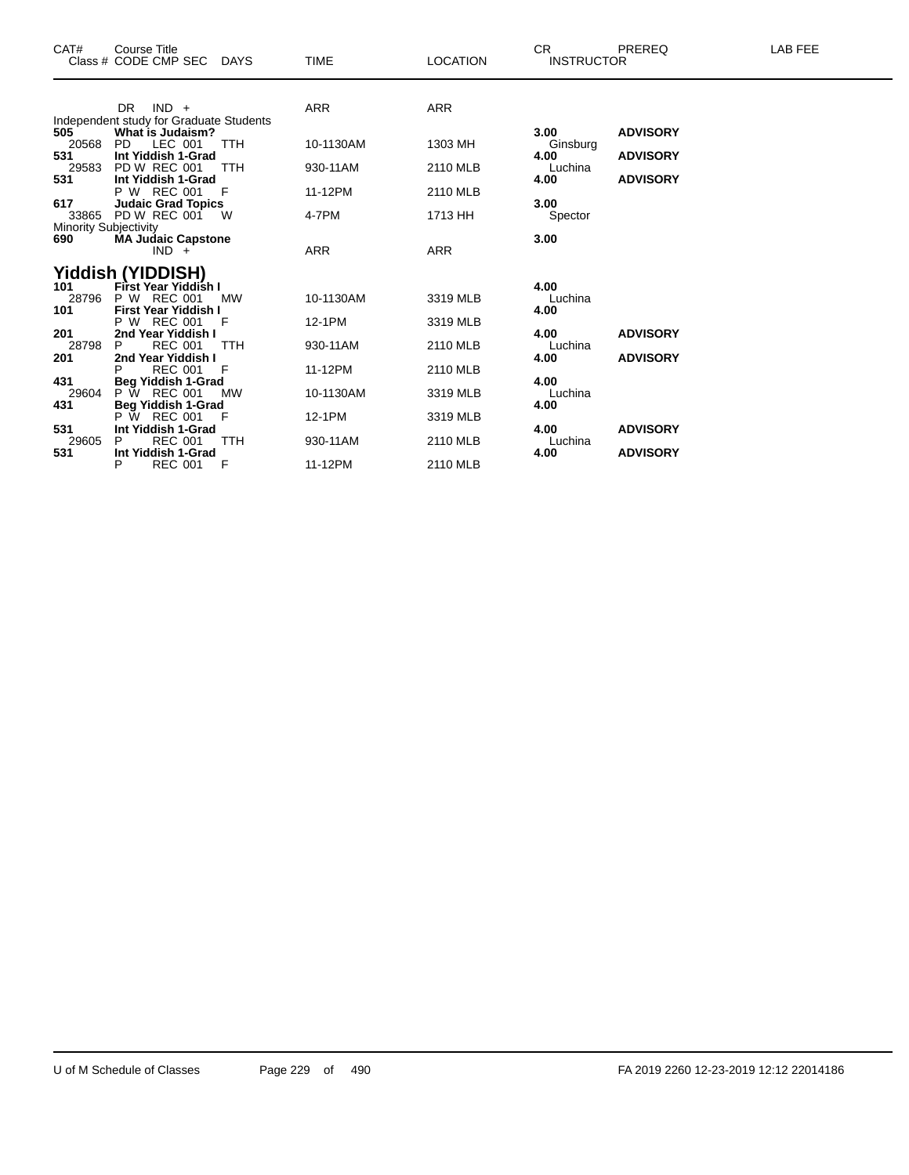| CAT#                                                                                | <b>Course Title</b><br>Class # CODE CMP SEC DAYS                                                                                                                                                                                               |                                             | <b>TIME</b>                                             | <b>LOCATION</b>                                          | <b>CR</b><br><b>INSTRUCTOR</b>                                         | PREREQ                                                | LAB FEE |
|-------------------------------------------------------------------------------------|------------------------------------------------------------------------------------------------------------------------------------------------------------------------------------------------------------------------------------------------|---------------------------------------------|---------------------------------------------------------|----------------------------------------------------------|------------------------------------------------------------------------|-------------------------------------------------------|---------|
|                                                                                     | $IND +$<br>DR.<br>Independent study for Graduate Students                                                                                                                                                                                      |                                             | <b>ARR</b>                                              | <b>ARR</b>                                               |                                                                        |                                                       |         |
| 505<br>20568<br>531<br>29583<br>531<br>617<br>33865<br>Minority Subjectivity<br>690 | <b>What is Judaism?</b><br>LEC 001<br>PD.<br>Int Yiddish 1-Grad<br><b>PD W REC 001</b><br>Int Yiddish 1-Grad<br>P W REC 001<br><b>Judaic Grad Topics</b><br>PD W REC 001<br><b>MA Judaic Capstone</b><br>$IND +$                               | <b>TTH</b><br><b>TTH</b><br>- F<br><b>W</b> | 10-1130AM<br>930-11AM<br>11-12PM<br>4-7PM<br><b>ARR</b> | 1303 MH<br>2110 MLB<br>2110 MLB<br>1713 HH<br><b>ARR</b> | 3.00<br>Ginsburg<br>4.00<br>Luchina<br>4.00<br>3.00<br>Spector<br>3.00 | <b>ADVISORY</b><br><b>ADVISORY</b><br><b>ADVISORY</b> |         |
| 101<br>28796<br>101<br>201<br>28798<br>201<br>431<br>29604                          | <b>Yiddish (YIDDISH)</b><br>First Year Yiddish I<br>P W REC 001<br>First Year Yiddish I<br>P W REC 001<br>2nd Year Yiddish I<br><b>REC 001</b><br>P<br>2nd Year Yiddish I<br><b>REC 001</b><br><b>Beg Yiddish 1-Grad</b><br><b>P W REC 001</b> | <b>MW</b><br>F<br><b>TTH</b><br>F<br>MW     | 10-1130AM<br>12-1PM<br>930-11AM<br>11-12PM<br>10-1130AM | 3319 MLB<br>3319 MLB<br>2110 MLB<br>2110 MLB<br>3319 MLB | 4.00<br>Luchina<br>4.00<br>4.00<br>Luchina<br>4.00<br>4.00<br>Luchina  | <b>ADVISORY</b><br><b>ADVISORY</b>                    |         |
| 431<br>531<br>29605<br>531                                                          | <b>Beg Yiddish 1-Grad</b><br>P W REC 001<br>Int Yiddish 1-Grad<br><b>REC 001</b><br>Int Yiddish 1-Grad<br>P<br><b>REC 001</b>                                                                                                                  | F<br><b>TTH</b><br>F                        | 12-1PM<br>930-11AM<br>11-12PM                           | 3319 MLB<br>2110 MLB<br>2110 MLB                         | 4.00<br>4.00<br>Luchina<br>4.00                                        | <b>ADVISORY</b><br><b>ADVISORY</b>                    |         |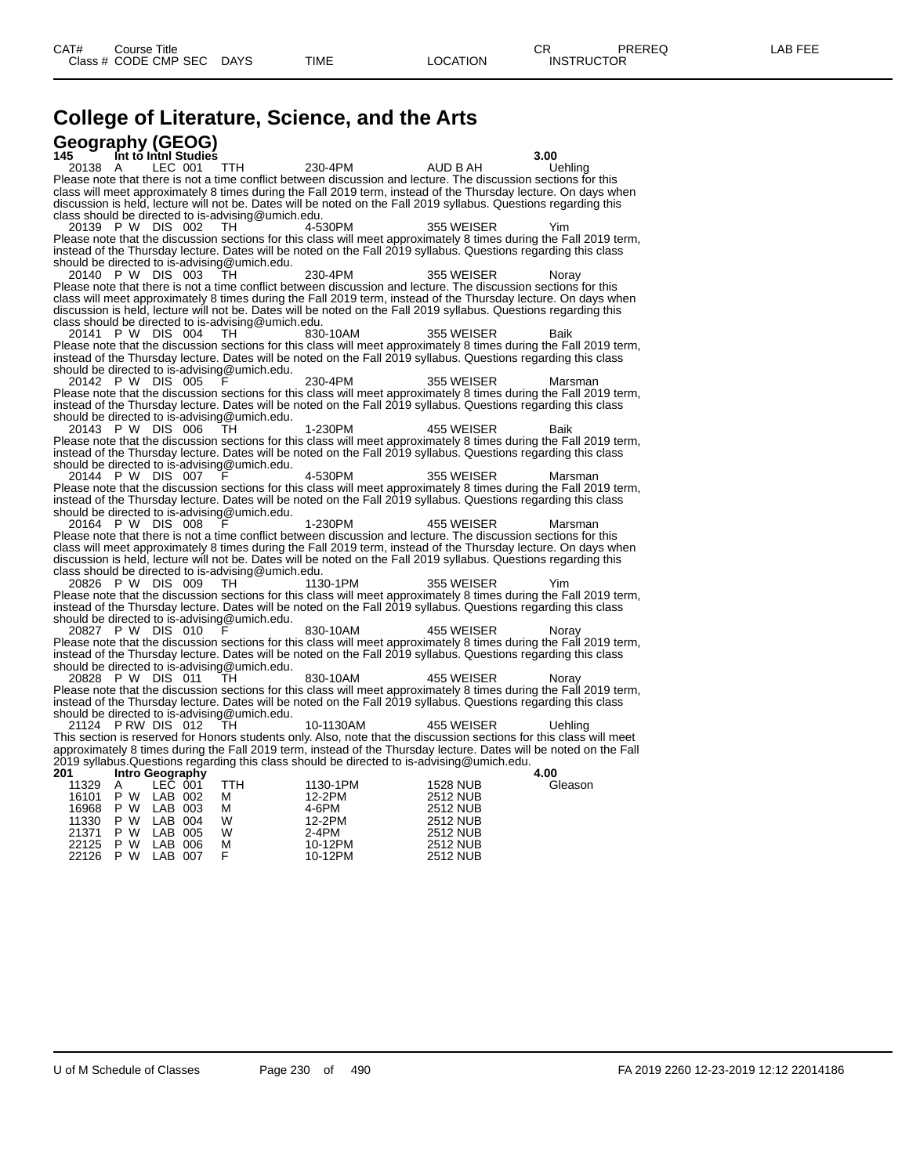# **College of Literature, Science, and the Arts**

| Geography (GEOG)                                                                                                                                                                                                                     |           |                 |         |
|--------------------------------------------------------------------------------------------------------------------------------------------------------------------------------------------------------------------------------------|-----------|-----------------|---------|
| 145<br>Int to Inth Studies                                                                                                                                                                                                           |           |                 | 3.00    |
| LEC 001<br>20138 A<br>TTH                                                                                                                                                                                                            | 230-4PM   | AUD B AH        | Uehling |
| Please note that there is not a time conflict between discussion and lecture. The discussion sections for this                                                                                                                       |           |                 |         |
| class will meet approximately 8 times during the Fall 2019 term, instead of the Thursday lecture. On days when                                                                                                                       |           |                 |         |
| discussion is held, lecture will not be. Dates will be noted on the Fall 2019 syllabus. Questions regarding this                                                                                                                     |           |                 |         |
| class should be directed to is-advising@umich.edu.                                                                                                                                                                                   |           |                 |         |
| 20139 P W DIS 002<br>TH.                                                                                                                                                                                                             | 4-530PM   | 355 WEISER      | Yim     |
| Please note that the discussion sections for this class will meet approximately 8 times during the Fall 2019 term,<br>instead of the Thursday lecture. Dates will be noted on the Fall 2019 syllabus. Questions regarding this class |           |                 |         |
| should be directed to is-advising@umich.edu.                                                                                                                                                                                         |           |                 |         |
| 20140 P W DIS 003<br>TH                                                                                                                                                                                                              | 230-4PM   | 355 WEISER      | Norav   |
| Please note that there is not a time conflict between discussion and lecture. The discussion sections for this                                                                                                                       |           |                 |         |
| class will meet approximately 8 times during the Fall 2019 term, instead of the Thursday lecture. On days when                                                                                                                       |           |                 |         |
| discussion is held, lecture will not be. Dates will be noted on the Fall 2019 syllabus. Questions regarding this                                                                                                                     |           |                 |         |
| class should be directed to is-advising@umich.edu.                                                                                                                                                                                   |           |                 |         |
| 20141 P W DIS 004<br>TH.                                                                                                                                                                                                             | 830-10AM  | 355 WEISER      | Baik    |
| Please note that the discussion sections for this class will meet approximately 8 times during the Fall 2019 term,                                                                                                                   |           |                 |         |
| instead of the Thursday lecture. Dates will be noted on the Fall 2019 syllabus. Questions regarding this class                                                                                                                       |           |                 |         |
| should be directed to is-advising@umich.edu.                                                                                                                                                                                         |           |                 |         |
| 20142 P W DIS 005                                                                                                                                                                                                                    | 230-4PM   | 355 WEISER      | Marsman |
| Please note that the discussion sections for this class will meet approximately 8 times during the Fall 2019 term,                                                                                                                   |           |                 |         |
| instead of the Thursday lecture. Dates will be noted on the Fall 2019 syllabus. Questions regarding this class<br>should be directed to is-advising@umich.edu.                                                                       |           |                 |         |
| 20143 P W DIS 006<br>тн                                                                                                                                                                                                              | 1-230PM   | 455 WEISER      | Baik    |
| Please note that the discussion sections for this class will meet approximately 8 times during the Fall 2019 term,                                                                                                                   |           |                 |         |
| instead of the Thursday lecture. Dates will be noted on the Fall 2019 syllabus. Questions regarding this class                                                                                                                       |           |                 |         |
| should be directed to is-advising@umich.edu.                                                                                                                                                                                         |           |                 |         |
| 20144 P W DIS 007                                                                                                                                                                                                                    | 4-530PM   | 355 WEISER      | Marsman |
| Please note that the discussion sections for this class will meet approximately 8 times during the Fall 2019 term,                                                                                                                   |           |                 |         |
| instead of the Thursday lecture. Dates will be noted on the Fall 2019 syllabus. Questions regarding this class                                                                                                                       |           |                 |         |
| should be directed to is-advising@umich.edu.                                                                                                                                                                                         |           |                 |         |
| 20164 P W DIS 008                                                                                                                                                                                                                    | 1-230PM   | 455 WEISER      | Marsman |
| Please note that there is not a time conflict between discussion and lecture. The discussion sections for this                                                                                                                       |           |                 |         |
| class will meet approximately 8 times during the Fall 2019 term, instead of the Thursday lecture. On days when<br>discussion is held, lecture will not be. Dates will be noted on the Fall 2019 syllabus. Questions regarding this   |           |                 |         |
| class should be directed to is-advising@umich.edu.                                                                                                                                                                                   |           |                 |         |
| 20826 P W DIS 009<br>TН                                                                                                                                                                                                              | 1130-1PM  | 355 WEISER      | Yim     |
| Please note that the discussion sections for this class will meet approximately 8 times during the Fall 2019 term,                                                                                                                   |           |                 |         |
| instead of the Thursday lecture. Dates will be noted on the Fall 2019 syllabus. Questions regarding this class                                                                                                                       |           |                 |         |
| should be directed to is-advising@umich.edu.                                                                                                                                                                                         |           |                 |         |
| 20827 P W DIS 010<br>F                                                                                                                                                                                                               | 830-10AM  | 455 WEISER      | Norav   |
| Please note that the discussion sections for this class will meet approximately 8 times during the Fall 2019 term,                                                                                                                   |           |                 |         |
| instead of the Thursday lecture. Dates will be noted on the Fall 2019 syllabus. Questions regarding this class                                                                                                                       |           |                 |         |
| should be directed to is-advising@umich.edu.                                                                                                                                                                                         |           |                 |         |
| 20828 P W DIS 011<br>TН                                                                                                                                                                                                              | 830-10AM  | 455 WEISER      | Noray   |
| Please note that the discussion sections for this class will meet approximately 8 times during the Fall 2019 term,                                                                                                                   |           |                 |         |
| instead of the Thursday lecture. Dates will be noted on the Fall 2019 syllabus. Questions regarding this class<br>should be directed to is-advising@umich.edu.                                                                       |           |                 |         |
| 21124 PRW DIS 012<br>TH.                                                                                                                                                                                                             | 10-1130AM | 455 WEISER      | Uehlina |
| This section is reserved for Honors students only. Also, note that the discussion sections for this class will meet                                                                                                                  |           |                 |         |
| approximately 8 times during the Fall 2019 term, instead of the Thursday lecture. Dates will be noted on the Fall                                                                                                                    |           |                 |         |
| 2019 syllabus. Questions regarding this class should be directed to is-advising@umich.edu.                                                                                                                                           |           |                 |         |
| 201<br>Intro Geography                                                                                                                                                                                                               |           |                 | 4.00    |
| LEC 001<br><b>TTH</b><br>11329<br>A                                                                                                                                                                                                  | 1130-1PM  | <b>1528 NUB</b> | Gleason |
| P W<br>LAB 002<br>16101<br>м                                                                                                                                                                                                         | 12-2PM    | <b>2512 NUB</b> |         |
| P W<br>LAB 003<br>16968<br>м                                                                                                                                                                                                         | 4-6PM     | <b>2512 NUB</b> |         |
| P W<br>LAB 004<br>W<br>11330                                                                                                                                                                                                         | 12-2PM    | <b>2512 NUB</b> |         |
| P W<br>LAB 005<br>21371<br>W                                                                                                                                                                                                         | 2-4PM     | <b>2512 NUB</b> |         |
| 22125<br>P W<br>LAB 006<br>М<br>F                                                                                                                                                                                                    | 10-12PM   | <b>2512 NUB</b> |         |
| 22126<br>P W<br>LAB 007                                                                                                                                                                                                              | 10-12PM   | 2512 NUB        |         |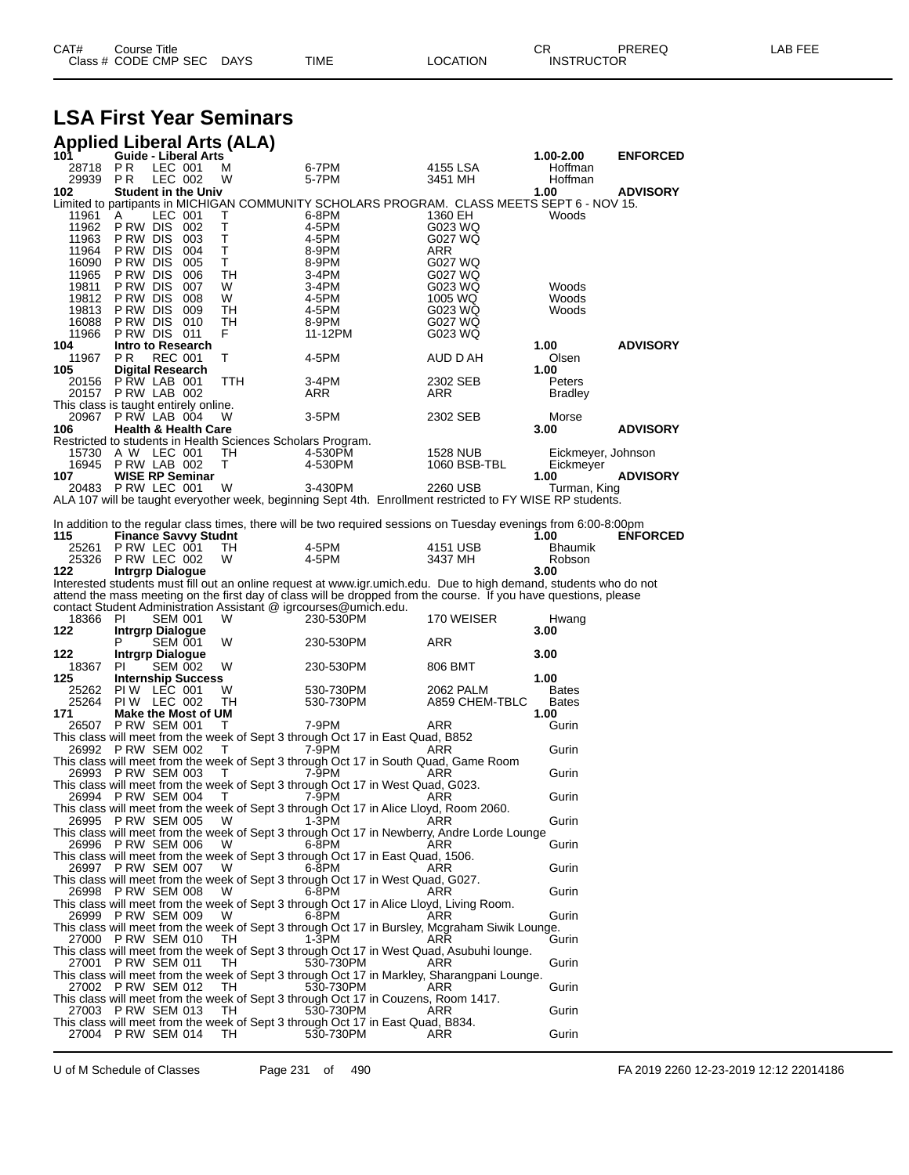| CAT# | Title<br>Courseٽ     |      |      |          | Ωm<br><b>UN</b>   | PREREQ | ----<br>ΔR.<br>--- |
|------|----------------------|------|------|----------|-------------------|--------|--------------------|
|      | Class # CODE CMP SEC | DAYS | TIME | LOCATION | <b>INSTRUCTOR</b> |        |                    |

### **LSA First Year Seminars**

|                 | <b>Applied Liberal Arts (ALA)</b>                           |            |                               |                                                                                          |                                                                                                                                                                                                                                       |                                 |                 |
|-----------------|-------------------------------------------------------------|------------|-------------------------------|------------------------------------------------------------------------------------------|---------------------------------------------------------------------------------------------------------------------------------------------------------------------------------------------------------------------------------------|---------------------------------|-----------------|
| 101<br>28718    | <b>Guide - Liberal Arts</b><br><b>PR</b><br>LEC 001         |            | M                             | 6-7PM                                                                                    | 4155 LSA                                                                                                                                                                                                                              | 1.00-2.00<br>Hoffman            | <b>ENFORCED</b> |
| 29939 PR        | LEC 002                                                     |            | W                             | 5-7PM                                                                                    | 3451 MH                                                                                                                                                                                                                               | Hoffman                         |                 |
| 102             | <b>Student in the Univ</b>                                  |            |                               |                                                                                          | Limited to partipants in MICHIGAN COMMUNITY SCHOLARS PROGRAM. CLASS MEETS SEPT 6 - NOV 15.                                                                                                                                            | 1.00                            | <b>ADVISORY</b> |
| 11961           | LEC 001<br>A                                                |            | Т                             | 6-8PM                                                                                    | 1360 EH                                                                                                                                                                                                                               | Woods                           |                 |
| 11962           | PRW DIS 002                                                 |            | Т                             | 4-5PM                                                                                    | G023 WQ                                                                                                                                                                                                                               |                                 |                 |
| 11963<br>11964  | P RW DIS<br>P RW DIS                                        | 003<br>004 | т<br>$\top$                   | 4-5PM<br>8-9PM                                                                           | G027 WQ<br>ARR                                                                                                                                                                                                                        |                                 |                 |
| 16090           | P RW DIS                                                    | 005        | т                             | 8-9PM                                                                                    | G027 WQ                                                                                                                                                                                                                               |                                 |                 |
| 11965           | P RW DIS                                                    | 006        | TН                            | 3-4PM                                                                                    | G027 WQ                                                                                                                                                                                                                               |                                 |                 |
| 19811           | P RW DIS<br>19812 PRW DIS                                   | 007<br>008 | W<br>W                        | 3-4PM<br>4-5PM                                                                           | G023 WQ<br>1005 WQ                                                                                                                                                                                                                    | Woods<br>Woods                  |                 |
|                 | 19813 PRW DIS                                               | 009        | TН                            | 4-5PM                                                                                    | G023 WQ                                                                                                                                                                                                                               | Woods                           |                 |
| 16088<br>11966  | PRW DIS 010<br>PRW DIS 011                                  |            | TН<br>F                       | 8-9PM<br>11-12PM                                                                         | G027 WQ<br>G023 WQ                                                                                                                                                                                                                    |                                 |                 |
| 104             | Intro to Research                                           |            |                               |                                                                                          |                                                                                                                                                                                                                                       | 1.00                            | <b>ADVISORY</b> |
| 11967           | P R<br><b>REC 001</b>                                       |            | т                             | 4-5PM                                                                                    | AUD D AH                                                                                                                                                                                                                              | Olsen                           |                 |
| 105<br>20156    | <b>Digital Research</b><br>PŘW LAB 001                      |            | TTH                           | 3-4PM                                                                                    | 2302 SEB                                                                                                                                                                                                                              | 1.00<br>Peters                  |                 |
|                 | 20157 P RW LAB 002                                          |            |                               | ARR                                                                                      | ARR                                                                                                                                                                                                                                   | <b>Bradley</b>                  |                 |
|                 | This class is taught entirely online.<br>20967 P RW LAB 004 |            | w                             |                                                                                          |                                                                                                                                                                                                                                       |                                 |                 |
| 106             | <b>Health &amp; Health Care</b>                             |            |                               | 3-5PM                                                                                    | 2302 SEB                                                                                                                                                                                                                              | Morse<br>3.00                   | <b>ADVISORY</b> |
|                 |                                                             |            |                               | Restricted to students in Health Sciences Scholars Program.                              |                                                                                                                                                                                                                                       |                                 |                 |
|                 | 15730 A W LEC 001<br>16945 P RW LAB 002                     |            | TН<br>т                       | 4-530PM<br>4-530PM                                                                       | <b>1528 NUB</b><br>1060 BSB-TBL                                                                                                                                                                                                       | Eickmeyer, Johnson<br>Eickmeyer |                 |
| 107             | <b>WISE RP Seminar</b>                                      |            |                               |                                                                                          |                                                                                                                                                                                                                                       | 1.00                            | <b>ADVISORY</b> |
|                 | 20483 PRW LEC 001                                           |            | W                             | 3-430PM                                                                                  | 2260 USB                                                                                                                                                                                                                              | Turman, King                    |                 |
|                 |                                                             |            |                               |                                                                                          | ALA 107 will be taught everyother week, beginning Sept 4th. Enrollment restricted to FY WISE RP students.                                                                                                                             |                                 |                 |
|                 |                                                             |            |                               |                                                                                          | In addition to the regular class times, there will be two required sessions on Tuesday evenings from 6:00-8:00pm                                                                                                                      |                                 |                 |
| 115             | <b>Finance Savvy Studnt</b><br>25261 PRW LEC 001            |            | TН                            | 4-5PM                                                                                    | 4151 USB                                                                                                                                                                                                                              | 1.00<br><b>Bhaumik</b>          | <b>ENFORCED</b> |
|                 | 25326 P RW LEC 002                                          |            | W                             | 4-5PM                                                                                    | 3437 MH                                                                                                                                                                                                                               | Robson                          |                 |
| 122             | Intrgrp Dialogue                                            |            |                               |                                                                                          |                                                                                                                                                                                                                                       | 3.00                            |                 |
|                 |                                                             |            |                               |                                                                                          | Interested students must fill out an online request at www.igr.umich.edu. Due to high demand, students who do not<br>attend the mass meeting on the first day of class will be dropped from the course. If you have questions, please |                                 |                 |
|                 |                                                             |            |                               | contact Student Administration Assistant @ igrcourses@umich.edu.                         |                                                                                                                                                                                                                                       |                                 |                 |
| 18366 PI<br>122 | <b>SEM 001</b><br><b>Intrgrp Dialogue</b>                   |            | W                             | 230-530PM                                                                                | 170 WEISER                                                                                                                                                                                                                            | Hwang<br>3.00                   |                 |
|                 | <b>SEM 001</b><br>Р                                         |            | W                             | 230-530PM                                                                                | ARR                                                                                                                                                                                                                                   |                                 |                 |
| 122<br>18367    | Intrgrp Dialogue<br><b>SEM 002</b><br>PI                    |            | W                             | 230-530PM                                                                                | 806 BMT                                                                                                                                                                                                                               | 3.00                            |                 |
| 125             | <b>Internship Success</b>                                   |            |                               |                                                                                          |                                                                                                                                                                                                                                       | 1.00                            |                 |
|                 | 25262 PIW LEC 001                                           |            | W                             | 530-730PM                                                                                | 2062 PALM                                                                                                                                                                                                                             | <b>Bates</b>                    |                 |
| 171             | 25264 PIW LEC 002<br><b>Make the Most of UM</b>             |            | TН                            | 530-730PM                                                                                | A859 CHEM-TBLC                                                                                                                                                                                                                        | <b>Bates</b><br>1.00            |                 |
|                 | 26507 PRW SEM 001                                           |            | т                             | 7-9PM                                                                                    | ARR                                                                                                                                                                                                                                   | Gurin                           |                 |
|                 |                                                             |            |                               | This class will meet from the week of Sept 3 through Oct 17 in East Quad, B852           |                                                                                                                                                                                                                                       |                                 |                 |
|                 | 26992 PRW SEM 002                                           |            | Т                             | 7-9PM                                                                                    | ARR<br>This class will meet from the week of Sept 3 through Oct 17 in South Quad, Game Room                                                                                                                                           | Gurin                           |                 |
|                 | 26993 PRW SEM 003                                           |            | Τ                             | 7-9PM                                                                                    | ARR                                                                                                                                                                                                                                   | Gurin                           |                 |
|                 | 26994 PRW SEM 004                                           |            | $\mathbf{T}$ and $\mathbf{I}$ | This class will meet from the week of Sept 3 through Oct 17 in West Quad, G023.<br>7-9PM | ARR                                                                                                                                                                                                                                   | Gurin                           |                 |
|                 |                                                             |            |                               |                                                                                          | This class will meet from the week of Sept 3 through Oct 17 in Alice Lloyd, Room 2060.                                                                                                                                                |                                 |                 |
|                 | 26995 PRW SEM 005                                           |            | W                             | 1-3PM                                                                                    | ARR<br>This class will meet from the week of Sept 3 through Oct 17 in Newberry, Andre Lorde Lounge                                                                                                                                    | Gurin                           |                 |
|                 | 26996 P RW SEM 006                                          |            | W                             | 6-8PM                                                                                    | ARR                                                                                                                                                                                                                                   | Gurin                           |                 |
|                 |                                                             |            |                               | This class will meet from the week of Sept 3 through Oct 17 in East Quad, 1506.          |                                                                                                                                                                                                                                       |                                 |                 |
|                 | 26997 P RW SEM 007                                          |            | W                             | 6-8PM<br>This class will meet from the week of Sept 3 through Oct 17 in West Quad, G027. | ARR                                                                                                                                                                                                                                   | Gurin                           |                 |
|                 | 26998 PRW SEM 008                                           |            | W                             | 6-8PM                                                                                    | ARR                                                                                                                                                                                                                                   | Gurin                           |                 |
|                 | 26999 P RW SEM 009                                          |            | W                             | 6-8PM                                                                                    | This class will meet from the week of Sept 3 through Oct 17 in Alice Lloyd, Living Room.<br>ARR                                                                                                                                       | Gurin                           |                 |
|                 |                                                             |            |                               |                                                                                          | This class will meet from the week of Sept 3 through Oct 17 in Bursley, Mcgraham Siwik Lounge.                                                                                                                                        |                                 |                 |
|                 | 27000 PRW SEM 010                                           |            | TН                            | 1-3PM                                                                                    | ARR                                                                                                                                                                                                                                   | Gurin                           |                 |
|                 | 27001 PRW SEM 011                                           |            | TH                            | 530-730PM                                                                                | This class will meet from the week of Sept 3 through Oct 17 in West Quad, Asubuhi lounge.<br>ARR                                                                                                                                      | Gurin                           |                 |
|                 |                                                             |            |                               |                                                                                          | This class will meet from the week of Sept 3 through Oct 17 in Markley, Sharangpani Lounge.                                                                                                                                           |                                 |                 |
|                 | 27002 P RW SEM 012                                          |            | TH                            | 530-730PM                                                                                | ARR<br>This class will meet from the week of Sept 3 through Oct 17 in Couzens, Room 1417.                                                                                                                                             | Gurin                           |                 |
|                 | 27003 PRW SEM 013                                           |            | TН                            | 530-730PM                                                                                | ARR                                                                                                                                                                                                                                   | Gurin                           |                 |
|                 |                                                             |            |                               | This class will meet from the week of Sept 3 through Oct 17 in East Quad, B834.          |                                                                                                                                                                                                                                       |                                 |                 |
|                 | 27004 PRW SEM 014                                           |            | ТH                            | 530-730PM                                                                                | ARR                                                                                                                                                                                                                                   | Gurin                           |                 |

U of M Schedule of Classes Page 231 of 490 FA 2019 2260 12-23-2019 12:12 22014186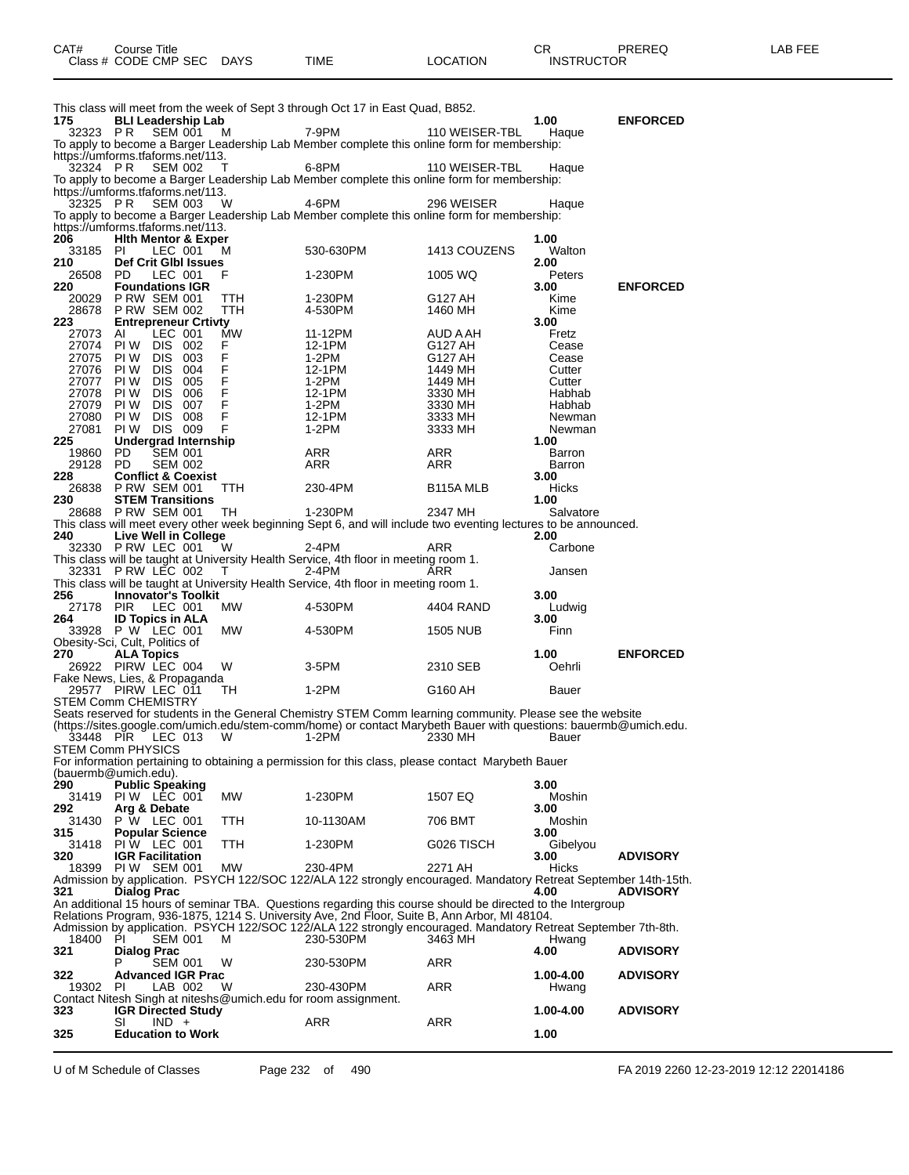| CAT# | Title<br>Course      |      |      |          | $\cap$<br>- UN    | PREREQ | . EEF<br>A <sub>R</sub> |
|------|----------------------|------|------|----------|-------------------|--------|-------------------------|
|      | Class # CODE CMP SEC | DAYS | TIME | LOCATION | <b>INSTRUCTOR</b> |        |                         |

| 175<br>32323 PR | <b>BLI Leadership Lab</b><br><b>SEM 001</b>                         |     | M           | This class will meet from the week of Sept 3 through Oct 17 in East Quad, B852.<br>7-9PM                         | 110 WEISER-TBL         | 1.00<br>Haque    | <b>ENFORCED</b> |
|-----------------|---------------------------------------------------------------------|-----|-------------|------------------------------------------------------------------------------------------------------------------|------------------------|------------------|-----------------|
|                 | https://umforms.tfaforms.net/113.                                   |     |             | To apply to become a Barger Leadership Lab Member complete this online form for membership:                      |                        |                  |                 |
| 32324 PR        | <b>SEM 002</b><br>https://umforms.tfaforms.net/113.                 |     | T           | 6-8PM<br>To apply to become a Barger Leadership Lab Member complete this online form for membership:             | 110 WEISER-TBL         | Haque            |                 |
| 32325 PR        | <b>SEM 003</b>                                                      |     | W           | 4-6PM<br>To apply to become a Barger Leadership Lab Member complete this online form for membership:             | 296 WEISER             | Haque            |                 |
| 206             | https://umforms.tfaforms.net/113.<br><b>Hith Mentor &amp; Exper</b> |     |             |                                                                                                                  |                        | 1.00             |                 |
| 33185           | LEC 001<br>- PI                                                     |     | м           | 530-630PM                                                                                                        | 1413 COUZENS           | Walton           |                 |
| 210<br>26508 PD | Def Crit Gibl Issues<br>LEC 001                                     |     | F           | 1-230PM                                                                                                          | 1005 WQ                | 2.00<br>Peters   |                 |
| 220<br>20029    | <b>Foundations IGR</b><br><b>P RW SEM 001</b>                       |     | ттн         | 1-230PM                                                                                                          | G127 AH                | 3.00<br>Kime     | <b>ENFORCED</b> |
| 28678           | <b>P RW SEM 002</b>                                                 |     | TTH         | 4-530PM                                                                                                          | 1460 MH                | Kime             |                 |
| 223             | <b>Entrepreneur Crtivty</b>                                         |     |             |                                                                                                                  |                        | 3.00             |                 |
| 27073<br>27074  | LEC 001<br>AI<br>PI W<br>DIS 002                                    |     | МW<br>F     | 11-12PM<br>12-1PM                                                                                                | AUD A AH<br>G127 AH    | Fretz<br>Cease   |                 |
| 27075           | PI W<br>DIS                                                         | 003 | F           | 1-2PM                                                                                                            | G127 AH                | Cease            |                 |
| 27076           | PI W<br>DIS 004                                                     |     | F           | 12-1PM                                                                                                           | 1449 MH                | Cutter           |                 |
| 27077           | DIS 005<br>PI W                                                     |     | $\mathsf F$ | 1-2PM                                                                                                            | 1449 MH                | Cutter           |                 |
| 27078           | PI W<br>DIS.                                                        | 006 | F           | 12-1PM                                                                                                           | 3330 MH                | Habhab           |                 |
| 27079<br>27080  | PI W<br><b>DIS 007</b><br>PI W<br>DIS -                             | 008 | F<br>F      | 1-2PM<br>12-1PM                                                                                                  | 3330 MH<br>3333 MH     | Habhab<br>Newman |                 |
| 27081           | PI W<br>DIS 009                                                     |     | F           | 1-2PM                                                                                                            | 3333 MH                | Newman           |                 |
| 225             | <b>Undergrad Internship</b>                                         |     |             |                                                                                                                  |                        | 1.00             |                 |
| 19860           | <b>PD</b><br><b>SEM 001</b>                                         |     |             | ARR                                                                                                              | ARR                    | Barron           |                 |
| 29128           | PD<br><b>SEM 002</b>                                                |     |             | ARR                                                                                                              | ARR                    | Barron           |                 |
| 228             | <b>Conflict &amp; Coexist</b><br>26838 PRW SEM 001                  |     |             |                                                                                                                  | B <sub>115</sub> A MLB | 3.00             |                 |
| 230             | <b>STEM Transitions</b>                                             |     | TTH         | 230-4PM                                                                                                          |                        | Hicks<br>1.00    |                 |
|                 | 28688 PRW SEM 001                                                   |     | TH          | 1-230PM                                                                                                          | 2347 MH                | Salvatore        |                 |
|                 |                                                                     |     |             | This class will meet every other week beginning Sept 6, and will include two eventing lectures to be announced.  |                        |                  |                 |
| 240             | <b>Live Well in College</b>                                         |     |             |                                                                                                                  |                        | 2.00             |                 |
|                 | 32330 PRW LEC 001                                                   |     | W           | $2-4PM$                                                                                                          | ARR                    | Carbone          |                 |
|                 | 32331 PRW LEC 002                                                   |     | $\top$      | This class will be taught at University Health Service, 4th floor in meeting room 1.<br>2-4PM                    | ARR                    | Jansen           |                 |
|                 |                                                                     |     |             | This class will be taught at University Health Service, 4th floor in meeting room 1.                             |                        |                  |                 |
| 256             | <b>Innovator's Toolkit</b>                                          |     |             |                                                                                                                  |                        | 3.00             |                 |
| 27178           | PIR<br>LEC 001                                                      |     | MW.         | 4-530PM                                                                                                          | 4404 RAND              | Ludwig           |                 |
| 264             | <b>ID Topics in ALA</b><br>33928 P W LEC 001                        |     | МW          | 4-530PM                                                                                                          | <b>1505 NUB</b>        | 3.00<br>Finn     |                 |
|                 | Obesity-Sci, Cult, Politics of                                      |     |             |                                                                                                                  |                        |                  |                 |
| 270             | <b>ALA Topics</b>                                                   |     |             |                                                                                                                  |                        | 1.00             | <b>ENFORCED</b> |
|                 | 26922 PIRW LEC 004                                                  |     | W           | 3-5PM                                                                                                            | 2310 SEB               | Oehrli           |                 |
|                 | Fake News, Lies, & Propaganda                                       |     |             |                                                                                                                  |                        |                  |                 |
|                 | 29577 PIRW LEC 011<br>STEM Comm CHEMISTRY                           |     | TH          | 1-2PM                                                                                                            | G160 AH                | Bauer            |                 |
|                 |                                                                     |     |             | Seats reserved for students in the General Chemistry STEM Comm learning community. Please see the website        |                        |                  |                 |
|                 |                                                                     |     |             | (https://sites.google.com/umich.edu/stem-comm/home) or contact Marybeth Bauer with questions: bauermb@umich.edu. |                        |                  |                 |
| 33448 PIR       | LEC 013                                                             |     | W           | 1-2PM                                                                                                            | 2330 MH                | Bauer            |                 |
|                 | STEM Comm PHYSICS                                                   |     |             |                                                                                                                  |                        |                  |                 |
|                 | (bauermb@umich.edu).                                                |     |             | For information pertaining to obtaining a permission for this class, please contact Marybeth Bauer               |                        |                  |                 |
| 290             | <b>Public Speaking</b>                                              |     |             |                                                                                                                  |                        | 3.00             |                 |
|                 | 31419 PIW LEC 001                                                   |     | МW          | 1-230PM                                                                                                          | 1507 EQ                | Moshin           |                 |
| 292             | Arg & Debate                                                        |     |             |                                                                                                                  |                        | 3.00             |                 |
| 31430           | <b>P</b> W LEC 001                                                  |     | TTH.        | 10-1130AM                                                                                                        | 706 BMT                | Moshin           |                 |
| 315<br>31418    | <b>Popular Science</b><br>PIW LEC 001                               |     | TTH         | 1-230PM                                                                                                          | G026 TISCH             | 3.00<br>Gibelyou |                 |
| 320             | <b>IGR Facilitation</b>                                             |     |             |                                                                                                                  |                        | 3.00             | <b>ADVISORY</b> |
| 18399           | PIW SEM 001                                                         |     | MW          | 230-4PM                                                                                                          | 2271 AH                | Hicks            |                 |
|                 |                                                                     |     |             | Admission by application. PSYCH 122/SOC 122/ALA 122 strongly encouraged. Mandatory Retreat September 14th-15th.  |                        |                  |                 |
| 321             | <b>Dialog Prac</b>                                                  |     |             | An additional 15 hours of seminar TBA. Questions regarding this course should be directed to the Intergroup      |                        | 4.00             | <b>ADVISORY</b> |
|                 |                                                                     |     |             | Relations Program, 936-1875, 1214 S. University Ave, 2nd Floor, Suite B, Ann Arbor, MI 48104.                    |                        |                  |                 |
|                 |                                                                     |     |             | Admission by application. PSYCH 122/SOC 122/ALA 122 strongly encouraged. Mandatory Retreat September 7th-8th.    |                        |                  |                 |
| 18400 PI        | SEM 001                                                             |     | м           | 230-530PM                                                                                                        | 3463 MH                | Hwang            |                 |
| 321             | <b>Dialog Prac</b>                                                  |     |             |                                                                                                                  |                        | 4.00             | <b>ADVISORY</b> |
| 322             | P<br><b>SEM 001</b><br><b>Advanced IGR Prac</b>                     |     | W           | 230-530PM                                                                                                        | <b>ARR</b>             | 1.00-4.00        | <b>ADVISORY</b> |
| 19302           | PI.<br>LAB 002                                                      |     | W           | 230-430PM                                                                                                        | ARR                    | Hwang            |                 |
|                 |                                                                     |     |             | Contact Nitesh Singh at niteshs@umich.edu for room assignment.                                                   |                        |                  |                 |
| 323             | <b>IGR Directed Study</b>                                           |     |             |                                                                                                                  |                        | 1.00-4.00        | <b>ADVISORY</b> |
|                 | $IND +$<br>SI                                                       |     |             | ARR                                                                                                              | ARR                    |                  |                 |
| 325             | <b>Education to Work</b>                                            |     |             |                                                                                                                  |                        | 1.00             |                 |

U of M Schedule of Classes Page 232 of 490 FA 2019 2260 12-23-2019 12:12 22014186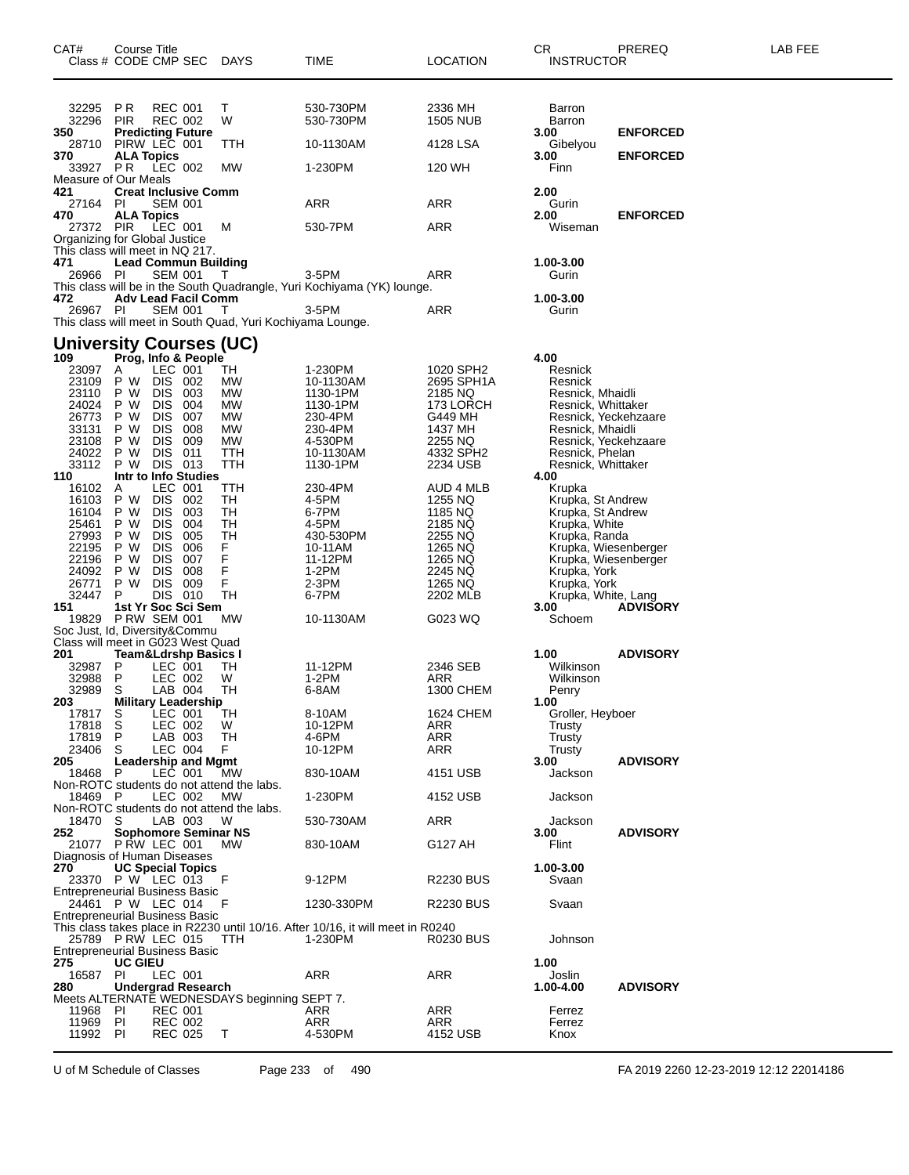| CAT#               | Course Title<br>Class # CODE CMP SEC DAYS                                    |                      |            | <b>TIME</b>                                                                      | <b>LOCATION</b>            | CR<br><b>INSTRUCTOR</b>                      | PREREQ          | LAB FEE |
|--------------------|------------------------------------------------------------------------------|----------------------|------------|----------------------------------------------------------------------------------|----------------------------|----------------------------------------------|-----------------|---------|
| 32295 PR<br>32296  | <b>REC 001</b><br><b>REC 002</b><br><b>PIR</b>                               | т<br>W               |            | 530-730PM<br>530-730PM                                                           | 2336 MH<br><b>1505 NUB</b> | <b>Barron</b><br><b>Barron</b>               |                 |         |
| 350<br>28710       | <b>Predicting Future</b><br>PIRW LEC 001                                     |                      | TTH        | 10-1130AM                                                                        | 4128 LSA                   | 3.00<br>Gibelyou                             | <b>ENFORCED</b> |         |
| 370                | <b>ALA Topics</b>                                                            |                      |            |                                                                                  |                            | 3.00                                         | <b>ENFORCED</b> |         |
|                    | 33927 PR LEC 002<br>Measure of Our Meals                                     |                      | MW         | 1-230PM                                                                          | 120 WH                     | Finn                                         |                 |         |
| 421<br>27164 PI    | <b>Creat Inclusive Comm</b><br><b>SEM 001</b>                                |                      |            | ARR                                                                              | ARR                        | 2.00<br>Gurin                                |                 |         |
| 470<br>27372 PIR   | <b>ALA Topics</b><br>LEC 001<br>Organizing for Global Justice                | м                    |            | 530-7PM                                                                          | ARR                        | 2.00<br>Wiseman                              | <b>ENFORCED</b> |         |
| 471                | This class will meet in NQ 217.<br><b>Lead Commun Building</b>               |                      |            |                                                                                  |                            | 1.00-3.00                                    |                 |         |
| 26966 PI           | <b>SEM 001</b>                                                               | $\top$               |            | 3-5PM<br>This class will be in the South Quadrangle, Yuri Kochiyama (YK) lounge. | ARR                        | Gurin                                        |                 |         |
| 472                | <b>Adv Lead Facil Comm</b>                                                   |                      |            |                                                                                  |                            | 1.00-3.00                                    |                 |         |
| 26967 PI           | <b>SEM 001</b><br>This class will meet in South Quad, Yuri Kochiyama Lounge. | $\top$               |            | 3-5PM                                                                            | ARR                        | Gurin                                        |                 |         |
|                    | <b>University Courses (UC)</b>                                               |                      |            |                                                                                  |                            |                                              |                 |         |
| 109<br>23097       | Prog, Info & People<br>LEC 001<br>A                                          |                      | TН         | 1-230PM                                                                          | 1020 SPH2                  | 4.00<br>Resnick                              |                 |         |
| 23109<br>23110     | DIS 002<br>P W<br>P W<br>DIS 003                                             |                      | MW<br>МW   | 10-1130AM<br>1130-1PM                                                            | 2695 SPH1A<br>2185 NQ      | Resnick<br>Resnick, Mhaidli                  |                 |         |
| 24024              | P W<br><b>DIS</b>                                                            | 004                  | MW         | 1130-1PM                                                                         | 173 LORCH                  | Resnick, Whittaker                           |                 |         |
| 26773<br>33131     | <b>DIS</b><br>P W<br>DIS 008<br>P W                                          | - 007                | МW<br>МW   | 230-4PM<br>230-4PM                                                               | G449 MH<br>1437 MH         | Resnick, Yeckehzaare<br>Resnick, Mhaidli     |                 |         |
| 23108              | <b>DIS</b><br>P W                                                            | 009                  | MW         | 4-530PM                                                                          | 2255 NQ                    | Resnick, Yeckehzaare                         |                 |         |
| 24022<br>33112     | P W<br>DIS 011<br>DIS 013<br>P W                                             |                      | TTH<br>TTH | 10-1130AM<br>1130-1PM                                                            | 4332 SPH2<br>2234 USB      | Resnick, Phelan<br>Resnick, Whittaker        |                 |         |
| 110                | Intr to Info Studies                                                         |                      |            |                                                                                  |                            | 4.00                                         |                 |         |
| 16102<br>16103     | LEC 001<br>A<br>P W<br>DIS 002                                               |                      | TTH<br>TН  | 230-4PM<br>4-5PM                                                                 | AUD 4 MLB<br>1255 NQ       | Krupka<br>Krupka, St Andrew                  |                 |         |
| 16104              | <b>DIS</b><br>P W                                                            | 003                  | TH         | 6-7PM                                                                            | 1185 NQ                    | Krupka, St Andrew                            |                 |         |
| 25461<br>27993     | <b>DIS</b><br>P W<br><b>DIS</b><br>P W                                       | 004<br>005           | TН<br>TН   | 4-5PM<br>430-530PM                                                               | 2185 NQ<br>2255 NQ         | Krupka, White<br>Krupka, Randa               |                 |         |
| 22195<br>22196     | P W<br><b>DIS</b><br><b>DIS</b><br>P W                                       | 006<br>F<br>F<br>007 |            | 10-11AM<br>11-12PM                                                               | 1265 NQ<br>1265 NQ         | Krupka, Wiesenberger<br>Krupka, Wiesenberger |                 |         |
| 24092              | <b>DIS</b><br>P W                                                            | F<br>008             |            | 1-2PM                                                                            | 2245 NQ                    | Krupka, York                                 |                 |         |
| 26771<br>32447     | P W<br><b>DIS</b><br>P<br>DIS 010                                            | F<br>009             | TН         | $2-3PM$<br>6-7PM                                                                 | 1265 NQ<br>2202 MLB        | Krupka, York<br>Krupka, White, Lang          |                 |         |
| 151                | 1st Yr Soc Sci Sem                                                           |                      |            |                                                                                  |                            | 3.00                                         | <b>ADVISORY</b> |         |
|                    | 19829 P RW SEM 001<br>Soc Just, Id, Diversity&Commu                          |                      | MW         | 10-1130AM                                                                        | G023 WQ                    | Schoem                                       |                 |         |
|                    | Class will meet in G023 West Quad                                            |                      |            |                                                                                  |                            |                                              |                 |         |
| 201<br>32987 P     | <b>Team&amp;Ldrshp Basics I</b><br>LEC 001                                   |                      | TH         | 11-12PM                                                                          | 2346 SEB                   | 1.00<br>Wilkinson                            | <b>ADVISORY</b> |         |
| 32988              | P<br>LEC 002                                                                 | W                    |            | 1-2PM                                                                            | ARR                        | Wilkinson                                    |                 |         |
| 32989<br>203       | S<br>LAB 004<br><b>Military Leadership</b>                                   |                      | TН         | 6-8AM                                                                            | 1300 CHEM                  | Penry<br>1.00                                |                 |         |
| 17817 S<br>17818 S | LEC 001                                                                      | W                    | <b>TH</b>  | 8-10AM<br>10-12PM                                                                | <b>1624 CHEM</b>           | Groller, Heyboer                             |                 |         |
| 17819              | LEC 002<br>P<br>LAB 003                                                      |                      | TН         | 4-6PM                                                                            | ARR<br>ARR                 | Trusty<br>Trusty                             |                 |         |
| 23406<br>205       | LEC 004<br>S<br><b>Leadership and Mgmt</b>                                   | F.                   |            | 10-12PM                                                                          | ARR                        | Trusty<br>3.00                               | <b>ADVISORY</b> |         |
| 18468              | LEC 001<br>P                                                                 |                      | MW         | 830-10AM                                                                         | 4151 USB                   | Jackson                                      |                 |         |
| 18469 P            | Non-ROTC students do not attend the labs.<br>LEC 002                         |                      | MW         | 1-230PM                                                                          | 4152 USB                   | Jackson                                      |                 |         |
|                    | Non-ROTC students do not attend the labs.                                    |                      |            |                                                                                  |                            |                                              |                 |         |
| 18470 S<br>252     | LAB 003<br><b>Sophomore Seminar NS</b>                                       | W                    |            | 530-730AM                                                                        | <b>ARR</b>                 | Jackson<br>3.00                              | <b>ADVISORY</b> |         |
|                    | 21077 P RW LEC 001<br>Diagnosis of Human Diseases                            |                      | <b>MW</b>  | 830-10AM                                                                         | G127 AH                    | Flint                                        |                 |         |
| 270                | <b>UC Special Topics</b>                                                     |                      |            |                                                                                  |                            | 1.00-3.00                                    |                 |         |
|                    | 23370 P W LEC 013<br><b>Entrepreneurial Business Basic</b>                   | F                    |            | 9-12PM                                                                           | <b>R2230 BUS</b>           | Svaan                                        |                 |         |
|                    | 24461 P W LEC 014                                                            | -F                   |            | 1230-330PM                                                                       | <b>R2230 BUS</b>           | Svaan                                        |                 |         |
|                    | <b>Entrepreneurial Business Basic</b>                                        |                      |            | This class takes place in R2230 until 10/16. After 10/16, it will meet in R0240  |                            |                                              |                 |         |
|                    | 25789 PRW LEC 015<br><b>Entrepreneurial Business Basic</b>                   |                      | <b>TTH</b> | 1-230PM                                                                          | R0230 BUS                  | Johnson                                      |                 |         |
| 275<br>16587 PI    | <b>UC GIEU</b><br>LEC 001                                                    |                      |            | <b>ARR</b>                                                                       | ARR                        | 1.00<br>Joslin                               |                 |         |
| 280                | <b>Undergrad Research</b>                                                    |                      |            |                                                                                  |                            | 1.00-4.00                                    | <b>ADVISORY</b> |         |
| 11968              | Meets ALTERNATE WEDNESDAYS beginning SEPT 7.<br>PI<br><b>REC 001</b>         |                      |            | ARR                                                                              | ARR                        | Ferrez                                       |                 |         |
| 11969              | PI<br>REC 002                                                                |                      |            | ARR                                                                              | ARR                        | Ferrez                                       |                 |         |
| 11992 PI           | REC 025                                                                      | Τ                    |            | 4-530PM                                                                          | 4152 USB                   | Knox                                         |                 |         |

U of M Schedule of Classes Page 233 of 490 FA 2019 2260 12-23-2019 12:12 22014186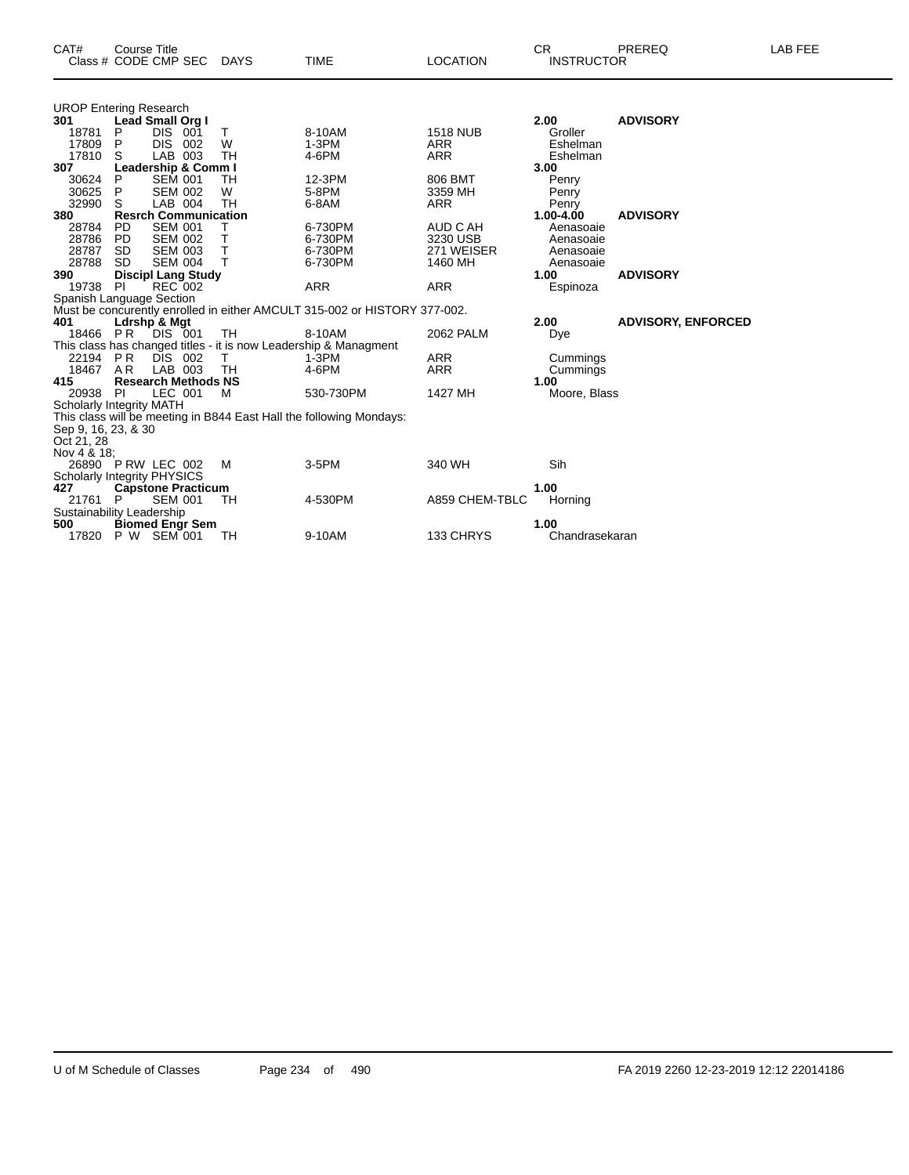| <b>UROP Entering Research</b>      |                             |                |     |           |                                                                           |                 |                |                           |
|------------------------------------|-----------------------------|----------------|-----|-----------|---------------------------------------------------------------------------|-----------------|----------------|---------------------------|
| 301                                | Lead Small Org I            |                |     |           |                                                                           |                 | 2.00           | <b>ADVISORY</b>           |
| 18781                              | P                           | DIS.           | 001 | T         | 8-10AM                                                                    | <b>1518 NUB</b> | Groller        |                           |
| 17809                              | P                           | <b>DIS</b>     | 002 | W         | $1-3PM$                                                                   | <b>ARR</b>      | Eshelman       |                           |
| 17810                              | S                           | LAB 003        |     | <b>TH</b> | 4-6PM                                                                     | <b>ARR</b>      | Eshelman       |                           |
| 307                                | Leadership & Comm I         |                |     |           |                                                                           |                 | 3.00           |                           |
| 30624                              | P                           | <b>SEM 001</b> |     | TН        | 12-3PM                                                                    | 806 BMT         | Penry          |                           |
| 30625                              | P                           | <b>SEM 002</b> |     | W         | 5-8PM                                                                     | 3359 MH         | Penry          |                           |
| 32990                              | S                           | LAB 004        |     | <b>TH</b> | 6-8AM                                                                     | <b>ARR</b>      | Penry          |                           |
| 380                                | <b>Resrch Communication</b> |                |     |           |                                                                           |                 | 1.00-4.00      | <b>ADVISORY</b>           |
|                                    |                             |                |     |           |                                                                           |                 |                |                           |
| 28784                              | <b>PD</b>                   | <b>SEM 001</b> |     | т         | 6-730PM                                                                   | AUD C AH        | Aenasoaie      |                           |
| 28786                              | <b>PD</b>                   | <b>SEM 002</b> |     | Τ         | 6-730PM                                                                   | 3230 USB        | Aenasoaie      |                           |
| 28787                              | <b>SD</b>                   | <b>SEM 003</b> |     | T.        | 6-730PM                                                                   | 271 WEISER      | Aenasoaie      |                           |
| 28788                              | <b>SD</b>                   | <b>SEM 004</b> |     | Τ         | 6-730PM                                                                   | 1460 MH         | Aenasoaie      |                           |
| 390                                | <b>Discipl Lang Study</b>   |                |     |           |                                                                           |                 | 1.00           | <b>ADVISORY</b>           |
| 19738                              | <b>PI</b>                   | REC 002        |     |           | <b>ARR</b>                                                                | <b>ARR</b>      | Espinoza       |                           |
| Spanish Language Section           |                             |                |     |           |                                                                           |                 |                |                           |
|                                    |                             |                |     |           | Must be concurently enrolled in either AMCULT 315-002 or HISTORY 377-002. |                 |                |                           |
| 401                                | Ldrshp & Mgt                |                |     |           |                                                                           |                 | 2.00           | <b>ADVISORY, ENFORCED</b> |
| 18466                              | PR                          | DIS 001        |     | <b>TH</b> | 8-10AM                                                                    | 2062 PALM       | Dye            |                           |
|                                    |                             |                |     |           | This class has changed titles - it is now Leadership & Managment          |                 |                |                           |
| 22194                              | <b>PR</b>                   | DIS 002        |     | T.        | $1-3PM$                                                                   | <b>ARR</b>      | Cummings       |                           |
| 18467                              | AR                          | LAB 003        |     | <b>TH</b> | 4-6PM                                                                     | <b>ARR</b>      |                |                           |
|                                    |                             |                |     |           |                                                                           |                 | Cummings       |                           |
| 415                                | <b>Research Methods NS</b>  |                |     |           |                                                                           |                 | 1.00           |                           |
| 20938                              | <b>PI</b>                   | LEC 001        |     | М         | 530-730PM                                                                 | 1427 MH         | Moore, Blass   |                           |
| <b>Scholarly Integrity MATH</b>    |                             |                |     |           |                                                                           |                 |                |                           |
|                                    |                             |                |     |           | This class will be meeting in B844 East Hall the following Mondays:       |                 |                |                           |
| Sep 9, 16, 23, & 30                |                             |                |     |           |                                                                           |                 |                |                           |
| Oct 21, 28                         |                             |                |     |           |                                                                           |                 |                |                           |
| Nov 4 & 18;                        |                             |                |     |           |                                                                           |                 |                |                           |
| 26890 P RW LEC 002                 |                             |                |     | M         | 3-5PM                                                                     | 340 WH          | Sih            |                           |
| <b>Scholarly Integrity PHYSICS</b> |                             |                |     |           |                                                                           |                 |                |                           |
| 427                                | <b>Capstone Practicum</b>   |                |     |           |                                                                           |                 | 1.00           |                           |
| 21761                              | P                           | <b>SEM 001</b> |     | TН        | 4-530PM                                                                   | A859 CHEM-TBLC  | Horning        |                           |
| Sustainability Leadership          |                             |                |     |           |                                                                           |                 |                |                           |
| 500                                |                             |                |     |           |                                                                           |                 | 1.00           |                           |
|                                    | <b>Biomed Engr Sem</b>      |                |     |           |                                                                           |                 |                |                           |
| 17820                              | P W SEM 001                 |                |     | TН        | 9-10AM                                                                    | 133 CHRYS       | Chandrasekaran |                           |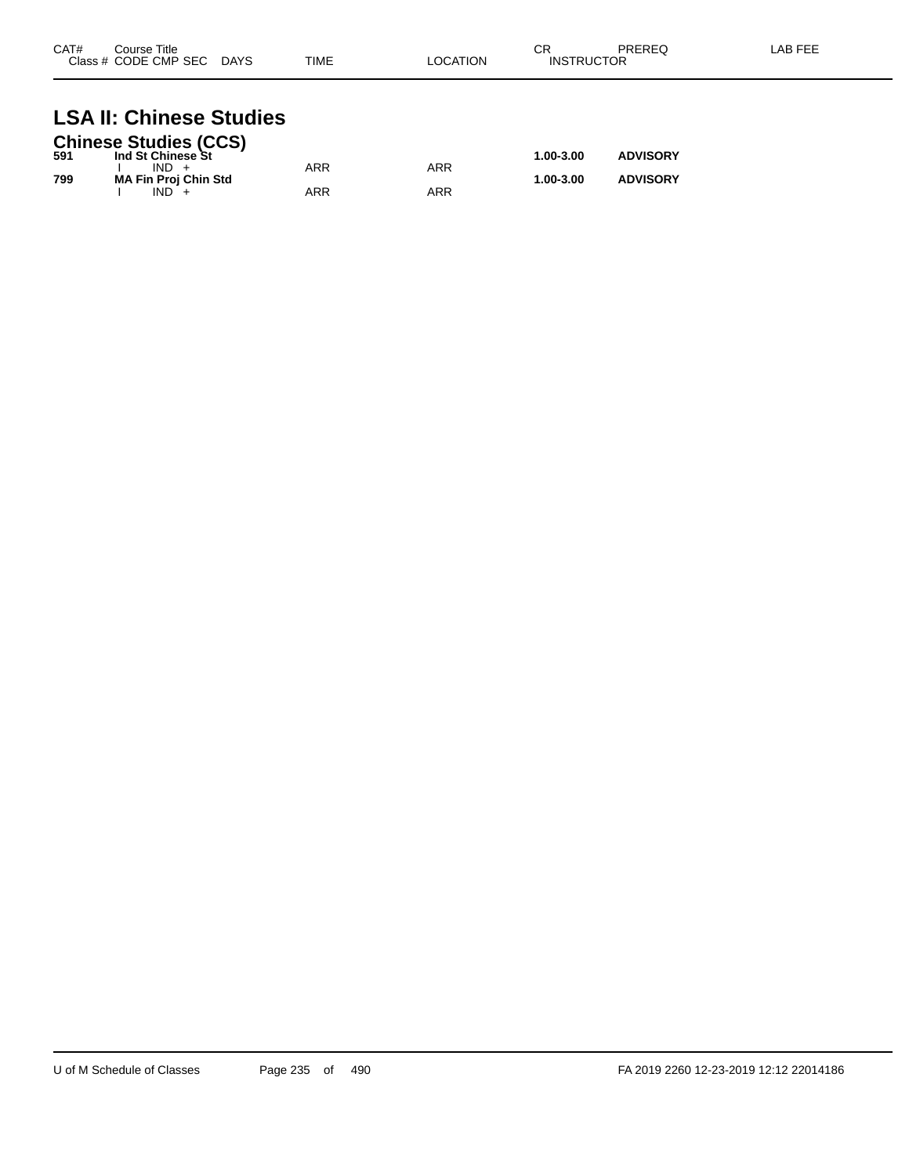| CAT#<br>Class # | Course Title<br>/ CODE CMP SEC | <b>DAYS</b> | <b>TIME</b> | LOCATION. | <b>CR</b><br>JCTOR<br><b>INSTRIK</b> | PREREQ | AB FFF |
|-----------------|--------------------------------|-------------|-------------|-----------|--------------------------------------|--------|--------|
|                 |                                |             |             |           |                                      |        |        |

## **LSA II: Chinese Studies**

|     | <b>Chinese Studies (CCS)</b> |     |     |               |                 |
|-----|------------------------------|-----|-----|---------------|-----------------|
| 591 | Ind St Chinese St            |     |     | $1.00 - 3.00$ | <b>ADVISORY</b> |
|     | $IND +$                      | ARR | ARR |               |                 |
| 799 | <b>MA Fin Proj Chin Std</b>  |     |     | $1.00 - 3.00$ | <b>ADVISORY</b> |
|     | $IND +$                      | ARR | ARR |               |                 |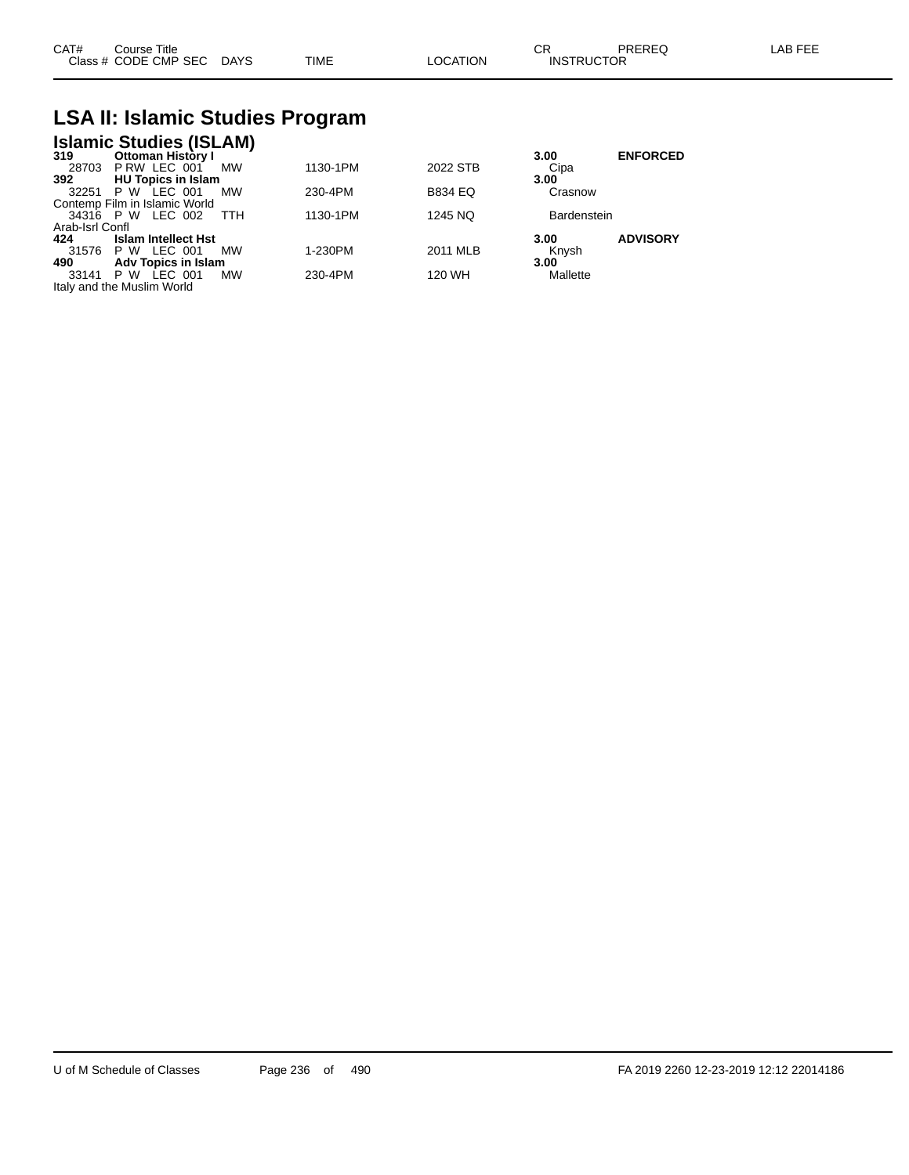| CAT#<br>Course Title                               |          | PREREQ            | LAB FEE |
|----------------------------------------------------|----------|-------------------|---------|
| <b>TIME</b><br>Class # CODE CMP SEC<br><b>DAYS</b> | LOCATION | <b>INSTRUCTOR</b> |         |

#### **LSA II: Islamic Studies Program**

|                 | <b>Islamic Studies (ISLAM)</b> |           |          |                |                    |                 |
|-----------------|--------------------------------|-----------|----------|----------------|--------------------|-----------------|
| 319             | Ottoman History I              |           |          |                | 3.00               | <b>ENFORCED</b> |
| 28703           | PRW LEC 001                    | <b>MW</b> | 1130-1PM | 2022 STB       | Cipa               |                 |
| 392             | <b>HU Topics in Islam</b>      |           |          |                | 3.00               |                 |
| 32251           | <b>P W LEC 001</b>             | MW        | 230-4PM  | <b>B834 EQ</b> | Crasnow            |                 |
|                 | Contemp Film in Islamic World  |           |          |                |                    |                 |
|                 | 34316 P W LEC 002              | TTH       | 1130-1PM | 1245 NQ        | <b>Bardenstein</b> |                 |
| Arab-Isrl Confl |                                |           |          |                |                    |                 |
| 424             | <b>Islam Intellect Hst</b>     |           |          |                | 3.00               | <b>ADVISORY</b> |
| 31576           | <b>P W LEC 001</b>             | MW        | 1-230PM  | 2011 MLB       | Knysh              |                 |
| 490             | <b>Adv Topics in Islam</b>     |           |          |                | 3.00               |                 |
| 33141           | LEC 001<br>P W                 | MW        | 230-4PM  | 120 WH         | Mallette           |                 |
|                 | Italy and the Muslim World     |           |          |                |                    |                 |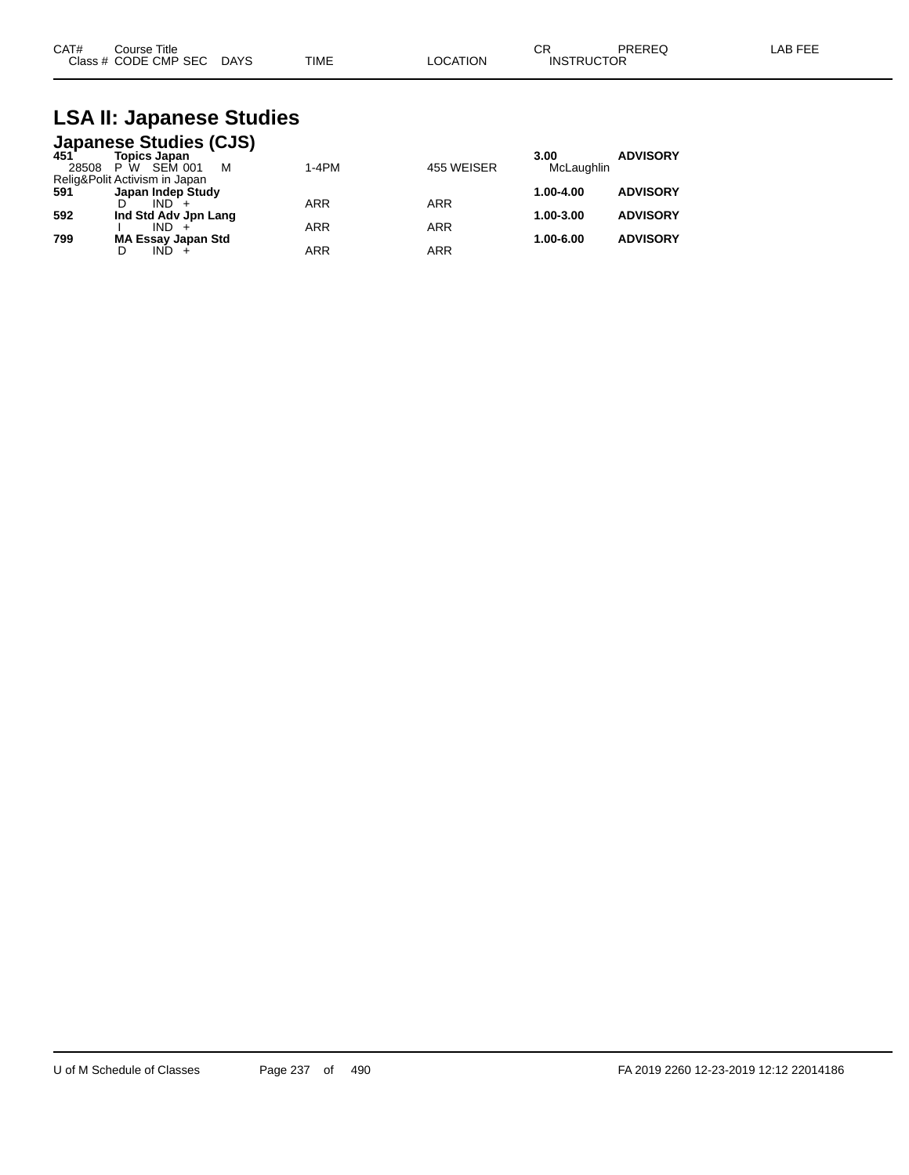| CAT# | Course Title              |             |                 | СR                | PREREQ | LAB FEE |
|------|---------------------------|-------------|-----------------|-------------------|--------|---------|
|      | Class # CODE CMP SEC DAYS | <b>TIME</b> | <b>LOCATION</b> | <b>INSTRUCTOR</b> |        |         |

## **LSA II: Japanese Studies**

|              | <b>Japanese Studies (CJS)</b>       |            |            |                    |                 |
|--------------|-------------------------------------|------------|------------|--------------------|-----------------|
| 451<br>28508 | Topics Japan<br>SEM 001<br>М<br>P W | 1-4PM      | 455 WEISER | 3.00<br>McLaughlin | <b>ADVISORY</b> |
|              | Relig&Polit Activism in Japan       |            |            |                    |                 |
| 591          | Japan Indep Study                   |            |            | 1.00-4.00          | <b>ADVISORY</b> |
|              | $IND +$                             | <b>ARR</b> | <b>ARR</b> |                    |                 |
| 592          | Ind Std Adv Jpn Lang                |            |            | 1.00-3.00          | <b>ADVISORY</b> |
|              | $IND +$                             | <b>ARR</b> | <b>ARR</b> |                    |                 |
| 799          | <b>MA Essay Japan Std</b>           |            |            | 1.00-6.00          | <b>ADVISORY</b> |
|              | $IND +$                             | <b>ARR</b> | <b>ARR</b> |                    |                 |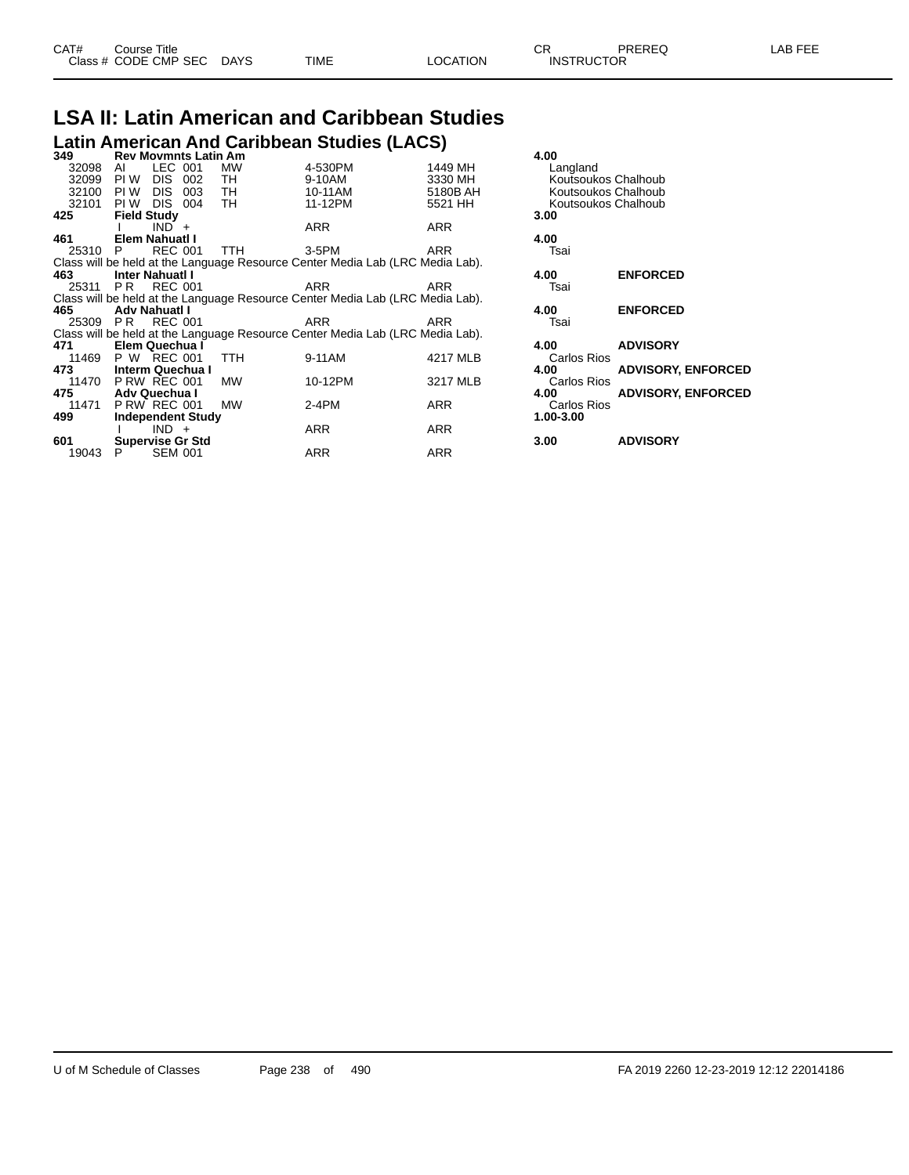#### **LSA II: Latin American and Caribbean Studies Latin American And Caribbean Studies (LACS)**

| 349      | <b>Rev Movmnts Latin Am</b> |                |       |            |                                                                               |          | 4.00                |                           |
|----------|-----------------------------|----------------|-------|------------|-------------------------------------------------------------------------------|----------|---------------------|---------------------------|
| 32098    | AI                          | LEC 001        |       | МW         | 4-530PM                                                                       | 1449 MH  | Langland            |                           |
| 32099    | PI W                        | <b>DIS</b>     | 002   | TН         | 9-10AM                                                                        | 3330 MH  | Koutsoukos Chalhoub |                           |
| 32100    | PI W                        | DIS.           | 003   | TH.        | 10-11AM                                                                       | 5180B AH | Koutsoukos Chalhoub |                           |
| 32101    | PI W                        | DIS.           | - 004 | TH.        | 11-12PM                                                                       | 5521 HH  | Koutsoukos Chalhoub |                           |
| 425      | <b>Field Study</b>          |                |       |            |                                                                               |          | 3.00                |                           |
|          |                             | $IND +$        |       |            | ARR                                                                           | ARR      |                     |                           |
| 461      | Elem Nahuatl I              |                |       |            |                                                                               |          | 4.00                |                           |
| 25310    | P.                          | <b>REC 001</b> |       | <b>TTH</b> | $3-5$ PM                                                                      | ARR      | Tsai                |                           |
|          |                             |                |       |            | Class will be held at the Language Resource Center Media Lab (LRC Media Lab). |          |                     |                           |
| 463      | <b>Inter Nahuati I</b>      |                |       |            |                                                                               |          | 4.00                | <b>ENFORCED</b>           |
| 25311    | P <sub>R</sub>              | <b>REC 001</b> |       |            | ARR                                                                           | ARR      | Tsai                |                           |
|          |                             |                |       |            | Class will be held at the Language Resource Center Media Lab (LRC Media Lab). |          |                     |                           |
| 465      | Adv Nahuatl I               |                |       |            |                                                                               |          | 4.00                | <b>ENFORCED</b>           |
| 25309 PR |                             | <b>REC 001</b> |       |            | ARR                                                                           | ARR      | Tsai                |                           |
|          |                             |                |       |            | Class will be held at the Language Resource Center Media Lab (LRC Media Lab). |          |                     |                           |
| 471      | Elem Quechua I              |                |       |            |                                                                               |          | 4.00                | <b>ADVISORY</b>           |
| 11469    | P W REC 001                 |                |       | <b>TTH</b> | 9-11AM                                                                        | 4217 MLB | Carlos Rios         |                           |
| 473      | <b>Interm Quechua I</b>     |                |       |            |                                                                               |          | 4.00                | <b>ADVISORY, ENFORCED</b> |
| 11470    | <b>P RW REC 001</b>         |                |       | MW         | 10-12PM                                                                       | 3217 MLB | <b>Carlos Rios</b>  |                           |
| 475      | Adv Quechua I               |                |       |            |                                                                               |          | 4.00                | <b>ADVISORY, ENFORCED</b> |
| 11471    | <b>P RW REC 001</b>         |                |       | MW         | $2-4PM$                                                                       | ARR      | Carlos Rios         |                           |
| 499      | <b>Independent Study</b>    |                |       |            |                                                                               |          | 1.00-3.00           |                           |
|          |                             | $IND +$        |       |            | ARR                                                                           | ARR      |                     |                           |
| 601      | Supervise Gr Std            |                |       |            |                                                                               |          | 3.00                | <b>ADVISORY</b>           |
| 19043    |                             | <b>SEM 001</b> |       |            | ARR                                                                           | ARR      |                     |                           |
|          |                             |                |       |            |                                                                               |          |                     |                           |

| 4.00<br>Langland<br>Koutsoukos Chalhoub<br>Koutsoukos Chalhoub<br>Koutsoukos Chalhoub<br>3.00 |                           |  |  |  |  |
|-----------------------------------------------------------------------------------------------|---------------------------|--|--|--|--|
| 4.00<br>Tsai                                                                                  |                           |  |  |  |  |
| 4.00<br>Tsai                                                                                  | <b>ENFORCED</b>           |  |  |  |  |
| 4.00<br>Tsai                                                                                  | <b>ENFORCED</b>           |  |  |  |  |
| 4.00                                                                                          | <b>ADVISORY</b>           |  |  |  |  |
| Carlos Rios<br>4.00                                                                           | <b>ADVISORY, ENFORCED</b> |  |  |  |  |
| Carlos Rios<br>4.00<br>Carlos Rios<br>1.00-3.00                                               | <b>ADVISORY, ENFORCED</b> |  |  |  |  |
| 3.00                                                                                          | <b>ADVISORY</b>           |  |  |  |  |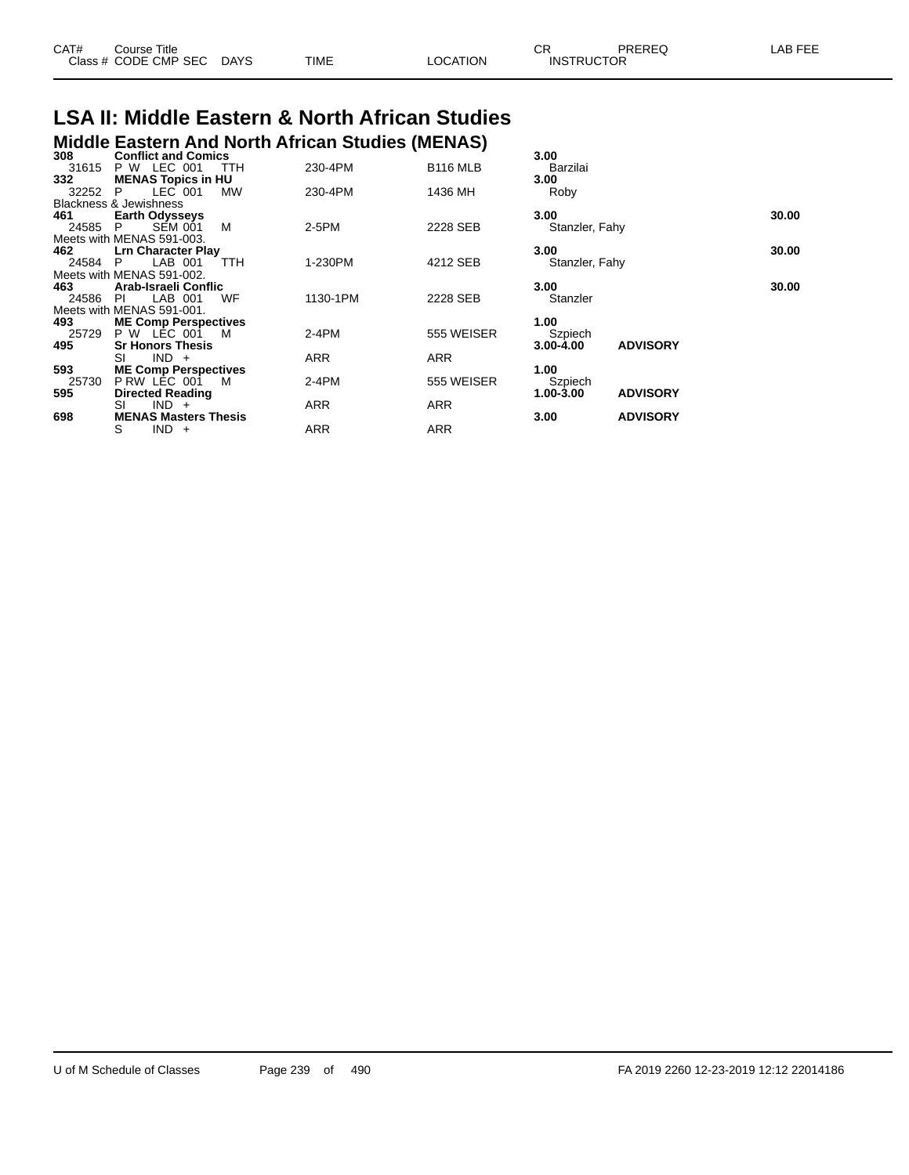| CAT# | Course Title         |             |      |                | СR                | PREREC | --- |
|------|----------------------|-------------|------|----------------|-------------------|--------|-----|
|      | Class # CODE CMP SEC | <b>DAYS</b> | TIME | <b>OCATION</b> | <b>INSTRUCTOR</b> |        |     |

#### **LSA II: Middle Eastern & North African Studies Middle Eastern And North African Studies (MENAS)**

| 308   | <b>Conflict and Comics</b>        |     |          |                 | 3.00           |                 |       |
|-------|-----------------------------------|-----|----------|-----------------|----------------|-----------------|-------|
| 31615 | <b>P W LEC 001</b>                | TTH | 230-4PM  | <b>B116 MLB</b> | Barzilai       |                 |       |
| 332   | <b>MENAS Topics in HU</b>         |     |          |                 | 3.00           |                 |       |
| 32252 | LEC 001<br>P.                     | MW  | 230-4PM  | 1436 MH         | Roby           |                 |       |
|       | <b>Blackness &amp; Jewishness</b> |     |          |                 |                |                 |       |
| 461   | <b>Earth Odysseys</b>             |     |          |                 | 3.00           |                 | 30.00 |
| 24585 | <b>SEM 001</b><br>P.              | м   | 2-5PM    | 2228 SEB        | Stanzler, Fahy |                 |       |
|       | Meets with MENAS 591-003.         |     |          |                 |                |                 |       |
| 462   | <b>Lrn Character Play</b>         |     |          |                 | 3.00           |                 | 30.00 |
| 24584 | LAB 001<br>P.                     | TTH | 1-230PM  | 4212 SEB        | Stanzler, Fahy |                 |       |
|       | Meets with MENAS 591-002.         |     |          |                 |                |                 |       |
| 463   | Arab-Israeli Conflic              |     |          |                 | 3.00           |                 | 30.00 |
| 24586 | LAB 001<br>PI.                    | WF  | 1130-1PM | 2228 SEB        | Stanzler       |                 |       |
|       | Meets with MENAS 591-001.         |     |          |                 |                |                 |       |
| 493   | <b>ME Comp Perspectives</b>       |     |          |                 | 1.00           |                 |       |
| 25729 | <b>P W LEC 001</b>                | M   | $2-4PM$  | 555 WEISER      | Szpiech        |                 |       |
| 495   | <b>Sr Honors Thesis</b>           |     |          |                 | 3.00-4.00      | <b>ADVISORY</b> |       |
|       | $IND +$<br>SI                     |     | ARR      | ARR             |                |                 |       |
| 593   | <b>ME Comp Perspectives</b>       |     |          |                 | 1.00           |                 |       |
| 25730 | PRW LEC 001                       | M   | $2-4PM$  | 555 WEISER      | Szpiech        |                 |       |
| 595   | <b>Directed Reading</b>           |     |          |                 | 1.00-3.00      | <b>ADVISORY</b> |       |
|       | $IND +$<br>SI                     |     | ARR      | <b>ARR</b>      |                |                 |       |
| 698   | <b>MENAS Masters Thesis</b>       |     |          |                 | 3.00           | <b>ADVISORY</b> |       |
|       | S<br>$IND +$                      |     | ARR      | <b>ARR</b>      |                |                 |       |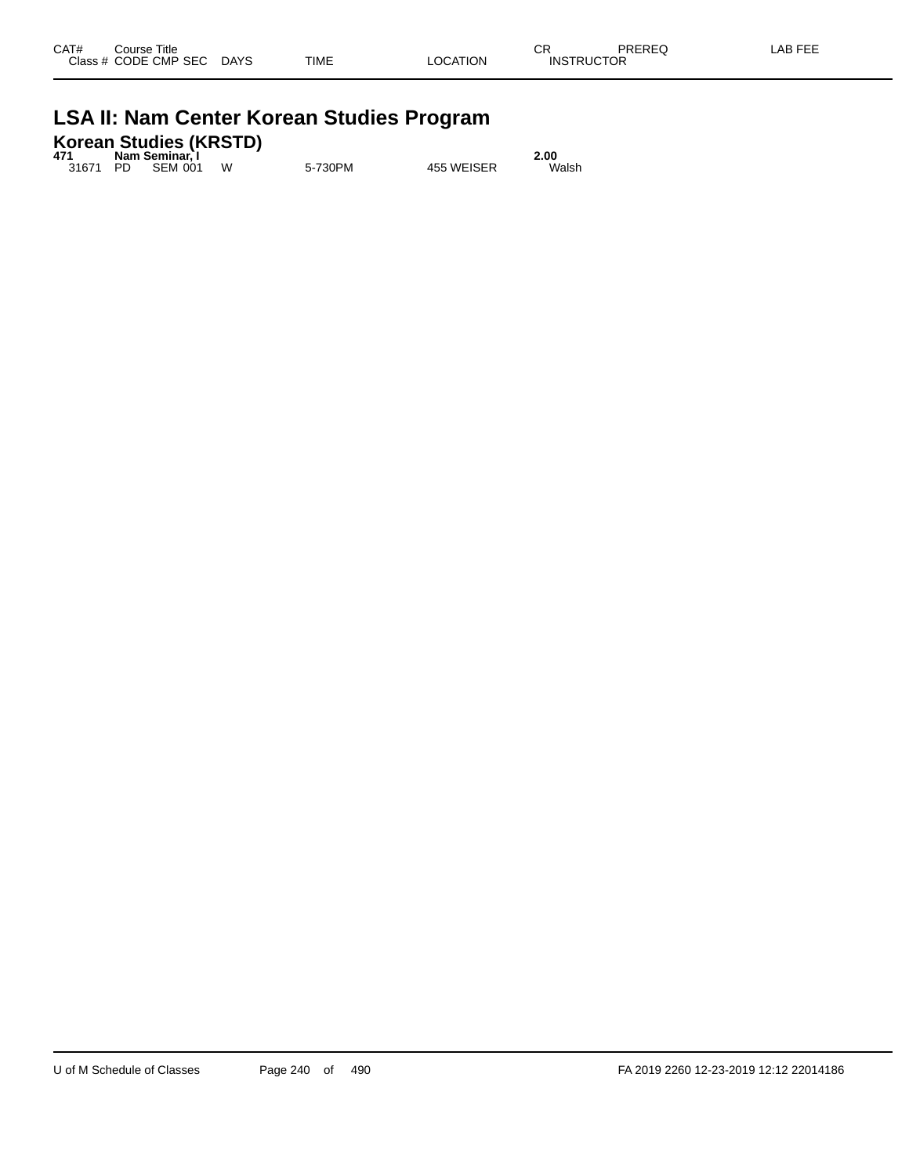|  | <b>LSA II: Nam Center Korean Studies Program</b> |  |  |  |
|--|--------------------------------------------------|--|--|--|
|--|--------------------------------------------------|--|--|--|

|     | Korean Studies (KRSTD) |  |
|-----|------------------------|--|
| 174 | Nam Caminar's          |  |

|     | <u>KUI GAIT OLUMICS (KROTD)</u> |   |         |            |       |
|-----|---------------------------------|---|---------|------------|-------|
| 471 | Nam Seminar. I                  |   |         |            | 2.00  |
|     | 31671 PD SEM 001                | W | 5-730PM | 455 WEISER | Walsh |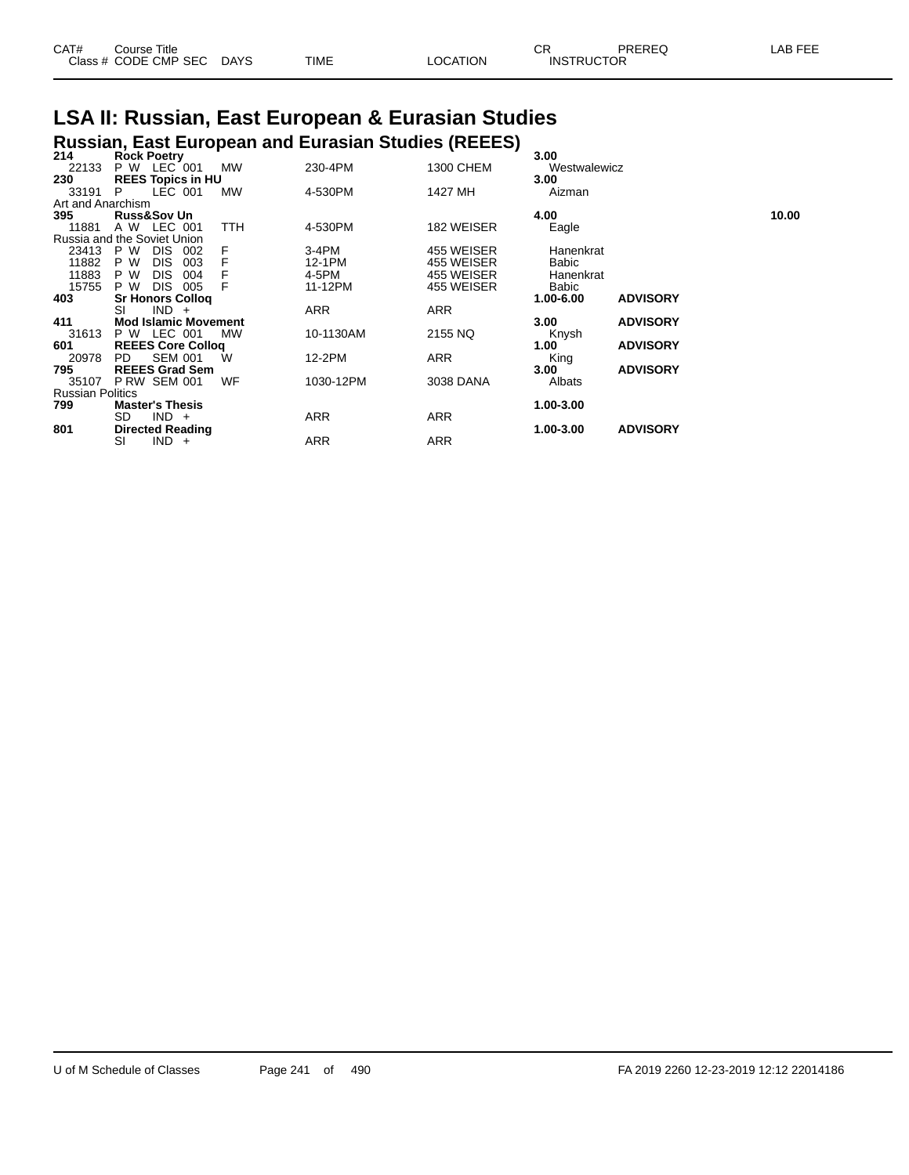| CAT# | Course Title              |             |          | ∼г<br>◡┍          | PREREQ | LAB FEE |
|------|---------------------------|-------------|----------|-------------------|--------|---------|
|      | Class # CODE CMP SEC DAYS | <b>TIME</b> | LOCATION | <b>INSTRUCTOR</b> |        |         |

# **LSA II: Russian, East European & Eurasian Studies**

|                         |                                          |     |           | <b>Russian, East European and Eurasian Studies (REEES)</b> |            |              |                 |       |
|-------------------------|------------------------------------------|-----|-----------|------------------------------------------------------------|------------|--------------|-----------------|-------|
| 214                     | <b>Rock Poetry</b>                       |     |           |                                                            |            | 3.00         |                 |       |
| 22133                   | P W LEC 001                              |     | <b>MW</b> | 230-4PM                                                    | 1300 CHEM  | Westwalewicz |                 |       |
| 230                     | <b>REES Topics in HU</b>                 |     |           |                                                            |            | 3.00         |                 |       |
| 33191                   | LEC 001<br>P                             |     | MW        | 4-530PM                                                    | 1427 MH    | Aizman       |                 |       |
| Art and Anarchism       |                                          |     |           |                                                            |            |              |                 |       |
| 395                     | <b>Russ&amp;Sov Un</b>                   |     |           |                                                            |            | 4.00         |                 | 10.00 |
| 11881                   | A W LEC 001                              |     | TTH.      | 4-530PM                                                    | 182 WEISER | Eagle        |                 |       |
|                         | Russia and the Soviet Union              |     |           |                                                            |            |              |                 |       |
| 23413                   | P W<br>DIS.                              | 002 | F         | 3-4PM                                                      | 455 WEISER | Hanenkrat    |                 |       |
| 11882                   | P W<br><b>DIS</b>                        | 003 |           | 12-1PM                                                     | 455 WEISER | Babic        |                 |       |
| 11883                   | P W<br><b>DIS</b>                        | 004 |           | 4-5PM                                                      | 455 WEISER | Hanenkrat    |                 |       |
| 15755                   | P W<br><b>DIS</b>                        | 005 |           | 11-12PM                                                    | 455 WEISER | Babic        |                 |       |
| 403                     | <b>Sr Honors Collog</b>                  |     |           |                                                            |            | 1.00-6.00    | <b>ADVISORY</b> |       |
|                         | SI<br>IND.                               | $+$ |           | ARR                                                        | ARR        |              |                 |       |
| 411                     | <b>Mod Islamic Movement</b>              |     |           |                                                            |            | 3.00         | <b>ADVISORY</b> |       |
| 31613                   | P W LEC 001                              |     | <b>MW</b> | 10-1130AM                                                  | 2155 NQ    | Knysh        |                 |       |
| 601                     | <b>REEES Core Collog</b>                 |     |           |                                                            |            | 1.00         | <b>ADVISORY</b> |       |
| 20978                   | <b>SEM 001</b><br>PD.                    |     | W         | 12-2PM                                                     | ARR        | King         |                 |       |
| 795                     | <b>REEES Grad Sem</b>                    |     |           |                                                            |            | 3.00         | <b>ADVISORY</b> |       |
| 35107                   | <b>PRW SEM 001</b>                       |     | WF        | 1030-12PM                                                  | 3038 DANA  | Albats       |                 |       |
| <b>Russian Politics</b> |                                          |     |           |                                                            |            |              |                 |       |
| 799                     | <b>Master's Thesis</b>                   |     |           |                                                            |            | 1.00-3.00    |                 |       |
|                         | $IND +$<br><b>SD</b>                     |     |           | <b>ARR</b>                                                 | <b>ARR</b> |              |                 |       |
| 801                     | <b>Directed Reading</b><br>SI<br>$IND +$ |     |           | ARR                                                        | <b>ARR</b> | 1.00-3.00    | <b>ADVISORY</b> |       |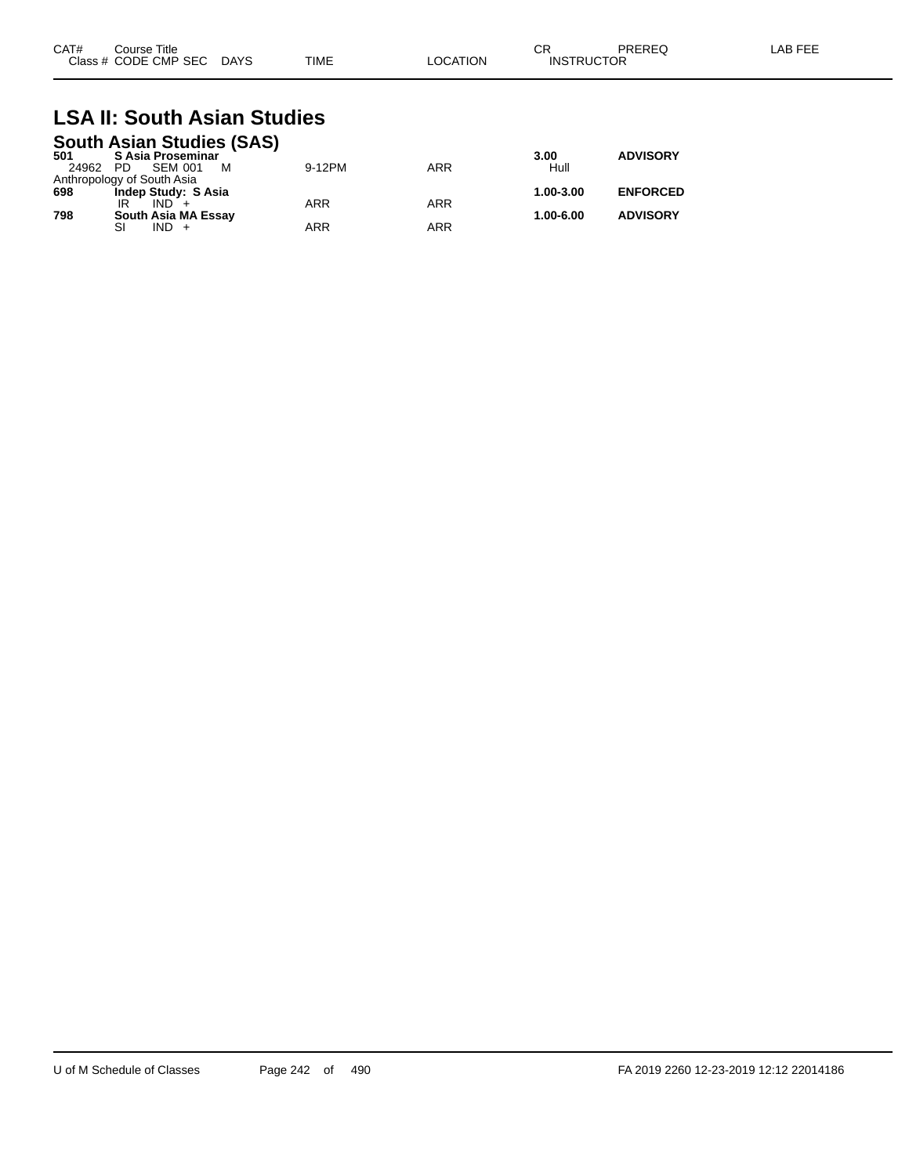| CAT# | Course Title         |             |             |                | ⌒冖<br>◡⊓          | PREREQ | AR FE'<br>$H+$ |
|------|----------------------|-------------|-------------|----------------|-------------------|--------|----------------|
|      | Class # CODE CMP SEC | <b>DAYS</b> | <b>TIME</b> | <b>OCATION</b> | <b>INSTRUCTOR</b> |        |                |

#### **LSA II: South Asian Studies South Asian Studies (SAS)**

| 501      | <b>SUULII ASIAII SLUULES (SAS)</b><br>S Asia Proseminar |            |            | 3.00      | <b>ADVISORY</b> |
|----------|---------------------------------------------------------|------------|------------|-----------|-----------------|
| 24962 PD | <b>SEM 001</b><br>м                                     | 9-12PM     | <b>ARR</b> | Hull      |                 |
|          | Anthropology of South Asia                              |            |            |           |                 |
| 698      | Indep Study: S Asia                                     |            |            | 1.00-3.00 | <b>ENFORCED</b> |
|          | $IND +$                                                 | <b>ARR</b> | <b>ARR</b> |           |                 |
| 798      | South Asia MA Essay                                     |            |            | 1.00-6.00 | <b>ADVISORY</b> |
|          | $IND +$                                                 | ARR        | <b>ARR</b> |           |                 |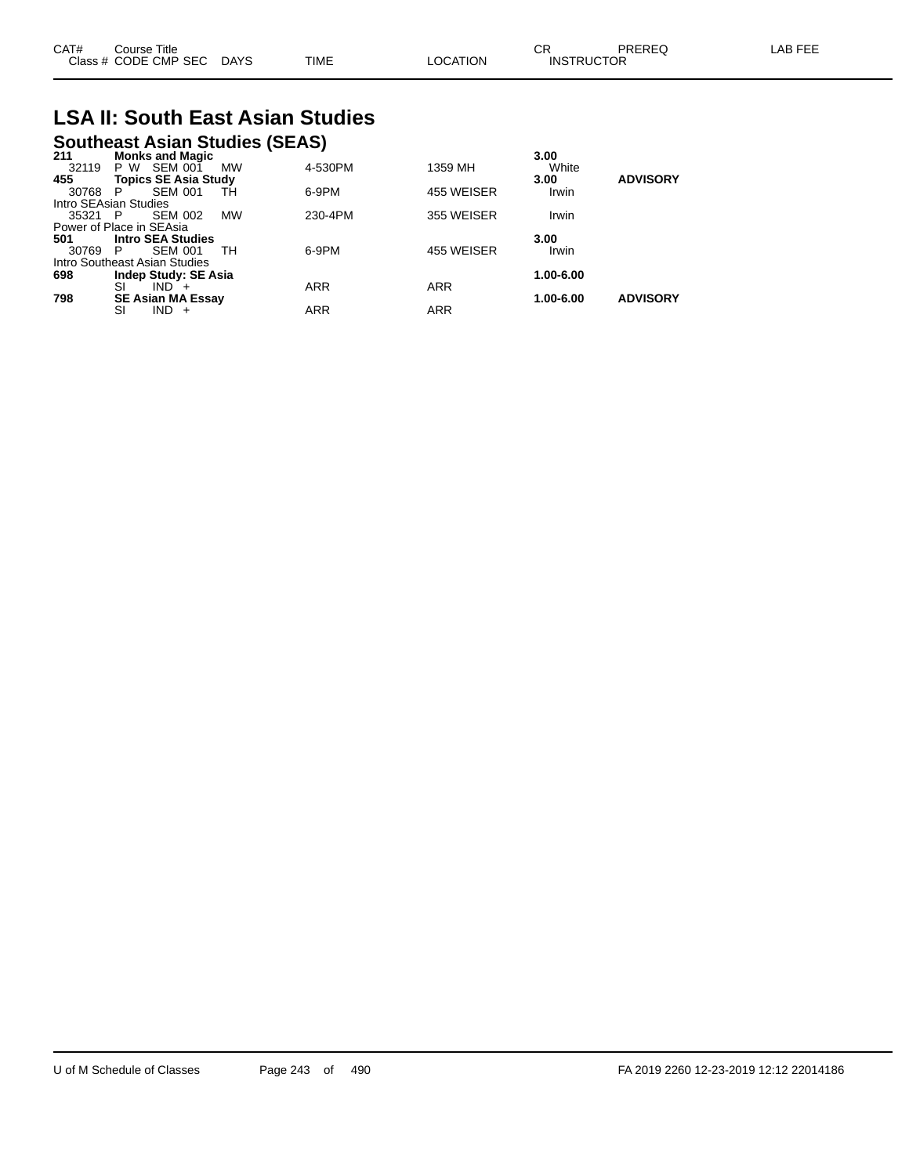| CAT# | Title<br>Course      |             |             |          | ⌒г<br>◡           | PREREC | LAB FEF |
|------|----------------------|-------------|-------------|----------|-------------------|--------|---------|
|      | Class # CODE CMP SEC | <b>DAYS</b> | <b>TIME</b> | LOCATION | <b>INSTRUCTOR</b> |        |         |

# **LSA II: South East Asian Studies**

# **Southeast Asian Studies (SEAS) 211 Monks and Magic 3.00**

| <b>MONES AND MAGIC</b>   |                                                                                                      |                                                                                        |            | J.UU      |                 |
|--------------------------|------------------------------------------------------------------------------------------------------|----------------------------------------------------------------------------------------|------------|-----------|-----------------|
| <b>SEM 001</b><br>P W    | <b>MW</b>                                                                                            | 4-530PM                                                                                | 1359 MH    | White     |                 |
|                          |                                                                                                      |                                                                                        |            | 3.00      | <b>ADVISORY</b> |
| <b>SEM 001</b><br>P      | TН                                                                                                   | 6-9PM                                                                                  | 455 WEISER | Irwin     |                 |
|                          |                                                                                                      |                                                                                        |            |           |                 |
| <b>SEM 002</b>           | <b>MW</b>                                                                                            | 230-4PM                                                                                | 355 WEISER | Irwin     |                 |
|                          |                                                                                                      |                                                                                        |            |           |                 |
| <b>Intro SEA Studies</b> |                                                                                                      |                                                                                        |            | 3.00      |                 |
| <b>SEM 001</b>           | TH.                                                                                                  | 6-9PM                                                                                  | 455 WEISER | Irwin     |                 |
|                          |                                                                                                      |                                                                                        |            |           |                 |
|                          |                                                                                                      |                                                                                        |            | 1.00-6.00 |                 |
| SI<br>$IND +$            |                                                                                                      | <b>ARR</b>                                                                             | <b>ARR</b> |           |                 |
|                          |                                                                                                      |                                                                                        |            | 1.00-6.00 | <b>ADVISORY</b> |
| <b>IND</b><br>SI<br>$+$  |                                                                                                      | <b>ARR</b>                                                                             | <b>ARR</b> |           |                 |
|                          | Intro SEAsian Studies<br>35321 P<br>Power of Place in SEAsia<br>- P<br>Intro Southeast Asian Studies | <b>Topics SE Asia Study</b><br><b>Indep Study: SE Asia</b><br><b>SE Asian MA Essay</b> |            |           |                 |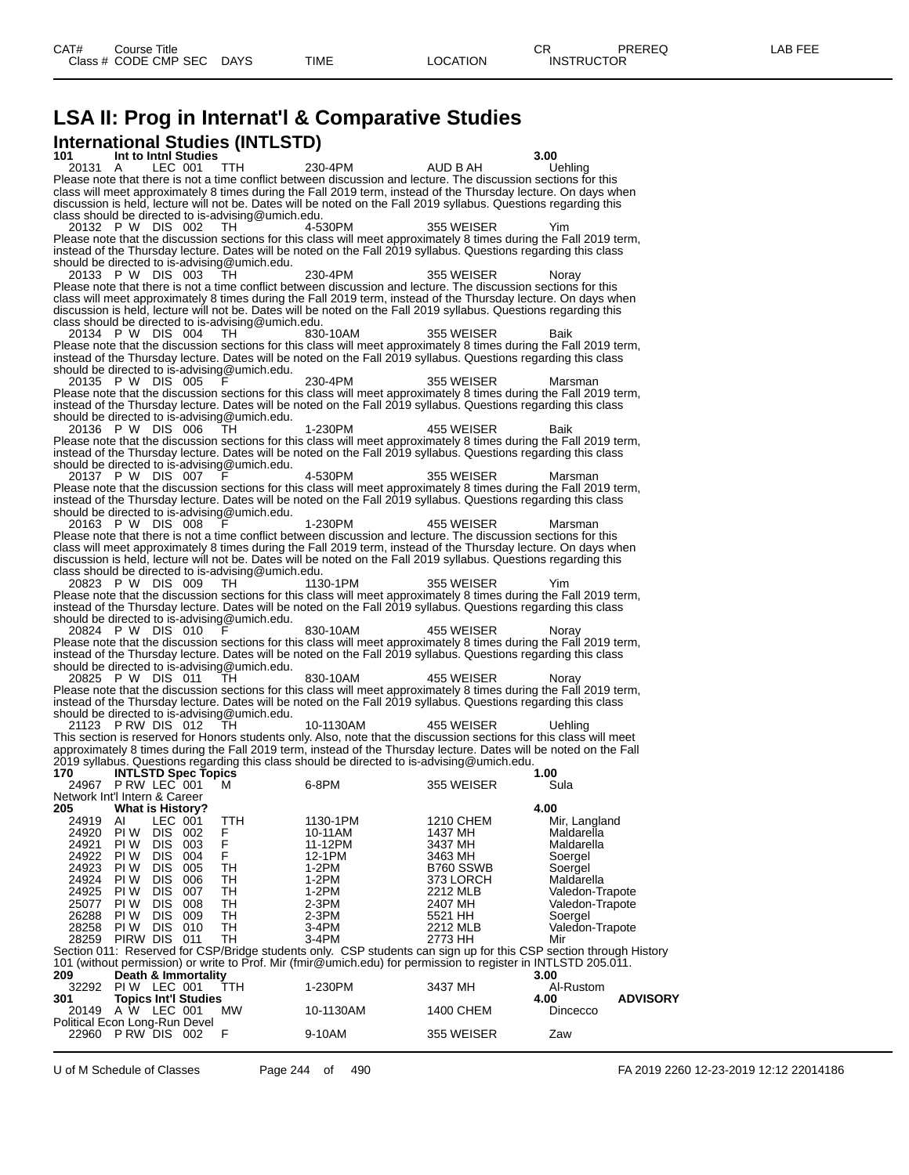# **LSA II: Prog in Internat'l & Comparative Studies International Studies (INTLSTD)**

**101 Int to Intnl Studies 3.00** 20131 A LEC 001 TTH 230-4PM AUD B AH Uehling Please note that there is not a time conflict between discussion and lecture. The discussion sections for this class will meet approximately 8 times during the Fall 2019 term, instead of the Thursday lecture. On days when discussion is held, lecture will not be. Dates will be noted on the Fall 2019 syllabus. Questions regarding this class should be directed to is-advising@umich.edu.<br>20132 P W DIS 002 TH 4-530PM 20132 P W DIS 002 TH 4-530PM 355 WEISER Please note that the discussion sections for this class will meet approximately 8 times during the Fall 2019 term, instead of the Thursday lecture. Dates will be noted on the Fall 2019 syllabus. Questions regarding this class should be directed to is-advising@umich.edu. 20133 P W DIS 003 TH 230-4PM 355 WEISER Noray Please note that there is not a time conflict between discussion and lecture. The discussion sections for this class will meet approximately 8 times during the Fall 2019 term, instead of the Thursday lecture. On days when discussion is held, lecture will not be. Dates will be noted on the Fall 2019 syllabus. Questions regarding this class should be directed to is-advising@umich.edu. 20134 P W DIS 004 TH 830-10AM 355 WEISER Baik Please note that the discussion sections for this class will meet approximately 8 times during the Fall 2019 term, instead of the Thursday lecture. Dates will be noted on the Fall 2019 syllabus. Questions regarding this class should be directed to is-advising@umich.edu.<br>20135 P W DIS 005 F 20135 P W DIS 005 F 230-4PM 355 WEISER Marsman Please note that the discussion sections for this class will meet approximately 8 times during the Fall 2019 term, instead of the Thursday lecture. Dates will be noted on the Fall 2019 syllabus. Questions regarding this class should be directed to is-advising@umich.edu. 20136 P W DIS 006 TH 1-230PM 455 WEISER Baik Please note that the discussion sections for this class will meet approximately 8 times during the Fall 2019 term, instead of the Thursday lecture. Dates will be noted on the Fall 2019 syllabus. Questions regarding this class should be directed to is-advising@umich.edu.<br>20137 P W DIS 007 F 20137 P W DIS 007 F 4-530PM 355 WEISER Marsman Please note that the discussion sections for this class will meet approximately 8 times during the Fall 2019 term, instead of the Thursday lecture. Dates will be noted on the Fall 2019 syllabus. Questions regarding this class should be directed to is-advising@umich.edu.<br>20163 P W DIS 008 F 20163 P W DIS 008 F 1-230PM 455 WEISER Marsman Please note that there is not a time conflict between discussion and lecture. The discussion sections for this class will meet approximately 8 times during the Fall 2019 term, instead of the Thursday lecture. On days when discussion is held, lecture will not be. Dates will be noted on the Fall 2019 syllabus. Questions regarding this class should be directed to is-advising@umich.edu. 20823 P W DIS 009 TH  $\sim$  1130-1PM 355 WEISER Please note that the discussion sections for this class will meet approximately 8 times during the Fall 2019 term, instead of the Thursday lecture. Dates will be noted on the Fall 2019 syllabus. Questions regarding this class should be directed to is-advising@umich.edu.<br>20824 P W DIS 010 F 20824 P W DIS 010 F 830-10AM 455 WEISER Noray Please note that the discussion sections for this class will meet approximately 8 times during the Fall 2019 term, instead of the Thursday lecture. Dates will be noted on the Fall 2019 syllabus. Questions regarding this class should be directed to is-advising@umich.edu. 20825 P W DIS 011 TH 830-10AM 455 WEISER Noray Please note that the discussion sections for this class will meet approximately 8 times during the Fall 2019 term, instead of the Thursday lecture. Dates will be noted on the Fall 2019 syllabus. Questions regarding this class should be directed to is-advising@umich.edu.<br>21123 PRW DIS 012 TH 21123 P RW DIS 012 TH 10-1130AM 455 WEISER Uehling This section is reserved for Honors students only. Also, note that the discussion sections for this class will meet approximately 8 times during the Fall 2019 term, instead of the Thursday lecture. Dates will be noted on the Fall 2019 syllabus. Questions regarding this class should be directed to is-advising@umich.edu. **170 INTLSTD Spec Topics 1.00** 24967 P RW LEC 001 M 6-8PM 355 WEISER Sula Network Int'l Intern & Career<br>205 What is History' **205 What is History? 4.00** 24919 AI LEC 001 TTH 1130-1PM 1210 CHEM Mir, Langland<br>24920 PI\_W DIS 002 F 10-11AM 1437 MH Maldarella 24920 PI W DIS 002 F 10-11AM 1437 MH Maldarella 24921 PIW DIS 003 F 11-12PM 3437 MH Maldarella 24922 PI W DIS 004 F 12-1PM 3463 MH Soergel 24923 PI W DIS 005 TH 1-2PM B760 SSWB Soergel 24924 PI W DIS 006 TH 1-2PM 373 LORCH Maldarella 24925 PI W DIS 007 TH 1-2PM 2212 MLB Valedon-Trapote 25077 PI W DIS 008 TH 2-3PM 2407 MH Valedon-Trapote 26288 PI W DIS 009 TH 2-3PM 5521 HH Soergel 28258 PI W DIS 010 TH 3-4PM 2212 MLB Valedon-Trapote 28259 PIRW DIS 011 TH 3-4PM 2773 HH Mir Section 011: Reserved for CSP/Bridge students only. CSP students can sign up for this CSP section through History 101 (without permission) or write to Prof. Mir (fmir@umich.edu) for permission to register in INTLSTD 205.011.<br>100<br>209 Death & Immortality **209 Death & Immortality 3.00** 32292 PI W LEC 001 TTH 1-230PM 3437 MH Al-Rustom **301 Topics Int'l Studies 4.00 ADVISORY** A W LEC 001 Political Econ Long-Run Devel 22960 P RW DIS 002 F 9-10AM 355 WEISER Zaw

U of M Schedule of Classes Page 244 of 490 FA 2019 2260 12-23-2019 12:12 22014186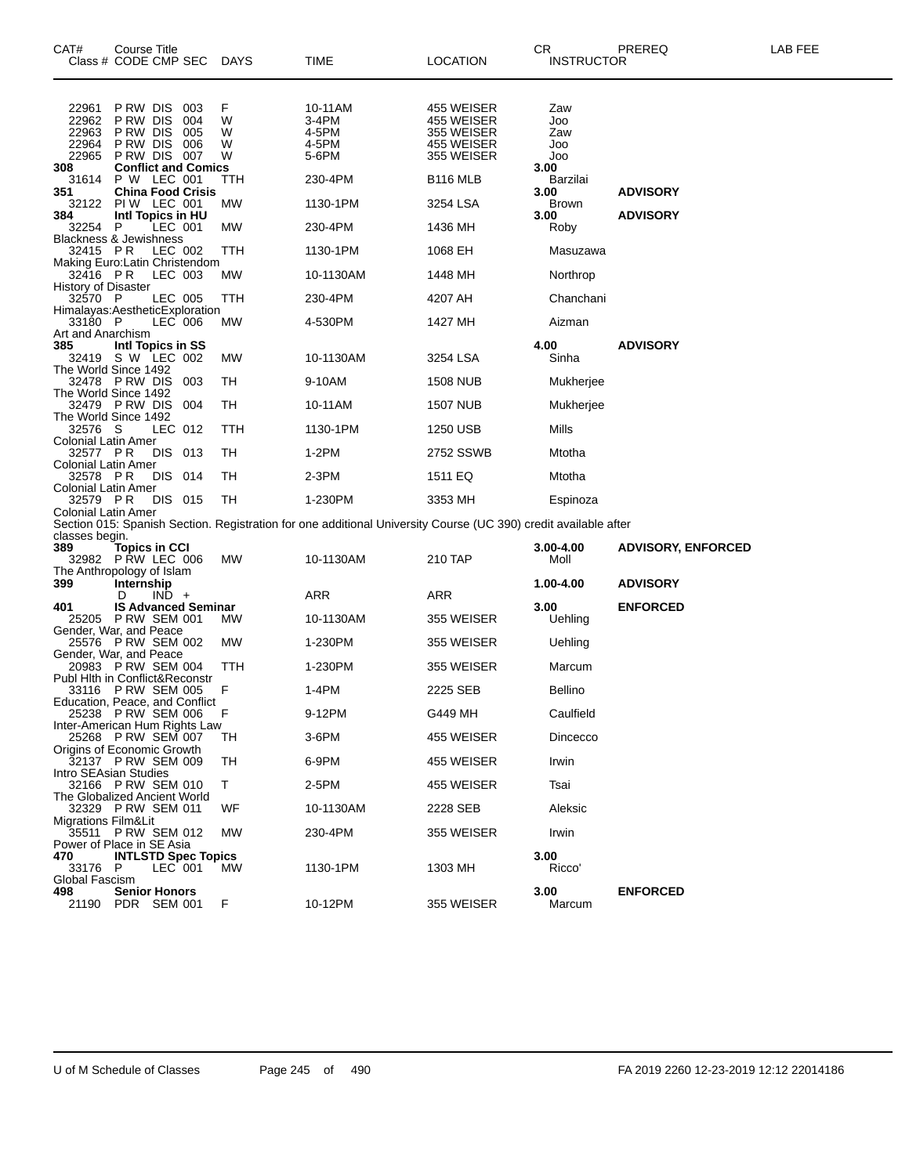| CAT#<br>Class # CODE CMP SEC                         | Course Title                                               |         |                            | DAYS                  | TIME                                                                                                            | <b>LOCATION</b>                                                    | CR                              | <b>INSTRUCTOR</b> | PREREQ                    | LAB FEE |
|------------------------------------------------------|------------------------------------------------------------|---------|----------------------------|-----------------------|-----------------------------------------------------------------------------------------------------------------|--------------------------------------------------------------------|---------------------------------|-------------------|---------------------------|---------|
| 22961<br>22962<br>22963<br>22964<br>22965            | P RW DIS<br>P RW DIS<br>PRW DIS<br>P RW DIS<br>PRW DIS 007 |         | 003<br>004<br>005<br>006   | F<br>W<br>W<br>W<br>W | 10-11AM<br>3-4PM<br>4-5PM<br>4-5PM<br>5-6PM                                                                     | 455 WEISER<br>455 WEISER<br>355 WEISER<br>455 WEISER<br>355 WEISER | Zaw<br>Joo<br>Zaw<br>Joo<br>Joo |                   |                           |         |
| 308<br>31614                                         | <b>Conflict and Comics</b><br>P W LEC 001                  |         |                            | TTH                   | 230-4PM                                                                                                         | B <sub>116</sub> MLB                                               | 3.00<br>Barzilai                |                   |                           |         |
| 351<br>32122                                         | <b>China Food Crisis</b><br>PIW LEC 001                    |         |                            | МW                    | 1130-1PM                                                                                                        | 3254 LSA                                                           | 3.00<br><b>Brown</b>            |                   | <b>ADVISORY</b>           |         |
| 384<br>32254 P                                       | Intl Topics in HU                                          | LEC 001 |                            | МW                    | 230-4PM                                                                                                         | 1436 MH                                                            | 3.00<br>Roby                    |                   | <b>ADVISORY</b>           |         |
| <b>Blackness &amp; Jewishness</b><br>32415 PR        |                                                            | LEC 002 |                            | TTH                   | 1130-1PM                                                                                                        | 1068 EH                                                            | Masuzawa                        |                   |                           |         |
| Making Euro:Latin Christendom                        |                                                            |         |                            |                       |                                                                                                                 |                                                                    |                                 |                   |                           |         |
| 32416 PR<br><b>History of Disaster</b>               |                                                            | LEC 003 |                            | МW                    | 10-1130AM                                                                                                       | 1448 MH                                                            | Northrop                        |                   |                           |         |
| 32570 P<br>Himalayas:AestheticExploration            |                                                            | LEC 005 |                            | TTH                   | 230-4PM                                                                                                         | 4207 AH                                                            | Chanchani                       |                   |                           |         |
| 33180 P<br>Art and Anarchism                         |                                                            | LEC 006 |                            | МW                    | 4-530PM                                                                                                         | 1427 MH                                                            | Aizman                          |                   |                           |         |
| 385<br>32419 S W LEC 002                             | Intl Topics in SS                                          |         |                            | МW                    | 10-1130AM                                                                                                       | 3254 LSA                                                           | 4.00<br>Sinha                   |                   | <b>ADVISORY</b>           |         |
| The World Since 1492<br>32478 PRW DIS                |                                                            |         |                            | TH                    |                                                                                                                 |                                                                    |                                 |                   |                           |         |
| The World Since 1492                                 |                                                            |         | 003                        |                       | 9-10AM                                                                                                          | <b>1508 NUB</b>                                                    | Mukherjee                       |                   |                           |         |
| 32479 PRW DIS<br>The World Since 1492                |                                                            |         | 004                        | TH                    | 10-11AM                                                                                                         | <b>1507 NUB</b>                                                    | Mukherjee                       |                   |                           |         |
| 32576 S<br>Colonial Latin Amer                       |                                                            | LEC 012 |                            | TTH                   | 1130-1PM                                                                                                        | 1250 USB                                                           | Mills                           |                   |                           |         |
| 32577 PR<br>Colonial Latin Amer                      |                                                            | DIS 013 |                            | TН                    | $1-2PM$                                                                                                         | 2752 SSWB                                                          | Mtotha                          |                   |                           |         |
| 32578 PR<br>Colonial Latin Amer                      |                                                            | DIS 014 |                            | TH                    | 2-3PM                                                                                                           | 1511 EQ                                                            | Mtotha                          |                   |                           |         |
| 32579 PR                                             |                                                            | DIS 015 |                            | TН                    | 1-230PM                                                                                                         | 3353 MH                                                            | Espinoza                        |                   |                           |         |
| Colonial Latin Amer                                  |                                                            |         |                            |                       | Section 015: Spanish Section. Registration for one additional University Course (UC 390) credit available after |                                                                    |                                 |                   |                           |         |
| classes begin.<br>389                                | <b>Topics in CCI</b>                                       |         |                            |                       |                                                                                                                 |                                                                    | 3.00-4.00                       |                   | <b>ADVISORY, ENFORCED</b> |         |
| 32982 PRW LEC 006<br>The Anthropology of Islam       |                                                            |         |                            | МW                    | 10-1130AM                                                                                                       | 210 TAP                                                            | Moll                            |                   |                           |         |
| 399                                                  | Internship<br>D                                            | $IND +$ |                            |                       | ARR                                                                                                             | ARR                                                                | 1.00-4.00                       |                   | <b>ADVISORY</b>           |         |
| 401<br>25205 PRW SEM 001                             |                                                            |         | <b>IS Advanced Seminar</b> | МW                    | 10-1130AM                                                                                                       | 355 WEISER                                                         | 3.00<br>Uehling                 |                   | <b>ENFORCED</b>           |         |
| Gender, War, and Peace<br>25576 PRW SEM 002          |                                                            |         |                            |                       |                                                                                                                 |                                                                    |                                 |                   |                           |         |
| Gender, War, and Peace                               |                                                            |         |                            | МW                    | 1-230PM                                                                                                         | 355 WEISER                                                         | Uehling                         |                   |                           |         |
| 20983 P RW SEM 004<br>Publ Hith in Conflict&Reconstr |                                                            |         |                            | TTH                   | 1-230PM                                                                                                         | 355 WEISER                                                         | Marcum                          |                   |                           |         |
| 33116 PRW SEM 005<br>Education, Peace, and Conflict  |                                                            |         |                            | F                     | 1-4PM                                                                                                           | 2225 SEB                                                           | <b>Bellino</b>                  |                   |                           |         |
| 25238 PRW SEM 006<br>Inter-American Hum Rights Law   |                                                            |         |                            | F                     | 9-12PM                                                                                                          | G449 MH                                                            | Caulfield                       |                   |                           |         |
| 25268 PRW SEM 007<br>Origins of Economic Growth      |                                                            |         |                            | TН                    | $3-6$ PM                                                                                                        | 455 WEISER                                                         | Dincecco                        |                   |                           |         |
| 32137 PRW SEM 009<br>Intro SEAsian Studies           |                                                            |         |                            | TН                    | 6-9PM                                                                                                           | 455 WEISER                                                         | Irwin                           |                   |                           |         |
| 32166 PRW SEM 010                                    |                                                            |         |                            | т                     | 2-5PM                                                                                                           | 455 WEISER                                                         | Tsai                            |                   |                           |         |
| The Globalized Ancient World<br>32329 P RW SEM 011   |                                                            |         |                            | WF                    | 10-1130AM                                                                                                       | 2228 SEB                                                           | Aleksic                         |                   |                           |         |
| Migrations Film&Lit<br>35511 PRW SEM 012             |                                                            |         |                            | MW                    | 230-4PM                                                                                                         | 355 WEISER                                                         | Irwin                           |                   |                           |         |
| Power of Place in SE Asia<br>470                     | <b>INTLSTD Spec Topics</b>                                 |         |                            |                       |                                                                                                                 |                                                                    | 3.00                            |                   |                           |         |
| 33176 P<br>Global Fascism                            |                                                            | LEC 001 |                            | <b>MW</b>             | 1130-1PM                                                                                                        | 1303 MH                                                            | Ricco'                          |                   |                           |         |
| 498<br>21190 PDR SEM 001                             | <b>Senior Honors</b>                                       |         |                            | F                     | 10-12PM                                                                                                         | 355 WEISER                                                         | 3.00<br>Marcum                  |                   | <b>ENFORCED</b>           |         |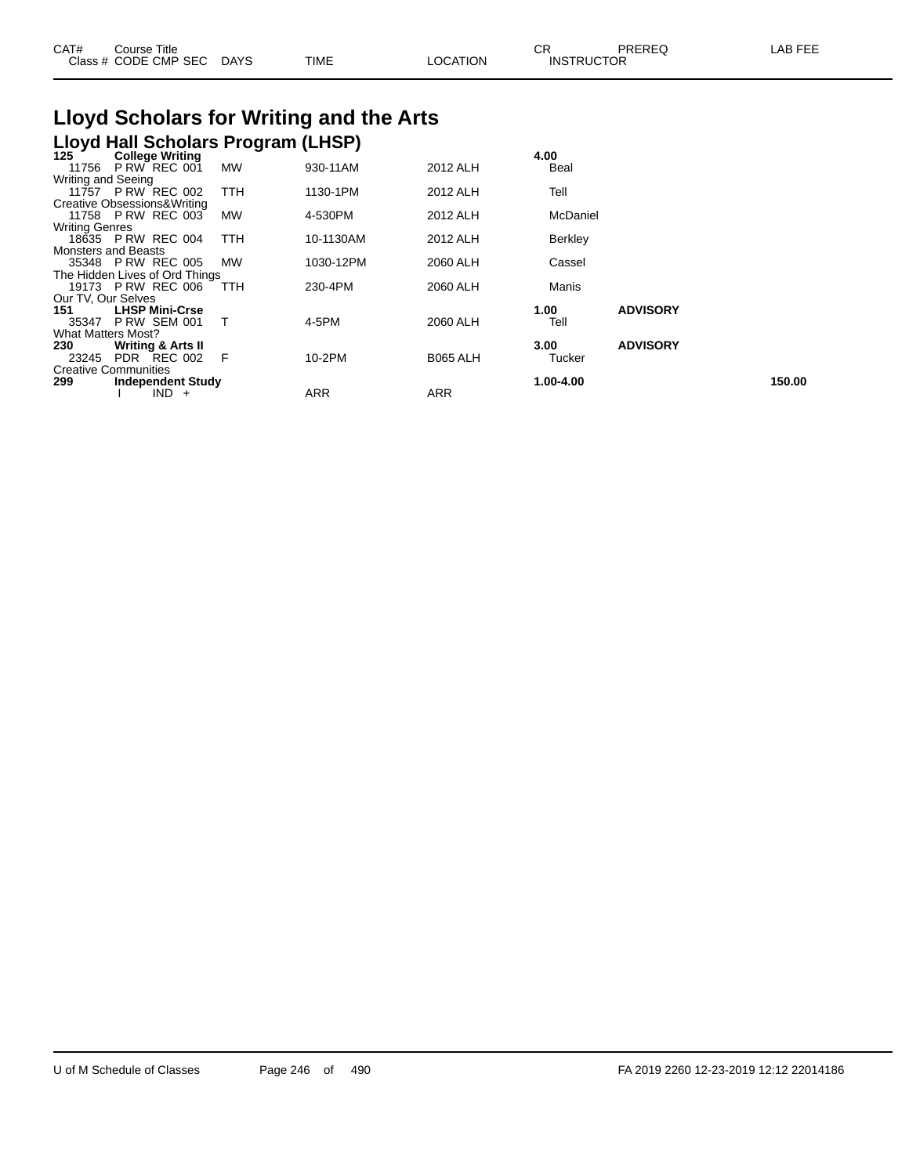| CAT#                                                            | Course Title<br>Class # CODE CMP SEC                 | DAYS      | TIME                                    | LOCATION | СR<br><b>INSTRUCTOR</b> | PREREQ          | LAB FEE |
|-----------------------------------------------------------------|------------------------------------------------------|-----------|-----------------------------------------|----------|-------------------------|-----------------|---------|
|                                                                 |                                                      |           | Lloyd Scholars for Writing and the Arts |          |                         |                 |         |
|                                                                 | Lloyd Hall Scholars Program (LHSP)                   |           |                                         |          |                         |                 |         |
| 125                                                             | <b>College Writing</b><br>11756 P RW REC 001         | <b>MW</b> | 930-11AM                                | 2012 ALH | 4.00<br>Beal            |                 |         |
| Writing and Seeing                                              | 11757 P RW REC 002                                   | TTH       | 1130-1PM                                | 2012 ALH | Tell                    |                 |         |
|                                                                 | Creative Obsessions& Writing<br>11758 P RW REC 003   | <b>MW</b> | 4-530PM                                 | 2012 ALH | McDaniel                |                 |         |
| <b>Writing Genres</b>                                           | 18635 P RW REC 004                                   | TTH       | 10-1130AM                               | 2012 ALH | Berkley                 |                 |         |
|                                                                 | <b>Monsters and Beasts</b><br>35348 P RW REC 005     | <b>MW</b> | 1030-12PM                               | 2060 ALH | Cassel                  |                 |         |
|                                                                 | The Hidden Lives of Ord Things<br>19173 P RW REC 006 | TTH       | 230-4PM                                 | 2060 ALH | Manis                   |                 |         |
| Our TV, Our Selves<br>151<br>35347<br><b>What Matters Most?</b> | <b>LHSP Mini-Crse</b><br><b>P RW SEM 001</b>         |           | 4-5PM                                   | 2060 ALH | 1.00<br>Tell            | <b>ADVISORY</b> |         |

**299 Independent Study 1.00-4.00 150.00**

**230 Writing & Arts II 3.00 ADVISORY**

23245 PDR REC 002 F 10-2PM B065 ALH Tucker

I IND + ARR ARR ARR

Creative Communities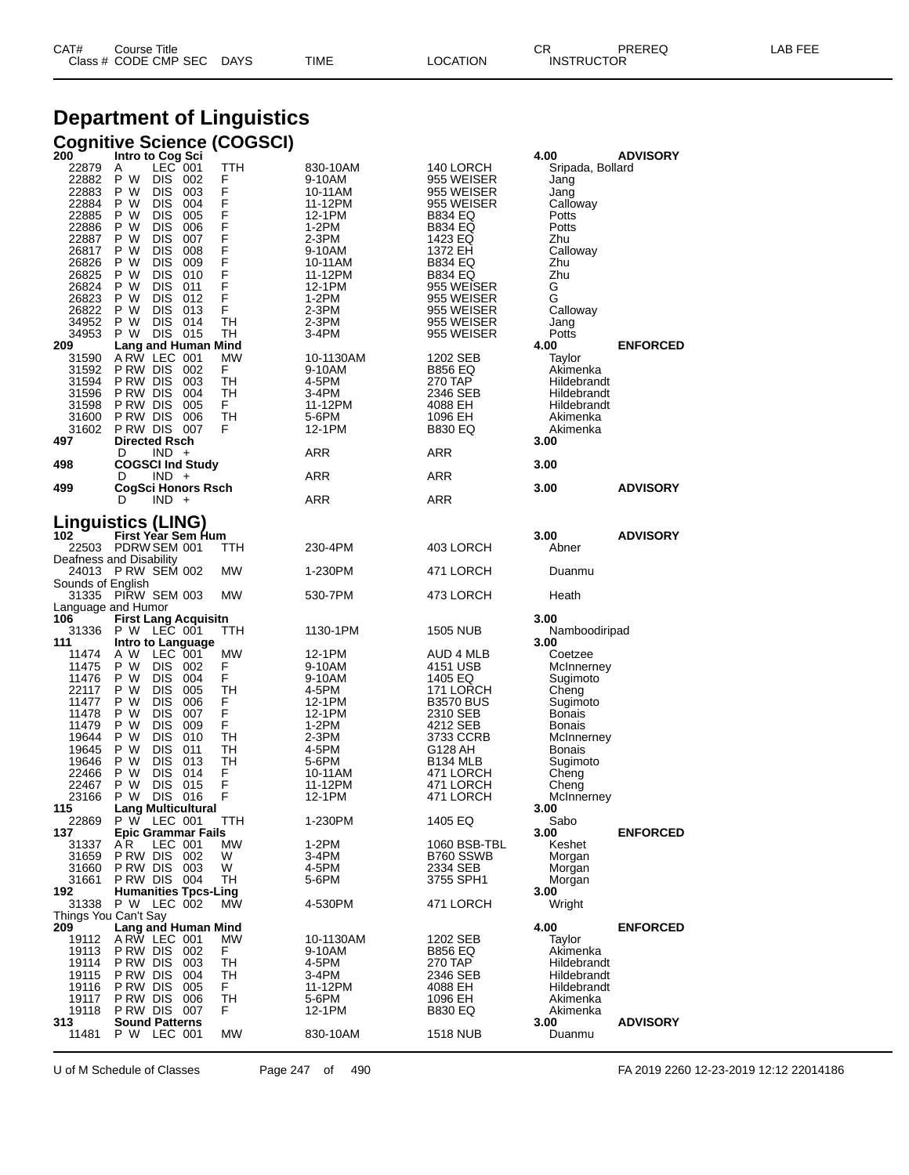# **Department of Linguistics**

|                               | <b>Cognitive Science (COGSCI)</b>                    |           |                   |                           |                             |                 |
|-------------------------------|------------------------------------------------------|-----------|-------------------|---------------------------|-----------------------------|-----------------|
| 200<br>22879                  | Intro to Cog Sci<br>$LEC$ 001<br>A                   | TTH       | 830-10AM          | 140 LORCH                 | 4.00<br>Sripada, Bollard    | <b>ADVISORY</b> |
| 22882                         | P W<br>DIS 002                                       | F         | 9-10AM            | 955 WEISER                | Jang                        |                 |
| 22883                         | P W<br><b>DIS</b><br>003                             | F<br>F    | 10-11AM           | 955 WEISER                | Jang                        |                 |
| 22884                         | P W<br>DIS.<br>004                                   |           | 11-12PM           | 955 WEISER                | Calloway                    |                 |
| 22885<br>22886                | P W<br>DIS<br>005<br>P W<br><b>DIS</b><br>006        | F         | 12-1PM<br>1-2PM   | B834 EQ<br><b>B834 EQ</b> | Potts<br>Potts              |                 |
| 22887                         | P W<br><b>DIS</b><br>007                             | F<br>F    | 2-3PM             | 1423 EQ                   | Zhu                         |                 |
| 26817                         | P W<br>DIS<br>008                                    | F         | 9-10AM            | 1372 EH                   | Calloway                    |                 |
| 26826                         | P W<br><b>DIS</b><br>009                             | F<br>F    | 10-11AM           | <b>B834 EQ</b>            | Zhu                         |                 |
| 26825<br>26824                | P W<br>DIS.<br>- 010<br>P W<br>DIS<br>011            | F         | 11-12PM<br>12-1PM | B834 EQ<br>955 WEISER     | Zhu<br>G                    |                 |
| 26823                         | P W<br>DIS.<br>012                                   | F         | 1-2PM             | 955 WEISER                | G                           |                 |
| 26822                         | P W<br>DIS 013                                       | F         | 2-3PM             | 955 WEISER                | Calloway                    |                 |
| 34952                         | P W<br><b>DIS</b><br>014                             | TН        | 2-3PM             | 955 WEISER                | Jang                        |                 |
| 34953<br>209                  | P W<br>DIS 015<br><b>Lang and Human Mind</b>         | TН        | 3-4PM             | 955 WEISER                | Potts<br>4.00               | <b>ENFORCED</b> |
| 31590                         | ARW LEC 001                                          | МW        | 10-1130AM         | 1202 SEB                  | Taylor                      |                 |
| 31592                         | PRW DIS 002                                          | F         | 9-10AM            | <b>B856 EQ</b>            | Akimenka                    |                 |
| 31594                         | P RW DIS<br>003                                      | TН        | 4-5PM             | 270 TAP                   | Hildebrandt                 |                 |
| 31596<br>31598                | P RW DIS<br>004<br>PRW DIS<br>005                    | TН<br>F   | 3-4PM<br>11-12PM  | 2346 SEB<br>4088 EH       | Hildebrandt<br>Hildebrandt  |                 |
| 31600                         | PRW DIS 006                                          | <b>TH</b> | 5-6PM             | 1096 EH                   | Akimenka                    |                 |
| 31602                         | PRW DIS 007                                          | F         | 12-1PM            | <b>B830 EQ</b>            | Akimenka                    |                 |
| 497                           | <b>Directed Rsch</b>                                 |           |                   |                           | 3.00                        |                 |
| 498                           | D<br>$IND +$<br><b>COGSCI Ind Study</b>              |           | ARR               | ARR                       | 3.00                        |                 |
|                               | $IND +$<br>D                                         |           | ARR               | ARR                       |                             |                 |
| 499                           | CogSci Honors Rsch<br>$IND +$<br>D                   |           | ARR               | ARR                       | 3.00                        | <b>ADVISORY</b> |
|                               |                                                      |           |                   |                           |                             |                 |
|                               | Linguistics (LING)<br><b>First Year Sem Hum</b>      |           |                   |                           | 3.00                        | <b>ADVISORY</b> |
| 102<br>22503                  | PDRW SEM 001                                         | ттн       | 230-4PM           | 403 LORCH                 | Abner                       |                 |
|                               | Deafness and Disability                              |           |                   |                           |                             |                 |
| 24013                         | <b>PRW SEM 002</b>                                   | МW        | 1-230PM           | 471 LORCH                 | Duanmu                      |                 |
| Sounds of English             | 31335 PIRW SEM 003                                   | МW        | 530-7PM           | 473 LORCH                 | Heath                       |                 |
| Language and Humor            |                                                      |           |                   |                           |                             |                 |
| 106<br>31336                  | <b>First Lang Acquisitn</b><br>P W LEC 001           | TTH       | 1130-1PM          | 1505 NUB                  | 3.00                        |                 |
| 111                           | Intro to Language                                    |           |                   |                           | Namboodiripad<br>3.00       |                 |
| 11474                         | A W<br>LEC 001                                       | МW        | 12-1PM            | AUD 4 MLB                 | Coetzee                     |                 |
| 11475                         | P W<br>DIS 002                                       | F         | 9-10AM            | 4151 USB                  | McInnerney                  |                 |
| 11476<br>22117                | P W<br><b>DIS</b><br>004<br>P W<br><b>DIS</b><br>005 | F<br>TН   | 9-10AM<br>4-5PM   | 1405 EQ<br>171 LORCH      | Sugimoto                    |                 |
| 11477                         | P W<br><b>DIS</b><br>006                             | F         | 12-1PM            | <b>B3570 BUS</b>          | Cheng<br>Sugimoto           |                 |
| 11478                         | P W<br>DIS<br>007                                    | F         | 12-1PM            | 2310 SEB                  | <b>Bonais</b>               |                 |
| 11479                         | P W<br><b>DIS</b><br>009                             | F         | 1-2PM             | 4212 SEB                  | <b>Bonais</b>               |                 |
| 19644<br>19645                | P W<br>DIS.<br>- 010<br>P W<br>DIS<br>011            | TН<br>TН  | 2-3PM<br>4-5PM    | 3733 CCRB<br>G128 AH      | McInnerney<br><b>Bonais</b> |                 |
| 19646                         | P W<br><b>DIS</b><br>013                             | TН        | 5-6PM             | B <sub>134</sub> MLB      | Sugimoto                    |                 |
| 22466                         | P W<br>DIS<br>014                                    | F         | 10-11AM           | 471 LORCH                 | Cheng                       |                 |
| 22467                         | P W<br>DIS<br>015                                    | F         | 11-12PM           | 471 LORCH                 | Cheng                       |                 |
| 23166<br>115                  | P W<br>DIS<br>016<br><b>Lang Multicultural</b>       | F         | 12-1PM            | 471 LORCH                 | McInnerney<br>3.00          |                 |
| 22869                         | P W LEC 001                                          | TTH       | 1-230PM           | 1405 EQ                   | Sabo                        |                 |
| 137                           | <b>Epic Grammar Fails</b>                            |           |                   |                           | 3.00                        | <b>ENFORCED</b> |
| 31337                         | A R<br>LEC 001                                       | <b>MW</b> | 1-2PM             | 1060 BSB-TBL              | Keshet                      |                 |
| 31659<br>31660                | PRW DIS 002<br><b>P RW DIS 003</b>                   | W<br>W    | 3-4PM<br>4-5PM    | B760 SSWB<br>2334 SEB     | Morgan<br>Morgan            |                 |
| 31661                         | PRW DIS 004                                          | TH        | 5-6PM             | 3755 SPH1                 | Morgan                      |                 |
| 192                           | <b>Humanities Tpcs-Ling</b>                          |           |                   |                           | 3.00                        |                 |
| 31338<br>Things You Can't Say | P W LEC 002                                          | МW        | 4-530PM           | 471 LORCH                 | Wright                      |                 |
| 209                           | <b>Lang and Human Mind</b>                           |           |                   |                           | 4.00                        | <b>ENFORCED</b> |
| 19112                         | ARW LEC 001                                          | МW        | 10-1130AM         | 1202 SEB                  | Taylor                      |                 |
| 19113                         | PRW DIS 002                                          | F.        | 9-10AM            | <b>B856 EQ</b>            | Akimenka                    |                 |
| 19114<br>19115                | PRW DIS 003<br>P RW DIS                              | TН<br>TН  | 4-5PM             | 270 TAP                   | Hildebrandt<br>Hildebrandt  |                 |
| 19116                         | 004<br>PRW DIS 005                                   | F.        | 3-4PM<br>11-12PM  | 2346 SEB<br>4088 EH       | Hildebrandt                 |                 |
| 19117                         | 006<br>P RW DIS                                      | <b>TH</b> | 5-6PM             | 1096 EH                   | Akimenka                    |                 |
| 19118                         | PRW DIS 007                                          | F         | 12-1PM            | <b>B830 EQ</b>            | Akimenka                    |                 |
| 313<br>11481                  | <b>Sound Patterns</b><br>P W LEC 001                 | МW        | 830-10AM          | 1518 NUB                  | 3.00<br>Duanmu              | <b>ADVISORY</b> |
|                               |                                                      |           |                   |                           |                             |                 |

U of M Schedule of Classes Page 247 of 490 FA 2019 2260 12-23-2019 12:12 22014186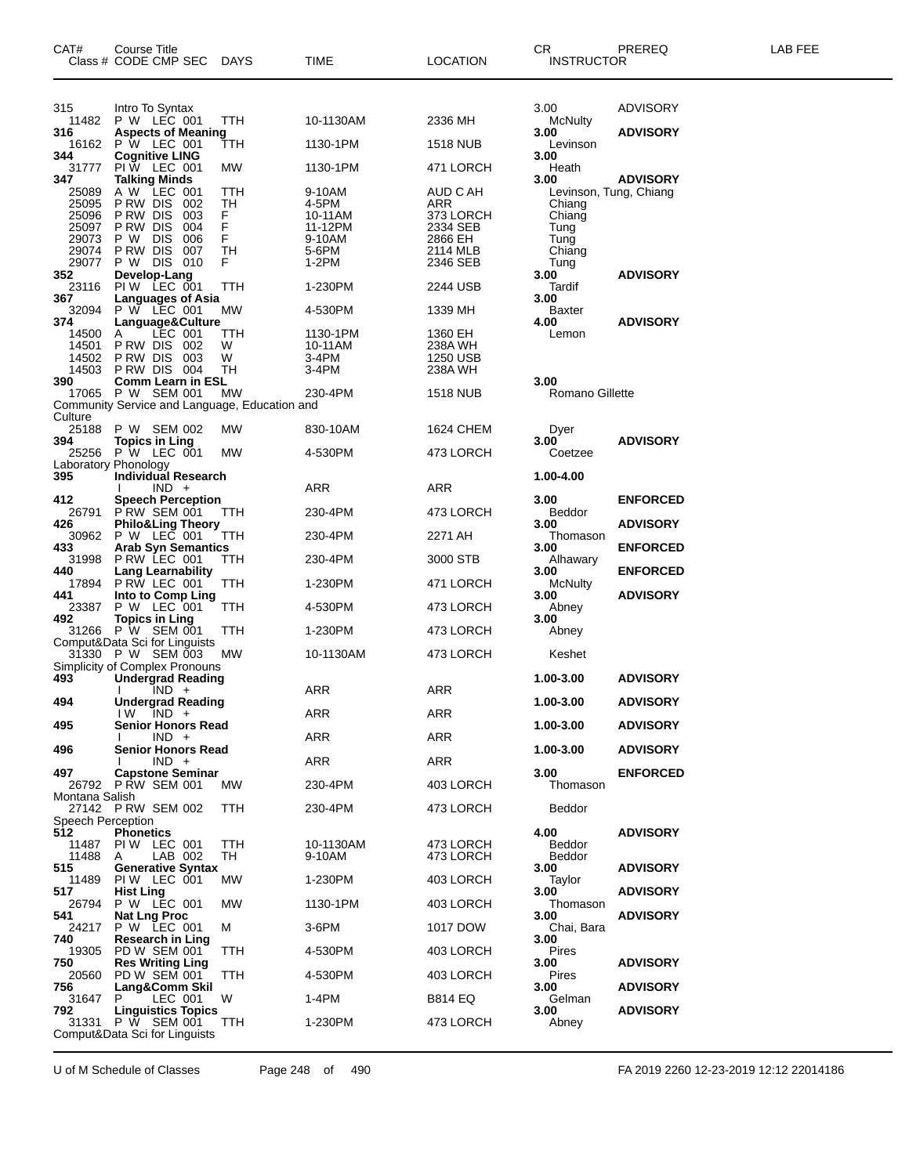| CAT#              | Course Title<br>Class # CODE CMP SEC                | DAYS      | TIME                | LOCATION               | СR<br><b>INSTRUCTOR</b>        | PREREQ          | LAB FEE |
|-------------------|-----------------------------------------------------|-----------|---------------------|------------------------|--------------------------------|-----------------|---------|
| 315               | Intro To Syntax                                     |           |                     |                        | 3.00                           | ADVISORY        |         |
| 11482<br>316      | P W LEC 001<br><b>Aspects of Meaning</b>            | TTH       | 10-1130AM           | 2336 MH                | McNulty<br>3.00                | <b>ADVISORY</b> |         |
| 16162<br>344      | <b>P</b> W LEC 001<br><b>Cognitive LING</b>         | TTH       | 1130-1PM            | <b>1518 NUB</b>        | Levinson<br>3.00               |                 |         |
| 31777             | PIW LEC 001                                         | MW        | 1130-1PM            | 471 LORCH              | Heath                          |                 |         |
| 347<br>25089      | <b>Talking Minds</b><br>A W LEC 001                 | ттн       | 9-10AM              | AUD C AH               | 3.00<br>Levinson, Tung, Chiang | <b>ADVISORY</b> |         |
| 25095             | P RW DIS<br>- 002                                   | TH        | 4-5PM               | ARR                    | Chiang                         |                 |         |
| 25096<br>25097    | P RW DIS<br>003<br>P RW DIS<br>004                  | F.<br>F   | 10-11AM<br>11-12PM  | 373 LORCH<br>2334 SEB  | Chiang<br>Tung                 |                 |         |
| 29073             | P W<br><b>DIS</b><br>006                            | F         | 9-10AM              | 2866 EH                | Tung                           |                 |         |
| 29074             | P RW DIS<br>007                                     | TН        | 5-6PM               | 2114 MLB               | Chiang                         |                 |         |
| 29077<br>352      | P W DIS<br>010<br>Develop-Lang                      | F         | 1-2PM               | 2346 SEB               | Tung<br>3.00                   | <b>ADVISORY</b> |         |
| 23116             | PIW LEC 001                                         | TTH       | 1-230PM             | 2244 USB               | Tardif                         |                 |         |
| 367<br>32094      | <b>Languages of Asia</b><br>P W LEC 001             | MW        | 4-530PM             | 1339 MH                | 3.00<br>Baxter                 |                 |         |
| 374               | Language&Culture                                    |           |                     |                        | 4.00                           | <b>ADVISORY</b> |         |
| 14500<br>14501    | LEC 001<br>A<br>PRW DIS 002                         | TТH<br>W  | 1130-1PM<br>10-11AM | 1360 EH<br>238A WH     | Lemon                          |                 |         |
| 14502             | <b>P RW DIS 003</b>                                 | W         | 3-4PM               | 1250 USB               |                                |                 |         |
| 14503             | PRW DIS 004                                         | TН        | 3-4PM               | 238A WH                |                                |                 |         |
| 390<br>17065      | <b>Comm Learn in ESL</b><br>P W SEM 001             | МW        | 230-4PM             | <b>1518 NUB</b>        | 3.00<br><b>Romano Gillette</b> |                 |         |
|                   | Community Service and Language, Education and       |           |                     |                        |                                |                 |         |
| Culture<br>25188  | P W SEM 002                                         | МW        | 830-10AM            | 1624 CHEM              | Dyer                           |                 |         |
| 394               | <b>Topics in Ling</b>                               |           |                     |                        | 3.00                           | <b>ADVISORY</b> |         |
|                   | 25256 P W LEC 001                                   | МW        | 4-530PM             | 473 LORCH              | Coetzee                        |                 |         |
| 395               | Laboratory Phonology<br>Individual Research         |           |                     |                        | 1.00-4.00                      |                 |         |
|                   | $IND +$                                             |           | ARR                 | ARR                    |                                |                 |         |
| 412<br>26791      | <b>Speech Perception</b><br>PRW SEM 001             | TТH       | 230-4PM             | 473 LORCH              | 3.00<br>Beddor                 | <b>ENFORCED</b> |         |
| 426<br>30962      | <b>Philo&amp;Ling Theory</b><br>P W LEC 001         | TTH       | 230-4PM             | 2271 AH                | 3.00<br>Thomason               | <b>ADVISORY</b> |         |
| 433<br>31998      | <b>Arab Syn Semantics</b><br>PRW LEC 001            |           | 230-4PM             |                        | 3.00                           | <b>ENFORCED</b> |         |
| 440               | <b>Lang Learnability</b>                            | TTH       |                     | 3000 STB               | Alhawary<br>3.00               | <b>ENFORCED</b> |         |
| 17894<br>441      | PRW LEC 001<br>Into to Comp Ling                    | TТH       | 1-230PM             | 471 LORCH              | <b>McNulty</b><br>3.00         | <b>ADVISORY</b> |         |
| 23387<br>492      | P W LEC 001<br><b>Topics in Ling</b>                | ттн       | 4-530PM             | 473 LORCH              | Abney<br>3.00                  |                 |         |
|                   | 31266 P W SEM 001<br>Comput&Data Sci for Linguists  | ттн       | 1-230PM             | 473 LORCH              | Abney                          |                 |         |
|                   | 31330 P W SEM 003<br>Simplicity of Complex Pronouns | МW        | 10-1130AM           | 473 LORCH              | Keshet                         |                 |         |
| 493               | <b>Undergrad Reading</b>                            |           |                     |                        | 1.00-3.00                      | <b>ADVISORY</b> |         |
| 494               | $IND +$<br><b>Undergrad Reading</b>                 |           | ARR                 | ARR                    | 1.00-3.00                      | <b>ADVISORY</b> |         |
|                   | $IW$ $IND +$                                        |           | ARR                 | ARR                    |                                |                 |         |
| 495               | <b>Senior Honors Read</b><br>$IND +$                |           | ARR                 | ARR                    | 1.00-3.00                      | <b>ADVISORY</b> |         |
| 496               | <b>Senior Honors Read</b>                           |           |                     |                        | 1.00-3.00                      | <b>ADVISORY</b> |         |
| 497               | $IND +$<br><b>Capstone Seminar</b>                  |           | ARR                 | ARR                    | 3.00                           | <b>ENFORCED</b> |         |
|                   | 26792 PRW SEM 001                                   | МW        | 230-4PM             | 403 LORCH              | Thomason                       |                 |         |
| Montana Salish    | 27142 PRW SEM 002                                   | TTH       | 230-4PM             | 473 LORCH              | Beddor                         |                 |         |
| Speech Perception |                                                     |           |                     |                        |                                |                 |         |
| 512               | <b>Phonetics</b>                                    |           |                     |                        | 4.00                           | <b>ADVISORY</b> |         |
| 11487<br>11488    | PIW LEC 001<br>LAB 002<br>A                         | TTH<br>TН | 10-1130AM<br>9-10AM | 473 LORCH<br>473 LORCH | Beddor<br>Beddor               |                 |         |
| 515               | <b>Generative Syntax</b>                            |           |                     |                        | 3.00                           | <b>ADVISORY</b> |         |
| 11489<br>517      | PIW LEC 001<br><b>Hist Ling</b>                     | МW        | 1-230PM             | 403 LORCH              | Taylor<br>3.00                 | <b>ADVISORY</b> |         |
| 26794             | P W LEC 001                                         | MW        | 1130-1PM            | 403 LORCH              | Thomason                       |                 |         |
| 541<br>24217      | <b>Nat Lng Proc</b><br>P W LEC 001                  | м         | 3-6PM               | 1017 DOW               | 3.00                           | <b>ADVISORY</b> |         |
| 740               | Research in Ling                                    |           |                     |                        | Chai, Bara<br>3.00             |                 |         |
| 19305             | PD W SEM 001                                        | TTH       | 4-530PM             | 403 LORCH              | Pires                          |                 |         |
| 750<br>20560      | <b>Res Writing Ling</b><br>PD W SEM 001             | TTH       | 4-530PM             | 403 LORCH              | 3.00<br>Pires                  | <b>ADVISORY</b> |         |
| 756<br>31647      | Lang&Comm Skil<br>LEC 001<br>P.                     | W         | 1-4PM               | <b>B814 EQ</b>         | 3.00<br>Gelman                 | <b>ADVISORY</b> |         |
| 792               | <b>Linguistics Topics</b>                           |           |                     |                        | 3.00                           | <b>ADVISORY</b> |         |
| 31331             | P W SEM 001<br>Comput&Data Sci for Linguists        | TTH       | 1-230PM             | 473 LORCH              | Abney                          |                 |         |

U of M Schedule of Classes Page 248 of 490 FA 2019 2260 12-23-2019 12:12 22014186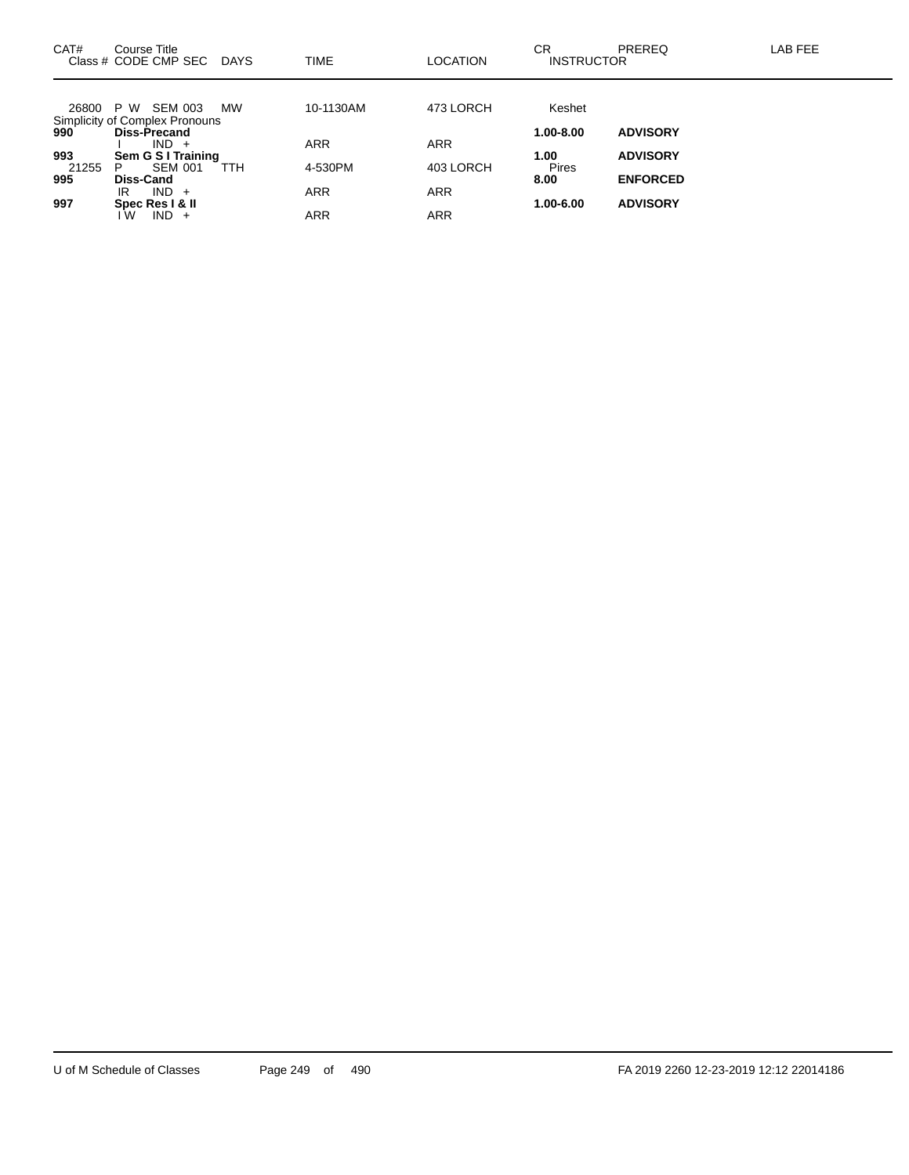| CAT#  | Course Title<br>Class # CODE CMP SEC                      | <b>DAYS</b> | <b>TIME</b> | LOCATION   | СR<br><b>INSTRUCTOR</b> | <b>PREREQ</b>   | LAB FEE |
|-------|-----------------------------------------------------------|-------------|-------------|------------|-------------------------|-----------------|---------|
|       |                                                           |             |             |            |                         |                 |         |
| 26800 | SEM 003<br>P W                                            | <b>MW</b>   | 10-1130AM   | 473 LORCH  | Keshet                  |                 |         |
|       | Simplicity of Complex Pronouns<br>990 <b>Diss-Precand</b> |             |             |            |                         |                 |         |
|       | $IND +$                                                   |             | <b>ARR</b>  | <b>ARR</b> | 1.00-8.00               | <b>ADVISORY</b> |         |
| 993   | Sem G S I Training                                        |             |             |            | 1.00                    | <b>ADVISORY</b> |         |
| 21255 | <b>SEM 001</b><br>P                                       | TTH         | 4-530PM     | 403 LORCH  | <b>Pires</b>            |                 |         |
| 995   | <b>Diss-Cand</b>                                          |             |             |            | 8.00                    | <b>ENFORCED</b> |         |
|       | $IND +$<br>IR                                             |             | <b>ARR</b>  | <b>ARR</b> |                         |                 |         |
| 997   | Spec Res   & II                                           |             |             |            | 1.00-6.00               | <b>ADVISORY</b> |         |
|       | $IND +$<br>w                                              |             | <b>ARR</b>  | <b>ARR</b> |                         |                 |         |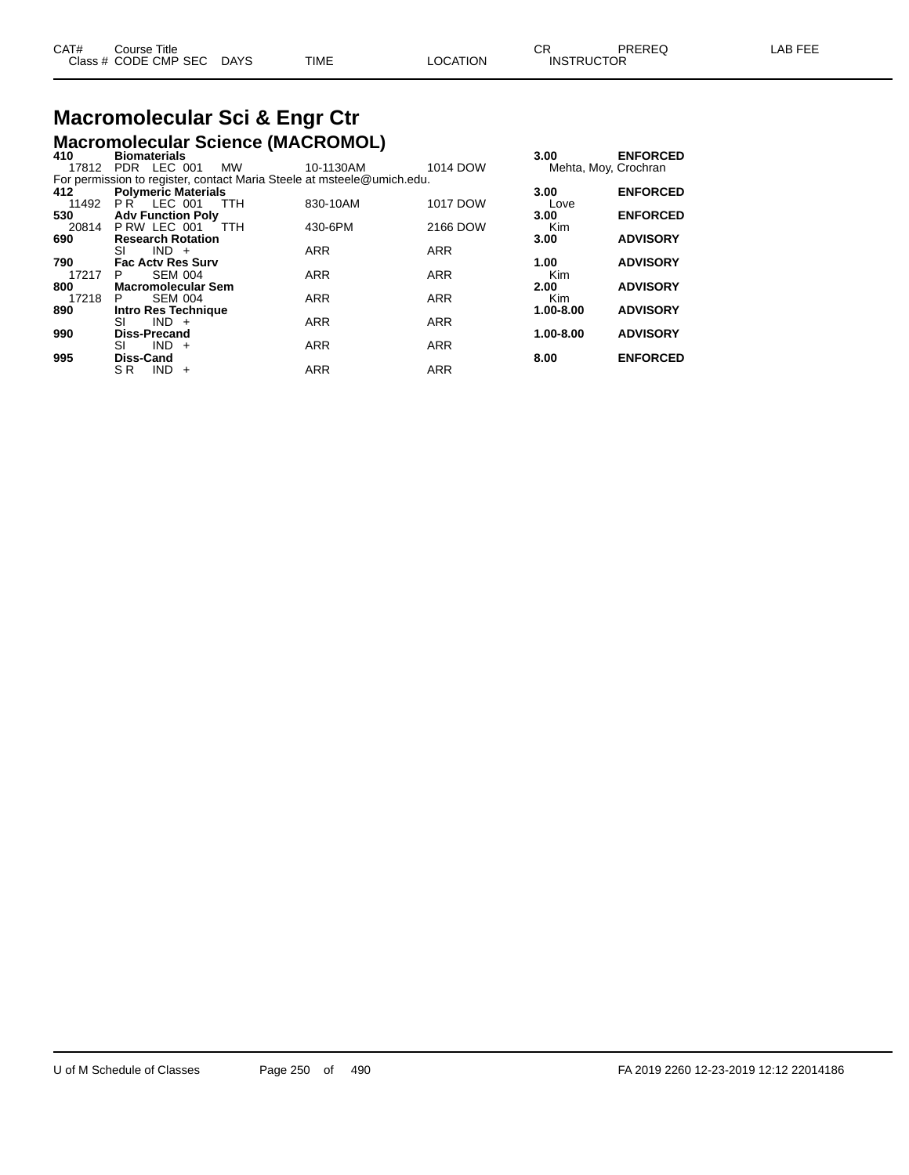# **Macromolecular Sci & Engr Ctr**

|                                 | <b>Macromolecular Science (MACROMOL)</b>                               |            |            |            |                      |
|---------------------------------|------------------------------------------------------------------------|------------|------------|------------|----------------------|
| 410                             | <b>Biomaterials</b>                                                    |            |            | 3.00       | <b>ENFORCED</b>      |
|                                 | 17812 PDR LEC 001<br>MW                                                | 10-1130AM  | 1014 DOW   |            | Mehta, Moy, Crochran |
|                                 | For permission to register, contact Maria Steele at msteele@umich.edu. |            |            |            |                      |
| 412                             | <b>Polymeric Materials</b>                                             |            |            | 3.00       | <b>ENFORCED</b>      |
| 11492                           | PR LEC 001<br>TTH                                                      | 830-10AM   | 1017 DOW   | Love       |                      |
| <b>Adv Function Poly</b><br>530 |                                                                        |            |            | 3.00       | <b>ENFORCED</b>      |
|                                 | 20814 P RW LEC 001<br><b>TTH</b>                                       | 430-6PM    | 2166 DOW   | <b>Kim</b> |                      |
| 690                             | <b>Research Rotation</b>                                               |            |            | 3.00       | <b>ADVISORY</b>      |
|                                 | $IND +$<br>SI                                                          | <b>ARR</b> | <b>ARR</b> |            |                      |
| 790                             | <b>Fac Acty Res Surv</b>                                               |            |            | 1.00       | <b>ADVISORY</b>      |
| 17217                           | <b>SEM 004</b><br>P                                                    | <b>ARR</b> | <b>ARR</b> | <b>Kim</b> |                      |
| 800                             | <b>Macromolecular Sem</b>                                              |            |            | 2.00       | <b>ADVISORY</b>      |
| 17218                           | <b>SEM 004</b><br>P.                                                   | <b>ARR</b> | <b>ARR</b> | <b>Kim</b> |                      |
| 890                             | <b>Intro Res Technique</b>                                             |            |            | 1.00-8.00  | <b>ADVISORY</b>      |
|                                 | $IND +$<br>SI                                                          | <b>ARR</b> | <b>ARR</b> |            |                      |
| 990                             | <b>Diss-Precand</b>                                                    |            |            | 1.00-8.00  | <b>ADVISORY</b>      |
|                                 | $IND +$<br>SI                                                          | <b>ARR</b> | <b>ARR</b> |            |                      |
| 995                             | <b>Diss-Cand</b>                                                       |            |            | 8.00       | <b>ENFORCED</b>      |
|                                 | SR.<br><b>IND</b><br>$+$                                               | <b>ARR</b> | <b>ARR</b> |            |                      |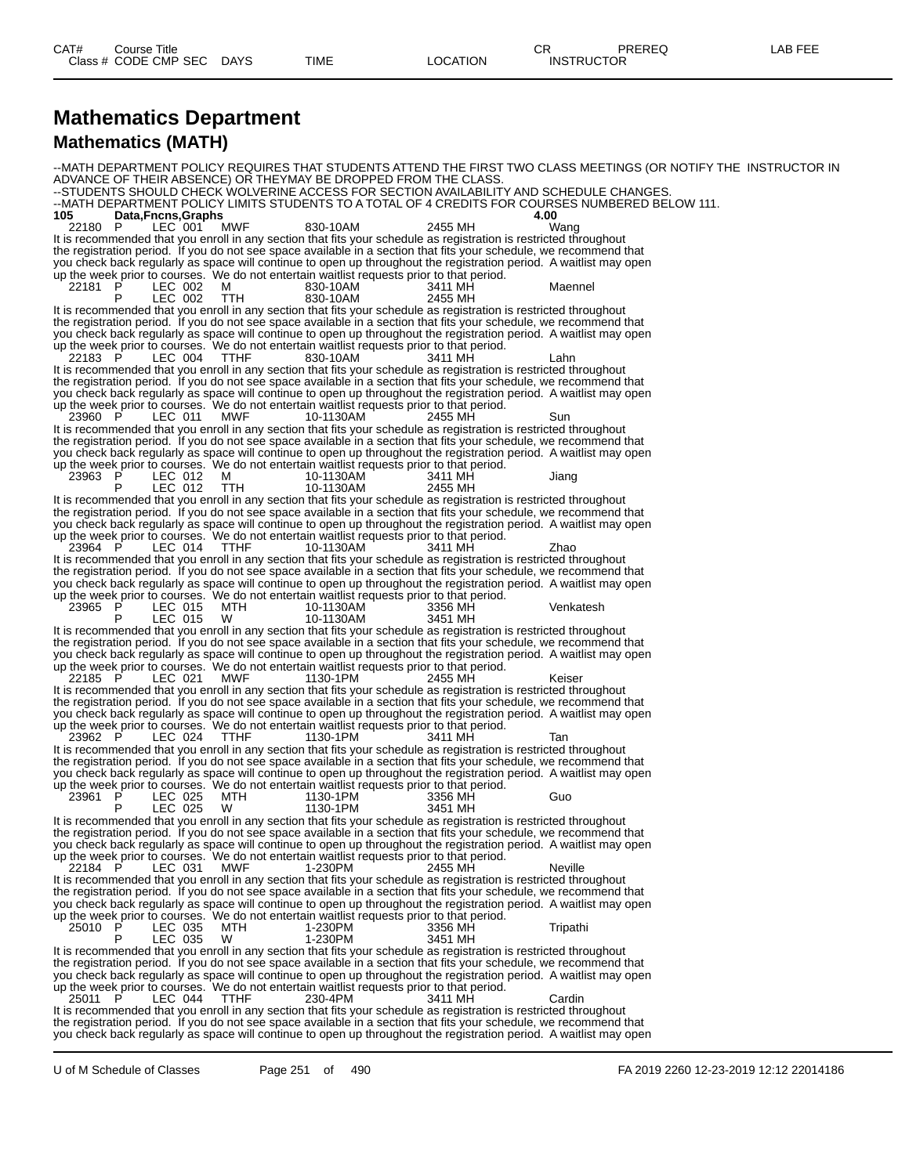#### **Mathematics Department Mathematics (MATH)**

--MATH DEPARTMENT POLICY REQUIRES THAT STUDENTS ATTEND THE FIRST TWO CLASS MEETINGS (OR NOTIFY THE INSTRUCTOR IN ADVANCE OF THEIR ABSENCE) OR THEYMAY BE DROPPED FROM THE CLASS. --STUDENTS SHOULD CHECK WOLVERINE ACCESS FOR SECTION AVAILABILITY AND SCHEDULE CHANGES. --MATH DEPARTMENT POLICY LIMITS STUDENTS TO A TOTAL OF 4 CREDITS FOR COURSES NUMBERED BELOW 111. **105 Data,Fncns,Graphs 4.00** 22180 P LEC 001 MWF 830-10AM 2455 MH Wang It is recommended that you enroll in any section that fits your schedule as registration is restricted throughout the registration period. If you do not see space available in a section that fits your schedule, we recommend that you check back regularly as space will continue to open up throughout the registration period. A waitlist may open up the week prior to courses. We do not entertain waitlist requests prior to that period. 22181 P LEC 002 M 830-10AM 3411 MH Maennel P LEC 002 TTH 830-10AM 2455 MH It is recommended that you enroll in any section that fits your schedule as registration is restricted throughout the registration period. If you do not see space available in a section that fits your schedule, we recommend that you check back regularly as space will continue to open up throughout the registration period. A waitlist may open up the week prior to courses. We do not entertain waitlist requests prior to that period. 22183 P LEC 004 TTHF 830-10AM 3411 MH Lahn It is recommended that you enroll in any section that fits your schedule as registration is restricted throughout the registration period. If you do not see space available in a section that fits your schedule, we recommend that you check back regularly as space will continue to open up throughout the registration period. A waitlist may open up the week prior to courses. We do not entertain waitlist requests prior to that period. 23960 P LEC 011 MWF 10-1130AM 2455 MH Sun It is recommended that you enroll in any section that fits your schedule as registration is restricted throughout the registration period. If you do not see space available in a section that fits your schedule, we recommend that you check back regularly as space will continue to open up throughout the registration period. A waitlist may open up the week prior to courses. We do not entertain waitlist requests prior to that period.<br>23963 P LEC 012 M 10-1130AM 3411 MH P LEC 012 M 10-1130AM 3411 MH Jiang<br>P LEC 012 TTH 10-1130AM 2455 MH P LEC 012 TTH 10-1130AM 2455 MH It is recommended that you enroll in any section that fits your schedule as registration is restricted throughout the registration period. If you do not see space available in a section that fits your schedule, we recommend that you check back regularly as space will continue to open up throughout the registration period. A waitlist may open up the week prior to courses. We do not entertain waitlist requests prior to that period. 23964 P LEC 014 TTHF 10-1130AM 3411 MH Zhao It is recommended that you enroll in any section that fits your schedule as registration is restricted throughout the registration period. If you do not see space available in a section that fits your schedule, we recommend that you check back regularly as space will continue to open up throughout the registration period. A waitlist may open up the week prior to courses. We do not entertain waitlist requests prior to that period. 23965 P LEC 015 MTH 10-1130AM 3356 MH Venkatesh P LEC 015 W 10-1130AM 3451 MH It is recommended that you enroll in any section that fits your schedule as registration is restricted throughout the registration period. If you do not see space available in a section that fits your schedule, we recommend that you check back regularly as space will continue to open up throughout the registration period. A waitlist may open up the week prior to courses. We do not entertain waitlist requests prior to that period. 22185 P LEC 021 MWF 1130-1PM 2455 MH Keiser It is recommended that you enroll in any section that fits your schedule as registration is restricted throughout the registration period. If you do not see space available in a section that fits your schedule, we recommend that you check back regularly as space will continue to open up throughout the registration period. A waitlist may open up the week prior to courses. We do not entertain waitlist requests prior to that period. 23962 P LEC 024 TTHF 1130-1PM 3411 MH Tan It is recommended that you enroll in any section that fits your schedule as registration is restricted throughout the registration period. If you do not see space available in a section that fits your schedule, we recommend that you check back regularly as space will continue to open up throughout the registration period. A waitlist may open up the week prior to courses. We do not entertain waitlist requests prior to that period. 23961 P LEC 025 MTH 1130-1PM 3356 MH Guo P LEC 025 W 1130-1PM 3451 MH It is recommended that you enroll in any section that fits your schedule as registration is restricted throughout the registration period. If you do not see space available in a section that fits your schedule, we recommend that you check back regularly as space will continue to open up throughout the registration period. A waitlist may open up the week prior to courses. We do not entertain waitlist requests prior to that period. 22184 P LEC 031 MWF 1-230PM 2455 MH Neville It is recommended that you enroll in any section that fits your schedule as registration is restricted throughout the registration period. If you do not see space available in a section that fits your schedule, we recommend that you check back regularly as space will continue to open up throughout the registration period. A waitlist may open up the week prior to courses. We do not entertain waitlist requests prior to that period. 25010 P LEC 035 MTH 1-230PM 3356 MH Tripathi P LEC 035 W 1-230PM 3451 MH It is recommended that you enroll in any section that fits your schedule as registration is restricted throughout the registration period. If you do not see space available in a section that fits your schedule, we recommend that you check back regularly as space will continue to open up throughout the registration period. A waitlist may open up the week prior to courses. We do not entertain waitlist requests prior to that period. 25011 P LEC 044 TTHF 230-4PM 3411 MH Cardin It is recommended that you enroll in any section that fits your schedule as registration is restricted throughout the registration period. If you do not see space available in a section that fits your schedule, we recommend that you check back regularly as space will continue to open up throughout the registration period. A waitlist may open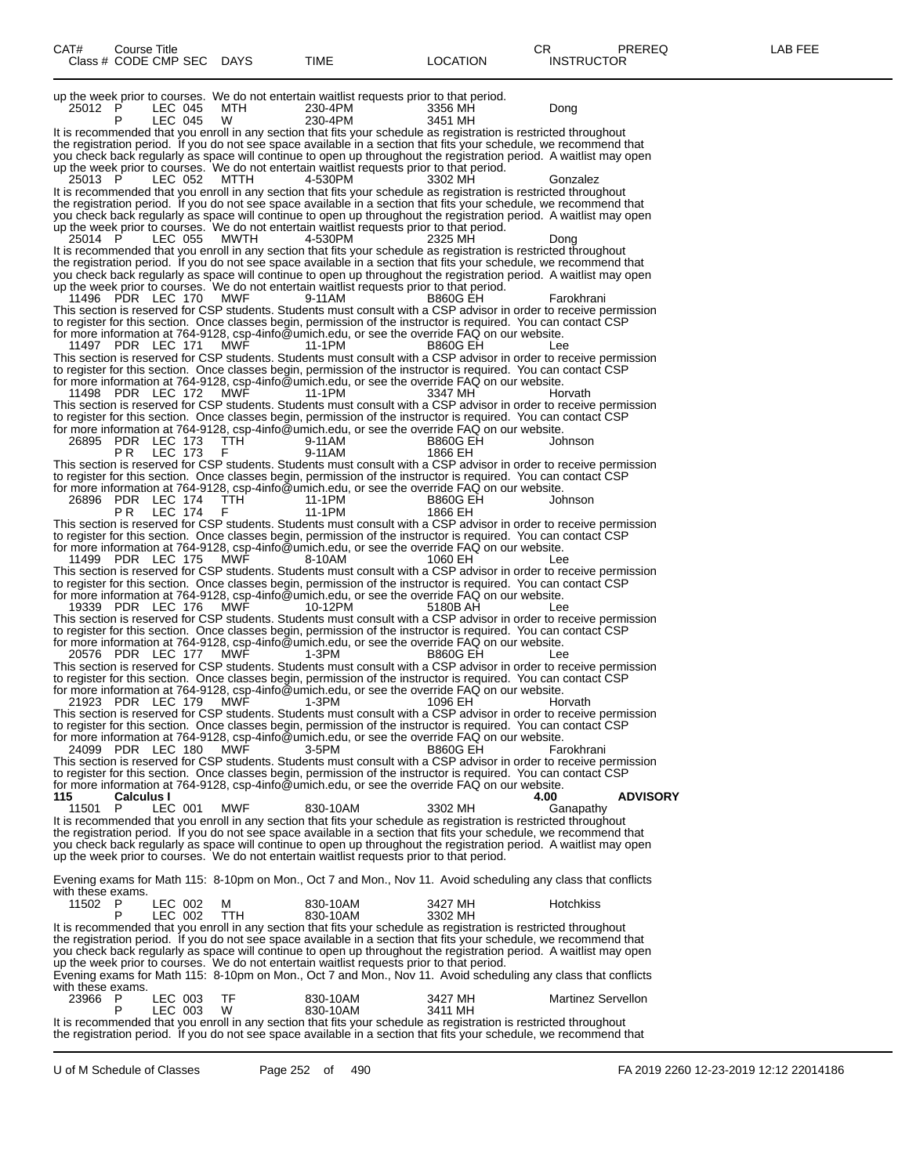| CAT#<br>Course Title                                                                                                                                                                                                                     |                      |                            | CR.<br>PREREQ             | LAB FEE |
|------------------------------------------------------------------------------------------------------------------------------------------------------------------------------------------------------------------------------------------|----------------------|----------------------------|---------------------------|---------|
| Class # CODE CMP SEC DAYS                                                                                                                                                                                                                | TIME                 | <b>LOCATION</b>            | <b>INSTRUCTOR</b>         |         |
| up the week prior to courses. We do not entertain waitlist requests prior to that period.                                                                                                                                                |                      |                            |                           |         |
| 25012 P<br>LEC 045<br>MTH                                                                                                                                                                                                                | 230-4PM              | 3356 MH                    | Dong                      |         |
| LEC 045<br>W<br>It is recommended that you enroll in any section that fits your schedule as registration is restricted throughout                                                                                                        | 230-4PM              | 3451 MH                    |                           |         |
| the registration period. If you do not see space available in a section that fits your schedule, we recommend that                                                                                                                       |                      |                            |                           |         |
| you check back regularly as space will continue to open up throughout the registration period. A waitlist may open<br>up the week prior to courses. We do not entertain waitlist requests prior to that period.                          |                      |                            |                           |         |
| LEC 052 MTTH<br>25013 P                                                                                                                                                                                                                  | 4-530PM              | 3302 MH                    | Gonzalez                  |         |
| It is recommended that you enroll in any section that fits your schedule as registration is restricted throughout<br>the registration period. If you do not see space available in a section that fits your schedule, we recommend that  |                      |                            |                           |         |
| you check back regularly as space will continue to open up throughout the registration period. A waitlist may open                                                                                                                       |                      |                            |                           |         |
| up the week prior to courses. We do not entertain waitlist requests prior to that period.<br>25014 P<br>LEC 055<br>MWTH                                                                                                                  | 4-530PM              | 2325 MH                    | Dong                      |         |
| It is recommended that you enroll in any section that fits your schedule as registration is restricted throughout                                                                                                                        |                      |                            |                           |         |
| the registration period. If you do not see space available in a section that fits your schedule, we recommend that<br>you check back regularly as space will continue to open up throughout the registration period. A waitlist may open |                      |                            |                           |         |
| up the week prior to courses. We do not entertain waitlist requests prior to that period.                                                                                                                                                |                      |                            |                           |         |
| 11496 PDR LEC 170 MWF<br>This section is reserved for CSP students. Students must consult with a CSP advisor in order to receive permission                                                                                              | 9-11AM               | <b>B860G EH</b>            | Farokhrani                |         |
| to register for this section. Once classes begin, permission of the instructor is required. You can contact CSP                                                                                                                          |                      |                            |                           |         |
| for more information at 764-9128, csp-4info@umich.edu, or see the override FAQ on our website.<br>11497 PDR LEC 171 MWF                                                                                                                  | 11-1PM               | <b>B860G EH</b>            | Lee                       |         |
| This section is reserved for CSP students. Students must consult with a CSP advisor in order to receive permission                                                                                                                       |                      |                            |                           |         |
| to register for this section. Once classes begin, permission of the instructor is required. You can contact CSP<br>for more information at 764-9128, csp-4info@umich.edu, or see the override FAQ on our website.                        |                      |                            |                           |         |
| 11498 PDR LEC 172<br><b>MWF</b>                                                                                                                                                                                                          | 11-1PM               | 3347 MH                    | Horvath                   |         |
| This section is reserved for CSP students. Students must consult with a CSP advisor in order to receive permission                                                                                                                       |                      |                            |                           |         |
| to register for this section. Once classes begin, permission of the instructor is required. You can contact CSP<br>for more information at 764-9128, csp-4info@umich.edu, or see the override FAQ on our website.                        |                      |                            |                           |         |
| 26895 PDR LEC 173<br>TTH<br>LEC 173<br>PR.<br>F                                                                                                                                                                                          | 9-11AM<br>9-11AM     | <b>B860G EH</b><br>1866 EH | Johnson                   |         |
| This section is reserved for CSP students. Students must consult with a CSP advisor in order to receive permission                                                                                                                       |                      |                            |                           |         |
| to register for this section. Once classes begin, permission of the instructor is required. You can contact CSP                                                                                                                          |                      |                            |                           |         |
| for more information at 764-9128, csp-4info@umich.edu, or see the override FAQ on our website.<br>TTH<br>26896 PDR LEC 174                                                                                                               | 11-1PM               | <b>B860G EH</b>            | Johnson                   |         |
| LEC 174<br>PR.<br>F                                                                                                                                                                                                                      | 11-1PM               | 1866 EH                    |                           |         |
| This section is reserved for CSP students. Students must consult with a CSP advisor in order to receive permission<br>to register for this section. Once classes begin, permission of the instructor is required. You can contact CSP    |                      |                            |                           |         |
| for more information at 764-9128, csp-4info@umich.edu, or see the override FAQ on our website.                                                                                                                                           |                      |                            |                           |         |
| 11499 PDR LEC 175 MWF<br>This section is reserved for CSP students. Students must consult with a CSP advisor in order to receive permission                                                                                              | 8-10AM               | 1060 EH                    | Lee                       |         |
| to register for this section. Once classes begin, permission of the instructor is required. You can contact CSP                                                                                                                          |                      |                            |                           |         |
| for more information at 764-9128, csp-4info@umich.edu, or see the override FAQ on our website.<br>MWF<br>19339 PDR LEC 176                                                                                                               | 10-12PM              | 5180B AH                   | Lee                       |         |
| This section is reserved for CSP students. Students must consult with a CSP advisor in order to receive permission                                                                                                                       |                      |                            |                           |         |
| to register for this section. Once classes begin, permission of the instructor is required. You can contact CSP<br>for more information at 764-9128, csp-4info@umich.edu, or see the override FAQ on our website.                        |                      |                            |                           |         |
| 20576 PDR LEC 177 MWF                                                                                                                                                                                                                    | 1-3PM                | <b>B860G EH</b>            | Lee                       |         |
| This section is reserved for CSP students. Students must consult with a CSP advisor in order to receive permission<br>to register for this section. Once classes begin, permission of the instructor is required. You can contact CSP    |                      |                            |                           |         |
| for more information at 764-9128, csp-4info@umich.edu, or see the override FAQ on our website.                                                                                                                                           |                      |                            |                           |         |
| 21923 PDR LEC 179 MWF<br>This section is reserved for CSP students. Students must consult with a CSP advisor in order to receive permission                                                                                              | 1-3PM                | 1096 EH                    | Horvath                   |         |
| to register for this section. Once classes begin, permission of the instructor is required. You can contact CSP                                                                                                                          |                      |                            |                           |         |
| for more information at 764-9128, csp-4info@umich.edu, or see the override FAQ on our website.<br>24099 PDR LEC 180<br><b>MWF</b>                                                                                                        | 3-5PM                | <b>B860G EH</b>            | Farokhrani                |         |
| This section is reserved for CSP students. Students must consult with a CSP advisor in order to receive permission                                                                                                                       |                      |                            |                           |         |
| to register for this section. Once classes begin, permission of the instructor is required. You can contact CSP<br>for more information at 764-9128, csp-4info@umich.edu, or see the override FAQ on our website.                        |                      |                            |                           |         |
| 115<br><b>Calculus I</b>                                                                                                                                                                                                                 |                      |                            | <b>ADVISORY</b><br>4.00   |         |
| <b>MWF</b><br>11501 P<br>LEC 001<br>It is recommended that you enroll in any section that fits your schedule as registration is restricted throughout                                                                                    | 830-10AM             | 3302 MH                    | Ganapathy                 |         |
| the registration period. If you do not see space available in a section that fits your schedule, we recommend that                                                                                                                       |                      |                            |                           |         |
| you check back regularly as space will continue to open up throughout the registration period. A waitlist may open<br>up the week prior to courses. We do not entertain waitlist requests prior to that period.                          |                      |                            |                           |         |
|                                                                                                                                                                                                                                          |                      |                            |                           |         |
| Evening exams for Math 115: 8-10pm on Mon., Oct 7 and Mon., Nov 11. Avoid scheduling any class that conflicts<br>with these exams.                                                                                                       |                      |                            |                           |         |
| 11502 P<br>LEC 002<br>м                                                                                                                                                                                                                  | 830-10AM             | 3427 MH                    | Hotchkiss                 |         |
| LEC 002<br><b>TTH</b><br>P<br>It is recommended that you enroll in any section that fits your schedule as registration is restricted throughout                                                                                          | 830-10AM             | 3302 MH                    |                           |         |
| the registration period. If you do not see space available in a section that fits your schedule, we recommend that                                                                                                                       |                      |                            |                           |         |
| you check back regularly as space will continue to open up throughout the registration period. A waitlist may open<br>up the week prior to courses. We do not entertain waitlist requests prior to that period.                          |                      |                            |                           |         |
| Evening exams for Math 115: 8-10pm on Mon., Oct 7 and Mon., Nov 11. Avoid scheduling any class that conflicts                                                                                                                            |                      |                            |                           |         |
| with these exams.<br>TF                                                                                                                                                                                                                  |                      |                            |                           |         |
| 23966 P<br>LEC 003<br>LEC 003<br>W                                                                                                                                                                                                       | 830-10AM<br>830-10AM | 3427 MH<br>3411 MH         | <b>Martinez Servellon</b> |         |
| It is recommended that you enroll in any section that fits your schedule as registration is restricted throughout                                                                                                                        |                      |                            |                           |         |
| the registration period. If you do not see space available in a section that fits your schedule, we recommend that                                                                                                                       |                      |                            |                           |         |

U of M Schedule of Classes Page 252 of 490 FA 2019 2260 12-23-2019 12:12 22014186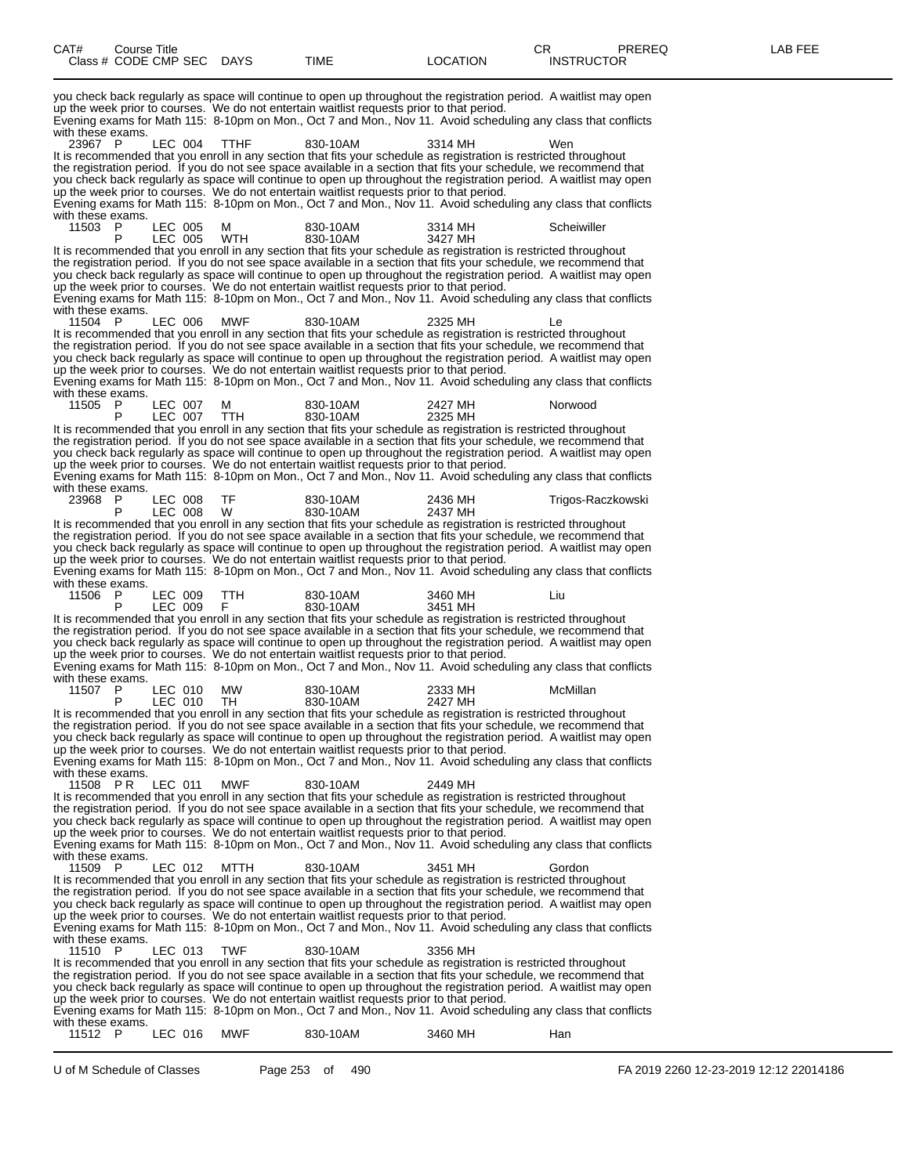you check back regularly as space will continue to open up throughout the registration period. A waitlist may open up the week prior to courses. We do not entertain waitlist requests prior to that period. Evening exams for Math 115: 8-10pm on Mon., Oct 7 and Mon., Nov 11. Avoid scheduling any class that conflicts with these exams.<br>23967 P 23967 P LEC 004 TTHF 830-10AM 3314 MH Wen It is recommended that you enroll in any section that fits your schedule as registration is restricted throughout the registration period. If you do not see space available in a section that fits your schedule, we recommend that you check back regularly as space will continue to open up throughout the registration period. A waitlist may open up the week prior to courses. We do not entertain waitlist requests prior to that period. Evening exams for Math 115: 8-10pm on Mon., Oct 7 and Mon., Nov 11. Avoid scheduling any class that conflicts with these exams.<br>11503 P men LEC 005 M 830-10AM 3314 MH Scheiwiller<br>P LEC 005 WTH 830-10AM 3427 MH P LEC 005 WTH 830-10AM 3427 MH It is recommended that you enroll in any section that fits your schedule as registration is restricted throughout the registration period. If you do not see space available in a section that fits your schedule, we recommend that you check back regularly as space will continue to open up throughout the registration period. A waitlist may open up the week prior to courses. We do not entertain waitlist requests prior to that period. Evening exams for Math 115: 8-10pm on Mon., Oct 7 and Mon., Nov 11. Avoid scheduling any class that conflicts with these exams.<br>11504 P 11504 P LEC 006 MWF 830-10AM 2325 MH Le It is recommended that you enroll in any section that fits your schedule as registration is restricted throughout the registration period. If you do not see space available in a section that fits your schedule, we recommend that you check back regularly as space will continue to open up throughout the registration period. A waitlist may open up the week prior to courses. We do not entertain waitlist requests prior to that period. Evening exams for Math 115: 8-10pm on Mon., Oct 7 and Mon., Nov 11. Avoid scheduling any class that conflicts with these exams.<br>11505 P 1150 007 M 830-10AM 2427 MH Norwood<br>11505 PTH 830-10AM 2325 MH P LEC 007 TTH 830-10AM 2325 MH It is recommended that you enroll in any section that fits your schedule as registration is restricted throughout the registration period. If you do not see space available in a section that fits your schedule, we recommend that you check back regularly as space will continue to open up throughout the registration period. A waitlist may open up the week prior to courses. We do not entertain waitlist requests prior to that period. Evening exams for Math 115: 8-10pm on Mon., Oct 7 and Mon., Nov 11. Avoid scheduling any class that conflicts with these exams.<br>23968 P P LEC 008 TF 830-10AM 2436 MH Trigos-Raczkowski<br>P LEC 008 W 830-10AM 2437 MH P LEC 008 W 830-10AM 2437 MH It is recommended that you enroll in any section that fits your schedule as registration is restricted throughout the registration period. If you do not see space available in a section that fits your schedule, we recommend that you check back regularly as space will continue to open up throughout the registration period. A waitlist may open up the week prior to courses. We do not entertain waitlist requests prior to that period. Evening exams for Math 115: 8-10pm on Mon., Oct 7 and Mon., Nov 11. Avoid scheduling any class that conflicts with these exams.<br>11506 P 11506 P LEC 009 P TTH 2830-10AM 3460 MH Liu<br>11506 P 2830-10AM 3451 MH P LEC 009 F 830-10AM 3451 MH It is recommended that you enroll in any section that fits your schedule as registration is restricted throughout the registration period. If you do not see space available in a section that fits your schedule, we recommend that you check back regularly as space will continue to open up throughout the registration period. A waitlist may open up the week prior to courses. We do not entertain waitlist requests prior to that period. Evening exams for Math 115: 8-10pm on Mon., Oct 7 and Mon., Nov 11. Avoid scheduling any class that conflicts with these exams.<br>11507 P 11507 P LEC 010 MW 830-10AM 2333 MH McMillan P LEC 010 TH 830-10AM 2427 MH It is recommended that you enroll in any section that fits your schedule as registration is restricted throughout the registration period. If you do not see space available in a section that fits your schedule, we recommend that you check back regularly as space will continue to open up throughout the registration period. A waitlist may open up the week prior to courses. We do not entertain waitlist requests prior to that period. Evening exams for Math 115: 8-10pm on Mon., Oct 7 and Mon., Nov 11. Avoid scheduling any class that conflicts with these exams.<br>11508 PR LEC 011 11508 P R LEC 011 MWF 830-10AM 2449 MH It is recommended that you enroll in any section that fits your schedule as registration is restricted throughout the registration period. If you do not see space available in a section that fits your schedule, we recommend that you check back regularly as space will continue to open up throughout the registration period. A waitlist may open up the week prior to courses. We do not entertain waitlist requests prior to that period. Evening exams for Math 115: 8-10pm on Mon., Oct 7 and Mon., Nov 11. Avoid scheduling any class that conflicts with these exams.<br>11509 P 11509 P LEC 012 MTTH 830-10AM 3451 MH Gordon It is recommended that you enroll in any section that fits your schedule as registration is restricted throughout the registration period. If you do not see space available in a section that fits your schedule, we recommend that you check back regularly as space will continue to open up throughout the registration period. A waitlist may open up the week prior to courses. We do not entertain waitlist requests prior to that period. Evening exams for Math 115: 8-10pm on Mon., Oct 7 and Mon., Nov 11. Avoid scheduling any class that conflicts with these exams.<br>11510 P 11510 P LEC 013 TWF 830-10AM 3356 MH It is recommended that you enroll in any section that fits your schedule as registration is restricted throughout the registration period. If you do not see space available in a section that fits your schedule, we recommend that you check back regularly as space will continue to open up throughout the registration period. A waitlist may open up the week prior to courses. We do not entertain waitlist requests prior to that period. Evening exams for Math 115: 8-10pm on Mon., Oct 7 and Mon., Nov 11. Avoid scheduling any class that conflicts with these exams. 11512 P LEC 016 MWF 830-10AM 3460 MH Han

U of M Schedule of Classes Page 253 of 490 FA 2019 2260 12-23-2019 12:12 22014186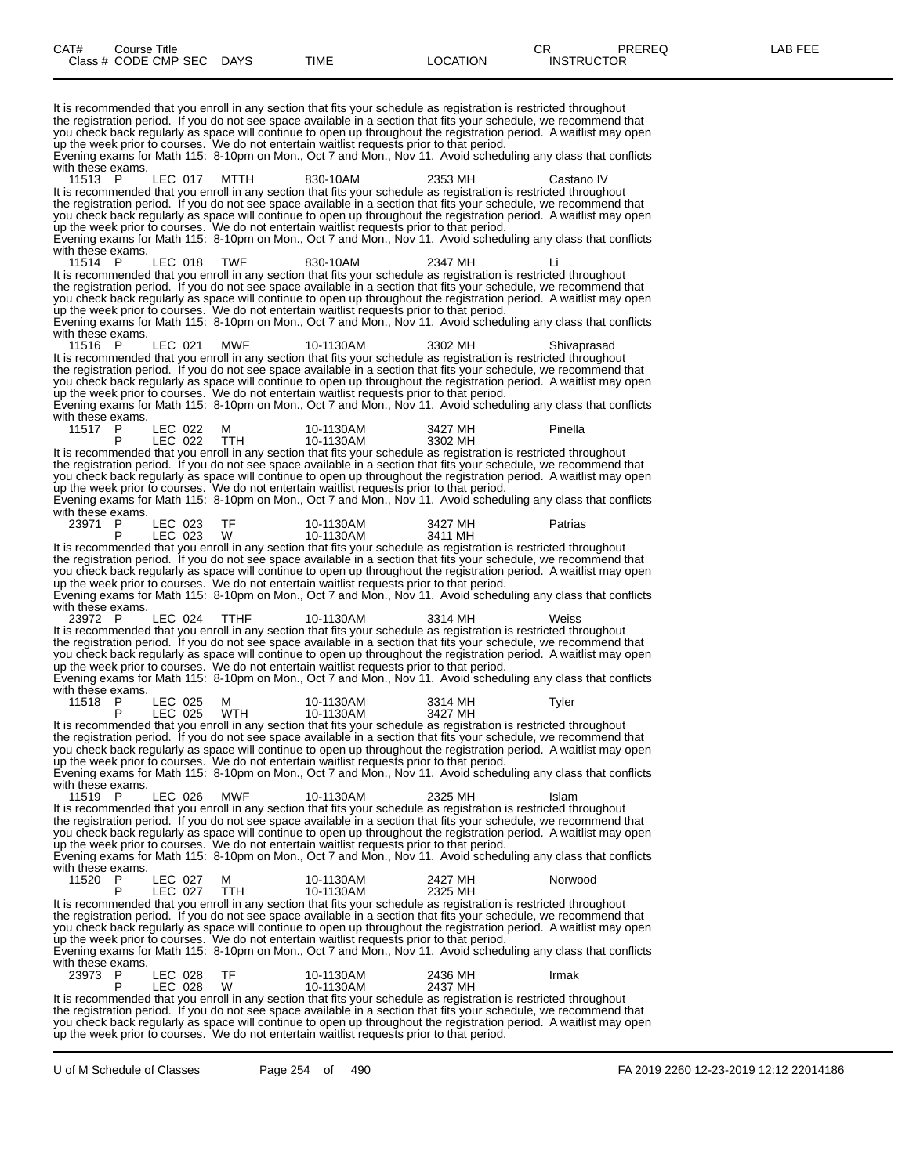It is recommended that you enroll in any section that fits your schedule as registration is restricted throughout the registration period. If you do not see space available in a section that fits your schedule, we recommend that you check back regularly as space will continue to open up throughout the registration period. A waitlist may open up the week prior to courses. We do not entertain waitlist requests prior to that period. Evening exams for Math 115: 8-10pm on Mon., Oct 7 and Mon., Nov 11. Avoid scheduling any class that conflicts with these exams.<br>11513 P LEC 017 MTTH 830-10AM 2353 MH Castano IV It is recommended that you enroll in any section that fits your schedule as registration is restricted throughout the registration period. If you do not see space available in a section that fits your schedule, we recommend that you check back regularly as space will continue to open up throughout the registration period. A waitlist may open up the week prior to courses. We do not entertain waitlist requests prior to that period. Evening exams for Math 115: 8-10pm on Mon., Oct 7 and Mon., Nov 11. Avoid scheduling any class that conflicts with these exams.<br>11514 P 11514 P LEC 018 TWF 830-10AM 2347 MH Li It is recommended that you enroll in any section that fits your schedule as registration is restricted throughout the registration period. If you do not see space available in a section that fits your schedule, we recommend that you check back regularly as space will continue to open up throughout the registration period. A waitlist may open up the week prior to courses. We do not entertain waitlist requests prior to that period. Evening exams for Math 115: 8-10pm on Mon., Oct 7 and Mon., Nov 11. Avoid scheduling any class that conflicts with these exams. 11516 P LEC 021 MWF 10-1130AM 3302 MH Shivaprasad It is recommended that you enroll in any section that fits your schedule as registration is restricted throughout the registration period. If you do not see space available in a section that fits your schedule, we recommend that you check back regularly as space will continue to open up throughout the registration period. A waitlist may open up the week prior to courses. We do not entertain waitlist requests prior to that period. Evening exams for Math 115: 8-10pm on Mon., Oct 7 and Mon., Nov 11. Avoid scheduling any class that conflicts with these exams.<br>11517 P LEC 022 M 10-1130AM 3427 MH Pinella<br>LEC 022 TTH 10-1130AM 3302 MH P LEC 022 TTH 10-1130AM 3302 MH It is recommended that you enroll in any section that fits your schedule as registration is restricted throughout the registration period. If you do not see space available in a section that fits your schedule, we recommend that you check back regularly as space will continue to open up throughout the registration period. A waitlist may open up the week prior to courses. We do not entertain waitlist requests prior to that period. Evening exams for Math 115: 8-10pm on Mon., Oct 7 and Mon., Nov 11. Avoid scheduling any class that conflicts with these exams.<br>23971 P LEC 023 TF 10-1130AM 3427 MH Patrias<br>LEC 023 W 10-1130AM 3411 MH P LEC 023 W 10-1130AM 3411 MH It is recommended that you enroll in any section that fits your schedule as registration is restricted throughout the registration period. If you do not see space available in a section that fits your schedule, we recommend that you check back regularly as space will continue to open up throughout the registration period. A waitlist may open up the week prior to courses. We do not entertain waitlist requests prior to that period. Evening exams for Math 115: 8-10pm on Mon., Oct 7 and Mon., Nov 11. Avoid scheduling any class that conflicts with these exams.<br>23972 P 23972 P LEC 024 TTHF 10-1130AM 3314 MH Weiss It is recommended that you enroll in any section that fits your schedule as registration is restricted throughout the registration period. If you do not see space available in a section that fits your schedule, we recommend that you check back regularly as space will continue to open up throughout the registration period. A waitlist may open up the week prior to courses. We do not entertain waitlist requests prior to that period. Evening exams for Math 115: 8-10pm on Mon., Oct 7 and Mon., Nov 11. Avoid scheduling any class that conflicts with these exams.<br>11518 P 11518 P LEC 025 M 10-1130AM 3314 MH Tyler P LEC 025 WTH 10-1130AM 3427 MH It is recommended that you enroll in any section that fits your schedule as registration is restricted throughout the registration period. If you do not see space available in a section that fits your schedule, we recommend that you check back regularly as space will continue to open up throughout the registration period. A waitlist may open up the week prior to courses. We do not entertain waitlist requests prior to that period. Evening exams for Math 115: 8-10pm on Mon., Oct 7 and Mon., Nov 11. Avoid scheduling any class that conflicts with these exams.<br>11519 P 11519 P LEC 026 MWF 10-1130AM 2325 MH Islam It is recommended that you enroll in any section that fits your schedule as registration is restricted throughout the registration period. If you do not see space available in a section that fits your schedule, we recommend that you check back regularly as space will continue to open up throughout the registration period. A waitlist may open up the week prior to courses. We do not entertain waitlist requests prior to that period. Evening exams for Math 115: 8-10pm on Mon., Oct 7 and Mon., Nov 11. Avoid scheduling any class that conflicts with these exams.<br>11520 P 11520 P LEC 027 M 10-1130AM 2427 MH Norwood P LEC 027 TTH 10-1130AM 2325 MH It is recommended that you enroll in any section that fits your schedule as registration is restricted throughout the registration period. If you do not see space available in a section that fits your schedule, we recommend that you check back regularly as space will continue to open up throughout the registration period. A waitlist may open up the week prior to courses. We do not entertain waitlist requests prior to that period. Evening exams for Math 115: 8-10pm on Mon., Oct 7 and Mon., Nov 11. Avoid scheduling any class that conflicts with these exams.<br>23973 P "<br>P LEC 028 TF 10-1130AM 2436 MH Irmak<br>P LEC 028 W 10-1130AM 2437 MH P LEC 028 W 10-1130AM 2437 MH It is recommended that you enroll in any section that fits your schedule as registration is restricted throughout the registration period. If you do not see space available in a section that fits your schedule, we recommend that you check back regularly as space will continue to open up throughout the registration period. A waitlist may open

up the week prior to courses. We do not entertain waitlist requests prior to that period.

U of M Schedule of Classes Page 254 of 490 FA 2019 2260 12-23-2019 12:12 22014186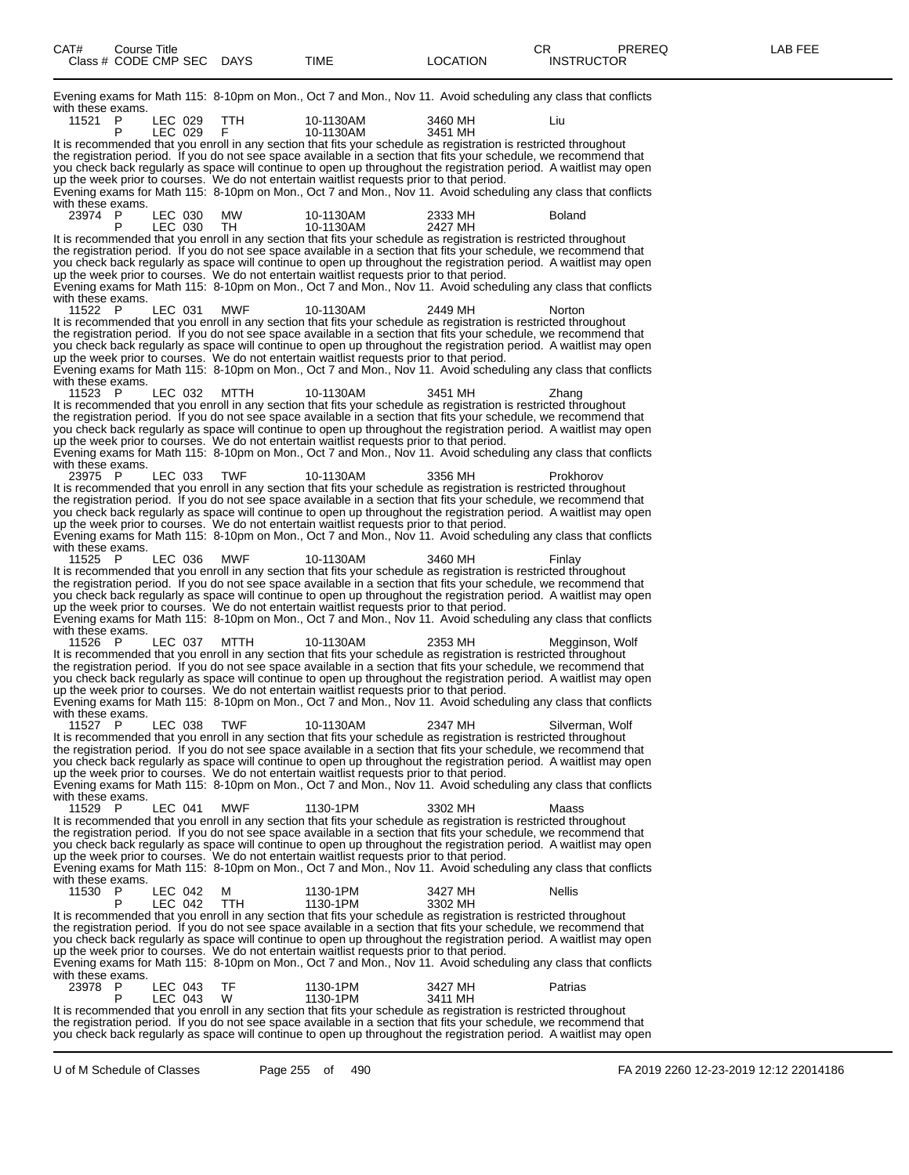Evening exams for Math 115: 8-10pm on Mon., Oct 7 and Mon., Nov 11. Avoid scheduling any class that conflicts with these exams.

| 11521<br>P<br>LEC 029<br>ттн<br>10-1130AM                                                                                                                                                                                                | 3460 MH<br>Liu                |
|------------------------------------------------------------------------------------------------------------------------------------------------------------------------------------------------------------------------------------------|-------------------------------|
| P<br>LEC 029<br>F<br>10-1130AM                                                                                                                                                                                                           | 3451 MH                       |
| It is recommended that you enroll in any section that fits your schedule as registration is restricted throughout<br>the registration period. If you do not see space available in a section that fits your schedule, we recommend that  |                               |
| you check back regularly as space will continue to open up throughout the registration period. A waitlist may open                                                                                                                       |                               |
| up the week prior to courses. We do not entertain waitlist requests prior to that period.                                                                                                                                                |                               |
| Evening exams for Math 115: 8-10pm on Mon., Oct 7 and Mon., Nov 11. Avoid scheduling any class that conflicts                                                                                                                            |                               |
| with these exams.                                                                                                                                                                                                                        |                               |
| 23974 P<br>LEC 030<br><b>MW</b><br>10-1130AM                                                                                                                                                                                             | 2333 MH<br><b>Boland</b>      |
| LEC 030<br>TH<br>10-1130AM<br>Р<br>It is recommended that you enroll in any section that fits your schedule as registration is restricted throughout                                                                                     | 2427 MH                       |
| the registration period. If you do not see space available in a section that fits your schedule, we recommend that                                                                                                                       |                               |
| you check back regularly as space will continue to open up throughout the registration period. A waitlist may open                                                                                                                       |                               |
| up the week prior to courses. We do not entertain waitlist requests prior to that period.                                                                                                                                                |                               |
| Evening exams for Math 115: 8-10pm on Mon., Oct 7 and Mon., Nov 11. Avoid scheduling any class that conflicts                                                                                                                            |                               |
| with these exams.                                                                                                                                                                                                                        |                               |
| MWF<br>11522 P<br>LEC 031<br>10-1130AM                                                                                                                                                                                                   | 2449 MH<br>Norton             |
| It is recommended that you enroll in any section that fits your schedule as registration is restricted throughout<br>the registration period. If you do not see space available in a section that fits your schedule, we recommend that  |                               |
| you check back regularly as space will continue to open up throughout the registration period. A waitlist may open                                                                                                                       |                               |
| up the week prior to courses. We do not entertain waitlist requests prior to that period.                                                                                                                                                |                               |
| Evening exams for Math 115: 8-10pm on Mon., Oct 7 and Mon., Nov 11. Avoid scheduling any class that conflicts                                                                                                                            |                               |
| with these exams.                                                                                                                                                                                                                        |                               |
| 11523 P<br>LEC 032<br>MTTH<br>10-1130AM                                                                                                                                                                                                  | 3451 MH<br>∠hang              |
| It is recommended that you enroll in any section that fits your schedule as registration is restricted throughout                                                                                                                        |                               |
| the registration period. If you do not see space available in a section that fits your schedule, we recommend that<br>you check back regularly as space will continue to open up throughout the registration period. A waitlist may open |                               |
| up the week prior to courses. We do not entertain waitlist requests prior to that period.                                                                                                                                                |                               |
| Evening exams for Math 115: 8-10pm on Mon., Oct 7 and Mon., Nov 11. Avoid scheduling any class that conflicts                                                                                                                            |                               |
| with these exams.                                                                                                                                                                                                                        |                               |
| 23975 P<br>LEC 033<br><b>TWF</b><br>10-1130AM                                                                                                                                                                                            | 3356 MH<br>Prokhorov          |
| It is recommended that you enroll in any section that fits your schedule as registration is restricted throughout                                                                                                                        |                               |
| the registration period. If you do not see space available in a section that fits your schedule, we recommend that                                                                                                                       |                               |
| you check back regularly as space will continue to open up throughout the registration period. A waitlist may open<br>up the week prior to courses. We do not entertain waitlist requests prior to that period.                          |                               |
| Evening exams for Math 115: 8-10pm on Mon., Oct 7 and Mon., Nov 11. Avoid scheduling any class that conflicts                                                                                                                            |                               |
| with these exams.                                                                                                                                                                                                                        |                               |
| MWF<br>11525<br>- P<br>LEC 036<br>10-1130AM                                                                                                                                                                                              | 3460 MH<br>Finlay             |
| It is recommended that you enroll in any section that fits your schedule as registration is restricted throughout                                                                                                                        |                               |
| the registration period. If you do not see space available in a section that fits your schedule, we recommend that                                                                                                                       |                               |
| you check back regularly as space will continue to open up throughout the registration period. A waitlist may open                                                                                                                       |                               |
| up the week prior to courses. We do not entertain waitlist requests prior to that period.<br>Evening exams for Math 115: 8-10pm on Mon., Oct 7 and Mon., Nov 11. Avoid scheduling any class that conflicts                               |                               |
| with these exams.                                                                                                                                                                                                                        |                               |
| 11526 P<br>LEC 037<br>MTTH<br>10-1130AM                                                                                                                                                                                                  | 2353 MH<br>Megginson, Wolf    |
| It is recommended that you enroll in any section that fits your schedule as registration is restricted throughout                                                                                                                        |                               |
| the registration period. If you do not see space available in a section that fits your schedule, we recommend that                                                                                                                       |                               |
| you check back regularly as space will continue to open up throughout the registration period. A waitlist may open                                                                                                                       |                               |
| up the week prior to courses. We do not entertain waitlist requests prior to that period.<br>Evening exams for Math 115: 8-10pm on Mon., Oct 7 and Mon., Nov 11. Avoid scheduling any class that conflicts                               |                               |
| with these exams.                                                                                                                                                                                                                        |                               |
| 11527 P<br>LEC 038<br><b>TWF</b><br>10-1130AM                                                                                                                                                                                            | 2347 MH<br>Silverman, Wolf    |
| It is recommended that you enroll in any section that fits your schedule as registration is restricted throughout                                                                                                                        |                               |
| the registration period. If you do not see space available in a section that fits your schedule, we recommend that                                                                                                                       |                               |
| you check back regularly as space will continue to open up throughout the registration period. A waitlist may open                                                                                                                       |                               |
| up the week prior to courses. We do not entertain waitlist requests prior to that period.                                                                                                                                                |                               |
| Evening exams for Math 115: 8-10pm on Mon., Oct 7 and Mon., Nov 11. Avoid scheduling any class that conflicts<br>with these exams.                                                                                                       |                               |
| <b>MWF</b><br>11529<br>- P<br>LEC 041<br>1130-1PM                                                                                                                                                                                        | 3302 MH<br>Maass              |
| It is recommended that you enroll in any section that fits your schedule as registration is restricted throughout                                                                                                                        |                               |
| the registration period. If you do not see space available in a section that fits your schedule, we recommend that                                                                                                                       |                               |
| you check back regularly as space will continue to open up throughout the registration period. A waitlist may open                                                                                                                       |                               |
| up the week prior to courses. We do not entertain waitlist requests prior to that period.                                                                                                                                                |                               |
| Evening exams for Math 115: 8-10pm on Mon., Oct 7 and Mon., Nov 11. Avoid scheduling any class that conflicts<br>with these exams.                                                                                                       |                               |
| 11530<br>LEC 042<br>М<br>1130-1PM<br>-P                                                                                                                                                                                                  | 3427 MH<br><b>Nellis</b>      |
| P<br>LEC 042<br>TTH<br>1130-1PM                                                                                                                                                                                                          | 3302 MH                       |
| It is recommended that you enroll in any section that fits your schedule as registration is restricted throughout                                                                                                                        |                               |
| the registration period. If you do not see space available in a section that fits your schedule, we recommend that                                                                                                                       |                               |
|                                                                                                                                                                                                                                          |                               |
| you check back regularly as space will continue to open up throughout the registration period. A waitlist may open                                                                                                                       |                               |
| up the week prior to courses. We do not entertain waitlist requests prior to that period.                                                                                                                                                |                               |
| Evening exams for Math 115: 8-10pm on Mon., Oct 7 and Mon., Nov 11. Avoid scheduling any class that conflicts                                                                                                                            |                               |
| with these exams.                                                                                                                                                                                                                        |                               |
| TF<br>23978 P<br>LEC 043<br>1130-1PM<br>W<br>P<br>LEC 043<br>1130-1PM                                                                                                                                                                    | 3427 MH<br>Patrias<br>3411 MH |
| It is recommended that you enroll in any section that fits your schedule as registration is restricted throughout<br>the registration period. If you do not see space available in a section that fits your schedule, we recommend that  |                               |

you check back regularly as space will continue to open up throughout the registration period. A waitlist may open

U of M Schedule of Classes Page 255 of 490 FA 2019 2260 12-23-2019 12:12 22014186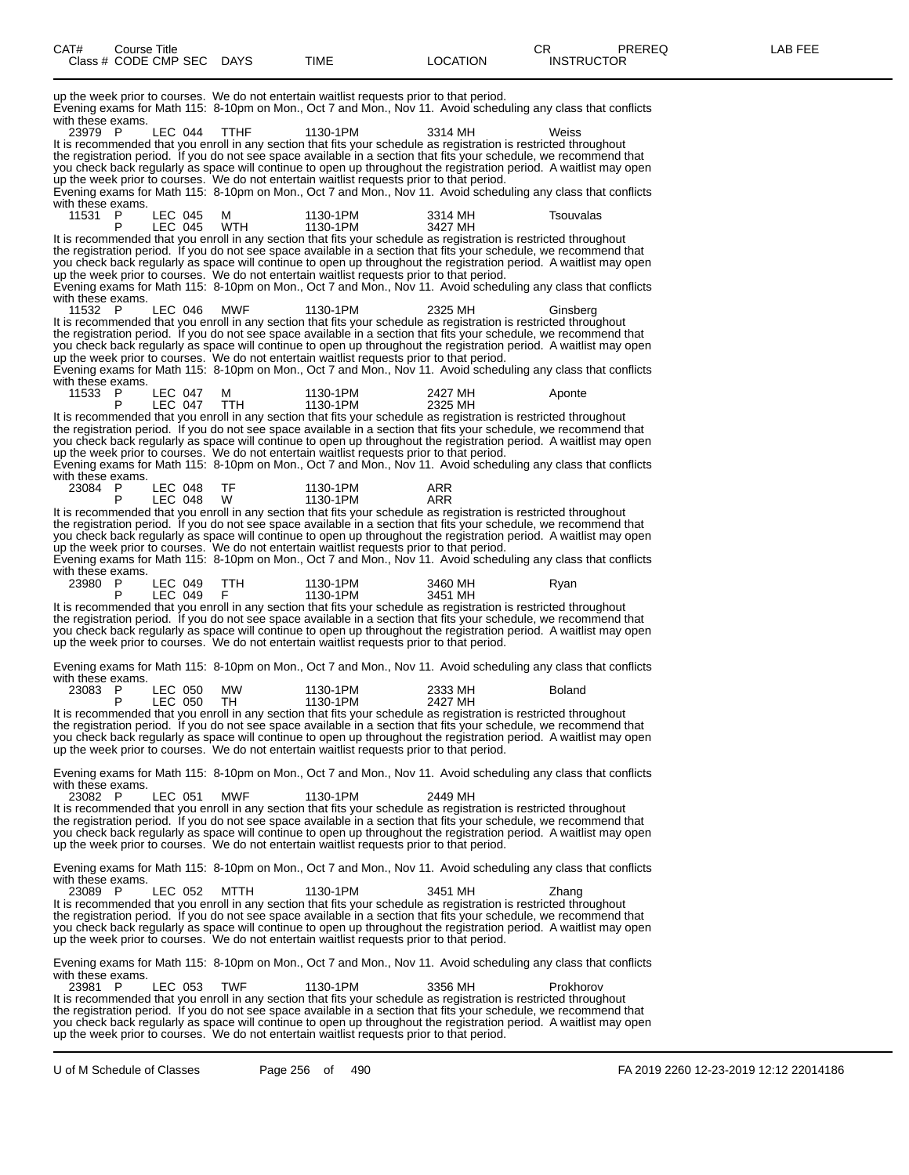| CAT# | Title<br>Course      |             |      |                        | ⌒冖<br>◡◠                  | PREREQ | ---<br>A R<br>--- |
|------|----------------------|-------------|------|------------------------|---------------------------|--------|-------------------|
|      | Class # CODE CMP SEC | <b>DAYS</b> | TIME | <b>OCATION</b><br>____ | <b>INSTRUCTOR</b><br>____ |        |                   |

| up the week prior to courses. We do not entertain waitlist requests prior to that period.<br>Evening exams for Math 115: 8-10pm on Mon., Oct 7 and Mon., Nov 11. Avoid scheduling any class that conflicts<br>with these exams.                                                                                                                                                                                                                                                                                                                                                                             |         |                    |                 |                      |                    |               |  |
|-------------------------------------------------------------------------------------------------------------------------------------------------------------------------------------------------------------------------------------------------------------------------------------------------------------------------------------------------------------------------------------------------------------------------------------------------------------------------------------------------------------------------------------------------------------------------------------------------------------|---------|--------------------|-----------------|----------------------|--------------------|---------------|--|
| 23979 P<br>It is recommended that you enroll in any section that fits your schedule as registration is restricted throughout<br>the registration period. If you do not see space available in a section that fits your schedule, we recommend that<br>you check back regularly as space will continue to open up throughout the registration period. A waitlist may open<br>up the week prior to courses. We do not entertain waitlist requests prior to that period.<br>Evening exams for Math 115: 8-10pm on Mon., Oct 7 and Mon., Nov 11. Avoid scheduling any class that conflicts<br>with these exams. |         | LEC 044            | <b>TTHF</b>     | 1130-1PM             | 3314 MH            | Weiss         |  |
| 11531 P<br>P<br>It is recommended that you enroll in any section that fits your schedule as registration is restricted throughout                                                                                                                                                                                                                                                                                                                                                                                                                                                                           |         | LEC 045<br>LEC 045 | м<br><b>WTH</b> | 1130-1PM<br>1130-1PM | 3314 MH<br>3427 MH | Tsouvalas     |  |
| the registration period. If you do not see space available in a section that fits your schedule, we recommend that<br>you check back regularly as space will continue to open up throughout the registration period. A waitlist may open<br>up the week prior to courses. We do not entertain waitlist requests prior to that period.<br>Evening exams for Math 115: 8-10pm on Mon., Oct 7 and Mon., Nov 11. Avoid scheduling any class that conflicts                                                                                                                                                      |         |                    |                 |                      |                    |               |  |
| with these exams.<br>11532 P<br>It is recommended that you enroll in any section that fits your schedule as registration is restricted throughout                                                                                                                                                                                                                                                                                                                                                                                                                                                           | LEC 046 |                    | <b>MWF</b>      | 1130-1PM             | 2325 MH            | Ginsberg      |  |
| the registration period. If you do not see space available in a section that fits your schedule, we recommend that<br>you check back regularly as space will continue to open up throughout the registration period. A waitlist may open<br>up the week prior to courses. We do not entertain waitlist requests prior to that period.<br>Evening exams for Math 115: 8-10pm on Mon., Oct 7 and Mon., Nov 11. Avoid scheduling any class that conflicts                                                                                                                                                      |         |                    |                 |                      |                    |               |  |
| with these exams.<br>11533 P<br>P                                                                                                                                                                                                                                                                                                                                                                                                                                                                                                                                                                           |         | LEC 047<br>LEC 047 | м<br><b>TTH</b> | 1130-1PM<br>1130-1PM | 2427 MH<br>2325 MH | Aponte        |  |
| It is recommended that you enroll in any section that fits your schedule as registration is restricted throughout<br>the registration period. If you do not see space available in a section that fits your schedule, we recommend that<br>you check back regularly as space will continue to open up throughout the registration period. A waitlist may open<br>up the week prior to courses. We do not entertain waitlist requests prior to that period.                                                                                                                                                  |         |                    |                 |                      |                    |               |  |
| Evening exams for Math 115: 8-10pm on Mon., Oct 7 and Mon., Nov 11. Avoid scheduling any class that conflicts<br>with these exams.<br>23084 P                                                                                                                                                                                                                                                                                                                                                                                                                                                               | LEC 048 |                    | TF              | 1130-1PM             | ARR                |               |  |
| P<br>It is recommended that you enroll in any section that fits your schedule as registration is restricted throughout<br>the registration period. If you do not see space available in a section that fits your schedule, we recommend that<br>you check back regularly as space will continue to open up throughout the registration period. A waitlist may open<br>up the week prior to courses. We do not entertain waitlist requests prior to that period.                                                                                                                                             |         | LEC 048            | W               | 1130-1PM             | ARR                |               |  |
| Evening exams for Math 115: 8-10pm on Mon., Oct 7 and Mon., Nov 11. Avoid scheduling any class that conflicts<br>with these exams.<br>23980<br>- P                                                                                                                                                                                                                                                                                                                                                                                                                                                          |         | LEC 049            | TTH.            | 1130-1PM             | 3460 MH            | Ryan          |  |
| P<br>It is recommended that you enroll in any section that fits your schedule as registration is restricted throughout<br>the registration period. If you do not see space available in a section that fits your schedule, we recommend that<br>you check back regularly as space will continue to open up throughout the registration period. A waitlist may open<br>up the week prior to courses. We do not entertain waitlist requests prior to that period.                                                                                                                                             | LEC 049 |                    | F               | 1130-1PM             | 3451 MH            |               |  |
| Evening exams for Math 115: 8-10pm on Mon., Oct 7 and Mon., Nov 11. Avoid scheduling any class that conflicts<br>with these exams.                                                                                                                                                                                                                                                                                                                                                                                                                                                                          |         |                    |                 |                      |                    |               |  |
| 23083<br>- P<br>P                                                                                                                                                                                                                                                                                                                                                                                                                                                                                                                                                                                           |         | LEC 050<br>LEC 050 | <b>MW</b><br>TH | 1130-1PM<br>1130-1PM | 2333 MH<br>2427 MH | <b>Boland</b> |  |
| It is recommended that you enroll in any section that fits your schedule as registration is restricted throughout<br>the registration period. If you do not see space available in a section that fits your schedule, we recommend that<br>you check back regularly as space will continue to open up throughout the registration period. A waitlist may open<br>up the week prior to courses. We do not entertain waitlist requests prior to that period.                                                                                                                                                  |         |                    |                 |                      |                    |               |  |
| Evening exams for Math 115: 8-10pm on Mon., Oct 7 and Mon., Nov 11. Avoid scheduling any class that conflicts<br>with these exams.<br>23082 P                                                                                                                                                                                                                                                                                                                                                                                                                                                               |         | LEC 051            | MWF             | 1130-1PM             | 2449 MH            |               |  |
| It is recommended that you enroll in any section that fits your schedule as registration is restricted throughout<br>the registration period. If you do not see space available in a section that fits your schedule, we recommend that<br>you check back regularly as space will continue to open up throughout the registration period. A waitlist may open<br>up the week prior to courses. We do not entertain waitlist requests prior to that period.                                                                                                                                                  |         |                    |                 |                      |                    |               |  |
| Evening exams for Math 115: 8-10pm on Mon., Oct 7 and Mon., Nov 11. Avoid scheduling any class that conflicts<br>with these exams.                                                                                                                                                                                                                                                                                                                                                                                                                                                                          |         |                    |                 |                      |                    |               |  |
| 23089 P<br>It is recommended that you enroll in any section that fits your schedule as registration is restricted throughout<br>the registration period. If you do not see space available in a section that fits your schedule, we recommend that<br>you check back regularly as space will continue to open up throughout the registration period. A waitlist may open<br>up the week prior to courses. We do not entertain waitlist requests prior to that period.                                                                                                                                       |         | LEC 052            | MTTH            | 1130-1PM             | 3451 MH            | Zhang         |  |
| Evening exams for Math 115: 8-10pm on Mon., Oct 7 and Mon., Nov 11. Avoid scheduling any class that conflicts<br>with these exams.                                                                                                                                                                                                                                                                                                                                                                                                                                                                          |         |                    |                 |                      |                    |               |  |
| 23981 P<br>It is recommended that you enroll in any section that fits your schedule as registration is restricted throughout<br>the registration period. If you do not see space available in a section that fits your schedule, we recommend that<br>you check back regularly as space will continue to open up throughout the registration period. A waitlist may open<br>up the week prior to courses. We do not entertain waitlist requests prior to that period.                                                                                                                                       |         | LEC 053            | TWF             | 1130-1PM             | 3356 MH            | Prokhorov     |  |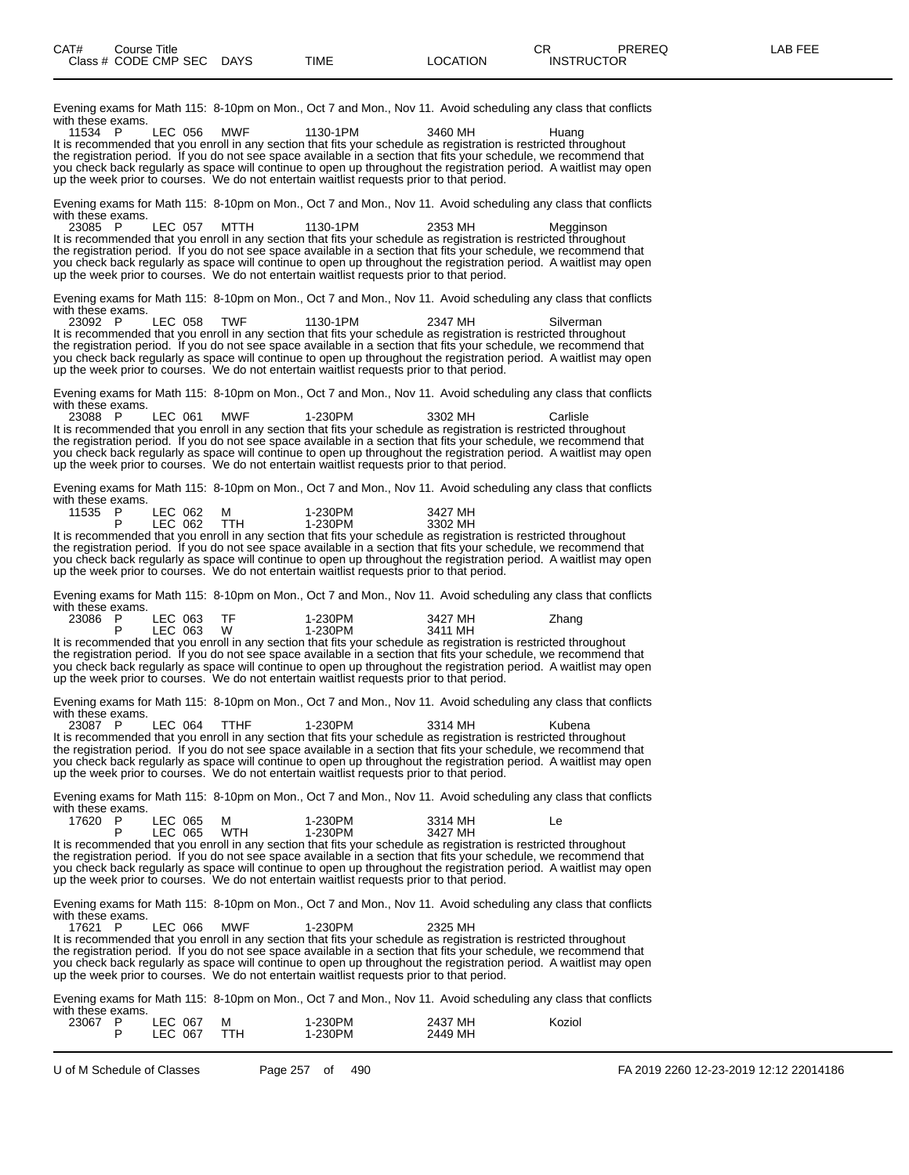Evening exams for Math 115: 8-10pm on Mon., Oct 7 and Mon., Nov 11. Avoid scheduling any class that conflicts

with these exams.<br>11534 P 11534 P LEC 056 MWF 1130-1PM 3460 MH Huang It is recommended that you enroll in any section that fits your schedule as registration is restricted throughout the registration period. If you do not see space available in a section that fits your schedule, we recommend that you check back regularly as space will continue to open up throughout the registration period. A waitlist may open up the week prior to courses. We do not entertain waitlist requests prior to that period. Evening exams for Math 115: 8-10pm on Mon., Oct 7 and Mon., Nov 11. Avoid scheduling any class that conflicts with these exams.<br>23085 P 23085 P LEC 057 MTTH 1130-1PM 2353 MH Megginson It is recommended that you enroll in any section that fits your schedule as registration is restricted throughout the registration period. If you do not see space available in a section that fits your schedule, we recommend that you check back regularly as space will continue to open up throughout the registration period. A waitlist may open up the week prior to courses. We do not entertain waitlist requests prior to that period. Evening exams for Math 115: 8-10pm on Mon., Oct 7 and Mon., Nov 11. Avoid scheduling any class that conflicts with these exams.<br>23092 P 23092 P LEC 058 TWF 1130-1PM 2347 MH Silverman It is recommended that you enroll in any section that fits your schedule as registration is restricted throughout the registration period. If you do not see space available in a section that fits your schedule, we recommend that you check back regularly as space will continue to open up throughout the registration period. A waitlist may open up the week prior to courses. We do not entertain waitlist requests prior to that period. Evening exams for Math 115: 8-10pm on Mon., Oct 7 and Mon., Nov 11. Avoid scheduling any class that conflicts with these exams.<br>23088 P 23088 P LEC 061 MWF 1-230PM 3302 MH Carlisle It is recommended that you enroll in any section that fits your schedule as registration is restricted throughout the registration period. If you do not see space available in a section that fits your schedule, we recommend that you check back regularly as space will continue to open up throughout the registration period. A waitlist may open up the week prior to courses. We do not entertain waitlist requests prior to that period. Evening exams for Math 115: 8-10pm on Mon., Oct 7 and Mon., Nov 11. Avoid scheduling any class that conflicts with these exams.<br>11535 P P LEC 062 M 1-230PM 3427 MH<br>P LEC 062 TTH 1-230PM 3302 MH P LEC 062 TTH 1-230PM 3302 MH It is recommended that you enroll in any section that fits your schedule as registration is restricted throughout the registration period. If you do not see space available in a section that fits your schedule, we recommend that you check back regularly as space will continue to open up throughout the registration period. A waitlist may open up the week prior to courses. We do not entertain waitlist requests prior to that period. Evening exams for Math 115: 8-10pm on Mon., Oct 7 and Mon., Nov 11. Avoid scheduling any class that conflicts with these exams.<br>23086 P 23086 P LEC 063 TF 1-230PM 3427 MH Zhang P LEC 063 W 1-230PM 3411 MH It is recommended that you enroll in any section that fits your schedule as registration is restricted throughout the registration period. If you do not see space available in a section that fits your schedule, we recommend that you check back regularly as space will continue to open up throughout the registration period. A waitlist may open up the week prior to courses. We do not entertain waitlist requests prior to that period. Evening exams for Math 115: 8-10pm on Mon., Oct 7 and Mon., Nov 11. Avoid scheduling any class that conflicts with these exams.<br>23087 P 23087 P LEC 064 TTHF 1-230PM 3314 MH Kubena It is recommended that you enroll in any section that fits your schedule as registration is restricted throughout the registration period. If you do not see space available in a section that fits your schedule, we recommend that you check back regularly as space will continue to open up throughout the registration period. A waitlist may open up the week prior to courses. We do not entertain waitlist requests prior to that period. Evening exams for Math 115: 8-10pm on Mon., Oct 7 and Mon., Nov 11. Avoid scheduling any class that conflicts with these exams.<br>17620 P 17620 P LEC 065 M 1-230PM 3314 MH Le P LEC 065 WTH 1-230PM 3427 MH It is recommended that you enroll in any section that fits your schedule as registration is restricted throughout the registration period. If you do not see space available in a section that fits your schedule, we recommend that you check back regularly as space will continue to open up throughout the registration period. A waitlist may open up the week prior to courses. We do not entertain waitlist requests prior to that period. Evening exams for Math 115: 8-10pm on Mon., Oct 7 and Mon., Nov 11. Avoid scheduling any class that conflicts with these exams.<br>17621 P LEC 066 MWF 1-230PM 2325 MH It is recommended that you enroll in any section that fits your schedule as registration is restricted throughout the registration period. If you do not see space available in a section that fits your schedule, we recommend that you check back regularly as space will continue to open up throughout the registration period. A waitlist may open up the week prior to courses. We do not entertain waitlist requests prior to that period. Evening exams for Math 115: 8-10pm on Mon., Oct 7 and Mon., Nov 11. Avoid scheduling any class that conflicts with these exams.<br>23067 P 23067 P LEC 067 M 1-230PM 2437 MH Koziol

P LEC 067 TTH 1-230PM 2449 MH

U of M Schedule of Classes Page 257 of 490 FA 2019 2260 12-23-2019 12:12 22014186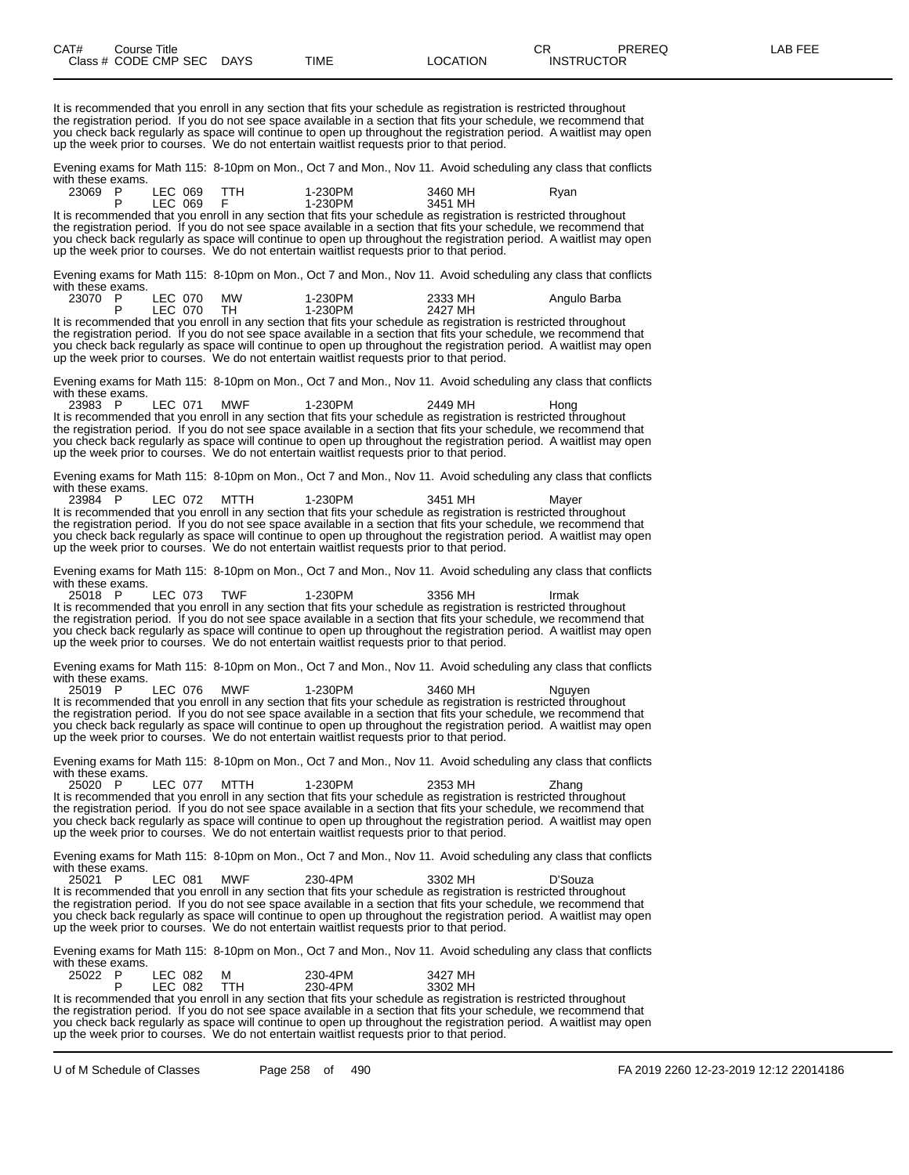It is recommended that you enroll in any section that fits your schedule as registration is restricted throughout the registration period. If you do not see space available in a section that fits your schedule, we recommend that you check back regularly as space will continue to open up throughout the registration period. A waitlist may open up the week prior to courses. We do not entertain waitlist requests prior to that period.

Evening exams for Math 115: 8-10pm on Mon., Oct 7 and Mon., Nov 11. Avoid scheduling any class that conflicts with these exams.

| 23069 P | LEC 069 |         | 1-230PM | 3460 MH                                                                                                   | Rvan |
|---------|---------|---------|---------|-----------------------------------------------------------------------------------------------------------|------|
|         |         | LEC 069 | 1-230PM | 3451 MH                                                                                                   |      |
|         |         |         |         | It is recommended that you enroll in any section that fits your schedule as registration is restricted th |      |

It is recommended that you enroll in any section that fits your schedule as registration is restricted throughout the registration period. If you do not see space available in a section that fits your schedule, we recommend that you check back regularly as space will continue to open up throughout the registration period. A waitlist may open up the week prior to courses. We do not entertain waitlist requests prior to that period.

Evening exams for Math 115: 8-10pm on Mon., Oct 7 and Mon., Nov 11. Avoid scheduling any class that conflicts with these exams.

| 23070 | LEC 070 | <b>MW</b> | 1-230PM | 2333 MH | Angulo Barba |
|-------|---------|-----------|---------|---------|--------------|
|       | LEC 070 |           | 1-230PM | 2427 MH |              |
|       |         |           |         |         |              |

It is recommended that you enroll in any section that fits your schedule as registration is restricted throughout the registration period. If you do not see space available in a section that fits your schedule, we recommend that you check back regularly as space will continue to open up throughout the registration period. A waitlist may open up the week prior to courses. We do not entertain waitlist requests prior to that period.

Evening exams for Math 115: 8-10pm on Mon., Oct 7 and Mon., Nov 11. Avoid scheduling any class that conflicts with these exams.<br>23983 P LEC 071 MWF

23983 P LEC 071 MWF 1-230PM 2449 MH Hong It is recommended that you enroll in any section that fits your schedule as registration is restricted throughout the registration period. If you do not see space available in a section that fits your schedule, we recommend that you check back regularly as space will continue to open up throughout the registration period. A waitlist may open up the week prior to courses. We do not entertain waitlist requests prior to that period.

Evening exams for Math 115: 8-10pm on Mon., Oct 7 and Mon., Nov 11. Avoid scheduling any class that conflicts with these exams.

23984 P LEC 072 MTTH 1-230PM 3451 MH Mayer It is recommended that you enroll in any section that fits your schedule as registration is restricted throughout the registration period. If you do not see space available in a section that fits your schedule, we recommend that you check back regularly as space will continue to open up throughout the registration period. A waitlist may open up the week prior to courses. We do not entertain waitlist requests prior to that period.

Evening exams for Math 115: 8-10pm on Mon., Oct 7 and Mon., Nov 11. Avoid scheduling any class that conflicts with these exams.<br>25018 P LEC 073 TWF

25018 P LEC 073 TWF 1-230PM 3356 MH Irmak It is recommended that you enroll in any section that fits your schedule as registration is restricted throughout the registration period. If you do not see space available in a section that fits your schedule, we recommend that you check back regularly as space will continue to open up throughout the registration period. A waitlist may open up the week prior to courses. We do not entertain waitlist requests prior to that period.

Evening exams for Math 115: 8-10pm on Mon., Oct 7 and Mon., Nov 11. Avoid scheduling any class that conflicts with these exams.<br>25019 P LEC 076 MWF

25019 P LEC 076 MWF 1-230PM 3460 MH Nguyen It is recommended that you enroll in any section that fits your schedule as registration is restricted throughout the registration period. If you do not see space available in a section that fits your schedule, we recommend that you check back regularly as space will continue to open up throughout the registration period. A waitlist may open up the week prior to courses. We do not entertain waitlist requests prior to that period.

Evening exams for Math 115: 8-10pm on Mon., Oct 7 and Mon., Nov 11. Avoid scheduling any class that conflicts with these exams.

25020 P LEC 077 MTTH 1-230PM 2353 MH Zhang 25020 P LEC 077 MTTH 1-230PM 2353 MH Zhang<br>It is recommended that you enroll in any section that fits your schedule as registration is restricted throughout the registration period. If you do not see space available in a section that fits your schedule, we recommend that you check back regularly as space will continue to open up throughout the registration period. A waitlist may open up the week prior to courses. We do not entertain waitlist requests prior to that period.

Evening exams for Math 115: 8-10pm on Mon., Oct 7 and Mon., Nov 11. Avoid scheduling any class that conflicts with these exams.

25021 P LEC 081 MWF 230-4PM 3302 MH D'Souza It is recommended that you enroll in any section that fits your schedule as registration is restricted throughout the registration period. If you do not see space available in a section that fits your schedule, we recommend that you check back regularly as space will continue to open up throughout the registration period. A waitlist may open up the week prior to courses. We do not entertain waitlist requests prior to that period.

Evening exams for Math 115: 8-10pm on Mon., Oct 7 and Mon., Nov 11. Avoid scheduling any class that conflicts

with these exams.<br>25022 P P LEC 082 M 230-4PM 3427 MH<br>P LEC 082 TTH 230-4PM 3302 MH P LEC 082 TTH 230-4PM 3302 MH It is recommended that you enroll in any section that fits your schedule as registration is restricted throughout the registration period. If you do not see space available in a section that fits your schedule, we recommend that you check back regularly as space will continue to open up throughout the registration period. A waitlist may open up the week prior to courses. We do not entertain waitlist requests prior to that period.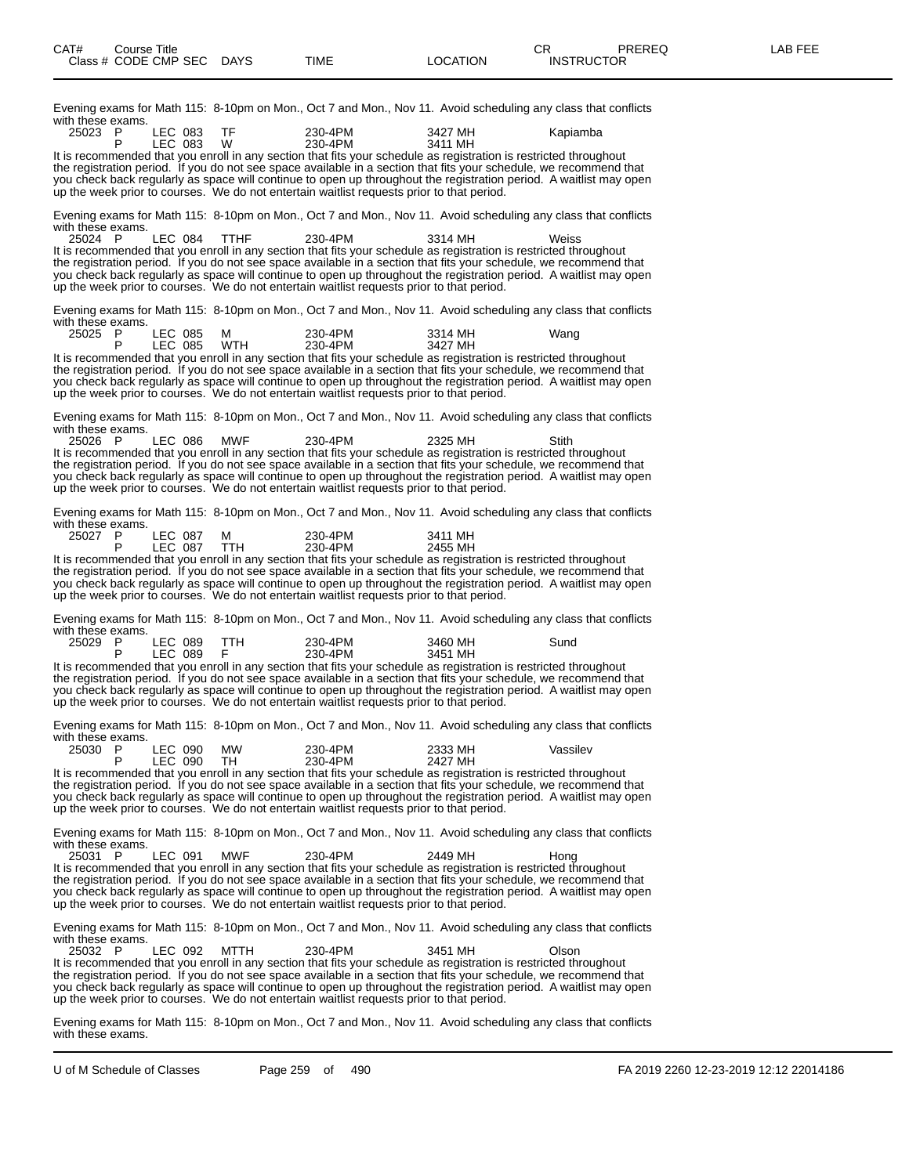| Evening exams for Math 115:  8-10pm on Mon., Oct 7 and Mon., Nov 11.  Avoid scheduling any class that conflicts<br>with these exams.                                                                                                                                                                                                                                                                                                                                   |                    |                 |                    |  |                    |  |          |  |
|------------------------------------------------------------------------------------------------------------------------------------------------------------------------------------------------------------------------------------------------------------------------------------------------------------------------------------------------------------------------------------------------------------------------------------------------------------------------|--------------------|-----------------|--------------------|--|--------------------|--|----------|--|
| 25023<br>- P<br>P                                                                                                                                                                                                                                                                                                                                                                                                                                                      | LEC 083<br>LEC 083 | TF<br>W         | 230-4PM<br>230-4PM |  | 3427 MH<br>3411 MH |  | Kapiamba |  |
| It is recommended that you enroll in any section that fits your schedule as registration is restricted throughout<br>the registration period. If you do not see space available in a section that fits your schedule, we recommend that<br>you check back regularly as space will continue to open up throughout the registration period. A waitlist may open<br>up the week prior to courses. We do not entertain waitlist requests prior to that period.             |                    |                 |                    |  |                    |  |          |  |
| Evening exams for Math 115: 8-10pm on Mon., Oct 7 and Mon., Nov 11. Avoid scheduling any class that conflicts<br>with these exams.                                                                                                                                                                                                                                                                                                                                     |                    |                 |                    |  |                    |  |          |  |
| 25024 P<br>It is recommended that you enroll in any section that fits your schedule as registration is restricted throughout<br>the registration period. If you do not see space available in a section that fits your schedule, we recommend that<br>you check back regularly as space will continue to open up throughout the registration period. A waitlist may open<br>up the week prior to courses. We do not entertain waitlist requests prior to that period.  | LEC 084            | <b>TTHF</b>     | 230-4PM            |  | 3314 MH            |  | Weiss    |  |
| Evening exams for Math 115: 8-10pm on Mon., Oct 7 and Mon., Nov 11. Avoid scheduling any class that conflicts<br>with these exams.                                                                                                                                                                                                                                                                                                                                     |                    |                 |                    |  |                    |  |          |  |
| 25025 P<br>P                                                                                                                                                                                                                                                                                                                                                                                                                                                           | LEC 085<br>LEC 085 | м<br><b>WTH</b> | 230-4PM<br>230-4PM |  | 3314 MH<br>3427 MH |  | Wang     |  |
| It is recommended that you enroll in any section that fits your schedule as registration is restricted throughout<br>the registration period. If you do not see space available in a section that fits your schedule, we recommend that<br>you check back regularly as space will continue to open up throughout the registration period.  A waitlist may open<br>up the week prior to courses. We do not entertain waitlist requests prior to that period.            |                    |                 |                    |  |                    |  |          |  |
| Evening exams for Math 115: 8-10pm on Mon., Oct 7 and Mon., Nov 11. Avoid scheduling any class that conflicts<br>with these exams.                                                                                                                                                                                                                                                                                                                                     |                    |                 |                    |  |                    |  |          |  |
| 25026 P<br>It is recommended that you enroll in any section that fits your schedule as registration is restricted throughout<br>the registration period. If you do not see space available in a section that fits your schedule, we recommend that<br>you check back regularly as space will continue to open up throughout the registration period. A waitlist may open<br>up the week prior to courses. We do not entertain waitlist requests prior to that period.  | <b>LEC 086</b>     | <b>MWF</b>      | 230-4PM            |  | 2325 MH            |  | Stith    |  |
| Evening exams for Math 115:  8-10pm on Mon., Oct 7 and Mon., Nov 11.  Avoid scheduling any class that conflicts<br>with these exams.                                                                                                                                                                                                                                                                                                                                   |                    |                 |                    |  |                    |  |          |  |
| 25027 P<br>P                                                                                                                                                                                                                                                                                                                                                                                                                                                           | LEC 087<br>LEC 087 | м<br>TTH.       | 230-4PM<br>230-4PM |  | 3411 MH<br>2455 MH |  |          |  |
| It is recommended that you enroll in any section that fits your schedule as registration is restricted throughout<br>the registration period. If you do not see space available in a section that fits your schedule, we recommend that<br>you check back regularly as space will continue to open up throughout the registration period. A waitlist may open<br>up the week prior to courses. We do not entertain waitlist requests prior to that period.             |                    |                 |                    |  |                    |  |          |  |
| Evening exams for Math 115:  8-10pm on Mon., Oct 7 and Mon., Nov 11.  Avoid scheduling any class that conflicts<br>with these exams.                                                                                                                                                                                                                                                                                                                                   |                    |                 |                    |  |                    |  |          |  |
| 25029 P<br>P                                                                                                                                                                                                                                                                                                                                                                                                                                                           | LEC 089<br>LEC 089 | TTH.<br>F       | 230-4PM<br>230-4PM |  | 3460 MH<br>3451 MH |  | Sund     |  |
| It is recommended that you enroll in any section that fits your schedule as registration is restricted throughout<br>the registration period. If you do not see space available in a section that fits your schedule, we recommend that<br>you check back regularly as space will continue to open up throughout the registration period. A waitlist may open<br>up the week prior to courses. We do not entertain waitlist requests prior to that period.             |                    |                 |                    |  |                    |  |          |  |
| Evening exams for Math 115:  8-10pm on Mon., Oct 7 and Mon., Nov 11.  Avoid scheduling any class that conflicts<br>with these exams.                                                                                                                                                                                                                                                                                                                                   |                    |                 |                    |  |                    |  |          |  |
| 25030 P<br>Ρ                                                                                                                                                                                                                                                                                                                                                                                                                                                           | LEC 090<br>LEC 090 | MW<br>TH        | 230-4PM<br>230-4PM |  | 2333 MH<br>2427 MH |  | Vassilev |  |
| It is recommended that you enroll in any section that fits your schedule as registration is restricted throughout<br>the registration period. If you do not see space available in a section that fits your schedule, we recommend that<br>you check back regularly as space will continue to open up throughout the registration period. A waitlist may open<br>up the week prior to courses. We do not entertain waitlist requests prior to that period.             |                    |                 |                    |  |                    |  |          |  |
| Evening exams for Math 115: 8-10pm on Mon., Oct 7 and Mon., Nov 11. Avoid scheduling any class that conflicts<br>with these exams.                                                                                                                                                                                                                                                                                                                                     |                    |                 |                    |  |                    |  |          |  |
| 25031 P<br>It is recommended that you enroll in any section that fits your schedule as registration is restricted throughout<br>the registration period. If you do not see space available in a section that fits your schedule, we recommend that<br>you check back regularly as space will continue to open up throughout the registration period. A waitlist may open<br>up the week prior to courses. We do not entertain waitlist requests prior to that period.  | LEC 091            | <b>MWF</b>      | 230-4PM            |  | 2449 MH            |  | Hong     |  |
| Evening exams for Math 115: 8-10pm on Mon., Oct 7 and Mon., Nov 11. Avoid scheduling any class that conflicts<br>with these exams.                                                                                                                                                                                                                                                                                                                                     |                    |                 |                    |  |                    |  |          |  |
| 25032 P<br>It is recommended that you enroll in any section that fits your schedule as registration is restricted throughout<br>the registration period. If you do not see space available in a section that fits your schedule, we recommend that<br>you check back regularly as space will continue to open up throughout the registration period.  A waitlist may open<br>up the week prior to courses. We do not entertain waitlist requests prior to that period. | LEC 092            | MTTH            | 230-4PM            |  | 3451 MH            |  | Olson    |  |
|                                                                                                                                                                                                                                                                                                                                                                                                                                                                        |                    |                 |                    |  |                    |  |          |  |

Evening exams for Math 115: 8-10pm on Mon., Oct 7 and Mon., Nov 11. Avoid scheduling any class that conflicts with these exams.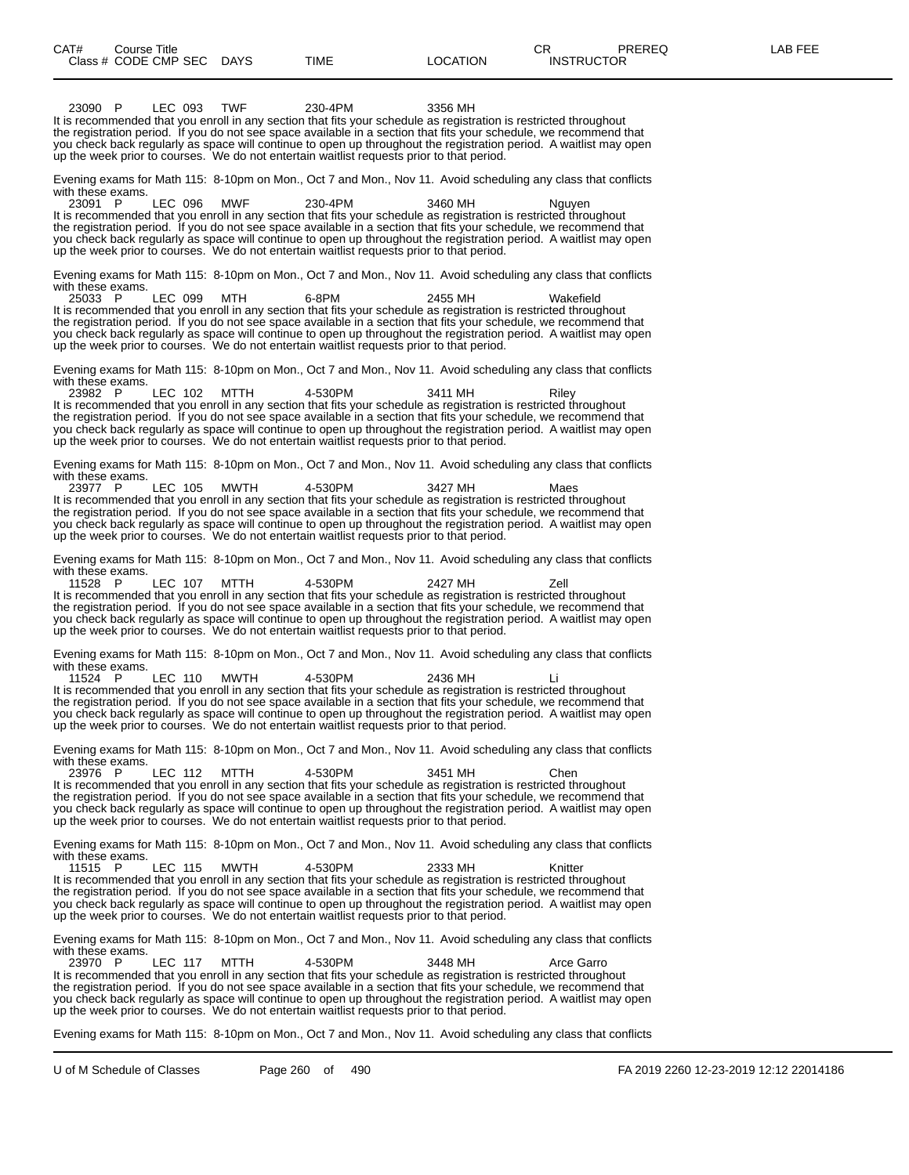23090 P LEC 093 TWF 230-4PM 3356 MH It is recommended that you enroll in any section that fits your schedule as registration is restricted throughout the registration period. If you do not see space available in a section that fits your schedule, we recommend that you check back regularly as space will continue to open up throughout the registration period. A waitlist may open up the week prior to courses. We do not entertain waitlist requests prior to that period. Evening exams for Math 115: 8-10pm on Mon., Oct 7 and Mon., Nov 11. Avoid scheduling any class that conflicts with these exams.<br>23091 P 23091 P LEC 096 MWF 230-4PM 3460 MH Nguyen It is recommended that you enroll in any section that fits your schedule as registration is restricted throughout the registration period. If you do not see space available in a section that fits your schedule, we recommend that you check back regularly as space will continue to open up throughout the registration period. A waitlist may open up the week prior to courses. We do not entertain waitlist requests prior to that period. Evening exams for Math 115: 8-10pm on Mon., Oct 7 and Mon., Nov 11. Avoid scheduling any class that conflicts with these exams.<br>25033 P 25033 P LEC 099 MTH 6-8PM 2455 MH Wakefield It is recommended that you enroll in any section that fits your schedule as registration is restricted throughout the registration period. If you do not see space available in a section that fits your schedule, we recommend that you check back regularly as space will continue to open up throughout the registration period. A waitlist may open up the week prior to courses. We do not entertain waitlist requests prior to that period. Evening exams for Math 115: 8-10pm on Mon., Oct 7 and Mon., Nov 11. Avoid scheduling any class that conflicts with these exams.<br> $23982$  P LEC 102 MTTH 4-530PM 3411 MH Riley It is recommended that you enroll in any section that fits your schedule as registration is restricted throughout the registration period. If you do not see space available in a section that fits your schedule, we recommend that you check back regularly as space will continue to open up throughout the registration period. A waitlist may open up the week prior to courses. We do not entertain waitlist requests prior to that period. Evening exams for Math 115: 8-10pm on Mon., Oct 7 and Mon., Nov 11. Avoid scheduling any class that conflicts with these exams.<br>23977 P LEC 105 MWTH 4-530PM 3427 MH Maes It is recommended that you enroll in any section that fits your schedule as registration is restricted throughout the registration period. If you do not see space available in a section that fits your schedule, we recommend that you check back regularly as space will continue to open up throughout the registration period. A waitlist may open up the week prior to courses. We do not entertain waitlist requests prior to that period. Evening exams for Math 115: 8-10pm on Mon., Oct 7 and Mon., Nov 11. Avoid scheduling any class that conflicts with these exams.<br>11528 P 11528 P LEC 107 MTTH 4-530PM 2427 MH Zell It is recommended that you enroll in any section that fits your schedule as registration is restricted throughout the registration period. If you do not see space available in a section that fits your schedule, we recommend that you check back regularly as space will continue to open up throughout the registration period. A waitlist may open up the week prior to courses. We do not entertain waitlist requests prior to that period. Evening exams for Math 115: 8-10pm on Mon., Oct 7 and Mon., Nov 11. Avoid scheduling any class that conflicts with these exams.<br>11524 P LEC 110 MWTH 11524 P LEC 110 MWTH 4-530PM 2436 MH Li It is recommended that you enroll in any section that fits your schedule as registration is restricted throughout the registration period. If you do not see space available in a section that fits your schedule, we recommend that you check back regularly as space will continue to open up throughout the registration period. A waitlist may open up the week prior to courses. We do not entertain waitlist requests prior to that period. Evening exams for Math 115: 8-10pm on Mon., Oct 7 and Mon., Nov 11. Avoid scheduling any class that conflicts with these exams. 23976 P LEC 112 MTTH 4-530PM 3451 MH Chen It is recommended that you enroll in any section that fits your schedule as registration is restricted throughout<br>the registration period. If you do not see space available in a section that fits your schedule, we recommen you check back regularly as space will continue to open up throughout the registration period. A waitlist may open up the week prior to courses. We do not entertain waitlist requests prior to that period. Evening exams for Math 115: 8-10pm on Mon., Oct 7 and Mon., Nov 11. Avoid scheduling any class that conflicts with these exams.<br>11515 P 11515 P LEC 115 MWTH 4-530PM 2333 MH Knitter It is recommended that you enroll in any section that fits your schedule as registration is restricted throughout the registration period. If you do not see space available in a section that fits your schedule, we recommend that you check back regularly as space will continue to open up throughout the registration period. A waitlist may open up the week prior to courses. We do not entertain waitlist requests prior to that period. Evening exams for Math 115: 8-10pm on Mon., Oct 7 and Mon., Nov 11. Avoid scheduling any class that conflicts with these exams.<br>23970 P LEC 117 23970 P LEC 117 MTTH 4-530PM 3448 MH Arce Garro It is recommended that you enroll in any section that fits your schedule as registration is restricted throughout the registration period. If you do not see space available in a section that fits your schedule, we recommend that you check back regularly as space will continue to open up throughout the registration period. A waitlist may open up the week prior to courses. We do not entertain waitlist requests prior to that period. Evening exams for Math 115: 8-10pm on Mon., Oct 7 and Mon., Nov 11. Avoid scheduling any class that conflicts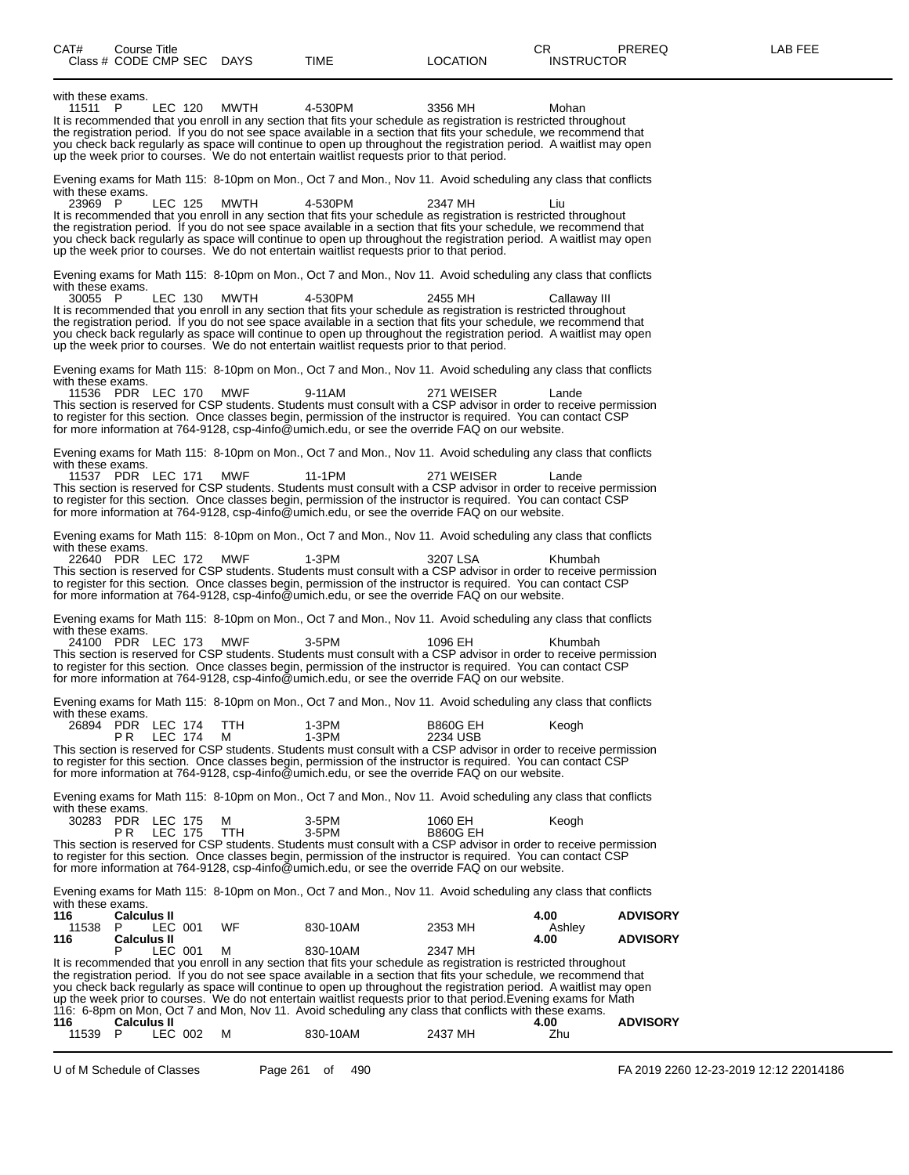| CAT#<br>Course Title<br>Class # CODE CMP SEC DAYS                                      |                    |                 | TIME                                                                                                                                                                                                                                                                                                                                                                                                                                                                                                                                                                                                                       | <b>LOCATION</b>             | CR.<br><b>INSTRUCTOR</b> | <b>PREREQ</b>                      | LAB FEE |
|----------------------------------------------------------------------------------------|--------------------|-----------------|----------------------------------------------------------------------------------------------------------------------------------------------------------------------------------------------------------------------------------------------------------------------------------------------------------------------------------------------------------------------------------------------------------------------------------------------------------------------------------------------------------------------------------------------------------------------------------------------------------------------------|-----------------------------|--------------------------|------------------------------------|---------|
| with these exams.<br>11511 P                                                           | LEC 120            | MWTH            | 4-530PM<br>It is recommended that you enroll in any section that fits your schedule as registration is restricted throughout<br>the registration period. If you do not see space available in a section that fits your schedule, we recommend that<br>you check back regularly as space will continue to open up throughout the registration period. A waitlist may open<br>up the week prior to courses. We do not entertain waitlist requests prior to that period.                                                                                                                                                      | 3356 MH                     | Mohan                    |                                    |         |
| with these exams.<br>23969 P                                                           | LEC 125            | MWTH            | Evening exams for Math 115: 8-10pm on Mon., Oct 7 and Mon., Nov 11. Avoid scheduling any class that conflicts<br>4-530PM<br>It is recommended that you enroll in any section that fits your schedule as registration is restricted throughout<br>the registration period. If you do not see space available in a section that fits your schedule, we recommend that<br>you check back regularly as space will continue to open up throughout the registration period. A waitlist may open<br>up the week prior to courses. We do not entertain waitlist requests prior to that period.                                     | 2347 MH                     | Liu                      |                                    |         |
| with these exams.<br>30055 P                                                           | LEC 130            | MWTH            | Evening exams for Math 115: 8-10pm on Mon., Oct 7 and Mon., Nov 11. Avoid scheduling any class that conflicts<br>4-530PM<br>It is recommended that you enroll in any section that fits your schedule as registration is restricted throughout<br>the registration period. If you do not see space available in a section that fits your schedule, we recommend that<br>you check back regularly as space will continue to open up throughout the registration period. A waitlist may open<br>up the week prior to courses. We do not entertain waitlist requests prior to that period.                                     | 2455 MH                     | Callaway III             |                                    |         |
| with these exams.<br>11536 PDR LEC 170                                                 |                    | MWF             | Evening exams for Math 115: 8-10pm on Mon., Oct 7 and Mon., Nov 11. Avoid scheduling any class that conflicts<br>9-11AM<br>This section is reserved for CSP students. Students must consult with a CSP advisor in order to receive permission<br>to register for this section. Once classes begin, permission of the instructor is required. You can contact CSP<br>for more information at 764-9128, csp-4info@umich.edu, or see the override FAQ on our website.                                                                                                                                                         | 271 WEISER                  | Lande                    |                                    |         |
| with these exams.<br>11537 PDR LEC 171                                                 |                    | MWF             | Evening exams for Math 115: 8-10pm on Mon., Oct 7 and Mon., Nov 11. Avoid scheduling any class that conflicts<br>11-1PM<br>This section is reserved for CSP students. Students must consult with a CSP advisor in order to receive permission<br>to register for this section. Once classes begin, permission of the instructor is required. You can contact CSP<br>for more information at 764-9128, csp-4info@umich.edu, or see the override FAQ on our website.                                                                                                                                                         | 271 WEISER                  | Lande                    |                                    |         |
| with these exams.<br>22640 PDR LEC 172                                                 |                    | MWF             | Evening exams for Math 115: 8-10pm on Mon., Oct 7 and Mon., Nov 11. Avoid scheduling any class that conflicts<br>$1-3PM$<br>This section is reserved for CSP students. Students must consult with a CSP advisor in order to receive permission<br>to register for this section. Once classes begin, permission of the instructor is required. You can contact CSP<br>for more information at 764-9128, csp-4info@umich.edu, or see the override FAQ on our website.                                                                                                                                                        | 3207 LSA                    | Khumbah                  |                                    |         |
| with these exams.<br>24100 PDR LEC 173                                                 |                    | <b>MWF</b>      | Evening exams for Math 115: 8-10pm on Mon., Oct 7 and Mon., Nov 11. Avoid scheduling any class that conflicts<br>3-5PM<br>This section is reserved for CSP students. Students must consult with a CSP advisor in order to receive permission<br>to register for this section. Once classes begin, permission of the instructor is required. You can contact CSP<br>for more information at 764-9128, csp-4info@umich.edu, or see the override FAQ on our website.                                                                                                                                                          | 1096 EH                     | Khumbah                  |                                    |         |
| with these exams.<br>26894 PDR LEC 174<br>P R                                          | LEC 174            | <b>TTH</b><br>М | Evening exams for Math 115: 8-10pm on Mon., Oct 7 and Mon., Nov 11. Avoid scheduling any class that conflicts<br>1-3PM<br>$1-3PM$<br>This section is reserved for CSP students. Students must consult with a CSP advisor in order to receive permission<br>to register for this section. Once classes begin, permission of the instructor is required. You can contact CSP<br>for more information at 764-9128, csp-4info@umich.edu, or see the override FAQ on our website.                                                                                                                                               | <b>B860G EH</b><br>2234 USB | Keogh                    |                                    |         |
| with these exams.<br>30283 PDR LEC 175<br>PR.                                          | <b>LEC 175</b>     | м<br>TTH        | Evening exams for Math 115: 8-10pm on Mon., Oct 7 and Mon., Nov 11. Avoid scheduling any class that conflicts<br>3-5PM<br>3-5PM<br>This section is reserved for CSP students. Students must consult with a CSP advisor in order to receive permission<br>to register for this section. Once classes begin, permission of the instructor is required. You can contact CSP<br>for more information at 764-9128, csp-4info@umich.edu, or see the override FAQ on our website.                                                                                                                                                 | 1060 EH<br><b>B860G EH</b>  | Keogh                    |                                    |         |
| with these exams.<br>116<br><b>Calculus II</b><br>11538 P<br>116<br><b>Calculus II</b> | LEC 001<br>LEC 001 | WF<br>м         | Evening exams for Math 115: 8-10pm on Mon., Oct 7 and Mon., Nov 11. Avoid scheduling any class that conflicts<br>830-10AM<br>830-10AM<br>It is recommended that you enroll in any section that fits your schedule as registration is restricted throughout<br>the registration period. If you do not see space available in a section that fits your schedule, we recommend that<br>you check back regularly as space will continue to open up throughout the registration period. A waitlist may open<br>up the week prior to courses. We do not entertain waitlist requests prior to that period. Evening exams for Math | 2353 MH<br>2347 MH          | 4.00<br>Ashley<br>4.00   | <b>ADVISORY</b><br><b>ADVISORY</b> |         |
| 116<br><b>Calculus II</b><br>11539 P                                                   | LEC 002            | М               | 116: 6-8pm on Mon, Oct 7 and Mon, Nov 11. Avoid scheduling any class that conflicts with these exams.<br>830-10AM                                                                                                                                                                                                                                                                                                                                                                                                                                                                                                          | 2437 MH                     | 4.00<br>Zhu              | <b>ADVISORY</b>                    |         |

U of M Schedule of Classes Page 261 of 490 FA 2019 2260 12-23-2019 12:12 22014186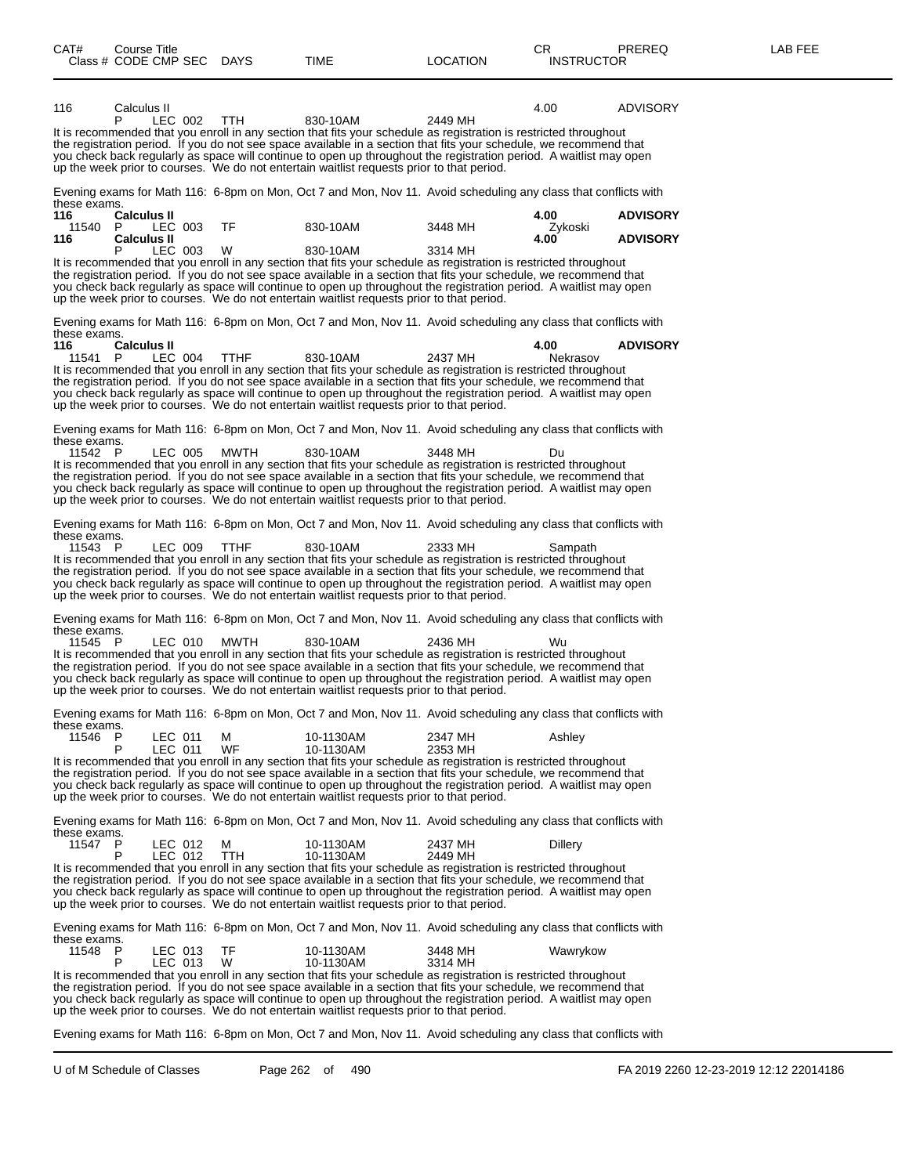| 116                     | Calculus II                              |                           |             |                                                                                                                                                                                                                                                                                                                                                                                                                                                            |                    | 4.00                    | <b>ADVISORY</b>                    |
|-------------------------|------------------------------------------|---------------------------|-------------|------------------------------------------------------------------------------------------------------------------------------------------------------------------------------------------------------------------------------------------------------------------------------------------------------------------------------------------------------------------------------------------------------------------------------------------------------------|--------------------|-------------------------|------------------------------------|
|                         | P                                        | LEC 002                   | TTH.        | 830-10AM<br>It is recommended that you enroll in any section that fits your schedule as registration is restricted throughout<br>the registration period. If you do not see space available in a section that fits your schedule, we recommend that                                                                                                                                                                                                        | 2449 MH            |                         |                                    |
|                         |                                          |                           |             | you check back regularly as space will continue to open up throughout the registration period. A waitlist may open<br>up the week prior to courses. We do not entertain waitlist requests prior to that period.                                                                                                                                                                                                                                            |                    |                         |                                    |
| these exams.            |                                          |                           |             | Evening exams for Math 116: 6-8pm on Mon, Oct 7 and Mon, Nov 11. Avoid scheduling any class that conflicts with                                                                                                                                                                                                                                                                                                                                            |                    |                         |                                    |
| 116<br>11540 P<br>116   | <b>Calculus II</b><br><b>Calculus II</b> | LEC 003                   | TF          | 830-10AM                                                                                                                                                                                                                                                                                                                                                                                                                                                   | 3448 MH            | 4.00<br>Zykoski<br>4.00 | <b>ADVISORY</b><br><b>ADVISORY</b> |
|                         | P                                        | LEC 003                   | W           | 830-10AM<br>It is recommended that you enroll in any section that fits your schedule as registration is restricted throughout                                                                                                                                                                                                                                                                                                                              | 3314 MH            |                         |                                    |
|                         |                                          |                           |             | the registration period. If you do not see space available in a section that fits your schedule, we recommend that<br>you check back regularly as space will continue to open up throughout the registration period. A waitlist may open<br>up the week prior to courses. We do not entertain waitlist requests prior to that period.                                                                                                                      |                    |                         |                                    |
| these exams.            |                                          |                           |             | Evening exams for Math 116: 6-8pm on Mon, Oct 7 and Mon, Nov 11. Avoid scheduling any class that conflicts with                                                                                                                                                                                                                                                                                                                                            |                    |                         |                                    |
| 116<br>11541 P          | <b>Calculus II</b>                       | LEC 004                   | <b>TTHF</b> | 830-10AM                                                                                                                                                                                                                                                                                                                                                                                                                                                   | 2437 MH            | 4.00<br>Nekrasov        | <b>ADVISORY</b>                    |
|                         |                                          |                           |             | It is recommended that you enroll in any section that fits your schedule as registration is restricted throughout<br>the registration period. If you do not see space available in a section that fits your schedule, we recommend that<br>you check back regularly as space will continue to open up throughout the registration period. A waitlist may open<br>up the week prior to courses. We do not entertain waitlist requests prior to that period. |                    |                         |                                    |
| these exams.            |                                          |                           |             | Evening exams for Math 116: 6-8pm on Mon, Oct 7 and Mon, Nov 11. Avoid scheduling any class that conflicts with                                                                                                                                                                                                                                                                                                                                            |                    |                         |                                    |
| 11542 P                 |                                          | LEC 005                   | MWTH        | 830-10AM<br>It is recommended that you enroll in any section that fits your schedule as registration is restricted throughout                                                                                                                                                                                                                                                                                                                              | 3448 MH            | Du                      |                                    |
|                         |                                          |                           |             | the registration period. If you do not see space available in a section that fits your schedule, we recommend that<br>you check back regularly as space will continue to open up throughout the registration period. A waitlist may open<br>up the week prior to courses. We do not entertain waitlist requests prior to that period.                                                                                                                      |                    |                         |                                    |
| these exams.            |                                          |                           |             | Evening exams for Math 116: 6-8pm on Mon, Oct 7 and Mon, Nov 11. Avoid scheduling any class that conflicts with                                                                                                                                                                                                                                                                                                                                            |                    |                         |                                    |
| 11543 P                 |                                          | LEC 009                   | <b>TTHF</b> | 830-10AM<br>It is recommended that you enroll in any section that fits your schedule as registration is restricted throughout                                                                                                                                                                                                                                                                                                                              | 2333 MH            | Sampath                 |                                    |
|                         |                                          |                           |             | the registration period. If you do not see space available in a section that fits your schedule, we recommend that<br>you check back regularly as space will continue to open up throughout the registration period. A waitlist may open<br>up the week prior to courses. We do not entertain waitlist requests prior to that period.                                                                                                                      |                    |                         |                                    |
| these exams.            |                                          |                           |             | Evening exams for Math 116: 6-8pm on Mon, Oct 7 and Mon, Nov 11. Avoid scheduling any class that conflicts with                                                                                                                                                                                                                                                                                                                                            |                    |                         |                                    |
| 11545 P                 |                                          | LEC 010                   | MWTH        | 830-10AM<br>It is recommended that you enroll in any section that fits your schedule as registration is restricted throughout                                                                                                                                                                                                                                                                                                                              | 2436 MH            | Wu                      |                                    |
|                         |                                          |                           |             | the registration period. If you do not see space available in a section that fits your schedule, we recommend that<br>you check back regularly as space will continue to open up throughout the registration period. A waitlist may open                                                                                                                                                                                                                   |                    |                         |                                    |
|                         |                                          |                           |             | up the week prior to courses. We do not entertain waitlist requests prior to that period.                                                                                                                                                                                                                                                                                                                                                                  |                    |                         |                                    |
| these exams.            |                                          |                           |             | Evening exams for Math 116: 6-8pm on Mon, Oct 7 and Mon, Nov 11. Avoid scheduling any class that conflicts with                                                                                                                                                                                                                                                                                                                                            |                    |                         |                                    |
| 11546 P                 | P                                        | LEC 011<br><b>LEC 011</b> | м<br>WF     | 10-1130AM<br>10-1130AM                                                                                                                                                                                                                                                                                                                                                                                                                                     | 2347 MH<br>2353 MH | Ashley                  |                                    |
|                         |                                          |                           |             | It is recommended that you enroll in any section that fits your schedule as registration is restricted throughout<br>the registration period. If you do not see space available in a section that fits your schedule, we recommend that                                                                                                                                                                                                                    |                    |                         |                                    |
|                         |                                          |                           |             | you check back regularly as space will continue to open up throughout the registration period. A waitlist may open<br>up the week prior to courses. We do not entertain waitlist requests prior to that period.                                                                                                                                                                                                                                            |                    |                         |                                    |
| these exams.            |                                          |                           |             | Evening exams for Math 116: 6-8pm on Mon, Oct 7 and Mon, Nov 11. Avoid scheduling any class that conflicts with                                                                                                                                                                                                                                                                                                                                            |                    |                         |                                    |
| 11547 P                 | P                                        | LEC 012<br>LEC 012        | м<br>TTH    | 10-1130AM<br>10-1130AM                                                                                                                                                                                                                                                                                                                                                                                                                                     | 2437 MH<br>2449 MH | Dillery                 |                                    |
|                         |                                          |                           |             | It is recommended that you enroll in any section that fits your schedule as registration is restricted throughout<br>the registration period. If you do not see space available in a section that fits your schedule, we recommend that<br>you check back regularly as space will continue to open up throughout the registration period. A waitlist may open<br>up the week prior to courses. We do not entertain waitlist requests prior to that period. |                    |                         |                                    |
|                         |                                          |                           |             | Evening exams for Math 116: 6-8pm on Mon, Oct 7 and Mon, Nov 11. Avoid scheduling any class that conflicts with                                                                                                                                                                                                                                                                                                                                            |                    |                         |                                    |
| these exams.<br>11548 P |                                          | LEC 013                   | TF          | 10-1130AM                                                                                                                                                                                                                                                                                                                                                                                                                                                  | 3448 MH            | Wawrykow                |                                    |
|                         | P                                        | LEC 013                   | W           | 10-1130AM<br>It is recommended that you enroll in any section that fits your schedule as registration is restricted throughout                                                                                                                                                                                                                                                                                                                             | 3314 MH            |                         |                                    |
|                         |                                          |                           |             | the registration period. If you do not see space available in a section that fits your schedule, we recommend that<br>you check back regularly as space will continue to open up throughout the registration period. A waitlist may open<br>up the week prior to courses. We do not entertain waitlist requests prior to that period.                                                                                                                      |                    |                         |                                    |
|                         |                                          |                           |             | Evening exams for Math 116: 6-8pm on Mon, Oct 7 and Mon, Nov 11. Avoid scheduling any class that conflicts with                                                                                                                                                                                                                                                                                                                                            |                    |                         |                                    |

U of M Schedule of Classes Page 262 of 490 FA 2019 2260 12-23-2019 12:12 22014186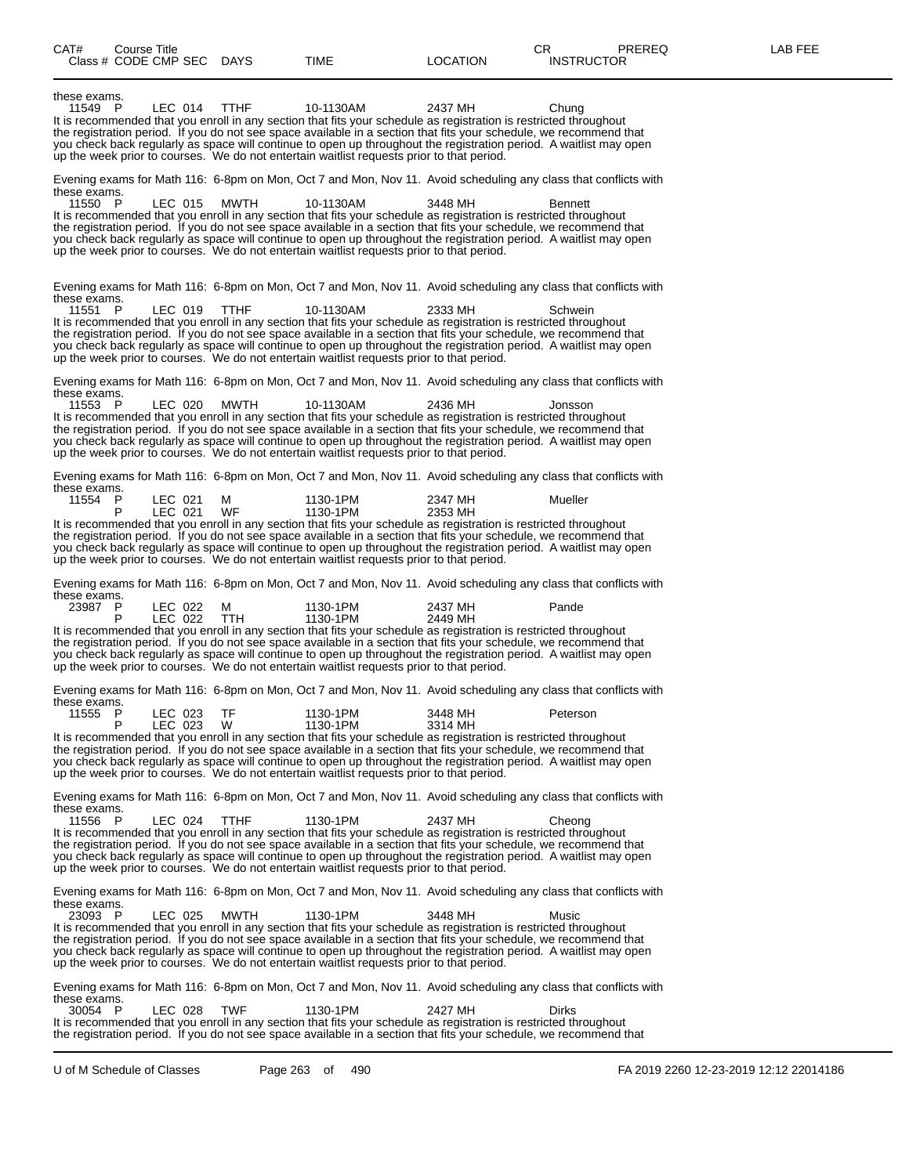| CAT#<br>Course Title                                                                                                                                                                                                                                                                                                                                                                                                                                                                             |                                         |                    | CR.<br>PREREQ     | LAB FEE |
|--------------------------------------------------------------------------------------------------------------------------------------------------------------------------------------------------------------------------------------------------------------------------------------------------------------------------------------------------------------------------------------------------------------------------------------------------------------------------------------------------|-----------------------------------------|--------------------|-------------------|---------|
| Class # CODE CMP SEC DAYS                                                                                                                                                                                                                                                                                                                                                                                                                                                                        | TIME                                    | <b>LOCATION</b>    | <b>INSTRUCTOR</b> |         |
| these exams.<br>11549 P<br>LEC 014<br>It is recommended that you enroll in any section that fits your schedule as registration is restricted throughout<br>the registration period. If you do not see space available in a section that fits your schedule, we recommend that<br>you check back regularly as space will continue to open up throughout the registration period. A waitlist may open<br>up the week prior to courses. We do not entertain waitlist requests prior to that period. | <b>TTHF</b><br>10-1130AM                | 2437 MH            | Chung             |         |
| Evening exams for Math 116: 6-8pm on Mon, Oct 7 and Mon, Nov 11. Avoid scheduling any class that conflicts with                                                                                                                                                                                                                                                                                                                                                                                  |                                         |                    |                   |         |
| these exams.<br>11550 P<br>LEC 015<br>It is recommended that you enroll in any section that fits your schedule as registration is restricted throughout<br>the registration period. If you do not see space available in a section that fits your schedule, we recommend that<br>you check back regularly as space will continue to open up throughout the registration period. A waitlist may open<br>up the week prior to courses. We do not entertain waitlist requests prior to that period. | MWTH<br>10-1130AM                       | 3448 MH            | <b>Bennett</b>    |         |
| Evening exams for Math 116: 6-8pm on Mon, Oct 7 and Mon, Nov 11. Avoid scheduling any class that conflicts with                                                                                                                                                                                                                                                                                                                                                                                  |                                         |                    |                   |         |
| these exams.<br>11551 P<br>LEC 019<br>It is recommended that you enroll in any section that fits your schedule as registration is restricted throughout<br>the registration period. If you do not see space available in a section that fits your schedule, we recommend that<br>you check back regularly as space will continue to open up throughout the registration period. A waitlist may open<br>up the week prior to courses. We do not entertain waitlist requests prior to that period. | TTHF<br>10-1130AM                       | 2333 MH            | Schwein           |         |
| Evening exams for Math 116: 6-8pm on Mon, Oct 7 and Mon, Nov 11. Avoid scheduling any class that conflicts with                                                                                                                                                                                                                                                                                                                                                                                  |                                         |                    |                   |         |
| these exams.<br>11553 P<br>LEC 020<br>It is recommended that you enroll in any section that fits your schedule as registration is restricted throughout<br>the registration period. If you do not see space available in a section that fits your schedule, we recommend that<br>you check back regularly as space will continue to open up throughout the registration period. A waitlist may open<br>up the week prior to courses. We do not entertain waitlist requests prior to that period. | MWTH<br>10-1130AM                       | 2436 MH            | Jonsson           |         |
| Evening exams for Math 116: 6-8pm on Mon, Oct 7 and Mon, Nov 11. Avoid scheduling any class that conflicts with<br>these exams.                                                                                                                                                                                                                                                                                                                                                                  |                                         |                    |                   |         |
| 11554 P<br>LEC 021<br>LEC 021<br>P                                                                                                                                                                                                                                                                                                                                                                                                                                                               | М<br>1130-1PM<br>1130-1PM<br>WF         | 2347 MH            | Mueller           |         |
| It is recommended that you enroll in any section that fits your schedule as registration is restricted throughout<br>the registration period. If you do not see space available in a section that fits your schedule, we recommend that<br>you check back regularly as space will continue to open up throughout the registration period. A waitlist may open<br>up the week prior to courses. We do not entertain waitlist requests prior to that period.                                       |                                         | 2353 MH            |                   |         |
| Evening exams for Math 116: 6-8pm on Mon, Oct 7 and Mon, Nov 11. Avoid scheduling any class that conflicts with<br>these exams.                                                                                                                                                                                                                                                                                                                                                                  |                                         |                    |                   |         |
| 23987 P<br>LEC 022<br>LEC 022<br>P<br>It is recommended that you enroll in any section that fits your schedule as registration is restricted throughout<br>the registration period. If you do not see space available in a section that fits your schedule, we recommend that<br>you check back regularly as space will continue to open up throughout the registration period. A waitlist may open<br>up the week prior to courses. We do not entertain waitlist requests prior to that period. | 1130-1PM<br>м<br>1130-1PM<br><b>TTH</b> | 2437 MH<br>2449 MH | Pande             |         |
| Evening exams for Math 116: 6-8pm on Mon, Oct 7 and Mon, Nov 11. Avoid scheduling any class that conflicts with<br>these exams.                                                                                                                                                                                                                                                                                                                                                                  |                                         |                    |                   |         |
| LEC 023<br>11555<br>- P<br>P                                                                                                                                                                                                                                                                                                                                                                                                                                                                     | TF<br>1130-1PM                          | 3448 MH            | Peterson          |         |
| LEC 023<br>It is recommended that you enroll in any section that fits your schedule as registration is restricted throughout<br>the registration period. If you do not see space available in a section that fits your schedule, we recommend that<br>you check back regularly as space will continue to open up throughout the registration period. A waitlist may open<br>up the week prior to courses. We do not entertain waitlist requests prior to that period.                            | 1130-1PM<br>W                           | 3314 MH            |                   |         |
| Evening exams for Math 116: 6-8pm on Mon, Oct 7 and Mon, Nov 11. Avoid scheduling any class that conflicts with<br>these exams.                                                                                                                                                                                                                                                                                                                                                                  |                                         |                    |                   |         |
| 11556 P<br>LEC 024<br>It is recommended that you enroll in any section that fits your schedule as registration is restricted throughout<br>the registration period. If you do not see space available in a section that fits your schedule, we recommend that<br>you check back regularly as space will continue to open up throughout the registration period. A waitlist may open<br>up the week prior to courses. We do not entertain waitlist requests prior to that period.                 | <b>TTHF</b><br>1130-1PM                 | 2437 MH            | Cheong            |         |
| Evening exams for Math 116: 6-8pm on Mon, Oct 7 and Mon, Nov 11. Avoid scheduling any class that conflicts with<br>these exams.                                                                                                                                                                                                                                                                                                                                                                  |                                         |                    |                   |         |
| 23093 P<br>LEC 025<br>It is recommended that you enroll in any section that fits your schedule as registration is restricted throughout<br>the registration period. If you do not see space available in a section that fits your schedule, we recommend that<br>you check back regularly as space will continue to open up throughout the registration period. A waitlist may open<br>up the week prior to courses. We do not entertain waitlist requests prior to that period.                 | <b>MWTH</b><br>1130-1PM                 | 3448 MH            | Music             |         |
| Evening exams for Math 116: 6-8pm on Mon, Oct 7 and Mon, Nov 11. Avoid scheduling any class that conflicts with                                                                                                                                                                                                                                                                                                                                                                                  |                                         |                    |                   |         |
| these exams.<br>30054 P<br>LEC 028<br>It is recommended that you enroll in any section that fits your schedule as registration is restricted throughout<br>the registration period. If you do not see space available in a section that fits your schedule, we recommend that                                                                                                                                                                                                                    | <b>TWF</b><br>1130-1PM                  | 2427 MH            | Dirks             |         |
|                                                                                                                                                                                                                                                                                                                                                                                                                                                                                                  |                                         |                    |                   |         |

U of M Schedule of Classes Page 263 of 490 FA 2019 2260 12-23-2019 12:12 22014186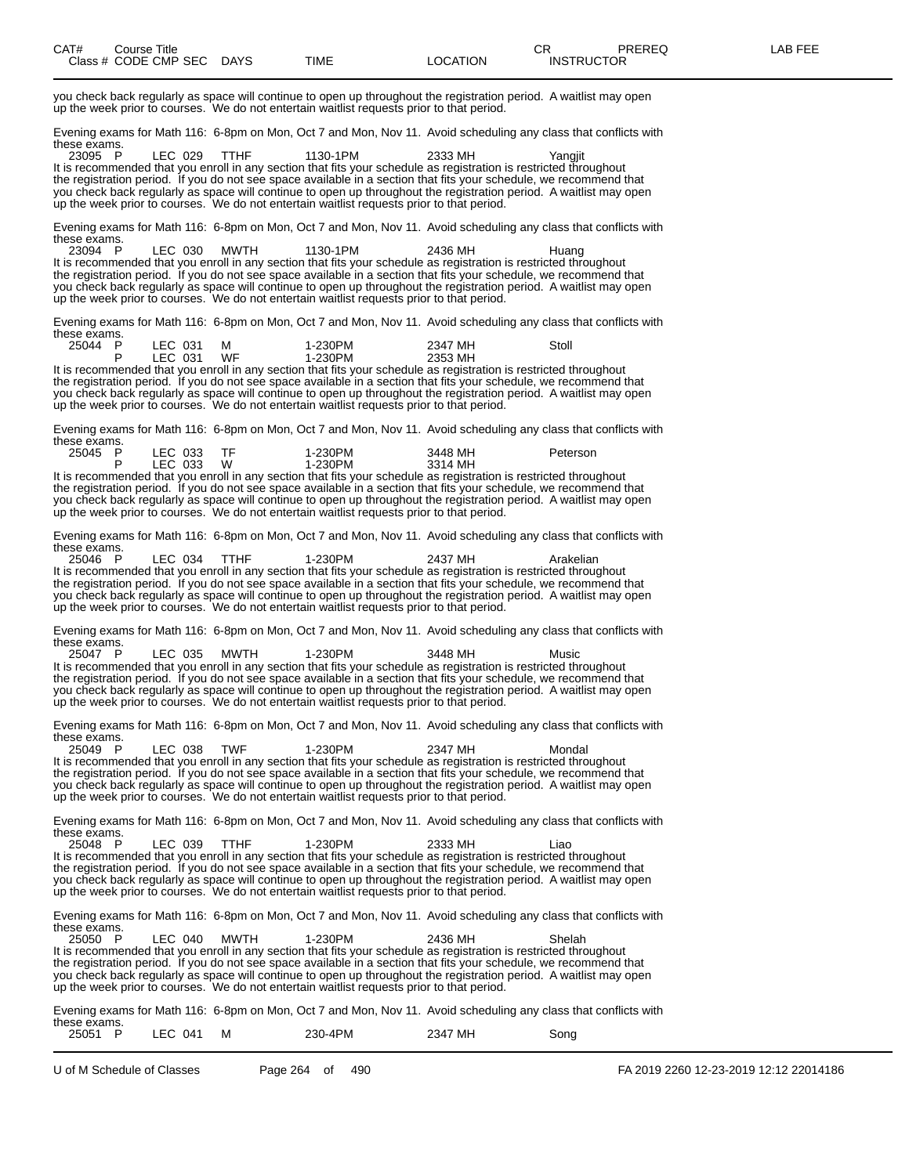you check back regularly as space will continue to open up throughout the registration period. A waitlist may open up the week prior to courses. We do not entertain waitlist requests prior to that period.

Evening exams for Math 116: 6-8pm on Mon, Oct 7 and Mon, Nov 11. Avoid scheduling any class that conflicts with these exams.<br>23095 P

23095 P LEC 029 TTHF 1130-1PM 2333 MH Yangjit It is recommended that you enroll in any section that fits your schedule as registration is restricted throughout the registration period. If you do not see space available in a section that fits your schedule, we recommend that you check back regularly as space will continue to open up throughout the registration period. A waitlist may open up the week prior to courses. We do not entertain waitlist requests prior to that period.

Evening exams for Math 116: 6-8pm on Mon, Oct 7 and Mon, Nov 11. Avoid scheduling any class that conflicts with these exams.<br>23094 P

23094 P LEC 030 MWTH 1130-1PM 2436 MH Huang It is recommended that you enroll in any section that fits your schedule as registration is restricted throughout the registration period. If you do not see space available in a section that fits your schedule, we recommend that you check back regularly as space will continue to open up throughout the registration period. A waitlist may open up the week prior to courses. We do not entertain waitlist requests prior to that period.

Evening exams for Math 116: 6-8pm on Mon, Oct 7 and Mon, Nov 11. Avoid scheduling any class that conflicts with these exams.

| 25044 | D | ∟EC<br>031 | м  | 1-230PM | 2347 MH | Stoll |
|-------|---|------------|----|---------|---------|-------|
|       |   | LEC<br>031 | WF | 1-230PM | 2353 MH |       |

It is recommended that you enroll in any section that fits your schedule as registration is restricted throughout the registration period. If you do not see space available in a section that fits your schedule, we recommend that you check back regularly as space will continue to open up throughout the registration period. A waitlist may open up the week prior to courses. We do not entertain waitlist requests prior to that period.

Evening exams for Math 116: 6-8pm on Mon, Oct 7 and Mon, Nov 11. Avoid scheduling any class that conflicts with these exams.

| 25045 | LEC 033 | TF. | 1-230PM | 3448 MH | Peterson |
|-------|---------|-----|---------|---------|----------|
|       | LEC 033 | W   | 1-230PM | 3314 MH |          |
|       |         |     |         |         |          |

It is recommended that you enroll in any section that fits your schedule as registration is restricted throughout the registration period. If you do not see space available in a section that fits your schedule, we recommend that you check back regularly as space will continue to open up throughout the registration period. A waitlist may open up the week prior to courses. We do not entertain waitlist requests prior to that period.

Evening exams for Math 116: 6-8pm on Mon, Oct 7 and Mon, Nov 11. Avoid scheduling any class that conflicts with these exams.<br>25046 P

25046 P LEC 034 TTHF 1-230PM 2437 MH Arakelian It is recommended that you enroll in any section that fits your schedule as registration is restricted throughout the registration period. If you do not see space available in a section that fits your schedule, we recommend that you check back regularly as space will continue to open up throughout the registration period. A waitlist may open up the week prior to courses. We do not entertain waitlist requests prior to that period.

Evening exams for Math 116: 6-8pm on Mon, Oct 7 and Mon, Nov 11. Avoid scheduling any class that conflicts with these exams.<br>25047 P

25047 P LEC 035 MWTH 1-230PM 3448 MH Music It is recommended that you enroll in any section that fits your schedule as registration is restricted throughout the registration period. If you do not see space available in a section that fits your schedule, we recommend that you check back regularly as space will continue to open up throughout the registration period. A waitlist may open up the week prior to courses. We do not entertain waitlist requests prior to that period.

Evening exams for Math 116: 6-8pm on Mon, Oct 7 and Mon, Nov 11. Avoid scheduling any class that conflicts with these exams.<br>25049 P

25049 P LEC 038 TWF 1-230PM 2347 MH Mondal It is recommended that you enroll in any section that fits your schedule as registration is restricted throughout the registration period. If you do not see space available in a section that fits your schedule, we recommend that you check back regularly as space will continue to open up throughout the registration period. A waitlist may open<br>up the week prior to courses. We do not entertain waitlist requests prior to that period.

Evening exams for Math 116: 6-8pm on Mon, Oct 7 and Mon, Nov 11. Avoid scheduling any class that conflicts with these exams.<br>25048 P

25048 P LEC 039 TTHF 1-230PM 2333 MH Liao It is recommended that you enroll in any section that fits your schedule as registration is restricted throughout the registration period. If you do not see space available in a section that fits your schedule, we recommend that you check back regularly as space will continue to open up throughout the registration period. A waitlist may open up the week prior to courses. We do not entertain waitlist requests prior to that period.

Evening exams for Math 116: 6-8pm on Mon, Oct 7 and Mon, Nov 11. Avoid scheduling any class that conflicts with these exams.<br>25050 P

25050 P LEC 040 MWTH 1-230PM 2436 MH Shelah It is recommended that you enroll in any section that fits your schedule as registration is restricted throughout the registration period. If you do not see space available in a section that fits your schedule, we recommend that you check back regularly as space will continue to open up throughout the registration period. A waitlist may open up the week prior to courses. We do not entertain waitlist requests prior to that period.

Evening exams for Math 116: 6-8pm on Mon, Oct 7 and Mon, Nov 11. Avoid scheduling any class that conflicts with these exams.

| LEC 041<br>25051<br>м | 2347 MH<br>230-4PM | Song |
|-----------------------|--------------------|------|
|                       |                    |      |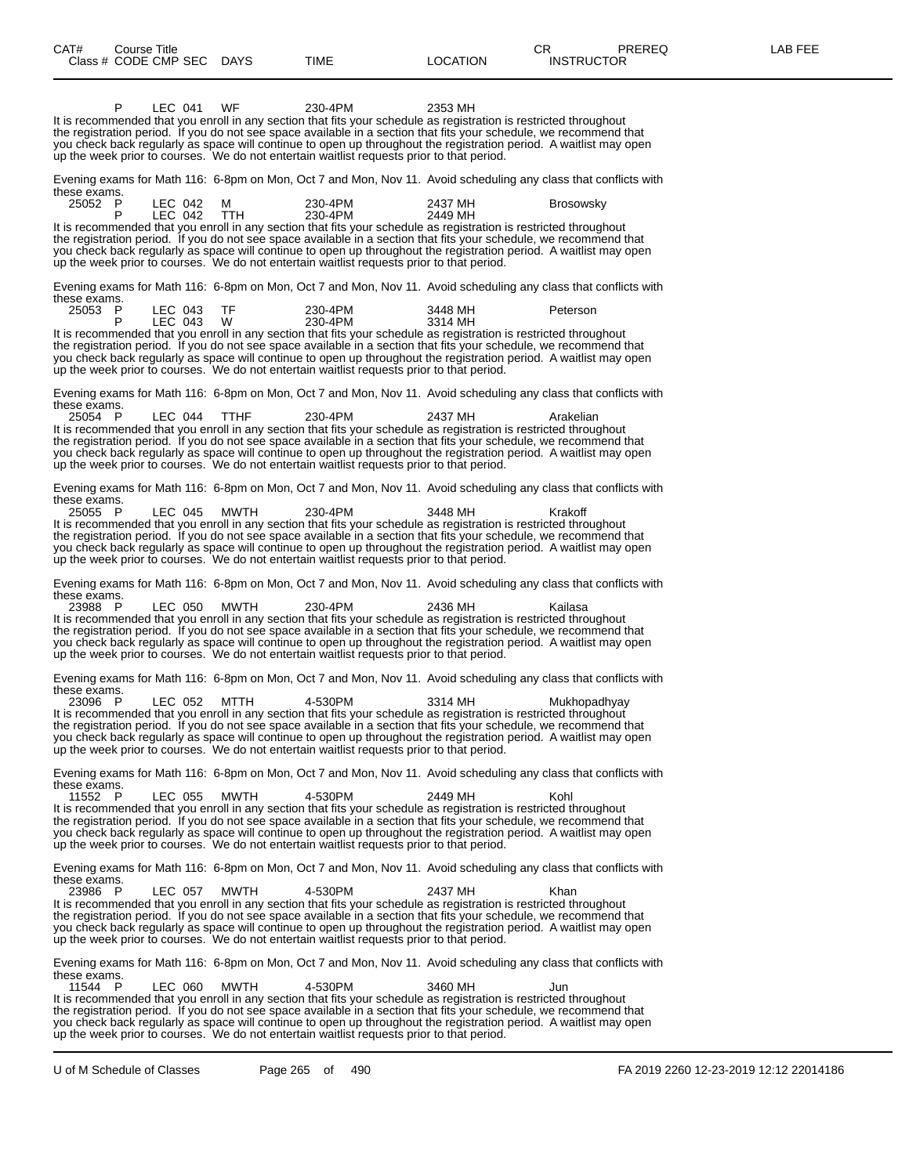| CAT#<br>Class # CODE CMP SEC DAYS | Course Title |                    |                 | <b>TIME</b>                                                                                                                                                                                                                                                                                                                                                                                                                                                           | <b>LOCATION</b>    | CR.<br><b>PREREQ</b><br><b>INSTRUCTOR</b>                                                                       | LAB FEE |
|-----------------------------------|--------------|--------------------|-----------------|-----------------------------------------------------------------------------------------------------------------------------------------------------------------------------------------------------------------------------------------------------------------------------------------------------------------------------------------------------------------------------------------------------------------------------------------------------------------------|--------------------|-----------------------------------------------------------------------------------------------------------------|---------|
|                                   |              |                    |                 |                                                                                                                                                                                                                                                                                                                                                                                                                                                                       |                    |                                                                                                                 |         |
|                                   | P            | LEC 041            | WF              | 230-4PM<br>It is recommended that you enroll in any section that fits your schedule as registration is restricted throughout<br>the registration period. If you do not see space available in a section that fits your schedule, we recommend that<br>you check back regularly as space will continue to open up throughout the registration period. A waitlist may open<br>up the week prior to courses. We do not entertain waitlist requests prior to that period. | 2353 MH            |                                                                                                                 |         |
| these exams.                      |              |                    |                 |                                                                                                                                                                                                                                                                                                                                                                                                                                                                       |                    | Evening exams for Math 116: 6-8pm on Mon, Oct 7 and Mon, Nov 11. Avoid scheduling any class that conflicts with |         |
| 25052 P                           | P            | LEC 042<br>LEC 042 | M<br><b>TTH</b> | 230-4PM<br>230-4PM                                                                                                                                                                                                                                                                                                                                                                                                                                                    | 2437 MH<br>2449 MH | <b>Brosowsky</b>                                                                                                |         |
|                                   |              |                    |                 | It is recommended that you enroll in any section that fits your schedule as registration is restricted throughout<br>the registration period. If you do not see space available in a section that fits your schedule, we recommend that<br>you check back regularly as space will continue to open up throughout the registration period. A waitlist may open<br>up the week prior to courses. We do not entertain waitlist requests prior to that period.            |                    |                                                                                                                 |         |
| these exams.                      |              |                    |                 |                                                                                                                                                                                                                                                                                                                                                                                                                                                                       |                    | Evening exams for Math 116: 6-8pm on Mon, Oct 7 and Mon, Nov 11. Avoid scheduling any class that conflicts with |         |
| 25053 P                           |              | LEC 043<br>LEC 043 | TF<br>W         | 230-4PM<br>230-4PM                                                                                                                                                                                                                                                                                                                                                                                                                                                    | 3448 MH<br>3314 MH | Peterson                                                                                                        |         |
|                                   |              |                    |                 | It is recommended that you enroll in any section that fits your schedule as registration is restricted throughout<br>the registration period. If you do not see space available in a section that fits your schedule, we recommend that<br>you check back regularly as space will continue to open up throughout the registration period. A waitlist may open<br>up the week prior to courses. We do not entertain waitlist requests prior to that period.            |                    |                                                                                                                 |         |
| these exams.                      |              |                    |                 |                                                                                                                                                                                                                                                                                                                                                                                                                                                                       |                    | Evening exams for Math 116: 6-8pm on Mon, Oct 7 and Mon, Nov 11. Avoid scheduling any class that conflicts with |         |
| 25054 P                           |              | LEC 044            | <b>TTHF</b>     | 230-4PM<br>It is recommended that you enroll in any section that fits your schedule as registration is restricted throughout<br>the registration period. If you do not see space available in a section that fits your schedule, we recommend that<br>you check back regularly as space will continue to open up throughout the registration period. A waitlist may open<br>up the week prior to courses. We do not entertain waitlist requests prior to that period. | 2437 MH            | Arakelian                                                                                                       |         |
|                                   |              |                    |                 |                                                                                                                                                                                                                                                                                                                                                                                                                                                                       |                    | Evening exams for Math 116: 6-8pm on Mon, Oct 7 and Mon, Nov 11. Avoid scheduling any class that conflicts with |         |
| these exams.<br>25055 P           |              | LEC 045            | MWTH            | 230-4PM<br>It is recommended that you enroll in any section that fits your schedule as registration is restricted throughout<br>the registration period. If you do not see space available in a section that fits your schedule, we recommend that<br>you check back regularly as space will continue to open up throughout the registration period. A waitlist may open<br>up the week prior to courses. We do not entertain waitlist requests prior to that period. | 3448 MH            | Krakoff                                                                                                         |         |
| these exams.                      |              |                    |                 |                                                                                                                                                                                                                                                                                                                                                                                                                                                                       |                    | Evening exams for Math 116: 6-8pm on Mon, Oct 7 and Mon, Nov 11. Avoid scheduling any class that conflicts with |         |
| 23988 P                           |              | LEC 050            | MWTH            | 230-4PM<br>It is recommended that you enroll in any section that fits your schedule as registration is restricted throughout<br>the registration period. If you do not see space available in a section that fits your schedule, we recommend that<br>you check back regularly as space will continue to open up throughout the registration period. A waitlist may open<br>up the week prior to courses. We do not entertain waitlist requests prior to that period. | 2436 MH            | Kailasa                                                                                                         |         |
| these exams.                      |              |                    |                 |                                                                                                                                                                                                                                                                                                                                                                                                                                                                       |                    | Evening exams for Math 116: 6-8pm on Mon, Oct 7 and Mon, Nov 11. Avoid scheduling any class that conflicts with |         |
| 23096 P                           |              | LEC 052            | MTTH            | 4-530PM<br>It is recommended that you enroll in any section that fits your schedule as registration is restricted throughout<br>the registration period. If you do not see space available in a section that fits your schedule, we recommend that<br>you check back regularly as space will continue to open up throughout the registration period. A waitlist may open<br>up the week prior to courses. We do not entertain waitlist requests prior to that period. | 3314 MH            | Mukhopadhyay                                                                                                    |         |
| these exams.                      |              |                    |                 |                                                                                                                                                                                                                                                                                                                                                                                                                                                                       |                    | Evening exams for Math 116: 6-8pm on Mon, Oct 7 and Mon, Nov 11. Avoid scheduling any class that conflicts with |         |
| 11552 P                           |              | LEC 055            | <b>MWTH</b>     | 4-530PM<br>It is recommended that you enroll in any section that fits your schedule as registration is restricted throughout<br>the registration period. If you do not see space available in a section that fits your schedule, we recommend that<br>you check back regularly as space will continue to open up throughout the registration period. A waitlist may open<br>up the week prior to courses. We do not entertain waitlist requests prior to that period. | 2449 MH            | Kohl                                                                                                            |         |
| these exams.                      |              |                    |                 |                                                                                                                                                                                                                                                                                                                                                                                                                                                                       |                    | Evening exams for Math 116: 6-8pm on Mon, Oct 7 and Mon, Nov 11. Avoid scheduling any class that conflicts with |         |
| 23986 P                           |              | LEC 057            | MWTH            | 4-530PM<br>It is recommended that you enroll in any section that fits your schedule as registration is restricted throughout<br>the registration period. If you do not see space available in a section that fits your schedule, we recommend that                                                                                                                                                                                                                    | 2437 MH            | Khan                                                                                                            |         |

you check back regularly as space will continue to open up throughout the registration period. A waitlist may open up the week prior to courses. We do not entertain waitlist requests prior to that period.

Evening exams for Math 116: 6-8pm on Mon, Oct 7 and Mon, Nov 11. Avoid scheduling any class that conflicts with these exams.<br>11544 P

11544 P LEC 060 MWTH 4-530PM 3460 MH Jun It is recommended that you enroll in any section that fits your schedule as registration is restricted throughout the registration period. If you do not see space available in a section that fits your schedule, we recommend that you check back regularly as space will continue to open up throughout the registration period. A waitlist may open up the week prior to courses. We do not entertain waitlist requests prior to that period.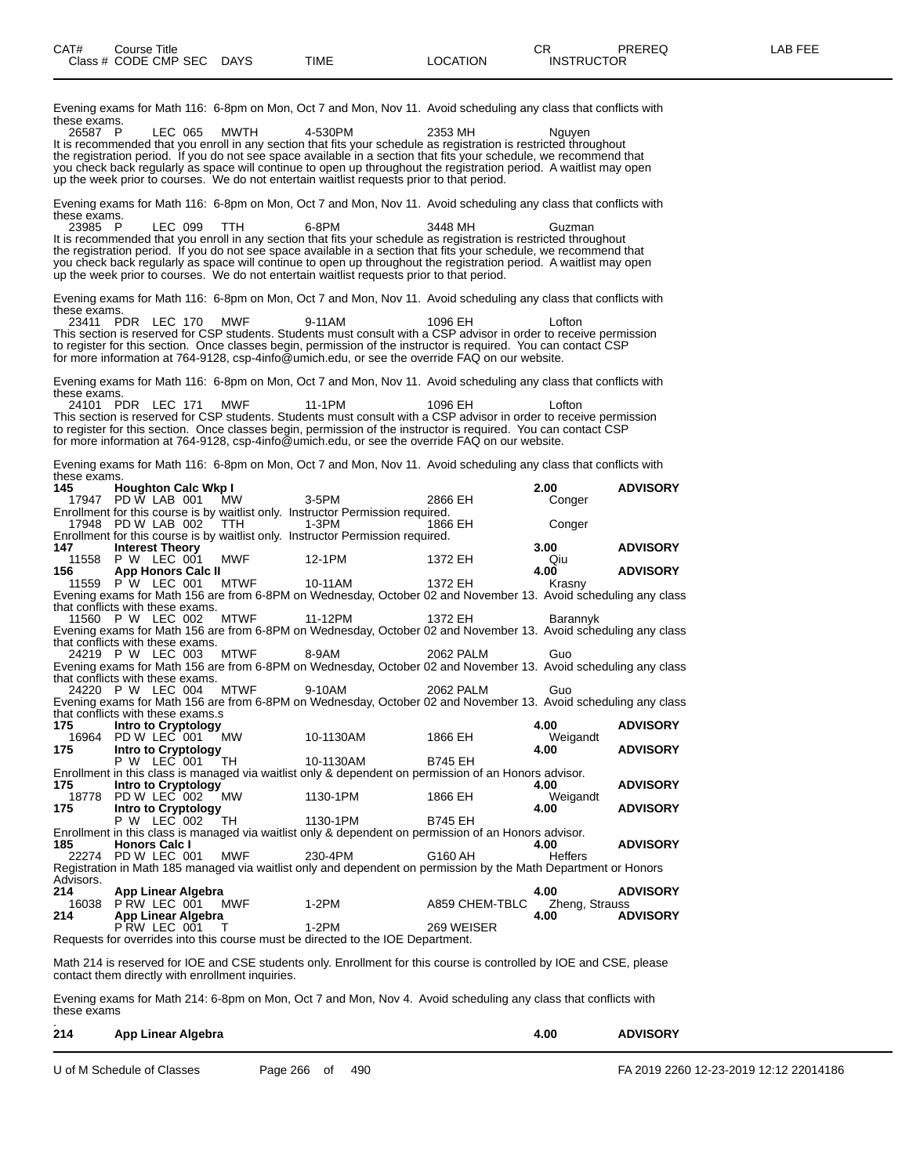| these exams.                      |                                                  |         |                                                                                         |           | Evening exams for Math 116: 6-8pm on Mon, Oct 7 and Mon, Nov 11. Avoid scheduling any class that conflicts with                                                                                                                           |                        |                 |
|-----------------------------------|--------------------------------------------------|---------|-----------------------------------------------------------------------------------------|-----------|-------------------------------------------------------------------------------------------------------------------------------------------------------------------------------------------------------------------------------------------|------------------------|-----------------|
| 26587 P                           |                                                  | LEC 065 | MWTH                                                                                    | 4-530PM   | 2353 MH<br>It is recommended that you enroll in any section that fits your schedule as registration is restricted throughout                                                                                                              | Nguyen                 |                 |
|                                   |                                                  |         |                                                                                         |           | the registration period. If you do not see space available in a section that fits your schedule, we recommend that<br>you check back regularly as space will continue to open up throughout the registration period.  A waitlist may open |                        |                 |
|                                   |                                                  |         |                                                                                         |           | up the week prior to courses. We do not entertain waitlist requests prior to that period.                                                                                                                                                 |                        |                 |
| these exams.                      |                                                  |         |                                                                                         |           | Evening exams for Math 116: 6-8pm on Mon, Oct 7 and Mon, Nov 11. Avoid scheduling any class that conflicts with                                                                                                                           |                        |                 |
| 23985 P                           |                                                  | LEC 099 | TTH                                                                                     | 6-8PM     | 3448 MH<br>It is recommended that you enroll in any section that fits your schedule as registration is restricted throughout                                                                                                              | Guzman                 |                 |
|                                   |                                                  |         |                                                                                         |           | the registration period. If you do not see space available in a section that fits your schedule, we recommend that<br>you check back regularly as space will continue to open up throughout the registration period. A waitlist may open  |                        |                 |
|                                   |                                                  |         |                                                                                         |           | up the week prior to courses. We do not entertain waitlist requests prior to that period.                                                                                                                                                 |                        |                 |
| these exams.                      |                                                  |         |                                                                                         |           | Evening exams for Math 116: 6-8pm on Mon, Oct 7 and Mon, Nov 11. Avoid scheduling any class that conflicts with                                                                                                                           |                        |                 |
| 23411                             | PDR LEC 170                                      |         | MWF                                                                                     | 9-11AM    | 1096 EH<br>This section is reserved for CSP students. Students must consult with a CSP advisor in order to receive permission                                                                                                             | Lofton                 |                 |
|                                   |                                                  |         |                                                                                         |           | to register for this section. Once classes begin, permission of the instructor is required. You can contact CSP<br>for more information at 764-9128, csp-4info@umich.edu, or see the override FAQ on our website.                         |                        |                 |
| these exams.                      |                                                  |         |                                                                                         |           | Evening exams for Math 116: 6-8pm on Mon, Oct 7 and Mon, Nov 11. Avoid scheduling any class that conflicts with                                                                                                                           |                        |                 |
|                                   | 24101 PDR LEC 171                                |         | <b>MWF</b>                                                                              | 11-1PM    | 1096 EH<br>This section is reserved for CSP students. Students must consult with a CSP advisor in order to receive permission                                                                                                             | Lofton                 |                 |
|                                   |                                                  |         |                                                                                         |           | to register for this section. Once classes begin, permission of the instructor is required. You can contact CSP<br>for more information at 764-9128, csp-4info@umich.edu, or see the override FAQ on our website.                         |                        |                 |
|                                   |                                                  |         |                                                                                         |           | Evening exams for Math 116: 6-8pm on Mon, Oct 7 and Mon, Nov 11. Avoid scheduling any class that conflicts with                                                                                                                           |                        |                 |
| these exams.                      |                                                  |         |                                                                                         |           |                                                                                                                                                                                                                                           |                        |                 |
| 145                               | <b>Houghton Calc Wkp I</b><br>17947 PD W LAB 001 |         | MW                                                                                      | 3-5PM     | 2866 EH                                                                                                                                                                                                                                   | 2.00<br>Conger         | <b>ADVISORY</b> |
|                                   | 17948 PD W LAB 002                               |         | Enrollment for this course is by waitlist only. Instructor Permission required.<br>TTH. | $1-3PM$   | 1866 EH                                                                                                                                                                                                                                   | Conger                 |                 |
| 147                               | <b>Interest Theory</b>                           |         | Enrollment for this course is by waitlist only. Instructor Permission required.         |           |                                                                                                                                                                                                                                           | 3.00                   | <b>ADVISORY</b> |
| 11558<br>156                      | P W LEC 001<br><b>App Honors Calc II</b>         |         | MWF                                                                                     | 12-1PM    | 1372 EH                                                                                                                                                                                                                                   | Qiu<br>4.00            | <b>ADVISORY</b> |
|                                   | 11559 P W LEC 001                                |         | <b>MTWF</b>                                                                             | 10-11AM   | 1372 EH                                                                                                                                                                                                                                   | Krasny                 |                 |
| that conflicts with these exams.  |                                                  |         |                                                                                         |           | Evening exams for Math 156 are from 6-8PM on Wednesday, October 02 and November 13. Avoid scheduling any class                                                                                                                            |                        |                 |
|                                   | 11560 P W LEC 002                                |         | <b>MTWF</b>                                                                             | 11-12PM   | 1372 EH<br>Evening exams for Math 156 are from 6-8PM on Wednesday, October 02 and November 13. Avoid scheduling any class                                                                                                                 | Barannyk               |                 |
| that conflicts with these exams.  | 24219 P W LEC 003                                |         | <b>MTWF</b>                                                                             | 8-9AM     | 2062 PALM                                                                                                                                                                                                                                 | Guo                    |                 |
|                                   |                                                  |         |                                                                                         |           | Evening exams for Math 156 are from 6-8PM on Wednesday, October 02 and November 13. Avoid scheduling any class                                                                                                                            |                        |                 |
| that conflicts with these exams.  | 24220 P W LEC 004                                |         | <b>MTWF</b>                                                                             | 9-10AM    | 2062 PALM                                                                                                                                                                                                                                 | Guo                    |                 |
| that conflicts with these exams.s |                                                  |         |                                                                                         |           | Evening exams for Math 156 are from 6-8PM on Wednesday, October 02 and November 13. Avoid scheduling any class                                                                                                                            |                        |                 |
| 175<br>16964                      | Intro to Cryptology<br>PD W LEC 001              |         | MW.                                                                                     | 10-1130AM | 1866 EH                                                                                                                                                                                                                                   | 4.00<br>Weigandt       | <b>ADVISORY</b> |
| 175                               | Intro to Cryptology<br>P W LEC 001               |         | ТH                                                                                      | 10-1130AM | <b>B745 EH</b>                                                                                                                                                                                                                            | 4.00                   | <b>ADVISORY</b> |
|                                   |                                                  |         |                                                                                         |           | Enrollment in this class is managed via waitlist only & dependent on permission of an Honors advisor.                                                                                                                                     |                        |                 |
| 175<br>18778                      | Intro to Cryptology<br>PD W LEC 002              |         | MW.                                                                                     | 1130-1PM  | 1866 EH                                                                                                                                                                                                                                   | 4.00<br>Weigandt       | <b>ADVISORY</b> |
| 175                               | <b>Intro to Cryptology</b><br>P W LEC 002        |         | TH                                                                                      | 1130-1PM  | <b>B745 EH</b>                                                                                                                                                                                                                            | 4.00                   | <b>ADVISORY</b> |
| 185                               | <b>Honors Calc I</b>                             |         |                                                                                         |           | Enrollment in this class is managed via waitlist only & dependent on permission of an Honors advisor.                                                                                                                                     | 4.00                   | <b>ADVISORY</b> |
|                                   | 22274 PD W LEC 001                               |         | MWF                                                                                     | 230-4PM   | G160 AH                                                                                                                                                                                                                                   | <b>Heffers</b>         |                 |
| Advisors.                         |                                                  |         |                                                                                         |           | Registration in Math 185 managed via waitlist only and dependent on permission by the Math Department or Honors                                                                                                                           |                        |                 |
| 214<br>16038                      | App Linear Algebra<br>PRW LEC 001                |         | MWF                                                                                     | 1-2PM     | A859 CHEM-TBLC                                                                                                                                                                                                                            | 4.00<br>Zheng, Strauss | <b>ADVISORY</b> |
| 214                               | App Linear Algebra<br>PRW LEC 001                |         | т                                                                                       | $1-2PM$   | 269 WEISER                                                                                                                                                                                                                                | 4.00                   | <b>ADVISORY</b> |
|                                   |                                                  |         |                                                                                         |           |                                                                                                                                                                                                                                           |                        |                 |

Requests for overrides into this course must be directed to the IOE Department.

Math 214 is reserved for IOE and CSE students only. Enrollment for this course is controlled by IOE and CSE, please contact them directly with enrollment inquiries.

Evening exams for Math 214: 6-8pm on Mon, Oct 7 and Mon, Nov 4. Avoid scheduling any class that conflicts with these exams

#### 214 **214 App Linear Algebra 4.00 ADVISORY**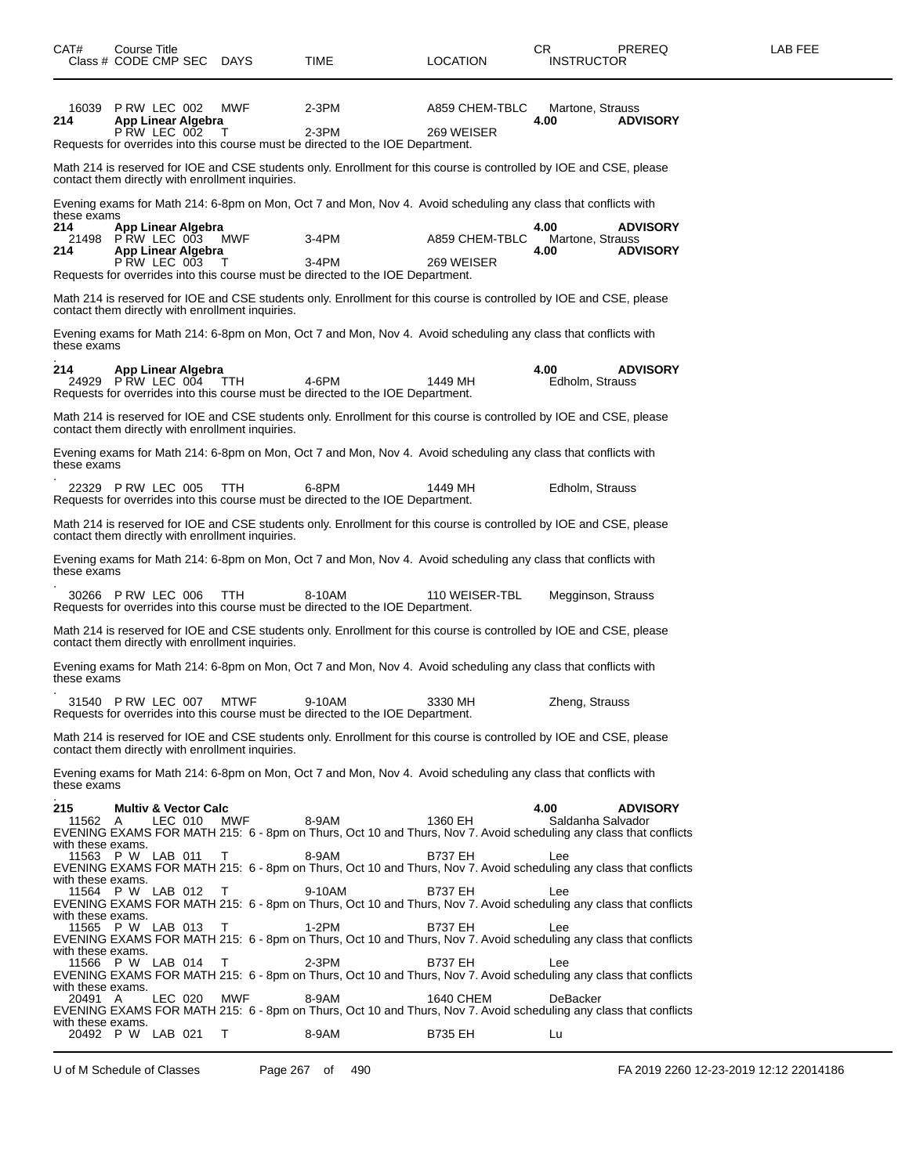| CAT#                                            | Course Title<br>Class # CODE CMP SEC DAYS                              |         |                                                  | TIME                                                                                                                                                                                                                                          | LOCATION                         | CR.<br><b>INSTRUCTOR</b>         | PREREQ                             | LAB FEE |
|-------------------------------------------------|------------------------------------------------------------------------|---------|--------------------------------------------------|-----------------------------------------------------------------------------------------------------------------------------------------------------------------------------------------------------------------------------------------------|----------------------------------|----------------------------------|------------------------------------|---------|
| 16039<br>214                                    | P RW LEC 002<br>App Linear Algebra<br>PRW LEC 002                      |         | MWF<br>Т                                         | $2-3PM$<br>$2-3PM$<br>Requests for overrides into this course must be directed to the IOE Department.                                                                                                                                         | A859 CHEM-TBLC<br>269 WEISER     | Martone, Strauss<br>4.00         | <b>ADVISORY</b>                    |         |
|                                                 |                                                                        |         | contact them directly with enrollment inquiries. | Math 214 is reserved for IOE and CSE students only. Enrollment for this course is controlled by IOE and CSE, please                                                                                                                           |                                  |                                  |                                    |         |
| these exams                                     |                                                                        |         |                                                  | Evening exams for Math 214: 6-8pm on Mon, Oct 7 and Mon, Nov 4. Avoid scheduling any class that conflicts with                                                                                                                                |                                  |                                  |                                    |         |
| 214<br>21498<br>214                             | App Linear Algebra<br>PRW LEC 003<br>App Linear Algebra<br>PRW LEC 003 |         | MWF<br>$\top$                                    | $3-4PM$<br>3-4PM                                                                                                                                                                                                                              | A859 CHEM-TBLC<br>269 WEISER     | 4.00<br>Martone, Strauss<br>4.00 | <b>ADVISORY</b><br><b>ADVISORY</b> |         |
|                                                 |                                                                        |         | contact them directly with enrollment inquiries. | Requests for overrides into this course must be directed to the IOE Department.<br>Math 214 is reserved for IOE and CSE students only. Enrollment for this course is controlled by IOE and CSE, please                                        |                                  |                                  |                                    |         |
| these exams                                     |                                                                        |         |                                                  | Evening exams for Math 214: 6-8pm on Mon, Oct 7 and Mon, Nov 4. Avoid scheduling any class that conflicts with                                                                                                                                |                                  |                                  |                                    |         |
| 214                                             | App Linear Algebra<br>24929 PRW LEC 004                                |         | TTH                                              | 4-6PM<br>Requests for overrides into this course must be directed to the IOE Department.                                                                                                                                                      | 1449 MH                          | 4.00<br>Edholm, Strauss          | <b>ADVISORY</b>                    |         |
|                                                 |                                                                        |         | contact them directly with enrollment inquiries. | Math 214 is reserved for IOE and CSE students only. Enrollment for this course is controlled by IOE and CSE, please                                                                                                                           |                                  |                                  |                                    |         |
| these exams                                     |                                                                        |         |                                                  | Evening exams for Math 214: 6-8pm on Mon, Oct 7 and Mon, Nov 4. Avoid scheduling any class that conflicts with                                                                                                                                |                                  |                                  |                                    |         |
|                                                 | 22329 PRW LEC 005                                                      |         | TTH                                              | 6-8PM<br>Requests for overrides into this course must be directed to the IOE Department.                                                                                                                                                      | 1449 MH                          | Edholm, Strauss                  |                                    |         |
|                                                 |                                                                        |         | contact them directly with enrollment inquiries. | Math 214 is reserved for IOE and CSE students only. Enrollment for this course is controlled by IOE and CSE, please                                                                                                                           |                                  |                                  |                                    |         |
| these exams                                     |                                                                        |         |                                                  | Evening exams for Math 214: 6-8pm on Mon, Oct 7 and Mon, Nov 4. Avoid scheduling any class that conflicts with                                                                                                                                |                                  |                                  |                                    |         |
|                                                 | 30266 P RW LEC 006                                                     |         | <b>TTH</b>                                       | 8-10AM<br>Requests for overrides into this course must be directed to the IOE Department.                                                                                                                                                     | 110 WEISER-TBL                   | Megginson, Strauss               |                                    |         |
|                                                 |                                                                        |         | contact them directly with enrollment inquiries. | Math 214 is reserved for IOE and CSE students only. Enrollment for this course is controlled by IOE and CSE, please                                                                                                                           |                                  |                                  |                                    |         |
| these exams                                     |                                                                        |         |                                                  | Evening exams for Math 214: 6-8pm on Mon, Oct 7 and Mon, Nov 4. Avoid scheduling any class that conflicts with                                                                                                                                |                                  |                                  |                                    |         |
|                                                 | 31540 PRW LEC 007                                                      |         | <b>MTWF</b>                                      | 9-10AM<br>Requests for overrides into this course must be directed to the IOE Department.                                                                                                                                                     | 3330 MH                          | Zheng, Strauss                   |                                    |         |
|                                                 |                                                                        |         | contact them directly with enrollment inquiries. | Math 214 is reserved for IOE and CSE students only. Enrollment for this course is controlled by IOE and CSE, please                                                                                                                           |                                  |                                  |                                    |         |
| these exams                                     |                                                                        |         |                                                  | Evening exams for Math 214: 6-8pm on Mon, Oct 7 and Mon, Nov 4. Avoid scheduling any class that conflicts with                                                                                                                                |                                  |                                  |                                    |         |
| 215<br>11562<br>with these exams.               | <b>Multiv &amp; Vector Calc</b><br>A                                   | LEC 010 | <b>MWF</b>                                       | 8-9AM<br>EVENING EXAMS FOR MATH 215: 6 - 8pm on Thurs, Oct 10 and Thurs, Nov 7. Avoid scheduling any class that conflicts                                                                                                                     | 1360 EH                          | 4.00<br>Saldanha Salvador        | <b>ADVISORY</b>                    |         |
| with these exams.<br>11564                      | 11563 P W LAB 011<br>P W LAB 012                                       |         | т<br>T                                           | 8-9AM<br>EVENING EXAMS FOR MATH 215: 6 - 8pm on Thurs, Oct 10 and Thurs, Nov 7. Avoid scheduling any class that conflicts<br>9-10AM                                                                                                           | <b>B737 EH</b><br><b>B737 EH</b> | Lee<br>Lee                       |                                    |         |
| with these exams.<br>11565                      | P W LAB 013                                                            |         | т                                                | EVENING EXAMS FOR MATH 215: 6 - 8pm on Thurs, Oct 10 and Thurs, Nov 7. Avoid scheduling any class that conflicts<br>1-2PM<br>EVENING EXAMS FOR MATH 215: 6 - 8pm on Thurs, Oct 10 and Thurs, Nov 7. Avoid scheduling any class that conflicts | <b>B737 EH</b>                   | Lee                              |                                    |         |
| with these exams.<br>11566<br>with these exams. | P W LAB 014                                                            |         | Τ                                                | 2-3PM<br>EVENING EXAMS FOR MATH 215: 6 - 8pm on Thurs, Oct 10 and Thurs, Nov 7. Avoid scheduling any class that conflicts                                                                                                                     | <b>B737 EH</b>                   | Lee                              |                                    |         |
| 20491 A<br>with these exams.                    |                                                                        | LEC 020 | MWF                                              | 8-9AM<br>EVENING EXAMS FOR MATH 215: 6 - 8pm on Thurs, Oct 10 and Thurs, Nov 7. Avoid scheduling any class that conflicts                                                                                                                     | 1640 CHEM                        | DeBacker                         |                                    |         |
| 20492                                           | P W LAB 021                                                            |         | Т                                                | 8-9AM                                                                                                                                                                                                                                         | <b>B735 EH</b>                   | Lu                               |                                    |         |

U of M Schedule of Classes Page 267 of 490 FA 2019 2260 12-23-2019 12:12 22014186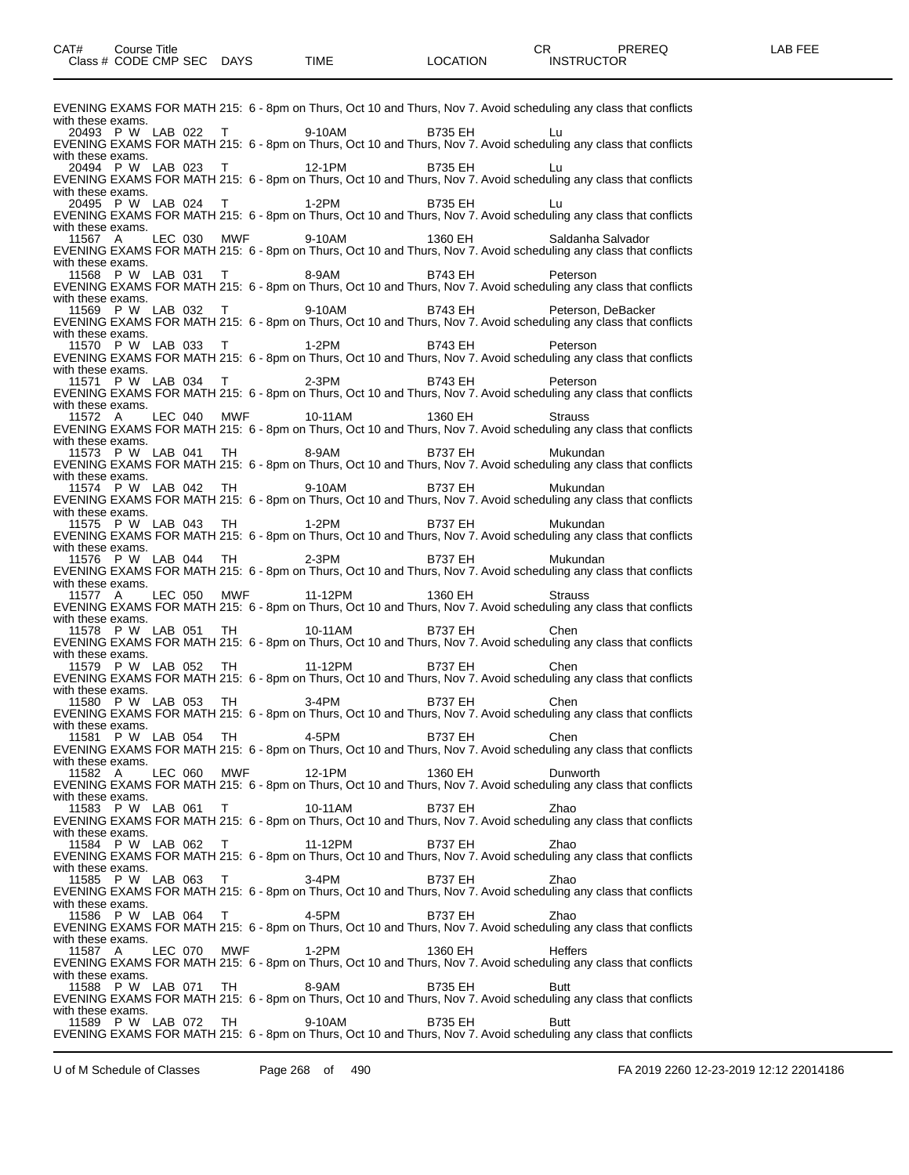EVENING EXAMS FOR MATH 215: 6 - 8pm on Thurs, Oct 10 and Thurs, Nov 7. Avoid scheduling any class that conflicts with these exams. 20493 P W LAB 022 T 9-10AM B735 EH Lu EVENING EXAMS FOR MATH 215: 6 - 8pm on Thurs, Oct 10 and Thurs, Nov 7. Avoid scheduling any class that conflicts with these exams.<br>20494 P W LAB 023 20494 P W LAB 023 T 12-1PM B735 EH Lu EVENING EXAMS FOR MATH 215: 6 - 8pm on Thurs, Oct 10 and Thurs, Nov 7. Avoid scheduling any class that conflicts with these exams.<br>20495 P W LAB 024 20495 P W LAB 024 T 1-2PM B735 EH Lu EVENING EXAMS FOR MATH 215: 6 - 8pm on Thurs, Oct 10 and Thurs, Nov 7. Avoid scheduling any class that conflicts with these exams.<br>11567 A LEC 030 MWF 11567 A LEC 030 MWF 9-10AM 1360 EH Saldanha Salvador EVENING EXAMS FOR MATH 215: 6 - 8pm on Thurs, Oct 10 and Thurs, Nov 7. Avoid scheduling any class that conflicts with these exams. 11568 P W LAB 031 T 8-9AM B743 EH Peterson EVENING EXAMS FOR MATH 215: 6 - 8pm on Thurs, Oct 10 and Thurs, Nov 7. Avoid scheduling any class that conflicts with these exams. 11569 P W LAB 032 T 9-10AM B743 EH Peterson, DeBacker EVENING EXAMS FOR MATH 215: 6 - 8pm on Thurs, Oct 10 and Thurs, Nov 7. Avoid scheduling any class that conflicts with these exams. 11570 P W LAB 033 T 1-2PM B743 EH Peterson EVENING EXAMS FOR MATH 215: 6 - 8pm on Thurs, Oct 10 and Thurs, Nov 7. Avoid scheduling any class that conflicts with these exams. 11571 P W LAB 034 T 2-3PM B743 EH Peterson EVENING EXAMS FOR MATH 215: 6 - 8pm on Thurs, Oct 10 and Thurs, Nov 7. Avoid scheduling any class that conflicts with these exams. 11572 A LEC 040 MWF 10-11AM 1360 EH Strauss EVENING EXAMS FOR MATH 215: 6 - 8pm on Thurs, Oct 10 and Thurs, Nov 7. Avoid scheduling any class that conflicts with these exams. 11573 P W LAB 041 TH 8-9AM B737 EH Mukundan EVENING EXAMS FOR MATH 215: 6 - 8pm on Thurs, Oct 10 and Thurs, Nov 7. Avoid scheduling any class that conflicts with these exams. 11574 P W LAB 042 TH 9-10AM B737 EH Mukundan EVENING EXAMS FOR MATH 215: 6 - 8pm on Thurs, Oct 10 and Thurs, Nov 7. Avoid scheduling any class that conflicts with these exams. 11575 P W LAB 043 TH 1-2PM B737 EH Mukundan EVENING EXAMS FOR MATH 215: 6 - 8pm on Thurs, Oct 10 and Thurs, Nov 7. Avoid scheduling any class that conflicts with these exams.<br>11576 P W LAB 044 11576 P W LAB 044 TH 2-3PM B737 EH Mukundan EVENING EXAMS FOR MATH 215: 6 - 8pm on Thurs, Oct 10 and Thurs, Nov 7. Avoid scheduling any class that conflicts with these exams. 11577 A LEC 050 MWF 11-12PM 1360 EH Strauss EVENING EXAMS FOR MATH 215: 6 - 8pm on Thurs, Oct 10 and Thurs, Nov 7. Avoid scheduling any class that conflicts with these exams. 11578 P W LAB 051 TH 10-11AM B737 EH Chen EVENING EXAMS FOR MATH 215: 6 - 8pm on Thurs, Oct 10 and Thurs, Nov 7. Avoid scheduling any class that conflicts with these exams. 11579 P W LAB 052 TH 11-12PM B737 EH Chen EVENING EXAMS FOR MATH 215: 6 - 8pm on Thurs, Oct 10 and Thurs, Nov 7. Avoid scheduling any class that conflicts with these exams.<br>11580 P W LAB 053 11580 P W LAB 053 TH 3-4PM B737 EH Chen EVENING EXAMS FOR MATH 215: 6 - 8pm on Thurs, Oct 10 and Thurs, Nov 7. Avoid scheduling any class that conflicts with these exams. 11581 P W LAB 054 TH 4-5PM B737 EH Chen EVENING EXAMS FOR MATH 215: 6 - 8pm on Thurs, Oct 10 and Thurs, Nov 7. Avoid scheduling any class that conflicts with these exams. 11582 A LEC 060 MWF 12-1PM 1360 EH Dunworth EVENING EXAMS FOR MATH 215: 6 - 8pm on Thurs, Oct 10 and Thurs, Nov 7. Avoid scheduling any class that conflicts with these exams.<br>11583 P W LAB 061 11583 P W LAB 061 T 10-11AM B737 EH Zhao EVENING EXAMS FOR MATH 215: 6 - 8pm on Thurs, Oct 10 and Thurs, Nov 7. Avoid scheduling any class that conflicts with these exams.<br>11584 P W LAB 062 11584 P W LAB 062 T 11-12PM B737 EH Zhao EVENING EXAMS FOR MATH 215: 6 - 8pm on Thurs, Oct 10 and Thurs, Nov 7. Avoid scheduling any class that conflicts with these exams.<br>11585 P W LAB 063 11585 P W LAB 063 T 3-4PM B737 EH Zhao EVENING EXAMS FOR MATH 215: 6 - 8pm on Thurs, Oct 10 and Thurs, Nov 7. Avoid scheduling any class that conflicts with these exams. 11586 P W LAB 064 T 4-5PM B737 EH Zhao EVENING EXAMS FOR MATH 215: 6 - 8pm on Thurs, Oct 10 and Thurs, Nov 7. Avoid scheduling any class that conflicts with these exams.<br>11587 A LEC 070 11587 A LEC 070 MWF 1-2PM 1360 EH Heffers EVENING EXAMS FOR MATH 215: 6 - 8pm on Thurs, Oct 10 and Thurs, Nov 7. Avoid scheduling any class that conflicts with these exams. 11588 P W LAB 071 TH 8-9AM B735 EH Butt EVENING EXAMS FOR MATH 215: 6 - 8pm on Thurs, Oct 10 and Thurs, Nov 7. Avoid scheduling any class that conflicts with these exams. 11589 P W LAB 072 TH 9-10AM B735 EH Butt EVENING EXAMS FOR MATH 215: 6 - 8pm on Thurs, Oct 10 and Thurs, Nov 7. Avoid scheduling any class that conflicts

U of M Schedule of Classes Page 268 of 490 FA 2019 2260 12-23-2019 12:12 22014186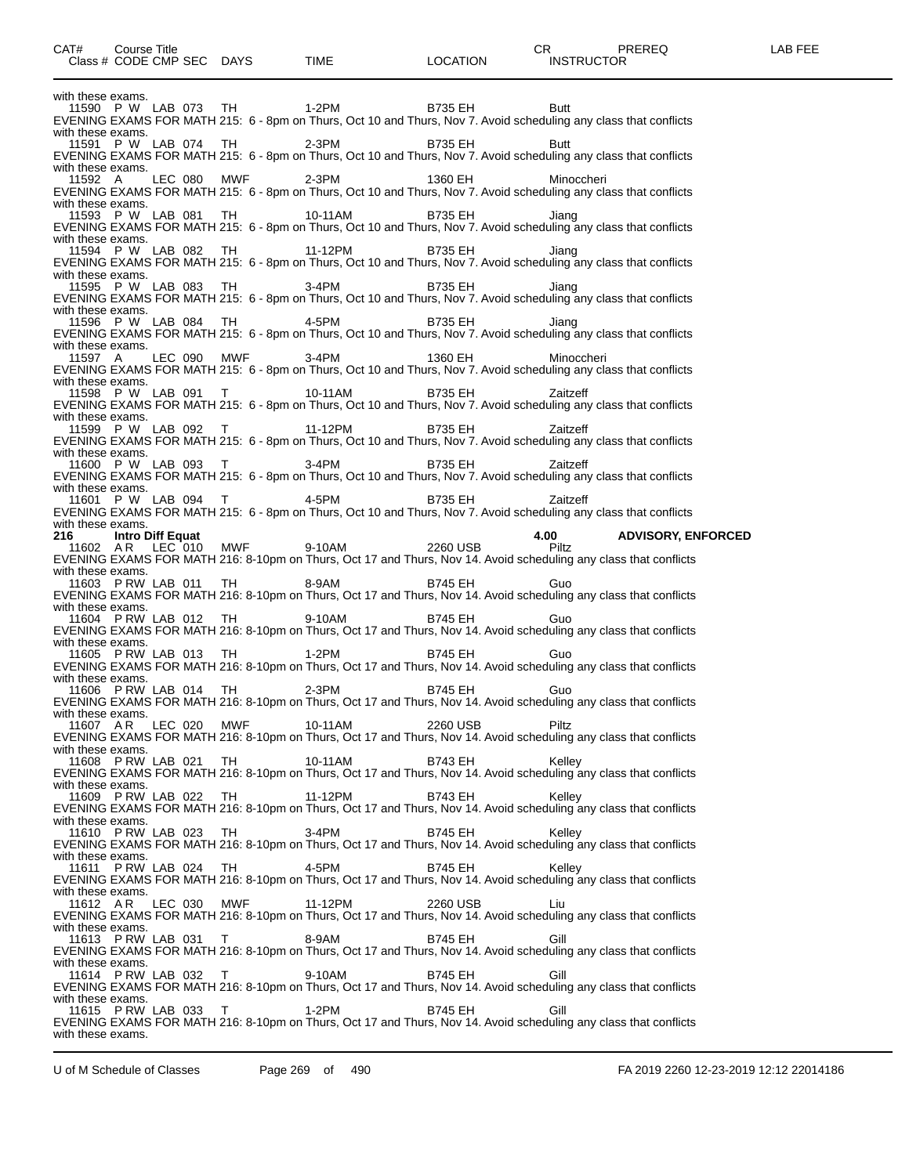with these exams. 11590 P W LAB 073 TH 1-2PM B735 EH Butt EVENING EXAMS FOR MATH 215: 6 - 8pm on Thurs, Oct 10 and Thurs, Nov 7. Avoid scheduling any class that conflicts with these exams. 11591 P W LAB 074 TH 2-3PM B735 EH Butt EVENING EXAMS FOR MATH 215: 6 - 8pm on Thurs, Oct 10 and Thurs, Nov 7. Avoid scheduling any class that conflicts with these exams. 11592 A LEC 080 MWF 2-3PM 1360 EH Minoccheri EVENING EXAMS FOR MATH 215: 6 - 8pm on Thurs, Oct 10 and Thurs, Nov 7. Avoid scheduling any class that conflicts with these exams. 11593 P W LAB 081 TH 10-11AM B735 EH Jiang EVENING EXAMS FOR MATH 215: 6 - 8pm on Thurs, Oct 10 and Thurs, Nov 7. Avoid scheduling any class that conflicts with these exams. 11594 P W LAB 082 TH 11-12PM B735 EH Jiang EVENING EXAMS FOR MATH 215: 6 - 8pm on Thurs, Oct 10 and Thurs, Nov 7. Avoid scheduling any class that conflicts with these exams.<br>11595 P W LAB 083 TH 11595 P W LAB 083 TH 3-4PM B735 EH Jiang EVENING EXAMS FOR MATH 215: 6 - 8pm on Thurs, Oct 10 and Thurs, Nov 7. Avoid scheduling any class that conflicts with these exams.<br>11596 P W LAB 084 TH 11596 P W LAB 084 TH 4-5PM B735 EH Jiang EVENING EXAMS FOR MATH 215: 6 - 8pm on Thurs, Oct 10 and Thurs, Nov 7. Avoid scheduling any class that conflicts with these exams.<br>11597 A LEC 090 MWF 11597 A LEC 090 MWF 3-4PM 1360 EH Minoccheri EVENING EXAMS FOR MATH 215: 6 - 8pm on Thurs, Oct 10 and Thurs, Nov 7. Avoid scheduling any class that conflicts with these exams.<br>11598 P W LAB 091 11598 P W LAB 091 T 10-11AM B735 EH Zaitzeff EVENING EXAMS FOR MATH 215: 6 - 8pm on Thurs, Oct 10 and Thurs, Nov 7. Avoid scheduling any class that conflicts with these exams. 11599 P W LAB 092 T 11-12PM B735 EH Zaitzeff EVENING EXAMS FOR MATH 215: 6 - 8pm on Thurs, Oct 10 and Thurs, Nov 7. Avoid scheduling any class that conflicts with these exams. 11600 P W LAB 093 T 3-4PM B735 EH Zaitzeff EVENING EXAMS FOR MATH 215: 6 - 8pm on Thurs, Oct 10 and Thurs, Nov 7. Avoid scheduling any class that conflicts with these exams. 11601 P W LAB 094 T 4-5PM B735 EH Zaitzeff EVENING EXAMS FOR MATH 215: 6 - 8pm on Thurs, Oct 10 and Thurs, Nov 7. Avoid scheduling any class that conflicts with these exams. **216 Intro Diff Equat 4.00 ADVISORY, ENFORCED** 11602 A R LEC 010 MWF 9-10AM 2260 USB Piltz EVENING EXAMS FOR MATH 216: 8-10pm on Thurs, Oct 17 and Thurs, Nov 14. Avoid scheduling any class that conflicts with these exams. 11603 P RW LAB 011 TH 8-9AM B745 EH Guo EVENING EXAMS FOR MATH 216: 8-10pm on Thurs, Oct 17 and Thurs, Nov 14. Avoid scheduling any class that conflicts with these exams. 11604 P RW LAB 012 TH 9-10AM B745 EH Guo EVENING EXAMS FOR MATH 216: 8-10pm on Thurs, Oct 17 and Thurs, Nov 14. Avoid scheduling any class that conflicts with these exams.<br>11605 PRW LAB 013 TH 11605 P RW LAB 013 TH 1-2PM B745 EH Guo EVENING EXAMS FOR MATH 216: 8-10pm on Thurs, Oct 17 and Thurs, Nov 14. Avoid scheduling any class that conflicts with these exams.<br>11606 P RW LAB 014 11606 P RW LAB 014 TH 2-3PM B745 EH Guo EVENING EXAMS FOR MATH 216: 8-10pm on Thurs, Oct 17 and Thurs, Nov 14. Avoid scheduling any class that conflicts with these exams.<br>11607 AR LEC 020 MWF 11607 A R LEC 020 MWF 10-11AM 2260 USB Piltz EVENING EXAMS FOR MATH 216: 8-10pm on Thurs, Oct 17 and Thurs, Nov 14. Avoid scheduling any class that conflicts with these exams. 11608 P RW LAB 021 TH 10-11AM B743 EH Kelley EVENING EXAMS FOR MATH 216: 8-10pm on Thurs, Oct 17 and Thurs, Nov 14. Avoid scheduling any class that conflicts with these exams. 11609 P RW LAB 022 TH 11-12PM B743 EH Kelley EVENING EXAMS FOR MATH 216: 8-10pm on Thurs, Oct 17 and Thurs, Nov 14. Avoid scheduling any class that conflicts with these exams. 11610 P RW LAB 023 TH 3-4PM B745 EH Kelley EVENING EXAMS FOR MATH 216: 8-10pm on Thurs, Oct 17 and Thurs, Nov 14. Avoid scheduling any class that conflicts with these exams. 11611 P RW LAB 024 TH 4-5PM B745 EH Kelley EVENING EXAMS FOR MATH 216: 8-10pm on Thurs, Oct 17 and Thurs, Nov 14. Avoid scheduling any class that conflicts with these exams.<br>11612 AR LEC 030 MWF 11-12PM 2260 USB Liu EVENING EXAMS FOR MATH 216: 8-10pm on Thurs, Oct 17 and Thurs, Nov 14. Avoid scheduling any class that conflicts with these exams. 11613 P RW LAB 031 T 8-9AM B745 EH Gill EVENING EXAMS FOR MATH 216: 8-10pm on Thurs, Oct 17 and Thurs, Nov 14. Avoid scheduling any class that conflicts with these exams. 11614 P RW LAB 032 T 9-10AM B745 EH Gill EVENING EXAMS FOR MATH 216: 8-10pm on Thurs, Oct 17 and Thurs, Nov 14. Avoid scheduling any class that conflicts with these exams. 11615 P RW LAB 033 T 1-2PM B745 EH Gill EVENING EXAMS FOR MATH 216: 8-10pm on Thurs, Oct 17 and Thurs, Nov 14. Avoid scheduling any class that conflicts with these exams.

U of M Schedule of Classes Page 269 of 490 FA 2019 2260 12-23-2019 12:12 22014186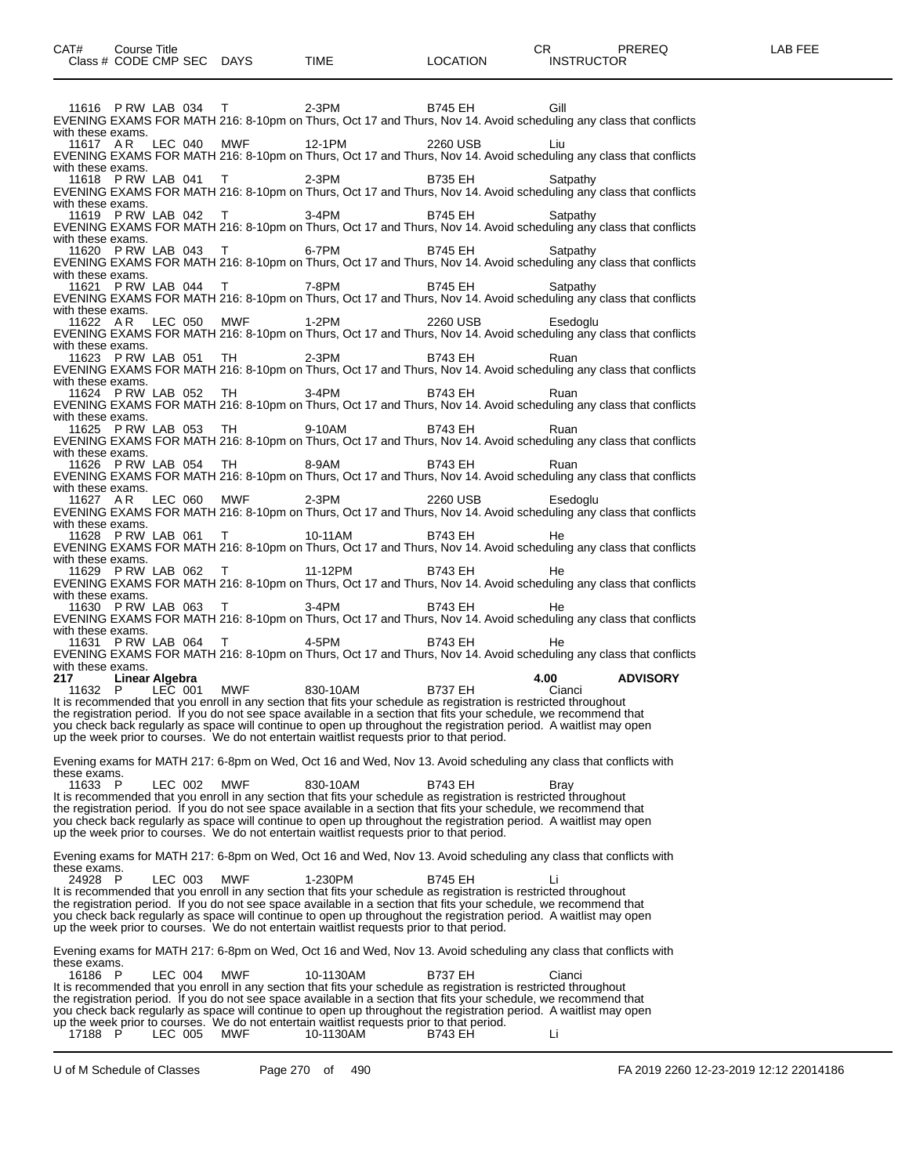11616 P RW LAB 034 T 2-3PM B745 EH Gill EVENING EXAMS FOR MATH 216: 8-10pm on Thurs, Oct 17 and Thurs, Nov 14. Avoid scheduling any class that conflicts with these exams.<br>11617 AR LEC 040 MWF 12-1PM 2260 USB Liu EVENING EXAMS FOR MATH 216: 8-10pm on Thurs, Oct 17 and Thurs, Nov 14. Avoid scheduling any class that conflicts with these exams. 11618 P RW LAB 041 T 2-3PM B735 EH Satpathy EVENING EXAMS FOR MATH 216: 8-10pm on Thurs, Oct 17 and Thurs, Nov 14. Avoid scheduling any class that conflicts with these exams. 11619 P RW LAB 042 T 3-4PM B745 EH Satpathy EVENING EXAMS FOR MATH 216: 8-10pm on Thurs, Oct 17 and Thurs, Nov 14. Avoid scheduling any class that conflicts with these exams.<br>11620 PRW LAB 043 11620 P RW LAB 043 T 6-7PM B745 EH Satpathy EVENING EXAMS FOR MATH 216: 8-10pm on Thurs, Oct 17 and Thurs, Nov 14. Avoid scheduling any class that conflicts with these exams. 11621 P RW LAB 044 T 7-8PM B745 EH Satpathy EVENING EXAMS FOR MATH 216: 8-10pm on Thurs, Oct 17 and Thurs, Nov 14. Avoid scheduling any class that conflicts with these exams. 11622 A R LEC 050 MWF 1-2PM 2260 USB Esedoglu EVENING EXAMS FOR MATH 216: 8-10pm on Thurs, Oct 17 and Thurs, Nov 14. Avoid scheduling any class that conflicts with these exams.<br>11623 P RW LAB 051 11623 P RW LAB 051 TH 2-3PM B743 EH Ruan EVENING EXAMS FOR MATH 216: 8-10pm on Thurs, Oct 17 and Thurs, Nov 14. Avoid scheduling any class that conflicts with these exams.<br>11624 PRW LAB 052 11624 P RW LAB 052 TH 3-4PM B743 EH Ruan EVENING EXAMS FOR MATH 216: 8-10pm on Thurs, Oct 17 and Thurs, Nov 14. Avoid scheduling any class that conflicts with these exams. 11625 P RW LAB 053 TH 9-10AM B743 EH Ruan EVENING EXAMS FOR MATH 216: 8-10pm on Thurs, Oct 17 and Thurs, Nov 14. Avoid scheduling any class that conflicts with these exams. 11626 P RW LAB 054 TH 8-9AM B743 EH Ruan EVENING EXAMS FOR MATH 216: 8-10pm on Thurs, Oct 17 and Thurs, Nov 14. Avoid scheduling any class that conflicts with these exams.<br>11627 AR LEC 060 11627 A R LEC 060 MWF 2-3PM 2260 USB Esedoglu EVENING EXAMS FOR MATH 216: 8-10pm on Thurs, Oct 17 and Thurs, Nov 14. Avoid scheduling any class that conflicts with these exams 11628 P RW LAB 061 T 10-11AM B743 EH He EVENING EXAMS FOR MATH 216: 8-10pm on Thurs, Oct 17 and Thurs, Nov 14. Avoid scheduling any class that conflicts with these exams. 11629 P RW LAB 062 T 11-12PM B743 EH He EVENING EXAMS FOR MATH 216: 8-10pm on Thurs, Oct 17 and Thurs, Nov 14. Avoid scheduling any class that conflicts with these exams.<br>11630 P RW LAB 063 T 11630 P RW LAB 063 T 3-4PM B743 EH He EVENING EXAMS FOR MATH 216: 8-10pm on Thurs, Oct 17 and Thurs, Nov 14. Avoid scheduling any class that conflicts with these exams. 11631 P RW LAB 064 T 4-5PM B743 EH He EVENING EXAMS FOR MATH 216: 8-10pm on Thurs, Oct 17 and Thurs, Nov 14. Avoid scheduling any class that conflicts with these exams.<br>217 Linear **217 Linear Algebra 4.00 ADVISORY** 11632 P LEC 001 MWF 830-10AM B737 EH Cianci It is recommended that you enroll in any section that fits your schedule as registration is restricted throughout the registration period. If you do not see space available in a section that fits your schedule, we recommend that you check back regularly as space will continue to open up throughout the registration period. A waitlist may open up the week prior to courses. We do not entertain waitlist requests prior to that period. Evening exams for MATH 217: 6-8pm on Wed, Oct 16 and Wed, Nov 13. Avoid scheduling any class that conflicts with these exams.<br>11633 P 11633 P LEC 002 MWF 830-10AM B743 EH Bray<br>It is recommended that you enroll in any section that fits your schedule as registration is restricted throughout the registration period. If you do not see space available in a section that fits your schedule, we recommend that you check back regularly as space will continue to open up throughout the registration period. A waitlist may open up the week prior to courses. We do not entertain waitlist requests prior to that period. Evening exams for MATH 217: 6-8pm on Wed, Oct 16 and Wed, Nov 13. Avoid scheduling any class that conflicts with these exams.<br>24928 P LEC 003 MWF 1-230PM B745 EH It is recommended that you enroll in any section that fits your schedule as registration is restricted throughout the registration period. If you do not see space available in a section that fits your schedule, we recommend that you check back regularly as space will continue to open up throughout the registration period. A waitlist may open up the week prior to courses. We do not entertain waitlist requests prior to that period. Evening exams for MATH 217: 6-8pm on Wed, Oct 16 and Wed, Nov 13. Avoid scheduling any class that conflicts with these exams.<br>16186 P 16186 P LEC 004 MWF 10-1130AM B737 EH Cianci It is recommended that you enroll in any section that fits your schedule as registration is restricted throughout the registration period. If you do not see space available in a section that fits your schedule, we recommend that you check back regularly as space will continue to open up throughout the registration period. A waitlist may open up the week prior to courses. We do not entertain waitlist requests prior to that period.

17188 P LEC 005 MWF 10-1130AM B743 EH Li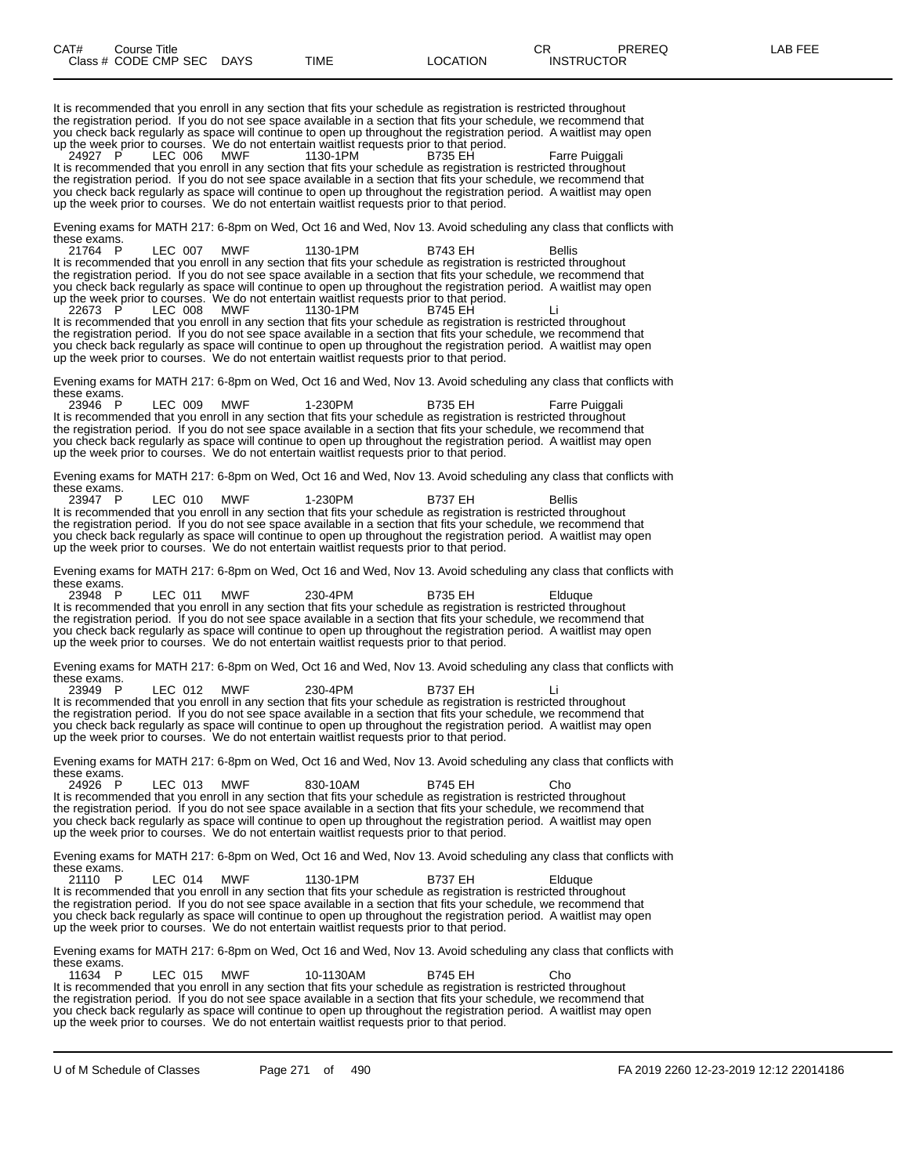It is recommended that you enroll in any section that fits your schedule as registration is restricted throughout the registration period. If you do not see space available in a section that fits your schedule, we recommend that you check back regularly as space will continue to open up throughout the registration period. A waitlist may open up the week prior to courses. We do not entertain waitlist requests prior to that period.

24927 P LEC 006 MWF 1130-1PM B735 EH Farre Puiggali It is recommended that you enroll in any section that fits your schedule as registration is restricted throughout the registration period. If you do not see space available in a section that fits your schedule, we recommend that you check back regularly as space will continue to open up throughout the registration period. A waitlist may open up the week prior to courses. We do not entertain waitlist requests prior to that period.

Evening exams for MATH 217: 6-8pm on Wed, Oct 16 and Wed, Nov 13. Avoid scheduling any class that conflicts with these exams.<br>21764 P

21764 P LEC 007 MWF 1130-1PM B743 EH Bellis It is recommended that you enroll in any section that fits your schedule as registration is restricted throughout the registration period. If you do not see space available in a section that fits your schedule, we recommend that you check back regularly as space will continue to open up throughout the registration period. A waitlist may open up the week prior to courses. We do not entertain waitlist requests prior to that period.

22673 P LEC 008 MWF 1130-1PM B745 EH Li It is recommended that you enroll in any section that fits your schedule as registration is restricted throughout the registration period. If you do not see space available in a section that fits your schedule, we recommend that you check back regularly as space will continue to open up throughout the registration period. A waitlist may open up the week prior to courses. We do not entertain waitlist requests prior to that period.

Evening exams for MATH 217: 6-8pm on Wed, Oct 16 and Wed, Nov 13. Avoid scheduling any class that conflicts with these exams.<br>23946 P

23946 P LEC 009 MWF 1-230PM B735 EH Farre Puiggali It is recommended that you enroll in any section that fits your schedule as registration is restricted throughout the registration period. If you do not see space available in a section that fits your schedule, we recommend that you check back regularly as space will continue to open up throughout the registration period. A waitlist may open up the week prior to courses. We do not entertain waitlist requests prior to that period.

Evening exams for MATH 217: 6-8pm on Wed, Oct 16 and Wed, Nov 13. Avoid scheduling any class that conflicts with these exams.<br>23947 P

23947 P LEC 010 MWF 1-230PM B737 EH Bellis It is recommended that you enroll in any section that fits your schedule as registration is restricted throughout the registration period. If you do not see space available in a section that fits your schedule, we recommend that you check back regularly as space will continue to open up throughout the registration period. A waitlist may open up the week prior to courses. We do not entertain waitlist requests prior to that period.

Evening exams for MATH 217: 6-8pm on Wed, Oct 16 and Wed, Nov 13. Avoid scheduling any class that conflicts with these exams.<br>23948 P

23948 P LEC 011 MWF 230-4PM B735 EH Elduque It is recommended that you enroll in any section that fits your schedule as registration is restricted throughout the registration period. If you do not see space available in a section that fits your schedule, we recommend that you check back regularly as space will continue to open up throughout the registration period. A waitlist may open up the week prior to courses. We do not entertain waitlist requests prior to that period.

Evening exams for MATH 217: 6-8pm on Wed, Oct 16 and Wed, Nov 13. Avoid scheduling any class that conflicts with these exams.

23949 P LEC 012 MWF 230-4PM B737 EH Li It is recommended that you enroll in any section that fits your schedule as registration is restricted throughout the registration period. If you do not see space available in a section that fits your schedule, we recommend that you check back regularly as space will continue to open up throughout the registration period. A waitlist may open up the week prior to courses. We do not entertain waitlist requests prior to that period.

Evening exams for MATH 217: 6-8pm on Wed, Oct 16 and Wed, Nov 13. Avoid scheduling any class that conflicts with these exams.<br>24926 P

24926 P LEC 013 MWF 830-10AM B745 EH Cho<br>It is recommended that you enroll in any section that fits your schedule as registration is restricted throughout the registration period. If you do not see space available in a section that fits your schedule, we recommend that you check back regularly as space will continue to open up throughout the registration period. A waitlist may open up the week prior to courses. We do not entertain waitlist requests prior to that period.

Evening exams for MATH 217: 6-8pm on Wed, Oct 16 and Wed, Nov 13. Avoid scheduling any class that conflicts with these exams.<br>21110 P

LEC 014 MWF 1130-1PM B737 EH Elduque It is recommended that you enroll in any section that fits your schedule as registration is restricted throughout the registration period. If you do not see space available in a section that fits your schedule, we recommend that you check back regularly as space will continue to open up throughout the registration period. A waitlist may open up the week prior to courses. We do not entertain waitlist requests prior to that period.

Evening exams for MATH 217: 6-8pm on Wed, Oct 16 and Wed, Nov 13. Avoid scheduling any class that conflicts with

these exams.<br>11634 P 11634 P LEC 015 MWF 10-1130AM B745 EH Cho It is recommended that you enroll in any section that fits your schedule as registration is restricted throughout the registration period. If you do not see space available in a section that fits your schedule, we recommend that you check back regularly as space will continue to open up throughout the registration period. A waitlist may open up the week prior to courses. We do not entertain waitlist requests prior to that period.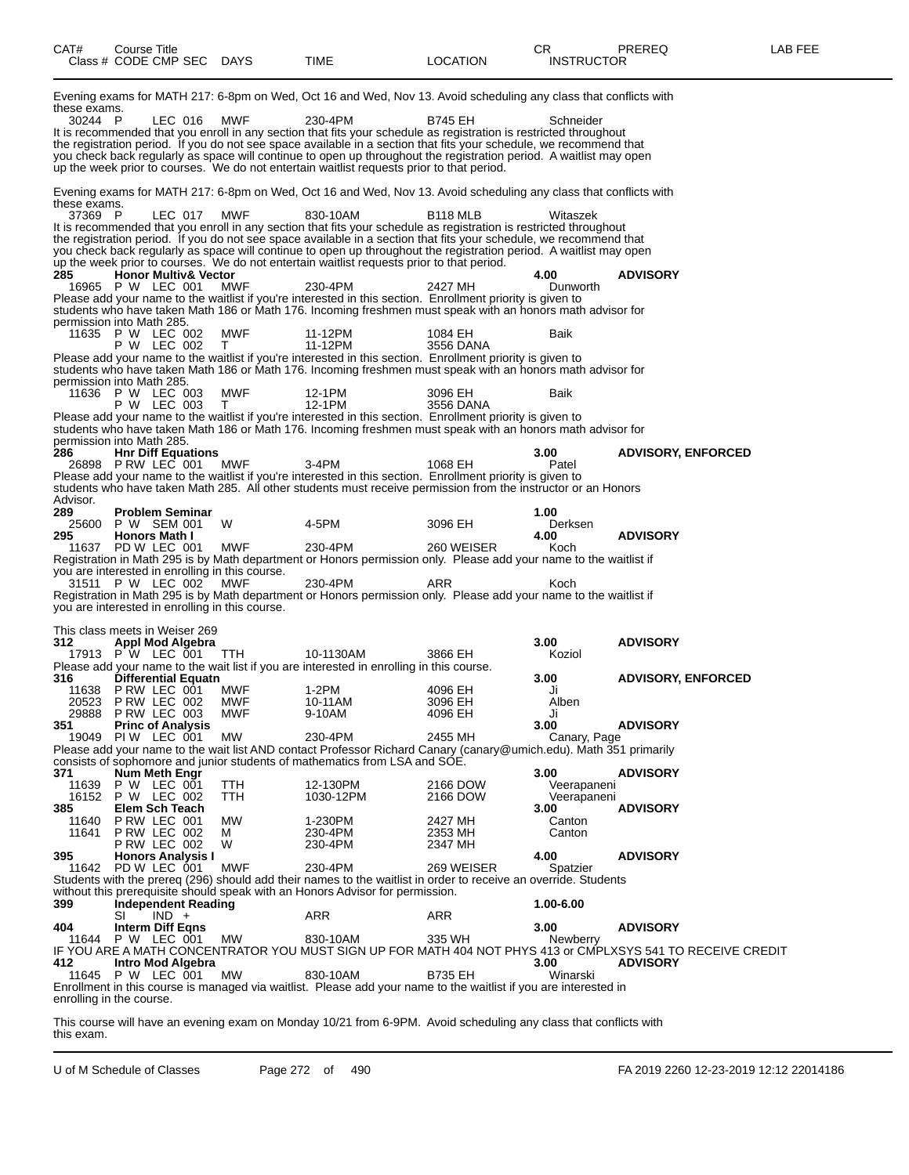| CAT#                           | Course Title<br>Class # CODE CMP SEC DAYS                                                                                                                                           |                                  | TIME                                                                                                                                                                                                                                                                                                                                                                                                                                                                                                                                                                                                                                                                                                                                                                                                                              | <b>LOCATION</b>                                         | CR.<br><b>INSTRUCTOR</b>                                    | PREREQ                                                                                                                         | LAB FEE |
|--------------------------------|-------------------------------------------------------------------------------------------------------------------------------------------------------------------------------------|----------------------------------|-----------------------------------------------------------------------------------------------------------------------------------------------------------------------------------------------------------------------------------------------------------------------------------------------------------------------------------------------------------------------------------------------------------------------------------------------------------------------------------------------------------------------------------------------------------------------------------------------------------------------------------------------------------------------------------------------------------------------------------------------------------------------------------------------------------------------------------|---------------------------------------------------------|-------------------------------------------------------------|--------------------------------------------------------------------------------------------------------------------------------|---------|
| these exams.<br>30244 P        | LEC 016                                                                                                                                                                             | MWF                              | Evening exams for MATH 217: 6-8pm on Wed, Oct 16 and Wed, Nov 13. Avoid scheduling any class that conflicts with<br>230-4PM<br>It is recommended that you enroll in any section that fits your schedule as registration is restricted throughout<br>the registration period. If you do not see space available in a section that fits your schedule, we recommend that<br>you check back regularly as space will continue to open up throughout the registration period. A waitlist may open<br>up the week prior to courses. We do not entertain waitlist requests prior to that period.                                                                                                                                                                                                                                         | B745 EH                                                 | Schneider                                                   |                                                                                                                                |         |
| these exams.<br>37369 P<br>285 | LEC 017 MWF<br><b>Honor Multiv&amp; Vector</b><br>16965 P W LEC 001<br>permission into Math 285.                                                                                    | MWF                              | Evening exams for MATH 217: 6-8pm on Wed, Oct 16 and Wed, Nov 13. Avoid scheduling any class that conflicts with<br>830-10AM<br>It is recommended that you enroll in any section that fits your schedule as registration is restricted throughout<br>the registration period. If you do not see space available in a section that fits your schedule, we recommend that<br>you check back regularly as space will continue to open up throughout the registration period. A waitlist may open<br>up the week prior to courses. We do not entertain waitlist requests prior to that period.<br>230-4PM<br>Please add your name to the waitlist if you're interested in this section. Enrollment priority is given to<br>students who have taken Math 186 or Math 176. Incoming freshmen must speak with an honors math advisor for | B118 MLB<br>2427 MH                                     | Witaszek<br>4.00<br>Dunworth                                | <b>ADVISORY</b>                                                                                                                |         |
|                                | 11635 P W LEC 002<br>P W LEC 002<br>permission into Math 285.<br>11636 P W LEC 003<br>P W LEC 003                                                                                   | MWF<br>T.<br>MWF<br>T            | 11-12PM<br>11-12PM<br>Please add your name to the waitlist if you're interested in this section. Enrollment priority is given to<br>students who have taken Math 186 or Math 176. Incoming freshmen must speak with an honors math advisor for<br>12-1PM<br>12-1PM<br>Please add your name to the waitlist if you're interested in this section. Enrollment priority is given to<br>students who have taken Math 186 or Math 176. Incoming freshmen must speak with an honors math advisor for                                                                                                                                                                                                                                                                                                                                    | 1084 EH<br>3556 DANA<br>3096 EH<br>3556 DANA            | Baik<br>Baik                                                |                                                                                                                                |         |
| 286<br>Advisor.<br>289<br>295  | permission into Math 285.<br><b>Hnr Diff Equations</b><br>26898 PRW LEC 001<br><b>Problem Seminar</b><br>25600 P W SEM 001<br><b>Honors Math I</b>                                  | <b>MWF</b><br>W                  | 3-4PM<br>Please add your name to the waitlist if you're interested in this section. Enrollment priority is given to<br>students who have taken Math 285. All other students must receive permission from the instructor or an Honors<br>4-5PM                                                                                                                                                                                                                                                                                                                                                                                                                                                                                                                                                                                     | 1068 EH<br>3096 EH                                      | 3.00<br>Patel<br>1.00<br>Derksen<br>4.00                    | <b>ADVISORY, ENFORCED</b><br><b>ADVISORY</b>                                                                                   |         |
|                                | 11637 PD W LEC 001<br>you are interested in enrolling in this course.<br>31511 P W LEC 002 MWF<br>you are interested in enrolling in this course.<br>This class meets in Weiser 269 | MWF                              | 230-4PM<br>Registration in Math 295 is by Math department or Honors permission only. Please add your name to the waitlist if<br>230-4PM<br>Registration in Math 295 is by Math department or Honors permission only. Please add your name to the waitlist if                                                                                                                                                                                                                                                                                                                                                                                                                                                                                                                                                                      | 260 WEISER<br>ARR                                       | Koch<br>Koch                                                |                                                                                                                                |         |
| 312<br>316                     | <b>Appl Mod Algebra</b><br>17913 PW LEC 001<br><b>Differential Equatn</b><br>11638 P RW LEC 001<br>20523 PRW LEC 002<br>29888 PRW LEC 003                                           | TTH.<br>MWF<br><b>MWF</b><br>MWF | 10-1130AM<br>Please add your name to the wait list if you are interested in enrolling in this course.<br>1-2PM<br>10-11AM<br>9-10AM                                                                                                                                                                                                                                                                                                                                                                                                                                                                                                                                                                                                                                                                                               | 3866 EH<br>4096 EH<br>3096 EH<br>4096 EH                | 3.00<br>Koziol<br>3.00<br>Ji<br>Alben<br>Ji                 | <b>ADVISORY</b><br><b>ADVISORY, ENFORCED</b>                                                                                   |         |
| 351<br>371<br>11639            | <b>Princ of Analysis</b><br>19049 PIW LEC 001<br>Num Meth Engr<br>P W LEC 001                                                                                                       | MW<br>TTH                        | 230-4PM<br>Please add your name to the wait list AND contact Professor Richard Canary (canary@umich.edu). Math 351 primarily<br>consists of sophomore and junior students of mathematics from LSA and SOE.<br>12-130PM                                                                                                                                                                                                                                                                                                                                                                                                                                                                                                                                                                                                            | 2455 MH<br>2166 DOW                                     | 3.00<br>Canary, Page<br>3.00<br>Veerapaneni                 | <b>ADVISORY</b><br><b>ADVISORY</b>                                                                                             |         |
| 385<br>11640<br>11641<br>395   | 16152 P W LEC 002<br>Elem Sch Teach<br>PRW LEC 001<br>PRW LEC 002<br>P RW LEC 002<br><b>Honors Analysis I</b><br>11642 PD W LEC 001                                                 | TTH<br>MW<br>м<br>W<br>MWF       | 1030-12PM<br>1-230PM<br>230-4PM<br>230-4PM<br>230-4PM                                                                                                                                                                                                                                                                                                                                                                                                                                                                                                                                                                                                                                                                                                                                                                             | 2166 DOW<br>2427 MH<br>2353 MH<br>2347 MH<br>269 WEISER | Veerapaneni<br>3.00<br>Canton<br>Canton<br>4.00<br>Spatzier | <b>ADVISORY</b><br><b>ADVISORY</b>                                                                                             |         |
| 399<br>404                     | <b>Independent Reading</b><br>$IND +$<br>SI<br>Interm Diff Egns<br>11644 P W LEC 001                                                                                                | MW                               | Students with the prereq (296) should add their names to the waitlist in order to receive an override. Students<br>without this prerequisite should speak with an Honors Advisor for permission.<br>ARR<br>830-10AM                                                                                                                                                                                                                                                                                                                                                                                                                                                                                                                                                                                                               | ARR<br>335 WH                                           | 1.00-6.00<br>3.00<br>Newberry                               | <b>ADVISORY</b>                                                                                                                |         |
| 412.                           | Intro Mod Algebra<br>11645 P W LEC 001<br>enrolling in the course.                                                                                                                  | MW                               | 830-10AM<br>Enrollment in this course is managed via waitlist. Please add your name to the waitlist if you are interested in                                                                                                                                                                                                                                                                                                                                                                                                                                                                                                                                                                                                                                                                                                      | <b>B735 EH</b>                                          | 3.00<br>Winarski                                            | IF YOU ARE A MATH CONCENTRATOR YOU MUST SIGN UP FOR MATH 404 NOT PHYS 413 or CMPLXSYS 541 TO RECEIVE CREDIT<br><b>ADVISORY</b> |         |

This course will have an evening exam on Monday 10/21 from 6-9PM. Avoid scheduling any class that conflicts with this exam.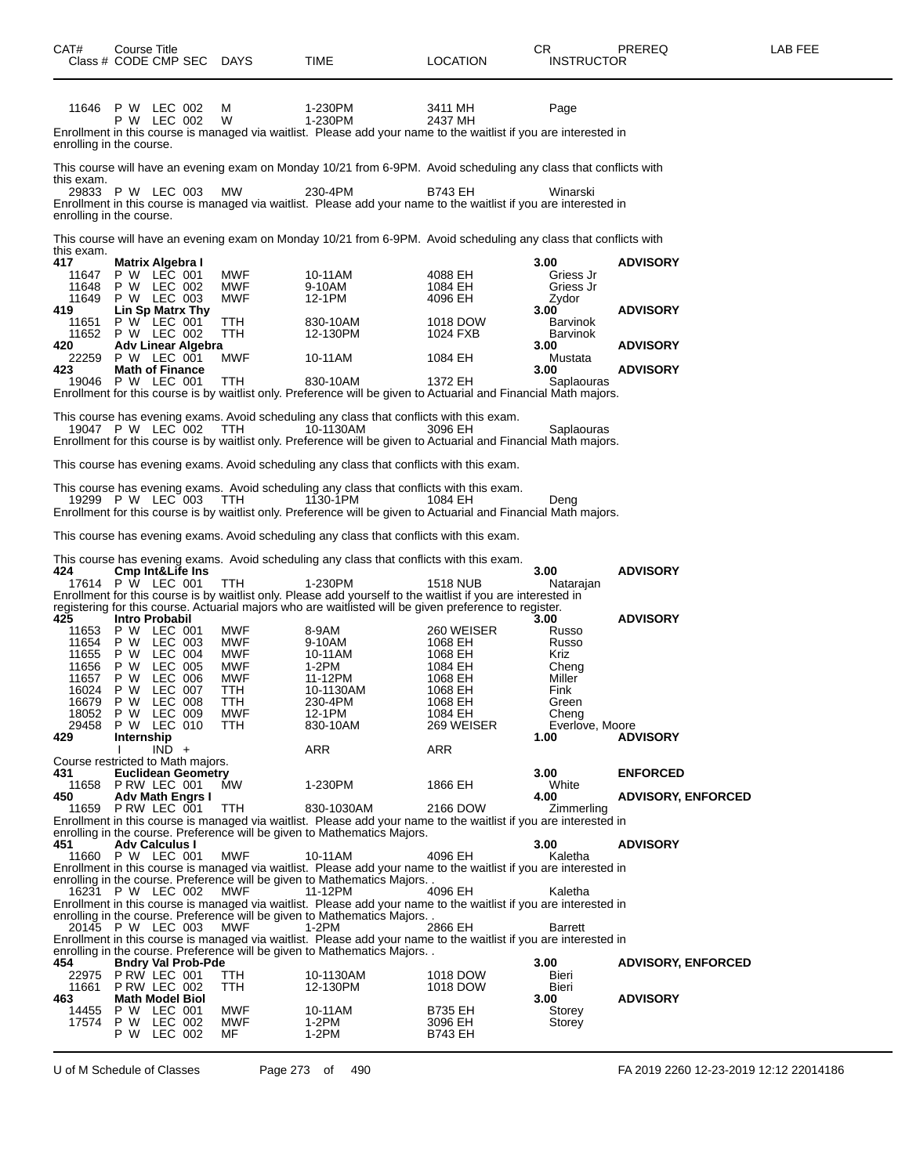| CAT#                                                                                         | <b>Course Title</b>                    | Class # CODE CMP SEC DAYS                                                                                                                                                                                  |                                                                                                       | TIME                                                                                                                                                                                                                                                                                                                                                                                                                          | <b>LOCATION</b>                                                                                                   | CR<br><b>INSTRUCTOR</b>                                                                                                        | PREREQ                                                                   | LAB FEE |
|----------------------------------------------------------------------------------------------|----------------------------------------|------------------------------------------------------------------------------------------------------------------------------------------------------------------------------------------------------------|-------------------------------------------------------------------------------------------------------|-------------------------------------------------------------------------------------------------------------------------------------------------------------------------------------------------------------------------------------------------------------------------------------------------------------------------------------------------------------------------------------------------------------------------------|-------------------------------------------------------------------------------------------------------------------|--------------------------------------------------------------------------------------------------------------------------------|--------------------------------------------------------------------------|---------|
| enrolling in the course.                                                                     |                                        | 11646 P W LEC 002<br>P W LEC 002                                                                                                                                                                           | м<br>W                                                                                                | 1-230PM<br>1-230PM<br>Enrollment in this course is managed via waitlist. Please add your name to the waitlist if you are interested in                                                                                                                                                                                                                                                                                        | 3411 MH<br>2437 MH                                                                                                | Page                                                                                                                           |                                                                          |         |
| this exam.<br>enrolling in the course.                                                       |                                        | 29833 P W LEC 003                                                                                                                                                                                          | <b>MW</b>                                                                                             | This course will have an evening exam on Monday 10/21 from 6-9PM. Avoid scheduling any class that conflicts with<br>230-4PM<br>Enrollment in this course is managed via waitlist. Please add your name to the waitlist if you are interested in                                                                                                                                                                               | B743 EH                                                                                                           | Winarski                                                                                                                       |                                                                          |         |
| this exam.<br>417<br>11647<br>11648<br>11649<br>419<br>11651<br>11652<br>420<br>22259<br>423 |                                        | Matrix Algebra I<br>P W LEC 001<br>P W LEC 002<br>P W LEC 003<br>Lin Sp Matrx Thy<br>P W LEC 001<br>P W LEC 002<br><b>Adv Linear Algebra</b><br>P W LEC 001<br><b>Math of Finance</b><br>19046 P W LEC 001 | MWF<br><b>MWF</b><br><b>MWF</b><br>TTH<br><b>TTH</b><br>MWF<br><b>TTH</b>                             | This course will have an evening exam on Monday 10/21 from 6-9PM. Avoid scheduling any class that conflicts with<br>10-11AM<br>9-10AM<br>12-1PM<br>830-10AM<br>12-130PM<br>10-11AM<br>830-10AM<br>Enrollment for this course is by waitlist only. Preference will be given to Actuarial and Financial Math majors.                                                                                                            | 4088 EH<br>1084 EH<br>4096 EH<br>1018 DOW<br>1024 FXB<br>1084 EH<br>1372 EH                                       | 3.00<br>Griess Jr<br>Griess Jr<br>Zydor<br>3.00<br><b>Barvinok</b><br><b>Barvinok</b><br>3.00<br>Mustata<br>3.00<br>Saplaouras | <b>ADVISORY</b><br><b>ADVISORY</b><br><b>ADVISORY</b><br><b>ADVISORY</b> |         |
|                                                                                              |                                        | 19047 P W LEC 002<br>19299 P W LEC 003                                                                                                                                                                     | TTH<br>TTH                                                                                            | This course has evening exams. Avoid scheduling any class that conflicts with this exam.<br>10-1130AM<br>Enrollment for this course is by waitlist only. Preference will be given to Actuarial and Financial Math majors.<br>This course has evening exams. Avoid scheduling any class that conflicts with this exam.<br>This course has evening exams. Avoid scheduling any class that conflicts with this exam.<br>1130-1PM | 3096 EH<br>1084 EH                                                                                                | Saplaouras<br>Deng                                                                                                             |                                                                          |         |
| 424                                                                                          |                                        | <b>Cmp Int&amp;Life Ins</b>                                                                                                                                                                                |                                                                                                       | Enrollment for this course is by waitlist only. Preference will be given to Actuarial and Financial Math majors.<br>This course has evening exams. Avoid scheduling any class that conflicts with this exam.<br>This course has evening exams. Avoid scheduling any class that conflicts with this exam.                                                                                                                      |                                                                                                                   | 3.00                                                                                                                           | <b>ADVISORY</b>                                                          |         |
| 425<br>11653<br>11654<br>11655<br>11656<br>11657<br>16024<br>16679<br>29458<br>429           | P W<br>P W<br>P W<br>P W<br>Internship | 17614 P W LEC 001<br>Intro Probabil<br>P W LEC 001<br>LEC 003<br>P W LEC 004<br>LEC 005<br>LEC 006<br>LEC 007<br><b>P W LEC 008</b><br>18052 P W LEC 009<br>P W LEC 010                                    | <b>TTH</b><br>MWF<br><b>MWF</b><br><b>MWF</b><br>MWF<br><b>MWF</b><br>TTH<br>TTH<br><b>MWF</b><br>TTH | 1-230PM<br>Enrollment for this course is by waitlist only. Please add yourself to the waitlist if you are interested in<br>registering for this course. Actuarial majors who are waitlisted will be given preference to register.<br>8-9AM<br>9-10AM<br>10-11AM<br>$1-2PM$<br>11-12PM<br>10-1130AM<br>230-4PM<br>12-1PM<br>830-10AM                                                                                           | 1518 NUB<br>260 WEISER<br>1068 EH<br>1068 EH<br>1084 EH<br>1068 EH<br>1068 EH<br>1068 EH<br>1084 EH<br>269 WEISER | Natarajan<br>3.00<br>Russo<br>Russo<br>Kriz<br>Cheng<br>Miller<br>Fink<br>Green<br>Cheng<br>Everlove, Moore<br>1.00            | <b>ADVISORY</b><br><b>ADVISORY</b>                                       |         |
| 431<br>11658<br>450                                                                          |                                        | $IND +$<br>Course restricted to Math majors.<br><b>Euclidean Geometry</b><br>PRW LEC 001<br><b>Adv Math Engrs I</b><br>11659 P RW LEC 001                                                                  | <b>MW</b><br>TTH                                                                                      | ARR<br>1-230PM<br>830-1030AM<br>Enrollment in this course is managed via waitlist. Please add your name to the waitlist if you are interested in<br>enrolling in the course. Preference will be given to Mathematics Majors.                                                                                                                                                                                                  | <b>ARR</b><br>1866 EH<br>2166 DOW                                                                                 | 3.00<br>White<br>4.00<br>Zimmerling                                                                                            | <b>ENFORCED</b><br><b>ADVISORY, ENFORCED</b>                             |         |
|                                                                                              |                                        |                                                                                                                                                                                                            |                                                                                                       |                                                                                                                                                                                                                                                                                                                                                                                                                               |                                                                                                                   |                                                                                                                                |                                                                          |         |

**451 Adv Calculus I 3.00 ADVISORY** 11660 P W LEC 001 MWF 10-11AM 4096 EH Kaletha Enrollment in this course is managed via waitlist. Please add your name to the waitlist if you are interested in

enrolling in the course. Preference will be given to Mathematics Majors. . 16231 P W LEC 002 MWF 11-12PM 4096 EH Kaletha

Enrollment in this course is managed via waitlist. Please add your name to the waitlist if you are interested in

enrolling in the course. Preference will be given to Mathematics Majors. .

20145 P W LEC 003 MWF 1-2PM 2866 EH Barrett

Enrollment in this course is managed via waitlist. Please add your name to the waitlist if you are interested in enrolling in the course. Preference will be given to Mathematics Majors.

|       |                           |            | <u>and manual measured in the complete the set of the manual manual male of</u> |                |        |                           |
|-------|---------------------------|------------|---------------------------------------------------------------------------------|----------------|--------|---------------------------|
| 454   | <b>Bndry Val Prob-Pde</b> |            |                                                                                 |                | 3.00   | <b>ADVISORY, ENFORCED</b> |
| 22975 | PRW LEC 001               | TTH        | 10-1130AM                                                                       | 1018 DOW       | Bieri  |                           |
| 11661 | PRW LEC 002               | TTH        | 12-130PM                                                                        | 1018 DOW       | Bieri  |                           |
| 463   | Math Model Biol           |            |                                                                                 |                | 3.00   | <b>ADVISORY</b>           |
| 14455 | <b>P W LEC 001</b>        | <b>MWF</b> | 10-11AM                                                                         | <b>B735 EH</b> | Storey |                           |
|       | 17574 P W LEC 002         | MWF        | $1-2PM$                                                                         | 3096 EH        | Storey |                           |
|       | P W LEC 002               | MF         | $1-2PM$                                                                         | <b>B743 EH</b> |        |                           |
|       |                           |            |                                                                                 |                |        |                           |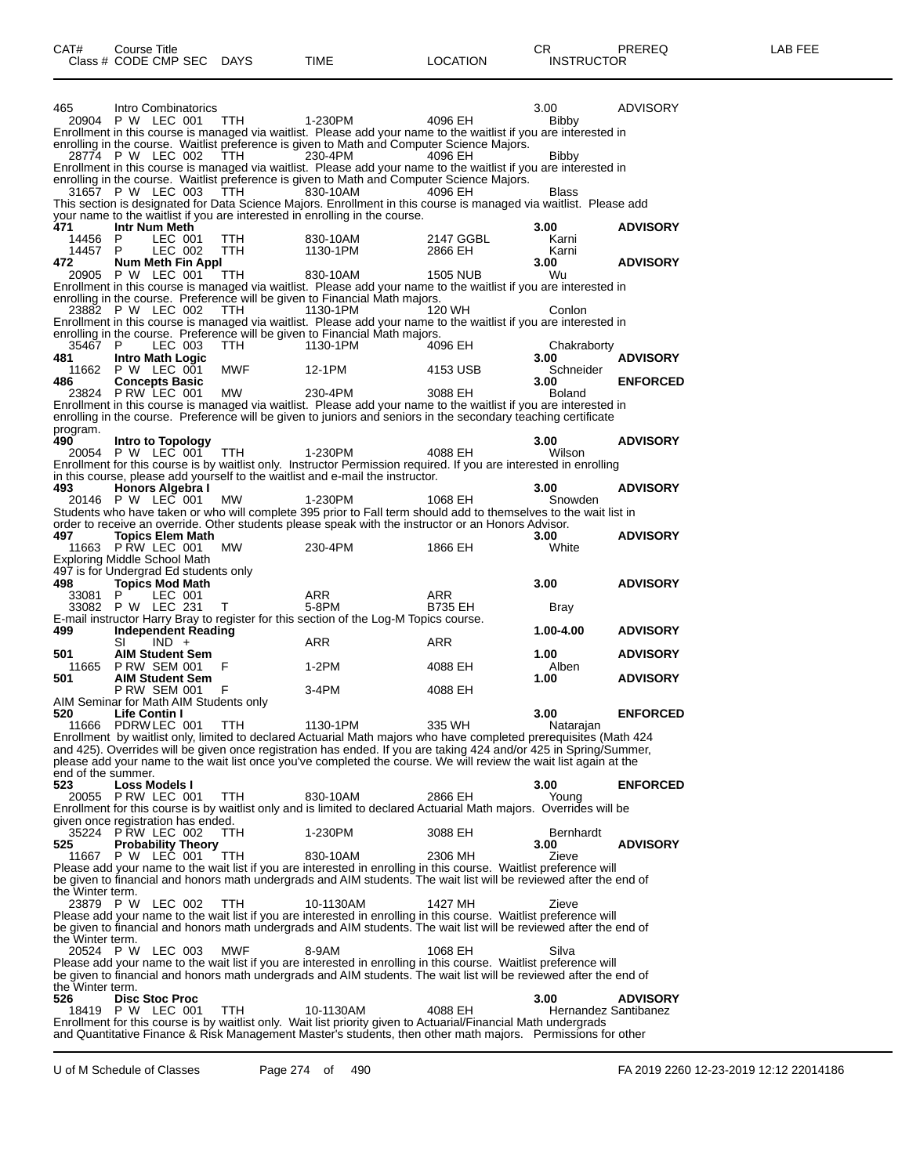| 465                | Intro Combinatorics<br>20904 P W LEC 001      |         | TTH        | 1-230PM                                                                                                                                                                                                                                 | 4096 EH         | 3.00<br>Bibby        | ADVISORY        |
|--------------------|-----------------------------------------------|---------|------------|-----------------------------------------------------------------------------------------------------------------------------------------------------------------------------------------------------------------------------------------|-----------------|----------------------|-----------------|
|                    |                                               |         |            | Enrollment in this course is managed via waitlist. Please add your name to the waitlist if you are interested in                                                                                                                        |                 |                      |                 |
|                    |                                               |         |            | enrolling in the course. Waitlist preference is given to Math and Computer Science Majors.                                                                                                                                              |                 |                      |                 |
|                    | 28774 P W LEC 002                             |         | TTH        | 230-4PM                                                                                                                                                                                                                                 | 4096 EH         | Bibby                |                 |
|                    |                                               |         |            | Enrollment in this course is managed via waitlist. Please add your name to the waitlist if you are interested in                                                                                                                        |                 |                      |                 |
|                    |                                               |         |            | enrolling in the course. Waitlist preference is given to Math and Computer Science Majors.                                                                                                                                              |                 |                      |                 |
|                    | 31657 P W LEC 003                             |         | TTH        | 830-10AM<br>This section is designated for Data Science Majors. Enrollment in this course is managed via waitlist. Please add                                                                                                           | 4096 EH         | Blass                |                 |
|                    |                                               |         |            | your name to the waitlist if you are interested in enrolling in the course.                                                                                                                                                             |                 |                      |                 |
| 471                | Intr Num Meth                                 |         |            |                                                                                                                                                                                                                                         |                 | 3.00                 | <b>ADVISORY</b> |
| 14456              | P                                             | LEC 001 | TTH        | 830-10AM                                                                                                                                                                                                                                | 2147 GGBL       | Karni                |                 |
| 14457              | P                                             | LEC 002 | TTH.       | 1130-1PM                                                                                                                                                                                                                                | 2866 EH         | Karni                |                 |
| 472                | Num Meth Fin Appl<br>20905 P W LEC 001        |         | TTH.       | 830-10AM                                                                                                                                                                                                                                | <b>1505 NUB</b> | 3.00<br>Wu           | <b>ADVISORY</b> |
|                    |                                               |         |            | Enrollment in this course is managed via waitlist. Please add your name to the waitlist if you are interested in                                                                                                                        |                 |                      |                 |
|                    |                                               |         |            | enrolling in the course. Preference will be given to Financial Math majors.                                                                                                                                                             |                 |                      |                 |
|                    | 23882 P W LEC 002                             |         | TTH        | 1130-1PM                                                                                                                                                                                                                                | 120 WH          | Conlon               |                 |
|                    |                                               |         |            | Enrollment in this course is managed via waitlist. Please add your name to the waitlist if you are interested in                                                                                                                        |                 |                      |                 |
|                    |                                               |         |            | enrolling in the course. Preference will be given to Financial Math majors.                                                                                                                                                             |                 |                      |                 |
| 35467<br>481       | P.<br><b>Intro Math Logic</b>                 | LEC 003 | ттн        | 1130-1PM                                                                                                                                                                                                                                | 4096 EH         | Chakraborty<br>3.00  | <b>ADVISORY</b> |
| 11662              | P W LEC 001                                   |         | <b>MWF</b> | 12-1PM                                                                                                                                                                                                                                  | 4153 USB        | Schneider            |                 |
| 486                | <b>Concepts Basic</b>                         |         |            |                                                                                                                                                                                                                                         |                 | 3.00                 | <b>ENFORCED</b> |
|                    | 23824 P RW LEC 001                            |         | <b>MW</b>  | 230-4PM                                                                                                                                                                                                                                 | 3088 EH         | <b>Boland</b>        |                 |
|                    |                                               |         |            | Enrollment in this course is managed via waitlist. Please add your name to the waitlist if you are interested in                                                                                                                        |                 |                      |                 |
|                    |                                               |         |            | enrolling in the course. Preference will be given to juniors and seniors in the secondary teaching certificate                                                                                                                          |                 |                      |                 |
| program.<br>490    |                                               |         |            |                                                                                                                                                                                                                                         |                 |                      | <b>ADVISORY</b> |
|                    | Intro to Topology<br>20054 P W LEC 001        |         | TTH        | 1-230PM                                                                                                                                                                                                                                 | 4088 EH         | 3.00<br>Wilson       |                 |
|                    |                                               |         |            | Enrollment for this course is by waitlist only. Instructor Permission required. If you are interested in enrolling                                                                                                                      |                 |                      |                 |
|                    |                                               |         |            | in this course, please add yourself to the waitlist and e-mail the instructor.                                                                                                                                                          |                 |                      |                 |
| 493                | Honors Algebra I                              |         |            |                                                                                                                                                                                                                                         |                 | 3.00                 | <b>ADVISORY</b> |
|                    | 20146 P W LEC 001                             |         | <b>MW</b>  | 1-230PM                                                                                                                                                                                                                                 | 1068 EH         | Snowden              |                 |
|                    |                                               |         |            | Students who have taken or who will complete 395 prior to Fall term should add to themselves to the wait list in                                                                                                                        |                 |                      |                 |
|                    |                                               |         |            | order to receive an override. Other students please speak with the instructor or an Honors Advisor.                                                                                                                                     |                 |                      |                 |
| 497                | <b>Topics Elem Math</b><br>11663 P RW LEC 001 |         | MW         | 230-4PM                                                                                                                                                                                                                                 | 1866 EH         | 3.00<br>White        | <b>ADVISORY</b> |
|                    | Exploring Middle School Math                  |         |            |                                                                                                                                                                                                                                         |                 |                      |                 |
|                    |                                               |         |            |                                                                                                                                                                                                                                         |                 |                      |                 |
|                    |                                               |         |            |                                                                                                                                                                                                                                         |                 |                      |                 |
| 498                | 497 is for Undergrad Ed students only         |         |            |                                                                                                                                                                                                                                         |                 | 3.00                 | <b>ADVISORY</b> |
| 33081              | <b>Topics Mod Math</b><br>P                   | LEC 001 |            | ARR                                                                                                                                                                                                                                     | ARR             |                      |                 |
|                    | 33082 P W LEC 231                             |         | т          | 5-8PM                                                                                                                                                                                                                                   | <b>B735 EH</b>  | <b>Bray</b>          |                 |
|                    |                                               |         |            | E-mail instructor Harry Bray to register for this section of the Log-M Topics course.                                                                                                                                                   |                 |                      |                 |
| 499                | <b>Independent Reading</b>                    |         |            |                                                                                                                                                                                                                                         |                 | 1.00-4.00            | <b>ADVISORY</b> |
|                    | SI                                            | $IND +$ |            | ARR                                                                                                                                                                                                                                     | ARR             |                      |                 |
| 501                | <b>AIM Student Sem</b><br><b>P RW SEM 001</b> |         | F          |                                                                                                                                                                                                                                         |                 | 1.00                 | <b>ADVISORY</b> |
| 11665<br>501       | <b>AIM Student Sem</b>                        |         |            | 1-2PM                                                                                                                                                                                                                                   | 4088 EH         | Alben<br>1.00        | <b>ADVISORY</b> |
|                    | <b>P RW SEM 001</b>                           |         | F          | $3-4PM$                                                                                                                                                                                                                                 | 4088 EH         |                      |                 |
|                    | AIM Seminar for Math AIM Students only        |         |            |                                                                                                                                                                                                                                         |                 |                      |                 |
| 520                | <b>Life Contin I</b>                          |         |            |                                                                                                                                                                                                                                         |                 | 3.00                 | <b>ENFORCED</b> |
|                    | 11666 PDRW LEC 001                            |         | TTH        | 1130-1PM                                                                                                                                                                                                                                | 335 WH          | Natarajan            |                 |
|                    |                                               |         |            | Enrollment by waitlist only, limited to declared Actuarial Math majors who have completed prerequisites (Math 424                                                                                                                       |                 |                      |                 |
|                    |                                               |         |            | and 425). Overrides will be given once registration has ended. If you are taking 424 and/or 425 in Spring/Summer,                                                                                                                       |                 |                      |                 |
| end of the summer. |                                               |         |            | please add your name to the wait list once you've completed the course. We will review the wait list again at the                                                                                                                       |                 |                      |                 |
| 523                | Loss Models I                                 |         |            |                                                                                                                                                                                                                                         |                 | 3.00                 | <b>ENFORCED</b> |
|                    | 20055 PRW LEC 001                             |         | <b>TTH</b> | 830-10AM                                                                                                                                                                                                                                | 2866 EH         | Young                |                 |
|                    |                                               |         |            | Enrollment for this course is by waitlist only and is limited to declared Actuarial Math majors. Overrides will be                                                                                                                      |                 |                      |                 |
|                    | given once registration has ended.            |         |            |                                                                                                                                                                                                                                         |                 |                      |                 |
|                    | 35224 PRW LEC 002                             |         | TTH        | 1-230PM                                                                                                                                                                                                                                 | 3088 EH         | Bernhardt            |                 |
| 525                | <b>Probability Theory</b>                     |         |            |                                                                                                                                                                                                                                         |                 | 3.00                 | <b>ADVISORY</b> |
| 11667              | P W LEC 001                                   |         | TTH        | 830-10AM<br>Please add your name to the wait list if you are interested in enrolling in this course. Waitlist preference will                                                                                                           | 2306 MH         | Zieve                |                 |
|                    |                                               |         |            | be given to financial and honors math undergrads and AIM students. The wait list will be reviewed after the end of                                                                                                                      |                 |                      |                 |
| the Winter term.   |                                               |         |            |                                                                                                                                                                                                                                         |                 |                      |                 |
|                    | 23879 P W LEC 002                             |         | TTH        | 10-1130AM                                                                                                                                                                                                                               | 1427 MH         | Zieve                |                 |
|                    |                                               |         |            | Please add your name to the wait list if you are interested in enrolling in this course. Waitlist preference will                                                                                                                       |                 |                      |                 |
|                    |                                               |         |            | be given to financial and honors math undergrads and AIM students. The wait list will be reviewed after the end of                                                                                                                      |                 |                      |                 |
| the Winter term.   |                                               |         |            |                                                                                                                                                                                                                                         |                 |                      |                 |
|                    | 20524 P W LEC 003                             |         | <b>MWF</b> | 8-9AM                                                                                                                                                                                                                                   | 1068 EH         | Silva                |                 |
|                    |                                               |         |            | Please add your name to the wait list if you are interested in enrolling in this course. Waitlist preference will<br>be given to financial and honors math undergrads and AIM students. The wait list will be reviewed after the end of |                 |                      |                 |
| the Winter term.   |                                               |         |            |                                                                                                                                                                                                                                         |                 |                      |                 |
| 526                | <b>Disc Stoc Proc</b>                         |         |            |                                                                                                                                                                                                                                         |                 | 3.00                 | <b>ADVISORY</b> |
|                    | 18419 P W LEC 001                             |         | TTH        | 10-1130AM                                                                                                                                                                                                                               | 4088 EH         | Hernandez Santibanez |                 |
|                    |                                               |         |            | Enrollment for this course is by waitlist only. Wait list priority given to Actuarial/Financial Math undergrads<br>and Quantitative Finance & Risk Management Master's students, then other math majors. Permissions for other          |                 |                      |                 |

U of M Schedule of Classes Page 274 of 490 FA 2019 2260 12-23-2019 12:12 22014186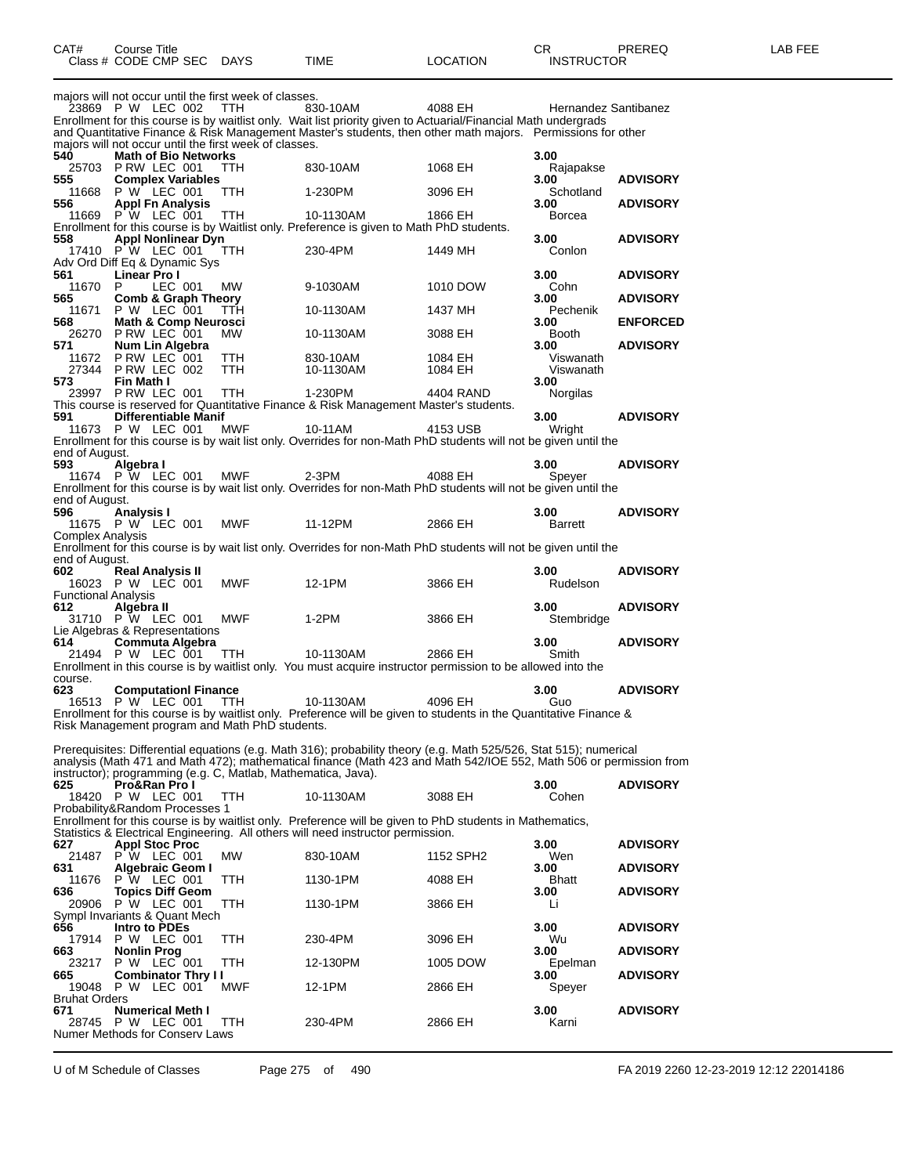|                             | Class # CODE CMP SEC                                                                  | DAYS       | TIME                                                                                                                                                                                         | <b>LOCATION</b>       | <b>INSTRUCTOR</b>     |                 |
|-----------------------------|---------------------------------------------------------------------------------------|------------|----------------------------------------------------------------------------------------------------------------------------------------------------------------------------------------------|-----------------------|-----------------------|-----------------|
|                             | majors will not occur until the first week of classes.                                |            |                                                                                                                                                                                              |                       |                       |                 |
|                             | 23869 P W LEC 002                                                                     | TTH.       | 830-10AM<br>Enrollment for this course is by waitlist only. Wait list priority given to Actuarial/Financial Math undergrads                                                                  | 4088 EH               | Hernandez Santibanez  |                 |
|                             |                                                                                       |            | and Quantitative Finance & Risk Management Master's students, then other math majors. Permissions for other                                                                                  |                       |                       |                 |
| 540                         | majors will not occur until the first week of classes.<br><b>Math of Bio Networks</b> |            |                                                                                                                                                                                              |                       | 3.00                  |                 |
| 555                         | 25703 P RW LEC 001<br><b>Complex Variables</b>                                        | <b>TTH</b> | 830-10AM                                                                                                                                                                                     | 1068 EH               | Rajapakse<br>3.00     | <b>ADVISORY</b> |
| 11668                       | P W LEC 001                                                                           | TTH        | 1-230PM                                                                                                                                                                                      | 3096 EH               | Schotland             |                 |
| 556                         | <b>Appl Fn Analysis</b><br>11669 P W LEC 001                                          | <b>TTH</b> | 10-1130AM                                                                                                                                                                                    | 1866 EH               | 3.00<br><b>Borcea</b> | <b>ADVISORY</b> |
| 558                         | <b>Appl Nonlinear Dyn</b>                                                             |            | Enrollment for this course is by Waitlist only. Preference is given to Math PhD students.                                                                                                    |                       | 3.00                  | <b>ADVISORY</b> |
|                             | 17410 P W LEC 001                                                                     | <b>TTH</b> | 230-4PM                                                                                                                                                                                      | 1449 MH               | Conlon                |                 |
| 561                         | Adv Ord Diff Eq & Dynamic Sys<br><b>Linear Pro I</b>                                  |            |                                                                                                                                                                                              |                       | 3.00                  | <b>ADVISORY</b> |
| 11670 P<br>565              | LEC 001<br><b>Comb &amp; Graph Theory</b>                                             | MW         | 9-1030AM                                                                                                                                                                                     | 1010 DOW              | Cohn<br>3.00          | <b>ADVISORY</b> |
| 11671                       | P W LEC 001                                                                           | TTH        | 10-1130AM                                                                                                                                                                                    | 1437 MH               | Pechenik              |                 |
| 568                         | <b>Math &amp; Comp Neurosci</b><br>26270 PRW LEC 001                                  | MW         | 10-1130AM                                                                                                                                                                                    | 3088 EH               | 3.00<br>Booth         | <b>ENFORCED</b> |
| 571                         | Num Lin Algebra<br>11672 P RW LEC 001                                                 | <b>TTH</b> | 830-10AM                                                                                                                                                                                     | 1084 EH               | 3.00<br>Viswanath     | <b>ADVISORY</b> |
|                             | 27344 P RW LEC 002                                                                    | <b>TTH</b> | 10-1130AM                                                                                                                                                                                    | 1084 EH               | Viswanath             |                 |
| 573                         | Fin Math I<br>23997 P RW LEC 001                                                      | <b>TTH</b> | 1-230PM                                                                                                                                                                                      | 4404 RAND             | 3.00<br>Norgilas      |                 |
| 591                         | <b>Differentiable Manif</b>                                                           |            | This course is reserved for Quantitative Finance & Risk Management Master's students.                                                                                                        |                       | 3.00                  | <b>ADVISORY</b> |
|                             | 11673 P W LEC 001                                                                     | MWF        | 10-11AM                                                                                                                                                                                      | 4153 USB              | Wright                |                 |
| end of August.              |                                                                                       |            | Enrollment for this course is by wait list only. Overrides for non-Math PhD students will not be given until the                                                                             |                       |                       |                 |
| 593                         | Algebra I<br>11674 P W LEC 001                                                        | MWF        | $2-3PM$                                                                                                                                                                                      | 4088 EH               | 3.00<br>Speyer        | <b>ADVISORY</b> |
|                             |                                                                                       |            | Enrollment for this course is by wait list only. Overrides for non-Math PhD students will not be given until the                                                                             |                       |                       |                 |
| end of August.<br>596       | Analysis I                                                                            |            |                                                                                                                                                                                              |                       | 3.00                  | <b>ADVISORY</b> |
| Complex Analysis            | 11675 P W LEC 001                                                                     | <b>MWF</b> | 11-12PM                                                                                                                                                                                      | 2866 EH               | Barrett               |                 |
|                             |                                                                                       |            | Enrollment for this course is by wait list only. Overrides for non-Math PhD students will not be given until the                                                                             |                       |                       |                 |
| end of August.<br>602       | <b>Real Analysis II</b>                                                               |            |                                                                                                                                                                                              |                       | 3.00                  | <b>ADVISORY</b> |
| <b>Functional Analysis</b>  | 16023 P W LEC 001                                                                     | <b>MWF</b> | 12-1PM                                                                                                                                                                                       | 3866 EH               | Rudelson              |                 |
| 612                         | Algebra II                                                                            |            |                                                                                                                                                                                              |                       | 3.00                  | <b>ADVISORY</b> |
|                             | 31710 P W LEC 001<br>Lie Algebras & Representations                                   | <b>MWF</b> | 1-2PM                                                                                                                                                                                        | 3866 EH               | Stembridge            |                 |
| 614                         | Commuta Algebra<br>21494 P W LEC 001                                                  | <b>TTH</b> | 10-1130AM                                                                                                                                                                                    | 2866 EH               | 3.00<br>Smith         | <b>ADVISORY</b> |
|                             |                                                                                       |            | Enrollment in this course is by waitlist only. You must acquire instructor permission to be allowed into the                                                                                 |                       |                       |                 |
| course.<br>623              | <b>Computationl Finance</b>                                                           |            |                                                                                                                                                                                              |                       | 3.00                  | <b>ADVISORY</b> |
|                             | 16513 P W LEC 001                                                                     | <b>TTH</b> | 10-1130AM<br>Enrollment for this course is by waitlist only. Preference will be given to students in the Quantitative Finance &                                                              | 4096 EH               | Guo                   |                 |
|                             | Risk Management program and Math PhD students.                                        |            |                                                                                                                                                                                              |                       |                       |                 |
|                             |                                                                                       |            | Prerequisites: Differential equations (e.g. Math 316); probability theory (e.g. Math 525/526, Stat 515); numerical                                                                           |                       |                       |                 |
|                             | instructor); programming (e.g. C, Matlab, Mathematica, Java).                         |            | analysis (Math 471 and Math 472); mathematical finance (Math 423 and Math 542/IOE 552, Math 506 or permission from                                                                           |                       |                       |                 |
| 625                         | Pro&Ran Pro I<br>18420 P W LEC 001                                                    |            |                                                                                                                                                                                              |                       | 3.00                  | <b>ADVISORY</b> |
|                             | Probability&Random Processes 1                                                        | TTH.       | 10-1130AM                                                                                                                                                                                    | 3088 EH               | Cohen                 |                 |
|                             |                                                                                       |            | Enrollment for this course is by waitlist only. Preference will be given to PhD students in Mathematics,<br>Statistics & Electrical Engineering. All others will need instructor permission. |                       |                       |                 |
| 627<br>21487                | <b>Appl Stoc Proc</b><br>P W LEC 001                                                  | МW         | 830-10AM                                                                                                                                                                                     | 1152 SPH <sub>2</sub> | 3.00<br>Wen           | <b>ADVISORY</b> |
| 631                         | Algebraic Geom I                                                                      |            |                                                                                                                                                                                              |                       | 3.00                  | <b>ADVISORY</b> |
| 11676<br>636                | P W LEC 001<br><b>Topics Diff Geom</b>                                                | TTH        | 1130-1PM                                                                                                                                                                                     | 4088 EH               | <b>Bhatt</b><br>3.00  | <b>ADVISORY</b> |
|                             | 20906 P W LEC 001<br>Sympl Invariants & Quant Mech                                    | TTH        | 1130-1PM                                                                                                                                                                                     | 3866 EH               | Li                    |                 |
| 656                         | Intro to PDEs                                                                         |            |                                                                                                                                                                                              |                       | 3.00                  | <b>ADVISORY</b> |
| 663                         | 17914 P W LEC 001<br><b>Nonlin Prog</b>                                               | TTH        | 230-4PM                                                                                                                                                                                      | 3096 EH               | Wu<br>3.00            | <b>ADVISORY</b> |
|                             | 23217 P W LEC 001                                                                     | TTH.       | 12-130PM                                                                                                                                                                                     | 1005 DOW              | Epelman               |                 |
| 665                         | <b>Combinator Thry II</b><br>19048 P W LEC 001                                        | MWF        | 12-1PM                                                                                                                                                                                       | 2866 EH               | 3.00<br>Speyer        | <b>ADVISORY</b> |
| <b>Bruhat Orders</b><br>671 | <b>Numerical Meth I</b>                                                               |            |                                                                                                                                                                                              |                       | 3.00                  | <b>ADVISORY</b> |
|                             | 28745 P W LEC 001                                                                     | TTH.       | 230-4PM                                                                                                                                                                                      | 2866 EH               | Karni                 |                 |
|                             | Numer Methods for Conserv Laws                                                        |            |                                                                                                                                                                                              |                       |                       |                 |

U of M Schedule of Classes Page 275 of 490 FA 2019 2260 12-23-2019 12:12 22014186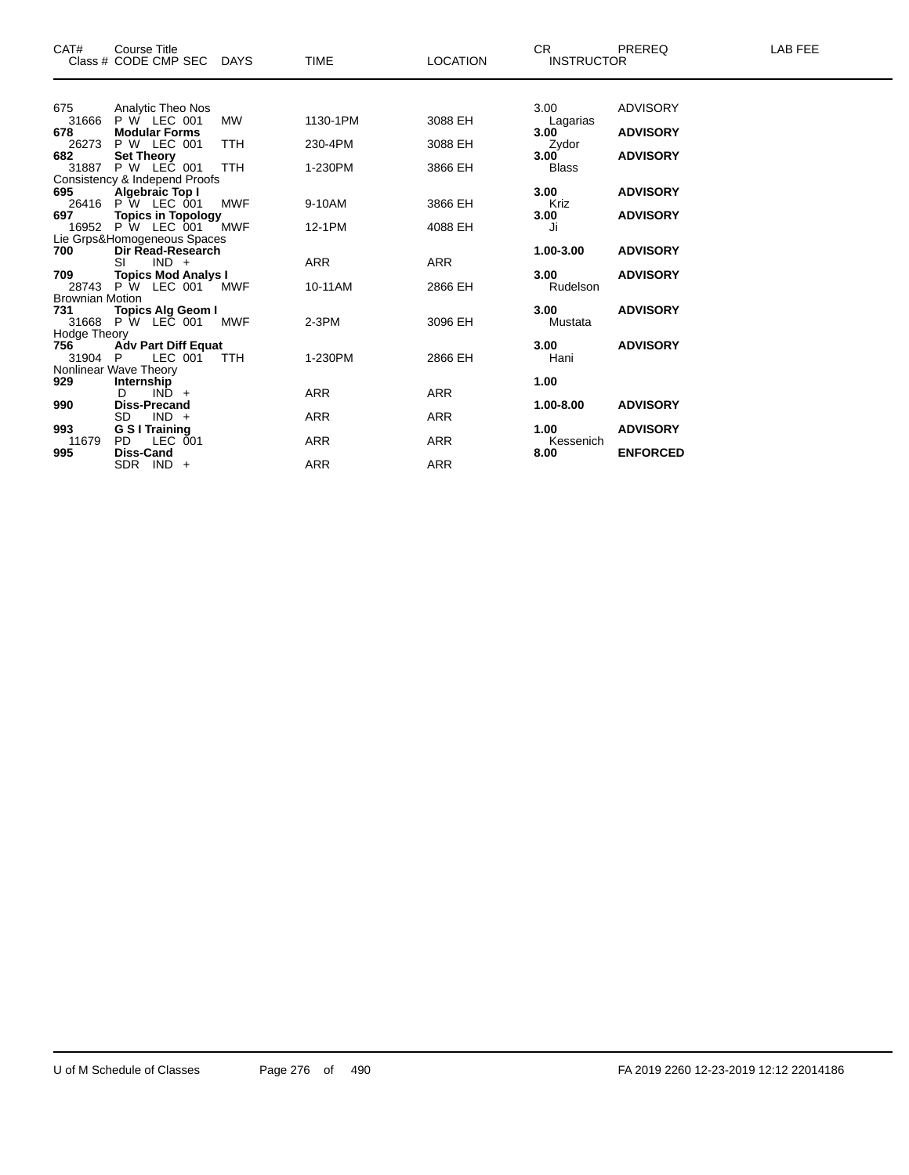| CAT#                          | Course Title<br>Class # CODE CMP SEC DAYS         |            | <b>TIME</b> | <b>LOCATION</b> | CR.<br><b>INSTRUCTOR</b> | <b>PREREQ</b>   | LAB FEE |
|-------------------------------|---------------------------------------------------|------------|-------------|-----------------|--------------------------|-----------------|---------|
|                               |                                                   |            |             |                 |                          |                 |         |
| 675                           | Analytic Theo Nos                                 |            |             |                 | 3.00                     | <b>ADVISORY</b> |         |
| 31666                         | P W LEC 001                                       | MW         | 1130-1PM    | 3088 EH         | Lagarias                 |                 |         |
| 678                           | <b>Modular Forms</b>                              |            |             |                 | 3.00                     | <b>ADVISORY</b> |         |
| 26273                         | P W LEC 001                                       | <b>TTH</b> | 230-4PM     | 3088 EH         | Zydor                    |                 |         |
| 682<br>31887                  | <b>Set Theory</b><br>P W LEC 001                  | <b>TTH</b> | 1-230PM     | 3866 EH         | 3.00<br><b>Blass</b>     | <b>ADVISORY</b> |         |
|                               | Consistency & Independ Proofs                     |            |             |                 |                          |                 |         |
| 695                           | Algebraic Top I                                   |            |             |                 | 3.00                     | <b>ADVISORY</b> |         |
|                               | 26416 P W LEC 001                                 | <b>MWF</b> | 9-10AM      | 3866 EH         | Kriz                     |                 |         |
| 697 — 10                      | <b>Topics in Topology</b>                         |            |             |                 | 3.00                     | <b>ADVISORY</b> |         |
|                               | 16952 P W LEC 001                                 | <b>MWF</b> | 12-1PM      | 4088 EH         | Ji                       |                 |         |
|                               | Lie Grps&Homogeneous Spaces                       |            |             |                 |                          |                 |         |
| 700                           | Dir Read-Research                                 |            |             |                 | 1.00-3.00                | <b>ADVISORY</b> |         |
|                               | $IND +$<br>SI                                     |            | <b>ARR</b>  | <b>ARR</b>      |                          |                 |         |
| 709                           | <b>Topics Mod Analys I</b>                        |            |             |                 | 3.00                     | <b>ADVISORY</b> |         |
|                               | 28743 P W LEC 001 MWF                             |            | 10-11AM     | 2866 EH         | Rudelson                 |                 |         |
| <b>Brownian Motion</b><br>731 |                                                   |            |             |                 | 3.00                     | <b>ADVISORY</b> |         |
|                               | <b>Topics Alg Geom I</b><br>31668 P W LEC 001 MWF |            | $2-3PM$     | 3096 EH         | Mustata                  |                 |         |
| Hodge Theory                  |                                                   |            |             |                 |                          |                 |         |
| 756                           | <b>Adv Part Diff Equat</b>                        |            |             |                 | 3.00                     | <b>ADVISORY</b> |         |
| 31904 P                       | LEC 001                                           | <b>TTH</b> | 1-230PM     | 2866 EH         | Hani                     |                 |         |
|                               | Nonlinear Wave Theory                             |            |             |                 |                          |                 |         |
| 929                           | Internship                                        |            |             |                 | 1.00                     |                 |         |
|                               | D.<br>$IND +$                                     |            | <b>ARR</b>  | <b>ARR</b>      |                          |                 |         |
| 990                           | <b>Diss-Precand</b>                               |            |             |                 | 1.00-8.00                | <b>ADVISORY</b> |         |
|                               | <b>SD</b><br>$IND +$                              |            | <b>ARR</b>  | <b>ARR</b>      |                          |                 |         |
| 993                           | <b>G S I Training</b>                             |            |             |                 | 1.00                     | <b>ADVISORY</b> |         |
| 11679                         | PD.<br>LEC 001                                    |            | <b>ARR</b>  | <b>ARR</b>      | Kessenich                |                 |         |
| 995                           | Diss-Cand<br>$SDR$ IND $+$                        |            | <b>ARR</b>  | <b>ARR</b>      | 8.00                     | <b>ENFORCED</b> |         |
|                               |                                                   |            |             |                 |                          |                 |         |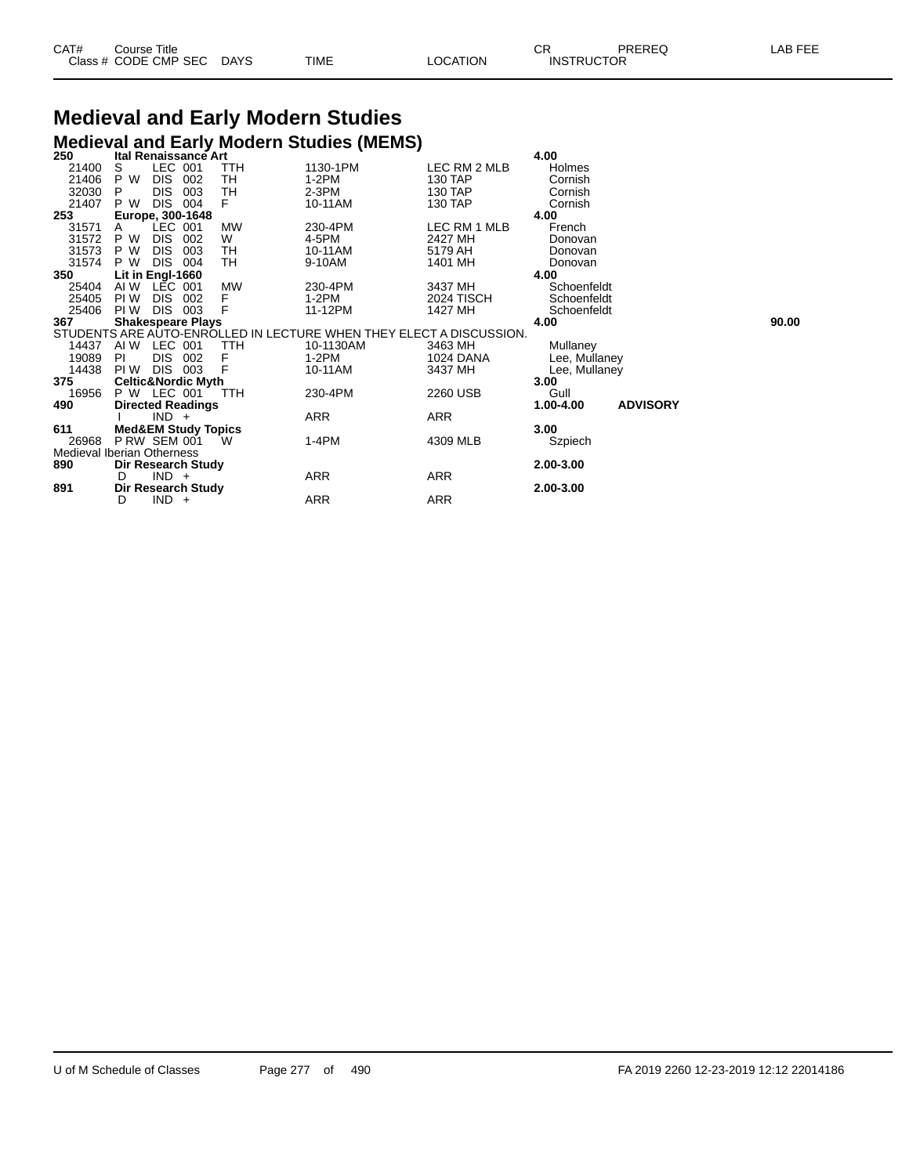| CAT# | Title<br>Course∴     |             |             |          | ⌒冖<br>ັບເ         | PREREQ | . EEF<br>A <sub>R</sub> |
|------|----------------------|-------------|-------------|----------|-------------------|--------|-------------------------|
|      | Class # CODE CMP SEC | <b>DAYS</b> | <b>TIME</b> | LOCATION | <b>INSTRUCTOR</b> |        |                         |

# **Medieval and Early Modern Studies**

|                                   |                     |            |                                |           | <b>Medieval and Early Modern Studies (MEMS)</b>                     |                   |               |                 |       |
|-----------------------------------|---------------------|------------|--------------------------------|-----------|---------------------------------------------------------------------|-------------------|---------------|-----------------|-------|
| 250                               |                     |            | <b>Ital Renaissance Art</b>    |           |                                                                     |                   | 4.00          |                 |       |
| 21400                             | S                   | LEC 001    |                                | TTH       | 1130-1PM                                                            | LEC RM 2 MLB      | Holmes        |                 |       |
| 21406                             | P W                 | <b>DIS</b> | 002                            | TН        | $1-2PM$                                                             | 130 TAP           | Cornish       |                 |       |
| 32030                             | P                   | <b>DIS</b> | 003                            | TH        | $2-3PM$                                                             | 130 TAP           | Cornish       |                 |       |
| 21407                             | P W                 | <b>DIS</b> | 004                            | F         | 10-11AM                                                             | 130 TAP           | Cornish       |                 |       |
| 253                               |                     |            | Europe, 300-1648               |           |                                                                     |                   | 4.00          |                 |       |
| 31571                             | A                   | LEC 001    |                                | <b>MW</b> | 230-4PM                                                             | LEC RM 1 MLB      | French        |                 |       |
| 31572                             | P W                 | <b>DIS</b> | 002                            | W         | 4-5PM                                                               | 2427 MH           | Donovan       |                 |       |
| 31573                             | P W                 | <b>DIS</b> | 003                            | TН        | 10-11AM                                                             | 5179 AH           | Donovan       |                 |       |
| 31574                             | P W                 | <b>DIS</b> | 004                            | TН        | 9-10AM                                                              | 1401 MH           | Donovan       |                 |       |
| 350                               | Lit in Engl-1660    |            |                                |           |                                                                     |                   | 4.00          |                 |       |
| 25404                             | AI W                | LEC 001    |                                | <b>MW</b> | 230-4PM                                                             | 3437 MH           | Schoenfeldt   |                 |       |
| 25405                             | PI W                | <b>DIS</b> | 002                            | F         | $1-2PM$                                                             | <b>2024 TISCH</b> | Schoenfeldt   |                 |       |
| 25406                             | PI W                | <b>DIS</b> | 003                            | F         | 11-12PM                                                             | 1427 MH           | Schoenfeldt   |                 |       |
| 367                               |                     |            | <b>Shakespeare Plays</b>       |           |                                                                     |                   | 4.00          |                 | 90.00 |
|                                   |                     |            |                                |           | STUDENTS ARE AUTO-ENROLLED IN LECTURE WHEN THEY ELECT A DISCUSSION. |                   |               |                 |       |
| 14437                             | AI W                | LEC 001    |                                | TTH       | 10-1130AM                                                           | 3463 MH           | Mullaney      |                 |       |
| 19089                             | PL                  | DIS 002    |                                | F         | $1-2PM$                                                             | 1024 DANA         | Lee, Mullaney |                 |       |
| 14438                             | PI W                | DIS 003    |                                | F         | 10-11AM                                                             | 3437 MH           | Lee, Mullaney |                 |       |
| 375                               |                     |            | <b>Celtic&amp;Nordic Myth</b>  |           |                                                                     |                   | 3.00          |                 |       |
| 16956                             | P W LEC 001         |            |                                | TTH       | 230-4PM                                                             | 2260 USB          | Gull          |                 |       |
| 490                               |                     |            | <b>Directed Readings</b>       |           |                                                                     |                   | 1.00-4.00     | <b>ADVISORY</b> |       |
|                                   |                     | $IND +$    |                                |           | ARR                                                                 | ARR               |               |                 |       |
| 611                               |                     |            | <b>Med&amp;EM Study Topics</b> |           |                                                                     |                   | 3.00          |                 |       |
| 26968                             | <b>P RW SEM 001</b> |            |                                | W         | 1-4PM                                                               | 4309 MLB          | Szpiech       |                 |       |
| <b>Medieval Iberian Otherness</b> |                     |            |                                |           |                                                                     |                   |               |                 |       |
| 890                               |                     |            | Dir Research Study             |           |                                                                     |                   | 2.00-3.00     |                 |       |
|                                   | D                   | $IND +$    |                                |           | ARR                                                                 | ARR               |               |                 |       |
| 891                               |                     |            | <b>Dir Research Study</b>      |           |                                                                     |                   | 2.00-3.00     |                 |       |
|                                   | D                   | $IND +$    |                                |           | ARR                                                                 | <b>ARR</b>        |               |                 |       |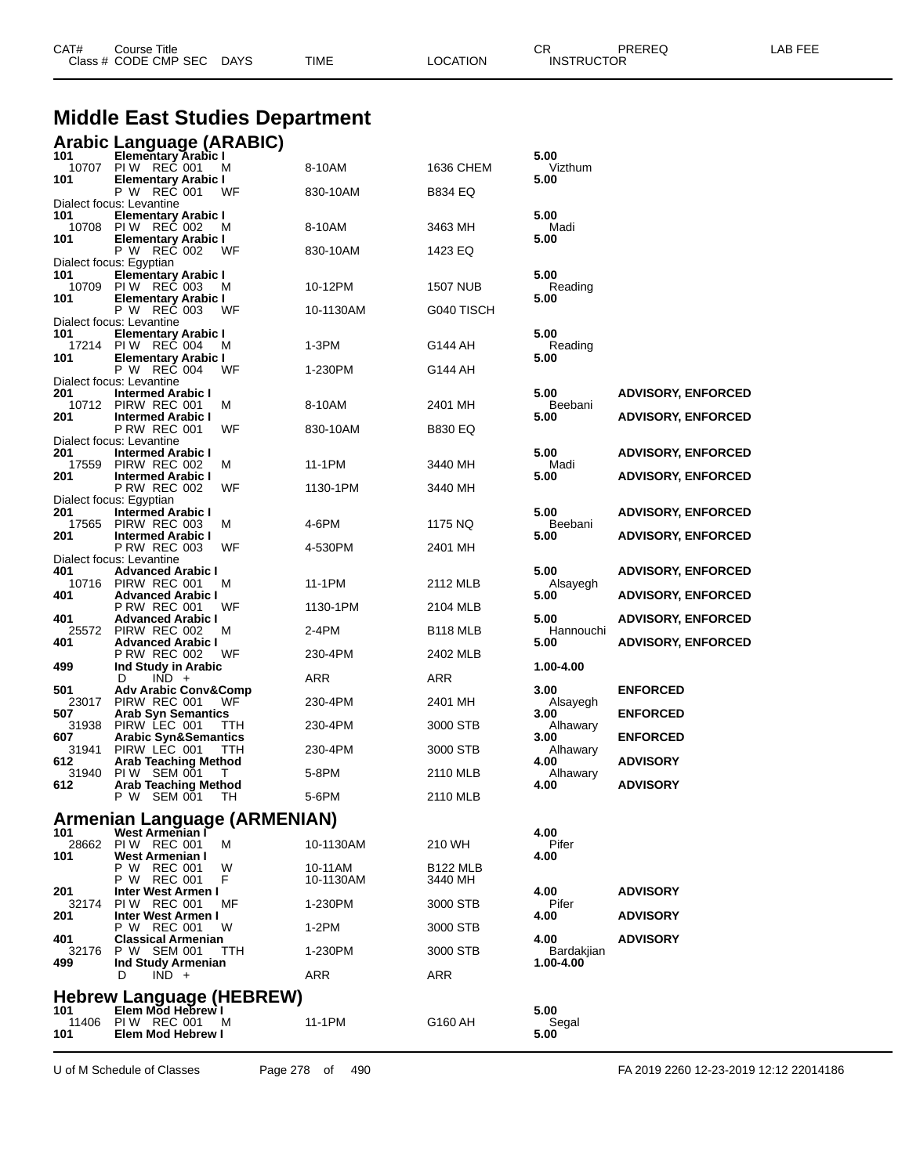| <b>Middle East Studies Department</b> |                                                      |            |                      |                     |                    |                           |  |  |  |
|---------------------------------------|------------------------------------------------------|------------|----------------------|---------------------|--------------------|---------------------------|--|--|--|
|                                       | Arabic Language (ARABIC)                             |            |                      |                     |                    |                           |  |  |  |
| 101<br>10707                          | <b>Elementary Arabic I</b><br>PIW REC 001            |            | 8-10AM               | 1636 CHEM           | 5.00<br>Vizthum    |                           |  |  |  |
| 101                                   | <b>Elementary Arabic I</b>                           | M          |                      |                     | 5.00               |                           |  |  |  |
|                                       | P W REC 001<br>Dialect focus: Levantine              | WF         | 830-10AM             | B834 EQ             |                    |                           |  |  |  |
| 101                                   | <b>Elementary Arabic I</b>                           |            |                      |                     | 5.00               |                           |  |  |  |
|                                       | 10708 PIW REC 002                                    | м          | 8-10AM               | 3463 MH             | Madi               |                           |  |  |  |
| 101                                   | <b>Elementary Arabic I</b><br>P W REC 002            | WF         | 830-10AM             | 1423 EQ             | 5.00               |                           |  |  |  |
| 101                                   | Dialect focus: Egyptian                              |            |                      |                     | 5.00               |                           |  |  |  |
| 10709                                 | <b>Elementary Arabic I</b><br>PIW REC 003            | м          | 10-12PM              | 1507 NUB            | Reading            |                           |  |  |  |
| 101                                   | <b>Elementary Arabic I</b><br>P W REC 003            | WF         | 10-1130AM            | G040 TISCH          | 5.00               |                           |  |  |  |
|                                       | Dialect focus: Levantine                             |            |                      |                     |                    |                           |  |  |  |
| 101                                   | <b>Elementary Arabic I</b><br>17214 PIW REC 004      | м          | 1-3PM                | G144 AH             | 5.00<br>Reading    |                           |  |  |  |
| 101                                   | <b>Elementary Arabic I</b>                           |            |                      |                     | 5.00               |                           |  |  |  |
|                                       | P W REC 004<br>Dialect focus: Levantine              | WF         | 1-230PM              | G144 AH             |                    |                           |  |  |  |
| 201                                   | <b>Intermed Arabic I</b>                             |            |                      |                     | 5.00               | <b>ADVISORY, ENFORCED</b> |  |  |  |
| 201                                   | 10712 PIRW REC 001<br><b>Intermed Arabic I</b>       | M          | 8-10AM               | 2401 MH             | Beebani<br>5.00    |                           |  |  |  |
|                                       | <b>P RW REC 001</b>                                  | WF         | 830-10AM             | B830 EQ             |                    | <b>ADVISORY, ENFORCED</b> |  |  |  |
| 201                                   | Dialect focus: Levantine<br><b>Intermed Arabic I</b> |            |                      |                     | 5.00               | <b>ADVISORY, ENFORCED</b> |  |  |  |
| 17559                                 | PIRW REC 002                                         | м          | 11-1PM               | 3440 MH             | Madi               |                           |  |  |  |
| 201                                   | <b>Intermed Arabic I</b><br><b>P RW REC 002</b>      | WF         | 1130-1PM             | 3440 MH             | 5.00               | <b>ADVISORY, ENFORCED</b> |  |  |  |
|                                       | Dialect focus: Egyptian                              |            |                      |                     |                    |                           |  |  |  |
| 201<br>17565                          | <b>Intermed Arabic I</b><br>PIRW REC 003             | M          | 4-6PM                | 1175 NQ             | 5.00<br>Beebani    | <b>ADVISORY, ENFORCED</b> |  |  |  |
| 201                                   | <b>Intermed Arabic I</b>                             |            |                      |                     | 5.00               | <b>ADVISORY, ENFORCED</b> |  |  |  |
|                                       | <b>P RW REC 003</b><br>Dialect focus: Levantine      | WF         | 4-530PM              | 2401 MH             |                    |                           |  |  |  |
| 401                                   | <b>Advanced Arabic I</b>                             |            |                      |                     | 5.00               | <b>ADVISORY, ENFORCED</b> |  |  |  |
| 401                                   | 10716 PIRW REC 001<br><b>Advanced Arabic I</b>       | м          | 11-1PM               | 2112 MLB            | Alsayegh<br>5.00   | <b>ADVISORY, ENFORCED</b> |  |  |  |
|                                       | <b>P RW REC 001</b>                                  | WF         | 1130-1PM             | 2104 MLB            |                    |                           |  |  |  |
| 401                                   | <b>Advanced Arabic I</b><br>25572 PIRW REC 002       | м          | 2-4PM                | B118 MLB            | 5.00<br>Hannouchi  | <b>ADVISORY, ENFORCED</b> |  |  |  |
| 401                                   | <b>Advanced Arabic I</b>                             |            |                      |                     | 5.00               | <b>ADVISORY, ENFORCED</b> |  |  |  |
| 499                                   | <b>P RW REC 002</b><br>Ind Study in Arabic           | WF         | 230-4PM              | 2402 MLB            | 1.00-4.00          |                           |  |  |  |
|                                       | $IND +$<br>D                                         |            | ARR                  | ARR                 |                    |                           |  |  |  |
| 501<br>23017                          | <b>Adv Arabic Conv&amp;Comp</b><br>PIRW REC 001      | WF         | 230-4PM              | 2401 MH             | 3.00<br>Alsayegh   | <b>ENFORCED</b>           |  |  |  |
| 507                                   | <b>Arab Syn Semantics</b>                            |            |                      |                     | 3.00               | <b>ENFORCED</b>           |  |  |  |
| 31938<br>607                          | PIRW LEC 001<br><b>Arabic Syn&amp;Semantics</b>      | TTH        | 230-4PM              | 3000 STB            | Alhawary<br>3.00   | <b>ENFORCED</b>           |  |  |  |
| 31941                                 | PIRW LEC 001                                         | TTH        | 230-4PM              | 3000 STB            | Alhawary           |                           |  |  |  |
| 612                                   | Arab Teaching Method<br>31940 PIW SEM 001            | $\top$     | 5-8PM                | 2110 MLB            | 4.00<br>Alhawary   | <b>ADVISORY</b>           |  |  |  |
| 612                                   | <b>Arab Teaching Method</b>                          |            |                      |                     | 4.00               | <b>ADVISORY</b>           |  |  |  |
|                                       | P W SEM 001                                          | TH         | 5-6PM                | 2110 MLB            |                    |                           |  |  |  |
|                                       | Armenian Language (ARMENIAN)                         |            |                      |                     |                    |                           |  |  |  |
| 101                                   | West Armenian I<br>28662 PIW REC 001                 | М          | 10-1130AM            | 210 WH              | 4.00<br>Pifer      |                           |  |  |  |
| 101                                   | West Armenian I                                      |            |                      |                     | 4.00               |                           |  |  |  |
|                                       | P W REC 001<br>P W REC 001                           | W<br>F     | 10-11AM<br>10-1130AM | B122 MLB<br>3440 MH |                    |                           |  |  |  |
| 201                                   | Inter West Armen I                                   |            |                      |                     | 4.00               | <b>ADVISORY</b>           |  |  |  |
| 32174<br>201                          | PIW REC 001<br>Inter West Armen I                    | МF         | 1-230PM              | 3000 STB            | Pifer<br>4.00      | <b>ADVISORY</b>           |  |  |  |
|                                       | P W REC 001                                          | w          | 1-2PM                | 3000 STB            |                    |                           |  |  |  |
| 401                                   | <b>Classical Armenian</b><br>32176 P W SEM 001       | <b>TTH</b> | 1-230PM              | 3000 STB            | 4.00<br>Bardakjian | <b>ADVISORY</b>           |  |  |  |
| 499                                   | Ind Study Armenian                                   |            |                      |                     | 1.00-4.00          |                           |  |  |  |
|                                       | D<br>$IND +$                                         |            | ARR                  | ARR                 |                    |                           |  |  |  |
|                                       | <b>Hebrew Language (HEBREW)</b>                      |            |                      |                     |                    |                           |  |  |  |
| 101                                   | Elem Mod Hebrew I<br>11406 PIW REC 001               | - M        | 11-1PM               | G160 AH             | 5.00<br>Segal      |                           |  |  |  |
| 101                                   | Elem Mod Hebrew I                                    |            |                      |                     | 5.00               |                           |  |  |  |

Class # CODE CMP SEC DAYS TIME LOCATION INSTRUCTOR

U of M Schedule of Classes Page 278 of 490 FA 2019 2260 12-23-2019 12:12 22014186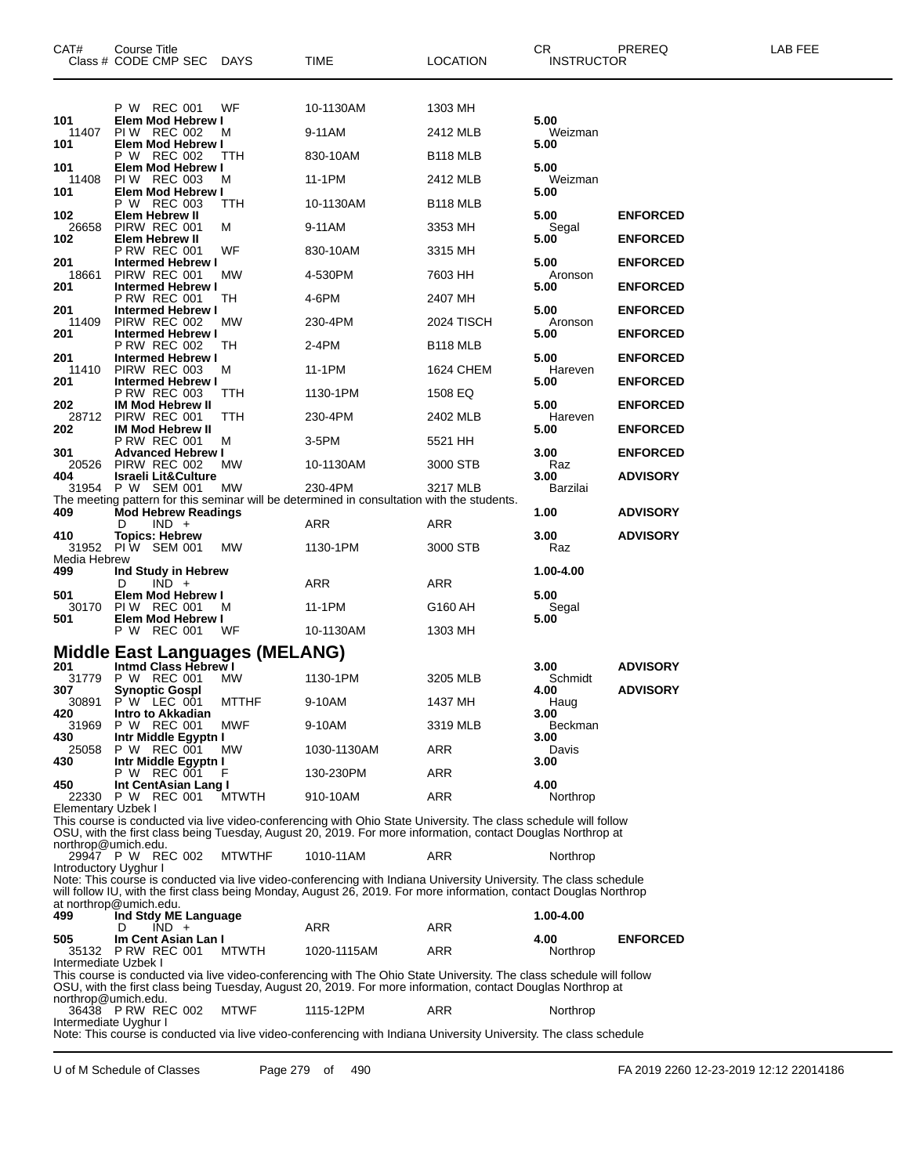| CAT#                      | Course Title<br>Class # CODE CMP SEC                   | <b>DAYS</b>   | TIME                                                                                                                                                                                                                           | LOCATION             | CR<br><b>INSTRUCTOR</b> | PREREQ          | LAB FEE |
|---------------------------|--------------------------------------------------------|---------------|--------------------------------------------------------------------------------------------------------------------------------------------------------------------------------------------------------------------------------|----------------------|-------------------------|-----------------|---------|
|                           |                                                        |               |                                                                                                                                                                                                                                |                      |                         |                 |         |
| 101                       | P W REC 001                                            | WF            | 10-1130AM                                                                                                                                                                                                                      | 1303 MH              | 5.00                    |                 |         |
| 11407                     | Elem Mod Hebrew I<br>PIW REC 002                       | м             | 9-11AM                                                                                                                                                                                                                         | 2412 MLB             | Weizman                 |                 |         |
| 101                       | Elem Mod Hebrew I<br>P W REC 002                       | ттн           | 830-10AM                                                                                                                                                                                                                       | B <sub>118</sub> MLB | 5.00                    |                 |         |
| 101<br>11408              | Elem Mod Hebrew I<br>PIW REC 003                       | м             | 11-1PM                                                                                                                                                                                                                         | 2412 MLB             | 5.00<br>Weizman         |                 |         |
| 101                       | Elem Mod Hebrew I<br>P W REC 003                       | TТH           | 10-1130AM                                                                                                                                                                                                                      | B <sub>118</sub> MLB | 5.00                    |                 |         |
| 102<br>26658              | <b>Elem Hebrew II</b><br>PIRW REC 001                  | м             | 9-11AM                                                                                                                                                                                                                         | 3353 MH              | 5.00<br>Segal           | <b>ENFORCED</b> |         |
| 102                       | Elem Hebrew II<br><b>P RW REC 001</b>                  | WF            | 830-10AM                                                                                                                                                                                                                       | 3315 MH              | 5.00                    | <b>ENFORCED</b> |         |
| 201<br>18661              | <b>Intermed Hebrew I</b><br>PIRW REC 001               | МW            | 4-530PM                                                                                                                                                                                                                        | 7603 HH              | 5.00<br>Aronson         | <b>ENFORCED</b> |         |
| 201                       | <b>Intermed Hebrew I</b><br>P RW REC 001               | TH            | 4-6PM                                                                                                                                                                                                                          | 2407 MH              | 5.00                    | <b>ENFORCED</b> |         |
| 201<br>11409              | <b>Intermed Hebrew I</b><br>PIRW REC 002               | MW.           | 230-4PM                                                                                                                                                                                                                        | 2024 TISCH           | 5.00<br>Aronson         | <b>ENFORCED</b> |         |
| 201                       | <b>Intermed Hebrew I</b><br><b>P RW REC 002</b>        | TН            | 2-4PM                                                                                                                                                                                                                          | B <sub>118</sub> MLB | 5.00                    | <b>ENFORCED</b> |         |
| 201<br>11410              | <b>Intermed Hebrew I</b><br>PIRW REC 003               | M             | 11-1PM                                                                                                                                                                                                                         | 1624 CHEM            | 5.00<br>Hareven         | <b>ENFORCED</b> |         |
| 201                       | <b>Intermed Hebrew I</b><br><b>P RW REC 003</b>        | TTH           | 1130-1PM                                                                                                                                                                                                                       | 1508 EQ              | 5.00                    | <b>ENFORCED</b> |         |
| 202<br>28712              | <b>IM Mod Hebrew II</b><br>PIRW REC 001                | TTH           | 230-4PM                                                                                                                                                                                                                        | 2402 MLB             | 5.00<br>Hareven         | <b>ENFORCED</b> |         |
| 202                       | <b>IM Mod Hebrew II</b><br><b>P RW REC 001</b>         | M             | 3-5PM                                                                                                                                                                                                                          | 5521 HH              | 5.00                    | <b>ENFORCED</b> |         |
| 301<br>20526              | <b>Advanced Hebrew I</b><br>PIRW REC 002               | МW            | 10-1130AM                                                                                                                                                                                                                      | 3000 STB             | 3.00<br>Raz             | <b>ENFORCED</b> |         |
| 404                       | <b>Israeli Lit&amp;Culture</b><br>31954 P W SEM 001 MW |               | 230-4PM                                                                                                                                                                                                                        | 3217 MLB             | 3.00<br>Barzilai        | <b>ADVISORY</b> |         |
| 409                       | <b>Mod Hebrew Readings</b>                             |               | The meeting pattern for this seminar will be determined in consultation with the students.                                                                                                                                     |                      | 1.00                    | <b>ADVISORY</b> |         |
| 410                       | $IND +$<br>D<br><b>Topics: Hebrew</b>                  |               | ARR                                                                                                                                                                                                                            | ARR                  | 3.00                    | <b>ADVISORY</b> |         |
| 31952<br>Media Hebrew     | <b>PIW SEM 001</b>                                     | МW            | 1130-1PM                                                                                                                                                                                                                       | 3000 STB             | Raz                     |                 |         |
| 499                       | Ind Study in Hebrew<br>$IND +$<br>D                    |               | ARR                                                                                                                                                                                                                            | ARR                  | 1.00-4.00               |                 |         |
| 501<br>30170              | Elem Mod Hebrew I<br>PIW REC 001                       | м             | 11-1PM                                                                                                                                                                                                                         | G160 AH              | 5.00                    |                 |         |
| 501                       | Elem Mod Hebrew I<br>P W REC 001                       | WF            | 10-1130AM                                                                                                                                                                                                                      |                      | Segal<br>5.00           |                 |         |
|                           | <b>Middle East Languages (MELANG)</b>                  |               |                                                                                                                                                                                                                                | 1303 MH              |                         |                 |         |
| 201                       | Intmd Class Hebrew I                                   |               |                                                                                                                                                                                                                                |                      | 3.00                    | <b>ADVISORY</b> |         |
| 31779<br>307              | P W REC 001<br><b>Synoptic Gospl</b>                   | MW.           | 1130-1PM                                                                                                                                                                                                                       | 3205 MLB             | Schmidt<br>4.00         | <b>ADVISORY</b> |         |
| 30891<br>420              | P W LEC 001<br>Intro to Akkadian                       | <b>MTTHF</b>  | 9-10AM                                                                                                                                                                                                                         | 1437 MH              | Haug<br>3.00            |                 |         |
| 31969<br>430              | P W REC 001<br>Intr Middle Egyptn I                    | MWF           | 9-10AM                                                                                                                                                                                                                         | 3319 MLB             | Beckman<br>3.00         |                 |         |
| 25058<br>430              | P W REC 001<br>Intr Middle Egyptn I                    | MW.           | 1030-1130AM                                                                                                                                                                                                                    | ARR                  | Davis<br>3.00           |                 |         |
| 450                       | P W REC 001<br>Int CentAsian Lang I                    |               | 130-230PM                                                                                                                                                                                                                      | ARR                  | 4.00                    |                 |         |
| <b>Elementary Uzbek I</b> | 22330 P W REC 001                                      | MTWTH         | 910-10AM                                                                                                                                                                                                                       | ARR                  | Northrop                |                 |         |
|                           |                                                        |               | This course is conducted via live video-conferencing with Ohio State University. The class schedule will follow<br>OSU, with the first class being Tuesday, August 20, 2019. For more information, contact Douglas Northrop at |                      |                         |                 |         |
| northrop@umich.edu.       | 29947 P W REC 002                                      | <b>MTWTHF</b> | 1010-11AM                                                                                                                                                                                                                      | ARR                  | Northrop                |                 |         |
| Introductory Uyghur I     |                                                        |               | Note: This course is conducted via live video-conferencing with Indiana University University. The class schedule                                                                                                              |                      |                         |                 |         |
|                           | at northrop@umich.edu.                                 |               | will follow IU, with the first class being Monday, August 26, 2019. For more information, contact Douglas Northrop                                                                                                             |                      |                         |                 |         |
| 499                       | Ind Stdy ME Language<br>$IND +$<br>D                   |               | ARR                                                                                                                                                                                                                            | ARR                  | 1.00-4.00               |                 |         |
| 505<br>35132              | Im Cent Asian Lan I<br>PRW REC 001                     | <b>MTWTH</b>  | 1020-1115AM                                                                                                                                                                                                                    | ARR                  | 4.00<br>Northrop        | <b>ENFORCED</b> |         |
| Intermediate Uzbek I      |                                                        |               | This course is conducted via live video-conferencing with The Ohio State University. The class schedule will follow                                                                                                            |                      |                         |                 |         |
| northrop@umich.edu.       |                                                        |               | OSU, with the first class being Tuesday, August 20, 2019. For more information, contact Douglas Northrop at                                                                                                                    |                      |                         |                 |         |
| Intermediate Uyghur I     | 36438 P RW REC 002                                     | <b>MTWF</b>   | 1115-12PM                                                                                                                                                                                                                      | ARR                  | Northrop                |                 |         |
|                           |                                                        |               | Note: This course is conducted via live video-conferencing with Indiana University University. The class schedule                                                                                                              |                      |                         |                 |         |
|                           |                                                        |               |                                                                                                                                                                                                                                |                      |                         |                 |         |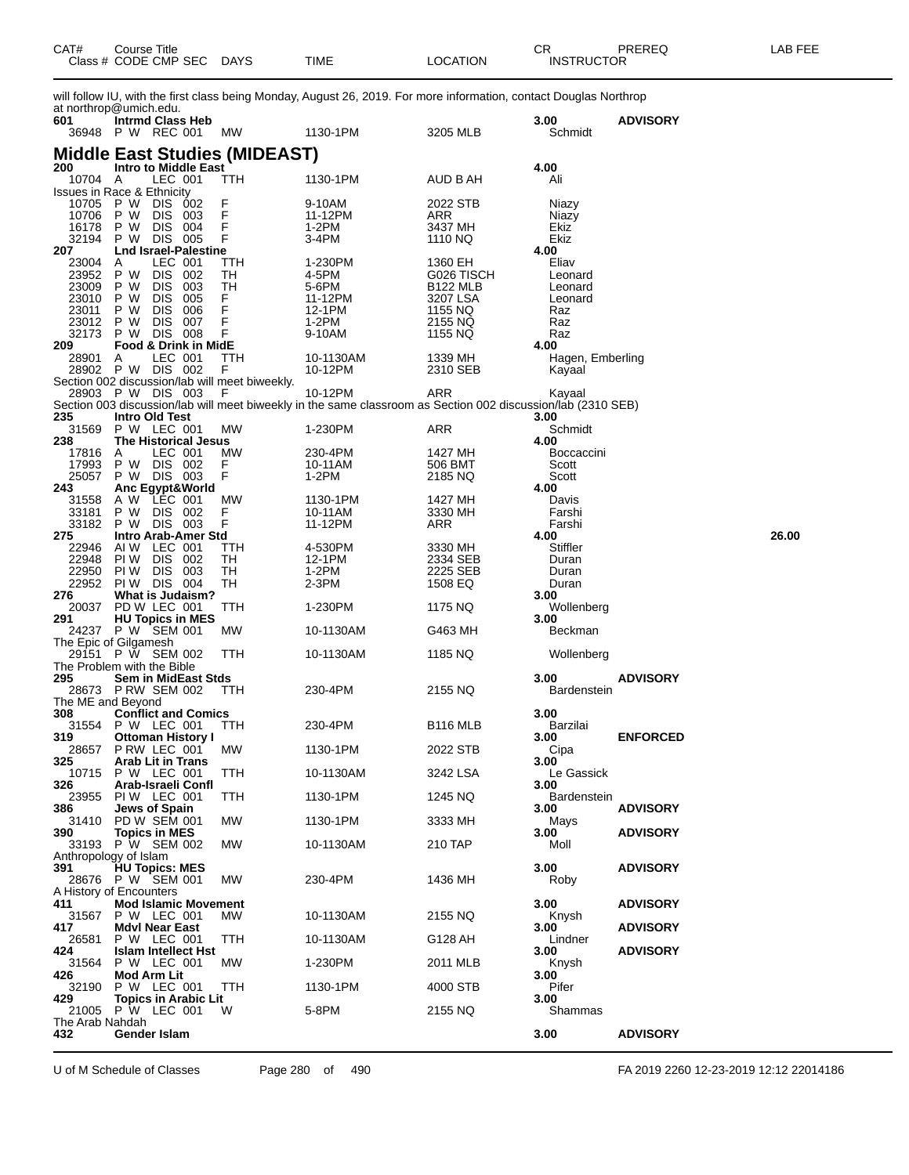| CAT# | Course Title         |             |      |          | $\cap$<br>- UN    | PREREQ | -AB FEE |
|------|----------------------|-------------|------|----------|-------------------|--------|---------|
|      | Class # CODE CMP SEC | <b>DAYS</b> | TIME | LOCATION | <b>INSTRUCTOR</b> |        |         |

will follow IU, with the first class being Monday, August 26, 2019. For more information, contact Douglas Northrop at northrop@umich.edu.

| 601                      | at north op without out.<br><b>Intrmd Class Heb</b><br>36948 P W REC 001 | МW         | 1130-1PM                                                                                                                | 3205 MLB                           | 3.00<br>Schmidt            | <b>ADVISORY</b> |       |
|--------------------------|--------------------------------------------------------------------------|------------|-------------------------------------------------------------------------------------------------------------------------|------------------------------------|----------------------------|-----------------|-------|
| 200                      | <b>Middle East Studies (MIDEAST)</b><br><b>Intro to Middle East</b>      |            |                                                                                                                         |                                    | 4.00                       |                 |       |
| 10704 A                  | LEC 001                                                                  | TTH        | 1130-1PM                                                                                                                | AUD B AH                           | Ali                        |                 |       |
| 10705                    | <b>Issues in Race &amp; Ethnicity</b><br>P W<br>DIS 002                  | F          | 9-10AM                                                                                                                  | 2022 STB                           | Niazy                      |                 |       |
| 10706<br>16178           | P W<br>DIS 003<br>P W<br>DIS 004                                         | F<br>F     | 11-12PM<br>1-2PM                                                                                                        | ARR<br>3437 MH                     | Niazy<br>Ekiz              |                 |       |
| 32194<br>207             | P W<br>DIS 005<br><b>Lnd Israel-Palestine</b>                            | F          | 3-4PM                                                                                                                   | 1110 NQ                            | Ekiz<br>4.00               |                 |       |
| 23004                    | LEC 001<br>A                                                             | TTH        | 1-230PM                                                                                                                 | 1360 EH                            | Eliav                      |                 |       |
| 23952 P W<br>23009       | DIS 002<br>P W<br>DIS 003                                                | TН<br>TН   | 4-5PM<br>5-6PM                                                                                                          | G026 TISCH<br>B <sub>122</sub> MLB | Leonard<br>Leonard         |                 |       |
| 23010<br>23011           | <b>DIS 005</b><br>P W<br>P W<br>DIS 006                                  | F<br>F     | 11-12PM<br>12-1PM                                                                                                       | 3207 LSA<br>1155 NQ                | Leonard<br>Raz             |                 |       |
| 23012                    | P W<br>DIS 007                                                           | F          | 1-2PM                                                                                                                   | 2155 NQ                            | Raz                        |                 |       |
| 32173<br>209             | <b>DIS 008</b><br>P W<br>Food & Drink in MidE                            | F          | 9-10AM                                                                                                                  | 1155 NQ                            | Raz<br>4.00                |                 |       |
| 28901                    | LEC 001<br>A<br>28902 P W DIS 002                                        | TTH<br>F   | 10-1130AM<br>10-12PM                                                                                                    | 1339 MH<br>2310 SEB                | Hagen, Emberling<br>Kayaal |                 |       |
|                          | Section 002 discussion/lab will meet biweekly.                           |            |                                                                                                                         |                                    |                            |                 |       |
|                          | 28903 P W DIS 003                                                        | - F        | 10-12PM<br>Section 003 discussion/lab will meet biweekly in the same classroom as Section 002 discussion/lab (2310 SEB) | ARR                                | Kayaal                     |                 |       |
| 235<br>31569             | Intro Old Test<br>P W LEC 001                                            | МW         |                                                                                                                         |                                    | 3.00                       |                 |       |
| 238                      | <b>The Historical Jesus</b>                                              |            | 1-230PM                                                                                                                 | ARR                                | Schmidt<br>4.00            |                 |       |
| 17816<br>17993           | LEC 001<br>A<br>P W DIS 002                                              | МW<br>F    | 230-4PM<br>10-11AM                                                                                                      | 1427 MH<br>506 BMT                 | <b>Boccaccini</b><br>Scott |                 |       |
| 25057                    | P W DIS 003                                                              | F          | 1-2PM                                                                                                                   | 2185 NQ                            | Scott                      |                 |       |
| 243<br>31558             | Anc Egypt&World<br>LEC 001<br>A W                                        | МW         | 1130-1PM                                                                                                                | 1427 MH                            | 4.00<br>Davis              |                 |       |
| 33181<br>33182           | P W<br>DIS 002<br>P W DIS 003                                            | F<br>F     | 10-11AM<br>11-12PM                                                                                                      | 3330 MH<br>ARR                     | Farshi<br>Farshi           |                 |       |
| 275                      | <b>Intro Arab-Amer Std</b>                                               |            |                                                                                                                         |                                    | 4.00                       |                 | 26.00 |
| 22946<br>22948           | AIW LEC 001<br>PI W<br>DIS 002                                           | TTH<br>TН  | 4-530PM<br>12-1PM                                                                                                       | 3330 MH<br>2334 SEB                | Stiffler<br>Duran          |                 |       |
| 22950                    | PI W<br>DIS 003                                                          | TН         | 1-2PM                                                                                                                   | 2225 SEB                           | Duran                      |                 |       |
| 22952<br>276             | <b>PIW DIS 004</b><br><b>What is Judaism?</b>                            | TН         | 2-3PM                                                                                                                   | 1508 EQ                            | Duran<br>3.00              |                 |       |
| 20037<br>291             | PD W LEC 001<br><b>HU Topics in MES</b>                                  | TTH        | 1-230PM                                                                                                                 | 1175 NQ                            | Wollenberg<br>3.00         |                 |       |
|                          | 24237 P W SEM 001                                                        | МW         | 10-1130AM                                                                                                               | G463 MH                            | Beckman                    |                 |       |
| 29151                    | The Epic of Gilgamesh<br>P W SEM 002                                     | TTH        | 10-1130AM                                                                                                               | 1185 NQ                            | Wollenberg                 |                 |       |
| 295                      | The Problem with the Bible<br>Sem in MidEast Stds                        |            |                                                                                                                         |                                    | 3.00                       | <b>ADVISORY</b> |       |
| The ME and Beyond        | 28673 P RW SEM 002                                                       | <b>TTH</b> | 230-4PM                                                                                                                 | 2155 NQ                            | <b>Bardenstein</b>         |                 |       |
| 308                      | <b>Conflict and Comics</b>                                               |            |                                                                                                                         |                                    | 3.00                       |                 |       |
| 319                      | 31554 P W LEC 001<br><b>Ottoman History I</b>                            | ттн        | 230-4PM                                                                                                                 | B <sub>116</sub> MLB               | Barzilai<br>3.00           | <b>ENFORCED</b> |       |
| 28657<br>325             | PRW LEC 001<br><b>Arab Lit in Trans</b>                                  | MW         | 1130-1PM                                                                                                                | 2022 STB                           | Cipa<br>3.00               |                 |       |
|                          | 10715 P W LEC 001                                                        | TTH        | 10-1130AM                                                                                                               | 3242 LSA                           | Le Gassick                 |                 |       |
| 326<br>23955             | Arab-Israeli Confl<br>PIW LEC 001                                        | TTH        | 1130-1PM                                                                                                                | 1245 NQ                            | 3.00<br>Bardenstein        |                 |       |
| 386<br>31410             | Jews of Spain<br><b>PD W SEM 001</b>                                     | МW         | 1130-1PM                                                                                                                | 3333 MH                            | 3.00<br>Mays               | <b>ADVISORY</b> |       |
| 390<br>33193             | <b>Topics in MES</b><br>P W SEM 002                                      | МW         | 10-1130AM                                                                                                               | 210 TAP                            | 3.00<br>Moll               | <b>ADVISORY</b> |       |
|                          | Anthropology of Islam                                                    |            |                                                                                                                         |                                    |                            |                 |       |
| 391<br>28676             | <b>HU Topics: MES</b><br>P W SEM 001                                     | МW         | 230-4PM                                                                                                                 | 1436 MH                            | 3.00<br>Roby               | <b>ADVISORY</b> |       |
| 411                      | A History of Encounters<br><b>Mod Islamic Movement</b>                   |            |                                                                                                                         |                                    | 3.00                       | <b>ADVISORY</b> |       |
| 31567                    | P W LEC 001                                                              | MW         | 10-1130AM                                                                                                               | 2155 NQ                            | Knysh                      |                 |       |
| 417<br>26581             | <b>Mdvl Near East</b><br>P W LEC 001                                     | TTH        | 10-1130AM                                                                                                               | G128 AH                            | 3.00<br>Lindner            | <b>ADVISORY</b> |       |
| 424<br>31564             | <b>Islam Intellect Hst</b><br>P W LEC 001                                | MW.        | 1-230PM                                                                                                                 | 2011 MLB                           | 3.00<br>Knysh              | <b>ADVISORY</b> |       |
| 426                      | Mod Arm Lit                                                              |            |                                                                                                                         |                                    | 3.00                       |                 |       |
| 32190<br>429             | P W LEC 001<br><b>Topics in Arabic Lit</b>                               | TTH        | 1130-1PM                                                                                                                | 4000 STB                           | Pifer<br>3.00              |                 |       |
| 21005<br>The Arab Nahdah | P W LEC 001                                                              | W          | 5-8PM                                                                                                                   | 2155 NQ                            | Shammas                    |                 |       |
| 432                      | Gender Islam                                                             |            |                                                                                                                         |                                    | 3.00                       | <b>ADVISORY</b> |       |

U of M Schedule of Classes Page 280 of 490 FA 2019 2260 12-23-2019 12:12 22014186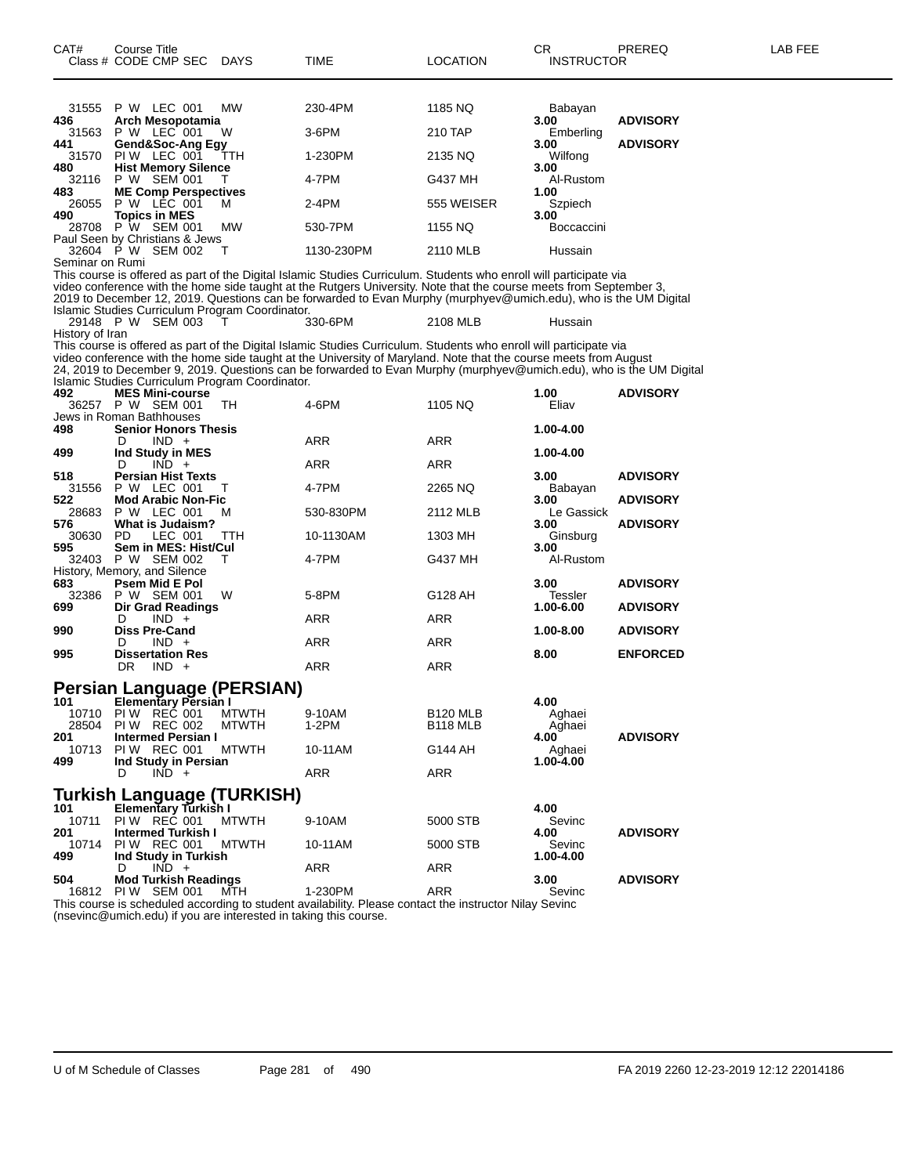| CAT#            | Course Title<br>Class # CODE CMP SEC                    | <b>DAYS</b>  | TIME                                                                                                                                                                                                                                     | <b>LOCATION</b>      | СR<br><b>INSTRUCTOR</b> | PREREQ          | LAB FEE |
|-----------------|---------------------------------------------------------|--------------|------------------------------------------------------------------------------------------------------------------------------------------------------------------------------------------------------------------------------------------|----------------------|-------------------------|-----------------|---------|
|                 |                                                         |              |                                                                                                                                                                                                                                          |                      |                         |                 |         |
| 31555           | P W LEC 001                                             | МW           | 230-4PM                                                                                                                                                                                                                                  | 1185 NQ              | Babayan                 |                 |         |
| 436<br>31563    | Arch Mesopotamia<br>P W LEC 001                         | W            | 3-6PM                                                                                                                                                                                                                                    | 210 TAP              | 3.00<br>Emberling       | <b>ADVISORY</b> |         |
| 441<br>31570    | Gend&Soc-Ang Egy<br>PIW LEC 001                         | ттн          | 1-230PM                                                                                                                                                                                                                                  | 2135 NQ              | 3.00<br>Wilfong         | <b>ADVISORY</b> |         |
| 480<br>32116    | <b>Hist Memory Silence</b><br>P W SEM 001               |              | 4-7PM                                                                                                                                                                                                                                    | G437 MH              | 3.00<br>Al-Rustom       |                 |         |
| 483<br>26055    | <b>ME Comp Perspectives</b><br><b>P W LEC 001</b>       | M            | 2-4PM                                                                                                                                                                                                                                    | 555 WEISER           | 1.00<br>Szpiech         |                 |         |
| 490             | <b>Topics in MES</b><br>28708 P W SEM 001               | MW           | 530-7PM                                                                                                                                                                                                                                  | 1155 NQ              | 3.00<br>Boccaccini      |                 |         |
|                 | Paul Seen by Christians & Jews                          |              |                                                                                                                                                                                                                                          |                      |                         |                 |         |
| Seminar on Rumi | 32604 P W SEM 002                                       | т            | 1130-230PM                                                                                                                                                                                                                               | 2110 MLB             | Hussain                 |                 |         |
|                 |                                                         |              | This course is offered as part of the Digital Islamic Studies Curriculum. Students who enroll will participate via<br>video conference with the home side taught at the Rutgers University. Note that the course meets from September 3, |                      |                         |                 |         |
|                 | Islamic Studies Curriculum Program Coordinator.         |              | 2019 to December 12, 2019. Questions can be forwarded to Evan Murphy (murphyev@umich.edu), who is the UM Digital                                                                                                                         |                      |                         |                 |         |
| History of Iran | 29148 P W SEM 003                                       |              | 330-6PM                                                                                                                                                                                                                                  | 2108 MLB             | Hussain                 |                 |         |
|                 |                                                         |              | This course is offered as part of the Digital Islamic Studies Curriculum. Students who enroll will participate via<br>video conference with the home side taught at the University of Maryland. Note that the course meets from August   |                      |                         |                 |         |
|                 | Islamic Studies Curriculum Program Coordinator.         |              | 24, 2019 to December 9, 2019. Questions can be forwarded to Evan Murphy (murphyev@umich.edu), who is the UM Digital                                                                                                                      |                      |                         |                 |         |
| 492             | <b>MES Mini-course</b><br>36257 P W SEM 001             | TН           | 4-6PM                                                                                                                                                                                                                                    | 1105 NQ              | 1.00<br>Eliav           | <b>ADVISORY</b> |         |
| 498             | Jews in Roman Bathhouses<br><b>Senior Honors Thesis</b> |              |                                                                                                                                                                                                                                          |                      | 1.00-4.00               |                 |         |
|                 | $IND +$<br>D                                            |              | ARR                                                                                                                                                                                                                                      | ARR                  |                         |                 |         |
| 499             | Ind Study in MES<br>$IND +$<br>D                        |              | ARR                                                                                                                                                                                                                                      | ARR                  | 1.00-4.00               |                 |         |
| 518<br>31556    | <b>Persian Hist Texts</b><br>P W LEC 001                | т            | 4-7PM                                                                                                                                                                                                                                    | 2265 NQ              | 3.00<br>Babayan         | <b>ADVISORY</b> |         |
| 522<br>28683    | <b>Mod Arabic Non-Fic</b><br>P W LEC 001                | м            | 530-830PM                                                                                                                                                                                                                                | 2112 MLB             | 3.00<br>Le Gassick      | <b>ADVISORY</b> |         |
| 576<br>30630    | <b>What is Judaism?</b><br>PD.<br>LEC 001               | <b>TTH</b>   | 10-1130AM                                                                                                                                                                                                                                | 1303 MH              | 3.00<br>Ginsburg        | <b>ADVISORY</b> |         |
| 595             | Sem in MES: Hist/Cul<br>32403 P W SEM 002               | т            | 4-7PM                                                                                                                                                                                                                                    | G437 MH              | 3.00<br>Al-Rustom       |                 |         |
| 683             | History, Memory, and Silence<br><b>Psem Mid E Pol</b>   |              |                                                                                                                                                                                                                                          |                      | 3.00                    | <b>ADVISORY</b> |         |
| 32386<br>699    | P W SEM 001<br><b>Dir Grad Readings</b>                 | W            | 5-8PM                                                                                                                                                                                                                                    | G128 AH              | Tessler<br>1.00-6.00    | <b>ADVISORY</b> |         |
| 990             | $IND +$<br>D<br><b>Diss Pre-Cand</b>                    |              | ARR                                                                                                                                                                                                                                      | ARR                  | 1.00-8.00               | <b>ADVISORY</b> |         |
| 995             | $IND +$<br>D<br><b>Dissertation Res</b>                 |              | ARR                                                                                                                                                                                                                                      | ARR                  | 8.00                    | <b>ENFORCED</b> |         |
|                 | DR.<br>$IND +$                                          |              | ARR                                                                                                                                                                                                                                      | ARR                  |                         |                 |         |
| 101             | Persian Language (PERSIAN)<br>Elementary Persian I      |              |                                                                                                                                                                                                                                          |                      | 4.00                    |                 |         |
|                 | 10710 PIW REC 001                                       | <b>MTWTH</b> | 9-10AM                                                                                                                                                                                                                                   | B <sub>120</sub> MLB | Aghaei                  |                 |         |
| 28504<br>201    | <b>PIW REC 002</b><br><b>Intermed Persian I</b>         | <b>MTWTH</b> | 1-2PM                                                                                                                                                                                                                                    | B <sub>118</sub> MLB | Aghaei<br>4.00          | <b>ADVISORY</b> |         |
| 10713<br>499    | PIW REC 001<br>Ind Study in Persian                     | <b>MTWTH</b> | 10-11AM                                                                                                                                                                                                                                  | G144 AH              | Aghaei<br>1.00-4.00     |                 |         |
|                 | $IND +$<br>D                                            |              | ARR                                                                                                                                                                                                                                      | ARR                  |                         |                 |         |
| 101             | Turkish Language (TURKISH)<br>Elementary Turkish I      |              |                                                                                                                                                                                                                                          |                      | 4.00                    |                 |         |
| 10711<br>201    | PIW REC 001<br><b>Intermed Turkish I</b>                | <b>MTWTH</b> | 9-10AM                                                                                                                                                                                                                                   | 5000 STB             | Sevinc<br>4.00          | <b>ADVISORY</b> |         |
| 10714<br>499    | PIW REC 001<br>Ind Study in Turkish                     | MTWTH        | 10-11AM                                                                                                                                                                                                                                  | 5000 STB             | Sevinc<br>1.00-4.00     |                 |         |
| 504             | $IND +$<br>D<br><b>Mod Turkish Readings</b>             |              | ARR                                                                                                                                                                                                                                      | ARR                  | 3.00                    | <b>ADVISORY</b> |         |
| 16812           | PIW SEM 001                                             | MTH          | 1-230PM<br>This course is scheduled according to student availability. Please contact the instructor Nilay Sevinc                                                                                                                        | ARR                  | Sevinc                  |                 |         |
|                 |                                                         |              |                                                                                                                                                                                                                                          |                      |                         |                 |         |

(nsevinc@umich.edu) if you are interested in taking this course.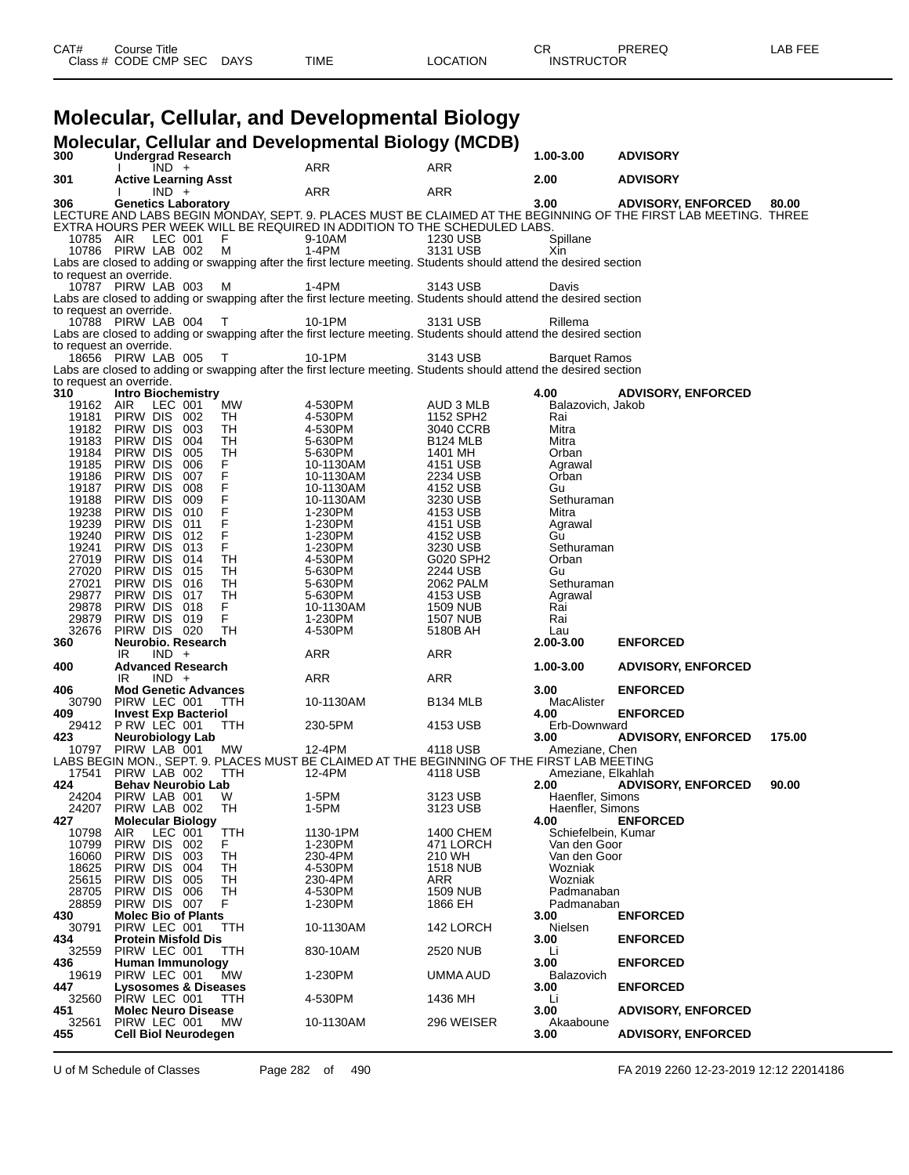| Class # CODE CMP SEC DAYS<br><b>LOCATION</b><br><b>INSTRUCTOR</b><br>TIME | LAB FEE |
|---------------------------------------------------------------------------|---------|
|                                                                           |         |

### **Molecular, Cellular, and Developmental Biology**

|                | Molecular, Cellular and Developmental Biology (MCDB)                                                                                              |                      |                             |                                     |                           |        |
|----------------|---------------------------------------------------------------------------------------------------------------------------------------------------|----------------------|-----------------------------|-------------------------------------|---------------------------|--------|
| 300            | <b>Undergrad Research</b><br>$IND +$                                                                                                              | <b>ARR</b>           | <b>ARR</b>                  | 1.00-3.00                           | <b>ADVISORY</b>           |        |
| 301            | <b>Active Learning Asst</b>                                                                                                                       |                      |                             | 2.00                                | <b>ADVISORY</b>           |        |
| 306            | $IND +$<br><b>Genetics Laboratory</b>                                                                                                             | ARR                  | ARR                         | 3.00                                | <b>ADVISORY, ENFORCED</b> | 80.00  |
|                | LECTURE AND LABS BEGIN MONDAY, SEPT. 9. PLACES MUST BE CLAIMED AT THE BEGINNING OF THE FIRST LAB MEETING. THREE                                   |                      |                             |                                     |                           |        |
|                | EXTRA HOURS PER WEEK WILL BE REQUIRED IN ADDITION TO THE SCHEDULED LABS.<br>10785 AIR LEC 001 F                                                   | 9-10AM               | 1230 USB                    | Spillane                            |                           |        |
|                | 10786 PIRW LAB 002<br>- M                                                                                                                         | $1-4PM$              | 3131 USB                    | Xin                                 |                           |        |
|                | Labs are closed to adding or swapping after the first lecture meeting. Students should attend the desired section                                 |                      |                             |                                     |                           |        |
|                | to request an override.<br>10787 PIRW LAB 003<br>м                                                                                                | 1-4PM                | 3143 USB                    | Davis                               |                           |        |
|                | Labs are closed to adding or swapping after the first lecture meeting. Students should attend the desired section                                 |                      |                             |                                     |                           |        |
|                | to request an override.                                                                                                                           |                      |                             |                                     |                           |        |
|                | 10788 PIRW LAB 004<br>$\top$<br>Labs are closed to adding or swapping after the first lecture meeting. Students should attend the desired section | 10-1PM               | 3131 USB                    | Rillema                             |                           |        |
|                | to request an override.                                                                                                                           |                      |                             |                                     |                           |        |
|                | 18656 PIRW LAB 005<br>$\top$<br>Labs are closed to adding or swapping after the first lecture meeting. Students should attend the desired section | 10-1PM               | 3143 USB                    | <b>Barquet Ramos</b>                |                           |        |
|                | to request an override.                                                                                                                           |                      |                             |                                     |                           |        |
| 310            | <b>Intro Biochemistry</b>                                                                                                                         |                      |                             | 4.00                                | <b>ADVISORY, ENFORCED</b> |        |
| 19162 AIR      | LEC 001<br>MW<br>19181 PIRW DIS 002<br>TH                                                                                                         | 4-530PM<br>4-530PM   | AUD 3 MLB<br>1152 SPH2      | Balazovich, Jakob<br>Rai            |                           |        |
|                | 19182 PIRW DIS 003<br>TH                                                                                                                          | 4-530PM              | 3040 CCRB                   | Mitra                               |                           |        |
| 19183          | PIRW DIS 004<br>TH                                                                                                                                | 5-630PM              | <b>B124 MLB</b>             | Mitra                               |                           |        |
| 19184<br>19185 | PIRW DIS 005<br>TH<br>PIRW DIS 006                                                                                                                | 5-630PM<br>10-1130AM | 1401 MH<br>4151 USB         | Orban<br>Agrawal                    |                           |        |
| 19186          | PIRW DIS 007                                                                                                                                      | 10-1130AM            | 2234 USB                    | Orban                               |                           |        |
| 19188          | 19187 PIRW DIS 008<br>PIRW DIS<br>009                                                                                                             | 10-1130AM            | 4152 USB                    | Gu<br>Sethuraman                    |                           |        |
| 19238          | PIRW DIS 010                                                                                                                                      | 10-1130AM<br>1-230PM | 3230 USB<br>4153 USB        | Mitra                               |                           |        |
| 19239          | PIRW DIS 011                                                                                                                                      | 1-230PM              | 4151 USB                    | Agrawal                             |                           |        |
| 19240<br>19241 | FFFFFFFFFF<br>PIRW DIS<br>012<br>PIRW DIS 013                                                                                                     | 1-230PM<br>1-230PM   | 4152 USB<br>3230 USB        | Gu<br>Sethuraman                    |                           |        |
|                | TH<br>27019 PIRW DIS 014                                                                                                                          | 4-530PM              | G020 SPH2                   | Orban                               |                           |        |
| 27020          | PIRW DIS 015<br>TH                                                                                                                                | 5-630PM              | 2244 USB                    | Gu                                  |                           |        |
| 27021          | PIRW DIS 016<br>TН<br>29877 PIRW DIS 017<br>TH                                                                                                    | 5-630PM<br>5-630PM   | 2062 PALM<br>4153 USB       | Sethuraman<br>Agrawal               |                           |        |
| 29878          | PIRW DIS 018<br>F.                                                                                                                                | 10-1130AM            | 1509 NUB                    | Rai                                 |                           |        |
| 29879<br>32676 | PIRW DIS 019<br>F<br>PIRW DIS 020<br>TH                                                                                                           | 1-230PM<br>4-530PM   | <b>1507 NUB</b><br>5180B AH | Rai<br>Lau                          |                           |        |
| 360            | Neurobio. Research                                                                                                                                |                      |                             | $2.00 - 3.00$                       | <b>ENFORCED</b>           |        |
|                | $IND +$<br>IR.                                                                                                                                    | ARR                  | ARR                         |                                     |                           |        |
| 400            | <b>Advanced Research</b><br>$IND +$<br>IR.                                                                                                        | ARR                  | ARR                         | 1.00-3.00                           | <b>ADVISORY, ENFORCED</b> |        |
| 406            | <b>Mod Genetic Advances</b>                                                                                                                       |                      |                             | 3.00                                | <b>ENFORCED</b>           |        |
| 409            | 30790 PIRW LEC 001<br>TTH<br><b>Invest Exp Bacteriol</b>                                                                                          | 10-1130AM            | B <sub>134</sub> MLB        | MacAlister<br>4.00                  | <b>ENFORCED</b>           |        |
|                | 29412 PRW LEC 001<br>TTH                                                                                                                          | 230-5PM              | 4153 USB                    | Erb-Downward                        |                           |        |
| 423            | <b>Neurobiology Lab</b>                                                                                                                           |                      |                             | 3.00                                | <b>ADVISORY, ENFORCED</b> | 175.00 |
|                | 10797 PIRW LAB 001<br>МW<br>LABS BEGIN MON., SEPT. 9. PLACES MUST BE CLAIMED AT THE BEGINNING OF THE FIRST LAB MEETING                            | 12-4PM               | 4118 USB                    | Ameziane, Chen                      |                           |        |
|                | 17541 PIRW LAB 002<br>TTH                                                                                                                         | 12-4PM               | 4118 USB                    | Ameziane, Elkahlah                  |                           |        |
| 424            | <b>Behav Neurobio Lab</b><br>24204 PIRW LAB 001                                                                                                   | 1-5PM                | 3123 USB                    | 2.00<br>Haenfler, Simons            | <b>ADVISORY, ENFORCED</b> | 90.00  |
| 24207          | W<br>PIRW LAB 002<br>TH                                                                                                                           | 1-5PM                | 3123 USB                    | Haenfler, Simons                    |                           |        |
| 427            | <b>Molecular Biology</b>                                                                                                                          |                      |                             | 4.00                                | <b>ENFORCED</b>           |        |
| 10798<br>10799 | AIR<br>LEC 001<br><b>TTH</b><br>Pirw Dis<br>F.<br>002                                                                                             | 1130-1PM<br>1-230PM  | 1400 CHEM<br>471 LORCH      | Schiefelbein, Kumar<br>Van den Goor |                           |        |
| 16060          | PIRW DIS<br>TН<br>003                                                                                                                             | 230-4PM              | 210 WH                      | Van den Goor                        |                           |        |
| 18625          | PIRW DIS<br>004<br>TH<br>005<br>TН                                                                                                                | 4-530PM              | 1518 NUB                    | Wozniak                             |                           |        |
| 25615<br>28705 | PIRW DIS<br>PIRW DIS<br>006<br>TH                                                                                                                 | 230-4PM<br>4-530PM   | ARR<br>1509 NUB             | Wozniak<br>Padmanaban               |                           |        |
| 28859          | PIRW DIS 007<br>F.                                                                                                                                | 1-230PM              | 1866 EH                     | Padmanaban                          |                           |        |
| 430<br>30791   | <b>Molec Bio of Plants</b><br>PIRW LEC 001<br>TTH                                                                                                 | 10-1130AM            | 142 LORCH                   | 3.00<br>Nielsen                     | <b>ENFORCED</b>           |        |
| 434            | <b>Protein Misfold Dis</b>                                                                                                                        |                      |                             | 3.00                                | <b>ENFORCED</b>           |        |
| 32559          | PIRW LEC 001<br>TTH                                                                                                                               | 830-10AM             | 2520 NUB                    | Li                                  |                           |        |
| 436<br>19619   | Human Immunology<br>PIRW LEC 001<br>MW                                                                                                            | 1-230PM              | UMMA AUD                    | 3.00<br>Balazovich                  | <b>ENFORCED</b>           |        |
| 447            | Lysosomes & Diseases                                                                                                                              |                      |                             | 3.00                                | <b>ENFORCED</b>           |        |
| 32560<br>451   | PIRW LEC 001<br>TTH<br><b>Molec Neuro Disease</b>                                                                                                 | 4-530PM              | 1436 MH                     | Li<br>3.00                          | <b>ADVISORY, ENFORCED</b> |        |
| 32561          | PIRW LEC 001<br>MW                                                                                                                                | 10-1130AM            | 296 WEISER                  | Akaaboune                           |                           |        |
| 455            | <b>Cell Biol Neurodegen</b>                                                                                                                       |                      |                             | 3.00                                | <b>ADVISORY, ENFORCED</b> |        |

U of M Schedule of Classes Page 282 of 490 FA 2019 2260 12-23-2019 12:12 22014186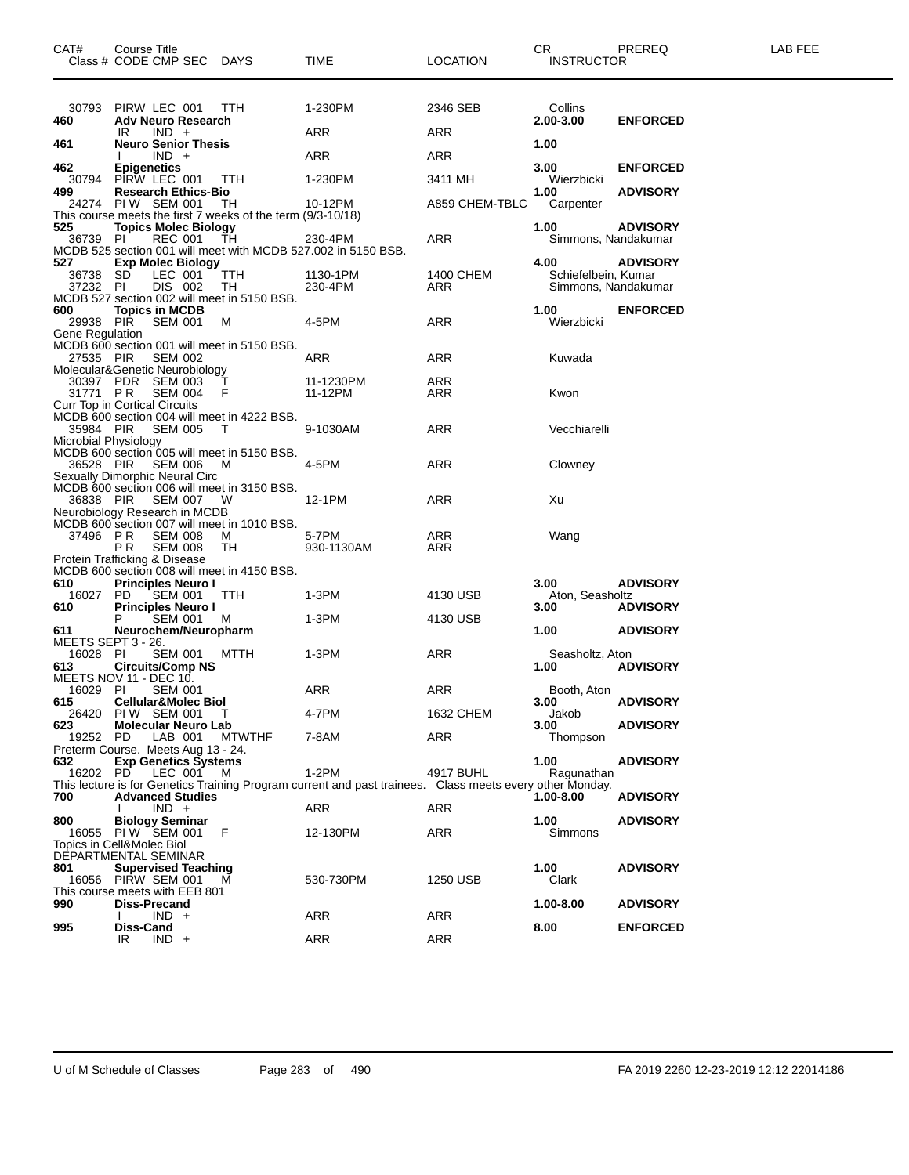| CAT#                                  | Course Title<br>Class # CODE CMP SEC DAYS                                                                                        |               | <b>TIME</b>                                                                                                         | <b>LOCATION</b>  | CR<br><b>INSTRUCTOR</b>                    | PREREQ                             | LAB FEE |
|---------------------------------------|----------------------------------------------------------------------------------------------------------------------------------|---------------|---------------------------------------------------------------------------------------------------------------------|------------------|--------------------------------------------|------------------------------------|---------|
| 30793<br>460                          | PIRW LEC 001<br><b>Adv Neuro Research</b>                                                                                        | <b>TTH</b>    | 1-230PM                                                                                                             | 2346 SEB         | Collins<br>2.00-3.00                       | <b>ENFORCED</b>                    |         |
|                                       | $IND +$<br>IR                                                                                                                    |               | ARR                                                                                                                 | ARR              |                                            |                                    |         |
| 461                                   | <b>Neuro Senior Thesis</b><br>$IND +$                                                                                            |               | ARR                                                                                                                 | ARR              | 1.00                                       |                                    |         |
| 462<br>30794                          | <b>Epigenetics</b><br>PIRW LEC 001                                                                                               | TTH           | 1-230PM                                                                                                             | 3411 MH          | 3.00<br>Wierzbicki                         | <b>ENFORCED</b>                    |         |
| 499                                   | <b>Research Ethics-Bio</b><br>24274 PIW SEM 001<br>This course meets the first 7 weeks of the term (9/3-10/18)                   | TH            | 10-12PM                                                                                                             | A859 CHEM-TBLC   | 1.00<br>Carpenter                          | <b>ADVISORY</b>                    |         |
| 525<br>36739 PI                       | <b>Topics Molec Biology</b><br><b>REC 001</b>                                                                                    | TH            | 230-4PM                                                                                                             | ARR              | 1.00<br>Simmons, Nandakumar                | <b>ADVISORY</b>                    |         |
| 527                                   | <b>Exp Molec Biology</b>                                                                                                         |               | MCDB 525 section 001 will meet with MCDB 527.002 in 5150 BSB.                                                       |                  | 4.00                                       | <b>ADVISORY</b>                    |         |
| 36738 SD<br>37232 PI                  | LEC 001<br>DIS 002                                                                                                               | TTH<br>TH     | 1130-1PM<br>230-4PM                                                                                                 | 1400 CHEM<br>ARR | Schiefelbein, Kumar<br>Simmons, Nandakumar |                                    |         |
| 600<br>29938 PIR<br>Gene Regulation   | MCDB 527 section 002 will meet in 5150 BSB.<br><b>Topics in MCDB</b><br><b>SEM 001</b>                                           | M             | 4-5PM                                                                                                               | ARR              | 1.00<br>Wierzbicki                         | <b>ENFORCED</b>                    |         |
| 27535 PIR                             | MCDB 600 section 001 will meet in 5150 BSB.<br><b>SEM 002</b>                                                                    |               | ARR                                                                                                                 | ARR              | Kuwada                                     |                                    |         |
| 31771 PR                              | Molecular&Genetic Neurobiology<br>30397 PDR SEM 003<br><b>SEM 004</b><br>Curr Top in Cortical Circuits                           | $\top$<br>- F | 11-1230PM<br>11-12PM                                                                                                | ARR<br>ARR       | Kwon                                       |                                    |         |
| 35984 PIR<br>Microbial Physiology     | MCDB 600 section 004 will meet in 4222 BSB.<br><b>SEM 005</b>                                                                    | $\top$        | 9-1030AM                                                                                                            | ARR              | Vecchiarelli                               |                                    |         |
| 36528 PIR                             | MCDB 600 section 005 will meet in 5150 BSB.<br>SEM 006                                                                           | M             | 4-5PM                                                                                                               | ARR              | Clowney                                    |                                    |         |
| 36838 PIR                             | Sexually Dimorphic Neural Circ<br>MCDB 600 section 006 will meet in 3150 BSB.<br><b>SEM 007</b><br>Neurobiology Research in MCDB | - W           | 12-1PM                                                                                                              | ARR              | Xu                                         |                                    |         |
| 37496 PR                              | MCDB 600 section 007 will meet in 1010 BSB.<br><b>SEM 008</b><br>P <sub>R</sub><br><b>SEM 008</b>                                | M<br>TH       | 5-7PM<br>930-1130AM                                                                                                 | ARR<br>ARR       | Wang                                       |                                    |         |
|                                       | Protein Trafficking & Disease<br>MCDB 600 section 008 will meet in 4150 BSB.                                                     |               |                                                                                                                     |                  |                                            |                                    |         |
| 610<br>16027 PD                       | <b>Principles Neuro I</b><br>SEM 001<br><b>Principles Neuro I</b>                                                                | TTH           | 1-3PM                                                                                                               | 4130 USB         | 3.00<br>Aton, Seasholtz                    | <b>ADVISORY</b>                    |         |
| 610<br>611                            | <b>SEM 001</b><br>Neurochem/Neuropharm                                                                                           | M             | 1-3PM                                                                                                               | 4130 USB         | 3.00<br>1.00                               | <b>ADVISORY</b><br><b>ADVISORY</b> |         |
| MEETS SEPT 3 - 26.<br>16028 PI<br>613 | SEM 001 MTTH<br><b>Circuits/Comp NS</b>                                                                                          |               | 1-3PM                                                                                                               | ARR              | Seasholtz, Aton<br>1.00                    | <b>ADVISORY</b>                    |         |
| 16029 PI<br>615                       | MEETS NOV 11 - DEC 10.<br><b>SEM 001</b><br><b>Cellular&amp;Molec Biol</b>                                                       |               | ARR                                                                                                                 | ARR              | Booth, Aton<br>3.00                        | <b>ADVISORY</b>                    |         |
| 623                                   | 26420 PIW SEM 001<br><b>Molecular Neuro Lab</b>                                                                                  | $\top$        | 4-7PM                                                                                                               | 1632 CHEM        | Jakob<br>3.00                              | <b>ADVISORY</b>                    |         |
| 19252                                 | LAB 001<br>PD.<br>Preterm Course. Meets Aug 13 - 24.                                                                             | <b>MTWTHF</b> | 7-8AM                                                                                                               | ARR              | Thompson                                   |                                    |         |
| 632<br>16202 PD                       | <b>Exp Genetics Systems</b><br>LEC 001 M                                                                                         |               | $1-2PM$<br>This lecture is for Genetics Training Program current and past trainees. Class meets every other Monday. | 4917 BUHL        | 1.00<br>Ragunathan                         | <b>ADVISORY</b>                    |         |
| 700                                   | <b>Advanced Studies</b><br>$IND +$                                                                                               |               | ARR                                                                                                                 | ARR              | 1.00-8.00                                  | <b>ADVISORY</b>                    |         |
| 800                                   | <b>Biology Seminar</b><br>16055 PIW SEM 001<br>Topics in Cell&Molec Biol                                                         | F             | 12-130PM                                                                                                            | <b>ARR</b>       | 1.00<br>Simmons                            | <b>ADVISORY</b>                    |         |
| 801                                   | DEPARTMENTAL SEMINAR<br><b>Supervised Teaching</b><br>16056 PIRW SEM 001<br>This course meets with EEB 801                       |               | 530-730PM                                                                                                           | 1250 USB         | 1.00<br>Clark                              | <b>ADVISORY</b>                    |         |
| 990                                   | Diss-Precand<br>$IND +$                                                                                                          |               | <b>ARR</b>                                                                                                          | <b>ARR</b>       | 1.00-8.00                                  | <b>ADVISORY</b>                    |         |
| 995                                   | Diss-Cand<br>$IND +$<br>IR                                                                                                       |               | ARR                                                                                                                 | <b>ARR</b>       | 8.00                                       | <b>ENFORCED</b>                    |         |
|                                       |                                                                                                                                  |               |                                                                                                                     |                  |                                            |                                    |         |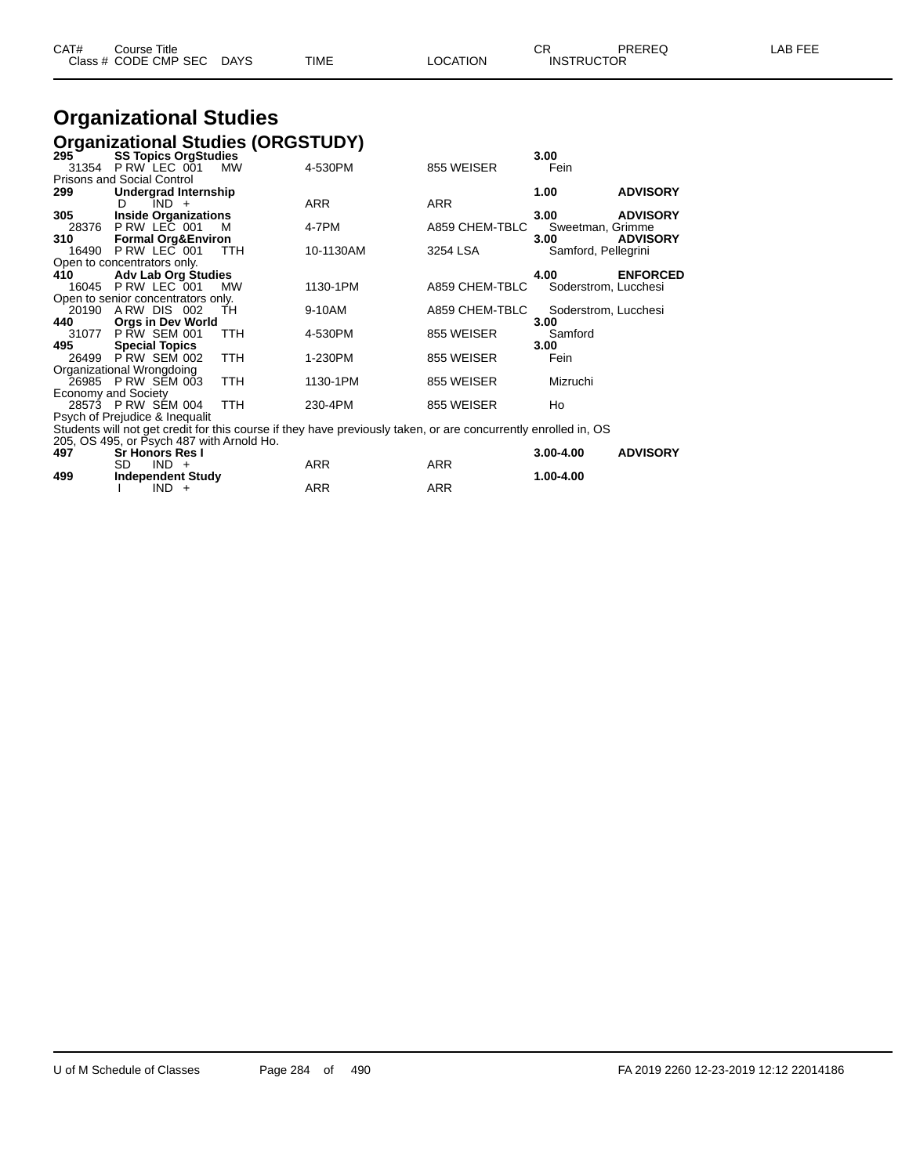| CAT# | Course Title<br>Class # CODE CMP SEC DAYS | TIME | LOCATION | $\cap$<br>U⊾<br><b>INSTRUCTOR</b> | PREREQ | <b>AB FEE</b> |
|------|-------------------------------------------|------|----------|-----------------------------------|--------|---------------|
|      |                                           |      |          |                                   |        |               |

# **Organizational Studies**

|             |                                                                                                                                                                       |                                                                                                                                                                                                                                                                                                                                                                                                                                                                                                                                                                                                   |                                                                                                                                                                                              | 3.00                                                                                                                                                                                                                                        |
|-------------|-----------------------------------------------------------------------------------------------------------------------------------------------------------------------|---------------------------------------------------------------------------------------------------------------------------------------------------------------------------------------------------------------------------------------------------------------------------------------------------------------------------------------------------------------------------------------------------------------------------------------------------------------------------------------------------------------------------------------------------------------------------------------------------|----------------------------------------------------------------------------------------------------------------------------------------------------------------------------------------------|---------------------------------------------------------------------------------------------------------------------------------------------------------------------------------------------------------------------------------------------|
|             | <b>MW</b>                                                                                                                                                             | 4-530PM                                                                                                                                                                                                                                                                                                                                                                                                                                                                                                                                                                                           | 855 WEISER                                                                                                                                                                                   | Fein                                                                                                                                                                                                                                        |
|             |                                                                                                                                                                       |                                                                                                                                                                                                                                                                                                                                                                                                                                                                                                                                                                                                   |                                                                                                                                                                                              |                                                                                                                                                                                                                                             |
|             |                                                                                                                                                                       |                                                                                                                                                                                                                                                                                                                                                                                                                                                                                                                                                                                                   |                                                                                                                                                                                              | 1.00<br><b>ADVISORY</b>                                                                                                                                                                                                                     |
| IND +<br>D. |                                                                                                                                                                       | <b>ARR</b>                                                                                                                                                                                                                                                                                                                                                                                                                                                                                                                                                                                        | <b>ARR</b>                                                                                                                                                                                   |                                                                                                                                                                                                                                             |
|             |                                                                                                                                                                       |                                                                                                                                                                                                                                                                                                                                                                                                                                                                                                                                                                                                   |                                                                                                                                                                                              | <b>ADVISORY</b><br>3.00                                                                                                                                                                                                                     |
|             | м                                                                                                                                                                     |                                                                                                                                                                                                                                                                                                                                                                                                                                                                                                                                                                                                   |                                                                                                                                                                                              | Sweetman, Grimme                                                                                                                                                                                                                            |
|             |                                                                                                                                                                       |                                                                                                                                                                                                                                                                                                                                                                                                                                                                                                                                                                                                   |                                                                                                                                                                                              | 3.00<br><b>ADVISORY</b>                                                                                                                                                                                                                     |
|             | TTH.                                                                                                                                                                  |                                                                                                                                                                                                                                                                                                                                                                                                                                                                                                                                                                                                   | 3254 LSA                                                                                                                                                                                     | Samford, Pellegrini                                                                                                                                                                                                                         |
|             |                                                                                                                                                                       |                                                                                                                                                                                                                                                                                                                                                                                                                                                                                                                                                                                                   |                                                                                                                                                                                              |                                                                                                                                                                                                                                             |
|             |                                                                                                                                                                       |                                                                                                                                                                                                                                                                                                                                                                                                                                                                                                                                                                                                   |                                                                                                                                                                                              | 4.00<br><b>ENFORCED</b>                                                                                                                                                                                                                     |
|             |                                                                                                                                                                       |                                                                                                                                                                                                                                                                                                                                                                                                                                                                                                                                                                                                   |                                                                                                                                                                                              | Soderstrom, Lucchesi                                                                                                                                                                                                                        |
|             |                                                                                                                                                                       |                                                                                                                                                                                                                                                                                                                                                                                                                                                                                                                                                                                                   |                                                                                                                                                                                              |                                                                                                                                                                                                                                             |
|             |                                                                                                                                                                       |                                                                                                                                                                                                                                                                                                                                                                                                                                                                                                                                                                                                   |                                                                                                                                                                                              | Soderstrom, Lucchesi                                                                                                                                                                                                                        |
|             |                                                                                                                                                                       |                                                                                                                                                                                                                                                                                                                                                                                                                                                                                                                                                                                                   |                                                                                                                                                                                              | 3.00                                                                                                                                                                                                                                        |
|             |                                                                                                                                                                       |                                                                                                                                                                                                                                                                                                                                                                                                                                                                                                                                                                                                   |                                                                                                                                                                                              | Samford                                                                                                                                                                                                                                     |
|             |                                                                                                                                                                       |                                                                                                                                                                                                                                                                                                                                                                                                                                                                                                                                                                                                   |                                                                                                                                                                                              | 3.00                                                                                                                                                                                                                                        |
|             |                                                                                                                                                                       |                                                                                                                                                                                                                                                                                                                                                                                                                                                                                                                                                                                                   |                                                                                                                                                                                              | Fein                                                                                                                                                                                                                                        |
|             |                                                                                                                                                                       |                                                                                                                                                                                                                                                                                                                                                                                                                                                                                                                                                                                                   |                                                                                                                                                                                              |                                                                                                                                                                                                                                             |
|             |                                                                                                                                                                       |                                                                                                                                                                                                                                                                                                                                                                                                                                                                                                                                                                                                   |                                                                                                                                                                                              | Mizruchi                                                                                                                                                                                                                                    |
|             |                                                                                                                                                                       |                                                                                                                                                                                                                                                                                                                                                                                                                                                                                                                                                                                                   |                                                                                                                                                                                              |                                                                                                                                                                                                                                             |
|             |                                                                                                                                                                       |                                                                                                                                                                                                                                                                                                                                                                                                                                                                                                                                                                                                   |                                                                                                                                                                                              | Ho                                                                                                                                                                                                                                          |
|             |                                                                                                                                                                       |                                                                                                                                                                                                                                                                                                                                                                                                                                                                                                                                                                                                   |                                                                                                                                                                                              |                                                                                                                                                                                                                                             |
|             |                                                                                                                                                                       |                                                                                                                                                                                                                                                                                                                                                                                                                                                                                                                                                                                                   |                                                                                                                                                                                              |                                                                                                                                                                                                                                             |
|             |                                                                                                                                                                       |                                                                                                                                                                                                                                                                                                                                                                                                                                                                                                                                                                                                   |                                                                                                                                                                                              |                                                                                                                                                                                                                                             |
|             |                                                                                                                                                                       |                                                                                                                                                                                                                                                                                                                                                                                                                                                                                                                                                                                                   |                                                                                                                                                                                              | <b>ADVISORY</b><br>$3.00 - 4.00$                                                                                                                                                                                                            |
|             |                                                                                                                                                                       |                                                                                                                                                                                                                                                                                                                                                                                                                                                                                                                                                                                                   |                                                                                                                                                                                              | 1.001100                                                                                                                                                                                                                                    |
|             | <b>Prisons and Social Control</b><br>Open to concentrators only.<br><b>Special Topics</b><br>Organizational Wrongdoing<br><b>Economy and Society</b><br>SD<br>$IND +$ | <b>SS Topics OrgStudies</b><br>31354 P RW LEC 001<br>Undergrad Internship<br><b>Inside Organizations</b><br>28376 P RW LEC 001<br><b>Formal Org&amp;Environ</b><br>16490 P RW LEC 001<br><b>Adv Lab Org Studies</b><br>16045 P RW LEC 001<br><b>MW</b><br>Open to senior concentrators only.<br>20190 ARW DIS 002<br>- TH<br><b>Orgs in Dev World</b><br>31077 P RW SEM 001<br>TTH.<br>26499 P RW SEM 002<br><b>TTH</b><br>26985 PRW SEM 003<br>TTH.<br><b>TTH</b><br>28573 P RW SEM 004<br>Psych of Prejudice & Inequalit<br><b>Sr Honors Res I</b><br>$\sim$ $\sim$ $\sim$ $\sim$ $\sim$ $\sim$ | <b>Organizational Studies (ORGSTUDY)</b><br>4-7PM<br>10-1130AM<br>1130-1PM<br>9-10AM<br>4-530PM<br>1-230PM<br>1130-1PM<br>230-4PM<br>205, OS 495, or Psych 487 with Arnold Ho.<br><b>ARR</b> | A859 CHEM-TBLC<br>A859 CHEM-TBLC<br>A859 CHEM-TBLC<br>855 WEISER<br>855 WEISER<br>855 WEISER<br>855 WEISER<br>Students will not get credit for this course if they have previously taken, or are concurrently enrolled in, OS<br><b>ARR</b> |

| 499 | <b>Independent Study</b> |     |     | 1.00-4.00 |
|-----|--------------------------|-----|-----|-----------|
|     | IND.                     | ARR | ARR |           |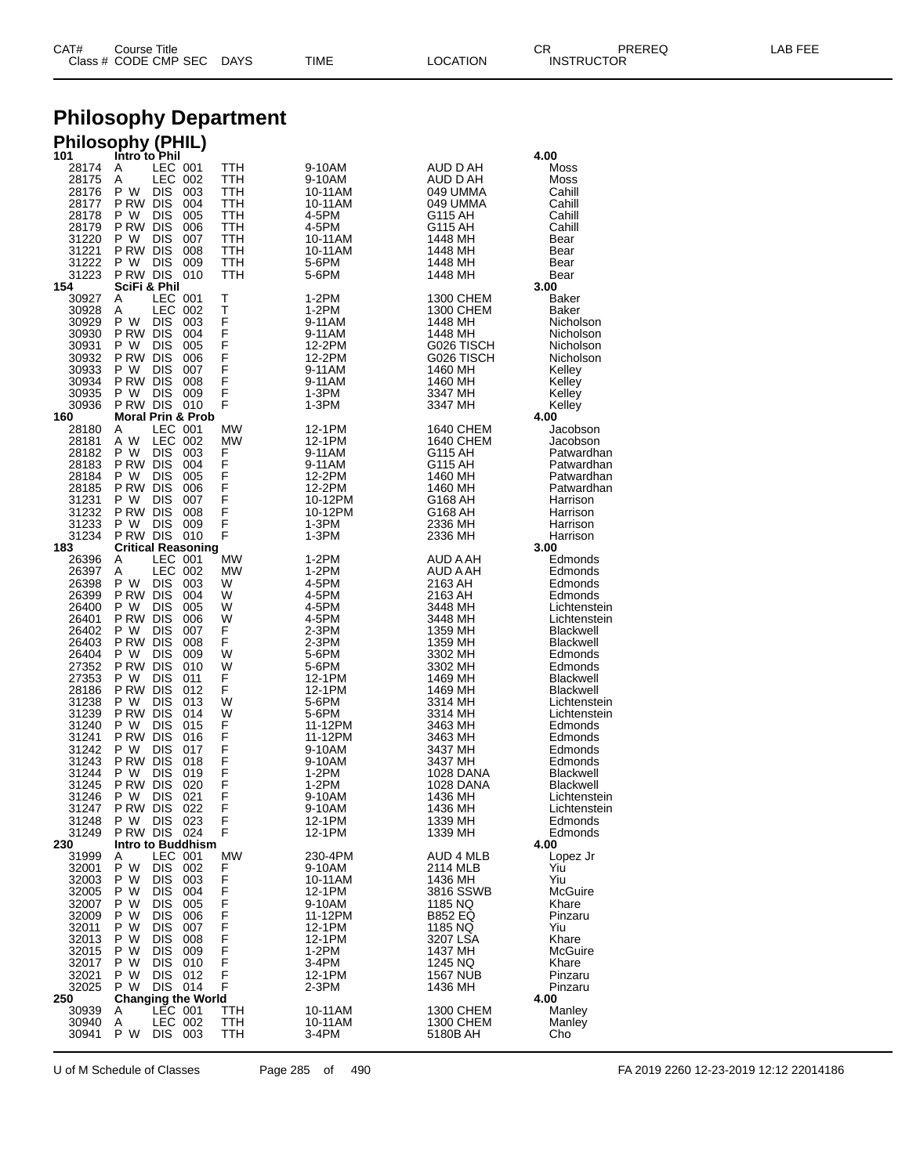| CAT# | Title<br>Courseٽ     |      |      |          | Ωm<br><b>UN</b>   | PREREQ | ----<br>ΔR.<br>--- |
|------|----------------------|------|------|----------|-------------------|--------|--------------------|
|      | Class # CODE CMP SEC | DAYS | TIME | LOCATION | <b>INSTRUCTOR</b> |        |                    |

### **Philosophy Department**

### **Philosophy (PHIL)**

| 101            | Intro to Phil                             |             |            |                   |                           | 4.00                          |
|----------------|-------------------------------------------|-------------|------------|-------------------|---------------------------|-------------------------------|
| 28174<br>28175 | LEC 001<br>Α<br>LEC<br>Α                  | -002        | TTH<br>TTH | 9-10AM<br>9-10AM  | AUD D AH<br>AUD D AH      | Moss<br>Moss                  |
| 28176          | P W<br>DIS                                | 003         | TTH        | 10-11AM           | 049 UMMA                  | Cahill                        |
| 28177          | P RW<br>DIS                               | 004         | TTH        | 10-11AM           | 049 UMMA                  | Cahill                        |
| 28178          | P W<br>DIS                                | 005         | TTH        | 4-5PM             | G115 AH                   | Cahill                        |
| 28179          | P RW<br><b>DIS</b>                        | 006         | TTH        | 4-5PM             | G115 AH                   | Cahill                        |
| 31220          | P W<br>DIS                                | 007         | TTH        | 10-11AM           | 1448 MH                   | Bear                          |
| 31221          | P RW<br><b>DIS</b>                        | 008         | TTH        | 10-11AM           | 1448 MH                   | Bear                          |
| 31222<br>31223 | P W<br>DIS<br>P RW DIS                    | 009<br>010  | TTH<br>TTH | 5-6PM<br>5-6PM    | 1448 MH<br>1448 MH        | Bear<br>Bear                  |
| 154            | SciFi & Phil                              |             |            |                   |                           | 3.00                          |
| 30927          | LEC 001<br>A                              |             | т          | 1-2PM             | 1300 CHEM                 | Baker                         |
| 30928          | LEC<br>Α                                  | 002         | Т          | 1-2PM             | 1300 CHEM                 | Baker                         |
| 30929          | P W<br>DIS                                | 003         | F          | 9-11AM            | 1448 MH                   | Nicholson                     |
| 30930          | P RW<br><b>DIS</b>                        | 004         | F<br>F     | 9-11AM            | 1448 MH                   | Nicholson                     |
| 30931<br>30932 | P W<br>DIS<br>P RW DIS                    | 005<br>006  | F          | 12-2PM<br>12-2PM  | G026 TISCH<br>G026 TISCH  | Nicholson<br>Nicholson        |
| 30933          | P W<br>DIS                                | 007         | F          | 9-11AM            | 1460 MH                   | Kelley                        |
| 30934          | P RW<br><b>DIS</b>                        | 008         | Ë          | 9-11AM            | 1460 MH                   | Kelley                        |
| 30935          | РW<br>DIS                                 | 009         | F          | 1-3PM             | 3347 MH                   | Kelley                        |
| 30936          | P RW DIS                                  | 010         | F          | 1-3PM             | 3347 MH                   | Kelley                        |
| 160            | <b>Moral Prin &amp; Prob</b>              |             |            |                   |                           | 4.00                          |
| 28180<br>28181 | LEC<br>A<br>A W<br>LEC                    | -001<br>002 | MW<br>МW   | 12-1PM<br>12-1PM  | 1640 CHEM<br>1640 CHEM    | Jacobson<br>Jacobson          |
| 28182          | P W<br>DIS                                | 003         | F          | 9-11AM            | G115 AH                   | Patwardhan                    |
| 28183          | P RW DIS                                  | 004         | F          | 9-11AM            | G115 AH                   | Patwardhan                    |
| 28184          | P W<br>DIS                                | 005         | F          | 12-2PM            | 1460 MH                   | Patwardhan                    |
| 28185          | P RW<br>DIS                               | 006         | F          | 12-2PM            | 1460 MH                   | Patwardhan                    |
| 31231          | P W<br>DIS                                | 007         | F          | 10-12PM           | G168 AH                   | Harrison                      |
| 31232          | P RW<br><b>DIS</b>                        | 008         | F<br>F     | 10-12PM           | G168 AH                   | Harrison                      |
| 31233<br>31234 | <b>DIS</b><br>P W<br>P RW DIS             | 009<br>010  | F          | 1-3PM<br>1-3PM    | 2336 MH<br>2336 MH        | Harrison<br>Harrison          |
| 183            | <b>Critical Reasoning</b>                 |             |            |                   |                           | 3.00                          |
| 26396          | LEC 001<br>A                              |             | MW         | 1-2PM             | AUD A AH                  | Edmonds                       |
| 26397          | LEC 002<br>Α                              |             | МW         | 1-2PM             | AUD A AH                  | Edmonds                       |
| 26398          | P W<br>DIS                                | 003         | W          | 4-5PM             | 2163 AH                   | Edmonds                       |
| 26399<br>26400 | P RW DIS<br>P W<br>DIS                    | 004<br>005  | W<br>W     | 4-5PM<br>4-5PM    | 2163 AH<br>3448 MH        | Edmonds<br>Lichtenstein       |
| 26401          | P RW<br><b>DIS</b>                        | 006         | W          | 4-5PM             | 3448 MH                   | Lichtenstein                  |
| 26402          | P W<br>DIS                                | 007         | F          | 2-3PM             | 1359 MH                   | <b>Blackwell</b>              |
| 26403          | P RW<br><b>DIS</b>                        | 008         | F          | 2-3PM             | 1359 MH                   | <b>Blackwell</b>              |
| 26404          | РW<br>DIS                                 | 009         | W          | 5-6PM             | 3302 MH                   | Edmonds                       |
| 27352          | P RW<br><b>DIS</b>                        | 010         | W          | 5-6PM             | 3302 MH                   | Edmonds                       |
| 27353<br>28186 | P W<br>DIS<br>P RW<br><b>DIS</b>          | 011<br>012  | F<br>F     | 12-1PM<br>12-1PM  | 1469 MH<br>1469 MH        | <b>Blackwell</b><br>Blackwell |
| 31238          | P W<br>DIS                                | 013         | W          | 5-6PM             | 3314 MH                   | Lichtenstein                  |
| 31239          | P RW<br><b>DIS</b>                        | 014         | W          | 5-6PM             | 3314 MH                   | Lichtenstein                  |
| 31240          | РW<br>DIS                                 | 015         | F          | 11-12PM           | 3463 MH                   | Edmonds                       |
| 31241          | P RW<br><b>DIS</b>                        | 016         | F          | 11-12PM           | 3463 MH                   | Edmonds                       |
| 31242<br>31243 | P W<br>DIS<br>P RW<br><b>DIS</b>          | 017<br>018  | F<br>F     | 9-10AM<br>9-10AM  | 3437 MH<br>3437 MH        | Edmonds<br>Edmonds            |
| 31244          | РW<br>DIS                                 | 019         | F          | 1-2PM             | 1028 DANA                 | <b>Blackwell</b>              |
| 31245          | P RW<br><b>DIS</b>                        | 020         | F          | 1-2PM             | 1028 DANA                 | Blackwell                     |
| 31246          | РW<br>DIS                                 | 021         | F          | 9-10AM            | 1436 MH                   | Lichtenstein                  |
| 31247          | P RW<br>DIS                               | 022         | F          | 9-10AM            | 1436 MH                   | Lichtenstein                  |
| 31248          | P W DIS 023                               |             | F          | 12-1PM            | 1339 MH                   | Edmonds                       |
| 31249<br>230   | PRW DIS 024<br>Intro to Buddhism          |             | F          | 12-1PM            | 1339 MH                   | Edmonds<br>4.00               |
| 31999          | LEC 001<br>A                              |             | MW         | 230-4PM           | AUD 4 MLB                 | Lopez Jr                      |
| 32001          | P W<br>DIS.                               | 002         | F          | 9-10AM            | 2114 MLB                  | Yiu                           |
| 32003          | P W<br>DIS.                               | 003         | F          | 10-11AM           | 1436 MH                   | Yiu                           |
| 32005          | P W<br>DIS.                               | 004         | F          | 12-1PM            | 3816 SSWB                 | McGuire                       |
| 32007          | P W<br>DIS                                | 005         | F<br>F     | 9-10AM            | 1185 NQ                   | Khare                         |
| 32009<br>32011 | P W<br>DIS.<br>P W<br>DIS.                | 006<br>007  | F          | 11-12PM<br>12-1PM | <b>B852 EQ</b><br>1185 NQ | Pinzaru<br>Yiu                |
| 32013          | P W<br><b>DIS</b>                         | 008         |            | 12-1PM            | 3207 LSA                  | Khare                         |
| 32015          | P W<br>DIS.                               | 009         | .<br>F     | 1-2PM             | 1437 MH                   | McGuire                       |
| 32017          | P W<br>DIS.                               | 010         | F          | 3-4PM             | 1245 NQ                   | Khare                         |
| 32021          | P W<br>DIS                                | 012         | F          | 12-1PM            | 1567 NUB                  | Pinzaru                       |
| 32025          | P W<br>DIS                                | 014         | F          | 2-3PM             | 1436 MH                   | Pinzaru                       |
| 250<br>30939   | <b>Changing the World</b><br>LEC 001<br>A |             | TTH        | 10-11AM           | 1300 CHEM                 | 4.00<br>Manley                |
| 30940          | LEC 002<br>Α                              |             | TTH        | 10-11AM           | 1300 CHEM                 | Manley                        |
| 30941          | P W<br>DIS.                               | 003         | TTH        | 3-4PM             | 5180B AH                  | Cho                           |
|                |                                           |             |            |                   |                           |                               |

U of M Schedule of Classes Page 285 of 490 FA 2019 2260 12-23-2019 12:12 22014186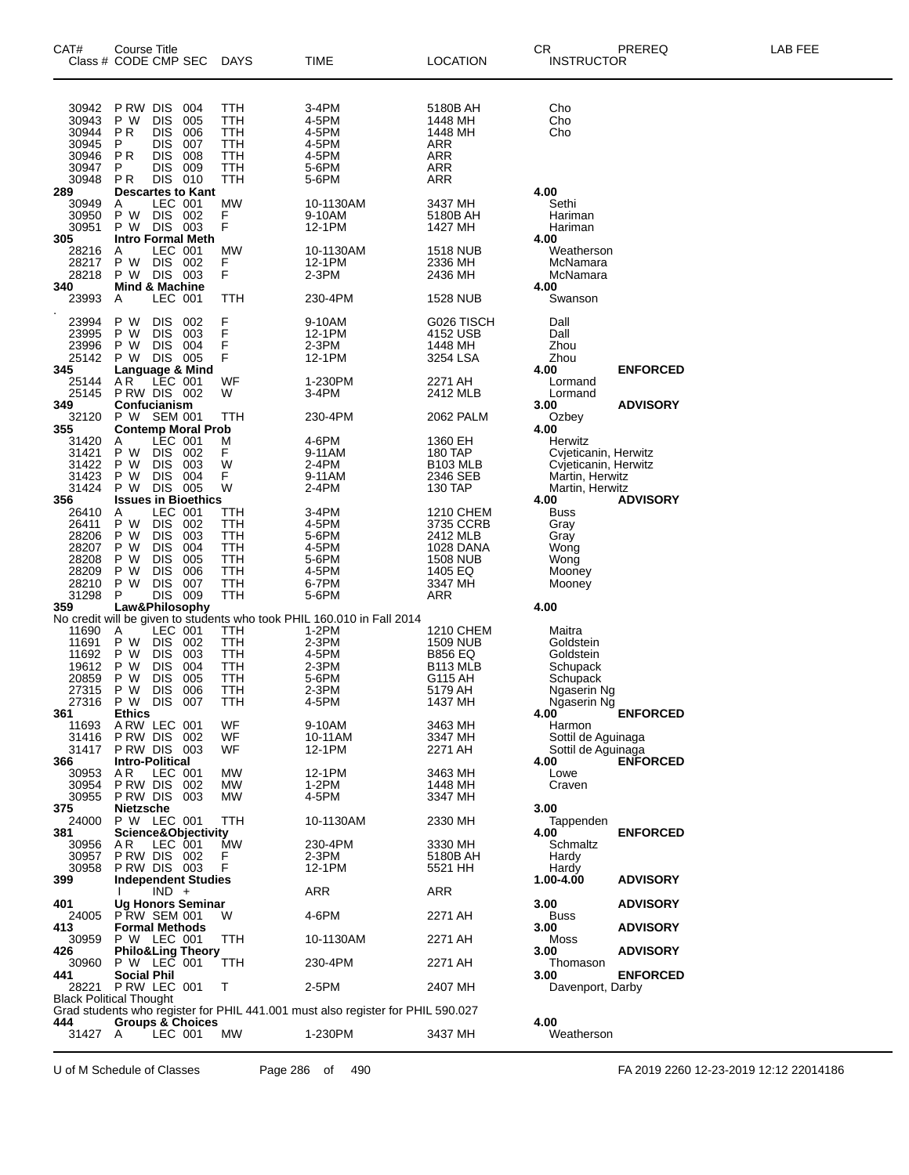| CAT#                                                                 | Course Title<br>Class # CODE CMP SEC                                                                                                                                                     | <b>DAYS</b>                                                               | TIME                                                                            | <b>LOCATION</b>                                                                                               | CR<br>PREREQ<br><b>INSTRUCTOR</b>                                                                                                | LAB FEE |
|----------------------------------------------------------------------|------------------------------------------------------------------------------------------------------------------------------------------------------------------------------------------|---------------------------------------------------------------------------|---------------------------------------------------------------------------------|---------------------------------------------------------------------------------------------------------------|----------------------------------------------------------------------------------------------------------------------------------|---------|
| 30942<br>30943<br>30944<br>30945<br>30946<br>30947<br>30948          | P RW DIS<br>004<br>P W<br><b>DIS</b><br>005<br><b>PR</b><br><b>DIS</b><br>006<br><b>DIS</b><br>P<br>007<br>PR.<br><b>DIS</b><br>008<br>P<br>DIS.<br>009<br>DIS 010<br>PR.                | <b>TTH</b><br>TTH<br>TTH<br>TTH<br>TTH<br><b>TTH</b><br>TTH               | 3-4PM<br>4-5PM<br>4-5PM<br>4-5PM<br>4-5PM<br>5-6PM<br>5-6PM                     | 5180B AH<br>1448 MH<br>1448 MH<br>ARR<br><b>ARR</b><br><b>ARR</b><br><b>ARR</b>                               | Cho<br>Cho<br>Cho                                                                                                                |         |
| 289<br>30949<br>30950<br>30951                                       | <b>Descartes to Kant</b><br>LEC 001<br>A<br>DIS 002<br>P W<br>DIS 003<br>P W                                                                                                             | <b>MW</b><br>F<br>F                                                       | 10-1130AM<br>9-10AM<br>12-1PM                                                   | 3437 MH<br>5180B AH<br>1427 MH                                                                                | 4.00<br>Sethi<br>Hariman<br>Hariman                                                                                              |         |
| 305<br>28216<br>28217<br>28218                                       | <b>Intro Formal Meth</b><br>LEC 001<br>A<br>DIS 002<br>P W<br>P W<br>DIS 003                                                                                                             | <b>MW</b><br>F<br>F                                                       | 10-1130AM<br>12-1PM<br>2-3PM                                                    | <b>1518 NUB</b><br>2336 MH<br>2436 MH                                                                         | 4.00<br>Weatherson<br>McNamara<br>McNamara                                                                                       |         |
| 340<br>23993                                                         | <b>Mind &amp; Machine</b><br>LEC 001<br>Α                                                                                                                                                | TTH                                                                       | 230-4PM                                                                         | <b>1528 NUB</b>                                                                                               | 4.00<br>Swanson                                                                                                                  |         |
| 23994<br>23995<br>23996<br>25142<br>345                              | <b>DIS</b><br>P W<br>002<br>P W<br><b>DIS</b><br>003<br>004<br>P W<br>DIS.<br>DIS 005<br>P W                                                                                             | F<br>F<br>F<br>F                                                          | 9-10AM<br>12-1PM<br>2-3PM<br>12-1PM                                             | G026 TISCH<br>4152 USB<br>1448 MH<br>3254 LSA                                                                 | Dall<br>Dall<br>Zhou<br>Zhou<br>4.00<br><b>ENFORCED</b>                                                                          |         |
| 25144<br>25145                                                       | Language & Mind<br>AR LEC 001<br>PRW DIS 002                                                                                                                                             | WF<br>W                                                                   | 1-230PM<br>3-4PM                                                                | 2271 AH<br>2412 MLB                                                                                           | Lormand<br>Lormand                                                                                                               |         |
| 349<br>32120                                                         | Confucianism<br>P W SEM 001                                                                                                                                                              | TTH                                                                       | 230-4PM                                                                         | 2062 PALM                                                                                                     | 3.00<br><b>ADVISORY</b><br>Ozbey                                                                                                 |         |
| 355<br>31420<br>31421<br>31422<br>31423<br>31424<br>356              | <b>Contemp Moral Prob</b><br>LEC 001<br>A<br>P W<br>DIS 002<br><b>DIS</b><br>003<br>P W<br>004<br>P W<br>DIS.<br>DIS 005<br>P W<br><b>Issues in Bioethics</b>                            | M<br>F<br>W<br>F<br>W                                                     | 4-6PM<br>9-11AM<br>2-4PM<br>9-11AM<br>2-4PM                                     | 1360 EH<br>180 TAP<br><b>B103 MLB</b><br>2346 SEB<br>130 TAP                                                  | 4.00<br>Herwitz<br>Cvjeticanin, Herwitz<br>Cvjeticanin, Herwitz<br>Martin, Herwitz<br>Martin, Herwitz<br>4.00<br><b>ADVISORY</b> |         |
| 26410<br>26411<br>28206<br>28207<br>28208<br>28209<br>28210<br>31298 | LEC 001<br>A<br>P W<br>DIS.<br>002<br><b>DIS</b><br>P W<br>003<br>004<br>P W<br>DIS.<br><b>DIS</b><br>005<br>P W<br><b>DIS</b><br>006<br>P W<br><b>DIS</b><br>007<br>P W<br>DIS 009<br>P | TTH<br><b>TTH</b><br>TTH<br>TTH<br><b>TTH</b><br>TTH<br>TTH<br><b>TTH</b> | 3-4PM<br>4-5PM<br>5-6PM<br>4-5PM<br>5-6PM<br>4-5PM<br>6-7PM<br>5-6PM            | <b>1210 CHEM</b><br>3735 CCRB<br>2412 MLB<br>1028 DANA<br><b>1508 NUB</b><br>1405 EQ<br>3347 MH<br><b>ARR</b> | <b>Buss</b><br>Gray<br>Gray<br>Wong<br>Wong<br>Mooney<br>Mooney                                                                  |         |
| 359                                                                  | Law&Philosophy                                                                                                                                                                           |                                                                           | No credit will be given to students who took PHIL 160.010 in Fall 2014          |                                                                                                               | 4.00                                                                                                                             |         |
| 11690<br>11691<br>11692<br>19612<br>20859<br>27315<br>27316          | LEC 001<br>A<br><b>DIS</b><br>P W<br>002<br>P W<br>DIS.<br>003<br>P W<br><b>DIS</b><br>004<br><b>DIS</b><br>P W<br>005<br>006<br>P W<br><b>DIS</b><br>P W<br><b>DIS</b><br>007           | TTH<br>TTH<br>TTH<br><b>TTH</b><br>TTH<br>TTH<br>TTH                      | 1-2PM<br>2-3PM<br>4-5PM<br>2-3PM<br>5-6PM<br>2-3PM<br>4-5PM                     | 1210 CHEM<br>1509 NUB<br><b>B856 EQ</b><br>B <sub>113</sub> MLB<br>G115 AH<br>5179 AH<br>1437 MH              | Maitra<br>Goldstein<br>Goldstein<br>Schupack<br>Schupack<br>Ngaserin Ng<br>Ngaserin Ng                                           |         |
| 361<br>11693                                                         | <b>Ethics</b><br>ARW LEC 001                                                                                                                                                             | WF                                                                        | 9-10AM                                                                          | 3463 MH                                                                                                       | 4.00<br><b>ENFORCED</b><br>Harmon                                                                                                |         |
| 31416<br>31417<br>366                                                | PRW DIS 002<br>PRW DIS 003<br><b>Intro-Political</b>                                                                                                                                     | WF<br>WF.                                                                 | 10-11AM<br>12-1PM                                                               | 3347 MH<br>2271 AH                                                                                            | Sottil de Aguinaga<br>Sottil de Aguinaga<br><b>ENFORCED</b><br>4.00                                                              |         |
| 30953<br>30954<br>30955                                              | LEC 001<br>AR.<br>PRW DIS 002<br>PRW DIS 003                                                                                                                                             | МW<br>МW<br>МW                                                            | 12-1PM<br>$1-2PM$<br>4-5PM                                                      | 3463 MH<br>1448 MH<br>3347 MH                                                                                 | Lowe<br>Craven                                                                                                                   |         |
| 375<br>24000<br>381                                                  | <b>Nietzsche</b><br>P W LEC 001<br>Science&Objectivity                                                                                                                                   | TTH                                                                       | 10-1130AM                                                                       | 2330 MH                                                                                                       | 3.00<br>Tappenden<br>4.00<br><b>ENFORCED</b>                                                                                     |         |
| 30956<br>30957<br>30958                                              | AR.<br>LEC 001<br>PRW DIS 002<br>PRW DIS 003                                                                                                                                             | MW<br>F<br>F                                                              | 230-4PM<br>2-3PM<br>12-1PM                                                      | 3330 MH<br>5180B AH<br>5521 HH                                                                                | Schmaltz<br>Hardy<br>Hardy                                                                                                       |         |
| 399                                                                  | <b>Independent Studies</b><br>$IND +$                                                                                                                                                    |                                                                           | <b>ARR</b>                                                                      | ARR                                                                                                           | 1.00-4.00<br><b>ADVISORY</b>                                                                                                     |         |
| 401<br>24005                                                         | <b>Ug Honors Seminar</b><br>PRW SEM 001                                                                                                                                                  | W                                                                         | 4-6PM                                                                           | 2271 AH                                                                                                       | 3.00<br><b>ADVISORY</b><br><b>Buss</b>                                                                                           |         |
| 413<br>30959<br>426                                                  | <b>Formal Methods</b><br>P W LEC 001                                                                                                                                                     | TTH                                                                       | 10-1130AM                                                                       | 2271 AH                                                                                                       | 3.00<br><b>ADVISORY</b><br>Moss<br>3.00                                                                                          |         |
| 30960                                                                | <b>Philo&amp;Ling Theory</b><br>P W LEC 001                                                                                                                                              | TTH                                                                       | 230-4PM                                                                         | 2271 AH                                                                                                       | <b>ADVISORY</b><br>Thomason                                                                                                      |         |
| 441<br>28221                                                         | <b>Social Phil</b><br>P RW LEC 001                                                                                                                                                       | т                                                                         | 2-5PM                                                                           | 2407 MH                                                                                                       | 3.00<br><b>ENFORCED</b><br>Davenport, Darby                                                                                      |         |
|                                                                      | <b>Black Political Thought</b>                                                                                                                                                           |                                                                           | Grad students who register for PHIL 441.001 must also register for PHIL 590.027 |                                                                                                               |                                                                                                                                  |         |
| 444<br>31427 A                                                       | <b>Groups &amp; Choices</b><br>LEC 001                                                                                                                                                   | МW                                                                        | 1-230PM                                                                         | 3437 MH                                                                                                       | 4.00<br>Weatherson                                                                                                               |         |

U of M Schedule of Classes Page 286 of 490 FA 2019 2260 12-23-2019 12:12 22014186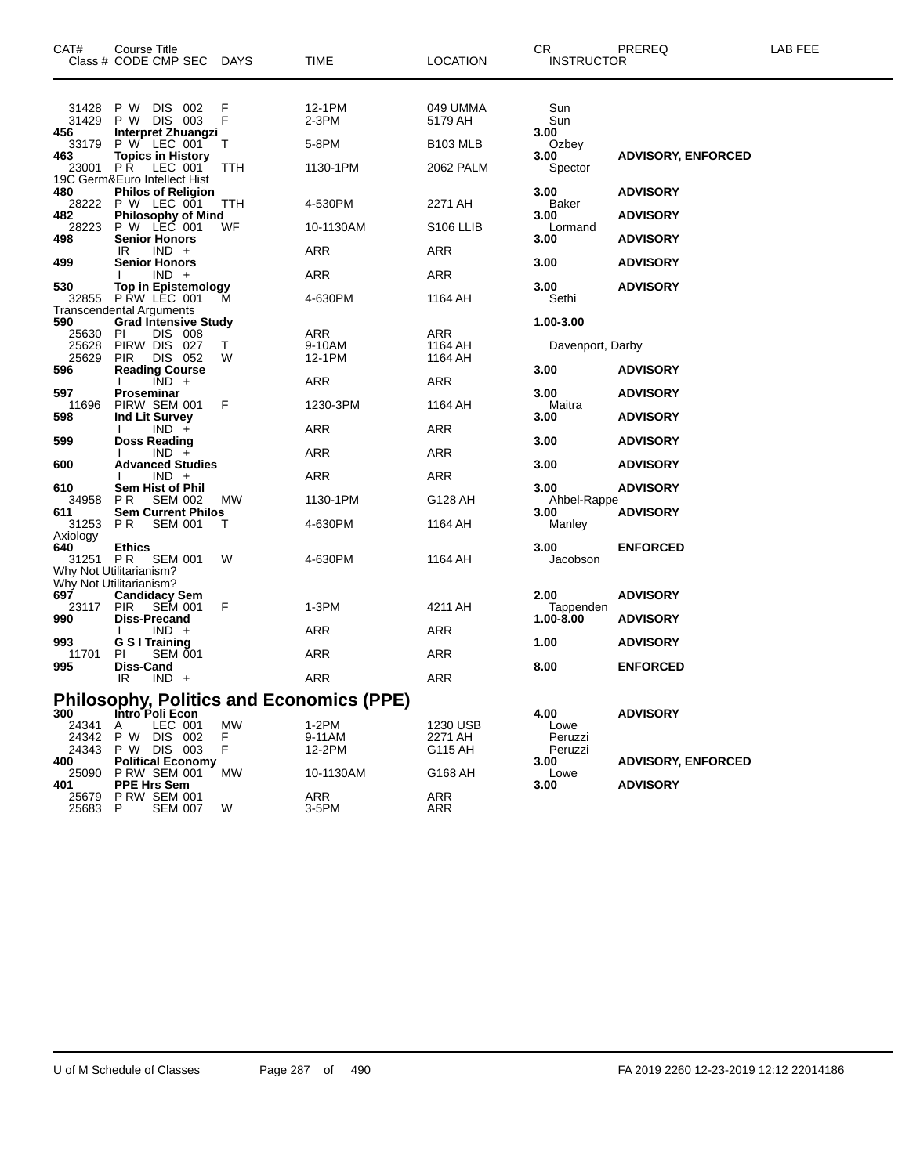| CAT#                                              | Course Title<br>Class # CODE CMP SEC DAYS                                                                                  |                    | <b>TIME</b>                                                        | <b>LOCATION</b>                                     | CR.<br><b>INSTRUCTOR</b>                       | PREREQ                                       | LAB FEE |
|---------------------------------------------------|----------------------------------------------------------------------------------------------------------------------------|--------------------|--------------------------------------------------------------------|-----------------------------------------------------|------------------------------------------------|----------------------------------------------|---------|
| 31428<br>31429<br>456<br>33179<br>463<br>23001 PR | P W DIS 002<br>P W DIS 003<br><b>Interpret Zhuangzi</b><br>P W LEC 001<br><b>Topics in History</b><br>LEC 001              | F<br>F<br>T<br>ттн | 12-1PM<br>$2-3PM$<br>5-8PM<br>1130-1PM                             | 049 UMMA<br>5179 AH<br><b>B103 MLB</b><br>2062 PALM | Sun<br>Sun<br>3.00<br>Ozbey<br>3.00<br>Spector | <b>ADVISORY, ENFORCED</b>                    |         |
| 480<br>482<br>28223                               | 19C Germ&Euro Intellect Hist<br><b>Philos of Religion</b><br>28222 P W LEC 001<br><b>Philosophy of Mind</b><br>P W LEC 001 | ттн<br>WF          | 4-530PM<br>10-1130AM                                               | 2271 AH<br>S <sub>106</sub> LLIB                    | 3.00<br>Baker<br>3.00<br>Lormand               | <b>ADVISORY</b><br><b>ADVISORY</b>           |         |
| 498<br>499                                        | <b>Senior Honors</b><br>$IND +$<br>IR.<br><b>Senior Honors</b><br>$IND +$                                                  |                    | ARR<br>ARR                                                         | ARR<br>ARR                                          | 3.00<br>3.00                                   | <b>ADVISORY</b><br><b>ADVISORY</b>           |         |
| 530<br>590                                        | <b>Top in Epistemology</b><br>32855 PRW LEC 001<br><b>Transcendental Arguments</b><br><b>Grad Intensive Study</b>          | м                  | 4-630PM                                                            | 1164 AH                                             | 3.00<br>Sethi<br>1.00-3.00                     | <b>ADVISORY</b>                              |         |
| 25630<br>25628<br>25629<br>596                    | PI<br>DIS 008<br>PIRW DIS 027<br><b>PIR</b><br>DIS 052<br><b>Reading Course</b>                                            | T<br>W             | ARR<br>9-10AM<br>12-1PM                                            | ARR<br>1164 AH<br>1164 AH                           | Davenport, Darby<br>3.00                       | <b>ADVISORY</b>                              |         |
| 597<br>11696<br>598                               | $\overline{IND}$ +<br>Proseminar<br>PIRW SEM 001<br>Ind Lit Survey<br>$IND +$                                              | F                  | ARR<br>1230-3PM<br>ARR                                             | <b>ARR</b><br>1164 AH<br>ARR                        | 3.00<br>Maitra<br>3.00                         | <b>ADVISORY</b><br><b>ADVISORY</b>           |         |
| 599<br>600                                        | <b>Doss Reading</b><br>$IND +$<br><b>Advanced Studies</b><br>$IND +$                                                       |                    | ARR<br>ARR                                                         | ARR<br><b>ARR</b>                                   | 3.00<br>3.00                                   | <b>ADVISORY</b><br><b>ADVISORY</b>           |         |
| 610<br>34958<br>611<br>31253                      | <b>Sem Hist of Phil</b><br><b>SEM 002</b><br>PR.<br><b>Sem Current Philos</b><br>PR<br><b>SEM 001</b>                      | МW<br>т            | 1130-1PM<br>4-630PM                                                | G128 AH<br>1164 AH                                  | 3.00<br>Ahbel-Rappe<br>3.00<br>Manley          | <b>ADVISORY</b><br><b>ADVISORY</b>           |         |
| Axiology<br>640<br>31251                          | <b>Ethics</b><br>P R<br><b>SEM 001</b><br>Why Not Utilitarianism?                                                          | W                  | 4-630PM                                                            | 1164 AH                                             | 3.00<br>Jacobson                               | <b>ENFORCED</b>                              |         |
| 697<br>23117<br>990                               | Why Not Utilitarianism?<br><b>Candidacy Sem</b><br><b>SEM 001</b><br><b>PIR</b><br><b>Diss-Precand</b><br>$IND +$          | F                  | 1-3PM<br>ARR                                                       | 4211 AH<br>ARR                                      | 2.00<br>Tappenden<br>1.00-8.00                 | <b>ADVISORY</b><br><b>ADVISORY</b>           |         |
| 993<br>11701<br>995                               | G S I Training<br><b>SEM 001</b><br>PI<br><b>Diss-Cand</b><br>IR.<br>$IND +$                                               |                    | ARR<br>ARR                                                         | ARR<br><b>ARR</b>                                   | 1.00<br>8.00                                   | <b>ADVISORY</b><br><b>ENFORCED</b>           |         |
| 300<br>24341<br>24342                             | Intro Poli Econ<br>LEC 001<br>A<br>P W<br>DIS 002                                                                          | МW<br>F.           | <b>Philosophy, Politics and Economics (PPE)</b><br>1-2PM<br>9-11AM | 1230 USB<br>2271 AH                                 | 4.00<br>Lowe<br>Peruzzi                        | <b>ADVISORY</b>                              |         |
| 24343<br>400<br>25090<br>401                      | P W DIS 003<br><b>Political Economy</b><br><b>P RW SEM 001</b><br><b>PPE Hrs Sem</b>                                       | F.<br>MW           | 12-2PM<br>10-1130AM                                                | G115 AH<br>G168 AH                                  | Peruzzi<br>3.00<br>Lowe<br>3.00                | <b>ADVISORY, ENFORCED</b><br><b>ADVISORY</b> |         |
| 25679<br>25683 P                                  | <b>P RW SEM 001</b><br><b>SEM 007</b>                                                                                      | W                  | ARR<br>3-5PM                                                       | ARR<br>ARR                                          |                                                |                                              |         |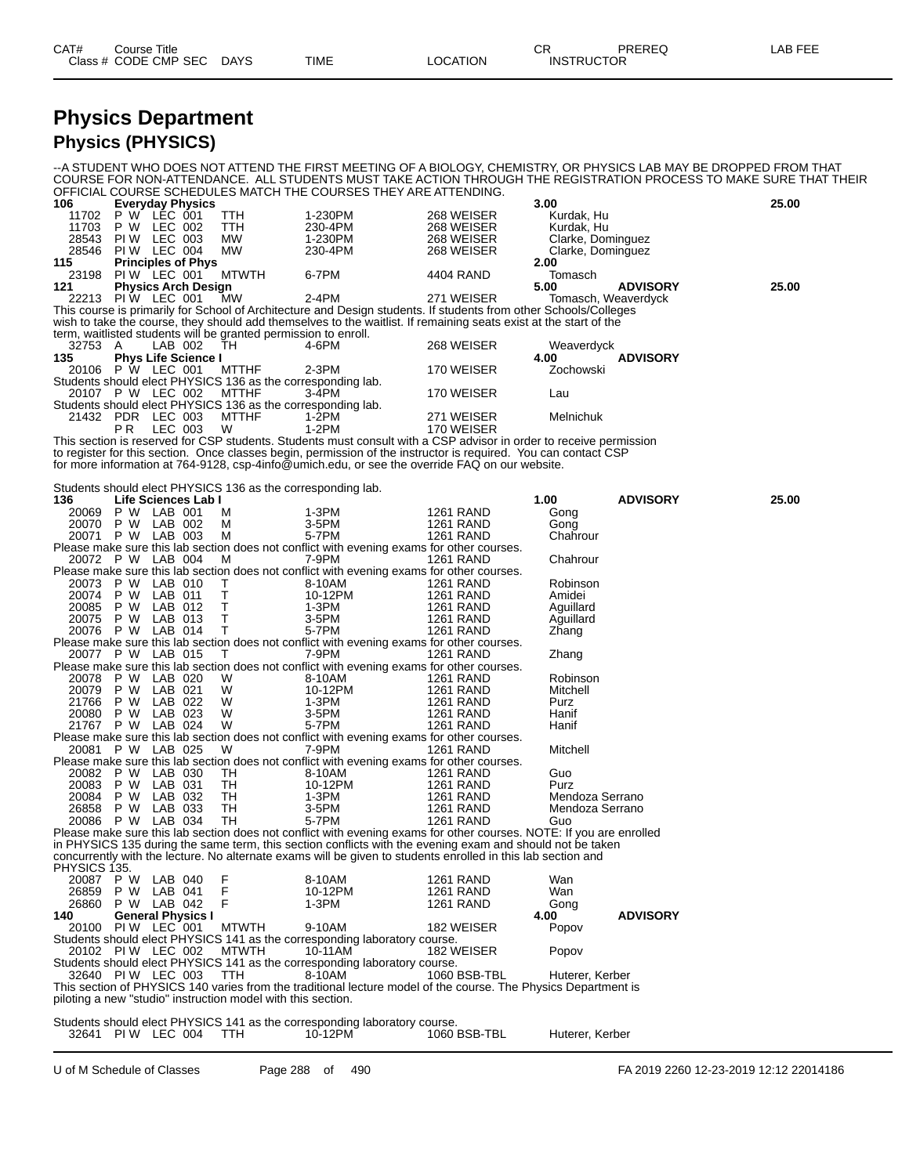| CAT#<br>Class | Title<br>Course<br>CODE CMP SEC<br>$\sim$ $\sim$ | <b>DAYS</b><br>$\sim$ | <b>TIME</b> | TION<br>ററ | СR<br>CTOR<br><b>INS</b> | <b>ODEDES</b><br>ヽ∟ヽ | ---<br>ΔF |
|---------------|--------------------------------------------------|-----------------------|-------------|------------|--------------------------|----------------------|-----------|
|               |                                                  |                       |             |            |                          |                      |           |

#### **Physics Department Physics (PHYSICS)**

--A STUDENT WHO DOES NOT ATTEND THE FIRST MEETING OF A BIOLOGY, CHEMISTRY, OR PHYSICS LAB MAY BE DROPPED FROM THAT COURSE FOR NON-ATTENDANCE. ALL STUDENTS MUST TAKE ACTION THROUGH THE REGISTRATION PROCESS TO MAKE SURE THAT THEIR OFFICIAL COURSE SCHEDULES MATCH THE COURSES THEY ARE ATTENDING.<br>106 Everyday Physics **106 Everyday Physics 3.00 25.00** 11702 P W LEC 001 TTH 1-230PM 268 WEISER Kurdak, Hu 11703 P W LEC 002 TTH 230-4PM 268 WEISER Rundak, Hu<br>11703 P W LEC 002 TTH 230-4PM 268 WEISER Kurdak, Hu<br>26543 PIW LEC 003 MW 1-230PM 268 WEISER Clarke, Dor 28543 PI W LEC 003 MW 1-230PM 268 WEISER Clarke, Dominguez 28546 PI W LEC 004 MW 230-4PM 268 WEISER Clarke, Dominguez **115 Principles of Phys 2.00** 23198 PIW LEC 001 MTWTH 6-7PM 4404 RAND Tomas<br>**121 Physics Arch Design 121 big 120 cm 121 Physics Arch Design 5.00 ADVISORY 25.00** 22213 PI W LEC 001 MW 2-4PM 271 WEISER Tomasch, Weaverdyck This course is primarily for School of Architecture and Design students. If students from other Schools/Colleges wish to take the course, they should add themselves to the waitlist. If remaining seats exist at the start of the term, waitlisted students will be granted permission to enroll. 32753 A LAB 002 TH 4-6PM 268 WEISER Weaverdyck **135 Phys Life Science I 4.00 ADVISORY** 20106 P W LEC 001 MTTHF 2-3PM 170 WEISER Zochowski Students should elect PHYSICS 136 as the corresponding lab. 20107 P W LEC 002 MTTHF 3-4PM 170 WEISER Lau Students should elect PHYSICS 136 as the corresponding lab.<br>21432 PDR LEC 003 MTTHF 1-2PM<br>PR LEC 003 W 1-2PM MTTHF 1-2PM 271 WEISER Melnichuk<br>W 1-2PM 170 WEISER P R LEC 003 W 1-2PM 170 WEISER This section is reserved for CSP students. Students must consult with a CSP advisor in order to receive permission to register for this section. Once classes begin, permission of the instructor is required. You can contact CSP for more information at 764-9128, csp-4info@umich.edu, or see the override FAQ on our website. Students should elect PHYSICS 136 as the corresponding lab.<br>136 Life Sciences Lab I **136 Life Sciences Lab I 1.00 ADVISORY 25.00** 20069 P W LAB 001 M 1-3PM 1261 RAND Gong 20070 P W LAB 002 M 3-5PM 1261 RAND Gong 20071 P W LAB 003 M 5-7PM 1261 RAND Chahrour Please make sure this lab section does not conflict with evening exams for other courses. 20072 P W LAB 004 M 7-9PM 1261 RAND Chahrour Please make sure this lab section does not conflict with evening exams for other courses. 20073 P W LAB 010 T 8-10AM 1261 RAND Robinson 20074 P W LAB 011 T 10-12PM 1261 RAND Amidei 20085 P W LAB 012 T 1-3PM 1261 RAND Aguillard 20075 P W LAB 013 T 3-5PM 1261 RAND Aguillard 20076 P W LAB 014 T 5-7PM 1261 RAND Zhang Please make sure this lab section does not conflict with evening exams for other courses. 20077 P W LAB 015 T 7-9PM 1261 RAND Zhang Please make sure this lab section does not conflict with evening exams for other courses. 20078 P W LAB 020 W 8-10AM 1261 RAND Robinson 20079 P W LAB 021 W 10-12PM 1261 RAND Mitchell 21766 P W LAB 022 W 1-3PM 1261 RAND Purz 20080 P W LAB 023 W 3-5PM 1261 RAND Hanif 21767 P W LAB 024 W 5-7PM 1261 RAND Hanif Please make sure this lab section does not conflict with evening exams for other courses. 20081 P W LAB 025 W 7-9PM 1261 RAND Mitchell Please make sure this lab section does not conflict with evening exams for other courses.<br>
20082 P W LAB 030 TH 8-10AM 1261 RAND<br>
20083 P W LAB 031 TH 10-12PM 1261 RAND 20082 P W LAB 030 TH 8-10AM 1261 RAND Guo 20083 P W LAB 031 TH 10-12PM 1261 RAND Purz 20084 P W LAB 032 TH 1-3PM 1261 RAND Mendoza Serrano 26858 P W LAB 033 TH 3-5PM 1261 RAND Mendoza Serrano 20086 P W LAB 034 TH 5-7PM 1261 RAND Guo Please make sure this lab section does not conflict with evening exams for other courses. NOTE: If you are enrolled in PHYSICS 135 during the same term, this section conflicts with the evening exam and should not be taken concurrently with the lecture. No alternate exams will be given to students enrolled in this lab section and PHYSICS 135.<br>20087 P W<br>26859 P W 20087 P W LAB 040 F 8-10AM 1261 RAND Wan 26859 P W LAB 041 F 10-12PM 1261 RAND Wan 26860 P W LAB 042 F 1-3PM 1261 RAND Gong **140 General Physics I 4.00 ADVISORY** 20100 PI W LEC 001 MTWTH 9-10AM 182 W<br>udents should elect PHYSICS 141 as the corresponding laboratory course. Students should elect PHYSICS 141 as the corresponding laboratory course.<br>20102 PI W LEC 002 MTWTH 10-11AM 182 WEISER 20102 PI W LEC 002 MTWTH 10-11AM 182 WEISER Popov Students should elect PHYSICS 141 as the corresponding laboratory course. 32640 PI W LEC 003 TTH 8-10AM 1060 BSB-TBL Huterer, Kerber This section of PHYSICS 140 varies from the traditional lecture model of the course. The Physics Department is piloting a new "studio" instruction model with this section. Students should elect PHYSICS 141 as the corresponding laboratory course.

32641 PI W LEC 004 TTH 10-12PM 1060 BSB-TBL Huterer, Kerber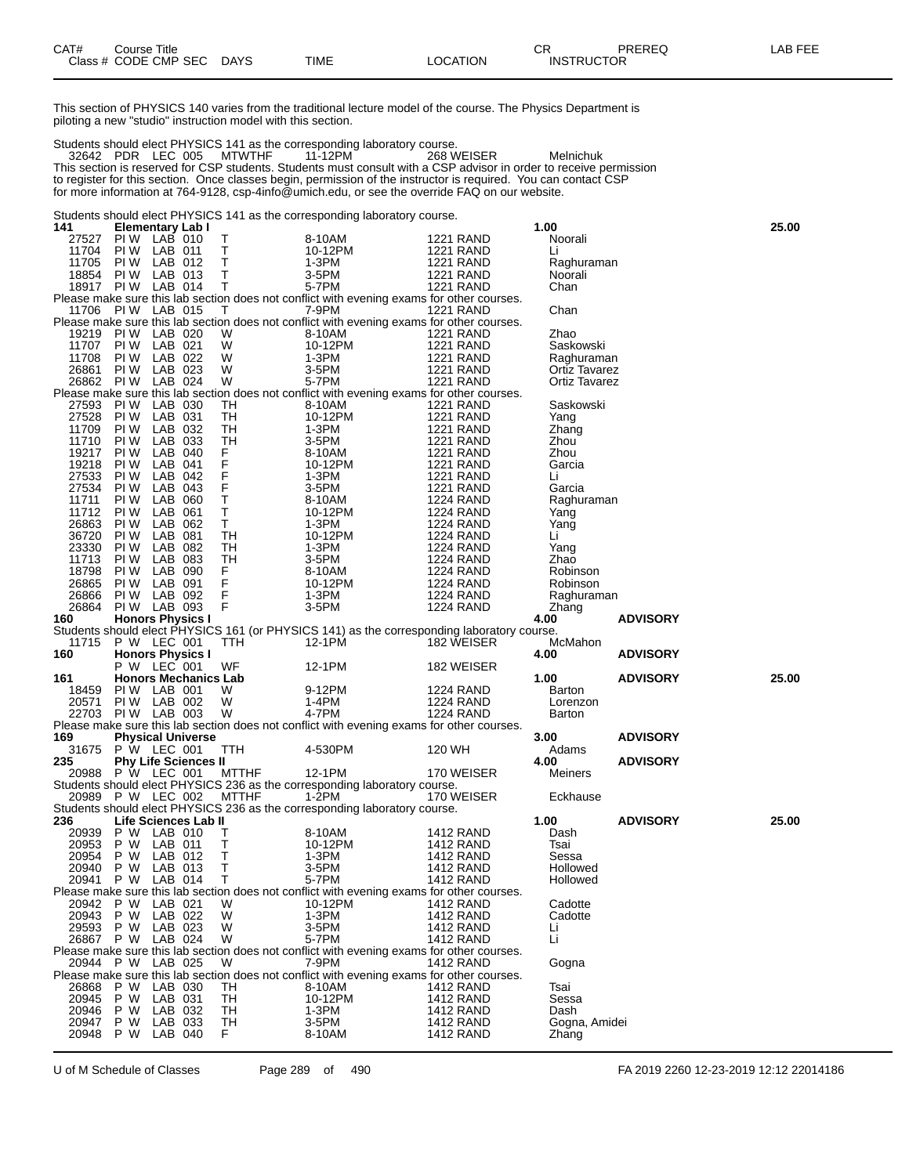This section of PHYSICS 140 varies from the traditional lecture model of the course. The Physics Department is piloting a new "studio" instruction model with this section.

Students should elect PHYSICS 141 as the corresponding laboratory course. PDR LEC 005 MTWTHF 11-12PM 268 WEISER Melnichuk This section is reserved for CSP students. Students must consult with a CSP advisor in order to receive permission to register for this section. Once classes begin, permission of the instructor is required. You can contact CSP for more information at 764-9128, csp-4info@umich.edu, or see the override FAQ on our website.

Students should elect PHYSICS 141 as the corresponding laboratory course.

| 141                | <b>Elementary Lab I</b> |                    |                             |              |                                                                                            |                  | 1.00                                         |                 | 25.00 |
|--------------------|-------------------------|--------------------|-----------------------------|--------------|--------------------------------------------------------------------------------------------|------------------|----------------------------------------------|-----------------|-------|
| 27527              | PI W                    | LAB 010            |                             | Т            | 8-10AM                                                                                     | <b>1221 RAND</b> | Noorali                                      |                 |       |
| 11704              | PI W                    | LAB 011            |                             | т            | 10-12PM                                                                                    | <b>1221 RAND</b> | Li                                           |                 |       |
| 11705              | PI W                    | LAB 012            |                             | Т            | 1-3PM                                                                                      | <b>1221 RAND</b> | Raghuraman                                   |                 |       |
| 18854              | PI W                    | LAB 013            |                             | т            | 3-5PM                                                                                      | <b>1221 RAND</b> | Noorali                                      |                 |       |
| 18917 PIW          |                         | LAB 014            |                             | Т            | 5-7PM                                                                                      | <b>1221 RAND</b> | Chan                                         |                 |       |
|                    |                         |                    |                             |              | Please make sure this lab section does not conflict with evening exams for other courses.  |                  |                                              |                 |       |
| 11706              | PIW LAB 015             |                    |                             | T            | 7-9PM                                                                                      | <b>1221 RAND</b> | Chan                                         |                 |       |
|                    |                         |                    |                             |              | Please make sure this lab section does not conflict with evening exams for other courses.  |                  |                                              |                 |       |
| 19219              | PIW LAB 020             |                    |                             | W            | 8-10AM                                                                                     | <b>1221 RAND</b> | Zhao                                         |                 |       |
| 11707              | PI W                    | LAB 021            |                             | W            | 10-12PM                                                                                    | <b>1221 RAND</b> | Saskowski                                    |                 |       |
| 11708              | PI W                    | LAB 022            |                             | W            | 1-3PM                                                                                      | <b>1221 RAND</b> | Raghuraman                                   |                 |       |
| 26861<br>26862 PIW | PI W                    | LAB 023<br>LAB 024 |                             | W<br>W       | 3-5PM<br>5-7PM                                                                             | <b>1221 RAND</b> | <b>Ortiz Tavarez</b><br><b>Ortiz Tavarez</b> |                 |       |
|                    |                         |                    |                             |              | Please make sure this lab section does not conflict with evening exams for other courses.  | <b>1221 RAND</b> |                                              |                 |       |
| 27593              | PI W                    | LAB 030            |                             | TН           | 8-10AM                                                                                     | <b>1221 RAND</b> | Saskowski                                    |                 |       |
| 27528              | PI W                    | LAB 031            |                             | TH           | 10-12PM                                                                                    | <b>1221 RAND</b> | Yang                                         |                 |       |
| 11709              | PI W                    | LAB 032            |                             | TН           | 1-3PM                                                                                      | <b>1221 RAND</b> | Zhang                                        |                 |       |
| 11710              | PI W                    | LAB 033            |                             | TН           | $3-5PM$                                                                                    | <b>1221 RAND</b> | Zhou                                         |                 |       |
| 19217              | PI W                    | LAB 040            |                             | F            | 8-10AM                                                                                     | <b>1221 RAND</b> | Zhou                                         |                 |       |
| 19218              | PI W                    | LAB 041            |                             | F            | 10-12PM                                                                                    | <b>1221 RAND</b> | Garcia                                       |                 |       |
| 27533              | PI W                    | LAB 042            |                             |              | 1-3PM                                                                                      | <b>1221 RAND</b> | Li                                           |                 |       |
| 27534              | PI W                    | LAB 043            |                             | F<br>F       | 3-5PM                                                                                      | <b>1221 RAND</b> | Garcia                                       |                 |       |
| 11711              | PI W                    | LAB 060            |                             | T            | 8-10AM                                                                                     | <b>1224 RAND</b> | Raghuraman                                   |                 |       |
| 11712              | PI W                    | LAB 061            |                             | T            | 10-12PM                                                                                    | <b>1224 RAND</b> | Yang                                         |                 |       |
| 26863              | PI W                    | LAB 062            |                             | T            | 1-3PM                                                                                      | <b>1224 RAND</b> | Yang                                         |                 |       |
| 36720              | PI W                    | LAB 081            |                             | <b>TH</b>    | 10-12PM                                                                                    | 1224 RAND        | Li                                           |                 |       |
| 23330              | PI W                    | LAB 082            |                             | TН           | 1-3PM                                                                                      | <b>1224 RAND</b> | Yang                                         |                 |       |
| 11713              | PI W                    | LAB 083            |                             | TН           | 3-5PM                                                                                      | <b>1224 RAND</b> | Zhao                                         |                 |       |
| 18798              | PI W                    | LAB 090            |                             | F.           | 8-10AM                                                                                     | 1224 RAND        | Robinson                                     |                 |       |
| 26865              | PI W                    | LAB 091            |                             | F            | 10-12PM                                                                                    | 1224 RAND        | Robinson                                     |                 |       |
| 26866              | PI W                    | LAB 092            |                             | F            | 1-3PM                                                                                      | <b>1224 RAND</b> | Raghuraman                                   |                 |       |
| 26864 PIW LAB 093  |                         |                    |                             | F            | 3-5PM                                                                                      | <b>1224 RAND</b> | Zhang                                        |                 |       |
| 160                | <b>Honors Physics I</b> |                    |                             |              |                                                                                            |                  | 4.00                                         | <b>ADVISORY</b> |       |
|                    |                         |                    |                             |              | Students should elect PHYSICS 161 (or PHYSICS 141) as the corresponding laboratory course. |                  |                                              |                 |       |
| 11715              | P W LEC 001             |                    |                             | TTH          | 12-1PM                                                                                     | 182 WEISER       | McMahon                                      |                 |       |
| 160                | <b>Honors Physics I</b> |                    |                             |              |                                                                                            |                  | 4.00                                         | <b>ADVISORY</b> |       |
|                    | P W LEC 001             |                    |                             | WF           | 12-1PM                                                                                     | 182 WEISER       |                                              |                 |       |
| 161                |                         |                    | <b>Honors Mechanics Lab</b> |              |                                                                                            |                  | 1.00                                         | <b>ADVISORY</b> | 25.00 |
| 18459              | PIW LAB 001             |                    |                             | W            | 9-12PM                                                                                     | 1224 RAND        | Barton                                       |                 |       |
| 20571              | PIW LAB 002             |                    |                             | W            | 1-4PM                                                                                      | <b>1224 RAND</b> | Lorenzon                                     |                 |       |
| 22703              | PIW LAB 003             |                    |                             | W            | 4-7PM                                                                                      | <b>1224 RAND</b> | Barton                                       |                 |       |
|                    |                         |                    |                             |              | Please make sure this lab section does not conflict with evening exams for other courses.  |                  |                                              |                 |       |
| 169                |                         |                    | <b>Physical Universe</b>    |              |                                                                                            |                  | 3.00                                         | <b>ADVISORY</b> |       |
| 31675              | P W LEC 001             |                    |                             | TTH          | 4-530PM                                                                                    | 120 WH           | Adams                                        |                 |       |
| 235<br>20988       |                         |                    | <b>Phy Life Sciences II</b> |              |                                                                                            |                  | 4.00<br>Meiners                              | <b>ADVISORY</b> |       |
|                    | P W LEC 001             |                    |                             | MTTHF        | 12-1PM                                                                                     | 170 WEISER       |                                              |                 |       |
| 20989              | P W LEC 002             |                    |                             | <b>MTTHF</b> | Students should elect PHYSICS 236 as the corresponding laboratory course.<br>1-2PM         | 170 WEISER       | Eckhause                                     |                 |       |
|                    |                         |                    |                             |              | Students should elect PHYSICS 236 as the corresponding laboratory course.                  |                  |                                              |                 |       |
| 236                |                         |                    | Life Sciences Lab II        |              |                                                                                            |                  | 1.00                                         | <b>ADVISORY</b> | 25.00 |
| 20939              | P W LAB 010             |                    |                             | Т            | 8-10AM                                                                                     | 1412 RAND        | Dash                                         |                 |       |
| 20953              | P W                     | LAB 011            |                             | т            | 10-12PM                                                                                    | <b>1412 RAND</b> | Tsai                                         |                 |       |
| 20954              | P W                     | LAB 012            |                             | Т            | $1-3PM$                                                                                    | 1412 RAND        | Sessa                                        |                 |       |
| 20940              | P W                     | LAB 013            |                             | T            | 3-5PM                                                                                      | <b>1412 RAND</b> | Hollowed                                     |                 |       |
| 20941              | P W                     | LAB 014            |                             | T            | 5-7PM                                                                                      | 1412 RAND        | Hollowed                                     |                 |       |
|                    |                         |                    |                             |              | Please make sure this lab section does not conflict with evening exams for other courses.  |                  |                                              |                 |       |
| 20942              | P W                     | LAB 021            |                             | W            | 10-12PM                                                                                    | 1412 RAND        | Cadotte                                      |                 |       |
| 20943              | P W                     | LAB 022            |                             | W            | 1-3PM                                                                                      | <b>1412 RAND</b> | Cadotte                                      |                 |       |
| 29593              | P W                     | LAB 023            |                             | W            | 3-5PM                                                                                      | <b>1412 RAND</b> | Li                                           |                 |       |
| 26867              | P W LAB 024             |                    |                             | W            | 5-7PM                                                                                      | <b>1412 RAND</b> | Li                                           |                 |       |
|                    |                         |                    |                             |              | Please make sure this lab section does not conflict with evening exams for other courses.  |                  |                                              |                 |       |
| 20944              | P W LAB 025             |                    |                             | W            | 7-9PM                                                                                      | <b>1412 RAND</b> | Gogna                                        |                 |       |
|                    |                         |                    |                             |              | Please make sure this lab section does not conflict with evening exams for other courses.  |                  |                                              |                 |       |
| 26868              | P W                     | LAB 030            |                             | TН           | 8-10AM                                                                                     | 1412 RAND        | Tsai                                         |                 |       |
| 20945              | P W                     | LAB 031            |                             | TН           | 10-12PM                                                                                    | <b>1412 RAND</b> | Sessa                                        |                 |       |
| 20946              | P W                     | LAB 032            |                             | TН           | 1-3PM                                                                                      | <b>1412 RAND</b> | Dash                                         |                 |       |
| 20947              | P W                     | LAB 033            |                             | TH           | 3-5PM                                                                                      | <b>1412 RAND</b> | Gogna, Amidei                                |                 |       |
| 20948              | P W                     | LAB 040            |                             | F.           | 8-10AM                                                                                     | <b>1412 RAND</b> | Zhang                                        |                 |       |

U of M Schedule of Classes Page 289 of 490 FA 2019 2260 12-23-2019 12:12 22014186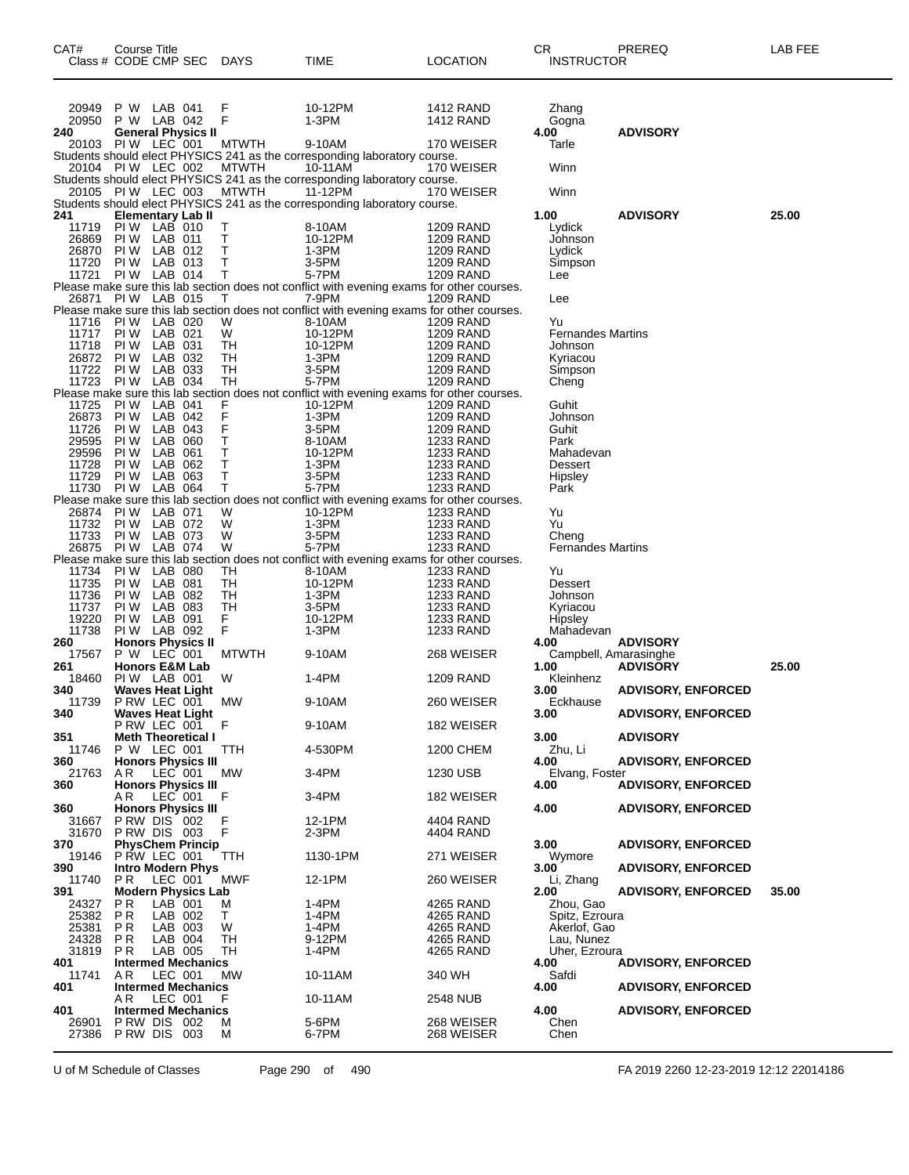| CAT#           | Course Title<br>Class # CODE CMP SEC     |                    |                                        | <b>DAYS</b>  | <b>TIME</b>                                                                                         | LOCATION                      | СR<br><b>INSTRUCTOR</b>             | PREREQ                    | LAB FEE |
|----------------|------------------------------------------|--------------------|----------------------------------------|--------------|-----------------------------------------------------------------------------------------------------|-------------------------------|-------------------------------------|---------------------------|---------|
|                |                                          |                    |                                        |              |                                                                                                     |                               |                                     |                           |         |
| 20949          | P W                                      | LAB 041            |                                        | F            | 10-12PM                                                                                             | 1412 RAND                     | Zhang                               |                           |         |
| 20950          | P W LAB 042                              |                    |                                        | F            | 1-3PM                                                                                               | <b>1412 RAND</b>              | Gogna                               |                           |         |
| 240            | 20103 PIW LEC 001                        |                    | <b>General Physics II</b>              | <b>MTWTH</b> | 9-10AM                                                                                              | 170 WEISER                    | 4.00<br>Tarle                       | <b>ADVISORY</b>           |         |
|                |                                          |                    |                                        |              | Students should elect PHYSICS 241 as the corresponding laboratory course.                           |                               |                                     |                           |         |
|                | 20104 PIW LEC 002                        |                    |                                        | <b>MTWTH</b> | 10-11AM                                                                                             | 170 WEISER                    | Winn                                |                           |         |
|                | 20105 PIW LEC 003                        |                    |                                        | MTWTH        | Students should elect PHYSICS 241 as the corresponding laboratory course.<br>11-12PM                | 170 WEISER                    | Winn                                |                           |         |
|                |                                          |                    |                                        |              | Students should elect PHYSICS 241 as the corresponding laboratory course.                           |                               |                                     |                           |         |
| 241<br>11719   | <b>Elementary Lab II</b><br>PIW LAB 010  |                    |                                        | Т            | 8-10AM                                                                                              | <b>1209 RAND</b>              | 1.00<br>Lydick                      | <b>ADVISORY</b>           | 25.00   |
| 26869          | PIW LAB 011                              |                    |                                        | Т            | 10-12PM                                                                                             | 1209 RAND                     | Johnson                             |                           |         |
| 26870<br>11720 | PI W<br>PI W                             | LAB 012<br>LAB 013 |                                        | т<br>Т       | 1-3PM<br>3-5PM                                                                                      | 1209 RAND<br>1209 RAND        | Lydick<br>Simpson                   |                           |         |
| 11721          | PIW LAB 014                              |                    |                                        | Т            | 5-7PM                                                                                               | <b>1209 RAND</b>              | Lee                                 |                           |         |
|                | <b>PIW LAB 015</b>                       |                    |                                        |              | Please make sure this lab section does not conflict with evening exams for other courses.           |                               |                                     |                           |         |
| 26871          |                                          |                    |                                        | Т            | 7-9PM<br>Please make sure this lab section does not conflict with evening exams for other courses.  | 1209 RAND                     | Lee                                 |                           |         |
| 11716          | PI W                                     | LAB 020            |                                        | W            | 8-10AM                                                                                              | <b>1209 RAND</b>              | Yu                                  |                           |         |
| 11717<br>11718 | PI W<br>PI W                             | LAB 021<br>LAB 031 |                                        | W<br>TН      | 10-12PM<br>10-12PM                                                                                  | 1209 RAND<br>1209 RAND        | <b>Fernandes Martins</b><br>Johnson |                           |         |
| 26872          | PI W                                     | LAB 032            |                                        | TН           | 1-3PM                                                                                               | <b>1209 RAND</b>              | Kyriacou                            |                           |         |
| 11722<br>11723 | PI W<br>PIW LAB 034                      | LAB 033            |                                        | TН<br>TН     | 3-5PM<br>5-7PM                                                                                      | 1209 RAND<br><b>1209 RAND</b> | Simpson<br>Cheng                    |                           |         |
|                |                                          |                    |                                        |              | Please make sure this lab section does not conflict with evening exams for other courses.           |                               |                                     |                           |         |
| 11725<br>26873 | PI W<br>PI W                             | LAB 041<br>LAB 042 |                                        | F<br>F       | 10-12PM<br>1-3PM                                                                                    | 1209 RAND<br><b>1209 RAND</b> | Guhit<br>Johnson                    |                           |         |
| 11726          | PI W                                     | LAB 043            |                                        | F            | 3-5PM                                                                                               | 1209 RAND                     | Guhit                               |                           |         |
| 29595<br>29596 | PI W<br>PI W                             | LAB 060<br>LAB 061 |                                        | Τ<br>Т       | 8-10AM                                                                                              | 1233 RAND                     | Park<br>Mahadevan                   |                           |         |
| 11728          | PI W                                     | LAB 062            |                                        | Т            | 10-12PM<br>1-3PM                                                                                    | 1233 RAND<br><b>1233 RAND</b> | Dessert                             |                           |         |
| 11729          | PI W                                     | LAB 063            |                                        | Т            | 3-5PM                                                                                               | 1233 RAND                     | <b>Hipsley</b>                      |                           |         |
| 11730          | PIW LAB 064                              |                    |                                        | т            | 5-7PM<br>Please make sure this lab section does not conflict with evening exams for other courses.  | 1233 RAND                     | Park                                |                           |         |
| 26874          | PI W                                     | LAB 071            |                                        | W            | 10-12PM                                                                                             | 1233 RAND                     | Yu                                  |                           |         |
| 11732<br>11733 | PIW LAB 072<br>PI W                      | LAB 073            |                                        | W<br>W       | 1-3PM<br>3-5PM                                                                                      | 1233 RAND<br>1233 RAND        | Yu<br>Cheng                         |                           |         |
| 26875          | PI W                                     | LAB 074            |                                        | W            | 5-7PM                                                                                               | <b>1233 RAND</b>              | <b>Fernandes Martins</b>            |                           |         |
| 11734          | PI W                                     | LAB 080            |                                        | TН           | Please make sure this lab section does not conflict with evening exams for other courses.<br>8-10AM | 1233 RAND                     | Yu                                  |                           |         |
| 11735          | PI W                                     | LAB 081            |                                        | TН           | 10-12PM                                                                                             | 1233 RAND                     | Dessert                             |                           |         |
| 11736<br>11737 | PI W<br>PI W                             | LAB 082<br>LAB 083 |                                        | TН<br>тн     | 1-3PM<br>3-5PM                                                                                      | 1233 RAND<br><b>1233 RAND</b> | Johnson                             |                           |         |
| 19220          | PI W                                     | LAB 091            |                                        | F            | 10-12PM                                                                                             | <b>1233 RAND</b>              | Kyriacou<br><b>Hipsley</b>          |                           |         |
| 11738          | PIW LAB 092                              |                    |                                        | F            | 1-3PM                                                                                               | 1233 RAND                     | Mahadevan                           |                           |         |
| 260<br>17567   | <b>Honors Physics II</b><br>P W LEC 001  |                    |                                        | <b>MTWTH</b> | 9-10AM                                                                                              | 268 WEISER                    | 4.00<br>Campbell, Amarasinghe       | <b>ADVISORY</b>           |         |
| 261            | <b>Honors E&amp;M Lab</b>                |                    |                                        |              |                                                                                                     |                               | 1.00                                | <b>ADVISORY</b>           | 25.00   |
| 18460<br>340   | PIW LAB 001                              |                    | <b>Waves Heat Light</b>                | W            | 1-4PM                                                                                               | <b>1209 RAND</b>              | Kleinhenz<br>3.00                   | <b>ADVISORY, ENFORCED</b> |         |
| 11739          | PRW LEC 001                              |                    |                                        | MW           | 9-10AM                                                                                              | 260 WEISER                    | Eckhause                            |                           |         |
| 340            |                                          |                    | <b>Waves Heat Light</b><br>PRW LEC 001 | F            | 9-10AM                                                                                              | 182 WEISER                    | 3.00                                | <b>ADVISORY, ENFORCED</b> |         |
| 351            |                                          |                    | <b>Meth Theoretical I</b>              |              |                                                                                                     |                               | 3.00                                | <b>ADVISORY</b>           |         |
| 11746<br>360   | P W LEC 001<br><b>Honors Physics III</b> |                    |                                        | TTH          | 4-530PM                                                                                             | <b>1200 CHEM</b>              | Zhu, Li<br>4.00                     | <b>ADVISORY, ENFORCED</b> |         |
| 21763          | AR.                                      | LEC 001            |                                        | МW           | 3-4PM                                                                                               | 1230 USB                      | Elvang, Foster                      |                           |         |
| 360            | A R                                      |                    | <b>Honors Physics III</b>              | F            |                                                                                                     |                               | 4.00                                | <b>ADVISORY, ENFORCED</b> |         |
| 360            |                                          | LEC 001            | <b>Honors Physics III</b>              |              | 3-4PM                                                                                               | 182 WEISER                    | 4.00                                | <b>ADVISORY, ENFORCED</b> |         |
| 31667          | PRW DIS 002                              |                    |                                        | F            | 12-1PM                                                                                              | 4404 RAND                     |                                     |                           |         |
| 31670<br>370   | PRW DIS 003                              |                    | <b>PhysChem Princip</b>                | F            | 2-3PM                                                                                               | 4404 RAND                     | 3.00                                | <b>ADVISORY, ENFORCED</b> |         |
| 19146          | P RW LEC 001                             |                    |                                        | ттн          | 1130-1PM                                                                                            | 271 WEISER                    | Wymore                              |                           |         |
| 390<br>11740   | PR.                                      | LEC 001            | <b>Intro Modern Phys</b>               | MWF          | 12-1PM                                                                                              | 260 WEISER                    | 3.00<br>Li, Zhang                   | <b>ADVISORY, ENFORCED</b> |         |
| 391            |                                          |                    | <b>Modern Physics Lab</b>              |              |                                                                                                     |                               | 2.00                                | <b>ADVISORY, ENFORCED</b> | 35.00   |
| 24327<br>25382 | P R<br>P R                               | LAB 001<br>LAB 002 |                                        | М<br>Т       | 1-4PM<br>1-4PM                                                                                      | 4265 RAND<br>4265 RAND        | Zhou, Gao<br>Spitz, Ezroura         |                           |         |
| 25381          | P R                                      | LAB 003            |                                        | W            | 1-4PM                                                                                               | 4265 RAND                     | Akerlof, Gao                        |                           |         |
| 24328<br>31819 | P R<br>P R                               | LAB 004<br>LAB 005 |                                        | TН<br>TН     | 9-12PM<br>1-4PM                                                                                     | 4265 RAND<br>4265 RAND        | Lau, Nunez<br>Uher, Ezroura         |                           |         |
| 401            |                                          |                    | <b>Intermed Mechanics</b>              |              |                                                                                                     |                               | 4.00                                | <b>ADVISORY, ENFORCED</b> |         |
| 11741<br>401   | AR.                                      | LEC 001            |                                        | MW           | 10-11AM                                                                                             | 340 WH                        | Safdi                               |                           |         |
|                | A R                                      | LEC 001            | <b>Intermed Mechanics</b>              | F            | 10-11AM                                                                                             | 2548 NUB                      | 4.00                                | <b>ADVISORY, ENFORCED</b> |         |
| 401            |                                          |                    | <b>Intermed Mechanics</b>              |              |                                                                                                     |                               | 4.00                                | <b>ADVISORY, ENFORCED</b> |         |
| 26901          | PRW DIS 002<br>27386 PRW DIS 003         |                    |                                        | м<br>М       | 5-6PM<br>6-7PM                                                                                      | 268 WEISER<br>268 WEISER      | Chen<br>Chen                        |                           |         |
|                |                                          |                    |                                        |              |                                                                                                     |                               |                                     |                           |         |

U of M Schedule of Classes Page 290 of 490 FA 2019 2260 12-23-2019 12:12 22014186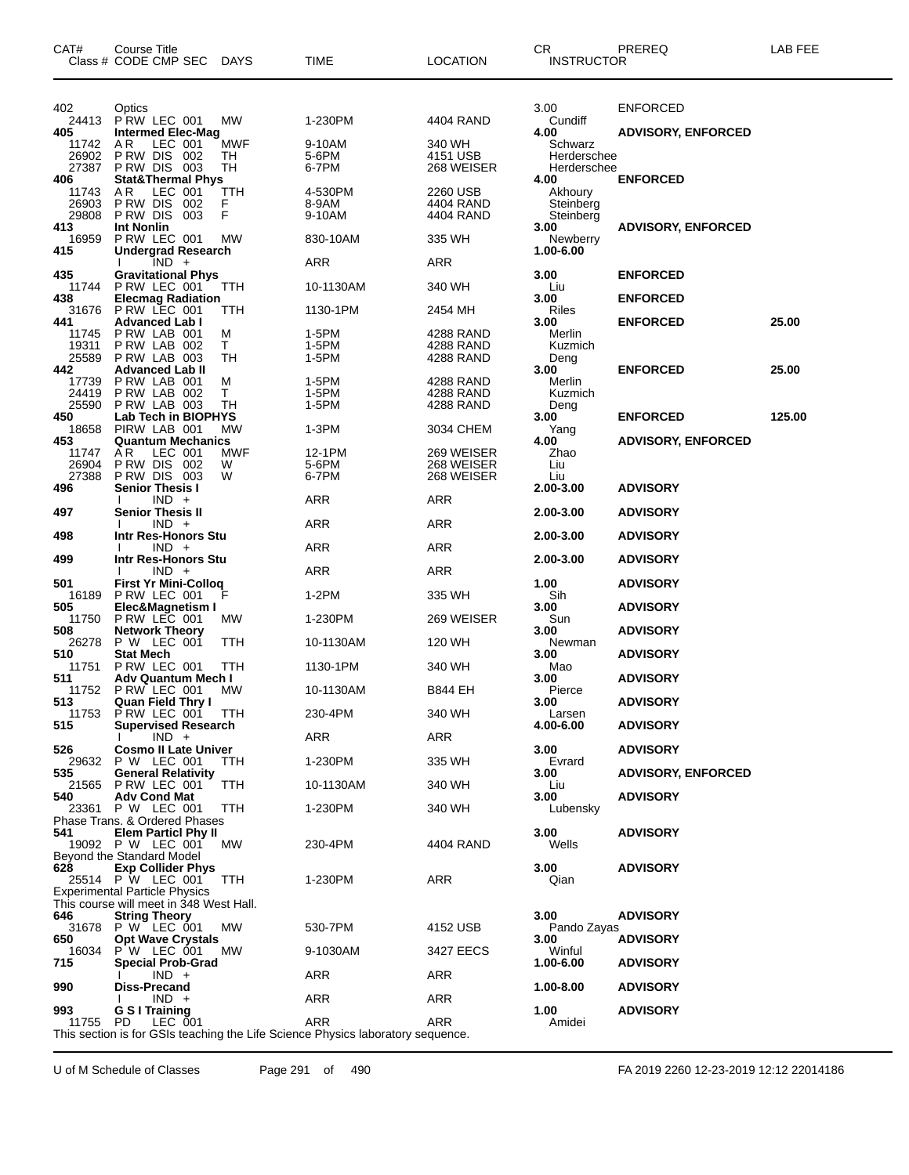| 402<br>3.00<br><b>ENFORCED</b><br>Optics<br>PRW LEC 001<br>1-230PM<br>24413<br>МW<br>4404 RAND<br>Cundiff<br><b>Intermed Elec-Mag</b><br><b>ADVISORY, ENFORCED</b><br>405<br>4.00<br>11742<br>AR.<br>LEC 001<br>MWF<br>9-10AM<br>340 WH<br>Schwarz<br>26902<br>PRW DIS 002<br>5-6PM<br>TН<br>4151 USB<br>Herderschee<br>27387<br><b>PRW DIS 003</b><br>6-7PM<br>TН<br>268 WEISER<br>Herderschee<br><b>Stat&amp;Thermal Phys</b><br>4.00<br><b>ENFORCED</b><br>AR.<br>LEC 001<br>4-530PM<br>2260 USB<br>11743<br>ттн<br>Akhoury<br>26903<br>PRW DIS 002<br>F<br>8-9AM<br>4404 RAND<br>Steinberg<br>F<br>29808<br>PRW DIS<br>003<br>9-10AM<br>4404 RAND<br>Steinberg<br>413<br><b>Int Nonlin</b><br>3.00<br><b>ADVISORY, ENFORCED</b><br>P RW LEC 001<br>16959<br>MW<br>830-10AM<br>335 WH<br>Newberry<br><b>Undergrad Research</b><br>1.00-6.00<br>$IND +$<br>ARR<br>ARR<br>435<br><b>Gravitational Phys</b><br>3.00<br><b>ENFORCED</b><br>11744<br>PRW LEC 001<br>340 WH<br>TTH<br>10-1130AM<br>Liu<br>438<br><b>Elecmag Radiation</b><br>3.00<br><b>ENFORCED</b><br>31676 PRW LEC 001<br>Riles<br>TTH<br>1130-1PM<br>2454 MH<br><b>Advanced Lab I</b><br>3.00<br><b>ENFORCED</b><br>25.00<br>441<br>PRW LAB 001<br>1-5PM<br>4288 RAND<br>Merlin<br>11745<br>м<br>19311<br>PRW LAB 002<br>T.<br>1-5PM<br>Kuzmich<br>4288 RAND<br>25589<br>PRW LAB 003<br>TН<br>1-5PM<br>4288 RAND<br>Deng<br><b>Advanced Lab II</b><br>3.00<br><b>ENFORCED</b><br>25.00<br>PRW LAB 001<br>17739<br>1-5PM<br>4288 RAND<br>M<br>Merlin<br>т<br>24419<br>PRW LAB 002<br>1-5PM<br>4288 RAND<br>Kuzmich<br>TH<br>1-5PM<br>25590<br>PRW LAB 003<br>4288 RAND<br>Deng<br>Lab Tech in BIOPHYS<br><b>ENFORCED</b><br>125.00<br>3.00<br>18658<br>PIRW LAB 001<br>$1-3PM$<br>3034 CHEM<br>МW<br>Yang<br><b>Quantum Mechanics</b><br><b>ADVISORY, ENFORCED</b><br>4.00<br>AR.<br>LEC 001<br>MWF<br>12-1PM<br>269 WEISER<br>11747<br>Zhao<br>26904<br>PRW DIS 002<br>W<br>5-6PM<br>268 WEISER<br>Liu<br><b>P RW DIS 003</b><br>6-7PM<br>27388<br>W<br>268 WEISER<br>Liu<br><b>Senior Thesis I</b><br><b>ADVISORY</b><br>496<br>2.00-3.00<br>$IND +$<br>ARR<br>ARR<br><b>Senior Thesis II</b><br>497<br>2.00-3.00<br><b>ADVISORY</b><br><b>ARR</b><br>$IND +$<br>ARR<br>498<br>Intr Res-Honors Stu<br><b>ADVISORY</b><br>2.00-3.00<br>$IND +$<br>ARR<br>ARR<br>499<br>Intr Res-Honors Stu<br>2.00-3.00<br><b>ADVISORY</b><br>$IND +$<br>ARR<br>ARR<br>501<br><b>First Yr Mini-Colloq</b><br>1.00<br><b>ADVISORY</b><br>PRW LEC 001<br>1-2PM<br>335 WH<br>16189<br>Sih<br>505<br>Elec&Magnetism I<br>3.00<br><b>ADVISORY</b><br>11750<br>PRW LEC 001<br>1-230PM<br>269 WEISER<br>Sun<br>MW<br><b>ADVISORY</b><br><b>Network Theory</b><br>3.00<br>P W LEC 001<br>26278<br>ттн<br>10-1130AM<br>120 WH<br>Newman<br>510<br><b>Stat Mech</b><br>3.00<br><b>ADVISORY</b><br>11751<br>PRW LEC 001<br>TTH<br>1130-1PM<br>340 WH<br>Mao<br>511<br>Adv Quantum Mech I<br>3.00<br><b>ADVISORY</b><br>11752<br>PRW LEC 001<br>MW<br>Pierce<br>10-1130AM<br><b>B844 EH</b><br>3.00<br><b>ADVISORY</b><br><b>Quan Field Thry I</b><br>11753 PRW LEC 001 TTH<br>230-4PM<br>340 WH<br>Larsen<br><b>Supervised Research</b><br>4.00-6.00<br><b>ADVISORY</b><br>$IND +$<br>ARR<br>ARR<br>526<br><b>Cosmo II Late Univer</b><br>3.00<br><b>ADVISORY</b><br>29632 P W LEC 001<br>1-230PM<br>335 WH<br>Evrard<br>TTH.<br>535<br><b>General Relativity</b><br>3.00<br><b>ADVISORY, ENFORCED</b><br>21565 P RW LEC 001<br><b>TTH</b><br>10-1130AM<br>340 WH<br>Liu<br>3.00<br>540<br><b>Adv Cond Mat</b><br><b>ADVISORY</b><br>23361<br>P W LEC 001<br><b>TTH</b><br>1-230PM<br>340 WH<br>Lubensky<br>Phase Trans. & Ordered Phases<br>3.00<br>541<br><b>Elem Particl Phy II</b><br><b>ADVISORY</b><br>19092 P W LEC 001<br>230-4PM<br>Wells<br>4404 RAND<br>MW<br>Beyond the Standard Model<br><b>Exp Collider Phys</b><br>3.00<br>628<br><b>ADVISORY</b><br>25514 P W LEC 001<br>ARR<br>TTH<br>1-230PM<br>Qian<br><b>Experimental Particle Physics</b><br>This course will meet in 348 West Hall.<br><b>String Theory</b><br>3.00<br><b>ADVISORY</b><br>31678 P W LEC 001<br>МW<br>530-7PM<br>4152 USB<br>Pando Zayas<br>650<br><b>Opt Wave Crystals</b><br>3.00<br><b>ADVISORY</b><br>P'W LEC 001<br>Winful<br>16034<br>9-1030AM<br>3427 EECS<br>MW.<br>715<br><b>Special Prob-Grad</b><br>1.00-6.00<br><b>ADVISORY</b><br>$IND +$<br>ARR<br>ARR<br>990<br><b>Diss-Precand</b><br>1.00-8.00<br><b>ADVISORY</b><br>$IND +$<br>ARR<br>ARR<br>1.00<br>G S I Training<br><b>ADVISORY</b><br>ARR<br>ARR<br>LEC 001<br>Amidei<br>11755<br>PD.<br>This section is for GSIs teaching the Life Science Physics laboratory sequence. | CAT# | Course Title<br>Class # CODE CMP SEC DAYS | <b>TIME</b> | <b>LOCATION</b> | CR<br><b>INSTRUCTOR</b> | PREREQ | LAB FEE |
|---------------------------------------------------------------------------------------------------------------------------------------------------------------------------------------------------------------------------------------------------------------------------------------------------------------------------------------------------------------------------------------------------------------------------------------------------------------------------------------------------------------------------------------------------------------------------------------------------------------------------------------------------------------------------------------------------------------------------------------------------------------------------------------------------------------------------------------------------------------------------------------------------------------------------------------------------------------------------------------------------------------------------------------------------------------------------------------------------------------------------------------------------------------------------------------------------------------------------------------------------------------------------------------------------------------------------------------------------------------------------------------------------------------------------------------------------------------------------------------------------------------------------------------------------------------------------------------------------------------------------------------------------------------------------------------------------------------------------------------------------------------------------------------------------------------------------------------------------------------------------------------------------------------------------------------------------------------------------------------------------------------------------------------------------------------------------------------------------------------------------------------------------------------------------------------------------------------------------------------------------------------------------------------------------------------------------------------------------------------------------------------------------------------------------------------------------------------------------------------------------------------------------------------------------------------------------------------------------------------------------------------------------------------------------------------------------------------------------------------------------------------------------------------------------------------------------------------------------------------------------------------------------------------------------------------------------------------------------------------------------------------------------------------------------------------------------------------------------------------------------------------------------------------------------------------------------------------------------------------------------------------------------------------------------------------------------------------------------------------------------------------------------------------------------------------------------------------------------------------------------------------------------------------------------------------------------------------------------------------------------------------------------------------------------------------------------------------------------------------------------------------------------------------------------------------------------------------------------------------------------------------------------------------------------------------------------------------------------------------------------------------------------------------------------------------------------------------------------------------------------------------------------------------------------------------------------------------------------------------------------------------------------------------------------------------------------------------------------------------------------------------------------------------------------------------------------------------------------------------------------------------------------------------------------------------------------------------------------------------------------------------------------------------------------|------|-------------------------------------------|-------------|-----------------|-------------------------|--------|---------|
|                                                                                                                                                                                                                                                                                                                                                                                                                                                                                                                                                                                                                                                                                                                                                                                                                                                                                                                                                                                                                                                                                                                                                                                                                                                                                                                                                                                                                                                                                                                                                                                                                                                                                                                                                                                                                                                                                                                                                                                                                                                                                                                                                                                                                                                                                                                                                                                                                                                                                                                                                                                                                                                                                                                                                                                                                                                                                                                                                                                                                                                                                                                                                                                                                                                                                                                                                                                                                                                                                                                                                                                                                                                                                                                                                                                                                                                                                                                                                                                                                                                                                                                                                                                                                                                                                                                                                                                                                                                                                                                                                                                                                                                                           |      |                                           |             |                 |                         |        |         |
|                                                                                                                                                                                                                                                                                                                                                                                                                                                                                                                                                                                                                                                                                                                                                                                                                                                                                                                                                                                                                                                                                                                                                                                                                                                                                                                                                                                                                                                                                                                                                                                                                                                                                                                                                                                                                                                                                                                                                                                                                                                                                                                                                                                                                                                                                                                                                                                                                                                                                                                                                                                                                                                                                                                                                                                                                                                                                                                                                                                                                                                                                                                                                                                                                                                                                                                                                                                                                                                                                                                                                                                                                                                                                                                                                                                                                                                                                                                                                                                                                                                                                                                                                                                                                                                                                                                                                                                                                                                                                                                                                                                                                                                                           |      |                                           |             |                 |                         |        |         |
|                                                                                                                                                                                                                                                                                                                                                                                                                                                                                                                                                                                                                                                                                                                                                                                                                                                                                                                                                                                                                                                                                                                                                                                                                                                                                                                                                                                                                                                                                                                                                                                                                                                                                                                                                                                                                                                                                                                                                                                                                                                                                                                                                                                                                                                                                                                                                                                                                                                                                                                                                                                                                                                                                                                                                                                                                                                                                                                                                                                                                                                                                                                                                                                                                                                                                                                                                                                                                                                                                                                                                                                                                                                                                                                                                                                                                                                                                                                                                                                                                                                                                                                                                                                                                                                                                                                                                                                                                                                                                                                                                                                                                                                                           |      |                                           |             |                 |                         |        |         |
|                                                                                                                                                                                                                                                                                                                                                                                                                                                                                                                                                                                                                                                                                                                                                                                                                                                                                                                                                                                                                                                                                                                                                                                                                                                                                                                                                                                                                                                                                                                                                                                                                                                                                                                                                                                                                                                                                                                                                                                                                                                                                                                                                                                                                                                                                                                                                                                                                                                                                                                                                                                                                                                                                                                                                                                                                                                                                                                                                                                                                                                                                                                                                                                                                                                                                                                                                                                                                                                                                                                                                                                                                                                                                                                                                                                                                                                                                                                                                                                                                                                                                                                                                                                                                                                                                                                                                                                                                                                                                                                                                                                                                                                                           |      |                                           |             |                 |                         |        |         |
|                                                                                                                                                                                                                                                                                                                                                                                                                                                                                                                                                                                                                                                                                                                                                                                                                                                                                                                                                                                                                                                                                                                                                                                                                                                                                                                                                                                                                                                                                                                                                                                                                                                                                                                                                                                                                                                                                                                                                                                                                                                                                                                                                                                                                                                                                                                                                                                                                                                                                                                                                                                                                                                                                                                                                                                                                                                                                                                                                                                                                                                                                                                                                                                                                                                                                                                                                                                                                                                                                                                                                                                                                                                                                                                                                                                                                                                                                                                                                                                                                                                                                                                                                                                                                                                                                                                                                                                                                                                                                                                                                                                                                                                                           |      |                                           |             |                 |                         |        |         |
|                                                                                                                                                                                                                                                                                                                                                                                                                                                                                                                                                                                                                                                                                                                                                                                                                                                                                                                                                                                                                                                                                                                                                                                                                                                                                                                                                                                                                                                                                                                                                                                                                                                                                                                                                                                                                                                                                                                                                                                                                                                                                                                                                                                                                                                                                                                                                                                                                                                                                                                                                                                                                                                                                                                                                                                                                                                                                                                                                                                                                                                                                                                                                                                                                                                                                                                                                                                                                                                                                                                                                                                                                                                                                                                                                                                                                                                                                                                                                                                                                                                                                                                                                                                                                                                                                                                                                                                                                                                                                                                                                                                                                                                                           | 406  |                                           |             |                 |                         |        |         |
|                                                                                                                                                                                                                                                                                                                                                                                                                                                                                                                                                                                                                                                                                                                                                                                                                                                                                                                                                                                                                                                                                                                                                                                                                                                                                                                                                                                                                                                                                                                                                                                                                                                                                                                                                                                                                                                                                                                                                                                                                                                                                                                                                                                                                                                                                                                                                                                                                                                                                                                                                                                                                                                                                                                                                                                                                                                                                                                                                                                                                                                                                                                                                                                                                                                                                                                                                                                                                                                                                                                                                                                                                                                                                                                                                                                                                                                                                                                                                                                                                                                                                                                                                                                                                                                                                                                                                                                                                                                                                                                                                                                                                                                                           |      |                                           |             |                 |                         |        |         |
|                                                                                                                                                                                                                                                                                                                                                                                                                                                                                                                                                                                                                                                                                                                                                                                                                                                                                                                                                                                                                                                                                                                                                                                                                                                                                                                                                                                                                                                                                                                                                                                                                                                                                                                                                                                                                                                                                                                                                                                                                                                                                                                                                                                                                                                                                                                                                                                                                                                                                                                                                                                                                                                                                                                                                                                                                                                                                                                                                                                                                                                                                                                                                                                                                                                                                                                                                                                                                                                                                                                                                                                                                                                                                                                                                                                                                                                                                                                                                                                                                                                                                                                                                                                                                                                                                                                                                                                                                                                                                                                                                                                                                                                                           |      |                                           |             |                 |                         |        |         |
|                                                                                                                                                                                                                                                                                                                                                                                                                                                                                                                                                                                                                                                                                                                                                                                                                                                                                                                                                                                                                                                                                                                                                                                                                                                                                                                                                                                                                                                                                                                                                                                                                                                                                                                                                                                                                                                                                                                                                                                                                                                                                                                                                                                                                                                                                                                                                                                                                                                                                                                                                                                                                                                                                                                                                                                                                                                                                                                                                                                                                                                                                                                                                                                                                                                                                                                                                                                                                                                                                                                                                                                                                                                                                                                                                                                                                                                                                                                                                                                                                                                                                                                                                                                                                                                                                                                                                                                                                                                                                                                                                                                                                                                                           |      |                                           |             |                 |                         |        |         |
|                                                                                                                                                                                                                                                                                                                                                                                                                                                                                                                                                                                                                                                                                                                                                                                                                                                                                                                                                                                                                                                                                                                                                                                                                                                                                                                                                                                                                                                                                                                                                                                                                                                                                                                                                                                                                                                                                                                                                                                                                                                                                                                                                                                                                                                                                                                                                                                                                                                                                                                                                                                                                                                                                                                                                                                                                                                                                                                                                                                                                                                                                                                                                                                                                                                                                                                                                                                                                                                                                                                                                                                                                                                                                                                                                                                                                                                                                                                                                                                                                                                                                                                                                                                                                                                                                                                                                                                                                                                                                                                                                                                                                                                                           | 415  |                                           |             |                 |                         |        |         |
|                                                                                                                                                                                                                                                                                                                                                                                                                                                                                                                                                                                                                                                                                                                                                                                                                                                                                                                                                                                                                                                                                                                                                                                                                                                                                                                                                                                                                                                                                                                                                                                                                                                                                                                                                                                                                                                                                                                                                                                                                                                                                                                                                                                                                                                                                                                                                                                                                                                                                                                                                                                                                                                                                                                                                                                                                                                                                                                                                                                                                                                                                                                                                                                                                                                                                                                                                                                                                                                                                                                                                                                                                                                                                                                                                                                                                                                                                                                                                                                                                                                                                                                                                                                                                                                                                                                                                                                                                                                                                                                                                                                                                                                                           |      |                                           |             |                 |                         |        |         |
|                                                                                                                                                                                                                                                                                                                                                                                                                                                                                                                                                                                                                                                                                                                                                                                                                                                                                                                                                                                                                                                                                                                                                                                                                                                                                                                                                                                                                                                                                                                                                                                                                                                                                                                                                                                                                                                                                                                                                                                                                                                                                                                                                                                                                                                                                                                                                                                                                                                                                                                                                                                                                                                                                                                                                                                                                                                                                                                                                                                                                                                                                                                                                                                                                                                                                                                                                                                                                                                                                                                                                                                                                                                                                                                                                                                                                                                                                                                                                                                                                                                                                                                                                                                                                                                                                                                                                                                                                                                                                                                                                                                                                                                                           |      |                                           |             |                 |                         |        |         |
|                                                                                                                                                                                                                                                                                                                                                                                                                                                                                                                                                                                                                                                                                                                                                                                                                                                                                                                                                                                                                                                                                                                                                                                                                                                                                                                                                                                                                                                                                                                                                                                                                                                                                                                                                                                                                                                                                                                                                                                                                                                                                                                                                                                                                                                                                                                                                                                                                                                                                                                                                                                                                                                                                                                                                                                                                                                                                                                                                                                                                                                                                                                                                                                                                                                                                                                                                                                                                                                                                                                                                                                                                                                                                                                                                                                                                                                                                                                                                                                                                                                                                                                                                                                                                                                                                                                                                                                                                                                                                                                                                                                                                                                                           |      |                                           |             |                 |                         |        |         |
|                                                                                                                                                                                                                                                                                                                                                                                                                                                                                                                                                                                                                                                                                                                                                                                                                                                                                                                                                                                                                                                                                                                                                                                                                                                                                                                                                                                                                                                                                                                                                                                                                                                                                                                                                                                                                                                                                                                                                                                                                                                                                                                                                                                                                                                                                                                                                                                                                                                                                                                                                                                                                                                                                                                                                                                                                                                                                                                                                                                                                                                                                                                                                                                                                                                                                                                                                                                                                                                                                                                                                                                                                                                                                                                                                                                                                                                                                                                                                                                                                                                                                                                                                                                                                                                                                                                                                                                                                                                                                                                                                                                                                                                                           |      |                                           |             |                 |                         |        |         |
|                                                                                                                                                                                                                                                                                                                                                                                                                                                                                                                                                                                                                                                                                                                                                                                                                                                                                                                                                                                                                                                                                                                                                                                                                                                                                                                                                                                                                                                                                                                                                                                                                                                                                                                                                                                                                                                                                                                                                                                                                                                                                                                                                                                                                                                                                                                                                                                                                                                                                                                                                                                                                                                                                                                                                                                                                                                                                                                                                                                                                                                                                                                                                                                                                                                                                                                                                                                                                                                                                                                                                                                                                                                                                                                                                                                                                                                                                                                                                                                                                                                                                                                                                                                                                                                                                                                                                                                                                                                                                                                                                                                                                                                                           |      |                                           |             |                 |                         |        |         |
|                                                                                                                                                                                                                                                                                                                                                                                                                                                                                                                                                                                                                                                                                                                                                                                                                                                                                                                                                                                                                                                                                                                                                                                                                                                                                                                                                                                                                                                                                                                                                                                                                                                                                                                                                                                                                                                                                                                                                                                                                                                                                                                                                                                                                                                                                                                                                                                                                                                                                                                                                                                                                                                                                                                                                                                                                                                                                                                                                                                                                                                                                                                                                                                                                                                                                                                                                                                                                                                                                                                                                                                                                                                                                                                                                                                                                                                                                                                                                                                                                                                                                                                                                                                                                                                                                                                                                                                                                                                                                                                                                                                                                                                                           | 442  |                                           |             |                 |                         |        |         |
|                                                                                                                                                                                                                                                                                                                                                                                                                                                                                                                                                                                                                                                                                                                                                                                                                                                                                                                                                                                                                                                                                                                                                                                                                                                                                                                                                                                                                                                                                                                                                                                                                                                                                                                                                                                                                                                                                                                                                                                                                                                                                                                                                                                                                                                                                                                                                                                                                                                                                                                                                                                                                                                                                                                                                                                                                                                                                                                                                                                                                                                                                                                                                                                                                                                                                                                                                                                                                                                                                                                                                                                                                                                                                                                                                                                                                                                                                                                                                                                                                                                                                                                                                                                                                                                                                                                                                                                                                                                                                                                                                                                                                                                                           |      |                                           |             |                 |                         |        |         |
|                                                                                                                                                                                                                                                                                                                                                                                                                                                                                                                                                                                                                                                                                                                                                                                                                                                                                                                                                                                                                                                                                                                                                                                                                                                                                                                                                                                                                                                                                                                                                                                                                                                                                                                                                                                                                                                                                                                                                                                                                                                                                                                                                                                                                                                                                                                                                                                                                                                                                                                                                                                                                                                                                                                                                                                                                                                                                                                                                                                                                                                                                                                                                                                                                                                                                                                                                                                                                                                                                                                                                                                                                                                                                                                                                                                                                                                                                                                                                                                                                                                                                                                                                                                                                                                                                                                                                                                                                                                                                                                                                                                                                                                                           |      |                                           |             |                 |                         |        |         |
|                                                                                                                                                                                                                                                                                                                                                                                                                                                                                                                                                                                                                                                                                                                                                                                                                                                                                                                                                                                                                                                                                                                                                                                                                                                                                                                                                                                                                                                                                                                                                                                                                                                                                                                                                                                                                                                                                                                                                                                                                                                                                                                                                                                                                                                                                                                                                                                                                                                                                                                                                                                                                                                                                                                                                                                                                                                                                                                                                                                                                                                                                                                                                                                                                                                                                                                                                                                                                                                                                                                                                                                                                                                                                                                                                                                                                                                                                                                                                                                                                                                                                                                                                                                                                                                                                                                                                                                                                                                                                                                                                                                                                                                                           | 450  |                                           |             |                 |                         |        |         |
|                                                                                                                                                                                                                                                                                                                                                                                                                                                                                                                                                                                                                                                                                                                                                                                                                                                                                                                                                                                                                                                                                                                                                                                                                                                                                                                                                                                                                                                                                                                                                                                                                                                                                                                                                                                                                                                                                                                                                                                                                                                                                                                                                                                                                                                                                                                                                                                                                                                                                                                                                                                                                                                                                                                                                                                                                                                                                                                                                                                                                                                                                                                                                                                                                                                                                                                                                                                                                                                                                                                                                                                                                                                                                                                                                                                                                                                                                                                                                                                                                                                                                                                                                                                                                                                                                                                                                                                                                                                                                                                                                                                                                                                                           | 453  |                                           |             |                 |                         |        |         |
|                                                                                                                                                                                                                                                                                                                                                                                                                                                                                                                                                                                                                                                                                                                                                                                                                                                                                                                                                                                                                                                                                                                                                                                                                                                                                                                                                                                                                                                                                                                                                                                                                                                                                                                                                                                                                                                                                                                                                                                                                                                                                                                                                                                                                                                                                                                                                                                                                                                                                                                                                                                                                                                                                                                                                                                                                                                                                                                                                                                                                                                                                                                                                                                                                                                                                                                                                                                                                                                                                                                                                                                                                                                                                                                                                                                                                                                                                                                                                                                                                                                                                                                                                                                                                                                                                                                                                                                                                                                                                                                                                                                                                                                                           |      |                                           |             |                 |                         |        |         |
|                                                                                                                                                                                                                                                                                                                                                                                                                                                                                                                                                                                                                                                                                                                                                                                                                                                                                                                                                                                                                                                                                                                                                                                                                                                                                                                                                                                                                                                                                                                                                                                                                                                                                                                                                                                                                                                                                                                                                                                                                                                                                                                                                                                                                                                                                                                                                                                                                                                                                                                                                                                                                                                                                                                                                                                                                                                                                                                                                                                                                                                                                                                                                                                                                                                                                                                                                                                                                                                                                                                                                                                                                                                                                                                                                                                                                                                                                                                                                                                                                                                                                                                                                                                                                                                                                                                                                                                                                                                                                                                                                                                                                                                                           |      |                                           |             |                 |                         |        |         |
|                                                                                                                                                                                                                                                                                                                                                                                                                                                                                                                                                                                                                                                                                                                                                                                                                                                                                                                                                                                                                                                                                                                                                                                                                                                                                                                                                                                                                                                                                                                                                                                                                                                                                                                                                                                                                                                                                                                                                                                                                                                                                                                                                                                                                                                                                                                                                                                                                                                                                                                                                                                                                                                                                                                                                                                                                                                                                                                                                                                                                                                                                                                                                                                                                                                                                                                                                                                                                                                                                                                                                                                                                                                                                                                                                                                                                                                                                                                                                                                                                                                                                                                                                                                                                                                                                                                                                                                                                                                                                                                                                                                                                                                                           |      |                                           |             |                 |                         |        |         |
|                                                                                                                                                                                                                                                                                                                                                                                                                                                                                                                                                                                                                                                                                                                                                                                                                                                                                                                                                                                                                                                                                                                                                                                                                                                                                                                                                                                                                                                                                                                                                                                                                                                                                                                                                                                                                                                                                                                                                                                                                                                                                                                                                                                                                                                                                                                                                                                                                                                                                                                                                                                                                                                                                                                                                                                                                                                                                                                                                                                                                                                                                                                                                                                                                                                                                                                                                                                                                                                                                                                                                                                                                                                                                                                                                                                                                                                                                                                                                                                                                                                                                                                                                                                                                                                                                                                                                                                                                                                                                                                                                                                                                                                                           |      |                                           |             |                 |                         |        |         |
|                                                                                                                                                                                                                                                                                                                                                                                                                                                                                                                                                                                                                                                                                                                                                                                                                                                                                                                                                                                                                                                                                                                                                                                                                                                                                                                                                                                                                                                                                                                                                                                                                                                                                                                                                                                                                                                                                                                                                                                                                                                                                                                                                                                                                                                                                                                                                                                                                                                                                                                                                                                                                                                                                                                                                                                                                                                                                                                                                                                                                                                                                                                                                                                                                                                                                                                                                                                                                                                                                                                                                                                                                                                                                                                                                                                                                                                                                                                                                                                                                                                                                                                                                                                                                                                                                                                                                                                                                                                                                                                                                                                                                                                                           |      |                                           |             |                 |                         |        |         |
|                                                                                                                                                                                                                                                                                                                                                                                                                                                                                                                                                                                                                                                                                                                                                                                                                                                                                                                                                                                                                                                                                                                                                                                                                                                                                                                                                                                                                                                                                                                                                                                                                                                                                                                                                                                                                                                                                                                                                                                                                                                                                                                                                                                                                                                                                                                                                                                                                                                                                                                                                                                                                                                                                                                                                                                                                                                                                                                                                                                                                                                                                                                                                                                                                                                                                                                                                                                                                                                                                                                                                                                                                                                                                                                                                                                                                                                                                                                                                                                                                                                                                                                                                                                                                                                                                                                                                                                                                                                                                                                                                                                                                                                                           |      |                                           |             |                 |                         |        |         |
|                                                                                                                                                                                                                                                                                                                                                                                                                                                                                                                                                                                                                                                                                                                                                                                                                                                                                                                                                                                                                                                                                                                                                                                                                                                                                                                                                                                                                                                                                                                                                                                                                                                                                                                                                                                                                                                                                                                                                                                                                                                                                                                                                                                                                                                                                                                                                                                                                                                                                                                                                                                                                                                                                                                                                                                                                                                                                                                                                                                                                                                                                                                                                                                                                                                                                                                                                                                                                                                                                                                                                                                                                                                                                                                                                                                                                                                                                                                                                                                                                                                                                                                                                                                                                                                                                                                                                                                                                                                                                                                                                                                                                                                                           |      |                                           |             |                 |                         |        |         |
|                                                                                                                                                                                                                                                                                                                                                                                                                                                                                                                                                                                                                                                                                                                                                                                                                                                                                                                                                                                                                                                                                                                                                                                                                                                                                                                                                                                                                                                                                                                                                                                                                                                                                                                                                                                                                                                                                                                                                                                                                                                                                                                                                                                                                                                                                                                                                                                                                                                                                                                                                                                                                                                                                                                                                                                                                                                                                                                                                                                                                                                                                                                                                                                                                                                                                                                                                                                                                                                                                                                                                                                                                                                                                                                                                                                                                                                                                                                                                                                                                                                                                                                                                                                                                                                                                                                                                                                                                                                                                                                                                                                                                                                                           |      |                                           |             |                 |                         |        |         |
|                                                                                                                                                                                                                                                                                                                                                                                                                                                                                                                                                                                                                                                                                                                                                                                                                                                                                                                                                                                                                                                                                                                                                                                                                                                                                                                                                                                                                                                                                                                                                                                                                                                                                                                                                                                                                                                                                                                                                                                                                                                                                                                                                                                                                                                                                                                                                                                                                                                                                                                                                                                                                                                                                                                                                                                                                                                                                                                                                                                                                                                                                                                                                                                                                                                                                                                                                                                                                                                                                                                                                                                                                                                                                                                                                                                                                                                                                                                                                                                                                                                                                                                                                                                                                                                                                                                                                                                                                                                                                                                                                                                                                                                                           |      |                                           |             |                 |                         |        |         |
|                                                                                                                                                                                                                                                                                                                                                                                                                                                                                                                                                                                                                                                                                                                                                                                                                                                                                                                                                                                                                                                                                                                                                                                                                                                                                                                                                                                                                                                                                                                                                                                                                                                                                                                                                                                                                                                                                                                                                                                                                                                                                                                                                                                                                                                                                                                                                                                                                                                                                                                                                                                                                                                                                                                                                                                                                                                                                                                                                                                                                                                                                                                                                                                                                                                                                                                                                                                                                                                                                                                                                                                                                                                                                                                                                                                                                                                                                                                                                                                                                                                                                                                                                                                                                                                                                                                                                                                                                                                                                                                                                                                                                                                                           | 508  |                                           |             |                 |                         |        |         |
|                                                                                                                                                                                                                                                                                                                                                                                                                                                                                                                                                                                                                                                                                                                                                                                                                                                                                                                                                                                                                                                                                                                                                                                                                                                                                                                                                                                                                                                                                                                                                                                                                                                                                                                                                                                                                                                                                                                                                                                                                                                                                                                                                                                                                                                                                                                                                                                                                                                                                                                                                                                                                                                                                                                                                                                                                                                                                                                                                                                                                                                                                                                                                                                                                                                                                                                                                                                                                                                                                                                                                                                                                                                                                                                                                                                                                                                                                                                                                                                                                                                                                                                                                                                                                                                                                                                                                                                                                                                                                                                                                                                                                                                                           |      |                                           |             |                 |                         |        |         |
|                                                                                                                                                                                                                                                                                                                                                                                                                                                                                                                                                                                                                                                                                                                                                                                                                                                                                                                                                                                                                                                                                                                                                                                                                                                                                                                                                                                                                                                                                                                                                                                                                                                                                                                                                                                                                                                                                                                                                                                                                                                                                                                                                                                                                                                                                                                                                                                                                                                                                                                                                                                                                                                                                                                                                                                                                                                                                                                                                                                                                                                                                                                                                                                                                                                                                                                                                                                                                                                                                                                                                                                                                                                                                                                                                                                                                                                                                                                                                                                                                                                                                                                                                                                                                                                                                                                                                                                                                                                                                                                                                                                                                                                                           |      |                                           |             |                 |                         |        |         |
|                                                                                                                                                                                                                                                                                                                                                                                                                                                                                                                                                                                                                                                                                                                                                                                                                                                                                                                                                                                                                                                                                                                                                                                                                                                                                                                                                                                                                                                                                                                                                                                                                                                                                                                                                                                                                                                                                                                                                                                                                                                                                                                                                                                                                                                                                                                                                                                                                                                                                                                                                                                                                                                                                                                                                                                                                                                                                                                                                                                                                                                                                                                                                                                                                                                                                                                                                                                                                                                                                                                                                                                                                                                                                                                                                                                                                                                                                                                                                                                                                                                                                                                                                                                                                                                                                                                                                                                                                                                                                                                                                                                                                                                                           |      |                                           |             |                 |                         |        |         |
|                                                                                                                                                                                                                                                                                                                                                                                                                                                                                                                                                                                                                                                                                                                                                                                                                                                                                                                                                                                                                                                                                                                                                                                                                                                                                                                                                                                                                                                                                                                                                                                                                                                                                                                                                                                                                                                                                                                                                                                                                                                                                                                                                                                                                                                                                                                                                                                                                                                                                                                                                                                                                                                                                                                                                                                                                                                                                                                                                                                                                                                                                                                                                                                                                                                                                                                                                                                                                                                                                                                                                                                                                                                                                                                                                                                                                                                                                                                                                                                                                                                                                                                                                                                                                                                                                                                                                                                                                                                                                                                                                                                                                                                                           | 513  |                                           |             |                 |                         |        |         |
|                                                                                                                                                                                                                                                                                                                                                                                                                                                                                                                                                                                                                                                                                                                                                                                                                                                                                                                                                                                                                                                                                                                                                                                                                                                                                                                                                                                                                                                                                                                                                                                                                                                                                                                                                                                                                                                                                                                                                                                                                                                                                                                                                                                                                                                                                                                                                                                                                                                                                                                                                                                                                                                                                                                                                                                                                                                                                                                                                                                                                                                                                                                                                                                                                                                                                                                                                                                                                                                                                                                                                                                                                                                                                                                                                                                                                                                                                                                                                                                                                                                                                                                                                                                                                                                                                                                                                                                                                                                                                                                                                                                                                                                                           | 515  |                                           |             |                 |                         |        |         |
|                                                                                                                                                                                                                                                                                                                                                                                                                                                                                                                                                                                                                                                                                                                                                                                                                                                                                                                                                                                                                                                                                                                                                                                                                                                                                                                                                                                                                                                                                                                                                                                                                                                                                                                                                                                                                                                                                                                                                                                                                                                                                                                                                                                                                                                                                                                                                                                                                                                                                                                                                                                                                                                                                                                                                                                                                                                                                                                                                                                                                                                                                                                                                                                                                                                                                                                                                                                                                                                                                                                                                                                                                                                                                                                                                                                                                                                                                                                                                                                                                                                                                                                                                                                                                                                                                                                                                                                                                                                                                                                                                                                                                                                                           |      |                                           |             |                 |                         |        |         |
|                                                                                                                                                                                                                                                                                                                                                                                                                                                                                                                                                                                                                                                                                                                                                                                                                                                                                                                                                                                                                                                                                                                                                                                                                                                                                                                                                                                                                                                                                                                                                                                                                                                                                                                                                                                                                                                                                                                                                                                                                                                                                                                                                                                                                                                                                                                                                                                                                                                                                                                                                                                                                                                                                                                                                                                                                                                                                                                                                                                                                                                                                                                                                                                                                                                                                                                                                                                                                                                                                                                                                                                                                                                                                                                                                                                                                                                                                                                                                                                                                                                                                                                                                                                                                                                                                                                                                                                                                                                                                                                                                                                                                                                                           |      |                                           |             |                 |                         |        |         |
|                                                                                                                                                                                                                                                                                                                                                                                                                                                                                                                                                                                                                                                                                                                                                                                                                                                                                                                                                                                                                                                                                                                                                                                                                                                                                                                                                                                                                                                                                                                                                                                                                                                                                                                                                                                                                                                                                                                                                                                                                                                                                                                                                                                                                                                                                                                                                                                                                                                                                                                                                                                                                                                                                                                                                                                                                                                                                                                                                                                                                                                                                                                                                                                                                                                                                                                                                                                                                                                                                                                                                                                                                                                                                                                                                                                                                                                                                                                                                                                                                                                                                                                                                                                                                                                                                                                                                                                                                                                                                                                                                                                                                                                                           |      |                                           |             |                 |                         |        |         |
|                                                                                                                                                                                                                                                                                                                                                                                                                                                                                                                                                                                                                                                                                                                                                                                                                                                                                                                                                                                                                                                                                                                                                                                                                                                                                                                                                                                                                                                                                                                                                                                                                                                                                                                                                                                                                                                                                                                                                                                                                                                                                                                                                                                                                                                                                                                                                                                                                                                                                                                                                                                                                                                                                                                                                                                                                                                                                                                                                                                                                                                                                                                                                                                                                                                                                                                                                                                                                                                                                                                                                                                                                                                                                                                                                                                                                                                                                                                                                                                                                                                                                                                                                                                                                                                                                                                                                                                                                                                                                                                                                                                                                                                                           |      |                                           |             |                 |                         |        |         |
|                                                                                                                                                                                                                                                                                                                                                                                                                                                                                                                                                                                                                                                                                                                                                                                                                                                                                                                                                                                                                                                                                                                                                                                                                                                                                                                                                                                                                                                                                                                                                                                                                                                                                                                                                                                                                                                                                                                                                                                                                                                                                                                                                                                                                                                                                                                                                                                                                                                                                                                                                                                                                                                                                                                                                                                                                                                                                                                                                                                                                                                                                                                                                                                                                                                                                                                                                                                                                                                                                                                                                                                                                                                                                                                                                                                                                                                                                                                                                                                                                                                                                                                                                                                                                                                                                                                                                                                                                                                                                                                                                                                                                                                                           |      |                                           |             |                 |                         |        |         |
|                                                                                                                                                                                                                                                                                                                                                                                                                                                                                                                                                                                                                                                                                                                                                                                                                                                                                                                                                                                                                                                                                                                                                                                                                                                                                                                                                                                                                                                                                                                                                                                                                                                                                                                                                                                                                                                                                                                                                                                                                                                                                                                                                                                                                                                                                                                                                                                                                                                                                                                                                                                                                                                                                                                                                                                                                                                                                                                                                                                                                                                                                                                                                                                                                                                                                                                                                                                                                                                                                                                                                                                                                                                                                                                                                                                                                                                                                                                                                                                                                                                                                                                                                                                                                                                                                                                                                                                                                                                                                                                                                                                                                                                                           |      |                                           |             |                 |                         |        |         |
|                                                                                                                                                                                                                                                                                                                                                                                                                                                                                                                                                                                                                                                                                                                                                                                                                                                                                                                                                                                                                                                                                                                                                                                                                                                                                                                                                                                                                                                                                                                                                                                                                                                                                                                                                                                                                                                                                                                                                                                                                                                                                                                                                                                                                                                                                                                                                                                                                                                                                                                                                                                                                                                                                                                                                                                                                                                                                                                                                                                                                                                                                                                                                                                                                                                                                                                                                                                                                                                                                                                                                                                                                                                                                                                                                                                                                                                                                                                                                                                                                                                                                                                                                                                                                                                                                                                                                                                                                                                                                                                                                                                                                                                                           |      |                                           |             |                 |                         |        |         |
|                                                                                                                                                                                                                                                                                                                                                                                                                                                                                                                                                                                                                                                                                                                                                                                                                                                                                                                                                                                                                                                                                                                                                                                                                                                                                                                                                                                                                                                                                                                                                                                                                                                                                                                                                                                                                                                                                                                                                                                                                                                                                                                                                                                                                                                                                                                                                                                                                                                                                                                                                                                                                                                                                                                                                                                                                                                                                                                                                                                                                                                                                                                                                                                                                                                                                                                                                                                                                                                                                                                                                                                                                                                                                                                                                                                                                                                                                                                                                                                                                                                                                                                                                                                                                                                                                                                                                                                                                                                                                                                                                                                                                                                                           |      |                                           |             |                 |                         |        |         |
|                                                                                                                                                                                                                                                                                                                                                                                                                                                                                                                                                                                                                                                                                                                                                                                                                                                                                                                                                                                                                                                                                                                                                                                                                                                                                                                                                                                                                                                                                                                                                                                                                                                                                                                                                                                                                                                                                                                                                                                                                                                                                                                                                                                                                                                                                                                                                                                                                                                                                                                                                                                                                                                                                                                                                                                                                                                                                                                                                                                                                                                                                                                                                                                                                                                                                                                                                                                                                                                                                                                                                                                                                                                                                                                                                                                                                                                                                                                                                                                                                                                                                                                                                                                                                                                                                                                                                                                                                                                                                                                                                                                                                                                                           |      |                                           |             |                 |                         |        |         |
|                                                                                                                                                                                                                                                                                                                                                                                                                                                                                                                                                                                                                                                                                                                                                                                                                                                                                                                                                                                                                                                                                                                                                                                                                                                                                                                                                                                                                                                                                                                                                                                                                                                                                                                                                                                                                                                                                                                                                                                                                                                                                                                                                                                                                                                                                                                                                                                                                                                                                                                                                                                                                                                                                                                                                                                                                                                                                                                                                                                                                                                                                                                                                                                                                                                                                                                                                                                                                                                                                                                                                                                                                                                                                                                                                                                                                                                                                                                                                                                                                                                                                                                                                                                                                                                                                                                                                                                                                                                                                                                                                                                                                                                                           | 646  |                                           |             |                 |                         |        |         |
|                                                                                                                                                                                                                                                                                                                                                                                                                                                                                                                                                                                                                                                                                                                                                                                                                                                                                                                                                                                                                                                                                                                                                                                                                                                                                                                                                                                                                                                                                                                                                                                                                                                                                                                                                                                                                                                                                                                                                                                                                                                                                                                                                                                                                                                                                                                                                                                                                                                                                                                                                                                                                                                                                                                                                                                                                                                                                                                                                                                                                                                                                                                                                                                                                                                                                                                                                                                                                                                                                                                                                                                                                                                                                                                                                                                                                                                                                                                                                                                                                                                                                                                                                                                                                                                                                                                                                                                                                                                                                                                                                                                                                                                                           |      |                                           |             |                 |                         |        |         |
|                                                                                                                                                                                                                                                                                                                                                                                                                                                                                                                                                                                                                                                                                                                                                                                                                                                                                                                                                                                                                                                                                                                                                                                                                                                                                                                                                                                                                                                                                                                                                                                                                                                                                                                                                                                                                                                                                                                                                                                                                                                                                                                                                                                                                                                                                                                                                                                                                                                                                                                                                                                                                                                                                                                                                                                                                                                                                                                                                                                                                                                                                                                                                                                                                                                                                                                                                                                                                                                                                                                                                                                                                                                                                                                                                                                                                                                                                                                                                                                                                                                                                                                                                                                                                                                                                                                                                                                                                                                                                                                                                                                                                                                                           |      |                                           |             |                 |                         |        |         |
|                                                                                                                                                                                                                                                                                                                                                                                                                                                                                                                                                                                                                                                                                                                                                                                                                                                                                                                                                                                                                                                                                                                                                                                                                                                                                                                                                                                                                                                                                                                                                                                                                                                                                                                                                                                                                                                                                                                                                                                                                                                                                                                                                                                                                                                                                                                                                                                                                                                                                                                                                                                                                                                                                                                                                                                                                                                                                                                                                                                                                                                                                                                                                                                                                                                                                                                                                                                                                                                                                                                                                                                                                                                                                                                                                                                                                                                                                                                                                                                                                                                                                                                                                                                                                                                                                                                                                                                                                                                                                                                                                                                                                                                                           |      |                                           |             |                 |                         |        |         |
|                                                                                                                                                                                                                                                                                                                                                                                                                                                                                                                                                                                                                                                                                                                                                                                                                                                                                                                                                                                                                                                                                                                                                                                                                                                                                                                                                                                                                                                                                                                                                                                                                                                                                                                                                                                                                                                                                                                                                                                                                                                                                                                                                                                                                                                                                                                                                                                                                                                                                                                                                                                                                                                                                                                                                                                                                                                                                                                                                                                                                                                                                                                                                                                                                                                                                                                                                                                                                                                                                                                                                                                                                                                                                                                                                                                                                                                                                                                                                                                                                                                                                                                                                                                                                                                                                                                                                                                                                                                                                                                                                                                                                                                                           |      |                                           |             |                 |                         |        |         |
|                                                                                                                                                                                                                                                                                                                                                                                                                                                                                                                                                                                                                                                                                                                                                                                                                                                                                                                                                                                                                                                                                                                                                                                                                                                                                                                                                                                                                                                                                                                                                                                                                                                                                                                                                                                                                                                                                                                                                                                                                                                                                                                                                                                                                                                                                                                                                                                                                                                                                                                                                                                                                                                                                                                                                                                                                                                                                                                                                                                                                                                                                                                                                                                                                                                                                                                                                                                                                                                                                                                                                                                                                                                                                                                                                                                                                                                                                                                                                                                                                                                                                                                                                                                                                                                                                                                                                                                                                                                                                                                                                                                                                                                                           | 993  |                                           |             |                 |                         |        |         |
|                                                                                                                                                                                                                                                                                                                                                                                                                                                                                                                                                                                                                                                                                                                                                                                                                                                                                                                                                                                                                                                                                                                                                                                                                                                                                                                                                                                                                                                                                                                                                                                                                                                                                                                                                                                                                                                                                                                                                                                                                                                                                                                                                                                                                                                                                                                                                                                                                                                                                                                                                                                                                                                                                                                                                                                                                                                                                                                                                                                                                                                                                                                                                                                                                                                                                                                                                                                                                                                                                                                                                                                                                                                                                                                                                                                                                                                                                                                                                                                                                                                                                                                                                                                                                                                                                                                                                                                                                                                                                                                                                                                                                                                                           |      |                                           |             |                 |                         |        |         |

U of M Schedule of Classes Page 291 of 490 FA 2019 2260 12-23-2019 12:12 22014186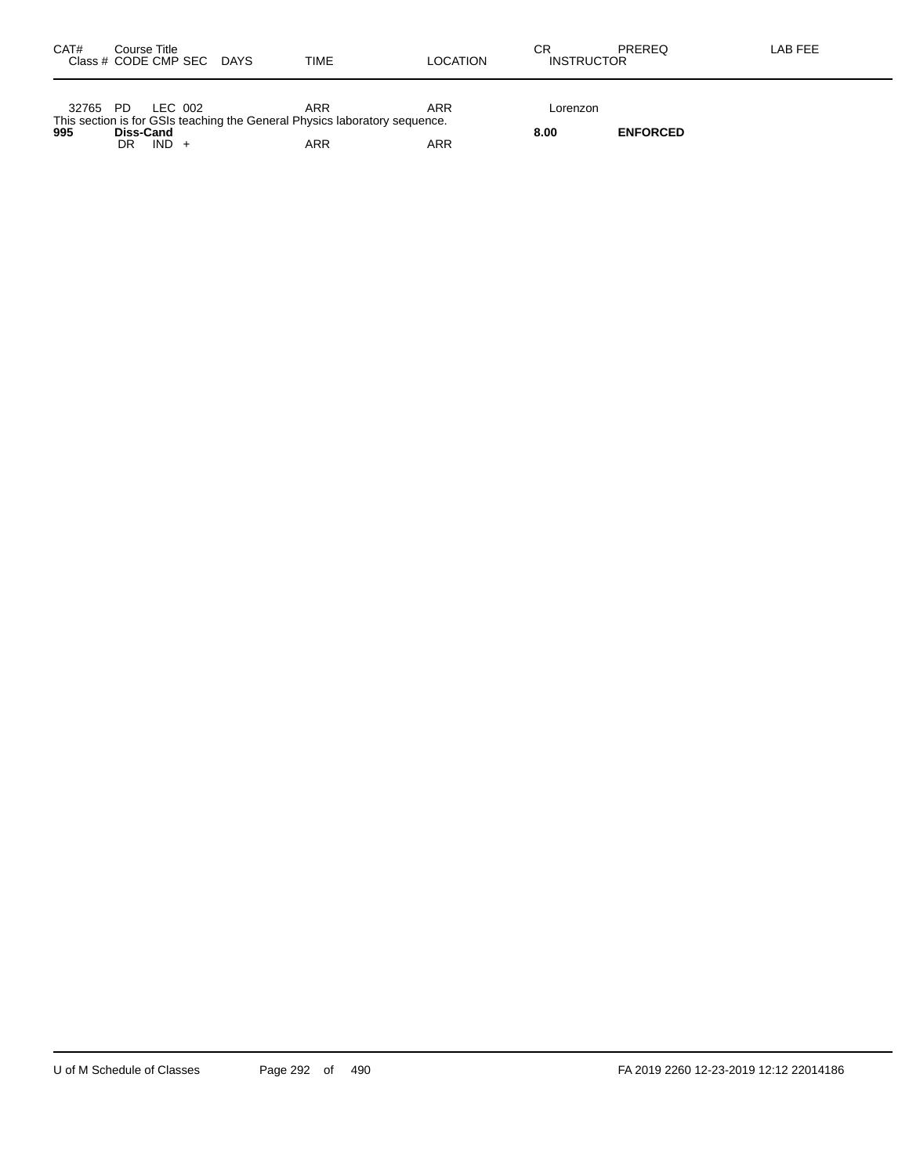| CAT#  | Course Title |         | Class # CODE CMP SEC DAYS | TIME                                                                       | LOCATION | СR<br><b>INSTRUCTOR</b> | PREREQ          | LAB FEE |
|-------|--------------|---------|---------------------------|----------------------------------------------------------------------------|----------|-------------------------|-----------------|---------|
| 32765 | - PD         | LEC 002 |                           | ARR                                                                        | ARR      | Lorenzon                |                 |         |
| 995   | Diss-Cand    |         |                           | This section is for GSIs teaching the General Physics laboratory sequence. |          | 8.00                    | <b>ENFORCED</b> |         |
|       | DR           | $IND +$ |                           | <b>ARR</b>                                                                 | ARR      |                         |                 |         |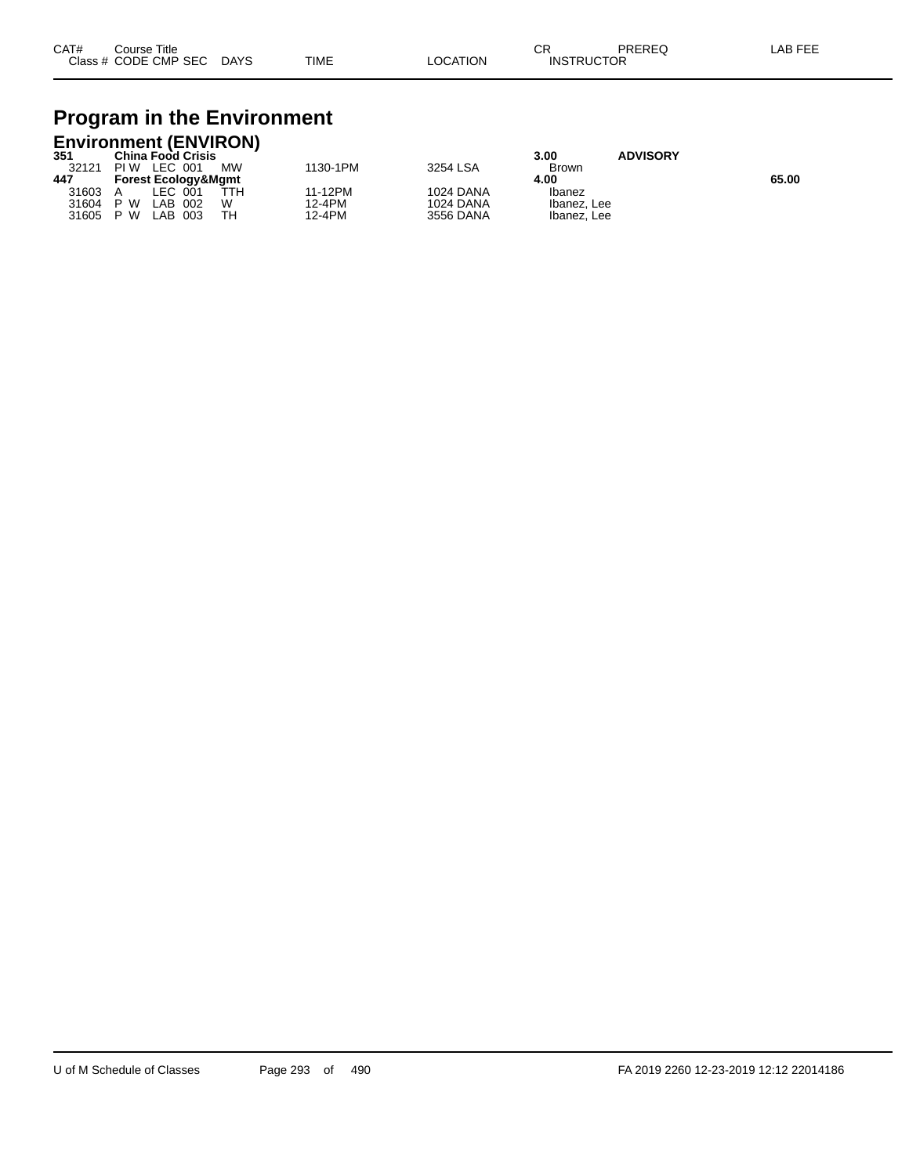## **Program in the Environment**

| <b>Environment (ENVIRON)</b> |                                |           |          |                  |              |                 |       |  |  |  |  |
|------------------------------|--------------------------------|-----------|----------|------------------|--------------|-----------------|-------|--|--|--|--|
| 351                          | <b>China Food Crisis</b>       |           |          |                  | 3.00         | <b>ADVISORY</b> |       |  |  |  |  |
| 32121                        | PIW LEC 001                    | <b>MW</b> | 1130-1PM | 3254 LSA         | <b>Brown</b> |                 |       |  |  |  |  |
| 447                          | <b>Forest Ecology&amp;Mgmt</b> |           |          |                  | 4.00         |                 | 65.00 |  |  |  |  |
| 31603                        | LEC 001                        | ŤТH       | 11-12PM  | <b>1024 DANA</b> | Ibanez       |                 |       |  |  |  |  |
| 31604 P W                    | LAB 002                        | w         | 12-4PM   | <b>1024 DANA</b> | Ibanez, Lee  |                 |       |  |  |  |  |
| 31605                        | P W<br>-003<br>_AB_            | тн        | 12-4PM   | 3556 DANA        | Ibanez, Lee  |                 |       |  |  |  |  |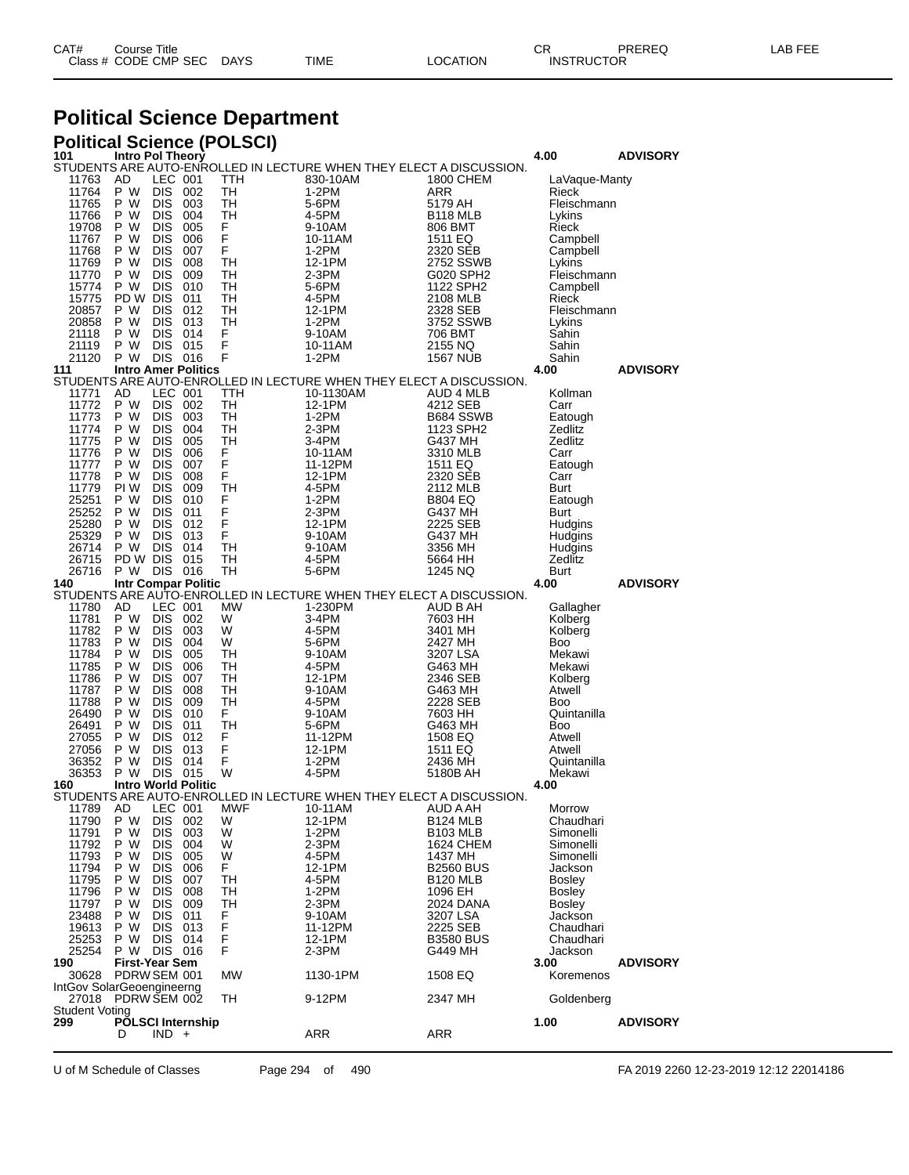| CAT# | Title<br>Courseٽ     |      |      |          | Ωm<br>ັບເ         | PREREQ | ----<br>AR<br>--- |
|------|----------------------|------|------|----------|-------------------|--------|-------------------|
|      | Class # CODE CMP SEC | DAYS | TIME | LOCATION | <b>INSTRUCTOR</b> |        |                   |

# **Political Science Department**

|                                    | <b>Political Science (POLSCI)</b> |                          |                            |                 |                                                                     |                                          |                        |                 |  |
|------------------------------------|-----------------------------------|--------------------------|----------------------------|-----------------|---------------------------------------------------------------------|------------------------------------------|------------------------|-----------------|--|
| 101                                | Intro Pol Theory                  |                          |                            |                 | STUDENTS ARE AUTO-ENROLLED IN LECTURE WHEN THEY ELECT A DISCUSSION. |                                          | 4.00                   | <b>ADVISORY</b> |  |
| 11763                              | AD                                | LEC 001                  |                            | TTH             | 830-10AM                                                            | 1800 CHEM                                | LaVague-Manty          |                 |  |
| 11764<br>11765                     | P W<br>P W                        | DIS -<br>DIS 003         | 002                        | TH<br>TH        | $1-2PM$<br>5-6PM                                                    | ARR<br>5179 AH                           | Rieck<br>Fleischmann   |                 |  |
| 11766                              | P W                               | DIS -                    | 004                        | TН              | 4-5PM                                                               | B <sub>118</sub> MLB                     | Lykins                 |                 |  |
| 19708                              | P W                               | <b>DIS</b>               | 005                        | F               | 9-10AM                                                              | 806 BMT                                  | Rieck                  |                 |  |
| 11767                              | P W                               | DIS -                    | 006                        | F               | 10-11AM                                                             | 1511 EQ                                  | Campbell               |                 |  |
| 11768<br>11769                     | P W<br>P W                        | DIS -<br><b>DIS</b>      | 007<br>008                 | F<br>TН         | 1-2PM<br>12-1PM                                                     | 2320 SEB<br>2752 SSWB                    | Campbell<br>Lykins     |                 |  |
| 11770                              | P W                               | <b>DIS</b>               | 009                        | TН              | $2-3PM$                                                             | G020 SPH2                                | Fleischmann            |                 |  |
| 15774                              | P W                               | DIS 010                  |                            | TН              | 5-6PM                                                               | 1122 SPH2                                | Campbell               |                 |  |
| 15775<br>20857                     | PD W DIS<br>P W                   | DIS 012                  | 011                        | TН<br>TН        | 4-5PM<br>12-1PM                                                     | 2108 MLB<br>2328 SEB                     | Rieck<br>Fleischmann   |                 |  |
| 20858                              | P W                               | DIS 013                  |                            | TН              | 1-2PM                                                               | 3752 SSWB                                | Lykins                 |                 |  |
| 21118                              | P W                               | <b>DIS</b>               | 014                        | F               | 9-10AM                                                              | 706 BMT                                  | Sahin                  |                 |  |
| 21119                              | P W<br>P W                        | DIS 015                  |                            | F<br>F          | 10-11AM                                                             | 2155 NQ                                  | Sahin                  |                 |  |
| 21120<br>111                       |                                   | DIS 016                  | <b>Intro Amer Politics</b> |                 | 1-2PM                                                               | 1567 NUB                                 | Sahin<br>4.00          | <b>ADVISORY</b> |  |
|                                    |                                   |                          |                            |                 | STUDENTS ARE AUTO-ENROLLED IN LECTURE WHEN THEY ELECT A DISCUSSION. |                                          |                        |                 |  |
| 11771                              | AD<br>P W                         | LEC 001                  |                            | TTH             | 10-1130AM                                                           | AUD 4 MLB                                | Kollman                |                 |  |
| 11772<br>11773                     | P W                               | DIS -<br>DIS 003         | 002                        | TH<br>TН        | 12-1PM<br>1-2PM                                                     | 4212 SEB<br>B684 SSWB                    | Carr<br>Eatough        |                 |  |
| 11774                              | P W                               | DIS                      | 004                        | TН              | $2-3PM$                                                             | 1123 SPH2                                | Zedlitz                |                 |  |
| 11775                              | P W                               | <b>DIS</b>               | 005                        | TН              | 3-4PM                                                               | G437 MH                                  | Zedlitz                |                 |  |
| 11776<br>11777                     | P W<br>P W                        | DIS -<br>DIS -           | 006<br>007                 | F<br>F          | 10-11AM<br>11-12PM                                                  | 3310 MLB<br>1511 EQ                      | Carr<br>Eatough        |                 |  |
| 11778                              | P W                               | <b>DIS</b>               | 008                        | F               | 12-1PM                                                              | 2320 SEB                                 | Carr                   |                 |  |
| 11779                              | PI W                              | DIS -                    | 009                        | TН              | 4-5PM                                                               | 2112 MLB                                 | Burt                   |                 |  |
| 25251<br>25252                     | P W<br>P W                        | DIS 010<br><b>DIS</b>    |                            | F<br>F          | 1-2PM                                                               | <b>B804 EQ</b>                           | Eatough                |                 |  |
| 25280                              | P W                               | DIS 012                  | 011                        | F               | $2-3PM$<br>12-1PM                                                   | G437 MH<br>2225 SEB                      | <b>Burt</b><br>Hudgins |                 |  |
| 25329                              | P W                               | DIS 013                  |                            | F               | 9-10AM                                                              | G437 MH                                  | Hudgins                |                 |  |
| 26714                              | P W                               | <b>DIS</b>               | 014                        | TН              | 9-10AM                                                              | 3356 MH                                  | Hudgins                |                 |  |
| 26715<br>26716                     | PD W DIS<br>P W DIS 016           |                          | 015                        | TН<br>TH        | 4-5PM<br>5-6PM                                                      | 5664 HH<br>1245 NQ                       | Zedlitz<br>Burt        |                 |  |
| 140                                |                                   |                          | Intr Compar Politic        |                 |                                                                     |                                          | 4.00                   | <b>ADVISORY</b> |  |
|                                    |                                   |                          |                            |                 | STUDENTS ARE AUTO-ENROLLED IN LECTURE WHEN THEY ELECT A DISCUSSION. |                                          |                        |                 |  |
| 11780<br>11781                     | AD<br>P W                         | LEC 001<br>DIS -         | 002                        | МW<br>W         | 1-230PM<br>3-4PM                                                    | AUD B AH<br>7603 HH                      | Gallagher<br>Kolberg   |                 |  |
| 11782                              | P W                               | DIS 003                  |                            | W               | 4-5PM                                                               | 3401 MH                                  | Kolberg                |                 |  |
| 11783                              | P W                               | DIS -                    | 004                        | W               | 5-6PM                                                               | 2427 MH                                  | Boo                    |                 |  |
| 11784<br>11785                     | P W<br>P W                        | <b>DIS</b><br>DIS.       | 005<br>006                 | TН<br>TН        | 9-10AM<br>4-5PM                                                     | 3207 LSA<br>G463 MH                      | Mekawi<br>Mekawi       |                 |  |
| 11786                              | P W                               | DIS -                    | 007                        | TН              | 12-1PM                                                              | 2346 SEB                                 | Kolberg                |                 |  |
| 11787                              | P W                               | <b>DIS</b>               | 008                        | TН              | 9-10AM                                                              | G463 MH                                  | Atwell                 |                 |  |
| 11788                              | P W                               | DIS -                    | 009                        | TH              | 4-5PM                                                               | 2228 SEB                                 | Boo                    |                 |  |
| 26490<br>26491                     | P W<br>P W                        | DIS 010<br><b>DIS</b>    | 011                        | F.<br>TH        | 9-10AM<br>5-6PM                                                     | 7603 HH<br>G463 MH                       | Quintanilla<br>Boo     |                 |  |
| 27055                              | P W                               | DIS 012                  |                            | F               | 11-12PM                                                             | 1508 EQ                                  | Atwell                 |                 |  |
| 27056                              | P W                               | DIS -                    | 013                        | F               | 12-1PM                                                              | 1511 EQ                                  | Atwell                 |                 |  |
| 36352<br>36353                     | P W<br>P W                        | <b>DIS</b><br>DIS 015    | 014                        | F<br>W          | 1-2PM<br>4-5PM                                                      | 2436 MH<br>5180B AH                      | Quintanilla<br>Mekawi  |                 |  |
| 160                                |                                   |                          | <b>Intro World Politic</b> |                 |                                                                     |                                          | 4.00                   |                 |  |
|                                    |                                   |                          |                            |                 | STUDENTS ARE AUTO-ENROLLED IN LECTURE WHEN THEY ELECT A DISCUSSION  |                                          |                        |                 |  |
| 11789<br>11790                     | AD<br>P W                         | LEC 001<br>DIS.          | 002                        | <b>MWF</b><br>W | 10-11AM<br>12-1PM                                                   | AUD A AH<br><b>B124 MLB</b>              | Morrow<br>Chaudhari    |                 |  |
| 11791                              | P W                               | <b>DIS</b>               | 003                        | W               | $1-2PM$                                                             | <b>B103 MLB</b>                          | Simonelli              |                 |  |
| 11792                              | P W                               | DIS.                     | 004                        | W               | $2-3PM$                                                             | 1624 CHEM                                | Simonelli              |                 |  |
| 11793                              | P W<br>P W                        | <b>DIS</b>               | 005                        | W               | 4-5PM                                                               | 1437 MH                                  | Simonelli              |                 |  |
| 11794<br>11795                     | P W                               | <b>DIS</b><br><b>DIS</b> | 006<br>007                 | F.<br>TН        | 12-1PM<br>4-5PM                                                     | <b>B2560 BUS</b><br>B <sub>120</sub> MLB | Jackson<br>Bosley      |                 |  |
| 11796                              | P W                               | <b>DIS</b>               | 008                        | TН              | 1-2PM                                                               | 1096 EH                                  | <b>Bosley</b>          |                 |  |
| 11797                              | P W                               | <b>DIS</b>               | 009                        | TН              | $2-3PM$                                                             | 2024 DANA                                | Bosley                 |                 |  |
| 23488                              | P W<br>P W                        | DIS                      | 011                        | F               | 9-10AM                                                              | 3207 LSA                                 | Jackson                |                 |  |
| 19613<br>25253                     | P W                               | DIS -<br><b>DIS</b>      | 013<br>014                 | F<br>F          | 11-12PM<br>12-1PM                                                   | 2225 SEB<br><b>B3580 BUS</b>             | Chaudhari<br>Chaudhari |                 |  |
| 25254                              | P W                               | DIS 016                  |                            | F               | $2-3PM$                                                             | G449 MH                                  | Jackson                |                 |  |
| 190                                | <b>First-Year Sem</b>             |                          |                            |                 |                                                                     |                                          | 3.00                   | <b>ADVISORY</b> |  |
| 30628<br>IntGov SolarGeoengineerng | PDRW SEM 001                      |                          |                            | <b>MW</b>       | 1130-1PM                                                            | 1508 EQ                                  | Koremenos              |                 |  |
| 27018                              | PDRW SEM 002                      |                          |                            | TН              | 9-12PM                                                              | 2347 MH                                  | Goldenberg             |                 |  |
| <b>Student Voting</b>              |                                   |                          |                            |                 |                                                                     |                                          |                        |                 |  |
| 299                                | D                                 | $IND +$                  | PÕLSCI Internship          |                 | ARR                                                                 | ARR                                      | 1.00                   | <b>ADVISORY</b> |  |
|                                    |                                   |                          |                            |                 |                                                                     |                                          |                        |                 |  |

U of M Schedule of Classes Page 294 of 490 FA 2019 2260 12-23-2019 12:12 22014186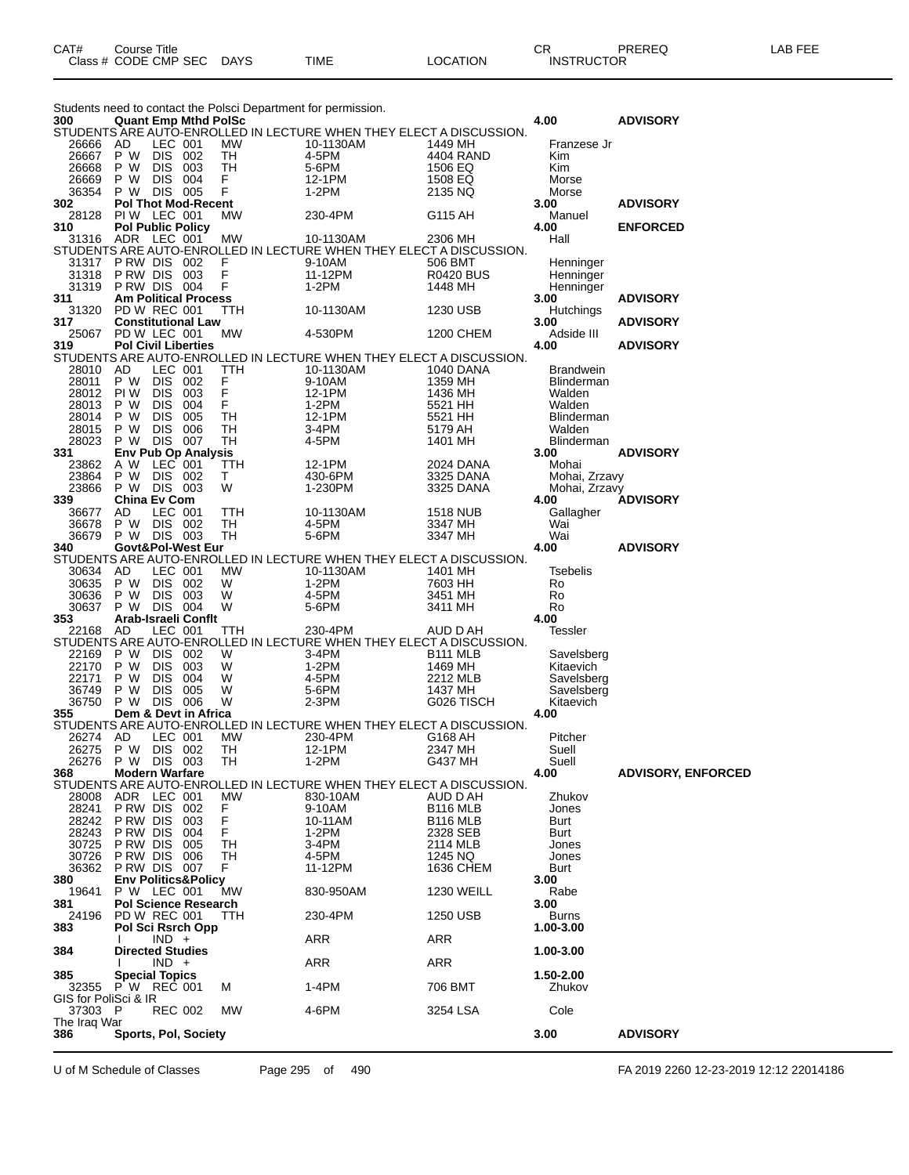| Students need to contact the Polsci Department for permission.                                                                       |                                          |                              |            |            |                                                                     |                                 |                         |                           |  |  |
|--------------------------------------------------------------------------------------------------------------------------------------|------------------------------------------|------------------------------|------------|------------|---------------------------------------------------------------------|---------------------------------|-------------------------|---------------------------|--|--|
| 300<br><b>Quant Emp Mthd PolSc</b><br>4.00<br><b>ADVISORY</b><br>STUDENTS ARE AUTO-ENROLLED IN LECTURE WHEN THEY ELECT A DISCUSSION. |                                          |                              |            |            |                                                                     |                                 |                         |                           |  |  |
| 26666                                                                                                                                | AD                                       | LEC 001                      |            | МW         | 10-1130AM                                                           | 1449 MH                         | Franzese Jr             |                           |  |  |
| 26667                                                                                                                                | P W                                      | <b>DIS</b>                   | 002        | TН         | 4-5PM                                                               | 4404 RAND                       | Kim                     |                           |  |  |
| 26668                                                                                                                                | P W                                      | <b>DIS</b>                   | 003        | TH         | 5-6PM                                                               | 1506 EQ                         | Kim                     |                           |  |  |
| 26669<br>36354                                                                                                                       | P W<br>P W                               | <b>DIS</b><br><b>DIS 005</b> | 004        | F<br>F     | 12-1PM<br>1-2PM                                                     | 1508 EQ<br>2135 NQ              | Morse<br>Morse          |                           |  |  |
| 302                                                                                                                                  | <b>Pol Thot Mod-Recent</b>               |                              |            |            |                                                                     |                                 | 3.00                    | <b>ADVISORY</b>           |  |  |
| 28128                                                                                                                                | PIW LEC 001                              |                              |            | MW         | 230-4PM                                                             | G115 AH                         | Manuel                  |                           |  |  |
| 310                                                                                                                                  | <b>Pol Public Policy</b>                 |                              |            |            |                                                                     |                                 | 4.00                    | <b>ENFORCED</b>           |  |  |
| 31316 ADR LEC 001                                                                                                                    |                                          |                              |            | МW         | 10-1130AM                                                           | 2306 MH                         | Hall                    |                           |  |  |
|                                                                                                                                      |                                          |                              |            |            | STUDENTS ARE AUTO-ENROLLED IN LECTURE WHEN THEY ELECT A DISCUSSION. |                                 |                         |                           |  |  |
| 31317<br>31318                                                                                                                       | PRW DIS 002<br>P RW DIS 003              |                              |            | F<br>F     | 9-10AM<br>11-12PM                                                   | 506 BMT<br><b>R0420 BUS</b>     | Henninger<br>Henninger  |                           |  |  |
| 31319                                                                                                                                | PRW DIS 004                              |                              |            | F          | $1-2PM$                                                             | 1448 MH                         | Henninger               |                           |  |  |
| 311                                                                                                                                  | <b>Am Political Process</b>              |                              |            |            |                                                                     |                                 | 3.00                    | <b>ADVISORY</b>           |  |  |
| 31320                                                                                                                                | <b>PD W REC 001</b>                      |                              |            | TTH        | 10-1130AM                                                           | 1230 USB                        | Hutchings               |                           |  |  |
| 317                                                                                                                                  | <b>Constitutional Law</b>                |                              |            |            |                                                                     |                                 | 3.00                    | <b>ADVISORY</b>           |  |  |
| 25067                                                                                                                                | PD W LEC 001                             |                              |            | МW         | 4-530PM                                                             | 1200 CHEM                       | Adside III              |                           |  |  |
| 319                                                                                                                                  | <b>Pol Civil Liberties</b>               |                              |            |            | STUDENTS ARE AUTO-ENROLLED IN LECTURE WHEN THEY ELECT A DISCUSSION. |                                 | 4.00                    | <b>ADVISORY</b>           |  |  |
| 28010                                                                                                                                | AD                                       | LEC 001                      |            | TTH        | 10-1130AM                                                           | 1040 DANA                       | <b>Brandwein</b>        |                           |  |  |
| 28011                                                                                                                                | P W                                      | <b>DIS</b>                   | 002        | F          | 9-10AM                                                              | 1359 MH                         | Blinderman              |                           |  |  |
| 28012                                                                                                                                | PI W                                     | <b>DIS</b>                   | 003        | F          | 12-1PM                                                              | 1436 MH                         | Walden                  |                           |  |  |
| 28013                                                                                                                                | P W                                      | <b>DIS</b>                   | 004        | F          | 1-2PM                                                               | 5521 HH                         | Walden                  |                           |  |  |
| 28014                                                                                                                                | P W                                      | <b>DIS</b>                   | 005        | TН         | 12-1PM                                                              | 5521 HH                         | Blinderman              |                           |  |  |
| 28015                                                                                                                                | P W                                      | <b>DIS</b>                   | 006        | TН         | 3-4PM                                                               | 5179 AH                         | Walden                  |                           |  |  |
| 28023<br>331                                                                                                                         | P W<br><b>Env Pub Op Analysis</b>        | <b>DIS</b>                   | 007        | TН         | 4-5PM                                                               | 1401 MH                         | Blinderman<br>3.00      | <b>ADVISORY</b>           |  |  |
| 23862                                                                                                                                | A W                                      | LEC 001                      |            | <b>TTH</b> | 12-1PM                                                              | 2024 DANA                       | Mohai                   |                           |  |  |
| 23864                                                                                                                                | P W                                      | <b>DIS 002</b>               |            | т          | 430-6PM                                                             | 3325 DANA                       | Mohai, Zrzavy           |                           |  |  |
| 23866                                                                                                                                | P W DIS 003                              |                              |            | W          | 1-230PM                                                             | 3325 DANA                       | Mohai, Zrzavy           |                           |  |  |
| 339                                                                                                                                  | <b>China Ev Com</b>                      |                              |            |            |                                                                     |                                 | 4.00                    | <b>ADVISORY</b>           |  |  |
| 36677                                                                                                                                | AD.                                      | LEC 001                      |            | TTH        | 10-1130AM                                                           | <b>1518 NUB</b>                 | Gallagher               |                           |  |  |
| 36678                                                                                                                                | P W DIS 002                              |                              |            | TН         | 4-5PM                                                               | 3347 MH                         | Wai                     |                           |  |  |
| 36679                                                                                                                                | P W DIS 003<br>Govt&Pol-West Eur         |                              |            | TН         | 5-6PM                                                               | 3347 MH                         | Wai                     |                           |  |  |
| 340                                                                                                                                  |                                          |                              |            |            | STUDENTS ARE AUTO-ENROLLED IN LECTURE WHEN THEY ELECT A DISCUSSION. |                                 | 4.00                    | <b>ADVISORY</b>           |  |  |
|                                                                                                                                      |                                          |                              |            |            |                                                                     |                                 |                         |                           |  |  |
|                                                                                                                                      |                                          |                              |            |            |                                                                     |                                 |                         |                           |  |  |
| 30634<br>30635                                                                                                                       | AD<br>P W                                | LEC 001<br><b>DIS</b>        | 002        | MW<br>W    | 10-1130AM<br>$1-2PM$                                                | 1401 MH<br>7603 HH              | Tsebelis<br>Ro          |                           |  |  |
| 30636                                                                                                                                | P W                                      | <b>DIS</b>                   | 003        | W          | 4-5PM                                                               | 3451 MH                         | Ro                      |                           |  |  |
| 30637                                                                                                                                | P W                                      | DIS 004                      |            | W          | 5-6PM                                                               | 3411 MH                         | Ro                      |                           |  |  |
| 353                                                                                                                                  | Arab-Israeli Conflt                      |                              |            |            |                                                                     |                                 | 4.00                    |                           |  |  |
| 22168                                                                                                                                | AD                                       | LEC 001                      |            | TTH        | 230-4PM                                                             | AUD D AH                        | Tessler                 |                           |  |  |
|                                                                                                                                      |                                          |                              |            |            | STUDENTS ARE AUTO-ENROLLED IN LECTURE WHEN THEY ELECT A DISCUSSION. |                                 |                         |                           |  |  |
| 22169<br>22170                                                                                                                       | P W<br>P W                               | DIS 002<br><b>DIS</b>        | 003        | W<br>W     | 3-4PM<br>1-2PM                                                      | B <sub>111</sub> MLB<br>1469 MH | Savelsberg<br>Kitaevich |                           |  |  |
| 22171                                                                                                                                | P W                                      | <b>DIS</b>                   | 004        | W          | 4-5PM                                                               | 2212 MLB                        | Savelsberg              |                           |  |  |
| 36749                                                                                                                                | P W                                      | <b>DIS</b>                   | 005        | W          | 5-6PM                                                               | 1437 MH                         | Savelsberg              |                           |  |  |
| 36750                                                                                                                                | P W                                      | <b>DIS</b>                   | 006        | W          | 2-3PM                                                               | G026 TISCH                      | Kitaevich               |                           |  |  |
| 355                                                                                                                                  | Dem & Devt in Africa                     |                              |            |            |                                                                     |                                 | 4.00                    |                           |  |  |
|                                                                                                                                      |                                          |                              |            |            | STUDENTS ARE AUTO-ENROLLED IN LECTURE WHEN THEY ELECT A DISCUSSION. |                                 |                         |                           |  |  |
| 26274                                                                                                                                | AD                                       | LEC 001                      |            | МW         | 230-4PM                                                             | G168 AH                         | Pitcher                 |                           |  |  |
| 26275<br>26276                                                                                                                       | P W<br>P W                               | <b>DIS</b><br>DIS.           | 002<br>003 | TH<br>TH   | 12-1PM<br>1-2PM                                                     | 2347 MH<br>G437 MH              | Suell<br>Suell          |                           |  |  |
| 368                                                                                                                                  | <b>Modern Warfare</b>                    |                              |            |            |                                                                     |                                 | 4.00                    | <b>ADVISORY, ENFORCED</b> |  |  |
|                                                                                                                                      |                                          |                              |            |            | STUDENTS ARE AUTO-ENROLLED IN LECTURE WHEN THEY ELECT A DISCUSSION. |                                 |                         |                           |  |  |
| 28008                                                                                                                                | ADR LEC 001                              |                              |            | MW         | 830-10AM                                                            | AUD D AH                        | Zhukov                  |                           |  |  |
| 28241                                                                                                                                | PRW DIS 002                              |                              |            | F          | 9-10AM                                                              | <b>B116 MLB</b>                 | Jones                   |                           |  |  |
| 28242                                                                                                                                | P RW DIS                                 |                              | 003        | F          | 10-11AM                                                             | <b>B116 MLB</b>                 | Burt                    |                           |  |  |
| 28243<br>30725                                                                                                                       | P RW DIS                                 |                              | 004        | F          | 1-2PM                                                               | 2328 SEB                        | Burt                    |                           |  |  |
| 30726                                                                                                                                | P RW DIS<br>P RW DIS                     |                              | 005<br>006 | TН<br>TH   | 3-4PM<br>4-5PM                                                      | 2114 MLB<br>1245 NQ             | Jones<br>Jones          |                           |  |  |
| 36362                                                                                                                                | PRW DIS 007                              |                              |            | F.         | 11-12PM                                                             | 1636 CHEM                       | Burt                    |                           |  |  |
| 380                                                                                                                                  | <b>Env Politics&amp;Policy</b>           |                              |            |            |                                                                     |                                 | 3.00                    |                           |  |  |
| 19641                                                                                                                                | P W LEC 001                              |                              |            | MW         | 830-950AM                                                           | <b>1230 WEILL</b>               | Rabe                    |                           |  |  |
| 381                                                                                                                                  | <b>Pol Science Research</b>              |                              |            |            |                                                                     |                                 | 3.00                    |                           |  |  |
| 24196                                                                                                                                | <b>PD W REC 001</b>                      |                              |            | TTH        | 230-4PM                                                             | 1250 USB                        | Burns                   |                           |  |  |
| 383                                                                                                                                  | <b>Pol Sci Rsrch Opp</b><br>$\mathbf{I}$ | $IND +$                      |            |            | ARR                                                                 | ARR                             | 1.00-3.00               |                           |  |  |
| 384                                                                                                                                  | <b>Directed Studies</b>                  |                              |            |            |                                                                     |                                 | 1.00-3.00               |                           |  |  |
|                                                                                                                                      |                                          | $IND +$                      |            |            | <b>ARR</b>                                                          | ARR                             |                         |                           |  |  |
| 385                                                                                                                                  | <b>Special Topics</b>                    |                              |            |            |                                                                     |                                 | 1.50-2.00               |                           |  |  |
| 32355 PW REC 001                                                                                                                     |                                          |                              |            | М          | 1-4PM                                                               | 706 BMT                         | Zhukov                  |                           |  |  |
| GIS for PoliSci & IR<br>37303 P                                                                                                      |                                          | <b>REC 002</b>               |            | MW         | 4-6PM                                                               | 3254 LSA                        | Cole                    |                           |  |  |
| The Iraq War<br>386                                                                                                                  | <b>Sports, Pol, Society</b>              |                              |            |            |                                                                     |                                 | 3.00                    | <b>ADVISORY</b>           |  |  |

U of M Schedule of Classes Page 295 of 490 FA 2019 2260 12-23-2019 12:12 22014186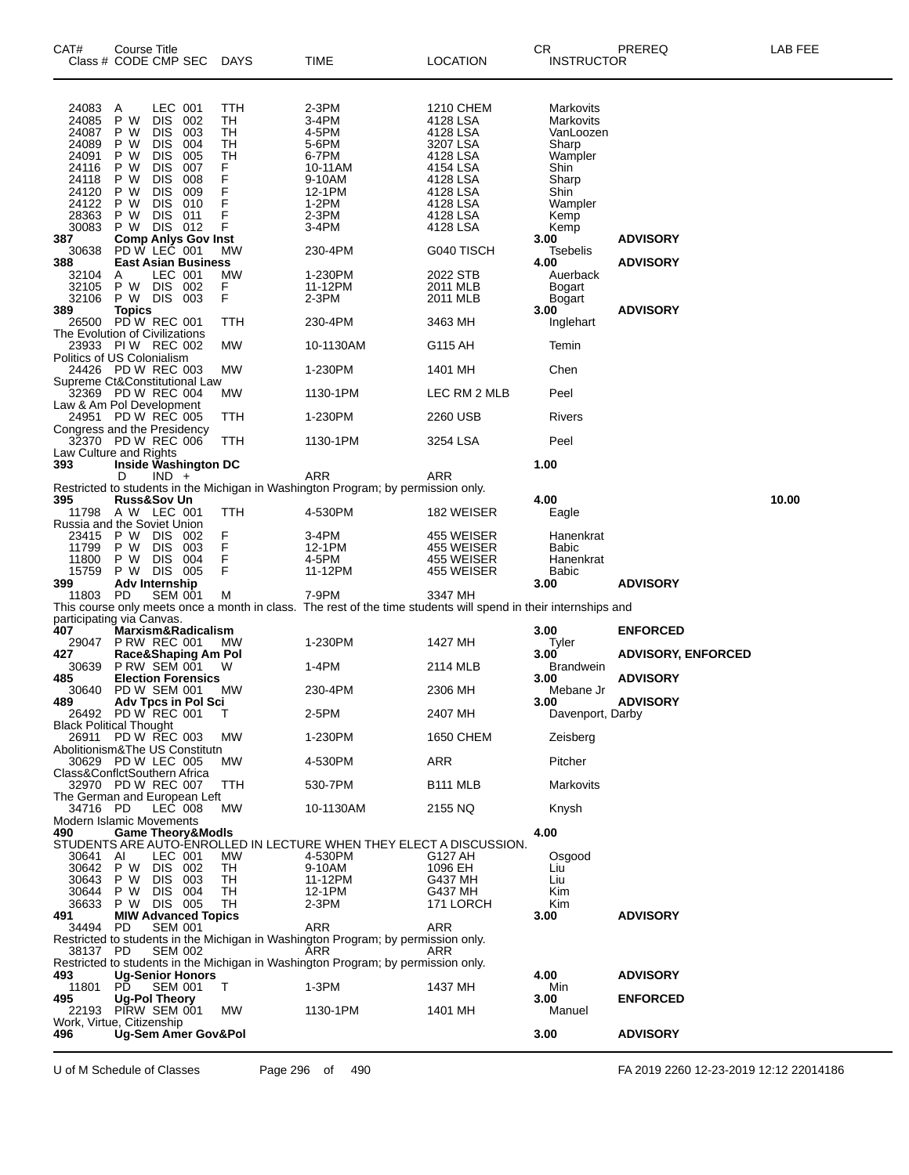| CAT#                                                                                            | <b>Course Title</b><br>Class # CODE CMP SEC                                     |                                                                                                                                       |                                                             | <b>DAYS</b>                                               | TIME                                                                                                            | LOCATION                                                                                                                          | CR<br><b>INSTRUCTOR</b>                                                                                     | <b>PREREQ</b>                      | LAB FEE |
|-------------------------------------------------------------------------------------------------|---------------------------------------------------------------------------------|---------------------------------------------------------------------------------------------------------------------------------------|-------------------------------------------------------------|-----------------------------------------------------------|-----------------------------------------------------------------------------------------------------------------|-----------------------------------------------------------------------------------------------------------------------------------|-------------------------------------------------------------------------------------------------------------|------------------------------------|---------|
| 24083<br>24085<br>24087<br>24089<br>24091<br>24116<br>24118<br>24120<br>24122<br>28363<br>30083 | A<br>P W<br>P W<br>P W<br>P W<br>P W<br>P W<br>P W<br>P W<br>P W<br>P W DIS 012 | LEC 001<br><b>DIS</b><br><b>DIS</b><br><b>DIS</b><br><b>DIS</b><br><b>DIS</b><br><b>DIS</b><br><b>DIS</b><br><b>DIS</b><br><b>DIS</b> | 002<br>003<br>004<br>005<br>007<br>008<br>009<br>010<br>011 | TTH<br>TН<br>TН<br>TH<br>TН<br>F<br>F<br>F<br>F<br>F<br>F | 2-3PM<br>3-4PM<br>4-5PM<br>5-6PM<br>6-7PM<br>10-11AM<br>9-10AM<br>12-1PM<br>1-2PM<br>$2-3PM$<br>3-4PM           | 1210 CHEM<br>4128 LSA<br>4128 LSA<br>3207 LSA<br>4128 LSA<br>4154 LSA<br>4128 LSA<br>4128 LSA<br>4128 LSA<br>4128 LSA<br>4128 LSA | Markovits<br>Markovits<br>VanLoozen<br>Sharp<br>Wampler<br>Shin<br>Sharp<br>Shin<br>Wampler<br>Kemp<br>Kemp |                                    |         |
| 387<br>30638                                                                                    | <b>Comp Anlys Gov Inst</b><br>PD W LEC 001                                      |                                                                                                                                       |                                                             | МW                                                        | 230-4PM                                                                                                         | G040 TISCH                                                                                                                        | 3.00<br>Tsebelis                                                                                            | <b>ADVISORY</b>                    |         |
| 388<br>32104<br>32105<br>32106<br>389                                                           | A<br>P W DIS 002<br>P W DIS 003<br><b>Topics</b>                                | LEC 001                                                                                                                               | <b>East Asian Business</b>                                  | МW<br>F<br>F                                              | 1-230PM<br>11-12PM<br>2-3PM                                                                                     | 2022 STB<br>2011 MLB<br>2011 MLB                                                                                                  | 4.00<br>Auerback<br>Bogart<br>Bogart<br>3.00                                                                | <b>ADVISORY</b><br><b>ADVISORY</b> |         |
| 26500<br>The Evolution of Civilizations                                                         | PDW REC 001                                                                     |                                                                                                                                       |                                                             | TTH                                                       | 230-4PM                                                                                                         | 3463 MH                                                                                                                           | Inglehart                                                                                                   |                                    |         |
| Politics of US Colonialism                                                                      | 23933 PIW REC 002                                                               |                                                                                                                                       |                                                             | МW                                                        | 10-1130AM                                                                                                       | G115 AH                                                                                                                           | Temin                                                                                                       |                                    |         |
|                                                                                                 | 24426 PD W REC 003                                                              |                                                                                                                                       |                                                             | МW                                                        | 1-230PM                                                                                                         | 1401 MH                                                                                                                           | Chen                                                                                                        |                                    |         |
| Supreme Ct&Constitutional Law                                                                   | 32369 PD W REC 004                                                              |                                                                                                                                       |                                                             | МW                                                        | 1130-1PM                                                                                                        | LEC RM 2 MLB                                                                                                                      | Peel                                                                                                        |                                    |         |
| Law & Am Pol Development                                                                        | 24951 PD W REC 005                                                              |                                                                                                                                       |                                                             | TTH                                                       | 1-230PM                                                                                                         | 2260 USB                                                                                                                          | Rivers                                                                                                      |                                    |         |
| Congress and the Presidency                                                                     | 32370 PD W REC 006                                                              |                                                                                                                                       |                                                             | TTH                                                       | 1130-1PM                                                                                                        | 3254 LSA                                                                                                                          | Peel                                                                                                        |                                    |         |
| Law Culture and Rights<br>393                                                                   | Inside Washington DC                                                            |                                                                                                                                       |                                                             |                                                           |                                                                                                                 |                                                                                                                                   | 1.00                                                                                                        |                                    |         |
|                                                                                                 | D                                                                               | $IND +$                                                                                                                               |                                                             |                                                           | ARR<br>Restricted to students in the Michigan in Washington Program; by permission only.                        | ARR                                                                                                                               |                                                                                                             |                                    |         |
| 395                                                                                             | <b>Russ&amp;Sov Un</b><br>11798 A W LEC 001                                     |                                                                                                                                       |                                                             | TTH                                                       | 4-530PM                                                                                                         | 182 WEISER                                                                                                                        | 4.00<br>Eagle                                                                                               |                                    | 10.00   |
| Russia and the Soviet Union<br>23415                                                            | P W DIS 002                                                                     |                                                                                                                                       |                                                             | F                                                         | 3-4PM                                                                                                           | 455 WEISER                                                                                                                        | Hanenkrat                                                                                                   |                                    |         |
| 11799<br>11800                                                                                  | P W<br>P W                                                                      | <b>DIS</b><br>DIS 004                                                                                                                 | - 003                                                       | F<br>F                                                    | 12-1PM<br>4-5PM                                                                                                 | 455 WEISER<br>455 WEISER                                                                                                          | <b>Babic</b><br>Hanenkrat                                                                                   |                                    |         |
| 15759                                                                                           | P W DIS 005                                                                     |                                                                                                                                       |                                                             | F                                                         | 11-12PM                                                                                                         | 455 WEISER                                                                                                                        | <b>Babic</b>                                                                                                |                                    |         |
| 399<br>11803                                                                                    | Adv Internship<br>PD                                                            | <b>SEM 001</b>                                                                                                                        |                                                             | M                                                         | 7-9PM                                                                                                           | 3347 MH                                                                                                                           | 3.00                                                                                                        | <b>ADVISORY</b>                    |         |
| participating via Canvas.                                                                       |                                                                                 |                                                                                                                                       |                                                             |                                                           | This course only meets once a month in class. The rest of the time students will spend in their internships and |                                                                                                                                   |                                                                                                             |                                    |         |
| 407<br>29047                                                                                    | Marxism&Radicalism<br><b>P RW REC 001</b>                                       |                                                                                                                                       |                                                             | МW                                                        | 1-230PM                                                                                                         | 1427 MH                                                                                                                           | 3.00<br>Tyler                                                                                               | <b>ENFORCED</b>                    |         |
| 427<br>30639                                                                                    | Race&Shaping Am Pol<br><b>P RW SEM 001</b>                                      |                                                                                                                                       |                                                             | W                                                         | 1-4PM                                                                                                           | 2114 MLB                                                                                                                          | 3.00<br><b>Brandwein</b>                                                                                    | <b>ADVISORY, ENFORCED</b>          |         |
| 485<br>30640                                                                                    | PD W SEM 001                                                                    |                                                                                                                                       | <b>Election Forensics</b>                                   | MW.                                                       | 230-4PM                                                                                                         | 2306 MH                                                                                                                           | 3.00<br>Mebane Jr                                                                                           | <b>ADVISORY</b>                    |         |
| 489                                                                                             | <b>Adv Tpcs in Pol Sci</b><br>26492 PD W REC 001                                |                                                                                                                                       |                                                             |                                                           | 2-5PM                                                                                                           | 2407 MH                                                                                                                           | 3.00<br>Davenport, Darby                                                                                    | <b>ADVISORY</b>                    |         |
| Black Political Thought<br>26911                                                                | <b>PD W REC 003</b>                                                             |                                                                                                                                       |                                                             | МW                                                        | 1-230PM                                                                                                         | 1650 CHEM                                                                                                                         | Zeisberg                                                                                                    |                                    |         |
| Abolitionism&The US Constitutn                                                                  | 30629 PD W LEC 005                                                              |                                                                                                                                       |                                                             | МW                                                        | 4-530PM                                                                                                         | ARR                                                                                                                               | Pitcher                                                                                                     |                                    |         |
| Class&ConflctSouthern Africa                                                                    |                                                                                 |                                                                                                                                       |                                                             | TTH                                                       | 530-7PM                                                                                                         |                                                                                                                                   | Markovits                                                                                                   |                                    |         |
| The German and European Left                                                                    | 32970 PD W REC 007                                                              |                                                                                                                                       |                                                             |                                                           |                                                                                                                 | B111 MLB                                                                                                                          |                                                                                                             |                                    |         |
| 34716 PD<br>Modern Islamic Movements                                                            |                                                                                 | LEC 008                                                                                                                               |                                                             | МW                                                        | 10-1130AM                                                                                                       | 2155 NQ                                                                                                                           | Knysh                                                                                                       |                                    |         |
| 490                                                                                             | <b>Game Theory&amp;Modls</b>                                                    |                                                                                                                                       |                                                             |                                                           | STUDENTS ARE AUTO-ENROLLED IN LECTURE WHEN THEY ELECT A DISCUSSION.                                             |                                                                                                                                   | 4.00                                                                                                        |                                    |         |
| 30641<br>30642<br>30643<br>30644<br>36633                                                       | AI<br>P W DIS 002<br>P W<br>P W<br>P W DIS 005                                  | LEC 001<br>DIS 003<br>DIS 004                                                                                                         |                                                             | МW<br>TН<br>TН<br>TН<br>TН                                | 4-530PM<br>9-10AM<br>11-12PM<br>12-1PM<br>$2-3PM$                                                               | G127 AH<br>1096 EH<br>G437 MH<br>G437 MH<br>171 LORCH                                                                             | Osgood<br>Liu<br>Liu<br>Kim<br>Kim                                                                          |                                    |         |
| 491<br>34494                                                                                    | <b>MIW Advanced Topics</b><br>PD.                                               | <b>SEM 001</b>                                                                                                                        |                                                             |                                                           | ARR                                                                                                             | ARR                                                                                                                               | 3.00                                                                                                        | <b>ADVISORY</b>                    |         |
| 38137 PD                                                                                        |                                                                                 | <b>SEM 002</b>                                                                                                                        |                                                             |                                                           | Restricted to students in the Michigan in Washington Program; by permission only.<br>ARR                        | ARR                                                                                                                               |                                                                                                             |                                    |         |
| 493                                                                                             | <b>Ug-Senior Honors</b>                                                         |                                                                                                                                       |                                                             |                                                           | Restricted to students in the Michigan in Washington Program; by permission only.                               |                                                                                                                                   | 4.00                                                                                                        | <b>ADVISORY</b>                    |         |
| 11801<br>495                                                                                    | PD.<br>Ug-Pol Theory                                                            | <b>SEM 001</b>                                                                                                                        |                                                             | T                                                         | 1-3PM                                                                                                           | 1437 MH                                                                                                                           | Min<br>3.00                                                                                                 | <b>ENFORCED</b>                    |         |
| 22193<br>Work, Virtue, Citizenship                                                              | PIRW SEM 001                                                                    |                                                                                                                                       |                                                             | МW                                                        | 1130-1PM                                                                                                        | 1401 MH                                                                                                                           | Manuel                                                                                                      |                                    |         |
| 496                                                                                             | Ug-Sem Amer Gov&Pol                                                             |                                                                                                                                       |                                                             |                                                           |                                                                                                                 |                                                                                                                                   | 3.00                                                                                                        | <b>ADVISORY</b>                    |         |

U of M Schedule of Classes Page 296 of 490 FA 2019 2260 12-23-2019 12:12 22014186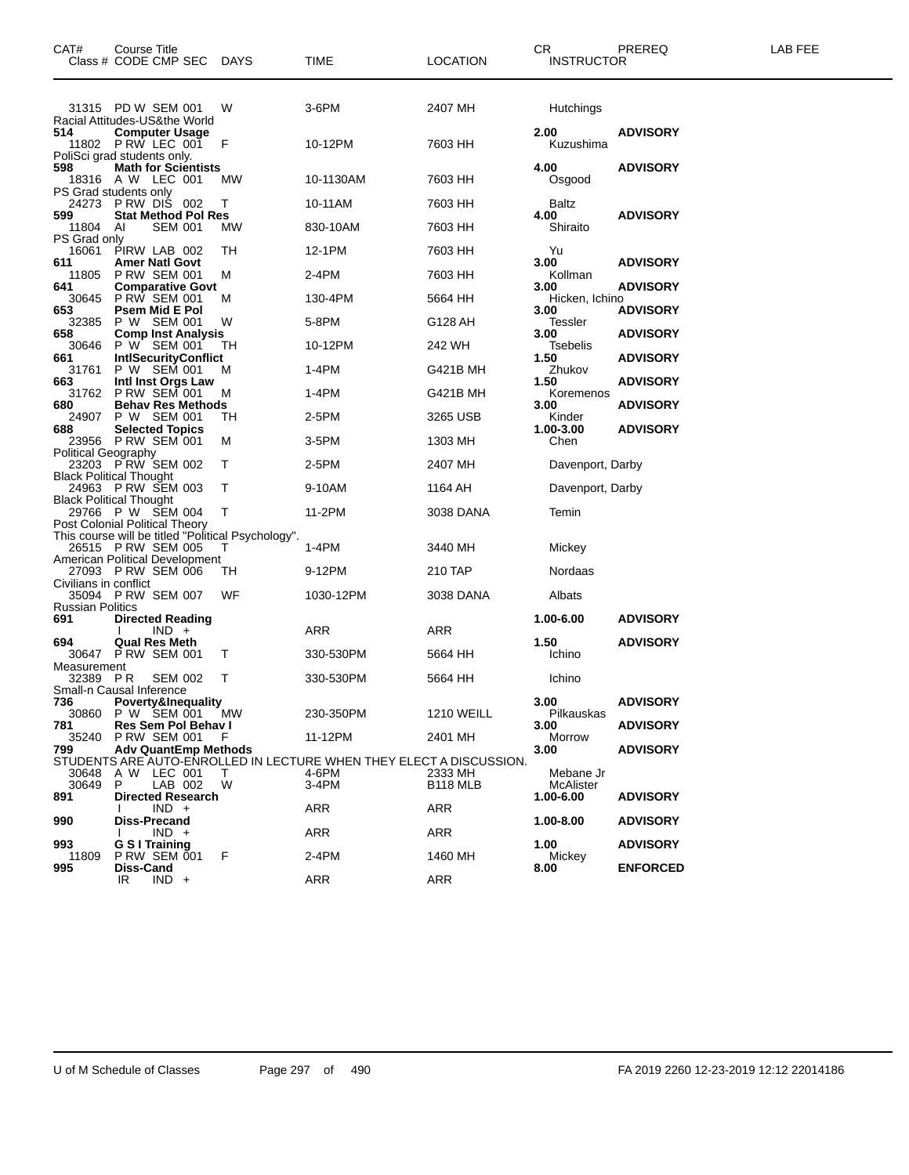| CAT#                           | <b>Course Title</b><br>Class # CODE CMP SEC DAYS                                     |        | <b>TIME</b>                                                         | <b>LOCATION</b>                 | CR.<br><b>INSTRUCTOR</b> | PREREQ          | LAB FEE |
|--------------------------------|--------------------------------------------------------------------------------------|--------|---------------------------------------------------------------------|---------------------------------|--------------------------|-----------------|---------|
|                                | 31315 PD W SEM 001<br>Racial Attitudes-US&the World                                  | W      | 3-6PM                                                               | 2407 MH                         | Hutchings                |                 |         |
| 514                            | <b>Computer Usage</b><br>11802 P RW LEC 001<br>PoliSci grad students only.           | F      | 10-12PM                                                             | 7603 HH                         | 2.00<br>Kuzushima        | <b>ADVISORY</b> |         |
| 598                            | <b>Math for Scientists</b><br>18316 A W LEC 001<br>PS Grad students only             | МW     | 10-1130AM                                                           | 7603 HH                         | 4.00<br>Osgood           | <b>ADVISORY</b> |         |
|                                | 24273 PRW DIS 002                                                                    | т      | 10-11AM                                                             | 7603 HH                         | Baltz                    |                 |         |
| 599<br>11804 AI                | <b>Stat Method Pol Res</b><br><b>SEM 001</b>                                         | МW     | 830-10AM                                                            | 7603 HH                         | 4.00<br>Shiraito         | <b>ADVISORY</b> |         |
| PS Grad only<br>16061          | PIRW LAB 002                                                                         | TН     | 12-1PM                                                              | 7603 HH                         | Yu                       |                 |         |
| 611<br>11805                   | <b>Amer Natl Govt</b><br><b>P RW SEM 001</b>                                         | м      | 2-4PM                                                               | 7603 HH                         | 3.00<br>Kollman          | <b>ADVISORY</b> |         |
| 641<br>30645                   | <b>Comparative Govt</b><br><b>P RW SEM 001</b>                                       | м      | 130-4PM                                                             | 5664 HH                         | 3.00<br>Hicken, Ichino   | <b>ADVISORY</b> |         |
| 653<br>32385                   | Psem Mid E Pol<br>P W SEM 001                                                        | W      | 5-8PM                                                               | G128 AH                         | 3.00<br>Tessler          | <b>ADVISORY</b> |         |
| 658<br>30646                   | <b>Comp Inst Analysis</b><br>P W SEM 001                                             | TН     | 10-12PM                                                             | 242 WH                          | 3.00<br>Tsebelis         | <b>ADVISORY</b> |         |
| 661<br>31761                   | <b>IntiSecurityConflict</b><br>P W SEM 001                                           | м      | 1-4PM                                                               | G421B MH                        | 1.50<br>Zhukov           | <b>ADVISORY</b> |         |
| 663<br>31762                   | <b>Inti Inst Orgs Law</b><br><b>P RW SEM 001</b>                                     | M      | 1-4PM                                                               | G421B MH                        | 1.50<br>Koremenos        | <b>ADVISORY</b> |         |
| 680                            | <b>Behav Res Methods</b><br>24907 P W SEM 001                                        | TH     | 2-5PM                                                               | 3265 USB                        | 3.00<br>Kinder           | <b>ADVISORY</b> |         |
| 688                            | <b>Selected Topics</b><br>23956 PRW SEM 001                                          | M      | $3-5$ PM                                                            | 1303 MH                         | 1.00-3.00<br>Chen        | <b>ADVISORY</b> |         |
| <b>Political Geography</b>     | 23203 P RW SEM 002                                                                   | т      | 2-5PM                                                               | 2407 MH                         | Davenport, Darby         |                 |         |
|                                | <b>Black Political Thought</b><br>24963 PRW SEM 003                                  | т      | 9-10AM                                                              | 1164 AH                         | Davenport, Darby         |                 |         |
|                                | <b>Black Political Thought</b><br>29766 PW SEM 004                                   | Т      | 11-2PM                                                              | 3038 DANA                       | Temin                    |                 |         |
|                                | Post Colonial Political Theory<br>This course will be titled "Political Psychology". |        |                                                                     |                                 |                          |                 |         |
|                                | 26515 P RW SEM 005<br>American Political Development                                 |        | 1-4PM                                                               | 3440 MH                         | Mickey                   |                 |         |
| Civilians in conflict          | 27093 PRW SEM 006                                                                    | TН     | 9-12PM                                                              | 210 TAP                         | Nordaas                  |                 |         |
|                                | 35094 P RW SEM 007                                                                   | WF     | 1030-12PM                                                           | 3038 DANA                       | Albats                   |                 |         |
| <b>Russian Politics</b><br>691 | <b>Directed Reading</b>                                                              |        |                                                                     |                                 | 1.00-6.00                | <b>ADVISORY</b> |         |
| 694                            | $IND +$<br><b>Qual Res Meth</b>                                                      |        | <b>ARR</b>                                                          | ARR                             | 1.50                     | <b>ADVISORY</b> |         |
| Measurement                    | 30647 P RW SEM 001                                                                   | Τ      | 330-530PM                                                           | 5664 HH                         | Ichino                   |                 |         |
| 32389                          | P R<br><b>SEM 002</b><br>Small-n Causal Inference                                    | т      | 330-530PM                                                           | 5664 HH                         | Ichino                   |                 |         |
| 736<br>30860                   | Poverty&Inequality<br>P W SEM 001 MW                                                 |        | 230-350PM                                                           | <b>1210 WEILL</b>               | 3.00<br>Pilkauskas       | <b>ADVISORY</b> |         |
| 781<br>35240                   | Res Sem Pol Behav I<br><b>P RW SEM 001</b>                                           | -F     | 11-12PM                                                             | 2401 MH                         | 3.00<br>Morrow           | <b>ADVISORY</b> |         |
| 799                            | <b>Adv QuantEmp Methods</b>                                                          |        | STUDENTS ARE AUTO-ENROLLED IN LECTURE WHEN THEY ELECT A DISCUSSION. |                                 | 3.00                     | <b>ADVISORY</b> |         |
| 30648<br>30649                 | A W LEC 001<br>LAB 002<br>P                                                          | T<br>W | 4-6PM<br>$3-4PM$                                                    | 2333 MH<br>B <sub>118</sub> MLB | Mebane Jr<br>McAlister   |                 |         |
| 891                            | <b>Directed Research</b><br>$IND +$                                                  |        | ARR                                                                 | ARR                             | 1.00-6.00                | <b>ADVISORY</b> |         |
| 990                            | <b>Diss-Precand</b><br>$IND +$                                                       |        | ARR                                                                 | ARR                             | 1.00-8.00                | <b>ADVISORY</b> |         |
| 993<br>11809                   | <b>G S I Training</b><br><b>P RW SEM 001</b>                                         | -F     | 2-4PM                                                               | 1460 MH                         | 1.00<br>Mickey           | <b>ADVISORY</b> |         |
| 995                            | Diss-Cand<br>$IND +$<br>IR                                                           |        | <b>ARR</b>                                                          | ARR                             | 8.00                     | <b>ENFORCED</b> |         |
|                                |                                                                                      |        |                                                                     |                                 |                          |                 |         |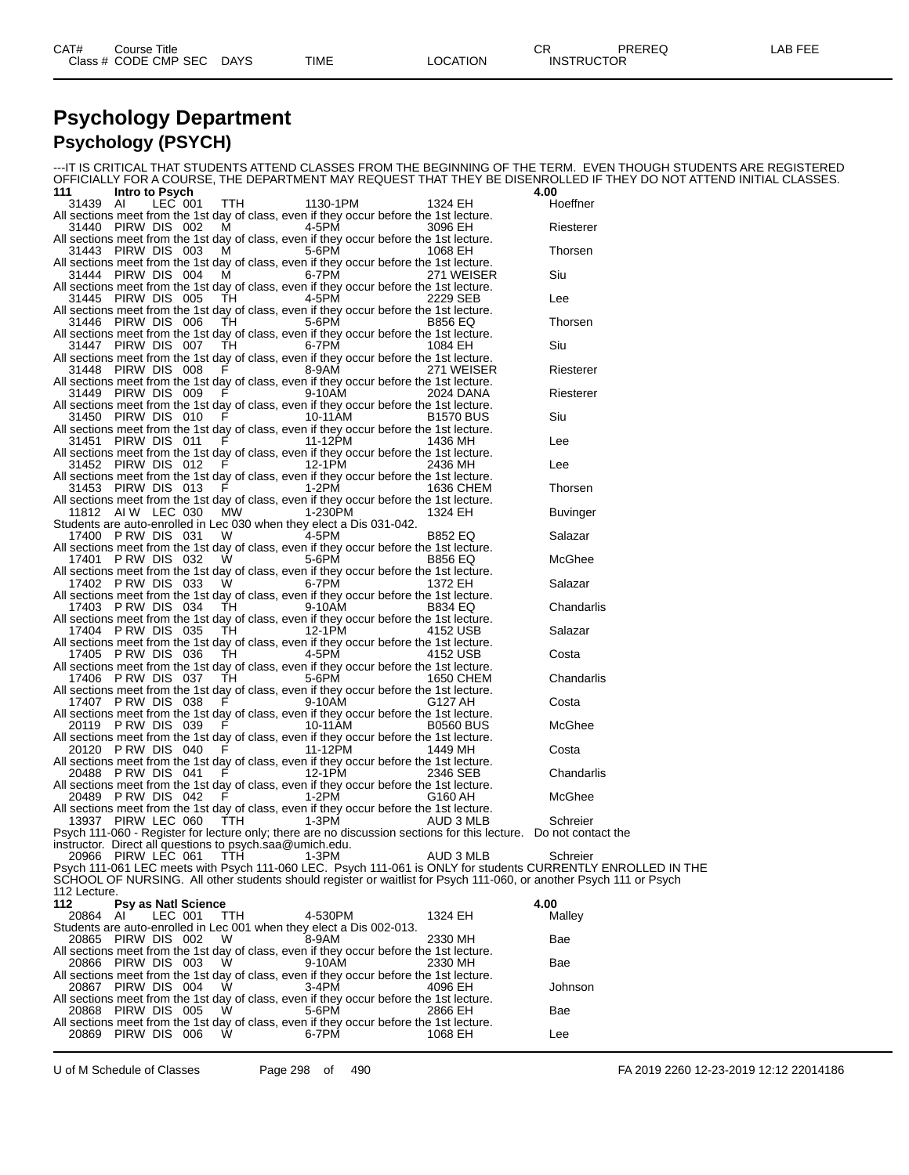#### **Psychology Department Psychology (PSYCH)**

-IT IS CRITICAL THAT STUDENTS ATTEND CLASSES FROM THE BEGINNING OF THE TERM. EVEN THOUGH STUDENTS ARE REGISTERED OFFICIALLY FOR A COURSE, THE DEPARTMENT MAY REQUEST THAT THEY BE DISENROLLED IF THEY DO NOT ATTEND INITIAL CLASSES.<br>111 Intro to Psych **111 Intro to Psych 4.00** 31439 AI LEC 001 TTH 1130-1PM 1324 EH Hoeffner All sections meet from the 1st day of class, even if they occur before the 1st lecture. 31440 PIRW DIS 002 M 4-5PM 3096 EH Riesterer All sections meet from the 1st day of class, even if they occur before the 1st lecture.<br>31443 PIRW DIS 003 M 5-6PM 1068 EH 31443 PIRW DIS 003 M 5-6PM 1068 EH Thorsen All sections meet from the 1st day of class, even if they occur before the 1st lecture.<br>31444 PIRW DIS 004 M 6-7PM 271 WEISER 31444 PIRW DIS 004 M 6-7PM 271 WEISER Siu All sections meet from the 1st day of class, even if they occur before the 1st lecture. 31445 PIRW DIS 005 TH 4-5PM 2229 SEB Lee All sections meet from the 1st day of class, even if they occur before the 1st lecture. 31446 PIRW DIS 006 TH 5-6PM B856 EQ Thorsen All sections meet from the 1st day of class, even if they occur before the 1st lecture.<br>31447 PIRW DIS 007 TH 6-7PM 1084 EH 31447 PIRW DIS 007 TH 6-7PM 1084 EH Siu All sections meet from the 1st day of class, even if they occur before the 1st lecture.<br>31448 PIRW DIS 008 F 8-9AM 31448 PIRW DIS 008 F 8-9AM 271 WEISER Riesterer All sections meet from the 1st day of class, even if they occur before the 1st lecture. 31449 PIRW DIS 009 F 9-10AM 2024 DANA Riesterer All sections meet from the 1st day of class, even if they occur before the 1st lecture.<br>B1570 BUS 010 F 10-11AM 31450 PIRW DIS 010 F 10-11AM B1570 BUS Siu All sections meet from the 1st day of class, even if they occur before the 1st lecture.<br>31451 PIRW DIS 011 F 11-12PM 1436 MH 31451 PIRW DIS 011 F 11-12PM 1436 MH Lee All sections meet from the 1st day of class, even if they occur before the 1st lecture.<br>31452 PIRW DIS 012 F 12-1PM 2436 MH 31452 PIRW DIS 012 F 12-1PM 2436 MH Lee All sections meet from the 1st day of class, even if they occur before the 1st lecture.<br>31453 PIRW DIS 013 F 1-2PM 1636 CHEM 31453 PIRW DIS 013 F 1-2PM 1636 CHEM Thorsen All sections meet from the 1st day of class, even if they occur before the 1st lecture.<br>1324 EH 1812 AI W LEC 030 MW 1-230PM 11812 AI W LEC 030 MW 1-230PM 1324 EH Buvinger Students are auto-enrolled in Lec 030 when they elect a Dis 031-042. 17400 P RW DIS 031 W 4-5PM B852 EQ Salazar All sections meet from the 1st day of class, even if they occur before the 1st lecture.<br>17401 P RW DIS 032 W 5-6PM B856 EQ 17401 P RW DIS 032 W 5-6PM B856 EQ McGhee All sections meet from the 1st day of class, even if they occur before the 1st lecture.<br>17402 P RW DIS 033 W 6-7PM 1372 EH 17402 P RW DIS 033 W 6-7PM 1372 EH Salazar All sections meet from the 1st day of class, even if they occur before the 1st lecture.<br>17403 P RW DIS 034 TH 9-10AM B834 EQ 17403 P RW DIS 034 TH 9-10AM B834 EQ Chandarlis All sections meet from the 1st day of class, even if they occur before the 1st lecture.<br>17404 P RW DIS 035 TH 12-1PM 4152 USB 17404 P RW DIS 035 TH 12-1PM 4152 USB Salazar All sections meet from the 1st day of class, even if they occur before the 1st lecture.<br>17405 P RW DIS 036 TH 4-5PM 45PM 17405 P RW DIS 036 TH 4-5PM 4152 USB Costa All sections meet from the 1st day of class, even if they occur before the 1st lecture. 17406 P RW DIS 037 TH 5-6PM 1650 CHEM Chandarlis All sections meet from the 1st day of class, even if they occur before the 1st lecture.<br>17407 P RW DIS 038 F 9-10AM 17407 P RW DIS 038 F 9-10AM G127 AH Costa All sections meet from the 1st day of class, even if they occur before the 1st lecture.<br>20119 P RW DIS 039 F 10-11AM B0560 BUS 20119 P RW DIS 039 F 10-11AM B0560 BUS McGhee All sections meet from the 1st day of class, even if they occur before the 1st lecture. 20120 P RW DIS 040 F 11-12PM 1449 MH Costa All sections meet from the 1st day of class, even if they occur before the 1st lecture.<br>20488 P RW DIS 041 F 12-1PM 2346 SEB 20488 P RW DIS 041 F 12-1PM 2346 SEB Chandarlis All sections meet from the 1st day of class, even if they occur before the 1st lecture.<br>20489 P RW DIS 042 F 1-2PM 6160 AH 20489 P RW DIS 042 F 1-2PM G160 AH McGhee All sections meet from the 1st day of class, even if they occur before the 1st lecture.<br>AUD 3 MLB 13937 PIRW LEC 060 TTH 1-3PM 13937 PIRW LEC 060 TTH 1-3PM AUD 3 MLB Schreier Psych 111-060 - Register for lecture only; there are no discussion sections for this lecture. Do not contact the instructor. Direct all questions to psych.saa@umich.edu. 20966 PIRW LEC 061 TTH 1-3PM AUD 3 MLB Schreier Psych 111-061 LEC meets with Psych 111-060 LEC. Psych 111-061 is ONLY for students CURRENTLY ENROLLED IN THE SCHOOL OF NURSING. All other students should register or waitlist for Psych 111-060, or another Psych 111 or Psych 112 Lecture.<br>112 **112 Psy as Natl Science 4.00** 20864 AI LEC 001 TTH 4-530PM 1324 EH Malley Students are auto-enrolled in Lec 001 when they elect a Dis 002-013. 20865 PIRW DIS 002 W 8-9AM 2330 MH Bae All sections meet from the 1st day of class, even if they occur before the 1st lecture. 20866 PIRW DIS 003 W 9-10AM 2330 MH Bae All sections meet from the 1st day of class, even if they occur before the 1st lecture.<br>20867 PIRW DIS 004 W 3-4PM 4096 EH 20867 PIRW DIS 004 W 3-4PM 4096 EH Johnson All sections meet from the 1st day of class, even if they occur before the 1st lecture.<br>20868 PIRW DIS 005 W 5-6PM 2866 EH 20868 PIRW DIS 005 W 5-6PM 2866 EH Bae All sections meet from the 1st day of class, even if they occur before the 1st lecture.<br>20869 PIRW DIS 006 W 6-7PM 1068 EH 20869 PIRW DIS 006 W 6-7PM 1068 EH Lee

U of M Schedule of Classes Page 298 of 490 FA 2019 2260 12-23-2019 12:12 22014186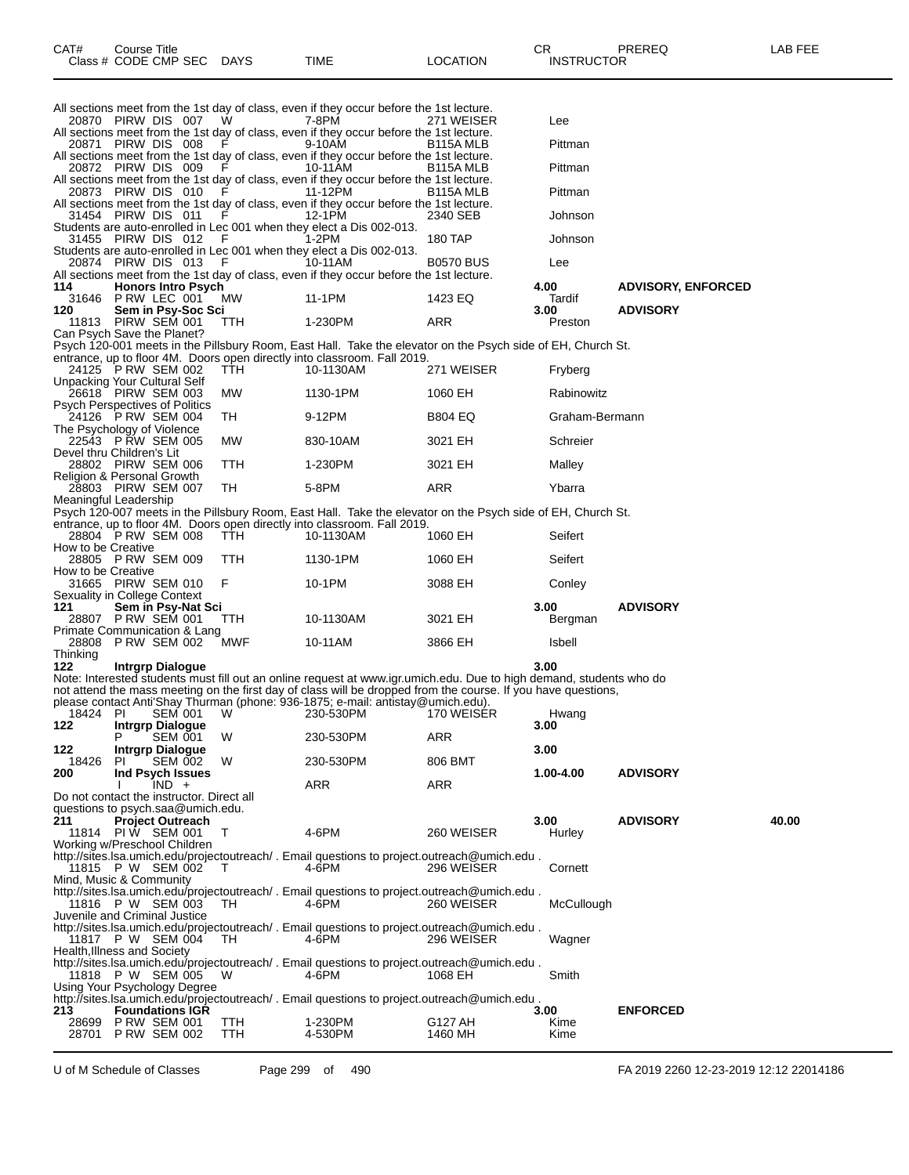| CAT# | Title<br>Courseٽ     |             |             |          | ∩⊓<br>◡⊓          | PREREQ | _AB FEF |
|------|----------------------|-------------|-------------|----------|-------------------|--------|---------|
|      | Class # CODE CMP SEC | <b>DAYS</b> | <b>TIME</b> | LOCATION | <b>INSTRUCTOR</b> |        |         |

|                            |                           |  |                       |                                                                          | All sections meet from the 1st day of class, even if they occur before the 1st lecture.                     |         |                           |
|----------------------------|---------------------------|--|-----------------------|--------------------------------------------------------------------------|-------------------------------------------------------------------------------------------------------------|---------|---------------------------|
| 20870 PIRW DIS 007 W       |                           |  |                       | 7-8PM                                                                    | 271 WEISER                                                                                                  | Lee     |                           |
|                            |                           |  |                       |                                                                          | All sections meet from the 1st day of class, even if they occur before the 1st lecture.                     |         |                           |
| 20871 PIRW DIS 008 F       |                           |  |                       | 9-10AM                                                                   | B <sub>115</sub> A MLB                                                                                      | Pittman |                           |
|                            |                           |  |                       |                                                                          | All sections meet from the 1st day of class, even if they occur before the 1st lecture.                     |         |                           |
|                            |                           |  | 20872 PIRW DIS 009 F  | 10-11AM                                                                  | B115A MLB                                                                                                   | Pittman |                           |
|                            |                           |  |                       |                                                                          | All sections meet from the 1st day of class, even if they occur before the 1st lecture.                     |         |                           |
|                            |                           |  |                       | 20873 PIRW DIS 010 F 11-12PM                                             | B115A MLB                                                                                                   | Pittman |                           |
|                            |                           |  |                       |                                                                          | All sections meet from the 1st day of class, even if they occur before the 1st lecture.                     |         |                           |
| 31454 PIRW DIS 011 F       |                           |  |                       | 12-1PM                                                                   | 2340 SEB                                                                                                    | Johnson |                           |
|                            |                           |  |                       | Students are auto-enrolled in Lec 001 when they elect a Dis 002-013.     |                                                                                                             |         |                           |
| 31455 PIRW DIS 012 F       |                           |  |                       | 1-2PM                                                                    | 180 TAP                                                                                                     | Johnson |                           |
|                            |                           |  |                       | Students are auto-enrolled in Lec 001 when they elect a Dis 002-013.     |                                                                                                             |         |                           |
| 20874 PIRW DIS 013 F       |                           |  |                       | 10-11AM                                                                  | <b>B0570 BUS</b>                                                                                            | Lee     |                           |
|                            |                           |  |                       |                                                                          | All sections meet from the 1st day of class, even if they occur before the 1st lecture.                     |         |                           |
| 114                        | <b>Honors Intro Psych</b> |  |                       |                                                                          |                                                                                                             | 4.00    | <b>ADVISORY, ENFORCED</b> |
| 31646 P RW LEC 001         |                           |  | MW                    | 11-1 PM                                                                  | 1423 EQ                                                                                                     | Tardif  |                           |
| 120                        | Sem in Psy-Soc Sci        |  |                       |                                                                          |                                                                                                             | 3.00    | <b>ADVISORY</b>           |
| 11813 PIRW SEM 001 TTH     |                           |  |                       | 1-230PM                                                                  | ARR                                                                                                         | Preston |                           |
| Can Psych Save the Planet? |                           |  |                       |                                                                          |                                                                                                             |         |                           |
|                            |                           |  |                       |                                                                          | Psych 120-001 meets in the Pillsbury Room, East Hall. Take the elevator on the Psych side of EH, Church St. |         |                           |
|                            |                           |  |                       | entrance, up to floor 4M. Doors open directly into classroom. Fall 2019. |                                                                                                             |         |                           |
|                            |                           |  | 24125 PRW SEM 002 TTH | 10-1130AM                                                                | 271 WEISER                                                                                                  | Fryberg |                           |

| Unpacking Your Cultural Self                                                                                |            |           |                |                |
|-------------------------------------------------------------------------------------------------------------|------------|-----------|----------------|----------------|
| 26618 PIRW SEM 003                                                                                          | MW         | 1130-1PM  | 1060 EH        | Rabinowitz     |
| <b>Psych Perspectives of Politics</b>                                                                       |            |           |                |                |
| 24126 P RW SEM 004                                                                                          | TH         | 9-12PM    | <b>B804 EQ</b> | Graham-Bermann |
| The Psychology of Violence                                                                                  |            |           |                |                |
| 22543 P RW SEM 005                                                                                          | <b>MW</b>  | 830-10AM  | 3021 EH        | Schreier       |
| Devel thru Children's Lit                                                                                   |            |           |                |                |
| 28802 PIRW SEM 006                                                                                          | <b>TTH</b> | 1-230PM   | 3021 EH        | Malley         |
| Religion & Personal Growth                                                                                  |            |           |                |                |
| 28803 PIRW SEM 007                                                                                          | TH         | 5-8PM     | ARR            | Ybarra         |
| Meaningful Leadership                                                                                       |            |           |                |                |
| Psych 120-007 meets in the Pillsbury Room, East Hall. Take the elevator on the Psych side of EH, Church St. |            |           |                |                |
| entrance, up to floor 4M. Doors open directly into classroom. Fall 2019.                                    |            |           |                |                |
| 28804 P RW SEM 008 TTH                                                                                      |            | 10-1130AM | 1060 EH        | Seifert        |
| How to be Creative                                                                                          |            |           |                |                |
| 28805 P RW SEM 009                                                                                          | TTH        | 1130-1PM  | 1060 EH        | Seifert        |
| How to be Creative                                                                                          |            |           |                |                |
| 31665 PIRW SEM 010                                                                                          | - F        | 10-1PM    | 3088 EH        | Conley         |
| Sexuality in College Context                                                                                |            |           |                |                |

|           | Sexuality in College Context |           |         |         |                 |
|-----------|------------------------------|-----------|---------|---------|-----------------|
| 121       | Sem in Psy-Nat Sci           |           |         | 3.00    | <b>ADVISORY</b> |
|           | 28807 P RW SEM 001 TTH       | 10-1130AM | 3021 EH | Bergman |                 |
|           | Primate Communication & Lang |           |         |         |                 |
|           | 28808 P RW SEM 002 MWF       | 10-11AM   | 3866 EH | Isbell  |                 |
| エレジュレジュール |                              |           |         |         |                 |

Thinking

**122 Intrgrp Dialogue 3.00** Note: Interested students must fill out an online request at www.igr.umich.edu. Due to high demand, students who do not attend the mass meeting on the first day of class will be dropped from the course. If you have questions,

please contact Anti'Shay Thurman (phone: 936-1875; e-mail: antistay@umich.edu). 18424 PI SEM 001 W 230-530PM 170 WEISER Hwang **122 Intrgrp Dialogue 3.00** P SEM 001 W 230-530PM ARR **122 Intrgrp Dialogue 3.00** 18426 PI SEM 002 W 230-530PM 806 BMT **200 Ind Psych Issues 1.00-4.00 ADVISORY** I IND + ARR ARR ARR Do not contact the instructor. Direct all questions to psych.saa@umich.edu. **211 Project Outreach 3.00 ADVISORY 40.00** 11814 PIW SEM 001 T 4-6PM 260 WEISER Hurley Working w/Preschool Children http://sites.lsa.umich.edu/projectoutreach/ . Email questions to project.outreach@umich.edu .<br>11815 P W SEM 002 T 4-6PM 296 WEISER 11815 P W SEM 002 T 4-6PM 296 WEISER Cornett Mind, Music & Community http://sites.lsa.umich.edu/projectoutreach/ . Email questions to project.outreach@umich.edu . 11816 P W SEM 003 TH 4-6PM 260 WEISER McCullough Juvenile and Criminal Justice http://sites.lsa.umich.edu/projectoutreach/ . Email questions to project.outreach@umich.edu .<br>11817 P W SEM 004 TH 4-6PM 296 WEISER 11817 P W SEM 004 TH 4-6PM 296 WEISER Wagner Health,Illness and Society http://sites.lsa.umich.edu/projectoutreach/ . Email questions to project.outreach@umich.edu . 11818 P W SEM 005 W 4-6PM 1068 EH Smith Using Your Psychology Degree http://sites.lsa.umich.edu/projectoutreach/ . Email questions to project.outreach@umich.edu . **213 Foundations IGR 3.00 ENFORCED** 28699 P RW SEM 001 TTH 1-230PM G127 AH Kime 28701 P RW SEM 002 TTH 4-530PM 1460 MH Kime

U of M Schedule of Classes Page 299 of 490 FA 2019 2260 12-23-2019 12:12 22014186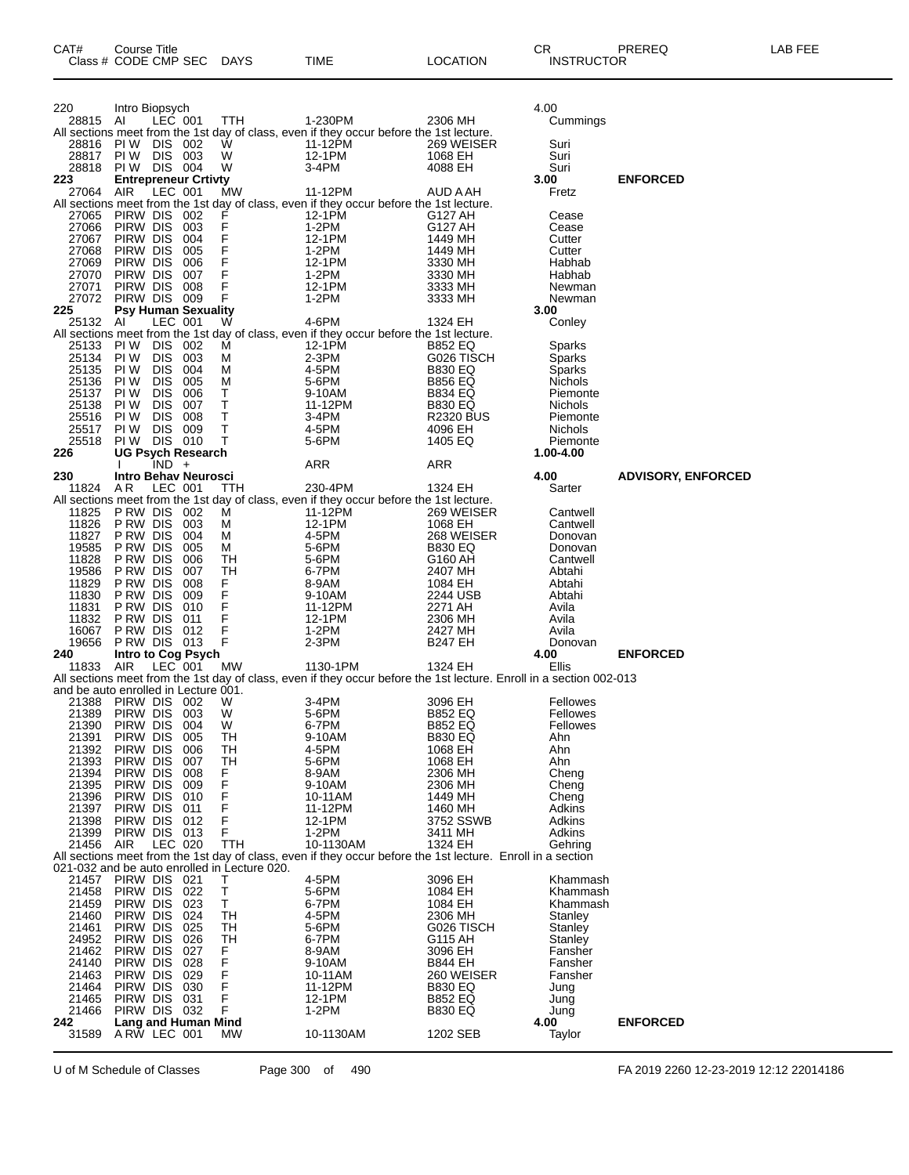| 220                                                        | Intro Biopsych                                    |                          |            |                                              |                                                                                                                     |                                  | 4.00                       |                           |
|------------------------------------------------------------|---------------------------------------------------|--------------------------|------------|----------------------------------------------|---------------------------------------------------------------------------------------------------------------------|----------------------------------|----------------------------|---------------------------|
| 28815 AI                                                   |                                                   | LEC 001                  |            | TTH                                          | 1-230PM<br>All sections meet from the 1st day of class, even if they occur before the 1st lecture.                  | 2306 MH                          | Cummings                   |                           |
| 28816 PIW DIS 002                                          |                                                   |                          |            | W                                            | 11-12PM                                                                                                             | 269 WEISER                       | Suri                       |                           |
| 28817                                                      | PIW DIS 003                                       |                          |            | W                                            | 12-1PM                                                                                                              | 1068 EH                          | Suri                       |                           |
| 28818<br>223                                               | <b>PIW DIS 004</b><br><b>Entrepreneur Crtivty</b> |                          |            | W                                            | 3-4PM                                                                                                               | 4088 EH                          | Suri<br>3.00               | <b>ENFORCED</b>           |
| 27064 AIR                                                  |                                                   | LEC 001                  |            | МW                                           | 11-12PM                                                                                                             | AUD A AH                         | Fretz                      |                           |
|                                                            |                                                   |                          |            |                                              | All sections meet from the 1st day of class, even if they occur before the 1st lecture.                             |                                  |                            |                           |
| 27065<br>27066                                             | PIRW DIS 002<br>PIRW DIS                          |                          | 003        | F<br>F                                       | 12-1PM<br>$1-2PM$                                                                                                   | G127 AH<br>G127 AH               | Cease<br>Cease             |                           |
| 27067                                                      | PIRW DIS                                          |                          | 004        | F                                            | 12-1PM                                                                                                              | 1449 MH                          | Cutter                     |                           |
| 27068                                                      | PIRW DIS                                          |                          | 005        | F                                            | $1-2PM$                                                                                                             | 1449 MH                          | Cutter                     |                           |
| 27069<br>27070                                             | PIRW DIS<br>PIRW DIS                              |                          | 006<br>007 | F<br>F                                       | 12-1PM<br>1-2PM                                                                                                     | 3330 MH<br>3330 MH               | Habhab<br>Habhab           |                           |
| 27071                                                      | PIRW DIS                                          |                          | 008        | F                                            | 12-1PM                                                                                                              | 3333 MH                          | Newman                     |                           |
| 27072 PIRW DIS 009                                         |                                                   |                          |            | $\mathsf F$                                  | 1-2PM                                                                                                               | 3333 MH                          | Newman                     |                           |
| 225<br>25132 AI                                            | <b>Psy Human Sexuality</b>                        | LEC 001                  |            |                                              | 4-6PM                                                                                                               |                                  | 3.00                       |                           |
|                                                            |                                                   |                          |            | W                                            | All sections meet from the 1st day of class, even if they occur before the 1st lecture.                             | 1324 EH                          | Conley                     |                           |
| 25133                                                      | PIW DIS                                           |                          | 002        | м                                            | 12-1PM                                                                                                              | <b>B852 EQ</b>                   | Sparks                     |                           |
| 25134                                                      | PI W                                              | <b>DIS</b>               | 003        | М                                            | $2-3PM$                                                                                                             | G026 TISCH                       | Sparks                     |                           |
| 25135<br>25136                                             | PI W<br>PI W                                      | <b>DIS</b><br><b>DIS</b> | 004<br>005 | м<br>м                                       | 4-5PM<br>5-6PM                                                                                                      | <b>B830 EQ</b><br><b>B856 EQ</b> | Sparks<br>Nichols          |                           |
| 25137 PIW                                                  |                                                   | <b>DIS</b>               | 006        | т                                            | 9-10AM                                                                                                              | <b>B834 EQ</b>                   | Piemonte                   |                           |
| 25138                                                      | PI W                                              | <b>DIS</b>               | 007        | т                                            | 11-12PM                                                                                                             | <b>B830 EQ</b>                   | Nichols                    |                           |
| 25516<br>25517                                             | PI W<br>PI W                                      | <b>DIS</b><br><b>DIS</b> | 008<br>009 | т<br>T                                       | 3-4PM<br>4-5PM                                                                                                      | <b>R2320 BUS</b><br>4096 EH      | Piemonte<br><b>Nichols</b> |                           |
| 25518                                                      | <b>PIW DIS 010</b>                                |                          |            | т                                            | 5-6PM                                                                                                               | 1405 EQ                          | Piemonte                   |                           |
| 226                                                        | <b>UG Psych Research</b>                          |                          |            |                                              |                                                                                                                     |                                  | 1.00-4.00                  |                           |
| 230                                                        | <b>Intro Behav Neurosci</b>                       | $IND +$                  |            |                                              | ARR                                                                                                                 | ARR                              |                            |                           |
| 11824                                                      | A R                                               | LEC 001                  |            | <b>TTH</b>                                   | 230-4PM                                                                                                             | 1324 EH                          | 4.00<br>Sarter             | <b>ADVISORY, ENFORCED</b> |
|                                                            |                                                   |                          |            |                                              | All sections meet from the 1st day of class, even if they occur before the 1st lecture.                             |                                  |                            |                           |
| 11825<br>11826                                             | PRW DIS 002<br>P RW DIS                           |                          | 003        | м                                            | 11-12PM<br>12-1PM                                                                                                   | 269 WEISER<br>1068 EH            | Cantwell<br>Cantwell       |                           |
| 11827                                                      | P RW DIS                                          |                          | 004        | м<br>м                                       | 4-5PM                                                                                                               | 268 WEISER                       | Donovan                    |                           |
| 19585                                                      | P RW DIS                                          |                          | 005        | м                                            | 5-6PM                                                                                                               | <b>B830 EQ</b>                   | Donovan                    |                           |
| 11828                                                      | P RW DIS                                          |                          | 006        | TН                                           | 5-6PM                                                                                                               | G160 AH                          | Cantwell                   |                           |
| 19586                                                      | P RW DIS                                          |                          | 007        | TН                                           | 6-7PM                                                                                                               | 2407 MH                          | Abtahi                     |                           |
|                                                            |                                                   |                          |            |                                              |                                                                                                                     |                                  |                            |                           |
| 11829<br>11830                                             | P RW DIS<br>P RW DIS                              |                          | 008<br>009 | F.<br>F                                      | 8-9AM                                                                                                               | 1084 EH<br>2244 USB              | Abtahi<br>Abtahi           |                           |
| 11831                                                      | P RW DIS                                          |                          | 010        | F                                            | 9-10AM<br>11-12PM                                                                                                   | 2271 AH                          | Avila                      |                           |
| 11832                                                      | P RW DIS                                          |                          | 011        | F                                            | 12-1PM                                                                                                              | 2306 MH                          | Avila                      |                           |
| 16067                                                      | P RW DIS                                          |                          | 012        | F                                            | $1-2PM$                                                                                                             | 2427 MH                          | Avila                      |                           |
| 19656<br>240                                               | <b>PRW DIS 013</b><br>Intro to Cog Psych          |                          |            | F                                            | $2-3PM$                                                                                                             | <b>B247 EH</b>                   | Donovan<br>4.00            | <b>ENFORCED</b>           |
| 11833                                                      | AIR                                               | $LEC$ 001                |            | MW                                           | 1130-1PM                                                                                                            | 1324 EH                          | Ellis                      |                           |
|                                                            |                                                   |                          |            |                                              | All sections meet from the 1st day of class, even if they occur before the 1st lecture. Enroll in a section 002-013 |                                  |                            |                           |
| and be auto enrolled in Lecture 001.<br>21388 PIRW DIS 002 |                                                   |                          |            | W                                            | 3-4PM                                                                                                               | 3096 EH                          | Fellowes                   |                           |
| 21389                                                      | PIRW DIS                                          |                          | 003        | W                                            | 5-6PM                                                                                                               | <b>B852 EQ</b>                   | Fellowes                   |                           |
| 21390                                                      | PIRW DIS                                          |                          | 004        | W                                            | 6-7PM                                                                                                               | B852 EQ                          | Fellowes                   |                           |
| 21391<br>21392 PIRW DIS                                    | PIRW DIS                                          |                          | 005<br>006 | TH<br>TН                                     | 9-10AM<br>4-5PM                                                                                                     | <b>B830 EQ</b><br>1068 EH        | Ahn<br>Ahn                 |                           |
| 21393 PIRW DIS 007                                         |                                                   |                          |            | TН                                           | 5-6PM                                                                                                               | 1068 EH                          | Ahn                        |                           |
| 21394                                                      | PIRW DIS 008                                      |                          |            | F                                            | 8-9AM                                                                                                               | 2306 MH                          | Cheng                      |                           |
| 21395<br>21396                                             | PIRW DIS<br>PIRW DIS                              |                          | 009<br>010 | F<br>F                                       | 9-10AM<br>10-11AM                                                                                                   | 2306 MH<br>1449 MH               | Cheng<br>Cheng             |                           |
| 21397                                                      | PIRW DIS                                          |                          | 011        | F                                            | 11-12PM                                                                                                             | 1460 MH                          | Adkins                     |                           |
| 21398                                                      | PIRW DIS                                          |                          | 012        | F                                            | 12-1PM                                                                                                              | 3752 SSWB                        | Adkins                     |                           |
| 21399<br>21456                                             | PIRW DIS 013<br>AIR                               |                          |            | F<br>TTH                                     | $1-2PM$<br>10-1130AM                                                                                                | 3411 MH<br>1324 EH               | Adkins<br>Gehring          |                           |
|                                                            |                                                   | LEC 020                  |            |                                              | All sections meet from the 1st day of class, even if they occur before the 1st lecture. Enroll in a section         |                                  |                            |                           |
|                                                            |                                                   |                          |            | 021-032 and be auto enrolled in Lecture 020. |                                                                                                                     |                                  |                            |                           |
| 21457                                                      | PIRW DIS 021                                      |                          |            | т                                            | 4-5PM                                                                                                               | 3096 EH                          | Khammash<br>Khammash       |                           |
| 21458<br>21459                                             | PIRW DIS<br>PIRW DIS                              |                          | 022<br>023 | T<br>Τ                                       | 5-6PM<br>6-7PM                                                                                                      | 1084 EH<br>1084 EH               | Khammash                   |                           |
| 21460                                                      | PIRW DIS                                          |                          | 024        | TН                                           | 4-5PM                                                                                                               | 2306 MH                          | Stanley                    |                           |
| 21461                                                      | PIRW DIS                                          |                          | 025        | TН                                           | 5-6PM                                                                                                               | G026 TISCH                       | Stanley                    |                           |
| 24952<br>21462                                             | PIRW DIS<br>PIRW DIS                              |                          | 026<br>027 | TН<br>F.                                     | 6-7PM<br>8-9AM                                                                                                      | G115 AH<br>3096 EH               | Stanley<br>Fansher         |                           |
| 24140                                                      | PIRW DIS                                          |                          | 028        | F                                            | 9-10AM                                                                                                              | <b>B844 EH</b>                   | Fansher                    |                           |
| 21463                                                      | PIRW DIS                                          |                          | 029        | F                                            | 10-11AM                                                                                                             | 260 WEISER                       | Fansher                    |                           |
| 21464<br>21465                                             | PIRW DIS<br>PIRW DIS                              |                          | 030<br>031 | F<br>F                                       | 11-12PM<br>12-1PM                                                                                                   | <b>B830 EQ</b><br><b>B852 EQ</b> | Jung<br>Jung               |                           |
| 21466                                                      | PIRW DIS 032                                      |                          |            | F                                            | 1-2PM                                                                                                               | <b>B830 EQ</b>                   | Jung                       |                           |
| 242<br>31589                                               | Lang and Human Mind<br>ARW LEC 001                |                          |            | MW                                           | 10-1130AM                                                                                                           | 1202 SEB                         | 4.00<br>Taylor             | <b>ENFORCED</b>           |

U of M Schedule of Classes Page 300 of 490 FA 2019 2260 12-23-2019 12:12 22014186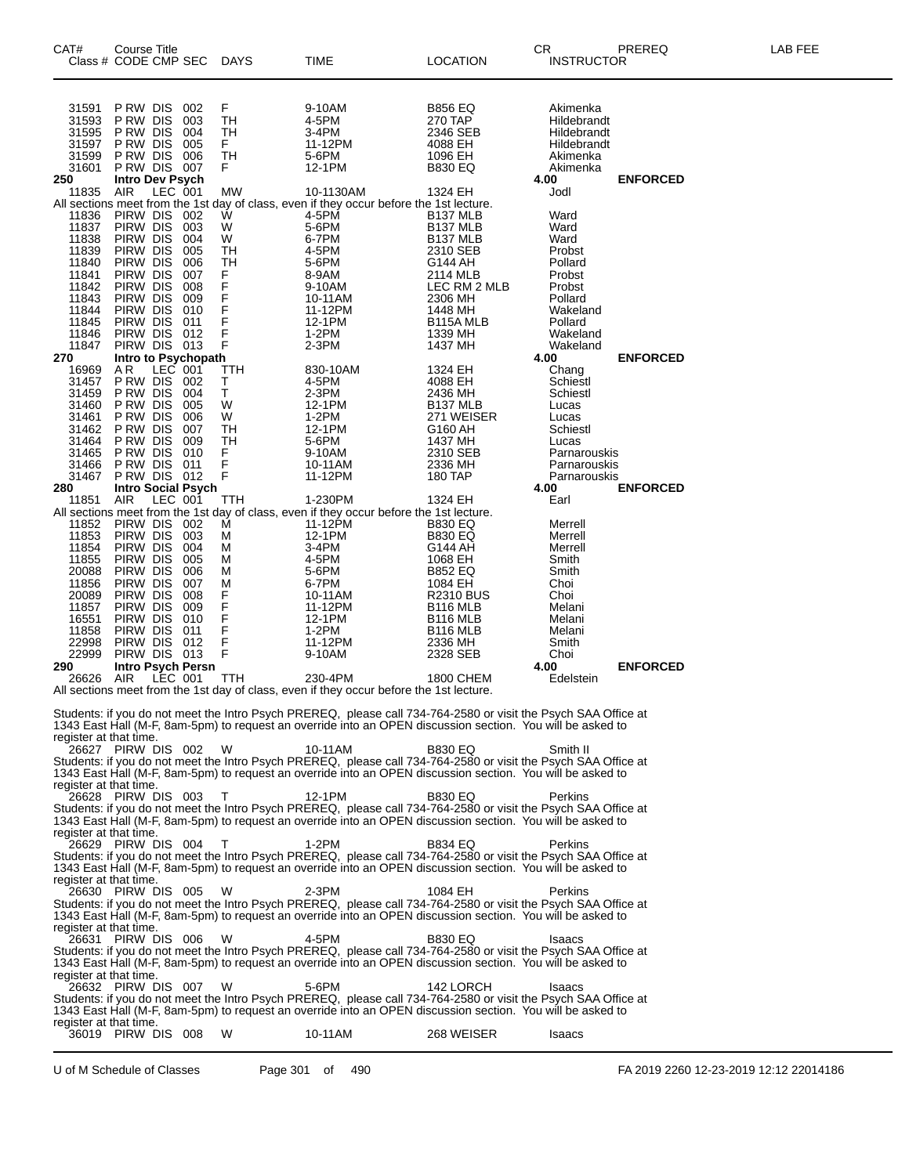| CAT#<br>Class # CODE CMP SEC DAYS                                                            | Course Title                          |         |                           |                                 | TIME                                                                                                                                                                                                                                                                                                                                                                                                                                                                              | <b>LOCATION</b>                  | CR<br><b>INSTRUCTOR</b>      | PREREQ          | LAB FEE                                |
|----------------------------------------------------------------------------------------------|---------------------------------------|---------|---------------------------|---------------------------------|-----------------------------------------------------------------------------------------------------------------------------------------------------------------------------------------------------------------------------------------------------------------------------------------------------------------------------------------------------------------------------------------------------------------------------------------------------------------------------------|----------------------------------|------------------------------|-----------------|----------------------------------------|
| 31591                                                                                        | P RW DIS                              |         | 002                       | F                               | 9-10AM                                                                                                                                                                                                                                                                                                                                                                                                                                                                            | <b>B856 EQ</b>                   | Akimenka                     |                 |                                        |
| 31593<br>31595                                                                               | P RW DIS<br>P RW DIS                  |         | 003<br>004                | TН<br>TH                        | 4-5PM<br>3-4PM                                                                                                                                                                                                                                                                                                                                                                                                                                                                    | 270 TAP<br>2346 SEB              | Hildebrandt<br>Hildebrandt   |                 |                                        |
| 31597                                                                                        | PRW DIS                               |         | 005                       | F.                              | 11-12PM                                                                                                                                                                                                                                                                                                                                                                                                                                                                           | 4088 EH                          | Hildebrandt                  |                 |                                        |
| 31599                                                                                        | P RW DIS                              |         | 006                       | TH                              | 5-6PM                                                                                                                                                                                                                                                                                                                                                                                                                                                                             | 1096 EH                          | Akimenka                     |                 |                                        |
| 31601<br>250                                                                                 | PRW DIS 007                           |         |                           | F.                              | 12-1PM                                                                                                                                                                                                                                                                                                                                                                                                                                                                            | <b>B830 EQ</b>                   | Akimenka<br>4.00             | <b>ENFORCED</b> |                                        |
| 11835                                                                                        | Intro Dev Psych<br>AIR LEC 001<br>AIR |         |                           | MW                              | 10-1130AM                                                                                                                                                                                                                                                                                                                                                                                                                                                                         | 1324 EH                          | Jodl                         |                 |                                        |
|                                                                                              |                                       |         |                           |                                 | All sections meet from the 1st day of class, even if they occur before the 1st lecture.                                                                                                                                                                                                                                                                                                                                                                                           |                                  |                              |                 |                                        |
| 11836<br>11837                                                                               | PIRW DIS 002<br>PIRW DIS 003          |         |                           | W<br>W                          | 4-5PM<br>5-6PM                                                                                                                                                                                                                                                                                                                                                                                                                                                                    | B137 MLB<br>B137 MLB             | Ward<br>Ward                 |                 |                                        |
| 11838                                                                                        | PIRW DIS                              |         | 004                       | W                               | 6-7PM                                                                                                                                                                                                                                                                                                                                                                                                                                                                             | <b>B137 MLB</b>                  | Ward                         |                 |                                        |
| 11839                                                                                        | PIRW DIS                              |         | 005                       | TH                              | 4-5PM                                                                                                                                                                                                                                                                                                                                                                                                                                                                             | 2310 SEB                         | Probst                       |                 |                                        |
| 11840<br>11841                                                                               | PIRW DIS<br>PIRW DIS                  |         | 006<br>007                | TH<br>F.                        | 5-6PM<br>8-9AM                                                                                                                                                                                                                                                                                                                                                                                                                                                                    | G144 AH<br>2114 MLB              | Pollard<br>Probst            |                 |                                        |
| 11842                                                                                        | PIRW DIS                              |         | 008                       | F                               | 9-10AM                                                                                                                                                                                                                                                                                                                                                                                                                                                                            | LEC RM 2 MLB                     | Probst                       |                 |                                        |
| 11843                                                                                        | PIRW DIS                              |         | 009                       | F<br>F                          | 10-11AM                                                                                                                                                                                                                                                                                                                                                                                                                                                                           | 2306 MH                          | Pollard                      |                 |                                        |
| 11844<br>11845                                                                               | PIRW DIS<br>PIRW DIS                  |         | 010<br>011                | F                               | 11-12PM<br>12-1PM                                                                                                                                                                                                                                                                                                                                                                                                                                                                 | 1448 MH<br>B115A MLB             | Wakeland<br>Pollard          |                 |                                        |
| 11846                                                                                        | PIRW DIS 012                          |         |                           | F                               | $1-2PM$                                                                                                                                                                                                                                                                                                                                                                                                                                                                           | 1339 MH                          | Wakeland                     |                 |                                        |
| 11847                                                                                        | PIRW DIS 013                          |         |                           | F                               | $2-3PM$                                                                                                                                                                                                                                                                                                                                                                                                                                                                           | 1437 MH                          | Wakeland                     |                 |                                        |
| 270<br>16969                                                                                 | AR                                    | LEC 001 | Intro to Psychopath       | <b>TTH</b>                      | 830-10AM                                                                                                                                                                                                                                                                                                                                                                                                                                                                          | 1324 EH                          | 4.00<br>Chang                | <b>ENFORCED</b> |                                        |
| 31457                                                                                        | PRW DIS 002                           |         |                           | $\frac{\mathsf{T}}{\mathsf{T}}$ | 4-5PM                                                                                                                                                                                                                                                                                                                                                                                                                                                                             | 4088 EH                          | Schiestl                     |                 |                                        |
| 31459                                                                                        | P RW DIS                              |         | 004                       |                                 | $2-3PM$                                                                                                                                                                                                                                                                                                                                                                                                                                                                           | 2436 MH                          | Schiestl                     |                 |                                        |
| 31460<br>31461                                                                               | P RW DIS<br>PRW DIS                   |         | 005<br>006                | W<br>W                          | 12-1PM<br>1-2PM                                                                                                                                                                                                                                                                                                                                                                                                                                                                   | B137 MLB<br>271 WEISER           | Lucas<br>Lucas               |                 |                                        |
| 31462                                                                                        | PRW DIS                               |         | 007                       | TH                              | 12-1PM                                                                                                                                                                                                                                                                                                                                                                                                                                                                            | G160 AH                          | Schiestl                     |                 |                                        |
| 31464                                                                                        | P RW DIS                              |         | 009                       | TH                              | 5-6PM                                                                                                                                                                                                                                                                                                                                                                                                                                                                             | 1437 MH                          | Lucas                        |                 |                                        |
| 31465<br>31466                                                                               | PRW DIS 010<br>PRW DIS 011            |         |                           | F.<br>F                         | 9-10AM<br>10-11AM                                                                                                                                                                                                                                                                                                                                                                                                                                                                 | 2310 SEB<br>2336 MH              | Parnarouskis<br>Parnarouskis |                 |                                        |
| 31467                                                                                        | PRW DIS 012                           |         |                           | F                               | 11-12PM                                                                                                                                                                                                                                                                                                                                                                                                                                                                           | 180 TAP                          | Parnarouskis                 |                 |                                        |
| 280                                                                                          |                                       |         | <b>Intro Social Psych</b> |                                 |                                                                                                                                                                                                                                                                                                                                                                                                                                                                                   |                                  | 4.00                         | <b>ENFORCED</b> |                                        |
| 11851                                                                                        | AIR                                   | LEC 001 |                           | <b>TTH</b>                      | 1-230PM<br>All sections meet from the 1st day of class, even if they occur before the 1st lecture.                                                                                                                                                                                                                                                                                                                                                                                | 1324 EH                          | Earl                         |                 |                                        |
| 11852                                                                                        | PIRW DIS 002                          |         |                           | м                               | 11-12PM                                                                                                                                                                                                                                                                                                                                                                                                                                                                           | <b>B830 EQ</b>                   | Merrell                      |                 |                                        |
| 11853<br>11854                                                                               | PIRW DIS<br>PIRW DIS                  |         | 003<br>004                | м                               | 12-1PM<br>3-4PM                                                                                                                                                                                                                                                                                                                                                                                                                                                                   | <b>B830 EQ</b>                   | Merrell<br>Merrell           |                 |                                        |
| 11855                                                                                        | PIRW DIS                              |         | 005                       | м<br>м                          | 4-5PM                                                                                                                                                                                                                                                                                                                                                                                                                                                                             | G144 AH<br>1068 EH               | Smith                        |                 |                                        |
| 20088                                                                                        | PIRW DIS                              |         | 006                       | м                               | 5-6PM                                                                                                                                                                                                                                                                                                                                                                                                                                                                             | <b>B852 EQ</b>                   | Smith                        |                 |                                        |
| 11856<br>20089                                                                               | PIRW DIS<br>PIRW DIS                  |         | 007<br>008                | М<br>F                          | 6-7PM<br>10-11AM                                                                                                                                                                                                                                                                                                                                                                                                                                                                  | 1084 EH<br><b>R2310 BUS</b>      | Choi<br>Choi                 |                 |                                        |
| 11857                                                                                        | PIRW DIS                              |         | 009                       | F                               | 11-12PM                                                                                                                                                                                                                                                                                                                                                                                                                                                                           | B <sub>116</sub> MLB             | Melani                       |                 |                                        |
| 16551                                                                                        | PIRW DIS                              |         | 010                       | F                               | 12-1PM                                                                                                                                                                                                                                                                                                                                                                                                                                                                            | <b>B116 MLB</b>                  | Melani                       |                 |                                        |
| 11858<br>22998                                                                               | PIRW DIS 011<br>PIRW DIS 012          |         |                           | F<br>F                          | 1-2PM<br>11-12PM                                                                                                                                                                                                                                                                                                                                                                                                                                                                  | <b>B116 MLB</b><br>2336 MH       | Melani<br>Smith              |                 |                                        |
| 22999                                                                                        | PIRW DIS 013                          |         |                           | F                               | 9-10AM                                                                                                                                                                                                                                                                                                                                                                                                                                                                            | 2328 SEB                         | Choi                         |                 |                                        |
| 290                                                                                          |                                       |         | Intro Psych Persn         |                                 |                                                                                                                                                                                                                                                                                                                                                                                                                                                                                   |                                  | 4.00                         | <b>ENFORCED</b> |                                        |
| 26626                                                                                        | AIR                                   | LEC 001 |                           | TTH                             | 230-4PM<br>All sections meet from the 1st day of class, even if they occur before the 1st lecture.                                                                                                                                                                                                                                                                                                                                                                                | 1800 CHEM                        | Edelstein                    |                 |                                        |
| register at that time.<br>26627 PIRW DIS 002<br>register at that time.<br>26628 PIRW DIS 003 |                                       |         |                           | - W<br>$\top$                   | Students: if you do not meet the Intro Psych PREREQ, please call 734-764-2580 or visit the Psych SAA Office at<br>1343 East Hall (M-F, 8am-5pm) to request an override into an OPEN discussion section. You will be asked to<br>10-11AM<br>Students: if you do not meet the Intro Psych PREREQ, please call 734-764-2580 or visit the Psych SAA Office at<br>1343 East Hall (M-F, 8am-5pm) to request an override into an OPEN discussion section. You will be asked to<br>12-1PM | <b>B830 EQ</b><br><b>B830 EQ</b> | Smith II<br>Perkins          |                 |                                        |
| register at that time.<br>26629 PIRW DIS 004                                                 |                                       |         |                           | $\mathsf T$                     | Students: if you do not meet the Intro Psych PREREQ, please call 734-764-2580 or visit the Psych SAA Office at<br>1343 East Hall (M-F, 8am-5pm) to request an override into an OPEN discussion section. You will be asked to<br>$1-2PM$                                                                                                                                                                                                                                           | <b>B834 EQ</b>                   | Perkins                      |                 |                                        |
| register at that time.<br>26630 PIRW DIS 005                                                 |                                       |         |                           | - W                             | Students: if you do not meet the Intro Psych PREREQ, please call 734-764-2580 or visit the Psych SAA Office at<br>1343 East Hall (M-F, 8am-5pm) to request an override into an OPEN discussion section. You will be asked to<br>$2-3PM$                                                                                                                                                                                                                                           | 1084 EH                          | Perkins                      |                 |                                        |
| register at that time.                                                                       |                                       |         |                           |                                 | Students: if you do not meet the Intro Psych PREREQ, please call 734-764-2580 or visit the Psych SAA Office at<br>1343 East Hall (M-F, 8am-5pm) to request an override into an OPEN discussion section. You will be asked to                                                                                                                                                                                                                                                      |                                  |                              |                 |                                        |
| 26631 PIRW DIS 006<br>register at that time.                                                 |                                       |         |                           | W                               | 4-5PM<br>Students: if you do not meet the Intro Psych PREREQ, please call 734-764-2580 or visit the Psych SAA Office at<br>1343 East Hall (M-F, 8am-5pm) to request an override into an OPEN discussion section. You will be asked to                                                                                                                                                                                                                                             | <b>B830 EQ</b>                   | Isaacs                       |                 |                                        |
| 26632 PIRW DIS 007<br>register at that time.                                                 |                                       |         |                           | W.                              | 5-6PM<br>Students: if you do not meet the Intro Psych PREREQ, please call 734-764-2580 or visit the Psych SAA Office at<br>1343 East Hall (M-F, 8am-5pm) to request an override into an OPEN discussion section. You will be asked to                                                                                                                                                                                                                                             | 142 LORCH                        | Isaacs                       |                 |                                        |
| 36019 PIRW DIS 008                                                                           |                                       |         |                           | W                               | 10-11AM                                                                                                                                                                                                                                                                                                                                                                                                                                                                           | 268 WEISER                       | <b>Isaacs</b>                |                 |                                        |
| U of M Schedule of Classes                                                                   |                                       |         |                           |                                 | Page 301 of<br>490                                                                                                                                                                                                                                                                                                                                                                                                                                                                |                                  |                              |                 | FA 2019 2260 12-23-2019 12:12 22014186 |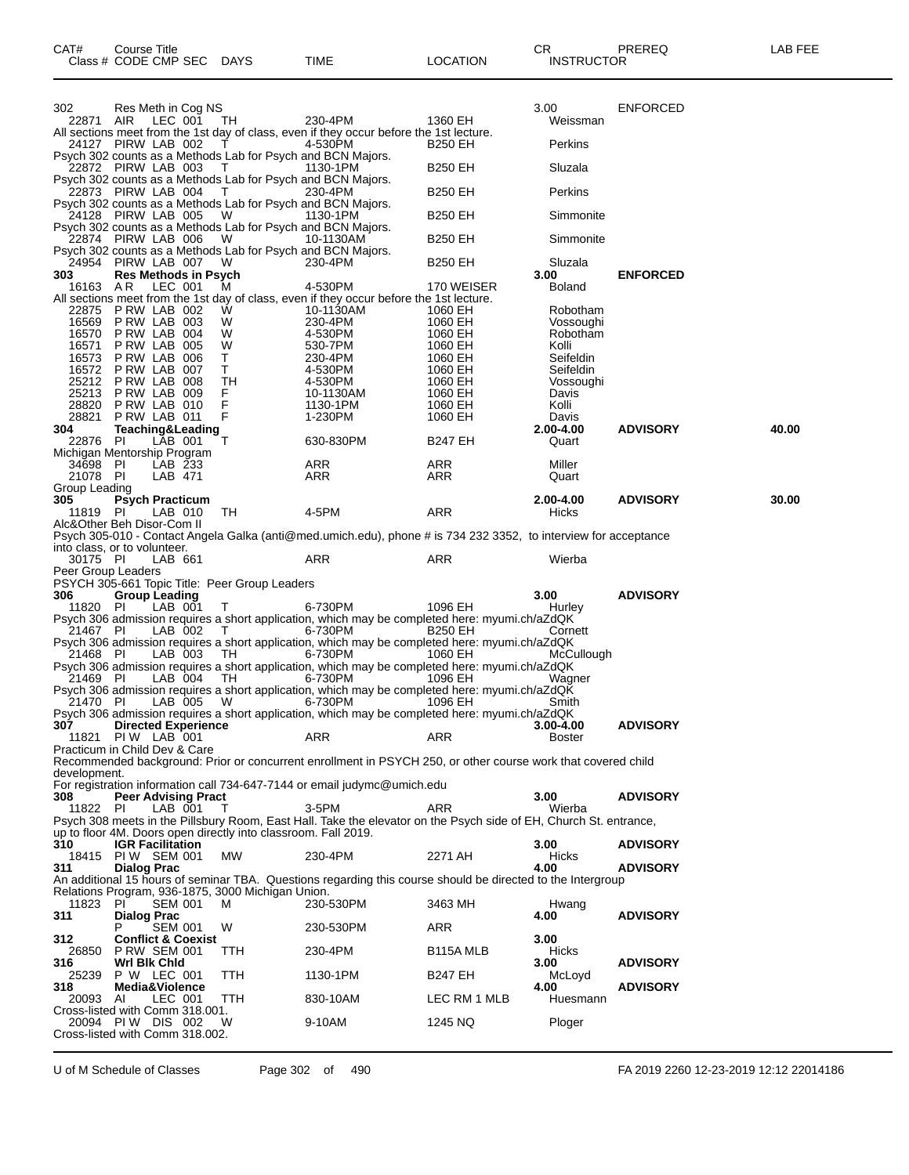| CAT#                      | Course Title<br>Class # CODE CMP SEC DAYS                                                 |              | TIME                                                                                                                       | <b>LOCATION</b>           | CR<br><b>INSTRUCTOR</b>    | PREREQ          | LAB FEE |
|---------------------------|-------------------------------------------------------------------------------------------|--------------|----------------------------------------------------------------------------------------------------------------------------|---------------------------|----------------------------|-----------------|---------|
| 302                       | Res Meth in Cog NS                                                                        |              |                                                                                                                            |                           | 3.00                       | <b>ENFORCED</b> |         |
| 22871 AIR                 | LEC 001                                                                                   | TH           | 230-4PM<br>All sections meet from the 1st day of class, even if they occur before the 1st lecture.                         | 1360 EH                   | Weissman                   |                 |         |
|                           | 24127 PIRW LAB 002<br>Psych 302 counts as a Methods Lab for Psych and BCN Majors.         | T.           | 4-530PM                                                                                                                    | <b>B250 EH</b>            | Perkins                    |                 |         |
|                           | 22872 PIRW LAB 003<br>Psych 302 counts as a Methods Lab for Psych and BCN Majors.         | $\top$       | 1130-1PM                                                                                                                   | <b>B250 EH</b>            | Sluzala                    |                 |         |
|                           | 22873 PIRW LAB 004<br>Psych 302 counts as a Methods Lab for Psych and BCN Majors.         | T            | 230-4PM                                                                                                                    | <b>B250 EH</b>            | Perkins                    |                 |         |
|                           | 24128 PIRW LAB 005<br>Psych 302 counts as a Methods Lab for Psych and BCN Majors.         | W            | 1130-1PM                                                                                                                   | <b>B250 EH</b>            | Simmonite                  |                 |         |
|                           | 22874 PIRW LAB 006<br>Psych 302 counts as a Methods Lab for Psych and BCN Majors.         | - W          | 10-1130AM                                                                                                                  | B250 EH                   | Simmonite                  |                 |         |
|                           | 24954 PIRW LAB 007                                                                        | - W          | 230-4PM                                                                                                                    | <b>B250 EH</b>            | Sluzala                    |                 |         |
| 303<br>16163 AR           | <b>Res Methods in Psych</b><br>LEC 001                                                    | M            | 4-530PM                                                                                                                    | 170 WEISER                | 3.00<br>Boland             | <b>ENFORCED</b> |         |
|                           | 22875 P RW LAB 002                                                                        | W            | All sections meet from the 1st day of class, even if they occur before the 1st lecture.<br>10-1130AM                       | 1060 EH                   | Robotham                   |                 |         |
| 16570                     | 16569 P RW LAB 003<br>PRW LAB 004                                                         | W<br>W       | 230-4PM<br>4-530PM                                                                                                         | 1060 EH<br>1060 EH        | Vossoughi<br>Robotham      |                 |         |
| 16571<br>16573            | PRW LAB 005<br>PRW LAB 006                                                                | W<br>T.      | 530-7PM                                                                                                                    | 1060 EH                   | Kolli                      |                 |         |
| 16572                     | PRW LAB 007                                                                               | T.           | 230-4PM<br>4-530PM                                                                                                         | 1060 EH<br>1060 EH        | Seifeldin<br>Seifeldin     |                 |         |
|                           | 25212 PRW LAB 008                                                                         | TН           | 4-530PM                                                                                                                    | 1060 EH                   | Vossoughi                  |                 |         |
|                           | 25213 P RW LAB 009                                                                        | F.           | 10-1130AM                                                                                                                  | 1060 EH                   | Davis                      |                 |         |
| 28820                     | PRW LAB 010<br>28821 P RW LAB 011                                                         | F<br>F       | 1130-1PM<br>1-230PM                                                                                                        | 1060 EH<br>1060 EH        | Kolli<br>Davis             |                 |         |
| 304                       | Teaching&Leading                                                                          |              |                                                                                                                            |                           | 2.00-4.00                  | <b>ADVISORY</b> | 40.00   |
| 22876 PI                  | LAB 001<br>Michigan Mentorship Program                                                    | т            | 630-830PM                                                                                                                  | <b>B247 EH</b>            | Quart                      |                 |         |
| 34698 PI                  | LAB 233                                                                                   |              | ARR                                                                                                                        | ARR                       | Miller                     |                 |         |
| 21078 PI<br>Group Leading | LAB 471                                                                                   |              | ARR                                                                                                                        | ARR                       | Quart                      |                 |         |
| 305.                      | <b>Psych Practicum</b>                                                                    |              |                                                                                                                            |                           | 2.00-4.00                  | <b>ADVISORY</b> | 30.00   |
| 11819 PI                  | LAB 010<br>Alc&Other Beh Disor-Com II                                                     | TH           | 4-5PM                                                                                                                      | ARR                       | Hicks                      |                 |         |
|                           | into class, or to volunteer.                                                              |              | Psych 305-010 - Contact Angela Galka (anti@med.umich.edu), phone # is 734 232 3352, to interview for acceptance            |                           |                            |                 |         |
| 30175 PI                  | LAB 661                                                                                   |              | ARR                                                                                                                        | ARR                       | Wierba                     |                 |         |
|                           | Peer Group Leaders<br>PSYCH 305-661 Topic Title: Peer Group Leaders                       |              |                                                                                                                            |                           |                            |                 |         |
| 306                       | <b>Group Leading</b>                                                                      |              |                                                                                                                            |                           | 3.00                       | <b>ADVISORY</b> |         |
| 11820 PI<br>21467 PI      | LAB 001<br>LAB 002                                                                        | T.<br>$\top$ | 6-730PM<br>Psych 306 admission requires a short application, which may be completed here: myumi.ch/aZdQK<br>6-730PM        | 1096 EH<br><b>B250 EH</b> | Hurley<br>Cornett          |                 |         |
|                           |                                                                                           |              | Psych 306 admission requires a short application, which may be completed here: myumi.ch/aZdQK                              |                           |                            |                 |         |
| 21468 PI                  | LAB 003                                                                                   | TH.          | 6-730PM<br>Psych 306 admission requires a short application, which may be completed here: myumi.ch/aZdQK                   | 1060 EH                   | McCullough                 |                 |         |
| 21469 PI                  | LAB 004                                                                                   | TH.          | 6-730PM<br>Psych 306 admission requires a short application, which may be completed here: myumi.ch/aZdQK                   | 1096 EH                   | Wagner                     |                 |         |
| 21470 PI                  | LAB 005                                                                                   | W            | 6-730PM                                                                                                                    | 1096 EH                   | Smith                      |                 |         |
| 307<br>11821              | <b>Directed Experience</b><br>PIW LAB 001                                                 |              | Psych 306 admission requires a short application, which may be completed here: myumi.ch/aZdQK<br><b>ARR</b>                | <b>ARR</b>                | 3.00-4.00<br><b>Boster</b> | <b>ADVISORY</b> |         |
|                           | Practicum in Child Dev & Care                                                             |              | Recommended background: Prior or concurrent enrollment in PSYCH 250, or other course work that covered child               |                           |                            |                 |         |
| development.              |                                                                                           |              | For registration information call 734-647-7144 or email judymc@umich.edu                                                   |                           |                            |                 |         |
| 308                       | <b>Peer Advising Pract</b>                                                                |              |                                                                                                                            |                           | 3.00                       | <b>ADVISORY</b> |         |
| 11822                     | PI<br>LAB 001                                                                             |              | 3-5PM<br>Psych 308 meets in the Pillsbury Room, East Hall. Take the elevator on the Psych side of EH, Church St. entrance, | <b>ARR</b>                | Wierba                     |                 |         |
| 310                       | up to floor 4M. Doors open directly into classroom. Fall 2019.<br><b>IGR Facilitation</b> |              |                                                                                                                            |                           | 3.00                       | <b>ADVISORY</b> |         |
| 311                       | 18415 PIW SEM 001<br>Dialog Prac                                                          | MW           | 230-4PM                                                                                                                    | 2271 AH                   | <b>Hicks</b><br>4.00       | <b>ADVISORY</b> |         |

An additional 15 hours of seminar TBA. Questions regarding this course should be directed to the Intergroup Relations Program, 936-1875, 3000 Michigan Union.

| 11823                           | PI                            | <b>SEM 001</b> | M          | 230-530PM | 3463 MH                | Hwang        |                 |
|---------------------------------|-------------------------------|----------------|------------|-----------|------------------------|--------------|-----------------|
| 311                             | <b>Dialog Prac</b>            |                |            |           |                        | 4.00         | <b>ADVISORY</b> |
|                                 | P                             | <b>SEM 001</b> | W          | 230-530PM | ARR                    |              |                 |
| 312                             | <b>Conflict &amp; Coexist</b> |                |            |           |                        | 3.00         |                 |
| 26850                           | <b>P RW SEM 001</b>           |                | ттн        | 230-4PM   | B <sub>115</sub> A MLB | <b>Hicks</b> |                 |
| 316                             | Wrl Blk Chid                  |                |            |           |                        | 3.00         | <b>ADVISORY</b> |
| 25239                           | P W                           | LEC 001        | <b>TTH</b> | 1130-1PM  | <b>B247 EH</b>         | McLoyd       |                 |
| 318                             | Media&Violence                |                |            |           |                        | 4.00         | <b>ADVISORY</b> |
| 20093                           | Al                            | LEC 001        | TTH        | 830-10AM  | LEC RM 1 MLB           | Huesmann     |                 |
| Cross-listed with Comm 318,001. |                               |                |            |           |                        |              |                 |
| 20094                           | PI W<br>DIS                   | 002            | W          | 9-10AM    | 1245 NQ                | Ploger       |                 |
| Cross-listed with Comm 318,002. |                               |                |            |           |                        |              |                 |
|                                 |                               |                |            |           |                        |              |                 |

U of M Schedule of Classes Page 302 of 490 FA 2019 2260 12-23-2019 12:12 22014186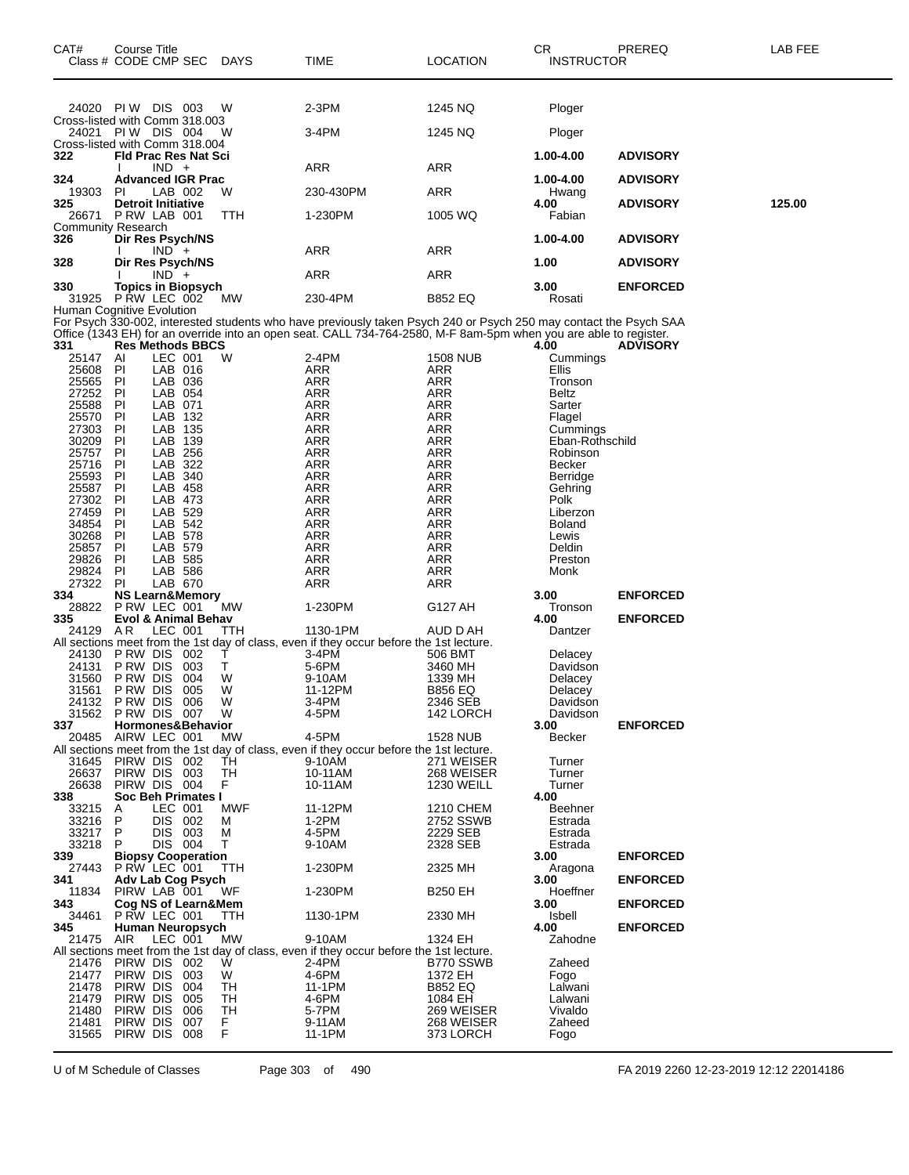| CAT#<br>Class # CODE CMP SEC DAYS                   | Course Title                        |                    |                                |            | TIME                                                                                                                                                                                                                                   | <b>LOCATION</b>           | СR<br><b>INSTRUCTOR</b>   | PREREQ          | <b>LAB FEE</b> |
|-----------------------------------------------------|-------------------------------------|--------------------|--------------------------------|------------|----------------------------------------------------------------------------------------------------------------------------------------------------------------------------------------------------------------------------------------|---------------------------|---------------------------|-----------------|----------------|
| 24020 PIW DIS 003                                   |                                     |                    |                                | W          | 2-3PM                                                                                                                                                                                                                                  | 1245 NQ                   | Ploger                    |                 |                |
| Cross-listed with Comm 318.003<br>24021 PIW DIS 004 |                                     |                    |                                | w          | 3-4PM                                                                                                                                                                                                                                  | 1245 NQ                   | Ploger                    |                 |                |
| Cross-listed with Comm 318.004<br>322               |                                     |                    | <b>Fld Prac Res Nat Sci</b>    |            |                                                                                                                                                                                                                                        |                           | 1.00-4.00                 | <b>ADVISORY</b> |                |
|                                                     |                                     | $IND +$            |                                |            | ARR                                                                                                                                                                                                                                    | ARR                       |                           |                 |                |
| 324<br>19303                                        | PI                                  | LAB 002            | <b>Advanced IGR Prac</b>       | W          | 230-430PM                                                                                                                                                                                                                              | ARR                       | 1.00-4.00<br>Hwang        | <b>ADVISORY</b> |                |
| 325                                                 | <b>Detroit Initiative</b>           |                    |                                |            |                                                                                                                                                                                                                                        |                           | 4.00                      | <b>ADVISORY</b> | 125.00         |
| 26671<br><b>Community Research</b>                  | PRW LAB 001                         |                    |                                | TTH        | 1-230PM                                                                                                                                                                                                                                | 1005 WQ                   | Fabian                    |                 |                |
| 326                                                 |                                     | $IND +$            | Dir Res Psych/NS               |            | ARR                                                                                                                                                                                                                                    | ARR                       | 1.00-4.00                 | <b>ADVISORY</b> |                |
| 328                                                 |                                     |                    | Dir Res Psych/NS               |            |                                                                                                                                                                                                                                        |                           | 1.00                      | <b>ADVISORY</b> |                |
| 330                                                 |                                     | $IND +$            | <b>Topics in Biopsych</b>      |            | <b>ARR</b>                                                                                                                                                                                                                             | ARR                       | 3.00                      | <b>ENFORCED</b> |                |
| 31925<br>Human Cognitive Evolution                  | P RW LEC 002                        |                    |                                | МW         | 230-4PM                                                                                                                                                                                                                                | <b>B852 EQ</b>            | Rosati                    |                 |                |
| 331                                                 |                                     |                    | <b>Res Methods BBCS</b>        |            | For Psych 330-002, interested students who have previously taken Psych 240 or Psych 250 may contact the Psych SAA<br>Office (1343 EH) for an override into an open seat. CALL 734-764-2580, M-F 8am-5pm when you are able to register. |                           | 4.00                      | <b>ADVISORY</b> |                |
| 25147<br>25608                                      | AI<br>PI                            | LEC 001<br>LAB 016 |                                | W          | 2-4PM<br><b>ARR</b>                                                                                                                                                                                                                    | <b>1508 NUB</b><br>ARR    | Cummings<br>Ellis         |                 |                |
| 25565<br>27252                                      | PI<br>PI                            | LAB 036<br>LAB 054 |                                |            | ARR<br><b>ARR</b>                                                                                                                                                                                                                      | ARR<br>ARR                | Tronson<br><b>Beltz</b>   |                 |                |
| 25588                                               | ΡI                                  | LAB 071            |                                |            | <b>ARR</b>                                                                                                                                                                                                                             | ARR                       | Sarter                    |                 |                |
| 25570<br>27303                                      | PI<br>PI                            | LAB 132<br>LAB 135 |                                |            | ARR<br>ARR                                                                                                                                                                                                                             | ARR<br>ARR                | Flagel<br>Cummings        |                 |                |
| 30209                                               | ΡI                                  | LAB 139            |                                |            | <b>ARR</b>                                                                                                                                                                                                                             | ARR                       | Eban-Rothschild           |                 |                |
| 25757<br>25716                                      | PI<br>PI                            | LAB 256<br>LAB 322 |                                |            | ARR<br><b>ARR</b>                                                                                                                                                                                                                      | ARR<br>ARR                | Robinson<br><b>Becker</b> |                 |                |
| 25593                                               | ΡI                                  | LAB 340            |                                |            | <b>ARR</b>                                                                                                                                                                                                                             | <b>ARR</b>                | Berridge                  |                 |                |
| 25587<br>27302                                      | PI<br>ΡI                            | LAB 458<br>LAB 473 |                                |            | ARR<br><b>ARR</b>                                                                                                                                                                                                                      | ARR<br>ARR                | Gehring<br>Polk           |                 |                |
| 27459<br>34854                                      | ΡI<br>PI                            | LAB 529<br>LAB 542 |                                |            | <b>ARR</b><br>ARR                                                                                                                                                                                                                      | <b>ARR</b><br>ARR         | Liberzon<br><b>Boland</b> |                 |                |
| 30268                                               | PI                                  | LAB 578            |                                |            | <b>ARR</b>                                                                                                                                                                                                                             | ARR                       | Lewis                     |                 |                |
| 25857<br>29826                                      | ΡI<br><b>PI</b>                     | LAB 579<br>LAB 585 |                                |            | <b>ARR</b><br>ARR                                                                                                                                                                                                                      | <b>ARR</b><br>ARR         | Deldin<br>Preston         |                 |                |
| 29824                                               | PI                                  | LAB 586            |                                |            | ARR                                                                                                                                                                                                                                    | ARR                       | Monk                      |                 |                |
| 27322<br>334                                        | PI                                  | LAB 670            | <b>NS Learn&amp;Memory</b>     |            | <b>ARR</b>                                                                                                                                                                                                                             | ARR                       | 3.00                      | <b>ENFORCED</b> |                |
| 28822<br>335                                        | P RW LEC 001                        |                    | <b>Evol &amp; Animal Behav</b> | <b>MW</b>  | 1-230PM                                                                                                                                                                                                                                | G127 AH                   | Tronson<br>4.00           | <b>ENFORCED</b> |                |
| 24129 AR                                            |                                     | LEC 001            |                                | TTH        | 1130-1PM                                                                                                                                                                                                                               | AUD D AH                  | Dantzer                   |                 |                |
| 24130                                               | PRW DIS 002                         |                    |                                | Т          | All sections meet from the 1st day of class, even if they occur before the 1st lecture.<br>3-4PM                                                                                                                                       | 506 BMT                   | Delacey                   |                 |                |
| 24131                                               | P RW DIS                            |                    | 003                            | т          | 5-6PM<br>9-10AM                                                                                                                                                                                                                        | 3460 MH                   | Davidson                  |                 |                |
| 31560<br>31561                                      | P RW DIS<br>P RW DIS                |                    | 004<br>005                     | W<br>W     | 11-12PM                                                                                                                                                                                                                                | 1339 MH<br><b>B856 EQ</b> | Delacey<br>Delacey        |                 |                |
| 24132<br>31562 P RW DIS 007                         | P RW DIS                            |                    | 006                            | W<br>W     | 3-4PM<br>4-5PM                                                                                                                                                                                                                         | 2346 SEB<br>142 LORCH     | Davidson<br>Davidson      |                 |                |
| 337                                                 |                                     |                    | Hormones&Behavior              |            |                                                                                                                                                                                                                                        |                           | 3.00                      | <b>ENFORCED</b> |                |
| 20485                                               | AIRW LEC 001                        |                    |                                | МW         | 4-5PM<br>All sections meet from the 1st day of class, even if they occur before the 1st lecture.                                                                                                                                       | <b>1528 NUB</b>           | Becker                    |                 |                |
| 31645<br>26637                                      | PIRW DIS 002<br>PIRW DIS 003        |                    |                                | TH<br>TH   | 9-10AM<br>10-11AM                                                                                                                                                                                                                      | 271 WEISER<br>268 WEISER  | Turner<br>Turner          |                 |                |
| 26638                                               | PIRW DIS 004                        |                    |                                | F          | 10-11AM                                                                                                                                                                                                                                | <b>1230 WEILL</b>         | Turner                    |                 |                |
| 338<br>33215                                        | Α                                   | LEC 001            | Soc Beh Primates I             | <b>MWF</b> | 11-12PM                                                                                                                                                                                                                                | 1210 CHEM                 | 4.00<br>Beehner           |                 |                |
| 33216                                               | P                                   | DIS 002            |                                | М          | $1-2PM$                                                                                                                                                                                                                                | 2752 SSWB                 | Estrada                   |                 |                |
| 33217<br>33218                                      | P<br>P.                             | DIS 003<br>DIS 004 |                                | M<br>т     | 4-5PM<br>9-10AM                                                                                                                                                                                                                        | 2229 SEB<br>2328 SEB      | Estrada<br>Estrada        |                 |                |
| 339<br>27443                                        | P RW LEC 001                        |                    | <b>Biopsy Cooperation</b>      | TTH        | 1-230PM                                                                                                                                                                                                                                | 2325 MH                   | 3.00<br>Aragona           | <b>ENFORCED</b> |                |
| 341                                                 |                                     |                    | Adv Lab Cog Psych              |            |                                                                                                                                                                                                                                        |                           | 3.00                      | <b>ENFORCED</b> |                |
| 11834<br>343                                        | PIRW LAB 001<br>Cog NS of Learn&Mem |                    |                                | WF         | 1-230PM                                                                                                                                                                                                                                | <b>B250 EH</b>            | Hoeffner<br>3.00          | <b>ENFORCED</b> |                |
| 34461                                               | P RW LEC 001                        |                    |                                | TTH        | 1130-1PM                                                                                                                                                                                                                               | 2330 MH                   | Isbell                    |                 |                |
| 345<br>21475                                        | AIR                                 | LEC 001            | Human Neuropsych               | МW         | 9-10AM                                                                                                                                                                                                                                 | 1324 EH                   | 4.00<br>Zahodne           | <b>ENFORCED</b> |                |
| 21476                                               | PIRW DIS 002                        |                    |                                | W          | All sections meet from the 1st day of class, even if they occur before the 1st lecture.<br>2-4PM                                                                                                                                       | B770 SSWB                 | Zaheed                    |                 |                |
| 21477                                               | PIRW DIS                            |                    | 003                            | W          | 4-6PM                                                                                                                                                                                                                                  | 1372 EH                   | Fogo                      |                 |                |
| 21478<br>21479                                      | PIRW DIS<br>PIRW DIS                |                    | 004<br>005                     | TН<br>TН   | 11-1PM<br>4-6PM                                                                                                                                                                                                                        | <b>B852 EQ</b><br>1084 EH | Lalwani<br>Lalwani        |                 |                |
| 21480                                               | PIRW DIS                            |                    | 006                            | TН         | 5-7PM                                                                                                                                                                                                                                  | 269 WEISER                | Vivaldo                   |                 |                |
| 21481<br>31565                                      | PIRW DIS<br>PIRW DIS 008            |                    | 007                            | F.<br>F    | 9-11AM<br>11-1PM                                                                                                                                                                                                                       | 268 WEISER<br>373 LORCH   | Zaheed<br>Fogo            |                 |                |

U of M Schedule of Classes Page 303 of 490 FA 2019 2260 12-23-2019 12:12 22014186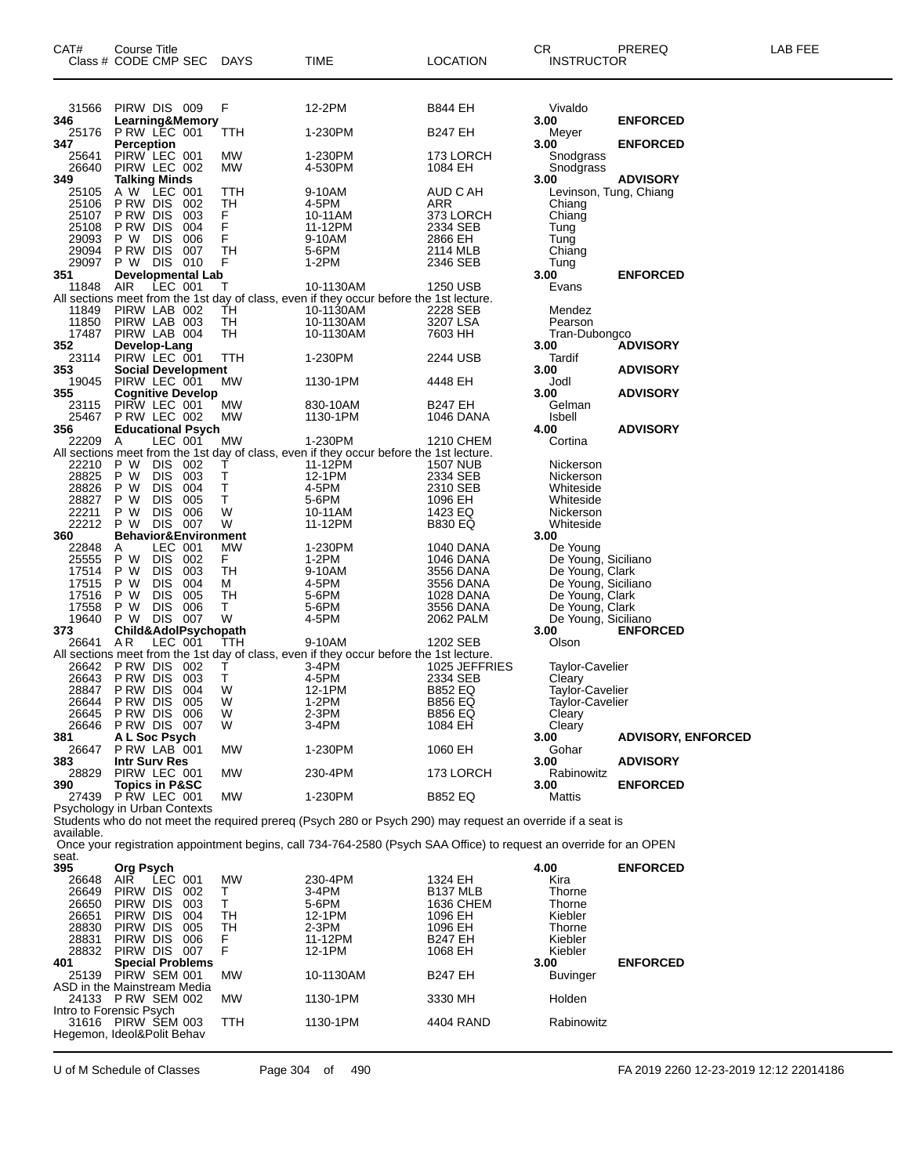| CAT#<br>Class # CODE CMP SEC                                                | Course Title                                      |                    |                           | <b>DAYS</b>     | TIME                                                                                                               | <b>LOCATION</b>                  | CR<br><b>INSTRUCTOR</b>                          | PREREQ                    | LAB FEE |
|-----------------------------------------------------------------------------|---------------------------------------------------|--------------------|---------------------------|-----------------|--------------------------------------------------------------------------------------------------------------------|----------------------------------|--------------------------------------------------|---------------------------|---------|
| 31566                                                                       | PIRW DIS 009                                      |                    |                           | F               | 12-2PM                                                                                                             | <b>B844 EH</b>                   | Vivaldo                                          |                           |         |
| 346<br>25176                                                                | <b>P RW LEC 001</b>                               |                    | Learning&Memory           | TTH             | 1-230PM                                                                                                            | <b>B247 EH</b>                   | 3.00<br>Meyer                                    | <b>ENFORCED</b>           |         |
| 347<br>25641<br>26640                                                       | <b>Perception</b><br>PIRW LEC 001<br>PIRW LEC 002 |                    |                           | МW<br><b>MW</b> | 1-230PM<br>4-530PM                                                                                                 | 173 LORCH<br>1084 EH             | 3.00<br>Snodgrass<br>Snodgrass                   | <b>ENFORCED</b>           |         |
| 349<br>25105                                                                | <b>Talking Minds</b><br>A W LEC 001               |                    |                           | TTH             | 9-10AM                                                                                                             | AUD C AH                         | 3.00<br>Levinson, Tung, Chiang                   | <b>ADVISORY</b>           |         |
| 25106                                                                       | PRW DIS<br>P RW DIS                               |                    | 002<br>003                | TH<br>F         | 4-5PM                                                                                                              | ARR                              | Chiang                                           |                           |         |
| 25107<br>25108                                                              | P RW DIS                                          |                    | 004                       | F               | 10-11AM<br>11-12PM                                                                                                 | 373 LORCH<br>2334 SEB            | Chiang<br>Tung                                   |                           |         |
| 29093<br>29094                                                              | P W<br>P RW DIS                                   | <b>DIS</b>         | 006<br>007                | F<br>TН         | 9-10AM<br>5-6PM                                                                                                    | 2866 EH<br>2114 MLB              | Tung<br>Chiang                                   |                           |         |
| 29097<br>351                                                                | P W DIS 010                                       |                    | <b>Developmental Lab</b>  | F               | 1-2PM                                                                                                              | 2346 SEB                         | Tung<br>3.00                                     | <b>ENFORCED</b>           |         |
| 11848                                                                       | <b>AIR</b>                                        | LEC 001            |                           | т               | 10-1130AM<br>All sections meet from the 1st day of class, even if they occur before the 1st lecture.               | 1250 USB                         | Evans                                            |                           |         |
| 11849<br>11850                                                              | PIRW LAB 002<br>PIRW LAB 003                      |                    |                           | ŤН<br>TН        | 10-1130AM<br>10-1130AM                                                                                             | 2228 SEB<br>3207 LSA             | Mendez<br>Pearson                                |                           |         |
| 17487                                                                       | PIRW LAB 004                                      |                    |                           | TH              | 10-1130AM                                                                                                          | 7603 HH                          | Tran-Dubongco                                    |                           |         |
| 352<br>23114                                                                | Develop-Lang<br>PIRW LEC 001                      |                    |                           | ттн             | 1-230PM                                                                                                            | 2244 USB                         | 3.00<br>Tardif                                   | <b>ADVISORY</b>           |         |
| 353<br>19045                                                                | PIRW LEC 001                                      |                    | <b>Social Development</b> | МW              | 1130-1PM                                                                                                           | 4448 EH                          | 3.00<br>Jodl                                     | <b>ADVISORY</b>           |         |
| 355<br>23115                                                                | PIRW LEC 001                                      |                    | <b>Cognitive Develop</b>  | МW              | 830-10AM                                                                                                           | B247 EH                          | 3.00<br>Gelman                                   | <b>ADVISORY</b>           |         |
| 25467<br>356                                                                | <b>P RW LEC 002</b>                               |                    | <b>Educational Psych</b>  | МW              | 1130-1PM                                                                                                           | 1046 DANA                        | Isbell<br>4.00                                   | <b>ADVISORY</b>           |         |
| 22209                                                                       | A                                                 |                    | LEC 001                   | МW              | 1-230PM                                                                                                            | 1210 CHEM                        | Cortina                                          |                           |         |
| 22210                                                                       | P W                                               | DIS 002            |                           | Τ               | All sections meet from the 1st day of class, even if they occur before the 1st lecture.<br>11-12PM                 | 1507 NUB                         | Nickerson                                        |                           |         |
| 28825<br>28826                                                              | P W<br>P W                                        | DIS.<br><b>DIS</b> | 003<br>004                | т<br>T.         | 12-1PM<br>4-5PM                                                                                                    | 2334 SEB<br>2310 SEB             | Nickerson<br>Whiteside                           |                           |         |
| 28827<br>22211                                                              | P W<br>P W                                        | <b>DIS</b><br>DIS. | 005<br>006                | Τ<br>W          | 5-6PM<br>10-11AM                                                                                                   | 1096 EH<br>1423 EQ               | Whiteside<br>Nickerson                           |                           |         |
| 22212<br>360                                                                | P W                                               | <b>DIS 007</b>     | Behavior&Environment      | W               | 11-12PM                                                                                                            | <b>B830 EQ</b>                   | Whiteside<br>3.00                                |                           |         |
| 22848                                                                       | A                                                 | LEC 001            |                           | MW              | 1-230PM                                                                                                            | 1040 DANA                        | De Young                                         |                           |         |
| 25555<br>17514                                                              | P W<br>P W                                        | DIS.<br>DIS.       | 002<br>003                | F.<br>TН        | $1-2PM$<br>9-10AM                                                                                                  | 1046 DANA<br>3556 DANA           | De Young, Siciliano<br>De Young, Clark           |                           |         |
| 17515<br>17516                                                              | P W<br>P W                                        | DIS.<br><b>DIS</b> | 004<br>005                | м<br>TН         | 4-5PM<br>5-6PM                                                                                                     | 3556 DANA<br>1028 DANA           | De Young, Siciliano<br>De Young, Clark           |                           |         |
| 17558<br>19640                                                              | P W<br>P W DIS 007                                | <b>DIS</b>         | 006                       | T.<br>W         | 5-6PM<br>4-5PM                                                                                                     | 3556 DANA<br>2062 PALM           | De Young, Clark<br>De Young, Siciliano           |                           |         |
| 373<br>26641                                                                | AR                                                | LEC 001            | Child&AdolPsychopath      | TTH             | 9-10AM                                                                                                             | 1202 SEB                         | 3.00<br>Olson                                    | <b>ENFORCED</b>           |         |
|                                                                             |                                                   |                    |                           |                 | All sections meet from the 1st day of class, even if they occur before the 1st lecture.                            |                                  |                                                  |                           |         |
| 26642<br>26643                                                              | PRW DIS 002<br>P RW DIS                           |                    | 003                       | Т<br>Τ          | 3-4PM<br>4-5PM                                                                                                     | 1025 JEFFRIES<br>2334 SEB        | Taylor-Cavelier<br>Cleary                        |                           |         |
| 28847<br>26644                                                              | P RW DIS<br>P RW DIS                              |                    | 004<br>005                | W<br>W          | 12-1PM<br>1-2PM                                                                                                    | <b>B852 EQ</b><br><b>B856 EQ</b> | <b>Taylor-Cavelier</b><br><b>Taylor-Cavelier</b> |                           |         |
| 26645<br>26646                                                              | PRW DIS 006<br>PRW DIS 007                        |                    |                           | W<br>W          | 2-3PM<br>3-4PM                                                                                                     | <b>B856 EQ</b><br>1084 EH        | Cleary<br>Cleary                                 |                           |         |
| 381<br>26647                                                                | A L Soc Psych<br>PRW LAB 001                      |                    |                           | МW              | 1-230PM                                                                                                            | 1060 EH                          | 3.00<br>Gohar                                    | <b>ADVISORY, ENFORCED</b> |         |
| 383                                                                         | <b>Intr Surv Res</b>                              |                    |                           |                 |                                                                                                                    |                                  | 3.00                                             | <b>ADVISORY</b>           |         |
| 28829<br>390                                                                | PIRW LEC 001<br><b>Topics in P&amp;SC</b>         |                    |                           | МW              | 230-4PM                                                                                                            | 173 LORCH                        | Rabinowitz<br>3.00                               | <b>ENFORCED</b>           |         |
| Psychology in Urban Contexts                                                | 27439 PŘW LEC 001                                 |                    |                           | МW              | 1-230PM                                                                                                            | <b>B852 EQ</b>                   | Mattis                                           |                           |         |
| available.                                                                  |                                                   |                    |                           |                 | Students who do not meet the required prereq (Psych 280 or Psych 290) may request an override if a seat is         |                                  |                                                  |                           |         |
| seat.                                                                       |                                                   |                    |                           |                 | Once your registration appointment begins, call 734-764-2580 (Psych SAA Office) to request an override for an OPEN |                                  |                                                  |                           |         |
| 395                                                                         | Org Psych                                         |                    |                           |                 |                                                                                                                    |                                  | 4.00                                             | <b>ENFORCED</b>           |         |
| 26648<br>26649                                                              | AIR<br>PIRW DIS                                   | LEC 001            | 002                       | МW<br>Τ         | 230-4PM<br>3-4PM                                                                                                   | 1324 EH<br>B <sub>137</sub> MLB  | Kira<br>Thorne                                   |                           |         |
| 26650<br>26651                                                              | PIRW DIS<br>PIRW DIS                              |                    | 003<br>004                | T.<br>TН        | 5-6PM<br>12-1PM                                                                                                    | 1636 CHEM<br>1096 EH             | Thorne<br>Kiebler                                |                           |         |
| 28830<br>28831                                                              | PIRW DIS<br>PIRW DIS                              |                    | 005<br>006                | TН<br>F.        | 2-3PM<br>11-12PM                                                                                                   | 1096 EH<br><b>B247 EH</b>        | Thorne<br>Kiebler                                |                           |         |
| 28832<br>401                                                                | PIRW DIS 007                                      |                    | <b>Special Problems</b>   | F               | 12-1PM                                                                                                             | 1068 EH                          | Kiebler<br>3.00                                  | <b>ENFORCED</b>           |         |
|                                                                             | 25139 PIRW SEM 001                                |                    |                           | МW              | 10-1130AM                                                                                                          | <b>B247 EH</b>                   | Buvinger                                         |                           |         |
| ASD in the Mainstream Media<br>24133 P RW SEM 002                           |                                                   |                    |                           | МW              | 1130-1PM                                                                                                           | 3330 MH                          | Holden                                           |                           |         |
| Intro to Forensic Psych<br>31616 PIRW SEM 003<br>Hegemon, Ideol&Polit Behav |                                                   |                    |                           | TTH             | 1130-1PM                                                                                                           | 4404 RAND                        | Rabinowitz                                       |                           |         |
|                                                                             |                                                   |                    |                           |                 |                                                                                                                    |                                  |                                                  |                           |         |

U of M Schedule of Classes Page 304 of 490 FA 2019 2260 12-23-2019 12:12 22014186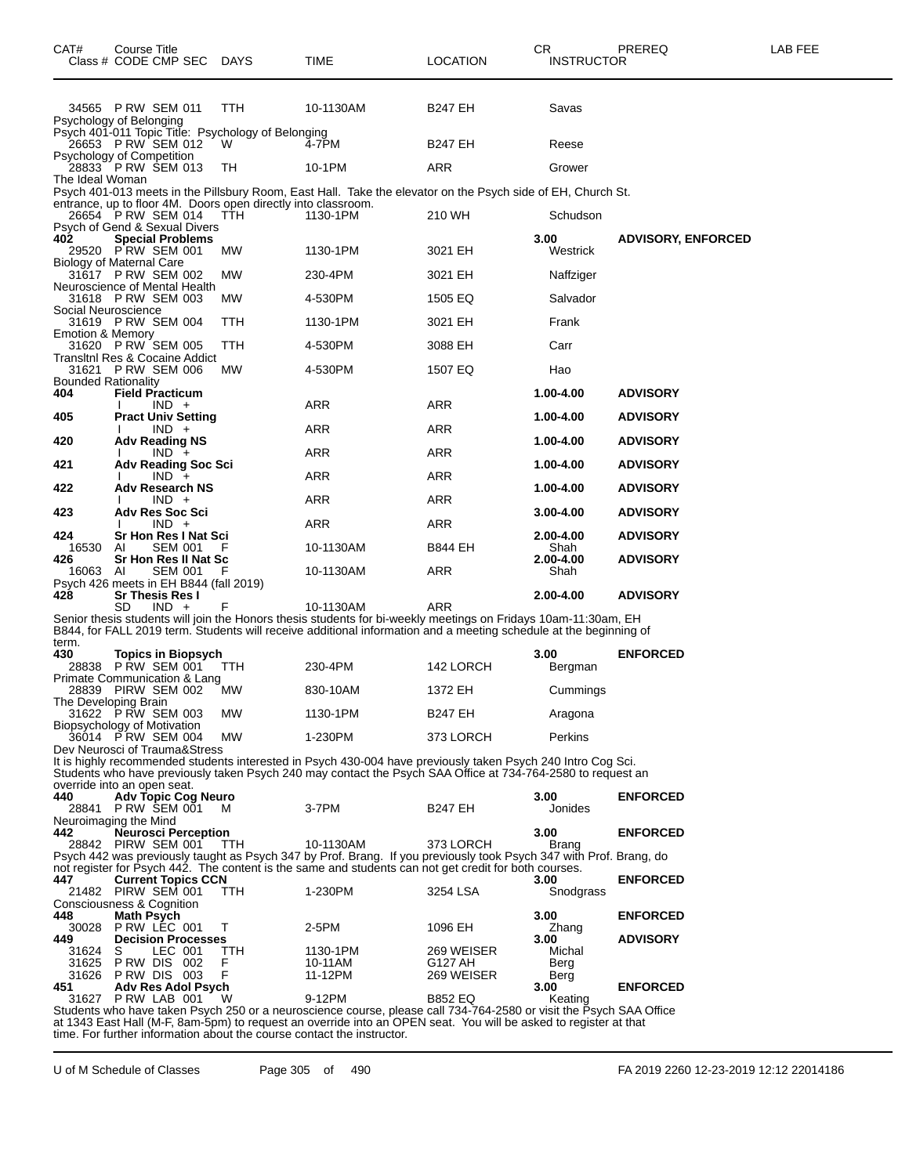| CAT#                            | Course Title      | Class # CODE CMP SEC                                             | <b>DAYS</b>                                                   | TIME                                                                                                                                                                                                                                   | <b>LOCATION</b>       | CR.<br><b>INSTRUCTOR</b> | PREREQ                    | LAB FEE |
|---------------------------------|-------------------|------------------------------------------------------------------|---------------------------------------------------------------|----------------------------------------------------------------------------------------------------------------------------------------------------------------------------------------------------------------------------------------|-----------------------|--------------------------|---------------------------|---------|
| Psychology of Belonging         |                   | 34565 PRW SEM 011                                                | TTH                                                           | 10-1130AM                                                                                                                                                                                                                              | <b>B247 EH</b>        | Savas                    |                           |         |
|                                 |                   | 26653 PRW SEM 012                                                | Psych 401-011 Topic Title: Psychology of Belonging<br>W       | 4-7PM                                                                                                                                                                                                                                  | <b>B247 EH</b>        | Reese                    |                           |         |
| Psychology of Competition       |                   | 28833 P RW SEM 013                                               | TН                                                            | 10-1PM                                                                                                                                                                                                                                 | <b>ARR</b>            | Grower                   |                           |         |
| The Ideal Woman                 |                   |                                                                  |                                                               |                                                                                                                                                                                                                                        |                       |                          |                           |         |
|                                 |                   |                                                                  | entrance, up to floor 4M. Doors open directly into classroom. | Psych 401-013 meets in the Pillsbury Room, East Hall. Take the elevator on the Psych side of EH, Church St.                                                                                                                            |                       |                          |                           |         |
|                                 |                   | 26654 P RW SEM 014<br>Psych of Gend & Sexual Divers              | <b>TTH</b>                                                    | 1130-1PM                                                                                                                                                                                                                               | 210 WH                | Schudson                 |                           |         |
| 402                             |                   | <b>Special Problems</b>                                          |                                                               |                                                                                                                                                                                                                                        |                       | 3.00                     | <b>ADVISORY, ENFORCED</b> |         |
| <b>Biology of Maternal Care</b> |                   | 29520 P RW SEM 001                                               | MW                                                            | 1130-1PM                                                                                                                                                                                                                               | 3021 EH               | Westrick                 |                           |         |
|                                 |                   | 31617 P RW SEM 002<br>Neuroscience of Mental Health              | МW                                                            | 230-4PM                                                                                                                                                                                                                                | 3021 EH               | Naffziger                |                           |         |
|                                 |                   | 31618 P RW SEM 003                                               | MW                                                            | 4-530PM                                                                                                                                                                                                                                | 1505 EQ               | Salvador                 |                           |         |
| Social Neuroscience             |                   | 31619 P RW SEM 004                                               | TTH                                                           | 1130-1PM                                                                                                                                                                                                                               | 3021 EH               | Frank                    |                           |         |
| Emotion & Memory                |                   | 31620 P RW SEM 005                                               | TTH                                                           | 4-530PM                                                                                                                                                                                                                                | 3088 EH               | Carr                     |                           |         |
|                                 |                   | Transitni Res & Cocaine Addict                                   |                                                               |                                                                                                                                                                                                                                        |                       |                          |                           |         |
| <b>Bounded Rationality</b>      |                   | 31621 P RW SEM 006                                               | MW                                                            | 4-530PM                                                                                                                                                                                                                                | 1507 EQ               | Hao                      |                           |         |
| 404                             |                   | <b>Field Practicum</b><br>$IND +$                                |                                                               | ARR                                                                                                                                                                                                                                    | <b>ARR</b>            | 1.00-4.00                | <b>ADVISORY</b>           |         |
| 405                             |                   | <b>Pract Univ Setting</b>                                        |                                                               |                                                                                                                                                                                                                                        |                       | 1.00-4.00                | <b>ADVISORY</b>           |         |
| 420                             |                   | $IND +$<br><b>Adv Reading NS</b>                                 |                                                               | ARR                                                                                                                                                                                                                                    | <b>ARR</b>            | 1.00-4.00                | <b>ADVISORY</b>           |         |
| 421                             |                   | $IND +$<br><b>Adv Reading Soc Sci</b>                            |                                                               | ARR                                                                                                                                                                                                                                    | ARR                   | 1.00-4.00                | <b>ADVISORY</b>           |         |
|                                 |                   | $IND +$                                                          |                                                               | ARR                                                                                                                                                                                                                                    | <b>ARR</b>            |                          |                           |         |
| 422                             |                   | <b>Adv Research NS</b><br>$IND +$                                |                                                               | ARR                                                                                                                                                                                                                                    | <b>ARR</b>            | 1.00-4.00                | <b>ADVISORY</b>           |         |
| 423                             |                   | Adv Res Soc Sci<br>$IND +$                                       |                                                               | ARR                                                                                                                                                                                                                                    | ARR                   | $3.00 - 4.00$            | <b>ADVISORY</b>           |         |
| 424                             |                   | Sr Hon Res I Nat Sci                                             |                                                               |                                                                                                                                                                                                                                        |                       | 2.00-4.00                | <b>ADVISORY</b>           |         |
| 16530<br>426                    | ΑI                | <b>SEM 001</b><br>Sr Hon Res II Nat Sc                           |                                                               | 10-1130AM                                                                                                                                                                                                                              | B844 EH               | Shah<br>2.00-4.00        | <b>ADVISORY</b>           |         |
| 16063                           | AI                | <b>SEM 001</b>                                                   |                                                               | 10-1130AM                                                                                                                                                                                                                              | ARR                   | Shah                     |                           |         |
| 428                             |                   | Psych 426 meets in EH B844 (fall 2019)<br><b>Sr Thesis Res I</b> |                                                               |                                                                                                                                                                                                                                        |                       | 2.00-4.00                | <b>ADVISORY</b>           |         |
|                                 | SD                | $IND +$                                                          |                                                               | 10-1130AM<br>Senior thesis students will join the Honors thesis students for bi-weekly meetings on Fridays 10am-11:30am, EH                                                                                                            | ARR                   |                          |                           |         |
|                                 |                   |                                                                  |                                                               | B844, for FALL 2019 term. Students will receive additional information and a meeting schedule at the beginning of                                                                                                                      |                       |                          |                           |         |
| term.<br>430                    |                   | <b>Topics in Biopsych</b>                                        |                                                               |                                                                                                                                                                                                                                        |                       | 3.00                     | <b>ENFORCED</b>           |         |
|                                 |                   | 28838 PRW SEM 001                                                | ттн                                                           | 230-4PM                                                                                                                                                                                                                                | 142 LORCH             | Bergman                  |                           |         |
|                                 |                   | Primate Communication & Lang<br>28839 PIRW SEM 002               | <b>MW</b>                                                     | 830-10AM                                                                                                                                                                                                                               | 1372 EH               | Cummings                 |                           |         |
| The Developing Brain            |                   | 31622 PRW SEM 003                                                | MW                                                            | 1130-1PM                                                                                                                                                                                                                               | <b>B247 EH</b>        | Aragona                  |                           |         |
| Biopsychology of Motivation     |                   |                                                                  |                                                               | 1-230PM                                                                                                                                                                                                                                |                       | Perkins                  |                           |         |
|                                 |                   | 36014 P RW SEM 004<br>Dev Neurosci of Trauma&Stress              | МW                                                            |                                                                                                                                                                                                                                        | 373 LORCH             |                          |                           |         |
|                                 |                   |                                                                  |                                                               | It is highly recommended students interested in Psych 430-004 have previously taken Psych 240 Intro Cog Sci.<br>Students who have previously taken Psych 240 may contact the Psych SAA Office at 734-764-2580 to request an            |                       |                          |                           |         |
| override into an open seat.     |                   |                                                                  |                                                               |                                                                                                                                                                                                                                        |                       |                          |                           |         |
| 440                             |                   | Adv Topic Cog Neuro<br>28841 PRW SEM 001                         | M                                                             | 3-7PM                                                                                                                                                                                                                                  | <b>B247 EH</b>        | 3.00<br>Jonides          | <b>ENFORCED</b>           |         |
| Neuroimaging the Mind<br>442    |                   | <b>Neurosci Perception</b>                                       |                                                               |                                                                                                                                                                                                                                        |                       | 3.00                     | <b>ENFORCED</b>           |         |
|                                 |                   | 28842 PIRW SEM 001                                               | TTH                                                           | 10-1130AM                                                                                                                                                                                                                              | 373 LORCH             | <b>Brang</b>             |                           |         |
|                                 |                   |                                                                  |                                                               | Psych 442 was previously taught as Psych 347 by Prof. Brang. If you previously took Psych 347 with Prof. Brang, do<br>not register for Psych 442. The content is the same and students can not get credit for both courses.            |                       |                          |                           |         |
| 447                             |                   | <b>Current Topics CCN</b><br>21482 PIRW SEM 001                  |                                                               |                                                                                                                                                                                                                                        |                       | 3.00                     | <b>ENFORCED</b>           |         |
| Consciousness & Cognition       |                   |                                                                  | TTH                                                           | 1-230PM                                                                                                                                                                                                                                | 3254 LSA              | Snodgrass                |                           |         |
| 448<br>30028                    | <b>Math Psych</b> | PRW LEC 001                                                      | Τ                                                             | 2-5PM                                                                                                                                                                                                                                  | 1096 EH               | 3.00<br>Zhang            | <b>ENFORCED</b>           |         |
| 449                             |                   | <b>Decision Processes</b>                                        |                                                               |                                                                                                                                                                                                                                        |                       | 3.00                     | <b>ADVISORY</b>           |         |
| 31624<br>31625                  | S                 | LEC 001<br>PRW DIS 002                                           | TTH<br>F                                                      | 1130-1PM<br>10-11AM                                                                                                                                                                                                                    | 269 WEISER<br>G127 AH | Michal<br>Berg           |                           |         |
| 451                             |                   | 31626 PRW DIS 003<br><b>Adv Res Adol Psych</b>                   | F                                                             | 11-12PM                                                                                                                                                                                                                                | 269 WEISER            | Berg<br>3.00             | <b>ENFORCED</b>           |         |
| 31627                           |                   | PRW LAB 001                                                      | w                                                             | 9-12PM                                                                                                                                                                                                                                 | <b>B852 EQ</b>        | Keating                  |                           |         |
|                                 |                   |                                                                  |                                                               | Students who have taken Psych 250 or a neuroscience course, please call 734-764-2580 or visit the Psych SAA Office<br>at 1343 East Hall (M-F, 8am-5pm) to request an override into an OPEN seat. You will be asked to register at that |                       |                          |                           |         |

time. For further information about the course contact the instructor.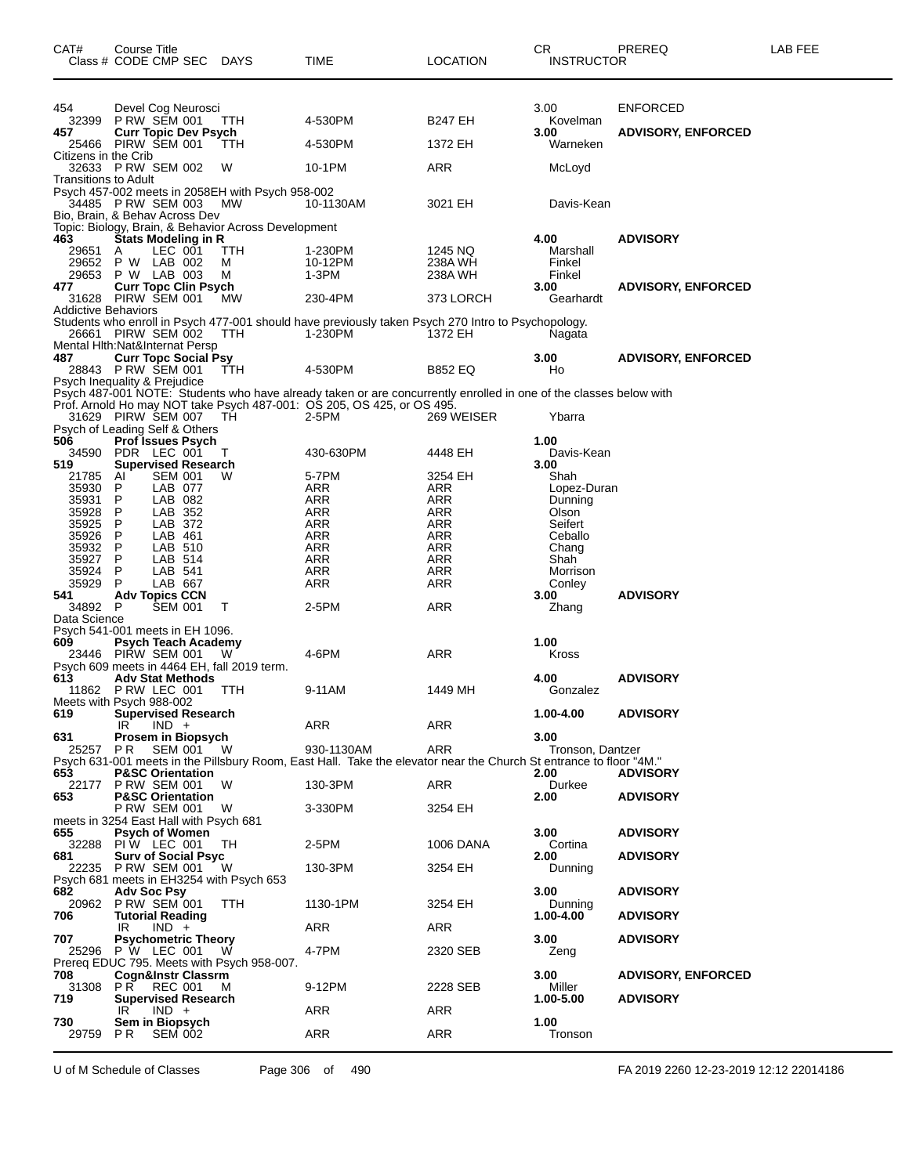| CAT#                                   | Course Title       | Class # CODE CMP SEC DAYS                          |                                                        | TIME                                                                                                               | <b>LOCATION</b>       | СR<br><b>INSTRUCTOR</b> | PREREQ                    | LAB FEE |
|----------------------------------------|--------------------|----------------------------------------------------|--------------------------------------------------------|--------------------------------------------------------------------------------------------------------------------|-----------------------|-------------------------|---------------------------|---------|
| 454<br>32399                           |                    | Devel Cog Neurosci<br>P RW SEM 001                 | ттн                                                    | 4-530PM                                                                                                            | <b>B247 EH</b>        | 3.00<br>Kovelman        | <b>ENFORCED</b>           |         |
| 457                                    |                    | <b>Curr Topic Dev Psych</b><br>25466 PIRW SEM 001  | ттн                                                    | 4-530PM                                                                                                            | 1372 EH               | 3.00<br>Warneken        | <b>ADVISORY, ENFORCED</b> |         |
| Citizens in the Crib                   |                    | 32633 PRW SEM 002                                  | W                                                      | 10-1PM                                                                                                             | ARR                   | McLoyd                  |                           |         |
| Transitions to Adult                   |                    | 34485 P RW SEM 003                                 | Psych 457-002 meets in 2058EH with Psych 958-002<br>MW | 10-1130AM                                                                                                          | 3021 EH               | Davis-Kean              |                           |         |
| Bio, Brain, & Behav Across Dev         |                    |                                                    | Topic: Biology, Brain, & Behavior Across Development   |                                                                                                                    |                       |                         |                           |         |
| 463<br>29651                           | A                  | Stats Modeling in R<br>LEC 001                     | TTH                                                    | 1-230PM                                                                                                            | 1245 NQ               | 4.00<br>Marshall        | <b>ADVISORY</b>           |         |
| 29652                                  |                    | P W LAB 002                                        | М                                                      | 10-12PM                                                                                                            | 238A WH               | Finkel                  |                           |         |
| 29653                                  |                    | P W LAB 003                                        | M                                                      | 1-3PM                                                                                                              | 238A WH               | Finkel                  |                           |         |
| 477                                    |                    | <b>Curr Topc Clin Psych</b>                        |                                                        |                                                                                                                    |                       | 3.00                    | <b>ADVISORY, ENFORCED</b> |         |
| <b>Addictive Behaviors</b>             |                    | 31628 PIRW SEM 001                                 | МW                                                     | 230-4PM                                                                                                            | 373 LORCH             | Gearhardt               |                           |         |
| Mental Hith: Nat&Internat Persp        |                    | 26661 PIRW SEM 002                                 | TTH                                                    | Students who enroll in Psych 477-001 should have previously taken Psych 270 Intro to Psychopology.<br>1-230PM      | 1372 EH               | Nagata                  |                           |         |
| 487                                    |                    | <b>Curr Topc Social Psy</b><br>28843 PRW SEM 001   | <b>TTH</b>                                             | 4-530PM                                                                                                            | <b>B852 EQ</b>        | 3.00<br>Ho              | <b>ADVISORY, ENFORCED</b> |         |
| Psych Inequality & Prejudice           |                    |                                                    |                                                        | Psych 487-001 NOTE: Students who have already taken or are concurrently enrolled in one of the classes below with  |                       |                         |                           |         |
|                                        |                    | 31629 PIRW SEM 007                                 |                                                        | Prof. Arnold Ho may NOT take Psych 487-001: OS 205, OS 425, or OS 495.                                             |                       |                         |                           |         |
| Psych of Leading Self & Others         |                    |                                                    | TН                                                     | 2-5PM                                                                                                              | 269 WEISER            | Ybarra                  |                           |         |
| 506                                    |                    | Prof Issues Psych                                  |                                                        |                                                                                                                    |                       | 1.00                    |                           |         |
| 34590                                  |                    | PDR LEC 001                                        | T                                                      | 430-630PM                                                                                                          | 4448 EH               | Davis-Kean              |                           |         |
| 519                                    |                    | <b>Supervised Research</b>                         |                                                        |                                                                                                                    |                       | 3.00                    |                           |         |
| 21785<br>35930                         | Al<br>P            | <b>SEM 001</b><br>LAB 077                          | W                                                      | 5-7PM<br><b>ARR</b>                                                                                                | 3254 EH<br><b>ARR</b> | Shah<br>Lopez-Duran     |                           |         |
| 35931                                  | P                  | LAB 082                                            |                                                        | ARR                                                                                                                | ARR                   | Dunning                 |                           |         |
| 35928                                  | P                  | LAB 352                                            |                                                        | ARR                                                                                                                | ARR                   | Olson                   |                           |         |
| 35925                                  | $\mathsf{P}$       | LAB 372                                            |                                                        | <b>ARR</b>                                                                                                         | ARR                   | Seifert                 |                           |         |
| 35926                                  | P                  | LAB 461                                            |                                                        | ARR                                                                                                                | ARR                   | Ceballo                 |                           |         |
| 35932                                  | P                  | LAB 510                                            |                                                        | ARR                                                                                                                | ARR                   | Chang                   |                           |         |
| 35927<br>35924                         | P<br>P             | LAB 514<br>LAB 541                                 |                                                        | <b>ARR</b><br>ARR                                                                                                  | <b>ARR</b><br>ARR     | Shah<br>Morrison        |                           |         |
| 35929                                  | P                  | LAB 667                                            |                                                        | ARR                                                                                                                | <b>ARR</b>            | Conley                  |                           |         |
| 541                                    |                    | <b>Adv Topics CCN</b>                              |                                                        |                                                                                                                    |                       | 3.00                    | <b>ADVISORY</b>           |         |
| 34892 P                                |                    | <b>SEM 001</b>                                     | т                                                      | 2-5PM                                                                                                              | ARR                   | Zhang                   |                           |         |
| Data Science                           |                    |                                                    |                                                        |                                                                                                                    |                       |                         |                           |         |
| Psych 541-001 meets in EH 1096.        |                    |                                                    |                                                        |                                                                                                                    |                       |                         |                           |         |
| 609                                    |                    | <b>Psych Teach Academy</b><br>23446 PIRW SEM 001   | w                                                      | 4-6PM                                                                                                              | ARR                   | 1.00<br>Kross           |                           |         |
|                                        |                    |                                                    | Psych 609 meets in 4464 EH, fall 2019 term.            |                                                                                                                    |                       |                         |                           |         |
| 613                                    |                    | <b>Adv Stat Methods</b><br>11862 P RW LEC 001      | TTH                                                    | 9-11AM                                                                                                             | 1449 MH               | 4.00<br>Gonzalez        | <b>ADVISORY</b>           |         |
| Meets with Psych 988-002               |                    |                                                    |                                                        |                                                                                                                    |                       |                         |                           |         |
| 619                                    | IR                 | <b>Supervised Research</b><br>$IND +$              |                                                        | ARR                                                                                                                | ARR                   | 1.00-4.00               | <b>ADVISORY</b>           |         |
| 631                                    |                    | Prosem in Biopsych                                 |                                                        |                                                                                                                    |                       | 3.00                    |                           |         |
| 25257                                  | PR.                | SEM 001                                            | - W                                                    | 930-1130AM                                                                                                         | ARR                   | Tronson, Dantzer        |                           |         |
|                                        |                    |                                                    |                                                        | Psych 631-001 meets in the Pillsbury Room, East Hall. Take the elevator near the Church St entrance to floor "4M." |                       |                         |                           |         |
| 653<br>22177                           |                    | <b>P&amp;SC Orientation</b><br><b>P RW SEM 001</b> | W                                                      | 130-3PM                                                                                                            | ARR                   | 2.00<br>Durkee          | <b>ADVISORY</b>           |         |
| 653                                    |                    | <b>P&amp;SC Orientation</b>                        |                                                        |                                                                                                                    |                       | 2.00                    | <b>ADVISORY</b>           |         |
|                                        |                    | P RW SEM 001                                       | w                                                      | 3-330PM                                                                                                            | 3254 EH               |                         |                           |         |
| meets in 3254 East Hall with Psych 681 |                    |                                                    |                                                        |                                                                                                                    |                       |                         |                           |         |
| 655                                    |                    | <b>Psych of Women</b>                              |                                                        |                                                                                                                    |                       | 3.00                    | <b>ADVISORY</b>           |         |
| 32288                                  |                    | PIW LEC 001                                        | TН                                                     | 2-5PM                                                                                                              | 1006 DANA             | Cortina                 |                           |         |
| 681<br>22235                           |                    | <b>Surv of Social Psyc</b><br><b>P RW SEM 001</b>  | W                                                      | 130-3PM                                                                                                            | 3254 EH               | 2.00<br>Dunning         | <b>ADVISORY</b>           |         |
|                                        |                    |                                                    | Psych 681 meets in EH3254 with Psych 653               |                                                                                                                    |                       |                         |                           |         |
| 682                                    | <b>Adv Soc Psy</b> |                                                    |                                                        |                                                                                                                    |                       | 3.00                    | <b>ADVISORY</b>           |         |
|                                        |                    | 20962 P RW SEM 001                                 | TTH                                                    | 1130-1PM                                                                                                           | 3254 EH               | Dunning                 |                           |         |
| 706                                    |                    | <b>Tutorial Reading</b>                            |                                                        |                                                                                                                    |                       | 1.00-4.00               | <b>ADVISORY</b>           |         |
| 707                                    | IR                 | $IND +$<br><b>Psychometric Theory</b>              |                                                        | ARR                                                                                                                | ARR                   | 3.00                    | <b>ADVISORY</b>           |         |
|                                        |                    | 25296 P W LEC 001                                  | W                                                      | 4-7PM                                                                                                              | 2320 SEB              | Zeng                    |                           |         |
|                                        |                    |                                                    | Prereg EDUC 795. Meets with Psych 958-007.             |                                                                                                                    |                       |                         |                           |         |
| 708                                    |                    | Cogn&Instr Classrm                                 |                                                        |                                                                                                                    |                       | 3.00                    | <b>ADVISORY, ENFORCED</b> |         |
| 31308                                  | PR.                | REC 001                                            | M                                                      | 9-12PM                                                                                                             | 2228 SEB              | Miller                  |                           |         |
| 719                                    | IR                 | <b>Supervised Research</b><br>$IND +$              |                                                        | ARR                                                                                                                | ARR                   | 1.00-5.00               | <b>ADVISORY</b>           |         |
| 730                                    |                    | Sem in Biopsych                                    |                                                        |                                                                                                                    |                       | 1.00                    |                           |         |
| 29759                                  | PR.                | <b>SEM 002</b>                                     |                                                        | ARR                                                                                                                | ARR                   | Tronson                 |                           |         |
|                                        |                    |                                                    |                                                        |                                                                                                                    |                       |                         |                           |         |

U of M Schedule of Classes Page 306 of 490 FA 2019 2260 12-23-2019 12:12 22014186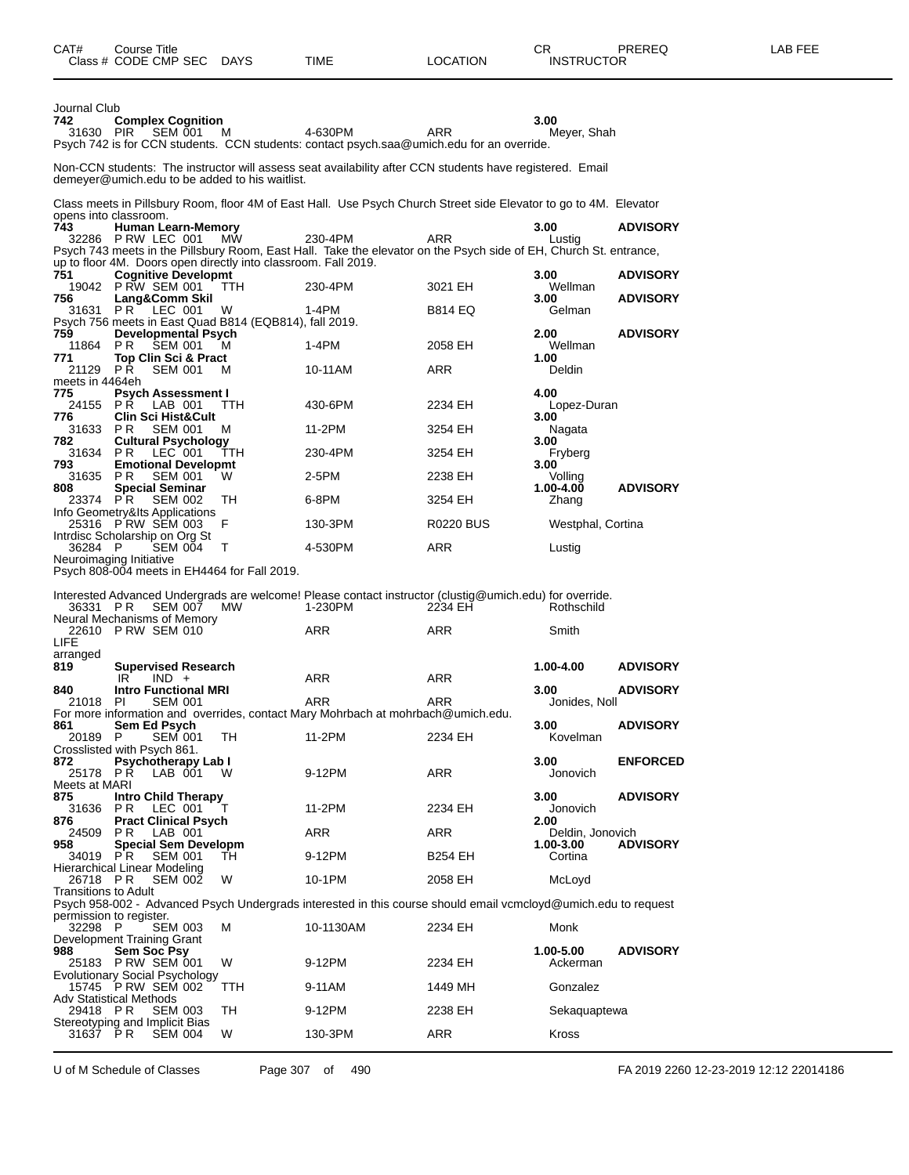| CAT#                             | Course Title<br>Class # CODE CMP SEC DAYS                                                                                                 |                 | TIME                                                                                                                         | <b>LOCATION</b>    | CR<br><b>INSTRUCTOR</b>    | PREREQ          | LAB FEE |
|----------------------------------|-------------------------------------------------------------------------------------------------------------------------------------------|-----------------|------------------------------------------------------------------------------------------------------------------------------|--------------------|----------------------------|-----------------|---------|
| Journal Club<br>742<br>31630 PIR | <b>Complex Cognition</b><br><b>SEM 001</b>                                                                                                | M               | 4-630PM<br>Psych 742 is for CCN students. CCN students: contact psych.saa@umich.edu for an override.                         | <b>ARR</b>         | 3.00<br>Meyer, Shah        |                 |         |
|                                  | demeyer@umich.edu to be added to his waitlist.                                                                                            |                 | Non-CCN students: The instructor will assess seat availability after CCN students have registered. Email                     |                    |                            |                 |         |
|                                  |                                                                                                                                           |                 | Class meets in Pillsbury Room, floor 4M of East Hall. Use Psych Church Street side Elevator to go to 4M. Elevator            |                    |                            |                 |         |
| 743                              | opens into classroom.<br><b>Human Learn-Memory</b><br>32286 PRW LEC 001<br>up to floor 4M. Doors open directly into classroom. Fall 2019. | <b>MW</b>       | 230-4PM<br>Psych 743 meets in the Pillsbury Room, East Hall. Take the elevator on the Psych side of EH, Church St. entrance, | ARR                | 3.00<br>Lustig             | <b>ADVISORY</b> |         |
| 751                              | <b>Cognitive Developmt</b><br>19042 P RW SEM 001                                                                                          | TTH             | 230-4PM                                                                                                                      | 3021 EH            | 3.00<br>Wellman            | <b>ADVISORY</b> |         |
| 756<br>31631                     | Lang&Comm Skil<br><b>PR LEC 001</b><br>Psych 756 meets in East Quad B814 (EQB814), fall 2019.                                             | W               | 1-4PM                                                                                                                        | <b>B814 EQ</b>     | 3.00<br>Gelman             | <b>ADVISORY</b> |         |
| 759<br>11864                     | <b>Developmental Psych</b><br>P R<br>SEM 001                                                                                              | м               | 1-4PM                                                                                                                        | 2058 EH            | 2.00<br>Wellman            | <b>ADVISORY</b> |         |
| 771<br>21129 PR                  | Top Clin Sci & Pract<br><b>SEM 001</b>                                                                                                    | м               | 10-11AM                                                                                                                      | ARR                | 1.00<br>Deldin             |                 |         |
| meets in 4464eh<br>775           | <b>Psych Assessment I</b>                                                                                                                 |                 |                                                                                                                              |                    | 4.00                       |                 |         |
| 24155<br>776                     | PR LAB 001<br><b>Clin Sci Hist&amp;Cult</b>                                                                                               | TTH             | 430-6PM                                                                                                                      | 2234 EH            | Lopez-Duran<br>3.00        |                 |         |
| 31633 PR<br>782<br>31634         | <b>SEM 001</b><br><b>Cultural Psychology</b>                                                                                              | M               | 11-2PM                                                                                                                       | 3254 EH            | Nagata<br>3.00             |                 |         |
| 793<br>31635                     | PR.<br>LEC 001<br><b>Emotional Developmt</b><br>PR.                                                                                       | <b>TTH</b><br>W | 230-4PM<br>2-5PM                                                                                                             | 3254 EH<br>2238 EH | Fryberg<br>3.00            |                 |         |
| 808<br>23374 PR                  | <b>SEM 001</b><br><b>Special Seminar</b><br><b>SEM 002</b>                                                                                | TН              | 6-8PM                                                                                                                        | 3254 EH            | Volling<br>1.00-4.00       | <b>ADVISORY</b> |         |
|                                  | Info Geometry&Its Applications<br>25316 PRW SEM 003                                                                                       | F               | 130-3PM                                                                                                                      | <b>R0220 BUS</b>   | Zhang<br>Westphal, Cortina |                 |         |
| 36284 P                          | Intrdisc Scholarship on Org St<br><b>SEM 004</b>                                                                                          | $\top$          | 4-530PM                                                                                                                      | ARR                | Lustig                     |                 |         |
|                                  | Neuroimaging Initiative<br>Psych 808-004 meets in EH4464 for Fall 2019.                                                                   |                 |                                                                                                                              |                    |                            |                 |         |
| 36331 PR                         | <b>SEM 007</b>                                                                                                                            | MW              | Interested Advanced Undergrads are welcome! Please contact instructor (clustig@umich.edu) for override.<br>1-230PM           | 2234 EH            | Rothschild                 |                 |         |
|                                  | Neural Mechanisms of Memory<br>22610 PRW SEM 010                                                                                          |                 | ARR                                                                                                                          | <b>ARR</b>         | Smith                      |                 |         |
| LIFE<br>arranged<br>819          | <b>Supervised Research</b>                                                                                                                |                 |                                                                                                                              |                    | 1.00-4.00                  | <b>ADVISORY</b> |         |
| 840                              | $IND +$<br>IR.<br><b>Intro Functional MRI</b>                                                                                             |                 | ARR                                                                                                                          | ARR                | 3.00                       | <b>ADVISORY</b> |         |
|                                  | 21018 PI SEM 001                                                                                                                          |                 | ARR<br>For more information and overrides, contact Mary Mohrbach at mohrbach@umich.edu.                                      | ARR                | Jonides, Noll              |                 |         |
| 861<br>20189 P                   | Sem Ed Psych<br><b>SEM 001</b><br>Crosslisted with Psych 861.                                                                             | TH              | 11-2PM                                                                                                                       | 2234 EH            | 3.00<br>Kovelman           | <b>ADVISORY</b> |         |
| 872<br>Meets at MARI             | <b>Psychotherapy Lab I</b><br>25178 PR LAB 001                                                                                            | W               | 9-12PM                                                                                                                       | ARR                | 3.00<br>Jonovich           | <b>ENFORCED</b> |         |
| 875<br>31636 PR                  | <b>Intro Child Therapy</b><br>LEC 001                                                                                                     |                 | 11-2PM                                                                                                                       | 2234 EH            | 3.00<br>Jonovich           | <b>ADVISORY</b> |         |
| 876<br>24509                     | <b>Pract Clinical Psych</b><br>PR<br>LAB 001                                                                                              |                 | ARR                                                                                                                          | ARR                | 2.00<br>Deldin, Jonovich   |                 |         |
| 958<br>34019 PR                  | <b>Special Sem Developm</b><br><b>SEM 001</b>                                                                                             | TH.             | 9-12PM                                                                                                                       | <b>B254 EH</b>     | 1.00-3.00<br>Cortina       | <b>ADVISORY</b> |         |
| 26718 PR                         | <b>Hierarchical Linear Modeling</b><br>SEM 002                                                                                            | W               | 10-1PM                                                                                                                       | 2058 EH            | McLoyd                     |                 |         |
| <b>Transitions to Adult</b>      |                                                                                                                                           |                 | Psych 958-002 - Advanced Psych Undergrads interested in this course should email vcmcloyd@umich.edu to request               |                    |                            |                 |         |
| 32298 P                          | permission to register.<br><b>SEM 003</b><br>Development Training Grant                                                                   | м               | 10-1130AM                                                                                                                    | 2234 EH            | Monk                       |                 |         |
| 988                              | Sem Soc Psy<br>25183 P RW SEM 001                                                                                                         | W               | 9-12PM                                                                                                                       | 2234 EH            | 1.00-5.00<br>Ackerman      | <b>ADVISORY</b> |         |
|                                  | <b>Evolutionary Social Psychology</b><br>15745 P RW SEM 002                                                                               | TTH             | 9-11AM                                                                                                                       | 1449 MH            | Gonzalez                   |                 |         |
| 29418 PR                         | <b>Adv Statistical Methods</b><br><b>SEM 003</b>                                                                                          | TН              | 9-12PM                                                                                                                       | 2238 EH            | Sekaquaptewa               |                 |         |
| 31637 PR                         | Stereotyping and Implicit Bias<br><b>SEM 004</b>                                                                                          | W               | 130-3PM                                                                                                                      | ARR                | Kross                      |                 |         |
|                                  |                                                                                                                                           |                 |                                                                                                                              |                    |                            |                 |         |

U of M Schedule of Classes Page 307 of 490 FA 2019 2260 12-23-2019 12:12 22014186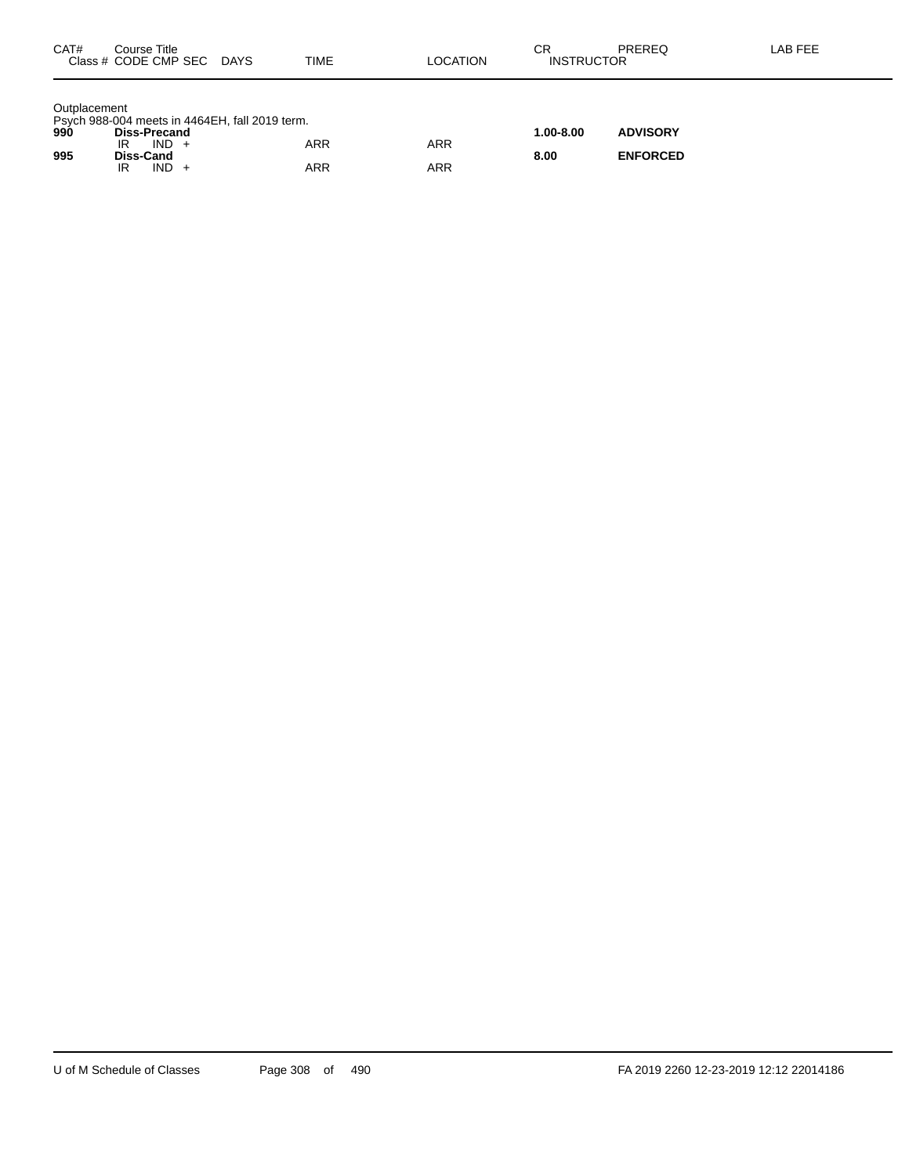| CAT#                | Course Title<br>Class # CODE CMP SEC                                                                                             | DAYS | <b>TIME</b> | <b>LOCATION</b>   | СR<br><b>INSTRUCTOR</b> | PREREQ                             | LAB FEE |
|---------------------|----------------------------------------------------------------------------------------------------------------------------------|------|-------------|-------------------|-------------------------|------------------------------------|---------|
| Outplacement<br>995 | Psych 988-004 meets in 4464EH, fall 2019 term.<br>990 <b>Diss-Precand</b><br>$IND +$<br>IR<br><b>Diss-Cand</b><br>$IND +$<br>IR. |      | ARR<br>ARR  | <b>ARR</b><br>ARR | $1.00 - 8.00$<br>8.00   | <b>ADVISORY</b><br><b>ENFORCED</b> |         |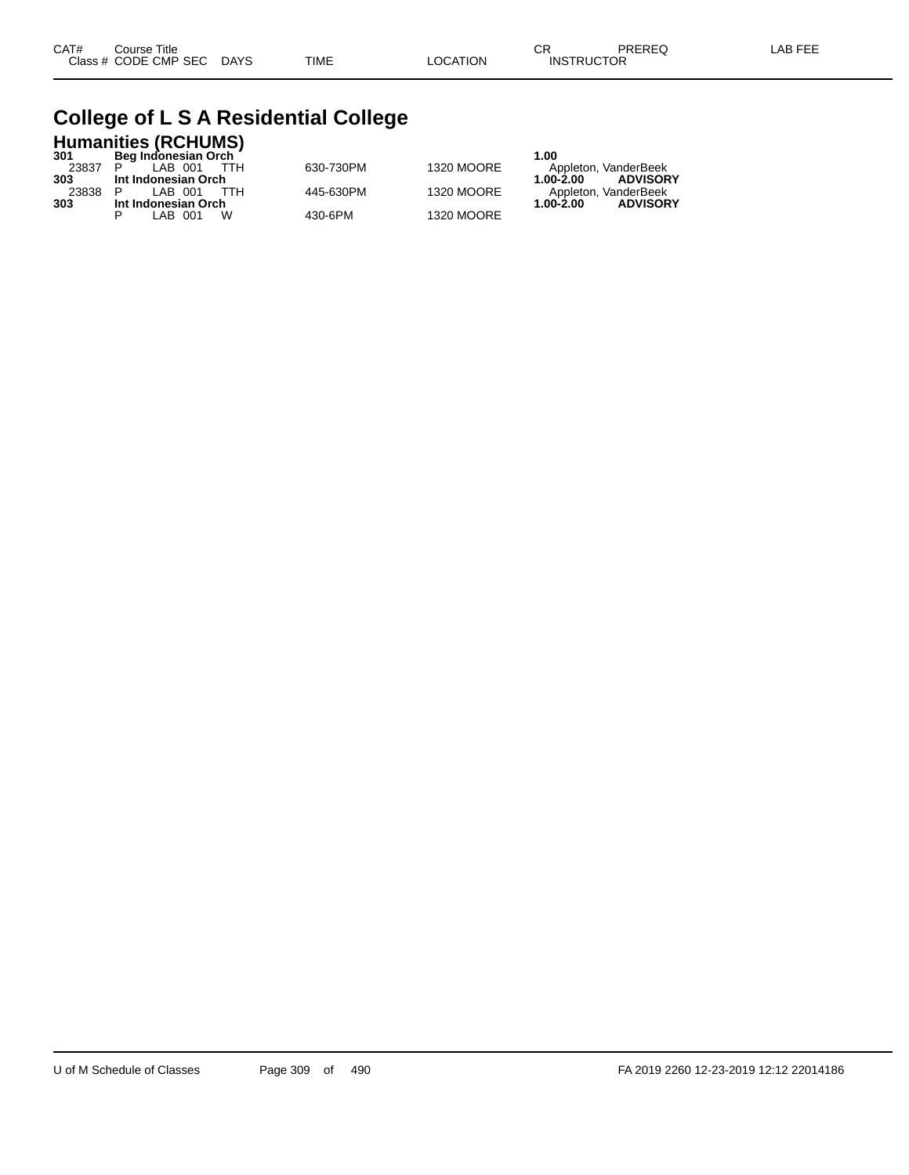## **College of L S A Residential College**

|       | <b>Humanities (RCHUMS)</b> |           |                   |                              |
|-------|----------------------------|-----------|-------------------|------------------------------|
| 301   | Beg Indonesian Orch        |           |                   | 1.00                         |
| 23837 | LAB 001<br>ттн             | 630-730PM | 1320 MOORE        | Appleton, VanderBeek         |
| 303   | Int Indonesian Orch        |           |                   | <b>ADVISORY</b><br>1.00-2.00 |
| 23838 | LAB 001<br>TTH             | 445-630PM | 1320 MOORE        | Appleton, VanderBeek         |
| 303   | Int Indonesian Orch        |           |                   | <b>ADVISORY</b><br>1.00-2.00 |
|       | W<br>LAB 001               | 430-6PM   | <b>1320 MOORE</b> |                              |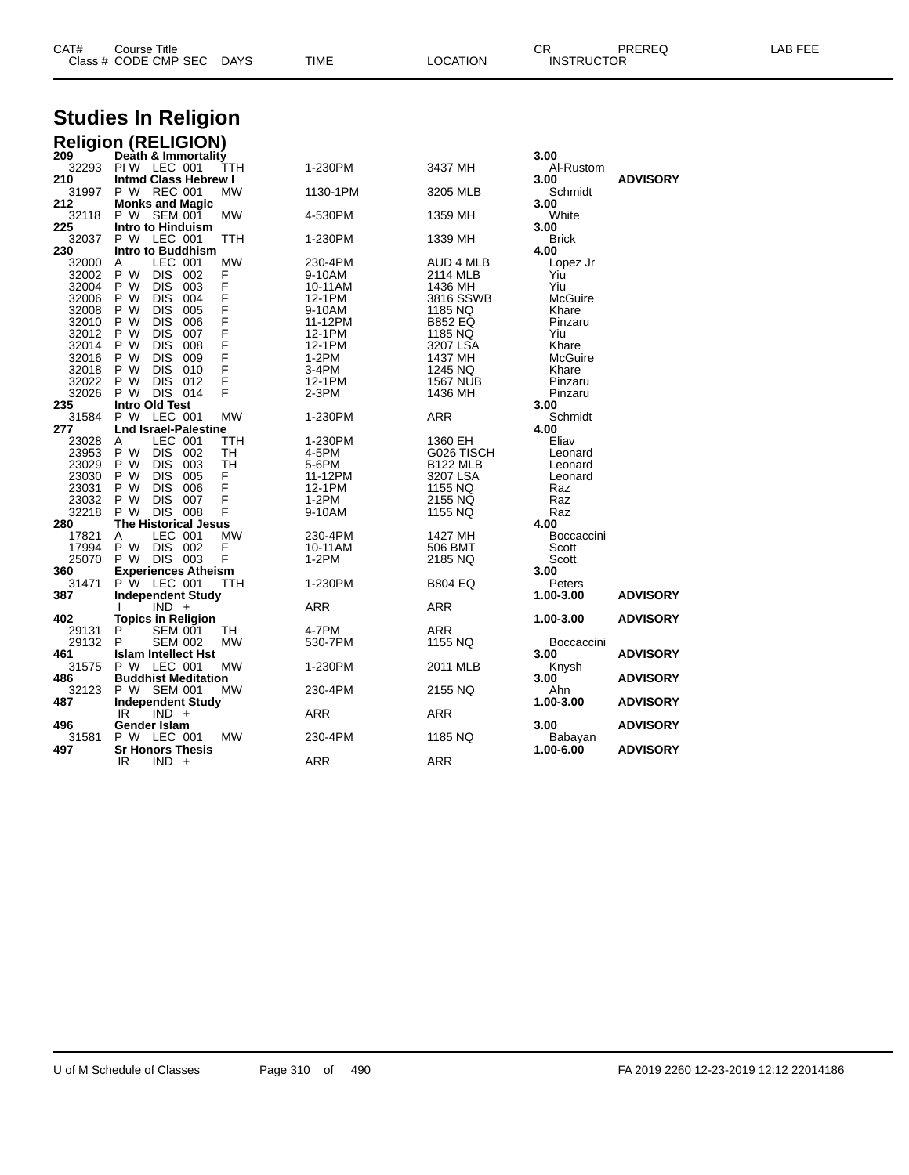| CAT# | Title<br>$\mathsf{Course}~^{\mathsf{\tau}}$ |             |      |                 | ⌒冖<br>◡⊓          | PREREQ | EEE<br>ΔR |
|------|---------------------------------------------|-------------|------|-----------------|-------------------|--------|-----------|
|      | Class # CODE CMP SEC                        | <b>DAYS</b> | TIME | <b>LOCATION</b> | <b>INSTRUCTOR</b> |        |           |
|      |                                             |             |      |                 |                   |        |           |

# **Studies In Religion**

| Death & Immortality<br>209<br>3.00<br>32293<br>PIW LEC 001<br>TTH<br>1-230PM<br>3437 MH<br>Al-Rustom<br><b>Intmd Class Hebrew I</b><br>210<br><b>ADVISORY</b><br>3.00<br>31997<br>P W REC 001<br>MW<br>1130-1PM<br>Schmidt<br>3205 MLB<br><b>Monks and Magic</b><br>3.00<br>212<br>P W SEM 001<br><b>MW</b><br>White<br>32118<br>4-530PM<br>1359 MH<br>225<br>Intro to Hinduism<br>3.00<br>P W LEC 001<br>32037<br>TTH<br>1-230PM<br>1339 MH<br><b>Brick</b><br>230<br>Intro to Buddhism<br>4.00<br>LEC 001<br>32000<br>MW<br>230-4PM<br>A<br>AUD 4 MLB<br>Lopez Jr<br>P W<br><b>DIS</b><br>F<br>32002<br>002<br>2114 MLB<br>Yiu<br>9-10AM<br>F<br>32004<br>P W<br><b>DIS</b><br>003<br>10-11AM<br>1436 MH<br>Yiu<br>F<br>F<br>P W<br><b>DIS</b><br>004<br>32006<br>12-1PM<br>3816 SSWB<br>McGuire<br><b>DIS</b><br>32008 P W<br>005<br>9-10AM<br>1185 NQ<br>Khare<br>F<br>P W<br><b>DIS</b><br>006<br>32010<br>11-12PM<br><b>B852 EQ</b><br>Pinzaru<br>F<br>F<br>P W<br><b>DIS</b><br>007<br>32012<br>1185 NQ<br>12-1PM<br>Yiu<br>P W<br><b>DIS</b><br>008<br>32014<br>12-1PM<br>Khare<br>3207 LSA<br>F<br>F<br>P W<br><b>DIS</b><br>009<br>1437 MH<br>McGuire<br>32016<br>$1-2PM$<br>P W<br><b>DIS</b><br>32018<br>010<br>3-4PM<br>1245 NQ<br>Khare<br><b>DIS</b><br>F<br>32022<br>P W<br>012<br>12-1PM<br><b>1567 NUB</b><br>Pinzaru<br>DIS 014<br>P W<br>F<br>32026<br>2-3PM<br>1436 MH<br>Pinzaru<br><b>Intro Old Test</b><br>235<br>3.00<br>P W LEC 001<br><b>MW</b><br><b>ARR</b><br>Schmidt<br>31584<br>1-230PM<br><b>Lnd Israel-Palestine</b><br>277<br>4.00<br>LEC 001<br>1-230PM<br>23028<br>1360 EH<br>Eliav<br>A<br>TTH<br>DIS 002<br>P W<br>23953<br>TH<br>4-5PM<br>G026 TISCH<br>Leonard<br><b>DIS</b><br>23029<br>P W<br>003<br>TH<br><b>B122 MLB</b><br>5-6PM<br>Leonard<br>23030<br>P W<br><b>DIS</b><br>005<br>F<br>11-12PM<br>3207 LSA<br>Leonard<br>F<br>P W<br>DIS 006<br>23031<br>1155 NQ<br>12-1PM<br>Raz<br>F<br>P W<br><b>DIS</b><br>007<br>23032<br>$1-2PM$<br>2155 NQ<br>Raz<br>DIS 008<br>32218<br>P W<br>F<br>9-10AM<br>1155 NQ<br>Raz<br><b>The Historical Jesus</b><br>280<br>4.00<br>LEC 001<br><b>MW</b><br>17821<br>230-4PM<br>1427 MH<br>Boccaccini<br>A<br>P W<br>DIS 002<br>F<br>17994<br>10-11AM<br>506 BMT<br>Scott<br>P W DIS 003<br>25070<br>F<br>1-2PM<br>Scott<br>2185 NQ<br><b>Experiences Atheism</b><br>360<br>3.00<br>P W LEC 001<br>31471<br>TTH<br>1-230PM<br><b>B804 EQ</b><br>Peters<br>387<br><b>Independent Study</b><br>1.00-3.00<br><b>ADVISORY</b><br>$IND +$<br><b>ARR</b><br>ARR<br>402<br><b>Topics in Religion</b><br>1.00-3.00<br><b>ADVISORY</b><br>29131<br>P<br>SEM 001<br>4-7PM<br>TH<br>ARR<br>29132<br>P<br><b>SEM 002</b><br><b>MW</b><br>530-7PM<br>1155 NQ<br>Boccaccini<br>461<br><b>Islam Intellect Hst</b><br><b>ADVISORY</b><br>3.00<br>31575<br>P W LEC 001<br>MW<br>1-230PM<br>2011 MLB<br>Knysh |     | <b>Religion (RELIGION)</b> |  |      |                 |
|-------------------------------------------------------------------------------------------------------------------------------------------------------------------------------------------------------------------------------------------------------------------------------------------------------------------------------------------------------------------------------------------------------------------------------------------------------------------------------------------------------------------------------------------------------------------------------------------------------------------------------------------------------------------------------------------------------------------------------------------------------------------------------------------------------------------------------------------------------------------------------------------------------------------------------------------------------------------------------------------------------------------------------------------------------------------------------------------------------------------------------------------------------------------------------------------------------------------------------------------------------------------------------------------------------------------------------------------------------------------------------------------------------------------------------------------------------------------------------------------------------------------------------------------------------------------------------------------------------------------------------------------------------------------------------------------------------------------------------------------------------------------------------------------------------------------------------------------------------------------------------------------------------------------------------------------------------------------------------------------------------------------------------------------------------------------------------------------------------------------------------------------------------------------------------------------------------------------------------------------------------------------------------------------------------------------------------------------------------------------------------------------------------------------------------------------------------------------------------------------------------------------------------------------------------------------------------------------------------------------------------------------------------------------------------------------------------------------------------------------------------------------------------------------------------------------------------------------------------------------------------|-----|----------------------------|--|------|-----------------|
|                                                                                                                                                                                                                                                                                                                                                                                                                                                                                                                                                                                                                                                                                                                                                                                                                                                                                                                                                                                                                                                                                                                                                                                                                                                                                                                                                                                                                                                                                                                                                                                                                                                                                                                                                                                                                                                                                                                                                                                                                                                                                                                                                                                                                                                                                                                                                                                                                                                                                                                                                                                                                                                                                                                                                                                                                                                                               |     |                            |  |      |                 |
|                                                                                                                                                                                                                                                                                                                                                                                                                                                                                                                                                                                                                                                                                                                                                                                                                                                                                                                                                                                                                                                                                                                                                                                                                                                                                                                                                                                                                                                                                                                                                                                                                                                                                                                                                                                                                                                                                                                                                                                                                                                                                                                                                                                                                                                                                                                                                                                                                                                                                                                                                                                                                                                                                                                                                                                                                                                                               |     |                            |  |      |                 |
|                                                                                                                                                                                                                                                                                                                                                                                                                                                                                                                                                                                                                                                                                                                                                                                                                                                                                                                                                                                                                                                                                                                                                                                                                                                                                                                                                                                                                                                                                                                                                                                                                                                                                                                                                                                                                                                                                                                                                                                                                                                                                                                                                                                                                                                                                                                                                                                                                                                                                                                                                                                                                                                                                                                                                                                                                                                                               |     |                            |  |      |                 |
|                                                                                                                                                                                                                                                                                                                                                                                                                                                                                                                                                                                                                                                                                                                                                                                                                                                                                                                                                                                                                                                                                                                                                                                                                                                                                                                                                                                                                                                                                                                                                                                                                                                                                                                                                                                                                                                                                                                                                                                                                                                                                                                                                                                                                                                                                                                                                                                                                                                                                                                                                                                                                                                                                                                                                                                                                                                                               |     |                            |  |      |                 |
|                                                                                                                                                                                                                                                                                                                                                                                                                                                                                                                                                                                                                                                                                                                                                                                                                                                                                                                                                                                                                                                                                                                                                                                                                                                                                                                                                                                                                                                                                                                                                                                                                                                                                                                                                                                                                                                                                                                                                                                                                                                                                                                                                                                                                                                                                                                                                                                                                                                                                                                                                                                                                                                                                                                                                                                                                                                                               |     |                            |  |      |                 |
|                                                                                                                                                                                                                                                                                                                                                                                                                                                                                                                                                                                                                                                                                                                                                                                                                                                                                                                                                                                                                                                                                                                                                                                                                                                                                                                                                                                                                                                                                                                                                                                                                                                                                                                                                                                                                                                                                                                                                                                                                                                                                                                                                                                                                                                                                                                                                                                                                                                                                                                                                                                                                                                                                                                                                                                                                                                                               |     |                            |  |      |                 |
|                                                                                                                                                                                                                                                                                                                                                                                                                                                                                                                                                                                                                                                                                                                                                                                                                                                                                                                                                                                                                                                                                                                                                                                                                                                                                                                                                                                                                                                                                                                                                                                                                                                                                                                                                                                                                                                                                                                                                                                                                                                                                                                                                                                                                                                                                                                                                                                                                                                                                                                                                                                                                                                                                                                                                                                                                                                                               |     |                            |  |      |                 |
|                                                                                                                                                                                                                                                                                                                                                                                                                                                                                                                                                                                                                                                                                                                                                                                                                                                                                                                                                                                                                                                                                                                                                                                                                                                                                                                                                                                                                                                                                                                                                                                                                                                                                                                                                                                                                                                                                                                                                                                                                                                                                                                                                                                                                                                                                                                                                                                                                                                                                                                                                                                                                                                                                                                                                                                                                                                                               |     |                            |  |      |                 |
|                                                                                                                                                                                                                                                                                                                                                                                                                                                                                                                                                                                                                                                                                                                                                                                                                                                                                                                                                                                                                                                                                                                                                                                                                                                                                                                                                                                                                                                                                                                                                                                                                                                                                                                                                                                                                                                                                                                                                                                                                                                                                                                                                                                                                                                                                                                                                                                                                                                                                                                                                                                                                                                                                                                                                                                                                                                                               |     |                            |  |      |                 |
|                                                                                                                                                                                                                                                                                                                                                                                                                                                                                                                                                                                                                                                                                                                                                                                                                                                                                                                                                                                                                                                                                                                                                                                                                                                                                                                                                                                                                                                                                                                                                                                                                                                                                                                                                                                                                                                                                                                                                                                                                                                                                                                                                                                                                                                                                                                                                                                                                                                                                                                                                                                                                                                                                                                                                                                                                                                                               |     |                            |  |      |                 |
|                                                                                                                                                                                                                                                                                                                                                                                                                                                                                                                                                                                                                                                                                                                                                                                                                                                                                                                                                                                                                                                                                                                                                                                                                                                                                                                                                                                                                                                                                                                                                                                                                                                                                                                                                                                                                                                                                                                                                                                                                                                                                                                                                                                                                                                                                                                                                                                                                                                                                                                                                                                                                                                                                                                                                                                                                                                                               |     |                            |  |      |                 |
|                                                                                                                                                                                                                                                                                                                                                                                                                                                                                                                                                                                                                                                                                                                                                                                                                                                                                                                                                                                                                                                                                                                                                                                                                                                                                                                                                                                                                                                                                                                                                                                                                                                                                                                                                                                                                                                                                                                                                                                                                                                                                                                                                                                                                                                                                                                                                                                                                                                                                                                                                                                                                                                                                                                                                                                                                                                                               |     |                            |  |      |                 |
|                                                                                                                                                                                                                                                                                                                                                                                                                                                                                                                                                                                                                                                                                                                                                                                                                                                                                                                                                                                                                                                                                                                                                                                                                                                                                                                                                                                                                                                                                                                                                                                                                                                                                                                                                                                                                                                                                                                                                                                                                                                                                                                                                                                                                                                                                                                                                                                                                                                                                                                                                                                                                                                                                                                                                                                                                                                                               |     |                            |  |      |                 |
|                                                                                                                                                                                                                                                                                                                                                                                                                                                                                                                                                                                                                                                                                                                                                                                                                                                                                                                                                                                                                                                                                                                                                                                                                                                                                                                                                                                                                                                                                                                                                                                                                                                                                                                                                                                                                                                                                                                                                                                                                                                                                                                                                                                                                                                                                                                                                                                                                                                                                                                                                                                                                                                                                                                                                                                                                                                                               |     |                            |  |      |                 |
|                                                                                                                                                                                                                                                                                                                                                                                                                                                                                                                                                                                                                                                                                                                                                                                                                                                                                                                                                                                                                                                                                                                                                                                                                                                                                                                                                                                                                                                                                                                                                                                                                                                                                                                                                                                                                                                                                                                                                                                                                                                                                                                                                                                                                                                                                                                                                                                                                                                                                                                                                                                                                                                                                                                                                                                                                                                                               |     |                            |  |      |                 |
|                                                                                                                                                                                                                                                                                                                                                                                                                                                                                                                                                                                                                                                                                                                                                                                                                                                                                                                                                                                                                                                                                                                                                                                                                                                                                                                                                                                                                                                                                                                                                                                                                                                                                                                                                                                                                                                                                                                                                                                                                                                                                                                                                                                                                                                                                                                                                                                                                                                                                                                                                                                                                                                                                                                                                                                                                                                                               |     |                            |  |      |                 |
|                                                                                                                                                                                                                                                                                                                                                                                                                                                                                                                                                                                                                                                                                                                                                                                                                                                                                                                                                                                                                                                                                                                                                                                                                                                                                                                                                                                                                                                                                                                                                                                                                                                                                                                                                                                                                                                                                                                                                                                                                                                                                                                                                                                                                                                                                                                                                                                                                                                                                                                                                                                                                                                                                                                                                                                                                                                                               |     |                            |  |      |                 |
|                                                                                                                                                                                                                                                                                                                                                                                                                                                                                                                                                                                                                                                                                                                                                                                                                                                                                                                                                                                                                                                                                                                                                                                                                                                                                                                                                                                                                                                                                                                                                                                                                                                                                                                                                                                                                                                                                                                                                                                                                                                                                                                                                                                                                                                                                                                                                                                                                                                                                                                                                                                                                                                                                                                                                                                                                                                                               |     |                            |  |      |                 |
|                                                                                                                                                                                                                                                                                                                                                                                                                                                                                                                                                                                                                                                                                                                                                                                                                                                                                                                                                                                                                                                                                                                                                                                                                                                                                                                                                                                                                                                                                                                                                                                                                                                                                                                                                                                                                                                                                                                                                                                                                                                                                                                                                                                                                                                                                                                                                                                                                                                                                                                                                                                                                                                                                                                                                                                                                                                                               |     |                            |  |      |                 |
|                                                                                                                                                                                                                                                                                                                                                                                                                                                                                                                                                                                                                                                                                                                                                                                                                                                                                                                                                                                                                                                                                                                                                                                                                                                                                                                                                                                                                                                                                                                                                                                                                                                                                                                                                                                                                                                                                                                                                                                                                                                                                                                                                                                                                                                                                                                                                                                                                                                                                                                                                                                                                                                                                                                                                                                                                                                                               |     |                            |  |      |                 |
|                                                                                                                                                                                                                                                                                                                                                                                                                                                                                                                                                                                                                                                                                                                                                                                                                                                                                                                                                                                                                                                                                                                                                                                                                                                                                                                                                                                                                                                                                                                                                                                                                                                                                                                                                                                                                                                                                                                                                                                                                                                                                                                                                                                                                                                                                                                                                                                                                                                                                                                                                                                                                                                                                                                                                                                                                                                                               |     |                            |  |      |                 |
|                                                                                                                                                                                                                                                                                                                                                                                                                                                                                                                                                                                                                                                                                                                                                                                                                                                                                                                                                                                                                                                                                                                                                                                                                                                                                                                                                                                                                                                                                                                                                                                                                                                                                                                                                                                                                                                                                                                                                                                                                                                                                                                                                                                                                                                                                                                                                                                                                                                                                                                                                                                                                                                                                                                                                                                                                                                                               |     |                            |  |      |                 |
|                                                                                                                                                                                                                                                                                                                                                                                                                                                                                                                                                                                                                                                                                                                                                                                                                                                                                                                                                                                                                                                                                                                                                                                                                                                                                                                                                                                                                                                                                                                                                                                                                                                                                                                                                                                                                                                                                                                                                                                                                                                                                                                                                                                                                                                                                                                                                                                                                                                                                                                                                                                                                                                                                                                                                                                                                                                                               |     |                            |  |      |                 |
|                                                                                                                                                                                                                                                                                                                                                                                                                                                                                                                                                                                                                                                                                                                                                                                                                                                                                                                                                                                                                                                                                                                                                                                                                                                                                                                                                                                                                                                                                                                                                                                                                                                                                                                                                                                                                                                                                                                                                                                                                                                                                                                                                                                                                                                                                                                                                                                                                                                                                                                                                                                                                                                                                                                                                                                                                                                                               |     |                            |  |      |                 |
|                                                                                                                                                                                                                                                                                                                                                                                                                                                                                                                                                                                                                                                                                                                                                                                                                                                                                                                                                                                                                                                                                                                                                                                                                                                                                                                                                                                                                                                                                                                                                                                                                                                                                                                                                                                                                                                                                                                                                                                                                                                                                                                                                                                                                                                                                                                                                                                                                                                                                                                                                                                                                                                                                                                                                                                                                                                                               |     |                            |  |      |                 |
|                                                                                                                                                                                                                                                                                                                                                                                                                                                                                                                                                                                                                                                                                                                                                                                                                                                                                                                                                                                                                                                                                                                                                                                                                                                                                                                                                                                                                                                                                                                                                                                                                                                                                                                                                                                                                                                                                                                                                                                                                                                                                                                                                                                                                                                                                                                                                                                                                                                                                                                                                                                                                                                                                                                                                                                                                                                                               |     |                            |  |      |                 |
|                                                                                                                                                                                                                                                                                                                                                                                                                                                                                                                                                                                                                                                                                                                                                                                                                                                                                                                                                                                                                                                                                                                                                                                                                                                                                                                                                                                                                                                                                                                                                                                                                                                                                                                                                                                                                                                                                                                                                                                                                                                                                                                                                                                                                                                                                                                                                                                                                                                                                                                                                                                                                                                                                                                                                                                                                                                                               |     |                            |  |      |                 |
|                                                                                                                                                                                                                                                                                                                                                                                                                                                                                                                                                                                                                                                                                                                                                                                                                                                                                                                                                                                                                                                                                                                                                                                                                                                                                                                                                                                                                                                                                                                                                                                                                                                                                                                                                                                                                                                                                                                                                                                                                                                                                                                                                                                                                                                                                                                                                                                                                                                                                                                                                                                                                                                                                                                                                                                                                                                                               |     |                            |  |      |                 |
|                                                                                                                                                                                                                                                                                                                                                                                                                                                                                                                                                                                                                                                                                                                                                                                                                                                                                                                                                                                                                                                                                                                                                                                                                                                                                                                                                                                                                                                                                                                                                                                                                                                                                                                                                                                                                                                                                                                                                                                                                                                                                                                                                                                                                                                                                                                                                                                                                                                                                                                                                                                                                                                                                                                                                                                                                                                                               |     |                            |  |      |                 |
|                                                                                                                                                                                                                                                                                                                                                                                                                                                                                                                                                                                                                                                                                                                                                                                                                                                                                                                                                                                                                                                                                                                                                                                                                                                                                                                                                                                                                                                                                                                                                                                                                                                                                                                                                                                                                                                                                                                                                                                                                                                                                                                                                                                                                                                                                                                                                                                                                                                                                                                                                                                                                                                                                                                                                                                                                                                                               |     |                            |  |      |                 |
|                                                                                                                                                                                                                                                                                                                                                                                                                                                                                                                                                                                                                                                                                                                                                                                                                                                                                                                                                                                                                                                                                                                                                                                                                                                                                                                                                                                                                                                                                                                                                                                                                                                                                                                                                                                                                                                                                                                                                                                                                                                                                                                                                                                                                                                                                                                                                                                                                                                                                                                                                                                                                                                                                                                                                                                                                                                                               |     |                            |  |      |                 |
|                                                                                                                                                                                                                                                                                                                                                                                                                                                                                                                                                                                                                                                                                                                                                                                                                                                                                                                                                                                                                                                                                                                                                                                                                                                                                                                                                                                                                                                                                                                                                                                                                                                                                                                                                                                                                                                                                                                                                                                                                                                                                                                                                                                                                                                                                                                                                                                                                                                                                                                                                                                                                                                                                                                                                                                                                                                                               |     |                            |  |      |                 |
|                                                                                                                                                                                                                                                                                                                                                                                                                                                                                                                                                                                                                                                                                                                                                                                                                                                                                                                                                                                                                                                                                                                                                                                                                                                                                                                                                                                                                                                                                                                                                                                                                                                                                                                                                                                                                                                                                                                                                                                                                                                                                                                                                                                                                                                                                                                                                                                                                                                                                                                                                                                                                                                                                                                                                                                                                                                                               |     |                            |  |      |                 |
|                                                                                                                                                                                                                                                                                                                                                                                                                                                                                                                                                                                                                                                                                                                                                                                                                                                                                                                                                                                                                                                                                                                                                                                                                                                                                                                                                                                                                                                                                                                                                                                                                                                                                                                                                                                                                                                                                                                                                                                                                                                                                                                                                                                                                                                                                                                                                                                                                                                                                                                                                                                                                                                                                                                                                                                                                                                                               |     |                            |  |      |                 |
|                                                                                                                                                                                                                                                                                                                                                                                                                                                                                                                                                                                                                                                                                                                                                                                                                                                                                                                                                                                                                                                                                                                                                                                                                                                                                                                                                                                                                                                                                                                                                                                                                                                                                                                                                                                                                                                                                                                                                                                                                                                                                                                                                                                                                                                                                                                                                                                                                                                                                                                                                                                                                                                                                                                                                                                                                                                                               |     |                            |  |      |                 |
|                                                                                                                                                                                                                                                                                                                                                                                                                                                                                                                                                                                                                                                                                                                                                                                                                                                                                                                                                                                                                                                                                                                                                                                                                                                                                                                                                                                                                                                                                                                                                                                                                                                                                                                                                                                                                                                                                                                                                                                                                                                                                                                                                                                                                                                                                                                                                                                                                                                                                                                                                                                                                                                                                                                                                                                                                                                                               |     |                            |  |      |                 |
|                                                                                                                                                                                                                                                                                                                                                                                                                                                                                                                                                                                                                                                                                                                                                                                                                                                                                                                                                                                                                                                                                                                                                                                                                                                                                                                                                                                                                                                                                                                                                                                                                                                                                                                                                                                                                                                                                                                                                                                                                                                                                                                                                                                                                                                                                                                                                                                                                                                                                                                                                                                                                                                                                                                                                                                                                                                                               |     |                            |  |      |                 |
|                                                                                                                                                                                                                                                                                                                                                                                                                                                                                                                                                                                                                                                                                                                                                                                                                                                                                                                                                                                                                                                                                                                                                                                                                                                                                                                                                                                                                                                                                                                                                                                                                                                                                                                                                                                                                                                                                                                                                                                                                                                                                                                                                                                                                                                                                                                                                                                                                                                                                                                                                                                                                                                                                                                                                                                                                                                                               |     |                            |  |      |                 |
|                                                                                                                                                                                                                                                                                                                                                                                                                                                                                                                                                                                                                                                                                                                                                                                                                                                                                                                                                                                                                                                                                                                                                                                                                                                                                                                                                                                                                                                                                                                                                                                                                                                                                                                                                                                                                                                                                                                                                                                                                                                                                                                                                                                                                                                                                                                                                                                                                                                                                                                                                                                                                                                                                                                                                                                                                                                                               |     |                            |  |      |                 |
|                                                                                                                                                                                                                                                                                                                                                                                                                                                                                                                                                                                                                                                                                                                                                                                                                                                                                                                                                                                                                                                                                                                                                                                                                                                                                                                                                                                                                                                                                                                                                                                                                                                                                                                                                                                                                                                                                                                                                                                                                                                                                                                                                                                                                                                                                                                                                                                                                                                                                                                                                                                                                                                                                                                                                                                                                                                                               |     |                            |  |      |                 |
|                                                                                                                                                                                                                                                                                                                                                                                                                                                                                                                                                                                                                                                                                                                                                                                                                                                                                                                                                                                                                                                                                                                                                                                                                                                                                                                                                                                                                                                                                                                                                                                                                                                                                                                                                                                                                                                                                                                                                                                                                                                                                                                                                                                                                                                                                                                                                                                                                                                                                                                                                                                                                                                                                                                                                                                                                                                                               | 486 | <b>Buddhist Meditation</b> |  | 3.00 | <b>ADVISORY</b> |
| 32123<br>P W SEM 001<br><b>MW</b><br>230-4PM<br>2155 NQ<br>Ahn                                                                                                                                                                                                                                                                                                                                                                                                                                                                                                                                                                                                                                                                                                                                                                                                                                                                                                                                                                                                                                                                                                                                                                                                                                                                                                                                                                                                                                                                                                                                                                                                                                                                                                                                                                                                                                                                                                                                                                                                                                                                                                                                                                                                                                                                                                                                                                                                                                                                                                                                                                                                                                                                                                                                                                                                                |     |                            |  |      |                 |
| 487<br><b>Independent Study</b><br>1.00-3.00<br><b>ADVISORY</b>                                                                                                                                                                                                                                                                                                                                                                                                                                                                                                                                                                                                                                                                                                                                                                                                                                                                                                                                                                                                                                                                                                                                                                                                                                                                                                                                                                                                                                                                                                                                                                                                                                                                                                                                                                                                                                                                                                                                                                                                                                                                                                                                                                                                                                                                                                                                                                                                                                                                                                                                                                                                                                                                                                                                                                                                               |     |                            |  |      |                 |
| <b>ARR</b><br>IR.<br>$IND +$<br>ARR                                                                                                                                                                                                                                                                                                                                                                                                                                                                                                                                                                                                                                                                                                                                                                                                                                                                                                                                                                                                                                                                                                                                                                                                                                                                                                                                                                                                                                                                                                                                                                                                                                                                                                                                                                                                                                                                                                                                                                                                                                                                                                                                                                                                                                                                                                                                                                                                                                                                                                                                                                                                                                                                                                                                                                                                                                           |     |                            |  |      |                 |
| 496<br>Gender Islam<br>3.00<br><b>ADVISORY</b>                                                                                                                                                                                                                                                                                                                                                                                                                                                                                                                                                                                                                                                                                                                                                                                                                                                                                                                                                                                                                                                                                                                                                                                                                                                                                                                                                                                                                                                                                                                                                                                                                                                                                                                                                                                                                                                                                                                                                                                                                                                                                                                                                                                                                                                                                                                                                                                                                                                                                                                                                                                                                                                                                                                                                                                                                                |     |                            |  |      |                 |
| 31581<br>P W LEC 001<br>МW<br>230-4PM<br>1185 NQ<br>Babayan<br>497<br><b>Sr Honors Thesis</b><br>1.00-6.00<br><b>ADVISORY</b>                                                                                                                                                                                                                                                                                                                                                                                                                                                                                                                                                                                                                                                                                                                                                                                                                                                                                                                                                                                                                                                                                                                                                                                                                                                                                                                                                                                                                                                                                                                                                                                                                                                                                                                                                                                                                                                                                                                                                                                                                                                                                                                                                                                                                                                                                                                                                                                                                                                                                                                                                                                                                                                                                                                                                 |     |                            |  |      |                 |
| $IND +$<br>ARR<br>ARR<br>IR                                                                                                                                                                                                                                                                                                                                                                                                                                                                                                                                                                                                                                                                                                                                                                                                                                                                                                                                                                                                                                                                                                                                                                                                                                                                                                                                                                                                                                                                                                                                                                                                                                                                                                                                                                                                                                                                                                                                                                                                                                                                                                                                                                                                                                                                                                                                                                                                                                                                                                                                                                                                                                                                                                                                                                                                                                                   |     |                            |  |      |                 |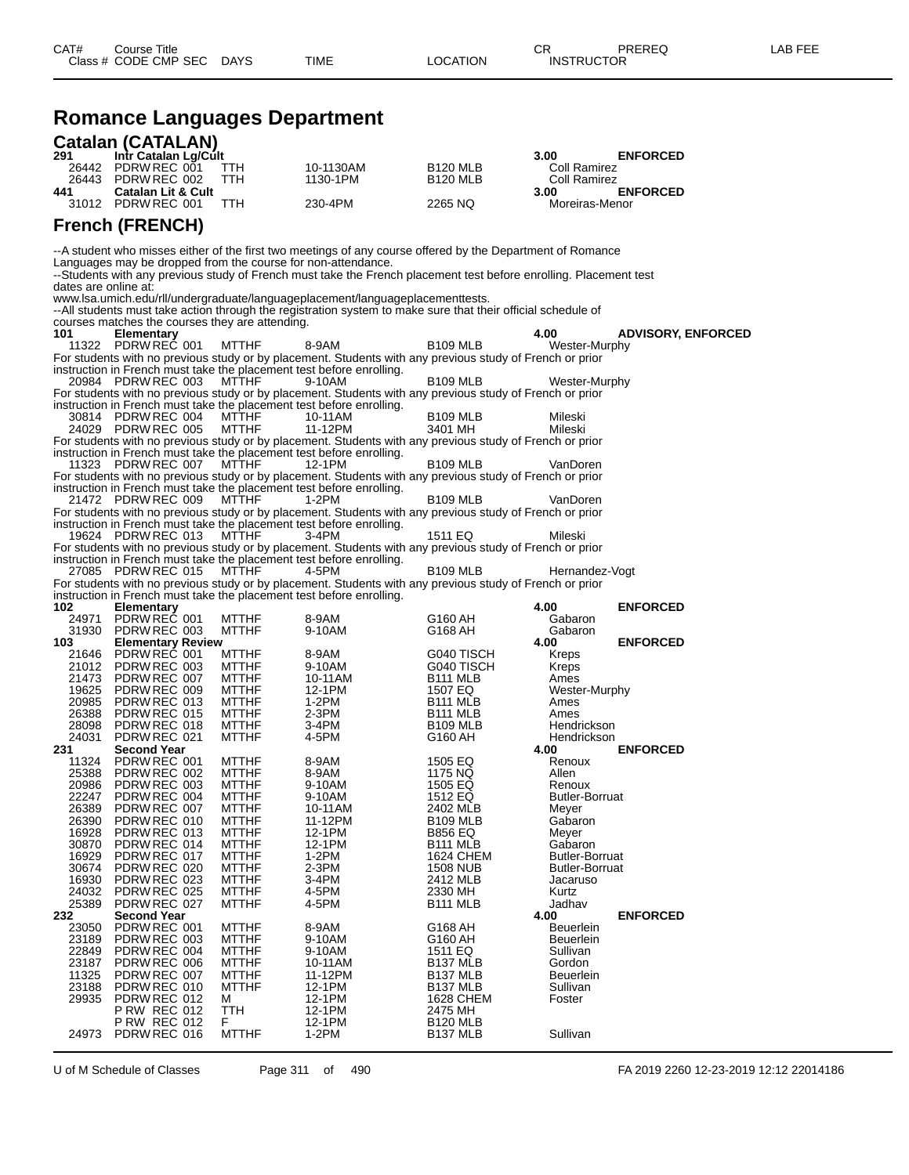## **Romance Languages Department**

|                      | <b>Catalan (CATALAN)</b>                                      |                              |                                                                                                                                                                                  |                                              |                                   |                           |
|----------------------|---------------------------------------------------------------|------------------------------|----------------------------------------------------------------------------------------------------------------------------------------------------------------------------------|----------------------------------------------|-----------------------------------|---------------------------|
| 291<br>26442         | Intr Catalan Lg/Cult<br>PDRW REC 001                          | TTH                          | 10-1130AM                                                                                                                                                                        | B <sub>120</sub> MLB                         | 3.00<br>Coll Ramirez              | <b>ENFORCED</b>           |
| 26443                | PDRW REC 002                                                  | TTH                          | 1130-1PM                                                                                                                                                                         | <b>B120 MLB</b>                              | Coll Ramirez                      |                           |
| 441                  | <b>Catalan Lit &amp; Cult</b><br>31012 PDRW REC 001           | <b>TTH</b>                   | 230-4PM                                                                                                                                                                          | 2265 NQ                                      | 3.00<br>Moreiras-Menor            | <b>ENFORCED</b>           |
|                      | <b>French (FRENCH)</b>                                        |                              |                                                                                                                                                                                  |                                              |                                   |                           |
|                      |                                                               |                              | --A student who misses either of the first two meetings of any course offered by the Department of Romance                                                                       |                                              |                                   |                           |
|                      | Languages may be dropped from the course for non-attendance.  |                              |                                                                                                                                                                                  |                                              |                                   |                           |
| dates are online at: |                                                               |                              | --Students with any previous study of French must take the French placement test before enrolling. Placement test                                                                |                                              |                                   |                           |
|                      |                                                               |                              | www.lsa.umich.edu/rll/undergraduate/languageplacement/languageplacementtests.                                                                                                    |                                              |                                   |                           |
|                      |                                                               |                              | --All students must take action through the registration system to make sure that their official schedule of                                                                     |                                              |                                   |                           |
| 101                  | courses matches the courses they are attending.<br>Elementary |                              |                                                                                                                                                                                  |                                              | 4.00                              | <b>ADVISORY, ENFORCED</b> |
|                      | 11322 PDRW REC 001                                            | <b>MTTHF</b>                 | 8-9AM                                                                                                                                                                            | <b>B109 MLB</b>                              | Wester-Murphy                     |                           |
|                      |                                                               |                              | For students with no previous study or by placement. Students with any previous study of French or prior<br>instruction in French must take the placement test before enrolling. |                                              |                                   |                           |
|                      | 20984 PDRW REC 003                                            | <b>MTTHF</b>                 | 9-10AM                                                                                                                                                                           | <b>B109 MLB</b>                              | Wester-Murphy                     |                           |
|                      |                                                               |                              | For students with no previous study or by placement. Students with any previous study of French or prior                                                                         |                                              |                                   |                           |
|                      | 30814 PDRW REC 004                                            | MTTHF                        | instruction in French must take the placement test before enrolling.<br>10-11AM                                                                                                  | <b>B109 MLB</b>                              | Mileski                           |                           |
|                      | 24029 PDRW REC 005                                            | <b>MTTHF</b>                 | 11-12PM                                                                                                                                                                          | 3401 MH                                      | Mileski                           |                           |
|                      |                                                               |                              | For students with no previous study or by placement. Students with any previous study of French or prior<br>instruction in French must take the placement test before enrolling. |                                              |                                   |                           |
|                      | 11323 PDRW REC 007                                            | <b>MTTHF</b>                 | 12-1PM                                                                                                                                                                           | <b>B109 MLB</b>                              | VanDoren                          |                           |
|                      |                                                               |                              | For students with no previous study or by placement. Students with any previous study of French or prior                                                                         |                                              |                                   |                           |
|                      | 21472 PDRW REC 009                                            | <b>MTTHF</b>                 | instruction in French must take the placement test before enrolling.<br>1-2PM                                                                                                    | <b>B109 MLB</b>                              | VanDoren                          |                           |
|                      |                                                               |                              | For students with no previous study or by placement. Students with any previous study of French or prior                                                                         |                                              |                                   |                           |
|                      |                                                               |                              | instruction in French must take the placement test before enrolling.                                                                                                             |                                              |                                   |                           |
|                      | 19624 PDRW REC 013                                            | <b>MTTHF</b>                 | 3-4PM<br>For students with no previous study or by placement. Students with any previous study of French or prior                                                                | 1511 EQ                                      | Mileski                           |                           |
|                      |                                                               |                              | instruction in French must take the placement test before enrolling.                                                                                                             |                                              |                                   |                           |
|                      | 27085 PDRW REC 015                                            | <b>MTTHF</b>                 | 4-5PM<br>For students with no previous study or by placement. Students with any previous study of French or prior                                                                | <b>B109 MLB</b>                              | Hernandez-Vogt                    |                           |
|                      |                                                               |                              | instruction in French must take the placement test before enrolling.                                                                                                             |                                              |                                   |                           |
| 102                  | <b>Elementary</b>                                             |                              |                                                                                                                                                                                  |                                              | 4.00                              | <b>ENFORCED</b>           |
| 24971                | PDRW REC 001<br>31930 PDRW REC 003                            | <b>MTTHF</b><br><b>MTTHF</b> | 8-9AM<br>9-10AM                                                                                                                                                                  | G160 AH<br>G168 AH                           | Gabaron<br>Gabaron                |                           |
| 103                  | <b>Elementary Review</b>                                      |                              |                                                                                                                                                                                  |                                              | 4.00                              | <b>ENFORCED</b>           |
|                      | 21646 PDRW REC 001<br>21012 PDRW REC 003                      | <b>MTTHF</b><br><b>MTTHF</b> | 8-9AM<br>9-10AM                                                                                                                                                                  | G040 TISCH<br>G040 TISCH                     | Kreps<br>Kreps                    |                           |
| 21473                | PDRW REC 007                                                  | <b>MTTHF</b>                 | 10-11AM                                                                                                                                                                          | B <sub>111</sub> MLB                         | Ames                              |                           |
| 19625                | PDRW REC 009                                                  | <b>MTTHF</b>                 | 12-1PM                                                                                                                                                                           | 1507 EQ                                      | Wester-Murphy                     |                           |
| 20985<br>26388       | PDRW REC 013<br>PDRW REC 015                                  | <b>MTTHF</b><br><b>MTTHF</b> | 1-2PM<br>2-3PM                                                                                                                                                                   | B <sub>111</sub> MLB<br><b>B111 MLB</b>      | Ames<br>Ames                      |                           |
| 28098                | PDRW REC 018                                                  | <b>MTTHF</b>                 | 3-4PM                                                                                                                                                                            | <b>B109 MLB</b>                              | Hendrickson                       |                           |
| 24031                | PDRW REC 021                                                  | <b>MTTHF</b>                 | 4-5PM                                                                                                                                                                            | G160 AH                                      | Hendrickson                       |                           |
| 231<br>11324         | <b>Second Year</b><br>PDRW REC 001                            | <b>MTTHF</b>                 | 8-9AM                                                                                                                                                                            | 1505 EQ                                      | 4.00<br>Renoux                    | <b>ENFORCED</b>           |
| 25388                | PDRW REC 002                                                  | <b>MTTHF</b>                 | 8-9AM                                                                                                                                                                            | 1175 NQ                                      | Allen                             |                           |
| 20986<br>22247       | PDRW REC 003<br>PDRW REC 004                                  | <b>MTTHF</b><br><b>MTTHF</b> | 9-10AM<br>9-10AM                                                                                                                                                                 | 1505 EQ<br>1512 EQ                           | Renoux<br>Butler-Borruat          |                           |
| 26389                | PDRW REC 007                                                  | <b>MTTHF</b>                 | 10-11AM                                                                                                                                                                          | 2402 MLB                                     | Meyer                             |                           |
| 26390                | PDRW REC 010                                                  | <b>MTTHF</b>                 | 11-12PM                                                                                                                                                                          | <b>B109 MLB</b>                              | Gabaron                           |                           |
| 16928<br>30870       | PDRW REC 013<br>PDRW REC 014                                  | <b>MTTHF</b><br><b>MTTHF</b> | 12-1PM<br>12-1PM                                                                                                                                                                 | <b>B856 EQ</b><br>B <sub>111</sub> MLB       | Meyer<br>Gabaron                  |                           |
| 16929                | PDRW REC 017                                                  | <b>MTTHF</b>                 | 1-2PM                                                                                                                                                                            | <b>1624 CHEM</b>                             | <b>Butler-Borruat</b>             |                           |
| 30674<br>16930       | PDRW REC 020<br>PDRW REC 023                                  | <b>MTTHF</b><br><b>MTTHF</b> | 2-3PM<br>3-4PM                                                                                                                                                                   | <b>1508 NUB</b><br>2412 MLB                  | <b>Butler-Borruat</b><br>Jacaruso |                           |
| 24032                | PDRW REC 025                                                  | <b>MTTHF</b>                 | 4-5PM                                                                                                                                                                            | 2330 MH                                      | Kurtz                             |                           |
| 25389                | PDRW REC 027                                                  | <b>MTTHF</b>                 | 4-5PM                                                                                                                                                                            | B111 MLB                                     | Jadhav                            |                           |
| 232<br>23050         | <b>Second Year</b><br>PDRW REC 001                            | <b>MTTHF</b>                 | 8-9AM                                                                                                                                                                            | G168 AH                                      | 4.00<br><b>Beuerlein</b>          | <b>ENFORCED</b>           |
| 23189                | PDRW REC 003                                                  | <b>MTTHF</b>                 | 9-10AM                                                                                                                                                                           | G160 AH                                      | Beuerlein                         |                           |
| 22849                | PDRW REC 004                                                  | <b>MTTHF</b>                 | 9-10AM                                                                                                                                                                           | 1511 EQ                                      | Sullivan                          |                           |
| 23187<br>11325       | PDRW REC 006<br>PDRW REC 007                                  | <b>MTTHF</b><br><b>MTTHF</b> | 10-11AM<br>11-12PM                                                                                                                                                               | B <sub>137</sub> MLB<br>B <sub>137</sub> MLB | Gordon<br><b>Beuerlein</b>        |                           |
| 23188                | PDRW REC 010                                                  | <b>MTTHF</b>                 | 12-1PM                                                                                                                                                                           | B <sub>137</sub> MLB                         | Sullivan                          |                           |
| 29935                | PDRW REC 012                                                  | м                            | 12-1PM                                                                                                                                                                           | <b>1628 CHEM</b>                             | Foster                            |                           |
|                      | <b>P RW REC 012</b><br><b>P RW REC 012</b>                    | <b>TTH</b><br>F.             | 12-1PM<br>12-1PM                                                                                                                                                                 | 2475 MH<br><b>B120 MLB</b>                   |                                   |                           |
| 24973                | PDRW REC 016                                                  | <b>MTTHF</b>                 | $1-2PM$                                                                                                                                                                          | B137 MLB                                     | Sullivan                          |                           |

U of M Schedule of Classes Page 311 of 490 FA 2019 2260 12-23-2019 12:12 22014186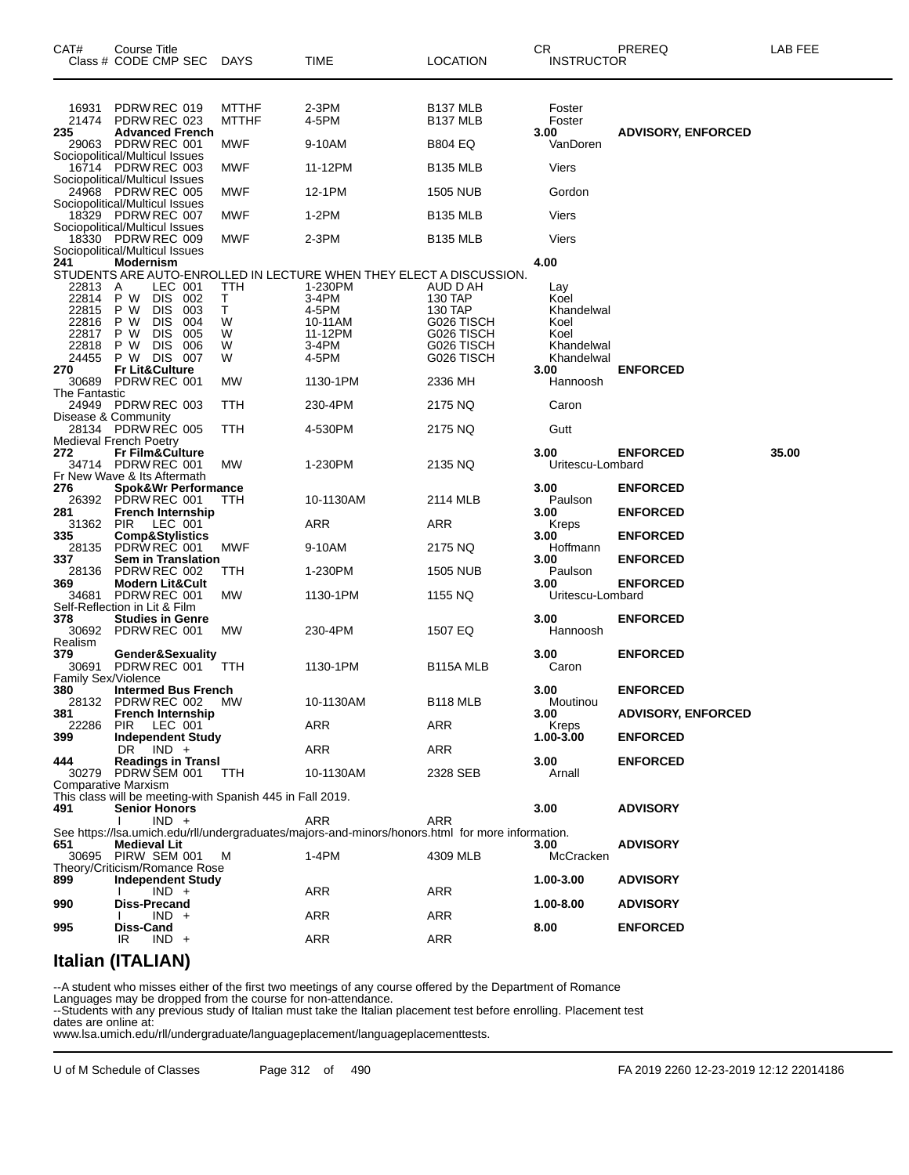| CAT#                              | Course Title<br>Class # CODE CMP SEC                                                    | <b>DAYS</b>                         | TIME                                                                                                           | <b>LOCATION</b>                                    | CR<br><b>INSTRUCTOR</b>              | PREREQ                    | LAB FEE |
|-----------------------------------|-----------------------------------------------------------------------------------------|-------------------------------------|----------------------------------------------------------------------------------------------------------------|----------------------------------------------------|--------------------------------------|---------------------------|---------|
| 16931<br>21474<br>235<br>29063    | PDRW REC 019<br>PDRW REC 023<br><b>Advanced French</b><br>PDRW REC 001                  | <b>MTTHF</b><br><b>MTTHF</b><br>MWF | 2-3PM<br>4-5PM<br>9-10AM                                                                                       | B <sub>137</sub> MLB<br>B137 MLB<br><b>B804 EQ</b> | Foster<br>Foster<br>3.00<br>VanDoren | <b>ADVISORY, ENFORCED</b> |         |
|                                   | Sociopolitical/Multicul Issues<br>16714 PDRW REC 003                                    | MWF                                 | 11-12PM                                                                                                        | <b>B135 MLB</b>                                    | Viers                                |                           |         |
|                                   | Sociopolitical/Multicul Issues                                                          | MWF                                 | 12-1PM                                                                                                         | <b>1505 NUB</b>                                    | Gordon                               |                           |         |
|                                   | 24968 PDRW REC 005<br>Sociopolitical/Multicul Issues                                    |                                     |                                                                                                                |                                                    |                                      |                           |         |
|                                   | 18329 PDRW REC 007<br>Sociopolitical/Multicul Issues                                    | MWF                                 | 1-2PM                                                                                                          | <b>B135 MLB</b>                                    | Viers                                |                           |         |
| 18330                             | PDRW REC 009<br>Sociopolitical/Multicul Issues                                          | MWF                                 | 2-3PM                                                                                                          | <b>B135 MLB</b>                                    | Viers                                |                           |         |
| 241                               | Modernism                                                                               |                                     | STUDENTS ARE AUTO-ENROLLED IN LECTURE WHEN THEY ELECT A DISCUSSION.                                            |                                                    | 4.00                                 |                           |         |
| 22813                             | LEC 001<br>A                                                                            | TTH                                 | 1-230PM                                                                                                        | AUD D AH                                           | Lay                                  |                           |         |
| 22814<br>22815                    | P W<br><b>DIS</b><br>002<br>P W<br><b>DIS</b><br>003                                    | Т<br>т                              | 3-4PM<br>4-5PM                                                                                                 | 130 TAP<br>130 TAP                                 | Koel<br>Khandelwal                   |                           |         |
| 22816                             | P W<br><b>DIS</b><br>004                                                                | W                                   | 10-11AM                                                                                                        | G026 TISCH                                         | Koel                                 |                           |         |
| 22817                             | <b>DIS</b><br>P W<br>005                                                                | W                                   | 11-12PM                                                                                                        | G026 TISCH                                         | Koel                                 |                           |         |
| 22818<br>24455                    | P W<br><b>DIS</b><br>006<br>DIS 007<br>P W                                              | W                                   | 3-4PM                                                                                                          | G026 TISCH<br>G026 TISCH                           | Khandelwal                           |                           |         |
| 270                               | <b>Fr Lit&amp;Culture</b>                                                               | W                                   | 4-5PM                                                                                                          |                                                    | Khandelwal<br>3.00                   | <b>ENFORCED</b>           |         |
| 30689                             | PDRW REC 001                                                                            | МW                                  | 1130-1PM                                                                                                       | 2336 MH                                            | Hannoosh                             |                           |         |
| The Fantastic                     | 24949 PDRW REC 003                                                                      | ттн                                 | 230-4PM                                                                                                        | 2175 NQ                                            | Caron                                |                           |         |
|                                   | Disease & Community<br>28134 PDRW REC 005                                               | TTH                                 | 4-530PM                                                                                                        | 2175 NQ                                            | Gutt                                 |                           |         |
|                                   | <b>Medieval French Poetry</b>                                                           |                                     |                                                                                                                |                                                    |                                      |                           |         |
| 272                               | <b>Fr Film&amp;Culture</b><br>34714 PDRW REC 001                                        | МW                                  | 1-230PM                                                                                                        | 2135 NQ                                            | 3.00<br>Uritescu-Lombard             | <b>ENFORCED</b>           | 35.00   |
|                                   | Fr New Wave & Its Aftermath                                                             |                                     |                                                                                                                |                                                    |                                      |                           |         |
| 276                               | <b>Spok&amp;Wr Performance</b>                                                          |                                     |                                                                                                                |                                                    | 3.00                                 | <b>ENFORCED</b>           |         |
| 26392<br>281                      | PDRW REC 001<br><b>French Internship</b>                                                | ттн                                 | 10-1130AM                                                                                                      | 2114 MLB                                           | Paulson<br>3.00                      | <b>ENFORCED</b>           |         |
| 31362<br>335                      | <b>PIR</b><br>LEC 001<br><b>Comp&amp;Stylistics</b>                                     |                                     | ARR                                                                                                            | ARR                                                | Kreps<br>3.00                        | <b>ENFORCED</b>           |         |
| 28135<br>337                      | PDRW REC 001<br><b>Sem in Translation</b>                                               | MWF                                 | 9-10AM                                                                                                         | 2175 NQ                                            | Hoffmann<br>3.00                     | <b>ENFORCED</b>           |         |
| 28136                             | PDRW REC 002                                                                            | ттн                                 | 1-230PM                                                                                                        | 1505 NUB                                           | Paulson                              |                           |         |
| 369<br>34681                      | <b>Modern Lit&amp;Cult</b><br>PDRW REC 001                                              | MW.                                 | 1130-1PM                                                                                                       | 1155 NQ                                            | 3.00<br>Uritescu-Lombard             | <b>ENFORCED</b>           |         |
| 378<br>30692                      | Self-Reflection in Lit & Film<br><b>Studies in Genre</b><br>PDRW REC 001                | MW.                                 | 230-4PM                                                                                                        | 1507 EQ                                            | 3.00<br>Hannoosh                     | <b>ENFORCED</b>           |         |
| Realism                           |                                                                                         |                                     |                                                                                                                |                                                    |                                      |                           |         |
| 379<br>30691                      | Gender&Sexuality<br>PDRW REC 001                                                        | TTH                                 | 1130-1PM                                                                                                       | B <sub>115</sub> A MLB                             | 3.00<br>Caron                        | <b>ENFORCED</b>           |         |
| <b>Family Sex/Violence</b><br>380 | <b>Intermed Bus French</b>                                                              |                                     |                                                                                                                |                                                    | 3.00                                 | <b>ENFORCED</b>           |         |
| 28132<br>381                      | PDRW REC 002<br><b>French Internship</b>                                                | MW.                                 | 10-1130AM                                                                                                      | <b>B118 MLB</b>                                    | Moutinou<br>3.00                     | <b>ADVISORY, ENFORCED</b> |         |
| 22286<br>399                      | PIR LEC 001<br><b>Independent Study</b>                                                 |                                     | ARR                                                                                                            | ARR                                                | Kreps<br>$1.00 - 3.00$               | <b>ENFORCED</b>           |         |
| 444                               | $DR$ $IND +$<br><b>Readings in Transl</b>                                               |                                     | ARR                                                                                                            | ARR                                                | 3.00                                 | <b>ENFORCED</b>           |         |
|                                   | 30279 PDRW SEM 001                                                                      | TTH                                 | 10-1130AM                                                                                                      | 2328 SEB                                           | Arnall                               |                           |         |
|                                   | <b>Comparative Marxism</b><br>This class will be meeting-with Spanish 445 in Fall 2019. |                                     |                                                                                                                |                                                    |                                      |                           |         |
| 491                               | <b>Senior Honors</b>                                                                    |                                     |                                                                                                                |                                                    | 3.00                                 | <b>ADVISORY</b>           |         |
|                                   | $IND +$                                                                                 |                                     | <b>ARR</b><br>See https://lsa.umich.edu/rll/undergraduates/majors-and-minors/honors.html for more information. | ARR                                                |                                      |                           |         |
| 651                               | <b>Medieval Lit</b><br>30695 PIRW SEM 001                                               | м                                   | $1-4PM$                                                                                                        | 4309 MLB                                           | 3.00<br>McCracken                    | <b>ADVISORY</b>           |         |
| 899                               | Theory/Criticism/Romance Rose<br><b>Independent Study</b>                               |                                     |                                                                                                                |                                                    | 1.00-3.00                            | <b>ADVISORY</b>           |         |
|                                   | $IND +$                                                                                 |                                     | ARR                                                                                                            | ARR                                                |                                      |                           |         |
| 990                               | <b>Diss-Precand</b><br>$IND +$                                                          |                                     | ARR                                                                                                            | <b>ARR</b>                                         | 1.00-8.00                            | <b>ADVISORY</b>           |         |
| 995                               | Diss-Cand<br>$IND +$<br>IR                                                              |                                     | <b>ARR</b>                                                                                                     | <b>ARR</b>                                         | 8.00                                 | <b>ENFORCED</b>           |         |
|                                   |                                                                                         |                                     |                                                                                                                |                                                    |                                      |                           |         |

#### **Italian (ITALIAN)**

--A student who misses either of the first two meetings of any course offered by the Department of Romance

Languages may be dropped from the course for non-attendance.

--Students with any previous study of Italian must take the Italian placement test before enrolling. Placement test dates are online at:

www.lsa.umich.edu/rll/undergraduate/languageplacement/languageplacementtests.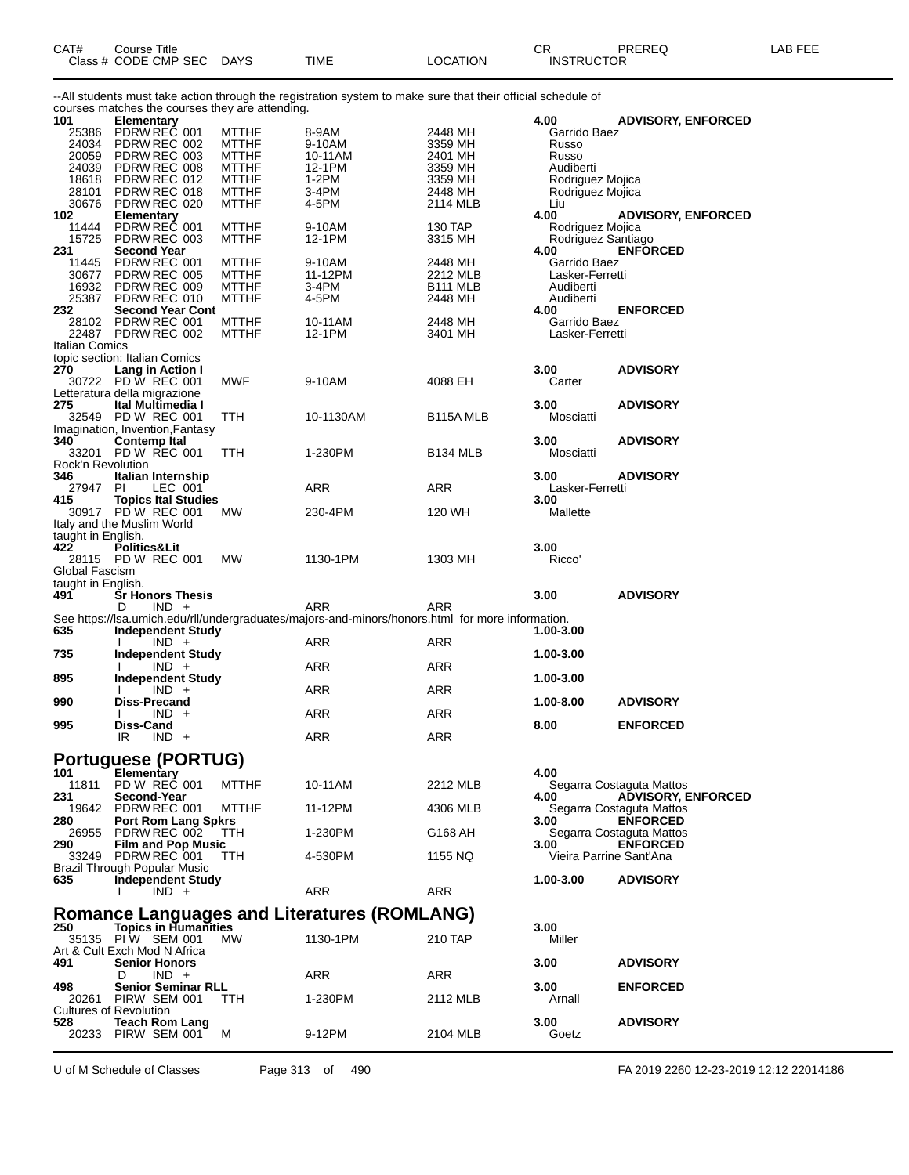| CAT# | Title<br>Course          |      |             |          | ⌒冖<br>◡                            | PREREC | ∟AB FEF |
|------|--------------------------|------|-------------|----------|------------------------------------|--------|---------|
|      | Class # CODE CMP,<br>SEC | DAYS | <b>TIME</b> | _OCATION | <b>FRUCTOF</b><br>INS <sup>-</sup> |        |         |

--All students must take action through the registration system to make sure that their official schedule of courses matches the courses they are attending.

| 101                           | <b>Elementary</b>                             |                              |                                                                                                  |                        | 4.00                                 | <b>ADVISORY, ENFORCED</b> |
|-------------------------------|-----------------------------------------------|------------------------------|--------------------------------------------------------------------------------------------------|------------------------|--------------------------------------|---------------------------|
| 25386                         | PDRW REC 001                                  | <b>MTTHF</b>                 | 8-9AM                                                                                            | 2448 MH                | Garrido Baez                         |                           |
|                               | 24034 PDRW REC 002                            | <b>MTTHF</b>                 | 9-10AM                                                                                           | 3359 MH                | Russo                                |                           |
| 20059                         | PDRW REC 003                                  | <b>MTTHF</b>                 | 10-11AM                                                                                          | 2401 MH                | Russo                                |                           |
| 24039                         | PDRW REC 008                                  | <b>MTTHF</b>                 | 12-1PM                                                                                           | 3359 MH                | Audiberti                            |                           |
| 18618<br>28101                | PDRW REC 012<br>PDRW REC 018                  | <b>MTTHF</b><br><b>MTTHF</b> | 1-2PM<br>3-4PM                                                                                   | 3359 MH<br>2448 MH     | Rodriguez Mojica<br>Rodriguez Mojica |                           |
| 30676                         | PDRW REC 020                                  | <b>MTTHF</b>                 | 4-5PM                                                                                            | 2114 MLB               | Liu                                  |                           |
| 102                           | <b>Elementary</b>                             |                              |                                                                                                  |                        | 4.00                                 | <b>ADVISORY, ENFORCED</b> |
| 11444                         | PDRW REC 001                                  | <b>MTTHF</b>                 | 9-10AM                                                                                           | 130 TAP                | Rodriguez Mojica                     |                           |
| 15725                         | PDRW REC 003                                  | <b>MTTHF</b>                 | 12-1PM                                                                                           | 3315 MH                | Rodriguez Santiago                   |                           |
| 231                           | <b>Second Year</b>                            |                              |                                                                                                  |                        | 4.00                                 | <b>ENFORCED</b>           |
| 11445                         | PDRW REC 001                                  | <b>MTTHF</b>                 | 9-10AM                                                                                           | 2448 MH                | Garrido Baez                         |                           |
|                               | 30677 PDRW REC 005                            | <b>MTTHF</b>                 | 11-12PM                                                                                          | 2212 MLB               | Lasker-Ferretti                      |                           |
| 16932                         | PDRW REC 009                                  | <b>MTTHF</b>                 | 3-4PM                                                                                            | B <sub>111</sub> MLB   | Audiberti                            |                           |
|                               | 25387 PDRW REC 010                            | <b>MTTHF</b>                 | 4-5PM                                                                                            | 2448 MH                | Audiberti                            |                           |
| 232                           | <b>Second Year Cont</b><br>28102 PDRW REC 001 |                              |                                                                                                  | 2448 MH                | 4.00                                 | <b>ENFORCED</b>           |
|                               | 22487 PDRW REC 002                            | <b>MTTHF</b><br><b>MTTHF</b> | 10-11AM<br>12-1PM                                                                                | 3401 MH                | Garrido Baez<br>Lasker-Ferretti      |                           |
| Italian Comics                |                                               |                              |                                                                                                  |                        |                                      |                           |
|                               | topic section: Italian Comics                 |                              |                                                                                                  |                        |                                      |                           |
| 270                           | Lang in Action I                              |                              |                                                                                                  |                        | 3.00                                 | <b>ADVISORY</b>           |
|                               | 30722 PD W REC 001                            | MWF                          | 9-10AM                                                                                           | 4088 EH                | Carter                               |                           |
|                               | Letteratura della migrazione                  |                              |                                                                                                  |                        |                                      |                           |
| 275                           | <b>Ital Multimedia I</b>                      |                              |                                                                                                  |                        | 3.00                                 | <b>ADVISORY</b>           |
|                               | 32549 PD W REC 001                            | TTH                          | 10-1130AM                                                                                        | B <sub>115</sub> A MLB | Mosciatti                            |                           |
|                               | Imagination, Invention, Fantasy               |                              |                                                                                                  |                        |                                      |                           |
| 340                           | Contemp Ital                                  |                              |                                                                                                  |                        | 3.00                                 | <b>ADVISORY</b>           |
|                               | 33201 PD W REC 001                            | TTH                          | 1-230PM                                                                                          | <b>B134 MLB</b>        | Mosciatti                            |                           |
| Rock'n Revolution<br>346      | Italian Internship                            |                              |                                                                                                  |                        | 3.00                                 | <b>ADVISORY</b>           |
| 27947 PI                      | LEC 001                                       |                              | ARR                                                                                              | ARR                    | Lasker-Ferretti                      |                           |
| 415                           | <b>Topics Ital Studies</b>                    |                              |                                                                                                  |                        | 3.00                                 |                           |
|                               | 30917 PD W REC 001                            | <b>MW</b>                    | 230-4PM                                                                                          | 120 WH                 | Mallette                             |                           |
|                               | Italy and the Muslim World                    |                              |                                                                                                  |                        |                                      |                           |
| taught in English.            |                                               |                              |                                                                                                  |                        |                                      |                           |
| 422                           | Politics&Lit                                  |                              |                                                                                                  |                        | 3.00                                 |                           |
|                               | 28115 PD W REC 001                            | <b>MW</b>                    | 1130-1PM                                                                                         | 1303 MH                | Ricco'                               |                           |
| Global Fascism                |                                               |                              |                                                                                                  |                        |                                      |                           |
|                               |                                               |                              |                                                                                                  |                        |                                      |                           |
| taught in English.            |                                               |                              |                                                                                                  |                        |                                      |                           |
| 491                           | <b>Sr Honors Thesis</b>                       |                              |                                                                                                  |                        | 3.00                                 | <b>ADVISORY</b>           |
|                               | D<br>$IND +$                                  |                              | ARR                                                                                              | ARR                    |                                      |                           |
|                               |                                               |                              | See https://lsa.umich.edu/rll/undergraduates/majors-and-minors/honors.html for more information. |                        |                                      |                           |
| 635                           | <b>Independent Study</b>                      |                              |                                                                                                  |                        | 1.00-3.00                            |                           |
| 735                           | $IND +$                                       |                              | ARR                                                                                              | ARR                    | 1.00-3.00                            |                           |
|                               | <b>Independent Study</b><br>$IND +$           |                              | ARR                                                                                              | ARR                    |                                      |                           |
| 895                           | <b>Independent Study</b>                      |                              |                                                                                                  |                        | 1.00-3.00                            |                           |
|                               | $IND +$                                       |                              | ARR                                                                                              | ARR                    |                                      |                           |
| 990                           | Diss-Precand                                  |                              |                                                                                                  |                        | 1.00-8.00                            | <b>ADVISORY</b>           |
|                               | $IND +$                                       |                              | ARR                                                                                              | ARR                    |                                      |                           |
| 995                           | <b>Diss-Cand</b>                              |                              |                                                                                                  |                        | 8.00                                 | <b>ENFORCED</b>           |
|                               | IR.<br>$IND +$                                |                              | <b>ARR</b>                                                                                       | ARR                    |                                      |                           |
|                               |                                               |                              |                                                                                                  |                        |                                      |                           |
| 101                           | <b>Portuguese (PORTUG)</b>                    |                              |                                                                                                  |                        | 4.00                                 |                           |
| 11811                         | <b>Elementary</b><br>PD W REC 001             | <b>MTTHF</b>                 | 10-11AM                                                                                          | 2212 MLB               |                                      | Segarra Costaguta Mattos  |
| 231                           | Second-Year                                   |                              |                                                                                                  |                        | 4.00                                 | <b>ADVISORY, ENFORCED</b> |
| 19642                         | PDRW REC 001                                  | <b>MTTHF</b>                 | 11-12PM                                                                                          | 4306 MLB               |                                      | Segarra Costaguta Mattos  |
| 280                           | <b>Port Rom Lang Spkrs</b>                    |                              |                                                                                                  |                        | 3.00                                 | <b>ENFORCED</b>           |
| 26955                         | PDRW REC 002                                  | TTH                          | 1-230PM                                                                                          | G168 AH                |                                      | Segarra Costaguta Mattos  |
| 290                           | <b>Film and Pop Music</b>                     |                              |                                                                                                  |                        | 3.00                                 | <b>ENFORCED</b>           |
| 33249                         | PDRW REC 001                                  | TTH                          | 4-530PM                                                                                          | 1155 NQ                | Vieira Parrine Sant'Ana              |                           |
|                               | Brazil Through Popular Music                  |                              |                                                                                                  |                        |                                      |                           |
| 635                           | <b>Independent Study</b>                      |                              |                                                                                                  |                        | 1.00-3.00                            | <b>ADVISORY</b>           |
|                               | $IND +$<br>Ι.                                 |                              | ARR                                                                                              | ARR                    |                                      |                           |
|                               |                                               |                              |                                                                                                  |                        |                                      |                           |
| 250                           | <b>Topics in Humanities</b>                   |                              | <b>Romance Languages and Literatures (ROMLANG)</b>                                               |                        | 3.00                                 |                           |
|                               | 35135 PIW SEM 001                             | MW                           | 1130-1PM                                                                                         | 210 TAP                | Miller                               |                           |
|                               | Art & Cult Exch Mod N Africa                  |                              |                                                                                                  |                        |                                      |                           |
| 491                           | <b>Senior Honors</b>                          |                              |                                                                                                  |                        | 3.00                                 | <b>ADVISORY</b>           |
|                               | $IND +$<br>D                                  |                              | ARR                                                                                              | ARR                    |                                      |                           |
| 498                           | Senior Seminar RLL                            |                              |                                                                                                  |                        | 3.00                                 | <b>ENFORCED</b>           |
| 20261                         | PIRW SEM 001                                  | TTH                          | 1-230PM                                                                                          | 2112 MLB               | Arnall                               |                           |
| <b>Cultures of Revolution</b> |                                               |                              |                                                                                                  |                        |                                      |                           |
| 528                           | <b>Teach Rom Lang</b><br>20233 PIRW SEM 001   | м                            | 9-12PM                                                                                           | 2104 MLB               | 3.00<br>Goetz                        | <b>ADVISORY</b>           |

U of M Schedule of Classes Page 313 of 490 FA 2019 2260 12-23-2019 12:12 22014186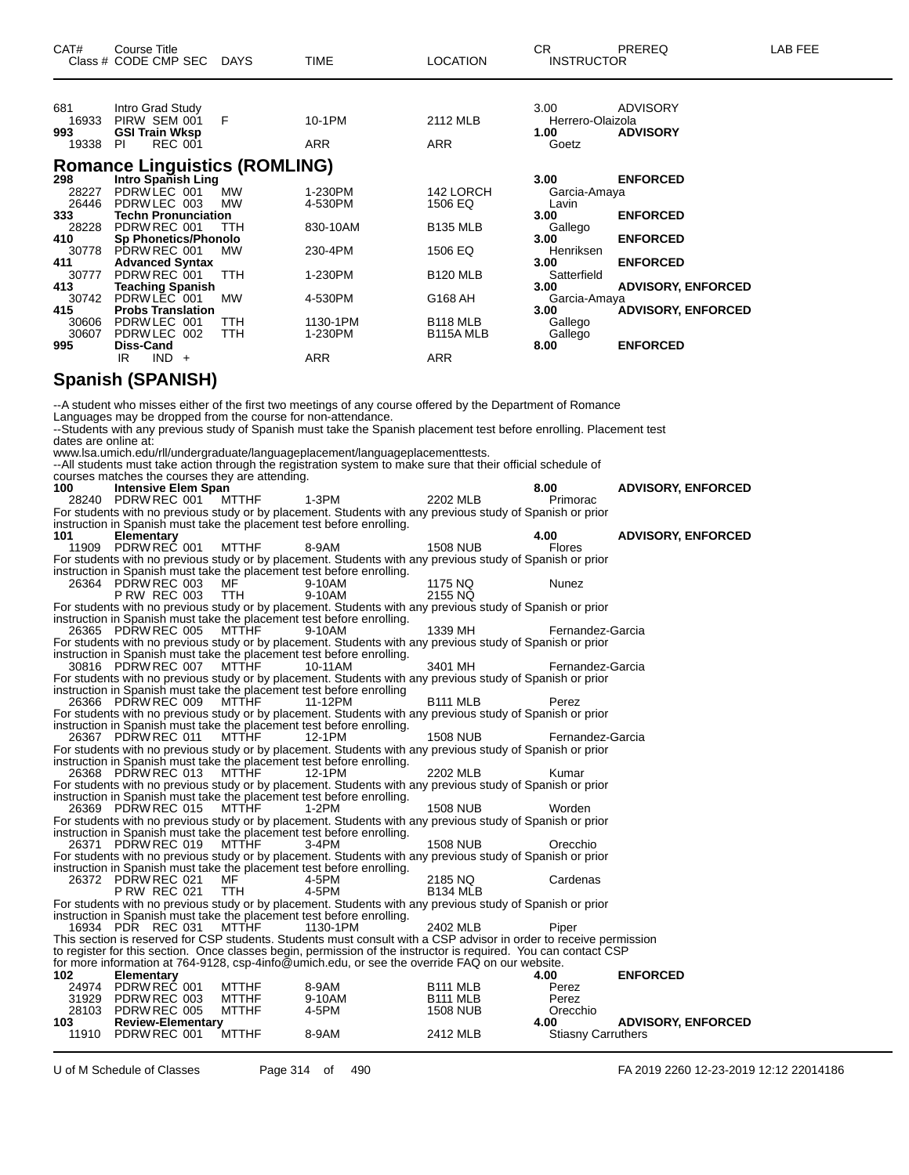| CAT#                  | <b>Course Title</b><br>Class # CODE CMP SEC DAYS                              |                              | TIME                                                                                                                                                                                                                                                                                                                                                                                                                                | <b>LOCATION</b>                                | CR.<br><b>INSTRUCTOR</b>         | PREREQ                             | LAB FEE |
|-----------------------|-------------------------------------------------------------------------------|------------------------------|-------------------------------------------------------------------------------------------------------------------------------------------------------------------------------------------------------------------------------------------------------------------------------------------------------------------------------------------------------------------------------------------------------------------------------------|------------------------------------------------|----------------------------------|------------------------------------|---------|
| 681<br>993            | Intro Grad Study<br>16933 PIRW SEM 001<br><b>GSI Train Wksp</b>               | F                            | 10-1PM                                                                                                                                                                                                                                                                                                                                                                                                                              | 2112 MLB                                       | 3.00<br>Herrero-Olaizola<br>1.00 | <b>ADVISORY</b><br><b>ADVISORY</b> |         |
| 19338 PI              | <b>REC 001</b>                                                                |                              | ARR                                                                                                                                                                                                                                                                                                                                                                                                                                 | ARR                                            | Goetz                            |                                    |         |
|                       | <b>Romance Linguistics (ROMLING)</b>                                          |                              |                                                                                                                                                                                                                                                                                                                                                                                                                                     |                                                |                                  |                                    |         |
| 298                   | Intro Spanish Ling                                                            |                              |                                                                                                                                                                                                                                                                                                                                                                                                                                     |                                                | 3.00                             | <b>ENFORCED</b>                    |         |
| 28227<br>26446        | PDRWLEC 001<br>PDRW LEC 003                                                   | MW<br>MW                     | 1-230PM<br>4-530PM                                                                                                                                                                                                                                                                                                                                                                                                                  | 142 LORCH<br>1506 EQ                           | Garcia-Amaya<br>Lavin            |                                    |         |
| 333<br>28228          | <b>Techn Pronunciation</b><br>PDRW REC 001                                    | ттн                          | 830-10AM                                                                                                                                                                                                                                                                                                                                                                                                                            | <b>B135 MLB</b>                                | 3.00<br>Gallego                  | <b>ENFORCED</b>                    |         |
| 410                   | <b>Sp Phonetics/Phonolo</b><br>30778 PDRW REC 001                             | МW                           | 230-4PM                                                                                                                                                                                                                                                                                                                                                                                                                             | 1506 EQ                                        | 3.00<br>Henriksen                | <b>ENFORCED</b>                    |         |
| 411                   | <b>Advanced Syntax</b><br>30777 PDRW REC 001                                  | <b>TTH</b>                   | 1-230PM                                                                                                                                                                                                                                                                                                                                                                                                                             | <b>B120 MLB</b>                                | 3.00<br>Satterfield              | <b>ENFORCED</b>                    |         |
| 413<br>30742          | <b>Teaching Spanish</b><br>PDRW LEC 001                                       | MW                           | 4-530PM                                                                                                                                                                                                                                                                                                                                                                                                                             | G168 AH                                        | 3.00<br>Garcia-Amaya             | <b>ADVISORY, ENFORCED</b>          |         |
| 415                   | <b>Probs Translation</b>                                                      |                              |                                                                                                                                                                                                                                                                                                                                                                                                                                     |                                                | 3.00                             | <b>ADVISORY, ENFORCED</b>          |         |
| 30606<br>30607<br>995 | PDRW LEC 001<br>PDRW LEC 002<br>Diss-Cand                                     | ттн<br>TTH                   | 1130-1PM<br>1-230PM                                                                                                                                                                                                                                                                                                                                                                                                                 | B <sub>118</sub> MLB<br>B <sub>115</sub> A MLB | Gallego<br>Gallego<br>8.00       | <b>ENFORCED</b>                    |         |
|                       | IR.<br>$IND +$                                                                |                              | ARR                                                                                                                                                                                                                                                                                                                                                                                                                                 | ARR                                            |                                  |                                    |         |
|                       | Spanish (SPANISH)                                                             |                              |                                                                                                                                                                                                                                                                                                                                                                                                                                     |                                                |                                  |                                    |         |
| dates are online at:  | Languages may be dropped from the course for non-attendance.                  |                              | --A student who misses either of the first two meetings of any course offered by the Department of Romance<br>--Students with any previous study of Spanish must take the Spanish placement test before enrolling. Placement test<br>www.lsa.umich.edu/rll/undergraduate/languageplacement/languageplacementtests.<br>-- All students must take action through the registration system to make sure that their official schedule of |                                                |                                  |                                    |         |
| 100                   | courses matches the courses they are attending.<br><b>Intensive Elem Span</b> |                              |                                                                                                                                                                                                                                                                                                                                                                                                                                     |                                                | 8.00                             | <b>ADVISORY, ENFORCED</b>          |         |
|                       | 28240 PDRW REC 001 MTTHF                                                      |                              | 1-3PM<br>For students with no previous study or by placement. Students with any previous study of Spanish or prior                                                                                                                                                                                                                                                                                                                  | 2202 MLB                                       | Primorac                         |                                    |         |
|                       |                                                                               |                              | instruction in Spanish must take the placement test before enrolling.                                                                                                                                                                                                                                                                                                                                                               |                                                |                                  |                                    |         |
| 101                   | <b>Elementary</b><br>11909 PDRW REC 001                                       | MTTHF                        | 8-9AM                                                                                                                                                                                                                                                                                                                                                                                                                               | <b>1508 NUB</b>                                | 4.00<br>Flores                   | <b>ADVISORY, ENFORCED</b>          |         |
|                       |                                                                               |                              | For students with no previous study or by placement. Students with any previous study of Spanish or prior<br>instruction in Spanish must take the placement test before enrolling.                                                                                                                                                                                                                                                  |                                                |                                  |                                    |         |
|                       | 26364 PDRW REC 003                                                            | MF                           | 9-10AM                                                                                                                                                                                                                                                                                                                                                                                                                              | 1175 NQ                                        | Nunez                            |                                    |         |
|                       | <b>P RW REC 003</b>                                                           | TTH                          | 9-10AM<br>For students with no previous study or by placement. Students with any previous study of Spanish or prior                                                                                                                                                                                                                                                                                                                 | 2155 NQ                                        |                                  |                                    |         |
|                       | 26365 PDRW REC 005                                                            | <b>MTTHF</b>                 | instruction in Spanish must take the placement test before enrolling.<br>9-10AM                                                                                                                                                                                                                                                                                                                                                     | 1339 MH                                        | Fernandez-Garcia                 |                                    |         |
|                       |                                                                               |                              | For students with no previous study or by placement. Students with any previous study of Spanish or prior<br>instruction in Spanish must take the placement test before enrolling.                                                                                                                                                                                                                                                  |                                                |                                  |                                    |         |
|                       | 30816 PDRW REC 007                                                            | <b>MTTHF</b>                 | 10-11AM                                                                                                                                                                                                                                                                                                                                                                                                                             | 3401 MH                                        | Fernandez-Garcia                 |                                    |         |
|                       |                                                                               |                              | For students with no previous study or by placement. Students with any previous study of Spanish or prior<br>instruction in Spanish must take the placement test before enrolling                                                                                                                                                                                                                                                   |                                                |                                  |                                    |         |
|                       |                                                                               |                              | 11-12PM<br>For students with no previous study or by placement. Students with any previous study of Spanish or prior                                                                                                                                                                                                                                                                                                                | B111 MLB                                       | Perez                            |                                    |         |
|                       |                                                                               |                              | instruction in Spanish must take the placement test before enrolling.                                                                                                                                                                                                                                                                                                                                                               |                                                |                                  |                                    |         |
|                       | 26367 PDRW REC 011                                                            | <b>MTTHF</b>                 | 12-1PM<br>For students with no previous study or by placement. Students with any previous study of Spanish or prior                                                                                                                                                                                                                                                                                                                 | <b>1508 NUB</b>                                | Fernandez-Garcia                 |                                    |         |
|                       | 26368 PDRW REC 013                                                            | MTTHF                        | instruction in Spanish must take the placement test before enrolling.<br>12-1PM                                                                                                                                                                                                                                                                                                                                                     | 2202 MLB                                       | Kumar                            |                                    |         |
|                       |                                                                               |                              | For students with no previous study or by placement. Students with any previous study of Spanish or prior                                                                                                                                                                                                                                                                                                                           |                                                |                                  |                                    |         |
|                       | 26369 PDRW REC 015                                                            | MTTHF                        | instruction in Spanish must take the placement test before enrolling.<br>1-2PM                                                                                                                                                                                                                                                                                                                                                      | <b>1508 NUB</b>                                | Worden                           |                                    |         |
|                       |                                                                               |                              | For students with no previous study or by placement. Students with any previous study of Spanish or prior<br>instruction in Spanish must take the placement test before enrolling.                                                                                                                                                                                                                                                  |                                                |                                  |                                    |         |
|                       | 26371 PDRW REC 019                                                            | <b>MTTHF</b>                 | 3-4PM                                                                                                                                                                                                                                                                                                                                                                                                                               | <b>1508 NUB</b>                                | Orecchio                         |                                    |         |
|                       |                                                                               |                              | For students with no previous study or by placement. Students with any previous study of Spanish or prior<br>instruction in Spanish must take the placement test before enrolling.                                                                                                                                                                                                                                                  |                                                |                                  |                                    |         |
|                       | 26372 PDRW REC 021<br>P RW REC 021                                            | MF<br>TTH                    | 4-5PM<br>4-5PM                                                                                                                                                                                                                                                                                                                                                                                                                      | 2185 NQ<br><b>B134 MLB</b>                     | Cardenas                         |                                    |         |
|                       |                                                                               |                              | For students with no previous study or by placement. Students with any previous study of Spanish or prior                                                                                                                                                                                                                                                                                                                           |                                                |                                  |                                    |         |
|                       | 16934 PDR REC 031                                                             | MTTHF                        | instruction in Spanish must take the placement test before enrolling.<br>1130-1PM                                                                                                                                                                                                                                                                                                                                                   | 2402 MLB                                       | Piper                            |                                    |         |
|                       |                                                                               |                              | This section is reserved for CSP students. Students must consult with a CSP advisor in order to receive permission<br>to register for this section. Once classes begin, permission of the instructor is required. You can contact CSP                                                                                                                                                                                               |                                                |                                  |                                    |         |
|                       |                                                                               |                              | for more information at 764-9128, csp-4info@umich.edu, or see the override FAQ on our website.                                                                                                                                                                                                                                                                                                                                      |                                                |                                  |                                    |         |
| 102                   | <b>Elementary</b><br>24974 PDRW REC 001                                       | <b>MTTHF</b>                 | 8-9AM                                                                                                                                                                                                                                                                                                                                                                                                                               | B <sub>111</sub> MLB                           | 4.00<br>Perez                    | <b>ENFORCED</b>                    |         |
| 31929<br>28103        | PDRW REC 003<br>PDRW REC 005                                                  | <b>MTTHF</b><br><b>MTTHF</b> | 9-10AM<br>4-5PM                                                                                                                                                                                                                                                                                                                                                                                                                     | B <sub>111</sub> MLB<br><b>1508 NUB</b>        | Perez<br>Orecchio                |                                    |         |
| 103                   | <b>Review-Elementary</b>                                                      |                              |                                                                                                                                                                                                                                                                                                                                                                                                                                     |                                                | 4.00                             | <b>ADVISORY, ENFORCED</b>          |         |
|                       | 11910 PDRW REC 001                                                            | MTTHF                        | 8-9AM                                                                                                                                                                                                                                                                                                                                                                                                                               | 2412 MLB                                       | <b>Stiasny Carruthers</b>        |                                    |         |

U of M Schedule of Classes Page 314 of 490 FA 2019 2260 12-23-2019 12:12 22014186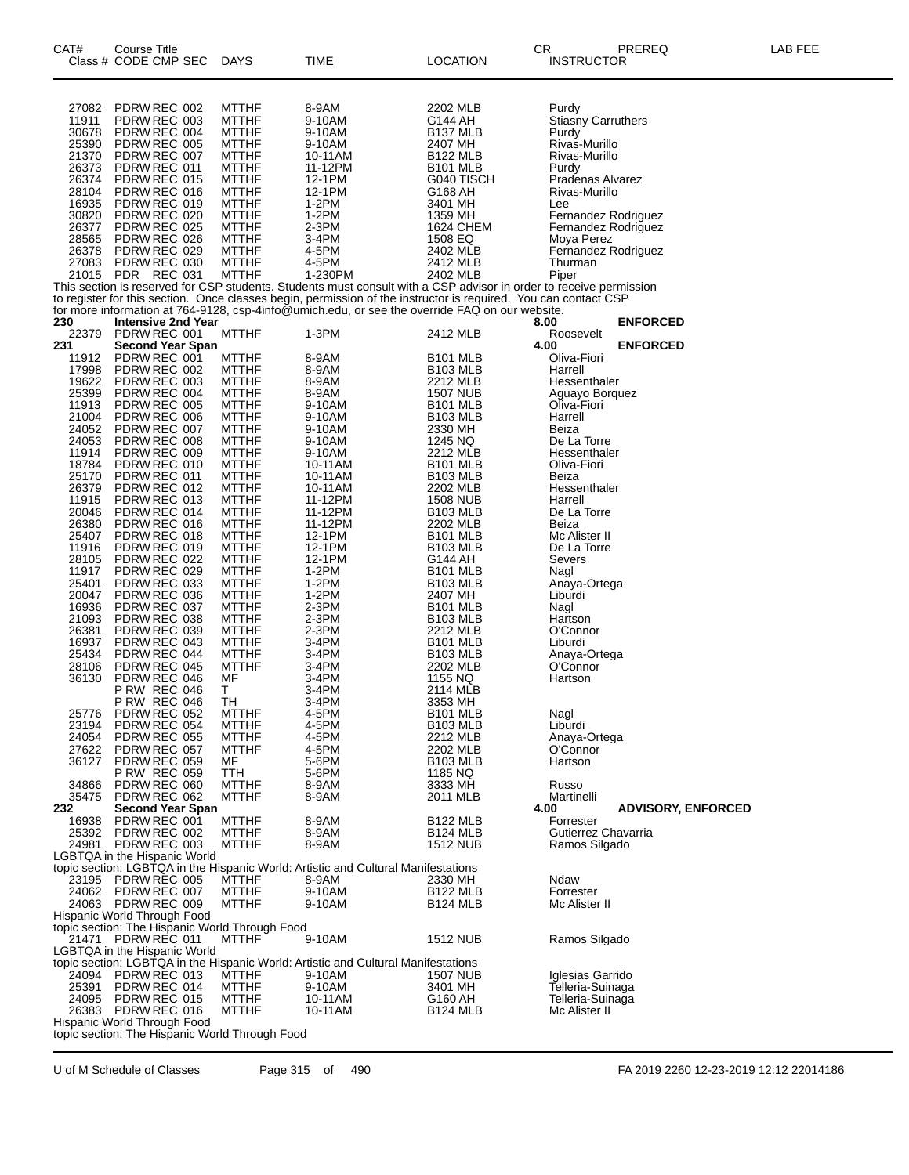| CAT#           | Course Title<br>Class # CODE CMP SEC                           | <b>DAYS</b>                  | TIME                                                                                                               | LOCATION                           | CR<br>PREREQ<br><b>INSTRUCTOR</b>              | LAB FEE |
|----------------|----------------------------------------------------------------|------------------------------|--------------------------------------------------------------------------------------------------------------------|------------------------------------|------------------------------------------------|---------|
| 27082          | PDRW REC 002                                                   | <b>MTTHF</b>                 | 8-9AM                                                                                                              | 2202 MLB                           | Purdy                                          |         |
| 11911          | PDRW REC 003                                                   | <b>MTTHF</b>                 | 9-10AM                                                                                                             | G144 AH                            | <b>Stiasny Carruthers</b>                      |         |
| 30678          | PDRW REC 004                                                   | <b>MTTHF</b>                 | 9-10AM                                                                                                             | B <sub>137</sub> MLB               | Purdy                                          |         |
| 25390<br>21370 | PDRW REC 005                                                   | <b>MTTHF</b><br><b>MTTHF</b> | 9-10AM                                                                                                             | 2407 MH                            | Rivas-Murillo                                  |         |
| 26373          | PDRW REC 007<br>PDRW REC 011                                   | <b>MTTHF</b>                 | 10-11AM<br>11-12PM                                                                                                 | <b>B122 MLB</b><br><b>B101 MLB</b> | Rivas-Murillo<br>Purdy                         |         |
| 26374          | PDRW REC 015                                                   | <b>MTTHF</b>                 | 12-1PM                                                                                                             | G040 TISCH                         | Pradenas Alvarez                               |         |
| 28104          | PDRW REC 016                                                   | <b>MTTHF</b>                 | 12-1PM                                                                                                             | G168 AH                            | Rivas-Murillo                                  |         |
| 16935<br>30820 | PDRW REC 019<br>PDRW REC 020                                   | <b>MTTHF</b><br><b>MTTHF</b> | $1-2PM$<br>$1-2PM$                                                                                                 | 3401 MH<br>1359 MH                 | Lee<br>Fernandez Rodriguez                     |         |
| 26377          | PDRW REC 025                                                   | <b>MTTHF</b>                 | 2-3PM                                                                                                              | 1624 CHEM                          | Fernandez Rodriguez                            |         |
| 28565          | PDRW REC 026                                                   | <b>MTTHF</b>                 | 3-4PM                                                                                                              | 1508 EQ                            | Moya Perez                                     |         |
| 26378          | PDRW REC 029                                                   | <b>MTTHF</b>                 | 4-5PM                                                                                                              | 2402 MLB                           | Fernandez Rodriguez                            |         |
| 27083<br>21015 | PDRW REC 030<br>PDR REC 031                                    | <b>MTTHF</b><br><b>MTTHF</b> | 4-5PM<br>1-230PM                                                                                                   | 2412 MLB<br>2402 MLB               | Thurman<br>Piper                               |         |
|                |                                                                |                              | This section is reserved for CSP students. Students must consult with a CSP advisor in order to receive permission |                                    |                                                |         |
|                |                                                                |                              | to register for this section. Once classes begin, permission of the instructor is required. You can contact CSP    |                                    |                                                |         |
|                |                                                                |                              | for more information at 764-9128, csp-4info@umich.edu, or see the override FAQ on our website.                     |                                    |                                                |         |
| 230<br>22379   | <b>Intensive 2nd Year</b><br>PDRW REC 001                      | <b>MTTHF</b>                 | 1-3PM                                                                                                              | 2412 MLB                           | <b>ENFORCED</b><br>8.00<br>Roosevelt           |         |
| 231            | <b>Second Year Span</b>                                        |                              |                                                                                                                    |                                    | 4.00<br><b>ENFORCED</b>                        |         |
| 11912          | PDRW REC 001                                                   | <b>MTTHF</b>                 | 8-9AM                                                                                                              | B <sub>101</sub> MLB               | Oliva-Fiori                                    |         |
| 17998<br>19622 | PDRW REC 002<br>PDRW REC 003                                   | <b>MTTHF</b><br><b>MTTHF</b> | 8-9AM<br>8-9AM                                                                                                     | <b>B103 MLB</b><br>2212 MLB        | Harrell<br>Hessenthaler                        |         |
| 25399          | PDRW REC 004                                                   | <b>MTTHF</b>                 | 8-9AM                                                                                                              | <b>1507 NUB</b>                    | Aguayo Borquez                                 |         |
| 11913          | PDRW REC 005                                                   | <b>MTTHF</b>                 | 9-10AM                                                                                                             | <b>B101 MLB</b>                    | Oliva-Fiori                                    |         |
| 21004          | PDRW REC 006                                                   | <b>MTTHF</b>                 | 9-10AM                                                                                                             | <b>B103 MLB</b>                    | Harrell                                        |         |
| 24052<br>24053 | PDRW REC 007<br>PDRW REC 008                                   | <b>MTTHF</b><br><b>MTTHF</b> | 9-10AM<br>9-10AM                                                                                                   | 2330 MH<br>1245 NQ                 | Beiza<br>De La Torre                           |         |
| 11914          | PDRW REC 009                                                   | <b>MTTHF</b>                 | 9-10AM                                                                                                             | 2212 MLB                           | Hessenthaler                                   |         |
| 18784          | PDRW REC 010                                                   | <b>MTTHF</b>                 | 10-11AM                                                                                                            | <b>B101 MLB</b>                    | Oliva-Fiori                                    |         |
| 25170<br>26379 | PDRW REC 011                                                   | <b>MTTHF</b><br><b>MTTHF</b> | 10-11AM                                                                                                            | <b>B103 MLB</b>                    | Beiza                                          |         |
| 11915          | PDRW REC 012<br>PDRW REC 013                                   | <b>MTTHF</b>                 | 10-11AM<br>11-12PM                                                                                                 | 2202 MLB<br><b>1508 NUB</b>        | Hessenthaler<br>Harrell                        |         |
| 20046          | PDRW REC 014                                                   | <b>MTTHF</b>                 | 11-12PM                                                                                                            | <b>B103 MLB</b>                    | De La Torre                                    |         |
| 26380          | PDRW REC 016                                                   | <b>MTTHF</b>                 | 11-12PM                                                                                                            | 2202 MLB                           | Beiza                                          |         |
| 25407<br>11916 | PDRW REC 018<br>PDRW REC 019                                   | <b>MTTHF</b><br><b>MTTHF</b> | 12-1PM<br>12-1PM                                                                                                   | <b>B101 MLB</b><br><b>B103 MLB</b> | Mc Alister II<br>De La Torre                   |         |
| 28105          | PDRW REC 022                                                   | <b>MTTHF</b>                 | 12-1PM                                                                                                             | G144 AH                            | Severs                                         |         |
| 11917          | PDRW REC 029                                                   | <b>MTTHF</b>                 | 1-2PM                                                                                                              | B <sub>101</sub> MLB               | Nagl                                           |         |
| 25401          | PDRW REC 033                                                   | <b>MTTHF</b>                 | $1-2PM$                                                                                                            | <b>B103 MLB</b>                    | Anaya-Ortega                                   |         |
| 20047<br>16936 | PDRW REC 036<br>PDRW REC 037                                   | <b>MTTHF</b><br><b>MTTHF</b> | $1-2PM$<br>$2-3PM$                                                                                                 | 2407 MH<br>B <sub>101</sub> MLB    | Liburdi<br>Nagl                                |         |
| 21093          | PDRW REC 038                                                   | <b>MTTHF</b>                 | 2-3PM                                                                                                              | <b>B103 MLB</b>                    | Hartson                                        |         |
| 26381          | PDRW REC 039                                                   | <b>MTTHF</b>                 | 2-3PM                                                                                                              | 2212 MLB                           | O'Connor                                       |         |
| 16937          | PDRW REC 043                                                   | <b>MTTHF</b>                 | $3-4PM$                                                                                                            | <b>B101 MLB</b>                    | Liburdi                                        |         |
| 25434<br>28106 | PDRW REC 044<br>PDRW REC 045                                   | <b>MTTHF</b><br><b>MTTHF</b> | 3-4PM<br>$3-4PM$                                                                                                   | <b>B103 MLB</b><br>2202 MLB        | Anaya-Ortega<br>O'Connor                       |         |
| 36130          | PDRW REC 046                                                   | МF                           | 3-4PM                                                                                                              | 1155 NQ                            | Hartson                                        |         |
|                | P RW REC 046                                                   | T.                           | 3-4PM                                                                                                              | 2114 MLB                           |                                                |         |
| 25776          | <b>P RW REC 046</b><br>PDRW REC 052                            | TH<br><b>MTTHF</b>           | 3-4PM<br>4-5PM                                                                                                     | 3353 MH<br>B <sub>101</sub> MLB    | Nagl                                           |         |
| 23194          | PDRW REC 054                                                   | <b>MTTHF</b>                 | 4-5PM                                                                                                              | B103 MLB                           | Liburdi                                        |         |
| 24054          | PDRW REC 055                                                   | <b>MTTHF</b>                 | 4-5PM                                                                                                              | 2212 MLB                           | Anaya-Ortega                                   |         |
| 27622<br>36127 | PDRW REC 057                                                   | <b>MTTHF</b><br>МF           | 4-5PM                                                                                                              | 2202 MLB                           | O'Connor<br>Hartson                            |         |
|                | PDRW REC 059<br><b>P RW REC 059</b>                            | TTH                          | 5-6PM<br>5-6PM                                                                                                     | <b>B103 MLB</b><br>1185 NQ         |                                                |         |
| 34866          | PDRW REC 060                                                   | <b>MTTHF</b>                 | 8-9AM                                                                                                              | 3333 MH                            | Russo                                          |         |
| 35475          | PDRW REC 062                                                   | <b>MTTHF</b>                 | 8-9AM                                                                                                              | 2011 MLB                           | Martinelli                                     |         |
| 232<br>16938   | <b>Second Year Span</b><br>PDRW REC 001                        | <b>MTTHF</b>                 | 8-9AM                                                                                                              | <b>B122 MLB</b>                    | 4.00<br><b>ADVISORY, ENFORCED</b><br>Forrester |         |
| 25392          | PDRW REC 002                                                   | <b>MTTHF</b>                 | 8-9AM                                                                                                              | <b>B124 MLB</b>                    | Gutierrez Chavarria                            |         |
| 24981          | PDRW REC 003                                                   | <b>MTTHF</b>                 | 8-9AM                                                                                                              | <b>1512 NUB</b>                    | Ramos Silgado                                  |         |
|                | LGBTQA in the Hispanic World                                   |                              |                                                                                                                    |                                    |                                                |         |
| 23195          | PDRW REC 005                                                   | <b>MTTHF</b>                 | topic section: LGBTQA in the Hispanic World: Artistic and Cultural Manifestations<br>8-9AM                         | 2330 MH                            | Ndaw                                           |         |
| 24062          | PDRW REC 007                                                   | <b>MTTHF</b>                 | 9-10AM                                                                                                             | <b>B122 MLB</b>                    | Forrester                                      |         |
|                | 24063 PDRW REC 009                                             | <b>MTTHF</b>                 | 9-10AM                                                                                                             | <b>B124 MLB</b>                    | Mc Alister II                                  |         |
|                | Hispanic World Through Food                                    |                              |                                                                                                                    |                                    |                                                |         |
| 21471          | topic section: The Hispanic World Through Food<br>PDRW REC 011 | <b>MTTHF</b>                 | 9-10AM                                                                                                             | <b>1512 NUB</b>                    | Ramos Silgado                                  |         |
|                | LGBTQA in the Hispanic World                                   |                              |                                                                                                                    |                                    |                                                |         |
|                |                                                                |                              | topic section: LGBTQA in the Hispanic World: Artistic and Cultural Manifestations                                  |                                    |                                                |         |
| 24094          | PDRW REC 013                                                   | <b>MTTHF</b>                 | 9-10AM                                                                                                             | 1507 NUB                           | Iglesias Garrido                               |         |
| 25391<br>24095 | PDRW REC 014<br>PDRW REC 015                                   | <b>MTTHF</b><br><b>MTTHF</b> | 9-10AM<br>10-11AM                                                                                                  | 3401 MH<br>G160 AH                 | Telleria-Suinaga<br>Telleria-Suinaga           |         |
| 26383          | PDRW REC 016                                                   | <b>MTTHF</b>                 | 10-11AM                                                                                                            | <b>B124 MLB</b>                    | Mc Alister II                                  |         |
|                | Hispanic World Through Food                                    |                              |                                                                                                                    |                                    |                                                |         |
|                | topic section: The Hispanic World Through Food                 |                              |                                                                                                                    |                                    |                                                |         |

U of M Schedule of Classes Page 315 of 490 FA 2019 2260 12-23-2019 12:12 22014186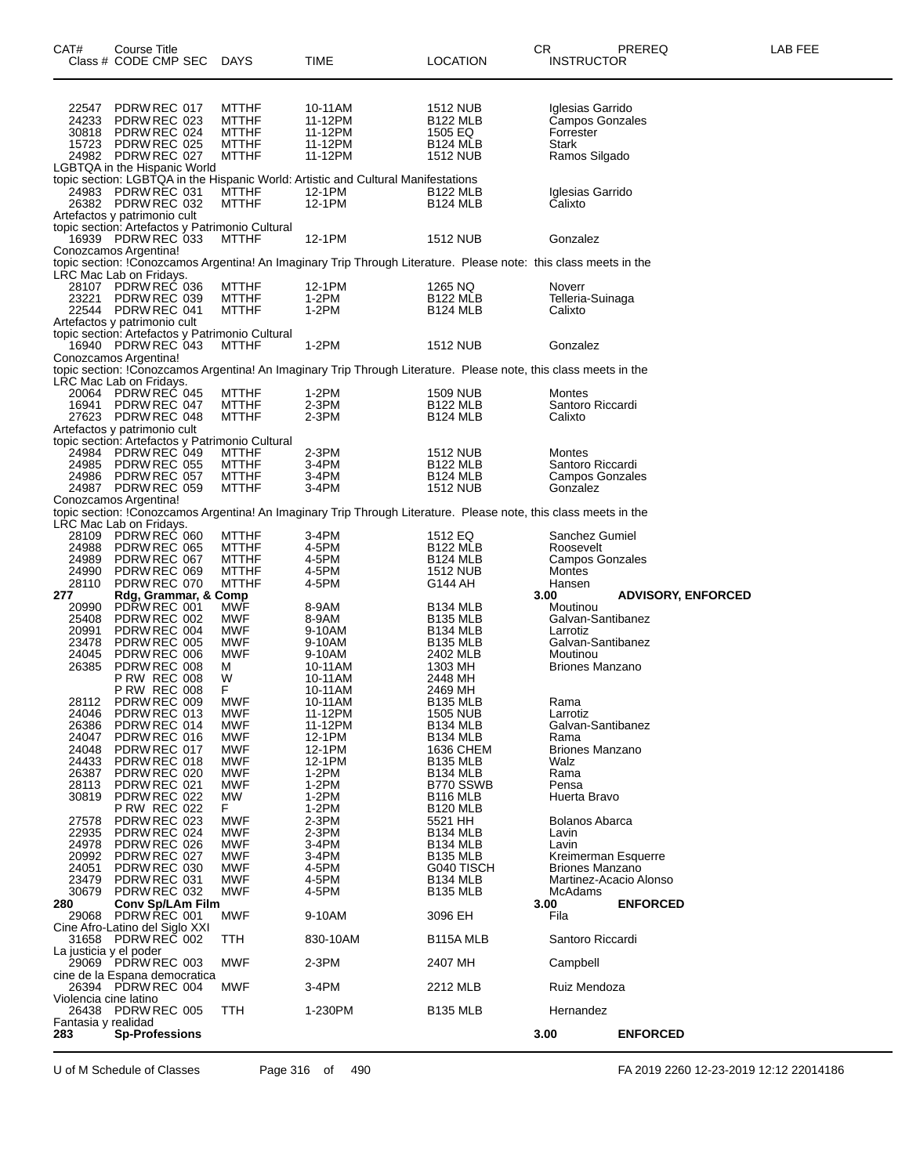| CAT#                       | Course Title<br>Class # CODE CMP SEC               | DAYS                                                     | TIME                                                                                                             | <b>LOCATION</b>                         | CR   | <b>INSTRUCTOR</b>                   | PREREQ                    | LAB FEE |
|----------------------------|----------------------------------------------------|----------------------------------------------------------|------------------------------------------------------------------------------------------------------------------|-----------------------------------------|------|-------------------------------------|---------------------------|---------|
|                            |                                                    |                                                          |                                                                                                                  |                                         |      |                                     |                           |         |
| 22547                      | PDRW REC 017                                       | <b>MTTHF</b>                                             | 10-11AM                                                                                                          | 1512 NUB                                |      | Iglesias Garrido                    |                           |         |
| 24233                      | PDRW REC 023<br>30818 PDRW REC 024                 | <b>MTTHF</b><br><b>MTTHF</b>                             | 11-12PM<br>11-12PM                                                                                               | <b>B122 MLB</b><br>1505 EQ              |      | Campos Gonzales<br>Forrester        |                           |         |
| 15723                      | PDRW REC 025                                       | <b>MTTHF</b>                                             | 11-12PM                                                                                                          | B <sub>124</sub> MLB                    |      | Stark                               |                           |         |
|                            | 24982 PDRW REC 027<br>LGBTQA in the Hispanic World | <b>MTTHF</b>                                             | 11-12PM                                                                                                          | <b>1512 NUB</b>                         |      | Ramos Silgado                       |                           |         |
|                            |                                                    |                                                          | topic section: LGBTQA in the Hispanic World: Artistic and Cultural Manifestations                                |                                         |      |                                     |                           |         |
| 24983                      | PDRW REC 031<br>26382 PDRW REC 032                 | <b>MTTHF</b><br><b>MTTHF</b>                             | 12-1PM<br>12-1PM                                                                                                 | <b>B122 MLB</b><br><b>B124 MLB</b>      |      | Iglesias Garrido<br>Calixto         |                           |         |
|                            | Artefactos y patrimonio cult                       |                                                          |                                                                                                                  |                                         |      |                                     |                           |         |
|                            | 16939 PDRW REC 033                                 | topic section: Artefactos y Patrimonio Cultural<br>MTTHF | 12-1PM                                                                                                           | 1512 NUB                                |      | Gonzalez                            |                           |         |
|                            | Conozcamos Argentina!                              |                                                          |                                                                                                                  |                                         |      |                                     |                           |         |
|                            | LRC Mac Lab on Fridays.                            |                                                          | topic section: !Conozcamos Argentina! An Imaginary Trip Through Literature. Please note: this class meets in the |                                         |      |                                     |                           |         |
| 23221                      | 28107 PDRW REC 036<br>PDRW REC 039                 | MTTHF<br>MTTHF                                           | 12-1PM<br>$1-2PM$                                                                                                | 1265 NQ<br><b>B122 MLB</b>              |      | Noverr<br>Telleria-Suinaga          |                           |         |
|                            | 22544 PDRW REC 041                                 | <b>MTTHF</b>                                             | 1-2PM                                                                                                            | <b>B124 MLB</b>                         |      | Calixto                             |                           |         |
|                            | Artefactos y patrimonio cult                       | topic section: Artefactos y Patrimonio Cultural          |                                                                                                                  |                                         |      |                                     |                           |         |
|                            | 16940 PDRW REC 043                                 | MTTHF                                                    | 1-2PM                                                                                                            | <b>1512 NUB</b>                         |      | Gonzalez                            |                           |         |
|                            | Conozcamos Argentina!                              |                                                          | topic section: !Conozcamos Argentina! An Imaginary Trip Through Literature. Please note, this class meets in the |                                         |      |                                     |                           |         |
|                            | LRC Mac Lab on Fridays.                            |                                                          |                                                                                                                  |                                         |      |                                     |                           |         |
| 16941                      | 20064 PDRW REC 045<br>PDRW REC 047                 | MTTHF<br><b>MTTHF</b>                                    | 1-2PM<br>$2-3PM$                                                                                                 | 1509 NUB<br><b>B122 MLB</b>             |      | Montes<br>Santoro Riccardi          |                           |         |
|                            | 27623 PDRW REC 048                                 | MTTHF                                                    | 2-3PM                                                                                                            | <b>B124 MLB</b>                         |      | Calixto                             |                           |         |
|                            | Artefactos y patrimonio cult                       | topic section: Artefactos y Patrimonio Cultural          |                                                                                                                  |                                         |      |                                     |                           |         |
|                            | 24984 PDRW REC 049                                 | <b>MTTHF</b>                                             | 2-3PM                                                                                                            | <b>1512 NUB</b>                         |      | Montes                              |                           |         |
| 24986                      | 24985 PDRW REC 055<br>PDRW REC 057                 | <b>MTTHF</b><br><b>MTTHF</b>                             | 3-4PM<br>3-4PM                                                                                                   | <b>B122 MLB</b><br><b>B124 MLB</b>      |      | Santoro Riccardi<br>Campos Gonzales |                           |         |
|                            | 24987 PDRW REC 059                                 | <b>MTTHF</b>                                             | 3-4PM                                                                                                            | <b>1512 NUB</b>                         |      | Gonzalez                            |                           |         |
|                            | Conozcamos Argentina!                              |                                                          | topic section: !Conozcamos Argentina! An Imaginary Trip Through Literature. Please note, this class meets in the |                                         |      |                                     |                           |         |
|                            | LRC Mac Lab on Fridays.                            |                                                          |                                                                                                                  |                                         |      |                                     |                           |         |
| 24988                      | 28109 PDRW REC 060<br>PDRW REC 065                 | <b>MTTHF</b><br><b>MTTHF</b>                             | 3-4PM<br>4-5PM                                                                                                   | 1512 EQ<br><b>B122 MLB</b>              |      | Sanchez Gumiel<br>Roosevelt         |                           |         |
|                            | 24989 PDRW REC 067                                 | <b>MTTHF</b>                                             | 4-5PM                                                                                                            | <b>B124 MLB</b>                         |      | Campos Gonzales                     |                           |         |
| 24990<br>28110             | PDRW REC 069<br>PDRW REC 070                       | <b>MTTHF</b><br><b>MTTHF</b>                             | 4-5PM<br>4-5PM                                                                                                   | 1512 NUB<br>G144 AH                     |      | Montes<br>Hansen                    |                           |         |
| 277                        | Rdg, Grammar, & Comp                               |                                                          |                                                                                                                  |                                         | 3.00 |                                     | <b>ADVISORY, ENFORCED</b> |         |
| 20990<br>25408             | PDRW REC 001<br>PDRW REC 002                       | <b>MWF</b><br><b>MWF</b>                                 | 8-9AM<br>8-9AM                                                                                                   | B134 MLB<br><b>B135 MLB</b>             |      | Moutinou<br>Galvan-Santibanez       |                           |         |
| 20991                      | PDRW REC 004                                       | MWF                                                      | 9-10AM                                                                                                           | B134 MLB                                |      | Larrotiz                            |                           |         |
| 23478<br>24045             | PDRW REC 005<br>PDRW REC 006                       | MWF<br><b>MWF</b>                                        | 9-10AM<br>9-10AM                                                                                                 | <b>B135 MLB</b><br>2402 MLB             |      | Galvan-Santibanez<br>Moutinou       |                           |         |
| 26385                      | PDRW REC 008                                       | м                                                        | 10-11AM                                                                                                          | 1303 MH                                 |      | <b>Briones Manzano</b>              |                           |         |
|                            | <b>P RW REC 008</b><br><b>P RW REC 008</b>         | W<br>F.                                                  | 10-11AM<br>10-11AM                                                                                               | 2448 MH<br>2469 MH                      |      |                                     |                           |         |
| 28112                      | PDRW REC 009                                       | <b>MWF</b>                                               | 10-11AM                                                                                                          | <b>B135 MLB</b>                         |      | Rama                                |                           |         |
| 24046<br>26386             | PDRW REC 013<br>PDRW REC 014                       | <b>MWF</b><br><b>MWF</b>                                 | 11-12PM<br>11-12PM                                                                                               | 1505 NUB<br>B134 MLB                    |      | Larrotiz<br>Galvan-Santibanez       |                           |         |
| 24047                      | PDRW REC 016                                       | MWF                                                      | 12-1PM                                                                                                           | B <sub>134</sub> MLB                    |      | Rama                                |                           |         |
| 24048<br>24433             | PDRW REC 017<br>PDRW REC 018                       | <b>MWF</b><br><b>MWF</b>                                 | 12-1PM<br>12-1PM                                                                                                 | 1636 CHEM<br>B135 MLB                   |      | <b>Briones Manzano</b><br>Walz      |                           |         |
| 26387                      | PDRW REC 020                                       | MWF<br><b>MWF</b>                                        | 1-2PM                                                                                                            | B <sub>134</sub> MLB                    |      | Rama<br>Pensa                       |                           |         |
| 28113<br>30819             | PDRW REC 021<br>PDRW REC 022                       | <b>MW</b>                                                | $1-2PM$<br>$1-2PM$                                                                                               | B770 SSWB<br><b>B116 MLB</b>            |      | Huerta Bravo                        |                           |         |
| 27578                      | <b>P RW REC 022</b><br>PDRW REC 023                | F.                                                       | $1-2PM$<br>2-3PM                                                                                                 | <b>B120 MLB</b>                         |      |                                     |                           |         |
| 22935                      | PDRW REC 024                                       | MWF<br><b>MWF</b>                                        | $2-3PM$                                                                                                          | 5521 HH<br>B134 MLB                     |      | <b>Bolanos Abarca</b><br>Lavin      |                           |         |
| 24978<br>20992             | PDRW REC 026<br>PDRW REC 027                       | MWF<br><b>MWF</b>                                        | 3-4PM<br>3-4PM                                                                                                   | B <sub>134</sub> MLB<br><b>B135 MLB</b> |      | Lavin<br>Kreimerman Esquerre        |                           |         |
| 24051                      | PDRW REC 030                                       | <b>MWF</b>                                               | 4-5PM                                                                                                            | G040 TISCH                              |      | <b>Briones Manzano</b>              |                           |         |
| 23479<br>30679             | PDRW REC 031<br>PDRW REC 032                       | MWF<br><b>MWF</b>                                        | 4-5PM<br>4-5PM                                                                                                   | <b>B134 MLB</b><br><b>B135 MLB</b>      |      | McAdams                             | Martinez-Acacio Alonso    |         |
| 280                        | Conv Sp/LAm Film                                   |                                                          |                                                                                                                  |                                         | 3.00 |                                     | <b>ENFORCED</b>           |         |
| 29068                      | PDRW REC 001<br>Cine Afro-Latino del Siglo XXI     | MWF                                                      | 9-10AM                                                                                                           | 3096 EH                                 |      | Fila                                |                           |         |
|                            | 31658 PDRW REC 002                                 | TTH                                                      | 830-10AM                                                                                                         | B115A MLB                               |      | Santoro Riccardi                    |                           |         |
| La justicia y el poder     | 29069 PDRW REC 003                                 | <b>MWF</b>                                               | $2-3PM$                                                                                                          | 2407 MH                                 |      | Campbell                            |                           |         |
|                            | cine de la Espana democratica                      |                                                          |                                                                                                                  |                                         |      |                                     |                           |         |
| Violencia cine latino      | 26394 PDRW REC 004                                 | MWF                                                      | 3-4PM                                                                                                            | 2212 MLB                                |      | Ruiz Mendoza                        |                           |         |
| 26438                      | PDRW REC 005                                       | TTH                                                      | 1-230PM                                                                                                          | <b>B135 MLB</b>                         |      | Hernandez                           |                           |         |
| Fantasia y realidad<br>283 | <b>Sp-Professions</b>                              |                                                          |                                                                                                                  |                                         | 3.00 |                                     | <b>ENFORCED</b>           |         |

U of M Schedule of Classes Page 316 of 490 FA 2019 2260 12-23-2019 12:12 22014186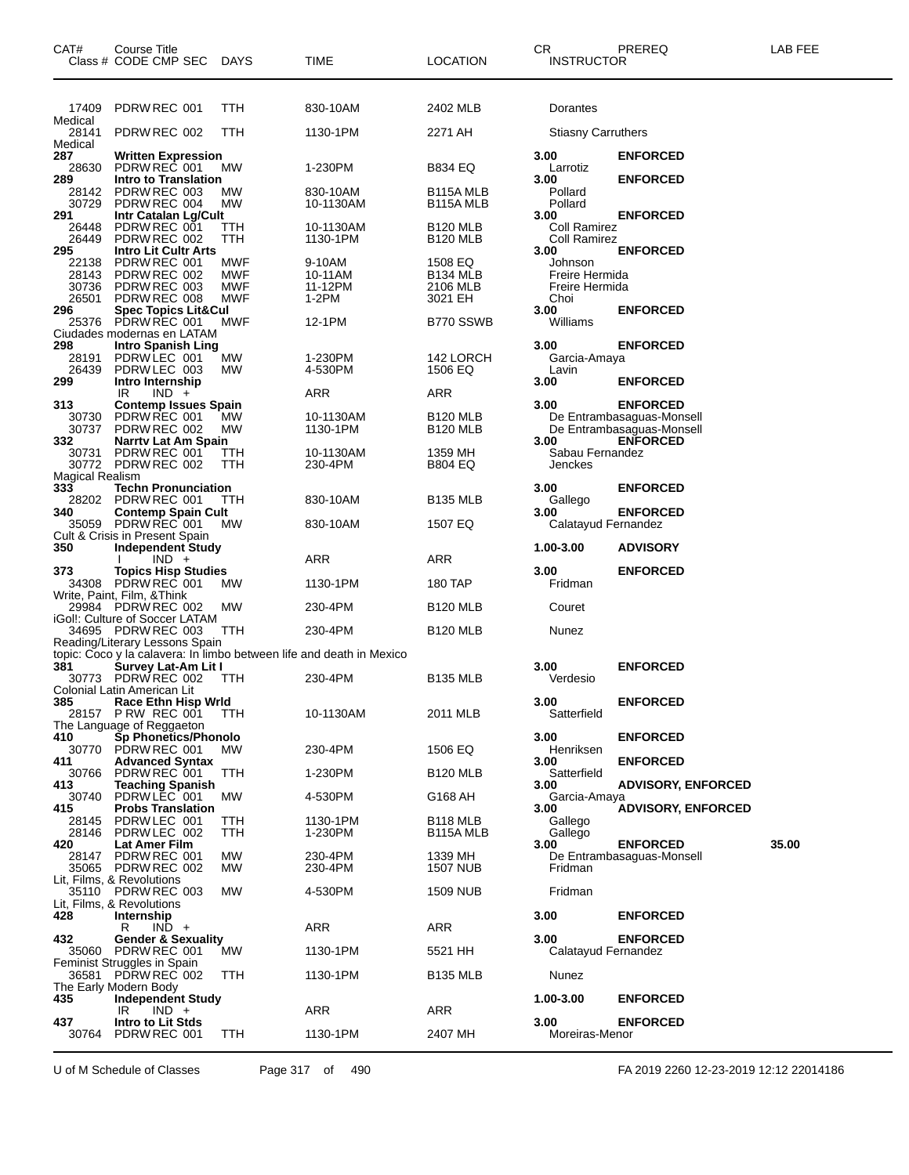| CAT#                   | Course Title<br>Class # CODE CMP SEC                    | <b>DAYS</b> | TIME                                                                 | LOCATION                        | CR.<br><b>INSTRUCTOR</b>    | PREREQ                                       | LAB FEE |
|------------------------|---------------------------------------------------------|-------------|----------------------------------------------------------------------|---------------------------------|-----------------------------|----------------------------------------------|---------|
|                        |                                                         |             |                                                                      |                                 |                             |                                              |         |
| 17409<br>Medical       | PDRW REC 001                                            | TTH         | 830-10AM                                                             | 2402 MLB                        | Dorantes                    |                                              |         |
| 28141                  | PDRW REC 002                                            | TTH         | 1130-1PM                                                             | 2271 AH                         | <b>Stiasny Carruthers</b>   |                                              |         |
| Medical<br>287         | <b>Written Expression</b>                               |             |                                                                      |                                 | 3.00                        | <b>ENFORCED</b>                              |         |
| 28630                  | PDRW REC 001                                            | МW          | 1-230PM                                                              | <b>B834 EQ</b>                  | Larrotiz                    |                                              |         |
| 289<br>28142           | Intro to Translation<br>PDRW REC 003                    | МW          | 830-10AM                                                             | B115A MLB                       | 3.00<br>Pollard             | <b>ENFORCED</b>                              |         |
| 30729<br>291           | PDRW REC 004<br>Intr Catalan Lg/Cult                    | MW          | 10-1130AM                                                            | B <sub>115</sub> A MLB          | Pollard<br>3.00             | <b>ENFORCED</b>                              |         |
| 26448                  | PDRW REC 001                                            | TTH         | 10-1130AM                                                            | B <sub>120</sub> MLB            | Coll Ramirez                |                                              |         |
| 26449<br>295           | PDRW REC 002<br><b>Intro Lit Cultr Arts</b>             | TTH         | 1130-1PM                                                             | <b>B120 MLB</b>                 | <b>Coll Ramirez</b><br>3.00 | <b>ENFORCED</b>                              |         |
| 22138<br>28143         | PDRW REC 001<br>PDRW REC 002                            | MWF<br>MWF  | 9-10AM<br>10-11AM                                                    | 1508 EQ<br>B <sub>134</sub> MLB | Johnson<br>Freire Hermida   |                                              |         |
| 30736                  | PDRW REC 003                                            | MWF         | 11-12PM                                                              | 2106 MLB                        | Freire Hermida              |                                              |         |
| 26501<br>296           | PDRW REC 008<br><b>Spec Topics Lit&amp;Cul</b>          | MWF         | 1-2PM                                                                | 3021 EH                         | Choi<br>3.00                | <b>ENFORCED</b>                              |         |
| 25376                  | PDRW REC 001                                            | MWF         | 12-1PM                                                               | B770 SSWB                       | Williams                    |                                              |         |
| 298                    | Ciudades modernas en LATAM<br><b>Intro Spanish Ling</b> |             |                                                                      |                                 | 3.00                        | <b>ENFORCED</b>                              |         |
| 28191<br>26439         | PDRWLEC 001<br>PDRW LEC 003                             | MW<br>MW    | 1-230PM<br>4-530PM                                                   | 142 LORCH<br>1506 EQ            | Garcia-Amaya<br>Lavin       |                                              |         |
| 299                    | Intro Internship                                        |             |                                                                      |                                 | 3.00                        | <b>ENFORCED</b>                              |         |
| 313                    | $IND +$<br>IR<br><b>Contemp Issues Spain</b>            |             | ARR                                                                  | <b>ARR</b>                      | 3.00                        | <b>ENFORCED</b>                              |         |
| 30730                  | PDRW REC 001                                            | МW          | 10-1130AM                                                            | <b>B120 MLB</b>                 |                             | De Entrambasaguas-Monsell                    |         |
| 30737<br>332           | PDRW REC 002<br>Narrty Lat Am Spain                     | MW          | 1130-1PM                                                             | <b>B120 MLB</b>                 | 3.00                        | De Entrambasaguas-Monsell<br><b>ENFORCED</b> |         |
| 30731                  | PDRW REC 001<br>30772 PDRW REC 002                      | TТH<br>TTH  | 10-1130AM<br>230-4PM                                                 | 1359 MH<br><b>B804 EQ</b>       | Sabau Fernandez<br>Jenckes  |                                              |         |
| <b>Magical Realism</b> |                                                         |             |                                                                      |                                 |                             |                                              |         |
| 333<br>28202           | <b>Techn Pronunciation</b><br>PDRW REC 001              | ттн         | 830-10AM                                                             | <b>B135 MLB</b>                 | 3.00<br>Gallego             | <b>ENFORCED</b>                              |         |
| 340                    | <b>Contemp Spain Cult</b><br>35059 PDRW REC 001         | МW          | 830-10AM                                                             | 1507 EQ                         | 3.00<br>Calatayud Fernandez | <b>ENFORCED</b>                              |         |
|                        | Cult & Crisis in Present Spain                          |             |                                                                      |                                 |                             |                                              |         |
| 350                    | <b>Independent Study</b><br>$IND +$                     |             | ARR                                                                  | ARR                             | 1.00-3.00                   | <b>ADVISORY</b>                              |         |
| 373                    | <b>Topics Hisp Studies</b><br>34308 PDRW REC 001        | МW          | 1130-1PM                                                             | 180 TAP                         | 3.00<br>Fridman             | <b>ENFORCED</b>                              |         |
|                        | Write, Paint, Film, &Think                              |             |                                                                      |                                 |                             |                                              |         |
|                        | 29984 PDRW REC 002<br>iGol!: Culture of Soccer LATAM    | MW          | 230-4PM                                                              | B <sub>120</sub> MLB            | Couret                      |                                              |         |
|                        | 34695 PDRW REC 003<br>Reading/Literary Lessons Spain    | TTH         | 230-4PM                                                              | <b>B120 MLB</b>                 | Nunez                       |                                              |         |
| 381                    | Survey Lat-Am Lit I                                     |             | topic: Coco y la calavera: In limbo between life and death in Mexico |                                 | 3.00                        | <b>ENFORCED</b>                              |         |
|                        | 30773 PDRW REC 002                                      | <b>TTH</b>  | 230-4PM                                                              | <b>B135 MLB</b>                 | Verdesio                    |                                              |         |
| 385                    | Colonial Latin American Lit<br>Race Ethn Hisp Wrld      |             |                                                                      |                                 | 3.00                        | <b>ENFORCED</b>                              |         |
|                        | 28157 P RW REC 001                                      | TTH         | 10-1130AM                                                            | 2011 MLB                        | Satterfield                 |                                              |         |
| 410                    | The Language of Reggaeton<br>Sp Phonetics/Phonolo       |             |                                                                      |                                 | 3.00                        | <b>ENFORCED</b>                              |         |
| 30770<br>411           | PDRW REC 001<br><b>Advanced Syntax</b>                  | MW          | 230-4PM                                                              | 1506 EQ                         | Henriksen<br>3.00           | <b>ENFORCED</b>                              |         |
| 30766                  | PDRW REC 001                                            | TTH         | 1-230PM                                                              | <b>B120 MLB</b>                 | Satterfield                 |                                              |         |
| 413<br>30740           | <b>Teaching Spanish</b><br>PDRW LEC 001                 | MW          | 4-530PM                                                              | G168 AH                         | 3.00<br>Garcia-Amaya        | <b>ADVISORY, ENFORCED</b>                    |         |
| 415<br>28145           | <b>Probs Translation</b><br>PDRW LEC 001                | TTH         | 1130-1PM                                                             | B118 MLB                        | 3.00<br>Gallego             | <b>ADVISORY, ENFORCED</b>                    |         |
| 28146                  | PDRW LEC 002                                            | TTH         | 1-230PM                                                              | B115A MLB                       | Gallego                     |                                              |         |
| 420<br>28147           | Lat Amer Film<br>PDRW REC 001                           | <b>MW</b>   | 230-4PM                                                              | 1339 MH                         | 3.00                        | <b>ENFORCED</b><br>De Entrambasaguas-Monsell | 35.00   |
|                        | 35065 PDRW REC 002<br>Lit, Films, & Revolutions         | <b>MW</b>   | 230-4PM                                                              | 1507 NUB                        | Fridman                     |                                              |         |
| 35110                  | PDRW REC 003                                            | MW          | 4-530PM                                                              | 1509 NUB                        | Fridman                     |                                              |         |
| 428                    | Lit, Films, & Revolutions<br>Internship                 |             |                                                                      |                                 | 3.00                        | <b>ENFORCED</b>                              |         |
| 432                    | R<br>$IND +$                                            |             | ARR                                                                  | <b>ARR</b>                      | 3.00                        | <b>ENFORCED</b>                              |         |
| 35060                  | <b>Gender &amp; Sexuality</b><br>PDRW REC 001           | МW          | 1130-1PM                                                             | 5521 HH                         | Calatayud Fernandez         |                                              |         |
| 36581                  | Feminist Struggles in Spain<br>PDRW REC 002             | TTH         | 1130-1PM                                                             | <b>B135 MLB</b>                 | Nunez                       |                                              |         |
|                        | The Early Modern Body                                   |             |                                                                      |                                 |                             |                                              |         |
| 435                    | <b>Independent Study</b><br>$IND +$<br>IR               |             | ARR                                                                  | ARR                             | 1.00-3.00                   | <b>ENFORCED</b>                              |         |
| 437<br>30764           | Intro to Lit Stds<br>PDRW REC 001                       | TTH         | 1130-1PM                                                             | 2407 MH                         | 3.00<br>Moreiras-Menor      | <b>ENFORCED</b>                              |         |
|                        |                                                         |             |                                                                      |                                 |                             |                                              |         |

U of M Schedule of Classes Page 317 of 490 FA 2019 2260 12-23-2019 12:12 22014186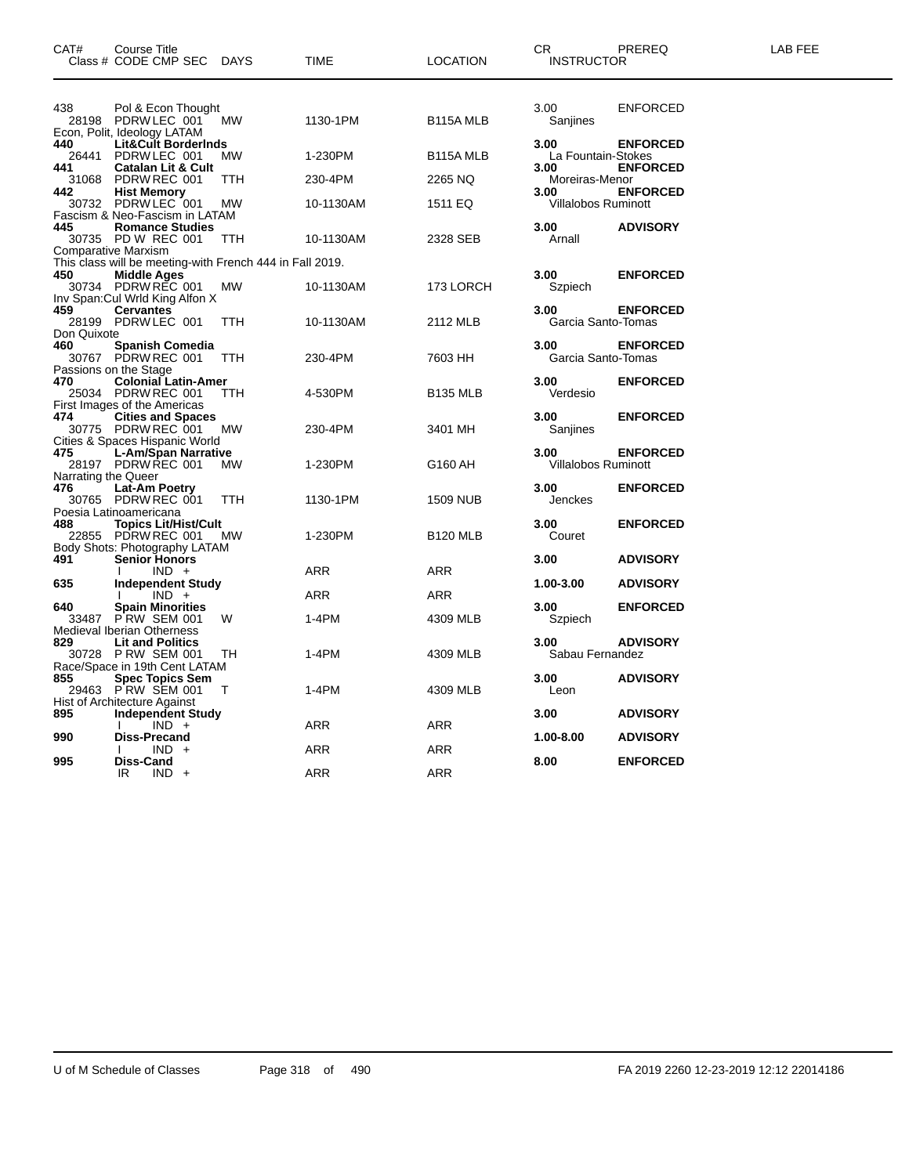| CAT#                       | Course Title<br>Class # CODE CMP SEC                                                                  | DAYS       | TIME       | <b>LOCATION</b>      | CR<br><b>INSTRUCTOR</b>            | PREREQ                             | <b>LAB FEE</b> |
|----------------------------|-------------------------------------------------------------------------------------------------------|------------|------------|----------------------|------------------------------------|------------------------------------|----------------|
| 438                        | Pol & Econ Thought<br>28198 PDRW LEC 001<br>Econ, Polit, Ideology LATAM                               | МW         | 1130-1PM   | B115A MLB            | 3.00<br>Sanjines                   | <b>ENFORCED</b>                    |                |
| 440                        | <b>Lit&amp;Cult BorderInds</b><br>26441 PDRW LEC 001                                                  | MW.        | 1-230PM    | B115A MLB            | 3.00<br>La Fountain-Stokes         | <b>ENFORCED</b>                    |                |
| 441<br>442                 | <b>Catalan Lit &amp; Cult</b><br>31068 PDRW REC 001                                                   | TTH        | 230-4PM    | 2265 NQ              | 3.00<br>Moreiras-Menor<br>3.00     | <b>ENFORCED</b><br><b>ENFORCED</b> |                |
|                            | 2 Hist Memory<br>30732 PDRW LEC 001<br>Fascism & Neo-Fascism in LATAM                                 | <b>MW</b>  | 10-1130AM  | 1511 EQ              | Villalobos Ruminott                |                                    |                |
| 445                        | <b>Romance Studies</b><br>30735 PD W REC 001                                                          | TTH        | 10-1130AM  | 2328 SEB             | 3.00<br>Arnall                     | <b>ADVISORY</b>                    |                |
| 450                        | <b>Comparative Marxism</b><br>This class will be meeting-with French 444 in Fall 2019.<br>Middle Ages |            |            |                      | 3.00                               | <b>ENFORCED</b>                    |                |
|                            | 30734 PDRW REC 001<br>Inv Span: Cul Wrld King Alfon X                                                 | MW         | 10-1130AM  | 173 LORCH            | Szpiech                            |                                    |                |
| 459<br>Don Quixote         | <b>Cervantes</b><br>28199 PDRW LEC 001                                                                | <b>TTH</b> | 10-1130AM  | 2112 MLB             | 3.00<br>Garcia Santo-Tomas         | <b>ENFORCED</b>                    |                |
| 460                        | <b>Spanish Comedia</b><br>30767 PDRW REC 001<br>Passions on the Stage                                 | <b>TTH</b> | 230-4PM    | 7603 HH              | 3.00<br>Garcia Santo-Tomas         | <b>ENFORCED</b>                    |                |
| 470                        | <b>Colonial Latin-Amer</b><br>25034 PDRW REC 001<br>First Images of the Americas                      | <b>TTH</b> | 4-530PM    | B <sub>135</sub> MLB | 3.00<br>Verdesio                   | <b>ENFORCED</b>                    |                |
| 474                        | <b>Cities and Spaces</b><br>30775 PDRW REC 001<br>Cities & Spaces Hispanic World                      | МW         | 230-4PM    | 3401 MH              | 3.00<br>Sanjines                   | <b>ENFORCED</b>                    |                |
| 475                        | <b>L-Am/Span Narrative</b><br>28197 PDRW REC 001                                                      | <b>MW</b>  | 1-230PM    | G160 AH              | 3.00<br><b>Villalobos Ruminott</b> | <b>ENFORCED</b>                    |                |
| Narrating the Queer<br>476 | Lat-Am Poetry<br>30765 PDRW REC 001<br>Poesia Latinoamericana                                         | <b>TTH</b> | 1130-1PM   | 1509 NUB             | 3.00<br>Jenckes                    | <b>ENFORCED</b>                    |                |
| 488                        | <b>Topics Lit/Hist/Cult</b><br>22855 PDRW REC 001 MW<br>Body Shots: Photography LATAM                 |            | 1-230PM    | <b>B120 MLB</b>      | 3.00<br>Couret                     | <b>ENFORCED</b>                    |                |
| 491                        | Senior Honors<br>$IND +$                                                                              |            | ARR        | ARR                  | 3.00                               | <b>ADVISORY</b>                    |                |
| 635                        | <b>Independent Study</b><br>$IND +$                                                                   |            | <b>ARR</b> | ARR                  | 1.00-3.00                          | <b>ADVISORY</b>                    |                |
| 640<br>33487               | <b>Spain Minorities</b><br>PRW SEM 001<br><b>Medieval Iberian Otherness</b>                           | W          | 1-4PM      | 4309 MLB             | 3.00<br>Szpiech                    | <b>ENFORCED</b>                    |                |
| 829                        | <b>Lit and Politics</b><br>30728 P RW SEM 001<br>Race/Space in 19th Cent LATAM                        | TH         | $1-4PM$    | 4309 MLB             | 3.00<br>Sabau Fernandez            | <b>ADVISORY</b>                    |                |
| 855                        | 5 Spec Topics Sem<br>29463 PRW SEM 001<br>Hist of Architecture Against                                | $\top$     | 1-4PM      | 4309 MLB             | 3.00<br>Leon                       | <b>ADVISORY</b>                    |                |
| 895                        | <b>Independent Study</b><br>$IND +$                                                                   |            | ARR        | ARR                  | 3.00                               | <b>ADVISORY</b>                    |                |
| 990                        | <b>Diss-Precand</b><br>$IND +$                                                                        |            | ARR        | <b>ARR</b>           | 1.00-8.00                          | <b>ADVISORY</b>                    |                |
| 995                        | Diss-Cand<br>$IND +$<br>IR.                                                                           |            | <b>ARR</b> | <b>ARR</b>           | 8.00                               | <b>ENFORCED</b>                    |                |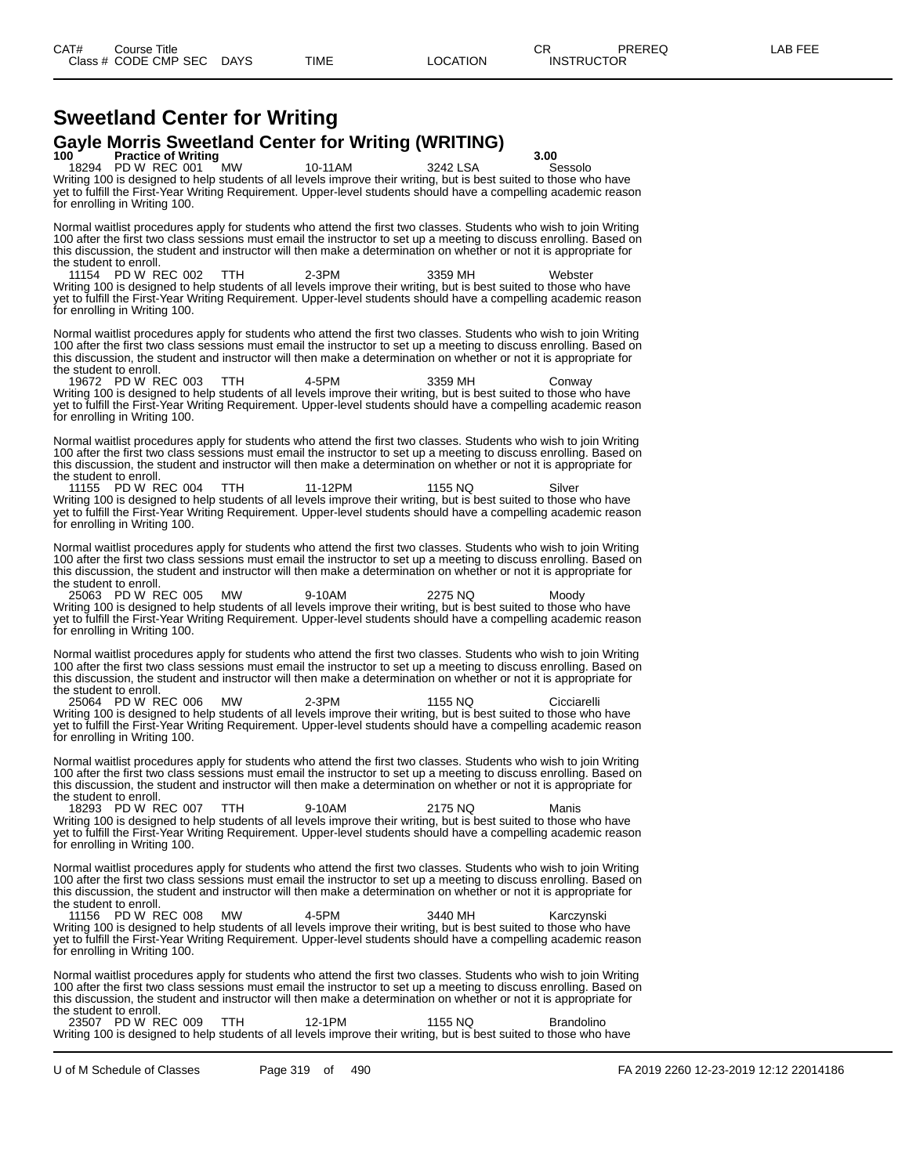### **Sweetland Center for Writing Gayle Morris Sweetland Center for Writing (WRITING)**<br>100 Practice of Writing

**1000 Practice of Writing**<br>18294 PD W REC 001 MW 10-11AM 3242 LSA Sessolo

18294 PD W REC 001 MW 10-11AM 3242 LSA Sessolo Writing 100 is designed to help students of all levels improve their writing, but is best suited to those who have yet to fulfill the First-Year Writing Requirement. Upper-level students should have a compelling academic reason for enrolling in Writing 100.

Normal waitlist procedures apply for students who attend the first two classes. Students who wish to join Writing 100 after the first two class sessions must email the instructor to set up a meeting to discuss enrolling. Based on this discussion, the student and instructor will then make a determination on whether or not it is appropriate for the student to enroll.<br>11154 PD W REC 002

11154 PD W REC 002 TTH 2-3PM 3359 MH Webster Writing 100 is designed to help students of all levels improve their writing, but is best suited to those who have yet to fulfill the First-Year Writing Requirement. Upper-level students should have a compelling academic reason for enrolling in Writing 100.

Normal waitlist procedures apply for students who attend the first two classes. Students who wish to join Writing 100 after the first two class sessions must email the instructor to set up a meeting to discuss enrolling. Based on this discussion, the student and instructor will then make a determination on whether or not it is appropriate for the student to enroll.

19672 PD W REC 003 TTH 4-5PM 3359 MH Conway Writing 100 is designed to help students of all levels improve their writing, but is best suited to those who have yet to fulfill the First-Year Writing Requirement. Upper-level students should have a compelling academic reason for enrolling in Writing 100.

Normal waitlist procedures apply for students who attend the first two classes. Students who wish to join Writing 100 after the first two class sessions must email the instructor to set up a meeting to discuss enrolling. Based on this discussion, the student and instructor will then make a determination on whether or not it is appropriate for

the student to enroll.<br>11155 PD W REC 004 11155 PD W REC 004 TTH 11-12PM 1155 NQ Silver Writing 100 is designed to help students of all levels improve their writing, but is best suited to those who have yet to fulfill the First-Year Writing Requirement. Upper-level students should have a compelling academic reason for enrolling in Writing 100.

Normal waitlist procedures apply for students who attend the first two classes. Students who wish to join Writing 100 after the first two class sessions must email the instructor to set up a meeting to discuss enrolling. Based on this discussion, the student and instructor will then make a determination on whether or not it is appropriate for

the student to enroll.<br>25063 PD W REC 005 25063 PD W REC 005 MW 9-10AM 2275 NQ Moody Writing 100 is designed to help students of all levels improve their writing, but is best suited to those who have yet to fulfill the First-Year Writing Requirement. Upper-level students should have a compelling academic reason for enrolling in Writing 100.

Normal waitlist procedures apply for students who attend the first two classes. Students who wish to join Writing 100 after the first two class sessions must email the instructor to set up a meeting to discuss enrolling. Based on this discussion, the student and instructor will then make a determination on whether or not it is appropriate for the student to enroll.<br>25064 PD W REC 006

25064 PD W REC 006 MW 2-3PM 1155 NQ Cicciarelli Writing 100 is designed to help students of all levels improve their writing, but is best suited to those who have yet to fulfill the First-Year Writing Requirement. Upper-level students should have a compelling academic reason for enrolling in Writing 100.

Normal waitlist procedures apply for students who attend the first two classes. Students who wish to join Writing 100 after the first two class sessions must email the instructor to set up a meeting to discuss enrolling. Based on this discussion, the student and instructor will then make a determination on whether or not it is appropriate for the student to enroll.

18293 PD W REC 007 TTH 9-10AM 2175 NQ Manis Writing 100 is designed to help students of all levels improve their writing, but is best suited to those who have yet to fulfill the First-Year Writing Requirement. Upper-level students should have a compelling academic reason for enrolling in Writing 100.

Normal waitlist procedures apply for students who attend the first two classes. Students who wish to join Writing 100 after the first two class sessions must email the instructor to set up a meeting to discuss enrolling. Based on this discussion, the student and instructor will then make a determination on whether or not it is appropriate for the student to enroll.

11156 PD W REC 008 MW 4-5PM 3440 MH Karczynski Writing 100 is designed to help students of all levels improve their writing, but is best suited to those who have yet to fulfill the First-Year Writing Requirement. Upper-level students should have a compelling academic reason for enrolling in Writing 100.

Normal waitlist procedures apply for students who attend the first two classes. Students who wish to join Writing 100 after the first two class sessions must email the instructor to set up a meeting to discuss enrolling. Based on this discussion, the student and instructor will then make a determination on whether or not it is appropriate for the student to enroll.

23507 PD W REC 009 TTH 12-1PM 1155 NQ Brandolino Writing 100 is designed to help students of all levels improve their writing, but is best suited to those who have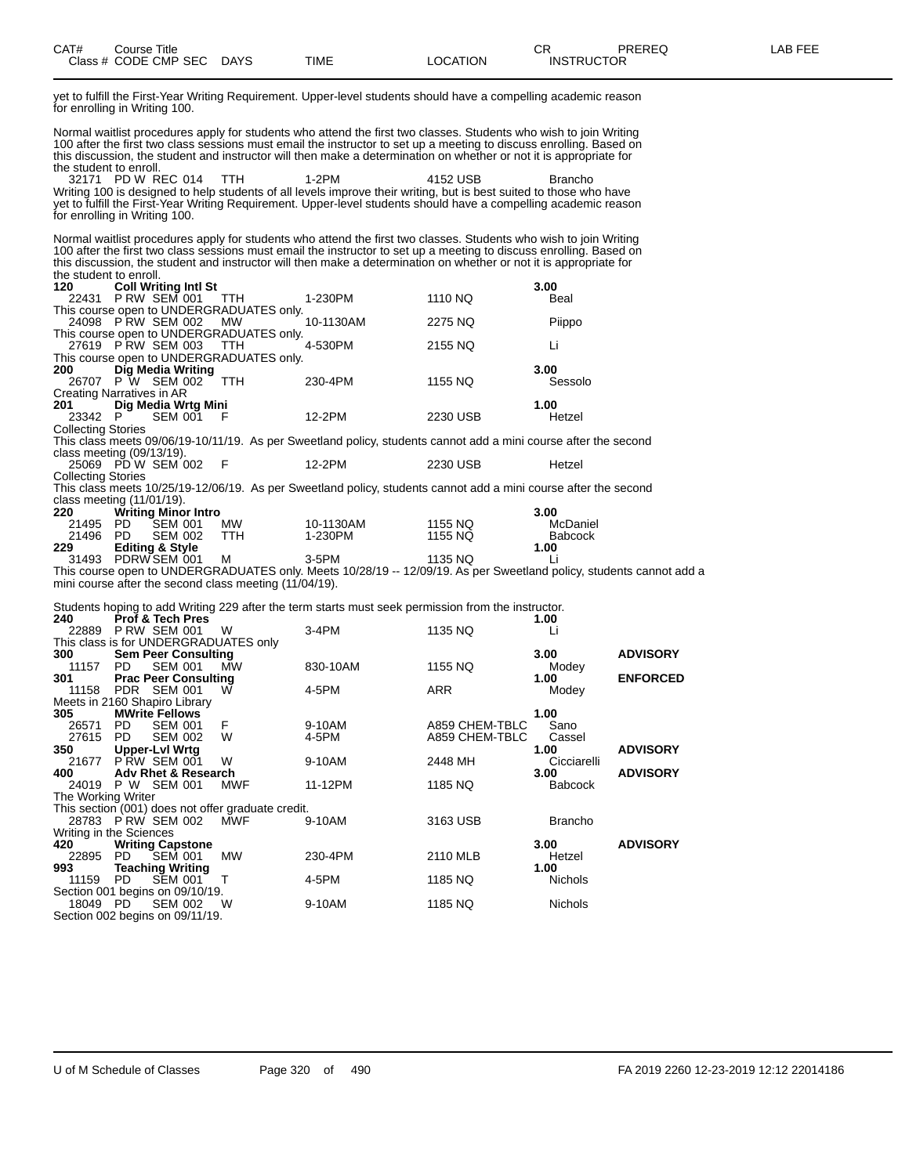yet to fulfill the First-Year Writing Requirement. Upper-level students should have a compelling academic reason for enrolling in Writing 100.

Normal waitlist procedures apply for students who attend the first two classes. Students who wish to join Writing 100 after the first two class sessions must email the instructor to set up a meeting to discuss enrolling. Based on this discussion, the student and instructor will then make a determination on whether or not it is appropriate for the student to enroll. 32171 PD W REC 014 TTH 1-2PM 4152 USB Brancho

Writing 100 is designed to help students of all levels improve their writing, but is best suited to those who have yet to fulfill the First-Year Writing Requirement. Upper-level students should have a compelling academic reason for enrolling in Writing 100.

Normal waitlist procedures apply for students who attend the first two classes. Students who wish to join Writing 100 after the first two class sessions must email the instructor to set up a meeting to discuss enrolling. Based on this discussion, the student and instructor will then make a determination on whether or not it is appropriate for the student to enroll.

| 120                       | <b>Coll Writing Intl St</b>                            |            |                                                                                                                     |                | 3.00           |                 |
|---------------------------|--------------------------------------------------------|------------|---------------------------------------------------------------------------------------------------------------------|----------------|----------------|-----------------|
| 22431                     | <b>P RW SEM 001</b>                                    | TTH        | 1-230PM                                                                                                             | 1110 NQ        | Beal           |                 |
|                           | This course open to UNDERGRADUATES only.               |            |                                                                                                                     |                |                |                 |
|                           | 24098 P RW SEM 002                                     | MW.        | 10-1130AM                                                                                                           | 2275 NQ        | Piippo         |                 |
|                           | This course open to UNDERGRADUATES only.               |            |                                                                                                                     |                |                |                 |
|                           | 27619 P RW SEM 003                                     | TTH        | 4-530PM                                                                                                             | 2155 NQ        | Li             |                 |
|                           | This course open to UNDERGRADUATES only.               |            |                                                                                                                     |                |                |                 |
| 200                       | Dig Media Writing                                      |            |                                                                                                                     |                | 3.00           |                 |
|                           | 26707 P W SEM 002                                      | <b>TTH</b> | 230-4PM                                                                                                             | 1155 NQ        | Sessolo        |                 |
|                           | Creating Narratives in AR                              |            |                                                                                                                     |                |                |                 |
| 201                       | Dig Media Wrtg Mini                                    |            |                                                                                                                     |                | 1.00           |                 |
| 23342 P                   | <b>SEM 001</b>                                         | -F         | 12-2PM                                                                                                              | 2230 USB       | Hetzel         |                 |
| <b>Collecting Stories</b> |                                                        |            |                                                                                                                     |                |                |                 |
|                           |                                                        |            | This class meets 09/06/19-10/11/19. As per Sweetland policy, students cannot add a mini course after the second     |                |                |                 |
|                           | class meeting (09/13/19).                              |            |                                                                                                                     |                |                |                 |
|                           | 25069 PD W SEM 002                                     | - F        | 12-2PM                                                                                                              | 2230 USB       | Hetzel         |                 |
| <b>Collecting Stories</b> |                                                        |            |                                                                                                                     |                |                |                 |
|                           |                                                        |            | This class meets 10/25/19-12/06/19. As per Sweetland policy, students cannot add a mini course after the second     |                |                |                 |
|                           | class meeting $(11/01/19)$ .                           |            |                                                                                                                     |                |                |                 |
| 220                       | <b>Writing Minor Intro</b>                             |            |                                                                                                                     |                | 3.00           |                 |
| 21495                     | PD.<br><b>SEM 001</b>                                  | MW         | 10-1130AM                                                                                                           | 1155 NQ        | McDaniel       |                 |
| 21496 PD                  | <b>SEM 002</b>                                         | <b>TTH</b> | 1-230PM                                                                                                             | 1155 NQ        | <b>Babcock</b> |                 |
| 229                       | <b>Editing &amp; Style</b>                             |            |                                                                                                                     |                | 1.00           |                 |
|                           | 31493 PDRWSEM 001                                      | м          | $3-5PM$                                                                                                             | 1135 NQ        | Li             |                 |
|                           |                                                        |            | This course open to UNDERGRADUATES only. Meets 10/28/19 -- 12/09/19. As per Sweetland policy, students cannot add a |                |                |                 |
|                           | mini course after the second class meeting (11/04/19). |            |                                                                                                                     |                |                |                 |
|                           |                                                        |            |                                                                                                                     |                |                |                 |
| 240                       | Prof & Tech Pres                                       |            | Students hoping to add Writing 229 after the term starts must seek permission from the instructor.                  |                | 1.00           |                 |
|                           | 22889 P RW SEM 001                                     | W          | $3-4PM$                                                                                                             | 1135 NQ        | Li             |                 |
|                           | This class is for UNDERGRADUATES only                  |            |                                                                                                                     |                |                |                 |
| 300                       | <b>Sem Peer Consulting</b>                             |            |                                                                                                                     |                | 3.00           | <b>ADVISORY</b> |
| 11157                     | <b>SEM 001</b><br>PD                                   | MW         | 830-10AM                                                                                                            | 1155 NQ        | Modey          |                 |
| 301                       | <b>Prac Peer Consulting</b>                            |            |                                                                                                                     |                | 1.00           | <b>ENFORCED</b> |
| 11158                     | PDR SEM 001                                            | w          | 4-5PM                                                                                                               | <b>ARR</b>     | Modey          |                 |
|                           | Meets in 2160 Shapiro Library                          |            |                                                                                                                     |                |                |                 |
| 305                       | <b>MWrite Fellows</b>                                  |            |                                                                                                                     |                | 1.00           |                 |
| 26571                     | PD.<br><b>SEM 001</b>                                  | F.         | 9-10AM                                                                                                              | A859 CHEM-TBLC | Sano           |                 |
| 27615 PD                  | <b>SEM 002</b>                                         | W          | 4-5PM                                                                                                               | A859 CHEM-TBLC | Cassel         |                 |
| 350                       | <b>Upper-Lvl Wrtg</b>                                  |            |                                                                                                                     |                | 1.00           | <b>ADVISORY</b> |
|                           | 21677 PRW SEM 001                                      | W          | 9-10AM                                                                                                              | 2448 MH        | Cicciarelli    |                 |
| 400                       | <b>Adv Rhet &amp; Research</b>                         |            |                                                                                                                     |                | 3.00           | <b>ADVISORY</b> |
|                           | 24019 P W SEM 001                                      | <b>MWF</b> | 11-12PM                                                                                                             | 1185 NQ        | <b>Babcock</b> |                 |
| The Working Writer        |                                                        |            |                                                                                                                     |                |                |                 |
|                           | This section (001) does not offer graduate credit.     |            |                                                                                                                     |                |                |                 |
|                           | 28783 PRW SEM 002                                      | <b>MWF</b> | 9-10AM                                                                                                              | 3163 USB       | Brancho        |                 |
|                           | Writing in the Sciences                                |            |                                                                                                                     |                |                |                 |
| 420                       | <b>Writing Capstone</b>                                |            |                                                                                                                     |                | 3.00           | <b>ADVISORY</b> |
| 22895                     | PD.<br><b>SEM 001</b>                                  | <b>MW</b>  | 230-4PM                                                                                                             | 2110 MLB       | Hetzel         |                 |
| 993                       | <b>Teaching Writing</b>                                |            |                                                                                                                     |                | 1.00           |                 |
| 11159                     | P <sub>D</sub><br><b>SEM 001</b>                       | Т          | 4-5PM                                                                                                               | 1185 NQ        | <b>Nichols</b> |                 |
|                           | Section 001 begins on 09/10/19.                        |            |                                                                                                                     |                |                |                 |
| 18049 PD                  |                                                        |            |                                                                                                                     |                |                |                 |
|                           | <b>SEM 002</b><br>Section 002 begins on 09/11/19.      | W          | 9-10AM                                                                                                              | 1185 NQ        | Nichols        |                 |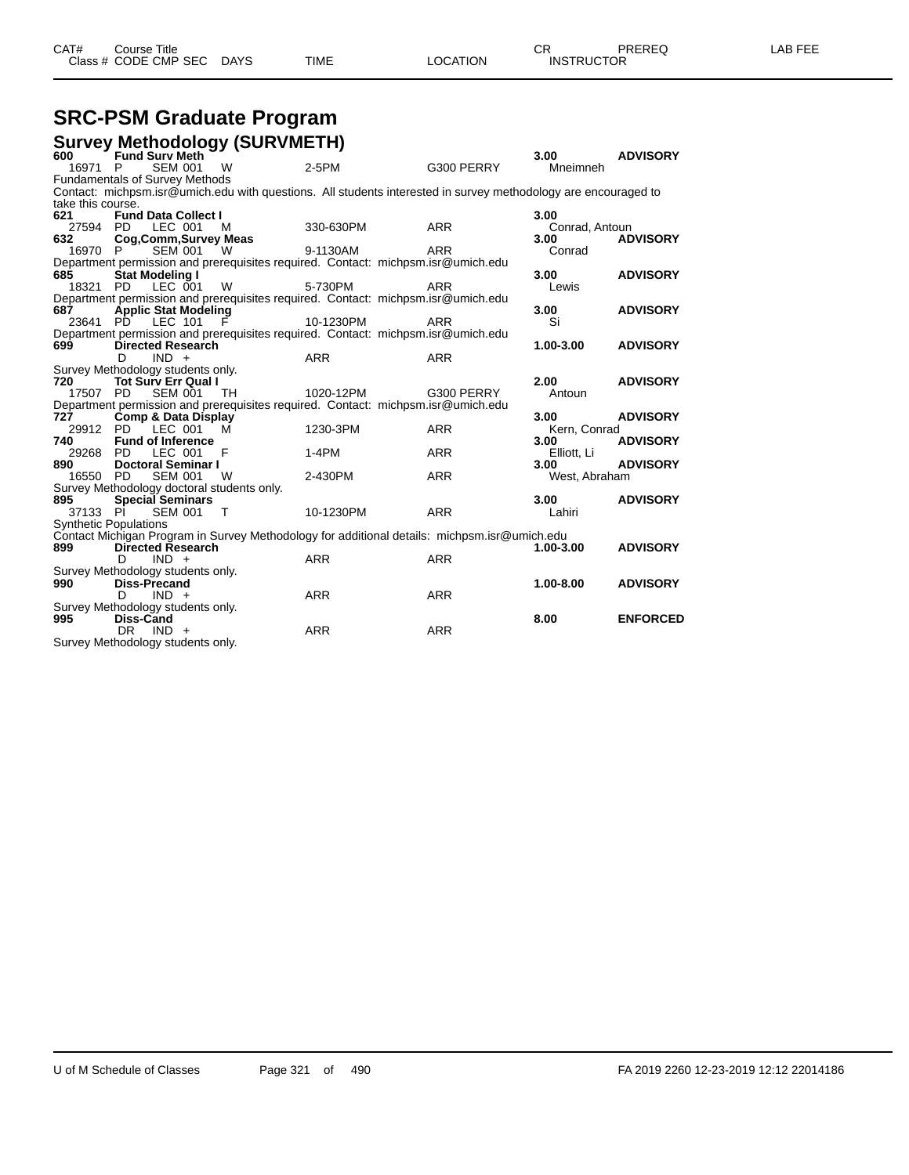## **SRC-PSM Graduate Program**

|                              |                        |                                       | <b>Survey Methodology (SURVMETH)</b>       |                                                                                                                |            |                |                 |
|------------------------------|------------------------|---------------------------------------|--------------------------------------------|----------------------------------------------------------------------------------------------------------------|------------|----------------|-----------------|
| 600                          |                        | <b>Fund Surv Meth</b>                 |                                            |                                                                                                                |            | 3.00           | <b>ADVISORY</b> |
| 16971                        | P                      | <b>SEM 001</b>                        | W                                          | $2-5PM$                                                                                                        | G300 PERRY | Mneimneh       |                 |
|                              |                        | <b>Fundamentals of Survey Methods</b> |                                            |                                                                                                                |            |                |                 |
|                              |                        |                                       |                                            | Contact: michpsm.isr@umich.edu with questions. All students interested in survey methodology are encouraged to |            |                |                 |
| take this course.            |                        |                                       |                                            |                                                                                                                |            |                |                 |
| 621                          |                        | <b>Fund Data Collect I</b>            |                                            |                                                                                                                |            | 3.00           |                 |
| 27594                        | PD.                    | LEC 001                               | M                                          | 330-630PM                                                                                                      | <b>ARR</b> | Conrad, Antoun |                 |
| 632                          |                        | Cog, Comm, Survey Meas                |                                            |                                                                                                                |            | 3.00           | <b>ADVISORY</b> |
| 16970                        |                        | <b>SEM 001</b>                        | <b>W</b>                                   | 9-1130AM                                                                                                       | <b>ARR</b> | Conrad         |                 |
|                              |                        |                                       |                                            | Department permission and prerequisites required. Contact: michpsm.isr@umich.edu                               |            |                |                 |
| 685                          | <b>Stat Modeling I</b> |                                       |                                            |                                                                                                                |            | 3.00           | <b>ADVISORY</b> |
| 18321 PD                     |                        | LEC 001                               | W                                          | 5-730PM                                                                                                        | <b>ARR</b> | Lewis          |                 |
|                              |                        |                                       |                                            | Department permission and prerequisites required. Contact: michpsm.isr@umich.edu                               |            |                |                 |
| 687                          |                        | <b>Applic Stat Modeling</b>           |                                            |                                                                                                                |            | 3.00           | <b>ADVISORY</b> |
| 23641                        | PD.                    | LEC 101                               | - F                                        | 10-1230PM                                                                                                      | <b>ARR</b> | Si             |                 |
| 699                          |                        | <b>Directed Research</b>              |                                            | Department permission and prerequisites required. Contact: michpsm.isr@umich.edu                               |            | $1.00 - 3.00$  | <b>ADVISORY</b> |
|                              | D                      | $IND +$                               |                                            | <b>ARR</b>                                                                                                     | <b>ARR</b> |                |                 |
|                              |                        | Survey Methodology students only.     |                                            |                                                                                                                |            |                |                 |
| 720                          |                        | <b>Tot Sury Err Qual I</b>            |                                            |                                                                                                                |            | 2.00           | <b>ADVISORY</b> |
| 17507 PD                     |                        | <b>SEM 001</b>                        | - TH                                       | 1020-12PM                                                                                                      | G300 PERRY | Antoun         |                 |
|                              |                        |                                       |                                            | Department permission and prerequisites required. Contact: michpsm.isr@umich.edu                               |            |                |                 |
| 727                          |                        | Comp & Data Display                   |                                            |                                                                                                                |            | 3.00           | <b>ADVISORY</b> |
| 29912 PD                     |                        | $LEC$ 001                             | м                                          | 1230-3PM                                                                                                       | <b>ARR</b> | Kern, Conrad   |                 |
| 740                          |                        | <b>Fund of Inference</b>              |                                            |                                                                                                                |            | 3.00           | <b>ADVISORY</b> |
| 29268                        | PD.                    | LEC 001                               | F                                          | $1-4PM$                                                                                                        | <b>ARR</b> | Elliott, Li    |                 |
| 890                          |                        | <b>Doctoral Seminar I</b>             |                                            |                                                                                                                |            | 3.00           | <b>ADVISORY</b> |
| 16550 PD                     |                        | <b>SEM 001</b>                        | - W                                        | 2-430PM                                                                                                        | <b>ARR</b> | West, Abraham  |                 |
|                              |                        |                                       | Survey Methodology doctoral students only. |                                                                                                                |            |                |                 |
| 895                          |                        | <b>Special Seminars</b>               |                                            |                                                                                                                |            | 3.00           | <b>ADVISORY</b> |
| 37133                        | - PI                   | <b>SEM 001</b>                        | $\top$                                     | 10-1230PM                                                                                                      | <b>ARR</b> | Lahiri         |                 |
| <b>Synthetic Populations</b> |                        |                                       |                                            |                                                                                                                |            |                |                 |
|                              |                        |                                       |                                            | Contact Michigan Program in Survey Methodology for additional details: michpsm.isr@umich.edu                   |            |                |                 |
| 899                          |                        | <b>Directed Research</b>              |                                            |                                                                                                                |            | 1.00-3.00      | <b>ADVISORY</b> |
|                              | D                      | $IND +$                               |                                            | <b>ARR</b>                                                                                                     | <b>ARR</b> |                |                 |
|                              |                        | Survey Methodology students only.     |                                            |                                                                                                                |            |                |                 |
| 990                          | <b>Diss-Precand</b>    |                                       |                                            |                                                                                                                |            | 1.00-8.00      | <b>ADVISORY</b> |
|                              | D.                     | $IND +$                               |                                            | <b>ARR</b>                                                                                                     | <b>ARR</b> |                |                 |
|                              |                        | Survey Methodology students only.     |                                            |                                                                                                                |            |                |                 |
| 995                          | Diss-Cand              |                                       |                                            |                                                                                                                |            | 8.00           | <b>ENFORCED</b> |
|                              | DR.                    | $IND +$                               |                                            | <b>ARR</b>                                                                                                     | <b>ARR</b> |                |                 |
|                              |                        | Survey Methodology students only.     |                                            |                                                                                                                |            |                |                 |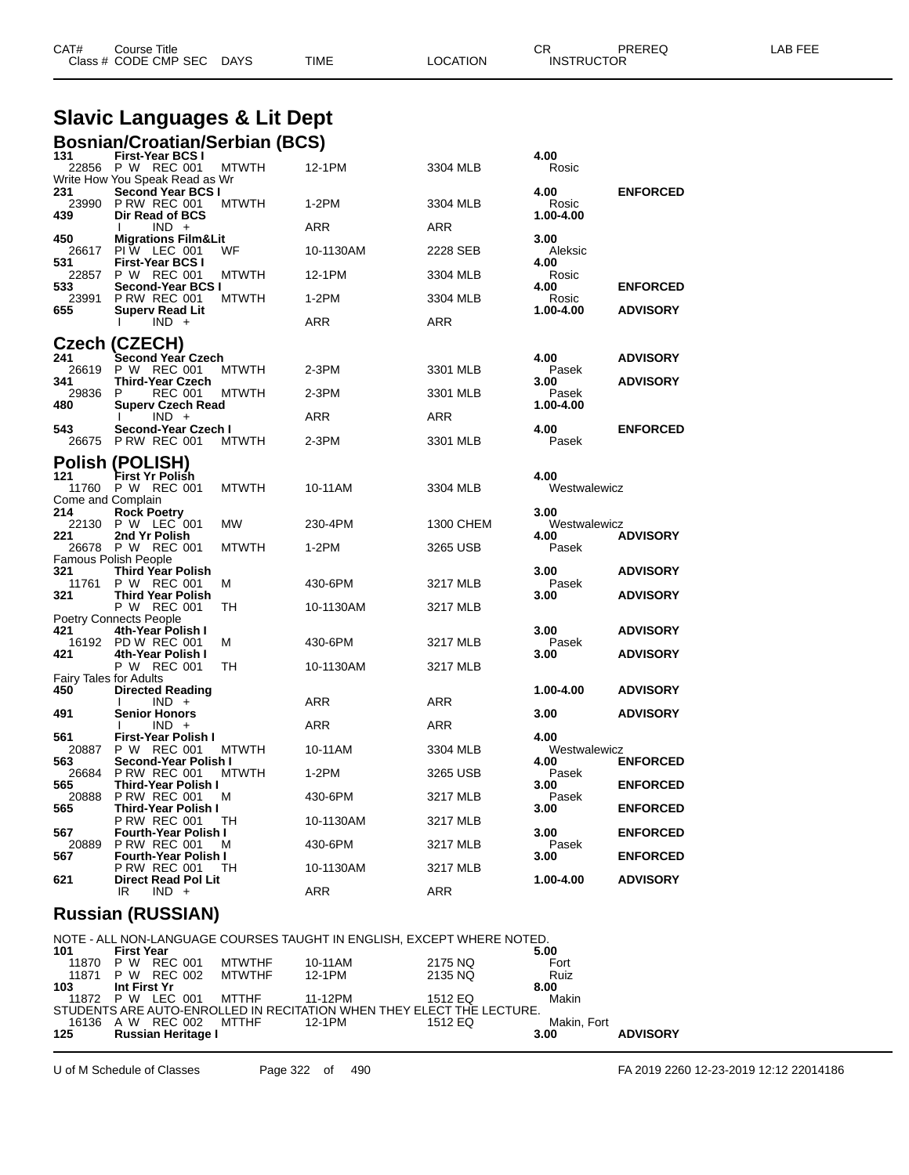|              | <b>Slavic Languages &amp; Lit Dept</b>                     |              |            |            |                      |                 |
|--------------|------------------------------------------------------------|--------------|------------|------------|----------------------|-----------------|
|              | <b>Bosnian/Croatian/Serbian (BCS)</b>                      |              |            |            |                      |                 |
| 131          | <b>First-Year BCS I</b><br>22856 P W REC 001               | <b>MTWTH</b> | 12-1PM     | 3304 MLB   | 4.00<br>Rosic        |                 |
| 231          | Write How You Speak Read as Wr<br><b>Second Year BCS I</b> |              |            |            | 4.00                 | <b>ENFORCED</b> |
| 23990<br>439 | PRW REC 001<br>Dir Read of BCS                             | <b>MTWTH</b> | $1-2PM$    | 3304 MLB   | Rosic<br>1.00-4.00   |                 |
| 450          | $IND +$<br><b>Migrations Film&amp;Lit</b>                  |              | ARR        | <b>ARR</b> | 3.00                 |                 |
| 531          | 26617 PIW LEC 001<br><b>First-Year BCS I</b>               | WF           | 10-1130AM  | 2228 SEB   | Aleksic<br>4.00      |                 |
| 22857<br>533 | P W REC 001<br>Second-Year BCS I                           | MTWTH        | 12-1PM     | 3304 MLB   | Rosic<br>4.00        | <b>ENFORCED</b> |
| 23991        | PRW REC 001                                                | <b>MTWTH</b> | $1-2PM$    | 3304 MLB   | Rosic                |                 |
| 655          | <b>Superv Read Lit</b><br>$IND +$                          |              | <b>ARR</b> | <b>ARR</b> | 1.00-4.00            | <b>ADVISORY</b> |
|              | Czech (CZECH)                                              |              |            |            |                      |                 |
| 241<br>26619 | Second Year Czech<br>P W REC 001                           | <b>MTWTH</b> | 2-3PM      | 3301 MLB   | 4.00<br>Pasek        | <b>ADVISORY</b> |
| 341<br>29836 | <b>Third-Year Czech</b><br><b>REC 001</b><br>P             | <b>MTWTH</b> | $2-3PM$    | 3301 MLB   | 3.00<br>Pasek        | <b>ADVISORY</b> |
| 480          | <b>Superv Czech Read</b><br>$IND +$                        |              | ARR        | <b>ARR</b> | 1.00-4.00            |                 |
| 543          | Second-Year Czech I<br>26675 P RW REC 001                  | <b>MTWTH</b> | $2-3PM$    | 3301 MLB   | 4.00<br>Pasek        | <b>ENFORCED</b> |
|              | <b>Polish (POLISH)</b>                                     |              |            |            |                      |                 |
| 121          | First Yr Polish<br>11760 P W REC 001                       | <b>MTWTH</b> | 10-11AM    | 3304 MLB   | 4.00<br>Westwalewicz |                 |
| 214          | Come and Complain<br><b>Rock Poetry</b>                    |              |            |            | 3.00                 |                 |
| 221          | 22130 P W LEC 001<br>2nd Yr Polish                         | MW           | 230-4PM    | 1300 CHEM  | Westwalewicz<br>4.00 |                 |
|              | 26678 P W REC 001                                          | <b>MTWTH</b> | $1-2PM$    | 3265 USB   | Pasek                | <b>ADVISORY</b> |
| 321          | Famous Polish People<br>Third Year Polish                  |              |            |            | 3.00                 | <b>ADVISORY</b> |
| 11761<br>321 | P W REC 001<br><b>Third Year Polish</b>                    | м            | 430-6PM    | 3217 MLB   | Pasek<br>3.00        | <b>ADVISORY</b> |
|              | P W REC 001<br><b>Poetry Connects People</b>               | TН           | 10-1130AM  | 3217 MLB   |                      |                 |
| 421          | 4th-Year Polish I<br>16192 PD W REC 001                    | м            | 430-6PM    | 3217 MLB   | 3.00<br>Pasek        | <b>ADVISORY</b> |
| 421          | 4th-Year Polish I<br>P W REC 001                           | TН           | 10-1130AM  | 3217 MLB   | 3.00                 | <b>ADVISORY</b> |
| 450          | <b>Fairy Tales for Adults</b><br><b>Directed Reading</b>   |              |            |            | 1.00-4.00            | <b>ADVISORY</b> |
| 491          | $IND +$<br><b>Senior Honors</b>                            |              | <b>ARR</b> | <b>ARR</b> | 3.00                 | <b>ADVISORY</b> |
|              | $IND +$                                                    |              | <b>ARR</b> | <b>ARR</b> |                      |                 |
| 561          | First-Year Polish I<br>20887 P W REC 001 MTWTH             |              | 10-11AM    | 3304 MLB   | 4.00<br>Westwalewicz |                 |
| 563<br>26684 | Second-Year Polish I<br><b>P RW REC 001</b>                | <b>MTWTH</b> | $1-2PM$    | 3265 USB   | 4.00<br>Pasek        | <b>ENFORCED</b> |
| 565<br>20888 | Third-Year Polish I<br><b>P RW REC 001</b>                 | M            | 430-6PM    | 3217 MLB   | 3.00<br>Pasek        | <b>ENFORCED</b> |
| 565          | Third-Year Polish I<br><b>P RW REC 001</b>                 | TH           | 10-1130AM  | 3217 MLB   | 3.00                 | <b>ENFORCED</b> |
| 567<br>20889 | <b>Fourth-Year Polish I</b><br><b>P RW REC 001</b>         | M            | 430-6PM    | 3217 MLB   | 3.00<br>Pasek        | <b>ENFORCED</b> |
| 567          | <b>Fourth-Year Polish I</b><br><b>P RW REC 001</b>         | TH           | 10-1130AM  | 3217 MLB   | 3.00                 | <b>ENFORCED</b> |
| 621          | Direct Read Pol Lit                                        |              |            |            | 1.00-4.00            | <b>ADVISORY</b> |

CAT# Course Title Case CR PREREQ LAB FEE

Class # CODE CMP SEC DAYS TIME LOCATION INSTRUCTOR

#### **Russian (RUSSIAN)**

|       |                   |                         |                          |         | NOTE - ALL NON-LANGUAGE COURSES TAUGHT IN ENGLISH. EXCEPT WHERE NOTED. |             |                 |
|-------|-------------------|-------------------------|--------------------------|---------|------------------------------------------------------------------------|-------------|-----------------|
| 101   | <b>First Year</b> |                         |                          |         |                                                                        | 5.00        |                 |
|       | 11870 P W REC 001 |                         | MTWTHF                   | 10-11AM | 2175 NO                                                                | Fort        |                 |
|       |                   |                         | 11871 P W REC 002 MTWTHF | 12-1PM  | 2135 NQ                                                                | Ruiz        |                 |
| 103 — | Int First Yr      |                         |                          |         |                                                                        | 8.00        |                 |
|       |                   | 11872 P W LEC 001 MTTHF |                          | 11-12PM | 1512 FO                                                                | Makin       |                 |
|       |                   |                         |                          |         | STUDENTS ARE AUTO-ENROLLED IN RECITATION WHEN THEY ELECT THE LECTURE.  |             |                 |
|       |                   | 16136 A W REC 002 MTTHF |                          | 12-1PM  | 1512 EQ                                                                | Makin, Fort |                 |
| 125 — |                   | Russian Heritage I      |                          |         |                                                                        | 3.00        | <b>ADVISORY</b> |
|       |                   |                         |                          |         |                                                                        |             |                 |

IR IND + ARR ARR ARR

U of M Schedule of Classes Page 322 of 490 FA 2019 2260 12-23-2019 12:12 22014186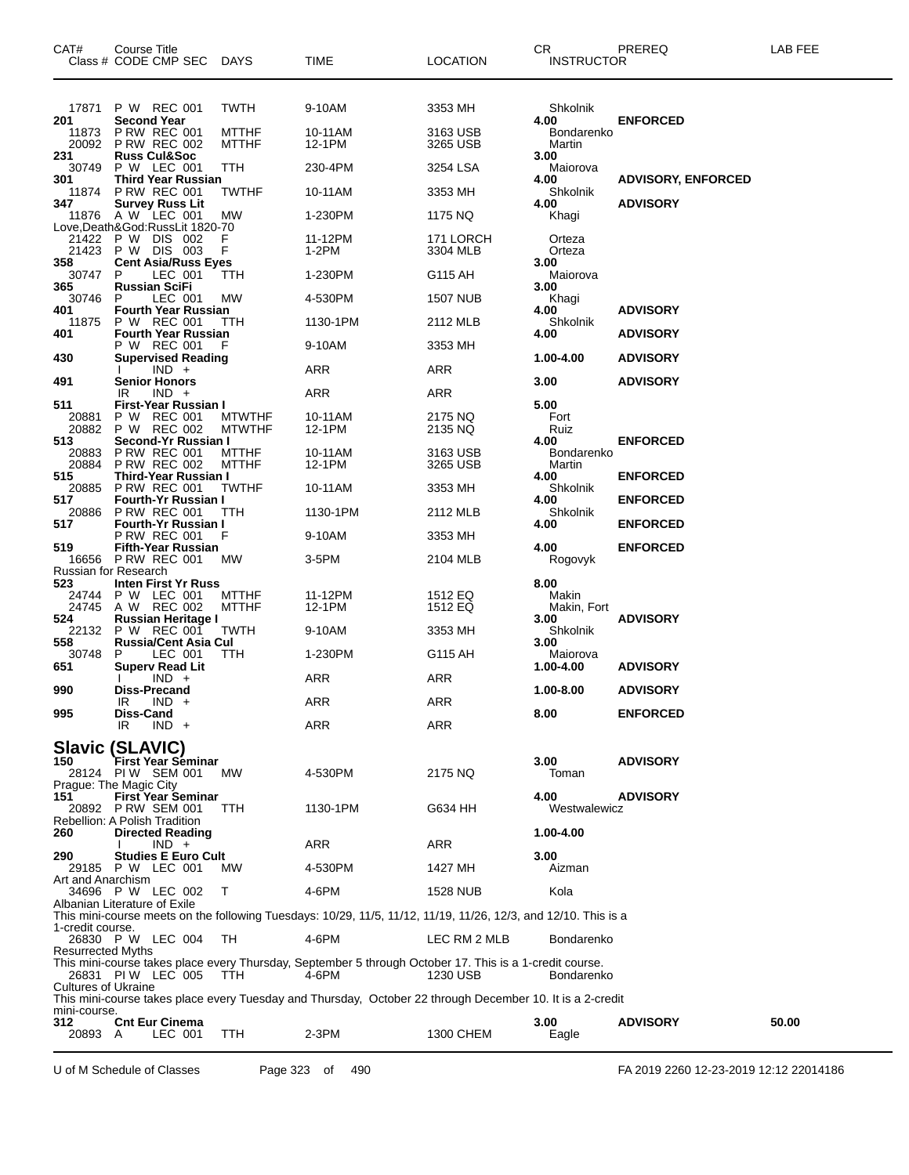| CAT#                        | Course Title<br>Class # CODE CMP SEC DAYS                          |                                | <b>TIME</b>                                                                                                      | <b>LOCATION</b>       | CR<br><b>INSTRUCTOR</b> | PREREQ                    | LAB FEE |
|-----------------------------|--------------------------------------------------------------------|--------------------------------|------------------------------------------------------------------------------------------------------------------|-----------------------|-------------------------|---------------------------|---------|
| 17871<br>201                | P W REC 001<br><b>Second Year</b>                                  | <b>TWTH</b>                    | 9-10AM                                                                                                           | 3353 MH               | Shkolnik<br>4.00        | <b>ENFORCED</b>           |         |
| 11873<br>20092              | <b>P RW REC 001</b><br><b>P RW REC 002</b>                         | <b>MTTHF</b><br><b>MTTHF</b>   | 10-11AM<br>12-1PM                                                                                                | 3163 USB<br>3265 USB  | Bondarenko<br>Martin    |                           |         |
| 231<br>30749                | <b>Russ Cul&amp;Soc</b><br>P W LEC 001                             | TTH                            | 230-4PM                                                                                                          | 3254 LSA              | 3.00<br>Maiorova        |                           |         |
| 301<br>11874                | Third Year Russian<br><b>P RW REC 001</b>                          | <b>TWTHF</b>                   | 10-11AM                                                                                                          | 3353 MH               | 4.00<br>Shkolnik        | <b>ADVISORY, ENFORCED</b> |         |
| 347                         | <b>Survey Russ Lit</b><br>11876 A W LEC 001                        | MW                             | 1-230PM                                                                                                          | 1175 NQ               | 4.00<br>Khagi           | <b>ADVISORY</b>           |         |
| 21422                       | Love,Death&God:RussLit 1820-70<br>P W DIS 002<br>21423 P W DIS 003 | F<br>F                         | 11-12PM<br>1-2PM                                                                                                 | 171 LORCH<br>3304 MLB | Orteza<br>Orteza        |                           |         |
| 358<br>30747                | <b>Cent Asia/Russ Eyes</b><br>P<br>LEC 001                         | ттн                            | 1-230PM                                                                                                          | G115 AH               | 3.00<br>Maiorova        |                           |         |
| 365<br>30746                | <b>Russian SciFi</b><br>LEC 001<br>P                               | MW                             | 4-530PM                                                                                                          | <b>1507 NUB</b>       | 3.00<br>Khagi           |                           |         |
| 401                         | <b>Fourth Year Russian</b>                                         |                                |                                                                                                                  |                       | 4.00                    | <b>ADVISORY</b>           |         |
| 11875<br>401                | P W REC 001<br><b>Fourth Year Russian</b>                          | TTH                            | 1130-1PM                                                                                                         | 2112 MLB              | Shkolnik<br>4.00        | <b>ADVISORY</b>           |         |
| 430                         | P W REC 001<br><b>Supervised Reading</b>                           | F                              | 9-10AM                                                                                                           | 3353 MH               | 1.00-4.00               | <b>ADVISORY</b>           |         |
| 491                         | $IND +$<br><b>Senior Honors</b>                                    |                                | ARR                                                                                                              | ARR                   | 3.00                    | <b>ADVISORY</b>           |         |
| 511                         | $IND +$<br>IR<br>First-Year Russian I                              |                                | ARR                                                                                                              | ARR                   | 5.00                    |                           |         |
| 20881<br>20882              | P W REC 001<br>P W REC 002                                         | <b>MTWTHF</b><br><b>MTWTHF</b> | 10-11AM<br>12-1PM                                                                                                | 2175 NQ<br>2135 NQ    | Fort<br>Ruiz            |                           |         |
| 513<br>20883                | Second-Yr Russian I<br><b>P RW REC 001</b>                         | <b>MTTHF</b>                   | 10-11AM                                                                                                          | 3163 USB              | 4.00<br>Bondarenko      | <b>ENFORCED</b>           |         |
| 20884                       | <b>P RW REC 002</b>                                                | <b>MTTHF</b>                   | 12-1PM                                                                                                           | 3265 USB              | Martin                  |                           |         |
| 515<br>20885                | Third-Year Russian I<br><b>P RW REC 001</b>                        | <b>TWTHF</b>                   | 10-11AM                                                                                                          | 3353 MH               | 4.00<br>Shkolnik        | <b>ENFORCED</b>           |         |
| 517<br>20886                | <b>Fourth-Yr Russian I</b><br><b>P RW REC 001</b>                  | TTH                            | 1130-1PM                                                                                                         | 2112 MLB              | 4.00<br>Shkolnik        | <b>ENFORCED</b>           |         |
| 517                         | Fourth-Yr Russian I<br>P RW REC 001                                | F                              | 9-10AM                                                                                                           | 3353 MH               | 4.00                    | <b>ENFORCED</b>           |         |
| 519<br>16656                | <b>Fifth-Year Russian</b><br>PRW REC 001                           | <b>MW</b>                      | 3-5PM                                                                                                            | 2104 MLB              | 4.00<br>Rogovyk         | <b>ENFORCED</b>           |         |
| Russian for Research<br>523 | Inten First Yr Russ                                                |                                |                                                                                                                  |                       | 8.00                    |                           |         |
| 24744                       | P W LEC 001<br>24745 A W REC 002                                   | <b>MTTHF</b><br><b>MTTHF</b>   | 11-12PM<br>12-1PM                                                                                                | 1512 EQ<br>1512 EQ    | Makin                   |                           |         |
| 524                         | Russian Heritage I                                                 |                                |                                                                                                                  |                       | Makin, Fort<br>3.00     | <b>ADVISORY</b>           |         |
| 22132<br>558                | P W REC 001<br><b>Russia/Cent Asia Cul</b>                         | <b>TWTH</b>                    | 9-10AM                                                                                                           | 3353 MH               | Shkolnik<br>3.00        |                           |         |
| 30748<br>651                | P.<br>LEC 001<br><b>Superv Read Lit</b>                            | TTH                            | 1-230PM                                                                                                          | G115 AH               | Maiorova<br>1.00-4.00   | <b>ADVISORY</b>           |         |
| 990                         | $IND +$<br>Diss-Precand                                            |                                | ARR                                                                                                              | ARR                   | 1.00-8.00               | <b>ADVISORY</b>           |         |
| 995                         | <b>IND</b><br>IR<br>Diss-Cand                                      |                                | ARR                                                                                                              | ARR                   | 8.00                    | <b>ENFORCED</b>           |         |
|                             | IR<br>$IND +$                                                      |                                | ARR                                                                                                              | ARR                   |                         |                           |         |
| 150                         | <b>Slavic (SLAVIC)</b><br>First Year Séminar<br>28124 PIW SEM 001  | <b>MW</b>                      | 4-530PM                                                                                                          | 2175 NQ               | 3.00<br>Toman           | <b>ADVISORY</b>           |         |
| 151                         | Prague: The Magic City<br>First Year Seminar                       |                                |                                                                                                                  |                       | 4.00                    | <b>ADVISORY</b>           |         |
|                             | 20892 P RW SEM 001<br>Rebellion: A Polish Tradition                | <b>TTH</b>                     | 1130-1PM                                                                                                         | G634 HH               | Westwalewicz            |                           |         |
| 260                         | <b>Directed Reading</b><br>$IND +$                                 |                                | ARR                                                                                                              | ARR                   | 1.00-4.00               |                           |         |
| 290                         | <b>Studies E Euro Cult</b><br>29185 P W LEC 001                    | <b>MW</b>                      | 4-530PM                                                                                                          | 1427 MH               | 3.00<br>Aizman          |                           |         |
| Art and Anarchism           | 34696 P W LEC 002                                                  | T                              | 4-6PM                                                                                                            | <b>1528 NUB</b>       | Kola                    |                           |         |
|                             | Albanian Literature of Exile                                       |                                | This mini-course meets on the following Tuesdays: 10/29, 11/5, 11/12, 11/19, 11/26, 12/3, and 12/10. This is a   |                       |                         |                           |         |
| 1-credit course.            |                                                                    |                                |                                                                                                                  |                       |                         |                           |         |
| <b>Resurrected Myths</b>    | 26830 P W LEC 004                                                  | TH.                            | 4-6PM                                                                                                            | LEC RM 2 MLB          | Bondarenko              |                           |         |
| <b>Cultures of Ukraine</b>  | 26831 PIW LEC 005                                                  | TTH.                           | This mini-course takes place every Thursday, September 5 through October 17. This is a 1-credit course.<br>4-6PM | 1230 USB              | Bondarenko              |                           |         |
| mini-course.                |                                                                    |                                | This mini-course takes place every Tuesday and Thursday, October 22 through December 10. It is a 2-credit        |                       |                         |                           |         |
| 312<br>20893 A              | <b>Cnt Eur Cinema</b><br>LEC 001                                   | TTH                            | 2-3PM                                                                                                            | 1300 CHEM             | 3.00<br>Eagle           | <b>ADVISORY</b>           | 50.00   |

U of M Schedule of Classes Page 323 of 490 FA 2019 2260 12-23-2019 12:12 22014186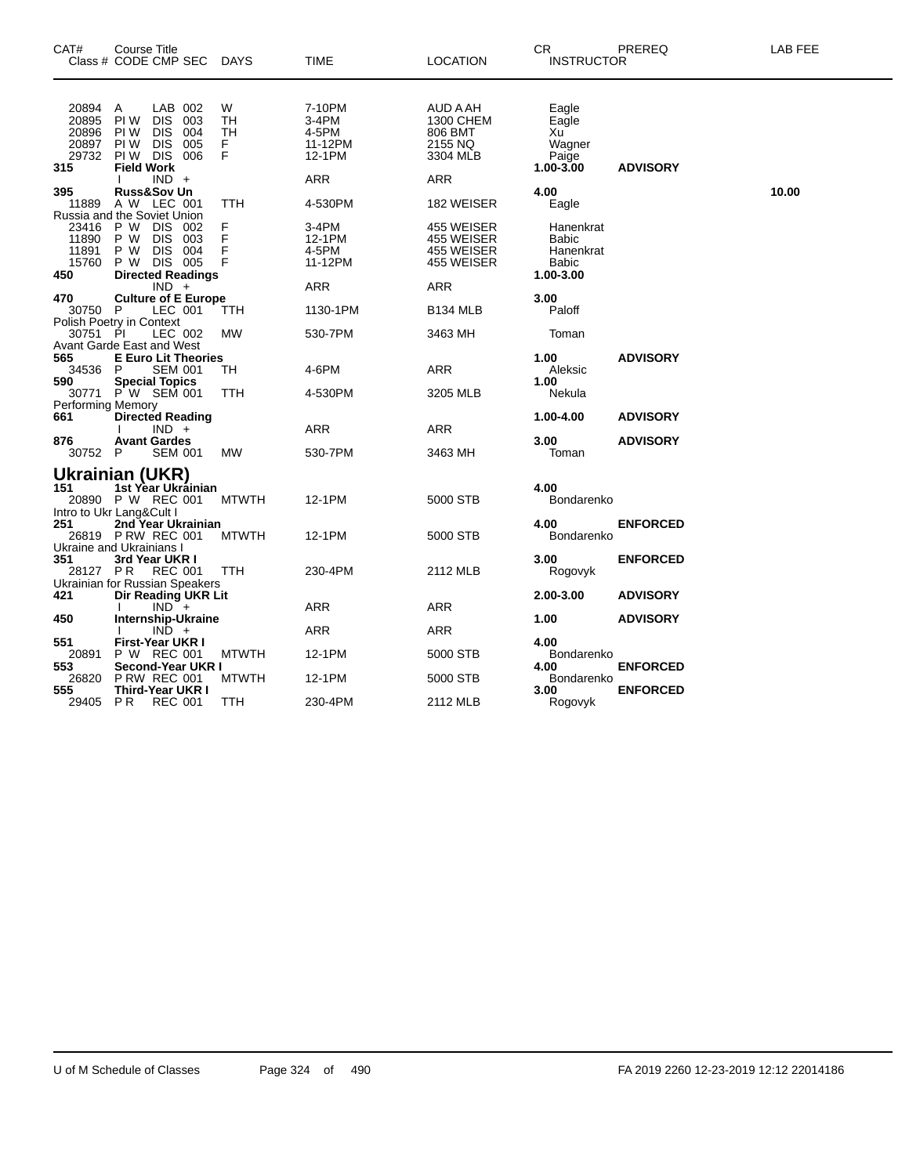| CAT#                                                              | Course Title<br>Class # CODE CMP SEC                             |                                                   |                          | DAYS                     | <b>TIME</b>                                   | <b>LOCATION</b>                                         | CR.<br><b>INSTRUCTOR</b>                                 | PREREQ          | LAB FEE |
|-------------------------------------------------------------------|------------------------------------------------------------------|---------------------------------------------------|--------------------------|--------------------------|-----------------------------------------------|---------------------------------------------------------|----------------------------------------------------------|-----------------|---------|
| 20894<br>20895<br>20896<br>20897<br>29732<br>315                  | Α<br>PI W<br>PI W<br>PI W<br>PIW DIS<br><b>Field Work</b>        | LAB 002<br><b>DIS</b><br><b>DIS</b><br><b>DIS</b> | 003<br>004<br>005<br>006 | W<br>TH<br>TН<br>F.<br>F | 7-10PM<br>3-4PM<br>4-5PM<br>11-12PM<br>12-1PM | AUD A AH<br>1300 CHEM<br>806 BMT<br>2155 NQ<br>3304 MLB | Eagle<br>Eagle<br>Xu<br>Wagner<br>Paige<br>$1.00 - 3.00$ | <b>ADVISORY</b> |         |
|                                                                   |                                                                  | $IND +$                                           |                          |                          | ARR                                           | ARR                                                     |                                                          |                 |         |
| 395<br>11889                                                      | <b>Russ&amp;Sov Un</b><br>A W LEC 001                            |                                                   |                          | TTH                      | 4-530PM                                       | 182 WEISER                                              | 4.00<br>Eagle                                            |                 | 10.00   |
| Russia and the Soviet Union                                       |                                                                  |                                                   |                          |                          |                                               |                                                         |                                                          |                 |         |
| 23416<br>11890<br>11891<br>15760<br>450                           | P W<br>P W<br>P W DIS<br>P W DIS 005<br><b>Directed Readings</b> | <b>DIS</b><br><b>DIS</b>                          | 002<br>003<br>004        | F<br>F<br>F<br>F         | 3-4PM<br>12-1PM<br>4-5PM<br>11-12PM           | 455 WEISER<br>455 WEISER<br>455 WEISER<br>455 WEISER    | Hanenkrat<br>Babic<br>Hanenkrat<br>Babic<br>1.00-3.00    |                 |         |
|                                                                   |                                                                  | $IND +$                                           |                          |                          | ARR                                           | ARR                                                     |                                                          |                 |         |
| 470<br>30750 P                                                    | <b>Culture of E Europe</b>                                       | LEC 001                                           |                          | TTH                      | 1130-1PM                                      | <b>B134 MLB</b>                                         | 3.00<br>Paloff                                           |                 |         |
| Polish Poetry in Context<br>30751 PI<br>Avant Garde East and West |                                                                  | LEC 002                                           |                          | <b>MW</b>                | 530-7PM                                       | 3463 MH                                                 | Toman                                                    |                 |         |
| 565<br>34536<br>590                                               | <b>E Euro Lit Theories</b><br>P<br><b>Special Topics</b>         | <b>SEM 001</b>                                    |                          | TH                       | 4-6PM                                         | <b>ARR</b>                                              | 1.00<br>Aleksic<br>1.00                                  | <b>ADVISORY</b> |         |
|                                                                   | 30771 P W SEM 001                                                |                                                   |                          | TTH                      | 4-530PM                                       | 3205 MLB                                                | Nekula                                                   |                 |         |
| Performing Memory<br>661                                          | <b>Directed Reading</b>                                          |                                                   |                          |                          |                                               |                                                         | 1.00-4.00                                                | <b>ADVISORY</b> |         |
| 876                                                               | <b>Avant Gardes</b>                                              | $IND +$                                           |                          |                          | <b>ARR</b>                                    | <b>ARR</b>                                              | 3.00                                                     | <b>ADVISORY</b> |         |
| 30752 P                                                           |                                                                  | <b>SEM 001</b>                                    |                          | МW                       | 530-7PM                                       | 3463 MH                                                 | Toman                                                    |                 |         |
| Ukrainian (UKR)<br>151<br>Intro to Ukr Lang&Cult I                | 1st Yèar Ukráinian<br>20890 P W REC 001                          |                                                   |                          | <b>MTWTH</b>             | 12-1PM                                        | 5000 STB                                                | 4.00<br>Bondarenko                                       |                 |         |
| 251                                                               | 2nd Year Ukrainian                                               |                                                   |                          |                          |                                               |                                                         | 4.00                                                     | <b>ENFORCED</b> |         |
| Ukraine and Ukrainians I                                          | 26819 P RW REC 001                                               |                                                   |                          | <b>MTWTH</b>             | 12-1PM                                        | 5000 STB                                                | Bondarenko                                               |                 |         |
| 351<br>28127 PR                                                   | 3rd Year UKR I                                                   | <b>REC 001</b>                                    |                          | <b>TTH</b>               | 230-4PM                                       | 2112 MLB                                                | 3.00<br>Rogovyk                                          | <b>ENFORCED</b> |         |
| Ukrainian for Russian Speakers<br>421                             | Dir Reading UKR Lit                                              |                                                   |                          |                          |                                               |                                                         | 2.00-3.00                                                | <b>ADVISORY</b> |         |
|                                                                   |                                                                  | $IND +$                                           |                          |                          | ARR                                           | ARR                                                     |                                                          |                 |         |
| 450                                                               | <b>Internship-Ukraine</b>                                        | $IND +$                                           |                          |                          | ARR                                           | ARR                                                     | 1.00                                                     | <b>ADVISORY</b> |         |
| 551                                                               | <b>First-Year UKR I</b>                                          |                                                   |                          |                          |                                               |                                                         | 4.00                                                     |                 |         |
| 20891                                                             | P W REC 001                                                      |                                                   |                          | <b>MTWTH</b>             | 12-1PM                                        | 5000 STB                                                | Bondarenko                                               | <b>ENFORCED</b> |         |
| 553<br>26820                                                      | Second-Year UKR I<br><b>P RW REC 001</b>                         |                                                   |                          | <b>MTWTH</b>             | 12-1PM                                        | 5000 STB                                                | 4.00<br>Bondarenko                                       |                 |         |
| 555<br>29405                                                      | Third-Year UKR I<br>P R                                          | <b>REC 001</b>                                    |                          | TTH                      | 230-4PM                                       | 2112 MLB                                                | 3.00<br>Rogovyk                                          | <b>ENFORCED</b> |         |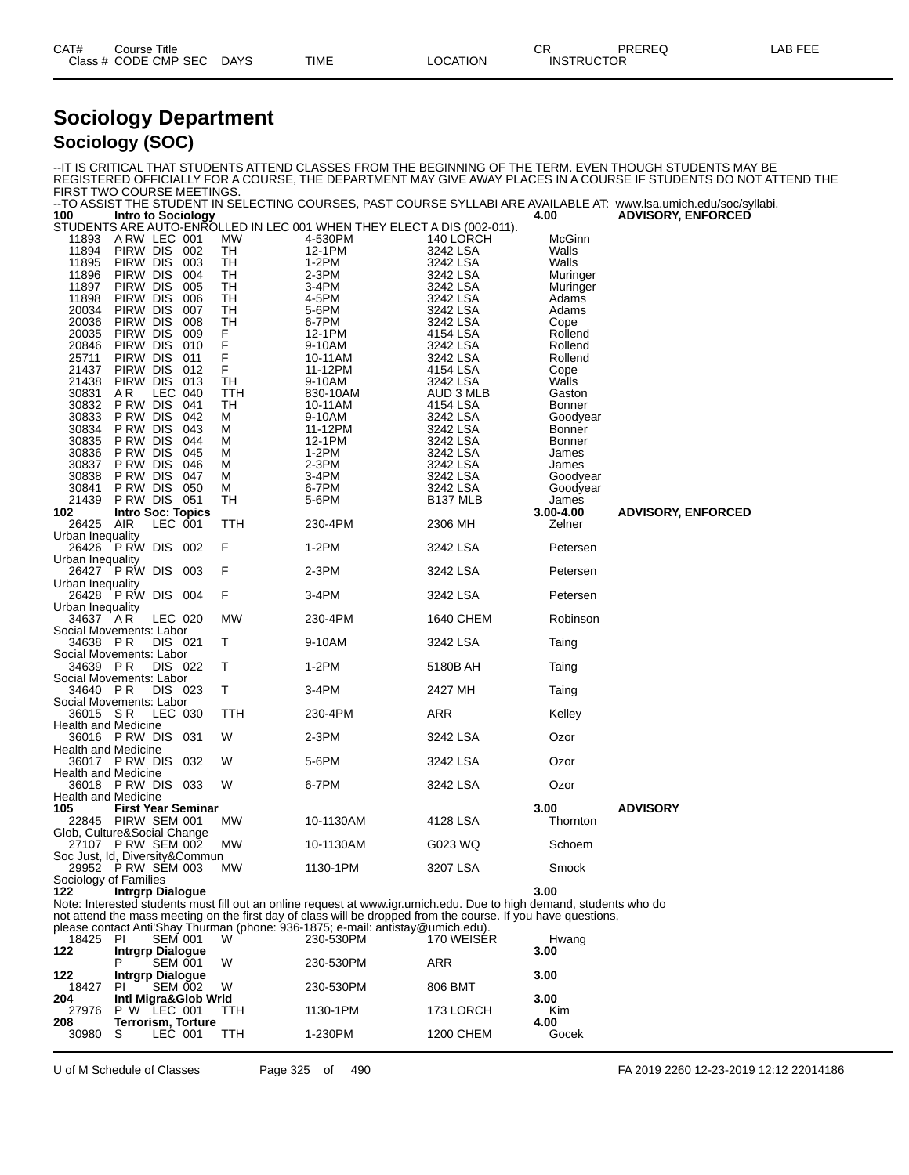| CAT#      | Title<br>Course        |             |      |                | СR                        | <b>PREREC</b> | $\sim$ $\sim$ $\sim$ $\sim$ $\sim$<br>--<br>ື່<br>-- |
|-----------|------------------------|-------------|------|----------------|---------------------------|---------------|------------------------------------------------------|
| Class $#$ | # CODE CMP SEC<br>$ -$ | <b>DAYS</b> | TIME | <b>OCATION</b> | <b>INSTRUCTOF</b><br>CIOR |               |                                                      |

#### **Sociology Department Sociology (SOC)**

| FIRST TWO COURSE MEETINGS.                                                                                        |                                                                                                                                                    |                |                                                                                  |                                                                   |                                                                                                                                                                                                                                                                                                                         |                                                                                                                                                           |                                                                                                                                                        | -IT IS CRITICAL THAT STUDENTS ATTEND CLASSES FROM THE BEGINNING OF THE TERM. EVEN THOUGH STUDENTS MAY BE<br>REGISTERED OFFICIALLY FOR A COURSE, THE DEPARTMENT MAY GIVE AWAY PLACES IN A COURSE IF STUDENTS DO NOT ATTEND THE<br>--TO ASSIST THE STUDENT IN SELECTING COURSES, PAST COURSE SYLLABI ARE AVAILABLE AT: www.lsa.umich.edu/soc/syllabi. |
|-------------------------------------------------------------------------------------------------------------------|----------------------------------------------------------------------------------------------------------------------------------------------------|----------------|----------------------------------------------------------------------------------|-------------------------------------------------------------------|-------------------------------------------------------------------------------------------------------------------------------------------------------------------------------------------------------------------------------------------------------------------------------------------------------------------------|-----------------------------------------------------------------------------------------------------------------------------------------------------------|--------------------------------------------------------------------------------------------------------------------------------------------------------|-----------------------------------------------------------------------------------------------------------------------------------------------------------------------------------------------------------------------------------------------------------------------------------------------------------------------------------------------------|
| 100                                                                                                               | <b>Intro to Sociology</b>                                                                                                                          |                |                                                                                  |                                                                   |                                                                                                                                                                                                                                                                                                                         |                                                                                                                                                           | 4.00                                                                                                                                                   | <b>ADVISORY, ENFORCED</b>                                                                                                                                                                                                                                                                                                                           |
| 11893<br>11894<br>11895<br>11896<br>11897<br>11898<br>20034<br>20036<br>20035                                     | ARW LEC 001<br>PIRW DIS<br>PIRW DIS<br>PIRW DIS<br>PIRW DIS<br>PIRW DIS<br>PIRW DIS<br>PIRW DIS<br>PIRW DIS                                        |                | 002<br>003<br>004<br>005<br>006<br>007<br>008<br>009                             | МW<br>TН<br>TН<br>TН<br>TН<br>TН<br>TН<br>TН<br>F                 | STUDENTS ARE AUTO-ENROLLED IN LEC 001 WHEN THEY ELECT A DIS (002-011).<br>4-530PM<br>12-1PM<br>$1-2PM$<br>2-3PM<br>3-4PM<br>4-5PM<br>5-6PM<br>6-7PM<br>12-1PM                                                                                                                                                           | 140 LORCH<br>3242 LSA<br>3242 LSA<br>3242 LSA<br>3242 LSA<br>3242 LSA<br>3242 LSA<br>3242 LSA<br>4154 LSA                                                 | McGinn<br>Walls<br>Walls<br>Muringer<br>Muringer<br>Adams<br>Adams<br>Cope<br>Rollend                                                                  |                                                                                                                                                                                                                                                                                                                                                     |
| 20846<br>25711<br>21437<br>21438<br>30831<br>30832<br>30833<br>30834<br>30835<br>30836<br>30837<br>30838<br>30841 | PIRW DIS<br>PIRW DIS<br>PIRW DIS<br>PIRW DIS<br>AR<br>P RW DIS<br>P RW DIS<br>P RW DIS<br>P RW DIS<br>P RW DIS<br>P RW DIS<br>P RW DIS<br>P RW DIS | LEC 040        | 010<br>011<br>012<br>013<br>041<br>042<br>043<br>044<br>045<br>046<br>047<br>050 | F<br>F<br>F<br>TН<br>TTH<br>TН<br>м<br>м<br>м<br>м<br>м<br>м<br>м | 9-10AM<br>10-11AM<br>11-12PM<br>9-10AM<br>830-10AM<br>10-11AM<br>9-10AM<br>11-12PM<br>12-1PM<br>1-2PM<br>$2-3PM$<br>3-4PM<br>6-7PM                                                                                                                                                                                      | 3242 LSA<br>3242 LSA<br>4154 LSA<br>3242 LSA<br>AUD 3 MLB<br>4154 LSA<br>3242 LSA<br>3242 LSA<br>3242 LSA<br>3242 LSA<br>3242 LSA<br>3242 LSA<br>3242 LSA | Rollend<br>Rollend<br>Cope<br>Walls<br>Gaston<br><b>Bonner</b><br>Goodyear<br><b>Bonner</b><br><b>Bonner</b><br>James<br>James<br>Goodyear<br>Goodyear |                                                                                                                                                                                                                                                                                                                                                     |
| 21439<br>102                                                                                                      | PRW DIS 051<br><b>Intro Soc: Topics</b>                                                                                                            |                |                                                                                  | TH                                                                | 5-6PM                                                                                                                                                                                                                                                                                                                   | B137 MLB                                                                                                                                                  | James<br>3.00-4.00                                                                                                                                     | <b>ADVISORY, ENFORCED</b>                                                                                                                                                                                                                                                                                                                           |
| 26425                                                                                                             | AIR                                                                                                                                                | LEC 001        |                                                                                  | TTH                                                               | 230-4PM                                                                                                                                                                                                                                                                                                                 | 2306 MH                                                                                                                                                   | Zelner                                                                                                                                                 |                                                                                                                                                                                                                                                                                                                                                     |
| Urban Inequality<br>26426 P RW DIS 002<br>Urban Inequality                                                        |                                                                                                                                                    |                |                                                                                  | F                                                                 | $1-2PM$                                                                                                                                                                                                                                                                                                                 | 3242 LSA                                                                                                                                                  | Petersen                                                                                                                                               |                                                                                                                                                                                                                                                                                                                                                     |
| 26427 P RW DIS 003                                                                                                |                                                                                                                                                    |                |                                                                                  | F                                                                 | $2-3PM$                                                                                                                                                                                                                                                                                                                 | 3242 LSA                                                                                                                                                  | Petersen                                                                                                                                               |                                                                                                                                                                                                                                                                                                                                                     |
| Urban Inequality<br>26428 PRW DIS 004                                                                             |                                                                                                                                                    |                |                                                                                  | F                                                                 | 3-4PM                                                                                                                                                                                                                                                                                                                   | 3242 LSA                                                                                                                                                  | Petersen                                                                                                                                               |                                                                                                                                                                                                                                                                                                                                                     |
| Urban Inequality<br>34637 AR<br>Social Movements: Labor                                                           |                                                                                                                                                    | LEC 020        |                                                                                  | <b>MW</b>                                                         | 230-4PM                                                                                                                                                                                                                                                                                                                 | 1640 CHEM                                                                                                                                                 | Robinson                                                                                                                                               |                                                                                                                                                                                                                                                                                                                                                     |
| 34638 PR                                                                                                          |                                                                                                                                                    | DIS 021        |                                                                                  | т                                                                 | 9-10AM                                                                                                                                                                                                                                                                                                                  | 3242 LSA                                                                                                                                                  | Taing                                                                                                                                                  |                                                                                                                                                                                                                                                                                                                                                     |
| Social Movements: Labor<br>34639 PR<br>Social Movements: Labor                                                    |                                                                                                                                                    | DIS 022        |                                                                                  | Т                                                                 | $1-2PM$                                                                                                                                                                                                                                                                                                                 | 5180B AH                                                                                                                                                  | Taing                                                                                                                                                  |                                                                                                                                                                                                                                                                                                                                                     |
| 34640 PR                                                                                                          |                                                                                                                                                    | DIS 023        |                                                                                  | Τ                                                                 | 3-4PM                                                                                                                                                                                                                                                                                                                   | 2427 MH                                                                                                                                                   | Taing                                                                                                                                                  |                                                                                                                                                                                                                                                                                                                                                     |
| Social Movements: Labor<br>36015 SR<br><b>Health and Medicine</b>                                                 |                                                                                                                                                    | LEC 030        |                                                                                  | TTH                                                               | 230-4PM                                                                                                                                                                                                                                                                                                                 | ARR                                                                                                                                                       | Kelley                                                                                                                                                 |                                                                                                                                                                                                                                                                                                                                                     |
| 36016 PRW DIS 031                                                                                                 |                                                                                                                                                    |                |                                                                                  | W                                                                 | 2-3PM                                                                                                                                                                                                                                                                                                                   | 3242 LSA                                                                                                                                                  | Ozor                                                                                                                                                   |                                                                                                                                                                                                                                                                                                                                                     |
| <b>Health and Medicine</b><br>36017 PRW DIS                                                                       |                                                                                                                                                    |                | 032                                                                              | W                                                                 | 5-6PM                                                                                                                                                                                                                                                                                                                   | 3242 LSA                                                                                                                                                  | Ozor                                                                                                                                                   |                                                                                                                                                                                                                                                                                                                                                     |
| <b>Health and Medicine</b><br>36018 PRW DIS 033                                                                   |                                                                                                                                                    |                |                                                                                  | W                                                                 | 6-7PM                                                                                                                                                                                                                                                                                                                   | 3242 LSA                                                                                                                                                  | Ozor                                                                                                                                                   |                                                                                                                                                                                                                                                                                                                                                     |
| Health and Medicine<br>105<br>22845 PIRW SEM 001                                                                  |                                                                                                                                                    |                | <b>First Year Seminar</b>                                                        | <b>MW</b>                                                         | 10-1130AM                                                                                                                                                                                                                                                                                                               | 4128 LSA                                                                                                                                                  | 3.00<br>Thornton                                                                                                                                       | <b>ADVISORY</b>                                                                                                                                                                                                                                                                                                                                     |
| Glob, Culture&Social Change<br>27107 PRW SEM 002                                                                  |                                                                                                                                                    |                |                                                                                  | МW                                                                | 10-1130AM                                                                                                                                                                                                                                                                                                               | G023 WQ                                                                                                                                                   | Schoem                                                                                                                                                 |                                                                                                                                                                                                                                                                                                                                                     |
| Soc Just, Id, Diversity&Commun<br>29952 PRW SEM 003                                                               |                                                                                                                                                    |                |                                                                                  | MW.                                                               | 1130-1PM                                                                                                                                                                                                                                                                                                                | 3207 LSA                                                                                                                                                  | Smock                                                                                                                                                  |                                                                                                                                                                                                                                                                                                                                                     |
| Sociology of Families<br>122                                                                                      | <b>Intrgrp Dialogue</b>                                                                                                                            |                |                                                                                  |                                                                   |                                                                                                                                                                                                                                                                                                                         |                                                                                                                                                           | 3.00                                                                                                                                                   |                                                                                                                                                                                                                                                                                                                                                     |
|                                                                                                                   |                                                                                                                                                    |                |                                                                                  |                                                                   | Note: Interested students must fill out an online request at www.igr.umich.edu. Due to high demand, students who do<br>not attend the mass meeting on the first day of class will be dropped from the course. If you have questions,<br>please contact Anti'Shay Thurman (phone: 936-1875; e-mail: antistay@umich.edu). |                                                                                                                                                           |                                                                                                                                                        |                                                                                                                                                                                                                                                                                                                                                     |
| 18425<br>122                                                                                                      | -PI<br><b>Intrgrp Dialogue</b>                                                                                                                     | <b>SEM 001</b> |                                                                                  | W                                                                 | 230-530PM                                                                                                                                                                                                                                                                                                               | 170 WEISER                                                                                                                                                | Hwang<br>3.00                                                                                                                                          |                                                                                                                                                                                                                                                                                                                                                     |
| 122                                                                                                               | Р<br><b>Intrgrp Dialogue</b>                                                                                                                       | <b>SEM 001</b> |                                                                                  | W                                                                 | 230-530PM                                                                                                                                                                                                                                                                                                               | <b>ARR</b>                                                                                                                                                | 3.00                                                                                                                                                   |                                                                                                                                                                                                                                                                                                                                                     |
| 18427<br>204                                                                                                      | PI.                                                                                                                                                | <b>SEM 002</b> | Intl Migra&Glob Wrld                                                             | W                                                                 | 230-530PM                                                                                                                                                                                                                                                                                                               | 806 BMT                                                                                                                                                   | 3.00                                                                                                                                                   |                                                                                                                                                                                                                                                                                                                                                     |
| 27976<br>208                                                                                                      | P W LEC 001                                                                                                                                        |                | <b>Terrorism, Torture</b>                                                        | TTH                                                               | 1130-1PM                                                                                                                                                                                                                                                                                                                | 173 LORCH                                                                                                                                                 | Kim<br>4.00                                                                                                                                            |                                                                                                                                                                                                                                                                                                                                                     |
| 30980                                                                                                             | -S                                                                                                                                                 | LEC 001        |                                                                                  | TTH                                                               | 1-230PM                                                                                                                                                                                                                                                                                                                 | 1200 CHEM                                                                                                                                                 | Gocek                                                                                                                                                  |                                                                                                                                                                                                                                                                                                                                                     |

U of M Schedule of Classes Page 325 of 490 FA 2019 2260 12-23-2019 12:12 22014186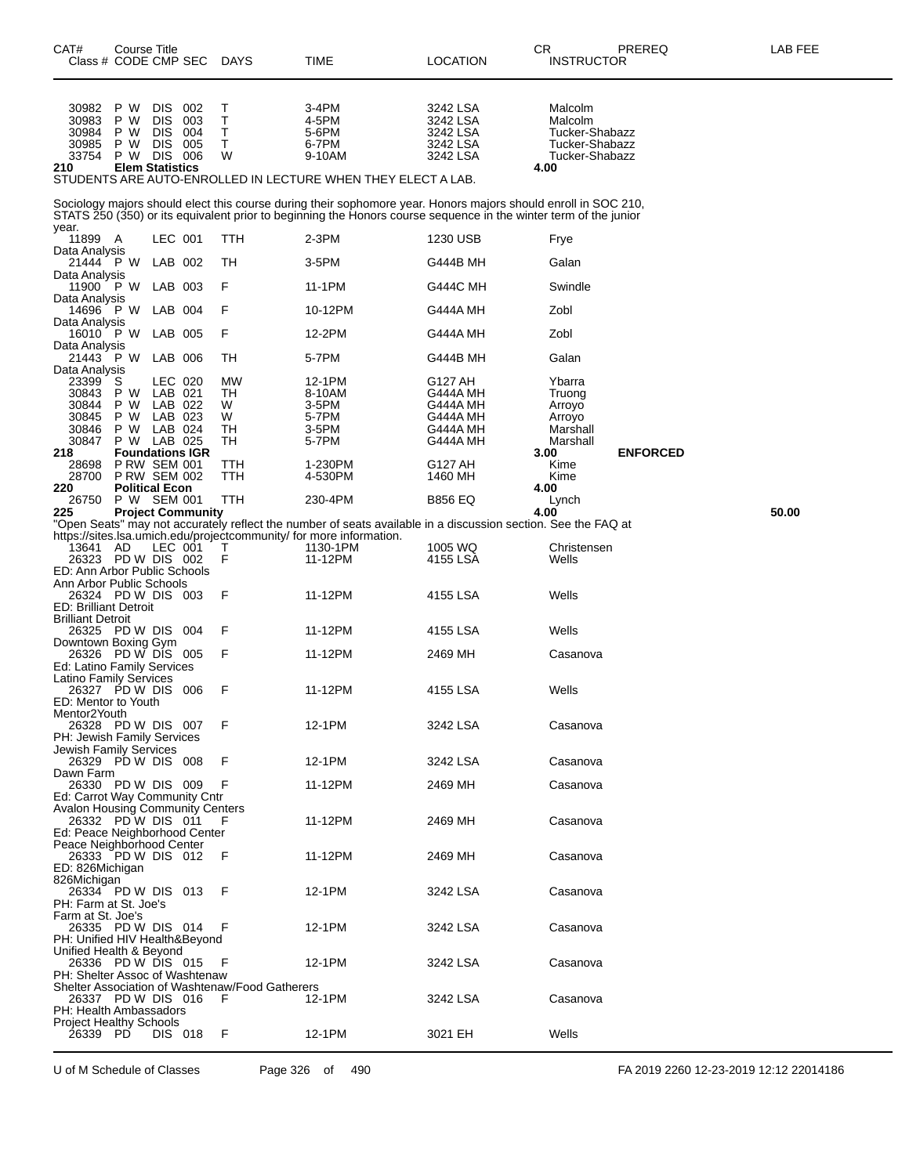| CAT#<br>Class # CODE CMP SEC                                      | Course Title        |                        |                          | <b>DAYS</b>                                     | TIME                                                                            | CR<br><b>LOCATION</b>                                                                                                                                                                                                              | PREREQ<br><b>INSTRUCTOR</b>      | LAB FEE |
|-------------------------------------------------------------------|---------------------|------------------------|--------------------------|-------------------------------------------------|---------------------------------------------------------------------------------|------------------------------------------------------------------------------------------------------------------------------------------------------------------------------------------------------------------------------------|----------------------------------|---------|
| 30982                                                             | P W                 | DIS.                   | 002                      | Т                                               | 3-4PM                                                                           | 3242 LSA                                                                                                                                                                                                                           | Malcolm                          |         |
| 30983                                                             | P W                 | <b>DIS</b>             | 003                      | Ť                                               | 4-5PM                                                                           | 3242 LSA                                                                                                                                                                                                                           | Malcolm                          |         |
| 30984                                                             | P W                 | <b>DIS</b>             | 004                      | T<br>$\mathsf T$                                | 5-6PM                                                                           | 3242 LSA                                                                                                                                                                                                                           | Tucker-Shabazz<br>Tucker-Shabazz |         |
| 30985<br>33754                                                    | P W<br>P W          | DIS.<br>DIS 006        | 005                      | W                                               | 6-7PM<br>9-10AM                                                                 | 3242 LSA<br>3242 LSA                                                                                                                                                                                                               | Tucker-Shabazz                   |         |
| 210                                                               |                     | <b>Elem Statistics</b> |                          |                                                 |                                                                                 |                                                                                                                                                                                                                                    | 4.00                             |         |
|                                                                   |                     |                        |                          |                                                 | STUDENTS ARE AUTO-ENROLLED IN LECTURE WHEN THEY ELECT A LAB.                    |                                                                                                                                                                                                                                    |                                  |         |
| year.                                                             |                     |                        |                          |                                                 |                                                                                 | Sociology majors should elect this course during their sophomore year. Honors majors should enroll in SOC 210,<br>STATS 250 (350) or its equivalent prior to beginning the Honors course sequence in the winter term of the junior |                                  |         |
| 11899 A<br>Data Analysis                                          |                     | LEC 001                |                          | <b>TTH</b>                                      | $2-3PM$                                                                         | 1230 USB                                                                                                                                                                                                                           | Frye                             |         |
| 21444 PW<br>Data Analysis                                         |                     | LAB 002                |                          | TН                                              | 3-5PM                                                                           | G444B MH                                                                                                                                                                                                                           | Galan                            |         |
| 11900 P W<br>Data Analysis                                        |                     | LAB 003                |                          | F                                               | 11-1PM                                                                          | <b>G444C MH</b>                                                                                                                                                                                                                    | Swindle                          |         |
| 14696 P W<br>Data Analysis                                        |                     | LAB 004                |                          | F                                               | 10-12PM                                                                         | G444A MH                                                                                                                                                                                                                           | Zobl                             |         |
| 16010 P W<br>Data Analysis                                        |                     | LAB 005                |                          | F                                               | 12-2PM                                                                          | G444A MH                                                                                                                                                                                                                           | Zobl                             |         |
| 21443 PW<br>Data Analysis                                         |                     | LAB 006                |                          | TН                                              | 5-7PM                                                                           | <b>G444B MH</b>                                                                                                                                                                                                                    | Galan                            |         |
| 23399                                                             | S                   | LEC 020                |                          | <b>MW</b>                                       | 12-1PM                                                                          | G127 AH                                                                                                                                                                                                                            | Ybarra                           |         |
| 30843                                                             | P W                 | LAB 021                |                          | TН                                              | 8-10AM                                                                          | G444A MH                                                                                                                                                                                                                           | Truong                           |         |
| 30844                                                             | P W                 | LAB 022                |                          | W                                               | 3-5PM                                                                           | G444A MH                                                                                                                                                                                                                           | Arroyo                           |         |
| 30845<br>30846                                                    | P W<br>P W          | LAB 023<br>LAB 024     |                          | W<br>TН                                         | 5-7PM<br>3-5PM                                                                  | <b>G444A MH</b><br>G444A MH                                                                                                                                                                                                        | Arroyo<br>Marshall               |         |
| 30847                                                             | P W LAB 025         |                        |                          | TH                                              | 5-7PM                                                                           | G444A MH                                                                                                                                                                                                                           | Marshall                         |         |
| 218                                                               |                     |                        | <b>Foundations IGR</b>   |                                                 |                                                                                 |                                                                                                                                                                                                                                    | <b>ENFORCED</b><br>3.00          |         |
| 28698                                                             | <b>P RW SEM 001</b> |                        |                          | TTH                                             | 1-230PM                                                                         | G127 AH                                                                                                                                                                                                                            | Kime                             |         |
| 28700<br>220                                                      | <b>P RW SEM 002</b> | <b>Political Econ</b>  |                          | TTH                                             | 4-530PM                                                                         | 1460 MH                                                                                                                                                                                                                            | Kime<br>4.00                     |         |
| 26750                                                             | P W SEM 001         |                        |                          | TTH                                             | 230-4PM                                                                         | <b>B856 EQ</b>                                                                                                                                                                                                                     | Lynch                            |         |
| 225                                                               |                     |                        | <b>Project Community</b> |                                                 |                                                                                 |                                                                                                                                                                                                                                    | 4.00                             | 50.00   |
|                                                                   |                     |                        |                          |                                                 |                                                                                 | "Open Seats" may not accurately reflect the number of seats available in a discussion section. See the FAQ at                                                                                                                      |                                  |         |
| 13641 AD                                                          |                     | LEC 001                |                          | т                                               | https://sites.lsa.umich.edu/projectcommunity/ for more information.<br>1130-1PM | 1005 WQ                                                                                                                                                                                                                            | Christensen                      |         |
|                                                                   | 26323 PD W DIS 002  |                        |                          | F                                               | 11-12PM                                                                         | 4155 LSA                                                                                                                                                                                                                           | Wells                            |         |
| ED: Ann Arbor Public Schools                                      |                     |                        |                          |                                                 |                                                                                 |                                                                                                                                                                                                                                    |                                  |         |
| Ann Arbor Public Schools                                          |                     |                        |                          |                                                 |                                                                                 |                                                                                                                                                                                                                                    |                                  |         |
|                                                                   | 26324 PD W DIS 003  |                        |                          | F                                               | 11-12PM                                                                         | 4155 LSA                                                                                                                                                                                                                           | Wells                            |         |
| <b>ED: Brilliant Detroit</b><br><b>Brilliant Detroit</b>          |                     |                        |                          |                                                 |                                                                                 |                                                                                                                                                                                                                                    |                                  |         |
|                                                                   | 26325 PD W DIS 004  |                        |                          | F                                               | 11-12PM                                                                         | 4155 LSA                                                                                                                                                                                                                           | Wells                            |         |
| Downtown Boxing Gym                                               |                     |                        |                          |                                                 |                                                                                 |                                                                                                                                                                                                                                    |                                  |         |
| 26326 PD W DIS 005                                                |                     |                        |                          | F                                               | 11-12PM                                                                         | 2469 MH                                                                                                                                                                                                                            | Casanova                         |         |
| Ed: Latino Family Services<br><b>Latino Family Services</b>       |                     |                        |                          |                                                 |                                                                                 |                                                                                                                                                                                                                                    |                                  |         |
|                                                                   | 26327 PD W DIS 006  |                        |                          | F                                               | 11-12PM                                                                         | 4155 LSA                                                                                                                                                                                                                           | Wells                            |         |
| ED: Mentor to Youth                                               |                     |                        |                          |                                                 |                                                                                 |                                                                                                                                                                                                                                    |                                  |         |
| Mentor2Youth                                                      |                     |                        |                          |                                                 |                                                                                 |                                                                                                                                                                                                                                    |                                  |         |
| PH: Jewish Family Services                                        | 26328 PD W DIS 007  |                        |                          | F                                               | 12-1PM                                                                          | 3242 LSA                                                                                                                                                                                                                           | Casanova                         |         |
| Jewish Family Services                                            |                     |                        |                          |                                                 |                                                                                 |                                                                                                                                                                                                                                    |                                  |         |
|                                                                   | 26329 PD W DIS 008  |                        |                          | F                                               | 12-1PM                                                                          | 3242 LSA                                                                                                                                                                                                                           | Casanova                         |         |
| Dawn Farm                                                         |                     |                        |                          |                                                 |                                                                                 |                                                                                                                                                                                                                                    |                                  |         |
| 26330 PD W DIS 009                                                |                     |                        |                          | F                                               | 11-12PM                                                                         | 2469 MH                                                                                                                                                                                                                            | Casanova                         |         |
| Ed: Carrot Way Community Cntr<br>Avalon Housing Community Centers |                     |                        |                          |                                                 |                                                                                 |                                                                                                                                                                                                                                    |                                  |         |
| 26332 PD W DIS 011                                                |                     |                        |                          | F                                               | 11-12PM                                                                         | 2469 MH                                                                                                                                                                                                                            | Casanova                         |         |
| Ed: Peace Neighborhood Center                                     |                     |                        |                          |                                                 |                                                                                 |                                                                                                                                                                                                                                    |                                  |         |
| Peace Neighborhood Center                                         |                     |                        |                          |                                                 |                                                                                 |                                                                                                                                                                                                                                    |                                  |         |
| 26333 PD W DIS 012                                                |                     |                        |                          | F                                               | 11-12PM                                                                         | 2469 MH                                                                                                                                                                                                                            | Casanova                         |         |
| ED: 826Michigan                                                   |                     |                        |                          |                                                 |                                                                                 |                                                                                                                                                                                                                                    |                                  |         |
| 826Michigan<br>26334 PD W DIS 013                                 |                     |                        |                          | F                                               | 12-1PM                                                                          | 3242 LSA                                                                                                                                                                                                                           | Casanova                         |         |
| PH: Farm at St. Joe's                                             |                     |                        |                          |                                                 |                                                                                 |                                                                                                                                                                                                                                    |                                  |         |
| Farm at St. Joe's                                                 |                     |                        |                          |                                                 |                                                                                 |                                                                                                                                                                                                                                    |                                  |         |
|                                                                   | 26335 PD W DIS 014  |                        |                          | F                                               | 12-1PM                                                                          | 3242 LSA                                                                                                                                                                                                                           | Casanova                         |         |
| PH: Unified HIV Health&Beyond                                     |                     |                        |                          |                                                 |                                                                                 |                                                                                                                                                                                                                                    |                                  |         |
| Unified Health & Beyond                                           |                     |                        |                          |                                                 |                                                                                 |                                                                                                                                                                                                                                    |                                  |         |
| 26336 PD W DIS 015<br>PH: Shelter Assoc of Washtenaw              |                     |                        |                          | F                                               | 12-1PM                                                                          | 3242 LSA                                                                                                                                                                                                                           | Casanova                         |         |
|                                                                   |                     |                        |                          | Shelter Association of Washtenaw/Food Gatherers |                                                                                 |                                                                                                                                                                                                                                    |                                  |         |
| 26337 PD W DIS 016                                                |                     |                        |                          | F                                               | 12-1PM                                                                          | 3242 LSA                                                                                                                                                                                                                           | Casanova                         |         |
| PH: Health Ambassadors                                            |                     |                        |                          |                                                 |                                                                                 |                                                                                                                                                                                                                                    |                                  |         |
| <b>Project Healthy Schools</b>                                    |                     |                        |                          |                                                 |                                                                                 |                                                                                                                                                                                                                                    |                                  |         |
| 26339 PD                                                          |                     | DIS 018                |                          | F                                               | 12-1PM                                                                          | 3021 EH                                                                                                                                                                                                                            | Wells                            |         |

U of M Schedule of Classes Page 326 of 490 FA 2019 2260 12-23-2019 12:12 22014186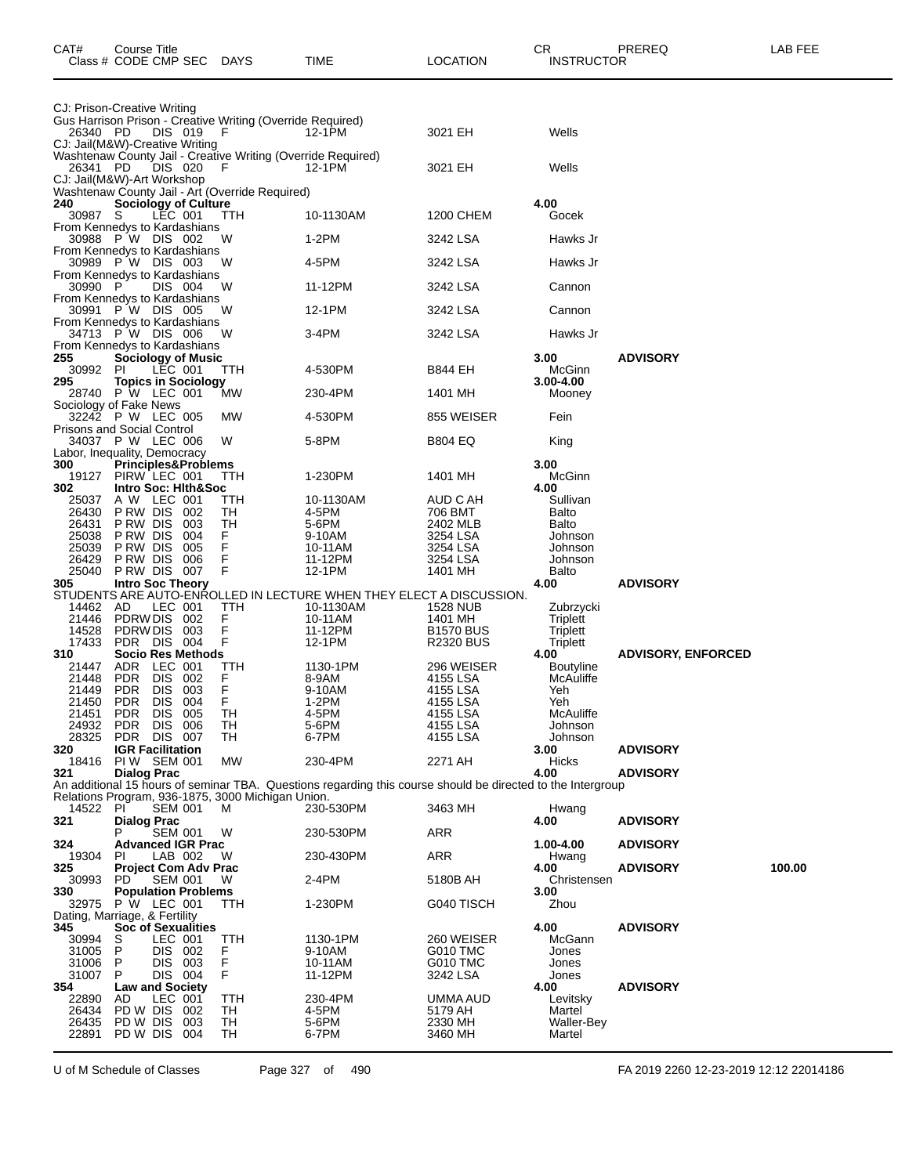| CAT#                                                              | Course Title<br>Class # CODE CMP SEC DAYS |                    |                                                       |                                                                     | TIME                                                                                                        | LOCATION                             | CR<br><b>INSTRUCTOR</b>     | PREREQ                    | LAB FEE |
|-------------------------------------------------------------------|-------------------------------------------|--------------------|-------------------------------------------------------|---------------------------------------------------------------------|-------------------------------------------------------------------------------------------------------------|--------------------------------------|-----------------------------|---------------------------|---------|
| CJ: Prison-Creative Writing                                       |                                           |                    |                                                       | Gus Harrison Prison - Creative Writing (Override Required)          |                                                                                                             |                                      |                             |                           |         |
| 26340 PD<br>CJ: Jail(M&W)-Creative Writing                        |                                           |                    | DIS 019                                               | - F<br>Washtenaw County Jail - Creative Writing (Override Required) | 12-1PM                                                                                                      | 3021 EH                              | Wells                       |                           |         |
| 26341 PD<br>CJ: Jail(M&W)-Art Workshop                            |                                           |                    | DIS 020                                               | - F<br>Washtenaw County Jail - Art (Override Required)              | 12-1PM                                                                                                      | 3021 EH                              | Wells                       |                           |         |
| 240<br>30987<br>From Kennedys to Kardashians                      | -S                                        |                    | <b>Sociology of Culture</b><br>LEC 001                | TTH                                                                 | 10-1130AM                                                                                                   | 1200 CHEM                            | 4.00<br>Gocek               |                           |         |
| From Kennedys to Kardashians                                      | 30988 P W DIS 002                         |                    |                                                       | W                                                                   | $1-2PM$                                                                                                     | 3242 LSA                             | Hawks Jr                    |                           |         |
| From Kennedys to Kardashians                                      | 30989 PW DIS 003                          |                    |                                                       | W                                                                   | 4-5PM                                                                                                       | 3242 LSA                             | Hawks Jr                    |                           |         |
| 30990<br>From Kennedys to Kardashians                             | - P                                       |                    | DIS 004                                               | W                                                                   | 11-12PM                                                                                                     | 3242 LSA                             | Cannon                      |                           |         |
| From Kennedys to Kardashians                                      | 30991 P W DIS 005                         |                    |                                                       | W                                                                   | 12-1PM                                                                                                      | 3242 LSA                             | Cannon                      |                           |         |
| From Kennedys to Kardashians                                      | 34713 P W DIS 006                         |                    |                                                       | W                                                                   | 3-4PM                                                                                                       | 3242 LSA                             | Hawks Jr                    |                           |         |
| 255<br>30992                                                      | PI.                                       | LEC 001            | <b>Sociology of Music</b>                             | TTH                                                                 | 4-530PM                                                                                                     | <b>B844 EH</b>                       | 3.00<br>McGinn              | <b>ADVISORY</b>           |         |
| 295                                                               | 28740 P W LEC 001                         |                    | <b>Topics in Sociology</b>                            | MW                                                                  | 230-4PM                                                                                                     | 1401 MH                              | $3.00 - 4.00$<br>Mooney     |                           |         |
| Sociology of Fake News                                            | 32242 P W LEC 005                         |                    |                                                       | <b>MW</b>                                                           | 4-530PM                                                                                                     | 855 WEISER                           | Fein                        |                           |         |
| <b>Prisons and Social Control</b><br>Labor, Inequality, Democracy | 34037 P W LEC 006                         |                    |                                                       | W                                                                   | 5-8PM                                                                                                       | <b>B804 EQ</b>                       | King                        |                           |         |
| 300<br>19127<br>302                                               | PIRW LEC 001                              |                    | <b>Principles&amp;Problems</b><br>Intro Soc: Hith&Soc | TTH                                                                 | 1-230PM                                                                                                     | 1401 MH                              | 3.00<br>McGinn<br>4.00      |                           |         |
| 25037<br>26430                                                    | A W LEC 001<br>P RW DIS                   |                    | 002                                                   | TTH<br>TН                                                           | 10-1130AM<br>4-5PM                                                                                          | AUD C AH<br>706 BMT                  | Sullivan<br>Balto           |                           |         |
| 26431                                                             | P RW DIS                                  |                    | 003                                                   | TH                                                                  | 5-6PM                                                                                                       | 2402 MLB                             | <b>Balto</b>                |                           |         |
| 25038<br>25039                                                    | P RW DIS<br>P RW DIS                      |                    | 004<br>005                                            | F<br>F                                                              | 9-10AM<br>10-11AM                                                                                           | 3254 LSA<br>3254 LSA                 | Johnson<br>Johnson          |                           |         |
| 26429<br>25040                                                    | P RW DIS<br>PRW DIS 007                   |                    | 006                                                   | F<br>F                                                              | 11-12PM<br>12-1PM                                                                                           | 3254 LSA<br>1401 MH                  | Johnson<br>Balto            |                           |         |
| 305                                                               | <b>Intro Soc Theory</b>                   |                    |                                                       |                                                                     | STUDENTS ARE AUTO-ENROLLED IN LECTURE WHEN THEY ELECT A DISCUSSION.                                         |                                      | 4.00                        | <b>ADVISORY</b>           |         |
| 14462 AD<br>21446                                                 | PDRW DIS                                  |                    | LEC 001<br>002                                        | TTH<br>F                                                            | 10-1130AM<br>10-11AM                                                                                        | 1528 NUB<br>1401 MH                  | Zubrzycki<br>Triplett       |                           |         |
| 14528<br>17433                                                    | PDRW DIS<br>PDR DIS 004                   |                    | 003                                                   | F<br>F                                                              | 11-12PM<br>12-1PM                                                                                           | <b>B1570 BUS</b><br><b>R2320 BUS</b> | Triplett<br>Triplett        |                           |         |
| 310<br>21447                                                      | ADR                                       | LEC 001            | <b>Socio Res Methods</b>                              | TTH                                                                 | 1130-1PM                                                                                                    | 296 WEISER                           | 4.00<br><b>Boutyline</b>    | <b>ADVISORY, ENFORCED</b> |         |
| 21448                                                             | <b>PDR</b>                                | <b>DIS</b>         | 002                                                   | F                                                                   | 8-9AM                                                                                                       | 4155 LSA                             | McAuliffe                   |                           |         |
| 21449<br>21450                                                    | <b>PDR</b><br><b>PDR</b>                  | <b>DIS</b><br>DIS. | 003<br>004                                            | F<br>F                                                              | 9-10AM<br>1-2PM                                                                                             | 4155 LSA<br>4155 LSA                 | Yeh<br>Yeh                  |                           |         |
| 21451<br>24932                                                    | <b>PDR</b><br><b>PDR</b>                  |                    | DIS 005<br>DIS 006                                    | TH.<br>TН                                                           | 4-5PM<br>5-6PM                                                                                              | 4155 LSA<br>4155 LSA                 | McAuliffe<br>Johnson        |                           |         |
| 28325                                                             | PDR DIS 007                               |                    |                                                       | TH                                                                  | 6-7PM                                                                                                       | 4155 LSA                             | Johnson                     |                           |         |
| 320<br>18416                                                      | <b>IGR Facilitation</b><br>PIW SEM 001    |                    |                                                       | <b>MW</b>                                                           | 230-4PM                                                                                                     | 2271 AH                              | 3.00<br>Hicks               | <b>ADVISORY</b>           |         |
| 321                                                               | <b>Dialog Prac</b>                        |                    |                                                       |                                                                     | An additional 15 hours of seminar TBA. Questions regarding this course should be directed to the Intergroup |                                      | 4.00                        | <b>ADVISORY</b>           |         |
|                                                                   |                                           |                    |                                                       | Relations Program, 936-1875, 3000 Michigan Union.                   |                                                                                                             |                                      |                             |                           |         |
| 14522 PI<br>321                                                   | <b>Dialog Prac</b>                        |                    | <b>SEM 001</b>                                        | M                                                                   | 230-530PM                                                                                                   | 3463 MH                              | Hwang<br>4.00               | <b>ADVISORY</b>           |         |
| 324                                                               |                                           |                    | <b>SEM 001</b><br><b>Advanced IGR Prac</b>            | W                                                                   | 230-530PM                                                                                                   | ARR                                  | 1.00-4.00                   | <b>ADVISORY</b>           |         |
| 19304<br>325                                                      | <b>PI</b>                                 |                    | LAB 002<br><b>Project Com Adv Prac</b>                | W                                                                   | 230-430PM                                                                                                   | <b>ARR</b>                           | Hwang<br>4.00               | <b>ADVISORY</b>           | 100.00  |
| 30993<br>330                                                      | PD.                                       |                    | <b>SEM 001</b><br><b>Population Problems</b>          | W                                                                   | 2-4PM                                                                                                       | 5180B AH                             | Christensen<br>3.00         |                           |         |
| 32975<br>Dating, Marriage, & Fertility                            | P W LEC 001                               |                    |                                                       | TTH                                                                 | 1-230PM                                                                                                     | G040 TISCH                           | Zhou                        |                           |         |
| 345<br>30994                                                      | S                                         |                    | <b>Soc of Sexualities</b><br>LEC 001                  | TTH                                                                 | 1130-1PM                                                                                                    | 260 WEISER                           | 4.00<br>McGann              | <b>ADVISORY</b>           |         |
| 31005<br>31006                                                    | P<br>P                                    |                    | DIS 002<br>DIS 003                                    | F<br>F                                                              | 9-10AM<br>10-11AM                                                                                           | G010 TMC<br>G010 TMC                 | Jones<br>Jones              |                           |         |
| 31007                                                             | P                                         |                    | DIS 004                                               | F                                                                   | 11-12PM                                                                                                     | 3242 LSA                             | Jones                       |                           |         |
| 354<br>22890                                                      | <b>Law and Society</b><br>AD              |                    | LEC 001                                               | TTH                                                                 | 230-4PM                                                                                                     | UMMA AUD                             | 4.00<br>Levitsky            | <b>ADVISORY</b>           |         |
| 26434<br>26435                                                    | PD W DIS<br>PD W DIS                      |                    | 002<br>003                                            | TН<br>TН                                                            | 4-5PM<br>5-6PM                                                                                              | 5179 AH<br>2330 MH                   | Martel<br><b>Waller-Bey</b> |                           |         |
| 22891                                                             | PD W DIS 004                              |                    |                                                       | TН                                                                  | 6-7PM                                                                                                       | 3460 MH                              | Martel                      |                           |         |

U of M Schedule of Classes Page 327 of 490 FA 2019 2260 12-23-2019 12:12 22014186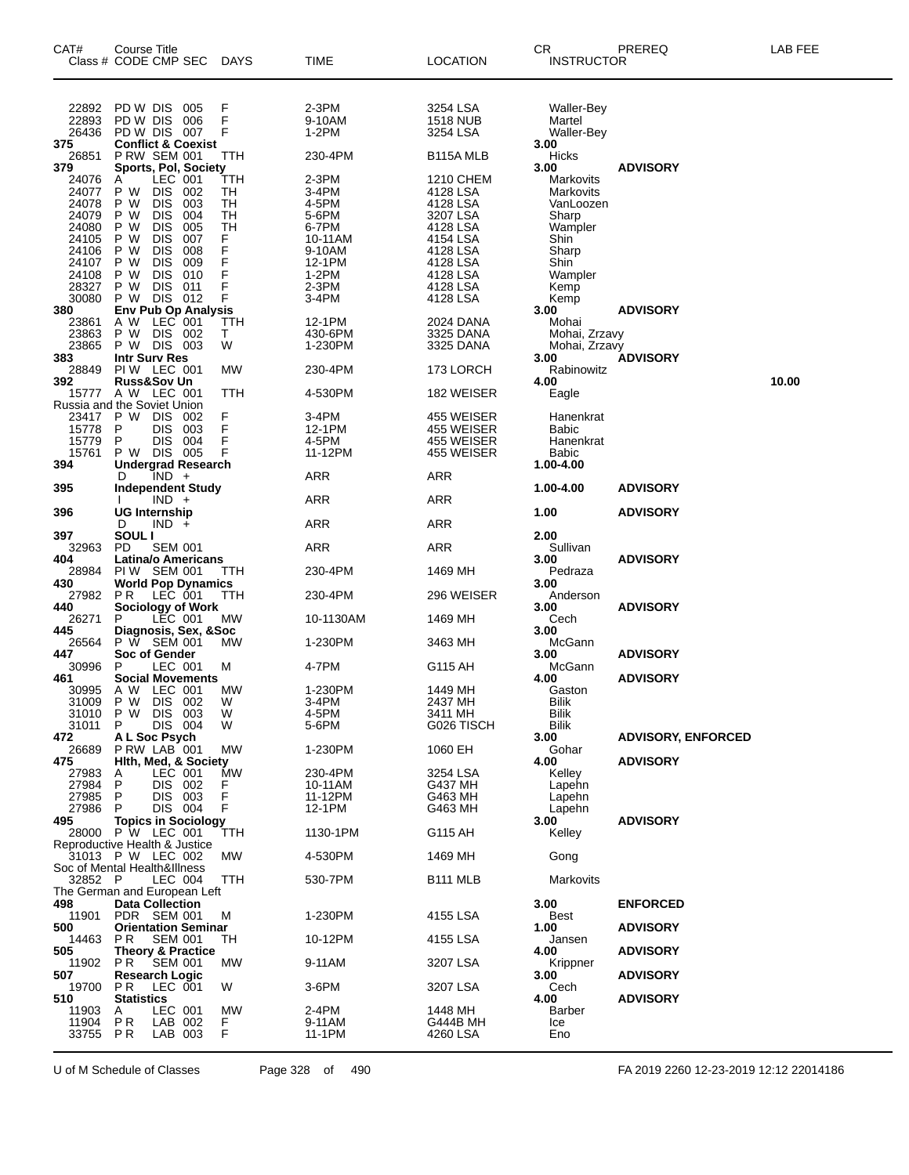| CAT#<br>Class # CODE CMP SEC                      | Course Title                                                          |                          |            | DAYS            | TIME                     | <b>LOCATION</b>                         | <b>CR</b><br><b>INSTRUCTOR</b>                    | PREREQ                    | LAB FEE |
|---------------------------------------------------|-----------------------------------------------------------------------|--------------------------|------------|-----------------|--------------------------|-----------------------------------------|---------------------------------------------------|---------------------------|---------|
| 22892<br>22893<br>26436<br>375                    | PD W DIS<br>PD W DIS<br>PD W DIS 007<br><b>Conflict &amp; Coexist</b> |                          | 005<br>006 | F<br>F<br>F     | 2-3PM<br>9-10AM<br>1-2PM | 3254 LSA<br><b>1518 NUB</b><br>3254 LSA | Waller-Bey<br>Martel<br><b>Waller-Bey</b><br>3.00 |                           |         |
| 26851                                             | <b>P RW SEM 001</b>                                                   |                          |            | TTH             | 230-4PM                  | B115A MLB                               | Hicks                                             |                           |         |
| 379<br>24076                                      | Sports, Pol, Society<br>Α                                             | LEC 001                  |            | TTH             | 2-3PM                    | 1210 CHEM                               | 3.00<br>Markovits                                 | <b>ADVISORY</b>           |         |
| 24077<br>24078                                    | P W<br>P W                                                            | DIS<br><b>DIS</b>        | 002<br>003 | TН<br>TН        | 3-4PM<br>4-5PM           | 4128 LSA<br>4128 LSA                    | Markovits<br>VanLoozen                            |                           |         |
| 24079                                             | P W                                                                   | <b>DIS</b>               | 004        | TH              | 5-6PM                    | 3207 LSA                                | Sharp                                             |                           |         |
| 24080<br>24105                                    | P W<br>P W                                                            | <b>DIS</b><br><b>DIS</b> | 005<br>007 | TH<br>F         | 6-7PM<br>10-11AM         | 4128 LSA<br>4154 LSA                    | Wampler<br>Shin                                   |                           |         |
| 24106                                             | P W                                                                   | <b>DIS</b>               | 008        | F<br>F          | 9-10AM                   | 4128 LSA                                | Sharp                                             |                           |         |
| 24107<br>24108                                    | P W<br>P W                                                            | <b>DIS</b><br><b>DIS</b> | 009<br>010 | F               | 12-1PM<br>$1-2PM$        | 4128 LSA<br>4128 LSA                    | Shin<br>Wampler                                   |                           |         |
| 28327<br>30080                                    | P W<br>P W DIS 012                                                    | <b>DIS</b>               | 011        | F<br>F          | 2-3PM<br>3-4PM           | 4128 LSA<br>4128 LSA                    | Kemp<br>Kemp                                      |                           |         |
| 380                                               | <b>Env Pub Op Analysis</b>                                            |                          |            |                 |                          |                                         | 3.00                                              | <b>ADVISORY</b>           |         |
| 23861<br>23863                                    | A W<br>P W                                                            | LEC 001<br>DIS 002       |            | <b>TTH</b><br>Т | 12-1PM<br>430-6PM        | 2024 DANA<br>3325 DANA                  | Mohai<br>Mohai, Zrzavy                            |                           |         |
| 23865<br>383                                      | P W DIS 003<br><b>Intr Surv Res</b>                                   |                          |            | W               | 1-230PM                  | 3325 DANA                               | Mohai, Zrzavy<br>3.00                             | <b>ADVISORY</b>           |         |
| 28849                                             | PIW LEC 001                                                           |                          |            | MW              | 230-4PM                  | 173 LORCH                               | Rabinowitz                                        |                           |         |
| 392<br>15777 A W LEC 001                          | <b>Russ&amp;Sov Un</b>                                                |                          |            | TTH             | 4-530PM                  | 182 WEISER                              | 4.00<br>Eagle                                     |                           | 10.00   |
| Russia and the Soviet Union<br>23417              | P W DIS                                                               |                          | 002        |                 | 3-4PM                    | 455 WEISER                              | Hanenkrat                                         |                           |         |
| 15778                                             | P                                                                     | <b>DIS</b>               | 003        | F<br>F          | 12-1PM                   | 455 WEISER                              | Babic                                             |                           |         |
| 15779<br>15761                                    | P<br>P W DIS 005                                                      | DIS                      | 004        | F<br>F          | 4-5PM<br>11-12PM         | 455 WEISER<br>455 WEISER                | Hanenkrat<br><b>Babic</b>                         |                           |         |
| 394                                               | <b>Undergrad Research</b><br>D                                        | $IND +$                  |            |                 | ARR                      | ARR                                     | 1.00-4.00                                         |                           |         |
| 395                                               | <b>Independent Study</b>                                              |                          |            |                 |                          |                                         | 1.00-4.00                                         | <b>ADVISORY</b>           |         |
| 396                                               | <b>UG Internship</b>                                                  | $IND +$                  |            |                 | <b>ARR</b>               | <b>ARR</b>                              | 1.00                                              | <b>ADVISORY</b>           |         |
| 397                                               | D<br>SOUL I                                                           | $IND +$                  |            |                 | <b>ARR</b>               | ARR                                     | 2.00                                              |                           |         |
| 32963                                             | PD                                                                    | SEM 001                  |            |                 | <b>ARR</b>               | ARR                                     | Sullivan                                          |                           |         |
| 404<br>28984                                      | <b>Latina/o Americans</b><br>PIW SEM 001                              |                          |            | TTH             | 230-4PM                  | 1469 MH                                 | 3.00<br>Pedraza                                   | <b>ADVISORY</b>           |         |
| 430<br>27982                                      | <b>World Pop Dynamics</b><br>P R                                      | LEC 001                  |            | TTH             | 230-4PM                  | 296 WEISER                              | 3.00<br>Anderson                                  |                           |         |
| 440                                               | <b>Sociology of Work</b>                                              |                          |            |                 |                          |                                         | 3.00                                              | <b>ADVISORY</b>           |         |
| 26271<br>445                                      | P<br>Diagnosis, Sex, &Soc                                             | LEC 001                  |            | MW              | 10-1130AM                | 1469 MH                                 | Cech<br>3.00                                      |                           |         |
| 26564<br>447                                      | P W SEM 001<br>Soc of Gender                                          |                          |            | MW              | 1-230PM                  | 3463 MH                                 | McGann<br>3.00                                    | <b>ADVISORY</b>           |         |
| 30996                                             | P                                                                     | LEC 001                  |            | м               | 4-7PM                    | G115 AH                                 | McGann                                            |                           |         |
| 461<br>30995                                      | <b>Social Movements</b><br>A W LEC 001                                |                          |            | MW              | 1-230PM                  | 1449 MH                                 | 4.00<br>Gaston                                    | <b>ADVISORY</b>           |         |
| 31009 P W DIS 002<br>31010 P W DIS 003            |                                                                       |                          |            | W<br>W          | 3-4PM<br>4-5PM           | 2437 MH<br>3411 MH                      | <b>Bilik</b><br><b>Bilik</b>                      |                           |         |
| 31011                                             | P                                                                     | DIS 004                  |            | W               | 5-6PM                    | G026 TISCH                              | <b>Bilik</b>                                      |                           |         |
| 472<br>26689                                      | A L Soc Psych<br>PRW LAB 001                                          |                          |            | <b>MW</b>       | 1-230PM                  | 1060 EH                                 | 3.00<br>Gohar                                     | <b>ADVISORY, ENFORCED</b> |         |
| 475<br>27983                                      | Hith, Med, & Society<br>A                                             | LEC 001                  |            | MW              | 230-4PM                  | 3254 LSA                                | 4.00<br>Kelley                                    | <b>ADVISORY</b>           |         |
| 27984                                             | P                                                                     | DIS 002                  |            | F               | 10-11AM                  | G437 MH                                 | Lapehn                                            |                           |         |
| 27985<br>27986                                    | P<br>P                                                                | DIS 003<br>DIS 004       |            | F<br>F          | 11-12PM<br>12-1PM        | G463 MH<br>G463 MH                      | Lapehn<br>Lapehn                                  |                           |         |
| 495<br>28000 P W LEC 001                          | <b>Topics in Sociology</b>                                            |                          |            | TTH             | 1130-1PM                 | G115 AH                                 | 3.00<br>Kelley                                    | <b>ADVISORY</b>           |         |
| Reproductive Health & Justice                     |                                                                       |                          |            |                 |                          |                                         |                                                   |                           |         |
| 31013 P W LEC 002<br>Soc of Mental Health&Illness |                                                                       |                          |            | МW              | 4-530PM                  | 1469 MH                                 | Gong                                              |                           |         |
| 32852 P                                           |                                                                       | LEC 004                  |            | TTH             | 530-7PM                  | B111 MLB                                | Markovits                                         |                           |         |
| The German and European Left<br>498               | <b>Data Collection</b>                                                |                          |            |                 |                          |                                         | 3.00                                              | <b>ENFORCED</b>           |         |
| 11901<br>500                                      | PDR SEM 001<br><b>Orientation Seminar</b>                             |                          |            | м               | 1-230PM                  | 4155 LSA                                | Best<br>1.00                                      | <b>ADVISORY</b>           |         |
| 14463<br>505                                      | P R<br><b>Theory &amp; Practice</b>                                   | <b>SEM 001</b>           |            | TH              | 10-12PM                  | 4155 LSA                                | Jansen<br>4.00                                    |                           |         |
| 11902                                             | PR SEM 001                                                            |                          |            | МW              | 9-11AM                   | 3207 LSA                                | Krippner                                          | <b>ADVISORY</b>           |         |
| 507<br>19700                                      | <b>Research Logic</b><br>PR                                           | LEC 001                  |            | W               | 3-6PM                    | 3207 LSA                                | 3.00<br>Cech                                      | <b>ADVISORY</b>           |         |
| 510                                               | <b>Statistics</b>                                                     |                          |            |                 |                          |                                         | 4.00                                              | <b>ADVISORY</b>           |         |
| 11903<br>11904                                    | A<br>P R                                                              | LEC 001<br>LAB 002       |            | MW<br>F         | 2-4PM<br>9-11AM          | 1448 MH<br>G444B MH                     | Barber<br>Ice                                     |                           |         |
| 33755 PR                                          |                                                                       | LAB 003                  |            | F               | 11-1PM                   | 4260 LSA                                | Eno                                               |                           |         |

U of M Schedule of Classes Page 328 of 490 FA 2019 2260 12-23-2019 12:12 22014186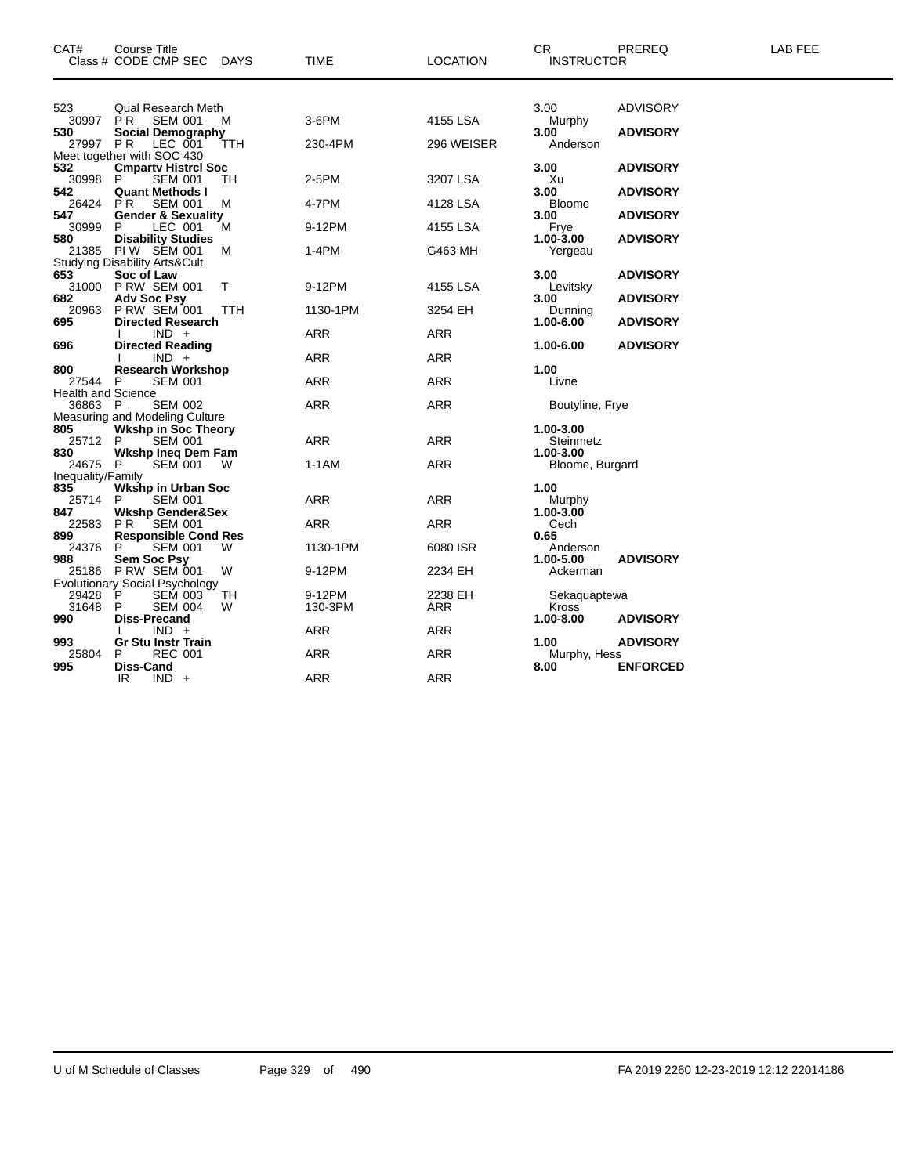| CAT#                                 | <b>Course Title</b><br>Class # CODE CMP SEC<br><b>DAYS</b> | <b>TIME</b>       | <b>LOCATION</b> | CR<br><b>INSTRUCTOR</b> | PREREQ          | <b>LAB FEE</b> |
|--------------------------------------|------------------------------------------------------------|-------------------|-----------------|-------------------------|-----------------|----------------|
| 523                                  | <b>Qual Research Meth</b>                                  |                   |                 | 3.00                    | <b>ADVISORY</b> |                |
| 30997                                | SEM 001<br>PR.<br>м                                        | 3-6PM             | 4155 LSA        | Murphy                  |                 |                |
| 530                                  | <b>Social Demography</b>                                   |                   |                 | 3.00                    | <b>ADVISORY</b> |                |
| 27997 PR                             | LEC 001<br>TTH<br>Meet together with SOC 430               | 230-4PM           | 296 WEISER      | Anderson                |                 |                |
| 532                                  | <b>Cmparty Histrcl Soc</b>                                 |                   |                 | 3.00                    | <b>ADVISORY</b> |                |
| 30998                                | P<br><b>SEM 001</b><br>TН                                  | 2-5PM             | 3207 LSA        | Xu                      |                 |                |
| 542<br>26424                         | <b>Quant Methods I</b><br>PR.<br><b>SEM 001</b><br>M       | 4-7PM             | 4128 LSA        | 3.00<br>Bloome          | <b>ADVISORY</b> |                |
| 547                                  | <b>Gender &amp; Sexuality</b>                              |                   |                 | 3.00                    | <b>ADVISORY</b> |                |
| 30999                                | P.<br>LEC 001<br>м                                         | 9-12PM            | 4155 LSA        | Frye                    |                 |                |
| 580<br>21385                         | <b>Disability Studies</b><br><b>PIW SEM 001</b><br>м       | 1-4PM             | G463 MH         | $1.00 - 3.00$           | <b>ADVISORY</b> |                |
|                                      | <b>Studying Disability Arts&amp;Cult</b>                   |                   |                 | Yergeau                 |                 |                |
| 653                                  | Soc of Law                                                 |                   |                 | 3.00                    | <b>ADVISORY</b> |                |
|                                      | 31000 PRW SEM 001<br>т                                     | 9-12PM            | 4155 LSA        | Levitsky                |                 |                |
| 682<br>20963                         | <b>Adv Soc Psy</b><br><b>P RW SEM 001</b><br>TTH           | 1130-1PM          | 3254 EH         | 3.00<br>Dunning         | <b>ADVISORY</b> |                |
| 695                                  | <b>Directed Research</b>                                   |                   |                 | 1.00-6.00               | <b>ADVISORY</b> |                |
|                                      | $IND +$                                                    | ARR               | <b>ARR</b>      |                         |                 |                |
| 696                                  | <b>Directed Reading</b><br>$IND +$                         | <b>ARR</b>        | <b>ARR</b>      | 1.00-6.00               | <b>ADVISORY</b> |                |
| 800                                  | <b>Research Workshop</b>                                   |                   |                 | 1.00                    |                 |                |
| 27544 P                              | <b>SEM 001</b>                                             | ARR               | <b>ARR</b>      | Livne                   |                 |                |
| <b>Health and Science</b><br>36863 P | <b>SEM 002</b>                                             | <b>ARR</b>        | <b>ARR</b>      | Boutyline, Frye         |                 |                |
|                                      | Measuring and Modeling Culture                             |                   |                 |                         |                 |                |
| 805                                  | <b>Wkshp in Soc Theory</b>                                 |                   |                 | 1.00-3.00               |                 |                |
| 25712 P<br>830                       | <b>SEM 001</b><br>Wkshp Ineq Dem Fam                       | ARR               | <b>ARR</b>      | Steinmetz<br>1.00-3.00  |                 |                |
| 24675 P                              | <b>SEM 001</b><br>W                                        | 1-1AM             | <b>ARR</b>      | Bloome, Burgard         |                 |                |
| Inequality/Family                    |                                                            |                   |                 |                         |                 |                |
| 835<br>25714                         | <b>Wkshp in Urban Soc</b><br><b>SEM 001</b><br>P.          | <b>ARR</b>        | <b>ARR</b>      | 1.00<br>Murphy          |                 |                |
| 847                                  | <b>Wkshp Gender&amp;Sex</b>                                |                   |                 | 1.00-3.00               |                 |                |
| 22583                                | <b>PR SEM 001</b>                                          | ARR               | <b>ARR</b>      | Cech                    |                 |                |
| 899                                  | <b>Responsible Cond Res</b><br>W                           |                   |                 | 0.65                    |                 |                |
| 24376<br>988                         | <b>SEM 001</b><br>P<br>Sem Soc Psy                         | 1130-1PM          | 6080 ISR        | Anderson<br>1.00-5.00   | <b>ADVISORY</b> |                |
| 25186                                | <b>P RW SEM 001</b><br>W                                   | 9-12PM            | 2234 EH         | Ackerman                |                 |                |
|                                      | <b>Evolutionary Social Psychology</b>                      |                   |                 |                         |                 |                |
| 29428<br>31648                       | P<br>TН<br><b>SEM 003</b><br>P<br><b>SEM 004</b><br>W      | 9-12PM<br>130-3PM | 2238 EH<br>ARR  | Sekaquaptewa<br>Kross   |                 |                |
| 990                                  | Diss-Precand                                               |                   |                 | 1.00-8.00               | <b>ADVISORY</b> |                |
|                                      | $IND +$                                                    | ARR               | ARR             |                         |                 |                |
| 993<br>25804                         | <b>Gr Stu Instr Train</b><br><b>REC 001</b><br>P           | <b>ARR</b>        | ARR             | 1.00<br>Murphy, Hess    | <b>ADVISORY</b> |                |
| 995                                  | Diss-Cand                                                  |                   |                 | 8.00                    | <b>ENFORCED</b> |                |
|                                      | IR<br>$IND +$                                              | <b>ARR</b>        | <b>ARR</b>      |                         |                 |                |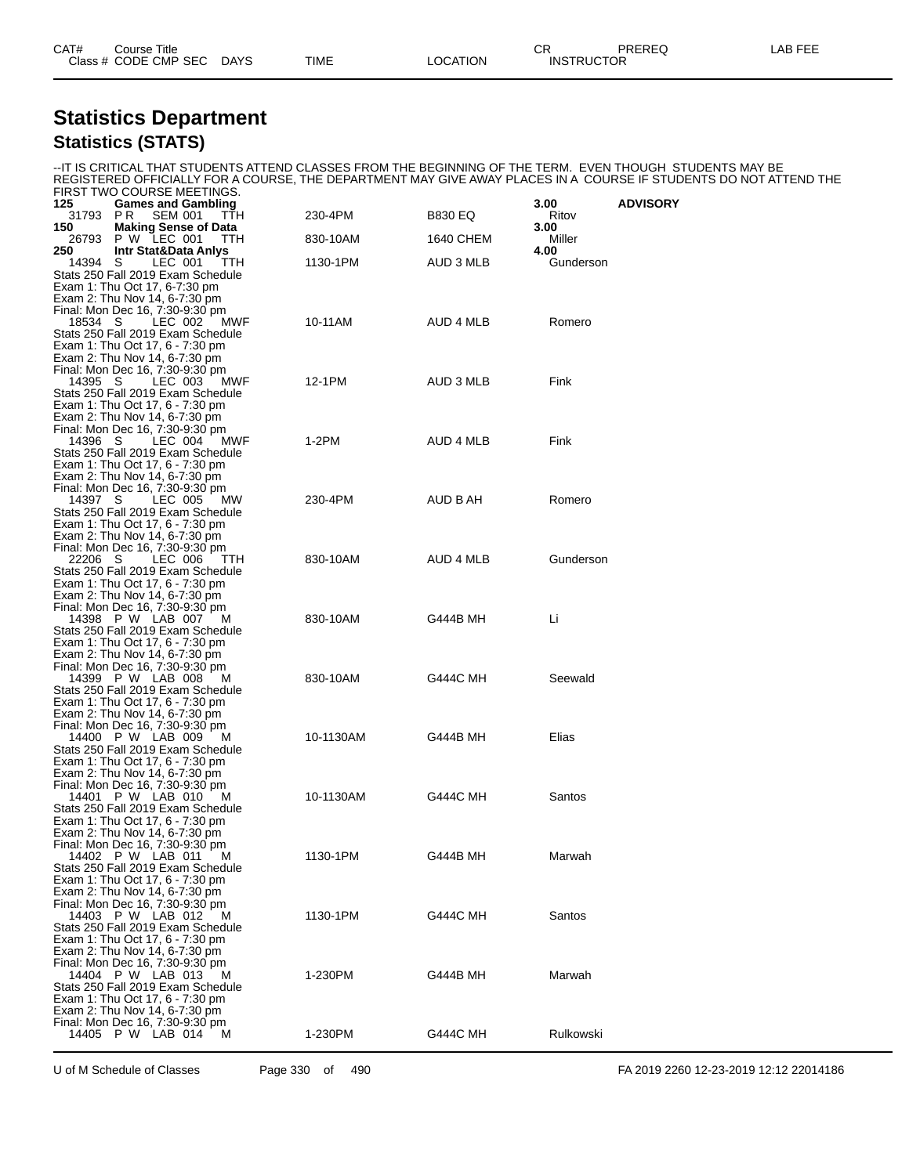| CAT# | Title<br>Course            |             |             |         | $\sim$<br>יוש | PREREG                        | AR EEI |
|------|----------------------------|-------------|-------------|---------|---------------|-------------------------------|--------|
|      | Class # CODE CMP SEC<br>__ | <b>DAYS</b> | <b>TIME</b> | OCATION |               | <b>INSTRUCTOR</b><br>________ |        |

#### **Statistics Department Statistics (STATS)**

--IT IS CRITICAL THAT STUDENTS ATTEND CLASSES FROM THE BEGINNING OF THE TERM. EVEN THOUGH STUDENTS MAY BE REGISTERED OFFICIALLY FOR A COURSE, THE DEPARTMENT MAY GIVE AWAY PLACES IN A COURSE IF STUDENTS DO NOT ATTEND THE

|                     | FIRST TWO COURSE MEETINGS.                                         |           |                 |                |                 |
|---------------------|--------------------------------------------------------------------|-----------|-----------------|----------------|-----------------|
| 125<br>31793<br>P R | <b>Games and Gambling</b><br><b>SEM 001</b><br>TTH                 | 230-4PM   | <b>B830 EQ</b>  | 3.00<br>Ritov  | <b>ADVISORY</b> |
| 150<br>26793        | <b>Making Sense of Data</b><br>P W LEC 001<br>TTH.                 | 830-10AM  | 1640 CHEM       | 3.00<br>Miller |                 |
| 250                 | <b>Intr Stat&amp;Data Anlys</b>                                    |           |                 | 4.00           |                 |
| 14394 S             | LEC 001<br>TTH                                                     | 1130-1PM  | AUD 3 MLB       | Gunderson      |                 |
|                     | Stats 250 Fall 2019 Exam Schedule<br>Exam 1: Thu Oct 17, 6-7:30 pm |           |                 |                |                 |
|                     | Exam 2: Thu Nov 14, 6-7:30 pm                                      |           |                 |                |                 |
|                     | Final: Mon Dec 16, 7:30-9:30 pm                                    |           |                 |                |                 |
| 18534 S             | LEC 002<br>MWF                                                     | 10-11AM   | AUD 4 MLB       | Romero         |                 |
|                     | Stats 250 Fall 2019 Exam Schedule                                  |           |                 |                |                 |
|                     | Exam 1: Thu Oct 17, 6 - 7:30 pm<br>Exam 2: Thu Nov 14, 6-7:30 pm   |           |                 |                |                 |
|                     | Final: Mon Dec 16, 7:30-9:30 pm                                    |           |                 |                |                 |
| 14395 S             | LEC 003<br>MWF                                                     | 12-1PM    | AUD 3 MLB       | Fink           |                 |
|                     | Stats 250 Fall 2019 Exam Schedule                                  |           |                 |                |                 |
|                     | Exam 1: Thu Oct 17, 6 - 7:30 pm<br>Exam 2: Thu Nov 14, 6-7:30 pm   |           |                 |                |                 |
|                     | Final: Mon Dec 16, 7:30-9:30 pm                                    |           |                 |                |                 |
| 14396 S             | LEC 004<br>MWF                                                     | 1-2PM     | AUD 4 MLB       | Fink           |                 |
|                     | Stats 250 Fall 2019 Exam Schedule                                  |           |                 |                |                 |
|                     | Exam 1: Thu Oct 17, 6 - 7:30 pm<br>Exam 2: Thu Nov 14, 6-7:30 pm   |           |                 |                |                 |
|                     | Final: Mon Dec 16, 7:30-9:30 pm                                    |           |                 |                |                 |
| 14397 S             | LEC 005<br>MW.                                                     | 230-4PM   | AUD B AH        | Romero         |                 |
|                     | Stats 250 Fall 2019 Exam Schedule                                  |           |                 |                |                 |
|                     | Exam 1: Thu Oct 17, 6 - 7:30 pm                                    |           |                 |                |                 |
|                     | Exam 2: Thu Nov 14, 6-7:30 pm<br>Final: Mon Dec 16, 7:30-9:30 pm   |           |                 |                |                 |
| 22206 S             | LEC 006<br>TTH.                                                    | 830-10AM  | AUD 4 MLB       | Gunderson      |                 |
|                     | Stats 250 Fall 2019 Exam Schedule                                  |           |                 |                |                 |
|                     | Exam 1: Thu Oct 17, 6 - 7:30 pm                                    |           |                 |                |                 |
|                     | Exam 2: Thu Nov 14, 6-7:30 pm<br>Final: Mon Dec 16, 7:30-9:30 pm   |           |                 |                |                 |
|                     | 14398 P W LAB 007<br>M                                             | 830-10AM  | G444B MH        | Li             |                 |
|                     | Stats 250 Fall 2019 Exam Schedule                                  |           |                 |                |                 |
|                     | Exam 1: Thu Oct 17, 6 - 7:30 pm                                    |           |                 |                |                 |
|                     | Exam 2: Thu Nov 14, 6-7:30 pm<br>Final: Mon Dec 16, 7:30-9:30 pm   |           |                 |                |                 |
|                     | 14399 P W LAB 008<br>M                                             | 830-10AM  | <b>G444C MH</b> | Seewald        |                 |
|                     | Stats 250 Fall 2019 Exam Schedule                                  |           |                 |                |                 |
|                     | Exam 1: Thu Oct 17, 6 - 7:30 pm                                    |           |                 |                |                 |
|                     | Exam 2: Thu Nov 14, 6-7:30 pm<br>Final: Mon Dec 16, 7:30-9:30 pm   |           |                 |                |                 |
|                     | 14400 P W LAB 009<br>м                                             | 10-1130AM | G444B MH        | Elias          |                 |
|                     | Stats 250 Fall 2019 Exam Schedule                                  |           |                 |                |                 |
|                     | Exam 1: Thu Oct 17, 6 - 7:30 pm                                    |           |                 |                |                 |
|                     | Exam 2: Thu Nov 14, 6-7:30 pm                                      |           |                 |                |                 |
|                     | Final: Mon Dec 16, 7:30-9:30 pm<br>14401 P W LAB 010<br>M          | 10-1130AM | <b>G444C MH</b> | Santos         |                 |
|                     | Stats 250 Fall 2019 Exam Schedule                                  |           |                 |                |                 |
|                     | Exam 1: Thu Oct 17, 6 - 7:30 pm                                    |           |                 |                |                 |
|                     | Exam 2: Thu Nov 14, 6-7:30 pm<br>Final: Mon Dec 16, 7:30-9:30 pm   |           |                 |                |                 |
|                     | 14402 P W LAB 011 M                                                | 1130-1PM  | G444B MH        | Marwah         |                 |
|                     | Stats 250 Fall 2019 Exam Schedule                                  |           |                 |                |                 |
|                     | Exam 1: Thu Oct 17, 6 - 7:30 pm                                    |           |                 |                |                 |
|                     | Exam 2: Thu Nov 14, 6-7:30 pm<br>Final: Mon Dec 16, 7:30-9:30 pm   |           |                 |                |                 |
|                     | 14403 P W LAB 012<br>м                                             | 1130-1PM  | G444C MH        | Santos         |                 |
|                     | Stats 250 Fall 2019 Exam Schedule                                  |           |                 |                |                 |
|                     | Exam 1: Thu Oct 17, 6 - 7:30 pm                                    |           |                 |                |                 |
|                     | Exam 2: Thu Nov 14, 6-7:30 pm                                      |           |                 |                |                 |
|                     | Final: Mon Dec 16, 7:30-9:30 pm<br>14404 P W LAB 013<br>м          | 1-230PM   | <b>G444B MH</b> | Marwah         |                 |
|                     | Stats 250 Fall 2019 Exam Schedule                                  |           |                 |                |                 |
|                     | Exam 1: Thu Oct 17, 6 - 7:30 pm                                    |           |                 |                |                 |
|                     | Exam 2: Thu Nov 14, 6-7:30 pm                                      |           |                 |                |                 |
|                     | Final: Mon Dec 16, 7:30-9:30 pm<br>14405 P W LAB 014<br>M          | 1-230PM   | <b>G444C MH</b> | Rulkowski      |                 |
|                     |                                                                    |           |                 |                |                 |

U of M Schedule of Classes Page 330 of 490 FA 2019 2260 12-23-2019 12:12 22014186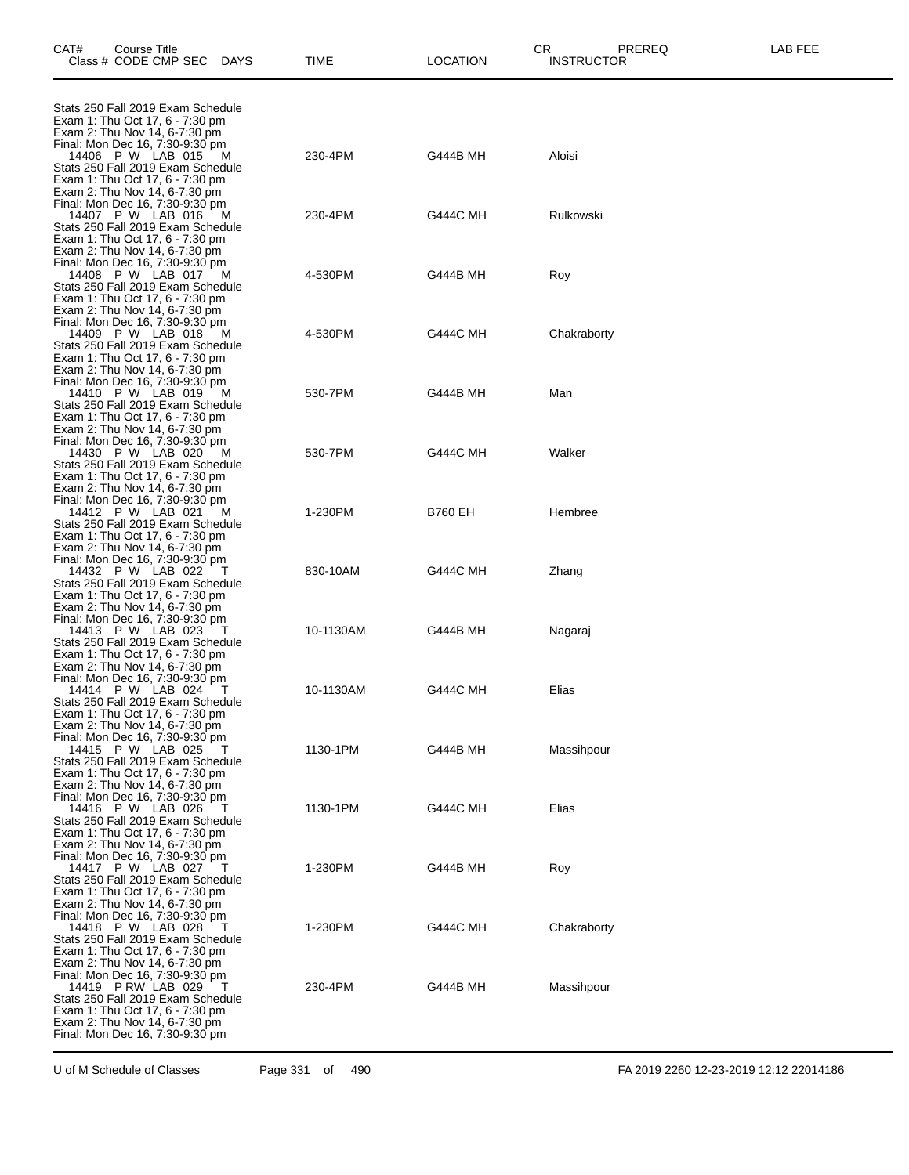| CAT#                                                                                                                                                                                                         | Course Title<br>Class # CODE CMP SEC | DAYS | TIME      | <b>LOCATION</b> | СR<br>PREREQ<br><b>INSTRUCTOR</b> | LAB FEE |
|--------------------------------------------------------------------------------------------------------------------------------------------------------------------------------------------------------------|--------------------------------------|------|-----------|-----------------|-----------------------------------|---------|
| Stats 250 Fall 2019 Exam Schedule<br>Exam 1: Thu Oct 17, 6 - 7:30 pm                                                                                                                                         |                                      |      |           |                 |                                   |         |
| Exam 2: Thu Nov 14, 6-7:30 pm<br>Final: Mon Dec 16, 7:30-9:30 pm<br>Stats 250 Fall 2019 Exam Schedule<br>Exam 1: Thu Oct 17, 6 - 7:30 pm                                                                     | 14406 P W LAB 015                    | M    | 230-4PM   | G444B MH        | Aloisi                            |         |
| Exam 2: Thu Nov 14, 6-7:30 pm<br>Final: Mon Dec 16, 7:30-9:30 pm<br>Stats 250 Fall 2019 Exam Schedule<br>Exam 1: Thu Oct 17, 6 - 7:30 pm                                                                     | 14407 P W LAB 016                    | M    | 230-4PM   | <b>G444C MH</b> | Rulkowski                         |         |
| Exam 2: Thu Nov 14, 6-7:30 pm<br>Final: Mon Dec 16, 7:30-9:30 pm<br>Stats 250 Fall 2019 Exam Schedule<br>Exam 1: Thu Oct 17, 6 - 7:30 pm                                                                     | 14408 P W LAB 017                    | M    | 4-530PM   | G444B MH        | Roy                               |         |
| Exam 2: Thu Nov 14, 6-7:30 pm<br>Final: Mon Dec 16, 7:30-9:30 pm<br>Stats 250 Fall 2019 Exam Schedule<br>Exam 1: Thu Oct 17, 6 - 7:30 pm                                                                     | 14409 P W LAB 018                    | M    | 4-530PM   | <b>G444C MH</b> | Chakraborty                       |         |
| Exam 2: Thu Nov 14, 6-7:30 pm<br>Final: Mon Dec 16, 7:30-9:30 pm<br>Stats 250 Fall 2019 Exam Schedule<br>Exam 1: Thu Oct 17, 6 - 7:30 pm                                                                     | 14410 P W LAB 019                    | M    | 530-7PM   | G444B MH        | Man                               |         |
| Exam 2: Thu Nov 14, 6-7:30 pm<br>Final: Mon Dec 16, 7:30-9:30 pm<br>Stats 250 Fall 2019 Exam Schedule<br>Exam 1: Thu Oct 17, 6 - 7:30 pm                                                                     | 14430 P W LAB 020                    | M    | 530-7PM   | <b>G444C MH</b> | Walker                            |         |
| Exam 2: Thu Nov 14, 6-7:30 pm<br>Final: Mon Dec 16, 7:30-9:30 pm<br>Stats 250 Fall 2019 Exam Schedule<br>Exam 1: Thu Oct 17, 6 - 7:30 pm                                                                     | 14412 P W LAB 021                    | M    | 1-230PM   | <b>B760 EH</b>  | Hembree                           |         |
| Exam 2: Thu Nov 14, 6-7:30 pm<br>Final: Mon Dec 16, 7:30-9:30 pm<br>Stats 250 Fall 2019 Exam Schedule<br>Exam 1: Thu Oct 17, 6 - 7:30 pm                                                                     | 14432 P W LAB 022                    |      | 830-10AM  | <b>G444C MH</b> | Zhang                             |         |
| Exam 2: Thu Nov 14, 6-7:30 pm<br>Final: Mon Dec 16, 7:30-9:30 pm<br>Stats 250 Fall 2019 Exam Schedule<br>Exam 1: Thu Oct 17, 6 - 7:30 pm                                                                     | 14413 P W LAB 023                    |      | 10-1130AM | G444B MH        | Nagaraj                           |         |
| Exam 2: Thu Nov 14, 6-7:30 pm<br>Final: Mon Dec 16, 7:30-9:30 pm<br>Stats 250 Fall 2019 Exam Schedule<br>Exam 1: Thu Oct 17, 6 - 7:30 pm                                                                     | 14414 P W LAB 024                    |      | 10-1130AM | <b>G444C MH</b> | Elias                             |         |
| Exam 2: Thu Nov 14, 6-7:30 pm<br>Final: Mon Dec 16, 7:30-9:30 pm<br>Stats 250 Fall 2019 Exam Schedule<br>Exam 1: Thu Oct 17, 6 - 7:30 pm                                                                     | 14415 P W LAB 025                    |      | 1130-1PM  | G444B MH        | Massihpour                        |         |
| Exam 2: Thu Nov 14, 6-7:30 pm<br>Final: Mon Dec 16, 7:30-9:30 pm<br>Stats 250 Fall 2019 Exam Schedule<br>Exam 1: Thu Oct 17, 6 - 7:30 pm                                                                     | 14416 P W LAB 026                    |      | 1130-1PM  | <b>G444C MH</b> | Elias                             |         |
| Exam 2: Thu Nov 14, 6-7:30 pm<br>Final: Mon Dec 16, 7:30-9:30 pm<br>Stats 250 Fall 2019 Exam Schedule<br>Exam 1: Thu Oct 17, 6 - 7:30 pm                                                                     | 14417 P W LAB 027                    |      | 1-230PM   | G444B MH        | Roy                               |         |
| Exam 2: Thu Nov 14, 6-7:30 pm<br>Final: Mon Dec 16, 7:30-9:30 pm<br>Stats 250 Fall 2019 Exam Schedule<br>Exam 1: Thu Oct 17, 6 - 7:30 pm                                                                     | 14418 P W LAB 028                    |      | 1-230PM   | <b>G444C MH</b> | Chakraborty                       |         |
| Exam 2: Thu Nov 14, 6-7:30 pm<br>Final: Mon Dec 16, 7:30-9:30 pm<br>Stats 250 Fall 2019 Exam Schedule<br>Exam 1: Thu Oct 17, 6 - 7:30 pm<br>Exam 2: Thu Nov 14, 6-7:30 pm<br>Final: Mon Dec 16, 7:30-9:30 pm | 14419 P RW LAB 029                   |      | 230-4PM   | G444B MH        | Massihpour                        |         |

U of M Schedule of Classes Page 331 of 490 FA 2019 2260 12-23-2019 12:12 22014186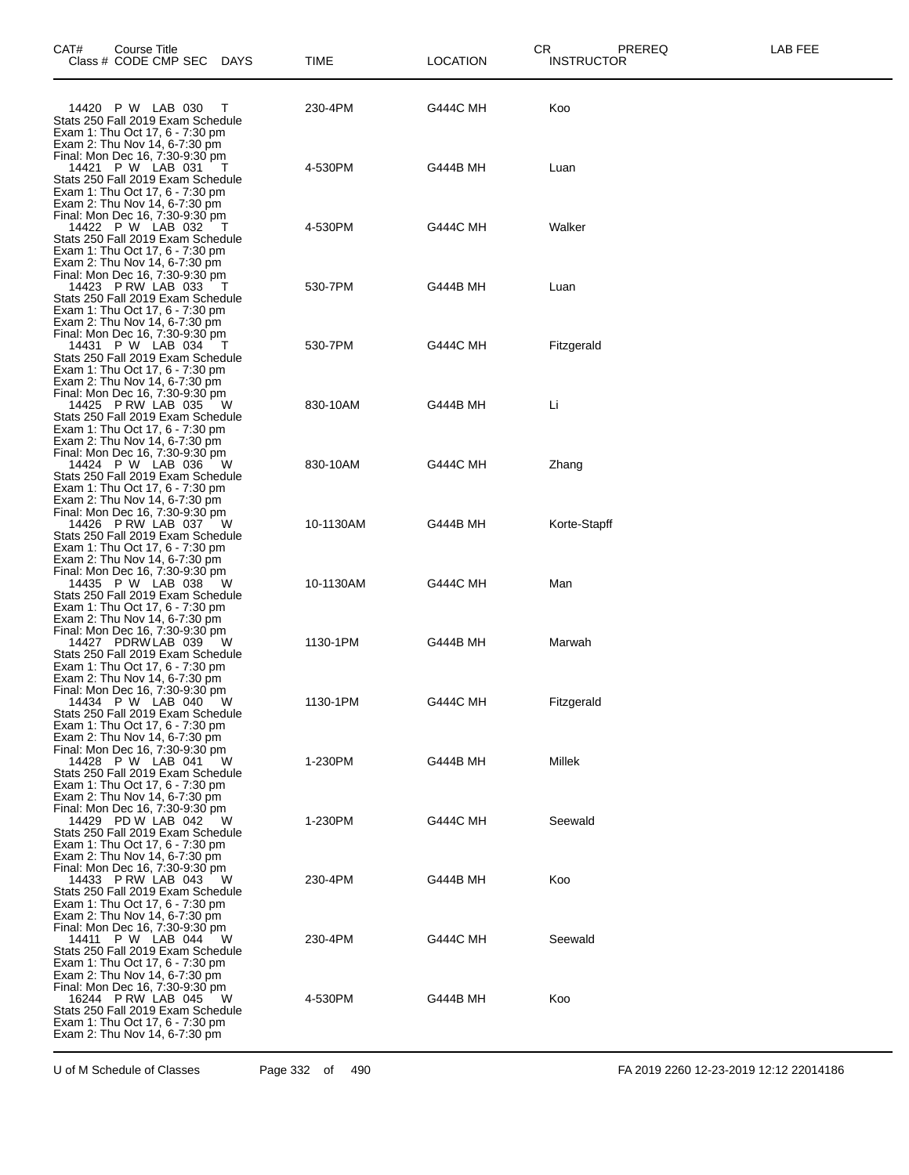| CAT# | <b>Course Title</b><br>Class # CODE CMP SEC DAYS                                                                                                                                                |     | TIME      | CR<br><b>LOCATION</b> | PREREQ<br><b>INSTRUCTOR</b> | LAB FEE |
|------|-------------------------------------------------------------------------------------------------------------------------------------------------------------------------------------------------|-----|-----------|-----------------------|-----------------------------|---------|
|      | 14420 P W LAB 030<br>Stats 250 Fall 2019 Exam Schedule<br>Exam 1: Thu Oct 17, 6 - 7:30 pm                                                                                                       | T   | 230-4PM   | <b>G444C MH</b>       | Koo                         |         |
|      | Exam 2: Thu Nov 14, 6-7:30 pm<br>Final: Mon Dec 16, 7:30-9:30 pm<br>14421 P W LAB 031<br>Stats 250 Fall 2019 Exam Schedule<br>Exam 1: Thu Oct 17, 6 - 7:30 pm                                   |     | 4-530PM   | G444B MH              | Luan                        |         |
|      | Exam 2: Thu Nov 14, 6-7:30 pm<br>Final: Mon Dec 16, 7:30-9:30 pm<br>14422 P W LAB 032<br>Stats 250 Fall 2019 Exam Schedule<br>Exam 1: Thu Oct 17, 6 - 7:30 pm                                   |     | 4-530PM   | <b>G444C MH</b>       | Walker                      |         |
|      | Exam 2: Thu Nov 14, 6-7:30 pm<br>Final: Mon Dec 16, 7:30-9:30 pm<br>14423 P RW LAB 033<br>Stats 250 Fall 2019 Exam Schedule<br>Exam 1: Thu Oct 17, 6 - 7:30 pm                                  |     | 530-7PM   | G444B MH              | Luan                        |         |
|      | Exam 2: Thu Nov 14, 6-7:30 pm<br>Final: Mon Dec 16, 7:30-9:30 pm<br>14431 P W LAB 034<br>Stats 250 Fall 2019 Exam Schedule<br>Exam 1: Thu Oct 17, 6 - 7:30 pm                                   |     | 530-7PM   | <b>G444C MH</b>       | Fitzgerald                  |         |
|      | Exam 2: Thu Nov 14, 6-7:30 pm<br>Final: Mon Dec 16, 7:30-9:30 pm<br>14425 P RW LAB 035<br>Stats 250 Fall 2019 Exam Schedule<br>Exam 1: Thu Oct 17, 6 - 7:30 pm                                  | - W | 830-10AM  | G444B MH              | Li                          |         |
|      | Exam 2: Thu Nov 14, 6-7:30 pm<br>Final: Mon Dec 16, 7:30-9:30 pm<br>14424 P W LAB 036<br>Stats 250 Fall 2019 Exam Schedule<br>Exam 1: Thu Oct 17, 6 - 7:30 pm                                   | W   | 830-10AM  | <b>G444C MH</b>       | Zhang                       |         |
|      | Exam 2: Thu Nov 14, 6-7:30 pm<br>Final: Mon Dec 16, 7:30-9:30 pm<br>14426 P RW LAB 037<br>Stats 250 Fall 2019 Exam Schedule<br>Exam 1: Thu Oct 17, 6 - 7:30 pm                                  | W   | 10-1130AM | G444B MH              | Korte-Stapff                |         |
|      | Exam 2: Thu Nov 14, 6-7:30 pm<br>Final: Mon Dec 16, 7:30-9:30 pm<br>14435 P W LAB 038<br>Stats 250 Fall 2019 Exam Schedule<br>Exam 1: Thu Oct 17, 6 - 7:30 pm                                   | - W | 10-1130AM | <b>G444C MH</b>       | Man                         |         |
|      | Exam 2: Thu Nov 14, 6-7:30 pm<br>Final: Mon Dec 16, 7:30-9:30 pm<br>14427 PDRW LAB 039<br>Stats 250 Fall 2019 Exam Schedule<br>Exam 1: Thu Oct 17, 6 - 7:30 pm                                  | W   | 1130-1PM  | <b>G444B MH</b>       | Marwah                      |         |
|      | Exam 2: Thu Nov 14, 6-7:30 pm<br>Final: Mon Dec 16, 7:30-9:30 pm<br>14434 P W LAB 040<br>Stats 250 Fall 2019 Exam Schedule<br>Exam 1: Thu Oct 17, 6 - 7:30 pm                                   | W   | 1130-1PM  | <b>G444C MH</b>       | Fitzgerald                  |         |
|      | Exam 2: Thu Nov 14, 6-7:30 pm<br>Final: Mon Dec 16, 7:30-9:30 pm<br>14428 P W LAB 041<br>Stats 250 Fall 2019 Exam Schedule<br>Exam 1: Thu Oct 17, 6 - 7:30 pm                                   | W   | 1-230PM   | G444B MH              | Millek                      |         |
|      | Exam 2: Thu Nov 14, 6-7:30 pm<br>Final: Mon Dec 16, 7:30-9:30 pm<br>14429 PD W LAB 042<br>Stats 250 Fall 2019 Exam Schedule<br>Exam 1: Thu Oct 17, 6 - 7:30 pm                                  | W   | 1-230PM   | <b>G444C MH</b>       | Seewald                     |         |
|      | Exam 2: Thu Nov 14, 6-7:30 pm<br>Final: Mon Dec 16, 7:30-9:30 pm<br>14433 P RW LAB 043<br>Stats 250 Fall 2019 Exam Schedule<br>Exam 1: Thu Oct 17, 6 - 7:30 pm                                  | w   | 230-4PM   | G444B MH              | Koo                         |         |
|      | Exam 2: Thu Nov 14, 6-7:30 pm<br>Final: Mon Dec 16, 7:30-9:30 pm<br>14411 P W LAB 044<br>Stats 250 Fall 2019 Exam Schedule<br>Exam 1: Thu Oct 17, 6 - 7:30 pm                                   | W   | 230-4PM   | <b>G444C MH</b>       | Seewald                     |         |
|      | Exam 2: Thu Nov 14, 6-7:30 pm<br>Final: Mon Dec 16, 7:30-9:30 pm<br>16244 P RW LAB 045<br>Stats 250 Fall 2019 Exam Schedule<br>Exam 1: Thu Oct 17, 6 - 7:30 pm<br>Exam 2: Thu Nov 14, 6-7:30 pm | W   | 4-530PM   | G444B MH              | Koo                         |         |
|      |                                                                                                                                                                                                 |     |           |                       |                             |         |

U of M Schedule of Classes Page 332 of 490 FA 2019 2260 12-23-2019 12:12 22014186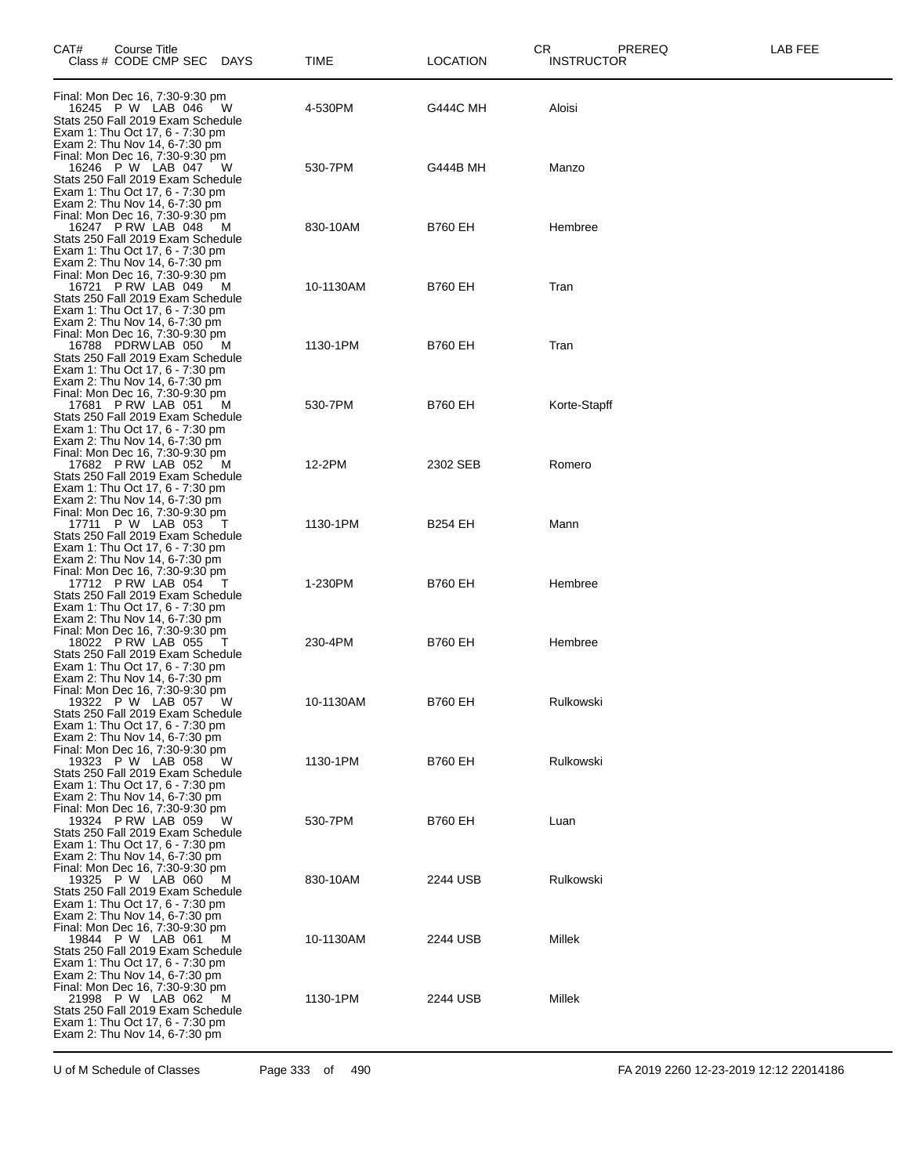| CAT#                                                                                                                                                                        | Course Title<br>Class # CODE CMP SEC DAYS |   | TIME      | CR<br><b>LOCATION</b> | PREREQ<br><b>INSTRUCTOR</b> | LAB FEE |
|-----------------------------------------------------------------------------------------------------------------------------------------------------------------------------|-------------------------------------------|---|-----------|-----------------------|-----------------------------|---------|
| Final: Mon Dec 16, 7:30-9:30 pm<br>Stats 250 Fall 2019 Exam Schedule<br>Exam 1: Thu Oct 17, 6 - 7:30 pm                                                                     | 16245 P W LAB 046                         | W | 4-530PM   | <b>G444C MH</b>       | Aloisi                      |         |
| Exam 2: Thu Nov 14, 6-7:30 pm<br>Final: Mon Dec 16, 7:30-9:30 pm<br>Stats 250 Fall 2019 Exam Schedule<br>Exam 1: Thu Oct 17, 6 - 7:30 pm                                    | 16246 P W LAB 047                         | w | 530-7PM   | G444B MH              | Manzo                       |         |
| Exam 2: Thu Nov 14, 6-7:30 pm<br>Final: Mon Dec 16, 7:30-9:30 pm<br>Stats 250 Fall 2019 Exam Schedule<br>Exam 1: Thu Oct 17, 6 - 7:30 pm                                    | 16247 P RW LAB 048                        | M | 830-10AM  | <b>B760 EH</b>        | Hembree                     |         |
| Exam 2: Thu Nov 14, 6-7:30 pm<br>Final: Mon Dec 16, 7:30-9:30 pm<br>Stats 250 Fall 2019 Exam Schedule<br>Exam 1: Thu Oct 17, 6 - 7:30 pm<br>Exam 2: Thu Nov 14, 6-7:30 pm   | 16721 P RW LAB 049 M                      |   | 10-1130AM | <b>B760 EH</b>        | Tran                        |         |
| Final: Mon Dec 16, 7:30-9:30 pm<br>Stats 250 Fall 2019 Exam Schedule<br>Exam 1: Thu Oct 17, 6 - 7:30 pm<br>Exam 2: Thu Nov 14, 6-7:30 pm                                    | 16788 PDRW LAB 050 M                      |   | 1130-1PM  | <b>B760 EH</b>        | Tran                        |         |
| Final: Mon Dec 16, 7:30-9:30 pm<br>Stats 250 Fall 2019 Exam Schedule<br>Exam 1: Thu Oct 17, 6 - 7:30 pm<br>Exam 2: Thu Nov 14, 6-7:30 pm                                    | 17681 P RW LAB 051                        | M | 530-7PM   | <b>B760 EH</b>        | Korte-Stapff                |         |
| Final: Mon Dec 16, 7:30-9:30 pm<br>Stats 250 Fall 2019 Exam Schedule<br>Exam 1: Thu Oct 17, 6 - 7:30 pm<br>Exam 2: Thu Nov 14, 6-7:30 pm                                    | 17682 P RW LAB 052 M                      |   | 12-2PM    | 2302 SEB              | Romero                      |         |
| Final: Mon Dec 16, 7:30-9:30 pm<br>Stats 250 Fall 2019 Exam Schedule<br>Exam 1: Thu Oct 17, 6 - 7:30 pm<br>Exam 2: Thu Nov 14, 6-7:30 pm                                    | 17711 P W LAB 053                         |   | 1130-1PM  | <b>B254 EH</b>        | Mann                        |         |
| Final: Mon Dec 16, 7:30-9:30 pm<br>Stats 250 Fall 2019 Exam Schedule<br>Exam 1: Thu Oct 17, 6 - 7:30 pm<br>Exam 2: Thu Nov 14, 6-7:30 pm                                    | 17712 PRW LAB 054                         |   | 1-230PM   | <b>B760 EH</b>        | Hembree                     |         |
| Final: Mon Dec 16, 7:30-9:30 pm<br>Stats 250 Fall 2019 Exam Schedule<br>Exam 1: Thu Oct 17, 6 - 7:30 pm<br>Exam 2: Thu Nov 14, 6-7:30 pm                                    | 18022 P RW LAB 055                        |   | 230-4PM   | <b>B760 EH</b>        | Hembree                     |         |
| Final: Mon Dec 16, 7:30-9:30 pm<br>Stats 250 Fall 2019 Exam Schedule<br>Exam 1: Thu Oct 17, 6 - 7:30 pm<br>Exam 2: Thu Nov 14, 6-7:30 pm<br>Final: Mon Dec 16, 7:30-9:30 pm | 19322 P W LAB 057                         |   | 10-1130AM | <b>B760 EH</b>        | Rulkowski                   |         |
| Stats 250 Fall 2019 Exam Schedule<br>Exam 1: Thu Oct 17, 6 - 7:30 pm<br>Exam 2: Thu Nov 14, 6-7:30 pm<br>Final: Mon Dec 16, 7:30-9:30 pm                                    | 19323 P W LAB 058                         | W | 1130-1PM  | <b>B760 EH</b>        | Rulkowski                   |         |
| Stats 250 Fall 2019 Exam Schedule<br>Exam 1: Thu Oct 17, 6 - 7:30 pm<br>Exam 2: Thu Nov 14, 6-7:30 pm<br>Final: Mon Dec 16, 7:30-9:30 pm                                    | 19324 P RW LAB 059                        | W | 530-7PM   | <b>B760 EH</b>        | Luan                        |         |
| Stats 250 Fall 2019 Exam Schedule<br>Exam 1: Thu Oct 17, 6 - 7:30 pm<br>Exam 2: Thu Nov 14, 6-7:30 pm<br>Final: Mon Dec 16, 7:30-9:30 pm                                    | 19325 P W LAB 060                         | M | 830-10AM  | 2244 USB              | Rulkowski                   |         |
| Stats 250 Fall 2019 Exam Schedule<br>Exam 1: Thu Oct 17, 6 - 7:30 pm<br>Exam 2: Thu Nov 14, 6-7:30 pm<br>Final: Mon Dec 16, 7:30-9:30 pm                                    | 19844 P W LAB 061                         | M | 10-1130AM | 2244 USB              | Millek                      |         |
| Stats 250 Fall 2019 Exam Schedule<br>Exam 1: Thu Oct 17, 6 - 7:30 pm<br>Exam 2: Thu Nov 14, 6-7:30 pm                                                                       | 21998 P W LAB 062                         | M | 1130-1PM  | 2244 USB              | Millek                      |         |

U of M Schedule of Classes Page 333 of 490 FA 2019 2260 12-23-2019 12:12 22014186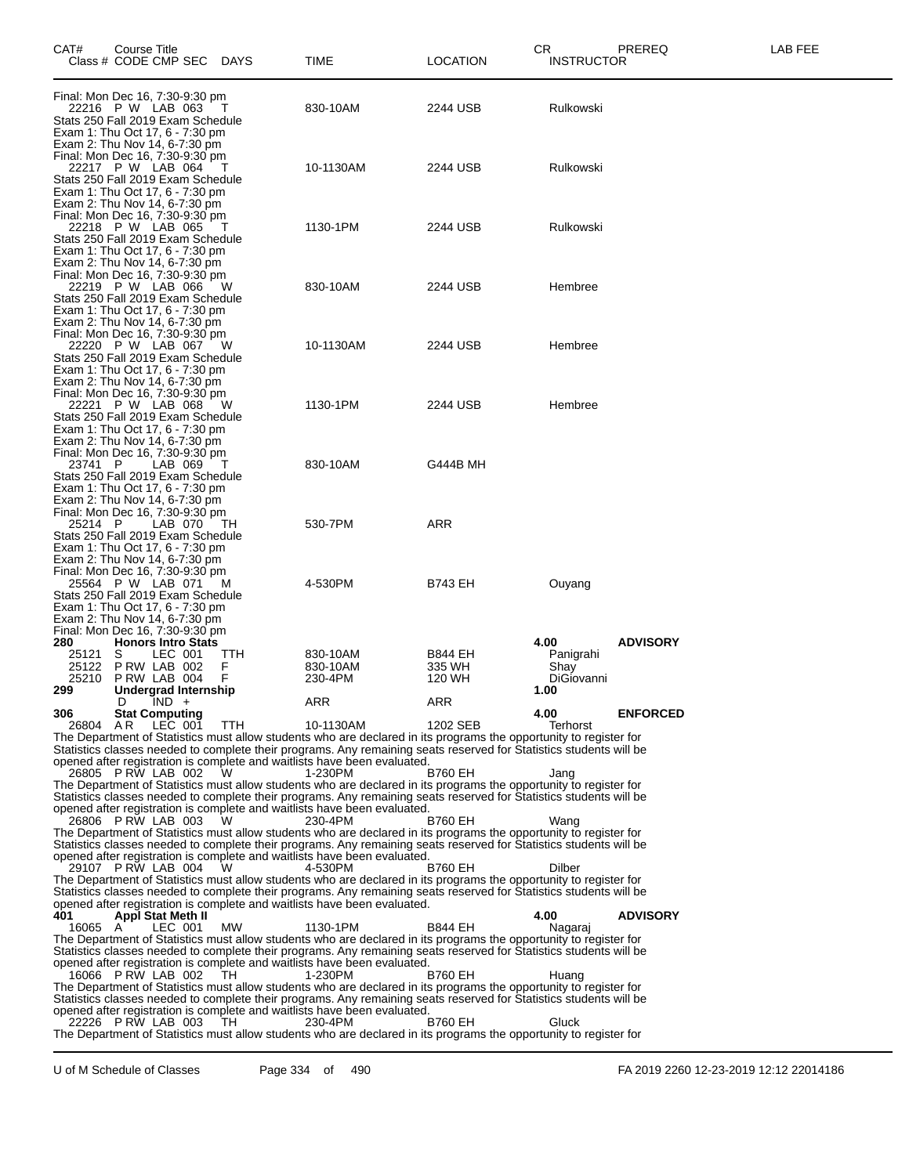| CAT#                                                                                                                                                                        | Course Title<br>Class # CODE CMP SEC DAYS                    |         |               | TIME                                                                                                                                                                                                                                                                                                                            | <b>LOCATION</b>                    | CR<br><b>INSTRUCTOR</b>                 | PREREQ          | <b>LAB FEE</b> |
|-----------------------------------------------------------------------------------------------------------------------------------------------------------------------------|--------------------------------------------------------------|---------|---------------|---------------------------------------------------------------------------------------------------------------------------------------------------------------------------------------------------------------------------------------------------------------------------------------------------------------------------------|------------------------------------|-----------------------------------------|-----------------|----------------|
| Final: Mon Dec 16, 7:30-9:30 pm<br>Stats 250 Fall 2019 Exam Schedule<br>Exam 1: Thu Oct 17, 6 - 7:30 pm<br>Exam 2: Thu Nov 14, 6-7:30 pm                                    | 22216 P W LAB 063                                            |         |               | 830-10AM                                                                                                                                                                                                                                                                                                                        | 2244 USB                           | Rulkowski                               |                 |                |
| Final: Mon Dec 16, 7:30-9:30 pm<br>Exam 1: Thu Oct 17, 6 - 7:30 pm<br>Exam 2: Thu Nov 14, 6-7:30 pm                                                                         | 22217 P W LAB 064<br>Stats 250 Fall 2019 Exam Schedule       |         | т             | 10-1130AM                                                                                                                                                                                                                                                                                                                       | 2244 USB                           | Rulkowski                               |                 |                |
| Final: Mon Dec 16, 7:30-9:30 pm<br>Stats 250 Fall 2019 Exam Schedule<br>Exam 1: Thu Oct 17, 6 - 7:30 pm<br>Exam 2: Thu Nov 14, 6-7:30 pm                                    | 22218 P W LAB 065                                            |         |               | 1130-1PM                                                                                                                                                                                                                                                                                                                        | 2244 USB                           | Rulkowski                               |                 |                |
| Final: Mon Dec 16, 7:30-9:30 pm<br>Stats 250 Fall 2019 Exam Schedule<br>Exam 1: Thu Oct 17, 6 - 7:30 pm                                                                     | 22219 P W LAB 066<br>Exam 2: Thu Nov 14, 6-7:30 pm           |         | W             | 830-10AM                                                                                                                                                                                                                                                                                                                        | 2244 USB                           | Hembree                                 |                 |                |
| Final: Mon Dec 16, 7:30-9:30 pm<br>Exam 1: Thu Oct 17, 6 - 7:30 pm<br>Exam 2: Thu Nov 14, 6-7:30 pm                                                                         | 22220 P W LAB 067<br>Stats 250 Fall 2019 Exam Schedule       |         | W             | 10-1130AM                                                                                                                                                                                                                                                                                                                       | 2244 USB                           | Hembree                                 |                 |                |
| Final: Mon Dec 16, 7:30-9:30 pm<br>Stats 250 Fall 2019 Exam Schedule<br>Exam 1: Thu Oct 17, 6 - 7:30 pm<br>Exam 2: Thu Nov 14, 6-7:30 pm<br>Final: Mon Dec 16, 7:30-9:30 pm | 22221 P W LAB 068                                            |         | w             | 1130-1PM                                                                                                                                                                                                                                                                                                                        | 2244 USB                           | Hembree                                 |                 |                |
| 23741 P<br>Stats 250 Fall 2019 Exam Schedule<br>Exam 1: Thu Oct 17, 6 - 7:30 pm<br>Final: Mon Dec 16, 7:30-9:30 pm                                                          | Exam 2: Thu Nov 14, 6-7:30 pm                                | LAB 069 |               | 830-10AM                                                                                                                                                                                                                                                                                                                        | G444B MH                           |                                         |                 |                |
| 25214 P<br>Exam 1: Thu Oct 17, 6 - 7:30 pm<br>Exam 2: Thu Nov 14, 6-7:30 pm<br>Final: Mon Dec 16, 7:30-9:30 pm                                                              | Stats 250 Fall 2019 Exam Schedule                            | LAB 070 | TH            | 530-7PM                                                                                                                                                                                                                                                                                                                         | <b>ARR</b>                         |                                         |                 |                |
| Stats 250 Fall 2019 Exam Schedule<br>Exam 1: Thu Oct 17, 6 - 7:30 pm<br>Exam 2: Thu Nov 14, 6-7:30 pm<br>Final: Mon Dec 16, 7:30-9:30 pm                                    | 25564 P W LAB 071                                            |         | M             | 4-530PM                                                                                                                                                                                                                                                                                                                         | B743 EH                            | Ouyang                                  |                 |                |
| 280<br>25121<br>25122<br>25210                                                                                                                                              | <b>Honors Intro Stats</b><br>S<br>PRW LAB 002<br>PRW LAB 004 | LEC 001 | TTH<br>F<br>F | 830-10AM<br>830-10AM<br>230-4PM                                                                                                                                                                                                                                                                                                 | <b>B844 EH</b><br>335 WH<br>120 WH | 4.00<br>Panigrahi<br>Shay<br>DiGiovanni | <b>ADVISORY</b> |                |
| 299                                                                                                                                                                         | Undergrad Internship                                         |         |               |                                                                                                                                                                                                                                                                                                                                 |                                    | 1.00                                    |                 |                |
|                                                                                                                                                                             | $IND +$                                                      |         |               | <b>ARR</b>                                                                                                                                                                                                                                                                                                                      | <b>ARR</b>                         |                                         |                 |                |
| 306<br>26804 AR                                                                                                                                                             | <b>Stat Computing</b>                                        | LEC 001 | TTH           | 10-1130AM                                                                                                                                                                                                                                                                                                                       | 1202 SEB                           | 4.00<br>Terhorst                        | <b>ENFORCED</b> |                |
|                                                                                                                                                                             | 26805 PRW LAB 002                                            |         | W             | The Department of Statistics must allow students who are declared in its programs the opportunity to register for<br>Statistics classes needed to complete their programs. Any remaining seats reserved for Statistics students will be<br>opened after registration is complete and waitlists have been evaluated.<br>1-230PM  | <b>B760 EH</b>                     | Jang                                    |                 |                |
|                                                                                                                                                                             | 26806 PRW LAB 003                                            |         | W             | The Department of Statistics must allow students who are declared in its programs the opportunity to register for<br>Statistics classes needed to complete their programs. Any remaining seats reserved for Statistics students will be<br>opened after registration is complete and waitlists have been evaluated.<br>230-4PM  | B760 EH                            | Wang                                    |                 |                |
|                                                                                                                                                                             | 29107 P RW LAB 004                                           |         | W             | The Department of Statistics must allow students who are declared in its programs the opportunity to register for<br>Statistics classes needed to complete their programs. Any remaining seats reserved for Statistics students will be<br>opened after registration is complete and waitlists have been evaluated.<br>4-530PM  | <b>B760 EH</b>                     | Dilber                                  |                 |                |
| 401                                                                                                                                                                         | <b>Appl Stat Meth II</b>                                     |         |               | The Department of Statistics must allow students who are declared in its programs the opportunity to register for<br>Statistics classes needed to complete their programs. Any remaining seats reserved for Statistics students will be<br>opened after registration is complete and waitlists have been evaluated.             |                                    | 4.00                                    | <b>ADVISORY</b> |                |
| 16065 A                                                                                                                                                                     |                                                              | LEC 001 | МW            | 1130-1PM<br>The Department of Statistics must allow students who are declared in its programs the opportunity to register for<br>Statistics classes needed to complete their programs. Any remaining seats reserved for Statistics students will be<br>opened after registration is complete and waitlists have been evaluated. | <b>B844 EH</b>                     | Nagaraj                                 |                 |                |
|                                                                                                                                                                             | 16066 P RW LAB 002                                           |         | TН            | 1-230PM<br>The Department of Statistics must allow students who are declared in its programs the opportunity to register for<br>Statistics classes needed to complete their programs. Any remaining seats reserved for Statistics students will be<br>opened after registration is complete and waitlists have been evaluated.  | B760 EH                            | Huang                                   |                 |                |
|                                                                                                                                                                             | 22226 PRW LAB 003                                            |         | TH            | 230-4PM<br>The Department of Statistics must allow students who are declared in its programs the opportunity to register for                                                                                                                                                                                                    | <b>B760 EH</b>                     | Gluck                                   |                 |                |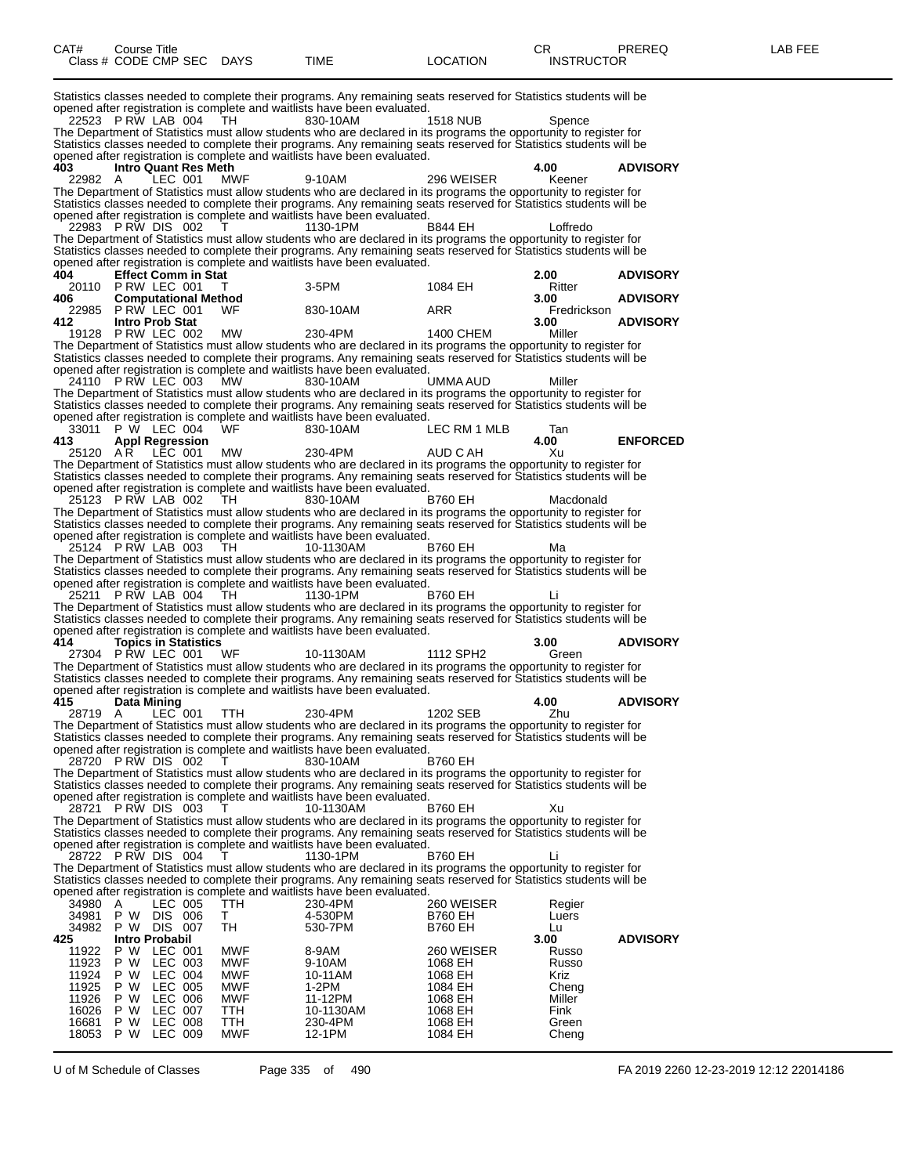| CAT#           | <b>Course Title</b><br>Class # CODE CMP SEC DAYS  |                           |                   | <b>TIME</b>                                                                                                                                                                                                                                         | <b>LOCATION</b>              | CR.<br><b>INSTRUCTOR</b> | PREREQ          | LAB FEE |
|----------------|---------------------------------------------------|---------------------------|-------------------|-----------------------------------------------------------------------------------------------------------------------------------------------------------------------------------------------------------------------------------------------------|------------------------------|--------------------------|-----------------|---------|
|                |                                                   |                           |                   | Statistics classes needed to complete their programs. Any remaining seats reserved for Statistics students will be<br>opened after registration is complete and waitlists have been evaluated.                                                      |                              |                          |                 |         |
|                | 22523 PRW LAB 004                                 |                           | TH.               | 830-10AM<br>The Department of Statistics must allow students who are declared in its programs the opportunity to register for<br>Statistics classes needed to complete their programs. Any remaining seats reserved for Statistics students will be | 1518 NUB                     | Spence                   |                 |         |
| 403            |                                                   |                           |                   | opened after registration is complete and waitlists have been evaluated.                                                                                                                                                                            |                              | 4.00                     | <b>ADVISORY</b> |         |
| 22982 A        | <b>Intro Quant Res Meth</b>                       | LEC 001                   | MWF               | 9-10AM                                                                                                                                                                                                                                              | 296 WEISER                   | Keener                   |                 |         |
|                |                                                   |                           |                   | The Department of Statistics must allow students who are declared in its programs the opportunity to register for<br>Statistics classes needed to complete their programs. Any remaining seats reserved for Statistics students will be             |                              |                          |                 |         |
|                | 22983 PRW DIS 002                                 |                           |                   | opened after registration is complete and waitlists have been evaluated.<br>1130-1PM                                                                                                                                                                | B844 EH                      | Loffredo                 |                 |         |
|                |                                                   |                           |                   | The Department of Statistics must allow students who are declared in its programs the opportunity to register for<br>Statistics classes needed to complete their programs. Any remaining seats reserved for Statistics students will be             |                              |                          |                 |         |
| 404            | <b>Effect Comm in Stat</b>                        |                           |                   | opened after registration is complete and waitlists have been evaluated.                                                                                                                                                                            |                              | 2.00                     | <b>ADVISORY</b> |         |
| 406            | 20110 P RW LEC 001<br><b>Computational Method</b> |                           |                   | 3-5PM                                                                                                                                                                                                                                               | 1084 EH                      | Ritter<br>3.00           | <b>ADVISORY</b> |         |
| 412.           | 22985 PRW LEC 001<br><b>Intro Prob Stat</b>       |                           | WF                | 830-10AM                                                                                                                                                                                                                                            | ARR                          | Fredrickson<br>3.00      | <b>ADVISORY</b> |         |
|                | 19128 P RW LEC 002                                |                           | <b>MW</b>         | 230-4PM<br>The Department of Statistics must allow students who are declared in its programs the opportunity to register for                                                                                                                        | 1400 CHEM                    | Miller                   |                 |         |
|                |                                                   |                           |                   | Statistics classes needed to complete their programs. Any remaining seats reserved for Statistics students will be<br>opened after registration is complete and waitlists have been evaluated.                                                      |                              |                          |                 |         |
|                | 24110 PRW LEC 003                                 |                           | <b>MW</b>         | 830-10AM<br>The Department of Statistics must allow students who are declared in its programs the opportunity to register for                                                                                                                       | UMMA AUD                     | Miller                   |                 |         |
|                |                                                   |                           |                   | Statistics classes needed to complete their programs. Any remaining seats reserved for Statistics students will be<br>opened after registration is complete and waitlists have been evaluated.                                                      |                              |                          |                 |         |
| 413            | 33011 P W LEC 004<br><b>Appl Regression</b>       |                           | WF                | 830-10AM                                                                                                                                                                                                                                            | LEC RM 1 MLB                 | Tan<br>4.00              | <b>ENFORCED</b> |         |
| 25120 A.R      | LĒC 001                                           |                           | МW                | 230-4PM<br>The Department of Statistics must allow students who are declared in its programs the opportunity to register for                                                                                                                        | AUD C AH                     | Xu                       |                 |         |
|                |                                                   |                           |                   | Statistics classes needed to complete their programs. Any remaining seats reserved for Statistics students will be<br>opened after registration is complete and waitlists have been evaluated.                                                      |                              |                          |                 |         |
|                | 25123 PRW LAB 002                                 |                           | TH                | 830-10AM<br>The Department of Statistics must allow students who are declared in its programs the opportunity to register for                                                                                                                       | <b>B760 EH</b>               | Macdonald                |                 |         |
|                |                                                   |                           |                   | Statistics classes needed to complete their programs. Any remaining seats reserved for Statistics students will be<br>opened after registration is complete and waitlists have been evaluated.                                                      |                              |                          |                 |         |
|                | 25124 PRW LAB 003                                 |                           | TH.               | 10-1130AM<br>The Department of Statistics must allow students who are declared in its programs the opportunity to register for                                                                                                                      | B760 EH                      | Ма                       |                 |         |
|                |                                                   |                           |                   | Statistics classes needed to complete their programs. Any remaining seats reserved for Statistics students will be<br>opened after registration is complete and waitlists have been evaluated.                                                      |                              |                          |                 |         |
|                | 25211 PRW LAB 004                                 |                           | TH.               | 1130-1PM<br>The Department of Statistics must allow students who are declared in its programs the opportunity to register for                                                                                                                       | <b>B760 EH</b>               | Li                       |                 |         |
|                |                                                   |                           |                   | Statistics classes needed to complete their programs. Any remaining seats reserved for Statistics students will be<br>opened after registration is complete and waitlists have been evaluated.                                                      |                              |                          |                 |         |
| 414            | <b>Topics in Statistics</b><br>27304 PRW LEC 001  |                           | WF                | 10-1130AM                                                                                                                                                                                                                                           | 1112 SPH2                    | 3.00<br>Green            | <b>ADVISORY</b> |         |
|                |                                                   |                           |                   | The Department of Statistics must allow students who are declared in its programs the opportunity to register for<br>Statistics classes needed to complete their programs. Any remaining seats reserved for Statistics students will be             |                              |                          |                 |         |
| 415            | Data Mining                                       |                           |                   | opened after registration is complete and waitlists have been evaluated.                                                                                                                                                                            |                              | 4.00                     | <b>ADVISORY</b> |         |
| 28719 A        |                                                   | $LEC$ 001                 | <b>TTH</b>        | 230-4PM<br>The Department of Statistics must allow students who are declared in its programs the opportunity to register for                                                                                                                        | 1202 SEB                     | Zhu                      |                 |         |
|                |                                                   |                           |                   | Statistics classes needed to complete their programs. Any remaining seats reserved for Statistics students will be<br>opened after registration is complete and waitlists have been evaluated.                                                      |                              |                          |                 |         |
|                | 28720 PRW DIS 002                                 |                           |                   | 830-10AM<br>The Department of Statistics must allow students who are declared in its programs the opportunity to register for                                                                                                                       | <b>B760 EH</b>               |                          |                 |         |
|                |                                                   |                           |                   | Statistics classes needed to complete their programs. Any remaining seats reserved for Statistics students will be<br>opened after registration is complete and waitlists have been evaluated.                                                      |                              |                          |                 |         |
|                | 28721 PRW DIS 003                                 |                           |                   | 10-1130AM<br>The Department of Statistics must allow students who are declared in its programs the opportunity to register for                                                                                                                      | <b>B760 EH</b>               | Xu                       |                 |         |
|                |                                                   |                           |                   | Statistics classes needed to complete their programs. Any remaining seats reserved for Statistics students will be<br>opened after registration is complete and waitlists have been evaluated.                                                      |                              |                          |                 |         |
|                | 28722 PRW DIS 004                                 |                           | T                 | 1130-1PM<br>The Department of Statistics must allow students who are declared in its programs the opportunity to register for                                                                                                                       | <b>B760 EH</b>               | Li                       |                 |         |
|                |                                                   |                           |                   | Statistics classes needed to complete their programs. Any remaining seats reserved for Statistics students will be                                                                                                                                  |                              |                          |                 |         |
| 34980 A        | 34981 P W DIS 006                                 | LEC 005                   | TTH<br>T.         | opened after registration is complete and waitlists have been evaluated.<br>230-4PM<br>4-530PM                                                                                                                                                      | 260 WEISER<br><b>B760 EH</b> | Regier                   |                 |         |
| 34982          | P W DIS 007                                       |                           | TH                | 530-7PM                                                                                                                                                                                                                                             | <b>B760 EH</b>               | Luers<br>Lu              |                 |         |
| 425<br>11922   | <b>Intro Probabil</b><br>P W                      | LEC 001                   | MWF               | 8-9AM                                                                                                                                                                                                                                               | 260 WEISER                   | 3.00<br>Russo            | <b>ADVISORY</b> |         |
| 11923<br>11924 | P W<br>P W                                        | LEC 003<br>LEC 004        | MWF<br><b>MWF</b> | 9-10AM<br>10-11AM                                                                                                                                                                                                                                   | 1068 EH<br>1068 EH           | Russo<br>Kriz            |                 |         |
| 11925<br>11926 | P W<br>P W                                        | <b>LEC 005</b><br>LEC 006 | <b>MWF</b><br>MWF | 1-2PM<br>11-12PM                                                                                                                                                                                                                                    | 1084 EH<br>1068 EH           | Cheng<br>Miller          |                 |         |
| 16026<br>16681 | P W<br>P W LEC 008                                | LEC 007                   | TTH<br>TTH        | 10-1130AM<br>230-4PM                                                                                                                                                                                                                                | 1068 EH<br>1068 EH           | Fink<br>Green            |                 |         |
|                | 18053 P W LEC 009                                 |                           | MWF               | 12-1PM                                                                                                                                                                                                                                              | 1084 EH                      | Cheng                    |                 |         |

U of M Schedule of Classes Page 335 of 490 FA 2019 2260 12-23-2019 12:12 22014186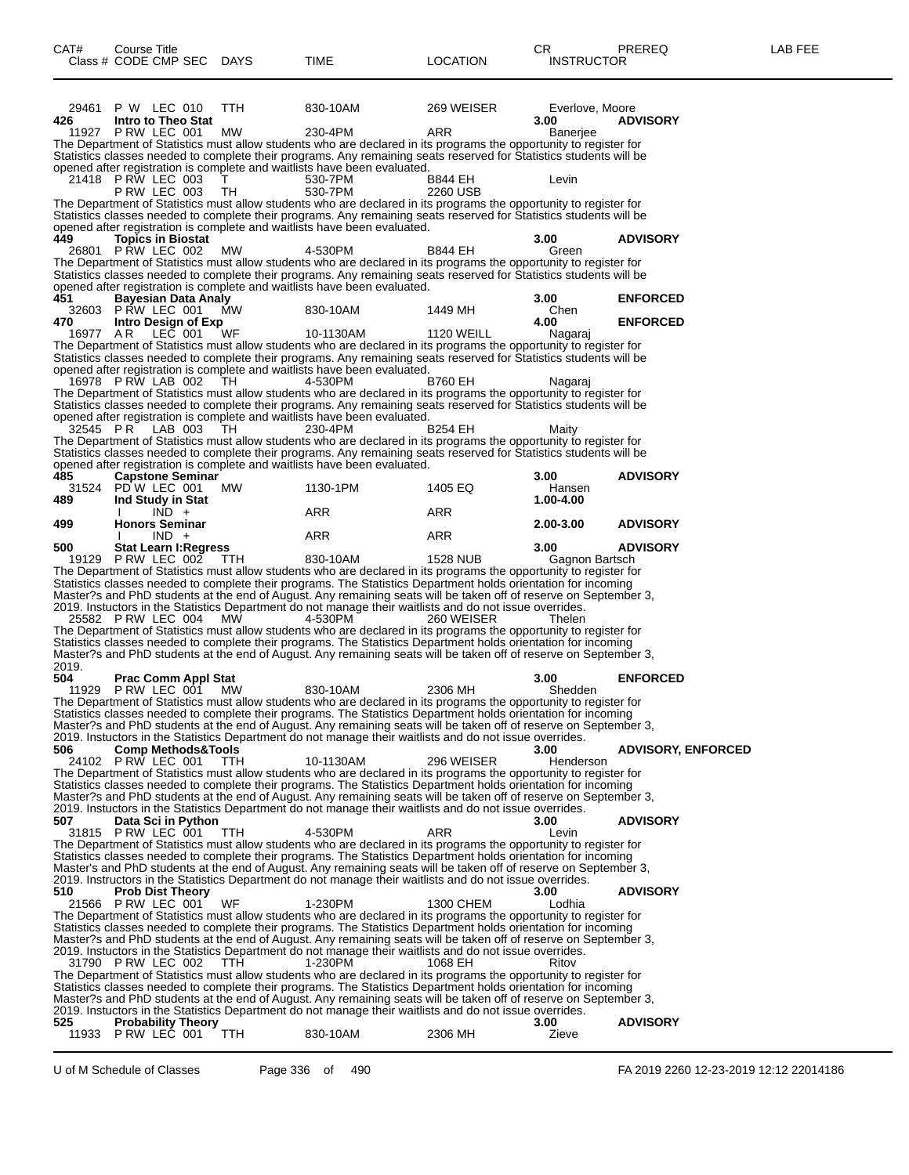| CAT#     | Course Title                     |            |                                                                                                                                                                                                                                         |                   | CR                | PREREQ                    | LAB FEE |
|----------|----------------------------------|------------|-----------------------------------------------------------------------------------------------------------------------------------------------------------------------------------------------------------------------------------------|-------------------|-------------------|---------------------------|---------|
|          | Class # CODE CMP SEC DAYS        |            | TIME                                                                                                                                                                                                                                    | <b>LOCATION</b>   | <b>INSTRUCTOR</b> |                           |         |
|          |                                  |            |                                                                                                                                                                                                                                         |                   |                   |                           |         |
|          |                                  |            |                                                                                                                                                                                                                                         |                   |                   |                           |         |
|          | 29461 P W LEC 010                | <b>TTH</b> | 830-10AM                                                                                                                                                                                                                                | 269 WEISER        | Everlove, Moore   |                           |         |
| 426      | Intro to Theo Stat               |            |                                                                                                                                                                                                                                         |                   | 3.00              | <b>ADVISORY</b>           |         |
|          | 11927 P RW LEC 001               | МW         | 230-4PM<br>The Department of Statistics must allow students who are declared in its programs the opportunity to register for                                                                                                            | ARR               | <b>Baneriee</b>   |                           |         |
|          |                                  |            | Statistics classes needed to complete their programs. Any remaining seats reserved for Statistics students will be                                                                                                                      |                   |                   |                           |         |
|          |                                  |            | opened after registration is complete and waitlists have been evaluated.                                                                                                                                                                |                   |                   |                           |         |
|          | 21418 P RW LEC 003               | T.         | 530-7PM                                                                                                                                                                                                                                 | B844 EH           | Levin             |                           |         |
|          | <b>P RW LEC 003</b>              | TH         | 530-7PM<br>The Department of Statistics must allow students who are declared in its programs the opportunity to register for                                                                                                            | 2260 USB          |                   |                           |         |
|          |                                  |            | Statistics classes needed to complete their programs. Any remaining seats reserved for Statistics students will be                                                                                                                      |                   |                   |                           |         |
|          |                                  |            | opened after registration is complete and waitlists have been evaluated.                                                                                                                                                                |                   |                   |                           |         |
| 449      | <b>Topics in Biostat</b>         |            |                                                                                                                                                                                                                                         |                   | 3.00              | <b>ADVISORY</b>           |         |
|          | 26801 P RW LEC 002               | MW         | 4-530PM<br>The Department of Statistics must allow students who are declared in its programs the opportunity to register for                                                                                                            | <b>B844 EH</b>    | Green             |                           |         |
|          |                                  |            | Statistics classes needed to complete their programs. Any remaining seats reserved for Statistics students will be                                                                                                                      |                   |                   |                           |         |
|          |                                  |            | opened after registration is complete and waitlists have been evaluated.                                                                                                                                                                |                   |                   |                           |         |
| 451      | Bayesian Data Analy              |            |                                                                                                                                                                                                                                         |                   | 3.00              | <b>ENFORCED</b>           |         |
| 470      | 32603 PRW LEC 001                | <b>MW</b>  | 830-10AM                                                                                                                                                                                                                                | 1449 MH           | Chen<br>4.00      |                           |         |
| 16977 AR | Intro Design of Exp<br>LEC 001   | WF         | 10-1130AM                                                                                                                                                                                                                               | <b>1120 WEILL</b> | Nagaraj           | <b>ENFORCED</b>           |         |
|          |                                  |            | The Department of Statistics must allow students who are declared in its programs the opportunity to register for                                                                                                                       |                   |                   |                           |         |
|          |                                  |            | Statistics classes needed to complete their programs. Any remaining seats reserved for Statistics students will be                                                                                                                      |                   |                   |                           |         |
|          |                                  |            | opened after registration is complete and waitlists have been evaluated.                                                                                                                                                                |                   |                   |                           |         |
|          | 16978 P RW LAB 002               | TH         | 4-530PM                                                                                                                                                                                                                                 | <b>B760 EH</b>    | Nagaraj           |                           |         |
|          |                                  |            | The Department of Statistics must allow students who are declared in its programs the opportunity to register for<br>Statistics classes needed to complete their programs. Any remaining seats reserved for Statistics students will be |                   |                   |                           |         |
|          |                                  |            | opened after registration is complete and waitlists have been evaluated.                                                                                                                                                                |                   |                   |                           |         |
| 32545 PR | LAB 003                          | TH.        | 230-4PM                                                                                                                                                                                                                                 | <b>B254 EH</b>    | Maity             |                           |         |
|          |                                  |            | The Department of Statistics must allow students who are declared in its programs the opportunity to register for                                                                                                                       |                   |                   |                           |         |
|          |                                  |            | Statistics classes needed to complete their programs. Any remaining seats reserved for Statistics students will be                                                                                                                      |                   |                   |                           |         |
| 485      | <b>Capstone Seminar</b>          |            | opened after registration is complete and waitlists have been evaluated.                                                                                                                                                                |                   | 3.00              | <b>ADVISORY</b>           |         |
|          | 31524 PD W LEC 001               | МW         | 1130-1PM                                                                                                                                                                                                                                | 1405 EQ           | Hansen            |                           |         |
| 489      | Ind Study in Stat                |            |                                                                                                                                                                                                                                         |                   | 1.00-4.00         |                           |         |
|          | $IND +$                          |            | ARR                                                                                                                                                                                                                                     | ARR               |                   |                           |         |
| 499      | <b>Honors Seminar</b><br>$IND +$ |            | ARR                                                                                                                                                                                                                                     | ARR               | 2.00-3.00         | <b>ADVISORY</b>           |         |
| 500      | <b>Stat Learn I: Regress</b>     |            |                                                                                                                                                                                                                                         |                   | 3.00              | <b>ADVISORY</b>           |         |
|          | 19129 P RW LEC 002               | TTH        | 830-10AM                                                                                                                                                                                                                                | <b>1528 NUB</b>   | Gagnon Bartsch    |                           |         |
|          |                                  |            | The Department of Statistics must allow students who are declared in its programs the opportunity to register for                                                                                                                       |                   |                   |                           |         |
|          |                                  |            | Statistics classes needed to complete their programs. The Statistics Department holds orientation for incoming                                                                                                                          |                   |                   |                           |         |
|          |                                  |            | Master?s and PhD students at the end of August. Any remaining seats will be taken off of reserve on September 3,<br>2019. Instuctors in the Statistics Department do not manage their waitlists and do not issue overrides.             |                   |                   |                           |         |
|          | 25582 PRW LEC 004                | MW         | 4-530PM                                                                                                                                                                                                                                 | 260 WEISER        | Thelen            |                           |         |
|          |                                  |            | The Department of Statistics must allow students who are declared in its programs the opportunity to register for                                                                                                                       |                   |                   |                           |         |
|          |                                  |            | Statistics classes needed to complete their programs. The Statistics Department holds orientation for incoming                                                                                                                          |                   |                   |                           |         |
| 2019.    |                                  |            | Master?s and PhD students at the end of August. Any remaining seats will be taken off of reserve on September 3,                                                                                                                        |                   |                   |                           |         |
| 504      | <b>Prac Comm Appl Stat</b>       |            |                                                                                                                                                                                                                                         |                   | 3.00              | <b>ENFORCED</b>           |         |
|          | 11929 P RW LEC 001 MW            |            | 830-10AM                                                                                                                                                                                                                                | 2306 MH           | Shedden           |                           |         |
|          |                                  |            | The Department of Statistics must allow students who are declared in its programs the opportunity to register for                                                                                                                       |                   |                   |                           |         |
|          |                                  |            | Statistics classes needed to complete their programs. The Statistics Department holds orientation for incoming                                                                                                                          |                   |                   |                           |         |
|          |                                  |            | Master?s and PhD students at the end of August. Any remaining seats will be taken off of reserve on September 3,<br>2019. Instuctors in the Statistics Department do not manage their waitlists and do not issue overrides.             |                   |                   |                           |         |
| 506      | <b>Comp Methods&amp;Tools</b>    |            |                                                                                                                                                                                                                                         |                   | 3.00              | <b>ADVISORY, ENFORCED</b> |         |
|          | 24102 PRW LEC 001                | - ттн      | 10-1130AM                                                                                                                                                                                                                               | 296 WEISER        | Henderson         |                           |         |
|          |                                  |            | The Department of Statistics must allow students who are declared in its programs the opportunity to register for                                                                                                                       |                   |                   |                           |         |
|          |                                  |            | Statistics classes needed to complete their programs. The Statistics Department holds orientation for incoming<br>Master?s and PhD students at the end of August. Any remaining seats will be taken off of reserve on September 3,      |                   |                   |                           |         |
|          |                                  |            | 2019. Instuctors in the Statistics Department do not manage their waitlists and do not issue overrides.                                                                                                                                 |                   |                   |                           |         |
| 507      | Data Sci in Python               |            |                                                                                                                                                                                                                                         |                   | 3.00              | <b>ADVISORY</b>           |         |
|          | 31815 PRW LEC 001                | TTH.       | 4-530PM                                                                                                                                                                                                                                 | ARR               | Levin             |                           |         |
|          |                                  |            | The Department of Statistics must allow students who are declared in its programs the opportunity to register for                                                                                                                       |                   |                   |                           |         |
|          |                                  |            | Statistics classes needed to complete their programs. The Statistics Department holds orientation for incoming<br>Master's and PhD students at the end of August. Any remaining seats will be taken off of reserve on September 3,      |                   |                   |                           |         |
|          |                                  |            | 2019. Instructors in the Statistics Department do not manage their waitlists and do not issue overrides.                                                                                                                                |                   |                   |                           |         |
| 510      | <b>Prob Dist Theory</b>          |            |                                                                                                                                                                                                                                         |                   | 3.00              | <b>ADVISORY</b>           |         |
|          | 21566 P RW LEC 001               | WF         | 1-230PM                                                                                                                                                                                                                                 | 1300 CHEM         | Lodhia            |                           |         |
|          |                                  |            | The Department of Statistics must allow students who are declared in its programs the opportunity to register for                                                                                                                       |                   |                   |                           |         |
|          |                                  |            | Statistics classes needed to complete their programs. The Statistics Department holds orientation for incoming<br>Master?s and PhD students at the end of August. Any remaining seats will be taken off of reserve on September 3,      |                   |                   |                           |         |
|          |                                  |            | 2019. Instuctors in the Statistics Department do not manage their waitlists and do not issue overrides.                                                                                                                                 |                   |                   |                           |         |
|          | 31790 P RW LEC 002               | <b>TTH</b> | 1-230PM                                                                                                                                                                                                                                 | 1068 EH           | Ritov             |                           |         |
|          |                                  |            | The Department of Statistics must allow students who are declared in its programs the opportunity to register for                                                                                                                       |                   |                   |                           |         |
|          |                                  |            | Statistics classes needed to complete their programs. The Statistics Department holds orientation for incoming                                                                                                                          |                   |                   |                           |         |
|          |                                  |            | Master?s and PhD students at the end of August. Any remaining seats will be taken off of reserve on September 3,<br>2019. Instuctors in the Statistics Department do not manage their waitlists and do not issue overrides.             |                   |                   |                           |         |
| 525      | <b>Probability Theory</b>        |            |                                                                                                                                                                                                                                         |                   | 3.00              | <b>ADVISORY</b>           |         |
|          | 11933 P RW LEC 001               | TTH        | 830-10AM                                                                                                                                                                                                                                | 2306 MH           | Zieve             |                           |         |
|          |                                  |            |                                                                                                                                                                                                                                         |                   |                   |                           |         |

U of M Schedule of Classes Page 336 of 490 FA 2019 2260 12-23-2019 12:12 22014186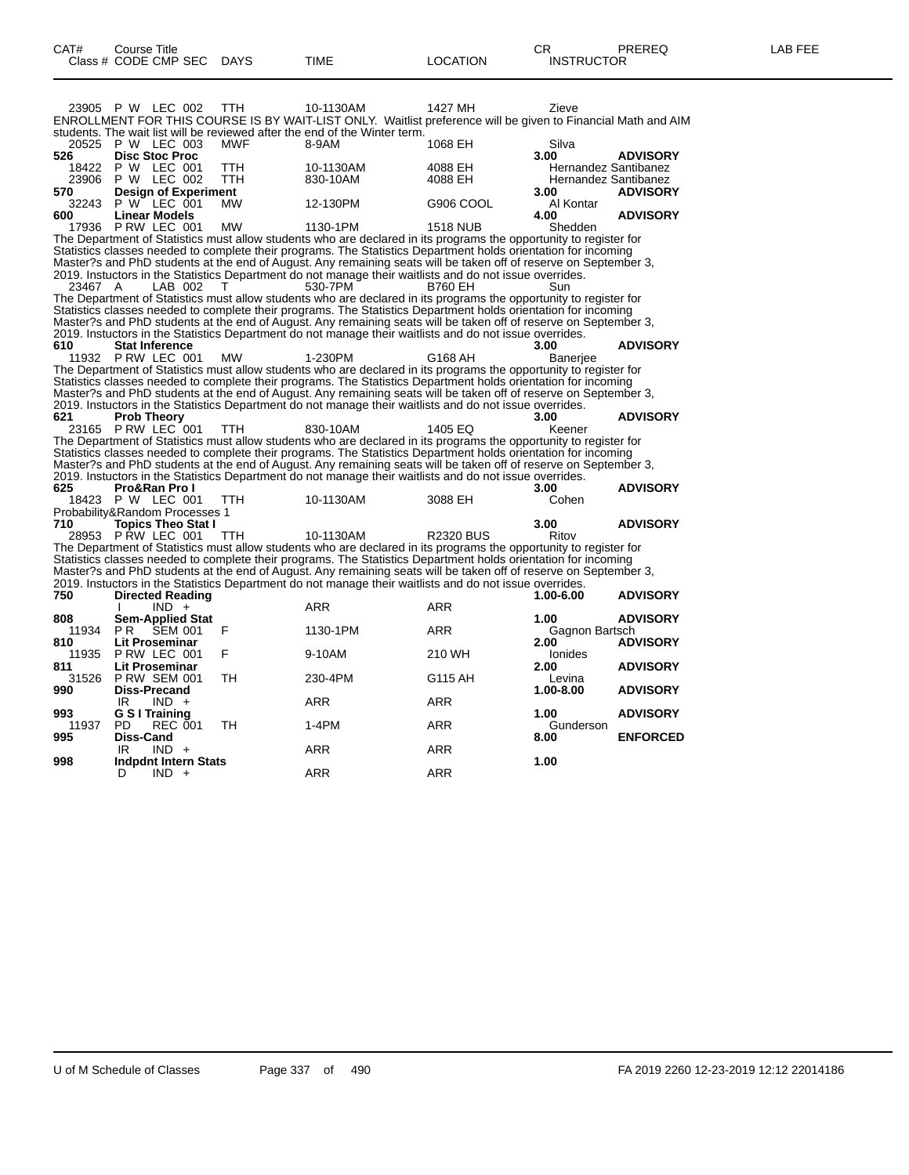|                                | 23905 P W LEC 002                               |                | TTH        | 10-1130AM<br>ENROLLMENT FOR THIS COURSE IS BY WAIT-LIST ONLY. Waitlist preference will be given to Financial Math and AIM<br>students. The wait list will be reviewed after the end of the Winter term.                             | 1427 MH            | Zieve                                        |                 |
|--------------------------------|-------------------------------------------------|----------------|------------|-------------------------------------------------------------------------------------------------------------------------------------------------------------------------------------------------------------------------------------|--------------------|----------------------------------------------|-----------------|
| 526                            | 20525 P W LEC 003<br><b>Disc Stoc Proc</b>      |                | <b>MWF</b> | 8-9AM                                                                                                                                                                                                                               | 1068 EH            | Silva<br>3.00                                | <b>ADVISORY</b> |
| 18422<br>23906                 | P W LEC 001<br><b>P W LEC 002</b>               |                | TTH<br>TTH | 10-1130AM<br>830-10AM                                                                                                                                                                                                               | 4088 EH<br>4088 EH | Hernandez Santibanez<br>Hernandez Santibanez |                 |
| 570<br>32243                   | <b>Design of Experiment</b><br>$P W$ LEC 001    |                | <b>MW</b>  | 12-130PM                                                                                                                                                                                                                            | G906 COOL          | 3.00<br>Al Kontar                            | <b>ADVISORY</b> |
| 600<br>17936                   | <b>Linear Models</b><br>PRW LEC 001             |                | <b>MW</b>  | 1130-1PM                                                                                                                                                                                                                            | <b>1518 NUB</b>    | 4.00<br>Shedden                              | <b>ADVISORY</b> |
|                                |                                                 |                |            | The Department of Statistics must allow students who are declared in its programs the opportunity to register for                                                                                                                   |                    |                                              |                 |
|                                |                                                 |                |            | Statistics classes needed to complete their programs. The Statistics Department holds orientation for incoming                                                                                                                      |                    |                                              |                 |
|                                |                                                 |                |            | Master?s and PhD students at the end of August. Any remaining seats will be taken off of reserve on September 3,                                                                                                                    |                    |                                              |                 |
|                                |                                                 |                |            | 2019. Instuctors in the Statistics Department do not manage their waitlists and do not issue overrides.                                                                                                                             |                    |                                              |                 |
| 23467 A                        |                                                 | LAB 002        | т          | 530-7PM                                                                                                                                                                                                                             | <b>B760 EH</b>     | Sun                                          |                 |
|                                |                                                 |                |            | The Department of Statistics must allow students who are declared in its programs the opportunity to register for<br>Statistics classes needed to complete their programs. The Statistics Department holds orientation for incoming |                    |                                              |                 |
|                                |                                                 |                |            | Master?s and PhD students at the end of August. Any remaining seats will be taken off of reserve on September 3,                                                                                                                    |                    |                                              |                 |
|                                |                                                 |                |            | 2019. Instuctors in the Statistics Department do not manage their waitlists and do not issue overrides.                                                                                                                             |                    |                                              |                 |
| 610                            | <b>Stat Inference</b>                           |                |            |                                                                                                                                                                                                                                     |                    | 3.00                                         | <b>ADVISORY</b> |
|                                | 11932 PRW LEC 001                               |                | <b>MW</b>  | 1-230PM                                                                                                                                                                                                                             | G168 AH            | Banerjee                                     |                 |
|                                |                                                 |                |            | The Department of Statistics must allow students who are declared in its programs the opportunity to register for                                                                                                                   |                    |                                              |                 |
|                                |                                                 |                |            | Statistics classes needed to complete their programs. The Statistics Department holds orientation for incoming                                                                                                                      |                    |                                              |                 |
|                                |                                                 |                |            | Master?s and PhD students at the end of August. Any remaining seats will be taken off of reserve on September 3,                                                                                                                    |                    |                                              |                 |
| 621                            |                                                 |                |            | 2019. Instuctors in the Statistics Department do not manage their waitlists and do not issue overrides.                                                                                                                             |                    | 3.00                                         | <b>ADVISORY</b> |
|                                | <b>Prob Theory</b><br>23165 P RW LEC 001        |                | TTH        | 830-10AM                                                                                                                                                                                                                            | 1405 EQ            | Keener                                       |                 |
|                                |                                                 |                |            | The Department of Statistics must allow students who are declared in its programs the opportunity to register for                                                                                                                   |                    |                                              |                 |
|                                |                                                 |                |            | Statistics classes needed to complete their programs. The Statistics Department holds orientation for incoming                                                                                                                      |                    |                                              |                 |
|                                |                                                 |                |            | Master?s and PhD students at the end of August. Any remaining seats will be taken off of reserve on September 3,                                                                                                                    |                    |                                              |                 |
|                                |                                                 |                |            | 2019. Instuctors in the Statistics Department do not manage their waitlists and do not issue overrides.                                                                                                                             |                    |                                              |                 |
| 625                            | <b>Pro&amp;Ran Pro I</b>                        |                |            |                                                                                                                                                                                                                                     |                    | 3.00                                         | <b>ADVISORY</b> |
| 18423                          | <b>P W LEC 001</b>                              |                | TTH.       | 10-1130AM                                                                                                                                                                                                                           | 3088 EH            | Cohen                                        |                 |
| Probability&Random Processes 1 |                                                 |                |            |                                                                                                                                                                                                                                     |                    |                                              |                 |
| 710                            | <b>Topics Theo Stat I</b><br>28953 P RW LEC 001 |                | TTH        | 10-1130AM                                                                                                                                                                                                                           | <b>R2320 BUS</b>   | 3.00<br>Ritov                                | <b>ADVISORY</b> |
|                                |                                                 |                |            | The Department of Statistics must allow students who are declared in its programs the opportunity to register for                                                                                                                   |                    |                                              |                 |
|                                |                                                 |                |            | Statistics classes needed to complete their programs. The Statistics Department holds orientation for incoming                                                                                                                      |                    |                                              |                 |
|                                |                                                 |                |            | Master?s and PhD students at the end of August. Any remaining seats will be taken off of reserve on September 3,                                                                                                                    |                    |                                              |                 |
|                                |                                                 |                |            | 2019. Instuctors in the Statistics Department do not manage their waitlists and do not issue overrides.                                                                                                                             |                    |                                              |                 |
| 750                            | <b>Directed Reading</b>                         |                |            |                                                                                                                                                                                                                                     |                    | 1.00-6.00                                    | <b>ADVISORY</b> |
|                                | л.                                              | $IND +$        |            | ARR                                                                                                                                                                                                                                 | <b>ARR</b>         |                                              |                 |
| 808                            | <b>Sem-Applied Stat</b>                         |                |            |                                                                                                                                                                                                                                     |                    | 1.00                                         | <b>ADVISORY</b> |
| 11934<br>810                   | P <sub>R</sub><br><b>Lit Proseminar</b>         | <b>SEM 001</b> | F          | 1130-1PM                                                                                                                                                                                                                            | <b>ARR</b>         | Gagnon Bartsch<br>2.00                       | <b>ADVISORY</b> |
| 11935                          | P RW LEC 001                                    |                | F          | 9-10AM                                                                                                                                                                                                                              | 210 WH             | <b>Ionides</b>                               |                 |
| 811                            | Lit Proseminar                                  |                |            |                                                                                                                                                                                                                                     |                    | 2.00                                         | <b>ADVISORY</b> |
| 31526                          | <b>P RW SEM 001</b>                             |                | TН         | 230-4PM                                                                                                                                                                                                                             | G115 AH            | Levina                                       |                 |
| 990                            | <b>Diss-Precand</b>                             |                |            |                                                                                                                                                                                                                                     |                    | 1.00-8.00                                    | <b>ADVISORY</b> |
|                                | IR.                                             | $IND +$        |            | <b>ARR</b>                                                                                                                                                                                                                          | <b>ARR</b>         |                                              |                 |
| 993                            | <b>G S I Training</b>                           |                |            |                                                                                                                                                                                                                                     |                    | 1.00                                         | <b>ADVISORY</b> |
| 11937                          | PD.                                             | <b>REC 001</b> | TH         | $1-4PM$                                                                                                                                                                                                                             | <b>ARR</b>         | Gunderson                                    |                 |
| 995                            | Diss-Cand                                       |                |            | <b>ARR</b>                                                                                                                                                                                                                          |                    | 8.00                                         | <b>ENFORCED</b> |
| 998                            | IR<br><b>Indpdnt Intern Stats</b>               | $IND +$        |            |                                                                                                                                                                                                                                     | <b>ARR</b>         | 1.00                                         |                 |
|                                | D                                               | $IND +$        |            | <b>ARR</b>                                                                                                                                                                                                                          | <b>ARR</b>         |                                              |                 |
|                                |                                                 |                |            |                                                                                                                                                                                                                                     |                    |                                              |                 |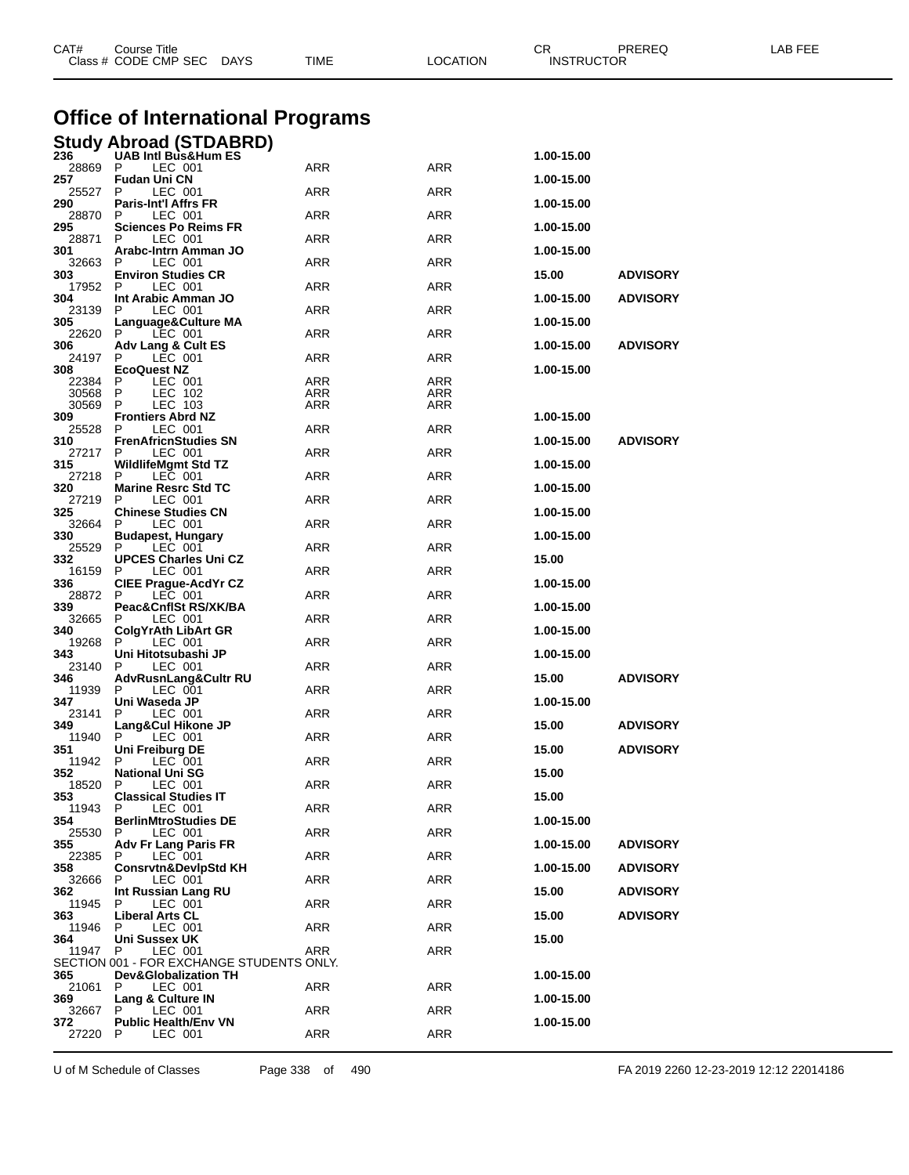| CAT#           | Course Title<br>Class # CODE CMP SEC DAYS                                    | TIME       | <b>LOCATION</b> | СR<br><b>INSTRUCTOR</b> | PREREQ          | LAB FEE |
|----------------|------------------------------------------------------------------------------|------------|-----------------|-------------------------|-----------------|---------|
|                | <b>Office of International Programs</b>                                      |            |                 |                         |                 |         |
|                | Study Abroad (STDABRD)                                                       |            |                 |                         |                 |         |
| 236<br>28869   | <b>UAB Intl Bus&amp;Hum ES</b><br>P<br>LEC 001                               | ARR        | <b>ARR</b>      | 1.00-15.00              |                 |         |
| 257<br>25527   | Fudan Uni CN<br>P<br>LEC 001                                                 | ARR        | <b>ARR</b>      | 1.00-15.00              |                 |         |
| 290            | Paris-Int'l Affrs FR                                                         |            |                 | 1.00-15.00              |                 |         |
| 28870<br>295   | Р<br>LEC 001<br>Sciences Po Reims FR                                         | ARR        | ARR             | 1.00-15.00              |                 |         |
| 28871          | LEC 001<br>P                                                                 | ARR        | ARR             |                         |                 |         |
| 301<br>32663   | Arabc-Intrn Amman JO<br>LEC 001<br>P                                         | ARR        | <b>ARR</b>      | 1.00-15.00              |                 |         |
| 303<br>17952   | <b>Environ Studies CR</b><br>LEC 001<br>P                                    | ARR        | ARR             | 15.00                   | <b>ADVISORY</b> |         |
| 304            | Int Arabic Amman JO<br>LEC 001<br>P                                          | ARR        | ARR             | 1.00-15.00              | <b>ADVISORY</b> |         |
| 23139<br>305   | Language&Culture MA                                                          |            |                 | 1.00-15.00              |                 |         |
| 22620<br>306   | P<br>LEC 001<br><b>Adv Lang &amp; Cult ES</b>                                | ARR        | <b>ARR</b>      | 1.00-15.00              | <b>ADVISORY</b> |         |
| 24197          | P<br>LEC 001                                                                 | ARR        | ARR             |                         |                 |         |
| 308<br>22384   | <b>EcoQuest NZ</b><br>LEC 001<br>P                                           | ARR        | ARR             | 1.00-15.00              |                 |         |
| 30568<br>30569 | LEC 102<br>P<br>P<br>LEC 103                                                 | ARR<br>ARR | ARR<br>ARR      |                         |                 |         |
| 309            | <b>Frontiers Abrd NZ</b>                                                     |            |                 | 1.00-15.00              |                 |         |
| 25528<br>310   | LEC 001<br>P<br><b>FrenAfricnStudies SN</b>                                  | ARR        | ARR             | 1.00-15.00              | <b>ADVISORY</b> |         |
| 27217<br>315   | LEC 001<br>P<br>WildlifeMgmt Std TZ                                          | ARR        | ARR             | 1.00-15.00              |                 |         |
| 27218          | P<br>LEC 001                                                                 | ARR        | <b>ARR</b>      |                         |                 |         |
| 320<br>27219   | <b>Marine Resrc Std TC</b><br>P<br>LEC 001                                   | ARR        | ARR             | 1.00-15.00              |                 |         |
| 325<br>32664   | <b>Chinese Studies CN</b><br>LEC 001<br>P                                    | ARR        | ARR             | 1.00-15.00              |                 |         |
| 330            | Budapest, Hungary                                                            |            |                 | 1.00-15.00              |                 |         |
| 25529<br>332   | LEC 001<br>Р<br>UPCES Charles Uni CZ                                         | ARR        | ARR             | 15.00                   |                 |         |
| 16159<br>336   | LEC 001<br>P<br>CIEE Prague-AcdYr CZ                                         | ARR        | ARR             | 1.00-15.00              |                 |         |
| 28872          | LEC 001<br>P                                                                 | ARR        | <b>ARR</b>      |                         |                 |         |
| 339<br>32665   | Peac&CnflSt RS/XK/BA<br>LEC 001<br>Р                                         | ARR        | ARR             | 1.00-15.00              |                 |         |
| 340<br>19268   | ColgYrAth LibArt GR<br>P<br>LEC 001                                          | ARR        | ARR             | 1.00-15.00              |                 |         |
| 343            | Uni Hitotsubashi JP                                                          |            |                 | 1.00-15.00              |                 |         |
| 23140<br>346   | LEC 001<br>P<br>AdvRusnLang&Cultr RU                                         | ARR        | <b>ARR</b>      | 15.00                   | <b>ADVISORY</b> |         |
| 11939<br>347   | Р<br>LEC 001<br>Uni Waseda JP                                                | ARR        | <b>ARR</b>      | 1.00-15.00              |                 |         |
| 23141 P        | LEC 001                                                                      | ARR        | ARR             |                         |                 |         |
| 349<br>11940   | Lang&Cul Hikone JP<br>P<br>LEC 001                                           | <b>ARR</b> | ARR             | 15.00                   | <b>ADVISORY</b> |         |
| 351<br>11942   | Uni Freiburg DE<br>LEC 001<br>P                                              | <b>ARR</b> | ARR             | 15.00                   | <b>ADVISORY</b> |         |
| 352            | <b>National Uni SG</b>                                                       |            |                 | 15.00                   |                 |         |
| 18520<br>353   | LEC 001<br>P<br><b>Classical Studies IT</b>                                  | ARR        | ARR             | 15.00                   |                 |         |
| 11943<br>354   | LEC 001<br>P<br><b>BerlinMtroStudies DE</b>                                  | ARR        | ARR             | 1.00-15.00              |                 |         |
| 25530          | LEC 001<br>P                                                                 | ARR        | ARR             |                         |                 |         |
| 355<br>22385   | Adv Fr Lang Paris FR<br>LEC 001<br>P                                         | ARR        | ARR             | 1.00-15.00              | <b>ADVISORY</b> |         |
| 358<br>32666   | <b>Consrvtn&amp;DevlpStd KH</b><br>LEC 001<br>P                              | ARR        | ARR             | 1.00-15.00              | <b>ADVISORY</b> |         |
| 362            | Int Russian Lang RU                                                          |            |                 | 15.00                   | <b>ADVISORY</b> |         |
| 11945<br>363   | P<br>LEC 001<br><b>Liberal Arts CL</b>                                       | ARR        | ARR             | 15.00                   | <b>ADVISORY</b> |         |
| 11946<br>364   | LEC 001<br>P<br>Uni Sussex UK                                                | ARR        | ARR             | 15.00                   |                 |         |
| 11947          | LEC 001<br>P                                                                 | ARR        | ARR             |                         |                 |         |
| 365            | SECTION 001 - FOR EXCHANGE STUDENTS ONLY.<br><b>Dev&amp;Globalization TH</b> |            |                 | 1.00-15.00              |                 |         |
| 21061 P        | LEC 001                                                                      | ARR        | ARR             |                         |                 |         |
| 369<br>32667   | Lang & Culture IN<br>P<br>LEC 001                                            | ARR        | ARR             | 1.00-15.00              |                 |         |
| 372<br>27220   | <b>Public Health/Env VN</b><br>P<br>LEC 001                                  | ARR        | ARR             | 1.00-15.00              |                 |         |
|                |                                                                              |            |                 |                         |                 |         |

U of M Schedule of Classes Page 338 of 490 FA 2019 2260 12-23-2019 12:12 22014186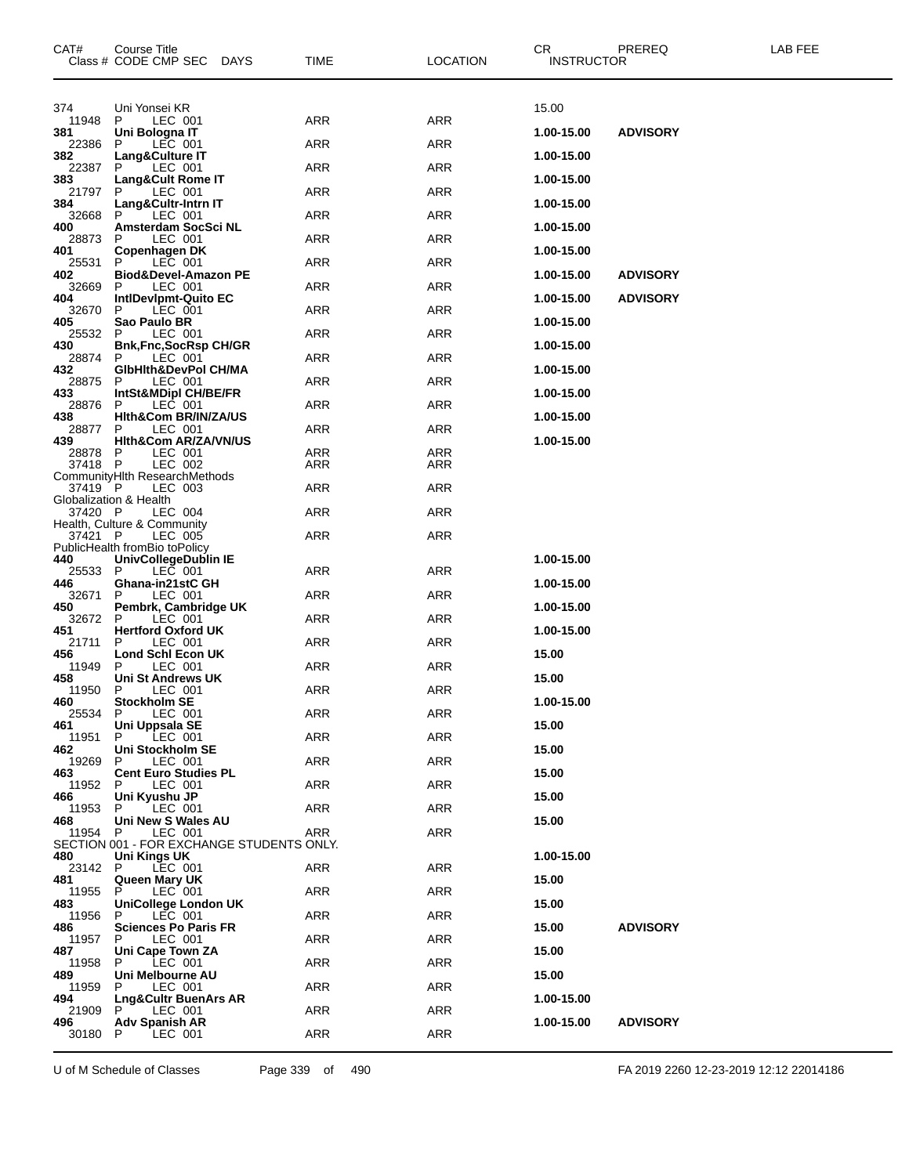| CAT#           | Course Title<br>Class # CODE CMP SEC DAYS             | <b>TIME</b> | <b>LOCATION</b> | CR.<br><b>INSTRUCTOR</b> | <b>PREREQ</b>   | LAB FEE |
|----------------|-------------------------------------------------------|-------------|-----------------|--------------------------|-----------------|---------|
| 374            | Uni Yonsei KR                                         |             |                 | 15.00                    |                 |         |
| 11948<br>381   | LEC 001<br>P.<br>Uni Bologna IT                       | <b>ARR</b>  | <b>ARR</b>      | 1.00-15.00               | <b>ADVISORY</b> |         |
| 22386          | P<br>LEC 001                                          | ARR         | <b>ARR</b>      |                          |                 |         |
| 382<br>22387   | Lang&Culture IT<br>LEC 001<br>P                       | ARR         | <b>ARR</b>      | 1.00-15.00               |                 |         |
| 383<br>21797   | <b>Lang&amp;Cult Rome IT</b><br>LEC 001<br>P          | ARR         | <b>ARR</b>      | 1.00-15.00               |                 |         |
| 384<br>32668   | Lang&Cultr-Intrn IT<br>P<br>LEC 001                   | ARR         | <b>ARR</b>      | 1.00-15.00               |                 |         |
| 400<br>28873   | Amsterdam SocSci NL<br>LEC 001<br>P                   | ARR         | <b>ARR</b>      | 1.00-15.00               |                 |         |
| 401            | Copenhagen DK<br>LEC 001<br>P                         | ARR         | <b>ARR</b>      | 1.00-15.00               |                 |         |
| 25531<br>402   | Biod&Devel-Amazon PE                                  |             |                 | 1.00-15.00               | <b>ADVISORY</b> |         |
| 32669<br>404   | P<br>LEC 001<br>IntlDevIpmt-Quito EC                  | ARR         | <b>ARR</b>      | 1.00-15.00               | <b>ADVISORY</b> |         |
| 32670<br>405   | LEC 001<br>P.<br>Sao Paulo BR                         | ARR         | <b>ARR</b>      | 1.00-15.00               |                 |         |
| 25532<br>430   | LEC 001<br>P<br><b>Bnk,Fnc,SocRsp CH/GR</b>           | ARR         | <b>ARR</b>      | 1.00-15.00               |                 |         |
| 28874<br>432   | LEC 001<br>P<br>GibHith&DevPol CH/MA                  | ARR         | <b>ARR</b>      | 1.00-15.00               |                 |         |
| 28875          | P<br>LEC 001                                          | ARR         | <b>ARR</b>      |                          |                 |         |
| 433<br>28876   | IntSt&MDipl CH/BE/FR<br>LEC 001<br>P                  | ARR         | <b>ARR</b>      | 1.00-15.00               |                 |         |
| 438<br>28877   | Hith&Com BR/IN/ZA/US<br>P<br>LEC 001                  | ARR         | <b>ARR</b>      | 1.00-15.00               |                 |         |
| 439<br>28878   | <b>Hith&amp;Com AR/ZA/VN/US</b><br>LEC 001<br>P       | ARR         | ARR             | 1.00-15.00               |                 |         |
| 37418 P        | LEC 002<br>CommunityHIth ResearchMethods              | <b>ARR</b>  | ARR             |                          |                 |         |
| 37419 P        | LEC 003<br>Globalization & Health                     | ARR         | <b>ARR</b>      |                          |                 |         |
| 37420 P        | LEC 004                                               | ARR         | <b>ARR</b>      |                          |                 |         |
| 37421 P        | Health, Culture & Community<br>LEC 005                | <b>ARR</b>  | <b>ARR</b>      |                          |                 |         |
| 440            | PublicHealth fromBio toPolicy<br>UnivCollegeDublin IE |             |                 | 1.00-15.00               |                 |         |
| 25533<br>446   | LEC 001<br>P<br>Ghana-in21stC GH                      | ARR         | <b>ARR</b>      | 1.00-15.00               |                 |         |
| 32671<br>450   | LEC 001<br>P<br>Pembrk, Cambridge UK                  | ARR         | <b>ARR</b>      | 1.00-15.00               |                 |         |
| 32672<br>451   | LEC 001<br>P<br><b>Hertford Oxford UK</b>             | ARR         | <b>ARR</b>      | 1.00-15.00               |                 |         |
| 21711          | LEC 001<br>P                                          | ARR         | <b>ARR</b>      |                          |                 |         |
| 456<br>11949   | Lond Schl Econ UK<br>LEC 001<br>P                     | ARR         | ARR             | 15.00                    |                 |         |
| 458<br>11950   | Uni St Andrews UK<br>P.<br>LEC 001                    | <b>ARR</b>  | <b>ARR</b>      | 15.00                    |                 |         |
| 460            | <b>Stockholm SE</b><br>25534 P LEC 001                | <b>ARR</b>  | ARR             | 1.00-15.00               |                 |         |
| 461<br>11951   | Uni Uppsala SE<br>LEC 001<br>P.                       | <b>ARR</b>  | ARR             | 15.00                    |                 |         |
| 462<br>19269   | Uni Stockholm SE<br>LEC 001<br>P.                     | ARR         | ARR             | 15.00                    |                 |         |
| 463            | <b>Cent Euro Studies PL</b>                           |             |                 | 15.00                    |                 |         |
| 11952<br>466   | P<br>LEC 001<br>Uni Kyushu JP                         | ARR         | ARR             | 15.00                    |                 |         |
| 11953<br>468   | LEC 001<br>P.<br>Uni New S Wales AU                   | <b>ARR</b>  | ARR             | 15.00                    |                 |         |
| 11954 P        | LEC 001<br>SECTION 001 - FOR EXCHANGE STUDENTS ONLY.  | ARR         | ARR             |                          |                 |         |
| 480<br>23142 P | Uni Kings UK<br>LEC 001                               | ARR         | ARR             | 1.00-15.00               |                 |         |
| 481<br>11955   | Queen Mary UK<br>LEC 001<br>P.                        | ARR         | ARR             | 15.00                    |                 |         |
| 483            | <b>UniCollege London UK</b>                           |             |                 | 15.00                    |                 |         |
| 11956<br>486   | LEC 001<br>P.<br><b>Sciences Po Paris FR</b>          | ARR         | ARR             | 15.00                    | <b>ADVISORY</b> |         |
| 11957 P<br>487 | LEC 001<br>Uni Cape Town ZA                           | ARR         | ARR             | 15.00                    |                 |         |
| 11958<br>489   | P<br>LEC 001<br>Uni Melbourne AU                      | ARR         | ARR             | 15.00                    |                 |         |
| 11959<br>494   | LEC 001<br>P.<br>Lng&Cultr BuenArs AR                 | ARR         | ARR             | 1.00-15.00               |                 |         |
| 21909 P        | LEC 001                                               | ARR         | ARR             |                          |                 |         |
| 496<br>30180   | <b>Adv Spanish AR</b><br>LEC 001<br>P.                | <b>ARR</b>  | ARR             | 1.00-15.00               | <b>ADVISORY</b> |         |
|                |                                                       |             |                 |                          |                 |         |

U of M Schedule of Classes Page 339 of 490 FA 2019 2260 12-23-2019 12:12 22014186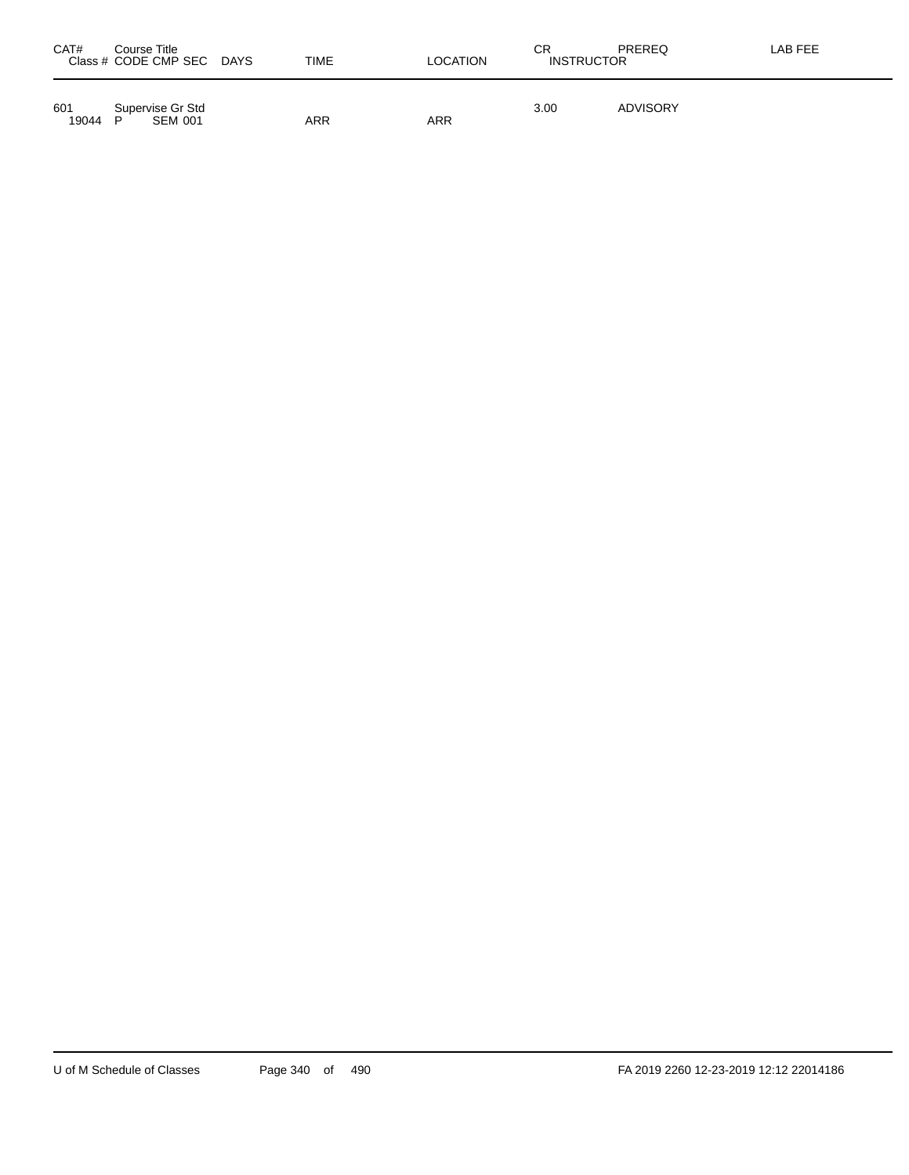| CAT#         | Course Title<br>Class # CODE CMP SEC DAYS | TIME | <b>LOCATION</b> | СR<br><b>INSTRUCTOR</b> | PREREQ          | LAB FEE |
|--------------|-------------------------------------------|------|-----------------|-------------------------|-----------------|---------|
| 601<br>19044 | Supervise Gr Std<br><b>SEM 001</b><br>D   | ARR  | ARR             | 3.00                    | <b>ADVISORY</b> |         |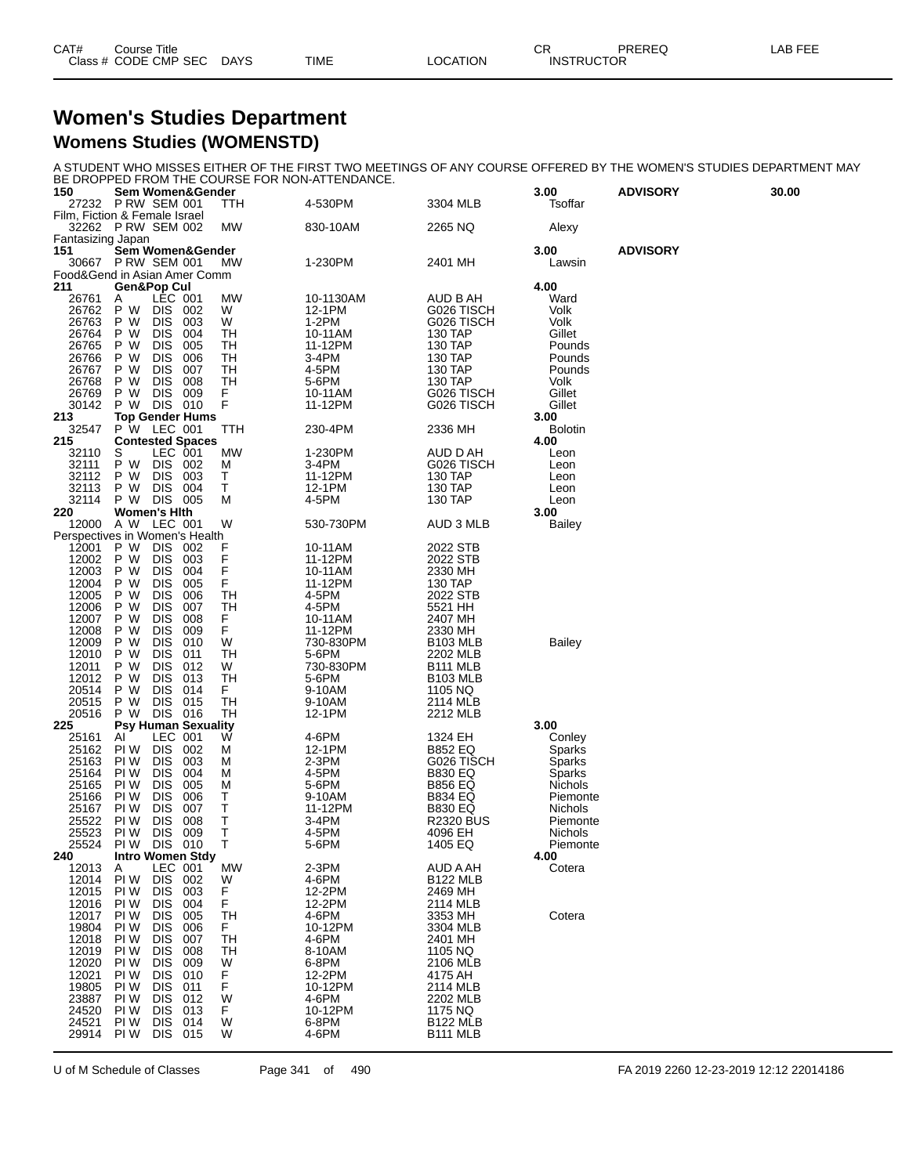| CAT# | Title<br>Course      |             |             |          | СR                | PREREQ | AR FFF |
|------|----------------------|-------------|-------------|----------|-------------------|--------|--------|
|      | Class # CODE CMP SEC | <b>DAYS</b> | <b>TIME</b> | LOCATION | <b>INSTRUCTOR</b> |        |        |

#### **Women's Studies Department Womens Studies (WOMENSTD)**

A STUDENT WHO MISSES EITHER OF THE FIRST TWO MEETINGS OF ANY COURSE OFFERED BY THE WOMEN'S STUDIES DEPARTMENT MAY BE DROPPED FROM THE COURSE FOR NON-ATTENDANCE.

| 150                            | Sem Women&Gender                        |                          |            |           |                    |                                  | 3.00                   | <b>ADVISORY</b> | 30.00 |
|--------------------------------|-----------------------------------------|--------------------------|------------|-----------|--------------------|----------------------------------|------------------------|-----------------|-------|
| Film, Fiction & Female Israel  | 27232 PRW SEM 001                       |                          |            | TTH       | 4-530PM            | 3304 MLB                         | Tsoffar                |                 |       |
|                                | 32262 P RW SEM 002                      |                          |            | MW        | 830-10AM           | 2265 NQ                          | Alexy                  |                 |       |
| Fantasizing Japan              |                                         |                          |            |           |                    |                                  |                        |                 |       |
| 151<br>30667                   | Sem Women&Gender<br><b>P RW SEM 001</b> |                          |            | MW        | 1-230PM            | 2401 MH                          | 3.00<br>Lawsin         | <b>ADVISORY</b> |       |
| Food&Gend in Asian Amer Comm   |                                         |                          |            |           |                    |                                  |                        |                 |       |
| 211<br>26761                   | <b>Gen&amp;Pop Cul</b><br>Α             | LEC 001                  |            | MW        | 10-1130AM          | AUD B AH                         | 4.00<br>Ward           |                 |       |
| 26762                          | P W                                     | <b>DIS</b>               | 002        | W         | 12-1PM             | G026 TISCH                       | Volk                   |                 |       |
| 26763                          | P W                                     | <b>DIS</b>               | 003        | W         | 1-2PM              | G026 TISCH                       | Volk                   |                 |       |
| 26764<br>26765                 | P W<br>P W                              | DIS<br><b>DIS</b>        | 004<br>005 | TН<br>TН  | 10-11AM<br>11-12PM | 130 TAP<br>130 TAP               | Gillet<br>Pounds       |                 |       |
| 26766                          | P W                                     | DIS                      | 006        | TН        | 3-4PM              | 130 TAP                          | Pounds                 |                 |       |
| 26767                          | P W                                     | DIS                      | 007        | TН        | 4-5PM              | 130 TAP                          | Pounds                 |                 |       |
| 26768<br>26769                 | P W<br>P W                              | <b>DIS</b><br><b>DIS</b> | 008<br>009 | TН<br>F   | 5-6PM<br>10-11AM   | 130 TAP<br>G026 TISCH            | Volk<br>Gillet         |                 |       |
| 30142                          | P W                                     | DIS 010                  |            | F         | 11-12PM            | G026 TISCH                       | Gillet                 |                 |       |
| 213                            | <b>Top Gender Hums</b>                  |                          |            |           |                    |                                  | 3.00                   |                 |       |
| 32547<br>215                   | P W LEC 001<br><b>Contested Spaces</b>  |                          |            | TTH       | 230-4PM            | 2336 MH                          | <b>Bolotin</b><br>4.00 |                 |       |
| 32110                          | S                                       | LEC 001                  |            | MW        | 1-230PM            | AUD D AH                         | Leon                   |                 |       |
| 32111                          | P W                                     | DIS.                     | 002        | M         | 3-4PM              | G026 TISCH                       | Leon                   |                 |       |
| 32112<br>32113                 | P W<br>P W                              | <b>DIS</b><br><b>DIS</b> | 003<br>004 | Т<br>т    | 11-12PM<br>12-1PM  | 130 TAP<br>130 TAP               | Leon<br>Leon           |                 |       |
| 32114                          | P W DIS 005                             |                          |            | M         | 4-5PM              | 130 TAP                          | Leon                   |                 |       |
| 220<br>12000                   | <b>Women's Hith</b><br>A W LEC 001      |                          |            | W         | 530-730PM          | AUD 3 MLB                        | 3.00<br><b>Bailey</b>  |                 |       |
| Perspectives in Women's Health |                                         |                          |            |           |                    |                                  |                        |                 |       |
| 12001                          | P W                                     | DIS.                     | -002       | F         | 10-11AM            | 2022 STB                         |                        |                 |       |
| 12002<br>12003                 | P W<br>P W                              | <b>DIS</b><br><b>DIS</b> | 003<br>004 | F<br>F    | 11-12PM<br>10-11AM | 2022 STB<br>2330 MH              |                        |                 |       |
| 12004                          | P W                                     | DIS                      | 005        | F         | 11-12PM            | 130 TAP                          |                        |                 |       |
| 12005                          | P W                                     | <b>DIS</b>               | 006        | TН        | 4-5PM              | 2022 STB                         |                        |                 |       |
| 12006<br>12007                 | P W<br>P W                              | DIS<br>DIS               | 007<br>008 | TН<br>F   | 4-5PM<br>10-11AM   | 5521 HH<br>2407 MH               |                        |                 |       |
| 12008                          | P W                                     | <b>DIS</b>               | 009        | F         | 11-12PM            | 2330 MH                          |                        |                 |       |
| 12009                          | P W<br>P W                              | DIS<br>DIS               | 010        | W         | 730-830PM          | B103 MLB                         | <b>Bailey</b>          |                 |       |
| 12010<br>12011                 | P W                                     | <b>DIS</b>               | 011<br>012 | TН<br>W   | 5-6PM<br>730-830PM | 2202 MLB<br>B <sub>111</sub> MLB |                        |                 |       |
| 12012                          | P W                                     | DIS                      | 013        | TН        | 5-6PM              | <b>B103 MLB</b>                  |                        |                 |       |
| 20514<br>20515                 | P W<br>P W                              | DIS<br><b>DIS</b>        | 014<br>015 | F.<br>TН  | 9-10AM<br>9-10AM   | 1105 NQ<br>2114 MLB              |                        |                 |       |
| 20516                          | P W                                     | <b>DIS</b>               | 016        | TН        | 12-1PM             | 2212 MLB                         |                        |                 |       |
| 225                            | <b>Psy Human Sexuality</b>              |                          |            |           |                    |                                  | 3.00                   |                 |       |
| 25161<br>25162                 | Al<br>PI W                              | LEC 001<br><b>DIS</b>    | 002        | W<br>M    | 4-6PM<br>12-1PM    | 1324 EH<br>B852 EQ               | Conley<br>Sparks       |                 |       |
| 25163                          | PI W                                    | <b>DIS</b>               | 003        | M         | 2-3PM              | G026 TISCH                       | Sparks                 |                 |       |
| 25164                          | PI W                                    | <b>DIS</b>               | 004        | M         | 4-5PM              | <b>B830 EQ</b>                   | Sparks                 |                 |       |
| 25165<br>25166                 | PI W<br>PI W                            | DIS<br>DIS               | 005<br>006 | M<br>Т    | 5-6PM<br>9-10AM    | <b>B856 EQ</b><br>B834 EQ        | Nichols<br>Piemonte    |                 |       |
| 25167                          | PI W                                    | <b>DIS</b>               | 007        | Τ         | 11-12PM            | <b>B830 EQ</b>                   | Nichols                |                 |       |
| 25522                          | PI W                                    | DIS                      | 008        | Τ         | 3-4PM              | <b>R2320 BUS</b>                 | Piemonte               |                 |       |
| 25523<br>25524                 | PI W<br>PI W                            | DIS.<br>DIS 010          | 009        | т<br>т    | 4-5PM<br>5-6PM     | 4096 EH<br>1405 EQ               | Nichols<br>Piemonte    |                 |       |
| 240                            | <b>Intro Women Stdy</b>                 |                          |            |           |                    |                                  | 4.00                   |                 |       |
| 12013<br>12014                 | A<br>PI W                               | LEC 001<br><b>DIS</b>    |            | <b>MW</b> | 2-3PM              | AUD A AH                         | Cotera                 |                 |       |
| 12015                          | PI W                                    | <b>DIS</b>               | 002<br>003 | W<br>F    | 4-6PM<br>12-2PM    | B122 MLB<br>2469 MH              |                        |                 |       |
| 12016                          | PI W                                    | <b>DIS</b>               | 004        | F         | 12-2PM             | 2114 MLB                         |                        |                 |       |
| 12017<br>19804                 | PI W                                    | <b>DIS</b>               | 005        | TН        | 4-6PM<br>10-12PM   | 3353 MH                          | Cotera                 |                 |       |
| 12018                          | PI W<br>PI W                            | DIS<br>DIS               | 006<br>007 | F<br>TН   | 4-6PM              | 3304 MLB<br>2401 MH              |                        |                 |       |
| 12019                          | PI W                                    | <b>DIS</b>               | 008        | TН        | 8-10AM             | 1105 NQ                          |                        |                 |       |
| 12020<br>12021                 | PI W<br>PI W                            | DIS<br>DIS               | 009<br>010 | W<br>F    | 6-8PM<br>12-2PM    | 2106 MLB<br>4175 AH              |                        |                 |       |
| 19805                          | PI W                                    | <b>DIS</b>               | 011        | F         | 10-12PM            | 2114 MLB                         |                        |                 |       |
| 23887                          | PI W                                    | DIS                      | 012        | W         | 4-6PM              | 2202 MLB                         |                        |                 |       |
| 24520<br>24521                 | PI W<br>PI W                            | DIS.<br><b>DIS</b>       | 013<br>014 | F<br>W    | 10-12PM<br>6-8PM   | 1175 NQ<br><b>B122 MLB</b>       |                        |                 |       |
| 29914                          | PI W                                    | DIS 015                  |            | W         | 4-6PM              | B111 MLB                         |                        |                 |       |

U of M Schedule of Classes Page 341 of 490 FA 2019 2260 12-23-2019 12:12 22014186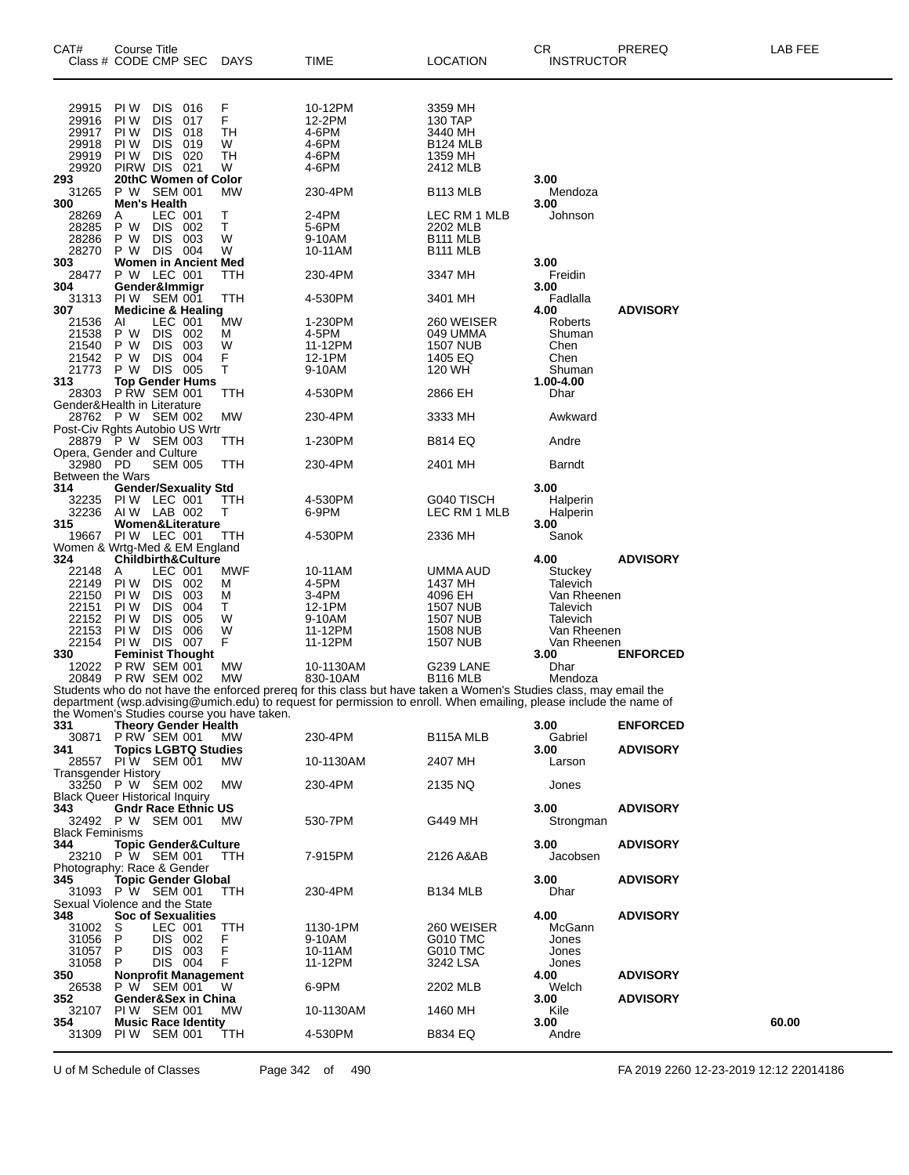| CAT#                       | <b>Course Title</b><br>Class # CODE CMP SEC        |                    | <b>DAYS</b>                                | TIME                                                                                                               | LOCATION                    | CR<br><b>INSTRUCTOR</b> | PREREQ          | LAB FEE |
|----------------------------|----------------------------------------------------|--------------------|--------------------------------------------|--------------------------------------------------------------------------------------------------------------------|-----------------------------|-------------------------|-----------------|---------|
| 29915                      | PI W<br><b>DIS</b>                                 | 016                | F<br>F                                     | 10-12PM                                                                                                            | 3359 MH                     |                         |                 |         |
| 29916                      | <b>DIS</b><br>PI W                                 | 017                |                                            | 12-2PM                                                                                                             | 130 TAP                     |                         |                 |         |
| 29917                      | PI W<br><b>DIS</b>                                 | 018                | TH                                         | 4-6PM                                                                                                              | 3440 MH                     |                         |                 |         |
| 29918<br>29919             | PI W<br><b>DIS</b><br><b>DIS</b><br>PI W           | 019<br>020         | W                                          | 4-6PM<br>4-6PM                                                                                                     | <b>B124 MLB</b>             |                         |                 |         |
| 29920                      | PIRW DIS 021                                       |                    | TН<br>W                                    | 4-6PM                                                                                                              | 1359 MH<br>2412 MLB         |                         |                 |         |
| 293                        | 20thC Women of Color                               |                    |                                            |                                                                                                                    |                             | 3.00                    |                 |         |
| 31265                      | P W SEM 001                                        |                    | МW                                         | 230-4PM                                                                                                            | B <sub>113</sub> MLB        | Mendoza                 |                 |         |
| 300                        | <b>Men's Health</b>                                |                    |                                            |                                                                                                                    |                             | 3.00                    |                 |         |
| 28269                      | A                                                  | LEC 001            | Т                                          | 2-4PM                                                                                                              | LEC RM 1 MLB                | Johnson                 |                 |         |
| 28285<br>28286             | P W<br>P W                                         | DIS 002<br>DIS 003 | T.<br>W                                    | 5-6PM<br>9-10AM                                                                                                    | 2202 MLB<br><b>B111 MLB</b> |                         |                 |         |
| 28270                      | P W DIS 004                                        |                    | W                                          | 10-11AM                                                                                                            | B <sub>111</sub> MLB        |                         |                 |         |
| 303                        | <b>Women in Ancient Med</b>                        |                    |                                            |                                                                                                                    |                             | 3.00                    |                 |         |
| 28477                      | P W LEC 001                                        |                    | TTH                                        | 230-4PM                                                                                                            | 3347 MH                     | Freidin                 |                 |         |
| 304                        | Gender&Immigr                                      |                    |                                            |                                                                                                                    |                             | 3.00                    |                 |         |
| 31313                      | PIW SEM 001                                        |                    | ттн                                        | 4-530PM                                                                                                            | 3401 MH                     | Fadlalla                | <b>ADVISORY</b> |         |
| 307<br>21536               | <b>Medicine &amp; Healing</b><br>AI                | LEC 001            | МW                                         | 1-230PM                                                                                                            | 260 WEISER                  | 4.00<br>Roberts         |                 |         |
| 21538                      | P W                                                | DIS 002            | М                                          | 4-5PM                                                                                                              | 049 UMMA                    | Shuman                  |                 |         |
| 21540                      | <b>DIS</b><br>P W                                  | 003                | W                                          | 11-12PM                                                                                                            | <b>1507 NUB</b>             | Chen                    |                 |         |
| 21542                      | P W<br>DIS.                                        | 004                | F                                          | 12-1PM                                                                                                             | 1405 EQ                     | Chen                    |                 |         |
| 21773                      | P W                                                | DIS 005            | Τ                                          | 9-10AM                                                                                                             | 120 WH                      | Shuman                  |                 |         |
| 313                        | <b>Top Gender Hums</b>                             |                    |                                            |                                                                                                                    |                             | 1.00-4.00               |                 |         |
| 28303                      | <b>P RW SEM 001</b><br>Gender&Health in Literature |                    | TTH                                        | 4-530PM                                                                                                            | 2866 EH                     | Dhar                    |                 |         |
|                            | 28762 P W SEM 002                                  |                    | МW                                         | 230-4PM                                                                                                            | 3333 MH                     | Awkward                 |                 |         |
|                            | Post-Civ Rghts Autobio US Wrtr                     |                    |                                            |                                                                                                                    |                             |                         |                 |         |
|                            | 28879 P W SEM 003                                  |                    | TTH                                        | 1-230PM                                                                                                            | <b>B814 EQ</b>              | Andre                   |                 |         |
|                            | Opera, Gender and Culture                          |                    |                                            |                                                                                                                    |                             |                         |                 |         |
| 32980 PD                   |                                                    | <b>SEM 005</b>     | TTH                                        | 230-4PM                                                                                                            | 2401 MH                     | Barndt                  |                 |         |
| Between the Wars<br>314    | <b>Gender/Sexuality Std</b>                        |                    |                                            |                                                                                                                    |                             | 3.00                    |                 |         |
| 32235                      | PIW LEC 001                                        |                    | TTH                                        | 4-530PM                                                                                                            | G040 TISCH                  | Halperin                |                 |         |
| 32236                      | AIW LAB 002                                        |                    | т                                          | 6-9PM                                                                                                              | LEC RM 1 MLB                | Halperin                |                 |         |
| 315                        | Women&Literature                                   |                    |                                            |                                                                                                                    |                             | 3.00                    |                 |         |
| 19667                      | PIW LEC 001                                        |                    | ттн                                        | 4-530PM                                                                                                            | 2336 MH                     | Sanok                   |                 |         |
|                            | Women & Wrtg-Med & EM England                      |                    |                                            |                                                                                                                    |                             |                         |                 |         |
| 324<br>22148               | <b>Childbirth&amp;Culture</b><br>A                 | LEC 001            | MWF                                        | 10-11AM                                                                                                            | UMMA AUD                    | 4.00<br>Stuckey         | <b>ADVISORY</b> |         |
| 22149                      | PI W                                               | DIS 002            | М                                          | 4-5PM                                                                                                              | 1437 MH                     | Talevich                |                 |         |
| 22150                      | PI W<br><b>DIS</b>                                 | 003                | M                                          | 3-4PM                                                                                                              | 4096 EH                     | Van Rheenen             |                 |         |
| 22151                      | PI W<br><b>DIS</b>                                 | 004                | т                                          | 12-1PM                                                                                                             | 1507 NUB                    | Talevich                |                 |         |
| 22152                      | <b>DIS</b><br>PI W                                 | 005                | W                                          | 9-10AM                                                                                                             | <b>1507 NUB</b>             | Talevich                |                 |         |
| 22153                      | <b>DIS</b><br>PI W                                 | 006                | W                                          | 11-12PM                                                                                                            | <b>1508 NUB</b>             | Van Rheenen             |                 |         |
| 22154                      | PIW DIS 007                                        |                    | F                                          | 11-12PM                                                                                                            | <b>1507 NUB</b>             | Van Rheenen             |                 |         |
| 330<br>12022               | <b>Feminist Thought</b><br>PRW SEM 001             |                    | <b>MW</b>                                  | 10-1130AM                                                                                                          | G239 LANE                   | 3.00<br>Dhar            | <b>ENFORCED</b> |         |
|                            | 20849 P RW SEM 002                                 |                    | <b>MW</b>                                  | 830-10AM                                                                                                           | B116 MLB                    | Mendoza                 |                 |         |
|                            |                                                    |                    |                                            | Students who do not have the enforced prereq for this class but have taken a Women's Studies class, may email the  |                             |                         |                 |         |
|                            |                                                    |                    |                                            | department (wsp.advising@umich.edu) to request for permission to enroll. When emailing, please include the name of |                             |                         |                 |         |
|                            |                                                    |                    | the Women's Studies course you have taken. |                                                                                                                    |                             |                         |                 |         |
| 331<br>30871               | <b>Theory Gender Health</b>                        |                    |                                            |                                                                                                                    |                             | 3.00                    | <b>ENFORCED</b> |         |
| 341                        | P RW SEM 001<br><b>Topics LGBTQ Studies</b>        |                    | МW                                         | 230-4PM                                                                                                            | B115A MLB                   | Gabriel<br>3.00         | <b>ADVISORY</b> |         |
|                            | 28557 PIW SEM 001                                  |                    | MW.                                        | 10-1130AM                                                                                                          | 2407 MH                     | Larson                  |                 |         |
| <b>Transgender History</b> |                                                    |                    |                                            |                                                                                                                    |                             |                         |                 |         |
|                            | 33250 P W SEM 002                                  |                    | МW                                         | 230-4PM                                                                                                            | 2135 NQ                     | Jones                   |                 |         |
|                            | <b>Black Queer Historical Inquiry</b>              |                    |                                            |                                                                                                                    |                             |                         |                 |         |
| 343                        | <b>Gndr Race Ethnic US</b>                         |                    |                                            |                                                                                                                    |                             | 3.00                    | <b>ADVISORY</b> |         |
| <b>Black Feminisms</b>     | 32492 P W SEM 001                                  |                    | MW.                                        | 530-7PM                                                                                                            | G449 MH                     | Strongman               |                 |         |
| 344                        | <b>Topic Gender&amp;Culture</b>                    |                    |                                            |                                                                                                                    |                             | 3.00                    | <b>ADVISORY</b> |         |
|                            | 23210 P W SEM 001                                  |                    | TTH                                        | 7-915PM                                                                                                            | 2126 A&AB                   | Jacobsen                |                 |         |
|                            | Photography: Race & Gender                         |                    |                                            |                                                                                                                    |                             |                         |                 |         |
| 345                        | <b>Topic Gender Global</b>                         |                    |                                            |                                                                                                                    |                             | 3.00                    | <b>ADVISORY</b> |         |
|                            | 31093 P W SEM 001                                  |                    | TTH                                        | 230-4PM                                                                                                            | <b>B134 MLB</b>             | Dhar                    |                 |         |
|                            | Sexual Violence and the State                      |                    |                                            |                                                                                                                    |                             |                         |                 |         |
| 348<br>31002               | <b>Soc of Sexualities</b><br>S                     | LEC 001            | TTH                                        | 1130-1PM                                                                                                           | 260 WEISER                  | 4.00<br>McGann          | <b>ADVISORY</b> |         |
| 31056                      | P                                                  | DIS 002            | F                                          | 9-10AM                                                                                                             | G010 TMC                    | Jones                   |                 |         |
| 31057                      | P                                                  | DIS 003            | $\overline{F}$                             | 10-11AM                                                                                                            | <b>G010 TMC</b>             | Jones                   |                 |         |
| 31058                      | P                                                  | DIS 004            | F                                          | 11-12PM                                                                                                            | 3242 LSA                    | Jones                   |                 |         |
| 350                        | <b>Nonprofit Management</b>                        |                    |                                            |                                                                                                                    |                             | 4.00                    | <b>ADVISORY</b> |         |
| 26538                      | P W SEM 001                                        |                    | W                                          | 6-9PM                                                                                                              | 2202 MLB                    | Welch                   |                 |         |
| 352<br>32107               | Gender&Sex in China<br>PIW SEM 001                 |                    | MW.                                        | 10-1130AM                                                                                                          | 1460 MH                     | 3.00                    | <b>ADVISORY</b> |         |
| 354                        | <b>Music Race Identity</b>                         |                    |                                            |                                                                                                                    |                             | Kile<br>3.00            |                 | 60.00   |
| 31309                      | PIW SEM 001                                        |                    | ттн                                        | 4-530PM                                                                                                            | <b>B834 EQ</b>              | Andre                   |                 |         |
|                            |                                                    |                    |                                            |                                                                                                                    |                             |                         |                 |         |

U of M Schedule of Classes Page 342 of 490 FA 2019 2260 12-23-2019 12:12 22014186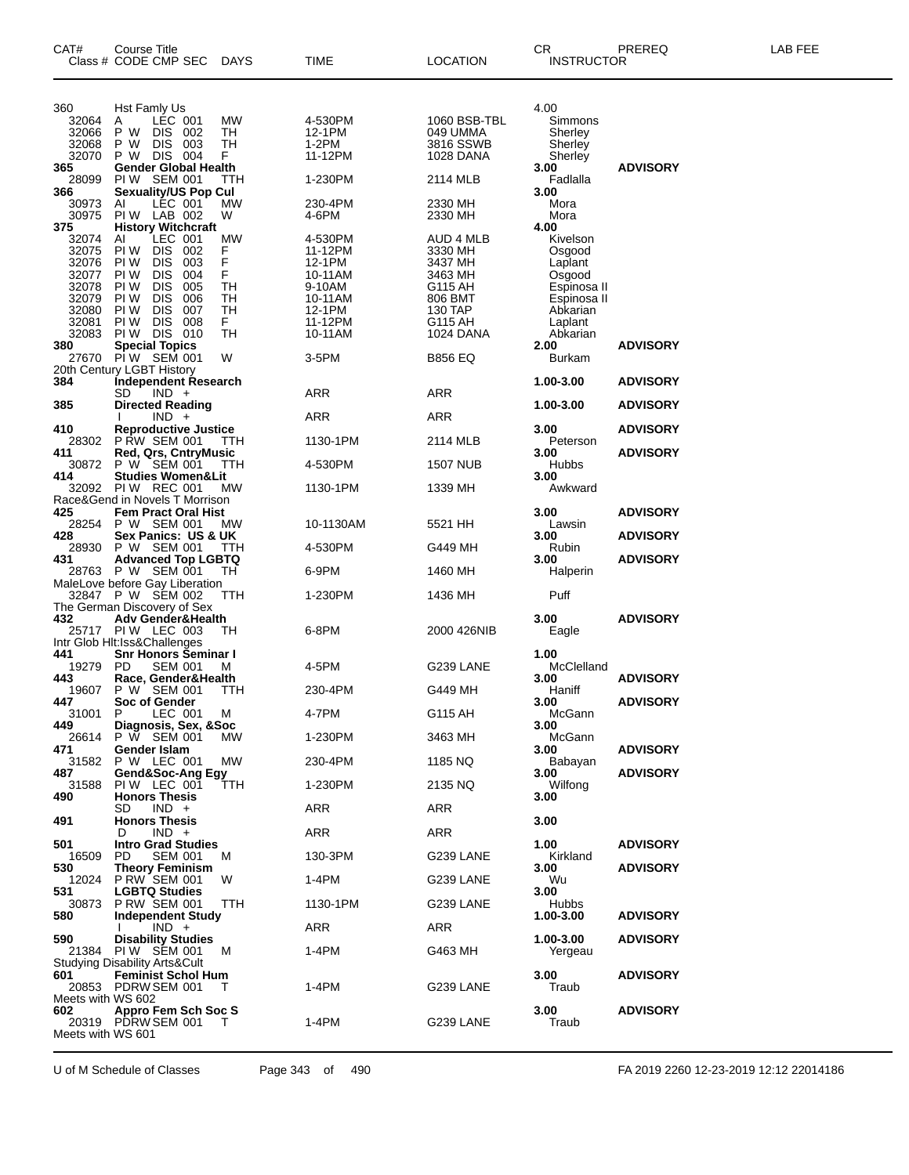| CAT#              | Course Title<br>Class # CODE CMP SEC                        | DAYS     | TIME               | <b>LOCATION</b>        | CR<br><b>INSTRUCTOR</b> | PREREQ          | LAB FEE |
|-------------------|-------------------------------------------------------------|----------|--------------------|------------------------|-------------------------|-----------------|---------|
| 360               | Hst Famly Us                                                |          |                    |                        | 4.00                    |                 |         |
| 32064             | LÉC 001<br>Α                                                | МW       | 4-530PM            | 1060 BSB-TBL           | Simmons                 |                 |         |
| 32066             | P W<br>DIS 002                                              | TН       | 12-1PM             | 049 UMMA               | Sherley                 |                 |         |
| 32068<br>32070    | P W<br><b>DIS</b><br>003<br><b>DIS</b><br>004<br>P W        | TН<br>F. | $1-2PM$<br>11-12PM | 3816 SSWB<br>1028 DANA | Sherley<br>Sherley      |                 |         |
| 365               | <b>Gender Global Health</b>                                 |          |                    |                        | 3.00                    | <b>ADVISORY</b> |         |
| 28099             | PIW SEM 001                                                 | TTH      | 1-230PM            | 2114 MLB               | Fadlalla                |                 |         |
| 366               | <b>Sexuality/US Pop Cul</b><br>LEC 001                      |          | 230-4PM            |                        | 3.00                    |                 |         |
| 30973<br>30975    | AI<br>PIW LAB 002                                           | МW<br>W  | 4-6PM              | 2330 MH<br>2330 MH     | Mora<br>Mora            |                 |         |
| 375               | <b>History Witchcraft</b>                                   |          |                    |                        | 4.00                    |                 |         |
| 32074             | Al<br>LEC 001                                               | МW       | 4-530PM            | AUD 4 MLB              | Kivelson                |                 |         |
| 32075<br>32076    | PI W<br><b>DIS</b><br>002<br>PI W<br><b>DIS</b><br>003      | F<br>F   | 11-12PM<br>12-1PM  | 3330 MH<br>3437 MH     | Osgood<br>Laplant       |                 |         |
| 32077             | PI W<br><b>DIS</b><br>004                                   | F        | 10-11AM            | 3463 MH                | Osgood                  |                 |         |
| 32078             | <b>DIS</b><br>PI W<br>005                                   | TН       | 9-10AM             | G115 AH                | Espinosa II             |                 |         |
| 32079             | PI W<br><b>DIS</b><br>006                                   | TН       | 10-11AM            | 806 BMT                | Espinosa II             |                 |         |
| 32080             | PI W<br><b>DIS</b><br>007                                   | TН       | 12-1PM             | 130 TAP                | Abkarian                |                 |         |
| 32081<br>32083    | <b>DIS</b><br>008<br>PI W<br><b>PIW DIS 010</b>             | F.<br>TН | 11-12PM<br>10-11AM | G115 AH<br>1024 DANA   | Laplant<br>Abkarian     |                 |         |
| 380               | <b>Special Topics</b>                                       |          |                    |                        | 2.00                    | <b>ADVISORY</b> |         |
| 27670             | PIW SEM 001                                                 | W        | 3-5PM              | <b>B856 EQ</b>         | Burkam                  |                 |         |
|                   | 20th Century LGBT History                                   |          |                    |                        |                         |                 |         |
| 384               | <b>Independent Research</b><br>SD<br>$IND +$                |          | ARR                | ARR                    | 1.00-3.00               | <b>ADVISORY</b> |         |
| 385               | <b>Directed Reading</b><br>$IND +$                          |          | ARR                | ARR                    | 1.00-3.00               | <b>ADVISORY</b> |         |
| 410<br>28302      | <b>Reproductive Justice</b><br>P RW SEM 001                 | TTH      | 1130-1PM           | 2114 MLB               | 3.00<br>Peterson        | <b>ADVISORY</b> |         |
| 411               | Red, Qrs, CntryMusic                                        |          |                    |                        | 3.00                    | <b>ADVISORY</b> |         |
| 30872             | P W SEM 001                                                 | TTH      | 4-530PM            | 1507 NUB               | Hubbs                   |                 |         |
| 414               | <b>Studies Women&amp;Lit</b><br>32092 PIW REC 001           | МW       | 1130-1PM           | 1339 MH                | 3.00<br>Awkward         |                 |         |
|                   | Race&Gend in Novels T Morrison                              |          |                    |                        |                         |                 |         |
| 425               | <b>Fem Pract Oral Hist</b>                                  |          |                    |                        | 3.00                    | <b>ADVISORY</b> |         |
| 28254<br>428      | P W SEM 001<br>Sex Panics:  US & UK                         | МW       | 10-1130AM          | 5521 HH                | Lawsin<br>3.00          | <b>ADVISORY</b> |         |
| 28930             | P W SEM 001                                                 | TTH      | 4-530PM            | G449 MH                | Rubin                   |                 |         |
| 431               | <b>Advanced Top LGBTQ</b><br>28763 P W SEM 001              | TН       | 6-9PM              | 1460 MH                | 3.00<br>Halperin        | <b>ADVISORY</b> |         |
|                   | MaleLove before Gay Liberation<br>32847 P W SEM 002         | TTH      | 1-230PM            | 1436 MH                | Puff                    |                 |         |
| 432               | The German Discovery of Sex<br><b>Adv Gender&amp;Health</b> |          |                    |                        | 3.00                    | <b>ADVISORY</b> |         |
|                   | 25717 PIW LEC 003                                           | ТH       | 6-8PM              | 2000 426NIB            | Eagle                   |                 |         |
|                   | Intr Glob Hlt:Iss&Challenges                                |          |                    |                        |                         |                 |         |
| 441               | <b>Snr Honors Šeminar I</b><br>PD.<br><b>SEM 001</b>        |          | 4-5PM              | G239 LANE              | 1.00<br>McClelland      |                 |         |
| 19279<br>443      | Race, Gender&Health                                         | М        |                    |                        | 3.00                    | <b>ADVISORY</b> |         |
| 19607             | P W SEM 001                                                 | TTH      | 230-4PM            | G449 MH                | Haniff                  |                 |         |
| 447               | Soc of Gender                                               |          |                    |                        | 3.00                    | <b>ADVISORY</b> |         |
| 31001<br>449      | LEC 001<br>P<br>Diagnosis, Sex, &Soc                        | м        | 4-7PM              | G115 AH                | McGann<br>3.00          |                 |         |
| 26614             | P W SEM 001                                                 | МW       | 1-230PM            | 3463 MH                | McGann                  |                 |         |
| 471               | Gender Islam                                                |          |                    |                        | 3.00                    | <b>ADVISORY</b> |         |
| 31582<br>487      | P W LEC 001<br>Gend&Soc-Ang Egy                             | МW       | 230-4PM            | 1185 NQ                | Babayan<br>3.00         | <b>ADVISORY</b> |         |
| 31588             | PIW LEC 001                                                 | TTH      | 1-230PM            | 2135 NQ                | Wilfong                 |                 |         |
| 490               | <b>Honors Thesis</b>                                        |          |                    |                        | 3.00                    |                 |         |
|                   | SD<br>$IND +$<br><b>Honors Thesis</b>                       |          | ARR                | ARR                    |                         |                 |         |
| 491               | $IND +$<br>D                                                |          | ARR                | ARR                    | 3.00                    |                 |         |
| 501               | <b>Intro Grad Studies</b>                                   |          |                    |                        | 1.00                    | <b>ADVISORY</b> |         |
| 16509             | <b>SEM 001</b><br>PD.                                       | м        | 130-3PM            | G239 LANE              | Kirkland                |                 |         |
| 530<br>12024      | <b>Theory Feminism</b><br>P RW SEM 001                      | W        | 1-4PM              | G239 LANE              | 3.00<br>Wu              | <b>ADVISORY</b> |         |
| 531               | <b>LGBTQ Studies</b>                                        |          |                    |                        | 3.00                    |                 |         |
| 30873             | <b>P RW SEM 001</b>                                         | TTH      | 1130-1PM           | G239 LANE              | Hubbs                   |                 |         |
| 580               | <b>Independent Study</b>                                    |          |                    |                        | 1.00-3.00               | <b>ADVISORY</b> |         |
| 590               | $IND +$<br><b>Disability Studies</b>                        |          | ARR                | ARR                    | 1.00-3.00               | <b>ADVISORY</b> |         |
| 21384             | PIW SEM 001                                                 | M        | 1-4PM              | G463 MH                | Yergeau                 |                 |         |
|                   | <b>Studying Disability Arts&amp;Cult</b>                    |          |                    |                        |                         |                 |         |
| 601               | <b>Feminist Schol Hum</b><br>20853 PDRW SEM 001             | T        | 1-4PM              | G239 LANE              | 3.00<br>Traub           | <b>ADVISORY</b> |         |
| Meets with WS 602 |                                                             |          |                    |                        |                         |                 |         |
| 602               | Appro Fem Sch Soc S                                         |          |                    |                        | 3.00                    | <b>ADVISORY</b> |         |
| Meets with WS 601 | 20319 PDRW SEM 001                                          | т        | 1-4PM              | G239 LANE              | Traub                   |                 |         |
|                   |                                                             |          |                    |                        |                         |                 |         |

U of M Schedule of Classes Page 343 of 490 FA 2019 2260 12-23-2019 12:12 22014186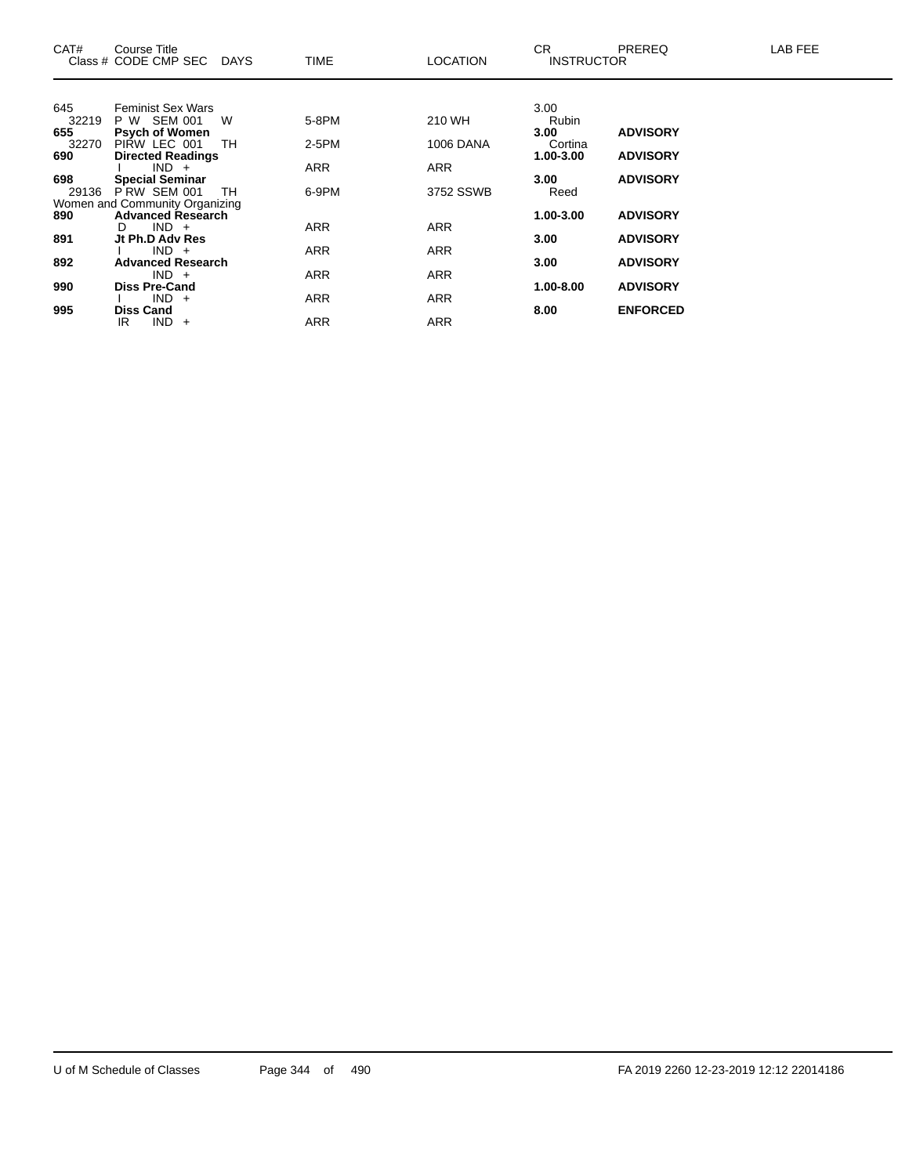| CAT#         | Course Title<br>Class # CODE CMP SEC DAYS                  |     | TIME       | LOCATION         | CR.<br><b>INSTRUCTOR</b> | <b>PREREQ</b>   | LAB FEE |
|--------------|------------------------------------------------------------|-----|------------|------------------|--------------------------|-----------------|---------|
|              |                                                            |     |            |                  |                          |                 |         |
| 645          | <b>Feminist Sex Wars</b>                                   |     |            |                  | 3.00                     |                 |         |
| 32219<br>655 | P W SEM 001<br><b>Psych of Women</b>                       | W   | 5-8PM      | 210 WH           | Rubin<br>3.00            | <b>ADVISORY</b> |         |
| 32270        | PIRW LEC 001                                               | TH. | 2-5PM      | <b>1006 DANA</b> | Cortina                  |                 |         |
| 690          | <b>Directed Readings</b>                                   |     |            |                  | 1.00-3.00                | <b>ADVISORY</b> |         |
|              | $IND +$                                                    |     | ARR        | <b>ARR</b>       |                          |                 |         |
| 698          | <b>Special Seminar</b>                                     |     |            |                  | 3.00                     | <b>ADVISORY</b> |         |
| 29136        | PRW SEM 001                                                | TH  | 6-9PM      | 3752 SSWB        | Reed                     |                 |         |
| 890          | Women and Community Organizing<br><b>Advanced Research</b> |     |            |                  | 1.00-3.00                | <b>ADVISORY</b> |         |
|              | $IND +$<br>D                                               |     | <b>ARR</b> | <b>ARR</b>       |                          |                 |         |
| 891          | Jt Ph.D Adv Res                                            |     |            |                  | 3.00                     | <b>ADVISORY</b> |         |
|              | $IND +$                                                    |     | ARR        | <b>ARR</b>       |                          |                 |         |
| 892          | <b>Advanced Research</b>                                   |     |            |                  | 3.00                     | <b>ADVISORY</b> |         |
|              | $IND +$                                                    |     | ARR        | <b>ARR</b>       |                          |                 |         |
| 990          | <b>Diss Pre-Cand</b><br>$IND +$                            |     |            |                  | 1.00-8.00                | <b>ADVISORY</b> |         |
| 995          | <b>Diss Cand</b>                                           |     | ARR        | <b>ARR</b>       | 8.00                     | <b>ENFORCED</b> |         |
|              | $IND +$<br>IR.                                             |     | <b>ARR</b> | <b>ARR</b>       |                          |                 |         |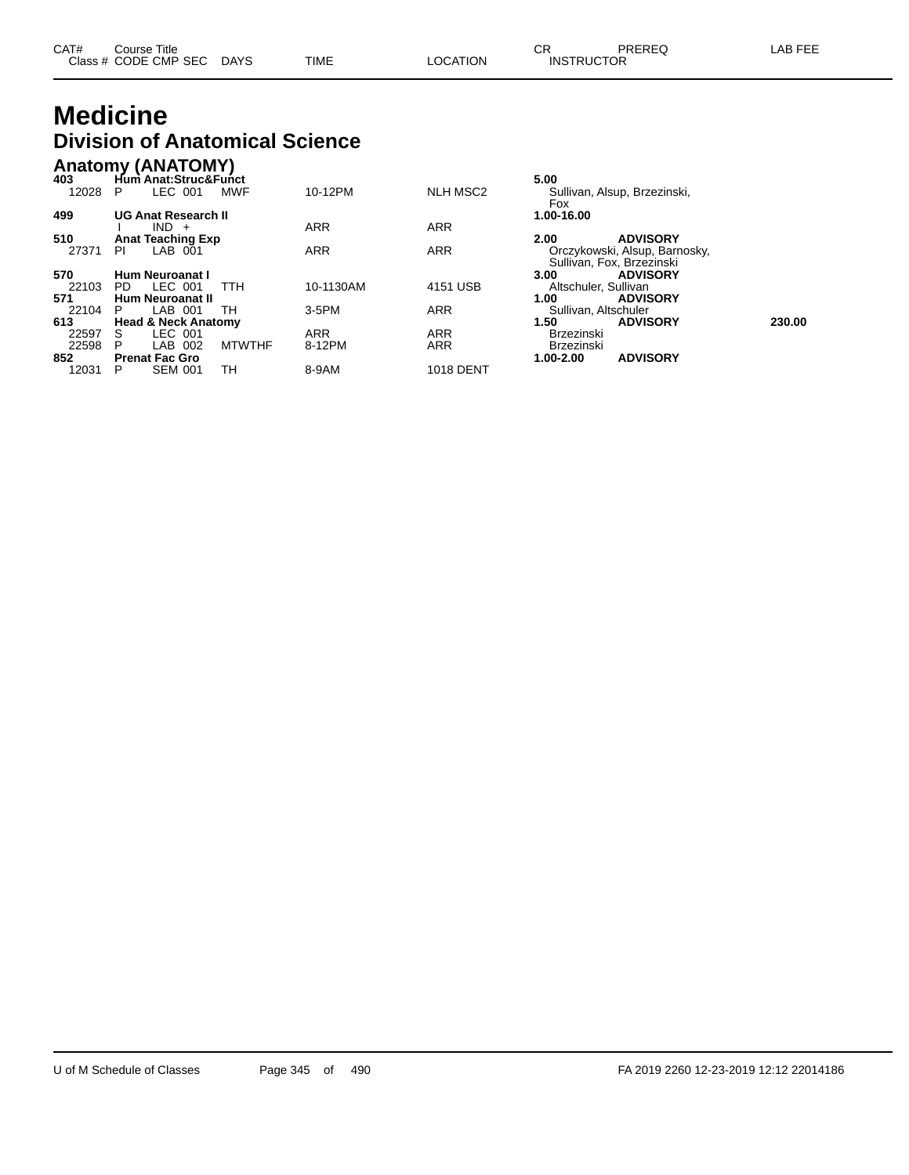| CAT# | Course Title              |             |                 | ◠г<br>◡⊓          | PREREQ | LAB FEE |
|------|---------------------------|-------------|-----------------|-------------------|--------|---------|
|      | Class # CODE CMP SEC DAYS | <b>TIME</b> | <b>LOCATION</b> | <b>INSTRUCTOR</b> |        |         |

## **Medicine Division of Anatomical Science**

|              | <b>Anatomy (ANATOMY)</b>                        |               |            |                 |                                                    |                               |        |
|--------------|-------------------------------------------------|---------------|------------|-----------------|----------------------------------------------------|-------------------------------|--------|
| 403<br>12028 | <b>Hum Anat:Struc&amp;Funct</b><br>LEC 001<br>P | <b>MWF</b>    | 10-12PM    | <b>NLH MSC2</b> | 5.00<br>Sullivan, Alsup, Brzezinski,<br><b>Fox</b> |                               |        |
| 499          | <b>UG Anat Research II</b>                      |               |            |                 | 1.00-16.00                                         |                               |        |
|              | $IND +$                                         |               | <b>ARR</b> | <b>ARR</b>      |                                                    |                               |        |
| 510          | <b>Anat Teaching Exp</b>                        |               |            |                 | 2.00                                               | <b>ADVISORY</b>               |        |
| 27371        | LAB 001<br>PI                                   |               | <b>ARR</b> | <b>ARR</b>      | Sullivan, Fox, Brzezinski                          | Orczykowski, Alsup, Barnosky, |        |
| 570          | Hum Neuroanat I                                 |               |            |                 | 3.00                                               | <b>ADVISORY</b>               |        |
| 22103        | LEC 001<br>PD.                                  | TTH           | 10-1130AM  | 4151 USB        | Altschuler, Sullivan                               |                               |        |
| 571          | <b>Hum Neuroanat II</b>                         |               |            |                 | 1.00                                               | <b>ADVISORY</b>               |        |
| 22104        | LAB 001<br>P                                    | тн            | 3-5PM      | <b>ARR</b>      | Sullivan, Altschuler                               |                               |        |
| 613          | <b>Head &amp; Neck Anatomy</b>                  |               |            |                 | 1.50                                               | <b>ADVISORY</b>               | 230.00 |
| 22597        | LEC 001<br>S                                    |               | <b>ARR</b> | <b>ARR</b>      | <b>Brzezinski</b>                                  |                               |        |
| 22598        | LAB<br>P<br>002                                 | <b>MTWTHF</b> | 8-12PM     | <b>ARR</b>      | <b>Brzezinski</b>                                  |                               |        |
| 852          | <b>Prenat Fac Gro</b>                           |               |            |                 | $1.00 - 2.00$                                      | <b>ADVISORY</b>               |        |
| 12031        | <b>SEM 001</b><br>P                             | тн            | 8-9AM      | 1018 DENT       |                                                    |                               |        |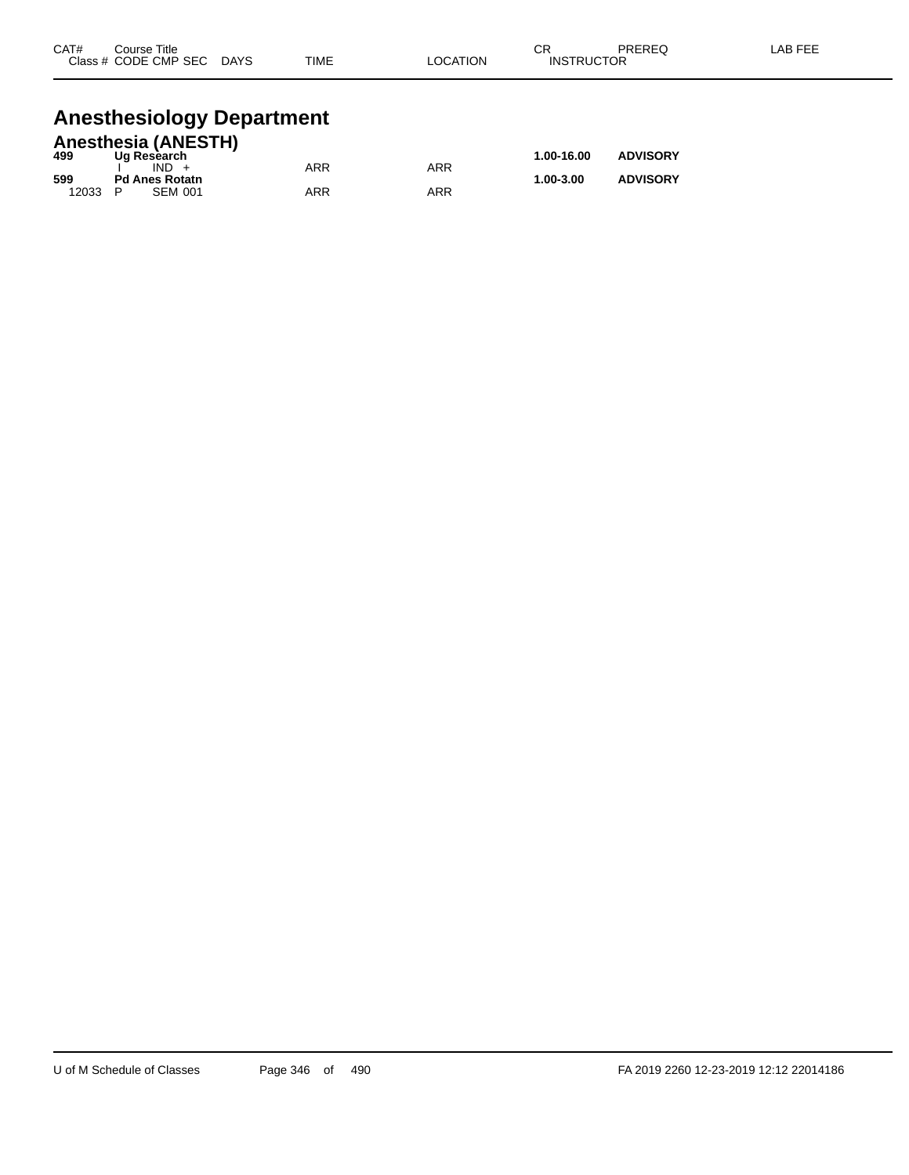| CAT# | Course Title<br>Class # CODE CMP SEC | <b>DAYS</b> | TIME | ∟OCATION | СR<br><b>INSTRUCTOR</b> | <b>PREREQ</b> | LAB FEE |
|------|--------------------------------------|-------------|------|----------|-------------------------|---------------|---------|
|      |                                      |             |      |          |                         |               |         |

# **Anesthesiology Department**

|       | <b>Anesthesia (ANESTH)</b> |     |     |            |                 |  |  |  |  |  |  |
|-------|----------------------------|-----|-----|------------|-----------------|--|--|--|--|--|--|
| 499   | Ug Research                |     |     | 1.00-16.00 | <b>ADVISORY</b> |  |  |  |  |  |  |
|       | $IND +$                    | ARR | ARR |            |                 |  |  |  |  |  |  |
| 599   | <b>Pd Anes Rotatn</b>      |     |     | 1.00-3.00  | <b>ADVISORY</b> |  |  |  |  |  |  |
| 12033 | <b>SEM 001</b><br>P        | ARR | ARR |            |                 |  |  |  |  |  |  |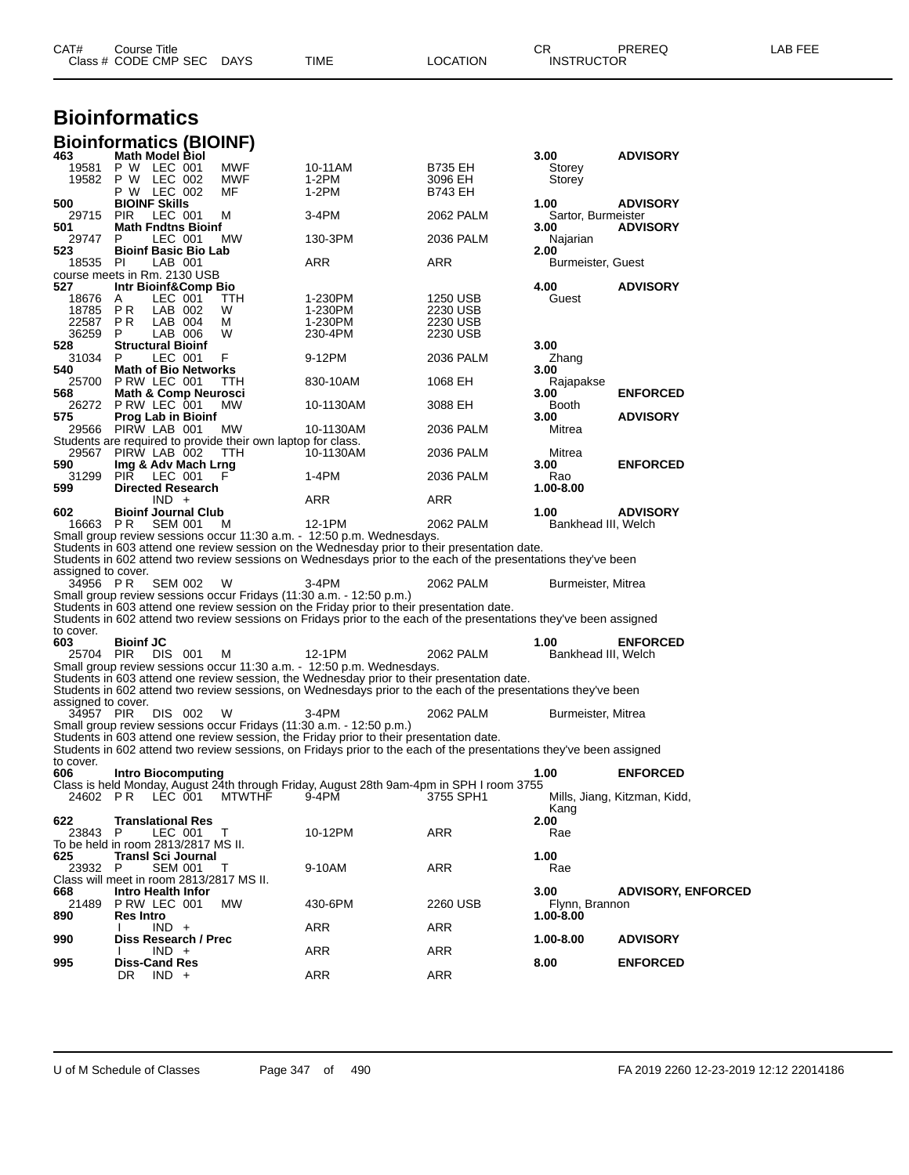| CAT# | Title<br>Course      |      |      |          | Ωn<br>◡∩          | PREREQ | . EEF<br>AR. |
|------|----------------------|------|------|----------|-------------------|--------|--------------|
|      | Class # CODE CMP SEC | DAYS | TIME | LOCATION | <b>INSTRUCTOR</b> |        |              |

#### **Bioinformatics Bioinformatics (BIOINF)**

| 463                | <b>Math Model Biol</b>                                                                                              |            |                | 3.00                | <b>ADVISORY</b>              |
|--------------------|---------------------------------------------------------------------------------------------------------------------|------------|----------------|---------------------|------------------------------|
| 19581              | P W LEC 001<br>MWF                                                                                                  | 10-11AM    | B735 EH        | Storey              |                              |
| 19582              | P W LEC 002<br><b>MWF</b>                                                                                           | 1-2PM      | 3096 EH        | Storey              |                              |
|                    | P W LEC 002<br>MF                                                                                                   | $1-2PM$    | <b>B743 EH</b> |                     |                              |
| 500                | <b>BIOINF Skills</b>                                                                                                |            |                | 1.00                | <b>ADVISORY</b>              |
| 29715              | <b>PIR</b><br>LEC 001<br>м                                                                                          | 3-4PM      | 2062 PALM      | Sartor, Burmeister  |                              |
| 501                | <b>Math Fndtns Bioinf</b>                                                                                           |            |                | 3.00                | <b>ADVISORY</b>              |
| 29747              | LEC 001<br><b>MW</b><br>P                                                                                           | 130-3PM    | 2036 PALM      | Najarian            |                              |
| 523                | <b>Bioinf Basic Bio Lab</b>                                                                                         |            |                | 2.00                |                              |
| 18535 PI           | LAB 001                                                                                                             | <b>ARR</b> | ARR            | Burmeister, Guest   |                              |
|                    | course meets in Rm. 2130 USB                                                                                        |            |                |                     |                              |
| 527                | Intr Bioinf&Comp Bio                                                                                                |            |                | 4.00                | <b>ADVISORY</b>              |
| 18676              | Α<br>LEC 001<br><b>TTH</b>                                                                                          | 1-230PM    | 1250 USB       | Guest               |                              |
| 18785              | LAB 002<br>P R<br>W                                                                                                 | 1-230PM    | 2230 USB       |                     |                              |
| 22587              | PR.<br>LAB 004<br>м                                                                                                 | 1-230PM    | 2230 USB       |                     |                              |
| 36259              | P<br>LAB 006<br>W                                                                                                   | 230-4PM    | 2230 USB       |                     |                              |
| 528                | <b>Structural Bioinf</b>                                                                                            |            |                | 3.00                |                              |
| 31034              | LEC 001<br>F<br>P                                                                                                   | 9-12PM     | 2036 PALM      | Zhang               |                              |
| 540                | <b>Math of Bio Networks</b>                                                                                         |            |                | 3.00                |                              |
| 25700              | PRW LEC 001<br>TTH                                                                                                  | 830-10AM   | 1068 EH        | Rajapakse           |                              |
| 568                | <b>Math &amp; Comp Neurosci</b>                                                                                     |            |                | 3.00                | <b>ENFORCED</b>              |
|                    | 26272 PRW LEC 001<br>MW                                                                                             | 10-1130AM  | 3088 EH        | Booth               |                              |
| 575                | <b>Prog Lab in Bioinf</b>                                                                                           |            |                | 3.00                | <b>ADVISORY</b>              |
|                    | 29566 PIRW LAB 001<br><b>MW</b>                                                                                     | 10-1130AM  | 2036 PALM      | Mitrea              |                              |
|                    | Students are required to provide their own laptop for class.<br>29567 PIRW LAB 002                                  |            |                |                     |                              |
|                    | TTH                                                                                                                 | 10-1130AM  | 2036 PALM      | Mitrea              |                              |
| 590                | Img & Adv Mach Lrng                                                                                                 |            |                | 3.00                | <b>ENFORCED</b>              |
| 31299              | <b>PIR</b><br>LEC 001<br>F                                                                                          | 1-4PM      | 2036 PALM      | Rao                 |                              |
| 599                | <b>Directed Research</b>                                                                                            |            |                | 1.00-8.00           |                              |
| 602                | $IND +$                                                                                                             | ARR        | ARR            | 1.00                |                              |
| 16663 PR           | <b>Bioinf Journal Club</b><br><b>SEM 001</b><br>м                                                                   | 12-1PM     | 2062 PALM      | Bankhead III, Welch | <b>ADVISORY</b>              |
|                    | Small group review sessions occur 11:30 a.m. - 12:50 p.m. Wednesdays.                                               |            |                |                     |                              |
|                    | Students in 603 attend one review session on the Wednesday prior to their presentation date.                        |            |                |                     |                              |
|                    | Students in 602 attend two review sessions on Wednesdays prior to the each of the presentations they've been        |            |                |                     |                              |
| assigned to cover. |                                                                                                                     |            |                |                     |                              |
| 34956 PR           | <b>SEM 002</b><br>W                                                                                                 | $3-4PM$    | 2062 PALM      | Burmeister, Mitrea  |                              |
|                    | Small group review sessions occur Fridays (11:30 a.m. - 12:50 p.m.)                                                 |            |                |                     |                              |
|                    | Students in 603 attend one review session on the Friday prior to their presentation date.                           |            |                |                     |                              |
|                    | Students in 602 attend two review sessions on Fridays prior to the each of the presentations they've been assigned  |            |                |                     |                              |
| to cover.          |                                                                                                                     |            |                |                     |                              |
| 603                | <b>Bioinf JC</b>                                                                                                    |            |                | 1.00                | <b>ENFORCED</b>              |
| 25704 PIR          | DIS 001<br>м                                                                                                        | 12-1PM     | 2062 PALM      | Bankhead III, Welch |                              |
|                    | Small group review sessions occur 11:30 a.m. - 12:50 p.m. Wednesdays.                                               |            |                |                     |                              |
|                    | Students in 603 attend one review session, the Wednesday prior to their presentation date.                          |            |                |                     |                              |
|                    | Students in 602 attend two review sessions, on Wednesdays prior to the each of the presentations they've been       |            |                |                     |                              |
| assigned to cover. |                                                                                                                     |            |                |                     |                              |
| 34957 PIR          | DIS 002<br>W                                                                                                        | $3-4PM$    | 2062 PALM      | Burmeister, Mitrea  |                              |
|                    | Small group review sessions occur Fridays (11:30 a.m. - 12:50 p.m.)                                                 |            |                |                     |                              |
|                    | Students in 603 attend one review session, the Friday prior to their presentation date.                             |            |                |                     |                              |
|                    | Students in 602 attend two review sessions, on Fridays prior to the each of the presentations they've been assigned |            |                |                     |                              |
| to cover.          |                                                                                                                     |            |                |                     |                              |
| 606                | Intro Biocomputing                                                                                                  |            |                | 1.00                | <b>ENFORCED</b>              |
|                    | Class is held Monday, August 24th through Friday, August 28th 9am-4pm in SPH I room 3755                            |            |                |                     |                              |
| 24602 PR           | LEC 001<br>MTWTHF                                                                                                   | 9-4PM      | 3755 SPH1      |                     | Mills, Jiang, Kitzman, Kidd, |
|                    |                                                                                                                     |            |                | Kang                |                              |
| 622                | Translational Res                                                                                                   |            |                | 2.00                |                              |
| 23843              | P<br>LEC 001<br>T                                                                                                   | 10-12PM    | ARR            | Rae                 |                              |
|                    | To be held in room 2813/2817 MS II.                                                                                 |            |                |                     |                              |
| 625                | <b>Transl Sci Journal</b>                                                                                           |            |                | 1.00                |                              |
| 23932              | <b>SEM 001</b><br>т                                                                                                 | 9-10AM     | ARR            | Rae                 |                              |
|                    | Class will meet in room 2813/2817 MS II.                                                                            |            |                |                     |                              |
| 668                | Intro Health Infor                                                                                                  |            |                | 3.00                | <b>ADVISORY, ENFORCED</b>    |
| 21489              | PRW LEC 001<br>MW                                                                                                   | 430-6PM    | 2260 USB       | Flynn, Brannon      |                              |
| 890                | <b>Res Intro</b>                                                                                                    |            |                | $1.00 - 8.00$       |                              |
|                    | $IND +$                                                                                                             | ARR        | ARR            |                     |                              |
| 990                | Diss Research / Prec                                                                                                |            |                | 1.00-8.00           | <b>ADVISORY</b>              |
|                    | $IND +$                                                                                                             | ARR        | <b>ARR</b>     |                     |                              |
| 995                | <b>Diss-Cand Res</b><br>DR<br>$IND +$                                                                               | ARR        | ARR            | 8.00                | <b>ENFORCED</b>              |
|                    |                                                                                                                     |            |                |                     |                              |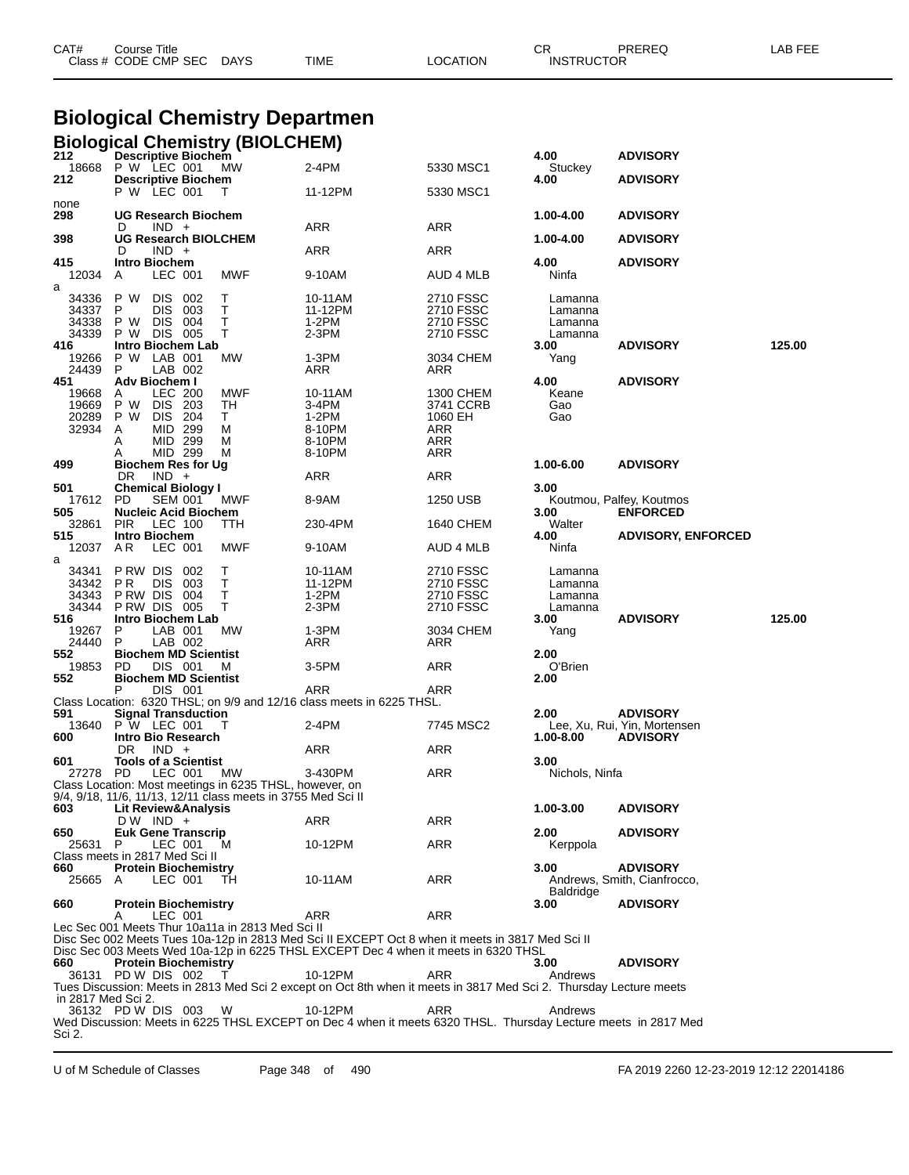|                                                  | <b>Biological Chemistry Departmen</b>                                                                                                    |                                |                                                                                                                                                                                         |                                                               |                                                          |                                                 |        |  |  |  |  |
|--------------------------------------------------|------------------------------------------------------------------------------------------------------------------------------------------|--------------------------------|-----------------------------------------------------------------------------------------------------------------------------------------------------------------------------------------|---------------------------------------------------------------|----------------------------------------------------------|-------------------------------------------------|--------|--|--|--|--|
|                                                  | <b>Biological Chemistry (BIOLCHEM)</b>                                                                                                   |                                |                                                                                                                                                                                         |                                                               |                                                          |                                                 |        |  |  |  |  |
| 212<br>18668                                     | <b>Descriptive Biochem</b><br>P W LEC 001                                                                                                | MW                             | 2-4PM                                                                                                                                                                                   | 5330 MSC1                                                     | 4.00<br>Stuckey                                          | <b>ADVISORY</b>                                 |        |  |  |  |  |
| 212                                              | <b>Descriptive Biochem</b><br>P W LEC 001                                                                                                | Т                              | 11-12PM                                                                                                                                                                                 | 5330 MSC1                                                     | 4.00                                                     | <b>ADVISORY</b>                                 |        |  |  |  |  |
| none<br>298                                      | <b>UG Research Biochem</b>                                                                                                               |                                |                                                                                                                                                                                         |                                                               | 1.00-4.00                                                | <b>ADVISORY</b>                                 |        |  |  |  |  |
| 398                                              | D<br>$IND +$<br><b>UG Research BIOLCHEM</b>                                                                                              |                                | ARR                                                                                                                                                                                     | ARR                                                           | 1.00-4.00                                                | <b>ADVISORY</b>                                 |        |  |  |  |  |
| 415                                              | $IND +$<br>D<br><b>Intro Biochem</b>                                                                                                     |                                | ARR                                                                                                                                                                                     | ARR                                                           | 4.00                                                     | <b>ADVISORY</b>                                 |        |  |  |  |  |
| 12034<br>a                                       | A<br>LEC 001                                                                                                                             | MWF                            | 9-10AM                                                                                                                                                                                  | AUD 4 MLB                                                     | Ninfa                                                    |                                                 |        |  |  |  |  |
| 34336<br>34337<br>34338<br>34339                 | P W<br><b>DIS</b><br>002<br>P<br><b>DIS</b><br>003<br>P W<br><b>DIS</b><br>004<br>DIS 005<br>P W                                         | т<br>т<br>Т<br>т               | 10-11AM<br>11-12PM<br>$1-2PM$<br>2-3PM                                                                                                                                                  | 2710 FSSC<br>2710 FSSC<br>2710 FSSC<br>2710 FSSC              | Lamanna<br>Lamanna<br>Lamanna<br>Lamanna                 |                                                 |        |  |  |  |  |
| 416<br>19266<br>24439                            | Intro Biochem Lab<br>LAB 001<br>P W<br>LAB 002<br>P                                                                                      | МW                             | 1-3PM<br>ARR                                                                                                                                                                            | 3034 CHEM<br>ARR                                              | 3.00<br>Yang                                             | <b>ADVISORY</b>                                 | 125.00 |  |  |  |  |
| 451<br>19668<br>19669<br>20289<br>32934          | Adv Biochem I<br><b>LEC 200</b><br>A<br>P W<br><b>DIS</b><br>- 203<br>P W<br>DIS.<br>204<br>MID 299<br>A<br>MID 299<br>Α<br>MID 299<br>A | MWF<br>TН<br>T.<br>М<br>M<br>M | 10-11AM<br>3-4PM<br>1-2PM<br>8-10PM<br>8-10PM<br>8-10PM                                                                                                                                 | 1300 CHEM<br>3741 CCRB<br>1060 EH<br>ARR<br>ARR<br>ARR        | 4.00<br>Keane<br>Gao<br>Gao                              | <b>ADVISORY</b>                                 |        |  |  |  |  |
| 499                                              | Biochem Res for Ug<br>DR.<br>$IND +$                                                                                                     |                                | ARR                                                                                                                                                                                     | ARR                                                           | 1.00-6.00                                                | <b>ADVISORY</b>                                 |        |  |  |  |  |
| 501<br>17612<br>505                              | <b>Chemical Biology I</b><br><b>PD</b><br><b>SEM 001</b><br><b>Nucleic Acid Biochem</b>                                                  | MWF                            | 8-9AM                                                                                                                                                                                   | 1250 USB                                                      | 3.00<br>3.00                                             | Koutmou, Palfey, Koutmos<br><b>ENFORCED</b>     |        |  |  |  |  |
| 32861<br>515                                     | <b>PIR</b><br>LEC 100<br><b>Intro Biochem</b>                                                                                            | TTH                            | 230-4PM                                                                                                                                                                                 | 1640 CHEM                                                     | Walter<br>4.00                                           | <b>ADVISORY, ENFORCED</b>                       |        |  |  |  |  |
| 12037<br>a                                       | A R<br>LEC 001                                                                                                                           | MWF                            | 9-10AM                                                                                                                                                                                  | AUD 4 MLB                                                     | Ninfa                                                    |                                                 |        |  |  |  |  |
| 34341<br>34342<br>34343<br>34344<br>516<br>19267 | P RW DIS<br>002<br>P R<br><b>DIS</b><br>003<br>P RW DIS<br>004<br>PRW DIS 005<br>Intro Biochem Lab<br>LAB 001<br>P                       | т<br>Т<br>Т<br>т<br>MW         | 10-11AM<br>11-12PM<br>$1-2PM$<br>$2-3PM$<br>1-3PM                                                                                                                                       | 2710 FSSC<br>2710 FSSC<br>2710 FSSC<br>2710 FSSC<br>3034 CHEM | Lamanna<br>Lamanna<br>Lamanna<br>Lamanna<br>3.00<br>Yang | <b>ADVISORY</b>                                 | 125.00 |  |  |  |  |
| 24440<br>552                                     | LAB 002<br>P.<br><b>Biochem MD Scientist</b>                                                                                             |                                | ARR                                                                                                                                                                                     | ARR                                                           | 2.00                                                     |                                                 |        |  |  |  |  |
| 19853<br>552                                     | PD.<br>DIS 001<br><b>Biochem MD Scientist</b>                                                                                            | м                              | 3-5PM                                                                                                                                                                                   | ARR                                                           | O'Brien<br>2.00                                          |                                                 |        |  |  |  |  |
| 591                                              | Р<br>DIS 001<br><b>Signal Transduction</b>                                                                                               |                                | ARR<br>Class Location: 6320 THSL; on 9/9 and 12/16 class meets in 6225 THSL.                                                                                                            | ARR                                                           | 2.00                                                     | <b>ADVISORY</b>                                 |        |  |  |  |  |
| 13640<br>600                                     | P W LEC 001<br>Intro Bio Research                                                                                                        | Т                              | 2-4PM                                                                                                                                                                                   | 7745 MSC2                                                     | 1.00-8.00                                                | Lee, Xu, Rui, Yin, Mortensen<br><b>ADVISORY</b> |        |  |  |  |  |
| 601                                              | $IND +$<br>DR.<br><b>Tools of a Scientist</b><br>27278 PD LEC 001 MW<br>Class Location: Most meetings in 6235 THSL, however, on          |                                | ARR<br>3-430PM                                                                                                                                                                          | ARR<br>ARR                                                    | 3.00<br>Nichols, Ninfa                                   |                                                 |        |  |  |  |  |
| 603                                              | 9/4, 9/18, 11/6, 11/13, 12/11 class meets in 3755 Med Sci II<br>Lit Review&Analysis                                                      |                                |                                                                                                                                                                                         |                                                               | 1.00-3.00                                                | <b>ADVISORY</b>                                 |        |  |  |  |  |
| 650                                              | $DW$ IND $+$<br><b>Euk Gene Transcrip</b>                                                                                                |                                | ARR                                                                                                                                                                                     | ARR                                                           | 2.00                                                     | <b>ADVISORY</b>                                 |        |  |  |  |  |
| 25631                                            | P<br>LEC 001<br>Class meets in 2817 Med Sci II                                                                                           | м                              | 10-12PM                                                                                                                                                                                 | ARR                                                           | Kerppola                                                 |                                                 |        |  |  |  |  |
| 660<br>25665 A                                   | <b>Protein Biochemistry</b><br>LEC 001                                                                                                   | TH                             | 10-11AM                                                                                                                                                                                 | ARR                                                           | 3.00<br><b>Baldridge</b>                                 | <b>ADVISORY</b><br>Andrews, Smith, Cianfrocco,  |        |  |  |  |  |
| 660                                              | <b>Protein Biochemistry</b><br>LEC 001<br>A                                                                                              |                                | ARR                                                                                                                                                                                     | ARR                                                           | 3.00                                                     | <b>ADVISORY</b>                                 |        |  |  |  |  |
|                                                  | Lec Sec 001 Meets Thur 10a11a in 2813 Med Sci II                                                                                         |                                | Disc Sec 002 Meets Tues 10a-12p in 2813 Med Sci II EXCEPT Oct 8 when it meets in 3817 Med Sci II<br>Disc Sec 003 Meets Wed 10a-12p in 6225 THSL EXCEPT Dec 4 when it meets in 6320 THSL |                                                               |                                                          |                                                 |        |  |  |  |  |
| 660<br>36131                                     | <b>Protein Biochemistry</b><br>PD W DIS 002                                                                                              |                                | 10-12PM<br>Tues Discussion: Meets in 2813 Med Sci 2 except on Oct 8th when it meets in 3817 Med Sci 2. Thursday Lecture meets                                                           | ARR                                                           | 3.00<br>Andrews                                          | <b>ADVISORY</b>                                 |        |  |  |  |  |
| in 2817 Med Sci 2.<br>Sci 2.                     | 36132 PD W DIS 003                                                                                                                       | W.                             | 10-12PM<br>Wed Discussion: Meets in 6225 THSL EXCEPT on Dec 4 when it meets 6320 THSL. Thursday Lecture meets in 2817 Med                                                               | ARR                                                           | Andrews                                                  |                                                 |        |  |  |  |  |

CAT# Course Title Case CR PREREQ LAB FEE

Class # CODE CMP SEC DAYS TIME LOCATION INSTRUCTOR

U of M Schedule of Classes Page 348 of 490 FA 2019 2260 12-23-2019 12:12 22014186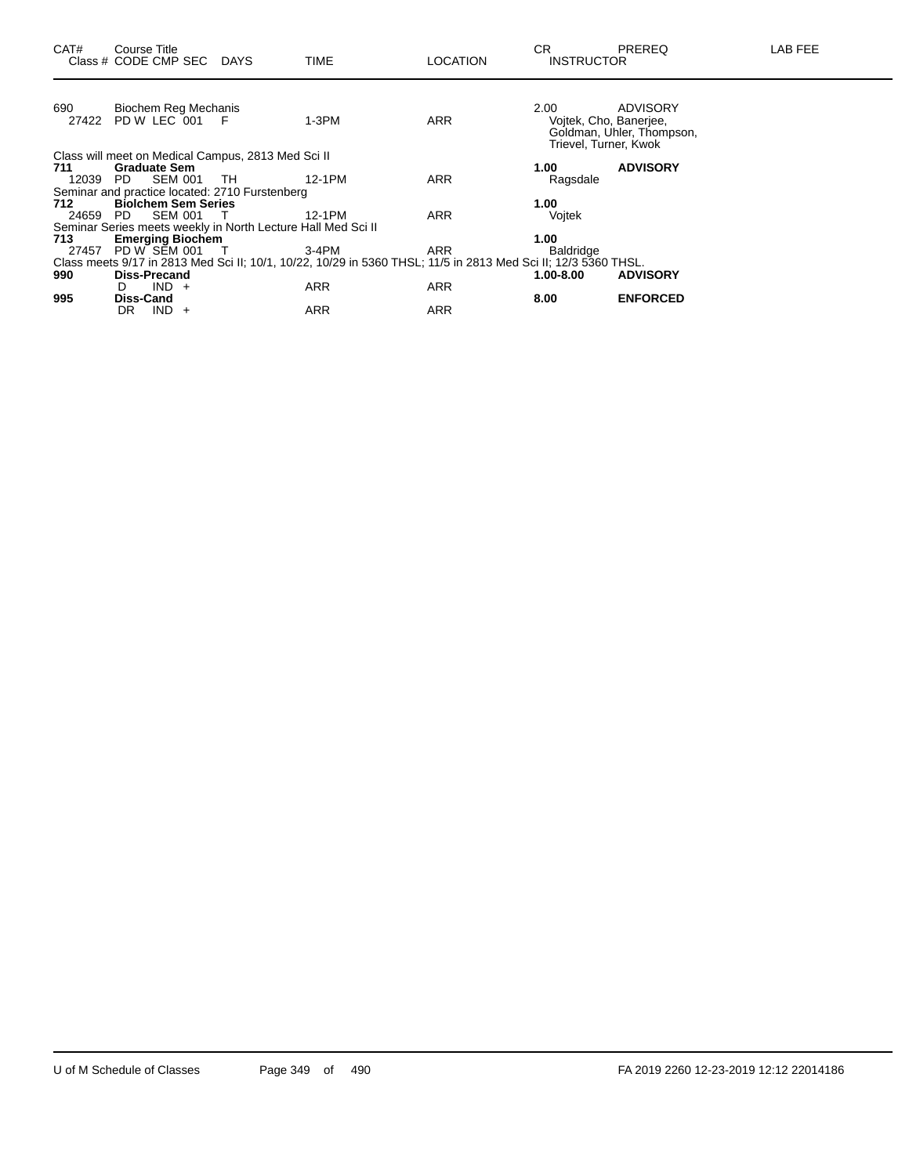|                     |                                                     | 1-3PM                                                                                                  | <b>ARR</b>                                                                                                                                                           | 2.00      | <b>ADVISORY</b><br>Goldman, Uhler, Thompson,                                                                                                                      |
|---------------------|-----------------------------------------------------|--------------------------------------------------------------------------------------------------------|----------------------------------------------------------------------------------------------------------------------------------------------------------------------|-----------|-------------------------------------------------------------------------------------------------------------------------------------------------------------------|
|                     |                                                     |                                                                                                        |                                                                                                                                                                      |           |                                                                                                                                                                   |
| <b>Graduate Sem</b> |                                                     |                                                                                                        |                                                                                                                                                                      | 1.00      | <b>ADVISORY</b>                                                                                                                                                   |
| <b>SEM 001</b>      |                                                     | 12-1PM                                                                                                 | <b>ARR</b>                                                                                                                                                           | Ragsdale  |                                                                                                                                                                   |
|                     |                                                     |                                                                                                        |                                                                                                                                                                      |           |                                                                                                                                                                   |
|                     |                                                     |                                                                                                        |                                                                                                                                                                      | 1.00      |                                                                                                                                                                   |
| <b>SEM 001</b>      |                                                     | 12-1PM                                                                                                 | <b>ARR</b>                                                                                                                                                           | Vojtek    |                                                                                                                                                                   |
|                     |                                                     |                                                                                                        |                                                                                                                                                                      |           |                                                                                                                                                                   |
|                     |                                                     |                                                                                                        |                                                                                                                                                                      | 1.00      |                                                                                                                                                                   |
|                     |                                                     | 3-4PM                                                                                                  | <b>ARR</b>                                                                                                                                                           | Baldridge |                                                                                                                                                                   |
|                     |                                                     |                                                                                                        |                                                                                                                                                                      |           |                                                                                                                                                                   |
| Diss-Precand        |                                                     |                                                                                                        |                                                                                                                                                                      | 1.00-8.00 | <b>ADVISORY</b>                                                                                                                                                   |
| $IND +$<br>D.       |                                                     | ARR                                                                                                    | <b>ARR</b>                                                                                                                                                           |           |                                                                                                                                                                   |
| <b>Diss-Cand</b>    |                                                     |                                                                                                        |                                                                                                                                                                      | 8.00      | <b>ENFORCED</b>                                                                                                                                                   |
| DR.<br>IND.<br>$+$  |                                                     | <b>ARR</b>                                                                                             | <b>ARR</b>                                                                                                                                                           |           |                                                                                                                                                                   |
|                     | 27422<br>12039 PD<br>24659 PD<br>27457 PD W SEM 001 | Biochem Reg Mechanis<br>PD W LEC 001 F<br>TH.<br><b>Biolchem Sem Series</b><br><b>Emerging Biochem</b> | Class will meet on Medical Campus, 2813 Med Sci II<br>Seminar and practice located: 2710 Furstenberg<br>Seminar Series meets weekly in North Lecture Hall Med Sci II |           | Voitek, Cho, Baneriee,<br>Trievel, Turner, Kwok<br>Class meets 9/17 in 2813 Med Sci II; 10/1, 10/22, 10/29 in 5360 THSL; 11/5 in 2813 Med Sci II; 12/3 5360 THSL. |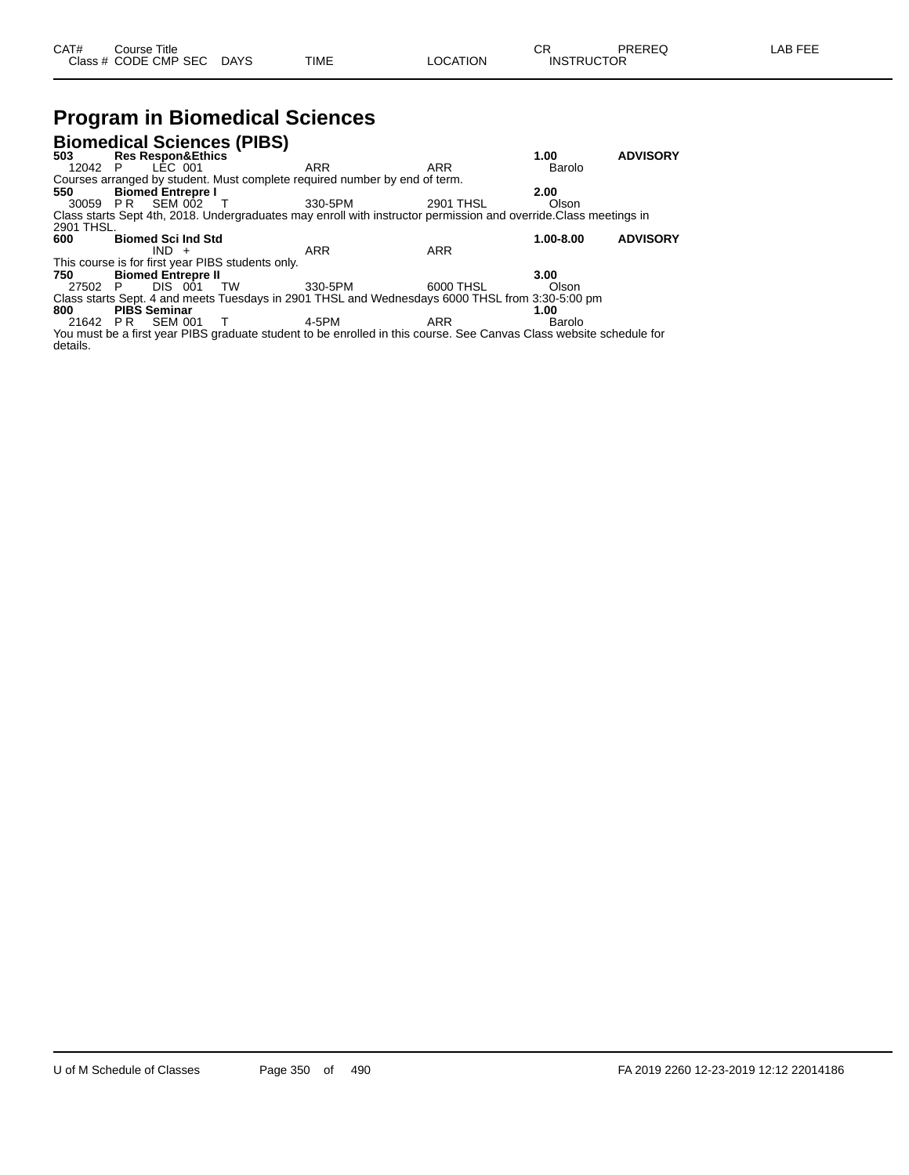# **Program in Biomedical Sciences**

|            | <b>Biomedical Sciences (PIBS)</b>                                                                                   |         |                  |               |                 |  |  |  |  |  |  |
|------------|---------------------------------------------------------------------------------------------------------------------|---------|------------------|---------------|-----------------|--|--|--|--|--|--|
| 503        | <b>Res Respon&amp;Ethics</b>                                                                                        |         |                  | 1.00          | <b>ADVISORY</b> |  |  |  |  |  |  |
| 12042 P    | LÉC 001                                                                                                             | ARR     | ARR              | Barolo        |                 |  |  |  |  |  |  |
|            | Courses arranged by student. Must complete required number by end of term.                                          |         |                  |               |                 |  |  |  |  |  |  |
| 550        | <b>Biomed Entrepre I</b>                                                                                            |         |                  | 2.00          |                 |  |  |  |  |  |  |
|            | 30059 PR SEM 002 T                                                                                                  | 330-5PM | <b>2901 THSL</b> | Olson         |                 |  |  |  |  |  |  |
|            | Class starts Sept 4th, 2018. Undergraduates may enroll with instructor permission and override.Class meetings in    |         |                  |               |                 |  |  |  |  |  |  |
| 2901 THSL. |                                                                                                                     |         |                  |               |                 |  |  |  |  |  |  |
| 600        | <b>Biomed Sci Ind Std</b>                                                                                           |         |                  | $1.00 - 8.00$ | <b>ADVISORY</b> |  |  |  |  |  |  |
|            | $IND +$                                                                                                             | ARR     | <b>ARR</b>       |               |                 |  |  |  |  |  |  |
|            | This course is for first year PIBS students only.                                                                   |         |                  |               |                 |  |  |  |  |  |  |
| 750        | <b>Biomed Entrepre II</b>                                                                                           |         |                  | 3.00          |                 |  |  |  |  |  |  |
| 27502 P    | DIS 001<br>TW                                                                                                       | 330-5PM | 6000 THSL        | Olson         |                 |  |  |  |  |  |  |
|            | Class starts Sept. 4 and meets Tuesdays in 2901 THSL and Wednesdays 6000 THSL from 3:30-5:00 pm                     |         |                  |               |                 |  |  |  |  |  |  |
| 800        | <b>PIBS Seminar</b>                                                                                                 |         |                  | 1.00          |                 |  |  |  |  |  |  |
| 21642 PR   | SEM 001<br>$\top$                                                                                                   | 4-5PM   | ARR              | Barolo        |                 |  |  |  |  |  |  |
|            | You must be a first year PIBS graduate student to be enrolled in this course. See Canvas Class website schedule for |         |                  |               |                 |  |  |  |  |  |  |
| details.   |                                                                                                                     |         |                  |               |                 |  |  |  |  |  |  |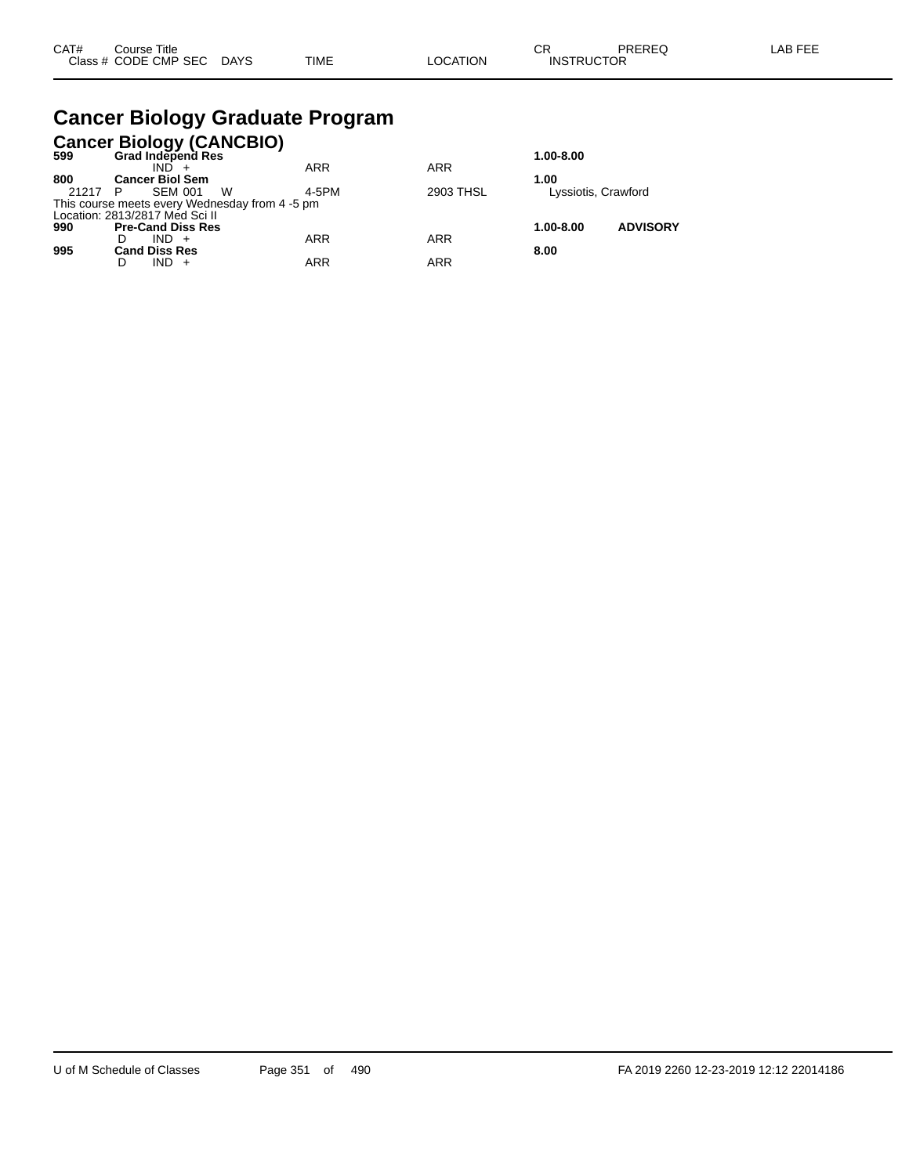### **Cancer Biology Graduate Program**

|       | Cancer Biology (CANCBIO)<br>599 Grad Independ Res |            |            |                     |                 |
|-------|---------------------------------------------------|------------|------------|---------------------|-----------------|
|       |                                                   |            |            | 1.00-8.00           |                 |
|       | $IND +$                                           | <b>ARR</b> | <b>ARR</b> |                     |                 |
| 800   | <b>Cancer Biol Sem</b>                            |            |            | 1.00                |                 |
| 21217 | <b>SEM 001</b><br>W<br>- P                        | 4-5PM      | 2903 THSL  | Lyssiotis, Crawford |                 |
|       | This course meets every Wednesday from 4 -5 pm    |            |            |                     |                 |
|       | Location: 2813/2817 Med Sci II                    |            |            |                     |                 |
| 990   | <b>Pre-Cand Diss Res</b>                          |            |            | 1.00-8.00           | <b>ADVISORY</b> |
|       | $IND +$                                           | <b>ARR</b> | <b>ARR</b> |                     |                 |
| 995   | <b>Cand Diss Res</b>                              |            |            | 8.00                |                 |
|       | $IND +$                                           | <b>ARR</b> | ARR        |                     |                 |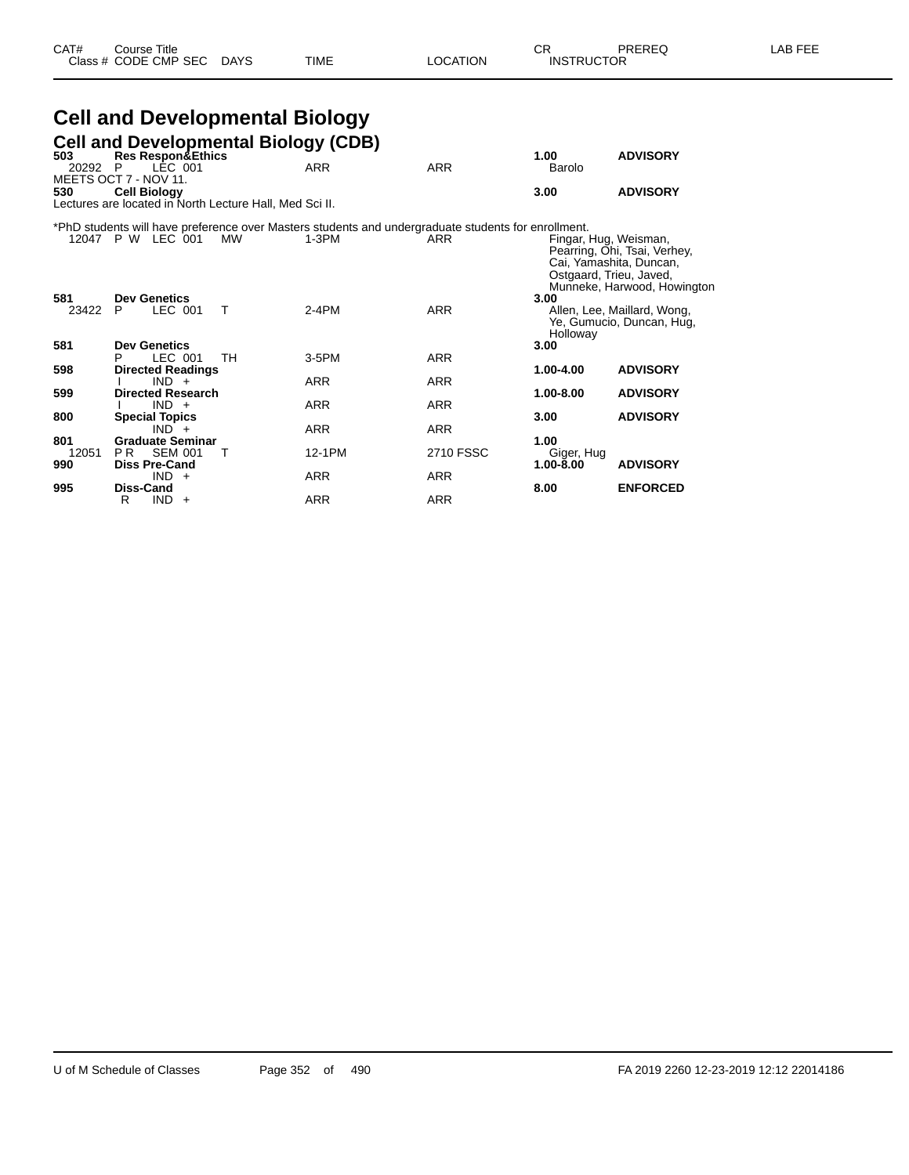### **Cell and Developmental Biology**

|                | <b>Cell and Developmental Biology (CDB)</b>                                                             |           |                                                                                                              |            |                                                  |                                                                                        |
|----------------|---------------------------------------------------------------------------------------------------------|-----------|--------------------------------------------------------------------------------------------------------------|------------|--------------------------------------------------|----------------------------------------------------------------------------------------|
| 503<br>20292 P | <b>Res Respon&amp;Ethics</b><br>LÉC 001                                                                 |           | <b>ARR</b>                                                                                                   | <b>ARR</b> | 1.00<br>Barolo                                   | <b>ADVISORY</b>                                                                        |
| 530            | MEETS OCT 7 - NOV 11.<br><b>Cell Biology</b><br>Lectures are located in North Lecture Hall, Med Sci II. |           |                                                                                                              |            | 3.00                                             | <b>ADVISORY</b>                                                                        |
|                | 12047 P W LEC 001                                                                                       | <b>MW</b> | *PhD students will have preference over Masters students and undergraduate students for enrollment.<br>1-3PM | ARR        | Fingar, Hug, Weisman,<br>Ostgaard, Trieu, Javed, | Pearring, Ohi, Tsai, Verhey,<br>Cai, Yamashita, Duncan,<br>Munneke, Harwood, Howington |
| 581<br>23422   | <b>Dev Genetics</b><br>LEC 001<br>P.                                                                    | т         | $2-4PM$                                                                                                      | <b>ARR</b> | 3.00<br>Holloway                                 | Allen, Lee, Maillard, Wong,<br>Ye, Gumucio, Duncan, Hug,                               |
| 581            | <b>Dev Genetics</b><br>LEC 001<br>P                                                                     | TH        | $3-5$ PM                                                                                                     | <b>ARR</b> | 3.00                                             |                                                                                        |
| 598            | <b>Directed Readings</b>                                                                                |           |                                                                                                              |            | 1.00-4.00                                        | <b>ADVISORY</b>                                                                        |
| 599            | $IND +$<br><b>Directed Research</b>                                                                     |           | ARR                                                                                                          | <b>ARR</b> | 1.00-8.00                                        | <b>ADVISORY</b>                                                                        |
|                | $IND +$                                                                                                 |           | <b>ARR</b>                                                                                                   | ARR        |                                                  |                                                                                        |
| 800            | <b>Special Topics</b><br>$IND +$                                                                        |           | <b>ARR</b>                                                                                                   | <b>ARR</b> | 3.00                                             | <b>ADVISORY</b>                                                                        |
| 801            | <b>Graduate Seminar</b>                                                                                 |           |                                                                                                              |            | 1.00                                             |                                                                                        |
| 12051          | <b>SEM 001</b><br>PR -                                                                                  | т         | 12-1PM                                                                                                       | 2710 FSSC  | Giger, Hug                                       |                                                                                        |
| 990            | <b>Diss Pre-Cand</b><br>$IND +$                                                                         |           | <b>ARR</b>                                                                                                   | <b>ARR</b> | 1.00-8.00                                        | <b>ADVISORY</b>                                                                        |
| 995            | Diss-Cand<br>$IND +$<br>R                                                                               |           | <b>ARR</b>                                                                                                   | <b>ARR</b> | 8.00                                             | <b>ENFORCED</b>                                                                        |
|                |                                                                                                         |           |                                                                                                              |            |                                                  |                                                                                        |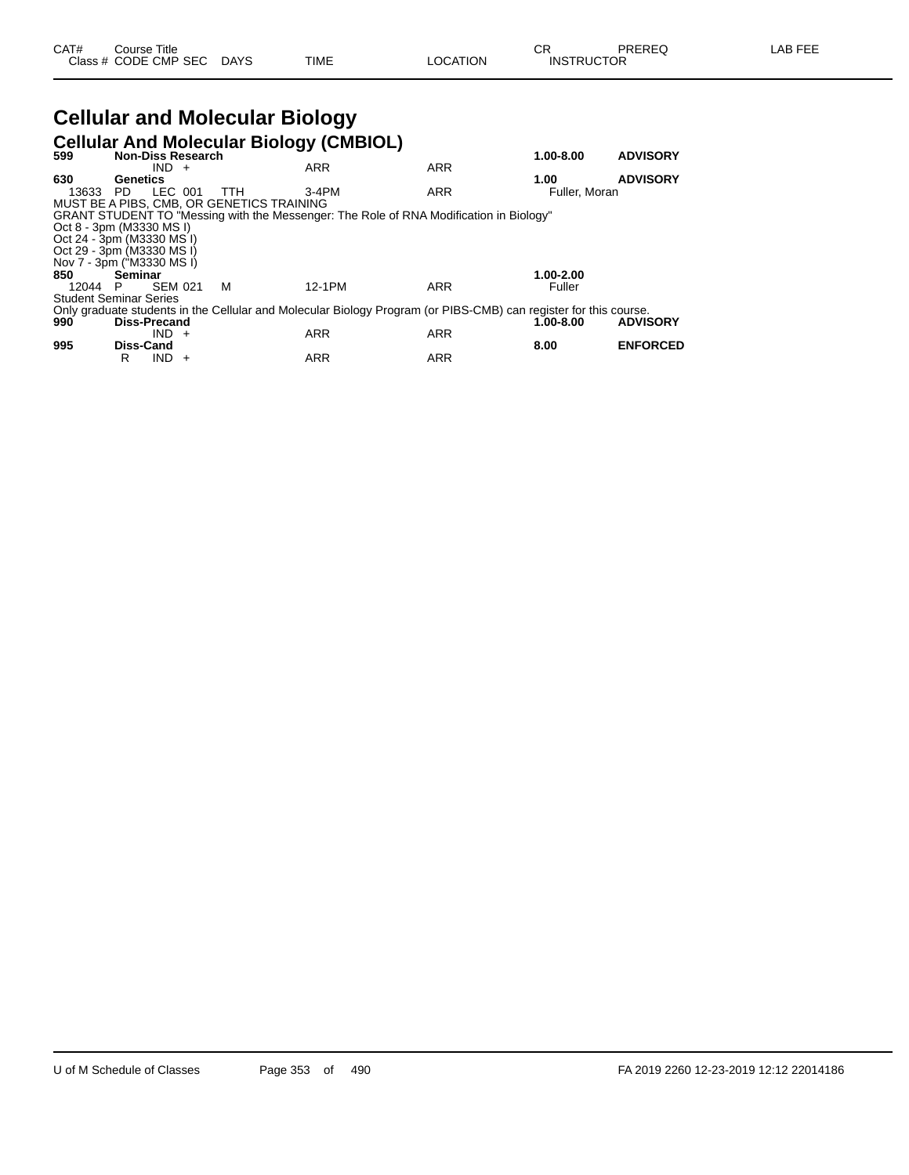#### **Cellular and Molecular Biology Cellular And Molecular Biology (CMBIOL)**

| 599   | <b>Non-Diss Research</b>      |                |            | <b>Central And Molecular Dividy (CivibiOL)</b>                                                                   |            | 1.00-8.00     | <b>ADVISORY</b> |
|-------|-------------------------------|----------------|------------|------------------------------------------------------------------------------------------------------------------|------------|---------------|-----------------|
|       |                               | $IND +$        |            | <b>ARR</b>                                                                                                       | <b>ARR</b> |               |                 |
| 630   | Genetics                      |                |            |                                                                                                                  |            | 1.00          | <b>ADVISORY</b> |
| 13633 | PD.                           | LEC 001        | <b>TTH</b> | $3-4PM$                                                                                                          | <b>ARR</b> | Fuller, Moran |                 |
|       |                               |                |            | MUST BE A PIBS. CMB. OR GENETICS TRAINING                                                                        |            |               |                 |
|       |                               |                |            | GRANT STUDENT TO "Messing with the Messenger: The Role of RNA Modification in Biology"                           |            |               |                 |
|       | Oct 8 - 3pm (M3330 MS I)      |                |            |                                                                                                                  |            |               |                 |
|       | Oct 24 - 3pm (M3330 MS I)     |                |            |                                                                                                                  |            |               |                 |
|       | Oct 29 - 3pm (M3330 MS I)     |                |            |                                                                                                                  |            |               |                 |
|       | Nov 7 - 3pm ("M3330 MS I)     |                |            |                                                                                                                  |            |               |                 |
| 850   | Seminar                       |                |            |                                                                                                                  |            | 1.00-2.00     |                 |
|       | 12044 P                       | <b>SEM 021</b> | м          | 12-1PM                                                                                                           | ARR        | Fuller        |                 |
|       | <b>Student Seminar Series</b> |                |            |                                                                                                                  |            |               |                 |
|       |                               |                |            | Only graduate students in the Cellular and Molecular Biology Program (or PIBS-CMB) can register for this course. |            |               |                 |
| 990   | Diss-Precand                  |                |            |                                                                                                                  |            | 1.00-8.00     | <b>ADVISORY</b> |
|       |                               | $IND +$        |            | <b>ARR</b>                                                                                                       | <b>ARR</b> |               |                 |
| 995   | <b>Diss-Cand</b>              |                |            |                                                                                                                  |            | 8.00          | <b>ENFORCED</b> |
|       | R                             | IND.           | $+$        | <b>ARR</b>                                                                                                       | <b>ARR</b> |               |                 |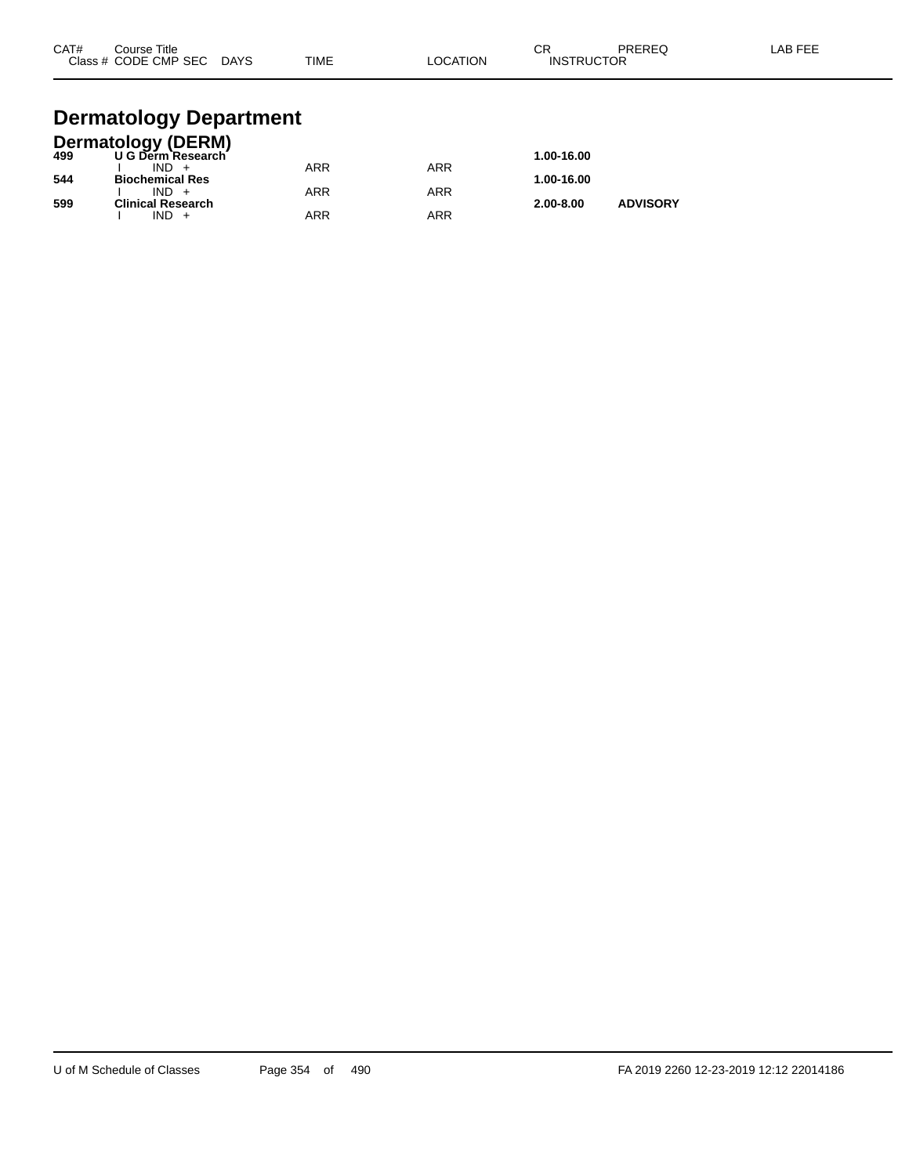| CAT# | Course Title<br>Class # CODE CMP SEC | <b>DAYS</b> | <b>TIME</b> | _OCATION | <b>CR</b><br><b>INSTRUCTOR</b> | PREREQ | LAB FEE |
|------|--------------------------------------|-------------|-------------|----------|--------------------------------|--------|---------|
|      |                                      |             |             |          |                                |        |         |

#### **Dermatology Department**

|     | <b>Dermatology (DERM)</b> |            |            |               |                 |
|-----|---------------------------|------------|------------|---------------|-----------------|
| 499 | U G Derm Research         |            |            | 1.00-16.00    |                 |
|     | $IND +$                   | ARR        | <b>ARR</b> |               |                 |
| 544 | <b>Biochemical Res</b>    |            |            | 1.00-16.00    |                 |
|     | $IND +$                   | <b>ARR</b> | <b>ARR</b> |               |                 |
| 599 | <b>Clinical Research</b>  |            |            | $2.00 - 8.00$ | <b>ADVISORY</b> |
|     | IND                       | ARR        | ARR        |               |                 |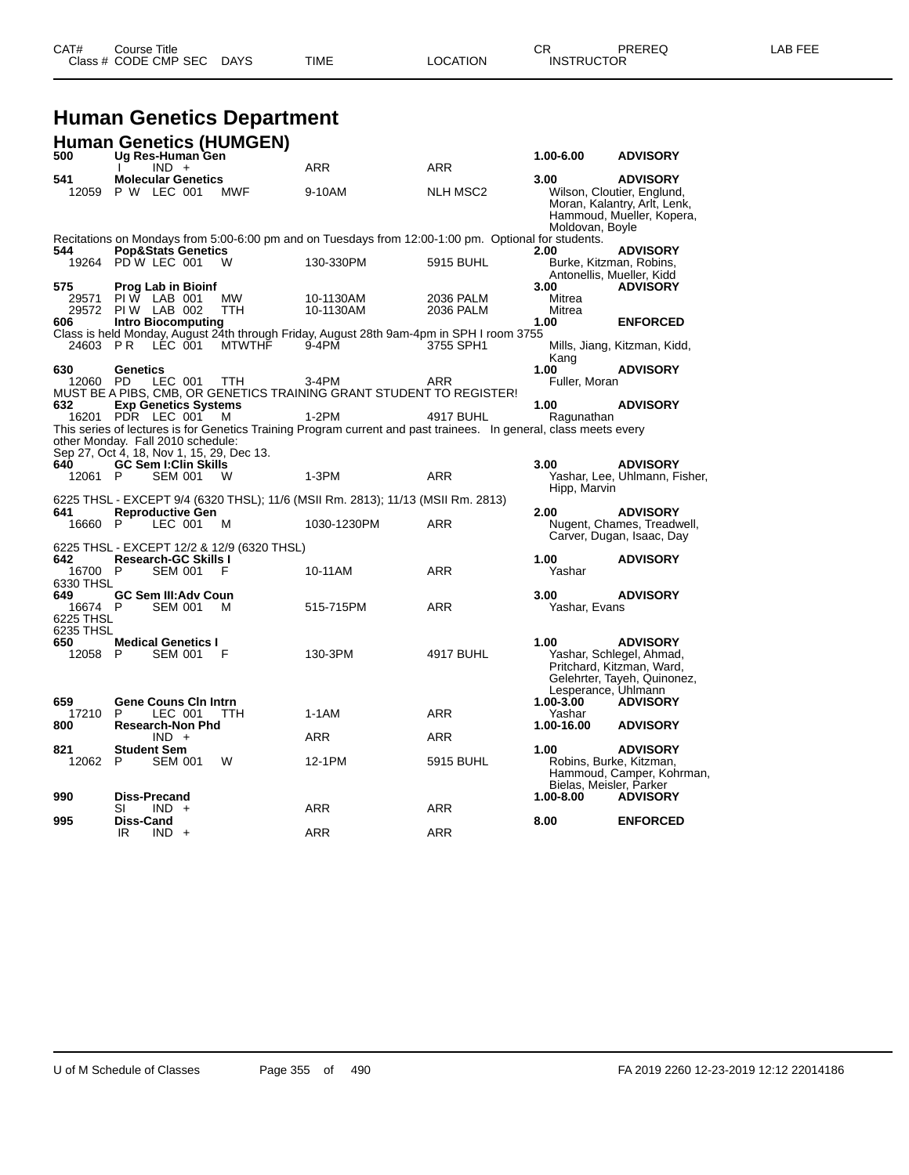| CAT# | Title<br>Course i    |             |      |          | ∩⊓<br>- UN        | PREREQ | AR FFF |
|------|----------------------|-------------|------|----------|-------------------|--------|--------|
|      | Class # CODE CMP SEC | <b>DAYS</b> | TIME | LOCATION | <b>INSTRUCTOR</b> |        |        |

#### **Human Genetics Department**

|                                   | <b>Human Genetics (HUMGEN)</b>                                                               |               |                                                                                                                              |                        |                                                            |                                                                                                            |
|-----------------------------------|----------------------------------------------------------------------------------------------|---------------|------------------------------------------------------------------------------------------------------------------------------|------------------------|------------------------------------------------------------|------------------------------------------------------------------------------------------------------------|
| 500                               | Ug Res-Human Gen<br>$IND +$<br><sup>1</sup>                                                  |               | <b>ARR</b>                                                                                                                   | ARR                    | 1.00-6.00                                                  | <b>ADVISORY</b>                                                                                            |
| 541                               | <b>Molecular Genetics</b><br>12059 P W LEC 001                                               | MWF           | 9-10AM                                                                                                                       | NLH MSC2               | 3.00<br>Moldovan, Boyle                                    | <b>ADVISORY</b><br>Wilson, Cloutier, Englund,<br>Moran, Kalantry, Arlt, Lenk,<br>Hammoud, Mueller, Kopera, |
| 544                               | <b>Pop&amp;Stats Genetics</b>                                                                |               | Recitations on Mondays from 5:00-6:00 pm and on Tuesdays from 12:00-1:00 pm. Optional for students.                          |                        | 2.00                                                       | <b>ADVISORY</b>                                                                                            |
|                                   | 19264 PD W LEC 001                                                                           | W             | 130-330PM                                                                                                                    | 5915 BUHL              | Burke, Kitzman, Robins,<br>Antonellis, Mueller, Kidd       |                                                                                                            |
| 575<br>29571<br>606               | <b>Prog Lab in Bioinf</b><br>$PIW$ LAB 001<br>29572 PIW LAB 002<br><b>Intro Biocomputing</b> | MW<br>TTH.    | 10-1130AM<br>10-1130AM<br>Class is held Monday, August 24th through Friday, August 28th 9am-4pm in SPH I room 3755           | 2036 PALM<br>2036 PALM | 3.00<br>Mitrea<br>Mitrea<br>1.00                           | <b>ADVISORY</b><br><b>ENFORCED</b>                                                                         |
| 24603 PR                          | LEC 001                                                                                      | <b>MTWTHF</b> | $9-4PM$                                                                                                                      | 3755 SPH1              | Kang                                                       | Mills, Jiang, Kitzman, Kidd,                                                                               |
| 630<br>12060 PD                   | Genetics<br>LEC 001                                                                          | TTH           | $3-4PM$<br>MUST BE A PIBS, CMB, OR GENETICS TRAINING GRANT STUDENT TO REGISTER!                                              | ARR                    | 1.00<br>Fuller, Moran                                      | <b>ADVISORY</b>                                                                                            |
| 632                               | <b>Exp Genetics Systems</b><br>16201 PDR LEC 001<br>other Monday. Fall 2010 schedule:        | M             | $1-2PM$<br>This series of lectures is for Genetics Training Program current and past trainees. In general, class meets every | 4917 BUHL              | 1.00<br>Ragunathan                                         | <b>ADVISORY</b>                                                                                            |
| 640<br>12061 P                    | Sep 27, Oct 4, 18, Nov 1, 15, 29, Dec 13.<br><b>GC Sem I:Clin Skills</b><br><b>SEM 001</b>   | W             | $1-3PM$                                                                                                                      | <b>ARR</b>             | 3.00                                                       | <b>ADVISORY</b><br>Yashar, Lee, Uhlmann, Fisher,                                                           |
| 641                               | <b>Reproductive Gen</b>                                                                      |               | 6225 THSL - EXCEPT 9/4 (6320 THSL); 11/6 (MSII Rm. 2813); 11/13 (MSII Rm. 2813)                                              |                        | Hipp, Marvin<br>2.00                                       | <b>ADVISORY</b>                                                                                            |
| 16660 P                           | LEC 001                                                                                      | м             | 1030-1230PM                                                                                                                  | ARR                    |                                                            | Nugent, Chames, Treadwell,<br>Carver, Dugan, Isaac, Day                                                    |
| 642<br>16700 P                    | 6225 THSL - EXCEPT 12/2 & 12/9 (6320 THSL)<br><b>Research-GC Skills I</b><br><b>SEM 001</b>  | F             | 10-11AM                                                                                                                      | <b>ARR</b>             | 1.00<br>Yashar                                             | <b>ADVISORY</b>                                                                                            |
| 6330 THSL<br>649                  | <b>GC Sem III:Adv Coun</b>                                                                   |               |                                                                                                                              |                        | 3.00                                                       | <b>ADVISORY</b>                                                                                            |
| 16674 P<br>6225 THSL<br>6235 THSL | <b>SEM 001</b>                                                                               | M             | 515-715PM                                                                                                                    | ARR                    | Yashar, Evans                                              |                                                                                                            |
| 650<br>12058 P                    | <b>Medical Genetics I</b><br><b>SEM 001</b>                                                  | F             | 130-3PM                                                                                                                      | 4917 BUHL              | 1.00<br>Lesperance, Uhlmann                                | <b>ADVISORY</b><br>Yashar, Schlegel, Ahmad,<br>Pritchard, Kitzman, Ward,<br>Gelehrter, Tayeh, Quinonez,    |
| 659<br>17210                      | <b>Gene Couns Cin Intrn</b><br>LEC 001<br>P                                                  | TTH.          | 1-1AM                                                                                                                        | <b>ARR</b>             | $1.00 - 3.00$<br>Yashar                                    | <b>ADVISORY</b>                                                                                            |
| 800                               | <b>Research-Non Phd</b><br>$IND +$                                                           |               | <b>ARR</b>                                                                                                                   | <b>ARR</b>             | 1.00-16.00                                                 | <b>ADVISORY</b>                                                                                            |
| 821<br>12062 P                    | <b>Student Sem</b><br><b>SEM 001</b>                                                         | W             | 12-1PM                                                                                                                       | 5915 BUHL              | 1.00<br>Robins, Burke, Kitzman,<br>Bielas, Meisler, Parker | <b>ADVISORY</b><br>Hammoud, Camper, Kohrman,                                                               |
| 990                               | Diss-Precand<br>SI<br>$IND +$                                                                |               | <b>ARR</b>                                                                                                                   | <b>ARR</b>             | 1.00-8.00                                                  | <b>ADVISORY</b>                                                                                            |
| 995                               | Diss-Cand<br>IR.<br>$IND +$                                                                  |               | <b>ARR</b>                                                                                                                   | <b>ARR</b>             | 8.00                                                       | <b>ENFORCED</b>                                                                                            |
|                                   |                                                                                              |               |                                                                                                                              |                        |                                                            |                                                                                                            |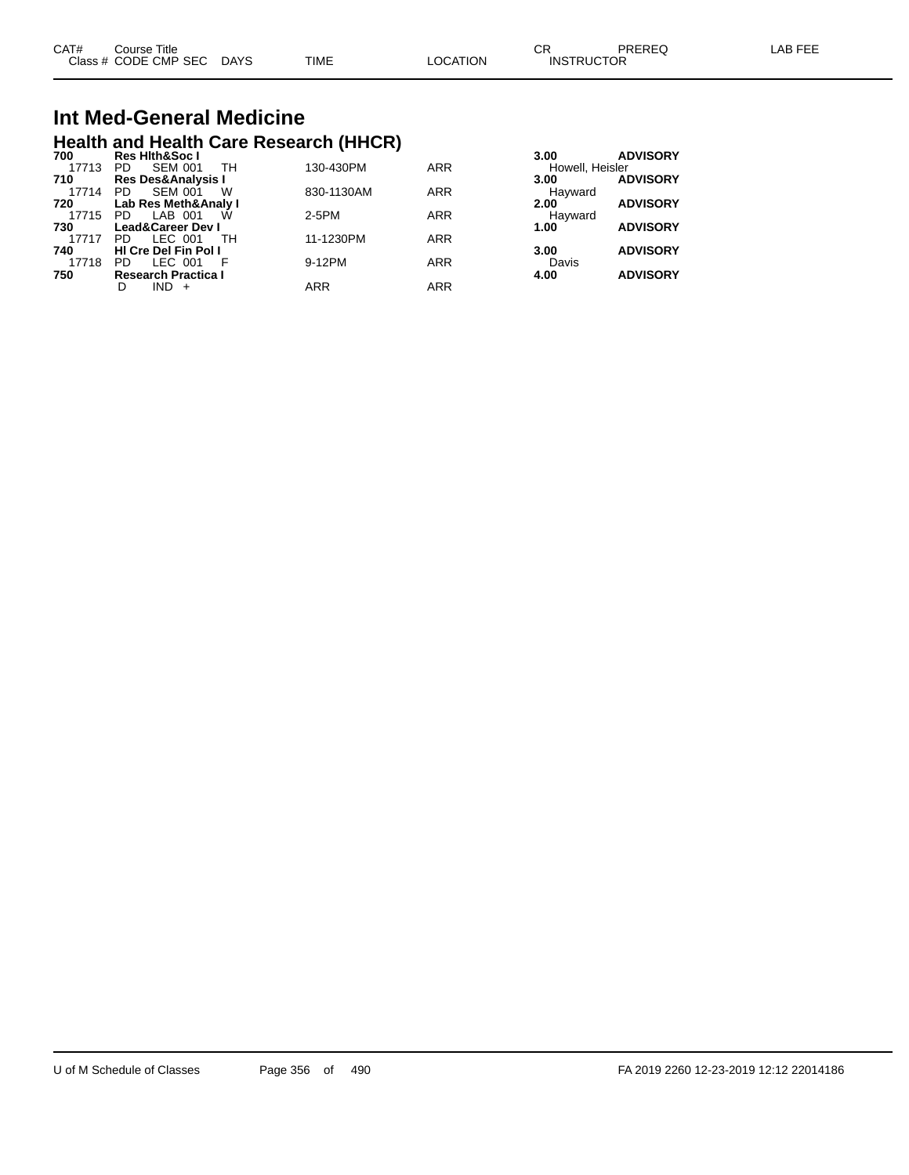| CAT# | Course Title              |      |          | Ωn<br>∪۲          | PREREQ | LAB FEE |
|------|---------------------------|------|----------|-------------------|--------|---------|
|      | Class # CODE CMP SEC DAYS | TIME | LOCATION | <b>INSTRUCTOR</b> |        |         |

## **Int Med-General Medicine Health and Health Care Research (HHCR) 700 Res Hlth&Soc I 3.00 ADVISORY**

| 1 UU  | nga mungguu i                 |            |            | J.UU<br><b>ADVIOUNT</b> |
|-------|-------------------------------|------------|------------|-------------------------|
| 17713 | <b>SEM 001</b><br>TН<br>PD.   | 130-430PM  | <b>ARR</b> | Howell, Heisler         |
| 710   | <b>Res Des&amp;Analysis I</b> |            |            | <b>ADVISORY</b><br>3.00 |
| 17714 | <b>SEM 001</b><br>W<br>PD.    | 830-1130AM | <b>ARR</b> | Hayward                 |
| 720   | Lab Res Meth&Analy I          |            |            | <b>ADVISORY</b><br>2.00 |
| 17715 | PD.<br>LAB 001<br>W           | 2-5PM      | <b>ARR</b> | Hayward                 |
| 730   | <b>Lead&amp;Career Dev I</b>  |            |            | <b>ADVISORY</b><br>1.00 |
| 17717 | LEC 001<br>тн<br>PD.          | 11-1230PM  | <b>ARR</b> |                         |
| 740   | <b>HI Cre Del Fin Pol I</b>   |            |            | <b>ADVISORY</b><br>3.00 |
| 17718 | LEC 001<br>PD.                | 9-12PM     | <b>ARR</b> | Davis                   |
| 750   | <b>Research Practica I</b>    |            |            | <b>ADVISORY</b><br>4.00 |
|       | $IND +$<br>D                  | <b>ARR</b> | <b>ARR</b> |                         |
|       |                               |            |            |                         |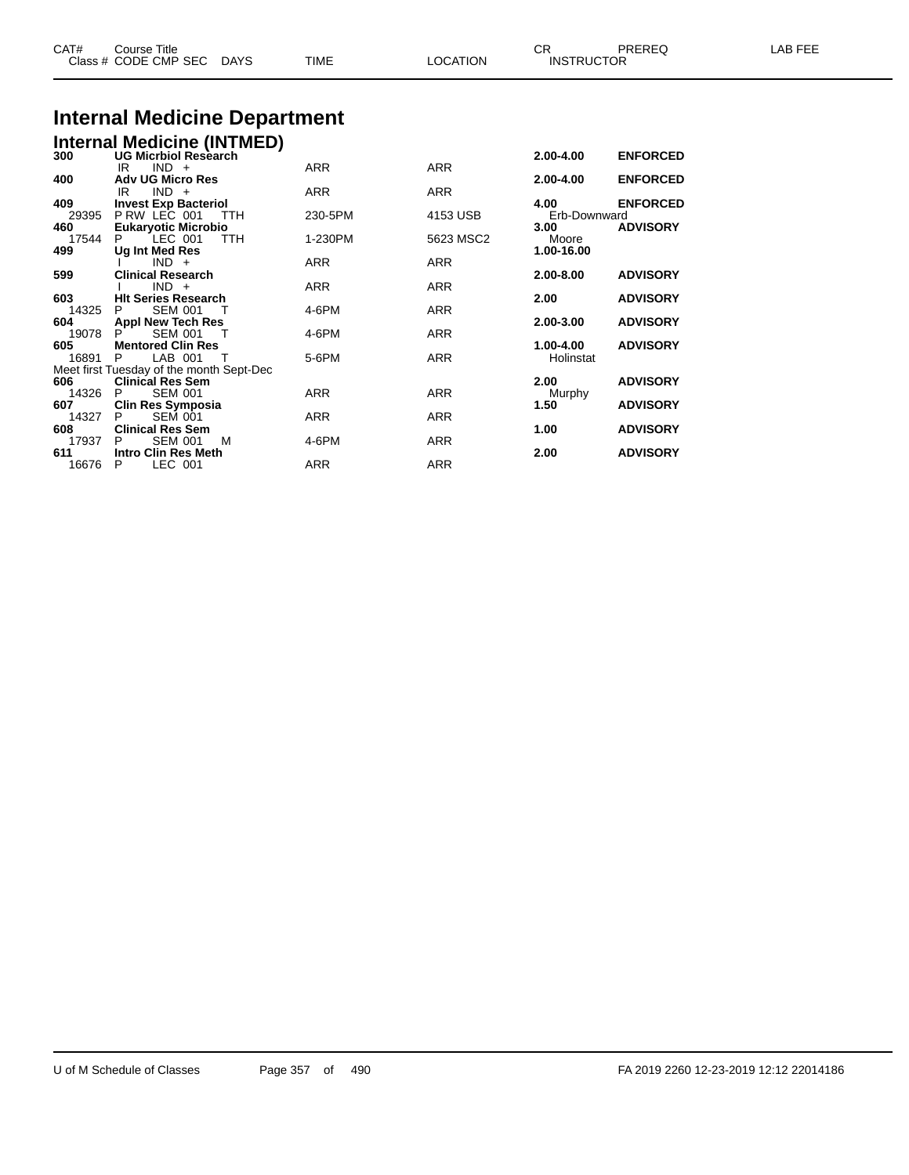| CAT# | Course Title<br>Class # CODE CMP SEC | <b>DAYS</b> | <b>TIME</b> | <b>LOCATION</b> | <b>INSTRUCTOR</b> | PREREQ | ፡ FEE<br>AR |
|------|--------------------------------------|-------------|-------------|-----------------|-------------------|--------|-------------|
|      |                                      |             |             |                 |                   |        |             |

## **Internal Medicine Department**

|              | <b>Internal Medicine (INTMED)</b><br>300 UG Micrbiol Research |            |            |                        |                 |
|--------------|---------------------------------------------------------------|------------|------------|------------------------|-----------------|
|              |                                                               |            |            | 2.00-4.00              | <b>ENFORCED</b> |
|              | $IND +$<br>IR                                                 | <b>ARR</b> | <b>ARR</b> |                        |                 |
| 400          | <b>Adv UG Micro Res</b>                                       |            |            | 2.00-4.00              | <b>ENFORCED</b> |
|              | IR<br>$IND +$                                                 | <b>ARR</b> | <b>ARR</b> |                        |                 |
| 409          | <b>Invest Exp Bacteriol</b>                                   |            |            | 4.00                   | <b>ENFORCED</b> |
| 29395        | P RW LEC 001<br><b>TTH</b>                                    | 230-5PM    | 4153 USB   | Erb-Downward           |                 |
| 460          | <b>Eukaryotic Microbio</b>                                    |            |            | 3.00                   | <b>ADVISORY</b> |
| 17544        | $LEC$ 001<br><b>TTH</b><br>P.                                 | 1-230PM    | 5623 MSC2  | Moore                  |                 |
| 499          | Ug Int Med Res                                                |            |            | 1.00-16.00             |                 |
|              | $IND +$                                                       | <b>ARR</b> | <b>ARR</b> |                        |                 |
| 599          | <b>Clinical Research</b>                                      |            |            | 2.00-8.00              | <b>ADVISORY</b> |
|              | $IND +$                                                       | <b>ARR</b> | <b>ARR</b> |                        |                 |
| 603          | <b>HIt Series Research</b><br>P                               |            |            | 2.00                   | <b>ADVISORY</b> |
| 14325        | <b>SEM 001</b><br>ா                                           | 4-6PM      | <b>ARR</b> |                        |                 |
| 604          | <b>Appl New Tech Res</b>                                      |            |            | 2.00-3.00              | <b>ADVISORY</b> |
| 19078<br>605 | <b>SEM 001</b><br><b>Mentored Clin Res</b>                    | 4-6PM      | <b>ARR</b> |                        | <b>ADVISORY</b> |
| 16891        | LAB 001<br>P<br>т                                             | 5-6PM      | <b>ARR</b> | 1.00-4.00<br>Holinstat |                 |
|              | Meet first Tuesday of the month Sept-Dec                      |            |            |                        |                 |
| 606          | <b>Clinical Res Sem</b>                                       |            |            | 2.00                   | <b>ADVISORY</b> |
| 14326        | <b>SEM 001</b><br>P                                           | <b>ARR</b> | <b>ARR</b> |                        |                 |
| 607          | <b>Clin Res Symposia</b>                                      |            |            | Murphy<br>1.50         | <b>ADVISORY</b> |
| 14327        | SEM 001<br>P                                                  | <b>ARR</b> | <b>ARR</b> |                        |                 |
| 608          | <b>Clinical Res Sem</b>                                       |            |            | 1.00                   | <b>ADVISORY</b> |
| 17937        | <b>SEM 001</b><br>P<br>м                                      | 4-6PM      | <b>ARR</b> |                        |                 |
| 611          | <b>Intro Clin Res Meth</b>                                    |            |            | 2.00                   | <b>ADVISORY</b> |
| 16676        | LEC 001<br>P                                                  | <b>ARR</b> | <b>ARR</b> |                        |                 |
|              |                                                               |            |            |                        |                 |
|              |                                                               |            |            |                        |                 |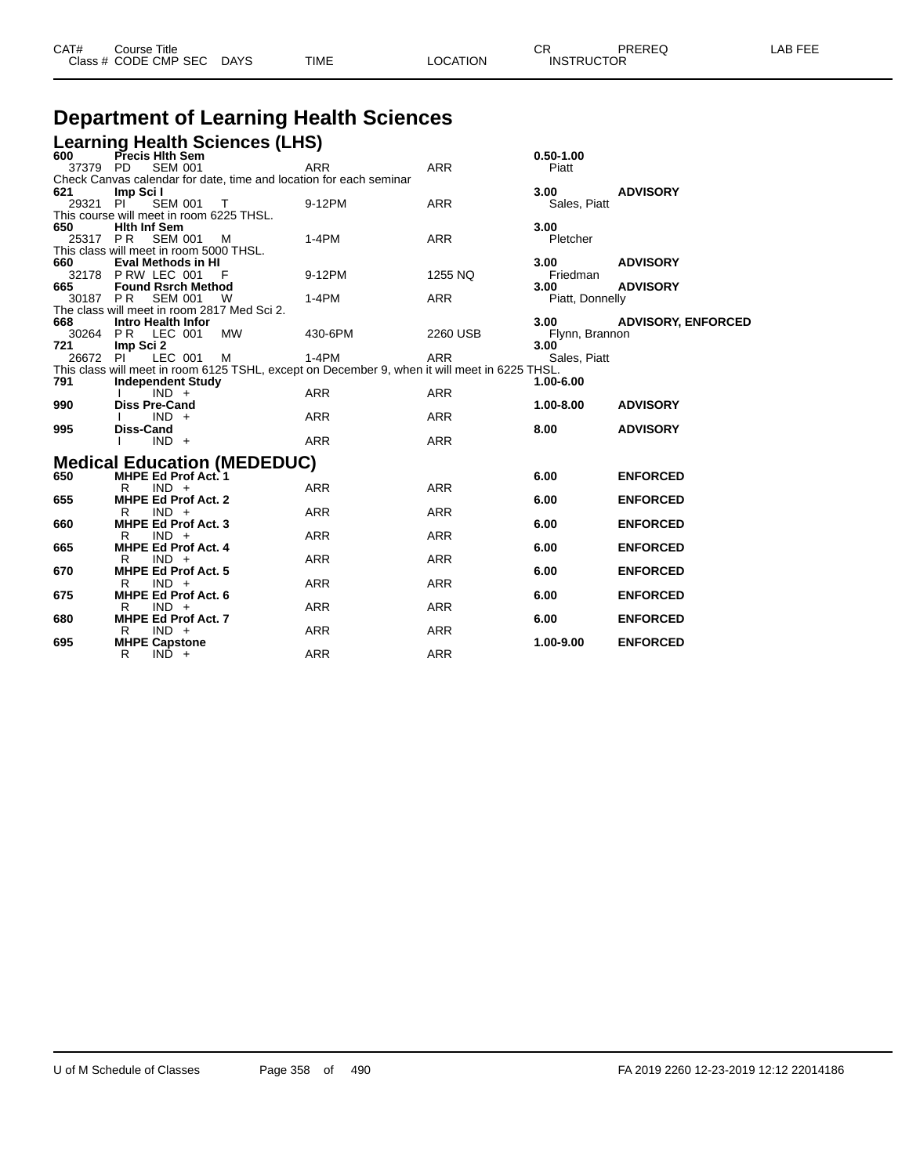| <b>Department of Learning Health Sciences</b> |                                                                                                                            |                          |                          |                          |                                    |  |  |  |
|-----------------------------------------------|----------------------------------------------------------------------------------------------------------------------------|--------------------------|--------------------------|--------------------------|------------------------------------|--|--|--|
|                                               | <b>Learning Health Sciences (LHS)</b>                                                                                      |                          |                          |                          |                                    |  |  |  |
| 600<br>37379                                  | Precis Hith Sem<br><b>SEM 001</b><br>PD.                                                                                   | <b>ARR</b>               | <b>ARR</b>               | $0.50 - 1.00$<br>Piatt   |                                    |  |  |  |
| 621<br>29321 PI                               | Check Canvas calendar for date, time and location for each seminar<br>Imp Sci I<br><b>SEM 001</b><br>$\top$                | 9-12PM                   | <b>ARR</b>               | 3.00<br>Sales, Piatt     | <b>ADVISORY</b>                    |  |  |  |
| 650                                           | This course will meet in room 6225 THSL.<br><b>Hith Inf Sem</b>                                                            |                          |                          | 3.00                     |                                    |  |  |  |
| 25317 PR                                      | <b>SEM 001</b><br>м<br>This class will meet in room 5000 THSL.                                                             | $1-4PM$                  | <b>ARR</b>               | Pletcher                 |                                    |  |  |  |
| 660<br>32178<br>665                           | <b>Eval Methods in HI</b><br>PRW LEC 001<br><b>Found Rsrch Method</b>                                                      | 9-12PM                   | 1255 NQ                  | 3.00<br>Friedman<br>3.00 | <b>ADVISORY</b><br><b>ADVISORY</b> |  |  |  |
| 30187 PR                                      | <b>SEM 001</b><br>W<br>The class will meet in room 2817 Med Sci 2.                                                         | 1-4PM                    | ARR                      | Piatt, Donnelly          |                                    |  |  |  |
| 668<br>721                                    | <b>Intro Health Infor</b><br>30264 PR LEC 001<br><b>MW</b>                                                                 | 430-6PM                  | 2260 USB                 | 3.00<br>Flynn, Brannon   | <b>ADVISORY, ENFORCED</b>          |  |  |  |
| 26672 PI                                      | Imp Sci 2<br>LEC 001<br>м<br>This class will meet in room 6125 TSHL, except on December 9, when it will meet in 6225 THSL. | $1-4PM$                  | ARR                      | 3.00<br>Sales, Piatt     |                                    |  |  |  |
| 791                                           | <b>Independent Study</b><br>$IND +$                                                                                        | <b>ARR</b>               | <b>ARR</b>               | 1.00-6.00                |                                    |  |  |  |
| 990<br>995                                    | <b>Diss Pre-Cand</b><br>$IND +$<br>Diss-Cand                                                                               | <b>ARR</b>               | <b>ARR</b>               | 1.00-8.00<br>8.00        | <b>ADVISORY</b><br><b>ADVISORY</b> |  |  |  |
|                                               | $IND +$                                                                                                                    | <b>ARR</b>               | <b>ARR</b>               |                          |                                    |  |  |  |
| 650                                           | <b>Medical Education (MEDEDUC)</b><br><b>MHPE Ed Prof Act. 1</b><br>R<br>$IND +$                                           | <b>ARR</b>               | <b>ARR</b>               | 6.00                     | <b>ENFORCED</b>                    |  |  |  |
| 655                                           | <b>MHPE Ed Prof Act. 2</b><br>R<br>$IND +$                                                                                 | <b>ARR</b>               | <b>ARR</b>               | 6.00                     | <b>ENFORCED</b>                    |  |  |  |
| 660                                           | <b>MHPE Ed Prof Act. 3</b><br>R<br>$IND +$                                                                                 | ARR                      | <b>ARR</b>               | 6.00                     | <b>ENFORCED</b>                    |  |  |  |
| 665<br>670                                    | <b>MHPE Ed Prof Act. 4</b><br>R<br>$IND +$<br><b>MHPE Ed Prof Act. 5</b>                                                   | ARR                      | <b>ARR</b>               | 6.00<br>6.00             | <b>ENFORCED</b><br><b>ENFORCED</b> |  |  |  |
| 675                                           | $IND +$<br>R<br><b>MHPE Ed Prof Act. 6</b>                                                                                 | <b>ARR</b>               | <b>ARR</b>               | 6.00                     | <b>ENFORCED</b>                    |  |  |  |
| 680                                           | R<br>$IND +$<br><b>MHPE Ed Prof Act. 7</b><br>$IND +$<br>R                                                                 | <b>ARR</b><br><b>ARR</b> | <b>ARR</b><br><b>ARR</b> | 6.00                     | <b>ENFORCED</b>                    |  |  |  |
| 695                                           | <b>MHPE Capstone</b><br>R<br>$IND +$                                                                                       | <b>ARR</b>               | <b>ARR</b>               | 1.00-9.00                | <b>ENFORCED</b>                    |  |  |  |

Class # CODE CMP SEC DAYS TIME LOCATION INSTRUCTOR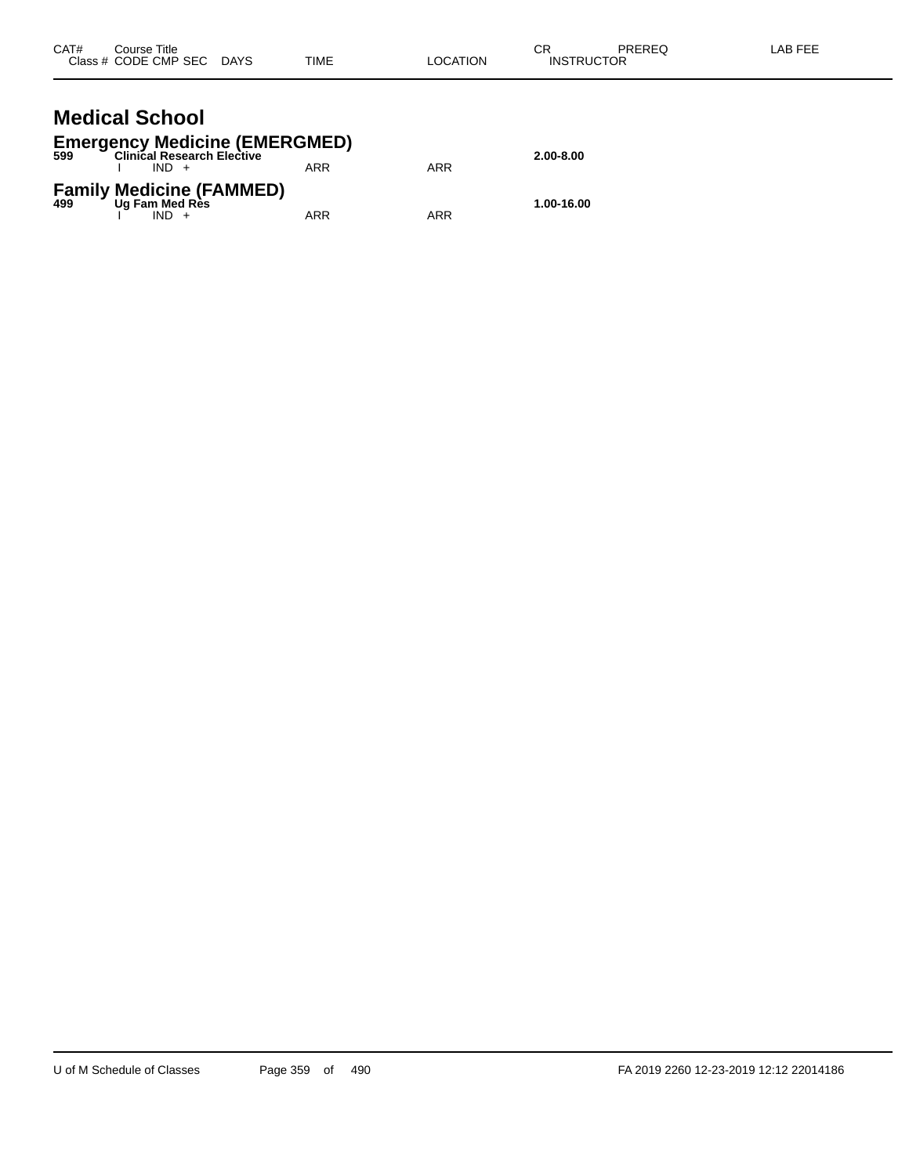| CAT# | Course Title<br>Class # CODE CMP SEC DAYS                                                       | <b>TIME</b> | <b>LOCATION</b> | СR<br><b>INSTRUCTOR</b> | <b>PREREQ</b> | LAB FEE |
|------|-------------------------------------------------------------------------------------------------|-------------|-----------------|-------------------------|---------------|---------|
|      | <b>Medical School</b><br><b>Emergency Medicine (EMERGMED)</b><br>599 Clinical Research Elective |             |                 | 2.00-8.00               |               |         |
|      | $IND +$                                                                                         | <b>ARR</b>  | <b>ARR</b>      |                         |               |         |
|      | <b>Family Medicine (FAMMED)</b><br>499 Ug Fam Med Res                                           |             |                 | 1.00-16.00              |               |         |

I IND + ARR ARR ARR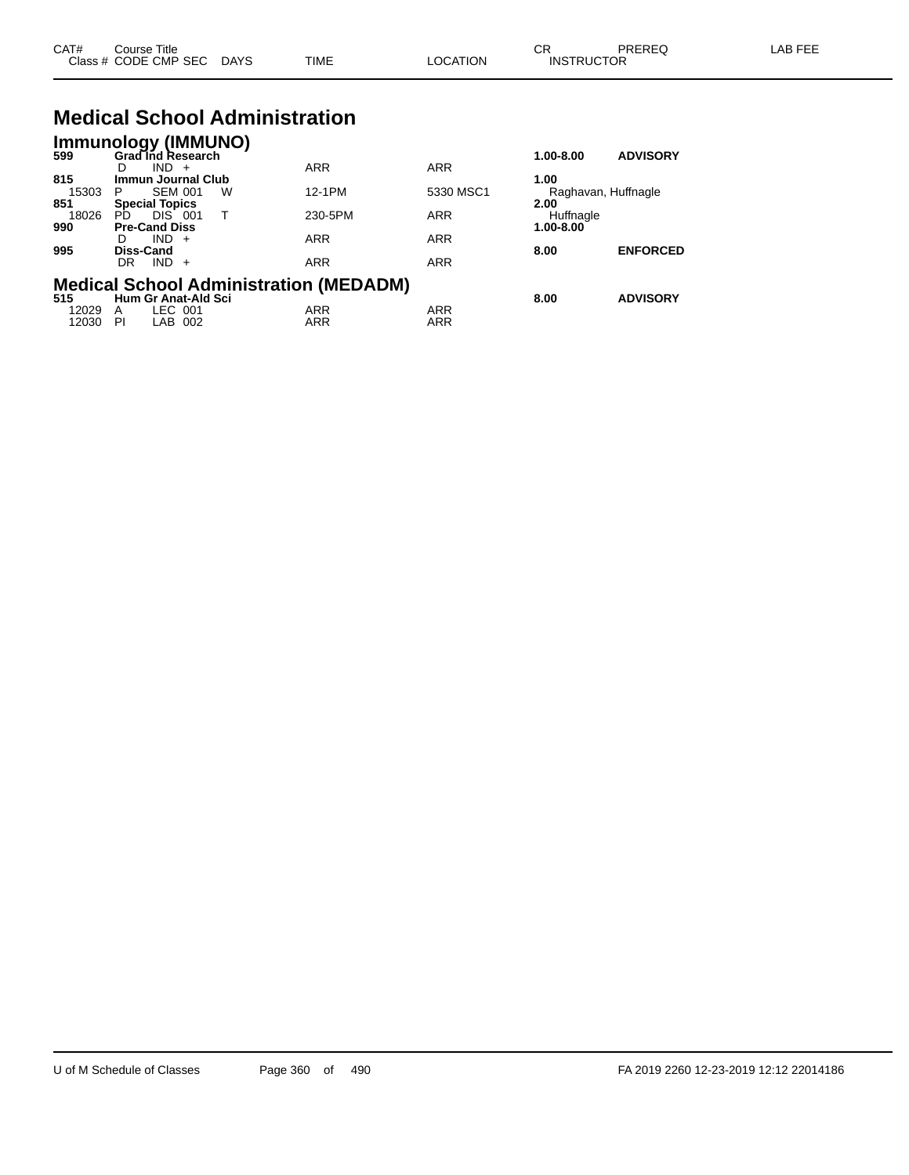| CAT# | ourse Titleٽ              |      |                 |                   | PREREQ | LAB FEE |
|------|---------------------------|------|-----------------|-------------------|--------|---------|
|      | Class # CODE CMP SEC DAYS | TIME | <b>LOCATION</b> | <b>INSTRUCTOR</b> |        |         |

## **Medical School Administration**

| <b>Immunology (IMMUNO)</b> |                            |                |   |                                               |            |           |                     |
|----------------------------|----------------------------|----------------|---|-----------------------------------------------|------------|-----------|---------------------|
| 599                        | <b>Grad Ind Research</b>   |                |   |                                               |            | 1.00-8.00 | <b>ADVISORY</b>     |
|                            | D                          | IND.<br>$+$    |   | <b>ARR</b>                                    | <b>ARR</b> |           |                     |
| 815                        | <b>Immun Journal Club</b>  |                |   |                                               |            | 1.00      |                     |
| 15303                      | P                          | <b>SEM 001</b> | W | 12-1PM                                        | 5330 MSC1  |           | Raghavan, Huffnagle |
| 851                        | <b>Special Topics</b>      |                |   |                                               |            | 2.00      |                     |
| 18026                      | PD.                        | DIS 001        | т | 230-5PM                                       | <b>ARR</b> | Huffnagle |                     |
| 990                        | <b>Pre-Cand Diss</b>       |                |   |                                               |            | 1.00-8.00 |                     |
|                            | D                          | $IND +$        |   | <b>ARR</b>                                    | <b>ARR</b> |           |                     |
| 995                        | Diss-Cand                  |                |   |                                               |            | 8.00      | <b>ENFORCED</b>     |
|                            | DR                         | IND.<br>$+$    |   | <b>ARR</b>                                    | <b>ARR</b> |           |                     |
|                            |                            |                |   | <b>Medical School Administration (MEDADM)</b> |            |           |                     |
| 515                        | <b>Hum Gr Anat-Ald Sci</b> |                |   |                                               |            | 8.00      | <b>ADVISORY</b>     |
| 12029                      | A                          | LEC 001        |   | <b>ARR</b>                                    | <b>ARR</b> |           |                     |
| 12030                      | PI                         | LAB 002        |   | <b>ARR</b>                                    | <b>ARR</b> |           |                     |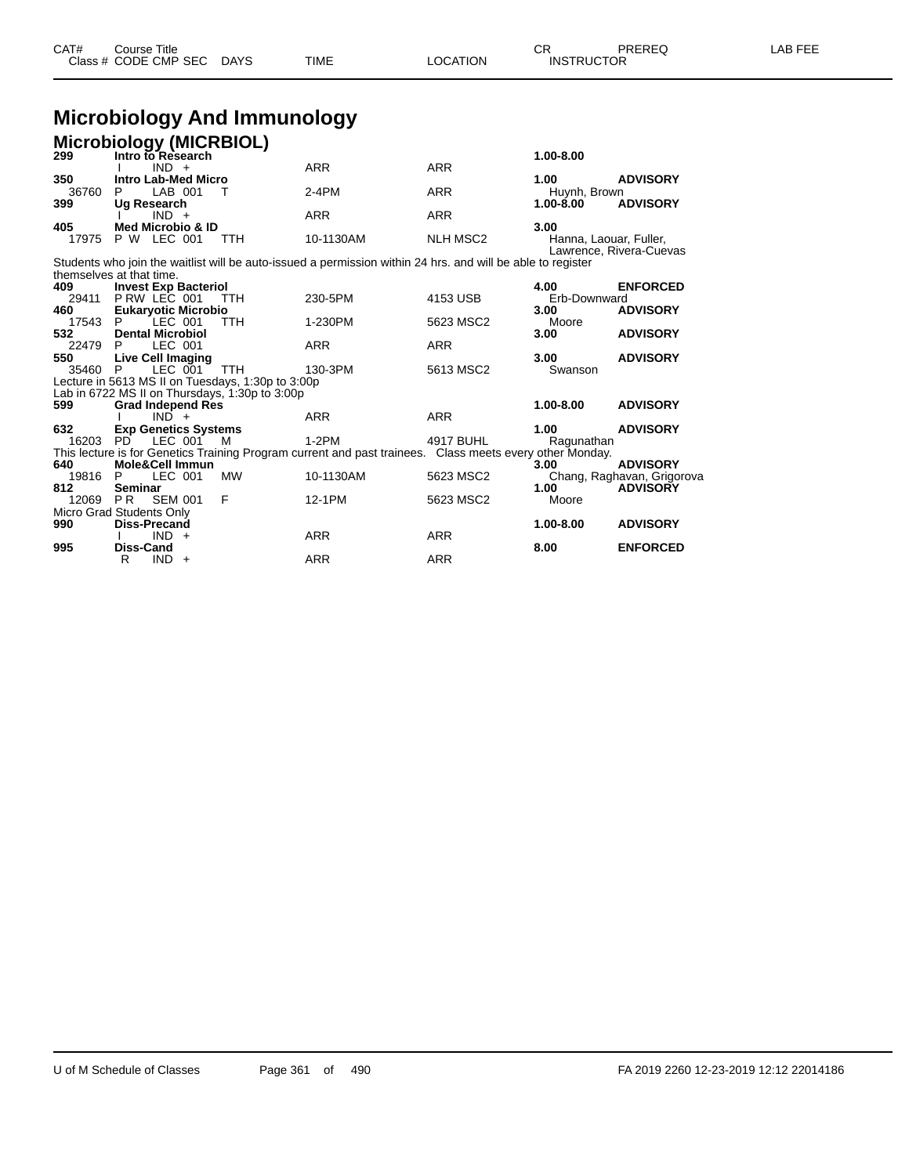| CAT# | Title<br>Course T    |             |      |          | ⌒冖<br>- UN        | PREREQ | AR FFF |
|------|----------------------|-------------|------|----------|-------------------|--------|--------|
|      | Class # CODE CMP SEC | <b>DAYS</b> | TIME | LOCATION | <b>INSTRUCTOR</b> |        |        |

## **Microbiology And Immunology**

| Microbiology (MICRBIOL)<br>299 Intro to Research |                                                    |                |     |                                                   |                                                                                                             |                 |                                |                            |
|--------------------------------------------------|----------------------------------------------------|----------------|-----|---------------------------------------------------|-------------------------------------------------------------------------------------------------------------|-----------------|--------------------------------|----------------------------|
|                                                  |                                                    | $IND +$        |     |                                                   | <b>ARR</b>                                                                                                  | <b>ARR</b>      | 1.00-8.00                      |                            |
| 350                                              | <b>Intro Lab-Med Micro</b>                         |                |     |                                                   |                                                                                                             |                 | 1.00                           | <b>ADVISORY</b>            |
| 36760                                            | P                                                  | LAB 001        |     | Т                                                 | $2-4PM$                                                                                                     | <b>ARR</b>      | Huynh, Brown                   |                            |
| 399                                              | Ug Research                                        |                |     |                                                   |                                                                                                             |                 | $1.00 - 8.00$                  | <b>ADVISORY</b>            |
|                                                  |                                                    | $IND +$        |     |                                                   | <b>ARR</b>                                                                                                  | <b>ARR</b>      |                                |                            |
| 405<br>17975                                     | <b>Med Microbio &amp; ID</b><br><b>P W LEC 001</b> |                |     | <b>TTH</b>                                        | 10-1130AM                                                                                                   | <b>NLH MSC2</b> | 3.00<br>Hanna, Laouar, Fuller, | Lawrence, Rivera-Cuevas    |
| themselves at that time.                         |                                                    |                |     |                                                   | Students who join the waitlist will be auto-issued a permission within 24 hrs. and will be able to register |                 |                                |                            |
| 409                                              | <b>Invest Exp Bacteriol</b>                        |                |     |                                                   |                                                                                                             |                 | 4.00                           | <b>ENFORCED</b>            |
| 29411<br>460                                     | PRW LEC 001<br><b>Eukaryotic Microbio</b>          |                |     | <b>TTH</b>                                        | 230-5PM                                                                                                     | 4153 USB        | Erb-Downward<br>3.00           | <b>ADVISORY</b>            |
| 17543                                            | - P                                                | LEC 001        |     | <b>TTH</b>                                        | 1-230PM                                                                                                     | 5623 MSC2       | Moore                          |                            |
| 532                                              | <b>Dental Microbiol</b>                            |                |     |                                                   |                                                                                                             |                 | 3.00                           | <b>ADVISORY</b>            |
| 22479                                            | - P                                                | LEC 001        |     |                                                   | <b>ARR</b>                                                                                                  | <b>ARR</b>      |                                |                            |
| 550<br>35460                                     | <b>Live Cell Imaging</b><br>- P                    | LEC 001        |     | <b>TTH</b>                                        | 130-3PM                                                                                                     | 5613 MSC2       | 3.00<br>Swanson                | <b>ADVISORY</b>            |
|                                                  |                                                    |                |     | Lecture in 5613 MS II on Tuesdays, 1:30p to 3:00p |                                                                                                             |                 |                                |                            |
|                                                  |                                                    |                |     | Lab in 6722 MS II on Thursdays, 1:30p to 3:00p    |                                                                                                             |                 |                                |                            |
| 599                                              | <b>Grad Independ Res</b>                           |                |     |                                                   |                                                                                                             |                 | $1.00 - 8.00$                  | <b>ADVISORY</b>            |
|                                                  |                                                    | $IND +$        |     |                                                   | <b>ARR</b>                                                                                                  | <b>ARR</b>      |                                |                            |
| 632<br>16203 PD                                  | <b>Exp Genetics Systems</b>                        | LEC 001        |     | M                                                 | $1-2PM$                                                                                                     | 4917 BUHL       | 1.00<br>Ragunathan             | <b>ADVISORY</b>            |
|                                                  |                                                    |                |     |                                                   | This lecture is for Genetics Training Program current and past trainees. Class meets every other Monday.    |                 |                                |                            |
| 640                                              | <b>Mole&amp;Cell Immun</b>                         |                |     |                                                   |                                                                                                             |                 | 3.00                           | <b>ADVISORY</b>            |
| 19816                                            | P                                                  | LEC 001        |     | <b>MW</b>                                         | 10-1130AM                                                                                                   | 5623 MSC2       |                                | Chang, Raghavan, Grigorova |
| 812<br>12069                                     | Seminar<br>P R                                     | <b>SEM 001</b> |     | F                                                 | 12-1PM                                                                                                      | 5623 MSC2       | 1.00<br>Moore                  | <b>ADVISORY</b>            |
| Micro Grad Students Only                         |                                                    |                |     |                                                   |                                                                                                             |                 |                                |                            |
| 990                                              | Diss-Precand                                       |                |     |                                                   |                                                                                                             |                 | $1.00 - 8.00$                  | <b>ADVISORY</b>            |
|                                                  |                                                    | $IND +$        |     |                                                   | <b>ARR</b>                                                                                                  | <b>ARR</b>      |                                |                            |
| 995                                              | <b>Diss-Cand</b><br>R                              | IND.           | $+$ |                                                   | <b>ARR</b>                                                                                                  | <b>ARR</b>      | 8.00                           | <b>ENFORCED</b>            |
|                                                  |                                                    |                |     |                                                   |                                                                                                             |                 |                                |                            |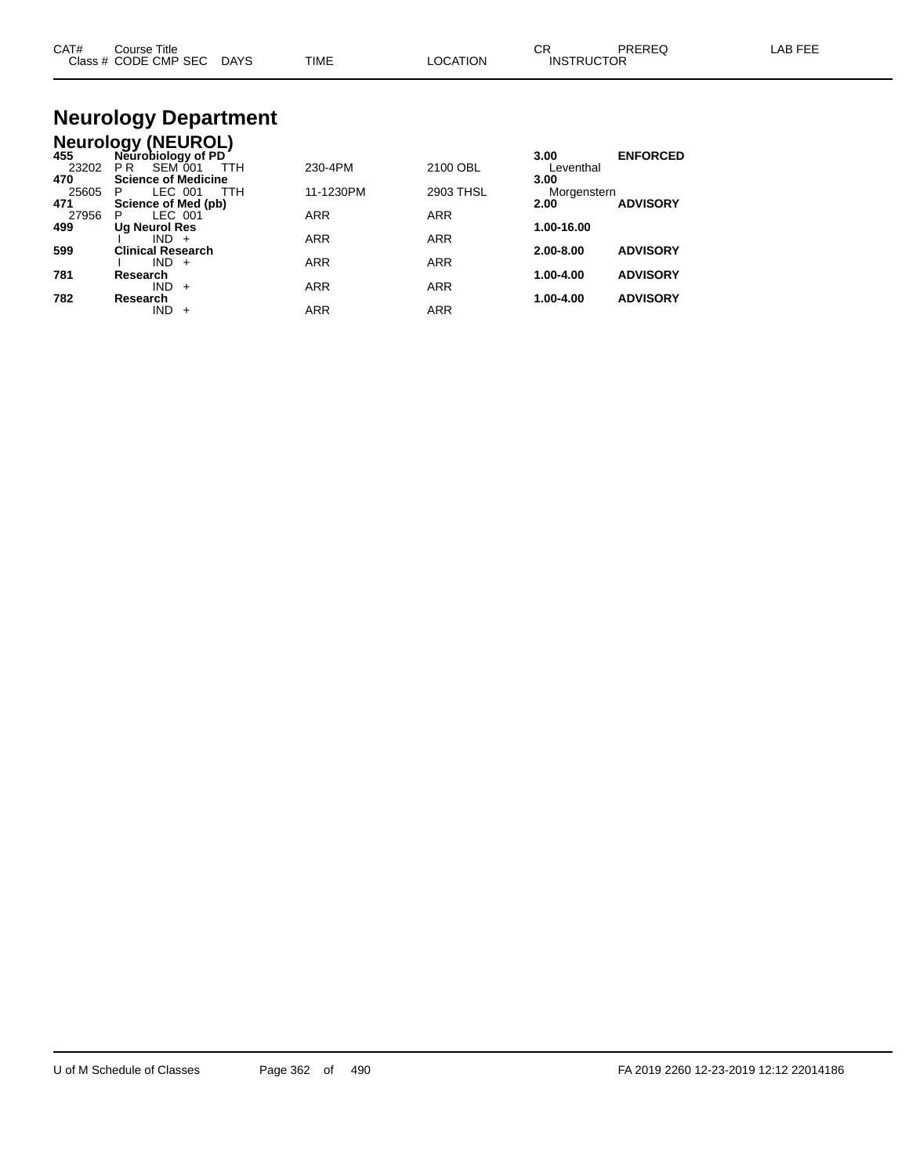| CAT#    | Course Title |             |             |          | ~~<br>UN.         | PREREQ | _AB FEF |
|---------|--------------|-------------|-------------|----------|-------------------|--------|---------|
| Class # | CODE CMP SEC | <b>DAYS</b> | <b>TIME</b> | LOCATION | <b>INSTRUCTOR</b> |        |         |
|         |              |             |             |          |                   |        |         |

#### **Neurology Department Neurology (NEUROL)**

| 455   | Neurobiology of PD           |            |            | 3.00        | <b>ENFORCED</b> |
|-------|------------------------------|------------|------------|-------------|-----------------|
| 23202 | <b>SEM 001</b><br>TTH<br>P R | 230-4PM    | 2100 OBL   | Leventhal   |                 |
| 470   | <b>Science of Medicine</b>   |            |            | 3.00        |                 |
| 25605 | LEC 001<br><b>TTH</b><br>P   | 11-1230PM  | 2903 THSL  | Morgenstern |                 |
| 471   | Science of Med (pb)          |            |            | 2.00        | <b>ADVISORY</b> |
| 27956 | LEC 001<br>P                 | <b>ARR</b> | <b>ARR</b> |             |                 |
| 499   | Ug Neurol Res                |            |            | 1.00-16.00  |                 |
|       | $IND +$                      | <b>ARR</b> | <b>ARR</b> |             |                 |
| 599   | <b>Clinical Research</b>     |            |            | 2.00-8.00   | <b>ADVISORY</b> |
|       | $IND +$                      | <b>ARR</b> | <b>ARR</b> |             |                 |
| 781   | Research                     |            |            | 1.00-4.00   | <b>ADVISORY</b> |
|       | <b>IND</b><br>$+$            | <b>ARR</b> | <b>ARR</b> |             |                 |
| 782   | Research                     |            |            | 1.00-4.00   | <b>ADVISORY</b> |
|       | IND<br>$\div$                | <b>ARR</b> | <b>ARR</b> |             |                 |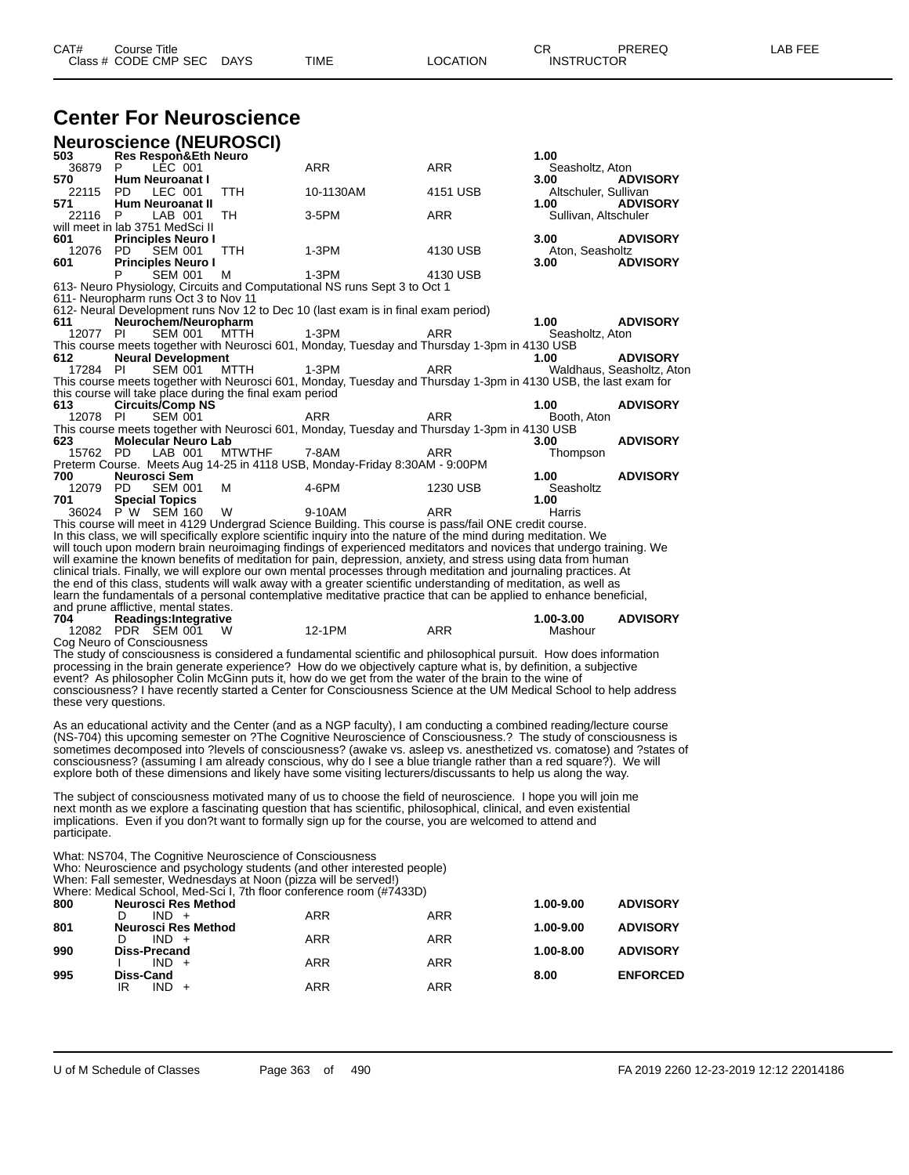## **Center For Neuroscience**

|                       | <b>Neuroscience (NEUROSCI)</b>                                  |               |                                                                                                                     |            |                              |                           |
|-----------------------|-----------------------------------------------------------------|---------------|---------------------------------------------------------------------------------------------------------------------|------------|------------------------------|---------------------------|
| 503                   | <b>Res Respon&amp;Eth Neuro</b>                                 |               |                                                                                                                     |            | 1.00                         |                           |
| 36879<br>570          | P<br>LEC 001<br><b>Hum Neuroanat I</b>                          |               | <b>ARR</b>                                                                                                          | <b>ARR</b> | Seasholtz, Aton<br>3.00      | <b>ADVISORY</b>           |
| 22115<br>571          | LEC 001<br>PD.<br>Hum Neuroanat II                              | TTH           | 10-1130AM                                                                                                           | 4151 USB   | Altschuler, Sullivan<br>1.00 | <b>ADVISORY</b>           |
| 22116                 | LAB 001<br>P<br>will meet in lab 3751 MedSci II                 | TH            | 3-5PM                                                                                                               | ARR        | Sullivan, Altschuler         |                           |
| 601<br>12076          | <b>Principles Neuro I</b><br><b>SEM 001</b><br>PD.              | TTH           | 1-3PM                                                                                                               | 4130 USB   | 3.00<br>Aton, Seasholtz      | <b>ADVISORY</b>           |
| 601                   | <b>Principles Neuro I</b><br>Р<br><b>SEM 001</b>                | м             | $1-3PM$                                                                                                             | 4130 USB   | 3.00                         | <b>ADVISORY</b>           |
|                       | 611- Neuropharm runs Oct 3 to Nov 11                            |               | 613- Neuro Physiology, Circuits and Computational NS runs Sept 3 to Oct 1                                           |            |                              |                           |
|                       |                                                                 |               | 612- Neural Development runs Nov 12 to Dec 10 (last exam is in final exam period)                                   |            |                              |                           |
| 611                   | Neurochem/Neuropharm                                            |               |                                                                                                                     |            | 1.00                         | <b>ADVISORY</b>           |
| 12077 PI              | <b>SEM 001</b>                                                  | <b>MTTH</b>   | $1-3PM$<br>This course meets together with Neurosci 601, Monday, Tuesday and Thursday 1-3pm in 4130 USB             | ARR        | Seasholtz, Aton              |                           |
| 612                   | <b>Neural Development</b>                                       |               |                                                                                                                     |            | 1.00                         | <b>ADVISORY</b>           |
| 17284 PI              | <b>SEM 001</b>                                                  | MTTH          | 1-3PM                                                                                                               | ARR        |                              | Waldhaus, Seasholtz, Aton |
|                       |                                                                 |               | This course meets together with Neurosci 601, Monday, Tuesday and Thursday 1-3pm in 4130 USB, the last exam for     |            |                              |                           |
|                       | this course will take place during the final exam period        |               |                                                                                                                     |            |                              |                           |
| 613<br>12078 PI       | <b>Circuits/Comp NS</b><br><b>SEM 001</b>                       |               | ARR                                                                                                                 | ARR        | 1.00                         | <b>ADVISORY</b>           |
|                       |                                                                 |               | This course meets together with Neurosci 601, Monday, Tuesday and Thursday 1-3pm in 4130 USB                        |            | Booth, Aton                  |                           |
| 623                   | <b>Molecular Neuro Lab</b>                                      |               |                                                                                                                     |            | 3.00                         | <b>ADVISORY</b>           |
| 15762 PD              | LAB 001                                                         | <b>MTWTHF</b> | 7-8AM                                                                                                               | ARR        | Thompson                     |                           |
|                       |                                                                 |               | Preterm Course. Meets Aug 14-25 in 4118 USB, Monday-Friday 8:30AM - 9:00PM                                          |            |                              |                           |
| 700                   | Neurosci Sem                                                    |               |                                                                                                                     |            | 1.00                         | <b>ADVISORY</b>           |
| 12079                 | PD.<br><b>SEM 001</b>                                           | м             | 4-6PM                                                                                                               | 1230 USB   | Seasholtz                    |                           |
| 701                   | <b>Special Topics</b><br>36024 PW SEM 160                       | W             | 9-10AM                                                                                                              | ARR        | 1.00<br>Harris               |                           |
|                       |                                                                 |               | This course will meet in 4129 Undergrad Science Building. This course is pass/fail ONE credit course.               |            |                              |                           |
|                       |                                                                 |               | In this class, we will specifically explore scientific inquiry into the nature of the mind during meditation. We    |            |                              |                           |
|                       |                                                                 |               | will touch upon modern brain neuroimaging findings of experienced meditators and novices that undergo training. We  |            |                              |                           |
|                       |                                                                 |               | will examine the known benefits of meditation for pain, depression, anxiety, and stress using data from human       |            |                              |                           |
|                       |                                                                 |               | clinical trials. Finally, we will explore our own mental processes through meditation and journaling practices. At  |            |                              |                           |
|                       |                                                                 |               | the end of this class, students will walk away with a greater scientific understanding of meditation, as well as    |            |                              |                           |
|                       |                                                                 |               | learn the fundamentals of a personal contemplative meditative practice that can be applied to enhance beneficial,   |            |                              |                           |
| 704                   | and prune afflictive, mental states.                            |               |                                                                                                                     |            | 1.00-3.00                    | <b>ADVISORY</b>           |
|                       | Readings: Integrative<br>12082 PDR SEM 001                      | - W           | 12-1PM                                                                                                              | <b>ARR</b> | Mashour                      |                           |
|                       | Cog Neuro of Consciousness                                      |               |                                                                                                                     |            |                              |                           |
|                       |                                                                 |               | The study of consciousness is considered a fundamental scientific and philosophical pursuit. How does information   |            |                              |                           |
|                       |                                                                 |               | processing in the brain generate experience? How do we objectively capture what is, by definition, a subjective     |            |                              |                           |
|                       |                                                                 |               | event? As philosopher Colin McGinn puts it, how do we get from the water of the brain to the wine of                |            |                              |                           |
|                       |                                                                 |               | consciousness? I have recently started a Center for Consciousness Science at the UM Medical School to help address  |            |                              |                           |
| these very questions. |                                                                 |               |                                                                                                                     |            |                              |                           |
|                       |                                                                 |               |                                                                                                                     |            |                              |                           |
|                       |                                                                 |               |                                                                                                                     |            |                              |                           |
|                       |                                                                 |               | As an educational activity and the Center (and as a NGP faculty), I am conducting a combined reading/lecture course |            |                              |                           |
|                       |                                                                 |               | (NS-704) this upcoming semester on ?The Cognitive Neuroscience of Consciousness.? The study of consciousness is     |            |                              |                           |
|                       |                                                                 |               | sometimes decomposed into ?levels of consciousness? (awake vs. asleep vs. anesthetized vs. comatose) and ?states of |            |                              |                           |
|                       |                                                                 |               | consciousness? (assuming I am already conscious, why do I see a blue triangle rather than a red square?). We will   |            |                              |                           |
|                       |                                                                 |               | explore both of these dimensions and likely have some visiting lecturers/discussants to help us along the way.      |            |                              |                           |
|                       |                                                                 |               | The subject of consciousness motivated many of us to choose the field of neuroscience. I hope you will join me      |            |                              |                           |
|                       |                                                                 |               | next month as we explore a fascinating question that has scientific, philosophical, clinical, and even existential  |            |                              |                           |
|                       |                                                                 |               | implications. Even if you don?t want to formally sign up for the course, you are welcomed to attend and             |            |                              |                           |
| participate.          |                                                                 |               |                                                                                                                     |            |                              |                           |
|                       |                                                                 |               |                                                                                                                     |            |                              |                           |
|                       | What: NS704, The Cognitive Neuroscience of Consciousness        |               |                                                                                                                     |            |                              |                           |
|                       |                                                                 |               | Who: Neuroscience and psychology students (and other interested people)                                             |            |                              |                           |
|                       | When: Fall semester, Wednesdays at Noon (pizza will be served!) |               | Where: Medical School, Med-Sci I, 7th floor conference room (#7433D)                                                |            |                              |                           |
| 800                   | <b>Neurosci Res Method</b>                                      |               |                                                                                                                     |            | 1.00-9.00                    | <b>ADVISORY</b>           |
| 801                   | $IND +$<br>D<br><b>Neurosci Res Method</b>                      |               | <b>ARR</b>                                                                                                          | <b>ARR</b> | 1.00-9.00                    | <b>ADVISORY</b>           |
| 990                   | $IND +$<br>D<br>Diss-Precand                                    |               | ARR                                                                                                                 | <b>ARR</b> | 1.00-8.00                    | <b>ADVISORY</b>           |
| 995                   | $IND +$<br>I.<br>Diss-Cand                                      |               | ARR                                                                                                                 | ARR        | 8.00                         | <b>ENFORCED</b>           |

IR IND + ARR ARR ARR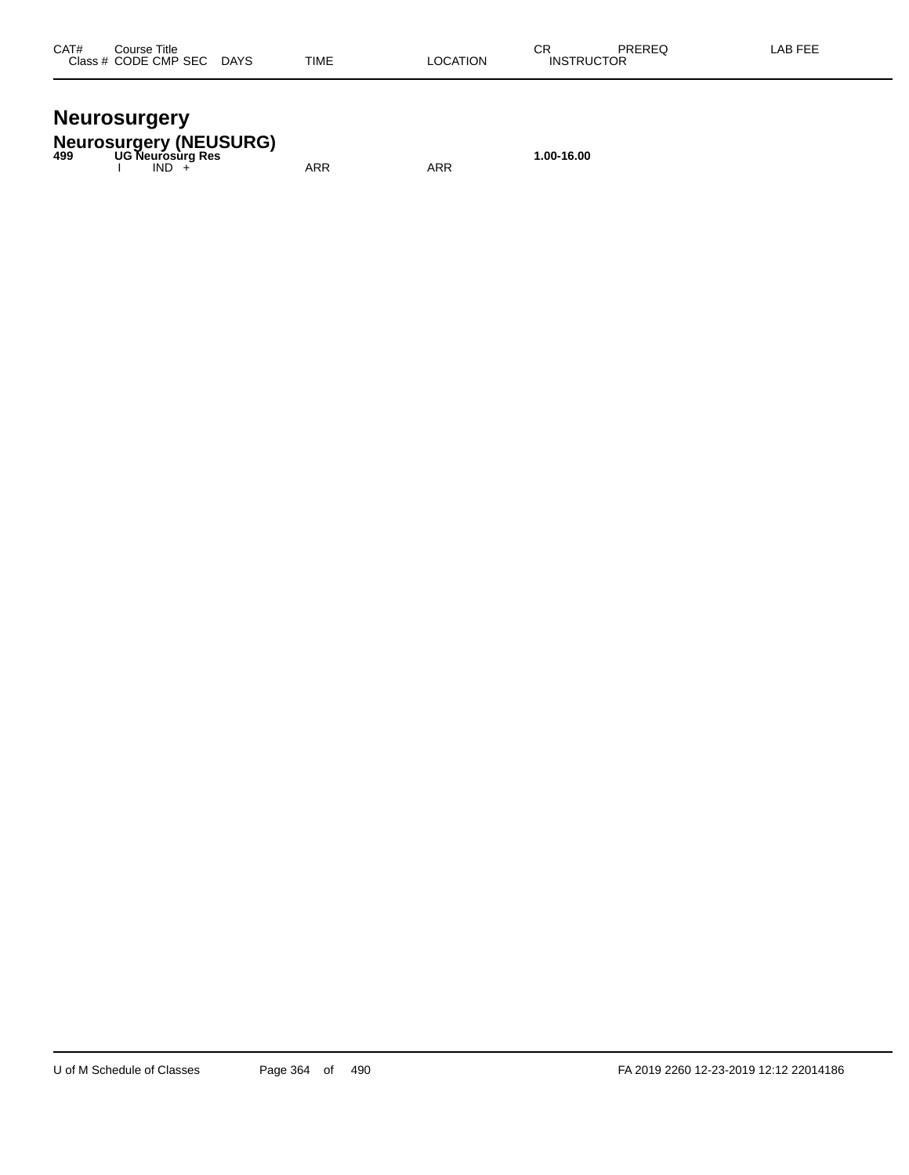#### **Neurosurgery**

**Neurosurgery (NEUSURG) 499 UG Neurosurg Res 1.00-16.00**

I IND + ARR ARR ARR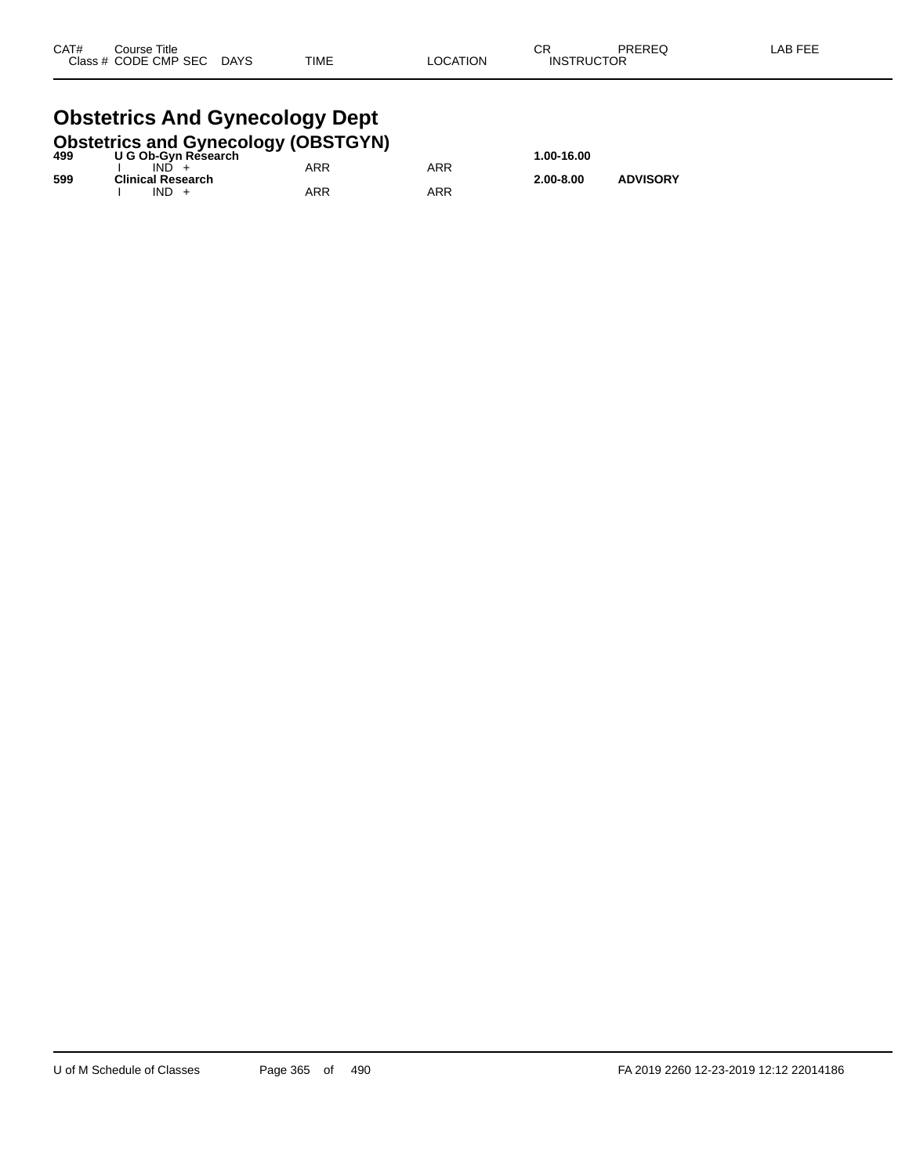#### **Obstetrics And Gynecology Dept**<br>Obstetrics and Gynecology (OBSTGYN **Obstetrics and Gynecology (OBSTGYN)**

| 499 | <b>ODSIGITIES AND OVERCOIOGY (ODSTOTIV)</b><br>U G Ob-Gyn Research |     |     | 1.00-16.00    |                 |
|-----|--------------------------------------------------------------------|-----|-----|---------------|-----------------|
|     | IND.                                                               | ARR | ARR |               |                 |
| 599 | <b>Clinical Research</b><br>$IND +$                                | ARR | ARR | $2.00 - 8.00$ | <b>ADVISORY</b> |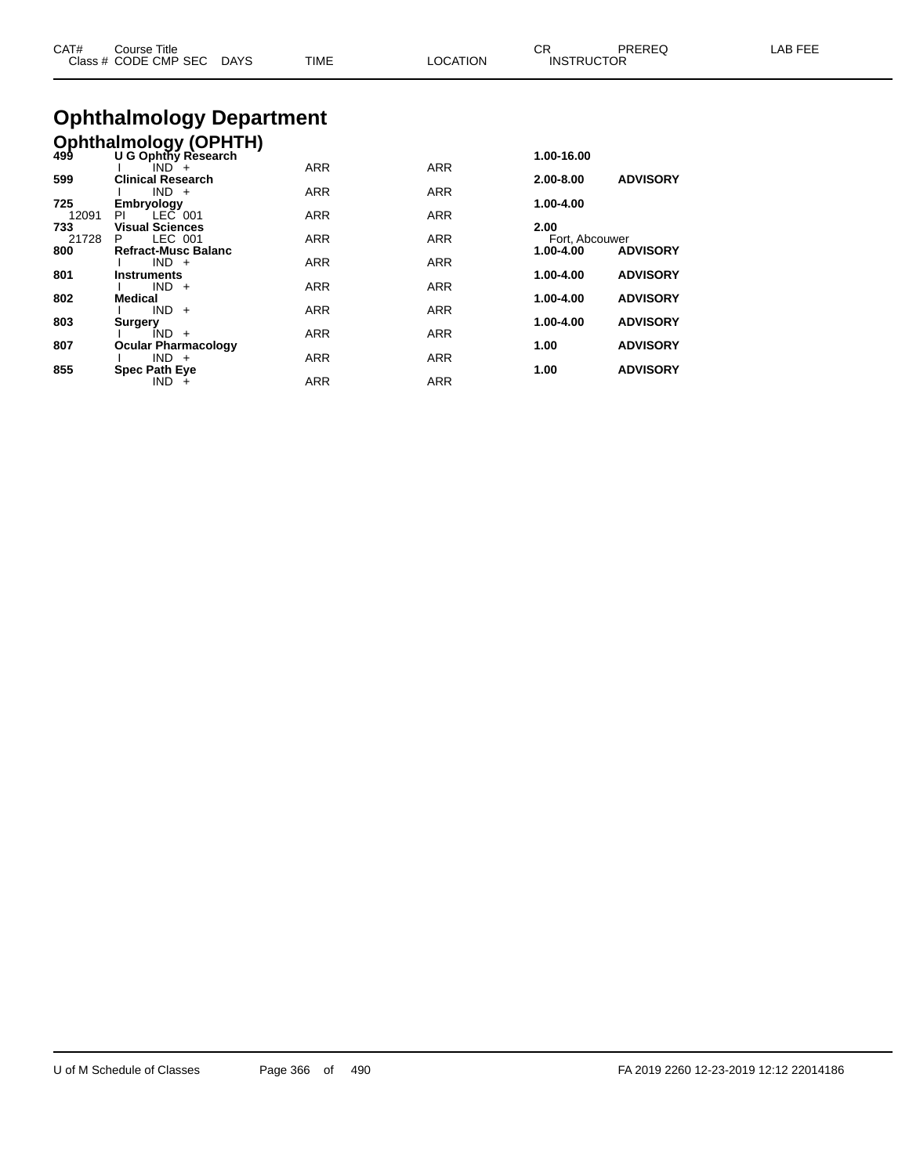| CAT#<br>Course Title<br>Class # CODE CMP SEC DAYS       | TIME | <b>LOCATION</b> | CR<br>PRERFO<br><b>INSTRUCTOR</b> | LAB FEE |
|---------------------------------------------------------|------|-----------------|-----------------------------------|---------|
| <b>Ophthalmology Department</b>                         |      |                 |                                   |         |
| <b>Ophthalmology (OPHTH)</b><br>499 U G Ophthy Research | .    | $\sim$ $ -$     | 1.00-16.00                        |         |

| -33   | U G Opiniy Research        |            |            | 1.VV-1V.VV     |                 |
|-------|----------------------------|------------|------------|----------------|-----------------|
|       | $IND^+$                    | <b>ARR</b> | <b>ARR</b> |                |                 |
| 599   | <b>Clinical Research</b>   |            |            | 2.00-8.00      | <b>ADVISORY</b> |
|       | $IND +$                    | <b>ARR</b> | <b>ARR</b> |                |                 |
| 725   | <b>Embryology</b>          |            |            | 1.00-4.00      |                 |
| 12091 | LEC 001<br>PL              | <b>ARR</b> | <b>ARR</b> |                |                 |
| 733   | <b>Visual Sciences</b>     |            |            | 2.00           |                 |
| 21728 | LEC 001<br>P.              | <b>ARR</b> | <b>ARR</b> | Fort, Abcouwer |                 |
| 800   | <b>Refract-Musc Balanc</b> |            |            | 1.00-4.00      | <b>ADVISORY</b> |
|       | $IND +$                    | <b>ARR</b> | <b>ARR</b> |                |                 |
| 801   | <b>Instruments</b>         |            |            | 1.00-4.00      | <b>ADVISORY</b> |
|       | $IND +$                    | <b>ARR</b> | <b>ARR</b> |                |                 |
| 802   | <b>Medical</b>             |            |            | 1.00-4.00      | <b>ADVISORY</b> |
|       | $IND +$                    | <b>ARR</b> | <b>ARR</b> |                |                 |
| 803   | <b>Surgery</b>             |            |            | 1.00-4.00      | <b>ADVISORY</b> |
|       | $IND +$                    | <b>ARR</b> | <b>ARR</b> |                |                 |
| 807   | <b>Ocular Pharmacology</b> |            |            | 1.00           | <b>ADVISORY</b> |
|       | $IND +$                    | <b>ARR</b> | <b>ARR</b> |                |                 |
| 855   | <b>Spec Path Eye</b>       |            |            | 1.00           | <b>ADVISORY</b> |
|       | $IND +$                    | <b>ARR</b> | <b>ARR</b> |                |                 |
|       |                            |            |            |                |                 |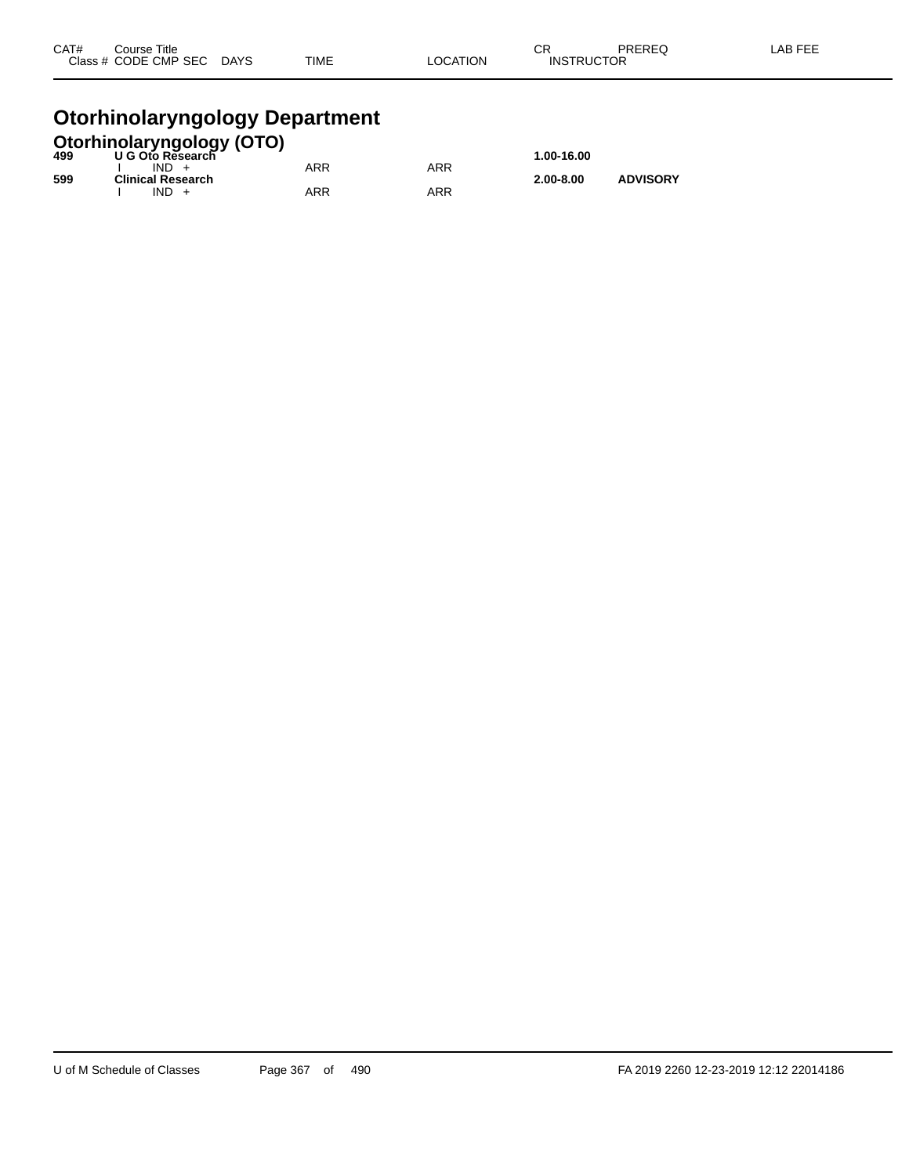| CAT# | Course Title              |             |          | ⌒冖                | PREREQ | LAB FEE |
|------|---------------------------|-------------|----------|-------------------|--------|---------|
|      | Class # CODE CMP SEC DAYS | <b>TIME</b> | LOCATION | <b>INSTRUCTOR</b> |        |         |
|      |                           |             |          |                   |        |         |

#### **Otorhinolaryngology Department**

|     | <b>Otorhinolaryngology (OTO)</b><br>499 U G Oto Research |            |     |               |                 |
|-----|----------------------------------------------------------|------------|-----|---------------|-----------------|
|     |                                                          |            |     | 1.00-16.00    |                 |
|     | $IND +$                                                  | <b>ARR</b> | ARR |               |                 |
| 599 | <b>Clinical Research</b>                                 |            |     | $2.00 - 8.00$ | <b>ADVISORY</b> |
|     | $IND +$                                                  | ARR        | ARR |               |                 |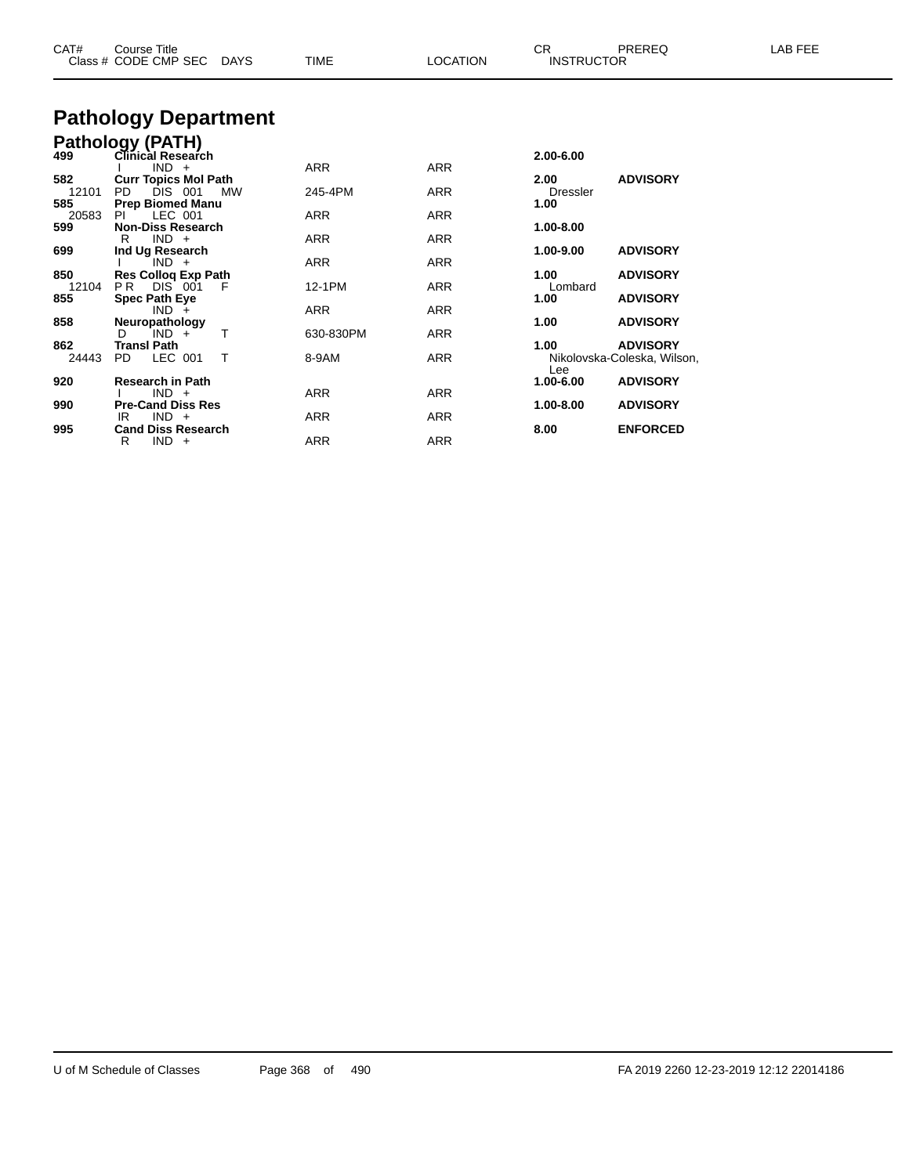| CAT#<br>Course Title<br>Class # CODE CMP SEC DAYS | TIME<br><b>LOCATION</b> | CR<br>LAB FEE<br>PREREQ<br><b>INSTRUCTOR</b> |
|---------------------------------------------------|-------------------------|----------------------------------------------|
| <b>Pathology Department</b>                       |                         |                                              |
| Pathology (PATH)                                  |                         |                                              |
| 499<br>Clinical Research                          |                         | 2.00-6.00                                    |

| 499   | Clinical Research<br>$IND +$   | ARR        | <b>ARR</b> | 2.00-6.00       |                             |
|-------|--------------------------------|------------|------------|-----------------|-----------------------------|
| 582   | <b>Curr Topics Mol Path</b>    |            |            | 2.00            | <b>ADVISORY</b>             |
| 12101 | PD.<br>DIS 001<br>MW           | 245-4PM    | <b>ARR</b> | <b>Dressler</b> |                             |
| 585   | <b>Prep Biomed Manu</b>        |            |            | 1.00            |                             |
| 20583 | LEC 001<br>PI.                 | <b>ARR</b> | <b>ARR</b> |                 |                             |
| 599   | <b>Non-Diss Research</b>       |            |            | 1.00-8.00       |                             |
|       | $IND +$<br>R                   | <b>ARR</b> | <b>ARR</b> |                 |                             |
| 699   | Ind Ug Research                |            |            | 1.00-9.00       | <b>ADVISORY</b>             |
|       | $IND +$                        | <b>ARR</b> | <b>ARR</b> |                 |                             |
| 850   | <b>Res Collog Exp Path</b>     |            |            | 1.00            | <b>ADVISORY</b>             |
| 12104 | <b>DIS 001</b><br>PR -<br>-F   | 12-1PM     | <b>ARR</b> | Lombard         |                             |
| 855   | <b>Spec Path Eye</b>           |            |            | 1.00            | <b>ADVISORY</b>             |
|       | $IND +$                        | <b>ARR</b> | <b>ARR</b> |                 |                             |
| 858   | Neuropathology                 |            |            | 1.00            | <b>ADVISORY</b>             |
|       | $IND +$<br>D.                  | 630-830PM  | <b>ARR</b> |                 |                             |
| 862   | <b>Transl Path</b>             |            |            | 1.00            | <b>ADVISORY</b>             |
| 24443 | LEC 001<br>PD.<br>$\mathsf{T}$ | 8-9AM      | <b>ARR</b> |                 | Nikolovska-Coleska, Wilson, |
|       |                                |            |            | Lee             |                             |
| 920   | <b>Research in Path</b>        |            |            | 1.00-6.00       | <b>ADVISORY</b>             |
|       | $IND +$                        | <b>ARR</b> | <b>ARR</b> |                 |                             |
| 990   | <b>Pre-Cand Diss Res</b>       |            |            | 1.00-8.00       | <b>ADVISORY</b>             |
|       | $IND +$<br>IR.                 | <b>ARR</b> | ARR        |                 |                             |
| 995   | <b>Cand Diss Research</b>      |            |            | 8.00            | <b>ENFORCED</b>             |
|       | R<br>IND -<br>$+$              | ARR        | <b>ARR</b> |                 |                             |
|       |                                |            |            |                 |                             |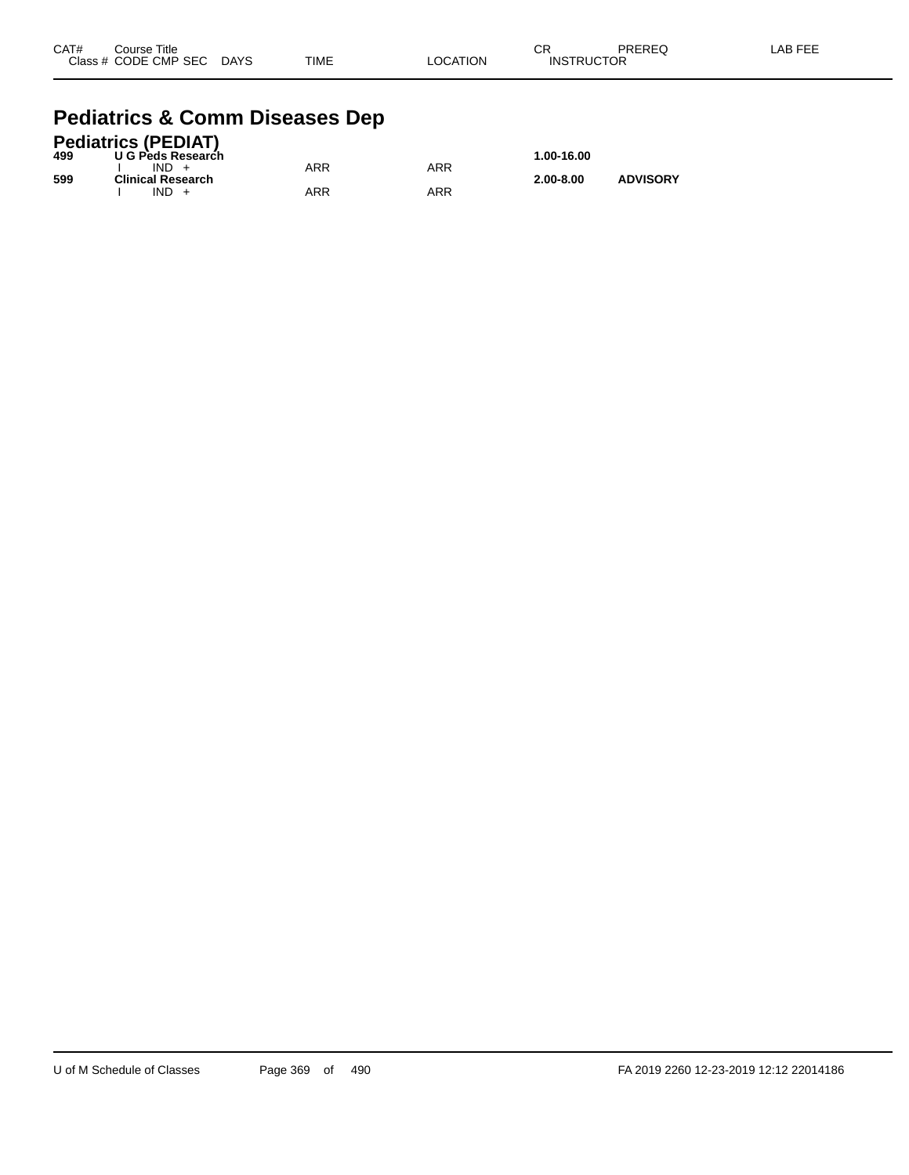| CAT# | Course Title              |             |          | CR                | PREREQ | -AB FEE |
|------|---------------------------|-------------|----------|-------------------|--------|---------|
|      | Class # CODE CMP SEC DAYS | <b>TIME</b> | LOCATION | <b>INSTRUCTOR</b> |        |         |

#### **Pediatrics & Comm Diseases Dep**

|     | <b>Pediatrics (PEDIAT)</b> |     |     |               |                 |
|-----|----------------------------|-----|-----|---------------|-----------------|
| 499 | U G Peds Research          |     |     | 1.00-16.00    |                 |
|     | $IND +$                    | ARR | ARR |               |                 |
| 599 | <b>Clinical Research</b>   |     |     | $2.00 - 8.00$ | <b>ADVISORY</b> |
|     | $IND +$                    | ARR | ARR |               |                 |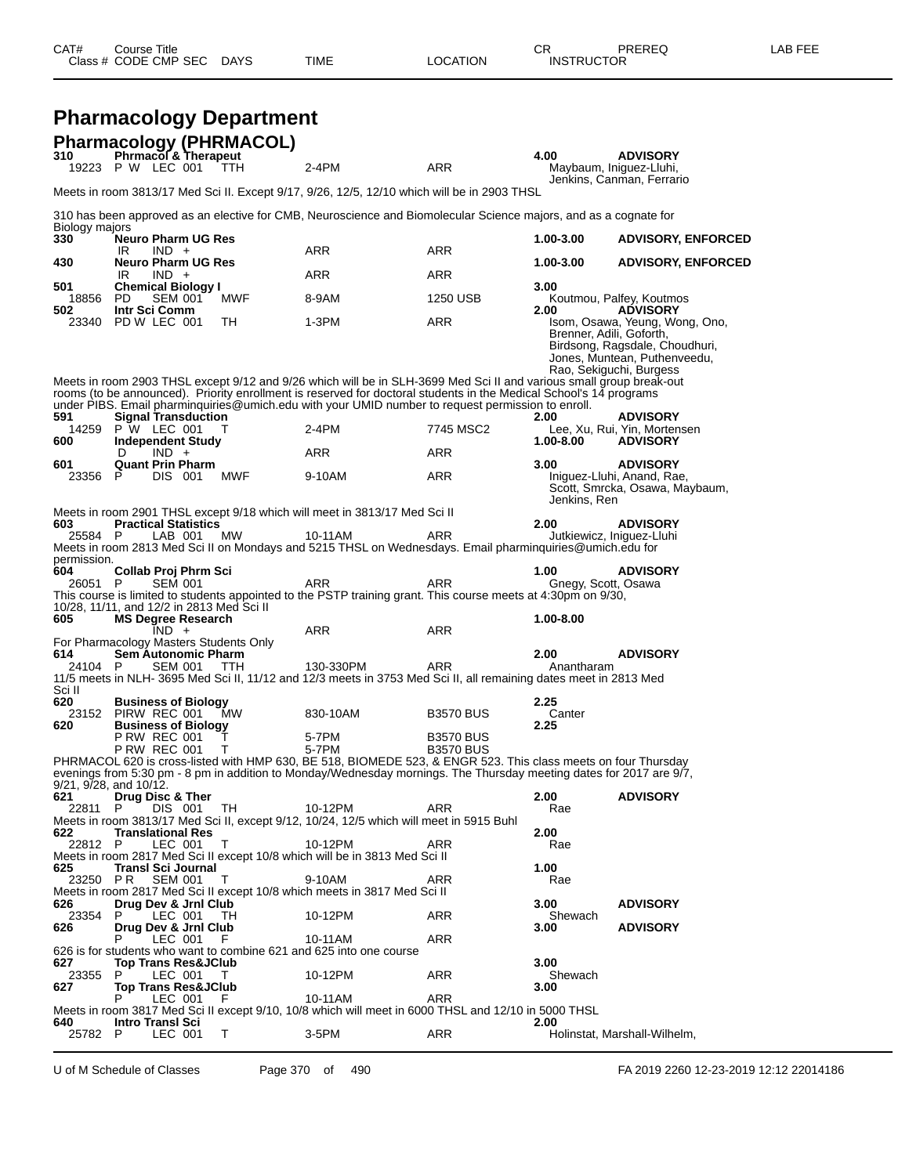| CAT# | Title<br>Course '    |             |      |          | Ωn<br>- UN        | PREREQ | AR FFF |
|------|----------------------|-------------|------|----------|-------------------|--------|--------|
|      | Class # CODE CMP SEC | <b>DAYS</b> | TIME | LOCATION | <b>INSTRUCTOR</b> |        |        |
|      |                      |             |      |          |                   |        |        |

|                       | <b>Pharmacology Department</b>                                                         |           |                                                                                                                                                                                                                                                                                                                                                          |                  |                             |                                                                                                                             |
|-----------------------|----------------------------------------------------------------------------------------|-----------|----------------------------------------------------------------------------------------------------------------------------------------------------------------------------------------------------------------------------------------------------------------------------------------------------------------------------------------------------------|------------------|-----------------------------|-----------------------------------------------------------------------------------------------------------------------------|
|                       | <b>Pharmacology (PHRMACOL)</b>                                                         |           |                                                                                                                                                                                                                                                                                                                                                          |                  |                             |                                                                                                                             |
| 310                   | Phrmacol & Therapeut<br>19223 P W LEC 001                                              | ттн       | $2-4PM$                                                                                                                                                                                                                                                                                                                                                  | ARR              | 4.00                        | <b>ADVISORY</b><br>Maybaum, Iniguez-Lluhi,<br>Jenkins, Canman, Ferrario                                                     |
|                       |                                                                                        |           | Meets in room 3813/17 Med Sci II. Except 9/17, 9/26, 12/5, 12/10 which will be in 2903 THSL                                                                                                                                                                                                                                                              |                  |                             |                                                                                                                             |
|                       |                                                                                        |           | 310 has been approved as an elective for CMB, Neuroscience and Biomolecular Science majors, and as a cognate for                                                                                                                                                                                                                                         |                  |                             |                                                                                                                             |
| Biology majors<br>330 | <b>Neuro Pharm UG Res</b><br>IR.<br>$IND +$                                            |           | ARR                                                                                                                                                                                                                                                                                                                                                      | ARR              | 1.00-3.00                   | <b>ADVISORY, ENFORCED</b>                                                                                                   |
| 430                   | <b>Neuro Pharm UG Res</b>                                                              |           |                                                                                                                                                                                                                                                                                                                                                          |                  | 1.00-3.00                   | <b>ADVISORY, ENFORCED</b>                                                                                                   |
| 501                   | IR.<br>$IND +$<br><b>Chemical Biology I</b>                                            |           | <b>ARR</b>                                                                                                                                                                                                                                                                                                                                               | <b>ARR</b>       | 3.00                        |                                                                                                                             |
| 18856<br>502          | <b>SEM 001</b><br><b>PD</b><br>Intr Sci Comm                                           | MWF       | 8-9AM                                                                                                                                                                                                                                                                                                                                                    | 1250 USB         | 2.00                        | Koutmou, Palfey, Koutmos<br><b>ADVISORY</b>                                                                                 |
|                       | 23340 PD W LEC 001                                                                     | TH.       | 1-3PM<br>Meets in room 2903 THSL except 9/12 and 9/26 which will be in SLH-3699 Med Sci II and various small group break-out<br>rooms (to be announced). Priority enrollment is reserved for doctoral students in the Medical School's 14 programs<br>under PIBS. Email pharminquiries @umich.edu with your UMID number to request permission to enroll. | <b>ARR</b>       | Brenner, Adili, Goforth,    | Isom, Osawa, Yeung, Wong, Ono,<br>Birdsong, Ragsdale, Choudhuri,<br>Jones, Muntean, Puthenveedu,<br>Rao, Sekiguchi, Burgess |
| 591                   | <b>Signal Transduction</b><br>14259 P W LEC 001                                        |           | 2-4PM                                                                                                                                                                                                                                                                                                                                                    | 7745 MSC2        | 2.00                        | <b>ADVISORY</b><br>Lee, Xu, Rui, Yin, Mortensen                                                                             |
| 600                   | <b>Independent Study</b><br>$IND +$<br>D                                               |           | <b>ARR</b>                                                                                                                                                                                                                                                                                                                                               | ARR              | 1.00-8.00                   | <b>ADVISORY</b>                                                                                                             |
| 601<br>23356          | <b>Quant Prin Pharm</b><br>DIS 001<br>P                                                | MWF       | 9-10AM                                                                                                                                                                                                                                                                                                                                                   | <b>ARR</b>       | 3.00                        | <b>ADVISORY</b><br>Iniguez-Lluhi, Anand, Rae,<br>Scott, Smrcka, Osawa, Maybaum,                                             |
|                       |                                                                                        |           | Meets in room 2901 THSL except 9/18 which will meet in 3813/17 Med Sci II                                                                                                                                                                                                                                                                                |                  | Jenkins, Ren                |                                                                                                                             |
| 603<br>25584 P        | <b>Practical Statistics</b><br>LAB 001                                                 |           | 10-11AM                                                                                                                                                                                                                                                                                                                                                  | <b>ARR</b>       | 2.00                        | <b>ADVISORY</b>                                                                                                             |
| permission.           |                                                                                        | <b>MW</b> | Meets in room 2813 Med Sci II on Mondays and 5215 THSL on Wednesdays. Email pharminquiries@umich.edu for                                                                                                                                                                                                                                                 |                  | Jutkiewicz, Iniguez-Lluhi   |                                                                                                                             |
| 604<br>26051 P        | Collab Proj Phrm Sci<br><b>SEM 001</b><br>10/28, 11/11, and 12/2 in 2813 Med Sci II    |           | ARR<br>This course is limited to students appointed to the PSTP training grant. This course meets at 4:30pm on 9/30,                                                                                                                                                                                                                                     | ARR              | 1.00<br>Gnegy, Scott, Osawa | <b>ADVISORY</b>                                                                                                             |
| 605                   | <b>MS Degree Research</b><br>$IND +$                                                   |           | ARR                                                                                                                                                                                                                                                                                                                                                      | <b>ARR</b>       | 1.00-8.00                   |                                                                                                                             |
| 614<br>24104 P        | For Pharmacology Masters Students Only<br><b>Sem Autonomic Pharm</b><br><b>SEM 001</b> | TTH       | 130-330PM<br>11/5 meets in NLH- 3695 Med Sci II, 11/12 and 12/3 meets in 3753 Med Sci II, all remaining dates meet in 2813 Med                                                                                                                                                                                                                           | <b>ARR</b>       | 2.00<br>Anantharam          | <b>ADVISORY</b>                                                                                                             |
| Sci II<br>620         | <b>Business of Biology</b>                                                             |           |                                                                                                                                                                                                                                                                                                                                                          |                  | 2.25                        |                                                                                                                             |
| 620                   | 23152 PIRW REC 001<br><b>Business of Biology</b>                                       | МW        | 830-10AM                                                                                                                                                                                                                                                                                                                                                 | <b>B3570 BUS</b> | Canter<br>2.25              |                                                                                                                             |
|                       | <b>P RW REC 001</b>                                                                    | Τ         | 5-7PM                                                                                                                                                                                                                                                                                                                                                    | <b>B3570 BUS</b> |                             |                                                                                                                             |
|                       | <b>P RW REC 001</b><br>9/21, 9/28, and 10/12.                                          | Т         | 5-7PM<br>PHRMACOL 620 is cross-listed with HMP 630, BE 518, BIOMEDE 523, & ENGR 523. This class meets on four Thursday<br>evenings from 5:30 pm - 8 pm in addition to Monday/Wednesday mornings. The Thursday meeting dates for 2017 are 9/7,                                                                                                            | <b>B3570 BUS</b> |                             |                                                                                                                             |
| 621<br>22811          | Drug Disc & Ther<br>DIS 001<br>P                                                       | TH        | 10-12PM                                                                                                                                                                                                                                                                                                                                                  | ARR              | 2.00<br>Rae                 | <b>ADVISORY</b>                                                                                                             |
| 622                   | <b>Translational Res</b>                                                               |           | Meets in room 3813/17 Med Sci II, except 9/12, 10/24, 12/5 which will meet in 5915 Buhl                                                                                                                                                                                                                                                                  |                  | 2.00                        |                                                                                                                             |
| 22812 P               | LEC 001                                                                                | т         | 10-12PM<br>Meets in room 2817 Med Sci II except 10/8 which will be in 3813 Med Sci II                                                                                                                                                                                                                                                                    | ARR              | Rae                         |                                                                                                                             |
| 625<br>23250 PR       | <b>Transl Sci Journal</b><br><b>SEM 001</b>                                            | т         | 9-10AM                                                                                                                                                                                                                                                                                                                                                   | ARR              | 1.00<br>Rae                 |                                                                                                                             |
| 626                   | Drug Dev & Jrnl Club                                                                   |           | Meets in room 2817 Med Sci II except 10/8 which meets in 3817 Med Sci II                                                                                                                                                                                                                                                                                 |                  | 3.00                        | <b>ADVISORY</b>                                                                                                             |
| 23354<br>626          | LEC 001<br>P<br>Drug Dev & Jrnl Club                                                   | TН        | 10-12PM                                                                                                                                                                                                                                                                                                                                                  | ARR              | Shewach<br>3.00             | <b>ADVISORY</b>                                                                                                             |
|                       | LEC 001                                                                                | F.        | 10-11AM                                                                                                                                                                                                                                                                                                                                                  | ARR              |                             |                                                                                                                             |
| 627                   | <b>Top Trans Res&amp;JClub</b>                                                         |           | 626 is for students who want to combine 621 and 625 into one course                                                                                                                                                                                                                                                                                      |                  | 3.00                        |                                                                                                                             |
| 23355<br>627          | LEC 001<br>P.<br><b>Top Trans Res&amp;JClub</b>                                        | T.        | 10-12PM                                                                                                                                                                                                                                                                                                                                                  | ARR              | Shewach<br>3.00             |                                                                                                                             |
| 640                   | LEC 001<br><b>Intro Transi Sci</b>                                                     | F         | 10-11AM<br>Meets in room 3817 Med Sci II except 9/10, 10/8 which will meet in 6000 THSL and 12/10 in 5000 THSL                                                                                                                                                                                                                                           | ARR              | 2.00                        |                                                                                                                             |
| 25782 P               | LEC 001                                                                                | Τ         | 3-5PM                                                                                                                                                                                                                                                                                                                                                    | ARR              |                             | Holinstat, Marshall-Wilhelm,                                                                                                |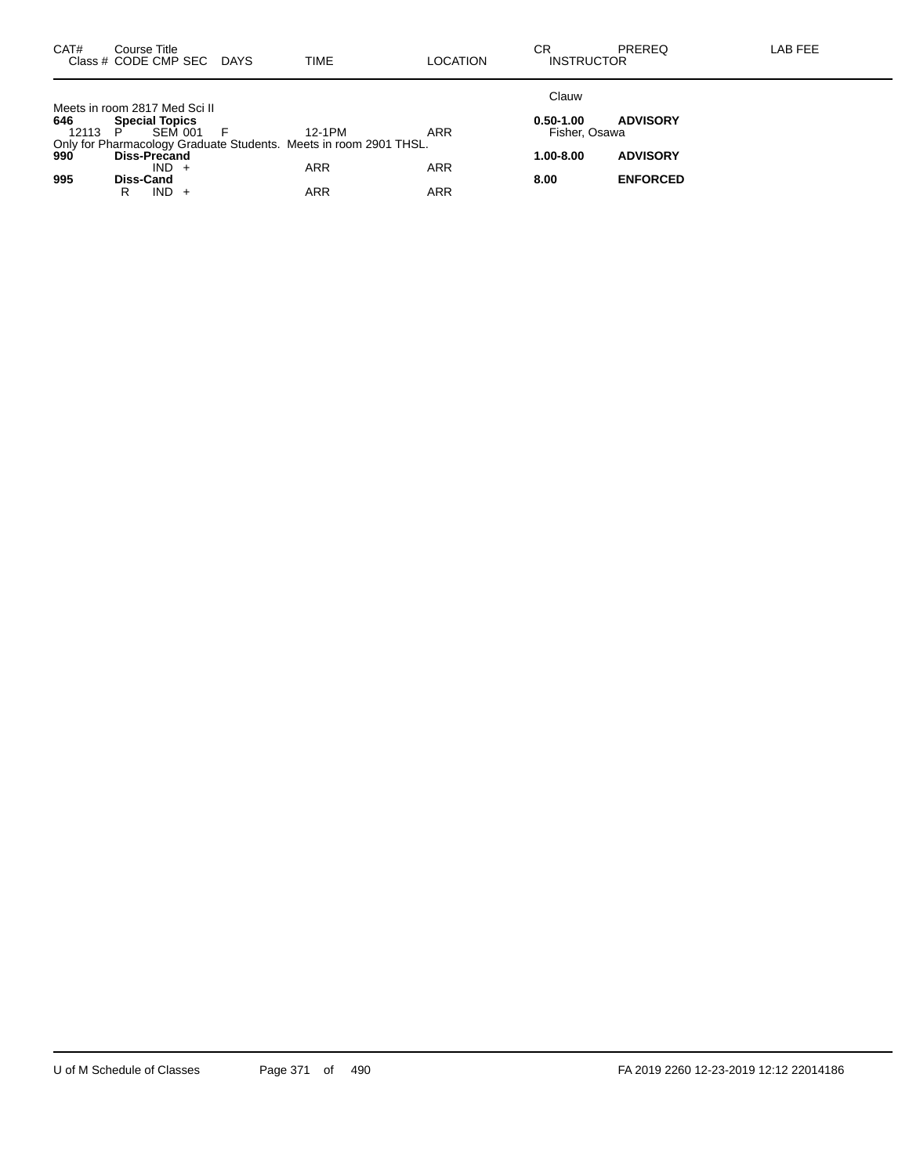| CAT#         | Course Title<br>Class # CODE CMP SEC DAYS                                                        | <b>TIME</b> | LOCATION   | CR<br><b>INSTRUCTOR</b>        | <b>PREREQ</b>   | LAB FEE |
|--------------|--------------------------------------------------------------------------------------------------|-------------|------------|--------------------------------|-----------------|---------|
|              | Meets in room 2817 Med Sci II                                                                    |             |            | Clauw                          |                 |         |
| 646<br>12113 | <b>Special Topics</b><br>SEM 001<br>- P                                                          | 12-1PM      | <b>ARR</b> | $0.50 - 1.00$<br>Fisher, Osawa | <b>ADVISORY</b> |         |
|              | Only for Pharmacology Graduate Students. Meets in room 2901 THSL.<br>990 Diss-Precand<br>$IND +$ | ARR         | <b>ARR</b> | 1.00-8.00                      | <b>ADVISORY</b> |         |
| 995          | Diss-Cand<br>$IND +$<br>R                                                                        | ARR         | ARR        | 8.00                           | <b>ENFORCED</b> |         |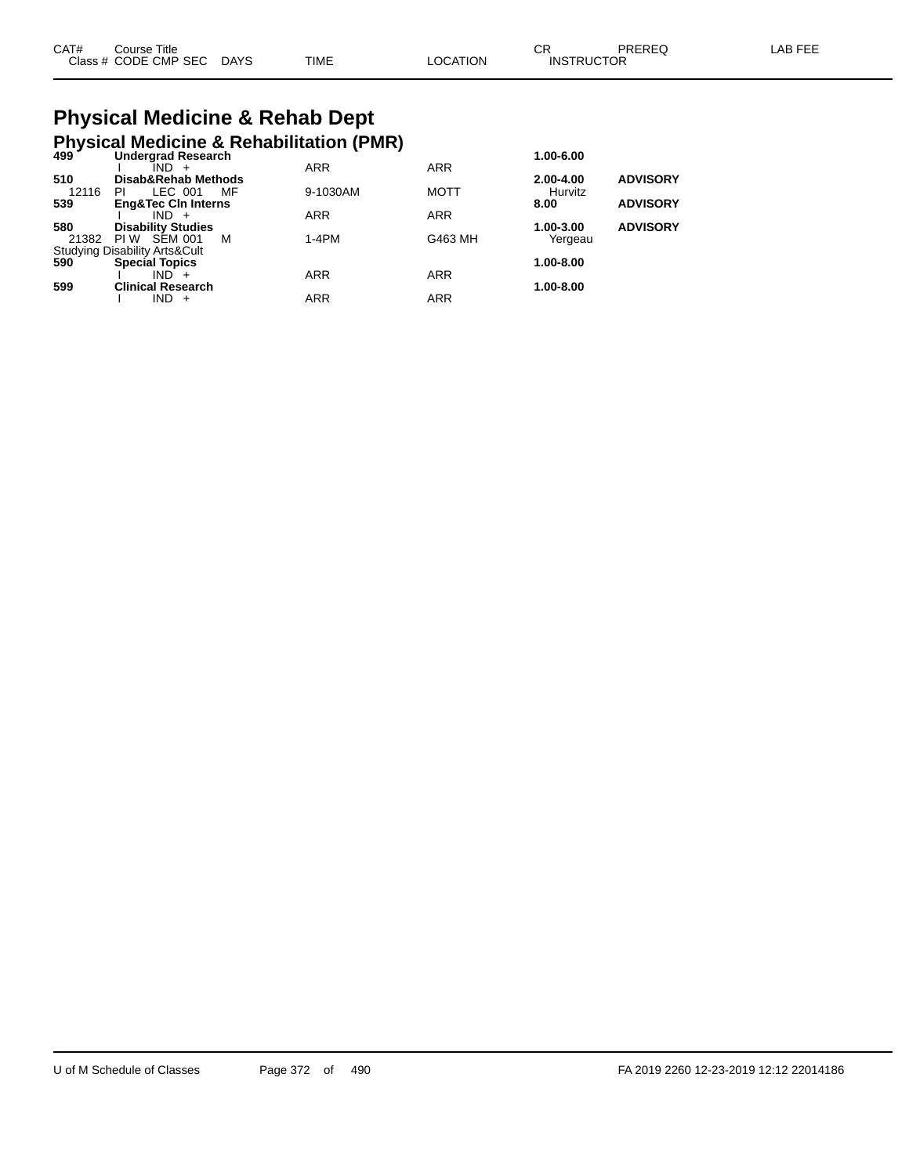| CAT# | Course Title              |             |          | СR                | PREREQ | LAB FEE |
|------|---------------------------|-------------|----------|-------------------|--------|---------|
|      | Class # CODE CMP SEC DAYS | <b>TIME</b> | ∟OCATION | <b>INSTRUCTOR</b> |        |         |

# **Physical Medicine & Rehab Dept**

|       | <b>Physical Medicine &amp; Rehabilitation (PMR)</b><br><sup>499</sup> Undergrad Research |    |            |             |           |                 |
|-------|------------------------------------------------------------------------------------------|----|------------|-------------|-----------|-----------------|
|       |                                                                                          |    |            |             | 1.00-6.00 |                 |
|       | $IND +$                                                                                  |    | <b>ARR</b> | <b>ARR</b>  |           |                 |
| 510   | Disab&Rehab Methods                                                                      |    |            |             | 2.00-4.00 | <b>ADVISORY</b> |
| 12116 | LEC 001<br>PI.                                                                           | MF | 9-1030AM   | <b>MOTT</b> | Hurvitz   |                 |
| 539   | <b>Eng&amp;Tec CIn Interns</b>                                                           |    |            |             | 8.00      | <b>ADVISORY</b> |
|       | $IND +$                                                                                  |    | <b>ARR</b> | <b>ARR</b>  |           |                 |
| 580   | <b>Disability Studies</b>                                                                |    |            |             | 1.00-3.00 | <b>ADVISORY</b> |
| 21382 | PIW SEM 001                                                                              | м  | $1-4PM$    | G463 MH     | Yergeau   |                 |
|       | Studying Disability Arts&Cult<br>590 <b>Special Topics</b>                               |    |            |             |           |                 |
|       | <b>Special Topics</b>                                                                    |    |            |             | 1.00-8.00 |                 |
|       | $IND +$                                                                                  |    | <b>ARR</b> | <b>ARR</b>  |           |                 |
| 599   | <b>Clinical Research</b>                                                                 |    |            |             | 1.00-8.00 |                 |
|       | IND.<br>$+$                                                                              |    | <b>ARR</b> | <b>ARR</b>  |           |                 |
|       |                                                                                          |    |            |             |           |                 |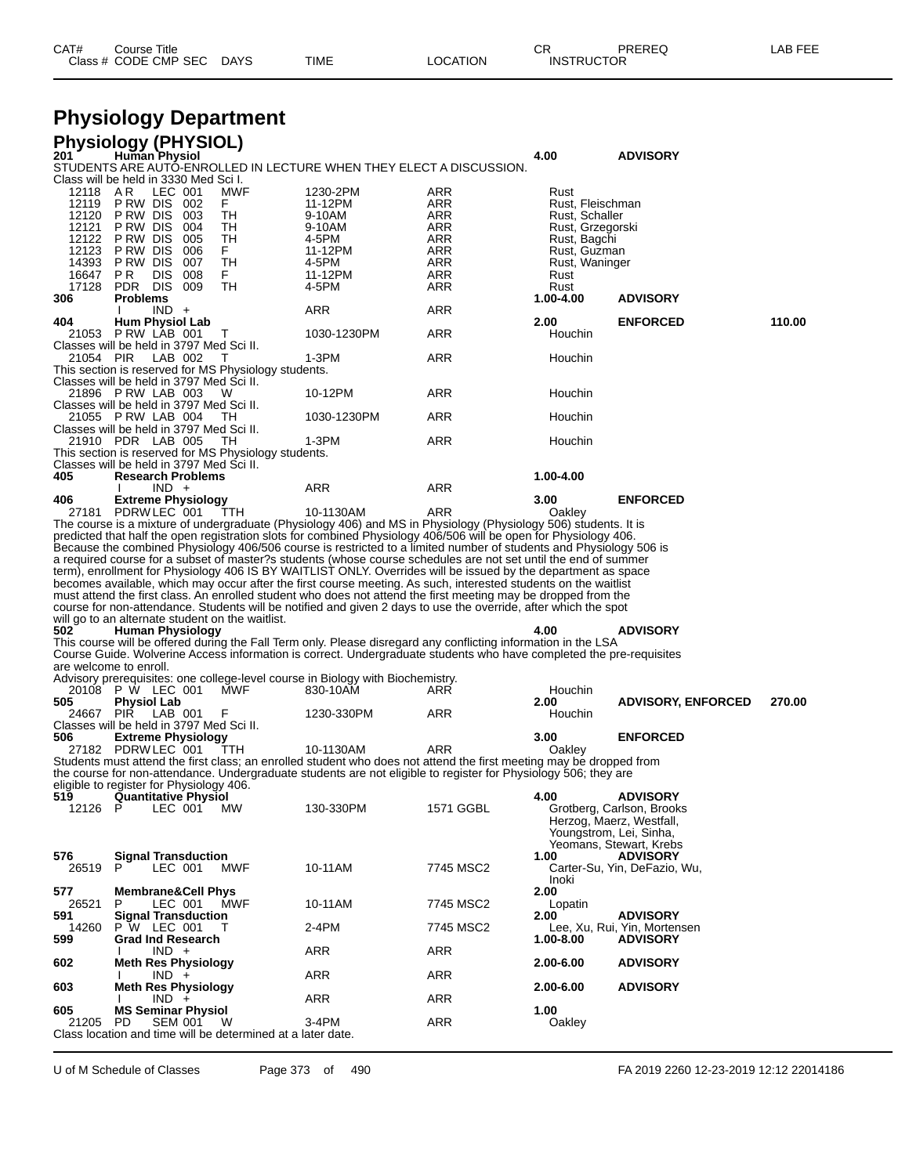| CAT# | Course Title<br>Class # CODE CMP SEC | <b>DAYS</b> | TIME | LOCATION | ∩⊓<br>◡๙<br><b>INSTRUCTOR</b> | <b>PREREQ</b> | LAB FEE |
|------|--------------------------------------|-------------|------|----------|-------------------------------|---------------|---------|
|      |                                      |             |      |          |                               |               |         |

## **Physiology Department**

| 201          | <b>Physiology (PHYSIOL)</b><br><b>Human Physiol</b>                                                                                                                                                                               |             |            | 4.00             | <b>ADVISORY</b>                                 |        |
|--------------|-----------------------------------------------------------------------------------------------------------------------------------------------------------------------------------------------------------------------------------|-------------|------------|------------------|-------------------------------------------------|--------|
|              | STUDENTS ARE AUTO-ENROLLED IN LECTURE WHEN THEY ELECT A DISCUSSION.                                                                                                                                                               |             |            |                  |                                                 |        |
|              | Class will be held in 3330 Med Sci I.                                                                                                                                                                                             |             |            |                  |                                                 |        |
| 12118        | AR<br>LEC 001<br>MWF                                                                                                                                                                                                              | 1230-2PM    | ARR        | Rust             |                                                 |        |
| 12119        | PRW DIS 002<br>F.                                                                                                                                                                                                                 | 11-12PM     | ARR        | Rust, Fleischman |                                                 |        |
| 12120        | P RW DIS<br>TН<br>- 003                                                                                                                                                                                                           | 9-10AM      | ARR        | Rust, Schaller   |                                                 |        |
| 12121        | P RW DIS<br>004<br>TН                                                                                                                                                                                                             | 9-10AM      | ARR        | Rust, Grzegorski |                                                 |        |
| 12122        | P RW DIS<br>005<br>TН                                                                                                                                                                                                             | 4-5PM       | ARR        | Rust, Bagchi     |                                                 |        |
| 12123        | P RW DIS<br>006<br>F.                                                                                                                                                                                                             | 11-12PM     | ARR        | Rust, Guzman     |                                                 |        |
| 14393        | P RW DIS<br>TН<br>007                                                                                                                                                                                                             | 4-5PM       | ARR        | Rust, Waninger   |                                                 |        |
| 16647        | PR<br>008<br>DIS.<br>F.                                                                                                                                                                                                           | 11-12PM     | ARR        | Rust             |                                                 |        |
| 17128        | PDR DIS 009<br>TH                                                                                                                                                                                                                 | 4-5PM       | ARR        | Rust             |                                                 |        |
| 306          | <b>Problems</b>                                                                                                                                                                                                                   |             |            | 1.00-4.00        | <b>ADVISORY</b>                                 |        |
|              | $IND +$                                                                                                                                                                                                                           | ARR         | <b>ARR</b> |                  |                                                 |        |
| 404          | <b>Hum Physiol Lab</b>                                                                                                                                                                                                            |             |            | 2.00             | <b>ENFORCED</b>                                 | 110.00 |
|              | 21053 P RW LAB 001<br>$\mathbf{I}$<br>Classes will be held in 3797 Med Sci II.                                                                                                                                                    | 1030-1230PM | ARR        | Houchin          |                                                 |        |
|              |                                                                                                                                                                                                                                   |             |            |                  |                                                 |        |
| 21054 PIR    | LAB 002<br>T                                                                                                                                                                                                                      | 1-3PM       | ARR        | Houchin          |                                                 |        |
|              | This section is reserved for MS Physiology students.<br>Classes will be held in 3797 Med Sci II.                                                                                                                                  |             |            |                  |                                                 |        |
|              | 21896 P RW LAB 003<br>W                                                                                                                                                                                                           | 10-12PM     | ARR        |                  |                                                 |        |
|              | Classes will be held in 3797 Med Sci II.                                                                                                                                                                                          |             |            | Houchin          |                                                 |        |
|              | 21055 P RW LAB 004<br>- TH                                                                                                                                                                                                        | 1030-1230PM | <b>ARR</b> | Houchin          |                                                 |        |
|              | Classes will be held in 3797 Med Sci II.                                                                                                                                                                                          |             |            |                  |                                                 |        |
|              | 21910 PDR LAB 005<br>TH                                                                                                                                                                                                           | 1-3PM       | ARR        | Houchin          |                                                 |        |
|              | This section is reserved for MS Physiology students.                                                                                                                                                                              |             |            |                  |                                                 |        |
|              | Classes will be held in 3797 Med Sci II.                                                                                                                                                                                          |             |            |                  |                                                 |        |
| 405          | <b>Research Problems</b>                                                                                                                                                                                                          |             |            | 1.00-4.00        |                                                 |        |
|              | $IND +$                                                                                                                                                                                                                           | ARR         | <b>ARR</b> |                  |                                                 |        |
| 406          | <b>Extreme Physiology</b>                                                                                                                                                                                                         |             |            | 3.00             | <b>ENFORCED</b>                                 |        |
|              | 27181 PDRW LEC 001<br>- TTH                                                                                                                                                                                                       | 10-1130AM   | ARR        | Oakley           |                                                 |        |
|              | The course is a mixture of undergraduate (Physiology 406) and MS in Physiology (Physiology 506) students. It is                                                                                                                   |             |            |                  |                                                 |        |
|              | predicted that half the open registration slots for combined Physiology 406/506 will be open for Physiology 406.                                                                                                                  |             |            |                  |                                                 |        |
|              | Because the combined Physiology 406/506 course is restricted to a limited number of students and Physiology 506 is                                                                                                                |             |            |                  |                                                 |        |
|              | a required course for a subset of master?s students (whose course schedules are not set until the end of summer                                                                                                                   |             |            |                  |                                                 |        |
|              | term), enrollment for Physiology 406 IS BY WAITLIST ONLY. Overrides will be issued by the department as space                                                                                                                     |             |            |                  |                                                 |        |
|              |                                                                                                                                                                                                                                   |             |            |                  |                                                 |        |
|              |                                                                                                                                                                                                                                   |             |            |                  |                                                 |        |
|              | becomes available, which may occur after the first course meeting. As such, interested students on the waitlist<br>must attend the first class. An enrolled student who does not attend the first meeting may be dropped from the |             |            |                  |                                                 |        |
|              | course for non-attendance. Students will be notified and given 2 days to use the override, after which the spot                                                                                                                   |             |            |                  |                                                 |        |
|              | will go to an alternate student on the waitlist.                                                                                                                                                                                  |             |            |                  |                                                 |        |
| 502          | <b>Human Physiology</b>                                                                                                                                                                                                           |             |            | 4.00             | <b>ADVISORY</b>                                 |        |
|              | This course will be offered during the Fall Term only. Please disregard any conflicting information in the LSA                                                                                                                    |             |            |                  |                                                 |        |
|              | Course Guide. Wolverine Access information is correct. Undergraduate students who have completed the pre-requisites                                                                                                               |             |            |                  |                                                 |        |
|              | are welcome to enroll.                                                                                                                                                                                                            |             |            |                  |                                                 |        |
|              | Advisory prerequisites: one college-level course in Biology with Biochemistry.                                                                                                                                                    |             |            |                  |                                                 |        |
|              | 20108 P W LEC 001<br>MWF                                                                                                                                                                                                          | 830-10AM    | ARR        | Houchin          |                                                 |        |
| 505          | <b>Physiol Lab</b>                                                                                                                                                                                                                |             |            | 2.00             | <b>ADVISORY, ENFORCED</b>                       | 270.00 |
|              | 24667 PIR LAB 001<br>F                                                                                                                                                                                                            | 1230-330PM  | ARR        | Houchin          |                                                 |        |
|              | Classes will be held in 3797 Med Sci II.                                                                                                                                                                                          |             |            |                  |                                                 |        |
| 506          | <b>Extreme Physiology</b>                                                                                                                                                                                                         |             |            | 3.00             | <b>ENFORCED</b>                                 |        |
|              | 27182 PDRWLEC 001<br>TTH                                                                                                                                                                                                          | 10-1130AM   | ARR        | Oakley           |                                                 |        |
|              | Students must attend the first class; an enrolled student who does not attend the first meeting may be dropped from                                                                                                               |             |            |                  |                                                 |        |
|              | the course for non-attendance. Undergraduate students are not eligible to register for Physiology 506; they are                                                                                                                   |             |            |                  |                                                 |        |
|              | eligible to register for Physiology 406.                                                                                                                                                                                          |             |            |                  |                                                 |        |
| 519          | Quantitative Physiol                                                                                                                                                                                                              |             |            | 4.00             | <b>ADVISORY</b>                                 |        |
| 12126 P      | LEC 001<br><b>MW</b>                                                                                                                                                                                                              | 130-330PM   | 1571 GGBL  |                  | Grotberg, Carlson, Brooks                       |        |
|              |                                                                                                                                                                                                                                   |             |            |                  | Herzog, Maerz, Westfall,                        |        |
|              |                                                                                                                                                                                                                                   |             |            |                  | Youngstrom, Lei, Sinha,                         |        |
|              |                                                                                                                                                                                                                                   |             |            | 1.00             | Yeomans, Stewart, Krebs                         |        |
| 576<br>26519 | <b>Signal Transduction</b><br>LEC 001<br>MWF<br>P.                                                                                                                                                                                | 10-11AM     | 7745 MSC2  |                  | <b>ADVISORY</b><br>Carter-Su, Yin, DeFazio, Wu, |        |
|              |                                                                                                                                                                                                                                   |             |            | Inoki            |                                                 |        |
| 577          | <b>Membrane&amp;Cell Phys</b>                                                                                                                                                                                                     |             |            | 2.00             |                                                 |        |
| 26521        | LEC 001<br>MWF<br>P                                                                                                                                                                                                               | 10-11AM     | 7745 MSC2  | Lopatin          |                                                 |        |
| 591          | <b>Signal Transduction</b>                                                                                                                                                                                                        |             |            | 2.00             | <b>ADVISORY</b>                                 |        |
| 14260        | P W LEC 001<br>Т                                                                                                                                                                                                                  | 2-4PM       | 7745 MSC2  |                  | Lee, Xu, Rui, Yin, Mortensen                    |        |
| 599          | <b>Grad Ind Research</b>                                                                                                                                                                                                          |             |            | 1.00-8.00        | <b>ADVISORY</b>                                 |        |
|              | $IND +$                                                                                                                                                                                                                           | <b>ARR</b>  | ARR        |                  |                                                 |        |
| 602          | <b>Meth Res Physiology</b>                                                                                                                                                                                                        |             |            | 2.00-6.00        | <b>ADVISORY</b>                                 |        |
|              | $IND +$                                                                                                                                                                                                                           | ARR         | ARR        |                  |                                                 |        |
| 603          | <b>Meth Res Physiology</b>                                                                                                                                                                                                        |             |            | 2.00-6.00        | <b>ADVISORY</b>                                 |        |
|              | $IND +$                                                                                                                                                                                                                           | ARR         | ARR        |                  |                                                 |        |
| 605<br>21205 | <b>MS Seminar Physiol</b><br>PD<br>SEM 001<br>W                                                                                                                                                                                   | 3-4PM       | ARR        | 1.00<br>Oakley   |                                                 |        |

Class location and time will be determined at a later date.

U of M Schedule of Classes Page 373 of 490 FA 2019 2260 12-23-2019 12:12 22014186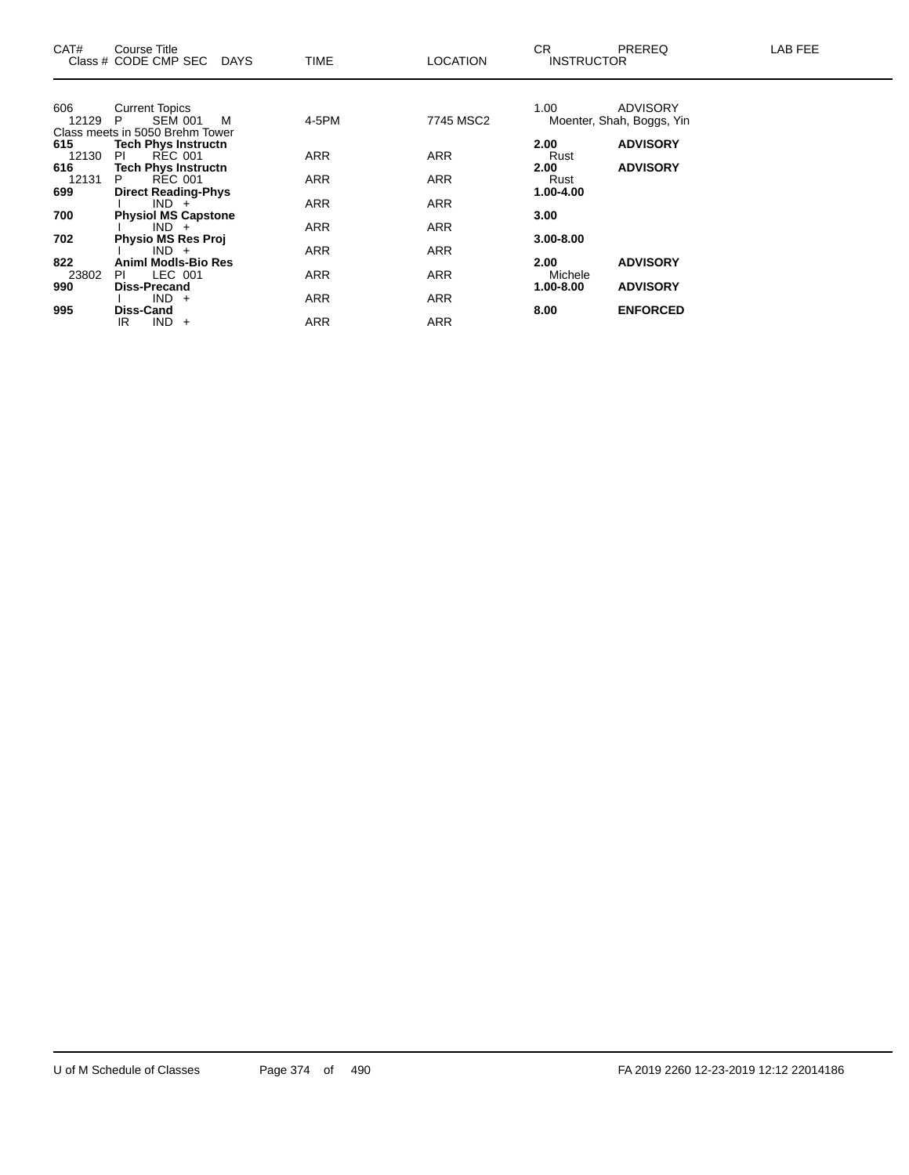| CAT#         | Course Title<br>Class # CODE CMP SEC DAYS                    | <b>TIME</b> | <b>LOCATION</b> | CR.<br><b>INSTRUCTOR</b> | <b>PREREQ</b>             | LAB FEE |
|--------------|--------------------------------------------------------------|-------------|-----------------|--------------------------|---------------------------|---------|
| 606          | <b>Current Topics</b>                                        |             |                 | 1.00                     | <b>ADVISORY</b>           |         |
| 12129        | <b>SEM 001</b><br>P.<br>M<br>Class meets in 5050 Brehm Tower | 4-5PM       | 7745 MSC2       |                          | Moenter, Shah, Boggs, Yin |         |
| 615          | <b>Tech Phys Instructn</b>                                   |             |                 | 2.00                     | <b>ADVISORY</b>           |         |
| 12130<br>616 | REC 001<br>PI.<br><b>Tech Phys Instructn</b>                 | <b>ARR</b>  | ARR             | Rust<br>2.00             | <b>ADVISORY</b>           |         |
| 12131        | <b>REC 001</b><br>P.                                         | ARR         | ARR             | Rust                     |                           |         |
| 699          | <b>Direct Reading-Phys</b>                                   |             |                 | 1.00-4.00                |                           |         |
| 700          | $IND +$<br><b>Physiol MS Capstone</b>                        | <b>ARR</b>  | <b>ARR</b>      | 3.00                     |                           |         |
|              | $IND +$                                                      | <b>ARR</b>  | ARR             |                          |                           |         |
| 702          | <b>Physio MS Res Proj</b>                                    |             |                 | $3.00 - 8.00$            |                           |         |
| 822          | $IND +$<br>Animl Modls-Bio Res                               | <b>ARR</b>  | ARR             | 2.00                     | <b>ADVISORY</b>           |         |
| 23802        | LEC 001<br>PL                                                | <b>ARR</b>  | <b>ARR</b>      | Michele                  |                           |         |
| 990          | <b>Diss-Precand</b>                                          |             |                 | $1.00 - 8.00$            | <b>ADVISORY</b>           |         |
| 995          | $IND +$<br><b>Diss-Cand</b>                                  | <b>ARR</b>  | <b>ARR</b>      | 8.00                     | <b>ENFORCED</b>           |         |
|              | $IND +$<br>IR.                                               | <b>ARR</b>  | <b>ARR</b>      |                          |                           |         |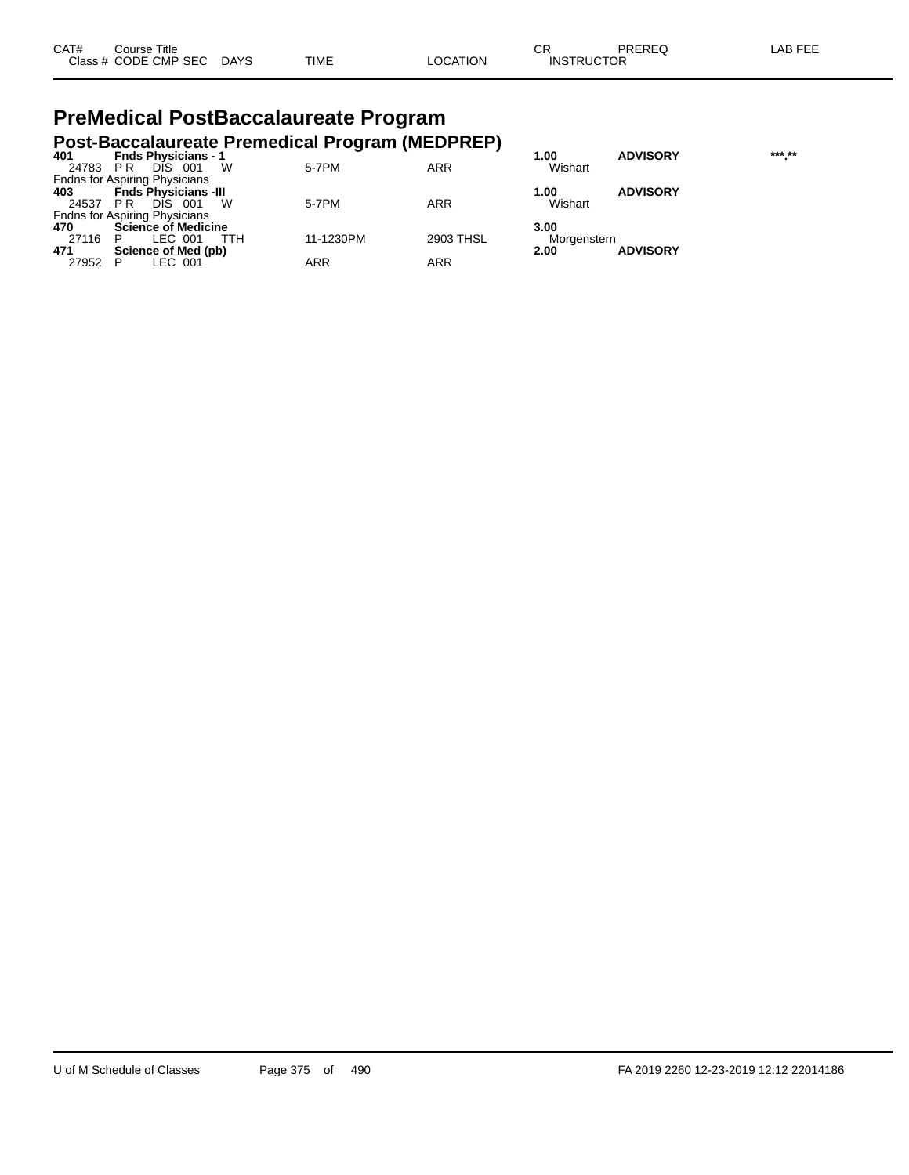| CAT# | Course Title         |             |             |          | $\sim$<br>◡       | PREREQ | LAB FEE |
|------|----------------------|-------------|-------------|----------|-------------------|--------|---------|
|      | Class # CODE CMP SEC | <b>DAYS</b> | <b>TIME</b> | LOCATION | <b>INSTRUCTOR</b> |        |         |

#### **PreMedical PostBaccalaureate Program Post-Baccalaureate Premedical Program (MEDPREP)**

| 401      | <b>Fnds Physicians - 1</b>           |            |            | 1.00        | <b>ADVISORY</b> | *** ** |
|----------|--------------------------------------|------------|------------|-------------|-----------------|--------|
| 24783 PR | DIS 001<br>- W                       | 5-7PM      | <b>ARR</b> | Wishart     |                 |        |
|          | <b>Fndns for Aspiring Physicians</b> |            |            |             |                 |        |
| 403      | <b>Fnds Physicians -III</b>          |            |            | 1.00        | <b>ADVISORY</b> |        |
| 24537 PR | <b>DIS</b><br>w<br>- 001             | 5-7PM      | <b>ARR</b> | Wishart     |                 |        |
|          | <b>Fndns for Aspiring Physicians</b> |            |            |             |                 |        |
| 470      | <b>Science of Medicine</b>           |            |            | 3.00        |                 |        |
| 27116 P  | LEC 001<br>ттн                       | 11-1230PM  | 2903 THSL  | Morgenstern |                 |        |
| 471      | Science of Med (pb)                  |            |            | 2.00        | <b>ADVISORY</b> |        |
| 27952 P  | LEC 001                              | <b>ARR</b> | ARR        |             |                 |        |
|          |                                      |            |            |             |                 |        |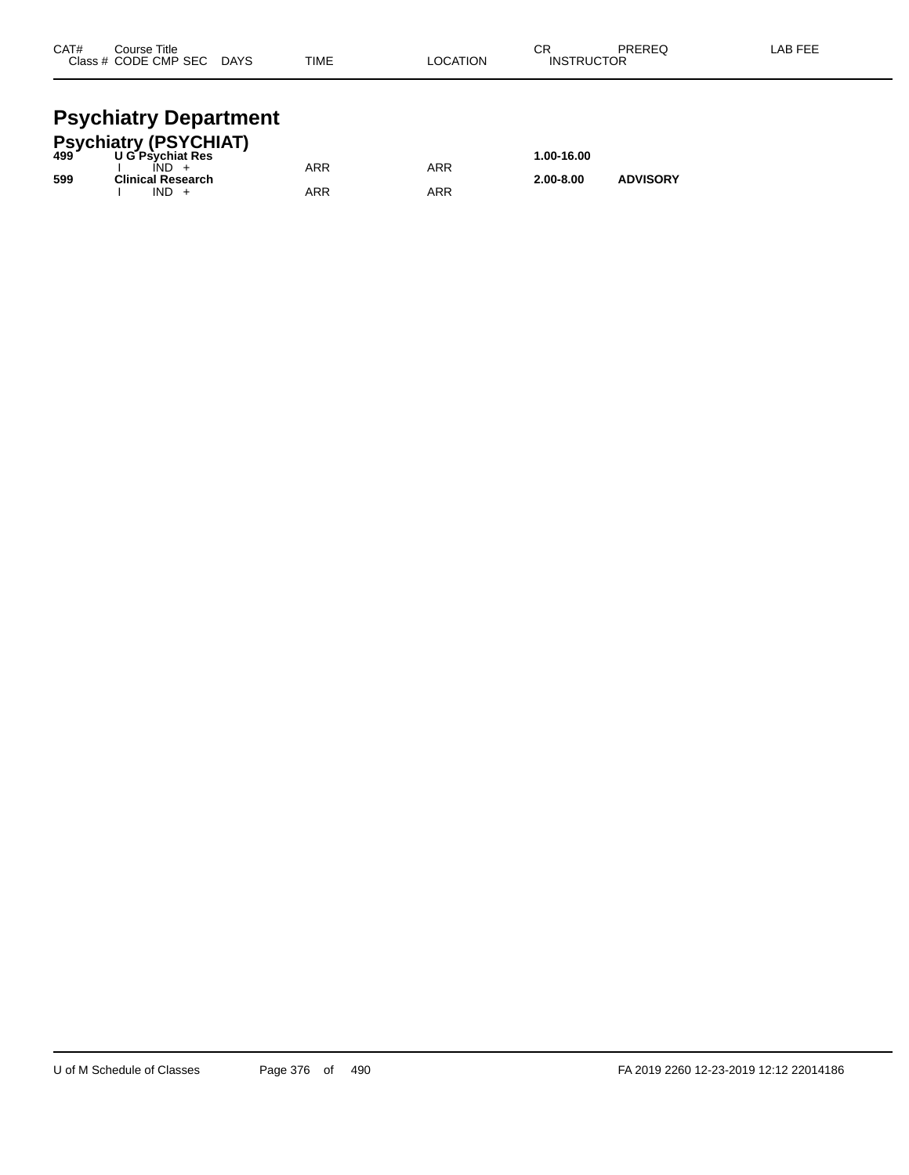| CAT# | Course Title         |             |             |          | ⌒г<br>◡∩          | PREREQ | .AB FEE |
|------|----------------------|-------------|-------------|----------|-------------------|--------|---------|
|      | Class # CODE CMP SEC | <b>DAYS</b> | <b>TIME</b> | LOCATION | <b>INSTRUCTOR</b> |        |         |
|      |                      |             |             |          |                   |        |         |

#### **Psychiatry Department**

| Psychiatry (PSYCHIAT)<br>499          ∪G Psychiat Res |                          |     |     |               |                 |  |  |  |  |  |  |
|-------------------------------------------------------|--------------------------|-----|-----|---------------|-----------------|--|--|--|--|--|--|
|                                                       | <b>U G Psychiat Res</b>  |     |     | 1.00-16.00    |                 |  |  |  |  |  |  |
|                                                       | $IND +$                  | ARR | ARR |               |                 |  |  |  |  |  |  |
| 599                                                   | <b>Clinical Research</b> |     |     | $2.00 - 8.00$ | <b>ADVISORY</b> |  |  |  |  |  |  |
|                                                       | $IND +$                  | ARR | ARR |               |                 |  |  |  |  |  |  |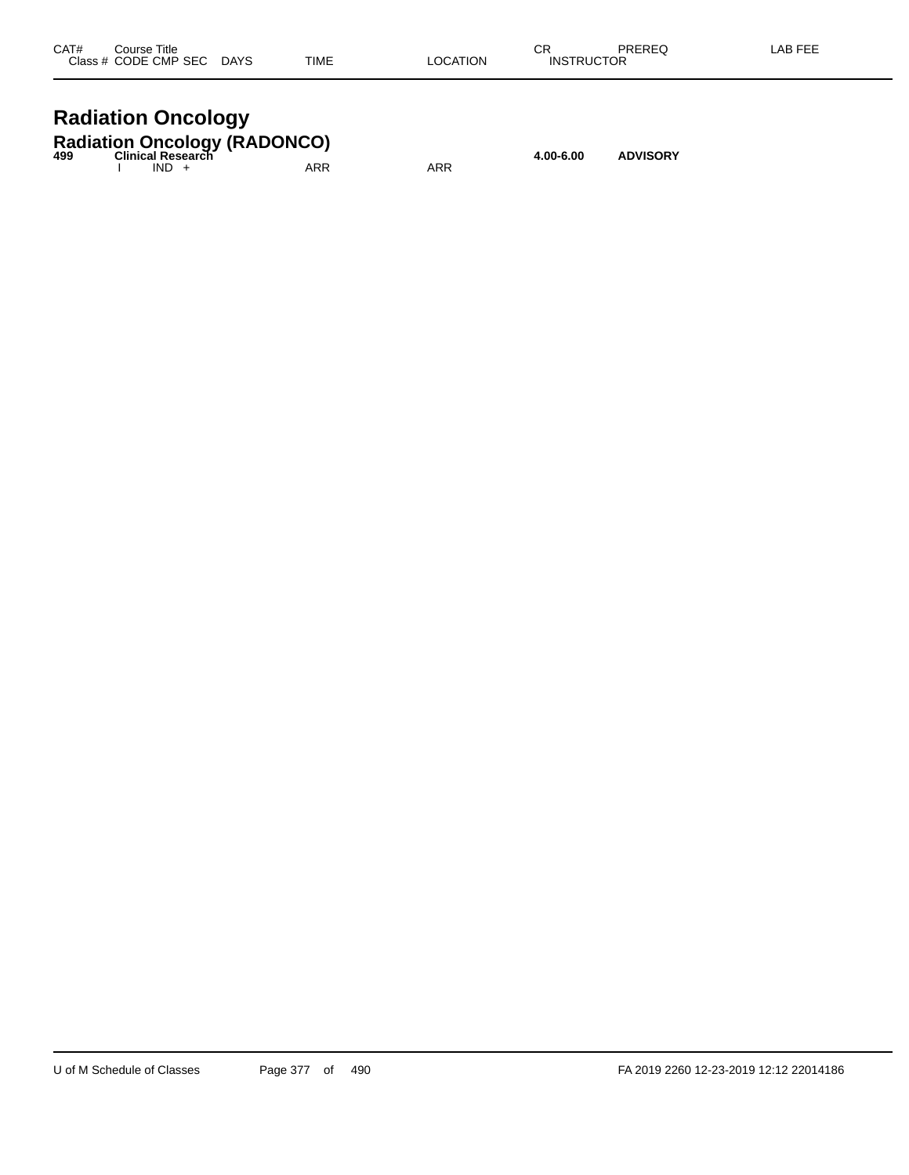| CAT# | Course Title              |      |          | СR                | PREREQ | LAB FEE |
|------|---------------------------|------|----------|-------------------|--------|---------|
|      | Class # CODE CMP SEC DAYS | TIME | LOCATION | <b>INSTRUCTOR</b> |        |         |
|      |                           |      |          |                   |        |         |

## **Radiation Oncology**

|     | <b>Radiation Oncology (RADONCO)</b> |     |     |           |                 |
|-----|-------------------------------------|-----|-----|-----------|-----------------|
| 499 | Clinical Research<br>$IND +$        | ARR | ARR | 4.00-6.00 | <b>ADVISORY</b> |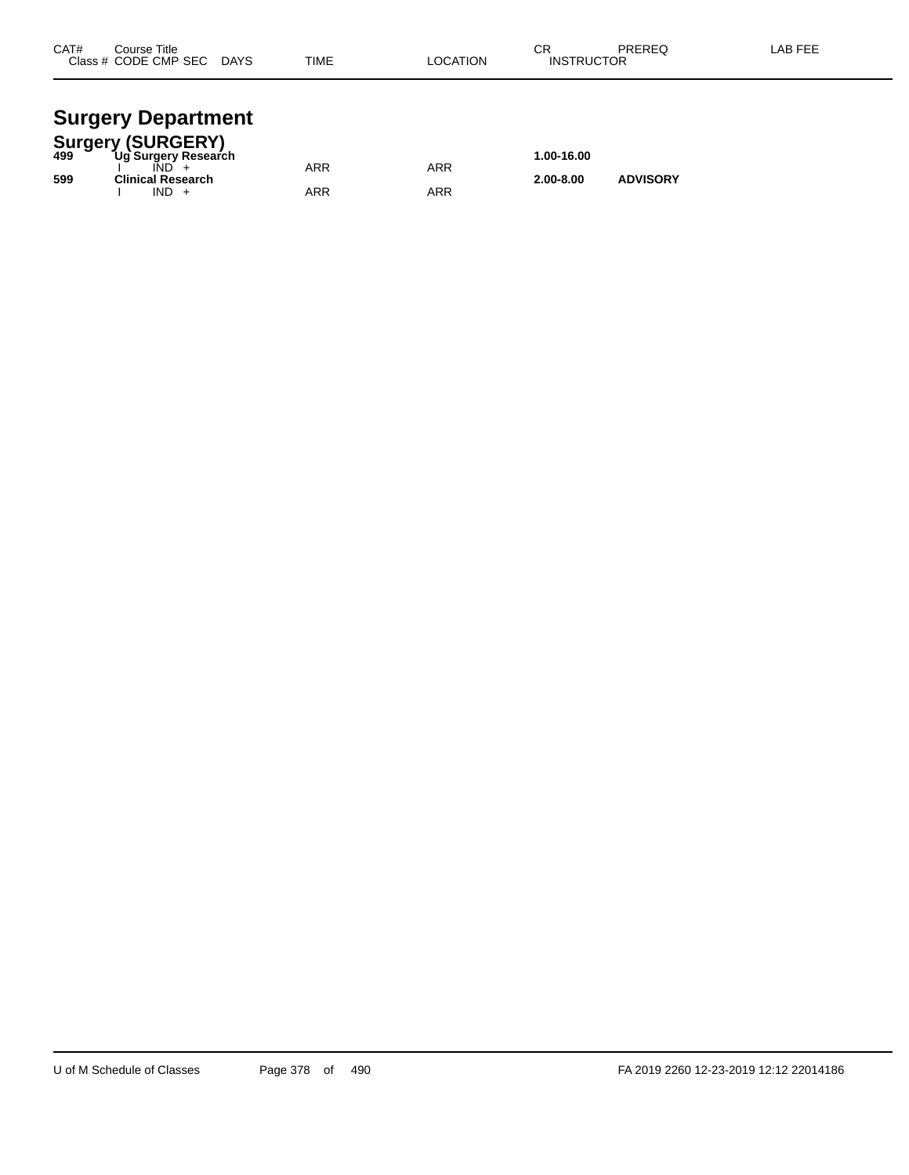| CAT# | Course Title<br>Class # CODE CMP SEC | <b>DAYS</b> | <b>TIME</b> | <b>LOCATION</b> | ◠◻<br>۱۷۱۰ -<br><b>INSTRUCTOR</b> | PREREQ | <b>AB FEF</b> |
|------|--------------------------------------|-------------|-------------|-----------------|-----------------------------------|--------|---------------|
|      |                                      |             |             |                 |                                   |        |               |

### **Surgery Department**

|     | <b>Surgery (SURGERY)</b> |     |     |               |                 |  |
|-----|--------------------------|-----|-----|---------------|-----------------|--|
| 499 | Ug Surgery Research      |     |     | 1.00-16.00    |                 |  |
|     |                          | ARR | ARR |               |                 |  |
| 599 | <b>Clinical Research</b> |     |     | $2.00 - 8.00$ | <b>ADVISORY</b> |  |
|     | $IND +$                  | ARR | ARR |               |                 |  |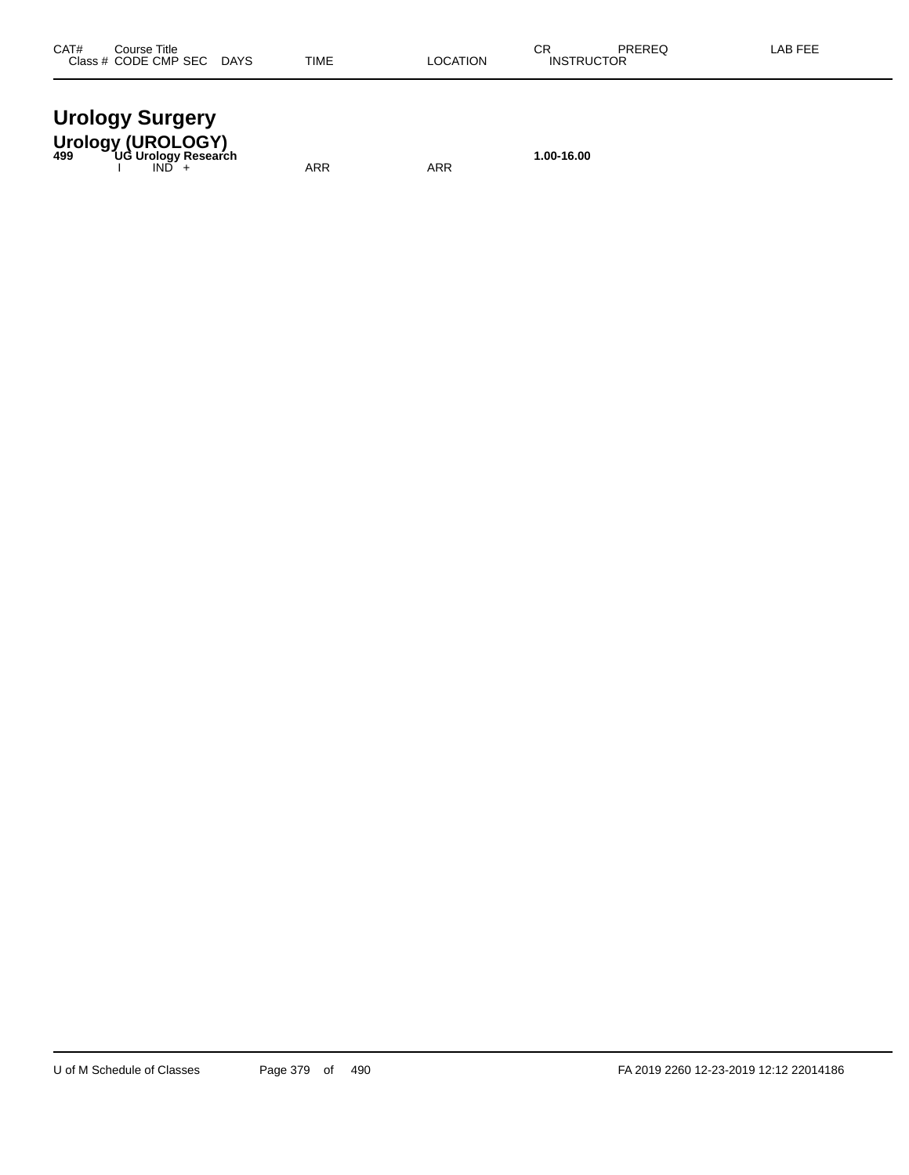| <b>Urology Surgery</b> |
|------------------------|
| Urology (UROLOGY)      |

**Urology (UROLOGY) 499 UG Urology Research 1.00-16.00** I IND + ARR ARR ARR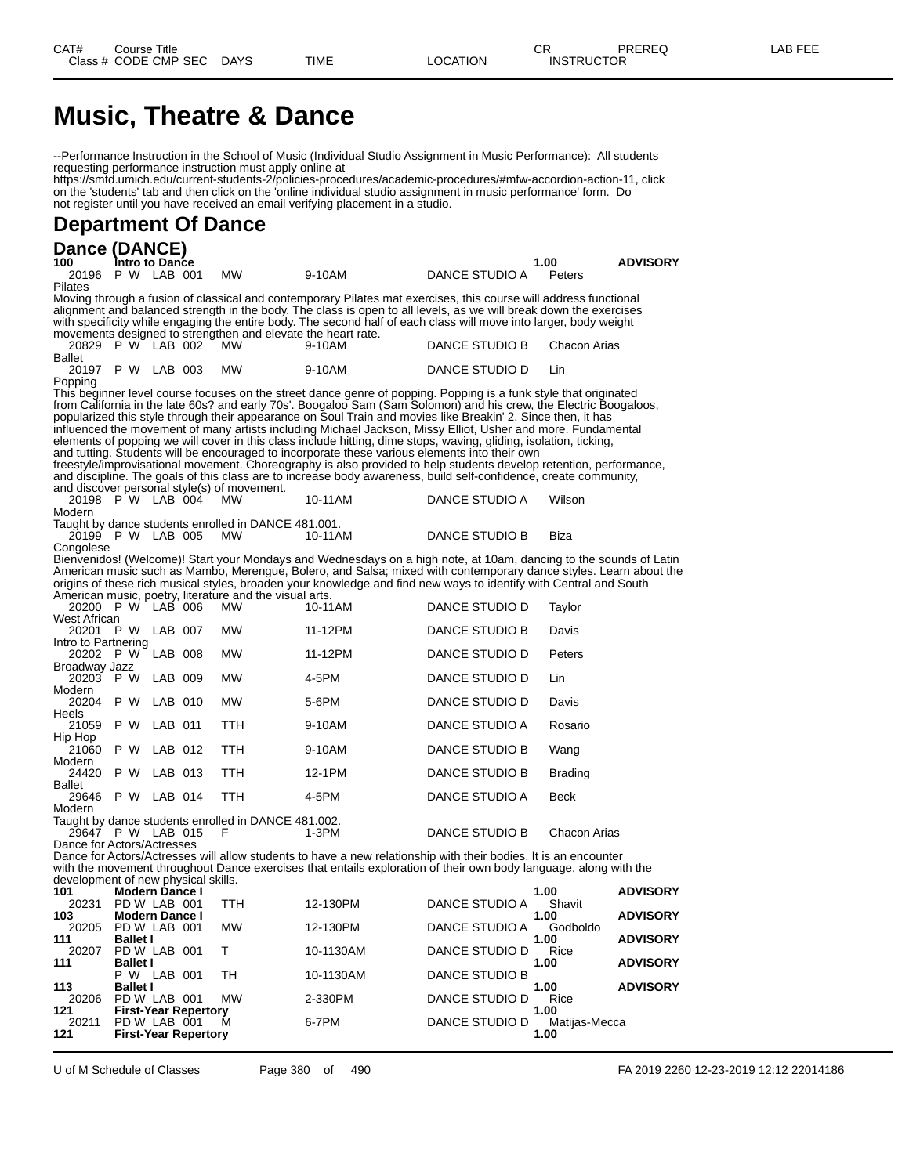## **Music, Theatre & Dance**

--Performance Instruction in the School of Music (Individual Studio Assignment in Music Performance): All students requesting performance instruction must apply online at

https://smtd.umich.edu/current-students-2/policies-procedures/academic-procedures/#mfw-accordion-action-11, click on the 'students' tab and then click on the 'online individual studio assignment in music performance' form. Do not register until you have received an email verifying placement in a studio.

#### **Department Of Dance**

| Dance (DANCE)                       |     |                 |                       |                             |                                                                      |                                                                                                                                                                                                                    |                |                       |                 |
|-------------------------------------|-----|-----------------|-----------------------|-----------------------------|----------------------------------------------------------------------|--------------------------------------------------------------------------------------------------------------------------------------------------------------------------------------------------------------------|----------------|-----------------------|-----------------|
| 100                                 |     |                 | Intro to Dance        |                             |                                                                      |                                                                                                                                                                                                                    |                | 1.00                  | <b>ADVISORY</b> |
| 20196 P W LAB 001                   |     |                 |                       |                             | MW                                                                   | 9-10AM                                                                                                                                                                                                             | DANCE STUDIO A | Peters                |                 |
| Pilates                             |     |                 |                       |                             |                                                                      | Moving through a fusion of classical and contemporary Pilates mat exercises, this course will address functional                                                                                                   |                |                       |                 |
|                                     |     |                 |                       |                             |                                                                      | alignment and balanced strength in the body. The class is open to all levels, as we will break down the exercises                                                                                                  |                |                       |                 |
|                                     |     |                 |                       |                             |                                                                      | with specificity while engaging the entire body. The second half of each class will move into larger, body weight                                                                                                  |                |                       |                 |
|                                     |     |                 |                       |                             | movements designed to strengthen and elevate the heart rate.         |                                                                                                                                                                                                                    |                |                       |                 |
| 20829 PW LAB 002                    |     |                 |                       |                             | <b>MW</b>                                                            | 9-10AM                                                                                                                                                                                                             | DANCE STUDIO B | Chacon Arias          |                 |
| Ballet<br>20197 P W LAB 003         |     |                 |                       |                             | MW                                                                   | 9-10AM                                                                                                                                                                                                             | DANCE STUDIO D | Lin                   |                 |
| Popping                             |     |                 |                       |                             |                                                                      |                                                                                                                                                                                                                    |                |                       |                 |
|                                     |     |                 |                       |                             |                                                                      | This beginner level course focuses on the street dance genre of popping. Popping is a funk style that originated                                                                                                   |                |                       |                 |
|                                     |     |                 |                       |                             |                                                                      | from California in the late 60s? and early 70s'. Boogaloo Sam (Sam Solomon) and his crew, the Electric Boogaloos,                                                                                                  |                |                       |                 |
|                                     |     |                 |                       |                             |                                                                      | popularized this style through their appearance on Soul Train and movies like Breakin' 2. Since then, it has                                                                                                       |                |                       |                 |
|                                     |     |                 |                       |                             |                                                                      | influenced the movement of many artists including Michael Jackson, Missy Elliot, Usher and more. Fundamental                                                                                                       |                |                       |                 |
|                                     |     |                 |                       |                             |                                                                      | elements of popping we will cover in this class include hitting, dime stops, waving, gliding, isolation, ticking,<br>and tutting. Students will be encouraged to incorporate these various elements into their own |                |                       |                 |
|                                     |     |                 |                       |                             |                                                                      | freestyle/improvisational movement. Choreography is also provided to help students develop retention, performance,                                                                                                 |                |                       |                 |
|                                     |     |                 |                       |                             |                                                                      | and discipline. The goals of this class are to increase body awareness, build self-confidence, create community,                                                                                                   |                |                       |                 |
|                                     |     |                 |                       |                             | and discover personal style(s) of movement.                          |                                                                                                                                                                                                                    |                |                       |                 |
| 20198 P W LAB 004                   |     |                 |                       |                             | <b>MW</b>                                                            | 10-11AM                                                                                                                                                                                                            | DANCE STUDIO A | Wilson                |                 |
| Modern                              |     |                 |                       |                             |                                                                      |                                                                                                                                                                                                                    |                |                       |                 |
| 20199 P W LAB 005                   |     |                 |                       |                             | Taught by dance students enrolled in DANCE 481.001.<br>MW.           | 10-11AM                                                                                                                                                                                                            | DANCE STUDIO B | Biza                  |                 |
| Congolese                           |     |                 |                       |                             |                                                                      |                                                                                                                                                                                                                    |                |                       |                 |
|                                     |     |                 |                       |                             |                                                                      | Bienvenidos! (Welcome)! Start your Mondays and Wednesdays on a high note, at 10am, dancing to the sounds of Latin                                                                                                  |                |                       |                 |
|                                     |     |                 |                       |                             |                                                                      | American music such as Mambo, Merengue, Bolero, and Salsa; mixed with contemporary dance styles. Learn about the                                                                                                   |                |                       |                 |
|                                     |     |                 |                       |                             |                                                                      | origins of these rich musical styles, broaden your knowledge and find new ways to identify with Central and South                                                                                                  |                |                       |                 |
| 20200 P W LAB 006                   |     |                 |                       |                             | American music, poetry, literature and the visual arts.<br><b>MW</b> | 10-11AM                                                                                                                                                                                                            | DANCE STUDIO D | Taylor                |                 |
| West African                        |     |                 |                       |                             |                                                                      |                                                                                                                                                                                                                    |                |                       |                 |
| 20201 P W LAB 007                   |     |                 |                       |                             | <b>MW</b>                                                            | 11-12PM                                                                                                                                                                                                            | DANCE STUDIO B | Davis                 |                 |
| Intro to Partnering                 |     |                 |                       |                             |                                                                      |                                                                                                                                                                                                                    |                |                       |                 |
| 20202 P W LAB 008                   |     |                 |                       |                             | <b>MW</b>                                                            | 11-12PM                                                                                                                                                                                                            | DANCE STUDIO D | Peters                |                 |
| Broadway Jazz<br>20203 P W          |     |                 | LAB 009               |                             | <b>MW</b>                                                            | 4-5PM                                                                                                                                                                                                              | DANCE STUDIO D | Lin                   |                 |
| Modern                              |     |                 |                       |                             |                                                                      |                                                                                                                                                                                                                    |                |                       |                 |
| 20204 P W                           |     |                 | LAB 010               |                             | <b>MW</b>                                                            | 5-6PM                                                                                                                                                                                                              | DANCE STUDIO D | Davis                 |                 |
| Heels                               |     |                 |                       |                             |                                                                      |                                                                                                                                                                                                                    |                |                       |                 |
| 21059                               | P W |                 | LAB 011               |                             | <b>TTH</b>                                                           | 9-10AM                                                                                                                                                                                                             | DANCE STUDIO A | Rosario               |                 |
| Hip Hop<br>21060                    | P W |                 | LAB 012               |                             | <b>TTH</b>                                                           | 9-10AM                                                                                                                                                                                                             | DANCE STUDIO B | Wang                  |                 |
| Modern                              |     |                 |                       |                             |                                                                      |                                                                                                                                                                                                                    |                |                       |                 |
| 24420                               | P W |                 | LAB 013               |                             | <b>TTH</b>                                                           | 12-1PM                                                                                                                                                                                                             | DANCE STUDIO B | <b>Brading</b>        |                 |
| <b>Ballet</b>                       |     |                 |                       |                             |                                                                      |                                                                                                                                                                                                                    |                |                       |                 |
| 29646 P W LAB 014<br>Modern         |     |                 |                       |                             | TTH                                                                  | 4-5PM                                                                                                                                                                                                              | DANCE STUDIO A | Beck                  |                 |
|                                     |     |                 |                       |                             | Taught by dance students enrolled in DANCE 481.002.                  |                                                                                                                                                                                                                    |                |                       |                 |
| 29647 P W LAB 015                   |     |                 |                       |                             | F                                                                    | 1-3PM                                                                                                                                                                                                              | DANCE STUDIO B | Chacon Arias          |                 |
| Dance for Actors/Actresses          |     |                 |                       |                             |                                                                      |                                                                                                                                                                                                                    |                |                       |                 |
|                                     |     |                 |                       |                             |                                                                      | Dance for Actors/Actresses will allow students to have a new relationship with their bodies. It is an encounter                                                                                                    |                |                       |                 |
| development of new physical skills. |     |                 |                       |                             |                                                                      | with the movement throughout Dance exercises that entails exploration of their own body language, along with the                                                                                                   |                |                       |                 |
| 101                                 |     |                 | <b>Modern Dance I</b> |                             |                                                                      |                                                                                                                                                                                                                    |                | 1.00                  | <b>ADVISORY</b> |
| 20231                               |     |                 | PD W LAB 001          |                             | TTH                                                                  | 12-130PM                                                                                                                                                                                                           | DANCE STUDIO A | Shavit                |                 |
| 103                                 |     |                 | <b>Modern Dance I</b> |                             |                                                                      |                                                                                                                                                                                                                    |                | 1.00                  | <b>ADVISORY</b> |
| 20205                               |     |                 | PD W LAB 001          |                             | <b>MW</b>                                                            | 12-130PM                                                                                                                                                                                                           | DANCE STUDIO A | Godboldo              |                 |
| 111<br>20207                        |     | <b>Ballet I</b> | PD W LAB 001          |                             | Т                                                                    | 10-1130AM                                                                                                                                                                                                          | DANCE STUDIO D | 1.00<br>Rice          | <b>ADVISORY</b> |
| 111                                 |     | <b>Ballet I</b> |                       |                             |                                                                      |                                                                                                                                                                                                                    |                | 1.00                  | <b>ADVISORY</b> |
|                                     |     |                 | P W LAB 001           |                             | TH                                                                   | 10-1130AM                                                                                                                                                                                                          | DANCE STUDIO B |                       |                 |
| 113                                 |     | <b>Ballet I</b> |                       |                             |                                                                      |                                                                                                                                                                                                                    |                | 1.00                  | <b>ADVISORY</b> |
| 20206                               |     |                 | PD W LAB 001          |                             | <b>MW</b>                                                            | 2-330PM                                                                                                                                                                                                            | DANCE STUDIO D | Rice                  |                 |
| 121<br>20211                        |     |                 | PD W LAB 001          | <b>First-Year Repertory</b> | м                                                                    | 6-7PM                                                                                                                                                                                                              | DANCE STUDIO D | 1.00<br>Matijas-Mecca |                 |
| 121                                 |     |                 |                       | <b>First-Year Repertory</b> |                                                                      |                                                                                                                                                                                                                    |                | 1.00                  |                 |

U of M Schedule of Classes Page 380 of 490 FA 2019 2260 12-23-2019 12:12 22014186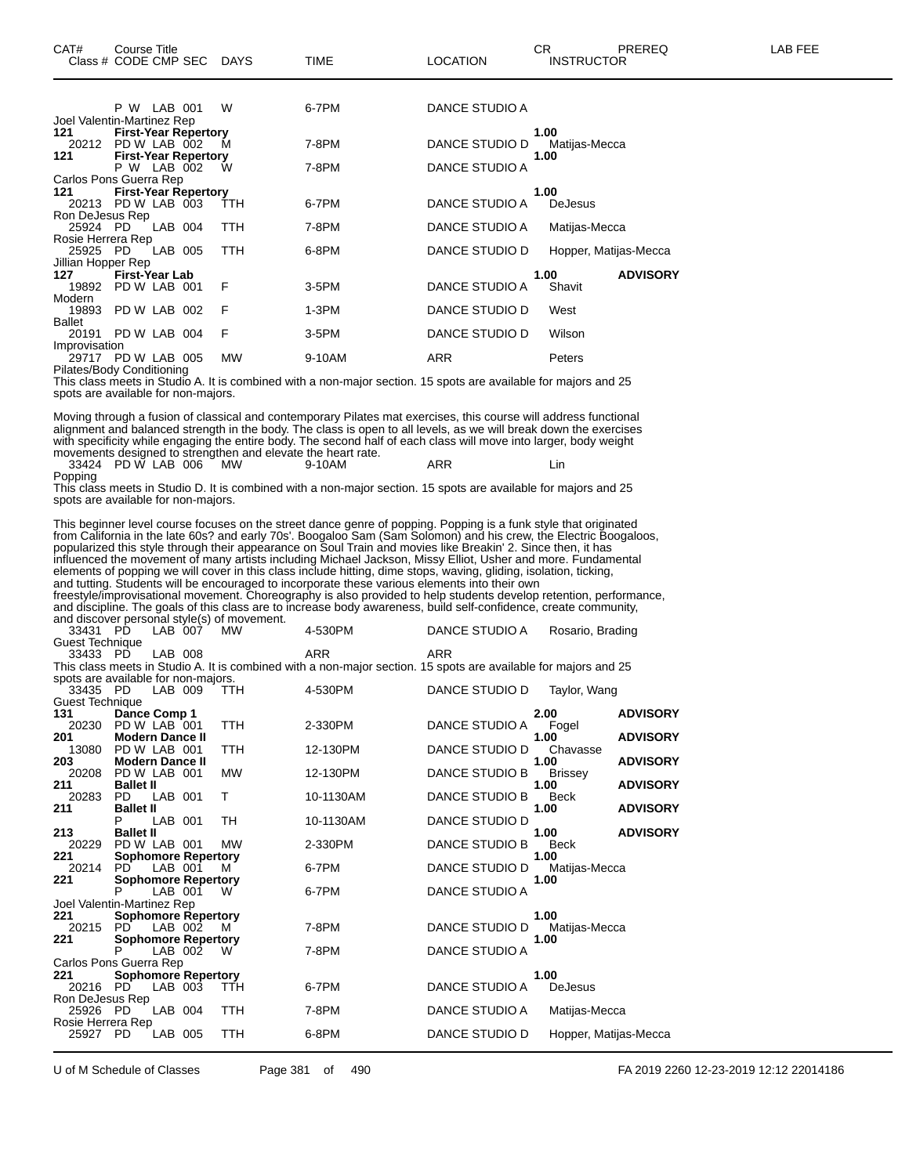|                    | LAB 001<br>P W              | W          | 6-7PM    | DANCE STUDIO A |                         |
|--------------------|-----------------------------|------------|----------|----------------|-------------------------|
|                    | Joel Valentin-Martinez Rep  |            |          |                |                         |
| 121                | <b>First-Year Repertory</b> |            |          |                | 1.00                    |
| 20212              | PD W LAB 002                | м          | 7-8PM    | DANCE STUDIO D | Matijas-Mecca           |
| 121                | <b>First-Year Repertory</b> |            |          |                | 1.00                    |
|                    | P W LAB 002                 | Ŵ          | 7-8PM    | DANCE STUDIO A |                         |
|                    | Carlos Pons Guerra Rep      |            |          |                |                         |
| 121                | <b>First-Year Repertory</b> |            |          |                | 1.00                    |
| 20213              | PD W LAB 003                | <b>TTH</b> | 6-7PM    | DANCE STUDIO A | <b>DeJesus</b>          |
| Ron DeJesus Rep    |                             |            |          |                |                         |
| 25924 PD           | LAB 004                     | TTH        | 7-8PM    | DANCE STUDIO A | Matijas-Mecca           |
| Rosie Herrera Rep  |                             |            |          |                |                         |
| 25925 PD           | LAB 005                     | TTH        | 6-8PM    | DANCE STUDIO D | Hopper, Matijas-Mecca   |
| Jillian Hopper Rep |                             |            |          |                |                         |
| 127                | <b>First-Year Lab</b>       |            |          |                | <b>ADVISORY</b><br>1.00 |
| 19892              | PD W LAB 001                | F          | $3-5$ PM | DANCE STUDIO A | Shavit                  |
| Modern             |                             |            |          |                |                         |
| 19893              | PD W LAB 002                | F          | $1-3PM$  | DANCE STUDIO D | West                    |
| <b>Ballet</b>      |                             |            |          |                |                         |
| 20191              | PD W LAB 004                | F          | 3-5PM    | DANCE STUDIO D | Wilson                  |
| Improvisation      |                             |            |          |                |                         |
| 29717              | PD W LAB 005                | <b>MW</b>  | 9-10AM   | ARR            | Peters                  |
|                    | Pilates/Body Conditioning   |            |          |                |                         |

This class meets in Studio A. It is combined with a non-major section. 15 spots are available for majors and 25 spots are available for non-majors.

Moving through a fusion of classical and contemporary Pilates mat exercises, this course will address functional alignment and balanced strength in the body. The class is open to all levels, as we will break down the exercises with specificity while engaging the entire body. The second half of each class will move into larger, body weight movements designed to strengthen and elevate the heart rate.

33424 PD W LAB 006 MW 9-10AM ARR Lin Popping

This class meets in Studio D. It is combined with a non-major section. 15 spots are available for majors and 25 spots are available for non-majors.

This beginner level course focuses on the street dance genre of popping. Popping is a funk style that originated from California in the late 60s? and early 70s'. Boogaloo Sam (Sam Solomon) and his crew, the Electric Boogaloos, popularized this style through their appearance on Soul Train and movies like Breakin' 2. Since then, it has influenced the movement of many artists including Michael Jackson, Missy Elliot, Usher and more. Fundamental elements of popping we will cover in this class include hitting, dime stops, waving, gliding, isolation, ticking, and tutting. Students will be encouraged to incorporate these various elements into their own freestyle/improvisational movement. Choreography is also provided to help students develop retention, performance, and discipline. The goals of this class are to increase body awareness, build self-confidence, create community, and discover personal style(s) of movement. 33431 PD LAB 007 MW 4-530PM DANCE STUDIO A Rosario, Brading

| Guest Technique                     |                            |         |                            |            |                                                                                                                 |                       |                         |  |
|-------------------------------------|----------------------------|---------|----------------------------|------------|-----------------------------------------------------------------------------------------------------------------|-----------------------|-------------------------|--|
| 33433 PD                            |                            | LAB 008 |                            |            | <b>ARR</b>                                                                                                      | ARR                   |                         |  |
|                                     |                            |         |                            |            | This class meets in Studio A. It is combined with a non-major section. 15 spots are available for majors and 25 |                       |                         |  |
| spots are available for non-majors. |                            |         |                            |            |                                                                                                                 |                       |                         |  |
| 33435 PD                            |                            | LAB 009 |                            | <b>TTH</b> | 4-530PM                                                                                                         | DANCE STUDIO D        | Taylor, Wang            |  |
| <b>Guest Technique</b>              |                            |         |                            |            |                                                                                                                 |                       |                         |  |
| 131                                 | Dance Comp 1               |         |                            |            |                                                                                                                 |                       | <b>ADVISORY</b><br>2.00 |  |
| 20230                               | PD W LAB 001               |         |                            | TTH        | 2-330PM                                                                                                         | DANCE STUDIO A        | Fogel                   |  |
| 201                                 | <b>Modern Dance II</b>     |         |                            |            |                                                                                                                 |                       | 1.00<br><b>ADVISORY</b> |  |
| 13080                               | PD W LAB 001               |         |                            | TTH        | 12-130PM                                                                                                        | DANCE STUDIO D        | Chavasse                |  |
| 203                                 | <b>Modern Dance II</b>     |         |                            |            |                                                                                                                 |                       | <b>ADVISORY</b><br>1.00 |  |
| 20208                               | PD W LAB 001               |         |                            | <b>MW</b>  | 12-130PM                                                                                                        | DANCE STUDIO B        | <b>Brissey</b>          |  |
| 211                                 | <b>Ballet II</b>           |         |                            |            |                                                                                                                 |                       | 1.00<br><b>ADVISORY</b> |  |
| 20283                               | PD.                        | LAB     | 001                        | T          | 10-1130AM                                                                                                       | DANCE STUDIO B        | <b>Beck</b>             |  |
| 211                                 | <b>Ballet II</b>           |         |                            |            |                                                                                                                 |                       | 1.00<br><b>ADVISORY</b> |  |
|                                     |                            | LAB 001 |                            | TН         | 10-1130AM                                                                                                       | DANCE STUDIO D        |                         |  |
| 213                                 | <b>Ballet II</b>           |         |                            |            |                                                                                                                 |                       | 1.00<br><b>ADVISORY</b> |  |
| 20229                               | PD W LAB 001               |         |                            | <b>MW</b>  | 2-330PM                                                                                                         | DANCE STUDIO B        | <b>Beck</b>             |  |
| 221                                 | <b>Sophomore Repertory</b> |         |                            |            |                                                                                                                 |                       | 1.00                    |  |
| 20214                               | <b>PD</b>                  | LAB 001 |                            | м          | 6-7PM                                                                                                           | DANCE STUDIO D        | Matijas-Mecca           |  |
| 221                                 |                            |         | <b>Sophomore Repertory</b> |            |                                                                                                                 |                       | 1.00                    |  |
|                                     |                            | LAB 001 |                            | W          | 6-7PM                                                                                                           | DANCE STUDIO A        |                         |  |
| Joel Valentin-Martinez Rep          |                            |         |                            |            |                                                                                                                 |                       |                         |  |
| 221                                 | <b>Sophomore Repertory</b> |         |                            |            |                                                                                                                 |                       | 1.00                    |  |
| 20215                               | PD.                        | LAB 002 |                            | м          | 7-8PM                                                                                                           | DANCE STUDIO D        | Matijas-Mecca           |  |
| 221                                 |                            |         | <b>Sophomore Repertory</b> |            |                                                                                                                 |                       | 1.00                    |  |
|                                     | P                          | LAB 002 |                            | W          | 7-8PM                                                                                                           | <b>DANCE STUDIO A</b> |                         |  |
| Carlos Pons Guerra Rep              |                            |         |                            |            |                                                                                                                 |                       |                         |  |
| 221                                 | <b>Sophomore Repertory</b> |         |                            |            |                                                                                                                 |                       | 1.00                    |  |
| 20216                               | <b>PD</b>                  | LAB 003 |                            | TTH        | 6-7PM                                                                                                           | DANCE STUDIO A        | <b>DeJesus</b>          |  |
| Ron DeJesus Rep                     |                            |         |                            |            |                                                                                                                 |                       |                         |  |
| 25926                               | - PD                       | LAB 004 |                            | TTH        | 7-8PM                                                                                                           | DANCE STUDIO A        | Matijas-Mecca           |  |
| Rosie Herrera Rep                   |                            |         |                            |            |                                                                                                                 |                       |                         |  |
| 25927                               | <b>PD</b>                  | LAB 005 |                            | TTH        | 6-8PM                                                                                                           | DANCE STUDIO D        | Hopper, Matijas-Mecca   |  |
|                                     |                            |         |                            |            |                                                                                                                 |                       |                         |  |

U of M Schedule of Classes Page 381 of 490 FA 2019 2260 12-23-2019 12:12 22014186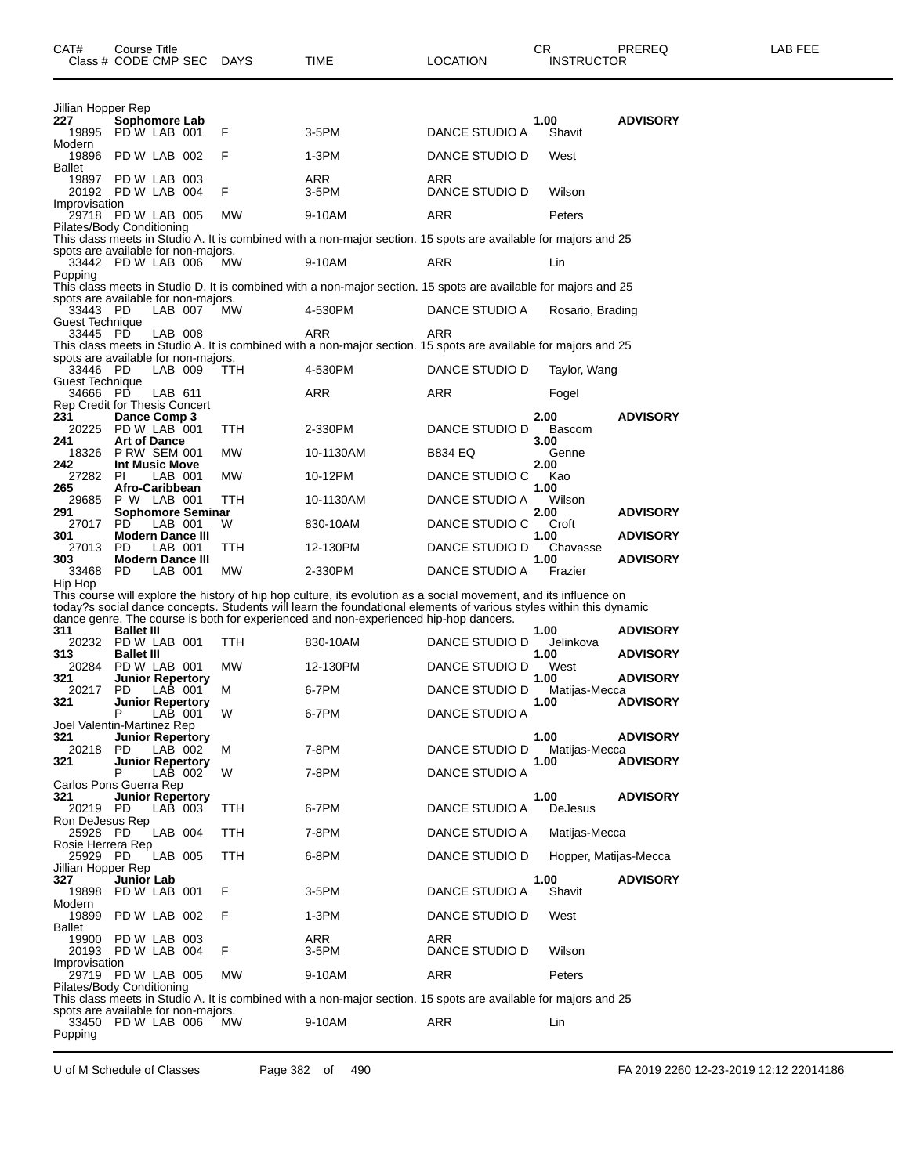| Jillian Hopper Rep<br>227<br>19895              | Sophomore Lab<br>PDW LAB 001              |         | F          | $3-5$ PM                                                                                                           | DANCE STUDIO A | 1.00<br>Shavit        | <b>ADVISORY</b> |
|-------------------------------------------------|-------------------------------------------|---------|------------|--------------------------------------------------------------------------------------------------------------------|----------------|-----------------------|-----------------|
| Modern                                          |                                           |         |            |                                                                                                                    |                |                       |                 |
| 19896                                           | PD W LAB 002                              |         | F          | $1-3PM$                                                                                                            | DANCE STUDIO D | West                  |                 |
| <b>Ballet</b><br>19897                          | PD W LAB 003                              |         |            | <b>ARR</b>                                                                                                         | <b>ARR</b>     |                       |                 |
|                                                 | 20192 PD W LAB 004                        |         | F          | $3-5$ PM                                                                                                           | DANCE STUDIO D | Wilson                |                 |
| Improvisation                                   |                                           |         |            |                                                                                                                    |                |                       |                 |
| 29718                                           | PD W LAB 005                              |         | <b>MW</b>  | 9-10AM                                                                                                             | <b>ARR</b>     | Peters                |                 |
| Pilates/Body Conditioning                       |                                           |         |            | This class meets in Studio A. It is combined with a non-major section. 15 spots are available for majors and 25    |                |                       |                 |
| spots are available for non-majors.             |                                           |         |            |                                                                                                                    |                |                       |                 |
|                                                 | 33442 PD W LAB 006                        |         | MW         | 9-10AM                                                                                                             | <b>ARR</b>     | Lin                   |                 |
| Popping                                         |                                           |         |            |                                                                                                                    |                |                       |                 |
| spots are available for non-majors.             |                                           |         |            | This class meets in Studio D. It is combined with a non-major section. 15 spots are available for majors and 25    |                |                       |                 |
| 33443 PD                                        |                                           | LAB 007 | <b>MW</b>  | 4-530PM                                                                                                            | DANCE STUDIO A | Rosario, Brading      |                 |
| <b>Guest Technique</b>                          |                                           |         |            |                                                                                                                    |                |                       |                 |
| 33445 PD                                        |                                           | LAB 008 |            | <b>ARR</b>                                                                                                         | <b>ARR</b>     |                       |                 |
|                                                 |                                           |         |            | This class meets in Studio A. It is combined with a non-major section. 15 spots are available for majors and 25    |                |                       |                 |
| spots are available for non-majors.<br>33446 PD |                                           | LAB 009 | <b>TTH</b> | 4-530PM                                                                                                            | DANCE STUDIO D | Taylor, Wang          |                 |
| <b>Guest Technique</b>                          |                                           |         |            |                                                                                                                    |                |                       |                 |
| 34666                                           | <b>PD</b>                                 | LAB 611 |            | <b>ARR</b>                                                                                                         | <b>ARR</b>     | Fogel                 |                 |
| <b>Rep Credit for Thesis Concert</b>            |                                           |         |            |                                                                                                                    |                |                       |                 |
| 231                                             | Dance Comp 3                              |         |            |                                                                                                                    |                | 2.00                  | <b>ADVISORY</b> |
| 241                                             | 20225 PD W LAB 001<br><b>Art of Dance</b> |         | <b>TTH</b> | 2-330PM                                                                                                            | DANCE STUDIO D | <b>Bascom</b><br>3.00 |                 |
|                                                 | 18326 P RW SEM 001                        |         | <b>MW</b>  | 10-1130AM                                                                                                          | <b>B834 EQ</b> | Genne                 |                 |
| 242                                             | Int Music Move                            |         |            |                                                                                                                    |                | 2.00                  |                 |
| 27282                                           | PL                                        | LAB 001 | <b>MW</b>  | 10-12PM                                                                                                            | DANCE STUDIO C | Kao                   |                 |
| 265<br>29685                                    | Afro-Caribbean<br>P W LAB 001             |         | <b>TTH</b> | 10-1130AM                                                                                                          | DANCE STUDIO A | 1.00<br>Wilson        |                 |
| 291                                             | <b>Sophomore Seminar</b>                  |         |            |                                                                                                                    |                | 2.00                  | <b>ADVISORY</b> |
| 27017 PD                                        |                                           | LAB 001 | W          | 830-10AM                                                                                                           | DANCE STUDIO C | Croft                 |                 |
| 301                                             | <b>Modern Dance III</b>                   |         |            |                                                                                                                    |                | 1.00                  | <b>ADVISORY</b> |
| 27013                                           | <b>PD</b>                                 | LAB 001 | <b>TTH</b> | 12-130PM                                                                                                           | DANCE STUDIO D | Chavasse              |                 |
| 303<br>33468                                    | <b>Modern Dance III</b><br>PD.            | LAB 001 | <b>MW</b>  | 2-330PM                                                                                                            | DANCE STUDIO A | 1.00<br>Frazier       | <b>ADVISORY</b> |
| Hip Hop                                         |                                           |         |            |                                                                                                                    |                |                       |                 |
|                                                 |                                           |         |            | This course will explore the history of hip hop culture, its evolution as a social movement, and its influence on  |                |                       |                 |
|                                                 |                                           |         |            | today?s social dance concepts. Students will learn the foundational elements of various styles within this dynamic |                |                       |                 |

dance genre. The course is both for experienced and non-experienced hip-hop dancers.

| 311                                                                                                                           | <b>Ballet III</b>                                                  |         |                     | dance genre. The course is both for experienced and non-experienced inp-hop dancers.                                                                        |                                                              | 1.00                     | <b>ADVISORY</b> |
|-------------------------------------------------------------------------------------------------------------------------------|--------------------------------------------------------------------|---------|---------------------|-------------------------------------------------------------------------------------------------------------------------------------------------------------|--------------------------------------------------------------|--------------------------|-----------------|
| 20232                                                                                                                         | PD W LAB 001                                                       |         | <b>TTH</b>          | 830-10AM                                                                                                                                                    | DANCE STUDIO D                                               | Jelinkova                |                 |
| 313                                                                                                                           | <b>Ballet III</b>                                                  |         |                     |                                                                                                                                                             |                                                              | 1.00                     | <b>ADVISORY</b> |
| 20284                                                                                                                         | PD W LAB 001                                                       |         | <b>MW</b>           | 12-130PM                                                                                                                                                    | DANCE STUDIO D                                               | West                     |                 |
| 321                                                                                                                           | <b>Junior Repertory</b>                                            |         |                     |                                                                                                                                                             |                                                              | 1.00                     | <b>ADVISORY</b> |
| 20217                                                                                                                         | <b>PD</b>                                                          | LAB 001 | М                   | 6-7PM                                                                                                                                                       | DANCE STUDIO D                                               | Matijas-Mecca            |                 |
| 321                                                                                                                           | <b>Junior Repertory</b>                                            |         |                     |                                                                                                                                                             |                                                              | 1.00                     | <b>ADVISORY</b> |
|                                                                                                                               | P                                                                  | LAB 001 | W                   | 6-7PM                                                                                                                                                       | DANCE STUDIO A                                               |                          |                 |
| Joel Valentin-Martinez Rep                                                                                                    |                                                                    |         |                     |                                                                                                                                                             |                                                              |                          |                 |
| 321                                                                                                                           | <b>Junior Repertory</b>                                            |         |                     |                                                                                                                                                             |                                                              | 1.00                     | <b>ADVISORY</b> |
| 20218                                                                                                                         | <b>PD</b>                                                          | LAB 002 | м                   | 7-8PM                                                                                                                                                       | DANCE STUDIO D                                               | Matijas-Mecca            |                 |
| 321                                                                                                                           | <b>Junior Repertory</b>                                            |         |                     |                                                                                                                                                             |                                                              | 1.00                     | <b>ADVISORY</b> |
|                                                                                                                               |                                                                    | LAB 002 | W                   | 7-8PM                                                                                                                                                       | DANCE STUDIO A                                               |                          |                 |
| Carlos Pons Guerra Rep                                                                                                        |                                                                    |         |                     |                                                                                                                                                             |                                                              |                          |                 |
| 321                                                                                                                           | <b>Junior Repertory</b>                                            |         |                     |                                                                                                                                                             |                                                              | 1.00                     | <b>ADVISORY</b> |
| 20219 PD                                                                                                                      |                                                                    | LAB 003 | <b>TTH</b>          | 6-7PM                                                                                                                                                       | DANCE STUDIO A                                               | <b>DeJesus</b>           |                 |
| Ron DeJesus Rep                                                                                                               |                                                                    |         |                     |                                                                                                                                                             |                                                              |                          |                 |
| 25928 PD                                                                                                                      |                                                                    | LAB 004 | <b>TTH</b>          | 7-8PM                                                                                                                                                       | DANCE STUDIO A                                               | Matijas-Mecca            |                 |
| Rosie Herrera Rep                                                                                                             |                                                                    |         |                     |                                                                                                                                                             |                                                              |                          |                 |
| 25929 PD                                                                                                                      |                                                                    | LAB 005 | TTH                 | 6-8PM                                                                                                                                                       | DANCE STUDIO D                                               | Hopper, Matijas-Mecca    |                 |
| Jillian Hopper Rep                                                                                                            |                                                                    |         |                     |                                                                                                                                                             |                                                              |                          |                 |
| 327                                                                                                                           | Junior Lab                                                         |         |                     |                                                                                                                                                             |                                                              | 1.00                     | <b>ADVISORY</b> |
| 19898                                                                                                                         | PD W LAB 001                                                       |         | F                   | $3-5$ PM                                                                                                                                                    | DANCE STUDIO A                                               | Shavit                   |                 |
| Modern                                                                                                                        |                                                                    |         |                     |                                                                                                                                                             |                                                              |                          |                 |
|                                                                                                                               |                                                                    |         |                     |                                                                                                                                                             |                                                              |                          |                 |
|                                                                                                                               |                                                                    |         |                     |                                                                                                                                                             |                                                              |                          |                 |
|                                                                                                                               |                                                                    |         |                     |                                                                                                                                                             |                                                              |                          |                 |
|                                                                                                                               |                                                                    |         |                     |                                                                                                                                                             |                                                              |                          |                 |
|                                                                                                                               |                                                                    |         |                     |                                                                                                                                                             |                                                              |                          |                 |
|                                                                                                                               |                                                                    |         |                     |                                                                                                                                                             |                                                              |                          |                 |
|                                                                                                                               |                                                                    |         |                     |                                                                                                                                                             |                                                              |                          |                 |
|                                                                                                                               |                                                                    |         |                     |                                                                                                                                                             |                                                              |                          |                 |
|                                                                                                                               | 33450 PD W LAB 006                                                 |         | MW                  | 9-10AM                                                                                                                                                      | <b>ARR</b>                                                   | Lin                      |                 |
| 19899<br><b>Ballet</b><br>19900<br>20193<br>Improvisation<br>Pilates/Body Conditioning<br>spots are available for non-majors. | PD W LAB 002<br>PD W LAB 003<br>PD W LAB 004<br>29719 PD W LAB 005 |         | F<br>F<br><b>MW</b> | $1-3PM$<br><b>ARR</b><br>3-5PM<br>9-10AM<br>This class meets in Studio A. It is combined with a non-major section. 15 spots are available for majors and 25 | DANCE STUDIO D<br><b>ARR</b><br>DANCE STUDIO D<br><b>ARR</b> | West<br>Wilson<br>Peters |                 |

Popping

U of M Schedule of Classes Page 382 of 490 FA 2019 2260 12-23-2019 12:12 22014186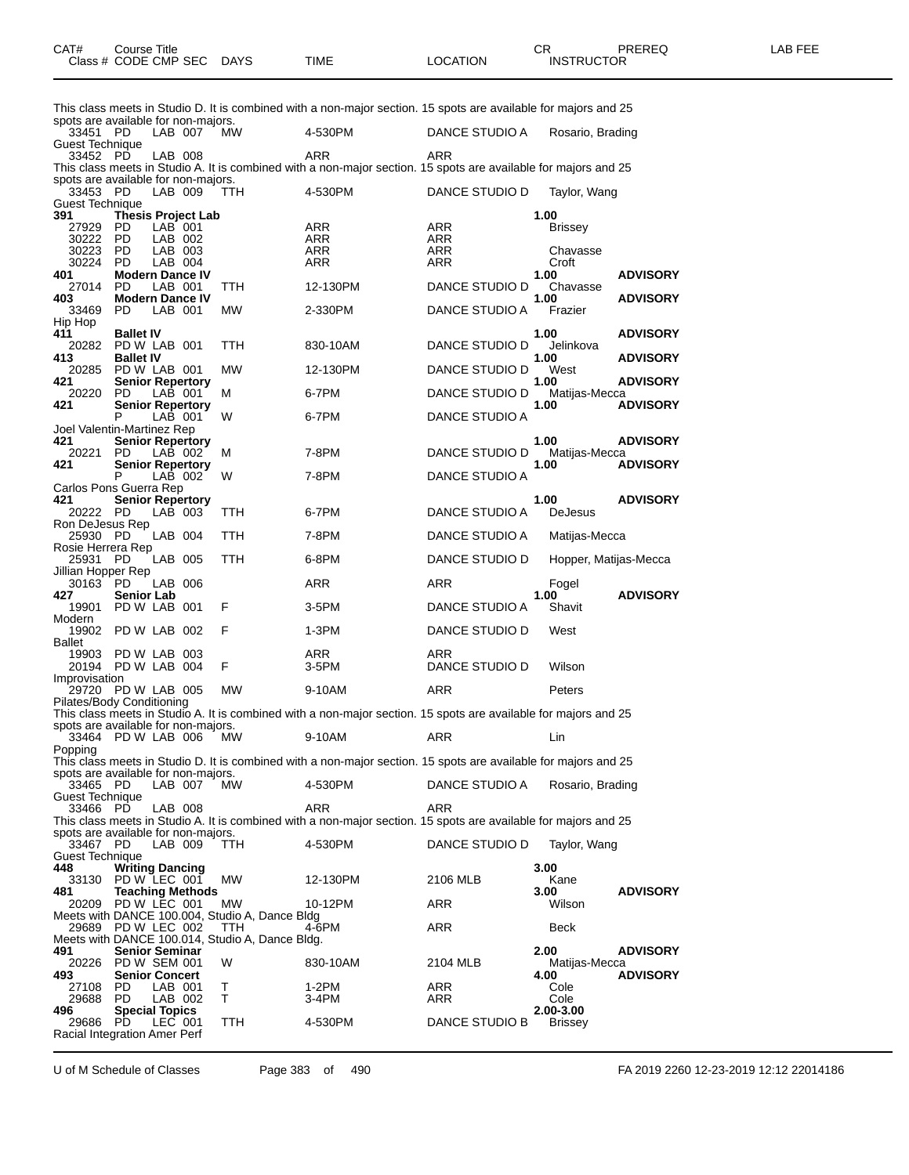|                                                 |                                         |                    |                           |                                                         | This class meets in Studio D. It is combined with a non-major section. 15 spots are available for majors and 25 |                       |                             |                 |
|-------------------------------------------------|-----------------------------------------|--------------------|---------------------------|---------------------------------------------------------|-----------------------------------------------------------------------------------------------------------------|-----------------------|-----------------------------|-----------------|
| spots are available for non-majors.<br>33451 PD |                                         | LAB 007            |                           | MW.                                                     | 4-530PM                                                                                                         | DANCE STUDIO A        | Rosario, Brading            |                 |
| Guest Technique<br>33452 PD                     |                                         | LAB 008            |                           |                                                         | ARR                                                                                                             | ARR                   |                             |                 |
|                                                 |                                         |                    |                           |                                                         | This class meets in Studio A. It is combined with a non-major section. 15 spots are available for majors and 25 |                       |                             |                 |
| spots are available for non-majors.<br>33453    | PD                                      | LAB 009            |                           | TTH.                                                    | 4-530PM                                                                                                         | DANCE STUDIO D        | Taylor, Wang                |                 |
| Guest Technique                                 |                                         |                    |                           |                                                         |                                                                                                                 |                       |                             |                 |
| 391<br>27929                                    | PD.                                     | LAB 001            | <b>Thesis Project Lab</b> |                                                         | ARR                                                                                                             | ARR                   | 1.00<br><b>Brissey</b>      |                 |
| 30222 PD<br>30223                               | PD                                      | LAB 002<br>LAB 003 |                           |                                                         | ARR<br>ARR                                                                                                      | ARR<br>ARR            | Chavasse                    |                 |
| 30224                                           | PD.                                     | LAB 004            |                           |                                                         | ARR                                                                                                             | ARR                   | Croft                       |                 |
| 401<br>27014                                    | <b>Modern Dance IV</b><br>PD.           | LAB 001            |                           | TTH                                                     | 12-130PM                                                                                                        | DANCE STUDIO D        | 1.00<br>Chavasse            | <b>ADVISORY</b> |
| 403<br>33469                                    | <b>Modern Dance IV</b><br>PD.           | LAB 001            |                           | MW                                                      | 2-330PM                                                                                                         | DANCE STUDIO A        | 1.00<br>Frazier             | <b>ADVISORY</b> |
| Hip Hop                                         |                                         |                    |                           |                                                         |                                                                                                                 |                       |                             |                 |
| 411<br>20282 PD W LAB 001                       | <b>Ballet IV</b>                        |                    |                           | TTH                                                     | 830-10AM                                                                                                        | DANCE STUDIO D        | 1.00<br>Jelinkova           | <b>ADVISORY</b> |
| 413                                             | <b>Ballet IV</b>                        |                    |                           |                                                         |                                                                                                                 |                       | 1.00                        | <b>ADVISORY</b> |
| 20285<br>421                                    | PD W LAB 001<br><b>Senior Repertory</b> |                    |                           | <b>MW</b>                                               | 12-130PM                                                                                                        | DANCE STUDIO D        | West<br>1.00                | <b>ADVISORY</b> |
| 20220<br>421                                    | PD<br><b>Senior Repertory</b>           | LAB 001            |                           | м                                                       | 6-7PM                                                                                                           | DANCE STUDIO D        | Matijas-Mecca<br>1.00       | <b>ADVISORY</b> |
|                                                 | P                                       | LAB 001            |                           | W                                                       | 6-7PM                                                                                                           | <b>DANCE STUDIO A</b> |                             |                 |
| Joel Valentin-Martinez Rep<br>421               | <b>Senior Repertory</b>                 |                    |                           |                                                         |                                                                                                                 |                       | 1.00                        | <b>ADVISORY</b> |
| 20221<br>421                                    | PD.<br><b>Senior Repertory</b>          | LAB 002            |                           | м                                                       | 7-8PM                                                                                                           | DANCE STUDIO D        | Matijas-Mecca<br>1.00       | <b>ADVISORY</b> |
|                                                 | P                                       | LAB 002            |                           | W                                                       | 7-8PM                                                                                                           | DANCE STUDIO A        |                             |                 |
| Carlos Pons Guerra Rep<br>421                   | <b>Senior Repertory</b>                 |                    |                           |                                                         |                                                                                                                 |                       | 1.00                        | <b>ADVISORY</b> |
| 20222 PD<br>Ron DeJesus Rep                     |                                         | LAB 003            |                           | TTH                                                     | 6-7PM                                                                                                           | DANCE STUDIO A        | <b>DeJesus</b>              |                 |
| 25930                                           | - PD                                    | LAB 004            |                           | TTH                                                     | 7-8PM                                                                                                           | DANCE STUDIO A        | Matijas-Mecca               |                 |
| Rosie Herrera Rep<br>25931                      | PD                                      | LAB 005            |                           | TTH                                                     | 6-8PM                                                                                                           | DANCE STUDIO D        | Hopper, Matijas-Mecca       |                 |
| Jillian Hopper Rep                              |                                         |                    |                           |                                                         | ARR                                                                                                             |                       |                             |                 |
|                                                 |                                         | LAB 006            |                           |                                                         |                                                                                                                 |                       |                             |                 |
| 30163 PD<br>427                                 | <b>Senior Lab</b>                       |                    |                           |                                                         |                                                                                                                 | ARR                   | Fogel<br>1.00               | <b>ADVISORY</b> |
| 19901                                           | PD W LAB 001                            |                    |                           | F                                                       | 3-5PM                                                                                                           | DANCE STUDIO A        | Shavit                      |                 |
| Modern<br>19902                                 | PD W LAB 002                            |                    |                           | F                                                       | 1-3PM                                                                                                           | DANCE STUDIO D        | West                        |                 |
| Ballet                                          |                                         |                    |                           |                                                         |                                                                                                                 |                       |                             |                 |
| 19903<br>20194 PD W LAB 004                     | PD W LAB 003                            |                    |                           | F                                                       | ARR<br>3-5PM                                                                                                    | ARR<br>DANCE STUDIO D | Wilson                      |                 |
| Improvisation<br>29720                          | PD W LAB 005                            |                    |                           | <b>MW</b>                                               | 9-10AM                                                                                                          | ARR                   | Peters                      |                 |
| Pilates/Body Conditioning                       |                                         |                    |                           |                                                         |                                                                                                                 |                       |                             |                 |
| spots are available for non-majors.             |                                         |                    |                           |                                                         | This class meets in Studio A. It is combined with a non-major section. 15 spots are available for majors and 25 |                       |                             |                 |
| 33464 PD W LAB 006<br>Popping                   |                                         |                    |                           | <b>MW</b>                                               | 9-10AM                                                                                                          | <b>ARR</b>            | Lin                         |                 |
|                                                 |                                         |                    |                           |                                                         | This class meets in Studio D. It is combined with a non-major section. 15 spots are available for majors and 25 |                       |                             |                 |
| spots are available for non-majors.<br>33465 PD |                                         | LAB 007            |                           | MW.                                                     | 4-530PM                                                                                                         | DANCE STUDIO A        | Rosario, Brading            |                 |
| <b>Guest Technique</b>                          |                                         |                    |                           |                                                         | ARR                                                                                                             | ARR                   |                             |                 |
| 33466 PD                                        |                                         | LAB 008            |                           |                                                         | This class meets in Studio A. It is combined with a non-major section. 15 spots are available for majors and 25 |                       |                             |                 |
| spots are available for non-majors.<br>33467 PD |                                         | LAB 009            |                           | TTH.                                                    | 4-530PM                                                                                                         | DANCE STUDIO D        | Taylor, Wang                |                 |
| <b>Guest Technique</b>                          |                                         |                    |                           |                                                         |                                                                                                                 |                       |                             |                 |
| 448<br>33130 PD W LEC 001                       | <b>Writing Dancing</b>                  |                    |                           | MW.                                                     | 12-130PM                                                                                                        | 2106 MLB              | 3.00<br>Kane                |                 |
| 481<br>20209 PD W LEC 001                       |                                         |                    | <b>Teaching Methods</b>   | МW                                                      | 10-12PM                                                                                                         | ARR                   | 3.00<br>Wilson              | <b>ADVISORY</b> |
|                                                 |                                         |                    |                           | Meets with DANCE 100.004, Studio A, Dance Bldg          |                                                                                                                 |                       |                             |                 |
| 29689 PD W LEC 002                              |                                         |                    |                           | TTH.<br>Meets with DANCE 100.014, Studio A, Dance Bldg. | 4-6PM                                                                                                           | ARR                   | <b>Beck</b>                 |                 |
| 491<br>20226 PD W SEM 001                       | <b>Senior Seminar</b>                   |                    |                           | W                                                       | 830-10AM                                                                                                        | 2104 MLB              | 2.00<br>Matijas-Mecca       | <b>ADVISORY</b> |
| 493                                             | <b>Senior Concert</b>                   |                    |                           |                                                         |                                                                                                                 |                       | 4.00                        | <b>ADVISORY</b> |
| 27108<br>29688                                  | <b>PD</b><br>PD.                        | LAB 001<br>LAB 002 |                           | Т<br>т                                                  | 1-2PM<br>3-4PM                                                                                                  | ARR<br>ARR            | Cole<br>Cole                |                 |
| 496<br>29686                                    | <b>Special Topics</b><br>PD.            | LEC 001            |                           | TTH                                                     | 4-530PM                                                                                                         | DANCE STUDIO B        | 2.00-3.00<br><b>Brissey</b> |                 |

U of M Schedule of Classes Page 383 of 490 FA 2019 2260 12-23-2019 12:12 22014186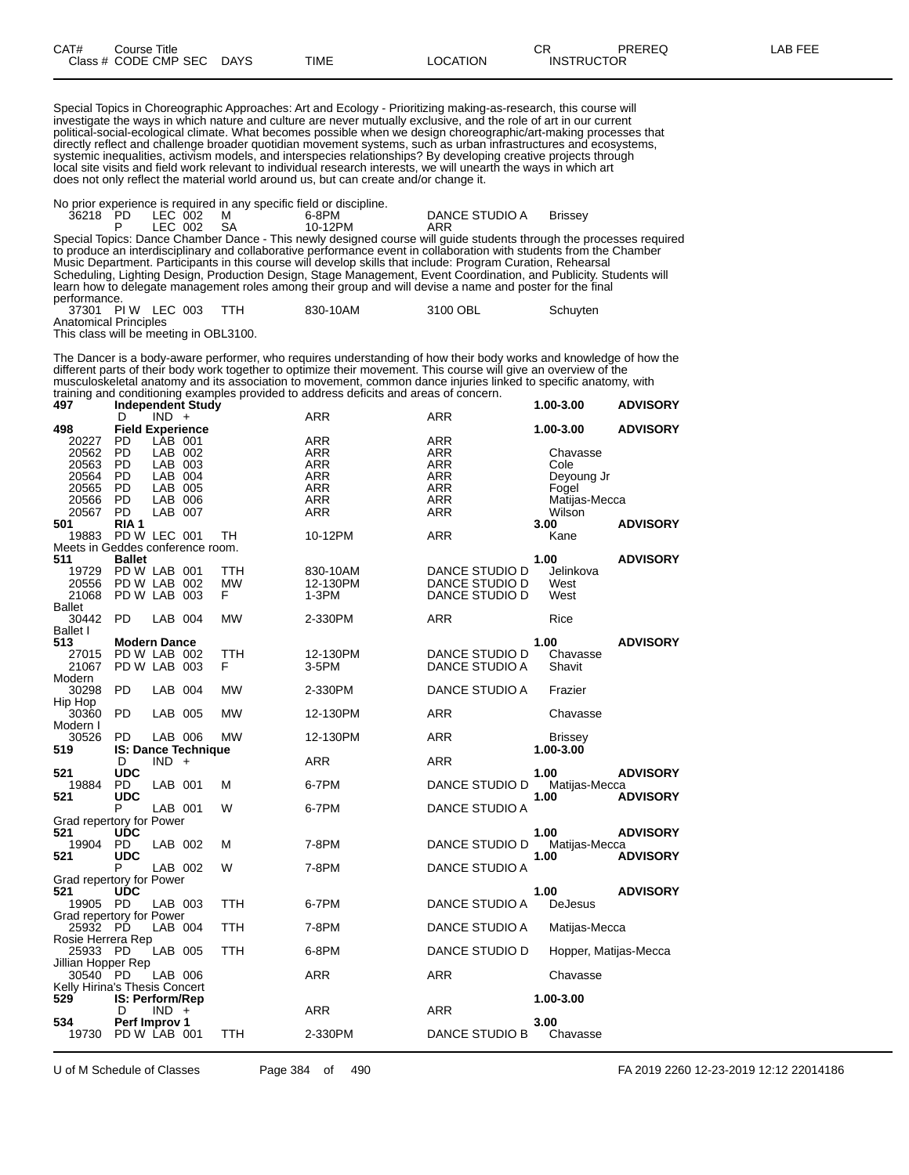| CAT# | Title<br>Course      |      |      |                | ⌒冖<br>◡⊓          | PREREQ | AR FEF |
|------|----------------------|------|------|----------------|-------------------|--------|--------|
|      | Class # CODE CMP SEC | DAYS | TIME | <b>OCATION</b> | <b>INSTRUCTOR</b> | ___    |        |

Special Topics in Choreographic Approaches: Art and Ecology - Prioritizing making-as-research, this course will investigate the ways in which nature and culture are never mutually exclusive, and the role of art in our current political-social-ecological climate. What becomes possible when we design choreographic/art-making processes that directly reflect and challenge broader quotidian movement systems, such as urban infrastructures and ecosystems, systemic inequalities, activism models, and interspecies relationships? By developing creative projects through local site visits and field work relevant to individual research interests, we will unearth the ways in which art does not only reflect the material world around us, but can create and/or change it.

No prior experience is required in any specific field or discipline.

|                       |            | The prior experience is required in any specific neighbor also pline.                                               |                |                                                                                                                     |
|-----------------------|------------|---------------------------------------------------------------------------------------------------------------------|----------------|---------------------------------------------------------------------------------------------------------------------|
| 36218 PD LEC 002 M    |            | 6-8PM                                                                                                               | DANCE STUDIO A | <b>Brissev</b>                                                                                                      |
|                       | LEC 002 SA | 10-12PM                                                                                                             | ARR            |                                                                                                                     |
|                       |            |                                                                                                                     |                | Special Topics: Dance Chamber Dance - This newly designed course will guide students through the processes required |
|                       |            | to produce an interdisciplinary and collaborative performance event in collaboration with students from the Chamber |                |                                                                                                                     |
|                       |            | Music Department. Participants in this course will develop skills that include: Program Curation, Rehearsal         |                |                                                                                                                     |
|                       |            |                                                                                                                     |                | Scheduling, Lighting Design, Production Design, Stage Management, Event Coordination, and Publicity. Students will  |
|                       |            | learn how to delegate management roles among their group and will devise a name and poster for the final            |                |                                                                                                                     |
| performance.          |            |                                                                                                                     |                |                                                                                                                     |
| 37301 PIW LEC 003 TTH |            | 830-10AM                                                                                                            | 3100 OBL       | Schuyten                                                                                                            |

Anatomical Principles

This class will be meeting in OBL3100.

The Dancer is a body-aware performer, who requires understanding of how their body works and knowledge of how the different parts of their body work together to optimize their movement. This course will give an overview of the musculoskeletal anatomy and its association to movement, common dance injuries linked to specific anatomy, with training and conditioning examples provided to address deficits and areas of concern.

| 497                              |                         |         | <b>Independent Study</b> |           |            |                       | 1.00-3.00             | <b>ADVISORY</b> |
|----------------------------------|-------------------------|---------|--------------------------|-----------|------------|-----------------------|-----------------------|-----------------|
|                                  | D                       | $IND +$ |                          |           | <b>ARR</b> | ARR                   |                       |                 |
| 498                              | <b>Field Experience</b> |         |                          |           |            |                       | 1.00-3.00             | <b>ADVISORY</b> |
| 20227                            | PD                      | LAB 001 |                          |           | ARR        | ARR                   |                       |                 |
| 20562                            | <b>PD</b>               | LAB 002 |                          |           | ARR        | ARR                   | Chavasse              |                 |
| 20563                            | PD                      | LAB 003 |                          |           | ARR        | ARR                   | Cole                  |                 |
| 20564                            | - PD                    | LAB 004 |                          |           | ARR        | ARR                   | Deyoung Jr            |                 |
| 20565                            | - PD                    | LAB 005 |                          |           | <b>ARR</b> | <b>ARR</b>            | Fogel                 |                 |
| 20566                            | <b>PD</b>               | LAB 006 |                          |           |            | ARR                   |                       |                 |
|                                  |                         |         |                          |           | ARR        |                       | Matijas-Mecca         |                 |
| 20567                            | <b>PD</b>               | LAB 007 |                          |           | ARR        | ARR                   | Wilson                |                 |
| 501                              | RIA 1                   |         |                          |           |            |                       | 3.00                  | <b>ADVISORY</b> |
| 19883                            | PD W LEC 001            |         |                          | TH        | 10-12PM    | ARR                   | Kane                  |                 |
| Meets in Geddes conference room. |                         |         |                          |           |            |                       |                       |                 |
| 511                              | <b>Ballet</b>           |         |                          |           |            |                       | 1.00                  | <b>ADVISORY</b> |
| 19729                            | PD W LAB 001            |         |                          | TTH       | 830-10AM   | DANCE STUDIO D        | Jelinkova             |                 |
| 20556                            | PD W LAB 002            |         |                          | <b>MW</b> | 12-130PM   | DANCE STUDIO D        | West                  |                 |
| 21068                            | PD W LAB 003            |         |                          | F         | $1-3PM$    | <b>DANCE STUDIO D</b> | West                  |                 |
| Ballet                           |                         |         |                          |           |            |                       |                       |                 |
| 30442                            | PD.                     | LAB 004 |                          | MW        | 2-330PM    | ARR                   | Rice                  |                 |
|                                  |                         |         |                          |           |            |                       |                       |                 |
| <b>Ballet I</b>                  |                         |         |                          |           |            |                       |                       |                 |
| 513                              | <b>Modern Dance</b>     |         |                          |           |            |                       | 1.00                  | <b>ADVISORY</b> |
| 27015                            | PD W LAB 002            |         |                          | TTH       | 12-130PM   | DANCE STUDIO D        | Chavasse              |                 |
| 21067                            | PD W LAB 003            |         |                          | F         | 3-5PM      | DANCE STUDIO A        | Shavit                |                 |
| Modern                           |                         |         |                          |           |            |                       |                       |                 |
| 30298                            | <b>PD</b>               | LAB 004 |                          | МW        | 2-330PM    | DANCE STUDIO A        | Frazier               |                 |
| Hip Hop                          |                         |         |                          |           |            |                       |                       |                 |
| 30360                            | <b>PD</b>               | LAB 005 |                          | <b>MW</b> | 12-130PM   | <b>ARR</b>            | Chavasse              |                 |
| Modern I                         |                         |         |                          |           |            |                       |                       |                 |
| 30526                            | PD.                     | LAB 006 |                          | <b>MW</b> |            |                       |                       |                 |
|                                  |                         |         |                          |           | 12-130PM   | ARR                   | <b>Brissey</b>        |                 |
| 519                              |                         |         | IS: Dance Technique      |           |            |                       | 1.00-3.00             |                 |
|                                  | D                       | $IND +$ |                          |           | ARR        | <b>ARR</b>            |                       |                 |
| 521                              | <b>UDC</b>              |         |                          |           |            |                       | 1.00                  | <b>ADVISORY</b> |
| 19884                            | PD                      | LAB 001 |                          | М         | 6-7PM      | DANCE STUDIO D        | Matijas-Mecca         |                 |
| 521                              | <b>UDC</b>              |         |                          |           |            |                       | 1.00                  | <b>ADVISORY</b> |
|                                  | P                       | LAB 001 |                          | W         | 6-7PM      | <b>DANCE STUDIO A</b> |                       |                 |
| Grad repertory for Power         |                         |         |                          |           |            |                       |                       |                 |
| 521                              | <b>UDC</b>              |         |                          |           |            |                       | 1.00                  | <b>ADVISORY</b> |
| 19904                            | PD.                     | LAB 002 |                          | M         | 7-8PM      | DANCE STUDIO D        | Matijas-Mecca         |                 |
| 521                              | <b>UDC</b>              |         |                          |           |            |                       | 1.00                  | <b>ADVISORY</b> |
|                                  | P                       | LAB 002 |                          | W         | 7-8PM      | <b>DANCE STUDIO A</b> |                       |                 |
|                                  |                         |         |                          |           |            |                       |                       |                 |
| Grad repertory for Power         |                         |         |                          |           |            |                       |                       |                 |
| 521                              | <b>UDC</b>              |         |                          |           |            |                       | 1.00                  | <b>ADVISORY</b> |
| 19905 PD                         |                         | LAB 003 |                          | TTH       | 6-7PM      | DANCE STUDIO A        | <b>DeJesus</b>        |                 |
| Grad repertory for Power         |                         |         |                          |           |            |                       |                       |                 |
| 25932                            | - PD                    | LAB 004 |                          | TTH       | 7-8PM      | DANCE STUDIO A        | Matijas-Mecca         |                 |
| Rosie Herrera Rep                |                         |         |                          |           |            |                       |                       |                 |
| 25933 PD                         |                         | LAB 005 |                          | TTH       | 6-8PM      | DANCE STUDIO D        | Hopper, Matijas-Mecca |                 |
| Jillian Hopper Rep               |                         |         |                          |           |            |                       |                       |                 |
| 30540 PD                         |                         | LAB 006 |                          |           | ARR        | ARR                   | Chavasse              |                 |
| Kelly Hirina's Thesis Concert    |                         |         |                          |           |            |                       |                       |                 |
|                                  |                         |         |                          |           |            |                       |                       |                 |
| 529                              | IS: Perform/Rep         |         |                          |           |            |                       | 1.00-3.00             |                 |
|                                  | D                       | $IND +$ |                          |           | <b>ARR</b> | <b>ARR</b>            |                       |                 |
| 534                              | Perf Improv 1           |         |                          |           |            |                       | 3.00                  |                 |
| 19730                            | PD W LAB 001            |         |                          | TTH       | 2-330PM    | DANCE STUDIO B        | Chavasse              |                 |
|                                  |                         |         |                          |           |            |                       |                       |                 |

U of M Schedule of Classes Page 384 of 490 FA 2019 2260 12-23-2019 12:12 22014186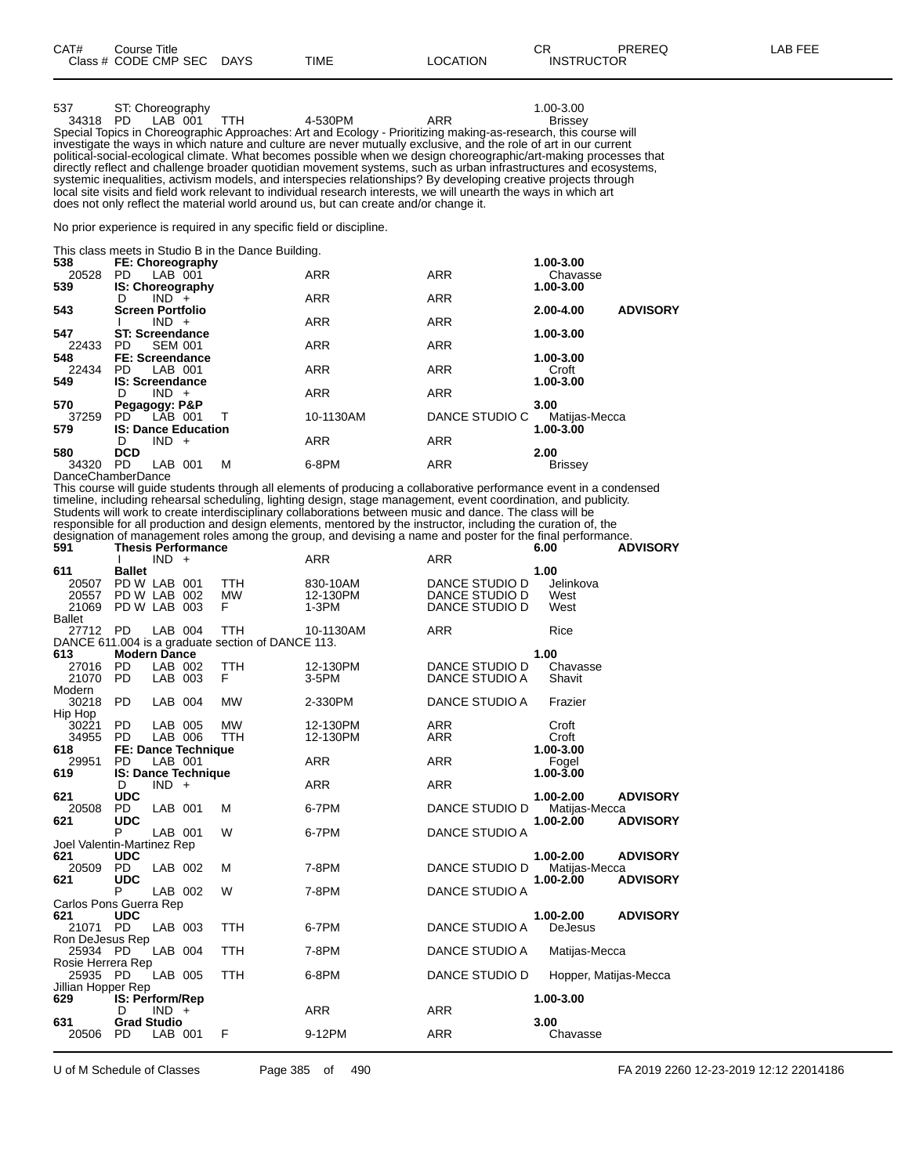| 537      | ST: Choreography |                                                                                      |     | 1.00-3.00                                                                                                         |  |
|----------|------------------|--------------------------------------------------------------------------------------|-----|-------------------------------------------------------------------------------------------------------------------|--|
| 34318 PD | LAB 001 TTH      | 4-530PM                                                                              | ARR | <b>Brissey</b>                                                                                                    |  |
|          |                  |                                                                                      |     | Special Topics in Choreographic Approaches: Art and Ecology - Prioritizing making-as-research, this course will   |  |
|          |                  |                                                                                      |     | investigate the ways in which nature and culture are never mutually exclusive, and the role of art in our current |  |
|          |                  |                                                                                      |     | political-social-ecological climate. What becomes possible when we design choreographic/art-making processes that |  |
|          |                  |                                                                                      |     | directly reflect and challenge broader quotidian movement systems, such as urban infrastructures and ecosystems,  |  |
|          |                  |                                                                                      |     | systemic inequalities, activism models, and interspecies relationships? By developing creative projects through   |  |
|          |                  |                                                                                      |     | local site visits and field work relevant to individual research interests, we will unearth the ways in which art |  |
|          |                  | does not only reflect the material world around us, but can create and/or change it. |     |                                                                                                                   |  |

No prior experience is required in any specific field or discipline.

This class meets in Studio B in the Dance Building.

| 538   | FE: Choreography           |            |                | 1.00-3.00                    |
|-------|----------------------------|------------|----------------|------------------------------|
| 20528 | LAB 001<br>PD.             | <b>ARR</b> | <b>ARR</b>     | Chavasse                     |
| 539   | <b>IS: Choreography</b>    |            |                | 1.00-3.00                    |
|       | $IND +$<br>D               | <b>ARR</b> | <b>ARR</b>     |                              |
| 543   | <b>Screen Portfolio</b>    |            |                | <b>ADVISORY</b><br>2.00-4.00 |
|       | $IND +$                    | <b>ARR</b> | <b>ARR</b>     |                              |
| 547   | <b>ST: Screendance</b>     |            |                | 1.00-3.00                    |
| 22433 | <b>SEM 001</b><br>PD.      | <b>ARR</b> | <b>ARR</b>     |                              |
| 548   | FE: Screendance            |            |                | 1.00-3.00                    |
| 22434 | LAB 001<br>PD.             | <b>ARR</b> | <b>ARR</b>     | Croft                        |
| 549   | <b>IS: Screendance</b>     |            |                | 1.00-3.00                    |
|       | $IND +$<br>D               | <b>ARR</b> | <b>ARR</b>     |                              |
| 570   | Pegagogy: P&P              |            |                | 3.00                         |
| 37259 | PD LAB 001                 | 10-1130AM  | DANCE STUDIO C | Matijas-Mecca                |
| 579   | <b>IS: Dance Education</b> |            |                | 1.00-3.00                    |
|       | $IND +$<br>D               | <b>ARR</b> | <b>ARR</b>     |                              |
| 580   | <b>DCD</b>                 |            |                | 2.00                         |
| 34320 | LAB 001<br>м<br>PD.        | 6-8PM      | <b>ARR</b>     | <b>Brissey</b>               |
|       | <b>DanceChamberDance</b>   |            |                |                              |

This course will guide students through all elements of producing a collaborative performance event in a condensed timeline, including rehearsal scheduling, lighting design, stage management, event coordination, and publicity. Students will work to create interdisciplinary collaborations between music and dance. The class will be responsible for all production and design elements, mentored by the instructor, including the curation of, the designation of management roles among the group, and devising a name and poster for the final performance.

| 591                                                      |                                            | $IND +$            | <b>Thesis Performance</b>                                |                                                                 | <b>ARR</b>                      | <b>ARR</b>                                         | 6.00                                        | <b>ADVISORY</b>                    |
|----------------------------------------------------------|--------------------------------------------|--------------------|----------------------------------------------------------|-----------------------------------------------------------------|---------------------------------|----------------------------------------------------|---------------------------------------------|------------------------------------|
| 611<br>20507 PD W LAB 001<br>20557 PD W LAB 002<br>21069 | <b>Ballet</b><br>PD W LAB 003              |                    |                                                          | <b>TTH</b><br><b>MW</b><br>F                                    | 830-10AM<br>12-130PM<br>$1-3PM$ | DANCE STUDIO D<br>DANCE STUDIO D<br>DANCE STUDIO D | 1.00<br>Jelinkova<br>West<br>West           |                                    |
| <b>Ballet</b><br>27712 PD<br>613                         | <b>Modern Dance</b>                        | LAB 004            |                                                          | <b>TTH</b><br>DANCE 611.004 is a graduate section of DANCE 113. | 10-1130AM                       | <b>ARR</b>                                         | Rice<br>1.00                                |                                    |
| 27016<br>21070<br>Modern                                 | <b>PD</b><br><b>PD</b>                     | LAB 002<br>LAB 003 |                                                          | TTH<br>F                                                        | 12-130PM<br>$3-5$ PM            | DANCE STUDIO D<br>DANCE STUDIO A                   | Chavasse<br>Shavit                          |                                    |
| 30218 PD<br>Hip Hop                                      |                                            | LAB 004            |                                                          | <b>MW</b>                                                       | 2-330PM                         | DANCE STUDIO A                                     | Frazier                                     |                                    |
| 30221<br>34955 PD                                        | <b>PD</b>                                  | LAB 005<br>LAB 006 |                                                          | <b>MW</b><br><b>TTH</b>                                         | 12-130PM<br>12-130PM            | <b>ARR</b><br>ARR                                  | Croft<br>Croft                              |                                    |
| 618<br>29951 PD<br>619                                   |                                            | LAB 001            | <b>FE: Dance Technique</b><br><b>IS: Dance Technique</b> |                                                                 | <b>ARR</b>                      | <b>ARR</b>                                         | 1.00-3.00<br>Fogel<br>$1.00 - 3.00$         |                                    |
| 621                                                      | D<br><b>UDC</b>                            | $IND +$            |                                                          |                                                                 | <b>ARR</b>                      | <b>ARR</b>                                         | 1.00-2.00                                   | <b>ADVISORY</b>                    |
| 20508<br>621                                             | <b>PD</b><br><b>UDC</b>                    | LAB 001            |                                                          | м                                                               | 6-7PM                           | DANCE STUDIO D                                     | Matijas-Mecca<br>$1.00 - 2.00$              | <b>ADVISORY</b>                    |
| Joel Valentin-Martinez Rep                               | P                                          | LAB 001            |                                                          | W                                                               | 6-7PM                           | DANCE STUDIO A                                     |                                             |                                    |
| 621<br>20509 PD<br>621                                   | <b>UDC</b><br><b>UDC</b>                   | LAB 002            |                                                          | м                                                               | 7-8PM                           | DANCE STUDIO D                                     | 1.00-2.00<br>Matijas-Mecca<br>$1.00 - 2.00$ | <b>ADVISORY</b><br><b>ADVISORY</b> |
| Carlos Pons Guerra Rep                                   | P                                          | LAB 002            |                                                          | W                                                               | 7-8PM                           | DANCE STUDIO A                                     |                                             |                                    |
| 621<br>21071 PD<br>Ron DeJesus Rep                       | <b>UDC</b>                                 | LAB 003            |                                                          | <b>TTH</b>                                                      | 6-7PM                           | DANCE STUDIO A                                     | 1.00-2.00<br><b>DeJesus</b>                 | <b>ADVISORY</b>                    |
| 25934 PD<br>Rosie Herrera Rep                            |                                            | LAB 004            |                                                          | <b>TTH</b>                                                      | 7-8PM                           | DANCE STUDIO A                                     | Matijas-Mecca                               |                                    |
| 25935 PD                                                 |                                            | LAB 005            |                                                          | <b>TTH</b>                                                      | 6-8PM                           | DANCE STUDIO D                                     |                                             | Hopper, Matijas-Mecca              |
| Jillian Hopper Rep<br>629<br>631                         | IS: Perform/Rep<br>D<br><b>Grad Studio</b> | $IND +$            |                                                          |                                                                 | <b>ARR</b>                      | <b>ARR</b>                                         | 1.00-3.00<br>3.00                           |                                    |
| 20506                                                    | <b>PD</b>                                  | LAB 001            |                                                          | F                                                               | 9-12PM                          | <b>ARR</b>                                         | Chavasse                                    |                                    |

U of M Schedule of Classes Page 385 of 490 FA 2019 2260 12-23-2019 12:12 22014186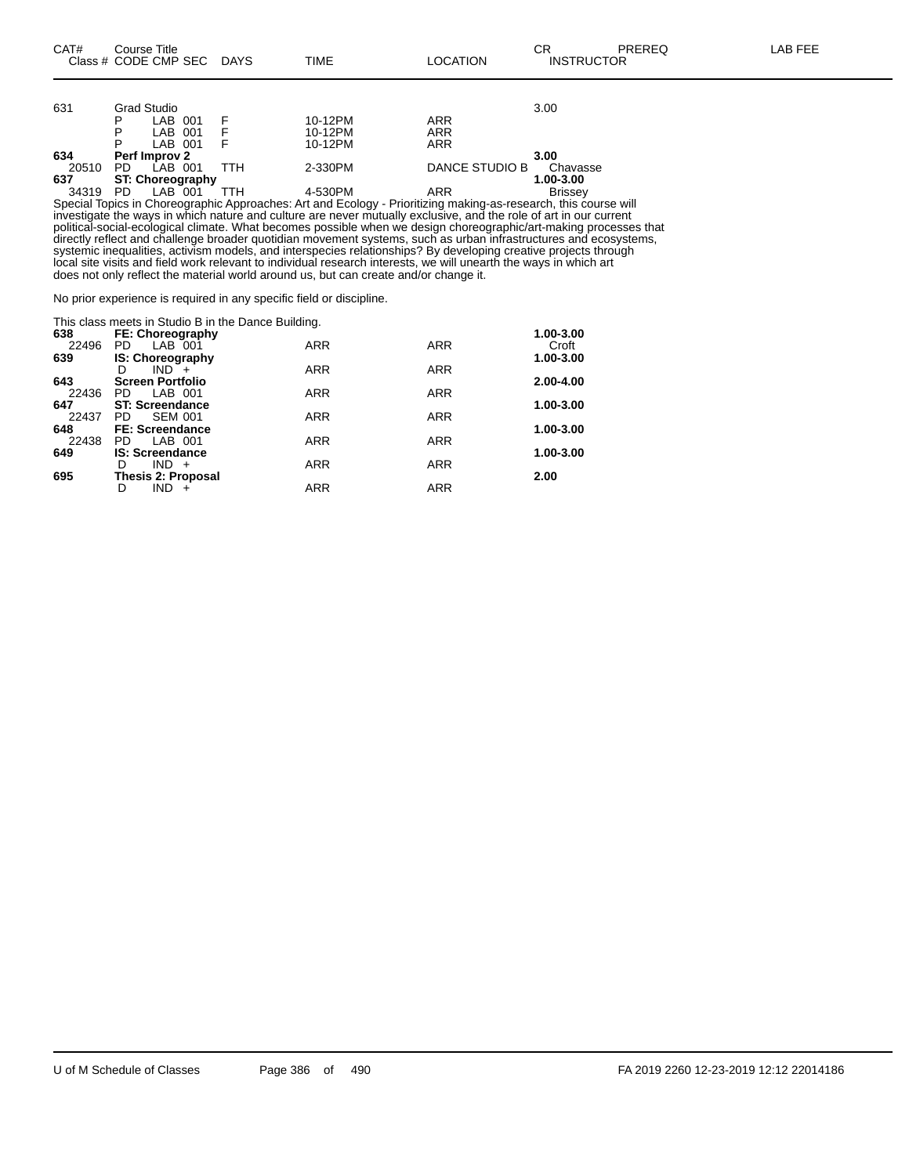| 631   |    | Grad Studio             |     |           |                | 3.00           |
|-------|----|-------------------------|-----|-----------|----------------|----------------|
|       | P  | LAB 001                 |     | 10-12PM   | ARR            |                |
|       | P  | LAB 001                 |     | 10-12PM   | ARR            |                |
|       | P  | LAB 001                 |     | 10-12PM   | ARR            |                |
| 634   |    | Perf Improv 2           |     |           |                | 3.00           |
| 20510 | PD | LAB 001                 | ттн | 2-330PM   | DANCE STUDIO B | Chavasse       |
| 637   |    | <b>ST: Choreography</b> |     | 1.00-3.00 |                |                |
| 34319 | PD | LAB 001                 | гтн | 4-530PM   | ARR            | <b>Brissev</b> |

Special Topics in Choreographic Approaches: Art and Ecology - Prioritizing making-as-research, this course will investigate the ways in which nature and culture are never mutually exclusive, and the role of art in our current political-social-ecological climate. What becomes possible when we design choreographic/art-making processes that directly reflect and challenge broader quotidian movement systems, such as urban infrastructures and ecosystems, systemic inequalities, activism models, and interspecies relationships? By developing creative projects through local site visits and field work relevant to individual research interests, we will unearth the ways in which art does not only reflect the material world around us, but can create and/or change it.

No prior experience is required in any specific field or discipline.

|       | This class meets in Studio B in the Dance Building. |            |            |           |  |  |  |  |  |  |  |
|-------|-----------------------------------------------------|------------|------------|-----------|--|--|--|--|--|--|--|
| 638   | FE: Choreography                                    |            |            | 1.00-3.00 |  |  |  |  |  |  |  |
| 22496 | LAB 001<br>PD.                                      | <b>ARR</b> | <b>ARR</b> | Croft     |  |  |  |  |  |  |  |
| 639   | <b>IS: Choreography</b>                             |            | 1.00-3.00  |           |  |  |  |  |  |  |  |
|       | $IND +$<br>D                                        | <b>ARR</b> | <b>ARR</b> |           |  |  |  |  |  |  |  |
| 643   | <b>Screen Portfolio</b>                             |            |            | 2.00-4.00 |  |  |  |  |  |  |  |
| 22436 | PD.<br>LAB 001                                      | <b>ARR</b> | <b>ARR</b> |           |  |  |  |  |  |  |  |
| 647   | <b>ST: Screendance</b>                              |            |            | 1.00-3.00 |  |  |  |  |  |  |  |
| 22437 | <b>SEM 001</b><br>PD.                               | <b>ARR</b> | <b>ARR</b> |           |  |  |  |  |  |  |  |
| 648   | <b>FE: Screendance</b>                              |            |            | 1.00-3.00 |  |  |  |  |  |  |  |
| 22438 | LAB 001<br>PD.                                      | <b>ARR</b> | <b>ARR</b> |           |  |  |  |  |  |  |  |
| 649   | <b>IS: Screendance</b>                              |            |            | 1.00-3.00 |  |  |  |  |  |  |  |
|       | $IND +$<br>D                                        | <b>ARR</b> | <b>ARR</b> |           |  |  |  |  |  |  |  |
| 695   | Thesis 2: Proposal                                  |            |            | 2.00      |  |  |  |  |  |  |  |
|       | IND.<br>D                                           | <b>ARR</b> | <b>ARR</b> |           |  |  |  |  |  |  |  |
|       |                                                     |            |            |           |  |  |  |  |  |  |  |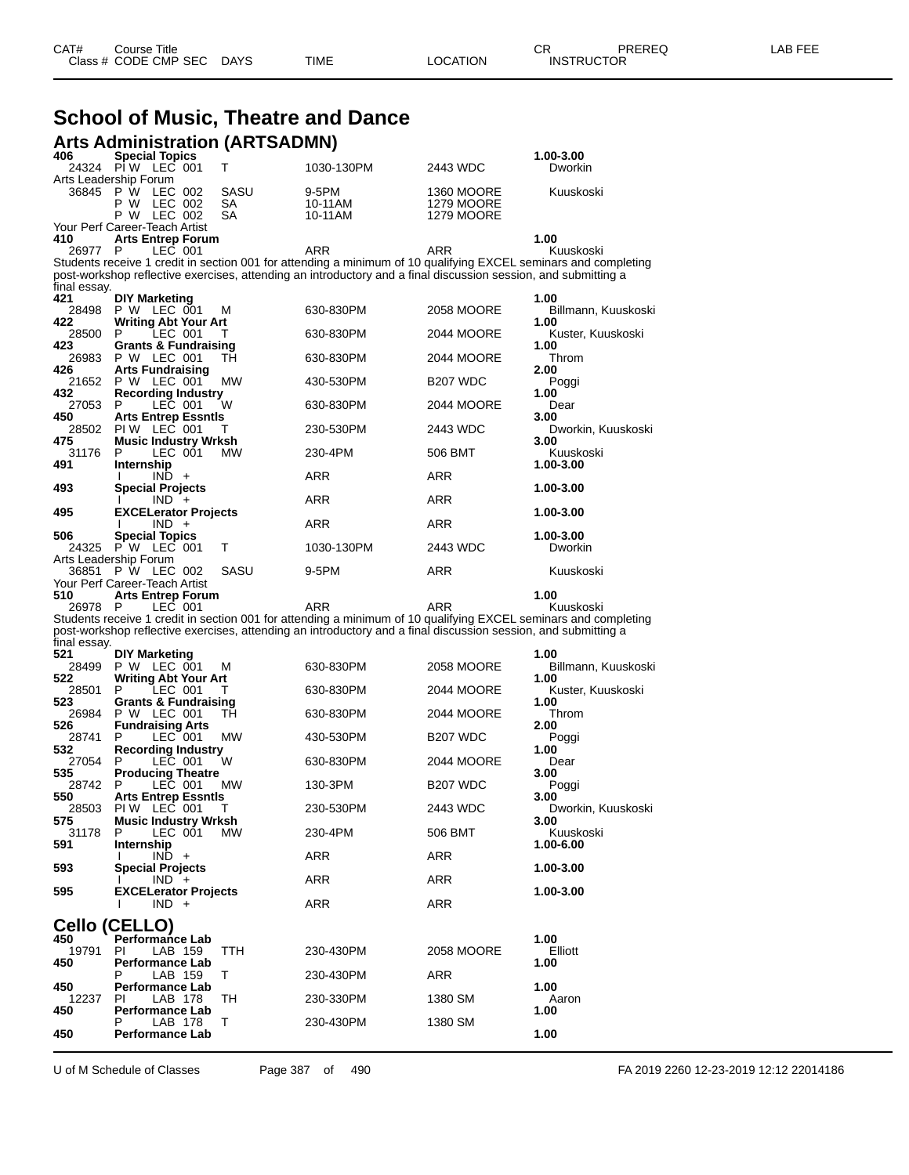| CAT# | Title<br>Course i    |             |      |          | ◠г<br>- UN        | PREREQ | _AB FEF |
|------|----------------------|-------------|------|----------|-------------------|--------|---------|
|      | Class # CODE CMP SEC | <b>DAYS</b> | TIME | LOCATION | <b>INSTRUCTOR</b> |        |         |

#### **School of Music, Theatre and Dance Arts Administration (ARTSADMN)**

| 406<br>24324                           | <b>Special Topics</b><br>PIW LEC 001           |                    | т          | 1030-130PM                                                                                                     | 2443 WDC                        | 1.00-3.00<br>Dworkin                                                                                            |
|----------------------------------------|------------------------------------------------|--------------------|------------|----------------------------------------------------------------------------------------------------------------|---------------------------------|-----------------------------------------------------------------------------------------------------------------|
| Arts Leadership Forum                  |                                                |                    |            |                                                                                                                |                                 |                                                                                                                 |
| 36845 P W                              | P W                                            | LEC 002<br>LEC 002 | SASU<br>SА | 9-5PM<br>10-11AM                                                                                               | 1360 MOORE<br><b>1279 MOORE</b> | Kuuskoski                                                                                                       |
|                                        | P W LEC 002                                    |                    | SА         | 10-11AM                                                                                                        | <b>1279 MOORE</b>               |                                                                                                                 |
| Your Perf Career-Teach Artist          |                                                |                    |            |                                                                                                                |                                 |                                                                                                                 |
| 410<br>26977                           | <b>Arts Entrep Forum</b><br>P                  | LEC 001            |            | ARR                                                                                                            | <b>ARR</b>                      | 1.00<br>Kuuskoski                                                                                               |
|                                        |                                                |                    |            |                                                                                                                |                                 | Students receive 1 credit in section 001 for attending a minimum of 10 qualifying EXCEL seminars and completing |
|                                        |                                                |                    |            | post-workshop reflective exercises, attending an introductory and a final discussion session, and submitting a |                                 |                                                                                                                 |
| final essay.<br>421                    | <b>DIY Marketing</b>                           |                    |            |                                                                                                                |                                 | 1.00                                                                                                            |
| 28498                                  | P W LEC 001                                    |                    | M          | 630-830PM                                                                                                      | <b>2058 MOORE</b>               | Billmann, Kuuskoski                                                                                             |
| 422<br>28500                           | <b>Writing Abt Your Art</b><br>P               | LEC 001            | Т          | 630-830PM                                                                                                      | 2044 MOORE                      | 1.00                                                                                                            |
| 423                                    | <b>Grants &amp; Fundraising</b>                |                    |            |                                                                                                                |                                 | Kuster, Kuuskoski<br>1.00                                                                                       |
| 26983                                  | P W LEC 001                                    |                    | тн         | 630-830PM                                                                                                      | 2044 MOORE                      | Throm                                                                                                           |
| 426                                    | <b>Arts Fundraising</b><br>21652 P W LEC 001   |                    | МW         | 430-530PM                                                                                                      | B <sub>207</sub> WDC            | 2.00<br>Poggi                                                                                                   |
| 432                                    | <b>Recording Industry</b>                      |                    |            |                                                                                                                |                                 | 1.00                                                                                                            |
| 27053<br>450                           | P<br><b>Arts Entrep Essntls</b>                | LEC 001            | W          | 630-830PM                                                                                                      | 2044 MOORE                      | Dear<br>3.00                                                                                                    |
| 28502                                  | PIW LEC 001                                    |                    | Т          | 230-530PM                                                                                                      | 2443 WDC                        | Dworkin, Kuuskoski                                                                                              |
| 475                                    | <b>Music Industry Wrksh</b>                    |                    |            | 230-4PM                                                                                                        |                                 | 3.00                                                                                                            |
| 31176<br>491                           | P<br>Internship                                | LEC 001            | МW         |                                                                                                                | 506 BMT                         | Kuuskoski<br>1.00-3.00                                                                                          |
|                                        |                                                | $IND +$            |            | ARR                                                                                                            | ARR                             |                                                                                                                 |
| 493                                    | <b>Special Projects</b>                        | $IND +$            |            | ARR                                                                                                            | ARR                             | 1.00-3.00                                                                                                       |
| 495                                    | <b>EXCELerator Projects</b>                    |                    |            |                                                                                                                |                                 | 1.00-3.00                                                                                                       |
|                                        |                                                | $IND +$            |            | ARR                                                                                                            | ARR                             | 1.00-3.00                                                                                                       |
| 506<br>24325                           | <b>Special Topics</b><br>P W LEC 001           |                    | т          | 1030-130PM                                                                                                     | 2443 WDC                        | Dworkin                                                                                                         |
| Arts Leadership Forum                  |                                                |                    |            |                                                                                                                |                                 |                                                                                                                 |
| 36851<br>Your Perf Career-Teach Artist | P W LEC 002                                    |                    | SASU       | 9-5PM                                                                                                          | ARR                             | Kuuskoski                                                                                                       |
| 510                                    | <b>Arts Entrep Forum</b>                       |                    |            |                                                                                                                |                                 | 1.00                                                                                                            |
| 26978                                  | - P                                            | LEC 001            |            | ARR                                                                                                            | ARR                             | Kuuskoski                                                                                                       |
|                                        |                                                |                    |            | post-workshop reflective exercises, attending an introductory and a final discussion session, and submitting a |                                 | Students receive 1 credit in section 001 for attending a minimum of 10 qualifying EXCEL seminars and completing |
| final essay.                           |                                                |                    |            |                                                                                                                |                                 |                                                                                                                 |
| 521<br>28499                           | <b>DIY Marketing</b><br>P W LEC 001            |                    | М          | 630-830PM                                                                                                      | 2058 MOORE                      | 1.00<br>Billmann, Kuuskoski                                                                                     |
| 522                                    | <b>Writing Abt Your Art</b>                    |                    |            |                                                                                                                |                                 | 1.00                                                                                                            |
| 28501<br>523                           | P                                              | LEC 001            | Т          | 630-830PM                                                                                                      | 2044 MOORE                      | Kuster, Kuuskoski                                                                                               |
| 26984                                  | <b>Grants &amp; Fundraising</b><br>P W LEC 001 |                    | тн         | 630-830PM                                                                                                      | 2044 MOORE                      | 1.00<br>Throm                                                                                                   |
| 526                                    | <b>Fundraising Arts</b>                        |                    |            |                                                                                                                |                                 | 2.00                                                                                                            |
| 28741<br>532                           | P<br><b>Recording Industry</b>                 | LEC 001            | МW         | 430-530PM                                                                                                      | B <sub>207</sub> WDC            | Poggi<br>1.00                                                                                                   |
| 27054                                  | P                                              | LEC 001            | W          | 630-830PM                                                                                                      | 2044 MOORE                      | Dear                                                                                                            |
| 535<br>28742                           | <b>Producing Theatre</b><br>P                  | LEC 001            | МW         | 130-3PM                                                                                                        | B <sub>207</sub> WDC            | 3.00<br>Poggi                                                                                                   |
| 550                                    | <b>Arts Entrep Essntls</b>                     |                    |            |                                                                                                                |                                 | 3.00                                                                                                            |
| 28503                                  | PIW LEC 001                                    |                    | Т          | 230-530PM                                                                                                      | 2443 WDC                        | Dworkin, Kuuskoski                                                                                              |
| 575.<br>31178                          | <b>Music Industry Wrksh</b><br>P               | LEC 001            | МW         | 230-4PM                                                                                                        | 506 BMT                         | 3.00<br>Kuuskoski                                                                                               |
| 591                                    | Internship                                     |                    |            |                                                                                                                |                                 | 1.00-6.00                                                                                                       |
| 593                                    | <b>Special Projects</b>                        | $IND +$            |            | ARR                                                                                                            | ARR                             | 1.00-3.00                                                                                                       |
|                                        |                                                | $IND +$            |            | ARR                                                                                                            | ARR                             |                                                                                                                 |
| 595                                    | <b>EXCELerator Projects</b>                    |                    |            |                                                                                                                |                                 | 1.00-3.00                                                                                                       |
|                                        |                                                | $IND +$            |            | ARR                                                                                                            | ARR                             |                                                                                                                 |
| Cello (CELLO)                          |                                                |                    |            |                                                                                                                |                                 |                                                                                                                 |
| 450<br>19791                           | Performance Lab<br>ΡI                          | LAB 159            | ттн        | 230-430PM                                                                                                      | 2058 MOORE                      | 1.00<br>Elliott                                                                                                 |
| 450                                    | <b>Performance Lab</b>                         |                    |            |                                                                                                                |                                 | 1.00                                                                                                            |
| 450                                    | Р                                              | LAB 159            | Τ          | 230-430PM                                                                                                      | ARR                             | 1.00                                                                                                            |
| 12237                                  | <b>Performance Lab</b><br>ΡI                   | LAB 178            | TН         | 230-330PM                                                                                                      | 1380 SM                         | Aaron                                                                                                           |
| 450                                    | <b>Performance Lab</b>                         |                    |            |                                                                                                                |                                 | 1.00                                                                                                            |
| 450                                    | Ρ<br>Performance Lab                           | LAB 178            | т          | 230-430PM                                                                                                      | 1380 SM                         | 1.00                                                                                                            |
|                                        |                                                |                    |            |                                                                                                                |                                 |                                                                                                                 |

U of M Schedule of Classes Page 387 of 490 FA 2019 2260 12-23-2019 12:12 22014186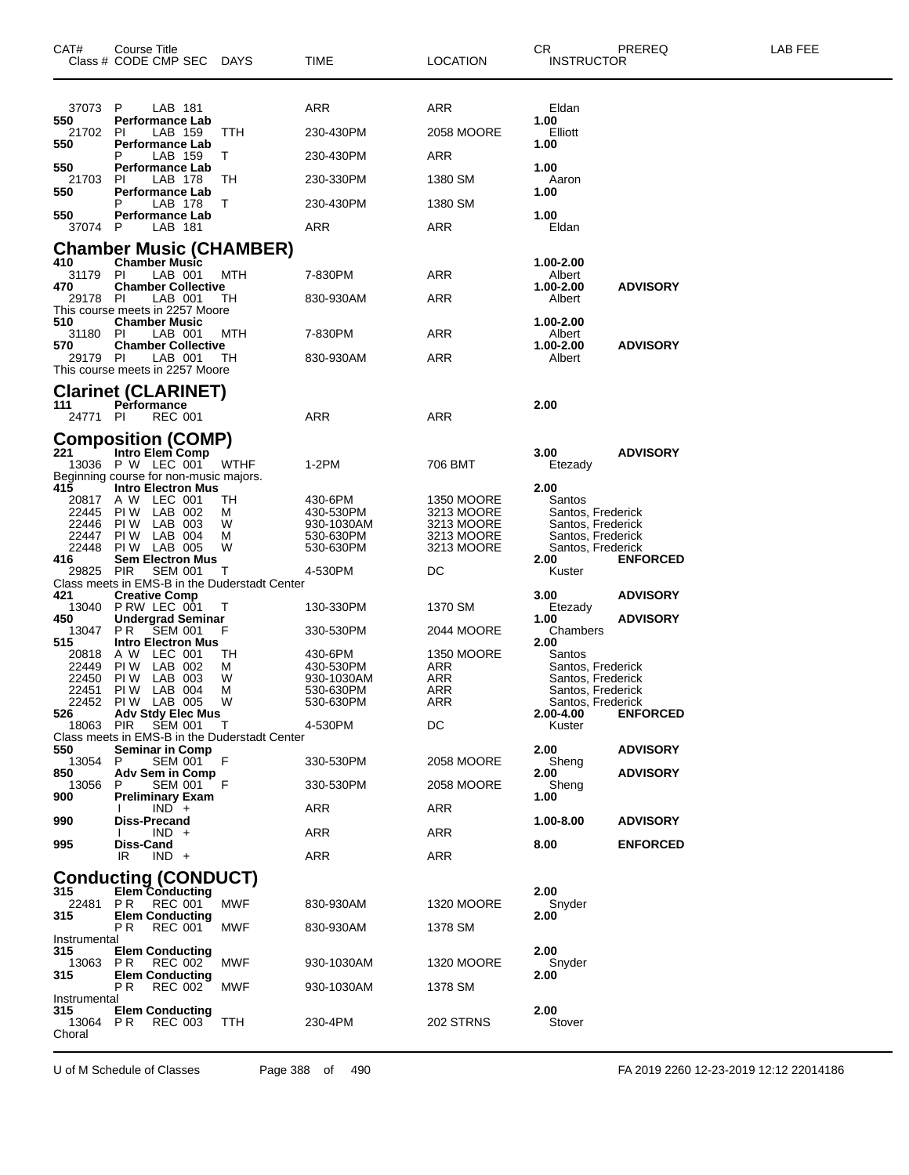| 37073 P<br>ARR<br>ARR<br>LAB 181<br>Eldan<br>550<br><b>Performance Lab</b><br>1.00<br>LAB 159<br>230-430PM<br>2058 MOORE<br>Elliott<br>21702<br>-PI<br>TTH<br>550<br><b>Performance Lab</b><br>1.00<br>LAB 159<br>230-430PM<br>ARR<br>T<br>550<br><b>Performance Lab</b><br>1.00<br>21703<br>LAB 178<br>-PI<br>ТH<br>230-330PM<br>1380 SM<br>Aaron<br>550<br><b>Performance Lab</b><br>1.00<br>LAB 178<br>230-430PM<br>1380 SM<br>Р<br>Τ<br>1.00<br>550<br><b>Performance Lab</b><br>37074 P<br>LAB 181<br>ARR<br>ARR<br>Eldan<br><b>Chamber Music (CHAMBER)</b><br><b>Chamber Music</b><br>410<br>1.00-2.00<br>31179<br>- PI<br>LAB 001<br>MTH<br>7-830PM<br>ARR<br>Albert<br>1.00-2.00<br>470<br><b>Chamber Collective</b><br><b>ADVISORY</b><br>29178 PI<br>LAB 001<br>ARR<br>TН<br>830-930AM<br>Albert<br>This course meets in 2257 Moore<br>510<br><b>Chamber Music</b><br>1.00-2.00<br>31180<br>LAB 001<br>MTH<br>7-830PM<br>ARR<br>- PI<br>Albert<br><b>Chamber Collective</b><br>1.00-2.00<br><b>ADVISORY</b><br>570<br>29179 PI<br>LAB 001<br>ARR<br>Albert<br>TН<br>830-930AM<br>This course meets in 2257 Moore<br><b>Clarinet (CLARINET)</b><br>111<br>2.00<br>Performance<br>24771 PI<br><b>REC 001</b><br>ARR<br>ARR<br><b>Composition (COMP)</b><br>221<br>Intro Elem Comp<br>3.00<br><b>ADVISORY</b><br>13036 P W LEC 001<br><b>WTHF</b><br>1-2PM<br>706 BMT<br>Etezady<br>Beginning course for non-music majors.<br>415<br><b>Intro Electron Mus</b><br>2.00<br>A W LEC 001<br><b>1350 MOORE</b><br>20817<br>TН<br>430-6PM<br>Santos<br>22445<br>PIW LAB 002<br>3213 MOORE<br>м<br>430-530PM<br>Santos, Frederick<br>PIW LAB 003<br>22446<br>W<br>930-1030AM<br>3213 MOORE<br>Santos, Frederick<br>22447<br>PIW LAB 004<br>3213 MOORE<br>530-630PM<br>Santos, Frederick<br>м<br>PIW LAB 005<br>3213 MOORE<br>22448<br>530-630PM<br>W<br>Santos, Frederick<br><b>Sem Electron Mus</b><br>416<br>2.00<br><b>ENFORCED</b><br><b>PIR</b><br><b>SEM 001</b><br>4-530PM<br>29825<br>DC<br>Τ<br>Kuster<br>Class meets in EMS-B in the Duderstadt Center<br><b>Creative Comp</b><br><b>ADVISORY</b><br>421<br>3.00<br>13040 P RW LEC 001<br>1370 SM<br>T<br>130-330PM<br>Etezady<br><b>ADVISORY</b><br>450<br><b>Undergrad Seminar</b><br>1.00<br><b>SEM 001</b><br>PR.<br>330-530PM<br>2044 MOORE<br>13047<br>F<br>Chambers<br>515<br><b>Intro Electron Mus</b><br>2.00<br>A W LEC 001<br><b>1350 MOORE</b><br>20818<br>TН<br>430-6PM<br>Santos<br>LAB 002<br>22449<br>PI W<br>ARR<br>430-530PM<br>Santos, Frederick<br>M<br>PIW LAB 003<br>22450<br>930-1030AM<br>ARR<br>Santos, Frederick<br>W<br>LAB 004<br>ARR<br>22451<br>PI W<br>м<br>530-630PM<br>Santos, Frederick<br>PIW LAB 005<br>22452<br>W<br>ARR<br>530-630PM<br>Santos, Frederick<br>526<br><b>Adv Stdy Elec Mus</b><br>2.00-4.00<br><b>ENFORCED</b><br>DC<br>18063 PIR<br>SEM 001<br>4-530PM<br>Kuster<br>$\top$<br>Class meets in EMS-B in the Duderstadt Center<br>2.00<br>550<br><b>Seminar in Comp</b><br><b>ADVISORY</b><br>13054<br><b>SEM 001</b><br>-F<br>330-530PM<br><b>2058 MOORE</b><br>Sheng<br>P.<br>850<br><b>Adv Sem in Comp</b><br><b>ADVISORY</b><br>2.00<br><b>SEM 001</b><br>13056<br>F<br>330-530PM<br>2058 MOORE<br>Sheng<br>P<br><b>Preliminary Exam</b><br>1.00<br>900<br>$IND +$<br>ARR<br>ARR<br><b>Diss-Precand</b><br>990<br><b>ADVISORY</b><br>1.00-8.00<br>$IND +$<br>ARR<br>ARR<br>995<br>Diss-Cand<br>8.00<br><b>ENFORCED</b><br>$IND +$<br><b>ARR</b><br>IR<br>ARR<br><b>Conducting (CONDUCT)</b><br>Elem Conducting<br>315<br>2.00<br>22481<br>P R<br>REC 001<br>MWF<br>830-930AM<br><b>1320 MOORE</b><br>Snyder<br>2.00<br>315<br><b>Elem Conducting</b> | CAT# | Course Title<br>Class # CODE CMP SEC | DAYS | <b>TIME</b> | <b>LOCATION</b> | CR.<br><b>INSTRUCTOR</b> | PREREQ | <b>LAB FEE</b> |  |
|-----------------------------------------------------------------------------------------------------------------------------------------------------------------------------------------------------------------------------------------------------------------------------------------------------------------------------------------------------------------------------------------------------------------------------------------------------------------------------------------------------------------------------------------------------------------------------------------------------------------------------------------------------------------------------------------------------------------------------------------------------------------------------------------------------------------------------------------------------------------------------------------------------------------------------------------------------------------------------------------------------------------------------------------------------------------------------------------------------------------------------------------------------------------------------------------------------------------------------------------------------------------------------------------------------------------------------------------------------------------------------------------------------------------------------------------------------------------------------------------------------------------------------------------------------------------------------------------------------------------------------------------------------------------------------------------------------------------------------------------------------------------------------------------------------------------------------------------------------------------------------------------------------------------------------------------------------------------------------------------------------------------------------------------------------------------------------------------------------------------------------------------------------------------------------------------------------------------------------------------------------------------------------------------------------------------------------------------------------------------------------------------------------------------------------------------------------------------------------------------------------------------------------------------------------------------------------------------------------------------------------------------------------------------------------------------------------------------------------------------------------------------------------------------------------------------------------------------------------------------------------------------------------------------------------------------------------------------------------------------------------------------------------------------------------------------------------------------------------------------------------------------------------------------------------------------------------------------------------------------------------------------------------------------------------------------------------------------------------------------------------------------------------------------------------------------------------------------------------------------------------------------------------------------------------------------------------------------------------------------------------------------------------------------------|------|--------------------------------------|------|-------------|-----------------|--------------------------|--------|----------------|--|
|                                                                                                                                                                                                                                                                                                                                                                                                                                                                                                                                                                                                                                                                                                                                                                                                                                                                                                                                                                                                                                                                                                                                                                                                                                                                                                                                                                                                                                                                                                                                                                                                                                                                                                                                                                                                                                                                                                                                                                                                                                                                                                                                                                                                                                                                                                                                                                                                                                                                                                                                                                                                                                                                                                                                                                                                                                                                                                                                                                                                                                                                                                                                                                                                                                                                                                                                                                                                                                                                                                                                                                                                                                                                       |      |                                      |      |             |                 |                          |        |                |  |
|                                                                                                                                                                                                                                                                                                                                                                                                                                                                                                                                                                                                                                                                                                                                                                                                                                                                                                                                                                                                                                                                                                                                                                                                                                                                                                                                                                                                                                                                                                                                                                                                                                                                                                                                                                                                                                                                                                                                                                                                                                                                                                                                                                                                                                                                                                                                                                                                                                                                                                                                                                                                                                                                                                                                                                                                                                                                                                                                                                                                                                                                                                                                                                                                                                                                                                                                                                                                                                                                                                                                                                                                                                                                       |      |                                      |      |             |                 |                          |        |                |  |
|                                                                                                                                                                                                                                                                                                                                                                                                                                                                                                                                                                                                                                                                                                                                                                                                                                                                                                                                                                                                                                                                                                                                                                                                                                                                                                                                                                                                                                                                                                                                                                                                                                                                                                                                                                                                                                                                                                                                                                                                                                                                                                                                                                                                                                                                                                                                                                                                                                                                                                                                                                                                                                                                                                                                                                                                                                                                                                                                                                                                                                                                                                                                                                                                                                                                                                                                                                                                                                                                                                                                                                                                                                                                       |      |                                      |      |             |                 |                          |        |                |  |
|                                                                                                                                                                                                                                                                                                                                                                                                                                                                                                                                                                                                                                                                                                                                                                                                                                                                                                                                                                                                                                                                                                                                                                                                                                                                                                                                                                                                                                                                                                                                                                                                                                                                                                                                                                                                                                                                                                                                                                                                                                                                                                                                                                                                                                                                                                                                                                                                                                                                                                                                                                                                                                                                                                                                                                                                                                                                                                                                                                                                                                                                                                                                                                                                                                                                                                                                                                                                                                                                                                                                                                                                                                                                       |      |                                      |      |             |                 |                          |        |                |  |
|                                                                                                                                                                                                                                                                                                                                                                                                                                                                                                                                                                                                                                                                                                                                                                                                                                                                                                                                                                                                                                                                                                                                                                                                                                                                                                                                                                                                                                                                                                                                                                                                                                                                                                                                                                                                                                                                                                                                                                                                                                                                                                                                                                                                                                                                                                                                                                                                                                                                                                                                                                                                                                                                                                                                                                                                                                                                                                                                                                                                                                                                                                                                                                                                                                                                                                                                                                                                                                                                                                                                                                                                                                                                       |      |                                      |      |             |                 |                          |        |                |  |
|                                                                                                                                                                                                                                                                                                                                                                                                                                                                                                                                                                                                                                                                                                                                                                                                                                                                                                                                                                                                                                                                                                                                                                                                                                                                                                                                                                                                                                                                                                                                                                                                                                                                                                                                                                                                                                                                                                                                                                                                                                                                                                                                                                                                                                                                                                                                                                                                                                                                                                                                                                                                                                                                                                                                                                                                                                                                                                                                                                                                                                                                                                                                                                                                                                                                                                                                                                                                                                                                                                                                                                                                                                                                       |      |                                      |      |             |                 |                          |        |                |  |
|                                                                                                                                                                                                                                                                                                                                                                                                                                                                                                                                                                                                                                                                                                                                                                                                                                                                                                                                                                                                                                                                                                                                                                                                                                                                                                                                                                                                                                                                                                                                                                                                                                                                                                                                                                                                                                                                                                                                                                                                                                                                                                                                                                                                                                                                                                                                                                                                                                                                                                                                                                                                                                                                                                                                                                                                                                                                                                                                                                                                                                                                                                                                                                                                                                                                                                                                                                                                                                                                                                                                                                                                                                                                       |      |                                      |      |             |                 |                          |        |                |  |
|                                                                                                                                                                                                                                                                                                                                                                                                                                                                                                                                                                                                                                                                                                                                                                                                                                                                                                                                                                                                                                                                                                                                                                                                                                                                                                                                                                                                                                                                                                                                                                                                                                                                                                                                                                                                                                                                                                                                                                                                                                                                                                                                                                                                                                                                                                                                                                                                                                                                                                                                                                                                                                                                                                                                                                                                                                                                                                                                                                                                                                                                                                                                                                                                                                                                                                                                                                                                                                                                                                                                                                                                                                                                       |      |                                      |      |             |                 |                          |        |                |  |
|                                                                                                                                                                                                                                                                                                                                                                                                                                                                                                                                                                                                                                                                                                                                                                                                                                                                                                                                                                                                                                                                                                                                                                                                                                                                                                                                                                                                                                                                                                                                                                                                                                                                                                                                                                                                                                                                                                                                                                                                                                                                                                                                                                                                                                                                                                                                                                                                                                                                                                                                                                                                                                                                                                                                                                                                                                                                                                                                                                                                                                                                                                                                                                                                                                                                                                                                                                                                                                                                                                                                                                                                                                                                       |      |                                      |      |             |                 |                          |        |                |  |
|                                                                                                                                                                                                                                                                                                                                                                                                                                                                                                                                                                                                                                                                                                                                                                                                                                                                                                                                                                                                                                                                                                                                                                                                                                                                                                                                                                                                                                                                                                                                                                                                                                                                                                                                                                                                                                                                                                                                                                                                                                                                                                                                                                                                                                                                                                                                                                                                                                                                                                                                                                                                                                                                                                                                                                                                                                                                                                                                                                                                                                                                                                                                                                                                                                                                                                                                                                                                                                                                                                                                                                                                                                                                       |      |                                      |      |             |                 |                          |        |                |  |
|                                                                                                                                                                                                                                                                                                                                                                                                                                                                                                                                                                                                                                                                                                                                                                                                                                                                                                                                                                                                                                                                                                                                                                                                                                                                                                                                                                                                                                                                                                                                                                                                                                                                                                                                                                                                                                                                                                                                                                                                                                                                                                                                                                                                                                                                                                                                                                                                                                                                                                                                                                                                                                                                                                                                                                                                                                                                                                                                                                                                                                                                                                                                                                                                                                                                                                                                                                                                                                                                                                                                                                                                                                                                       |      |                                      |      |             |                 |                          |        |                |  |
|                                                                                                                                                                                                                                                                                                                                                                                                                                                                                                                                                                                                                                                                                                                                                                                                                                                                                                                                                                                                                                                                                                                                                                                                                                                                                                                                                                                                                                                                                                                                                                                                                                                                                                                                                                                                                                                                                                                                                                                                                                                                                                                                                                                                                                                                                                                                                                                                                                                                                                                                                                                                                                                                                                                                                                                                                                                                                                                                                                                                                                                                                                                                                                                                                                                                                                                                                                                                                                                                                                                                                                                                                                                                       |      |                                      |      |             |                 |                          |        |                |  |
|                                                                                                                                                                                                                                                                                                                                                                                                                                                                                                                                                                                                                                                                                                                                                                                                                                                                                                                                                                                                                                                                                                                                                                                                                                                                                                                                                                                                                                                                                                                                                                                                                                                                                                                                                                                                                                                                                                                                                                                                                                                                                                                                                                                                                                                                                                                                                                                                                                                                                                                                                                                                                                                                                                                                                                                                                                                                                                                                                                                                                                                                                                                                                                                                                                                                                                                                                                                                                                                                                                                                                                                                                                                                       |      |                                      |      |             |                 |                          |        |                |  |
|                                                                                                                                                                                                                                                                                                                                                                                                                                                                                                                                                                                                                                                                                                                                                                                                                                                                                                                                                                                                                                                                                                                                                                                                                                                                                                                                                                                                                                                                                                                                                                                                                                                                                                                                                                                                                                                                                                                                                                                                                                                                                                                                                                                                                                                                                                                                                                                                                                                                                                                                                                                                                                                                                                                                                                                                                                                                                                                                                                                                                                                                                                                                                                                                                                                                                                                                                                                                                                                                                                                                                                                                                                                                       |      |                                      |      |             |                 |                          |        |                |  |
|                                                                                                                                                                                                                                                                                                                                                                                                                                                                                                                                                                                                                                                                                                                                                                                                                                                                                                                                                                                                                                                                                                                                                                                                                                                                                                                                                                                                                                                                                                                                                                                                                                                                                                                                                                                                                                                                                                                                                                                                                                                                                                                                                                                                                                                                                                                                                                                                                                                                                                                                                                                                                                                                                                                                                                                                                                                                                                                                                                                                                                                                                                                                                                                                                                                                                                                                                                                                                                                                                                                                                                                                                                                                       |      |                                      |      |             |                 |                          |        |                |  |
|                                                                                                                                                                                                                                                                                                                                                                                                                                                                                                                                                                                                                                                                                                                                                                                                                                                                                                                                                                                                                                                                                                                                                                                                                                                                                                                                                                                                                                                                                                                                                                                                                                                                                                                                                                                                                                                                                                                                                                                                                                                                                                                                                                                                                                                                                                                                                                                                                                                                                                                                                                                                                                                                                                                                                                                                                                                                                                                                                                                                                                                                                                                                                                                                                                                                                                                                                                                                                                                                                                                                                                                                                                                                       |      |                                      |      |             |                 |                          |        |                |  |
|                                                                                                                                                                                                                                                                                                                                                                                                                                                                                                                                                                                                                                                                                                                                                                                                                                                                                                                                                                                                                                                                                                                                                                                                                                                                                                                                                                                                                                                                                                                                                                                                                                                                                                                                                                                                                                                                                                                                                                                                                                                                                                                                                                                                                                                                                                                                                                                                                                                                                                                                                                                                                                                                                                                                                                                                                                                                                                                                                                                                                                                                                                                                                                                                                                                                                                                                                                                                                                                                                                                                                                                                                                                                       |      |                                      |      |             |                 |                          |        |                |  |
|                                                                                                                                                                                                                                                                                                                                                                                                                                                                                                                                                                                                                                                                                                                                                                                                                                                                                                                                                                                                                                                                                                                                                                                                                                                                                                                                                                                                                                                                                                                                                                                                                                                                                                                                                                                                                                                                                                                                                                                                                                                                                                                                                                                                                                                                                                                                                                                                                                                                                                                                                                                                                                                                                                                                                                                                                                                                                                                                                                                                                                                                                                                                                                                                                                                                                                                                                                                                                                                                                                                                                                                                                                                                       |      |                                      |      |             |                 |                          |        |                |  |
|                                                                                                                                                                                                                                                                                                                                                                                                                                                                                                                                                                                                                                                                                                                                                                                                                                                                                                                                                                                                                                                                                                                                                                                                                                                                                                                                                                                                                                                                                                                                                                                                                                                                                                                                                                                                                                                                                                                                                                                                                                                                                                                                                                                                                                                                                                                                                                                                                                                                                                                                                                                                                                                                                                                                                                                                                                                                                                                                                                                                                                                                                                                                                                                                                                                                                                                                                                                                                                                                                                                                                                                                                                                                       |      |                                      |      |             |                 |                          |        |                |  |
|                                                                                                                                                                                                                                                                                                                                                                                                                                                                                                                                                                                                                                                                                                                                                                                                                                                                                                                                                                                                                                                                                                                                                                                                                                                                                                                                                                                                                                                                                                                                                                                                                                                                                                                                                                                                                                                                                                                                                                                                                                                                                                                                                                                                                                                                                                                                                                                                                                                                                                                                                                                                                                                                                                                                                                                                                                                                                                                                                                                                                                                                                                                                                                                                                                                                                                                                                                                                                                                                                                                                                                                                                                                                       |      |                                      |      |             |                 |                          |        |                |  |
|                                                                                                                                                                                                                                                                                                                                                                                                                                                                                                                                                                                                                                                                                                                                                                                                                                                                                                                                                                                                                                                                                                                                                                                                                                                                                                                                                                                                                                                                                                                                                                                                                                                                                                                                                                                                                                                                                                                                                                                                                                                                                                                                                                                                                                                                                                                                                                                                                                                                                                                                                                                                                                                                                                                                                                                                                                                                                                                                                                                                                                                                                                                                                                                                                                                                                                                                                                                                                                                                                                                                                                                                                                                                       |      |                                      |      |             |                 |                          |        |                |  |
|                                                                                                                                                                                                                                                                                                                                                                                                                                                                                                                                                                                                                                                                                                                                                                                                                                                                                                                                                                                                                                                                                                                                                                                                                                                                                                                                                                                                                                                                                                                                                                                                                                                                                                                                                                                                                                                                                                                                                                                                                                                                                                                                                                                                                                                                                                                                                                                                                                                                                                                                                                                                                                                                                                                                                                                                                                                                                                                                                                                                                                                                                                                                                                                                                                                                                                                                                                                                                                                                                                                                                                                                                                                                       |      |                                      |      |             |                 |                          |        |                |  |
|                                                                                                                                                                                                                                                                                                                                                                                                                                                                                                                                                                                                                                                                                                                                                                                                                                                                                                                                                                                                                                                                                                                                                                                                                                                                                                                                                                                                                                                                                                                                                                                                                                                                                                                                                                                                                                                                                                                                                                                                                                                                                                                                                                                                                                                                                                                                                                                                                                                                                                                                                                                                                                                                                                                                                                                                                                                                                                                                                                                                                                                                                                                                                                                                                                                                                                                                                                                                                                                                                                                                                                                                                                                                       |      |                                      |      |             |                 |                          |        |                |  |
|                                                                                                                                                                                                                                                                                                                                                                                                                                                                                                                                                                                                                                                                                                                                                                                                                                                                                                                                                                                                                                                                                                                                                                                                                                                                                                                                                                                                                                                                                                                                                                                                                                                                                                                                                                                                                                                                                                                                                                                                                                                                                                                                                                                                                                                                                                                                                                                                                                                                                                                                                                                                                                                                                                                                                                                                                                                                                                                                                                                                                                                                                                                                                                                                                                                                                                                                                                                                                                                                                                                                                                                                                                                                       |      |                                      |      |             |                 |                          |        |                |  |
|                                                                                                                                                                                                                                                                                                                                                                                                                                                                                                                                                                                                                                                                                                                                                                                                                                                                                                                                                                                                                                                                                                                                                                                                                                                                                                                                                                                                                                                                                                                                                                                                                                                                                                                                                                                                                                                                                                                                                                                                                                                                                                                                                                                                                                                                                                                                                                                                                                                                                                                                                                                                                                                                                                                                                                                                                                                                                                                                                                                                                                                                                                                                                                                                                                                                                                                                                                                                                                                                                                                                                                                                                                                                       |      |                                      |      |             |                 |                          |        |                |  |
|                                                                                                                                                                                                                                                                                                                                                                                                                                                                                                                                                                                                                                                                                                                                                                                                                                                                                                                                                                                                                                                                                                                                                                                                                                                                                                                                                                                                                                                                                                                                                                                                                                                                                                                                                                                                                                                                                                                                                                                                                                                                                                                                                                                                                                                                                                                                                                                                                                                                                                                                                                                                                                                                                                                                                                                                                                                                                                                                                                                                                                                                                                                                                                                                                                                                                                                                                                                                                                                                                                                                                                                                                                                                       |      |                                      |      |             |                 |                          |        |                |  |
|                                                                                                                                                                                                                                                                                                                                                                                                                                                                                                                                                                                                                                                                                                                                                                                                                                                                                                                                                                                                                                                                                                                                                                                                                                                                                                                                                                                                                                                                                                                                                                                                                                                                                                                                                                                                                                                                                                                                                                                                                                                                                                                                                                                                                                                                                                                                                                                                                                                                                                                                                                                                                                                                                                                                                                                                                                                                                                                                                                                                                                                                                                                                                                                                                                                                                                                                                                                                                                                                                                                                                                                                                                                                       |      |                                      |      |             |                 |                          |        |                |  |
|                                                                                                                                                                                                                                                                                                                                                                                                                                                                                                                                                                                                                                                                                                                                                                                                                                                                                                                                                                                                                                                                                                                                                                                                                                                                                                                                                                                                                                                                                                                                                                                                                                                                                                                                                                                                                                                                                                                                                                                                                                                                                                                                                                                                                                                                                                                                                                                                                                                                                                                                                                                                                                                                                                                                                                                                                                                                                                                                                                                                                                                                                                                                                                                                                                                                                                                                                                                                                                                                                                                                                                                                                                                                       |      |                                      |      |             |                 |                          |        |                |  |
|                                                                                                                                                                                                                                                                                                                                                                                                                                                                                                                                                                                                                                                                                                                                                                                                                                                                                                                                                                                                                                                                                                                                                                                                                                                                                                                                                                                                                                                                                                                                                                                                                                                                                                                                                                                                                                                                                                                                                                                                                                                                                                                                                                                                                                                                                                                                                                                                                                                                                                                                                                                                                                                                                                                                                                                                                                                                                                                                                                                                                                                                                                                                                                                                                                                                                                                                                                                                                                                                                                                                                                                                                                                                       |      |                                      |      |             |                 |                          |        |                |  |
|                                                                                                                                                                                                                                                                                                                                                                                                                                                                                                                                                                                                                                                                                                                                                                                                                                                                                                                                                                                                                                                                                                                                                                                                                                                                                                                                                                                                                                                                                                                                                                                                                                                                                                                                                                                                                                                                                                                                                                                                                                                                                                                                                                                                                                                                                                                                                                                                                                                                                                                                                                                                                                                                                                                                                                                                                                                                                                                                                                                                                                                                                                                                                                                                                                                                                                                                                                                                                                                                                                                                                                                                                                                                       |      |                                      |      |             |                 |                          |        |                |  |
|                                                                                                                                                                                                                                                                                                                                                                                                                                                                                                                                                                                                                                                                                                                                                                                                                                                                                                                                                                                                                                                                                                                                                                                                                                                                                                                                                                                                                                                                                                                                                                                                                                                                                                                                                                                                                                                                                                                                                                                                                                                                                                                                                                                                                                                                                                                                                                                                                                                                                                                                                                                                                                                                                                                                                                                                                                                                                                                                                                                                                                                                                                                                                                                                                                                                                                                                                                                                                                                                                                                                                                                                                                                                       |      |                                      |      |             |                 |                          |        |                |  |
|                                                                                                                                                                                                                                                                                                                                                                                                                                                                                                                                                                                                                                                                                                                                                                                                                                                                                                                                                                                                                                                                                                                                                                                                                                                                                                                                                                                                                                                                                                                                                                                                                                                                                                                                                                                                                                                                                                                                                                                                                                                                                                                                                                                                                                                                                                                                                                                                                                                                                                                                                                                                                                                                                                                                                                                                                                                                                                                                                                                                                                                                                                                                                                                                                                                                                                                                                                                                                                                                                                                                                                                                                                                                       |      |                                      |      |             |                 |                          |        |                |  |
|                                                                                                                                                                                                                                                                                                                                                                                                                                                                                                                                                                                                                                                                                                                                                                                                                                                                                                                                                                                                                                                                                                                                                                                                                                                                                                                                                                                                                                                                                                                                                                                                                                                                                                                                                                                                                                                                                                                                                                                                                                                                                                                                                                                                                                                                                                                                                                                                                                                                                                                                                                                                                                                                                                                                                                                                                                                                                                                                                                                                                                                                                                                                                                                                                                                                                                                                                                                                                                                                                                                                                                                                                                                                       |      |                                      |      |             |                 |                          |        |                |  |
|                                                                                                                                                                                                                                                                                                                                                                                                                                                                                                                                                                                                                                                                                                                                                                                                                                                                                                                                                                                                                                                                                                                                                                                                                                                                                                                                                                                                                                                                                                                                                                                                                                                                                                                                                                                                                                                                                                                                                                                                                                                                                                                                                                                                                                                                                                                                                                                                                                                                                                                                                                                                                                                                                                                                                                                                                                                                                                                                                                                                                                                                                                                                                                                                                                                                                                                                                                                                                                                                                                                                                                                                                                                                       |      |                                      |      |             |                 |                          |        |                |  |
|                                                                                                                                                                                                                                                                                                                                                                                                                                                                                                                                                                                                                                                                                                                                                                                                                                                                                                                                                                                                                                                                                                                                                                                                                                                                                                                                                                                                                                                                                                                                                                                                                                                                                                                                                                                                                                                                                                                                                                                                                                                                                                                                                                                                                                                                                                                                                                                                                                                                                                                                                                                                                                                                                                                                                                                                                                                                                                                                                                                                                                                                                                                                                                                                                                                                                                                                                                                                                                                                                                                                                                                                                                                                       |      |                                      |      |             |                 |                          |        |                |  |
|                                                                                                                                                                                                                                                                                                                                                                                                                                                                                                                                                                                                                                                                                                                                                                                                                                                                                                                                                                                                                                                                                                                                                                                                                                                                                                                                                                                                                                                                                                                                                                                                                                                                                                                                                                                                                                                                                                                                                                                                                                                                                                                                                                                                                                                                                                                                                                                                                                                                                                                                                                                                                                                                                                                                                                                                                                                                                                                                                                                                                                                                                                                                                                                                                                                                                                                                                                                                                                                                                                                                                                                                                                                                       |      |                                      |      |             |                 |                          |        |                |  |
|                                                                                                                                                                                                                                                                                                                                                                                                                                                                                                                                                                                                                                                                                                                                                                                                                                                                                                                                                                                                                                                                                                                                                                                                                                                                                                                                                                                                                                                                                                                                                                                                                                                                                                                                                                                                                                                                                                                                                                                                                                                                                                                                                                                                                                                                                                                                                                                                                                                                                                                                                                                                                                                                                                                                                                                                                                                                                                                                                                                                                                                                                                                                                                                                                                                                                                                                                                                                                                                                                                                                                                                                                                                                       |      |                                      |      |             |                 |                          |        |                |  |
|                                                                                                                                                                                                                                                                                                                                                                                                                                                                                                                                                                                                                                                                                                                                                                                                                                                                                                                                                                                                                                                                                                                                                                                                                                                                                                                                                                                                                                                                                                                                                                                                                                                                                                                                                                                                                                                                                                                                                                                                                                                                                                                                                                                                                                                                                                                                                                                                                                                                                                                                                                                                                                                                                                                                                                                                                                                                                                                                                                                                                                                                                                                                                                                                                                                                                                                                                                                                                                                                                                                                                                                                                                                                       |      |                                      |      |             |                 |                          |        |                |  |
|                                                                                                                                                                                                                                                                                                                                                                                                                                                                                                                                                                                                                                                                                                                                                                                                                                                                                                                                                                                                                                                                                                                                                                                                                                                                                                                                                                                                                                                                                                                                                                                                                                                                                                                                                                                                                                                                                                                                                                                                                                                                                                                                                                                                                                                                                                                                                                                                                                                                                                                                                                                                                                                                                                                                                                                                                                                                                                                                                                                                                                                                                                                                                                                                                                                                                                                                                                                                                                                                                                                                                                                                                                                                       |      |                                      |      |             |                 |                          |        |                |  |
|                                                                                                                                                                                                                                                                                                                                                                                                                                                                                                                                                                                                                                                                                                                                                                                                                                                                                                                                                                                                                                                                                                                                                                                                                                                                                                                                                                                                                                                                                                                                                                                                                                                                                                                                                                                                                                                                                                                                                                                                                                                                                                                                                                                                                                                                                                                                                                                                                                                                                                                                                                                                                                                                                                                                                                                                                                                                                                                                                                                                                                                                                                                                                                                                                                                                                                                                                                                                                                                                                                                                                                                                                                                                       |      |                                      |      |             |                 |                          |        |                |  |
| Instrumental                                                                                                                                                                                                                                                                                                                                                                                                                                                                                                                                                                                                                                                                                                                                                                                                                                                                                                                                                                                                                                                                                                                                                                                                                                                                                                                                                                                                                                                                                                                                                                                                                                                                                                                                                                                                                                                                                                                                                                                                                                                                                                                                                                                                                                                                                                                                                                                                                                                                                                                                                                                                                                                                                                                                                                                                                                                                                                                                                                                                                                                                                                                                                                                                                                                                                                                                                                                                                                                                                                                                                                                                                                                          |      | P R<br><b>REC 001</b>                | MWF  | 830-930AM   | 1378 SM         |                          |        |                |  |
| 2.00<br><b>Elem Conducting</b><br>315                                                                                                                                                                                                                                                                                                                                                                                                                                                                                                                                                                                                                                                                                                                                                                                                                                                                                                                                                                                                                                                                                                                                                                                                                                                                                                                                                                                                                                                                                                                                                                                                                                                                                                                                                                                                                                                                                                                                                                                                                                                                                                                                                                                                                                                                                                                                                                                                                                                                                                                                                                                                                                                                                                                                                                                                                                                                                                                                                                                                                                                                                                                                                                                                                                                                                                                                                                                                                                                                                                                                                                                                                                 |      |                                      |      |             |                 |                          |        |                |  |
| 13063 PR<br>REC 002<br>MWF<br>930-1030AM<br>1320 MOORE<br>Snyder<br>2.00<br>315<br><b>Elem Conducting</b>                                                                                                                                                                                                                                                                                                                                                                                                                                                                                                                                                                                                                                                                                                                                                                                                                                                                                                                                                                                                                                                                                                                                                                                                                                                                                                                                                                                                                                                                                                                                                                                                                                                                                                                                                                                                                                                                                                                                                                                                                                                                                                                                                                                                                                                                                                                                                                                                                                                                                                                                                                                                                                                                                                                                                                                                                                                                                                                                                                                                                                                                                                                                                                                                                                                                                                                                                                                                                                                                                                                                                             |      |                                      |      |             |                 |                          |        |                |  |
| P R<br><b>REC 002</b><br>MWF<br>1378 SM<br>930-1030AM<br>Instrumental                                                                                                                                                                                                                                                                                                                                                                                                                                                                                                                                                                                                                                                                                                                                                                                                                                                                                                                                                                                                                                                                                                                                                                                                                                                                                                                                                                                                                                                                                                                                                                                                                                                                                                                                                                                                                                                                                                                                                                                                                                                                                                                                                                                                                                                                                                                                                                                                                                                                                                                                                                                                                                                                                                                                                                                                                                                                                                                                                                                                                                                                                                                                                                                                                                                                                                                                                                                                                                                                                                                                                                                                 |      |                                      |      |             |                 |                          |        |                |  |
| 2.00<br><b>Elem Conducting</b><br>315.<br>230-4PM<br>202 STRNS<br>Stover<br>13064 PR<br>REC 003<br>TTH                                                                                                                                                                                                                                                                                                                                                                                                                                                                                                                                                                                                                                                                                                                                                                                                                                                                                                                                                                                                                                                                                                                                                                                                                                                                                                                                                                                                                                                                                                                                                                                                                                                                                                                                                                                                                                                                                                                                                                                                                                                                                                                                                                                                                                                                                                                                                                                                                                                                                                                                                                                                                                                                                                                                                                                                                                                                                                                                                                                                                                                                                                                                                                                                                                                                                                                                                                                                                                                                                                                                                                |      |                                      |      |             |                 |                          |        |                |  |
| Choral                                                                                                                                                                                                                                                                                                                                                                                                                                                                                                                                                                                                                                                                                                                                                                                                                                                                                                                                                                                                                                                                                                                                                                                                                                                                                                                                                                                                                                                                                                                                                                                                                                                                                                                                                                                                                                                                                                                                                                                                                                                                                                                                                                                                                                                                                                                                                                                                                                                                                                                                                                                                                                                                                                                                                                                                                                                                                                                                                                                                                                                                                                                                                                                                                                                                                                                                                                                                                                                                                                                                                                                                                                                                |      |                                      |      |             |                 |                          |        |                |  |

U of M Schedule of Classes Page 388 of 490 FA 2019 2260 12-23-2019 12:12 22014186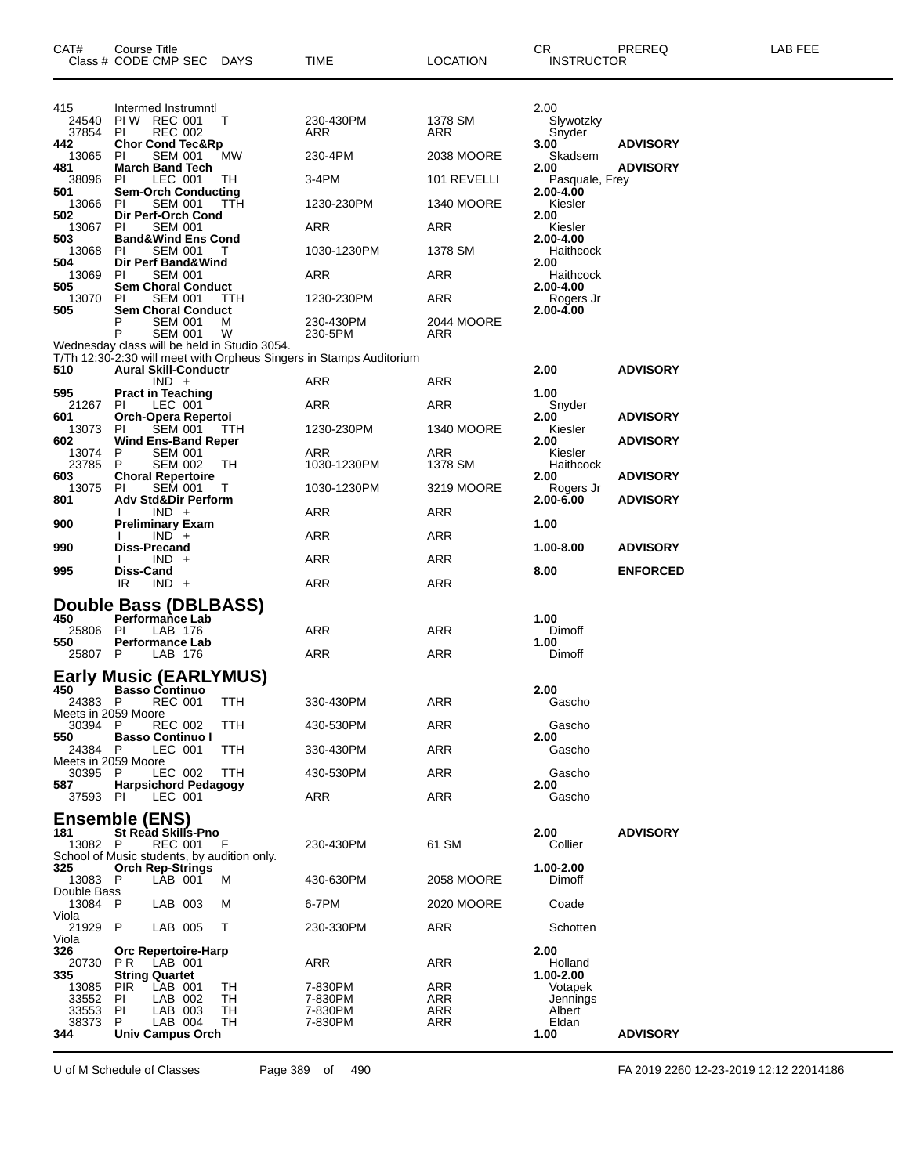| CAT#                                                                                                                                         | Course Title<br>Class # CODE CMP SEC DAYS                                                                                                                                                                                                                                                                                                                                                                                                                            |                                          | TIME                                                                                                              | <b>LOCATION</b>                                                                                                | CR<br><b>INSTRUCTOR</b>                                                                                                                                                                                   | PREREQ                             | LAB FEE |
|----------------------------------------------------------------------------------------------------------------------------------------------|----------------------------------------------------------------------------------------------------------------------------------------------------------------------------------------------------------------------------------------------------------------------------------------------------------------------------------------------------------------------------------------------------------------------------------------------------------------------|------------------------------------------|-------------------------------------------------------------------------------------------------------------------|----------------------------------------------------------------------------------------------------------------|-----------------------------------------------------------------------------------------------------------------------------------------------------------------------------------------------------------|------------------------------------|---------|
| 415<br>24540<br>37854<br>442<br>13065<br>481<br>38096<br>501<br>13066<br>502<br>13067<br>503<br>13068<br>504<br>13069<br>505<br>13070<br>505 | Intermed Instrumntl<br>PIW REC 001<br><b>REC 002</b><br>PI<br><b>Chor Cond Tec&amp;Rp</b><br>PL<br>SEM 001<br><b>March Band Tech</b><br>LEC 001<br>PI.<br><b>Sem-Orch Conducting</b><br><b>SEM 001</b><br>PI.<br>Dir Perf-Orch Cond<br>PL<br><b>SEM 001</b><br><b>Band&amp;Wind Ens Cond</b><br><b>SEM 001</b><br>PL<br>Dir Perf Band&Wind<br><b>SEM 001</b><br>PL<br><b>Sem Choral Conduct</b><br>SEM 001<br>PL<br><b>Sem Choral Conduct</b><br><b>SEM 001</b><br>P | Т<br>MW<br>TH.<br>TTH<br>Τ<br>- ттн<br>M | 230-430PM<br><b>ARR</b><br>230-4PM<br>3-4PM<br>1230-230PM<br>ARR<br>1030-1230PM<br>ARR<br>1230-230PM<br>230-430PM | 1378 SM<br>ARR<br>2038 MOORE<br>101 REVELLI<br><b>1340 MOORE</b><br>ARR<br>1378 SM<br>ARR<br>ARR<br>2044 MOORE | 2.00<br>Slywotzky<br>Snyder<br>3.00<br>Skadsem<br>2.00<br>Pasquale, Frey<br>2.00-4.00<br>Kiesler<br>2.00<br>Kiesler<br>2.00-4.00<br>Haithcock<br>2.00<br>Haithcock<br>2.00-4.00<br>Rogers Jr<br>2.00-4.00 | <b>ADVISORY</b><br><b>ADVISORY</b> |         |
| 510                                                                                                                                          | P<br><b>SEM 001</b><br>Wednesday class will be held in Studio 3054.<br><b>Aural Skill-Conductr</b><br>$IND +$                                                                                                                                                                                                                                                                                                                                                        | W                                        | 230-5PM<br>T/Th 12:30-2:30 will meet with Orpheus Singers in Stamps Auditorium<br>ARR                             | ARR<br>ARR                                                                                                     | 2.00                                                                                                                                                                                                      | <b>ADVISORY</b>                    |         |
| 595<br>21267 PI<br>601<br>13073 PI<br>602                                                                                                    | <b>Pract in Teaching</b><br>LEC 001<br>Orch-Opera Repertoi<br><b>SEM 001</b><br><b>Wind Ens-Band Reper</b>                                                                                                                                                                                                                                                                                                                                                           | TTH                                      | ARR<br>1230-230PM                                                                                                 | ARR<br><b>1340 MOORE</b>                                                                                       | 1.00<br>Snyder<br>2.00<br>Kiesler<br>2.00                                                                                                                                                                 | <b>ADVISORY</b><br><b>ADVISORY</b> |         |
| 13074<br>23785<br>603<br>13075<br>801                                                                                                        | <b>SEM 001</b><br>P.<br><b>SEM 002</b><br>P.<br><b>Choral Repertoire</b><br><b>SEM 001</b><br>PI.<br><b>Adv Std&amp;Dir Perform</b>                                                                                                                                                                                                                                                                                                                                  | TH<br>T                                  | ARR<br>1030-1230PM<br>1030-1230PM                                                                                 | ARR<br>1378 SM<br>3219 MOORE                                                                                   | Kiesler<br>Haithcock<br>2.00<br>Rogers Jr<br>2.00-6.00                                                                                                                                                    | <b>ADVISORY</b><br><b>ADVISORY</b> |         |
| 900<br>990                                                                                                                                   | $IND +$<br><b>Preliminary Exam</b><br>$IND +$<br><b>Diss-Precand</b><br>$IND +$                                                                                                                                                                                                                                                                                                                                                                                      |                                          | ARR<br>ARR<br>ARR                                                                                                 | ARR<br>ARR<br>ARR                                                                                              | 1.00<br>1.00-8.00                                                                                                                                                                                         | <b>ADVISORY</b>                    |         |
| 995                                                                                                                                          | Diss-Cand<br>$IND +$<br>IR<br>Double Bass (DBLBASS)                                                                                                                                                                                                                                                                                                                                                                                                                  |                                          | ARR                                                                                                               | ARR                                                                                                            | 8.00                                                                                                                                                                                                      | <b>ENFORCED</b>                    |         |
| 450<br>25806<br>550<br>25807 P                                                                                                               | <b>Performance Lab</b><br>LAB 176<br>PI.<br><b>Performance Lab</b><br>LAB 176                                                                                                                                                                                                                                                                                                                                                                                        |                                          | ARR<br>ARR                                                                                                        | ARR<br>ARR                                                                                                     | 1.00<br>Dimoff<br>1.00<br>Dimoff                                                                                                                                                                          |                                    |         |
| 450 -<br>24383 P<br>Meets in 2059 Moore<br>30394 P                                                                                           | <b>Early Music (EARLYMUS)</b><br><b>Basso Continuo</b><br><b>REC 001</b><br><b>REC 002</b>                                                                                                                                                                                                                                                                                                                                                                           | <b>TTH</b><br>ттн                        | 330-430PM<br>430-530PM                                                                                            | <b>ARR</b><br>ARR                                                                                              | 2.00<br>Gascho<br>Gascho                                                                                                                                                                                  |                                    |         |
| 550<br>24384 P<br>Meets in 2059 Moore<br>30395 P<br>587<br>37593                                                                             | <b>Basso Continuo I</b><br>LEC 001<br>LEC 002<br><b>Harpsichord Pedagogy</b><br>PL<br>LEC 001                                                                                                                                                                                                                                                                                                                                                                        | TTH<br>TTH                               | 330-430PM<br>430-530PM<br>ARR                                                                                     | ARR<br>ARR<br>ARR                                                                                              | 2.00<br>Gascho<br>Gascho<br>2.00<br>Gascho                                                                                                                                                                |                                    |         |
| 181<br>13082 P                                                                                                                               | <b>Ensemble (ENS)</b><br><b>St Read Skills-Pno</b><br><b>REC 001</b><br>School of Music students, by audition only.                                                                                                                                                                                                                                                                                                                                                  | - F                                      | 230-430PM                                                                                                         | 61 SM                                                                                                          | 2.00<br>Collier                                                                                                                                                                                           | <b>ADVISORY</b>                    |         |
| 325<br>13083 P<br>Double Bass<br>13084 P                                                                                                     | <b>Orch Rep-Strings</b><br>LAB 001<br>LAB 003                                                                                                                                                                                                                                                                                                                                                                                                                        | м<br>м                                   | 430-630PM<br>6-7PM                                                                                                | 2058 MOORE<br>2020 MOORE                                                                                       | 1.00-2.00<br>Dimoff<br>Coade                                                                                                                                                                              |                                    |         |
| Viola<br>21929<br>Viola<br>326                                                                                                               | LAB 005<br>P<br><b>Orc Repertoire-Harp</b>                                                                                                                                                                                                                                                                                                                                                                                                                           | т                                        | 230-330PM                                                                                                         | ARR                                                                                                            | Schotten<br>2.00                                                                                                                                                                                          |                                    |         |
| 20730<br>335<br>13085<br>33552<br>33553<br>38373<br>344                                                                                      | LAB 001<br>P R<br><b>String Quartet</b><br>LAB 001<br><b>PIR</b><br>LAB 002<br>PL<br>LAB 003<br>PI.<br>P.<br>LAB 004<br><b>Univ Campus Orch</b>                                                                                                                                                                                                                                                                                                                      | TН<br>TН<br>TН<br>TH                     | ARR<br>7-830PM<br>7-830PM<br>7-830PM<br>7-830PM                                                                   | ARR<br>ARR<br>ARR<br>ARR<br><b>ARR</b>                                                                         | Holland<br>1.00-2.00<br>Votapek<br>Jennings<br>Albert<br>Eldan<br>1.00                                                                                                                                    | <b>ADVISORY</b>                    |         |

U of M Schedule of Classes Page 389 of 490 FA 2019 2260 12-23-2019 12:12 22014186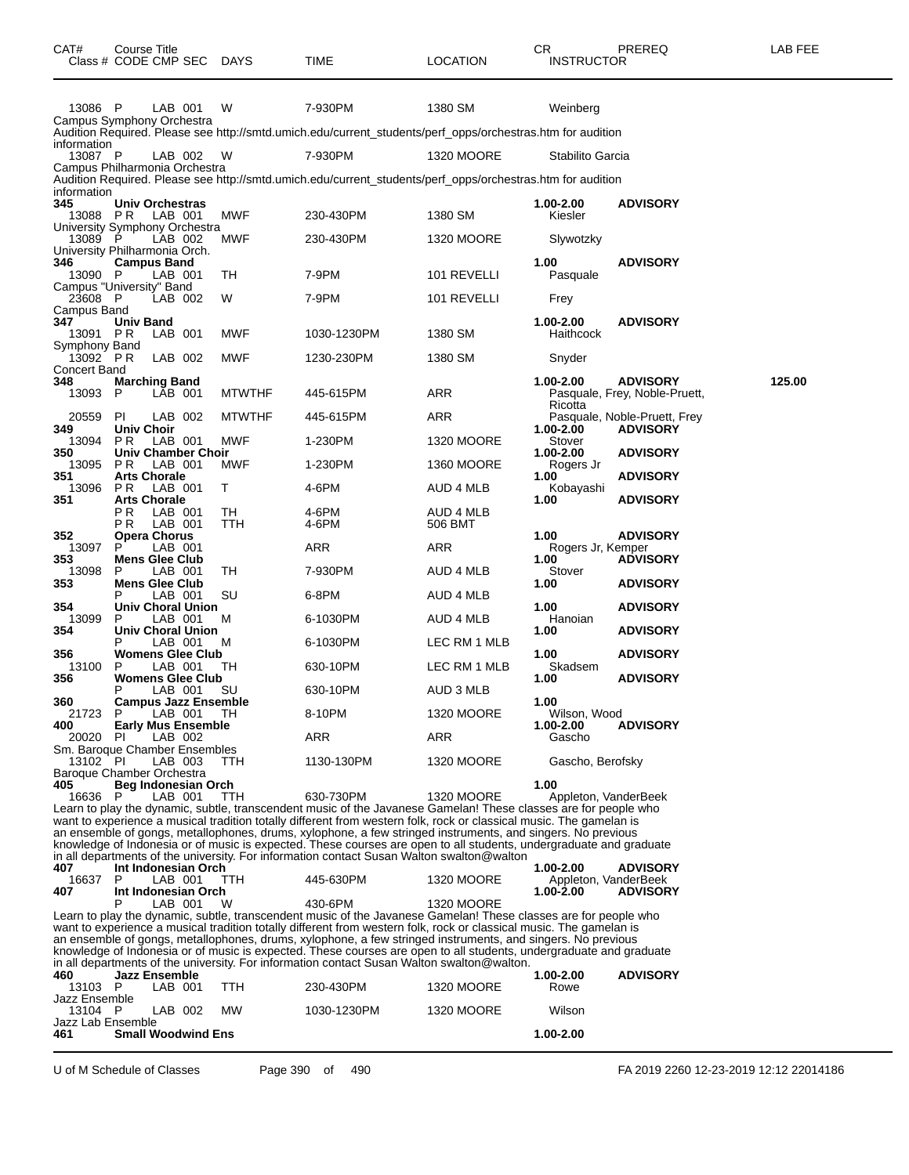| CAT#                                       | Course Title                     | Class # CODE CMP SEC DAYS                             |               | <b>TIME</b>                                                                                                                                                                                                                                                                                                                                                                                                                                                                                                                                                                          | <b>LOCATION</b>      | CR.<br><b>INSTRUCTOR</b>                       | <b>PREREQ</b>                                    | LAB FEE |
|--------------------------------------------|----------------------------------|-------------------------------------------------------|---------------|--------------------------------------------------------------------------------------------------------------------------------------------------------------------------------------------------------------------------------------------------------------------------------------------------------------------------------------------------------------------------------------------------------------------------------------------------------------------------------------------------------------------------------------------------------------------------------------|----------------------|------------------------------------------------|--------------------------------------------------|---------|
| 13086 P                                    |                                  | LAB 001                                               | W             | 7-930PM                                                                                                                                                                                                                                                                                                                                                                                                                                                                                                                                                                              | 1380 SM              | Weinberg                                       |                                                  |         |
|                                            |                                  | Campus Symphony Orchestra                             |               | Audition Required. Please see http://smtd.umich.edu/current_students/perf_opps/orchestras.htm for audition                                                                                                                                                                                                                                                                                                                                                                                                                                                                           |                      |                                                |                                                  |         |
| information<br>13087 P                     |                                  | LAB 002<br>Campus Philharmonia Orchestra              | W             | 7-930PM                                                                                                                                                                                                                                                                                                                                                                                                                                                                                                                                                                              | <b>1320 MOORE</b>    | Stabilito Garcia                               |                                                  |         |
| information                                |                                  |                                                       |               | Audition Required. Please see http://smtd.umich.edu/current_students/perf_opps/orchestras.htm for audition                                                                                                                                                                                                                                                                                                                                                                                                                                                                           |                      |                                                |                                                  |         |
| 345<br>13088                               | PR.                              | Univ Orchestras<br>LAB 001                            | MWF           | 230-430PM                                                                                                                                                                                                                                                                                                                                                                                                                                                                                                                                                                            | 1380 SM              | 1.00-2.00<br>Kiesler                           | <b>ADVISORY</b>                                  |         |
| 13089 P<br>University Philharmonia Orch.   |                                  | University Symphony Orchestra<br>LAB 002              | MWF           | 230-430PM                                                                                                                                                                                                                                                                                                                                                                                                                                                                                                                                                                            | <b>1320 MOORE</b>    | Slywotzky                                      |                                                  |         |
| 346<br>13090 P<br>Campus "University" Band | <b>Campus Band</b>               | LAB 001                                               | TH            | 7-9PM                                                                                                                                                                                                                                                                                                                                                                                                                                                                                                                                                                                | 101 REVELLI          | 1.00<br>Pasquale                               | <b>ADVISORY</b>                                  |         |
| 23608 P<br>Campus Band                     |                                  | LAB 002                                               | W             | 7-9PM                                                                                                                                                                                                                                                                                                                                                                                                                                                                                                                                                                                | 101 REVELLI          | Frey                                           |                                                  |         |
| 347<br>13091 PR<br>Symphony Band           | Univ Band                        | LAB 001                                               | MWF           | 1030-1230PM                                                                                                                                                                                                                                                                                                                                                                                                                                                                                                                                                                          | 1380 SM              | 1.00-2.00<br>Haithcock                         | <b>ADVISORY</b>                                  |         |
| 13092 PR<br>Concert Band                   |                                  | LAB 002                                               | <b>MWF</b>    | 1230-230PM                                                                                                                                                                                                                                                                                                                                                                                                                                                                                                                                                                           | 1380 SM              | Snyder                                         |                                                  |         |
| 348<br>13093                               | P                                | <b>Marching Band</b><br>LAB 001                       | <b>MTWTHF</b> | 445-615PM                                                                                                                                                                                                                                                                                                                                                                                                                                                                                                                                                                            | <b>ARR</b>           | 1.00-2.00                                      | <b>ADVISORY</b><br>Pasquale, Frey, Noble-Pruett, | 125.00  |
| 20559                                      | <b>PI</b>                        | LAB 002                                               | <b>MTWTHF</b> | 445-615PM                                                                                                                                                                                                                                                                                                                                                                                                                                                                                                                                                                            | ARR                  | Ricotta                                        | Pasquale, Noble-Pruett, Frey                     |         |
| 349<br>13094                               | <b>Univ Choir</b><br>P R         | LAB 001                                               | MWF           | 1-230PM                                                                                                                                                                                                                                                                                                                                                                                                                                                                                                                                                                              | <b>1320 MOORE</b>    | 1.00-2.00<br>Stover                            | <b>ADVISORY</b>                                  |         |
| 350<br>13095                               | P R                              | <b>Univ Chamber Choir</b><br>LAB 001                  | <b>MWF</b>    | 1-230PM                                                                                                                                                                                                                                                                                                                                                                                                                                                                                                                                                                              | <b>1360 MOORE</b>    | 1.00-2.00<br>Rogers Jr                         | <b>ADVISORY</b>                                  |         |
| 351<br>13096                               | <b>Arts Chorale</b><br>PR.       | LAB 001                                               | T.            | 4-6PM                                                                                                                                                                                                                                                                                                                                                                                                                                                                                                                                                                                | AUD 4 MLB            | 1.00<br>Kobayashi                              | <b>ADVISORY</b>                                  |         |
| 351                                        | <b>Arts Chorale</b><br>РR<br>P R | LAB 001<br>LAB 001                                    | TН<br>TTH     | 4-6PM<br>4-6PM                                                                                                                                                                                                                                                                                                                                                                                                                                                                                                                                                                       | AUD 4 MLB<br>506 BMT | 1.00                                           | <b>ADVISORY</b>                                  |         |
| 352<br>13097                               | <b>Opera Chorus</b><br>P.        | LAB 001                                               |               | ARR                                                                                                                                                                                                                                                                                                                                                                                                                                                                                                                                                                                  | ARR                  | 1.00<br>Rogers Jr, Kemper                      | <b>ADVISORY</b>                                  |         |
| 353<br>13098                               | P                                | <b>Mens Glee Club</b><br>LAB 001                      | TH            | 7-930PM                                                                                                                                                                                                                                                                                                                                                                                                                                                                                                                                                                              | AUD 4 MLB            | 1.00<br>Stover                                 | <b>ADVISORY</b>                                  |         |
| 353                                        |                                  | <b>Mens Glee Club</b><br>LAB 001                      | SU            | 6-8PM                                                                                                                                                                                                                                                                                                                                                                                                                                                                                                                                                                                | AUD 4 MLB            | 1.00                                           | <b>ADVISORY</b>                                  |         |
| 354<br>13099                               | P                                | <b>Univ Choral Union</b><br>LAB 001                   | м             | 6-1030PM                                                                                                                                                                                                                                                                                                                                                                                                                                                                                                                                                                             | AUD 4 MLB            | 1.00<br>Hanoian                                | <b>ADVISORY</b>                                  |         |
| 354                                        |                                  | Univ Choral Union<br>LAB 001                          | м             | 6-1030PM                                                                                                                                                                                                                                                                                                                                                                                                                                                                                                                                                                             | LEC RM 1 MLB         | 1.00                                           | <b>ADVISORY</b>                                  |         |
| 356<br>13100                               | P                                | <b>Womens Glee Club</b><br>LAB 001                    | TH            | 630-10PM                                                                                                                                                                                                                                                                                                                                                                                                                                                                                                                                                                             | LEC RM 1 MLB         | 1.00<br>Skadsem                                | <b>ADVISORY</b>                                  |         |
| 356                                        |                                  | <b>Womens Glee Club</b><br>LAB 001                    | SU            | 630-10PM                                                                                                                                                                                                                                                                                                                                                                                                                                                                                                                                                                             | AUD 3 MLB            | 1.00                                           | <b>ADVISORY</b>                                  |         |
| 360<br>21723 P                             |                                  | <b>Campus Jazz Ensemble</b><br>LAB 001                | - TH          | 8-10PM                                                                                                                                                                                                                                                                                                                                                                                                                                                                                                                                                                               | 1320 MOORE           | 1.00<br>Wilson, Wood                           |                                                  |         |
| 400<br>20020                               | PI                               | <b>Early Mus Ensemble</b><br>LAB 002                  |               | <b>ARR</b>                                                                                                                                                                                                                                                                                                                                                                                                                                                                                                                                                                           | ARR                  | $1.00 - 2.00$<br>Gascho                        | <b>ADVISORY</b>                                  |         |
| 13102 PI                                   |                                  | Sm. Baroque Chamber Ensembles<br>LAB 003              | TTH           | 1130-130PM                                                                                                                                                                                                                                                                                                                                                                                                                                                                                                                                                                           | <b>1320 MOORE</b>    | Gascho, Berofsky                               |                                                  |         |
| Baroque Chamber Orchestra<br>405           |                                  | Beg Indonesian Orch                                   |               |                                                                                                                                                                                                                                                                                                                                                                                                                                                                                                                                                                                      |                      | 1.00                                           |                                                  |         |
| 16636 P                                    |                                  | LAB 001                                               | TTH           | 630-730PM<br>Learn to play the dynamic, subtle, transcendent music of the Javanese Gamelan! These classes are for people who<br>want to experience a musical tradition totally different from western folk, rock or classical music. The gamelan is<br>an ensemble of gongs, metallophones, drums, xylophone, a few stringed instruments, and singers. No previous                                                                                                                                                                                                                   | <b>1320 MOORE</b>    | Appleton, VanderBeek                           |                                                  |         |
|                                            |                                  |                                                       |               | knowledge of Indonesia or of music is expected. These courses are open to all students, undergraduate and graduate<br>in all departments of the university. For information contact Susan Walton swalton@walton                                                                                                                                                                                                                                                                                                                                                                      |                      |                                                |                                                  |         |
| 407<br>16637<br>407                        | P                                | Int Indonesian Orch<br>LAB 001<br>Int Indonesian Orch | TTH           | 445-630PM                                                                                                                                                                                                                                                                                                                                                                                                                                                                                                                                                                            | 1320 MOORE           | 1.00-2.00<br>Appleton, VanderBeek<br>1.00-2.00 | <b>ADVISORY</b><br><b>ADVISORY</b>               |         |
|                                            |                                  | LAB 001                                               | W             | 430-6PM<br>Learn to play the dynamic, subtle, transcendent music of the Javanese Gamelan! These classes are for people who<br>want to experience a musical tradition totally different from western folk, rock or classical music. The gamelan is<br>an ensemble of gongs, metallophones, drums, xylophone, a few stringed instruments, and singers. No previous<br>knowledge of Indonesia or of music is expected. These courses are open to all students, undergraduate and graduate<br>in all departments of the university. For information contact Susan Walton swalton@walton. | <b>1320 MOORE</b>    |                                                |                                                  |         |
| 460<br>13103 P                             |                                  | <b>Jazz Ensemble</b><br>LAB 001                       | <b>TTH</b>    | 230-430PM                                                                                                                                                                                                                                                                                                                                                                                                                                                                                                                                                                            | <b>1320 MOORE</b>    | 1.00-2.00<br>Rowe                              | <b>ADVISORY</b>                                  |         |
| Jazz Ensemble<br>13104 P                   |                                  | LAB 002                                               | MW            | 1030-1230PM                                                                                                                                                                                                                                                                                                                                                                                                                                                                                                                                                                          | <b>1320 MOORE</b>    | Wilson                                         |                                                  |         |
| Jazz Lab Ensemble<br>461                   |                                  | <b>Small Woodwind Ens</b>                             |               |                                                                                                                                                                                                                                                                                                                                                                                                                                                                                                                                                                                      |                      | 1.00-2.00                                      |                                                  |         |

U of M Schedule of Classes Page 390 of 490 FA 2019 2260 12-23-2019 12:12 22014186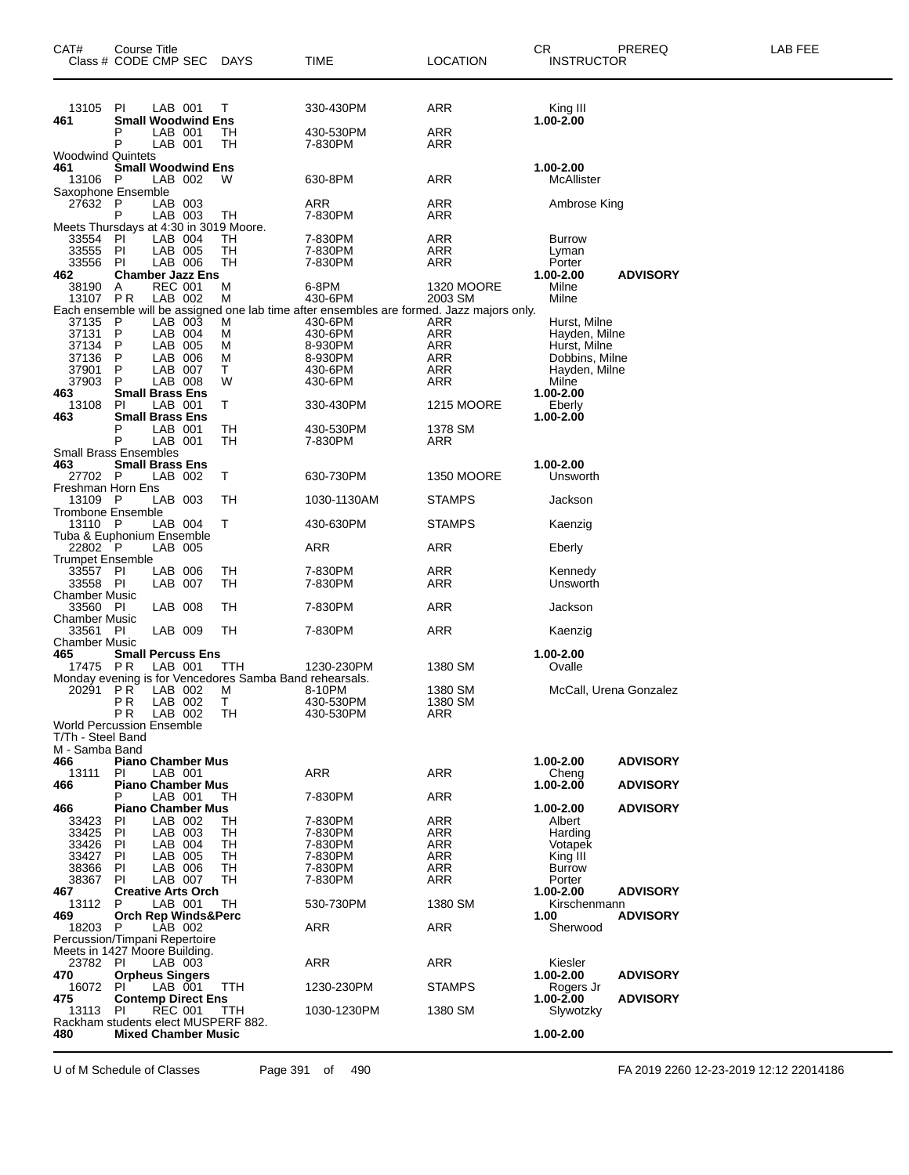| CAT#<br>Class # CODE CMP SEC                                     | Course Title                                                |                           | DAYS                                                                         | TIME                                                                                                 | LOCATION                     | CR.  | <b>INSTRUCTOR</b>             | PREREQ                             | LAB FEE |
|------------------------------------------------------------------|-------------------------------------------------------------|---------------------------|------------------------------------------------------------------------------|------------------------------------------------------------------------------------------------------|------------------------------|------|-------------------------------|------------------------------------|---------|
| 13105<br>461                                                     | PI<br><b>Small Woodwind Ens</b>                             | LAB 001                   | Т                                                                            | 330-430PM                                                                                            | ARR                          |      | King III<br>1.00-2.00         |                                    |         |
|                                                                  | P<br>P                                                      | LAB 001<br>LAB 001        | TН<br>TН                                                                     | 430-530PM<br>7-830PM                                                                                 | ARR<br>ARR                   |      |                               |                                    |         |
| <b>Woodwind Quintets</b><br>461<br>13106                         | <b>Small Woodwind Ens</b><br>- P                            | LAB 002                   | w                                                                            | 630-8PM                                                                                              | ARR                          |      | 1.00-2.00<br>McAllister       |                                    |         |
| Saxophone Ensemble<br>27632                                      | P                                                           | LAB 003                   |                                                                              | ARR                                                                                                  | ARR                          |      | Ambrose King                  |                                    |         |
| Meets Thursdays at 4:30 in 3019 Moore.<br>33554                  | P<br>PI                                                     | LAB 003<br>LAB 004        | TH.<br>TН                                                                    | 7-830PM<br>7-830PM                                                                                   | ARR<br>ARR                   |      | <b>Burrow</b>                 |                                    |         |
| 33555<br>33556                                                   | ΡI<br>-PI                                                   | LAB 005<br>LAB 006        | TН<br>TН                                                                     | 7-830PM<br>7-830PM                                                                                   | ARR<br>ARR                   |      | Lyman<br>Porter               |                                    |         |
| 462<br>38190<br>13107 PR                                         | <b>Chamber Jazz Ens</b><br>A                                | <b>REC 001</b><br>LAB 002 | М<br>М                                                                       | 6-8PM<br>430-6PM                                                                                     | <b>1320 MOORE</b><br>2003 SM |      | 1.00-2.00<br>Milne<br>Milne   | <b>ADVISORY</b>                    |         |
| 37135                                                            | P                                                           | LAB 003                   | М                                                                            | Each ensemble will be assigned one lab time after ensembles are formed. Jazz majors only.<br>430-6PM | ARR                          |      | Hurst, Milne                  |                                    |         |
| 37131<br>37134                                                   | P<br>P                                                      | LAB 004<br>LAB 005        | М<br>м                                                                       | 430-6PM<br>8-930PM                                                                                   | <b>ARR</b><br><b>ARR</b>     |      | Hayden, Milne<br>Hurst, Milne |                                    |         |
| 37136                                                            | P                                                           | LAB 006                   | М                                                                            | 8-930PM                                                                                              | ARR                          |      | Dobbins, Milne                |                                    |         |
| 37901<br>37903                                                   | P<br>P                                                      | LAB 007<br>LAB 008        | т<br>W                                                                       | 430-6PM<br>430-6PM                                                                                   | <b>ARR</b><br>ARR            |      | Hayden, Milne<br>Milne        |                                    |         |
| 463                                                              | <b>Small Brass Ens</b>                                      |                           |                                                                              |                                                                                                      |                              |      | 1.00-2.00                     |                                    |         |
| 13108<br>463                                                     | <b>PI</b><br><b>Small Brass Ens</b>                         | LAB 001                   | т                                                                            | 330-430PM                                                                                            | <b>1215 MOORE</b>            |      | Eberly<br>1.00-2.00           |                                    |         |
|                                                                  | P<br>P                                                      | LAB 001<br>LAB 001        | TН<br>TН                                                                     | 430-530PM<br>7-830PM                                                                                 | 1378 SM<br>ARR               |      |                               |                                    |         |
| <b>Small Brass Ensembles</b><br>463<br>27702 P                   | <b>Small Brass Ens</b>                                      | LAB 002                   | т                                                                            | 630-730PM                                                                                            | <b>1350 MOORE</b>            |      | 1.00-2.00<br>Unsworth         |                                    |         |
| Freshman Horn Ens<br>13109 P                                     |                                                             | LAB 003                   | TН                                                                           | 1030-1130AM                                                                                          | <b>STAMPS</b>                |      | Jackson                       |                                    |         |
| <b>Trombone Ensemble</b><br>13110 P<br>Tuba & Euphonium Ensemble |                                                             | LAB 004                   | т                                                                            | 430-630PM                                                                                            | <b>STAMPS</b>                |      | Kaenzig                       |                                    |         |
| 22802 P                                                          |                                                             | LAB 005                   |                                                                              | ARR                                                                                                  | ARR                          |      | Eberly                        |                                    |         |
| <b>Trumpet Ensemble</b><br>33557<br>33558 PI                     | PI                                                          | LAB 006<br>LAB 007        | TН<br>TН                                                                     | 7-830PM<br>7-830PM                                                                                   | ARR<br>ARR                   |      | Kennedy<br>Unsworth           |                                    |         |
| <b>Chamber Music</b><br>33560 PI                                 |                                                             | LAB 008                   | TН                                                                           | 7-830PM                                                                                              | ARR                          |      | Jackson                       |                                    |         |
| <b>Chamber Music</b><br>33561 PI<br><b>Chamber Music</b>         |                                                             | LAB 009                   | TН                                                                           | 7-830PM                                                                                              | ARR                          |      | Kaenzig                       |                                    |         |
| 465<br>17475 PR                                                  | <b>Small Percuss Ens</b>                                    | LAB 001                   | TTH                                                                          | 1230-230PM                                                                                           | 1380 SM                      |      | 1.00-2.00<br>Ovalle           |                                    |         |
| 20291 PR                                                         | P <sub>R</sub>                                              | LAB 002<br>LAB 002        | Monday evening is for Vencedores Samba Band rehearsals.<br>м<br>$\mathsf{T}$ | 8-10PM<br>430-530PM                                                                                  | 1380 SM<br>1380 SM           |      | McCall, Urena Gonzalez        |                                    |         |
| <b>World Percussion Ensemble</b><br>T/Th - Steel Band            | P R                                                         | LAB 002                   | TH                                                                           | 430-530PM                                                                                            | ARR                          |      |                               |                                    |         |
| M - Samba Band<br>466<br>13111                                   | <b>Piano Chamber Mus</b><br>PI                              | LAB 001                   |                                                                              | ARR                                                                                                  | ARR                          |      | 1.00-2.00<br>Cheng            | <b>ADVISORY</b>                    |         |
| 466                                                              | <b>Piano Chamber Mus</b>                                    | LAB 001                   | TН                                                                           | 7-830PM                                                                                              | ARR                          |      | 1.00-2.00                     | <b>ADVISORY</b>                    |         |
| 466<br>33423                                                     | <b>Piano Chamber Mus</b><br>PI.                             | LAB 002                   | TН                                                                           | 7-830PM                                                                                              | ARR                          |      | 1.00-2.00<br>Albert           | <b>ADVISORY</b>                    |         |
| 33425                                                            | PI                                                          | LAB 003                   | TН                                                                           | 7-830PM                                                                                              | ARR                          |      | Harding                       |                                    |         |
| 33426                                                            | PI                                                          | LAB 004                   | TН                                                                           | 7-830PM                                                                                              | <b>ARR</b>                   |      | Votapek                       |                                    |         |
| 33427<br>38366                                                   | PI<br>-PI                                                   | LAB 005<br>LAB 006        | TН<br>TН                                                                     | 7-830PM<br>7-830PM                                                                                   | <b>ARR</b><br>ARR            |      | King III<br><b>Burrow</b>     |                                    |         |
| 38367                                                            | <b>PI</b>                                                   | LAB 007                   | TН                                                                           | 7-830PM                                                                                              | <b>ARR</b>                   |      | Porter                        |                                    |         |
| 467<br>13112 P<br>469.                                           | <b>Creative Arts Orch</b><br><b>Orch Rep Winds&amp;Perc</b> | LAB 001                   | TH                                                                           | 530-730PM                                                                                            | 1380 SM                      | 1.00 | 1.00-2.00<br>Kirschenmann     | <b>ADVISORY</b><br><b>ADVISORY</b> |         |
| 18203<br>Percussion/Timpani Repertoire                           | P                                                           | LAB 002                   |                                                                              | ARR                                                                                                  | ARR                          |      | Sherwood                      |                                    |         |
| Meets in 1427 Moore Building.<br>23782 PI                        |                                                             | LAB 003                   |                                                                              | ARR                                                                                                  | ARR                          |      | Kiesler                       |                                    |         |
| 470<br>16072 PI                                                  | <b>Orpheus Singers</b>                                      | $LAB$ 001                 | <b>TTH</b>                                                                   | 1230-230PM                                                                                           | <b>STAMPS</b>                |      | 1.00-2.00<br>Rogers Jr        | <b>ADVISORY</b>                    |         |
| 475<br>13113                                                     | <b>Contemp Direct Ens</b><br>-PI                            | <b>REC 001</b>            | TTH                                                                          | 1030-1230PM                                                                                          | 1380 SM                      |      | 1.00-2.00<br>Slywotzky        | <b>ADVISORY</b>                    |         |
| Rackham students elect MUSPERF 882.<br>480                       | <b>Mixed Chamber Music</b>                                  |                           |                                                                              |                                                                                                      |                              |      | 1.00-2.00                     |                                    |         |

U of M Schedule of Classes Page 391 of 490 FA 2019 2260 12-23-2019 12:12 22014186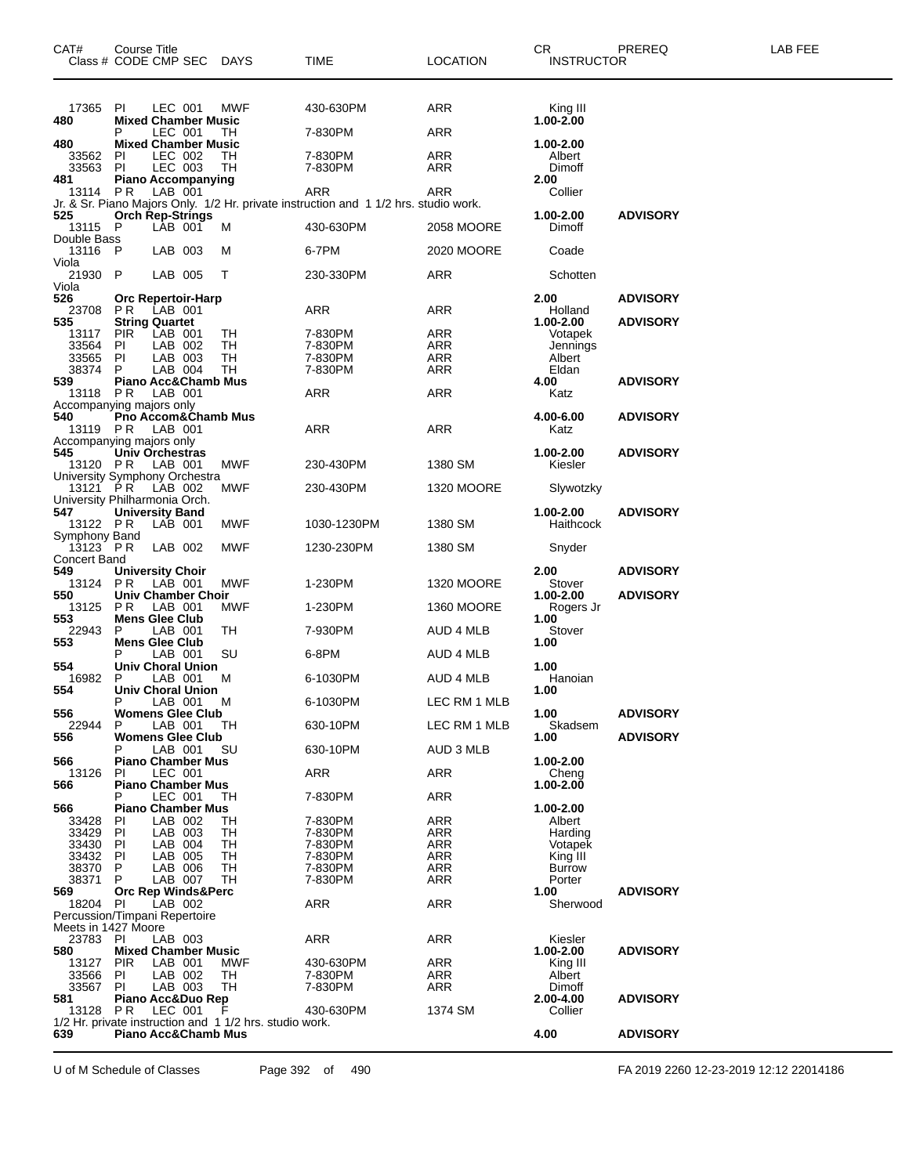| CAT#<br>Class # CODE CMP SEC DAYS         | Course Title                           |                    |                                                        | <b>TIME</b>                                                                         | <b>LOCATION</b>   | CR.<br><b>INSTRUCTOR</b>  | PREREQ          | LAB FEE |
|-------------------------------------------|----------------------------------------|--------------------|--------------------------------------------------------|-------------------------------------------------------------------------------------|-------------------|---------------------------|-----------------|---------|
| 17365<br>480                              | PI<br><b>Mixed Chamber Music</b>       | LEC 001            | MWF                                                    | 430-630PM                                                                           | ARR               | King III<br>$1.00 - 2.00$ |                 |         |
|                                           | P                                      | LEC 001            | TH                                                     | 7-830PM                                                                             | ARR               |                           |                 |         |
| 480<br>33562                              | <b>Mixed Chamber Music</b><br>PI.      | LEC 002            | TН                                                     | 7-830PM                                                                             | ARR               | 1.00-2.00<br>Albert       |                 |         |
| 33563                                     | PI                                     | LEC 003            | TН                                                     | 7-830PM                                                                             | <b>ARR</b>        | Dimoff                    |                 |         |
| 481<br>13114                              | <b>Piano Accompanying</b><br><b>PR</b> | LAB 001            |                                                        | <b>ARR</b>                                                                          | ARR               | 2.00<br>Collier           |                 |         |
|                                           |                                        |                    |                                                        | Jr. & Sr. Piano Majors Only. 1/2 Hr. private instruction and 11/2 hrs. studio work. |                   |                           |                 |         |
| 525<br>13115                              | <b>Orch Rep-Strings</b><br>P           | LAB 001            | м                                                      | 430-630PM                                                                           | 2058 MOORE        | 1.00-2.00<br>Dimoff       | <b>ADVISORY</b> |         |
| Double Bass                               |                                        |                    |                                                        |                                                                                     |                   |                           |                 |         |
| 13116 P<br>Viola                          |                                        | LAB 003            | м                                                      | 6-7PM                                                                               | 2020 MOORE        | Coade                     |                 |         |
| 21930                                     | P                                      | LAB 005            | т                                                      | 230-330PM                                                                           | ARR               | Schotten                  |                 |         |
| Viola<br>526                              | <b>Orc Repertoir-Harp</b>              |                    |                                                        |                                                                                     |                   | 2.00                      | <b>ADVISORY</b> |         |
| 23708<br>535                              | P R<br><b>String Quartet</b>           | LAB 001            |                                                        | ARR                                                                                 | ARR               | Holland<br>1.00-2.00      | <b>ADVISORY</b> |         |
| 13117                                     | <b>PIR</b>                             | LAB 001            | TН                                                     | 7-830PM                                                                             | ARR               | Votapek                   |                 |         |
| 33564                                     | PI                                     | LAB 002<br>LAB 003 | TН                                                     | 7-830PM                                                                             | ARR               | Jennings                  |                 |         |
| 33565<br>38374                            | ΡI                                     | LAB 004            | TН<br>TН                                               | 7-830PM<br>7-830PM                                                                  | ARR<br>ARR        | Albert<br>Eldan           |                 |         |
| 539                                       | <b>Piano Acc&amp;Chamb Mus</b>         | LAB 001            |                                                        |                                                                                     |                   | 4.00                      | <b>ADVISORY</b> |         |
| 13118<br>Accompanying majors only         | P R                                    |                    |                                                        | ARR                                                                                 | ARR               | Katz                      |                 |         |
| 540                                       |                                        |                    | Pno Accom&Chamb Mus                                    |                                                                                     |                   | 4.00-6.00                 | <b>ADVISORY</b> |         |
| 13119 PR<br>Accompanying majors only      |                                        | LAB 001            |                                                        | ARR                                                                                 | ARR               | Katz                      |                 |         |
| 545                                       | Univ Orchestras                        |                    |                                                        |                                                                                     | 1380 SM           | 1.00-2.00                 | <b>ADVISORY</b> |         |
| 13120 PR<br>University Symphony Orchestra |                                        | LAB 001            | MWF                                                    | 230-430PM                                                                           |                   | Kiesler                   |                 |         |
| 13121 PR<br>University Philharmonia Orch. |                                        | LAB 002            | MWF                                                    | 230-430PM                                                                           | <b>1320 MOORE</b> | Slywotzky                 |                 |         |
| 547                                       | <b>University Band</b>                 |                    |                                                        |                                                                                     |                   | 1.00-2.00                 | <b>ADVISORY</b> |         |
| 13122 PR<br>Symphony Band                 |                                        | LAB 001            | MWF                                                    | 1030-1230PM                                                                         | 1380 SM           | Haithcock                 |                 |         |
| $13123$ PR                                |                                        | LAB 002            | MWF                                                    | 1230-230PM                                                                          | 1380 SM           | Snyder                    |                 |         |
| <b>Concert Band</b><br>549                | <b>University Choir</b>                |                    |                                                        |                                                                                     |                   | 2.00                      | <b>ADVISORY</b> |         |
| 13124                                     | PR.                                    | LAB 001            | MWF                                                    | 1-230PM                                                                             | <b>1320 MOORE</b> | Stover                    |                 |         |
| 550<br>13125                              | <b>Univ Chamber Choir</b><br>PR.       | LAB 001            | MWF                                                    | 1-230PM                                                                             | <b>1360 MOORE</b> | 1.00-2.00<br>Rogers Jr    | <b>ADVISORY</b> |         |
| 553                                       | <b>Mens Glee Club</b>                  |                    |                                                        |                                                                                     |                   | 1.00                      |                 |         |
| 22943<br>553                              | P<br><b>Mens Glee Club</b>             | LAB 001            | TН                                                     | 7-930PM                                                                             | AUD 4 MLB         | Stover<br>1.00            |                 |         |
|                                           |                                        | LAB 001            | SU                                                     | 6-8PM                                                                               | AUD 4 MLB         |                           |                 |         |
| 554<br>16982                              | <b>Univ Choral Union</b><br>P          | LAB 001            | м                                                      | 6-1030PM                                                                            | AUD 4 MLB         | 1.00<br>Hanoian           |                 |         |
| 554                                       | <b>Univ Choral Union</b>               |                    |                                                        |                                                                                     |                   | 1.00                      |                 |         |
| 556                                       | P<br><b>Womens Glee Club</b>           | LAB 001            | м                                                      | 6-1030PM                                                                            | LEC RM 1 MLB      | 1.00                      | <b>ADVISORY</b> |         |
| 22944                                     | P                                      | LAB 001            | TH                                                     | 630-10PM                                                                            | LEC RM 1 MLB      | Skadsem                   |                 |         |
| 556                                       | <b>Womens Glee Club</b>                | LAB 001            | SU                                                     | 630-10PM                                                                            | AUD 3 MLB         | 1.00                      | <b>ADVISORY</b> |         |
| 566                                       | <b>Piano Chamber Mus</b><br>PI.        | LEC 001            |                                                        | <b>ARR</b>                                                                          | ARR               | 1.00-2.00                 |                 |         |
| 13126<br>566                              | <b>Piano Chamber Mus</b>               |                    |                                                        |                                                                                     |                   | Cheng<br>1.00-2.00        |                 |         |
| 566                                       | <b>Piano Chamber Mus</b>               | LEC 001            | TH                                                     | 7-830PM                                                                             | ARR               | 1.00-2.00                 |                 |         |
| 33428                                     | PI.                                    | LAB 002            | TН                                                     | 7-830PM                                                                             | ARR               | Albert                    |                 |         |
| 33429                                     | PI                                     | LAB 003            | TН                                                     | 7-830PM                                                                             | ARR               | Harding                   |                 |         |
| 33430<br>33432                            | PI<br>PI                               | LAB 004<br>LAB 005 | TН<br>TH                                               | 7-830PM<br>7-830PM                                                                  | ARR<br>ARR        | Votapek<br>King III       |                 |         |
| 38370                                     | P                                      | LAB 006            | TН                                                     | 7-830PM                                                                             | <b>ARR</b>        | <b>Burrow</b>             |                 |         |
| 38371                                     | P                                      | LAB 007            | TН                                                     | 7-830PM                                                                             | <b>ARR</b>        | Porter                    |                 |         |
| 569<br>18204 PI                           | <b>Orc Rep Winds&amp;Perc</b>          | LAB 002            |                                                        | <b>ARR</b>                                                                          | ARR               | 1.00<br>Sherwood          | <b>ADVISORY</b> |         |
| Percussion/Timpani Repertoire             |                                        |                    |                                                        |                                                                                     |                   |                           |                 |         |
| Meets in 1427 Moore<br>23783 PI           |                                        | LAB 003            |                                                        | <b>ARR</b>                                                                          | ARR               | Kiesler                   |                 |         |
| 580                                       | <b>Mixed Chamber Music</b>             |                    |                                                        |                                                                                     |                   | 1.00-2.00                 | <b>ADVISORY</b> |         |
| 13127<br>33566                            | <b>PIR</b><br>ΡI                       | LAB 001<br>LAB 002 | MWF<br>TН                                              | 430-630PM<br>7-830PM                                                                | ARR<br>ARR        | King III<br>Albert        |                 |         |
| 33567                                     | PI                                     | LAB 003            | TH                                                     | 7-830PM                                                                             | <b>ARR</b>        | Dimoff                    |                 |         |
| 581                                       | Piano Acc&Duo Rep                      |                    |                                                        |                                                                                     |                   | 2.00-4.00                 | <b>ADVISORY</b> |         |
| 13128                                     | PR.                                    | LEC 001            | 1/2 Hr. private instruction and 11/2 hrs. studio work. | 430-630PM                                                                           | 1374 SM           | Collier                   |                 |         |
| 639                                       | <b>Piano Acc&amp;Chamb Mus</b>         |                    |                                                        |                                                                                     |                   | 4.00                      | <b>ADVISORY</b> |         |

U of M Schedule of Classes Page 392 of 490 FA 2019 2260 12-23-2019 12:12 22014186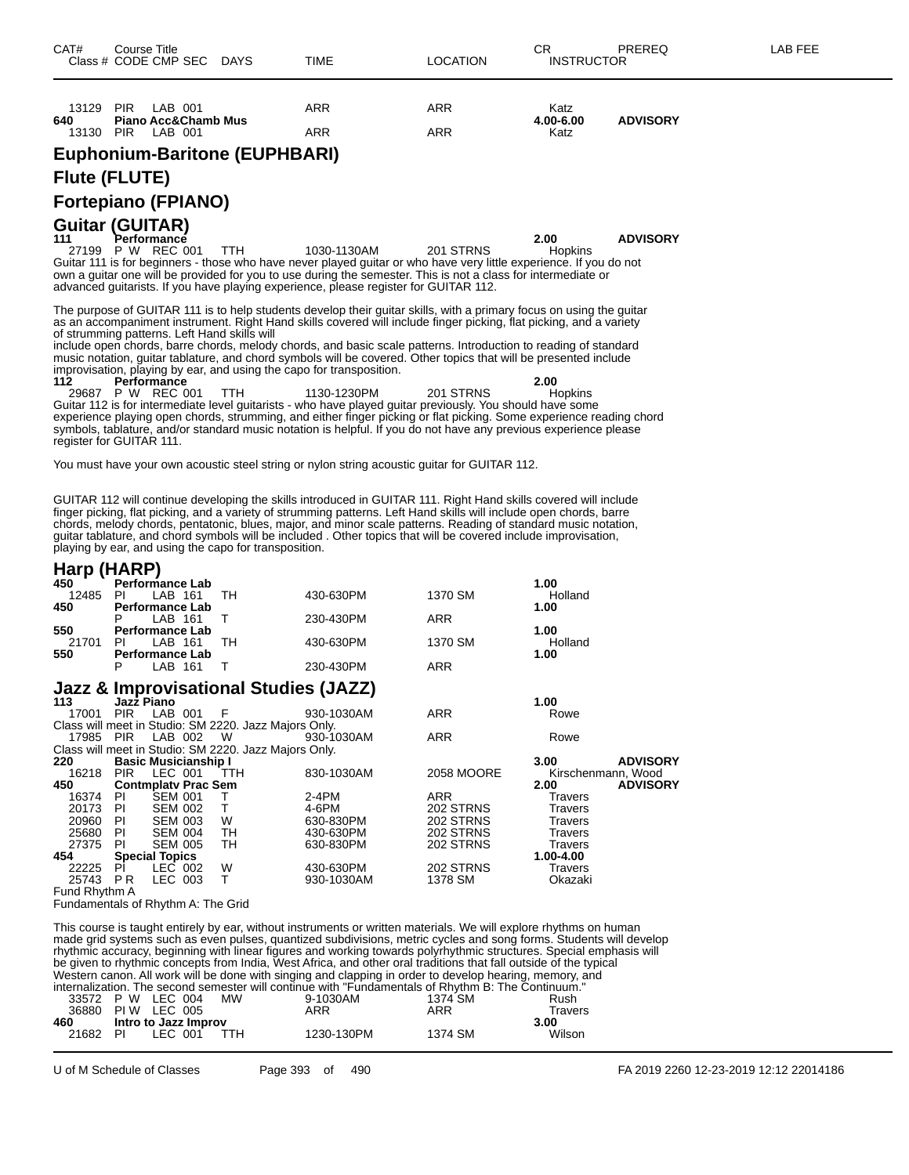| 13129 | <b>PIR</b> | LAB 001             | ARR | <b>ARR</b> | Katz      |                 |
|-------|------------|---------------------|-----|------------|-----------|-----------------|
| 640   |            | Piano Acc&Chamb Mus |     |            | 4.00-6.00 | <b>ADVISORY</b> |
| 13130 | <b>PIR</b> | LAB 001             | ARR | ARR        | Katz      |                 |

**Euphonium-Baritone (EUPHBARI)**

#### **Flute (FLUTE)**

#### **Fortepiano (FPIANO)**

**Guitar (GUITAR) 111 Performance 2.00 ADVISORY** 27199 P W REC 001 TTH 1030-1130AM 201 STRNS Hopkins Guitar 111 is for beginners - those who have never played guitar or who have very little experience. If you do not own a guitar one will be provided for you to use during the semester. This is not a class for intermediate or advanced guitarists. If you have playing experience, please register for GUITAR 112.

The purpose of GUITAR 111 is to help students develop their guitar skills, with a primary focus on using the guitar as an accompaniment instrument. Right Hand skills covered will include finger picking, flat picking, and a variety of strumming patterns. Left Hand skills will

include open chords, barre chords, melody chords, and basic scale patterns. Introduction to reading of standard music notation, guitar tablature, and chord symbols will be covered. Other topics that will be presented include improvisation, playing by ear, and using the capo for transposition.<br>
112 Performance<br>
29687 P W REC 001 TTH 1130-1230PM

**1130-1230PM**<br> **1130-1230PM**201 STRNS
200 P W REC 001 TTH 1130-1230PM 201 STRNS
1130-1230PM 29687 P W REC 001 TTH 1130-1230PM 201 STRNS Hopkins Guitar 112 is for intermediate level guitarists - who have played guitar previously. You should have some experience playing open chords, strumming, and either finger picking or flat picking. Some experience reading chord symbols, tablature, and/or standard music notation is helpful. If you do not have any previous experience please register for GUITAR 111.

You must have your own acoustic steel string or nylon string acoustic guitar for GUITAR 112.

GUITAR 112 will continue developing the skills introduced in GUITAR 111. Right Hand skills covered will include finger picking, flat picking, and a variety of strumming patterns. Left Hand skills will include open chords, barre chords, melody chords, pentatonic, blues, major, and minor scale patterns. Reading of standard music notation, guitar tablature, and chord symbols will be included . Other topics that will be covered include improvisation, playing by ear, and using the capo for transposition.

#### **Harp (HARP)**

| 450   | $\cdots$<br><b>Performance Lab</b> |    |           |         | 1.00    |
|-------|------------------------------------|----|-----------|---------|---------|
| 12485 | LAB 161<br>PI                      | тн | 430-630PM | 1370 SM | Holland |
| 450   | <b>Performance Lab</b>             |    |           |         | 1.00    |
|       | LAB 161                            |    | 230-430PM | ARR     |         |
| 550   | <b>Performance Lab</b>             |    |           |         | 1.00    |
| 21701 | PI<br>LAB 161                      | тн | 430-630PM | 1370 SM | Holland |
| 550   | <b>Performance Lab</b>             |    |           |         | 1.00    |
|       | LAB 161                            |    | 230-430PM | ARR     |         |
|       |                                    |    |           |         |         |

#### **Jazz & Improvisational Studies (JAZZ)**

| 113           |           | Jazz Piano                  |     |                                                       |            |            | 1.00               |                 |
|---------------|-----------|-----------------------------|-----|-------------------------------------------------------|------------|------------|--------------------|-----------------|
| 17001         |           | PIR LAB 001                 | - F |                                                       | 930-1030AM | <b>ARR</b> | Rowe               |                 |
|               |           |                             |     |                                                       |            |            |                    |                 |
|               |           |                             |     | Class will meet in Studio: SM 2220. Jazz Majors Only. |            |            |                    |                 |
|               |           | 17985 PIR LAB 002 W         |     |                                                       | 930-1030AM | <b>ARR</b> | Rowe               |                 |
|               |           |                             |     | Class will meet in Studio: SM 2220. Jazz Majors Only. |            |            |                    |                 |
| 220           |           | <b>Basic Musicianship I</b> |     |                                                       |            |            | 3.00               | <b>ADVISORY</b> |
| 16218         |           | PIR LEC 001                 |     | TTH                                                   | 830-1030AM | 2058 MOORE | Kirschenmann, Wood |                 |
| 450           |           | <b>Contmplaty Prac Sem</b>  |     |                                                       |            |            | 2.00               | <b>ADVISORY</b> |
| 16374         | PI.       | <b>SEM 001</b>              |     |                                                       | $2-4PM$    | <b>ARR</b> | Travers            |                 |
| 20173         | -PI       | <b>SEM 002</b>              |     | $\top$                                                | 4-6PM      | 202 STRNS  | <b>Travers</b>     |                 |
| 20960         | -PI       | SEM 003                     |     | W                                                     | 630-830PM  | 202 STRNS  | <b>Travers</b>     |                 |
| 25680         | <b>PI</b> | SEM 004                     |     | TH                                                    | 430-630PM  | 202 STRNS  | <b>Travers</b>     |                 |
| 27375         | <b>PI</b> | <b>SEM 005</b>              |     | TH.                                                   | 630-830PM  | 202 STRNS  | <b>Travers</b>     |                 |
| 454           |           | <b>Special Topics</b>       |     |                                                       |            |            | 1.00-4.00          |                 |
| 22225         | PI        | LEC 002                     |     | W                                                     | 430-630PM  | 202 STRNS  | <b>Travers</b>     |                 |
| 25743 PR      |           | LEC 003                     |     |                                                       | 930-1030AM | 1378 SM    | Okazaki            |                 |
| Fund Rhythm A |           |                             |     |                                                       |            |            |                    |                 |

Fundamentals of Rhythm A: The Grid

This course is taught entirely by ear, without instruments or written materials. We will explore rhythms on human made grid systems such as even pulses, quantized subdivisions, metric cycles and song forms. Students will develop rhythmic accuracy, beginning with linear figures and working towards polyrhythmic structures. Special emphasis will be given to rhythmic concepts from India, West Africa, and other oral traditions that fall outside of the typical Western canon. All work will be done with singing and clapping in order to develop hearing, memory, and internalization. The second semester will continue with "Fundamentals of Rhythm B: The Continuum."

|                   |  |                      | ווועטווועוובייט טערוייט אוווויט אווויז ווויז נישטוויט אווויז וייט שטאטוויט אוויז ווייט טערווויט אווויז ווייט א |         |         |
|-------------------|--|----------------------|----------------------------------------------------------------------------------------------------------------|---------|---------|
|                   |  | 33572 P W LEC 004 MW | 9-1030AM                                                                                                       | 1374 SM | Rush    |
| 36880 PIW LEC 005 |  |                      | ARR                                                                                                            | ARR     | Travers |

| ------<br>460 | Intro to Jazz Improv |      | .          | .       | .<br>3.00 |
|---------------|----------------------|------|------------|---------|-----------|
| 21682 PI      | LEC 001              | TTH. | 1230-130PM | 1374 SM | Wilson    |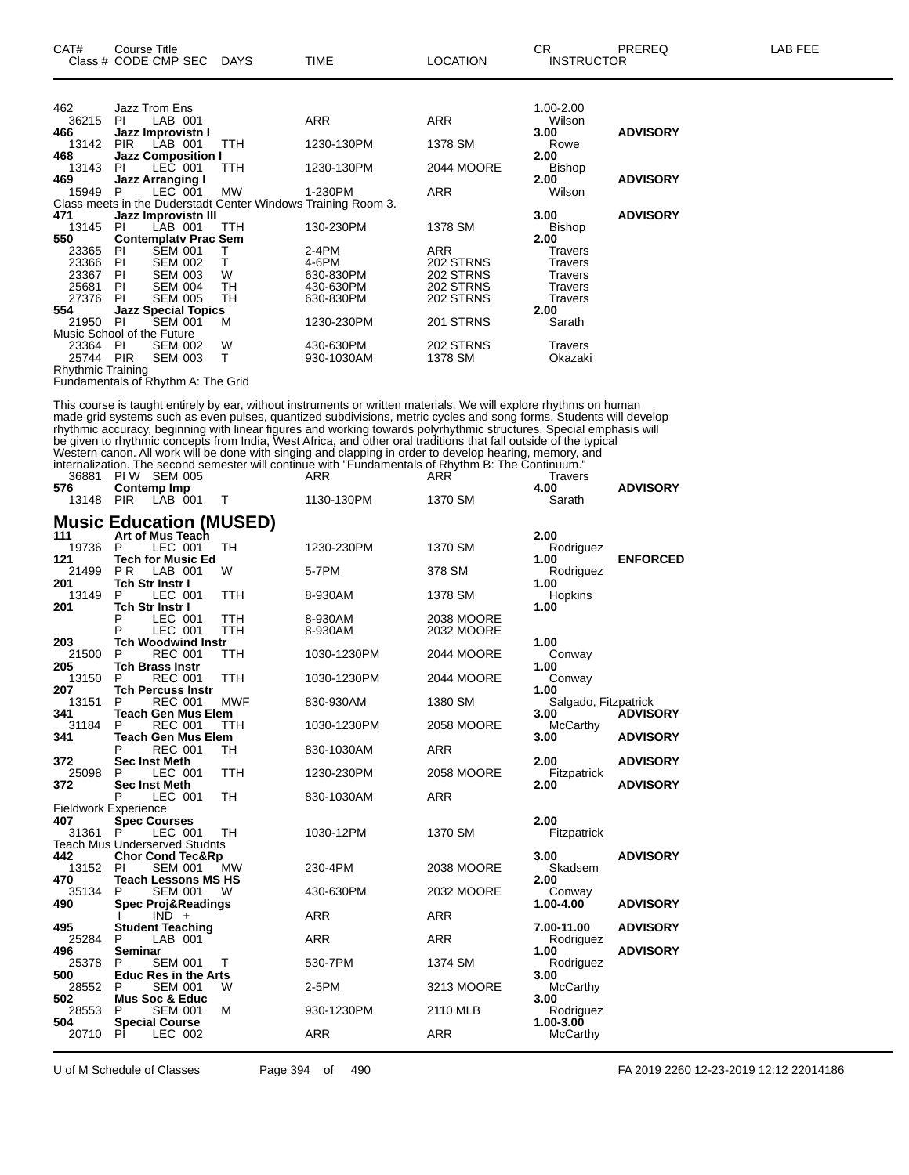| CAT#              | Course Title<br>Class # CODE CMP SEC DAYS |           | <b>TIME</b>                                                   | <b>LOCATION</b> | CR.<br><b>INSTRUCTOR</b> | <b>PREREQ</b>   | <b>LAB FEE</b> |
|-------------------|-------------------------------------------|-----------|---------------------------------------------------------------|-----------------|--------------------------|-----------------|----------------|
|                   |                                           |           |                                                               |                 |                          |                 |                |
| 462               | Jazz Trom Ens                             |           |                                                               |                 | 1.00-2.00                |                 |                |
| 36215             | LAB 001<br>PL                             |           | <b>ARR</b>                                                    | <b>ARR</b>      | Wilson                   |                 |                |
| 466               | Jazz Improvistn I                         |           |                                                               |                 | 3.00                     | <b>ADVISORY</b> |                |
| 13142             | <b>PIR</b><br>LAB 001                     | TTH       | 1230-130PM                                                    | 1378 SM         | Rowe                     |                 |                |
| 468               | <b>Jazz Composition I</b>                 |           |                                                               |                 | 2.00                     |                 |                |
| 13143             | LEC 001<br>PL                             | TTH       | 1230-130PM                                                    | 2044 MOORE      | <b>Bishop</b>            |                 |                |
| 469               | <b>Jazz Arranging I</b>                   |           |                                                               |                 | 2.00                     | <b>ADVISORY</b> |                |
| 15949             | LEC 001<br>P.                             | <b>MW</b> | 1-230PM                                                       | ARR             | Wilson                   |                 |                |
|                   |                                           |           | Class meets in the Duderstadt Center Windows Training Room 3. |                 |                          |                 |                |
| 471               | Jazz Improvistn III                       |           |                                                               |                 | 3.00                     | <b>ADVISORY</b> |                |
| 13145             | LAB 001<br>PI                             | TTH       | 130-230PM                                                     | 1378 SM         | <b>Bishop</b>            |                 |                |
| 550               | <b>Contemplaty Prac Sem</b>               |           |                                                               |                 | 2.00                     |                 |                |
| 23365             | <b>SEM 001</b><br>PI.                     |           | $2-4PM$                                                       | <b>ARR</b>      | Travers                  |                 |                |
| 23366             | <b>SEM 002</b><br><b>PI</b>               | T.        | 4-6PM                                                         | 202 STRNS       | <b>Travers</b>           |                 |                |
| 23367             | <b>PI</b><br><b>SEM 003</b>               | W         | 630-830PM                                                     | 202 STRNS       | Travers                  |                 |                |
| 25681             | PI<br><b>SEM 004</b>                      | TH        | 430-630PM                                                     | 202 STRNS       | Travers                  |                 |                |
| 27376             | <b>SEM 005</b><br>PI                      | TH        | 630-830PM                                                     | 202 STRNS       | <b>Travers</b>           |                 |                |
| 554               | <b>Jazz Special Topics</b>                |           |                                                               |                 | 2.00                     |                 |                |
| 21950             | <b>SEM 001</b><br>-PI                     | м         | 1230-230PM                                                    | 201 STRNS       | Sarath                   |                 |                |
|                   | Music School of the Future                |           |                                                               |                 |                          |                 |                |
| 23364             | PI<br><b>SEM 002</b>                      | W         | 430-630PM                                                     | 202 STRNS       | Travers                  |                 |                |
| 25744             | <b>SEM 003</b><br><b>PIR</b>              | T.        | 930-1030AM                                                    | 1378 SM         | Okazaki                  |                 |                |
| Rhythmic Training |                                           |           |                                                               |                 |                          |                 |                |

Fundamentals of Rhythm A: The Grid

This course is taught entirely by ear, without instruments or written materials. We will explore rhythms on human made grid systems such as even pulses, quantized subdivisions, metric cycles and song forms. Students will develop rhythmic accuracy, beginning with linear figures and working towards polyrhythmic structures. Special emphasis will be given to rhythmic concepts from India, West Africa, and other oral traditions that fall outside of the typical Western canon. All work will be done with singing and clapping in order to develop hearing, memory, and internalization. The second semester will continue with "Fundamentals of Rhythm B: The Continuum."

| 36881        | PI W<br><b>SEM 005</b>                              |                          | ARR                | <b>ARR</b>               | <b>Travers</b>               |                 |
|--------------|-----------------------------------------------------|--------------------------|--------------------|--------------------------|------------------------------|-----------------|
| 576<br>13148 | Contemp Imp<br><b>PIR</b><br>LAB 001                | т                        | 1130-130PM         | 1370 SM                  | 4.00<br>Sarath               | <b>ADVISORY</b> |
|              |                                                     |                          |                    |                          |                              |                 |
|              | <b>Music Education (MUSED)</b>                      |                          |                    |                          |                              |                 |
| 111<br>19736 | Art of Mus Teach<br>P<br>LEC 001                    | <b>TH</b>                |                    | 1370 SM                  | 2.00                         |                 |
| 121          | <b>Tech for Music Ed</b>                            |                          | 1230-230PM         |                          | Rodriguez<br>1.00            | <b>ENFORCED</b> |
| 21499        | <b>PR</b><br>LAB 001                                | W                        | 5-7PM              | 378 SM                   | Rodriguez                    |                 |
| 201          | <b>Tch Str Instr I</b>                              |                          |                    |                          | 1.00                         |                 |
| 13149        | P<br>LEC 001                                        | <b>TTH</b>               | 8-930AM            | 1378 SM                  | Hopkins                      |                 |
| 201          | <b>Tch Str Instr I</b>                              |                          |                    |                          | 1.00                         |                 |
|              | P<br>LEC 001<br>P<br>LEC 001                        | <b>TTH</b><br><b>TTH</b> | 8-930AM<br>8-930AM | 2038 MOORE<br>2032 MOORE |                              |                 |
| 203          | <b>Tch Woodwind Instr</b>                           |                          |                    |                          | 1.00                         |                 |
| 21500        | P<br><b>REC 001</b>                                 | TTH                      | 1030-1230PM        | 2044 MOORE               | Conway                       |                 |
| 205          | <b>Tch Brass Instr</b>                              |                          |                    |                          | 1.00                         |                 |
| 13150        | P<br><b>REC 001</b>                                 | <b>TTH</b>               | 1030-1230PM        | 2044 MOORE               | Conway                       |                 |
| 207<br>13151 | <b>Tch Percuss Instr</b><br>P<br><b>REC 001</b>     | <b>MWF</b>               | 830-930AM          | 1380 SM                  | 1.00                         |                 |
| 341          | <b>Teach Gen Mus Elem</b>                           |                          |                    |                          | Salgado, Fitzpatrick<br>3.00 | <b>ADVISORY</b> |
| 31184        | P<br>REC 001                                        | ттн                      | 1030-1230PM        | 2058 MOORE               | <b>McCarthy</b>              |                 |
| 341          | <b>Teach Gen Mus Elem</b>                           |                          |                    |                          | 3.00                         | <b>ADVISORY</b> |
|              | P<br><b>REC 001</b>                                 | TH                       | 830-1030AM         | <b>ARR</b>               |                              |                 |
| 372          | <b>Sec Inst Meth</b>                                |                          |                    |                          | 2.00                         | <b>ADVISORY</b> |
| 25098<br>372 | LEC 001<br>P<br><b>Sec Inst Meth</b>                | TTH                      | 1230-230PM         | 2058 MOORE               | Fitzpatrick<br>2.00          | <b>ADVISORY</b> |
|              | P<br>LEC 001                                        | TН                       | 830-1030AM         | <b>ARR</b>               |                              |                 |
|              | <b>Fieldwork Experience</b>                         |                          |                    |                          |                              |                 |
| 407          | <b>Spec Courses</b>                                 |                          |                    |                          | 2.00                         |                 |
| 31361        | LEC 001                                             | TН                       | 1030-12PM          | 1370 SM                  | Fitzpatrick                  |                 |
| 442          | <b>Teach Mus Underserved Studnts</b>                |                          |                    |                          | 3.00                         | <b>ADVISORY</b> |
| 13152        | <b>Chor Cond Tec&amp;Rp</b><br><b>SEM 001</b><br>PI | MW                       | 230-4PM            | 2038 MOORE               | Skadsem                      |                 |
| 470          | <b>Teach Lessons MS HS</b>                          |                          |                    |                          | 2.00                         |                 |
| 35134        | P<br><b>SEM 001</b>                                 | W                        | 430-630PM          | 2032 MOORE               | Conway                       |                 |
| 490          | <b>Spec Proj&amp;Readings</b>                       |                          |                    |                          | 1.00-4.00                    | <b>ADVISORY</b> |
|              | $IND +$                                             |                          | <b>ARR</b>         | <b>ARR</b>               |                              |                 |
| 495<br>25284 | <b>Student Teaching</b><br>P<br>LAB 001             |                          | ARR                | <b>ARR</b>               | 7.00-11.00                   | <b>ADVISORY</b> |
| 496          | Seminar                                             |                          |                    |                          | Rodriguez<br>1.00            | <b>ADVISORY</b> |
| 25378        | P<br><b>SEM 001</b>                                 | т                        | 530-7PM            | 1374 SM                  | Rodriguez                    |                 |
| 500          | <b>Educ Res in the Arts</b>                         |                          |                    |                          | 3.00                         |                 |
| 28552        | P<br><b>SEM 001</b>                                 | W                        | 2-5PM              | 3213 MOORE               | McCarthy                     |                 |
| 502          | <b>Mus Soc &amp; Educ</b>                           |                          |                    |                          | 3.00                         |                 |
| 28553<br>504 | P<br><b>SEM 001</b><br><b>Special Course</b>        | М                        | 930-1230PM         | 2110 MLB                 | Rodriguez<br>1.00-3.00       |                 |
| 20710        | PI<br>LEC 002                                       |                          | ARR                | ARR                      | McCarthy                     |                 |
|              |                                                     |                          |                    |                          |                              |                 |

U of M Schedule of Classes Page 394 of 490 FA 2019 2260 12-23-2019 12:12 22014186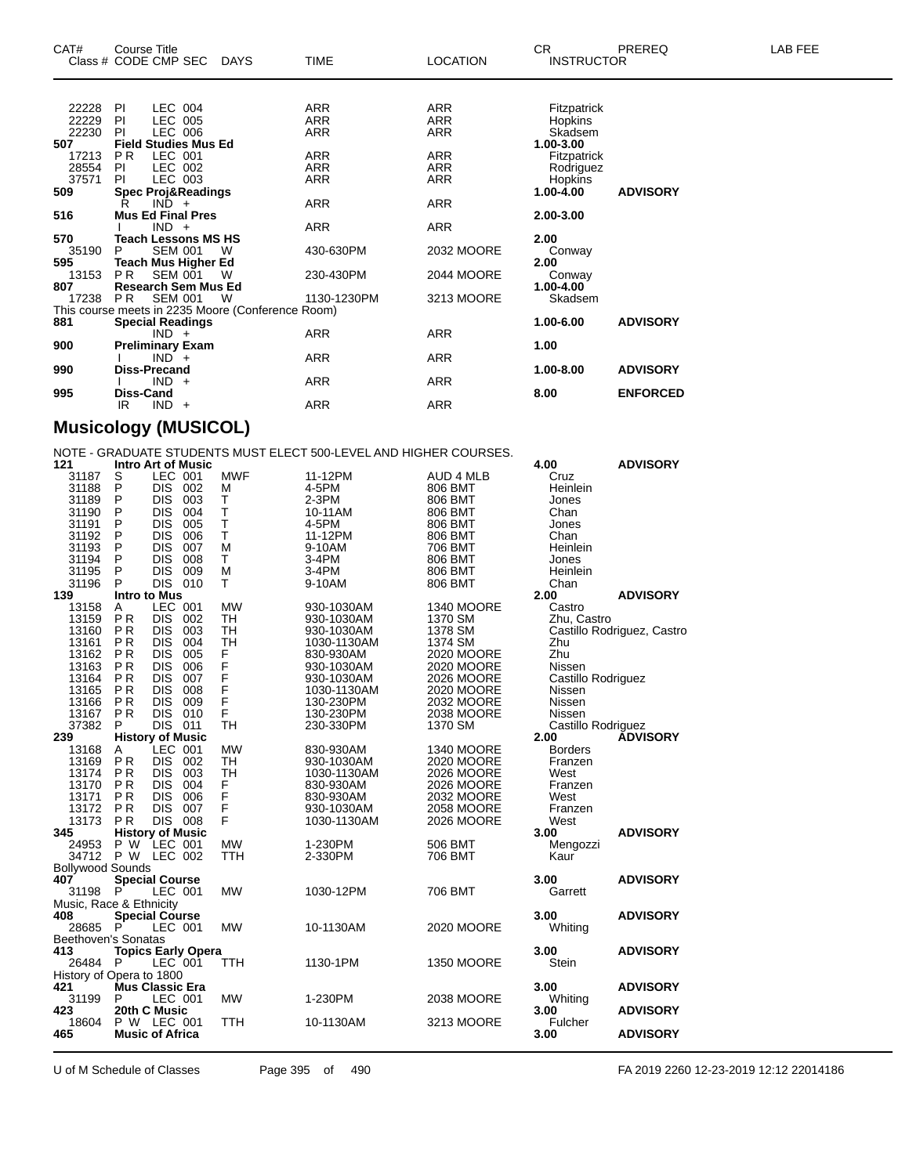| CAT#  | <b>Course Title</b> | Class # CODE CMP SEC DAYS     |                                                   | <b>TIME</b> | <b>LOCATION</b> | CR.<br><b>INSTRUCTOR</b> | PREREQ          | LAB FEE |
|-------|---------------------|-------------------------------|---------------------------------------------------|-------------|-----------------|--------------------------|-----------------|---------|
|       |                     |                               |                                                   |             |                 |                          |                 |         |
| 22228 | PI                  | LEC 004                       |                                                   | ARR         | ARR             | Fitzpatrick              |                 |         |
| 22229 | -PI                 | LEC 005                       |                                                   | <b>ARR</b>  | <b>ARR</b>      | Hopkins                  |                 |         |
| 22230 | <b>PI</b>           | LEC 006                       |                                                   | <b>ARR</b>  | <b>ARR</b>      | Skadsem                  |                 |         |
| 507   |                     | <b>Field Studies Mus Ed</b>   |                                                   |             |                 | 1.00-3.00                |                 |         |
| 17213 | PR.                 | LEC 001                       |                                                   | ARR         | ARR             | Fitzpatrick              |                 |         |
| 28554 | -PI                 | LEC 002                       |                                                   | ARR         | ARR             | Rodriguez                |                 |         |
| 37571 | PI                  | LEC 003                       |                                                   | ARR         | <b>ARR</b>      | Hopkins                  |                 |         |
| 509   |                     | <b>Spec Proj&amp;Readings</b> |                                                   |             |                 | 1.00-4.00                | <b>ADVISORY</b> |         |
|       | R                   | $IND +$                       |                                                   | ARR         | <b>ARR</b>      |                          |                 |         |
| 516   |                     | <b>Mus Ed Final Pres</b>      |                                                   |             |                 | 2.00-3.00                |                 |         |
|       |                     | $IND +$                       |                                                   | ARR         | ARR             |                          |                 |         |
| 570   |                     | <b>Teach Lessons MS HS</b>    |                                                   |             |                 | 2.00                     |                 |         |
| 35190 | P                   | <b>SEM 001</b>                | W                                                 | 430-630PM   | 2032 MOORE      | Conway                   |                 |         |
| 595   |                     | Teach Mus Higher Ed           |                                                   |             |                 | 2.00                     |                 |         |
| 13153 | PR.                 | SEM 001                       | W                                                 | 230-430PM   | 2044 MOORE      | Conway                   |                 |         |
| 807   |                     | <b>Research Sem Mus Ed</b>    |                                                   |             |                 | 1.00-4.00                |                 |         |
| 17238 | PR                  | SEM 001                       | - W                                               | 1130-1230PM | 3213 MOORE      | Skadsem                  |                 |         |
|       |                     |                               | This course meets in 2235 Moore (Conference Room) |             |                 |                          |                 |         |
| 881   |                     | <b>Special Readings</b>       |                                                   |             |                 | 1.00-6.00                | <b>ADVISORY</b> |         |
|       |                     | $IND +$                       |                                                   | ARR         | <b>ARR</b>      |                          |                 |         |
| 900   |                     | <b>Preliminary Exam</b>       |                                                   |             |                 | 1.00                     |                 |         |
|       |                     | $IND +$                       |                                                   | <b>ARR</b>  | <b>ARR</b>      |                          |                 |         |
| 990   |                     | Diss-Precand                  |                                                   |             |                 | 1.00-8.00                | <b>ADVISORY</b> |         |
|       |                     | $IND +$                       |                                                   | ARR         | <b>ARR</b>      |                          |                 |         |
| 995   | Diss-Cand           |                               |                                                   |             |                 | 8.00                     | <b>ENFORCED</b> |         |
|       | IR                  | $IND +$                       |                                                   | <b>ARR</b>  | <b>ARR</b>      |                          |                 |         |

#### **Musicology (MUSICOL)**

NOTE - GRADUATE STUDENTS MUST ELECT 500-LEVEL AND HIGHER COURSES.

| 121                                                         | <b>Intro Art of Music</b> |                |     |            |             |                   | 4.00               | <b>ADVISORY</b>            |  |
|-------------------------------------------------------------|---------------------------|----------------|-----|------------|-------------|-------------------|--------------------|----------------------------|--|
| 31187                                                       | S                         | LEC 001        |     | <b>MWF</b> | 11-12PM     | AUD 4 MLB         | Cruz               |                            |  |
| 31188                                                       | P                         | DIS 002        |     | M          | 4-5PM       | 806 BMT           | Heinlein           |                            |  |
| 31189                                                       | P                         | <b>DIS</b>     | 003 | T          | $2-3PM$     | 806 BMT           | Jones              |                            |  |
| 31190                                                       | P                         | <b>DIS</b>     | 004 | Ť          | 10-11AM     | 806 BMT           | Chan               |                            |  |
| 31191                                                       | P                         | <b>DIS</b>     | 005 | Ť          | 4-5PM       | 806 BMT           | Jones              |                            |  |
| 31192                                                       | P                         | <b>DIS</b>     | 006 | T          | 11-12PM     | 806 BMT           | Chan               |                            |  |
| 31193                                                       | P                         | DIS            | 007 | M          | 9-10AM      | 706 BMT           | Heinlein           |                            |  |
| 31194                                                       | P                         | <b>DIS</b>     | 008 | T          | 3-4PM       | 806 BMT           | Jones              |                            |  |
| 31195                                                       | P                         | <b>DIS</b>     | 009 | M          | 3-4PM       | 806 BMT           | Heinlein           |                            |  |
| 31196                                                       | P                         | DIS 010        |     | T          | 9-10AM      | 806 BMT           | Chan               |                            |  |
| 139                                                         | <b>Intro to Mus</b>       |                |     |            |             |                   | 2.00               | <b>ADVISORY</b>            |  |
| 13158                                                       | A                         | LEC 001        |     | <b>MW</b>  | 930-1030AM  | <b>1340 MOORE</b> | Castro             |                            |  |
| 13159                                                       | <b>PR</b>                 | <b>DIS</b>     | 002 | <b>TH</b>  | 930-1030AM  | 1370 SM           | Zhu, Castro        |                            |  |
| 13160                                                       | <b>PR</b>                 | <b>DIS</b>     | 003 | TH         | 930-1030AM  | 1378 SM           |                    |                            |  |
|                                                             |                           |                |     |            |             |                   |                    | Castillo Rodriguez, Castro |  |
| 13161                                                       | <b>PR</b>                 | <b>DIS</b>     | 004 | <b>TH</b>  | 1030-1130AM | 1374 SM           | Zhu                |                            |  |
| 13162                                                       | <b>PR</b>                 | <b>DIS</b>     | 005 |            | 830-930AM   | 2020 MOORE        | Zhu                |                            |  |
| 13163                                                       | <b>PR</b>                 | <b>DIS</b>     | 006 |            | 930-1030AM  | 2020 MOORE        | Nissen             |                            |  |
| 13164                                                       | <b>PR</b>                 | <b>DIS</b>     | 007 | FFFFFF     | 930-1030AM  | 2026 MOORE        | Castillo Rodriguez |                            |  |
| 13165                                                       | <b>PR</b>                 | DIS            | 008 |            | 1030-1130AM | 2020 MOORE        | Nissen             |                            |  |
| 13166                                                       | <b>PR</b>                 | <b>DIS</b>     | 009 |            | 130-230PM   | 2032 MOORE        | Nissen             |                            |  |
| 13167                                                       | <b>PR</b>                 | <b>DIS</b>     | 010 | F          | 130-230PM   | 2038 MOORE        | Nissen             |                            |  |
| 37382                                                       | P                         | DIS 011        |     | <b>TH</b>  | 230-330PM   | 1370 SM           | Castillo Rodriguez |                            |  |
| 239                                                         | <b>History of Music</b>   |                |     |            |             |                   | 2.00               | <b>ÁDVISORY</b>            |  |
| 13168                                                       | Α                         | LEC 001        |     | <b>MW</b>  | 830-930AM   | <b>1340 MOORE</b> | <b>Borders</b>     |                            |  |
| 13169                                                       | <b>PR</b>                 | DIS 002        |     | TH         | 930-1030AM  | 2020 MOORE        | Franzen            |                            |  |
| 13174                                                       | P <sub>R</sub>            | <b>DIS</b>     | 003 | <b>TH</b>  | 1030-1130AM | 2026 MOORE        | West               |                            |  |
| 13170                                                       | <b>PR</b>                 | <b>DIS</b>     | 004 |            | 830-930AM   | 2026 MOORE        | Franzen            |                            |  |
| 13171                                                       | <b>PR</b>                 | <b>DIS</b>     | 006 |            | 830-930AM   | 2032 MOORE        | West               |                            |  |
| 13172                                                       | <b>PR</b>                 | <b>DIS</b>     | 007 |            | 930-1030AM  | 2058 MOORE        | Franzen            |                            |  |
| 13173                                                       | <b>PR</b>                 | <b>DIS 008</b> |     | FFFFF      | 1030-1130AM | 2026 MOORE        | West               |                            |  |
| 345                                                         | <b>History of Music</b>   |                |     |            |             |                   | 3.00               | <b>ADVISORY</b>            |  |
| 24953                                                       | P W                       | LEC 001        |     | <b>MW</b>  | 1-230PM     | 506 BMT           | Mengozzi           |                            |  |
| 34712                                                       | P W LEC 002               |                |     | <b>TTH</b> | 2-330PM     | 706 BMT           | Kaur               |                            |  |
| <b>Bollywood Sounds</b>                                     |                           |                |     |            |             |                   |                    |                            |  |
| 407                                                         | <b>Special Course</b>     |                |     |            |             |                   | 3.00               | <b>ADVISORY</b>            |  |
| 31198                                                       | P                         | LEC 001        |     | <b>MW</b>  | 1030-12PM   | 706 BMT           | Garrett            |                            |  |
| Music, Race & Ethnicity                                     |                           |                |     |            |             |                   |                    |                            |  |
| 408                                                         | <b>Special Course</b>     |                |     |            |             |                   | 3.00               | <b>ADVISORY</b>            |  |
| 28685                                                       | P                         |                |     | <b>MW</b>  | 10-1130AM   | 2020 MOORE        | Whiting            |                            |  |
| LEC 001<br>Beethoven's Sonatas                              |                           |                |     |            |             |                   |                    |                            |  |
| 413<br>3.00<br><b>Topics Early Opera</b><br><b>ADVISORY</b> |                           |                |     |            |             |                   |                    |                            |  |
| 26484                                                       | P                         | LEC 001        |     | <b>TTH</b> | 1130-1PM    | <b>1350 MOORE</b> | <b>Stein</b>       |                            |  |
| History of Opera to 1800                                    |                           |                |     |            |             |                   |                    |                            |  |
| 421                                                         | <b>Mus Classic Era</b>    |                |     |            |             |                   | 3.00               | <b>ADVISORY</b>            |  |
| 31199                                                       | P                         | LEC 001        |     | <b>MW</b>  | 1-230PM     | 2038 MOORE        |                    |                            |  |
| 423                                                         | 20th C Music              |                |     |            |             |                   | Whiting<br>3.00    | <b>ADVISORY</b>            |  |
| 18604                                                       |                           |                |     | <b>TTH</b> | 10-1130AM   | 3213 MOORE        |                    |                            |  |
|                                                             | P W LEC 001               |                |     |            |             |                   | Fulcher            |                            |  |
| 465                                                         | <b>Music of Africa</b>    |                |     |            |             |                   | 3.00               | <b>ADVISORY</b>            |  |

U of M Schedule of Classes Page 395 of 490 FA 2019 2260 12-23-2019 12:12 22014186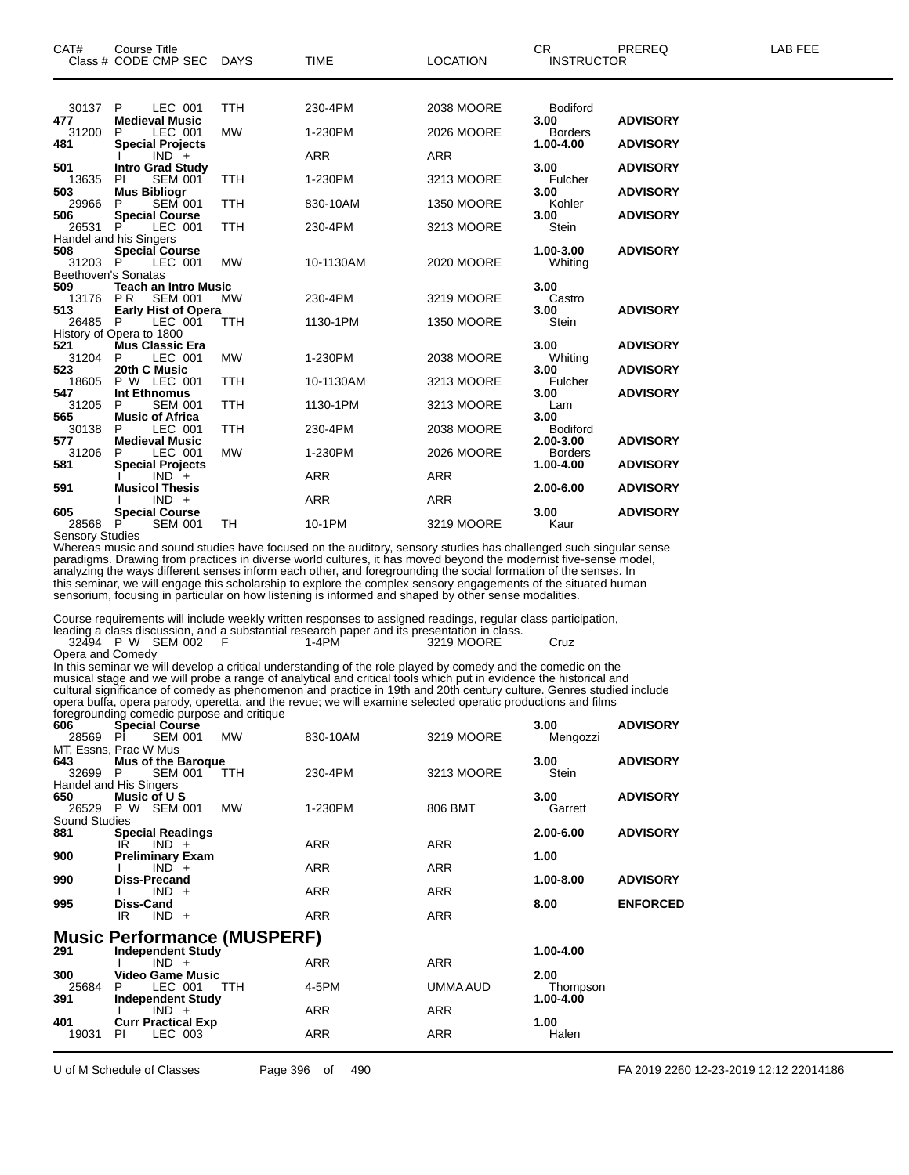| CAT#                   | <b>Course Title</b><br>Class # CODE CMP SEC DAYS                |            | <b>TIME</b> | <b>LOCATION</b>   | CR.<br><b>INSTRUCTOR</b> | PREREQ          | LAB FEE |
|------------------------|-----------------------------------------------------------------|------------|-------------|-------------------|--------------------------|-----------------|---------|
|                        |                                                                 |            |             |                   |                          |                 |         |
| 30137<br>477           | P.<br>LEC 001<br><b>Medieval Music</b>                          | <b>TTH</b> | 230-4PM     | 2038 MOORE        | <b>Bodiford</b><br>3.00  | <b>ADVISORY</b> |         |
| 31200                  | P<br>LEC 001                                                    | <b>MW</b>  | 1-230PM     | 2026 MOORE        | <b>Borders</b>           |                 |         |
| 481                    | <b>Special Projects</b><br>$IND +$                              |            | <b>ARR</b>  | <b>ARR</b>        | 1.00-4.00                | <b>ADVISORY</b> |         |
| 501                    | <b>Intro Grad Study</b>                                         |            |             |                   | 3.00                     | <b>ADVISORY</b> |         |
| 13635                  | <b>SEM 001</b><br>PI.                                           | TTH        | 1-230PM     | 3213 MOORE        | Fulcher                  |                 |         |
| 503<br>29966           | <b>Mus Bibliogr</b><br><b>SEM 001</b><br>P                      | <b>TTH</b> | 830-10AM    | <b>1350 MOORE</b> | 3.00<br>Kohler           | <b>ADVISORY</b> |         |
| 506                    | <b>Special Course</b>                                           |            |             |                   | 3.00                     | <b>ADVISORY</b> |         |
| 26531 P                | LEC 001                                                         | <b>TTH</b> | 230-4PM     | 3213 MOORE        | Stein                    |                 |         |
| 508                    | Handel and his Singers<br><b>Special Course</b>                 |            |             |                   | 1.00-3.00                | <b>ADVISORY</b> |         |
| 31203 P                | LEC 001                                                         | <b>MW</b>  | 10-1130AM   | 2020 MOORE        | Whiting                  |                 |         |
|                        | Beethoven's Sonatas                                             |            |             |                   |                          |                 |         |
| 509<br>13176           | <b>Teach an Intro Music</b><br>P <sub>R</sub><br><b>SEM 001</b> | MW         | 230-4PM     | 3219 MOORE        | 3.00<br>Castro           |                 |         |
| 513                    | <b>Early Hist of Opera</b>                                      |            |             |                   | 3.00                     | <b>ADVISORY</b> |         |
| 26485 P                | LEC 001                                                         | <b>TTH</b> | 1130-1PM    | <b>1350 MOORE</b> | Stein                    |                 |         |
| 521                    | History of Opera to 1800<br><b>Mus Classic Era</b>              |            |             |                   | 3.00                     | <b>ADVISORY</b> |         |
| 31204                  | LEC 001<br>P                                                    | <b>MW</b>  | 1-230PM     | 2038 MOORE        | Whiting                  |                 |         |
| 523                    | 20th C Music                                                    | <b>TTH</b> |             |                   | 3.00                     | <b>ADVISORY</b> |         |
| 18605<br>547           | P W LEC 001<br>Int Ethnomus                                     |            | 10-1130AM   | 3213 MOORE        | Fulcher<br>3.00          | <b>ADVISORY</b> |         |
| 31205                  | P<br><b>SEM 001</b>                                             | <b>TTH</b> | 1130-1PM    | 3213 MOORE        | Lam                      |                 |         |
| 565<br>30138           | <b>Music of Africa</b><br>LEC 001<br>P                          | <b>TTH</b> | 230-4PM     | 2038 MOORE        | 3.00<br><b>Bodiford</b>  |                 |         |
| 577                    | <b>Medieval Music</b>                                           |            |             |                   | 2.00-3.00                | <b>ADVISORY</b> |         |
| 31206                  | P<br>LEC 001                                                    | <b>MW</b>  | 1-230PM     | 2026 MOORE        | <b>Borders</b>           |                 |         |
| 581                    | <b>Special Projects</b><br>$IND +$                              |            | <b>ARR</b>  | <b>ARR</b>        | 1.00-4.00                | <b>ADVISORY</b> |         |
| 591                    | <b>Musicol Thesis</b>                                           |            |             |                   | 2.00-6.00                | <b>ADVISORY</b> |         |
|                        | $IND +$                                                         |            | <b>ARR</b>  | <b>ARR</b>        |                          |                 |         |
| 605<br>28568           | <b>Special Course</b><br>P<br><b>SEM 001</b>                    | TH         | 10-1PM      | 3219 MOORE        | 3.00<br>Kaur             | <b>ADVISORY</b> |         |
| <b>Sensory Studies</b> |                                                                 |            |             |                   |                          |                 |         |

Whereas music and sound studies have focused on the auditory, sensory studies has challenged such singular sense paradigms. Drawing from practices in diverse world cultures, it has moved beyond the modernist five-sense model, analyzing the ways different senses inform each other, and foregrounding the social formation of the senses. In this seminar, we will engage this scholarship to explore the complex sensory engagements of the situated human sensorium, focusing in particular on how listening is informed and shaped by other sense modalities.

Course requirements will include weekly written responses to assigned readings, regular class participation,

|  |                   |  |       | leading a class discussion, and a substantial research paper and its presentation in class. |      |
|--|-------------------|--|-------|---------------------------------------------------------------------------------------------|------|
|  | 32494 P W SEM 002 |  | 1-4PM | 3219 MOORE                                                                                  | Cruz |

Opera and Comedy

In this seminar we will develop a critical understanding of the role played by comedy and the comedic on the musical stage and we will probe a range of analytical and critical tools which put in evidence the historical and cultural significance of comedy as phenomenon and practice in 19th and 20th century culture. Genres studied include opera buffa, opera parody, operetta, and the revue; we will examine selected operatic productions and films foregrounding comedic purpose and critique

| 606<br>28569                                                                                                              | <b>Special Course</b><br><b>SEM 001</b><br>PL                              | <b>MW</b>  | 830-10AM                 | 3219 MOORE               | 3.00<br>Mengozzi              | <b>ADVISORY</b> |  |  |
|---------------------------------------------------------------------------------------------------------------------------|----------------------------------------------------------------------------|------------|--------------------------|--------------------------|-------------------------------|-----------------|--|--|
| 643<br>32699                                                                                                              | MT, Essns, Prac W Mus<br><b>Mus of the Baroque</b><br><b>SEM 001</b><br>P. | <b>TTH</b> | 230-4PM                  | 3213 MOORE               | 3.00<br>Stein                 | <b>ADVISORY</b> |  |  |
| 650<br>26529 P W                                                                                                          | Handel and His Singers<br>Music of U S<br>SEM 001                          | <b>MW</b>  | 1-230PM                  | 806 BMT                  | 3.00<br>Garrett               | <b>ADVISORY</b> |  |  |
| <b>Sound Studies</b><br>881                                                                                               | <b>Special Readings</b><br>$IND +$<br>IR                                   |            | <b>ARR</b>               | <b>ARR</b>               | 2.00-6.00                     | <b>ADVISORY</b> |  |  |
| 900<br>990                                                                                                                | <b>Preliminary Exam</b><br>$IND +$<br>Diss-Precand                         |            | <b>ARR</b>               | <b>ARR</b>               | 1.00<br>1.00-8.00             | <b>ADVISORY</b> |  |  |
| 995                                                                                                                       | $IND +$<br>Diss-Cand<br>$IND +$<br>IR                                      |            | <b>ARR</b><br><b>ARR</b> | ARR<br><b>ARR</b>        | 8.00                          | <b>ENFORCED</b> |  |  |
| <b>Music Performance (MUSPERF)</b><br>291<br><b>Independent Study</b><br>1.00-4.00<br><b>ARR</b><br>$IND +$<br><b>ARR</b> |                                                                            |            |                          |                          |                               |                 |  |  |
| 300<br>25684<br>391                                                                                                       | <b>Video Game Music</b><br>LEC 001<br>P<br><b>Independent Study</b>        | <b>TTH</b> | 4-5PM                    | UMMA AUD                 | 2.00<br>Thompson<br>1.00-4.00 |                 |  |  |
| 401<br>19031                                                                                                              | $IND +$<br><b>Curr Practical Exp</b><br>LEC 003<br>PI.                     |            | <b>ARR</b><br><b>ARR</b> | <b>ARR</b><br><b>ARR</b> | 1.00<br>Halen                 |                 |  |  |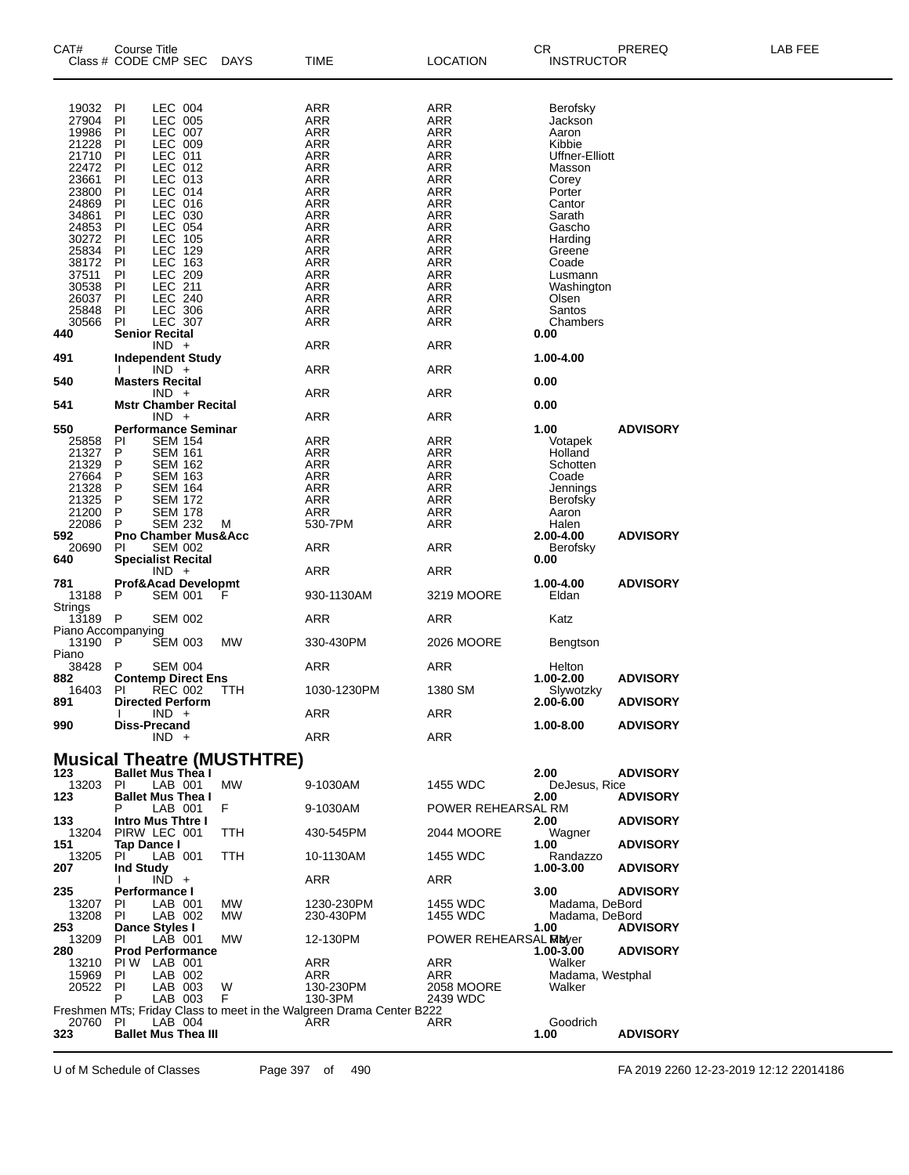| CAT#                        | Course Title                   |                                  |                                   |                                                                      |                          | CR.                        | PREREQ          | LAB FEE |
|-----------------------------|--------------------------------|----------------------------------|-----------------------------------|----------------------------------------------------------------------|--------------------------|----------------------------|-----------------|---------|
|                             | Class # CODE CMP SEC           |                                  | <b>DAYS</b>                       | TIME                                                                 | <b>LOCATION</b>          | <b>INSTRUCTOR</b>          |                 |         |
|                             |                                |                                  |                                   |                                                                      |                          |                            |                 |         |
|                             |                                |                                  |                                   |                                                                      |                          |                            |                 |         |
| 19032                       | PI                             | LEC 004                          |                                   | ARR                                                                  | ARR                      | Berofsky                   |                 |         |
| 27904                       | P                              | LEC 005                          |                                   | ARR                                                                  | <b>ARR</b>               | Jackson                    |                 |         |
| 19986                       | PI                             | LEC 007                          |                                   | ARR                                                                  | ARR                      | Aaron                      |                 |         |
| 21228                       | PI                             | LEC 009                          |                                   | <b>ARR</b>                                                           | <b>ARR</b>               | Kibbie                     |                 |         |
| 21710<br>22472              | P                              | LEC 011                          |                                   | <b>ARR</b>                                                           | <b>ARR</b><br><b>ARR</b> | Uffner-Elliott             |                 |         |
| 23661                       | PI<br>P <sub>1</sub>           | LEC 012<br>LEC 013               |                                   | ARR<br>ARR                                                           | <b>ARR</b>               | Masson                     |                 |         |
| 23800                       | P                              | LEC 014                          |                                   | <b>ARR</b>                                                           | <b>ARR</b>               | Corey<br>Porter            |                 |         |
| 24869                       | PI                             | LEC 016                          |                                   | ARR                                                                  | <b>ARR</b>               | Cantor                     |                 |         |
| 34861                       | P                              | LEC 030                          |                                   | <b>ARR</b>                                                           | <b>ARR</b>               | Sarath                     |                 |         |
| 24853                       | P                              | LEC 054                          |                                   | <b>ARR</b>                                                           | <b>ARR</b>               | Gascho                     |                 |         |
| 30272                       | P                              | LEC 105                          |                                   | ARR                                                                  | <b>ARR</b>               | Harding                    |                 |         |
| 25834                       | P                              | LEC 129                          |                                   | ARR                                                                  | <b>ARR</b>               | Greene                     |                 |         |
| 38172                       | P                              | LEC 163                          |                                   | <b>ARR</b>                                                           | <b>ARR</b>               | Coade                      |                 |         |
| 37511<br>30538              | PI<br>P                        | LEC 209<br><b>LEC 211</b>        |                                   | ARR<br><b>ARR</b>                                                    | <b>ARR</b><br><b>ARR</b> | Lusmann                    |                 |         |
| 26037                       | P                              | <b>LEC 240</b>                   |                                   | <b>ARR</b>                                                           | <b>ARR</b>               | Washington<br>Olsen        |                 |         |
| 25848                       | PI                             | <b>LEC 306</b>                   |                                   | ARR                                                                  | <b>ARR</b>               | Santos                     |                 |         |
| 30566                       | PI                             | <b>LEC 307</b>                   |                                   | ARR                                                                  | <b>ARR</b>               | Chambers                   |                 |         |
| 440                         | <b>Senior Recital</b>          |                                  |                                   |                                                                      |                          | 0.00                       |                 |         |
|                             |                                | $IND +$                          |                                   | <b>ARR</b>                                                           | <b>ARR</b>               |                            |                 |         |
| 491                         | <b>Independent Study</b>       |                                  |                                   |                                                                      |                          | 1.00-4.00                  |                 |         |
|                             |                                | $IND +$                          |                                   | ARR                                                                  | <b>ARR</b>               |                            |                 |         |
| 540                         | <b>Masters Recital</b>         |                                  |                                   |                                                                      |                          | 0.00                       |                 |         |
| 541                         | <b>Mstr Chamber Recital</b>    | $IND +$                          |                                   | ARR                                                                  | ARR                      | 0.00                       |                 |         |
|                             |                                | $IND +$                          |                                   | ARR                                                                  | <b>ARR</b>               |                            |                 |         |
| 550                         | <b>Performance Seminar</b>     |                                  |                                   |                                                                      |                          | 1.00                       | <b>ADVISORY</b> |         |
| 25858                       | PI                             | <b>SEM 154</b>                   |                                   | ARR                                                                  | ARR                      | Votapek                    |                 |         |
| 21327                       | P                              | SEM 161                          |                                   | ARR                                                                  | ARR                      | Holland                    |                 |         |
| 21329                       | P                              | <b>SEM 162</b>                   |                                   | ARR                                                                  | <b>ARR</b>               | Schotten                   |                 |         |
| 27664                       | P                              | <b>SEM 163</b>                   |                                   | <b>ARR</b>                                                           | <b>ARR</b>               | Coade                      |                 |         |
| 21328                       | P                              | <b>SEM 164</b>                   |                                   | ARR                                                                  | <b>ARR</b>               | Jennings                   |                 |         |
| 21325                       | P                              | <b>SEM 172</b>                   |                                   | <b>ARR</b>                                                           | <b>ARR</b>               | Berofsky                   |                 |         |
| 21200<br>22086              | P<br>P                         | <b>SEM 178</b><br><b>SEM 232</b> | M                                 | <b>ARR</b><br>530-7PM                                                | <b>ARR</b><br><b>ARR</b> | Aaron<br>Halen             |                 |         |
| 592                         | <b>Pno Chamber Mus&amp;Acc</b> |                                  |                                   |                                                                      |                          | 2.00-4.00                  | <b>ADVISORY</b> |         |
| 20690                       | PI                             | <b>SEM 002</b>                   |                                   | <b>ARR</b>                                                           | <b>ARR</b>               | Berofsky                   |                 |         |
| 640                         | <b>Specialist Recital</b>      |                                  |                                   |                                                                      |                          | 0.00                       |                 |         |
|                             |                                | $IND +$                          |                                   | ARR                                                                  | <b>ARR</b>               |                            |                 |         |
| 781                         | Prof&Acad Developmt            |                                  |                                   |                                                                      |                          | 1.00-4.00                  | <b>ADVISORY</b> |         |
| 13188                       | P                              | <b>SEM 001</b>                   | F                                 | 930-1130AM                                                           | 3219 MOORE               | Eldan                      |                 |         |
| <b>Strings</b>              |                                |                                  |                                   |                                                                      |                          |                            |                 |         |
| $13189$ P                   |                                | <b>SEM 002</b>                   |                                   | ARR                                                                  | ARR                      | Katz                       |                 |         |
| Piano Accompanying<br>13190 | $\mathsf P$                    |                                  | МW                                | 330-430PM                                                            | 2026 MOORE               |                            |                 |         |
| Piano                       |                                | SEM 003                          |                                   |                                                                      |                          | Bengtson                   |                 |         |
| 38428                       | P                              | <b>SEM 004</b>                   |                                   | ARR                                                                  | ARR                      | Helton                     |                 |         |
| 882                         | <b>Contemp Direct Ens</b>      |                                  |                                   |                                                                      |                          | 1.00-2.00                  | <b>ADVISORY</b> |         |
| 16403                       | PI                             | <b>REC 002</b>                   | TTH                               | 1030-1230PM                                                          | 1380 SM                  | Slywotzky                  |                 |         |
| 891                         | <b>Directed Perform</b>        |                                  |                                   |                                                                      |                          | 2.00-6.00                  | <b>ADVISORY</b> |         |
|                             |                                | $IND +$                          |                                   | ARR                                                                  | ARR                      |                            |                 |         |
| 990                         | <b>Diss-Precand</b>            |                                  |                                   |                                                                      |                          | 1.00-8.00                  | <b>ADVISORY</b> |         |
|                             |                                | $IND +$                          |                                   | <b>ARR</b>                                                           | <b>ARR</b>               |                            |                 |         |
|                             |                                |                                  | <b>Musical Theatre (MUSTHTRE)</b> |                                                                      |                          |                            |                 |         |
| 123                         | <b>Ballet Mus Thea I</b>       |                                  |                                   |                                                                      |                          | 2.00                       | <b>ADVISORY</b> |         |
| 13203                       | PI                             | LAB 001                          | MW.                               | 9-1030AM                                                             | 1455 WDC                 | DeJesus, Rice              |                 |         |
| 123                         | <b>Ballet Mus Thea I</b>       |                                  |                                   |                                                                      |                          | 2.00                       | <b>ADVISORY</b> |         |
|                             | Р                              | LAB 001                          | F.                                | 9-1030AM                                                             | POWER REHEARSAL RM       |                            |                 |         |
| 133                         | <b>Intro Mus Thtre I</b>       |                                  |                                   |                                                                      |                          | 2.00                       | <b>ADVISORY</b> |         |
| 13204                       | PIRW LEC 001                   |                                  | ттн                               | 430-545PM                                                            | 2044 MOORE               | Wagner                     |                 |         |
| 151                         | Tap Dance I                    |                                  |                                   |                                                                      |                          | 1.00                       | <b>ADVISORY</b> |         |
| 13205<br>207                | PI.<br><b>Ind Study</b>        | LAB 001                          | TTH                               | 10-1130AM                                                            | 1455 WDC                 | Randazzo<br>1.00-3.00      | <b>ADVISORY</b> |         |
|                             |                                | $IND +$                          |                                   | ARR                                                                  | ARR                      |                            |                 |         |
| 235                         | Performance I                  |                                  |                                   |                                                                      |                          | 3.00                       | <b>ADVISORY</b> |         |
| 13207                       | PI                             | LAB 001                          | MW                                | 1230-230PM                                                           | 1455 WDC                 | Madama, DeBord             |                 |         |
| 13208                       | ΡI                             | LAB 002                          | МW                                | 230-430PM                                                            | 1455 WDC                 | Madama, DeBord             |                 |         |
| 253                         | Dance Styles I                 |                                  |                                   |                                                                      |                          | 1.00                       | <b>ADVISORY</b> |         |
| 13209                       | PI                             | LAB 001                          | MW                                | 12-130PM                                                             | POWER REHEARSAL MEMore   |                            |                 |         |
| 280                         | <b>Prod Performance</b>        |                                  |                                   |                                                                      |                          | 1.00-3.00                  | <b>ADVISORY</b> |         |
| 13210                       | PIW LAB 001                    |                                  |                                   | ARR                                                                  | ARR                      | Walker                     |                 |         |
| 15969<br>20522 PI           | PI                             | LAB 002<br>LAB 003               | W                                 | ARR<br>130-230PM                                                     | ARR<br>2058 MOORE        | Madama, Westphal<br>Walker |                 |         |
|                             | P                              | LAB 003                          | F                                 | 130-3PM                                                              | 2439 WDC                 |                            |                 |         |
|                             |                                |                                  |                                   | Freshmen MTs; Friday Class to meet in the Walgreen Drama Center B222 |                          |                            |                 |         |
| 20760                       | PI                             | LAB 004                          |                                   | ARR                                                                  | ARR                      | Goodrich                   |                 |         |
| 323                         | <b>Ballet Mus Thea III</b>     |                                  |                                   |                                                                      |                          | 1.00                       | <b>ADVISORY</b> |         |

U of M Schedule of Classes Page 397 of 490 FA 2019 2260 12-23-2019 12:12 22014186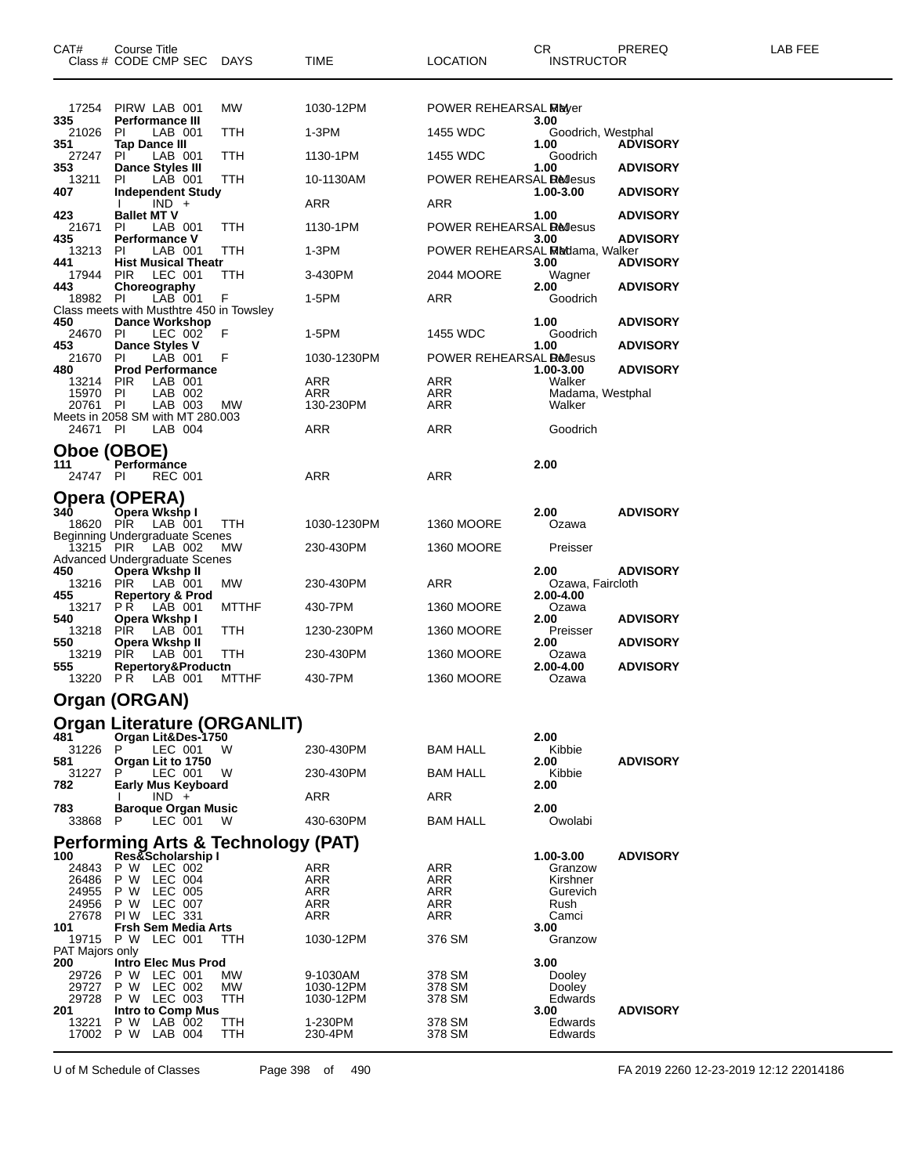| CAT#                           | Course Title<br>Class # CODE CMP SEC                                            | DAYS                                          | TIME                  | <b>LOCATION</b>                  | CR<br><b>INSTRUCTOR</b>    | PREREQ          | LAB FEE |
|--------------------------------|---------------------------------------------------------------------------------|-----------------------------------------------|-----------------------|----------------------------------|----------------------------|-----------------|---------|
| 17254                          | PIRW LAB 001                                                                    | <b>MW</b>                                     | 1030-12PM             | POWER REHEARSAL Mayer            |                            |                 |         |
| 335<br>21026                   | <b>Performance III</b><br>LAB 001<br>PI                                         | TTH                                           | 1-3PM                 | 1455 WDC                         | 3.00<br>Goodrich, Westphal |                 |         |
| 351<br>27247                   | Tap Dance III<br>PI.<br>LAB 001                                                 | TTH                                           | 1130-1PM              | 1455 WDC                         | 1.00<br>Goodrich           | <b>ADVISORY</b> |         |
| 353<br>13211                   | <b>Dance Styles III</b><br>LAB 001<br>PI.                                       | <b>TTH</b>                                    | 10-1130AM             | POWER REHEARSAL <b>Re</b> llesus | 1.00                       | <b>ADVISORY</b> |         |
| 407                            | <b>Independent Study</b><br>$IND +$                                             |                                               | ARR                   | ARR                              | 1.00-3.00                  | <b>ADVISORY</b> |         |
| 423<br>21671                   | <b>Ballet MT V</b><br>PI.<br>LAB 001                                            | TTH                                           | 1130-1PM              | POWER REHEARSAL <b>Redesus</b>   | 1.00                       | <b>ADVISORY</b> |         |
| 435<br>13213                   | <b>Performance V</b><br>LAB 001<br>-PI                                          | TTH                                           | 1-3PM                 | POWER REHEARSAL Madama, Walker   | 3.00                       | <b>ADVISORY</b> |         |
| 441                            | <b>Hist Musical Theatr</b><br>LEC 001                                           |                                               |                       |                                  | 3.00                       | <b>ADVISORY</b> |         |
| 17944<br>443                   | <b>PIR</b><br>Choreography                                                      | ттн                                           | 3-430PM               | 2044 MOORE                       | Wagner<br>2.00             | <b>ADVISORY</b> |         |
| 18982                          | LAB 001<br>PI.<br>Class meets with Musthtre 450 in Towsley                      | F                                             | 1-5PM                 | ARR                              | Goodrich                   |                 |         |
| 450<br>24670                   | <b>Dance Workshop</b><br>PI<br>LEC 002                                          | F                                             | 1-5PM                 | 1455 WDC                         | 1.00<br>Goodrich           | <b>ADVISORY</b> |         |
| 453<br>21670                   | Dance Styles V<br>LAB 001<br>PI.                                                | F                                             | 1030-1230PM           | POWER REHEARSAL <b>Bellesus</b>  | 1.00                       | <b>ADVISORY</b> |         |
| 480<br>13214                   | <b>Prod Performance</b><br>LAB 001<br><b>PIR</b>                                |                                               | ARR                   | ARR                              | 1.00-3.00<br>Walker        | <b>ADVISORY</b> |         |
| 15970<br>20761                 | PI<br>LAB 002<br>PI<br>LAB 003                                                  | MW                                            | ARR<br>130-230PM      | ARR<br>ARR                       | Madama, Westphal<br>Walker |                 |         |
|                                | Meets in 2058 SM with MT 280.003                                                |                                               |                       |                                  |                            |                 |         |
| 24671 PI                       | LAB 004                                                                         |                                               | <b>ARR</b>            | ARR                              | Goodrich                   |                 |         |
| Oboe (OBOE)<br>111<br>24747 PI | Performance<br><b>REC 001</b>                                                   |                                               | <b>ARR</b>            | ARR                              | 2.00                       |                 |         |
| 340<br>18620                   | Opera (OPERA)<br>Opera Wkshp I<br>LAB 001<br>PIR                                | TTH                                           | 1030-1230PM           | <b>1360 MOORE</b>                | 2.00<br>Ozawa              | <b>ADVISORY</b> |         |
|                                | <b>Beginning Undergraduate Scenes</b><br>13215 PIR LAB 002                      | МW                                            | 230-430PM             | <b>1360 MOORE</b>                | Preisser                   |                 |         |
| 450<br>13216                   | <b>Advanced Undergraduate Scenes</b><br>Opera Wkshp II<br>LAB 001<br><b>PIR</b> | МW                                            | 230-430PM             | ARR                              | 2.00<br>Ozawa, Faircloth   | <b>ADVISORY</b> |         |
| 455<br>13217                   | <b>Repertory &amp; Prod</b><br>LAB 001<br>PR                                    | <b>MTTHF</b>                                  | 430-7PM               | <b>1360 MOORE</b>                | 2.00-4.00<br>Ozawa         |                 |         |
| 540<br>13218                   | Opera Wkshp I<br>LAB 001<br><b>PIR</b>                                          | TTH                                           | 1230-230PM            | <b>1360 MOORE</b>                | 2.00<br>Preisser           | <b>ADVISORY</b> |         |
| 550<br>13219                   | Opera Wkshp II<br>LAB 001<br><b>PIR</b>                                         | TTH                                           | 230-430PM             | 1360 MOORE                       | 2.00<br>Ozawa              | <b>ADVISORY</b> |         |
| 555                            | Repertory&Productn<br>13220 PR LAB 001                                          | <b>MTTHF</b>                                  | 430-7PM               | <b>1360 MOORE</b>                | 2.00-4.00<br>Ozawa         | <b>ADVISORY</b> |         |
|                                | Organ (ORGAN)                                                                   |                                               |                       |                                  |                            |                 |         |
|                                |                                                                                 | Organ Literature (ORGANLIT)                   |                       |                                  |                            |                 |         |
| 481                            | Organ Lit&Des-1750                                                              |                                               |                       |                                  | 2.00                       |                 |         |
| 31226 P<br>581                 | LEC 001 W<br>Organ Lit to 1750                                                  |                                               | 230-430PM             | <b>BAM HALL</b>                  | Kibbie<br>2.00             | <b>ADVISORY</b> |         |
| 31227<br>782                   | LEC 001<br>P<br>Early Mus Keyboard                                              | W                                             | 230-430PM             | <b>BAM HALL</b>                  | Kibbie<br>2.00             |                 |         |
| 783                            | $IND +$<br><b>Baroque Organ Music</b>                                           |                                               | ARR                   | <b>ARR</b>                       | 2.00                       |                 |         |
| 33868                          | LEC 001<br>P                                                                    | W                                             | 430-630PM             | <b>BAM HALL</b>                  | Owolabi                    |                 |         |
| 100                            | Res&Scholarship I                                                               | <b>Performing Arts &amp; Technology (PAT)</b> |                       |                                  | 1.00-3.00                  | <b>ADVISORY</b> |         |
| 24843<br>26486                 | P W LEC 002<br>P W LEC 004                                                      |                                               | ARR<br>ARR            | ARR<br>ARR                       | Granzow<br>Kirshner        |                 |         |
| 24955                          | P W LEC 005                                                                     |                                               | <b>ARR</b>            | ARR                              | Gurevich                   |                 |         |
| 24956<br>27678                 | P W LEC 007<br><b>PIW LEC 331</b>                                               |                                               | ARR<br>ARR            | ARR<br>ARR                       | Rush<br>Camci              |                 |         |
| 101                            | <b>Frsh Sem Media Arts</b><br>19715 P W LEC 001                                 | TТH                                           | 1030-12PM             | 376 SM                           | 3.00<br>Granzow            |                 |         |
| PAT Majors only<br>200         | <b>Intro Elec Mus Prod</b>                                                      |                                               |                       |                                  | 3.00                       |                 |         |
| 29726<br>29727                 | P W LEC 001<br>P W LEC 002                                                      | МW<br>MW                                      | 9-1030AM<br>1030-12PM | 378 SM<br>378 SM                 | Dooley<br>Dooley           |                 |         |
| 29728                          | P W LEC 003                                                                     | ттн                                           | 1030-12PM             | 378 SM                           | Edwards                    |                 |         |
| 201<br>13221                   | Intro to Comp Mus<br>P W LAB 002<br>17002 P W LAB 004                           | TTH<br>TTH                                    | 1-230PM<br>230-4PM    | 378 SM<br>378 SM                 | 3.00<br>Edwards<br>Edwards | <b>ADVISORY</b> |         |

U of M Schedule of Classes Page 398 of 490 FA 2019 2260 12-23-2019 12:12 22014186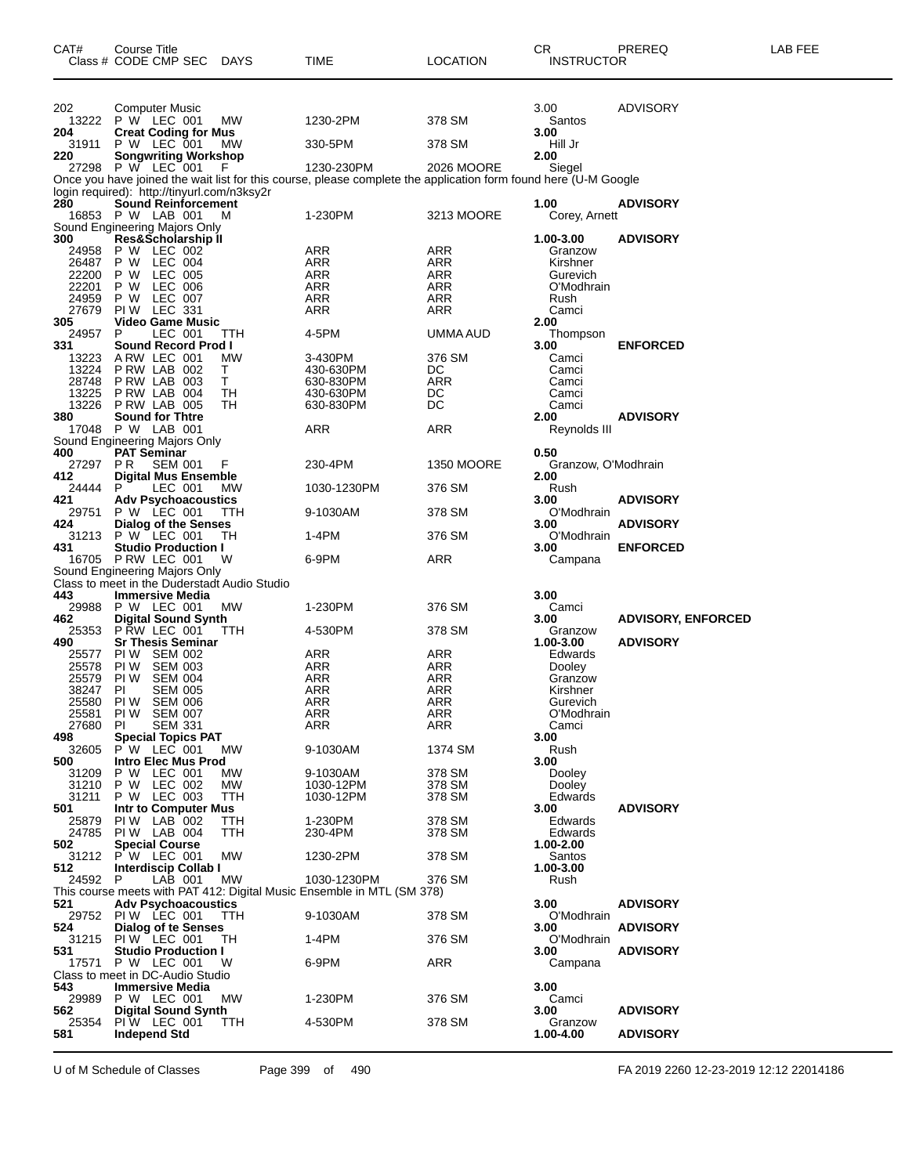| CAT#           | Course Title<br>Class # CODE CMP SEC DAYS                                 |                 | TIME                                                                                                            | <b>LOCATION</b>   | CR<br><b>INSTRUCTOR</b> | PREREQ                    | LAB FEE |
|----------------|---------------------------------------------------------------------------|-----------------|-----------------------------------------------------------------------------------------------------------------|-------------------|-------------------------|---------------------------|---------|
| 202<br>13222   | <b>Computer Music</b><br>P W LEC 001                                      | МW              | 1230-2PM                                                                                                        | 378 SM            | 3.00<br>Santos          | <b>ADVISORY</b>           |         |
| 204            | <b>Creat Coding for Mus</b>                                               |                 |                                                                                                                 |                   | 3.00                    |                           |         |
| 31911          | P W LEC 001                                                               | <b>MW</b>       | 330-5PM                                                                                                         | 378 SM            | Hill Jr                 |                           |         |
| 220            | <b>Songwriting Workshop</b><br>27298 P W LEC 001                          | -F              | 1230-230PM                                                                                                      | 2026 MOORE        | 2.00<br>Siegel          |                           |         |
|                |                                                                           |                 | Once you have joined the wait list for this course, please complete the application form found here (U-M Google |                   |                         |                           |         |
| 280            | login required): http://tinyurl.com/n3ksy2r<br><b>Sound Reinforcement</b> |                 |                                                                                                                 |                   | 1.00                    | <b>ADVISORY</b>           |         |
|                | 16853 P W LAB 001                                                         | м               | 1-230PM                                                                                                         | 3213 MOORE        | Corey, Arnett           |                           |         |
|                | Sound Engineering Majors Only<br>300 Res&Scholarship II                   |                 |                                                                                                                 |                   | 1.00-3.00               | <b>ADVISORY</b>           |         |
| 24958          | P W LEC 002                                                               |                 | ARR                                                                                                             | ARR               | Granzow                 |                           |         |
| 26487<br>22200 | LEC 004<br>P W<br>P W<br>LEC 005                                          |                 | ARR<br>ARR                                                                                                      | ARR<br>ARR        | Kirshner<br>Gurevich    |                           |         |
| 22201          | P W<br>LEC 006                                                            |                 | <b>ARR</b>                                                                                                      | <b>ARR</b>        | O'Modhrain              |                           |         |
| 24959          | LEC 007<br>P W                                                            |                 | ARR                                                                                                             | <b>ARR</b>        | Rush                    |                           |         |
| 27679<br>305   | PIW LEC 331<br><b>Video Game Music</b>                                    |                 | ARR                                                                                                             | <b>ARR</b>        | Camci<br>2.00           |                           |         |
| 24957          | LEC 001<br>P                                                              | ттн             | 4-5PM                                                                                                           | UMMA AUD          | Thompson                |                           |         |
| 331<br>13223   | Sound Record Prod I<br>ARW LEC 001                                        | МW              | 3-430PM                                                                                                         | 376 SM            | 3.00<br>Camci           | <b>ENFORCED</b>           |         |
| 13224          | P RW LAB 002                                                              | T.              | 430-630PM                                                                                                       | DC                | Camci                   |                           |         |
| 28748          | PRW LAB 003                                                               | Τ               | 630-830PM                                                                                                       | <b>ARR</b>        | Camci                   |                           |         |
| 13225<br>13226 | P RW LAB 004<br>P RW LAB 005                                              | TН<br>TН        | 430-630PM<br>630-830PM                                                                                          | DC<br>DC          | Camci<br>Camci          |                           |         |
| 380            | <b>Sound for Thtre</b>                                                    |                 |                                                                                                                 |                   | 2.00                    | <b>ADVISORY</b>           |         |
| 17048          | P W LAB 001<br>Sound Engineering Majors Only                              |                 | ARR                                                                                                             | ARR               | Reynolds III            |                           |         |
| 400            | <b>PAT Seminar</b>                                                        |                 |                                                                                                                 |                   | 0.50                    |                           |         |
| 27297          | PR.<br><b>SEM 001</b>                                                     | F               | 230-4PM                                                                                                         | <b>1350 MOORE</b> | Granzow, O'Modhrain     |                           |         |
| 412<br>24444   | <b>Digital Mus Ensemble</b><br>LEC 001<br>P                               | МW              | 1030-1230PM                                                                                                     | 376 SM            | 2.00<br>Rush            |                           |         |
| 421            | <b>Adv Psychoacoustics</b>                                                |                 |                                                                                                                 |                   | 3.00                    | <b>ADVISORY</b>           |         |
| 29751<br>424   | P W LEC 001<br><b>Dialog of the Senses</b>                                | TTH             | 9-1030AM                                                                                                        | 378 SM            | O'Modhrain<br>3.00      | <b>ADVISORY</b>           |         |
| 31213          | P W LEC 001                                                               | TН              | 1-4PM                                                                                                           | 376 SM            | O'Modhrain              |                           |         |
| 431            | <b>Studio Production I</b><br>16705 PRW LEC 001                           | W               | 6-9PM                                                                                                           | ARR               | 3.00<br>Campana         | <b>ENFORCED</b>           |         |
|                | Sound Engineering Majors Only                                             |                 |                                                                                                                 |                   |                         |                           |         |
| 443            | Class to meet in the Duderstadt Audio Studio<br><b>Immersive Media</b>    |                 |                                                                                                                 |                   | 3.00                    |                           |         |
| 29988          | P W LEC 001                                                               | МW              | 1-230PM                                                                                                         | 376 SM            | Camci                   |                           |         |
| 462<br>25353   | <b>Digital Sound Synth</b><br><b>P RW LEC 001</b>                         | ттн             | 4-530PM                                                                                                         | 378 SM            | 3.00<br>Granzow         | <b>ADVISORY, ENFORCED</b> |         |
| 490            | <b>Sr Thesis Seminar</b>                                                  |                 |                                                                                                                 |                   | 1.00-3.00               | <b>ADVISORY</b>           |         |
| 25577<br>25578 | PI W<br><b>SEM 002</b><br><b>SEM 003</b><br>PI W                          |                 | ARR<br><b>ARR</b>                                                                                               | ARR<br><b>ARR</b> | Edwards<br>Dooley       |                           |         |
| 25579          | <b>SEM 004</b><br>PI W                                                    |                 | <b>ARR</b>                                                                                                      | <b>ARR</b>        | Granzow                 |                           |         |
| 38247          | ΡI<br><b>SEM 005</b>                                                      |                 | ARR                                                                                                             | <b>ARR</b>        | Kirshner                |                           |         |
| 25580<br>25581 | PI W<br><b>SEM 006</b><br>PIW SEM 007                                     |                 | ARR<br><b>ARR</b>                                                                                               | ARR<br><b>ARR</b> | Gurevich<br>O'Modhrain  |                           |         |
| 27680          | PI<br><b>SEM 331</b>                                                      |                 | ARR                                                                                                             | ARR               | Camci                   |                           |         |
| 498<br>32605   | <b>Special Topics PAT</b><br>P W LEC 001                                  | MW.             | 9-1030AM                                                                                                        | 1374 SM           | 3.00<br>Rush            |                           |         |
| 500            | Intro Elec Mus Prod                                                       |                 |                                                                                                                 |                   | 3.00                    |                           |         |
| 31209<br>31210 | P W LEC 001<br>P W LEC 002                                                | МW<br><b>MW</b> | 9-1030AM<br>1030-12PM                                                                                           | 378 SM<br>378 SM  | Dooley<br>Dooley        |                           |         |
| 31211          | P W LEC 003                                                               | TTH             | 1030-12PM                                                                                                       | 378 SM            | Edwards                 |                           |         |
| 501            | Intr to Computer Mus                                                      |                 |                                                                                                                 |                   | 3.00                    | <b>ADVISORY</b>           |         |
| 25879<br>24785 | PIW LAB 002<br>PIW LAB 004                                                | TTH<br>TTH      | 1-230PM<br>230-4PM                                                                                              | 378 SM<br>378 SM  | Edwards<br>Edwards      |                           |         |
| 502            | <b>Special Course</b>                                                     |                 |                                                                                                                 |                   | 1.00-2.00               |                           |         |
| 31212<br>512   | P W LEC 001<br><b>Interdiscip Collab I</b>                                | МW              | 1230-2PM                                                                                                        | 378 SM            | Santos<br>1.00-3.00     |                           |         |
| 24592          | LAB 001<br>P                                                              | МW              | 1030-1230PM                                                                                                     | 376 SM            | Rush                    |                           |         |
| 521            | <b>Adv Psychoacoustics</b>                                                |                 | This course meets with PAT 412: Digital Music Ensemble in MTL (SM 378)                                          |                   | 3.00                    | <b>ADVISORY</b>           |         |
|                | 29752 PIW LEC 001                                                         | TTH             | 9-1030AM                                                                                                        | 378 SM            | O'Modhrain              |                           |         |
| 524<br>31215   | Dialog of te Senses<br>PIW LEC 001                                        | TН              | 1-4PM                                                                                                           | 376 SM            | 3.00<br>O'Modhrain      | <b>ADVISORY</b>           |         |
| 531            | <b>Studio Production I</b>                                                |                 |                                                                                                                 |                   | 3.00                    | <b>ADVISORY</b>           |         |
| 17571          | P W LEC 001                                                               | W               | 6-9PM                                                                                                           | <b>ARR</b>        | Campana                 |                           |         |
| 543            | Class to meet in DC-Audio Studio<br><b>Immersive Media</b>                |                 |                                                                                                                 |                   | 3.00                    |                           |         |
| 29989          | P W LEC 001                                                               | МW              | 1-230PM                                                                                                         | 376 SM            | Camci                   |                           |         |
| 562<br>25354   | <b>Digital Sound Synth</b><br>PIW LEC 001                                 | TTH             | 4-530PM                                                                                                         | 378 SM            | 3.00<br>Granzow         | <b>ADVISORY</b>           |         |
| 581            | <b>Independ Std</b>                                                       |                 |                                                                                                                 |                   | 1.00-4.00               | <b>ADVISORY</b>           |         |

U of M Schedule of Classes Page 399 of 490 FA 2019 2260 12-23-2019 12:12 22014186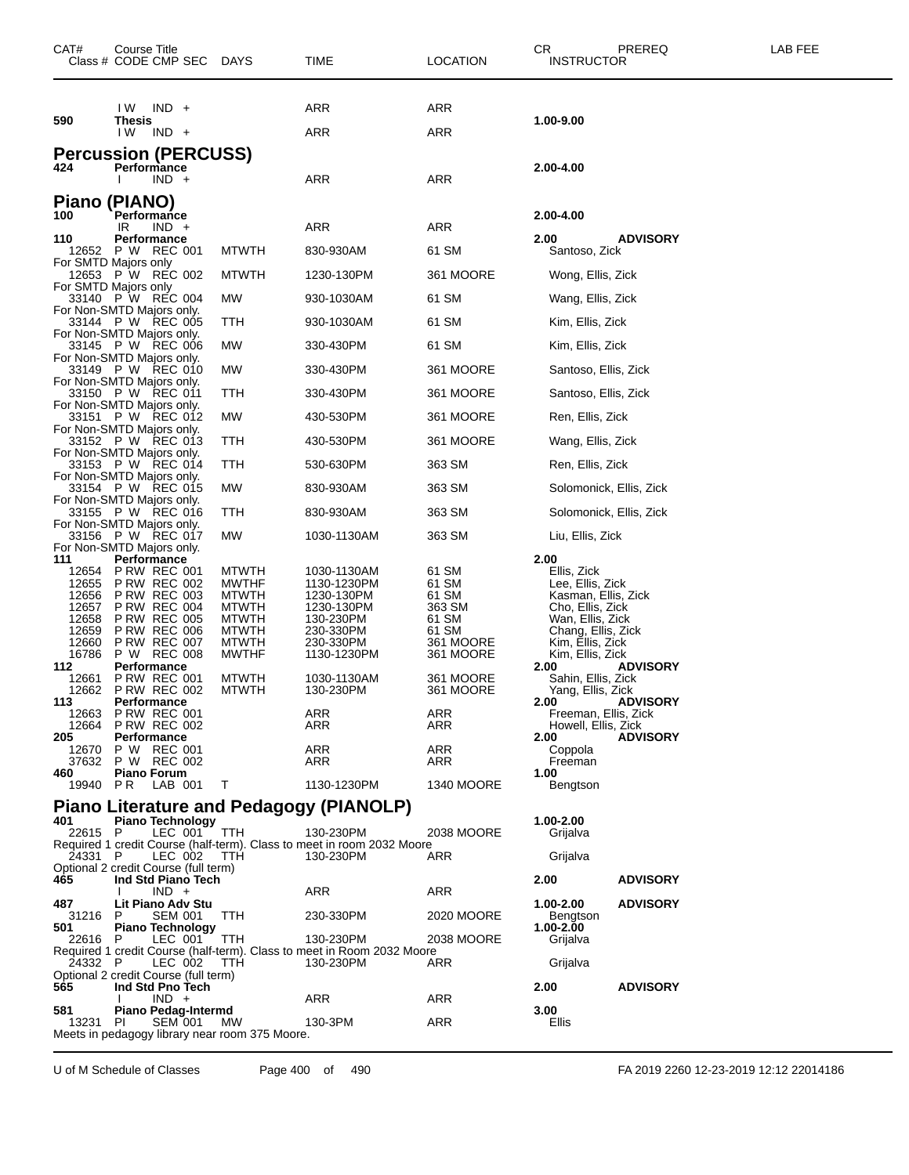| CAT#                                                                                                                                                                                                                        | Course Title<br>Class # CODE CMP SEC                                                                                                                                                                                                                                                                                                                                                                                                                                                                                                                                                                      | DAYS                                                                                                                                                                     | TIME                                                                                                                                                                                                                                                                                                                                                   | LOCATION                                                                                                                                                                                           | CR<br>PREREQ<br><b>INSTRUCTOR</b>                                                                                                                                                                                                                                                                                                                                                                                                                                                                                  | LAB FEE |
|-----------------------------------------------------------------------------------------------------------------------------------------------------------------------------------------------------------------------------|-----------------------------------------------------------------------------------------------------------------------------------------------------------------------------------------------------------------------------------------------------------------------------------------------------------------------------------------------------------------------------------------------------------------------------------------------------------------------------------------------------------------------------------------------------------------------------------------------------------|--------------------------------------------------------------------------------------------------------------------------------------------------------------------------|--------------------------------------------------------------------------------------------------------------------------------------------------------------------------------------------------------------------------------------------------------------------------------------------------------------------------------------------------------|----------------------------------------------------------------------------------------------------------------------------------------------------------------------------------------------------|--------------------------------------------------------------------------------------------------------------------------------------------------------------------------------------------------------------------------------------------------------------------------------------------------------------------------------------------------------------------------------------------------------------------------------------------------------------------------------------------------------------------|---------|
|                                                                                                                                                                                                                             | $IND +$<br>IW.                                                                                                                                                                                                                                                                                                                                                                                                                                                                                                                                                                                            |                                                                                                                                                                          | ARR                                                                                                                                                                                                                                                                                                                                                    | ARR                                                                                                                                                                                                |                                                                                                                                                                                                                                                                                                                                                                                                                                                                                                                    |         |
| 590                                                                                                                                                                                                                         | <b>Thesis</b><br>I W<br>$IND +$                                                                                                                                                                                                                                                                                                                                                                                                                                                                                                                                                                           |                                                                                                                                                                          | <b>ARR</b>                                                                                                                                                                                                                                                                                                                                             | ARR                                                                                                                                                                                                | 1.00-9.00                                                                                                                                                                                                                                                                                                                                                                                                                                                                                                          |         |
| 424                                                                                                                                                                                                                         | <b>Percussion (PERCUSS)</b><br>Performance<br>$IND +$                                                                                                                                                                                                                                                                                                                                                                                                                                                                                                                                                     |                                                                                                                                                                          | ARR                                                                                                                                                                                                                                                                                                                                                    | ARR                                                                                                                                                                                                | 2.00-4.00                                                                                                                                                                                                                                                                                                                                                                                                                                                                                                          |         |
| <b>Piano</b><br>100                                                                                                                                                                                                         | (PIANO)<br>Performance<br>$IND +$<br>IR                                                                                                                                                                                                                                                                                                                                                                                                                                                                                                                                                                   |                                                                                                                                                                          | ARR                                                                                                                                                                                                                                                                                                                                                    | ARR                                                                                                                                                                                                | 2.00-4.00                                                                                                                                                                                                                                                                                                                                                                                                                                                                                                          |         |
| 110                                                                                                                                                                                                                         | Performance<br>12652 P W REC 001                                                                                                                                                                                                                                                                                                                                                                                                                                                                                                                                                                          | <b>MTWTH</b>                                                                                                                                                             | 830-930AM                                                                                                                                                                                                                                                                                                                                              | 61 SM                                                                                                                                                                                              | 2.00<br><b>ADVISORY</b><br>Santoso, Zick                                                                                                                                                                                                                                                                                                                                                                                                                                                                           |         |
|                                                                                                                                                                                                                             | For SMTD Majors only<br>12653 P W REC 002                                                                                                                                                                                                                                                                                                                                                                                                                                                                                                                                                                 | <b>MTWTH</b>                                                                                                                                                             | 1230-130PM                                                                                                                                                                                                                                                                                                                                             | 361 MOORE                                                                                                                                                                                          | Wong, Ellis, Zick                                                                                                                                                                                                                                                                                                                                                                                                                                                                                                  |         |
|                                                                                                                                                                                                                             | For SMTD Majors only<br>33140 P W REC 004                                                                                                                                                                                                                                                                                                                                                                                                                                                                                                                                                                 | MW                                                                                                                                                                       | 930-1030AM                                                                                                                                                                                                                                                                                                                                             | 61 SM                                                                                                                                                                                              | Wang, Ellis, Zick                                                                                                                                                                                                                                                                                                                                                                                                                                                                                                  |         |
|                                                                                                                                                                                                                             | For Non-SMTD Majors only.                                                                                                                                                                                                                                                                                                                                                                                                                                                                                                                                                                                 |                                                                                                                                                                          |                                                                                                                                                                                                                                                                                                                                                        |                                                                                                                                                                                                    |                                                                                                                                                                                                                                                                                                                                                                                                                                                                                                                    |         |
|                                                                                                                                                                                                                             | 33144 P W REC 005<br>For Non-SMTD Majors only.                                                                                                                                                                                                                                                                                                                                                                                                                                                                                                                                                            | TTH                                                                                                                                                                      | 930-1030AM                                                                                                                                                                                                                                                                                                                                             | 61 SM                                                                                                                                                                                              | Kim, Ellis, Zick                                                                                                                                                                                                                                                                                                                                                                                                                                                                                                   |         |
|                                                                                                                                                                                                                             | 33145 P W REC 006<br>For Non-SMTD Majors only.                                                                                                                                                                                                                                                                                                                                                                                                                                                                                                                                                            | MW                                                                                                                                                                       | 330-430PM                                                                                                                                                                                                                                                                                                                                              | 61 SM                                                                                                                                                                                              | Kim, Ellis, Zick                                                                                                                                                                                                                                                                                                                                                                                                                                                                                                   |         |
|                                                                                                                                                                                                                             | 33149 P W REC 010<br>For Non-SMTD Majors only.                                                                                                                                                                                                                                                                                                                                                                                                                                                                                                                                                            | MW                                                                                                                                                                       | 330-430PM                                                                                                                                                                                                                                                                                                                                              | 361 MOORE                                                                                                                                                                                          | Santoso, Ellis, Zick                                                                                                                                                                                                                                                                                                                                                                                                                                                                                               |         |
|                                                                                                                                                                                                                             | 33150 P W REC 011<br>For Non-SMTD Majors only.                                                                                                                                                                                                                                                                                                                                                                                                                                                                                                                                                            | TTH                                                                                                                                                                      | 330-430PM                                                                                                                                                                                                                                                                                                                                              | 361 MOORE                                                                                                                                                                                          | Santoso, Ellis, Zick                                                                                                                                                                                                                                                                                                                                                                                                                                                                                               |         |
|                                                                                                                                                                                                                             | 33151 P W REC 012<br>For Non-SMTD Majors only.                                                                                                                                                                                                                                                                                                                                                                                                                                                                                                                                                            | MW                                                                                                                                                                       | 430-530PM                                                                                                                                                                                                                                                                                                                                              | 361 MOORE                                                                                                                                                                                          | Ren, Ellis, Zick                                                                                                                                                                                                                                                                                                                                                                                                                                                                                                   |         |
|                                                                                                                                                                                                                             | 33152 P W REC 013<br>For Non-SMTD Majors only.                                                                                                                                                                                                                                                                                                                                                                                                                                                                                                                                                            | TTH                                                                                                                                                                      | 430-530PM                                                                                                                                                                                                                                                                                                                                              | 361 MOORE                                                                                                                                                                                          | Wang, Ellis, Zick                                                                                                                                                                                                                                                                                                                                                                                                                                                                                                  |         |
|                                                                                                                                                                                                                             | 33153 P W REC 014                                                                                                                                                                                                                                                                                                                                                                                                                                                                                                                                                                                         | TTH                                                                                                                                                                      | 530-630PM                                                                                                                                                                                                                                                                                                                                              | 363 SM                                                                                                                                                                                             | Ren, Ellis, Zick                                                                                                                                                                                                                                                                                                                                                                                                                                                                                                   |         |
|                                                                                                                                                                                                                             | For Non-SMTD Majors only.<br>33154 P W REC 015                                                                                                                                                                                                                                                                                                                                                                                                                                                                                                                                                            | MW                                                                                                                                                                       | 830-930AM                                                                                                                                                                                                                                                                                                                                              | 363 SM                                                                                                                                                                                             | Solomonick, Ellis, Zick                                                                                                                                                                                                                                                                                                                                                                                                                                                                                            |         |
|                                                                                                                                                                                                                             | For Non-SMTD Majors only.<br>33155 P W REC 016                                                                                                                                                                                                                                                                                                                                                                                                                                                                                                                                                            | TTH                                                                                                                                                                      | 830-930AM                                                                                                                                                                                                                                                                                                                                              | 363 SM                                                                                                                                                                                             | Solomonick, Ellis, Zick                                                                                                                                                                                                                                                                                                                                                                                                                                                                                            |         |
|                                                                                                                                                                                                                             | For Non-SMTD Majors only.<br>33156 P W REC 017                                                                                                                                                                                                                                                                                                                                                                                                                                                                                                                                                            | МW                                                                                                                                                                       | 1030-1130AM                                                                                                                                                                                                                                                                                                                                            | 363 SM                                                                                                                                                                                             | Liu, Ellis, Zick                                                                                                                                                                                                                                                                                                                                                                                                                                                                                                   |         |
| 111<br>12654<br>12655<br>12656<br>12657<br>12658<br>12659<br>12660<br>16786<br>112<br>12661<br>12662<br>113<br>12664<br>205<br>12670<br>37632<br>460<br>19940 PR<br>401<br>22615 P<br>24331 P<br>465<br>487<br>31216<br>501 | Performance<br><b>P RW REC 001</b><br><b>P RW REC 002</b><br><b>P RW REC 003</b><br><b>P RW REC 004</b><br><b>P RW REC 005</b><br><b>P RW REC 006</b><br><b>P RW REC 007</b><br>P W REC 008<br>Performance<br><b>P RW REC 001</b><br><b>P RW REC 002</b><br>Performance<br>12663 P RW REC 001<br><b>P RW REC 002</b><br>Performance<br>P W REC 001<br>P W REC 002<br><b>Piano Forum</b><br>LAB 001<br><b>Piano Technology</b><br>LEC 001 TTH<br>LEC 002<br>Optional 2 credit Course (full term)<br>Ind Std Piano Tech<br>$IND +$<br>Lit Piano Adv Stu<br><b>SEM 001</b><br>- P<br><b>Piano Technology</b> | <b>MTWTH</b><br><b>MWTHF</b><br><b>MTWTH</b><br>MTWTH<br>MTWTH<br><b>MTWTH</b><br><b>MTWTH</b><br><b>MWTHF</b><br><b>MTWTH</b><br><b>MTWTH</b><br>T<br><b>TTH</b><br>TTH | 1030-1130AM<br>1130-1230PM<br>1230-130PM<br>1230-130PM<br>130-230PM<br>230-330PM<br>230-330PM<br>1130-1230PM<br>1030-1130AM<br>130-230PM<br>ARR<br>ARR<br>ARR<br>ARR<br>1130-1230PM<br>Piano Literature and Pedagogy (PIANOLP)<br>130-230PM<br>Required 1 credit Course (half-term). Class to meet in room 2032 Moore<br>130-230PM<br>ARR<br>230-330PM | 61 SM<br>61 SM<br>61 SM<br>363 SM<br>61 SM<br>61 SM<br>361 MOORE<br>361 MOORE<br>361 MOORE<br>361 MOORE<br>ARR<br>ARR<br>ARR<br>ARR<br><b>1340 MOORE</b><br>2038 MOORE<br>ARR<br>ARR<br>2020 MOORE | 2.00<br>Ellis, Zick<br>Lee, Ellis, Zick<br>Kasman, Ellis, Zick<br>Cho, Ellis, Zick<br>Wan, Ellis, Zick<br>Chang, Ellis, Zick<br>Kim, Ellis, Zick<br>Kim, Ellis, Zick<br>2.00<br><b>ADVISORY</b><br>Sahin, Ellis, Zick<br>Yang, Ellis, Zick<br>2.00<br><b>ADVISORY</b><br>Freeman, Ellis, Zick<br>Howell, Ellis, Zick<br><b>ADVISORY</b><br>2.00<br>Coppola<br>Freeman<br>1.00<br>Bengtson<br>1.00-2.00<br>Grijalva<br>Grijalva<br>2.00<br><b>ADVISORY</b><br>1.00-2.00<br><b>ADVISORY</b><br>Bengtson<br>1.00-2.00 |         |
| 22616 P<br>24332 P                                                                                                                                                                                                          | LEC 001<br>LEC 002                                                                                                                                                                                                                                                                                                                                                                                                                                                                                                                                                                                        | TTH<br>TTH                                                                                                                                                               | 130-230PM<br>Required 1 credit Course (half-term). Class to meet in Room 2032 Moore<br>130-230PM                                                                                                                                                                                                                                                       | 2038 MOORE<br>ARR                                                                                                                                                                                  | Grijalva<br>Grijalva                                                                                                                                                                                                                                                                                                                                                                                                                                                                                               |         |
| 565                                                                                                                                                                                                                         | Optional 2 credit Course (full term)<br>Ind Std Pno Tech                                                                                                                                                                                                                                                                                                                                                                                                                                                                                                                                                  |                                                                                                                                                                          |                                                                                                                                                                                                                                                                                                                                                        |                                                                                                                                                                                                    | 2.00<br><b>ADVISORY</b>                                                                                                                                                                                                                                                                                                                                                                                                                                                                                            |         |
| 581                                                                                                                                                                                                                         | $IND +$<br><b>Piano Pedag-Intermd</b>                                                                                                                                                                                                                                                                                                                                                                                                                                                                                                                                                                     |                                                                                                                                                                          | ARR                                                                                                                                                                                                                                                                                                                                                    | ARR                                                                                                                                                                                                | 3.00                                                                                                                                                                                                                                                                                                                                                                                                                                                                                                               |         |
| 13231                                                                                                                                                                                                                       | <b>SEM 001</b><br>-PI<br>Meets in pedagogy library near room 375 Moore.                                                                                                                                                                                                                                                                                                                                                                                                                                                                                                                                   | МW                                                                                                                                                                       | 130-3PM                                                                                                                                                                                                                                                                                                                                                | ARR                                                                                                                                                                                                | Ellis                                                                                                                                                                                                                                                                                                                                                                                                                                                                                                              |         |

U of M Schedule of Classes Page 400 of 490 FA 2019 2260 12-23-2019 12:12 22014186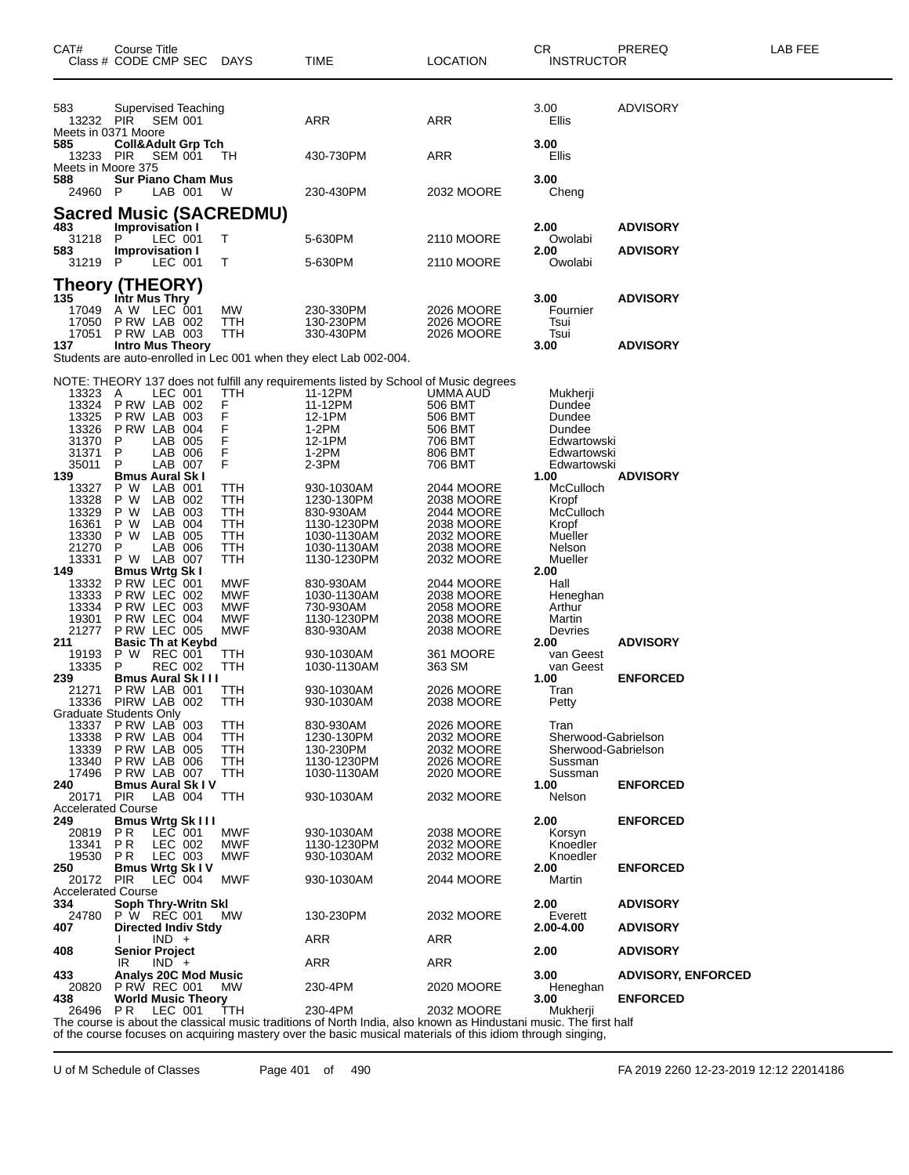| CAT#                                                                      | Course Title<br>Class # CODE CMP SEC                                                                                                                               | DAYS                                                               | TIME                                                                                                                                                        | <b>LOCATION</b>                                                                                | CR.<br><b>INSTRUCTOR</b>                                                                 | PREREQ                    | LAB FEE |
|---------------------------------------------------------------------------|--------------------------------------------------------------------------------------------------------------------------------------------------------------------|--------------------------------------------------------------------|-------------------------------------------------------------------------------------------------------------------------------------------------------------|------------------------------------------------------------------------------------------------|------------------------------------------------------------------------------------------|---------------------------|---------|
| 583<br>13232 PIR                                                          | Supervised Teaching<br>SEM 001<br>Meets in 0371 Moore                                                                                                              |                                                                    | <b>ARR</b>                                                                                                                                                  | ARR                                                                                            | 3.00<br>Ellis                                                                            | ADVISORY                  |         |
| 585<br>13233<br>Meets in Moore 375                                        | <b>Coll&amp;Adult Grp Tch</b><br>PIR<br>SEM 001                                                                                                                    | -TH                                                                | 430-730PM                                                                                                                                                   | ARR                                                                                            | 3.00<br>Ellis                                                                            |                           |         |
| 588<br>24960                                                              | <b>Sur Piano Cham Mus</b><br>LAB 001<br>- P                                                                                                                        | w                                                                  | 230-430PM                                                                                                                                                   | 2032 MOORE                                                                                     | 3.00<br>Cheng                                                                            |                           |         |
|                                                                           | <b>Sacred Music (SACREDMU)</b>                                                                                                                                     |                                                                    |                                                                                                                                                             |                                                                                                |                                                                                          |                           |         |
| 483<br>31218 P                                                            | Improvisation I<br>LEC 001                                                                                                                                         | Τ                                                                  | 5-630PM                                                                                                                                                     | 2110 MOORE                                                                                     | 2.00<br>Owolabi                                                                          | <b>ADVISORY</b>           |         |
| 583                                                                       | <b>Improvisation I</b>                                                                                                                                             |                                                                    |                                                                                                                                                             |                                                                                                | 2.00                                                                                     | <b>ADVISORY</b>           |         |
| 31219 P                                                                   | LEC 001                                                                                                                                                            | Т                                                                  | 5-630PM                                                                                                                                                     | 2110 MOORE                                                                                     | Owolabi                                                                                  |                           |         |
| 135<br>17049                                                              | <b>Theory (THEORY)</b><br>Intr Mus Thry<br>A W LEC 001                                                                                                             | MW                                                                 | 230-330PM                                                                                                                                                   | 2026 MOORE                                                                                     | 3.00<br>Fournier                                                                         | <b>ADVISORY</b>           |         |
| 17050<br>17051                                                            | P RW LAB 002<br>PRW LAB 003                                                                                                                                        | TTH<br>TTH                                                         | 130-230PM<br>330-430PM                                                                                                                                      | 2026 MOORE<br>2026 MOORE                                                                       | Tsui<br>Tsui                                                                             |                           |         |
| 137                                                                       | <b>Intro Mus Theory</b>                                                                                                                                            |                                                                    | Students are auto-enrolled in Lec 001 when they elect Lab 002-004.                                                                                          |                                                                                                | 3.00                                                                                     | <b>ADVISORY</b>           |         |
|                                                                           |                                                                                                                                                                    |                                                                    |                                                                                                                                                             |                                                                                                |                                                                                          |                           |         |
| 13323<br>13324<br>13325<br>13326<br>31370<br>31371<br>35011               | A<br>LEC 001<br>P RW LAB 002<br><b>P RW LAB 003</b><br>PRW LAB 004<br>LAB 005<br>P<br>P<br>LAB 006<br>LAB 007<br>P                                                 | TTH<br>F<br>F<br>$_{F}^{F}$<br>F<br>F                              | NOTE: THEORY 137 does not fulfill any requirements listed by School of Music degrees<br>11-12PM<br>11-12PM<br>12-1PM<br>1-2PM<br>12-1PM<br>1-2PM<br>$2-3PM$ | UMMA AUD<br>506 BMT<br>506 BMT<br>506 BMT<br>706 BMT<br>806 BMT<br>706 BMT                     | Mukherji<br>Dundee<br>Dundee<br>Dundee<br>Edwartowski<br>Edwartowski<br>Edwartowski      |                           |         |
| 139<br>13327<br>13328<br>13329<br>16361<br>13330<br>21270<br>13331<br>149 | <b>Bmus Aural Sk I</b><br>P W LAB 001<br>LAB 002<br>P W<br>LAB 003<br>P W<br>LAB 004<br>P W<br>P W LAB 005<br>P<br>LAB 006<br>P W LAB 007<br><b>Bmus Wrtg Sk I</b> | TTH<br>TTH<br>TTH<br>TTH<br>TTH<br>TTH<br>TTH                      | 930-1030AM<br>1230-130PM<br>830-930AM<br>1130-1230PM<br>1030-1130AM<br>1030-1130AM<br>1130-1230PM                                                           | 2044 MOORE<br>2038 MOORE<br>2044 MOORE<br>2038 MOORE<br>2032 MOORE<br>2038 MOORE<br>2032 MOORE | 1.00<br>McCulloch<br>Kropf<br>McCulloch<br>Kropf<br>Mueller<br>Nelson<br>Mueller<br>2.00 | <b>ADVISORY</b>           |         |
| 13332<br>13333<br>13334<br>19301<br>21277<br>211<br>19193                 | PRW LEC 001<br>P RW LEC 002<br>P RW LEC 003<br>P RW LEC 004<br><b>P RW LEC 005</b><br><b>Basic Th at Keybd</b><br><b>REC 001</b><br>P W                            | MWF<br><b>MWF</b><br><b>MWF</b><br><b>MWF</b><br><b>MWF</b><br>TTH | 830-930AM<br>1030-1130AM<br>730-930AM<br>1130-1230PM<br>830-930AM<br>930-1030AM                                                                             | 2044 MOORE<br>2038 MOORE<br>2058 MOORE<br>2038 MOORE<br>2038 MOORE<br>361 MOORE                | Hall<br>Heneghan<br>Arthur<br>Martin<br>Devries<br>2.00<br>van Geest                     | <b>ADVISORY</b>           |         |
| 13335<br>239<br>21271<br>13336                                            | P<br><b>REC 002</b><br><b>Bmus Aural Sk III</b><br>PRW LAB 001<br>PIRW LAB 002                                                                                     | ттн<br>TTH<br>TTH                                                  | 1030-1130AM<br>930-1030AM<br>930-1030AM                                                                                                                     | 363 SM<br>2026 MOORE<br>2038 MOORE                                                             | van Geest<br>1.00<br>Tran<br>Petty                                                       | <b>ENFORCED</b>           |         |
| 13337<br>13338<br>13339<br>13340<br>17496                                 | Graduate Students Only<br>PRW LAB 003<br>PRW LAB 004<br>P RW LAB 005<br>P RW LAB 006<br>PRW LAB 007                                                                | TTH<br>ттн<br>TTH<br>TTH<br>TTH                                    | 830-930AM<br>1230-130PM<br>130-230PM<br>1130-1230PM<br>1030-1130AM                                                                                          | 2026 MOORE<br>2032 MOORE<br>2032 MOORE<br>2026 MOORE<br>2020 MOORE                             | Tran<br>Sherwood-Gabrielson<br>Sherwood-Gabrielson<br>Sussman<br>Sussman                 |                           |         |
| 240<br>20171                                                              | <b>Bmus Aural Sk IV</b><br>PIR<br>LAB 004                                                                                                                          | TTH                                                                | 930-1030AM                                                                                                                                                  | 2032 MOORE                                                                                     | 1.00<br>Nelson                                                                           | <b>ENFORCED</b>           |         |
| <b>Accelerated Course</b>                                                 |                                                                                                                                                                    |                                                                    |                                                                                                                                                             |                                                                                                |                                                                                          |                           |         |
| 249<br>20819<br>13341<br>19530                                            | <b>Bmus Wrtg Sk III</b><br><b>PR</b><br>$LEC$ 001<br>P R<br>LEC 002<br>LEC 003<br>PR                                                                               | MWF<br>MWF<br><b>MWF</b>                                           | 930-1030AM<br>1130-1230PM<br>930-1030AM                                                                                                                     | 2038 MOORE<br>2032 MOORE<br>2032 MOORE                                                         | 2.00<br>Korsyn<br>Knoedler<br>Knoedler                                                   | <b>ENFORCED</b>           |         |
| 250<br>20172 PIR                                                          | <b>Bmus Wrtg Sk IV</b><br>$LEC$ 004                                                                                                                                | <b>MWF</b>                                                         | 930-1030AM                                                                                                                                                  | 2044 MOORE                                                                                     | 2.00<br>Martin                                                                           | <b>ENFORCED</b>           |         |
| <b>Accelerated Course</b><br>334                                          | Soph Thry-Writn Skl                                                                                                                                                |                                                                    |                                                                                                                                                             |                                                                                                | 2.00                                                                                     | <b>ADVISORY</b>           |         |
| 24780                                                                     | P W REC 001                                                                                                                                                        | МW                                                                 | 130-230PM                                                                                                                                                   | 2032 MOORE                                                                                     | Everett                                                                                  |                           |         |
| 407                                                                       | <b>Directed Indiv Stdy</b><br>$IND +$                                                                                                                              |                                                                    | ARR                                                                                                                                                         | ARR                                                                                            | 2.00-4.00                                                                                | <b>ADVISORY</b>           |         |
| 408                                                                       | <b>Senior Project</b><br>$IND +$<br>IR                                                                                                                             |                                                                    | ARR                                                                                                                                                         | ARR                                                                                            | 2.00                                                                                     | <b>ADVISORY</b>           |         |
| 433                                                                       | <b>Analys 20C Mod Music</b>                                                                                                                                        |                                                                    |                                                                                                                                                             |                                                                                                | 3.00                                                                                     | <b>ADVISORY, ENFORCED</b> |         |
| 20820<br>438                                                              | <b>P RW REC 001</b><br><b>World Music Theory</b>                                                                                                                   | МW                                                                 | 230-4PM                                                                                                                                                     | 2020 MOORE                                                                                     | Heneghan<br>3.00                                                                         | <b>ENFORCED</b>           |         |
| 26496                                                                     | PR.<br>LEC 001                                                                                                                                                     | TTH                                                                | 230-4PM<br>The course is about the classical music traditions of North India, also known as Hindustani music. The first half                                | 2032 MOORE                                                                                     | Mukherji                                                                                 |                           |         |

of the course focuses on acquiring mastery over the basic musical materials of this idiom through singing,

U of M Schedule of Classes Page 401 of 490 FA 2019 2260 12-23-2019 12:12 22014186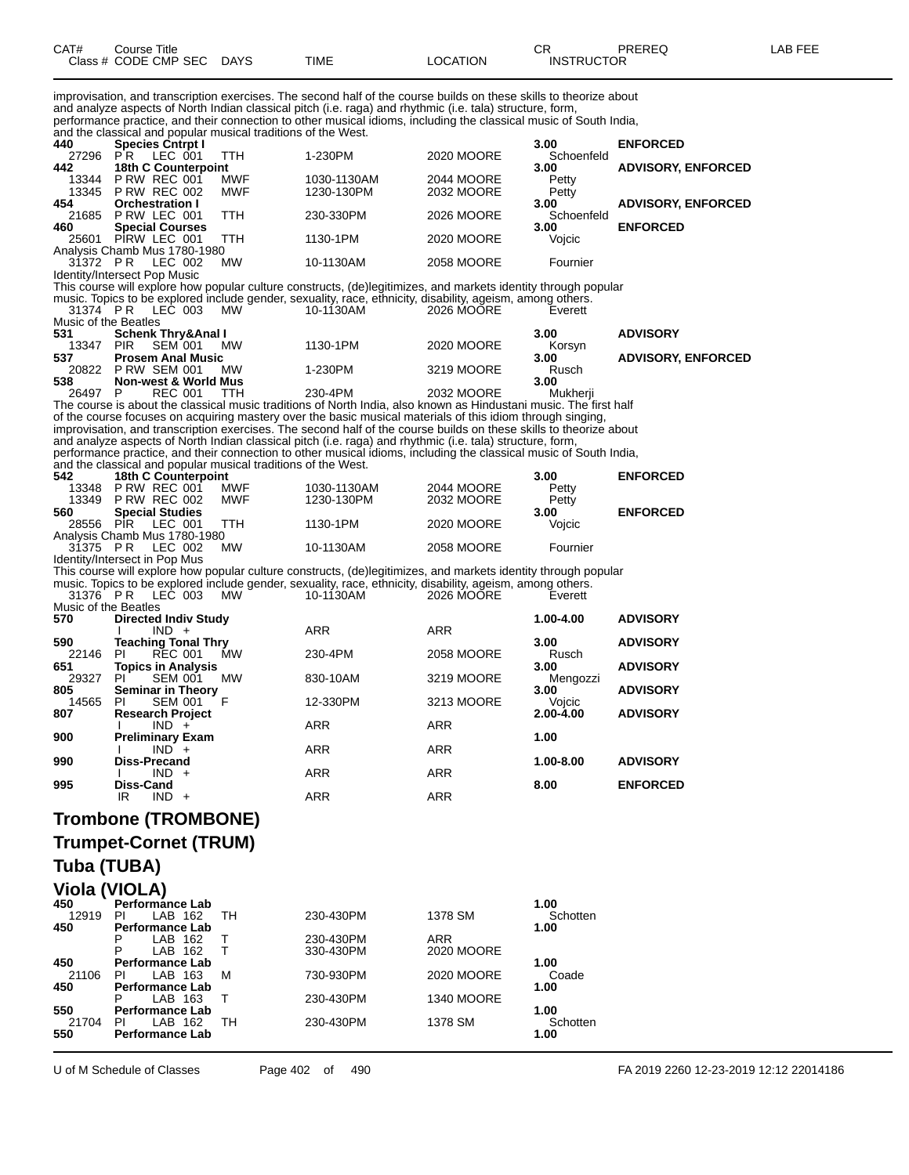| CAT# | Course Title              |             |          | rπ<br>◡⊓          | PREREQ | LAB FEE |
|------|---------------------------|-------------|----------|-------------------|--------|---------|
|      | Class # CODE CMP SEC DAYS | <b>TIME</b> | LOCATION | <b>INSTRUCTOR</b> |        |         |

improvisation, and transcription exercises. The second half of the course builds on these skills to theorize about and analyze aspects of North Indian classical pitch (i.e. raga) and rhythmic (i.e. tala) structure, form, performance practice, and their connection to other musical idioms, including the classical music of South India,

| 440                              | and the classical and popular musical traditions of the West.<br><b>Species Cntrpt I</b> |                          |                                                                                                                                                                                                                                |                          | 3.00                | <b>ENFORCED</b>           |
|----------------------------------|------------------------------------------------------------------------------------------|--------------------------|--------------------------------------------------------------------------------------------------------------------------------------------------------------------------------------------------------------------------------|--------------------------|---------------------|---------------------------|
| 27296                            | LEC 001<br>P <sub>R</sub>                                                                | TTH                      | 1-230PM                                                                                                                                                                                                                        | 2020 MOORE               | Schoenfeld          |                           |
| 442                              | 18th C Counterpoint                                                                      |                          |                                                                                                                                                                                                                                |                          | 3.00                | <b>ADVISORY, ENFORCED</b> |
| 13344                            | PRW REC 001<br>13345 P RW REC 002                                                        | <b>MWF</b><br><b>MWF</b> | 1030-1130AM<br>1230-130PM                                                                                                                                                                                                      | 2044 MOORE<br>2032 MOORE | Petty<br>Petty      |                           |
| 454                              | <b>Orchestration I</b>                                                                   |                          |                                                                                                                                                                                                                                |                          | 3.00                | <b>ADVISORY, ENFORCED</b> |
| 21685                            | PRW LEC 001                                                                              | <b>TTH</b>               | 230-330PM                                                                                                                                                                                                                      | 2026 MOORE               | Schoenfeld          |                           |
| 460                              | <b>Special Courses</b><br>25601 PIRW LEC 001                                             | TTH                      | 1130-1PM                                                                                                                                                                                                                       | 2020 MOORE               | 3.00<br>Vojcic      | <b>ENFORCED</b>           |
|                                  | Analysis Chamb Mus 1780-1980                                                             |                          |                                                                                                                                                                                                                                |                          |                     |                           |
| 31372 PR                         | LEC 002<br>Identity/Intersect Pop Music                                                  | MW                       | 10-1130AM                                                                                                                                                                                                                      | <b>2058 MOORE</b>        | Fournier            |                           |
|                                  |                                                                                          |                          | This course will explore how popular culture constructs, (de)legitimizes, and markets identity through popular                                                                                                                 |                          |                     |                           |
|                                  |                                                                                          |                          | music. Topics to be explored include gender, sexuality, race, ethnicity, disability, ageism, among others.                                                                                                                     |                          |                     |                           |
| 31374 PR<br>Music of the Beatles | LEC 003                                                                                  | MW                       | 10-1130AM                                                                                                                                                                                                                      | 2026 MOORE               | Everett             |                           |
| 531                              | <b>Schenk Thry&amp;Anal I</b>                                                            |                          |                                                                                                                                                                                                                                |                          | 3.00                | <b>ADVISORY</b>           |
| 13347<br>537                     | <b>PIR</b><br><b>SEM 001</b><br><b>Prosem Anal Music</b>                                 | <b>MW</b>                | 1130-1PM                                                                                                                                                                                                                       | 2020 MOORE               | Korsyn<br>3.00      |                           |
| 20822                            | <b>PRW SEM 001</b>                                                                       | MW                       | 1-230PM                                                                                                                                                                                                                        | 3219 MOORE               | Rusch               | <b>ADVISORY, ENFORCED</b> |
| 538                              | <b>Non-west &amp; World Mus</b>                                                          |                          |                                                                                                                                                                                                                                |                          | 3.00                |                           |
| 26497 P                          | <b>REC 001</b>                                                                           | <b>TTH</b>               | 230-4PM<br>The course is about the classical music traditions of North India, also known as Hindustani music. The first half                                                                                                   | 2032 MOORE               | Mukherji            |                           |
|                                  |                                                                                          |                          | of the course focuses on acquiring mastery over the basic musical materials of this idiom through singing,                                                                                                                     |                          |                     |                           |
|                                  |                                                                                          |                          | improvisation, and transcription exercises. The second half of the course builds on these skills to theorize about                                                                                                             |                          |                     |                           |
|                                  |                                                                                          |                          | and analyze aspects of North Indian classical pitch (i.e. raga) and rhythmic (i.e. tala) structure, form,<br>performance practice, and their connection to other musical idioms, including the classical music of South India, |                          |                     |                           |
|                                  | and the classical and popular musical traditions of the West.                            |                          |                                                                                                                                                                                                                                |                          |                     |                           |
| 542                              | 18th C Counterpoint<br>13348 P RW REC 001                                                | <b>MWF</b>               |                                                                                                                                                                                                                                | 2044 MOORE               | 3.00                | <b>ENFORCED</b>           |
|                                  | 13349 P RW REC 002                                                                       | <b>MWF</b>               | 1030-1130AM<br>1230-130PM                                                                                                                                                                                                      | 2032 MOORE               | Petty<br>Petty      |                           |
| 560                              | <b>Special Studies</b>                                                                   |                          |                                                                                                                                                                                                                                |                          | 3.00                | <b>ENFORCED</b>           |
| 28556 PİR                        | LEC 001<br>Analysis Chamb Mus 1780-1980                                                  | TTH                      | 1130-1PM                                                                                                                                                                                                                       | 2020 MOORE               | Vojcic              |                           |
| 31375 PR                         | LEC 002                                                                                  | МW                       | 10-1130AM                                                                                                                                                                                                                      | 2058 MOORE               | Fournier            |                           |
|                                  | Identity/Intersect in Pop Mus                                                            |                          |                                                                                                                                                                                                                                |                          |                     |                           |
|                                  |                                                                                          |                          | This course will explore how popular culture constructs, (de)legitimizes, and markets identity through popular<br>music. Topics to be explored include gender, sexuality, race, ethnicity, disability, ageism, among others.   |                          |                     |                           |
| 31376 PR                         | LEC 003                                                                                  | MW                       | 10-1130AM                                                                                                                                                                                                                      | 2026 MOORE               | Everett             |                           |
| Music of the Beatles<br>570      |                                                                                          |                          |                                                                                                                                                                                                                                |                          | 1.00-4.00           | <b>ADVISORY</b>           |
|                                  | <b>Directed Indiv Study</b><br>$IND +$                                                   |                          | ARR                                                                                                                                                                                                                            | <b>ARR</b>               |                     |                           |
| 590                              | <b>Teaching Tonal Thry</b>                                                               |                          |                                                                                                                                                                                                                                |                          | 3.00                | <b>ADVISORY</b>           |
| 22146<br>651                     | PI<br><b>REC 001</b><br><b>Topics in Analysis</b>                                        | MW                       | 230-4PM                                                                                                                                                                                                                        | 2058 MOORE               | Rusch<br>3.00       | <b>ADVISORY</b>           |
| 29327                            | PI.<br><b>SEM 001</b>                                                                    | MW                       | 830-10AM                                                                                                                                                                                                                       | 3219 MOORE               | Mengozzi            |                           |
| 805<br>14565                     | <b>Seminar in Theory</b><br>PI.                                                          | F                        | 12-330PM                                                                                                                                                                                                                       | 3213 MOORE               | 3.00                | <b>ADVISORY</b>           |
| 807                              | <b>SEM 001</b><br><b>Research Project</b>                                                |                          |                                                                                                                                                                                                                                |                          | Vojcic<br>2.00-4.00 | <b>ADVISORY</b>           |
|                                  | $IND +$                                                                                  |                          | <b>ARR</b>                                                                                                                                                                                                                     | ARR                      |                     |                           |
| 900                              | <b>Preliminary Exam</b><br>$IND +$                                                       |                          | ARR                                                                                                                                                                                                                            | ARR                      | 1.00                |                           |
| 990                              | Diss-Precand                                                                             |                          |                                                                                                                                                                                                                                |                          | 1.00-8.00           | <b>ADVISORY</b>           |
|                                  | $IND +$                                                                                  |                          | <b>ARR</b>                                                                                                                                                                                                                     | ARR                      |                     |                           |
| 995                              | Diss-Cand<br>IR<br>$IND +$                                                               |                          | ARR                                                                                                                                                                                                                            | ARR                      | 8.00                | <b>ENFORCED</b>           |
|                                  |                                                                                          |                          |                                                                                                                                                                                                                                |                          |                     |                           |
|                                  | <b>Trombone (TROMBONE)</b>                                                               |                          |                                                                                                                                                                                                                                |                          |                     |                           |
|                                  | <b>Trumpet-Cornet (TRUM)</b>                                                             |                          |                                                                                                                                                                                                                                |                          |                     |                           |
| Tuba (TUBA)                      |                                                                                          |                          |                                                                                                                                                                                                                                |                          |                     |                           |
|                                  |                                                                                          |                          |                                                                                                                                                                                                                                |                          |                     |                           |
|                                  | Viola (VIOLA)                                                                            |                          |                                                                                                                                                                                                                                |                          |                     |                           |
| 450<br>12919                     | Performance Lab<br>PI<br>LAB 162                                                         | TН                       | 230-430PM                                                                                                                                                                                                                      | 1378 SM                  | 1.00<br>Schotten    |                           |
| 450                              | <b>Performance Lab</b>                                                                   |                          |                                                                                                                                                                                                                                |                          | 1.00                |                           |
|                                  | P<br>LAB 162                                                                             | т                        | 230-430PM                                                                                                                                                                                                                      | ARR                      |                     |                           |
| 450                              | P<br>LAB 162<br><b>Performance Lab</b>                                                   | т                        | 330-430PM                                                                                                                                                                                                                      | 2020 MOORE               | 1.00                |                           |
| 21106                            | <b>PI</b><br>LAB 163                                                                     | М                        | 730-930PM                                                                                                                                                                                                                      | 2020 MOORE               | Coade               |                           |
| 450                              | Performance Lab<br>LAB 163                                                               | т                        | 230-430PM                                                                                                                                                                                                                      | <b>1340 MOORE</b>        | 1.00                |                           |
| 550                              | Performance Lab                                                                          |                          |                                                                                                                                                                                                                                |                          | 1.00                |                           |
| 21704                            | ΡI<br>LAB 162                                                                            | TН                       | 230-430PM                                                                                                                                                                                                                      | 1378 SM                  | Schotten            |                           |
| 550                              | <b>Performance Lab</b>                                                                   |                          |                                                                                                                                                                                                                                |                          | 1.00                |                           |

U of M Schedule of Classes Page 402 of 490 FA 2019 2260 12-23-2019 12:12 22014186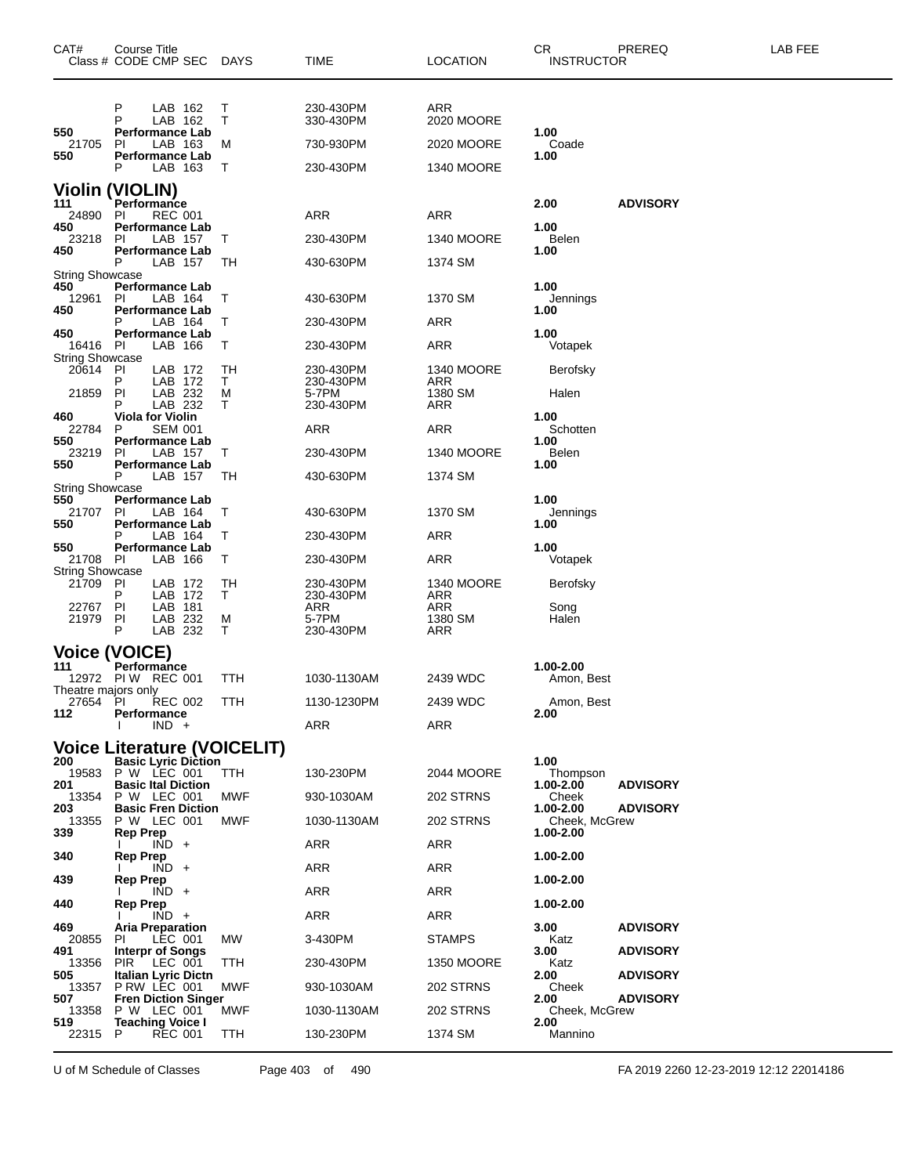| CAT#                                                                                                        | Course Title                                                                                                                 | Class # CODE CMP SEC DAYS                                                                                                                                                                                    |                                                                 | TIME                                                                                 | <b>LOCATION</b>                                                                          | CR<br><b>INSTRUCTOR</b>                                                                                                                          | PREREQ                                                                   | LAB FEE |
|-------------------------------------------------------------------------------------------------------------|------------------------------------------------------------------------------------------------------------------------------|--------------------------------------------------------------------------------------------------------------------------------------------------------------------------------------------------------------|-----------------------------------------------------------------|--------------------------------------------------------------------------------------|------------------------------------------------------------------------------------------|--------------------------------------------------------------------------------------------------------------------------------------------------|--------------------------------------------------------------------------|---------|
| 550<br>21705<br>550                                                                                         | Р<br>P<br>PI<br>P                                                                                                            | LAB 162<br>LAB 162<br><b>Performance Lab</b><br>LAB 163<br><b>Performance Lab</b><br>LAB 163                                                                                                                 | Т<br>т<br>M<br>т                                                | 230-430PM<br>330-430PM<br>730-930PM<br>230-430PM                                     | ARR<br>2020 MOORE<br>2020 MOORE<br><b>1340 MOORE</b>                                     | 1.00<br>Coade<br>1.00                                                                                                                            |                                                                          |         |
| <b>Violin (VIOLIN)</b><br>111<br>24890<br>450<br>23218<br>450                                               | Performance<br>PI<br><b>PI</b><br>P                                                                                          | <b>REC 001</b><br><b>Performance Lab</b><br>LAB 157<br><b>Performance Lab</b><br>LAB 157                                                                                                                     | т<br>ТH                                                         | ARR<br>230-430PM<br>430-630PM                                                        | ARR<br><b>1340 MOORE</b><br>1374 SM                                                      | 2.00<br>1.00<br><b>Belen</b><br>1.00                                                                                                             | <b>ADVISORY</b>                                                          |         |
| <b>String Showcase</b><br>450<br>12961<br>450<br>450<br>16416<br><b>String Showcase</b><br>20614            | <b>PI</b><br><b>PI</b><br>PI                                                                                                 | <b>Performance Lab</b><br>LAB 164<br><b>Performance Lab</b><br>LAB 164<br><b>Performance Lab</b><br>LAB 166<br>LAB 172                                                                                       | т<br>т<br>т<br>TН                                               | 430-630PM<br>230-430PM<br>230-430PM<br>230-430PM                                     | 1370 SM<br>ARR<br>ARR<br>1340 MOORE                                                      | 1.00<br>Jennings<br>1.00<br>1.00<br>Votapek<br>Berofsky                                                                                          |                                                                          |         |
| 21859<br>460<br>22784<br>550<br>23219<br>550                                                                | P<br>PI<br>P<br><b>Viola for Violin</b><br>P<br><b>PI</b><br>P                                                               | LAB 172<br>LAB 232<br>LAB 232<br><b>SEM 001</b><br><b>Performance Lab</b><br>LAB 157<br><b>Performance Lab</b><br>LAB 157                                                                                    | Τ<br>M<br>т<br>Т<br>TН                                          | 230-430PM<br>5-7PM<br>230-430PM<br>ARR<br>230-430PM<br>430-630PM                     | ARR<br>1380 SM<br>ARR<br>ARR<br><b>1340 MOORE</b><br>1374 SM                             | Halen<br>1.00<br>Schotten<br>1.00<br>Belen<br>1.00                                                                                               |                                                                          |         |
| String Showcase<br>550<br>21707<br>550<br>550<br>21708<br><b>String Showcase</b><br>21709<br>22767<br>21979 | PI<br>P<br><b>PI</b><br>-PI<br>P<br>PI<br>PI                                                                                 | <b>Performance Lab</b><br>LAB 164<br><b>Performance Lab</b><br>LAB 164<br><b>Performance Lab</b><br>LAB 166<br>LAB 172<br>LAB 172<br>LAB 181<br>LAB 232                                                      | т<br>т<br>т<br>TН<br>т<br>M                                     | 430-630PM<br>230-430PM<br>230-430PM<br>230-430PM<br>230-430PM<br>ARR<br>5-7PM        | 1370 SM<br>ARR<br>ARR<br>1340 MOORE<br>ARR<br>ARR<br>1380 SM                             | 1.00<br>Jennings<br>1.00<br>1.00<br>Votapek<br>Berofsky<br>Song<br>Halen                                                                         |                                                                          |         |
| <b>Voice (VOICE)</b><br>111<br>Theatre majors only<br>112                                                   | P<br>Performance<br>12972 PIW REC 001<br>27654 PI REC 002<br>Performance                                                     | LAB 232<br>$IND +$                                                                                                                                                                                           | т<br>TTH<br>TTH                                                 | 230-430PM<br>1030-1130AM<br>1130-1230PM<br>ARR                                       | ARR<br>2439 WDC<br>2439 WDC<br>ARR                                                       | 1.00-2.00<br>Amon, Best<br>Amon, Best<br>2.00                                                                                                    |                                                                          |         |
| 200<br>19583<br>201<br>13354<br>203<br>13355<br>339<br>340<br>439<br>440<br>469<br>20855<br>491             | P W LEC 001<br>P W LEC 001<br>P W LEC 001<br><b>Rep Prep</b><br><b>Rep Prep</b><br><b>Rep Prep</b><br><b>Rep Prep</b><br>PI. | <b>Basic Lyric Diction</b><br><b>Basic Ital Diction</b><br><b>Basic Fren Diction</b><br>$IND +$<br>$\overline{IND}$ +<br>$IND +$<br>$IND +$<br><b>Aria Preparation</b><br>LEC 001<br><b>Interpr of Songs</b> | <b>Voice Literature (VOICELIT)</b><br>TTH.<br>MWF<br>MWF<br>MW. | 130-230PM<br>930-1030AM<br>1030-1130AM<br>ARR<br><b>ARR</b><br>ARR<br>ARR<br>3-430PM | <b>2044 MOORE</b><br>202 STRNS<br>202 STRNS<br>ARR<br>ARR<br>ARR<br>ARR<br><b>STAMPS</b> | 1.00<br>Thompson<br>1.00-2.00<br>Cheek<br>1.00-2.00<br>Cheek, McGrew<br>1.00-2.00<br>1.00-2.00<br>1.00-2.00<br>1.00-2.00<br>3.00<br>Katz<br>3.00 | <b>ADVISORY</b><br><b>ADVISORY</b><br><b>ADVISORY</b><br><b>ADVISORY</b> |         |
| 13356<br>505<br>13357<br>507<br>13358<br>519<br>22315                                                       | <b>PIR</b><br>PRW LEC 001<br>P W LEC 001<br>P                                                                                | LEC 001<br>Italian Lyric Dictn<br><b>Fren Diction Singer</b><br><b>Teaching Voice I</b><br><b>REC 001</b>                                                                                                    | ттн<br>MWF<br>MWF<br>TTH                                        | 230-430PM<br>930-1030AM<br>1030-1130AM<br>130-230PM                                  | <b>1350 MOORE</b><br>202 STRNS<br>202 STRNS<br>1374 SM                                   | Katz<br>2.00<br>Cheek<br>2.00<br>Cheek, McGrew<br>2.00<br>Mannino                                                                                | <b>ADVISORY</b><br><b>ADVISORY</b>                                       |         |

U of M Schedule of Classes Page 403 of 490 FA 2019 2260 12-23-2019 12:12 22014186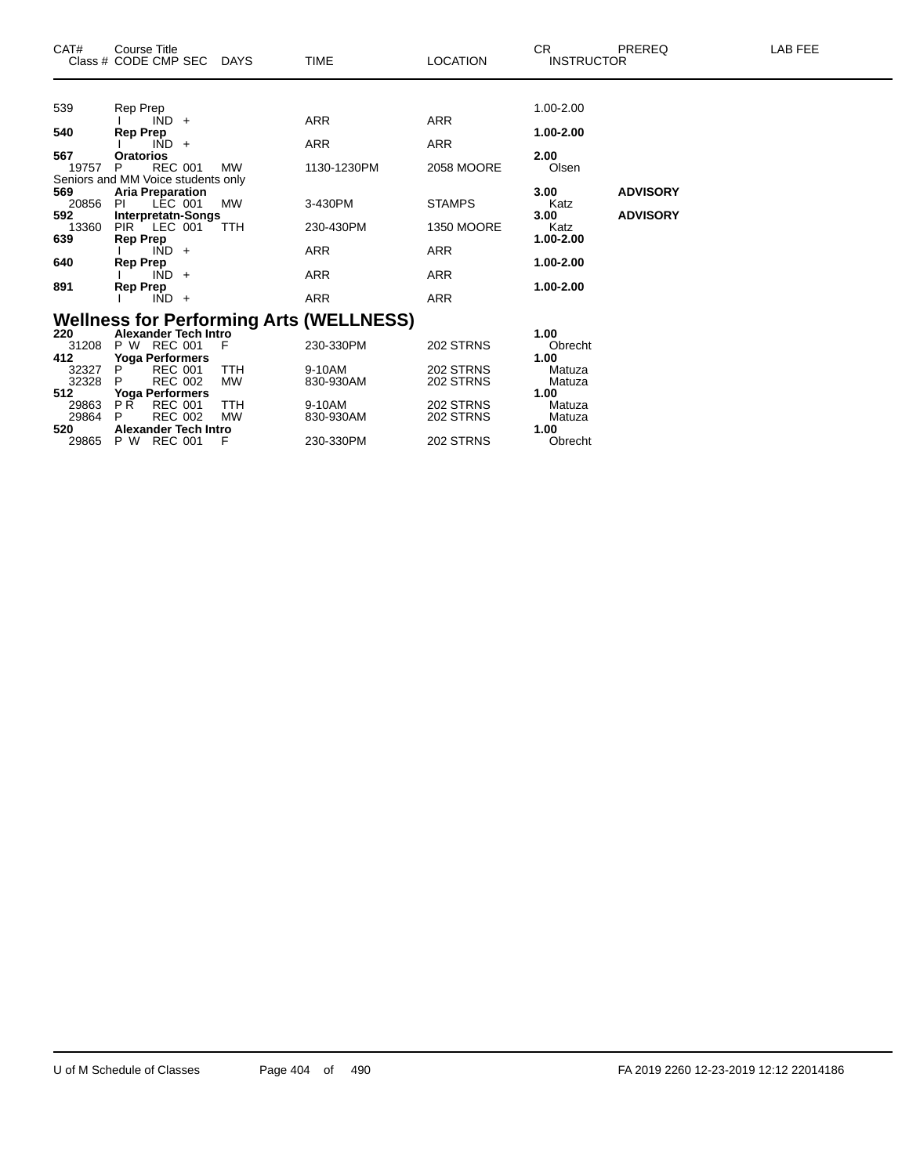| CAT#         | Course Title<br>Class # CODE CMP SEC                          | <b>DAYS</b> | <b>TIME</b>                                    | <b>LOCATION</b>   | CR.<br><b>INSTRUCTOR</b> | PREREQ          | LAB FEE |
|--------------|---------------------------------------------------------------|-------------|------------------------------------------------|-------------------|--------------------------|-----------------|---------|
|              |                                                               |             |                                                |                   |                          |                 |         |
| 539          | Rep Prep<br>$IND +$                                           |             | <b>ARR</b>                                     | <b>ARR</b>        | 1.00-2.00                |                 |         |
| 540          | <b>Rep Prep</b>                                               |             |                                                |                   | 1.00-2.00                |                 |         |
|              | $IND +$                                                       |             | <b>ARR</b>                                     | ARR               |                          |                 |         |
| 567          | <b>Oratorios</b>                                              |             |                                                |                   | 2.00                     |                 |         |
| 19757        | <b>REC 001</b><br>P                                           | <b>MW</b>   | 1130-1230PM                                    | <b>2058 MOORE</b> | Olsen                    |                 |         |
| 569          | Seniors and MM Voice students only<br><b>Aria Preparation</b> |             |                                                |                   | 3.00                     | <b>ADVISORY</b> |         |
| 20856        | LEC 001<br><b>PI</b>                                          | <b>MW</b>   | 3-430PM                                        | <b>STAMPS</b>     | Katz                     |                 |         |
| 592          | Interpretatn-Songs                                            |             |                                                |                   | 3.00                     | <b>ADVISORY</b> |         |
| 13360        | <b>PIR</b><br>LEC 001                                         | <b>TTH</b>  | 230-430PM                                      | <b>1350 MOORE</b> | Katz                     |                 |         |
| 639          | <b>Rep Prep</b>                                               |             |                                                |                   | 1.00-2.00                |                 |         |
| 640          | $IND +$<br><b>Rep Prep</b>                                    |             | <b>ARR</b>                                     | <b>ARR</b>        | 1.00-2.00                |                 |         |
|              | IND.<br>$\ddot{}$                                             |             | <b>ARR</b>                                     | <b>ARR</b>        |                          |                 |         |
| 891          | <b>Rep Prep</b>                                               |             |                                                |                   | 1.00-2.00                |                 |         |
|              | $IND +$                                                       |             | <b>ARR</b>                                     | <b>ARR</b>        |                          |                 |         |
|              |                                                               |             | <b>Wellness for Performing Arts (WELLNESS)</b> |                   |                          |                 |         |
| 220          | <b>Alexander Tech Intro</b>                                   |             |                                                |                   | 1.00                     |                 |         |
| 31208        | P W REC 001                                                   | F           | 230-330PM                                      | 202 STRNS         | Obrecht                  |                 |         |
| 412          | Yoga Performers                                               |             |                                                |                   | 1.00                     |                 |         |
| 32327        | P<br><b>REC 001</b>                                           | <b>TTH</b>  | 9-10AM                                         | 202 STRNS         | Matuza                   |                 |         |
| 32328<br>512 | <b>REC 002</b><br>P<br><b>Yoga Performers</b>                 | <b>MW</b>   | 830-930AM                                      | 202 STRNS         | Matuza<br>1.00           |                 |         |
| 29863        | P <sub>R</sub><br><b>REC 001</b>                              | TTH         | 9-10AM                                         | 202 STRNS         | Matuza                   |                 |         |
| 29864        | <b>REC 002</b><br>P                                           | <b>MW</b>   | 830-930AM                                      | 202 STRNS         | Matuza                   |                 |         |
| 520          | <b>Alexander Tech Intro</b>                                   |             |                                                |                   | 1.00                     |                 |         |
| 29865        | P W<br><b>REC 001</b>                                         | F           | 230-330PM                                      | 202 STRNS         | Obrecht                  |                 |         |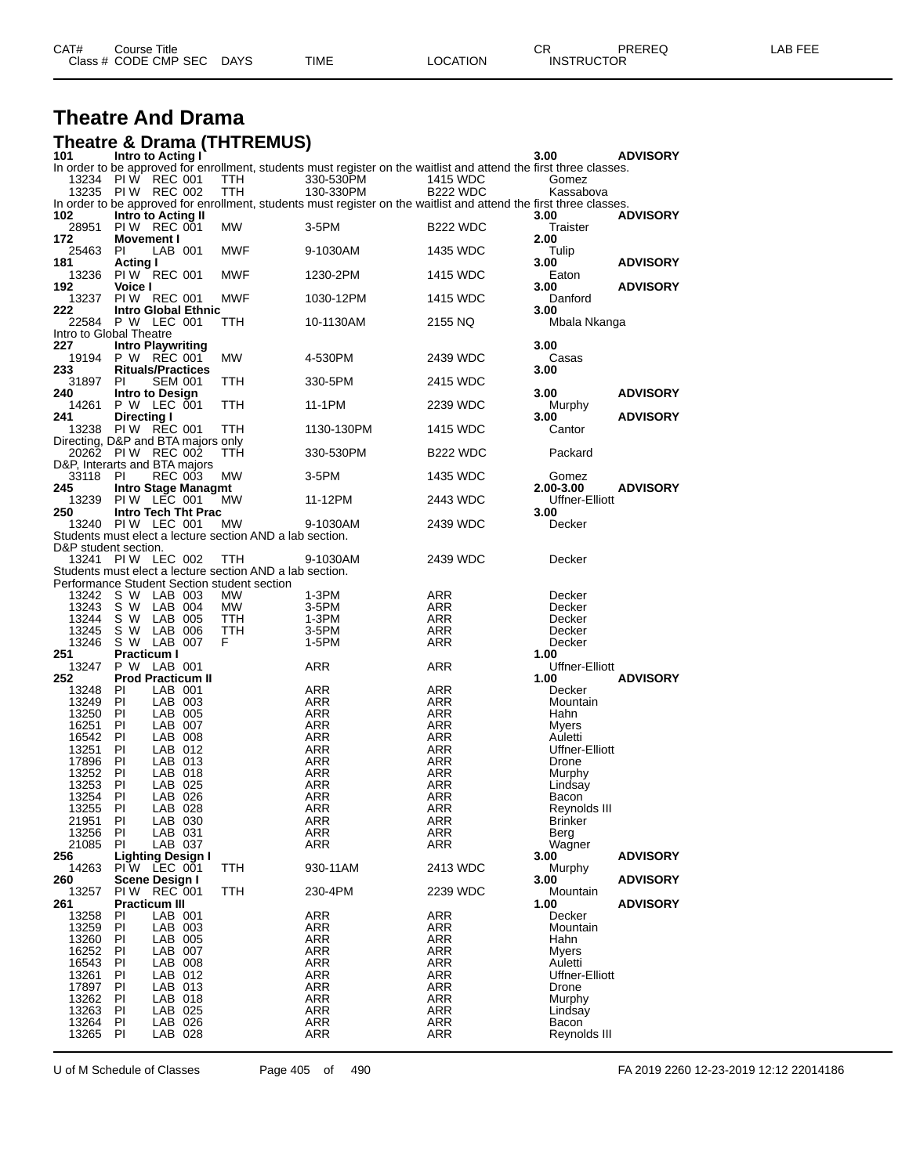| CAT# | Title<br>$\degree$ course $\degree$ |             |      |          | ◠г<br>◡⊓          | PREREQ | _AB FEF |
|------|-------------------------------------|-------------|------|----------|-------------------|--------|---------|
|      | Class # CODE CMP SEC                | <b>DAYS</b> | TIME | LOCATION | <b>INSTRUCTOR</b> |        |         |

# **Theatre And Drama**

|                      |                                                   | <b>Theatre &amp; Drama (THTREMUS)</b>                                                                   |                                                                                                                    |                          |                         |                 |
|----------------------|---------------------------------------------------|---------------------------------------------------------------------------------------------------------|--------------------------------------------------------------------------------------------------------------------|--------------------------|-------------------------|-----------------|
| 101                  | Intro to Acting I                                 |                                                                                                         | In order to be approved for enrollment, students must register on the waitlist and attend the first three classes. |                          | 3.00                    | <b>ADVISORY</b> |
|                      | 13234 PIW REC 001                                 | <b>TTH</b>                                                                                              | 330-530PM                                                                                                          | 1415 WDC                 | Gomez                   |                 |
|                      | 13235 PIW REC 002                                 | TTH                                                                                                     | 130-330PM                                                                                                          | <b>B222 WDC</b>          | Kassabova               |                 |
|                      |                                                   |                                                                                                         | In order to be approved for enrollment, students must register on the waitlist and attend the first three classes. |                          |                         |                 |
| 102<br>28951         | Intro to Acting II<br>PIW REC 001                 | MW                                                                                                      | 3-5PM                                                                                                              | <b>B222 WDC</b>          | 3.00<br>Traister        | <b>ADVISORY</b> |
| 172                  | <b>Movement I</b>                                 |                                                                                                         |                                                                                                                    |                          | 2.00                    |                 |
| 25463                | PI.<br>LAB 001                                    | MWF                                                                                                     | 9-1030AM                                                                                                           | 1435 WDC                 | Tulip                   |                 |
| 181                  | <b>Acting I</b>                                   |                                                                                                         |                                                                                                                    |                          | 3.00                    | <b>ADVISORY</b> |
| 13236                | PI W REC 001                                      | MWF                                                                                                     | 1230-2PM                                                                                                           | 1415 WDC                 | Eaton                   |                 |
| 192<br>13237         | Voice I<br><b>PIW REC 001</b>                     | <b>MWF</b>                                                                                              | 1030-12PM                                                                                                          | 1415 WDC                 | 3.00<br>Danford         | <b>ADVISORY</b> |
| 222                  | Intro Global Ethnic                               |                                                                                                         |                                                                                                                    |                          | 3.00                    |                 |
| 22584                | P W LEC 001                                       | ттн                                                                                                     | 10-1130AM                                                                                                          | 2155 NQ                  | Mbala Nkanga            |                 |
|                      | Intro to Global Theatre                           |                                                                                                         |                                                                                                                    |                          |                         |                 |
| 227                  | <b>Intro Playwriting</b>                          |                                                                                                         |                                                                                                                    |                          | 3.00                    |                 |
| 19194<br>233         | P W REC 001<br><b>Rituals/Practices</b>           | MW                                                                                                      | 4-530PM                                                                                                            | 2439 WDC                 | Casas<br>3.00           |                 |
| 31897                | PI.<br><b>SEM 001</b>                             | TTH                                                                                                     | 330-5PM                                                                                                            | 2415 WDC                 |                         |                 |
| 240                  | Intro to Design                                   |                                                                                                         |                                                                                                                    |                          | 3.00                    | <b>ADVISORY</b> |
| 14261                | P W LEC 001                                       | TTH                                                                                                     | 11-1PM                                                                                                             | 2239 WDC                 | Murphy                  |                 |
| 241                  | <b>Directing I</b>                                |                                                                                                         |                                                                                                                    |                          | 3.00                    | <b>ADVISORY</b> |
| 13238                | PIW REC 001<br>Directing, D&P and BTA majors only | TTH                                                                                                     | 1130-130PM                                                                                                         | 1415 WDC                 | Cantor                  |                 |
|                      | 20262 PIW REC 002                                 | ттн                                                                                                     | 330-530PM                                                                                                          | <b>B222 WDC</b>          | Packard                 |                 |
|                      | D&P. Interarts and BTA maiors                     |                                                                                                         |                                                                                                                    |                          |                         |                 |
| 33118 PI             | <b>REC 003</b>                                    | MW                                                                                                      | 3-5PM                                                                                                              | 1435 WDC                 | Gomez                   |                 |
| 245                  | <b>Intro Stage Managmt</b>                        |                                                                                                         |                                                                                                                    |                          | 2.00-3.00               | <b>ADVISORY</b> |
| 13239<br>250         | PIW LEC 001<br>Intro Tech Tht Prac                | MW                                                                                                      | 11-12PM                                                                                                            | 2443 WDC                 | Uffner-Elliott<br>3.00  |                 |
|                      | 13240 PIW LEC 001                                 | MW                                                                                                      | 9-1030AM                                                                                                           | 2439 WDC                 | Decker                  |                 |
|                      |                                                   | Students must elect a lecture section AND a lab section.                                                |                                                                                                                    |                          |                         |                 |
| D&P student section. |                                                   |                                                                                                         |                                                                                                                    |                          |                         |                 |
|                      | 13241 PIW LEC 002                                 | TTH                                                                                                     | 9-1030AM                                                                                                           | 2439 WDC                 | Decker                  |                 |
|                      |                                                   | Students must elect a lecture section AND a lab section.<br>Performance Student Section student section |                                                                                                                    |                          |                         |                 |
|                      | 13242 S W LAB 003                                 | MW                                                                                                      | 1-3PM                                                                                                              | ARR                      | Decker                  |                 |
| 13243                | S W<br>LAB 004                                    | <b>MW</b>                                                                                               | 3-5PM                                                                                                              | ARR                      | Decker                  |                 |
| 13244 S W            | LAB 005                                           | TTH                                                                                                     | 1-3PM                                                                                                              | ARR                      | Decker                  |                 |
| 13245                | S W<br>LAB 006                                    | <b>TTH</b>                                                                                              | 3-5PM                                                                                                              | ARR                      | Decker                  |                 |
| 13246<br>251         | S W LAB 007<br><b>Practicum I</b>                 | F                                                                                                       | 1-5PM                                                                                                              | ARR                      | Decker<br>1.00          |                 |
| 13247                | P W LAB 001                                       |                                                                                                         | ARR                                                                                                                | ARR                      | Uffner-Elliott          |                 |
| 252                  | <b>Prod Practicum II</b>                          |                                                                                                         |                                                                                                                    |                          | 1.00                    | <b>ADVISORY</b> |
| 13248                | PI<br>LAB 001                                     |                                                                                                         | ARR                                                                                                                | ARR                      | Decker                  |                 |
| 13249 PI             | LAB 003                                           |                                                                                                         | ARR                                                                                                                | ARR                      | Mountain                |                 |
| 13250                | - PI<br>LAB 005<br>PI<br>LAB 007                  |                                                                                                         | ARR                                                                                                                | ARR                      | Hahn                    |                 |
| 16251<br>16542 PI    | LAB 008                                           |                                                                                                         | ARR<br>ARR                                                                                                         | ARR<br>ARR               | Myers<br>Auletti        |                 |
| 13251                | PI<br>LAB 012                                     |                                                                                                         | ARR                                                                                                                | ARR                      | Uffner-Elliott          |                 |
| 17896                | PI<br>LAB 013                                     |                                                                                                         | ARR                                                                                                                | ARR                      | Drone                   |                 |
| 13252                | PI<br>LAB 018                                     |                                                                                                         | ARR                                                                                                                | ARR                      | Murphy                  |                 |
| 13253                | PI<br>LAB 025                                     |                                                                                                         | ARR                                                                                                                | ARR                      | Lindsay                 |                 |
| 13254<br>13255       | PI<br>LAB 026<br>PI<br>LAB 028                    |                                                                                                         | <b>ARR</b><br><b>ARR</b>                                                                                           | ARR<br><b>ARR</b>        | Bacon<br>Reynolds III   |                 |
| 21951                | PI<br>LAB 030                                     |                                                                                                         | <b>ARR</b>                                                                                                         | <b>ARR</b>               | Brinker                 |                 |
| 13256                | ΡI<br>LAB 031                                     |                                                                                                         | ARR                                                                                                                | ARR                      | Berg                    |                 |
| 21085                | PI<br>LAB 037                                     |                                                                                                         | ARR                                                                                                                | <b>ARR</b>               | Wagner                  |                 |
| 256                  |                                                   |                                                                                                         |                                                                                                                    |                          |                         |                 |
|                      | <b>Lighting Design I</b>                          |                                                                                                         |                                                                                                                    |                          | 3.00                    | <b>ADVISORY</b> |
| 14263                | PIW LEC 001                                       | TTH                                                                                                     | 930-11AM                                                                                                           | 2413 WDC                 | Murphy                  |                 |
| 260                  | Scene Design I                                    |                                                                                                         |                                                                                                                    |                          | 3.00                    | <b>ADVISORY</b> |
| 13257<br>261         | PIW REC 001<br><b>Practicum III</b>               | TTH                                                                                                     | 230-4PM                                                                                                            | 2239 WDC                 | Mountain<br>1.00        |                 |
| 13258                | ΡI<br>LAB 001                                     |                                                                                                         | <b>ARR</b>                                                                                                         | ARR                      | Decker                  | <b>ADVISORY</b> |
| 13259                | PI<br>LAB 003                                     |                                                                                                         | ARR                                                                                                                | <b>ARR</b>               | Mountain                |                 |
| 13260                | LAB 005<br>ΡI                                     |                                                                                                         | ARR                                                                                                                | <b>ARR</b>               | Hahn                    |                 |
| 16252                | PI<br>LAB 007                                     |                                                                                                         | <b>ARR</b>                                                                                                         | <b>ARR</b>               | Myers                   |                 |
| 16543                | LAB 008<br>ΡI                                     |                                                                                                         | ARR                                                                                                                | ARR                      | Auletti                 |                 |
| 13261<br>17897       | PI<br>LAB 012<br>PI<br>LAB 013                    |                                                                                                         | ARR<br><b>ARR</b>                                                                                                  | ARR<br><b>ARR</b>        | Uffner-Elliott<br>Drone |                 |
| 13262                | LAB 018<br>ΡI                                     |                                                                                                         | ARR                                                                                                                | ARR                      | Murphy                  |                 |
| 13263                | PI<br>LAB 025                                     |                                                                                                         | ARR                                                                                                                | ARR                      | Lindsay                 |                 |
| 13264<br>13265       | PI<br>LAB 026<br>ΡI<br>LAB 028                    |                                                                                                         | ARR<br>ARR                                                                                                         | <b>ARR</b><br><b>ARR</b> | Bacon<br>Reynolds III   |                 |

U of M Schedule of Classes Page 405 of 490 FA 2019 2260 12-23-2019 12:12 22014186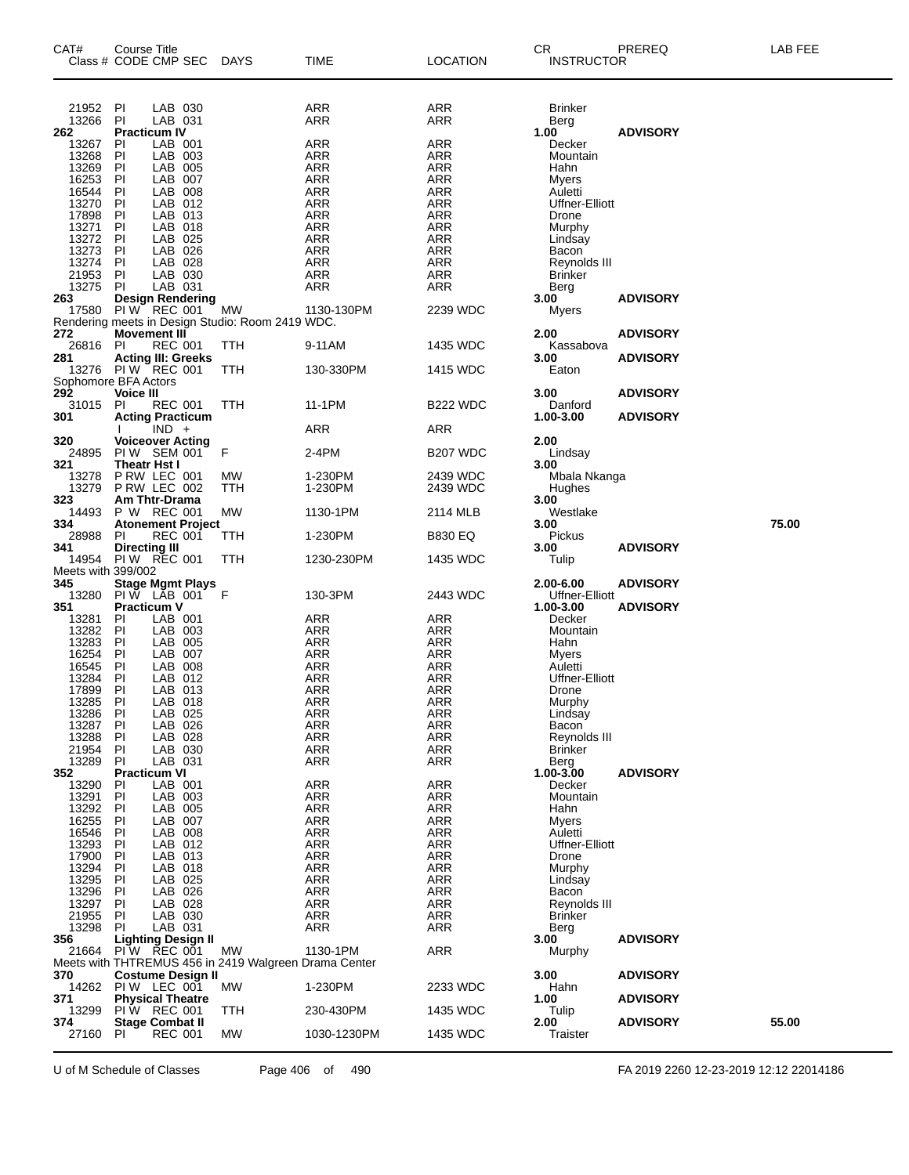| CAT#               | <b>Course Title</b><br>Class # CODE CMP SEC                                       | DAYS | TIME                     | <b>LOCATION</b>          | <b>CR</b><br><b>INSTRUCTOR</b> | PREREQ          | LAB FEE |
|--------------------|-----------------------------------------------------------------------------------|------|--------------------------|--------------------------|--------------------------------|-----------------|---------|
| 21952              | LAB 030<br>ΡI<br>LAB 031                                                          |      | <b>ARR</b>               | ARR                      | Brinker                        |                 |         |
| 13266<br>262       | PI<br><b>Practicum IV</b>                                                         |      | ARR                      | ARR                      | Berg<br>1.00                   | <b>ADVISORY</b> |         |
| 13267              | LAB 001<br>PI                                                                     |      | <b>ARR</b>               | <b>ARR</b>               | Decker                         |                 |         |
| 13268              | LAB 003<br>ΡI                                                                     |      | <b>ARR</b>               | ARR                      | Mountain                       |                 |         |
| 13269              | LAB 005<br>ΡI                                                                     |      | <b>ARR</b>               | ARR                      | Hahn                           |                 |         |
| 16253<br>16544     | LAB 007<br>ΡI<br>LAB 008<br>ΡI                                                    |      | <b>ARR</b><br><b>ARR</b> | <b>ARR</b><br>ARR        | Myers<br>Auletti               |                 |         |
| 13270              | LAB 012<br>ΡI                                                                     |      | <b>ARR</b>               | ARR                      | Uffner-Elliott                 |                 |         |
| 17898              | LAB 013<br>ΡI                                                                     |      | <b>ARR</b>               | <b>ARR</b>               | Drone                          |                 |         |
| 13271<br>13272     | LAB 018<br>ΡI                                                                     |      | <b>ARR</b>               | ARR                      | Murphy                         |                 |         |
| 13273              | LAB 025<br>PI<br>LAB 026<br>PI                                                    |      | ARR<br><b>ARR</b>        | ARR<br><b>ARR</b>        | Lindsay<br>Bacon               |                 |         |
| 13274              | ΡI<br>LAB 028                                                                     |      | <b>ARR</b>               | ARR                      | Reynolds III                   |                 |         |
| 21953              | LAB 030<br>PI                                                                     |      | <b>ARR</b>               | ARR                      | <b>Brinker</b>                 |                 |         |
| 13275              | LAB 031<br>ΡI                                                                     |      | <b>ARR</b>               | <b>ARR</b>               | Berg                           |                 |         |
| 263<br>17580       | <b>Design Rendering</b><br>PIW REC 001                                            | МW   | 1130-130PM               | 2239 WDC                 | 3.00<br>Myers                  | <b>ADVISORY</b> |         |
|                    | Rendering meets in Design Studio: Room 2419 WDC.                                  |      |                          |                          |                                |                 |         |
| 272                | <b>Movement III</b>                                                               |      |                          |                          | 2.00                           | <b>ADVISORY</b> |         |
| 26816              | <b>REC 001</b><br>PI                                                              | TTH  | 9-11AM                   | 1435 WDC                 | Kassabova                      |                 |         |
| 281<br>13276       | <b>Acting III: Greeks</b><br>PIW REC 001                                          | TTH  | 130-330PM                | 1415 WDC                 | 3.00<br>Eaton                  | <b>ADVISORY</b> |         |
|                    | Sophomore BFA Actors                                                              |      |                          |                          |                                |                 |         |
| 292                | <b>Voice III</b>                                                                  |      |                          |                          | 3.00                           | <b>ADVISORY</b> |         |
| 31015              | PI<br><b>REC 001</b>                                                              | TTH  | 11-1PM                   | B <sub>22</sub> WDC      | Danford                        |                 |         |
| 301                | <b>Acting Practicum</b><br>$IND +$                                                |      | <b>ARR</b>               |                          | 1.00-3.00                      | <b>ADVISORY</b> |         |
| 320                | <b>Voiceover Acting</b>                                                           |      |                          | ARR                      | 2.00                           |                 |         |
| 24895              | PIW SEM 001                                                                       | F    | 2-4PM                    | <b>B207 WDC</b>          | Lindsay                        |                 |         |
| 321                | <b>Theatr Hst I</b>                                                               |      |                          |                          | 3.00                           |                 |         |
| 13278              | P RW LEC 001                                                                      | MW   | 1-230PM                  | 2439 WDC                 | Mbala Nkanga                   |                 |         |
| 13279<br>323       | P RW LEC 002<br>Am Thtr-Drama                                                     | TTH  | 1-230PM                  | 2439 WDC                 | Hughes<br>3.00                 |                 |         |
| 14493              | P W REC 001                                                                       | МW   | 1130-1PM                 | 2114 MLB                 | Westlake                       |                 |         |
| 334                | <b>Atonement Project</b>                                                          |      |                          |                          | 3.00                           |                 | 75.00   |
| 28988              | <b>REC 001</b><br>ΡI                                                              | TTH  | 1-230PM                  | B830 EQ                  | Pickus                         |                 |         |
| 341<br>14954       | <b>Directing III</b><br><b>PIW REC 001</b>                                        | TTH  | 1230-230PM               | 1435 WDC                 | 3.00<br>Tulip                  | <b>ADVISORY</b> |         |
| Meets with 399/002 |                                                                                   |      |                          |                          |                                |                 |         |
| 345                | Stage Mgmt Plays<br>PIW LAB 001                                                   |      |                          |                          | 2.00-6.00                      | <b>ADVISORY</b> |         |
| 13280              |                                                                                   | -F   | 130-3PM                  | 2443 WDC                 | Uffner-Elliott                 |                 |         |
| 351<br>13281       | <b>Practicum V</b><br>LAB 001<br>ΡI                                               |      | ARR                      | ARR                      | 1.00-3.00<br>Decker            | <b>ADVISORY</b> |         |
| 13282              | LAB 003<br>ΡI                                                                     |      | <b>ARR</b>               | ARR                      | Mountain                       |                 |         |
| 13283              | LAB 005<br>ΡI                                                                     |      | <b>ARR</b>               | <b>ARR</b>               | Hahn                           |                 |         |
| 16254              | LAB 007<br>ΡI                                                                     |      | <b>ARR</b>               | ARR                      | Myers                          |                 |         |
| 16545              | LAB 008<br>ΡI                                                                     |      | <b>ARR</b>               | ARR                      | Auletti                        |                 |         |
| 13284<br>17899     | LAB 012<br>ΡI<br>ΡI<br>LAB 013                                                    |      | <b>ARR</b><br>ARR        | ARR<br>ARR               | Uffner-Elliott<br>Drone        |                 |         |
| 13285              | ΡI<br>LAB 018                                                                     |      | ARR                      | ARR                      | Murphy                         |                 |         |
| 13286              | PI<br>LAB 025                                                                     |      | <b>ARR</b>               | <b>ARR</b>               | Lindsay                        |                 |         |
| 13287              | PI<br>LAB 026                                                                     |      | ARR                      | ARR                      | Bacon                          |                 |         |
| 13288              | LAB 028<br>ΡI                                                                     |      | ARR                      | <b>ARR</b>               | Reynolds III                   |                 |         |
| 21954<br>13289     | PI<br>LAB 030<br>PI<br>LAB 031                                                    |      | <b>ARR</b><br>ARR        | <b>ARR</b><br><b>ARR</b> | <b>Brinker</b><br>Berg         |                 |         |
| 352                | <b>Practicum VI</b>                                                               |      |                          |                          | 1.00-3.00                      | <b>ADVISORY</b> |         |
| 13290              | LAB 001<br>ΡI                                                                     |      | ARR                      | <b>ARR</b>               | Decker                         |                 |         |
| 13291              | LAB 003<br>ΡI                                                                     |      | <b>ARR</b>               | <b>ARR</b>               | Mountain                       |                 |         |
| 13292              | LAB 005<br>ΡI                                                                     |      | <b>ARR</b>               | <b>ARR</b>               | Hahn                           |                 |         |
| 16255<br>16546     | LAB 007<br>ΡI<br>LAB 008<br>PI                                                    |      | ARR<br><b>ARR</b>        | <b>ARR</b><br><b>ARR</b> | Myers<br>Auletti               |                 |         |
| 13293              | LAB 012<br>ΡI                                                                     |      | <b>ARR</b>               | <b>ARR</b>               | Uffner-Elliott                 |                 |         |
| 17900              | LAB 013<br>ΡI                                                                     |      | <b>ARR</b>               | <b>ARR</b>               | Drone                          |                 |         |
| 13294              | LAB 018<br>ΡI                                                                     |      | ARR                      | <b>ARR</b>               | Murphy                         |                 |         |
| 13295              | LAB 025<br>ΡI                                                                     |      | <b>ARR</b>               | <b>ARR</b>               | Lindsay                        |                 |         |
| 13296<br>13297     | LAB 026<br>ΡI<br>ΡI<br>LAB 028                                                    |      | <b>ARR</b><br><b>ARR</b> | <b>ARR</b><br><b>ARR</b> | Bacon<br>Reynolds III          |                 |         |
| 21955              | LAB 030<br>ΡI                                                                     |      | <b>ARR</b>               | <b>ARR</b>               | <b>Brinker</b>                 |                 |         |
| 13298              | LAB 031<br>PI.                                                                    |      | <b>ARR</b>               | ARR                      | Berg                           |                 |         |
| 356                | Lighting Design II                                                                |      |                          |                          | 3.00                           | <b>ADVISORY</b> |         |
| 21664              | PIW REC 001                                                                       | МW   | 1130-1PM                 | <b>ARR</b>               | Murphy                         |                 |         |
| 370                | Meets with THTREMUS 456 in 2419 Walgreen Drama Center<br><b>Costume Design II</b> |      |                          |                          | 3.00                           | <b>ADVISORY</b> |         |
| 14262              | PIW LEC 001                                                                       | МW   | 1-230PM                  | 2233 WDC                 | Hahn                           |                 |         |
| 371                | <b>Physical Theatre</b>                                                           |      |                          |                          | 1.00                           | <b>ADVISORY</b> |         |
| 13299              | PIW REC 001                                                                       | TTH  | 230-430PM                | 1435 WDC                 | Tulip                          |                 |         |
| 374<br>27160       | <b>Stage Combat II</b><br><b>REC 001</b><br>PI                                    | MW   | 1030-1230PM              | 1435 WDC                 | 2.00<br>Traister               | <b>ADVISORY</b> | 55.00   |
|                    |                                                                                   |      |                          |                          |                                |                 |         |

U of M Schedule of Classes Page 406 of 490 FA 2019 2260 12-23-2019 12:12 22014186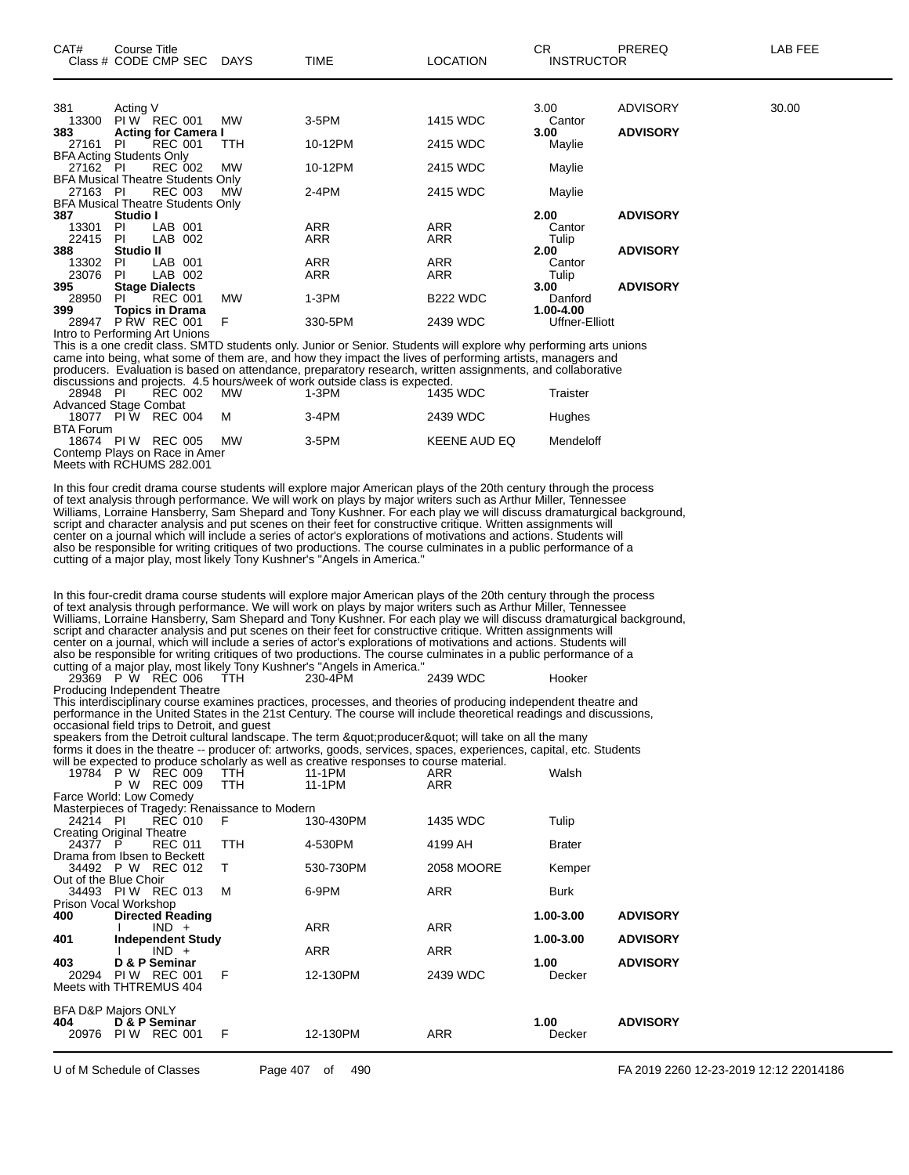| CAT#                            | Course Title | Class # CODE CMP SEC DAYS                |           | TIME       | <b>LOCATION</b> | CR.<br><b>INSTRUCTOR</b> | <b>PREREQ</b>   | LAB FEE |
|---------------------------------|--------------|------------------------------------------|-----------|------------|-----------------|--------------------------|-----------------|---------|
|                                 |              |                                          |           |            |                 |                          |                 |         |
| 381                             | Acting V     |                                          |           |            |                 | 3.00                     | <b>ADVISORY</b> | 30.00   |
| 13300                           |              | PIW REC 001                              | <b>MW</b> | 3-5PM      | 1415 WDC        | Cantor                   |                 |         |
| 383                             |              | <b>Acting for Camera I</b>               |           |            |                 | 3.00                     | <b>ADVISORY</b> |         |
| 27161                           | PL           | <b>REC 001</b>                           | TTH       | 10-12PM    | 2415 WDC        | Maylie                   |                 |         |
| <b>BFA Acting Students Only</b> |              |                                          |           |            |                 |                          |                 |         |
| 27162 PI                        |              | <b>REC 002</b>                           | MW        | 10-12PM    | 2415 WDC        | Maylie                   |                 |         |
|                                 |              | <b>BFA Musical Theatre Students Only</b> |           |            |                 |                          |                 |         |
| 27163 PI                        |              | <b>REC 003</b>                           | <b>MW</b> | $2-4PM$    | 2415 WDC        | Maylie                   |                 |         |
|                                 |              | <b>BFA Musical Theatre Students Only</b> |           |            |                 |                          |                 |         |
| 387                             | Studio I     |                                          |           |            |                 | 2.00                     | <b>ADVISORY</b> |         |
| 13301                           | PL           | LAB 001                                  |           | <b>ARR</b> | <b>ARR</b>      | Cantor                   |                 |         |
| 22415                           | PI           | LAB 002                                  |           | <b>ARR</b> | ARR             | Tulip                    |                 |         |
| 388                             | Studio II    |                                          |           |            |                 | 2.00                     | <b>ADVISORY</b> |         |
| 13302                           | PI.          | LAB 001                                  |           | ARR        | ARR             | Cantor                   |                 |         |
| 23076                           | PI           | LAB 002                                  |           | <b>ARR</b> | <b>ARR</b>      | Tulip                    |                 |         |
| 395                             |              | <b>Stage Dialects</b>                    |           |            |                 | 3.00                     | <b>ADVISORY</b> |         |
| 28950                           | PL           | <b>REC 001</b>                           | <b>MW</b> | $1-3PM$    | <b>B222 WDC</b> | Danford                  |                 |         |
| 399                             |              | <b>Topics in Drama</b>                   |           |            |                 | 1.00-4.00                |                 |         |
| 28947                           |              | <b>P RW REC 001</b>                      | F         | 330-5PM    | 2439 WDC        | Uffner-Elliott           |                 |         |

Intro to Performing Art Unions This is a one credit class. SMTD students only. Junior or Senior. Students will explore why performing arts unions came into being, what some of them are, and how they impact the lives of performing artists, managers and producers. Evaluation is based on attendance, preparatory research, written assignments, and collaborative discussions and projects. 4.5 hours/week of work outside class is expected.

| 28948 PI              | REC 002                       | <b>MW</b> | 1-3PM    | 1435 WDC            | Traister      |
|-----------------------|-------------------------------|-----------|----------|---------------------|---------------|
| Advanced Stage Combat |                               |           |          |                     |               |
|                       | 18077 PIW RFC 004             | м         | 3-4PM    | 2439 WDC            | <b>Hughes</b> |
| BTA Forum             |                               |           |          |                     |               |
|                       | 18674 PIW REC 005             | <b>MW</b> | $3-5$ PM | <b>KEENE AUD EQ</b> | Mendeloff     |
|                       | Contemp Plays on Race in Amer |           |          |                     |               |
|                       | Meets with RCHUMS 282.001     |           |          |                     |               |

In this four credit drama course students will explore major American plays of the 20th century through the process of text analysis through performance. We will work on plays by major writers such as Arthur Miller, Tennessee Williams, Lorraine Hansberry, Sam Shepard and Tony Kushner. For each play we will discuss dramaturgical background, script and character analysis and put scenes on their feet for constructive critique. Written assignments will center on a journal which will include a series of actor's explorations of motivations and actions. Students will also be responsible for writing critiques of two productions. The course culminates in a public performance of a cutting of a major play, most likely Tony Kushner's "Angels in America."

In this four-credit drama course students will explore major American plays of the 20th century through the process of text analysis through performance. We will work on plays by major writers such as Arthur Miller, Tennessee Williams, Lorraine Hansberry, Sam Shepard and Tony Kushner. For each play we will discuss dramaturgical background, script and character analysis and put scenes on their feet for constructive critique. Written assignments will center on a journal, which will include a series of actor's explorations of motivations and actions. Students will also be responsible for writing critiques of two productions. The course culminates in a public performance of a cutting of a major play, most likely Tony Kushner's "Angels in America."

29369 P W REC 006 TTH 230-4PM 2439 WDC Hooker Producing Independent Theatre This interdisciplinary course examines practices, processes, and theories of producing independent theatre and

performance in the United States in the 21st Century. The course will include theoretical readings and discussions, occasional field trips to Detroit, and guest

speakers from the Detroit cultural landscape. The term "producer" will take on all the many forms it does in the theatre -- producer of: artworks, goods, services, spaces, experiences, capital, etc. Students will be expected to produce scholarly as well as creative responses to course material.

| 19784                            | P W    | <b>REC 009</b>              | TTH                                            | 11-1PM    | ARR        | Walsh         |                 |
|----------------------------------|--------|-----------------------------|------------------------------------------------|-----------|------------|---------------|-----------------|
|                                  | W<br>P | <b>REC 009</b>              | <b>TTH</b>                                     | 11-1PM    | <b>ARR</b> |               |                 |
| Farce World: Low Comedy          |        |                             |                                                |           |            |               |                 |
|                                  |        |                             | Masterpieces of Tragedy: Renaissance to Modern |           |            |               |                 |
| 24214 PI                         |        | <b>REC 010</b>              | F                                              | 130-430PM | 1435 WDC   | Tulip         |                 |
| <b>Creating Original Theatre</b> |        |                             |                                                |           |            |               |                 |
| 24377 P                          |        | <b>REC 011</b>              | <b>TTH</b>                                     | 4-530PM   | 4199 AH    | <b>Brater</b> |                 |
|                                  |        | Drama from Ibsen to Beckett |                                                |           |            |               |                 |
|                                  |        | 34492 P W REC 012           | т                                              | 530-730PM | 2058 MOORE | Kemper        |                 |
| Out of the Blue Choir            |        |                             |                                                |           |            |               |                 |
|                                  |        | 34493 PIW REC 013           | м                                              | 6-9PM     | <b>ARR</b> | Burk          |                 |
| Prison Vocal Workshop            |        |                             |                                                |           |            |               |                 |
| 400                              |        | <b>Directed Reading</b>     |                                                |           |            | 1.00-3.00     | <b>ADVISORY</b> |
|                                  |        | $IND +$                     |                                                | ARR       | <b>ARR</b> |               |                 |
| 401                              |        | <b>Independent Study</b>    |                                                |           |            | 1.00-3.00     | <b>ADVISORY</b> |
|                                  |        | $IND +$                     |                                                | ARR       | <b>ARR</b> |               |                 |
| 403                              |        | D & P Seminar               |                                                |           |            | 1.00          | <b>ADVISORY</b> |
| 20294                            | PI W   | REC 001                     | F                                              | 12-130PM  | 2439 WDC   | Decker        |                 |
|                                  |        | Meets with THTREMUS 404     |                                                |           |            |               |                 |
|                                  |        |                             |                                                |           |            |               |                 |
| <b>BFA D&amp;P Majors ONLY</b>   |        |                             |                                                |           |            |               |                 |
| 404                              |        | D & P Seminar               |                                                |           |            | 1.00          | <b>ADVISORY</b> |
| 20976                            | PI W   | <b>REC 001</b>              | F                                              | 12-130PM  | ARR        | Decker        |                 |
|                                  |        |                             |                                                |           |            |               |                 |
|                                  |        |                             |                                                |           |            |               |                 |

U of M Schedule of Classes Page 407 of 490 FA 2019 2260 12-23-2019 12:12 22014186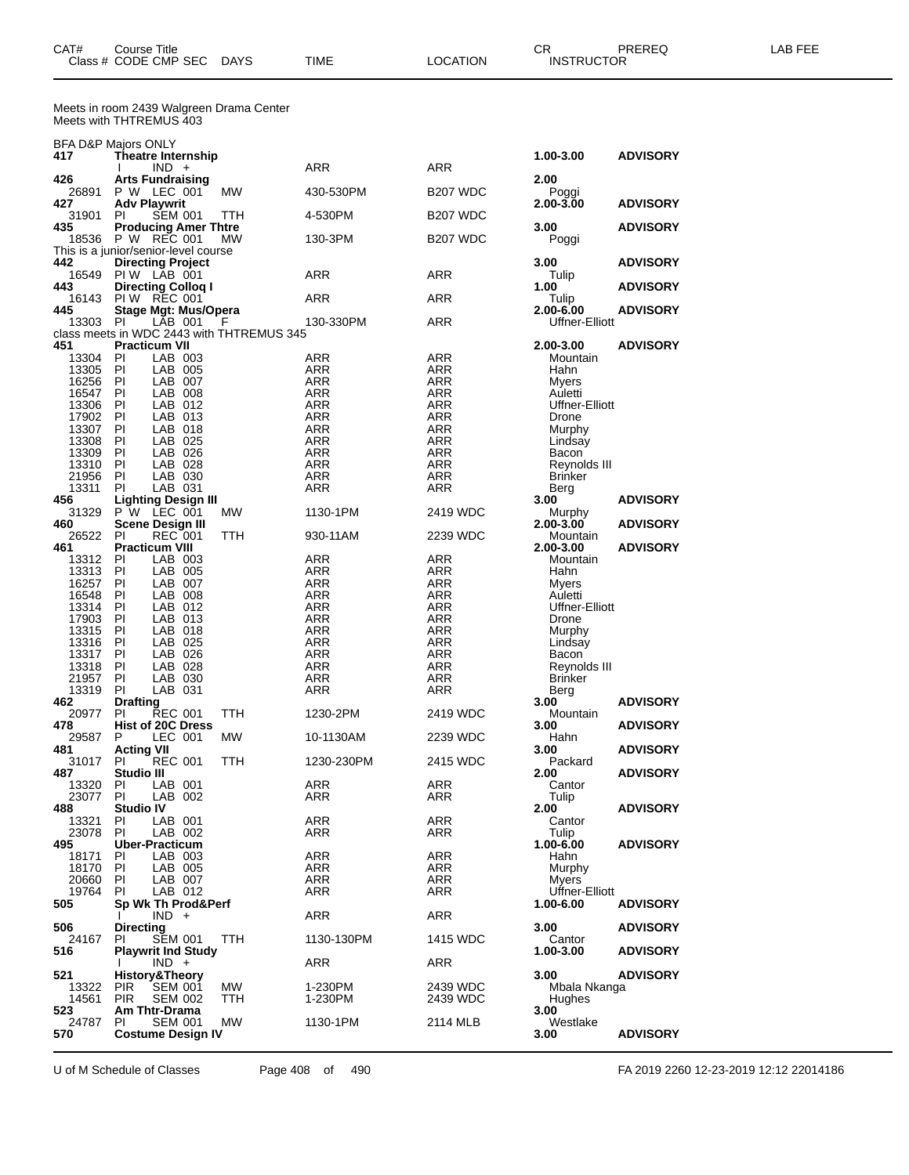| CAT#<br><b>Class</b> | Title<br>Course<br>CODE CMP<br><b>SEC</b> | <b>DAYS</b> | <b>TIME</b> | <b>ATION</b><br>$\cdot$ $\Lambda$ | СR<br><b>JCTOR</b><br>INS<br>וו הד | <b>DDEDEC</b><br>שטוער | ---<br>-- |
|----------------------|-------------------------------------------|-------------|-------------|-----------------------------------|------------------------------------|------------------------|-----------|
|                      |                                           |             |             |                                   |                                    |                        |           |

Meets in room 2439 Walgreen Drama Center Meets with THTREMUS 403

|                   | BFA D&P Majors ONLY                                               |           |                          |                      |                                |                 |
|-------------------|-------------------------------------------------------------------|-----------|--------------------------|----------------------|--------------------------------|-----------------|
| 417               | Theatre Internship<br>$IND +$                                     |           | ARR                      | ARR                  | 1.00-3.00                      | <b>ADVISORY</b> |
| 426               | <b>Arts Fundraising</b>                                           |           |                          |                      | 2.00                           |                 |
| 26891<br>427      | P W LEC 001<br><b>Adv Playwrit</b>                                | MW        | 430-530PM                | B <sub>207</sub> WDC | Poggi<br>2.00-3.00             | <b>ADVISORY</b> |
| 31901             | PI<br><b>SEM 001</b>                                              | ттн       | 4-530PM                  | <b>B207 WDC</b>      |                                |                 |
| 435<br>18536      | <b>Producing Amer Thtre</b><br>P W REC 001                        | МW        | 130-3PM                  | B <sub>207</sub> WDC | 3.00<br>Poggi                  | <b>ADVISORY</b> |
|                   | This is a junior/senior-level course                              |           |                          |                      |                                |                 |
| 442<br>16549      | <b>Directing Project</b><br>PIW LAB 001                           |           | ARR                      | ARR                  | 3.00<br>Tulip                  | <b>ADVISORY</b> |
| 443               | <b>Directing Collog I</b>                                         |           |                          |                      | 1.00                           | <b>ADVISORY</b> |
| 16143<br>445      | <b>PIW REC 001</b><br><b>Stage Mgt: Mus/Opera</b>                 |           | ARR                      | ARR                  | Tulip<br>2.00-6.00             | <b>ADVISORY</b> |
| 13303             | LAB 001<br>PI                                                     | F         | 130-330PM                | ARR                  | <b>Uffner-Elliott</b>          |                 |
| 451               | class meets in WDC 2443 with THTREMUS 345<br><b>Practicum VII</b> |           |                          |                      | 2.00-3.00                      | <b>ADVISORY</b> |
| 13304             | ΡI<br>LAB 003                                                     |           | ARR                      | ARR                  | Mountain                       |                 |
| 13305             | PI<br>LAB 005                                                     |           | ARR                      | ARR                  | Hahn                           |                 |
| 16256<br>16547    | - PI<br>LAB 007<br>PI<br>LAB 008                                  |           | ARR<br><b>ARR</b>        | ARR<br><b>ARR</b>    | Myers<br>Auletti               |                 |
| 13306             | PI<br>LAB 012                                                     |           | <b>ARR</b>               | ARR                  | Uffner-Elliott                 |                 |
| 17902             | PI<br>LAB 013                                                     |           | ARR                      | ARR                  | Drone                          |                 |
| 13307<br>13308    | PI<br>LAB 018<br>PI<br>LAB 025                                    |           | <b>ARR</b><br><b>ARR</b> | <b>ARR</b><br>ARR    | Murphy<br>Lindsay              |                 |
| 13309             | PI<br>LAB 026                                                     |           | ARR                      | ARR                  | Bacon                          |                 |
| 13310             | PI<br>LAB 028                                                     |           | <b>ARR</b>               | <b>ARR</b>           | Reynolds III                   |                 |
| 21956<br>13311    | PI<br>LAB 030<br>ΡI<br>LAB 031                                    |           | ARR<br>ARR               | ARR<br>ARR           | <b>Brinker</b><br>Berg         |                 |
| 456               | Lighting Design III                                               |           |                          |                      | 3.00                           | <b>ADVISORY</b> |
| 31329<br>460      | P W LEC 001<br><b>Scene Design III</b>                            | <b>MW</b> | 1130-1PM                 | 2419 WDC             | Murphy<br>$2.00 - 3.00$        | <b>ADVISORY</b> |
| 26522             | PI<br><b>REC 001</b>                                              | TTH       | 930-11AM                 | 2239 WDC             | Mountain                       |                 |
| 461               | <b>Practicum VIII</b>                                             |           |                          |                      | 2.00-3.00                      | <b>ADVISORY</b> |
| 13312<br>13313    | ΡI<br>LAB 003<br>PI<br>LAB 005                                    |           | ARR<br>ARR               | ARR<br><b>ARR</b>    | Mountain<br>Hahn               |                 |
| 16257             | PI<br>LAB 007                                                     |           | <b>ARR</b>               | ARR                  | Myers                          |                 |
| 16548             | PI<br>LAB 008                                                     |           | ARR                      | ARR                  | Auletti                        |                 |
| 13314<br>17903    | PI<br>LAB 012<br>PI<br>LAB 013                                    |           | <b>ARR</b><br><b>ARR</b> | <b>ARR</b><br>ARR    | <b>Uffner-Elliott</b><br>Drone |                 |
| 13315             | -PI<br>LAB 018                                                    |           | ARR                      | ARR                  | Murphy                         |                 |
| 13316             | PI<br>LAB 025                                                     |           | <b>ARR</b>               | <b>ARR</b>           | Lindsay                        |                 |
| 13317<br>13318    | PI<br>LAB 026<br>PI<br>LAB 028                                    |           | <b>ARR</b><br>ARR        | ARR<br>ARR           | Bacon<br>Reynolds III          |                 |
| 21957             | PI<br>LAB 030                                                     |           | ARR                      | ARR                  | <b>Brinker</b>                 |                 |
| 13319             | LAB 031<br>PI                                                     |           | ARR                      | ARR                  | Berg                           |                 |
| 462<br>20977      | <b>Drafting</b><br><b>REC 001</b><br>PI                           | TTH       | 1230-2PM                 | 2419 WDC             | 3.00<br>Mountain               | <b>ADVISORY</b> |
| 478               | <b>Hist of 20C Dress</b>                                          |           |                          |                      | 3.00                           | <b>ADVISORY</b> |
| 29587<br>481      | P<br>LEC 001<br><b>Acting VII</b>                                 | MW        | 10-1130AM                | 2239 WDC             | Hahn<br>3.00                   | <b>ADVISORY</b> |
| 31017             | ΡI<br><b>REC 001</b>                                              | TTH       | 1230-230PM               | 2415 WDC             | Packard                        |                 |
| 487               | Studio III                                                        |           |                          |                      | 2.00                           | <b>ADVISORY</b> |
| 13320<br>23077    | PI<br>LAB 001<br>PI<br>LAB 002                                    |           | ARR<br>ARR               | ARR<br>ARR           | Cantor<br>Tulip                |                 |
| 488               | <b>Studio IV</b>                                                  |           |                          |                      | 2.00                           | <b>ADVISORY</b> |
| 13321             | PI<br>LAB 001<br>PI                                               |           | ARR                      | ARR                  | Cantor                         |                 |
| 23078<br>495      | LAB 002<br><b>Uber-Practicum</b>                                  |           | ARR                      | ARR                  | Tulip<br>1.00-6.00             | <b>ADVISORY</b> |
| 18171             | ΡI<br>LAB 003                                                     |           | ARR                      | ARR                  | Hahn                           |                 |
| 18170<br>20660 PI | - PI<br>LAB 005<br>LAB 007                                        |           | ARR<br>ARR               | ARR<br>ARR           | Murphy<br>Myers                |                 |
| 19764             | ΡI<br>LAB 012                                                     |           | ARR                      | ARR                  | Uffner-Elliott                 |                 |
| 505               | Sp Wk Th Prod&Perf                                                |           |                          |                      | 1.00-6.00                      | <b>ADVISORY</b> |
| 506               | $IND +$<br><b>Directing</b>                                       |           | <b>ARR</b>               | <b>ARR</b>           | 3.00                           | <b>ADVISORY</b> |
| 24167             | PI<br>SEM 001                                                     | TTH       | 1130-130PM               | 1415 WDC             | Cantor                         |                 |
| 516               | <b>Playwrit Ind Study</b><br>Ι.                                   |           | ARR                      | ARR                  | 1.00-3.00                      | <b>ADVISORY</b> |
| 521               | $IND +$<br><b>History&amp;Theory</b>                              |           |                          |                      | 3.00                           | <b>ADVISORY</b> |
| 13322             | <b>PIR</b><br><b>SEM 001</b>                                      | MW        | 1-230PM                  | 2439 WDC             | Mbala Nkanga                   |                 |
| 14561<br>523      | <b>SEM 002</b><br><b>PIR</b><br>Am Thtr-Drama                     | TTH       | 1-230PM                  | 2439 WDC             | Hughes<br>3.00                 |                 |
| 24787             | ΡI<br><b>SEM 001</b>                                              | MW        | 1130-1PM                 | 2114 MLB             | Westlake                       |                 |
| 570               | <b>Costume Design IV</b>                                          |           |                          |                      | 3.00                           | <b>ADVISORY</b> |

U of M Schedule of Classes Page 408 of 490 FA 2019 2260 12-23-2019 12:12 22014186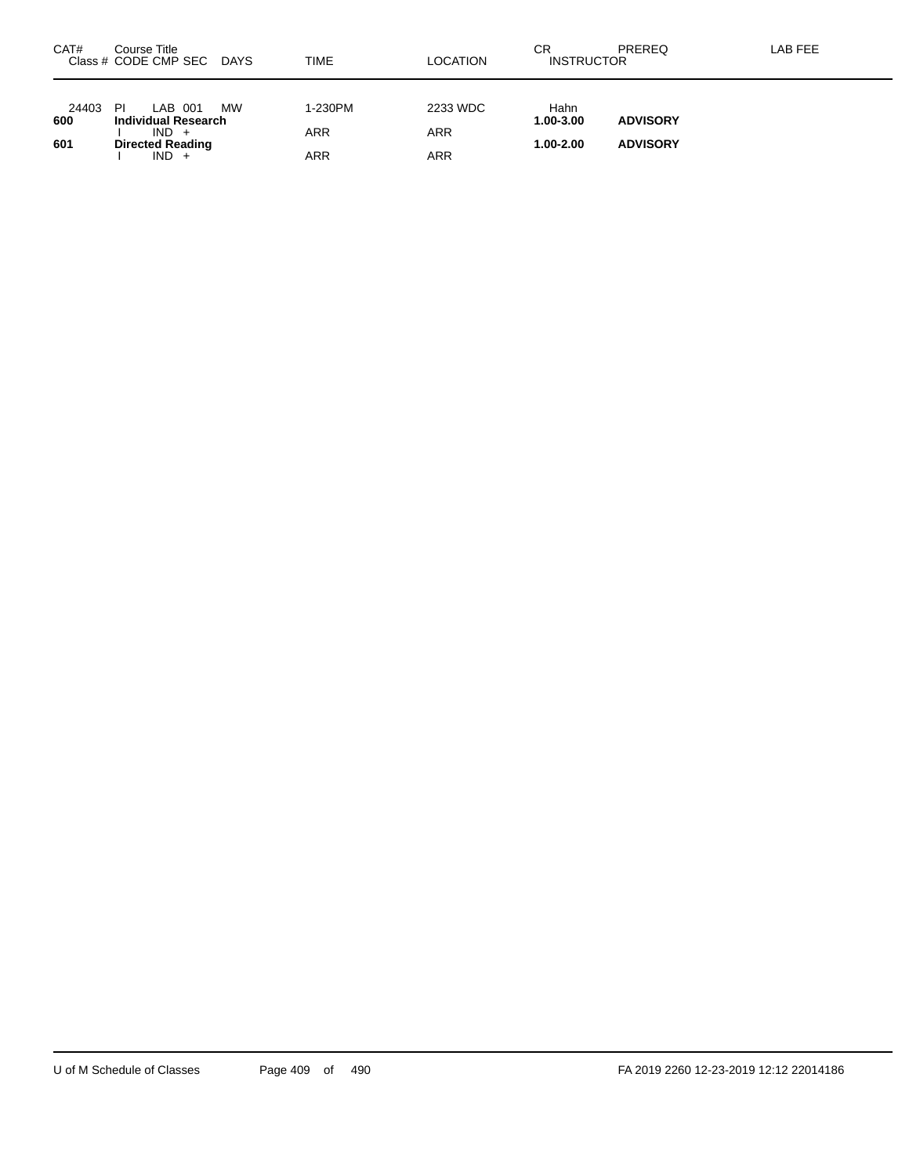| CAT#         | Course Title<br>Class # CODE CMP SEC               | DAYS      | TIME       | LOCATION   | СR<br><b>INSTRUCTOR</b> | PREREQ          | LAB FEE |
|--------------|----------------------------------------------------|-----------|------------|------------|-------------------------|-----------------|---------|
| 24403<br>600 | <b>PI</b><br>LAB 001<br><b>Individual Research</b> | <b>MW</b> | 1-230PM    | 2233 WDC   | Hahn<br>1.00-3.00       | <b>ADVISORY</b> |         |
|              | $IND +$                                            |           | <b>ARR</b> | <b>ARR</b> |                         |                 |         |
| 601          | <b>Directed Reading</b><br>$IND +$                 |           | ARR        | <b>ARR</b> | $1.00 - 2.00$           | <b>ADVISORY</b> |         |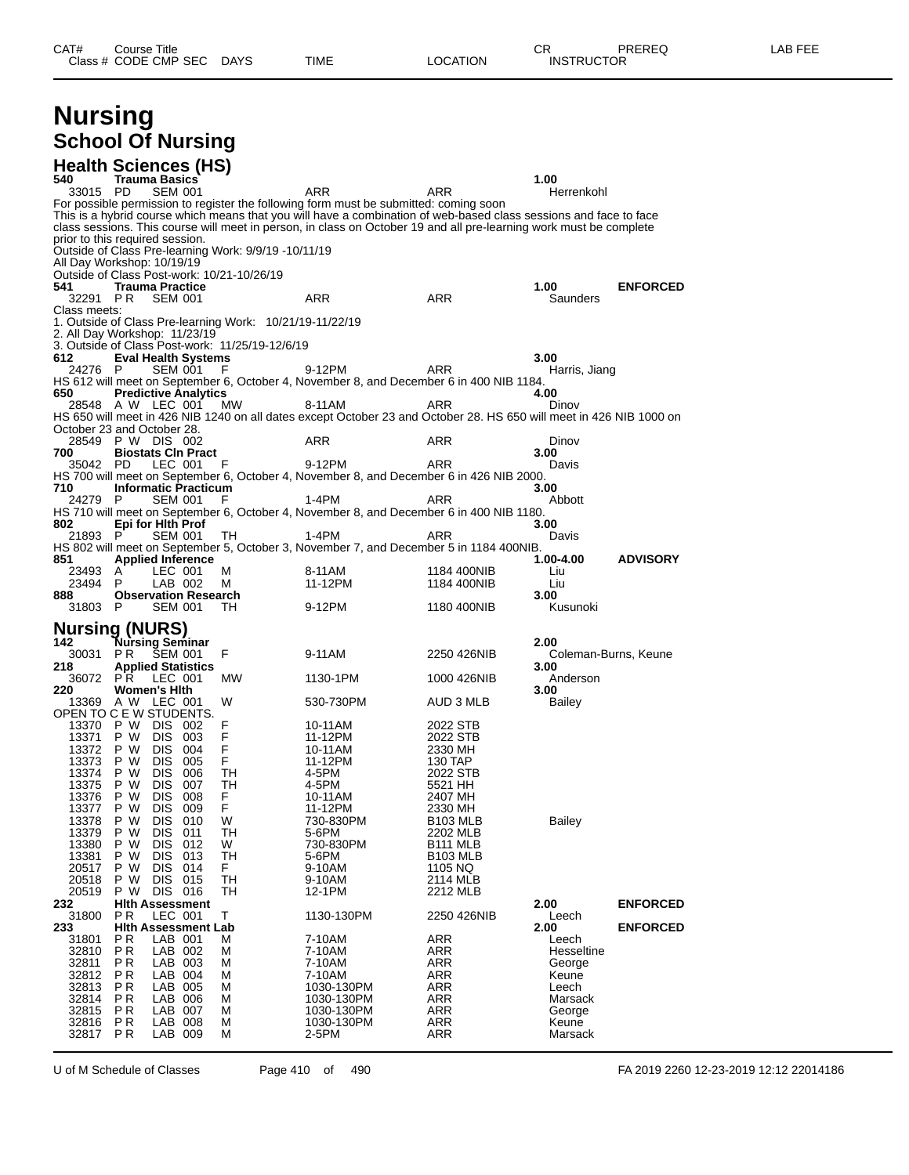### **Nursing School Of Nursing**

|                          | <b>Health Sciences (HS)</b>                                                      |           |                                                                                                                                                                                                                                         |                            |                              |                 |
|--------------------------|----------------------------------------------------------------------------------|-----------|-----------------------------------------------------------------------------------------------------------------------------------------------------------------------------------------------------------------------------------------|----------------------------|------------------------------|-----------------|
| 540<br>33015 PD          | <b>Trauma Basics</b><br><b>SEM 001</b>                                           |           | ARR                                                                                                                                                                                                                                     | ARR                        | 1.00<br>Herrenkohl           |                 |
|                          |                                                                                  |           | For possible permission to register the following form must be submitted: coming soon                                                                                                                                                   |                            |                              |                 |
|                          |                                                                                  |           | This is a hybrid course which means that you will have a combination of web-based class sessions and face to face<br>class sessions. This course will meet in person, in class on October 19 and all pre-learning work must be complete |                            |                              |                 |
|                          | prior to this required session.                                                  |           |                                                                                                                                                                                                                                         |                            |                              |                 |
|                          | Outside of Class Pre-learning Work: 9/9/19 -10/11/19                             |           |                                                                                                                                                                                                                                         |                            |                              |                 |
|                          | All Day Workshop: 10/19/19<br>Outside of Class Post-work: 10/21-10/26/19         |           |                                                                                                                                                                                                                                         |                            |                              |                 |
| 541                      | <b>Trauma Practice</b>                                                           |           |                                                                                                                                                                                                                                         |                            | 1.00                         | <b>ENFORCED</b> |
| 32291 PR<br>Class meets: | <b>SEM 001</b>                                                                   |           | ARR                                                                                                                                                                                                                                     | <b>ARR</b>                 | Saunders                     |                 |
|                          | 1. Outside of Class Pre-learning Work: 10/21/19-11/22/19                         |           |                                                                                                                                                                                                                                         |                            |                              |                 |
|                          | 2. All Day Workshop: 11/23/19<br>3. Outside of Class Post-work: 11/25/19-12/6/19 |           |                                                                                                                                                                                                                                         |                            |                              |                 |
| 612                      | <b>Eval Health Systems</b>                                                       |           |                                                                                                                                                                                                                                         |                            | 3.00                         |                 |
| 24276 P                  | SEM 001                                                                          | F         | 9-12PM<br>HS 612 will meet on September 6, October 4, November 8, and December 6 in 400 NIB 1184.                                                                                                                                       | ARR                        | Harris, Jiang                |                 |
| 650                      | <b>Predictive Analytics</b>                                                      |           |                                                                                                                                                                                                                                         |                            | 4.00                         |                 |
|                          | 28548 AW LEC 001                                                                 | <b>MW</b> | 8-11AM                                                                                                                                                                                                                                  | ARR                        | Dinov                        |                 |
|                          | October 23 and October 28.                                                       |           | HS 650 will meet in 426 NIB 1240 on all dates except October 23 and October 28. HS 650 will meet in 426 NIB 1000 on                                                                                                                     |                            |                              |                 |
|                          | 28549 P W DIS 002                                                                |           | ARR                                                                                                                                                                                                                                     | ARR                        | Dinov                        |                 |
| 700<br>35042 PD          | <b>Biostats CIn Pract</b><br>LEC 001                                             | F         | 9-12PM                                                                                                                                                                                                                                  | ARR                        | 3.00<br>Davis                |                 |
|                          |                                                                                  |           | HS 700 will meet on September 6, October 4, November 8, and December 6 in 426 NIB 2000.                                                                                                                                                 |                            |                              |                 |
| 710<br>24279 P           | <b>Informatic Practicum</b><br><b>SEM 001</b>                                    | F         | 1-4PM                                                                                                                                                                                                                                   | ARR                        | 3.00<br>Abbott               |                 |
|                          |                                                                                  |           | HS 710 will meet on September 6, October 4, November 8, and December 6 in 400 NIB 1180.                                                                                                                                                 |                            |                              |                 |
| 802<br>21893 P           | Epi for Hith Prof<br>SEM 001                                                     | TH        | 1-4PM                                                                                                                                                                                                                                   | ARR                        | 3.00<br>Davis                |                 |
|                          |                                                                                  |           | HS 802 will meet on September 5, October 3, November 7, and December 5 in 1184 400NIB.                                                                                                                                                  |                            |                              |                 |
| 851<br>23493             | <b>Applied Inference</b><br>LEC 001<br>A                                         | м         | 8-11AM                                                                                                                                                                                                                                  |                            | 1.00-4.00                    | <b>ADVISORY</b> |
| 23494                    | P<br>LAB 002                                                                     | м         | 11-12PM                                                                                                                                                                                                                                 | 1184 400NIB<br>1184 400NIB | Liu<br>Liu                   |                 |
| 888                      | <b>Observation Research</b>                                                      |           |                                                                                                                                                                                                                                         |                            | 3.00                         |                 |
| 31803 P                  | <b>SEM 001</b>                                                                   | TH.       | 9-12PM                                                                                                                                                                                                                                  | 1180 400NIB                | Kusunoki                     |                 |
|                          | <b>Nursing (NURS)</b>                                                            |           |                                                                                                                                                                                                                                         |                            |                              |                 |
| 142<br>30031             | Nursing Seminar<br>P R<br>SEM 001                                                | F         | 9-11AM                                                                                                                                                                                                                                  | 2250 426NIB                | 2.00<br>Coleman-Burns, Keune |                 |
| 218                      | <b>Applied Statistics</b>                                                        |           |                                                                                                                                                                                                                                         |                            | 3.00                         |                 |
| 36072 PR<br>220          | LEC 001<br><b>Women's Hith</b>                                                   | МW        | 1130-1PM                                                                                                                                                                                                                                | 1000 426NIB                | Anderson<br>3.00             |                 |
| 13369                    | A W LEC 001                                                                      | W         | 530-730PM                                                                                                                                                                                                                               | AUD 3 MLB                  | Bailey                       |                 |
| 13370 PW                 | OPEN TO C E W STUDENTS.<br>DIS.<br>- 002                                         | F         | 10-11AM                                                                                                                                                                                                                                 | 2022 STB                   |                              |                 |
| 13371                    | P W<br>DIS.<br>003                                                               | F         | 11-12PM                                                                                                                                                                                                                                 | 2022 STB                   |                              |                 |
| 13372<br>13373           | P W<br><b>DIS</b><br>004<br>P W<br><b>DIS</b><br>005                             | F<br>F    | 10-11AM<br>11-12PM                                                                                                                                                                                                                      | 2330 MH<br>130 TAP         |                              |                 |
| 13374                    | P W<br><b>DIS</b><br>006                                                         | TН        | 4-5PM                                                                                                                                                                                                                                   | 2022 STB                   |                              |                 |
| 13375                    | P W<br><b>DIS</b><br>007                                                         | TН<br>F   | 4-5PM                                                                                                                                                                                                                                   | 5521 HH                    |                              |                 |
| 13376<br>13377           | P W<br><b>DIS</b><br>008<br>P W<br><b>DIS</b><br>009                             | F         | 10-11AM<br>11-12PM                                                                                                                                                                                                                      | 2407 MH<br>2330 MH         |                              |                 |
| 13378                    | P W<br>DIS<br>010                                                                | W         | 730-830PM                                                                                                                                                                                                                               | B <sub>103</sub> MLB       | <b>Bailey</b>                |                 |
| 13379<br>13380           | P W<br><b>DIS</b><br>011<br>P W<br>012<br>DIS.                                   | TH<br>W   | 5-6PM<br>730-830PM                                                                                                                                                                                                                      | 2202 MLB<br>B111 MLB       |                              |                 |
| 13381                    | P W<br><b>DIS</b><br>013                                                         | TH        | 5-6PM                                                                                                                                                                                                                                   | <b>B103 MLB</b>            |                              |                 |
| 20517<br>20518           | P W<br>DIS.<br>014<br>015<br>P W<br>DIS.                                         | F.<br>TН  | 9-10AM<br>9-10AM                                                                                                                                                                                                                        | 1105 NQ<br>2114 MLB        |                              |                 |
| 20519                    | P W<br><b>DIS 016</b>                                                            | TН        | 12-1PM                                                                                                                                                                                                                                  | 2212 MLB                   |                              |                 |
| 232<br>31800             | <b>Hith Assessment</b><br>LEC 001<br>P R                                         | т         | 1130-130PM                                                                                                                                                                                                                              | 2250 426NIB                | 2.00<br>Leech                | <b>ENFORCED</b> |
| 233                      | <b>Hith Assessment Lab</b>                                                       |           |                                                                                                                                                                                                                                         |                            | 2.00                         | <b>ENFORCED</b> |
| 31801<br>32810           | P R<br>LAB 001<br><b>PR</b><br>LAB 002                                           | м<br>м    | 7-10AM<br>7-10AM                                                                                                                                                                                                                        | <b>ARR</b>                 | Leech                        |                 |
| 32811                    | P <sub>R</sub><br>LAB 003                                                        | м         | 7-10AM                                                                                                                                                                                                                                  | ARR<br>ARR                 | Hesseltine<br>George         |                 |
| 32812                    | P R<br>LAB 004                                                                   | м         | 7-10AM                                                                                                                                                                                                                                  | <b>ARR</b>                 | Keune                        |                 |
| 32813<br>32814           | LAB 005<br>P R<br><b>PR</b><br>LAB 006                                           | М<br>м    | 1030-130PM<br>1030-130PM                                                                                                                                                                                                                | ARR<br><b>ARR</b>          | Leech<br>Marsack             |                 |
| 32815                    | P R<br>LAB 007                                                                   | М         | 1030-130PM                                                                                                                                                                                                                              | <b>ARR</b>                 | George                       |                 |
| 32816<br>32817           | P R<br>LAB 008<br>PR.<br>LAB 009                                                 | М<br>М    | 1030-130PM<br>2-5PM                                                                                                                                                                                                                     | ARR<br><b>ARR</b>          | Keune<br>Marsack             |                 |
|                          |                                                                                  |           |                                                                                                                                                                                                                                         |                            |                              |                 |

U of M Schedule of Classes Page 410 of 490 FA 2019 2260 12-23-2019 12:12 22014186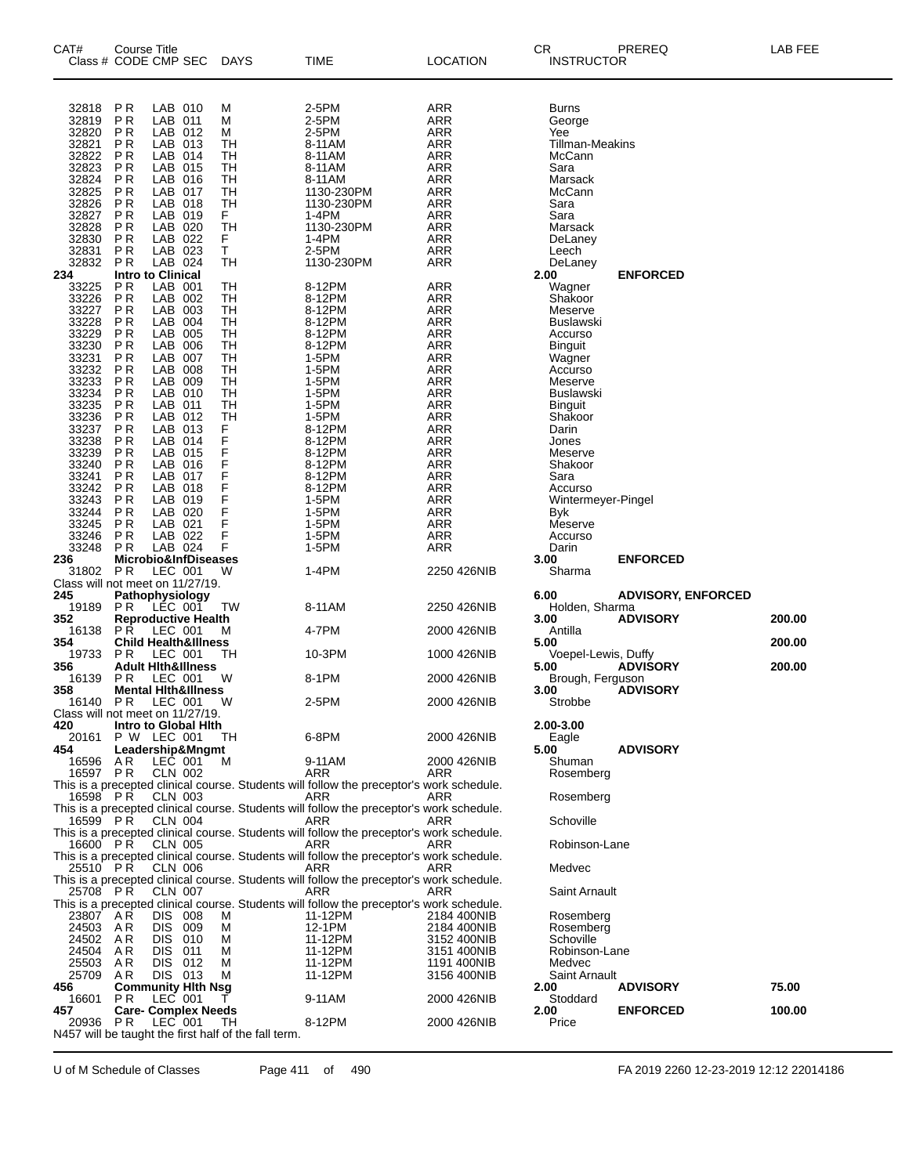| CAT#                    | Course Title<br>Class # CODE CMP SEC                |                               |                                 | <b>DAYS</b>                                          | TIME                                                                                            | <b>LOCATION</b>            | CR<br><b>INSTRUCTOR</b>       | PREREQ                    | LAB FEE |
|-------------------------|-----------------------------------------------------|-------------------------------|---------------------------------|------------------------------------------------------|-------------------------------------------------------------------------------------------------|----------------------------|-------------------------------|---------------------------|---------|
| 32818<br>32819<br>32820 | P <sub>R</sub><br>P R<br><b>PR</b>                  | LAB 010<br>LAB 011<br>LAB 012 |                                 | M<br>M<br>М                                          | 2-5PM<br>2-5PM<br>2-5PM                                                                         | <b>ARR</b><br>ARR<br>ARR   | Burns<br>George<br>Yee        |                           |         |
| 32821<br>32822          | P <sub>R</sub><br>P <sub>R</sub>                    | LAB 013<br>LAB 014            |                                 | TН<br>TН                                             | 8-11AM<br>8-11AM                                                                                | <b>ARR</b><br>ARR          | Tillman-Meakins<br>McCann     |                           |         |
| 32823<br>32824          | <b>PR</b><br>P <sub>R</sub>                         | LAB 015<br>LAB 016            |                                 | TН<br>TН                                             | 8-11AM                                                                                          | ARR<br><b>ARR</b>          | Sara<br>Marsack               |                           |         |
| 32825                   | P <sub>R</sub>                                      | LAB 017                       |                                 | TН                                                   | 8-11AM<br>1130-230PM                                                                            | ARR                        | McCann                        |                           |         |
| 32826<br>32827          | <b>PR</b><br>P <sub>R</sub>                         | LAB 018<br>LAB 019            |                                 | TН<br>F.                                             | 1130-230PM<br>1-4PM                                                                             | ARR<br><b>ARR</b>          | Sara<br>Sara                  |                           |         |
| 32828                   | P R                                                 | LAB 020                       |                                 | TH                                                   | 1130-230PM                                                                                      | ARR                        | Marsack                       |                           |         |
| 32830<br>32831          | <b>PR</b><br>P <sub>R</sub>                         | LAB 022<br>LAB 023            |                                 | F.<br>T                                              | 1-4PM<br>2-5PM                                                                                  | ARR<br><b>ARR</b>          | DeLaney<br>Leech              |                           |         |
| 32832                   | P R                                                 | LAB 024                       |                                 | TН                                                   | 1130-230PM                                                                                      | ARR                        | DeLaney                       |                           |         |
| 234<br>33225            | <b>Intro to Clinical</b><br><b>PR</b>               | LAB 001                       |                                 | TH                                                   | 8-12PM                                                                                          | <b>ARR</b>                 | 2.00<br>Wagner                | <b>ENFORCED</b>           |         |
| 33226                   | <b>PR</b>                                           | LAB 002                       |                                 | TН                                                   | 8-12PM                                                                                          | ARR                        | Shakoor                       |                           |         |
| 33227<br>33228          | <b>PR</b><br>P <sub>R</sub>                         | LAB 003<br>LAB 004            |                                 | TН<br>TН                                             | 8-12PM<br>8-12PM                                                                                | ARR<br><b>ARR</b>          | Meserve<br>Buslawski          |                           |         |
| 33229                   | P <sub>R</sub>                                      | LAB 005                       |                                 | TН                                                   | 8-12PM                                                                                          | ARR                        | Accurso                       |                           |         |
| 33230<br>33231          | <b>PR</b><br>P <sub>R</sub>                         | LAB<br>LAB 007                | 006                             | TН<br>TН                                             | 8-12PM<br>1-5PM                                                                                 | ARR<br><b>ARR</b>          | Binguit<br>Wagner             |                           |         |
| 33232                   | P <sub>R</sub>                                      | LAB 008                       |                                 | TН                                                   | 1-5PM                                                                                           | ARR                        | Accurso                       |                           |         |
| 33233<br>33234          | <b>PR</b><br>P <sub>R</sub>                         | LAB 009<br>LAB 010            |                                 | TН<br>TН                                             | 1-5PM<br>1-5PM                                                                                  | ARR<br><b>ARR</b>          | Meserve<br><b>Buslawski</b>   |                           |         |
| 33235                   | P <sub>R</sub>                                      | LAB 011<br>LAB 012            |                                 | TН                                                   | 1-5PM                                                                                           | ARR                        | <b>Binguit</b>                |                           |         |
| 33236<br>33237          | <b>PR</b><br>P <sub>R</sub>                         | LAB 013                       |                                 | TН<br>F                                              | 1-5PM<br>8-12PM                                                                                 | ARR<br><b>ARR</b>          | Shakoor<br>Darin              |                           |         |
| 33238                   | P R                                                 | LAB 014<br>LAB 015            |                                 | F                                                    | 8-12PM                                                                                          | ARR                        | Jones                         |                           |         |
| 33239<br>33240          | <b>PR</b><br><b>PR</b>                              | LAB 016                       |                                 | F<br>F                                               | 8-12PM<br>8-12PM                                                                                | ARR<br><b>ARR</b>          | Meserve<br>Shakoor            |                           |         |
| 33241<br>33242          | P R<br><b>PR</b>                                    | LAB 017<br>LAB 018            |                                 | F<br>F                                               | 8-12PM<br>8-12PM                                                                                | ARR<br>ARR                 | Sara                          |                           |         |
| 33243                   | P <sub>R</sub>                                      | LAB 019                       |                                 | F                                                    | 1-5PM                                                                                           | <b>ARR</b>                 | Accurso<br>Wintermeyer-Pingel |                           |         |
| 33244<br>33245          | P R<br><b>PR</b>                                    | LAB 020<br>LAB 021            |                                 | F<br>F                                               | 1-5PM<br>1-5PM                                                                                  | ARR<br>ARR                 | <b>Byk</b><br>Meserve         |                           |         |
| 33246                   | P <sub>R</sub>                                      | LAB 022                       |                                 | F                                                    | 1-5PM                                                                                           | ARR                        | Accurso                       |                           |         |
| 33248<br>236            | P R                                                 | LAB 024                       | Microbio&InfDiseases            | F                                                    | 1-5PM                                                                                           | ARR                        | Darin<br>3.00                 | <b>ENFORCED</b>           |         |
| 31802                   | PR                                                  | LEC 001                       |                                 | W                                                    | 1-4PM                                                                                           | 2250 426NIB                | Sharma                        |                           |         |
| 245                     | Class will not meet on 11/27/19.<br>Pathophysiology |                               |                                 |                                                      |                                                                                                 |                            | 6.00                          | <b>ADVISORY, ENFORCED</b> |         |
| 19189                   | P R                                                 | LEC 001                       |                                 | TW                                                   | 8-11AM                                                                                          | 2250 426NIB                | Holden, Sharma                |                           |         |
| 352<br>16138            | PR.                                                 | LEC 001                       | <b>Reproductive Health</b>      | м                                                    | 4-7PM                                                                                           | 2000 426NIB                | 3.00<br>Antilla               | <b>ADVISORY</b>           | 200.00  |
| 354<br>19733            | P R                                                 | LEC 001                       | <b>Child Health&amp;Illness</b> | TН                                                   | 10-3PM                                                                                          | 1000 426NIB                | 5.00<br>Voepel-Lewis, Duffy   |                           | 200.00  |
| 356                     |                                                     |                               | <b>Adult Hith&amp;Illness</b>   |                                                      |                                                                                                 |                            | 5.00                          | <b>ADVISORY</b>           | 200.00  |
| 16139<br>358            | P R                                                 | LEC 001                       | <b>Mental Hith&amp;Illness</b>  | W                                                    | 8-1PM                                                                                           | 2000 426NIB                | Brough, Ferguson<br>3.00      | <b>ADVISORY</b>           |         |
| 16140                   | P R                                                 | LEC 001                       |                                 | W                                                    | 2-5PM                                                                                           | 2000 426NIB                | Strobbe                       |                           |         |
| 420                     | Class will not meet on 11/27/19.                    |                               | Intro to Global Hith            |                                                      |                                                                                                 |                            | 2.00-3.00                     |                           |         |
| 20161                   | P W LEC 001                                         |                               |                                 | TH                                                   | 6-8PM                                                                                           | 2000 426NIB                | Eagle                         |                           |         |
| 454<br>16596            | A R                                                 | LEC 001                       | Leadership&Mngmt                | M                                                    | 9-11AM                                                                                          | 2000 426NIB                | 5.00<br>Shuman                | <b>ADVISORY</b>           |         |
|                         | 16597 PR                                            | CLN 002                       |                                 |                                                      | ARR<br>This is a precepted clinical course. Students will follow the preceptor's work schedule. | ARR                        | Rosemberg                     |                           |         |
|                         | 16598 PR                                            | <b>CLN 003</b>                |                                 |                                                      | ARR                                                                                             | ARR                        | Rosemberg                     |                           |         |
|                         | 16599 PR                                            | CLN 004                       |                                 |                                                      | This is a precepted clinical course. Students will follow the preceptor's work schedule.<br>ARR | ARR                        | Schoville                     |                           |         |
|                         |                                                     |                               |                                 |                                                      | This is a precepted clinical course. Students will follow the preceptor's work schedule.        |                            |                               |                           |         |
|                         | 16600 PR                                            | CLN 005                       |                                 |                                                      | ARR<br>This is a precepted clinical course. Students will follow the preceptor's work schedule. | ARR                        | Robinson-Lane                 |                           |         |
|                         | 25510 PR                                            | CLN 006                       |                                 |                                                      | ARR                                                                                             | ARR                        | Medvec                        |                           |         |
|                         | 25708 PR                                            | CLN 007                       |                                 |                                                      | This is a precepted clinical course. Students will follow the preceptor's work schedule.<br>ARR | ARR                        | <b>Saint Arnault</b>          |                           |         |
|                         |                                                     |                               |                                 |                                                      | This is a precepted clinical course. Students will follow the preceptor's work schedule.        |                            |                               |                           |         |
|                         | 23807 AR<br>24503 AR                                | DIS .<br>DIS 009              | 008                             | м<br>М                                               | 11-12PM<br>12-1PM                                                                               | 2184 400NIB<br>2184 400NIB | Rosemberg<br>Rosemberg        |                           |         |
|                         | 24502 AR                                            | DIS.                          | 010                             | М                                                    | 11-12PM                                                                                         | 3152 400NIB                | Schoville                     |                           |         |
| 24504<br>25503          | AR<br>AR                                            | DIS 011<br>DIS 012            |                                 | М<br>M                                               | 11-12PM<br>11-12PM                                                                              | 3151 400NIB<br>1191 400NIB | Robinson-Lane<br>Medvec       |                           |         |
| 25709                   | AR                                                  | DIS 013                       |                                 | М                                                    | 11-12PM                                                                                         | 3156 400NIB                | <b>Saint Arnault</b><br>2.00  |                           | 75.00   |
| 456<br>16601            | P R                                                 | LEC 001                       | <b>Community Hith Nsg</b>       | т                                                    | 9-11AM                                                                                          | 2000 426NIB                | Stoddard                      | <b>ADVISORY</b>           |         |
| 457<br>20936            | P R                                                 | LEC 001                       | <b>Care- Complex Needs</b>      | TH.                                                  | 8-12PM                                                                                          | 2000 426NIB                | 2.00<br>Price                 | <b>ENFORCED</b>           | 100.00  |
|                         |                                                     |                               |                                 | N457 will be taught the first half of the fall term. |                                                                                                 |                            |                               |                           |         |
|                         |                                                     |                               |                                 |                                                      |                                                                                                 |                            |                               |                           |         |

U of M Schedule of Classes Page 411 of 490 FA 2019 2260 12-23-2019 12:12 22014186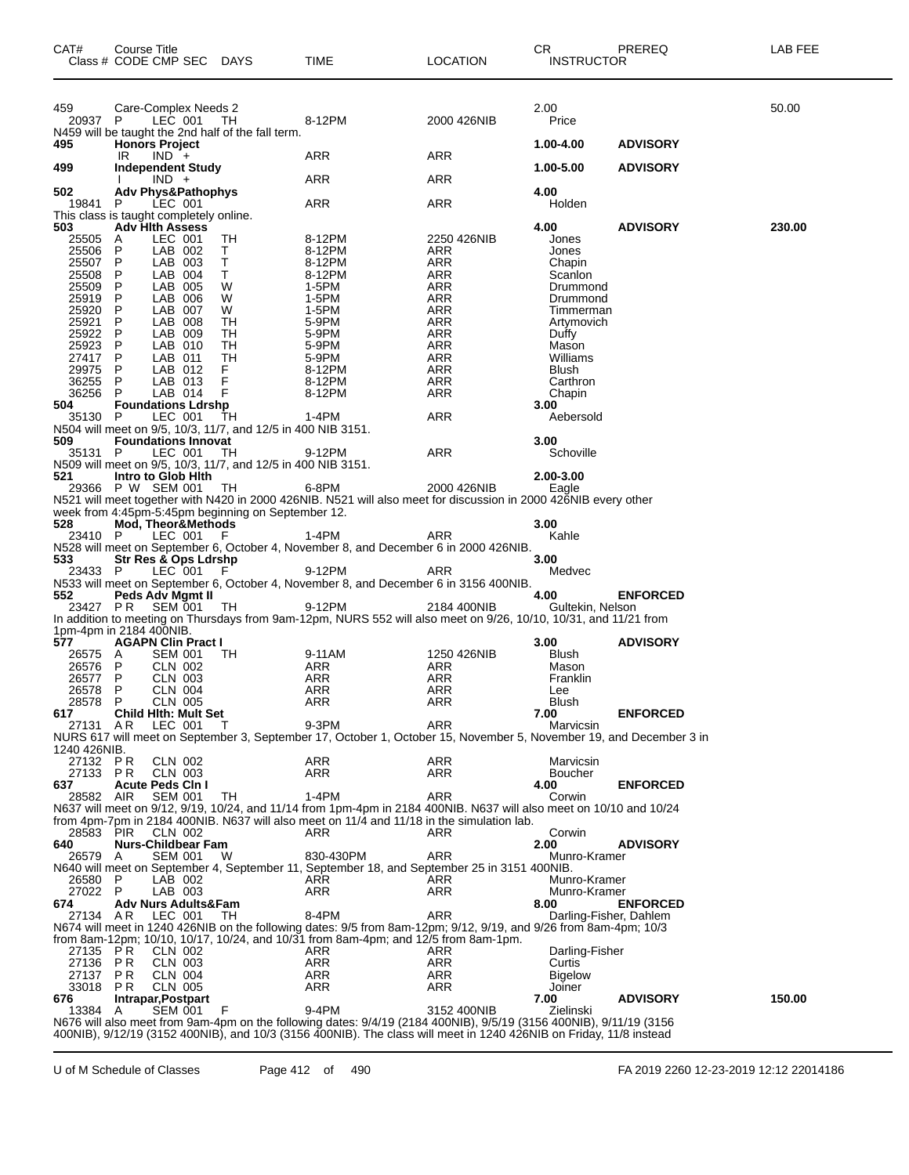| CAT#                           | <b>Course Title</b> | Class # CODE CMP SEC DAYS                                         |                                                              | TIME                                                                                                                                                                                                            | <b>LOCATION</b>   | CR.<br><b>INSTRUCTOR</b> | PREREQ          | LAB FEE |
|--------------------------------|---------------------|-------------------------------------------------------------------|--------------------------------------------------------------|-----------------------------------------------------------------------------------------------------------------------------------------------------------------------------------------------------------------|-------------------|--------------------------|-----------------|---------|
| 459<br>20937 P                 |                     | Care-Complex Needs 2<br>LEC 001                                   | TH<br>N459 will be taught the 2nd half of the fall term.     | 8-12PM                                                                                                                                                                                                          | 2000 426NIB       | 2.00<br>Price            |                 | 50.00   |
| 495                            |                     | <b>Honors Project</b>                                             |                                                              |                                                                                                                                                                                                                 |                   | 1.00-4.00                | <b>ADVISORY</b> |         |
| 499                            | IR.                 | $IND +$<br>Independent Study                                      |                                                              | ARR                                                                                                                                                                                                             | ARR               | 1.00-5.00                | <b>ADVISORY</b> |         |
| 502                            |                     | $IND +$<br><b>Adv Phys&amp;Pathophys</b>                          |                                                              | ARR                                                                                                                                                                                                             | ARR               | 4.00                     |                 |         |
| 19841                          | P                   | LEC 001                                                           |                                                              | <b>ARR</b>                                                                                                                                                                                                      | ARR               | Holden                   |                 |         |
| 503                            |                     | This class is taught completely online.<br><b>Adv Hith Assess</b> |                                                              |                                                                                                                                                                                                                 |                   | 4.00                     | <b>ADVISORY</b> | 230.00  |
| 25505                          | A                   | LEC 001                                                           | TH                                                           | 8-12PM                                                                                                                                                                                                          | 2250 426NIB       | Jones                    |                 |         |
| 25506<br>25507                 | P<br>P              | LAB 002<br>LAB 003                                                | Τ<br>т                                                       | 8-12PM<br>8-12PM                                                                                                                                                                                                | ARR<br><b>ARR</b> | Jones<br>Chapin          |                 |         |
| 25508                          | P                   | LAB 004                                                           | Τ                                                            | 8-12PM                                                                                                                                                                                                          | ARR               | Scanlon                  |                 |         |
| 25509<br>25919                 | P<br>P              | LAB 005<br>LAB 006                                                | W<br>W                                                       | 1-5PM<br>1-5PM                                                                                                                                                                                                  | ARR<br>ARR        | Drummond<br>Drummond     |                 |         |
| 25920                          | P                   | LAB 007                                                           | W                                                            | 1-5PM                                                                                                                                                                                                           | <b>ARR</b>        | Timmerman                |                 |         |
| 25921<br>25922                 | P<br>P              | LAB 008<br>LAB 009                                                | TН<br>TН                                                     | 5-9PM<br>5-9PM                                                                                                                                                                                                  | ARR<br><b>ARR</b> | Artymovich<br>Duffy      |                 |         |
| 25923                          | P                   | LAB 010                                                           | TН                                                           | 5-9PM                                                                                                                                                                                                           | <b>ARR</b>        | Mason                    |                 |         |
| 27417<br>29975                 | P<br>P              | LAB 011<br>LAB 012                                                | TН<br>F                                                      | 5-9PM<br>8-12PM                                                                                                                                                                                                 | ARR<br>ARR        | Williams<br><b>Blush</b> |                 |         |
| 36255                          | P                   | LAB 013                                                           | F                                                            | 8-12PM                                                                                                                                                                                                          | ARR               | Carthron                 |                 |         |
| 36256                          | P                   | LAB 014                                                           | F                                                            | 8-12PM                                                                                                                                                                                                          | ARR               | Chapin                   |                 |         |
| 504<br>35130 P                 |                     | <b>Foundations Ldrshp</b><br>LEC 001                              | TН                                                           | $1-4PM$                                                                                                                                                                                                         | <b>ARR</b>        | 3.00<br>Aebersold        |                 |         |
|                                |                     |                                                                   | N504 will meet on 9/5, 10/3, 11/7, and 12/5 in 400 NIB 3151. |                                                                                                                                                                                                                 |                   |                          |                 |         |
| 509<br>35131 P                 |                     | <b>Foundations Innovat</b><br>LEC 001                             | TH                                                           | 9-12PM                                                                                                                                                                                                          | <b>ARR</b>        | 3.00<br>Schoville        |                 |         |
|                                |                     |                                                                   | N509 will meet on 9/5, 10/3, 11/7, and 12/5 in 400 NIB 3151. |                                                                                                                                                                                                                 |                   |                          |                 |         |
| 521                            |                     | Intro to Glob Hith<br>29366 P W SEM 001                           | TH                                                           | 6-8PM                                                                                                                                                                                                           | 2000 426NIB       | 2.00-3.00<br>Eagle       |                 |         |
|                                |                     |                                                                   |                                                              | N521 will meet together with N420 in 2000 426NIB. N521 will also meet for discussion in 2000 426NIB every other                                                                                                 |                   |                          |                 |         |
| 528                            |                     | Mod, Theor&Methods                                                | week from 4:45pm-5:45pm beginning on September 12.           |                                                                                                                                                                                                                 |                   | 3.00                     |                 |         |
| 23410 P                        |                     | LEC 001                                                           | - F                                                          | $1-4PM$                                                                                                                                                                                                         | ARR               | Kahle                    |                 |         |
| 533                            |                     | Str Res & Ops Ldrshp                                              |                                                              | N528 will meet on September 6, October 4, November 8, and December 6 in 2000 426NIB.                                                                                                                            |                   | 3.00                     |                 |         |
| 23433 P                        |                     | LEC 001                                                           | F                                                            | 9-12PM                                                                                                                                                                                                          | ARR               | Medvec                   |                 |         |
| 552                            |                     |                                                                   |                                                              | N533 will meet on September 6, October 4, November 8, and December 6 in 3156 400NIB.                                                                                                                            |                   | 4.00                     | <b>ENFORCED</b> |         |
| 23427 PR                       |                     | Peds Adv Mgmt II<br>SEM 001                                       | TH.                                                          | 9-12PM                                                                                                                                                                                                          | 2184 400NIB       | Gultekin, Nelson         |                 |         |
|                                |                     |                                                                   |                                                              | In addition to meeting on Thursdays from 9am-12pm, NURS 552 will also meet on 9/26, 10/10, 10/31, and 11/21 from                                                                                                |                   |                          |                 |         |
| 1pm-4pm in 2184 400NIB.<br>577 |                     | <b>AGAPN Clin Pract I</b>                                         |                                                              |                                                                                                                                                                                                                 |                   | 3.00                     | <b>ADVISORY</b> |         |
| 26575                          | A                   | <b>SEM 001</b>                                                    | TH                                                           | 9-11AM                                                                                                                                                                                                          | 1250 426NIB       | Blush                    |                 |         |
| 26576<br>26577                 | P<br>P              | CLN 002<br><b>CLN 003</b>                                         |                                                              | ARR<br>ARR                                                                                                                                                                                                      | ARR<br>ARR        | Mason<br>Franklin        |                 |         |
| 26578                          | P                   | <b>CLN 004</b>                                                    |                                                              | ARR                                                                                                                                                                                                             | ARR               | Lee                      |                 |         |
| 28578<br>617                   | $\mathsf{P}$        | <b>CLN 005</b><br><b>Child Hith: Mult Set</b>                     |                                                              | ARR                                                                                                                                                                                                             | ARR               | <b>Blush</b><br>7.00     | <b>ENFORCED</b> |         |
| 27131                          | AR.                 | LEC 001                                                           | т                                                            | 9-3PM                                                                                                                                                                                                           | ARR               | Marvicsin                |                 |         |
| 1240 426NIB.                   |                     |                                                                   |                                                              | NURS 617 will meet on September 3, September 17, October 1, October 15, November 5, November 19, and December 3 in                                                                                              |                   |                          |                 |         |
| 27132 PR                       |                     | CLN 002                                                           |                                                              | ARR                                                                                                                                                                                                             | ARR               | Marvicsin                |                 |         |
| 27133 PR<br>637                |                     | CLN 003<br><b>Acute Peds Cin I</b>                                |                                                              | <b>ARR</b>                                                                                                                                                                                                      | ARR               | <b>Boucher</b><br>4.00   | <b>ENFORCED</b> |         |
| 28582                          | AIR                 | <b>SEM 001</b>                                                    | TН                                                           | $1-4PM$                                                                                                                                                                                                         | ARR               | Corwin                   |                 |         |
|                                |                     |                                                                   |                                                              | N637 will meet on 9/12, 9/19, 10/24, and 11/14 from 1pm-4pm in 2184 400NIB. N637 will also meet on 10/10 and 10/24<br>from 4pm-7pm in 2184 400NIB. N637 will also meet on 11/4 and 11/18 in the simulation lab. |                   |                          |                 |         |
| 28583                          | PIR                 | CLN 002                                                           |                                                              | ARR                                                                                                                                                                                                             | ARR               | Corwin                   |                 |         |
| 640                            |                     | Nurs-Childbear Fam                                                |                                                              |                                                                                                                                                                                                                 |                   | 2.00                     | <b>ADVISORY</b> |         |
| 26579                          | A                   | <b>SEM 001</b>                                                    | W                                                            | 830-430PM<br>N640 will meet on September 4, September 11, September 18, and September 25 in 3151 400NIB.                                                                                                        | ARR               | Munro-Kramer             |                 |         |
| 26580                          | P                   | LAB 002                                                           |                                                              | ARR                                                                                                                                                                                                             | ARR               | Munro-Kramer             |                 |         |
| 27022<br>674                   | - P                 | LAB 003<br>Adv Nurs Adults&Fam                                    |                                                              | ARR                                                                                                                                                                                                             | ARR               | Munro-Kramer<br>8.00     | <b>ENFORCED</b> |         |
| 27134                          | AR                  | LEC 001                                                           | TН                                                           | 8-4PM                                                                                                                                                                                                           | <b>ARR</b>        | Darling-Fisher, Dahlem   |                 |         |
|                                |                     |                                                                   |                                                              | N674 will meet in 1240 426NIB on the following dates: 9/5 from 8am-12pm; 9/12, 9/19, and 9/26 from 8am-4pm; 10/3<br>from 8am-12pm; 10/10, 10/17, 10/24, and 10/31 from 8am-4pm; and 12/5 from 8am-1pm.          |                   |                          |                 |         |
| 27135                          | P R                 | CLN 002                                                           |                                                              | ARR                                                                                                                                                                                                             | ARR               | Darling-Fisher           |                 |         |
| 27136<br>27137                 | P R<br>P R          | <b>CLN 003</b><br><b>CLN 004</b>                                  |                                                              | ARR<br><b>ARR</b>                                                                                                                                                                                               | ARR<br><b>ARR</b> | Curtis<br><b>Bigelow</b> |                 |         |
| 33018                          | P R                 | <b>CLN 005</b>                                                    |                                                              | ARR                                                                                                                                                                                                             | ARR               | Joiner                   |                 |         |
| 676                            |                     | Intrapar, Postpart<br><b>SEM 001</b>                              | F                                                            | 9-4PM                                                                                                                                                                                                           | 3152 400NIB       | 7.00<br>Zielinski        | <b>ADVISORY</b> | 150.00  |
| 13384                          | A                   |                                                                   |                                                              | N676 will also meet from 9am-4pm on the following dates: 9/4/19 (2184 400NIB), 9/5/19 (3156 400NIB), 9/11/19 (3156                                                                                              |                   |                          |                 |         |
|                                |                     |                                                                   |                                                              | 400NIB), 9/12/19 (3152 400NIB), and 10/3 (3156 400NIB). The class will meet in 1240 426NIB on Friday, 11/8 instead                                                                                              |                   |                          |                 |         |

U of M Schedule of Classes Page 412 of 490 FA 2019 2260 12-23-2019 12:12 22014186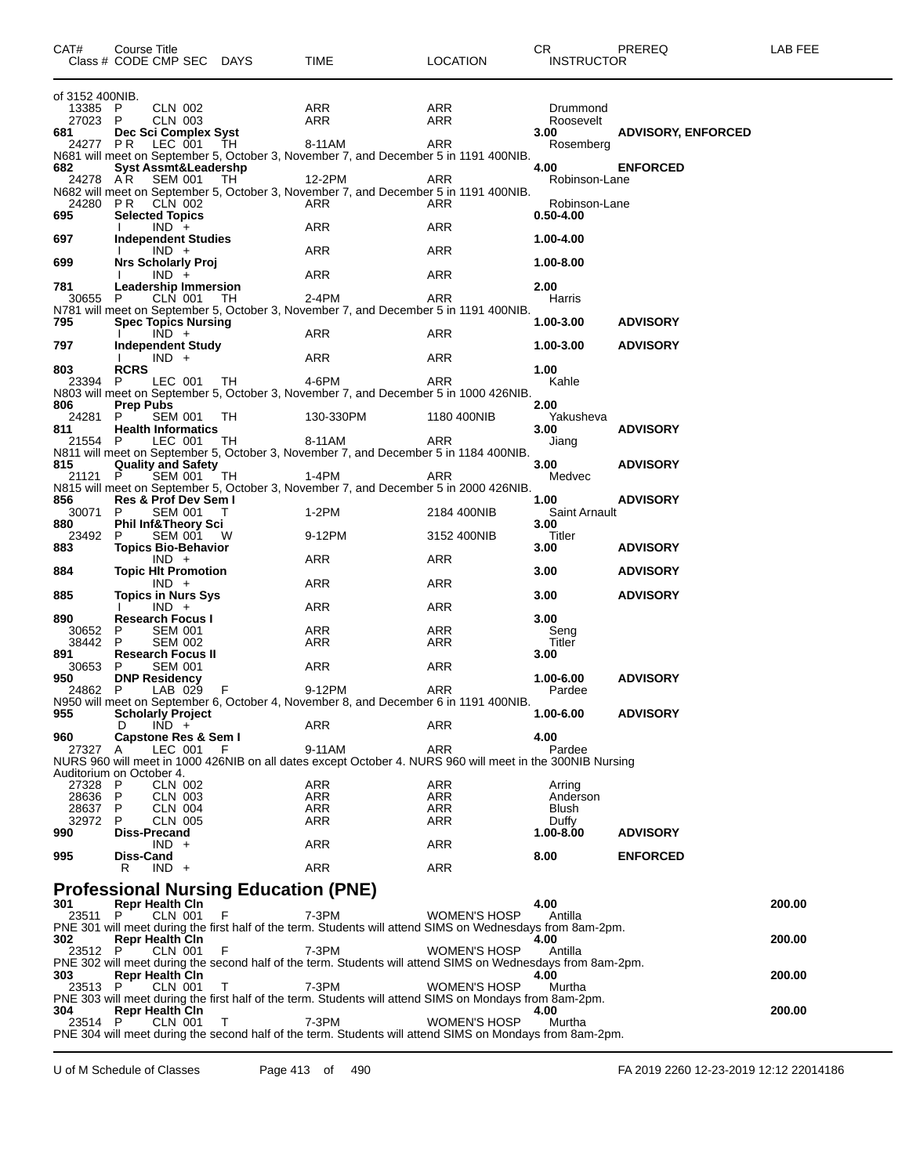| CAT#                     | Course Title     |                                       | Class # CODE CMP SEC DAYS                   | TIME       | LOCATION                                                                                                    | CR.<br><b>INSTRUCTOR</b> | PREREQ                    | LAB FEE |
|--------------------------|------------------|---------------------------------------|---------------------------------------------|------------|-------------------------------------------------------------------------------------------------------------|--------------------------|---------------------------|---------|
| of 3152 400NIB.          |                  |                                       |                                             |            |                                                                                                             |                          |                           |         |
| 13385                    | P                | <b>CLN 002</b>                        |                                             | ARR        | ARR                                                                                                         | Drummond                 |                           |         |
| 27023                    | P                | <b>CLN 003</b>                        |                                             | ARR        | ARR                                                                                                         | Roosevelt                |                           |         |
| 681<br>24277             | PR.              | Dec Sci Complex Syst<br>LEC 001       | TH                                          | 8-11AM     | ARR                                                                                                         | 3.00<br>Rosemberg        | <b>ADVISORY, ENFORCED</b> |         |
|                          |                  |                                       |                                             |            | N681 will meet on September 5, October 3, November 7, and December 5 in 1191 400NIB.                        |                          |                           |         |
| 682                      |                  |                                       | <b>Syst Assmt&amp;Leadershp</b>             |            |                                                                                                             | 4.00                     | <b>ENFORCED</b>           |         |
| 24278 AR                 |                  | SEM 001                               | TH.                                         | 12-2PM     | ARR                                                                                                         | Robinson-Lane            |                           |         |
|                          |                  |                                       |                                             |            | N682 will meet on September 5, October 3, November 7, and December 5 in 1191 400NIB.                        |                          |                           |         |
| 24280                    |                  | <b>PR</b> CLN 002                     |                                             | ARR        | ARR                                                                                                         | Robinson-Lane            |                           |         |
| 695                      |                  | <b>Selected Topics</b>                |                                             |            |                                                                                                             | $0.50 - 4.00$            |                           |         |
| 697                      |                  | $IND +$                               |                                             | ARR        | ARR                                                                                                         | 1.00-4.00                |                           |         |
|                          |                  | <b>Independent Studies</b><br>$IND +$ |                                             | ARR        | ARR                                                                                                         |                          |                           |         |
| 699                      |                  | <b>Nrs Scholarly Proj</b>             |                                             |            |                                                                                                             | 1.00-8.00                |                           |         |
|                          |                  | $IND +$                               |                                             | ARR        | ARR                                                                                                         |                          |                           |         |
| 781                      |                  | Leadership Immersion                  |                                             |            |                                                                                                             | 2.00                     |                           |         |
| 30655                    | P.               | CLN 001                               | TH                                          | 2-4PM      | ARR                                                                                                         | Harris                   |                           |         |
|                          |                  |                                       |                                             |            | N781 will meet on September 5, October 3, November 7, and December 5 in 1191 400NIB.                        |                          |                           |         |
| 795                      |                  | <b>Spec Topics Nursing</b>            |                                             |            |                                                                                                             | 1.00-3.00                | <b>ADVISORY</b>           |         |
|                          |                  | $IND +$                               |                                             | ARR        | ARR                                                                                                         |                          |                           |         |
| 797                      |                  | <b>Independent Study</b><br>$IND +$   |                                             | ARR        | ARR                                                                                                         | 1.00-3.00                | <b>ADVISORY</b>           |         |
| 803                      | <b>RCRS</b>      |                                       |                                             |            |                                                                                                             | 1.00                     |                           |         |
| 23394                    | P.               | LEC 001                               | TH                                          | 4-6PM      | ARR                                                                                                         | Kahle                    |                           |         |
|                          |                  |                                       |                                             |            | N803 will meet on September 5, October 3, November 7, and December 5 in 1000 426NIB.                        |                          |                           |         |
| 806                      | <b>Prep Pubs</b> |                                       |                                             |            |                                                                                                             | 2.00                     |                           |         |
| 24281                    | P                | <b>SEM 001</b>                        | TH                                          | 130-330PM  | 1180 400NIB                                                                                                 | Yakusheva                |                           |         |
| 811                      |                  | <b>Health Informatics</b>             |                                             |            |                                                                                                             | 3.00                     | <b>ADVISORY</b>           |         |
| 21554 P                  |                  | LEC 001                               | TH                                          | 8-11AM     | ARR                                                                                                         | Jiang                    |                           |         |
|                          |                  |                                       |                                             |            | N811 will meet on September 5, October 3, November 7, and December 5 in 1184 400NIB.                        |                          |                           |         |
| 815<br>21121             | P                | <b>Quality and Safety</b><br>SEM 001  | <b>TH</b>                                   | 1-4PM      | ARR                                                                                                         | 3.00<br>Medvec           | <b>ADVISORY</b>           |         |
|                          |                  |                                       |                                             |            | N815 will meet on September 5, October 3, November 7, and December 5 in 2000 426NIB.                        |                          |                           |         |
| 856                      |                  | Res & Prof Dev Sem I                  |                                             |            |                                                                                                             | 1.00                     | <b>ADVISORY</b>           |         |
| 30071                    | P.               | SEM 001                               | т                                           | 1-2PM      | 2184 400NIB                                                                                                 | Saint Arnault            |                           |         |
| 880                      |                  | <b>Phil Inf&amp;Theory Sci</b>        |                                             |            |                                                                                                             | 3.00                     |                           |         |
| 23492                    | P.               | <b>SEM 001</b>                        | W                                           | 9-12PM     | 3152 400NIB                                                                                                 | Titler                   |                           |         |
| 883                      |                  | <b>Topics Bio-Behavior</b>            |                                             |            |                                                                                                             | 3.00                     | <b>ADVISORY</b>           |         |
|                          |                  | $IND +$                               |                                             | ARR        | ARR                                                                                                         |                          |                           |         |
| 884                      |                  | <b>Topic HIt Promotion</b>            |                                             | ARR        |                                                                                                             | 3.00                     | <b>ADVISORY</b>           |         |
| 885                      |                  | $IND +$<br><b>Topics in Nurs Sys</b>  |                                             |            | ARR                                                                                                         | 3.00                     | <b>ADVISORY</b>           |         |
|                          |                  | $IND +$                               |                                             | ARR        | ARR                                                                                                         |                          |                           |         |
| 890                      |                  | <b>Research Focus I</b>               |                                             |            |                                                                                                             | 3.00                     |                           |         |
| 30652                    | P                | <b>SEM 001</b>                        |                                             | ARR        | ARR                                                                                                         | Seng                     |                           |         |
| 38442                    | P                | <b>SEM 002</b>                        |                                             | ARR        | ARR                                                                                                         | Titler                   |                           |         |
| 891                      |                  | <b>Research Focus II</b>              |                                             |            |                                                                                                             | 3.00                     |                           |         |
| 30653                    | P.               | <b>SEM 001</b>                        |                                             | ARR        | ARR                                                                                                         |                          |                           |         |
| 950<br>24862             | P.               | <b>DNP Residency</b><br>LAB 029       | F                                           | 9-12PM     | ARR                                                                                                         | 1.00-6.00<br>Pardee      | <b>ADVISORY</b>           |         |
|                          |                  |                                       |                                             |            | N950 will meet on September 6, October 4, November 8, and December 6 in 1191 400NIB.                        |                          |                           |         |
| 955                      |                  | <b>Scholarly Project</b>              |                                             |            |                                                                                                             | 1.00-6.00                | <b>ADVISORY</b>           |         |
|                          | D                | $IND +$                               |                                             | <b>ARR</b> | ARR                                                                                                         |                          |                           |         |
| 960                      |                  | Capstone Res & Sem I                  |                                             |            |                                                                                                             | 4.00                     |                           |         |
| 27327 A                  |                  | LEC 001                               | F.                                          | 9-11AM     | <b>ARR</b>                                                                                                  | Pardee                   |                           |         |
|                          |                  |                                       |                                             |            | NURS 960 will meet in 1000 426NIB on all dates except October 4. NURS 960 will meet in the 300NIB Nursing   |                          |                           |         |
| Auditorium on October 4. |                  |                                       |                                             | ARR        |                                                                                                             |                          |                           |         |
| 27328<br>28636           | P<br>P           | CLN 002<br><b>CLN 003</b>             |                                             | ARR        | ARR<br>ARR                                                                                                  | Arring<br>Anderson       |                           |         |
| 28637                    | P.               | <b>CLN 004</b>                        |                                             | <b>ARR</b> | ARR                                                                                                         | Blush                    |                           |         |
| 32972                    | P.               | CLN 005                               |                                             | ARR        | ARR                                                                                                         | Duffy                    |                           |         |
| 990                      |                  | Diss-Precand                          |                                             |            |                                                                                                             | 1.00-8.00                | <b>ADVISORY</b>           |         |
|                          |                  | $IND +$                               |                                             | ARR        | ARR                                                                                                         |                          |                           |         |
| 995                      | Diss-Cand        |                                       |                                             |            |                                                                                                             | 8.00                     | <b>ENFORCED</b>           |         |
|                          | R.               | $IND +$                               |                                             | ARR        | ARR                                                                                                         |                          |                           |         |
|                          |                  |                                       |                                             |            |                                                                                                             |                          |                           |         |
|                          |                  |                                       | <b>Professional Nursing Education (PNE)</b> |            |                                                                                                             |                          |                           |         |
| 301<br>23511             | P.               | <b>Repr Health Cin</b><br>CLN 001     | F                                           | 7-3PM      | WOMEN'S HOSP                                                                                                | 4.00<br>Antilla          |                           | 200.00  |
|                          |                  |                                       |                                             |            | PNE 301 will meet during the first half of the term. Students will attend SIMS on Wednesdays from 8am-2pm.  |                          |                           |         |
| 302                      |                  | Repr Health Cln                       |                                             |            |                                                                                                             | 4.00                     |                           | 200.00  |
| 23512 P                  |                  | CLN 001                               | F                                           | 7-3PM      | <b>WOMEN'S HOSP</b>                                                                                         | Antilla                  |                           |         |
|                          |                  |                                       |                                             |            | PNE 302 will meet during the second half of the term. Students will attend SIMS on Wednesdays from 8am-2pm. |                          |                           |         |
| 303                      |                  | <b>Repr Health Cin</b>                |                                             |            |                                                                                                             | 4.00                     |                           | 200.00  |
| 23513 P                  |                  | <b>CLN 001</b>                        | Т                                           | 7-3PM      | <b>WOMEN'S HOSP</b>                                                                                         | Murtha                   |                           |         |
|                          |                  |                                       |                                             |            | PNE 303 will meet during the first half of the term. Students will attend SIMS on Mondays from 8am-2pm.     |                          |                           |         |
| 304<br>23514             | P.               | <b>Repr Health Cin</b><br>CLN 001     | Т                                           | 7-3PM      | <b>WOMEN'S HOSP</b>                                                                                         | 4.00<br>Murtha           |                           | 200.00  |
|                          |                  |                                       |                                             |            | PNE 304 will meet during the second half of the term. Students will attend SIMS on Mondays from 8am-2pm.    |                          |                           |         |

U of M Schedule of Classes Page 413 of 490 FA 2019 2260 12-23-2019 12:12 22014186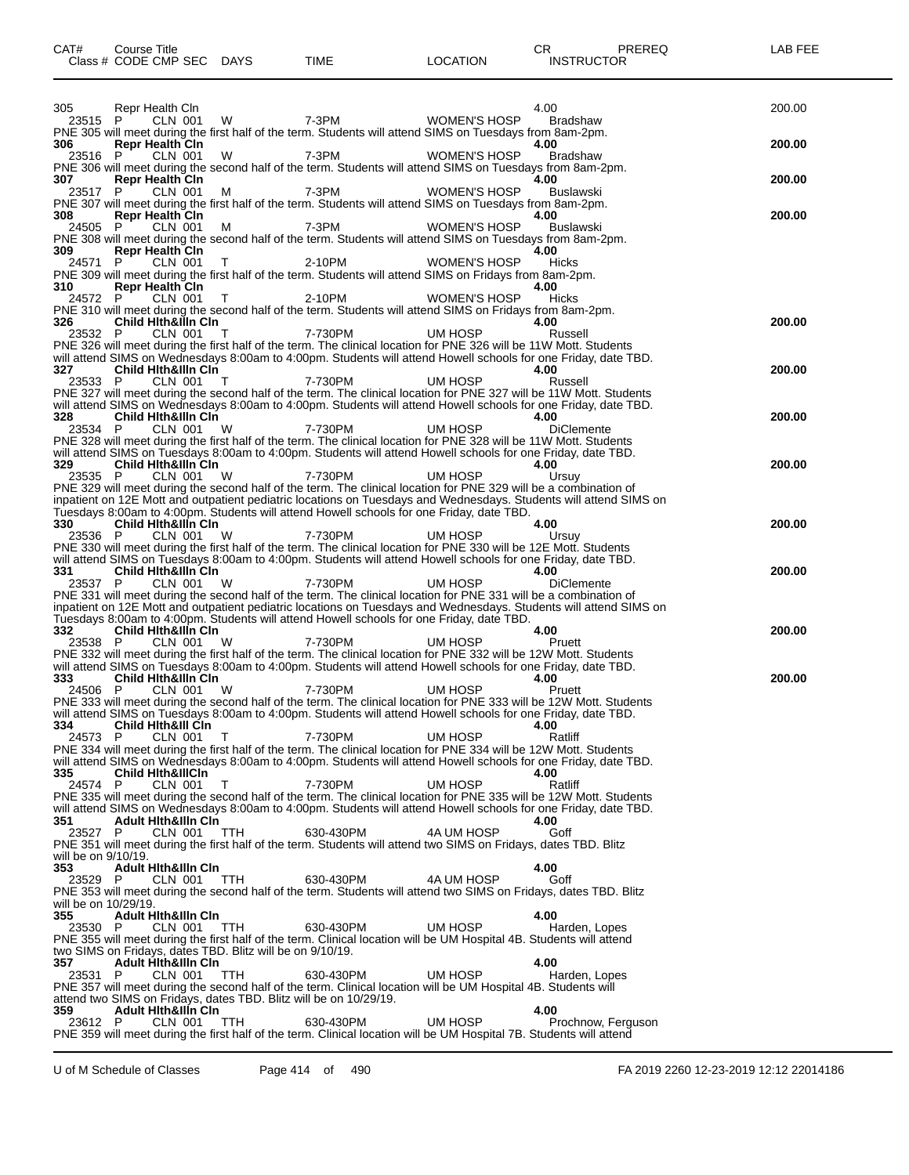| CAT#                        | <b>Course Title</b><br>Class # CODE CMP SEC DAYS                                            |            | <b>TIME</b>                                                                                                                                                                                                                       | <b>LOCATION</b>     | CR<br>PREREQ<br><b>INSTRUCTOR</b>                                                                                                                                                                                                               | LAB FEE |
|-----------------------------|---------------------------------------------------------------------------------------------|------------|-----------------------------------------------------------------------------------------------------------------------------------------------------------------------------------------------------------------------------------|---------------------|-------------------------------------------------------------------------------------------------------------------------------------------------------------------------------------------------------------------------------------------------|---------|
|                             |                                                                                             |            |                                                                                                                                                                                                                                   |                     |                                                                                                                                                                                                                                                 |         |
| 305<br>23515 P              | Repr Health Cln<br>CLN 001                                                                  | W          | 7-3PM                                                                                                                                                                                                                             | <b>WOMEN'S HOSP</b> | 4.00<br>Bradshaw                                                                                                                                                                                                                                | 200.00  |
| 306                         | <b>Repr Health Cin</b><br><b>CLN 001</b>                                                    | W          | PNE 305 will meet during the first half of the term. Students will attend SIMS on Tuesdays from 8am-2pm.<br>7-3PM                                                                                                                 | <b>WOMEN'S HOSP</b> | 4.00                                                                                                                                                                                                                                            | 200.00  |
| 23516 P<br>307              | <b>Repr Health Cln</b>                                                                      |            | PNE 306 will meet during the second half of the term. Students will attend SIMS on Tuesdays from 8am-2pm.                                                                                                                         |                     | <b>Bradshaw</b><br>4.00                                                                                                                                                                                                                         | 200.00  |
| 23517 P                     | CLN 001                                                                                     | м          | 7-3PM<br>PNE 307 will meet during the first half of the term. Students will attend SIMS on Tuesdays from 8am-2pm.                                                                                                                 | <b>WOMEN'S HOSP</b> | Buslawski                                                                                                                                                                                                                                       |         |
| 308<br>24505                | <b>Repr Health Cln</b><br>P<br>CLN 001                                                      | м          | 7-3PM                                                                                                                                                                                                                             | <b>WOMEN'S HOSP</b> | 4.00<br><b>Buslawski</b>                                                                                                                                                                                                                        | 200.00  |
| 309                         | <b>Repr Health Cln</b>                                                                      |            | PNE 308 will meet during the second half of the term. Students will attend SIMS on Tuesdays from 8am-2pm.                                                                                                                         |                     | 4.00                                                                                                                                                                                                                                            |         |
| 24571                       | P<br>CLN 001                                                                                | T.         | 2-10PM<br>PNE 309 will meet during the first half of the term. Students will attend SIMS on Fridays from 8am-2pm.                                                                                                                 | WOMEN'S HOSP        | Hicks                                                                                                                                                                                                                                           |         |
| 310<br>24572 P              | <b>Repr Health Cin</b><br><b>CLN 001</b>                                                    | T          | 2-10PM<br>PNE 310 will meet during the second half of the term. Students will attend SIMS on Fridays from 8am-2pm.                                                                                                                | WOMEN'S HOSP        | 4.00<br>Hicks                                                                                                                                                                                                                                   |         |
| 326<br>23532 P              | <b>Child Hith&amp;Illn Cin</b><br>CLN 001                                                   | $\top$     | 7-730PM                                                                                                                                                                                                                           | UM HOSP             | 4.00<br>Russell                                                                                                                                                                                                                                 | 200.00  |
|                             |                                                                                             |            | PNE 326 will meet during the first half of the term. The clinical location for PNE 326 will be 11W Mott. Students                                                                                                                 |                     | will attend SIMS on Wednesdays 8:00am to 4:00pm. Students will attend Howell schools for one Friday, date TBD.                                                                                                                                  |         |
| 327<br>23533 P              | <b>Child Hith&amp;illn Cin</b><br>CLN 001                                                   | $\top$     | 7-730PM                                                                                                                                                                                                                           | UM HOSP             | 4.00<br>Russell                                                                                                                                                                                                                                 | 200.00  |
|                             |                                                                                             |            |                                                                                                                                                                                                                                   |                     | PNE 327 will meet during the second half of the term. The clinical location for PNE 327 will be 11W Mott. Students<br>will attend SIMS on Wednesdays 8:00am to 4:00pm. Students will attend Howell schools for one Friday, date TBD.            |         |
| 328<br>23534 P              | <b>Child Hith&amp;illn Cin</b><br>CLN 001                                                   | W          | 7-730PM<br>PNE 328 will meet during the first half of the term. The clinical location for PNE 328 will be 11W Mott. Students                                                                                                      | UM HOSP             | 4.00<br><b>DiClemente</b>                                                                                                                                                                                                                       | 200.00  |
| 329                         | <b>Child Hith&amp;illn Cin</b>                                                              |            | will attend SIMS on Tuesdays 8:00am to 4:00pm. Students will attend Howell schools for one Friday, date TBD.                                                                                                                      |                     | 4.00                                                                                                                                                                                                                                            | 200.00  |
| 23535 P                     | <b>CLN 001</b>                                                                              | W          | 7-730PM<br>PNE 329 will meet during the second half of the term. The clinical location for PNE 329 will be a combination of                                                                                                       | UM HOSP             | Ursuy                                                                                                                                                                                                                                           |         |
|                             |                                                                                             |            | Tuesdays 8:00am to 4:00pm. Students will attend Howell schools for one Friday, date TBD.                                                                                                                                          |                     | inpatient on 12E Mott and outpatient pediatric locations on Tuesdays and Wednesdays. Students will attend SIMS on                                                                                                                               |         |
| 330<br>23536 P              | <b>Child Hith&amp;illn Cin</b><br>CLN 001                                                   | W          | 7-730PM                                                                                                                                                                                                                           | UM HOSP             | 4.00<br>Ursuy                                                                                                                                                                                                                                   | 200.00  |
| 331                         | <b>Child Hith&amp;illn Cin</b>                                                              |            | PNE 330 will meet during the first half of the term. The clinical location for PNE 330 will be 12E Mott. Students<br>will attend SIMS on Tuesdays 8:00am to 4:00pm. Students will attend Howell schools for one Friday, date TBD. |                     | 4.00                                                                                                                                                                                                                                            | 200.00  |
| 23537 P                     | CLN 001                                                                                     | W          | 7-730PM<br>PNE 331 will meet during the second half of the term. The clinical location for PNE 331 will be a combination of                                                                                                       | UM HOSP             | <b>DiClemente</b>                                                                                                                                                                                                                               |         |
|                             |                                                                                             |            | Tuesdays 8:00am to 4:00pm. Students will attend Howell schools for one Friday, date TBD.                                                                                                                                          |                     | inpatient on 12E Mott and outpatient pediatric locations on Tuesdays and Wednesdays. Students will attend SIMS on                                                                                                                               |         |
| 332<br>23538 P              | <b>Child Hith&amp;Illn Cin</b><br><b>CLN 001</b>                                            | W          | 7-730PM                                                                                                                                                                                                                           | UM HOSP             | 4.00<br>Pruett                                                                                                                                                                                                                                  | 200.00  |
| 333                         | <b>Child Hith&amp;illn Cin</b>                                                              |            | PNE 332 will meet during the first half of the term. The clinical location for PNE 332 will be 12W Mott. Students<br>will attend SIMS on Tuesdays 8:00am to 4:00pm. Students will attend Howell schools for one Friday, date TBD. |                     | 4.00                                                                                                                                                                                                                                            | 200.00  |
| 24506 P                     | CLN 001                                                                                     | W          | 7-730PM                                                                                                                                                                                                                           | UM HOSP             | Pruett<br>PNE 333 will meet during the second half of the term. The clinical location for PNE 333 will be 12W Mott. Students                                                                                                                    |         |
| 334                         | <b>Child Hith&amp;III Cin</b>                                                               |            | will attend SIMS on Tuesdays 8:00am to 4:00pm. Students will attend Howell schools for one Friday, date TBD.                                                                                                                      |                     | 4.00                                                                                                                                                                                                                                            |         |
| 24573 P                     | CLN 001                                                                                     | T          | 7-730PM<br>PNE 334 will meet during the first half of the term. The clinical location for PNE 334 will be 12W Mott. Students                                                                                                      | UM HOSP             | Ratliff                                                                                                                                                                                                                                         |         |
| 335                         | <b>Child Hith&amp;IllCin</b>                                                                |            |                                                                                                                                                                                                                                   |                     | will attend SIMS on Wednesdays 8:00am to 4:00pm. Students will attend Howell schools for one Friday, date TBD.<br>4.00                                                                                                                          |         |
| 24574 P                     | CLN 001                                                                                     | T          | 7-730PM                                                                                                                                                                                                                           | UM HOSP             | Ratliff<br>PNE 335 will meet during the second half of the term. The clinical location for PNE 335 will be 12W Mott. Students<br>will attend SIMS on Wednesdays 8:00am to 4:00pm. Students will attend Howell schools for one Friday, date TBD. |         |
| 351<br>23527 P              | <b>Adult Hith&amp;illn Cin</b><br>CLN 001                                                   | <b>TTH</b> | 630-430PM                                                                                                                                                                                                                         | 4A UM HOSP          | 4.00<br>Goff                                                                                                                                                                                                                                    |         |
| will be on 9/10/19.         |                                                                                             |            | PNE 351 will meet during the first half of the term. Students will attend two SIMS on Fridays, dates TBD. Blitz                                                                                                                   |                     |                                                                                                                                                                                                                                                 |         |
| 353<br>23529 P              | <b>Adult Hith&amp;Illn Cin</b><br>CLN 001                                                   | TTH        | 630-430PM                                                                                                                                                                                                                         | 4A UM HOSP          | 4.00<br>Goff                                                                                                                                                                                                                                    |         |
| will be on 10/29/19.<br>355 | <b>Adult Hith&amp;illn Cin</b>                                                              |            | PNE 353 will meet during the second half of the term. Students will attend two SIMS on Fridays, dates TBD. Blitz                                                                                                                  |                     | 4.00                                                                                                                                                                                                                                            |         |
| 23530 P                     | CLN 001                                                                                     | TTH        | 630-430PM<br>PNE 355 will meet during the first half of the term. Clinical location will be UM Hospital 4B. Students will attend                                                                                                  | UM HOSP             | Harden, Lopes                                                                                                                                                                                                                                   |         |
| 357                         | two SIMS on Fridays, dates TBD. Blitz will be on 9/10/19.<br><b>Adult Hith&amp;IIIn Cin</b> |            |                                                                                                                                                                                                                                   |                     | 4.00                                                                                                                                                                                                                                            |         |
| 23531 P                     | CLN 001                                                                                     | TTH        | 630-430PM<br>PNE 357 will meet during the second half of the term. Clinical location will be UM Hospital 4B. Students will                                                                                                        | UM HOSP             | Harden, Lopes                                                                                                                                                                                                                                   |         |
| 359                         | <b>Adult Hith&amp;Illn Cin</b>                                                              |            | attend two SIMS on Fridays, dates TBD. Blitz will be on 10/29/19.                                                                                                                                                                 |                     | 4.00                                                                                                                                                                                                                                            |         |
| 23612 P                     | CLN 001                                                                                     | <b>TTH</b> | 630-430PM<br>PNE 359 will meet during the first half of the term. Clinical location will be UM Hospital 7B. Students will attend                                                                                                  | UM HOSP             | Prochnow, Ferguson                                                                                                                                                                                                                              |         |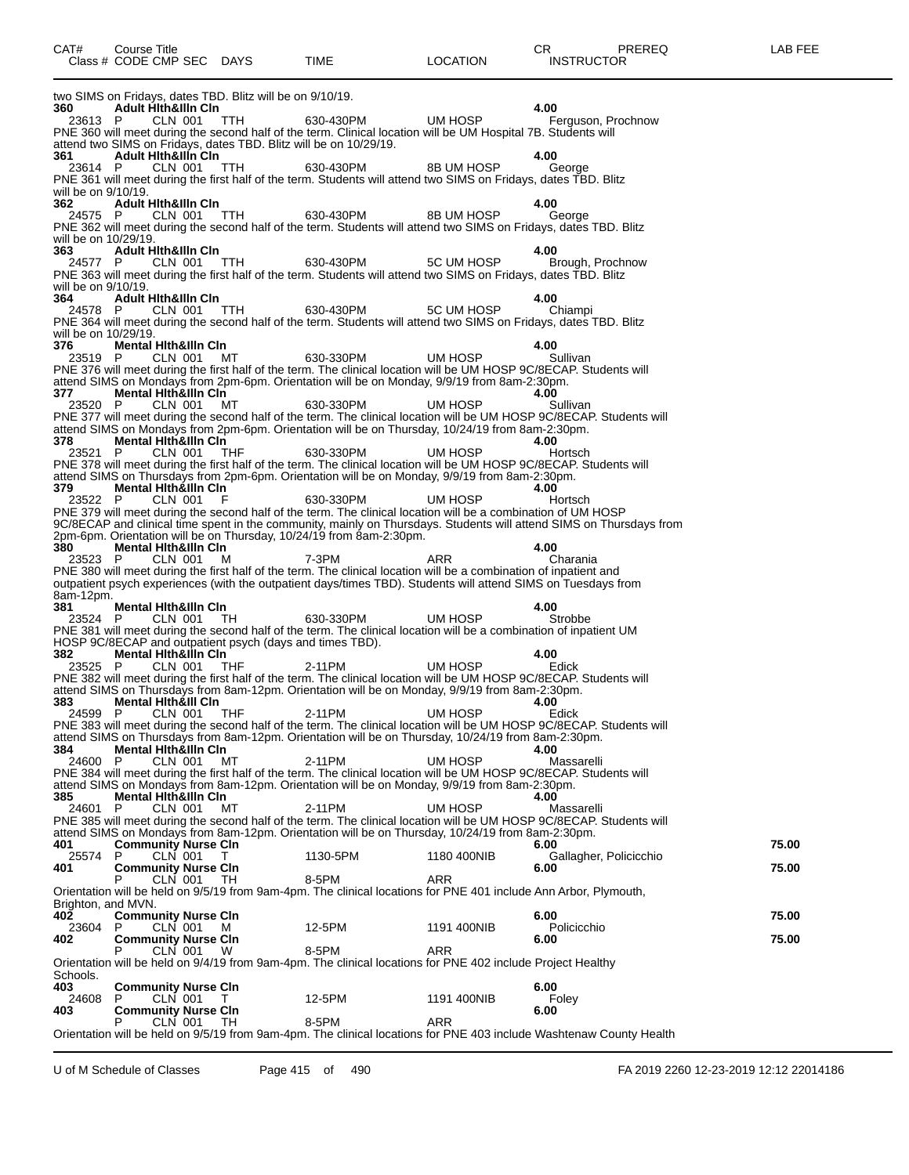|                             | two SIMS on Fridays, dates TBD. Blitz will be on 9/10/19.                                                                                                                                                                           |           |             |                                |       |
|-----------------------------|-------------------------------------------------------------------------------------------------------------------------------------------------------------------------------------------------------------------------------------|-----------|-------------|--------------------------------|-------|
| 360<br>23613 P              | <b>Adult Hith&amp;Illn Cin</b><br>CLN 001<br>TTH.                                                                                                                                                                                   | 630-430PM | UM HOSP     | 4.00<br>Ferguson, Prochnow     |       |
|                             | PNE 360 will meet during the second half of the term. Clinical location will be UM Hospital 7B. Students will                                                                                                                       |           |             |                                |       |
| 361                         | attend two SIMS on Fridays, dates TBD. Blitz will be on 10/29/19.<br><b>Adult Hith&amp;Illn Cin</b>                                                                                                                                 |           |             | 4.00                           |       |
| 23614 P                     | CLN 001<br>- ттн                                                                                                                                                                                                                    | 630-430PM | 8B UM HOSP  | George                         |       |
| will be on 9/10/19.         | PNE 361 will meet during the first half of the term. Students will attend two SIMS on Fridays, dates TBD. Blitz                                                                                                                     |           |             |                                |       |
| 362                         | <b>Adult Hith&amp;Illn Cin</b>                                                                                                                                                                                                      | 630-430PM | 8B UM HOSP  | 4.00                           |       |
| 24575 P                     | CLN 001<br>TTH<br>PNE 362 will meet during the second half of the term. Students will attend two SIMS on Fridays, dates TBD. Blitz                                                                                                  |           |             | George                         |       |
| will be on 10/29/19.<br>363 | <b>Adult Hith&amp;Illn Cin</b>                                                                                                                                                                                                      |           |             | 4.00                           |       |
| 24577 P                     | CLN 001 TTH                                                                                                                                                                                                                         | 630-430PM | 5C UM HOSP  | Brough, Prochnow               |       |
| will be on 9/10/19.         | PNE 363 will meet during the first half of the term. Students will attend two SIMS on Fridays, dates TBD. Blitz                                                                                                                     |           |             |                                |       |
| 364                         | <b>Adult Hith&amp;Illn Cin</b>                                                                                                                                                                                                      |           |             | 4.00                           |       |
| 24578 P                     | CLN 001 TTH<br>PNE 364 will meet during the second half of the term. Students will attend two SIMS on Fridays, dates TBD. Blitz                                                                                                     | 630-430PM | 5C UM HOSP  | Chiampi                        |       |
| will be on 10/29/19.        |                                                                                                                                                                                                                                     |           |             |                                |       |
| 376<br>23519 P              | <b>Mental Hith&amp;Illn Cin</b><br>CLN 001 MT                                                                                                                                                                                       | 630-330PM | UM HOSP     | 4.00<br>Sullivan               |       |
|                             | PNE 376 will meet during the first half of the term. The clinical location will be UM HOSP 9C/8ECAP. Students will<br>attend SIMS on Mondays from 2pm-6pm. Orientation will be on Monday, 9/9/19 from 8am-2:30pm.                   |           |             |                                |       |
| 377                         | <b>Mental Hith&amp;ilin Cin</b>                                                                                                                                                                                                     |           |             | 4.00                           |       |
| 23520 P                     | CLN 001<br>MТ<br>PNE 377 will meet during the second half of the term. The clinical location will be UM HOSP 9C/8ECAP. Students will                                                                                                | 630-330PM | UM HOSP     | Sullivan                       |       |
|                             | attend SIMS on Mondays from 2pm-6pm. Orientation will be on Thursday, 10/24/19 from 8am-2:30pm.                                                                                                                                     |           |             |                                |       |
| 378<br>23521 P              | <b>Mental Hith&amp;Illn Cin</b><br>CLN 001<br>THF                                                                                                                                                                                   | 630-330PM | UM HOSP     | 4.00<br>Hortsch                |       |
|                             | PNE 378 will meet during the first half of the term. The clinical location will be UM HOSP 9C/8ECAP. Students will                                                                                                                  |           |             |                                |       |
| 379.                        | attend SIMS on Thursdays from 2pm-6pm. Orientation will be on Monday, 9/9/19 from 8am-2:30pm.<br><b>Mental Hith&amp;Illn Cin</b>                                                                                                    |           |             | 4.00                           |       |
| 23522 P                     | CLN 001<br>- F                                                                                                                                                                                                                      | 630-330PM | UM HOSP     | Hortsch                        |       |
|                             | PNE 379 will meet during the second half of the term. The clinical location will be a combination of UM HOSP<br>9C/8ECAP and clinical time spent in the community, mainly on Thursdays. Students will attend SIMS on Thursdays from |           |             |                                |       |
|                             | 2pm-6pm. Orientation will be on Thursday, 10/24/19 from 8am-2:30pm.                                                                                                                                                                 |           |             | 4.00                           |       |
| 380<br>23523 P              | <b>Mental Hith&amp;illn Cin</b><br>CLN 001<br>м                                                                                                                                                                                     | 7-3PM     | ARR         | Charania                       |       |
|                             | PNE 380 will meet during the first half of the term. The clinical location will be a combination of inpatient and<br>outpatient psych experiences (with the outpatient days/times TBD). Students will attend SIMS on Tuesdays from  |           |             |                                |       |
| 8am-12pm.                   |                                                                                                                                                                                                                                     |           |             |                                |       |
| 381<br>23524 P              | Mental Hith&illn Cin<br>CLN 001<br>TH.                                                                                                                                                                                              | 630-330PM | UM HOSP     | 4.00<br>Strobbe                |       |
|                             | PNE 381 will meet during the second half of the term. The clinical location will be a combination of inpatient UM                                                                                                                   |           |             |                                |       |
| 382                         | HOSP 9C/8ECAP and outpatient psych (days and times TBD).<br><b>Mental Hith&amp;illn Cin</b>                                                                                                                                         |           |             | 4.00                           |       |
| 23525 P                     | CLN 001<br>THF                                                                                                                                                                                                                      | 2-11PM    | UM HOSP     | Edick                          |       |
|                             | PNE 382 will meet during the first half of the term. The clinical location will be UM HOSP 9C/8ECAP. Students will<br>attend SIMS on Thursdays from 8am-12pm. Orientation will be on Monday, 9/9/19 from 8am-2:30pm.                |           |             |                                |       |
| 383<br>24599 P              | Mental Hith&III Cin<br><b>CLN 001</b><br>THF                                                                                                                                                                                        | 2-11PM    | UM HOSP     | 4.00<br>Edick                  |       |
|                             | PNE 383 will meet during the second half of the term. The clinical location will be UM HOSP 9C/8ECAP. Students will                                                                                                                 |           |             |                                |       |
|                             | attend SIMS on Thursdays from 8am-12pm. Orientation will be on Thursday, 10/24/19 from 8am-2:30pm.<br>384 Mental Hith&illn Cin                                                                                                      |           |             |                                |       |
| 24600 P                     | CLN 001<br>МT                                                                                                                                                                                                                       | 2-11PM    | UM HOSP     | Massarelli                     |       |
|                             | PNE 384 will meet during the first half of the term. The clinical location will be UM HOSP 9C/8ECAP. Students will<br>attend SIMS on Mondays from 8am-12pm. Orientation will be on Monday, 9/9/19 from 8am-2:30pm.                  |           |             |                                |       |
| 385                         | <b>Mental Hith&amp;Illn Cin</b>                                                                                                                                                                                                     |           |             | 4.00                           |       |
| 24601 P                     | CLN 001<br>МT<br>PNE 385 will meet during the second half of the term. The clinical location will be UM HOSP 9C/8ECAP. Students will                                                                                                | 2-11PM    | UM HOSP     | Massarelli                     |       |
|                             | attend SIMS on Mondays from 8am-12pm. Orientation will be on Thursday, 10/24/19 from 8am-2:30pm.                                                                                                                                    |           |             |                                | 75.00 |
| 401<br>P<br>25574           | <b>Community Nurse Cln</b><br>CLN 001<br>T                                                                                                                                                                                          | 1130-5PM  | 1180 400NIB | 6.00<br>Gallagher, Policicchio |       |
| 401                         | <b>Community Nurse Cln</b><br>CLN 001<br>TН                                                                                                                                                                                         | 8-5PM     | ARR         | 6.00                           | 75.00 |
|                             | Orientation will be held on 9/5/19 from 9am-4pm. The clinical locations for PNE 401 include Ann Arbor, Plymouth,                                                                                                                    |           |             |                                |       |
| Brighton, and MVN.<br>402   | <b>Community Nurse Cln</b>                                                                                                                                                                                                          |           |             | 6.00                           | 75.00 |
| 23604<br>P.                 | CLN 001<br>м                                                                                                                                                                                                                        | 12-5PM    | 1191 400NIB | Policicchio                    |       |
| 402                         | <b>Community Nurse Cln</b><br>CLN 001<br>W                                                                                                                                                                                          | 8-5PM     | ARR         | 6.00                           | 75.00 |
|                             | Orientation will be held on 9/4/19 from 9am-4pm. The clinical locations for PNE 402 include Project Healthy                                                                                                                         |           |             |                                |       |
| Schools.<br>403             | <b>Community Nurse Cln</b>                                                                                                                                                                                                          |           |             | 6.00                           |       |
| 24608<br>403                | CLN 001<br>P<br>$\top$<br><b>Community Nurse Cln</b>                                                                                                                                                                                | 12-5PM    | 1191 400NIB | Foley<br>6.00                  |       |
|                             | CLN 001<br>TН                                                                                                                                                                                                                       | 8-5PM     | ARR         |                                |       |
|                             | Orientation will be held on 9/5/19 from 9am-4pm. The clinical locations for PNE 403 include Washtenaw County Health                                                                                                                 |           |             |                                |       |

CAT# Course Title Case CR PREREQ LAB FEE

Class # CODE CMP SEC DAYS TIME LOCATION INSTRUCTOR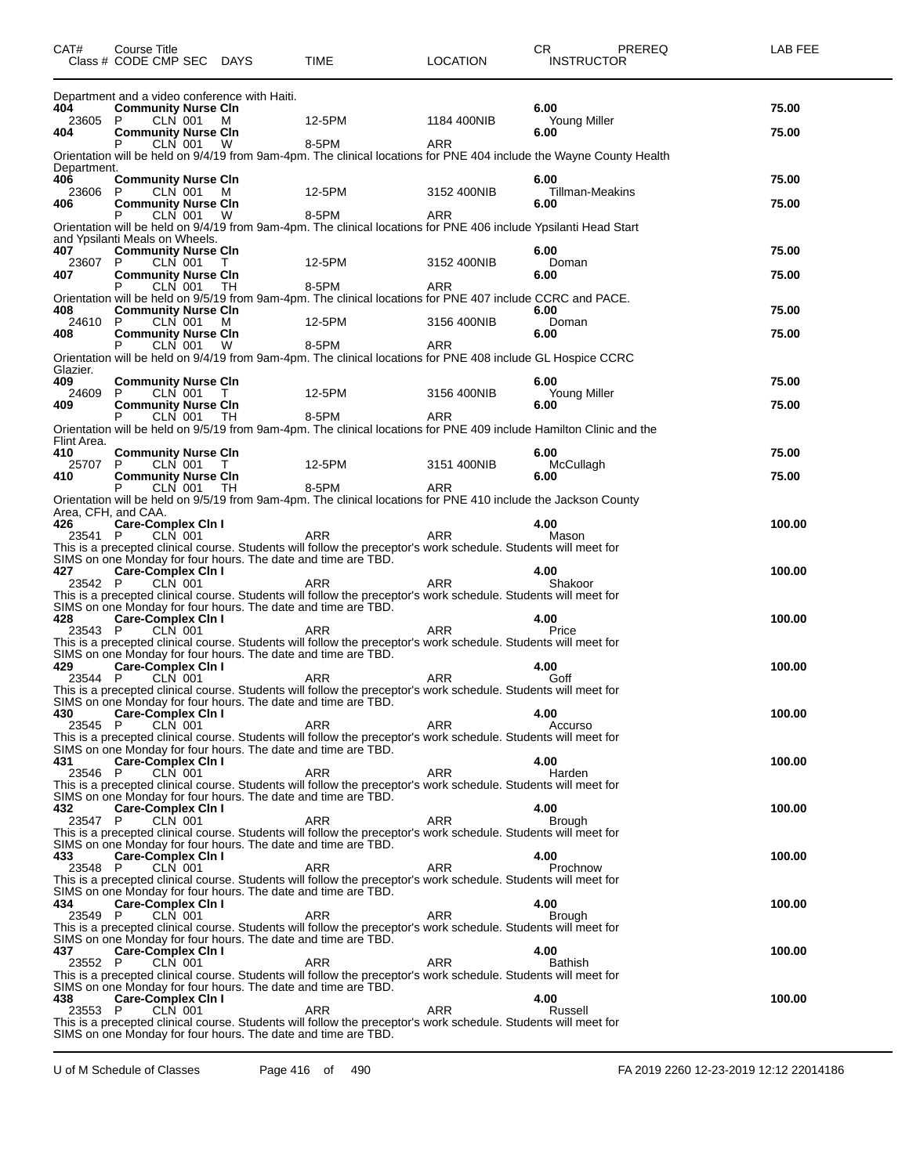| CAT#               | Course Title<br>Class # CODE CMP SEC DAYS         |                                               | <b>TIME</b>                                                                                                                                                                      | <b>LOCATION</b> | CR.<br>PREREQ<br><b>INSTRUCTOR</b>                                                                                  | LAB FEE |
|--------------------|---------------------------------------------------|-----------------------------------------------|----------------------------------------------------------------------------------------------------------------------------------------------------------------------------------|-----------------|---------------------------------------------------------------------------------------------------------------------|---------|
|                    |                                                   | Department and a video conference with Haiti. |                                                                                                                                                                                  |                 |                                                                                                                     |         |
| 404<br>23605       | <b>Community Nurse CIn</b><br>CLN 001<br>P        | M                                             | 12-5PM                                                                                                                                                                           | 1184 400NIB     | 6.00<br>Young Miller                                                                                                | 75.00   |
| 404                | <b>Community Nurse Cln</b>                        |                                               |                                                                                                                                                                                  |                 | 6.00                                                                                                                | 75.00   |
|                    | CLN 001<br>P                                      | W                                             | 8-5PM                                                                                                                                                                            | <b>ARR</b>      | Orientation will be held on 9/4/19 from 9am-4pm. The clinical locations for PNE 404 include the Wayne County Health |         |
| Department.        |                                                   |                                               |                                                                                                                                                                                  |                 |                                                                                                                     |         |
| 406<br>23606       | <b>Community Nurse Cln</b><br>CLN 001<br>P        | M                                             | 12-5PM                                                                                                                                                                           | 3152 400NIB     | 6.00<br><b>Tillman-Meakins</b>                                                                                      | 75.00   |
| 406                | <b>Community Nurse Cln</b>                        |                                               |                                                                                                                                                                                  |                 | 6.00                                                                                                                | 75.00   |
|                    | CLN 001                                           | W                                             | 8-5PM<br>Orientation will be held on 9/4/19 from 9am-4pm. The clinical locations for PNE 406 include Ypsilanti Head Start                                                        | <b>ARR</b>      |                                                                                                                     |         |
|                    | and Ypsilanti Meals on Wheels.                    |                                               |                                                                                                                                                                                  |                 |                                                                                                                     |         |
| 407<br>23607       | <b>Community Nurse CIn</b><br><b>CLN 001</b><br>P | T.                                            | 12-5PM                                                                                                                                                                           | 3152 400NIB     | 6.00<br>Doman                                                                                                       | 75.00   |
| 407                | <b>Community Nurse Cln</b>                        |                                               |                                                                                                                                                                                  |                 | 6.00                                                                                                                | 75.00   |
|                    | <b>CLN 001</b><br>P                               | TH.                                           | 8-5PM<br>Orientation will be held on 9/5/19 from 9am-4pm. The clinical locations for PNE 407 include CCRC and PACE.                                                              | <b>ARR</b>      |                                                                                                                     |         |
| 408                | <b>Community Nurse Cin</b>                        |                                               |                                                                                                                                                                                  |                 | 6.00                                                                                                                | 75.00   |
| 24610              | CLN 001<br>P<br><b>Community Nurse CIn</b>        | M                                             | 12-5PM                                                                                                                                                                           | 3156 400NIB     | Doman                                                                                                               | 75.00   |
| 408                | CLN 001                                           | W                                             | 8-5PM                                                                                                                                                                            | ARR             | 6.00                                                                                                                |         |
|                    |                                                   |                                               | Orientation will be held on 9/4/19 from 9am-4pm. The clinical locations for PNE 408 include GL Hospice CCRC                                                                      |                 |                                                                                                                     |         |
| Glazier.<br>409    | <b>Community Nurse Cln</b>                        |                                               |                                                                                                                                                                                  |                 | 6.00                                                                                                                | 75.00   |
| 24609              | CLN 001<br>P                                      | T                                             | 12-5PM                                                                                                                                                                           | 3156 400NIB     | Young Miller                                                                                                        |         |
| 409                | <b>Community Nurse CIn</b><br>CLN 001             | TH                                            | 8-5PM                                                                                                                                                                            | ARR             | 6.00                                                                                                                | 75.00   |
|                    |                                                   |                                               | Orientation will be held on 9/5/19 from 9am-4pm. The clinical locations for PNE 409 include Hamilton Clinic and the                                                              |                 |                                                                                                                     |         |
| Flint Area.<br>410 | <b>Community Nurse Cln</b>                        |                                               |                                                                                                                                                                                  |                 | 6.00                                                                                                                | 75.00   |
| 25707              | P<br>CLN 001                                      | T                                             | 12-5PM                                                                                                                                                                           | 3151 400NIB     | McCullagh                                                                                                           |         |
| 410                | <b>Community Nurse CIn</b>                        |                                               |                                                                                                                                                                                  |                 | 6.00                                                                                                                | 75.00   |
|                    | CLN 001                                           | TH                                            | 8-5PM<br>Orientation will be held on 9/5/19 from 9am-4pm. The clinical locations for PNE 410 include the Jackson County                                                          | ARR             |                                                                                                                     |         |
|                    | Area, CFH, and CAA.                               |                                               |                                                                                                                                                                                  |                 |                                                                                                                     |         |
| 426<br>23541 P     | <b>Care-Complex Cin I</b><br><b>CLN 001</b>       |                                               | <b>ARR</b>                                                                                                                                                                       | <b>ARR</b>      | 4.00<br>Mason                                                                                                       | 100.00  |
|                    |                                                   |                                               | This is a precepted clinical course. Students will follow the preceptor's work schedule. Students will meet for                                                                  |                 |                                                                                                                     |         |
| 427                | <b>Care-Complex Cin I</b>                         |                                               | SIMS on one Monday for four hours. The date and time are TBD.                                                                                                                    |                 | 4.00                                                                                                                | 100.00  |
| 23542 P            | CLN 001                                           |                                               | ARR                                                                                                                                                                              | <b>ARR</b>      | Shakoor                                                                                                             |         |
|                    |                                                   |                                               | This is a precepted clinical course. Students will follow the preceptor's work schedule. Students will meet for<br>SIMS on one Monday for four hours. The date and time are TBD. |                 |                                                                                                                     |         |
| 428                | <b>Care-Complex Cin I</b>                         |                                               |                                                                                                                                                                                  |                 | 4.00                                                                                                                | 100.00  |
| 23543 P            | CLN 001                                           |                                               | ARR<br>This is a precepted clinical course. Students will follow the preceptor's work schedule. Students will meet for                                                           | ARR             | Price                                                                                                               |         |
|                    |                                                   |                                               | SIMS on one Monday for four hours. The date and time are TBD.                                                                                                                    |                 |                                                                                                                     |         |
| 429                | <b>Care-Complex Cin I</b>                         |                                               |                                                                                                                                                                                  |                 | 4.00                                                                                                                | 100.00  |
| 23544 P            | CLN 001                                           |                                               | ARR<br>This is a precepted clinical course. Students will follow the preceptor's work schedule. Students will meet for                                                           | <b>ARR</b>      | Goff                                                                                                                |         |
|                    |                                                   |                                               | SIMS on one Monday for four hours. The date and time are TBD.                                                                                                                    |                 |                                                                                                                     |         |
| 430<br>23545       | <b>Care-Complex Cin I</b><br>P<br>CLN 001         |                                               | ARR                                                                                                                                                                              | ARR             | 4.00<br>Accurso                                                                                                     | 100.00  |
|                    |                                                   |                                               | This is a precepted clinical course. Students will follow the preceptor's work schedule. Students will meet for                                                                  |                 |                                                                                                                     |         |
| 431                | <b>Care-Complex Cin I</b>                         |                                               | SIMS on one Monday for four hours. The date and time are TBD.                                                                                                                    |                 | 4.00                                                                                                                | 100.00  |
| 23546              | CLN 001<br>-P                                     |                                               | ARR                                                                                                                                                                              | ARR             | Harden                                                                                                              |         |
|                    |                                                   |                                               | This is a precepted clinical course. Students will follow the preceptor's work schedule. Students will meet for<br>SIMS on one Monday for four hours. The date and time are TBD. |                 |                                                                                                                     |         |
| 432                | <b>Care-Complex Cin I</b>                         |                                               |                                                                                                                                                                                  |                 | 4.00                                                                                                                | 100.00  |
| 23547 P            | <b>CLN 001</b>                                    |                                               | ARR<br>This is a precepted clinical course. Students will follow the preceptor's work schedule. Students will meet for                                                           | ARR             | Brough                                                                                                              |         |
|                    |                                                   |                                               | SIMS on one Monday for four hours. The date and time are TBD.                                                                                                                    |                 |                                                                                                                     |         |
| 433                | <b>Care-Complex Cin I</b>                         |                                               |                                                                                                                                                                                  |                 | 4.00                                                                                                                | 100.00  |
| 23548 P            | CLN 001                                           |                                               | ARR<br>This is a precepted clinical course. Students will follow the preceptor's work schedule. Students will meet for                                                           | ARR             | Prochnow                                                                                                            |         |
|                    |                                                   |                                               | SIMS on one Monday for four hours. The date and time are TBD.                                                                                                                    |                 |                                                                                                                     |         |
| 434<br>23549 P     | <b>Care-Complex Cin I</b><br>CLN 001              |                                               | ARR                                                                                                                                                                              | ARR             | 4.00<br>Brough                                                                                                      | 100.00  |
|                    |                                                   |                                               | This is a precepted clinical course. Students will follow the preceptor's work schedule. Students will meet for                                                                  |                 |                                                                                                                     |         |
| 437                | <b>Care-Complex Cin I</b>                         |                                               | SIMS on one Monday for four hours. The date and time are TBD.                                                                                                                    |                 | 4.00                                                                                                                | 100.00  |
| 23552 P            | <b>CLN 001</b>                                    |                                               | ARR                                                                                                                                                                              | ARR             | <b>Bathish</b>                                                                                                      |         |
|                    |                                                   |                                               | This is a precepted clinical course. Students will follow the preceptor's work schedule. Students will meet for                                                                  |                 |                                                                                                                     |         |
| 438                | <b>Care-Complex Cin I</b>                         |                                               | SIMS on one Monday for four hours. The date and time are TBD.                                                                                                                    |                 | 4.00                                                                                                                | 100.00  |
| 23553              | CLN 001<br>- P                                    |                                               | ARR                                                                                                                                                                              | ARR             | Russell                                                                                                             |         |
|                    |                                                   |                                               | This is a precepted clinical course. Students will follow the preceptor's work schedule. Students will meet for<br>SIMS on one Monday for four hours. The date and time are TBD. |                 |                                                                                                                     |         |

U of M Schedule of Classes Page 416 of 490 FA 2019 2260 12-23-2019 12:12 22014186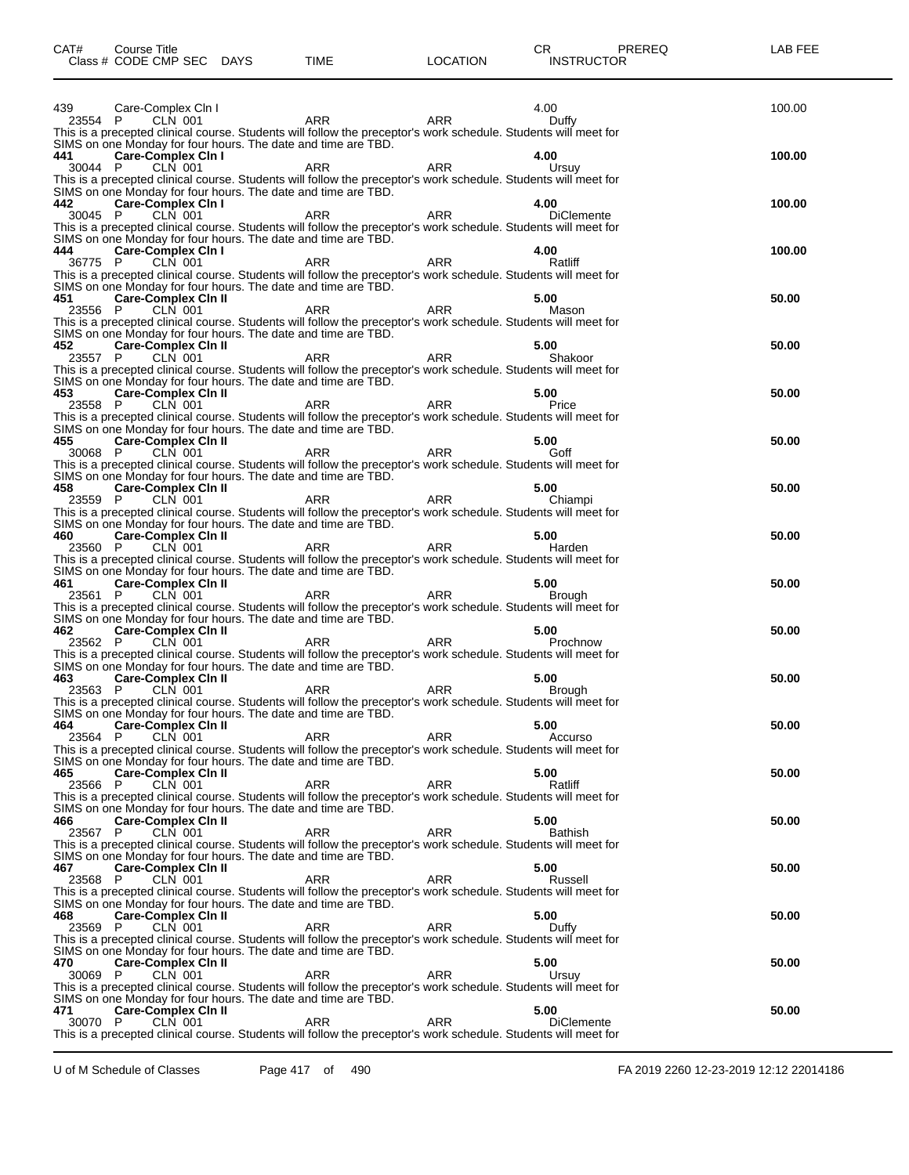| CAT#           | Course Title<br>Class # CODE CMP SEC DAYS |                | <b>TIME</b>                                                                                                                                                                      | <b>LOCATION</b> | CR<br><b>INSTRUCTOR</b> | PREREQ | LAB FEE |
|----------------|-------------------------------------------|----------------|----------------------------------------------------------------------------------------------------------------------------------------------------------------------------------|-----------------|-------------------------|--------|---------|
| 439            | Care-Complex Cln I                        |                |                                                                                                                                                                                  |                 | 4.00                    |        | 100.00  |
| 23554 P        |                                           | CLN 001        | ARR<br>This is a precepted clinical course. Students will follow the preceptor's work schedule. Students will meet for                                                           | ARR             | Duffy                   |        |         |
| 441            | <b>Care-Complex Cin I</b>                 |                | SIMS on one Monday for four hours. The date and time are TBD.                                                                                                                    |                 | 4.00                    |        | 100.00  |
| 30044 P        |                                           | CLN 001        | ARR<br>This is a precepted clinical course. Students will follow the preceptor's work schedule. Students will meet for                                                           | <b>ARR</b>      | Ursuy                   |        |         |
| 442            | <b>Care-Complex Cin I</b>                 |                | SIMS on one Monday for four hours. The date and time are TBD.                                                                                                                    |                 | 4.00                    |        | 100.00  |
| 30045 P        |                                           | <b>CLN 001</b> | ARR<br>This is a precepted clinical course. Students will follow the preceptor's work schedule. Students will meet for                                                           | <b>ARR</b>      | <b>DiClemente</b>       |        |         |
| 444            | <b>Care-Complex Cin I</b>                 |                | SIMS on one Monday for four hours. The date and time are TBD.                                                                                                                    |                 | 4.00                    |        | 100.00  |
| 36775 P        |                                           | CLN 001        | ARR<br>This is a precepted clinical course. Students will follow the preceptor's work schedule. Students will meet for                                                           | ARR             | Ratliff                 |        |         |
| 451            | <b>Care-Complex Cin II</b>                |                | SIMS on one Monday for four hours. The date and time are TBD.                                                                                                                    |                 | 5.00                    |        | 50.00   |
| 23556 P        |                                           | CLN 001        | ARR<br>This is a precepted clinical course. Students will follow the preceptor's work schedule. Students will meet for                                                           | <b>ARR</b>      | Mason                   |        |         |
| 452            | Care-Complex Cin II                       |                | SIMS on one Monday for four hours. The date and time are TBD.                                                                                                                    |                 | 5.00                    |        | 50.00   |
| 23557 P        |                                           | <b>CLN 001</b> | ARR<br>This is a precepted clinical course. Students will follow the preceptor's work schedule. Students will meet for                                                           | <b>ARR</b>      | Shakoor                 |        |         |
|                |                                           |                | SIMS on one Monday for four hours. The date and time are TBD.                                                                                                                    |                 |                         |        |         |
| 453<br>23558 P | <b>Care-Complex Cin II</b>                | CLN 001        | ARR                                                                                                                                                                              | ARR             | 5.00<br>Price           |        | 50.00   |
|                |                                           |                | This is a precepted clinical course. Students will follow the preceptor's work schedule. Students will meet for<br>SIMS on one Monday for four hours. The date and time are TBD. |                 |                         |        |         |
| 455<br>30068 P | <b>Care-Complex Cin II</b>                | CLN 001        | ARR                                                                                                                                                                              | <b>ARR</b>      | 5.00<br>Goff            |        | 50.00   |
|                |                                           |                | This is a precepted clinical course. Students will follow the preceptor's work schedule. Students will meet for<br>SIMS on one Monday for four hours. The date and time are TBD. |                 |                         |        |         |
| 458<br>23559 P | Care-Complex Cin II                       | <b>CLN 001</b> | ARR                                                                                                                                                                              | <b>ARR</b>      | 5.00<br>Chiampi         |        | 50.00   |
|                |                                           |                | This is a precepted clinical course. Students will follow the preceptor's work schedule. Students will meet for<br>SIMS on one Monday for four hours. The date and time are TBD. |                 |                         |        |         |
| 460<br>23560 P | <b>Care-Complex Cin II</b>                | CLN 001        | ARR                                                                                                                                                                              | ARR             | 5.00<br>Harden          |        | 50.00   |
|                |                                           |                | This is a precepted clinical course. Students will follow the preceptor's work schedule. Students will meet for<br>SIMS on one Monday for four hours. The date and time are TBD. |                 |                         |        |         |
| 461<br>23561 P | <b>Care-Complex Cin II</b>                | CLN 001        | ARR                                                                                                                                                                              | <b>ARR</b>      | 5.00<br>Brough          |        | 50.00   |
|                |                                           |                | This is a precepted clinical course. Students will follow the preceptor's work schedule. Students will meet for<br>SIMS on one Monday for four hours. The date and time are TBD. |                 |                         |        |         |
| 462<br>23562 P | <b>Care-Complex Cin II</b>                | <b>CLN 001</b> | ARR                                                                                                                                                                              | <b>ARR</b>      | 5.00<br>Prochnow        |        | 50.00   |
|                |                                           |                | This is a precepted clinical course. Students will follow the preceptor's work schedule. Students will meet for<br>SIMS on one Monday for four hours. The date and time are TBD. |                 |                         |        |         |
| 463<br>23563 P | <b>Care-Complex Cin II</b>                | CLN 001        | ARR                                                                                                                                                                              | ARR             | 5.00<br>Brough          |        | 50.00   |
|                |                                           |                | This is a precepted clinical course. Students will follow the preceptor's work schedule. Students will meet for                                                                  |                 |                         |        |         |
| 464            | <b>Care-Complex Cin II</b>                |                | SIMS on one Monday for four hours. The date and time are TBD.                                                                                                                    |                 | 5.00                    |        | 50.00   |
| 23564          | P                                         | CLN 001        | ARR<br>This is a precepted clinical course. Students will follow the preceptor's work schedule. Students will meet for                                                           | ARR             | Accurso                 |        |         |
| 465            | <b>Care-Complex Cin II</b>                |                | SIMS on one Monday for four hours. The date and time are TBD.                                                                                                                    |                 | 5.00                    |        | 50.00   |
| 23566          | P                                         | <b>CLN 001</b> | ARR<br>This is a precepted clinical course. Students will follow the preceptor's work schedule. Students will meet for                                                           | <b>ARR</b>      | Ratliff                 |        |         |
| 466            | <b>Care-Complex Cin II</b>                |                | SIMS on one Monday for four hours. The date and time are TBD.                                                                                                                    |                 | 5.00                    |        | 50.00   |
| 23567          | P                                         | CLN 001        | ARR<br>This is a precepted clinical course. Students will follow the preceptor's work schedule. Students will meet for                                                           | ARR             | <b>Bathish</b>          |        |         |
| 467            | <b>Care-Complex Cin II</b>                |                | SIMS on one Monday for four hours. The date and time are TBD.                                                                                                                    |                 | 5.00                    |        | 50.00   |
| 23568          | P                                         | CLN 001        | ARR<br>This is a precepted clinical course. Students will follow the preceptor's work schedule. Students will meet for                                                           | <b>ARR</b>      | Russell                 |        |         |
| 468            | <b>Care-Complex Cin II</b>                |                | SIMS on one Monday for four hours. The date and time are TBD.                                                                                                                    |                 | 5.00                    |        | 50.00   |
| 23569          | P                                         | CLN 001        | ARR<br>This is a precepted clinical course. Students will follow the preceptor's work schedule. Students will meet for                                                           | ARR             | Duffy                   |        |         |
| 470            | <b>Care-Complex Cin II</b>                |                | SIMS on one Monday for four hours. The date and time are TBD.                                                                                                                    |                 | 5.00                    |        | 50.00   |
| 30069 P        |                                           | CLN 001        | ARR<br>This is a precepted clinical course. Students will follow the preceptor's work schedule. Students will meet for                                                           | ARR             | Ursuy                   |        |         |
| 471            | <b>Care-Complex Cin II</b>                |                | SIMS on one Monday for four hours. The date and time are TBD.                                                                                                                    |                 | 5.00                    |        | 50.00   |
| 30070          | P                                         | CLN 001        | ARR<br>This is a precepted clinical course. Students will follow the preceptor's work schedule. Students will meet for                                                           | <b>ARR</b>      | <b>DiClemente</b>       |        |         |
|                |                                           |                |                                                                                                                                                                                  |                 |                         |        |         |

U of M Schedule of Classes Page 417 of 490 FA 2019 2260 12-23-2019 12:12 22014186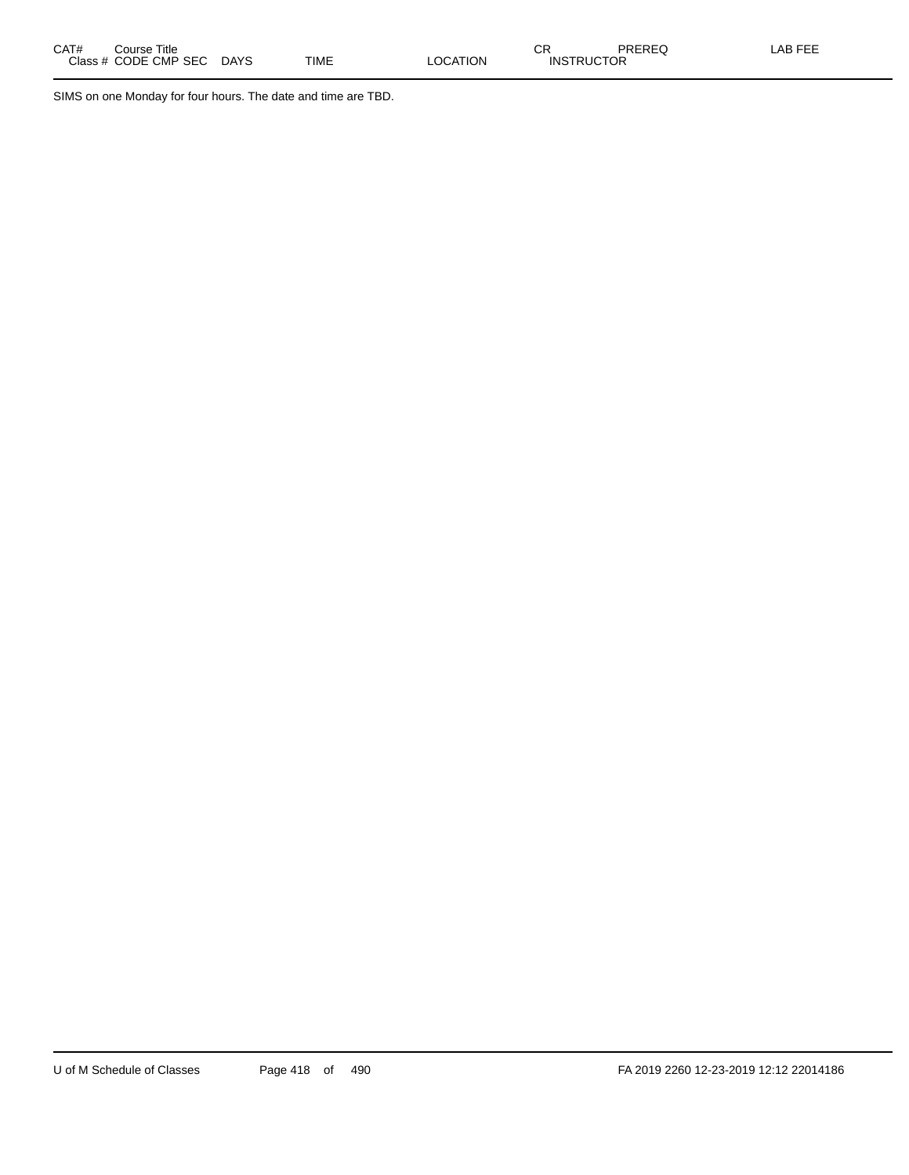SIMS on one Monday for four hours. The date and time are TBD.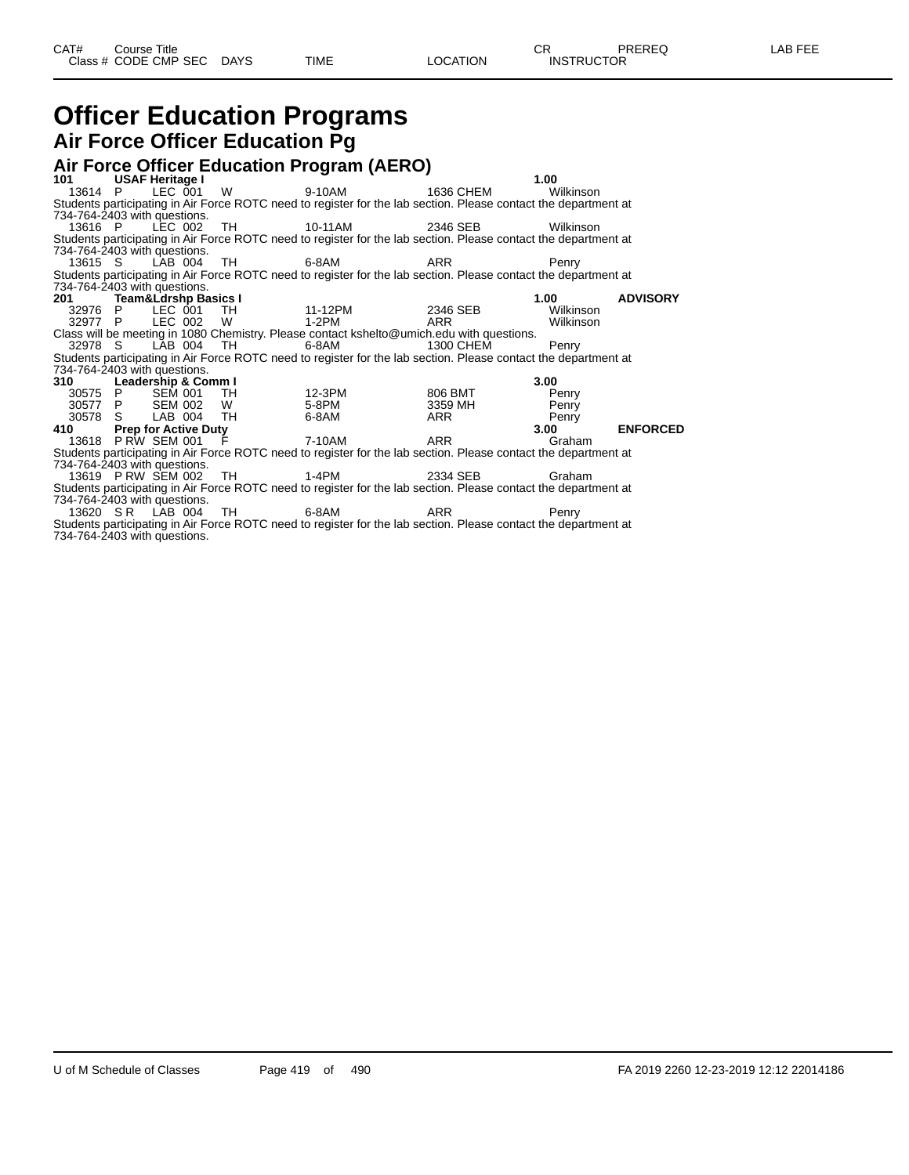#### **Officer Education Programs Air Force Officer Education Pg**

|                              |                     |                   | Air Force Officer Education Program (AERO)                                                                      |           |           |                 |
|------------------------------|---------------------|-------------------|-----------------------------------------------------------------------------------------------------------------|-----------|-----------|-----------------|
| 101 USAF Heritage I          |                     |                   |                                                                                                                 |           | 1.00      |                 |
|                              |                     |                   | 13614 P LEC 001 W 9-10AM 1636 CHEM                                                                              |           | Wilkinson |                 |
|                              |                     |                   | Students participating in Air Force ROTC need to register for the lab section. Please contact the department at |           |           |                 |
| 734-764-2403 with questions. |                     |                   |                                                                                                                 |           |           |                 |
|                              |                     |                   |                                                                                                                 |           | Wilkinson |                 |
|                              |                     |                   | Students participating in Air Force ROTC need to register for the lab section. Please contact the department at |           |           |                 |
| 734-764-2403 with questions. |                     |                   |                                                                                                                 |           |           |                 |
|                              | 13615 S LAB 004 TH  |                   | $6 - 8$ AM                                                                                                      | ARR       | Penry     |                 |
|                              |                     |                   | Students participating in Air Force ROTC need to register for the lab section. Please contact the department at |           |           |                 |
| 734-764-2403 with questions. |                     |                   |                                                                                                                 |           |           |                 |
| 201 Team&Ldrshp Basics I     |                     |                   |                                                                                                                 |           | 1.00      | <b>ADVISORY</b> |
|                              |                     |                   | 32976 P LEC 001 TH 11-12PM 2346 SEB                                                                             |           | Wilkinson |                 |
|                              |                     | 32977 P LEC 002 W | $1-2PM$                                                                                                         | ARR       | Wilkinson |                 |
|                              |                     |                   | Class will be meeting in 1080 Chemistry. Please contact kshelto@umich.edu with questions.                       |           |           |                 |
| 32978 S                      |                     | LÀB 004 TH        | 6-8AM                                                                                                           | 1300 CHEM | Penry     |                 |
|                              |                     |                   | Students participating in Air Force ROTC need to register for the lab section. Please contact the department at |           |           |                 |
| 734-764-2403 with questions. |                     |                   |                                                                                                                 |           |           |                 |
| 310 Leadership & Comm I      |                     |                   |                                                                                                                 |           | 3.00      |                 |
|                              |                     |                   |                                                                                                                 | 806 BMT   | Penry     |                 |
|                              |                     |                   |                                                                                                                 | 3359 MH   | Penry     |                 |
|                              |                     |                   | 30575 P SEM 001 TH 12-3PM<br>30577 P SEM 002 W 5-8PM<br>30578 S LAB 004 TH 6-8AM                                | ARR       | Penry     |                 |
| 410 Prep for Active Duty     |                     |                   |                                                                                                                 |           | 3.00      | <b>ENFORCED</b> |
|                              | 13618 PRW SEM 001 F |                   |                                                                                                                 |           | Graham    |                 |
|                              |                     |                   | Students participating in Air Force ROTC need to register for the lab section. Please contact the department at |           |           |                 |
| 734-764-2403 with questions. |                     |                   |                                                                                                                 |           |           |                 |
|                              |                     |                   |                                                                                                                 |           | Graham    |                 |
|                              |                     |                   | Students participating in Air Force ROTC need to register for the lab section. Please contact the department at |           |           |                 |
| 734-764-2403 with questions. |                     |                   |                                                                                                                 |           |           |                 |
|                              |                     |                   |                                                                                                                 |           | Penry     |                 |
|                              |                     |                   | Students participating in Air Force ROTC need to register for the lab section. Please contact the department at |           |           |                 |
| 734-764-2403 with questions. |                     |                   |                                                                                                                 |           |           |                 |

U of M Schedule of Classes Page 419 of 490 FA 2019 2260 12-23-2019 12:12 22014186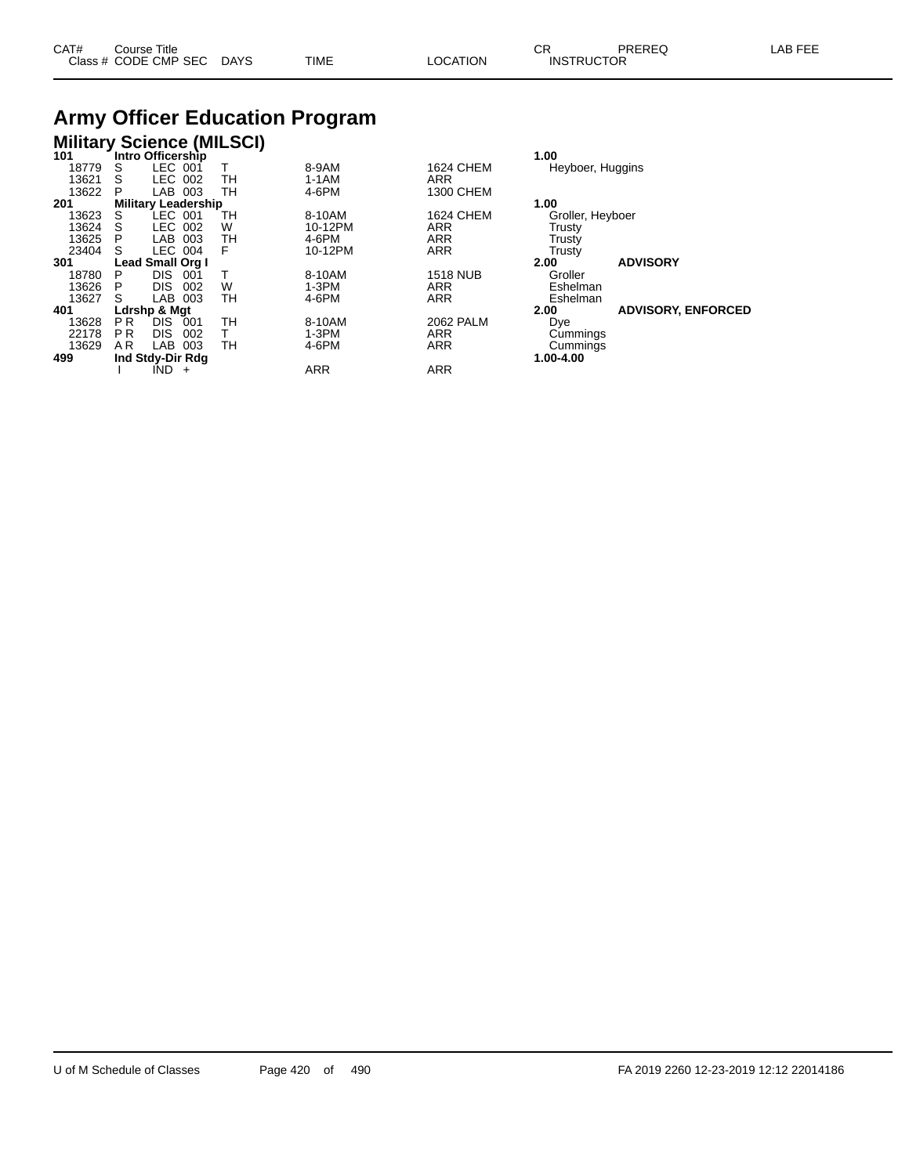| CAT# | Course Title         |             |             |         | $\sim$ $\sim$     | PREREQ | _AB<br>---- |
|------|----------------------|-------------|-------------|---------|-------------------|--------|-------------|
|      | Class # CODE CMP SEC | <b>DAYS</b> | <b>TIME</b> | OCATION | <b>INSTRUCTOR</b> |        |             |

# **Army Officer Education Program**

#### **Military Science (MILSCI)**

| 101   |                | Intro Officership          |       |    |            |                  | 1.00             |                           |
|-------|----------------|----------------------------|-------|----|------------|------------------|------------------|---------------------------|
| 18779 | S              | LEC 001                    |       |    | 8-9AM      | 1624 CHEM        | Heyboer, Huggins |                           |
| 13621 | S              | LEC 002                    |       | TН | $1-1AM$    | <b>ARR</b>       |                  |                           |
| 13622 | P              | LAB                        | 003   | TH | 4-6PM      | 1300 CHEM        |                  |                           |
| 201   |                | <b>Military Leadership</b> |       |    |            |                  | 1.00             |                           |
| 13623 | S              | LEC 001                    |       | тн | 8-10AM     | 1624 CHEM        | Groller, Heyboer |                           |
| 13624 |                | LEC 002                    |       | W  | 10-12PM    | <b>ARR</b>       | <b>Trusty</b>    |                           |
| 13625 | Р              | LAB                        | 003   | тн | 4-6PM      | <b>ARR</b>       | Trusty           |                           |
| 23404 | S              | LEC 004                    |       | F  | 10-12PM    | <b>ARR</b>       | Trusty           |                           |
| 301   |                | <b>Lead Small Org I</b>    |       |    |            |                  | 2.00             | <b>ADVISORY</b>           |
| 18780 | P              | <b>DIS</b>                 | 001   |    | 8-10AM     | <b>1518 NUB</b>  | Groller          |                           |
| 13626 |                | <b>DIS</b>                 | 002   | W  | 1-3PM      | <b>ARR</b>       | Eshelman         |                           |
| 13627 | S              | LAB                        | 003   | тн | 4-6PM      | <b>ARR</b>       | Eshelman         |                           |
| 401   |                | Ldrshp & Mgt               |       |    |            |                  | 2.00             | <b>ADVISORY, ENFORCED</b> |
| 13628 | P <sub>R</sub> | <b>DIS</b>                 | 001   | TН | 8-10AM     | <b>2062 PALM</b> | Dye              |                           |
| 22178 | P <sub>R</sub> | <b>DIS</b>                 | 002   |    | 1-3PM      | <b>ARR</b>       | Cummings         |                           |
| 13629 | A R            | <b>LAB</b>                 | 003   | TН | 4-6PM      | <b>ARR</b>       | Cummings         |                           |
| 499   |                | Ind Stdy-Dir Rdg           |       |    |            |                  | 1.00-4.00        |                           |
|       |                | IND.                       | $\pm$ |    | <b>ARR</b> | <b>ARR</b>       |                  |                           |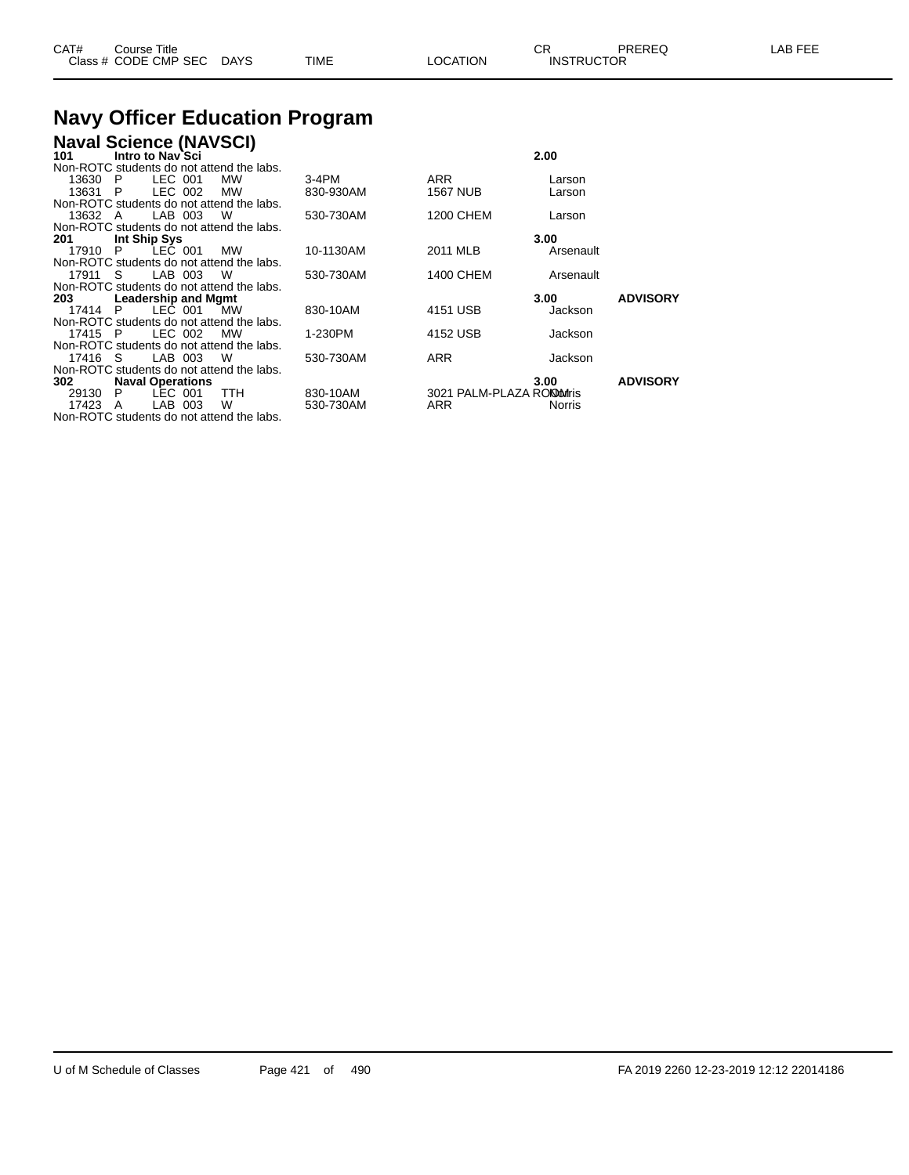| CAT# | Title<br>Course      |      |      |          | $\cap$<br>- UN    | PREREQ | . EEF<br>A <sub>R</sub> |
|------|----------------------|------|------|----------|-------------------|--------|-------------------------|
|      | Class # CODE CMP SEC | DAYS | TIME | LOCATION | <b>INSTRUCTOR</b> |        |                         |

#### **Navy Officer Education Program**

| <b>Naval Science (NAVSCI)</b>             |           |                            |           |                 |
|-------------------------------------------|-----------|----------------------------|-----------|-----------------|
| Intro to Nav`Sci<br>101                   |           |                            | 2.00      |                 |
| Non-ROTC students do not attend the labs. |           |                            |           |                 |
| LEC 001<br>13630 P<br>MW                  | 3-4PM     | ARR                        | Larson    |                 |
| LEC 002<br>13631 P<br><b>MW</b>           | 830-930AM | <b>1567 NUB</b>            | Larson    |                 |
| Non-ROTC students do not attend the labs. |           |                            |           |                 |
| LAB 003 W<br>13632 A                      | 530-730AM | <b>1200 CHEM</b>           | Larson    |                 |
| Non-ROTC students do not attend the labs. |           |                            |           |                 |
| 201<br>Int Ship Sys                       |           |                            | 3.00      |                 |
| LEC 001<br>17910 P<br><b>MW</b>           | 10-1130AM | 2011 MLB                   | Arsenault |                 |
| Non-ROTC students do not attend the labs. |           |                            |           |                 |
| LAB 003<br>17911 S<br>W                   | 530-730AM | 1400 CHEM                  | Arsenault |                 |
| Non-ROTC students do not attend the labs. |           |                            |           |                 |
| Leadership and Mgmt<br>203 —              |           |                            | 3.00      | <b>ADVISORY</b> |
| LEC 001<br>17414 P<br>MW                  | 830-10AM  | 4151 USB                   | Jackson   |                 |
| Non-ROTC students do not attend the labs. |           |                            |           |                 |
| LEC 002<br>17415 P<br>MW                  | 1-230PM   | 4152 USB                   | Jackson   |                 |
| Non-ROTC students do not attend the labs. |           |                            |           |                 |
| LAB 003<br>17416 S<br>- W                 | 530-730AM | <b>ARR</b>                 | Jackson   |                 |
| Non-ROTC students do not attend the labs. |           |                            |           |                 |
| <b>Naval Operations</b><br>302            |           |                            | 3.00      | <b>ADVISORY</b> |
| LEC 001<br>29130 P<br>TTH                 | 830-10AM  | 3021 PALM-PLAZA RONDOMITIS |           |                 |
| LAB 003<br>W<br>17423 A                   | 530-730AM | ARR                        | Norris    |                 |
| Non-ROTC students do not attend the labs. |           |                            |           |                 |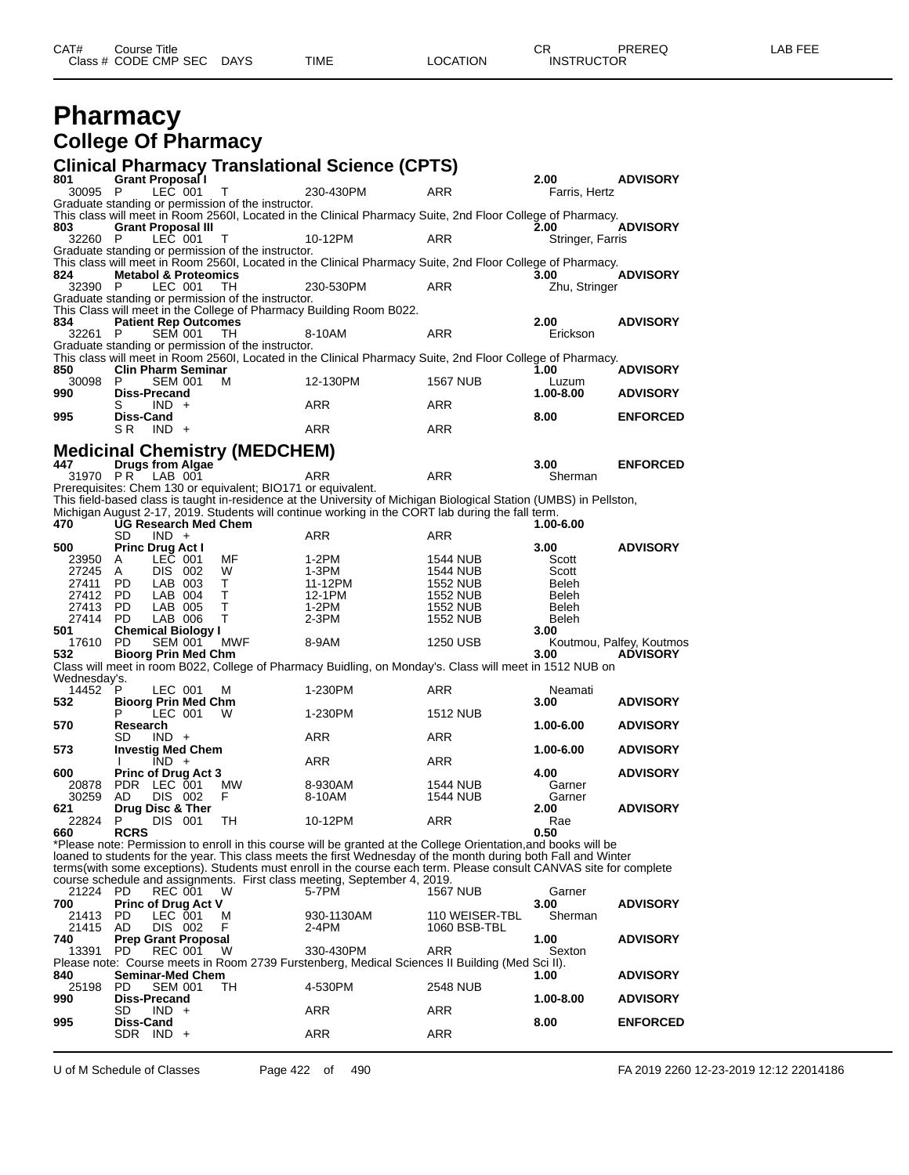| CAT# | Course Title              |      |                 | ∼⊏<br>◡⊓          | PREREQ | _AB FEE |
|------|---------------------------|------|-----------------|-------------------|--------|---------|
|      | Class # CODE CMP SEC DAYS | TIME | <b>LOCATION</b> | <b>INSTRUCTOR</b> |        |         |

## **Pharmacy College Of Pharmacy**

## **Clinical Pharmacy Translational Science (CPTS)**

| 801            | <b>Grant Proposal I</b>          |                    |                                                              |                                                                                                                     |                                | 2.00             | <b>ADVISORY</b>          |
|----------------|----------------------------------|--------------------|--------------------------------------------------------------|---------------------------------------------------------------------------------------------------------------------|--------------------------------|------------------|--------------------------|
| 30095          | - P                              | LEC 001            | т                                                            | 230-430PM                                                                                                           | ARR                            | Farris, Hertz    |                          |
|                |                                  |                    | Graduate standing or permission of the instructor.           |                                                                                                                     |                                |                  |                          |
| 803            | <b>Grant Proposal III</b>        |                    |                                                              | This class will meet in Room 2560I, Located in the Clinical Pharmacy Suite, 2nd Floor College of Pharmacy.          |                                | 2.00             | <b>ADVISORY</b>          |
| 32260 P        |                                  | LEC 001            | т                                                            | 10-12PM                                                                                                             | ARR                            | Stringer, Farris |                          |
|                |                                  |                    | Graduate standing or permission of the instructor.           |                                                                                                                     |                                |                  |                          |
|                |                                  |                    |                                                              | This class will meet in Room 2560I, Located in the Clinical Pharmacy Suite, 2nd Floor College of Pharmacy.          |                                |                  |                          |
| 824            | <b>Metabol &amp; Proteomics</b>  |                    |                                                              |                                                                                                                     |                                | 3.00             | <b>ADVISORY</b>          |
| 32390          | $\mathsf{P}$                     | LEC 001            | TH.                                                          | 230-530PM                                                                                                           | ARR                            | Zhu, Stringer    |                          |
|                |                                  |                    | Graduate standing or permission of the instructor.           |                                                                                                                     |                                |                  |                          |
|                |                                  |                    |                                                              | This Class will meet in the College of Pharmacy Building Room B022.                                                 |                                |                  |                          |
| 834<br>32261   | <b>Patient Rep Outcomes</b><br>P | <b>SEM 001</b>     | TH.                                                          | 8-10AM                                                                                                              | <b>ARR</b>                     | 2.00<br>Erickson | <b>ADVISORY</b>          |
|                |                                  |                    | Graduate standing or permission of the instructor.           |                                                                                                                     |                                |                  |                          |
|                |                                  |                    |                                                              | This class will meet in Room 2560I, Located in the Clinical Pharmacy Suite, 2nd Floor College of Pharmacy.          |                                |                  |                          |
| 850            | <b>Clin Pharm Seminar</b>        |                    |                                                              |                                                                                                                     |                                | 1.00             | <b>ADVISORY</b>          |
| 30098          | P                                | <b>SEM 001</b>     | м                                                            | 12-130PM                                                                                                            | 1567 NUB                       | Luzum            |                          |
| 990            | <b>Diss-Precand</b>              |                    |                                                              |                                                                                                                     |                                | 1.00-8.00        | <b>ADVISORY</b>          |
|                | S                                | $IND +$            |                                                              | ARR                                                                                                                 | ARR                            |                  |                          |
| 995            | Diss-Cand<br>S R                 | $IND +$            |                                                              | ARR                                                                                                                 | ARR                            | 8.00             | <b>ENFORCED</b>          |
|                |                                  |                    |                                                              |                                                                                                                     |                                |                  |                          |
|                |                                  |                    | <b>Medicinal Chemistry (MEDCHEM)</b>                         |                                                                                                                     |                                |                  |                          |
| 447            | <b>Drugs from Algae</b>          |                    |                                                              |                                                                                                                     |                                | 3.00             | <b>ENFORCED</b>          |
| 31970 PR       |                                  | LAB 001            |                                                              | ARR                                                                                                                 | <b>ARR</b>                     | Sherman          |                          |
|                |                                  |                    | Prerequisites: Chem 130 or equivalent; BIO171 or equivalent. |                                                                                                                     |                                |                  |                          |
|                |                                  |                    |                                                              | This field-based class is taught in-residence at the University of Michigan Biological Station (UMBS) in Pellston,  |                                |                  |                          |
|                | UG Research Med Chem             |                    |                                                              | Michigan August 2-17, 2019. Students will continue working in the CORT lab during the fall term.                    |                                |                  |                          |
| 470            | SD                               | $IND +$            |                                                              | ARR                                                                                                                 | ARR                            | 1.00-6.00        |                          |
| 500            | <b>Princ Drug Act I</b>          |                    |                                                              |                                                                                                                     |                                | 3.00             | <b>ADVISORY</b>          |
| 23950          | A                                | LEC 001            | МF                                                           | 1-2PM                                                                                                               | 1544 NUB                       | Scott            |                          |
| 27245 A        |                                  | DIS 002            | W                                                            | 1-3PM                                                                                                               | 1544 NUB                       | Scott            |                          |
| 27411          | - PD                             | LAB 003            | Τ                                                            | 11-12PM                                                                                                             | 1552 NUB                       | Beleh            |                          |
| 27412 PD       |                                  | LAB 004            | т                                                            | 12-1PM                                                                                                              | 1552 NUB                       | Beleh            |                          |
| 27413 PD       |                                  | LAB 005            | т                                                            | 1-2PM                                                                                                               | 1552 NUB                       | Beleh            |                          |
| 27414<br>501   | <b>PD</b>                        | LAB 006            | т                                                            | $2-3PM$                                                                                                             | <b>1552 NUB</b>                | Beleh            |                          |
| 17610          | <b>Chemical Biology I</b><br>PD. | SEM 001            | MWF                                                          | 8-9AM                                                                                                               | 1250 USB                       | 3.00             | Koutmou, Palfey, Koutmos |
| 532            | <b>Bioorg Prin Med Chm</b>       |                    |                                                              |                                                                                                                     |                                | 3.00             | <b>ADVISORY</b>          |
|                |                                  |                    |                                                              | Class will meet in room B022, College of Pharmacy Buidling, on Monday's. Class will meet in 1512 NUB on             |                                |                  |                          |
| Wednesday's.   |                                  |                    |                                                              |                                                                                                                     |                                |                  |                          |
| 14452          | P.                               | LEC 001            | м                                                            | 1-230PM                                                                                                             | ARR                            | Neamati          |                          |
| 532            | <b>Bioorg Prin Med Chm</b>       |                    |                                                              |                                                                                                                     |                                | 3.00             | <b>ADVISORY</b>          |
|                |                                  | LEC 001            | W                                                            | 1-230PM                                                                                                             | 1512 NUB                       |                  |                          |
| 570            | Research<br>SD                   | $IND +$            |                                                              | ARR                                                                                                                 | ARR                            | 1.00-6.00        | <b>ADVISORY</b>          |
| 573            | <b>Investig Med Chem</b>         |                    |                                                              |                                                                                                                     |                                | 1.00-6.00        | <b>ADVISORY</b>          |
|                |                                  | $IND +$            |                                                              | ARR                                                                                                                 | ARR                            |                  |                          |
| 600            | <b>Princ of Drug Act 3</b>       |                    |                                                              |                                                                                                                     |                                | 4.00             | <b>ADVISORY</b>          |
| 20878          | PDR LEC 001                      |                    | <b>MW</b>                                                    | 8-930AM                                                                                                             | 1544 NUB                       | Garner           |                          |
| 30259          | AD                               | DIS 002            | F                                                            | 8-10AM                                                                                                              | 1544 NUB                       | Garner           |                          |
| 621            | Drug Disc & Ther                 |                    |                                                              |                                                                                                                     |                                | 2.00             | <b>ADVISORY</b>          |
| 22824<br>660   | P<br><b>RCRS</b>                 | DIS 001            | TН                                                           | 10-12PM                                                                                                             | ARR                            | Rae<br>0.50      |                          |
|                |                                  |                    |                                                              | *Please note: Permission to enroll in this course will be granted at the College Orientation, and books will be     |                                |                  |                          |
|                |                                  |                    |                                                              | loaned to students for the year. This class meets the first Wednesday of the month during both Fall and Winter      |                                |                  |                          |
|                |                                  |                    |                                                              | terms (with some exceptions). Students must enroll in the course each term. Please consult CANVAS site for complete |                                |                  |                          |
|                |                                  |                    |                                                              | course schedule and assignments. First class meeting, September 4, 2019.                                            |                                |                  |                          |
| 21224 PD       |                                  | REC 001            | W                                                            | 5-7PM                                                                                                               | 1567 NUB                       | Garner           |                          |
| 700            | <b>Princ of Drug Act V</b>       |                    |                                                              |                                                                                                                     |                                | 3.00             | <b>ADVISORY</b>          |
| 21413<br>21415 | PD.<br>AD                        | LEC 001<br>DIS 002 | м<br>F                                                       | 930-1130AM<br>2-4PM                                                                                                 | 110 WEISER-TBL<br>1060 BSB-TBL | Sherman          |                          |
| 740            | <b>Prep Grant Proposal</b>       |                    |                                                              |                                                                                                                     |                                | 1.00             | <b>ADVISORY</b>          |
| 13391          | PD                               | <b>REC 001</b>     | W                                                            | 330-430PM                                                                                                           | <b>ARR</b>                     | Sexton           |                          |
|                |                                  |                    |                                                              | Please note: Course meets in Room 2739 Furstenberg, Medical Sciences II Building (Med Sci II).                      |                                |                  |                          |
| 840            | <b>Seminar-Med Chem</b>          |                    |                                                              |                                                                                                                     |                                | 1.00             | <b>ADVISORY</b>          |
| 25198          | PD.                              | SEM 001            | TH.                                                          | 4-530PM                                                                                                             | <b>2548 NUB</b>                |                  |                          |
| 990            | <b>Diss-Precand</b>              |                    |                                                              |                                                                                                                     |                                | 1.00-8.00        | <b>ADVISORY</b>          |
| 995            | SD<br>Diss-Cand                  | $IND +$            |                                                              | ARR                                                                                                                 | ARR                            | 8.00             | <b>ENFORCED</b>          |
|                | $SDR$ IND +                      |                    |                                                              | ARR                                                                                                                 | ARR                            |                  |                          |
|                |                                  |                    |                                                              |                                                                                                                     |                                |                  |                          |

U of M Schedule of Classes Page 422 of 490 FA 2019 2260 12-23-2019 12:12 22014186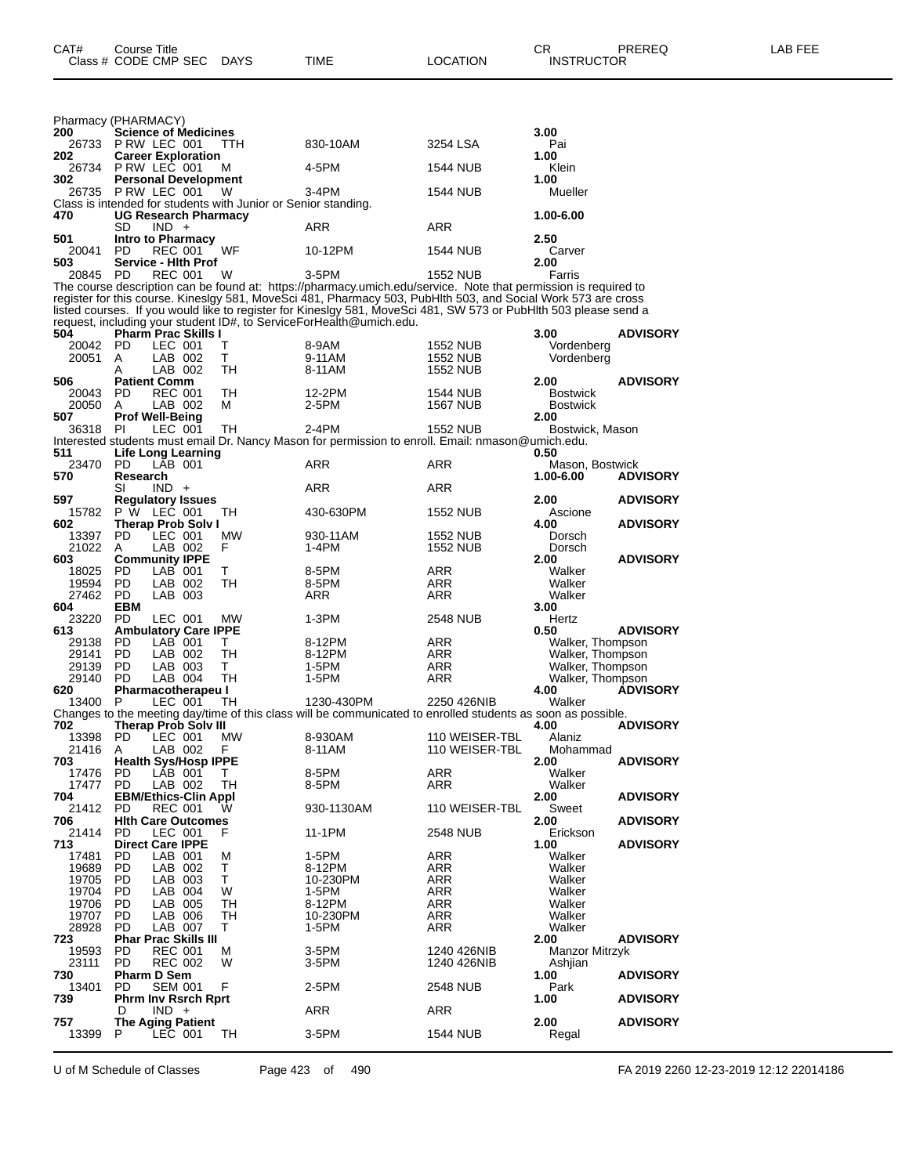|     |                | Pharmacy (PHARMACY)                     |                           |                             |                                                                     |                                                                                                                                                                                                                                  |                             |                                      |                 |
|-----|----------------|-----------------------------------------|---------------------------|-----------------------------|---------------------------------------------------------------------|----------------------------------------------------------------------------------------------------------------------------------------------------------------------------------------------------------------------------------|-----------------------------|--------------------------------------|-----------------|
| 200 |                |                                         |                           | <b>Science of Medicines</b> |                                                                     |                                                                                                                                                                                                                                  |                             | 3.00                                 |                 |
| 202 | 26733          | PRW LEC 001                             |                           | <b>Career Exploration</b>   | TTH                                                                 | 830-10AM                                                                                                                                                                                                                         | 3254 LSA                    | Pai<br>1.00                          |                 |
|     | 26734          | PRW LEC 001                             |                           |                             | м                                                                   | 4-5PM                                                                                                                                                                                                                            | 1544 NUB                    | Klein                                |                 |
| 302 |                |                                         |                           | <b>Personal Development</b> |                                                                     |                                                                                                                                                                                                                                  |                             | 1.00                                 |                 |
|     | 26735          | PRW LEC 001                             |                           |                             | W<br>Class is intended for students with Junior or Senior standing. | 3-4PM                                                                                                                                                                                                                            | 1544 NUB                    | Mueller                              |                 |
| 470 |                |                                         |                           | <b>UG Research Pharmacy</b> |                                                                     |                                                                                                                                                                                                                                  |                             | 1.00-6.00                            |                 |
|     |                | SD                                      | $IND +$                   |                             |                                                                     | ARR                                                                                                                                                                                                                              | ARR                         |                                      |                 |
| 501 | 20041          | Intro to Pharmacy<br>PD                 | REC 001                   |                             | WF                                                                  | 10-12PM                                                                                                                                                                                                                          | 1544 NUB                    | 2.50<br>Carver                       |                 |
| 503 |                |                                         |                           | <b>Service - Hith Prof</b>  |                                                                     |                                                                                                                                                                                                                                  |                             | 2.00                                 |                 |
|     | 20845          | <b>PD</b>                               | <b>REC 001</b>            |                             | W                                                                   | $3-5$ PM                                                                                                                                                                                                                         | 1552 NUB                    | Farris                               |                 |
|     |                |                                         |                           |                             |                                                                     | The course description can be found at: https://pharmacy.umich.edu/service. Note that permission is required to<br>register for this course. Kineslgy 581, MoveSci 481, Pharmacy 503, PubHlth 503, and Social Work 573 are cross |                             |                                      |                 |
|     |                |                                         |                           |                             |                                                                     | listed courses. If you would like to register for Kineslgy 581, MoveSci 481, SW 573 or PubHlth 503 please send a                                                                                                                 |                             |                                      |                 |
|     |                |                                         |                           |                             |                                                                     | request, including your student ID#, to ServiceForHealth@umich.edu.                                                                                                                                                              |                             |                                      |                 |
| 504 |                | <b>PD</b>                               |                           | <b>Pharm Prac Skills I</b>  | т                                                                   |                                                                                                                                                                                                                                  |                             | 3.00                                 | <b>ADVISORY</b> |
|     | 20042<br>20051 | A                                       | LEC 001<br>LAB 002        |                             | т                                                                   | 8-9AM<br>9-11AM                                                                                                                                                                                                                  | 1552 NUB<br>1552 NUB        | Vordenberg<br>Vordenberg             |                 |
|     |                | A                                       | LAB 002                   |                             | TН                                                                  | 8-11AM                                                                                                                                                                                                                           | 1552 NUB                    |                                      |                 |
| 506 |                | <b>Patient Comm</b>                     |                           |                             |                                                                     |                                                                                                                                                                                                                                  |                             | 2.00                                 | <b>ADVISORY</b> |
|     | 20043<br>20050 | PD<br>A                                 | <b>REC 001</b><br>LAB 002 |                             | TН<br>м                                                             | 12-2PM<br>2-5PM                                                                                                                                                                                                                  | 1544 NUB<br><b>1567 NUB</b> | <b>Bostwick</b><br><b>Bostwick</b>   |                 |
| 507 |                | <b>Prof Well-Being</b>                  |                           |                             |                                                                     |                                                                                                                                                                                                                                  |                             | 2.00                                 |                 |
|     | 36318          | PI.                                     | LEC 001                   |                             | TН                                                                  | 2-4PM                                                                                                                                                                                                                            | 1552 NUB                    | Bostwick, Mason                      |                 |
| 511 |                |                                         |                           |                             |                                                                     | Interested students must email Dr. Nancy Mason for permission to enroll. Email: nmason@umich.edu.                                                                                                                                |                             |                                      |                 |
|     | 23470          | PD.                                     | LAB 001                   | <b>Life Long Learning</b>   |                                                                     | ARR                                                                                                                                                                                                                              | ARR                         | 0.50<br>Mason, Bostwick              |                 |
| 570 |                | Research                                |                           |                             |                                                                     |                                                                                                                                                                                                                                  |                             | 1.00-6.00                            | <b>ADVISORY</b> |
|     |                | SI                                      | $IND +$                   |                             |                                                                     | ARR                                                                                                                                                                                                                              | ARR                         |                                      |                 |
| 597 | 15782          | <b>Regulatory Issues</b><br>P W LEC 001 |                           |                             | TН                                                                  | 430-630PM                                                                                                                                                                                                                        | 1552 NUB                    | 2.00<br>Ascione                      | <b>ADVISORY</b> |
| 602 |                |                                         |                           | <b>Therap Prob Solv I</b>   |                                                                     |                                                                                                                                                                                                                                  |                             | 4.00                                 | <b>ADVISORY</b> |
|     | 13397          | PD.                                     | LEC 001                   |                             | МW                                                                  | 930-11AM                                                                                                                                                                                                                         | 1552 NUB                    | Dorsch                               |                 |
| 603 | 21022          | A<br><b>Community IPPE</b>              | LAB 002                   |                             | F                                                                   | 1-4PM                                                                                                                                                                                                                            | 1552 NUB                    | Dorsch<br>2.00                       | <b>ADVISORY</b> |
|     | 18025          | PD.                                     | LAB 001                   |                             | т                                                                   | 8-5PM                                                                                                                                                                                                                            | ARR                         | Walker                               |                 |
|     | 19594          | PD.                                     | LAB 002                   |                             | TН                                                                  | 8-5PM                                                                                                                                                                                                                            | ARR                         | Walker                               |                 |
|     | 27462          | <b>PD</b><br><b>EBM</b>                 | LAB 003                   |                             |                                                                     | ARR                                                                                                                                                                                                                              | ARR                         | Walker                               |                 |
| 604 | 23220          | <b>PD</b>                               | LEC 001                   |                             | МW                                                                  | 1-3PM                                                                                                                                                                                                                            | 2548 NUB                    | 3.00<br>Hertz                        |                 |
| 613 |                |                                         |                           | <b>Ambulatory Care IPPE</b> |                                                                     |                                                                                                                                                                                                                                  |                             | 0.50                                 | <b>ADVISORY</b> |
|     | 29138          | PD                                      | LAB 001                   |                             | Τ                                                                   | 8-12PM                                                                                                                                                                                                                           | ARR                         | Walker, Thompson                     |                 |
|     | 29141<br>29139 | PD<br>PD.                               | LAB 002<br>LAB 003        |                             | TH<br>т                                                             | 8-12PM<br>1-5PM                                                                                                                                                                                                                  | ARR<br>ARR                  | Walker, Thompson<br>Walker, Thompson |                 |
|     | 29140          | PD                                      | LAB 004                   |                             | TН                                                                  | 1-5PM                                                                                                                                                                                                                            | ARR                         | Walker, Thompson                     |                 |
| 620 |                |                                         |                           | Pharmacotherapeu I          |                                                                     |                                                                                                                                                                                                                                  |                             | 4.00                                 | <b>ADVISORY</b> |
|     | 13400          | P                                       | LEC 001                   |                             | TН                                                                  | 1230-430PM                                                                                                                                                                                                                       | 2250 426NIB                 | Walker                               |                 |
| 702 |                |                                         |                           | <b>Therap Prob Solv III</b> |                                                                     | Changes to the meeting day/time of this class will be communicated to enrolled students as soon as possible.                                                                                                                     |                             | 4.00                                 | <b>ADVISORY</b> |
|     | 13398          | PD.                                     | LEC 001                   |                             | МW                                                                  | 8-930AM                                                                                                                                                                                                                          | 110 WEISER-TBL              | Alaniz                               |                 |
| 703 | 21416 A        |                                         |                           | LAB 002 F                   |                                                                     | 8-11AM                                                                                                                                                                                                                           | 110 WEISER-TBL              | Mohammad                             | <b>ADVISORY</b> |
|     | 17476 PD       |                                         | LAB 001                   | <b>Health Sys/Hosp IPPE</b> | Т                                                                   | 8-5PM                                                                                                                                                                                                                            | ARR                         | 2.00<br>Walker                       |                 |
|     | 17477          | <b>PD</b>                               | LAB 002                   |                             | TH                                                                  | 8-5PM                                                                                                                                                                                                                            | <b>ARR</b>                  | Walker                               |                 |
| 704 |                |                                         |                           | <b>EBM/Ethics-Clin Appl</b> |                                                                     |                                                                                                                                                                                                                                  |                             | 2.00                                 | <b>ADVISORY</b> |
| 706 | 21412          | PD                                      | <b>REC 001</b>            | <b>Hith Care Outcomes</b>   | W                                                                   | 930-1130AM                                                                                                                                                                                                                       | 110 WEISER-TBL              | Sweet<br>2.00                        | <b>ADVISORY</b> |
|     | 21414          | PD                                      | LEC 001                   |                             | F                                                                   | 11-1PM                                                                                                                                                                                                                           | 2548 NUB                    | Erickson                             |                 |
| 713 |                | <b>Direct Care IPPE</b>                 |                           |                             |                                                                     |                                                                                                                                                                                                                                  |                             | 1.00                                 | <b>ADVISORY</b> |
|     | 17481<br>19689 | PD.<br>PD.                              | LAB 001<br>LAB 002        |                             | м<br>т                                                              | 1-5PM<br>8-12PM                                                                                                                                                                                                                  | ARR<br>ARR                  | Walker<br>Walker                     |                 |
|     | 19705          | PD.                                     | LAB 003                   |                             | Т                                                                   | 10-230PM                                                                                                                                                                                                                         | <b>ARR</b>                  | Walker                               |                 |
|     | 19704          | PD                                      | LAB 004                   |                             | W                                                                   | 1-5PM                                                                                                                                                                                                                            | <b>ARR</b>                  | Walker                               |                 |
|     | 19706          | PD.                                     | LAB 005                   |                             | TН                                                                  | 8-12PM                                                                                                                                                                                                                           | ARR                         | Walker<br>Walker                     |                 |
|     | 19707<br>28928 | PD.<br>PD                               | LAB 006<br>LAB 007        |                             | TН<br>Т                                                             | 10-230PM<br>1-5PM                                                                                                                                                                                                                | <b>ARR</b><br><b>ARR</b>    | Walker                               |                 |
| 723 |                |                                         |                           | <b>Phar Prac Skills III</b> |                                                                     |                                                                                                                                                                                                                                  |                             | 2.00                                 | <b>ADVISORY</b> |
|     | 19593          | PD                                      | <b>REC 001</b>            |                             | м                                                                   | 3-5PM                                                                                                                                                                                                                            | 1240 426NIB                 | Manzor Mitrzyk                       |                 |
| 730 | 23111          | PD<br><b>Pharm D Sem</b>                | <b>REC 002</b>            |                             | W                                                                   | 3-5PM                                                                                                                                                                                                                            | 1240 426NIB                 | Ashjian<br>1.00                      | <b>ADVISORY</b> |
|     | 13401          | PD                                      | <b>SEM 001</b>            |                             | F                                                                   | 2-5PM                                                                                                                                                                                                                            | 2548 NUB                    | Park                                 |                 |
| 739 |                |                                         |                           | <b>Phrm Inv Rsrch Rprt</b>  |                                                                     |                                                                                                                                                                                                                                  |                             | 1.00                                 | <b>ADVISORY</b> |
|     |                | D                                       | $IND +$                   |                             |                                                                     | ARR                                                                                                                                                                                                                              | ARR                         |                                      |                 |
| 757 | 13399          | <b>The Aging Patient</b><br>P.          | LEC 001                   |                             | ТH                                                                  | 3-5PM                                                                                                                                                                                                                            | 1544 NUB                    | 2.00<br>Regal                        | <b>ADVISORY</b> |
|     |                |                                         |                           |                             |                                                                     |                                                                                                                                                                                                                                  |                             |                                      |                 |

U of M Schedule of Classes Page 423 of 490 FA 2019 2260 12-23-2019 12:12 22014186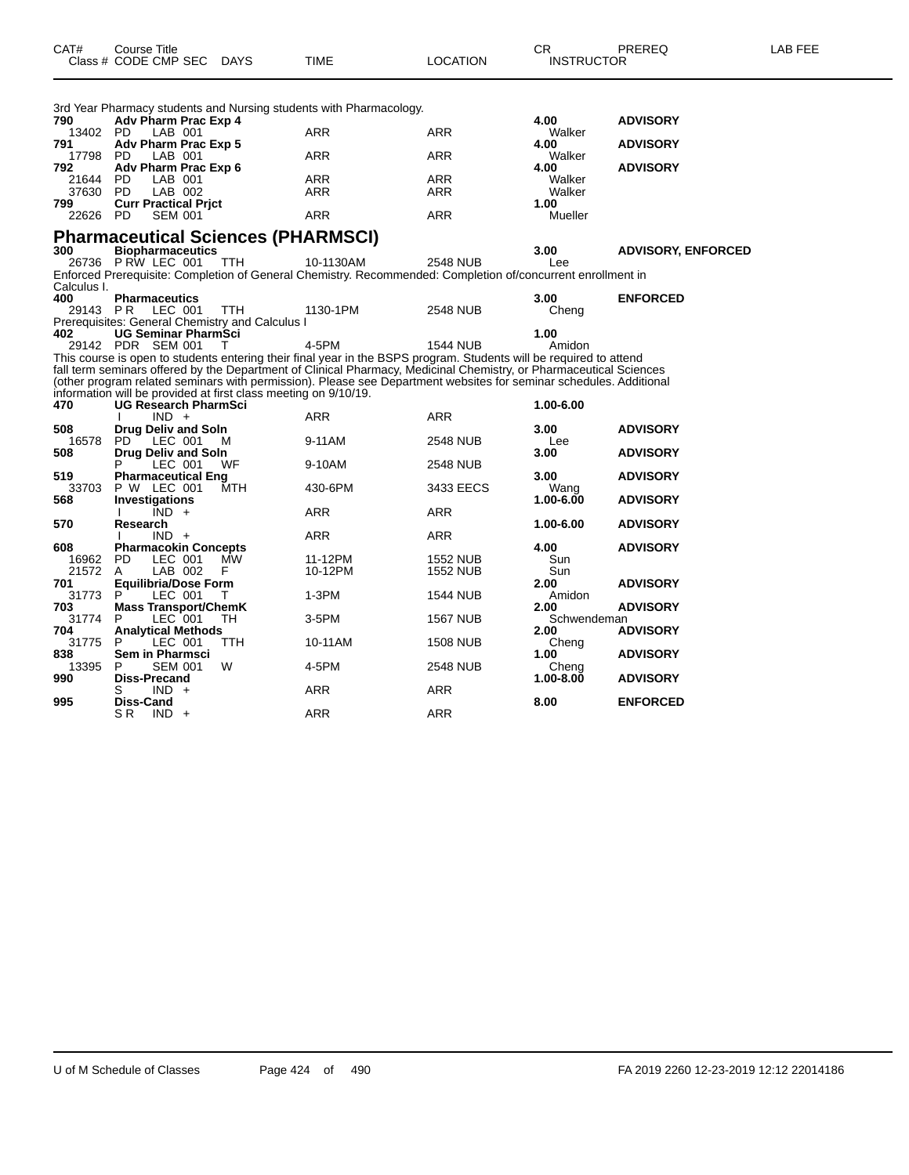| CAT#            | Course Title<br>Class # CODE CMP SEC                                                       | DAYS | TIME              | <b>LOCATION</b>                                                                                                                                                                                                                          | CR.<br><b>INSTRUCTOR</b> | PREREQ                    | LAB FEE |
|-----------------|--------------------------------------------------------------------------------------------|------|-------------------|------------------------------------------------------------------------------------------------------------------------------------------------------------------------------------------------------------------------------------------|--------------------------|---------------------------|---------|
| 790             | 3rd Year Pharmacy students and Nursing students with Pharmacology.<br>Adv Pharm Prac Exp 4 |      |                   |                                                                                                                                                                                                                                          | 4.00                     | <b>ADVISORY</b>           |         |
| 13402 PD        | LAB 001                                                                                    |      | ARR               | ARR                                                                                                                                                                                                                                      | Walker                   |                           |         |
| 791             | Adv Pharm Prac Exp 5                                                                       |      |                   |                                                                                                                                                                                                                                          | 4.00                     | <b>ADVISORY</b>           |         |
| 17798 PD        | LAB 001                                                                                    |      | ARR               | ARR                                                                                                                                                                                                                                      | Walker                   |                           |         |
| 792             | Adv Pharm Prac Exp 6                                                                       |      |                   |                                                                                                                                                                                                                                          | 4.00                     | <b>ADVISORY</b>           |         |
| 21644<br>37630  | LAB 001<br>PD.<br>LAB 002<br>- PD                                                          |      | ARR<br><b>ARR</b> | ARR<br>ARR                                                                                                                                                                                                                               | Walker<br>Walker         |                           |         |
| 799             | <b>Curr Practical Prict</b>                                                                |      |                   |                                                                                                                                                                                                                                          | 1.00                     |                           |         |
| 22626           | - PD<br><b>SEM 001</b>                                                                     |      | ARR               | ARR                                                                                                                                                                                                                                      | Mueller                  |                           |         |
|                 | <b>Pharmaceutical Sciences (PHARMSCI)</b>                                                  |      |                   |                                                                                                                                                                                                                                          |                          |                           |         |
| 300             | <b>Biopharmaceutics</b>                                                                    |      |                   |                                                                                                                                                                                                                                          | 3.00                     | <b>ADVISORY, ENFORCED</b> |         |
|                 | 26736 PRW LEC 001                                                                          | TTH  | 10-1130AM         | 2548 NUB                                                                                                                                                                                                                                 | Lee                      |                           |         |
|                 |                                                                                            |      |                   | Enforced Prerequisite: Completion of General Chemistry. Recommended: Completion of/concurrent enrollment in                                                                                                                              |                          |                           |         |
| Calculus I.     |                                                                                            |      |                   |                                                                                                                                                                                                                                          |                          |                           |         |
| 400<br>29143 PR | <b>Pharmaceutics</b><br>LEC 001                                                            | TTH  | 1130-1PM          | <b>2548 NUB</b>                                                                                                                                                                                                                          | 3.00                     | <b>ENFORCED</b>           |         |
|                 | Prerequisites: General Chemistry and Calculus I                                            |      |                   |                                                                                                                                                                                                                                          | Cheng                    |                           |         |
| 402             | <b>UG Seminar PharmSci</b>                                                                 |      |                   |                                                                                                                                                                                                                                          | 1.00                     |                           |         |
|                 | 29142 PDR SEM 001                                                                          | T    | 4-5PM             | <b>1544 NUB</b>                                                                                                                                                                                                                          | Amidon                   |                           |         |
|                 |                                                                                            |      |                   | This course is open to students entering their final year in the BSPS program. Students will be required to attend                                                                                                                       |                          |                           |         |
|                 |                                                                                            |      |                   | fall term seminars offered by the Department of Clinical Pharmacy, Medicinal Chemistry, or Pharmaceutical Sciences<br>(other program related seminars with permission). Please see Department websites for seminar schedules. Additional |                          |                           |         |
|                 | information will be provided at first class meeting on 9/10/19.                            |      |                   |                                                                                                                                                                                                                                          |                          |                           |         |
| 470             | <b>UG Research PharmSci</b>                                                                |      |                   |                                                                                                                                                                                                                                          | 1.00-6.00                |                           |         |
|                 | $IND +$                                                                                    |      | <b>ARR</b>        | ARR                                                                                                                                                                                                                                      |                          |                           |         |
| 508             | Drug Deliv and Soln                                                                        |      |                   |                                                                                                                                                                                                                                          | 3.00                     | <b>ADVISORY</b>           |         |
| 16578<br>508    | LEC 001<br>PD.<br>Drug Deliv and Soln                                                      | M    | 9-11AM            | 2548 NUB                                                                                                                                                                                                                                 | Lee<br>3.00              | <b>ADVISORY</b>           |         |
|                 | LEC 001                                                                                    | WF   | 9-10AM            | 2548 NUB                                                                                                                                                                                                                                 |                          |                           |         |
| 519             | <b>Pharmaceutical Eng</b>                                                                  |      |                   |                                                                                                                                                                                                                                          | 3.00                     | <b>ADVISORY</b>           |         |
| 33703           | P W LEC 001                                                                                | MTH  | 430-6PM           | 3433 EECS                                                                                                                                                                                                                                | Wang                     |                           |         |
| 568             | <b>Investigations</b>                                                                      |      |                   |                                                                                                                                                                                                                                          | 1.00-6.00                | <b>ADVISORY</b>           |         |
| 570             | $\overline{IND}$ +<br>Research                                                             |      | ARR               | ARR                                                                                                                                                                                                                                      | 1.00-6.00                | <b>ADVISORY</b>           |         |
|                 | $IND +$                                                                                    |      | ARR               | ARR                                                                                                                                                                                                                                      |                          |                           |         |
| 608             | <b>Pharmacokin Concepts</b>                                                                |      |                   |                                                                                                                                                                                                                                          | 4.00                     | <b>ADVISORY</b>           |         |
| 16962           | LEC 001<br>PD                                                                              | MW   | 11-12PM           | <b>1552 NUB</b>                                                                                                                                                                                                                          | Sun                      |                           |         |
| 21572           | LAB 002<br>$\mathsf{A}$                                                                    | F    | 10-12PM           | <b>1552 NUB</b>                                                                                                                                                                                                                          | Sun                      |                           |         |
| 701<br>31773    | <b>Equilibria/Dose Form</b><br>LEC 001<br>P                                                | т    | $1-3PM$           | <b>1544 NUB</b>                                                                                                                                                                                                                          | 2.00<br>Amidon           | <b>ADVISORY</b>           |         |
| 703             | <b>Mass Transport/ChemK</b>                                                                |      |                   |                                                                                                                                                                                                                                          | 2.00                     | <b>ADVISORY</b>           |         |
| 31774           | LEC 001<br>P                                                                               | TH   | 3-5PM             | <b>1567 NUB</b>                                                                                                                                                                                                                          | Schwendeman              |                           |         |
| 704             | <b>Analytical Methods</b>                                                                  |      |                   |                                                                                                                                                                                                                                          | 2.00                     | <b>ADVISORY</b>           |         |
| 31775           | LEC 001<br>P                                                                               | TTH  | 10-11AM           | <b>1508 NUB</b>                                                                                                                                                                                                                          | Cheng                    |                           |         |
| 838<br>13395    | Sem in Pharmsci<br><b>SEM 001</b><br>P                                                     | W    | 4-5PM             | <b>2548 NUB</b>                                                                                                                                                                                                                          | 1.00                     | <b>ADVISORY</b>           |         |
| 990             | <b>Diss-Precand</b>                                                                        |      |                   |                                                                                                                                                                                                                                          | Cheng<br>1.00-8.00       | <b>ADVISORY</b>           |         |
|                 | $IND +$<br>S                                                                               |      | ARR               | ARR                                                                                                                                                                                                                                      |                          |                           |         |
| 995             | Diss-Cand                                                                                  |      |                   |                                                                                                                                                                                                                                          | 8.00                     | <b>ENFORCED</b>           |         |
|                 | S R<br>$IND +$                                                                             |      | ARR               | <b>ARR</b>                                                                                                                                                                                                                               |                          |                           |         |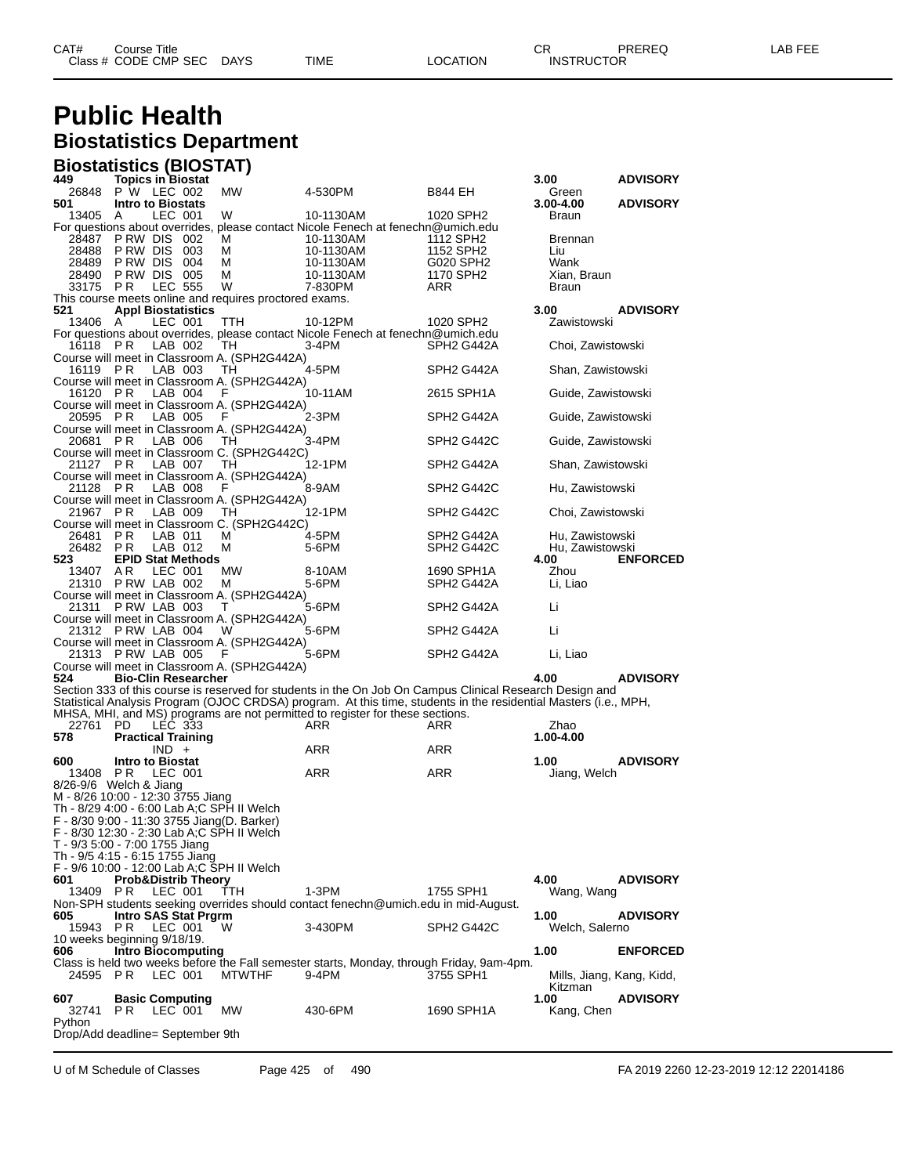### **Public Health Biostatistics Department**

#### **Biostatistics (BIOSTAT)**

| 449                             |                         | Topics in Biostat                   |                                                        |                                                                                                                                                                                                   |                                     | 3.00                               | <b>ADVISORY</b> |
|---------------------------------|-------------------------|-------------------------------------|--------------------------------------------------------|---------------------------------------------------------------------------------------------------------------------------------------------------------------------------------------------------|-------------------------------------|------------------------------------|-----------------|
| 26848<br>501                    |                         | P W LEC 002                         | MW                                                     | 4-530PM                                                                                                                                                                                           | B844 EH                             | Green                              | <b>ADVISORY</b> |
| 13405                           | A                       | <b>Intro to Biostats</b><br>LEC 001 | W                                                      | 10-1130AM                                                                                                                                                                                         | 1020 SPH2                           | 3.00-4.00<br>Braun                 |                 |
|                                 |                         |                                     |                                                        | For questions about overrides, please contact Nicole Fenech at fenechn@umich.edu                                                                                                                  |                                     |                                    |                 |
| 28487                           |                         | PRW DIS 002                         | м                                                      | 10-1130AM                                                                                                                                                                                         | 1112 SPH2                           | <b>Brennan</b>                     |                 |
| 28488                           | P RW DIS                | 003                                 | M                                                      | 10-1130AM                                                                                                                                                                                         | 1152 SPH2                           | Liu                                |                 |
| 28489                           | P RW DIS                | 004                                 | м                                                      | 10-1130AM                                                                                                                                                                                         | G020 SPH2                           | Wank                               |                 |
| 28490                           |                         | PRW DIS 005                         | м                                                      | 10-1130AM                                                                                                                                                                                         | 1170 SPH2                           | Xian, Braun                        |                 |
| 33175                           | P <sub>R</sub>          | <b>LEC 555</b>                      | W                                                      | 7-830PM                                                                                                                                                                                           | ARR                                 | Braun                              |                 |
| 521                             |                         | <b>Appl Biostatistics</b>           | This course meets online and requires proctored exams. |                                                                                                                                                                                                   |                                     | 3.00                               | <b>ADVISORY</b> |
| 13406 A                         |                         | LEC 001                             | ттн                                                    | 10-12PM                                                                                                                                                                                           | 1020 SPH2                           | Zawistowski                        |                 |
|                                 |                         |                                     |                                                        | For questions about overrides, please contact Nicole Fenech at fenechn@umich.edu                                                                                                                  |                                     |                                    |                 |
| 16118                           | P R                     | LAB 002                             | TН                                                     | 3-4PM                                                                                                                                                                                             | SPH2 G442A                          | Choi, Zawistowski                  |                 |
|                                 |                         |                                     | Course will meet in Classroom A. (SPH2G442A)           |                                                                                                                                                                                                   |                                     |                                    |                 |
| 16119 PR                        |                         | LAB 003                             | TН<br>Course will meet in Classroom A. (SPH2G442A)     | 4-5PM                                                                                                                                                                                             | SPH2 G442A                          | Shan, Zawistowski                  |                 |
| 16120 PR                        |                         | LAB 004                             | F                                                      | 10-11AM                                                                                                                                                                                           | 2615 SPH1A                          | Guide, Zawistowski                 |                 |
|                                 |                         |                                     | Course will meet in Classroom A. (SPH2G442A)           |                                                                                                                                                                                                   |                                     |                                    |                 |
| 20595 PR                        |                         | LAB 005                             | F                                                      | 2-3PM                                                                                                                                                                                             | SPH2 G442A                          | Guide, Zawistowski                 |                 |
|                                 |                         |                                     | Course will meet in Classroom A. (SPH2G442A)           |                                                                                                                                                                                                   |                                     |                                    |                 |
| 20681 PR                        |                         | LAB 006                             | TН                                                     | 3-4PM                                                                                                                                                                                             | SPH2 G442C                          | Guide, Zawistowski                 |                 |
| 21127                           | P <sub>R</sub>          | LAB 007                             | Course will meet in Classroom C. (SPH2G442C)<br>TН     | 12-1PM                                                                                                                                                                                            | SPH <sub>2</sub> G442A              | Shan, Zawistowski                  |                 |
|                                 |                         |                                     | Course will meet in Classroom A. (SPH2G442A)           |                                                                                                                                                                                                   |                                     |                                    |                 |
| 21128                           | PR                      | LAB 008                             | F                                                      | 8-9AM                                                                                                                                                                                             | SPH <sub>2</sub> G <sub>442</sub> C | Hu, Zawistowski                    |                 |
|                                 |                         |                                     | Course will meet in Classroom A. (SPH2G442A)           |                                                                                                                                                                                                   |                                     |                                    |                 |
| 21967 PR                        |                         | LAB 009                             | TН                                                     | 12-1PM                                                                                                                                                                                            | SPH2 G442C                          | Choi, Zawistowski                  |                 |
|                                 |                         |                                     | Course will meet in Classroom C. (SPH2G442C)           |                                                                                                                                                                                                   |                                     |                                    |                 |
| 26481<br>26482                  | P R<br>P <sub>R</sub>   | LAB 011<br>LAB 012                  | м<br>М                                                 | 4-5PM<br>5-6PM                                                                                                                                                                                    | SPH2 G442A                          | Hu, Zawistowski<br>Hu, Zawistowski |                 |
| 523                             |                         | <b>EPID Stat Methods</b>            |                                                        |                                                                                                                                                                                                   | SPH2 G442C                          | 4.00                               | <b>ENFORCED</b> |
| 13407                           | A R                     | LEC 001                             | MW                                                     | 8-10AM                                                                                                                                                                                            | 1690 SPH1A                          | Zhou                               |                 |
|                                 |                         | 21310 PRW LAB 002                   | м                                                      | 5-6PM                                                                                                                                                                                             | SPH2 G442A                          | Li, Liao                           |                 |
|                                 |                         |                                     | Course will meet in Classroom A. (SPH2G442A)           |                                                                                                                                                                                                   |                                     |                                    |                 |
| 21311                           |                         | PRW LAB 003                         | т                                                      | 5-6PM                                                                                                                                                                                             | SPH2 G442A                          | Li                                 |                 |
|                                 |                         | 21312 PRW LAB 004                   | Course will meet in Classroom A. (SPH2G442A)<br>W      | 5-6PM                                                                                                                                                                                             | SPH2 G442A                          | Li                                 |                 |
|                                 |                         |                                     | Course will meet in Classroom A. (SPH2G442A)           |                                                                                                                                                                                                   |                                     |                                    |                 |
|                                 |                         | 21313 PRW LAB 005                   | F                                                      | 5-6PM                                                                                                                                                                                             | SPH2 G442A                          | Li, Liao                           |                 |
|                                 |                         |                                     | Course will meet in Classroom A. (SPH2G442A)           |                                                                                                                                                                                                   |                                     |                                    |                 |
| 524                             |                         | <b>Bio-Clin Researcher</b>          |                                                        |                                                                                                                                                                                                   |                                     | 4.00                               | <b>ADVISORY</b> |
|                                 |                         |                                     |                                                        | Section 333 of this course is reserved for students in the On Job On Campus Clinical Research Design and                                                                                          |                                     |                                    |                 |
|                                 |                         |                                     |                                                        | Statistical Analysis Program (OJOC CRDSA) program. At this time, students in the residential Masters (i.e., MPH,<br>MHSA, MHI, and MS) programs are not permitted to register for these sections. |                                     |                                    |                 |
| 22761                           | PD.                     | LEC 333                             |                                                        | ARR                                                                                                                                                                                               | ARR                                 | Zhao                               |                 |
| 578                             |                         | <b>Practical Training</b>           |                                                        |                                                                                                                                                                                                   |                                     | 1.00-4.00                          |                 |
|                                 |                         | $IND +$                             |                                                        | ARR                                                                                                                                                                                               | ARR                                 |                                    |                 |
| 600                             | <b>Intro to Biostat</b> |                                     |                                                        |                                                                                                                                                                                                   |                                     | 1.00                               | <b>ADVISORY</b> |
| 13408                           | P R                     | LEC 001                             |                                                        | ARR                                                                                                                                                                                               | ARR                                 | Jiang, Welch                       |                 |
| $8/26 - 9/6$ Welch & Jiang      |                         | M - 8/26 10:00 - 12:30 3755 Jiang   |                                                        |                                                                                                                                                                                                   |                                     |                                    |                 |
|                                 |                         |                                     | Th - 8/29 4:00 - 6:00 Lab A;C SPH II Welch             |                                                                                                                                                                                                   |                                     |                                    |                 |
|                                 |                         |                                     | F - 8/30 9:00 - 11:30 3755 Jiang(D. Barker)            |                                                                                                                                                                                                   |                                     |                                    |                 |
|                                 |                         |                                     | F - 8/30 12:30 - 2:30 Lab A;C SPH II Welch             |                                                                                                                                                                                                   |                                     |                                    |                 |
| T - 9/3 5:00 - 7:00 1755 Jiang  |                         |                                     |                                                        |                                                                                                                                                                                                   |                                     |                                    |                 |
| Th - 9/5 4:15 - 6:15 1755 Jiang |                         |                                     |                                                        |                                                                                                                                                                                                   |                                     |                                    |                 |
| 601                             |                         | <b>Prob&amp;Distrib Theory</b>      | F - 9/6 10:00 - 12:00 Lab A;C SPH II Welch             |                                                                                                                                                                                                   |                                     | 4.00                               | <b>ADVISORY</b> |
| 13409 PR                        |                         | LEC 001                             | TTH.                                                   | 1-3PM                                                                                                                                                                                             | 1755 SPH1                           | Wang, Wang                         |                 |
|                                 |                         |                                     |                                                        | Non-SPH students seeking overrides should contact fenechn@umich.edu in mid-August.                                                                                                                |                                     |                                    |                 |
| 605                             |                         | Intro SAS Stat Prgrm                |                                                        |                                                                                                                                                                                                   |                                     | 1.00                               | <b>ADVISORY</b> |
| 15943                           | PR.                     | LEC 001                             | W                                                      | 3-430PM                                                                                                                                                                                           | SPH <sub>2</sub> G <sub>442</sub> C | Welch, Salerno                     |                 |
| 10 weeks beginning 9/18/19.     |                         |                                     |                                                        |                                                                                                                                                                                                   |                                     |                                    |                 |
| 606                             |                         | <b>Intro Biocomputing</b>           |                                                        | Class is held two weeks before the Fall semester starts, Monday, through Friday, 9am-4pm.                                                                                                         |                                     | 1.00                               | <b>ENFORCED</b> |
| 24595 PR                        |                         | LEC 001                             | <b>MTWTHF</b>                                          | 9-4PM                                                                                                                                                                                             | 3755 SPH1                           | Mills, Jiang, Kang, Kidd,          |                 |
|                                 |                         |                                     |                                                        |                                                                                                                                                                                                   |                                     | Kitzman                            |                 |
| 607                             |                         | <b>Basic Computing</b>              |                                                        |                                                                                                                                                                                                   |                                     | 1.00                               | <b>ADVISORY</b> |
| 32741 PR                        |                         | LEC 001                             | MW                                                     | 430-6PM                                                                                                                                                                                           | 1690 SPH1A                          | Kang, Chen                         |                 |
| Python                          |                         |                                     |                                                        |                                                                                                                                                                                                   |                                     |                                    |                 |
|                                 |                         | Drop/Add deadline= September 9th    |                                                        |                                                                                                                                                                                                   |                                     |                                    |                 |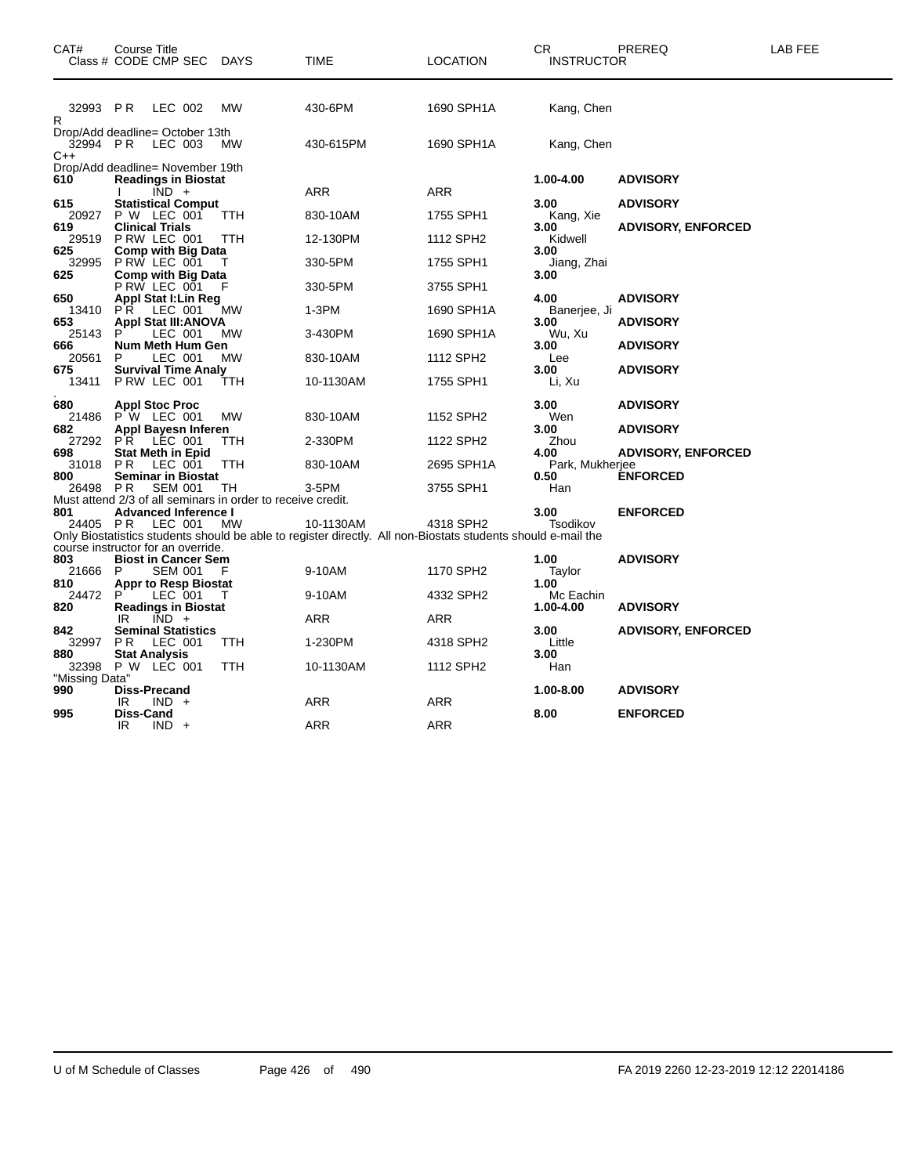| CAT#                           |                 | Course Title<br>Class # CODE CMP SEC DAYS                                          |                                                                   | <b>TIME</b>                                                                                                               | <b>LOCATION</b>          | CR<br><b>INSTRUCTOR</b>                       | PREREQ                                       | LAB FEE |
|--------------------------------|-----------------|------------------------------------------------------------------------------------|-------------------------------------------------------------------|---------------------------------------------------------------------------------------------------------------------------|--------------------------|-----------------------------------------------|----------------------------------------------|---------|
| 32993 PR<br>R<br>32994 PR      |                 | LEC 002<br>Drop/Add deadline= October 13th<br>LEC 003                              | <b>MW</b><br><b>MW</b>                                            | 430-6PM<br>430-615PM                                                                                                      | 1690 SPH1A<br>1690 SPH1A | Kang, Chen<br>Kang, Chen                      |                                              |         |
| C++                            |                 | Drop/Add deadline= November 19th                                                   |                                                                   |                                                                                                                           |                          |                                               |                                              |         |
| 610                            |                 | <b>Readings in Biostat</b><br>$\overline{IND}$ +                                   |                                                                   | ARR                                                                                                                       | <b>ARR</b>               | 1.00-4.00                                     | <b>ADVISORY</b>                              |         |
| 615<br>20927                   |                 | <b>Statistical Comput</b><br>P W LEC 001                                           | <b>TTH</b>                                                        | 830-10AM                                                                                                                  | 1755 SPH1                | 3.00<br>Kang, Xie                             | <b>ADVISORY</b>                              |         |
| 619<br>29519<br>625            |                 | <b>Clinical Trials</b><br>PRW LEC 001<br><b>Comp with Big Data</b>                 | TTH                                                               | 12-130PM                                                                                                                  | 1112 SPH2                | 3.00<br>Kidwell<br>3.00                       | <b>ADVISORY, ENFORCED</b>                    |         |
| 32995<br>625                   |                 | PRW LEC 001<br>Comp with Big Data                                                  |                                                                   | 330-5PM                                                                                                                   | 1755 SPH1                | Jiang, Zhai<br>3.00                           |                                              |         |
| 650                            |                 | PRW LEC 001<br><b>Appl Stat I: Lin Reg</b>                                         | F                                                                 | 330-5PM                                                                                                                   | 3755 SPH1                | 4.00                                          | <b>ADVISORY</b>                              |         |
| 13410<br>653                   | P R             | LEC 001<br><b>Appl Stat III: ANOVA</b>                                             | MW                                                                | 1-3PM                                                                                                                     | 1690 SPH1A               | Banerjee, Ji<br>3.00<br>Wu, Xu<br>3.00<br>Lee | <b>ADVISORY</b>                              |         |
| 25143<br>666<br>20561          | P               | LEC 001<br>Num Meth Hum Gen<br>LEC 001                                             | <b>MW</b><br>МW                                                   | 3-430PM<br>830-10AM                                                                                                       | 1690 SPH1A<br>1112 SPH2  |                                               | <b>ADVISORY</b>                              |         |
| 675<br>13411                   |                 | <b>Survival Time Analy</b><br>P RW LEC 001                                         | TTH                                                               | 10-1130AM                                                                                                                 | 1755 SPH1                | 3.00<br>Li, Xu                                | <b>ADVISORY</b>                              |         |
| 680<br>21486                   |                 | <b>Appl Stoc Proc</b><br>P W LEC 001                                               | <b>MW</b>                                                         | 830-10AM                                                                                                                  | 1152 SPH2                | 3.00<br>Wen                                   | <b>ADVISORY</b>                              |         |
| 682<br>27292                   | P <sub>R</sub>  | Appl Bayesn Inferen<br>LEC 001                                                     | TTH                                                               | 2-330PM                                                                                                                   | 1122 SPH2                | 3.00<br>Zhou                                  | <b>ADVISORY</b>                              |         |
| 698<br>31018<br>800            | PR.             | <b>Stat Meth in Epid</b><br>LEC 001<br><b>Seminar in Biostat</b>                   | TTH                                                               | 830-10AM                                                                                                                  | 2695 SPH1A               | 4.00<br>Park, Mukherjee<br>0.50               | <b>ADVISORY, ENFORCED</b><br><b>ENFORCED</b> |         |
| 26498 PR                       |                 | <b>SEM 001</b>                                                                     | ТH<br>Must attend 2/3 of all seminars in order to receive credit. | 3-5PM                                                                                                                     | 3755 SPH1                | Han                                           |                                              |         |
| 801<br>24405 PR                |                 | <b>Advanced Inference I</b><br>LEC 001                                             | МW                                                                | 10-1130AM<br>Only Biostatistics students should be able to register directly. All non-Biostats students should e-mail the | 4318 SPH2                | 3.00<br>Tsodikov                              | <b>ENFORCED</b>                              |         |
| 803<br>21666 P                 |                 | course instructor for an override.<br><b>Biost in Cancer Sem</b><br><b>SEM 001</b> | F                                                                 | 9-10AM                                                                                                                    | 1170 SPH2                | 1.00<br>Taylor                                | <b>ADVISORY</b>                              |         |
| 810<br>24472<br>820            | P               | <b>Appr to Resp Biostat</b><br>LEC 001<br><b>Readings in Biostat</b>               | Т                                                                 | 9-10AM                                                                                                                    | 4332 SPH2                | 1.00<br>Mc Eachin<br>1.00-4.00                | <b>ADVISORY</b>                              |         |
| 842                            | IR              | $IND +$<br><b>Seminal Statistics</b>                                               |                                                                   | ARR                                                                                                                       | ARR                      | 3.00                                          | <b>ADVISORY, ENFORCED</b>                    |         |
| 32997<br>880                   | P R             | LEC 001<br><b>Stat Analysis</b>                                                    | <b>TTH</b>                                                        | 1-230PM                                                                                                                   | 4318 SPH2                | Little<br>3.00                                |                                              |         |
| 32398<br>"Missing Data"<br>990 |                 | P W LEC 001<br>Diss-Precand                                                        | TTH                                                               | 10-1130AM                                                                                                                 | 1112 SPH2                | Han<br>1.00-8.00                              | <b>ADVISORY</b>                              |         |
| 995                            | IR<br>Diss-Cand | $IND +$                                                                            |                                                                   | ARR                                                                                                                       | ARR                      | 8.00                                          | <b>ENFORCED</b>                              |         |
|                                | IR.             | $IND +$                                                                            |                                                                   | ARR                                                                                                                       | <b>ARR</b>               |                                               |                                              |         |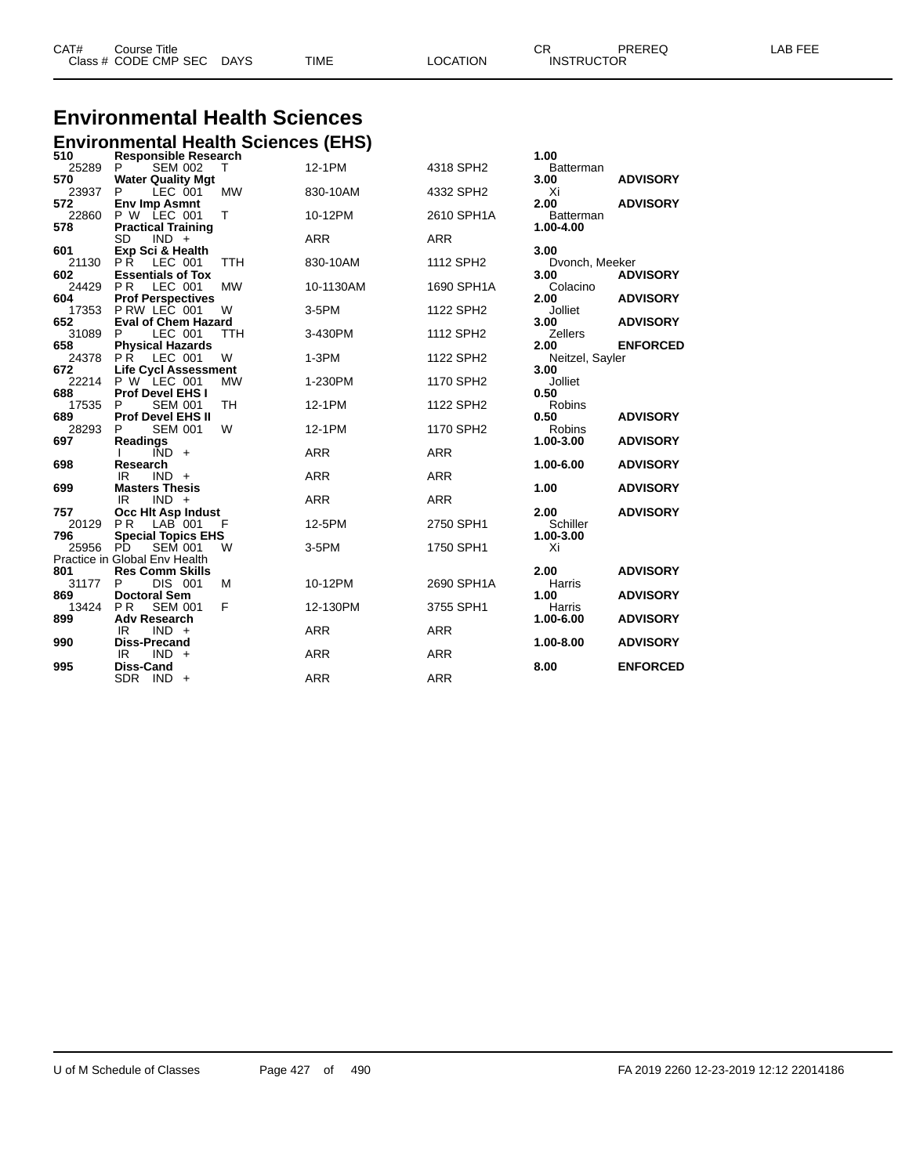| CAT# | ourse Titleٽ         |             |      |          | n.<br>◡⊓          | PREREQ | _AB FEE |
|------|----------------------|-------------|------|----------|-------------------|--------|---------|
|      | Class # CODE CMP SEC | <b>DAYS</b> | TIME | LOCATION | <b>INSTRUCTOR</b> |        |         |

# **Environmental Health Sciences**

|              | <b>Environmental Health Sciences (EHS)</b> |            |            |                       |                  |                 |
|--------------|--------------------------------------------|------------|------------|-----------------------|------------------|-----------------|
| 510          | <b>Responsible Research</b>                |            |            |                       | 1.00             |                 |
| 25289        | P<br><b>SEM 002</b>                        | т          | 12-1PM     | 4318 SPH2             | <b>Batterman</b> |                 |
| 570<br>23937 | <b>Water Quality Mgt</b><br>LEC 001<br>P   | <b>MW</b>  | 830-10AM   | 4332 SPH2             | 3.00<br>Xi       | <b>ADVISORY</b> |
| 572          | <b>Env Imp Asmnt</b>                       |            |            |                       | 2.00             | <b>ADVISORY</b> |
|              | 22860 P W LEC 001                          | Т          | 10-12PM    | 2610 SPH1A            | <b>Batterman</b> |                 |
| 578          | <b>Practical Training</b>                  |            |            |                       | 1.00-4.00        |                 |
|              | <b>SD</b><br>$IND +$                       |            | <b>ARR</b> | <b>ARR</b>            |                  |                 |
| 601          | Exp Sci & Health                           |            |            |                       | 3.00             |                 |
| 21130        | PŔ.<br>LEC 001                             | <b>TTH</b> | 830-10AM   | 1112 SPH2             | Dvonch, Meeker   |                 |
| 602          | <b>Essentials of Tox</b>                   |            |            |                       | 3.00             | <b>ADVISORY</b> |
| 24429        | <b>PR</b><br>LEC 001                       | <b>MW</b>  | 10-1130AM  | 1690 SPH1A            | Colacino         |                 |
| 604          | <b>Prof Perspectives</b>                   |            |            |                       | 2.00             | <b>ADVISORY</b> |
|              | 17353 P RW LEC 001                         | W          | 3-5PM      | 1122 SPH2             | Jolliet          |                 |
| 652          | <b>Eval of Chem Hazard</b>                 |            |            |                       | 3.00             | <b>ADVISORY</b> |
| 31089        | LEC 001<br>P                               | <b>TTH</b> | 3-430PM    | 1112 SPH <sub>2</sub> | <b>Zellers</b>   |                 |
| 658          | <b>Physical Hazards</b>                    |            |            |                       | 2.00             | <b>ENFORCED</b> |
|              | 24378 PR LEC 001                           | W          | $1-3PM$    | 1122 SPH2             | Neitzel, Sayler  |                 |
| 672          | <b>Life Cycl Assessment</b>                | <b>MW</b>  |            |                       | 3.00<br>Jolliet  |                 |
| 22214<br>688 | P W LEC 001<br>Prof Devel EHS I            |            | 1-230PM    | 1170 SPH2             | 0.50             |                 |
| 17535        | <b>SEM 001</b><br>P                        | <b>TH</b>  | 12-1PM     | 1122 SPH2             | Robins           |                 |
| 689          | <b>Prof Devel EHS II</b>                   |            |            |                       | 0.50             | <b>ADVISORY</b> |
| 28293        | <b>SEM 001</b><br>P                        | W          | 12-1PM     | 1170 SPH2             | <b>Robins</b>    |                 |
| 697          | <b>Readings</b>                            |            |            |                       | 1.00-3.00        | <b>ADVISORY</b> |
|              | $\overline{IND}$ +                         |            | <b>ARR</b> | <b>ARR</b>            |                  |                 |
| 698          | Research                                   |            |            |                       | 1.00-6.00        | <b>ADVISORY</b> |
|              | IR<br>$IND +$                              |            | <b>ARR</b> | <b>ARR</b>            |                  |                 |
| 699          | <b>Masters Thesis</b>                      |            |            |                       | 1.00             | <b>ADVISORY</b> |
|              | $IND +$<br>IR.                             |            | <b>ARR</b> | <b>ARR</b>            |                  |                 |
| 757          | Occ Hit Asp Indust                         |            |            |                       | 2.00             | <b>ADVISORY</b> |
| 20129        | $LAB$ 001<br><b>PR</b>                     | F          | 12-5PM     | 2750 SPH1             | Schiller         |                 |
| 796          | <b>Special Topics EHS</b>                  |            |            |                       | 1.00-3.00        |                 |
| 25956 PD     | <b>SEM 001</b>                             | W          | 3-5PM      | 1750 SPH1             | Xi               |                 |
|              | Practice in Global Env Health              |            |            |                       |                  |                 |
| 801          | <b>Res Comm Skills</b>                     |            |            |                       | 2.00             | <b>ADVISORY</b> |
| 31177<br>869 | DIS 001<br>P<br><b>Doctoral Sem</b>        | М          | 10-12PM    | 2690 SPH1A            | Harris<br>1.00   |                 |
| 13424        | <b>SEM 001</b><br><b>PR</b>                | F          | 12-130PM   | 3755 SPH1             | Harris           | <b>ADVISORY</b> |
| 899          | <b>Adv Research</b>                        |            |            |                       | 1.00-6.00        | <b>ADVISORY</b> |
|              | $IND +$<br>IR.                             |            | <b>ARR</b> | <b>ARR</b>            |                  |                 |
| 990          | <b>Diss-Precand</b>                        |            |            |                       | 1.00-8.00        | <b>ADVISORY</b> |
|              | IR<br>$IND +$                              |            | <b>ARR</b> | <b>ARR</b>            |                  |                 |
| 995          | <b>Diss-Cand</b>                           |            |            |                       | 8.00             | <b>ENFORCED</b> |
|              | SDR IND +                                  |            | <b>ARR</b> | <b>ARR</b>            |                  |                 |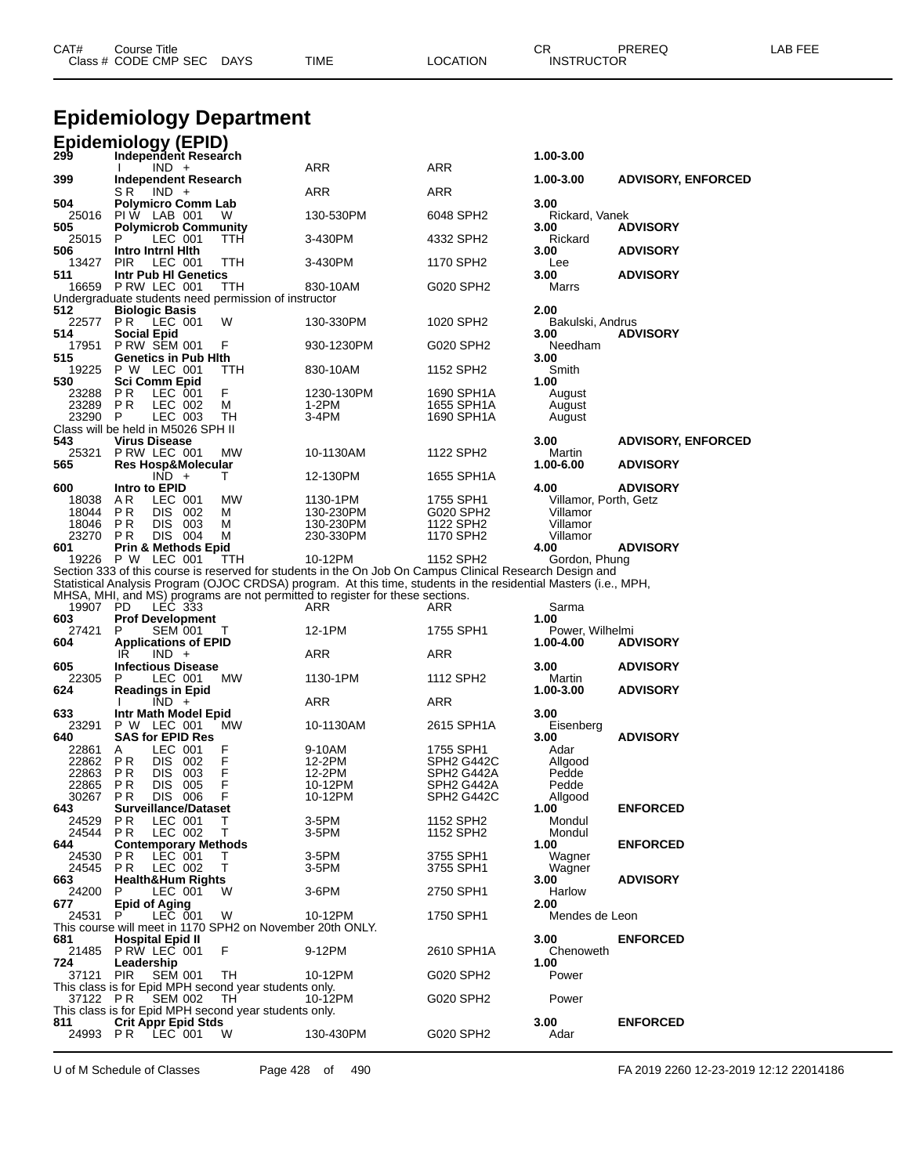| CAT# | Title<br>Course      |             |      |          | ⌒冖<br>◡Ⴡ          | PREREQ | LAB FEE |
|------|----------------------|-------------|------|----------|-------------------|--------|---------|
|      | Class # CODE CMP SEC | <b>DAYS</b> | TIME | LOCATION | <b>INSTRUCTOR</b> |        |         |

#### **Epidemiology Department**

|                 | <b>Epidemiology (EPID)</b>                    |                    |                                                           |                                                                                                                  |                          |                               |                           |
|-----------------|-----------------------------------------------|--------------------|-----------------------------------------------------------|------------------------------------------------------------------------------------------------------------------|--------------------------|-------------------------------|---------------------------|
| 299             | Independent Research<br>$IND +$               |                    |                                                           | ARR                                                                                                              | ARR                      | 1.00-3.00                     |                           |
| 399             | <b>Independent Research</b><br>S R<br>$IND +$ |                    |                                                           | ARR                                                                                                              | ARR                      | 1.00-3.00                     | <b>ADVISORY, ENFORCED</b> |
| 504             | <b>Polymicro Comm Lab</b>                     |                    |                                                           |                                                                                                                  |                          | 3.00                          |                           |
| 25016<br>505    | PIW LAB 001<br><b>Polymicrob Community</b>    |                    | W                                                         | 130-530PM                                                                                                        | 6048 SPH2                | Rickard, Vanek<br>3.00        | <b>ADVISORY</b>           |
| 25015           | P.                                            | LEC 001            | TTH                                                       | 3-430PM                                                                                                          | 4332 SPH2                | Rickard                       |                           |
| 506<br>13427    | Intro Intrnl Hith<br><b>PIR</b>               | LEC 001            | ттн                                                       | 3-430PM                                                                                                          | 1170 SPH2                | 3.00<br>Lee                   | <b>ADVISORY</b>           |
| 511<br>16659    | Intr Pub HI Genetics<br>PRW LEC 001           |                    | ттн                                                       | 830-10AM                                                                                                         | G020 SPH2                | 3.00<br>Marrs                 | <b>ADVISORY</b>           |
| 512             |                                               |                    | Undergraduate students need permission of instructor      |                                                                                                                  |                          | 2.00                          |                           |
| 22577           | <b>Biologic Basis</b><br>PR.                  | LEC 001            | W                                                         | 130-330PM                                                                                                        | 1020 SPH2                | Bakulski, Andrus              |                           |
| 514<br>17951    | <b>Social Epid</b><br><b>P RW SEM 001</b>     |                    | F                                                         | 930-1230PM                                                                                                       | G020 SPH2                | 3.00<br>Needham               | <b>ADVISORY</b>           |
| 515<br>19225    | Genetics in Pub HIth<br>P W LEC 001           |                    | ттн                                                       | 830-10AM                                                                                                         | 1152 SPH2                | 3.00<br>Smith                 |                           |
| 530             | <b>Sci Comm Epid</b>                          |                    |                                                           |                                                                                                                  |                          | 1.00                          |                           |
| 23288<br>23289  | P R<br>P R                                    | LEC 001<br>LEC 002 | F<br>М                                                    | 1230-130PM<br>1-2PM                                                                                              | 1690 SPH1A<br>1655 SPH1A | August<br>August              |                           |
| 23290           | P                                             | LEC 003            | TН                                                        | 3-4PM                                                                                                            | 1690 SPH1A               | August                        |                           |
|                 | Class will be held in M5026 SPH II            |                    |                                                           |                                                                                                                  |                          |                               |                           |
| 543<br>25321    | Virus Disease<br>PRW LEC 001                  |                    | МW                                                        | 10-1130AM                                                                                                        | 1122 SPH2                | 3.00<br>Martin                | <b>ADVISORY, ENFORCED</b> |
| 565             | Res Hosp&Molecular                            |                    |                                                           |                                                                                                                  |                          | 1.00-6.00                     | <b>ADVISORY</b>           |
|                 | $IND +$                                       |                    | т                                                         | 12-130PM                                                                                                         | 1655 SPH1A               |                               |                           |
| 600<br>18038    | Intro to EPID<br>A R                          | LEC 001            | МW                                                        | 1130-1PM                                                                                                         | 1755 SPH1                | 4.00<br>Villamor, Porth, Getz | <b>ADVISORY</b>           |
| 18044           | P R                                           | DIS 002            | м                                                         | 130-230PM                                                                                                        | G020 SPH2                | Villamor                      |                           |
| 18046           | P R                                           | DIS 003            | M                                                         | 130-230PM                                                                                                        | 1122 SPH2                | Villamor                      |                           |
| 23270<br>601    | P R<br><b>Prin &amp; Methods Epid</b>         | DIS 004            | M                                                         | 230-330PM                                                                                                        | 1170 SPH2                | Villamor<br>4.00              | <b>ADVISORY</b>           |
|                 | 19226 P W LEC 001                             |                    | TTH                                                       | 10-12PM                                                                                                          | 1152 SPH2                | Gordon, Phung                 |                           |
|                 |                                               |                    |                                                           | Section 333 of this course is reserved for students in the On Job On Campus Clinical Research Design and         |                          |                               |                           |
|                 |                                               |                    |                                                           | Statistical Analysis Program (OJOC CRDSA) program. At this time, students in the residential Masters (i.e., MPH, |                          |                               |                           |
|                 |                                               |                    |                                                           | MHSA, MHI, and MS) programs are not permitted to register for these sections.                                    |                          |                               |                           |
| 19907<br>603    | PD.<br><b>Prof Development</b>                | LEC 333            |                                                           | ARR                                                                                                              | ARR                      | Sarma<br>1.00                 |                           |
| 27421           | P.                                            | <b>SEM 001</b>     | $\mathbf{I}$                                              | 12-1PM                                                                                                           | 1755 SPH1                | Power, Wilhelmi               |                           |
| 604             | <b>Applications of EPID</b>                   |                    |                                                           |                                                                                                                  |                          | 1.00-4.00                     | <b>ADVISORY</b>           |
|                 | IR<br>$IND +$                                 |                    |                                                           | ARR                                                                                                              | ARR                      |                               |                           |
| 605<br>22305    | <b>Infectious Disease</b><br>P                | LEC 001            | МW                                                        | 1130-1PM                                                                                                         | 1112 SPH2                | 3.00<br>Martin                | <b>ADVISORY</b>           |
| 624             | <b>Readings in Epid</b>                       |                    |                                                           |                                                                                                                  |                          | 1.00-3.00                     | <b>ADVISORY</b>           |
|                 | $IND +$                                       |                    |                                                           | <b>ARR</b>                                                                                                       | ARR                      |                               |                           |
| 633<br>23291    | Intr Math Model Epid<br>P W LEC 001           |                    | МW                                                        | 10-1130AM                                                                                                        | 2615 SPH1A               | 3.00<br>Eisenberg             |                           |
| 640             | <b>SAS for EPID Res</b>                       |                    |                                                           |                                                                                                                  |                          | 3.00                          | <b>ADVISORY</b>           |
| 22861           | A                                             | LEC 001            | F                                                         | 9-10AM                                                                                                           | 1755 SPH1                | Adar                          |                           |
| 22862           | P R<br><b>DIS</b>                             | 002                | F                                                         | 12-2PM                                                                                                           | SPH2 G442C               | Allgood                       |                           |
| 22863<br>22865  | <b>DIS</b><br>P R<br>P R<br>DIS               | 003<br>005         | F<br>F                                                    | 12-2PM<br>10-12PM                                                                                                | SPH2 G442A<br>SPH2 G442A | Pedde<br>Pedde                |                           |
| 30267           | PR<br>DIS                                     | 006                | F                                                         | 10-12PM                                                                                                          | SPH2 G442C               | Allgood                       |                           |
| 643             | <b>Surveillance/Dataset</b>                   |                    |                                                           |                                                                                                                  |                          | 1.00                          | <b>ENFORCED</b>           |
| 24529           | P R                                           | LEC 001            | т                                                         | 3-5PM                                                                                                            | 1152 SPH2                | Mondul                        |                           |
| 24544<br>644    | <b>PR</b><br><b>Contemporary Methods</b>      | LEC 002            | т                                                         | 3-5PM                                                                                                            | 1152 SPH2                | Mondul<br>1.00                | <b>ENFORCED</b>           |
| 24530           | P R                                           | LEC 001            | т                                                         | 3-5PM                                                                                                            | 3755 SPH1                | Wagner                        |                           |
| 24545           | P R                                           | LEC 002            | т                                                         | 3-5PM                                                                                                            | 3755 SPH1                | Wagner                        |                           |
| 663             | <b>Health&amp;Hum Rights</b>                  |                    |                                                           |                                                                                                                  |                          | 3.00                          | <b>ADVISORY</b>           |
| 24200           | P.                                            | LEC 001            | W                                                         | 3-6PM                                                                                                            | 2750 SPH1                | Harlow                        |                           |
| 677<br>24531    | <b>Epid of Aging</b><br>P.                    | LEC 001            | W                                                         | 10-12PM                                                                                                          | 1750 SPH1                | 2.00<br>Mendes de Leon        |                           |
|                 |                                               |                    | This course will meet in 1170 SPH2 on November 20th ONLY. |                                                                                                                  |                          |                               |                           |
| 681             | <b>Hospital Epid II</b>                       |                    |                                                           |                                                                                                                  |                          | 3.00                          | <b>ENFORCED</b>           |
| 21485           | P RW LEC 001                                  |                    | F                                                         | 9-12PM                                                                                                           | 2610 SPH1A               | Chenoweth                     |                           |
| 724<br>37121    | Leadership<br><b>PIR</b>                      | <b>SEM 001</b>     | TН                                                        | 10-12PM                                                                                                          | G020 SPH2                | 1.00<br>Power                 |                           |
|                 |                                               |                    | This class is for Epid MPH second year students only.     |                                                                                                                  |                          |                               |                           |
| 37122 PR        |                                               | <b>SEM 002</b>     | TH                                                        | 10-12PM                                                                                                          | G020 SPH2                | Power                         |                           |
|                 |                                               |                    | This class is for Epid MPH second year students only.     |                                                                                                                  |                          |                               |                           |
| 811<br>24993 PR | <b>Crit Appr Epid Stds</b>                    | LEC 001            | W                                                         | 130-430PM                                                                                                        | G020 SPH2                | 3.00<br>Adar                  | <b>ENFORCED</b>           |
|                 |                                               |                    |                                                           |                                                                                                                  |                          |                               |                           |

U of M Schedule of Classes Page 428 of 490 FA 2019 2260 12-23-2019 12:12 22014186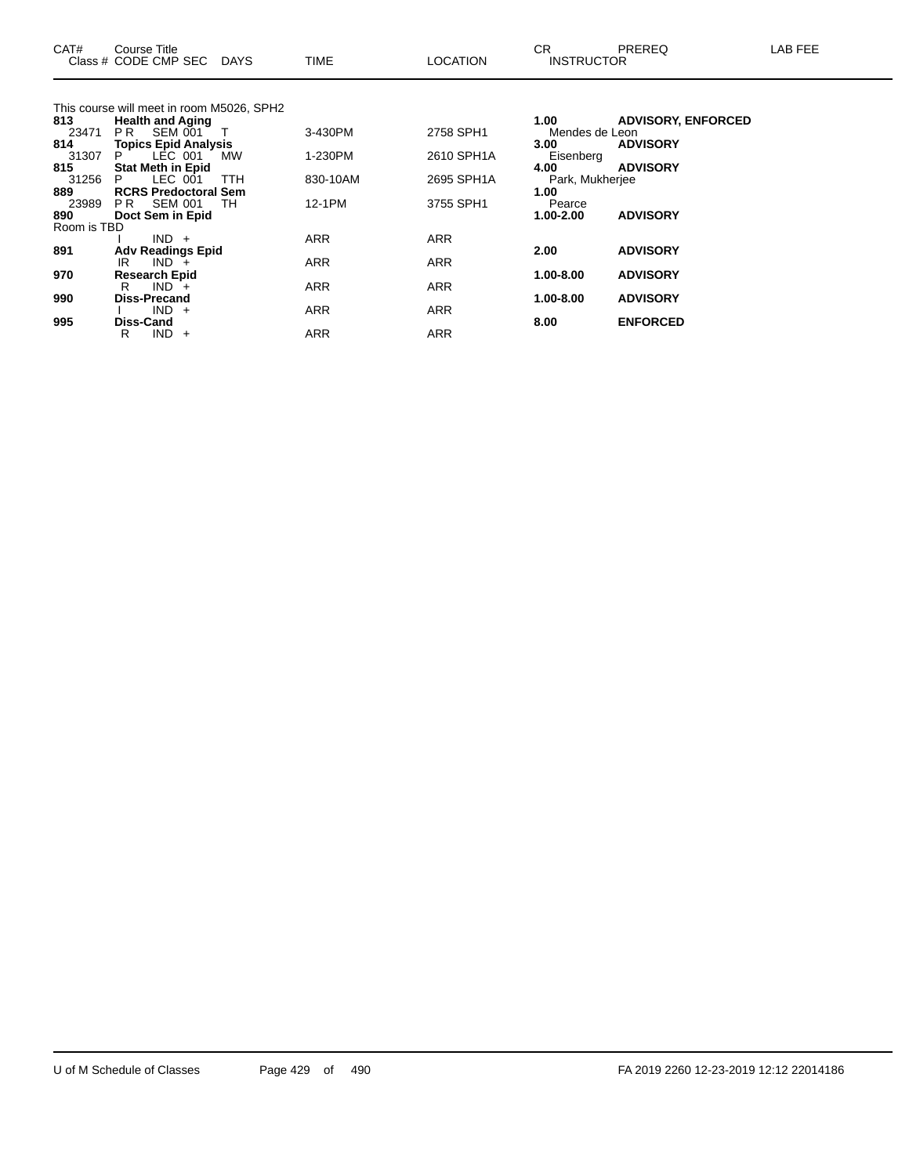| CAT#         | Course Title<br>Class # CODE CMP SEC DAYS        |            | <b>TIME</b> | <b>LOCATION</b> | CR.<br><b>INSTRUCTOR</b> | PREREQ                    | LAB FEE |
|--------------|--------------------------------------------------|------------|-------------|-----------------|--------------------------|---------------------------|---------|
|              | This course will meet in room M5026, SPH2        |            |             |                 |                          |                           |         |
| 813          | <b>Health and Aging</b>                          |            |             |                 | 1.00                     | <b>ADVISORY, ENFORCED</b> |         |
| 23471        | PR SEM 001                                       |            | 3-430PM     | 2758 SPH1       | Mendes de Leon           |                           |         |
| 814          | <b>Topics Epid Analysis</b>                      |            |             |                 | 3.00 <sub>1</sub>        | <b>ADVISORY</b>           |         |
| 31307        | LEC 001<br>P.                                    | MW         | 1-230PM     | 2610 SPH1A      | Eisenberg                |                           |         |
| 815          | <b>Stat Meth in Epid</b>                         |            |             |                 | 4.00                     | <b>ADVISORY</b>           |         |
| 31256        | LEC 001<br>P.                                    | <b>TTH</b> | 830-10AM    | 2695 SPH1A      | Park, Mukherjee          |                           |         |
| 889<br>23989 | <b>RCRS Predoctoral Sem</b><br><b>PR SEM 001</b> | TH         | 12-1PM      | 3755 SPH1       | 1.00<br>Pearce           |                           |         |
| 890          | Doct Sem in Epid                                 |            |             |                 | $1.00 - 2.00$            | <b>ADVISORY</b>           |         |
| Room is TBD  |                                                  |            |             |                 |                          |                           |         |
|              | $IND +$                                          |            | ARR         | <b>ARR</b>      |                          |                           |         |
| 891          | <b>Adv Readings Epid</b>                         |            |             |                 | 2.00                     | <b>ADVISORY</b>           |         |
|              | $IND +$<br>IR                                    |            | <b>ARR</b>  | ARR             |                          |                           |         |
| 970          | <b>Research Epid</b>                             |            |             |                 | 1.00-8.00                | <b>ADVISORY</b>           |         |
|              | $IND +$<br>R.                                    |            | ARR         | ARR             |                          |                           |         |
| 990          | <b>Diss-Precand</b>                              |            |             |                 | 1.00-8.00                | <b>ADVISORY</b>           |         |
|              | $IND +$                                          |            | <b>ARR</b>  | <b>ARR</b>      |                          |                           |         |
| 995          | Diss-Cand                                        |            |             |                 | 8.00                     | <b>ENFORCED</b>           |         |
|              | $IND +$<br>R                                     |            | <b>ARR</b>  | ARR             |                          |                           |         |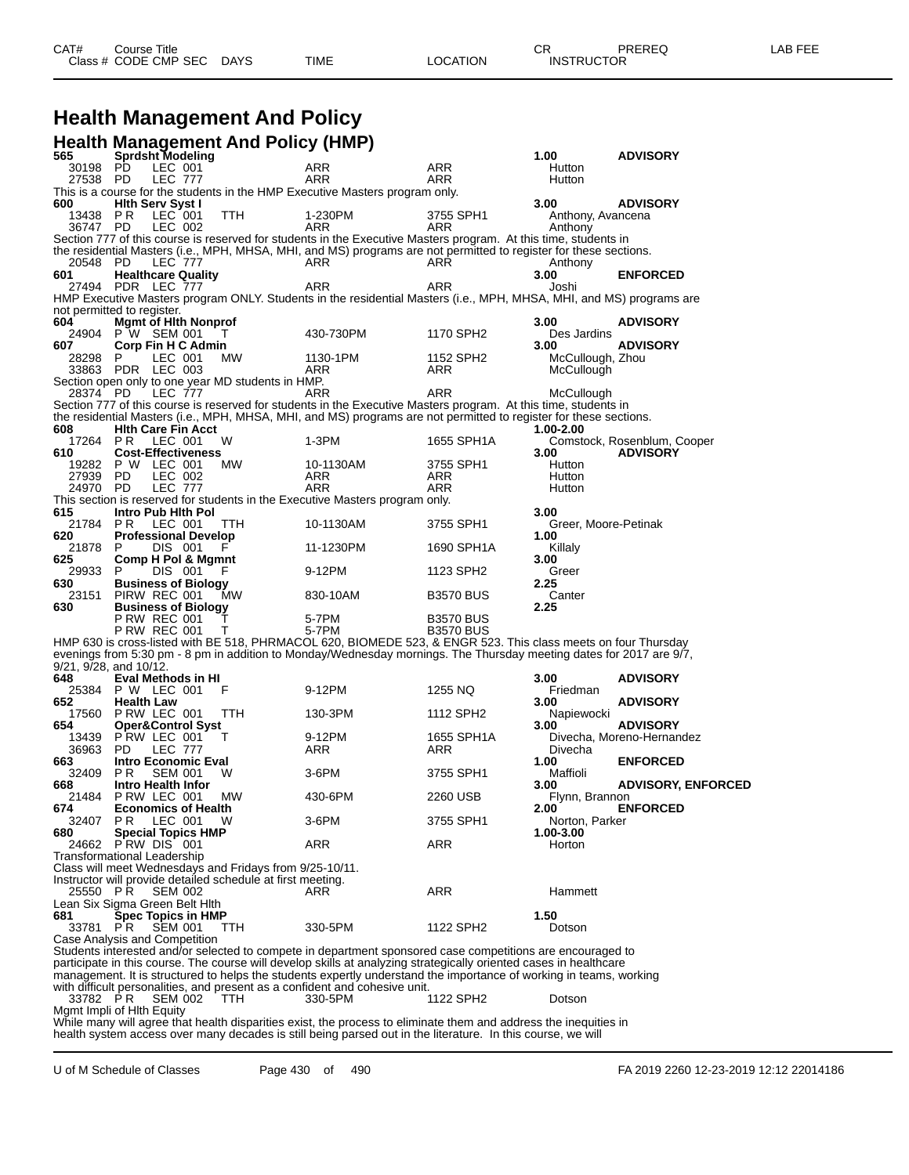# **Health Management And Policy**

|                                |                                            |                           | <b>Health Management And Policy (HMP)</b>                   |                                                                                                                                                                                                                                      |                   |                              |                             |
|--------------------------------|--------------------------------------------|---------------------------|-------------------------------------------------------------|--------------------------------------------------------------------------------------------------------------------------------------------------------------------------------------------------------------------------------------|-------------------|------------------------------|-----------------------------|
| 565                            | <b>Sprdsht Modeling</b>                    |                           |                                                             |                                                                                                                                                                                                                                      |                   | 1.00                         | <b>ADVISORY</b>             |
| 30198<br>27538 PD              | PD                                         | LEC 001<br><b>LEC 777</b> |                                                             | ARR<br>ARR                                                                                                                                                                                                                           | ARR<br>ARR        | Hutton<br>Hutton             |                             |
|                                |                                            |                           |                                                             | This is a course for the students in the HMP Executive Masters program only.                                                                                                                                                         |                   |                              |                             |
| 600                            | <b>Hith Serv Syst I</b>                    |                           |                                                             |                                                                                                                                                                                                                                      |                   | 3.00                         | <b>ADVISORY</b>             |
| 13438<br>36747 PD              | P R                                        | LEC 001<br>LEC 002        | TTH                                                         | 1-230PM<br>ARR                                                                                                                                                                                                                       | 3755 SPH1<br>ARR  | Anthony, Avancena<br>Anthony |                             |
|                                |                                            |                           |                                                             | Section 777 of this course is reserved for students in the Executive Masters program. At this time, students in                                                                                                                      |                   |                              |                             |
|                                |                                            |                           |                                                             | the residential Masters (i.e., MPH, MHSA, MHI, and MS) programs are not permitted to register for these sections.                                                                                                                    |                   |                              |                             |
| 20548<br>601                   | - PD<br><b>Healthcare Quality</b>          | <b>LEC 777</b>            |                                                             | ARR                                                                                                                                                                                                                                  | ARR               | Anthony<br>3.00              | <b>ENFORCED</b>             |
|                                | 27494 PDR LEC 777                          |                           |                                                             | ARR                                                                                                                                                                                                                                  | ARR               | Joshi                        |                             |
|                                |                                            |                           |                                                             | HMP Executive Masters program ONLY. Students in the residential Masters (i.e., MPH, MHSA, MHI, and MS) programs are                                                                                                                  |                   |                              |                             |
| not permitted to register.     |                                            |                           |                                                             |                                                                                                                                                                                                                                      |                   |                              |                             |
| 604                            | <b>Mamt of Hith Nonprof</b>                |                           |                                                             |                                                                                                                                                                                                                                      |                   | 3.00                         | <b>ADVISORY</b>             |
| 607                            | 24904 P W SEM 001<br>Corp Fin H C Admin    |                           | T                                                           | 430-730PM                                                                                                                                                                                                                            | 1170 SPH2         | Des Jardins<br>3.00          | <b>ADVISORY</b>             |
| 28298                          | P.                                         | LEC 001                   | МW                                                          | 1130-1PM                                                                                                                                                                                                                             | 1152 SPH2         | McCullough, Zhou             |                             |
|                                | 33863 PDR LEC 003                          |                           |                                                             | ARR                                                                                                                                                                                                                                  | ARR               | McCullough                   |                             |
|                                |                                            |                           | Section open only to one year MD students in HMP.           |                                                                                                                                                                                                                                      |                   |                              |                             |
| 28374 PD                       |                                            | <b>LEC 777</b>            |                                                             | ARR                                                                                                                                                                                                                                  | ARR               | McCullough                   |                             |
|                                |                                            |                           |                                                             | Section 777 of this course is reserved for students in the Executive Masters program. At this time, students in<br>the residential Masters (i.e., MPH, MHSA, MHI, and MS) programs are not permitted to register for these sections. |                   |                              |                             |
| 608                            | <b>Hith Care Fin Acct</b>                  |                           |                                                             |                                                                                                                                                                                                                                      |                   | 1.00-2.00                    |                             |
| 17264 PR                       | LEC 001                                    |                           | W                                                           | 1-3PM                                                                                                                                                                                                                                | 1655 SPH1A        |                              | Comstock, Rosenblum, Cooper |
| 610                            | <b>Cost-Effectiveness</b>                  |                           |                                                             |                                                                                                                                                                                                                                      |                   | 3.00                         | <b>ADVISORY</b>             |
| 19282                          | P W LEC 001                                |                           | МW                                                          | 10-1130AM                                                                                                                                                                                                                            | 3755 SPH1         | Hutton                       |                             |
| 27939<br>24970                 | PD<br>- PD                                 | LEC 002<br><b>LEC 777</b> |                                                             | ARR<br>ARR                                                                                                                                                                                                                           | ARR<br><b>ARR</b> | Hutton<br>Hutton             |                             |
|                                |                                            |                           |                                                             | This section is reserved for students in the Executive Masters program only.                                                                                                                                                         |                   |                              |                             |
| 615                            | Intro Pub Hith Pol                         |                           |                                                             |                                                                                                                                                                                                                                      |                   | 3.00                         |                             |
| 21784 PR                       | LEC 001                                    |                           | TTH                                                         | 10-1130AM                                                                                                                                                                                                                            | 3755 SPH1         | Greer, Moore-Petinak         |                             |
| 620                            | <b>Professional Develop</b><br>P.          |                           |                                                             |                                                                                                                                                                                                                                      |                   | 1.00                         |                             |
| 21878<br>625                   | Comp H Pol & Mgmnt                         | DIS 001                   | F                                                           | 11-1230PM                                                                                                                                                                                                                            | 1690 SPH1A        | Killaly<br>3.00              |                             |
| 29933                          | P.                                         | DIS 001                   | F                                                           | 9-12PM                                                                                                                                                                                                                               | 1123 SPH2         | Greer                        |                             |
| 630                            | <b>Business of Biology</b>                 |                           |                                                             |                                                                                                                                                                                                                                      |                   | 2.25                         |                             |
| 23151                          | PIRW REC 001                               |                           | МW                                                          | 830-10AM                                                                                                                                                                                                                             | <b>B3570 BUS</b>  | Canter                       |                             |
| 630                            | <b>Business of Biology</b><br>P RW REC 001 |                           |                                                             | 5-7PM                                                                                                                                                                                                                                | <b>B3570 BUS</b>  | 2.25                         |                             |
|                                | <b>P RW REC 001</b>                        |                           | Т                                                           | 5-7PM                                                                                                                                                                                                                                | <b>B3570 BUS</b>  |                              |                             |
|                                |                                            |                           |                                                             | HMP 630 is cross-listed with BE 518, PHRMACOL 620, BIOMEDE 523, & ENGR 523. This class meets on four Thursday                                                                                                                        |                   |                              |                             |
|                                |                                            |                           |                                                             | evenings from 5:30 pm - 8 pm in addition to Monday/Wednesday mornings. The Thursday meeting dates for 2017 are 9/7,                                                                                                                  |                   |                              |                             |
| 9/21, 9/28, and 10/12.         |                                            |                           |                                                             |                                                                                                                                                                                                                                      |                   |                              |                             |
| 648<br>25384                   | Eval Methods in HI<br>P W LEC 001          |                           | F                                                           | 9-12PM                                                                                                                                                                                                                               | 1255 NQ           | 3.00<br>Friedman             | <b>ADVISORY</b>             |
| 652                            | <b>Health Law</b>                          |                           |                                                             |                                                                                                                                                                                                                                      |                   | 3.00                         | <b>ADVISORY</b>             |
| 17560                          | PRW LEC 001                                |                           | TTH                                                         | 130-3PM                                                                                                                                                                                                                              | 1112 SPH2         | Napiewocki                   |                             |
| 654                            | Oper&Control Syst                          |                           |                                                             |                                                                                                                                                                                                                                      |                   | 3.00                         | <b>ADVISORY</b>             |
| 13439<br>36963                 | PRW LEC 001<br>PD.                         | <b>LEC 777</b>            | Τ                                                           | 9-12PM<br>ARR                                                                                                                                                                                                                        | 1655 SPH1A<br>ARR | Divecha                      | Divecha, Moreno-Hernandez   |
| 663                            | <b>Intro Economic Eval</b>                 |                           |                                                             |                                                                                                                                                                                                                                      |                   | 1.00                         | <b>ENFORCED</b>             |
| 32409                          | P <sub>R</sub>                             | <b>SEM 001</b>            | W                                                           | 3-6PM                                                                                                                                                                                                                                | 3755 SPH1         | Maffioli                     |                             |
| 668                            | Intro Health Infor                         |                           |                                                             |                                                                                                                                                                                                                                      |                   | 3.00                         | <b>ADVISORY, ENFORCED</b>   |
| 21484                          | PRW LEC 001                                |                           | MW.                                                         | 430-6PM                                                                                                                                                                                                                              | 2260 USB          | Flynn, Brannon               |                             |
| 674<br>32407                   | <b>Economics of Health</b><br>P R          | LEC 001                   | w                                                           | 3-6PM                                                                                                                                                                                                                                | 3755 SPH1         | 2.00<br>Norton, Parker       | <b>ENFORCED</b>             |
| 680                            | <b>Special Topics HMP</b>                  |                           |                                                             |                                                                                                                                                                                                                                      |                   | 1.00-3.00                    |                             |
|                                | 24662 PRW DIS 001                          |                           |                                                             | ARR                                                                                                                                                                                                                                  | ARR               | Horton                       |                             |
| Transformational Leadership    |                                            |                           |                                                             |                                                                                                                                                                                                                                      |                   |                              |                             |
|                                |                                            |                           | Class will meet Wednesdays and Fridays from 9/25-10/11.     |                                                                                                                                                                                                                                      |                   |                              |                             |
| 25550 PR                       |                                            | <b>SEM 002</b>            | Instructor will provide detailed schedule at first meeting. | ARR                                                                                                                                                                                                                                  | ARR               | Hammett                      |                             |
| Lean Six Sigma Green Belt Hlth |                                            |                           |                                                             |                                                                                                                                                                                                                                      |                   |                              |                             |
| 681                            | <b>Spec Topics in HMP</b>                  |                           |                                                             |                                                                                                                                                                                                                                      |                   | 1.50                         |                             |
| 33781 PR                       |                                            | <b>SEM 001</b>            | <b>TTH</b>                                                  | 330-5PM                                                                                                                                                                                                                              | 1122 SPH2         | Dotson                       |                             |
| Case Analysis and Competition  |                                            |                           |                                                             |                                                                                                                                                                                                                                      |                   |                              |                             |
|                                |                                            |                           |                                                             | Students interested and/or selected to compete in department sponsored case competitions are encouraged to<br>participate in this course. The course will develop skills at analyzing strategically oriented cases in healthcare     |                   |                              |                             |
|                                |                                            |                           |                                                             | management. It is structured to helps the students expertly understand the importance of working in teams, working                                                                                                                   |                   |                              |                             |
|                                |                                            |                           |                                                             | with difficult personalities, and present as a confident and cohesive unit.                                                                                                                                                          |                   |                              |                             |
| 33782 PR                       |                                            | <b>SEM 002</b>            | <b>TTH</b>                                                  | 330-5PM                                                                                                                                                                                                                              | 1122 SPH2         | Dotson                       |                             |
| Mgmt Impli of Hith Equity      |                                            |                           |                                                             |                                                                                                                                                                                                                                      |                   |                              |                             |

While many will agree that health disparities exist, the process to eliminate them and address the inequities in health system access over many decades is still being parsed out in the literature. In this course, we will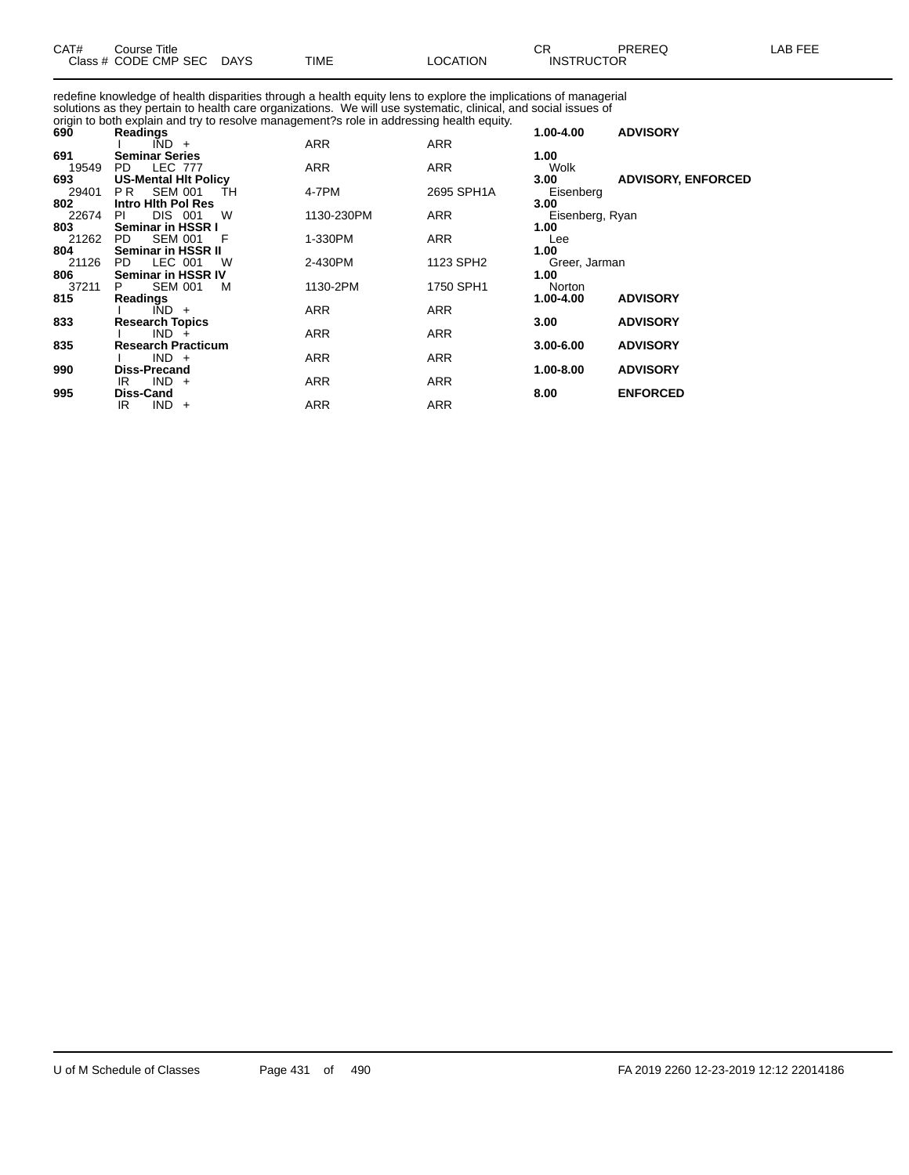| CAT# | Title<br>Course      |             |      |                 | ∼г<br>◡           | PREREQ | LAB FEF |
|------|----------------------|-------------|------|-----------------|-------------------|--------|---------|
|      | Class # CODE CMP SEC | <b>DAYS</b> | TIME | <b>LOCATION</b> | <b>INSTRUCTOR</b> |        |         |

redefine knowledge of health disparities through a health equity lens to explore the implications of managerial solutions as they pertain to health care organizations. We will use systematic, clinical, and social issues of origin to both explain and try to resolve management?s role in addressing health equity.

| Readings                    |                                                                                                                                                                                                                                                                                                                                                                                                                                                   |                                                                                                        |                                                                                                                   | <b>ADVISORY</b>                                                                                                                                                        |
|-----------------------------|---------------------------------------------------------------------------------------------------------------------------------------------------------------------------------------------------------------------------------------------------------------------------------------------------------------------------------------------------------------------------------------------------------------------------------------------------|--------------------------------------------------------------------------------------------------------|-------------------------------------------------------------------------------------------------------------------|------------------------------------------------------------------------------------------------------------------------------------------------------------------------|
| $IND +$                     | <b>ARR</b>                                                                                                                                                                                                                                                                                                                                                                                                                                        | ARR                                                                                                    |                                                                                                                   |                                                                                                                                                                        |
| <b>Seminar Series</b>       |                                                                                                                                                                                                                                                                                                                                                                                                                                                   |                                                                                                        | 1.00                                                                                                              |                                                                                                                                                                        |
| PD.                         |                                                                                                                                                                                                                                                                                                                                                                                                                                                   |                                                                                                        | Wolk                                                                                                              |                                                                                                                                                                        |
| <b>US-Mental HIt Policy</b> |                                                                                                                                                                                                                                                                                                                                                                                                                                                   |                                                                                                        | 3.00 <sub>1</sub>                                                                                                 | <b>ADVISORY, ENFORCED</b>                                                                                                                                              |
| PR.                         |                                                                                                                                                                                                                                                                                                                                                                                                                                                   |                                                                                                        |                                                                                                                   |                                                                                                                                                                        |
|                             |                                                                                                                                                                                                                                                                                                                                                                                                                                                   |                                                                                                        |                                                                                                                   |                                                                                                                                                                        |
|                             |                                                                                                                                                                                                                                                                                                                                                                                                                                                   |                                                                                                        |                                                                                                                   |                                                                                                                                                                        |
|                             |                                                                                                                                                                                                                                                                                                                                                                                                                                                   |                                                                                                        |                                                                                                                   |                                                                                                                                                                        |
|                             |                                                                                                                                                                                                                                                                                                                                                                                                                                                   |                                                                                                        |                                                                                                                   |                                                                                                                                                                        |
|                             |                                                                                                                                                                                                                                                                                                                                                                                                                                                   |                                                                                                        |                                                                                                                   |                                                                                                                                                                        |
|                             |                                                                                                                                                                                                                                                                                                                                                                                                                                                   |                                                                                                        |                                                                                                                   |                                                                                                                                                                        |
|                             |                                                                                                                                                                                                                                                                                                                                                                                                                                                   |                                                                                                        |                                                                                                                   |                                                                                                                                                                        |
|                             |                                                                                                                                                                                                                                                                                                                                                                                                                                                   |                                                                                                        |                                                                                                                   |                                                                                                                                                                        |
|                             |                                                                                                                                                                                                                                                                                                                                                                                                                                                   |                                                                                                        |                                                                                                                   | <b>ADVISORY</b>                                                                                                                                                        |
|                             |                                                                                                                                                                                                                                                                                                                                                                                                                                                   |                                                                                                        |                                                                                                                   |                                                                                                                                                                        |
|                             |                                                                                                                                                                                                                                                                                                                                                                                                                                                   |                                                                                                        |                                                                                                                   | <b>ADVISORY</b>                                                                                                                                                        |
|                             |                                                                                                                                                                                                                                                                                                                                                                                                                                                   |                                                                                                        |                                                                                                                   | <b>ADVISORY</b>                                                                                                                                                        |
|                             |                                                                                                                                                                                                                                                                                                                                                                                                                                                   |                                                                                                        |                                                                                                                   |                                                                                                                                                                        |
|                             |                                                                                                                                                                                                                                                                                                                                                                                                                                                   |                                                                                                        |                                                                                                                   | <b>ADVISORY</b>                                                                                                                                                        |
|                             |                                                                                                                                                                                                                                                                                                                                                                                                                                                   |                                                                                                        |                                                                                                                   |                                                                                                                                                                        |
|                             |                                                                                                                                                                                                                                                                                                                                                                                                                                                   |                                                                                                        |                                                                                                                   | <b>ENFORCED</b>                                                                                                                                                        |
|                             | ARR                                                                                                                                                                                                                                                                                                                                                                                                                                               |                                                                                                        |                                                                                                                   |                                                                                                                                                                        |
|                             | <b>LEC 777</b><br><b>SEM 001</b><br>ŤH<br>Intro Hith Pol Res<br><b>DIS 001</b><br>W<br>PI<br>Seminar in HSSR I<br><b>SEM 001</b><br>PD.<br>F<br>Seminar in HSSR II<br>LEC 001<br>PD.<br>W<br><b>Seminar in HSSR IV</b><br><b>SEM 001</b><br>M<br>P.<br><b>Readings</b><br>$\overline{IND}$ +<br><b>Research Topics</b><br>$IND +$<br><b>Research Practicum</b><br>$IND +$<br><b>Diss-Precand</b><br>$IND +$<br>IR.<br>Diss-Cand<br>$IND +$<br>IR. | ARR<br>4-7PM<br>1130-230PM<br>1-330PM<br>2-430PM<br>1130-2PM<br><b>ARR</b><br>ARR<br><b>ARR</b><br>ARR | <b>ARR</b><br>2695 SPH1A<br>ARR<br>ARR<br>1123 SPH2<br>1750 SPH1<br>ARR<br>ARR<br><b>ARR</b><br>ARR<br><b>ARR</b> | 1.00-4.00<br>Eisenberg<br>3.00<br>Eisenberg, Ryan<br>1.00<br>Lee<br>1.00<br>Greer, Jarman<br>1.00<br>Norton<br>1.00-4.00<br>3.00<br>$3.00 - 6.00$<br>1.00-8.00<br>8.00 |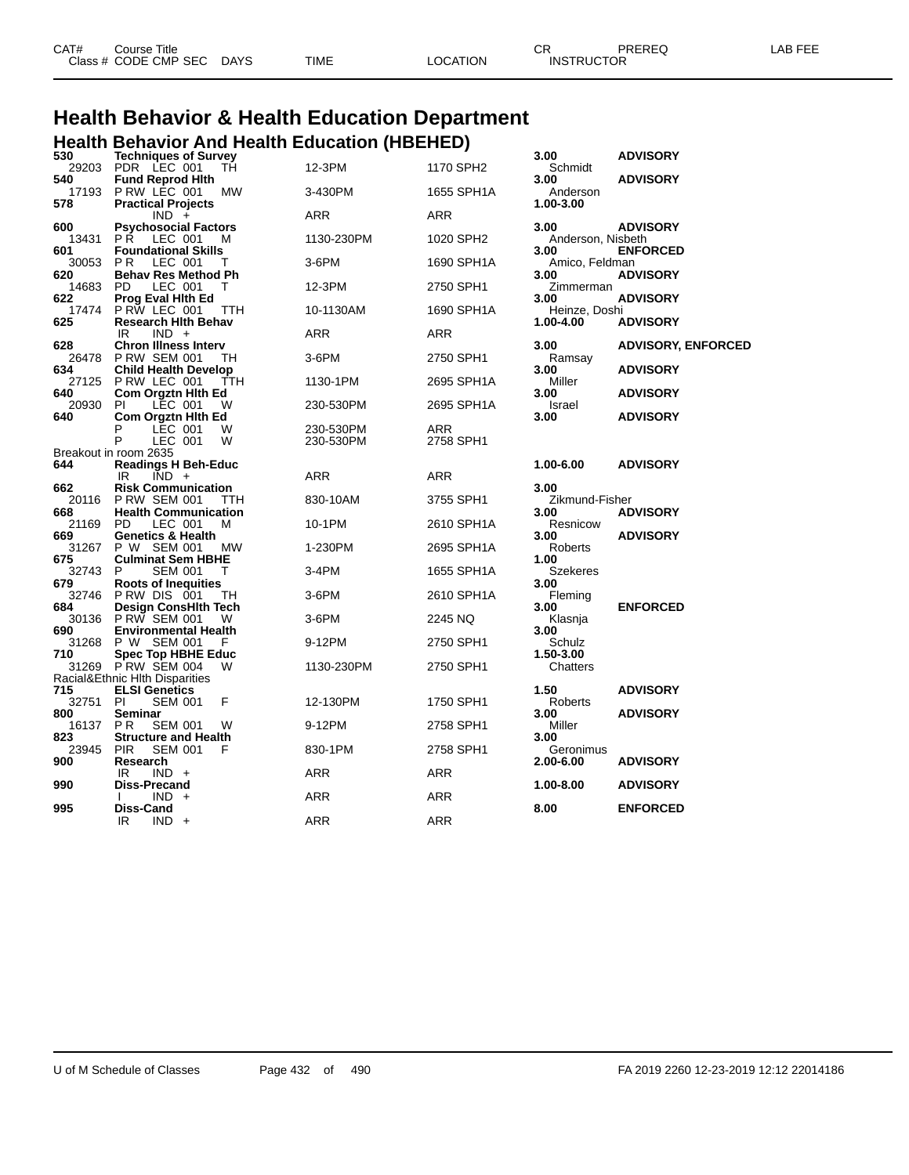| CAT# | Course Title         |             |             |          | ⌒冖<br>◡⊓          | PREREQ | EEE<br>_AB |
|------|----------------------|-------------|-------------|----------|-------------------|--------|------------|
|      | Class # CODE CMP SEC | <b>DAYS</b> | <b>TIME</b> | LOCATION | <b>INSTRUCTOR</b> |        |            |

#### **Health Behavior & Health Education Department Health Behavior And Health Education (HBEHED)**

| 530          | <b>Techniques of Survey</b>                                  |            |            | 3.00                   | <b>ADVISORY</b>           |
|--------------|--------------------------------------------------------------|------------|------------|------------------------|---------------------------|
| 29203<br>540 | PDR LEC 001<br>TН<br><b>Fund Reprod Hith</b>                 | 12-3PM     | 1170 SPH2  | Schmidt<br>3.00        | <b>ADVISORY</b>           |
| 17193        | PRW LEC 001<br>МW                                            | 3-430PM    | 1655 SPH1A | Anderson               |                           |
| 578          | <b>Practical Projects</b>                                    |            |            | 1.00-3.00              |                           |
|              | $IND +$                                                      | <b>ARR</b> | <b>ARR</b> |                        |                           |
| 600          | <b>Psychosocial Factors</b>                                  |            |            | 3.00                   | <b>ADVISORY</b>           |
| 13431        | РŔ<br>LEC 001<br>м                                           | 1130-230PM | 1020 SPH2  | Anderson, Nisbeth      |                           |
| 601          | <b>Foundational Skills</b>                                   |            |            | 3.00                   | <b>ENFORCED</b>           |
| 30053<br>620 | P <sub>R</sub><br>LEC 001<br>т<br><b>Behav Res Method Ph</b> | 3-6PM      | 1690 SPH1A | Amico, Feldman<br>3.00 | <b>ADVISORY</b>           |
| 14683        | LEC 001<br>PD<br>т                                           | 12-3PM     | 2750 SPH1  | Zimmerman              |                           |
| 622          | <b>Prog Eval Hith Ed</b>                                     |            |            | 3.00                   | <b>ADVISORY</b>           |
| 17474        | PRW LEC 001<br>TTH                                           | 10-1130AM  | 1690 SPH1A | Heinze, Doshi          |                           |
| 625          | <b>Research Hith Behav</b>                                   |            |            | 1.00-4.00              | <b>ADVISORY</b>           |
|              | IR<br>$IND +$                                                | ARR        | ARR        |                        |                           |
| 628          | <b>Chron Illness Interv</b>                                  |            |            | 3.00                   | <b>ADVISORY, ENFORCED</b> |
| 26478        | <b>P RW SEM 001</b><br>TН                                    | 3-6PM      | 2750 SPH1  | Ramsay                 |                           |
| 634<br>27125 | <b>Child Health Develop</b><br>P RW LEC 001<br>TTH           | 1130-1PM   | 2695 SPH1A | 3.00<br>Miller         | <b>ADVISORY</b>           |
| 640          | <b>Com Orgztn Hith Ed</b>                                    |            |            | 3.00                   | <b>ADVISORY</b>           |
| 20930        | LEC 001<br>PI<br>W                                           | 230-530PM  | 2695 SPH1A | Israel                 |                           |
| 640          | Com Orgztn Hith Ed                                           |            |            | 3.00                   | <b>ADVISORY</b>           |
|              | P<br>LEC 001<br>W                                            | 230-530PM  | <b>ARR</b> |                        |                           |
|              | P<br>LEC 001<br>W                                            | 230-530PM  | 2758 SPH1  |                        |                           |
|              | Breakout in room 2635                                        |            |            |                        |                           |
| 644          | <b>Readings H Beh-Educ</b>                                   |            |            | 1.00-6.00              | <b>ADVISORY</b>           |
| 662          | $\overline{IND}$ +<br>IR                                     | <b>ARR</b> | <b>ARR</b> | 3.00                   |                           |
| 20116        | <b>Risk Communication</b><br><b>P RW SEM 001</b><br>TTH      | 830-10AM   | 3755 SPH1  | Zikmund-Fisher         |                           |
| 668          | <b>Health Communication</b>                                  |            |            | 3.00                   | <b>ADVISORY</b>           |
| 21169        | PD<br>LEC 001<br>м                                           | 10-1PM     | 2610 SPH1A | Resnicow               |                           |
| 669          | <b>Genetics &amp; Health</b>                                 |            |            | 3.00                   | <b>ADVISORY</b>           |
| 31267        | P W SEM 001<br>MW                                            | 1-230PM    | 2695 SPH1A | Roberts                |                           |
| 675          | <b>Culminat Sem HBHE</b>                                     |            |            | 1.00                   |                           |
| 32743        | P<br><b>SEM 001</b><br>т                                     | 3-4PM      | 1655 SPH1A | <b>Szekeres</b>        |                           |
| 679          | <b>Roots of Inequities</b>                                   |            |            | 3.00                   |                           |
| 32746<br>684 | PRW DIS 001<br>ТH<br><b>Design ConsHith Tech</b>             | 3-6PM      | 2610 SPH1A | Fleming<br>3.00        | <b>ENFORCED</b>           |
| 30136        | P RW SEM 001<br>W                                            | 3-6PM      | 2245 NQ    | Klasnja                |                           |
| 690          | <b>Environmental Health</b>                                  |            |            | 3.00                   |                           |
| 31268        | P W SEM 001<br>F                                             | 9-12PM     | 2750 SPH1  | Schulz                 |                           |
| 710          | <b>Spec Top HBHE Educ</b>                                    |            |            | 1.50-3.00              |                           |
| 31269        | PRW SEM 004<br>W                                             | 1130-230PM | 2750 SPH1  | Chatters               |                           |
|              | Racial&Ethnic Hith Disparities                               |            |            |                        |                           |
| 715          | <b>ELSI Genetics</b>                                         |            |            | 1.50                   | <b>ADVISORY</b>           |
| 32751<br>800 | PI.<br><b>SEM 001</b><br>F<br>Seminar                        | 12-130PM   | 1750 SPH1  | Roberts<br>3.00        | <b>ADVISORY</b>           |
| 16137        | P <sub>R</sub><br><b>SEM 001</b><br>W                        | 9-12PM     | 2758 SPH1  | Miller                 |                           |
| 823          | <b>Structure and Health</b>                                  |            |            | 3.00                   |                           |
| 23945        | <b>PIR</b><br><b>SEM 001</b><br>F                            | 830-1PM    | 2758 SPH1  | Geronimus              |                           |
| 900          | Research                                                     |            |            | 2.00-6.00              | <b>ADVISORY</b>           |
|              | IR<br>$IND +$                                                | <b>ARR</b> | <b>ARR</b> |                        |                           |
| 990          | Diss-Precand                                                 |            |            | 1.00-8.00              | <b>ADVISORY</b>           |
|              | <b>IND</b><br>$\mathbf{I}$<br>$+$                            | ARR        | <b>ARR</b> |                        |                           |
| 995          | Diss-Cand<br>IR<br>$IND +$                                   | <b>ARR</b> | <b>ARR</b> | 8.00                   | <b>ENFORCED</b>           |
|              |                                                              |            |            |                        |                           |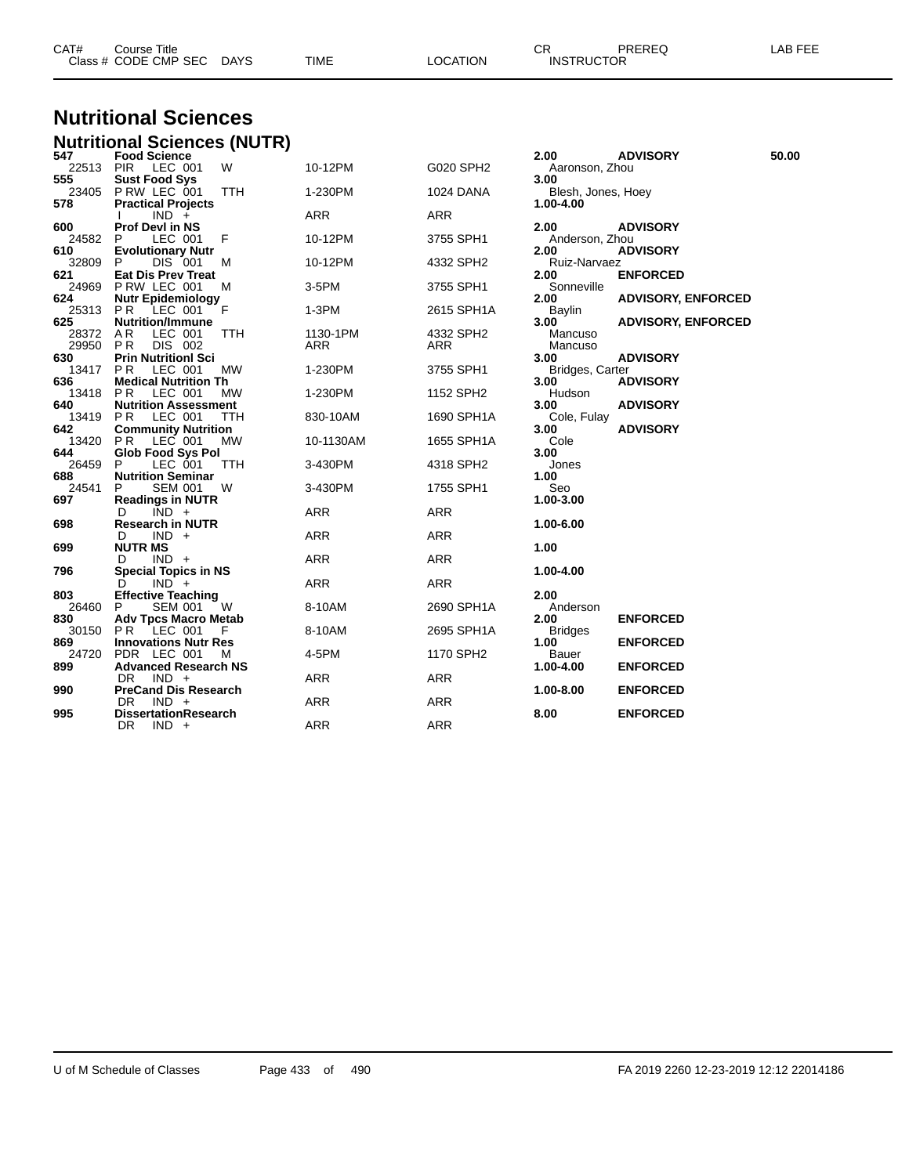| CAT# | Course Title              |      |          | $\cap$<br><b>UN</b> | PREREQ | <b>AB FEE</b> |
|------|---------------------------|------|----------|---------------------|--------|---------------|
|      | Class # CODE CMP SEC DAYS | TIME | LOCATION | <b>INSTRUCTOR</b>   |        |               |

# **Nutritional Sciences**

|              | <b>Nutritional Sciences (NUTR)</b>            |            |            |            |                         |                           |       |
|--------------|-----------------------------------------------|------------|------------|------------|-------------------------|---------------------------|-------|
| 547          | <b>Food Science</b>                           |            |            |            | 2.00                    | <b>ADVISORY</b>           | 50.00 |
| 22513        | PIR LEC 001                                   | W          | 10-12PM    | G020 SPH2  | Aaronson, Zhou          |                           |       |
| 555          | <b>Sust Food Sys</b>                          |            |            |            | 3.00                    |                           |       |
| 23405        | PRW LEC 001                                   | <b>TTH</b> | 1-230PM    | 1024 DANA  | Blesh, Jones, Hoey      |                           |       |
| 578          | <b>Practical Projects</b>                     |            |            |            | 1.00-4.00               |                           |       |
|              | $IND +$                                       |            | ARR        | ARR        |                         |                           |       |
| 600<br>24582 | <b>Prof Devl in NS</b><br>LEC 001<br>P        | F          | 10-12PM    | 3755 SPH1  | 2.00<br>Anderson, Zhou  | <b>ADVISORY</b>           |       |
| 610          | <b>Evolutionary Nutr</b>                      |            |            |            | 2.00                    | <b>ADVISORY</b>           |       |
| 32809        | DIS 001<br>P                                  | м          | 10-12PM    | 4332 SPH2  | Ruiz-Narvaez            |                           |       |
| 621          | <b>Eat Dis Prev Treat</b>                     |            |            |            | 2.00                    | <b>ENFORCED</b>           |       |
| 24969        | P RW LEC 001                                  | M          | 3-5PM      | 3755 SPH1  | Sonneville              |                           |       |
| 624          | <b>Nutr Epidemiology</b>                      |            |            |            | 2.00                    | <b>ADVISORY, ENFORCED</b> |       |
| 25313        | PR<br>LEC 001                                 | - F        | 1-3PM      | 2615 SPH1A | Baylin                  |                           |       |
| 625          | <b>Nutrition/Immune</b>                       |            |            |            | 3.00                    | <b>ADVISORY, ENFORCED</b> |       |
| 28372        | AR.<br>LEC 001                                | ттн        | 1130-1PM   | 4332 SPH2  | Mancuso                 |                           |       |
| 29950        | PR.<br>DIS 002                                |            | ARR        | <b>ARR</b> | Mancuso                 |                           |       |
| 630          | <b>Prin Nutritionl Sci</b>                    |            |            |            | 3.00                    | <b>ADVISORY</b>           |       |
| 13417<br>636 | PR.<br>LEC 001<br><b>Medical Nutrition Th</b> | MW         | 1-230PM    | 3755 SPH1  | Bridges, Carter<br>3.00 | <b>ADVISORY</b>           |       |
| 13418        | PR.<br>LEC 001                                | MW         | 1-230PM    | 1152 SPH2  | Hudson                  |                           |       |
| 640          | <b>Nutrition Assessment</b>                   |            |            |            | 3.00                    | <b>ADVISORY</b>           |       |
| 13419        | PR.<br>LEC 001                                | ттн        | 830-10AM   | 1690 SPH1A | Cole, Fulay             |                           |       |
| 642          | <b>Community Nutrition</b>                    |            |            |            | 3.00                    | <b>ADVISORY</b>           |       |
| 13420        | PR.<br>LEC 001                                | МW         | 10-1130AM  | 1655 SPH1A | Cole                    |                           |       |
| 644          | <b>Glob Food Sys Pol</b>                      |            |            |            | 3.00                    |                           |       |
| 26459        | P<br>LEC 001                                  | ттн        | 3-430PM    | 4318 SPH2  | Jones                   |                           |       |
| 688          | <b>Nutrition Seminar</b>                      |            |            |            | 1.00                    |                           |       |
| 24541        | <b>SEM 001</b><br>P                           | W          | 3-430PM    | 1755 SPH1  | Seo                     |                           |       |
| 697          | <b>Readings in NUTR</b>                       |            | <b>ARR</b> | <b>ARR</b> | 1.00-3.00               |                           |       |
| 698          | $IND +$<br>D<br><b>Research in NUTR</b>       |            |            |            | 1.00-6.00               |                           |       |
|              | IND +<br>D                                    |            | ARR        | ARR        |                         |                           |       |
| 699          | <b>NUTR MS</b>                                |            |            |            | 1.00                    |                           |       |
|              | D<br>IND +                                    |            | <b>ARR</b> | <b>ARR</b> |                         |                           |       |
| 796          | <b>Special Topics in NS</b>                   |            |            |            | 1.00-4.00               |                           |       |
|              | $IND +$<br>D                                  |            | <b>ARR</b> | ARR        |                         |                           |       |
| 803          | <b>Effective Teaching</b>                     |            |            |            | 2.00                    |                           |       |
| 26460        | <b>SEM 001</b><br>P.                          | W          | 8-10AM     | 2690 SPH1A | Anderson                |                           |       |
| 830          | <b>Adv Tpcs Macro Metab</b>                   |            |            |            | 2.00                    | <b>ENFORCED</b>           |       |
| 30150        | PR LEC 001                                    | - F        | 8-10AM     | 2695 SPH1A | <b>Bridges</b>          |                           |       |
| 869<br>24720 | <b>Innovations Nutr Res</b><br>PDR LEC 001    | м          | 4-5PM      | 1170 SPH2  | 1.00<br>Bauer           | <b>ENFORCED</b>           |       |
| 899          | <b>Advanced Research NS</b>                   |            |            |            | 1.00-4.00               | <b>ENFORCED</b>           |       |
|              | $IND +$<br>DR.                                |            | <b>ARR</b> | ARR        |                         |                           |       |
| 990          | <b>PreCand Dis Research</b>                   |            |            |            | 1.00-8.00               | <b>ENFORCED</b>           |       |
|              | $IND +$<br>DR.                                |            | <b>ARR</b> | <b>ARR</b> |                         |                           |       |
| 995          | <b>DissertationResearch</b>                   |            |            |            | 8.00                    | <b>ENFORCED</b>           |       |
|              | $IND +$<br>DR.                                |            | <b>ARR</b> | <b>ARR</b> |                         |                           |       |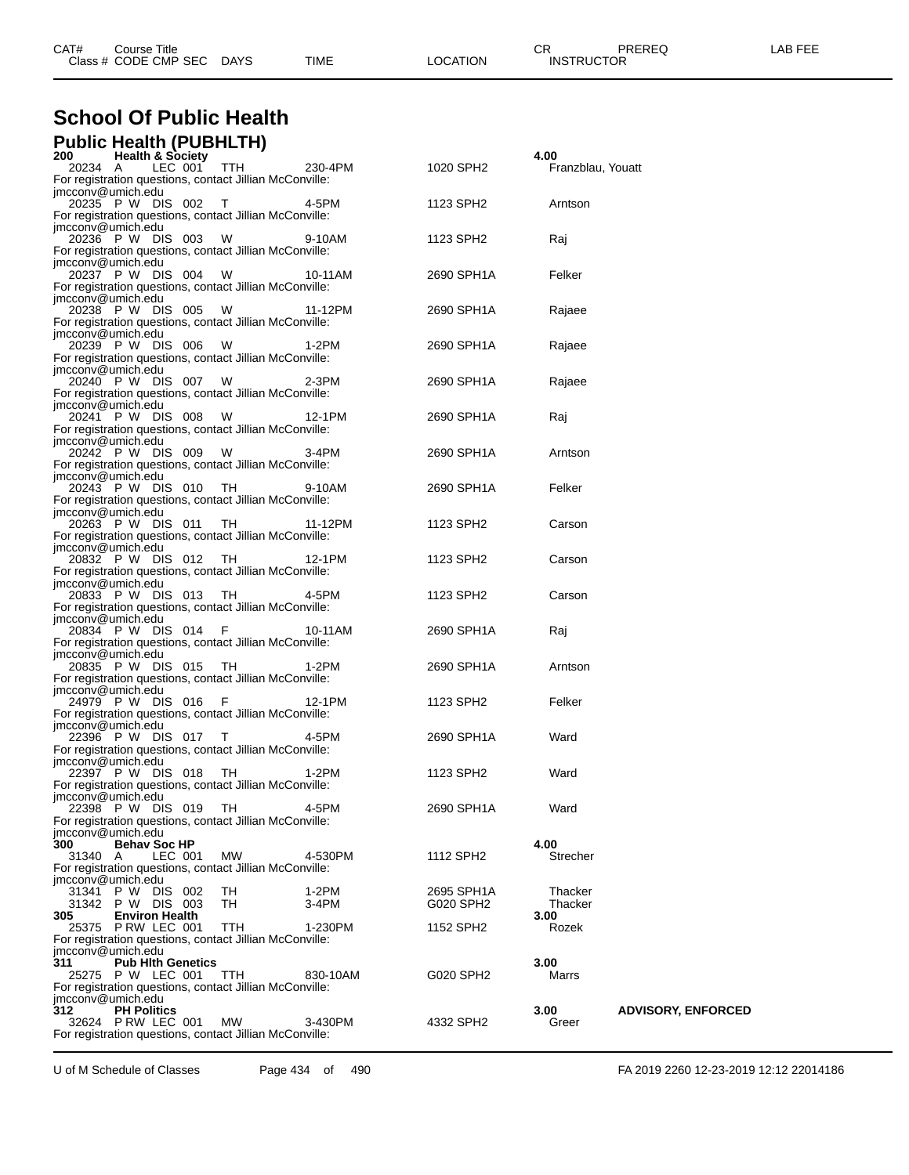| CAT# | Title<br>Course      |             |      |                 | OD.<br>◡∩         | <b>PREREQ</b> | ---<br>ΔR<br>--- |
|------|----------------------|-------------|------|-----------------|-------------------|---------------|------------------|
|      | Class # CODE CMP SEC | <b>DAYS</b> | TIME | <b>LOCATION</b> | <b>INSTRUCTOR</b> |               |                  |
|      |                      |             |      |                 |                   |               |                  |

#### **School Of Public Health Public Health (PUBHLTH)**

| PUDIIC Health (PUBHLIH)<br><b>Health &amp; Society</b><br>200                        |          |            | 4.00              |                           |
|--------------------------------------------------------------------------------------|----------|------------|-------------------|---------------------------|
| LEC 001<br><b>TTH</b><br>20234 A                                                     | 230-4PM  | 1020 SPH2  | Franzblau, Youatt |                           |
| For registration questions, contact Jillian McConville:                              |          |            |                   |                           |
| imcconv@umich.edu                                                                    |          |            |                   |                           |
| 20235 P W DIS 002<br>T<br>For registration questions, contact Jillian McConville:    | 4-5PM    | 1123 SPH2  | Arntson           |                           |
| imcconv@umich.edu                                                                    |          |            |                   |                           |
| 20236 P W DIS 003<br>W                                                               | 9-10AM   | 1123 SPH2  | Raj               |                           |
| For registration questions, contact Jillian McConville:                              |          |            |                   |                           |
| imcconv@umich.edu<br>20237 P W DIS 004<br>W                                          |          |            | Felker            |                           |
| For registration questions, contact Jillian McConville:                              | 10-11AM  | 2690 SPH1A |                   |                           |
| imcconv@umich.edu                                                                    |          |            |                   |                           |
| 20238 P W DIS 005<br>W                                                               | 11-12PM  | 2690 SPH1A | Rajaee            |                           |
| For registration questions, contact Jillian McConville:                              |          |            |                   |                           |
| imcconv@umich.edu<br>20239 P W DIS 006<br>W                                          | 1-2PM    | 2690 SPH1A |                   |                           |
| For registration questions, contact Jillian McConville:                              |          |            | Rajaee            |                           |
| imcconv@umich.edu                                                                    |          |            |                   |                           |
| 20240 P W DIS 007<br><b>W</b>                                                        | $2-3PM$  | 2690 SPH1A | Rajaee            |                           |
| For registration questions, contact Jillian McConville:                              |          |            |                   |                           |
| imcconv@umich.edu<br>20241 P W DIS 008<br>W                                          | 12-1PM   | 2690 SPH1A | Raj               |                           |
| For registration questions, contact Jillian McConville:                              |          |            |                   |                           |
| imcconv@umich.edu                                                                    |          |            |                   |                           |
| 20242 P W DIS 009<br>- W                                                             | 3-4PM    | 2690 SPH1A | Arntson           |                           |
| For registration questions, contact Jillian McConville:<br>imcconv@umich.edu         |          |            |                   |                           |
| 20243 P W DIS 010<br>- тн                                                            | 9-10AM   | 2690 SPH1A | Felker            |                           |
| For registration questions, contact Jillian McConville:                              |          |            |                   |                           |
| imcconv@umich.edu                                                                    |          |            |                   |                           |
| 20263 P W DIS 011<br>TH.                                                             | 11-12PM  | 1123 SPH2  | Carson            |                           |
| For registration questions, contact Jillian McConville:<br>imcconv@umich.edu         |          |            |                   |                           |
| 20832 P W DIS 012<br>- TH                                                            | 12-1PM   | 1123 SPH2  | Carson            |                           |
| For registration questions, contact Jillian McConville:                              |          |            |                   |                           |
| imcconv@umich.edu                                                                    |          |            |                   |                           |
| 20833 P W DIS 013<br>- тн                                                            | 4-5PM    | 1123 SPH2  | Carson            |                           |
| For registration questions, contact Jillian McConville:<br>imcconv@umich.edu         |          |            |                   |                           |
| 20834 P W DIS 014<br>- F                                                             | 10-11AM  | 2690 SPH1A | Raj               |                           |
| For registration questions, contact Jillian McConville:                              |          |            |                   |                           |
| imcconv@umich.edu                                                                    |          |            |                   |                           |
| 20835 P W DIS 015<br>- тн<br>For registration questions, contact Jillian McConville: | 1-2PM    | 2690 SPH1A | Arntson           |                           |
| imcconv@umich.edu                                                                    |          |            |                   |                           |
| 24979 P W DIS 016<br>- F                                                             | 12-1PM   | 1123 SPH2  | Felker            |                           |
| For registration questions, contact Jillian McConville:                              |          |            |                   |                           |
| imcconv@umich.edu                                                                    |          |            |                   |                           |
| 22396 P W DIS 017 T<br>For registration questions, contact Jillian McConville:       | 4-5PM    | 2690 SPH1A | Ward              |                           |
| jmcconv@umich.edu                                                                    |          |            |                   |                           |
| 22397 P W DIS 018<br>- TH                                                            | $1-2PM$  | 1123 SPH2  | Ward              |                           |
| For registration questions, contact Jillian McConville:                              |          |            |                   |                           |
| jmcconv@umich.edu<br>22398 P W DIS 019 TH<br>4-5PM                                   |          | 2690 SPH1A | Ward              |                           |
| For registration questions, contact Jillian McConville:                              |          |            |                   |                           |
| jmcconv@umich.edu                                                                    |          |            |                   |                           |
| <b>Behav Soc HP</b><br>300                                                           |          |            | 4.00              |                           |
| LEC 001<br>МW<br>31340 A<br>For registration questions, contact Jillian McConville:  | 4-530PM  | 1112 SPH2  | Strecher          |                           |
| jmcconv@umich.edu                                                                    |          |            |                   |                           |
| 31341 P W DIS 002<br>TH                                                              | 1-2PM    | 2695 SPH1A | Thacker           |                           |
| 31342 P W DIS 003<br>TH                                                              | 3-4PM    | G020 SPH2  | Thacker           |                           |
| 305<br><b>Environ Health</b>                                                         |          |            | 3.00              |                           |
| 25375 P RW LEC 001<br>TTH<br>For registration questions, contact Jillian McConville: | 1-230PM  | 1152 SPH2  | Rozek             |                           |
| jmcconv@umich.edu                                                                    |          |            |                   |                           |
| 311<br><b>Pub Hith Genetics</b>                                                      |          |            | 3.00              |                           |
| 25275 P W LEC 001<br>TTH                                                             | 830-10AM | G020 SPH2  | Marrs             |                           |
| For registration questions, contact Jillian McConville:<br>imcconv@umich.edu         |          |            |                   |                           |
| 312<br><b>PH Politics</b>                                                            |          |            | 3.00              | <b>ADVISORY, ENFORCED</b> |
| 32624 PRW LEC 001<br><b>MW</b>                                                       | 3-430PM  | 4332 SPH2  | Greer             |                           |
| For registration questions, contact Jillian McConville:                              |          |            |                   |                           |

U of M Schedule of Classes Page 434 of 490 FA 2019 2260 12-23-2019 12:12 22014186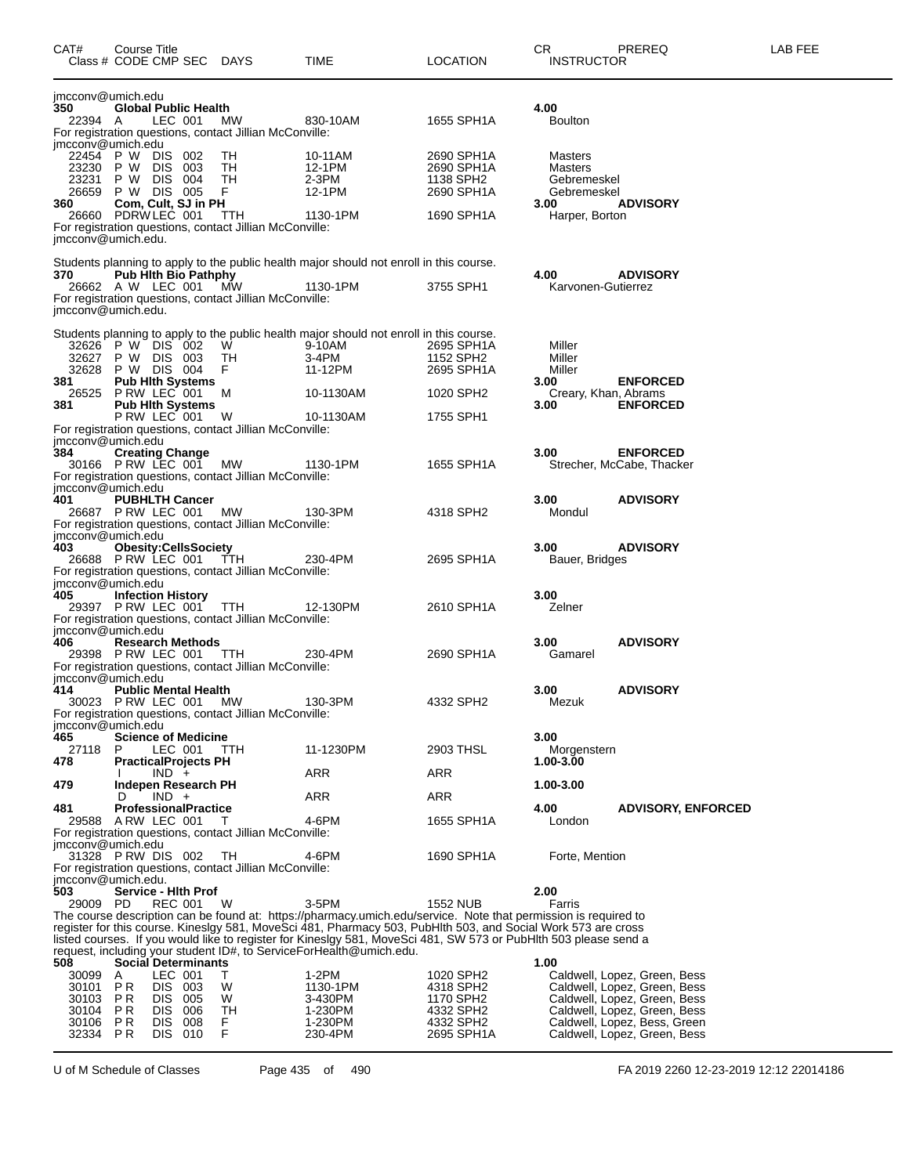| CAT#               | Course Title | Class # CODE CMP SEC DAYS                        |   |                                                               | TIME                                                                                                                       | <b>LOCATION</b>         | CR<br><b>INSTRUCTOR</b>      | PREREQ                                                       | LAB FEE |
|--------------------|--------------|--------------------------------------------------|---|---------------------------------------------------------------|----------------------------------------------------------------------------------------------------------------------------|-------------------------|------------------------------|--------------------------------------------------------------|---------|
| imcconv@umich.edu  |              |                                                  |   |                                                               |                                                                                                                            |                         |                              |                                                              |         |
| 350<br>22394 A     |              | <b>Global Public Health</b><br>LEC 001           |   | MW                                                            | 830-10AM                                                                                                                   | 1655 SPH1A              | 4.00<br><b>Boulton</b>       |                                                              |         |
|                    |              |                                                  |   | For registration questions, contact Jillian McConville:       |                                                                                                                            |                         |                              |                                                              |         |
| jmcconv@umich.edu  |              | 22454 P W DIS 002                                |   | TH                                                            | 10-11AM                                                                                                                    | 2690 SPH1A              | Masters                      |                                                              |         |
| 23230              | P W          | DIS 003                                          |   | TH                                                            | 12-1PM                                                                                                                     | 2690 SPH1A              | Masters                      |                                                              |         |
|                    |              | 23231 P W DIS 004<br>26659 P W DIS 005           |   | TH<br>F.                                                      | 2-3PM<br>12-1PM                                                                                                            | 1138 SPH2<br>2690 SPH1A | Gebremeskel<br>Gebremeskel   |                                                              |         |
| 360                |              | Com, Cult, SJ in PH                              |   |                                                               |                                                                                                                            |                         | 3.00                         | <b>ADVISORY</b>                                              |         |
|                    |              | 26660 PDRW LEC 001                               |   | <b>TTH</b>                                                    | 1130-1PM                                                                                                                   | 1690 SPH1A              | Harper, Borton               |                                                              |         |
| imcconv@umich.edu. |              |                                                  |   | For registration questions, contact Jillian McConville:       |                                                                                                                            |                         |                              |                                                              |         |
|                    |              |                                                  |   |                                                               |                                                                                                                            |                         |                              |                                                              |         |
| 370                |              | <b>Pub Hith Bio Pathphy</b>                      |   |                                                               | Students planning to apply to the public health major should not enroll in this course.                                    |                         | 4.00                         | <b>ADVISORY</b>                                              |         |
|                    |              | 26662 A W LEC 001                                |   | <b>MW</b>                                                     | 1130-1PM                                                                                                                   | 3755 SPH1               | Karvonen-Gutierrez           |                                                              |         |
| jmcconv@umich.edu. |              |                                                  |   | For registration questions, contact Jillian McConville:       |                                                                                                                            |                         |                              |                                                              |         |
|                    |              |                                                  |   |                                                               |                                                                                                                            |                         |                              |                                                              |         |
|                    |              |                                                  |   |                                                               | Students planning to apply to the public health major should not enroll in this course.                                    |                         |                              |                                                              |         |
|                    |              | 32626 P W DIS 002<br>32627 P W DIS 003           |   | W<br>TH                                                       | 9-10AM<br>3-4PM                                                                                                            | 2695 SPH1A<br>1152 SPH2 | Miller<br>Miller             |                                                              |         |
|                    |              | 32628 P W DIS 004                                |   | F.                                                            | 11-12PM                                                                                                                    | 2695 SPH1A              | Miller                       |                                                              |         |
| 381                |              | <b>Pub Hith Systems</b><br>26525 P RW LEC 001    |   | M                                                             | 10-1130AM                                                                                                                  | 1020 SPH2               | 3.00<br>Creary, Khan, Abrams | <b>ENFORCED</b>                                              |         |
| 381                |              | <b>Pub Hith Systems</b>                          |   |                                                               |                                                                                                                            |                         | 3.00                         | <b>ENFORCED</b>                                              |         |
|                    |              | PRW LEC 001                                      |   | W                                                             | 10-1130AM                                                                                                                  | 1755 SPH1               |                              |                                                              |         |
| jmcconv@umich.edu  |              |                                                  |   | For registration questions, contact Jillian McConville:       |                                                                                                                            |                         |                              |                                                              |         |
| 384                |              | <b>Creating Change</b>                           |   |                                                               |                                                                                                                            |                         | 3.00                         | <b>ENFORCED</b>                                              |         |
|                    |              | 30166 PRW LEC 001 MW                             |   | For registration questions, contact Jillian McConville:       | 1130-1PM                                                                                                                   | 1655 SPH1A              |                              | Strecher, McCabe, Thacker                                    |         |
| jmcconv@umich.edu  |              |                                                  |   |                                                               |                                                                                                                            |                         |                              |                                                              |         |
| 401                |              | <b>PUBHLTH Cancer</b>                            |   |                                                               |                                                                                                                            |                         | 3.00                         | <b>ADVISORY</b>                                              |         |
|                    |              | 26687 PRW LEC 001                                |   | MW<br>For registration questions, contact Jillian McConville: | 130-3PM                                                                                                                    | 4318 SPH2               | Mondul                       |                                                              |         |
| jmcconv@umich.edu  |              |                                                  |   |                                                               |                                                                                                                            |                         |                              |                                                              |         |
| 403                |              | <b>Obesity:CellsSociety</b>                      |   |                                                               |                                                                                                                            |                         | 3.00                         | <b>ADVISORY</b>                                              |         |
|                    |              | 26688 P RW LEC 001 TTH                           |   | For registration questions, contact Jillian McConville:       | 230-4PM                                                                                                                    | 2695 SPH1A              | Bauer, Bridges               |                                                              |         |
| jmcconv@umich.edu  |              |                                                  |   |                                                               |                                                                                                                            |                         |                              |                                                              |         |
| 405                |              | <b>Infection History</b>                         |   |                                                               |                                                                                                                            |                         | 3.00                         |                                                              |         |
|                    |              | 29397 PRW LEC 001 TTH                            |   | For registration questions, contact Jillian McConville:       | 12-130PM                                                                                                                   | 2610 SPH1A              | Zelner                       |                                                              |         |
| imcconv@umich.edu  |              |                                                  |   |                                                               |                                                                                                                            |                         |                              |                                                              |         |
| 406                |              | <b>Research Methods</b><br>29398 P RW LEC 001    |   | TTH                                                           | 230-4PM                                                                                                                    | 2690 SPH1A              | 3.00<br>Gamarel              | <b>ADVISORY</b>                                              |         |
|                    |              |                                                  |   | For registration questions, contact Jillian McConville:       |                                                                                                                            |                         |                              |                                                              |         |
| jmcconv@umich.edu  |              |                                                  |   |                                                               |                                                                                                                            |                         |                              |                                                              |         |
| 414                |              | <b>Public Mental Health</b><br>30023 PRW LEC 001 |   | MW.                                                           | 130-3PM                                                                                                                    | 4332 SPH2               | 3.00<br>Mezuk                | <b>ADVISORY</b>                                              |         |
|                    |              |                                                  |   | For registration questions, contact Jillian McConville:       |                                                                                                                            |                         |                              |                                                              |         |
| imcconv@umich.edu  |              | <b>Science of Medicine</b>                       |   |                                                               |                                                                                                                            |                         | 3.00                         |                                                              |         |
| 465<br>27118       | P            | LEC 001                                          |   | TTH                                                           | 11-1230PM                                                                                                                  | 2903 THSL               | Morgenstern                  |                                                              |         |
| 478                |              | <b>PracticalProjects PH</b>                      |   |                                                               |                                                                                                                            |                         | 1.00-3.00                    |                                                              |         |
| 479                |              | $IND +$<br>Indepen Research PH                   |   |                                                               | ARR                                                                                                                        | ARR                     | 1.00-3.00                    |                                                              |         |
|                    | D            | $IND +$                                          |   |                                                               | <b>ARR</b>                                                                                                                 | <b>ARR</b>              |                              |                                                              |         |
| 481                |              | <b>ProfessionalPractice</b>                      |   |                                                               | 4-6PM                                                                                                                      | 1655 SPH1A              | 4.00                         | <b>ADVISORY, ENFORCED</b>                                    |         |
| 29588              |              | ARW LEC 001                                      |   | Τ<br>For registration questions, contact Jillian McConville:  |                                                                                                                            |                         | London                       |                                                              |         |
| jmcconv@umich.edu  |              |                                                  |   |                                                               |                                                                                                                            |                         |                              |                                                              |         |
|                    |              | 31328 PRW DIS 002                                |   | TH<br>For registration questions, contact Jillian McConville: | 4-6PM                                                                                                                      | 1690 SPH1A              | Forte, Mention               |                                                              |         |
| imcconv@umich.edu. |              |                                                  |   |                                                               |                                                                                                                            |                         |                              |                                                              |         |
| 503                |              | Service - Hith Prof                              |   |                                                               |                                                                                                                            |                         | 2.00                         |                                                              |         |
| 29009 PD           |              | REC 001                                          |   | W                                                             | $3-5PM$<br>The course description can be found at: https://pharmacy.umich.edu/service. Note that permission is required to | 1552 NUB                | Farris                       |                                                              |         |
|                    |              |                                                  |   |                                                               | register for this course. Kineslgy 581, MoveSci 481, Pharmacy 503, PubHlth 503, and Social Work 573 are cross              |                         |                              |                                                              |         |
|                    |              |                                                  |   |                                                               | listed courses. If you would like to register for Kineslgy 581, MoveSci 481, SW 573 or PubHlth 503 please send a           |                         |                              |                                                              |         |
| 508                |              | <b>Social Determinants</b>                       |   |                                                               | request, including your student ID#, to ServiceForHealth@umich.edu.                                                        |                         | 1.00                         |                                                              |         |
| 30099              | A            | LEC 001                                          | T |                                                               | $1-2PM$                                                                                                                    | 1020 SPH2               |                              | Caldwell, Lopez, Green, Bess                                 |         |
| 30101              | P R          | DIS 003<br>DIS 005                               |   | W                                                             | 1130-1PM                                                                                                                   | 4318 SPH2               |                              | Caldwell, Lopez, Green, Bess                                 |         |
| 30103<br>30104     | P R<br>P R   | DIS 006                                          |   | W<br>TH                                                       | 3-430PM<br>1-230PM                                                                                                         | 1170 SPH2<br>4332 SPH2  |                              | Caldwell, Lopez, Green, Bess<br>Caldwell, Lopez, Green, Bess |         |
| 30106              | P R          | DIS 008                                          |   | F.                                                            | 1-230PM                                                                                                                    | 4332 SPH2               |                              | Caldwell, Lopez, Bess, Green                                 |         |
| 32334 PR           |              | DIS 010                                          |   | F                                                             | 230-4PM                                                                                                                    | 2695 SPH1A              |                              | Caldwell, Lopez, Green, Bess                                 |         |

U of M Schedule of Classes Page 435 of 490 FA 2019 2260 12-23-2019 12:12 22014186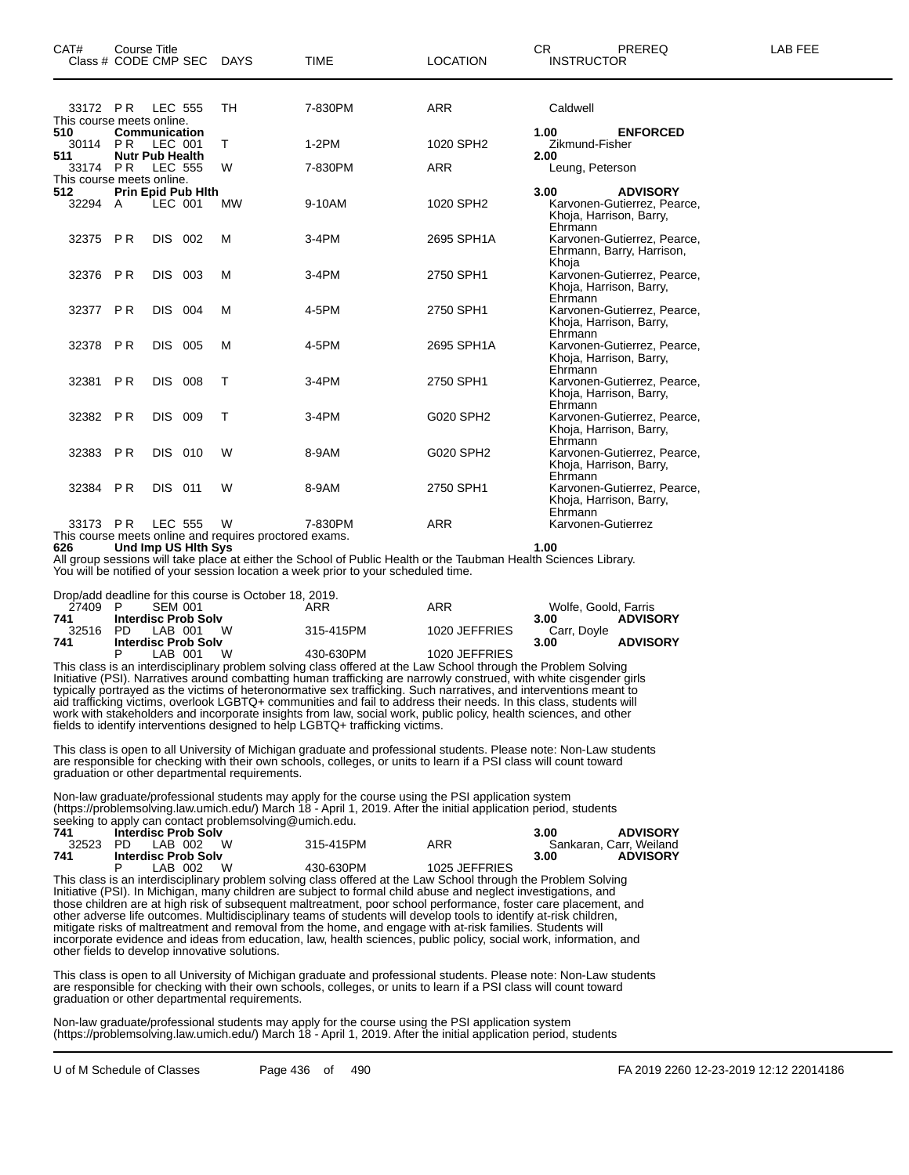| CAT#<br>Class # CODE CMP SEC DAYS            | <b>Course Title</b> |                                          |        | <b>TIME</b>                                                       | <b>LOCATION</b> | <b>CR</b><br><b>PREREQ</b><br><b>INSTRUCTOR</b>                                   | LAB FEE |
|----------------------------------------------|---------------------|------------------------------------------|--------|-------------------------------------------------------------------|-----------------|-----------------------------------------------------------------------------------|---------|
| 33172 PR<br>This course meets online.<br>510 |                     | LEC 555<br>Communication                 | TH     | 7-830PM                                                           | <b>ARR</b>      | Caldwell<br>1.00<br><b>ENFORCED</b>                                               |         |
| 30114                                        | PR                  | LEC 001                                  | T      | $1-2PM$                                                           | 1020 SPH2       | Zikmund-Fisher                                                                    |         |
| 511<br>33174 PR<br>This course meets online. |                     | <b>Nutr Pub Health</b><br><b>LEC 555</b> | W      | 7-830PM                                                           | <b>ARR</b>      | 2.00<br>Leung, Peterson                                                           |         |
| 512<br>32294 A                               |                     | <b>Prin Epid Pub Hith</b><br>LEC 001     | MW     | 9-10AM                                                            | 1020 SPH2       | <b>ADVISORY</b><br>3.00<br>Karvonen-Gutierrez, Pearce,<br>Khoja, Harrison, Barry, |         |
| 32375 PR                                     |                     | DIS 002                                  | м      | $3-4PM$                                                           | 2695 SPH1A      | Ehrmann<br>Karvonen-Gutierrez, Pearce,<br>Ehrmann, Barry, Harrison,               |         |
| 32376 PR                                     |                     | DIS 003                                  | M      | $3-4PM$                                                           | 2750 SPH1       | Khoja<br>Karvonen-Gutierrez, Pearce,<br>Khoja, Harrison, Barry,                   |         |
| 32377                                        | <b>PR</b>           | DIS 004                                  | M      | 4-5PM                                                             | 2750 SPH1       | Ehrmann<br>Karvonen-Gutierrez, Pearce,<br>Khoja, Harrison, Barry,                 |         |
| 32378 PR                                     |                     | DIS 005                                  | M      | 4-5PM                                                             | 2695 SPH1A      | Ehrmann<br>Karvonen-Gutierrez, Pearce,<br>Khoja, Harrison, Barry,                 |         |
| 32381                                        | <b>PR</b>           | <b>DIS 008</b>                           | $\top$ | $3-4PM$                                                           | 2750 SPH1       | Ehrmann<br>Karvonen-Gutierrez, Pearce,<br>Khoja, Harrison, Barry,                 |         |
| 32382 PR                                     |                     | DIS 009                                  | $\top$ | 3-4PM                                                             | G020 SPH2       | Ehrmann<br>Karvonen-Gutierrez, Pearce,<br>Khoja, Harrison, Barry,                 |         |
| 32383 PR                                     |                     | <b>DIS 010</b>                           | W      | 8-9AM                                                             | G020 SPH2       | Ehrmann<br>Karvonen-Gutierrez, Pearce,<br>Khoja, Harrison, Barry,                 |         |
| 32384 PR                                     |                     | DIS 011                                  | W      | 8-9AM                                                             | 2750 SPH1       | Ehrmann<br>Karvonen-Gutierrez, Pearce,<br>Khoja, Harrison, Barry,<br>Ehrmann      |         |
| 33173 PR                                     |                     | <b>LEC 555</b>                           | W      | 7-830PM<br>This course meets online and requires proctored exams. | <b>ARR</b>      | Karvonen-Gutierrez                                                                |         |

**626 Und Imp US Hlth Sys 1.00**

All group sessions will take place at either the School of Public Health or the Taubman Health Sciences Library. You will be notified of your session location a week prior to your scheduled time.

|         | Drop/add deadline for this course is October 18, 2019. |           |               |                         |
|---------|--------------------------------------------------------|-----------|---------------|-------------------------|
| 27409 P | SFM 001                                                | ARR       | ARR           | Wolfe, Goold, Farris    |
| 741     | <b>Interdisc Prob Solv</b>                             |           |               | <b>ADVISORY</b><br>3.00 |
| 32516   | W<br>PD IAB 001                                        | 315-415PM | 1020 JEFFRIES | Carr. Dovle             |
| 741     | <b>Interdisc Prob Solv</b>                             |           |               | <b>ADVISORY</b><br>3.00 |
|         | W<br>LAB 001                                           | 430-630PM | 1020 JEFFRIES |                         |

This class is an interdisciplinary problem solving class offered at the Law School through the Problem Solving Initiative (PSI). Narratives around combatting human trafficking are narrowly construed, with white cisgender girls typically portrayed as the victims of heteronormative sex trafficking. Such narratives, and interventions meant to aid trafficking victims, overlook LGBTQ+ communities and fail to address their needs. In this class, students will work with stakeholders and incorporate insights from law, social work, public policy, health sciences, and other fields to identify interventions designed to help LGBTQ+ trafficking victims.

This class is open to all University of Michigan graduate and professional students. Please note: Non-Law students are responsible for checking with their own schools, colleges, or units to learn if a PSI class will count toward graduation or other departmental requirements.

Non-law graduate/professional students may apply for the course using the PSI application system (https://problemsolving.law.umich.edu/) March 18 - April 1, 2019. After the initial application period, students seeking to apply can contact problemsolving@umich.edu.

| 741 | <b>Interdisc Prob Solv</b> |           |               | <b>ADVISORY</b><br>3.00 |
|-----|----------------------------|-----------|---------------|-------------------------|
|     | 32523 PD LAB 002 W         | 315-415PM | ARR           | Sankaran, Carr, Weiland |
| 741 | <b>Interdisc Prob Solv</b> |           |               | <b>ADVISORY</b><br>3.00 |
|     | W.<br>LAB 002              | 430-630PM | 1025 JEFFRIES |                         |

This class is an interdisciplinary problem solving class offered at the Law School through the Problem Solving Initiative (PSI). In Michigan, many children are subject to formal child abuse and neglect investigations, and those children are at high risk of subsequent maltreatment, poor school performance, foster care placement, and other adverse life outcomes. Multidisciplinary teams of students will develop tools to identify at-risk children, mitigate risks of maltreatment and removal from the home, and engage with at-risk families. Students will incorporate evidence and ideas from education, law, health sciences, public policy, social work, information, and other fields to develop innovative solutions.

This class is open to all University of Michigan graduate and professional students. Please note: Non-Law students are responsible for checking with their own schools, colleges, or units to learn if a PSI class will count toward graduation or other departmental requirements.

Non-law graduate/professional students may apply for the course using the PSI application system (https://problemsolving.law.umich.edu/) March 18 - April 1, 2019. After the initial application period, students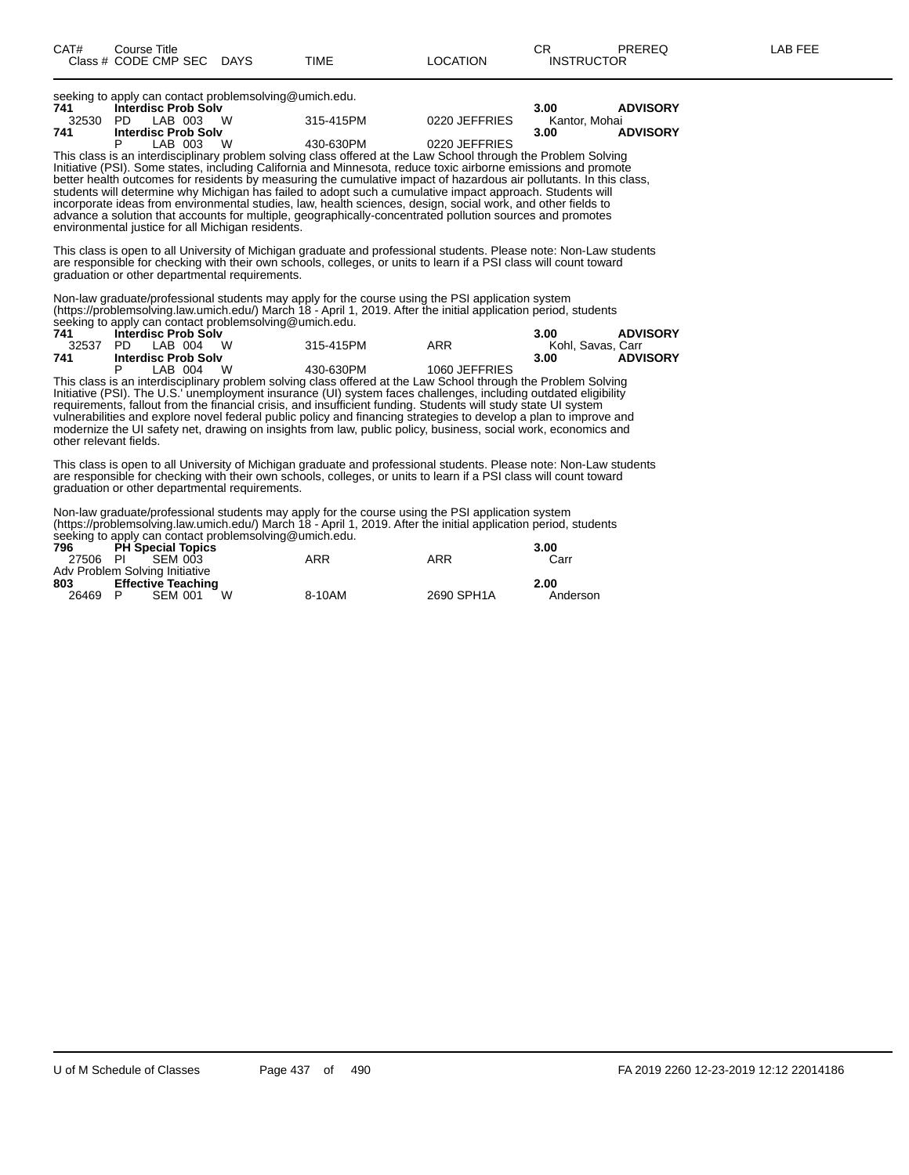| 741                                               |   | <b>Interdisc Prob Solv</b> |                                                                                                                     |               | 3.00          | <b>ADVISORY</b> |
|---------------------------------------------------|---|----------------------------|---------------------------------------------------------------------------------------------------------------------|---------------|---------------|-----------------|
| 32530                                             |   | PD LAB 003 W               | 315-415PM                                                                                                           | 0220 JEFFRIES | Kantor. Mohai |                 |
| 741                                               |   | <b>Interdisc Prob Solv</b> |                                                                                                                     |               | 3.00          | <b>ADVISORY</b> |
|                                                   | P | LAB 003 W                  | 430-630PM                                                                                                           | 0220 JEFFRIES |               |                 |
|                                                   |   |                            | This class is an interdisciplinary problem solving class offered at the Law School through the Problem Solving      |               |               |                 |
|                                                   |   |                            | Initiative (PSI). Some states, including California and Minnesota, reduce toxic airborne emissions and promote      |               |               |                 |
|                                                   |   |                            | better health outcomes for residents by measuring the cumulative impact of hazardous air pollutants. In this class, |               |               |                 |
|                                                   |   |                            | students will determine why Michigan has failed to adopt such a cumulative impact approach. Students will           |               |               |                 |
|                                                   |   |                            | incorporate ideas from environmental studies, law, health sciences, design, social work, and other fields to        |               |               |                 |
|                                                   |   |                            | advance a solution that accounts for multiple, geographically-concentrated pollution sources and promotes           |               |               |                 |
| environmental justice for all Michigan residents. |   |                            |                                                                                                                     |               |               |                 |
|                                                   |   |                            |                                                                                                                     |               |               |                 |
|                                                   |   |                            | This class is open to all University of Michigan graduate and professional students. Please note: Non-Law students  |               |               |                 |
|                                                   |   |                            | are responsible for checking with their own schools, colleges, or units to learn if a PSI class will count toward   |               |               |                 |
| graduation or other departmental requirements.    |   |                            |                                                                                                                     |               |               |                 |
|                                                   |   |                            |                                                                                                                     |               |               |                 |
|                                                   |   |                            | Non-law graduate/professional students may apply for the course using the PSI application system                    |               |               |                 |
|                                                   |   |                            | (https://problemsolving.law.umich.edu/) March 18 - April 1, 2019. After the initial application period, students    |               |               |                 |
|                                                   |   |                            | seeking to apply can contact problemsolving@umich.edu.                                                              |               |               |                 |

seeking to apply can contact problemsolving@umich.edu.

|       | 300MHg to apply can contact problems origing cannon.cuu. |                                                                                                                |                 |                   |  |  |  |  |  |  |
|-------|----------------------------------------------------------|----------------------------------------------------------------------------------------------------------------|-----------------|-------------------|--|--|--|--|--|--|
| 741   | <b>Interdisc Prob Solv</b>                               | 3.00                                                                                                           | <b>ADVISORY</b> |                   |  |  |  |  |  |  |
| 32537 | <b>W</b><br>PD LAB 004                                   | 315-415PM                                                                                                      | ARR             | Kohl, Savas, Carr |  |  |  |  |  |  |
| 741   | <b>Interdisc Prob Solv</b>                               |                                                                                                                | 3.00            | <b>ADVISORY</b>   |  |  |  |  |  |  |
|       | <b>W</b><br>LAB 004                                      | 430-630PM                                                                                                      | 1060 JEFFRIES   |                   |  |  |  |  |  |  |
|       |                                                          | This class is an interdisciplinary problem solving class offered at the Law School through the Problem Solving |                 |                   |  |  |  |  |  |  |

This class is an interdisciplinary problem solving class offered at the Law School through the Problem Solving Initiative (PSI). The U.S.' unemployment insurance (UI) system faces challenges, including outdated eligibility requirements, fallout from the financial crisis, and insufficient funding. Students will study state UI system vulnerabilities and explore novel federal public policy and financing strategies to develop a plan to improve and modernize the UI safety net, drawing on insights from law, public policy, business, social work, economics and other relevant fields.

This class is open to all University of Michigan graduate and professional students. Please note: Non-Law students are responsible for checking with their own schools, colleges, or units to learn if a PSI class will count toward graduation or other departmental requirements.

Non-law graduate/professional students may apply for the course using the PSI application system (https://problemsolving.law.umich.edu/) March 18 - April 1, 2019. After the initial application period, students seeking to apply can contact problemsolving@umich.edu.

|          |                                |   | 796 PH Special Topics |            | 3.00     |
|----------|--------------------------------|---|-----------------------|------------|----------|
| 27506 PI | SEM 003                        |   | ARR                   | ARR        | Carr     |
|          | Adv Problem Solving Initiative |   |                       |            |          |
| 803      | <b>Effective Teaching</b>      |   |                       |            | 2.00     |
| 26469    | <b>SEM 001</b><br>- P          | W | 8-10AM                | 2690 SPH1A | Anderson |
|          |                                |   |                       |            |          |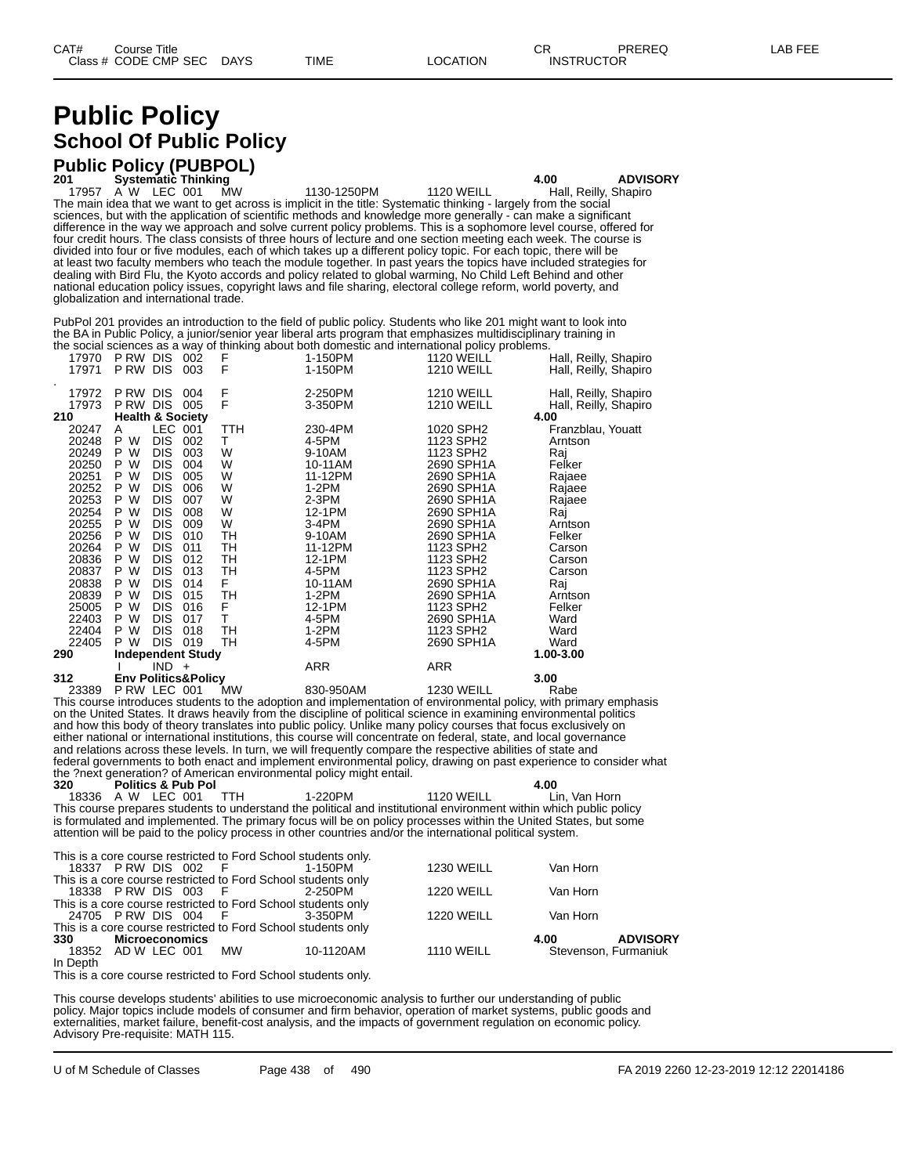# **Public Policy School Of Public Policy**

# **Public Policy (PUBPOL) 201 Systematic Thinking 4.00 ADVISORY**

17957 A W LEC 001 MW 1130-1250PM 1120 WEILL Hall, Reilly, Shapiro The main idea that we want to get across is implicit in the title: Systematic thinking - largely from the social sciences, but with the application of scientific methods and knowledge more generally - can make a significant difference in the way we approach and solve current policy problems. This is a sophomore level course, offered for four credit hours. The class consists of three hours of lecture and one section meeting each week. The course is divided into four or five modules, each of which takes up a different policy topic. For each topic, there will be at least two faculty members who teach the module together. In past years the topics have included strategies for dealing with Bird Flu, the Kyoto accords and policy related to global warming, No Child Left Behind and other national education policy issues, copyright laws and file sharing, electoral college reform, world poverty, and globalization and international trade.

PubPol 201 provides an introduction to the field of public policy. Students who like 201 might want to look into the BA in Public Policy, a junior/senior year liberal arts program that emphasizes multidisciplinary training in the social sciences as a way of thinking about both domestic and international policy problems.

| 17970              | P RW DIS |            | 002                            | F   | 1-150PM | <b>1120 WEILL</b> | Hall, Reilly, Shapiro |
|--------------------|----------|------------|--------------------------------|-----|---------|-------------------|-----------------------|
| 17971              | P RW DIS |            | 003                            | F   | 1-150PM | <b>1210 WEILL</b> | Hall, Reilly, Shapiro |
| $\bullet$<br>17972 | P RW DIS |            | 004                            | F   | 2-250PM | <b>1210 WEILL</b> | Hall, Reilly, Shapiro |
| 17973              | P RW DIS |            | 005                            | F   | 3-350PM | <b>1210 WEILL</b> | Hall, Reilly, Shapiro |
| 210                |          |            | <b>Health &amp; Society</b>    |     |         |                   | 4.00                  |
| 20247              | A        |            | LEC 001                        | TTH | 230-4PM | 1020 SPH2         | Franzblau, Youatt     |
| 20248              | P<br>W   | <b>DIS</b> | 002                            | т   | 4-5PM   | 1123 SPH2         | Arntson               |
| 20249              | P W      | <b>DIS</b> | 003                            | W   | 9-10AM  | 1123 SPH2         | Raj                   |
| 20250              | P W      | <b>DIS</b> | 004                            | W   | 10-11AM | 2690 SPH1A        | Felker                |
| 20251              | P W      | <b>DIS</b> | 005                            | W   | 11-12PM | 2690 SPH1A        | Rajaee                |
| 20252              | P W      | <b>DIS</b> | 006                            | W   | 1-2PM   | 2690 SPH1A        | Rajaee                |
| 20253              | P W      | <b>DIS</b> | 007                            | W   | $2-3PM$ | 2690 SPH1A        | Rajaee                |
| 20254              | P W      | <b>DIS</b> | 008                            | W   | 12-1PM  | 2690 SPH1A        | Raj                   |
| 20255              | P W      | <b>DIS</b> | 009                            | W   | $3-4PM$ | 2690 SPH1A        | Arntson               |
| 20256              | P W      | <b>DIS</b> | 010                            | TH  | 9-10AM  | 2690 SPH1A        | Felker                |
| 20264              | W<br>P.  | <b>DIS</b> | 011                            | TH  | 11-12PM | 1123 SPH2         | Carson                |
| 20836              | P W      | <b>DIS</b> | 012                            | TН  | 12-1PM  | 1123 SPH2         | Carson                |
| 20837              | P W      | <b>DIS</b> | 013                            | TH  | 4-5PM   | 1123 SPH2         | Carson                |
| 20838              | P W      | <b>DIS</b> | 014                            | F.  | 10-11AM | 2690 SPH1A        | Raj                   |
| 20839              | P W      | <b>DIS</b> | 015                            | TН  | 1-2PM   | 2690 SPH1A        | Arntson               |
| 25005              | P W      | <b>DIS</b> | 016                            | F   | 12-1PM  | 1123 SPH2         | Felker                |
| 22403              | P<br>W   | <b>DIS</b> | 017                            | т   | 4-5PM   | 2690 SPH1A        | Ward                  |
| 22404              | P W      | <b>DIS</b> | 018                            | TН  | 1-2PM   | 1123 SPH2         | Ward                  |
| 22405              | P W      | DIS -      | 019                            | TН  | 4-5PM   | 2690 SPH1A        | Ward                  |
| 290                |          |            | <b>Independent Study</b>       |     |         |                   | 1.00-3.00             |
|                    |          | $IND +$    |                                |     | ARR     | ARR               |                       |
| 312                |          |            | <b>Env Politics&amp;Policy</b> |     |         |                   | 3.00                  |

23389 P RW LEC 001 MW 830-950AM 1230 WEILL Rabe This course introduces students to the adoption and implementation of environmental policy, with primary emphasis on the United States. It draws heavily from the discipline of political science in examining environmental politics and how this body of theory translates into public policy. Unlike many policy courses that focus exclusively on either national or international institutions, this course will concentrate on federal, state, and local governance and relations across these levels. In turn, we will frequently compare the respective abilities of state and federal governments to both enact and implement environmental policy, drawing on past experience to consider what the ?next generation? of American environmental policy might entail.

**320 Politics & Pub Pol 4.00** 18336 A W LEC 001 TTH 1-220PM 1120 WEILL Lin, Van Horn This course prepares students to understand the political and institutional environment within which public policy is formulated and implemented. The primary focus will be on policy processes within the United States, but some attention will be paid to the policy process in other countries and/or the international political system.

|            | This is a core course restricted to Ford School students only. |           |                   |                         |  |
|------------|----------------------------------------------------------------|-----------|-------------------|-------------------------|--|
|            | 18337 PRW DIS 002 F 1-150PM                                    |           | <b>1230 WEILL</b> | Van Horn                |  |
|            | This is a core course restricted to Ford School students only  |           |                   |                         |  |
|            | 18338 PRW DIS 003 F 2-250PM                                    |           | <b>1220 WEILL</b> | Van Horn                |  |
|            | This is a core course restricted to Ford School students only  |           |                   |                         |  |
|            | 24705 PRW DIS 004 F 3-350PM                                    |           | <b>1220 WEILL</b> | Van Horn                |  |
|            | This is a core course restricted to Ford School students only  |           |                   |                         |  |
| <b>330</b> | Microeconomics                                                 |           |                   | <b>ADVISORY</b><br>4.00 |  |
|            | 18352 AD W LEC 001 MW                                          | 10-1120AM | 1110 WEILL        | Stevenson, Furmaniuk    |  |
| In Depth   |                                                                |           |                   |                         |  |
|            |                                                                |           |                   |                         |  |

This is a core course restricted to Ford School students only.

This course develops students' abilities to use microeconomic analysis to further our understanding of public policy. Major topics include models of consumer and firm behavior, operation of market systems, public goods and externalities, market failure, benefit-cost analysis, and the impacts of government regulation on economic policy. Advisory Pre-requisite: MATH 115.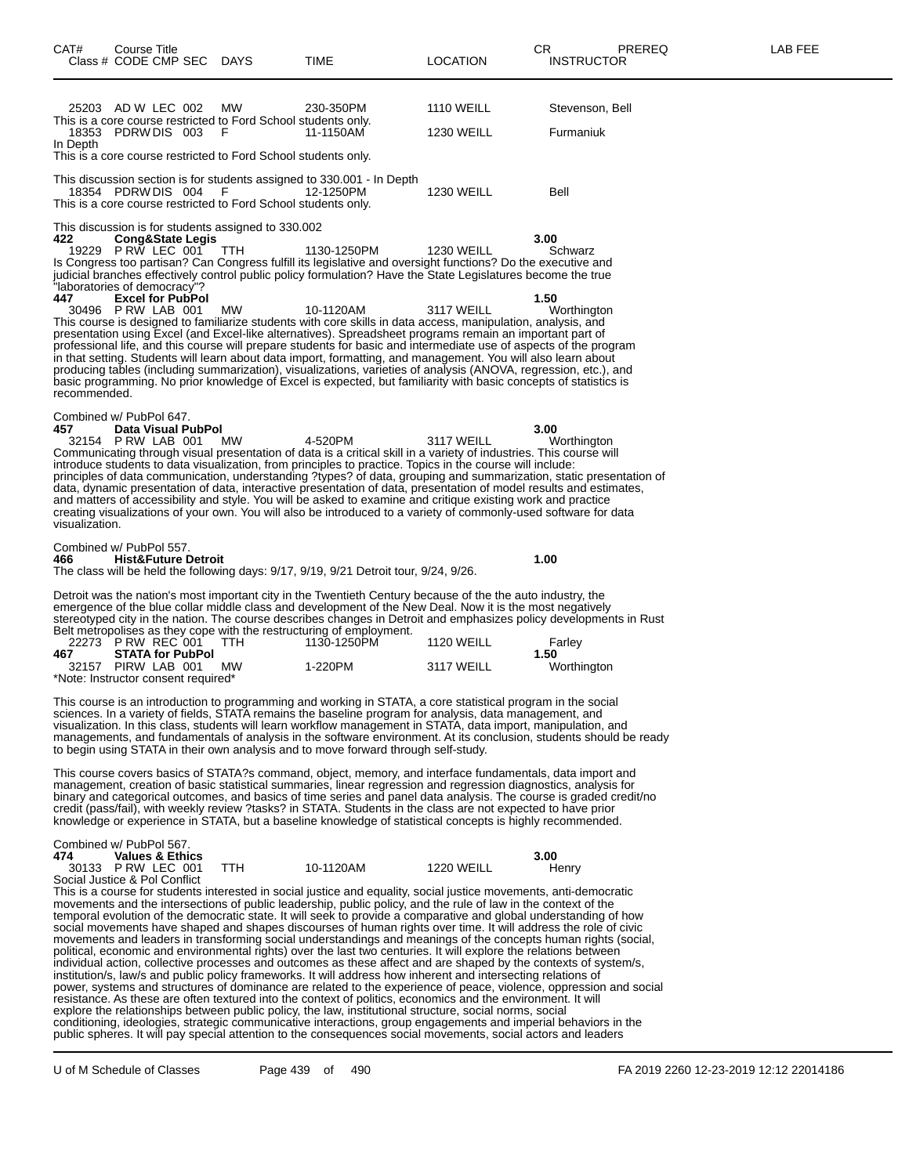| CAT#                  | Course Title<br>Class # CODE CMP SEC DAYS                                                                                                                                                |            | TIME                                                                                                                                                                                                                                                                                                                                                                                                                                                                                                                                                                                                                                                                                                                                                                                                                                                                                                                                                                                                                                                                                                                                                                                                                                                                                                              | LOCATION                               | CR<br>PREREQ<br><b>INSTRUCTOR</b>                                                                                                                                                                                                                     | LAB FEE |
|-----------------------|------------------------------------------------------------------------------------------------------------------------------------------------------------------------------------------|------------|-------------------------------------------------------------------------------------------------------------------------------------------------------------------------------------------------------------------------------------------------------------------------------------------------------------------------------------------------------------------------------------------------------------------------------------------------------------------------------------------------------------------------------------------------------------------------------------------------------------------------------------------------------------------------------------------------------------------------------------------------------------------------------------------------------------------------------------------------------------------------------------------------------------------------------------------------------------------------------------------------------------------------------------------------------------------------------------------------------------------------------------------------------------------------------------------------------------------------------------------------------------------------------------------------------------------|----------------------------------------|-------------------------------------------------------------------------------------------------------------------------------------------------------------------------------------------------------------------------------------------------------|---------|
| In Depth              | 25203 AD W LEC 002<br>This is a core course restricted to Ford School students only.<br>18353 PDRW DIS 003<br>This is a core course restricted to Ford School students only.             | MW<br>F    | 230-350PM<br>11-1150AM                                                                                                                                                                                                                                                                                                                                                                                                                                                                                                                                                                                                                                                                                                                                                                                                                                                                                                                                                                                                                                                                                                                                                                                                                                                                                            | <b>1110 WEILL</b><br><b>1230 WEILL</b> | Stevenson, Bell<br>Furmaniuk                                                                                                                                                                                                                          |         |
|                       | 18354 PDRW DIS 004<br>This is a core course restricted to Ford School students only.                                                                                                     | - F        | This discussion section is for students assigned to 330.001 - In Depth<br>12-1250PM                                                                                                                                                                                                                                                                                                                                                                                                                                                                                                                                                                                                                                                                                                                                                                                                                                                                                                                                                                                                                                                                                                                                                                                                                               | <b>1230 WEILL</b>                      | Bell                                                                                                                                                                                                                                                  |         |
| 422<br>447            | This discussion is for students assigned to 330.002<br><b>Cong&amp;State Legis</b><br>19229 P RW LEC 001<br>"laboratories of democracy"?<br><b>Excel for PubPol</b><br>30496 PRW LAB 001 | TTH<br>МW  | 1130-1250PM<br>Is Congress too partisan? Can Congress fulfill its legislative and oversight functions? Do the executive and<br>judicial branches effectively control public policy formulation? Have the State Legislatures become the true<br>10-1120AM<br>This course is designed to familiarize students with core skills in data access, manipulation, analysis, and                                                                                                                                                                                                                                                                                                                                                                                                                                                                                                                                                                                                                                                                                                                                                                                                                                                                                                                                          | <b>1230 WEILL</b><br>3117 WEILL        | 3.00<br>Schwarz<br>1.50<br>Worthington                                                                                                                                                                                                                |         |
| recommended.          |                                                                                                                                                                                          |            | presentation using Excel (and Excel-like alternatives). Spreadsheet programs remain an important part of<br>professional life, and this course will prepare students for basic and intermediate use of aspects of the program<br>in that setting. Students will learn about data import, formatting, and management. You will also learn about<br>producing tables (including summarization), visualizations, varieties of analysis (ANOVA, regression, etc.), and<br>basic programming. No prior knowledge of Excel is expected, but familiarity with basic concepts of statistics is                                                                                                                                                                                                                                                                                                                                                                                                                                                                                                                                                                                                                                                                                                                            |                                        |                                                                                                                                                                                                                                                       |         |
| 457<br>visualization. | Combined w/ PubPol 647.<br>Data Visual PubPol<br>32154 PRW LAB 001 MW                                                                                                                    |            | 4-520PM<br>Communicating through visual presentation of data is a critical skill in a variety of industries. This course will<br>introduce students to data visualization, from principles to practice. Topics in the course will include:<br>data, dynamic presentation of data, interactive presentation of data, presentation of model results and estimates,<br>and matters of accessibility and style. You will be asked to examine and critique existing work and practice<br>creating visualizations of your own. You will also be introduced to a variety of commonly-used software for data                                                                                                                                                                                                                                                                                                                                                                                                                                                                                                                                                                                                                                                                                                              | 3117 WEILL                             | 3.00<br>Worthington<br>principles of data communication, understanding ?types? of data, grouping and summarization, static presentation of                                                                                                            |         |
| 466                   | Combined w/ PubPol 557.<br><b>Hist&amp;Future Detroit</b>                                                                                                                                |            | The class will be held the following days: 9/17, 9/19, 9/21 Detroit tour, 9/24, 9/26.                                                                                                                                                                                                                                                                                                                                                                                                                                                                                                                                                                                                                                                                                                                                                                                                                                                                                                                                                                                                                                                                                                                                                                                                                             |                                        | 1.00                                                                                                                                                                                                                                                  |         |
| 467                   | 22273 PRW REC 001<br><b>STATA for PubPol</b><br>32157 PIRW LAB 001                                                                                                                       | TTH<br>МW  | Detroit was the nation's most important city in the Twentieth Century because of the the auto industry, the<br>emergence of the blue collar middle class and development of the New Deal. Now it is the most negatively<br>Belt metropolises as they cope with the restructuring of employment.<br>1130-1250PM<br>1-220PM                                                                                                                                                                                                                                                                                                                                                                                                                                                                                                                                                                                                                                                                                                                                                                                                                                                                                                                                                                                         | <b>1120 WEILL</b><br>3117 WEILL        | stereotyped city in the nation. The course describes changes in Detroit and emphasizes policy developments in Rust<br>Farley<br>1.50<br>Worthington                                                                                                   |         |
|                       | *Note: Instructor consent required*                                                                                                                                                      |            | This course is an introduction to programming and working in STATA, a core statistical program in the social<br>sciences. In a variety of fields, STATA remains the baseline program for analysis, data management, and<br>visualization. In this class, students will learn workflow management in STATA, data import, manipulation, and<br>to begin using STATA in their own analysis and to move forward through self-study.                                                                                                                                                                                                                                                                                                                                                                                                                                                                                                                                                                                                                                                                                                                                                                                                                                                                                   |                                        | managements, and fundamentals of analysis in the software environment. At its conclusion, students should be ready                                                                                                                                    |         |
|                       |                                                                                                                                                                                          |            | This course covers basics of STATA?s command, object, memory, and interface fundamentals, data import and<br>management, creation of basic statistical summaries, linear regression and regression diagnostics, analysis for<br>credit (pass/fail), with weekly review ?tasks? in STATA. Students in the class are not expected to have prior<br>knowledge or experience in STATA, but a baseline knowledge of statistical concepts is highly recommended.                                                                                                                                                                                                                                                                                                                                                                                                                                                                                                                                                                                                                                                                                                                                                                                                                                                        |                                        | binary and categorical outcomes, and basics of time series and panel data analysis. The course is graded credit/no                                                                                                                                    |         |
| 474                   | Combined w/ PubPol 567.<br><b>Values &amp; Ethics</b><br>30133 PRW LEC 001<br>Social Justice & Pol Conflict                                                                              | <b>TTH</b> | 10-1120AM<br>This is a course for students interested in social justice and equality, social justice movements, anti-democratic<br>movements and the intersections of public leadership, public policy, and the rule of law in the context of the<br>temporal evolution of the democratic state. It will seek to provide a comparative and global understanding of how<br>social movements have shaped and shapes discourses of human rights over time. It will address the role of civic<br>political, economic and environmental rights) over the last two centuries. It will explore the relations between<br>individual action, collective processes and outcomes as these affect and are shaped by the contexts of system/s,<br>institution/s, law/s and public policy frameworks. It will address how inherent and intersecting relations of<br>resistance. As these are often textured into the context of politics, economics and the environment. It will<br>explore the relationships between public policy, the law, institutional structure, social norms, social<br>conditioning, ideologies, strategic communicative interactions, group engagements and imperial behaviors in the<br>public spheres. It will pay special attention to the consequences social movements, social actors and leaders | <b>1220 WEILL</b>                      | 3.00<br>Henry<br>movements and leaders in transforming social understandings and meanings of the concepts human rights (social,<br>power, systems and structures of dominance are related to the experience of peace, violence, oppression and social |         |

U of M Schedule of Classes Page 439 of 490 FA 2019 2260 12-23-2019 12:12 22014186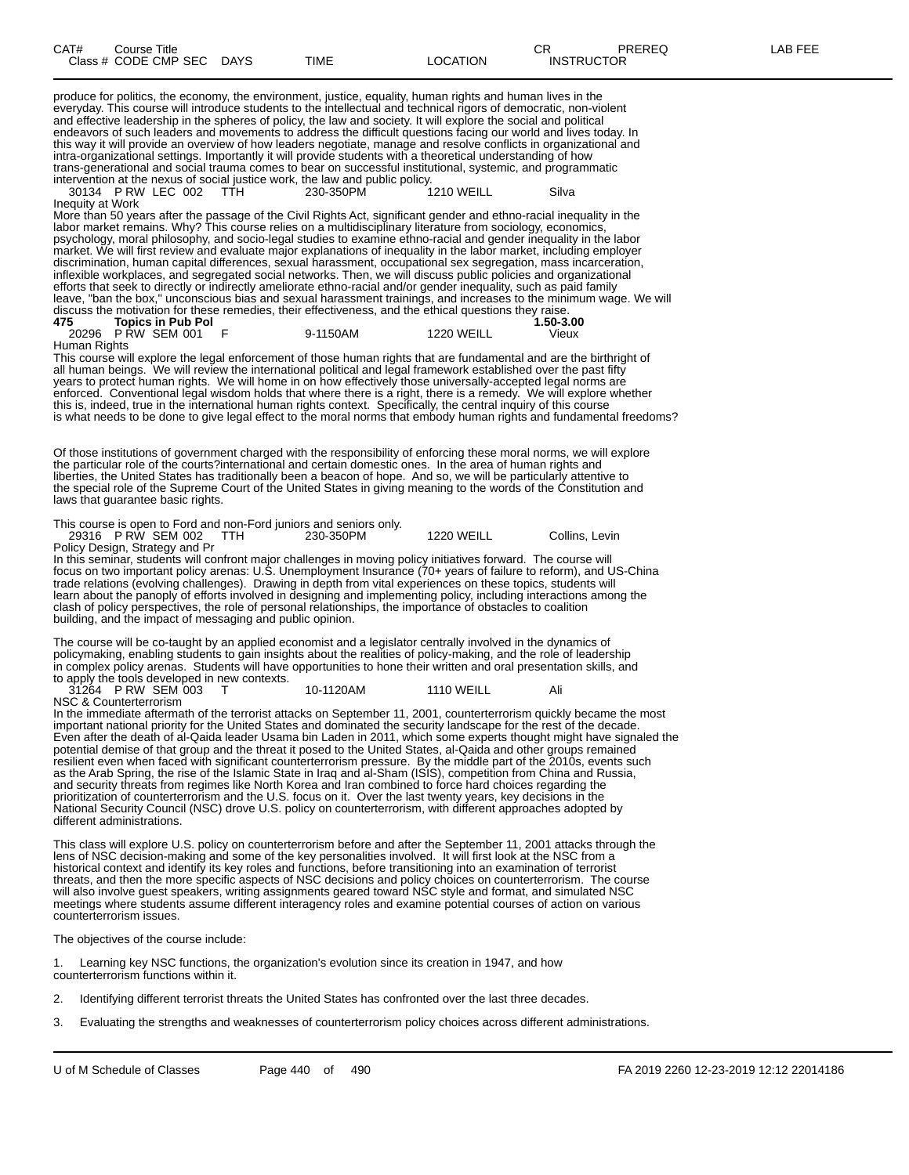| CAT# | Course Title<br>Class # CODE CMP SEC DAYS | TIME | LOCATION | $\cap$<br>U⊾<br><b>INSTRUCTOR</b> | PREREQ | <b>AB FEE</b> |
|------|-------------------------------------------|------|----------|-----------------------------------|--------|---------------|
|      |                                           |      |          |                                   |        |               |

produce for politics, the economy, the environment, justice, equality, human rights and human lives in the everyday. This course will introduce students to the intellectual and technical rigors of democratic, non-violent and effective leadership in the spheres of policy, the law and society. It will explore the social and political endeavors of such leaders and movements to address the difficult questions facing our world and lives today. In this way it will provide an overview of how leaders negotiate, manage and resolve conflicts in organizational and intra-organizational settings. Importantly it will provide students with a theoretical understanding of how trans-generational and social trauma comes to bear on successful institutional, systemic, and programmatic

intervention at the nexus of social justice work, the law and public policy. 30134 P RW LEC 002 TTH 230-350PM 1210 WEILL Silva Inequity at Work

More than 50 years after the passage of the Civil Rights Act, significant gender and ethno-racial inequality in the labor market remains. Why? This course relies on a multidisciplinary literature from sociology, economics, psychology, moral philosophy, and socio-legal studies to examine ethno-racial and gender inequality in the labor market. We will first review and evaluate major explanations of inequality in the labor market, including employer discrimination, human capital differences, sexual harassment, occupational sex segregation, mass incarceration, inflexible workplaces, and segregated social networks. Then, we will discuss public policies and organizational efforts that seek to directly or indirectly ameliorate ethno-racial and/or gender inequality, such as paid family leave, "ban the box," unconscious bias and sexual harassment trainings, and increases to the minimum wage. We will discuss the motivation for these remedies, their effectiveness, and the ethical questions they raise.<br>475 Topics in Pub Pol **175 Topics in Pub Pol** 

| ____         | .<br>20296 PRW SEM 001 | 9-1150AM | 1220 WEILL | --------<br>Vieux |
|--------------|------------------------|----------|------------|-------------------|
| Human Rights |                        |          |            |                   |

This course will explore the legal enforcement of those human rights that are fundamental and are the birthright of all human beings. We will review the international political and legal framework established over the past fifty years to protect human rights. We will home in on how effectively those universally-accepted legal norms are enforced. Conventional legal wisdom holds that where there is a right, there is a remedy. We will explore whether this is, indeed, true in the international human rights context. Specifically, the central inquiry of this course is what needs to be done to give legal effect to the moral norms that embody human rights and fundamental freedoms?

Of those institutions of government charged with the responsibility of enforcing these moral norms, we will explore the particular role of the courts?international and certain domestic ones. In the area of human rights and liberties, the United States has traditionally been a beacon of hope. And so, we will be particularly attentive to the special role of the Supreme Court of the United States in giving meaning to the words of the Constitution and laws that guarantee basic rights.

This course is open to Ford and non-Ford juniors and seniors only.

29316 P RW SEM 002 TTH 230-350PM 1220 WEILL Collins, Levin Policy Design, Strategy and Pr

In this seminar, students will confront major challenges in moving policy initiatives forward. The course will focus on two important policy arenas: U.S. Unemployment Insurance (70+ years of failure to reform), and US-China trade relations (evolving challenges). Drawing in depth from vital experiences on these topics, students will learn about the panoply of efforts involved in designing and implementing policy, including interactions among the clash of policy perspectives, the role of personal relationships, the importance of obstacles to coalition building, and the impact of messaging and public opinion.

The course will be co-taught by an applied economist and a legislator centrally involved in the dynamics of policymaking, enabling students to gain insights about the realities of policy-making, and the role of leadership in complex policy arenas. Students will have opportunities to hone their written and oral presentation skills, and to apply the tools developed in new contexts.

31264 P RW SEM 003 T 10-1120AM 1110 WEILL Ali NSC & Counterterrorism

In the immediate aftermath of the terrorist attacks on September 11, 2001, counterterrorism quickly became the most important national priority for the United States and dominated the security landscape for the rest of the decade. Even after the death of al-Qaida leader Usama bin Laden in 2011, which some experts thought might have signaled the potential demise of that group and the threat it posed to the United States, al-Qaida and other groups remained resilient even when faced with significant counterterrorism pressure. By the middle part of the 2010s, events such as the Arab Spring, the rise of the Islamic State in Iraq and al-Sham (ISIS), competition from China and Russia, and security threats from regimes like North Korea and Iran combined to force hard choices regarding the prioritization of counterterrorism and the U.S. focus on it. Over the last twenty years, key decisions in the National Security Council (NSC) drove U.S. policy on counterterrorism, with different approaches adopted by different administrations.

This class will explore U.S. policy on counterterrorism before and after the September 11, 2001 attacks through the lens of NSC decision-making and some of the key personalities involved. It will first look at the NSC from a historical context and identify its key roles and functions, before transitioning into an examination of terrorist threats, and then the more specific aspects of NSC decisions and policy choices on counterterrorism. The course will also involve guest speakers, writing assignments geared toward NSC style and format, and simulated NSC meetings where students assume different interagency roles and examine potential courses of action on various counterterrorism issues.

The objectives of the course include:

Learning key NSC functions, the organization's evolution since its creation in 1947, and how counterterrorism functions within it.

2. Identifying different terrorist threats the United States has confronted over the last three decades.

3. Evaluating the strengths and weaknesses of counterterrorism policy choices across different administrations.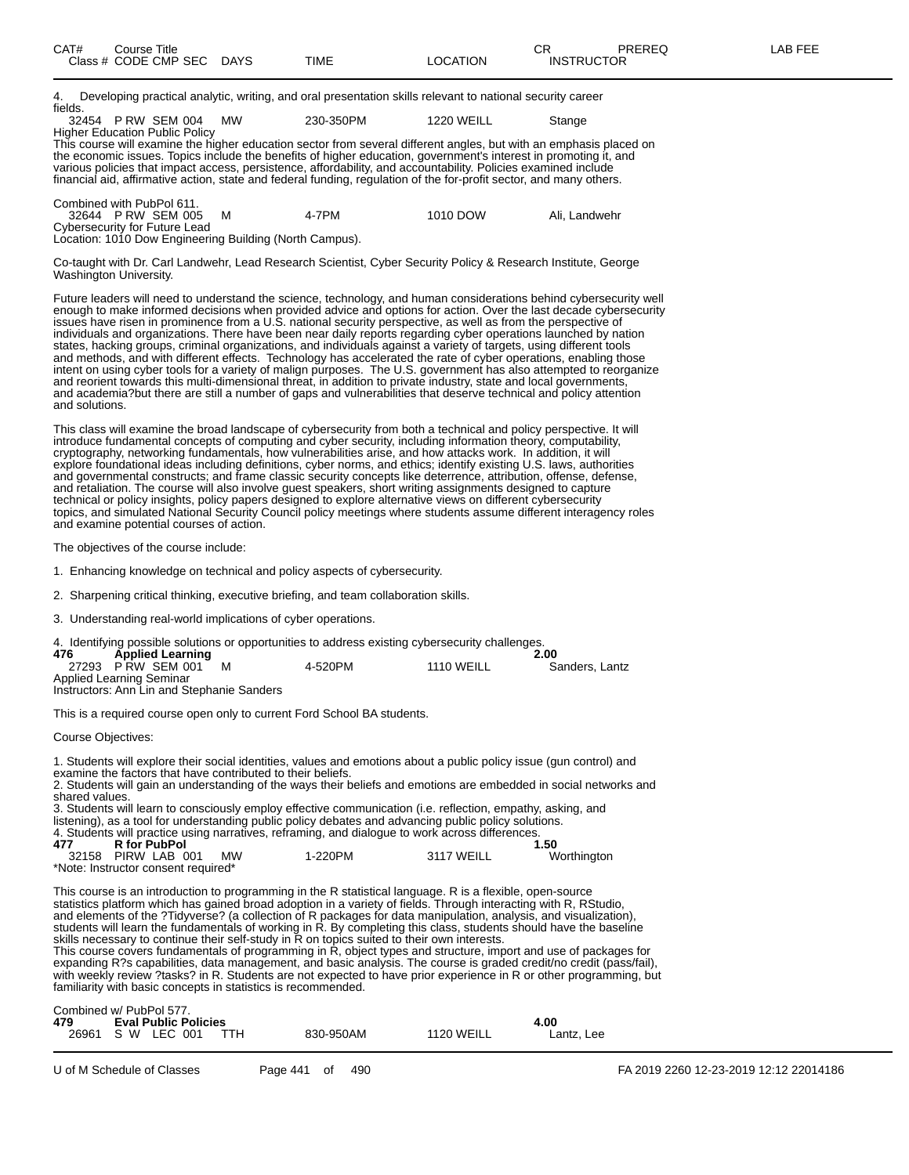4. Developing practical analytic, writing, and oral presentation skills relevant to national security career fields.

|  | 32454 P RW SEM 004             | MW | 230-350PM | 1220 WEILL | Stange |
|--|--------------------------------|----|-----------|------------|--------|
|  | Higher Education Public Policy |    |           |            |        |

This course will examine the higher education sector from several different angles, but with an emphasis placed on the economic issues. Topics include the benefits of higher education, government's interest in promoting it, and various policies that impact access, persistence, affordability, and accountability. Policies examined include financial aid, affirmative action, state and federal funding, regulation of the for-profit sector, and many others.

| Combined with PubPol 611.                               |  |       |          |               |  |  |  |  |  |  |
|---------------------------------------------------------|--|-------|----------|---------------|--|--|--|--|--|--|
| 32644 PRW SEM 005                                       |  | 4-7PM | 1010 DOW | Ali. Landwehr |  |  |  |  |  |  |
| Cybersecurity for Future Lead                           |  |       |          |               |  |  |  |  |  |  |
| Location: 1010 Dow Engineering Building (North Campus). |  |       |          |               |  |  |  |  |  |  |

Co-taught with Dr. Carl Landwehr, Lead Research Scientist, Cyber Security Policy & Research Institute, George Washington University.

Future leaders will need to understand the science, technology, and human considerations behind cybersecurity well enough to make informed decisions when provided advice and options for action. Over the last decade cybersecurity issues have risen in prominence from a U.S. national security perspective, as well as from the perspective of individuals and organizations. There have been near daily reports regarding cyber operations launched by nation states, hacking groups, criminal organizations, and individuals against a variety of targets, using different tools and methods, and with different effects. Technology has accelerated the rate of cyber operations, enabling those intent on using cyber tools for a variety of malign purposes. The U.S. government has also attempted to reorganize and reorient towards this multi-dimensional threat, in addition to private industry, state and local governments, and academia?but there are still a number of gaps and vulnerabilities that deserve technical and policy attention and solutions.

This class will examine the broad landscape of cybersecurity from both a technical and policy perspective. It will introduce fundamental concepts of computing and cyber security, including information theory, computability, cryptography, networking fundamentals, how vulnerabilities arise, and how attacks work. In addition, it will explore foundational ideas including definitions, cyber norms, and ethics; identify existing U.S. laws, authorities and governmental constructs; and frame classic security concepts like deterrence, attribution, offense, defense, and retaliation. The course will also involve guest speakers, short writing assignments designed to capture technical or policy insights, policy papers designed to explore alternative views on different cybersecurity topics, and simulated National Security Council policy meetings where students assume different interagency roles and examine potential courses of action.

The objectives of the course include:

1. Enhancing knowledge on technical and policy aspects of cybersecurity.

2. Sharpening critical thinking, executive briefing, and team collaboration skills.

3. Understanding real-world implications of cyber operations.

| 4. Identifying possible solutions or opportunities to address existing cybersecurity challenges. |                                            |  |         |                   |                |  |  |  |  |  |
|--------------------------------------------------------------------------------------------------|--------------------------------------------|--|---------|-------------------|----------------|--|--|--|--|--|
| 476                                                                                              | <b>Applied Learning</b>                    |  |         |                   | 2.00           |  |  |  |  |  |
|                                                                                                  | 27293 PRW SEM 001                          |  | 4-520PM | <b>1110 WEILL</b> | Sanders, Lantz |  |  |  |  |  |
| Applied Learning Seminar                                                                         |                                            |  |         |                   |                |  |  |  |  |  |
|                                                                                                  | Instructors: Ann Lin and Stephanie Sanders |  |         |                   |                |  |  |  |  |  |

This is a required course open only to current Ford School BA students.

Course Objectives:

1. Students will explore their social identities, values and emotions about a public policy issue (gun control) and examine the factors that have contributed to their beliefs. 2. Students will gain an understanding of the ways their beliefs and emotions are embedded in social networks and shared values. 3. Students will learn to consciously employ effective communication (i.e. reflection, empathy, asking, and listening), as a tool for understanding public policy debates and advancing public policy solutions. 4. Students will practice using narratives, reframing, and dialogue to work across differences.<br>150. 477 R for PubPol **477 R for PubPol 1.50** 32158 PIRW LAB 001 MW 1-220PM 3117 WEILL Worthington

\*Note: Instructor consent required\*

This course is an introduction to programming in the R statistical language. R is a flexible, open-source statistics platform which has gained broad adoption in a variety of fields. Through interacting with R, RStudio, and elements of the ?Tidyverse? (a collection of R packages for data manipulation, analysis, and visualization), students will learn the fundamentals of working in R. By completing this class, students should have the baseline skills necessary to continue their self-study in R on topics suited to their own interests. This course covers fundamentals of programming in R, object types and structure, import and use of packages for

expanding R?s capabilities, data management, and basic analysis. The course is graded credit/no credit (pass/fail), with weekly review ?tasks? in R. Students are not expected to have prior experience in R or other programming, but familiarity with basic concepts in statistics is recommended.

| Combined w/ PubPol 577. |                             |     |  |           |                   |            |  |  |  |  |
|-------------------------|-----------------------------|-----|--|-----------|-------------------|------------|--|--|--|--|
| 479                     | <b>Eval Public Policies</b> |     |  |           |                   | 4.00       |  |  |  |  |
| 26961                   | S W LEC 001                 | ттн |  | 830-950AM | <b>1120 WEILL</b> | Lantz. Lee |  |  |  |  |
|                         |                             |     |  |           |                   |            |  |  |  |  |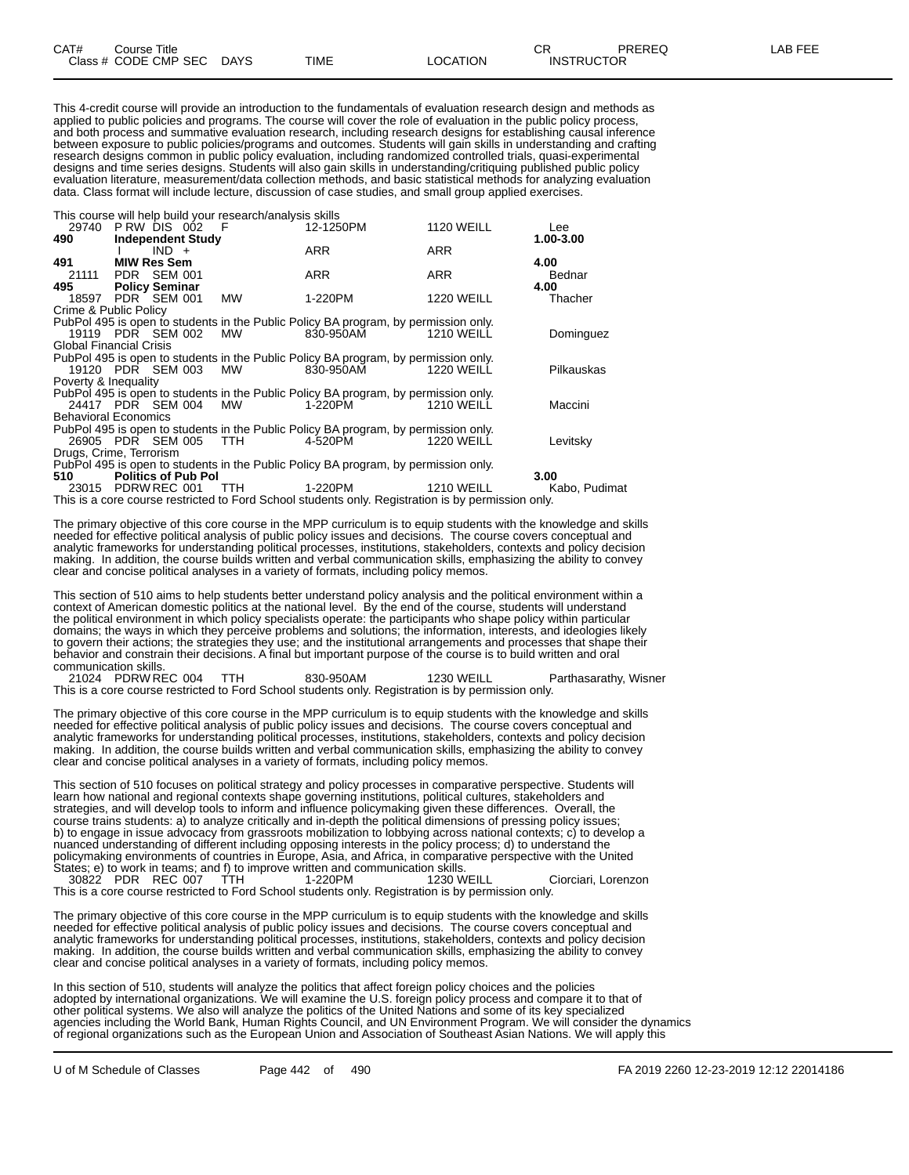This 4-credit course will provide an introduction to the fundamentals of evaluation research design and methods as applied to public policies and programs. The course will cover the role of evaluation in the public policy process, and both process and summative evaluation research, including research designs for establishing causal inference between exposure to public policies/programs and outcomes. Students will gain skills in understanding and crafting research designs common in public policy evaluation, including randomized controlled trials, quasi-experimental designs and time series designs. Students will also gain skills in understanding/critiquing published public policy evaluation literature, measurement/data collection methods, and basic statistical methods for analyzing evaluation data. Class format will include lecture, discussion of case studies, and small group applied exercises.

This course will help build your research/analysis skills

| 29740 PRW DIS 002 F            |                       |         |                            |           | 12-1250PM                                                                           | <b>1120 WEILL</b> | Lee        |
|--------------------------------|-----------------------|---------|----------------------------|-----------|-------------------------------------------------------------------------------------|-------------------|------------|
| 490                            |                       |         | <b>Independent Study</b>   |           |                                                                                     |                   | 1.00-3.00  |
|                                |                       | $IND +$ |                            |           | <b>ARR</b>                                                                          | ARR               |            |
| 491                            | <b>MIW Res Sem</b>    |         |                            |           |                                                                                     |                   | 4.00       |
| 21111                          | PDR SEM 001           |         |                            |           | <b>ARR</b>                                                                          | ARR               | Bednar     |
| 495                            | <b>Policy Seminar</b> |         |                            |           |                                                                                     |                   | 4.00       |
| 18597 PDR SEM 001              |                       |         |                            | MW        | 1-220PM                                                                             | <b>1220 WEILL</b> | Thacher    |
| Crime & Public Policy          |                       |         |                            |           |                                                                                     |                   |            |
|                                |                       |         |                            |           | PubPol 495 is open to students in the Public Policy BA program, by permission only. |                   |            |
| 19119 PDR SEM 002              |                       |         |                            | <b>MW</b> | 830-950AM                                                                           | <b>1210 WEILL</b> | Dominguez  |
| <b>Global Financial Crisis</b> |                       |         |                            |           |                                                                                     |                   |            |
|                                |                       |         |                            |           | PubPol 495 is open to students in the Public Policy BA program, by permission only. |                   |            |
| 19120 PDR SEM 003              |                       |         |                            | <b>MW</b> | 830-950AM                                                                           | <b>1220 WEILL</b> | Pilkauskas |
| Poverty & Inequality           |                       |         |                            |           |                                                                                     |                   |            |
|                                |                       |         |                            |           | PubPol 495 is open to students in the Public Policy BA program, by permission only. |                   |            |
| 24417 PDR SEM 004              |                       |         |                            | МW        | 1-220PM                                                                             | <b>1210 WEILL</b> | Maccini    |
| <b>Behavioral Economics</b>    |                       |         |                            |           |                                                                                     |                   |            |
|                                |                       |         |                            |           | PubPol 495 is open to students in the Public Policy BA program, by permission only. |                   |            |
| 26905 PDR SEM 005              |                       |         |                            | TTH.      | 4-520PM                                                                             | <b>1220 WEILL</b> | Levitsky   |
| Drugs, Crime, Terrorism        |                       |         |                            |           |                                                                                     |                   |            |
|                                |                       |         |                            |           | PubPol 495 is open to students in the Public Policy BA program, by permission only. |                   |            |
| 510                            |                       |         | <b>Politics of Pub Pol</b> |           |                                                                                     |                   | 3.00       |

23015 PDRW REC 001 TTH 1-220PM 1210 WEILL Kabo, Pudimat

This is a core course restricted to Ford School students only. Registration is by permission only.

The primary objective of this core course in the MPP curriculum is to equip students with the knowledge and skills needed for effective political analysis of public policy issues and decisions. The course covers conceptual and analytic frameworks for understanding political processes, institutions, stakeholders, contexts and policy decision making. In addition, the course builds written and verbal communication skills, emphasizing the ability to convey clear and concise political analyses in a variety of formats, including policy memos.

This section of 510 aims to help students better understand policy analysis and the political environment within a context of American domestic politics at the national level. By the end of the course, students will understand the political environment in which policy specialists operate: the participants who shape policy within particular domains; the ways in which they perceive problems and solutions; the information, interests, and ideologies likely to govern their actions; the strategies they use; and the institutional arrangements and processes that shape their behavior and constrain their decisions. A final but important purpose of the course is to build written and oral communication skills.

21024 PDRW REC 004 TTH 830-950AM 1230 WEILL Parthasarathy, Wisner This is a core course restricted to Ford School students only. Registration is by permission only.

The primary objective of this core course in the MPP curriculum is to equip students with the knowledge and skills needed for effective political analysis of public policy issues and decisions. The course covers conceptual and analytic frameworks for understanding political processes, institutions, stakeholders, contexts and policy decision making. In addition, the course builds written and verbal communication skills, emphasizing the ability to convey clear and concise political analyses in a variety of formats, including policy memos.

This section of 510 focuses on political strategy and policy processes in comparative perspective. Students will learn how national and regional contexts shape governing institutions, political cultures, stakeholders and strategies, and will develop tools to inform and influence policymaking given these differences. Overall, the course trains students: a) to analyze critically and in-depth the political dimensions of pressing policy issues; b) to engage in issue advocacy from grassroots mobilization to lobbying across national contexts; c) to develop a nuanced understanding of different including opposing interests in the policy process; d) to understand the policymaking environments of countries in Europe, Asia, and Africa, in comparative perspective with the United States; e) to work in teams; and f) to improve written and communication skills.

30822 PDR REC 007 TTH 1-220PM 1230 WEILL Ciorciari, Lorenzon This is a core course restricted to Ford School students only. Registration is by permission only.

The primary objective of this core course in the MPP curriculum is to equip students with the knowledge and skills needed for effective political analysis of public policy issues and decisions. The course covers conceptual and analytic frameworks for understanding political processes, institutions, stakeholders, contexts and policy decision making. In addition, the course builds written and verbal communication skills, emphasizing the ability to convey clear and concise political analyses in a variety of formats, including policy memos.

In this section of 510, students will analyze the politics that affect foreign policy choices and the policies adopted by international organizations. We will examine the U.S. foreign policy process and compare it to that of other political systems. We also will analyze the politics of the United Nations and some of its key specialized agencies including the World Bank, Human Rights Council, and UN Environment Program. We will consider the dynamics of regional organizations such as the European Union and Association of Southeast Asian Nations. We will apply this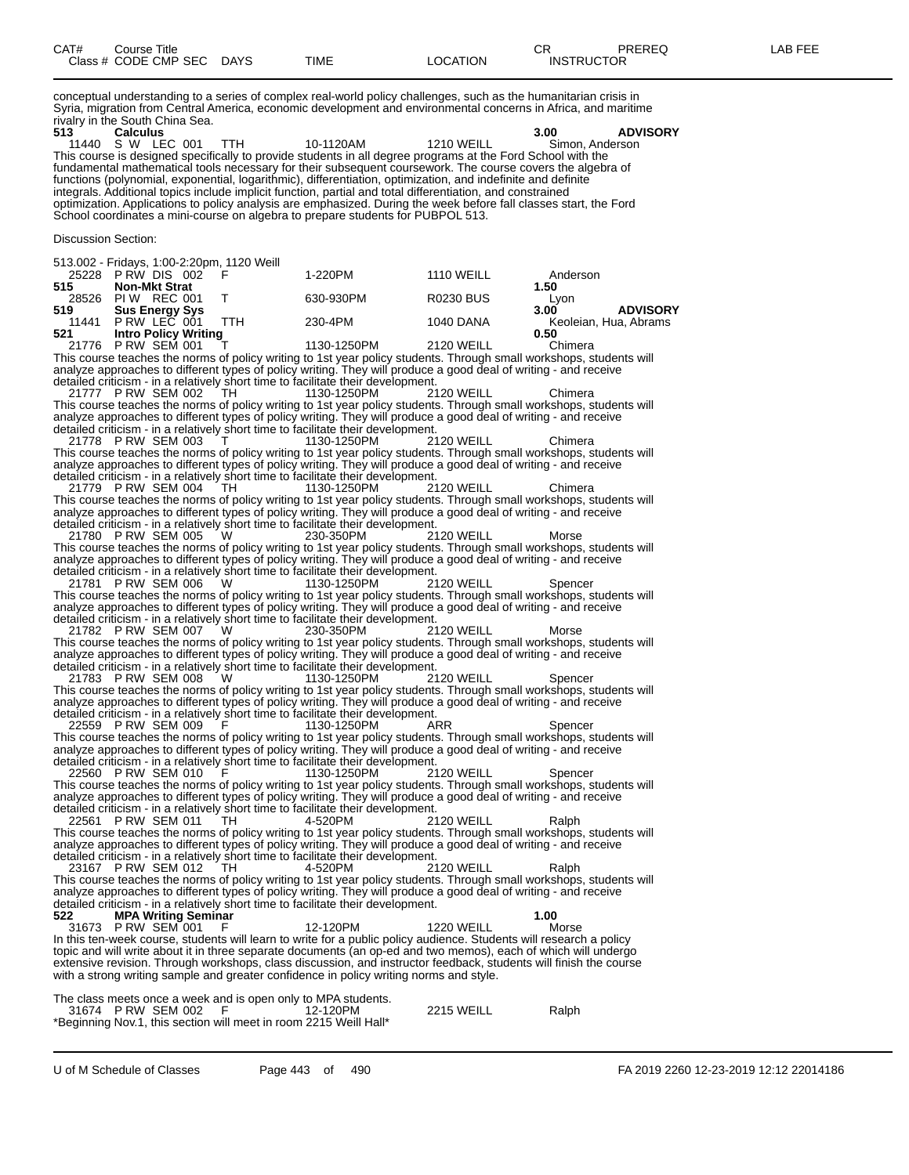| CAT# | Course Title         |             |             |          | ⌒冖<br>◡⊓          | PREREQ | _AB FEE |
|------|----------------------|-------------|-------------|----------|-------------------|--------|---------|
|      | Class # CODE CMP SEC | <b>DAYS</b> | <b>TIME</b> | ∟OCATION | <b>INSTRUCTOR</b> |        |         |

conceptual understanding to a series of complex real-world policy challenges, such as the humanitarian crisis in Syria, migration from Central America, economic development and environmental concerns in Africa, and maritime rivalry in the South China Sea.<br>513 **Calculus** 

**513 Calculus 3.00 ADVISORY** 11440 S W LEC 001 TTH 10-1120AM 1210 WEILL Simon, Anderson This course is designed specifically to provide students in all degree programs at the Ford School with the fundamental mathematical tools necessary for their subsequent coursework. The course covers the algebra of functions (polynomial, exponential, logarithmic), differentiation, optimization, and indefinite and definite integrals. Additional topics include implicit function, partial and total differentiation, and constrained optimization. Applications to policy analysis are emphasized. During the week before fall classes start, the Ford School coordinates a mini-course on algebra to prepare students for PUBPOL 513.

Discussion Section:

513.002 - Fridays, 1:00-2:20pm, 1120 Weill P RW DIS 002 F 1-220PM 1110 WEILL Anderson **Non-Mkt Strat 1.50** 28526 PIW REC 001 T 630-930PM R0230 BUS Lyong Bus Benergy Sys 630-930PM R0230 BUS 3.00 **519 Sus Energy Sys 11441** PRW LEC 001 TTH **230-4PM 1040 DANA Keoleian, Hua, Abrams**<br> **11441** PRW LEC 001 TTH 230-4PM **1040 DANA** Keoleian, Hua, Abrams<br> **1** Let **Intro Policy Writing** (106 ACCON) 2400 WELL **0.50**  P RW LEC 001 TTH 230-4PM 1040 DANA Keoleian, Hua, Abrams **Intro Policy Writing 0.50** P RW SEM 001 T 1130-1250PM 2120 WEILL Chimera

This course teaches the norms of policy writing to 1st year policy students. Through small workshops, students will analyze approaches to different types of policy writing. They will produce a good deal of writing - and receive detailed criticism - in a relatively short time to facilitate their development.

21777 P RW SEM 002 TH 1130-1250PM 2120 WEILL Chimera This course teaches the norms of policy writing to 1st year policy students. Through small workshops, students will analyze approaches to different types of policy writing. They will produce a good deal of writing - and receive detailed criticism - in a relatively short time to facilitate their development.

21778 P RW SEM 003 T 1130-1250PM 2120 WEILL Chimera This course teaches the norms of policy writing to 1st year policy students. Through small workshops, students will analyze approaches to different types of policy writing. They will produce a good deal of writing - and receive detailed criticism - in a relatively short time to facilitate their development.<br>21779 P RW SEM 004 TH 1130-1250PM 2120 WEILL

21779 P RW SEM 004 TH 1130-1250PM 2120 WEILL Chimera This course teaches the norms of policy writing to 1st year policy students. Through small workshops, students will analyze approaches to different types of policy writing. They will produce a good deal of writing - and receive detailed criticism - in a relatively short time to facilitate their development.

21780 P RW SEM 005 W 230-350PM 2120 WEILL Morse This course teaches the norms of policy writing to 1st year policy students. Through small workshops, students will analyze approaches to different types of policy writing. They will produce a good deal of writing - and receive detailed criticism - in a relatively short time to facilitate their development.

21781 P RW SEM 006 W 1130-1250PM 2120 WEILL Spencer This course teaches the norms of policy writing to 1st year policy students. Through small workshops, students will analyze approaches to different types of policy writing. They will produce a good deal of writing - and receive detailed criticism - in a relatively short time to facilitate their development.<br>21782 P RW SEM 007 W 230-350PM 2120 WEILL

21782 P RW SEM 007 W 230-350PM 2120 WEILL Morse This course teaches the norms of policy writing to 1st year policy students. Through small workshops, students will analyze approaches to different types of policy writing. They will produce a good deal of writing - and receive detailed criticism - in a relatively short time to facilitate their development.

21783 P RW SEM 008 W 1130-1250PM 2120 WEILL Spencer This course teaches the norms of policy writing to 1st year policy students. Through small workshops, students will analyze approaches to different types of policy writing. They will produce a good deal of writing - and receive detailed criticism - in a relatively short time to facilitate their development.

22559 P RW SEM 009 F 1130-1250PM ARR Spencer This course teaches the norms of policy writing to 1st year policy students. Through small workshops, students will analyze approaches to different types of policy writing. They will produce a good deal of writing - and receive detailed criticism - in a relatively short time to facilitate their development.

22560 P RW SEM 010 F 1130-1250PM 2120 WEILL Spencer This course teaches the norms of policy writing to 1st year policy students. Through small workshops, students will<br>analyze approaches to different types of policy writing. They will produce a good deal of writing - and re

22561 P RW SEM 011 TH 4-520PM 2120 WEILL Ralph This course teaches the norms of policy writing to 1st year policy students. Through small workshops, students will analyze approaches to different types of policy writing. They will produce a good deal of writing - and receive detailed criticism - in a relatively short time to facilitate their development.

23167 P RW SEM 012 TH 4-520PM 2120 WEILL Ralph This course teaches the norms of policy writing to 1st year policy students. Through small workshops, students will analyze approaches to different types of policy writing. They will produce a good deal of writing - and receive detailed criticism - in a relatively short time to facilitate their development. **522 MPA Writing Seminar 1.00**

31673 P RW SEM 001 F 12-120PM 1220 WEILL Morse In this ten-week course, students will learn to write for a public policy audience. Students will research a policy topic and will write about it in three separate documents (an op-ed and two memos), each of which will undergo extensive revision. Through workshops, class discussion, and instructor feedback, students will finish the course with a strong writing sample and greater confidence in policy writing norms and style.

The class meets once a week and is open only to MPA students.

|  | 31674 PRW SEM 002 F | 12-120PM                                                          | <b>2215 WEILL</b> | Ralph |
|--|---------------------|-------------------------------------------------------------------|-------------------|-------|
|  |                     | *Beginning Nov.1, this section will meet in room 2215 Weill Hall* |                   |       |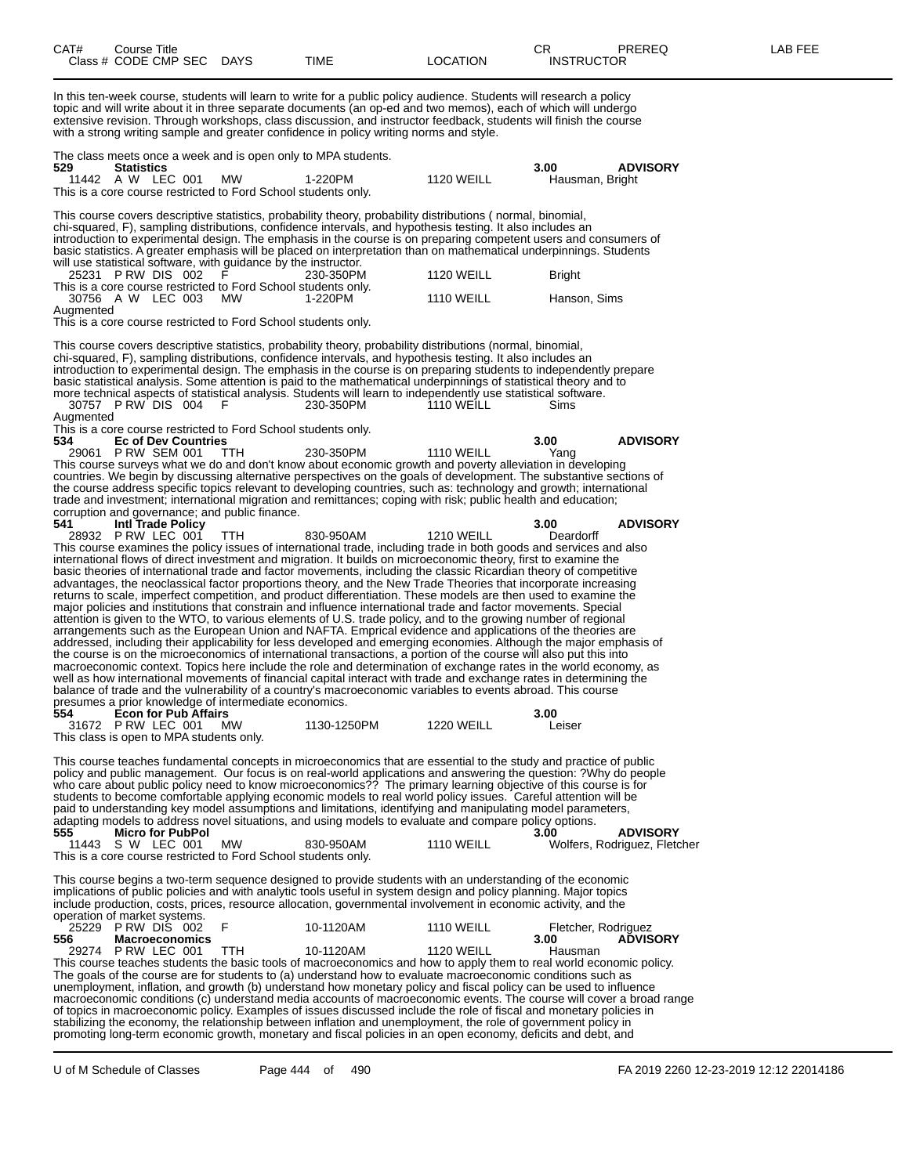| CAT#                                            | Course Title      | Class # CODE CMP SEC DAYS                         |           |                                                                 | TIME                                                                                                                                                                                                                                                                                                                                                                                                                                                                                                                                                                                                                                                                                                                                                                                                                                                                                                                                                                                                                                                                                                                                                                                                                                                                                                                                                                                                                                                                                                                                                  | <b>LOCATION</b>   | CR<br><b>INSTRUCTOR</b> | <b>PREREQ</b>                                   | LAB FEE |
|-------------------------------------------------|-------------------|---------------------------------------------------|-----------|-----------------------------------------------------------------|-------------------------------------------------------------------------------------------------------------------------------------------------------------------------------------------------------------------------------------------------------------------------------------------------------------------------------------------------------------------------------------------------------------------------------------------------------------------------------------------------------------------------------------------------------------------------------------------------------------------------------------------------------------------------------------------------------------------------------------------------------------------------------------------------------------------------------------------------------------------------------------------------------------------------------------------------------------------------------------------------------------------------------------------------------------------------------------------------------------------------------------------------------------------------------------------------------------------------------------------------------------------------------------------------------------------------------------------------------------------------------------------------------------------------------------------------------------------------------------------------------------------------------------------------------|-------------------|-------------------------|-------------------------------------------------|---------|
|                                                 |                   |                                                   |           |                                                                 | In this ten-week course, students will learn to write for a public policy audience. Students will research a policy<br>topic and will write about it in three separate documents (an op-ed and two memos), each of which will undergo<br>extensive revision. Through workshops, class discussion, and instructor feedback, students will finish the course<br>with a strong writing sample and greater confidence in policy writing norms and style.                                                                                                                                                                                                                                                                                                                                                                                                                                                                                                                                                                                                                                                                                                                                                                                                                                                                                                                                                                                                                                                                                                  |                   |                         |                                                 |         |
| 529                                             | <b>Statistics</b> | 11442 A W LEC 001                                 | МW        | This is a core course restricted to Ford School students only.  | The class meets once a week and is open only to MPA students.<br>1-220PM                                                                                                                                                                                                                                                                                                                                                                                                                                                                                                                                                                                                                                                                                                                                                                                                                                                                                                                                                                                                                                                                                                                                                                                                                                                                                                                                                                                                                                                                              | <b>1120 WEILL</b> | 3.00<br>Hausman, Bright | <b>ADVISORY</b>                                 |         |
|                                                 |                   |                                                   |           |                                                                 | This course covers descriptive statistics, probability theory, probability distributions (normal, binomial,<br>chi-squared, F), sampling distributions, confidence intervals, and hypothesis testing. It also includes an<br>introduction to experimental design. The emphasis in the course is on preparing competent users and consumers of<br>basic statistics. A greater emphasis will be placed on interpretation than on mathematical underpinnings. Students                                                                                                                                                                                                                                                                                                                                                                                                                                                                                                                                                                                                                                                                                                                                                                                                                                                                                                                                                                                                                                                                                   |                   |                         |                                                 |         |
|                                                 |                   | 25231 PRW DIS 002                                 |           | will use statistical software, with guidance by the instructor. | 230-350PM                                                                                                                                                                                                                                                                                                                                                                                                                                                                                                                                                                                                                                                                                                                                                                                                                                                                                                                                                                                                                                                                                                                                                                                                                                                                                                                                                                                                                                                                                                                                             | <b>1120 WEILL</b> | <b>Bright</b>           |                                                 |         |
|                                                 |                   | 30756 A W LEC 003                                 | MW        | This is a core course restricted to Ford School students only.  | 1-220PM                                                                                                                                                                                                                                                                                                                                                                                                                                                                                                                                                                                                                                                                                                                                                                                                                                                                                                                                                                                                                                                                                                                                                                                                                                                                                                                                                                                                                                                                                                                                               | <b>1110 WEILL</b> | Hanson, Sims            |                                                 |         |
| Augmented                                       |                   |                                                   |           | This is a core course restricted to Ford School students only.  |                                                                                                                                                                                                                                                                                                                                                                                                                                                                                                                                                                                                                                                                                                                                                                                                                                                                                                                                                                                                                                                                                                                                                                                                                                                                                                                                                                                                                                                                                                                                                       |                   |                         |                                                 |         |
| Augmented                                       |                   | 30757 PRW DIS 004 F                               |           |                                                                 | This course covers descriptive statistics, probability theory, probability distributions (normal, binomial,<br>chi-squared, F), sampling distributions, confidence intervals, and hypothesis testing. It also includes an<br>introduction to experimental design. The emphasis in the course is on preparing students to independently prepare<br>basic statistical analysis. Some attention is paid to the mathematical underpinnings of statistical theory and to<br>more technical aspects of statistical analysis. Students will learn to independently use statistical software.<br>230-350PM                                                                                                                                                                                                                                                                                                                                                                                                                                                                                                                                                                                                                                                                                                                                                                                                                                                                                                                                                    | <b>1110 WEILL</b> | Sims                    |                                                 |         |
|                                                 |                   |                                                   |           | This is a core course restricted to Ford School students only.  |                                                                                                                                                                                                                                                                                                                                                                                                                                                                                                                                                                                                                                                                                                                                                                                                                                                                                                                                                                                                                                                                                                                                                                                                                                                                                                                                                                                                                                                                                                                                                       |                   |                         |                                                 |         |
| 534                                             |                   | <b>Ec of Dev Countries</b><br>29061 P RW SEM 001  | TTH       |                                                                 | 230-350PM                                                                                                                                                                                                                                                                                                                                                                                                                                                                                                                                                                                                                                                                                                                                                                                                                                                                                                                                                                                                                                                                                                                                                                                                                                                                                                                                                                                                                                                                                                                                             | <b>1110 WEILL</b> | 3.00<br>Yang            | <b>ADVISORY</b>                                 |         |
|                                                 |                   |                                                   |           | corruption and governance; and public finance.                  | This course surveys what we do and don't know about economic growth and poverty alleviation in developing<br>countries. We begin by discussing alternative perspectives on the goals of development. The substantive sections of<br>the course address specific topics relevant to developing countries, such as: technology and growth; international<br>trade and investment; international migration and remittances; coping with risk; public health and education;                                                                                                                                                                                                                                                                                                                                                                                                                                                                                                                                                                                                                                                                                                                                                                                                                                                                                                                                                                                                                                                                               |                   |                         |                                                 |         |
| 541                                             |                   | <b>Intl Trade Policy</b><br>28932 P RW LEC 001    | TTH       |                                                                 | 830-950AM                                                                                                                                                                                                                                                                                                                                                                                                                                                                                                                                                                                                                                                                                                                                                                                                                                                                                                                                                                                                                                                                                                                                                                                                                                                                                                                                                                                                                                                                                                                                             | <b>1210 WEILL</b> | 3.00<br>Deardorff       | <b>ADVISORY</b>                                 |         |
|                                                 |                   |                                                   |           | presumes a prior knowledge of intermediate economics.           | This course examines the policy issues of international trade, including trade in both goods and services and also<br>international flows of direct investment and migration. It builds on microeconomic theory, first to examine the<br>basic theories of international trade and factor movements, including the classic Ricardian theory of competitive<br>advantages, the neoclassical factor proportions theory, and the New Trade Theories that incorporate increasing<br>returns to scale, imperfect competition, and product differentiation. These models are then used to examine the<br>major policies and institutions that constrain and influence international trade and factor movements. Special<br>attention is given to the WTO, to various elements of U.S. trade policy, and to the growing number of regional<br>arrangements such as the European Union and NAFTA. Emprical evidence and applications of the theories are<br>addressed, including their applicability for less developed and emerging economies. Although the major emphasis of<br>the course is on the microeconomics of international transactions, a portion of the course will also put this into<br>macroeconomic context. Topics here include the role and determination of exchange rates in the world economy, as<br>well as how international movements of financial capital interact with trade and exchange rates in determining the<br>balance of trade and the vulnerability of a country's macroeconomic variables to events abroad. This course |                   |                         |                                                 |         |
| 554<br>This class is open to MPA students only. |                   | <b>Econ for Pub Affairs</b><br>31672 P RW LEC 001 | <b>MW</b> |                                                                 | 1130-1250PM                                                                                                                                                                                                                                                                                                                                                                                                                                                                                                                                                                                                                                                                                                                                                                                                                                                                                                                                                                                                                                                                                                                                                                                                                                                                                                                                                                                                                                                                                                                                           | <b>1220 WEILL</b> | 3.00<br>Leiser          |                                                 |         |
|                                                 |                   |                                                   |           |                                                                 | This course teaches fundamental concepts in microeconomics that are essential to the study and practice of public<br>policy and public management. Our focus is on real-world applications and answering the question: ?Why do people<br>who care about public policy need to know microeconomics?? The primary learning objective of this course is for<br>students to become comfortable applying economic models to real world policy issues. Careful attention will be<br>paid to understanding key model assumptions and limitations, identifying and manipulating model parameters,<br>adapting models to address novel situations, and using models to evaluate and compare policy options.                                                                                                                                                                                                                                                                                                                                                                                                                                                                                                                                                                                                                                                                                                                                                                                                                                                    |                   |                         |                                                 |         |
| 555                                             |                   | <b>Micro for PubPol</b><br>11443 S W LEC 001      | MW        | This is a core course restricted to Ford School students only.  | 830-950AM                                                                                                                                                                                                                                                                                                                                                                                                                                                                                                                                                                                                                                                                                                                                                                                                                                                                                                                                                                                                                                                                                                                                                                                                                                                                                                                                                                                                                                                                                                                                             | <b>1110 WEILL</b> | 3.00                    | <b>ADVISORY</b><br>Wolfers, Rodriguez, Fletcher |         |
|                                                 |                   |                                                   |           |                                                                 | This course begins a two-term sequence designed to provide students with an understanding of the economic<br>implications of public policies and with analytic tools useful in system design and policy planning. Major topics<br>include production, costs, prices, resource allocation, governmental involvement in economic activity, and the                                                                                                                                                                                                                                                                                                                                                                                                                                                                                                                                                                                                                                                                                                                                                                                                                                                                                                                                                                                                                                                                                                                                                                                                      |                   |                         |                                                 |         |
| operation of market systems.                    |                   | 25229 PRW DIS 002                                 | F         |                                                                 | 10-1120AM                                                                                                                                                                                                                                                                                                                                                                                                                                                                                                                                                                                                                                                                                                                                                                                                                                                                                                                                                                                                                                                                                                                                                                                                                                                                                                                                                                                                                                                                                                                                             | <b>1110 WEILL</b> | Fletcher, Rodriguez     |                                                 |         |
| 556                                             |                   | <b>Macroeconomics</b><br>29274 P RW LEC 001       | TTH       |                                                                 | 10-1120AM<br>This course teaches students the basic tools of macroeconomics and how to apply them to real world economic policy.<br>The goals of the course are for students to (a) understand how to evaluate macroeconomic conditions such as                                                                                                                                                                                                                                                                                                                                                                                                                                                                                                                                                                                                                                                                                                                                                                                                                                                                                                                                                                                                                                                                                                                                                                                                                                                                                                       | <b>1120 WEILL</b> | 3.00<br>Hausman         | <b>ADVISORY</b>                                 |         |
|                                                 |                   |                                                   |           |                                                                 | unemployment, inflation, and growth (b) understand how monetary policy and fiscal policy can be used to influence<br>macroeconomic conditions (c) understand media accounts of macroeconomic events. The course will cover a broad range                                                                                                                                                                                                                                                                                                                                                                                                                                                                                                                                                                                                                                                                                                                                                                                                                                                                                                                                                                                                                                                                                                                                                                                                                                                                                                              |                   |                         |                                                 |         |
|                                                 |                   |                                                   |           |                                                                 | of topics in macroeconomic policy. Examples of issues discussed include the role of fiscal and monetary policies in<br>stabilizing the economy, the relationship between inflation and unemployment, the role of government policy in<br>promoting long-term economic growth, monetary and fiscal policies in an open economy, deficits and debt, and                                                                                                                                                                                                                                                                                                                                                                                                                                                                                                                                                                                                                                                                                                                                                                                                                                                                                                                                                                                                                                                                                                                                                                                                 |                   |                         |                                                 |         |

U of M Schedule of Classes Page 444 of 490 FA 2019 2260 12-23-2019 12:12 22014186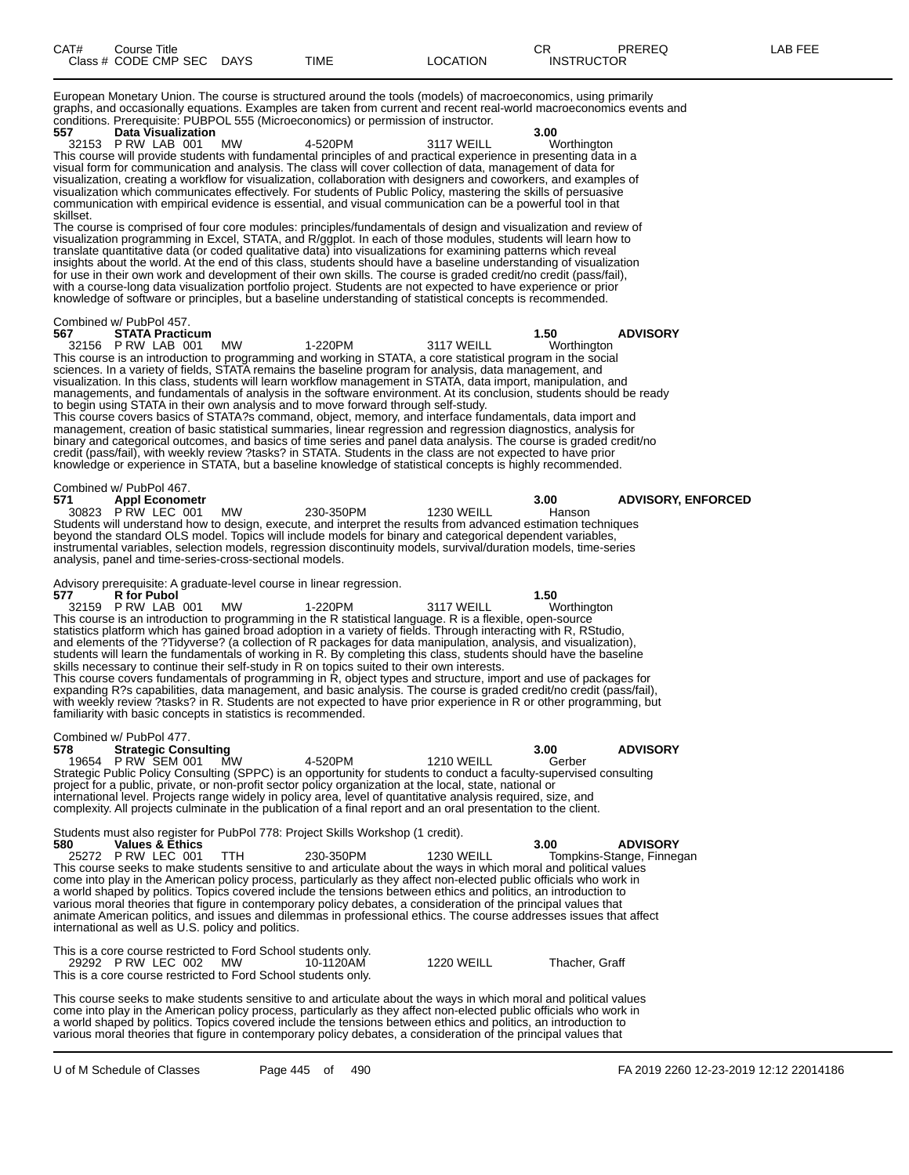European Monetary Union. The course is structured around the tools (models) of macroeconomics, using primarily graphs, and occasionally equations. Examples are taken from current and recent real-world macroeconomics events and conditions. Prerequisite: PUBPOL 555 (Microeconomics) or permission of instructor.<br>557 Data Visualization **557 Data Visualization 3.00**

32153 P RW LAB 001 MW 4-520PM 3117 WEILL Worthington This course will provide students with fundamental principles of and practical experience in presenting data in a visual form for communication and analysis. The class will cover collection of data, management of data for visualization, creating a workflow for visualization, collaboration with designers and coworkers, and examples of visualization which communicates effectively. For students of Public Policy, mastering the skills of persuasive communication with empirical evidence is essential, and visual communication can be a powerful tool in that skillset.

The course is comprised of four core modules: principles/fundamentals of design and visualization and review of visualization programming in Excel, STATA, and R/ggplot. In each of those modules, students will learn how to translate quantitative data (or coded qualitative data) into visualizations for examining patterns which reveal insights about the world. At the end of this class, students should have a baseline understanding of visualization for use in their own work and development of their own skills. The course is graded credit/no credit (pass/fail), with a course-long data visualization portfolio project. Students are not expected to have experience or prior knowledge of software or principles, but a baseline understanding of statistical concepts is recommended.

#### Combined w/ PubPol 457.

**567 STATA Practicum 1.50 ADVISORY** 32156 P RW LAB 001 MW 1-220PM 3117 WEILL Worthington This course is an introduction to programming and working in STATA, a core statistical program in the social sciences. In a variety of fields, STATA remains the baseline program for analysis, data management, and visualization. In this class, students will learn workflow management in STATA, data import, manipulation, and managements, and fundamentals of analysis in the software environment. At its conclusion, students should be ready to begin using STATA in their own analysis and to move forward through self-study. This course covers basics of STATA?s command, object, memory, and interface fundamentals, data import and management, creation of basic statistical summaries, linear regression and regression diagnostics, analysis for binary and categorical outcomes, and basics of time series and panel data analysis. The course is graded credit/no credit (pass/fail), with weekly review ?tasks? in STATA. Students in the class are not expected to have prior knowledge or experience in STATA, but a baseline knowledge of statistical concepts is highly recommended.

Combined w/ PubPol 467.<br>571 **Appl Econom 571 Appl Econometr 3.00 ADVISORY, ENFORCED** 30823 P RW LEC 001 MW 230-350PM 1230 WEILL Hanson Students will understand how to design, execute, and interpret the results from advanced estimation techniques beyond the standard OLS model. Topics will include models for binary and categorical dependent variables, instrumental variables, selection models, regression discontinuity models, survival/duration models, time-series analysis, panel and time-series-cross-sectional models.

#### Advisory prerequisite: A graduate-level course in linear regression.<br>577 R for Pubol

**577 R** for Pubol **1.50**<br> **1.50**<br> **52159** P RW LAB 001 MW **1-220PM** 3117 WEILL Worthington 32159 P RW LAB 001 MW 1-220PM 3117 WEILL Worthington This course is an introduction to programming in the R statistical language. R is a flexible, open-source statistics platform which has gained broad adoption in a variety of fields. Through interacting with R, RStudio, and elements of the ?Tidyverse? (a collection of R packages for data manipulation, analysis, and visualization), students will learn the fundamentals of working in R. By completing this class, students should have the baseline skills necessary to continue their self-study in R on topics suited to their own interests. This course covers fundamentals of programming in R, object types and structure, import and use of packages for expanding R?s capabilities, data management, and basic analysis. The course is graded credit/no credit (pass/fail),

with weekly review ?tasks? in R. Students are not expected to have prior experience in R or other programming, but familiarity with basic concepts in statistics is recommended.

|     | Combined w/ PubPol 477.     |    |         |                                                                                                                     |        |                 |
|-----|-----------------------------|----|---------|---------------------------------------------------------------------------------------------------------------------|--------|-----------------|
| 578 | <b>Strategic Consulting</b> |    |         |                                                                                                                     | 3.00   | <b>ADVISORY</b> |
|     | 19654 P RW SEM 001          | MW | 4-520PM | <b>1210 WEILL</b>                                                                                                   | Gerber |                 |
|     |                             |    |         | Strategic Public Policy Consulting (SPPC) is an opportunity for students to conduct a faculty-supervised consulting |        |                 |
|     |                             |    |         | project for a public, private, or non-profit sector policy organization at the local, state, national or            |        |                 |
|     |                             |    |         | international level. Projects range widely in policy area, level of quantitative analysis required, size, and       |        |                 |
|     |                             |    |         | complexity. All projects culminate in the publication of a final report and an oral presentation to the client.     |        |                 |
|     |                             |    |         |                                                                                                                     |        |                 |

Students must also register for PubPol 778: Project Skills Workshop (1 credit).

| 580 | <b>Values &amp; Ethics</b> |                                                    |           |                                                                                                                     | 3.00 | <b>ADVISORY</b>           |
|-----|----------------------------|----------------------------------------------------|-----------|---------------------------------------------------------------------------------------------------------------------|------|---------------------------|
|     | 25272 PRW LEC 001 TTH      |                                                    | 230-350PM | 1230 WEILL                                                                                                          |      | Tompkins-Stange, Finnegan |
|     |                            |                                                    |           | This course seeks to make students sensitive to and articulate about the ways in which moral and political values   |      |                           |
|     |                            |                                                    |           | come into play in the American policy process, particularly as they affect non-elected public officials who work in |      |                           |
|     |                            |                                                    |           | a world shaped by politics. Topics covered include the tensions between ethics and politics, an introduction to     |      |                           |
|     |                            |                                                    |           | various moral theories that figure in contemporary policy debates, a consideration of the principal values that     |      |                           |
|     |                            |                                                    |           | animate American politics, and issues and dilemmas in professional ethics. The course addresses issues that affect  |      |                           |
|     |                            | international as well as U.S. policy and politics. |           |                                                                                                                     |      |                           |
|     |                            |                                                    |           |                                                                                                                     |      |                           |

| This is a core course restricted to Ford School students only. |           |            |                |
|----------------------------------------------------------------|-----------|------------|----------------|
| 29292 PRW LEC 002 MW                                           | 10-1120AM | 1220 WEILL | Thacher, Graff |
| This is a core course restricted to Ford School students only. |           |            |                |

This course seeks to make students sensitive to and articulate about the ways in which moral and political values come into play in the American policy process, particularly as they affect non-elected public officials who work in a world shaped by politics. Topics covered include the tensions between ethics and politics, an introduction to various moral theories that figure in contemporary policy debates, a consideration of the principal values that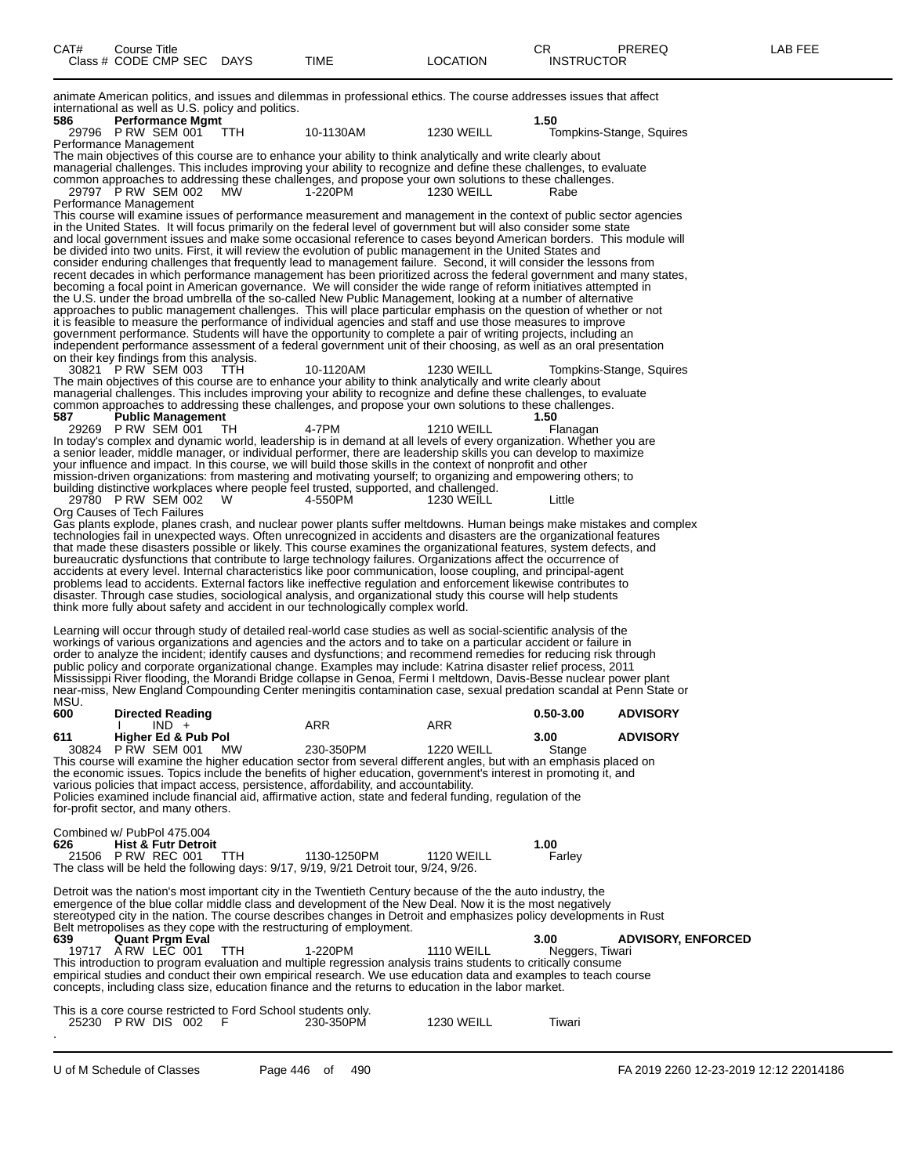| CAT# | ourse Titleٽ         |             |      |          | $\cap$<br>- UN    | PREREQ | _AB FEE |
|------|----------------------|-------------|------|----------|-------------------|--------|---------|
|      | Class # CODE CMP SEC | <b>DAYS</b> | TIME | LOCATION | <b>INSTRUCTOR</b> |        |         |
|      |                      |             |      |          |                   |        |         |

animate American politics, and issues and dilemmas in professional ethics. The course addresses issues that affect international as well as U.S. policy and politics.

**586 Performance Mgmt 1.50** Tompkins-Stange, Squires Performance Management The main objectives of this course are to enhance your ability to think analytically and write clearly about managerial challenges. This includes improving your ability to recognize and define these challenges, to evaluate common approaches to addressing these challenges, and propose your own solutions to these challenges. 29797 P RW SEM 002 MW 1-220PM 1230 WEILL Rabe Performance Management This course will examine issues of performance measurement and management in the context of public sector agencies in the United States. It will focus primarily on the federal level of government but will also consider some state and local government issues and make some occasional reference to cases beyond American borders. This module will be divided into two units. First, it will review the evolution of public management in the United States and consider enduring challenges that frequently lead to management failure. Second, it will consider the lessons from recent decades in which performance management has been prioritized across the federal government and many states, becoming a focal point in American governance. We will consider the wide range of reform initiatives attempted in the U.S. under the broad umbrella of the so-called New Public Management, looking at a number of alternative approaches to public management challenges. This will place particular emphasis on the question of whether or not it is feasible to measure the performance of individual agencies and staff and use those measures to improve government performance. Students will have the opportunity to complete a pair of writing projects, including an independent performance assessment of a federal government unit of their choosing, as well as an oral presentation on their key findings from this analysis. 30821 P RW SEM 003 TTH 10-1120AM 1230 WEILL Tompkins-Stange, Squires The main objectives of this course are to enhance your ability to think analytically and write clearly about managerial challenges. This includes improving your ability to recognize and define these challenges, to evaluate common approaches to addressing these challenges, and propose your own solutions to these challenges.<br>587 Public Management **587 Public Management 1.50** 29269 P RW SEM 001 TH 4-7PM 1210 WEILL Flanagan In today's complex and dynamic world, leadership is in demand at all levels of every organization. Whether you are a senior leader, middle manager, or individual performer, there are leadership skills you can develop to maximize your influence and impact. In this course, we will build those skills in the context of nonprofit and other mission-driven organizations: from mastering and motivating yourself; to organizing and empowering others; to building distinctive workplaces where people feel trusted, supported, and challenged. 29780 P RW SEM 002 W 4-550PM 1230 WEILL Little Org Causes of Tech Failures Gas plants explode, planes crash, and nuclear power plants suffer meltdowns. Human beings make mistakes and complex technologies fail in unexpected ways. Often unrecognized in accidents and disasters are the organizational features that made these disasters possible or likely. This course examines the organizational features, system defects, and bureaucratic dysfunctions that contribute to large technology failures. Organizations affect the occurrence of accidents at every level. Internal characteristics like poor communication, loose coupling, and principal-agent problems lead to accidents. External factors like ineffective regulation and enforcement likewise contributes to disaster. Through case studies, sociological analysis, and organizational study this course will help students think more fully about safety and accident in our technologically complex world. Learning will occur through study of detailed real-world case studies as well as social-scientific analysis of the workings of various organizations and agencies and the actors and to take on a particular accident or failure in order to analyze the incident; identify causes and dysfunctions; and recommend remedies for reducing risk through public policy and corporate organizational change. Examples may include: Katrina disaster relief process, 2011 Mississippi River flooding, the Morandi Bridge collapse in Genoa, Fermi I meltdown, Davis-Besse nuclear power plant near-miss, New England Compounding Center meningitis contamination case, sexual predation scandal at Penn State or **MSU.**<br>600 **600 Directed Reading 0.50-3.00 ADVISORY** I IND + ARR ARR ARR **611 Higher Ed & Pub Pol 3.00 ADVISORY** 30824 P RW SEM 001 MW 230-350PM 1220 WEILL Stange This course will examine the higher education sector from several different angles, but with an emphasis placed on the economic issues. Topics include the benefits of higher education, government's interest in promoting it, and various policies that impact access, persistence, affordability, and accountability. Policies examined include financial aid, affirmative action, state and federal funding, regulation of the for-profit sector, and many others. Combined w/ PubPol 475.004<br>626 Hist & Futr Detro **626 Hist & Futr Detroit 1.00** 21506 P RW REC 001 TTH 1130-1250PM 1120 WEILL Farley The class will be held the following days: 9/17, 9/19, 9/21 Detroit tour, 9/24, 9/26. Detroit was the nation's most important city in the Twentieth Century because of the the auto industry, the emergence of the blue collar middle class and development of the New Deal. Now it is the most negatively stereotyped city in the nation. The course describes changes in Detroit and emphasizes policy developments in Rust Belt metropolises as they cope with the restructuring of employment.<br>639 **Quant Prgm Eval 639 Quant Prgm Eval 3.00 ADVISORY, ENFORCED** 19717 A RW LEC 001 TTH 1-220PM 1110 WEILL Neggers, Tiwari This introduction to program evaluation and multiple regression analysis trains students to critically consume empirical studies and conduct their own empirical research. We use education data and examples to teach course concepts, including class size, education finance and the returns to education in the labor market. This is a core course restricted to Ford School students only.<br>25230 P RW DIS 002 F 230-350PM 25230 P RW DIS 002 F 230-350PM 1230 WEILL Tiwari

.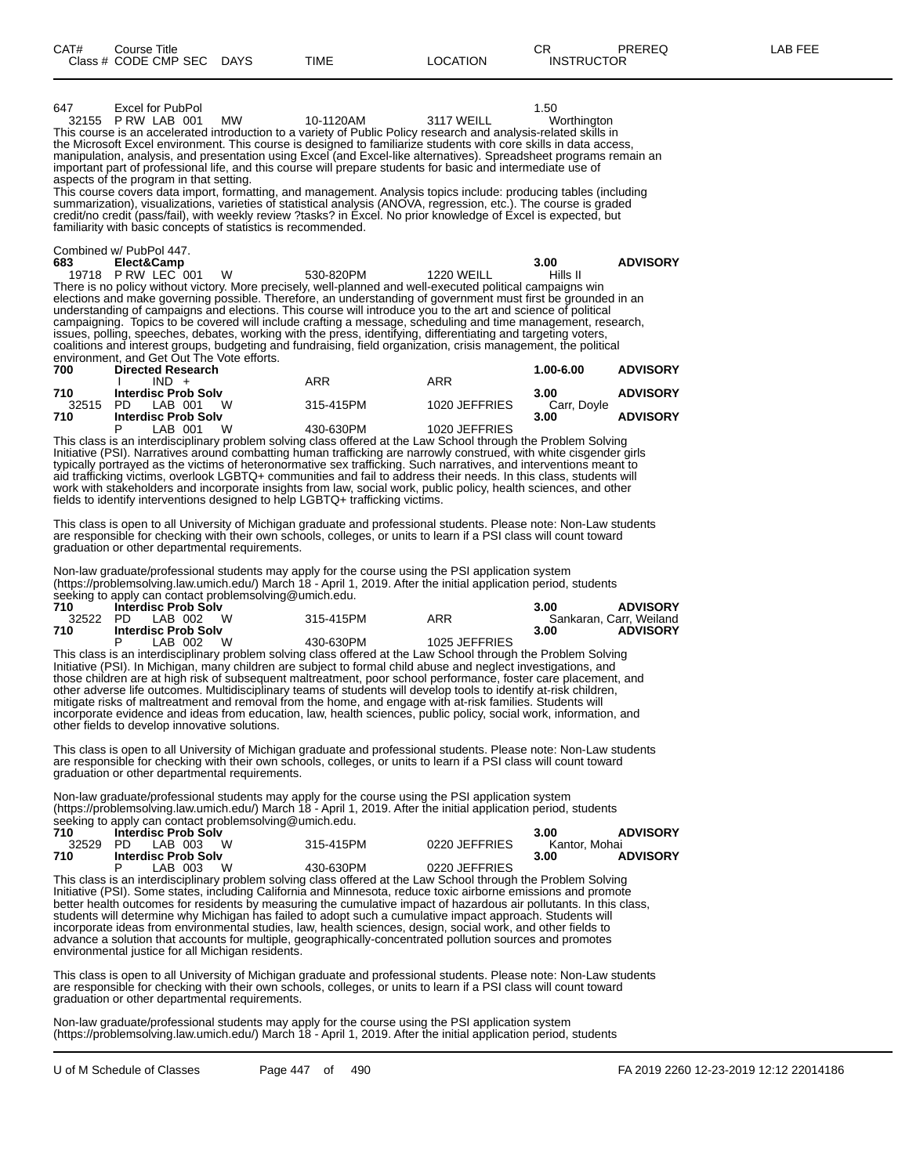647 Excel for PubPol 1.50<br>
32155 P RW LAB 001 MW 10-1120AM 3117 WEILL Worthington 32155 P RW LAB 001

This course is an accelerated introduction to a variety of Public Policy research and analysis-related skills in the Microsoft Excel environment. This course is designed to familiarize students with core skills in data access, manipulation, analysis, and presentation using Excel (and Excel-like alternatives). Spreadsheet programs remain an important part of professional life, and this course will prepare students for basic and intermediate use of aspects of the program in that setting.

This course covers data import, formatting, and management. Analysis topics include: producing tables (including summarization), visualizations, varieties of statistical analysis (ANOVA, regression, etc.). The course is graded credit/no credit (pass/fail), with weekly review ?tasks? in Excel. No prior knowledge of Excel is expected, but familiarity with basic concepts of statistics is recommended.

Combined w/ PubPol 447.

**683 Elect&Camp 3.00 ADVISORY** 19718 P RW LEC 001 W 530-820PM 1220 WEILL Hills II There is no policy without victory. More precisely, well-planned and well-executed political campaigns win elections and make governing possible. Therefore, an understanding of government must first be grounded in an understanding of campaigns and elections. This course will introduce you to the art and science of political campaigning. Topics to be covered will include crafting a message, scheduling and time management, research, issues, polling, speeches, debates, working with the press, identifying, differentiating and targeting voters, coalitions and interest groups, budgeting and fundraising, field organization, crisis management, the political environment, and Get Out The Vote efforts.

| 700   | <b>Directed Research</b>   |           |               | <b>ADVISORY</b><br>1.00-6.00 |
|-------|----------------------------|-----------|---------------|------------------------------|
|       | $IND +$                    | ARR       | ARR           |                              |
| 710   | <b>Interdisc Prob Solv</b> |           |               | <b>ADVISORY</b><br>3.00      |
| 32515 | \N<br>LAB 001<br>PD.       | 315-415PM | 1020 JEFFRIES | Carr. Dovle                  |
| 710   | <b>Interdisc Prob Solv</b> |           |               | <b>ADVISORY</b><br>3.00      |
|       | W<br>IAB 001               | 430-630PM | 1020 JEFFRIES |                              |

This class is an interdisciplinary problem solving class offered at the Law School through the Problem Solving Initiative (PSI). Narratives around combatting human trafficking are narrowly construed, with white cisgender girls typically portrayed as the victims of heteronormative sex trafficking. Such narratives, and interventions meant to aid trafficking victims, overlook LGBTQ+ communities and fail to address their needs. In this class, students will work with stakeholders and incorporate insights from law, social work, public policy, health sciences, and other fields to identify interventions designed to help LGBTQ+ trafficking victims.

This class is open to all University of Michigan graduate and professional students. Please note: Non-Law students are responsible for checking with their own schools, colleges, or units to learn if a PSI class will count toward graduation or other departmental requirements.

Non-law graduate/professional students may apply for the course using the PSI application system (https://problemsolving.law.umich.edu/) March 18 - April 1, 2019. After the initial application period, students seeking to apply can contact problemsolving@umich.edu.

| 710 | <b>Interdisc Prob Solv</b> |           |               | <b>ADVISORY</b><br>3.00 |
|-----|----------------------------|-----------|---------------|-------------------------|
|     | 32522 PD LAB 002 W         | 315-415PM | ARR           | Sankaran, Carr, Weiland |
| 710 | <b>Interdisc Prob Solv</b> |           |               | <b>ADVISORY</b><br>3.00 |
|     | W.<br>LAB 002              | 430-630PM | 1025 JEFFRIES |                         |

This class is an interdisciplinary problem solving class offered at the Law School through the Problem Solving Initiative (PSI). In Michigan, many children are subject to formal child abuse and neglect investigations, and those children are at high risk of subsequent maltreatment, poor school performance, foster care placement, and other adverse life outcomes. Multidisciplinary teams of students will develop tools to identify at-risk children, mitigate risks of maltreatment and removal from the home, and engage with at-risk families. Students will incorporate evidence and ideas from education, law, health sciences, public policy, social work, information, and other fields to develop innovative solutions.

This class is open to all University of Michigan graduate and professional students. Please note: Non-Law students are responsible for checking with their own schools, colleges, or units to learn if a PSI class will count toward graduation or other departmental requirements.

Non-law graduate/professional students may apply for the course using the PSI application system (https://problemsolving.law.umich.edu/) March 18 - April 1, 2019. After the initial application period, students seeking to apply can contact problemsolving@umich.edu.

| 710 | Interdisc Prob Solv        |           |               | <b>ADVISORY</b><br>3.00 |
|-----|----------------------------|-----------|---------------|-------------------------|
|     | 32529 PD LAB 003 W         | 315-415PM | 0220 JEFFRIES | Kantor. Mohai           |
| 710 | <b>Interdisc Prob Solv</b> |           |               | <b>ADVISORY</b><br>3.00 |
|     | W<br>LAB 003               | 430-630PM | 0220 JEFFRIES |                         |

This class is an interdisciplinary problem solving class offered at the Law School through the Problem Solving Initiative (PSI). Some states, including California and Minnesota, reduce toxic airborne emissions and promote better health outcomes for residents by measuring the cumulative impact of hazardous air pollutants. In this class, students will determine why Michigan has failed to adopt such a cumulative impact approach. Students will incorporate ideas from environmental studies, law, health sciences, design, social work, and other fields to advance a solution that accounts for multiple, geographically-concentrated pollution sources and promotes environmental justice for all Michigan residents.

This class is open to all University of Michigan graduate and professional students. Please note: Non-Law students are responsible for checking with their own schools, colleges, or units to learn if a PSI class will count toward graduation or other departmental requirements.

Non-law graduate/professional students may apply for the course using the PSI application system (https://problemsolving.law.umich.edu/) March 18 - April 1, 2019. After the initial application period, students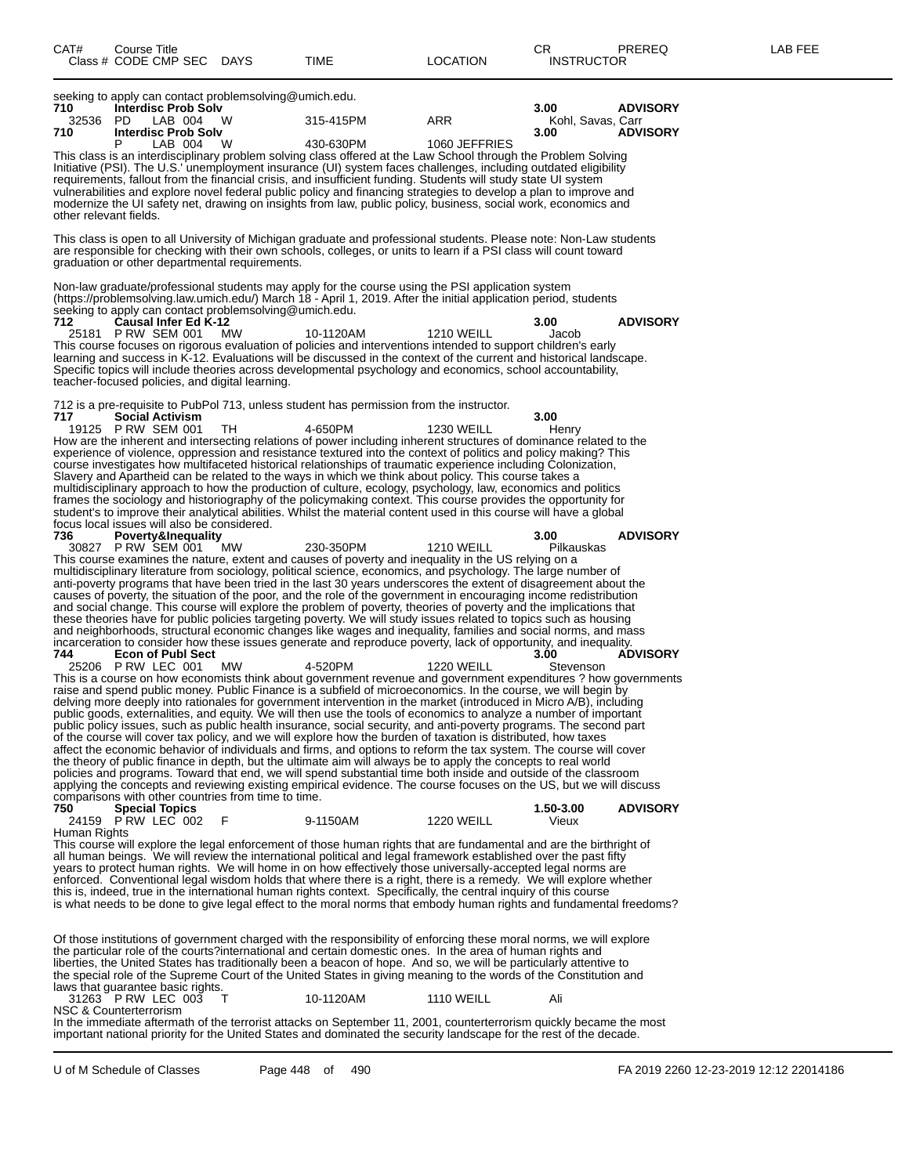seeking to apply can contact problemsolving@umich.edu.<br>710 **Interdisc Prob Solv 710 Interdisc Prob Solv 3.00 ADVISORY** 32536 PD LAB 004 W 315-415PM ARR Kohl, Savas, Carr<br>**710 Interdisc Prob Solv** 3.00 3.00 ADVISORY **710 Interdisc Prob Solv 3.00 ADVISORY** 1060 JEFFRIES This class is an interdisciplinary problem solving class offered at the Law School through the Problem Solving Initiative (PSI). The U.S.' unemployment insurance (UI) system faces challenges, including outdated eligibility requirements, fallout from the financial crisis, and insufficient funding. Students will study state UI system vulnerabilities and explore novel federal public policy and financing strategies to develop a plan to improve and modernize the UI safety net, drawing on insights from law, public policy, business, social work, economics and other relevant fields. This class is open to all University of Michigan graduate and professional students. Please note: Non-Law students are responsible for checking with their own schools, colleges, or units to learn if a PSI class will count toward graduation or other departmental requirements. Non-law graduate/professional students may apply for the course using the PSI application system (https://problemsolving.law.umich.edu/) March 18 - April 1, 2019. After the initial application period, students seeking to apply can contact problemsolving@umich.edu. **712 Causal Infer Ed K-12 3.00 ADVISORY** 25181 P RW SEM 001 MW 10-1120AM 1210 WEILL Jacob This course focuses on rigorous evaluation of policies and interventions intended to support children's early learning and success in K-12. Evaluations will be discussed in the context of the current and historical landscape. Specific topics will include theories across developmental psychology and economics, school accountability, teacher-focused policies, and digital learning. 712 is a pre-requisite to PubPol 713, unless student has permission from the instructor. **717 Social Activism 3.00** 19125 P RW SEM 001 TH 4-650PM 1230 WEILL Henry How are the inherent and intersecting relations of power including inherent structures of dominance related to the experience of violence, oppression and resistance textured into the context of politics and policy making? This course investigates how multifaceted historical relationships of traumatic experience including Colonization, Slavery and Apartheid can be related to the ways in which we think about policy. This course takes a multidisciplinary approach to how the production of culture, ecology, psychology, law, economics and politics frames the sociology and historiography of the policymaking context. This course provides the opportunity for student's to improve their analytical abilities. Whilst the material content used in this course will have a global focus local issues will also be considered.<br>736 Poverty&Inequality **736 Poverty&Inequality 3.00 ADVISORY** 30827 P RW SEM 001 MW 230-350PM 1210 WEILL Pilkauskas This course examines the nature, extent and causes of poverty and inequality in the US relying on a multidisciplinary literature from sociology, political science, economics, and psychology. The large number of anti-poverty programs that have been tried in the last 30 years underscores the extent of disagreement about the causes of poverty, the situation of the poor, and the role of the government in encouraging income redistribution and social change. This course will explore the problem of poverty, theories of poverty and the implications that these theories have for public policies targeting poverty. We will study issues related to topics such as housing and neighborhoods, structural economic changes like wages and inequality, families and social norms, and mass incarceration to consider how these issues generate and reproduce poverty, lack of opportunity, and inequality. **744 Econ of Publ Sect ECON CONSUMISORY**<br> **25206** P RW LEC 001 MW **4-520PM 1220 WEILL** Stevenson 25206 P RW LEC 001 MW 4-520PM 1220 WEILL Stevenson This is a course on how economists think about government revenue and government expenditures ? how governments raise and spend public money. Public Finance is a subfield of microeconomics. In the course, we will begin by delving more deeply into rationales for government intervention in the market (introduced in Micro A/B), including public goods, externalities, and equity. We will then use the tools of economics to analyze a number of important public policy issues, such as public health insurance, social security, and anti-poverty programs. The second part of the course will cover tax policy, and we will explore how the burden of taxation is distributed, how taxes affect the economic behavior of individuals and firms, and options to reform the tax system. The course will cover the theory of public finance in depth, but the ultimate aim will always be to apply the concepts to real world policies and programs. Toward that end, we will spend substantial time both inside and outside of the classroom applying the concepts and reviewing existing empirical evidence. The course focuses on the US, but we will discuss comparisons with other countries from time to time.<br>750 Special Topics **750 Special Topics 1.50-3.00 ADVISORY** 24159 P RW LEC 002 F 9-1150AM 1220 WEILL Vieux Human Rights This course will explore the legal enforcement of those human rights that are fundamental and are the birthright of all human beings. We will review the international political and legal framework established over the past fifty years to protect human rights. We will home in on how effectively those universally-accepted legal norms are enforced. Conventional legal wisdom holds that where there is a right, there is a remedy. We will explore whether this is, indeed, true in the international human rights context. Specifically, the central inquiry of this course is what needs to be done to give legal effect to the moral norms that embody human rights and fundamental freedoms? Of those institutions of government charged with the responsibility of enforcing these moral norms, we will explore the particular role of the courts?international and certain domestic ones. In the area of human rights and liberties, the United States has traditionally been a beacon of hope. And so, we will be particularly attentive to

laws that guarantee basic rights. 31263 P RW LEC 003 T 10-1120AM 1110 WEILL Ali NSC & Counterterrorism In the immediate aftermath of the terrorist attacks on September 11, 2001, counterterrorism quickly became the most

the special role of the Supreme Court of the United States in giving meaning to the words of the Constitution and

important national priority for the United States and dominated the security landscape for the rest of the decade.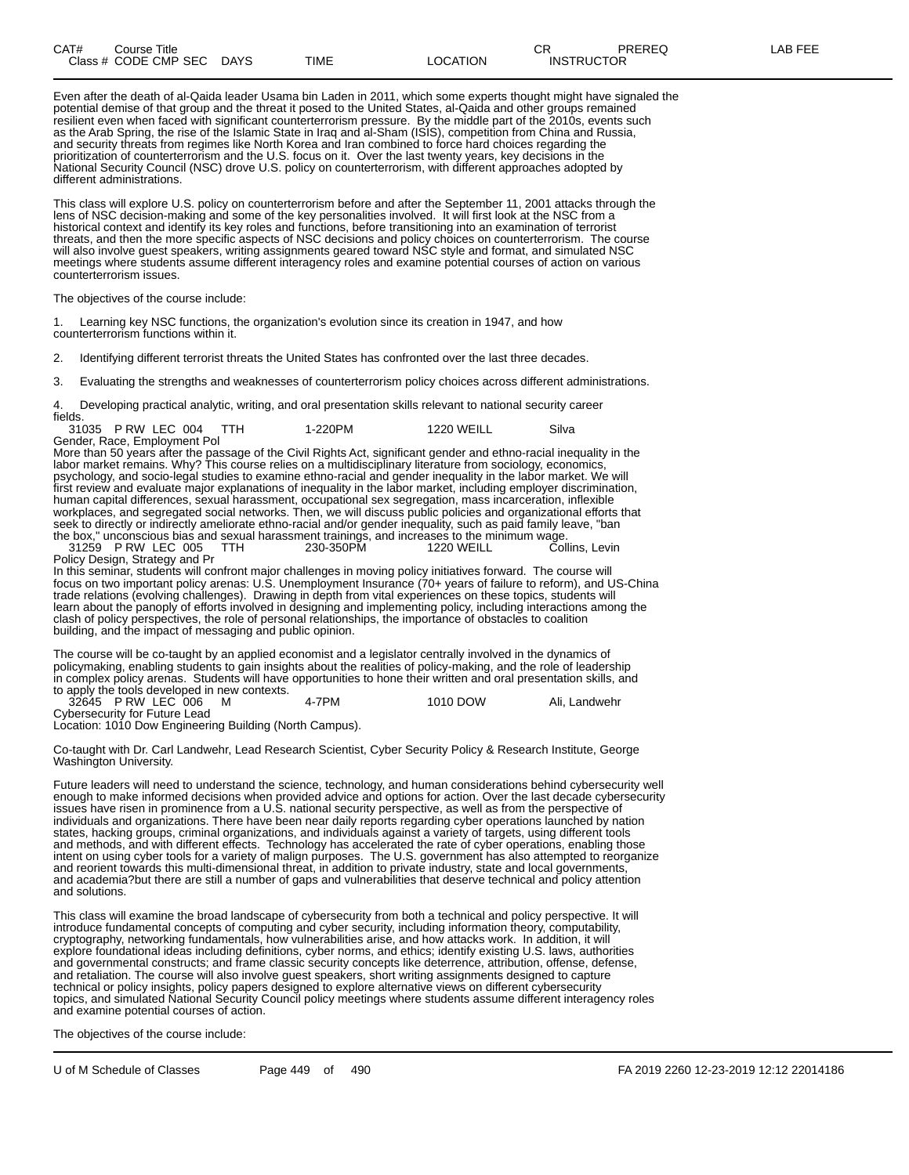Even after the death of al-Qaida leader Usama bin Laden in 2011, which some experts thought might have signaled the potential demise of that group and the threat it posed to the United States, al-Qaida and other groups remained resilient even when faced with significant counterterrorism pressure. By the middle part of the 2010s, events such as the Arab Spring, the rise of the Islamic State in Iraq and al-Sham (ISIS), competition from China and Russia, and security threats from regimes like North Korea and Iran combined to force hard choices regarding the prioritization of counterterrorism and the U.S. focus on it. Over the last twenty years, key decisions in the National Security Council (NSC) drove U.S. policy on counterterrorism, with different approaches adopted by different administrations.

This class will explore U.S. policy on counterterrorism before and after the September 11, 2001 attacks through the lens of NSC decision-making and some of the key personalities involved. It will first look at the NSC from a historical context and identify its key roles and functions, before transitioning into an examination of terrorist threats, and then the more specific aspects of NSC decisions and policy choices on counterterrorism. The course will also involve guest speakers, writing assignments geared toward NSC style and format, and simulated NSC meetings where students assume different interagency roles and examine potential courses of action on various counterterrorism issues.

The objectives of the course include:

1. Learning key NSC functions, the organization's evolution since its creation in 1947, and how counterterrorism functions within it.

2. Identifying different terrorist threats the United States has confronted over the last three decades.

3. Evaluating the strengths and weaknesses of counterterrorism policy choices across different administrations.

4. Developing practical analytic, writing, and oral presentation skills relevant to national security career fields.

| --------- |                              |         |            |       |
|-----------|------------------------------|---------|------------|-------|
|           | 31035 P RW LEC 004 TTH       | 1-220PM | 1220 WEILL | Silva |
|           | Gender, Race, Employment Pol |         |            |       |

More than 50 years after the passage of the Civil Rights Act, significant gender and ethno-racial inequality in the labor market remains. Why? This course relies on a multidisciplinary literature from sociology, economics, psychology, and socio-legal studies to examine ethno-racial and gender inequality in the labor market. We will first review and evaluate major explanations of inequality in the labor market, including employer discrimination, human capital differences, sexual harassment, occupational sex segregation, mass incarceration, inflexible workplaces, and segregated social networks. Then, we will discuss public policies and organizational efforts that seek to directly or indirectly ameliorate ethno-racial and/or gender inequality, such as paid family leave, "ban the box," unconscious bias and sexual harassment trainings, and increases to the minimum wage.<br>31259 P RW LEC 005 TTH 230-350PM 1220 WEILL Collins, Levin

31259 P RW LEC 005 Policy Design, Strategy and Pr

In this seminar, students will confront major challenges in moving policy initiatives forward. The course will focus on two important policy arenas: U.S. Unemployment Insurance (70+ years of failure to reform), and US-China trade relations (evolving challenges). Drawing in depth from vital experiences on these topics, students will learn about the panoply of efforts involved in designing and implementing policy, including interactions among the clash of policy perspectives, the role of personal relationships, the importance of obstacles to coalition building, and the impact of messaging and public opinion.

The course will be co-taught by an applied economist and a legislator centrally involved in the dynamics of policymaking, enabling students to gain insights about the realities of policy-making, and the role of leadership in complex policy arenas. Students will have opportunities to hone their written and oral presentation skills, and to apply the tools developed in new contexts.

32645 P RW LEC 006 M 4-7PM 1010 DOW Ali, Landwehr Cybersecurity for Future Lead

Location: 1010 Dow Engineering Building (North Campus).

Co-taught with Dr. Carl Landwehr, Lead Research Scientist, Cyber Security Policy & Research Institute, George Washington University.

Future leaders will need to understand the science, technology, and human considerations behind cybersecurity well enough to make informed decisions when provided advice and options for action. Over the last decade cybersecurity issues have risen in prominence from a U.S. national security perspective, as well as from the perspective of individuals and organizations. There have been near daily reports regarding cyber operations launched by nation states, hacking groups, criminal organizations, and individuals against a variety of targets, using different tools and methods, and with different effects. Technology has accelerated the rate of cyber operations, enabling those intent on using cyber tools for a variety of malign purposes. The U.S. government has also attempted to reorganize and reorient towards this multi-dimensional threat, in addition to private industry, state and local governments and academia?but there are still a number of gaps and vulnerabilities that deserve technical and policy attention and solutions.

This class will examine the broad landscape of cybersecurity from both a technical and policy perspective. It will introduce fundamental concepts of computing and cyber security, including information theory, computability, cryptography, networking fundamentals, how vulnerabilities arise, and how attacks work. In addition, it will explore foundational ideas including definitions, cyber norms, and ethics; identify existing U.S. laws, authorities and governmental constructs; and frame classic security concepts like deterrence, attribution, offense, defense, and retaliation. The course will also involve guest speakers, short writing assignments designed to capture technical or policy insights, policy papers designed to explore alternative views on different cybersecurity topics, and simulated National Security Council policy meetings where students assume different interagency roles and examine potential courses of action.

The objectives of the course include: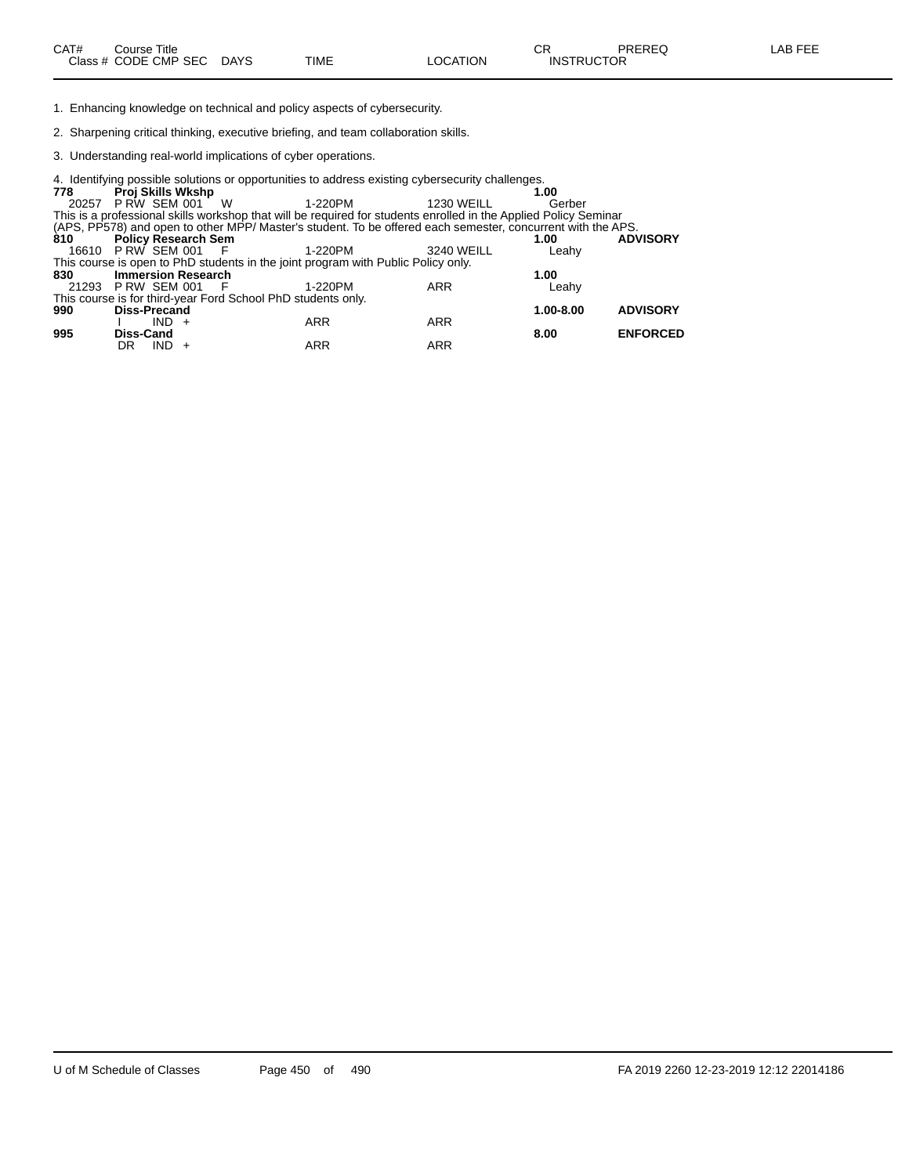1. Enhancing knowledge on technical and policy aspects of cybersecurity.

2. Sharpening critical thinking, executive briefing, and team collaboration skills.

3. Understanding real-world implications of cyber operations.

| 778                |                     |            |                                           |                                                              | 4. Identifying possible solutions or opportunities to address existing cybersecurity challenges.                 |                   |                |                 |
|--------------------|---------------------|------------|-------------------------------------------|--------------------------------------------------------------|------------------------------------------------------------------------------------------------------------------|-------------------|----------------|-----------------|
| 20257              |                     |            | <b>Proj Skills Wkshp</b><br>PRW SEM 001 W |                                                              | 1-220PM                                                                                                          | <b>1230 WEILL</b> | 1.00<br>Gerber |                 |
|                    |                     |            |                                           |                                                              | This is a professional skills workshop that will be required for students enrolled in the Applied Policy Seminar |                   |                |                 |
| 810                |                     |            | <b>Policy Research Sem</b>                |                                                              | (APS, PP578) and open to other MPP/ Master's student. To be offered each semester, concurrent with the APS.      |                   | 1.00           | <b>ADVISORY</b> |
| 16610 P RW SEM 001 |                     |            |                                           | - F                                                          | 1-220PM                                                                                                          | 3240 WEILL        | Leahy          |                 |
|                    |                     |            |                                           |                                                              | This course is open to PhD students in the joint program with Public Policy only.                                |                   |                |                 |
| 830                |                     |            | <b>Immersion Research</b>                 |                                                              |                                                                                                                  |                   | 1.00           |                 |
| 21293              | PRW SEM 001         |            |                                           | - F                                                          | 1-220PM                                                                                                          | <b>ARR</b>        | Leahy          |                 |
|                    |                     |            |                                           | This course is for third-year Ford School PhD students only. |                                                                                                                  |                   |                |                 |
| 990                | <b>Diss-Precand</b> |            |                                           |                                                              |                                                                                                                  |                   | 1.00-8.00      | <b>ADVISORY</b> |
|                    |                     | $IND +$    |                                           |                                                              | <b>ARR</b>                                                                                                       | <b>ARR</b>        |                |                 |
| 995                | Diss-Cand           |            |                                           |                                                              |                                                                                                                  |                   | 8.00           | <b>ENFORCED</b> |
|                    | DR                  | <b>IND</b> |                                           |                                                              | <b>ARR</b>                                                                                                       | ARR               |                |                 |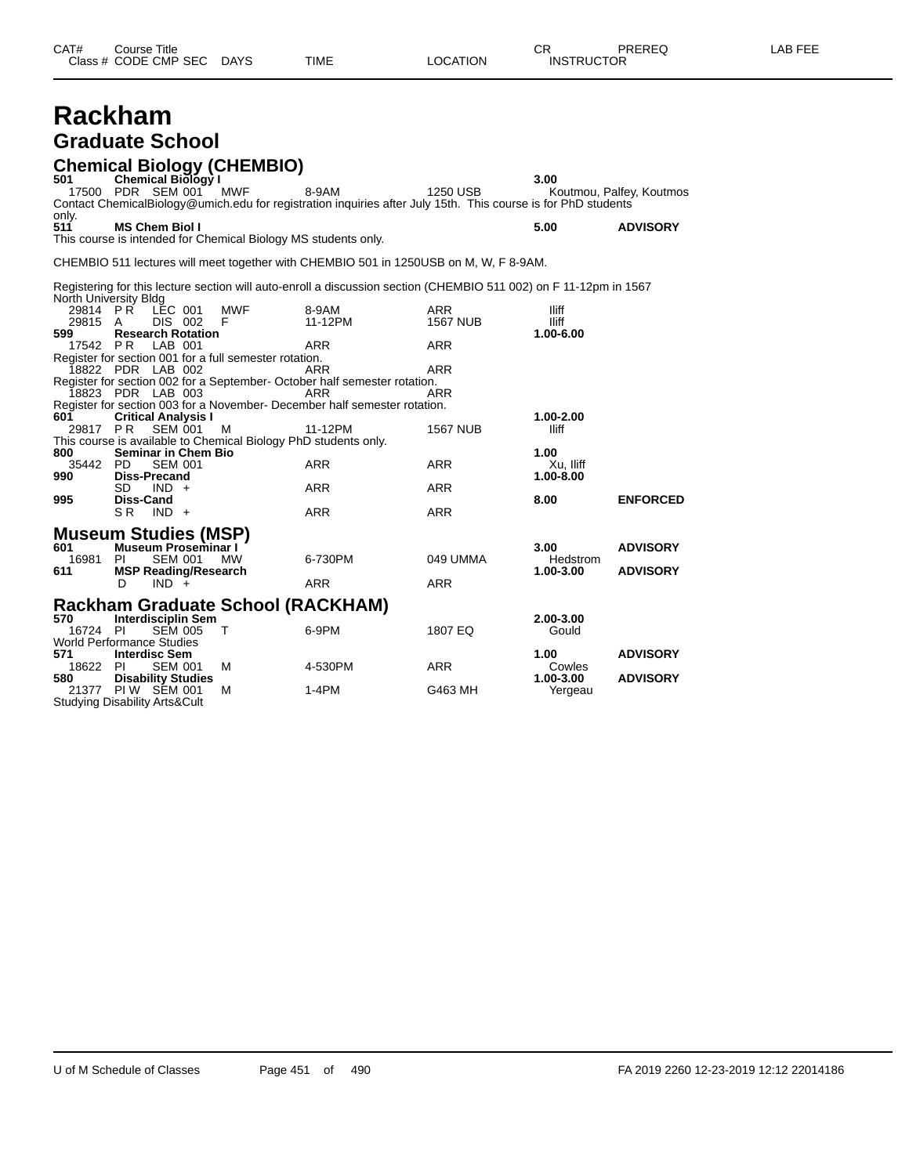# **Rackham Graduate School**

Studying Disability Arts&Cult

**Chemical Biology (CHEMBIO) 501 Chemical Biology I 3.00** 17500 PDR SEM 001 MWF 8-9AM 1250 USB Koutmou, Palfey, Koutmos Contact ChemicalBiology@umich.edu for registration inquiries after July 15th. This course is for PhD students only.<br>511 **511 MS Chem Biol I 5.00 ADVISORY** This course is intended for Chemical Biology MS students only. CHEMBIO 511 lectures will meet together with CHEMBIO 501 in 1250USB on M, W, F 8-9AM. Registering for this lecture section will auto-enroll a discussion section (CHEMBIO 511 002) on F 11-12pm in 1567 North University Bldg 29814 P R LEC 001 MWF 8-9AM ARR Iliff 29815 A DIS 002 F 11-12PM 1567 NUB Iliff **599 Research Rotation 1.00-6.00** 17542 P R LAB 001 ARR ARR Register for section 001 for a full semester rotation. 18822 PDR LAB 002 ARR ARR ARR Register for section 002 for a September- October half semester rotation. 18823 PDR LAB 003 ARR ARR Register for section 003 for a November- December half semester rotation.<br>601 Critical Analysis I **601 Critical Analysis I 1.00-2.00** 29817 P R SEM 001 M 11-12PM 1567 NUB Iliff This course is available to Chemical Biology PhD students only.<br>800 Seminar in Chem Bio **800 Seminar in Chem Bio 1.00** 35442 PD SEM 001 ARR ARR Xu, Iliff **990 Diss-Precand 1.00-8.00** SD IND + ARR ARR ARR **995 Diss-Cand 8.00 ENFORCED** SR IND + ARR ARR ARR **Museum Studies (MSP) 601 Museum Proseminar I 3.00 ADVISORY** 16981 PI SEM 001 MW 6-730PM 049 UMMA Hedstrom 611 MSP Reading/Research **611 611 61211 <b>MSP Reading/Research 1.00-3.00 ADVISORY**<br>  $\begin{array}{ccc}\n\bullet & \bullet & \bullet \\
\bullet & \bullet & \bullet\n\end{array}$  $IND +$ **Rackham Graduate School (RACKHAM) 1700-3100 Enterdisciplin Sem**<br>
PI SEM 005 T 6-9PM 1807 EQ Gould 16724 PI World Performance Studies<br>571 **Interdisc Sem 571 Interdisc Sem 1.00 ADVISORY** 18622 PI SEM 001 M 4-530PM ARR Cowles **580 Disability Studies 1.00-3.00 ADVISORY PI W SEM 001**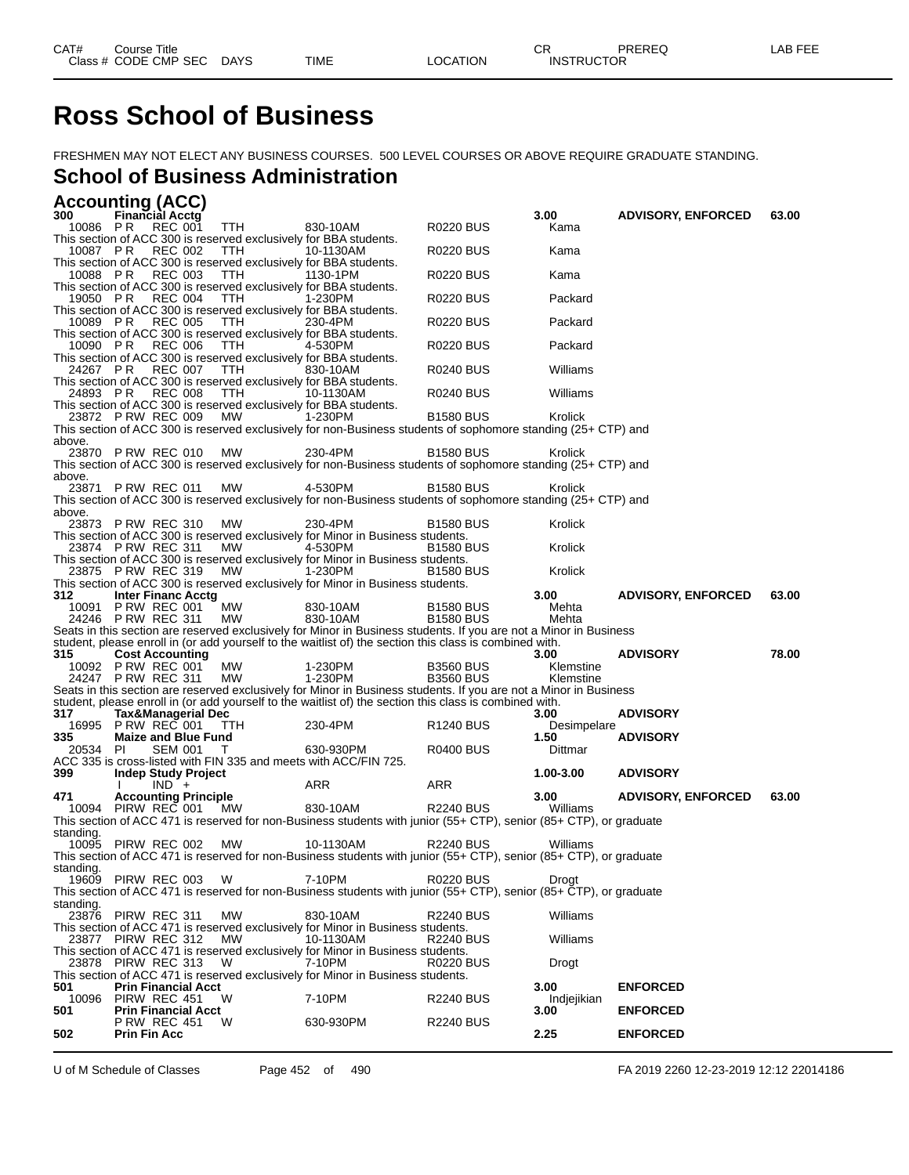# **Ross School of Business**

FRESHMEN MAY NOT ELECT ANY BUSINESS COURSES. 500 LEVEL COURSES OR ABOVE REQUIRE GRADUATE STANDING.

### **School of Business Administration**

|                  | <b>Accounting (ACC)</b>                                                                        |             |                                                                                                                                                                                                                              |                                      |                        |                                        |       |
|------------------|------------------------------------------------------------------------------------------------|-------------|------------------------------------------------------------------------------------------------------------------------------------------------------------------------------------------------------------------------------|--------------------------------------|------------------------|----------------------------------------|-------|
| 300<br>10086 PR  | <b>Financial Acctg</b><br>REC 001                                                              | TTH         | 830-10AM                                                                                                                                                                                                                     | R0220 BUS                            | 3.00<br>Kama           | <b>ADVISORY, ENFORCED</b>              | 63.00 |
|                  | This section of ACC 300 is reserved exclusively for BBA students.<br>10087 PR REC 002          | TTH         | 10-1130AM                                                                                                                                                                                                                    | R0220 BUS                            | Kama                   |                                        |       |
| 10088 PR         | This section of ACC 300 is reserved exclusively for BBA students.<br>REC 003                   | <b>TTH</b>  | 1130-1PM                                                                                                                                                                                                                     | R0220 BUS                            | Kama                   |                                        |       |
|                  | This section of ACC 300 is reserved exclusively for BBA students.<br>19050 PR REC 004          | TTH         | 1-230PM                                                                                                                                                                                                                      | R0220 BUS                            | Packard                |                                        |       |
|                  | This section of ACC 300 is reserved exclusively for BBA students.<br>10089 PR REC 005          | TTH         | 230-4PM                                                                                                                                                                                                                      | R0220 BUS                            | Packard                |                                        |       |
| 10090 PR         | This section of ACC 300 is reserved exclusively for BBA students.<br>REC 006                   | <b>TTH</b>  | 4-530PM                                                                                                                                                                                                                      | R0220 BUS                            | Packard                |                                        |       |
|                  | This section of ACC 300 is reserved exclusively for BBA students.<br>24267 PR REC 007          | TTH         | 830-10AM                                                                                                                                                                                                                     | R0240 BUS                            | Williams               |                                        |       |
|                  | This section of ACC 300 is reserved exclusively for BBA students.<br>24893 PR REC 008          | TTH         | 10-1130AM                                                                                                                                                                                                                    | <b>R0240 BUS</b>                     | Williams               |                                        |       |
|                  | This section of ACC 300 is reserved exclusively for BBA students.<br>23872 PRW REC 009         | МW          | 1-230PM                                                                                                                                                                                                                      | <b>B1580 BUS</b>                     | Krolick                |                                        |       |
| above.           |                                                                                                |             | This section of ACC 300 is reserved exclusively for non-Business students of sophomore standing (25+ CTP) and                                                                                                                |                                      |                        |                                        |       |
|                  | 23870 PRW REC 010                                                                              | МW          | 230-4PM<br>This section of ACC 300 is reserved exclusively for non-Business students of sophomore standing (25+ CTP) and                                                                                                     | <b>B1580 BUS</b>                     | Krolick                |                                        |       |
| above.           | 23871 P RW REC 011                                                                             | МW          | 4-530PM                                                                                                                                                                                                                      | <b>B1580 BUS</b>                     | Krolick                |                                        |       |
| above.           |                                                                                                |             | This section of ACC 300 is reserved exclusively for non-Business students of sophomore standing (25+ CTP) and                                                                                                                |                                      |                        |                                        |       |
|                  | 23873 PRW REC 310                                                                              | МW          | 230-4PM<br>This section of ACC 300 is reserved exclusively for Minor in Business students.                                                                                                                                   | B1580 BUS                            | Krolick                |                                        |       |
|                  | 23874 P RW REC 311                                                                             | <b>MW</b>   | 4-530PM<br>This section of ACC 300 is reserved exclusively for Minor in Business students.                                                                                                                                   | <b>B1580 BUS</b>                     | Krolick                |                                        |       |
|                  | 23875 PRW REC 319                                                                              | <b>MW</b>   | 1-230PM<br>This section of ACC 300 is reserved exclusively for Minor in Business students.                                                                                                                                   | <b>B1580 BUS</b>                     | Krolick                |                                        |       |
| 312.             | <b>Inter Financ Acctg</b><br>10091 P RW REC 001                                                | MW          | 830-10AM                                                                                                                                                                                                                     | <b>B1580 BUS</b>                     | 3.00<br>Mehta          | <b>ADVISORY, ENFORCED</b>              | 63.00 |
|                  | 24246 P RW REC 311                                                                             | MW          | 830-10AM<br>Seats in this section are reserved exclusively for Minor in Business students. If you are not a Minor in Business                                                                                                | <b>B1580 BUS</b>                     | Mehta                  |                                        |       |
| 315              | <b>Cost Accounting</b>                                                                         |             | student, please enroll in (or add yourself to the waitlist of) the section this class is combined with.                                                                                                                      |                                      | 3.00                   | <b>ADVISORY</b>                        | 78.00 |
|                  | 10092 P RW REC 001<br>24247 P RW REC 311                                                       | MW<br>MW    | 1-230PM<br>1-230PM                                                                                                                                                                                                           | <b>B3560 BUS</b><br><b>B3560 BUS</b> | Klemstine<br>Klemstine |                                        |       |
|                  |                                                                                                |             | Seats in this section are reserved exclusively for Minor in Business students. If you are not a Minor in Business<br>student, please enroll in (or add yourself to the waitlist of) the section this class is combined with. |                                      |                        |                                        |       |
| 317              | <b>Tax&amp;Managerial Dec</b><br>16995 PRW REC 001 TTH                                         |             | 230-4PM                                                                                                                                                                                                                      | R <sub>1240</sub> BUS                | 3.00<br>Desimpelare    | <b>ADVISORY</b>                        |       |
| 335.<br>20534 PI | <b>Maize and Blue Fund</b><br>SEM 001 T                                                        |             | 630-930PM                                                                                                                                                                                                                    | <b>R0400 BUS</b>                     | 1.50<br>Dittmar        | <b>ADVISORY</b>                        |       |
| 399              | ACC 335 is cross-listed with FIN 335 and meets with ACC/FIN 725.<br><b>Indep Study Project</b> |             |                                                                                                                                                                                                                              |                                      | 1.00-3.00              | <b>ADVISORY</b>                        |       |
| 471              | $IND +$<br><b>Accounting Principle</b>                                                         |             | ARR                                                                                                                                                                                                                          | ARR                                  | 3.00                   | <b>ADVISORY, ENFORCED</b>              | 63.00 |
|                  | 10094 PIRW REC 001                                                                             | MW          | 830-10AM<br>This section of ACC 471 is reserved for non-Business students with junior (55+ CTP), senior (85+ CTP), or graduate                                                                                               | <b>R2240 BUS</b>                     | Williams               |                                        |       |
| standing.        | 10095 PIRW REC 002                                                                             | МW          | 10-1130AM                                                                                                                                                                                                                    | <b>R2240 BUS</b>                     | Williams               |                                        |       |
| standing.        |                                                                                                |             | This section of ACC 471 is reserved for non-Business students with junior (55+ CTP), senior (85+ CTP), or graduate                                                                                                           |                                      |                        |                                        |       |
|                  | 19609 PIRW REC 003                                                                             | W           | 7-10PM<br>This section of ACC 471 is reserved for non-Business students with junior (55+ CTP), senior (85+ CTP), or graduate                                                                                                 | R0220 BUS                            | Drogt                  |                                        |       |
| standing.        | 23876 PIRW REC 311                                                                             | MW          | 830-10AM                                                                                                                                                                                                                     | <b>R2240 BUS</b>                     | Williams               |                                        |       |
|                  |                                                                                                |             | This section of ACC 471 is reserved exclusively for Minor in Business students.                                                                                                                                              |                                      |                        |                                        |       |
|                  | 23877 PIRW REC 312<br>23878 PIRW REC 313                                                       | МW          | 10-1130AM<br>This section of ACC 471 is reserved exclusively for Minor in Business students.                                                                                                                                 | R2240 BUS                            | Williams               |                                        |       |
|                  |                                                                                                | W           | 7-10PM<br>This section of ACC 471 is reserved exclusively for Minor in Business students.                                                                                                                                    | R0220 BUS                            | Drogt                  |                                        |       |
| 501              | <b>Prin Financial Acct</b><br>10096 PIRW REC 451                                               | W           | 7-10PM                                                                                                                                                                                                                       | <b>R2240 BUS</b>                     | 3.00<br>Indjejikian    | <b>ENFORCED</b>                        |       |
| 501              | <b>Prin Financial Acct</b><br><b>P RW REC 451</b>                                              | W           | 630-930PM                                                                                                                                                                                                                    | <b>R2240 BUS</b>                     | 3.00                   | <b>ENFORCED</b>                        |       |
| 502              | <b>Prin Fin Acc</b>                                                                            |             |                                                                                                                                                                                                                              |                                      | 2.25                   | <b>ENFORCED</b>                        |       |
|                  | U of M Schedule of Classes                                                                     | Page 452 of | 490                                                                                                                                                                                                                          |                                      |                        | FA 2019 2260 12-23-2019 12:12 22014186 |       |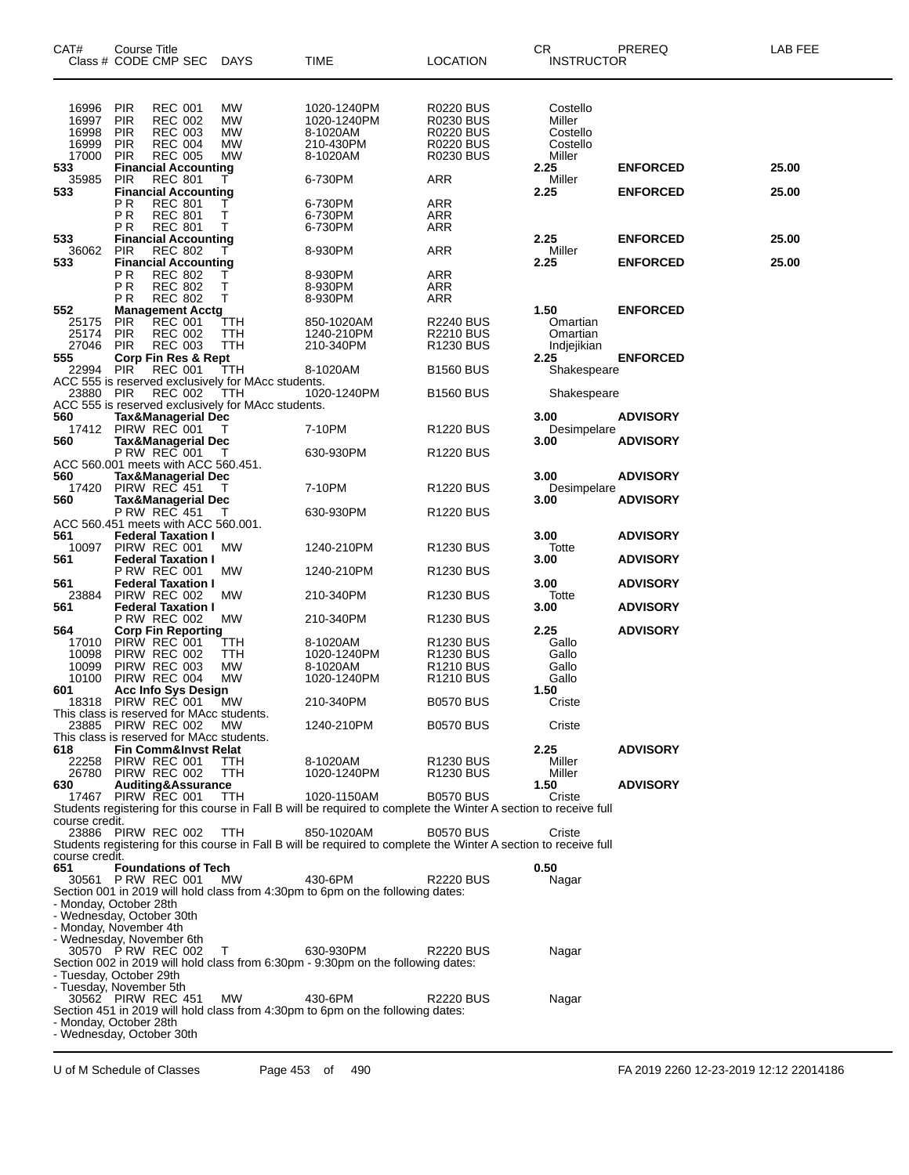| CAT#<br>Class # CODE CMP SEC                                    | Course Title                                                      |                                                                                        |                                 | <b>DAYS</b>                                                   | TIME                                                                                                                            | <b>LOCATION</b>                                                                                  | CR.<br><b>INSTRUCTOR</b>                             | PREREQ          | LAB FEE |
|-----------------------------------------------------------------|-------------------------------------------------------------------|----------------------------------------------------------------------------------------|---------------------------------|---------------------------------------------------------------|---------------------------------------------------------------------------------------------------------------------------------|--------------------------------------------------------------------------------------------------|------------------------------------------------------|-----------------|---------|
| 16996<br>16997<br>16998<br>16999<br>17000                       | <b>PIR</b><br>PIR<br><b>PIR</b><br>PIR<br><b>PIR</b>              | <b>REC 001</b><br><b>REC 002</b><br><b>REC 003</b><br><b>REC 004</b><br><b>REC 005</b> |                                 | <b>MW</b><br><b>MW</b><br><b>MW</b><br><b>MW</b><br><b>MW</b> | 1020-1240PM<br>1020-1240PM<br>8-1020AM<br>210-430PM<br>8-1020AM                                                                 | <b>R0220 BUS</b><br><b>R0230 BUS</b><br><b>R0220 BUS</b><br><b>R0220 BUS</b><br><b>R0230 BUS</b> | Costello<br>Miller<br>Costello<br>Costello<br>Miller |                 |         |
| 533                                                             | <b>Financial Accounting</b><br><b>PIR</b>                         | <b>REC 801</b>                                                                         |                                 | т                                                             |                                                                                                                                 | <b>ARR</b>                                                                                       | 2.25<br>Miller                                       | <b>ENFORCED</b> | 25.00   |
| 35985<br>533                                                    |                                                                   |                                                                                        | <b>Financial Accounting</b>     |                                                               | 6-730PM                                                                                                                         |                                                                                                  | 2.25                                                 | <b>ENFORCED</b> | 25.00   |
|                                                                 | PR<br>P <sub>R</sub><br>P R                                       | <b>REC 801</b><br><b>REC 801</b><br><b>REC 801</b>                                     |                                 | Τ<br>т<br>т                                                   | 6-730PM<br>6-730PM<br>6-730PM                                                                                                   | ARR<br><b>ARR</b><br>ARR                                                                         |                                                      |                 |         |
| 533                                                             | <b>Financial Accounting</b>                                       |                                                                                        |                                 |                                                               |                                                                                                                                 |                                                                                                  | 2.25                                                 | <b>ENFORCED</b> | 25.00   |
| 36062<br>533                                                    | <b>PIR</b>                                                        | <b>REC 802</b>                                                                         | <b>Financial Accounting</b>     |                                                               | 8-930PM                                                                                                                         | <b>ARR</b>                                                                                       | Miller<br>2.25                                       | <b>ENFORCED</b> | 25.00   |
|                                                                 | PR<br>P <sub>R</sub><br>P R                                       | <b>REC 802</b><br><b>REC 802</b><br><b>REC 802</b>                                     |                                 | Τ<br>т<br>т                                                   | 8-930PM<br>8-930PM<br>8-930PM                                                                                                   | <b>ARR</b><br><b>ARR</b><br>ARR                                                                  |                                                      |                 |         |
| 552<br>25175<br>25174<br>27046                                  | <b>Management Acctg</b><br><b>PIR</b><br><b>PIR</b><br><b>PIR</b> | <b>REC 001</b><br><b>REC 002</b><br><b>REC 003</b>                                     |                                 | TTH<br>TTH<br>TTH                                             | 850-1020AM<br>1240-210PM<br>210-340PM                                                                                           | <b>R2240 BUS</b><br><b>R2210 BUS</b><br>R1230 BUS                                                | 1.50<br>Omartian<br>Omartian<br>Indjejikian          | <b>ENFORCED</b> |         |
| 555                                                             |                                                                   |                                                                                        | Corp Fin Res & Rept             |                                                               |                                                                                                                                 |                                                                                                  | 2.25                                                 | <b>ENFORCED</b> |         |
| 22994                                                           | <b>PIR</b>                                                        | <b>REC 001</b>                                                                         |                                 | TTH                                                           | 8-1020AM                                                                                                                        | <b>B1560 BUS</b>                                                                                 | Shakespeare                                          |                 |         |
| 23880                                                           | <b>PIR</b>                                                        | <b>REC 002</b>                                                                         |                                 | ACC 555 is reserved exclusively for MAcc students.<br>TTH     | 1020-1240PM                                                                                                                     | <b>B1560 BUS</b>                                                                                 | Shakespeare                                          |                 |         |
|                                                                 |                                                                   |                                                                                        |                                 | ACC 555 is reserved exclusively for MAcc students.            |                                                                                                                                 |                                                                                                  |                                                      |                 |         |
| 560<br>17412                                                    | Tax&Managerial Dec<br>PIRW REC 001                                |                                                                                        |                                 |                                                               | 7-10PM                                                                                                                          | <b>R1220 BUS</b>                                                                                 | 3.00<br>Desimpelare                                  | <b>ADVISORY</b> |         |
| 560                                                             |                                                                   |                                                                                        | Tax&Managerial Dec              |                                                               |                                                                                                                                 |                                                                                                  | 3.00                                                 | <b>ADVISORY</b> |         |
|                                                                 | <b>P RW REC 001</b>                                               |                                                                                        |                                 | T                                                             | 630-930PM                                                                                                                       | <b>R1220 BUS</b>                                                                                 |                                                      |                 |         |
| ACC 560.001 meets with ACC 560.451.<br>560                      | <b>Tax&amp;Managerial Dec</b>                                     |                                                                                        |                                 |                                                               |                                                                                                                                 |                                                                                                  | 3.00                                                 | <b>ADVISORY</b> |         |
| 17420                                                           | PIRW REC 451                                                      |                                                                                        |                                 |                                                               | 7-10PM                                                                                                                          | R <sub>1220</sub> BUS                                                                            | Desimpelare                                          |                 |         |
| 560                                                             | <b>P RW REC 451</b>                                               |                                                                                        | Tax&Managerial Dec              | T                                                             | 630-930PM                                                                                                                       | R <sub>1220</sub> BUS                                                                            | 3.00                                                 | <b>ADVISORY</b> |         |
| ACC 560.451 meets with ACC 560.001.                             |                                                                   |                                                                                        |                                 |                                                               |                                                                                                                                 |                                                                                                  |                                                      |                 |         |
| 561                                                             |                                                                   |                                                                                        | <b>Federal Taxation I</b>       |                                                               |                                                                                                                                 |                                                                                                  | 3.00                                                 | <b>ADVISORY</b> |         |
| 10097<br>561                                                    | PIRW REC 001<br><b>Federal Taxation I</b>                         |                                                                                        |                                 | МW                                                            | 1240-210PM                                                                                                                      | R <sub>1230</sub> BUS                                                                            | Totte<br>3.00                                        | <b>ADVISORY</b> |         |
|                                                                 | P RW REC 001                                                      |                                                                                        |                                 | МW                                                            | 1240-210PM                                                                                                                      | R <sub>1230</sub> BUS                                                                            |                                                      |                 |         |
| 561<br>23884                                                    | PIRW REC 002                                                      |                                                                                        | <b>Federal Taxation I</b>       | МW                                                            | 210-340PM                                                                                                                       | R <sub>1230</sub> BUS                                                                            | 3.00<br>Totte                                        | <b>ADVISORY</b> |         |
| 561                                                             |                                                                   |                                                                                        | <b>Federal Taxation I</b>       |                                                               |                                                                                                                                 |                                                                                                  | 3.00                                                 | <b>ADVISORY</b> |         |
|                                                                 | <b>P RW REC 002</b>                                               |                                                                                        |                                 | МW                                                            | 210-340PM                                                                                                                       | R <sub>1230</sub> BUS                                                                            |                                                      |                 |         |
| 564<br>17010                                                    | <b>Corp Fin Reporting</b><br>PIRW REC 001                         |                                                                                        |                                 | TTH                                                           | 8-1020AM                                                                                                                        | R <sub>1230</sub> BUS                                                                            | 2.25<br>Gallo                                        | <b>ADVISORY</b> |         |
| 10098                                                           | PIRW REC 002                                                      |                                                                                        |                                 | TTH                                                           | 1020-1240PM                                                                                                                     | R1230 BUS                                                                                        | Gallo                                                |                 |         |
| 10099                                                           | PIRW REC 003                                                      |                                                                                        |                                 | <b>MW</b>                                                     | 8-1020AM                                                                                                                        | R <sub>1210</sub> BUS                                                                            | Gallo                                                |                 |         |
| 10100<br>601                                                    | PIRW REC 004<br><b>Acc Info Sys Design</b>                        |                                                                                        |                                 | <b>MW</b>                                                     | 1020-1240PM                                                                                                                     | R <sub>1210</sub> BUS                                                                            | Gallo<br>1.50                                        |                 |         |
| 18318                                                           | PIRW REC 001                                                      |                                                                                        |                                 | MW                                                            | 210-340PM                                                                                                                       | <b>B0570 BUS</b>                                                                                 | Criste                                               |                 |         |
| This class is reserved for MAcc students.<br>23885 PIRW REC 002 |                                                                   |                                                                                        |                                 | МW                                                            | 1240-210PM                                                                                                                      | <b>B0570 BUS</b>                                                                                 | Criste                                               |                 |         |
| This class is reserved for MAcc students.                       |                                                                   |                                                                                        |                                 |                                                               |                                                                                                                                 |                                                                                                  |                                                      |                 |         |
| 618                                                             |                                                                   |                                                                                        | <b>Fin Comm&amp;Invst Relat</b> |                                                               |                                                                                                                                 |                                                                                                  | 2.25                                                 | <b>ADVISORY</b> |         |
| 22258<br>26780                                                  | PIRW REC 001<br>PIRW REC 002                                      |                                                                                        |                                 | TTH<br>TTH                                                    | 8-1020AM<br>1020-1240PM                                                                                                         | <b>R1230 BUS</b><br>R1230 BUS                                                                    | Miller<br>Miller                                     |                 |         |
| 630                                                             |                                                                   |                                                                                        | Auditing&Assurance              |                                                               |                                                                                                                                 |                                                                                                  | 1.50                                                 | <b>ADVISORY</b> |         |
| 17467                                                           | PIRW REC 001                                                      |                                                                                        |                                 | TTH                                                           | 1020-1150AM<br>Students registering for this course in Fall B will be required to complete the Winter A section to receive full | <b>B0570 BUS</b>                                                                                 | Criste                                               |                 |         |
| course credit.                                                  |                                                                   |                                                                                        |                                 |                                                               |                                                                                                                                 |                                                                                                  |                                                      |                 |         |
| 23886 PIRW REC 002<br>course credit.                            |                                                                   |                                                                                        |                                 | <b>TTH</b>                                                    | 850-1020AM<br>Students registering for this course in Fall B will be required to complete the Winter A section to receive full  | <b>B0570 BUS</b>                                                                                 | Criste                                               |                 |         |
| 651                                                             |                                                                   |                                                                                        | <b>Foundations of Tech</b>      |                                                               |                                                                                                                                 |                                                                                                  | 0.50                                                 |                 |         |
| 30561 P RW REC 001                                              |                                                                   |                                                                                        |                                 | МW                                                            | 430-6PM<br>Section 001 in 2019 will hold class from 4:30pm to 6pm on the following dates:                                       | <b>R2220 BUS</b>                                                                                 | Nagar                                                |                 |         |
| - Monday, October 28th                                          |                                                                   |                                                                                        |                                 |                                                               |                                                                                                                                 |                                                                                                  |                                                      |                 |         |
| - Wednesday, October 30th                                       |                                                                   |                                                                                        |                                 |                                                               |                                                                                                                                 |                                                                                                  |                                                      |                 |         |
| - Monday, November 4th<br>- Wednesday, November 6th             |                                                                   |                                                                                        |                                 |                                                               |                                                                                                                                 |                                                                                                  |                                                      |                 |         |
| 30570 P RW REC 002                                              |                                                                   |                                                                                        |                                 | Т                                                             | 630-930PM                                                                                                                       | <b>R2220 BUS</b>                                                                                 | Nagar                                                |                 |         |
|                                                                 |                                                                   |                                                                                        |                                 |                                                               | Section 002 in 2019 will hold class from 6:30pm - 9:30pm on the following dates:                                                |                                                                                                  |                                                      |                 |         |
| - Tuesday, October 29th<br>- Tuesday, November 5th              |                                                                   |                                                                                        |                                 |                                                               |                                                                                                                                 |                                                                                                  |                                                      |                 |         |
| 30562 PIRW REC 451                                              |                                                                   |                                                                                        |                                 | МW                                                            | 430-6PM                                                                                                                         | <b>R2220 BUS</b>                                                                                 | Nagar                                                |                 |         |
|                                                                 |                                                                   |                                                                                        |                                 |                                                               | Section 451 in 2019 will hold class from 4:30pm to 6pm on the following dates:                                                  |                                                                                                  |                                                      |                 |         |
| - Monday, October 28th<br>- Wednesday, October 30th             |                                                                   |                                                                                        |                                 |                                                               |                                                                                                                                 |                                                                                                  |                                                      |                 |         |
|                                                                 |                                                                   |                                                                                        |                                 |                                                               |                                                                                                                                 |                                                                                                  |                                                      |                 |         |

U of M Schedule of Classes Page 453 of 490 FA 2019 2260 12-23-2019 12:12 22014186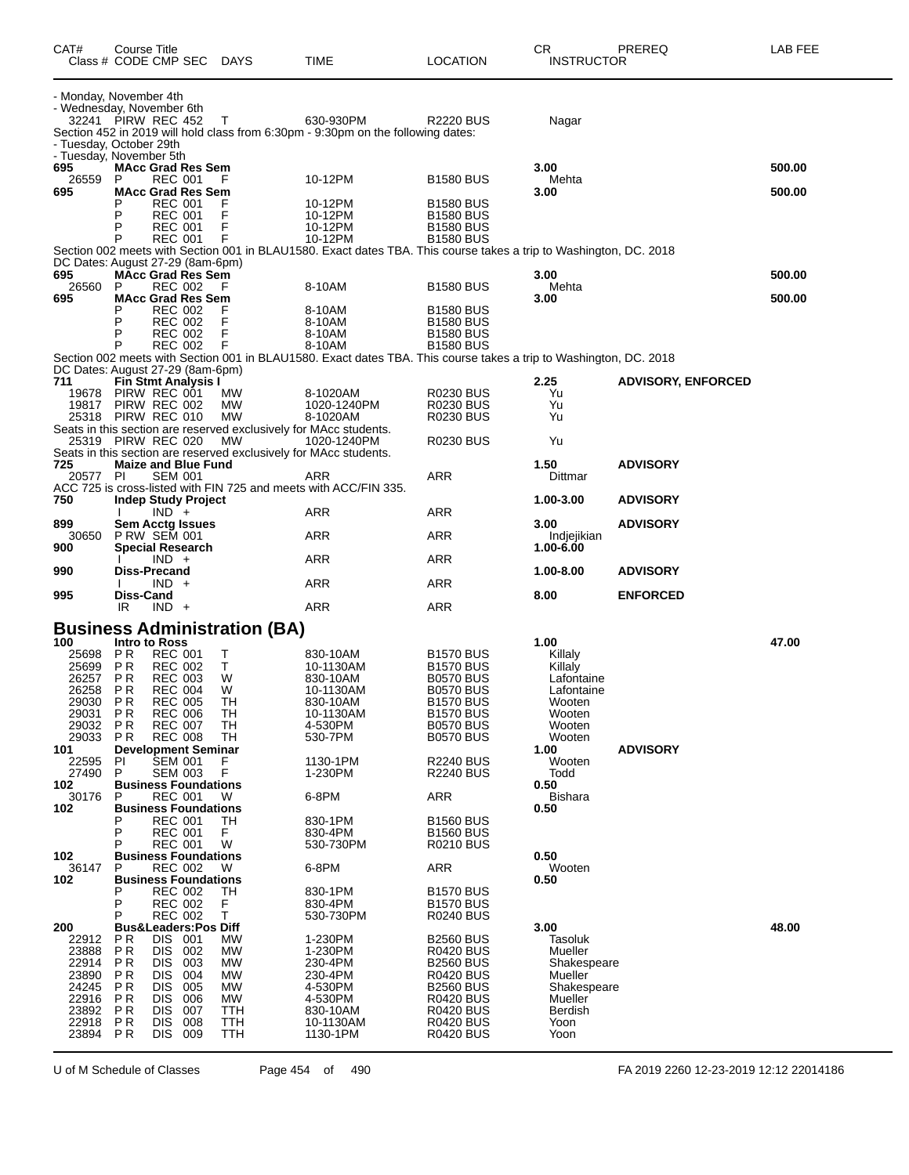| CAT#<br>Class # CODE CMP SEC DAYS                                                                    | Course Title                                                      |                                                                                                                                              |                                               |                                                                            | TIME                                                                                                                                                  | <b>LOCATION</b>                                                                                                                                                                  | CR<br>INSTRUCTOR                                                                                          | PREREQ                    | LAB FEE |
|------------------------------------------------------------------------------------------------------|-------------------------------------------------------------------|----------------------------------------------------------------------------------------------------------------------------------------------|-----------------------------------------------|----------------------------------------------------------------------------|-------------------------------------------------------------------------------------------------------------------------------------------------------|----------------------------------------------------------------------------------------------------------------------------------------------------------------------------------|-----------------------------------------------------------------------------------------------------------|---------------------------|---------|
| - Monday, November 4th<br>- Wednesday, November 6th<br>32241 PIRW REC 452<br>- Tuesday, October 29th |                                                                   |                                                                                                                                              |                                               | T                                                                          | 630-930PM<br>Section 452 in 2019 will hold class from 6:30pm - 9:30pm on the following dates:                                                         | <b>R2220 BUS</b>                                                                                                                                                                 | Nagar                                                                                                     |                           |         |
| - Tuesday, November 5th<br>695<br>26559                                                              | <b>MAcc Grad Res Sem</b><br>P                                     | <b>REC 001</b>                                                                                                                               |                                               | F                                                                          | 10-12PM                                                                                                                                               | <b>B1580 BUS</b>                                                                                                                                                                 | 3.00<br>Mehta                                                                                             |                           | 500.00  |
| 695                                                                                                  | <b>MAcc Grad Res Sem</b><br>P<br>Р<br>P                           | <b>REC 001</b><br><b>REC 001</b><br><b>REC 001</b><br><b>REC 001</b>                                                                         |                                               | F<br>F<br>F<br>F                                                           | 10-12PM<br>10-12PM<br>10-12PM<br>10-12PM                                                                                                              | <b>B1580 BUS</b><br><b>B1580 BUS</b><br><b>B1580 BUS</b><br><b>B1580 BUS</b>                                                                                                     | 3.00                                                                                                      |                           | 500.00  |
| DC Dates: August 27-29 (8am-6pm)                                                                     |                                                                   |                                                                                                                                              |                                               |                                                                            | Section 002 meets with Section 001 in BLAU1580. Exact dates TBA. This course takes a trip to Washington, DC. 2018                                     |                                                                                                                                                                                  |                                                                                                           |                           |         |
| 695<br>26560                                                                                         | <b>MAcc Grad Res Sem</b><br>P                                     | REC 002                                                                                                                                      |                                               | F                                                                          | 8-10AM                                                                                                                                                | <b>B1580 BUS</b>                                                                                                                                                                 | 3.00<br>Mehta                                                                                             |                           | 500.00  |
| 695                                                                                                  | <b>MAcc Grad Res Sem</b><br>P<br>P<br>P                           | <b>REC 002</b><br><b>REC 002</b><br><b>REC 002</b><br><b>REC 002</b>                                                                         |                                               | F<br>F<br>F<br>F                                                           | 8-10AM<br>8-10AM<br>8-10AM<br>8-10AM                                                                                                                  | <b>B1580 BUS</b><br><b>B1580 BUS</b><br><b>B1580 BUS</b><br><b>B1580 BUS</b>                                                                                                     | 3.00                                                                                                      |                           | 500.00  |
| DC Dates: August 27-29 (8am-6pm)                                                                     |                                                                   |                                                                                                                                              |                                               |                                                                            | Section 002 meets with Section 001 in BLAU1580. Exact dates TBA. This course takes a trip to Washington, DC. 2018                                     |                                                                                                                                                                                  |                                                                                                           |                           |         |
| 711<br>19678<br>19817<br>25318 PIRW REC 010                                                          | <b>Fin Stmt Analysis I</b><br>PIRW REC 001<br>PIRW REC 002        |                                                                                                                                              |                                               | МW<br>МW<br><b>MW</b>                                                      | 8-1020AM<br>1020-1240PM<br>8-1020AM                                                                                                                   | R0230 BUS<br><b>R0230 BUS</b><br><b>R0230 BUS</b>                                                                                                                                | 2.25<br>Yu<br>Yu<br>Yu                                                                                    | <b>ADVISORY, ENFORCED</b> |         |
| 25319 PIRW REC 020                                                                                   |                                                                   |                                                                                                                                              |                                               | MW                                                                         | Seats in this section are reserved exclusively for MAcc students.<br>1020-1240PM<br>Seats in this section are reserved exclusively for MAcc students. | <b>R0230 BUS</b>                                                                                                                                                                 | Yu                                                                                                        |                           |         |
| 725<br>20577 PI                                                                                      | <b>Maize and Blue Fund</b>                                        | <b>SEM 001</b>                                                                                                                               |                                               |                                                                            | ARR<br>ACC 725 is cross-listed with FIN 725 and meets with ACC/FIN 335.                                                                               | ARR                                                                                                                                                                              | 1.50<br>Dittmar                                                                                           | <b>ADVISORY</b>           |         |
| 750                                                                                                  | <b>Indep Study Project</b>                                        | $IND +$                                                                                                                                      |                                               |                                                                            | ARR                                                                                                                                                   | ARR                                                                                                                                                                              | 1.00-3.00                                                                                                 | <b>ADVISORY</b>           |         |
| 899<br>30650                                                                                         | <b>P RW SEM 001</b>                                               | Sem Acctg Issues                                                                                                                             |                                               |                                                                            | ARR                                                                                                                                                   | ARR                                                                                                                                                                              | 3.00<br>Indjejikian                                                                                       | <b>ADVISORY</b>           |         |
| 900                                                                                                  |                                                                   | Special Research<br>$IND +$                                                                                                                  |                                               |                                                                            | ARR                                                                                                                                                   | <b>ARR</b>                                                                                                                                                                       | 1.00-6.00                                                                                                 |                           |         |
| 990                                                                                                  |                                                                   | Diss-Precand<br>$IND +$                                                                                                                      |                                               |                                                                            | ARR                                                                                                                                                   | <b>ARR</b>                                                                                                                                                                       | 1.00-8.00                                                                                                 | <b>ADVISORY</b>           |         |
| 995                                                                                                  | Diss-Cand<br>IR.                                                  | $IND +$                                                                                                                                      |                                               |                                                                            | ARR                                                                                                                                                   | <b>ARR</b>                                                                                                                                                                       | 8.00                                                                                                      | <b>ENFORCED</b>           |         |
|                                                                                                      |                                                                   |                                                                                                                                              |                                               | <b>Business Administration (BA)</b>                                        |                                                                                                                                                       |                                                                                                                                                                                  |                                                                                                           |                           |         |
| 100                                                                                                  | Intro to Ross                                                     |                                                                                                                                              |                                               |                                                                            |                                                                                                                                                       |                                                                                                                                                                                  | 1.00                                                                                                      |                           | 47.00   |
| 25698<br>25699<br>26257<br>26258<br>29030<br>29031<br>29032<br>29033<br>101                          | ΡR<br>P R<br>ΡR<br>ΡR<br>P <sub>R</sub><br><b>PR</b><br>PR<br>P R | <b>REC 001</b><br><b>REC 002</b><br><b>REC 003</b><br><b>REC 004</b><br><b>REC 005</b><br><b>REC 006</b><br><b>REC 007</b><br><b>REC 008</b> |                                               | т<br>Τ<br>W<br>W<br>TН<br>TH<br>TН<br>TН                                   | 830-10AM<br>10-1130AM<br>830-10AM<br>10-1130AM<br>830-10AM<br>10-1130AM<br>4-530PM<br>530-7PM                                                         | <b>B1570 BUS</b><br><b>B1570 BUS</b><br><b>B0570 BUS</b><br><b>B0570 BUS</b><br><b>B1570 BUS</b><br><b>B1570 BUS</b><br><b>B0570 BUS</b><br><b>B0570 BUS</b>                     | Killaly<br>Killaly<br>Lafontaine<br>Lafontaine<br>Wooten<br>Wooten<br>Wooten<br>Wooten<br>1.00            | <b>ADVISORY</b>           |         |
| 22595<br>27490                                                                                       | <b>Development Seminar</b><br>ΡI<br>P                             | <b>SEM 001</b><br><b>SEM 003</b>                                                                                                             |                                               | F<br>F                                                                     | 1130-1PM<br>1-230PM                                                                                                                                   | <b>R2240 BUS</b>                                                                                                                                                                 | Wooten<br>Todd                                                                                            |                           |         |
| 102<br>30176                                                                                         | <b>Business Foundations</b>                                       |                                                                                                                                              |                                               |                                                                            | 6-8PM                                                                                                                                                 | <b>R2240 BUS</b>                                                                                                                                                                 | 0.50                                                                                                      |                           |         |
| 102                                                                                                  | P<br><b>Business Foundations</b>                                  | <b>REC 001</b>                                                                                                                               |                                               | W                                                                          |                                                                                                                                                       | ARR                                                                                                                                                                              | Bishara<br>0.50                                                                                           |                           |         |
| 102                                                                                                  | P<br><b>Business Foundations</b>                                  | <b>REC 001</b><br><b>REC 001</b><br><b>REC 001</b>                                                                                           |                                               | TН<br>F.<br>W                                                              | 830-1PM<br>830-4PM<br>530-730PM                                                                                                                       | <b>B1560 BUS</b><br><b>B1560 BUS</b><br>R0210 BUS                                                                                                                                | 0.50                                                                                                      |                           |         |
| 36147<br>102                                                                                         | P<br><b>Business Foundations</b>                                  | <b>REC 002</b>                                                                                                                               |                                               | W                                                                          | 6-8PM                                                                                                                                                 | ARR                                                                                                                                                                              | Wooten<br>0.50                                                                                            |                           |         |
|                                                                                                      | Р<br>P<br>P                                                       | <b>REC 002</b><br><b>REC 002</b><br><b>REC 002</b>                                                                                           |                                               | TН<br>F<br>T.                                                              | 830-1PM<br>830-4PM<br>530-730PM                                                                                                                       | <b>B1570 BUS</b><br><b>B1570 BUS</b><br><b>R0240 BUS</b>                                                                                                                         |                                                                                                           |                           |         |
| 200<br>22912<br>23888<br>22914<br>23890<br>24245<br>22916<br>23892<br>22918<br>23894                 | PR<br>PR<br>P R<br>ΡR<br>P R<br>P R<br>ΡR<br>P R<br>P R           | <b>Bus&amp;Leaders:Pos Diff</b><br>DIS 001<br><b>DIS</b><br><b>DIS</b><br>DIS.<br><b>DIS</b><br><b>DIS</b><br>DIS.<br><b>DIS</b><br>DIS 009  | 002<br>003<br>004<br>005<br>006<br>007<br>008 | MW<br><b>MW</b><br><b>MW</b><br>MW<br>МW<br><b>MW</b><br>TTH<br>TTH<br>TTH | 1-230PM<br>1-230PM<br>230-4PM<br>230-4PM<br>4-530PM<br>4-530PM<br>830-10AM<br>10-1130AM<br>1130-1PM                                                   | <b>B2560 BUS</b><br><b>R0420 BUS</b><br><b>B2560 BUS</b><br><b>R0420 BUS</b><br><b>B2560 BUS</b><br><b>R0420 BUS</b><br><b>R0420 BUS</b><br><b>R0420 BUS</b><br><b>R0420 BUS</b> | 3.00<br>Tasoluk<br>Mueller<br>Shakespeare<br>Mueller<br>Shakespeare<br>Mueller<br>Berdish<br>Yoon<br>Yoon |                           | 48.00   |

U of M Schedule of Classes Page 454 of 490 FA 2019 2260 12-23-2019 12:12 22014186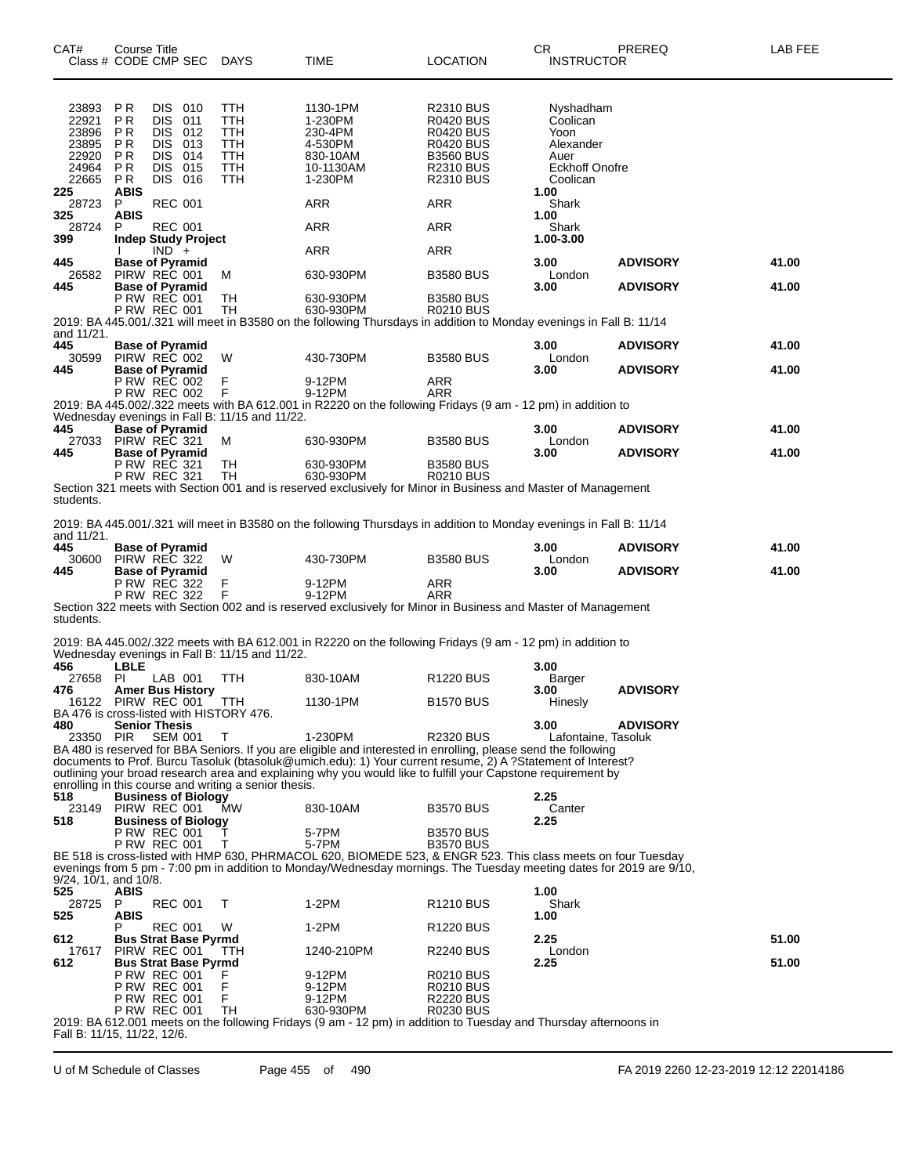| CAT#                                                        | Course Title                                            | Class # CODE CMP SEC                                                                  | DAYS                                                               | TIME                                                                                                                                                                                                                                         | <b>LOCATION</b>                                                                                                                   | CR.<br><b>INSTRUCTOR</b>                                                                | PREREQ          | LAB FEE |
|-------------------------------------------------------------|---------------------------------------------------------|---------------------------------------------------------------------------------------|--------------------------------------------------------------------|----------------------------------------------------------------------------------------------------------------------------------------------------------------------------------------------------------------------------------------------|-----------------------------------------------------------------------------------------------------------------------------------|-----------------------------------------------------------------------------------------|-----------------|---------|
| 23893<br>22921<br>23896<br>23895<br>22920<br>24964<br>22665 | P R<br>ΡR<br>P R<br>P R<br>P R<br>P <sub>R</sub><br>P R | DIS 010<br>DIS.<br>011<br>DIS.<br>012<br>DIS.<br>013<br>DIS 014<br>DIS 015<br>DIS 016 | TTH<br>TTH<br><b>TTH</b><br><b>TTH</b><br>TTH<br><b>TTH</b><br>TTH | 1130-1PM<br>1-230PM<br>230-4PM<br>4-530PM<br>830-10AM<br>10-1130AM<br>1-230PM                                                                                                                                                                | R2310 BUS<br><b>R0420 BUS</b><br><b>R0420 BUS</b><br><b>R0420 BUS</b><br><b>B3560 BUS</b><br><b>R2310 BUS</b><br><b>R2310 BUS</b> | Nyshadham<br>Coolican<br>Yoon<br>Alexander<br>Auer<br><b>Eckhoff Onofre</b><br>Coolican |                 |         |
| 225<br>28723<br>325                                         | ABIS<br>P<br><b>ABIS</b>                                | <b>REC 001</b>                                                                        |                                                                    | ARR                                                                                                                                                                                                                                          | ARR                                                                                                                               | 1.00<br>Shark<br>1.00                                                                   |                 |         |
| 28724<br>399                                                | P                                                       | <b>REC 001</b><br><b>Indep Study Project</b>                                          |                                                                    | ARR                                                                                                                                                                                                                                          | ARR                                                                                                                               | Shark<br>1.00-3.00                                                                      |                 |         |
| 445                                                         |                                                         | $IND +$<br><b>Base of Pyramid</b>                                                     |                                                                    | ARR                                                                                                                                                                                                                                          | ARR                                                                                                                               | 3.00                                                                                    | <b>ADVISORY</b> | 41.00   |
|                                                             |                                                         | 26582 PIRW REC 001                                                                    | М                                                                  | 630-930PM                                                                                                                                                                                                                                    | <b>B3580 BUS</b>                                                                                                                  | London                                                                                  |                 |         |
| 445                                                         |                                                         | <b>Base of Pyramid</b><br>P RW REC 001<br><b>P RW REC 001</b>                         | TН<br>TН                                                           | 630-930PM<br>630-930PM<br>2019: BA 445.001/.321 will meet in B3580 on the following Thursdays in addition to Monday evenings in Fall B: 11/14                                                                                                | <b>B3580 BUS</b><br><b>R0210 BUS</b>                                                                                              | 3.00                                                                                    | <b>ADVISORY</b> | 41.00   |
| and 11/21.                                                  |                                                         |                                                                                       |                                                                    |                                                                                                                                                                                                                                              |                                                                                                                                   |                                                                                         |                 |         |
| 445<br>30599                                                |                                                         | <b>Base of Pyramid</b><br>PIRW REC 002                                                | W                                                                  | 430-730PM                                                                                                                                                                                                                                    | <b>B3580 BUS</b>                                                                                                                  | 3.00<br>London                                                                          | <b>ADVISORY</b> | 41.00   |
| 445                                                         |                                                         | <b>Base of Pyramid</b><br><b>P RW REC 002</b><br><b>P RW REC 002</b>                  | F<br>F                                                             | 9-12PM<br>9-12PM                                                                                                                                                                                                                             | ARR<br>ARR                                                                                                                        | 3.00                                                                                    | <b>ADVISORY</b> | 41.00   |
|                                                             |                                                         |                                                                                       |                                                                    | 2019: BA 445.002/.322 meets with BA 612.001 in R2220 on the following Fridays (9 am - 12 pm) in addition to                                                                                                                                  |                                                                                                                                   |                                                                                         |                 |         |
| 445                                                         |                                                         | <b>Base of Pyramid</b>                                                                | Wednesday evenings in Fall B: 11/15 and 11/22.                     |                                                                                                                                                                                                                                              |                                                                                                                                   | 3.00                                                                                    | <b>ADVISORY</b> | 41.00   |
| 27033<br>445                                                |                                                         | PIRW REC 321<br><b>Base of Pyramid</b>                                                | м                                                                  | 630-930PM                                                                                                                                                                                                                                    | <b>B3580 BUS</b>                                                                                                                  | London<br>3.00                                                                          | <b>ADVISORY</b> | 41.00   |
|                                                             |                                                         | <b>P RW REC 321</b><br>P RW REC 321                                                   | TН<br>TH                                                           | 630-930PM<br>630-930PM                                                                                                                                                                                                                       | <b>B3580 BUS</b><br><b>R0210 BUS</b>                                                                                              |                                                                                         |                 |         |
| students.                                                   |                                                         |                                                                                       |                                                                    | Section 321 meets with Section 001 and is reserved exclusively for Minor in Business and Master of Management                                                                                                                                |                                                                                                                                   |                                                                                         |                 |         |
| and 11/21.<br>445                                           |                                                         | <b>Base of Pyramid</b>                                                                |                                                                    | 2019: BA 445.001/.321 will meet in B3580 on the following Thursdays in addition to Monday evenings in Fall B: 11/14                                                                                                                          |                                                                                                                                   | 3.00                                                                                    | <b>ADVISORY</b> | 41.00   |
| 30600                                                       |                                                         | PIRW REC 322                                                                          | W                                                                  | 430-730PM                                                                                                                                                                                                                                    | <b>B3580 BUS</b>                                                                                                                  | London                                                                                  |                 |         |
| 445                                                         |                                                         | <b>Base of Pyramid</b><br><b>P RW REC 322</b>                                         | F<br>F                                                             | 9-12PM                                                                                                                                                                                                                                       | ARR                                                                                                                               | 3.00                                                                                    | <b>ADVISORY</b> | 41.00   |
| students.                                                   |                                                         | <b>P RW REC 322</b>                                                                   |                                                                    | 9-12PM<br>Section 322 meets with Section 002 and is reserved exclusively for Minor in Business and Master of Management                                                                                                                      | ARR                                                                                                                               |                                                                                         |                 |         |
|                                                             |                                                         |                                                                                       |                                                                    | 2019: BA 445.002/.322 meets with BA 612.001 in R2220 on the following Fridays (9 am - 12 pm) in addition to                                                                                                                                  |                                                                                                                                   |                                                                                         |                 |         |
| 456                                                         | <b>LBLE</b>                                             |                                                                                       | Wednesday evenings in Fall B: 11/15 and 11/22.                     |                                                                                                                                                                                                                                              |                                                                                                                                   | 3.00                                                                                    |                 |         |
| 27658 PI<br>476                                             |                                                         | LAB 001<br><b>Amer Bus History</b>                                                    | TTH                                                                | 830-10AM                                                                                                                                                                                                                                     | R <sub>1220</sub> BUS                                                                                                             | Barger<br>3.00                                                                          | <b>ADVISORY</b> |         |
| 16122                                                       |                                                         | PIRW REC 001                                                                          | <b>TTH</b>                                                         | 1130-1PM                                                                                                                                                                                                                                     | <b>B1570 BUS</b>                                                                                                                  | Hinesly                                                                                 |                 |         |
| 480                                                         |                                                         | <b>Senior Thesis</b>                                                                  | BA 476 is cross-listed with HISTORY 476.                           |                                                                                                                                                                                                                                              |                                                                                                                                   | 3.00                                                                                    | <b>ADVISORY</b> |         |
| 23350 PIR                                                   |                                                         | <b>SEM 001</b>                                                                        | T                                                                  | 1-230PM<br>BA 480 is reserved for BBA Seniors. If you are eligible and interested in enrolling, please send the following                                                                                                                    | <b>R2320 BUS</b>                                                                                                                  | Lafontaine, Tasoluk                                                                     |                 |         |
|                                                             |                                                         |                                                                                       | enrolling in this course and writing a senior thesis.              | documents to Prof. Burcu Tasoluk (btasoluk@umich.edu): 1) Your current resume, 2) A ?Statement of Interest?<br>outlining your broad research area and explaining why you would like to fulfill your Capstone requirement by                  |                                                                                                                                   |                                                                                         |                 |         |
| 518<br>23149                                                |                                                         | <b>Business of Biology</b><br>PIRW REC 001                                            | MW                                                                 | 830-10AM                                                                                                                                                                                                                                     | <b>B3570 BUS</b>                                                                                                                  | 2.25<br>Canter                                                                          |                 |         |
| 518                                                         |                                                         | <b>Business of Biology</b><br>P RW REC 001                                            | T                                                                  | 5-7PM                                                                                                                                                                                                                                        | <b>B3570 BUS</b>                                                                                                                  | 2.25                                                                                    |                 |         |
| 9/24, 10/1, and 10/8.                                       |                                                         | <b>P RW REC 001</b>                                                                   | T.                                                                 | 5-7PM<br>BE 518 is cross-listed with HMP 630, PHRMACOL 620, BIOMEDE 523, & ENGR 523. This class meets on four Tuesday<br>evenings from 5 pm - 7:00 pm in addition to Monday/Wednesday mornings. The Tuesday meeting dates for 2019 are 9/10, | <b>B3570 BUS</b>                                                                                                                  |                                                                                         |                 |         |
| 525                                                         | <b>ABIS</b>                                             |                                                                                       |                                                                    |                                                                                                                                                                                                                                              |                                                                                                                                   | 1.00                                                                                    |                 |         |
| 28725 P<br>525                                              | <b>ABIS</b>                                             | <b>REC 001</b>                                                                        | T                                                                  | 1-2PM                                                                                                                                                                                                                                        | R <sub>1210</sub> BUS                                                                                                             | Shark<br>1.00                                                                           |                 |         |
| 612                                                         | Р                                                       | REC 001<br><b>Bus Strat Base Pyrmd</b>                                                | W                                                                  | 1-2PM                                                                                                                                                                                                                                        | R <sub>1220</sub> BUS                                                                                                             | 2.25                                                                                    |                 | 51.00   |
| 17617                                                       |                                                         | PIRW REC 001                                                                          | TTH                                                                | 1240-210PM                                                                                                                                                                                                                                   | <b>R2240 BUS</b>                                                                                                                  | London                                                                                  |                 |         |
| 612                                                         |                                                         | <b>Bus Strat Base Pyrmd</b><br>P RW REC 001                                           |                                                                    | 9-12PM                                                                                                                                                                                                                                       | <b>R0210 BUS</b>                                                                                                                  | 2.25                                                                                    |                 | 51.00   |
|                                                             |                                                         | <b>P RW REC 001</b>                                                                   | F                                                                  | 9-12PM                                                                                                                                                                                                                                       | <b>R0210 BUS</b>                                                                                                                  |                                                                                         |                 |         |
|                                                             |                                                         | <b>P RW REC 001</b><br><b>P RW REC 001</b>                                            | F.<br>TH                                                           | 9-12PM<br>630-930PM                                                                                                                                                                                                                          | <b>R2220 BUS</b><br><b>R0230 BUS</b>                                                                                              |                                                                                         |                 |         |
| Fall B: 11/15, 11/22, 12/6.                                 |                                                         |                                                                                       |                                                                    | 2019: BA 612.001 meets on the following Fridays (9 am - 12 pm) in addition to Tuesday and Thursday afternoons in                                                                                                                             |                                                                                                                                   |                                                                                         |                 |         |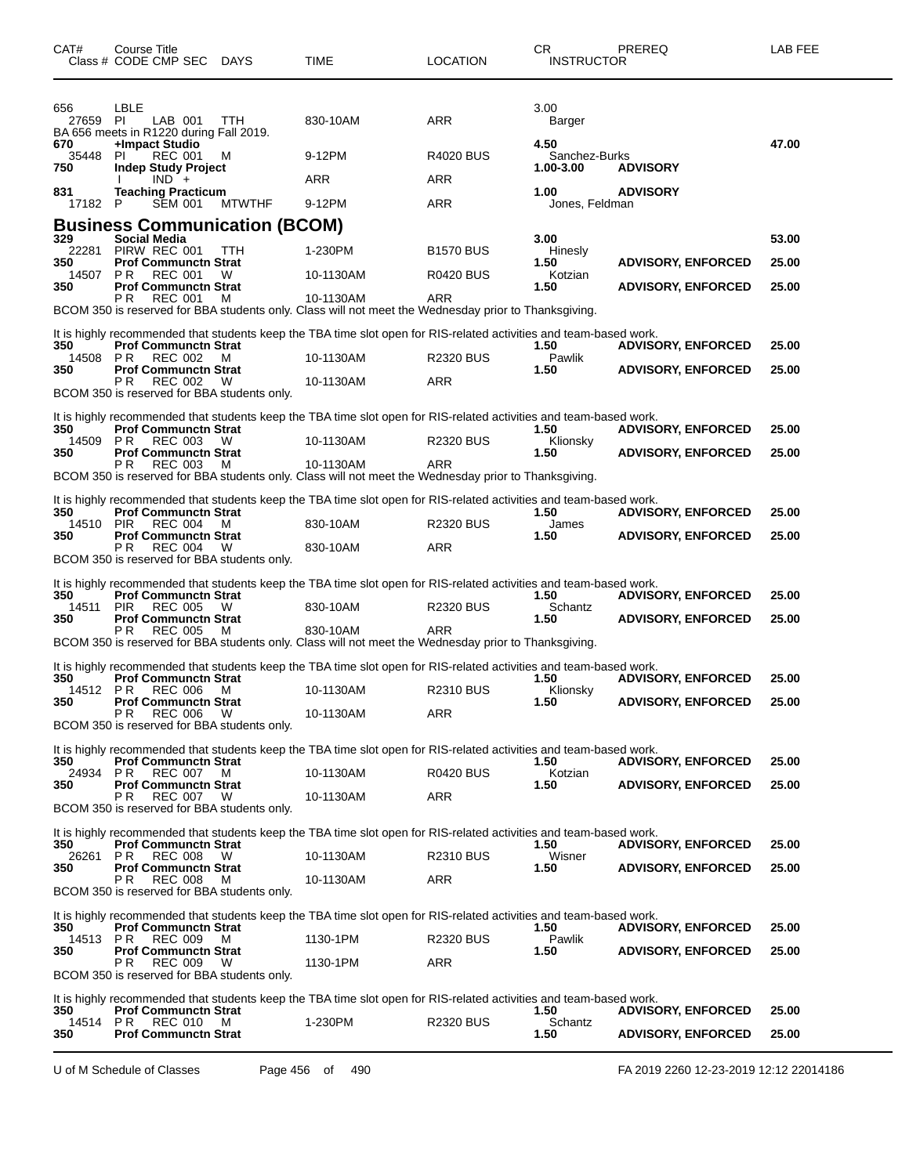| CAT#                | Course Title<br>Class # CODE CMP SEC                                                               | <b>DAYS</b>   | TIME                                                                                                               | <b>LOCATION</b>  | CR<br><b>INSTRUCTOR</b>            | PREREQ                    | LAB FEE |
|---------------------|----------------------------------------------------------------------------------------------------|---------------|--------------------------------------------------------------------------------------------------------------------|------------------|------------------------------------|---------------------------|---------|
| 656<br>27659 PI     | LBLE<br>LAB 001<br>BA 656 meets in R1220 during Fall 2019.                                         | TTH           | 830-10AM                                                                                                           | <b>ARR</b>       | 3.00<br>Barger                     |                           |         |
| 670<br>35448<br>750 | +Impact Studio<br><b>REC 001</b><br>PI.<br><b>Indep Study Project</b>                              | M             | 9-12PM                                                                                                             | <b>R4020 BUS</b> | 4.50<br>Sanchez-Burks<br>1.00-3.00 | <b>ADVISORY</b>           | 47.00   |
| 831                 | IND +<br><b>Teaching Practicum</b>                                                                 |               | ARR                                                                                                                | ARR              | 1.00                               | <b>ADVISORY</b>           |         |
| 17182 P             | <b>SEM 001</b>                                                                                     | <b>MTWTHF</b> | 9-12PM                                                                                                             | <b>ARR</b>       | Jones, Feldman                     |                           |         |
|                     | <b>Business Communication (BCOM)</b>                                                               |               |                                                                                                                    |                  |                                    |                           |         |
| 329<br>22281        | Social Media<br>PIRW REC 001                                                                       | TTH           | 1-230PM                                                                                                            | <b>B1570 BUS</b> | 3.00<br>Hinesly                    |                           | 53.00   |
| 350<br>14507        | <b>Prof Communctn Strat</b><br>P R<br><b>REC 001</b>                                               | W             | 10-1130AM                                                                                                          | <b>R0420 BUS</b> | 1.50<br>Kotzian                    | <b>ADVISORY, ENFORCED</b> | 25.00   |
| 350                 | <b>Prof Communctn Strat</b><br>PR.<br>REC 001                                                      | M             | 10-1130AM<br>BCOM 350 is reserved for BBA students only. Class will not meet the Wednesday prior to Thanksgiving.  | ARR              | 1.50                               | <b>ADVISORY, ENFORCED</b> | 25.00   |
|                     |                                                                                                    |               | It is highly recommended that students keep the TBA time slot open for RIS-related activities and team-based work. |                  |                                    |                           |         |
| 350<br>14508 PR     | <b>Prof Communctn Strat</b><br><b>REC 002</b>                                                      | м             | 10-1130AM                                                                                                          | <b>R2320 BUS</b> | 1.50<br>Pawlik                     | <b>ADVISORY, ENFORCED</b> | 25.00   |
| 350                 | <b>Prof Communctn Strat</b><br>P R<br><b>REC 002</b>                                               |               |                                                                                                                    | <b>ARR</b>       | 1.50                               | <b>ADVISORY, ENFORCED</b> | 25.00   |
|                     | BCOM 350 is reserved for BBA students only.                                                        | W             | 10-1130AM                                                                                                          |                  |                                    |                           |         |
| 350                 | <b>Prof Communctn Strat</b>                                                                        |               | It is highly recommended that students keep the TBA time slot open for RIS-related activities and team-based work. |                  | 1.50                               | <b>ADVISORY, ENFORCED</b> | 25.00   |
| 14509<br>350        | PR<br>REC 003<br><b>Prof Communctn Strat</b>                                                       | W             | 10-1130AM                                                                                                          | <b>R2320 BUS</b> | Klionsky<br>1.50                   | <b>ADVISORY, ENFORCED</b> | 25.00   |
|                     | P R<br><b>REC 003</b>                                                                              | м             | 10-1130AM<br>BCOM 350 is reserved for BBA students only. Class will not meet the Wednesday prior to Thanksgiving.  | ARR              |                                    |                           |         |
| 350                 | <b>Prof Communctn Strat</b>                                                                        |               | It is highly recommended that students keep the TBA time slot open for RIS-related activities and team-based work. |                  | 1.50                               | <b>ADVISORY, ENFORCED</b> | 25.00   |
| 14510 PIR<br>350    | <b>REC 004</b><br><b>Prof Communctn Strat</b>                                                      | M             | 830-10AM                                                                                                           | <b>R2320 BUS</b> | James<br>1.50                      | <b>ADVISORY, ENFORCED</b> | 25.00   |
|                     | PR.<br>REC 004<br>BCOM 350 is reserved for BBA students only.                                      | W             | 830-10AM                                                                                                           | ARR              |                                    |                           |         |
|                     |                                                                                                    |               | It is highly recommended that students keep the TBA time slot open for RIS-related activities and team-based work. |                  |                                    |                           |         |
| 350<br>14511        | <b>Prof Communctn Strat</b><br><b>PIR</b><br><b>REC 005</b>                                        | w             | 830-10AM                                                                                                           | <b>R2320 BUS</b> | 1.50<br>Schantz                    | <b>ADVISORY, ENFORCED</b> | 25.00   |
| 350                 | <b>Prof Communctn Strat</b><br>P R<br><b>REC 005</b>                                               | м             | 830-10AM                                                                                                           | ARR              | 1.50                               | <b>ADVISORY, ENFORCED</b> | 25.00   |
|                     |                                                                                                    |               | BCOM 350 is reserved for BBA students only. Class will not meet the Wednesday prior to Thanksgiving.               |                  |                                    |                           |         |
| 350                 | <b>Prof Communctn Strat</b>                                                                        |               | It is highly recommended that students keep the TBA time slot open for RIS-related activities and team-based work. |                  | 1.50                               | <b>ADVISORY, ENFORCED</b> | 25.00   |
| 14512<br>350        | PR.<br>REC 006<br><b>Prof Communctn Strat</b>                                                      | M             | 10-1130AM                                                                                                          | <b>R2310 BUS</b> | Klionsky                           |                           | 25.00   |
|                     | P <sub>R</sub><br><b>REC 006</b><br>BCOM 350 is reserved for BBA students only.                    | W             | 10-1130AM                                                                                                          | ARR              | 1.50                               | <b>ADVISORY, ENFORCED</b> |         |
|                     |                                                                                                    |               | It is highly recommended that students keep the TBA time slot open for RIS-related activities and team-based work. |                  |                                    |                           |         |
| 350                 | <b>Prof Communctn Strat</b>                                                                        |               |                                                                                                                    |                  | 1.50                               | <b>ADVISORY, ENFORCED</b> | 25.00   |
| 24934<br>350        | <b>REC 007</b><br>P R<br><b>Prof Communctn Strat</b>                                               | M             | 10-1130AM                                                                                                          | <b>R0420 BUS</b> | Kotzian<br>1.50                    | <b>ADVISORY, ENFORCED</b> | 25.00   |
|                     | P R<br>REC 007<br>BCOM 350 is reserved for BBA students only.                                      | - W           | 10-1130AM                                                                                                          | ARR              |                                    |                           |         |
|                     |                                                                                                    |               | It is highly recommended that students keep the TBA time slot open for RIS-related activities and team-based work. |                  |                                    |                           |         |
| 350<br>26261        | <b>Prof Communctn Strat</b><br>P R<br><b>REC 008</b>                                               | W             | 10-1130AM                                                                                                          | <b>R2310 BUS</b> | 1.50<br>Wisner                     | <b>ADVISORY, ENFORCED</b> | 25.00   |
| 350                 | <b>Prof Communctn Strat</b><br>P R<br><b>REC 008</b>                                               | M             | 10-1130AM                                                                                                          | ARR              | 1.50                               | <b>ADVISORY, ENFORCED</b> | 25.00   |
|                     | BCOM 350 is reserved for BBA students only.                                                        |               |                                                                                                                    |                  |                                    |                           |         |
| 350                 | <b>Prof Communctn Strat</b>                                                                        |               | It is highly recommended that students keep the TBA time slot open for RIS-related activities and team-based work. |                  | 1.50                               | <b>ADVISORY, ENFORCED</b> | 25.00   |
| 14513               | PR<br>REC 009                                                                                      | M             | 1130-1PM                                                                                                           | <b>R2320 BUS</b> | Pawlik                             |                           |         |
| 350                 | <b>Prof Communctn Strat</b><br>РR<br><b>REC 009</b><br>BCOM 350 is reserved for BBA students only. | W             | 1130-1PM                                                                                                           | ARR              | 1.50                               | <b>ADVISORY, ENFORCED</b> | 25.00   |
|                     |                                                                                                    |               |                                                                                                                    |                  |                                    |                           |         |
| 350                 | <b>Prof Communctn Strat</b>                                                                        |               | It is highly recommended that students keep the TBA time slot open for RIS-related activities and team-based work. |                  | 1.50                               | <b>ADVISORY, ENFORCED</b> | 25.00   |
| 14514<br>350        | <b>REC 010</b><br>PR.<br><b>Prof Communctn Strat</b>                                               | M             | 1-230PM                                                                                                            | <b>R2320 BUS</b> | Schantz<br>1.50                    | <b>ADVISORY, ENFORCED</b> | 25.00   |

U of M Schedule of Classes Page 456 of 490 FA 2019 2260 12-23-2019 12:12 22014186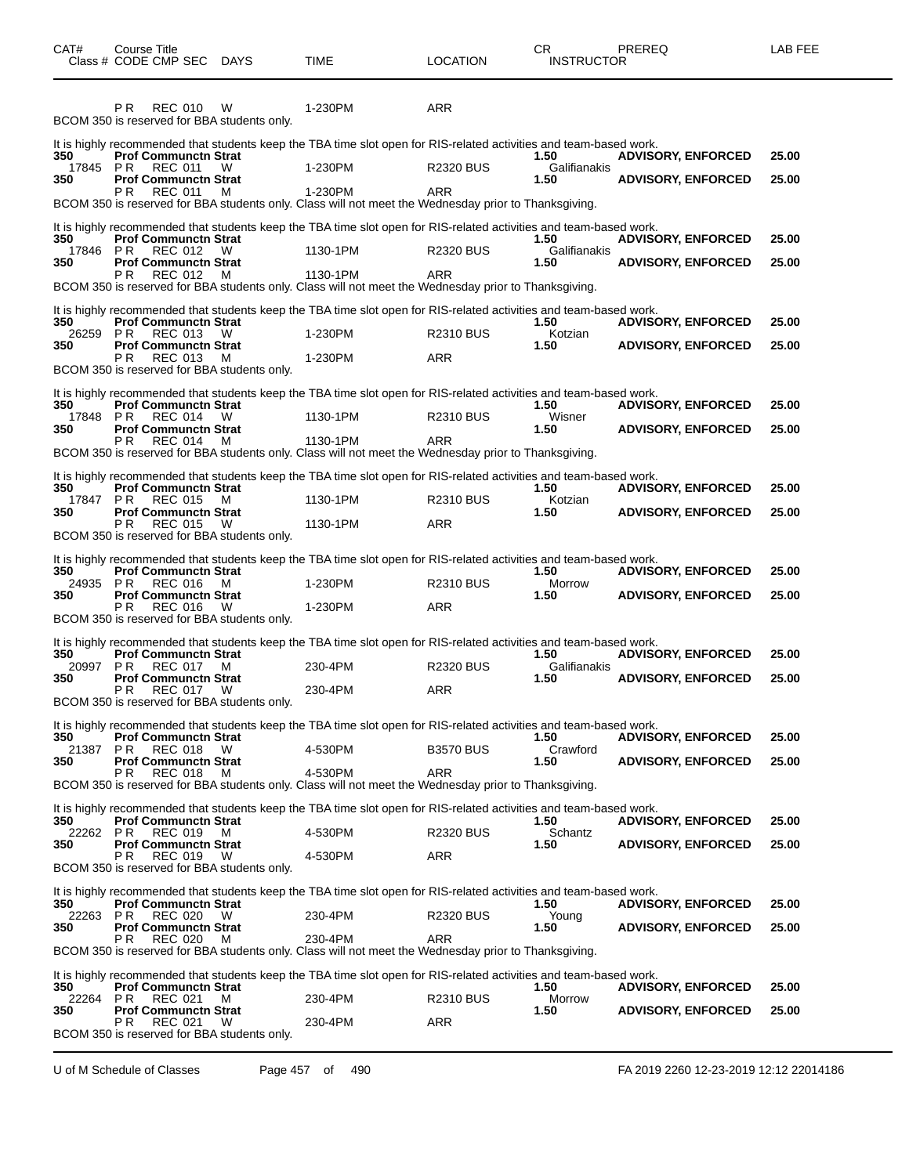| CAT#                   | Course Title<br>Class # CODE CMP SEC                                                                                                                 | DAYS   | <b>TIME</b>                                                                                                                                                                                                                                        | <b>LOCATION</b>                | CR.<br><b>INSTRUCTOR</b>     | PREREQ                                                 | LAB FEE        |
|------------------------|------------------------------------------------------------------------------------------------------------------------------------------------------|--------|----------------------------------------------------------------------------------------------------------------------------------------------------------------------------------------------------------------------------------------------------|--------------------------------|------------------------------|--------------------------------------------------------|----------------|
|                        | P <sub>R</sub><br><b>REC 010</b><br>BCOM 350 is reserved for BBA students only.                                                                      | W      | 1-230PM                                                                                                                                                                                                                                            | <b>ARR</b>                     |                              |                                                        |                |
| 350<br>17845<br>350    | <b>Prof Communctn Strat</b><br>PR<br>REC 011<br><b>Prof Communctn Strat</b><br>P R<br><b>REC 011</b>                                                 | W<br>м | It is highly recommended that students keep the TBA time slot open for RIS-related activities and team-based work.<br>1-230PM<br>1-230PM                                                                                                           | <b>R2320 BUS</b><br>ARR        | 1.50<br>Galifianakis<br>1.50 | <b>ADVISORY, ENFORCED</b><br><b>ADVISORY, ENFORCED</b> | 25.00<br>25.00 |
| 350<br>17846<br>350    | <b>Prof Communctn Strat</b><br>P R<br>REC 012<br><b>Prof Communctn Strat</b><br>P R<br>REC 012                                                       | W<br>M | BCOM 350 is reserved for BBA students only. Class will not meet the Wednesday prior to Thanksgiving.<br>It is highly recommended that students keep the TBA time slot open for RIS-related activities and team-based work.<br>1130-1PM<br>1130-1PM | <b>R2320 BUS</b><br><b>ARR</b> | 1.50<br>Galifianakis<br>1.50 | <b>ADVISORY, ENFORCED</b><br><b>ADVISORY, ENFORCED</b> | 25.00<br>25.00 |
| 350<br>26259 PR<br>350 | <b>Prof Communctn Strat</b><br><b>REC 013</b><br><b>Prof Communctn Strat</b><br>P R<br><b>REC 013</b><br>BCOM 350 is reserved for BBA students only. | W<br>м | BCOM 350 is reserved for BBA students only. Class will not meet the Wednesday prior to Thanksgiving.<br>It is highly recommended that students keep the TBA time slot open for RIS-related activities and team-based work.<br>1-230PM<br>1-230PM   | <b>R2310 BUS</b><br>ARR        | 1.50<br>Kotzian<br>1.50      | <b>ADVISORY, ENFORCED</b><br><b>ADVISORY, ENFORCED</b> | 25.00<br>25.00 |
| 350<br>17848<br>350    | <b>Prof Communctn Strat</b><br>PR<br>REC 014<br><b>Prof Communctn Strat</b><br>P R<br><b>REC 014</b>                                                 | W<br>м | It is highly recommended that students keep the TBA time slot open for RIS-related activities and team-based work.<br>1130-1PM<br>1130-1PM<br>BCOM 350 is reserved for BBA students only. Class will not meet the Wednesday prior to Thanksgiving. | <b>R2310 BUS</b><br>ARR        | 1.50<br>Wisner<br>1.50       | <b>ADVISORY, ENFORCED</b><br><b>ADVISORY, ENFORCED</b> | 25.00<br>25.00 |
| 350<br>17847 PR<br>350 | <b>Prof Communctn Strat</b><br><b>REC 015</b><br><b>Prof Communctn Strat</b><br>P R<br><b>REC 015</b><br>BCOM 350 is reserved for BBA students only. | м<br>W | It is highly recommended that students keep the TBA time slot open for RIS-related activities and team-based work.<br>1130-1PM<br>1130-1PM                                                                                                         | <b>R2310 BUS</b><br><b>ARR</b> | 1.50<br>Kotzian<br>1.50      | <b>ADVISORY, ENFORCED</b><br><b>ADVISORY, ENFORCED</b> | 25.00<br>25.00 |
| 350<br>24935 PR<br>350 | <b>Prof Communctn Strat</b><br><b>REC 016</b><br><b>Prof Communctn Strat</b><br>P R<br><b>REC 016</b><br>BCOM 350 is reserved for BBA students only. | м<br>W | It is highly recommended that students keep the TBA time slot open for RIS-related activities and team-based work.<br>1-230PM<br>1-230PM                                                                                                           | <b>R2310 BUS</b><br>ARR        | 1.50<br>Morrow<br>1.50       | <b>ADVISORY, ENFORCED</b><br><b>ADVISORY, ENFORCED</b> | 25.00<br>25.00 |
| 350<br>20997 PR<br>350 | <b>Prof Communctn Strat</b><br><b>REC 017</b><br><b>Prof Communctn Strat</b><br>P R<br><b>REC 017</b><br>BCOM 350 is reserved for BBA students only. | M<br>W | It is highly recommended that students keep the TBA time slot open for RIS-related activities and team-based work.<br>230-4PM<br>230-4PM                                                                                                           | <b>R2320 BUS</b><br>ARR        | 1.50<br>Galifianakis<br>1.50 | <b>ADVISORY, ENFORCED</b><br><b>ADVISORY, ENFORCED</b> | 25.00<br>25.00 |
| 350<br>21387 PR<br>350 | <b>Prof Communctn Strat</b><br>REC 018<br><b>Prof Communctn Strat</b><br><b>REC 018</b><br>P R                                                       | W<br>M | It is highly recommended that students keep the TBA time slot open for RIS-related activities and team-based work.<br>4-530PM<br>4-530PM<br>BCOM 350 is reserved for BBA students only. Class will not meet the Wednesday prior to Thanksgiving.   | <b>B3570 BUS</b><br><b>ARR</b> | 1.50<br>Crawford<br>1.50     | <b>ADVISORY, ENFORCED</b><br><b>ADVISORY, ENFORCED</b> | 25.00<br>25.00 |
| 350<br>22262 PR<br>350 | <b>Prof Communctn Strat</b><br>REC 019<br><b>Prof Communctn Strat</b><br>P R<br>REC 019<br>BCOM 350 is reserved for BBA students only.               | м<br>W | It is highly recommended that students keep the TBA time slot open for RIS-related activities and team-based work.<br>4-530PM<br>4-530PM                                                                                                           | <b>R2320 BUS</b><br>ARR        | 1.50<br>Schantz<br>1.50      | <b>ADVISORY, ENFORCED</b><br><b>ADVISORY, ENFORCED</b> | 25.00<br>25.00 |
| 350<br>22263<br>350    | <b>Prof Communctn Strat</b><br>P R<br><b>REC 020</b><br><b>Prof Communctn Strat</b><br>P R<br>REC 020                                                | W<br>M | It is highly recommended that students keep the TBA time slot open for RIS-related activities and team-based work.<br>230-4PM<br>230-4PM<br>BCOM 350 is reserved for BBA students only. Class will not meet the Wednesday prior to Thanksgiving.   | <b>R2320 BUS</b><br>ARR        | 1.50<br>Young<br>1.50        | <b>ADVISORY, ENFORCED</b><br><b>ADVISORY, ENFORCED</b> | 25.00<br>25.00 |
| 350<br>22264<br>350    | <b>Prof Communctn Strat</b><br>P R<br>REC 021<br><b>Prof Communctn Strat</b><br>REC 021<br>P R<br>BCOM 350 is reserved for BBA students only.        | M<br>w | It is highly recommended that students keep the TBA time slot open for RIS-related activities and team-based work.<br>230-4PM<br>230-4PM                                                                                                           | <b>R2310 BUS</b><br><b>ARR</b> | 1.50<br>Morrow<br>1.50       | <b>ADVISORY, ENFORCED</b><br><b>ADVISORY, ENFORCED</b> | 25.00<br>25.00 |

U of M Schedule of Classes Page 457 of 490 FA 2019 2260 12-23-2019 12:12 22014186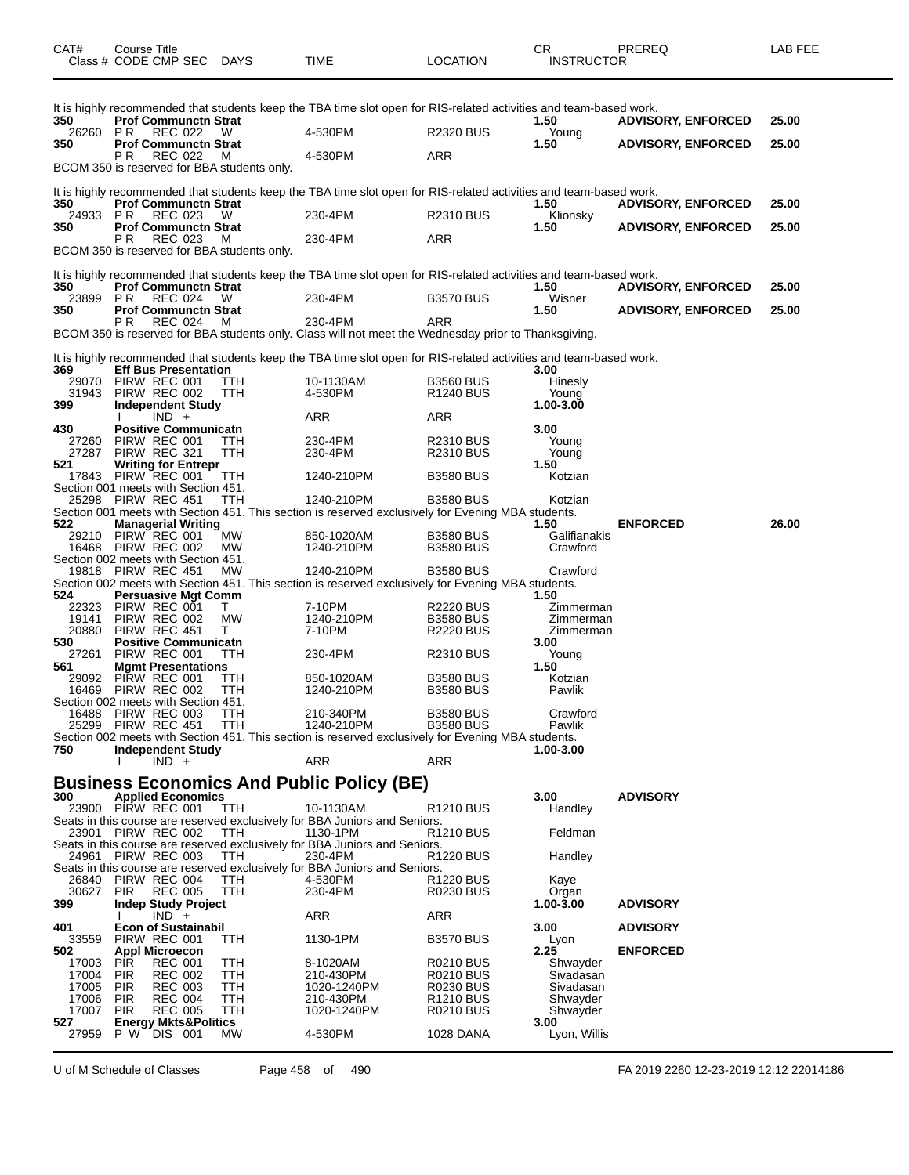| CAT#           | Course Title<br>Class # CODE CMP SEC                            | <b>DAYS</b> | TIME                                                                                                               | <b>LOCATION</b>                      | CR<br><b>INSTRUCTOR</b>  | PREREQ                    | LAB FEE |
|----------------|-----------------------------------------------------------------|-------------|--------------------------------------------------------------------------------------------------------------------|--------------------------------------|--------------------------|---------------------------|---------|
| 350            | <b>Prof Communctn Strat</b>                                     |             | It is highly recommended that students keep the TBA time slot open for RIS-related activities and team-based work. |                                      | 1.50                     | <b>ADVISORY, ENFORCED</b> | 25.00   |
| 26260          | PR.<br>REC 022                                                  | w           | 4-530PM                                                                                                            | <b>R2320 BUS</b>                     | Young                    |                           |         |
| 350            | <b>Prof Communctn Strat</b><br>РR<br><b>REC 022</b>             | м           | 4-530PM                                                                                                            | ARR                                  | 1.50                     | <b>ADVISORY, ENFORCED</b> | 25.00   |
|                | BCOM 350 is reserved for BBA students only.                     |             |                                                                                                                    |                                      |                          |                           |         |
| 350            | <b>Prof Communctn Strat</b>                                     |             | It is highly recommended that students keep the TBA time slot open for RIS-related activities and team-based work. |                                      | 1.50                     | <b>ADVISORY, ENFORCED</b> | 25.00   |
| 24933<br>350   | P R<br>REC 023<br><b>Prof Communctn Strat</b>                   | W           | 230-4PM                                                                                                            | <b>R2310 BUS</b>                     | Klionsky<br>1.50         | <b>ADVISORY, ENFORCED</b> | 25.00   |
|                | PR.<br>REC 023<br>BCOM 350 is reserved for BBA students only.   | M           | 230-4PM                                                                                                            | ARR                                  |                          |                           |         |
| 350            | <b>Prof Communctn Strat</b>                                     |             | It is highly recommended that students keep the TBA time slot open for RIS-related activities and team-based work. |                                      | 1.50                     | <b>ADVISORY, ENFORCED</b> | 25.00   |
| 23899 PR       | REC 024                                                         | W           | 230-4PM                                                                                                            | <b>B3570 BUS</b>                     | Wisner                   |                           |         |
| 350            | <b>Prof Communctn Strat</b><br>P R                              |             |                                                                                                                    | ARR                                  | 1.50                     | <b>ADVISORY, ENFORCED</b> | 25.00   |
|                | REC 024                                                         | M           | 230-4PM<br>BCOM 350 is reserved for BBA students only. Class will not meet the Wednesday prior to Thanksgiving.    |                                      |                          |                           |         |
| 369            | <b>Eff Bus Presentation</b>                                     |             | It is highly recommended that students keep the TBA time slot open for RIS-related activities and team-based work. |                                      | 3.00                     |                           |         |
| 29070          | PIRW REC 001                                                    | TTH         | 10-1130AM                                                                                                          | <b>B3560 BUS</b>                     | Hinesly                  |                           |         |
| 31943<br>399   | PIRW REC 002<br><b>Independent Study</b>                        | <b>TTH</b>  | 4-530PM                                                                                                            | R <sub>1240</sub> BUS                | Young<br>1.00-3.00       |                           |         |
|                | $IND +$                                                         |             | ARR                                                                                                                | ARR                                  |                          |                           |         |
| 430            | <b>Positive Communicatn</b>                                     |             |                                                                                                                    |                                      | 3.00                     |                           |         |
| 27260<br>27287 | PIRW REC 001<br>PIRW REC 321                                    | ттн<br>TTH  | 230-4PM<br>230-4PM                                                                                                 | R2310 BUS<br><b>R2310 BUS</b>        | Young<br>Young           |                           |         |
| 521            | <b>Writing for Entrepr</b>                                      |             |                                                                                                                    |                                      | 1.50                     |                           |         |
|                | 17843 PIRW REC 001                                              | TTH         | 1240-210PM                                                                                                         | <b>B3580 BUS</b>                     | Kotzian                  |                           |         |
|                | Section 001 meets with Section 451.<br>25298 PIRW REC 451       | TTH         | 1240-210PM                                                                                                         | <b>B3580 BUS</b>                     | Kotzian                  |                           |         |
|                |                                                                 |             | Section 001 meets with Section 451. This section is reserved exclusively for Evening MBA students.                 |                                      |                          |                           |         |
| 522            | <b>Managerial Writing</b>                                       |             |                                                                                                                    |                                      | 1.50                     | <b>ENFORCED</b>           | 26.00   |
| 29210          | PIRW REC 001<br>16468 PIRW REC 002                              | МW<br>МW    | 850-1020AM<br>1240-210PM                                                                                           | <b>B3580 BUS</b><br><b>B3580 BUS</b> | Galifianakis<br>Crawford |                           |         |
|                | Section 002 meets with Section 451.                             |             |                                                                                                                    |                                      |                          |                           |         |
|                | 19818 PIRW REC 451                                              | МW          | 1240-210PM                                                                                                         | <b>B3580 BUS</b>                     | Crawford                 |                           |         |
| 524            | <b>Persuasive Mgt Comm</b>                                      |             | Section 002 meets with Section 451. This section is reserved exclusively for Evening MBA students.                 |                                      | 1.50                     |                           |         |
| 22323          | PIRW REC 001                                                    | T.          | 7-10PM                                                                                                             | <b>R2220 BUS</b>                     | Zimmerman                |                           |         |
| 19141          | PIRW REC 002                                                    | МW          | 1240-210PM                                                                                                         | <b>B3580 BUS</b>                     | Zimmerman                |                           |         |
| 20880<br>530   | PIRW REC 451<br><b>Positive Communicatn</b>                     | T.          | 7-10PM                                                                                                             | <b>R2220 BUS</b>                     | Zimmerman<br>3.00        |                           |         |
| 27261          | PIRW REC 001                                                    | TTH         | 230-4PM                                                                                                            | <b>R2310 BUS</b>                     | Young                    |                           |         |
| 561            | <b>Mgmt Presentations</b>                                       |             |                                                                                                                    |                                      | 1.50                     |                           |         |
| 29092          | PIRW REC 001<br>16469 PIRW REC 002                              | TTH<br>TTH  | 850-1020AM<br>1240-210PM                                                                                           | <b>B3580 BUS</b><br><b>B3580 BUS</b> | Kotzian<br>Pawlik        |                           |         |
|                | Section 002 meets with Section 451.                             |             |                                                                                                                    |                                      |                          |                           |         |
| 16488          | PIRW REC 003                                                    | <b>TTH</b>  | 210-340PM                                                                                                          | <b>B3580 BUS</b>                     | Crawford                 |                           |         |
| 25299          | PIRW REC 451                                                    | <b>TTH</b>  | 1240-210PM<br>Section 002 meets with Section 451. This section is reserved exclusively for Evening MBA students.   | <b>B3580 BUS</b>                     | Pawlik                   |                           |         |
| 750            | <b>Independent Study</b>                                        |             |                                                                                                                    |                                      | 1.00-3.00                |                           |         |
|                | $IND +$                                                         |             | ARR                                                                                                                | <b>ARR</b>                           |                          |                           |         |
|                |                                                                 |             | <b>Business Economics And Public Policy (BE)</b>                                                                   |                                      |                          |                           |         |
| 300            | <b>Applied Economics</b>                                        |             |                                                                                                                    |                                      | 3.00                     | <b>ADVISORY</b>           |         |
|                | 23900 PIRW REC 001                                              | TTH         | 10-1130AM<br>Seats in this course are reserved exclusively for BBA Juniors and Seniors.                            | R <sub>1210</sub> BUS                | Handley                  |                           |         |
| 23901          | PIRW REC 002                                                    | TTH         | 1130-1PM                                                                                                           | R <sub>1210</sub> BUS                | Feldman                  |                           |         |
|                |                                                                 |             | Seats in this course are reserved exclusively for BBA Juniors and Seniors.                                         |                                      |                          |                           |         |
|                | 24961 PIRW REC 003                                              | TTH         | 230-4PM<br>Seats in this course are reserved exclusively for BBA Juniors and Seniors.                              | <b>R1220 BUS</b>                     | Handley                  |                           |         |
| 26840          | PIRW REC 004                                                    | TTH         | 4-530PM                                                                                                            | R1220 BUS                            | Kaye                     |                           |         |
| 30627          | <b>PIR</b><br><b>REC 005</b>                                    | TTH         | 230-4PM                                                                                                            | <b>R0230 BUS</b>                     | Organ                    |                           |         |
| 399            | <b>Indep Study Project</b><br>$IND +$                           |             | ARR                                                                                                                | ARR                                  | $1.00 - 3.00$            | <b>ADVISORY</b>           |         |
| 401            | <b>Econ of Sustainabil</b>                                      |             |                                                                                                                    |                                      | 3.00                     | <b>ADVISORY</b>           |         |
| 33559          | PIRW REC 001                                                    | ттн         | 1130-1PM                                                                                                           | <b>B3570 BUS</b>                     | Lyon                     |                           |         |
| 502            | <b>Appl Microecon</b><br><b>PIR</b><br><b>REC 001</b>           |             | 8-1020AM                                                                                                           | <b>R0210 BUS</b>                     | 2.25                     | <b>ENFORCED</b>           |         |
| 17003<br>17004 | <b>PIR</b><br><b>REC 002</b>                                    | TTH<br>ттн  | 210-430PM                                                                                                          | R0210 BUS                            | Shwayder<br>Sivadasan    |                           |         |
| 17005          | <b>PIR</b><br><b>REC 003</b>                                    | TTH         | 1020-1240PM                                                                                                        | R0230 BUS                            | Sivadasan                |                           |         |
| 17006          | <b>PIR</b><br><b>REC 004</b>                                    | ттн         | 210-430PM                                                                                                          | R1210 BUS                            | Shwayder                 |                           |         |
| 17007<br>527   | <b>PIR</b><br><b>REC 005</b><br><b>Energy Mkts&amp;Politics</b> | TTH         | 1020-1240PM                                                                                                        | <b>R0210 BUS</b>                     | Shwayder<br>3.00         |                           |         |
| 27959          | P W DIS 001                                                     | МW          | 4-530PM                                                                                                            | 1028 DANA                            | Lyon, Willis             |                           |         |
|                |                                                                 |             |                                                                                                                    |                                      |                          |                           |         |

U of M Schedule of Classes Page 458 of 490 FA 2019 2260 12-23-2019 12:12 22014186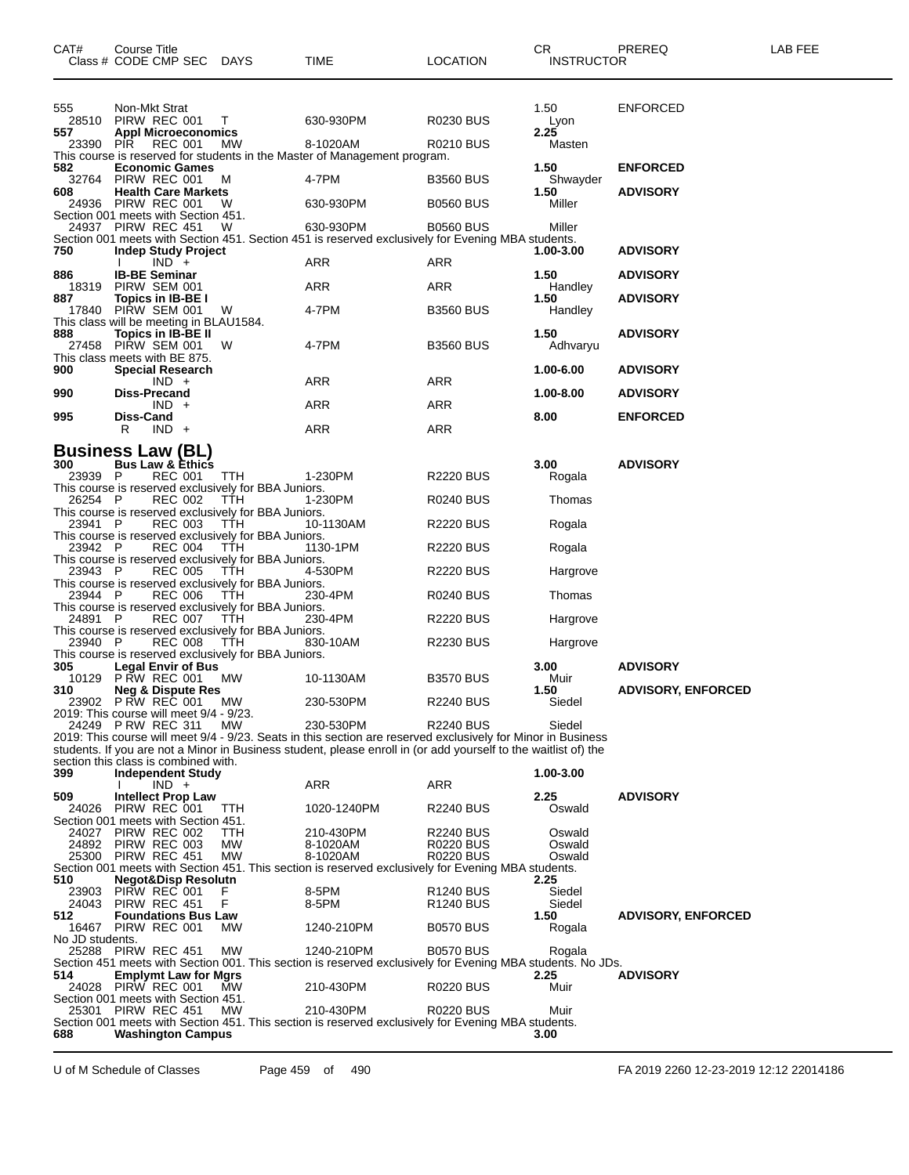| CAT#            | Course Title<br>Class # CODE CMP SEC                                                                                 |                | DAYS                                                                                                                | TIME                                                                                                                                                                                                                                         | LOCATION                                  | CR<br><b>INSTRUCTOR</b> | PREREQ                    | <b>LAB FEE</b> |
|-----------------|----------------------------------------------------------------------------------------------------------------------|----------------|---------------------------------------------------------------------------------------------------------------------|----------------------------------------------------------------------------------------------------------------------------------------------------------------------------------------------------------------------------------------------|-------------------------------------------|-------------------------|---------------------------|----------------|
| 555<br>557      | Non-Mkt Strat<br>28510 PIRW REC 001<br><b>Appl Microeconomics</b>                                                    |                | $\top$                                                                                                              | 630-930PM                                                                                                                                                                                                                                    | <b>R0230 BUS</b>                          | 1.50<br>Lyon<br>2.25    | <b>ENFORCED</b>           |                |
| 23390 PIR       |                                                                                                                      | <b>REC 001</b> | MW                                                                                                                  | 8-1020AM<br>This course is reserved for students in the Master of Management program.                                                                                                                                                        | <b>R0210 BUS</b>                          | Masten                  |                           |                |
| 582<br>32764    | <b>Economic Games</b><br>PIRW REC 001                                                                                |                | M                                                                                                                   | 4-7PM                                                                                                                                                                                                                                        | <b>B3560 BUS</b>                          | 1.50<br>Shwayder        | <b>ENFORCED</b>           |                |
| 608             | <b>Health Care Markets</b><br>24936 PIRW REC 001                                                                     |                | W                                                                                                                   | 630-930PM                                                                                                                                                                                                                                    | <b>B0560 BUS</b>                          | 1.50<br>Miller          | <b>ADVISORY</b>           |                |
|                 | Section 001 meets with Section 451.<br>24937 PIRW REC 451                                                            |                | - W                                                                                                                 | 630-930PM<br>Section 001 meets with Section 451. Section 451 is reserved exclusively for Evening MBA students.                                                                                                                               | <b>B0560 BUS</b>                          | Miller                  |                           |                |
| 750             | <b>Indep Study Project</b><br>$IND +$                                                                                |                |                                                                                                                     | ARR                                                                                                                                                                                                                                          | ARR                                       | 1.00-3.00               | <b>ADVISORY</b>           |                |
| 886<br>18319    | <b>IB-BE Seminar</b><br>PIRW SEM 001                                                                                 |                |                                                                                                                     | ARR                                                                                                                                                                                                                                          | ARR                                       | 1.50<br>Handley         | <b>ADVISORY</b>           |                |
| 887<br>17840    | Topics in IB-BE I<br>PIRW SEM 001                                                                                    |                | W                                                                                                                   | 4-7PM                                                                                                                                                                                                                                        | <b>B3560 BUS</b>                          | 1.50<br>Handley         | <b>ADVISORY</b>           |                |
| 888             | This class will be meeting in BLAU1584.<br>Topics in IB-BE II<br>27458 PIRW SEM 001<br>This class meets with BE 875. |                | W                                                                                                                   | 4-7PM                                                                                                                                                                                                                                        | <b>B3560 BUS</b>                          | 1.50<br>Adhvaryu        | <b>ADVISORY</b>           |                |
| 900             | <b>Special Research</b><br>$IND +$                                                                                   |                |                                                                                                                     | ARR                                                                                                                                                                                                                                          | ARR                                       | 1.00-6.00               | <b>ADVISORY</b>           |                |
| 990             | <b>Diss-Precand</b><br>$IND +$                                                                                       |                |                                                                                                                     | ARR                                                                                                                                                                                                                                          | ARR                                       | 1.00-8.00               | <b>ADVISORY</b>           |                |
| 995             | Diss-Cand<br>$IND +$<br>R                                                                                            |                |                                                                                                                     | ARR                                                                                                                                                                                                                                          | ARR                                       | 8.00                    | <b>ENFORCED</b>           |                |
|                 | <b>Business Law (BL)</b>                                                                                             |                |                                                                                                                     |                                                                                                                                                                                                                                              |                                           |                         |                           |                |
| 300<br>23939 P  | <b>Bus Law &amp; Ethics</b>                                                                                          | <b>REC 001</b> | TTH<br>This course is reserved exclusively for BBA Juniors.                                                         | 1-230PM                                                                                                                                                                                                                                      | <b>R2220 BUS</b>                          | 3.00<br>Rogala          | <b>ADVISORY</b>           |                |
| 26254 P         |                                                                                                                      | <b>REC 002</b> | TTH                                                                                                                 | 1-230PM                                                                                                                                                                                                                                      | <b>R0240 BUS</b>                          | Thomas                  |                           |                |
| 23941 P         |                                                                                                                      | <b>REC 003</b> | This course is reserved exclusively for BBA Juniors.<br>TTH<br>This course is reserved exclusively for BBA Juniors. | 10-1130AM                                                                                                                                                                                                                                    | <b>R2220 BUS</b>                          | Rogala                  |                           |                |
| 23942 P         |                                                                                                                      | <b>REC 004</b> | TTH<br>This course is reserved exclusively for BBA Juniors.                                                         | 1130-1PM                                                                                                                                                                                                                                     | <b>R2220 BUS</b>                          | Rogala                  |                           |                |
| 23943 P         |                                                                                                                      | <b>REC 005</b> | TTH<br>This course is reserved exclusively for BBA Juniors.                                                         | 4-530PM                                                                                                                                                                                                                                      | <b>R2220 BUS</b>                          | Hargrove                |                           |                |
| 23944 P         |                                                                                                                      | <b>REC 006</b> | TŤH<br>This course is reserved exclusively for BBA Juniors.                                                         | 230-4PM                                                                                                                                                                                                                                      | <b>R0240 BUS</b>                          | Thomas                  |                           |                |
| 24891 P         |                                                                                                                      | <b>REC 007</b> | TŤH<br>This course is reserved exclusively for BBA Juniors.                                                         | 230-4PM                                                                                                                                                                                                                                      | <b>R2220 BUS</b>                          | Hargrove                |                           |                |
| 23940 P         |                                                                                                                      | <b>REC 008</b> | TTH<br>This course is reserved exclusively for BBA Juniors.                                                         | 830-10AM                                                                                                                                                                                                                                     | <b>R2230 BUS</b>                          | Hargrove                |                           |                |
| 305             | <b>Legal Envir of Bus</b><br><b>P RW REC 001</b>                                                                     |                |                                                                                                                     |                                                                                                                                                                                                                                              |                                           | 3.00                    | <b>ADVISORY</b>           |                |
| 10129<br>310    | <b>Neg &amp; Dispute Res</b><br>23902 P RW REC 001                                                                   |                | МW<br>MW.                                                                                                           | 10-1130AM<br>230-530PM                                                                                                                                                                                                                       | <b>B3570 BUS</b><br><b>R2240 BUS</b>      | Muir<br>1.50<br>Siedel  | <b>ADVISORY, ENFORCED</b> |                |
|                 | 2019: This course will meet 9/4 - 9/23.                                                                              |                |                                                                                                                     |                                                                                                                                                                                                                                              |                                           |                         |                           |                |
|                 | 24249 PRW REC 311<br>section this class is combined with.                                                            |                | МW                                                                                                                  | 230-530PM<br>2019: This course will meet 9/4 - 9/23. Seats in this section are reserved exclusively for Minor in Business<br>students. If you are not a Minor in Business student, please enroll in (or add yourself to the waitlist of) the | <b>R2240 BUS</b>                          | Siedel                  |                           |                |
| 399             | <b>Independent Study</b><br>$IND +$                                                                                  |                |                                                                                                                     | ARR                                                                                                                                                                                                                                          | <b>ARR</b>                                | 1.00-3.00               |                           |                |
| 509<br>24026    | <b>Intellect Prop Law</b><br>PIRW REC 001                                                                            |                | <b>TTH</b>                                                                                                          | 1020-1240PM                                                                                                                                                                                                                                  | <b>R2240 BUS</b>                          | 2.25<br>Oswald          | <b>ADVISORY</b>           |                |
| 24027           | Section 001 meets with Section 451.<br>PIRW REC 002                                                                  |                | TTH                                                                                                                 | 210-430PM                                                                                                                                                                                                                                    | <b>R2240 BUS</b>                          | Oswald                  |                           |                |
| 24892           | PIRW REC 003<br>25300 PIRW REC 451                                                                                   |                | МW<br>MW                                                                                                            | 8-1020AM<br>8-1020AM                                                                                                                                                                                                                         | R0220 BUS<br><b>R0220 BUS</b>             | Oswald<br>Oswald        |                           |                |
| 510             | <b>Negot&amp;Disp Resolutn</b>                                                                                       |                |                                                                                                                     | Section 001 meets with Section 451. This section is reserved exclusively for Evening MBA students.                                                                                                                                           |                                           | 2.25                    |                           |                |
| 23903<br>24043  | PIRW REC 001<br>PIRW REC 451                                                                                         |                | F<br>F                                                                                                              | 8-5PM<br>8-5PM                                                                                                                                                                                                                               | <b>R1240 BUS</b><br>R <sub>1240</sub> BUS | Siedel<br>Siedel        |                           |                |
| 512             | <b>Foundations Bus Law</b><br>16467 PIRW REC 001                                                                     |                | MW                                                                                                                  | 1240-210PM                                                                                                                                                                                                                                   | <b>B0570 BUS</b>                          | 1.50<br>Rogala          | <b>ADVISORY, ENFORCED</b> |                |
| No JD students. | 25288 PIRW REC 451                                                                                                   |                | МW                                                                                                                  | 1240-210PM<br>Section 451 meets with Section 001. This section is reserved exclusively for Evening MBA students. No JDs.                                                                                                                     | <b>B0570 BUS</b>                          | Rogala                  |                           |                |
| 514<br>24028    | <b>Emplymt Law for Mgrs</b><br>PIRW REC 001                                                                          |                | МW                                                                                                                  | 210-430PM                                                                                                                                                                                                                                    | <b>R0220 BUS</b>                          | 2.25<br>Muir            | <b>ADVISORY</b>           |                |
| 25301           | Section 001 meets with Section 451.<br>PIRW REC 451                                                                  |                | <b>MW</b>                                                                                                           | 210-430PM                                                                                                                                                                                                                                    | <b>R0220 BUS</b>                          | Muir                    |                           |                |
| 688             | <b>Washington Campus</b>                                                                                             |                |                                                                                                                     | Section 001 meets with Section 451. This section is reserved exclusively for Evening MBA students.                                                                                                                                           |                                           | 3.00                    |                           |                |

U of M Schedule of Classes Page 459 of 490 FA 2019 2260 12-23-2019 12:12 22014186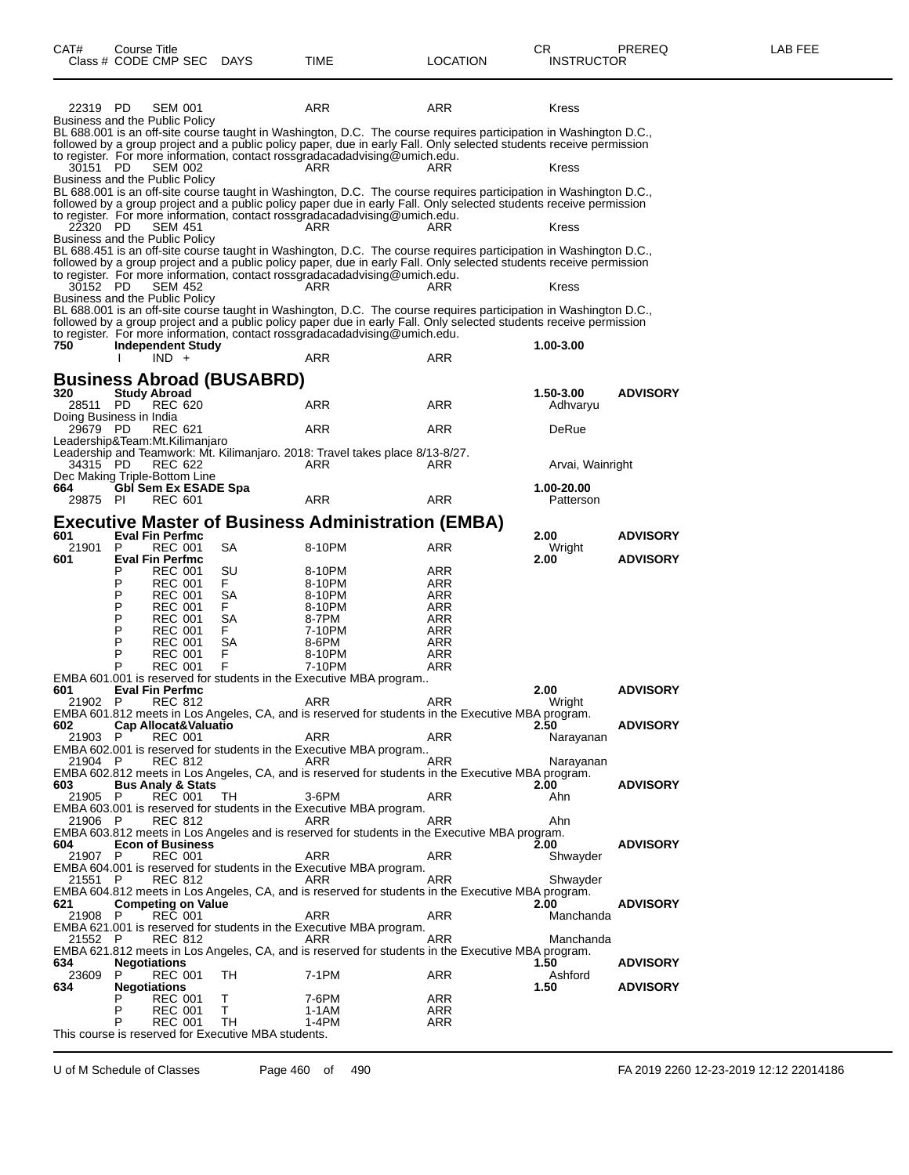| CAT#<br>Class # CODE CMP SEC DAYS                   | Course Title             |                                          |                      | TIME                                                                                                     | <b>LOCATION</b> | CR<br><b>INSTRUCTOR</b>                                                                                                                                                                                                                  | PREREQ          | LAB FEE |
|-----------------------------------------------------|--------------------------|------------------------------------------|----------------------|----------------------------------------------------------------------------------------------------------|-----------------|------------------------------------------------------------------------------------------------------------------------------------------------------------------------------------------------------------------------------------------|-----------------|---------|
| 22319 PD                                            |                          | <b>SEM 001</b>                           |                      | ARR                                                                                                      | ARR             | Kress                                                                                                                                                                                                                                    |                 |         |
| Business and the Public Policy                      |                          |                                          |                      |                                                                                                          |                 | BL 688.001 is an off-site course taught in Washington, D.C. The course requires participation in Washington D.C.,                                                                                                                        |                 |         |
|                                                     |                          |                                          |                      | to register. For more information, contact rossgradacadadvising@umich.edu.                               |                 | followed by a group project and a public policy paper, due in early Fall. Only selected students receive permission                                                                                                                      |                 |         |
| 30151 PD                                            |                          | <b>SEM 002</b>                           |                      | ARR                                                                                                      | ARR             | Kress                                                                                                                                                                                                                                    |                 |         |
| Business and the Public Policy                      |                          |                                          |                      |                                                                                                          |                 | BL 688.001 is an off-site course taught in Washington, D.C. The course requires participation in Washington D.C.,                                                                                                                        |                 |         |
|                                                     |                          |                                          |                      |                                                                                                          |                 | followed by a group project and a public policy paper due in early Fall. Only selected students receive permission                                                                                                                       |                 |         |
| 22320 PD                                            |                          | <b>SEM 451</b>                           |                      | to register. For more information, contact rossgradacadadvising@umich.edu.<br>ARR                        | ARR             | Kress                                                                                                                                                                                                                                    |                 |         |
| Business and the Public Policy                      |                          |                                          |                      |                                                                                                          |                 |                                                                                                                                                                                                                                          |                 |         |
|                                                     |                          |                                          |                      |                                                                                                          |                 | BL 688.451 is an off-site course taught in Washington, D.C. The course requires participation in Washington D.C.,<br>followed by a group project and a public policy paper, due in early Fall. Only selected students receive permission |                 |         |
| 30152 PD                                            |                          | SEM 452                                  |                      | to register. For more information, contact rossgradacadadvising@umich.edu.<br>ARR                        | ARR             | Kress                                                                                                                                                                                                                                    |                 |         |
| Business and the Public Policy                      |                          |                                          |                      |                                                                                                          |                 |                                                                                                                                                                                                                                          |                 |         |
|                                                     |                          |                                          |                      |                                                                                                          |                 | BL 688.001 is an off-site course taught in Washington, D.C. The course requires participation in Washington D.C.,<br>followed by a group project and a public policy paper due in early Fall. Only selected students receive permission  |                 |         |
|                                                     |                          |                                          |                      | to register. For more information, contact rossgradacadadvising@umich.edu.                               |                 |                                                                                                                                                                                                                                          |                 |         |
| 750                                                 | <b>Independent Study</b> | $IND +$                                  |                      | ARR                                                                                                      | ARR             | 1.00-3.00                                                                                                                                                                                                                                |                 |         |
| <b>Business Abroad (BUSABRD)</b>                    |                          |                                          |                      |                                                                                                          |                 |                                                                                                                                                                                                                                          |                 |         |
| 320                                                 |                          | <b>Study Abroad</b>                      |                      |                                                                                                          |                 | 1.50-3.00                                                                                                                                                                                                                                | <b>ADVISORY</b> |         |
| 28511 PD<br>Doing Business in India                 |                          | <b>REC 620</b>                           |                      | ARR                                                                                                      | ARR             | Adhvaryu                                                                                                                                                                                                                                 |                 |         |
| 29679 PD                                            |                          | <b>REC 621</b>                           |                      | ARR                                                                                                      | ARR             | DeRue                                                                                                                                                                                                                                    |                 |         |
| Leadership&Team:Mt.Kilimanjaro                      |                          |                                          |                      | Leadership and Teamwork: Mt. Kilimanjaro. 2018: Travel takes place 8/13-8/27.                            |                 |                                                                                                                                                                                                                                          |                 |         |
| 34315 PD<br>Dec Making Triple-Bottom Line           |                          | REC 622                                  |                      | ARR                                                                                                      | ARR             | Arvai, Wainright                                                                                                                                                                                                                         |                 |         |
| 664                                                 |                          |                                          | Gbl Sem Ex ESADE Spa |                                                                                                          |                 | 1.00-20.00                                                                                                                                                                                                                               |                 |         |
| 29875 PI                                            |                          | <b>REC 601</b>                           |                      | ARR                                                                                                      | ARR             | Patterson                                                                                                                                                                                                                                |                 |         |
| 601                                                 |                          | <b>Eval Fin Perfmc</b>                   |                      | <b>Executive Master of Business Administration (EMBA)</b>                                                |                 | 2.00                                                                                                                                                                                                                                     | <b>ADVISORY</b> |         |
| 21901                                               | P                        | <b>REC 001</b>                           | SA                   | 8-10PM                                                                                                   | ARR             | Wright                                                                                                                                                                                                                                   |                 |         |
| 601                                                 | Р                        | <b>Eval Fin Perfmc</b><br><b>REC 001</b> | SU                   | 8-10PM                                                                                                   | ARR             | 2.00                                                                                                                                                                                                                                     | <b>ADVISORY</b> |         |
|                                                     | Ρ                        | <b>REC 001</b>                           | F.                   | 8-10PM                                                                                                   | ARR             |                                                                                                                                                                                                                                          |                 |         |
|                                                     | P<br>P                   | <b>REC 001</b><br><b>REC 001</b>         | SA<br>F.             | 8-10PM<br>8-10PM                                                                                         | ARR<br>ARR      |                                                                                                                                                                                                                                          |                 |         |
|                                                     | P                        | <b>REC 001</b>                           | SA                   | 8-7PM                                                                                                    | ARR             |                                                                                                                                                                                                                                          |                 |         |
|                                                     | P<br>P                   | <b>REC 001</b><br><b>REC 001</b>         | F.<br>SA             | 7-10PM<br>8-6PM                                                                                          | ARR<br>ARR      |                                                                                                                                                                                                                                          |                 |         |
|                                                     | P                        | <b>REC 001</b>                           | F.                   | 8-10PM                                                                                                   | ARR             |                                                                                                                                                                                                                                          |                 |         |
|                                                     | P                        | <b>REC 001</b>                           | F                    | 7-10PM<br>EMBA 601.001 is reserved for students in the Executive MBA program                             | ARR             |                                                                                                                                                                                                                                          |                 |         |
| 601                                                 |                          | <b>Eval Fin Perfmc</b>                   |                      |                                                                                                          |                 | 2.00                                                                                                                                                                                                                                     | <b>ADVISORY</b> |         |
| 21902 P                                             |                          | REC 812                                  |                      | ARR<br>EMBA 601.812 meets in Los Angeles, CA, and is reserved for students in the Executive MBA program. | ARR             | Wright                                                                                                                                                                                                                                   |                 |         |
| 602                                                 |                          | Cap Allocat&Valuatio                     |                      |                                                                                                          |                 | 2.50                                                                                                                                                                                                                                     | <b>ADVISORY</b> |         |
| 21903                                               | P                        | <b>REC 001</b>                           |                      | ARR<br>EMBA 602.001 is reserved for students in the Executive MBA program                                | ARR             | Narayanan                                                                                                                                                                                                                                |                 |         |
| 21904 P                                             |                          | REC 812                                  |                      | ARR<br>EMBA 602.812 meets in Los Angeles, CA, and is reserved for students in the Executive MBA program. | ARR             | Narayanan                                                                                                                                                                                                                                |                 |         |
| 603                                                 |                          | <b>Bus Analy &amp; Stats</b>             |                      |                                                                                                          |                 | 2.00                                                                                                                                                                                                                                     | <b>ADVISORY</b> |         |
| 21905 P                                             |                          | REC 001                                  | TH                   | 3-6PM<br>EMBA 603.001 is reserved for students in the Executive MBA program.                             | ARR             | Ahn                                                                                                                                                                                                                                      |                 |         |
| 21906 P                                             |                          | <b>REC 812</b>                           |                      | ARR                                                                                                      | ARR             | Ahn                                                                                                                                                                                                                                      |                 |         |
| 604                                                 |                          | <b>Econ of Business</b>                  |                      | EMBA 603.812 meets in Los Angeles and is reserved for students in the Executive MBA program.             |                 | 2.00                                                                                                                                                                                                                                     | <b>ADVISORY</b> |         |
| 21907 P                                             |                          | <b>REC 001</b>                           |                      | ARR<br>EMBA 604.001 is reserved for students in the Executive MBA program.                               | ARR             | Shwayder                                                                                                                                                                                                                                 |                 |         |
| 21551 P                                             |                          | REC 812                                  |                      | ARR                                                                                                      | ARR             | Shwayder                                                                                                                                                                                                                                 |                 |         |
| 621                                                 |                          | <b>Competing on Value</b>                |                      | EMBA 604.812 meets in Los Angeles, CA, and is reserved for students in the Executive MBA program.        |                 | 2.00                                                                                                                                                                                                                                     | <b>ADVISORY</b> |         |
| 21908 P                                             |                          | <b>REC 001</b>                           |                      | ARR                                                                                                      | ARR             | Manchanda                                                                                                                                                                                                                                |                 |         |
| 21552 P                                             |                          | REC 812                                  |                      | EMBA 621.001 is reserved for students in the Executive MBA program.<br>ARR                               | ARR             | Manchanda                                                                                                                                                                                                                                |                 |         |
| 634                                                 |                          | <b>Negotiations</b>                      |                      | EMBA 621.812 meets in Los Angeles, CA, and is reserved for students in the Executive MBA program.        |                 | 1.50                                                                                                                                                                                                                                     | <b>ADVISORY</b> |         |
| 23609                                               | P                        | <b>REC 001</b>                           | TH                   | 7-1PM                                                                                                    | ARR             | Ashford                                                                                                                                                                                                                                  |                 |         |
| 634                                                 |                          | <b>Negotiations</b><br>REC 001           | T                    | 7-6PM                                                                                                    | ARR             | 1.50                                                                                                                                                                                                                                     | <b>ADVISORY</b> |         |
|                                                     |                          | <b>REC 001</b>                           | T.                   | 1-1AM                                                                                                    | ARR             |                                                                                                                                                                                                                                          |                 |         |
| This course is reserved for Executive MBA students. | P                        | REC 001                                  | TH                   | 1-4PM                                                                                                    | ARR             |                                                                                                                                                                                                                                          |                 |         |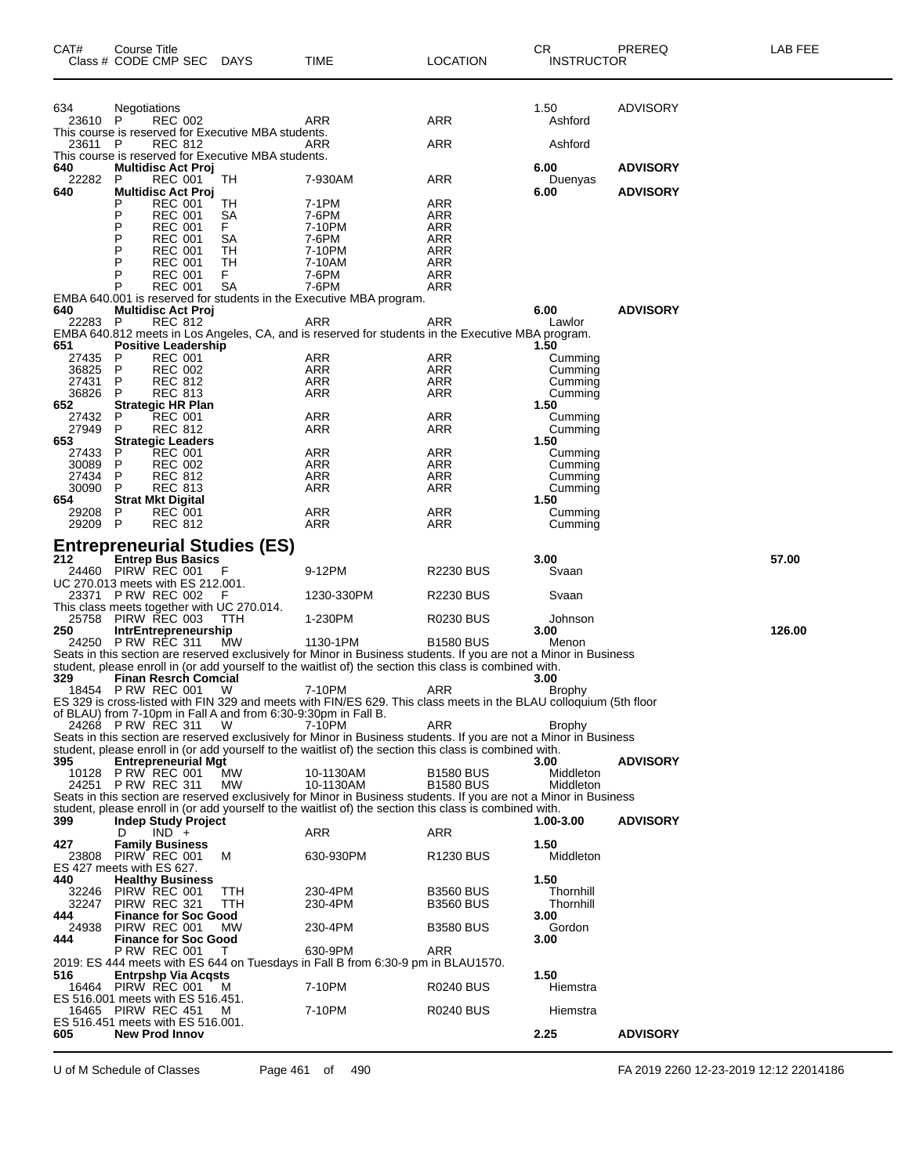| CAT#           | Course Title<br>Class # CODE CMP SEC                                             | <b>DAYS</b> | TIME                                                                                                                           | <b>LOCATION</b>       | CR.<br><b>INSTRUCTOR</b> | PREREQ          | LAB FEE |
|----------------|----------------------------------------------------------------------------------|-------------|--------------------------------------------------------------------------------------------------------------------------------|-----------------------|--------------------------|-----------------|---------|
|                |                                                                                  |             |                                                                                                                                |                       | 1.50                     | <b>ADVISORY</b> |         |
| 634<br>23610 P | Negotiations<br><b>REC 002</b>                                                   |             | ARR                                                                                                                            | ARR                   | Ashford                  |                 |         |
| 23611 P        | This course is reserved for Executive MBA students.<br><b>REC 812</b>            |             | ARR                                                                                                                            | ARR                   | Ashford                  |                 |         |
| 640            | This course is reserved for Executive MBA students.<br><b>Multidisc Act Proj</b> |             |                                                                                                                                |                       | 6.00                     | <b>ADVISORY</b> |         |
| 22282<br>640   | P<br><b>REC 001</b><br><b>Multidisc Act Proj</b>                                 | TН          | 7-930AM                                                                                                                        | ARR                   | Duenyas<br>6.00          | <b>ADVISORY</b> |         |
|                | <b>REC 001</b><br>P<br>P<br><b>REC 001</b>                                       | TН<br>SА    | 7-1PM<br>7-6PM                                                                                                                 | ARR<br>ARR            |                          |                 |         |
|                | P<br><b>REC 001</b><br>P<br><b>REC 001</b>                                       | F.          | 7-10PM                                                                                                                         | ARR                   |                          |                 |         |
|                | P<br><b>REC 001</b>                                                              | SА<br>TН    | 7-6PM<br>7-10PM                                                                                                                | ARR<br>ARR            |                          |                 |         |
|                | <b>REC 001</b><br>P<br>P<br><b>REC 001</b>                                       | TН<br>F.    | 7-10AM<br>7-6PM                                                                                                                | ARR<br><b>ARR</b>     |                          |                 |         |
|                | P<br><b>REC 001</b>                                                              | SА          | 7-6PM                                                                                                                          | ARR                   |                          |                 |         |
| 640            | <b>Multidisc Act Proj</b>                                                        |             | EMBA 640.001 is reserved for students in the Executive MBA program.                                                            |                       | 6.00                     | <b>ADVISORY</b> |         |
| 22283 P        | <b>REC 812</b>                                                                   |             | ARR<br>EMBA 640.812 meets in Los Angeles, CA, and is reserved for students in the Executive MBA program.                       | ARR                   | Lawlor                   |                 |         |
| 651            | <b>Positive Leadership</b>                                                       |             |                                                                                                                                |                       | 1.50                     |                 |         |
| 27435<br>36825 | <b>REC 001</b><br>P<br>P<br><b>REC 002</b>                                       |             | ARR<br>ARR                                                                                                                     | ARR<br>ARR            | Cumming<br>Cumming       |                 |         |
| 27431<br>36826 | P<br><b>REC 812</b><br>P<br><b>REC 813</b>                                       |             | ARR<br>ARR                                                                                                                     | <b>ARR</b><br>ARR     | Cumming<br>Cumming       |                 |         |
| 652            | <b>Strategic HR Plan</b>                                                         |             |                                                                                                                                |                       | 1.50                     |                 |         |
| 27432<br>27949 | P<br><b>REC 001</b><br>P<br><b>REC 812</b>                                       |             | ARR<br>ARR                                                                                                                     | ARR<br>ARR            | Cumming<br>Cumming       |                 |         |
| 653<br>27433   | <b>Strategic Leaders</b><br><b>REC 001</b><br>P                                  |             | ARR                                                                                                                            | ARR                   | 1.50<br>Cumming          |                 |         |
| 30089          | P<br><b>REC 002</b>                                                              |             | ARR                                                                                                                            | ARR                   | Cumming                  |                 |         |
| 27434<br>30090 | P<br><b>REC 812</b><br>P<br><b>REC 813</b>                                       |             | ARR<br>ARR                                                                                                                     | ARR<br>ARR            | Cumming<br>Cumming       |                 |         |
| 654<br>29208   | <b>Strat Mkt Digital</b><br>P<br><b>REC 001</b>                                  |             | ARR                                                                                                                            | ARR                   | 1.50<br>Cumming          |                 |         |
| 29209 P        | <b>REC 812</b>                                                                   |             | ARR                                                                                                                            | ARR                   | Cumming                  |                 |         |
|                | <b>Entrepreneurial Studies (ES)</b>                                              |             |                                                                                                                                |                       |                          |                 |         |
| 212            | <b>Entrep Bus Basics</b><br>24460 PIRW REC 001                                   | F           | 9-12PM                                                                                                                         | <b>R2230 BUS</b>      | 3.00<br>Svaan            |                 | 57.00   |
|                | UC 270.013 meets with ES 212.001.<br>23371 PRW REC 002                           |             | 1230-330PM                                                                                                                     | <b>R2230 BUS</b>      | Svaan                    |                 |         |
|                | This class meets together with UC 270.014.<br>25758 PIRW REC 003                 | TTH         | 1-230PM                                                                                                                        | <b>R0230 BUS</b>      | Johnson                  |                 |         |
| 250            | <b>IntrEntrepreneurship</b>                                                      |             |                                                                                                                                |                       | 3.00                     |                 | 126.00  |
|                | 24250 P RW REC 311                                                               | MW          | 1130-1PM<br>Seats in this section are reserved exclusively for Minor in Business students. If you are not a Minor in Business  | <b>B1580 BUS</b>      | Menon                    |                 |         |
| 329            | <b>Finan Resrch Comcial</b>                                                      |             | student, please enroll in (or add yourself to the waitlist of) the section this class is combined with.                        |                       | 3.00                     |                 |         |
|                | 18454 P RW REC 001                                                               | - W         | 7-10PM                                                                                                                         | ARR                   | <b>Brophy</b>            |                 |         |
|                | of BLAU) from 7-10pm in Fall A and from 6:30-9:30pm in Fall B.                   |             | ES 329 is cross-listed with FIN 329 and meets with FIN/ES 629. This class meets in the BLAU colloquium (5th floor              |                       |                          |                 |         |
|                | 24268 P RW REC 311                                                               | W           | 7-10PM<br>Seats in this section are reserved exclusively for Minor in Business students. If you are not a Minor in Business    | ARR                   | Brophy                   |                 |         |
|                |                                                                                  |             | student, please enroll in (or add yourself to the waitlist of) the section this class is combined with.                        |                       |                          |                 |         |
| 395            | <b>Entrepreneurial Mgt</b><br>10128 P RW REC 001                                 | <b>MW</b>   | 10-1130AM                                                                                                                      | <b>B1580 BUS</b>      | 3.00<br>Middleton        | <b>ADVISORY</b> |         |
|                | 24251 P RW REC 311                                                               | МW          | 10-1130AM<br>Seats in this section are reserved exclusively for Minor in Business students. If you are not a Minor in Business | <b>B1580 BUS</b>      | Middleton                |                 |         |
|                |                                                                                  |             | student, please enroll in (or add yourself to the waitlist of) the section this class is combined with.                        |                       |                          |                 |         |
| 399            | <b>Indep Study Project</b><br>$IND +$<br>D                                       |             | ARR                                                                                                                            | <b>ARR</b>            | 1.00-3.00                | <b>ADVISORY</b> |         |
| 427<br>23808   | <b>Family Business</b><br>PIRW REC 001                                           | м           | 630-930PM                                                                                                                      | R <sub>1230</sub> BUS | 1.50<br>Middleton        |                 |         |
|                | ES 427 meets with ES 627.                                                        |             |                                                                                                                                |                       |                          |                 |         |
| 440<br>32246   | <b>Healthy Business</b><br>PIRW REC 001                                          | ттн         | 230-4PM                                                                                                                        | <b>B3560 BUS</b>      | 1.50<br>Thornhill        |                 |         |
| 32247<br>444   | PIRW REC 321<br><b>Finance for Soc Good</b>                                      | TTH         | 230-4PM                                                                                                                        | <b>B3560 BUS</b>      | Thornhill<br>3.00        |                 |         |
| 24938          | PIRW REC 001                                                                     | <b>MW</b>   | 230-4PM                                                                                                                        | <b>B3580 BUS</b>      | Gordon                   |                 |         |
| 444            | <b>Finance for Soc Good</b><br><b>P RW REC 001</b>                               | T           | 630-9PM                                                                                                                        | ARR                   | 3.00                     |                 |         |
| 516            | <b>Entrpshp Via Acqsts</b>                                                       |             | 2019: ES 444 meets with ES 644 on Tuesdays in Fall B from 6:30-9 pm in BLAU1570.                                               |                       | 1.50                     |                 |         |
|                | 16464 PIRW REC 001                                                               | M           | 7-10PM                                                                                                                         | <b>R0240 BUS</b>      | Hiemstra                 |                 |         |
|                | ES 516.001 meets with ES 516.451.<br>16465 PIRW REC 451                          | M           | 7-10PM                                                                                                                         | <b>R0240 BUS</b>      | Hiemstra                 |                 |         |
| 605            | ES 516.451 meets with ES 516.001.<br><b>New Prod Innov</b>                       |             |                                                                                                                                |                       | 2.25                     | <b>ADVISORY</b> |         |
|                |                                                                                  |             |                                                                                                                                |                       |                          |                 |         |

U of M Schedule of Classes Page 461 of 490 FA 2019 2260 12-23-2019 12:12 22014186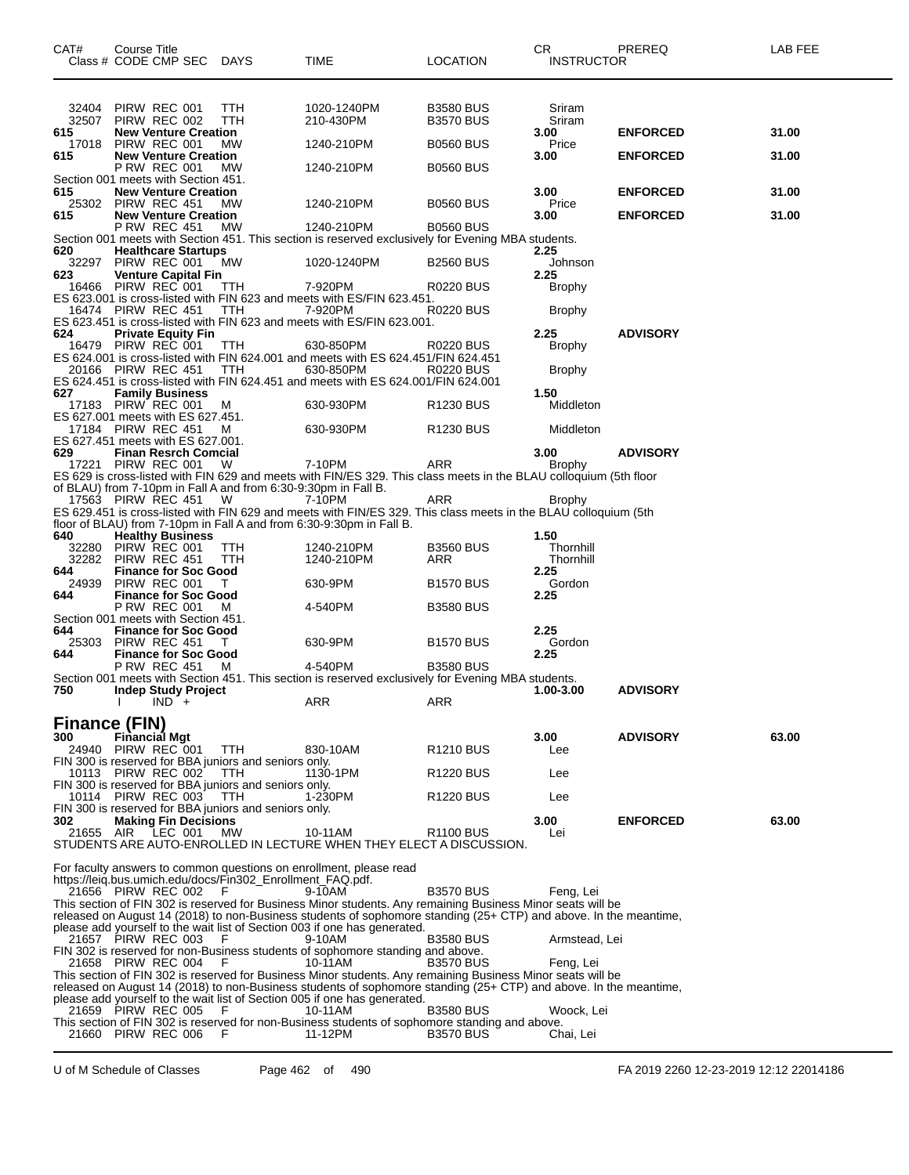| CAT#                 | Course Title<br>Class # CODE CMP SEC DAYS                                            |            | <b>TIME</b>                                                                                                                                                                                    | <b>LOCATION</b>                      | <b>CR</b><br><b>INSTRUCTOR</b> | PREREQ          | LAB FEE |
|----------------------|--------------------------------------------------------------------------------------|------------|------------------------------------------------------------------------------------------------------------------------------------------------------------------------------------------------|--------------------------------------|--------------------------------|-----------------|---------|
| 32404<br>32507       | PIRW REC 001<br>PIRW REC 002                                                         | TTH<br>TTH | 1020-1240PM<br>210-430PM                                                                                                                                                                       | <b>B3580 BUS</b><br><b>B3570 BUS</b> | Sriram<br>Sriram               |                 |         |
| 615<br>17018         | <b>New Venture Creation</b><br>PIRW REC 001                                          | <b>MW</b>  | 1240-210PM                                                                                                                                                                                     | <b>B0560 BUS</b>                     | 3.00<br>Price                  | <b>ENFORCED</b> | 31.00   |
| 615                  | <b>New Venture Creation</b><br><b>P RW REC 001</b>                                   | МW         | 1240-210PM                                                                                                                                                                                     | <b>B0560 BUS</b>                     | 3.00                           | <b>ENFORCED</b> | 31.00   |
|                      | Section 001 meets with Section 451.                                                  |            |                                                                                                                                                                                                |                                      |                                |                 |         |
| 615<br>25302         | <b>New Venture Creation</b><br>PIRW REC 451                                          | <b>MW</b>  | 1240-210PM                                                                                                                                                                                     | <b>B0560 BUS</b>                     | 3.00<br>Price                  | <b>ENFORCED</b> | 31.00   |
| 615                  | <b>New Venture Creation</b><br><b>P RW REC 451</b>                                   | MW         | 1240-210PM                                                                                                                                                                                     | <b>B0560 BUS</b>                     | 3.00                           | <b>ENFORCED</b> | 31.00   |
| 620                  | <b>Healthcare Startups</b>                                                           |            | Section 001 meets with Section 451. This section is reserved exclusively for Evening MBA students.                                                                                             |                                      |                                |                 |         |
| 32297                | PIRW REC 001                                                                         | МW         | 1020-1240PM                                                                                                                                                                                    | <b>B2560 BUS</b>                     | 2.25<br>Johnson                |                 |         |
| 623<br>16466         | <b>Venture Capital Fin</b><br>PIRW REC 001                                           | TTH        | 7-920PM                                                                                                                                                                                        | R0220 BUS                            | 2.25<br>Brophy                 |                 |         |
|                      | 16474 PIRW REC 451                                                                   | TTH        | ES 623.001 is cross-listed with FIN 623 and meets with ES/FIN 623.451.<br>7-920PM                                                                                                              | <b>R0220 BUS</b>                     | <b>Brophy</b>                  |                 |         |
|                      |                                                                                      |            | ES 623.451 is cross-listed with FIN 623 and meets with ES/FIN 623.001.                                                                                                                         |                                      |                                |                 |         |
| 624                  | <b>Private Equity Fin</b><br>16479 PIRW REC 001                                      | TTH        | 630-850PM                                                                                                                                                                                      | R0220 BUS                            | 2.25<br><b>Brophy</b>          | <b>ADVISORY</b> |         |
|                      | 20166 PIRW REC 451                                                                   | TTH        | ES 624.001 is cross-listed with FIN 624.001 and meets with ES 624.451/FIN 624.451<br>630-850PM                                                                                                 | R0220 BUS                            | Brophy                         |                 |         |
|                      |                                                                                      |            | ES 624.451 is cross-listed with FIN 624.451 and meets with ES 624.001/FIN 624.001                                                                                                              |                                      |                                |                 |         |
| 627                  | <b>Family Business</b><br>17183 PIRW REC 001                                         | M          | 630-930PM                                                                                                                                                                                      | R1230 BUS                            | 1.50<br>Middleton              |                 |         |
|                      | ES 627.001 meets with ES 627.451.<br>17184 PIRW REC 451                              | M          | 630-930PM                                                                                                                                                                                      | R <sub>1230</sub> BUS                | Middleton                      |                 |         |
| 629                  | ES 627.451 meets with ES 627.001.<br><b>Finan Resrch Comcial</b>                     |            |                                                                                                                                                                                                |                                      | 3.00                           | <b>ADVISORY</b> |         |
|                      | 17221 PIRW REC 001                                                                   | W          | 7-10PM                                                                                                                                                                                         | ARR                                  | Brophy                         |                 |         |
|                      | of BLAU) from 7-10pm in Fall A and from 6:30-9:30pm in Fall B.                       |            | ES 629 is cross-listed with FIN 629 and meets with FIN/ES 329. This class meets in the BLAU colloquium (5th floor                                                                              |                                      |                                |                 |         |
|                      | 17563 PIRW REC 451                                                                   | - W        | 7-10PM<br>ES 629.451 is cross-listed with FIN 629 and meets with FIN/ES 329. This class meets in the BLAU colloquium (5th                                                                      | ARR                                  | <b>Brophy</b>                  |                 |         |
|                      |                                                                                      |            | floor of BLAU) from 7-10pm in Fall A and from 6:30-9:30pm in Fall B.                                                                                                                           |                                      |                                |                 |         |
| 640<br>32280         | <b>Healthy Business</b><br>PIRW REC 001                                              | TTH        | 1240-210PM                                                                                                                                                                                     | <b>B3560 BUS</b>                     | 1.50<br>Thornhill              |                 |         |
| 32282<br>644         | PIRW REC 451<br><b>Finance for Soc Good</b>                                          | TTH        | 1240-210PM                                                                                                                                                                                     | ARR                                  | Thornhill<br>2.25              |                 |         |
| 24939<br>644         | PIRW REC 001<br><b>Finance for Soc Good</b>                                          |            | 630-9PM                                                                                                                                                                                        | <b>B1570 BUS</b>                     | Gordon<br>2.25                 |                 |         |
|                      | <b>P RW REC 001</b>                                                                  | M          | 4-540PM                                                                                                                                                                                        | <b>B3580 BUS</b>                     |                                |                 |         |
| 644                  | Section 001 meets with Section 451.<br><b>Finance for Soc Good</b>                   |            |                                                                                                                                                                                                |                                      | 2.25                           |                 |         |
| 25303<br>644         | PIRW REC 451<br><b>Finance for Soc Good</b>                                          | Τ          | 630-9PM                                                                                                                                                                                        | <b>B1570 BUS</b>                     | Gordon<br>2.25                 |                 |         |
|                      | <b>P RW REC 451</b>                                                                  | M          | 4-540PM<br>Section 001 meets with Section 451. This section is reserved exclusively for Evening MBA students.                                                                                  | <b>B3580 BUS</b>                     |                                |                 |         |
| 750                  | <b>Indep Study Project</b>                                                           |            |                                                                                                                                                                                                |                                      | 1.00-3.00                      | <b>ADVISORY</b> |         |
|                      | $\mathsf{IND}^+$                                                                     |            | ARR                                                                                                                                                                                            | ARR                                  |                                |                 |         |
| Finance (FIN)<br>300 | Financial Mgt                                                                        |            |                                                                                                                                                                                                |                                      | 3.00                           | <b>ADVISORY</b> | 63.00   |
|                      | 24940 PIRW REC 001                                                                   | <b>TTH</b> | 830-10AM                                                                                                                                                                                       | R1210 BUS                            | Lee                            |                 |         |
|                      | FIN 300 is reserved for BBA juniors and seniors only.<br>10113 PIRW REC 002          | TTH        | 1130-1PM                                                                                                                                                                                       | R <sub>1220</sub> BUS                | Lee                            |                 |         |
|                      | FIN 300 is reserved for BBA juniors and seniors only.<br>10114 PIRW REC 003          | <b>TTH</b> | 1-230PM                                                                                                                                                                                        | <b>R1220 BUS</b>                     | Lee                            |                 |         |
| 302                  | FIN 300 is reserved for BBA juniors and seniors only.<br><b>Making Fin Decisions</b> |            |                                                                                                                                                                                                |                                      | 3.00                           | <b>ENFORCED</b> | 63.00   |
|                      | 21655 AIR LEC 001                                                                    | MW         | 10-11AM                                                                                                                                                                                        | R <sub>1100</sub> BUS                | Lei                            |                 |         |
|                      |                                                                                      |            | STUDENTS ARE AUTO-ENROLLED IN LECTURE WHEN THEY ELECT A DISCUSSION.                                                                                                                            |                                      |                                |                 |         |
|                      | https://leig.bus.umich.edu/docs/Fin302_Enrollment_FAQ.pdf.                           |            | For faculty answers to common questions on enrollment, please read                                                                                                                             |                                      |                                |                 |         |
|                      | 21656 PIRW REC 002 F                                                                 |            | 9-10AM<br>This section of FIN 302 is reserved for Business Minor students. Any remaining Business Minor seats will be                                                                          | <b>B3570 BUS</b>                     | Feng, Lei                      |                 |         |
|                      |                                                                                      |            | released on August 14 (2018) to non-Business students of sophomore standing (25+ CTP) and above. In the meantime,                                                                              |                                      |                                |                 |         |
|                      | 21657 PIRW REC 003                                                                   | F.         | please add yourself to the wait list of Section 003 if one has generated.<br>9-10AM                                                                                                            | <b>B3580 BUS</b>                     | Armstead, Lei                  |                 |         |
|                      | 21658 PIRW REC 004 F                                                                 |            | FIN 302 is reserved for non-Business students of sophomore standing and above.<br>10-11AM                                                                                                      | <b>B3570 BUS</b>                     | Feng, Lei                      |                 |         |
|                      |                                                                                      |            | This section of FIN 302 is reserved for Business Minor students. Any remaining Business Minor seats will be                                                                                    |                                      |                                |                 |         |
|                      |                                                                                      |            | released on August 14 (2018) to non-Business students of sophomore standing (25+ CTP) and above. In the meantime,<br>please add yourself to the wait list of Section 005 if one has generated. |                                      |                                |                 |         |
|                      | 21659 PIRW REC 005                                                                   | F.         | 10-11AM<br>This section of FIN 302 is reserved for non-Business students of sophomore standing and above.                                                                                      | <b>B3580 BUS</b>                     | Woock, Lei                     |                 |         |
|                      | 21660 PIRW REC 006                                                                   | F          | 11-12PM                                                                                                                                                                                        | <b>B3570 BUS</b>                     | Chai, Lei                      |                 |         |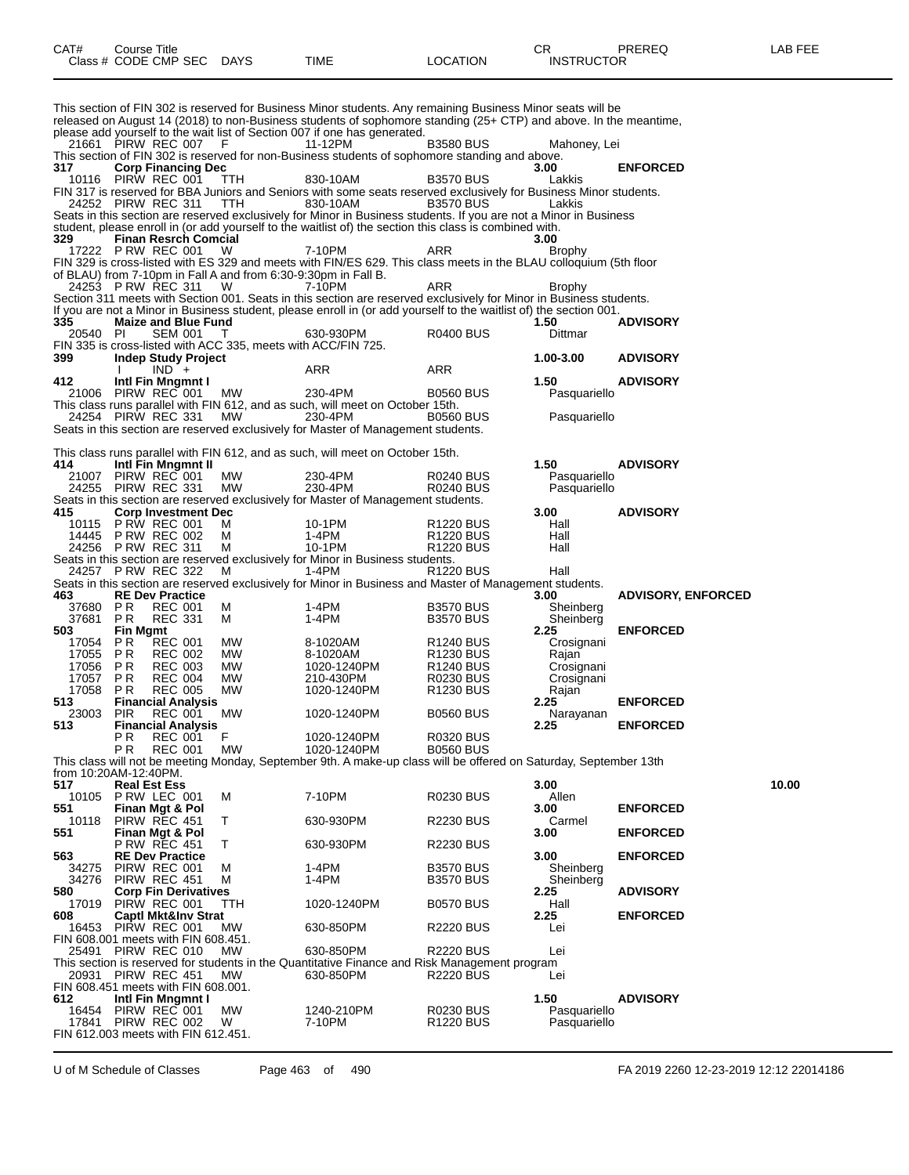|                       |                                  | Class # CODE CMP SEC                           | <b>DAYS</b>                                                    | TIME                                                                                                                                                                                                                                     | LOCATION                           | INSTRUCTOR           |                           |       |
|-----------------------|----------------------------------|------------------------------------------------|----------------------------------------------------------------|------------------------------------------------------------------------------------------------------------------------------------------------------------------------------------------------------------------------------------------|------------------------------------|----------------------|---------------------------|-------|
|                       |                                  |                                                |                                                                |                                                                                                                                                                                                                                          |                                    |                      |                           |       |
|                       |                                  |                                                |                                                                | This section of FIN 302 is reserved for Business Minor students. Any remaining Business Minor seats will be<br>released on August 14 (2018) to non-Business students of sophomore standing (25+ CTP) and above. In the meantime,         |                                    |                      |                           |       |
|                       |                                  |                                                |                                                                | please add yourself to the wait list of Section 007 if one has generated.                                                                                                                                                                |                                    |                      |                           |       |
|                       |                                  | 21661 PIRW REC 007                             | - F                                                            | 11-12PM<br>This section of FIN 302 is reserved for non-Business students of sophomore standing and above.                                                                                                                                | <b>B3580 BUS</b>                   | Mahoney, Lei         |                           |       |
| 317                   |                                  | <b>Corp Financing Dec</b>                      |                                                                |                                                                                                                                                                                                                                          |                                    | 3.00                 | <b>ENFORCED</b>           |       |
|                       |                                  | 10116 PIRW REC 001                             | TTH                                                            | 830-10AM<br>FIN 317 is reserved for BBA Juniors and Seniors with some seats reserved exclusively for Business Minor students.                                                                                                            | <b>B3570 BUS</b>                   | Lakkis               |                           |       |
|                       | 24252 PIRW REC 311               |                                                | TTH                                                            | 830-10AM                                                                                                                                                                                                                                 | <b>B3570 BUS</b>                   | Lakkis               |                           |       |
|                       |                                  |                                                |                                                                | Seats in this section are reserved exclusively for Minor in Business students. If you are not a Minor in Business                                                                                                                        |                                    |                      |                           |       |
| 329                   |                                  | <b>Finan Resrch Comcial</b>                    |                                                                | student, please enroll in (or add yourself to the waitlist of) the section this class is combined with.                                                                                                                                  |                                    | 3.00                 |                           |       |
|                       |                                  | 17222 P RW REC 001                             | W                                                              | 7-10PM                                                                                                                                                                                                                                   | ARR                                | Brophy               |                           |       |
|                       |                                  |                                                | of BLAU) from 7-10pm in Fall A and from 6:30-9:30pm in Fall B. | FIN 329 is cross-listed with ES 329 and meets with FIN/ES 629. This class meets in the BLAU colloquium (5th floor                                                                                                                        |                                    |                      |                           |       |
|                       |                                  | 24253 P RW REC 311                             | W                                                              | 7-10PM                                                                                                                                                                                                                                   | ARR                                | Brophy               |                           |       |
|                       |                                  |                                                |                                                                | Section 311 meets with Section 001. Seats in this section are reserved exclusively for Minor in Business students.<br>If you are not a Minor in Business student, please enroll in (or add yourself to the waitlist of) the section 001. |                                    |                      |                           |       |
| 335                   |                                  | <b>Maize and Blue Fund</b>                     |                                                                |                                                                                                                                                                                                                                          |                                    | 1.50                 | <b>ADVISORY</b>           |       |
| 20540                 | PI                               | <b>SEM 001</b>                                 | FIN 335 is cross-listed with ACC 335, meets with ACC/FIN 725.  | 630-930PM                                                                                                                                                                                                                                | R0400 BUS                          | Dittmar              |                           |       |
| 399                   |                                  | <b>Indep Study Project</b>                     |                                                                |                                                                                                                                                                                                                                          |                                    | 1.00-3.00            | <b>ADVISORY</b>           |       |
|                       |                                  | $IND +$                                        |                                                                | ARR                                                                                                                                                                                                                                      | ARR                                |                      |                           |       |
| 412<br>21006          |                                  | Intl Fin Mngmnt I<br>PIRW REC 001              | <b>MW</b>                                                      | 230-4PM                                                                                                                                                                                                                                  | <b>B0560 BUS</b>                   | 1.50<br>Pasquariello | <b>ADVISORY</b>           |       |
|                       |                                  |                                                |                                                                | This class runs parallel with FIN 612, and as such, will meet on October 15th.                                                                                                                                                           |                                    |                      |                           |       |
|                       |                                  | 24254 PIRW REC 331                             | МW                                                             | 230-4PM<br>Seats in this section are reserved exclusively for Master of Management students.                                                                                                                                             | <b>B0560 BUS</b>                   | Pasquariello         |                           |       |
|                       |                                  |                                                |                                                                |                                                                                                                                                                                                                                          |                                    |                      |                           |       |
| 414                   |                                  | Intl Fin Mngmnt II                             |                                                                | This class runs parallel with FIN 612, and as such, will meet on October 15th.                                                                                                                                                           |                                    | 1.50                 | <b>ADVISORY</b>           |       |
| 21007                 |                                  | PIRW REC 001                                   | MW                                                             | 230-4PM                                                                                                                                                                                                                                  | R0240 BUS                          | Pasquariello         |                           |       |
|                       |                                  | 24255 PIRW REC 331                             | MW                                                             | 230-4PM                                                                                                                                                                                                                                  | <b>R0240 BUS</b>                   | Pasquariello         |                           |       |
| 415                   |                                  | <b>Corp Investment Dec</b>                     |                                                                | Seats in this section are reserved exclusively for Master of Management students.                                                                                                                                                        |                                    | 3.00                 | <b>ADVISORY</b>           |       |
| 10115                 |                                  | <b>P RW REC 001</b>                            | м                                                              | 10-1PM                                                                                                                                                                                                                                   | R <sub>1220</sub> BUS              | Hall                 |                           |       |
| 24256                 | PRW REC 311                      | 14445 P RW REC 002                             | М<br>М                                                         | 1-4PM<br>10-1PM                                                                                                                                                                                                                          | R <sub>1220</sub> BUS<br>R1220 BUS | Hall<br>Hall         |                           |       |
|                       |                                  |                                                |                                                                | Seats in this section are reserved exclusively for Minor in Business students.                                                                                                                                                           |                                    |                      |                           |       |
|                       |                                  | 24257 P RW REC 322                             | м                                                              | $1-4PM$<br>Seats in this section are reserved exclusively for Minor in Business and Master of Management students.                                                                                                                       | R <sub>1220</sub> BUS              | Hall                 |                           |       |
| 463                   |                                  | <b>RE Dev Practice</b>                         |                                                                |                                                                                                                                                                                                                                          |                                    | 3.00                 | <b>ADVISORY, ENFORCED</b> |       |
| 37680                 | P <sub>R</sub><br>P <sub>R</sub> | <b>REC 001</b>                                 | м                                                              | 1-4PM                                                                                                                                                                                                                                    | <b>B3570 BUS</b>                   | Sheinberg            |                           |       |
| 37681<br>503          | <b>Fin Mgmt</b>                  | <b>REC 331</b>                                 | м                                                              | 1-4PM                                                                                                                                                                                                                                    | <b>B3570 BUS</b>                   | Sheinberg<br>2.25    | <b>ENFORCED</b>           |       |
| 17054                 | P R                              | <b>REC 001</b>                                 | <b>MW</b>                                                      | 8-1020AM                                                                                                                                                                                                                                 | R <sub>1240</sub> BUS              | Crosignani           |                           |       |
| 17055<br>17056        | P <sub>R</sub><br>P R            | <b>REC 002</b><br><b>REC 003</b>               | МW<br>MW                                                       | 8-1020AM<br>1020-1240PM                                                                                                                                                                                                                  | R <sub>1230</sub> BUS<br>R1240 BUS | Rajan<br>Crosignani  |                           |       |
| 17057                 | P R                              | <b>REC 004</b>                                 | MW                                                             | 210-430PM                                                                                                                                                                                                                                | <b>R0230 BUS</b>                   | Crosignani           |                           |       |
| 17058<br>513          | P <sub>R</sub>                   | <b>REC 005</b><br><b>Financial Analysis</b>    | <b>MW</b>                                                      | 1020-1240PM                                                                                                                                                                                                                              | R <sub>1230</sub> BUS              | Rajan<br>2.25        | <b>ENFORCED</b>           |       |
| 23003                 | <b>PIR</b>                       | REC 001                                        | МW                                                             | 1020-1240PM                                                                                                                                                                                                                              | <b>B0560 BUS</b>                   | Narayanan            |                           |       |
| 513                   | P R                              | <b>Financial Analysis</b><br><b>REC 001</b>    | F                                                              | 1020-1240PM                                                                                                                                                                                                                              | <b>R0320 BUS</b>                   | 2.25                 | <b>ENFORCED</b>           |       |
|                       | P R                              | <b>REC 001</b>                                 | <b>MW</b>                                                      | 1020-1240PM                                                                                                                                                                                                                              | <b>B0560 BUS</b>                   |                      |                           |       |
| from 10:20AM-12:40PM. |                                  |                                                |                                                                | This class will not be meeting Monday, September 9th. A make-up class will be offered on Saturday, September 13th                                                                                                                        |                                    |                      |                           |       |
| 517                   | <b>Real Est Ess</b>              |                                                |                                                                |                                                                                                                                                                                                                                          |                                    | 3.00                 |                           | 10.00 |
| 551                   |                                  | 10105 PRW LEC 001<br>Finan Mgt & Pol           | м                                                              | 7-10PM                                                                                                                                                                                                                                   | <b>R0230 BUS</b>                   | Allen<br>3.00        | <b>ENFORCED</b>           |       |
| 10118                 |                                  | PIRW REC 451                                   | T.                                                             | 630-930PM                                                                                                                                                                                                                                | <b>R2230 BUS</b>                   | Carmel               |                           |       |
| 551                   |                                  | Finan Mgt & Pol                                |                                                                |                                                                                                                                                                                                                                          |                                    | 3.00                 | <b>ENFORCED</b>           |       |
| 563                   |                                  | <b>P RW REC 451</b><br><b>RE Dev Practice</b>  | т                                                              | 630-930PM                                                                                                                                                                                                                                | <b>R2230 BUS</b>                   | 3.00                 | <b>ENFORCED</b>           |       |
| 34275                 |                                  | PIRW REC 001                                   | М                                                              | 1-4PM                                                                                                                                                                                                                                    | <b>B3570 BUS</b>                   | Sheinberg            |                           |       |
| 34276<br>580          |                                  | PIRW REC 451<br><b>Corp Fin Derivatives</b>    | м                                                              | 1-4PM                                                                                                                                                                                                                                    | <b>B3570 BUS</b>                   | Sheinberg<br>2.25    | <b>ADVISORY</b>           |       |
| 17019                 |                                  | PIRW REC 001                                   | TTH                                                            | 1020-1240PM                                                                                                                                                                                                                              | <b>B0570 BUS</b>                   | Hall                 |                           |       |
| 608<br>16453          |                                  | <b>Captl Mkt&amp;Inv Strat</b><br>PIRW REC 001 | MW                                                             | 630-850PM                                                                                                                                                                                                                                | <b>R2220 BUS</b>                   | 2.25                 | <b>ENFORCED</b>           |       |
|                       |                                  | FIN 608.001 meets with FIN 608.451.            |                                                                |                                                                                                                                                                                                                                          |                                    | Lei                  |                           |       |
|                       |                                  | 25491 PIRW REC 010                             | MW                                                             | 630-850PM                                                                                                                                                                                                                                | R2220 BUS                          | Lei                  |                           |       |
| 20931                 |                                  | PIRW REC 451                                   | МW                                                             | This section is reserved for students in the Quantitative Finance and Risk Management program<br>630-850PM                                                                                                                               | <b>R2220 BUS</b>                   | Lei                  |                           |       |
|                       |                                  | FIN 608.451 meets with FIN 608.001.            |                                                                |                                                                                                                                                                                                                                          |                                    |                      |                           |       |
| 612                   |                                  | Intl Fin Mngmnt I<br>16454 PIRW REC 001        | <b>MW</b>                                                      | 1240-210PM                                                                                                                                                                                                                               | R0230 BUS                          | 1.50<br>Pasquariello | <b>ADVISORY</b>           |       |
|                       |                                  | 17841 PIRW REC 002                             | W                                                              | 7-10PM                                                                                                                                                                                                                                   | R <sub>1220</sub> BUS              | Pasquariello         |                           |       |
|                       |                                  | FIN 612.003 meets with FIN 612.451.            |                                                                |                                                                                                                                                                                                                                          |                                    |                      |                           |       |

U of M Schedule of Classes Page 463 of 490 FA 2019 2260 12-23-2019 12:12 22014186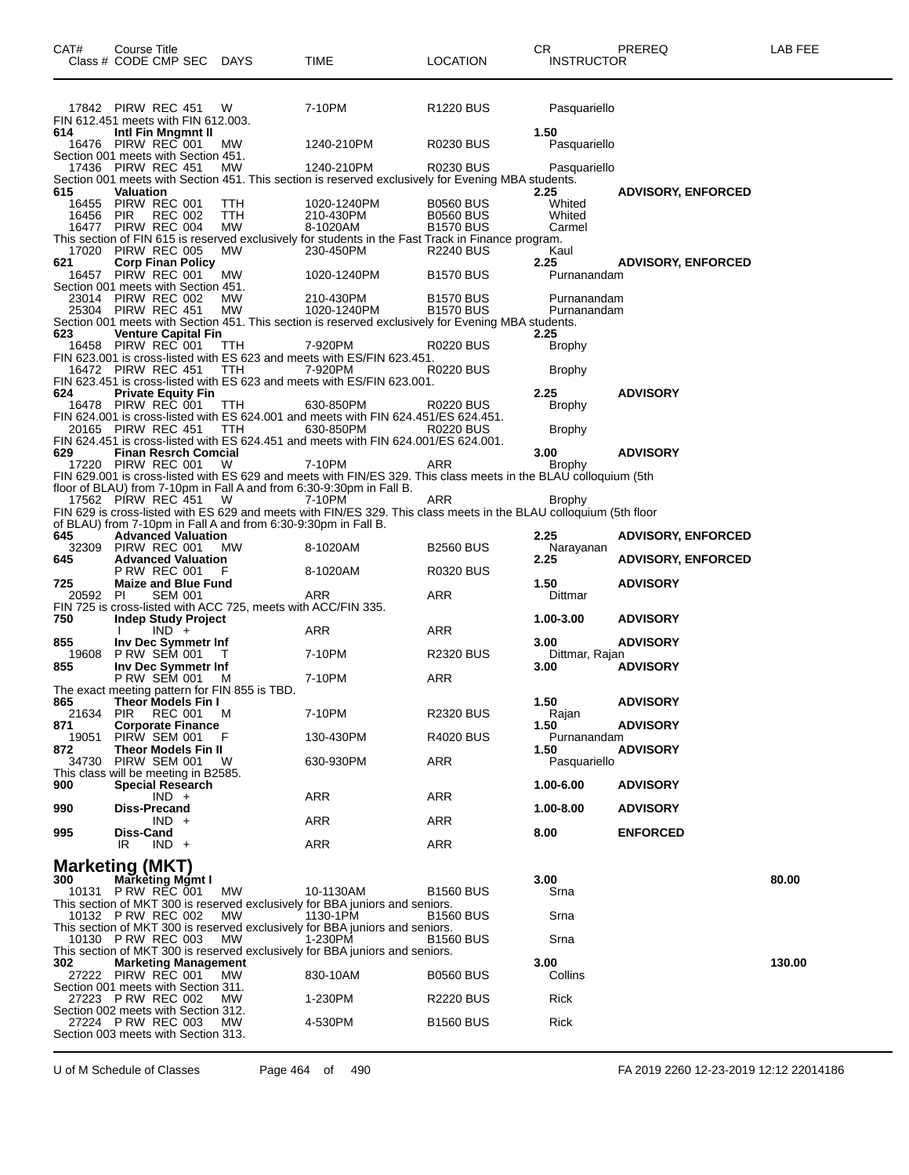| CAT#         | Course Title<br>Class # CODE CMP SEC                                                        | DAYS       | TIME                                                                                                              | <b>LOCATION</b>                      | <b>CR</b><br><b>INSTRUCTOR</b> | PREREQ                    | LAB FEE |
|--------------|---------------------------------------------------------------------------------------------|------------|-------------------------------------------------------------------------------------------------------------------|--------------------------------------|--------------------------------|---------------------------|---------|
|              | 17842 PIRW REC 451                                                                          | W          | 7-10PM                                                                                                            | R <sub>1220</sub> BUS                | Pasquariello                   |                           |         |
|              | FIN 612.451 meets with FIN 612.003.                                                         |            |                                                                                                                   |                                      |                                |                           |         |
| 614          | Intl Fin Mngmnt II<br>16476 PIRW REC 001                                                    | МW         | 1240-210PM                                                                                                        | <b>R0230 BUS</b>                     | 1.50<br>Pasquariello           |                           |         |
|              | Section 001 meets with Section 451.                                                         |            |                                                                                                                   |                                      |                                |                           |         |
|              | 17436 PIRW REC 451                                                                          | MW.        | 1240-210PM<br>Section 001 meets with Section 451. This section is reserved exclusively for Evening MBA students.  | R0230 BUS                            | Pasquariello                   |                           |         |
| 615          | <b>Valuation</b>                                                                            |            | 1020-1240PM                                                                                                       | <b>B0560 BUS</b>                     | 2.25<br>Whited                 | <b>ADVISORY, ENFORCED</b> |         |
| 16456        | 16455 PIRW REC 001<br><b>PIR</b><br><b>REC 002</b>                                          | TTH<br>TTH | 210-430PM                                                                                                         | <b>B0560 BUS</b>                     | Whited                         |                           |         |
|              | 16477 PIRW REC 004                                                                          | МW         | 8-1020AM<br>This section of FIN 615 is reserved exclusively for students in the Fast Track in Finance program.    | <b>B1570 BUS</b>                     | Carmel                         |                           |         |
|              | 17020 PIRW REC 005                                                                          | <b>MW</b>  | 230-450PM                                                                                                         | <b>R2240 BUS</b>                     | Kaul                           |                           |         |
| 621          | <b>Corp Finan Policy</b><br>16457 PIRW REC 001                                              | МW         | 1020-1240PM                                                                                                       | <b>B1570 BUS</b>                     | 2.25<br>Purnanandam            | <b>ADVISORY, ENFORCED</b> |         |
|              | Section 001 meets with Section 451.                                                         |            |                                                                                                                   |                                      |                                |                           |         |
|              | 23014 PIRW REC 002<br>25304 PIRW REC 451                                                    | MW.<br>МW  | 210-430PM<br>1020-1240PM                                                                                          | <b>B1570 BUS</b><br><b>B1570 BUS</b> | Purnanandam<br>Purnanandam     |                           |         |
|              |                                                                                             |            | Section 001 meets with Section 451. This section is reserved exclusively for Evening MBA students.                |                                      |                                |                           |         |
| 623          | <b>Venture Capital Fin</b><br>16458 PIRW REC 001                                            | TTH        | 7-920PM                                                                                                           | R0220 BUS                            | 2.25<br>Brophy                 |                           |         |
|              |                                                                                             |            | FIN 623.001 is cross-listed with ES 623 and meets with ES/FIN 623.451.                                            |                                      |                                |                           |         |
|              | 16472 PIRW REC 451                                                                          | ттн        | 7-920PM<br>FIN 623.451 is cross-listed with ES 623 and meets with ES/FIN 623.001.                                 | R0220 BUS                            | Brophy                         |                           |         |
| 624          | <b>Private Equity Fin</b>                                                                   |            |                                                                                                                   |                                      | 2.25                           | <b>ADVISORY</b>           |         |
|              | 16478 PIRW REC 001                                                                          | TTH        | 630-850PM<br>FIN 624.001 is cross-listed with ES 624.001 and meets with FIN 624.451/ES 624.451.                   | R0220 BUS                            | <b>Brophy</b>                  |                           |         |
|              | 20165 PIRW REC 451                                                                          | TTH        | 630-850PM                                                                                                         | <b>R0220 BUS</b>                     | <b>Brophy</b>                  |                           |         |
| 629          |                                                                                             |            | FIN 624.451 is cross-listed with ES 624.451 and meets with FIN 624.001/ES 624.001.                                |                                      |                                |                           |         |
|              | <b>Finan Resrch Comcial</b><br>17220 PIRW REC 001                                           | W          | 7-10PM                                                                                                            | ARR                                  | 3.00<br><b>Brophy</b>          | <b>ADVISORY</b>           |         |
|              |                                                                                             |            | FIN 629.001 is cross-listed with ES 629 and meets with FIN/ES 329. This class meets in the BLAU colloquium (5th   |                                      |                                |                           |         |
|              | 17562 PIRW REC 451                                                                          | W          | floor of BLAU) from 7-10pm in Fall A and from 6:30-9:30pm in Fall B.<br>7-10PM                                    | ARR                                  | <b>Brophy</b>                  |                           |         |
|              |                                                                                             |            | FIN 629 is cross-listed with ES 629 and meets with FIN/ES 329. This class meets in the BLAU colloquium (5th floor |                                      |                                |                           |         |
| 645          | of BLAU) from 7-10pm in Fall A and from 6:30-9:30pm in Fall B.<br><b>Advanced Valuation</b> |            |                                                                                                                   |                                      | 2.25                           | <b>ADVISORY, ENFORCED</b> |         |
| 32309        | PIRW REC 001                                                                                | <b>MW</b>  | 8-1020AM                                                                                                          | <b>B2560 BUS</b>                     | Narayanan                      |                           |         |
| 645          | <b>Advanced Valuation</b><br><b>P RW REC 001</b>                                            | F          | 8-1020AM                                                                                                          | R0320 BUS                            | 2.25                           | <b>ADVISORY, ENFORCED</b> |         |
| 725          | <b>Maize and Blue Fund</b>                                                                  |            |                                                                                                                   |                                      | 1.50                           | <b>ADVISORY</b>           |         |
| 20592 PI     | <b>SEM 001</b><br>FIN 725 is cross-listed with ACC 725, meets with ACC/FIN 335.             |            | ARR                                                                                                               | ARR                                  | Dittmar                        |                           |         |
| 750          | <b>Indep Study Project</b>                                                                  |            |                                                                                                                   |                                      | 1.00-3.00                      | <b>ADVISORY</b>           |         |
| 855          | $IND +$<br>Inv Dec Symmetr Inf                                                              |            | ARR                                                                                                               | ARR                                  | 3.00                           | <b>ADVISORY</b>           |         |
| 19608        | <b>P RW SEM 001</b>                                                                         |            | 7-10PM                                                                                                            | <b>R2320 BUS</b>                     | Dittmar, Rajan                 |                           |         |
| 855          | Inv Dec Symmetr Inf<br><b>P RW SEM 001</b>                                                  | M          | 7-10PM                                                                                                            | <b>ARR</b>                           | 3.00                           | <b>ADVISORY</b>           |         |
|              | The exact meeting pattern for FIN 855 is TBD.                                               |            |                                                                                                                   |                                      |                                |                           |         |
| 865          | Theor Models Fin I<br>21634 PIR REC 001 M                                                   |            | 7-10PM                                                                                                            | <b>R2320 BUS</b>                     | 1.50<br>Rajan                  | <b>ADVISORY</b>           |         |
| 871          | <b>Corporate Finance</b>                                                                    |            |                                                                                                                   |                                      | 1.50                           | <b>ADVISORY</b>           |         |
| 19051<br>872 | PIRW SEM 001<br><b>Theor Models Fin II</b>                                                  | F          | 130-430PM                                                                                                         | <b>R4020 BUS</b>                     | Purnanandam<br>1.50            | <b>ADVISORY</b>           |         |
|              | 34730 PIRW SEM 001                                                                          | - W        | 630-930PM                                                                                                         | ARR                                  | Pasquariello                   |                           |         |
| 900          | This class will be meeting in B2585.<br><b>Special Research</b>                             |            |                                                                                                                   |                                      | 1.00-6.00                      | <b>ADVISORY</b>           |         |
|              | $IND +$                                                                                     |            | ARR                                                                                                               | ARR                                  |                                |                           |         |
| 990          | <b>Diss-Precand</b><br>$IND +$                                                              |            | ARR                                                                                                               | ARR                                  | 1.00-8.00                      | <b>ADVISORY</b>           |         |
| 995          | Diss-Cand<br>$IND +$<br>IR                                                                  |            | ARR                                                                                                               | ARR                                  | 8.00                           | <b>ENFORCED</b>           |         |
|              |                                                                                             |            |                                                                                                                   |                                      |                                |                           |         |
| 300          | <b>Marketing (MKT)</b><br>Marketing Mgmt I                                                  |            |                                                                                                                   |                                      | 3.00                           |                           | 80.00   |
|              | 10131 P RW REC 001                                                                          | MW         | 10-1130AM                                                                                                         | <b>B1560 BUS</b>                     | Srna                           |                           |         |
|              | 10132 P RW REC 002                                                                          | МW         | This section of MKT 300 is reserved exclusively for BBA juniors and seniors.<br>1130-1PM                          | <b>B1560 BUS</b>                     | Srna                           |                           |         |
|              |                                                                                             |            | This section of MKT 300 is reserved exclusively for BBA juniors and seniors.                                      |                                      |                                |                           |         |
|              | 10130 P RW REC 003                                                                          | <b>MW</b>  | 1-230PM<br>This section of MKT 300 is reserved exclusively for BBA juniors and seniors.                           | <b>B1560 BUS</b>                     | Srna                           |                           |         |
| 302          | <b>Marketing Management</b>                                                                 |            |                                                                                                                   |                                      | 3.00                           |                           | 130.00  |
|              | 27222 PIRW REC 001<br>Section 001 meets with Section 311.                                   | MW.        | 830-10AM                                                                                                          | <b>B0560 BUS</b>                     | Collins                        |                           |         |
|              | 27223 P RW REC 002                                                                          | <b>MW</b>  | 1-230PM                                                                                                           | <b>R2220 BUS</b>                     | Rick                           |                           |         |
|              | Section 002 meets with Section 312.                                                         |            |                                                                                                                   |                                      |                                |                           |         |
|              | 27224 P RW REC 003<br>Section 003 meets with Section 313.                                   | MW.        | 4-530PM                                                                                                           | <b>B1560 BUS</b>                     | Rick                           |                           |         |
|              |                                                                                             |            |                                                                                                                   |                                      |                                |                           |         |

U of M Schedule of Classes Page 464 of 490 FA 2019 2260 12-23-2019 12:12 22014186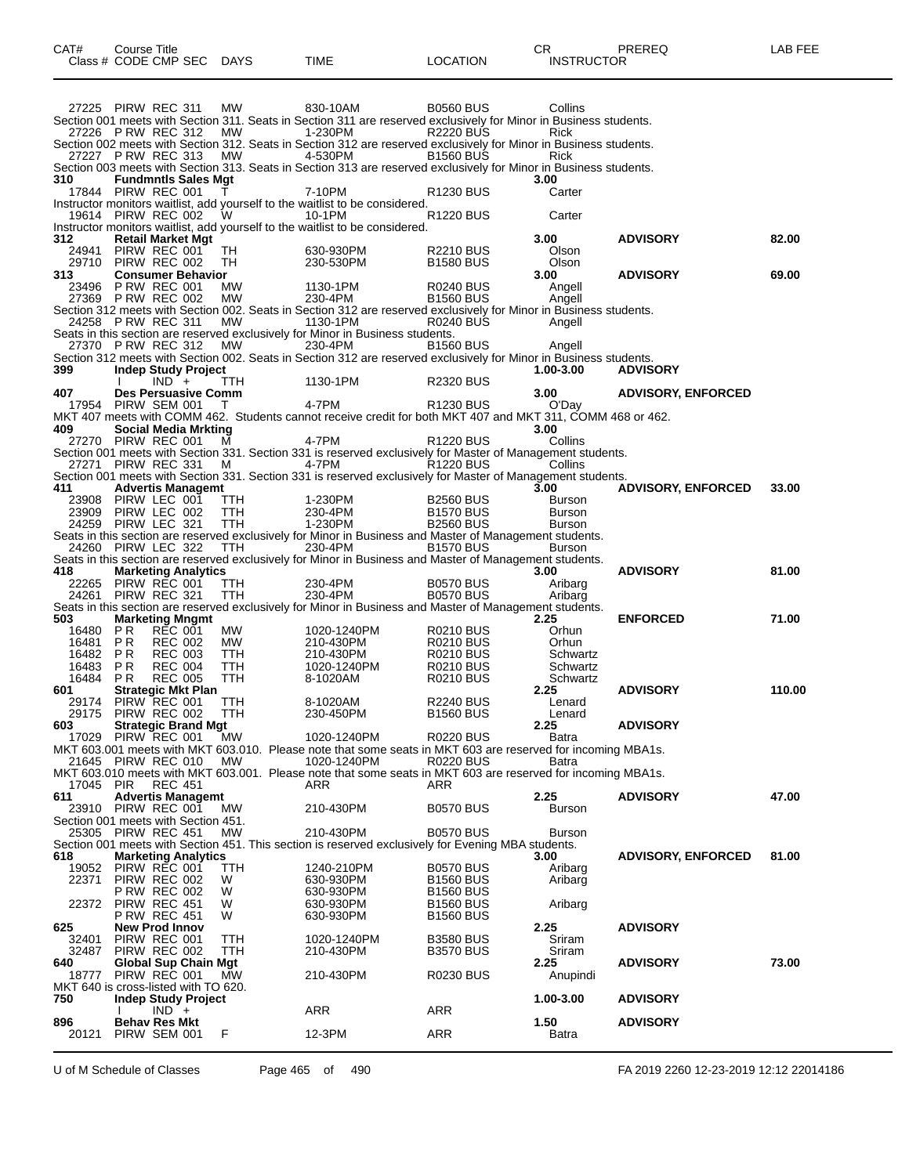| CAT#<br>Class # CODE CMP SEC                              | Course Title                         |                                  |                            | DAYS              | TIME                                                                                                                         | <b>LOCATION</b>                      | CR.<br><b>INSTRUCTOR</b> | PREREQ                    | LAB FEE |
|-----------------------------------------------------------|--------------------------------------|----------------------------------|----------------------------|-------------------|------------------------------------------------------------------------------------------------------------------------------|--------------------------------------|--------------------------|---------------------------|---------|
|                                                           |                                      |                                  |                            |                   |                                                                                                                              |                                      |                          |                           |         |
| 27225 PIRW REC 311                                        |                                      |                                  |                            | МW                | 830-10AM                                                                                                                     | <b>B0560 BUS</b>                     | Collins                  |                           |         |
| 27226 P RW REC 312                                        |                                      |                                  |                            | MW                | Section 001 meets with Section 311. Seats in Section 311 are reserved exclusively for Minor in Business students.<br>1-230PM | <b>R2220 BUS</b>                     | <b>Rick</b>              |                           |         |
|                                                           |                                      |                                  |                            |                   | Section 002 meets with Section 312. Seats in Section 312 are reserved exclusively for Minor in Business students.            |                                      |                          |                           |         |
| 27227 P RW REC 313                                        |                                      |                                  |                            | МW                | 4-530PM<br>Section 003 meets with Section 313. Seats in Section 313 are reserved exclusively for Minor in Business students. | <b>B1560 BUS</b>                     | Rick                     |                           |         |
| 310                                                       |                                      |                                  | <b>Fundmntls Sales Mgt</b> |                   |                                                                                                                              |                                      | 3.00                     |                           |         |
| 17844 PIRW REC 001                                        |                                      |                                  |                            |                   | 7-10PM                                                                                                                       | R <sub>1230</sub> BUS                | Carter                   |                           |         |
| 19614 PIRW REC 002                                        |                                      |                                  |                            | W                 | Instructor monitors waitlist, add yourself to the waitlist to be considered.<br>10-1PM                                       | <b>R1220 BUS</b>                     | Carter                   |                           |         |
|                                                           |                                      |                                  |                            |                   | Instructor monitors waitlist, add yourself to the waitlist to be considered.                                                 |                                      |                          |                           |         |
| 312<br>24941                                              | PIRW REC 001                         |                                  | <b>Retail Market Mgt</b>   | TH                | 630-930PM                                                                                                                    | <b>R2210 BUS</b>                     | 3.00<br>Olson            | <b>ADVISORY</b>           | 82.00   |
| 29710 PIRW REC 002                                        |                                      |                                  |                            | TН                | 230-530PM                                                                                                                    | <b>B1580 BUS</b>                     | Olson                    |                           |         |
| 313<br>23496                                              | <b>P RW REC 001</b>                  |                                  | <b>Consumer Behavior</b>   | МW                | 1130-1PM                                                                                                                     | R0240 BUS                            | 3.00                     | <b>ADVISORY</b>           | 69.00   |
| 27369 PRW REC 002                                         |                                      |                                  |                            | МW                | 230-4PM                                                                                                                      | <b>B1560 BUS</b>                     | Angell<br>Angell         |                           |         |
|                                                           |                                      |                                  |                            |                   | Section 312 meets with Section 002. Seats in Section 312 are reserved exclusively for Minor in Business students.            |                                      |                          |                           |         |
| 24258 P RW REC 311                                        |                                      |                                  |                            | МW                | 1130-1PM<br>Seats in this section are reserved exclusively for Minor in Business students.                                   | <b>R0240 BUS</b>                     | Angell                   |                           |         |
| 27370 P RW REC 312                                        |                                      |                                  |                            | MW                | 230-4PM                                                                                                                      | <b>B1560 BUS</b>                     | Angell                   |                           |         |
| 399                                                       |                                      |                                  | <b>Indep Study Project</b> |                   | Section 312 meets with Section 002. Seats in Section 312 are reserved exclusively for Minor in Business students.            |                                      | 1.00-3.00                | <b>ADVISORY</b>           |         |
|                                                           |                                      | $IND +$                          |                            | TTH               | 1130-1PM                                                                                                                     | <b>R2320 BUS</b>                     |                          |                           |         |
| 407<br>17954 PIRW SEM 001                                 |                                      |                                  | Des Persuasive Comm        | T                 | 4-7PM                                                                                                                        | R <sub>1230</sub> BUS                | 3.00<br>O'Day            | <b>ADVISORY, ENFORCED</b> |         |
|                                                           |                                      |                                  |                            |                   | MKT 407 meets with COMM 462. Students cannot receive credit for both MKT 407 and MKT 311, COMM 468 or 462.                   |                                      |                          |                           |         |
| 409<br>27270 PIRW REC 001                                 |                                      |                                  | Social Media Mrkting       |                   | 4-7PM                                                                                                                        | R <sub>1220</sub> BUS                | 3.00<br>Collins          |                           |         |
|                                                           |                                      |                                  |                            | м                 | Section 001 meets with Section 331. Section 331 is reserved exclusively for Master of Management students.                   |                                      |                          |                           |         |
| 27271                                                     | PIRW REC 331                         |                                  |                            | M                 | 4-7PM                                                                                                                        | R <sub>1220</sub> BUS                | Collins                  |                           |         |
| 411                                                       |                                      |                                  | <b>Advertis Managemt</b>   |                   | Section 001 meets with Section 331. Section 331 is reserved exclusively for Master of Management students.                   |                                      | 3.00                     | <b>ADVISORY, ENFORCED</b> | 33.00   |
| 23908                                                     | PIRW LEC 001                         |                                  |                            | TTH               | 1-230PM                                                                                                                      | <b>B2560 BUS</b>                     | Burson                   |                           |         |
| 23909<br>24259 PIRW LEC 321                               | PIRW LEC 002                         |                                  |                            | TTH<br><b>TTH</b> | 230-4PM<br>1-230PM                                                                                                           | <b>B1570 BUS</b><br><b>B2560 BUS</b> | Burson<br><b>Burson</b>  |                           |         |
|                                                           |                                      |                                  |                            |                   | Seats in this section are reserved exclusively for Minor in Business and Master of Management students.                      |                                      |                          |                           |         |
| 24260 PIRW LEC 322                                        |                                      |                                  |                            | TTH               | 230-4PM<br>Seats in this section are reserved exclusively for Minor in Business and Master of Management students.           | <b>B1570 BUS</b>                     | <b>Burson</b>            |                           |         |
| 418                                                       |                                      |                                  | <b>Marketing Analytics</b> |                   |                                                                                                                              |                                      | 3.00                     | <b>ADVISORY</b>           | 81.00   |
| 22265                                                     | PIRW REC 001                         |                                  |                            | ттн               | 230-4PM                                                                                                                      | <b>B0570 BUS</b>                     | Aribarg                  |                           |         |
| 24261 PIRW REC 321                                        |                                      |                                  |                            | <b>TTH</b>        | 230-4PM<br>Seats in this section are reserved exclusively for Minor in Business and Master of Management students.           | <b>B0570 BUS</b>                     | Aribarg                  |                           |         |
| 503                                                       |                                      |                                  | <b>Marketing Mngmt</b>     |                   |                                                                                                                              |                                      | 2.25                     | <b>ENFORCED</b>           | 71.00   |
| 16480<br>16481                                            | P R<br>P R                           | <b>REC 001</b><br><b>REC 002</b> |                            | МW<br>MW.         | 1020-1240PM<br>210-430PM                                                                                                     | <b>R0210 BUS</b><br><b>R0210 BUS</b> | Orhun<br>Orhun           |                           |         |
| 16482                                                     | P R                                  | <b>REC 003</b>                   |                            | TTH               | 210-430PM                                                                                                                    | <b>R0210 BUS</b>                     | Schwartz                 |                           |         |
| 16483<br>16484                                            | P R<br>P R                           | <b>REC 004</b><br><b>REC 005</b> |                            | TTH<br>TTH        | 1020-1240PM<br>8-1020AM                                                                                                      | <b>R0210 BUS</b><br><b>R0210 BUS</b> | Schwartz<br>Schwartz     |                           |         |
| 601                                                       |                                      |                                  | <b>Strategic Mkt Plan</b>  |                   |                                                                                                                              |                                      | 2.25                     | <b>ADVISORY</b>           | 110.00  |
| 29174 PIRW REC 001                                        |                                      |                                  |                            | ттн               | 8-1020AM                                                                                                                     | <b>R2240 BUS</b>                     | Lenard                   |                           |         |
| 29175 PIRW REC 002<br>603                                 |                                      |                                  | <b>Strategic Brand Mgt</b> | - TTH             | 230-450PM                                                                                                                    | <b>B1560 BUS</b>                     | Lenard<br>2.25           | <b>ADVISORY</b>           |         |
| 17029                                                     | PIRW REC 001                         |                                  |                            | МW                | 1020-1240PM                                                                                                                  | <b>R0220 BUS</b>                     | Batra                    |                           |         |
| 21645 PIRW REC 010                                        |                                      |                                  |                            | MW.               | MKT 603.001 meets with MKT 603.010. Please note that some seats in MKT 603 are reserved for incoming MBA1s.<br>1020-1240PM   | <b>R0220 BUS</b>                     | Batra                    |                           |         |
|                                                           |                                      |                                  |                            |                   | MKT 603.010 meets with MKT 603.001. Please note that some seats in MKT 603 are reserved for incoming MBA1s.                  |                                      |                          |                           |         |
| 17045 PIR<br>611                                          |                                      | <b>REC 451</b>                   | <b>Advertis Managemt</b>   |                   | ARR                                                                                                                          | ARR                                  | 2.25                     | <b>ADVISORY</b>           | 47.00   |
| 23910                                                     | PIRW REC 001                         |                                  |                            | МW                | 210-430PM                                                                                                                    | <b>B0570 BUS</b>                     | Burson                   |                           |         |
| Section 001 meets with Section 451.<br>25305 PIRW REC 451 |                                      |                                  |                            | MW.               | 210-430PM                                                                                                                    | <b>B0570 BUS</b>                     | Burson                   |                           |         |
|                                                           |                                      |                                  |                            |                   | Section 001 meets with Section 451. This section is reserved exclusively for Evening MBA students.                           |                                      |                          |                           |         |
| 618                                                       |                                      |                                  | <b>Marketing Analytics</b> |                   |                                                                                                                              |                                      | 3.00                     | <b>ADVISORY, ENFORCED</b> | 81.00   |
| 19052<br>22371                                            | PIRW REC 001<br>PIRW REC 002         |                                  |                            | TTH<br>W          | 1240-210PM<br>630-930PM                                                                                                      | <b>B0570 BUS</b><br><b>B1560 BUS</b> | Aribarg<br>Aribarg       |                           |         |
|                                                           | <b>P RW REC 002</b>                  |                                  |                            | W                 | 630-930PM                                                                                                                    | <b>B1560 BUS</b>                     |                          |                           |         |
| 22372                                                     | PIRW REC 451<br><b>P RW REC 451</b>  |                                  |                            | W<br>W            | 630-930PM<br>630-930PM                                                                                                       | <b>B1560 BUS</b><br><b>B1560 BUS</b> | Aribarg                  |                           |         |
| 625                                                       | <b>New Prod Innov</b>                |                                  |                            |                   |                                                                                                                              |                                      | 2.25                     | <b>ADVISORY</b>           |         |
| 32401                                                     | PIRW REC 001                         |                                  |                            | ттн               | 1020-1240PM                                                                                                                  | <b>B3580 BUS</b>                     | Sriram                   |                           |         |
| 32487<br>640                                              | PIRW REC 002                         |                                  | Global Sup Chain Mgt       | TTH               | 210-430PM                                                                                                                    | <b>B3570 BUS</b>                     | Sriram<br>2.25           | <b>ADVISORY</b>           | 73.00   |
| 18777                                                     | PIRW REC 001                         |                                  |                            | <b>MW</b>         | 210-430PM                                                                                                                    | <b>R0230 BUS</b>                     | Anupindi                 |                           |         |
| MKT 640 is cross-listed with TO 620.<br>750               |                                      |                                  | <b>Indep Study Project</b> |                   |                                                                                                                              |                                      | 1.00-3.00                | <b>ADVISORY</b>           |         |
|                                                           |                                      | $IND +$                          |                            |                   | ARR                                                                                                                          | ARR                                  |                          |                           |         |
| 896<br>20121                                              | <b>Behav Res Mkt</b><br>PIRW SEM 001 |                                  |                            | F                 | 12-3PM                                                                                                                       | ARR                                  | 1.50<br>Batra            | <b>ADVISORY</b>           |         |
|                                                           |                                      |                                  |                            |                   |                                                                                                                              |                                      |                          |                           |         |

U of M Schedule of Classes Page 465 of 490 FA 2019 2260 12-23-2019 12:12 22014186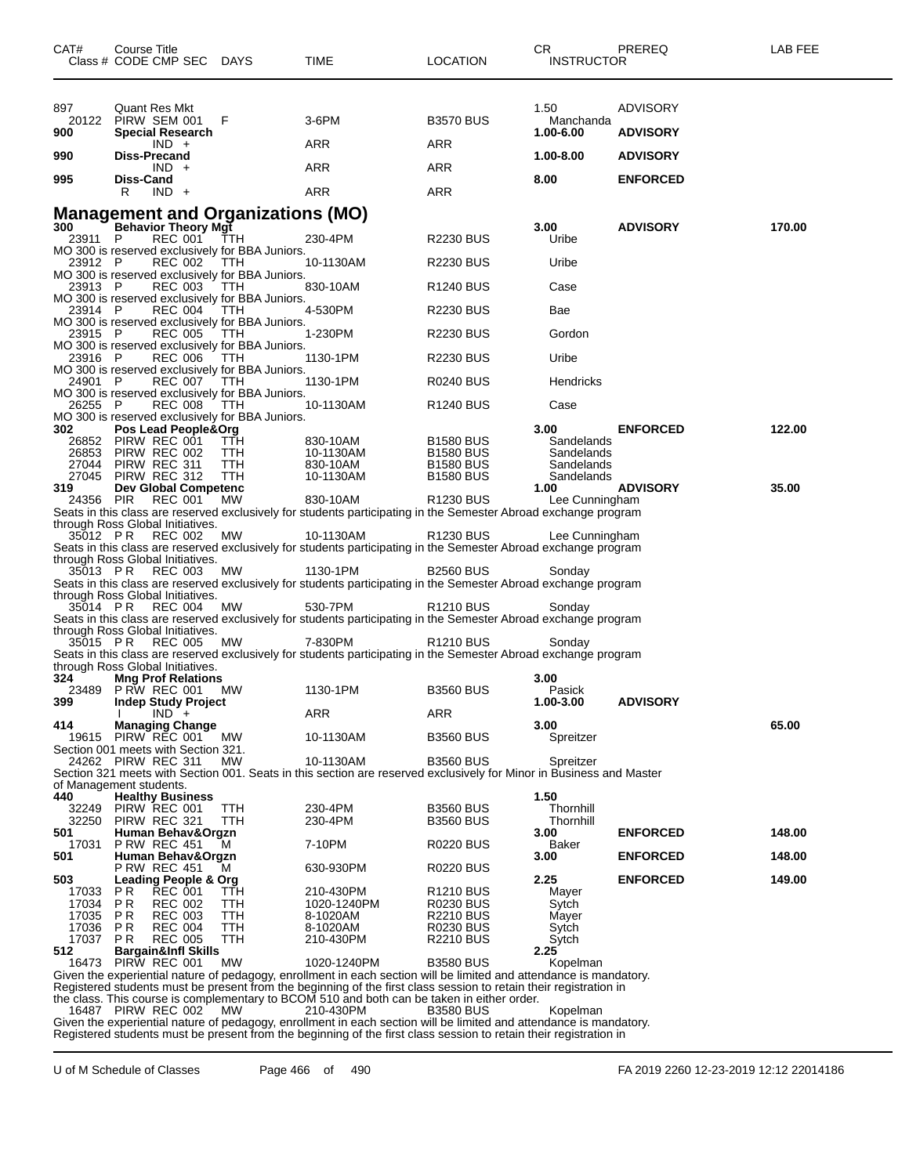| CAT#                    | Course Title | Class # CODE CMP SEC DAYS                                |                                                               | TIME                                                                                                                                                                                                                                    | <b>LOCATION</b>                      | CR<br><b>INSTRUCTOR</b>        | PREREQ                             | LAB FEE |
|-------------------------|--------------|----------------------------------------------------------|---------------------------------------------------------------|-----------------------------------------------------------------------------------------------------------------------------------------------------------------------------------------------------------------------------------------|--------------------------------------|--------------------------------|------------------------------------|---------|
| 897<br>20122<br>900     |              | Quant Res Mkt<br>PIRW SEM 001<br><b>Special Research</b> | F                                                             | 3-6PM                                                                                                                                                                                                                                   | <b>B3570 BUS</b>                     | 1.50<br>Manchanda<br>1.00-6.00 | <b>ADVISORY</b><br><b>ADVISORY</b> |         |
| 990                     | Diss-Precand | $IND +$                                                  |                                                               | ARR                                                                                                                                                                                                                                     | ARR                                  | 1.00-8.00                      | <b>ADVISORY</b>                    |         |
| 995                     | Diss-Cand    | $IND +$                                                  |                                                               | ARR                                                                                                                                                                                                                                     | ARR                                  | 8.00                           | <b>ENFORCED</b>                    |         |
|                         | R            | $IND +$                                                  |                                                               | ARR                                                                                                                                                                                                                                     | ARR                                  |                                |                                    |         |
|                         |              |                                                          | <b>Management and Organizations (MO)</b>                      |                                                                                                                                                                                                                                         |                                      |                                |                                    |         |
| 300<br>23911 P          |              | <b>Behavior Theory Mgt</b><br><b>REC 001</b>             | TTH                                                           | 230-4PM                                                                                                                                                                                                                                 | <b>R2230 BUS</b>                     | 3.00<br>Uribe                  | <b>ADVISORY</b>                    | 170.00  |
| 23912 P                 |              | REC 002                                                  | MO 300 is reserved exclusively for BBA Juniors.<br>TTH        | 10-1130AM                                                                                                                                                                                                                               | <b>R2230 BUS</b>                     | Uribe                          |                                    |         |
| 23913 P                 |              | <b>REC 003</b>                                           | MO 300 is reserved exclusively for BBA Juniors.<br>TTH        | 830-10AM                                                                                                                                                                                                                                | R <sub>1240</sub> BUS                | Case                           |                                    |         |
| 23914 P                 |              | REC 004                                                  | MO 300 is reserved exclusively for BBA Juniors.<br><b>TTH</b> | 4-530PM                                                                                                                                                                                                                                 | R2230 BUS                            | Bae                            |                                    |         |
| 23915 P                 |              | REC 005                                                  | MO 300 is reserved exclusively for BBA Juniors.<br>TTH        | 1-230PM                                                                                                                                                                                                                                 | <b>R2230 BUS</b>                     | Gordon                         |                                    |         |
|                         |              |                                                          | MO 300 is reserved exclusively for BBA Juniors.               |                                                                                                                                                                                                                                         |                                      |                                |                                    |         |
| 23916 P                 |              | <b>REC 006</b>                                           | TTH<br>MO 300 is reserved exclusively for BBA Juniors.        | 1130-1PM                                                                                                                                                                                                                                | <b>R2230 BUS</b>                     | Uribe                          |                                    |         |
| 24901 P                 |              | REC 007                                                  | <b>TTH</b><br>MO 300 is reserved exclusively for BBA Juniors. | 1130-1PM                                                                                                                                                                                                                                | R0240 BUS                            | Hendricks                      |                                    |         |
| 26255 P                 |              | REC 008                                                  | TTH                                                           | 10-1130AM                                                                                                                                                                                                                               | R <sub>1240</sub> BUS                | Case                           |                                    |         |
| 302                     |              | Pos Lead People&Org                                      | MO 300 is reserved exclusively for BBA Juniors.               |                                                                                                                                                                                                                                         |                                      | 3.00                           | <b>ENFORCED</b>                    | 122.00  |
|                         |              | 26852 PIRW REC 001<br>26853 PIRW REC 002                 | <b>TTH</b><br><b>TTH</b>                                      | 830-10AM<br>10-1130AM                                                                                                                                                                                                                   | <b>B1580 BUS</b><br><b>B1580 BUS</b> | Sandelands<br>Sandelands       |                                    |         |
|                         |              | 27044 PIRW REC 311                                       | <b>TTH</b>                                                    | 830-10AM                                                                                                                                                                                                                                | <b>B1580 BUS</b>                     | Sandelands                     |                                    |         |
| 319                     |              | 27045 PIRW REC 312<br>Dev Global Competenc               | TTH                                                           | 10-1130AM                                                                                                                                                                                                                               | <b>B1580 BUS</b>                     | Sandelands<br>1.00             | <b>ADVISORY</b>                    | 35.00   |
| 24356 PIR               |              | REC 001                                                  | MW                                                            | 830-10AM                                                                                                                                                                                                                                | R1230 BUS                            | Lee Cunningham                 |                                    |         |
|                         |              |                                                          |                                                               | Seats in this class are reserved exclusively for students participating in the Semester Abroad exchange program                                                                                                                         |                                      |                                |                                    |         |
| 35012 PR                |              | through Ross Global Initiatives.<br><b>REC 002</b>       | MW                                                            | 10-1130AM                                                                                                                                                                                                                               | R1230 BUS                            | Lee Cunningham                 |                                    |         |
|                         |              | through Ross Global Initiatives.                         |                                                               | Seats in this class are reserved exclusively for students participating in the Semester Abroad exchange program                                                                                                                         |                                      |                                |                                    |         |
| 35013 PR                |              | <b>REC 003</b>                                           | MW                                                            | 1130-1PM                                                                                                                                                                                                                                | <b>B2560 BUS</b>                     | Sonday                         |                                    |         |
|                         |              | through Ross Global Initiatives.                         |                                                               | Seats in this class are reserved exclusively for students participating in the Semester Abroad exchange program                                                                                                                         |                                      |                                |                                    |         |
| 35014 PR                |              | <b>REC 004</b>                                           | MW                                                            | 530-7PM                                                                                                                                                                                                                                 | R <sub>1210</sub> BUS                | Sonday                         |                                    |         |
|                         |              | through Ross Global Initiatives.                         |                                                               | Seats in this class are reserved exclusively for students participating in the Semester Abroad exchange program                                                                                                                         |                                      |                                |                                    |         |
| 35015 PR                |              | REC 005                                                  | MW                                                            | 7-830PM                                                                                                                                                                                                                                 | R <sub>1210</sub> BUS                | Sonday                         |                                    |         |
|                         |              | through Ross Global Initiatives.                         |                                                               | Seats in this class are reserved exclusively for students participating in the Semester Abroad exchange program                                                                                                                         |                                      |                                |                                    |         |
| 324                     |              | <b>Mng Prof Relations</b>                                |                                                               |                                                                                                                                                                                                                                         |                                      | 3.00                           |                                    |         |
| 399                     |              | 23489 PRW REC 001<br><b>Indep Study Project</b>          | MW                                                            | 1130-1PM                                                                                                                                                                                                                                | <b>B3560 BUS</b>                     | Pasick<br>1.00-3.00            | <b>ADVISORY</b>                    |         |
|                         |              | $IND +$                                                  |                                                               | ARR                                                                                                                                                                                                                                     | ARR                                  |                                |                                    |         |
| 414<br>19615            |              | <b>Managing Change</b><br>PIRW REC 001                   | MW.                                                           | 10-1130AM                                                                                                                                                                                                                               | <b>B3560 BUS</b>                     | 3.00<br>Spreitzer              |                                    | 65.00   |
|                         |              | Section 001 meets with Section 321.                      |                                                               |                                                                                                                                                                                                                                         |                                      |                                |                                    |         |
|                         |              | 24262 PIRW REC 311                                       | MW.                                                           | 10-1130AM<br>Section 321 meets with Section 001. Seats in this section are reserved exclusively for Minor in Business and Master                                                                                                        | <b>B3560 BUS</b>                     | Spreitzer                      |                                    |         |
| of Management students. |              |                                                          |                                                               |                                                                                                                                                                                                                                         |                                      |                                |                                    |         |
| 440<br>32249            |              | <b>Healthy Business</b><br>PIRW REC 001                  | TTH                                                           | 230-4PM                                                                                                                                                                                                                                 | <b>B3560 BUS</b>                     | 1.50<br>Thornhill              |                                    |         |
|                         |              | 32250 PIRW REC 321                                       | TTH                                                           | 230-4PM                                                                                                                                                                                                                                 | <b>B3560 BUS</b>                     | Thornhill                      |                                    |         |
| 501<br>17031            |              | Human Behav&Orgzn<br><b>P RW REC 451</b>                 | M                                                             | 7-10PM                                                                                                                                                                                                                                  | R0220 BUS                            | 3.00<br>Baker                  | <b>ENFORCED</b>                    | 148.00  |
| 501                     |              | Human Behav&Orgzn                                        |                                                               |                                                                                                                                                                                                                                         | <b>R0220 BUS</b>                     | 3.00                           | <b>ENFORCED</b>                    | 148.00  |
| 503                     |              | <b>P RW REC 451</b><br>Leading People & Org              | M                                                             | 630-930PM                                                                                                                                                                                                                               |                                      | 2.25                           | <b>ENFORCED</b>                    | 149.00  |
| 17033                   | P R          | <b>REC 001</b><br><b>REC 002</b>                         | TTH                                                           | 210-430PM                                                                                                                                                                                                                               | R1210 BUS                            | Mayer                          |                                    |         |
| 17034<br>17035          | P R<br>P R   | <b>REC 003</b>                                           | ттн<br>TTH                                                    | 1020-1240PM<br>8-1020AM                                                                                                                                                                                                                 | R0230 BUS<br>R2210 BUS               | Sytch<br>Mayer                 |                                    |         |
| 17036                   | P R          | <b>REC 004</b>                                           | TTH                                                           | 8-1020AM                                                                                                                                                                                                                                | R0230 BUS                            | Sytch                          |                                    |         |
| 17037<br>512            | PR.          | <b>REC 005</b><br><b>Bargain&amp;Infl Skills</b>         | <b>TTH</b>                                                    | 210-430PM                                                                                                                                                                                                                               | R2210 BUS                            | Sytch<br>2.25                  |                                    |         |
| 16473                   |              | PIRW REC 001                                             | МW                                                            | 1020-1240PM                                                                                                                                                                                                                             | <b>B3580 BUS</b>                     | Kopelman                       |                                    |         |
|                         |              |                                                          |                                                               | Given the experiential nature of pedagogy, enrollment in each section will be limited and attendance is mandatory.<br>Registered students must be present from the beginning of the first class session to retain their registration in |                                      |                                |                                    |         |
|                         |              |                                                          |                                                               | the class. This course is complementary to BCOM 510 and both can be taken in either order.                                                                                                                                              |                                      |                                |                                    |         |
|                         |              | 16487 PIRW REC 002                                       | <b>MW</b>                                                     | 210-430PM<br>Given the experiential nature of pedagogy, enrollment in each section will be limited and attendance is mandatory.                                                                                                         | <b>B3580 BUS</b>                     | Kopelman                       |                                    |         |
|                         |              |                                                          |                                                               | Registered students must be present from the beginning of the first class session to retain their registration in                                                                                                                       |                                      |                                |                                    |         |

U of M Schedule of Classes Page 466 of 490 FA 2019 2260 12-23-2019 12:12 22014186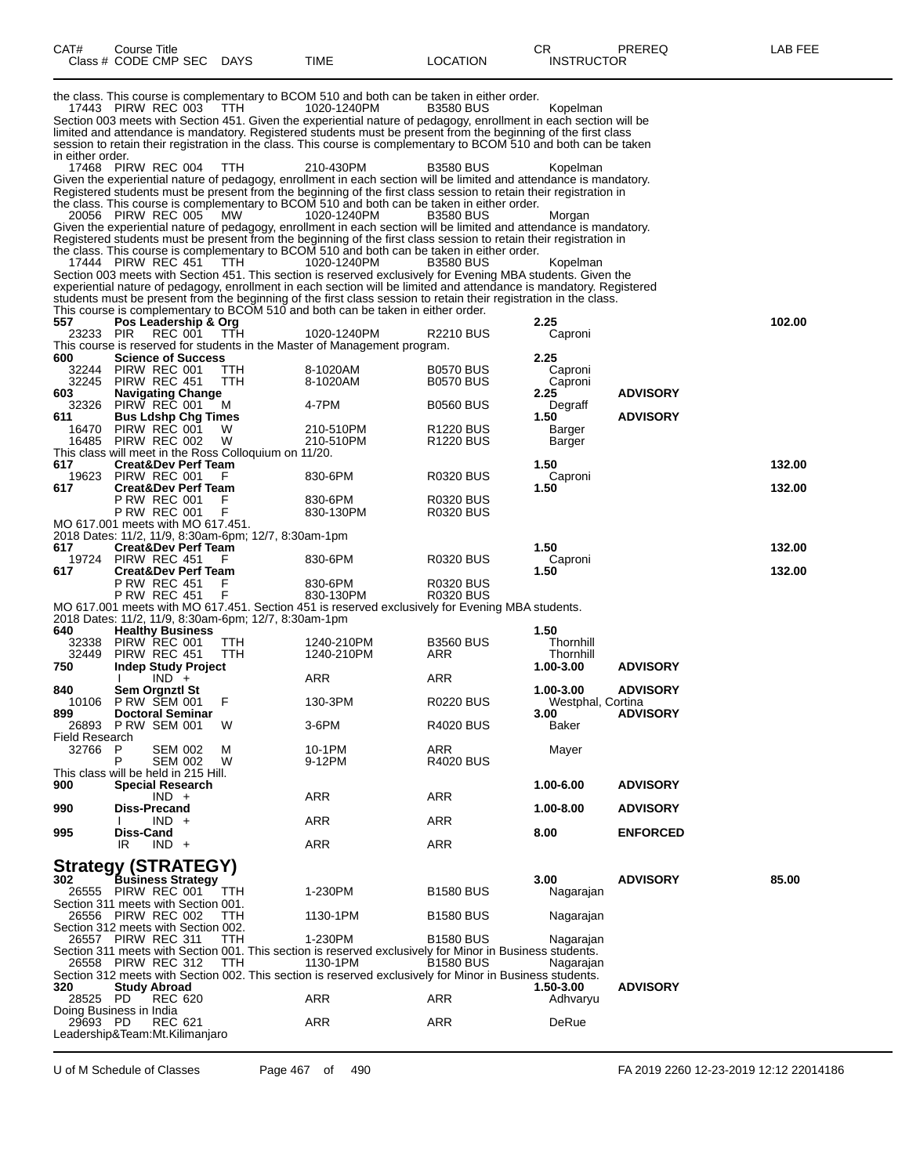| CAT#                                        | Course Title<br>Class # CODE CMP SEC DAYS                                             |                    |                                                                 | <b>TIME</b>                                                                                                                                                                                                                                                                                                                                                                                                                                                           | <b>LOCATION</b>                           | СR<br><b>INSTRUCTOR</b>                     | PREREQ          | LAB FEE          |
|---------------------------------------------|---------------------------------------------------------------------------------------|--------------------|-----------------------------------------------------------------|-----------------------------------------------------------------------------------------------------------------------------------------------------------------------------------------------------------------------------------------------------------------------------------------------------------------------------------------------------------------------------------------------------------------------------------------------------------------------|-------------------------------------------|---------------------------------------------|-----------------|------------------|
|                                             | 17443 PIRW REC 003                                                                    |                    | TTH                                                             | the class. This course is complementary to BCOM 510 and both can be taken in either order.<br>1020-1240PM<br>Section 003 meets with Section 451. Given the experiential nature of pedagogy, enrollment in each section will be<br>limited and attendance is mandatory. Registered students must be present from the beginning of the first class<br>session to retain their registration in the class. This course is complementary to BCOM 510 and both can be taken | <b>B3580 BUS</b>                          | Kopelman                                    |                 |                  |
| in either order.                            | 17468 PIRW REC 004<br>20056 PIRW REC 005                                              |                    | TTH<br><b>MW</b>                                                | 210-430PM<br>Given the experiential nature of pedagogy, enrollment in each section will be limited and attendance is mandatory.<br>Registered students must be present from the beginning of the first class session to retain their registration in<br>the class. This course is complementary to BCOM 510 and both can be taken in either order.<br>1020-1240PM                                                                                                     | <b>B3580 BUS</b><br><b>B3580 BUS</b>      | Kopelman<br>Morgan                          |                 |                  |
|                                             | 17444 PIRW REC 451                                                                    |                    | <b>TTH</b>                                                      | Given the experiential nature of pedagogy, enrollment in each section will be limited and attendance is mandatory.<br>Registered students must be present from the beginning of the first class session to retain their registration in<br>the class. This course is complementary to BCOM 510 and both can be taken in either order.<br>1020-1240PM<br>Section 003 meets with Section 451. This section is reserved exclusively for Evening MBA students. Given the  | <b>B3580 BUS</b>                          | Kopelman                                    |                 |                  |
| 557                                         |                                                                                       |                    |                                                                 | experiential nature of pedagogy, enrollment in each section will be limited and attendance is mandatory. Registered<br>students must be present from the beginning of the first class session to retain their registration in the class.<br>This course is complementary to BCOM 510 and both can be taken in either order.                                                                                                                                           |                                           | 2.25                                        |                 | 102.00           |
| 23233                                       | Pos Leadership & Org<br><b>PIR</b>                                                    | REC 001            | TTH                                                             | 1020-1240PM<br>This course is reserved for students in the Master of Management program.                                                                                                                                                                                                                                                                                                                                                                              | R2210 BUS                                 | Caproni                                     |                 |                  |
| 600<br>32244<br>32245<br>603                | <b>Science of Success</b><br>PIRW REC 001<br>PIRW REC 451<br><b>Navigating Change</b> |                    | TТH<br>ттн                                                      | 8-1020AM<br>8-1020AM                                                                                                                                                                                                                                                                                                                                                                                                                                                  | <b>B0570 BUS</b><br><b>B0570 BUS</b>      | 2.25<br>Caproni<br>Caproni<br>2.25          | <b>ADVISORY</b> |                  |
| 32326<br>611                                | PIRW REC 001<br><b>Bus Ldshp Chg Times</b>                                            |                    | м                                                               | 4-7PM                                                                                                                                                                                                                                                                                                                                                                                                                                                                 | <b>B0560 BUS</b>                          | Degraff<br>1.50                             | <b>ADVISORY</b> |                  |
| 16470<br>16485                              | PIRW REC 001<br>PIRW REC 002                                                          |                    | W<br>W<br>This class will meet in the Ross Colloquium on 11/20. | 210-510PM<br>210-510PM                                                                                                                                                                                                                                                                                                                                                                                                                                                | R <sub>1220</sub> BUS<br><b>R1220 BUS</b> | Barger<br>Barger                            |                 |                  |
| 617<br>19623<br>617                         | <b>Creat&amp;Dev Perf Team</b><br>PIRW REC 001<br><b>Creat&amp;Dev Perf Team</b>      |                    | F                                                               | 830-6PM                                                                                                                                                                                                                                                                                                                                                                                                                                                               | R0320 BUS                                 | 1.50<br>Caproni<br>1.50                     |                 | 132.00<br>132.00 |
|                                             | <b>P RW REC 001</b><br><b>P RW REC 001</b>                                            |                    | F.<br>F                                                         | 830-6PM<br>830-130PM                                                                                                                                                                                                                                                                                                                                                                                                                                                  | R0320 BUS<br>R0320 BUS                    |                                             |                 |                  |
| MO 617.001 meets with MO 617.451.           |                                                                                       |                    | 2018 Dates: 11/2, 11/9, 8:30am-6pm; 12/7, 8:30am-1pm            |                                                                                                                                                                                                                                                                                                                                                                                                                                                                       |                                           |                                             |                 |                  |
| 617<br>19724<br>617                         | <b>Creat&amp;Dev Perf Team</b><br>PIRW REC 451<br><b>Creat&amp;Dev Perf Team</b>      |                    | F                                                               | 830-6PM                                                                                                                                                                                                                                                                                                                                                                                                                                                               | <b>R0320 BUS</b>                          | 1.50<br>Caproni<br>1.50                     |                 | 132.00<br>132.00 |
|                                             | <b>P RW REC 451</b><br><b>P RW REC 451</b>                                            |                    | F<br>F                                                          | 830-6PM<br>830-130PM<br>MO 617.001 meets with MO 617.451. Section 451 is reserved exclusively for Evening MBA students.                                                                                                                                                                                                                                                                                                                                               | R0320 BUS<br>R0320 BUS                    |                                             |                 |                  |
|                                             |                                                                                       |                    | 2018 Dates: 11/2, 11/9, 8:30am-6pm; 12/7, 8:30am-1pm            |                                                                                                                                                                                                                                                                                                                                                                                                                                                                       |                                           |                                             |                 |                  |
| 640<br>32338<br>32449<br>750                | <b>Healthy Business</b><br>PIRW REC 001<br>PIRW REC 451<br><b>Indep Study Project</b> |                    | TTH<br>TTH                                                      | 1240-210PM<br>1240-210PM                                                                                                                                                                                                                                                                                                                                                                                                                                              | <b>B3560 BUS</b><br>ARR                   | 1.50<br>Thornhill<br>Thornhill<br>1.00-3.00 | <b>ADVISORY</b> |                  |
| 840                                         |                                                                                       | $IND +$            |                                                                 | ARR                                                                                                                                                                                                                                                                                                                                                                                                                                                                   | ARR                                       | 1.00-3.00                                   | <b>ADVISORY</b> |                  |
| 10106<br>899                                | <b>Sem Orgnztl St</b><br><b>P RW SEM 001</b><br><b>Doctoral Seminar</b>               |                    | F                                                               | 130-3PM                                                                                                                                                                                                                                                                                                                                                                                                                                                               | <b>R0220 BUS</b>                          | Westphal, Cortina<br>3.00                   | <b>ADVISORY</b> |                  |
| 26893<br>Field Research<br>32766            | <b>P RW SEM 001</b><br>P                                                              | <b>SEM 002</b>     | W<br>M                                                          | 3-6PM<br>10-1PM                                                                                                                                                                                                                                                                                                                                                                                                                                                       | R4020 BUS<br>ARR                          | Baker<br>Mayer                              |                 |                  |
| This class will be held in 215 Hill.<br>900 | P<br><b>Special Research</b>                                                          | SEM 002            | W                                                               | 9-12PM                                                                                                                                                                                                                                                                                                                                                                                                                                                                | <b>R4020 BUS</b>                          | 1.00-6.00                                   | <b>ADVISORY</b> |                  |
| 990                                         | Diss-Precand                                                                          | $IND +$            |                                                                 | ARR                                                                                                                                                                                                                                                                                                                                                                                                                                                                   | ARR                                       | 1.00-8.00                                   | <b>ADVISORY</b> |                  |
| 995                                         | Diss-Cand                                                                             | $IND +$<br>$IND +$ |                                                                 | ARR                                                                                                                                                                                                                                                                                                                                                                                                                                                                   | <b>ARR</b>                                | 8.00                                        | <b>ENFORCED</b> |                  |
|                                             | IR                                                                                    |                    |                                                                 | ARR                                                                                                                                                                                                                                                                                                                                                                                                                                                                   | ARR                                       |                                             |                 |                  |
| Strategy (STRATEGY)<br>302                  | Business Strategy                                                                     |                    |                                                                 |                                                                                                                                                                                                                                                                                                                                                                                                                                                                       |                                           | 3.00                                        | <b>ADVISORY</b> | 85.00            |
| Section 311 meets with Section 001.         | 26555 PIRW REC 001                                                                    |                    | TTH                                                             | 1-230PM                                                                                                                                                                                                                                                                                                                                                                                                                                                               | <b>B1580 BUS</b>                          | Nagarajan                                   |                 |                  |
| Section 312 meets with Section 002.         | 26556 PIRW REC 002                                                                    |                    | TТH                                                             | 1130-1PM                                                                                                                                                                                                                                                                                                                                                                                                                                                              | <b>B1580 BUS</b>                          | Nagarajan                                   |                 |                  |
|                                             | 26557 PIRW REC 311<br>26558 PIRW REC 312                                              |                    | TTH<br>TTH                                                      | 1-230PM<br>Section 311 meets with Section 001. This section is reserved exclusively for Minor in Business students.<br>1130-1PM                                                                                                                                                                                                                                                                                                                                       | <b>B1580 BUS</b><br><b>B1580 BUS</b>      | Nagarajan<br>Nagarajan                      |                 |                  |
| 320                                         | <b>Study Abroad</b>                                                                   |                    |                                                                 | Section 312 meets with Section 002. This section is reserved exclusively for Minor in Business students.                                                                                                                                                                                                                                                                                                                                                              |                                           | 1.50-3.00                                   | <b>ADVISORY</b> |                  |
| 28525 PD<br>Doing Business in India         |                                                                                       | <b>REC 620</b>     |                                                                 | ARR                                                                                                                                                                                                                                                                                                                                                                                                                                                                   | ARR                                       | Adhvaryu                                    |                 |                  |
| 29693 PD<br>Leadership&Team:Mt.Kilimanjaro  |                                                                                       | REC 621            |                                                                 | ARR                                                                                                                                                                                                                                                                                                                                                                                                                                                                   | ARR                                       | DeRue                                       |                 |                  |

U of M Schedule of Classes Page 467 of 490 FA 2019 2260 12-23-2019 12:12 22014186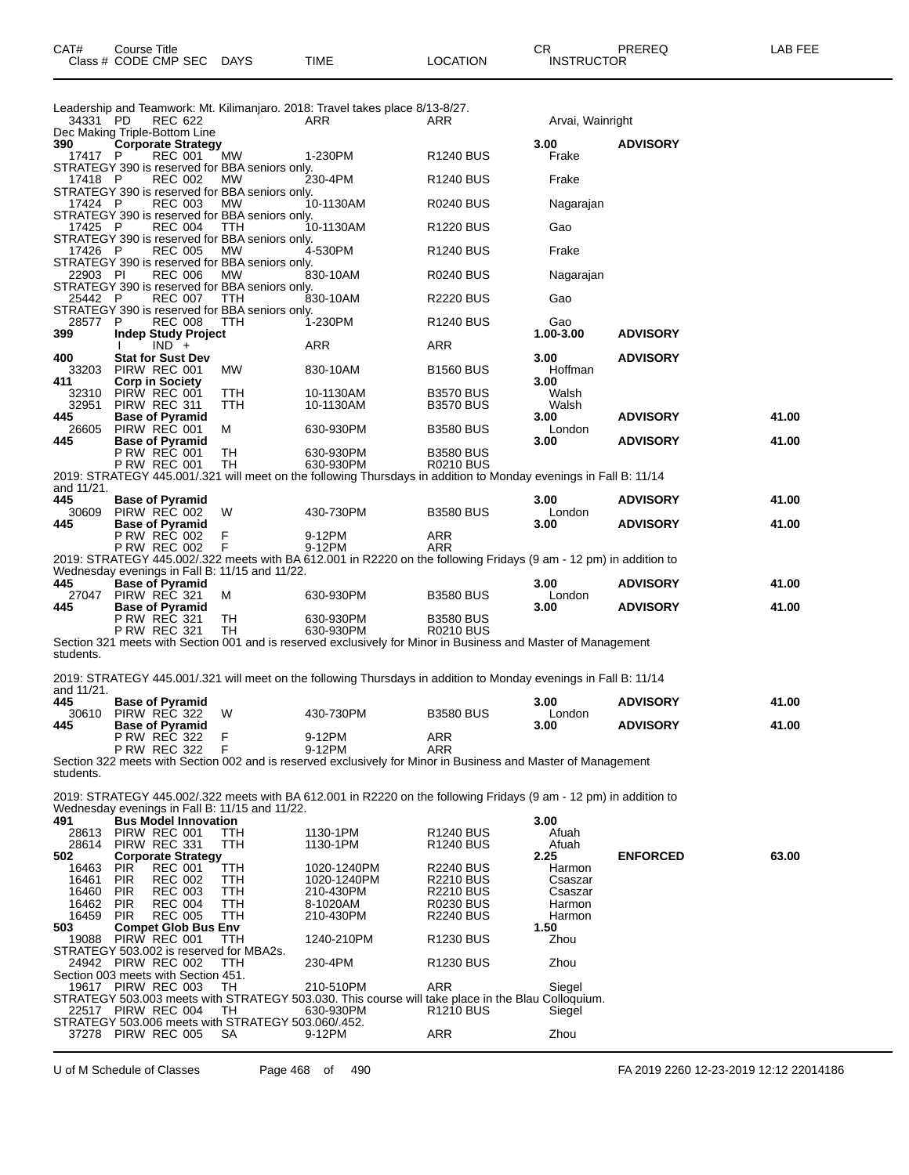| CAT# | Course Title           |             |      |          | ∩⊓<br>◡           | PREREQ | <b>AB FEE</b> |
|------|------------------------|-------------|------|----------|-------------------|--------|---------------|
|      | Class # CODE CMP SEC L | <b>DAYS</b> | TIME | LOCATION | <b>INSTRUCTOR</b> |        |               |

| 34331 PD          | REC 622                                                                       |                   | Leadership and Teamwork: Mt. Kilimanjaro. 2018: Travel takes place 8/13-8/27.<br>ARR                                    | ARR                                  | Arvai, Wainright  |                 |       |
|-------------------|-------------------------------------------------------------------------------|-------------------|-------------------------------------------------------------------------------------------------------------------------|--------------------------------------|-------------------|-----------------|-------|
| 390               | Dec Making Triple-Bottom Line<br>Corporate Strategy                           |                   |                                                                                                                         |                                      | 3.00              | <b>ADVISORY</b> |       |
| 17417 P           | REC 001<br>STRATEGY 390 is reserved for BBA seniors only.                     | МW                | 1-230PM                                                                                                                 | R <sub>1240</sub> BUS                | Frake             |                 |       |
| 17418 P           | <b>REC 002</b><br>STRATEGY 390 is reserved for BBA seniors only.              | MW                | 230-4PM                                                                                                                 | R <sub>1240</sub> BUS                | Frake             |                 |       |
| 17424 P           | <b>REC 003</b><br>STRATEGY 390 is reserved for BBA seniors only.              | MW                | 10-1130AM                                                                                                               | <b>R0240 BUS</b>                     | Nagarajan         |                 |       |
| 17425 P           | <b>REC 004</b>                                                                | TTH               | 10-1130AM                                                                                                               | R <sub>1220</sub> BUS                | Gao               |                 |       |
| 17426 P           | STRATEGY 390 is reserved for BBA seniors only.<br><b>REC 005</b>              | MW                | 4-530PM                                                                                                                 | R <sub>1240</sub> BUS                | Frake             |                 |       |
| 22903 PI          | STRATEGY 390 is reserved for BBA seniors only.<br><b>REC 006</b>              | MW                | 830-10AM                                                                                                                | <b>R0240 BUS</b>                     | Nagarajan         |                 |       |
| 25442 P           | STRATEGY 390 is reserved for BBA seniors only.<br><b>REC 007</b>              | TTH               | 830-10AM                                                                                                                | <b>R2220 BUS</b>                     | Gao               |                 |       |
| 28577 P           | STRATEGY 390 is reserved for BBA seniors only.<br><b>REC 008</b>              | TTH               | 1-230PM                                                                                                                 | R <sub>1240</sub> BUS                | Gao               |                 |       |
| 399               | Indep Study Project<br>$IND +$                                                |                   | ARR                                                                                                                     | ARR                                  | 1.00-3.00         | <b>ADVISORY</b> |       |
| 400               | <b>Stat for Sust Dev</b>                                                      |                   |                                                                                                                         |                                      | 3.00              | <b>ADVISORY</b> |       |
| 33203<br>411      | PIRW REC 001<br><b>Corp in Society</b>                                        | <b>MW</b>         | 830-10AM                                                                                                                | <b>B1560 BUS</b>                     | Hoffman<br>3.00   |                 |       |
| 32310<br>32951    | PIRW REC 001<br>PIRW REC 311                                                  | TTH<br>TTH        | 10-1130AM<br>10-1130AM                                                                                                  | <b>B3570 BUS</b><br><b>B3570 BUS</b> | Walsh<br>Walsh    |                 |       |
| 445<br>26605      | <b>Base of Pyramid</b><br>PIRW REC 001                                        | м                 | 630-930PM                                                                                                               | <b>B3580 BUS</b>                     | 3.00<br>London    | <b>ADVISORY</b> | 41.00 |
| 445               | <b>Base of Pyramid</b>                                                        |                   |                                                                                                                         |                                      | 3.00              | <b>ADVISORY</b> | 41.00 |
|                   | P RW REC 001<br><b>P RW REC 001</b>                                           | TН<br>TН          | 630-930PM<br>630-930PM                                                                                                  | <b>B3580 BUS</b><br><b>R0210 BUS</b> |                   |                 |       |
| and 11/21.        |                                                                               |                   | 2019: STRATEGY 445.001/.321 will meet on the following Thursdays in addition to Monday evenings in Fall B: 11/14        |                                      |                   |                 |       |
| 445<br>30609      | <b>Base of Pyramid</b><br>PIRW REC 002                                        | W                 | 430-730PM                                                                                                               | <b>B3580 BUS</b>                     | 3.00<br>London    | <b>ADVISORY</b> | 41.00 |
| 445               | <b>Base of Pyramid</b>                                                        |                   |                                                                                                                         |                                      | 3.00              | <b>ADVISORY</b> | 41.00 |
|                   | <b>P RW REC 002</b><br><b>P RW REC 002</b>                                    | F<br>F            | 9-12PM<br>9-12PM                                                                                                        | ARR<br>ARR                           |                   |                 |       |
|                   | Wednesday evenings in Fall B: 11/15 and 11/22.                                |                   | 2019: STRATEGY 445.002/.322 meets with BA 612.001 in R2220 on the following Fridays (9 am - 12 pm) in addition to       |                                      |                   |                 |       |
| 445               | <b>Base of Pyramid</b><br>27047 PIRW REC 321                                  | м                 | 630-930PM                                                                                                               | <b>B3580 BUS</b>                     | 3.00<br>London    | <b>ADVISORY</b> | 41.00 |
| 445               | <b>Base of Pyramid</b>                                                        |                   |                                                                                                                         |                                      | 3.00              | <b>ADVISORY</b> | 41.00 |
|                   | <b>P RW REC 321</b><br><b>P RW REC 321</b>                                    | TH<br>TН          | 630-930PM<br>630-930PM                                                                                                  | <b>B3580 BUS</b><br>R0210 BUS        |                   |                 |       |
| students.         |                                                                               |                   | Section 321 meets with Section 001 and is reserved exclusively for Minor in Business and Master of Management           |                                      |                   |                 |       |
|                   |                                                                               |                   | 2019: STRATEGY 445.001/.321 will meet on the following Thursdays in addition to Monday evenings in Fall B: 11/14        |                                      |                   |                 |       |
| and 11/21.<br>445 | <b>Base of Pyramid</b>                                                        |                   |                                                                                                                         |                                      | 3.00              | <b>ADVISORY</b> | 41.00 |
|                   | 30610 PIRW REC 322                                                            | W                 | 430-730PM                                                                                                               | <b>B3580 BUS</b>                     | London            |                 |       |
| 445               | <b>Base of Pyramid</b><br><b>P RW REC 322</b>                                 | F                 | 9-12PM                                                                                                                  | ARR                                  | 3.00              | <b>ADVISORY</b> | 41.00 |
|                   | <b>P RW REC 322</b>                                                           | F                 | 9-12PM<br>Section 322 meets with Section 002 and is reserved exclusively for Minor in Business and Master of Management | ARR                                  |                   |                 |       |
| students.         |                                                                               |                   |                                                                                                                         |                                      |                   |                 |       |
|                   |                                                                               |                   | 2019: STRATEGY 445.002/.322 meets with BA 612.001 in R2220 on the following Fridays (9 am - 12 pm) in addition to       |                                      |                   |                 |       |
| 491               | Wednesday evenings in Fall B: 11/15 and 11/22.<br><b>Bus Model Innovation</b> |                   |                                                                                                                         |                                      | 3.00              |                 |       |
| 28613<br>28614    | PIRW REC 001<br>PIRW REC 331                                                  | TTH<br>ттн        | 1130-1PM<br>1130-1PM                                                                                                    | <b>R1240 BUS</b><br>R1240 BUS        | Afuah<br>Afuah    |                 |       |
| 502<br>16463      | <b>Corporate Strategy</b><br><b>PIR</b><br><b>REC 001</b>                     | <b>TTH</b>        | 1020-1240PM                                                                                                             | R2240 BUS                            | 2.25<br>Harmon    | <b>ENFORCED</b> | 63.00 |
| 16461             | <b>REC 002</b><br><b>PIR</b>                                                  | TTH               | 1020-1240PM                                                                                                             | <b>R2210 BUS</b>                     | Csaszar           |                 |       |
| 16460<br>16462    | <b>PIR</b><br><b>REC 003</b><br><b>PIR</b><br><b>REC 004</b>                  | <b>TTH</b><br>TTH | 210-430PM<br>8-1020AM                                                                                                   | <b>R2210 BUS</b><br>R0230 BUS        | Csaszar<br>Harmon |                 |       |
| 16459<br>503      | <b>REC 005</b><br><b>PIR</b><br><b>Compet Glob Bus Env</b>                    | TTH               | 210-430PM                                                                                                               | <b>R2240 BUS</b>                     | Harmon<br>1.50    |                 |       |
| 19088             | PIRW REC 001                                                                  | TTH               | 1240-210PM                                                                                                              | R1230 BUS                            | Zhou              |                 |       |
|                   | STRATEGY 503.002 is reserved for MBA2s.<br>24942 PIRW REC 002                 | TTH               | 230-4PM                                                                                                                 | R <sub>1230</sub> BUS                | Zhou              |                 |       |
|                   | Section 003 meets with Section 451.<br>19617 PIRW REC 003                     | TH                | 210-510PM                                                                                                               | ARR                                  | Siegel            |                 |       |
|                   | 22517 PIRW REC 004                                                            | TН                | STRATEGY 503.003 meets with STRATEGY 503.030. This course will take place in the Blau Colloquium.<br>630-930PM          | R1210 BUS                            | Siegel            |                 |       |
|                   | STRATEGY 503.006 meets with STRATEGY 503.060/.452.                            |                   |                                                                                                                         |                                      |                   |                 |       |
|                   | 37278 PIRW REC 005                                                            | SA                | 9-12PM                                                                                                                  | <b>ARR</b>                           | Zhou              |                 |       |

U of M Schedule of Classes Page 468 of 490 FA 2019 2260 12-23-2019 12:12 22014186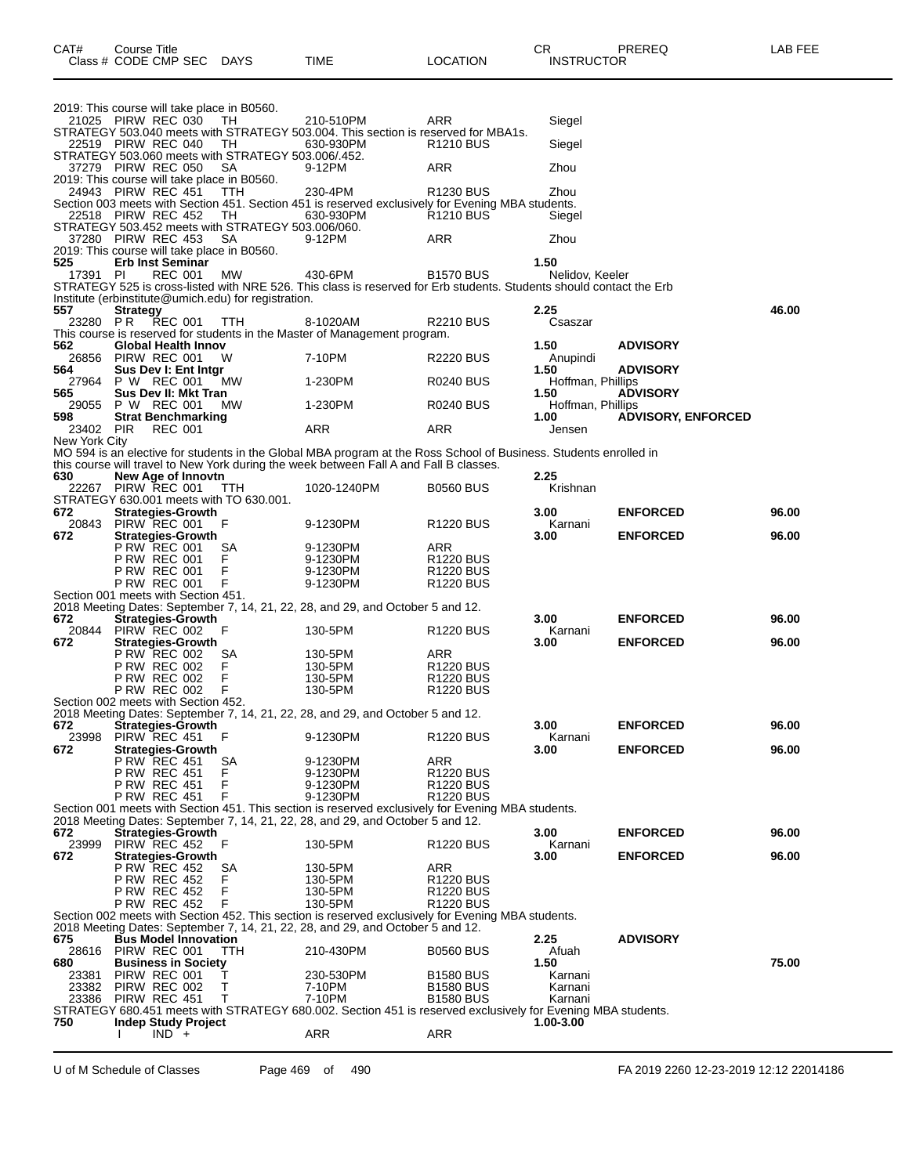|                | 2019: This course will take place in B0560.                                    |                                                                                                                                                                                      |                                                |                           |                           |       |
|----------------|--------------------------------------------------------------------------------|--------------------------------------------------------------------------------------------------------------------------------------------------------------------------------------|------------------------------------------------|---------------------------|---------------------------|-------|
|                | 21025 PIRW REC 030<br>TН                                                       | 210-510PM                                                                                                                                                                            | ARR                                            | Siegel                    |                           |       |
|                |                                                                                | STRATEGY 503.040 meets with STRATEGY 503.004. This section is reserved for MBA1s.                                                                                                    |                                                |                           |                           |       |
|                | 22519 PIRW REC 040<br>TН<br>STRATEGY 503.060 meets with STRATEGY 503.006/.452. | 630-930PM                                                                                                                                                                            | R <sub>1210</sub> BUS                          | Siegel                    |                           |       |
|                | 37279 PIRW REC 050<br>SA                                                       | 9-12PM                                                                                                                                                                               | ARR                                            | Zhou                      |                           |       |
|                | 2019: This course will take place in B0560.                                    |                                                                                                                                                                                      |                                                |                           |                           |       |
|                | 24943 PIRW REC 451<br>TТH                                                      | 230-4PM<br>Section 003 meets with Section 451. Section 451 is reserved exclusively for Evening MBA students.                                                                         | R <sub>1230</sub> BUS                          | Zhou                      |                           |       |
|                | 22518 PIRW REC 452<br>TН                                                       | 630-930PM                                                                                                                                                                            | R <sub>1210</sub> BUS                          | Siegel                    |                           |       |
|                | STRATEGY 503.452 meets with STRATEGY 503.006/060.                              |                                                                                                                                                                                      |                                                |                           |                           |       |
|                | 37280 PIRW REC 453<br>SA                                                       | 9-12PM                                                                                                                                                                               | ARR                                            | Zhou                      |                           |       |
| 525            | 2019: This course will take place in B0560.<br><b>Erb Inst Seminar</b>         |                                                                                                                                                                                      |                                                | 1.50                      |                           |       |
| 17391 PI       | REC 001<br>MW                                                                  | 430-6PM                                                                                                                                                                              | <b>B1570 BUS</b>                               | Nelidov, Keeler           |                           |       |
|                |                                                                                | STRATEGY 525 is cross-listed with NRE 526. This class is reserved for Erb students. Students should contact the Erb                                                                  |                                                |                           |                           |       |
|                | Institute (erbinstitute@umich.edu) for registration.                           |                                                                                                                                                                                      |                                                |                           |                           |       |
| 557<br>23280   | <b>Strategy</b><br>P R<br><b>REC 001</b><br><b>TTH</b>                         | 8-1020AM                                                                                                                                                                             |                                                | 2.25<br>Csaszar           |                           | 46.00 |
|                |                                                                                | This course is reserved for students in the Master of Management program.                                                                                                            | R2210 BUS                                      |                           |                           |       |
| 562            | Global Health Innov                                                            |                                                                                                                                                                                      |                                                | 1.50                      | <b>ADVISORY</b>           |       |
| 26856          | PIRW REC 001<br>w                                                              | 7-10PM                                                                                                                                                                               | <b>R2220 BUS</b>                               | Anupindi                  |                           |       |
| 564            | Sus Dev I: Ent Intgr<br>P W REC 001                                            | 1-230PM                                                                                                                                                                              |                                                | 1.50                      | <b>ADVISORY</b>           |       |
| 27964<br>565   | мw<br>Sus Dev II: Mkt Tran                                                     |                                                                                                                                                                                      | R0240 BUS                                      | Hoffman, Phillips<br>1.50 | <b>ADVISORY</b>           |       |
| 29055          | P W REC 001<br>МW                                                              | 1-230PM                                                                                                                                                                              | R0240 BUS                                      | Hoffman, Phillips         |                           |       |
| 598            | <b>Strat Benchmarking</b>                                                      |                                                                                                                                                                                      |                                                | 1.00                      | <b>ADVISORY, ENFORCED</b> |       |
| 23402 PIR      | <b>REC 001</b>                                                                 | ARR                                                                                                                                                                                  | ARR                                            | Jensen                    |                           |       |
| New York City  |                                                                                | MO 594 is an elective for students in the Global MBA program at the Ross School of Business. Students enrolled in                                                                    |                                                |                           |                           |       |
|                |                                                                                | this course will travel to New York during the week between Fall A and Fall B classes.                                                                                               |                                                |                           |                           |       |
| 630            | <b>New Age of Innovtn</b>                                                      |                                                                                                                                                                                      |                                                | 2.25                      |                           |       |
|                | 22267 PIRW REC 001<br>TTH.                                                     | 1020-1240PM                                                                                                                                                                          | <b>B0560 BUS</b>                               | Krishnan                  |                           |       |
| 672            | STRATEGY 630.001 meets with TO 630.001.<br><b>Strategies-Growth</b>            |                                                                                                                                                                                      |                                                | 3.00                      | <b>ENFORCED</b>           | 96.00 |
| 20843          | PIRW REC 001<br>F                                                              | 9-1230PM                                                                                                                                                                             | <b>R1220 BUS</b>                               | Karnani                   |                           |       |
| 672            | <b>Strategies-Growth</b>                                                       |                                                                                                                                                                                      |                                                | 3.00                      | <b>ENFORCED</b>           | 96.00 |
|                | <b>P RW REC 001</b><br>SА                                                      | 9-1230PM                                                                                                                                                                             | ARR                                            |                           |                           |       |
|                | F<br><b>P RW REC 001</b><br>F<br><b>P RW REC 001</b>                           | 9-1230PM<br>9-1230PM                                                                                                                                                                 | R <sub>1220</sub> BUS<br>R <sub>1220</sub> BUS |                           |                           |       |
|                | F<br><b>P RW REC 001</b>                                                       | 9-1230PM                                                                                                                                                                             | R <sub>1220</sub> BUS                          |                           |                           |       |
|                | Section 001 meets with Section 451.                                            |                                                                                                                                                                                      |                                                |                           |                           |       |
|                |                                                                                | 2018 Meeting Dates: September 7, 14, 21, 22, 28, and 29, and October 5 and 12.                                                                                                       |                                                |                           |                           |       |
| 672<br>20844   | <b>Strategies-Growth</b><br>PIRW REC 002<br>F                                  | 130-5PM                                                                                                                                                                              | R <sub>1220</sub> BUS                          | 3.00<br>Karnani           | <b>ENFORCED</b>           | 96.00 |
| 672            | <b>Strategies-Growth</b>                                                       |                                                                                                                                                                                      |                                                | 3.00                      | <b>ENFORCED</b>           | 96.00 |
|                | <b>P RW REC 002</b><br>SА                                                      | 130-5PM                                                                                                                                                                              | ARR                                            |                           |                           |       |
|                | F<br><b>P RW REC 002</b>                                                       | 130-5PM                                                                                                                                                                              | R <sub>1220</sub> BUS                          |                           |                           |       |
|                | F<br><b>P RW REC 002</b><br>F<br><b>P RW REC 002</b>                           | 130-5PM<br>130-5PM                                                                                                                                                                   | R <sub>1220</sub> BUS<br><b>R1220 BUS</b>      |                           |                           |       |
|                | Section 002 meets with Section 452.                                            |                                                                                                                                                                                      |                                                |                           |                           |       |
|                |                                                                                | 2018 Meeting Dates: September 7, 14, 21, 22, 28, and 29, and October 5 and 12.                                                                                                       |                                                |                           |                           |       |
| 672            | <b>Strategies-Growth</b>                                                       | 9-1230PM                                                                                                                                                                             | <b>R1220 BUS</b>                               | 3.00                      | <b>ENFORCED</b>           | 96.00 |
| 672            | 23998 PIRW REC 451<br><b>Strategies-Growth</b>                                 |                                                                                                                                                                                      |                                                | Karnani<br>3.00           | <b>ENFORCED</b>           | 96.00 |
|                | <b>P RW REC 451</b><br>SА                                                      | 9-1230PM                                                                                                                                                                             | ARR                                            |                           |                           |       |
|                | <b>PRW REC 451</b><br>F.                                                       | 9-1230PM                                                                                                                                                                             | R <sub>1220</sub> BUS                          |                           |                           |       |
|                | F<br><b>P RW REC 451</b><br><b>P RW REC 451</b><br>F                           | 9-1230PM                                                                                                                                                                             | <b>R1220 BUS</b>                               |                           |                           |       |
|                |                                                                                | 9-1230PM<br>Section 001 meets with Section 451. This section is reserved exclusively for Evening MBA students.                                                                       | R <sub>1220</sub> BUS                          |                           |                           |       |
|                |                                                                                | 2018 Meeting Dates: September 7, 14, 21, 22, 28, and 29, and October 5 and 12.                                                                                                       |                                                |                           |                           |       |
| 672            | <b>Strategies-Growth</b>                                                       |                                                                                                                                                                                      |                                                | 3.00                      | <b>ENFORCED</b>           | 96.00 |
| 23999          | PIRW REC 452<br>F                                                              | 130-5PM                                                                                                                                                                              | R <sub>1220</sub> BUS                          | Karnani                   |                           |       |
| 672            | <b>Strategies-Growth</b><br><b>P RW REC 452</b><br>SA                          | 130-5PM                                                                                                                                                                              | ARR                                            | 3.00                      | <b>ENFORCED</b>           | 96.00 |
|                | <b>P RW REC 452</b><br>F.                                                      | 130-5PM                                                                                                                                                                              | <b>R1220 BUS</b>                               |                           |                           |       |
|                | F<br><b>P RW REC 452</b>                                                       | 130-5PM                                                                                                                                                                              | R <sub>1220</sub> BUS                          |                           |                           |       |
|                | <b>P RW REC 452</b><br>F                                                       | 130-5PM                                                                                                                                                                              | R <sub>1220</sub> BUS                          |                           |                           |       |
|                |                                                                                | Section 002 meets with Section 452. This section is reserved exclusively for Evening MBA students.<br>2018 Meeting Dates: September 7, 14, 21, 22, 28, and 29, and October 5 and 12. |                                                |                           |                           |       |
| 675            | <b>Bus Model Innovation</b>                                                    |                                                                                                                                                                                      |                                                | 2.25                      | <b>ADVISORY</b>           |       |
| 28616          | PIRW REC 001<br>TTH                                                            | 210-430PM                                                                                                                                                                            | <b>B0560 BUS</b>                               | Afuah                     |                           |       |
| 680            | <b>Business in Society</b>                                                     |                                                                                                                                                                                      |                                                | 1.50                      |                           | 75.00 |
| 23381<br>23382 | PIRW REC 001<br>т<br>T<br>PIRW REC 002                                         | 230-530PM<br>7-10PM                                                                                                                                                                  | <b>B1580 BUS</b><br><b>B1580 BUS</b>           | Karnani<br>Karnani        |                           |       |
| 23386          | PIRW REC 451<br>T                                                              | 7-10PM                                                                                                                                                                               | <b>B1580 BUS</b>                               | Karnani                   |                           |       |
|                |                                                                                | STRATEGY 680.451 meets with STRATEGY 680.002. Section 451 is reserved exclusively for Evening MBA students.                                                                          |                                                |                           |                           |       |
| 750            | <b>Indep Study Project</b><br>$IND +$                                          |                                                                                                                                                                                      |                                                | 1.00-3.00                 |                           |       |
|                |                                                                                | ARR                                                                                                                                                                                  | ARR                                            |                           |                           |       |

CAT# Course Title Case CR PREREQ LAB FEE

Class # CODE CMP SEC DAYS TIME LOCATION INSTRUCTOR

U of M Schedule of Classes Page 469 of 490 FA 2019 2260 12-23-2019 12:12 22014186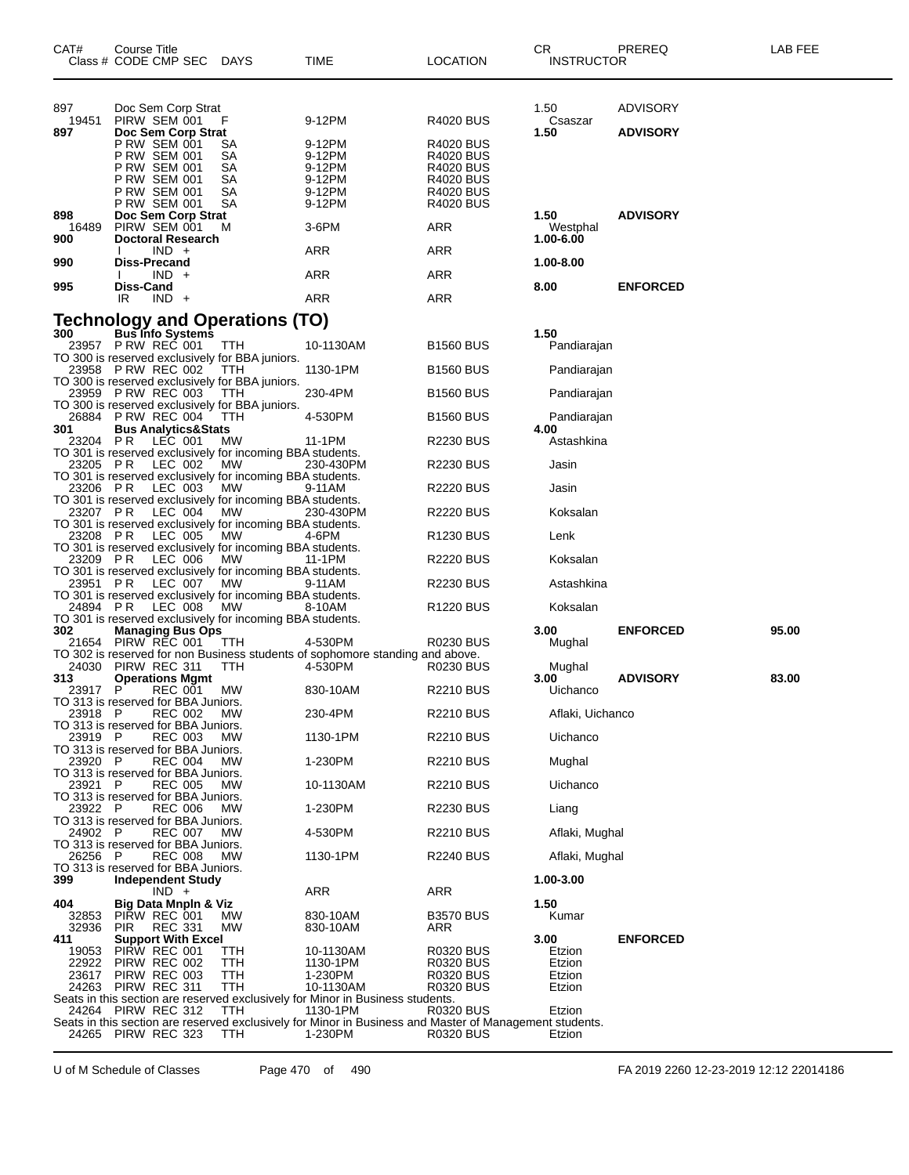| CAT#                | Course Title<br>Class # CODE CMP SEC DAYS                                                                  |                                                | TIME                                                                                                               | <b>LOCATION</b>                                                                                               | CR<br><b>INSTRUCTOR</b>       | PREREQ                             | LAB FEE |
|---------------------|------------------------------------------------------------------------------------------------------------|------------------------------------------------|--------------------------------------------------------------------------------------------------------------------|---------------------------------------------------------------------------------------------------------------|-------------------------------|------------------------------------|---------|
| 897<br>19451<br>897 | Doc Sem Corp Strat<br>PIRW SEM 001<br>Doc Sem Corp Strat                                                   | F                                              | 9-12PM                                                                                                             | <b>R4020 BUS</b>                                                                                              | 1.50<br>Csaszar<br>1.50       | <b>ADVISORY</b><br><b>ADVISORY</b> |         |
|                     | P RW SEM 001<br>P RW SEM 001<br><b>P RW SEM 001</b><br>P RW SEM 001<br>P RW SEM 001<br><b>P RW SEM 001</b> | SА<br><b>SA</b><br>SA<br><b>SA</b><br>SA<br>SA | 9-12PM<br>9-12PM<br>9-12PM<br>9-12PM<br>9-12PM<br>9-12PM                                                           | <b>R4020 BUS</b><br>R4020 BUS<br><b>R4020 BUS</b><br><b>R4020 BUS</b><br><b>R4020 BUS</b><br><b>R4020 BUS</b> |                               |                                    |         |
| 898<br>16489<br>900 | Doc Sem Corp Strat<br>PIRW SEM 001<br><b>Doctoral Research</b>                                             | м                                              | 3-6PM                                                                                                              | ARR                                                                                                           | 1.50<br>Westphal<br>1.00-6.00 | <b>ADVISORY</b>                    |         |
| 990                 | $IND +$<br>Diss-Precand                                                                                    |                                                | ARR                                                                                                                | ARR                                                                                                           | 1.00-8.00                     |                                    |         |
|                     | $IND +$                                                                                                    |                                                | ARR                                                                                                                | ARR                                                                                                           |                               |                                    |         |
| 995                 | Diss-Cand<br>$IND +$<br>IR                                                                                 |                                                | <b>ARR</b>                                                                                                         | ARR                                                                                                           | 8.00                          | <b>ENFORCED</b>                    |         |
|                     |                                                                                                            |                                                |                                                                                                                    |                                                                                                               |                               |                                    |         |
|                     | <b>Technology and Operations (TO)</b><br><sup>300</sup> Bus Info Systems                                   |                                                |                                                                                                                    |                                                                                                               | 1.50                          |                                    |         |
|                     | 23957 PRW REC 001<br>TO 300 is reserved exclusively for BBA juniors.                                       | TTH                                            | 10-1130AM                                                                                                          | <b>B1560 BUS</b>                                                                                              | Pandiarajan                   |                                    |         |
|                     | 23958 PRW REC 002                                                                                          | TTH                                            | 1130-1PM                                                                                                           | <b>B1560 BUS</b>                                                                                              | Pandiarajan                   |                                    |         |
|                     | TO 300 is reserved exclusively for BBA juniors.<br>23959 PRW REC 003 TTH                                   |                                                | 230-4PM                                                                                                            | <b>B1560 BUS</b>                                                                                              | Pandiarajan                   |                                    |         |
|                     | TO 300 is reserved exclusively for BBA juniors.<br>26884 PRW REC 004                                       | ттн                                            | 4-530PM                                                                                                            | <b>B1560 BUS</b>                                                                                              | Pandiarajan                   |                                    |         |
| 301                 | <b>Bus Analytics&amp;Stats</b><br>23204 PR LEC 001                                                         | <b>MW</b>                                      | 11-1PM                                                                                                             | R2230 BUS                                                                                                     | 4.00<br>Astashkina            |                                    |         |
|                     | TO 301 is reserved exclusively for incoming BBA students.<br>23205 PR LEC 002 MW                           |                                                | 230-430PM                                                                                                          | <b>R2230 BUS</b>                                                                                              | Jasin                         |                                    |         |
|                     | TO 301 is reserved exclusively for incoming BBA students.<br>23206 PR LEC 003                              | MW                                             | 9-11AM                                                                                                             | <b>R2220 BUS</b>                                                                                              | Jasin                         |                                    |         |
|                     | TO 301 is reserved exclusively for incoming BBA students.<br>23207 PR LEC 004                              | MW                                             | 230-430PM                                                                                                          | R2220 BUS                                                                                                     | Koksalan                      |                                    |         |
|                     | TO 301 is reserved exclusively for incoming BBA students.<br>23208 PR LEC 005 MW                           |                                                | 4-6PM                                                                                                              | R <sub>1230</sub> BUS                                                                                         | Lenk                          |                                    |         |
|                     | TO 301 is reserved exclusively for incoming BBA students.<br>23209 PR LEC 006                              | MW                                             | 11-1PM                                                                                                             | <b>R2220 BUS</b>                                                                                              | Koksalan                      |                                    |         |
|                     | TO 301 is reserved exclusively for incoming BBA students.<br>23951 PR LEC 007 MW                           |                                                | 9-11AM                                                                                                             | R2230 BUS                                                                                                     | Astashkina                    |                                    |         |
|                     | TO 301 is reserved exclusively for incoming BBA students.<br>24894 PR LEC 008 MW                           |                                                | 8-10AM                                                                                                             | R <sub>1220</sub> BUS                                                                                         | Koksalan                      |                                    |         |
| 302                 | TO 301 is reserved exclusively for incoming BBA students.<br><b>Managing Bus Ops</b>                       |                                                |                                                                                                                    |                                                                                                               | 3.00                          | <b>ENFORCED</b>                    | 95.00   |
|                     | 21654 PIRW REC 001 TTH                                                                                     |                                                | 4-530PM<br>TO 302 is reserved for non Business students of sophomore standing and above.                           | <b>R0230 BUS</b>                                                                                              | Mughal                        |                                    |         |
|                     | 24030 PIRW REC 311                                                                                         | <b>TTH</b>                                     | 4-530PM                                                                                                            | R0230 BUS                                                                                                     | Mughal                        |                                    |         |
| 313<br>23917 P      | <b>Operations Mgmt</b><br>REC 001<br>TO 313 is reserved for BBA Juniors.                                   | MW                                             | 830-10AM                                                                                                           | R2210 BUS                                                                                                     | 3.00<br>Uichanco              | <b>ADVISORY</b>                    | 83.00   |
| 23918 P             | REC 002<br>TO 313 is reserved for BBA Juniors.                                                             | МW                                             | 230-4PM                                                                                                            | <b>R2210 BUS</b>                                                                                              | Aflaki, Uichanco              |                                    |         |
| 23919 P             | REC 003<br>TO 313 is reserved for BBA Juniors.                                                             | <b>MW</b>                                      | 1130-1PM                                                                                                           | <b>R2210 BUS</b>                                                                                              | Uichanco                      |                                    |         |
| 23920 P             | <b>REC 004</b>                                                                                             | <b>MW</b>                                      | 1-230PM                                                                                                            | <b>R2210 BUS</b>                                                                                              | Mughal                        |                                    |         |
| 23921 P             | TO 313 is reserved for BBA Juniors.<br><b>REC 005</b>                                                      | МW                                             | 10-1130AM                                                                                                          | <b>R2210 BUS</b>                                                                                              | Uichanco                      |                                    |         |
| 23922 P             | TO 313 is reserved for BBA Juniors.<br>REC 006                                                             | <b>MW</b>                                      | 1-230PM                                                                                                            | <b>R2230 BUS</b>                                                                                              | Liang                         |                                    |         |
| 24902 P             | TO 313 is reserved for BBA Juniors.<br><b>REC 007</b>                                                      | <b>MW</b>                                      | 4-530PM                                                                                                            | <b>R2210 BUS</b>                                                                                              | Aflaki, Mughal                |                                    |         |
| 26256 P             | TO 313 is reserved for BBA Juniors.<br>REC 008                                                             | <b>MW</b>                                      | 1130-1PM                                                                                                           | <b>R2240 BUS</b>                                                                                              | Aflaki, Mughal                |                                    |         |
| 399                 | TO 313 is reserved for BBA Juniors.<br><b>Independent Study</b>                                            |                                                |                                                                                                                    |                                                                                                               | 1.00-3.00                     |                                    |         |
| 404                 | $IND +$<br>Big Data Mnpln & Viz                                                                            |                                                | ARR                                                                                                                | <b>ARR</b>                                                                                                    | 1.50                          |                                    |         |
| 32853<br>32936      | PIRW REC 001<br><b>REC 331</b><br><b>PIR</b>                                                               | MW.<br>MW                                      | 830-10AM<br>830-10AM                                                                                               | <b>B3570 BUS</b><br>ARR                                                                                       | Kumar                         |                                    |         |
| 411<br>19053        | <b>Support With Excel</b><br>PIRW REC 001                                                                  | TTH                                            | 10-1130AM                                                                                                          | <b>R0320 BUS</b>                                                                                              | 3.00<br>Etzion                | <b>ENFORCED</b>                    |         |
| 22922               | PIRW REC 002                                                                                               | TTH                                            | 1130-1PM                                                                                                           | R0320 BUS                                                                                                     | Etzion                        |                                    |         |
| 23617               | PIRW REC 003<br>24263 PIRW REC 311                                                                         | TTH<br>TTH                                     | 1-230PM<br>10-1130AM                                                                                               | <b>R0320 BUS</b><br><b>R0320 BUS</b>                                                                          | Etzion<br>Etzion              |                                    |         |
|                     | 24264 PIRW REC 312                                                                                         | TTH                                            | Seats in this section are reserved exclusively for Minor in Business students.<br>1130-1PM                         | R0320 BUS                                                                                                     | Etzion                        |                                    |         |
|                     | 24265 PIRW REC 323                                                                                         | TTH                                            | Seats in this section are reserved exclusively for Minor in Business and Master of Management students.<br>1-230PM | R0320 BUS                                                                                                     | Etzion                        |                                    |         |

U of M Schedule of Classes Page 470 of 490 FA 2019 2260 12-23-2019 12:12 22014186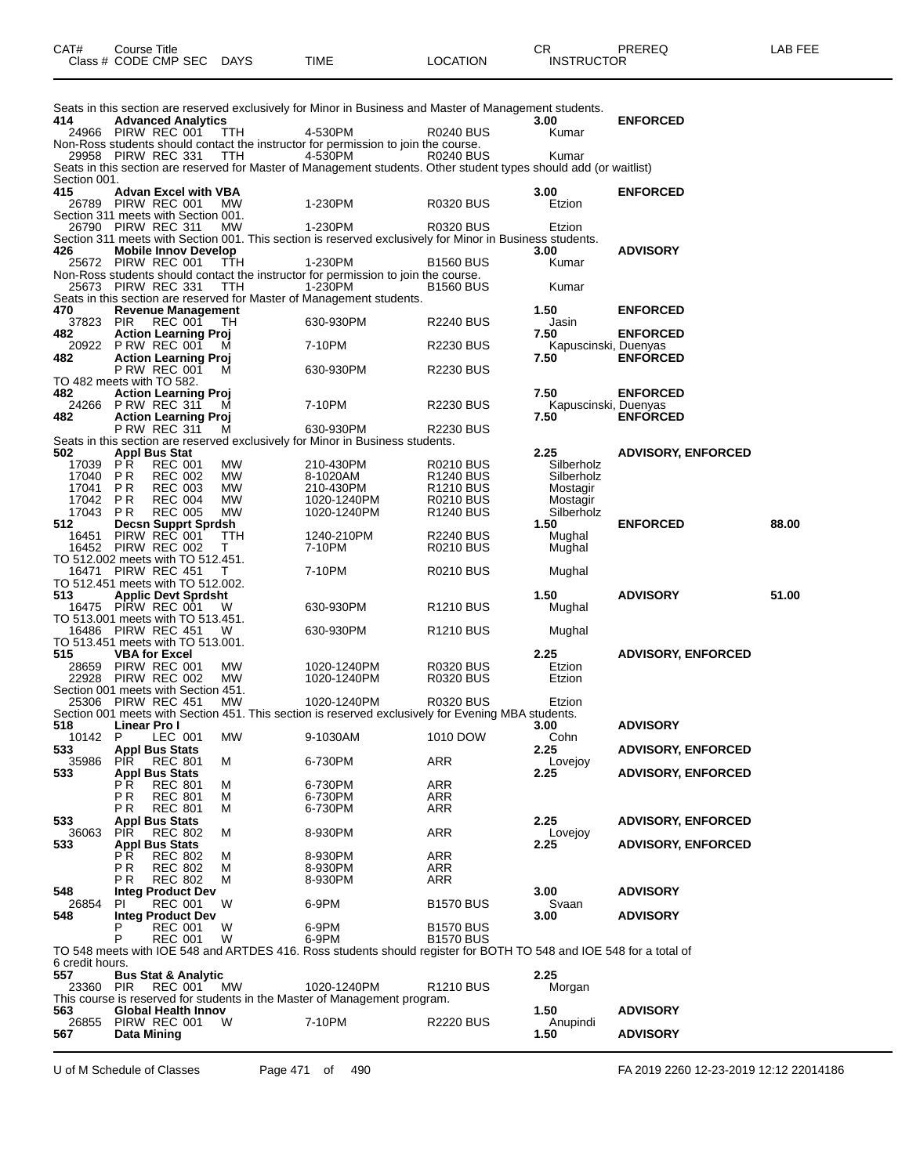| CAT# | Course Title<br>Class # CODE CMP SEC | <b>DAYS</b> | TIME | LOCATION | חה<br>◡<br><b>INSTRUCTOR</b> | PREREQ | AR FFF |
|------|--------------------------------------|-------------|------|----------|------------------------------|--------|--------|
|------|--------------------------------------|-------------|------|----------|------------------------------|--------|--------|

|                 |                                                           |                        | Seats in this section are reserved exclusively for Minor in Business and Master of Management students.                       |                                    |                              |                           |       |
|-----------------|-----------------------------------------------------------|------------------------|-------------------------------------------------------------------------------------------------------------------------------|------------------------------------|------------------------------|---------------------------|-------|
| 414             | <b>Advanced Analytics</b><br>24966 PIRW REC 001           | TTH                    | 4-530PM                                                                                                                       | R0240 BUS                          | 3.00<br>Kumar                | <b>ENFORCED</b>           |       |
|                 |                                                           |                        | Non-Ross students should contact the instructor for permission to join the course.                                            |                                    |                              |                           |       |
|                 | 29958 PIRW REC 331                                        | TTH                    | 4-530PM<br>Seats in this section are reserved for Master of Management students. Other student types should add (or waitlist) | <b>R0240 BUS</b>                   | Kumar                        |                           |       |
| Section 001.    |                                                           |                        |                                                                                                                               |                                    |                              |                           |       |
| 415             | <b>Advan Excel with VBA</b>                               |                        |                                                                                                                               |                                    | 3.00                         | <b>ENFORCED</b>           |       |
|                 | 26789 PIRW REC 001                                        | <b>MW</b>              | 1-230PM                                                                                                                       | <b>R0320 BUS</b>                   | Etzion                       |                           |       |
|                 | Section 311 meets with Section 001.<br>26790 PIRW REC 311 | <b>MW</b>              | 1-230PM                                                                                                                       | <b>R0320 BUS</b>                   | Etzion                       |                           |       |
|                 |                                                           |                        | Section 311 meets with Section 001. This section is reserved exclusively for Minor in Business students.                      |                                    |                              |                           |       |
| 426             | <b>Mobile Innov Develop</b><br>25672 PIRW REC 001         | TTH                    | 1-230PM                                                                                                                       | <b>B1560 BUS</b>                   | 3.00<br>Kumar                | <b>ADVISORY</b>           |       |
|                 |                                                           |                        | Non-Ross students should contact the instructor for permission to join the course.                                            |                                    |                              |                           |       |
|                 | 25673 PIRW REC 331                                        | TTH                    | 1-230PM                                                                                                                       | <b>B1560 BUS</b>                   | Kumar                        |                           |       |
| 470             | <b>Revenue Management</b>                                 |                        | Seats in this section are reserved for Master of Management students.                                                         |                                    | 1.50                         | <b>ENFORCED</b>           |       |
| 37823           | <b>PIR</b><br>REC 001                                     | тн                     | 630-930PM                                                                                                                     | <b>R2240 BUS</b>                   | Jasin                        |                           |       |
| 482.            | <b>Action Learning Proj</b>                               |                        |                                                                                                                               |                                    | 7.50                         | <b>ENFORCED</b>           |       |
| 482             | 20922 PRW REC 001<br><b>Action Learning Proj</b>          | м                      | 7-10PM                                                                                                                        | <b>R2230 BUS</b>                   | Kapuscinski, Duenyas<br>7.50 | <b>ENFORCED</b>           |       |
|                 | P RW REC 001                                              | M                      | 630-930PM                                                                                                                     | <b>R2230 BUS</b>                   |                              |                           |       |
|                 | TO 482 meets with TO 582.                                 |                        |                                                                                                                               |                                    |                              |                           |       |
| 482             | <b>Action Learning Proj</b><br>24266 PRW REC 311          | м                      | 7-10PM                                                                                                                        | <b>R2230 BUS</b>                   | 7.50<br>Kapuscinski, Duenyas | <b>ENFORCED</b>           |       |
| 482             | <b>Action Learning Proj</b>                               |                        |                                                                                                                               |                                    | 7.50                         | <b>ENFORCED</b>           |       |
|                 | P RW REC 311                                              | м                      | 630-930PM                                                                                                                     | <b>R2230 BUS</b>                   |                              |                           |       |
| 502             | <b>Appl Bus Stat</b>                                      |                        | Seats in this section are reserved exclusively for Minor in Business students.                                                |                                    | 2.25                         | <b>ADVISORY, ENFORCED</b> |       |
| 17039           | P R<br><b>REC 001</b>                                     | МW                     | 210-430PM                                                                                                                     | R0210 BUS                          | Silberholz                   |                           |       |
| 17040           | <b>REC 002</b><br>P R                                     | <b>MW</b>              | 8-1020AM                                                                                                                      | R <sub>1240</sub> BUS              | Silberholz                   |                           |       |
| 17041<br>17042  | P R<br><b>REC 003</b><br><b>PR</b><br><b>REC 004</b>      | <b>MW</b><br><b>MW</b> | 210-430PM<br>1020-1240PM                                                                                                      | R <sub>1210</sub> BUS<br>R0210 BUS | Mostagir<br>Mostagir         |                           |       |
| 17043           | <b>REC 005</b><br>P R                                     | <b>MW</b>              | 1020-1240PM                                                                                                                   | <b>R1240 BUS</b>                   | Silberholz                   |                           |       |
| 512             | <b>Decsn Supprt Sprdsh</b>                                |                        |                                                                                                                               |                                    | 1.50                         | <b>ENFORCED</b>           | 88.00 |
| 16451<br>16452  | PIRW REC 001<br>PIRW REC 002                              | TTH<br>т               | 1240-210PM<br>7-10PM                                                                                                          | R2240 BUS<br><b>R0210 BUS</b>      | Mughal<br>Mughal             |                           |       |
|                 | TO 512.002 meets with TO 512.451.                         |                        |                                                                                                                               |                                    |                              |                           |       |
|                 | 16471 PIRW REC 451<br>TO 512.451 meets with TO 512.002.   | T                      | 7-10PM                                                                                                                        | <b>R0210 BUS</b>                   | Mughal                       |                           |       |
| 513             | <b>Applic Devt Sprdsht</b>                                |                        |                                                                                                                               |                                    | 1.50                         | <b>ADVISORY</b>           | 51.00 |
|                 | 16475 PIRW REC 001                                        | W                      | 630-930PM                                                                                                                     | R <sub>1210</sub> BUS              | Mughal                       |                           |       |
|                 | TO 513.001 meets with TO 513.451.<br>16486 PIRW REC 451   | W                      | 630-930PM                                                                                                                     | R <sub>1210</sub> BUS              | Mughal                       |                           |       |
|                 | TO 513.451 meets with TO 513.001.                         |                        |                                                                                                                               |                                    |                              |                           |       |
| 515             | <b>VBA for Excel</b>                                      |                        |                                                                                                                               |                                    | 2.25                         | <b>ADVISORY, ENFORCED</b> |       |
|                 | 28659 PIRW REC 001<br>22928 PIRW REC 002                  | МW<br><b>MW</b>        | 1020-1240PM<br>1020-1240PM                                                                                                    | R0320 BUS<br>R0320 BUS             | Etzion<br>Etzion             |                           |       |
|                 | Section 001 meets with Section 451.                       |                        |                                                                                                                               |                                    |                              |                           |       |
| 25306           | PIRW REC 451                                              | МW                     | 1020-1240PM                                                                                                                   | R0320 BUS                          | Etzion                       |                           |       |
| 518             | Linear Pro I                                              |                        | Section 001 meets with Section 451. This section is reserved exclusively for Evening MBA students.                            |                                    | 3.00                         | <b>ADVISORY</b>           |       |
| 10142           | P<br>LEC 001                                              | МW                     | 9-1030AM                                                                                                                      | 1010 DOW                           | Cohn                         |                           |       |
| 533             | <b>Appl Bus Stats</b>                                     |                        |                                                                                                                               |                                    | 2.25                         | <b>ADVISORY, ENFORCED</b> |       |
| 35986<br>533    | PIR<br><b>REC 801</b><br><b>Appl Bus Stats</b>            | м                      | 6-730PM                                                                                                                       | ARR                                | Lovejoy<br>2.25              | <b>ADVISORY, ENFORCED</b> |       |
|                 | P R<br><b>REC 801</b>                                     | м                      | 6-730PM                                                                                                                       | ARR                                |                              |                           |       |
|                 | ΡR<br><b>REC 801</b><br><b>REC 801</b><br>РR              | м<br>м                 | 6-730PM<br>6-730PM                                                                                                            | ARR<br><b>ARR</b>                  |                              |                           |       |
| 533             | <b>Appl Bus Stats</b>                                     |                        |                                                                                                                               |                                    | 2.25                         | <b>ADVISORY, ENFORCED</b> |       |
| 36063           | <b>PIR</b><br><b>REC 802</b>                              | м                      | 8-930PM                                                                                                                       | <b>ARR</b>                         | Lovejoy                      |                           |       |
| 533             | <b>Appl Bus Stats</b><br>РR<br><b>REC 802</b>             | М                      | 8-930PM                                                                                                                       | ARR                                | 2.25                         | <b>ADVISORY, ENFORCED</b> |       |
|                 | РR<br><b>REC 802</b>                                      | М                      | 8-930PM                                                                                                                       | ARR                                |                              |                           |       |
|                 | <b>REC 802</b><br>РR                                      | м                      | 8-930PM                                                                                                                       | ARR                                |                              |                           |       |
| 548<br>26854    | <b>Integ Product Dev</b><br><b>REC 001</b><br>PI.         | W                      | 6-9PM                                                                                                                         | <b>B1570 BUS</b>                   | 3.00<br>Svaan                | <b>ADVISORY</b>           |       |
| 548             | <b>Integ Product Dev</b>                                  |                        |                                                                                                                               |                                    | 3.00                         | <b>ADVISORY</b>           |       |
|                 | P<br>REC 001                                              | W                      | 6-9PM                                                                                                                         | <b>B1570 BUS</b>                   |                              |                           |       |
|                 | P<br><b>REC 001</b>                                       | W                      | 6-9PM<br>TO 548 meets with IOE 548 and ARTDES 416. Ross students should register for BOTH TO 548 and IOE 548 for a total of   | <b>B1570 BUS</b>                   |                              |                           |       |
| 6 credit hours. |                                                           |                        |                                                                                                                               |                                    |                              |                           |       |
| 557             | <b>Bus Stat &amp; Analytic</b>                            |                        |                                                                                                                               |                                    | 2.25                         |                           |       |
| 23360 PIR       | <b>REC 001</b>                                            | МW                     | 1020-1240PM<br>This course is reserved for students in the Master of Management program.                                      | R1210 BUS                          | Morgan                       |                           |       |
| 563             | Global Health Innov                                       |                        |                                                                                                                               |                                    | 1.50                         | <b>ADVISORY</b>           |       |
| 567             | 26855 PIRW REC 001<br><b>Data Mining</b>                  | W                      | 7-10PM                                                                                                                        | <b>R2220 BUS</b>                   | Anupindi<br>1.50             | <b>ADVISORY</b>           |       |
|                 |                                                           |                        |                                                                                                                               |                                    |                              |                           |       |

U of M Schedule of Classes Page 471 of 490 FA 2019 2260 12-23-2019 12:12 22014186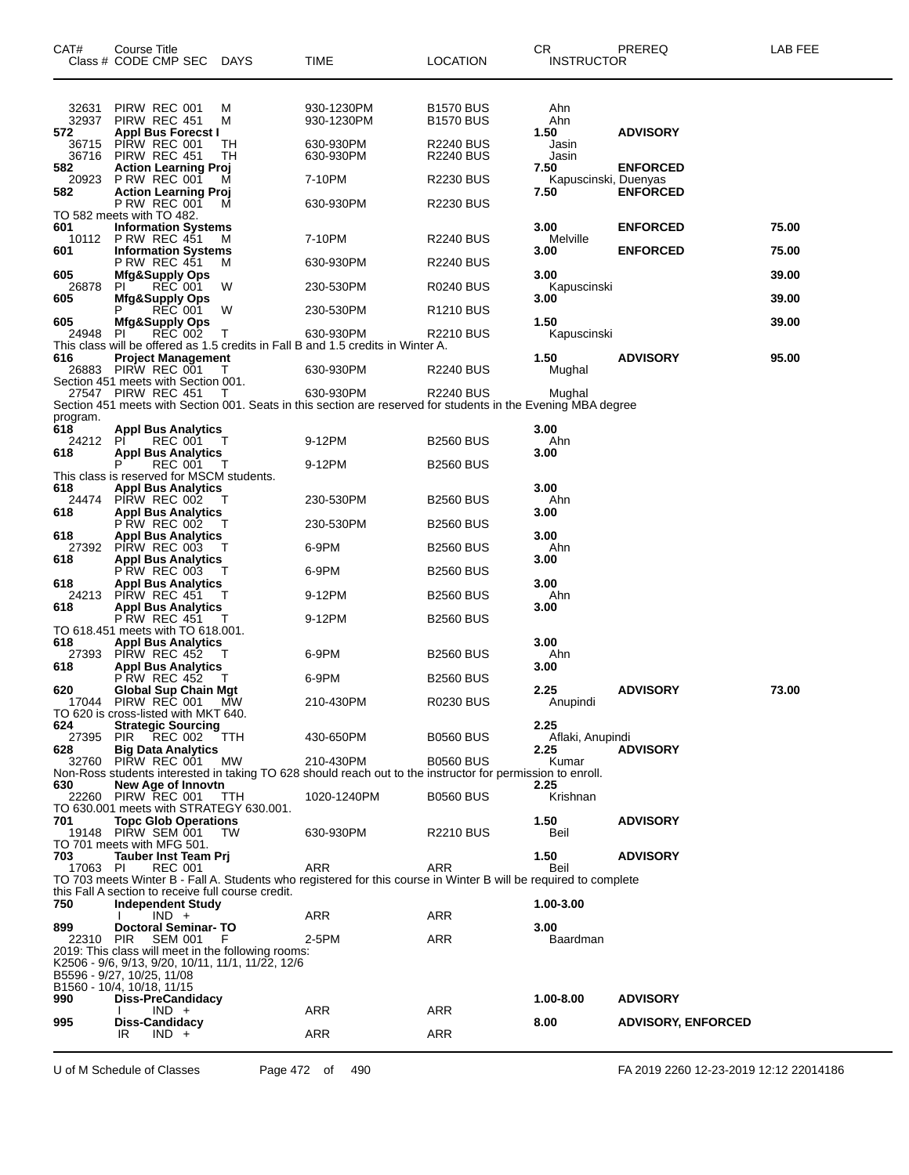| CAT#                | Course Title<br>Class # CODE CMP SEC                                                                    | <b>DAYS</b> | TIME                                                                                                                       | <b>LOCATION</b>                      | CR<br>INSTRUCTOR                     | PREREQ                             | LAB FEE |
|---------------------|---------------------------------------------------------------------------------------------------------|-------------|----------------------------------------------------------------------------------------------------------------------------|--------------------------------------|--------------------------------------|------------------------------------|---------|
| 32631               | PIRW REC 001                                                                                            | M           | 930-1230PM                                                                                                                 | <b>B1570 BUS</b>                     | Ahn                                  |                                    |         |
| 32937<br>572        | PIRW REC 451<br><b>Appl Bus Forecst I</b>                                                               | М           | 930-1230PM                                                                                                                 | <b>B1570 BUS</b>                     | Ahn<br>1.50                          | <b>ADVISORY</b>                    |         |
| 36715<br>36716      | PIRW REC 001<br>PIRW REC 451                                                                            | TН<br>TН    | 630-930PM<br>630-930PM                                                                                                     | <b>R2240 BUS</b><br><b>R2240 BUS</b> | Jasin<br>Jasin                       |                                    |         |
| 582<br>20923<br>582 | <b>Action Learning Proj</b><br><b>P RW REC 001</b><br><b>Action Learning Proj</b>                       | м           | 7-10PM                                                                                                                     | <b>R2230 BUS</b>                     | 7.50<br>Kapuscinski, Duenyas<br>7.50 | <b>ENFORCED</b><br><b>ENFORCED</b> |         |
|                     | P RW REC 001<br>TO 582 meets with TO 482.                                                               | м           | 630-930PM                                                                                                                  | <b>R2230 BUS</b>                     |                                      |                                    |         |
| 601<br>10112        | <b>Information Systems</b><br><b>P RW REC 451</b>                                                       | м           | 7-10PM                                                                                                                     | <b>R2240 BUS</b>                     | 3.00<br>Melville                     | <b>ENFORCED</b>                    | 75.00   |
| 601                 | <b>Information Systems</b><br>P RW REC 451                                                              | м           | 630-930PM                                                                                                                  | <b>R2240 BUS</b>                     | 3.00                                 | <b>ENFORCED</b>                    | 75.00   |
| 605<br>26878        | <b>Mfg&amp;Supply Ops</b><br><b>REC 001</b><br>ΡI                                                       | w           | 230-530PM                                                                                                                  | R0240 BUS                            | 3.00<br>Kapuscinski                  |                                    | 39.00   |
| 605                 | Mfg&Supply Ops<br>P<br>REC 001                                                                          | w           | 230-530PM                                                                                                                  | R <sub>1210</sub> BUS                | 3.00                                 |                                    | 39.00   |
| 605<br>24948        | <b>Mfg&amp;Supply Ops</b><br>ΡI<br>REC 002                                                              | Τ           | 630-930PM                                                                                                                  | R2210 BUS                            | 1.50<br>Kapuscinski                  |                                    | 39.00   |
| 616                 | <b>Project Management</b>                                                                               |             | This class will be offered as 1.5 credits in Fall B and 1.5 credits in Winter A.                                           |                                      | 1.50                                 | <b>ADVISORY</b>                    | 95.00   |
| 26883               | PIRW REC 001<br>Section 451 meets with Section 001.                                                     |             | 630-930PM                                                                                                                  | <b>R2240 BUS</b>                     | Mughal                               |                                    |         |
|                     | 27547 PIRW REC 451                                                                                      | т           | 630-930PM<br>Section 451 meets with Section 001. Seats in this section are reserved for students in the Evening MBA degree | <b>R2240 BUS</b>                     | Mughal                               |                                    |         |
| program.<br>618     | <b>Appl Bus Analytics</b>                                                                               |             |                                                                                                                            |                                      | 3.00                                 |                                    |         |
| 24212<br>618        | PI<br>REC 001<br><b>Appl Bus Analytics</b>                                                              |             | 9-12PM                                                                                                                     | <b>B2560 BUS</b>                     | Ahn<br>3.00                          |                                    |         |
|                     | P<br>REC 001<br>This class is reserved for MSCM students.                                               | - T         | 9-12PM                                                                                                                     | <b>B2560 BUS</b>                     |                                      |                                    |         |
| 618<br>24474        | <b>Appl Bus Analytics</b><br>PIRW REC 002                                                               |             | 230-530PM                                                                                                                  | <b>B2560 BUS</b>                     | 3.00<br>Ahn                          |                                    |         |
| 618                 | <b>Appl Bus Analytics</b><br><b>PRW REC 002</b>                                                         |             | 230-530PM                                                                                                                  | <b>B2560 BUS</b>                     | 3.00                                 |                                    |         |
| 618<br>27392        | <b>Appl Bus Analytics</b><br>PIRW REC 003                                                               |             | 6-9PM                                                                                                                      | <b>B2560 BUS</b>                     | 3.00<br>Ahn                          |                                    |         |
| 618                 | <b>Appl Bus Analytics</b><br><b>P RW REC 003</b>                                                        |             | 6-9PM                                                                                                                      | <b>B2560 BUS</b>                     | 3.00                                 |                                    |         |
| 618<br>24213        | <b>Appl Bus Analytics</b><br>PIRW REC 451                                                               | т           | 9-12PM                                                                                                                     | <b>B2560 BUS</b>                     | 3.00<br>Ahn                          |                                    |         |
| 618                 | <b>Appl Bus Analytics</b><br>PRW REC 451<br>TO 618.451 meets with TO 618.001.                           |             | 9-12PM                                                                                                                     | <b>B2560 BUS</b>                     | 3.00                                 |                                    |         |
| 618                 | <b>Appl Bus Analytics</b>                                                                               |             |                                                                                                                            |                                      | 3.00                                 |                                    |         |
| 27393<br>618        | PIRW REC 452<br><b>Appl Bus Analytics</b>                                                               |             | 6-9PM                                                                                                                      | <b>B2560 BUS</b>                     | Ahn<br>3.00                          |                                    |         |
| 620<br>17044        | <b>P RW REC 452</b><br>Global Sup Chain Mgt<br>PIRW REC 001 MW                                          |             | 6-9PM<br>210-430PM                                                                                                         | <b>B2560 BUS</b><br><b>R0230 BUS</b> | 2.25                                 | <b>ADVISORY</b>                    | 73.00   |
| 624                 | TO 620 is cross-listed with MKT 640.<br><b>Strategic Sourcing</b>                                       |             |                                                                                                                            |                                      | Anupindi<br>2.25                     |                                    |         |
| 27395 PIR<br>628    | <b>REC 002</b><br><b>Big Data Analytics</b>                                                             | TTH         | 430-650PM                                                                                                                  | <b>B0560 BUS</b>                     | Aflaki, Anupindi<br>2.25             | <b>ADVISORY</b>                    |         |
|                     | 32760 PIRW REC 001                                                                                      | MW          | 210-430PM<br>Non-Ross students interested in taking TO 628 should reach out to the instructor for permission to enroll.    | <b>B0560 BUS</b>                     | Kumar                                |                                    |         |
| 630                 | New Age of Innovtn<br>22260 PIRW REC 001                                                                | TTH         | 1020-1240PM                                                                                                                | <b>B0560 BUS</b>                     | 2.25<br>Krishnan                     |                                    |         |
| 701                 | TO 630.001 meets with STRATEGY 630.001.<br><b>Topc Glob Operations</b>                                  |             |                                                                                                                            |                                      | 1.50                                 | <b>ADVISORY</b>                    |         |
|                     | 19148 PIRW SEM 001<br>TO 701 meets with MFG 501.                                                        | <b>TW</b>   | 630-930PM                                                                                                                  | <b>R2210 BUS</b>                     | Beil                                 |                                    |         |
| 703<br>17063 PI     | <b>Tauber Inst Team Prj</b><br><b>REC 001</b>                                                           |             | ARR                                                                                                                        | ARR                                  | 1.50<br>Beil                         | <b>ADVISORY</b>                    |         |
|                     | this Fall A section to receive full course credit.                                                      |             | TO 703 meets Winter B - Fall A. Students who registered for this course in Winter B will be required to complete           |                                      |                                      |                                    |         |
| 750                 | <b>Independent Study</b><br>$IND +$                                                                     |             | ARR                                                                                                                        | ARR                                  | 1.00-3.00                            |                                    |         |
| 899<br>22310 PIR    | <b>Doctoral Seminar-TO</b><br><b>SEM 001</b>                                                            | - F         | 2-5PM                                                                                                                      | ARR                                  | 3.00<br>Baardman                     |                                    |         |
|                     | 2019: This class will meet in the following rooms:<br>K2506 - 9/6, 9/13, 9/20, 10/11, 11/1, 11/22, 12/6 |             |                                                                                                                            |                                      |                                      |                                    |         |
|                     | B5596 - 9/27, 10/25, 11/08<br>B1560 - 10/4, 10/18, 11/15                                                |             |                                                                                                                            |                                      |                                      |                                    |         |
| 990                 | <b>Diss-PreCandidacy</b><br>$IND +$                                                                     |             | ARR                                                                                                                        | <b>ARR</b>                           | 1.00-8.00                            | <b>ADVISORY</b>                    |         |
| 995                 | Diss-Candidacy<br>$IND +$<br>IR.                                                                        |             | ARR                                                                                                                        | <b>ARR</b>                           | 8.00                                 | <b>ADVISORY, ENFORCED</b>          |         |

U of M Schedule of Classes Page 472 of 490 FA 2019 2260 12-23-2019 12:12 22014186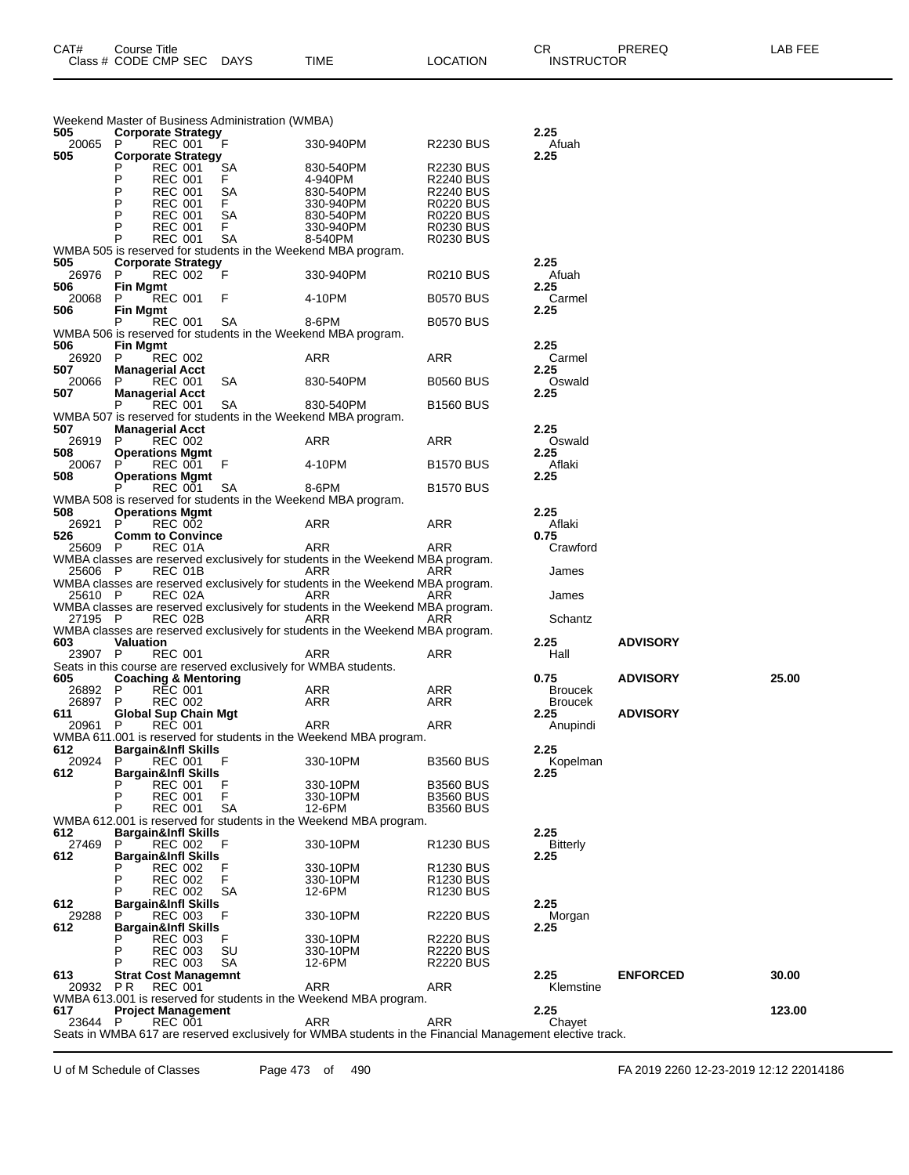| 505          | Weekend Master of Business Administration (WMBA)<br><b>Corporate Strategy</b>                            |                        |                                      | 2.25                   |                 |        |
|--------------|----------------------------------------------------------------------------------------------------------|------------------------|--------------------------------------|------------------------|-----------------|--------|
| 20065<br>505 | - F<br>REC 001<br>P.                                                                                     | 330-940PM              | R2230 BUS                            | Afuah<br>2.25          |                 |        |
|              | <b>Corporate Strategy</b><br><b>SA</b><br>REC 001<br>Р                                                   | 830-540PM              | <b>R2230 BUS</b>                     |                        |                 |        |
|              | P<br><b>REC 001</b><br>F.<br>P<br><b>REC 001</b><br>SА                                                   | 4-940PM<br>830-540PM   | <b>R2240 BUS</b><br><b>R2240 BUS</b> |                        |                 |        |
|              | Ρ<br><b>REC 001</b><br>F.                                                                                | 330-940PM              | <b>R0220 BUS</b>                     |                        |                 |        |
|              | P<br><b>REC 001</b><br>SА<br>P<br><b>REC 001</b><br>F.                                                   | 830-540PM<br>330-940PM | <b>R0220 BUS</b><br><b>R0230 BUS</b> |                        |                 |        |
|              | Р<br><b>REC 001</b><br>SA                                                                                | 8-540PM                | <b>R0230 BUS</b>                     |                        |                 |        |
| 505          | WMBA 505 is reserved for students in the Weekend MBA program.                                            |                        |                                      | 2.25                   |                 |        |
| 26976        | <b>Corporate Strategy</b><br>REC 002<br>P<br>- F                                                         | 330-940PM              | <b>R0210 BUS</b>                     | Afuah                  |                 |        |
| 506          | <b>Fin Mgmt</b>                                                                                          |                        |                                      | 2.25                   |                 |        |
| 20068<br>506 | <b>REC 001</b><br>P.<br>F<br>Fin Mgmt                                                                    | 4-10PM                 | <b>B0570 BUS</b>                     | Carmel<br>2.25         |                 |        |
|              | REC 001<br>SA                                                                                            | 8-6PM                  | <b>B0570 BUS</b>                     |                        |                 |        |
| 506          | WMBA 506 is reserved for students in the Weekend MBA program.<br>Fin Mgmt                                |                        |                                      | 2.25                   |                 |        |
| 26920        | <b>REC 002</b><br>P                                                                                      | ARR                    | ARR                                  | Carmel                 |                 |        |
| 507<br>20066 | <b>Managerial Acct</b><br>REC 001<br>SA<br>P                                                             | 830-540PM              | <b>B0560 BUS</b>                     | 2.25<br>Oswald         |                 |        |
| 507          | <b>Managerial Acct</b>                                                                                   |                        |                                      | 2.25                   |                 |        |
|              | <b>REC 001</b><br>SA<br>WMBA 507 is reserved for students in the Weekend MBA program.                    | 830-540PM              | <b>B1560 BUS</b>                     |                        |                 |        |
| 507          | <b>Managerial Acct</b>                                                                                   |                        |                                      | 2.25                   |                 |        |
| 26919        | P.<br><b>REC 002</b>                                                                                     | ARR                    | ARR                                  | Oswald                 |                 |        |
| 508<br>20067 | <b>Operations Mgmt</b><br><b>REC 001</b><br>- F<br>P.                                                    | 4-10PM                 | <b>B1570 BUS</b>                     | 2.25<br>Aflaki         |                 |        |
| 508          | <b>Operations Mgmt</b>                                                                                   |                        |                                      | 2.25                   |                 |        |
|              | <b>REC 001</b><br><b>SA</b><br>WMBA 508 is reserved for students in the Weekend MBA program.             | 8-6PM                  | <b>B1570 BUS</b>                     |                        |                 |        |
| 508          | <b>Operations Mgmt</b>                                                                                   |                        |                                      | 2.25                   |                 |        |
| 26921<br>526 | <b>REC 002</b><br>P<br><b>Comm to Convince</b>                                                           | ARR                    | ARR                                  | Aflaki<br>0.75         |                 |        |
| 25609 P      | REC 01A                                                                                                  | ARR                    | ARR                                  | Crawford               |                 |        |
| 25606 P      | WMBA classes are reserved exclusively for students in the Weekend MBA program.<br>REC 01B                | ARR                    | ARR                                  | James                  |                 |        |
|              | WMBA classes are reserved exclusively for students in the Weekend MBA program.                           |                        |                                      |                        |                 |        |
| 25610 P      | REC 02A<br>WMBA classes are reserved exclusively for students in the Weekend MBA program.                | ARR                    | ARR                                  | James                  |                 |        |
| 27195 P      | REC 02B                                                                                                  | ARR                    | ARR                                  | Schantz                |                 |        |
| 603          | WMBA classes are reserved exclusively for students in the Weekend MBA program.<br><b>Valuation</b>       |                        |                                      | 2.25                   | <b>ADVISORY</b> |        |
| 23907 P      | <b>REC 001</b>                                                                                           | ARR                    | ARR                                  | Hall                   |                 |        |
| 605          | Seats in this course are reserved exclusively for WMBA students.<br><b>Coaching &amp; Mentoring</b>      |                        |                                      | 0.75                   | <b>ADVISORY</b> | 25.00  |
| 26892 P      | <b>REC 001</b>                                                                                           | ARR                    | ARR                                  | <b>Broucek</b>         |                 |        |
| 26897<br>611 | <b>REC 002</b><br>P.                                                                                     | ARR                    | ARR                                  | <b>Broucek</b><br>2.25 | <b>ADVISORY</b> |        |
| 20961        | Global Sup Chain Mgt<br>P.<br><b>REC 001</b>                                                             | ARR                    | ARR                                  | Anupindi               |                 |        |
|              | WMBA 611.001 is reserved for students in the Weekend MBA program.                                        |                        |                                      |                        |                 |        |
| 612<br>20924 | <b>Bargain&amp;Infl Skills</b><br>P.<br>REC 001 F                                                        | 330-10PM               | <b>B3560 BUS</b>                     | 2.25<br>Kopelman       |                 |        |
| 612          | <b>Bargain&amp;Infl Skills</b>                                                                           |                        |                                      | 2.25                   |                 |        |
|              | F<br>Р<br><b>REC 001</b><br>F<br>P<br><b>REC 001</b>                                                     | 330-10PM<br>330-10PM   | <b>B3560 BUS</b><br><b>B3560 BUS</b> |                        |                 |        |
|              | P<br>SA<br><b>REC 001</b>                                                                                | 12-6PM                 | <b>B3560 BUS</b>                     |                        |                 |        |
| 612          | WMBA 612.001 is reserved for students in the Weekend MBA program.<br>Bargain&Infl Skills                 |                        |                                      | 2.25                   |                 |        |
| 27469        | REC 002<br>F<br>P                                                                                        | 330-10PM               | R <sub>1230</sub> BUS                | <b>Bitterly</b>        |                 |        |
| 612          | <b>Bargain&amp;Infl Skills</b><br>F<br><b>REC 002</b>                                                    | 330-10PM               | R <sub>1230</sub> BUS                | 2.25                   |                 |        |
|              | F<br>P<br><b>REC 002</b>                                                                                 | 330-10PM               | R <sub>1230</sub> BUS                |                        |                 |        |
| 612          | P<br><b>REC 002</b><br>SА<br><b>Bargain&amp;Infl Skills</b>                                              | 12-6PM                 | R <sub>1230</sub> BUS                | 2.25                   |                 |        |
| 29288        | F<br>REC 003<br>P                                                                                        | 330-10PM               | <b>R2220 BUS</b>                     | Morgan                 |                 |        |
| 612          | <b>Bargain&amp;Infl Skills</b><br>F<br><b>REC 003</b>                                                    | 330-10PM               | <b>R2220 BUS</b>                     | 2.25                   |                 |        |
|              | P<br><b>REC 003</b><br>SU                                                                                | 330-10PM               | <b>R2220 BUS</b>                     |                        |                 |        |
| 613          | Р<br><b>REC 003</b><br>SА<br><b>Strat Cost Managemnt</b>                                                 | 12-6PM                 | <b>R2220 BUS</b>                     | 2.25                   | <b>ENFORCED</b> | 30.00  |
| 20932 PR     | REC 001                                                                                                  | ARR                    | ARR                                  | Klemstine              |                 |        |
| 617          | WMBA 613.001 is reserved for students in the Weekend MBA program.                                        |                        |                                      | 2.25                   |                 | 123.00 |
| 23644 P      | <b>Project Management</b><br><b>REC 001</b>                                                              | <b>ARR</b>             | ARR                                  | Chayet                 |                 |        |
|              | Seats in WMBA 617 are reserved exclusively for WMBA students in the Financial Management elective track. |                        |                                      |                        |                 |        |

U of M Schedule of Classes Page 473 of 490 FA 2019 2260 12-23-2019 12:12 22014186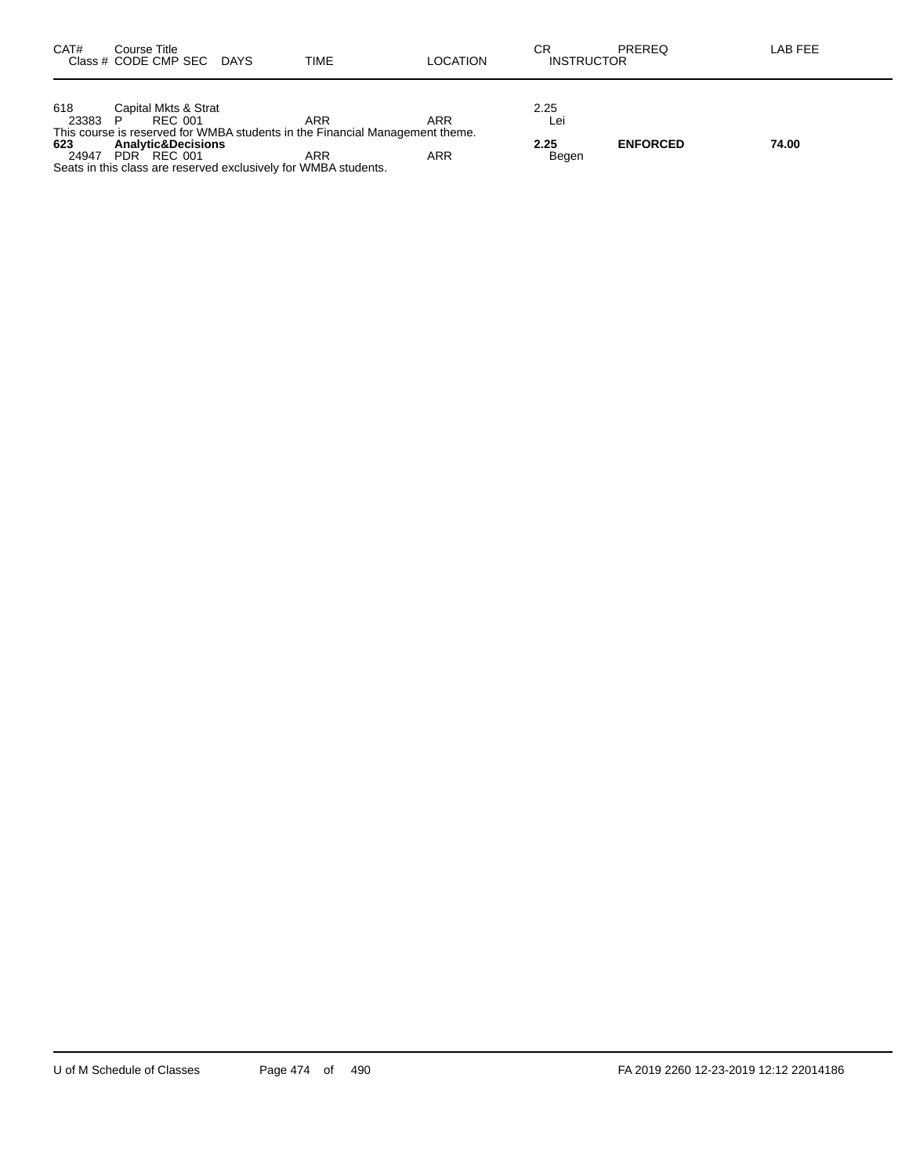| 618<br>Capital Mkts & Strat<br>2.25<br>23383<br>ARR<br>ARR<br>REC 001<br>∟ei                                   |       |
|----------------------------------------------------------------------------------------------------------------|-------|
| This course is reserved for WMBA students in the Financial Management theme.                                   |       |
| <b>ENFORCED</b><br>2.25<br>623<br><b>Analytic&amp;Decisions</b><br>ARR<br>PDR REC 001<br>ARR<br>24947<br>Begen | 74.00 |
| Seats in this class are reserved exclusively for WMBA students.                                                |       |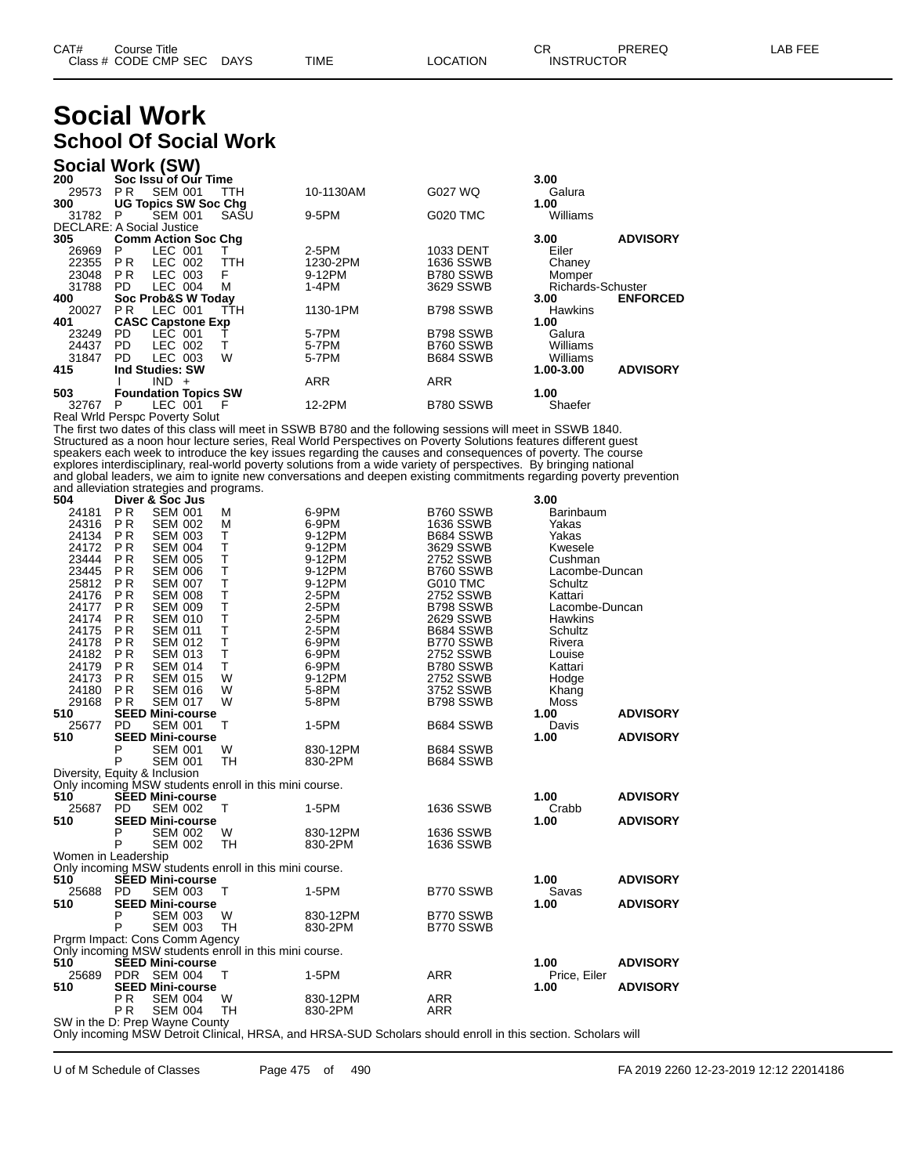## **Social Work School Of Social Work**

| Social Work (SW)                      |                        |                             |      |           |                 |                   |                 |
|---------------------------------------|------------------------|-----------------------------|------|-----------|-----------------|-------------------|-----------------|
| 200                                   |                        | Soc Issu of Our Time        |      |           |                 | 3.00              |                 |
| 29573                                 | PR.                    | <b>SEM 001</b>              | TTH  | 10-1130AM | G027 WQ         | Galura            |                 |
| 300                                   |                        | <b>UG Topics SW Soc Chg</b> |      |           |                 | 1.00              |                 |
| 31782                                 | P                      | <b>SEM 001</b>              | SASU | 9-5PM     | <b>G020 TMC</b> | Williams          |                 |
| <b>DECLARE: A Social Justice</b>      |                        |                             |      |           |                 |                   |                 |
| 305                                   |                        | <b>Comm Action Soc Chg</b>  |      |           |                 | 3.00              | <b>ADVISORY</b> |
| 26969                                 | P.                     | LEC 001                     |      | 2-5PM     | 1033 DENT       | Eiler             |                 |
| 22355                                 | PR.                    | LEC 002                     | TTH  | 1230-2PM  | 1636 SSWB       | Chaney            |                 |
| 23048                                 | P <sub>R</sub>         | LEC 003                     | F    | 9-12PM    | B780 SSWB       | Momper            |                 |
| 31788                                 | PD.                    | LEC 004                     | M    | 1-4PM     | 3629 SSWB       | Richards-Schuster |                 |
| 400                                   |                        | Soc Prob&S W Today          |      |           |                 | 3.00              | <b>ENFORCED</b> |
| 20027                                 | PR.                    | LEC 001                     | TTH  | 1130-1PM  | B798 SSWB       | <b>Hawkins</b>    |                 |
| 401                                   |                        | <b>CASC Capstone Exp</b>    |      |           |                 | 1.00              |                 |
| 23249                                 | PD.                    | LEC 001                     |      | 5-7PM     | B798 SSWB       | Galura            |                 |
| 24437                                 | PD.                    | LEC 002                     | т    | 5-7PM     | B760 SSWB       | Williams          |                 |
| 31847                                 | PD.                    | LEC 003                     | W    | 5-7PM     | B684 SSWB       | Williams          |                 |
| 415                                   | <b>Ind Studies: SW</b> |                             |      |           |                 | 1.00-3.00         | <b>ADVISORY</b> |
|                                       |                        | IND.<br>$+$                 |      | ARR       | ARR             |                   |                 |
| 503                                   |                        | <b>Foundation Topics SW</b> |      |           |                 | 1.00              |                 |
| 32767                                 | P                      | LEC 001                     | - F  | 12-2PM    | B780 SSWB       | Shaefer           |                 |
| <b>Real Wrld Perspc Poverty Solut</b> |                        |                             |      |           |                 |                   |                 |

The first two dates of this class will meet in SSWB B780 and the following sessions will meet in SSWB 1840. Structured as a noon hour lecture series, Real World Perspectives on Poverty Solutions features different guest speakers each week to introduce the key issues regarding the causes and consequences of poverty. The course explores interdisciplinary, real-world poverty solutions from a wide variety of perspectives. By bringing national and global leaders, we aim to ignite new conversations and deepen existing commitments regarding poverty prevention and alleviation strategies and programs.

| and and nation otratogroup and programs.<br>504 | Diver & Soc Jus         |                |                                                        |                                                                                                              |                 | 3.00           |                 |
|-------------------------------------------------|-------------------------|----------------|--------------------------------------------------------|--------------------------------------------------------------------------------------------------------------|-----------------|----------------|-----------------|
| 24181                                           | P <sub>R</sub>          | <b>SEM 001</b> | м                                                      | 6-9PM                                                                                                        | B760 SSWB       | Barinbaum      |                 |
| 24316                                           | <b>PR</b>               | <b>SEM 002</b> | м                                                      | 6-9PM                                                                                                        | 1636 SSWB       | Yakas          |                 |
| 24134                                           | <b>PR</b>               | <b>SEM 003</b> | T                                                      | 9-12PM                                                                                                       | B684 SSWB       | Yakas          |                 |
| 24172                                           | <b>PR</b>               | <b>SEM 004</b> | T.                                                     | 9-12PM                                                                                                       | 3629 SSWB       | Kwesele        |                 |
| 23444                                           | <b>PR</b>               | <b>SEM 005</b> | T                                                      | 9-12PM                                                                                                       | 2752 SSWB       | Cushman        |                 |
| 23445                                           | <b>PR</b>               | <b>SEM 006</b> | T                                                      | 9-12PM                                                                                                       | B760 SSWB       | Lacombe-Duncan |                 |
| 25812                                           | <b>PR</b>               | <b>SEM 007</b> | T                                                      | 9-12PM                                                                                                       | <b>G010 TMC</b> | Schultz        |                 |
| 24176                                           | <b>PR</b>               | <b>SEM 008</b> | T                                                      | 2-5PM                                                                                                        | 2752 SSWB       | Kattari        |                 |
| 24177                                           | <b>PR</b>               | <b>SEM 009</b> | $\top$                                                 | $2-5PM$                                                                                                      | B798 SSWB       | Lacombe-Duncan |                 |
| 24174                                           | <b>PR</b>               | <b>SEM 010</b> | T                                                      | 2-5PM                                                                                                        | 2629 SSWB       | Hawkins        |                 |
| 24175                                           | <b>PR</b>               | <b>SEM 011</b> | T                                                      | $2-5PM$                                                                                                      | B684 SSWB       | Schultz        |                 |
| 24178                                           | <b>PR</b>               | <b>SEM 012</b> | T                                                      | 6-9PM                                                                                                        | B770 SSWB       | Rivera         |                 |
| 24182                                           | <b>PR</b>               | <b>SEM 013</b> | T                                                      | 6-9PM                                                                                                        | 2752 SSWB       | Louise         |                 |
| 24179                                           | P R                     | <b>SEM 014</b> | T.                                                     | 6-9PM                                                                                                        | B780 SSWB       | Kattari        |                 |
| 24173                                           | <b>PR</b>               | <b>SEM 015</b> | W                                                      | 9-12PM                                                                                                       | 2752 SSWB       | Hodge          |                 |
| 24180                                           | <b>PR</b>               | <b>SEM 016</b> | W                                                      | 5-8PM                                                                                                        | 3752 SSWB       | Khang          |                 |
| 29168                                           | <b>PR</b>               | <b>SEM 017</b> | W                                                      | 5-8PM                                                                                                        | B798 SSWB       | Moss           |                 |
| 510                                             | <b>SEED Mini-course</b> |                |                                                        |                                                                                                              |                 | 1.00           | <b>ADVISORY</b> |
| 25677                                           | <b>PD</b>               | <b>SEM 001</b> | $\top$                                                 | 1-5PM                                                                                                        | B684 SSWB       | Davis          |                 |
| 510                                             | <b>SEED Mini-course</b> |                |                                                        |                                                                                                              |                 | 1.00           | <b>ADVISORY</b> |
|                                                 | P                       | <b>SEM 001</b> | W                                                      | 830-12PM                                                                                                     | B684 SSWB       |                |                 |
|                                                 | P                       | <b>SEM 001</b> | TH                                                     | 830-2PM                                                                                                      | B684 SSWB       |                |                 |
| Diversity, Equity & Inclusion                   |                         |                |                                                        |                                                                                                              |                 |                |                 |
|                                                 |                         |                | Only incoming MSW students enroll in this mini course. |                                                                                                              |                 |                |                 |
| 510                                             | <b>SEED Mini-course</b> |                |                                                        |                                                                                                              |                 | 1.00           | <b>ADVISORY</b> |
| 25687                                           | <b>PD</b>               | <b>SEM 002</b> | т                                                      | 1-5PM                                                                                                        | 1636 SSWB       | Crabb          |                 |
| 510                                             | <b>SEED Mini-course</b> |                |                                                        |                                                                                                              |                 | 1.00           | <b>ADVISORY</b> |
|                                                 | P<br>P                  | <b>SEM 002</b> | W                                                      | 830-12PM                                                                                                     | 1636 SSWB       |                |                 |
|                                                 |                         | <b>SEM 002</b> | <b>TH</b>                                              | 830-2PM                                                                                                      | 1636 SSWB       |                |                 |
| Women in Leadership                             |                         |                | Only incoming MSW students enroll in this mini course. |                                                                                                              |                 |                |                 |
| 510                                             | <b>SEED Mini-course</b> |                |                                                        |                                                                                                              |                 | 1.00           | <b>ADVISORY</b> |
| 25688                                           | <b>PD</b>               | <b>SEM 003</b> | $\top$                                                 | 1-5PM                                                                                                        | B770 SSWB       | Savas          |                 |
| 510                                             | <b>SEED Mini-course</b> |                |                                                        |                                                                                                              |                 | 1.00           | <b>ADVISORY</b> |
|                                                 | P                       | <b>SEM 003</b> | W                                                      | 830-12PM                                                                                                     | B770 SSWB       |                |                 |
|                                                 | P                       | <b>SEM 003</b> | TH.                                                    | 830-2PM                                                                                                      | B770 SSWB       |                |                 |
| Prgrm Impact: Cons Comm Agency                  |                         |                |                                                        |                                                                                                              |                 |                |                 |
|                                                 |                         |                | Only incoming MSW students enroll in this mini course. |                                                                                                              |                 |                |                 |
| 510                                             | <b>SEED Mini-course</b> |                |                                                        |                                                                                                              |                 | 1.00           | <b>ADVISORY</b> |
| 25689                                           | PDR SEM 004             |                | т                                                      | 1-5PM                                                                                                        | <b>ARR</b>      | Price, Eiler   |                 |
| 510                                             | <b>SEED Mini-course</b> |                |                                                        |                                                                                                              |                 | 1.00           | <b>ADVISORY</b> |
|                                                 | P <sub>R</sub>          | <b>SEM 004</b> | W                                                      | 830-12PM                                                                                                     | <b>ARR</b>      |                |                 |
|                                                 | <b>PR</b>               | <b>SEM 004</b> | <b>TH</b>                                              | 830-2PM                                                                                                      | <b>ARR</b>      |                |                 |
| SW in the D: Prep Wayne County                  |                         |                |                                                        |                                                                                                              |                 |                |                 |
|                                                 |                         |                |                                                        | Only incoming MSW Detroit Clinical, HRSA, and HRSA-SUD Scholars should enroll in this section. Scholars will |                 |                |                 |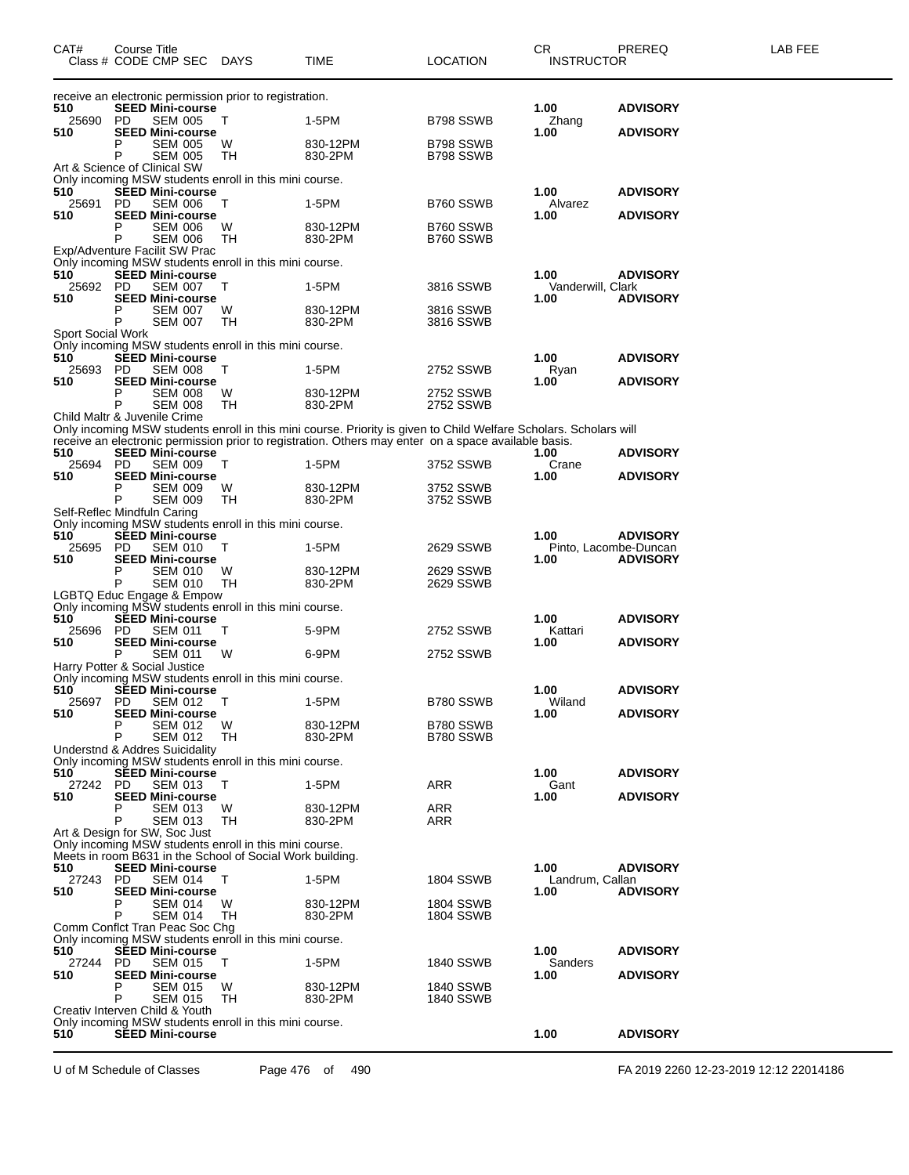| 510<br>25690<br>510<br>P<br>P<br>510<br>25691 PD<br>510<br>Р<br>P | receive an electronic permission prior to registration.<br><b>SEED Mini-course</b><br>PD.<br><b>SEM 005</b><br><b>SEED Mini-course</b><br><b>SEM 005</b><br><b>SEM 005</b><br>Art & Science of Clinical SW<br>Only incoming MSW students enroll in this mini course.<br><b>SEED Mini-course</b><br><b>SEM 006</b><br><b>SEED Mini-course</b><br><b>SEM 006</b><br>SEM 006<br>Exp/Adventure Facilit SW Prac<br>Only incoming MSW students enroll in this mini course. | Τ<br>W<br>TН<br>T<br>W | 1-5PM<br>830-12PM<br>830-2PM<br>1-5PM                                                                             | B798 SSWB<br>B798 SSWB<br>B798 SSWB | 1.00<br>Zhang<br>1.00         | <b>ADVISORY</b><br><b>ADVISORY</b> |
|-------------------------------------------------------------------|----------------------------------------------------------------------------------------------------------------------------------------------------------------------------------------------------------------------------------------------------------------------------------------------------------------------------------------------------------------------------------------------------------------------------------------------------------------------|------------------------|-------------------------------------------------------------------------------------------------------------------|-------------------------------------|-------------------------------|------------------------------------|
|                                                                   |                                                                                                                                                                                                                                                                                                                                                                                                                                                                      |                        |                                                                                                                   |                                     |                               |                                    |
|                                                                   |                                                                                                                                                                                                                                                                                                                                                                                                                                                                      |                        |                                                                                                                   |                                     |                               |                                    |
|                                                                   |                                                                                                                                                                                                                                                                                                                                                                                                                                                                      |                        |                                                                                                                   |                                     |                               |                                    |
|                                                                   |                                                                                                                                                                                                                                                                                                                                                                                                                                                                      |                        |                                                                                                                   |                                     |                               |                                    |
|                                                                   |                                                                                                                                                                                                                                                                                                                                                                                                                                                                      |                        |                                                                                                                   |                                     |                               |                                    |
|                                                                   |                                                                                                                                                                                                                                                                                                                                                                                                                                                                      |                        |                                                                                                                   |                                     | 1.00                          |                                    |
|                                                                   |                                                                                                                                                                                                                                                                                                                                                                                                                                                                      |                        |                                                                                                                   | B760 SSWB                           | Alvarez                       | <b>ADVISORY</b>                    |
|                                                                   |                                                                                                                                                                                                                                                                                                                                                                                                                                                                      |                        | 830-12PM                                                                                                          | B760 SSWB                           | 1.00                          | <b>ADVISORY</b>                    |
|                                                                   |                                                                                                                                                                                                                                                                                                                                                                                                                                                                      | TН                     | 830-2PM                                                                                                           | B760 SSWB                           |                               |                                    |
|                                                                   |                                                                                                                                                                                                                                                                                                                                                                                                                                                                      |                        |                                                                                                                   |                                     |                               |                                    |
| 510                                                               | <b>SEED Mini-course</b>                                                                                                                                                                                                                                                                                                                                                                                                                                              |                        |                                                                                                                   |                                     | 1.00                          | <b>ADVISORY</b>                    |
| 25692 PD<br>510                                                   | <b>SEM 007</b><br><b>SEED Mini-course</b>                                                                                                                                                                                                                                                                                                                                                                                                                            | T                      | 1-5PM                                                                                                             | 3816 SSWB                           | Vanderwill, Clark<br>1.00     | <b>ADVISORY</b>                    |
| P                                                                 | <b>SEM 007</b>                                                                                                                                                                                                                                                                                                                                                                                                                                                       | W                      | 830-12PM                                                                                                          | 3816 SSWB                           |                               |                                    |
| P                                                                 | SEM 007                                                                                                                                                                                                                                                                                                                                                                                                                                                              | TН                     | 830-2PM                                                                                                           | 3816 SSWB                           |                               |                                    |
| Sport Social Work                                                 | Only incoming MSW students enroll in this mini course.                                                                                                                                                                                                                                                                                                                                                                                                               |                        |                                                                                                                   |                                     |                               |                                    |
| 510                                                               | <b>SEED Mini-course</b>                                                                                                                                                                                                                                                                                                                                                                                                                                              |                        |                                                                                                                   |                                     | 1.00                          | <b>ADVISORY</b>                    |
| 25693<br>510                                                      | PD.<br><b>SEM 008</b><br><b>SEED Mini-course</b>                                                                                                                                                                                                                                                                                                                                                                                                                     | T                      | 1-5PM                                                                                                             | 2752 SSWB                           | Ryan<br>1.00                  | <b>ADVISORY</b>                    |
| P                                                                 | <b>SEM 008</b>                                                                                                                                                                                                                                                                                                                                                                                                                                                       | W                      | 830-12PM                                                                                                          | 2752 SSWB                           |                               |                                    |
| P                                                                 | <b>SEM 008</b><br>Child Maltr & Juvenile Crime                                                                                                                                                                                                                                                                                                                                                                                                                       | TН                     | 830-2PM                                                                                                           | 2752 SSWB                           |                               |                                    |
|                                                                   |                                                                                                                                                                                                                                                                                                                                                                                                                                                                      |                        | Only incoming MSW students enroll in this mini course. Priority is given to Child Welfare Scholars. Scholars will |                                     |                               |                                    |
| 510                                                               | <b>SEED Mini-course</b>                                                                                                                                                                                                                                                                                                                                                                                                                                              |                        | receive an electronic permission prior to registration. Others may enter on a space available basis.              |                                     | 1.00                          | <b>ADVISORY</b>                    |
| 25694 PD                                                          | <b>SEM 009</b>                                                                                                                                                                                                                                                                                                                                                                                                                                                       | T                      | 1-5PM                                                                                                             | 3752 SSWB                           | Crane                         |                                    |
| 510<br>P                                                          | <b>SEED Mini-course</b><br>SEM 009                                                                                                                                                                                                                                                                                                                                                                                                                                   | W                      | 830-12PM                                                                                                          | 3752 SSWB                           | 1.00                          | <b>ADVISORY</b>                    |
| P                                                                 | <b>SEM 009</b>                                                                                                                                                                                                                                                                                                                                                                                                                                                       | TН                     | 830-2PM                                                                                                           | 3752 SSWB                           |                               |                                    |
|                                                                   | Self-Reflec Mindfuln Caring<br>Only incoming MSW students enroll in this mini course.                                                                                                                                                                                                                                                                                                                                                                                |                        |                                                                                                                   |                                     |                               |                                    |
| 510                                                               | <b>SEED Mini-course</b>                                                                                                                                                                                                                                                                                                                                                                                                                                              |                        |                                                                                                                   |                                     | 1.00                          | <b>ADVISORY</b>                    |
| 25695<br>510                                                      | PD.<br><b>SEM 010</b><br><b>SEED Mini-course</b>                                                                                                                                                                                                                                                                                                                                                                                                                     | T                      | 1-5PM                                                                                                             | 2629 SSWB                           | Pinto, Lacombe-Duncan<br>1.00 | <b>ADVISORY</b>                    |
| P                                                                 | <b>SEM 010</b>                                                                                                                                                                                                                                                                                                                                                                                                                                                       | W                      | 830-12PM                                                                                                          | 2629 SSWB                           |                               |                                    |
| P                                                                 | <b>SEM 010</b><br>LGBTQ Educ Engage & Empow                                                                                                                                                                                                                                                                                                                                                                                                                          | TH                     | 830-2PM                                                                                                           | 2629 SSWB                           |                               |                                    |
|                                                                   | Only incoming MSW students enroll in this mini course.                                                                                                                                                                                                                                                                                                                                                                                                               |                        |                                                                                                                   |                                     |                               |                                    |
| 510<br>25696 PD                                                   | <b>SEED Mini-course</b><br><b>SEM 011</b>                                                                                                                                                                                                                                                                                                                                                                                                                            | T                      | 5-9PM                                                                                                             | 2752 SSWB                           | 1.00<br>Kattari               | <b>ADVISORY</b>                    |
| 510                                                               | <b>SEED Mini-course</b>                                                                                                                                                                                                                                                                                                                                                                                                                                              |                        |                                                                                                                   |                                     | 1.00                          | <b>ADVISORY</b>                    |
| P                                                                 | <b>SEM 011</b><br>Harry Potter & Social Justice                                                                                                                                                                                                                                                                                                                                                                                                                      | W                      | 6-9PM                                                                                                             | 2752 SSWB                           |                               |                                    |
|                                                                   | Only incoming MSW students enroll in this mini course.                                                                                                                                                                                                                                                                                                                                                                                                               |                        |                                                                                                                   |                                     |                               |                                    |
| 510<br>25697 PD                                                   | <b>SEED Mini-course</b>                                                                                                                                                                                                                                                                                                                                                                                                                                              | T                      | 1-5PM                                                                                                             | B780 SSWB                           | 1.00<br>Wiland                | <b>ADVISORY</b>                    |
| 510                                                               | SEM 012<br><b>SEED Mini-course</b>                                                                                                                                                                                                                                                                                                                                                                                                                                   |                        |                                                                                                                   |                                     | 1.00                          | <b>ADVISORY</b>                    |
| P<br>P                                                            | <b>SEM 012</b>                                                                                                                                                                                                                                                                                                                                                                                                                                                       | W<br>TH                | 830-12PM<br>830-2PM                                                                                               | B780 SSWB<br>B780 SSWB              |                               |                                    |
|                                                                   | SEM 012<br>Understnd & Addres Suicidality                                                                                                                                                                                                                                                                                                                                                                                                                            |                        |                                                                                                                   |                                     |                               |                                    |
| 510                                                               | Only incoming MSW students enroll in this mini course.<br><b>SEED Mini-course</b>                                                                                                                                                                                                                                                                                                                                                                                    |                        |                                                                                                                   |                                     | 1.00                          | <b>ADVISORY</b>                    |
| 27242 PD                                                          | <b>SEM 013</b>                                                                                                                                                                                                                                                                                                                                                                                                                                                       | $\top$                 | 1-5PM                                                                                                             | <b>ARR</b>                          | Gant                          |                                    |
| 510<br>Р                                                          | <b>SEED Mini-course</b>                                                                                                                                                                                                                                                                                                                                                                                                                                              |                        |                                                                                                                   | ARR                                 | 1.00                          | <b>ADVISORY</b>                    |
| P                                                                 | <b>SEM 013</b><br><b>SEM 013</b>                                                                                                                                                                                                                                                                                                                                                                                                                                     | W<br>TН                | 830-12PM<br>830-2PM                                                                                               | ARR                                 |                               |                                    |
|                                                                   | Art & Design for SW, Soc Just<br>Only incoming MSW students enroll in this mini course.                                                                                                                                                                                                                                                                                                                                                                              |                        |                                                                                                                   |                                     |                               |                                    |
|                                                                   | Meets in room B631 in the School of Social Work building.                                                                                                                                                                                                                                                                                                                                                                                                            |                        |                                                                                                                   |                                     |                               |                                    |
| 510                                                               | <b>SEED Mini-course</b>                                                                                                                                                                                                                                                                                                                                                                                                                                              |                        |                                                                                                                   |                                     | 1.00                          | <b>ADVISORY</b>                    |
| 27243 PD<br>510                                                   | SEM 014<br><b>SEED Mini-course</b>                                                                                                                                                                                                                                                                                                                                                                                                                                   | т                      | 1-5PM                                                                                                             | <b>1804 SSWB</b>                    | Landrum, Callan<br>1.00       | <b>ADVISORY</b>                    |
| P<br>P                                                            | SEM 014                                                                                                                                                                                                                                                                                                                                                                                                                                                              | W                      | 830-12PM                                                                                                          | 1804 SSWB                           |                               |                                    |
|                                                                   | SEM 014<br>Comm Conflct Tran Peac Soc Chg                                                                                                                                                                                                                                                                                                                                                                                                                            | TН                     | 830-2PM                                                                                                           | 1804 SSWB                           |                               |                                    |
|                                                                   | Only incoming MSW students enroll in this mini course.                                                                                                                                                                                                                                                                                                                                                                                                               |                        |                                                                                                                   |                                     |                               |                                    |
| 510<br>27244 PD                                                   | <b>SEED Mini-course</b><br><b>SEM 015</b>                                                                                                                                                                                                                                                                                                                                                                                                                            | $\top$                 | 1-5PM                                                                                                             | 1840 SSWB                           | 1.00<br>Sanders               | <b>ADVISORY</b>                    |
| 510                                                               | <b>SEED Mini-course</b>                                                                                                                                                                                                                                                                                                                                                                                                                                              |                        |                                                                                                                   |                                     | 1.00                          | <b>ADVISORY</b>                    |
| Р<br>P                                                            | <b>SEM 015</b><br><b>SEM 015</b>                                                                                                                                                                                                                                                                                                                                                                                                                                     | W<br>TН                | 830-12PM<br>830-2PM                                                                                               | 1840 SSWB<br>1840 SSWB              |                               |                                    |
|                                                                   | Creativ Interven Child & Youth                                                                                                                                                                                                                                                                                                                                                                                                                                       |                        |                                                                                                                   |                                     |                               |                                    |
| 510                                                               | Only incoming MSW students enroll in this mini course.<br><b>SEED Mini-course</b>                                                                                                                                                                                                                                                                                                                                                                                    |                        |                                                                                                                   |                                     | 1.00                          | <b>ADVISORY</b>                    |
|                                                                   |                                                                                                                                                                                                                                                                                                                                                                                                                                                                      |                        |                                                                                                                   |                                     |                               |                                    |

U of M Schedule of Classes Page 476 of 490 FA 2019 2260 12-23-2019 12:12 22014186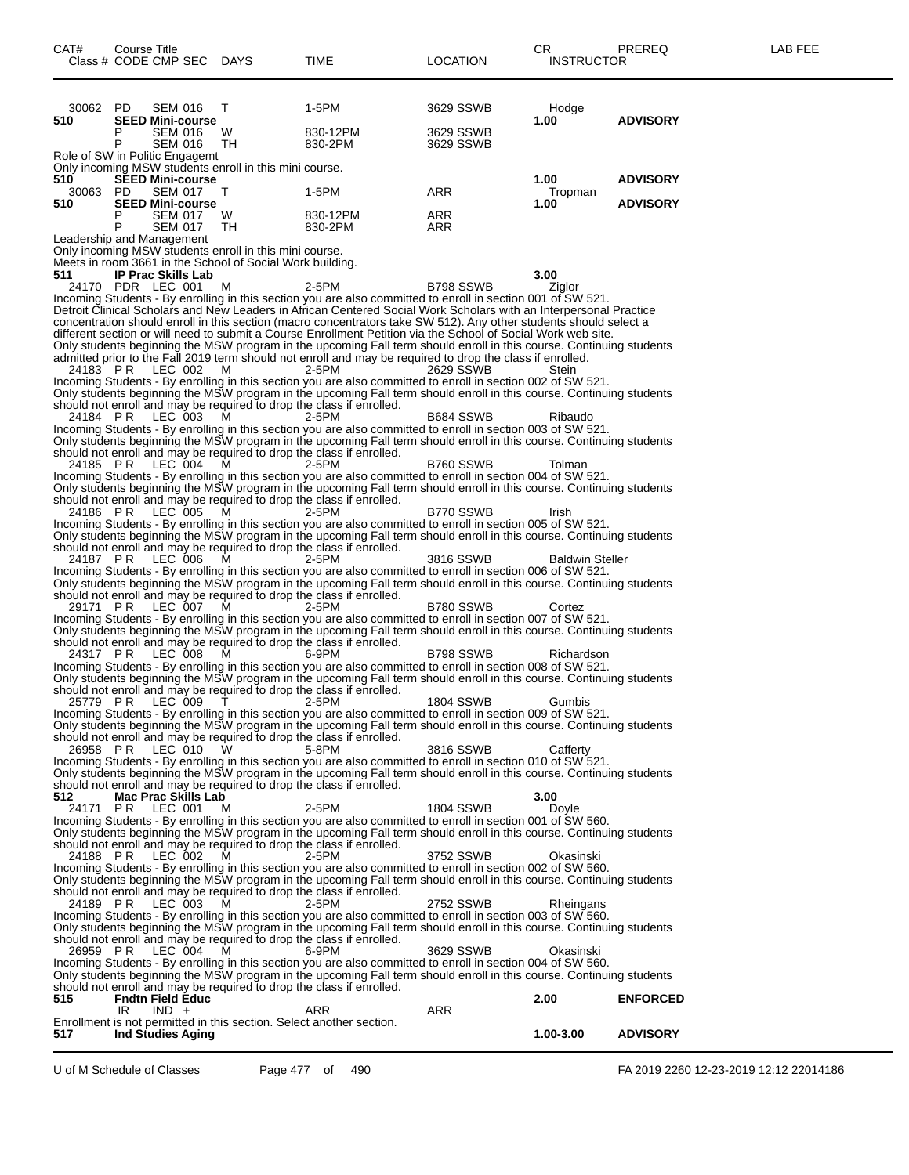| CAT#                    | Course Title<br>Class # CODE CMP SEC DAYS                                                                                                                                     |              | <b>TIME</b>                                                                                                                                                                                                                        | LOCATION               | CR.<br><b>INSTRUCTOR</b> | PREREQ                             | LAB FEE |
|-------------------------|-------------------------------------------------------------------------------------------------------------------------------------------------------------------------------|--------------|------------------------------------------------------------------------------------------------------------------------------------------------------------------------------------------------------------------------------------|------------------------|--------------------------|------------------------------------|---------|
| 30062 PD<br>510         | <b>SEM 016</b><br><b>SEED Mini-course</b>                                                                                                                                     | T            | 1-5PM                                                                                                                                                                                                                              | 3629 SSWB              | Hodge<br>1.00            | <b>ADVISORY</b>                    |         |
|                         | P<br><b>SEM 016</b><br>P<br><b>SEM 016</b>                                                                                                                                    | W.<br>TH.    | 830-12PM<br>830-2PM                                                                                                                                                                                                                | 3629 SSWB<br>3629 SSWB |                          |                                    |         |
|                         | Role of SW in Politic Engagemt<br>Only incoming MSW students enroll in this mini course.                                                                                      |              |                                                                                                                                                                                                                                    |                        |                          |                                    |         |
| 510.<br>30063 PD<br>510 | <b>SEED Mini-course</b><br><b>SEM 017</b><br><b>SEED Mini-course</b>                                                                                                          | T            | 1-5PM                                                                                                                                                                                                                              | ARR                    | 1.00<br>Tropman<br>1.00  | <b>ADVISORY</b><br><b>ADVISORY</b> |         |
|                         | <b>SEM 017</b><br>P<br>P<br><b>SEM 017</b>                                                                                                                                    | W<br>TH      | 830-12PM<br>830-2PM                                                                                                                                                                                                                | ARR<br>ARR             |                          |                                    |         |
| 511                     | Leadership and Management<br>Only incoming MSW students enroll in this mini course.<br>Meets in room 3661 in the School of Social Work building.<br><b>IP Prac Skills Lab</b> |              |                                                                                                                                                                                                                                    |                        | 3.00                     |                                    |         |
|                         | 24170 PDR LEC 001                                                                                                                                                             | M            | 2-5PM                                                                                                                                                                                                                              | B798 SSWB              | Ziglor                   |                                    |         |
|                         |                                                                                                                                                                               |              | Incoming Students - By enrolling in this section you are also committed to enroll in section 001 of SW 521.<br>Detroit Clinical Scholars and New Leaders in African Centered Social Work Scholars with an Interpersonal Practice   |                        |                          |                                    |         |
|                         |                                                                                                                                                                               |              | concentration should enroll in this section (macro concentrators take SW 512). Any other students should select a                                                                                                                  |                        |                          |                                    |         |
|                         |                                                                                                                                                                               |              | different section or will need to submit a Course Enrollment Petition via the School of Social Work web site.                                                                                                                      |                        |                          |                                    |         |
|                         |                                                                                                                                                                               |              | Only students beginning the MSW program in the upcoming Fall term should enroll in this course. Continuing students<br>admitted prior to the Fall 2019 term should not enroll and may be required to drop the class if enrolled.   |                        |                          |                                    |         |
| 24183 PR                | LEC 002                                                                                                                                                                       | M            | 2-5PM                                                                                                                                                                                                                              | 2629 SSWB              | Stein                    |                                    |         |
|                         |                                                                                                                                                                               |              | Incoming Students - By enrolling in this section you are also committed to enroll in section 002 of SW 521.<br>Only students beginning the MSW program in the upcoming Fall term should enroll in this course. Continuing students |                        |                          |                                    |         |
| 24184 PR                | should not enroll and may be required to drop the class if enrolled.<br>LEC 003                                                                                               | M            | 2-5PM                                                                                                                                                                                                                              | B684 SSWB              | Ribaudo                  |                                    |         |
|                         |                                                                                                                                                                               |              | Incoming Students - By enrolling in this section you are also committed to enroll in section 003 of SW 521.<br>Only students beginning the MSW program in the upcoming Fall term should enroll in this course. Continuing students |                        |                          |                                    |         |
| 24185 PR                | should not enroll and may be required to drop the class if enrolled.<br>LEC 004                                                                                               | м            | 2-5PM                                                                                                                                                                                                                              | B760 SSWB              | Tolman                   |                                    |         |
|                         |                                                                                                                                                                               |              | Incoming Students - By enrolling in this section you are also committed to enroll in section 004 of SW 521.                                                                                                                        |                        |                          |                                    |         |
|                         | should not enroll and may be required to drop the class if enrolled.                                                                                                          |              | Only students beginning the MSW program in the upcoming Fall term should enroll in this course. Continuing students                                                                                                                |                        |                          |                                    |         |
| 24186 PR                | LEC 005                                                                                                                                                                       | M            | 2-5PM<br>Incoming Students - By enrolling in this section you are also committed to enroll in section 005 of SW 521.                                                                                                               | B770 SSWB              | Irish                    |                                    |         |
|                         | should not enroll and may be required to drop the class if enrolled.                                                                                                          |              | Only students beginning the MSW program in the upcoming Fall term should enroll in this course. Continuing students                                                                                                                |                        |                          |                                    |         |
| 24187 PR                | LEC 006                                                                                                                                                                       | M            | 2-5PM<br>Incoming Students - By enrolling in this section you are also committed to enroll in section 006 of SW 521.                                                                                                               | 3816 SSWB              | <b>Baldwin Steller</b>   |                                    |         |
|                         | should not enroll and may be required to drop the class if enrolled.                                                                                                          |              | Only students beginning the MSW program in the upcoming Fall term should enroll in this course. Continuing students                                                                                                                |                        |                          |                                    |         |
| 29171 PR                | LEC 007                                                                                                                                                                       | м            | 2-5PM<br>Incoming Students - By enrolling in this section you are also committed to enroll in section 007 of SW 521.                                                                                                               | B780 SSWB              | Cortez                   |                                    |         |
|                         |                                                                                                                                                                               |              | Only students beginning the MSW program in the upcoming Fall term should enroll in this course. Continuing students                                                                                                                |                        |                          |                                    |         |
| 24317 PR                | should not enroll and may be required to drop the class if enrolled.<br>LEC 008                                                                                               | M            | 6-9PM                                                                                                                                                                                                                              | B798 SSWB              | Richardson               |                                    |         |
|                         |                                                                                                                                                                               |              | Incoming Students - By enrolling in this section you are also committed to enroll in section 008 of SW 521.                                                                                                                        |                        |                          |                                    |         |
|                         | should not enroll and may be required to drop the class if enrolled.                                                                                                          |              | Only students beginning the MSW program in the upcoming Fall term should enroll in this course. Continuing students<br>2-5PM                                                                                                       |                        |                          |                                    |         |
| 25779 PR                | LEC 009                                                                                                                                                                       | $\mathbf{I}$ | Incoming Students - By enrolling in this section you are also committed to enroll in section 009 of SW 521.                                                                                                                        | <b>1804 SSWB</b>       | Gumbis                   |                                    |         |
|                         | should not enroll and may be required to drop the class if enrolled.                                                                                                          |              | Only students beginning the MSW program in the upcoming Fall term should enroll in this course. Continuing students                                                                                                                |                        |                          |                                    |         |
| 26958 PR                | LEC 010                                                                                                                                                                       | W            | 5-8PM                                                                                                                                                                                                                              | 3816 SSWB              | Cafferty                 |                                    |         |
|                         |                                                                                                                                                                               |              | Incoming Students - By enrolling in this section you are also committed to enroll in section 010 of SW 521.                                                                                                                        |                        |                          |                                    |         |
|                         | should not enroll and may be required to drop the class if enrolled.                                                                                                          |              | Only students beginning the MSW program in the upcoming Fall term should enroll in this course. Continuing students                                                                                                                |                        |                          |                                    |         |
| 512                     | Mac Prac Skills Lab<br>LEC 001                                                                                                                                                |              |                                                                                                                                                                                                                                    | <b>1804 SSWB</b>       | 3.00                     |                                    |         |
| 24171                   | PR                                                                                                                                                                            | м            | 2-5PM<br>Incoming Students - By enrolling in this section you are also committed to enroll in section 001 of SW 560.                                                                                                               |                        | Doyle                    |                                    |         |
|                         | should not enroll and may be required to drop the class if enrolled.                                                                                                          |              | Only students beginning the MSW program in the upcoming Fall term should enroll in this course. Continuing students                                                                                                                |                        |                          |                                    |         |
| 24188 PR                | LEC 002                                                                                                                                                                       | м            | 2-5PM<br>Incoming Students - By enrolling in this section you are also committed to enroll in section 002 of SW 560.                                                                                                               | 3752 SSWB              | Okasinski                |                                    |         |
|                         | should not enroll and may be required to drop the class if enrolled.                                                                                                          |              | Only students beginning the MSW program in the upcoming Fall term should enroll in this course. Continuing students                                                                                                                |                        |                          |                                    |         |
| 24189 PR                | LEC 003                                                                                                                                                                       | м            | 2-5PM<br>Incoming Students - By enrolling in this section you are also committed to enroll in section 003 of SW 560.                                                                                                               | 2752 SSWB              | Rheingans                |                                    |         |
|                         | should not enroll and may be required to drop the class if enrolled.                                                                                                          |              | Only students beginning the MSW program in the upcoming Fall term should enroll in this course. Continuing students                                                                                                                |                        |                          |                                    |         |
| 26959 PR                | LEC 004                                                                                                                                                                       | м            | 6-9PM                                                                                                                                                                                                                              | 3629 SSWB              | Okasinski                |                                    |         |
|                         |                                                                                                                                                                               |              | Incoming Students - By enrolling in this section you are also committed to enroll in section 004 of SW 560.<br>Only students beginning the MSW program in the upcoming Fall term should enroll in this course. Continuing students |                        |                          |                                    |         |
| 515                     | should not enroll and may be required to drop the class if enrolled.<br><b>Fndtn Field Educ</b>                                                                               |              |                                                                                                                                                                                                                                    |                        | 2.00                     | <b>ENFORCED</b>                    |         |
|                         | IR.<br>$IND +$<br>Enrollment is not permitted in this section. Select another section.                                                                                        |              | ARR                                                                                                                                                                                                                                | ARR                    |                          |                                    |         |
| 517                     | <b>Ind Studies Aging</b>                                                                                                                                                      |              |                                                                                                                                                                                                                                    |                        | 1.00-3.00                | <b>ADVISORY</b>                    |         |

U of M Schedule of Classes Page 477 of 490 FA 2019 2260 12-23-2019 12:12 22014186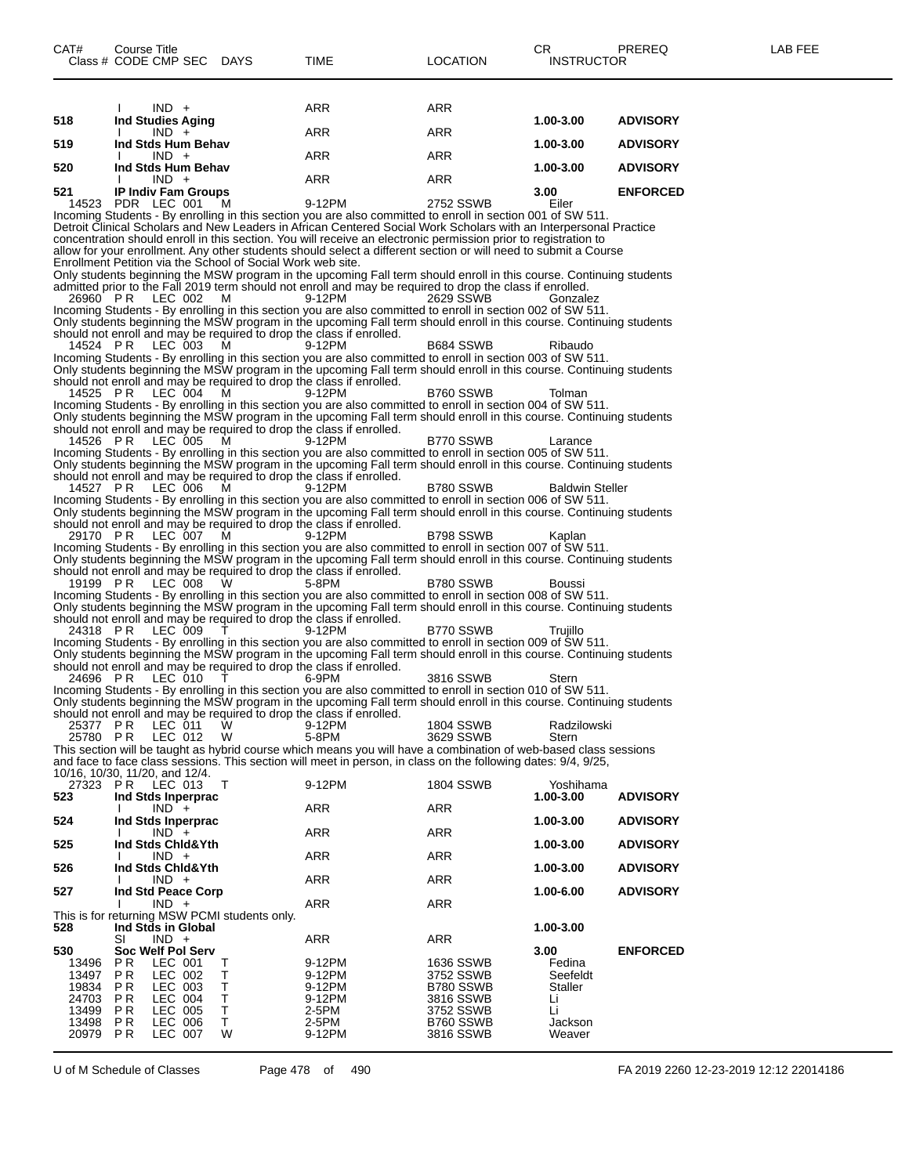| ARR<br>ARR<br>$IND +$<br>518<br><b>Ind Studies Aging</b><br>1.00-3.00<br><b>ADVISORY</b><br>ARR<br>ARR<br>$IND +$<br>519<br>Ind Stds Hum Behav<br>1.00-3.00<br><b>ADVISORY</b><br>ARR<br>ARR<br>$IND +$<br>520<br>Ind Stds Hum Behav<br>1.00-3.00<br><b>ADVISORY</b><br>ARR<br>ARR<br>$IND +$<br><b>IP Indiv Fam Groups</b><br><b>ENFORCED</b><br>521<br>3.00<br>14523 PDR LEC 001<br>9-12PM<br>2752 SSWB<br>Eiler<br>M<br>Incoming Students - By enrolling in this section you are also committed to enroll in section 001 of SW 511.<br>Detroit Clinical Scholars and New Leaders in African Centered Social Work Scholars with an Interpersonal Practice<br>concentration should enroll in this section. You will receive an electronic permission prior to registration to<br>allow for your enrollment. Any other students should select a different section or will need to submit a Course<br>Enrollment Petition via the School of Social Work web site.<br>Only students beginning the MSW program in the upcoming Fall term should enroll in this course. Continuing students<br>admitted prior to the Fall 2019 term should not enroll and may be required to drop the class if enrolled.<br>9-12PM<br>26960 PR<br>LEC 002<br>м<br>2629 SSWB<br>Gonzalez<br>Incoming Students - By enrolling in this section you are also committed to enroll in section 002 of SW 511.<br>Only students beginning the MSW program in the upcoming Fall term should enroll in this course. Continuing students<br>should not enroll and may be required to drop the class if enrolled.<br>14524 PR<br>LEC 003<br>B684 SSWB<br>Ribaudo<br>м<br>9-12PM<br>Incoming Students - By enrolling in this section you are also committed to enroll in section 003 of SW 511.<br>Only students beginning the MSW program in the upcoming Fall term should enroll in this course. Continuing students<br>should not enroll and may be required to drop the class if enrolled.<br>14525 PR<br>LEC 004<br>B760 SSWB<br>9-12PM<br>Tolman<br>м<br>Incoming Students - By enrolling in this section you are also committed to enroll in section 004 of SW 511.<br>Only students beginning the MSW program in the upcoming Fall term should enroll in this course. Continuing students<br>should not enroll and may be required to drop the class if enrolled.<br>B770 SSWB<br>14526 PR<br>LEC 005<br>9-12PM<br>м<br>Larance<br>Incoming Students - By enrolling in this section you are also committed to enroll in section 005 of SW 511.<br>Only students beginning the MSW program in the upcoming Fall term should enroll in this course. Continuing students<br>should not enroll and may be required to drop the class if enrolled.<br>14527 PR<br>LEC 006<br>B780 SSWB<br><b>Baldwin Steller</b><br>м<br>9-12PM<br>Incoming Students - By enrolling in this section you are also committed to enroll in section 006 of SW 511.<br>Only students beginning the MSW program in the upcoming Fall term should enroll in this course. Continuing students<br>should not enroll and may be required to drop the class if enrolled.<br>29170 PR<br>LEC 007<br>B798 SSWB<br>9-12PM<br>Kaplan<br>м<br>Incoming Students - By enrolling in this section you are also committed to enroll in section 007 of SW 511.<br>Only students beginning the MSW program in the upcoming Fall term should enroll in this course. Continuing students<br>should not enroll and may be required to drop the class if enrolled.<br>B780 SSWB<br>19199 PR<br>LEC 008<br>w<br>5-8PM<br>Boussi<br>Incoming Students - By enrolling in this section you are also committed to enroll in section 008 of SW 511.<br>Only students beginning the MSW program in the upcoming Fall term should enroll in this course. Continuing students<br>should not enroll and may be required to drop the class if enrolled.<br>24318 PR<br>LEC 009<br>B770 SSWB<br>9-12PM<br>Truiillo<br>Incoming Students - By enrolling in this section you are also committed to enroll in section 009 of SW 511.<br>Only students beginning the MSW program in the upcoming Fall term should enroll in this course. Continuing students<br>should not enroll and may be required to drop the class if enrolled.<br>24696 PR<br>LEC 010<br>3816 SSWB<br>6-9PM<br>Stern<br>Incoming Students - By enrolling in this section you are also committed to enroll in section 010 of SW 511.<br>Only students beginning the MSW program in the upcoming Fall term should enroll in this course. Continuing students<br>should not enroll and may be required to drop the class if enrolled.<br><b>1804 SSWB</b><br>25377 PR<br>LEC 011<br>W<br>9-12PM<br>Radzilowski<br>25780 PR LEC 012 W<br>5-8PM<br>3629 SSWB<br>Stern<br>This section will be taught as hybrid course which means you will have a combination of web-based class sessions<br>and face to face class sessions. This section will meet in person, in class on the following dates: 9/4, 9/25,<br>10/16, 10/30, 11/20, and 12/4.<br>9-12PM<br>27323 PR LEC 013<br>1804 SSWB<br>Yoshihama<br>Τ<br>523<br>Ind Stds Inperprac<br>1.00-3.00<br><b>ADVISORY</b><br>ARR<br>ARR<br>$IND +$<br>524<br>Ind Stds Inperprac<br>1.00-3.00<br><b>ADVISORY</b><br>ARR<br>ARR<br>$IND +$<br>525<br>Ind Stds Chid&Yth<br>1.00-3.00<br><b>ADVISORY</b><br><b>ARR</b><br>$IND +$<br>ARR<br>526<br>Ind Stds Chid&Yth<br>1.00-3.00<br><b>ADVISORY</b><br>ARR<br>ARR<br>$IND +$<br>527<br>Ind Std Peace Corp<br>1.00-6.00<br><b>ADVISORY</b><br>ARR<br>$IND +$<br>ARR<br>This is for returning MSW PCMI students only.<br>528<br>Ind Stds in Global<br>1.00-3.00<br>ARR<br>SI<br>$IND +$<br>ARR<br>530<br>Soc Welf Pol Serv<br>3.00<br><b>ENFORCED</b><br>P R<br>LEC 001<br>9-12PM<br>1636 SSWB<br>Fedina<br>13496<br>т<br>13497<br>P R<br>LEC 002<br>т<br>9-12PM<br>3752 SSWB<br>Seefeldt<br>LEC 003<br>19834<br>P R<br>т<br>9-12PM<br>B780 SSWB<br>Staller<br>24703<br>P R<br>LEC 004<br>т<br>9-12PM<br>3816 SSWB<br>Li<br>Li<br>13499<br>P R<br>LEC 005<br>Т<br>2-5PM<br>3752 SSWB<br>13498<br>P R<br>LEC 006<br>т<br>2-5PM<br>B760 SSWB<br>Jackson<br>20979<br>P R<br>LEC 007<br>W<br>9-12PM<br>3816 SSWB<br>Weaver |  |  |  |  |
|------------------------------------------------------------------------------------------------------------------------------------------------------------------------------------------------------------------------------------------------------------------------------------------------------------------------------------------------------------------------------------------------------------------------------------------------------------------------------------------------------------------------------------------------------------------------------------------------------------------------------------------------------------------------------------------------------------------------------------------------------------------------------------------------------------------------------------------------------------------------------------------------------------------------------------------------------------------------------------------------------------------------------------------------------------------------------------------------------------------------------------------------------------------------------------------------------------------------------------------------------------------------------------------------------------------------------------------------------------------------------------------------------------------------------------------------------------------------------------------------------------------------------------------------------------------------------------------------------------------------------------------------------------------------------------------------------------------------------------------------------------------------------------------------------------------------------------------------------------------------------------------------------------------------------------------------------------------------------------------------------------------------------------------------------------------------------------------------------------------------------------------------------------------------------------------------------------------------------------------------------------------------------------------------------------------------------------------------------------------------------------------------------------------------------------------------------------------------------------------------------------------------------------------------------------------------------------------------------------------------------------------------------------------------------------------------------------------------------------------------------------------------------------------------------------------------------------------------------------------------------------------------------------------------------------------------------------------------------------------------------------------------------------------------------------------------------------------------------------------------------------------------------------------------------------------------------------------------------------------------------------------------------------------------------------------------------------------------------------------------------------------------------------------------------------------------------------------------------------------------------------------------------------------------------------------------------------------------------------------------------------------------------------------------------------------------------------------------------------------------------------------------------------------------------------------------------------------------------------------------------------------------------------------------------------------------------------------------------------------------------------------------------------------------------------------------------------------------------------------------------------------------------------------------------------------------------------------------------------------------------------------------------------------------------------------------------------------------------------------------------------------------------------------------------------------------------------------------------------------------------------------------------------------------------------------------------------------------------------------------------------------------------------------------------------------------------------------------------------------------------------------------------------------------------------------------------------------------------------------------------------------------------------------------------------------------------------------------------------------------------------------------------------------------------------------------------------------------------------------------------------------------------------------------------------------------------------------------------------------------------------------------------------------------------------------------------------------------------------------------------------------------------------------------------------------------------------------------------------------------------------------------------------------------------------------------------------------------------------------------------------------------------------------------------------------------------------------------------------------------------------------------------------------------------------------------------------------------------------------------------------------------------------------------------------------------------------------------------------------------------------------------------------------------------------------------------------------------------------------------------------------------------------------------------------------|--|--|--|--|
|                                                                                                                                                                                                                                                                                                                                                                                                                                                                                                                                                                                                                                                                                                                                                                                                                                                                                                                                                                                                                                                                                                                                                                                                                                                                                                                                                                                                                                                                                                                                                                                                                                                                                                                                                                                                                                                                                                                                                                                                                                                                                                                                                                                                                                                                                                                                                                                                                                                                                                                                                                                                                                                                                                                                                                                                                                                                                                                                                                                                                                                                                                                                                                                                                                                                                                                                                                                                                                                                                                                                                                                                                                                                                                                                                                                                                                                                                                                                                                                                                                                                                                                                                                                                                                                                                                                                                                                                                                                                                                                                                                                                                                                                                                                                                                                                                                                                                                                                                                                                                                                                                                                                                                                                                                                                                                                                                                                                                                                                                                                                                                                                                                                                                                                                                                                                                                                                                                                                                                                                                                                                                                                                                                                          |  |  |  |  |
|                                                                                                                                                                                                                                                                                                                                                                                                                                                                                                                                                                                                                                                                                                                                                                                                                                                                                                                                                                                                                                                                                                                                                                                                                                                                                                                                                                                                                                                                                                                                                                                                                                                                                                                                                                                                                                                                                                                                                                                                                                                                                                                                                                                                                                                                                                                                                                                                                                                                                                                                                                                                                                                                                                                                                                                                                                                                                                                                                                                                                                                                                                                                                                                                                                                                                                                                                                                                                                                                                                                                                                                                                                                                                                                                                                                                                                                                                                                                                                                                                                                                                                                                                                                                                                                                                                                                                                                                                                                                                                                                                                                                                                                                                                                                                                                                                                                                                                                                                                                                                                                                                                                                                                                                                                                                                                                                                                                                                                                                                                                                                                                                                                                                                                                                                                                                                                                                                                                                                                                                                                                                                                                                                                                          |  |  |  |  |
|                                                                                                                                                                                                                                                                                                                                                                                                                                                                                                                                                                                                                                                                                                                                                                                                                                                                                                                                                                                                                                                                                                                                                                                                                                                                                                                                                                                                                                                                                                                                                                                                                                                                                                                                                                                                                                                                                                                                                                                                                                                                                                                                                                                                                                                                                                                                                                                                                                                                                                                                                                                                                                                                                                                                                                                                                                                                                                                                                                                                                                                                                                                                                                                                                                                                                                                                                                                                                                                                                                                                                                                                                                                                                                                                                                                                                                                                                                                                                                                                                                                                                                                                                                                                                                                                                                                                                                                                                                                                                                                                                                                                                                                                                                                                                                                                                                                                                                                                                                                                                                                                                                                                                                                                                                                                                                                                                                                                                                                                                                                                                                                                                                                                                                                                                                                                                                                                                                                                                                                                                                                                                                                                                                                          |  |  |  |  |
|                                                                                                                                                                                                                                                                                                                                                                                                                                                                                                                                                                                                                                                                                                                                                                                                                                                                                                                                                                                                                                                                                                                                                                                                                                                                                                                                                                                                                                                                                                                                                                                                                                                                                                                                                                                                                                                                                                                                                                                                                                                                                                                                                                                                                                                                                                                                                                                                                                                                                                                                                                                                                                                                                                                                                                                                                                                                                                                                                                                                                                                                                                                                                                                                                                                                                                                                                                                                                                                                                                                                                                                                                                                                                                                                                                                                                                                                                                                                                                                                                                                                                                                                                                                                                                                                                                                                                                                                                                                                                                                                                                                                                                                                                                                                                                                                                                                                                                                                                                                                                                                                                                                                                                                                                                                                                                                                                                                                                                                                                                                                                                                                                                                                                                                                                                                                                                                                                                                                                                                                                                                                                                                                                                                          |  |  |  |  |
|                                                                                                                                                                                                                                                                                                                                                                                                                                                                                                                                                                                                                                                                                                                                                                                                                                                                                                                                                                                                                                                                                                                                                                                                                                                                                                                                                                                                                                                                                                                                                                                                                                                                                                                                                                                                                                                                                                                                                                                                                                                                                                                                                                                                                                                                                                                                                                                                                                                                                                                                                                                                                                                                                                                                                                                                                                                                                                                                                                                                                                                                                                                                                                                                                                                                                                                                                                                                                                                                                                                                                                                                                                                                                                                                                                                                                                                                                                                                                                                                                                                                                                                                                                                                                                                                                                                                                                                                                                                                                                                                                                                                                                                                                                                                                                                                                                                                                                                                                                                                                                                                                                                                                                                                                                                                                                                                                                                                                                                                                                                                                                                                                                                                                                                                                                                                                                                                                                                                                                                                                                                                                                                                                                                          |  |  |  |  |
|                                                                                                                                                                                                                                                                                                                                                                                                                                                                                                                                                                                                                                                                                                                                                                                                                                                                                                                                                                                                                                                                                                                                                                                                                                                                                                                                                                                                                                                                                                                                                                                                                                                                                                                                                                                                                                                                                                                                                                                                                                                                                                                                                                                                                                                                                                                                                                                                                                                                                                                                                                                                                                                                                                                                                                                                                                                                                                                                                                                                                                                                                                                                                                                                                                                                                                                                                                                                                                                                                                                                                                                                                                                                                                                                                                                                                                                                                                                                                                                                                                                                                                                                                                                                                                                                                                                                                                                                                                                                                                                                                                                                                                                                                                                                                                                                                                                                                                                                                                                                                                                                                                                                                                                                                                                                                                                                                                                                                                                                                                                                                                                                                                                                                                                                                                                                                                                                                                                                                                                                                                                                                                                                                                                          |  |  |  |  |
|                                                                                                                                                                                                                                                                                                                                                                                                                                                                                                                                                                                                                                                                                                                                                                                                                                                                                                                                                                                                                                                                                                                                                                                                                                                                                                                                                                                                                                                                                                                                                                                                                                                                                                                                                                                                                                                                                                                                                                                                                                                                                                                                                                                                                                                                                                                                                                                                                                                                                                                                                                                                                                                                                                                                                                                                                                                                                                                                                                                                                                                                                                                                                                                                                                                                                                                                                                                                                                                                                                                                                                                                                                                                                                                                                                                                                                                                                                                                                                                                                                                                                                                                                                                                                                                                                                                                                                                                                                                                                                                                                                                                                                                                                                                                                                                                                                                                                                                                                                                                                                                                                                                                                                                                                                                                                                                                                                                                                                                                                                                                                                                                                                                                                                                                                                                                                                                                                                                                                                                                                                                                                                                                                                                          |  |  |  |  |
|                                                                                                                                                                                                                                                                                                                                                                                                                                                                                                                                                                                                                                                                                                                                                                                                                                                                                                                                                                                                                                                                                                                                                                                                                                                                                                                                                                                                                                                                                                                                                                                                                                                                                                                                                                                                                                                                                                                                                                                                                                                                                                                                                                                                                                                                                                                                                                                                                                                                                                                                                                                                                                                                                                                                                                                                                                                                                                                                                                                                                                                                                                                                                                                                                                                                                                                                                                                                                                                                                                                                                                                                                                                                                                                                                                                                                                                                                                                                                                                                                                                                                                                                                                                                                                                                                                                                                                                                                                                                                                                                                                                                                                                                                                                                                                                                                                                                                                                                                                                                                                                                                                                                                                                                                                                                                                                                                                                                                                                                                                                                                                                                                                                                                                                                                                                                                                                                                                                                                                                                                                                                                                                                                                                          |  |  |  |  |
|                                                                                                                                                                                                                                                                                                                                                                                                                                                                                                                                                                                                                                                                                                                                                                                                                                                                                                                                                                                                                                                                                                                                                                                                                                                                                                                                                                                                                                                                                                                                                                                                                                                                                                                                                                                                                                                                                                                                                                                                                                                                                                                                                                                                                                                                                                                                                                                                                                                                                                                                                                                                                                                                                                                                                                                                                                                                                                                                                                                                                                                                                                                                                                                                                                                                                                                                                                                                                                                                                                                                                                                                                                                                                                                                                                                                                                                                                                                                                                                                                                                                                                                                                                                                                                                                                                                                                                                                                                                                                                                                                                                                                                                                                                                                                                                                                                                                                                                                                                                                                                                                                                                                                                                                                                                                                                                                                                                                                                                                                                                                                                                                                                                                                                                                                                                                                                                                                                                                                                                                                                                                                                                                                                                          |  |  |  |  |
|                                                                                                                                                                                                                                                                                                                                                                                                                                                                                                                                                                                                                                                                                                                                                                                                                                                                                                                                                                                                                                                                                                                                                                                                                                                                                                                                                                                                                                                                                                                                                                                                                                                                                                                                                                                                                                                                                                                                                                                                                                                                                                                                                                                                                                                                                                                                                                                                                                                                                                                                                                                                                                                                                                                                                                                                                                                                                                                                                                                                                                                                                                                                                                                                                                                                                                                                                                                                                                                                                                                                                                                                                                                                                                                                                                                                                                                                                                                                                                                                                                                                                                                                                                                                                                                                                                                                                                                                                                                                                                                                                                                                                                                                                                                                                                                                                                                                                                                                                                                                                                                                                                                                                                                                                                                                                                                                                                                                                                                                                                                                                                                                                                                                                                                                                                                                                                                                                                                                                                                                                                                                                                                                                                                          |  |  |  |  |
|                                                                                                                                                                                                                                                                                                                                                                                                                                                                                                                                                                                                                                                                                                                                                                                                                                                                                                                                                                                                                                                                                                                                                                                                                                                                                                                                                                                                                                                                                                                                                                                                                                                                                                                                                                                                                                                                                                                                                                                                                                                                                                                                                                                                                                                                                                                                                                                                                                                                                                                                                                                                                                                                                                                                                                                                                                                                                                                                                                                                                                                                                                                                                                                                                                                                                                                                                                                                                                                                                                                                                                                                                                                                                                                                                                                                                                                                                                                                                                                                                                                                                                                                                                                                                                                                                                                                                                                                                                                                                                                                                                                                                                                                                                                                                                                                                                                                                                                                                                                                                                                                                                                                                                                                                                                                                                                                                                                                                                                                                                                                                                                                                                                                                                                                                                                                                                                                                                                                                                                                                                                                                                                                                                                          |  |  |  |  |
|                                                                                                                                                                                                                                                                                                                                                                                                                                                                                                                                                                                                                                                                                                                                                                                                                                                                                                                                                                                                                                                                                                                                                                                                                                                                                                                                                                                                                                                                                                                                                                                                                                                                                                                                                                                                                                                                                                                                                                                                                                                                                                                                                                                                                                                                                                                                                                                                                                                                                                                                                                                                                                                                                                                                                                                                                                                                                                                                                                                                                                                                                                                                                                                                                                                                                                                                                                                                                                                                                                                                                                                                                                                                                                                                                                                                                                                                                                                                                                                                                                                                                                                                                                                                                                                                                                                                                                                                                                                                                                                                                                                                                                                                                                                                                                                                                                                                                                                                                                                                                                                                                                                                                                                                                                                                                                                                                                                                                                                                                                                                                                                                                                                                                                                                                                                                                                                                                                                                                                                                                                                                                                                                                                                          |  |  |  |  |
|                                                                                                                                                                                                                                                                                                                                                                                                                                                                                                                                                                                                                                                                                                                                                                                                                                                                                                                                                                                                                                                                                                                                                                                                                                                                                                                                                                                                                                                                                                                                                                                                                                                                                                                                                                                                                                                                                                                                                                                                                                                                                                                                                                                                                                                                                                                                                                                                                                                                                                                                                                                                                                                                                                                                                                                                                                                                                                                                                                                                                                                                                                                                                                                                                                                                                                                                                                                                                                                                                                                                                                                                                                                                                                                                                                                                                                                                                                                                                                                                                                                                                                                                                                                                                                                                                                                                                                                                                                                                                                                                                                                                                                                                                                                                                                                                                                                                                                                                                                                                                                                                                                                                                                                                                                                                                                                                                                                                                                                                                                                                                                                                                                                                                                                                                                                                                                                                                                                                                                                                                                                                                                                                                                                          |  |  |  |  |
|                                                                                                                                                                                                                                                                                                                                                                                                                                                                                                                                                                                                                                                                                                                                                                                                                                                                                                                                                                                                                                                                                                                                                                                                                                                                                                                                                                                                                                                                                                                                                                                                                                                                                                                                                                                                                                                                                                                                                                                                                                                                                                                                                                                                                                                                                                                                                                                                                                                                                                                                                                                                                                                                                                                                                                                                                                                                                                                                                                                                                                                                                                                                                                                                                                                                                                                                                                                                                                                                                                                                                                                                                                                                                                                                                                                                                                                                                                                                                                                                                                                                                                                                                                                                                                                                                                                                                                                                                                                                                                                                                                                                                                                                                                                                                                                                                                                                                                                                                                                                                                                                                                                                                                                                                                                                                                                                                                                                                                                                                                                                                                                                                                                                                                                                                                                                                                                                                                                                                                                                                                                                                                                                                                                          |  |  |  |  |
|                                                                                                                                                                                                                                                                                                                                                                                                                                                                                                                                                                                                                                                                                                                                                                                                                                                                                                                                                                                                                                                                                                                                                                                                                                                                                                                                                                                                                                                                                                                                                                                                                                                                                                                                                                                                                                                                                                                                                                                                                                                                                                                                                                                                                                                                                                                                                                                                                                                                                                                                                                                                                                                                                                                                                                                                                                                                                                                                                                                                                                                                                                                                                                                                                                                                                                                                                                                                                                                                                                                                                                                                                                                                                                                                                                                                                                                                                                                                                                                                                                                                                                                                                                                                                                                                                                                                                                                                                                                                                                                                                                                                                                                                                                                                                                                                                                                                                                                                                                                                                                                                                                                                                                                                                                                                                                                                                                                                                                                                                                                                                                                                                                                                                                                                                                                                                                                                                                                                                                                                                                                                                                                                                                                          |  |  |  |  |
|                                                                                                                                                                                                                                                                                                                                                                                                                                                                                                                                                                                                                                                                                                                                                                                                                                                                                                                                                                                                                                                                                                                                                                                                                                                                                                                                                                                                                                                                                                                                                                                                                                                                                                                                                                                                                                                                                                                                                                                                                                                                                                                                                                                                                                                                                                                                                                                                                                                                                                                                                                                                                                                                                                                                                                                                                                                                                                                                                                                                                                                                                                                                                                                                                                                                                                                                                                                                                                                                                                                                                                                                                                                                                                                                                                                                                                                                                                                                                                                                                                                                                                                                                                                                                                                                                                                                                                                                                                                                                                                                                                                                                                                                                                                                                                                                                                                                                                                                                                                                                                                                                                                                                                                                                                                                                                                                                                                                                                                                                                                                                                                                                                                                                                                                                                                                                                                                                                                                                                                                                                                                                                                                                                                          |  |  |  |  |
|                                                                                                                                                                                                                                                                                                                                                                                                                                                                                                                                                                                                                                                                                                                                                                                                                                                                                                                                                                                                                                                                                                                                                                                                                                                                                                                                                                                                                                                                                                                                                                                                                                                                                                                                                                                                                                                                                                                                                                                                                                                                                                                                                                                                                                                                                                                                                                                                                                                                                                                                                                                                                                                                                                                                                                                                                                                                                                                                                                                                                                                                                                                                                                                                                                                                                                                                                                                                                                                                                                                                                                                                                                                                                                                                                                                                                                                                                                                                                                                                                                                                                                                                                                                                                                                                                                                                                                                                                                                                                                                                                                                                                                                                                                                                                                                                                                                                                                                                                                                                                                                                                                                                                                                                                                                                                                                                                                                                                                                                                                                                                                                                                                                                                                                                                                                                                                                                                                                                                                                                                                                                                                                                                                                          |  |  |  |  |
|                                                                                                                                                                                                                                                                                                                                                                                                                                                                                                                                                                                                                                                                                                                                                                                                                                                                                                                                                                                                                                                                                                                                                                                                                                                                                                                                                                                                                                                                                                                                                                                                                                                                                                                                                                                                                                                                                                                                                                                                                                                                                                                                                                                                                                                                                                                                                                                                                                                                                                                                                                                                                                                                                                                                                                                                                                                                                                                                                                                                                                                                                                                                                                                                                                                                                                                                                                                                                                                                                                                                                                                                                                                                                                                                                                                                                                                                                                                                                                                                                                                                                                                                                                                                                                                                                                                                                                                                                                                                                                                                                                                                                                                                                                                                                                                                                                                                                                                                                                                                                                                                                                                                                                                                                                                                                                                                                                                                                                                                                                                                                                                                                                                                                                                                                                                                                                                                                                                                                                                                                                                                                                                                                                                          |  |  |  |  |
|                                                                                                                                                                                                                                                                                                                                                                                                                                                                                                                                                                                                                                                                                                                                                                                                                                                                                                                                                                                                                                                                                                                                                                                                                                                                                                                                                                                                                                                                                                                                                                                                                                                                                                                                                                                                                                                                                                                                                                                                                                                                                                                                                                                                                                                                                                                                                                                                                                                                                                                                                                                                                                                                                                                                                                                                                                                                                                                                                                                                                                                                                                                                                                                                                                                                                                                                                                                                                                                                                                                                                                                                                                                                                                                                                                                                                                                                                                                                                                                                                                                                                                                                                                                                                                                                                                                                                                                                                                                                                                                                                                                                                                                                                                                                                                                                                                                                                                                                                                                                                                                                                                                                                                                                                                                                                                                                                                                                                                                                                                                                                                                                                                                                                                                                                                                                                                                                                                                                                                                                                                                                                                                                                                                          |  |  |  |  |
|                                                                                                                                                                                                                                                                                                                                                                                                                                                                                                                                                                                                                                                                                                                                                                                                                                                                                                                                                                                                                                                                                                                                                                                                                                                                                                                                                                                                                                                                                                                                                                                                                                                                                                                                                                                                                                                                                                                                                                                                                                                                                                                                                                                                                                                                                                                                                                                                                                                                                                                                                                                                                                                                                                                                                                                                                                                                                                                                                                                                                                                                                                                                                                                                                                                                                                                                                                                                                                                                                                                                                                                                                                                                                                                                                                                                                                                                                                                                                                                                                                                                                                                                                                                                                                                                                                                                                                                                                                                                                                                                                                                                                                                                                                                                                                                                                                                                                                                                                                                                                                                                                                                                                                                                                                                                                                                                                                                                                                                                                                                                                                                                                                                                                                                                                                                                                                                                                                                                                                                                                                                                                                                                                                                          |  |  |  |  |
|                                                                                                                                                                                                                                                                                                                                                                                                                                                                                                                                                                                                                                                                                                                                                                                                                                                                                                                                                                                                                                                                                                                                                                                                                                                                                                                                                                                                                                                                                                                                                                                                                                                                                                                                                                                                                                                                                                                                                                                                                                                                                                                                                                                                                                                                                                                                                                                                                                                                                                                                                                                                                                                                                                                                                                                                                                                                                                                                                                                                                                                                                                                                                                                                                                                                                                                                                                                                                                                                                                                                                                                                                                                                                                                                                                                                                                                                                                                                                                                                                                                                                                                                                                                                                                                                                                                                                                                                                                                                                                                                                                                                                                                                                                                                                                                                                                                                                                                                                                                                                                                                                                                                                                                                                                                                                                                                                                                                                                                                                                                                                                                                                                                                                                                                                                                                                                                                                                                                                                                                                                                                                                                                                                                          |  |  |  |  |
|                                                                                                                                                                                                                                                                                                                                                                                                                                                                                                                                                                                                                                                                                                                                                                                                                                                                                                                                                                                                                                                                                                                                                                                                                                                                                                                                                                                                                                                                                                                                                                                                                                                                                                                                                                                                                                                                                                                                                                                                                                                                                                                                                                                                                                                                                                                                                                                                                                                                                                                                                                                                                                                                                                                                                                                                                                                                                                                                                                                                                                                                                                                                                                                                                                                                                                                                                                                                                                                                                                                                                                                                                                                                                                                                                                                                                                                                                                                                                                                                                                                                                                                                                                                                                                                                                                                                                                                                                                                                                                                                                                                                                                                                                                                                                                                                                                                                                                                                                                                                                                                                                                                                                                                                                                                                                                                                                                                                                                                                                                                                                                                                                                                                                                                                                                                                                                                                                                                                                                                                                                                                                                                                                                                          |  |  |  |  |
|                                                                                                                                                                                                                                                                                                                                                                                                                                                                                                                                                                                                                                                                                                                                                                                                                                                                                                                                                                                                                                                                                                                                                                                                                                                                                                                                                                                                                                                                                                                                                                                                                                                                                                                                                                                                                                                                                                                                                                                                                                                                                                                                                                                                                                                                                                                                                                                                                                                                                                                                                                                                                                                                                                                                                                                                                                                                                                                                                                                                                                                                                                                                                                                                                                                                                                                                                                                                                                                                                                                                                                                                                                                                                                                                                                                                                                                                                                                                                                                                                                                                                                                                                                                                                                                                                                                                                                                                                                                                                                                                                                                                                                                                                                                                                                                                                                                                                                                                                                                                                                                                                                                                                                                                                                                                                                                                                                                                                                                                                                                                                                                                                                                                                                                                                                                                                                                                                                                                                                                                                                                                                                                                                                                          |  |  |  |  |
|                                                                                                                                                                                                                                                                                                                                                                                                                                                                                                                                                                                                                                                                                                                                                                                                                                                                                                                                                                                                                                                                                                                                                                                                                                                                                                                                                                                                                                                                                                                                                                                                                                                                                                                                                                                                                                                                                                                                                                                                                                                                                                                                                                                                                                                                                                                                                                                                                                                                                                                                                                                                                                                                                                                                                                                                                                                                                                                                                                                                                                                                                                                                                                                                                                                                                                                                                                                                                                                                                                                                                                                                                                                                                                                                                                                                                                                                                                                                                                                                                                                                                                                                                                                                                                                                                                                                                                                                                                                                                                                                                                                                                                                                                                                                                                                                                                                                                                                                                                                                                                                                                                                                                                                                                                                                                                                                                                                                                                                                                                                                                                                                                                                                                                                                                                                                                                                                                                                                                                                                                                                                                                                                                                                          |  |  |  |  |
|                                                                                                                                                                                                                                                                                                                                                                                                                                                                                                                                                                                                                                                                                                                                                                                                                                                                                                                                                                                                                                                                                                                                                                                                                                                                                                                                                                                                                                                                                                                                                                                                                                                                                                                                                                                                                                                                                                                                                                                                                                                                                                                                                                                                                                                                                                                                                                                                                                                                                                                                                                                                                                                                                                                                                                                                                                                                                                                                                                                                                                                                                                                                                                                                                                                                                                                                                                                                                                                                                                                                                                                                                                                                                                                                                                                                                                                                                                                                                                                                                                                                                                                                                                                                                                                                                                                                                                                                                                                                                                                                                                                                                                                                                                                                                                                                                                                                                                                                                                                                                                                                                                                                                                                                                                                                                                                                                                                                                                                                                                                                                                                                                                                                                                                                                                                                                                                                                                                                                                                                                                                                                                                                                                                          |  |  |  |  |
|                                                                                                                                                                                                                                                                                                                                                                                                                                                                                                                                                                                                                                                                                                                                                                                                                                                                                                                                                                                                                                                                                                                                                                                                                                                                                                                                                                                                                                                                                                                                                                                                                                                                                                                                                                                                                                                                                                                                                                                                                                                                                                                                                                                                                                                                                                                                                                                                                                                                                                                                                                                                                                                                                                                                                                                                                                                                                                                                                                                                                                                                                                                                                                                                                                                                                                                                                                                                                                                                                                                                                                                                                                                                                                                                                                                                                                                                                                                                                                                                                                                                                                                                                                                                                                                                                                                                                                                                                                                                                                                                                                                                                                                                                                                                                                                                                                                                                                                                                                                                                                                                                                                                                                                                                                                                                                                                                                                                                                                                                                                                                                                                                                                                                                                                                                                                                                                                                                                                                                                                                                                                                                                                                                                          |  |  |  |  |
|                                                                                                                                                                                                                                                                                                                                                                                                                                                                                                                                                                                                                                                                                                                                                                                                                                                                                                                                                                                                                                                                                                                                                                                                                                                                                                                                                                                                                                                                                                                                                                                                                                                                                                                                                                                                                                                                                                                                                                                                                                                                                                                                                                                                                                                                                                                                                                                                                                                                                                                                                                                                                                                                                                                                                                                                                                                                                                                                                                                                                                                                                                                                                                                                                                                                                                                                                                                                                                                                                                                                                                                                                                                                                                                                                                                                                                                                                                                                                                                                                                                                                                                                                                                                                                                                                                                                                                                                                                                                                                                                                                                                                                                                                                                                                                                                                                                                                                                                                                                                                                                                                                                                                                                                                                                                                                                                                                                                                                                                                                                                                                                                                                                                                                                                                                                                                                                                                                                                                                                                                                                                                                                                                                                          |  |  |  |  |
|                                                                                                                                                                                                                                                                                                                                                                                                                                                                                                                                                                                                                                                                                                                                                                                                                                                                                                                                                                                                                                                                                                                                                                                                                                                                                                                                                                                                                                                                                                                                                                                                                                                                                                                                                                                                                                                                                                                                                                                                                                                                                                                                                                                                                                                                                                                                                                                                                                                                                                                                                                                                                                                                                                                                                                                                                                                                                                                                                                                                                                                                                                                                                                                                                                                                                                                                                                                                                                                                                                                                                                                                                                                                                                                                                                                                                                                                                                                                                                                                                                                                                                                                                                                                                                                                                                                                                                                                                                                                                                                                                                                                                                                                                                                                                                                                                                                                                                                                                                                                                                                                                                                                                                                                                                                                                                                                                                                                                                                                                                                                                                                                                                                                                                                                                                                                                                                                                                                                                                                                                                                                                                                                                                                          |  |  |  |  |
|                                                                                                                                                                                                                                                                                                                                                                                                                                                                                                                                                                                                                                                                                                                                                                                                                                                                                                                                                                                                                                                                                                                                                                                                                                                                                                                                                                                                                                                                                                                                                                                                                                                                                                                                                                                                                                                                                                                                                                                                                                                                                                                                                                                                                                                                                                                                                                                                                                                                                                                                                                                                                                                                                                                                                                                                                                                                                                                                                                                                                                                                                                                                                                                                                                                                                                                                                                                                                                                                                                                                                                                                                                                                                                                                                                                                                                                                                                                                                                                                                                                                                                                                                                                                                                                                                                                                                                                                                                                                                                                                                                                                                                                                                                                                                                                                                                                                                                                                                                                                                                                                                                                                                                                                                                                                                                                                                                                                                                                                                                                                                                                                                                                                                                                                                                                                                                                                                                                                                                                                                                                                                                                                                                                          |  |  |  |  |
|                                                                                                                                                                                                                                                                                                                                                                                                                                                                                                                                                                                                                                                                                                                                                                                                                                                                                                                                                                                                                                                                                                                                                                                                                                                                                                                                                                                                                                                                                                                                                                                                                                                                                                                                                                                                                                                                                                                                                                                                                                                                                                                                                                                                                                                                                                                                                                                                                                                                                                                                                                                                                                                                                                                                                                                                                                                                                                                                                                                                                                                                                                                                                                                                                                                                                                                                                                                                                                                                                                                                                                                                                                                                                                                                                                                                                                                                                                                                                                                                                                                                                                                                                                                                                                                                                                                                                                                                                                                                                                                                                                                                                                                                                                                                                                                                                                                                                                                                                                                                                                                                                                                                                                                                                                                                                                                                                                                                                                                                                                                                                                                                                                                                                                                                                                                                                                                                                                                                                                                                                                                                                                                                                                                          |  |  |  |  |
|                                                                                                                                                                                                                                                                                                                                                                                                                                                                                                                                                                                                                                                                                                                                                                                                                                                                                                                                                                                                                                                                                                                                                                                                                                                                                                                                                                                                                                                                                                                                                                                                                                                                                                                                                                                                                                                                                                                                                                                                                                                                                                                                                                                                                                                                                                                                                                                                                                                                                                                                                                                                                                                                                                                                                                                                                                                                                                                                                                                                                                                                                                                                                                                                                                                                                                                                                                                                                                                                                                                                                                                                                                                                                                                                                                                                                                                                                                                                                                                                                                                                                                                                                                                                                                                                                                                                                                                                                                                                                                                                                                                                                                                                                                                                                                                                                                                                                                                                                                                                                                                                                                                                                                                                                                                                                                                                                                                                                                                                                                                                                                                                                                                                                                                                                                                                                                                                                                                                                                                                                                                                                                                                                                                          |  |  |  |  |
|                                                                                                                                                                                                                                                                                                                                                                                                                                                                                                                                                                                                                                                                                                                                                                                                                                                                                                                                                                                                                                                                                                                                                                                                                                                                                                                                                                                                                                                                                                                                                                                                                                                                                                                                                                                                                                                                                                                                                                                                                                                                                                                                                                                                                                                                                                                                                                                                                                                                                                                                                                                                                                                                                                                                                                                                                                                                                                                                                                                                                                                                                                                                                                                                                                                                                                                                                                                                                                                                                                                                                                                                                                                                                                                                                                                                                                                                                                                                                                                                                                                                                                                                                                                                                                                                                                                                                                                                                                                                                                                                                                                                                                                                                                                                                                                                                                                                                                                                                                                                                                                                                                                                                                                                                                                                                                                                                                                                                                                                                                                                                                                                                                                                                                                                                                                                                                                                                                                                                                                                                                                                                                                                                                                          |  |  |  |  |
|                                                                                                                                                                                                                                                                                                                                                                                                                                                                                                                                                                                                                                                                                                                                                                                                                                                                                                                                                                                                                                                                                                                                                                                                                                                                                                                                                                                                                                                                                                                                                                                                                                                                                                                                                                                                                                                                                                                                                                                                                                                                                                                                                                                                                                                                                                                                                                                                                                                                                                                                                                                                                                                                                                                                                                                                                                                                                                                                                                                                                                                                                                                                                                                                                                                                                                                                                                                                                                                                                                                                                                                                                                                                                                                                                                                                                                                                                                                                                                                                                                                                                                                                                                                                                                                                                                                                                                                                                                                                                                                                                                                                                                                                                                                                                                                                                                                                                                                                                                                                                                                                                                                                                                                                                                                                                                                                                                                                                                                                                                                                                                                                                                                                                                                                                                                                                                                                                                                                                                                                                                                                                                                                                                                          |  |  |  |  |
|                                                                                                                                                                                                                                                                                                                                                                                                                                                                                                                                                                                                                                                                                                                                                                                                                                                                                                                                                                                                                                                                                                                                                                                                                                                                                                                                                                                                                                                                                                                                                                                                                                                                                                                                                                                                                                                                                                                                                                                                                                                                                                                                                                                                                                                                                                                                                                                                                                                                                                                                                                                                                                                                                                                                                                                                                                                                                                                                                                                                                                                                                                                                                                                                                                                                                                                                                                                                                                                                                                                                                                                                                                                                                                                                                                                                                                                                                                                                                                                                                                                                                                                                                                                                                                                                                                                                                                                                                                                                                                                                                                                                                                                                                                                                                                                                                                                                                                                                                                                                                                                                                                                                                                                                                                                                                                                                                                                                                                                                                                                                                                                                                                                                                                                                                                                                                                                                                                                                                                                                                                                                                                                                                                                          |  |  |  |  |
|                                                                                                                                                                                                                                                                                                                                                                                                                                                                                                                                                                                                                                                                                                                                                                                                                                                                                                                                                                                                                                                                                                                                                                                                                                                                                                                                                                                                                                                                                                                                                                                                                                                                                                                                                                                                                                                                                                                                                                                                                                                                                                                                                                                                                                                                                                                                                                                                                                                                                                                                                                                                                                                                                                                                                                                                                                                                                                                                                                                                                                                                                                                                                                                                                                                                                                                                                                                                                                                                                                                                                                                                                                                                                                                                                                                                                                                                                                                                                                                                                                                                                                                                                                                                                                                                                                                                                                                                                                                                                                                                                                                                                                                                                                                                                                                                                                                                                                                                                                                                                                                                                                                                                                                                                                                                                                                                                                                                                                                                                                                                                                                                                                                                                                                                                                                                                                                                                                                                                                                                                                                                                                                                                                                          |  |  |  |  |
|                                                                                                                                                                                                                                                                                                                                                                                                                                                                                                                                                                                                                                                                                                                                                                                                                                                                                                                                                                                                                                                                                                                                                                                                                                                                                                                                                                                                                                                                                                                                                                                                                                                                                                                                                                                                                                                                                                                                                                                                                                                                                                                                                                                                                                                                                                                                                                                                                                                                                                                                                                                                                                                                                                                                                                                                                                                                                                                                                                                                                                                                                                                                                                                                                                                                                                                                                                                                                                                                                                                                                                                                                                                                                                                                                                                                                                                                                                                                                                                                                                                                                                                                                                                                                                                                                                                                                                                                                                                                                                                                                                                                                                                                                                                                                                                                                                                                                                                                                                                                                                                                                                                                                                                                                                                                                                                                                                                                                                                                                                                                                                                                                                                                                                                                                                                                                                                                                                                                                                                                                                                                                                                                                                                          |  |  |  |  |
|                                                                                                                                                                                                                                                                                                                                                                                                                                                                                                                                                                                                                                                                                                                                                                                                                                                                                                                                                                                                                                                                                                                                                                                                                                                                                                                                                                                                                                                                                                                                                                                                                                                                                                                                                                                                                                                                                                                                                                                                                                                                                                                                                                                                                                                                                                                                                                                                                                                                                                                                                                                                                                                                                                                                                                                                                                                                                                                                                                                                                                                                                                                                                                                                                                                                                                                                                                                                                                                                                                                                                                                                                                                                                                                                                                                                                                                                                                                                                                                                                                                                                                                                                                                                                                                                                                                                                                                                                                                                                                                                                                                                                                                                                                                                                                                                                                                                                                                                                                                                                                                                                                                                                                                                                                                                                                                                                                                                                                                                                                                                                                                                                                                                                                                                                                                                                                                                                                                                                                                                                                                                                                                                                                                          |  |  |  |  |
|                                                                                                                                                                                                                                                                                                                                                                                                                                                                                                                                                                                                                                                                                                                                                                                                                                                                                                                                                                                                                                                                                                                                                                                                                                                                                                                                                                                                                                                                                                                                                                                                                                                                                                                                                                                                                                                                                                                                                                                                                                                                                                                                                                                                                                                                                                                                                                                                                                                                                                                                                                                                                                                                                                                                                                                                                                                                                                                                                                                                                                                                                                                                                                                                                                                                                                                                                                                                                                                                                                                                                                                                                                                                                                                                                                                                                                                                                                                                                                                                                                                                                                                                                                                                                                                                                                                                                                                                                                                                                                                                                                                                                                                                                                                                                                                                                                                                                                                                                                                                                                                                                                                                                                                                                                                                                                                                                                                                                                                                                                                                                                                                                                                                                                                                                                                                                                                                                                                                                                                                                                                                                                                                                                                          |  |  |  |  |
|                                                                                                                                                                                                                                                                                                                                                                                                                                                                                                                                                                                                                                                                                                                                                                                                                                                                                                                                                                                                                                                                                                                                                                                                                                                                                                                                                                                                                                                                                                                                                                                                                                                                                                                                                                                                                                                                                                                                                                                                                                                                                                                                                                                                                                                                                                                                                                                                                                                                                                                                                                                                                                                                                                                                                                                                                                                                                                                                                                                                                                                                                                                                                                                                                                                                                                                                                                                                                                                                                                                                                                                                                                                                                                                                                                                                                                                                                                                                                                                                                                                                                                                                                                                                                                                                                                                                                                                                                                                                                                                                                                                                                                                                                                                                                                                                                                                                                                                                                                                                                                                                                                                                                                                                                                                                                                                                                                                                                                                                                                                                                                                                                                                                                                                                                                                                                                                                                                                                                                                                                                                                                                                                                                                          |  |  |  |  |
|                                                                                                                                                                                                                                                                                                                                                                                                                                                                                                                                                                                                                                                                                                                                                                                                                                                                                                                                                                                                                                                                                                                                                                                                                                                                                                                                                                                                                                                                                                                                                                                                                                                                                                                                                                                                                                                                                                                                                                                                                                                                                                                                                                                                                                                                                                                                                                                                                                                                                                                                                                                                                                                                                                                                                                                                                                                                                                                                                                                                                                                                                                                                                                                                                                                                                                                                                                                                                                                                                                                                                                                                                                                                                                                                                                                                                                                                                                                                                                                                                                                                                                                                                                                                                                                                                                                                                                                                                                                                                                                                                                                                                                                                                                                                                                                                                                                                                                                                                                                                                                                                                                                                                                                                                                                                                                                                                                                                                                                                                                                                                                                                                                                                                                                                                                                                                                                                                                                                                                                                                                                                                                                                                                                          |  |  |  |  |
|                                                                                                                                                                                                                                                                                                                                                                                                                                                                                                                                                                                                                                                                                                                                                                                                                                                                                                                                                                                                                                                                                                                                                                                                                                                                                                                                                                                                                                                                                                                                                                                                                                                                                                                                                                                                                                                                                                                                                                                                                                                                                                                                                                                                                                                                                                                                                                                                                                                                                                                                                                                                                                                                                                                                                                                                                                                                                                                                                                                                                                                                                                                                                                                                                                                                                                                                                                                                                                                                                                                                                                                                                                                                                                                                                                                                                                                                                                                                                                                                                                                                                                                                                                                                                                                                                                                                                                                                                                                                                                                                                                                                                                                                                                                                                                                                                                                                                                                                                                                                                                                                                                                                                                                                                                                                                                                                                                                                                                                                                                                                                                                                                                                                                                                                                                                                                                                                                                                                                                                                                                                                                                                                                                                          |  |  |  |  |
|                                                                                                                                                                                                                                                                                                                                                                                                                                                                                                                                                                                                                                                                                                                                                                                                                                                                                                                                                                                                                                                                                                                                                                                                                                                                                                                                                                                                                                                                                                                                                                                                                                                                                                                                                                                                                                                                                                                                                                                                                                                                                                                                                                                                                                                                                                                                                                                                                                                                                                                                                                                                                                                                                                                                                                                                                                                                                                                                                                                                                                                                                                                                                                                                                                                                                                                                                                                                                                                                                                                                                                                                                                                                                                                                                                                                                                                                                                                                                                                                                                                                                                                                                                                                                                                                                                                                                                                                                                                                                                                                                                                                                                                                                                                                                                                                                                                                                                                                                                                                                                                                                                                                                                                                                                                                                                                                                                                                                                                                                                                                                                                                                                                                                                                                                                                                                                                                                                                                                                                                                                                                                                                                                                                          |  |  |  |  |
|                                                                                                                                                                                                                                                                                                                                                                                                                                                                                                                                                                                                                                                                                                                                                                                                                                                                                                                                                                                                                                                                                                                                                                                                                                                                                                                                                                                                                                                                                                                                                                                                                                                                                                                                                                                                                                                                                                                                                                                                                                                                                                                                                                                                                                                                                                                                                                                                                                                                                                                                                                                                                                                                                                                                                                                                                                                                                                                                                                                                                                                                                                                                                                                                                                                                                                                                                                                                                                                                                                                                                                                                                                                                                                                                                                                                                                                                                                                                                                                                                                                                                                                                                                                                                                                                                                                                                                                                                                                                                                                                                                                                                                                                                                                                                                                                                                                                                                                                                                                                                                                                                                                                                                                                                                                                                                                                                                                                                                                                                                                                                                                                                                                                                                                                                                                                                                                                                                                                                                                                                                                                                                                                                                                          |  |  |  |  |
|                                                                                                                                                                                                                                                                                                                                                                                                                                                                                                                                                                                                                                                                                                                                                                                                                                                                                                                                                                                                                                                                                                                                                                                                                                                                                                                                                                                                                                                                                                                                                                                                                                                                                                                                                                                                                                                                                                                                                                                                                                                                                                                                                                                                                                                                                                                                                                                                                                                                                                                                                                                                                                                                                                                                                                                                                                                                                                                                                                                                                                                                                                                                                                                                                                                                                                                                                                                                                                                                                                                                                                                                                                                                                                                                                                                                                                                                                                                                                                                                                                                                                                                                                                                                                                                                                                                                                                                                                                                                                                                                                                                                                                                                                                                                                                                                                                                                                                                                                                                                                                                                                                                                                                                                                                                                                                                                                                                                                                                                                                                                                                                                                                                                                                                                                                                                                                                                                                                                                                                                                                                                                                                                                                                          |  |  |  |  |
|                                                                                                                                                                                                                                                                                                                                                                                                                                                                                                                                                                                                                                                                                                                                                                                                                                                                                                                                                                                                                                                                                                                                                                                                                                                                                                                                                                                                                                                                                                                                                                                                                                                                                                                                                                                                                                                                                                                                                                                                                                                                                                                                                                                                                                                                                                                                                                                                                                                                                                                                                                                                                                                                                                                                                                                                                                                                                                                                                                                                                                                                                                                                                                                                                                                                                                                                                                                                                                                                                                                                                                                                                                                                                                                                                                                                                                                                                                                                                                                                                                                                                                                                                                                                                                                                                                                                                                                                                                                                                                                                                                                                                                                                                                                                                                                                                                                                                                                                                                                                                                                                                                                                                                                                                                                                                                                                                                                                                                                                                                                                                                                                                                                                                                                                                                                                                                                                                                                                                                                                                                                                                                                                                                                          |  |  |  |  |
|                                                                                                                                                                                                                                                                                                                                                                                                                                                                                                                                                                                                                                                                                                                                                                                                                                                                                                                                                                                                                                                                                                                                                                                                                                                                                                                                                                                                                                                                                                                                                                                                                                                                                                                                                                                                                                                                                                                                                                                                                                                                                                                                                                                                                                                                                                                                                                                                                                                                                                                                                                                                                                                                                                                                                                                                                                                                                                                                                                                                                                                                                                                                                                                                                                                                                                                                                                                                                                                                                                                                                                                                                                                                                                                                                                                                                                                                                                                                                                                                                                                                                                                                                                                                                                                                                                                                                                                                                                                                                                                                                                                                                                                                                                                                                                                                                                                                                                                                                                                                                                                                                                                                                                                                                                                                                                                                                                                                                                                                                                                                                                                                                                                                                                                                                                                                                                                                                                                                                                                                                                                                                                                                                                                          |  |  |  |  |
|                                                                                                                                                                                                                                                                                                                                                                                                                                                                                                                                                                                                                                                                                                                                                                                                                                                                                                                                                                                                                                                                                                                                                                                                                                                                                                                                                                                                                                                                                                                                                                                                                                                                                                                                                                                                                                                                                                                                                                                                                                                                                                                                                                                                                                                                                                                                                                                                                                                                                                                                                                                                                                                                                                                                                                                                                                                                                                                                                                                                                                                                                                                                                                                                                                                                                                                                                                                                                                                                                                                                                                                                                                                                                                                                                                                                                                                                                                                                                                                                                                                                                                                                                                                                                                                                                                                                                                                                                                                                                                                                                                                                                                                                                                                                                                                                                                                                                                                                                                                                                                                                                                                                                                                                                                                                                                                                                                                                                                                                                                                                                                                                                                                                                                                                                                                                                                                                                                                                                                                                                                                                                                                                                                                          |  |  |  |  |
|                                                                                                                                                                                                                                                                                                                                                                                                                                                                                                                                                                                                                                                                                                                                                                                                                                                                                                                                                                                                                                                                                                                                                                                                                                                                                                                                                                                                                                                                                                                                                                                                                                                                                                                                                                                                                                                                                                                                                                                                                                                                                                                                                                                                                                                                                                                                                                                                                                                                                                                                                                                                                                                                                                                                                                                                                                                                                                                                                                                                                                                                                                                                                                                                                                                                                                                                                                                                                                                                                                                                                                                                                                                                                                                                                                                                                                                                                                                                                                                                                                                                                                                                                                                                                                                                                                                                                                                                                                                                                                                                                                                                                                                                                                                                                                                                                                                                                                                                                                                                                                                                                                                                                                                                                                                                                                                                                                                                                                                                                                                                                                                                                                                                                                                                                                                                                                                                                                                                                                                                                                                                                                                                                                                          |  |  |  |  |
|                                                                                                                                                                                                                                                                                                                                                                                                                                                                                                                                                                                                                                                                                                                                                                                                                                                                                                                                                                                                                                                                                                                                                                                                                                                                                                                                                                                                                                                                                                                                                                                                                                                                                                                                                                                                                                                                                                                                                                                                                                                                                                                                                                                                                                                                                                                                                                                                                                                                                                                                                                                                                                                                                                                                                                                                                                                                                                                                                                                                                                                                                                                                                                                                                                                                                                                                                                                                                                                                                                                                                                                                                                                                                                                                                                                                                                                                                                                                                                                                                                                                                                                                                                                                                                                                                                                                                                                                                                                                                                                                                                                                                                                                                                                                                                                                                                                                                                                                                                                                                                                                                                                                                                                                                                                                                                                                                                                                                                                                                                                                                                                                                                                                                                                                                                                                                                                                                                                                                                                                                                                                                                                                                                                          |  |  |  |  |
|                                                                                                                                                                                                                                                                                                                                                                                                                                                                                                                                                                                                                                                                                                                                                                                                                                                                                                                                                                                                                                                                                                                                                                                                                                                                                                                                                                                                                                                                                                                                                                                                                                                                                                                                                                                                                                                                                                                                                                                                                                                                                                                                                                                                                                                                                                                                                                                                                                                                                                                                                                                                                                                                                                                                                                                                                                                                                                                                                                                                                                                                                                                                                                                                                                                                                                                                                                                                                                                                                                                                                                                                                                                                                                                                                                                                                                                                                                                                                                                                                                                                                                                                                                                                                                                                                                                                                                                                                                                                                                                                                                                                                                                                                                                                                                                                                                                                                                                                                                                                                                                                                                                                                                                                                                                                                                                                                                                                                                                                                                                                                                                                                                                                                                                                                                                                                                                                                                                                                                                                                                                                                                                                                                                          |  |  |  |  |
|                                                                                                                                                                                                                                                                                                                                                                                                                                                                                                                                                                                                                                                                                                                                                                                                                                                                                                                                                                                                                                                                                                                                                                                                                                                                                                                                                                                                                                                                                                                                                                                                                                                                                                                                                                                                                                                                                                                                                                                                                                                                                                                                                                                                                                                                                                                                                                                                                                                                                                                                                                                                                                                                                                                                                                                                                                                                                                                                                                                                                                                                                                                                                                                                                                                                                                                                                                                                                                                                                                                                                                                                                                                                                                                                                                                                                                                                                                                                                                                                                                                                                                                                                                                                                                                                                                                                                                                                                                                                                                                                                                                                                                                                                                                                                                                                                                                                                                                                                                                                                                                                                                                                                                                                                                                                                                                                                                                                                                                                                                                                                                                                                                                                                                                                                                                                                                                                                                                                                                                                                                                                                                                                                                                          |  |  |  |  |
|                                                                                                                                                                                                                                                                                                                                                                                                                                                                                                                                                                                                                                                                                                                                                                                                                                                                                                                                                                                                                                                                                                                                                                                                                                                                                                                                                                                                                                                                                                                                                                                                                                                                                                                                                                                                                                                                                                                                                                                                                                                                                                                                                                                                                                                                                                                                                                                                                                                                                                                                                                                                                                                                                                                                                                                                                                                                                                                                                                                                                                                                                                                                                                                                                                                                                                                                                                                                                                                                                                                                                                                                                                                                                                                                                                                                                                                                                                                                                                                                                                                                                                                                                                                                                                                                                                                                                                                                                                                                                                                                                                                                                                                                                                                                                                                                                                                                                                                                                                                                                                                                                                                                                                                                                                                                                                                                                                                                                                                                                                                                                                                                                                                                                                                                                                                                                                                                                                                                                                                                                                                                                                                                                                                          |  |  |  |  |
|                                                                                                                                                                                                                                                                                                                                                                                                                                                                                                                                                                                                                                                                                                                                                                                                                                                                                                                                                                                                                                                                                                                                                                                                                                                                                                                                                                                                                                                                                                                                                                                                                                                                                                                                                                                                                                                                                                                                                                                                                                                                                                                                                                                                                                                                                                                                                                                                                                                                                                                                                                                                                                                                                                                                                                                                                                                                                                                                                                                                                                                                                                                                                                                                                                                                                                                                                                                                                                                                                                                                                                                                                                                                                                                                                                                                                                                                                                                                                                                                                                                                                                                                                                                                                                                                                                                                                                                                                                                                                                                                                                                                                                                                                                                                                                                                                                                                                                                                                                                                                                                                                                                                                                                                                                                                                                                                                                                                                                                                                                                                                                                                                                                                                                                                                                                                                                                                                                                                                                                                                                                                                                                                                                                          |  |  |  |  |
|                                                                                                                                                                                                                                                                                                                                                                                                                                                                                                                                                                                                                                                                                                                                                                                                                                                                                                                                                                                                                                                                                                                                                                                                                                                                                                                                                                                                                                                                                                                                                                                                                                                                                                                                                                                                                                                                                                                                                                                                                                                                                                                                                                                                                                                                                                                                                                                                                                                                                                                                                                                                                                                                                                                                                                                                                                                                                                                                                                                                                                                                                                                                                                                                                                                                                                                                                                                                                                                                                                                                                                                                                                                                                                                                                                                                                                                                                                                                                                                                                                                                                                                                                                                                                                                                                                                                                                                                                                                                                                                                                                                                                                                                                                                                                                                                                                                                                                                                                                                                                                                                                                                                                                                                                                                                                                                                                                                                                                                                                                                                                                                                                                                                                                                                                                                                                                                                                                                                                                                                                                                                                                                                                                                          |  |  |  |  |

U of M Schedule of Classes Page 478 of 490 FA 2019 2260 12-23-2019 12:12 22014186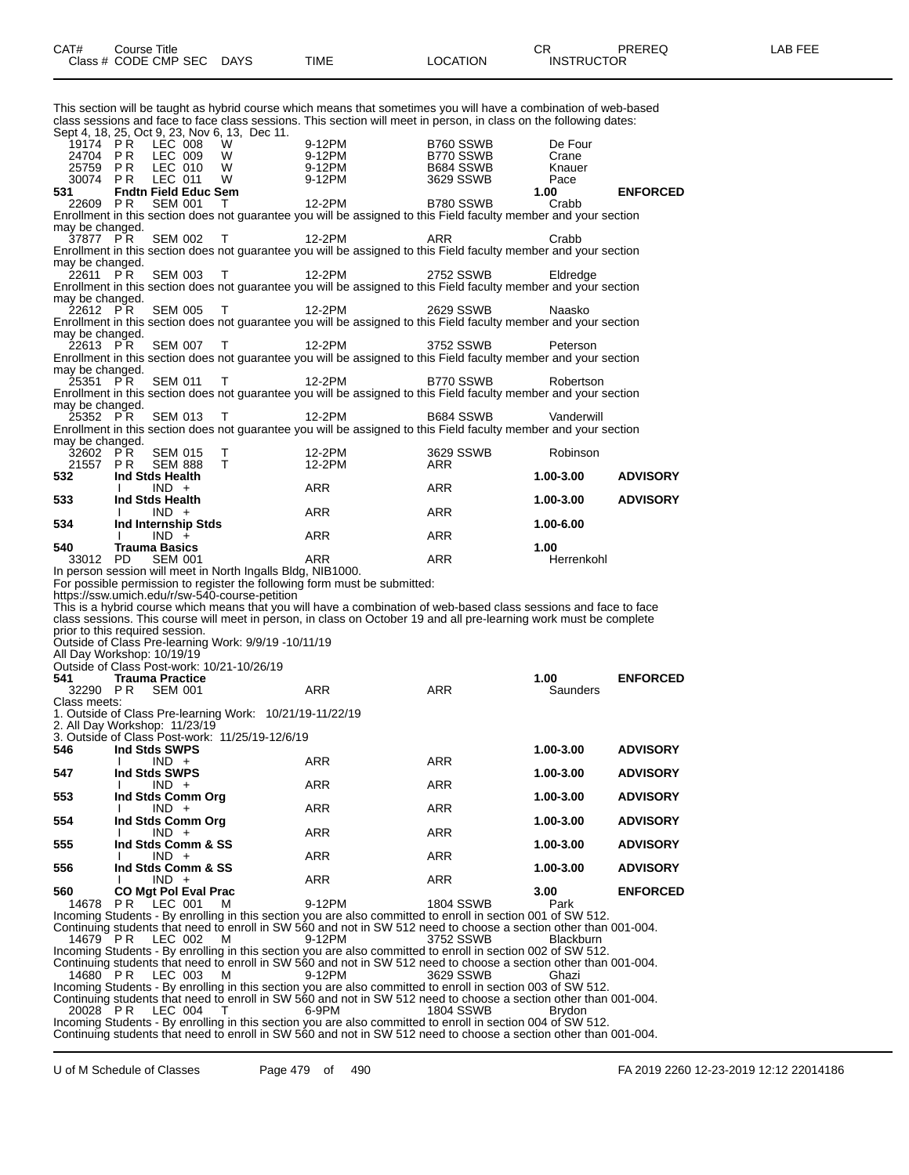This section will be taught as hybrid course which means that sometimes you will have a combination of web-based class sessions and face to face class sessions. This section will meet in person, in class on the following dates:

| Sept 4, 18, 25, Oct 9, 23, Nov 6, 13, Dec 11.                                    |                             |                                  |        |                                                          |                                                                           |                                                                                                                                                                                                                                         |                  |                 |
|----------------------------------------------------------------------------------|-----------------------------|----------------------------------|--------|----------------------------------------------------------|---------------------------------------------------------------------------|-----------------------------------------------------------------------------------------------------------------------------------------------------------------------------------------------------------------------------------------|------------------|-----------------|
| 19174 PR<br>24704 PR                                                             |                             | LEC 008<br>LEC 009               | W<br>W | 9-12PM<br>9-12PM                                         |                                                                           | B760 SSWB<br>B770 SSWB                                                                                                                                                                                                                  | De Four<br>Crane |                 |
| 25759 PR                                                                         |                             | LEC 010                          | W      | 9-12PM                                                   |                                                                           | B684 SSWB                                                                                                                                                                                                                               | Knauer           |                 |
| 30074 PR                                                                         |                             | LEC 011                          | W      | 9-12PM                                                   |                                                                           | 3629 SSWB                                                                                                                                                                                                                               | Pace             |                 |
| 531                                                                              | <b>Fndtn Field Educ Sem</b> |                                  |        |                                                          |                                                                           |                                                                                                                                                                                                                                         | 1.00             | <b>ENFORCED</b> |
| 22609 PR                                                                         |                             | <b>SEM 001</b>                   | т      | 12-2PM                                                   |                                                                           | B780 SSWB                                                                                                                                                                                                                               | Crabb            |                 |
| may be changed.                                                                  |                             |                                  |        |                                                          |                                                                           | Enrollment in this section does not guarantee you will be assigned to this Field faculty member and your section                                                                                                                        |                  |                 |
| 37877 PR                                                                         |                             | <b>SEM 002</b>                   | т      | 12-2PM                                                   |                                                                           | ARR                                                                                                                                                                                                                                     | Crabb            |                 |
|                                                                                  |                             |                                  |        |                                                          |                                                                           | Enrollment in this section does not guarantee you will be assigned to this Field faculty member and your section                                                                                                                        |                  |                 |
| may be changed.                                                                  |                             |                                  |        |                                                          |                                                                           |                                                                                                                                                                                                                                         |                  |                 |
| 22611 PR                                                                         |                             | <b>SEM 003</b>                   | т      | 12-2PM                                                   |                                                                           | 2752 SSWB<br>Enrollment in this section does not guarantee you will be assigned to this Field faculty member and your section                                                                                                           | Eldredge         |                 |
| may be changed.                                                                  |                             |                                  |        |                                                          |                                                                           |                                                                                                                                                                                                                                         |                  |                 |
| 22612 PR                                                                         |                             | <b>SEM 005</b>                   | т      | 12-2PM                                                   |                                                                           | 2629 SSWB                                                                                                                                                                                                                               | Naasko           |                 |
|                                                                                  |                             |                                  |        |                                                          |                                                                           | Enrollment in this section does not guarantee you will be assigned to this Field faculty member and your section                                                                                                                        |                  |                 |
| may be changed.<br>22613 PR                                                      |                             | <b>SEM 007</b>                   | т      | 12-2PM                                                   |                                                                           | 3752 SSWB                                                                                                                                                                                                                               | Peterson         |                 |
|                                                                                  |                             |                                  |        |                                                          |                                                                           | Enrollment in this section does not guarantee you will be assigned to this Field faculty member and your section                                                                                                                        |                  |                 |
| may be changed.                                                                  |                             |                                  |        |                                                          |                                                                           |                                                                                                                                                                                                                                         |                  |                 |
| 25351 PR                                                                         |                             | <b>SEM 011</b>                   | т      | 12-2PM                                                   |                                                                           | B770 SSWB                                                                                                                                                                                                                               | Robertson        |                 |
| may be changed.                                                                  |                             |                                  |        |                                                          |                                                                           | Enrollment in this section does not guarantee you will be assigned to this Field faculty member and your section                                                                                                                        |                  |                 |
| 25352 PR                                                                         |                             | <b>SEM 013</b>                   | т      | 12-2PM                                                   |                                                                           | B684 SSWB                                                                                                                                                                                                                               | Vanderwill       |                 |
|                                                                                  |                             |                                  |        |                                                          |                                                                           | Enrollment in this section does not guarantee you will be assigned to this Field faculty member and your section                                                                                                                        |                  |                 |
| may be changed.                                                                  |                             |                                  |        |                                                          |                                                                           |                                                                                                                                                                                                                                         |                  |                 |
| 32602 PR<br>21557 PR                                                             |                             | <b>SEM 015</b><br><b>SEM 888</b> | т<br>т | 12-2PM<br>12-2PM                                         |                                                                           | 3629 SSWB<br>ARR                                                                                                                                                                                                                        | Robinson         |                 |
| 532                                                                              | Ind Stds Health             |                                  |        |                                                          |                                                                           |                                                                                                                                                                                                                                         | 1.00-3.00        | <b>ADVISORY</b> |
|                                                                                  | I.                          | $IND +$                          |        | ARR                                                      |                                                                           | ARR                                                                                                                                                                                                                                     |                  |                 |
| 533                                                                              | Ind Stds Health             |                                  |        |                                                          |                                                                           |                                                                                                                                                                                                                                         | 1.00-3.00        | <b>ADVISORY</b> |
| 534                                                                              | Ind Internship Stds         | $IND +$                          |        | ARR                                                      |                                                                           | ARR                                                                                                                                                                                                                                     | 1.00-6.00        |                 |
|                                                                                  |                             | $IND +$                          |        | ARR                                                      |                                                                           | ARR                                                                                                                                                                                                                                     |                  |                 |
| 540                                                                              | <b>Trauma Basics</b>        |                                  |        |                                                          |                                                                           |                                                                                                                                                                                                                                         | 1.00             |                 |
| 33012 PD                                                                         |                             | <b>SEM 001</b>                   |        | ARR                                                      |                                                                           | ARR                                                                                                                                                                                                                                     | Herrenkohl       |                 |
| In person session will meet in North Ingalls Bldg, NIB1000.                      |                             |                                  |        |                                                          |                                                                           |                                                                                                                                                                                                                                         |                  |                 |
|                                                                                  |                             |                                  |        |                                                          |                                                                           |                                                                                                                                                                                                                                         |                  |                 |
|                                                                                  |                             |                                  |        |                                                          | For possible permission to register the following form must be submitted: |                                                                                                                                                                                                                                         |                  |                 |
| https://ssw.umich.edu/r/sw-540-course-petition                                   |                             |                                  |        |                                                          |                                                                           |                                                                                                                                                                                                                                         |                  |                 |
|                                                                                  |                             |                                  |        |                                                          |                                                                           | This is a hybrid course which means that you will have a combination of web-based class sessions and face to face<br>class sessions. This course will meet in person, in class on October 19 and all pre-learning work must be complete |                  |                 |
| prior to this required session.                                                  |                             |                                  |        |                                                          |                                                                           |                                                                                                                                                                                                                                         |                  |                 |
| Outside of Class Pre-learning Work: 9/9/19 -10/11/19                             |                             |                                  |        |                                                          |                                                                           |                                                                                                                                                                                                                                         |                  |                 |
| All Day Workshop: 10/19/19                                                       |                             |                                  |        |                                                          |                                                                           |                                                                                                                                                                                                                                         |                  |                 |
| Outside of Class Post-work: 10/21-10/26/19<br>541                                | <b>Trauma Practice</b>      |                                  |        |                                                          |                                                                           |                                                                                                                                                                                                                                         | 1.00             | <b>ENFORCED</b> |
| 32290 PR                                                                         |                             | <b>SEM 001</b>                   |        | <b>ARR</b>                                               |                                                                           | <b>ARR</b>                                                                                                                                                                                                                              | Saunders         |                 |
| Class meets:                                                                     |                             |                                  |        |                                                          |                                                                           |                                                                                                                                                                                                                                         |                  |                 |
|                                                                                  |                             |                                  |        | 1. Outside of Class Pre-learning Work: 10/21/19-11/22/19 |                                                                           |                                                                                                                                                                                                                                         |                  |                 |
| 2. All Day Workshop: 11/23/19<br>3. Outside of Class Post-work: 11/25/19-12/6/19 |                             |                                  |        |                                                          |                                                                           |                                                                                                                                                                                                                                         |                  |                 |
| 546                                                                              | Ind Stds SWPS               |                                  |        |                                                          |                                                                           |                                                                                                                                                                                                                                         | 1.00-3.00        | <b>ADVISORY</b> |
|                                                                                  |                             | $IND +$                          |        | ARR                                                      |                                                                           | ARR                                                                                                                                                                                                                                     |                  |                 |
| 547                                                                              | Ind Stds SWPS<br>T          |                                  |        | <b>ARR</b>                                               |                                                                           |                                                                                                                                                                                                                                         | 1.00-3.00        | <b>ADVISORY</b> |
| 553                                                                              | Ind Stds Comm Org           | $IND +$                          |        |                                                          |                                                                           | ARR                                                                                                                                                                                                                                     | 1.00-3.00        | <b>ADVISORY</b> |
|                                                                                  | I.                          | $IND +$                          |        | ARR                                                      |                                                                           | ARR                                                                                                                                                                                                                                     |                  |                 |
| 554                                                                              | Ind Stds Comm Ora           |                                  |        |                                                          |                                                                           |                                                                                                                                                                                                                                         | 1.00-3.00        | <b>ADVISORY</b> |
|                                                                                  |                             | $IND +$                          |        | ARR                                                      |                                                                           | ARR                                                                                                                                                                                                                                     |                  |                 |
| 555                                                                              | Ind Stds Comm & SS          | $IND +$                          |        | ARR                                                      |                                                                           | ARR                                                                                                                                                                                                                                     | 1.00-3.00        | <b>ADVISORY</b> |
| 556                                                                              | Ind Stds Comm & SS          |                                  |        |                                                          |                                                                           |                                                                                                                                                                                                                                         | 1.00-3.00        | <b>ADVISORY</b> |
|                                                                                  |                             | $IND +$                          |        | ARR                                                      |                                                                           | ARR                                                                                                                                                                                                                                     |                  |                 |
| 560                                                                              | <b>CO Mgt Pol Eval Prac</b> |                                  |        |                                                          |                                                                           |                                                                                                                                                                                                                                         | 3.00             | <b>ENFORCED</b> |
| 14678                                                                            | PR                          | LEC 001                          | м      | 9-12PM                                                   |                                                                           | 1804 SSWB<br>Incoming Students - By enrolling in this section you are also committed to enroll in section 001 of SW 512.                                                                                                                | Park             |                 |
|                                                                                  |                             |                                  |        |                                                          |                                                                           | Continuing students that need to enroll in SW 560 and not in SW 512 need to choose a section other than 001-004.                                                                                                                        |                  |                 |
| 14679 PR                                                                         |                             | LEC 002                          | м      | 9-12PM                                                   |                                                                           | 3752 SSWB                                                                                                                                                                                                                               | Blackburn        |                 |
|                                                                                  |                             |                                  |        |                                                          |                                                                           | Incoming Students - By enrolling in this section you are also committed to enroll in section 002 of SW 512.                                                                                                                             |                  |                 |
| 14680 PR                                                                         |                             | LEC 003                          | м      | 9-12PM                                                   |                                                                           | Continuing students that need to enroll in SW 560 and not in SW 512 need to choose a section other than 001-004.<br>3629 SSWB                                                                                                           | Ghazi            |                 |
|                                                                                  |                             |                                  |        |                                                          |                                                                           | Incoming Students - By enrolling in this section you are also committed to enroll in section 003 of SW 512.                                                                                                                             |                  |                 |
|                                                                                  |                             |                                  |        |                                                          |                                                                           | Continuing students that need to enroll in SW 560 and not in SW 512 need to choose a section other than 001-004.                                                                                                                        |                  |                 |
| 20028 PR                                                                         |                             | LEC 004                          | Т      | 6-9PM                                                    |                                                                           | <b>1804 SSWB</b><br>Incoming Students - By enrolling in this section you are also committed to enroll in section 004 of SW 512.                                                                                                         | Brydon           |                 |

Continuing students that need to enroll in SW 560 and not in SW 512 need to choose a section other than 001-004.

U of M Schedule of Classes Page 479 of 490 FA 2019 2260 12-23-2019 12:12 22014186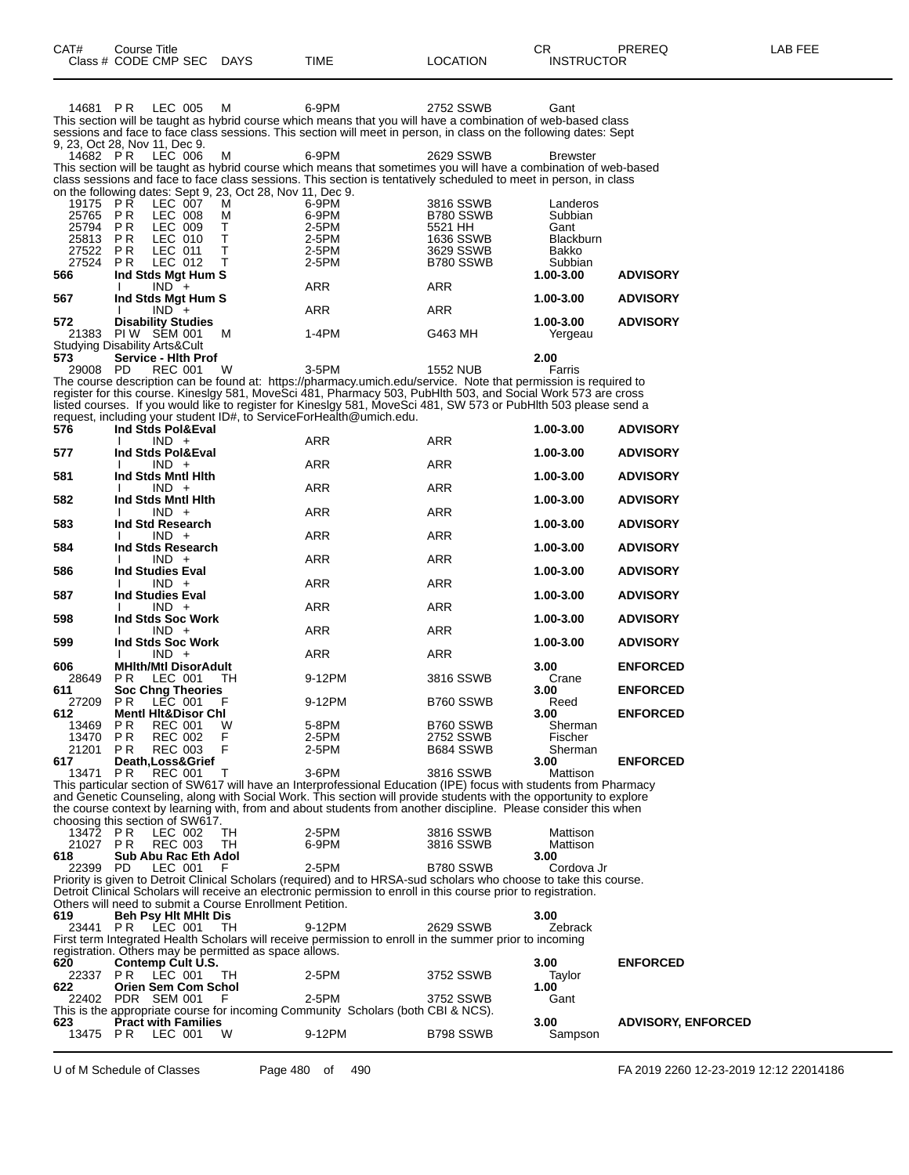|              | Class # CODE CMP SEC                                                  | <b>DAYS</b> | TIME                                                                                                                                                                                                                              | LOCATION        | <b>INSTRUCTOR</b>    |                           |
|--------------|-----------------------------------------------------------------------|-------------|-----------------------------------------------------------------------------------------------------------------------------------------------------------------------------------------------------------------------------------|-----------------|----------------------|---------------------------|
|              |                                                                       |             |                                                                                                                                                                                                                                   |                 |                      |                           |
|              | 14681 PR LEC 005                                                      | м           | 6-9PM                                                                                                                                                                                                                             | 2752 SSWB       | Gant                 |                           |
|              |                                                                       |             | This section will be taught as hybrid course which means that you will have a combination of web-based class<br>sessions and face to face class sessions. This section will meet in person, in class on the following dates: Sept |                 |                      |                           |
|              | 9, 23, Oct 28, Nov 11, Dec 9.                                         |             |                                                                                                                                                                                                                                   |                 |                      |                           |
| 14682 PR     | LEC 006                                                               | м           | 6-9PM                                                                                                                                                                                                                             | 2629 SSWB       | <b>Brewster</b>      |                           |
|              |                                                                       |             | This section will be taught as hybrid course which means that sometimes you will have a combination of web-based                                                                                                                  |                 |                      |                           |
|              |                                                                       |             | class sessions and face to face class sessions. This section is tentatively scheduled to meet in person, in class                                                                                                                 |                 |                      |                           |
| 19175 PR     | on the following dates: Sept 9, 23, Oct 28, Nov 11, Dec 9.<br>LEC 007 | м           | 6-9PM                                                                                                                                                                                                                             | 3816 SSWB       | Landeros             |                           |
| 25765 PR     | LEC 008                                                               | м           | 6-9PM                                                                                                                                                                                                                             | B780 SSWB       | Subbian              |                           |
| 25794 PR     | LEC 009                                                               | т           | 2-5PM                                                                                                                                                                                                                             | 5521 HH         | Gant                 |                           |
| 25813 PR     | LEC 010                                                               | T           | 2-5PM                                                                                                                                                                                                                             | 1636 SSWB       | Blackburn            |                           |
| 27522 PR     | LEC 011                                                               | T<br>Т      | 2-5PM                                                                                                                                                                                                                             | 3629 SSWB       | Bakko                |                           |
| 27524<br>566 | PR.<br>LEC 012<br>Ind Stds Mgt Hum S                                  |             | 2-5PM                                                                                                                                                                                                                             | B780 SSWB       | Subbian<br>1.00-3.00 | <b>ADVISORY</b>           |
|              | $IND +$<br>I.                                                         |             | ARR                                                                                                                                                                                                                               | <b>ARR</b>      |                      |                           |
| 567          | Ind Stds Mgt Hum S                                                    |             |                                                                                                                                                                                                                                   |                 | 1.00-3.00            | <b>ADVISORY</b>           |
| 572          | $IND +$<br><b>Disability Studies</b>                                  |             | ARR                                                                                                                                                                                                                               | <b>ARR</b>      | 1.00-3.00            | <b>ADVISORY</b>           |
| 21383        | PIW SEM 001                                                           | м           | 1-4PM                                                                                                                                                                                                                             | G463 MH         | Yergeau              |                           |
|              | <b>Studying Disability Arts&amp;Cult</b>                              |             |                                                                                                                                                                                                                                   |                 |                      |                           |
| 573          | Service - Hith Prof                                                   |             |                                                                                                                                                                                                                                   |                 | 2.00                 |                           |
| 29008 PD     | <b>REC 001</b>                                                        | W           | $3-5PM$<br>The course description can be found at: https://pharmacy.umich.edu/service. Note that permission is required to                                                                                                        | <b>1552 NUB</b> | Farris               |                           |
|              |                                                                       |             | register for this course. Kineslgy 581, MoveSci 481, Pharmacy 503, PubHlth 503, and Social Work 573 are cross                                                                                                                     |                 |                      |                           |
|              |                                                                       |             | listed courses. If you would like to register for Kineslgy 581, MoveSci 481, SW 573 or PubHlth 503 please send a                                                                                                                  |                 |                      |                           |
|              |                                                                       |             | request, including your student ID#, to ServiceForHealth@umich.edu.                                                                                                                                                               |                 |                      |                           |
| 576          | Ind Stds Pol&Eval<br>$IND +$                                          |             | ARR                                                                                                                                                                                                                               | <b>ARR</b>      | 1.00-3.00            | <b>ADVISORY</b>           |
| 577          | Ind Stds Pol&Eval                                                     |             |                                                                                                                                                                                                                                   |                 | 1.00-3.00            | <b>ADVISORY</b>           |
|              | $IND +$                                                               |             | ARR                                                                                                                                                                                                                               | <b>ARR</b>      |                      |                           |
| 581          | Ind Stds Mntl Hith                                                    |             |                                                                                                                                                                                                                                   |                 | 1.00-3.00            | <b>ADVISORY</b>           |
| 582          | $IND +$<br>Ind Stds Mntl Hith                                         |             | ARR                                                                                                                                                                                                                               | <b>ARR</b>      | 1.00-3.00            | <b>ADVISORY</b>           |
|              | $IND +$                                                               |             | ARR                                                                                                                                                                                                                               | <b>ARR</b>      |                      |                           |
| 583          | Ind Std Research                                                      |             |                                                                                                                                                                                                                                   |                 | 1.00-3.00            | <b>ADVISORY</b>           |
| 584          | $IND +$<br>Ind Stds Research                                          |             | <b>ARR</b>                                                                                                                                                                                                                        | ARR             | 1.00-3.00            | <b>ADVISORY</b>           |
|              | $IND +$                                                               |             | ARR                                                                                                                                                                                                                               | <b>ARR</b>      |                      |                           |
| 586          | <b>Ind Studies Eval</b>                                               |             |                                                                                                                                                                                                                                   |                 | 1.00-3.00            | <b>ADVISORY</b>           |
|              | $IND +$                                                               |             | ARR                                                                                                                                                                                                                               | ARR             |                      |                           |
| 587          | <b>Ind Studies Eval</b><br>$IND +$                                    |             | <b>ARR</b>                                                                                                                                                                                                                        | ARR             | 1.00-3.00            | <b>ADVISORY</b>           |
| 598          | Ind Stds Soc Work                                                     |             |                                                                                                                                                                                                                                   |                 | 1.00-3.00            | <b>ADVISORY</b>           |
|              | $IND +$                                                               |             | ARR                                                                                                                                                                                                                               | <b>ARR</b>      |                      |                           |
| 599          | Ind Stds Soc Work<br>$IND +$                                          |             | ARR                                                                                                                                                                                                                               | ARR             | 1.00-3.00            | <b>ADVISORY</b>           |
| 606          | <b>MHIth/Mtl DisorAdult</b>                                           |             |                                                                                                                                                                                                                                   |                 | 3.00                 | <b>ENFORCED</b>           |
| 28649        | LEC 001<br>PR.                                                        | TH.         | 9-12PM                                                                                                                                                                                                                            | 3816 SSWB       | Crane                |                           |
| 611          | <b>Soc Chng Theories</b>                                              |             |                                                                                                                                                                                                                                   |                 | 3.00                 | <b>ENFORCED</b>           |
| 27209<br>612 | LEC 001<br>PR.<br><b>Mentl Hit&amp;Disor Chl</b>                      | F           | 9-12PM                                                                                                                                                                                                                            | B760 SSWB       | Reed<br>3.00         | <b>ENFORCED</b>           |
| 13469 PR     | <b>REC 001</b>                                                        | <b>VV</b>   | 5-8PM                                                                                                                                                                                                                             | B760 SSWB       | Sherman              |                           |
| 13470 PR     | REC 002                                                               | F           | 2-5PM                                                                                                                                                                                                                             | 2752 SSWB       | Fischer              |                           |
| 21201 PR     | <b>REC 003</b>                                                        | F           | 2-5PM                                                                                                                                                                                                                             | B684 SSWB       | Sherman              |                           |
| 617          | Death, Loss& Grief                                                    |             | 3-6PM                                                                                                                                                                                                                             |                 | 3.00                 | <b>ENFORCED</b>           |
| 13471 PR     | <b>REC 001</b>                                                        | т           | This particular section of SW617 will have an Interprofessional Education (IPE) focus with students from Pharmacy                                                                                                                 | 3816 SSWB       | Mattison             |                           |
|              |                                                                       |             | and Genetic Counseling, along with Social Work. This section will provide students with the opportunity to explore                                                                                                                |                 |                      |                           |
|              |                                                                       |             | the course context by learning with, from and about students from another discipline. Please consider this when                                                                                                                   |                 |                      |                           |
| 13472 PR     | choosing this section of SW617.                                       |             |                                                                                                                                                                                                                                   | 3816 SSWB       | Mattison             |                           |
| 21027 PR     | LEC 002<br><b>REC 003</b>                                             | TН<br>TH    | 2-5PM<br>6-9PM                                                                                                                                                                                                                    | 3816 SSWB       | Mattison             |                           |
| 618          | Sub Abu Rac Eth Adol                                                  |             |                                                                                                                                                                                                                                   |                 | 3.00                 |                           |
| 22399 PD     | LEC 001                                                               | F           | 2-5PM                                                                                                                                                                                                                             | B780 SSWB       | Cordova Jr           |                           |
|              |                                                                       |             | Priority is given to Detroit Clinical Scholars (required) and to HRSA-sud scholars who choose to take this course.                                                                                                                |                 |                      |                           |
|              | Others will need to submit a Course Enrollment Petition.              |             | Detroit Clinical Scholars will receive an electronic permission to enroll in this course prior to registration.                                                                                                                   |                 |                      |                           |
| 619          | <b>Beh Psy Hit MHIt Dis</b>                                           |             |                                                                                                                                                                                                                                   |                 | 3.00                 |                           |
|              | 23441 PR LEC 001                                                      | TH          | 9-12PM                                                                                                                                                                                                                            | 2629 SSWB       | Zebrack              |                           |
|              | registration. Others may be permitted as space allows.                |             | First term Integrated Health Scholars will receive permission to enroll in the summer prior to incoming                                                                                                                           |                 |                      |                           |
| 620          | Contemp Cult U.S.                                                     |             |                                                                                                                                                                                                                                   |                 | 3.00                 | <b>ENFORCED</b>           |
| 22337 PR     | LEC 001                                                               | TH          | 2-5PM                                                                                                                                                                                                                             | 3752 SSWB       | Taylor               |                           |
| 622          | Orien Sem Com Schol                                                   |             |                                                                                                                                                                                                                                   |                 | 1.00                 |                           |
|              | 22402 PDR SEM 001                                                     | F           | 2-5PM<br>This is the appropriate course for incoming Community Scholars (both CBI & NCS).                                                                                                                                         | 3752 SSWB       | Gant                 |                           |
| 623          | <b>Pract with Families</b>                                            |             |                                                                                                                                                                                                                                   |                 | 3.00                 | <b>ADVISORY, ENFORCED</b> |
|              | 13475 PR LEC 001                                                      | W           | 9-12PM                                                                                                                                                                                                                            | B798 SSWB       | Sampson              |                           |

U of M Schedule of Classes Page 480 of 490 FA 2019 2260 12-23-2019 12:12 22014186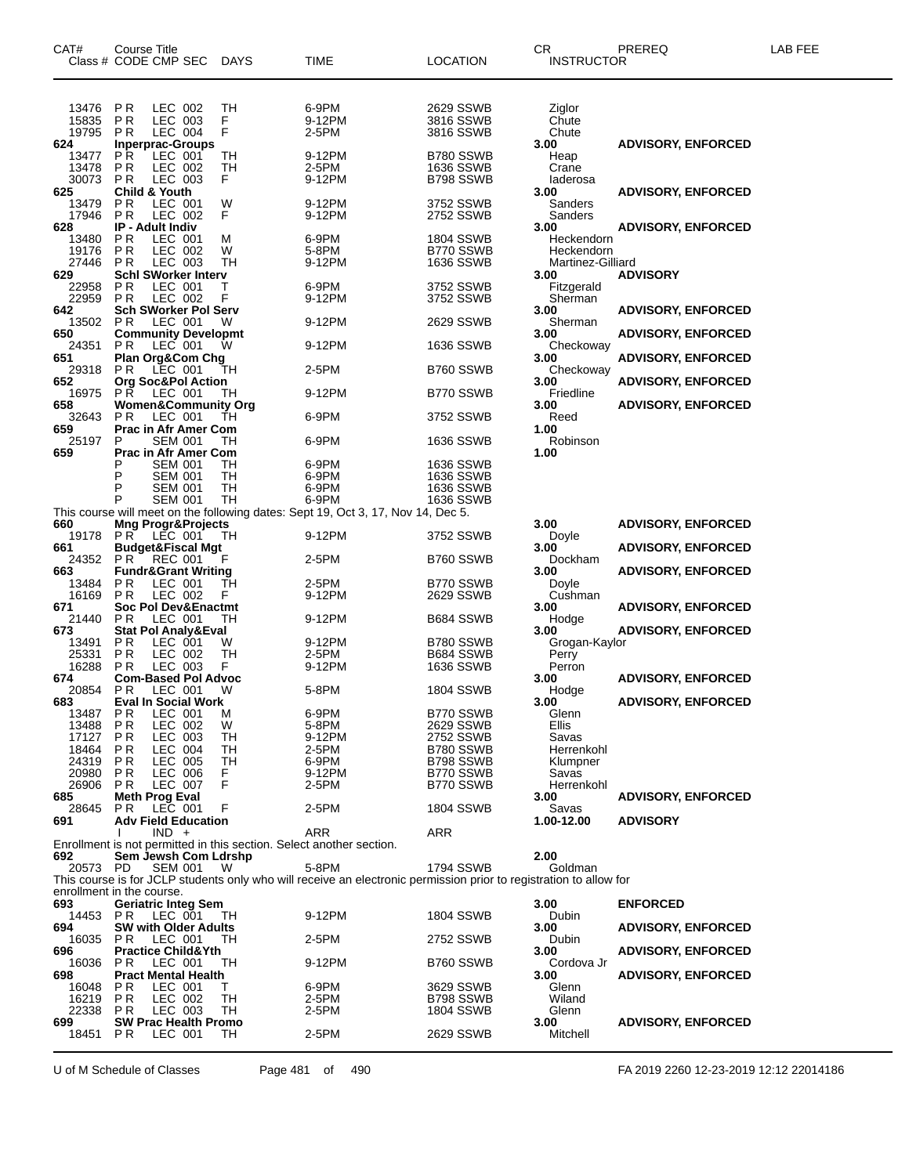| CAT#                                               | Course Title<br>Class # CODE CMP SEC                                                                                       | <b>DAYS</b>                    | TIME                                                                                                                        | LOCATION                                                                   | CR<br><b>INSTRUCTOR</b>                                    | PREREQ                                                 | LAB FEE |
|----------------------------------------------------|----------------------------------------------------------------------------------------------------------------------------|--------------------------------|-----------------------------------------------------------------------------------------------------------------------------|----------------------------------------------------------------------------|------------------------------------------------------------|--------------------------------------------------------|---------|
| 13476<br>15835<br>19795                            | P R<br>LEC 002<br>P <sub>R</sub><br>LEC 003<br><b>LEC 004</b><br>P R                                                       | TН<br>F<br>F                   | 6-9PM<br>9-12PM<br>2-5PM                                                                                                    | 2629 SSWB<br>3816 SSWB<br>3816 SSWB                                        | Ziglor<br>Chute<br>Chute                                   |                                                        |         |
| 624<br>13477<br>13478<br>30073                     | <b>Inperprac-Groups</b><br>PR.<br>LEC 001<br>P <sub>R</sub><br>LEC 002<br>P <sub>R</sub><br>LEC 003                        | TН<br>TН<br>F                  | 9-12PM<br>2-5PM<br>9-12PM                                                                                                   | B780 SSWB<br>1636 SSWB<br>B798 SSWB                                        | 3.00<br>Heap<br>Crane<br>laderosa                          | <b>ADVISORY, ENFORCED</b>                              |         |
| 625<br>13479<br>17946<br>628                       | <b>Child &amp; Youth</b><br>LEC 001<br>P R<br>P <sub>R</sub><br>LEC 002<br><b>IP - Adult Indiv</b>                         | W<br>F                         | 9-12PM<br>9-12PM                                                                                                            | 3752 SSWB<br>2752 SSWB                                                     | 3.00<br>Sanders<br>Sanders<br>3.00                         | <b>ADVISORY, ENFORCED</b><br><b>ADVISORY, ENFORCED</b> |         |
| 13480<br>19176<br>27446                            | ΡR<br>LEC 001<br>P <sub>R</sub><br>LEC 002<br>P <sub>R</sub><br>LEC 003                                                    | M<br>W<br>TН                   | 6-9PM<br>5-8PM<br>9-12PM                                                                                                    | 1804 SSWB<br>B770 SSWB<br>1636 SSWB                                        | Heckendorn<br>Heckendorn<br>Martinez-Gilliard              |                                                        |         |
| 629<br>22958<br>22959<br>642                       | <b>Schl SWorker Interv</b><br>P <sub>R</sub><br>LEC 001<br>P <sub>R</sub><br>LEC 002<br><b>Sch SWorker Pol Serv</b>        | т<br>F                         | 6-9PM<br>9-12PM                                                                                                             | 3752 SSWB<br>3752 SSWB                                                     | 3.00<br>Fitzgerald<br>Sherman<br>3.00                      | <b>ADVISORY</b><br><b>ADVISORY, ENFORCED</b>           |         |
| 13502<br>650                                       | LEC 001<br>P R<br><b>Community Developmt</b>                                                                               | W                              | 9-12PM                                                                                                                      | 2629 SSWB                                                                  | Sherman<br>3.00                                            | <b>ADVISORY, ENFORCED</b>                              |         |
| 24351<br>651                                       | P R<br>LEC 001<br><b>Plan Org&amp;Com Chg</b>                                                                              | w                              | 9-12PM                                                                                                                      | 1636 SSWB                                                                  | Checkoway<br>3.00                                          | <b>ADVISORY, ENFORCED</b>                              |         |
| 29318<br>652<br>16975                              | P R<br>LEC 001<br><b>Org Soc&amp;Pol Action</b>                                                                            | TН                             | 2-5PM                                                                                                                       | B760 SSWB                                                                  | Checkoway<br>3.00                                          | <b>ADVISORY, ENFORCED</b>                              |         |
| 658<br>32643                                       | P <sub>R</sub><br>LEC 001<br><b>Women&amp;Community Org</b><br>LEC 001<br>P R                                              | ТH<br>TН                       | 9-12PM<br>6-9PM                                                                                                             | B770 SSWB<br>3752 SSWB                                                     | Friedline<br>3.00<br>Reed                                  | <b>ADVISORY, ENFORCED</b>                              |         |
| 659<br>25197                                       | <b>Prac in Afr Amer Com</b><br><b>SEM 001</b><br>P                                                                         | TН                             | 6-9PM                                                                                                                       | 1636 SSWB                                                                  | 1.00<br>Robinson                                           |                                                        |         |
| 659                                                | <b>Prac in Afr Amer Com</b><br><b>SEM 001</b><br>P<br><b>SEM 001</b><br>P<br><b>SEM 001</b><br>P<br><b>SEM 001</b>         | TН<br>TН<br>TН<br>TН           | 6-9PM<br>6-9PM<br>6-9PM<br>6-9PM                                                                                            | 1636 SSWB<br>1636 SSWB<br>1636 SSWB<br>1636 SSWB                           | 1.00                                                       |                                                        |         |
| 660                                                | <b>Mng Progr&amp;Projects</b>                                                                                              |                                | This course will meet on the following dates: Sept 19, Oct 3, 17, Nov 14, Dec 5.                                            |                                                                            | 3.00                                                       | <b>ADVISORY, ENFORCED</b>                              |         |
| 19178<br>661                                       | P <sub>R</sub><br>LEC 001<br><b>Budget&amp;Fiscal Mgt</b>                                                                  | ТH                             | 9-12PM                                                                                                                      | 3752 SSWB                                                                  | Doyle<br>3.00                                              | <b>ADVISORY, ENFORCED</b>                              |         |
| 24352<br>663<br>13484                              | P <sub>R</sub><br><b>REC 001</b><br><b>Fundr&amp;Grant Writing</b><br>P R<br>LEC 001                                       | TН                             | 2-5PM<br>2-5PM                                                                                                              | B760 SSWB<br>B770 SSWB                                                     | Dockham<br>3.00<br>Doyle                                   | <b>ADVISORY, ENFORCED</b>                              |         |
| 16169<br>671                                       | LEC 002<br>P R<br><b>Soc Pol Dev&amp;Enactmt</b>                                                                           | F                              | 9-12PM                                                                                                                      | 2629 SSWB                                                                  | Cushman<br>3.00                                            | <b>ADVISORY, ENFORCED</b>                              |         |
| 21440<br>673                                       | P R<br>LEC 001<br><b>Stat Pol Analy&amp;Eval</b>                                                                           | TН                             | 9-12PM                                                                                                                      | B684 SSWB                                                                  | Hodge<br>3.00                                              | <b>ADVISORY, ENFORCED</b>                              |         |
| 13491<br>25331<br>16288                            | P R<br>LEC 001<br>P R<br>LEC 002<br>P R<br>LEC 003                                                                         | W<br>TН<br>F                   | 9-12PM<br>2-5PM<br>9-12PM                                                                                                   | B780 SSWB<br>B684 SSWB<br>1636 SSWB                                        | Grogan-Kaylor<br>Perry<br>Perron                           |                                                        |         |
| 674<br>20854<br>683                                | <b>Com-Based Pol Advoc</b><br>P R<br>LEC 001<br>Eval In Social Work                                                        | W                              | 5-8PM                                                                                                                       | 1804 SSWB                                                                  | 3.00<br>Hodge<br>3.UU                                      | <b>ADVISORY, ENFORCED</b><br><b>ADVISORY, ENFORCED</b> |         |
| 13487<br>13488<br>17127<br>18464<br>24319<br>20980 | LEC 001<br>P R<br>LEC 002<br>P R<br>LEC 003<br>P R<br>P <sub>R</sub><br><b>LEC 004</b><br>LEC 005<br>P R<br>LEC 006<br>P R | м<br>W<br>TН<br>TН<br>TН<br>F. | 6-9PM<br>5-8PM<br>9-12PM<br>2-5PM<br>6-9PM<br>9-12PM                                                                        | B770 SSWB<br>2629 SSWB<br>2752 SSWB<br>B780 SSWB<br>B798 SSWB<br>B770 SSWB | Glenn<br>Ellis<br>Savas<br>Herrenkohl<br>Klumpner<br>Savas |                                                        |         |
| 26906<br>685                                       | LEC 007<br>PR.<br><b>Meth Prog Eval</b>                                                                                    | F                              | 2-5PM                                                                                                                       | B770 SSWB                                                                  | Herrenkohl<br>3.00                                         | <b>ADVISORY, ENFORCED</b>                              |         |
| 28645<br>691                                       | P R<br>LEC 001<br><b>Adv Field Education</b><br>$IND +$                                                                    | F                              | 2-5PM<br>ARR                                                                                                                | <b>1804 SSWB</b><br>ARR                                                    | Savas<br>1.00-12.00                                        | <b>ADVISORY</b>                                        |         |
| 692                                                | Enrollment is not permitted in this section. Select another section.<br>Sem Jewsh Com Ldrshp                               |                                |                                                                                                                             |                                                                            | 2.00                                                       |                                                        |         |
| 20573 PD                                           | <b>SEM 001</b><br>enrollment in the course.                                                                                | W                              | 5-8PM<br>This course is for JCLP students only who will receive an electronic permission prior to registration to allow for | 1794 SSWB                                                                  | Goldman                                                    |                                                        |         |
| 693<br>14453                                       | <b>Geriatric Integ Sem</b><br>P <sub>R</sub><br>LEC 001                                                                    | TH                             | 9-12PM                                                                                                                      | 1804 SSWB                                                                  | 3.00<br>Dubin                                              | <b>ENFORCED</b>                                        |         |
| 694<br>16035<br>696                                | <b>SW with Older Adults</b><br>P R<br>LEC 001<br><b>Practice Child&amp;Yth</b>                                             | TН                             | 2-5PM                                                                                                                       | 2752 SSWB                                                                  | 3.00<br>Dubin<br>3.00                                      | <b>ADVISORY, ENFORCED</b><br><b>ADVISORY, ENFORCED</b> |         |
| 16036<br>698<br>16048                              | LEC 001<br>PR.<br><b>Pract Mental Health</b><br>P R<br>LEC 001                                                             | TН<br>т                        | 9-12PM<br>6-9PM                                                                                                             | B760 SSWB<br>3629 SSWB                                                     | Cordova Jr<br>3.00<br>Glenn                                | <b>ADVISORY, ENFORCED</b>                              |         |
| 16219<br>22338<br>699                              | PR.<br>LEC 002<br>P R<br>LEC 003<br><b>SW Prac Health Promo</b>                                                            | TН<br>TН                       | 2-5PM<br>2-5PM                                                                                                              | B798 SSWB<br>1804 SSWB                                                     | Wiland<br>Glenn<br>3.00                                    | <b>ADVISORY, ENFORCED</b>                              |         |
| 18451                                              | P R<br>LEC 001                                                                                                             | TН                             | 2-5PM                                                                                                                       | 2629 SSWB                                                                  | Mitchell                                                   |                                                        |         |

U of M Schedule of Classes Page 481 of 490 FA 2019 2260 12-23-2019 12:12 22014186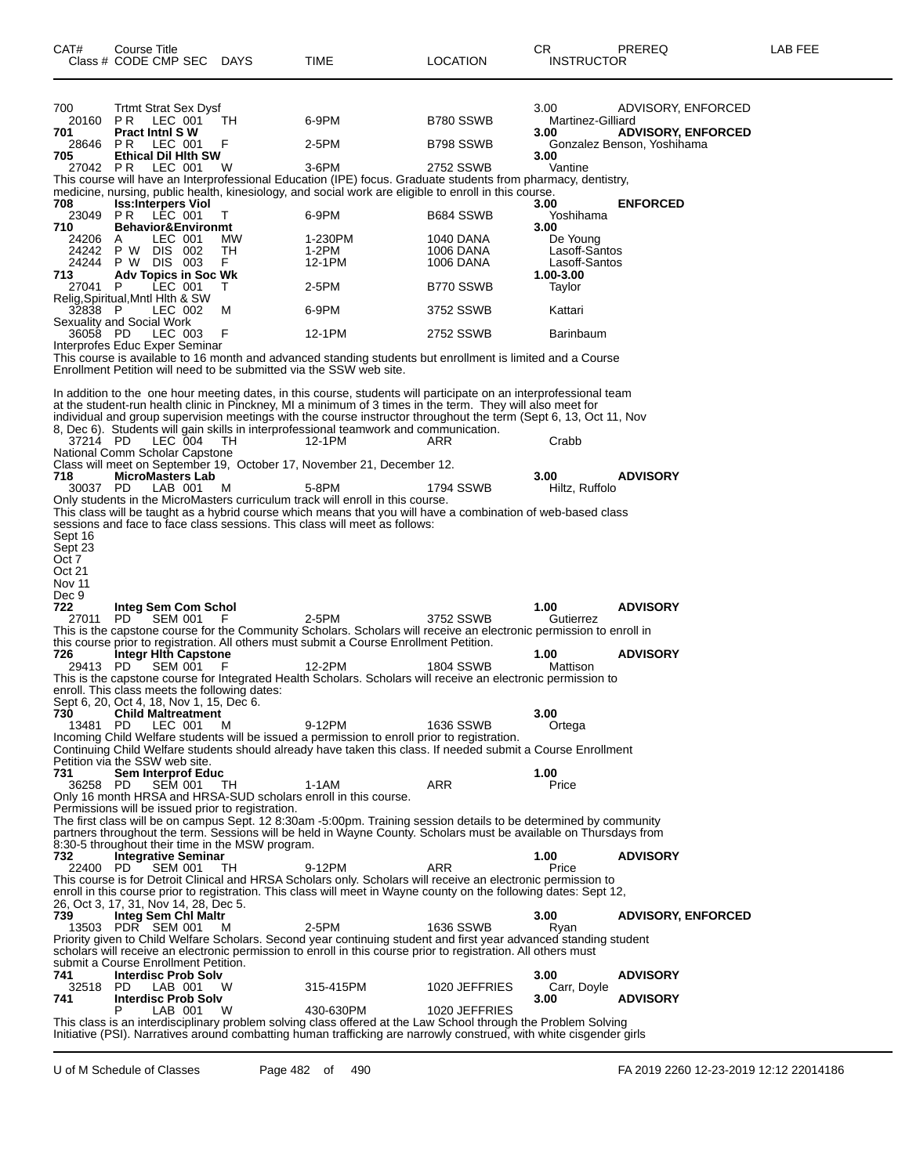| CAT#                   | Course Title<br>Class # CODE CMP SEC                                           | <b>DAYS</b> | <b>TIME</b>                                                                                                                                                                                                                                                                                                                                          | LOCATION               | CR.<br><b>INSTRUCTOR</b>       | PREREQ                     | LAB FEE |
|------------------------|--------------------------------------------------------------------------------|-------------|------------------------------------------------------------------------------------------------------------------------------------------------------------------------------------------------------------------------------------------------------------------------------------------------------------------------------------------------------|------------------------|--------------------------------|----------------------------|---------|
| 700                    | <b>Trtmt Strat Sex Dysf</b>                                                    |             |                                                                                                                                                                                                                                                                                                                                                      |                        | 3.00                           | ADVISORY, ENFORCED         |         |
| 20160<br>701           | PR<br>LEC 001<br><b>Pract Inthl SW</b>                                         | ТH          | 6-9PM                                                                                                                                                                                                                                                                                                                                                | B780 SSWB              | Martinez-Gilliard<br>3.00      | <b>ADVISORY, ENFORCED</b>  |         |
| 28646<br>705           | PR.<br>LEC 001<br><b>Ethical Dil Hith SW</b>                                   | F           | 2-5PM                                                                                                                                                                                                                                                                                                                                                | B798 SSWB              | 3.00                           | Gonzalez Benson, Yoshihama |         |
| 27042 PR               | LEC 001                                                                        | W           | 3-6PM<br>This course will have an Interprofessional Education (IPE) focus. Graduate students from pharmacy, dentistry,                                                                                                                                                                                                                               | 2752 SSWB              | Vantine                        |                            |         |
| 708                    | <b>Iss:Interpers Viol</b>                                                      |             | medicine, nursing, public health, kinesiology, and social work are eligible to enroll in this course.                                                                                                                                                                                                                                                |                        | 3.00                           | <b>ENFORCED</b>            |         |
| 23049 PR<br>710        | LEC 001<br><b>Behavior&amp;Environmt</b>                                       | т           | 6-9PM                                                                                                                                                                                                                                                                                                                                                | B684 SSWB              | Yoshihama<br>3.00              |                            |         |
| 24206                  | LEC 001<br>A                                                                   | MW          | 1-230PM                                                                                                                                                                                                                                                                                                                                              | 1040 DANA              | De Young                       |                            |         |
| 24242<br>24244         | P W DIS 002<br>P W DIS 003                                                     | TH<br>F.    | 1-2PM<br>12-1PM                                                                                                                                                                                                                                                                                                                                      | 1006 DANA<br>1006 DANA | Lasoff-Santos<br>Lasoff-Santos |                            |         |
| 713                    | <b>Adv Topics in Soc Wk</b>                                                    |             |                                                                                                                                                                                                                                                                                                                                                      |                        | 1.00-3.00                      |                            |         |
| 27041                  | LEC 001<br>P<br>Relig, Spiritual, Mntl Hith & SW                               | T.          | 2-5PM                                                                                                                                                                                                                                                                                                                                                | B770 SSWB              | Taylor                         |                            |         |
| 32838 P                | LEC 002<br>Sexuality and Social Work                                           | M           | 6-9PM                                                                                                                                                                                                                                                                                                                                                | 3752 SSWB              | Kattari                        |                            |         |
| 36058 PD               | LEC 003<br>Interprofes Educ Exper Seminar                                      | F           | 12-1PM                                                                                                                                                                                                                                                                                                                                               | 2752 SSWB              | Barinbaum                      |                            |         |
|                        |                                                                                |             | This course is available to 16 month and advanced standing students but enrollment is limited and a Course<br>Enrollment Petition will need to be submitted via the SSW web site.                                                                                                                                                                    |                        |                                |                            |         |
|                        |                                                                                |             |                                                                                                                                                                                                                                                                                                                                                      |                        |                                |                            |         |
|                        |                                                                                |             | In addition to the one hour meeting dates, in this course, students will participate on an interprofessional team<br>at the student-run health clinic in Pinckney, MI a minimum of 3 times in the term. They will also meet for<br>individual and group supervision meetings with the course instructor throughout the term (Sept 6, 13, Oct 11, Nov |                        |                                |                            |         |
| 37214 PD               | LEC 004<br>National Comm Scholar Capstone                                      | TH.         | 8, Dec 6). Students will gain skills in interprofessional teamwork and communication.<br>12-1PM                                                                                                                                                                                                                                                      | ARR                    | Crabb                          |                            |         |
|                        |                                                                                |             | Class will meet on September 19, October 17, November 21, December 12.                                                                                                                                                                                                                                                                               |                        |                                |                            |         |
| 718<br>30037 PD        | <b>MicroMasters Lab</b><br>LAB 001                                             | м           | 5-8PM                                                                                                                                                                                                                                                                                                                                                | 1794 SSWB              | 3.00<br>Hiltz, Ruffolo         | <b>ADVISORY</b>            |         |
|                        |                                                                                |             | Only students in the MicroMasters curriculum track will enroll in this course.                                                                                                                                                                                                                                                                       |                        |                                |                            |         |
|                        |                                                                                |             | This class will be taught as a hybrid course which means that you will have a combination of web-based class<br>sessions and face to face class sessions. This class will meet as follows:                                                                                                                                                           |                        |                                |                            |         |
| Sept 16                |                                                                                |             |                                                                                                                                                                                                                                                                                                                                                      |                        |                                |                            |         |
| Sept 23<br>Oct 7       |                                                                                |             |                                                                                                                                                                                                                                                                                                                                                      |                        |                                |                            |         |
| Oct 21                 |                                                                                |             |                                                                                                                                                                                                                                                                                                                                                      |                        |                                |                            |         |
| <b>Nov 11</b><br>Dec 9 |                                                                                |             |                                                                                                                                                                                                                                                                                                                                                      |                        |                                |                            |         |
| 722<br>27011           | Integ Sem Com Schol<br>SEM 001<br>PD.                                          | - F         | 2-5PM                                                                                                                                                                                                                                                                                                                                                | 3752 SSWB              | 1.00<br>Gutierrez              | <b>ADVISORY</b>            |         |
|                        |                                                                                |             | This is the capstone course for the Community Scholars. Scholars will receive an electronic permission to enroll in                                                                                                                                                                                                                                  |                        |                                |                            |         |
| 726                    | Integr Hith Capstone                                                           |             | this course prior to registration. All others must submit a Course Enrollment Petition.                                                                                                                                                                                                                                                              |                        | 1.00                           | <b>ADVISORY</b>            |         |
| 29413 PD               | <b>SEM 001</b>                                                                 | F           | 12-2PM                                                                                                                                                                                                                                                                                                                                               | <b>1804 SSWB</b>       | Mattison                       |                            |         |
|                        | enroll. This class meets the following dates:                                  |             | This is the capstone course for Integrated Health Scholars. Scholars will receive an electronic permission to                                                                                                                                                                                                                                        |                        |                                |                            |         |
|                        | Sept 6, 20, Oct 4, 18, Nov 1, 15, Dec 6.                                       |             |                                                                                                                                                                                                                                                                                                                                                      |                        |                                |                            |         |
| 730<br>13481           | <b>Child Maltreatment</b><br>PD.<br>LEC 001                                    | M           | 9-12PM                                                                                                                                                                                                                                                                                                                                               | 1636 SSWB              | 3.00<br>Ortega                 |                            |         |
|                        |                                                                                |             | Incoming Child Welfare students will be issued a permission to enroll prior to registration.<br>Continuing Child Welfare students should already have taken this class. If needed submit a Course Enrollment                                                                                                                                         |                        |                                |                            |         |
|                        | Petition via the SSW web site.                                                 |             |                                                                                                                                                                                                                                                                                                                                                      |                        |                                |                            |         |
| 731<br>36258 PD        | <b>Sem Interprof Educ</b><br><b>SEM 001</b>                                    | TH          | 1-1AM                                                                                                                                                                                                                                                                                                                                                | ARR                    | 1.00<br>Price                  |                            |         |
|                        |                                                                                |             | Only 16 month HRSA and HRSA-SUD scholars enroll in this course.                                                                                                                                                                                                                                                                                      |                        |                                |                            |         |
|                        | Permissions will be issued prior to registration.                              |             | The first class will be on campus Sept. 12 8:30am -5:00pm. Training session details to be determined by community                                                                                                                                                                                                                                    |                        |                                |                            |         |
|                        |                                                                                |             | partners throughout the term. Sessions will be held in Wayne County. Scholars must be available on Thursdays from                                                                                                                                                                                                                                    |                        |                                |                            |         |
| 732                    | 8:30-5 throughout their time in the MSW program.<br><b>Integrative Seminar</b> |             |                                                                                                                                                                                                                                                                                                                                                      |                        | 1.00                           | <b>ADVISORY</b>            |         |
| 22400 PD               | <b>SEM 001</b>                                                                 | TH          | 9-12PM                                                                                                                                                                                                                                                                                                                                               | ARR                    | Price                          |                            |         |
|                        |                                                                                |             | This course is for Detroit Clinical and HRSA Scholars only. Scholars will receive an electronic permission to<br>enroll in this course prior to registration. This class will meet in Wayne county on the following dates: Sept 12,                                                                                                                  |                        |                                |                            |         |
|                        | 26, Oct 3, 17, 31, Nov 14, 28, Dec 5.                                          |             |                                                                                                                                                                                                                                                                                                                                                      |                        |                                |                            |         |
| 739                    | Integ Sem Chi Maltr<br>13503 PDR SEM 001                                       | м           | 2-5PM                                                                                                                                                                                                                                                                                                                                                | <b>1636 SSWB</b>       | 3.00<br>Ryan                   | <b>ADVISORY, ENFORCED</b>  |         |
|                        |                                                                                |             | Priority given to Child Welfare Scholars. Second year continuing student and first year advanced standing student<br>scholars will receive an electronic permission to enroll in this course prior to registration. All others must                                                                                                                  |                        |                                |                            |         |
|                        | submit a Course Enrollment Petition.                                           |             |                                                                                                                                                                                                                                                                                                                                                      |                        |                                |                            |         |
| 741<br>32518           | <b>Interdisc Prob Solv</b><br>PD.<br>LAB 001                                   | W           | 315-415PM                                                                                                                                                                                                                                                                                                                                            | 1020 JEFFRIES          | 3.00<br>Carr, Doyle            | <b>ADVISORY</b>            |         |
| 741                    | <b>Interdisc Prob Solv</b>                                                     |             |                                                                                                                                                                                                                                                                                                                                                      |                        | 3.00                           | <b>ADVISORY</b>            |         |
|                        | Р<br>LAB 001                                                                   | W           | 430-630PM<br>This class is an interdisciplinary problem solving class offered at the Law School through the Problem Solving                                                                                                                                                                                                                          | 1020 JEFFRIES          |                                |                            |         |
|                        |                                                                                |             | Initiative (PSI). Narratives around combatting human trafficking are narrowly construed, with white cisgender girls                                                                                                                                                                                                                                  |                        |                                |                            |         |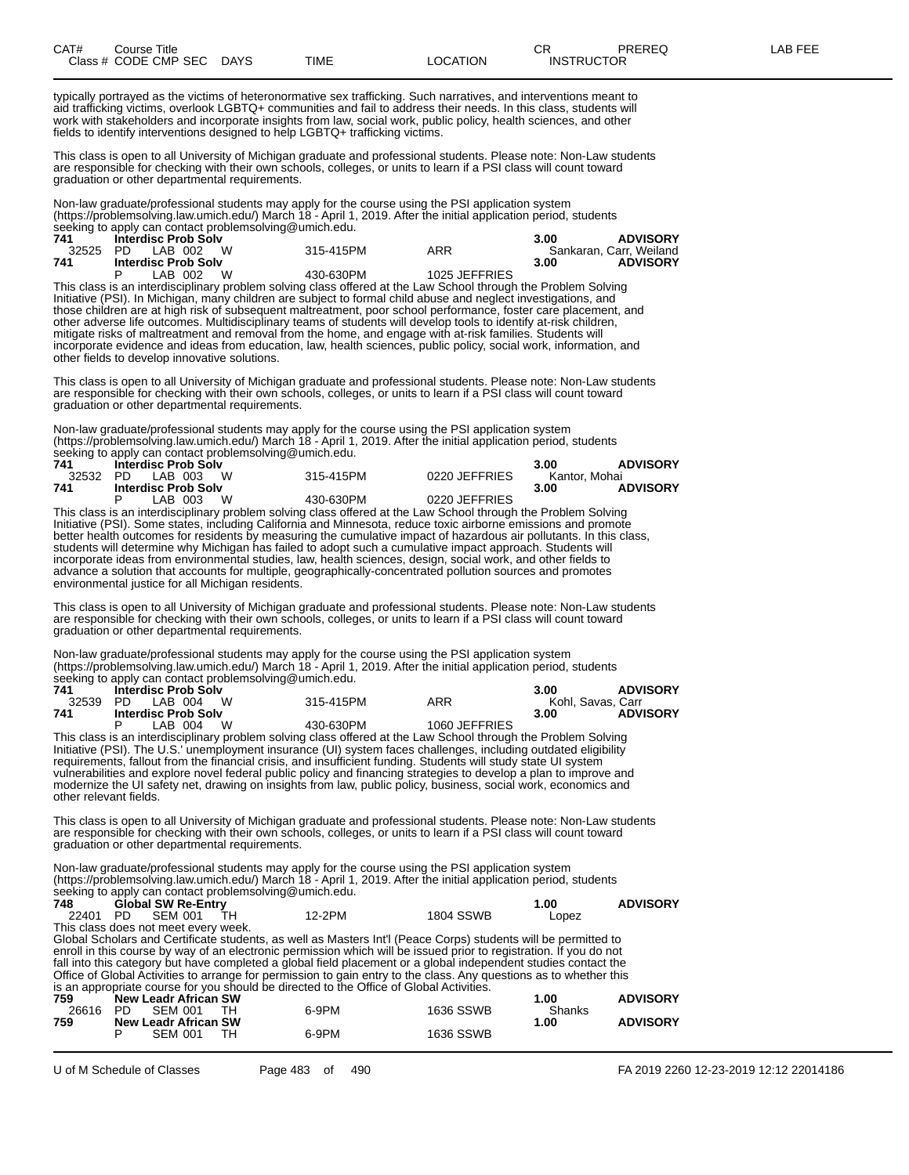| CAT# | Title<br>Course      |             |      |          | ∼⊏<br>◡⊓          | PREREQ | AR FEF |
|------|----------------------|-------------|------|----------|-------------------|--------|--------|
|      | Class # CODE CMP SEC | <b>DAYS</b> | TIME | LOCATION | <b>INSTRUCTOR</b> |        |        |

typically portrayed as the victims of heteronormative sex trafficking. Such narratives, and interventions meant to aid trafficking victims, overlook LGBTQ+ communities and fail to address their needs. In this class, students will work with stakeholders and incorporate insights from law, social work, public policy, health sciences, and other fields to identify interventions designed to help LGBTQ+ trafficking victims.

This class is open to all University of Michigan graduate and professional students. Please note: Non-Law students are responsible for checking with their own schools, colleges, or units to learn if a PSI class will count toward graduation or other departmental requirements.

Non-law graduate/professional students may apply for the course using the PSI application system (https://problemsolving.law.umich.edu/) March 18 - April 1, 2019. After the initial application period, students seeking to apply can contact problemsolving@umich.edu.

| 741 | <b>Interdisc Prob Solv</b>   |           |               | <b>ADVISORY</b><br>3.00 |
|-----|------------------------------|-----------|---------------|-------------------------|
|     | 32525 PD LAB 002<br><b>W</b> | 315-415PM | ARR           | Sankaran, Carr, Weiland |
| 741 | <b>Interdisc Prob Solv</b>   |           |               | <b>ADVISORY</b><br>3.00 |
|     | W<br>LAB 002                 | 430-630PM | 1025 JEFFRIES |                         |

This class is an interdisciplinary problem solving class offered at the Law School through the Problem Solving Initiative (PSI). In Michigan, many children are subject to formal child abuse and neglect investigations, and those children are at high risk of subsequent maltreatment, poor school performance, foster care placement, and other adverse life outcomes. Multidisciplinary teams of students will develop tools to identify at-risk children, mitigate risks of maltreatment and removal from the home, and engage with at-risk families. Students will incorporate evidence and ideas from education, law, health sciences, public policy, social work, information, and other fields to develop innovative solutions.

This class is open to all University of Michigan graduate and professional students. Please note: Non-Law students are responsible for checking with their own schools, colleges, or units to learn if a PSI class will count toward graduation or other departmental requirements.

Non-law graduate/professional students may apply for the course using the PSI application system (https://problemsolving.law.umich.edu/) March 18 - April 1, 2019. After the initial application period, students seeking to apply can contact problemsolving@umich.edu.

| 741 | <b>Interdisc Prob Solv</b>                                                                                                                             | <b>ADVISORY</b><br>3.00 |               |                         |  |
|-----|--------------------------------------------------------------------------------------------------------------------------------------------------------|-------------------------|---------------|-------------------------|--|
|     | 32532 PD LAB 003 W                                                                                                                                     | Kantor, Mohai           |               |                         |  |
| 741 | <b>Interdisc Prob Solv</b>                                                                                                                             |                         |               | <b>ADVISORY</b><br>3.00 |  |
|     | LAB 003 W                                                                                                                                              | 430-630PM               | 0220 JEFFRIES |                         |  |
|     | $\blacksquare$ . The set of the set of the second less set to set of set of the declines $\bigcap$ should be set of $\bigcap$ . It is set of $\bigcap$ |                         |               |                         |  |

This class is an interdisciplinary problem solving class offered at the Law School through the Problem Solving Initiative (PSI). Some states, including California and Minnesota, reduce toxic airborne emissions and promote better health outcomes for residents by measuring the cumulative impact of hazardous air pollutants. In this class, students will determine why Michigan has failed to adopt such a cumulative impact approach. Students will incorporate ideas from environmental studies, law, health sciences, design, social work, and other fields to advance a solution that accounts for multiple, geographically-concentrated pollution sources and promotes environmental justice for all Michigan residents.

This class is open to all University of Michigan graduate and professional students. Please note: Non-Law students are responsible for checking with their own schools, colleges, or units to learn if a PSI class will count toward graduation or other departmental requirements.

Non-law graduate/professional students may apply for the course using the PSI application system (https://problemsolving.law.umich.edu/) March 18 - April 1, 2019. After the initial application period, students seeking to apply can contact problemsolving@umich.edu.

| 741   | <b>Interdisc Prob Solv</b> |           |               | <b>ADVISORY</b><br>3.00 |  |
|-------|----------------------------|-----------|---------------|-------------------------|--|
| 32539 | <b>W</b><br>PD LAB 004     | 315-415PM | ARR           | Kohl, Savas, Carr       |  |
| 741   | <b>Interdisc Prob Solv</b> |           |               | <b>ADVISORY</b><br>3.00 |  |
|       | W<br>LAB 004               | 430-630PM | 1060 JEFFRIES |                         |  |

This class is an interdisciplinary problem solving class offered at the Law School through the Problem Solving Initiative (PSI). The U.S.' unemployment insurance (UI) system faces challenges, including outdated eligibility requirements, fallout from the financial crisis, and insufficient funding. Students will study state UI system vulnerabilities and explore novel federal public policy and financing strategies to develop a plan to improve and modernize the UI safety net, drawing on insights from law, public policy, business, social work, economics and other relevant fields.

This class is open to all University of Michigan graduate and professional students. Please note: Non-Law students are responsible for checking with their own schools, colleges, or units to learn if a PSI class will count toward graduation or other departmental requirements.

Non-law graduate/professional students may apply for the course using the PSI application system (https://problemsolving.law.umich.edu/) March 18 - April 1, 2019. After the initial application period, students seeking to apply can contact problemsolving@umich.edu.

| 748      |       | <b>Global SW Re-Entry</b>            |    |                                                                                         |                                                                                                                    | 1.00   | <b>ADVISORY</b> |
|----------|-------|--------------------------------------|----|-----------------------------------------------------------------------------------------|--------------------------------------------------------------------------------------------------------------------|--------|-----------------|
| 22401 PD |       | <b>SEM 001</b>                       | TН | 12-2PM                                                                                  | <b>1804 SSWB</b>                                                                                                   | Lopez  |                 |
|          |       | This class does not meet every week. |    |                                                                                         |                                                                                                                    |        |                 |
|          |       |                                      |    |                                                                                         | Global Scholars and Certificate students, as well as Masters Int'l (Peace Corps) students will be permitted to     |        |                 |
|          |       |                                      |    |                                                                                         | enroll in this course by way of an electronic permission which will be issued prior to registration. If you do not |        |                 |
|          |       |                                      |    |                                                                                         | fall into this category but have completed a global field placement or a global independent studies contact the    |        |                 |
|          |       |                                      |    |                                                                                         | Office of Global Activities to arrange for permission to gain entry to the class. Any questions as to whether this |        |                 |
|          |       |                                      |    | is an appropriate course for you should be directed to the Office of Global Activities. |                                                                                                                    |        |                 |
| 759      |       | New Leadr African SW                 |    |                                                                                         |                                                                                                                    | 1.00   | <b>ADVISORY</b> |
| 26616    | - PD. | SEM 001                              | тн | 6-9PM                                                                                   | 1636 SSWB                                                                                                          | Shanks |                 |
| 759      |       | <b>New Leadr African SW</b>          |    |                                                                                         |                                                                                                                    | 1.00   | <b>ADVISORY</b> |

P SEM 001 TH 6-9PM 1636 SSWB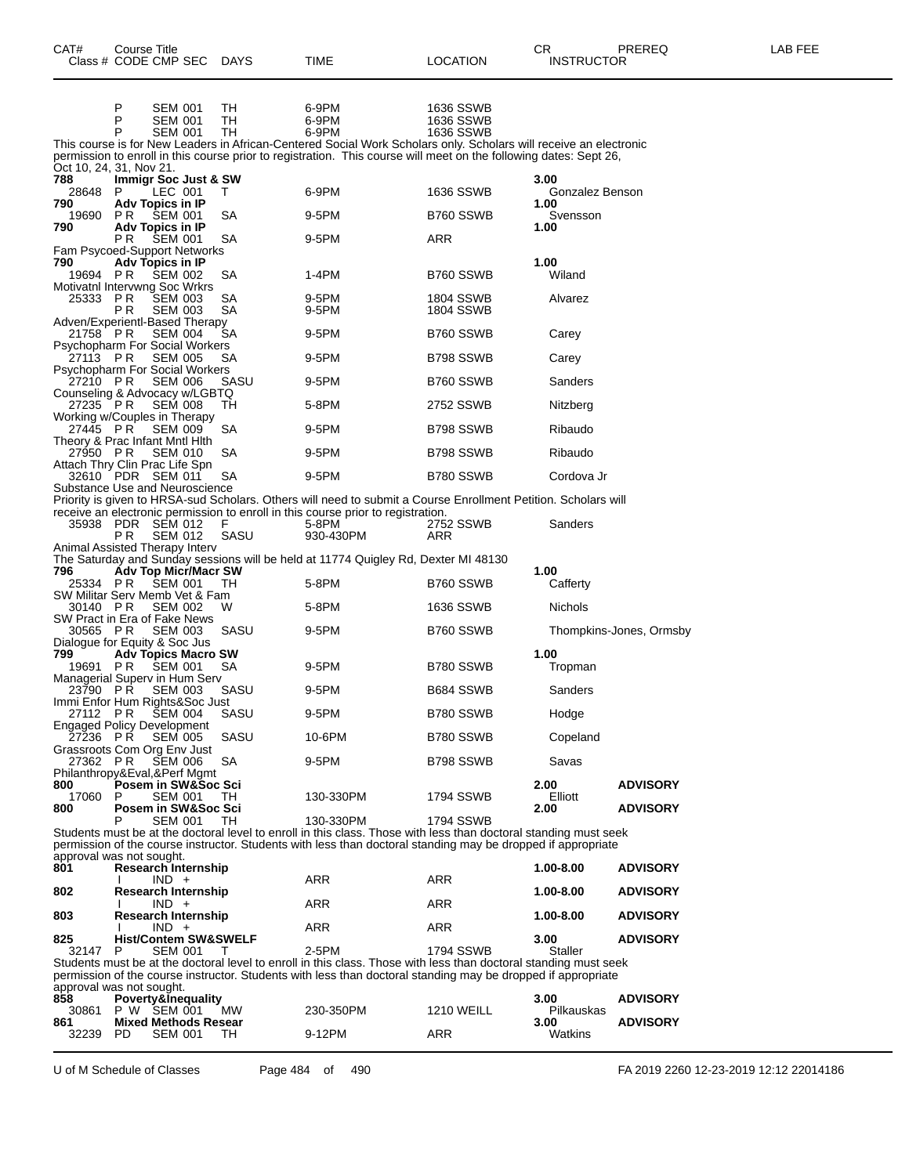| CAT#            | <b>Course Title</b><br>Class # CODE CMP SEC                                     | <b>DAYS</b> | TIME                                                                                                                                                                                                                                   | LOCATION                      | CR<br><b>INSTRUCTOR</b> | PREREQ                  | LAB FEE |
|-----------------|---------------------------------------------------------------------------------|-------------|----------------------------------------------------------------------------------------------------------------------------------------------------------------------------------------------------------------------------------------|-------------------------------|-------------------------|-------------------------|---------|
|                 | P<br><b>SEM 001</b>                                                             | TН          | 6-9PM                                                                                                                                                                                                                                  | 1636 SSWB                     |                         |                         |         |
|                 | P<br><b>SEM 001</b><br>P<br><b>SEM 001</b>                                      | TН<br>TH    | 6-9PM<br>6-9PM                                                                                                                                                                                                                         | 1636 SSWB<br>1636 SSWB        |                         |                         |         |
|                 | Oct 10, 24, 31, Nov 21.                                                         |             | This course is for New Leaders in African-Centered Social Work Scholars only. Scholars will receive an electronic<br>permission to enroll in this course prior to registration. This course will meet on the following dates: Sept 26, |                               |                         |                         |         |
| 788<br>28648    | Immigr Soc Just & SW<br>P<br>LEC 001                                            | T.          | 6-9PM                                                                                                                                                                                                                                  | 1636 SSWB                     | 3.00<br>Gonzalez Benson |                         |         |
| 790<br>19690    | Adv Topics in IP<br>P R<br><b>SEM 001</b>                                       | SA          | 9-5PM                                                                                                                                                                                                                                  | B760 SSWB                     | 1.00<br>Svensson        |                         |         |
| 790             | Adv Topics in IP<br>P R<br><b>SEM 001</b>                                       | SA          | 9-5PM                                                                                                                                                                                                                                  | ARR                           | 1.00                    |                         |         |
| 790<br>19694 PR | Fam Psycoed-Support Networks<br>Adv Topics in IP<br><b>SEM 002</b>              | SA          | 1-4PM                                                                                                                                                                                                                                  | B760 SSWB                     | 1.00<br>Wiland          |                         |         |
| 25333           | Motivatnl Intervwng Soc Wrkrs<br>P R<br><b>SEM 003</b><br>P R<br><b>SEM 003</b> | SA<br>SA    | 9-5PM<br>9-5PM                                                                                                                                                                                                                         | <b>1804 SSWB</b><br>1804 SSWB | Alvarez                 |                         |         |
| 21758 PR        | Adven/Experientl-Based Therapy<br><b>SEM 004</b>                                | SА          | 9-5PM                                                                                                                                                                                                                                  | B760 SSWB                     | Carey                   |                         |         |
| 27113 PR        | <b>Psychopharm For Social Workers</b><br><b>SEM 005</b>                         | SА          | 9-5PM                                                                                                                                                                                                                                  | B798 SSWB                     |                         |                         |         |
| 27210 PR        | <b>Psychopharm For Social Workers</b><br>SEM 006                                | SASU        | 9-5PM                                                                                                                                                                                                                                  | B760 SSWB                     | Carey<br>Sanders        |                         |         |
|                 | Counseling & Advocacy w/LGBTQ                                                   |             |                                                                                                                                                                                                                                        | 2752 SSWB                     |                         |                         |         |
| 27235 PR        | <b>SEM 008</b><br>Working w/Couples in Therapy                                  | TH          | 5-8PM                                                                                                                                                                                                                                  |                               | Nitzberg                |                         |         |
| 27445 PR        | <b>SEM 009</b><br>Theory & Prac Infant Mntl Hith                                | SA          | 9-5PM                                                                                                                                                                                                                                  | B798 SSWB                     | Ribaudo                 |                         |         |
| 27950 PR        | SEM 010<br>Attach Thry Clin Prac Life Spn                                       | SA          | 9-5PM                                                                                                                                                                                                                                  | B798 SSWB                     | Ribaudo                 |                         |         |
|                 | 32610 PDR SEM 011<br>Substance Use and Neuroscience                             | SA          | 9-5PM                                                                                                                                                                                                                                  | B780 SSWB                     | Cordova Jr              |                         |         |
|                 |                                                                                 |             | Priority is given to HRSA-sud Scholars. Others will need to submit a Course Enrollment Petition. Scholars will<br>receive an electronic permission to enroll in this course prior to registration.                                     |                               |                         |                         |         |
| 35938           | PDR SEM 012<br>P R<br>SEM 012<br>Animal Assisted Therapy Interv                 | F<br>SASU   | 5-8PM<br>930-430PM                                                                                                                                                                                                                     | 2752 SSWB<br>ARR              | Sanders                 |                         |         |
|                 |                                                                                 |             | The Saturday and Sunday sessions will be held at 11774 Quigley Rd, Dexter MI 48130                                                                                                                                                     |                               |                         |                         |         |
| 796<br>25334 PR | <b>Adv Top Micr/Macr SW</b><br><b>SEM 001</b>                                   | TH.         | 5-8PM                                                                                                                                                                                                                                  | B760 SSWB                     | 1.00<br>Cafferty        |                         |         |
| 30140 PR        | SW Militar Serv Memb Vet & Fam<br><b>SEM 002</b>                                | w           | 5-8PM                                                                                                                                                                                                                                  | 1636 SSWB                     | Nichols                 |                         |         |
| 30565 PR        | SW Pract in Era of Fake News<br>SEM 003                                         | SASU        | 9-5PM                                                                                                                                                                                                                                  | B760 SSWB                     |                         | Thompkins-Jones, Ormsby |         |
| 799             | Dialogue for Equity & Soc Jus<br><b>Adv Topics Macro SW</b>                     |             |                                                                                                                                                                                                                                        |                               | 1.00                    |                         |         |
| 19691 PR        | SEM 001<br>Managerial Superv in Hum Serv                                        | SA          | 9-5PM                                                                                                                                                                                                                                  | B780 SSWB                     | Tropman                 |                         |         |
| 23790 PR        | <b>SEM 003</b><br>Immi Enfor Hum Rights&Soc Just                                | SASU        | 9-5PM                                                                                                                                                                                                                                  | B684 SSWB                     | Sanders                 |                         |         |
|                 | 27112 PR SEM 004<br><b>Engaged Policy Development</b>                           | SASU        | 9-5PM                                                                                                                                                                                                                                  | B780 SSWB                     | Hodge                   |                         |         |
| 27236 PR        | <b>SEM 005</b><br>Grassroots Com Org Env Just                                   | SASU        | 10-6PM                                                                                                                                                                                                                                 | B780 SSWB                     | Copeland                |                         |         |
| 27362 PR        | <b>SEM 006</b><br>Philanthropy&Eval,&Perf Mgmt                                  | SA          | 9-5PM                                                                                                                                                                                                                                  | B798 SSWB                     | Savas                   |                         |         |
| 800<br>17060    | Posem in SW&Soc Sci<br><b>SEM 001</b>                                           | TH.         | 130-330PM                                                                                                                                                                                                                              | 1794 SSWB                     | 2.00<br>Elliott         | <b>ADVISORY</b>         |         |
| 800             | Posem in SW&Soc Sci<br><b>SEM 001</b><br>P                                      | TH          | 130-330PM                                                                                                                                                                                                                              | 1794 SSWB                     | 2.00                    | <b>ADVISORY</b>         |         |
|                 |                                                                                 |             | Students must be at the doctoral level to enroll in this class. Those with less than doctoral standing must seek<br>permission of the course instructor. Students with less than doctoral standing may be dropped if appropriate       |                               |                         |                         |         |
| 801             | approval was not sought.<br>Research Internship                                 |             |                                                                                                                                                                                                                                        |                               | 1.00-8.00               | <b>ADVISORY</b>         |         |
| 802             | $IND +$<br><b>Research Internship</b>                                           |             | ARR                                                                                                                                                                                                                                    | ARR                           | 1.00-8.00               | <b>ADVISORY</b>         |         |
| 803             | $IND +$<br><b>Research Internship</b>                                           |             | ARR                                                                                                                                                                                                                                    | ARR                           | 1.00-8.00               | <b>ADVISORY</b>         |         |
| 825             | $IND +$<br><b>Hist/Contem SW&amp;SWELF</b>                                      |             | ARR                                                                                                                                                                                                                                    | ARR                           | 3.00                    | <b>ADVISORY</b>         |         |
| 32147           | P<br><b>SEM 001</b>                                                             | $\top$      | 2-5PM<br>Students must be at the doctoral level to enroll in this class. Those with less than doctoral standing must seek                                                                                                              | 1794 SSWB                     | Staller                 |                         |         |
|                 | approval was not sought.                                                        |             | permission of the course instructor. Students with less than doctoral standing may be dropped if appropriate                                                                                                                           |                               |                         |                         |         |
| 858<br>30861    | Poverty&Inequality<br>P W SEM 001                                               | <b>MW</b>   | 230-350PM                                                                                                                                                                                                                              | <b>1210 WEILL</b>             | 3.00<br>Pilkauskas      | <b>ADVISORY</b>         |         |
| 861<br>32239 PD | <b>Mixed Methods Resear</b><br><b>SEM 001</b>                                   | TH.         | 9-12PM                                                                                                                                                                                                                                 | ARR                           | 3.00<br>Watkins         | <b>ADVISORY</b>         |         |
|                 |                                                                                 |             |                                                                                                                                                                                                                                        |                               |                         |                         |         |

U of M Schedule of Classes Page 484 of 490 FA 2019 2260 12-23-2019 12:12 22014186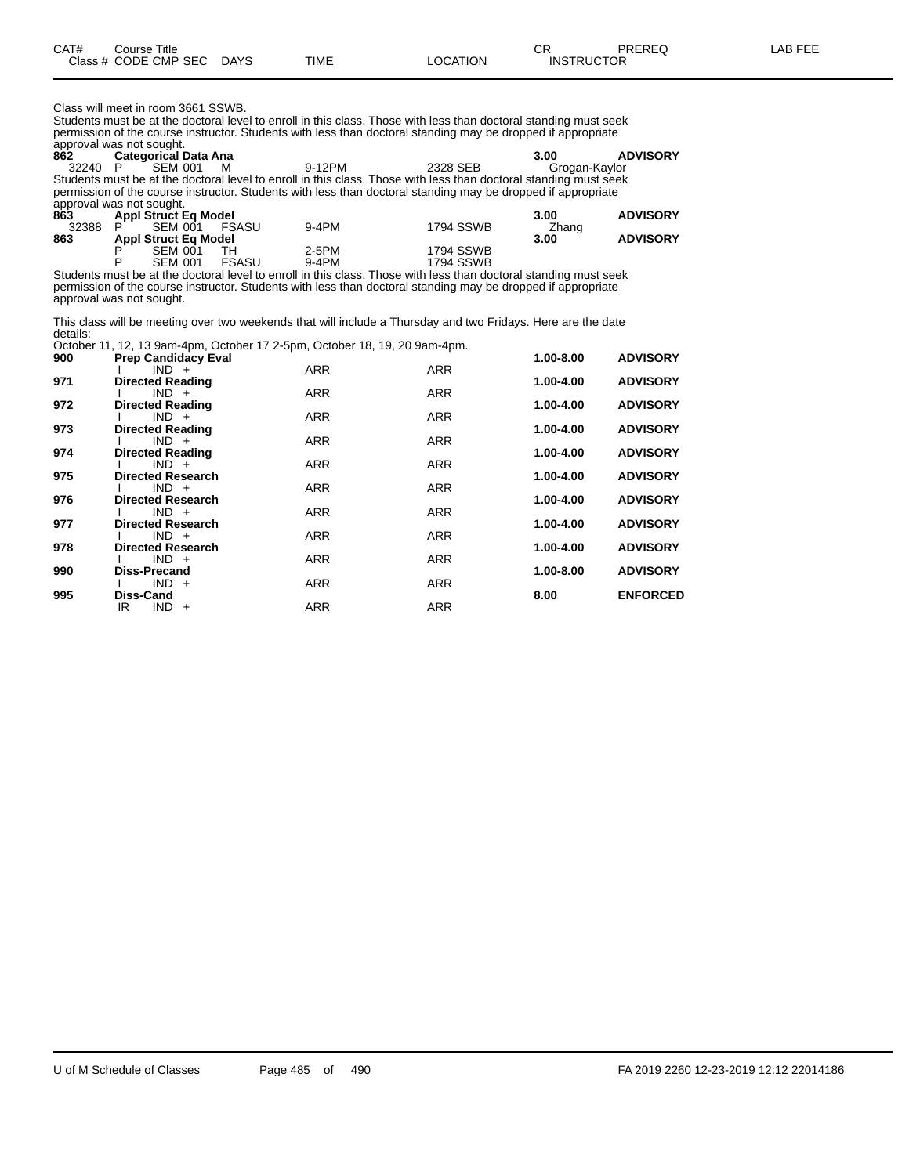| CAT# | Course Title<br>Class # CODE CMP SEC DAYS | TIME | LOCATION | rπ<br><b>UN</b><br><b>INSTRUCTOR</b> | PREREQ | LAB FEE |
|------|-------------------------------------------|------|----------|--------------------------------------|--------|---------|
|      |                                           |      |          |                                      |        |         |

Class will meet in room 3661 SSWB.

Students must be at the doctoral level to enroll in this class. Those with less than doctoral standing must seek permission of the course instructor. Students with less than doctoral standing may be dropped if appropriate approval was not sought.

**862 Categorical Data Ana 3.00 ADVISORY** 32240 P SEM 001 M 9-12PM 2328 SEB Grogan-Kaylor Students must be at the doctoral level to enroll in this class. Those with less than doctoral standing must seek permission of the course instructor. Students with less than doctoral standing may be dropped if appropriate approval was not sought.

| 863   | <b>Appl Struct Eq Model</b> |       |         |                                                                                                                                                                                                                               |       | <b>ADVISORY</b> |
|-------|-----------------------------|-------|---------|-------------------------------------------------------------------------------------------------------------------------------------------------------------------------------------------------------------------------------|-------|-----------------|
| 32388 | <b>SEM 001</b>              | FSASU | $9-4PM$ | <b>1794 SSWB</b>                                                                                                                                                                                                              | Zhang |                 |
| 863   | Appl Struct Eq Model        |       |         |                                                                                                                                                                                                                               | 3.00  | <b>ADVISORY</b> |
|       | SEM 001                     |       | 2-5PM   | <b>1794 SSWB</b>                                                                                                                                                                                                              |       |                 |
|       | SEM 001                     | FSASU | 9-4PM   | <b>1794 SSWB</b>                                                                                                                                                                                                              |       |                 |
|       |                             |       |         | △ Accelerate concerts of the description of the concell for the state. ★books and the description of the format of the second second second second second second second second second second second second second second seco |       |                 |

Students must be at the doctoral level to enroll in this class. Those with less than doctoral standing must seek permission of the course instructor. Students with less than doctoral standing may be dropped if appropriate approval was not sought.

This class will be meeting over two weekends that will include a Thursday and two Fridays. Here are the date details:

|     | October 11, 12, 13 9am-4pm, October 17 2-5pm, October 18, 19, 20 9am-4pm. |            |            |           |                 |
|-----|---------------------------------------------------------------------------|------------|------------|-----------|-----------------|
| 900 | <b>Prep Candidacy Eval</b>                                                |            |            | 1.00-8.00 | <b>ADVISORY</b> |
|     | $IND +$                                                                   | ARR        | <b>ARR</b> |           |                 |
| 971 | <b>Directed Reading</b>                                                   |            |            | 1.00-4.00 | <b>ADVISORY</b> |
|     | $IND +$                                                                   | ARR        | <b>ARR</b> |           |                 |
| 972 | <b>Directed Reading</b>                                                   |            |            | 1.00-4.00 | <b>ADVISORY</b> |
|     | $IND +$                                                                   | <b>ARR</b> | <b>ARR</b> |           |                 |
| 973 | <b>Directed Reading</b>                                                   |            |            | 1.00-4.00 | <b>ADVISORY</b> |
|     | $IND +$                                                                   | ARR        | <b>ARR</b> |           |                 |
| 974 | <b>Directed Reading</b>                                                   |            |            | 1.00-4.00 | <b>ADVISORY</b> |
|     | $IND +$                                                                   | ARR        | <b>ARR</b> |           |                 |
| 975 | <b>Directed Research</b>                                                  |            |            | 1.00-4.00 | <b>ADVISORY</b> |
|     | $IND +$<br><b>Directed Research</b>                                       | ARR        | <b>ARR</b> |           |                 |
| 976 | $IND +$                                                                   | ARR        | <b>ARR</b> | 1.00-4.00 | <b>ADVISORY</b> |
| 977 | <b>Directed Research</b>                                                  |            |            | 1.00-4.00 | <b>ADVISORY</b> |
|     | $IND +$                                                                   | <b>ARR</b> | <b>ARR</b> |           |                 |
| 978 | <b>Directed Research</b>                                                  |            |            | 1.00-4.00 | <b>ADVISORY</b> |
|     | $IND +$                                                                   | ARR        | <b>ARR</b> |           |                 |
| 990 | Diss-Precand                                                              |            |            | 1.00-8.00 | <b>ADVISORY</b> |
|     | $IND +$                                                                   | ARR        | <b>ARR</b> |           |                 |
| 995 | Diss-Cand                                                                 |            |            | 8.00      | <b>ENFORCED</b> |
|     | $IND +$<br>IR                                                             | <b>ARR</b> | <b>ARR</b> |           |                 |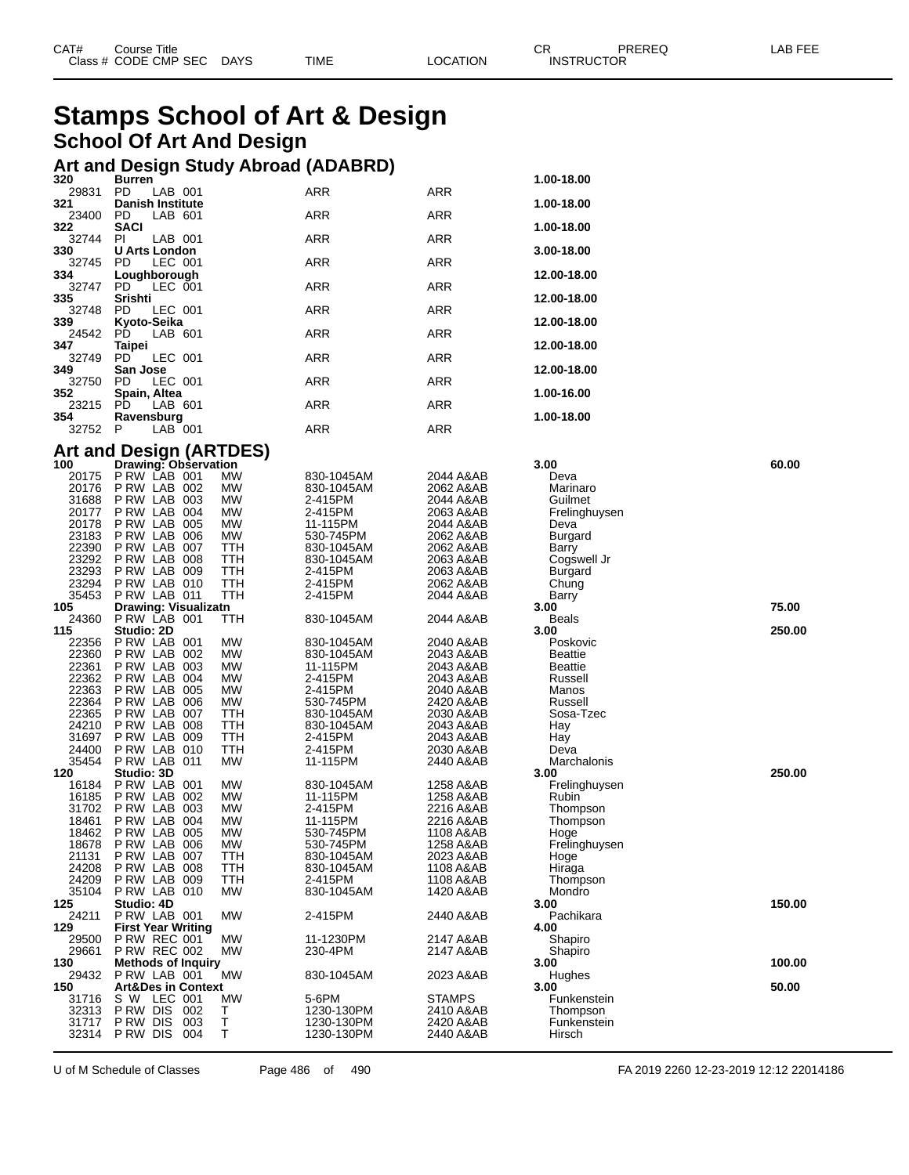| CAT# | Course Title<br>Class # CODE CMP SEC | <b>DAYS</b> | <b>TIME</b> | <b>_OCATION</b> | СR<br><b>INSTRUCTOR</b> | PREREQ | LAB FEE |
|------|--------------------------------------|-------------|-------------|-----------------|-------------------------|--------|---------|
|      |                                      |             |             |                 |                         |        |         |

## **Stamps School of Art & Design School Of Art And Design**

## **Art and Design Study Abroad (ADABRD) 320 Burren 1.00-18.00**

| .<br>29831     | ----<br>PD.<br>LAB 001                           |            | ARR                      | ARR                    |                      |        |
|----------------|--------------------------------------------------|------------|--------------------------|------------------------|----------------------|--------|
| 321            | <b>Danish Institute</b>                          |            |                          |                        | 1.00-18.00           |        |
| 23400<br>322   | PD<br>LAB 601<br><b>SACI</b>                     |            | ARR                      | <b>ARR</b>             | 1.00-18.00           |        |
| 32744          | PI.<br>LAB 001                                   |            | ARR                      | ARR                    |                      |        |
| 330            | <b>U Arts London</b>                             |            |                          |                        | 3.00-18.00           |        |
| 32745<br>334   | LEC 001<br>PD.<br>Loughborough                   |            | ARR                      | ARR                    | 12.00-18.00          |        |
| 32747          | PD.<br>LEC 001                                   |            | ARR                      | ARR                    |                      |        |
| 335<br>32748   | Srishti<br>PD<br>LEC 001                         |            | ARR                      | ARR                    | 12.00-18.00          |        |
| 339            | Kyoto-Seika                                      |            |                          |                        | 12.00-18.00          |        |
| 24542          | LAB 601<br>PD.                                   |            | ARR                      | ARR                    |                      |        |
| 347<br>32749   | Taipei<br>PD.<br>LEC 001                         |            | ARR                      | ARR                    | 12.00-18.00          |        |
| 349            | San Jose                                         |            |                          |                        | 12.00-18.00          |        |
| 32750          | PD<br>LEC 001                                    |            | ARR                      | ARR                    |                      |        |
| 352<br>23215   | Spain, Altea<br>LAB 601<br>PD                    |            | ARR                      | ARR                    | 1.00-16.00           |        |
| 354            | Ravensburg                                       |            |                          |                        | 1.00-18.00           |        |
| 32752          | P<br>LAB 001                                     |            | ARR                      | ARR                    |                      |        |
|                | <b>Art and Design (ARTDES)</b>                   |            |                          |                        |                      |        |
| 100            | Drawing: Observation                             |            |                          |                        | 3.00                 | 60.00  |
| 20175<br>20176 | PRW LAB 001<br>PRW LAB 002                       | МW<br>MW   | 830-1045AM<br>830-1045AM | 2044 A&AB<br>2062 A&AB | Deva<br>Marinaro     |        |
| 31688          | PRW LAB 003                                      | МW         | 2-415PM                  | 2044 A&AB              | Guilmet              |        |
| 20177          | P RW LAB 004                                     | MW         | 2-415PM                  | 2063 A&AB              | Frelinghuysen        |        |
| 20178          | P RW LAB 005                                     | МW         | 11-115PM                 | 2044 A&AB              | Deva                 |        |
| 23183          | PRW LAB 006<br>PRW LAB 007                       | МW<br>TTH  | 530-745PM                | 2062 A&AB              | Burgard              |        |
| 22390<br>23292 | PRW LAB 008                                      | TTH        | 830-1045AM<br>830-1045AM | 2062 A&AB<br>2063 A&AB | Barry<br>Cogswell Jr |        |
| 23293          | PRW LAB 009                                      | TTH        | 2-415PM                  | 2063 A&AB              | Burgard              |        |
| 23294          | PRW LAB 010                                      | TTH        | 2-415PM                  | 2062 A&AB              | Chung                |        |
| 35453          | PRW LAB 011                                      | TTH        | 2-415PM                  | 2044 A&AB              | Barry                |        |
| 105<br>24360   | Drawing: Visualizatn<br>PRW LAB 001              | TTH        | 830-1045AM               | 2044 A&AB              | 3.00<br>Beals        | 75.00  |
| 115            | Studio: 2D                                       |            |                          |                        | 3.00                 | 250.00 |
| 22356          | PRW LAB 001                                      | MW         | 830-1045AM               | 2040 A&AB              | Poskovic             |        |
| 22360          | PRW LAB 002                                      | МW         | 830-1045AM               | 2043 A&AB              | Beattie              |        |
| 22361          | PRW LAB 003                                      | МW         | 11-115PM                 | 2043 A&AB              | <b>Beattie</b>       |        |
| 22362<br>22363 | PRW LAB 004<br>P RW LAB 005                      | MW<br>МW   | 2-415PM<br>2-415PM       | 2043 A&AB<br>2040 A&AB | Russell<br>Manos     |        |
| 22364          | PRW LAB 006                                      | МW         | 530-745PM                | 2420 A&AB              | Russell              |        |
| 22365          | PRW LAB 007                                      | ттн        | 830-1045AM               | 2030 A&AB              | Sosa-Tzec            |        |
| 24210          | PRW LAB 008                                      | TTH        | 830-1045AM               | 2043 A&AB              | Hay                  |        |
| 31697<br>24400 | PRW LAB 009                                      | TTH        | 2-415PM                  | 2043 A&AB              | Hay                  |        |
| 35454          | PRW LAB 010<br>PRW LAB 011                       | ттн<br>MW  | 2-415PM<br>11-115PM      | 2030 A&AB<br>2440 A&AB | Deva<br>Marchalonis  |        |
| 120            | Studio: 3D                                       |            |                          |                        | 3.00                 | 250.00 |
| 16184          | PRW LAB 001                                      | МW         | 830-1045AM               | 1258 A&AB              | Frelinghuysen        |        |
| 16185<br>31702 | PRW LAB 002<br>P RW LAB 003                      | MW<br>МW   | 11-115PM<br>2-415PM      | 1258 A&AB<br>2216 A&AB | Rubin                |        |
| 18461          | PRW LAB 004                                      | МW         | 11-115PM                 | 2216 A&AB              | Thompson<br>Thompson |        |
| 18462          | PRW LAB 005                                      | MW         | 530-745PM                | 1108 A&AB              | Hoge                 |        |
| 18678          | PRW LAB 006                                      | MW         | 530-745PM                | 1258 A&AB              | Frelinghuysen        |        |
| 21131          | P RW LAB 007                                     | <b>TTH</b> | 830-1045AM               | 2023 A&AB              | Hoge                 |        |
| 24208<br>24209 | PRW LAB 008<br>PRW LAB 009                       | TTH<br>TTH | 830-1045AM<br>2-415PM    | 1108 A&AB<br>1108 A&AB | Hiraga<br>Thompson   |        |
| 35104          | PRW LAB 010                                      | МW         | 830-1045AM               | 1420 A&AB              | Mondro               |        |
| 125            | Studio: 4D                                       |            |                          |                        | 3.00                 | 150.00 |
| 24211          | P RW LAB 001                                     | МW         | 2-415PM                  | 2440 A&AB              | Pachikara            |        |
| 129<br>29500   | <b>First Year Writing</b><br><b>P RW REC 001</b> | <b>MW</b>  | 11-1230PM                | 2147 A&AB              | 4.00<br>Shapiro      |        |
| 29661          | <b>P RW REC 002</b>                              | <b>MW</b>  | 230-4PM                  | 2147 A&AB              | Shapiro              |        |
| 130            | <b>Methods of Inquiry</b>                        |            |                          |                        | 3.00                 | 100.00 |
| 29432          | PRW LAB 001                                      | <b>MW</b>  | 830-1045AM               | 2023 A&AB              | Hughes               |        |
| 150<br>31716   | <b>Art&amp;Des in Context</b><br>S W LEC 001     | МW         | 5-6PM                    | STAMPS                 | 3.00<br>Funkenstein  | 50.00  |
| 32313          | P RW DIS<br>002                                  | Т          | 1230-130PM               | 2410 A&AB              | Thompson             |        |
| 31717          | P RW DIS<br>003                                  | Τ          | 1230-130PM               | 2420 A&AB              | Funkenstein          |        |
| 32314          | P RW DIS<br>004                                  | Τ          | 1230-130PM               | 2440 A&AB              | Hirsch               |        |

U of M Schedule of Classes Page 486 of 490 FA 2019 2260 12-23-2019 12:12 22014186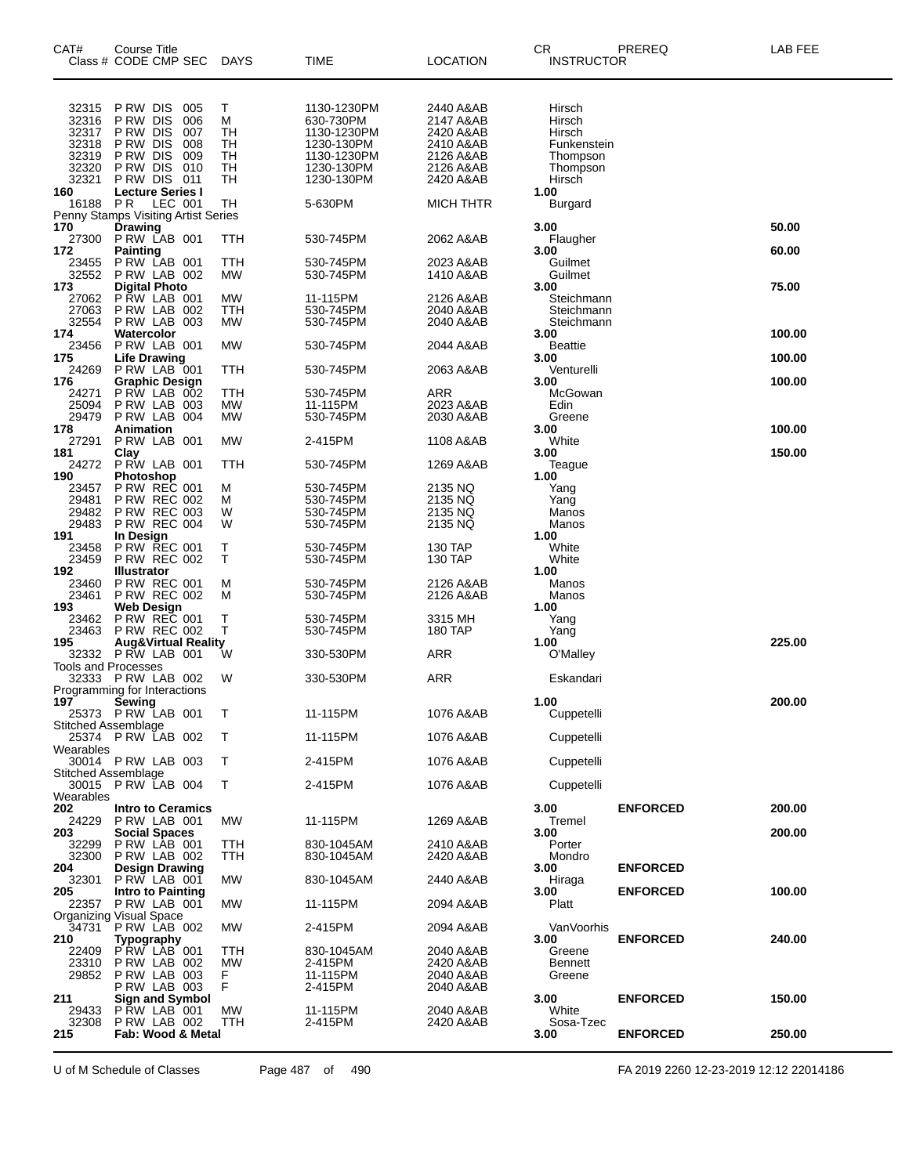| CAT#                                      | Course Title<br>Class # CODE CMP SEC                                                    | <b>DAYS</b>                  | TIME                                                                 | <b>LOCATION</b>                                               | <b>CR</b><br>PREREQ<br><b>INSTRUCTOR</b>              | LAB FEE          |
|-------------------------------------------|-----------------------------------------------------------------------------------------|------------------------------|----------------------------------------------------------------------|---------------------------------------------------------------|-------------------------------------------------------|------------------|
| 32315<br>32316<br>32317<br>32318<br>32319 | PRW DIS 005<br>P RW DIS<br>006<br>P RW DIS<br>007<br>P RW DIS<br>008<br>P RW DIS<br>009 | Τ<br>М<br>TН<br>TН<br>TН     | 1130-1230PM<br>630-730PM<br>1130-1230PM<br>1230-130PM<br>1130-1230PM | 2440 A&AB<br>2147 A&AB<br>2420 A&AB<br>2410 A&AB<br>2126 A&AB | Hirsch<br>Hirsch<br>Hirsch<br>Funkenstein<br>Thompson |                  |
| 32320<br>32321<br>160                     | P RW DIS<br>010<br>P RW DIS<br>011<br><b>Lecture Series I</b>                           | TН<br>TН                     | 1230-130PM<br>1230-130PM                                             | 2126 A&AB<br>2420 A&AB                                        | Thompson<br>Hirsch<br>1.00                            |                  |
| 16188 PR                                  | LEC 001<br>Penny Stamps Visiting Artist Series                                          | TH                           | 5-630PM                                                              | MICH THTR                                                     | Burgard                                               |                  |
| 170<br>27300                              | Drawing<br>PRW LAB 001                                                                  | ттн                          | 530-745PM                                                            | 2062 A&AB                                                     | 3.00<br>Flaugher                                      | 50.00            |
| 172<br>23455<br>32552                     | Painting<br>PRW LAB 001<br>PRW LAB 002                                                  | TTH<br><b>MW</b>             | 530-745PM<br>530-745PM                                               | 2023 A&AB<br>1410 A&AB                                        | 3.00<br>Guilmet<br>Guilmet                            | 60.00            |
| 173<br>27062<br>27063<br>32554            | <b>Digital Photo</b><br><b>P RW LAB 001</b><br>PRW LAB 002<br>PRW LAB 003               | МW<br>TTH<br><b>MW</b>       | 11-115PM<br>530-745PM<br>530-745PM                                   | 2126 A&AB<br>2040 A&AB<br>2040 A&AB                           | 3.00<br>Steichmann<br>Steichmann<br>Steichmann        | 75.00            |
| 174<br>23456                              | Watercolor<br>PRW LAB 001                                                               | MW                           | 530-745PM                                                            | 2044 A&AB                                                     | 3.00<br><b>Beattie</b>                                | 100.00           |
| 175<br>24269                              | <b>Life Drawing</b><br>PRW LAB 001                                                      | TTH                          | 530-745PM                                                            | 2063 A&AB                                                     | 3.00<br>Venturelli                                    | 100.00           |
| 176<br>24271<br>25094<br>29479            | Graphic Design<br>PRW LAB 002<br>PRW LAB 003<br>P RW LAB 004                            | TTH<br>MW<br><b>MW</b>       | 530-745PM<br>11-115PM<br>530-745PM                                   | ARR<br>2023 A&AB<br>2030 A&AB                                 | 3.00<br>McGowan<br>Edin<br>Greene                     | 100.00           |
| 178<br>27291                              | <b>Animation</b><br>PRW LAB 001                                                         | МW                           | 2-415PM                                                              | 1108 A&AB                                                     | 3.00<br>White                                         | 100.00           |
| 181<br>24272                              | Clay<br>P RW LAB 001                                                                    | TTH                          | 530-745PM                                                            | 1269 A&AB                                                     | 3.00<br>Teague                                        | 150.00           |
| 190<br>23457                              | Photoshop<br><b>P RW REC 001</b>                                                        | М                            | 530-745PM                                                            | 2135 NQ                                                       | 1.00<br>Yang                                          |                  |
| 29481<br>29482                            | <b>P RW REC 002</b><br><b>P RW REC 003</b>                                              | м<br>W                       | 530-745PM<br>530-745PM                                               | 2135 NQ<br>2135 NQ                                            | Yang<br>Manos                                         |                  |
| 29483<br>191                              | <b>P RW REC 004</b><br>In Design                                                        | W                            | 530-745PM                                                            | 2135 NQ                                                       | Manos<br>1.00                                         |                  |
| 23458<br>23459<br>192                     | <b>P RW REC 001</b><br><b>P RW REC 002</b><br><b>Illustrator</b>                        | т<br>т                       | 530-745PM<br>530-745PM                                               | 130 TAP<br>130 TAP                                            | White<br>White<br>1.00                                |                  |
| 23460<br>23461<br>193                     | <b>P RW REC 001</b><br><b>P RW REC 002</b><br><b>Web Design</b>                         | М<br>М                       | 530-745PM<br>530-745PM                                               | 2126 A&AB<br>2126 A&AB                                        | Manos<br>Manos<br>1.00                                |                  |
| 23462<br>23463<br>195                     | <b>P RW REC 001</b><br><b>P RW REC 002</b><br><b>Aug&amp;Virtual Reality</b>            | т<br>т                       | 530-745PM<br>530-745PM                                               | 3315 MH<br>180 TAP                                            | Yang<br>Yang<br>1.00                                  | 225.00           |
| 32332<br><b>Tools and Processes</b>       | PRW LAB 001                                                                             | w                            | 330-530PM                                                            | ARR                                                           | O'Malley                                              |                  |
| 197                                       | 32333 P RW LAB 002<br>Programming for Interactions                                      | W                            | 330-530PM                                                            | <b>ARR</b>                                                    | Eskandari<br>1.00                                     | 200.00           |
| Stitched Assemblage                       | Sewing<br>25373 PRW LAB 001                                                             | т                            | 11-115PM                                                             | 1076 A&AB                                                     | Cuppetelli                                            |                  |
| Wearables                                 | 25374 PRW LAB 002                                                                       | т                            | 11-115PM                                                             | 1076 A&AB                                                     | Cuppetelli                                            |                  |
| Stitched Assemblage                       | 30014 P RW LAB 003                                                                      | T                            | 2-415PM                                                              | 1076 A&AB                                                     | Cuppetelli                                            |                  |
| Wearables                                 | 30015 P RW LAB 004                                                                      | T                            | 2-415PM                                                              | 1076 A&AB                                                     | Cuppetelli                                            |                  |
| 202<br>24229<br>203                       | <b>Intro to Ceramics</b><br>PRW LAB 001<br>Social Spaces                                | MW                           | 11-115PM                                                             | 1269 A&AB                                                     | 3.00<br><b>ENFORCED</b><br>Tremel<br>3.00             | 200.00<br>200.00 |
| 32299<br>32300<br>204                     | PRW LAB 001<br>PRW LAB 002<br>Design Drawing                                            | TTH<br>TTH                   | 830-1045AM<br>830-1045AM                                             | 2410 A&AB<br>2420 A&AB                                        | Porter<br>Mondro<br><b>ENFORCED</b><br>3.00           |                  |
| 32301<br>205                              | PRW LAB 001<br>Intro to Painting                                                        | MW                           | 830-1045AM                                                           | 2440 A&AB                                                     | Hiraga<br><b>ENFORCED</b><br>3.00                     | 100.00           |
|                                           | 22357 P RW LAB 001<br><b>Organizing Visual Space</b>                                    | MW                           | 11-115PM                                                             | 2094 A&AB                                                     | Platt                                                 |                  |
| 210                                       | 34731 P RW LAB 002<br>Typography                                                        | MW                           | 2-415PM                                                              | 2094 A&AB                                                     | VanVoorhis<br>3.00<br><b>ENFORCED</b>                 | 240.00           |
| 22409<br>23310<br>29852                   | $P$ RW LAB 001<br>PRW LAB 002<br>PRW LAB 003                                            | ттн<br><b>MW</b><br>F.<br>F. | 830-1045AM<br>2-415PM<br>11-115PM                                    | 2040 A&AB<br>2420 A&AB<br>2040 A&AB                           | Greene<br><b>Bennett</b><br>Greene                    |                  |
| 211<br>29433                              | PRW LAB 003<br><b>Sign and Symbol</b><br>PRW LAB 001                                    | MW                           | 2-415PM<br>11-115PM                                                  | 2040 A&AB<br>2040 A&AB                                        | <b>ENFORCED</b><br>3.00<br>White                      | 150.00           |
| 32308<br>215                              | PRW LAB 002<br>Fab: Wood & Metal                                                        | TTH                          | 2-415PM                                                              | 2420 A&AB                                                     | Sosa-Tzec<br><b>ENFORCED</b><br>3.00                  | 250.00           |

U of M Schedule of Classes Page 487 of 490 FA 2019 2260 12-23-2019 12:12 22014186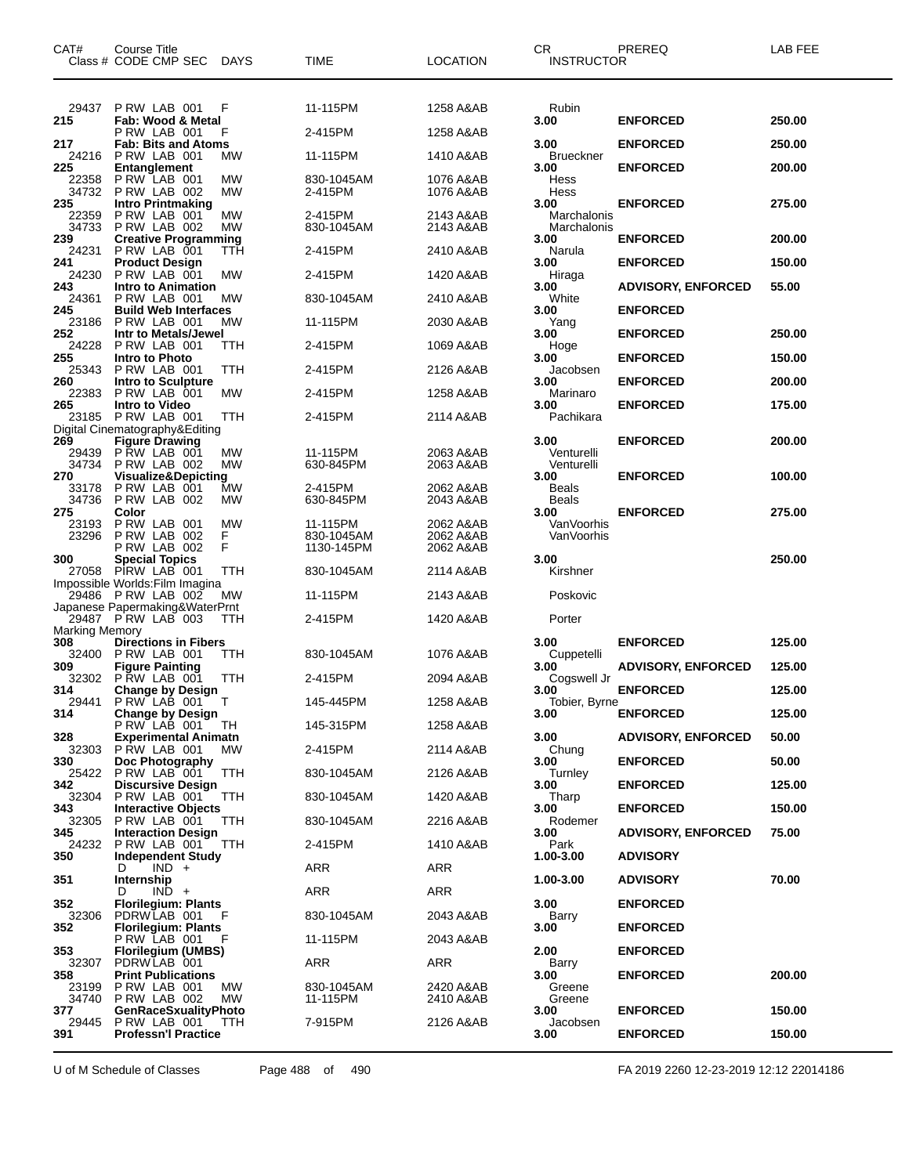| CAT#                  | Course Title<br>Class # CODE CMP SEC                                  | <b>DAYS</b> | TIME                  | <b>LOCATION</b>        | CR.<br><b>INSTRUCTOR</b>   | PREREQ                             | LAB FEE          |
|-----------------------|-----------------------------------------------------------------------|-------------|-----------------------|------------------------|----------------------------|------------------------------------|------------------|
| 29437                 | PRW LAB 001                                                           | F           | 11-115PM              | 1258 A&AB              | Rubin                      |                                    |                  |
| 215                   | Fab: Wood & Metal<br>PRW LAB 001                                      | F           | 2-415PM               | 1258 A&AB              | 3.00                       | <b>ENFORCED</b>                    | 250.00           |
| 217<br>24216          | <b>Fab: Bits and Atoms</b><br>PRW LAB 001                             | <b>MW</b>   | 11-115PM              | 1410 A&AB              | 3.00<br>Brueckner          | <b>ENFORCED</b>                    | 250.00           |
| 225                   | <b>Entanglement</b>                                                   |             |                       |                        | 3.00                       | <b>ENFORCED</b>                    | 200.00           |
| 22358<br>34732<br>235 | PRW LAB 001<br>PRW LAB 002<br><b>Intro Printmaking</b>                | МW<br>MW    | 830-1045AM<br>2-415PM | 1076 A&AB<br>1076 A&AB | Hess<br>Hess<br>3.00       | <b>ENFORCED</b>                    | 275.00           |
| 22359<br>34733        | PRW LAB 001<br>PRW LAB 002                                            | MW<br>MW    | 2-415PM<br>830-1045AM | 2143 A&AB<br>2143 A&AB | Marchalonis<br>Marchalonis |                                    |                  |
| 239<br>24231          | <b>Creative Programming</b><br>PRW LAB 001                            | ттн         | 2-415PM               | 2410 A&AB              | 3.00<br>Narula             | <b>ENFORCED</b>                    | 200.00           |
| 241<br>24230          | <b>Product Design</b><br>PRW LAB 001                                  | МW          | 2-415PM               | 1420 A&AB              | 3.00<br>Hiraga             | <b>ENFORCED</b>                    | 150.00           |
| 243<br>24361          | <b>Intro to Animation</b><br>PRW LAB 001                              | МW          | 830-1045AM            | 2410 A&AB              | 3.00<br>White              | <b>ADVISORY, ENFORCED</b>          | 55.00            |
| 245<br>23186          | <b>Build Web Interfaces</b><br>PRW LAB 001                            | MW          | 11-115PM              | 2030 A&AB              | 3.00<br>Yang               | <b>ENFORCED</b>                    |                  |
| 252<br>24228          | Intr to Metals/Jewel<br>P RW LAB 001                                  | TTH         | 2-415PM               | 1069 A&AB              | 3.00<br>Hoge               | <b>ENFORCED</b>                    | 250.00           |
| 255<br>25343          | Intro to Photo<br>PRW LAB 001                                         | ттн         | 2-415PM               | 2126 A&AB              | 3.00<br>Jacobsen           | <b>ENFORCED</b>                    | 150.00           |
| 260<br>22383          | Intro to Sculpture<br>PRW LAB 001                                     | МW          | 2-415PM               | 1258 A&AB              | 3.00<br>Marinaro           | <b>ENFORCED</b>                    | 200.00           |
| 265<br>23185          | Intro to Video<br>P RW LAB 001                                        | TTH         | 2-415PM               | 2114 A&AB              | 3.00<br>Pachikara          | <b>ENFORCED</b>                    | 175.00           |
| 269                   | Digital Cinematography&Editing<br><b>Figure Drawing</b>               |             |                       |                        | 3.00                       | <b>ENFORCED</b>                    | 200.00           |
| 29439                 | PRW LAB 001<br>PRW LAB 002                                            | МW          | 11-115PM              | 2063 A&AB              | Venturelli<br>Venturelli   |                                    |                  |
| 34734<br>270          | Visualize&Depicting                                                   | MW          | 630-845PM             | 2063 A&AB              | 3.00                       | <b>ENFORCED</b>                    | 100.00           |
| 33178<br>34736        | PRW LAB 001<br>PRW LAB 002                                            | MW<br>МW    | 2-415PM<br>630-845PM  | 2062 A&AB<br>2043 A&AB | Beals<br>Beals             |                                    |                  |
| 275<br>23193          | Color<br>PRW LAB 001                                                  | MW          | 11-115PM              | 2062 A&AB              | 3.00<br>VanVoorhis         | <b>ENFORCED</b>                    | 275.00           |
| 23296                 | PRW LAB 002                                                           | F           | 830-1045AM            | 2062 A&AB              | VanVoorhis                 |                                    |                  |
| 300                   | PRW LAB 002<br><b>Special Topics</b>                                  | F           | 1130-145PM            | 2062 A&AB              | 3.00                       |                                    | 250.00           |
| 27058                 | PIRW LAB 001<br>Impossible Worlds: Film Imagina                       | ттн         | 830-1045AM            | 2114 A&AB              | Kirshner                   |                                    |                  |
|                       | 29486 PRW LAB 002<br>Japanese Papermaking&WaterPrnt                   | МW          | 11-115PM              | 2143 A&AB              | Poskovic                   |                                    |                  |
| Marking Memory        | 29487 PRW LAB 003                                                     | TTH         | 2-415PM               | 1420 A&AB              | Porter                     |                                    |                  |
| 308                   | <b>Directions in Fibers</b>                                           |             |                       |                        | 3.00                       | <b>ENFORCED</b>                    | 125.00           |
| 32400<br>309          | PRW LAB 001<br><b>Figure Painting</b>                                 | TTH         | 830-1045AM            | 1076 A&AB              | Cuppetelli<br>3.00         | <b>ADVISORY, ENFORCED</b>          | 125.00           |
| 32302<br>314          | PRW LAB 001<br><b>Change by Design</b>                                | ттн         | 2-415PM               | 2094 A&AB              | Cogswell Jr<br>3.00        | <b>ENFORCED</b>                    | 125.00           |
| 29441<br>314          | PRW LAB 001 T<br><b>Change by Design</b>                              |             | 145-445PM             | 1258 A&AB              | Tobier, Byrne<br>3.00      | <b>ENFORCED</b>                    | 125.00           |
| 328                   | PRW LAB 001 TH<br><b>Experimental Animatn</b>                         |             | 145-315PM             | 1258 A&AB              | 3.00                       | <b>ADVISORY, ENFORCED</b>          | 50.00            |
| 32303                 | PRW LAB 001<br>Doc Photography                                        | MW.         | 2-415PM               | 2114 A&AB              | Chung<br>3.00              |                                    | 50.00            |
| 330<br>25422          | P RW LAB 001                                                          | TTH         | 830-1045AM            | 2126 A&AB              | Turnley                    | <b>ENFORCED</b><br><b>ENFORCED</b> |                  |
| 342.<br>32304<br>343. | <b>Discursive Design</b><br>PRW LAB 001<br><b>Interactive Objects</b> | TTH         | 830-1045AM            | 1420 A&AB              | 3.00<br>Tharp<br>3.00      | <b>ENFORCED</b>                    | 125.00<br>150.00 |
| 32305                 | PRW LAB 001<br><b>Interaction Design</b>                              | <b>TTH</b>  | 830-1045AM            | 2216 A&AB              | Rodemer                    |                                    |                  |
| 345<br>24232          | PRW LAB 001                                                           | <b>TTH</b>  | 2-415PM               | 1410 A&AB              | 3.00<br>Park               | <b>ADVISORY, ENFORCED</b>          | 75.00            |
| 350                   | <b>Independent Study</b><br>$IND +$<br>D                              |             | ARR                   | ARR                    | 1.00-3.00                  | <b>ADVISORY</b>                    |                  |
| 351                   | Internship<br>$IND +$<br>D                                            |             | ARR                   | ARR                    | 1.00-3.00                  | <b>ADVISORY</b>                    | 70.00            |
| 352<br>32306          | <b>Florilegium: Plants</b><br>PDRWLAB 001                             |             | 830-1045AM            | 2043 A&AB              | 3.00<br>Barry              | <b>ENFORCED</b>                    |                  |
| 352                   | <b>Florilegium: Plants</b><br>PRW LAB 001                             |             | 11-115PM              | 2043 A&AB              | 3.00                       | <b>ENFORCED</b>                    |                  |
| 353<br>32307          | <b>Florilegium (UMBS)</b><br>PDRWLAB 001                              |             | ARR                   | ARR                    | 2.00<br>Barry              | <b>ENFORCED</b>                    |                  |
| 358<br>23199          | <b>Print Publications</b><br>PRW LAB 001                              | MW.         | 830-1045AM            | 2420 A&AB              | 3.00<br>Greene             | <b>ENFORCED</b>                    | 200.00           |
| 34740<br>377          | PRW LAB 002<br><b>GenRaceSxualityPhoto</b>                            | МW          | 11-115PM              | 2410 A&AB              | Greene<br>3.00             | <b>ENFORCED</b>                    | 150.00           |
| 29445<br>391          | PRW LAB 001<br><b>Professn'l Practice</b>                             | TTH         | 7-915PM               | 2126 A&AB              | Jacobsen<br>3.00           | <b>ENFORCED</b>                    | 150.00           |
|                       |                                                                       |             |                       |                        |                            |                                    |                  |

U of M Schedule of Classes Page 488 of 490 FA 2019 2260 12-23-2019 12:12 22014186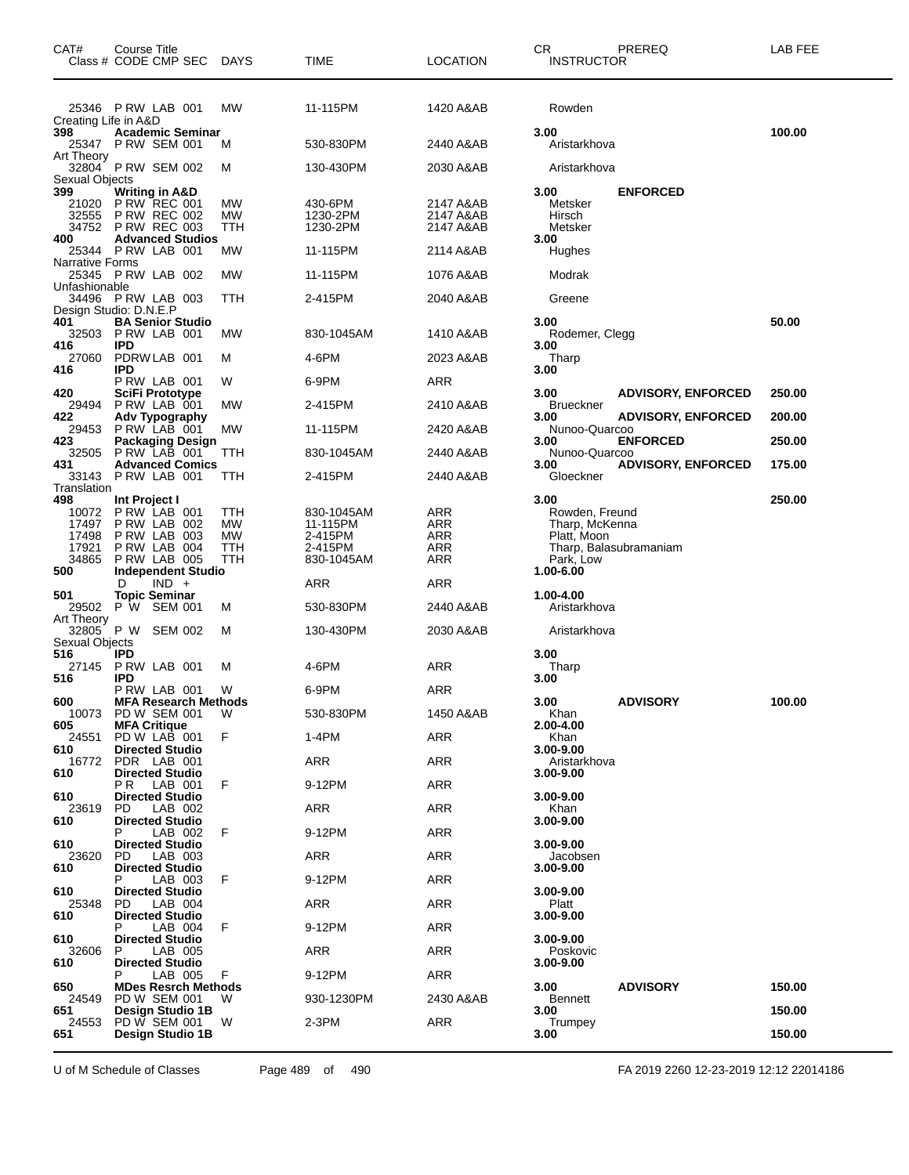| CAT#                                             | Course Title<br>Class # CODE CMP SEC                                                             | DAYS                                 | TIME                                                       | <b>LOCATION</b>                     | CR.<br><b>INSTRUCTOR</b>                                                                       | PREREQ                    | LAB FEE |
|--------------------------------------------------|--------------------------------------------------------------------------------------------------|--------------------------------------|------------------------------------------------------------|-------------------------------------|------------------------------------------------------------------------------------------------|---------------------------|---------|
| Creating Life in A&D                             | 25346 PRW LAB 001                                                                                | МW                                   | 11-115PM                                                   | 1420 A&AB                           | Rowden                                                                                         |                           |         |
| 398<br>25347<br>Art Theory                       | <b>Academic Seminar</b><br><b>PRW SEM 001</b>                                                    | м                                    | 530-830PM                                                  | 2440 A&AB                           | 3.00<br>Aristarkhova                                                                           |                           | 100.00  |
| Sexual Objects                                   | 32804 PRW SEM 002                                                                                | м                                    | 130-430PM                                                  | 2030 A&AB                           | Aristarkhova                                                                                   |                           |         |
| 399<br>21020<br>32555                            | Writing in A&D<br><b>P RW REC 001</b><br><b>P RW REC 002</b><br>34752 PRW REC 003                | МW<br>МW<br>ттн                      | 430-6PM<br>1230-2PM<br>1230-2PM                            | 2147 A&AB<br>2147 A&AB<br>2147 A&AB | 3.00<br>Metsker<br>Hirsch<br>Metsker                                                           | <b>ENFORCED</b>           |         |
| 400<br><b>Narrative Forms</b>                    | <b>Advanced Studios</b><br>25344 P RW LAB 001                                                    | МW                                   | 11-115PM                                                   | 2114 A&AB                           | 3.00<br>Hughes                                                                                 |                           |         |
| Unfashionable                                    | 25345 PRW LAB 002                                                                                | МW                                   | 11-115PM                                                   | 1076 A&AB                           | Modrak                                                                                         |                           |         |
|                                                  | 34496 PRW LAB 003<br>Design Studio: D.N.E.P                                                      | ттн                                  | 2-415PM                                                    | 2040 A&AB                           | Greene                                                                                         |                           |         |
| 401<br>416                                       | <b>BA Senior Studio</b><br>32503 PRW LAB 001<br><b>IPD</b>                                       | МW                                   | 830-1045AM                                                 | 1410 A&AB                           | 3.00<br>Rodemer, Clegg<br>3.00                                                                 |                           | 50.00   |
| 27060<br>416                                     | PDRWLAB 001<br><b>IPD</b>                                                                        | м                                    | 4-6PM                                                      | 2023 A&AB                           | Tharp<br>3.00                                                                                  |                           |         |
| 420                                              | PRW LAB 001<br>SciFi Prototype                                                                   | W                                    | 6-9PM                                                      | ARR                                 | 3.00                                                                                           | <b>ADVISORY, ENFORCED</b> | 250.00  |
| 29494<br>422                                     | PRW LAB 001<br>Adv Typography                                                                    | МW                                   | 2-415PM                                                    | 2410 A&AB                           | <b>Brueckner</b><br>3.00                                                                       | <b>ADVISORY, ENFORCED</b> | 200.00  |
| 29453<br>423                                     | PRW LAB 001<br><b>Packaging Design</b>                                                           | МW                                   | 11-115PM                                                   | 2420 A&AB                           | Nunoo-Quarcoo<br>3.00                                                                          | <b>ENFORCED</b>           | 250.00  |
| 32505<br>431                                     | PRW LAB 001<br><b>Advanced Comics</b>                                                            | TTH                                  | 830-1045AM                                                 | 2440 A&AB                           | Nunoo-Quarcoo<br>3.00                                                                          | <b>ADVISORY, ENFORCED</b> | 175.00  |
| 33143<br>Translation                             | PRW LAB 001                                                                                      | TTH                                  | 2-415PM                                                    | 2440 A&AB                           | Gloeckner                                                                                      |                           |         |
| 498<br>10072<br>17497<br>17498<br>17921<br>34865 | Int Project I<br>PRW LAB 001<br>PRW LAB 002<br>PRW LAB 003<br>PRW LAB 004<br><b>P RW LAB 005</b> | ттн<br>МW<br><b>MW</b><br>ттн<br>ттн | 830-1045AM<br>11-115PM<br>2-415PM<br>2-415PM<br>830-1045AM | ARR<br>ARR<br>ARR<br>ARR<br>ARR     | 3.00<br>Rowden, Freund<br>Tharp, McKenna<br>Platt, Moon<br>Tharp, Balasubramaniam<br>Park, Low |                           | 250.00  |
| 500                                              | <b>Independent Studio</b><br>$IND +$<br>D                                                        |                                      | ARR                                                        | ARR                                 | 1.00-6.00                                                                                      |                           |         |
| 501<br>29502                                     | <b>Topic Seminar</b><br>P W SEM 001                                                              | М                                    | 530-830PM                                                  | 2440 A&AB                           | 1.00-4.00<br>Aristarkhova                                                                      |                           |         |
| Art Theory<br>32805<br>Sexual Objects            | P W<br><b>SEM 002</b>                                                                            | м                                    | 130-430PM                                                  | 2030 A&AB                           | Aristarkhova                                                                                   |                           |         |
| 516<br>27145<br>516                              | IPD<br>P RW LAB 001<br>IPD                                                                       | м                                    | 4-6PM                                                      | ARR                                 | 3.00<br>Tharp<br>3.00                                                                          |                           |         |
| 600                                              | PRW LAB 001<br><b>MFA Research Methods</b>                                                       | W                                    | 6-9PM                                                      | ARR                                 | 3.00                                                                                           | <b>ADVISORY</b>           | 100.00  |
| 605                                              | 10073 PD W SEM 001<br><b>MFA Critique</b>                                                        | W                                    | 530-830PM                                                  | 1450 A&AB                           | Khan<br>2.00-4.00                                                                              |                           |         |
| 24551<br>610                                     | PD W LAB 001<br><b>Directed Studio</b>                                                           | F                                    | 1-4PM                                                      | <b>ARR</b>                          | Khan<br>3.00-9.00                                                                              |                           |         |
| 16772<br>610                                     | PDR LAB 001<br><b>Directed Studio</b>                                                            |                                      | ARR                                                        | ARR                                 | Aristarkhova<br>3.00-9.00                                                                      |                           |         |
| 610                                              | LAB 001<br>P R<br><b>Directed Studio</b>                                                         | F                                    | 9-12PM                                                     | <b>ARR</b>                          | 3.00-9.00                                                                                      |                           |         |
| 23619<br>610                                     | PD.<br>LAB 002<br><b>Directed Studio</b>                                                         |                                      | ARR                                                        | <b>ARR</b>                          | Khan<br>3.00-9.00                                                                              |                           |         |
| 610                                              | LAB 002<br><b>Directed Studio</b>                                                                | F                                    | 9-12PM                                                     | ARR                                 | $3.00 - 9.00$                                                                                  |                           |         |
| 23620<br>610                                     | LAB 003<br>PD.<br><b>Directed Studio</b>                                                         |                                      | ARR                                                        | <b>ARR</b>                          | Jacobsen<br>3.00-9.00                                                                          |                           |         |
| 610                                              | LAB 003<br><b>Directed Studio</b>                                                                | F                                    | 9-12PM                                                     | <b>ARR</b>                          | 3.00-9.00                                                                                      |                           |         |
| 25348<br>610                                     | LAB 004<br>PD.<br><b>Directed Studio</b>                                                         |                                      | ARR                                                        | ARR                                 | Platt<br>3.00-9.00                                                                             |                           |         |
| 610                                              | LAB 004<br>Р<br><b>Directed Studio</b>                                                           | F                                    | 9-12PM                                                     | <b>ARR</b>                          | $3.00 - 9.00$                                                                                  |                           |         |
| 32606<br>610                                     | P<br>LAB 005<br><b>Directed Studio</b>                                                           |                                      | ARR                                                        | <b>ARR</b>                          | Poskovic<br>3.00-9.00                                                                          |                           |         |
| 650                                              | LAB 005<br><b>MDes Resrch Methods</b>                                                            | F                                    | 9-12PM                                                     | ARR                                 | 3.00                                                                                           | <b>ADVISORY</b>           | 150.00  |
| 24549<br>651                                     | PD W SEM 001<br>Design Studio 1B                                                                 | W                                    | 930-1230PM                                                 | 2430 A&AB                           | <b>Bennett</b><br>3.00                                                                         |                           | 150.00  |
| 24553<br>651                                     | PD W SEM 001<br>Design Studio 1B                                                                 | W                                    | 2-3PM                                                      | <b>ARR</b>                          | Trumpey<br>3.00                                                                                |                           | 150.00  |

U of M Schedule of Classes Page 489 of 490 FA 2019 2260 12-23-2019 12:12 22014186